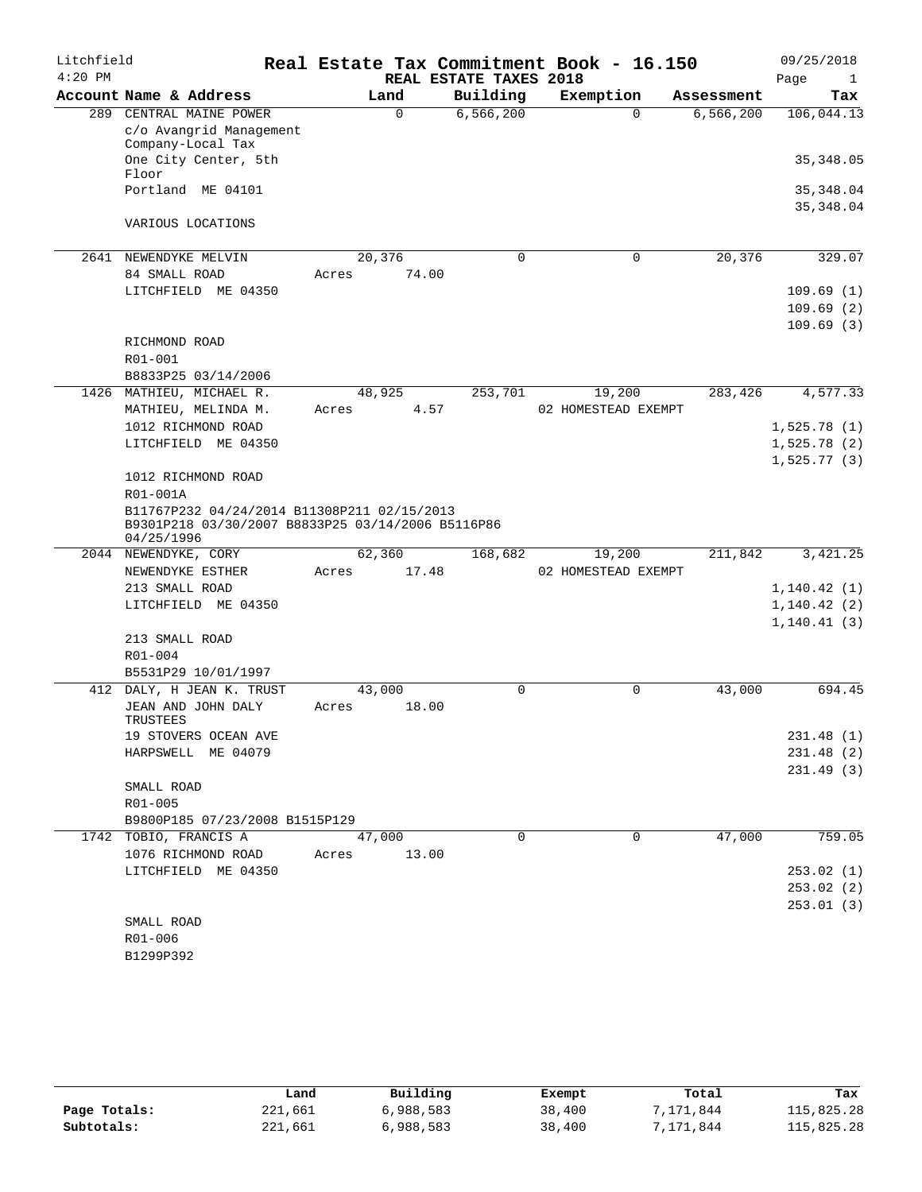| Litchfield<br>$4:20$ PM |                                                                                                                |       |        | REAL ESTATE TAXES 2018 | Real Estate Tax Commitment Book - 16.150 |             | 09/25/2018<br>Page<br>$\mathbf{1}$ |
|-------------------------|----------------------------------------------------------------------------------------------------------------|-------|--------|------------------------|------------------------------------------|-------------|------------------------------------|
|                         | Account Name & Address                                                                                         |       | Land   | Building               | Exemption                                | Assessment  | Tax                                |
| 289                     | CENTRAL MAINE POWER                                                                                            |       | 0      | 6, 566, 200            | $\Omega$                                 | 6, 566, 200 | 106,044.13                         |
|                         | c/o Avangrid Management                                                                                        |       |        |                        |                                          |             |                                    |
|                         | Company-Local Tax                                                                                              |       |        |                        |                                          |             |                                    |
|                         | One City Center, 5th<br>Floor                                                                                  |       |        |                        |                                          |             | 35, 348.05                         |
|                         | Portland ME 04101                                                                                              |       |        |                        |                                          |             | 35, 348.04                         |
|                         |                                                                                                                |       |        |                        |                                          |             | 35, 348.04                         |
|                         | VARIOUS LOCATIONS                                                                                              |       |        |                        |                                          |             |                                    |
|                         |                                                                                                                |       |        |                        |                                          |             |                                    |
| 2641                    | NEWENDYKE MELVIN                                                                                               |       | 20,376 | $\mathbf 0$            | $\mathbf 0$                              | 20,376      | 329.07                             |
|                         | 84 SMALL ROAD                                                                                                  | Acres | 74.00  |                        |                                          |             |                                    |
|                         | LITCHFIELD ME 04350                                                                                            |       |        |                        |                                          |             | 109.69(1)                          |
|                         |                                                                                                                |       |        |                        |                                          |             | 109.69(2)                          |
|                         |                                                                                                                |       |        |                        |                                          |             | 109.69(3)                          |
|                         | RICHMOND ROAD                                                                                                  |       |        |                        |                                          |             |                                    |
|                         | R01-001                                                                                                        |       |        |                        |                                          |             |                                    |
| 1426                    | B8833P25 03/14/2006<br>MATHIEU, MICHAEL R.                                                                     |       | 48,925 | 253,701                | 19,200                                   | 283,426     | 4,577.33                           |
|                         | MATHIEU, MELINDA M.                                                                                            | Acres | 4.57   |                        | 02 HOMESTEAD EXEMPT                      |             |                                    |
|                         | 1012 RICHMOND ROAD                                                                                             |       |        |                        |                                          |             | 1,525.78(1)                        |
|                         | LITCHFIELD ME 04350                                                                                            |       |        |                        |                                          |             | 1,525.78(2)                        |
|                         |                                                                                                                |       |        |                        |                                          |             | 1,525.77(3)                        |
|                         | 1012 RICHMOND ROAD                                                                                             |       |        |                        |                                          |             |                                    |
|                         | R01-001A                                                                                                       |       |        |                        |                                          |             |                                    |
|                         | B11767P232 04/24/2014 B11308P211 02/15/2013<br>B9301P218 03/30/2007 B8833P25 03/14/2006 B5116P86<br>04/25/1996 |       |        |                        |                                          |             |                                    |
| 2044                    | NEWENDYKE, CORY                                                                                                |       | 62,360 | 168,682                | 19,200                                   | 211,842     | 3,421.25                           |
|                         | NEWENDYKE ESTHER                                                                                               | Acres | 17.48  |                        | 02 HOMESTEAD EXEMPT                      |             |                                    |
|                         | 213 SMALL ROAD                                                                                                 |       |        |                        |                                          |             | 1,140.42(1)                        |
|                         | LITCHFIELD ME 04350                                                                                            |       |        |                        |                                          |             | 1,140.42(2)                        |
|                         |                                                                                                                |       |        |                        |                                          |             | 1, 140.41(3)                       |
|                         | 213 SMALL ROAD                                                                                                 |       |        |                        |                                          |             |                                    |
|                         | R01-004                                                                                                        |       |        |                        |                                          |             |                                    |
| 412                     | B5531P29 10/01/1997<br>DALY, H JEAN K. TRUST                                                                   |       | 43,000 | 0                      | $\mathbf 0$                              | 43,000      | 694.45                             |
|                         | JEAN AND JOHN DALY                                                                                             | Acres | 18.00  |                        |                                          |             |                                    |
|                         | TRUSTEES                                                                                                       |       |        |                        |                                          |             |                                    |
|                         | 19 STOVERS OCEAN AVE                                                                                           |       |        |                        |                                          |             | 231.48(1)                          |
|                         | HARPSWELL ME 04079                                                                                             |       |        |                        |                                          |             | 231.48(2)                          |
|                         |                                                                                                                |       |        |                        |                                          |             | 231.49(3)                          |
|                         | SMALL ROAD                                                                                                     |       |        |                        |                                          |             |                                    |
|                         | R01-005                                                                                                        |       |        |                        |                                          |             |                                    |
|                         | B9800P185 07/23/2008 B1515P129                                                                                 |       |        |                        |                                          |             |                                    |
|                         | 1742 TOBIO, FRANCIS A                                                                                          |       | 47,000 | $\Omega$               | $\mathbf 0$                              | 47,000      | 759.05                             |
|                         | 1076 RICHMOND ROAD<br>LITCHFIELD ME 04350                                                                      | Acres | 13.00  |                        |                                          |             |                                    |
|                         |                                                                                                                |       |        |                        |                                          |             | 253.02(1)                          |
|                         |                                                                                                                |       |        |                        |                                          |             | 253.02(2)<br>253.01(3)             |
|                         | SMALL ROAD                                                                                                     |       |        |                        |                                          |             |                                    |
|                         | R01-006                                                                                                        |       |        |                        |                                          |             |                                    |
|                         | B1299P392                                                                                                      |       |        |                        |                                          |             |                                    |

|              | Land    | Building  | Exempt | Total     | Tax        |
|--------------|---------|-----------|--------|-----------|------------|
| Page Totals: | 221,661 | 6,988,583 | 38,400 | 7,171,844 | 115,825.28 |
| Subtotals:   | 221,661 | 6,988,583 | 38,400 | 7,171,844 | 115,825.28 |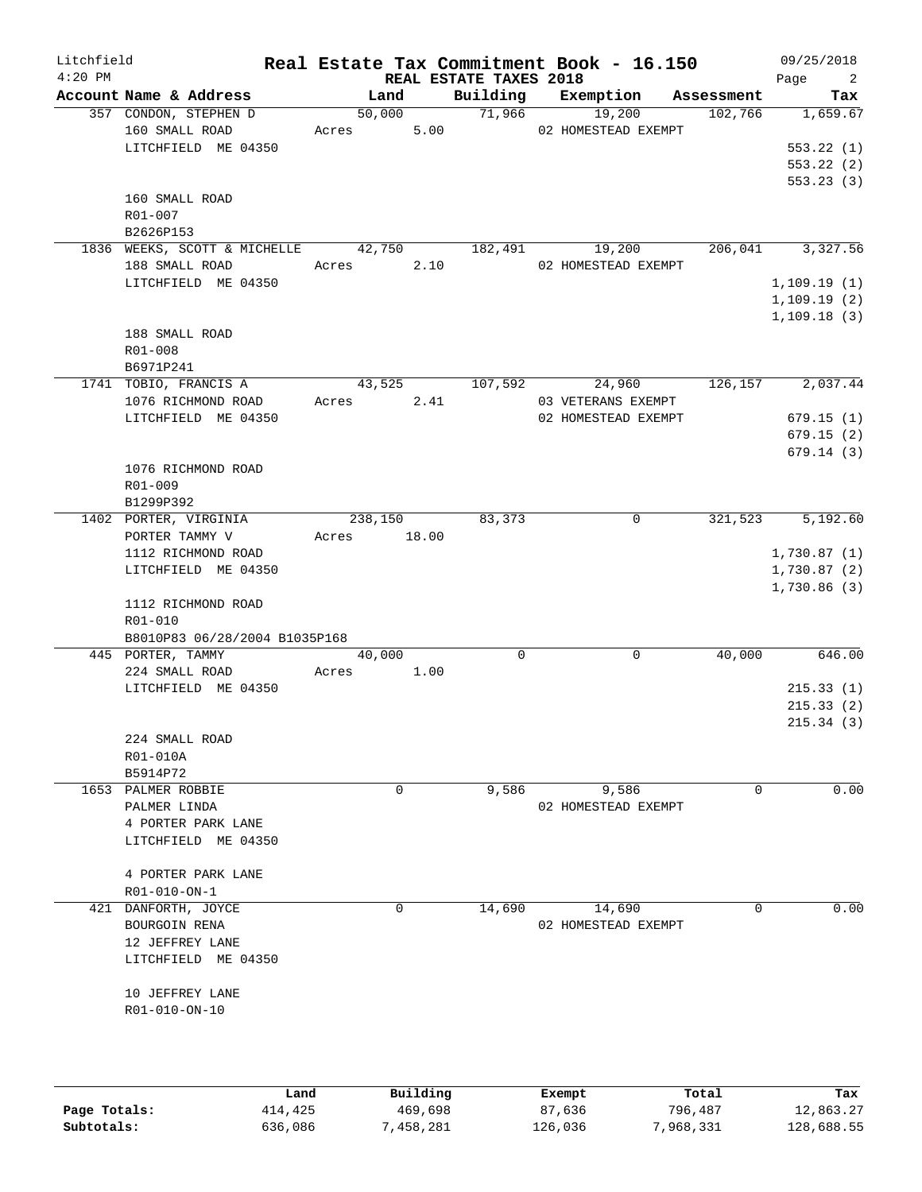| Litchfield<br>$4:20$ PM |                                                                |                 |       | REAL ESTATE TAXES 2018 | Real Estate Tax Commitment Book - 16.150 |            | 09/25/2018<br>$\overline{\phantom{a}}^2$<br>Page |
|-------------------------|----------------------------------------------------------------|-----------------|-------|------------------------|------------------------------------------|------------|--------------------------------------------------|
|                         | Account Name & Address                                         | Land            |       | Building               | Exemption                                | Assessment | Tax                                              |
|                         | 357 CONDON, STEPHEN D<br>160 SMALL ROAD<br>LITCHFIELD ME 04350 | 50,000<br>Acres | 5.00  | 71,966                 | 19,200<br>02 HOMESTEAD EXEMPT            | 102,766    | 1,659.67<br>553.22(1)                            |
|                         | 160 SMALL ROAD<br>R01-007                                      |                 |       |                        |                                          |            | 553.22(2)<br>553.23(3)                           |
|                         | B2626P153<br>1836 WEEKS, SCOTT & MICHELLE                      | 42,750          |       | 182,491                | 19,200                                   | 206,041    | 3,327.56                                         |
|                         | 188 SMALL ROAD                                                 | Acres           | 2.10  |                        | 02 HOMESTEAD EXEMPT                      |            |                                                  |
|                         | LITCHFIELD ME 04350                                            |                 |       |                        |                                          |            | 1,109.19(1)                                      |
|                         |                                                                |                 |       |                        |                                          |            | 1,109.19(2)                                      |
|                         | 188 SMALL ROAD<br>R01-008<br>B6971P241                         |                 |       |                        |                                          |            | 1, 109.18(3)                                     |
|                         | 1741 TOBIO, FRANCIS A                                          | 43,525          |       | 107,592                | 24,960                                   | 126,157    | 2,037.44                                         |
|                         | 1076 RICHMOND ROAD                                             | Acres           | 2.41  |                        | 03 VETERANS EXEMPT                       |            |                                                  |
|                         | LITCHFIELD ME 04350                                            |                 |       |                        | 02 HOMESTEAD EXEMPT                      |            | 679.15(1)                                        |
|                         |                                                                |                 |       |                        |                                          |            | 679.15(2)                                        |
|                         | 1076 RICHMOND ROAD<br>R01-009<br>B1299P392                     |                 |       |                        |                                          |            | 679.14(3)                                        |
|                         | 1402 PORTER, VIRGINIA                                          | 238,150         |       | 83,373                 | 0                                        | 321,523    | 5,192.60                                         |
|                         | PORTER TAMMY V                                                 | Acres           | 18.00 |                        |                                          |            |                                                  |
|                         | 1112 RICHMOND ROAD                                             |                 |       |                        |                                          |            | 1,730.87(1)                                      |
|                         | LITCHFIELD ME 04350                                            |                 |       |                        |                                          |            | 1,730.87(2)                                      |
|                         | 1112 RICHMOND ROAD<br>R01-010                                  |                 |       |                        |                                          |            | 1,730.86(3)                                      |
|                         | B8010P83 06/28/2004 B1035P168                                  |                 |       |                        |                                          |            |                                                  |
|                         | 445 PORTER, TAMMY<br>224 SMALL ROAD                            | 40,000          | 1.00  | $\Omega$               | 0                                        | 40,000     | 646.00                                           |
|                         | LITCHFIELD ME 04350                                            | Acres           |       |                        |                                          |            | 215.33(1)                                        |
|                         |                                                                |                 |       |                        |                                          |            | 215.33(2)                                        |
|                         |                                                                |                 |       |                        |                                          |            | 215.34(3)                                        |
|                         | 224 SMALL ROAD                                                 |                 |       |                        |                                          |            |                                                  |
|                         | R01-010A<br>B5914P72                                           |                 |       |                        |                                          |            |                                                  |
|                         | 1653 PALMER ROBBIE                                             | 0               |       | 9,586                  | 9,586                                    | 0          | 0.00                                             |
|                         | PALMER LINDA                                                   |                 |       |                        | 02 HOMESTEAD EXEMPT                      |            |                                                  |
|                         | 4 PORTER PARK LANE                                             |                 |       |                        |                                          |            |                                                  |
|                         | LITCHFIELD ME 04350                                            |                 |       |                        |                                          |            |                                                  |
|                         | 4 PORTER PARK LANE                                             |                 |       |                        |                                          |            |                                                  |
|                         | R01-010-ON-1                                                   |                 |       |                        |                                          |            |                                                  |
|                         | 421 DANFORTH, JOYCE                                            |                 | 0     | 14,690                 | 14,690                                   | 0          | 0.00                                             |
|                         | BOURGOIN RENA                                                  |                 |       |                        | 02 HOMESTEAD EXEMPT                      |            |                                                  |
|                         | 12 JEFFREY LANE                                                |                 |       |                        |                                          |            |                                                  |
|                         | LITCHFIELD ME 04350                                            |                 |       |                        |                                          |            |                                                  |
|                         | 10 JEFFREY LANE<br>R01-010-ON-10                               |                 |       |                        |                                          |            |                                                  |
|                         |                                                                |                 |       |                        |                                          |            |                                                  |
|                         |                                                                |                 |       |                        |                                          |            |                                                  |
|                         |                                                                |                 |       |                        |                                          |            |                                                  |

|              | Land    | Building  | Exempt  | Total     | Tax        |
|--------------|---------|-----------|---------|-----------|------------|
| Page Totals: | 414,425 | 469,698   | 87,636  | 796,487   | 12,863.27  |
| Subtotals:   | 636,086 | 7,458,281 | 126,036 | 7,968,331 | 128,688.55 |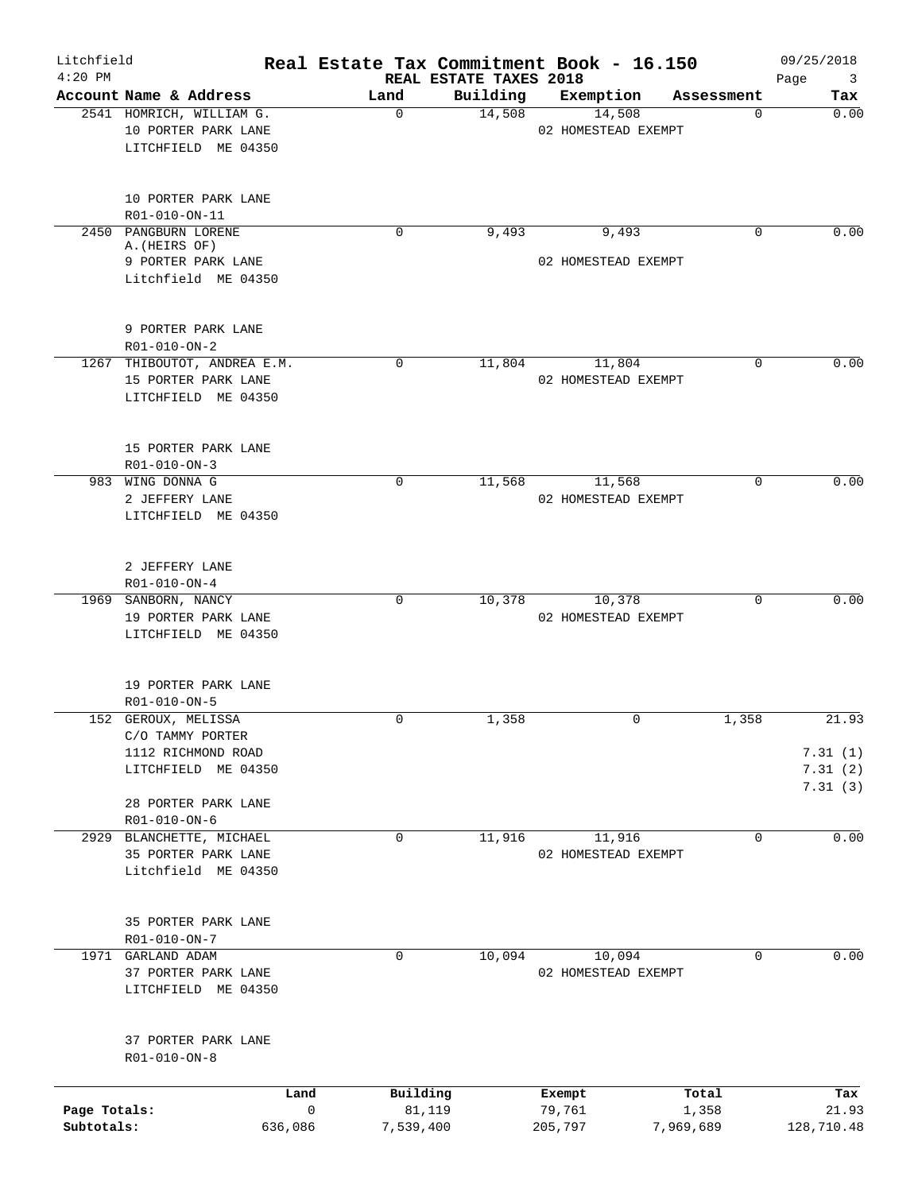| Litchfield<br>$4:20$ PM |                                                                        | Real Estate Tax Commitment Book - 16.150 | REAL ESTATE TAXES 2018 |                               |             | 09/25/2018<br>Page<br>$\overline{\mathbf{3}}$ |
|-------------------------|------------------------------------------------------------------------|------------------------------------------|------------------------|-------------------------------|-------------|-----------------------------------------------|
|                         | Account Name & Address                                                 | Land                                     | Building               | Exemption                     | Assessment  | Tax                                           |
|                         | 2541 HOMRICH, WILLIAM G.<br>10 PORTER PARK LANE<br>LITCHFIELD ME 04350 | 0                                        | 14,508                 | 14,508<br>02 HOMESTEAD EXEMPT | 0           | 0.00                                          |
|                         | 10 PORTER PARK LANE<br>R01-010-ON-11                                   |                                          |                        |                               |             |                                               |
|                         | 2450 PANGBURN LORENE<br>A. (HEIRS OF)<br>9 PORTER PARK LANE            | 0                                        | 9,493                  | 9,493<br>02 HOMESTEAD EXEMPT  | $\Omega$    | 0.00                                          |
|                         | Litchfield ME 04350                                                    |                                          |                        |                               |             |                                               |
|                         | 9 PORTER PARK LANE<br>R01-010-ON-2                                     |                                          |                        |                               |             |                                               |
|                         | 1267 THIBOUTOT, ANDREA E.M.                                            | 0                                        | 11,804                 | 11,804                        | 0           | 0.00                                          |
|                         | 15 PORTER PARK LANE<br>LITCHFIELD ME 04350                             |                                          |                        | 02 HOMESTEAD EXEMPT           |             |                                               |
|                         | 15 PORTER PARK LANE<br>$R01 - 010 - ON - 3$                            |                                          |                        |                               |             |                                               |
|                         | 983 WING DONNA G                                                       | 0                                        | 11,568                 | 11,568                        | $\Omega$    | 0.00                                          |
|                         | 2 JEFFERY LANE                                                         |                                          |                        | 02 HOMESTEAD EXEMPT           |             |                                               |
|                         | LITCHFIELD ME 04350                                                    |                                          |                        |                               |             |                                               |
|                         | 2 JEFFERY LANE<br>R01-010-ON-4                                         |                                          |                        |                               |             |                                               |
|                         | 1969 SANBORN, NANCY                                                    | 0                                        | 10,378                 | 10,378                        | $\mathbf 0$ | 0.00                                          |
|                         | 19 PORTER PARK LANE<br>LITCHFIELD ME 04350                             |                                          |                        | 02 HOMESTEAD EXEMPT           |             |                                               |
|                         | 19 PORTER PARK LANE<br>R01-010-ON-5                                    |                                          |                        |                               |             |                                               |
|                         | 152 GEROUX, MELISSA                                                    | 0                                        | 1,358                  | $\mathbf 0$                   | 1,358       | 21.93                                         |
|                         | C/O TAMMY PORTER                                                       |                                          |                        |                               |             |                                               |
|                         | 1112 RICHMOND ROAD                                                     |                                          |                        |                               |             | 7.31(1)                                       |
|                         | LITCHFIELD ME 04350                                                    |                                          |                        |                               |             | 7.31(2)                                       |
|                         | 28 PORTER PARK LANE<br>R01-010-ON-6                                    |                                          |                        |                               |             | 7.31(3)                                       |
|                         | 2929 BLANCHETTE, MICHAEL                                               | 0                                        | 11,916                 | 11,916                        | $\Omega$    | 0.00                                          |
|                         | 35 PORTER PARK LANE                                                    |                                          |                        | 02 HOMESTEAD EXEMPT           |             |                                               |
|                         | Litchfield ME 04350                                                    |                                          |                        |                               |             |                                               |
|                         | 35 PORTER PARK LANE<br>R01-010-ON-7                                    |                                          |                        |                               |             |                                               |
|                         | 1971 GARLAND ADAM                                                      | 0                                        | 10,094                 | 10,094                        | $\Omega$    | 0.00                                          |
|                         | 37 PORTER PARK LANE<br>LITCHFIELD ME 04350                             |                                          |                        | 02 HOMESTEAD EXEMPT           |             |                                               |
|                         | 37 PORTER PARK LANE<br>R01-010-ON-8                                    |                                          |                        |                               |             |                                               |
|                         |                                                                        | Land                                     | Building               | Exempt                        | Total       | Tax                                           |
| Page Totals:            |                                                                        | $\mathsf{O}$                             | 81,119                 | 79,761                        | 1,358       | 21.93                                         |
| Subtotals:              | 636,086                                                                | 7,539,400                                |                        | 205,797                       | 7,969,689   | 128,710.48                                    |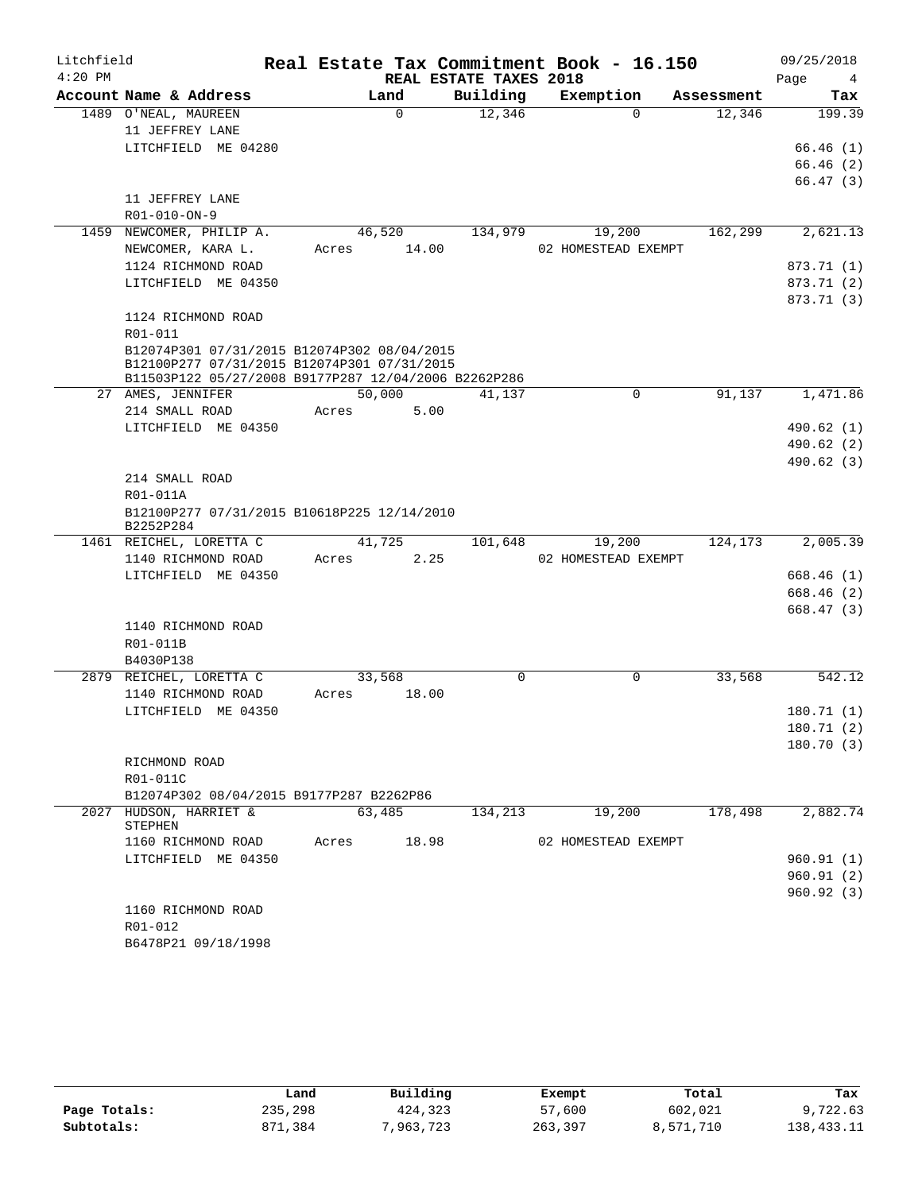| Litchfield |                                                                                            |        |          |                        | Real Estate Tax Commitment Book - 16.150 |            | 09/25/2018              |
|------------|--------------------------------------------------------------------------------------------|--------|----------|------------------------|------------------------------------------|------------|-------------------------|
| $4:20$ PM  |                                                                                            |        |          | REAL ESTATE TAXES 2018 |                                          |            | Page<br>4               |
|            | Account Name & Address                                                                     | Land   |          | Building               | Exemption                                | Assessment | Tax                     |
|            | 1489 O'NEAL, MAUREEN                                                                       |        | $\Omega$ | 12,346                 | $\Omega$                                 | 12,346     | 199.39                  |
|            | 11 JEFFREY LANE                                                                            |        |          |                        |                                          |            |                         |
|            | LITCHFIELD ME 04280                                                                        |        |          |                        |                                          |            | 66.46(1)                |
|            |                                                                                            |        |          |                        |                                          |            | 66.46(2)                |
|            |                                                                                            |        |          |                        |                                          |            | 66.47(3)                |
|            | 11 JEFFREY LANE                                                                            |        |          |                        |                                          |            |                         |
|            | R01-010-ON-9                                                                               |        |          |                        |                                          |            |                         |
|            | 1459 NEWCOMER, PHILIP A.                                                                   | 46,520 |          | 134,979                | 19,200                                   | 162,299    | 2,621.13                |
|            | NEWCOMER, KARA L.                                                                          | Acres  | 14.00    |                        | 02 HOMESTEAD EXEMPT                      |            |                         |
|            | 1124 RICHMOND ROAD                                                                         |        |          |                        |                                          |            | 873.71 (1)              |
|            | LITCHFIELD ME 04350                                                                        |        |          |                        |                                          |            | 873.71 (2)              |
|            |                                                                                            |        |          |                        |                                          |            | 873.71 (3)              |
|            | 1124 RICHMOND ROAD                                                                         |        |          |                        |                                          |            |                         |
|            | R01-011                                                                                    |        |          |                        |                                          |            |                         |
|            | B12074P301 07/31/2015 B12074P302 08/04/2015<br>B12100P277 07/31/2015 B12074P301 07/31/2015 |        |          |                        |                                          |            |                         |
|            | B11503P122 05/27/2008 B9177P287 12/04/2006 B2262P286                                       |        |          |                        |                                          |            |                         |
|            | 27 AMES, JENNIFER                                                                          | 50,000 |          | 41,137                 | $\mathbf 0$                              | 91,137     | 1,471.86                |
|            | 214 SMALL ROAD                                                                             | Acres  | 5.00     |                        |                                          |            |                         |
|            | LITCHFIELD ME 04350                                                                        |        |          |                        |                                          |            | 490.62 (1)              |
|            |                                                                                            |        |          |                        |                                          |            | 490.62(2)               |
|            |                                                                                            |        |          |                        |                                          |            | 490.62 (3)              |
|            | 214 SMALL ROAD                                                                             |        |          |                        |                                          |            |                         |
|            | R01-011A                                                                                   |        |          |                        |                                          |            |                         |
|            | B12100P277 07/31/2015 B10618P225 12/14/2010                                                |        |          |                        |                                          |            |                         |
|            | B2252P284                                                                                  |        |          |                        |                                          |            |                         |
|            | 1461 REICHEL, LORETTA C                                                                    | 41,725 |          | 101,648                | 19,200                                   | 124,173    | 2,005.39                |
|            | 1140 RICHMOND ROAD                                                                         | Acres  | 2.25     |                        | 02 HOMESTEAD EXEMPT                      |            |                         |
|            | LITCHFIELD ME 04350                                                                        |        |          |                        |                                          |            | 668.46(1)               |
|            |                                                                                            |        |          |                        |                                          |            | 668.46(2)               |
|            |                                                                                            |        |          |                        |                                          |            | 668.47(3)               |
|            | 1140 RICHMOND ROAD                                                                         |        |          |                        |                                          |            |                         |
|            | R01-011B                                                                                   |        |          |                        |                                          |            |                         |
|            | B4030P138                                                                                  |        |          |                        |                                          |            |                         |
|            | 2879 REICHEL, LORETTA C                                                                    | 33,568 |          | 0                      | 0                                        | 33,568     | 542.12                  |
|            | 1140 RICHMOND ROAD                                                                         | Acres  | 18.00    |                        |                                          |            |                         |
|            | LITCHFIELD ME 04350                                                                        |        |          |                        |                                          |            | 180.71(1)               |
|            |                                                                                            |        |          |                        |                                          |            | 180.71 (2)<br>180.70(3) |
|            | RICHMOND ROAD                                                                              |        |          |                        |                                          |            |                         |
|            | R01-011C                                                                                   |        |          |                        |                                          |            |                         |
|            | B12074P302 08/04/2015 B9177P287 B2262P86                                                   |        |          |                        |                                          |            |                         |
|            | 2027 HUDSON, HARRIET &                                                                     | 63,485 |          | 134,213                | 19,200                                   | 178,498    | 2,882.74                |
|            | STEPHEN                                                                                    |        |          |                        |                                          |            |                         |
|            | 1160 RICHMOND ROAD                                                                         | Acres  | 18.98    |                        | 02 HOMESTEAD EXEMPT                      |            |                         |
|            | LITCHFIELD ME 04350                                                                        |        |          |                        |                                          |            | 960.91(1)               |
|            |                                                                                            |        |          |                        |                                          |            | 960.91(2)               |
|            |                                                                                            |        |          |                        |                                          |            | 960.92(3)               |
|            | 1160 RICHMOND ROAD                                                                         |        |          |                        |                                          |            |                         |
|            | R01-012                                                                                    |        |          |                        |                                          |            |                         |
|            | B6478P21 09/18/1998                                                                        |        |          |                        |                                          |            |                         |

|              | Land    | Building | Exempt  | Total     | Tax        |
|--------------|---------|----------|---------|-----------|------------|
| Page Totals: | 235,298 | 424,323  | 57,600  | 602,021   | 9,722.63   |
| Subtotals:   | 871,384 | 963,723, | 263,397 | 8,571,710 | 138,433.11 |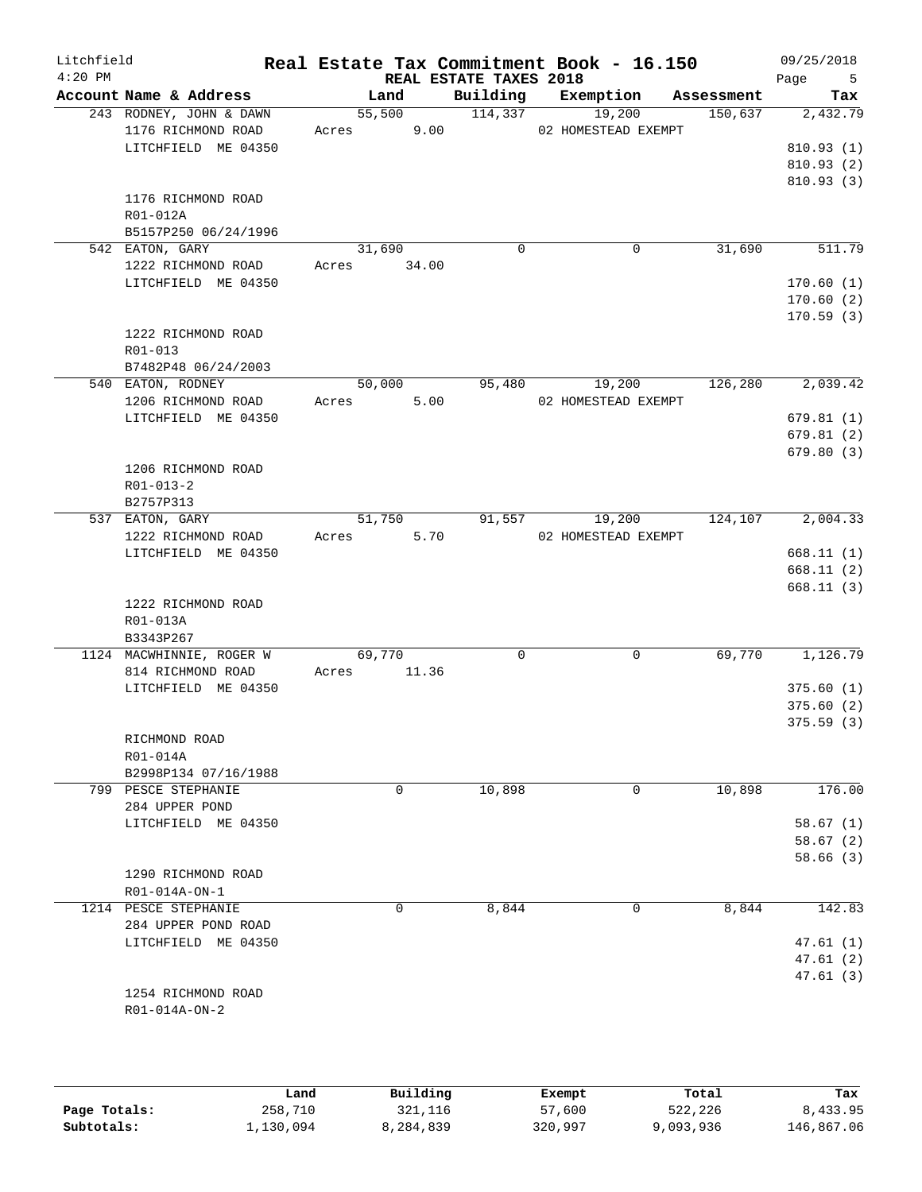| Litchfield<br>$4:20$ PM |                                                                      |                 |       | REAL ESTATE TAXES 2018 | Real Estate Tax Commitment Book - 16.150 |            | 09/25/2018<br>Page<br>5                         |
|-------------------------|----------------------------------------------------------------------|-----------------|-------|------------------------|------------------------------------------|------------|-------------------------------------------------|
|                         | Account Name & Address                                               | Land            |       | Building               | Exemption                                | Assessment | Tax                                             |
|                         | 243 RODNEY, JOHN & DAWN<br>1176 RICHMOND ROAD<br>LITCHFIELD ME 04350 | 55,500<br>Acres | 9.00  | 114,337                | 19,200<br>02 HOMESTEAD EXEMPT            | 150,637    | 2,432.79<br>810.93(1)<br>810.93(2)<br>810.93(3) |
|                         | 1176 RICHMOND ROAD<br>R01-012A<br>B5157P250 06/24/1996               |                 |       |                        |                                          |            |                                                 |
|                         | 542 EATON, GARY                                                      | 31,690          |       | $\mathbf 0$            | $\mathbf 0$                              | 31,690     | 511.79                                          |
|                         | 1222 RICHMOND ROAD<br>LITCHFIELD ME 04350                            | Acres           | 34.00 |                        |                                          |            | 170.60(1)<br>170.60(2)<br>170.59(3)             |
|                         | 1222 RICHMOND ROAD<br>R01-013<br>B7482P48 06/24/2003                 |                 |       |                        |                                          |            |                                                 |
|                         | 540 EATON, RODNEY                                                    | 50,000          |       | 95,480                 | 19,200                                   | 126,280    | 2,039.42                                        |
|                         | 1206 RICHMOND ROAD                                                   | Acres           | 5.00  |                        | 02 HOMESTEAD EXEMPT                      |            |                                                 |
|                         | LITCHFIELD ME 04350                                                  |                 |       |                        |                                          |            | 679.81(1)                                       |
|                         |                                                                      |                 |       |                        |                                          |            | 679.81(2)                                       |
|                         | 1206 RICHMOND ROAD<br>$R01 - 013 - 2$<br>B2757P313                   |                 |       |                        |                                          |            | 679.80(3)                                       |
|                         | 537 EATON, GARY                                                      | 51,750          |       | 91,557                 | 19,200                                   | 124,107    | 2,004.33                                        |
|                         | 1222 RICHMOND ROAD                                                   | Acres           | 5.70  |                        | 02 HOMESTEAD EXEMPT                      |            |                                                 |
|                         | LITCHFIELD ME 04350                                                  |                 |       |                        |                                          |            | 668.11(1)                                       |
|                         |                                                                      |                 |       |                        |                                          |            | 668.11(2)                                       |
|                         | 1222 RICHMOND ROAD<br>R01-013A                                       |                 |       |                        |                                          |            | 668.11 (3)                                      |
|                         | B3343P267                                                            |                 |       |                        |                                          |            |                                                 |
|                         | 1124 MACWHINNIE, ROGER W<br>814 RICHMOND ROAD                        | 69,770<br>Acres | 11.36 | 0                      | 0                                        | 69,770     | 1,126.79                                        |
|                         | LITCHFIELD ME 04350                                                  |                 |       |                        |                                          |            | 375.60(1)<br>375.60(2)<br>375.59(3)             |
|                         | RICHMOND ROAD                                                        |                 |       |                        |                                          |            |                                                 |
|                         | R01-014A                                                             |                 |       |                        |                                          |            |                                                 |
|                         | B2998P134 07/16/1988                                                 |                 |       |                        |                                          |            |                                                 |
|                         | 799 PESCE STEPHANIE<br>284 UPPER POND<br>LITCHFIELD ME 04350         |                 | 0     | 10,898                 | $\mathsf{O}$                             | 10,898     | 176.00<br>58.67 (1)<br>58.67(2)                 |
|                         | 1290 RICHMOND ROAD<br>R01-014A-ON-1                                  |                 |       |                        |                                          |            | 58.66(3)                                        |
|                         | 1214 PESCE STEPHANIE                                                 |                 | 0     | 8,844                  | 0                                        | 8,844      | 142.83                                          |
|                         | 284 UPPER POND ROAD<br>LITCHFIELD ME 04350                           |                 |       |                        |                                          |            | 47.61 (1)<br>47.61 (2)<br>47.61(3)              |
|                         | 1254 RICHMOND ROAD<br>R01-014A-ON-2                                  |                 |       |                        |                                          |            |                                                 |
|                         |                                                                      |                 |       |                        |                                          |            |                                                 |

|              | Land      | Building  | Exempt  | Total     | Tax        |
|--------------|-----------|-----------|---------|-----------|------------|
| Page Totals: | 258,710   | 321,116   | 57,600  | 522,226   | 8,433.95   |
| Subtotals:   | 1,130,094 | 8,284,839 | 320,997 | 9,093,936 | 146,867.06 |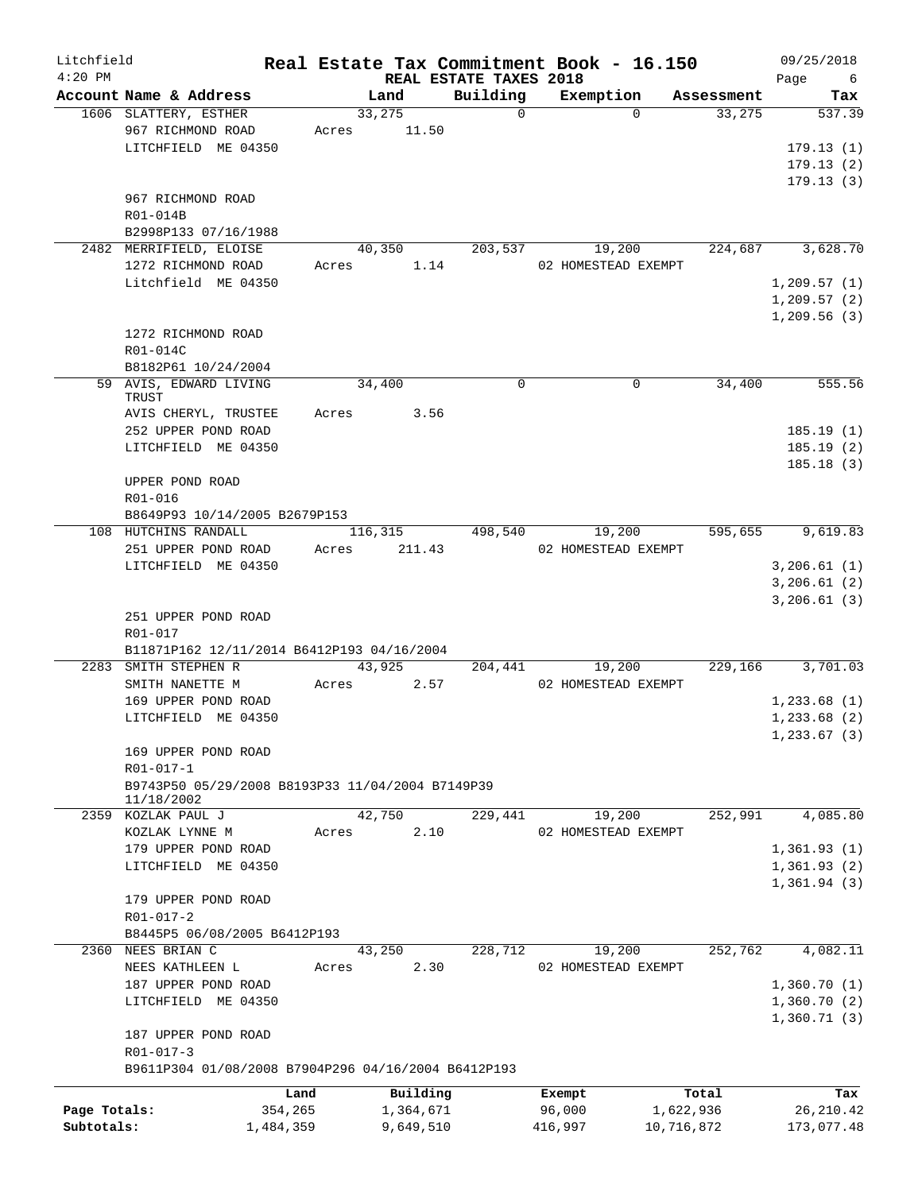| Litchfield<br>$4:20$ PM |                                                     |           |           | REAL ESTATE TAXES 2018 | Real Estate Tax Commitment Book - 16.150 |            | 09/25/2018<br>6 |
|-------------------------|-----------------------------------------------------|-----------|-----------|------------------------|------------------------------------------|------------|-----------------|
|                         | Account Name & Address                              |           | Land      | Building               | Exemption                                | Assessment | Page<br>Tax     |
|                         | 1606 SLATTERY, ESTHER                               |           | 33,275    | $\Omega$               | $\Omega$                                 | 33,275     | 537.39          |
|                         | 967 RICHMOND ROAD                                   | Acres     | 11.50     |                        |                                          |            |                 |
|                         | LITCHFIELD ME 04350                                 |           |           |                        |                                          |            | 179.13(1)       |
|                         |                                                     |           |           |                        |                                          |            | 179.13(2)       |
|                         |                                                     |           |           |                        |                                          |            | 179.13(3)       |
|                         | 967 RICHMOND ROAD                                   |           |           |                        |                                          |            |                 |
|                         |                                                     |           |           |                        |                                          |            |                 |
|                         | R01-014B                                            |           |           |                        |                                          |            |                 |
|                         | B2998P133 07/16/1988                                |           |           |                        |                                          |            |                 |
|                         | 2482 MERRIFIELD, ELOISE                             |           | 40,350    | 203,537                | 19,200                                   | 224,687    | 3,628.70        |
|                         | 1272 RICHMOND ROAD                                  | Acres     | 1.14      |                        | 02 HOMESTEAD EXEMPT                      |            |                 |
|                         | Litchfield ME 04350                                 |           |           |                        |                                          |            | 1,209.57(1)     |
|                         |                                                     |           |           |                        |                                          |            | 1,209.57(2)     |
|                         |                                                     |           |           |                        |                                          |            | 1,209.56(3)     |
|                         | 1272 RICHMOND ROAD                                  |           |           |                        |                                          |            |                 |
|                         | R01-014C                                            |           |           |                        |                                          |            |                 |
|                         | B8182P61 10/24/2004                                 |           |           |                        |                                          |            |                 |
|                         | 59 AVIS, EDWARD LIVING                              |           | 34,400    | $\Omega$               | $\Omega$                                 | 34,400     | 555.56          |
|                         | TRUST                                               |           |           |                        |                                          |            |                 |
|                         | AVIS CHERYL, TRUSTEE                                | Acres     | 3.56      |                        |                                          |            |                 |
|                         | 252 UPPER POND ROAD                                 |           |           |                        |                                          |            | 185.19(1)       |
|                         | LITCHFIELD ME 04350                                 |           |           |                        |                                          |            | 185.19(2)       |
|                         |                                                     |           |           |                        |                                          |            | 185.18(3)       |
|                         | UPPER POND ROAD                                     |           |           |                        |                                          |            |                 |
|                         | R01-016                                             |           |           |                        |                                          |            |                 |
|                         | B8649P93 10/14/2005 B2679P153                       |           |           |                        |                                          |            |                 |
|                         | 108 HUTCHINS RANDALL                                |           | 116,315   | 498,540                | 19,200                                   | 595,655    | 9,619.83        |
|                         | 251 UPPER POND ROAD                                 | Acres     | 211.43    |                        | 02 HOMESTEAD EXEMPT                      |            |                 |
|                         | LITCHFIELD ME 04350                                 |           |           |                        |                                          |            | 3, 206.61(1)    |
|                         |                                                     |           |           |                        |                                          |            | 3,206.61(2)     |
|                         |                                                     |           |           |                        |                                          |            |                 |
|                         |                                                     |           |           |                        |                                          |            | 3,206.61(3)     |
|                         | 251 UPPER POND ROAD                                 |           |           |                        |                                          |            |                 |
|                         | R01-017                                             |           |           |                        |                                          |            |                 |
|                         | B11871P162 12/11/2014 B6412P193 04/16/2004          |           |           |                        |                                          |            |                 |
|                         | 2283 SMITH STEPHEN R                                |           | 43,925    | 204,441                | 19,200                                   | 229,166    | 3,701.03        |
|                         | SMITH NANETTE M                                     | Acres     | 2.57      |                        | 02 HOMESTEAD EXEMPT                      |            |                 |
|                         | 169 UPPER POND ROAD                                 |           |           |                        |                                          |            | 1,233.68(1)     |
|                         | LITCHFIELD ME 04350                                 |           |           |                        |                                          |            | 1, 233.68(2)    |
|                         |                                                     |           |           |                        |                                          |            | 1,233.67(3)     |
|                         | 169 UPPER POND ROAD                                 |           |           |                        |                                          |            |                 |
|                         | R01-017-1                                           |           |           |                        |                                          |            |                 |
|                         | B9743P50 05/29/2008 B8193P33 11/04/2004 B7149P39    |           |           |                        |                                          |            |                 |
|                         | 11/18/2002                                          |           |           |                        |                                          |            |                 |
|                         | 2359 KOZLAK PAUL J                                  |           | 42,750    | 229,441                | 19,200                                   | 252,991    | 4,085.80        |
|                         | KOZLAK LYNNE M                                      | Acres     | 2.10      |                        | 02 HOMESTEAD EXEMPT                      |            |                 |
|                         | 179 UPPER POND ROAD                                 |           |           |                        |                                          |            | 1,361.93(1)     |
|                         | LITCHFIELD ME 04350                                 |           |           |                        |                                          |            | 1,361.93(2)     |
|                         |                                                     |           |           |                        |                                          |            | 1,361.94(3)     |
|                         | 179 UPPER POND ROAD                                 |           |           |                        |                                          |            |                 |
|                         | R01-017-2                                           |           |           |                        |                                          |            |                 |
|                         | B8445P5 06/08/2005 B6412P193                        |           |           |                        |                                          |            |                 |
|                         | 2360 NEES BRIAN C                                   |           | 43,250    | 228,712                | 19,200                                   | 252,762    | 4,082.11        |
|                         | NEES KATHLEEN L                                     | Acres     | 2.30      |                        | 02 HOMESTEAD EXEMPT                      |            |                 |
|                         |                                                     |           |           |                        |                                          |            |                 |
|                         | 187 UPPER POND ROAD                                 |           |           |                        |                                          |            | 1,360.70(1)     |
|                         | LITCHFIELD ME 04350                                 |           |           |                        |                                          |            | 1,360.70(2)     |
|                         |                                                     |           |           |                        |                                          |            | 1,360.71(3)     |
|                         | 187 UPPER POND ROAD                                 |           |           |                        |                                          |            |                 |
|                         | $R01 - 017 - 3$                                     |           |           |                        |                                          |            |                 |
|                         | B9611P304 01/08/2008 B7904P296 04/16/2004 B6412P193 |           |           |                        |                                          |            |                 |
|                         |                                                     | Land      | Building  |                        | Exempt                                   | Total      | Tax             |
| Page Totals:            |                                                     | 354,265   | 1,364,671 |                        | 96,000                                   | 1,622,936  | 26, 210.42      |
| Subtotals:              |                                                     | 1,484,359 | 9,649,510 |                        | 416,997                                  | 10,716,872 | 173,077.48      |
|                         |                                                     |           |           |                        |                                          |            |                 |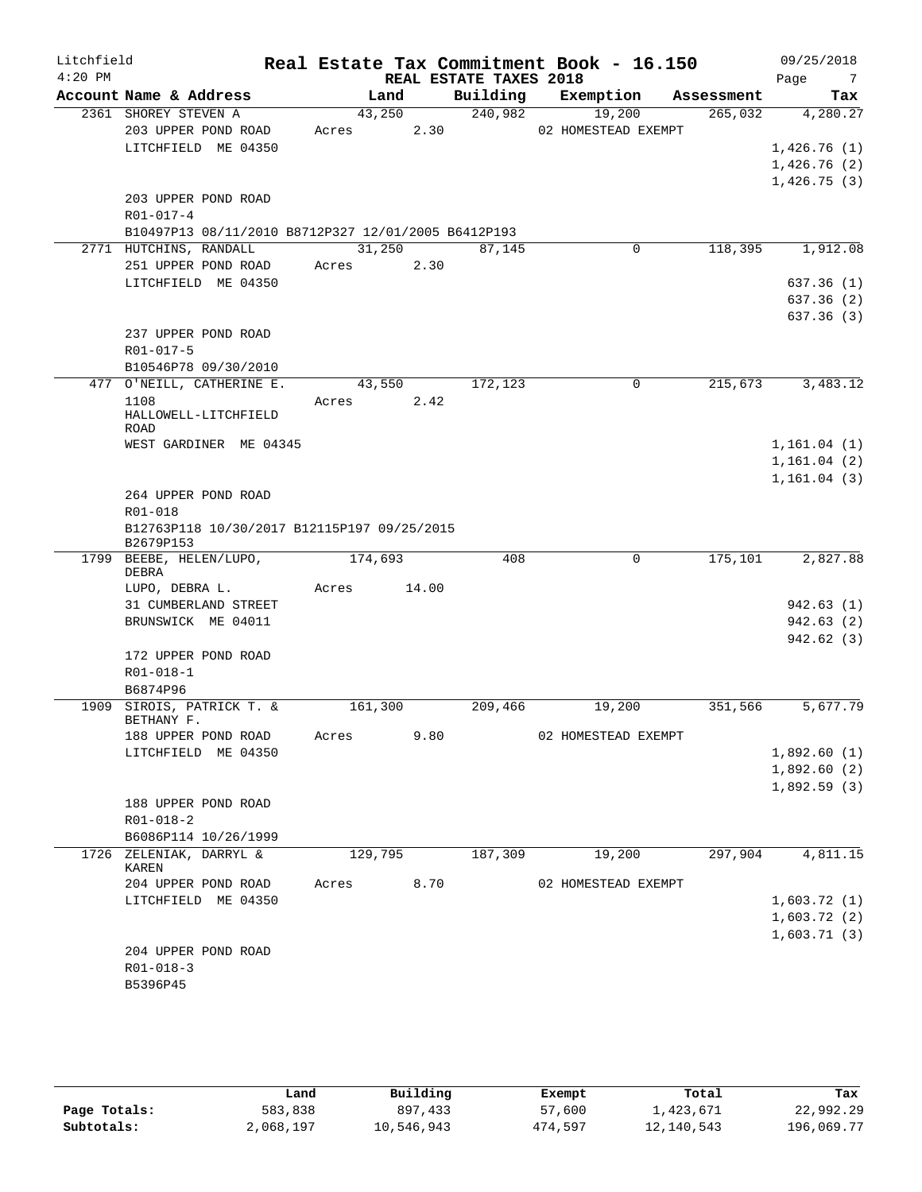| Litchfield |                                                          |         |        |                        | Real Estate Tax Commitment Book - 16.150 |            | 09/25/2018             |
|------------|----------------------------------------------------------|---------|--------|------------------------|------------------------------------------|------------|------------------------|
| $4:20$ PM  |                                                          |         |        | REAL ESTATE TAXES 2018 |                                          |            | Page<br>$\overline{7}$ |
|            | Account Name & Address                                   |         | Land   | Building               | Exemption                                | Assessment | Tax                    |
|            | 2361 SHOREY STEVEN A                                     | 43,250  |        | 240,982                | 19,200                                   | 265,032    | 4,280.27               |
|            | 203 UPPER POND ROAD                                      | Acres   | 2.30   |                        | 02 HOMESTEAD EXEMPT                      |            |                        |
|            | LITCHFIELD ME 04350                                      |         |        |                        |                                          |            | 1,426.76(1)            |
|            |                                                          |         |        |                        |                                          |            | 1,426.76(2)            |
|            |                                                          |         |        |                        |                                          |            | 1,426.75(3)            |
|            | 203 UPPER POND ROAD                                      |         |        |                        |                                          |            |                        |
|            | R01-017-4                                                |         |        |                        |                                          |            |                        |
|            | B10497P13 08/11/2010 B8712P327 12/01/2005 B6412P193      |         |        |                        |                                          |            |                        |
|            | 2771 HUTCHINS, RANDALL                                   |         | 31,250 | 87,145                 | 0                                        | 118,395    | 1,912.08               |
|            | 251 UPPER POND ROAD                                      | Acres   | 2.30   |                        |                                          |            |                        |
|            | LITCHFIELD ME 04350                                      |         |        |                        |                                          |            | 637.36(1)              |
|            |                                                          |         |        |                        |                                          |            | 637.36(2)              |
|            |                                                          |         |        |                        |                                          |            | 637.36(3)              |
|            | 237 UPPER POND ROAD                                      |         |        |                        |                                          |            |                        |
|            | R01-017-5                                                |         |        |                        |                                          |            |                        |
|            | B10546P78 09/30/2010                                     |         |        |                        |                                          |            |                        |
|            | 477 O'NEILL, CATHERINE E.                                | 43,550  |        | 172,123                | $\Omega$                                 | 215,673    | 3,483.12               |
|            | 1108                                                     | Acres   | 2.42   |                        |                                          |            |                        |
|            | HALLOWELL-LITCHFIELD                                     |         |        |                        |                                          |            |                        |
|            | <b>ROAD</b>                                              |         |        |                        |                                          |            |                        |
|            | WEST GARDINER ME 04345                                   |         |        |                        |                                          |            | 1, 161.04(1)           |
|            |                                                          |         |        |                        |                                          |            | 1, 161.04(2)           |
|            |                                                          |         |        |                        |                                          |            | 1, 161.04(3)           |
|            | 264 UPPER POND ROAD                                      |         |        |                        |                                          |            |                        |
|            | R01-018                                                  |         |        |                        |                                          |            |                        |
|            | B12763P118 10/30/2017 B12115P197 09/25/2015<br>B2679P153 |         |        |                        |                                          |            |                        |
|            | 1799 BEEBE, HELEN/LUPO,                                  | 174,693 |        | 408                    | 0                                        | 175,101    | 2,827.88               |
|            | DEBRA                                                    |         |        |                        |                                          |            |                        |
|            | LUPO, DEBRA L.                                           | Acres   | 14.00  |                        |                                          |            |                        |
|            | 31 CUMBERLAND STREET                                     |         |        |                        |                                          |            | 942.63(1)              |
|            | BRUNSWICK ME 04011                                       |         |        |                        |                                          |            | 942.63(2)              |
|            |                                                          |         |        |                        |                                          |            | 942.62(3)              |
|            | 172 UPPER POND ROAD                                      |         |        |                        |                                          |            |                        |
|            | $R01 - 018 - 1$                                          |         |        |                        |                                          |            |                        |
|            | B6874P96                                                 |         |        |                        |                                          |            |                        |
| 1909       | SIROIS, PATRICK T. &                                     | 161,300 |        | 209,466                | 19,200                                   | 351,566    | 5,677.79               |
|            | BETHANY F.                                               |         |        |                        |                                          |            |                        |
|            | 188 UPPER POND ROAD                                      | Acres   | 9.80   |                        | 02 HOMESTEAD EXEMPT                      |            |                        |
|            | LITCHFIELD ME 04350                                      |         |        |                        |                                          |            | 1,892.60(1)            |
|            |                                                          |         |        |                        |                                          |            | 1,892.60(2)            |
|            |                                                          |         |        |                        |                                          |            | 1,892.59(3)            |
|            | 188 UPPER POND ROAD                                      |         |        |                        |                                          |            |                        |
|            | R01-018-2                                                |         |        |                        |                                          |            |                        |
|            | B6086P114 10/26/1999                                     |         |        |                        |                                          |            |                        |
|            | 1726 ZELENIAK, DARRYL &<br>KAREN                         | 129,795 |        | 187,309                | 19,200                                   | 297,904    | 4,811.15               |
|            | 204 UPPER POND ROAD                                      | Acres   | 8.70   |                        | 02 HOMESTEAD EXEMPT                      |            |                        |
|            | LITCHFIELD ME 04350                                      |         |        |                        |                                          |            | 1,603.72(1)            |
|            |                                                          |         |        |                        |                                          |            | 1,603.72(2)            |
|            |                                                          |         |        |                        |                                          |            | 1,603.71(3)            |
|            | 204 UPPER POND ROAD                                      |         |        |                        |                                          |            |                        |
|            | $R01 - 018 - 3$                                          |         |        |                        |                                          |            |                        |
|            | B5396P45                                                 |         |        |                        |                                          |            |                        |
|            |                                                          |         |        |                        |                                          |            |                        |

|              | Land      | Building   | Exempt  | Total      | Tax        |
|--------------|-----------|------------|---------|------------|------------|
| Page Totals: | 583,838   | 897,433    | 57,600  | 1,423,671  | 22,992.29  |
| Subtotals:   | 2,068,197 | 10,546,943 | 474,597 | 12,140,543 | 196,069.77 |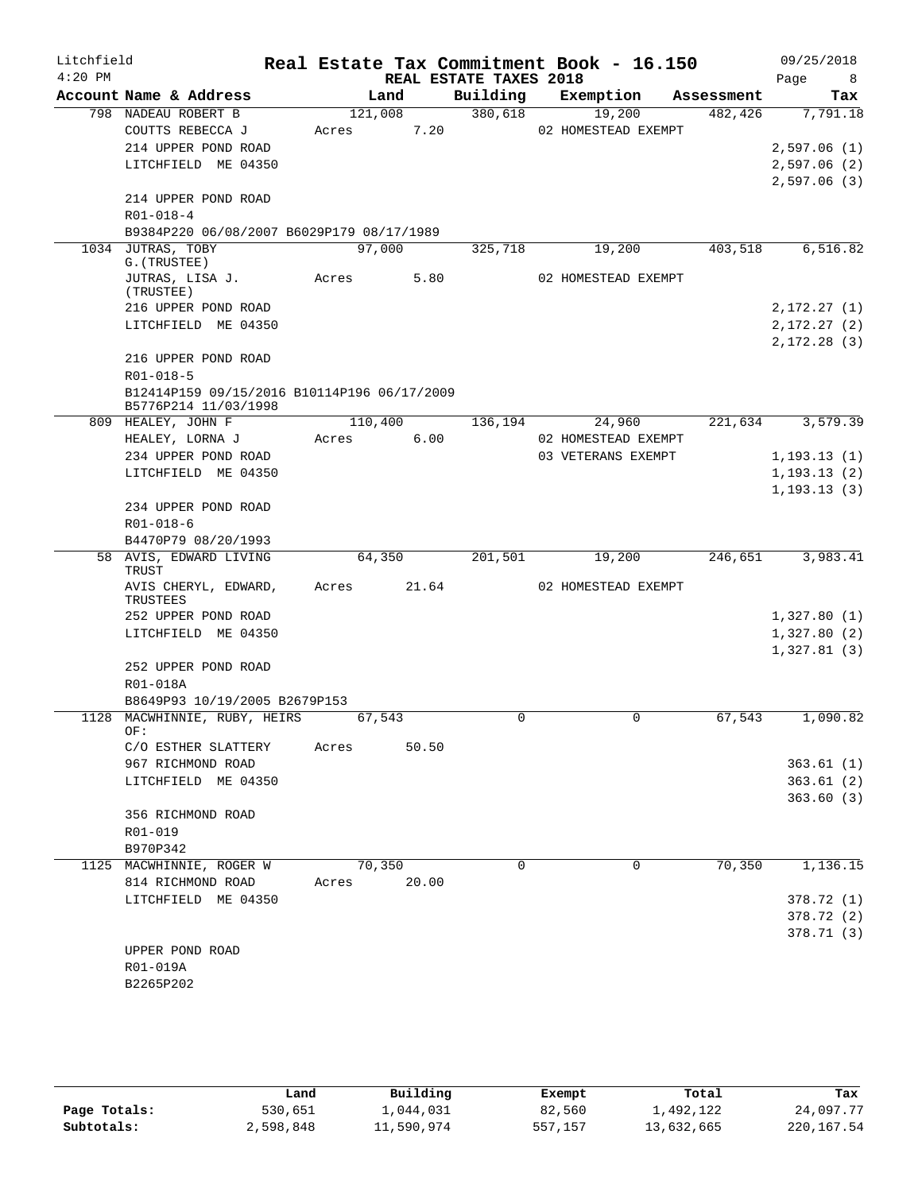| Litchfield |                                                                     |         |        |                                    | Real Estate Tax Commitment Book - 16.150 |            | 09/25/2018                    |
|------------|---------------------------------------------------------------------|---------|--------|------------------------------------|------------------------------------------|------------|-------------------------------|
| $4:20$ PM  | Account Name & Address                                              |         | Land   | REAL ESTATE TAXES 2018<br>Building | Exemption                                | Assessment | Page<br>8 <sup>8</sup><br>Tax |
|            | 798 NADEAU ROBERT B                                                 | 121,008 |        | 380,618                            | 19,200                                   | 482,426    | 7,791.18                      |
|            | COUTTS REBECCA J                                                    | Acres   | 7.20   |                                    | 02 HOMESTEAD EXEMPT                      |            |                               |
|            | 214 UPPER POND ROAD                                                 |         |        |                                    |                                          |            | 2,597.06(1)                   |
|            | LITCHFIELD ME 04350                                                 |         |        |                                    |                                          |            | 2,597.06(2)                   |
|            |                                                                     |         |        |                                    |                                          |            | 2,597.06(3)                   |
|            | 214 UPPER POND ROAD                                                 |         |        |                                    |                                          |            |                               |
|            | $R01 - 018 - 4$                                                     |         |        |                                    |                                          |            |                               |
|            | B9384P220 06/08/2007 B6029P179 08/17/1989                           |         |        |                                    |                                          |            |                               |
|            | 1034 JUTRAS, TOBY                                                   | 97,000  |        | 325,718                            | 19,200                                   | 403,518    | 6,516.82                      |
|            | G. (TRUSTEE)<br>JUTRAS, LISA J.                                     | Acres   | 5.80   |                                    | 02 HOMESTEAD EXEMPT                      |            |                               |
|            | (TRUSTEE)                                                           |         |        |                                    |                                          |            |                               |
|            | 216 UPPER POND ROAD                                                 |         |        |                                    |                                          |            | 2, 172.27(1)                  |
|            | LITCHFIELD ME 04350                                                 |         |        |                                    |                                          |            | 2, 172.27(2)                  |
|            |                                                                     |         |        |                                    |                                          |            | 2, 172.28(3)                  |
|            | 216 UPPER POND ROAD                                                 |         |        |                                    |                                          |            |                               |
|            | R01-018-5                                                           |         |        |                                    |                                          |            |                               |
|            | B12414P159 09/15/2016 B10114P196 06/17/2009<br>B5776P214 11/03/1998 |         |        |                                    |                                          |            |                               |
|            | 809 HEALEY, JOHN F                                                  | 110,400 |        | 136,194                            | 24,960                                   | 221,634    | 3,579.39                      |
|            | HEALEY, LORNA J                                                     | Acres   | 6.00   |                                    | 02 HOMESTEAD EXEMPT                      |            |                               |
|            | 234 UPPER POND ROAD                                                 |         |        |                                    | 03 VETERANS EXEMPT                       |            | 1, 193.13(1)                  |
|            | LITCHFIELD ME 04350                                                 |         |        |                                    |                                          |            | 1, 193.13(2)                  |
|            | 234 UPPER POND ROAD                                                 |         |        |                                    |                                          |            | 1, 193.13(3)                  |
|            | R01-018-6                                                           |         |        |                                    |                                          |            |                               |
|            | B4470P79 08/20/1993                                                 |         |        |                                    |                                          |            |                               |
|            | 58 AVIS, EDWARD LIVING                                              |         | 64,350 | 201,501                            | 19,200                                   | 246,651    | 3,983.41                      |
|            | TRUST                                                               |         |        |                                    |                                          |            |                               |
|            | AVIS CHERYL, EDWARD,<br>TRUSTEES                                    | Acres   | 21.64  |                                    | 02 HOMESTEAD EXEMPT                      |            |                               |
|            | 252 UPPER POND ROAD                                                 |         |        |                                    |                                          |            | 1,327.80(1)                   |
|            | LITCHFIELD ME 04350                                                 |         |        |                                    |                                          |            | 1,327.80(2)                   |
|            |                                                                     |         |        |                                    |                                          |            | 1,327.81(3)                   |
|            | 252 UPPER POND ROAD                                                 |         |        |                                    |                                          |            |                               |
|            | R01-018A                                                            |         |        |                                    |                                          |            |                               |
|            | B8649P93 10/19/2005 B2679P153<br>1128 MACWHINNIE, RUBY, HEIRS       | 67,543  |        | $\Omega$                           | $\mathbf 0$                              | 67,543     | 1,090.82                      |
|            | OF∶                                                                 |         |        |                                    |                                          |            |                               |
|            | C/O ESTHER SLATTERY                                                 | Acres   | 50.50  |                                    |                                          |            |                               |
|            | 967 RICHMOND ROAD                                                   |         |        |                                    |                                          |            | 363.61(1)                     |
|            | LITCHFIELD ME 04350                                                 |         |        |                                    |                                          |            | 363.61(2)                     |
|            |                                                                     |         |        |                                    |                                          |            | 363.60(3)                     |
|            | 356 RICHMOND ROAD                                                   |         |        |                                    |                                          |            |                               |
|            | R01-019                                                             |         |        |                                    |                                          |            |                               |
|            | B970P342<br>1125 MACWHINNIE, ROGER W                                | 70,350  |        | $\Omega$                           | 0                                        | 70,350     | 1,136.15                      |
|            | 814 RICHMOND ROAD                                                   | Acres   | 20.00  |                                    |                                          |            |                               |
|            | LITCHFIELD ME 04350                                                 |         |        |                                    |                                          |            | 378.72 (1)                    |
|            |                                                                     |         |        |                                    |                                          |            | 378.72 (2)                    |
|            |                                                                     |         |        |                                    |                                          |            | 378.71(3)                     |
|            | UPPER POND ROAD                                                     |         |        |                                    |                                          |            |                               |
|            | R01-019A                                                            |         |        |                                    |                                          |            |                               |
|            | B2265P202                                                           |         |        |                                    |                                          |            |                               |

|              | Land      | Building   | Exempt  | Total      | Tax        |
|--------------|-----------|------------|---------|------------|------------|
| Page Totals: | 530,651   | 1,044,031  | 82,560  | 1,492,122  | 24,097.77  |
| Subtotals:   | 2,598,848 | 11,590,974 | 557,157 | 13,632,665 | 220,167.54 |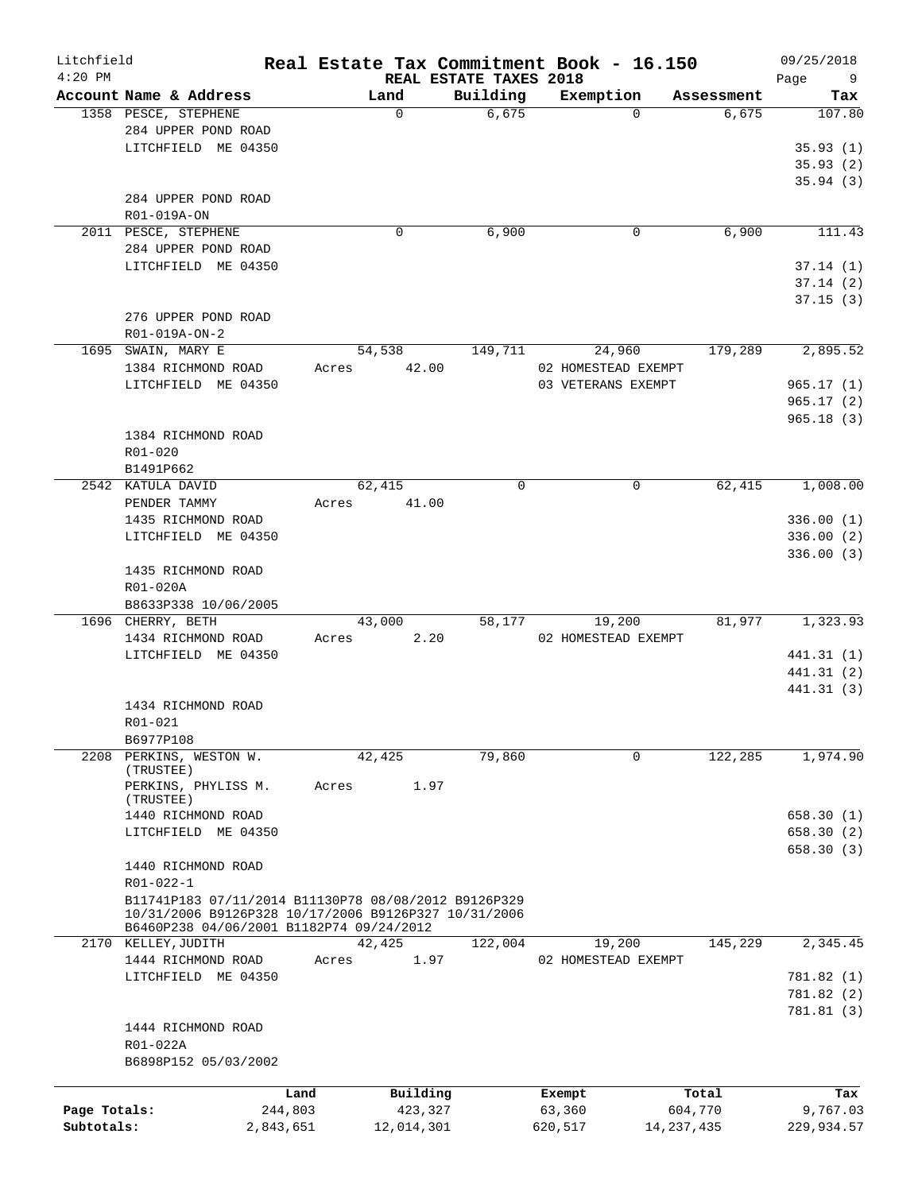| Litchfield<br>$4:20$ PM |                                                      |       |             | REAL ESTATE TAXES 2018 |         | Real Estate Tax Commitment Book - 16.150 |            | 09/25/2018<br>Page<br>- 9 |
|-------------------------|------------------------------------------------------|-------|-------------|------------------------|---------|------------------------------------------|------------|---------------------------|
|                         | Account Name & Address                               |       | Land        | Building               |         | Exemption                                | Assessment | Tax                       |
|                         | 1358 PESCE, STEPHENE                                 |       | $\Omega$    | 6,675                  |         | $\Omega$                                 | 6,675      | 107.80                    |
|                         | 284 UPPER POND ROAD                                  |       |             |                        |         |                                          |            |                           |
|                         | LITCHFIELD ME 04350                                  |       |             |                        |         |                                          |            | 35.93(1)                  |
|                         |                                                      |       |             |                        |         |                                          |            | 35.93(2)                  |
|                         |                                                      |       |             |                        |         |                                          |            |                           |
|                         |                                                      |       |             |                        |         |                                          |            | 35.94(3)                  |
|                         | 284 UPPER POND ROAD                                  |       |             |                        |         |                                          |            |                           |
|                         | R01-019A-ON                                          |       |             |                        |         |                                          |            |                           |
|                         | 2011 PESCE, STEPHENE                                 |       | $\mathbf 0$ | 6,900                  |         | 0                                        | 6,900      | 111.43                    |
|                         | 284 UPPER POND ROAD                                  |       |             |                        |         |                                          |            |                           |
|                         | LITCHFIELD ME 04350                                  |       |             |                        |         |                                          |            | 37.14(1)                  |
|                         |                                                      |       |             |                        |         |                                          |            | 37.14(2)                  |
|                         |                                                      |       |             |                        |         |                                          |            | 37.15(3)                  |
|                         | 276 UPPER POND ROAD                                  |       |             |                        |         |                                          |            |                           |
|                         | R01-019A-ON-2                                        |       |             |                        |         |                                          |            |                           |
|                         | 1695 SWAIN, MARY E                                   |       | 54,538      | 149,711                |         | 24,960                                   | 179,289    | 2,895.52                  |
|                         | 1384 RICHMOND ROAD                                   | Acres | 42.00       |                        |         | 02 HOMESTEAD EXEMPT                      |            |                           |
|                         | LITCHFIELD ME 04350                                  |       |             |                        |         |                                          |            |                           |
|                         |                                                      |       |             |                        |         | 03 VETERANS EXEMPT                       |            | 965.17(1)                 |
|                         |                                                      |       |             |                        |         |                                          |            | 965.17(2)                 |
|                         |                                                      |       |             |                        |         |                                          |            | 965.18(3)                 |
|                         | 1384 RICHMOND ROAD                                   |       |             |                        |         |                                          |            |                           |
|                         | R01-020                                              |       |             |                        |         |                                          |            |                           |
|                         | B1491P662                                            |       |             |                        |         |                                          |            |                           |
|                         | 2542 KATULA DAVID                                    |       | 62,415      | $\mathbf 0$            |         | 0                                        | 62,415     | 1,008.00                  |
|                         | PENDER TAMMY                                         | Acres | 41.00       |                        |         |                                          |            |                           |
|                         | 1435 RICHMOND ROAD                                   |       |             |                        |         |                                          |            | 336.00(1)                 |
|                         | LITCHFIELD ME 04350                                  |       |             |                        |         |                                          |            | 336.00(2)                 |
|                         |                                                      |       |             |                        |         |                                          |            | 336.00(3)                 |
|                         | 1435 RICHMOND ROAD                                   |       |             |                        |         |                                          |            |                           |
|                         | R01-020A                                             |       |             |                        |         |                                          |            |                           |
|                         | B8633P338 10/06/2005                                 |       |             |                        |         |                                          |            |                           |
|                         | 1696 CHERRY, BETH                                    |       | 43,000      | 58,177                 |         | 19,200                                   | 81,977     | 1,323.93                  |
|                         | 1434 RICHMOND ROAD                                   | Acres | 2.20        |                        |         | 02 HOMESTEAD EXEMPT                      |            |                           |
|                         | LITCHFIELD ME 04350                                  |       |             |                        |         |                                          |            | 441.31 (1)                |
|                         |                                                      |       |             |                        |         |                                          |            |                           |
|                         |                                                      |       |             |                        |         |                                          |            | 441.31 (2)                |
|                         |                                                      |       |             |                        |         |                                          |            | 441.31 (3)                |
|                         | 1434 RICHMOND ROAD                                   |       |             |                        |         |                                          |            |                           |
|                         | R01-021                                              |       |             |                        |         |                                          |            |                           |
|                         | B6977P108                                            |       |             |                        |         |                                          |            |                           |
|                         | 2208 PERKINS, WESTON W.                              |       | 42,425      | 79,860                 |         | 0                                        | 122,285    | 1,974.90                  |
|                         | (TRUSTEE)                                            |       |             |                        |         |                                          |            |                           |
|                         | PERKINS, PHYLISS M.                                  | Acres | 1.97        |                        |         |                                          |            |                           |
|                         | (TRUSTEE)                                            |       |             |                        |         |                                          |            |                           |
|                         | 1440 RICHMOND ROAD                                   |       |             |                        |         |                                          |            | 658.30 (1)                |
|                         | LITCHFIELD ME 04350                                  |       |             |                        |         |                                          |            | 658.30(2)                 |
|                         |                                                      |       |             |                        |         |                                          |            | 658.30(3)                 |
|                         | 1440 RICHMOND ROAD                                   |       |             |                        |         |                                          |            |                           |
|                         | R01-022-1                                            |       |             |                        |         |                                          |            |                           |
|                         | B11741P183 07/11/2014 B11130P78 08/08/2012 B9126P329 |       |             |                        |         |                                          |            |                           |
|                         | 10/31/2006 B9126P328 10/17/2006 B9126P327 10/31/2006 |       |             |                        |         |                                          |            |                           |
|                         | B6460P238 04/06/2001 B1182P74 09/24/2012             |       |             |                        |         |                                          |            |                           |
|                         | 2170 KELLEY, JUDITH                                  |       | 42,425      | 122,004                |         | 19,200                                   | 145,229    | 2,345.45                  |
|                         | 1444 RICHMOND ROAD                                   | Acres | 1.97        |                        |         | 02 HOMESTEAD EXEMPT                      |            |                           |
|                         | LITCHFIELD ME 04350                                  |       |             |                        |         |                                          |            | 781.82 (1)                |
|                         |                                                      |       |             |                        |         |                                          |            | 781.82 (2)                |
|                         |                                                      |       |             |                        |         |                                          |            | 781.81(3)                 |
|                         | 1444 RICHMOND ROAD                                   |       |             |                        |         |                                          |            |                           |
|                         | R01-022A                                             |       |             |                        |         |                                          |            |                           |
|                         | B6898P152 05/03/2002                                 |       |             |                        |         |                                          |            |                           |
|                         |                                                      |       |             |                        |         |                                          |            |                           |
|                         |                                                      | Land  | Building    |                        |         | Exempt                                   | Total      | Tax                       |
| Page Totals:            | 244,803                                              |       | 423,327     |                        |         | 63,360                                   | 604,770    | 9,767.03                  |
| Subtotals:              | 2,843,651                                            |       | 12,014,301  |                        | 620,517 | 14,237,435                               |            | 229,934.57                |
|                         |                                                      |       |             |                        |         |                                          |            |                           |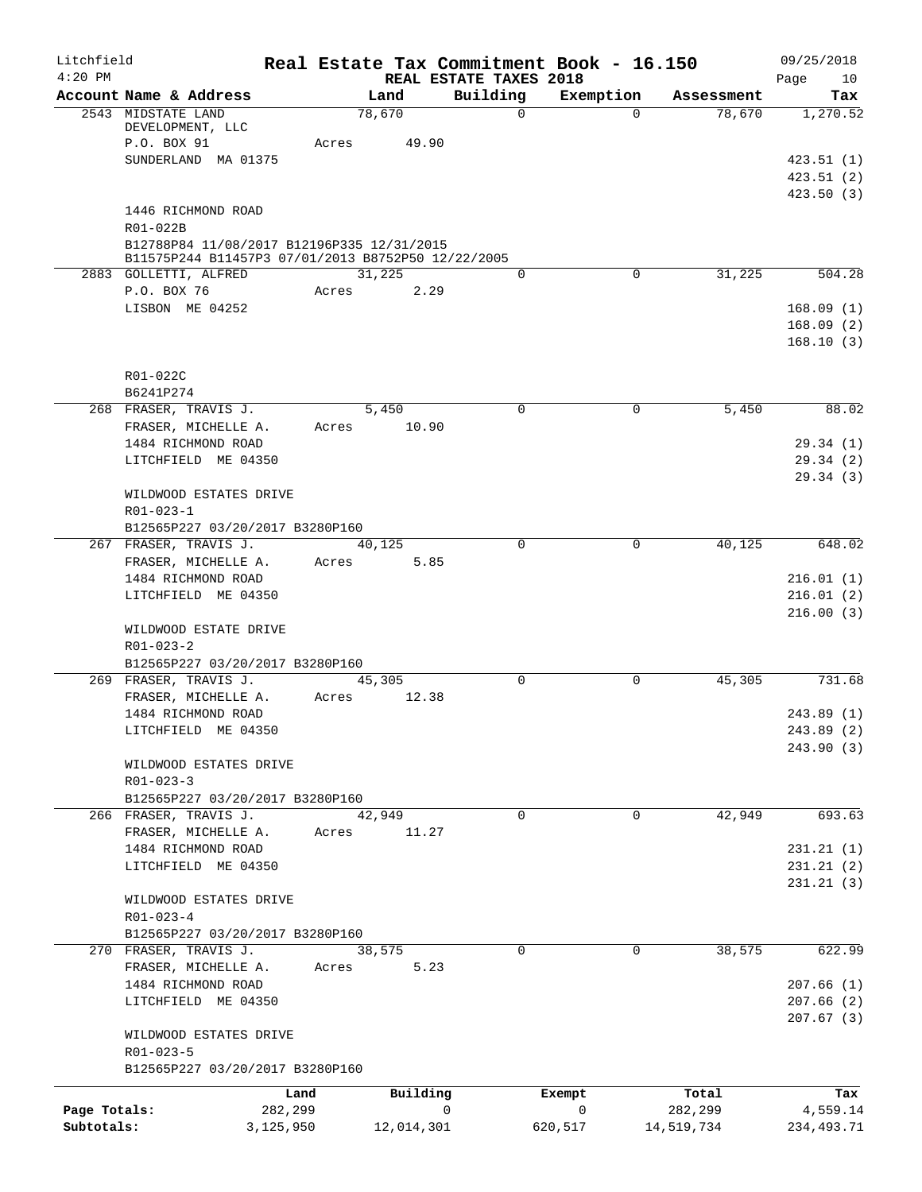| Litchfield                 |                                                                                                                                    |         |                 |   |                                    | Real Estate Tax Commitment Book - 16.150 |                       | 09/25/2018                           |
|----------------------------|------------------------------------------------------------------------------------------------------------------------------------|---------|-----------------|---|------------------------------------|------------------------------------------|-----------------------|--------------------------------------|
| $4:20$ PM                  | Account Name & Address                                                                                                             |         | Land            |   | REAL ESTATE TAXES 2018<br>Building | Exemption                                | Assessment            | Page<br>10<br>Tax                    |
|                            | 2543 MIDSTATE LAND<br>DEVELOPMENT, LLC<br>P.O. BOX 91                                                                              | Acres   | 78,670<br>49.90 |   | $\Omega$                           | $\Omega$                                 | 78,670                | 1,270.52                             |
|                            | SUNDERLAND MA 01375                                                                                                                |         |                 |   |                                    |                                          |                       | 423.51(1)<br>423.51(2)<br>423.50 (3) |
|                            | 1446 RICHMOND ROAD<br>R01-022B<br>B12788P84 11/08/2017 B12196P335 12/31/2015<br>B11575P244 B11457P3 07/01/2013 B8752P50 12/22/2005 |         |                 |   |                                    |                                          |                       |                                      |
|                            | 2883 GOLLETTI, ALFRED                                                                                                              |         | 31,225          |   | 0                                  | 0                                        | 31,225                | 504.28                               |
|                            | P.O. BOX 76<br>LISBON ME 04252                                                                                                     | Acres   | 2.29            |   |                                    |                                          |                       | 168.09(1)<br>168.09(2)<br>168.10(3)  |
|                            | R01-022C<br>B6241P274                                                                                                              |         |                 |   |                                    |                                          |                       |                                      |
|                            | 268 FRASER, TRAVIS J.                                                                                                              |         | 5,450<br>10.90  |   | $\Omega$                           | 0                                        | 5,450                 | 88.02                                |
|                            | FRASER, MICHELLE A.<br>1484 RICHMOND ROAD<br>LITCHFIELD ME 04350                                                                   | Acres   |                 |   |                                    |                                          |                       | 29.34(1)<br>29.34 (2)                |
|                            | WILDWOOD ESTATES DRIVE<br>R01-023-1                                                                                                |         |                 |   |                                    |                                          |                       | 29.34(3)                             |
|                            | B12565P227 03/20/2017 B3280P160<br>267 FRASER, TRAVIS J.                                                                           |         | 40,125          |   | 0                                  | 0                                        | 40,125                | 648.02                               |
|                            | FRASER, MICHELLE A.<br>1484 RICHMOND ROAD<br>LITCHFIELD ME 04350                                                                   | Acres   | 5.85            |   |                                    |                                          |                       | 216.01(1)<br>216.01(2)               |
|                            | WILDWOOD ESTATE DRIVE<br>$R01 - 023 - 2$<br>B12565P227 03/20/2017 B3280P160                                                        |         |                 |   |                                    |                                          |                       | 216.00(3)                            |
|                            | 269 FRASER, TRAVIS J.                                                                                                              |         | 45,305          |   | $\Omega$                           | $\mathbf 0$                              | 45,305                | 731.68                               |
|                            | FRASER, MICHELLE A.                                                                                                                | Acres   | 12.38           |   |                                    |                                          |                       |                                      |
|                            | 1484 RICHMOND ROAD<br>LITCHFIELD ME 04350                                                                                          |         |                 |   |                                    |                                          |                       | 243.89 (1)<br>243.89 (2)             |
|                            | WILDWOOD ESTATES DRIVE<br>$R01 - 023 - 3$                                                                                          |         |                 |   |                                    |                                          |                       | 243.90 (3)                           |
|                            | B12565P227 03/20/2017 B3280P160                                                                                                    |         |                 |   |                                    |                                          |                       |                                      |
|                            | 266 FRASER, TRAVIS J.<br>FRASER, MICHELLE A.                                                                                       | Acres   | 42,949<br>11.27 |   | $\Omega$                           | $\Omega$                                 | 42,949                | 693.63                               |
|                            | 1484 RICHMOND ROAD<br>LITCHFIELD ME 04350                                                                                          |         |                 |   |                                    |                                          |                       | 231.21(1)<br>231.21(2)               |
|                            | WILDWOOD ESTATES DRIVE                                                                                                             |         |                 |   |                                    |                                          |                       | 231.21(3)                            |
|                            | $R01 - 023 - 4$<br>B12565P227 03/20/2017 B3280P160                                                                                 |         |                 |   |                                    |                                          |                       |                                      |
|                            | 270 FRASER, TRAVIS J.                                                                                                              |         | 38,575          |   | $\mathbf 0$                        | $\mathbf 0$                              | 38,575                | 622.99                               |
|                            | FRASER, MICHELLE A.                                                                                                                | Acres   | 5.23            |   |                                    |                                          |                       |                                      |
|                            | 1484 RICHMOND ROAD<br>LITCHFIELD ME 04350                                                                                          |         |                 |   |                                    |                                          |                       | 207.66(1)<br>207.66(2)               |
|                            | WILDWOOD ESTATES DRIVE<br>$R01 - 023 - 5$                                                                                          |         |                 |   |                                    |                                          |                       | 207.67(3)                            |
|                            | B12565P227 03/20/2017 B3280P160                                                                                                    |         |                 |   |                                    |                                          |                       |                                      |
|                            |                                                                                                                                    | Land    | Building        |   |                                    | Exempt                                   | Total                 | Tax                                  |
| Page Totals:<br>Subtotals: | 3,125,950                                                                                                                          | 282,299 | 12,014,301      | 0 |                                    | $\overline{0}$<br>620,517                | 282,299<br>14,519,734 | 4,559.14<br>234, 493. 71             |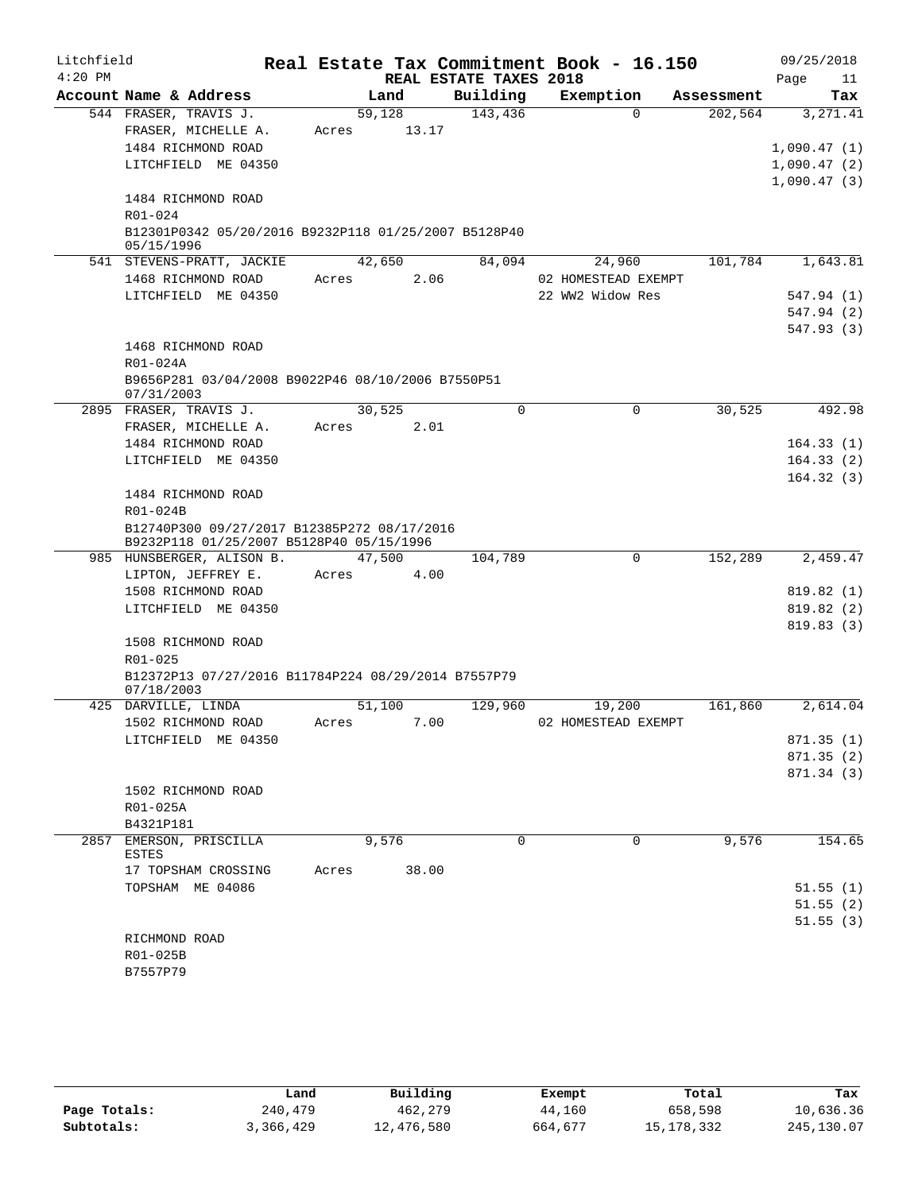| Litchfield |                                                                                         |        |        |                        | Real Estate Tax Commitment Book - 16.150 |            | 09/25/2018  |
|------------|-----------------------------------------------------------------------------------------|--------|--------|------------------------|------------------------------------------|------------|-------------|
| $4:20$ PM  |                                                                                         |        |        | REAL ESTATE TAXES 2018 |                                          |            | Page<br>11  |
|            | Account Name & Address                                                                  |        | Land   | Building               | Exemption                                | Assessment | Tax         |
|            | 544 FRASER, TRAVIS J.                                                                   | 59,128 |        | 143,436                | $\Omega$                                 | 202,564    | 3, 271.41   |
|            | FRASER, MICHELLE A.                                                                     | Acres  | 13.17  |                        |                                          |            |             |
|            | 1484 RICHMOND ROAD                                                                      |        |        |                        |                                          |            | 1,090.47(1) |
|            | LITCHFIELD ME 04350                                                                     |        |        |                        |                                          |            | 1,090.47(2) |
|            |                                                                                         |        |        |                        |                                          |            | 1,090.47(3) |
|            | 1484 RICHMOND ROAD<br>R01-024                                                           |        |        |                        |                                          |            |             |
|            | B12301P0342 05/20/2016 B9232P118 01/25/2007 B5128P40                                    |        |        |                        |                                          |            |             |
|            | 05/15/1996                                                                              |        |        |                        |                                          |            |             |
|            | 541 STEVENS-PRATT, JACKIE                                                               |        | 42,650 | 84,094                 | 24,960                                   | 101,784    | 1,643.81    |
|            | 1468 RICHMOND ROAD                                                                      | Acres  | 2.06   |                        | 02 HOMESTEAD EXEMPT                      |            |             |
|            | LITCHFIELD ME 04350                                                                     |        |        |                        | 22 WW2 Widow Res                         |            | 547.94 (1)  |
|            |                                                                                         |        |        |                        |                                          |            | 547.94 (2)  |
|            |                                                                                         |        |        |                        |                                          |            | 547.93(3)   |
|            | 1468 RICHMOND ROAD                                                                      |        |        |                        |                                          |            |             |
|            | R01-024A                                                                                |        |        |                        |                                          |            |             |
|            | B9656P281 03/04/2008 B9022P46 08/10/2006 B7550P51<br>07/31/2003                         |        |        |                        |                                          |            |             |
|            | 2895 FRASER, TRAVIS J.                                                                  | 30,525 |        | 0                      | 0                                        | 30,525     | 492.98      |
|            | FRASER, MICHELLE A.                                                                     | Acres  | 2.01   |                        |                                          |            |             |
|            | 1484 RICHMOND ROAD                                                                      |        |        |                        |                                          |            | 164.33(1)   |
|            | LITCHFIELD ME 04350                                                                     |        |        |                        |                                          |            | 164.33(2)   |
|            |                                                                                         |        |        |                        |                                          |            | 164.32(3)   |
|            | 1484 RICHMOND ROAD                                                                      |        |        |                        |                                          |            |             |
|            | R01-024B                                                                                |        |        |                        |                                          |            |             |
|            | B12740P300 09/27/2017 B12385P272 08/17/2016<br>B9232P118 01/25/2007 B5128P40 05/15/1996 |        |        |                        |                                          |            |             |
|            | 985 HUNSBERGER, ALISON B.                                                               |        | 47,500 | 104,789                | $\mathbf 0$                              | 152,289    | 2,459.47    |
|            | LIPTON, JEFFREY E.                                                                      | Acres  | 4.00   |                        |                                          |            |             |
|            | 1508 RICHMOND ROAD                                                                      |        |        |                        |                                          |            | 819.82 (1)  |
|            | LITCHFIELD ME 04350                                                                     |        |        |                        |                                          |            | 819.82 (2)  |
|            |                                                                                         |        |        |                        |                                          |            | 819.83(3)   |
|            | 1508 RICHMOND ROAD                                                                      |        |        |                        |                                          |            |             |
|            | R01-025                                                                                 |        |        |                        |                                          |            |             |
|            | B12372P13 07/27/2016 B11784P224 08/29/2014 B7557P79                                     |        |        |                        |                                          |            |             |
|            | 07/18/2003<br>425 DARVILLE, LINDA                                                       | 51,100 |        | 129,960                | 19,200                                   | 161,860    | 2,614.04    |
|            | 1502 RICHMOND ROAD                                                                      | Acres  | 7.00   |                        | 02 HOMESTEAD EXEMPT                      |            |             |
|            | LITCHFIELD ME 04350                                                                     |        |        |                        |                                          |            | 871.35(1)   |
|            |                                                                                         |        |        |                        |                                          |            | 871.35(2)   |
|            |                                                                                         |        |        |                        |                                          |            | 871.34 (3)  |
|            | 1502 RICHMOND ROAD                                                                      |        |        |                        |                                          |            |             |
|            | R01-025A                                                                                |        |        |                        |                                          |            |             |
|            | B4321P181                                                                               |        |        |                        |                                          |            |             |
| 2857       | EMERSON, PRISCILLA                                                                      |        | 9,576  | 0                      | 0                                        | 9,576      | 154.65      |
|            | ESTES<br>17 TOPSHAM CROSSING                                                            | Acres  | 38.00  |                        |                                          |            |             |
|            | TOPSHAM ME 04086                                                                        |        |        |                        |                                          |            | 51.55(1)    |
|            |                                                                                         |        |        |                        |                                          |            | 51.55(2)    |
|            |                                                                                         |        |        |                        |                                          |            | 51.55(3)    |
|            | RICHMOND ROAD                                                                           |        |        |                        |                                          |            |             |
|            | R01-025B                                                                                |        |        |                        |                                          |            |             |
|            | B7557P79                                                                                |        |        |                        |                                          |            |             |

|              | Land      | Building   | Exempt  | Total        | Tax         |
|--------------|-----------|------------|---------|--------------|-------------|
| Page Totals: | 240,479   | 462,279    | 44,160  | 658,598      | 10,636.36   |
| Subtotals:   | 3,366,429 | 12,476,580 | 664,677 | 15, 178, 332 | 245, 130.07 |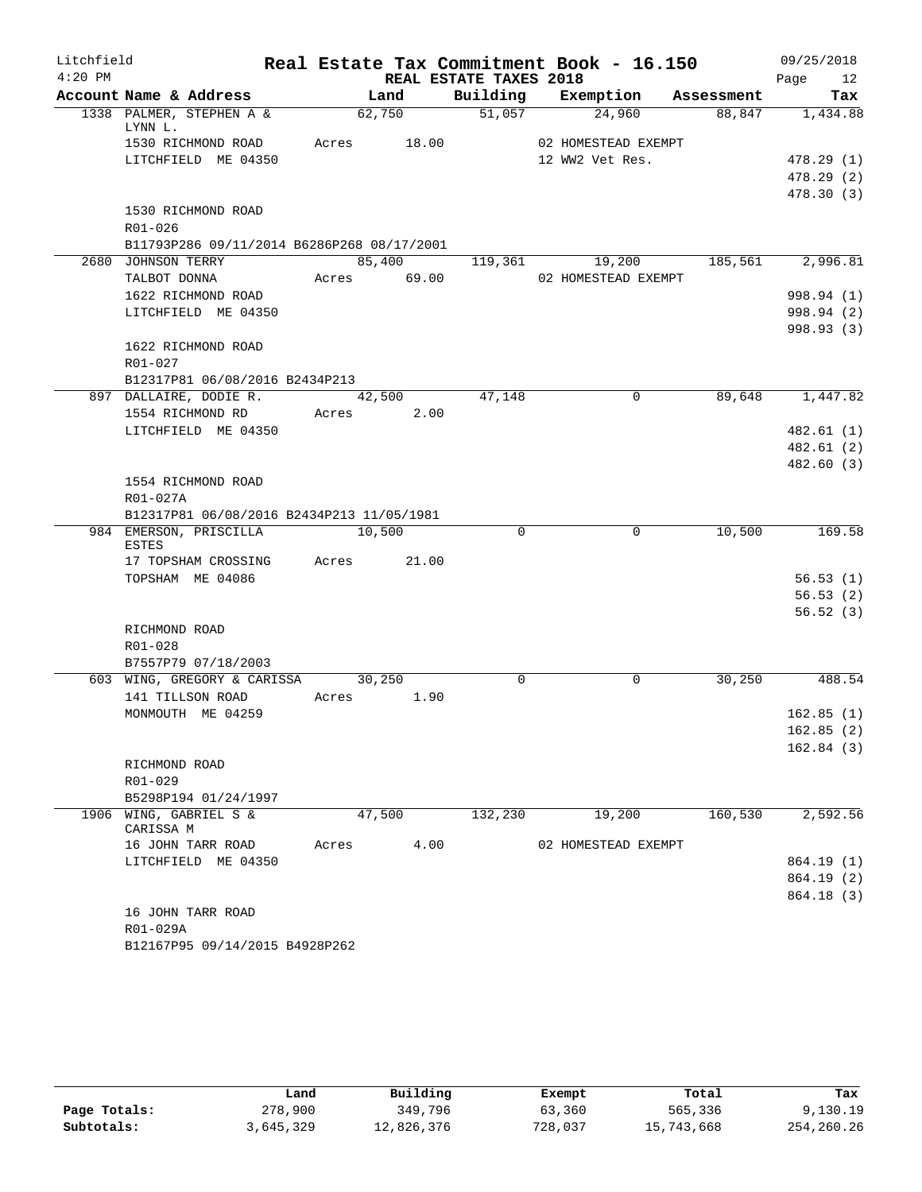| Litchfield |                                            |       |             |                        | Real Estate Tax Commitment Book - 16.150 |            | 09/25/2018 |
|------------|--------------------------------------------|-------|-------------|------------------------|------------------------------------------|------------|------------|
| $4:20$ PM  |                                            |       |             | REAL ESTATE TAXES 2018 |                                          |            | Page<br>12 |
|            | Account Name & Address                     |       | Land        | Building               | Exemption                                | Assessment | Tax        |
|            | 1338 PALMER, STEPHEN A &<br>LYNN L.        |       | 62,750      |                        | 51,057<br>24,960                         | 88,847     | 1,434.88   |
|            | 1530 RICHMOND ROAD                         |       | Acres 18.00 |                        | 02 HOMESTEAD EXEMPT                      |            |            |
|            | LITCHFIELD ME 04350                        |       |             |                        | 12 WW2 Vet Res.                          |            | 478.29(1)  |
|            |                                            |       |             |                        |                                          |            | 478.29(2)  |
|            |                                            |       |             |                        |                                          |            | 478.30 (3) |
|            | 1530 RICHMOND ROAD                         |       |             |                        |                                          |            |            |
|            | R01-026                                    |       |             |                        |                                          |            |            |
|            | B11793P286 09/11/2014 B6286P268 08/17/2001 |       |             |                        |                                          |            |            |
|            | 2680 JOHNSON TERRY                         |       | 85,400      | 119,361                | 19,200                                   | 185,561    | 2,996.81   |
|            | TALBOT DONNA                               |       | Acres 69.00 |                        | 02 HOMESTEAD EXEMPT                      |            |            |
|            | 1622 RICHMOND ROAD                         |       |             |                        |                                          |            | 998.94 (1) |
|            | LITCHFIELD ME 04350                        |       |             |                        |                                          |            | 998.94 (2) |
|            |                                            |       |             |                        |                                          |            | 998.93 (3) |
|            | 1622 RICHMOND ROAD                         |       |             |                        |                                          |            |            |
|            | R01-027                                    |       |             |                        |                                          |            |            |
|            | B12317P81 06/08/2016 B2434P213             |       |             |                        |                                          |            |            |
|            | 897 DALLAIRE, DODIE R.                     |       | 42,500      | 47,148                 | $\mathbf 0$                              | 89,648     | 1,447.82   |
|            | 1554 RICHMOND RD                           | Acres | 2.00        |                        |                                          |            |            |
|            | LITCHFIELD ME 04350                        |       |             |                        |                                          |            | 482.61(1)  |
|            |                                            |       |             |                        |                                          |            | 482.61(2)  |
|            |                                            |       |             |                        |                                          |            | 482.60 (3) |
|            | 1554 RICHMOND ROAD<br>R01-027A             |       |             |                        |                                          |            |            |
|            | B12317P81 06/08/2016 B2434P213 11/05/1981  |       |             |                        |                                          |            |            |
|            | 984 EMERSON, PRISCILLA                     |       | 10,500      | $\Omega$               | $\Omega$                                 | 10,500     | 169.58     |
|            | <b>ESTES</b>                               |       |             |                        |                                          |            |            |
|            | 17 TOPSHAM CROSSING                        | Acres | 21.00       |                        |                                          |            |            |
|            | TOPSHAM ME 04086                           |       |             |                        |                                          |            | 56.53(1)   |
|            |                                            |       |             |                        |                                          |            | 56.53(2)   |
|            |                                            |       |             |                        |                                          |            | 56.52(3)   |
|            | RICHMOND ROAD                              |       |             |                        |                                          |            |            |
|            | $R01 - 028$                                |       |             |                        |                                          |            |            |
|            | B7557P79 07/18/2003                        |       |             |                        |                                          |            |            |
|            | 603 WING, GREGORY & CARISSA                |       | 30,250      | $\Omega$               | $\mathbf 0$                              | 30,250     | 488.54     |
|            | 141 TILLSON ROAD                           | Acres | 1.90        |                        |                                          |            |            |
|            | MONMOUTH ME 04259                          |       |             |                        |                                          |            | 162.85(1)  |
|            |                                            |       |             |                        |                                          |            | 162.85(2)  |
|            |                                            |       |             |                        |                                          |            | 162.84(3)  |
|            | RICHMOND ROAD<br>$R01 - 029$               |       |             |                        |                                          |            |            |
|            | B5298P194 01/24/1997                       |       |             |                        |                                          |            |            |
|            | 1906 WING, GABRIEL S &                     |       | 47,500      | 132,230                | 19,200                                   | 160,530    | 2,592.56   |
|            | CARISSA M                                  |       |             |                        |                                          |            |            |
|            | 16 JOHN TARR ROAD                          | Acres | 4.00        |                        | 02 HOMESTEAD EXEMPT                      |            |            |
|            | LITCHFIELD ME 04350                        |       |             |                        |                                          |            | 864.19 (1) |
|            |                                            |       |             |                        |                                          |            | 864.19 (2) |
|            |                                            |       |             |                        |                                          |            | 864.18 (3) |
|            | 16 JOHN TARR ROAD                          |       |             |                        |                                          |            |            |
|            | R01-029A                                   |       |             |                        |                                          |            |            |
|            | B12167P95 09/14/2015 B4928P262             |       |             |                        |                                          |            |            |

|              | Land      | Building   | Exempt  | Total      | Tax        |
|--------------|-----------|------------|---------|------------|------------|
| Page Totals: | 278,900   | 349,796    | 63,360  | 565,336    | 9,130.19   |
| Subtotals:   | 3,645,329 | 12,826,376 | 728,037 | 15,743,668 | 254,260.26 |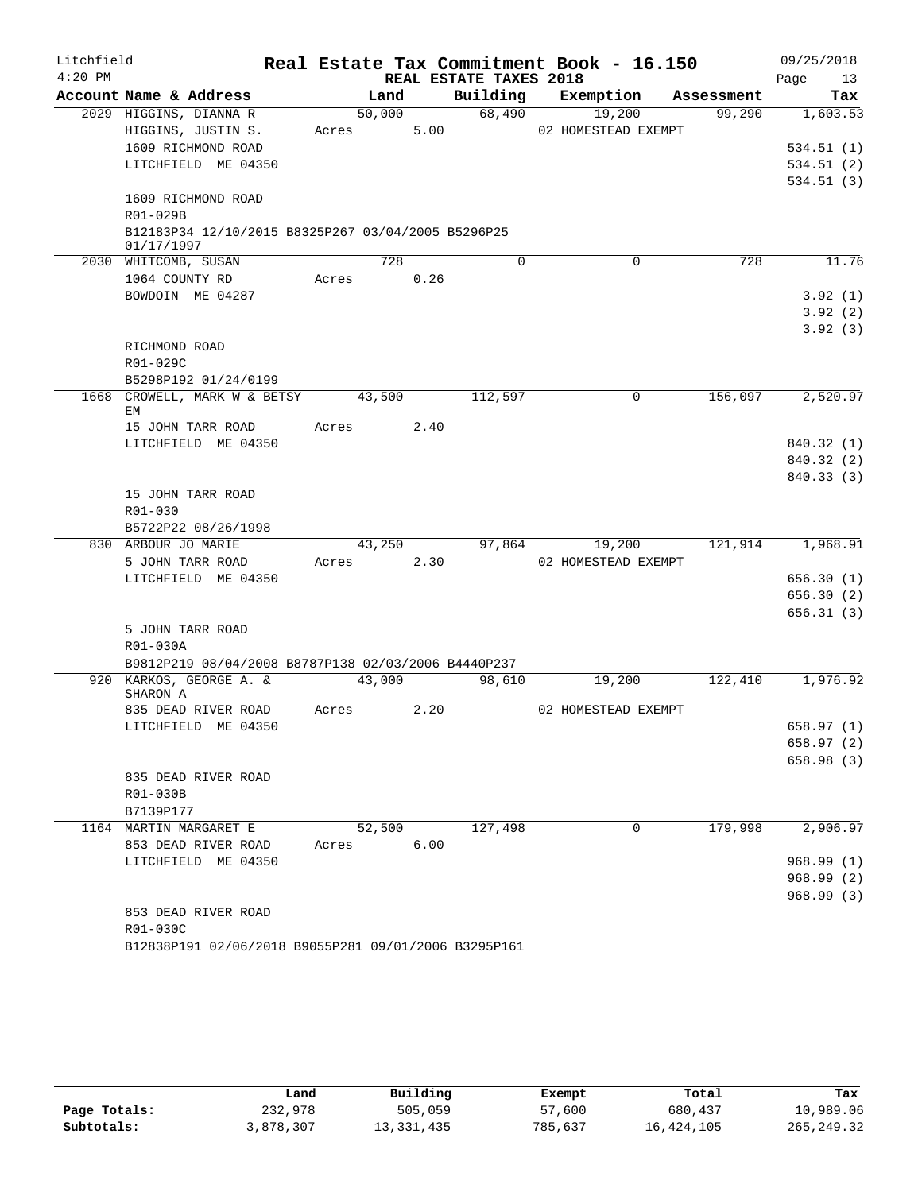| Litchfield |                                                     |       |        |                        | Real Estate Tax Commitment Book - 16.150 |            | 09/25/2018 |
|------------|-----------------------------------------------------|-------|--------|------------------------|------------------------------------------|------------|------------|
| $4:20$ PM  |                                                     |       |        | REAL ESTATE TAXES 2018 |                                          |            | Page<br>13 |
|            | Account Name & Address                              |       | Land   | Building               | Exemption                                | Assessment | Tax        |
|            | 2029 HIGGINS, DIANNA R                              |       | 50,000 | 68,490                 | 19,200                                   | 99,290     | 1,603.53   |
|            | HIGGINS, JUSTIN S.                                  | Acres | 5.00   |                        | 02 HOMESTEAD EXEMPT                      |            |            |
|            | 1609 RICHMOND ROAD                                  |       |        |                        |                                          |            | 534.51 (1) |
|            | LITCHFIELD ME 04350                                 |       |        |                        |                                          |            | 534.51(2)  |
|            | 1609 RICHMOND ROAD                                  |       |        |                        |                                          |            | 534.51(3)  |
|            | R01-029B                                            |       |        |                        |                                          |            |            |
|            | B12183P34 12/10/2015 B8325P267 03/04/2005 B5296P25  |       |        |                        |                                          |            |            |
|            | 01/17/1997                                          |       |        |                        |                                          |            |            |
|            | 2030 WHITCOMB, SUSAN                                |       | 728    | $\Omega$               | 0                                        | 728        | 11.76      |
|            | 1064 COUNTY RD                                      | Acres | 0.26   |                        |                                          |            |            |
|            | BOWDOIN ME 04287                                    |       |        |                        |                                          |            | 3.92(1)    |
|            |                                                     |       |        |                        |                                          |            | 3.92(2)    |
|            |                                                     |       |        |                        |                                          |            | 3.92(3)    |
|            | RICHMOND ROAD                                       |       |        |                        |                                          |            |            |
|            | R01-029C                                            |       |        |                        |                                          |            |            |
|            | B5298P192 01/24/0199                                |       |        |                        |                                          |            |            |
|            | 1668 CROWELL, MARK W & BETSY<br>EM                  |       | 43,500 | 112,597                | 0                                        | 156,097    | 2,520.97   |
|            | 15 JOHN TARR ROAD                                   | Acres | 2.40   |                        |                                          |            |            |
|            | LITCHFIELD ME 04350                                 |       |        |                        |                                          |            | 840.32 (1) |
|            |                                                     |       |        |                        |                                          |            | 840.32 (2) |
|            |                                                     |       |        |                        |                                          |            | 840.33 (3) |
|            | 15 JOHN TARR ROAD                                   |       |        |                        |                                          |            |            |
|            | R01-030                                             |       |        |                        |                                          |            |            |
|            | B5722P22 08/26/1998                                 |       |        |                        |                                          |            |            |
|            | 830 ARBOUR JO MARIE                                 |       | 43,250 | 97,864                 | 19,200                                   | 121,914    | 1,968.91   |
|            | 5 JOHN TARR ROAD                                    | Acres | 2.30   |                        | 02 HOMESTEAD EXEMPT                      |            |            |
|            | LITCHFIELD ME 04350                                 |       |        |                        |                                          |            | 656.30(1)  |
|            |                                                     |       |        |                        |                                          |            | 656.30(2)  |
|            |                                                     |       |        |                        |                                          |            | 656.31(3)  |
|            | 5 JOHN TARR ROAD                                    |       |        |                        |                                          |            |            |
|            | R01-030A                                            |       |        |                        |                                          |            |            |
|            | B9812P219 08/04/2008 B8787P138 02/03/2006 B4440P237 |       |        |                        |                                          |            |            |
|            | 920 KARKOS, GEORGE A. &<br>SHARON A                 |       | 43,000 | 98,610                 | 19,200                                   | 122,410    | 1,976.92   |
|            | 835 DEAD RIVER ROAD                                 | Acres | 2.20   |                        | 02 HOMESTEAD EXEMPT                      |            |            |
|            | LITCHFIELD ME 04350                                 |       |        |                        |                                          |            | 658.97 (1) |
|            |                                                     |       |        |                        |                                          |            | 658.97 (2) |
|            |                                                     |       |        |                        |                                          |            | 658.98 (3) |
|            | 835 DEAD RIVER ROAD                                 |       |        |                        |                                          |            |            |
|            | R01-030B                                            |       |        |                        |                                          |            |            |
|            | B7139P177                                           |       |        |                        |                                          |            |            |
|            | 1164 MARTIN MARGARET E                              |       | 52,500 | 127,498                | 0                                        | 179,998    | 2,906.97   |
|            | 853 DEAD RIVER ROAD                                 | Acres | 6.00   |                        |                                          |            |            |
|            | LITCHFIELD ME 04350                                 |       |        |                        |                                          |            | 968.99(1)  |
|            |                                                     |       |        |                        |                                          |            | 968.99(2)  |
|            |                                                     |       |        |                        |                                          |            | 968.99(3)  |
|            | 853 DEAD RIVER ROAD                                 |       |        |                        |                                          |            |            |
|            | R01-030C                                            |       |        |                        |                                          |            |            |

| B12838P191 02/06/2018 B9055P281 09/01/2006 B3295P161 |  |  |
|------------------------------------------------------|--|--|
|                                                      |  |  |

|              | Land      | Building   | Exempt  | Total      | Tax         |
|--------------|-----------|------------|---------|------------|-------------|
| Page Totals: | 232,978   | 505,059    | 57,600  | 680,437    | 10,989.06   |
| Subtotals:   | 3,878,307 | 13,331,435 | 785,637 | 16,424,105 | 265, 249.32 |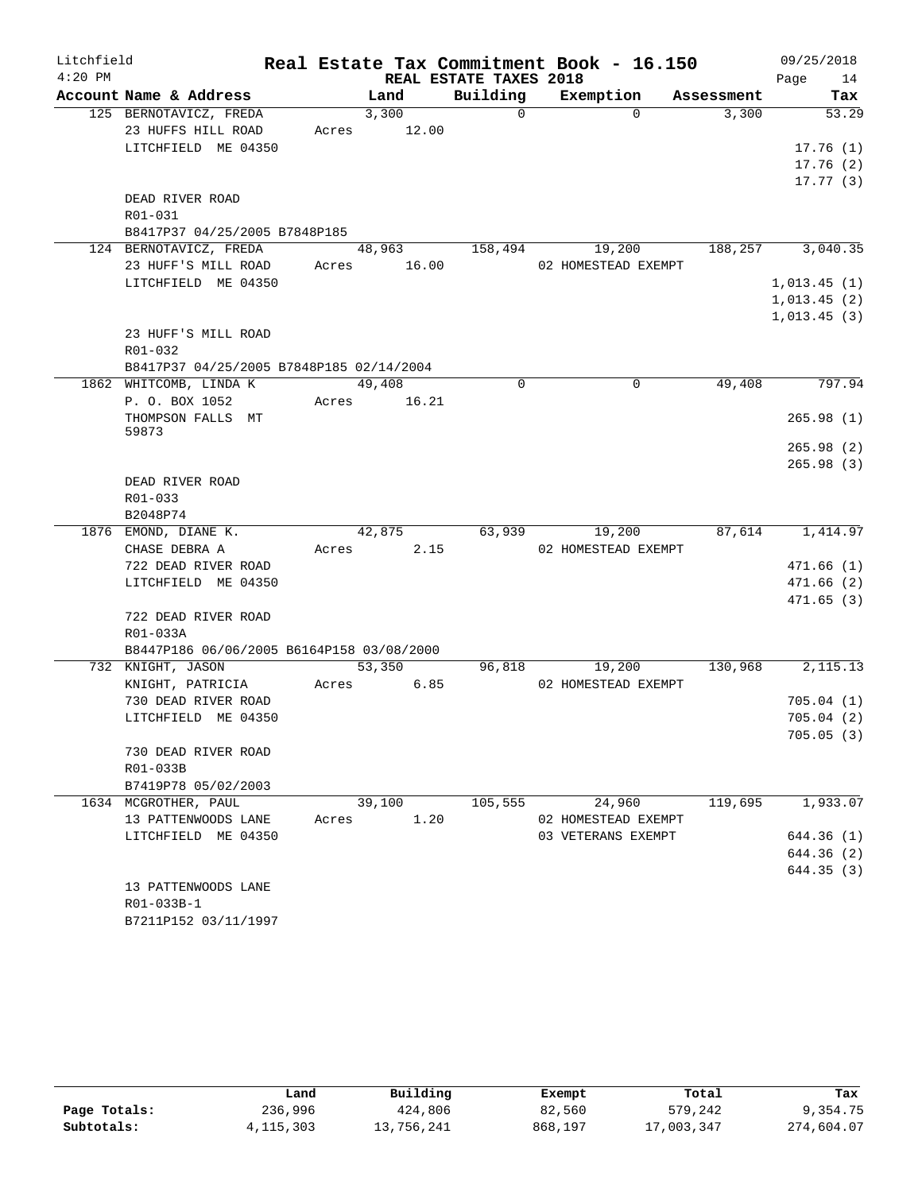| Litchfield |                                               |       |                       |                        | Real Estate Tax Commitment Book - 16.150 |            | 09/25/2018  |
|------------|-----------------------------------------------|-------|-----------------------|------------------------|------------------------------------------|------------|-------------|
| $4:20$ PM  |                                               |       |                       | REAL ESTATE TAXES 2018 |                                          |            | Page<br>14  |
|            | Account Name & Address                        |       | Land                  | Building               | Exemption                                | Assessment | Tax         |
|            | 125 BERNOTAVICZ, FREDA                        |       | 3,300                 | $\Omega$               | $\Omega$                                 | 3,300      | 53.29       |
|            | 23 HUFFS HILL ROAD                            |       | Acres 12.00           |                        |                                          |            |             |
|            | LITCHFIELD ME 04350                           |       |                       |                        |                                          |            | 17.76(1)    |
|            |                                               |       |                       |                        |                                          |            | 17.76(2)    |
|            |                                               |       |                       |                        |                                          |            | 17.77(3)    |
|            | DEAD RIVER ROAD                               |       |                       |                        |                                          |            |             |
|            | R01-031                                       |       |                       |                        |                                          |            |             |
|            | B8417P37 04/25/2005 B7848P185                 |       |                       |                        |                                          |            |             |
|            | 124 BERNOTAVICZ, FREDA<br>23 HUFF'S MILL ROAD |       | 48,963<br>Acres 16.00 | 158,494                | 19,200<br>02 HOMESTEAD EXEMPT            | 188,257    | 3,040.35    |
|            | LITCHFIELD ME 04350                           |       |                       |                        |                                          |            | 1,013.45(1) |
|            |                                               |       |                       |                        |                                          |            | 1,013.45(2) |
|            |                                               |       |                       |                        |                                          |            | 1,013.45(3) |
|            | 23 HUFF'S MILL ROAD                           |       |                       |                        |                                          |            |             |
|            | R01-032                                       |       |                       |                        |                                          |            |             |
|            | B8417P37 04/25/2005 B7848P185 02/14/2004      |       |                       |                        |                                          |            |             |
|            | 1862 WHITCOMB, LINDA K                        |       | 49,408                | $\Omega$               | $\Omega$                                 | 49,408     | 797.94      |
|            | P. O. BOX 1052                                |       | Acres 16.21           |                        |                                          |            |             |
|            | THOMPSON FALLS MT                             |       |                       |                        |                                          |            | 265.98(1)   |
|            | 59873                                         |       |                       |                        |                                          |            |             |
|            |                                               |       |                       |                        |                                          |            | 265.98(2)   |
|            |                                               |       |                       |                        |                                          |            | 265.98(3)   |
|            | DEAD RIVER ROAD                               |       |                       |                        |                                          |            |             |
|            | R01-033                                       |       |                       |                        |                                          |            |             |
|            | B2048P74                                      |       |                       |                        |                                          |            |             |
|            | 1876 EMOND, DIANE K.                          |       | 42,875                |                        | 63,939<br>19,200                         | 87,614     | 1,414.97    |
|            | CHASE DEBRA A                                 |       | 2.15<br>Acres         |                        | 02 HOMESTEAD EXEMPT                      |            |             |
|            | 722 DEAD RIVER ROAD                           |       |                       |                        |                                          |            | 471.66(1)   |
|            | LITCHFIELD ME 04350                           |       |                       |                        |                                          |            | 471.66(2)   |
|            | 722 DEAD RIVER ROAD                           |       |                       |                        |                                          |            | 471.65(3)   |
|            | R01-033A                                      |       |                       |                        |                                          |            |             |
|            | B8447P186 06/06/2005 B6164P158 03/08/2000     |       |                       |                        |                                          |            |             |
|            | 732 KNIGHT, JASON                             |       | 53,350                | 96,818                 | 19,200                                   | 130,968    | 2, 115. 13  |
|            | KNIGHT, PATRICIA                              | Acres | 6.85                  |                        | 02 HOMESTEAD EXEMPT                      |            |             |
|            | 730 DEAD RIVER ROAD                           |       |                       |                        |                                          |            | 705.04(1)   |
|            | LITCHFIELD ME 04350                           |       |                       |                        |                                          |            | 705.04(2)   |
|            |                                               |       |                       |                        |                                          |            | 705.05(3)   |
|            | 730 DEAD RIVER ROAD                           |       |                       |                        |                                          |            |             |
|            | R01-033B                                      |       |                       |                        |                                          |            |             |
|            | B7419P78 05/02/2003                           |       |                       |                        |                                          |            |             |
|            | 1634 MCGROTHER, PAUL                          |       | 39,100                | 105,555                | 24,960                                   | 119,695    | 1,933.07    |
|            | 13 PATTENWOODS LANE                           | Acres | 1.20                  |                        | 02 HOMESTEAD EXEMPT                      |            |             |
|            | LITCHFIELD ME 04350                           |       |                       |                        | 03 VETERANS EXEMPT                       |            | 644.36 (1)  |
|            |                                               |       |                       |                        |                                          |            | 644.36 (2)  |
|            |                                               |       |                       |                        |                                          |            | 644.35 (3)  |
|            | 13 PATTENWOODS LANE                           |       |                       |                        |                                          |            |             |
|            | R01-033B-1                                    |       |                       |                        |                                          |            |             |
|            | B7211P152 03/11/1997                          |       |                       |                        |                                          |            |             |

|              | Land        | Building   | Exempt  | Total      | Tax        |  |
|--------------|-------------|------------|---------|------------|------------|--|
| Page Totals: | 236,996     | 424,806    | 82,560  | 579,242    | 9,354.75   |  |
| Subtotals:   | 4, 115, 303 | 13,756,241 | 868,197 | 17,003,347 | 274,604.07 |  |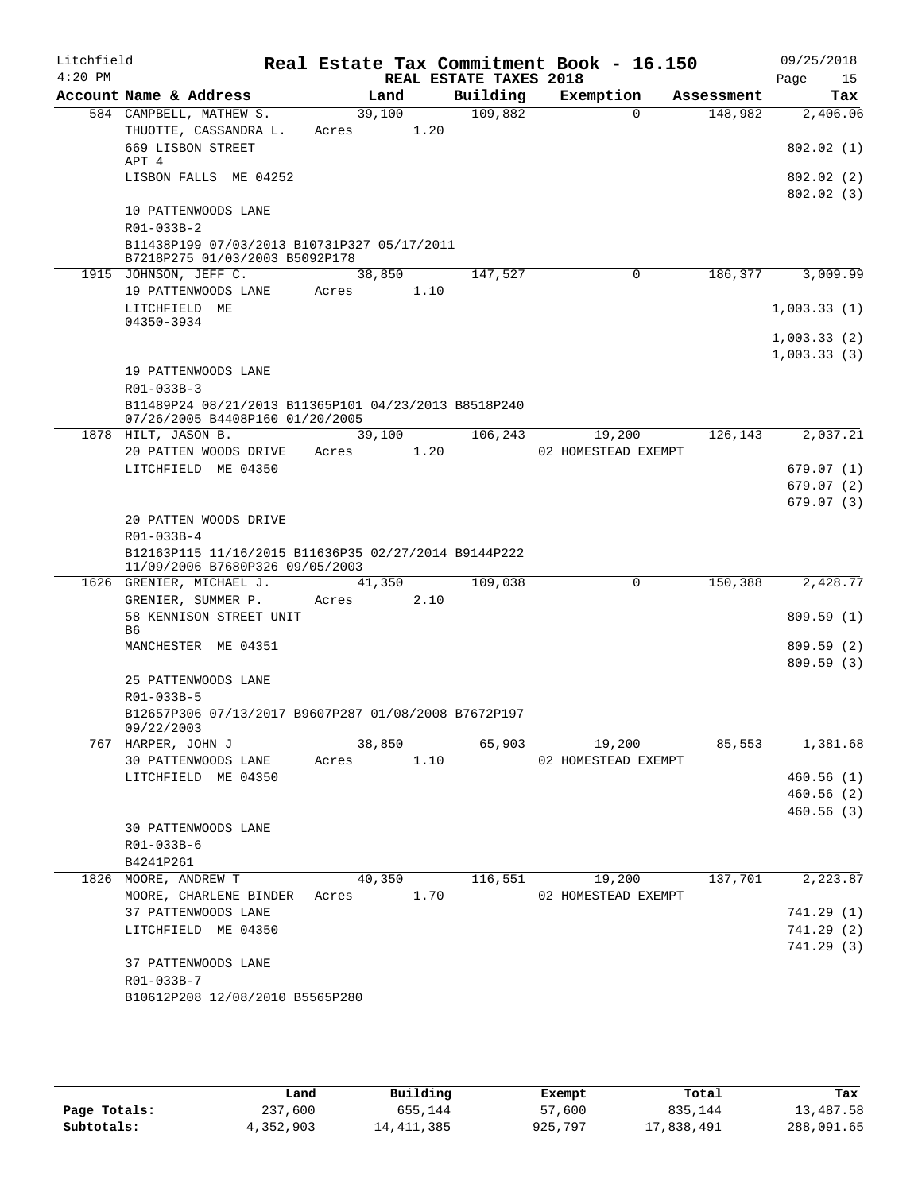| Litchfield<br>$4:20$ PM |                                                                               |                     |                | REAL ESTATE TAXES 2018 | Real Estate Tax Commitment Book - 16.150 |            | 09/25/2018<br>Page<br>15 |
|-------------------------|-------------------------------------------------------------------------------|---------------------|----------------|------------------------|------------------------------------------|------------|--------------------------|
|                         | Account Name & Address                                                        | Land                |                | Building               | Exemption                                | Assessment | Tax                      |
|                         | 584 CAMPBELL, MATHEW S.                                                       | 39,100              |                | 109,882                | $\Omega$                                 | 148,982    | 2,406.06                 |
|                         | THUOTTE, CASSANDRA L.<br>669 LISBON STREET                                    | Acres               | 1.20           |                        |                                          |            | 802.02(1)                |
|                         | APT 4<br>LISBON FALLS ME 04252                                                |                     |                |                        |                                          |            | 802.02(2)                |
|                         | 10 PATTENWOODS LANE                                                           |                     |                |                        |                                          |            | 802.02(3)                |
|                         | R01-033B-2                                                                    |                     |                |                        |                                          |            |                          |
|                         | B11438P199 07/03/2013 B10731P327 05/17/2011<br>B7218P275 01/03/2003 B5092P178 |                     |                |                        |                                          |            |                          |
|                         | 1915 JOHNSON, JEFF C.                                                         |                     | 38,850         | 147,527                | 0                                        | 186,377    | 3,009.99                 |
|                         | 19 PATTENWOODS LANE                                                           | Acres               | 1.10           |                        |                                          |            |                          |
|                         | LITCHFIELD ME                                                                 |                     |                |                        |                                          |            | 1,003.33(1)              |
|                         | 04350-3934                                                                    |                     |                |                        |                                          |            | 1,003.33(2)              |
|                         |                                                                               |                     |                |                        |                                          |            | 1,003.33(3)              |
|                         | 19 PATTENWOODS LANE                                                           |                     |                |                        |                                          |            |                          |
|                         | R01-033B-3                                                                    |                     |                |                        |                                          |            |                          |
|                         | B11489P24 08/21/2013 B11365P101 04/23/2013 B8518P240                          |                     |                |                        |                                          |            |                          |
|                         | 07/26/2005 B4408P160 01/20/2005                                               |                     |                |                        |                                          |            |                          |
|                         | 1878 HILT, JASON B.<br>20 PATTEN WOODS DRIVE                                  | Acres               | 39,100<br>1.20 | 106,243                | 19,200<br>02 HOMESTEAD EXEMPT            | 126,143    | 2,037.21                 |
|                         | LITCHFIELD ME 04350                                                           |                     |                |                        |                                          |            | 679.07(1)                |
|                         |                                                                               |                     |                |                        |                                          |            | 679.07(2)                |
|                         |                                                                               |                     |                |                        |                                          |            | 679.07(3)                |
|                         | 20 PATTEN WOODS DRIVE                                                         |                     |                |                        |                                          |            |                          |
|                         | R01-033B-4                                                                    |                     |                |                        |                                          |            |                          |
|                         | B12163P115 11/16/2015 B11636P35 02/27/2014 B9144P222                          |                     |                |                        |                                          |            |                          |
|                         | 11/09/2006 B7680P326 09/05/2003<br>1626 GRENIER, MICHAEL J.                   | 41,350              |                | 109,038                | $\Omega$                                 | 150,388    | 2,428.77                 |
|                         | GRENIER, SUMMER P.                                                            | Acres               | 2.10           |                        |                                          |            |                          |
|                         | 58 KENNISON STREET UNIT<br>B6                                                 |                     |                |                        |                                          |            | 809.59(1)                |
|                         | MANCHESTER ME 04351                                                           |                     |                |                        |                                          |            | 809.59(2)                |
|                         |                                                                               |                     |                |                        |                                          |            | 809.59(3)                |
|                         | 25 PATTENWOODS LANE<br>R01-033B-5                                             |                     |                |                        |                                          |            |                          |
|                         | B12657P306 07/13/2017 B9607P287 01/08/2008 B7672P197                          |                     |                |                        |                                          |            |                          |
|                         | 09/22/2003                                                                    | $\overline{38,850}$ |                |                        |                                          |            |                          |
|                         | 767 HARPER, JOHN J<br>30 PATTENWOODS LANE                                     |                     |                | Acres 1.10             | 65,903<br>19,200<br>02 HOMESTEAD EXEMPT  | 85, 553    | 1,381.68                 |
|                         | LITCHFIELD ME 04350                                                           |                     |                |                        |                                          |            | 460.56(1)                |
|                         |                                                                               |                     |                |                        |                                          |            | 460.56(2)                |
|                         |                                                                               |                     |                |                        |                                          |            | 460.56(3)                |
|                         | 30 PATTENWOODS LANE                                                           |                     |                |                        |                                          |            |                          |
|                         | R01-033B-6                                                                    |                     |                |                        |                                          |            |                          |
|                         | B4241P261                                                                     |                     |                |                        |                                          |            |                          |
|                         | 1826 MOORE, ANDREW T                                                          |                     | 40,350         |                        | $116,551$ $19,200$                       | 137,701    | 2,223.87                 |
|                         | MOORE, CHARLENE BINDER Acres 1.70                                             |                     |                |                        | 02 HOMESTEAD EXEMPT                      |            |                          |
|                         | 37 PATTENWOODS LANE                                                           |                     |                |                        |                                          |            | 741.29(1)                |
|                         | LITCHFIELD ME 04350                                                           |                     |                |                        |                                          |            | 741.29(2)<br>741.29 (3)  |
|                         | 37 PATTENWOODS LANE                                                           |                     |                |                        |                                          |            |                          |
|                         | R01-033B-7                                                                    |                     |                |                        |                                          |            |                          |
|                         | B10612P208 12/08/2010 B5565P280                                               |                     |                |                        |                                          |            |                          |
|                         |                                                                               |                     |                |                        |                                          |            |                          |
|                         |                                                                               |                     |                |                        |                                          |            |                          |

|              | Land      | Building   | Exempt  | Total      | Tax        |
|--------------|-----------|------------|---------|------------|------------|
| Page Totals: | 237,600   | 655,144    | 57,600  | 835,144    | 13,487.58  |
| Subtotals:   | 4,352,903 | 14,411,385 | 925,797 | 17,838,491 | 288,091.65 |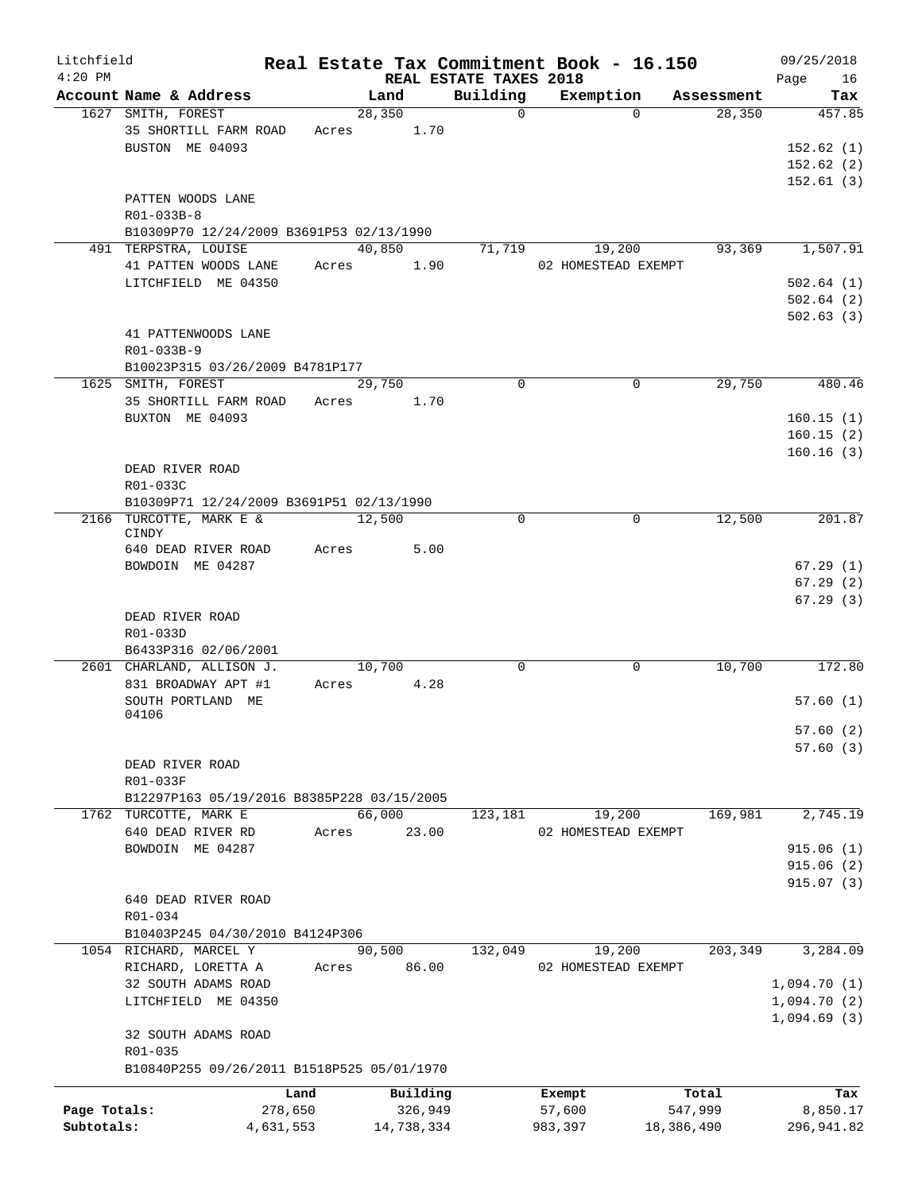| Litchfield   |                                            |       |            |                                    | Real Estate Tax Commitment Book - 16.150 |            | 09/25/2018        |
|--------------|--------------------------------------------|-------|------------|------------------------------------|------------------------------------------|------------|-------------------|
| $4:20$ PM    | Account Name & Address                     |       | Land       | REAL ESTATE TAXES 2018<br>Building | Exemption                                | Assessment | 16<br>Page<br>Tax |
|              | 1627 SMITH, FOREST                         |       | 28,350     | $\Omega$                           | $\Omega$                                 | 28,350     | 457.85            |
|              | 35 SHORTILL FARM ROAD                      | Acres | 1.70       |                                    |                                          |            |                   |
|              | BUSTON ME 04093                            |       |            |                                    |                                          |            | 152.62(1)         |
|              |                                            |       |            |                                    |                                          |            | 152.62(2)         |
|              |                                            |       |            |                                    |                                          |            | 152.61(3)         |
|              | PATTEN WOODS LANE                          |       |            |                                    |                                          |            |                   |
|              | $R01 - 033B - 8$                           |       |            |                                    |                                          |            |                   |
|              | B10309P70 12/24/2009 B3691P53 02/13/1990   |       |            |                                    |                                          |            |                   |
|              | 491 TERPSTRA, LOUISE                       |       | 40,850     | 71,719                             | 19,200                                   | 93,369     | 1,507.91          |
|              | 41 PATTEN WOODS LANE                       | Acres | 1.90       |                                    | 02 HOMESTEAD EXEMPT                      |            |                   |
|              | LITCHFIELD ME 04350                        |       |            |                                    |                                          |            | 502.64(1)         |
|              |                                            |       |            |                                    |                                          |            | 502.64(2)         |
|              |                                            |       |            |                                    |                                          |            | 502.63(3)         |
|              | 41 PATTENWOODS LANE                        |       |            |                                    |                                          |            |                   |
|              | R01-033B-9                                 |       |            |                                    |                                          |            |                   |
|              | B10023P315 03/26/2009 B4781P177            |       |            |                                    |                                          |            |                   |
|              | 1625 SMITH, FOREST                         |       | 29,750     | $\Omega$                           | $\mathbf 0$                              | 29,750     | 480.46            |
|              | 35 SHORTILL FARM ROAD                      | Acres | 1.70       |                                    |                                          |            |                   |
|              | BUXTON ME 04093                            |       |            |                                    |                                          |            | 160.15(1)         |
|              |                                            |       |            |                                    |                                          |            | 160.15(2)         |
|              |                                            |       |            |                                    |                                          |            | 160.16(3)         |
|              | DEAD RIVER ROAD                            |       |            |                                    |                                          |            |                   |
|              | R01-033C                                   |       |            |                                    |                                          |            |                   |
|              | B10309P71 12/24/2009 B3691P51 02/13/1990   |       |            |                                    |                                          |            |                   |
|              | 2166 TURCOTTE, MARK E &                    |       | 12,500     | $\mathbf 0$                        | 0                                        | 12,500     | 201.87            |
|              | CINDY                                      |       |            |                                    |                                          |            |                   |
|              | 640 DEAD RIVER ROAD                        | Acres | 5.00       |                                    |                                          |            |                   |
|              | BOWDOIN ME 04287                           |       |            |                                    |                                          |            | 67.29(1)          |
|              |                                            |       |            |                                    |                                          |            | 67.29(2)          |
|              |                                            |       |            |                                    |                                          |            | 67.29(3)          |
|              | DEAD RIVER ROAD                            |       |            |                                    |                                          |            |                   |
|              | R01-033D<br>B6433P316 02/06/2001           |       |            |                                    |                                          |            |                   |
|              | 2601 CHARLAND, ALLISON J.                  |       | 10,700     | $\mathbf 0$                        | $\mathbf 0$                              | 10,700     | 172.80            |
|              | 831 BROADWAY APT #1                        | Acres | 4.28       |                                    |                                          |            |                   |
|              | SOUTH PORTLAND ME                          |       |            |                                    |                                          |            | 57.60(1)          |
|              | 04106                                      |       |            |                                    |                                          |            |                   |
|              |                                            |       |            |                                    |                                          |            | 57.60(2)          |
|              |                                            |       |            |                                    |                                          |            | 57.60(3)          |
|              | DEAD RIVER ROAD                            |       |            |                                    |                                          |            |                   |
|              | R01-033F                                   |       |            |                                    |                                          |            |                   |
|              | B12297P163 05/19/2016 B8385P228 03/15/2005 |       |            |                                    |                                          |            |                   |
|              | 1762 TURCOTTE, MARK E                      |       | 66,000     | 123,181                            | 19,200                                   | 169,981    | 2,745.19          |
|              | 640 DEAD RIVER RD                          | Acres | 23.00      |                                    | 02 HOMESTEAD EXEMPT                      |            |                   |
|              | BOWDOIN ME 04287                           |       |            |                                    |                                          |            | 915.06(1)         |
|              |                                            |       |            |                                    |                                          |            | 915.06(2)         |
|              |                                            |       |            |                                    |                                          |            | 915.07(3)         |
|              | 640 DEAD RIVER ROAD                        |       |            |                                    |                                          |            |                   |
|              | R01-034                                    |       |            |                                    |                                          |            |                   |
|              | B10403P245 04/30/2010 B4124P306            |       |            |                                    |                                          |            |                   |
|              | 1054 RICHARD, MARCEL Y                     |       | 90,500     | 132,049                            | 19,200                                   | 203,349    | 3,284.09          |
|              | RICHARD, LORETTA A                         | Acres | 86.00      |                                    | 02 HOMESTEAD EXEMPT                      |            |                   |
|              | 32 SOUTH ADAMS ROAD                        |       |            |                                    |                                          |            | 1,094.70(1)       |
|              | LITCHFIELD ME 04350                        |       |            |                                    |                                          |            | 1,094.70(2)       |
|              |                                            |       |            |                                    |                                          |            | 1,094.69(3)       |
|              | 32 SOUTH ADAMS ROAD                        |       |            |                                    |                                          |            |                   |
|              | R01-035                                    |       |            |                                    |                                          |            |                   |
|              | B10840P255 09/26/2011 B1518P525 05/01/1970 |       |            |                                    |                                          |            |                   |
|              |                                            | Land  | Building   |                                    | Exempt                                   | Total      | Tax               |
| Page Totals: | 278,650                                    |       | 326,949    |                                    | 57,600                                   | 547,999    | 8,850.17          |
| Subtotals:   | 4,631,553                                  |       | 14,738,334 |                                    | 983,397                                  | 18,386,490 | 296,941.82        |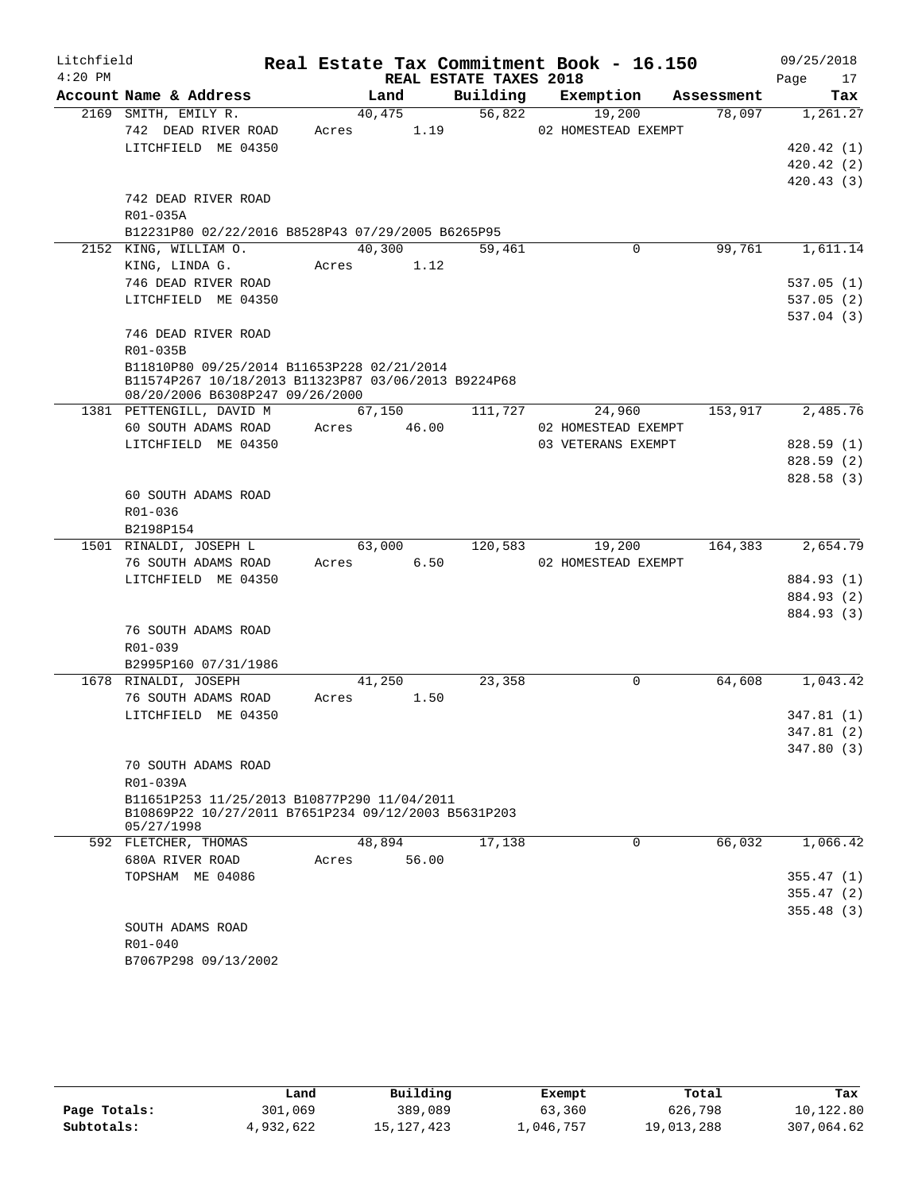| Litchfield |                                                                                                    |                |                        | Real Estate Tax Commitment Book - 16.150 |            | 09/25/2018 |
|------------|----------------------------------------------------------------------------------------------------|----------------|------------------------|------------------------------------------|------------|------------|
| $4:20$ PM  |                                                                                                    |                | REAL ESTATE TAXES 2018 |                                          |            | Page<br>17 |
|            | Account Name & Address                                                                             | Land           | Building               | Exemption                                | Assessment | Tax        |
|            | 2169 SMITH, EMILY R.                                                                               | 40,475         | 56,822                 | 19,200                                   | 78,097     | 1,261.27   |
|            | 742 DEAD RIVER ROAD                                                                                | Acres          | 1.19                   | 02 HOMESTEAD EXEMPT                      |            |            |
|            | LITCHFIELD ME 04350                                                                                |                |                        |                                          |            | 420.42(1)  |
|            |                                                                                                    |                |                        |                                          |            | 420.42(2)  |
|            |                                                                                                    |                |                        |                                          |            | 420.43(3)  |
|            | 742 DEAD RIVER ROAD                                                                                |                |                        |                                          |            |            |
|            | R01-035A                                                                                           |                |                        |                                          |            |            |
|            | B12231P80 02/22/2016 B8528P43 07/29/2005 B6265P95                                                  |                |                        |                                          |            |            |
|            | 2152 KING, WILLIAM O.                                                                              | 40,300         | 59,461                 | 0                                        | 99,761     | 1,611.14   |
|            | KING, LINDA G.                                                                                     | Acres          | 1.12                   |                                          |            |            |
|            | 746 DEAD RIVER ROAD                                                                                |                |                        |                                          |            | 537.05(1)  |
|            | LITCHFIELD ME 04350                                                                                |                |                        |                                          |            | 537.05(2)  |
|            |                                                                                                    |                |                        |                                          |            | 537.04(3)  |
|            | 746 DEAD RIVER ROAD                                                                                |                |                        |                                          |            |            |
|            | R01-035B                                                                                           |                |                        |                                          |            |            |
|            | B11810P80 09/25/2014 B11653P228 02/21/2014<br>B11574P267 10/18/2013 B11323P87 03/06/2013 B9224P68  |                |                        |                                          |            |            |
|            | 08/20/2006 B6308P247 09/26/2000                                                                    |                |                        |                                          |            |            |
|            | 1381 PETTENGILL, DAVID M                                                                           | 67,150         | 111,727                | 24,960                                   | 153,917    | 2,485.76   |
|            | 60 SOUTH ADAMS ROAD                                                                                | 46.00<br>Acres |                        | 02 HOMESTEAD EXEMPT                      |            |            |
|            | LITCHFIELD ME 04350                                                                                |                |                        | 03 VETERANS EXEMPT                       |            | 828.59(1)  |
|            |                                                                                                    |                |                        |                                          |            | 828.59 (2) |
|            |                                                                                                    |                |                        |                                          |            | 828.58(3)  |
|            | 60 SOUTH ADAMS ROAD                                                                                |                |                        |                                          |            |            |
|            | R01-036                                                                                            |                |                        |                                          |            |            |
|            | B2198P154                                                                                          |                |                        |                                          |            |            |
|            | 1501 RINALDI, JOSEPH L                                                                             | 63,000         | 120,583                | 19,200                                   | 164,383    | 2,654.79   |
|            | 76 SOUTH ADAMS ROAD                                                                                | Acres          | 6.50                   | 02 HOMESTEAD EXEMPT                      |            |            |
|            | LITCHFIELD ME 04350                                                                                |                |                        |                                          |            | 884.93 (1) |
|            |                                                                                                    |                |                        |                                          |            | 884.93 (2) |
|            |                                                                                                    |                |                        |                                          |            | 884.93 (3) |
|            | 76 SOUTH ADAMS ROAD                                                                                |                |                        |                                          |            |            |
|            | R01-039                                                                                            |                |                        |                                          |            |            |
|            | B2995P160 07/31/1986                                                                               |                |                        |                                          |            |            |
|            | 1678 RINALDI, JOSEPH                                                                               | 41,250         | 23,358                 | $\mathbf 0$                              | 64,608     | 1,043.42   |
|            | 76 SOUTH ADAMS ROAD                                                                                | Acres          | 1.50                   |                                          |            |            |
|            | LITCHFIELD ME 04350                                                                                |                |                        |                                          |            | 347.81(1)  |
|            |                                                                                                    |                |                        |                                          |            | 347.81 (2) |
|            |                                                                                                    |                |                        |                                          |            | 347.80(3)  |
|            | 70 SOUTH ADAMS ROAD                                                                                |                |                        |                                          |            |            |
|            | R01-039A                                                                                           |                |                        |                                          |            |            |
|            | B11651P253 11/25/2013 B10877P290 11/04/2011<br>B10869P22 10/27/2011 B7651P234 09/12/2003 B5631P203 |                |                        |                                          |            |            |
|            | 05/27/1998                                                                                         |                |                        |                                          |            |            |
|            | 592 FLETCHER, THOMAS                                                                               | 48,894         | 17,138                 | $\mathbf 0$                              | 66,032     | 1,066.42   |
|            | 680A RIVER ROAD                                                                                    | 56.00<br>Acres |                        |                                          |            |            |
|            | TOPSHAM ME 04086                                                                                   |                |                        |                                          |            | 355.47(1)  |
|            |                                                                                                    |                |                        |                                          |            | 355.47(2)  |
|            |                                                                                                    |                |                        |                                          |            | 355.48(3)  |
|            | SOUTH ADAMS ROAD                                                                                   |                |                        |                                          |            |            |
|            | R01-040                                                                                            |                |                        |                                          |            |            |
|            | B7067P298 09/13/2002                                                                               |                |                        |                                          |            |            |
|            |                                                                                                    |                |                        |                                          |            |            |

|              | Land      | Building   | Exempt    | Total      | Tax        |
|--------------|-----------|------------|-----------|------------|------------|
| Page Totals: | 301,069   | 389,089    | 63,360    | 626,798    | 10,122.80  |
| Subtotals:   | 4,932,622 | 15,127,423 | ⊥,046,757 | 19,013,288 | 307,064.62 |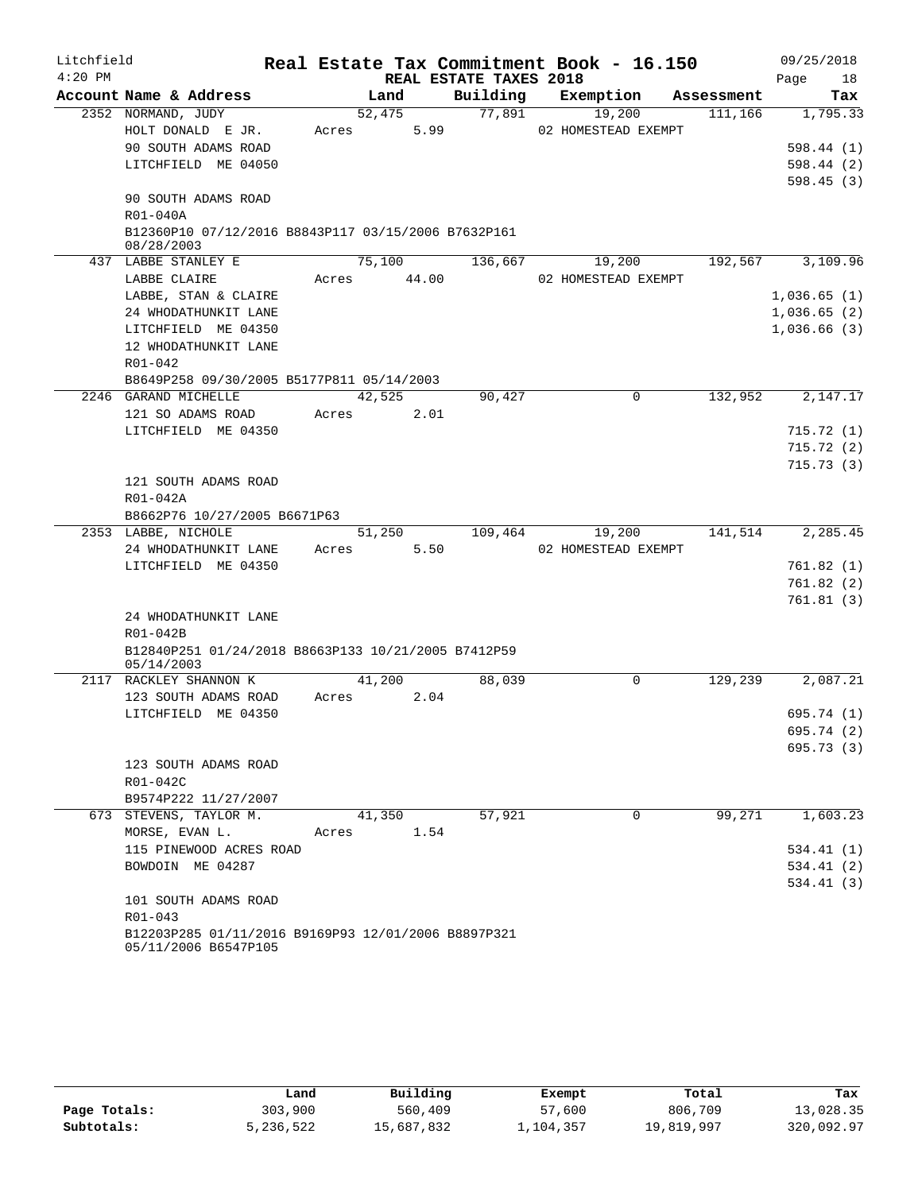| Litchfield |                                                                             |       |        |                        | Real Estate Tax Commitment Book - 16.150 |            | 09/25/2018  |
|------------|-----------------------------------------------------------------------------|-------|--------|------------------------|------------------------------------------|------------|-------------|
| $4:20$ PM  |                                                                             |       |        | REAL ESTATE TAXES 2018 |                                          |            | Page<br>18  |
|            | Account Name & Address                                                      |       | Land   | Building               | Exemption                                | Assessment | Tax         |
|            | 2352 NORMAND, JUDY                                                          |       | 52,475 | 77,891                 | 19,200                                   | 111,166    | 1,795.33    |
|            | HOLT DONALD E JR.                                                           | Acres | 5.99   |                        | 02 HOMESTEAD EXEMPT                      |            |             |
|            | 90 SOUTH ADAMS ROAD                                                         |       |        |                        |                                          |            | 598.44(1)   |
|            | LITCHFIELD ME 04050                                                         |       |        |                        |                                          |            | 598.44(2)   |
|            | 90 SOUTH ADAMS ROAD                                                         |       |        |                        |                                          |            | 598.45(3)   |
|            | $R01 - 040A$                                                                |       |        |                        |                                          |            |             |
|            | B12360P10 07/12/2016 B8843P117 03/15/2006 B7632P161                         |       |        |                        |                                          |            |             |
|            | 08/28/2003                                                                  |       |        |                        |                                          |            |             |
|            | 437 LABBE STANLEY E                                                         |       | 75,100 | 136,667                | 19,200                                   | 192,567    | 3,109.96    |
|            | LABBE CLAIRE                                                                | Acres | 44.00  |                        | 02 HOMESTEAD EXEMPT                      |            |             |
|            | LABBE, STAN & CLAIRE                                                        |       |        |                        |                                          |            | 1,036.65(1) |
|            | 24 WHODATHUNKIT LANE                                                        |       |        |                        |                                          |            | 1,036.65(2) |
|            | LITCHFIELD ME 04350                                                         |       |        |                        |                                          |            | 1,036.66(3) |
|            | 12 WHODATHUNKIT LANE                                                        |       |        |                        |                                          |            |             |
|            | R01-042                                                                     |       |        |                        |                                          |            |             |
|            | B8649P258 09/30/2005 B5177P811 05/14/2003                                   |       |        |                        |                                          |            |             |
|            | 2246 GARAND MICHELLE                                                        |       | 42,525 | 90,427                 | 0                                        | 132,952    | 2,147.17    |
|            | 121 SO ADAMS ROAD                                                           | Acres | 2.01   |                        |                                          |            |             |
|            | LITCHFIELD ME 04350                                                         |       |        |                        |                                          |            | 715.72(1)   |
|            |                                                                             |       |        |                        |                                          |            | 715.72(2)   |
|            |                                                                             |       |        |                        |                                          |            | 715.73(3)   |
|            | 121 SOUTH ADAMS ROAD                                                        |       |        |                        |                                          |            |             |
|            | $R01 - 042A$                                                                |       |        |                        |                                          |            |             |
|            | B8662P76 10/27/2005 B6671P63                                                |       |        |                        |                                          |            |             |
|            | 2353 LABBE, NICHOLE                                                         |       | 51,250 | 109,464                | 19,200                                   | 141,514    | 2,285.45    |
|            | 24 WHODATHUNKIT LANE                                                        | Acres | 5.50   |                        | 02 HOMESTEAD EXEMPT                      |            |             |
|            | LITCHFIELD ME 04350                                                         |       |        |                        |                                          |            | 761.82(1)   |
|            |                                                                             |       |        |                        |                                          |            | 761.82(2)   |
|            |                                                                             |       |        |                        |                                          |            | 761.81(3)   |
|            | 24 WHODATHUNKIT LANE                                                        |       |        |                        |                                          |            |             |
|            | R01-042B                                                                    |       |        |                        |                                          |            |             |
|            | B12840P251 01/24/2018 B8663P133 10/21/2005 B7412P59<br>05/14/2003           |       |        |                        |                                          |            |             |
|            | 2117 RACKLEY SHANNON K                                                      |       | 41,200 | 88,039                 | 0                                        | 129,239    | 2,087.21    |
|            | 123 SOUTH ADAMS ROAD                                                        | Acres | 2.04   |                        |                                          |            |             |
|            | LITCHFIELD ME 04350                                                         |       |        |                        |                                          |            | 695.74 (1)  |
|            |                                                                             |       |        |                        |                                          |            | 695.74 (2)  |
|            |                                                                             |       |        |                        |                                          |            | 695.73(3)   |
|            | 123 SOUTH ADAMS ROAD                                                        |       |        |                        |                                          |            |             |
|            | R01-042C                                                                    |       |        |                        |                                          |            |             |
|            | B9574P222 11/27/2007                                                        |       |        |                        |                                          |            |             |
|            | 673 STEVENS, TAYLOR M.                                                      |       | 41,350 | 57,921                 | $\Omega$                                 | 99,271     | 1,603.23    |
|            | MORSE, EVAN L.                                                              | Acres | 1.54   |                        |                                          |            |             |
|            | 115 PINEWOOD ACRES ROAD                                                     |       |        |                        |                                          |            | 534.41(1)   |
|            | BOWDOIN ME 04287                                                            |       |        |                        |                                          |            | 534.41(2)   |
|            |                                                                             |       |        |                        |                                          |            | 534.41(3)   |
|            | 101 SOUTH ADAMS ROAD                                                        |       |        |                        |                                          |            |             |
|            | R01-043                                                                     |       |        |                        |                                          |            |             |
|            | B12203P285 01/11/2016 B9169P93 12/01/2006 B8897P321<br>05/11/2006 B6547P105 |       |        |                        |                                          |            |             |

|              | Land      | Building   | Exempt    | Total      | Tax        |
|--------------|-----------|------------|-----------|------------|------------|
| Page Totals: | 303,900   | 560,409    | 57,600    | 806,709    | 13,028.35  |
| Subtotals:   | 5,236,522 | 15,687,832 | l.104.357 | 19,819,997 | 320,092.97 |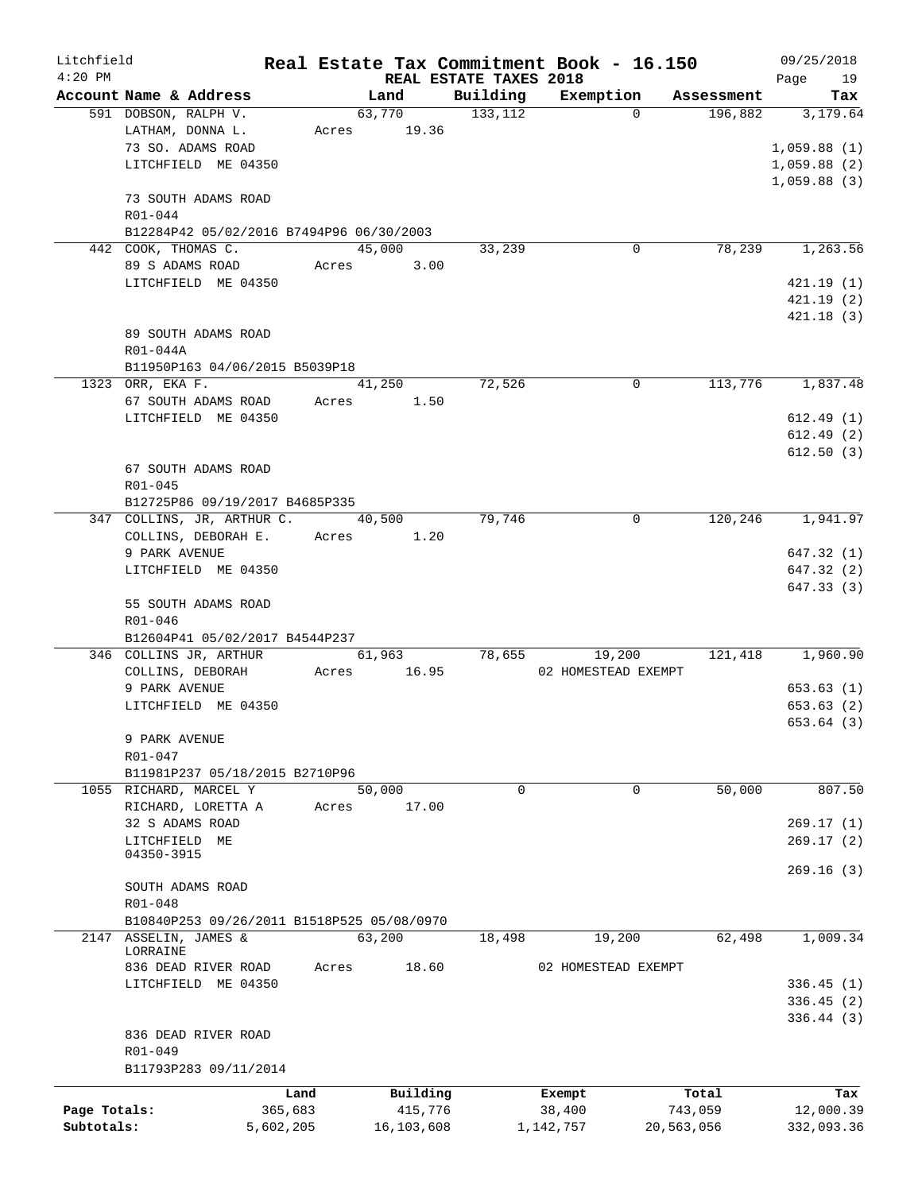| Litchfield   |                                            |           |       |             |                        | Real Estate Tax Commitment Book - 16.150 |            | 09/25/2018  |
|--------------|--------------------------------------------|-----------|-------|-------------|------------------------|------------------------------------------|------------|-------------|
| $4:20$ PM    |                                            |           |       |             | REAL ESTATE TAXES 2018 |                                          |            | Page<br>19  |
|              | Account Name & Address                     |           |       | Land        | Building               | Exemption                                | Assessment | Tax         |
|              | 591 DOBSON, RALPH V.                       |           |       | 63,770      | 133, 112               | $\Omega$                                 | 196,882    | 3,179.64    |
|              | LATHAM, DONNA L.                           |           |       | Acres 19.36 |                        |                                          |            |             |
|              | 73 SO. ADAMS ROAD                          |           |       |             |                        |                                          |            | 1,059.88(1) |
|              | LITCHFIELD ME 04350                        |           |       |             |                        |                                          |            | 1,059.88(2) |
|              |                                            |           |       |             |                        |                                          |            | 1,059.88(3) |
|              | 73 SOUTH ADAMS ROAD                        |           |       |             |                        |                                          |            |             |
|              | R01-044                                    |           |       |             |                        |                                          |            |             |
|              | B12284P42 05/02/2016 B7494P96 06/30/2003   |           |       |             |                        |                                          |            |             |
|              | 442 COOK, THOMAS C.                        |           |       | 45,000      | 33,239                 | 0                                        | 78,239     | 1,263.56    |
|              | 89 S ADAMS ROAD                            |           | Acres | 3.00        |                        |                                          |            |             |
|              | LITCHFIELD ME 04350                        |           |       |             |                        |                                          |            | 421.19(1)   |
|              |                                            |           |       |             |                        |                                          |            | 421.19(2)   |
|              |                                            |           |       |             |                        |                                          |            | 421.18(3)   |
|              | 89 SOUTH ADAMS ROAD                        |           |       |             |                        |                                          |            |             |
|              | R01-044A                                   |           |       |             |                        |                                          |            |             |
|              | B11950P163 04/06/2015 B5039P18             |           |       |             | 72,526                 |                                          |            |             |
|              | 1323 ORR, EKA F.                           |           |       | 41,250      |                        | 0                                        | 113,776    | 1,837.48    |
|              | 67 SOUTH ADAMS ROAD                        |           | Acres | 1.50        |                        |                                          |            |             |
|              | LITCHFIELD ME 04350                        |           |       |             |                        |                                          |            | 612.49(1)   |
|              |                                            |           |       |             |                        |                                          |            | 612.49(2)   |
|              |                                            |           |       |             |                        |                                          |            | 612.50(3)   |
|              | 67 SOUTH ADAMS ROAD                        |           |       |             |                        |                                          |            |             |
|              | R01-045                                    |           |       |             |                        |                                          |            |             |
|              | B12725P86 09/19/2017 B4685P335             |           |       |             |                        |                                          | 120,246    |             |
|              | 347 COLLINS, JR, ARTHUR C.                 |           |       | 40,500      | 79,746                 | 0                                        |            | 1,941.97    |
|              | COLLINS, DEBORAH E.                        |           |       | Acres 1.20  |                        |                                          |            |             |
|              | 9 PARK AVENUE                              |           |       |             |                        |                                          |            | 647.32 (1)  |
|              | LITCHFIELD ME 04350                        |           |       |             |                        |                                          |            | 647.32 (2)  |
|              |                                            |           |       |             |                        |                                          |            | 647.33 (3)  |
|              | 55 SOUTH ADAMS ROAD                        |           |       |             |                        |                                          |            |             |
|              | R01-046<br>B12604P41 05/02/2017 B4544P237  |           |       |             |                        |                                          |            |             |
|              | 346 COLLINS JR, ARTHUR                     |           |       | 61,963      | 78,655                 | 19,200                                   | 121,418    | 1,960.90    |
|              | COLLINS, DEBORAH                           |           |       | Acres 16.95 |                        | 02 HOMESTEAD EXEMPT                      |            |             |
|              | 9 PARK AVENUE                              |           |       |             |                        |                                          |            | 653.63(1)   |
|              | LITCHFIELD ME 04350                        |           |       |             |                        |                                          |            | 653.63(2)   |
|              |                                            |           |       |             |                        |                                          |            | 653.64(3)   |
|              | 9 PARK AVENUE                              |           |       |             |                        |                                          |            |             |
|              | R01-047                                    |           |       |             |                        |                                          |            |             |
|              | B11981P237 05/18/2015 B2710P96             |           |       |             |                        |                                          |            |             |
|              | 1055 RICHARD, MARCEL Y                     |           |       | 50,000      | 0                      | $\mathbf 0$                              | 50,000     | 807.50      |
|              | RICHARD, LORETTA A                         |           | Acres | 17.00       |                        |                                          |            |             |
|              | 32 S ADAMS ROAD                            |           |       |             |                        |                                          |            | 269.17(1)   |
|              | LITCHFIELD ME                              |           |       |             |                        |                                          |            | 269.17(2)   |
|              | 04350-3915                                 |           |       |             |                        |                                          |            |             |
|              |                                            |           |       |             |                        |                                          |            | 269.16(3)   |
|              | SOUTH ADAMS ROAD                           |           |       |             |                        |                                          |            |             |
|              | $R01 - 048$                                |           |       |             |                        |                                          |            |             |
|              | B10840P253 09/26/2011 B1518P525 05/08/0970 |           |       |             |                        |                                          |            |             |
|              | 2147 ASSELIN, JAMES &                      |           |       | 63,200      | 18,498                 | 19,200                                   | 62,498     | 1,009.34    |
|              | LORRAINE                                   |           |       |             |                        |                                          |            |             |
|              | 836 DEAD RIVER ROAD                        |           | Acres | 18.60       |                        | 02 HOMESTEAD EXEMPT                      |            |             |
|              | LITCHFIELD ME 04350                        |           |       |             |                        |                                          |            | 336.45(1)   |
|              |                                            |           |       |             |                        |                                          |            | 336.45(2)   |
|              |                                            |           |       |             |                        |                                          |            | 336.44(3)   |
|              | 836 DEAD RIVER ROAD                        |           |       |             |                        |                                          |            |             |
|              | R01-049                                    |           |       |             |                        |                                          |            |             |
|              | B11793P283 09/11/2014                      |           |       |             |                        |                                          |            |             |
|              |                                            | Land      |       | Building    |                        | Exempt                                   | Total      | Tax         |
| Page Totals: |                                            | 365,683   |       | 415,776     |                        | 38,400                                   | 743,059    | 12,000.39   |
| Subtotals:   |                                            | 5,602,205 |       | 16,103,608  |                        | 1,142,757                                | 20,563,056 | 332,093.36  |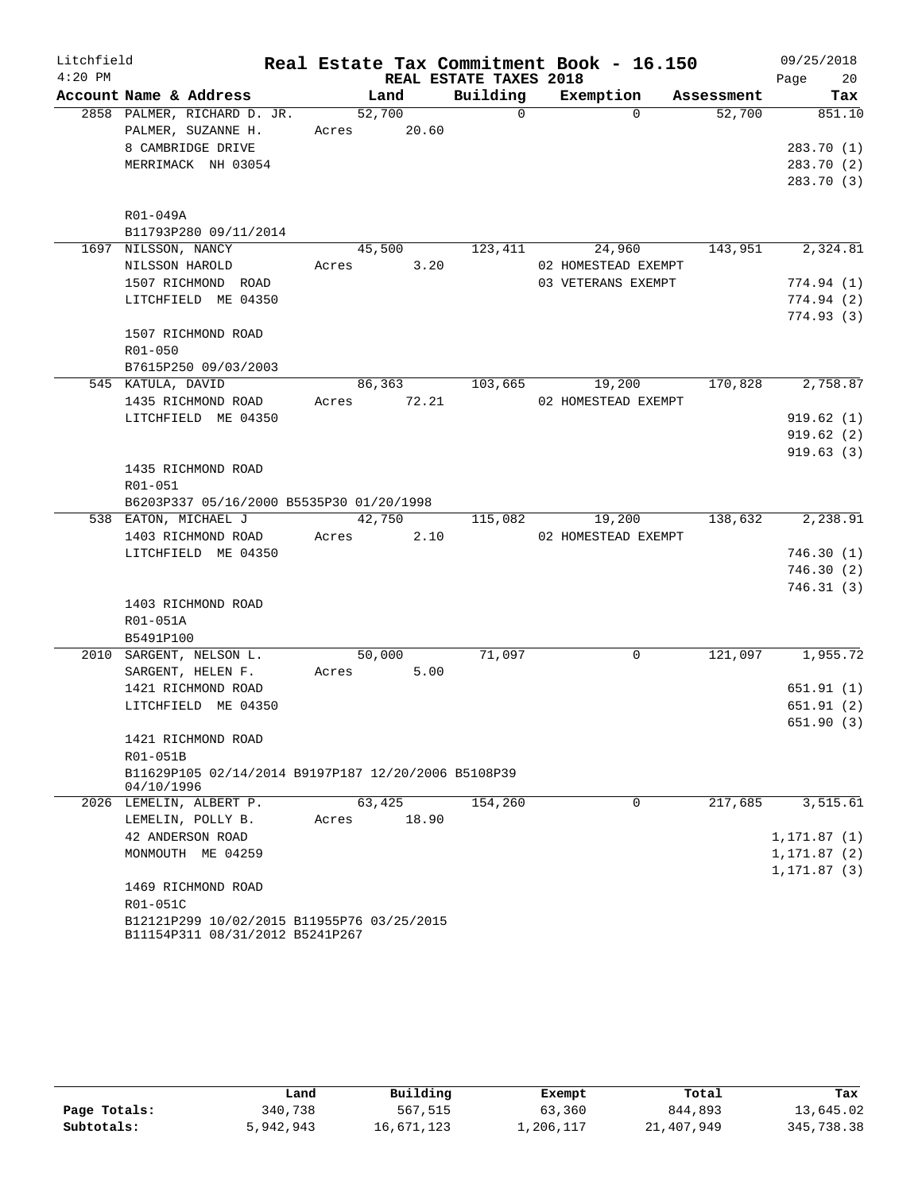| Litchfield |                                                                               |       |        |                        | Real Estate Tax Commitment Book - 16.150 |            | 09/25/2018   |
|------------|-------------------------------------------------------------------------------|-------|--------|------------------------|------------------------------------------|------------|--------------|
| $4:20$ PM  |                                                                               |       |        | REAL ESTATE TAXES 2018 |                                          |            | Page<br>20   |
|            | Account Name & Address                                                        |       | Land   | Building               | Exemption                                | Assessment | Tax          |
|            | 2858 PALMER, RICHARD D. JR.                                                   |       | 52,700 | $\mathsf{O}$           | $\Omega$                                 | 52,700     | 851.10       |
|            | PALMER, SUZANNE H.                                                            | Acres | 20.60  |                        |                                          |            |              |
|            | 8 CAMBRIDGE DRIVE                                                             |       |        |                        |                                          |            | 283.70 (1)   |
|            | MERRIMACK NH 03054                                                            |       |        |                        |                                          |            | 283.70 (2)   |
|            |                                                                               |       |        |                        |                                          |            | 283.70 (3)   |
|            | R01-049A                                                                      |       |        |                        |                                          |            |              |
|            | B11793P280 09/11/2014                                                         |       |        |                        |                                          |            |              |
|            | 1697 NILSSON, NANCY                                                           |       | 45,500 | 123,411                | 24,960                                   | 143,951    | 2,324.81     |
|            | NILSSON HAROLD                                                                | Acres | 3.20   |                        | 02 HOMESTEAD EXEMPT                      |            |              |
|            | 1507 RICHMOND ROAD                                                            |       |        |                        | 03 VETERANS EXEMPT                       |            | 774.94(1)    |
|            | LITCHFIELD ME 04350                                                           |       |        |                        |                                          |            | 774.94(2)    |
|            |                                                                               |       |        |                        |                                          |            | 774.93(3)    |
|            | 1507 RICHMOND ROAD                                                            |       |        |                        |                                          |            |              |
|            | R01-050                                                                       |       |        |                        |                                          |            |              |
|            | B7615P250 09/03/2003                                                          |       |        |                        |                                          |            |              |
|            | 545 KATULA, DAVID                                                             |       | 86,363 | 103,665                | 19,200                                   | 170,828    | 2,758.87     |
|            | 1435 RICHMOND ROAD                                                            | Acres | 72.21  |                        | 02 HOMESTEAD EXEMPT                      |            |              |
|            | LITCHFIELD ME 04350                                                           |       |        |                        |                                          |            | 919.62(1)    |
|            |                                                                               |       |        |                        |                                          |            | 919.62(2)    |
|            |                                                                               |       |        |                        |                                          |            | 919.63(3)    |
|            | 1435 RICHMOND ROAD                                                            |       |        |                        |                                          |            |              |
|            | R01-051                                                                       |       |        |                        |                                          |            |              |
|            | B6203P337 05/16/2000 B5535P30 01/20/1998                                      |       |        |                        |                                          |            |              |
|            | 538 EATON, MICHAEL J                                                          |       | 42,750 | 115,082                | 19,200                                   | 138,632    | 2,238.91     |
|            | 1403 RICHMOND ROAD                                                            | Acres | 2.10   |                        | 02 HOMESTEAD EXEMPT                      |            |              |
|            | LITCHFIELD ME 04350                                                           |       |        |                        |                                          |            | 746.30(1)    |
|            |                                                                               |       |        |                        |                                          |            | 746.30(2)    |
|            |                                                                               |       |        |                        |                                          |            | 746.31(3)    |
|            | 1403 RICHMOND ROAD                                                            |       |        |                        |                                          |            |              |
|            | R01-051A                                                                      |       |        |                        |                                          |            |              |
|            | B5491P100                                                                     |       |        |                        |                                          |            |              |
|            | 2010 SARGENT, NELSON L.                                                       |       | 50,000 | 71,097                 | 0                                        | 121,097    | 1,955.72     |
|            | SARGENT, HELEN F.                                                             | Acres | 5.00   |                        |                                          |            |              |
|            | 1421 RICHMOND ROAD                                                            |       |        |                        |                                          |            | 651.91(1)    |
|            | LITCHFIELD ME 04350                                                           |       |        |                        |                                          |            | 651.91(2)    |
|            |                                                                               |       |        |                        |                                          |            | 651.90(3)    |
|            | 1421 RICHMOND ROAD                                                            |       |        |                        |                                          |            |              |
|            | R01-051B                                                                      |       |        |                        |                                          |            |              |
|            | B11629P105 02/14/2014 B9197P187 12/20/2006 B5108P39<br>04/10/1996             |       |        |                        |                                          |            |              |
|            | 2026 LEMELIN, ALBERT P.                                                       |       | 63,425 | 154,260                | 0                                        | 217,685    | 3,515.61     |
|            | LEMELIN, POLLY B.                                                             | Acres | 18.90  |                        |                                          |            |              |
|            | 42 ANDERSON ROAD                                                              |       |        |                        |                                          |            | 1, 171.87(1) |
|            | MONMOUTH ME 04259                                                             |       |        |                        |                                          |            | 1, 171.87(2) |
|            |                                                                               |       |        |                        |                                          |            | 1, 171.87(3) |
|            | 1469 RICHMOND ROAD                                                            |       |        |                        |                                          |            |              |
|            | R01-051C                                                                      |       |        |                        |                                          |            |              |
|            | B12121P299 10/02/2015 B11955P76 03/25/2015<br>B11154P311 08/31/2012 B5241P267 |       |        |                        |                                          |            |              |

|              | Land      | Building   | Exempt    | Total      | Tax        |
|--------------|-----------|------------|-----------|------------|------------|
| Page Totals: | 340,738   | 567,515    | 63,360    | 844,893    | 13,645.02  |
| Subtotals:   | 5,942,943 | 16,671,123 | ⊥,206,117 | 21,407,949 | 345,738.38 |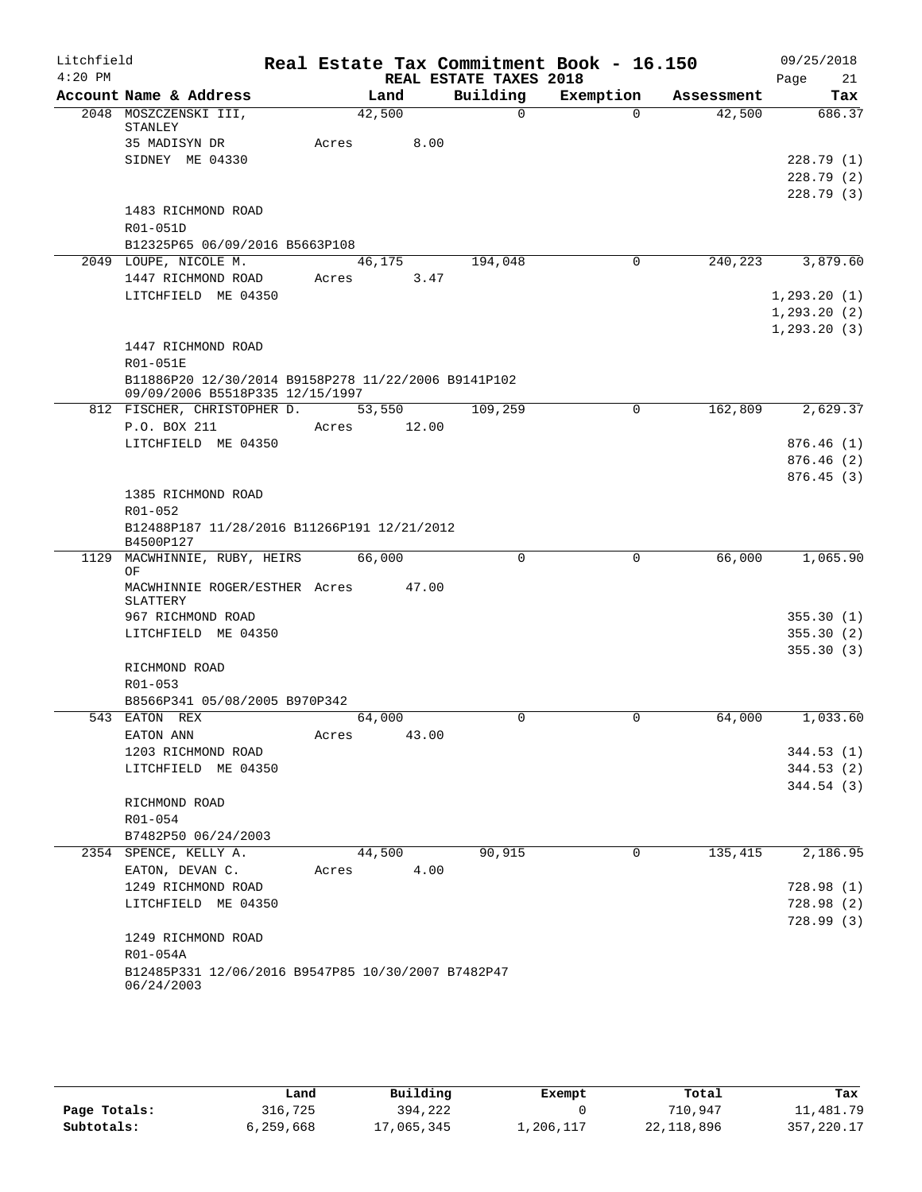| Litchfield<br>$4:20$ PM |                                                          | Real Estate Tax Commitment Book - 16.150 | REAL ESTATE TAXES 2018 |           |            | 09/25/2018        |
|-------------------------|----------------------------------------------------------|------------------------------------------|------------------------|-----------|------------|-------------------|
|                         | Account Name & Address                                   | Land                                     | Building               | Exemption | Assessment | Page<br>21<br>Tax |
|                         | 2048 MOSZCZENSKI III,                                    | 42,500                                   | 0                      | $\Omega$  | 42,500     | 686.37            |
|                         | STANLEY                                                  |                                          |                        |           |            |                   |
|                         | 35 MADISYN DR                                            | 8.00<br>Acres                            |                        |           |            |                   |
|                         | SIDNEY ME 04330                                          |                                          |                        |           |            | 228.79(1)         |
|                         |                                                          |                                          |                        |           |            | 228.79(2)         |
|                         |                                                          |                                          |                        |           |            | 228.79(3)         |
|                         | 1483 RICHMOND ROAD                                       |                                          |                        |           |            |                   |
|                         | R01-051D<br>B12325P65 06/09/2016 B5663P108               |                                          |                        |           |            |                   |
|                         |                                                          |                                          |                        | 0         | 240,223    |                   |
|                         | 2049 LOUPE, NICOLE M.                                    | 46,175                                   | 194,048                |           |            | 3,879.60          |
|                         | 1447 RICHMOND ROAD                                       | 3.47<br>Acres                            |                        |           |            |                   |
|                         | LITCHFIELD ME 04350                                      |                                          |                        |           |            | 1, 293.20(1)      |
|                         |                                                          |                                          |                        |           |            | 1, 293.20(2)      |
|                         | 1447 RICHMOND ROAD                                       |                                          |                        |           |            | 1, 293.20(3)      |
|                         | R01-051E                                                 |                                          |                        |           |            |                   |
|                         | B11886P20 12/30/2014 B9158P278 11/22/2006 B9141P102      |                                          |                        |           |            |                   |
|                         | 09/09/2006 B5518P335 12/15/1997                          |                                          |                        |           |            |                   |
|                         | 812 FISCHER, CHRISTOPHER D.                              | 53,550                                   | 109,259                | 0         | 162,809    | 2,629.37          |
|                         | P.O. BOX 211                                             | 12.00<br>Acres                           |                        |           |            |                   |
|                         | LITCHFIELD ME 04350                                      |                                          |                        |           |            | 876.46(1)         |
|                         |                                                          |                                          |                        |           |            | 876.46(2)         |
|                         |                                                          |                                          |                        |           |            | 876.45(3)         |
|                         | 1385 RICHMOND ROAD                                       |                                          |                        |           |            |                   |
|                         | R01-052                                                  |                                          |                        |           |            |                   |
|                         | B12488P187 11/28/2016 B11266P191 12/21/2012<br>B4500P127 |                                          |                        |           |            |                   |
| 1129                    | MACWHINNIE, RUBY, HEIRS                                  | 66,000                                   | 0                      | 0         | 66,000     | 1,065.90          |
|                         | ΟF                                                       |                                          |                        |           |            |                   |
|                         | MACWHINNIE ROGER/ESTHER Acres                            | 47.00                                    |                        |           |            |                   |
|                         | SLATTERY                                                 |                                          |                        |           |            |                   |
|                         | 967 RICHMOND ROAD                                        |                                          |                        |           |            | 355.30(1)         |
|                         | LITCHFIELD ME 04350                                      |                                          |                        |           |            | 355.30(2)         |
|                         |                                                          |                                          |                        |           |            | 355.30(3)         |
|                         | RICHMOND ROAD                                            |                                          |                        |           |            |                   |
|                         | R01-053<br>B8566P341 05/08/2005 B970P342                 |                                          |                        |           |            |                   |
|                         | 543 EATON REX                                            | 64,000                                   | 0                      | 0         | 64,000     | 1,033.60          |
|                         | EATON ANN                                                | 43.00<br>Acres                           |                        |           |            |                   |
|                         | 1203 RICHMOND ROAD                                       |                                          |                        |           |            | 344.53(1)         |
|                         | LITCHFIELD ME 04350                                      |                                          |                        |           |            | 344.53(2)         |
|                         |                                                          |                                          |                        |           |            | 344.54(3)         |
|                         | RICHMOND ROAD                                            |                                          |                        |           |            |                   |
|                         | R01-054                                                  |                                          |                        |           |            |                   |
|                         | B7482P50 06/24/2003                                      |                                          |                        |           |            |                   |
|                         | 2354 SPENCE, KELLY A.                                    | 44,500                                   | 90,915                 | 0         | 135,415    | 2,186.95          |
|                         | EATON, DEVAN C.                                          | 4.00<br>Acres                            |                        |           |            |                   |
|                         | 1249 RICHMOND ROAD                                       |                                          |                        |           |            | 728.98 (1)        |
|                         | LITCHFIELD ME 04350                                      |                                          |                        |           |            | 728.98(2)         |
|                         |                                                          |                                          |                        |           |            | 728.99(3)         |
|                         | 1249 RICHMOND ROAD                                       |                                          |                        |           |            |                   |
|                         | R01-054A                                                 |                                          |                        |           |            |                   |
|                         | B12485P331 12/06/2016 B9547P85 10/30/2007 B7482P47       |                                          |                        |           |            |                   |
|                         | 06/24/2003                                               |                                          |                        |           |            |                   |
|                         |                                                          |                                          |                        |           |            |                   |

|              | Land      | Building   | Exempt    | Total        | Tax         |
|--------------|-----------|------------|-----------|--------------|-------------|
| Page Totals: | 316,725   | 394,222    |           | 710,947      | 11,481.79   |
| Subtotals:   | 6,259,668 | 17,065,345 | ⊥,206,117 | 22, 118, 896 | 357, 220.17 |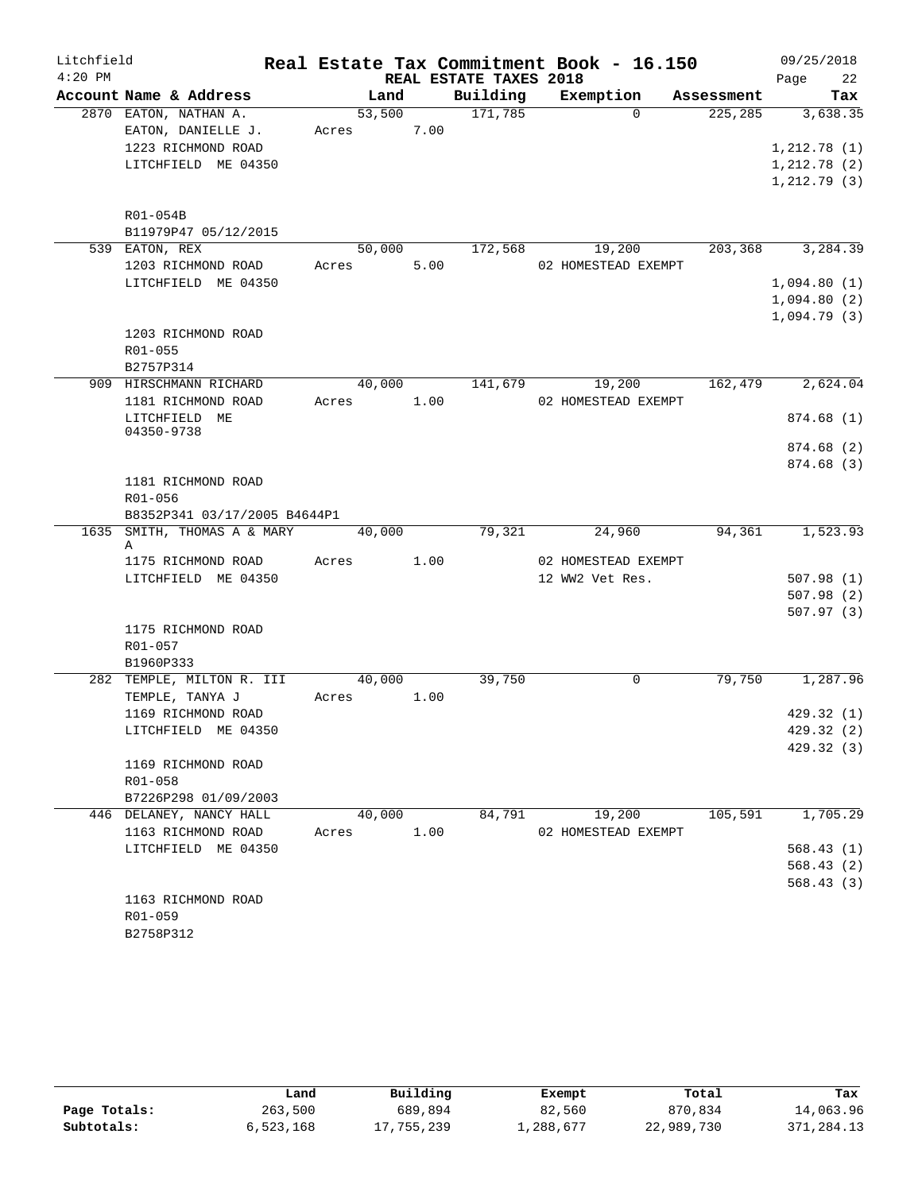| $4:20$ PM<br>REAL ESTATE TAXES 2018<br>22<br>Page<br>Account Name & Address<br>Building<br>Exemption<br>Land<br>Assessment<br>Tax<br>2870 EATON, NATHAN A.<br>53,500<br>171,785<br>3,638.35<br>$\Omega$<br>225,285<br>EATON, DANIELLE J.<br>Acres 7.00<br>1223 RICHMOND ROAD<br>1, 212.78(1)<br>LITCHFIELD ME 04350<br>1, 212.78(2)<br>1, 212.79(3)<br>R01-054B<br>B11979P47 05/12/2015<br>203,368<br>539 EATON, REX<br>50,000<br>172,568<br>19,200<br>3,284.39<br>1203 RICHMOND ROAD<br>5.00<br>02 HOMESTEAD EXEMPT<br>Acres<br>LITCHFIELD ME 04350<br>1,094.80(1)<br>1,094.80(2)<br>1,094.79(3)<br>1203 RICHMOND ROAD<br>R01-055<br>B2757P314<br>909 HIRSCHMANN RICHARD<br>40,000<br>141,679<br>19,200<br>162,479<br>2,624.04<br>1181 RICHMOND ROAD<br>1.00<br>02 HOMESTEAD EXEMPT<br>Acres<br>LITCHFIELD ME<br>874.68(1)<br>04350-9738<br>874.68 (2)<br>874.68 (3)<br>1181 RICHMOND ROAD<br>R01-056<br>B8352P341 03/17/2005 B4644P1<br>1635 SMITH, THOMAS A & MARY<br>79,321<br>94,361<br>1,523.93<br>40,000<br>24,960<br>Α<br>1175 RICHMOND ROAD<br>Acres<br>1.00<br>02 HOMESTEAD EXEMPT<br>LITCHFIELD ME 04350<br>12 WW2 Vet Res.<br>507.98(1)<br>507.98(2)<br>507.97(3)<br>1175 RICHMOND ROAD<br>R01-057<br>B1960P333<br>282 TEMPLE, MILTON R. III<br>40,000<br>39,750<br>$\mathbf 0$<br>79,750<br>1,287.96<br>TEMPLE, TANYA J<br>Acres<br>1.00<br>1169 RICHMOND ROAD<br>429.32(1)<br>429.32 (2)<br>LITCHFIELD ME 04350<br>429.32 (3)<br>1169 RICHMOND ROAD<br>$R01 - 058$<br>B7226P298 01/09/2003<br>105,591<br>1,705.29<br>446 DELANEY, NANCY HALL<br>40,000<br>84,791<br>19,200<br>1163 RICHMOND ROAD<br>1.00<br>02 HOMESTEAD EXEMPT<br>Acres<br>568.43(1)<br>LITCHFIELD ME 04350<br>568.43(2)<br>568.43 (3) | Litchfield |  |  | Real Estate Tax Commitment Book - 16.150 | 09/25/2018 |
|-----------------------------------------------------------------------------------------------------------------------------------------------------------------------------------------------------------------------------------------------------------------------------------------------------------------------------------------------------------------------------------------------------------------------------------------------------------------------------------------------------------------------------------------------------------------------------------------------------------------------------------------------------------------------------------------------------------------------------------------------------------------------------------------------------------------------------------------------------------------------------------------------------------------------------------------------------------------------------------------------------------------------------------------------------------------------------------------------------------------------------------------------------------------------------------------------------------------------------------------------------------------------------------------------------------------------------------------------------------------------------------------------------------------------------------------------------------------------------------------------------------------------------------------------------------------------------------------------------------------------------------------------------------------------------------------------------------------------|------------|--|--|------------------------------------------|------------|
|                                                                                                                                                                                                                                                                                                                                                                                                                                                                                                                                                                                                                                                                                                                                                                                                                                                                                                                                                                                                                                                                                                                                                                                                                                                                                                                                                                                                                                                                                                                                                                                                                                                                                                                       |            |  |  |                                          |            |
|                                                                                                                                                                                                                                                                                                                                                                                                                                                                                                                                                                                                                                                                                                                                                                                                                                                                                                                                                                                                                                                                                                                                                                                                                                                                                                                                                                                                                                                                                                                                                                                                                                                                                                                       |            |  |  |                                          |            |
|                                                                                                                                                                                                                                                                                                                                                                                                                                                                                                                                                                                                                                                                                                                                                                                                                                                                                                                                                                                                                                                                                                                                                                                                                                                                                                                                                                                                                                                                                                                                                                                                                                                                                                                       |            |  |  |                                          |            |
|                                                                                                                                                                                                                                                                                                                                                                                                                                                                                                                                                                                                                                                                                                                                                                                                                                                                                                                                                                                                                                                                                                                                                                                                                                                                                                                                                                                                                                                                                                                                                                                                                                                                                                                       |            |  |  |                                          |            |
|                                                                                                                                                                                                                                                                                                                                                                                                                                                                                                                                                                                                                                                                                                                                                                                                                                                                                                                                                                                                                                                                                                                                                                                                                                                                                                                                                                                                                                                                                                                                                                                                                                                                                                                       |            |  |  |                                          |            |
|                                                                                                                                                                                                                                                                                                                                                                                                                                                                                                                                                                                                                                                                                                                                                                                                                                                                                                                                                                                                                                                                                                                                                                                                                                                                                                                                                                                                                                                                                                                                                                                                                                                                                                                       |            |  |  |                                          |            |
|                                                                                                                                                                                                                                                                                                                                                                                                                                                                                                                                                                                                                                                                                                                                                                                                                                                                                                                                                                                                                                                                                                                                                                                                                                                                                                                                                                                                                                                                                                                                                                                                                                                                                                                       |            |  |  |                                          |            |
|                                                                                                                                                                                                                                                                                                                                                                                                                                                                                                                                                                                                                                                                                                                                                                                                                                                                                                                                                                                                                                                                                                                                                                                                                                                                                                                                                                                                                                                                                                                                                                                                                                                                                                                       |            |  |  |                                          |            |
|                                                                                                                                                                                                                                                                                                                                                                                                                                                                                                                                                                                                                                                                                                                                                                                                                                                                                                                                                                                                                                                                                                                                                                                                                                                                                                                                                                                                                                                                                                                                                                                                                                                                                                                       |            |  |  |                                          |            |
|                                                                                                                                                                                                                                                                                                                                                                                                                                                                                                                                                                                                                                                                                                                                                                                                                                                                                                                                                                                                                                                                                                                                                                                                                                                                                                                                                                                                                                                                                                                                                                                                                                                                                                                       |            |  |  |                                          |            |
|                                                                                                                                                                                                                                                                                                                                                                                                                                                                                                                                                                                                                                                                                                                                                                                                                                                                                                                                                                                                                                                                                                                                                                                                                                                                                                                                                                                                                                                                                                                                                                                                                                                                                                                       |            |  |  |                                          |            |
|                                                                                                                                                                                                                                                                                                                                                                                                                                                                                                                                                                                                                                                                                                                                                                                                                                                                                                                                                                                                                                                                                                                                                                                                                                                                                                                                                                                                                                                                                                                                                                                                                                                                                                                       |            |  |  |                                          |            |
|                                                                                                                                                                                                                                                                                                                                                                                                                                                                                                                                                                                                                                                                                                                                                                                                                                                                                                                                                                                                                                                                                                                                                                                                                                                                                                                                                                                                                                                                                                                                                                                                                                                                                                                       |            |  |  |                                          |            |
|                                                                                                                                                                                                                                                                                                                                                                                                                                                                                                                                                                                                                                                                                                                                                                                                                                                                                                                                                                                                                                                                                                                                                                                                                                                                                                                                                                                                                                                                                                                                                                                                                                                                                                                       |            |  |  |                                          |            |
|                                                                                                                                                                                                                                                                                                                                                                                                                                                                                                                                                                                                                                                                                                                                                                                                                                                                                                                                                                                                                                                                                                                                                                                                                                                                                                                                                                                                                                                                                                                                                                                                                                                                                                                       |            |  |  |                                          |            |
|                                                                                                                                                                                                                                                                                                                                                                                                                                                                                                                                                                                                                                                                                                                                                                                                                                                                                                                                                                                                                                                                                                                                                                                                                                                                                                                                                                                                                                                                                                                                                                                                                                                                                                                       |            |  |  |                                          |            |
|                                                                                                                                                                                                                                                                                                                                                                                                                                                                                                                                                                                                                                                                                                                                                                                                                                                                                                                                                                                                                                                                                                                                                                                                                                                                                                                                                                                                                                                                                                                                                                                                                                                                                                                       |            |  |  |                                          |            |
|                                                                                                                                                                                                                                                                                                                                                                                                                                                                                                                                                                                                                                                                                                                                                                                                                                                                                                                                                                                                                                                                                                                                                                                                                                                                                                                                                                                                                                                                                                                                                                                                                                                                                                                       |            |  |  |                                          |            |
|                                                                                                                                                                                                                                                                                                                                                                                                                                                                                                                                                                                                                                                                                                                                                                                                                                                                                                                                                                                                                                                                                                                                                                                                                                                                                                                                                                                                                                                                                                                                                                                                                                                                                                                       |            |  |  |                                          |            |
|                                                                                                                                                                                                                                                                                                                                                                                                                                                                                                                                                                                                                                                                                                                                                                                                                                                                                                                                                                                                                                                                                                                                                                                                                                                                                                                                                                                                                                                                                                                                                                                                                                                                                                                       |            |  |  |                                          |            |
|                                                                                                                                                                                                                                                                                                                                                                                                                                                                                                                                                                                                                                                                                                                                                                                                                                                                                                                                                                                                                                                                                                                                                                                                                                                                                                                                                                                                                                                                                                                                                                                                                                                                                                                       |            |  |  |                                          |            |
|                                                                                                                                                                                                                                                                                                                                                                                                                                                                                                                                                                                                                                                                                                                                                                                                                                                                                                                                                                                                                                                                                                                                                                                                                                                                                                                                                                                                                                                                                                                                                                                                                                                                                                                       |            |  |  |                                          |            |
|                                                                                                                                                                                                                                                                                                                                                                                                                                                                                                                                                                                                                                                                                                                                                                                                                                                                                                                                                                                                                                                                                                                                                                                                                                                                                                                                                                                                                                                                                                                                                                                                                                                                                                                       |            |  |  |                                          |            |
|                                                                                                                                                                                                                                                                                                                                                                                                                                                                                                                                                                                                                                                                                                                                                                                                                                                                                                                                                                                                                                                                                                                                                                                                                                                                                                                                                                                                                                                                                                                                                                                                                                                                                                                       |            |  |  |                                          |            |
|                                                                                                                                                                                                                                                                                                                                                                                                                                                                                                                                                                                                                                                                                                                                                                                                                                                                                                                                                                                                                                                                                                                                                                                                                                                                                                                                                                                                                                                                                                                                                                                                                                                                                                                       |            |  |  |                                          |            |
|                                                                                                                                                                                                                                                                                                                                                                                                                                                                                                                                                                                                                                                                                                                                                                                                                                                                                                                                                                                                                                                                                                                                                                                                                                                                                                                                                                                                                                                                                                                                                                                                                                                                                                                       |            |  |  |                                          |            |
|                                                                                                                                                                                                                                                                                                                                                                                                                                                                                                                                                                                                                                                                                                                                                                                                                                                                                                                                                                                                                                                                                                                                                                                                                                                                                                                                                                                                                                                                                                                                                                                                                                                                                                                       |            |  |  |                                          |            |
|                                                                                                                                                                                                                                                                                                                                                                                                                                                                                                                                                                                                                                                                                                                                                                                                                                                                                                                                                                                                                                                                                                                                                                                                                                                                                                                                                                                                                                                                                                                                                                                                                                                                                                                       |            |  |  |                                          |            |
|                                                                                                                                                                                                                                                                                                                                                                                                                                                                                                                                                                                                                                                                                                                                                                                                                                                                                                                                                                                                                                                                                                                                                                                                                                                                                                                                                                                                                                                                                                                                                                                                                                                                                                                       |            |  |  |                                          |            |
|                                                                                                                                                                                                                                                                                                                                                                                                                                                                                                                                                                                                                                                                                                                                                                                                                                                                                                                                                                                                                                                                                                                                                                                                                                                                                                                                                                                                                                                                                                                                                                                                                                                                                                                       |            |  |  |                                          |            |
|                                                                                                                                                                                                                                                                                                                                                                                                                                                                                                                                                                                                                                                                                                                                                                                                                                                                                                                                                                                                                                                                                                                                                                                                                                                                                                                                                                                                                                                                                                                                                                                                                                                                                                                       |            |  |  |                                          |            |
|                                                                                                                                                                                                                                                                                                                                                                                                                                                                                                                                                                                                                                                                                                                                                                                                                                                                                                                                                                                                                                                                                                                                                                                                                                                                                                                                                                                                                                                                                                                                                                                                                                                                                                                       |            |  |  |                                          |            |
|                                                                                                                                                                                                                                                                                                                                                                                                                                                                                                                                                                                                                                                                                                                                                                                                                                                                                                                                                                                                                                                                                                                                                                                                                                                                                                                                                                                                                                                                                                                                                                                                                                                                                                                       |            |  |  |                                          |            |
|                                                                                                                                                                                                                                                                                                                                                                                                                                                                                                                                                                                                                                                                                                                                                                                                                                                                                                                                                                                                                                                                                                                                                                                                                                                                                                                                                                                                                                                                                                                                                                                                                                                                                                                       |            |  |  |                                          |            |
|                                                                                                                                                                                                                                                                                                                                                                                                                                                                                                                                                                                                                                                                                                                                                                                                                                                                                                                                                                                                                                                                                                                                                                                                                                                                                                                                                                                                                                                                                                                                                                                                                                                                                                                       |            |  |  |                                          |            |
|                                                                                                                                                                                                                                                                                                                                                                                                                                                                                                                                                                                                                                                                                                                                                                                                                                                                                                                                                                                                                                                                                                                                                                                                                                                                                                                                                                                                                                                                                                                                                                                                                                                                                                                       |            |  |  |                                          |            |
|                                                                                                                                                                                                                                                                                                                                                                                                                                                                                                                                                                                                                                                                                                                                                                                                                                                                                                                                                                                                                                                                                                                                                                                                                                                                                                                                                                                                                                                                                                                                                                                                                                                                                                                       |            |  |  |                                          |            |
|                                                                                                                                                                                                                                                                                                                                                                                                                                                                                                                                                                                                                                                                                                                                                                                                                                                                                                                                                                                                                                                                                                                                                                                                                                                                                                                                                                                                                                                                                                                                                                                                                                                                                                                       |            |  |  |                                          |            |
|                                                                                                                                                                                                                                                                                                                                                                                                                                                                                                                                                                                                                                                                                                                                                                                                                                                                                                                                                                                                                                                                                                                                                                                                                                                                                                                                                                                                                                                                                                                                                                                                                                                                                                                       |            |  |  |                                          |            |
|                                                                                                                                                                                                                                                                                                                                                                                                                                                                                                                                                                                                                                                                                                                                                                                                                                                                                                                                                                                                                                                                                                                                                                                                                                                                                                                                                                                                                                                                                                                                                                                                                                                                                                                       |            |  |  |                                          |            |
|                                                                                                                                                                                                                                                                                                                                                                                                                                                                                                                                                                                                                                                                                                                                                                                                                                                                                                                                                                                                                                                                                                                                                                                                                                                                                                                                                                                                                                                                                                                                                                                                                                                                                                                       |            |  |  |                                          |            |
|                                                                                                                                                                                                                                                                                                                                                                                                                                                                                                                                                                                                                                                                                                                                                                                                                                                                                                                                                                                                                                                                                                                                                                                                                                                                                                                                                                                                                                                                                                                                                                                                                                                                                                                       |            |  |  |                                          |            |
|                                                                                                                                                                                                                                                                                                                                                                                                                                                                                                                                                                                                                                                                                                                                                                                                                                                                                                                                                                                                                                                                                                                                                                                                                                                                                                                                                                                                                                                                                                                                                                                                                                                                                                                       |            |  |  |                                          |            |
|                                                                                                                                                                                                                                                                                                                                                                                                                                                                                                                                                                                                                                                                                                                                                                                                                                                                                                                                                                                                                                                                                                                                                                                                                                                                                                                                                                                                                                                                                                                                                                                                                                                                                                                       |            |  |  |                                          |            |
|                                                                                                                                                                                                                                                                                                                                                                                                                                                                                                                                                                                                                                                                                                                                                                                                                                                                                                                                                                                                                                                                                                                                                                                                                                                                                                                                                                                                                                                                                                                                                                                                                                                                                                                       |            |  |  |                                          |            |
|                                                                                                                                                                                                                                                                                                                                                                                                                                                                                                                                                                                                                                                                                                                                                                                                                                                                                                                                                                                                                                                                                                                                                                                                                                                                                                                                                                                                                                                                                                                                                                                                                                                                                                                       |            |  |  |                                          |            |
| 1163 RICHMOND ROAD                                                                                                                                                                                                                                                                                                                                                                                                                                                                                                                                                                                                                                                                                                                                                                                                                                                                                                                                                                                                                                                                                                                                                                                                                                                                                                                                                                                                                                                                                                                                                                                                                                                                                                    |            |  |  |                                          |            |
| R01-059                                                                                                                                                                                                                                                                                                                                                                                                                                                                                                                                                                                                                                                                                                                                                                                                                                                                                                                                                                                                                                                                                                                                                                                                                                                                                                                                                                                                                                                                                                                                                                                                                                                                                                               |            |  |  |                                          |            |
| B2758P312                                                                                                                                                                                                                                                                                                                                                                                                                                                                                                                                                                                                                                                                                                                                                                                                                                                                                                                                                                                                                                                                                                                                                                                                                                                                                                                                                                                                                                                                                                                                                                                                                                                                                                             |            |  |  |                                          |            |

|              | Land      | Building   | Exempt    | Total      | Tax          |
|--------------|-----------|------------|-----------|------------|--------------|
| Page Totals: | 263,500   | 689,894    | 82,560    | 870,834    | 14,063.96    |
| Subtotals:   | 6,523,168 | 17,755,239 | ⊥,288,677 | 22,989,730 | 371, 284. 13 |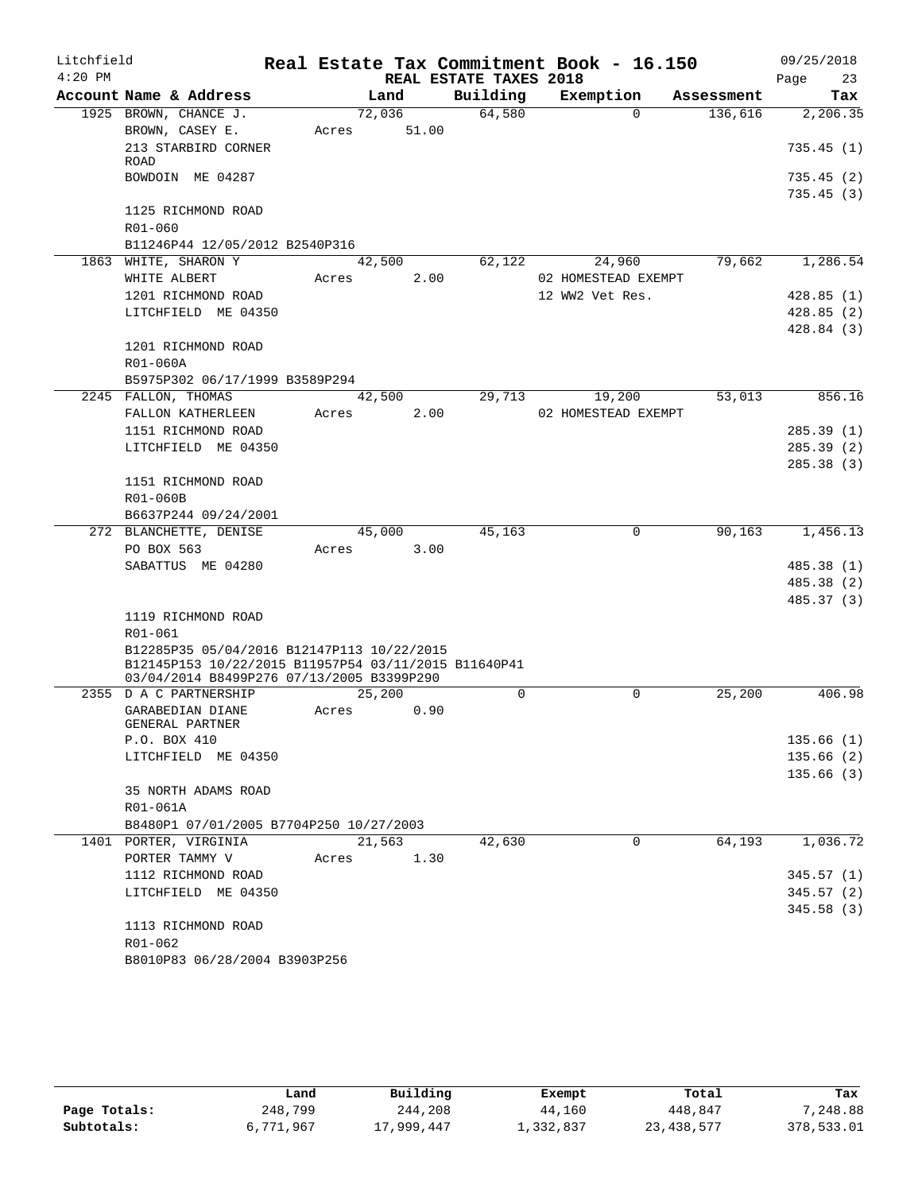| Litchfield |                                                      |        |        |                        | Real Estate Tax Commitment Book - 16.150 |            | 09/25/2018 |
|------------|------------------------------------------------------|--------|--------|------------------------|------------------------------------------|------------|------------|
| $4:20$ PM  |                                                      |        |        | REAL ESTATE TAXES 2018 |                                          |            | 23<br>Page |
|            | Account Name & Address                               |        | Land   | Building               | Exemption                                | Assessment | Tax        |
|            | 1925 BROWN, CHANCE J.                                |        | 72,036 | 64,580                 | $\Omega$                                 | 136,616    | 2,206.35   |
|            | BROWN, CASEY E.                                      | Acres  | 51.00  |                        |                                          |            |            |
|            | 213 STARBIRD CORNER                                  |        |        |                        |                                          |            | 735.45(1)  |
|            | ROAD<br>BOWDOIN ME 04287                             |        |        |                        |                                          |            | 735.45(2)  |
|            |                                                      |        |        |                        |                                          |            | 735.45(3)  |
|            | 1125 RICHMOND ROAD                                   |        |        |                        |                                          |            |            |
|            | R01-060                                              |        |        |                        |                                          |            |            |
|            | B11246P44 12/05/2012 B2540P316                       |        |        |                        |                                          |            |            |
|            | 1863 WHITE, SHARON Y                                 |        | 42,500 | 62,122                 | 24,960                                   | 79,662     | 1,286.54   |
|            | WHITE ALBERT                                         | Acres  | 2.00   |                        | 02 HOMESTEAD EXEMPT                      |            |            |
|            | 1201 RICHMOND ROAD                                   |        |        |                        | 12 WW2 Vet Res.                          |            | 428.85(1)  |
|            | LITCHFIELD ME 04350                                  |        |        |                        |                                          |            | 428.85(2)  |
|            |                                                      |        |        |                        |                                          |            | 428.84(3)  |
|            | 1201 RICHMOND ROAD                                   |        |        |                        |                                          |            |            |
|            | R01-060A                                             |        |        |                        |                                          |            |            |
|            | B5975P302 06/17/1999 B3589P294                       |        |        |                        |                                          |            |            |
|            | 2245 FALLON, THOMAS                                  |        | 42,500 | 29,713                 | 19,200                                   | 53,013     | 856.16     |
|            | FALLON KATHERLEEN                                    | Acres  | 2.00   |                        | 02 HOMESTEAD EXEMPT                      |            |            |
|            | 1151 RICHMOND ROAD                                   |        |        |                        |                                          |            | 285.39(1)  |
|            | LITCHFIELD ME 04350                                  |        |        |                        |                                          |            | 285.39(2)  |
|            |                                                      |        |        |                        |                                          |            | 285.38(3)  |
|            | 1151 RICHMOND ROAD                                   |        |        |                        |                                          |            |            |
|            | R01-060B                                             |        |        |                        |                                          |            |            |
|            | B6637P244 09/24/2001                                 |        |        |                        |                                          |            |            |
|            | 272 BLANCHETTE, DENISE                               |        | 45,000 | 45,163                 | $\Omega$                                 | 90,163     | 1,456.13   |
|            | PO BOX 563                                           | Acres  | 3.00   |                        |                                          |            |            |
|            | SABATTUS ME 04280                                    |        |        |                        |                                          |            | 485.38 (1) |
|            |                                                      |        |        |                        |                                          |            | 485.38 (2) |
|            |                                                      |        |        |                        |                                          |            | 485.37 (3) |
|            | 1119 RICHMOND ROAD                                   |        |        |                        |                                          |            |            |
|            | R01-061                                              |        |        |                        |                                          |            |            |
|            | B12285P35 05/04/2016 B12147P113 10/22/2015           |        |        |                        |                                          |            |            |
|            | B12145P153 10/22/2015 B11957P54 03/11/2015 B11640P41 |        |        |                        |                                          |            |            |
|            | 03/04/2014 B8499P276 07/13/2005 B3399P290            |        |        |                        |                                          |            |            |
|            | 2355 D A C PARTNERSHIP                               | 25,200 |        | $\Omega$               | $\Omega$                                 | 25,200     | 406.98     |
|            | GARABEDIAN DIANE<br>GENERAL PARTNER                  | Acres  | 0.90   |                        |                                          |            |            |
|            | P.O. BOX 410                                         |        |        |                        |                                          |            | 135.66 (1) |
|            | LITCHFIELD ME 04350                                  |        |        |                        |                                          |            | 135.66(2)  |
|            |                                                      |        |        |                        |                                          |            | 135.66(3)  |
|            | 35 NORTH ADAMS ROAD                                  |        |        |                        |                                          |            |            |
|            | R01-061A                                             |        |        |                        |                                          |            |            |
|            | B8480P1 07/01/2005 B7704P250 10/27/2003              |        |        |                        |                                          |            |            |
|            | 1401 PORTER, VIRGINIA                                |        | 21,563 | 42,630                 | $\mathbf 0$                              | 64,193     | 1,036.72   |
|            | PORTER TAMMY V                                       | Acres  | 1.30   |                        |                                          |            |            |
|            | 1112 RICHMOND ROAD                                   |        |        |                        |                                          |            | 345.57(1)  |
|            | LITCHFIELD ME 04350                                  |        |        |                        |                                          |            | 345.57(2)  |
|            |                                                      |        |        |                        |                                          |            | 345.58(3)  |
|            | 1113 RICHMOND ROAD                                   |        |        |                        |                                          |            |            |
|            | R01-062                                              |        |        |                        |                                          |            |            |
|            | B8010P83 06/28/2004 B3903P256                        |        |        |                        |                                          |            |            |

|              | Land      | Building   | Exempt    | Total        | Tax        |
|--------------|-----------|------------|-----------|--------------|------------|
| Page Totals: | 248,799   | 244,208    | 44,160    | 448,847      | 7,248.88   |
| Subtotals:   | 6,771,967 | 17,999,447 | 1,332,837 | 23, 438, 577 | 378,533.01 |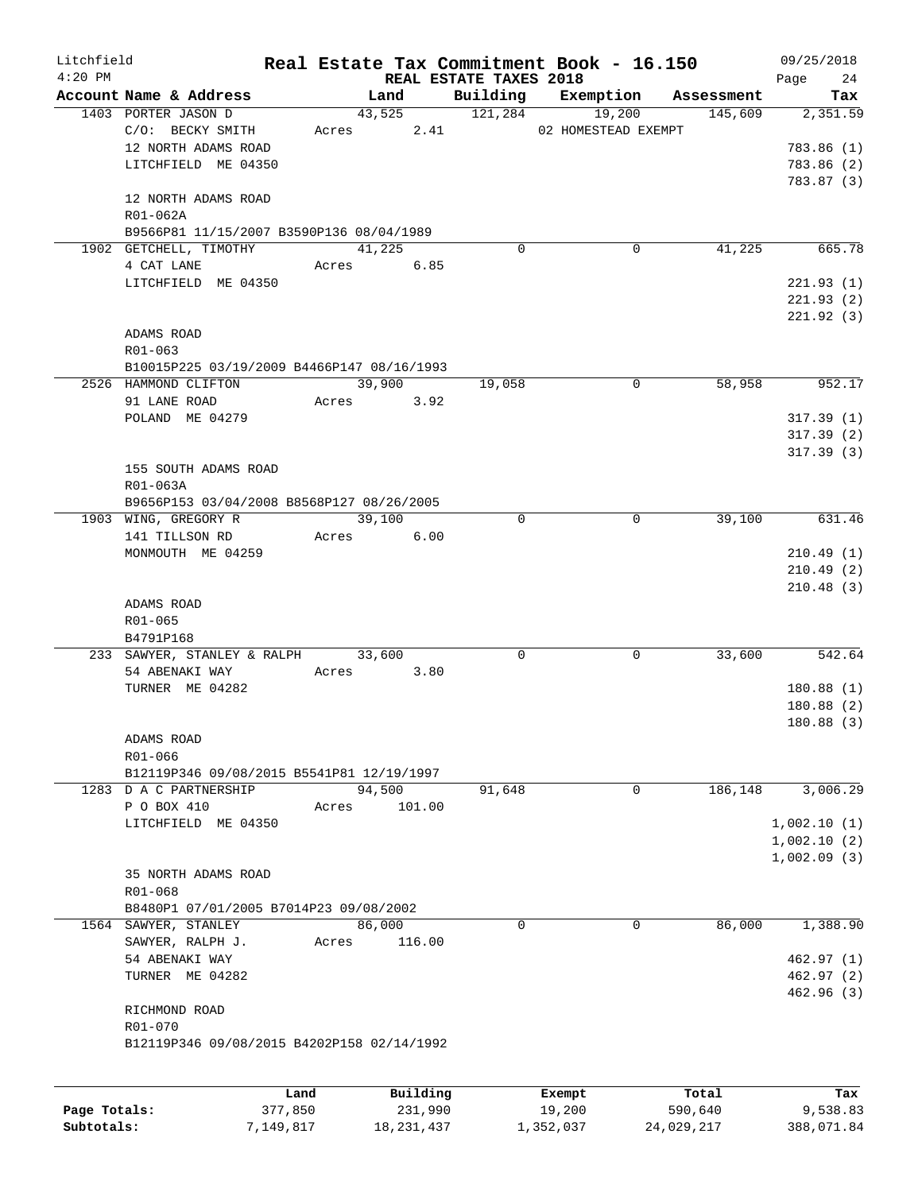| Litchfield   |                                               |            |          |                                    | Real Estate Tax Commitment Book - 16.150 |            | 09/25/2018      |
|--------------|-----------------------------------------------|------------|----------|------------------------------------|------------------------------------------|------------|-----------------|
| $4:20$ PM    |                                               |            |          | REAL ESTATE TAXES 2018<br>Building | Exemption                                | Assessment | 24<br>Page      |
|              | Account Name & Address<br>1403 PORTER JASON D | Land       |          | 43,525 121,284                     | 19,200                                   | 145,609    | Tax<br>2,351.59 |
|              | C/O: BECKY SMITH                              | Acres      |          |                                    | 2.41 02 HOMESTEAD EXEMPT                 |            |                 |
|              | 12 NORTH ADAMS ROAD                           |            |          |                                    |                                          |            | 783.86 (1)      |
|              | LITCHFIELD ME 04350                           |            |          |                                    |                                          |            | 783.86 (2)      |
|              |                                               |            |          |                                    |                                          |            | 783.87 (3)      |
|              | 12 NORTH ADAMS ROAD                           |            |          |                                    |                                          |            |                 |
|              | R01-062A                                      |            |          |                                    |                                          |            |                 |
|              | B9566P81 11/15/2007 B3590P136 08/04/1989      |            |          |                                    |                                          |            |                 |
|              | 1902 GETCHELL, TIMOTHY                        | 41,225     |          | 0                                  | 0                                        | 41,225     | 665.78          |
|              | 4 CAT LANE                                    | Acres 6.85 |          |                                    |                                          |            |                 |
|              | LITCHFIELD ME 04350                           |            |          |                                    |                                          |            | 221.93(1)       |
|              |                                               |            |          |                                    |                                          |            | 221.93(2)       |
|              |                                               |            |          |                                    |                                          |            | 221.92(3)       |
|              | ADAMS ROAD                                    |            |          |                                    |                                          |            |                 |
|              | R01-063                                       |            |          |                                    |                                          |            |                 |
|              | B10015P225 03/19/2009 B4466P147 08/16/1993    |            |          |                                    |                                          |            |                 |
|              | 2526 HAMMOND CLIFTON                          |            | 39,900   | 19,058                             | 0                                        | 58,958     | 952.17          |
|              | 91 LANE ROAD                                  | Acres 3.92 |          |                                    |                                          |            |                 |
|              | POLAND ME 04279                               |            |          |                                    |                                          |            | 317.39(1)       |
|              |                                               |            |          |                                    |                                          |            | 317.39(2)       |
|              |                                               |            |          |                                    |                                          |            | 317.39(3)       |
|              | 155 SOUTH ADAMS ROAD                          |            |          |                                    |                                          |            |                 |
|              | R01-063A                                      |            |          |                                    |                                          |            |                 |
|              | B9656P153 03/04/2008 B8568P127 08/26/2005     |            |          |                                    |                                          |            |                 |
|              | 1903 WING, GREGORY R                          | 39,100     |          | 0                                  | $\mathbf 0$                              | 39,100     | 631.46          |
|              | 141 TILLSON RD                                | Acres      | 6.00     |                                    |                                          |            |                 |
|              | MONMOUTH ME 04259                             |            |          |                                    |                                          |            | 210.49(1)       |
|              |                                               |            |          |                                    |                                          |            | 210.49(2)       |
|              |                                               |            |          |                                    |                                          |            | 210.48(3)       |
|              | ADAMS ROAD                                    |            |          |                                    |                                          |            |                 |
|              | R01-065                                       |            |          |                                    |                                          |            |                 |
|              | B4791P168                                     |            |          |                                    |                                          |            |                 |
|              | 233 SAWYER, STANLEY & RALPH 33,600            |            |          | 0                                  | 0                                        | 33,600     | 542.64          |
|              | 54 ABENAKI WAY                                | Acres      | 3.80     |                                    |                                          |            |                 |
|              | TURNER ME 04282                               |            |          |                                    |                                          |            | 180.88(1)       |
|              |                                               |            |          |                                    |                                          |            | 180.88(2)       |
|              |                                               |            |          |                                    |                                          |            | 180.88(3)       |
|              | ADAMS ROAD                                    |            |          |                                    |                                          |            |                 |
|              | R01-066                                       |            |          |                                    |                                          |            |                 |
|              | B12119P346 09/08/2015 B5541P81 12/19/1997     |            |          |                                    |                                          |            |                 |
|              | 1283 D A C PARTNERSHIP                        | 94,500     |          | 91,648                             | $\mathbf 0$                              | 186,148    | 3,006.29        |
|              | P O BOX 410                                   | Acres      | 101.00   |                                    |                                          |            |                 |
|              | LITCHFIELD ME 04350                           |            |          |                                    |                                          |            | 1,002.10(1)     |
|              |                                               |            |          |                                    |                                          |            | 1,002.10(2)     |
|              |                                               |            |          |                                    |                                          |            | 1,002.09(3)     |
|              | 35 NORTH ADAMS ROAD<br>R01-068                |            |          |                                    |                                          |            |                 |
|              | B8480P1 07/01/2005 B7014P23 09/08/2002        |            |          |                                    |                                          |            |                 |
|              | 1564 SAWYER, STANLEY                          | 86,000     |          | 0                                  | 0                                        | 86,000     | 1,388.90        |
|              | SAWYER, RALPH J.                              | Acres      | 116.00   |                                    |                                          |            |                 |
|              | 54 ABENAKI WAY                                |            |          |                                    |                                          |            | 462.97(1)       |
|              | TURNER ME 04282                               |            |          |                                    |                                          |            | 462.97(2)       |
|              |                                               |            |          |                                    |                                          |            | 462.96(3)       |
|              | RICHMOND ROAD                                 |            |          |                                    |                                          |            |                 |
|              | R01-070                                       |            |          |                                    |                                          |            |                 |
|              | B12119P346 09/08/2015 B4202P158 02/14/1992    |            |          |                                    |                                          |            |                 |
|              |                                               |            |          |                                    |                                          |            |                 |
|              |                                               |            |          |                                    |                                          |            |                 |
|              | Land                                          |            | Building |                                    | Exempt                                   | Total      | Tax             |
| Page Totals: | 377,850                                       |            | 231,990  |                                    | 19,200                                   | 590,640    | 9,538.83        |

**Subtotals:** 7,149,817 18,231,437 1,352,037 24,029,217 388,071.84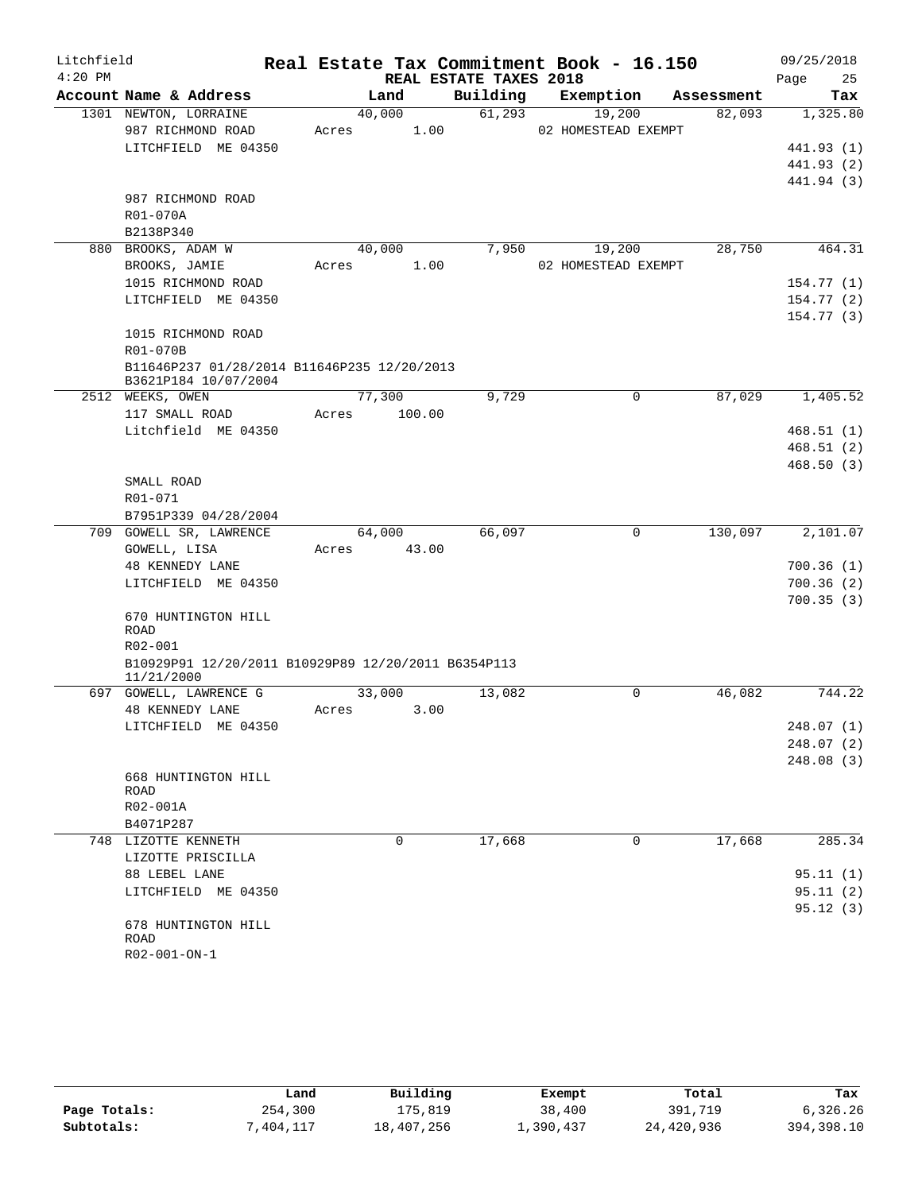| Litchfield |                                                     |       |        |                        | Real Estate Tax Commitment Book - 16.150 |            | 09/25/2018 |
|------------|-----------------------------------------------------|-------|--------|------------------------|------------------------------------------|------------|------------|
| $4:20$ PM  |                                                     |       |        | REAL ESTATE TAXES 2018 |                                          |            | 25<br>Page |
|            | Account Name & Address                              |       | Land   | Building               | Exemption                                | Assessment | Tax        |
|            | 1301 NEWTON, LORRAINE                               |       | 40,000 | 61,293                 | 19,200                                   | 82,093     | 1,325.80   |
|            | 987 RICHMOND ROAD                                   | Acres | 1.00   |                        | 02 HOMESTEAD EXEMPT                      |            |            |
|            | LITCHFIELD ME 04350                                 |       |        |                        |                                          |            | 441.93 (1) |
|            |                                                     |       |        |                        |                                          |            | 441.93 (2) |
|            |                                                     |       |        |                        |                                          |            | 441.94 (3) |
|            | 987 RICHMOND ROAD                                   |       |        |                        |                                          |            |            |
|            | R01-070A                                            |       |        |                        |                                          |            |            |
|            | B2138P340                                           |       |        |                        |                                          |            |            |
|            | 880 BROOKS, ADAM W                                  |       | 40,000 | 7,950                  | 19,200                                   | 28,750     | 464.31     |
|            | BROOKS, JAMIE                                       | Acres | 1.00   |                        | 02 HOMESTEAD EXEMPT                      |            |            |
|            | 1015 RICHMOND ROAD                                  |       |        |                        |                                          |            | 154.77(1)  |
|            | LITCHFIELD ME 04350                                 |       |        |                        |                                          |            | 154.77 (2) |
|            | 1015 RICHMOND ROAD                                  |       |        |                        |                                          |            | 154.77(3)  |
|            | R01-070B                                            |       |        |                        |                                          |            |            |
|            | B11646P237 01/28/2014 B11646P235 12/20/2013         |       |        |                        |                                          |            |            |
|            | B3621P184 10/07/2004                                |       |        |                        |                                          |            |            |
|            | 2512 WEEKS, OWEN                                    |       | 77,300 | 9,729                  | 0                                        | 87,029     | 1,405.52   |
|            | 117 SMALL ROAD                                      | Acres | 100.00 |                        |                                          |            |            |
|            | Litchfield ME 04350                                 |       |        |                        |                                          |            | 468.51(1)  |
|            |                                                     |       |        |                        |                                          |            | 468.51(2)  |
|            |                                                     |       |        |                        |                                          |            | 468.50(3)  |
|            | SMALL ROAD                                          |       |        |                        |                                          |            |            |
|            | R01-071                                             |       |        |                        |                                          |            |            |
|            | B7951P339 04/28/2004                                |       |        |                        |                                          |            |            |
|            | 709 GOWELL SR, LAWRENCE                             |       | 64,000 | 66,097                 | $\mathbf 0$                              | 130,097    | 2,101.07   |
|            | GOWELL, LISA                                        | Acres | 43.00  |                        |                                          |            |            |
|            | <b>48 KENNEDY LANE</b>                              |       |        |                        |                                          |            | 700.36(1)  |
|            | LITCHFIELD ME 04350                                 |       |        |                        |                                          |            | 700.36(2)  |
|            |                                                     |       |        |                        |                                          |            | 700.35(3)  |
|            | 670 HUNTINGTON HILL<br>ROAD                         |       |        |                        |                                          |            |            |
|            | R02-001                                             |       |        |                        |                                          |            |            |
|            | B10929P91 12/20/2011 B10929P89 12/20/2011 B6354P113 |       |        |                        |                                          |            |            |
|            | 11/21/2000                                          |       |        |                        |                                          |            |            |
|            | 697 GOWELL, LAWRENCE G                              |       | 33,000 | 13,082                 | $\Omega$                                 | 46,082     | 744.22     |
|            | 48 KENNEDY LANE                                     | Acres | 3.00   |                        |                                          |            |            |
|            | LITCHFIELD ME 04350                                 |       |        |                        |                                          |            | 248.07 (1) |
|            |                                                     |       |        |                        |                                          |            | 248.07 (2) |
|            |                                                     |       |        |                        |                                          |            | 248.08 (3) |
|            | 668 HUNTINGTON HILL                                 |       |        |                        |                                          |            |            |
|            | ROAD                                                |       |        |                        |                                          |            |            |
|            | R02-001A                                            |       |        |                        |                                          |            |            |
|            | B4071P287                                           |       |        |                        |                                          |            | 285.34     |
|            | 748 LIZOTTE KENNETH<br>LIZOTTE PRISCILLA            |       | 0      | 17,668                 | 0                                        | 17,668     |            |
|            | 88 LEBEL LANE                                       |       |        |                        |                                          |            | 95.11(1)   |
|            | LITCHFIELD ME 04350                                 |       |        |                        |                                          |            | 95.11(2)   |
|            |                                                     |       |        |                        |                                          |            | 95.12(3)   |
|            | 678 HUNTINGTON HILL                                 |       |        |                        |                                          |            |            |
|            | ROAD                                                |       |        |                        |                                          |            |            |
|            | R02-001-ON-1                                        |       |        |                        |                                          |            |            |

|              | Land      | Building   | Exempt    | Total      | Tax        |
|--------------|-----------|------------|-----------|------------|------------|
| Page Totals: | 254,300   | 175,819    | 38,400    | 391,719    | 6,326.26   |
| Subtotals:   | 7,404,117 | 18,407,256 | ⊥,390,437 | 24,420,936 | 394,398.10 |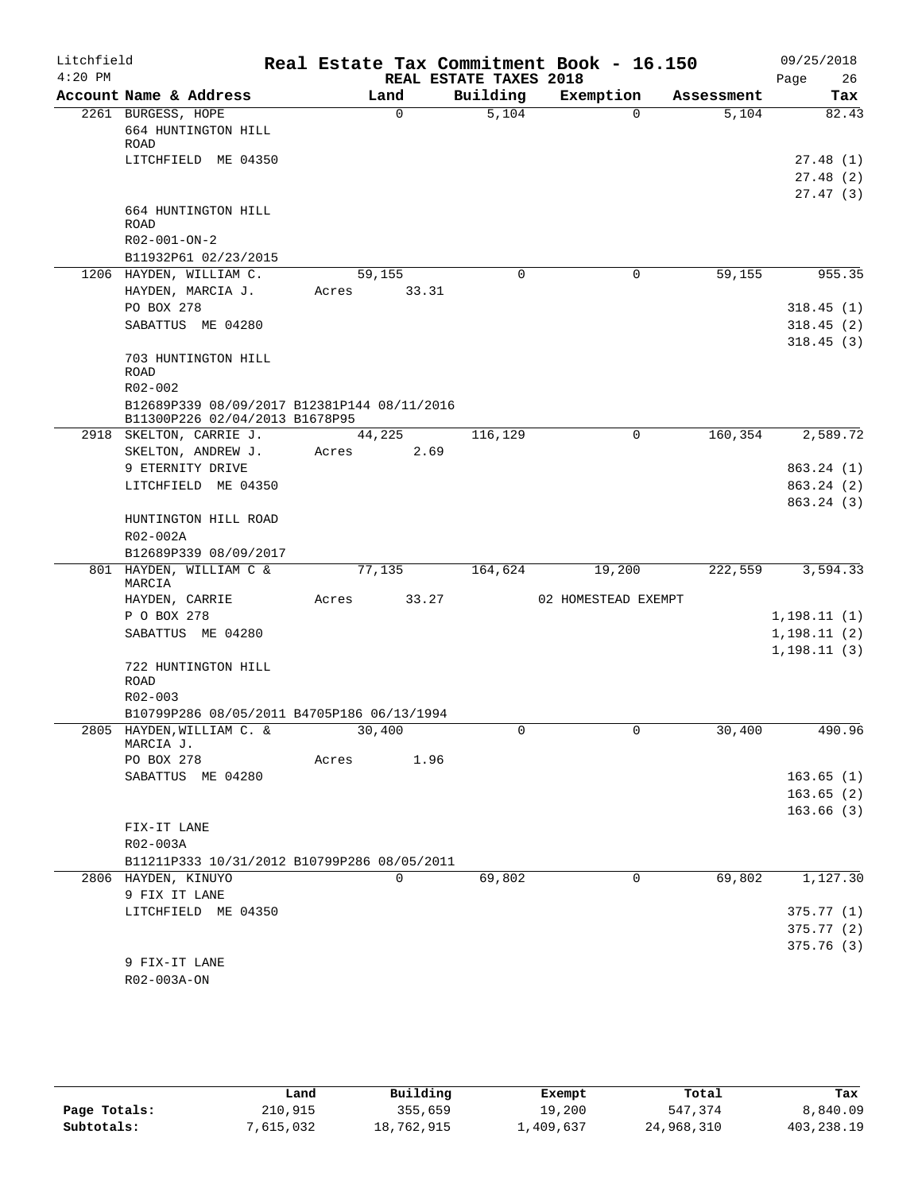| Litchfield<br>$4:20$ PM |                                                                               |       |             | REAL ESTATE TAXES 2018 | Real Estate Tax Commitment Book - 16.150 |            | 09/25/2018<br>26<br>Page         |
|-------------------------|-------------------------------------------------------------------------------|-------|-------------|------------------------|------------------------------------------|------------|----------------------------------|
|                         | Account Name & Address                                                        |       | Land        | Building               | Exemption                                | Assessment | Tax                              |
|                         | 2261 BURGESS, HOPE<br>664 HUNTINGTON HILL<br>ROAD                             |       | $\mathbf 0$ | 5,104                  | $\Omega$                                 | 5,104      | 82.43                            |
|                         | LITCHFIELD ME 04350                                                           |       |             |                        |                                          |            | 27.48(1)<br>27.48(2)<br>27.47(3) |
|                         | 664 HUNTINGTON HILL<br><b>ROAD</b>                                            |       |             |                        |                                          |            |                                  |
|                         | R02-001-ON-2                                                                  |       |             |                        |                                          |            |                                  |
|                         | B11932P61 02/23/2015                                                          |       |             |                        |                                          |            |                                  |
|                         | 1206 HAYDEN, WILLIAM C.                                                       |       | 59,155      | 0                      | 0                                        | 59,155     | 955.35                           |
|                         | HAYDEN, MARCIA J.                                                             | Acres | 33.31       |                        |                                          |            |                                  |
|                         | PO BOX 278                                                                    |       |             |                        |                                          |            | 318.45(1)                        |
|                         | SABATTUS ME 04280                                                             |       |             |                        |                                          |            | 318.45(2)                        |
|                         | 703 HUNTINGTON HILL<br>ROAD                                                   |       |             |                        |                                          |            | 318.45(3)                        |
|                         | R02-002                                                                       |       |             |                        |                                          |            |                                  |
|                         | B12689P339 08/09/2017 B12381P144 08/11/2016<br>B11300P226 02/04/2013 B1678P95 |       |             |                        |                                          |            |                                  |
|                         | 2918 SKELTON, CARRIE J.                                                       |       | 44,225      | 116,129                | $\mathbf 0$                              | 160, 354   | 2,589.72                         |
|                         | SKELTON, ANDREW J.                                                            | Acres | 2.69        |                        |                                          |            |                                  |
|                         | 9 ETERNITY DRIVE                                                              |       |             |                        |                                          |            | 863.24(1)                        |
|                         | LITCHFIELD ME 04350                                                           |       |             |                        |                                          |            | 863.24 (2)                       |
|                         | HUNTINGTON HILL ROAD                                                          |       |             |                        |                                          |            | 863.24(3)                        |
|                         | R02-002A                                                                      |       |             |                        |                                          |            |                                  |
|                         | B12689P339 08/09/2017                                                         |       |             |                        |                                          |            |                                  |
|                         | 801 HAYDEN, WILLIAM C &<br>MARCIA                                             |       | 77,135      | 164,624                | 19,200                                   | 222,559    | 3,594.33                         |
|                         | HAYDEN, CARRIE                                                                | Acres | 33.27       |                        | 02 HOMESTEAD EXEMPT                      |            |                                  |
|                         | P O BOX 278                                                                   |       |             |                        |                                          |            | 1,198.11(1)                      |
|                         | SABATTUS ME 04280                                                             |       |             |                        |                                          |            | 1,198.11(2)<br>1, 198.11(3)      |
|                         | 722 HUNTINGTON HILL<br>ROAD                                                   |       |             |                        |                                          |            |                                  |
|                         | R02-003                                                                       |       |             |                        |                                          |            |                                  |
|                         | B10799P286 08/05/2011 B4705P186 06/13/1994                                    |       |             |                        |                                          |            |                                  |
|                         | 2805 HAYDEN, WILLIAM C. &                                                     |       | 30,400      |                        | 0                                        | 30,400     | 490.96                           |
|                         | MARCIA J.                                                                     |       |             |                        |                                          |            |                                  |
|                         | PO BOX 278                                                                    | Acres | 1.96        |                        |                                          |            |                                  |
|                         | SABATTUS ME 04280                                                             |       |             |                        |                                          |            | 163.65(1)                        |
|                         |                                                                               |       |             |                        |                                          |            | 163.65(2)                        |
|                         |                                                                               |       |             |                        |                                          |            | 163.66(3)                        |
|                         | FIX-IT LANE                                                                   |       |             |                        |                                          |            |                                  |
|                         | R02-003A<br>B11211P333 10/31/2012 B10799P286 08/05/2011                       |       |             |                        |                                          |            |                                  |
|                         | 2806 HAYDEN, KINUYO                                                           |       | 0           | 69,802                 | 0                                        | 69,802     | 1,127.30                         |
|                         | 9 FIX IT LANE                                                                 |       |             |                        |                                          |            |                                  |
|                         | LITCHFIELD ME 04350                                                           |       |             |                        |                                          |            | 375.77(1)                        |
|                         |                                                                               |       |             |                        |                                          |            | 375.77(2)                        |
|                         |                                                                               |       |             |                        |                                          |            | 375.76(3)                        |
|                         | 9 FIX-IT LANE                                                                 |       |             |                        |                                          |            |                                  |
|                         | R02-003A-ON                                                                   |       |             |                        |                                          |            |                                  |
|                         |                                                                               |       |             |                        |                                          |            |                                  |

|              | Land      | Building   | Exempt    | Total      | Tax        |
|--------------|-----------|------------|-----------|------------|------------|
| Page Totals: | 210,915   | 355,659    | 19,200    | 547,374    | 8,840.09   |
| Subtotals:   | 7,615,032 | 18,762,915 | 1,409,637 | 24,968,310 | 403,238.19 |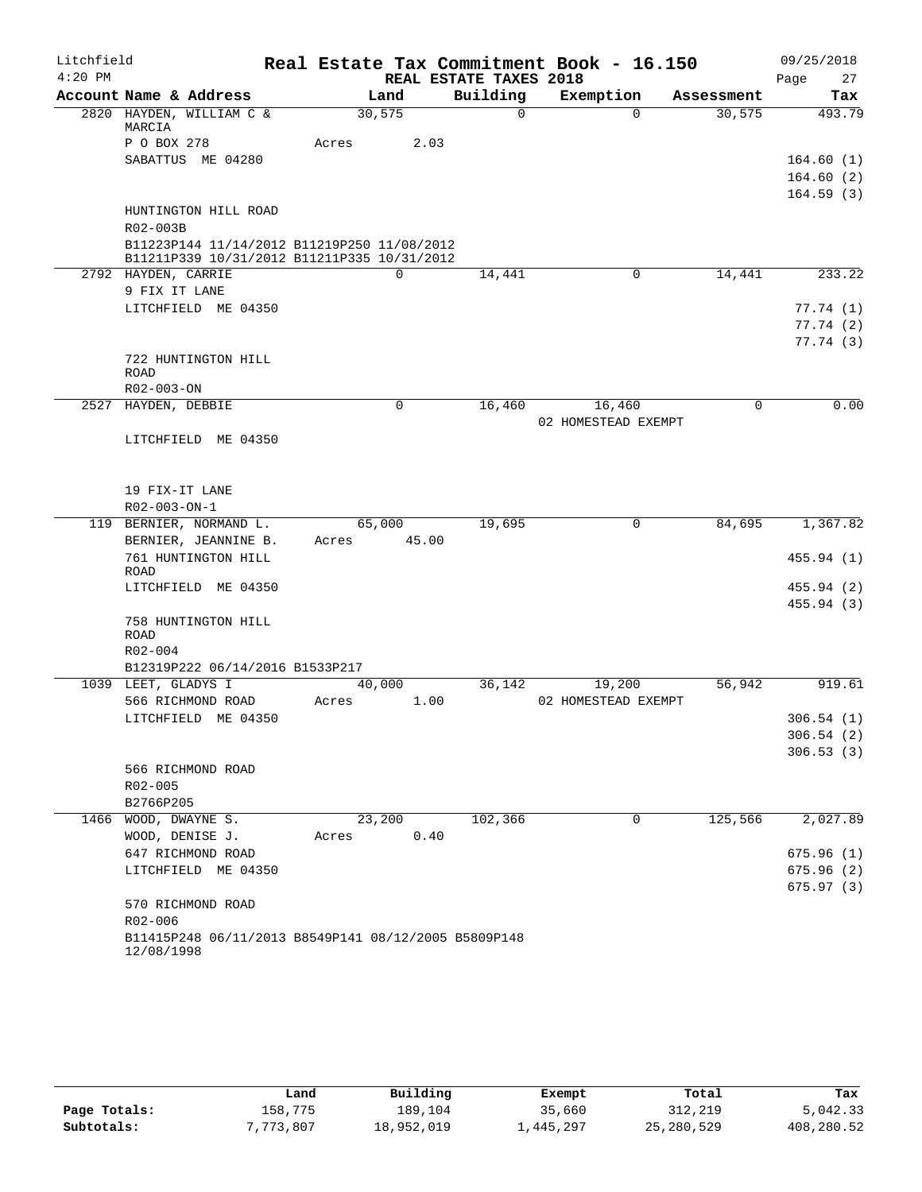| Litchfield |                                                                                            |        |             |                        | Real Estate Tax Commitment Book - 16.150 |            | 09/25/2018 |
|------------|--------------------------------------------------------------------------------------------|--------|-------------|------------------------|------------------------------------------|------------|------------|
| $4:20$ PM  |                                                                                            |        |             | REAL ESTATE TAXES 2018 |                                          |            | Page<br>27 |
|            | Account Name & Address                                                                     |        | Land        | Building               | Exemption                                | Assessment | Tax        |
|            | 2820 HAYDEN, WILLIAM C &<br>MARCIA                                                         | 30,575 |             | $\mathbf 0$            | $\Omega$                                 | 30,575     | 493.79     |
|            | P O BOX 278                                                                                | Acres  | 2.03        |                        |                                          |            |            |
|            | SABATTUS ME 04280                                                                          |        |             |                        |                                          |            | 164.60(1)  |
|            |                                                                                            |        |             |                        |                                          |            | 164.60(2)  |
|            |                                                                                            |        |             |                        |                                          |            | 164.59(3)  |
|            | HUNTINGTON HILL ROAD                                                                       |        |             |                        |                                          |            |            |
|            | R02-003B                                                                                   |        |             |                        |                                          |            |            |
|            | B11223P144 11/14/2012 B11219P250 11/08/2012<br>B11211P339 10/31/2012 B11211P335 10/31/2012 |        |             |                        |                                          |            |            |
|            | 2792 HAYDEN, CARRIE                                                                        |        | $\mathbf 0$ | 14,441                 | 0                                        | 14,441     | 233.22     |
|            | 9 FIX IT LANE                                                                              |        |             |                        |                                          |            |            |
|            | LITCHFIELD ME 04350                                                                        |        |             |                        |                                          |            | 77.74(1)   |
|            |                                                                                            |        |             |                        |                                          |            | 77.74(2)   |
|            |                                                                                            |        |             |                        |                                          |            | 77.74(3)   |
|            | 722 HUNTINGTON HILL                                                                        |        |             |                        |                                          |            |            |
|            | <b>ROAD</b>                                                                                |        |             |                        |                                          |            |            |
|            | R02-003-ON<br>2527 HAYDEN, DEBBIE                                                          |        | 0           |                        |                                          | $\Omega$   | 0.00       |
|            |                                                                                            |        |             | 16,460                 | 16,460<br>02 HOMESTEAD EXEMPT            |            |            |
|            | LITCHFIELD ME 04350                                                                        |        |             |                        |                                          |            |            |
|            |                                                                                            |        |             |                        |                                          |            |            |
|            |                                                                                            |        |             |                        |                                          |            |            |
|            | 19 FIX-IT LANE                                                                             |        |             |                        |                                          |            |            |
|            | R02-003-ON-1                                                                               |        |             |                        |                                          |            |            |
|            | 119 BERNIER, NORMAND L.                                                                    |        | 65,000      | 19,695                 | 0                                        | 84,695     | 1,367.82   |
|            | BERNIER, JEANNINE B.                                                                       | Acres  | 45.00       |                        |                                          |            |            |
|            | 761 HUNTINGTON HILL                                                                        |        |             |                        |                                          |            | 455.94(1)  |
|            | ROAD<br>LITCHFIELD ME 04350                                                                |        |             |                        |                                          |            | 455.94 (2) |
|            |                                                                                            |        |             |                        |                                          |            | 455.94 (3) |
|            | 758 HUNTINGTON HILL                                                                        |        |             |                        |                                          |            |            |
|            | ROAD                                                                                       |        |             |                        |                                          |            |            |
|            | R02-004                                                                                    |        |             |                        |                                          |            |            |
|            | B12319P222 06/14/2016 B1533P217                                                            |        |             |                        |                                          |            |            |
|            | 1039 LEET, GLADYS I                                                                        |        | 40,000      | 36,142                 | 19,200                                   | 56,942     | 919.61     |
|            | 566 RICHMOND ROAD                                                                          | Acres  | 1.00        |                        | 02 HOMESTEAD EXEMPT                      |            |            |
|            | LITCHFIELD ME 04350                                                                        |        |             |                        |                                          |            | 306.54(1)  |
|            |                                                                                            |        |             |                        |                                          |            | 306.54(2)  |
|            |                                                                                            |        |             |                        |                                          |            | 306.53(3)  |
|            | 566 RICHMOND ROAD<br>R02-005                                                               |        |             |                        |                                          |            |            |
|            | B2766P205                                                                                  |        |             |                        |                                          |            |            |
|            | 1466 WOOD, DWAYNE S.                                                                       |        | 23,200      | 102,366                | 0                                        | 125,566    | 2,027.89   |
|            | WOOD, DENISE J.                                                                            | Acres  | 0.40        |                        |                                          |            |            |
|            | 647 RICHMOND ROAD                                                                          |        |             |                        |                                          |            | 675.96(1)  |
|            | LITCHFIELD ME 04350                                                                        |        |             |                        |                                          |            | 675.96(2)  |
|            |                                                                                            |        |             |                        |                                          |            | 675.97(3)  |
|            | 570 RICHMOND ROAD                                                                          |        |             |                        |                                          |            |            |
|            | R02-006                                                                                    |        |             |                        |                                          |            |            |
|            | B11415P248 06/11/2013 B8549P141 08/12/2005 B5809P148                                       |        |             |                        |                                          |            |            |
|            | 12/08/1998                                                                                 |        |             |                        |                                          |            |            |

|              | Land      | Building   | Exempt     | Total      | Tax        |
|--------------|-----------|------------|------------|------------|------------|
| Page Totals: | 158,775   | 189,104    | 35,660     | 312,219    | 5,042.33   |
| Subtotals:   | 7,773,807 | 18,952,019 | 445,297 ــ | 25,280,529 | 408,280.52 |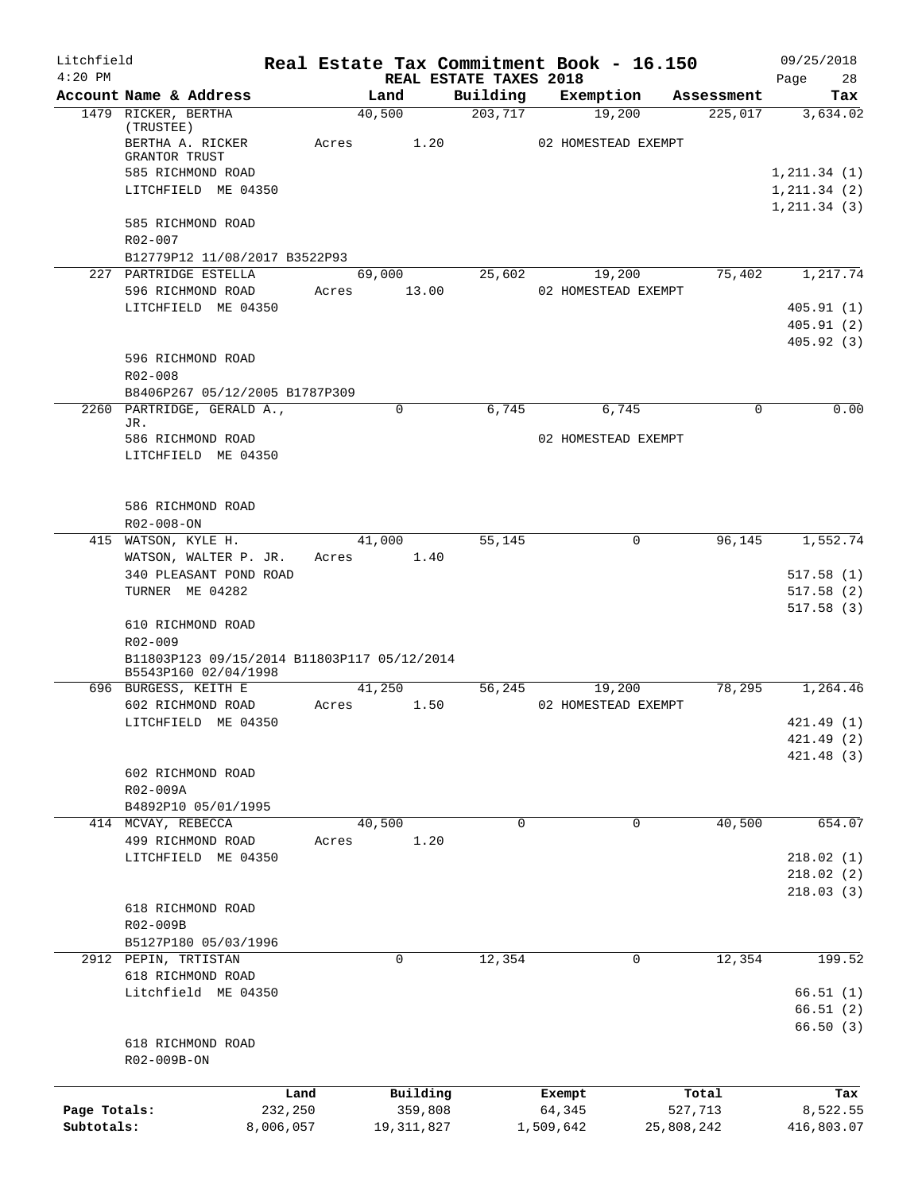| Litchfield                 |                                                                     |       |                         |                                    | Real Estate Tax Commitment Book - 16.150 |                       | 09/25/2018             |
|----------------------------|---------------------------------------------------------------------|-------|-------------------------|------------------------------------|------------------------------------------|-----------------------|------------------------|
| $4:20$ PM                  | Account Name & Address                                              |       | Land                    | REAL ESTATE TAXES 2018<br>Building | Exemption                                | Assessment            | 28<br>Page<br>Tax      |
|                            | 1479 RICKER, BERTHA                                                 |       | 40,500                  | 203,717                            | 19,200                                   | 225,017               | 3,634.02               |
|                            | (TRUSTEE)<br>BERTHA A. RICKER<br><b>GRANTOR TRUST</b>               | Acres | 1.20                    |                                    | 02 HOMESTEAD EXEMPT                      |                       |                        |
|                            | 585 RICHMOND ROAD                                                   |       |                         |                                    |                                          |                       | 1, 211.34(1)           |
|                            | LITCHFIELD ME 04350                                                 |       |                         |                                    |                                          |                       | 1, 211.34(2)           |
|                            | 585 RICHMOND ROAD<br>R02-007                                        |       |                         |                                    |                                          |                       | 1, 211.34(3)           |
|                            | B12779P12 11/08/2017 B3522P93                                       |       |                         |                                    |                                          |                       |                        |
|                            | 227 PARTRIDGE ESTELLA                                               |       | 69,000                  | 25,602                             | 19,200                                   | 75,402                | 1,217.74               |
|                            | 596 RICHMOND ROAD                                                   | Acres | 13.00                   |                                    | 02 HOMESTEAD EXEMPT                      |                       |                        |
|                            | LITCHFIELD ME 04350                                                 |       |                         |                                    |                                          |                       | 405.91(1)<br>405.91(2) |
|                            | 596 RICHMOND ROAD                                                   |       |                         |                                    |                                          |                       | 405.92(3)              |
|                            | $R02 - 008$                                                         |       |                         |                                    |                                          |                       |                        |
|                            | B8406P267 05/12/2005 B1787P309<br>2260 PARTRIDGE, GERALD A.,        |       | $\Omega$                | 6,745                              | 6,745                                    | $\Omega$              | 0.00                   |
|                            | JR.                                                                 |       |                         |                                    |                                          |                       |                        |
|                            | 586 RICHMOND ROAD                                                   |       |                         |                                    | 02 HOMESTEAD EXEMPT                      |                       |                        |
|                            | LITCHFIELD ME 04350                                                 |       |                         |                                    |                                          |                       |                        |
|                            | 586 RICHMOND ROAD<br>R02-008-ON                                     |       |                         |                                    |                                          |                       |                        |
|                            | 415 WATSON, KYLE H.                                                 |       | 41,000                  | 55,145                             | 0                                        | 96,145                | 1,552.74               |
|                            | WATSON, WALTER P. JR.                                               |       | Acres 1.40              |                                    |                                          |                       |                        |
|                            | 340 PLEASANT POND ROAD                                              |       |                         |                                    |                                          |                       | 517.58(1)              |
|                            | TURNER ME 04282                                                     |       |                         |                                    |                                          |                       | 517.58(2)<br>517.58(3) |
|                            | 610 RICHMOND ROAD<br>R02-009                                        |       |                         |                                    |                                          |                       |                        |
|                            | B11803P123 09/15/2014 B11803P117 05/12/2014<br>B5543P160 02/04/1998 |       |                         |                                    |                                          |                       |                        |
|                            | 696 BURGESS, KEITH E<br>602 RICHMOND ROAD                           | Acres | 41,250<br>1.50          | 56,245                             | 19,200<br>02 HOMESTEAD EXEMPT            | 78,295                | 1,264.46               |
|                            | LITCHFIELD ME 04350                                                 |       |                         |                                    |                                          |                       | 421.49 (1)             |
|                            |                                                                     |       |                         |                                    |                                          |                       | 421.49 (2)             |
|                            |                                                                     |       |                         |                                    |                                          |                       | 421.48 (3)             |
|                            | 602 RICHMOND ROAD                                                   |       |                         |                                    |                                          |                       |                        |
|                            | R02-009A<br>B4892P10 05/01/1995                                     |       |                         |                                    |                                          |                       |                        |
|                            | 414 MCVAY, REBECCA                                                  |       | 40,500                  | 0                                  | 0                                        | 40,500                | 654.07                 |
|                            | 499 RICHMOND ROAD                                                   | Acres | 1.20                    |                                    |                                          |                       |                        |
|                            | LITCHFIELD ME 04350                                                 |       |                         |                                    |                                          |                       | 218.02(1)              |
|                            |                                                                     |       |                         |                                    |                                          |                       | 218.02(2)              |
|                            |                                                                     |       |                         |                                    |                                          |                       | 218.03(3)              |
|                            | 618 RICHMOND ROAD<br>R02-009B                                       |       |                         |                                    |                                          |                       |                        |
|                            | B5127P180 05/03/1996                                                |       |                         |                                    |                                          |                       |                        |
|                            | 2912 PEPIN, TRTISTAN                                                |       | 0                       | 12,354                             | 0                                        | 12,354                | 199.52                 |
|                            | 618 RICHMOND ROAD                                                   |       |                         |                                    |                                          |                       |                        |
|                            | Litchfield ME 04350                                                 |       |                         |                                    |                                          |                       | 66.51(1)               |
|                            |                                                                     |       |                         |                                    |                                          |                       | 66.51(2)               |
|                            | 618 RICHMOND ROAD                                                   |       |                         |                                    |                                          |                       | 66.50(3)               |
|                            | R02-009B-ON                                                         |       |                         |                                    |                                          |                       |                        |
|                            |                                                                     |       |                         |                                    |                                          |                       |                        |
|                            |                                                                     | Land  | Building                |                                    | Exempt                                   | Total                 | Tax                    |
| Page Totals:<br>Subtotals: | 232,250<br>8,006,057                                                |       | 359,808<br>19, 311, 827 |                                    | 64,345<br>1,509,642                      | 527,713<br>25,808,242 | 8,522.55<br>416,803.07 |
|                            |                                                                     |       |                         |                                    |                                          |                       |                        |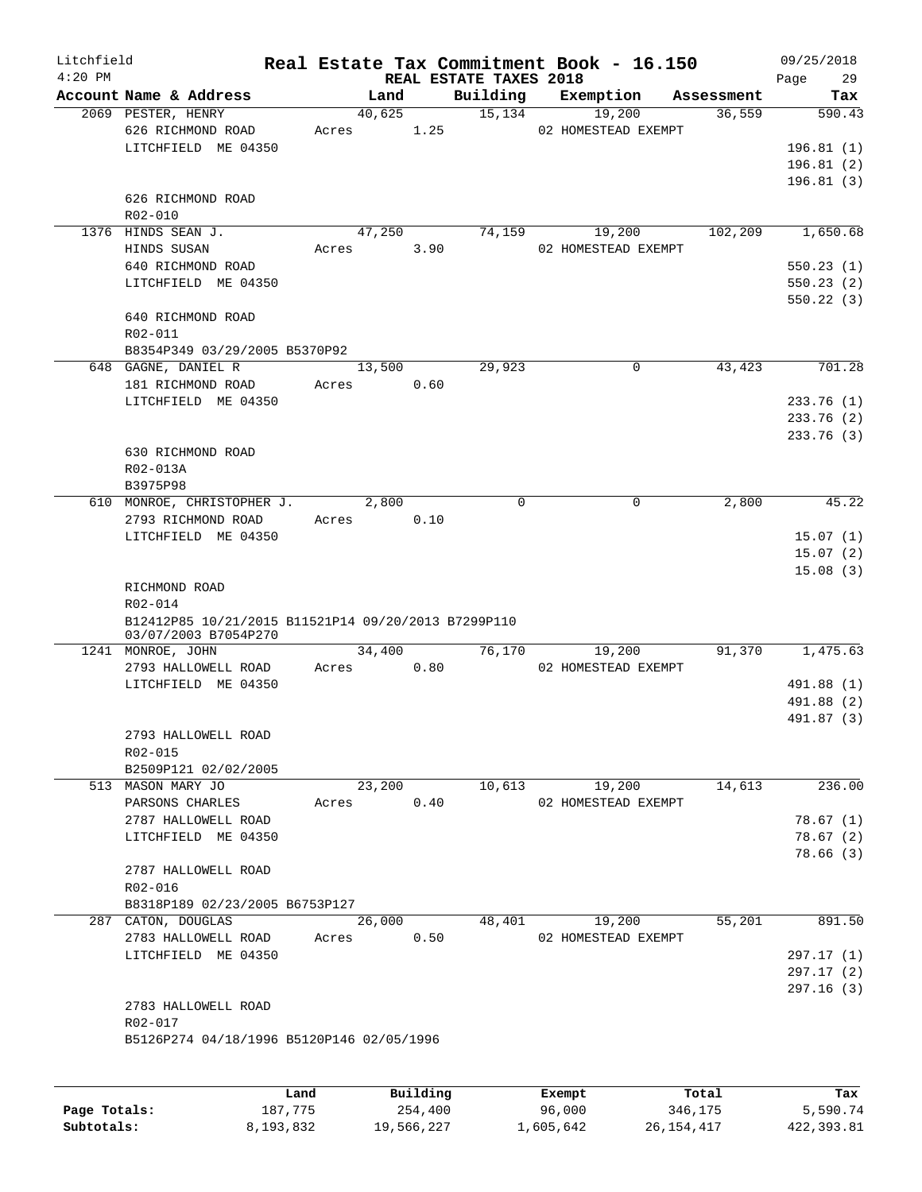| Litchfield<br>$4:20$ PM |                                                     |       |        |      | REAL ESTATE TAXES 2018 | Real Estate Tax Commitment Book - 16.150 |            | 09/25/2018<br>29<br>Page |
|-------------------------|-----------------------------------------------------|-------|--------|------|------------------------|------------------------------------------|------------|--------------------------|
|                         | Account Name & Address                              |       | Land   |      | Building               | Exemption                                | Assessment | Tax                      |
|                         | 2069 PESTER, HENRY                                  |       | 40,625 |      | 15,134                 | 19,200                                   | 36,559     | 590.43                   |
|                         | 626 RICHMOND ROAD                                   | Acres |        | 1.25 |                        | 02 HOMESTEAD EXEMPT                      |            |                          |
|                         | LITCHFIELD ME 04350                                 |       |        |      |                        |                                          |            | 196.81 (1)               |
|                         |                                                     |       |        |      |                        |                                          |            | 196.81(2)                |
|                         |                                                     |       |        |      |                        |                                          |            | 196.81 (3)               |
|                         | 626 RICHMOND ROAD                                   |       |        |      |                        |                                          |            |                          |
|                         | R02-010                                             |       |        |      |                        |                                          |            |                          |
|                         | 1376 HINDS SEAN J.                                  |       | 47,250 |      | 74, 159                | 19,200                                   | 102,209    | 1,650.68                 |
|                         | HINDS SUSAN                                         | Acres |        | 3.90 |                        | 02 HOMESTEAD EXEMPT                      |            |                          |
|                         | 640 RICHMOND ROAD                                   |       |        |      |                        |                                          |            | 550.23(1)                |
|                         | LITCHFIELD ME 04350                                 |       |        |      |                        |                                          |            | 550.23(2)                |
|                         |                                                     |       |        |      |                        |                                          |            | 550.22(3)                |
|                         | 640 RICHMOND ROAD                                   |       |        |      |                        |                                          |            |                          |
|                         | R02-011<br>B8354P349 03/29/2005 B5370P92            |       |        |      |                        |                                          |            |                          |
|                         | 648 GAGNE, DANIEL R                                 |       |        |      |                        | 0                                        | 43,423     | 701.28                   |
|                         |                                                     | Acres | 13,500 | 0.60 | 29,923                 |                                          |            |                          |
|                         | 181 RICHMOND ROAD<br>LITCHFIELD ME 04350            |       |        |      |                        |                                          |            |                          |
|                         |                                                     |       |        |      |                        |                                          |            | 233.76(1)                |
|                         |                                                     |       |        |      |                        |                                          |            | 233.76(2)<br>233.76 (3)  |
|                         | 630 RICHMOND ROAD                                   |       |        |      |                        |                                          |            |                          |
|                         | R02-013A                                            |       |        |      |                        |                                          |            |                          |
|                         | B3975P98                                            |       |        |      |                        |                                          |            |                          |
|                         | 610 MONROE, CHRISTOPHER J.                          |       | 2,800  |      | 0                      | $\mathsf{O}$                             | 2,800      | 45.22                    |
|                         | 2793 RICHMOND ROAD                                  | Acres |        | 0.10 |                        |                                          |            |                          |
|                         | LITCHFIELD ME 04350                                 |       |        |      |                        |                                          |            | 15.07(1)                 |
|                         |                                                     |       |        |      |                        |                                          |            | 15.07(2)                 |
|                         |                                                     |       |        |      |                        |                                          |            | 15.08(3)                 |
|                         | RICHMOND ROAD                                       |       |        |      |                        |                                          |            |                          |
|                         | R02-014                                             |       |        |      |                        |                                          |            |                          |
|                         | B12412P85 10/21/2015 B11521P14 09/20/2013 B7299P110 |       |        |      |                        |                                          |            |                          |
|                         | 03/07/2003 B7054P270                                |       |        |      |                        |                                          |            |                          |
|                         | 1241 MONROE, JOHN                                   |       | 34,400 |      | 76,170                 | 19,200                                   | 91,370     | 1,475.63                 |
|                         | 2793 HALLOWELL ROAD                                 | Acres |        | 0.80 |                        | 02 HOMESTEAD EXEMPT                      |            |                          |
|                         | LITCHFIELD ME 04350                                 |       |        |      |                        |                                          |            | 491.88 (1)               |
|                         |                                                     |       |        |      |                        |                                          |            | 491.88 (2)               |
|                         |                                                     |       |        |      |                        |                                          |            | 491.87 (3)               |
|                         | 2793 HALLOWELL ROAD                                 |       |        |      |                        |                                          |            |                          |
|                         | R02-015                                             |       |        |      |                        |                                          |            |                          |
|                         | B2509P121 02/02/2005                                |       |        |      |                        |                                          |            |                          |
|                         | 513 MASON MARY JO                                   |       | 23,200 |      | 10,613                 | 19,200                                   | 14,613     | 236.00                   |
|                         | PARSONS CHARLES                                     | Acres |        | 0.40 |                        | 02 HOMESTEAD EXEMPT                      |            |                          |
|                         | 2787 HALLOWELL ROAD<br>LITCHFIELD ME 04350          |       |        |      |                        |                                          |            | 78.67(1)<br>78.67(2)     |
|                         |                                                     |       |        |      |                        |                                          |            | 78.66(3)                 |
|                         | 2787 HALLOWELL ROAD                                 |       |        |      |                        |                                          |            |                          |
|                         | R02-016                                             |       |        |      |                        |                                          |            |                          |
|                         | B8318P189 02/23/2005 B6753P127                      |       |        |      |                        |                                          |            |                          |
|                         | 287 CATON, DOUGLAS                                  |       | 26,000 |      | 48,401                 | 19,200                                   | 55,201     | 891.50                   |
|                         | 2783 HALLOWELL ROAD                                 | Acres |        | 0.50 |                        | 02 HOMESTEAD EXEMPT                      |            |                          |
|                         | LITCHFIELD ME 04350                                 |       |        |      |                        |                                          |            | 297.17(1)                |
|                         |                                                     |       |        |      |                        |                                          |            | 297.17 (2)               |
|                         |                                                     |       |        |      |                        |                                          |            | 297.16 (3)               |
|                         | 2783 HALLOWELL ROAD                                 |       |        |      |                        |                                          |            |                          |
|                         | R02-017                                             |       |        |      |                        |                                          |            |                          |
|                         | B5126P274 04/18/1996 B5120P146 02/05/1996           |       |        |      |                        |                                          |            |                          |
|                         |                                                     |       |        |      |                        |                                          |            |                          |
|                         |                                                     |       |        |      |                        |                                          |            |                          |
|                         |                                                     |       |        |      |                        |                                          |            |                          |

|              | Land      | Building   | Exempt    | Total      | Tax        |
|--------------|-----------|------------|-----------|------------|------------|
| Page Totals: | 187,775   | 254,400    | 96,000    | 346,175    | 5,590.74   |
| Subtotals:   | 8,193,832 | 19,566,227 | 1,605,642 | 26,154,417 | 422,393.81 |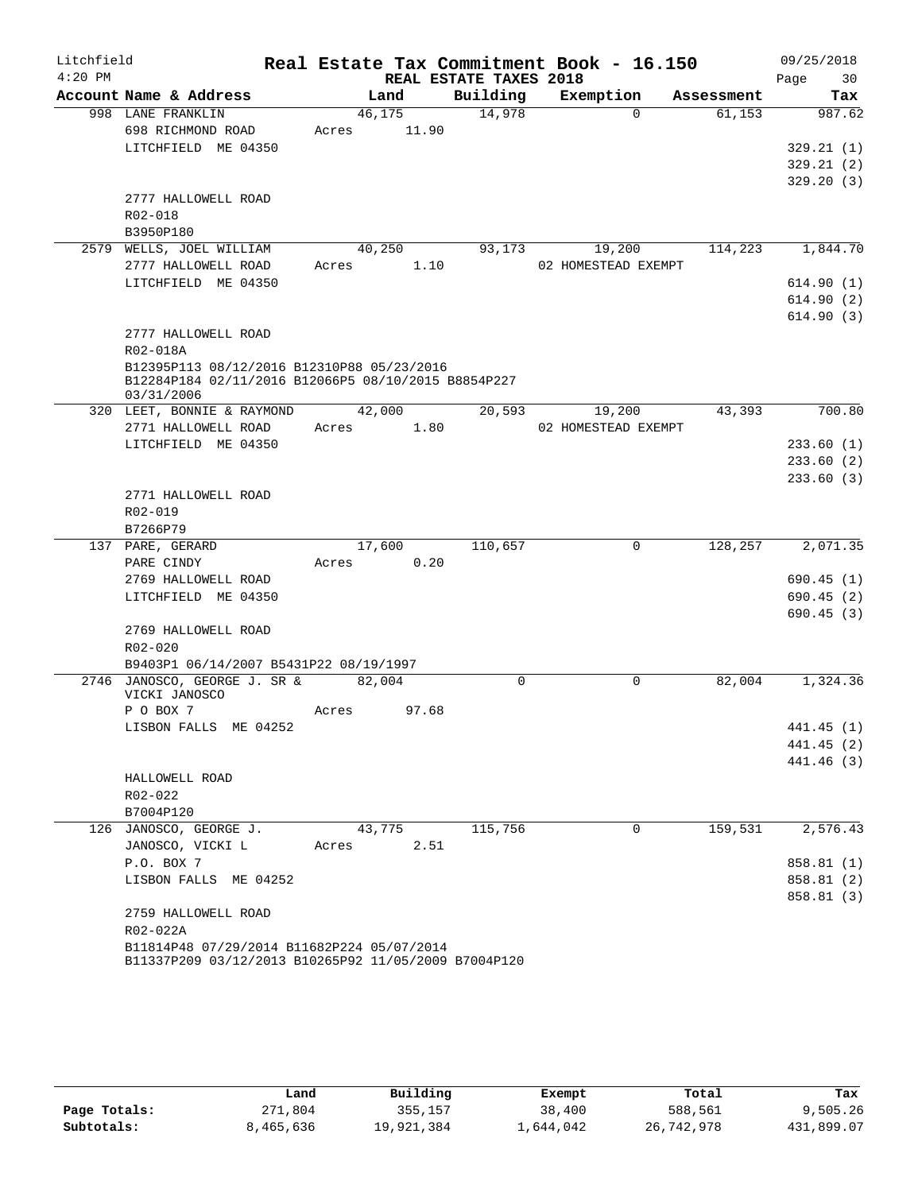| Litchfield |                                                                                                    |       |        |                        | Real Estate Tax Commitment Book - 16.150 |            | 09/25/2018 |
|------------|----------------------------------------------------------------------------------------------------|-------|--------|------------------------|------------------------------------------|------------|------------|
| $4:20$ PM  |                                                                                                    |       |        | REAL ESTATE TAXES 2018 |                                          |            | 30<br>Page |
|            | Account Name & Address                                                                             |       | Land   | Building               | Exemption                                | Assessment | Tax        |
|            | 998 LANE FRANKLIN                                                                                  |       | 46,175 | 14,978                 | $\Omega$                                 | 61,153     | 987.62     |
|            | 698 RICHMOND ROAD                                                                                  | Acres | 11.90  |                        |                                          |            |            |
|            | LITCHFIELD ME 04350                                                                                |       |        |                        |                                          |            | 329.21(1)  |
|            |                                                                                                    |       |        |                        |                                          |            | 329.21(2)  |
|            |                                                                                                    |       |        |                        |                                          |            | 329.20(3)  |
|            | 2777 HALLOWELL ROAD                                                                                |       |        |                        |                                          |            |            |
|            | R02-018                                                                                            |       |        |                        |                                          |            |            |
|            | B3950P180                                                                                          |       |        |                        |                                          |            |            |
|            | 2579 WELLS, JOEL WILLIAM                                                                           |       | 40,250 | 93,173                 | 19,200                                   | 114,223    | 1,844.70   |
|            | 2777 HALLOWELL ROAD                                                                                | Acres | 1.10   |                        | 02 HOMESTEAD EXEMPT                      |            |            |
|            | LITCHFIELD ME 04350                                                                                |       |        |                        |                                          |            | 614.90(1)  |
|            |                                                                                                    |       |        |                        |                                          |            | 614.90(2)  |
|            |                                                                                                    |       |        |                        |                                          |            | 614.90(3)  |
|            | 2777 HALLOWELL ROAD                                                                                |       |        |                        |                                          |            |            |
|            | R02-018A                                                                                           |       |        |                        |                                          |            |            |
|            | B12395P113 08/12/2016 B12310P88 05/23/2016<br>B12284P184 02/11/2016 B12066P5 08/10/2015 B8854P227  |       |        |                        |                                          |            |            |
|            | 03/31/2006                                                                                         |       |        |                        |                                          |            |            |
|            | 320 LEET, BONNIE & RAYMOND                                                                         |       | 42,000 | 20,593                 | 19,200                                   | 43,393     | 700.80     |
|            | 2771 HALLOWELL ROAD                                                                                | Acres | 1.80   |                        | 02 HOMESTEAD EXEMPT                      |            |            |
|            | LITCHFIELD ME 04350                                                                                |       |        |                        |                                          |            | 233.60(1)  |
|            |                                                                                                    |       |        |                        |                                          |            | 233.60(2)  |
|            |                                                                                                    |       |        |                        |                                          |            | 233.60(3)  |
|            | 2771 HALLOWELL ROAD                                                                                |       |        |                        |                                          |            |            |
|            | R02-019                                                                                            |       |        |                        |                                          |            |            |
|            | B7266P79                                                                                           |       |        |                        |                                          |            |            |
|            | 137 PARE, GERARD                                                                                   |       | 17,600 | 110,657                | 0                                        | 128,257    | 2,071.35   |
|            | PARE CINDY                                                                                         | Acres | 0.20   |                        |                                          |            |            |
|            | 2769 HALLOWELL ROAD                                                                                |       |        |                        |                                          |            | 690.45(1)  |
|            | LITCHFIELD ME 04350                                                                                |       |        |                        |                                          |            | 690.45(2)  |
|            |                                                                                                    |       |        |                        |                                          |            | 690.45(3)  |
|            | 2769 HALLOWELL ROAD                                                                                |       |        |                        |                                          |            |            |
|            | $R02 - 020$                                                                                        |       |        |                        |                                          |            |            |
|            | B9403P1 06/14/2007 B5431P22 08/19/1997                                                             |       |        |                        |                                          |            |            |
|            | 2746 JANOSCO, GEORGE J. SR &<br>VICKI JANOSCO                                                      |       | 82,004 | 0                      | $\mathbf 0$                              | 82,004     | 1,324.36   |
|            | P O BOX 7                                                                                          | Acres | 97.68  |                        |                                          |            |            |
|            | LISBON FALLS ME 04252                                                                              |       |        |                        |                                          |            | 441.45 (1) |
|            |                                                                                                    |       |        |                        |                                          |            | 441.45 (2) |
|            |                                                                                                    |       |        |                        |                                          |            | 441.46 (3) |
|            | HALLOWELL ROAD                                                                                     |       |        |                        |                                          |            |            |
|            | R02-022                                                                                            |       |        |                        |                                          |            |            |
|            | B7004P120                                                                                          |       |        |                        |                                          |            |            |
|            | 126 JANOSCO, GEORGE J.                                                                             |       | 43,775 | 115,756                | $\Omega$                                 | 159,531    | 2,576.43   |
|            | JANOSCO, VICKI L                                                                                   | Acres | 2.51   |                        |                                          |            |            |
|            | P.O. BOX 7                                                                                         |       |        |                        |                                          |            | 858.81(1)  |
|            | LISBON FALLS ME 04252                                                                              |       |        |                        |                                          |            | 858.81 (2) |
|            |                                                                                                    |       |        |                        |                                          |            | 858.81 (3) |
|            | 2759 HALLOWELL ROAD                                                                                |       |        |                        |                                          |            |            |
|            | R02-022A                                                                                           |       |        |                        |                                          |            |            |
|            | B11814P48 07/29/2014 B11682P224 05/07/2014<br>B11337P209 03/12/2013 B10265P92 11/05/2009 B7004P120 |       |        |                        |                                          |            |            |

|              | Land      | Building   | Exempt    | Total      | Tax        |
|--------------|-----------|------------|-----------|------------|------------|
| Page Totals: | 271,804   | 355,157    | 38,400    | 588,561    | 9,505.26   |
| Subtotals:   | 8,465,636 | 19,921,384 | ⊥,644,042 | 26,742,978 | 431,899.07 |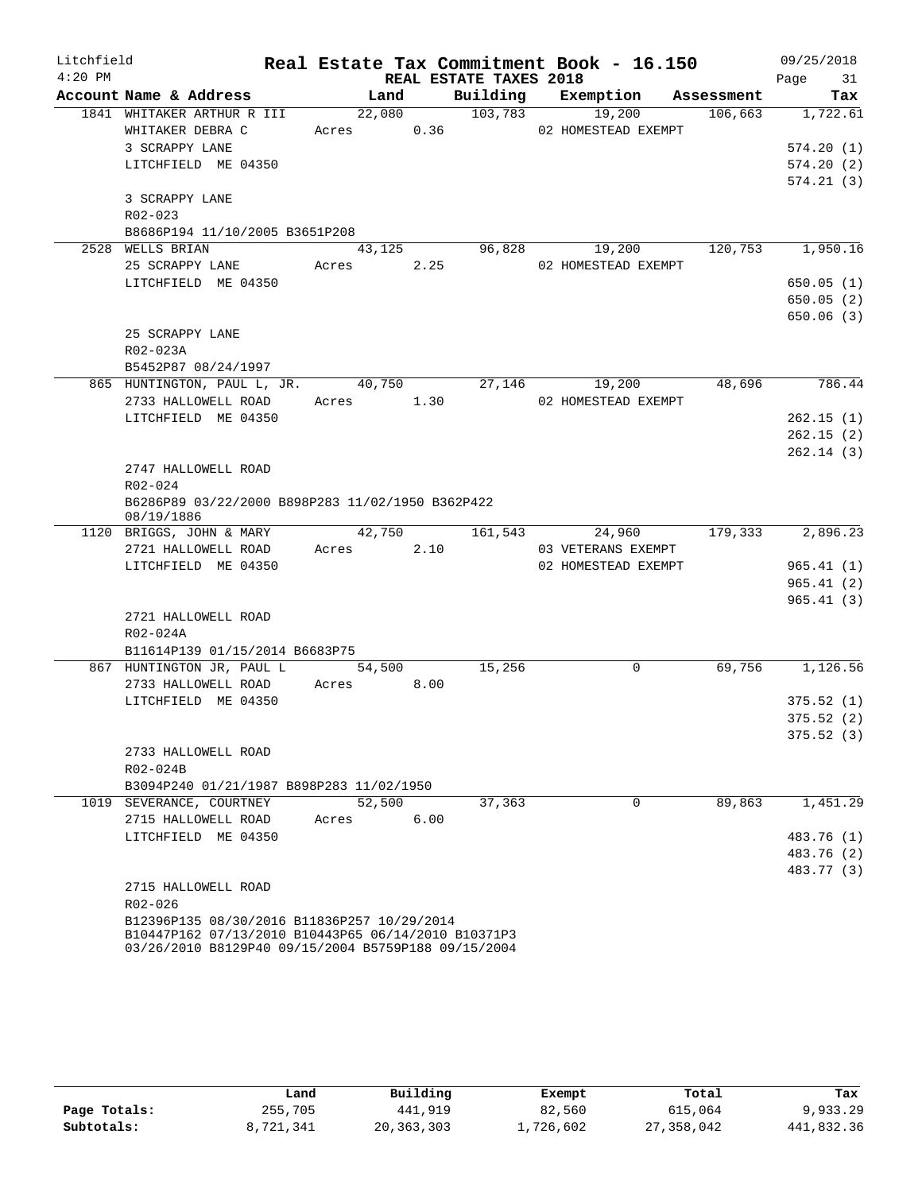| Litchfield |                                                                                                            |                      |      |                        | Real Estate Tax Commitment Book - 16.150 |         | 09/25/2018       |
|------------|------------------------------------------------------------------------------------------------------------|----------------------|------|------------------------|------------------------------------------|---------|------------------|
| $4:20$ PM  |                                                                                                            |                      |      | REAL ESTATE TAXES 2018 |                                          |         | 31<br>Page       |
|            | Account Name & Address                                                                                     | Land                 |      |                        | Building Exemption Assessment            |         | Tax              |
|            | 1841 WHITAKER ARTHUR R III                                                                                 | 22,080               |      | 103,783                | 19,200                                   | 106,663 | 1,722.61         |
|            | WHITAKER DEBRA C                                                                                           | Acres 0.36           |      |                        | 02 HOMESTEAD EXEMPT                      |         |                  |
|            | 3 SCRAPPY LANE                                                                                             |                      |      |                        |                                          |         | 574.20(1)        |
|            | LITCHFIELD ME 04350                                                                                        |                      |      |                        |                                          |         | 574.20(2)        |
|            |                                                                                                            |                      |      |                        |                                          |         | 574.21(3)        |
|            | 3 SCRAPPY LANE                                                                                             |                      |      |                        |                                          |         |                  |
|            | $R02 - 023$                                                                                                |                      |      |                        |                                          |         |                  |
|            | B8686P194 11/10/2005 B3651P208                                                                             |                      |      |                        |                                          |         |                  |
|            | 2528 WELLS BRIAN                                                                                           | 43,125               |      | 96,828                 | 19,200                                   | 120,753 | 1,950.16         |
|            | 25 SCRAPPY LANE                                                                                            | Acres 2.25           |      |                        | 02 HOMESTEAD EXEMPT                      |         |                  |
|            | LITCHFIELD ME 04350                                                                                        |                      |      |                        |                                          |         | 650.05(1)        |
|            |                                                                                                            |                      |      |                        |                                          |         | 650.05(2)        |
|            |                                                                                                            |                      |      |                        |                                          |         | 650.06(3)        |
|            | 25 SCRAPPY LANE                                                                                            |                      |      |                        |                                          |         |                  |
|            | R02-023A                                                                                                   |                      |      |                        |                                          |         |                  |
|            | B5452P87 08/24/1997                                                                                        |                      |      |                        | 19,200                                   | 48,696  | 786.44           |
|            | 865 HUNTINGTON, PAUL L, JR.<br>2733 HALLOWELL ROAD                                                         | 40,750<br>Acres 1.30 |      | 27,146                 | 02 HOMESTEAD EXEMPT                      |         |                  |
|            | LITCHFIELD ME 04350                                                                                        |                      |      |                        |                                          |         | 262.15(1)        |
|            |                                                                                                            |                      |      |                        |                                          |         | 262.15(2)        |
|            |                                                                                                            |                      |      |                        |                                          |         | 262.14(3)        |
|            | 2747 HALLOWELL ROAD                                                                                        |                      |      |                        |                                          |         |                  |
|            | R02-024                                                                                                    |                      |      |                        |                                          |         |                  |
|            | B6286P89 03/22/2000 B898P283 11/02/1950 B362P422                                                           |                      |      |                        |                                          |         |                  |
|            | 08/19/1886                                                                                                 |                      |      |                        |                                          |         |                  |
|            | 1120 BRIGGS, JOHN & MARY                                                                                   | 42,750               |      | 161,543                | 24,960                                   |         | 179,333 2,896.23 |
|            | 2721 HALLOWELL ROAD                                                                                        | Acres                | 2.10 |                        | 03 VETERANS EXEMPT                       |         |                  |
|            | LITCHFIELD ME 04350                                                                                        |                      |      |                        | 02 HOMESTEAD EXEMPT                      |         | 965.41(1)        |
|            |                                                                                                            |                      |      |                        |                                          |         | 965.41(2)        |
|            |                                                                                                            |                      |      |                        |                                          |         | 965.41(3)        |
|            | 2721 HALLOWELL ROAD                                                                                        |                      |      |                        |                                          |         |                  |
|            | R02-024A                                                                                                   |                      |      |                        |                                          |         |                  |
|            | B11614P139 01/15/2014 B6683P75                                                                             |                      |      |                        |                                          |         |                  |
|            | 867 HUNTINGTON JR, PAUL L                                                                                  | 54,500               |      | 15,256                 | 0                                        | 69,756  | 1,126.56         |
|            | 2733 HALLOWELL ROAD                                                                                        | Acres 8.00           |      |                        |                                          |         |                  |
|            | LITCHFIELD ME 04350                                                                                        |                      |      |                        |                                          |         | 375.52(1)        |
|            |                                                                                                            |                      |      |                        |                                          |         | 375.52(2)        |
|            |                                                                                                            |                      |      |                        |                                          |         | 375.52(3)        |
|            | 2733 HALLOWELL ROAD                                                                                        |                      |      |                        |                                          |         |                  |
|            | R02-024B                                                                                                   |                      |      |                        |                                          |         |                  |
|            | B3094P240 01/21/1987 B898P283 11/02/1950                                                                   |                      |      |                        | 0                                        |         | 1,451.29         |
|            | 1019 SEVERANCE, COURTNEY                                                                                   | 52,500               | 6.00 | 37,363                 |                                          | 89,863  |                  |
|            | 2715 HALLOWELL ROAD<br>LITCHFIELD ME 04350                                                                 | Acres                |      |                        |                                          |         | 483.76 (1)       |
|            |                                                                                                            |                      |      |                        |                                          |         | 483.76 (2)       |
|            |                                                                                                            |                      |      |                        |                                          |         | 483.77 (3)       |
|            | 2715 HALLOWELL ROAD                                                                                        |                      |      |                        |                                          |         |                  |
|            | R02-026                                                                                                    |                      |      |                        |                                          |         |                  |
|            | B12396P135 08/30/2016 B11836P257 10/29/2014                                                                |                      |      |                        |                                          |         |                  |
|            | B10447P162 07/13/2010 B10443P65 06/14/2010 B10371P3<br>03/26/2010 B8129P40 09/15/2004 B5759P188 09/15/2004 |                      |      |                        |                                          |         |                  |

|              | Land      | Building   | Exempt    | Total      | Tax        |
|--------------|-----------|------------|-----------|------------|------------|
| Page Totals: | 255,705   | 441,919    | 82,560    | 615,064    | 9,933.29   |
| Subtotals:   | 8,721,341 | 20,363,303 | 1,726,602 | 27,358,042 | 441,832.36 |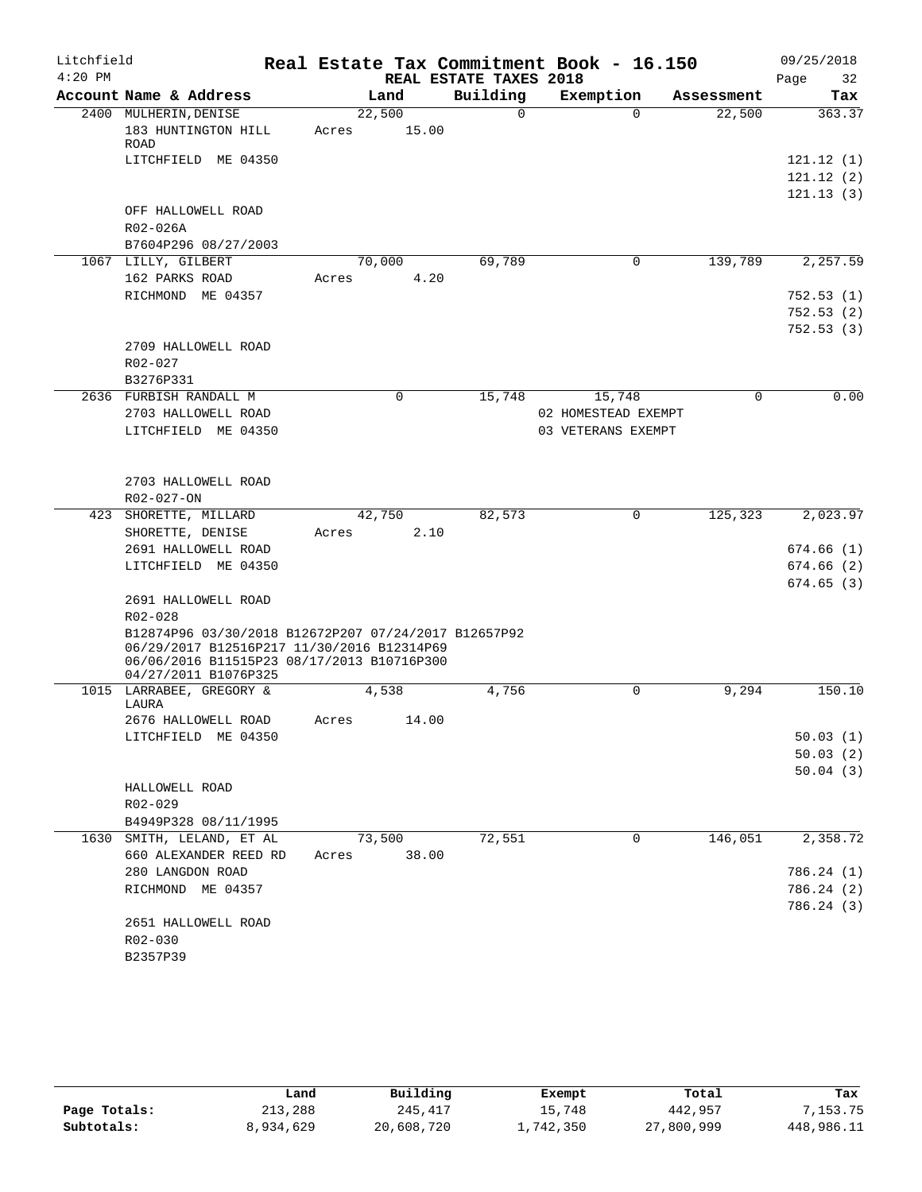| Litchfield |                                                                                          |       |             |                        | Real Estate Tax Commitment Book - 16.150 |             | 09/25/2018 |
|------------|------------------------------------------------------------------------------------------|-------|-------------|------------------------|------------------------------------------|-------------|------------|
| $4:20$ PM  |                                                                                          |       |             | REAL ESTATE TAXES 2018 |                                          |             | 32<br>Page |
|            | Account Name & Address                                                                   |       | Land        | Building               | Exemption                                | Assessment  | Tax        |
|            | 2400 MULHERIN, DENISE                                                                    |       | 22,500      | $\Omega$               | $\Omega$                                 | 22,500      | 363.37     |
|            | 183 HUNTINGTON HILL<br>ROAD                                                              | Acres | 15.00       |                        |                                          |             |            |
|            | LITCHFIELD ME 04350                                                                      |       |             |                        |                                          |             | 121.12(1)  |
|            |                                                                                          |       |             |                        |                                          |             | 121.12(2)  |
|            |                                                                                          |       |             |                        |                                          |             | 121.13(3)  |
|            | OFF HALLOWELL ROAD                                                                       |       |             |                        |                                          |             |            |
|            | R02-026A                                                                                 |       |             |                        |                                          |             |            |
|            | B7604P296 08/27/2003                                                                     |       |             |                        |                                          |             |            |
|            | 1067 LILLY, GILBERT                                                                      |       | 70,000      | 69,789                 | 0                                        | 139,789     | 2,257.59   |
|            | 162 PARKS ROAD                                                                           | Acres | 4.20        |                        |                                          |             |            |
|            | RICHMOND ME 04357                                                                        |       |             |                        |                                          |             | 752.53(1)  |
|            |                                                                                          |       |             |                        |                                          |             | 752.53(2)  |
|            |                                                                                          |       |             |                        |                                          |             | 752.53(3)  |
|            | 2709 HALLOWELL ROAD                                                                      |       |             |                        |                                          |             |            |
|            | R02-027                                                                                  |       |             |                        |                                          |             |            |
|            | B3276P331                                                                                |       |             |                        |                                          |             |            |
|            | 2636 FURBISH RANDALL M                                                                   |       | $\mathbf 0$ | 15,748                 | 15,748                                   | $\mathbf 0$ | 0.00       |
|            | 2703 HALLOWELL ROAD                                                                      |       |             |                        | 02 HOMESTEAD EXEMPT                      |             |            |
|            | LITCHFIELD ME 04350                                                                      |       |             |                        | 03 VETERANS EXEMPT                       |             |            |
|            |                                                                                          |       |             |                        |                                          |             |            |
|            |                                                                                          |       |             |                        |                                          |             |            |
|            | 2703 HALLOWELL ROAD                                                                      |       |             |                        |                                          |             |            |
|            | R02-027-ON                                                                               |       |             |                        |                                          |             |            |
|            | 423 SHORETTE, MILLARD                                                                    |       | 42,750      | 82,573                 | 0                                        | 125, 323    | 2,023.97   |
|            | SHORETTE, DENISE                                                                         | Acres | 2.10        |                        |                                          |             |            |
|            | 2691 HALLOWELL ROAD                                                                      |       |             |                        |                                          |             | 674.66(1)  |
|            | LITCHFIELD ME 04350                                                                      |       |             |                        |                                          |             | 674.66(2)  |
|            |                                                                                          |       |             |                        |                                          |             | 674.65(3)  |
|            | 2691 HALLOWELL ROAD                                                                      |       |             |                        |                                          |             |            |
|            | R02-028                                                                                  |       |             |                        |                                          |             |            |
|            | B12874P96 03/30/2018 B12672P207 07/24/2017 B12657P92                                     |       |             |                        |                                          |             |            |
|            | 06/29/2017 B12516P217 11/30/2016 B12314P69<br>06/06/2016 B11515P23 08/17/2013 B10716P300 |       |             |                        |                                          |             |            |
|            | 04/27/2011 B1076P325                                                                     |       |             |                        |                                          |             |            |
|            | 1015 LARRABEE, GREGORY &                                                                 |       | 4,538       | 4,756                  | 0                                        | 9,294       | 150.10     |
|            | LAURA                                                                                    |       |             |                        |                                          |             |            |
|            | 2676 HALLOWELL ROAD                                                                      | Acres | 14.00       |                        |                                          |             |            |
|            | LITCHFIELD ME 04350                                                                      |       |             |                        |                                          |             | 50.03(1)   |
|            |                                                                                          |       |             |                        |                                          |             | 50.03(2)   |
|            |                                                                                          |       |             |                        |                                          |             | 50.04(3)   |
|            | HALLOWELL ROAD                                                                           |       |             |                        |                                          |             |            |
|            | R02-029                                                                                  |       |             |                        |                                          |             |            |
|            | B4949P328 08/11/1995                                                                     |       |             |                        |                                          |             |            |
|            | 1630 SMITH, LELAND, ET AL                                                                |       | 73,500      | 72,551                 | 0                                        | 146,051     | 2,358.72   |
|            | 660 ALEXANDER REED RD                                                                    | Acres | 38.00       |                        |                                          |             |            |
|            | 280 LANGDON ROAD                                                                         |       |             |                        |                                          |             | 786.24 (1) |
|            | RICHMOND ME 04357                                                                        |       |             |                        |                                          |             | 786.24 (2) |
|            |                                                                                          |       |             |                        |                                          |             | 786.24 (3) |
|            | 2651 HALLOWELL ROAD                                                                      |       |             |                        |                                          |             |            |
|            | R02-030                                                                                  |       |             |                        |                                          |             |            |
|            | B2357P39                                                                                 |       |             |                        |                                          |             |            |

|              | Land      | Building   | Exempt    | Total      | Tax        |
|--------------|-----------|------------|-----------|------------|------------|
| Page Totals: | 213,288   | 245,417    | 15,748    | 442,957    | 7,153.75   |
| Subtotals:   | 8,934,629 | 20,608,720 | 1,742,350 | 27,800,999 | 448,986.11 |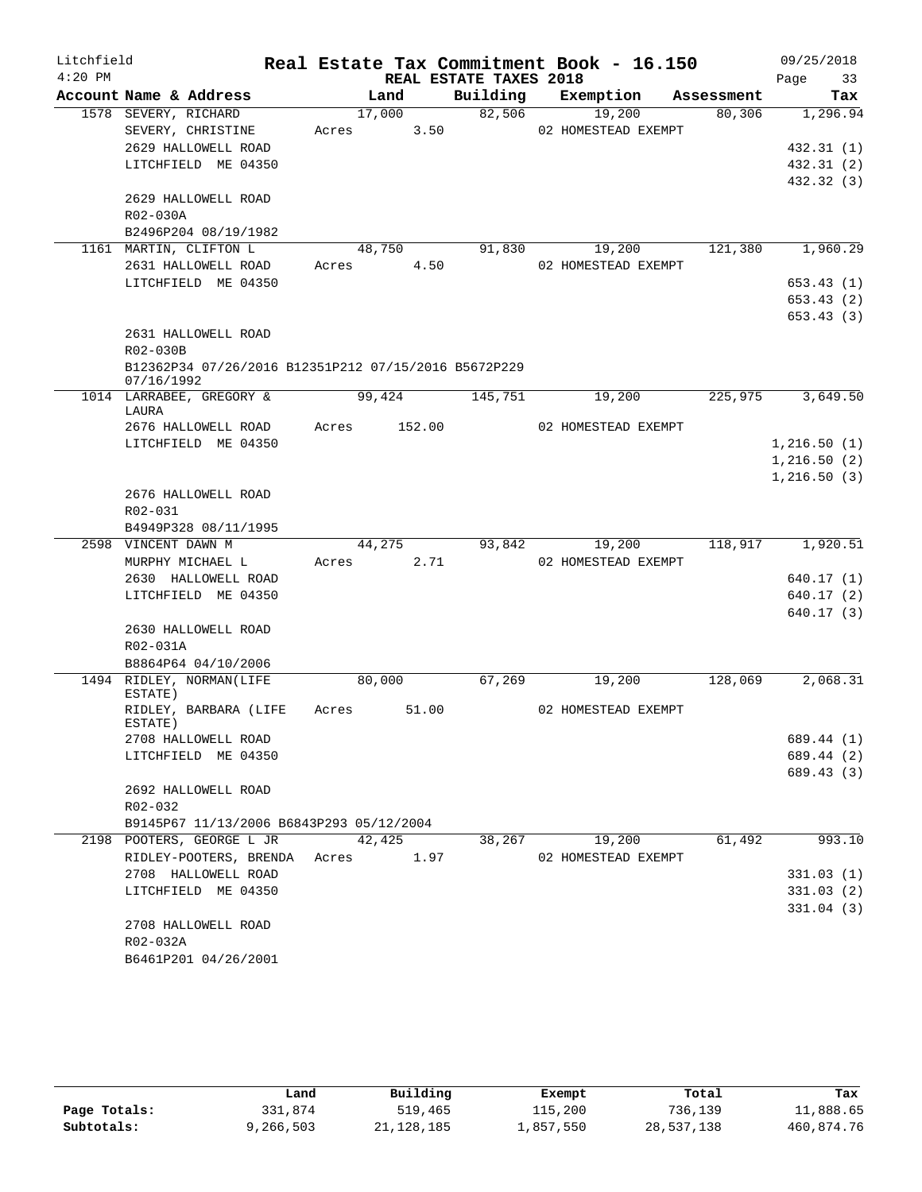| Litchfield |                                                                    |       |        |                        | Real Estate Tax Commitment Book - 16.150 |            | 09/25/2018   |
|------------|--------------------------------------------------------------------|-------|--------|------------------------|------------------------------------------|------------|--------------|
| $4:20$ PM  |                                                                    |       |        | REAL ESTATE TAXES 2018 |                                          |            | Page<br>33   |
|            | Account Name & Address                                             |       | Land   | Building               | Exemption                                | Assessment | Tax          |
|            | 1578 SEVERY, RICHARD                                               |       | 17,000 | 82,506                 | 19,200                                   | 80,306     | 1,296.94     |
|            | SEVERY, CHRISTINE                                                  | Acres | 3.50   |                        | 02 HOMESTEAD EXEMPT                      |            |              |
|            | 2629 HALLOWELL ROAD                                                |       |        |                        |                                          |            | 432.31(1)    |
|            | LITCHFIELD ME 04350                                                |       |        |                        |                                          |            | 432.31 (2)   |
|            | 2629 HALLOWELL ROAD                                                |       |        |                        |                                          |            | 432.32 (3)   |
|            | R02-030A                                                           |       |        |                        |                                          |            |              |
|            | B2496P204 08/19/1982                                               |       |        |                        |                                          |            |              |
|            | 1161 MARTIN, CLIFTON L                                             |       | 48,750 | 91,830                 | 19,200                                   | 121,380    | 1,960.29     |
|            | 2631 HALLOWELL ROAD                                                | Acres | 4.50   |                        | 02 HOMESTEAD EXEMPT                      |            |              |
|            | LITCHFIELD ME 04350                                                |       |        |                        |                                          |            | 653.43(1)    |
|            |                                                                    |       |        |                        |                                          |            | 653.43 (2)   |
|            |                                                                    |       |        |                        |                                          |            | 653.43(3)    |
|            | 2631 HALLOWELL ROAD                                                |       |        |                        |                                          |            |              |
|            | R02-030B                                                           |       |        |                        |                                          |            |              |
|            | B12362P34 07/26/2016 B12351P212 07/15/2016 B5672P229<br>07/16/1992 |       |        |                        |                                          |            |              |
|            | 1014 LARRABEE, GREGORY &<br>LAURA                                  |       | 99,424 | 145,751                | 19,200                                   | 225,975    | 3,649.50     |
|            | 2676 HALLOWELL ROAD                                                | Acres | 152.00 |                        | 02 HOMESTEAD EXEMPT                      |            |              |
|            | LITCHFIELD ME 04350                                                |       |        |                        |                                          |            | 1,216.50(1)  |
|            |                                                                    |       |        |                        |                                          |            | 1,216.50(2)  |
|            |                                                                    |       |        |                        |                                          |            | 1, 216.50(3) |
|            | 2676 HALLOWELL ROAD                                                |       |        |                        |                                          |            |              |
|            | R02-031                                                            |       |        |                        |                                          |            |              |
|            | B4949P328 08/11/1995                                               |       |        |                        |                                          |            |              |
|            | 2598 VINCENT DAWN M                                                |       | 44,275 | 93,842                 | 19,200                                   | 118,917    | 1,920.51     |
|            | MURPHY MICHAEL L<br>2630 HALLOWELL ROAD                            | Acres | 2.71   |                        | 02 HOMESTEAD EXEMPT                      |            | 640.17(1)    |
|            | LITCHFIELD ME 04350                                                |       |        |                        |                                          |            | 640.17 (2)   |
|            |                                                                    |       |        |                        |                                          |            | 640.17 (3)   |
|            | 2630 HALLOWELL ROAD                                                |       |        |                        |                                          |            |              |
|            | R02-031A                                                           |       |        |                        |                                          |            |              |
|            | B8864P64 04/10/2006                                                |       |        |                        |                                          |            |              |
|            | 1494 RIDLEY, NORMAN(LIFE<br>ESTATE)                                |       | 80,000 | 67,269                 | 19,200                                   | 128,069    | 2,068.31     |
|            | RIDLEY, BARBARA (LIFE<br>ESTATE)                                   | Acres | 51.00  |                        | 02 HOMESTEAD EXEMPT                      |            |              |
|            | 2708 HALLOWELL ROAD                                                |       |        |                        |                                          |            | 689.44 (1)   |
|            | LITCHFIELD ME 04350                                                |       |        |                        |                                          |            | 689.44 (2)   |
|            |                                                                    |       |        |                        |                                          |            | 689.43 (3)   |
|            | 2692 HALLOWELL ROAD                                                |       |        |                        |                                          |            |              |
|            | R02-032                                                            |       |        |                        |                                          |            |              |
|            | B9145P67 11/13/2006 B6843P293 05/12/2004                           |       |        |                        |                                          |            |              |
|            | 2198 POOTERS, GEORGE L JR                                          |       | 42,425 | 38,267                 | 19,200                                   | 61,492     | 993.10       |
|            | RIDLEY-POOTERS, BRENDA                                             | Acres | 1.97   |                        | 02 HOMESTEAD EXEMPT                      |            |              |
|            | 2708 HALLOWELL ROAD                                                |       |        |                        |                                          |            | 331.03(1)    |
|            | LITCHFIELD ME 04350                                                |       |        |                        |                                          |            | 331.03(2)    |
|            |                                                                    |       |        |                        |                                          |            | 331.04(3)    |
|            | 2708 HALLOWELL ROAD<br>R02-032A                                    |       |        |                        |                                          |            |              |
|            | B6461P201 04/26/2001                                               |       |        |                        |                                          |            |              |
|            |                                                                    |       |        |                        |                                          |            |              |

|              | Land      | Building     | Exempt    | Total      | Tax        |
|--------------|-----------|--------------|-----------|------------|------------|
| Page Totals: | 331,874   | 519,465      | 115,200   | 736,139    | 11,888.65  |
| Subtotals:   | 9,266,503 | 21, 128, 185 | 1,857,550 | 28,537,138 | 460,874.76 |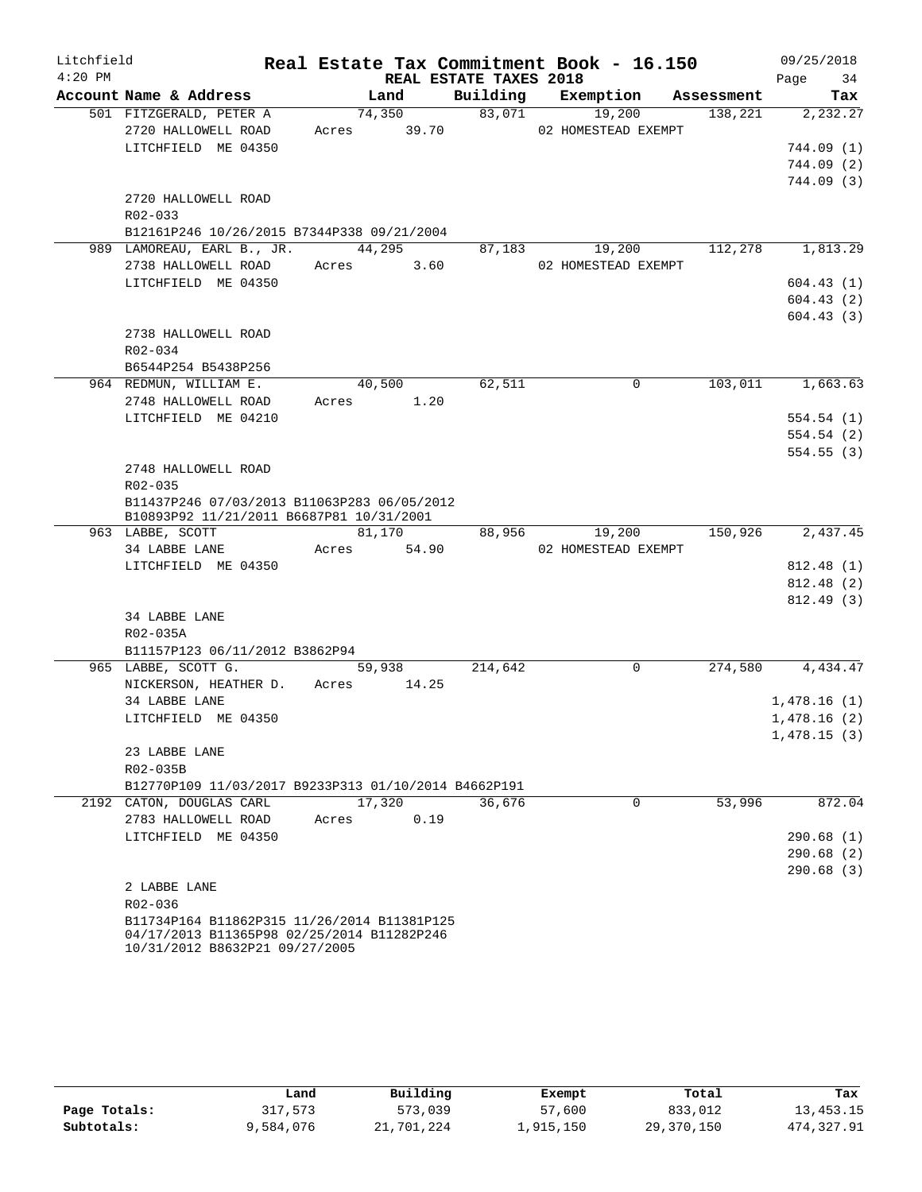| Litchfield |             |                                                                                         |       |             |                        | Real Estate Tax Commitment Book - 16.150 |            | 09/25/2018       |
|------------|-------------|-----------------------------------------------------------------------------------------|-------|-------------|------------------------|------------------------------------------|------------|------------------|
| $4:20$ PM  |             |                                                                                         |       |             | REAL ESTATE TAXES 2018 |                                          |            | 34<br>Page       |
|            |             | Account Name & Address                                                                  |       | Land        |                        | Building Exemption                       | Assessment | Tax              |
|            |             | 501 FITZGERALD, PETER A                                                                 |       | 74,350      | 83,071                 | 19,200                                   | 138,221    | 2,232.27         |
|            |             | 2720 HALLOWELL ROAD                                                                     |       | Acres 39.70 |                        | 02 HOMESTEAD EXEMPT                      |            |                  |
|            |             | LITCHFIELD ME 04350                                                                     |       |             |                        |                                          |            | 744.09(1)        |
|            |             |                                                                                         |       |             |                        |                                          |            | 744.09(2)        |
|            |             |                                                                                         |       |             |                        |                                          |            | 744.09(3)        |
|            |             | 2720 HALLOWELL ROAD                                                                     |       |             |                        |                                          |            |                  |
|            | R02-033     |                                                                                         |       |             |                        |                                          |            |                  |
|            |             | B12161P246 10/26/2015 B7344P338 09/21/2004                                              |       |             |                        |                                          |            |                  |
|            |             | 989 LAMOREAU, EARL B., JR. 44,295                                                       |       |             | 87,183                 | 19,200                                   | 112,278    | 1,813.29         |
|            |             | 2738 HALLOWELL ROAD                                                                     |       | Acres 3.60  |                        | 02 HOMESTEAD EXEMPT                      |            |                  |
|            |             | LITCHFIELD ME 04350                                                                     |       |             |                        |                                          |            | 604.43(1)        |
|            |             |                                                                                         |       |             |                        |                                          |            | 604.43(2)        |
|            |             |                                                                                         |       |             |                        |                                          |            | 604.43(3)        |
|            |             | 2738 HALLOWELL ROAD                                                                     |       |             |                        |                                          |            |                  |
|            | $R02 - 034$ |                                                                                         |       |             |                        |                                          |            |                  |
|            |             | B6544P254 B5438P256                                                                     |       |             |                        |                                          |            |                  |
|            |             | 964 REDMUN, WILLIAM E.                                                                  |       | 40,500      | 62,511                 | $\Omega$                                 | 103,011    | 1,663.63         |
|            |             | 2748 HALLOWELL ROAD                                                                     |       | Acres 1.20  |                        |                                          |            |                  |
|            |             | LITCHFIELD ME 04210                                                                     |       |             |                        |                                          |            | 554.54(1)        |
|            |             |                                                                                         |       |             |                        |                                          |            | 554.54(2)        |
|            |             |                                                                                         |       |             |                        |                                          |            | 554.55(3)        |
|            |             | 2748 HALLOWELL ROAD                                                                     |       |             |                        |                                          |            |                  |
|            | R02-035     |                                                                                         |       |             |                        |                                          |            |                  |
|            |             | B11437P246 07/03/2013 B11063P283 06/05/2012<br>B10893P92 11/21/2011 B6687P81 10/31/2001 |       |             |                        |                                          |            |                  |
|            |             | 963 LABBE, SCOTT                                                                        |       | 81,170      | 88,956                 | 19,200                                   | 150,926    | 2,437.45         |
|            |             | 34 LABBE LANE                                                                           | Acres | 54.90       |                        | 02 HOMESTEAD EXEMPT                      |            |                  |
|            |             | LITCHFIELD ME 04350                                                                     |       |             |                        |                                          |            | 812.48 (1)       |
|            |             |                                                                                         |       |             |                        |                                          |            | 812.48 (2)       |
|            |             |                                                                                         |       |             |                        |                                          |            | 812.49(3)        |
|            |             | 34 LABBE LANE                                                                           |       |             |                        |                                          |            |                  |
|            | R02-035A    |                                                                                         |       |             |                        |                                          |            |                  |
|            |             | B11157P123 06/11/2012 B3862P94                                                          |       |             |                        |                                          |            |                  |
|            |             | 965 LABBE, SCOTT G.                                                                     |       | 59,938      | 214,642                | 0                                        |            | 274,580 4,434.47 |
|            |             | NICKERSON, HEATHER D.                                                                   | Acres | 14.25       |                        |                                          |            |                  |
|            |             | 34 LABBE LANE                                                                           |       |             |                        |                                          |            | 1,478.16(1)      |
|            |             | LITCHFIELD ME 04350                                                                     |       |             |                        |                                          |            | 1,478.16(2)      |
|            |             |                                                                                         |       |             |                        |                                          |            | 1,478.15(3)      |
|            |             | 23 LABBE LANE                                                                           |       |             |                        |                                          |            |                  |
|            | R02-035B    |                                                                                         |       |             |                        |                                          |            |                  |
|            |             | B12770P109 11/03/2017 B9233P313 01/10/2014 B4662P191                                    |       |             |                        |                                          |            |                  |
|            |             | 2192 CATON, DOUGLAS CARL                                                                |       | 17,320      | 36,676                 | 0                                        | 53,996     | 872.04           |
|            |             | 2783 HALLOWELL ROAD                                                                     | Acres | 0.19        |                        |                                          |            |                  |
|            |             | LITCHFIELD ME 04350                                                                     |       |             |                        |                                          |            | 290.68(1)        |
|            |             |                                                                                         |       |             |                        |                                          |            | 290.68(2)        |
|            |             |                                                                                         |       |             |                        |                                          |            | 290.68(3)        |
|            |             | 2 LABBE LANE                                                                            |       |             |                        |                                          |            |                  |
|            | R02-036     |                                                                                         |       |             |                        |                                          |            |                  |
|            |             | B11734P164 B11862P315 11/26/2014 B11381P125                                             |       |             |                        |                                          |            |                  |
|            |             | 04/17/2013 B11365P98 02/25/2014 B11282P246<br>10/31/2012 B8632P21 09/27/2005            |       |             |                        |                                          |            |                  |

|              | Land      | Building   | Exempt    | Total      | Tax         |
|--------------|-----------|------------|-----------|------------|-------------|
| Page Totals: | 317,573   | 573,039    | 57,600    | 833,012    | 13, 453. 15 |
| Subtotals:   | 9,584,076 | 21,701,224 | 1,915,150 | 29,370,150 | 474,327.91  |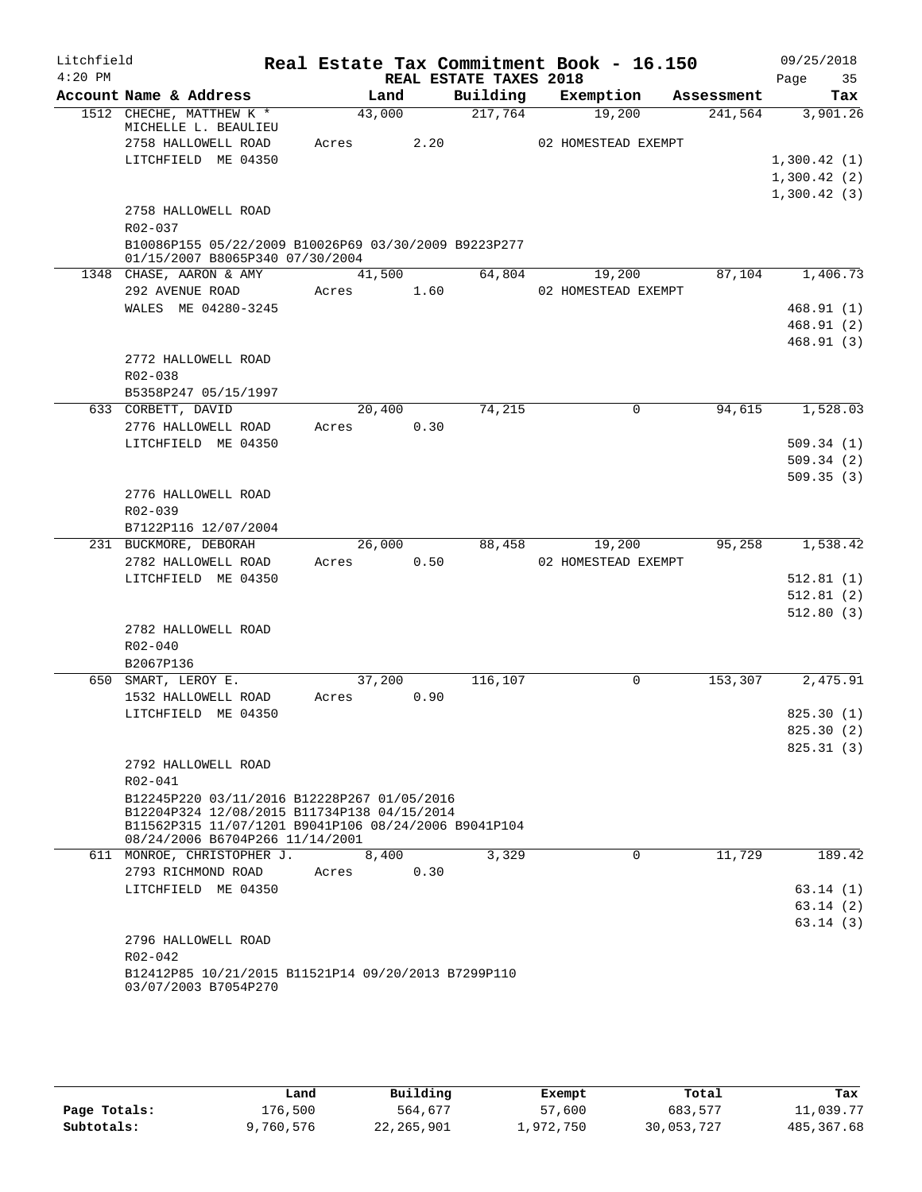| Litchfield |                                                      |        |        |                        | Real Estate Tax Commitment Book - 16.150 |                      | 09/25/2018  |     |
|------------|------------------------------------------------------|--------|--------|------------------------|------------------------------------------|----------------------|-------------|-----|
| $4:20$ PM  |                                                      |        |        | REAL ESTATE TAXES 2018 |                                          |                      | Page        | 35  |
|            | Account Name & Address                               |        | Land   | Building               | Exemption                                | Assessment           |             | Tax |
|            | 1512 CHECHE, MATTHEW K *<br>MICHELLE L. BEAULIEU     | 43,000 |        | 217,764                | 19,200                                   | 241,564              | 3,901.26    |     |
|            | 2758 HALLOWELL ROAD                                  | Acres  | 2.20   |                        | 02 HOMESTEAD EXEMPT                      |                      |             |     |
|            | LITCHFIELD ME 04350                                  |        |        |                        |                                          |                      | 1,300.42(1) |     |
|            |                                                      |        |        |                        |                                          |                      | 1,300.42(2) |     |
|            |                                                      |        |        |                        |                                          |                      | 1,300.42(3) |     |
|            | 2758 HALLOWELL ROAD                                  |        |        |                        |                                          |                      |             |     |
|            | R02-037                                              |        |        |                        |                                          |                      |             |     |
|            | B10086P155 05/22/2009 B10026P69 03/30/2009 B9223P277 |        |        |                        |                                          |                      |             |     |
|            | 01/15/2007 B8065P340 07/30/2004                      |        |        |                        |                                          |                      |             |     |
|            | 1348 CHASE, AARON & AMY                              |        | 41,500 | 64,804                 | 19,200                                   | 87,104               | 1,406.73    |     |
|            | 292 AVENUE ROAD                                      | Acres  | 1.60   |                        | 02 HOMESTEAD EXEMPT                      |                      |             |     |
|            | WALES ME 04280-3245                                  |        |        |                        |                                          |                      | 468.91(1)   |     |
|            |                                                      |        |        |                        |                                          |                      | 468.91(2)   |     |
|            |                                                      |        |        |                        |                                          |                      | 468.91(3)   |     |
|            | 2772 HALLOWELL ROAD                                  |        |        |                        |                                          |                      |             |     |
|            | R02-038                                              |        |        |                        |                                          |                      |             |     |
|            | B5358P247 05/15/1997                                 |        |        |                        |                                          |                      |             |     |
|            | 633 CORBETT, DAVID                                   | 20,400 |        | 74,215                 | $\mathbf 0$                              | 94,615               | 1,528.03    |     |
|            | 2776 HALLOWELL ROAD                                  | Acres  | 0.30   |                        |                                          |                      |             |     |
|            | LITCHFIELD ME 04350                                  |        |        |                        |                                          |                      | 509.34(1)   |     |
|            |                                                      |        |        |                        |                                          |                      | 509.34(2)   |     |
|            |                                                      |        |        |                        |                                          |                      | 509.35(3)   |     |
|            | 2776 HALLOWELL ROAD                                  |        |        |                        |                                          |                      |             |     |
|            | R02-039                                              |        |        |                        |                                          |                      |             |     |
|            | B7122P116 12/07/2004                                 |        |        |                        |                                          |                      |             |     |
|            | 231 BUCKMORE, DEBORAH                                | 26,000 |        | 88,458                 | 19,200                                   | 95,258               | 1,538.42    |     |
|            | 2782 HALLOWELL ROAD                                  | Acres  | 0.50   |                        | 02 HOMESTEAD EXEMPT                      |                      |             |     |
|            | LITCHFIELD ME 04350                                  |        |        |                        |                                          |                      | 512.81(1)   |     |
|            |                                                      |        |        |                        |                                          |                      | 512.81(2)   |     |
|            |                                                      |        |        |                        |                                          |                      | 512.80(3)   |     |
|            | 2782 HALLOWELL ROAD                                  |        |        |                        |                                          |                      |             |     |
|            | R02-040                                              |        |        |                        |                                          |                      |             |     |
|            | B2067P136                                            |        |        |                        |                                          |                      |             |     |
|            | 650 SMART, LEROY E.                                  | 37,200 |        | 116,107                | $\mathbf 0$                              | $1\overline{53,307}$ | 2,475.91    |     |
|            | 1532 HALLOWELL ROAD                                  | Acres  | 0.90   |                        |                                          |                      |             |     |
|            | LITCHFIELD ME 04350                                  |        |        |                        |                                          |                      | 825.30(1)   |     |
|            |                                                      |        |        |                        |                                          |                      | 825.30 (2)  |     |
|            |                                                      |        |        |                        |                                          |                      | 825.31(3)   |     |
|            | 2792 HALLOWELL ROAD                                  |        |        |                        |                                          |                      |             |     |
|            | R02-041                                              |        |        |                        |                                          |                      |             |     |
|            | B12245P220 03/11/2016 B12228P267 01/05/2016          |        |        |                        |                                          |                      |             |     |
|            | B12204P324 12/08/2015 B11734P138 04/15/2014          |        |        |                        |                                          |                      |             |     |
|            | B11562P315 11/07/1201 B9041P106 08/24/2006 B9041P104 |        |        |                        |                                          |                      |             |     |
|            | 08/24/2006 B6704P266 11/14/2001                      |        |        |                        |                                          |                      |             |     |
|            | 611 MONROE, CHRISTOPHER J.                           |        | 8,400  | 3,329                  | $\Omega$                                 | 11,729               | 189.42      |     |
|            | 2793 RICHMOND ROAD                                   | Acres  | 0.30   |                        |                                          |                      |             |     |
|            | LITCHFIELD ME 04350                                  |        |        |                        |                                          |                      | 63.14(1)    |     |
|            |                                                      |        |        |                        |                                          |                      | 63.14(2)    |     |
|            |                                                      |        |        |                        |                                          |                      | 63.14(3)    |     |
|            | 2796 HALLOWELL ROAD                                  |        |        |                        |                                          |                      |             |     |
|            | $R02 - 042$                                          |        |        |                        |                                          |                      |             |     |
|            | B12412P85 10/21/2015 B11521P14 09/20/2013 B7299P110  |        |        |                        |                                          |                      |             |     |
|            | 03/07/2003 B7054P270                                 |        |        |                        |                                          |                      |             |     |

|              | Land      | Building     | Exempt    | Total      | Tax         |
|--------------|-----------|--------------|-----------|------------|-------------|
| Page Totals: | 176,500   | 564,677      | 57,600    | 683,577    | 11,039.77   |
| Subtotals:   | 9,760,576 | 22, 265, 901 | 1,972,750 | 30,053,727 | 485, 367.68 |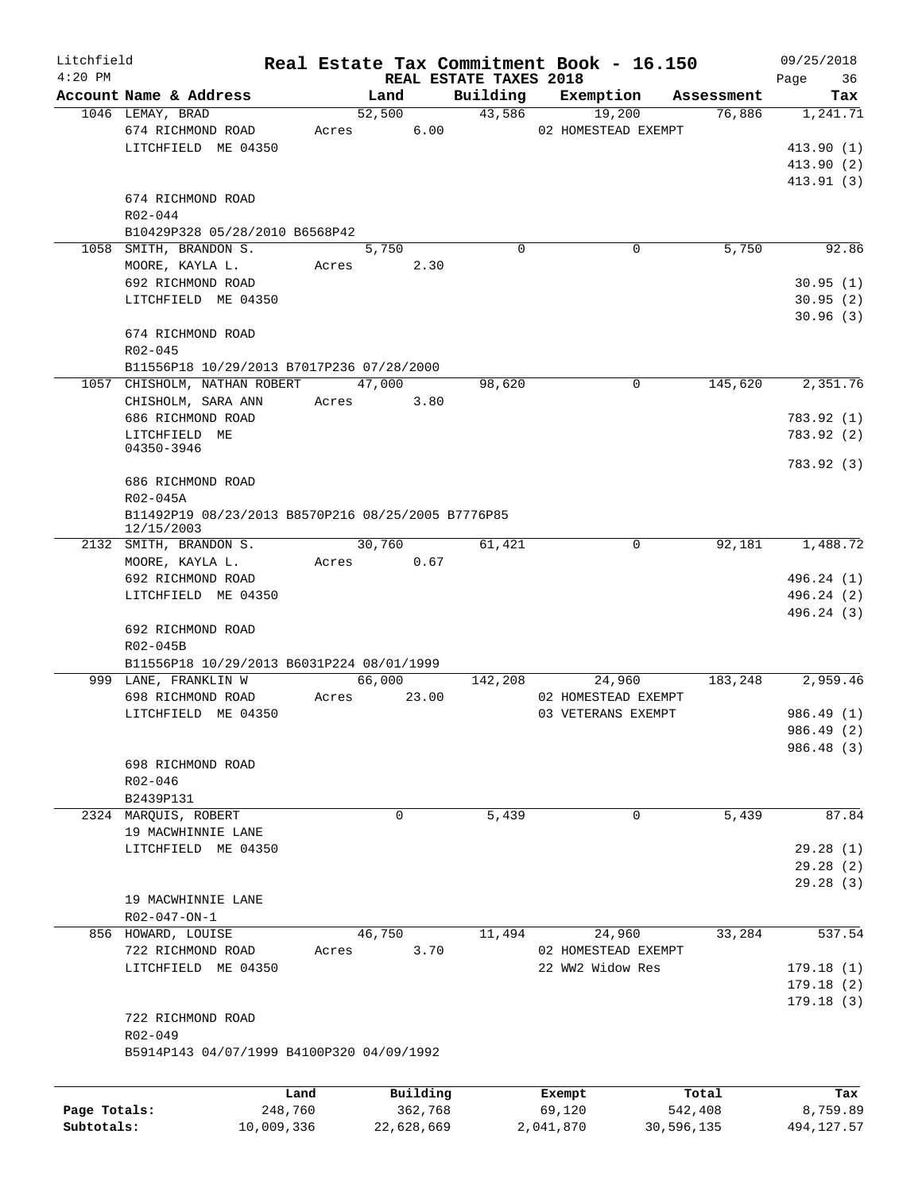| Litchfield   |                                                                   |            |               |                                    | Real Estate Tax Commitment Book - 16.150 |            | 09/25/2018        |
|--------------|-------------------------------------------------------------------|------------|---------------|------------------------------------|------------------------------------------|------------|-------------------|
| $4:20$ PM    | Account Name & Address                                            |            | Land          | REAL ESTATE TAXES 2018<br>Building | Exemption                                | Assessment | Page<br>36<br>Tax |
|              | 1046 LEMAY, BRAD                                                  |            | 52,500        | 43,586                             | 19,200                                   | 76,886     | 1,241.71          |
|              | 674 RICHMOND ROAD                                                 |            | 6.00<br>Acres |                                    | 02 HOMESTEAD EXEMPT                      |            |                   |
|              | LITCHFIELD ME 04350                                               |            |               |                                    |                                          |            | 413.90(1)         |
|              |                                                                   |            |               |                                    |                                          |            | 413.90 (2)        |
|              |                                                                   |            |               |                                    |                                          |            | 413.91(3)         |
|              | 674 RICHMOND ROAD                                                 |            |               |                                    |                                          |            |                   |
|              | R02-044                                                           |            |               |                                    |                                          |            |                   |
|              | B10429P328 05/28/2010 B6568P42                                    |            |               |                                    |                                          |            |                   |
|              | 1058 SMITH, BRANDON S.                                            |            | 5,750         | $\Omega$                           | $\Omega$                                 | 5,750      | 92.86             |
|              | MOORE, KAYLA L.                                                   | Acres      | 2.30          |                                    |                                          |            |                   |
|              | 692 RICHMOND ROAD                                                 |            |               |                                    |                                          |            | 30.95(1)          |
|              | LITCHFIELD ME 04350                                               |            |               |                                    |                                          |            | 30.95(2)          |
|              |                                                                   |            |               |                                    |                                          |            | 30.96(3)          |
|              | 674 RICHMOND ROAD                                                 |            |               |                                    |                                          |            |                   |
|              | $R02 - 045$                                                       |            |               |                                    |                                          |            |                   |
|              | B11556P18 10/29/2013 B7017P236 07/28/2000                         |            |               |                                    |                                          |            |                   |
|              | 1057 CHISHOLM, NATHAN ROBERT                                      |            | 47,000        | 98,620                             | 0                                        | 145,620    | 2,351.76          |
|              | CHISHOLM, SARA ANN                                                |            | Acres<br>3.80 |                                    |                                          |            |                   |
|              | 686 RICHMOND ROAD                                                 |            |               |                                    |                                          |            | 783.92 (1)        |
|              | LITCHFIELD ME<br>04350-3946                                       |            |               |                                    |                                          |            | 783.92 (2)        |
|              |                                                                   |            |               |                                    |                                          |            | 783.92 (3)        |
|              | 686 RICHMOND ROAD                                                 |            |               |                                    |                                          |            |                   |
|              | R02-045A                                                          |            |               |                                    |                                          |            |                   |
|              | B11492P19 08/23/2013 B8570P216 08/25/2005 B7776P85                |            |               |                                    |                                          |            |                   |
|              | 12/15/2003                                                        |            |               |                                    |                                          |            |                   |
|              | 2132 SMITH, BRANDON S.                                            |            | 30,760        | 61,421                             | $\mathbf 0$                              | 92,181     | 1,488.72          |
|              | MOORE, KAYLA L.                                                   | Acres      | 0.67          |                                    |                                          |            |                   |
|              | 692 RICHMOND ROAD                                                 |            |               |                                    |                                          |            | 496.24 (1)        |
|              | LITCHFIELD ME 04350                                               |            |               |                                    |                                          |            | 496.24 (2)        |
|              |                                                                   |            |               |                                    |                                          |            | 496.24 (3)        |
|              | 692 RICHMOND ROAD                                                 |            |               |                                    |                                          |            |                   |
|              | R02-045B                                                          |            |               |                                    |                                          |            |                   |
|              | B11556P18 10/29/2013 B6031P224 08/01/1999<br>999 LANE, FRANKLIN W |            | 66,000        | 142,208                            | 24,960                                   | 183,248    | 2,959.46          |
|              | 698 RICHMOND ROAD                                                 | Acres      | 23.00         |                                    | 02 HOMESTEAD EXEMPT                      |            |                   |
|              | LITCHFIELD ME 04350                                               |            |               |                                    | 03 VETERANS EXEMPT                       |            | 986.49 (1)        |
|              |                                                                   |            |               |                                    |                                          |            | 986.49 (2)        |
|              |                                                                   |            |               |                                    |                                          |            | 986.48 (3)        |
|              | 698 RICHMOND ROAD                                                 |            |               |                                    |                                          |            |                   |
|              | $R02 - 046$                                                       |            |               |                                    |                                          |            |                   |
|              | B2439P131                                                         |            |               |                                    |                                          |            |                   |
|              | 2324 MARQUIS, ROBERT                                              |            | 0             | 5,439                              | 0                                        | 5,439      | 87.84             |
|              | 19 MACWHINNIE LANE                                                |            |               |                                    |                                          |            |                   |
|              | LITCHFIELD ME 04350                                               |            |               |                                    |                                          |            | 29.28(1)          |
|              |                                                                   |            |               |                                    |                                          |            | 29.28(2)          |
|              |                                                                   |            |               |                                    |                                          |            | 29.28(3)          |
|              | 19 MACWHINNIE LANE                                                |            |               |                                    |                                          |            |                   |
|              | R02-047-ON-1                                                      |            |               |                                    |                                          |            |                   |
|              | 856 HOWARD, LOUISE                                                |            | 46,750        | 11,494                             | 24,960                                   | 33,284     | 537.54            |
|              | 722 RICHMOND ROAD                                                 | Acres      | 3.70          |                                    | 02 HOMESTEAD EXEMPT                      |            |                   |
|              | LITCHFIELD ME 04350                                               |            |               |                                    | 22 WW2 Widow Res                         |            | 179.18(1)         |
|              |                                                                   |            |               |                                    |                                          |            | 179.18(2)         |
|              |                                                                   |            |               |                                    |                                          |            | 179.18(3)         |
|              | 722 RICHMOND ROAD                                                 |            |               |                                    |                                          |            |                   |
|              | R02-049                                                           |            |               |                                    |                                          |            |                   |
|              | B5914P143 04/07/1999 B4100P320 04/09/1992                         |            |               |                                    |                                          |            |                   |
|              |                                                                   |            |               |                                    |                                          |            |                   |
|              |                                                                   | Land       | Building      |                                    | Exempt                                   | Total      | Tax               |
| Page Totals: |                                                                   | 248,760    | 362,768       |                                    | 69,120                                   | 542,408    | 8,759.89          |
| Subtotals:   |                                                                   | 10,009,336 | 22,628,669    |                                    | 2,041,870                                | 30,596,135 | 494, 127.57       |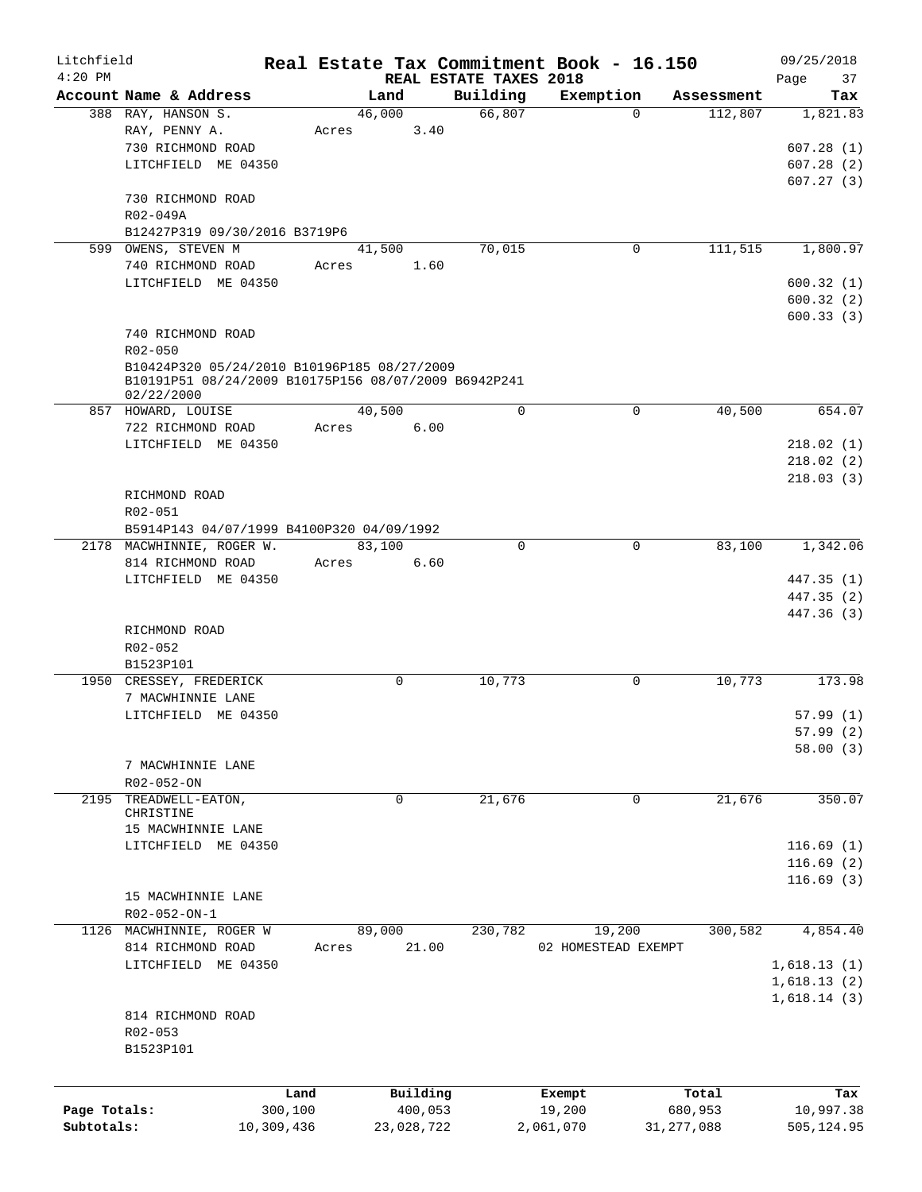| Litchfield<br>$4:20$ PM |                                                                    |            |             |          |                                    | Real Estate Tax Commitment Book - 16.150 |              |            | 09/25/2018               |
|-------------------------|--------------------------------------------------------------------|------------|-------------|----------|------------------------------------|------------------------------------------|--------------|------------|--------------------------|
|                         | Account Name & Address                                             |            | Land        |          | REAL ESTATE TAXES 2018<br>Building | Exemption                                |              | Assessment | Page<br>37<br>Tax        |
|                         | 388 RAY, HANSON S.                                                 |            | 46,000      |          | 66,807                             |                                          | $\Omega$     | 112,807    | 1,821.83                 |
|                         | RAY, PENNY A.                                                      | Acres      |             | 3.40     |                                    |                                          |              |            |                          |
|                         | 730 RICHMOND ROAD                                                  |            |             |          |                                    |                                          |              |            | 607.28(1)                |
|                         | LITCHFIELD ME 04350                                                |            |             |          |                                    |                                          |              |            | 607.28(2)                |
|                         |                                                                    |            |             |          |                                    |                                          |              |            | 607.27(3)                |
|                         | 730 RICHMOND ROAD                                                  |            |             |          |                                    |                                          |              |            |                          |
|                         | R02-049A                                                           |            |             |          |                                    |                                          |              |            |                          |
|                         | B12427P319 09/30/2016 B3719P6                                      |            |             |          | 70,015                             |                                          |              | 111,515    |                          |
|                         | 599 OWENS, STEVEN M<br>740 RICHMOND ROAD                           | Acres      | 41,500      | 1.60     |                                    |                                          | 0            |            | 1,800.97                 |
|                         | LITCHFIELD ME 04350                                                |            |             |          |                                    |                                          |              |            | 600.32(1)                |
|                         |                                                                    |            |             |          |                                    |                                          |              |            | 600.32(2)                |
|                         |                                                                    |            |             |          |                                    |                                          |              |            | 600.33(3)                |
|                         | 740 RICHMOND ROAD                                                  |            |             |          |                                    |                                          |              |            |                          |
|                         | $R02 - 050$                                                        |            |             |          |                                    |                                          |              |            |                          |
|                         | B10424P320 05/24/2010 B10196P185 08/27/2009                        |            |             |          |                                    |                                          |              |            |                          |
|                         | B10191P51 08/24/2009 B10175P156 08/07/2009 B6942P241<br>02/22/2000 |            |             |          |                                    |                                          |              |            |                          |
|                         | 857 HOWARD, LOUISE                                                 |            | 40,500      |          | $\Omega$                           |                                          | 0            | 40,500     | 654.07                   |
|                         | 722 RICHMOND ROAD                                                  | Acres      |             | 6.00     |                                    |                                          |              |            |                          |
|                         | LITCHFIELD ME 04350                                                |            |             |          |                                    |                                          |              |            | 218.02(1)                |
|                         |                                                                    |            |             |          |                                    |                                          |              |            | 218.02(2)                |
|                         |                                                                    |            |             |          |                                    |                                          |              |            | 218.03(3)                |
|                         | RICHMOND ROAD                                                      |            |             |          |                                    |                                          |              |            |                          |
|                         | R02-051                                                            |            |             |          |                                    |                                          |              |            |                          |
|                         | B5914P143 04/07/1999 B4100P320 04/09/1992                          |            |             |          |                                    |                                          |              |            |                          |
|                         | 2178 MACWHINNIE, ROGER W.                                          |            | 83,100      |          | 0                                  |                                          | 0            | 83,100     | 1,342.06                 |
|                         | 814 RICHMOND ROAD                                                  | Acres      |             | 6.60     |                                    |                                          |              |            |                          |
|                         | LITCHFIELD ME 04350                                                |            |             |          |                                    |                                          |              |            | 447.35 (1)<br>447.35 (2) |
|                         |                                                                    |            |             |          |                                    |                                          |              |            | 447.36 (3)               |
|                         | RICHMOND ROAD                                                      |            |             |          |                                    |                                          |              |            |                          |
|                         | R02-052                                                            |            |             |          |                                    |                                          |              |            |                          |
|                         | B1523P101                                                          |            |             |          |                                    |                                          |              |            |                          |
|                         | 1950 CRESSEY, FREDERICK                                            |            | 0           |          | 10,773                             |                                          | 0            | 10,773     | 173.98                   |
|                         | 7 MACWHINNIE LANE                                                  |            |             |          |                                    |                                          |              |            |                          |
|                         | LITCHFIELD ME 04350                                                |            |             |          |                                    |                                          |              |            | 57.99(1)                 |
|                         |                                                                    |            |             |          |                                    |                                          |              |            | 57.99 (2)                |
|                         |                                                                    |            |             |          |                                    |                                          |              |            | 58.00(3)                 |
|                         | 7 MACWHINNIE LANE<br>R02-052-ON                                    |            |             |          |                                    |                                          |              |            |                          |
| 2195                    | TREADWELL-EATON,                                                   |            | $\mathbf 0$ |          | 21,676                             |                                          | $\mathbf 0$  | 21,676     | 350.07                   |
|                         | CHRISTINE                                                          |            |             |          |                                    |                                          |              |            |                          |
|                         | 15 MACWHINNIE LANE                                                 |            |             |          |                                    |                                          |              |            |                          |
|                         | LITCHFIELD ME 04350                                                |            |             |          |                                    |                                          |              |            | 116.69(1)                |
|                         |                                                                    |            |             |          |                                    |                                          |              |            | 116.69(2)                |
|                         |                                                                    |            |             |          |                                    |                                          |              |            | 116.69(3)                |
|                         | 15 MACWHINNIE LANE                                                 |            |             |          |                                    |                                          |              |            |                          |
|                         | R02-052-ON-1<br>1126 MACWHINNIE, ROGER W                           |            | 89,000      |          | 230,782                            |                                          | 19,200       | 300,582    | 4,854.40                 |
|                         | 814 RICHMOND ROAD                                                  | Acres      |             | 21.00    |                                    | 02 HOMESTEAD EXEMPT                      |              |            |                          |
|                         | LITCHFIELD ME 04350                                                |            |             |          |                                    |                                          |              |            | 1,618.13(1)              |
|                         |                                                                    |            |             |          |                                    |                                          |              |            | 1,618.13(2)              |
|                         |                                                                    |            |             |          |                                    |                                          |              |            | 1,618.14(3)              |
|                         | 814 RICHMOND ROAD                                                  |            |             |          |                                    |                                          |              |            |                          |
|                         | R02-053                                                            |            |             |          |                                    |                                          |              |            |                          |
|                         | B1523P101                                                          |            |             |          |                                    |                                          |              |            |                          |
|                         |                                                                    |            |             |          |                                    |                                          |              |            |                          |
|                         |                                                                    | Land       |             | Building |                                    | Exempt                                   |              | Total      | Tax                      |
| Page Totals:            |                                                                    | 300,100    |             | 400,053  |                                    | 19,200                                   |              | 680,953    | 10,997.38                |
| Subtotals:              |                                                                    | 10,309,436 | 23,028,722  |          |                                    | 2,061,070                                | 31, 277, 088 |            | 505,124.95               |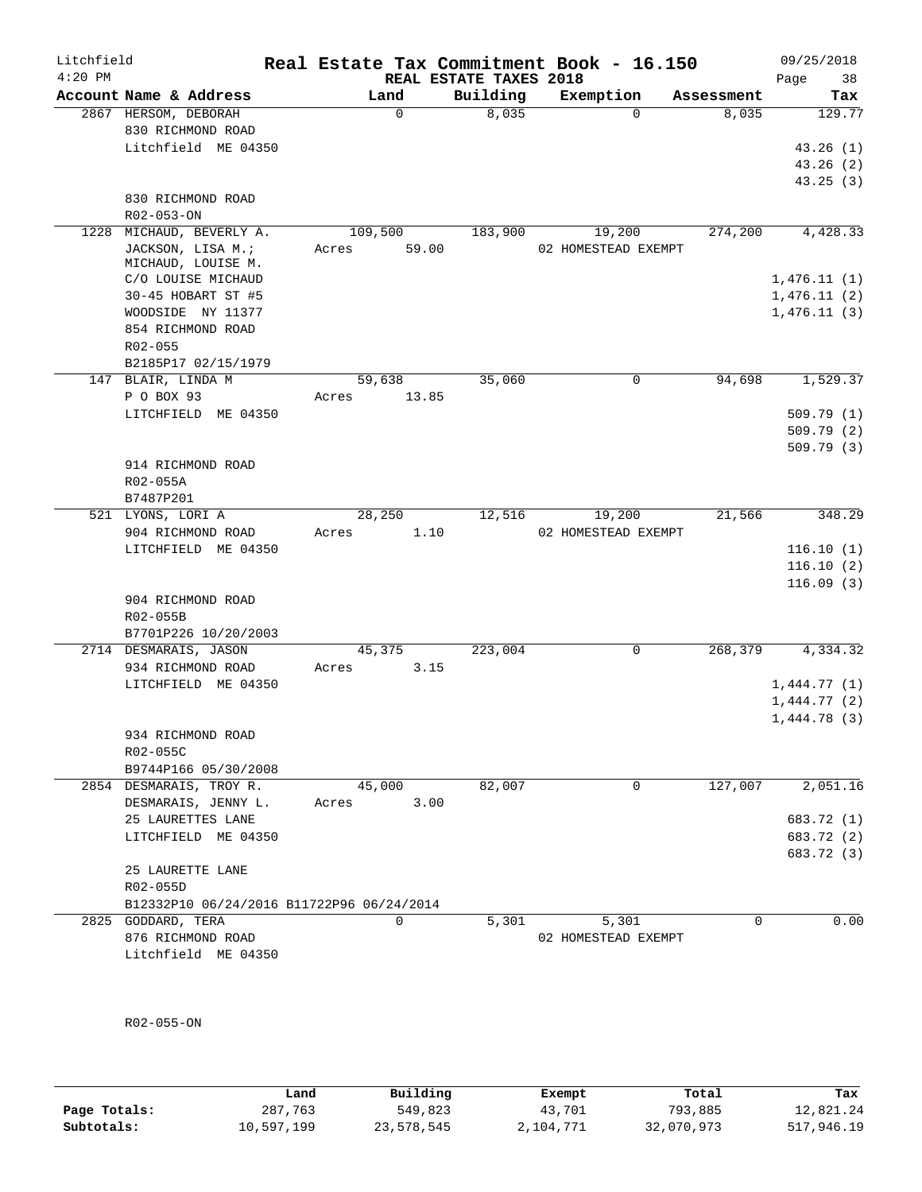| Litchfield<br>$4:20$ PM |                                           | Real Estate Tax Commitment Book - 16.150 | REAL ESTATE TAXES 2018 |                     |            | 09/25/2018<br>Page<br>38   |
|-------------------------|-------------------------------------------|------------------------------------------|------------------------|---------------------|------------|----------------------------|
|                         | Account Name & Address                    | Land                                     | Building               | Exemption           | Assessment | Tax                        |
|                         | 2867 HERSOM, DEBORAH                      | $\mathbf 0$                              | 8,035                  | $\Omega$            | 8,035      | 129.77                     |
|                         | 830 RICHMOND ROAD                         |                                          |                        |                     |            |                            |
|                         | Litchfield ME 04350                       |                                          |                        |                     |            | 43.26(1)                   |
|                         |                                           |                                          |                        |                     |            | 43.26(2)                   |
|                         |                                           |                                          |                        |                     |            | 43.25(3)                   |
|                         | 830 RICHMOND ROAD                         |                                          |                        |                     |            |                            |
|                         | R02-053-ON                                |                                          |                        |                     |            |                            |
| 1228                    | MICHAUD, BEVERLY A.                       | 109,500                                  | 183,900                | 19,200              | 274,200    | 4,428.33                   |
|                         | JACKSON, LISA M.;                         | 59.00<br>Acres                           |                        | 02 HOMESTEAD EXEMPT |            |                            |
|                         | MICHAUD, LOUISE M.                        |                                          |                        |                     |            |                            |
|                         | C/O LOUISE MICHAUD                        |                                          |                        |                     |            | 1,476.11(1)                |
|                         | 30-45 HOBART ST #5                        |                                          |                        |                     |            | 1,476.11(2)                |
|                         | WOODSIDE NY 11377                         |                                          |                        |                     |            | 1,476.11(3)                |
|                         | 854 RICHMOND ROAD                         |                                          |                        |                     |            |                            |
|                         | $R02 - 055$                               |                                          |                        |                     |            |                            |
|                         | B2185P17 02/15/1979                       |                                          |                        |                     |            |                            |
|                         | 147 BLAIR, LINDA M                        | 59,638                                   | 35,060                 | 0                   | 94,698     | 1,529.37                   |
|                         | P O BOX 93                                | Acres<br>13.85                           |                        |                     |            |                            |
|                         | LITCHFIELD ME 04350                       |                                          |                        |                     |            | 509.79(1)                  |
|                         |                                           |                                          |                        |                     |            | 509.79(2)                  |
|                         |                                           |                                          |                        |                     |            | 509.79(3)                  |
|                         | 914 RICHMOND ROAD                         |                                          |                        |                     |            |                            |
|                         | R02-055A                                  |                                          |                        |                     |            |                            |
|                         | B7487P201                                 |                                          |                        |                     |            |                            |
|                         | 521 LYONS, LORI A                         | 28,250                                   | 12,516                 | 19,200              | 21,566     | 348.29                     |
|                         | 904 RICHMOND ROAD                         | Acres<br>1.10                            |                        | 02 HOMESTEAD EXEMPT |            |                            |
|                         | LITCHFIELD ME 04350                       |                                          |                        |                     |            | 116.10(1)                  |
|                         |                                           |                                          |                        |                     |            | 116.10(2)                  |
|                         |                                           |                                          |                        |                     |            | 116.09(3)                  |
|                         | 904 RICHMOND ROAD                         |                                          |                        |                     |            |                            |
|                         | R02-055B                                  |                                          |                        |                     |            |                            |
|                         | B7701P226 10/20/2003                      |                                          |                        |                     |            |                            |
|                         | 2714 DESMARAIS, JASON                     | 45,375                                   | 223,004                | 0                   | 268,379    | 4,334.32                   |
|                         | 934 RICHMOND ROAD                         | 3.15<br>Acres                            |                        |                     |            |                            |
|                         | LITCHFIELD ME 04350                       |                                          |                        |                     |            | 1,444.77(1)                |
|                         |                                           |                                          |                        |                     |            | 1,444.77(2)<br>1,444.78(3) |
|                         | 934 RICHMOND ROAD                         |                                          |                        |                     |            |                            |
|                         | R02-055C                                  |                                          |                        |                     |            |                            |
|                         | B9744P166 05/30/2008                      |                                          |                        |                     |            |                            |
|                         | 2854 DESMARAIS, TROY R.                   | 45,000                                   | 82,007                 | 0                   | 127,007    | 2,051.16                   |
|                         | DESMARAIS, JENNY L.                       | 3.00<br>Acres                            |                        |                     |            |                            |
|                         | 25 LAURETTES LANE                         |                                          |                        |                     |            | 683.72 (1)                 |
|                         | LITCHFIELD ME 04350                       |                                          |                        |                     |            | 683.72 (2)                 |
|                         |                                           |                                          |                        |                     |            | 683.72 (3)                 |
|                         | 25 LAURETTE LANE                          |                                          |                        |                     |            |                            |
|                         | R02-055D                                  |                                          |                        |                     |            |                            |
|                         | B12332P10 06/24/2016 B11722P96 06/24/2014 |                                          |                        |                     |            |                            |
|                         | 2825 GODDARD, TERA                        | $\Omega$                                 | 5,301                  | 5,301               | 0          | 0.00                       |
|                         | 876 RICHMOND ROAD                         |                                          |                        | 02 HOMESTEAD EXEMPT |            |                            |
|                         | Litchfield ME 04350                       |                                          |                        |                     |            |                            |
|                         |                                           |                                          |                        |                     |            |                            |
|                         |                                           |                                          |                        |                     |            |                            |
|                         |                                           |                                          |                        |                     |            |                            |

R02-055-ON

|              | Land       | Building   | Exempt    | Total      | Tax        |
|--------------|------------|------------|-----------|------------|------------|
| Page Totals: | 287,763    | 549,823    | 43,701    | 793,885    | 12,821.24  |
| Subtotals:   | 10,597,199 | 23,578,545 | 2,104,771 | 32,070,973 | 517,946.19 |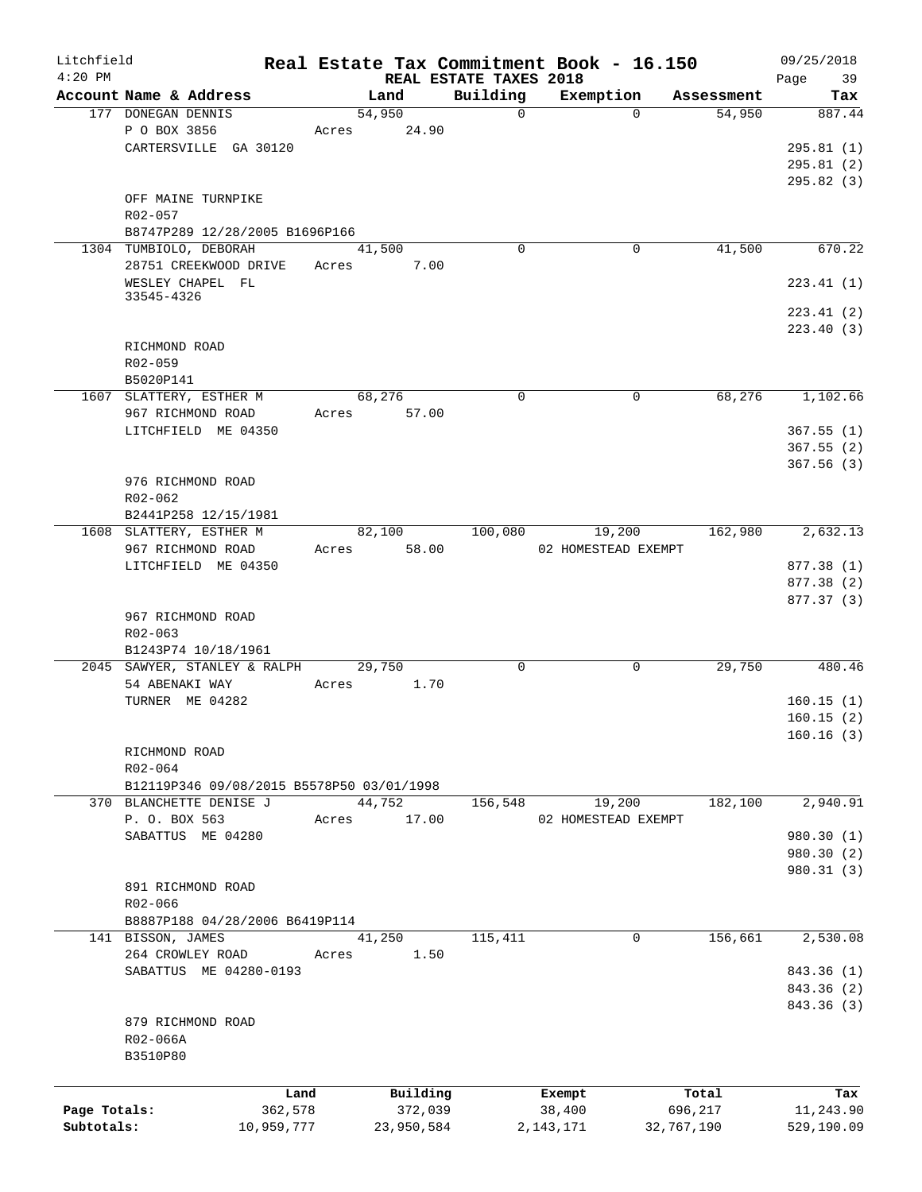| Litchfield   |                                           |        |            |                                    | Real Estate Tax Commitment Book - 16.150 |             |            | 09/25/2018    |
|--------------|-------------------------------------------|--------|------------|------------------------------------|------------------------------------------|-------------|------------|---------------|
| $4:20$ PM    | Account Name & Address                    | Land   |            | REAL ESTATE TAXES 2018<br>Building |                                          |             | Assessment | Page<br>39    |
|              | 177 DONEGAN DENNIS                        | 54,950 |            | $\mathbf 0$                        | Exemption                                | $\Omega$    | 54,950     | Tax<br>887.44 |
|              |                                           |        |            |                                    |                                          |             |            |               |
|              | P O BOX 3856                              | Acres  | 24.90      |                                    |                                          |             |            |               |
|              | CARTERSVILLE GA 30120                     |        |            |                                    |                                          |             |            | 295.81(1)     |
|              |                                           |        |            |                                    |                                          |             |            | 295.81(2)     |
|              |                                           |        |            |                                    |                                          |             |            | 295.82 (3)    |
|              | OFF MAINE TURNPIKE                        |        |            |                                    |                                          |             |            |               |
|              | R02-057                                   |        |            |                                    |                                          |             |            |               |
|              | B8747P289 12/28/2005 B1696P166            |        |            |                                    |                                          |             |            |               |
|              | 1304 TUMBIOLO, DEBORAH                    | 41,500 |            | $\Omega$                           |                                          | 0           | 41,500     | 670.22        |
|              | 28751 CREEKWOOD DRIVE                     | Acres  | 7.00       |                                    |                                          |             |            |               |
|              | WESLEY CHAPEL FL                          |        |            |                                    |                                          |             |            | 223.41(1)     |
|              | 33545-4326                                |        |            |                                    |                                          |             |            |               |
|              |                                           |        |            |                                    |                                          |             |            | 223.41(2)     |
|              |                                           |        |            |                                    |                                          |             |            | 223.40(3)     |
|              | RICHMOND ROAD                             |        |            |                                    |                                          |             |            |               |
|              | R02-059                                   |        |            |                                    |                                          |             |            |               |
|              | B5020P141                                 |        |            |                                    |                                          |             |            |               |
|              | 1607 SLATTERY, ESTHER M                   | 68,276 |            | $\mathbf 0$                        |                                          | 0           | 68,276     | 1,102.66      |
|              | 967 RICHMOND ROAD                         | Acres  | 57.00      |                                    |                                          |             |            |               |
|              | LITCHFIELD ME 04350                       |        |            |                                    |                                          |             |            | 367.55(1)     |
|              |                                           |        |            |                                    |                                          |             |            | 367.55(2)     |
|              |                                           |        |            |                                    |                                          |             |            | 367.56(3)     |
|              | 976 RICHMOND ROAD                         |        |            |                                    |                                          |             |            |               |
|              | R02-062                                   |        |            |                                    |                                          |             |            |               |
|              | B2441P258 12/15/1981                      |        |            |                                    |                                          |             |            |               |
|              | 1608 SLATTERY, ESTHER M                   | 82,100 |            | 100,080                            | 19,200                                   |             | 162,980    | 2,632.13      |
|              | 967 RICHMOND ROAD                         | Acres  | 58.00      |                                    | 02 HOMESTEAD EXEMPT                      |             |            |               |
|              | LITCHFIELD ME 04350                       |        |            |                                    |                                          |             |            | 877.38 (1)    |
|              |                                           |        |            |                                    |                                          |             |            | 877.38 (2)    |
|              |                                           |        |            |                                    |                                          |             |            | 877.37 (3)    |
|              | 967 RICHMOND ROAD                         |        |            |                                    |                                          |             |            |               |
|              | R02-063                                   |        |            |                                    |                                          |             |            |               |
|              | B1243P74 10/18/1961                       |        |            |                                    |                                          |             |            |               |
|              | 2045 SAWYER, STANLEY & RALPH              | 29,750 |            | $\mathbf 0$                        |                                          | $\mathbf 0$ | 29,750     | 480.46        |
|              | 54 ABENAKI WAY                            | Acres  | 1.70       |                                    |                                          |             |            |               |
|              | TURNER ME 04282                           |        |            |                                    |                                          |             |            | 160.15(1)     |
|              |                                           |        |            |                                    |                                          |             |            | 160.15(2)     |
|              |                                           |        |            |                                    |                                          |             |            |               |
|              |                                           |        |            |                                    |                                          |             |            | 160.16(3)     |
|              | RICHMOND ROAD                             |        |            |                                    |                                          |             |            |               |
|              | R02-064                                   |        |            |                                    |                                          |             |            |               |
|              | B12119P346 09/08/2015 B5578P50 03/01/1998 |        |            |                                    |                                          |             |            |               |
|              | 370 BLANCHETTE DENISE J                   | 44,752 |            | 156,548                            | 19,200                                   |             | 182,100    | 2,940.91      |
|              | P. O. BOX 563                             | Acres  | 17.00      |                                    | 02 HOMESTEAD EXEMPT                      |             |            |               |
|              | SABATTUS ME 04280                         |        |            |                                    |                                          |             |            | 980.30 (1)    |
|              |                                           |        |            |                                    |                                          |             |            | 980.30 (2)    |
|              |                                           |        |            |                                    |                                          |             |            | 980.31 (3)    |
|              | 891 RICHMOND ROAD                         |        |            |                                    |                                          |             |            |               |
|              | R02-066                                   |        |            |                                    |                                          |             |            |               |
|              | B8887P188 04/28/2006 B6419P114            |        |            |                                    |                                          |             |            |               |
|              | 141 BISSON, JAMES                         | 41,250 |            | 115,411                            |                                          | 0           | 156,661    | 2,530.08      |
|              | 264 CROWLEY ROAD                          | Acres  | 1.50       |                                    |                                          |             |            |               |
|              | SABATTUS ME 04280-0193                    |        |            |                                    |                                          |             |            | 843.36 (1)    |
|              |                                           |        |            |                                    |                                          |             |            | 843.36 (2)    |
|              |                                           |        |            |                                    |                                          |             |            | 843.36 (3)    |
|              | 879 RICHMOND ROAD                         |        |            |                                    |                                          |             |            |               |
|              | R02-066A                                  |        |            |                                    |                                          |             |            |               |
|              | B3510P80                                  |        |            |                                    |                                          |             |            |               |
|              |                                           |        |            |                                    |                                          |             |            |               |
|              |                                           | Land   | Building   |                                    | Exempt                                   |             | Total      | Tax           |
| Page Totals: | 362,578                                   |        | 372,039    |                                    | 38,400                                   |             | 696,217    | 11,243.90     |
| Subtotals:   | 10,959,777                                |        | 23,950,584 |                                    | 2,143,171                                | 32,767,190  |            | 529,190.09    |
|              |                                           |        |            |                                    |                                          |             |            |               |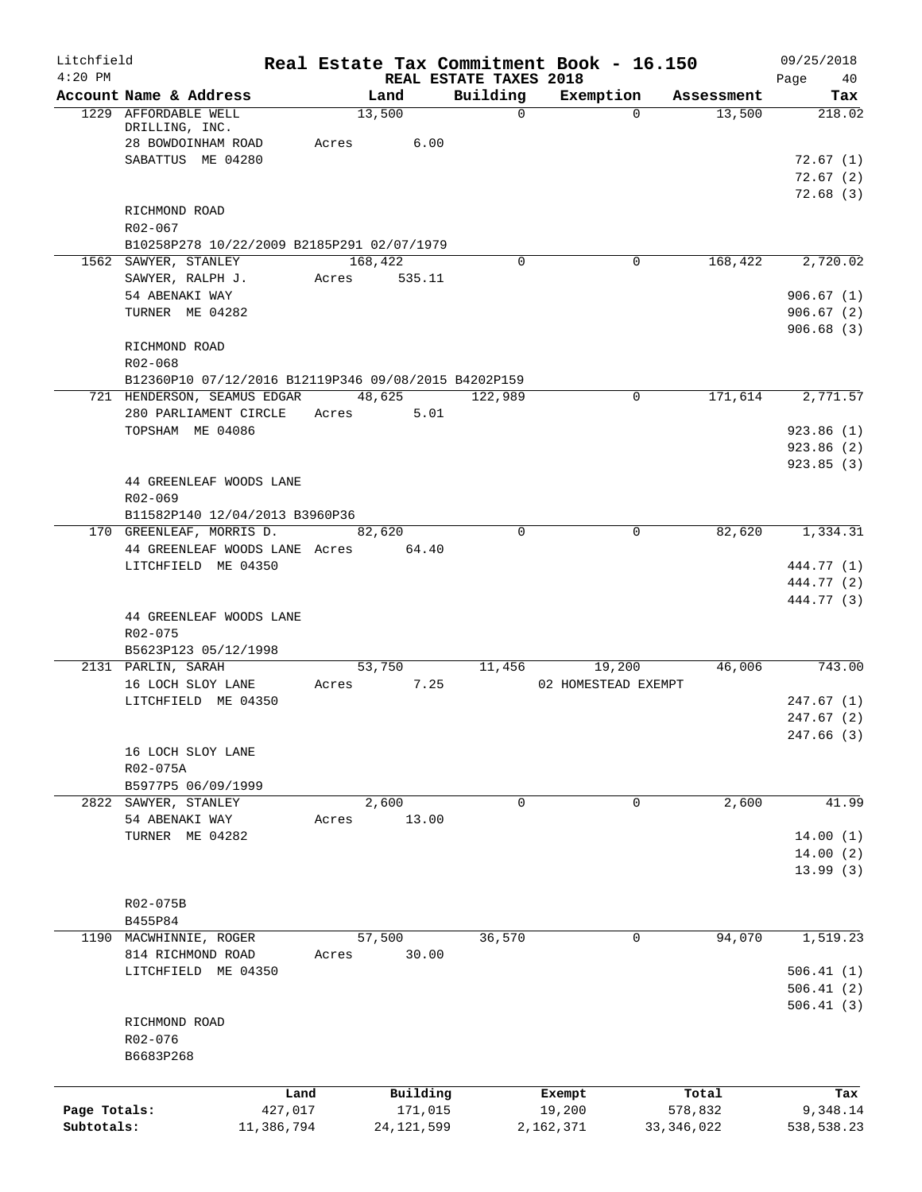| Litchfield<br>$4:20$ PM |                                                                 | Real Estate Tax Commitment Book - 16.150 |                                    |                     |            | 09/25/2018               |
|-------------------------|-----------------------------------------------------------------|------------------------------------------|------------------------------------|---------------------|------------|--------------------------|
|                         | Account Name & Address                                          | Land                                     | REAL ESTATE TAXES 2018<br>Building | Exemption           | Assessment | Page<br>40<br>Tax        |
|                         | 1229 AFFORDABLE WELL<br>DRILLING, INC.                          | 13,500                                   | $\Omega$                           | $\Omega$            | 13,500     | 218.02                   |
|                         | 28 BOWDOINHAM ROAD                                              | Acres<br>6.00                            |                                    |                     |            |                          |
|                         | SABATTUS ME 04280                                               |                                          |                                    |                     |            | 72.67(1)<br>72.67(2)     |
|                         |                                                                 |                                          |                                    |                     |            | 72.68 (3)                |
|                         | RICHMOND ROAD                                                   |                                          |                                    |                     |            |                          |
|                         | R02-067                                                         |                                          |                                    |                     |            |                          |
|                         | B10258P278 10/22/2009 B2185P291 02/07/1979                      |                                          |                                    |                     |            |                          |
|                         | 1562 SAWYER, STANLEY<br>SAWYER, RALPH J.                        | 168,422<br>Acres<br>535.11               | $\Omega$                           | 0                   | 168,422    | 2,720.02                 |
|                         | 54 ABENAKI WAY                                                  |                                          |                                    |                     |            | 906.67(1)                |
|                         | TURNER ME 04282                                                 |                                          |                                    |                     |            | 906.67(2)                |
|                         |                                                                 |                                          |                                    |                     |            | 906.68(3)                |
|                         | RICHMOND ROAD                                                   |                                          |                                    |                     |            |                          |
|                         | R02-068<br>B12360P10 07/12/2016 B12119P346 09/08/2015 B4202P159 |                                          |                                    |                     |            |                          |
|                         | 721 HENDERSON, SEAMUS EDGAR                                     | 48,625                                   | 122,989                            | 0                   | 171,614    | 2,771.57                 |
|                         | 280 PARLIAMENT CIRCLE                                           | 5.01<br>Acres                            |                                    |                     |            |                          |
|                         | TOPSHAM ME 04086                                                |                                          |                                    |                     |            | 923.86(1)                |
|                         |                                                                 |                                          |                                    |                     |            | 923.86(2)                |
|                         | 44 GREENLEAF WOODS LANE                                         |                                          |                                    |                     |            | 923.85(3)                |
|                         | R02-069                                                         |                                          |                                    |                     |            |                          |
|                         | B11582P140 12/04/2013 B3960P36                                  |                                          |                                    |                     |            |                          |
|                         | 170 GREENLEAF, MORRIS D.                                        | 82,620                                   | $\Omega$                           | $\Omega$            | 82,620     | 1,334.31                 |
|                         | 44 GREENLEAF WOODS LANE Acres                                   | 64.40                                    |                                    |                     |            |                          |
|                         | LITCHFIELD ME 04350                                             |                                          |                                    |                     |            | 444.77 (1)<br>444.77 (2) |
|                         |                                                                 |                                          |                                    |                     |            | 444.77 (3)               |
|                         | 44 GREENLEAF WOODS LANE                                         |                                          |                                    |                     |            |                          |
|                         | R02-075                                                         |                                          |                                    |                     |            |                          |
|                         | B5623P123 05/12/1998<br>2131 PARLIN, SARAH                      | 53,750                                   | 11,456                             | 19,200              | 46,006     | 743.00                   |
|                         | 16 LOCH SLOY LANE                                               | 7.25<br>Acres                            |                                    | 02 HOMESTEAD EXEMPT |            |                          |
|                         | LITCHFIELD ME 04350                                             |                                          |                                    |                     |            | 247.67(1)                |
|                         |                                                                 |                                          |                                    |                     |            | 247.67(2)                |
|                         |                                                                 |                                          |                                    |                     |            | 247.66 (3)               |
|                         | 16 LOCH SLOY LANE<br>R02-075A                                   |                                          |                                    |                     |            |                          |
|                         | B5977P5 06/09/1999                                              |                                          |                                    |                     |            |                          |
|                         | 2822 SAWYER, STANLEY                                            | 2,600                                    | $\mathbf 0$                        | $\mathbf 0$         | 2,600      | 41.99                    |
|                         | 54 ABENAKI WAY                                                  | 13.00<br>Acres                           |                                    |                     |            |                          |
|                         | TURNER ME 04282                                                 |                                          |                                    |                     |            | 14.00(1)                 |
|                         |                                                                 |                                          |                                    |                     |            | 14.00(2)                 |
|                         |                                                                 |                                          |                                    |                     |            | 13.99(3)                 |
|                         | R02-075B                                                        |                                          |                                    |                     |            |                          |
|                         | B455P84                                                         |                                          |                                    |                     |            |                          |
|                         | 1190 MACWHINNIE, ROGER                                          | 57,500                                   | 36,570                             | $\mathbf{0}$        | 94,070     | 1,519.23                 |
|                         | 814 RICHMOND ROAD                                               | 30.00<br>Acres                           |                                    |                     |            |                          |
|                         | LITCHFIELD ME 04350                                             |                                          |                                    |                     |            | 506.41(1)<br>506.41(2)   |
|                         |                                                                 |                                          |                                    |                     |            | 506.41(3)                |
|                         | RICHMOND ROAD                                                   |                                          |                                    |                     |            |                          |
|                         | R02-076                                                         |                                          |                                    |                     |            |                          |
|                         | B6683P268                                                       |                                          |                                    |                     |            |                          |
|                         | Land                                                            | Building                                 |                                    | Exempt              | Total      | Tax                      |
| Page Totals:            | 427,017                                                         | 171,015                                  |                                    | 19,200              | 578,832    | 9,348.14                 |
| Subtotals:              | 11,386,794                                                      | 24, 121, 599                             |                                    | 2,162,371           | 33,346,022 | 538,538.23               |
|                         |                                                                 |                                          |                                    |                     |            |                          |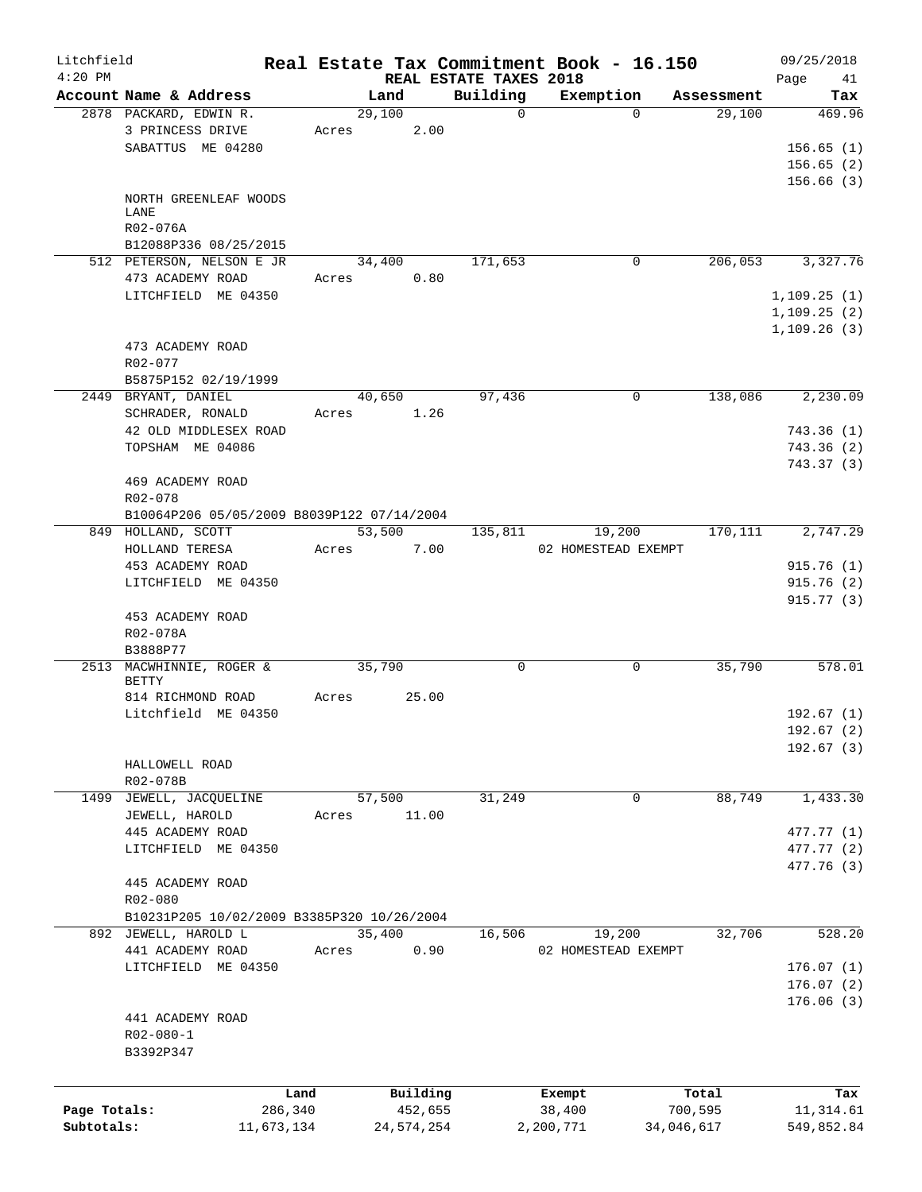| Litchfield   |                                                  |            |            |                |         |                        | Real Estate Tax Commitment Book - 16.150 |          |                      | 09/25/2018          |
|--------------|--------------------------------------------------|------------|------------|----------------|---------|------------------------|------------------------------------------|----------|----------------------|---------------------|
| $4:20$ PM    |                                                  |            |            |                |         | REAL ESTATE TAXES 2018 |                                          |          |                      | Page<br>41          |
|              | Account Name & Address<br>2878 PACKARD, EDWIN R. |            |            | Land<br>29,100 |         | Building<br>$\Omega$   | Exemption                                | $\Omega$ | Assessment<br>29,100 | Tax<br>469.96       |
|              | 3 PRINCESS DRIVE                                 |            | Acres      |                | 2.00    |                        |                                          |          |                      |                     |
|              | SABATTUS ME 04280                                |            |            |                |         |                        |                                          |          |                      | 156.65(1)           |
|              |                                                  |            |            |                |         |                        |                                          |          |                      | 156.65(2)           |
|              |                                                  |            |            |                |         |                        |                                          |          |                      | 156.66(3)           |
|              | NORTH GREENLEAF WOODS                            |            |            |                |         |                        |                                          |          |                      |                     |
|              | LANE                                             |            |            |                |         |                        |                                          |          |                      |                     |
|              | R02-076A                                         |            |            |                |         |                        |                                          |          |                      |                     |
|              | B12088P336 08/25/2015                            |            |            |                |         |                        |                                          |          |                      |                     |
|              | 512 PETERSON, NELSON E JR                        |            |            | 34,400         |         | 171,653                |                                          | 0        | 206,053              | 3,327.76            |
|              | 473 ACADEMY ROAD                                 |            | Acres 0.80 |                |         |                        |                                          |          |                      |                     |
|              | LITCHFIELD ME 04350                              |            |            |                |         |                        |                                          |          |                      | 1, 109.25(1)        |
|              |                                                  |            |            |                |         |                        |                                          |          |                      | 1, 109.25(2)        |
|              |                                                  |            |            |                |         |                        |                                          |          |                      | 1, 109.26(3)        |
|              | 473 ACADEMY ROAD                                 |            |            |                |         |                        |                                          |          |                      |                     |
|              | $R02 - 077$                                      |            |            |                |         |                        |                                          |          |                      |                     |
|              | B5875P152 02/19/1999                             |            |            |                |         |                        |                                          |          |                      |                     |
|              |                                                  |            |            | 40,650         |         | 97,436                 |                                          | 0        | 138,086              | 2,230.09            |
|              | 2449 BRYANT, DANIEL                              |            |            |                |         |                        |                                          |          |                      |                     |
|              | SCHRADER, RONALD                                 |            | Acres      |                | 1.26    |                        |                                          |          |                      |                     |
|              | 42 OLD MIDDLESEX ROAD                            |            |            |                |         |                        |                                          |          |                      | 743.36(1)           |
|              | TOPSHAM ME 04086                                 |            |            |                |         |                        |                                          |          |                      | 743.36(2)           |
|              |                                                  |            |            |                |         |                        |                                          |          |                      | 743.37 (3)          |
|              | 469 ACADEMY ROAD                                 |            |            |                |         |                        |                                          |          |                      |                     |
|              | $R02 - 078$                                      |            |            |                |         |                        |                                          |          |                      |                     |
|              | B10064P206 05/05/2009 B8039P122 07/14/2004       |            |            |                |         |                        |                                          |          |                      |                     |
|              | 849 HOLLAND, SCOTT                               |            |            | 53,500         |         |                        | 135,811 19,200                           |          |                      | 170, 111 2, 747. 29 |
|              | HOLLAND TERESA                                   |            | Acres      |                | 7.00    |                        | 02 HOMESTEAD EXEMPT                      |          |                      |                     |
|              | 453 ACADEMY ROAD                                 |            |            |                |         |                        |                                          |          |                      | 915.76(1)           |
|              | LITCHFIELD ME 04350                              |            |            |                |         |                        |                                          |          |                      | 915.76(2)           |
|              |                                                  |            |            |                |         |                        |                                          |          |                      | 915.77(3)           |
|              | 453 ACADEMY ROAD                                 |            |            |                |         |                        |                                          |          |                      |                     |
|              | R02-078A                                         |            |            |                |         |                        |                                          |          |                      |                     |
|              | B3888P77                                         |            |            |                |         |                        |                                          |          |                      |                     |
|              | 2513 MACWHINNIE, ROGER &                         |            |            | 35,790         |         | 0                      |                                          | 0        | 35,790               | 578.01              |
|              | BETTY                                            |            |            |                |         |                        |                                          |          |                      |                     |
|              | 814 RICHMOND ROAD                                |            | Acres      |                | 25.00   |                        |                                          |          |                      |                     |
|              | Litchfield ME 04350                              |            |            |                |         |                        |                                          |          |                      | 192.67(1)           |
|              |                                                  |            |            |                |         |                        |                                          |          |                      | 192.67(2)           |
|              |                                                  |            |            |                |         |                        |                                          |          |                      | 192.67(3)           |
|              | HALLOWELL ROAD                                   |            |            |                |         |                        |                                          |          |                      |                     |
|              | R02-078B                                         |            |            |                |         |                        |                                          |          |                      |                     |
| 1499         | JEWELL, JACOUELINE                               |            |            | 57,500         |         | 31,249                 |                                          | 0        | 88,749               | 1,433.30            |
|              | JEWELL, HAROLD                                   |            | Acres      |                | 11.00   |                        |                                          |          |                      |                     |
|              | 445 ACADEMY ROAD                                 |            |            |                |         |                        |                                          |          |                      | 477.77 (1)          |
|              | LITCHFIELD ME 04350                              |            |            |                |         |                        |                                          |          |                      | 477.77 (2)          |
|              |                                                  |            |            |                |         |                        |                                          |          |                      | 477.76 (3)          |
|              | 445 ACADEMY ROAD                                 |            |            |                |         |                        |                                          |          |                      |                     |
|              | R02-080                                          |            |            |                |         |                        |                                          |          |                      |                     |
|              | B10231P205 10/02/2009 B3385P320 10/26/2004       |            |            |                |         |                        |                                          |          |                      |                     |
|              | 892 JEWELL, HAROLD L                             |            |            | 35,400         |         | 16,506                 | 19,200                                   |          | 32,706               | 528.20              |
|              | 441 ACADEMY ROAD                                 |            | Acres      |                | 0.90    |                        | 02 HOMESTEAD EXEMPT                      |          |                      |                     |
|              | LITCHFIELD ME 04350                              |            |            |                |         |                        |                                          |          |                      | 176.07(1)           |
|              |                                                  |            |            |                |         |                        |                                          |          |                      | 176.07(2)           |
|              |                                                  |            |            |                |         |                        |                                          |          |                      | 176.06(3)           |
|              | 441 ACADEMY ROAD                                 |            |            |                |         |                        |                                          |          |                      |                     |
|              | $R02 - 080 - 1$                                  |            |            |                |         |                        |                                          |          |                      |                     |
|              | B3392P347                                        |            |            |                |         |                        |                                          |          |                      |                     |
|              |                                                  |            |            |                |         |                        |                                          |          |                      |                     |
|              |                                                  |            |            |                |         |                        |                                          |          |                      |                     |
|              |                                                  | Land       |            | Building       |         |                        | Exempt                                   |          | Total                | Tax                 |
| Page Totals: |                                                  | 286,340    |            |                | 452,655 |                        | 38,400                                   |          | 700,595              | 11,314.61           |
| Subtotals:   |                                                  | 11,673,134 |            | 24,574,254     |         |                        | 2,200,771                                |          | 34,046,617           | 549,852.84          |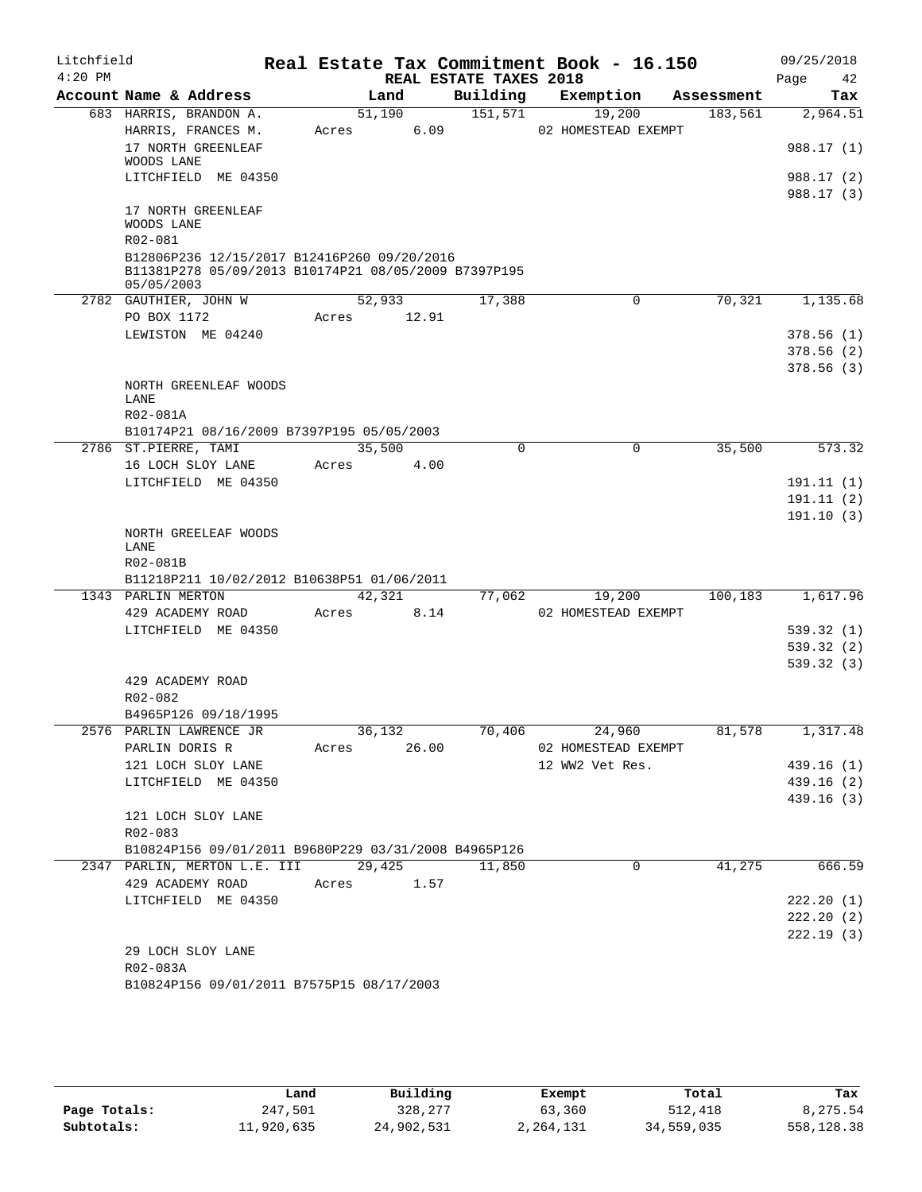| Litchfield<br>$4:20$ PM |                                                      |             |        | REAL ESTATE TAXES 2018 | Real Estate Tax Commitment Book - 16.150 |            | 09/25/2018<br>Page<br>42 |
|-------------------------|------------------------------------------------------|-------------|--------|------------------------|------------------------------------------|------------|--------------------------|
|                         | Account Name & Address                               |             | Land   | Building               | Exemption                                | Assessment | Tax                      |
|                         | 683 HARRIS, BRANDON A.                               |             | 51,190 | 151, 571               | 19,200                                   | 183,561    | 2,964.51                 |
|                         | HARRIS, FRANCES M.                                   | Acres       | 6.09   |                        | 02 HOMESTEAD EXEMPT                      |            |                          |
|                         | 17 NORTH GREENLEAF                                   |             |        |                        |                                          |            | 988.17 (1)               |
|                         | WOODS LANE                                           |             |        |                        |                                          |            |                          |
|                         | LITCHFIELD ME 04350                                  |             |        |                        |                                          |            | 988.17 (2)               |
|                         | 17 NORTH GREENLEAF                                   |             |        |                        |                                          |            | 988.17 (3)               |
|                         | WOODS LANE                                           |             |        |                        |                                          |            |                          |
|                         | R02-081                                              |             |        |                        |                                          |            |                          |
|                         | B12806P236 12/15/2017 B12416P260 09/20/2016          |             |        |                        |                                          |            |                          |
|                         | B11381P278 05/09/2013 B10174P21 08/05/2009 B7397P195 |             |        |                        |                                          |            |                          |
|                         | 05/05/2003                                           |             | 52,933 | 17,388                 | 0                                        | 70,321     | 1,135.68                 |
|                         | 2782 GAUTHIER, JOHN W<br>PO BOX 1172                 | Acres       | 12.91  |                        |                                          |            |                          |
|                         | LEWISTON ME 04240                                    |             |        |                        |                                          |            | 378.56(1)                |
|                         |                                                      |             |        |                        |                                          |            | 378.56 (2)               |
|                         |                                                      |             |        |                        |                                          |            | 378.56(3)                |
|                         | NORTH GREENLEAF WOODS                                |             |        |                        |                                          |            |                          |
|                         | LANE                                                 |             |        |                        |                                          |            |                          |
|                         | R02-081A                                             |             |        |                        |                                          |            |                          |
|                         | B10174P21 08/16/2009 B7397P195 05/05/2003            |             |        |                        |                                          |            |                          |
|                         | 2786 ST.PIERRE, TAMI                                 |             | 35,500 | $\Omega$               | $\mathbf 0$                              | 35,500     | 573.32                   |
|                         | 16 LOCH SLOY LANE                                    | Acres       | 4.00   |                        |                                          |            |                          |
|                         | LITCHFIELD ME 04350                                  |             |        |                        |                                          |            | 191.11 (1)               |
|                         |                                                      |             |        |                        |                                          |            | 191.11 (2)               |
|                         |                                                      |             |        |                        |                                          |            | 191.10(3)                |
|                         | NORTH GREELEAF WOODS                                 |             |        |                        |                                          |            |                          |
|                         | LANE<br>R02-081B                                     |             |        |                        |                                          |            |                          |
|                         | B11218P211 10/02/2012 B10638P51 01/06/2011           |             |        |                        |                                          |            |                          |
|                         | 1343 PARLIN MERTON                                   |             | 42,321 | 77,062                 | 19,200                                   | 100,183    | 1,617.96                 |
|                         | 429 ACADEMY ROAD                                     | Acres       | 8.14   |                        | 02 HOMESTEAD EXEMPT                      |            |                          |
|                         | LITCHFIELD ME 04350                                  |             |        |                        |                                          |            | 539.32(1)                |
|                         |                                                      |             |        |                        |                                          |            | 539.32(2)                |
|                         |                                                      |             |        |                        |                                          |            | 539.32(3)                |
|                         | 429 ACADEMY ROAD                                     |             |        |                        |                                          |            |                          |
|                         | R02-082                                              |             |        |                        |                                          |            |                          |
|                         | B4965P126 09/18/1995                                 |             |        |                        |                                          |            |                          |
|                         | 2576 PARLIN LAWRENCE JR                              |             |        |                        | 36,132 70,406 24,960                     | 81,578     | 1,317.48                 |
|                         | PARLIN DORIS R                                       | Acres 26.00 |        |                        | 02 HOMESTEAD EXEMPT                      |            |                          |
|                         | 121 LOCH SLOY LANE                                   |             |        |                        | 12 WW2 Vet Res.                          |            | 439.16(1)                |
|                         | LITCHFIELD ME 04350                                  |             |        |                        |                                          |            | 439.16 (2)               |
|                         |                                                      |             |        |                        |                                          |            | 439.16 (3)               |
|                         | 121 LOCH SLOY LANE                                   |             |        |                        |                                          |            |                          |
|                         | R02-083                                              |             |        |                        |                                          |            |                          |
|                         | B10824P156 09/01/2011 B9680P229 03/31/2008 B4965P126 |             |        |                        |                                          |            |                          |
|                         | 2347 PARLIN, MERTON L.E. III 29,425                  |             |        | 11,850                 | $\Omega$                                 | 41,275     | 666.59                   |
|                         | 429 ACADEMY ROAD Acres 1.57                          |             |        |                        |                                          |            |                          |
|                         | LITCHFIELD ME 04350                                  |             |        |                        |                                          |            | 222.20(1)                |
|                         |                                                      |             |        |                        |                                          |            | 222.20(2)<br>222.19(3)   |
|                         | 29 LOCH SLOY LANE                                    |             |        |                        |                                          |            |                          |
|                         | R02-083A                                             |             |        |                        |                                          |            |                          |
|                         | B10824P156 09/01/2011 B7575P15 08/17/2003            |             |        |                        |                                          |            |                          |
|                         |                                                      |             |        |                        |                                          |            |                          |

|              | Land       | Building   | Exempt    | Total      | Tax        |
|--------------|------------|------------|-----------|------------|------------|
| Page Totals: | 247,501    | 328,277    | 63,360    | 512,418    | 8,275.54   |
| Subtotals:   | 11,920,635 | 24,902,531 | 2,264,131 | 34,559,035 | 558,128.38 |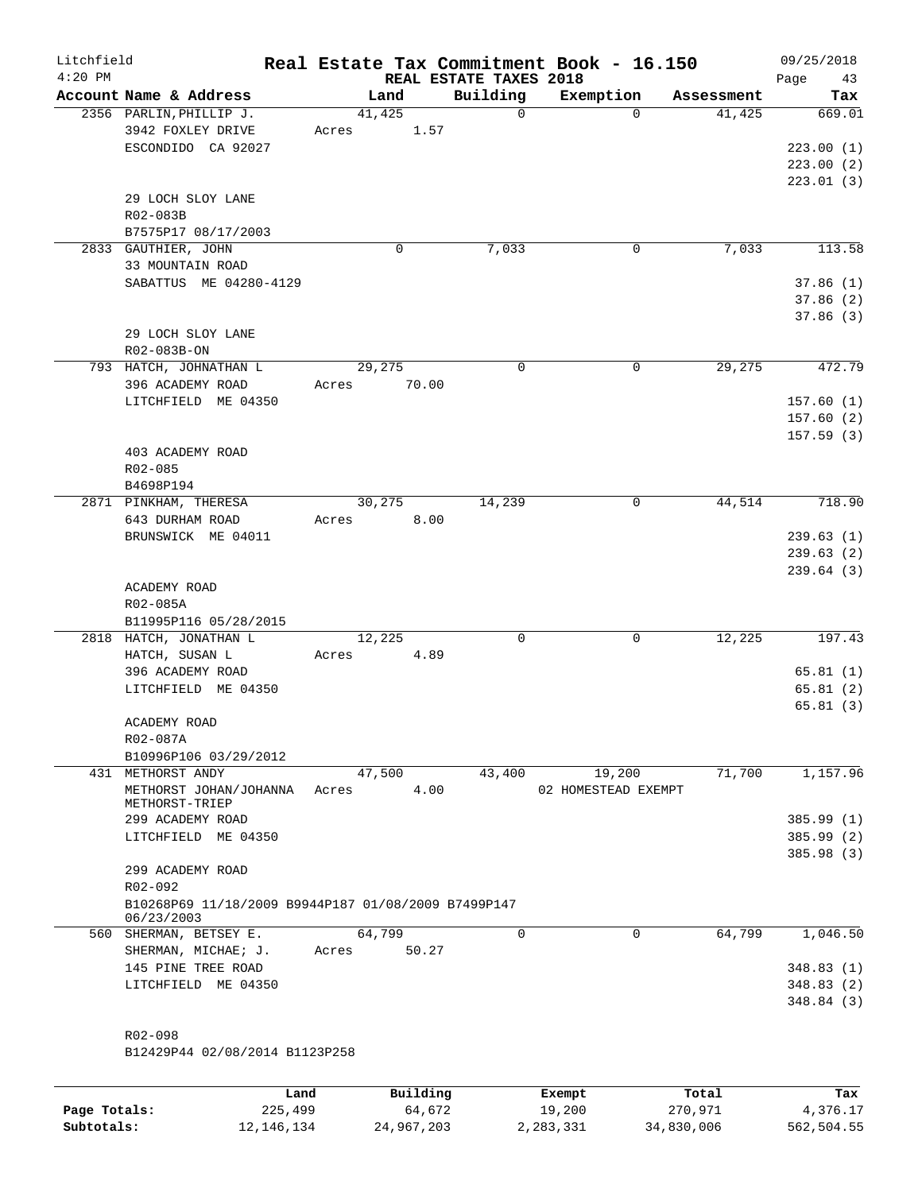| Litchfield<br>$4:20$ PM |                                                     |       |                | REAL ESTATE TAXES 2018 | Real Estate Tax Commitment Book - 16.150 |            | 09/25/2018<br>Page<br>43 |
|-------------------------|-----------------------------------------------------|-------|----------------|------------------------|------------------------------------------|------------|--------------------------|
|                         | Account Name & Address                              |       | Land           | Building               | Exemption                                | Assessment | Tax                      |
|                         | 2356 PARLIN, PHILLIP J.<br>3942 FOXLEY DRIVE        | Acres | 41,425<br>1.57 | $\Omega$               | $\Omega$                                 | 41,425     | 669.01                   |
|                         | ESCONDIDO CA 92027                                  |       |                |                        |                                          |            | 223.00(1)                |
|                         |                                                     |       |                |                        |                                          |            | 223.00(2)                |
|                         |                                                     |       |                |                        |                                          |            | 223.01(3)                |
|                         | 29 LOCH SLOY LANE                                   |       |                |                        |                                          |            |                          |
|                         | R02-083B                                            |       |                |                        |                                          |            |                          |
|                         | B7575P17 08/17/2003<br>2833 GAUTHIER, JOHN          |       | 0              | 7,033                  | 0                                        | 7,033      | 113.58                   |
|                         | 33 MOUNTAIN ROAD                                    |       |                |                        |                                          |            |                          |
|                         | SABATTUS ME 04280-4129                              |       |                |                        |                                          |            | 37.86(1)                 |
|                         |                                                     |       |                |                        |                                          |            | 37.86(2)                 |
|                         |                                                     |       |                |                        |                                          |            | 37.86 (3)                |
|                         | 29 LOCH SLOY LANE                                   |       |                |                        |                                          |            |                          |
|                         | R02-083B-ON                                         |       |                |                        |                                          |            |                          |
|                         | 793 HATCH, JOHNATHAN L                              |       | 29,275         | $\Omega$               | 0                                        | 29,275     | 472.79                   |
|                         | 396 ACADEMY ROAD                                    | Acres | 70.00          |                        |                                          |            |                          |
|                         | LITCHFIELD ME 04350                                 |       |                |                        |                                          |            | 157.60(1)                |
|                         |                                                     |       |                |                        |                                          |            | 157.60(2)<br>157.59(3)   |
|                         | 403 ACADEMY ROAD                                    |       |                |                        |                                          |            |                          |
|                         | R02-085                                             |       |                |                        |                                          |            |                          |
|                         | B4698P194                                           |       |                |                        |                                          |            |                          |
|                         | 2871 PINKHAM, THERESA                               |       | 30,275         | 14,239                 | 0                                        | 44,514     | 718.90                   |
|                         | 643 DURHAM ROAD                                     | Acres | 8.00           |                        |                                          |            |                          |
|                         | BRUNSWICK ME 04011                                  |       |                |                        |                                          |            | 239.63(1)                |
|                         |                                                     |       |                |                        |                                          |            | 239.63(2)                |
|                         |                                                     |       |                |                        |                                          |            | 239.64 (3)               |
|                         | ACADEMY ROAD<br>R02-085A                            |       |                |                        |                                          |            |                          |
|                         | B11995P116 05/28/2015                               |       |                |                        |                                          |            |                          |
|                         | 2818 HATCH, JONATHAN L                              |       | 12,225         | 0                      | $\mathbf 0$                              | 12,225     | 197.43                   |
|                         | HATCH, SUSAN L                                      | Acres | 4.89           |                        |                                          |            |                          |
|                         | 396 ACADEMY ROAD                                    |       |                |                        |                                          |            | 65.81(1)                 |
|                         | LITCHFIELD ME 04350                                 |       |                |                        |                                          |            | 65.81(2)                 |
|                         |                                                     |       |                |                        |                                          |            | 65.81 (3)                |
|                         | ACADEMY ROAD                                        |       |                |                        |                                          |            |                          |
|                         | R02-087A                                            |       |                |                        |                                          |            |                          |
|                         | B10996P106 03/29/2012<br>431 METHORST ANDY          |       | 47,500         | 43,400                 | 19,200                                   | 71,700     | 1,157.96                 |
|                         | METHORST JOHAN/JOHANNA                              | Acres | 4.00           |                        | 02 HOMESTEAD EXEMPT                      |            |                          |
|                         | METHORST-TRIEP                                      |       |                |                        |                                          |            |                          |
|                         | 299 ACADEMY ROAD                                    |       |                |                        |                                          |            | 385.99 (1)               |
|                         | LITCHFIELD ME 04350                                 |       |                |                        |                                          |            | 385.99 (2)               |
|                         |                                                     |       |                |                        |                                          |            | 385.98 (3)               |
|                         | 299 ACADEMY ROAD<br>R02-092                         |       |                |                        |                                          |            |                          |
|                         | B10268P69 11/18/2009 B9944P187 01/08/2009 B7499P147 |       |                |                        |                                          |            |                          |
|                         | 06/23/2003                                          |       |                |                        |                                          |            |                          |
|                         | 560 SHERMAN, BETSEY E.                              |       | 64,799         | 0                      | $\mathbf 0$                              | 64,799     | 1,046.50                 |
|                         | SHERMAN, MICHAE; J.                                 | Acres | 50.27          |                        |                                          |            |                          |
|                         | 145 PINE TREE ROAD                                  |       |                |                        |                                          |            | 348.83 (1)               |
|                         | LITCHFIELD ME 04350                                 |       |                |                        |                                          |            | 348.83 (2)               |
|                         |                                                     |       |                |                        |                                          |            | 348.84 (3)               |
|                         | R02-098                                             |       |                |                        |                                          |            |                          |
|                         | B12429P44 02/08/2014 B1123P258                      |       |                |                        |                                          |            |                          |
|                         |                                                     |       |                |                        |                                          |            |                          |
|                         | Land,                                               |       | Building       |                        | <b>Exempt</b>                            | Total      | Tax                      |

|              | Land       | Building   | Exempt    | Total      | Tax        |
|--------------|------------|------------|-----------|------------|------------|
| Page Totals: | 225,499    | 64,672     | 19,200    | 270,971    | 4,376.17   |
| Subtotals:   | 12,146,134 | 24,967,203 | 2,283,331 | 34,830,006 | 562,504.55 |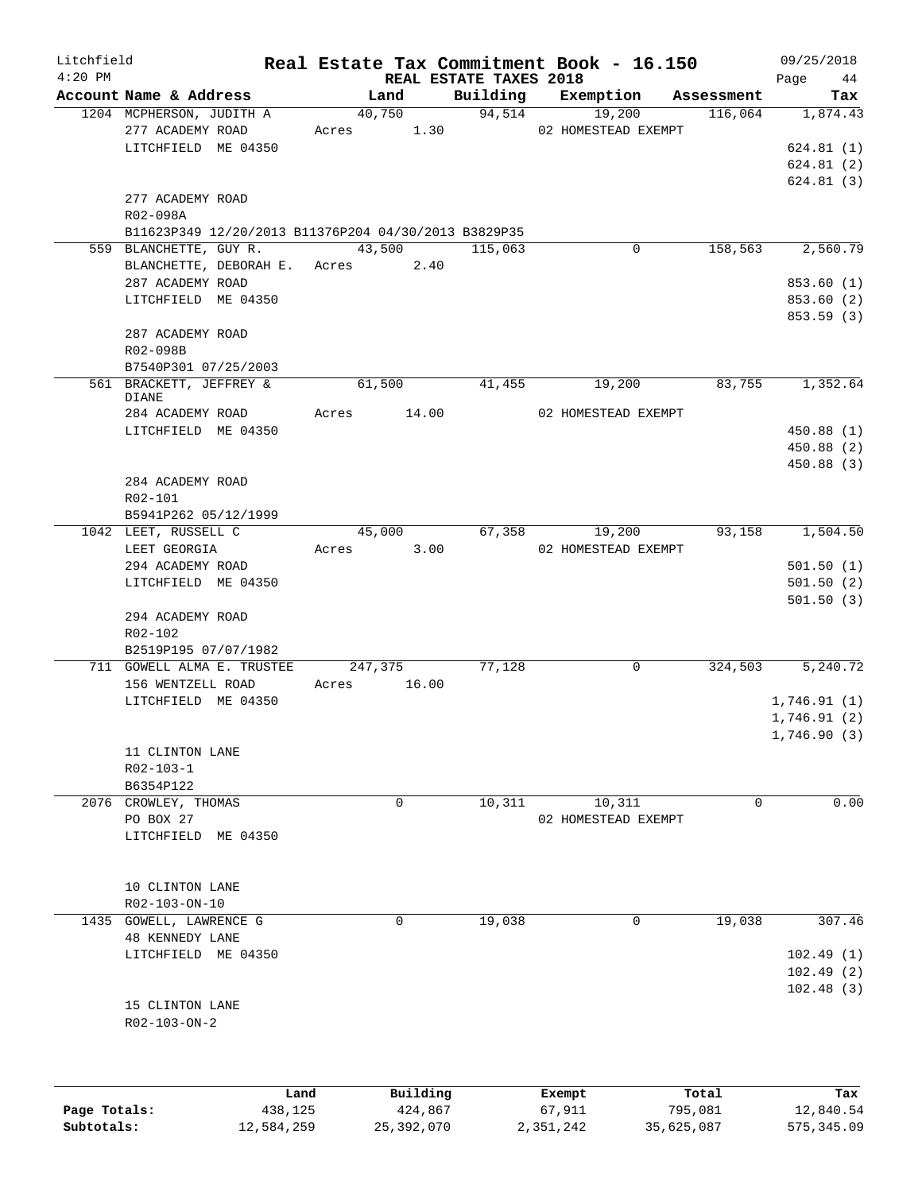| Litchfield<br>$4:20$ PM |                                                      |      |                                       |          | Real Estate Tax Commitment Book - 16.150 |            | 09/25/2018     |
|-------------------------|------------------------------------------------------|------|---------------------------------------|----------|------------------------------------------|------------|----------------|
|                         | Account Name & Address                               |      | <b>REAL ESTATE TAXES 2018</b><br>Land | Building | Exemption                                | Assessment | Page 44<br>Tax |
|                         | 1204 MCPHERSON, JUDITH A                             |      | 40,750                                |          | 94,514<br>19,200                         | 116,064    | 1,874.43       |
|                         | 277 ACADEMY ROAD                                     |      |                                       |          | Acres 1.30 02 HOMESTEAD EXEMPT           |            |                |
|                         | LITCHFIELD ME 04350                                  |      |                                       |          |                                          |            | 624.81(1)      |
|                         |                                                      |      |                                       |          |                                          |            | 624.81(2)      |
|                         |                                                      |      |                                       |          |                                          |            | 624.81(3)      |
|                         | 277 ACADEMY ROAD                                     |      |                                       |          |                                          |            |                |
|                         | R02-098A                                             |      |                                       |          |                                          |            |                |
|                         | B11623P349 12/20/2013 B11376P204 04/30/2013 B3829P35 |      |                                       |          |                                          |            |                |
|                         | 559 BLANCHETTE, GUY R.                               |      | 43,500                                | 115,063  | 0                                        | 158,563    | 2,560.79       |
|                         | BLANCHETTE, DEBORAH E. Acres 2.40                    |      |                                       |          |                                          |            |                |
|                         | 287 ACADEMY ROAD                                     |      |                                       |          |                                          |            | 853.60 (1)     |
|                         | LITCHFIELD ME 04350                                  |      |                                       |          |                                          |            | 853.60 (2)     |
|                         |                                                      |      |                                       |          |                                          |            | 853.59 (3)     |
|                         | 287 ACADEMY ROAD                                     |      |                                       |          |                                          |            |                |
|                         | R02-098B                                             |      |                                       |          |                                          |            |                |
|                         | B7540P301 07/25/2003                                 |      |                                       |          |                                          |            |                |
|                         | 561 BRACKETT, JEFFREY &                              |      | 61,500                                | 41,455   | 19,200                                   | 83,755     | 1,352.64       |
|                         | DIANE                                                |      |                                       |          |                                          |            |                |
|                         | 284 ACADEMY ROAD                                     |      | Acres 14.00                           |          | 02 HOMESTEAD EXEMPT                      |            |                |
|                         | LITCHFIELD ME 04350                                  |      |                                       |          |                                          |            | 450.88 (1)     |
|                         |                                                      |      |                                       |          |                                          |            | 450.88 (2)     |
|                         |                                                      |      |                                       |          |                                          |            | 450.88 (3)     |
|                         | 284 ACADEMY ROAD                                     |      |                                       |          |                                          |            |                |
|                         | R02-101                                              |      |                                       |          |                                          |            |                |
|                         | B5941P262 05/12/1999                                 |      |                                       |          |                                          |            |                |
|                         | 1042 LEET, RUSSELL C                                 |      | 45,000                                | 67,358   | 19,200                                   | 93,158     | 1,504.50       |
|                         | LEET GEORGIA                                         |      | Acres 3.00                            |          | 02 HOMESTEAD EXEMPT                      |            |                |
|                         | 294 ACADEMY ROAD                                     |      |                                       |          |                                          |            | 501.50(1)      |
|                         | LITCHFIELD ME 04350                                  |      |                                       |          |                                          |            | 501.50(2)      |
|                         |                                                      |      |                                       |          |                                          |            | 501.50(3)      |
|                         | 294 ACADEMY ROAD                                     |      |                                       |          |                                          |            |                |
|                         | R02-102                                              |      |                                       |          |                                          |            |                |
|                         | B2519P195 07/07/1982                                 |      |                                       |          |                                          |            |                |
|                         | 711 GOWELL ALMA E. TRUSTEE                           |      | 247,375                               | 77,128   | $\mathbf 0$                              | 324,503    | 5,240.72       |
|                         | 156 WENTZELL ROAD                                    |      | Acres 16.00                           |          |                                          |            |                |
|                         | LITCHFIELD ME 04350                                  |      |                                       |          |                                          |            | 1,746.91(1)    |
|                         |                                                      |      |                                       |          |                                          |            | 1,746.91(2)    |
|                         |                                                      |      |                                       |          |                                          |            | 1,746.90(3)    |
|                         | 11 CLINTON LANE                                      |      |                                       |          |                                          |            |                |
|                         | R02-103-1                                            |      |                                       |          |                                          |            |                |
|                         | B6354P122                                            |      |                                       |          |                                          |            |                |
|                         | 2076 CROWLEY, THOMAS                                 |      | 0                                     | 10,311   | 10,311                                   | 0          | 0.00           |
|                         | PO BOX 27                                            |      |                                       |          | 02 HOMESTEAD EXEMPT                      |            |                |
|                         | LITCHFIELD ME 04350                                  |      |                                       |          |                                          |            |                |
|                         |                                                      |      |                                       |          |                                          |            |                |
|                         |                                                      |      |                                       |          |                                          |            |                |
|                         | 10 CLINTON LANE                                      |      |                                       |          |                                          |            |                |
|                         | R02-103-ON-10                                        |      |                                       |          |                                          |            |                |
|                         | 1435 GOWELL, LAWRENCE G                              |      | $\Omega$                              | 19,038   | 0                                        | 19,038     | 307.46         |
|                         | <b>48 KENNEDY LANE</b>                               |      |                                       |          |                                          |            |                |
|                         | LITCHFIELD ME 04350                                  |      |                                       |          |                                          |            | 102.49(1)      |
|                         |                                                      |      |                                       |          |                                          |            | 102.49(2)      |
|                         |                                                      |      |                                       |          |                                          |            | 102.48(3)      |
|                         | 15 CLINTON LANE                                      |      |                                       |          |                                          |            |                |
|                         | R02-103-ON-2                                         |      |                                       |          |                                          |            |                |
|                         |                                                      |      |                                       |          |                                          |            |                |
|                         |                                                      |      |                                       |          |                                          |            |                |
|                         |                                                      |      |                                       |          |                                          |            |                |
|                         |                                                      | Land | Building                              |          | Exempt                                   | Total      | Tax            |

|              | nana       | <b>DUITOTII</b> | LACINUL   | TOLAT      | ias.       |
|--------------|------------|-----------------|-----------|------------|------------|
| Page Totals: | 438,125    | 424,867         | 67,911    | 795,081    | 12,840.54  |
| Subtotals:   | 12,584,259 | 25,392,070      | 2,351,242 | 35,625,087 | 575,345.09 |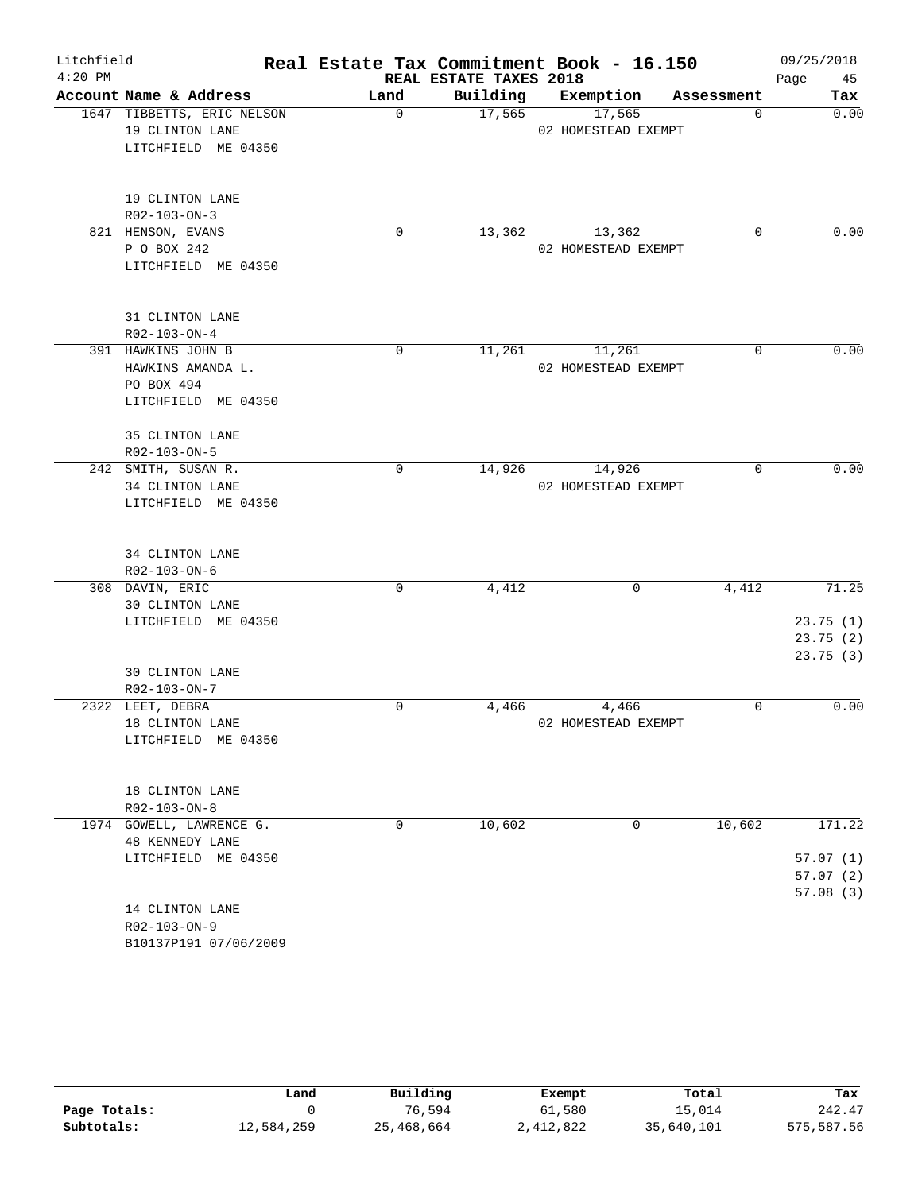| Litchfield |                            | Real Estate Tax Commitment Book - 16.150 |                        |                     |            | 09/25/2018 |
|------------|----------------------------|------------------------------------------|------------------------|---------------------|------------|------------|
| $4:20$ PM  |                            |                                          | REAL ESTATE TAXES 2018 |                     |            | 45<br>Page |
|            | Account Name & Address     | Land                                     | Building               | Exemption           | Assessment | Tax        |
|            | 1647 TIBBETTS, ERIC NELSON | $\mathbf 0$                              | 17,565                 | 17,565              | 0          | 0.00       |
|            | 19 CLINTON LANE            |                                          |                        | 02 HOMESTEAD EXEMPT |            |            |
|            | LITCHFIELD ME 04350        |                                          |                        |                     |            |            |
|            | 19 CLINTON LANE            |                                          |                        |                     |            |            |
|            | R02-103-ON-3               |                                          |                        |                     |            |            |
|            | 821 HENSON, EVANS          | 0                                        | 13,362                 | 13,362              | $\Omega$   | 0.00       |
|            | P O BOX 242                |                                          |                        | 02 HOMESTEAD EXEMPT |            |            |
|            | LITCHFIELD ME 04350        |                                          |                        |                     |            |            |
|            | 31 CLINTON LANE            |                                          |                        |                     |            |            |
|            | R02-103-ON-4               |                                          |                        |                     |            |            |
|            | 391 HAWKINS JOHN B         | $\mathbf 0$                              | 11,261                 | 11,261              | $\Omega$   | 0.00       |
|            | HAWKINS AMANDA L.          |                                          |                        | 02 HOMESTEAD EXEMPT |            |            |
|            | PO BOX 494                 |                                          |                        |                     |            |            |
|            | LITCHFIELD ME 04350        |                                          |                        |                     |            |            |
|            | 35 CLINTON LANE            |                                          |                        |                     |            |            |
|            | R02-103-ON-5               |                                          |                        |                     |            |            |
|            | 242 SMITH, SUSAN R.        | $\mathbf 0$                              | 14,926                 | 14,926              | 0          | 0.00       |
|            | 34 CLINTON LANE            |                                          |                        | 02 HOMESTEAD EXEMPT |            |            |
|            | LITCHFIELD ME 04350        |                                          |                        |                     |            |            |
|            | 34 CLINTON LANE            |                                          |                        |                     |            |            |
|            | R02-103-ON-6               |                                          |                        |                     |            |            |
|            | 308 DAVIN, ERIC            | $\mathbf 0$                              | 4,412                  | $\mathbf 0$         | 4,412      | 71.25      |
|            | 30 CLINTON LANE            |                                          |                        |                     |            |            |
|            | LITCHFIELD ME 04350        |                                          |                        |                     |            | 23.75(1)   |
|            |                            |                                          |                        |                     |            | 23.75(2)   |
|            |                            |                                          |                        |                     |            | 23.75(3)   |
|            | <b>30 CLINTON LANE</b>     |                                          |                        |                     |            |            |
|            | R02-103-ON-7               |                                          |                        |                     |            |            |
|            | 2322 LEET, DEBRA           | 0                                        | 4,466                  | 4,466               | 0          | 0.00       |
|            | 18 CLINTON LANE            |                                          |                        | 02 HOMESTEAD EXEMPT |            |            |
|            | LITCHFIELD ME 04350        |                                          |                        |                     |            |            |
|            | 18 CLINTON LANE            |                                          |                        |                     |            |            |
|            | R02-103-ON-8               |                                          |                        |                     |            |            |
|            | 1974 GOWELL, LAWRENCE G.   | 0                                        | 10,602                 | 0                   | 10,602     | 171.22     |
|            | <b>48 KENNEDY LANE</b>     |                                          |                        |                     |            |            |
|            | LITCHFIELD ME 04350        |                                          |                        |                     |            | 57.07(1)   |
|            |                            |                                          |                        |                     |            | 57.07(2)   |
|            |                            |                                          |                        |                     |            | 57.08(3)   |
|            | 14 CLINTON LANE            |                                          |                        |                     |            |            |
|            | R02-103-ON-9               |                                          |                        |                     |            |            |
|            | B10137P191 07/06/2009      |                                          |                        |                     |            |            |

|              | Land       | Building   | Exempt    | Total      | Tax        |
|--------------|------------|------------|-----------|------------|------------|
| Page Totals: |            | 76,594     | 61,580    | 15,014     | 242.47     |
| Subtotals:   | 12,584,259 | 25,468,664 | 2,412,822 | 35,640,101 | 575,587.56 |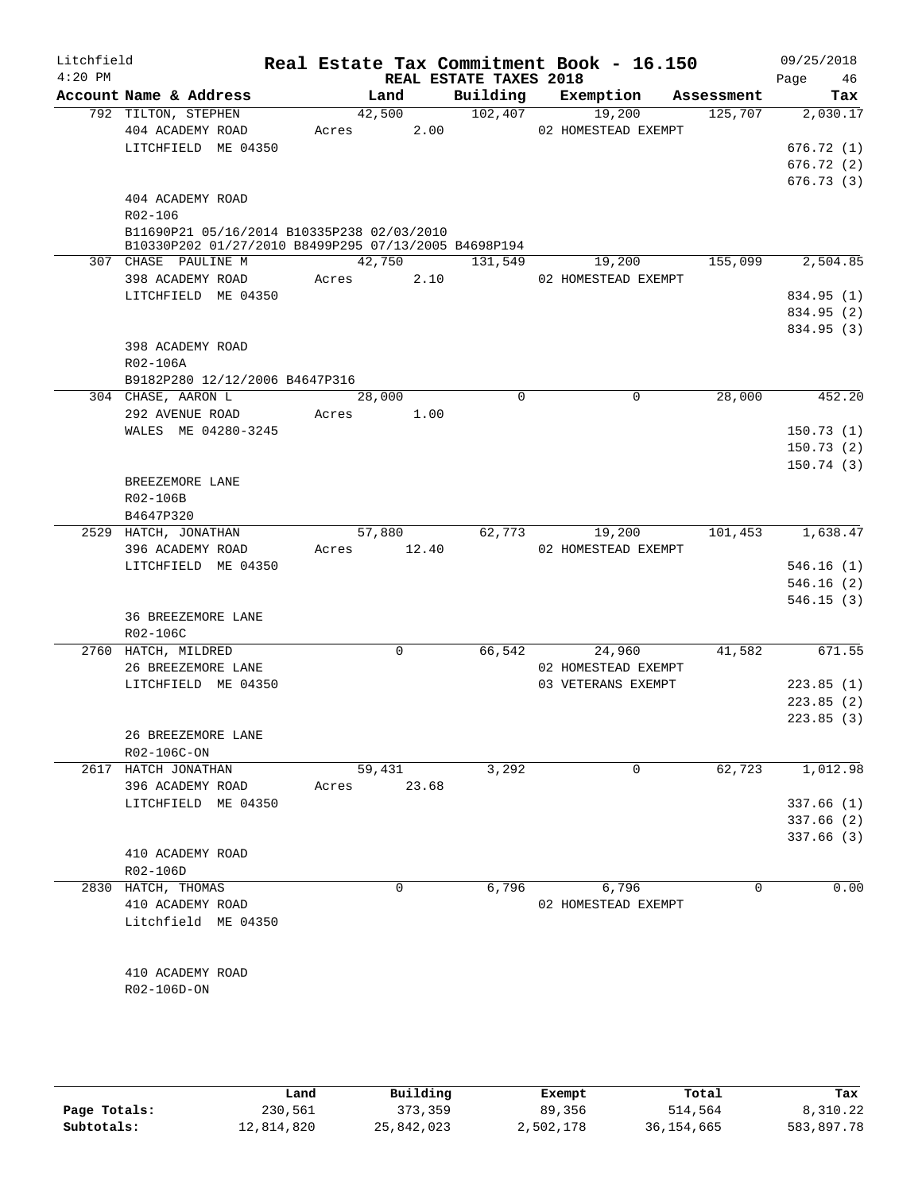| Litchfield<br>$4:20$ PM |                                                      |                | REAL ESTATE TAXES 2018 | Real Estate Tax Commitment Book - 16.150 |            | 09/25/2018<br>46<br>Page |
|-------------------------|------------------------------------------------------|----------------|------------------------|------------------------------------------|------------|--------------------------|
|                         | Account Name & Address                               | Land           |                        | Building Exemption                       | Assessment | Tax                      |
|                         | 792 TILTON, STEPHEN                                  | 42,500         | 102,407                | 19,200                                   | 125,707    | 2,030.17                 |
|                         | 404 ACADEMY ROAD                                     | Acres 2.00     |                        | 02 HOMESTEAD EXEMPT                      |            |                          |
|                         | LITCHFIELD ME 04350                                  |                |                        |                                          |            | 676.72(1)                |
|                         |                                                      |                |                        |                                          |            | 676.72(2)                |
|                         |                                                      |                |                        |                                          |            | 676.73(3)                |
|                         | 404 ACADEMY ROAD                                     |                |                        |                                          |            |                          |
|                         | R02-106                                              |                |                        |                                          |            |                          |
|                         | B11690P21 05/16/2014 B10335P238 02/03/2010           |                |                        |                                          |            |                          |
|                         | B10330P202 01/27/2010 B8499P295 07/13/2005 B4698P194 |                |                        |                                          |            |                          |
|                         | 307 CHASE PAULINE M                                  | 42,750         | 131,549                | 19,200                                   | 155,099    | 2,504.85                 |
|                         | 398 ACADEMY ROAD                                     | Acres<br>2.10  |                        | 02 HOMESTEAD EXEMPT                      |            |                          |
|                         | LITCHFIELD ME 04350                                  |                |                        |                                          |            | 834.95 (1)               |
|                         |                                                      |                |                        |                                          |            | 834.95 (2)               |
|                         |                                                      |                |                        |                                          |            | 834.95 (3)               |
|                         | 398 ACADEMY ROAD                                     |                |                        |                                          |            |                          |
|                         | R02-106A                                             |                |                        |                                          |            |                          |
|                         | B9182P280 12/12/2006 B4647P316                       |                |                        |                                          |            |                          |
|                         | 304 CHASE, AARON L                                   | 28,000         | $\mathbf 0$            | $\mathbf 0$                              | 28,000     | $\overline{452.20}$      |
|                         | 292 AVENUE ROAD                                      | 1.00<br>Acres  |                        |                                          |            |                          |
|                         | WALES ME 04280-3245                                  |                |                        |                                          |            | 150.73(1)                |
|                         |                                                      |                |                        |                                          |            | 150.73(2)                |
|                         |                                                      |                |                        |                                          |            | 150.74(3)                |
|                         | BREEZEMORE LANE                                      |                |                        |                                          |            |                          |
|                         | R02-106B                                             |                |                        |                                          |            |                          |
|                         | B4647P320                                            |                |                        |                                          |            |                          |
|                         | 2529 HATCH, JONATHAN                                 | 57,880         |                        | 62,773<br>19,200                         | 101,453    | 1,638.47                 |
|                         | 396 ACADEMY ROAD                                     | Acres 12.40    |                        | 02 HOMESTEAD EXEMPT                      |            |                          |
|                         | LITCHFIELD ME 04350                                  |                |                        |                                          |            | 546.16(1)                |
|                         |                                                      |                |                        |                                          |            | 546.16(2)                |
|                         |                                                      |                |                        |                                          |            |                          |
|                         |                                                      |                |                        |                                          |            | 546.15(3)                |
|                         | 36 BREEZEMORE LANE                                   |                |                        |                                          |            |                          |
|                         | R02-106C                                             |                |                        |                                          |            |                          |
|                         | 2760 HATCH, MILDRED                                  | $\mathbf 0$    |                        | 66,542<br>24,960                         | 41,582     | 671.55                   |
|                         | 26 BREEZEMORE LANE                                   |                |                        | 02 HOMESTEAD EXEMPT                      |            |                          |
|                         | LITCHFIELD ME 04350                                  |                |                        | 03 VETERANS EXEMPT                       |            | 223.85(1)                |
|                         |                                                      |                |                        |                                          |            | 223.85(2)                |
|                         |                                                      |                |                        |                                          |            | 223.85(3)                |
|                         | 26 BREEZEMORE LANE                                   |                |                        |                                          |            |                          |
|                         | R02-106C-ON                                          |                |                        |                                          |            |                          |
|                         | 2617 HATCH JONATHAN                                  | 59,431         | 3,292                  | 0                                        | 62,723     | 1,012.98                 |
|                         | 396 ACADEMY ROAD                                     | 23.68<br>Acres |                        |                                          |            |                          |
|                         | LITCHFIELD ME 04350                                  |                |                        |                                          |            | 337.66(1)                |
|                         |                                                      |                |                        |                                          |            | 337.66(2)                |
|                         |                                                      |                |                        |                                          |            | 337.66(3)                |
|                         | 410 ACADEMY ROAD                                     |                |                        |                                          |            |                          |
|                         | R02-106D                                             |                |                        |                                          |            |                          |
|                         | 2830 HATCH, THOMAS                                   | 0              | 6,796                  | 6,796                                    | $\Omega$   | 0.00                     |
|                         | 410 ACADEMY ROAD                                     |                |                        | 02 HOMESTEAD EXEMPT                      |            |                          |
|                         | Litchfield ME 04350                                  |                |                        |                                          |            |                          |
|                         |                                                      |                |                        |                                          |            |                          |
|                         |                                                      |                |                        |                                          |            |                          |
|                         | 410 ACADEMY ROAD                                     |                |                        |                                          |            |                          |
|                         | R02-106D-ON                                          |                |                        |                                          |            |                          |
|                         |                                                      |                |                        |                                          |            |                          |
|                         |                                                      |                |                        |                                          |            |                          |
|                         |                                                      |                |                        |                                          |            |                          |
|                         |                                                      |                |                        |                                          |            |                          |

|              | Land       | Building   | Exempt    | Total      | Tax        |
|--------------|------------|------------|-----------|------------|------------|
| Page Totals: | 230,561    | 373,359    | 89,356    | 514,564    | 8,310.22   |
| Subtotals:   | 12,814,820 | 25,842,023 | 2,502,178 | 36,154,665 | 583,897.78 |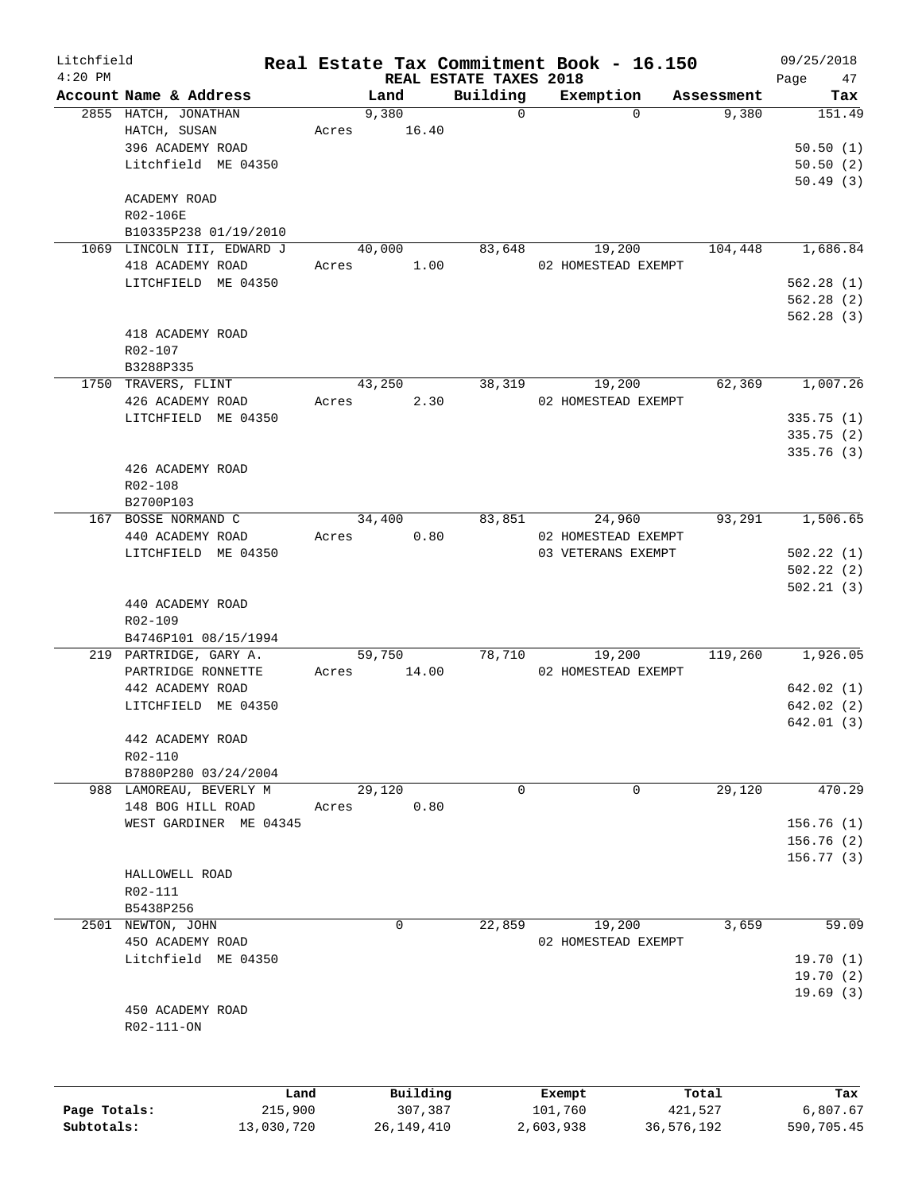| Litchfield |                            |       |          |                                    | Real Estate Tax Commitment Book - 16.150 |                     | 09/25/2018    |
|------------|----------------------------|-------|----------|------------------------------------|------------------------------------------|---------------------|---------------|
| $4:20$ PM  | Account Name & Address     |       | Land     | REAL ESTATE TAXES 2018<br>Building |                                          |                     | Page<br>47    |
|            | 2855 HATCH, JONATHAN       |       | 9,380    | $\mathbf 0$                        | Exemption<br>$\Omega$                    | Assessment<br>9,380 | Tax<br>151.49 |
|            | HATCH, SUSAN               | Acres | 16.40    |                                    |                                          |                     |               |
|            | 396 ACADEMY ROAD           |       |          |                                    |                                          |                     | 50.50(1)      |
|            | Litchfield ME 04350        |       |          |                                    |                                          |                     | 50.50(2)      |
|            |                            |       |          |                                    |                                          |                     | 50.49(3)      |
|            | ACADEMY ROAD               |       |          |                                    |                                          |                     |               |
|            | R02-106E                   |       |          |                                    |                                          |                     |               |
|            | B10335P238 01/19/2010      |       |          |                                    |                                          |                     |               |
|            | 1069 LINCOLN III, EDWARD J |       | 40,000   | 83,648                             | 19,200                                   | 104,448             | 1,686.84      |
|            | 418 ACADEMY ROAD           | Acres | 1.00     |                                    | 02 HOMESTEAD EXEMPT                      |                     |               |
|            | LITCHFIELD ME 04350        |       |          |                                    |                                          |                     | 562.28(1)     |
|            |                            |       |          |                                    |                                          |                     | 562.28(2)     |
|            |                            |       |          |                                    |                                          |                     | 562.28(3)     |
|            | 418 ACADEMY ROAD           |       |          |                                    |                                          |                     |               |
|            | R02-107                    |       |          |                                    |                                          |                     |               |
|            | B3288P335                  |       |          |                                    |                                          |                     |               |
|            | 1750 TRAVERS, FLINT        |       | 43,250   | 38,319                             | 19,200                                   | 62,369              | 1,007.26      |
|            | 426 ACADEMY ROAD           | Acres | 2.30     |                                    | 02 HOMESTEAD EXEMPT                      |                     |               |
|            | LITCHFIELD ME 04350        |       |          |                                    |                                          |                     | 335.75(1)     |
|            |                            |       |          |                                    |                                          |                     | 335.75 (2)    |
|            |                            |       |          |                                    |                                          |                     | 335.76 (3)    |
|            | 426 ACADEMY ROAD           |       |          |                                    |                                          |                     |               |
|            | R02-108                    |       |          |                                    |                                          |                     |               |
|            | B2700P103                  |       |          |                                    |                                          |                     |               |
|            | 167 BOSSE NORMAND C        |       | 34,400   | 83,851                             | 24,960                                   | 93,291              | 1,506.65      |
|            | 440 ACADEMY ROAD           | Acres | 0.80     |                                    | 02 HOMESTEAD EXEMPT                      |                     |               |
|            | LITCHFIELD ME 04350        |       |          |                                    | 03 VETERANS EXEMPT                       |                     | 502.22(1)     |
|            |                            |       |          |                                    |                                          |                     | 502.22(2)     |
|            |                            |       |          |                                    |                                          |                     | 502.21(3)     |
|            | 440 ACADEMY ROAD           |       |          |                                    |                                          |                     |               |
|            | R02-109                    |       |          |                                    |                                          |                     |               |
|            | B4746P101 08/15/1994       |       |          |                                    |                                          |                     |               |
|            | 219 PARTRIDGE, GARY A.     |       | 59,750   | 78,710                             | 19,200                                   | 119,260             | 1,926.05      |
|            | PARTRIDGE RONNETTE         | Acres | 14.00    |                                    | 02 HOMESTEAD EXEMPT                      |                     |               |
|            | 442 ACADEMY ROAD           |       |          |                                    |                                          |                     | 642.02(1)     |
|            | LITCHFIELD ME 04350        |       |          |                                    |                                          |                     | 642.02(2)     |
|            |                            |       |          |                                    |                                          |                     | 642.01(3)     |
|            | 442 ACADEMY ROAD           |       |          |                                    |                                          |                     |               |
|            | R02-110                    |       |          |                                    |                                          |                     |               |
|            | B7880P280 03/24/2004       |       |          |                                    |                                          |                     |               |
|            | 988 LAMOREAU, BEVERLY M    |       | 29,120   | $\mathbf 0$                        | 0                                        | 29,120              | 470.29        |
|            | 148 BOG HILL ROAD          | Acres | 0.80     |                                    |                                          |                     |               |
|            | WEST GARDINER ME 04345     |       |          |                                    |                                          |                     | 156.76(1)     |
|            |                            |       |          |                                    |                                          |                     | 156.76(2)     |
|            |                            |       |          |                                    |                                          |                     | 156.77(3)     |
|            | HALLOWELL ROAD             |       |          |                                    |                                          |                     |               |
|            | R02-111                    |       |          |                                    |                                          |                     |               |
|            | B5438P256                  |       |          |                                    |                                          |                     |               |
|            | 2501 NEWTON, JOHN          |       | $\Omega$ | 22,859                             | 19,200                                   | 3,659               | 59.09         |
|            |                            |       |          |                                    |                                          |                     |               |
|            | 450 ACADEMY ROAD           |       |          |                                    | 02 HOMESTEAD EXEMPT                      |                     |               |
|            | Litchfield ME 04350        |       |          |                                    |                                          |                     | 19.70(1)      |
|            |                            |       |          |                                    |                                          |                     | 19.70(2)      |
|            |                            |       |          |                                    |                                          |                     | 19.69(3)      |
|            | 450 ACADEMY ROAD           |       |          |                                    |                                          |                     |               |
|            | R02-111-ON                 |       |          |                                    |                                          |                     |               |
|            |                            |       |          |                                    |                                          |                     |               |
|            |                            |       |          |                                    |                                          |                     |               |
|            |                            | Land  | Building |                                    | Exempt                                   | Total               | Tax           |

|              | Land       | Building   | Exempt    | Total      | Tax        |
|--------------|------------|------------|-----------|------------|------------|
| Page Totals: | 215,900    | 307,387    | 101,760   | 421,527    | 6,807.67   |
| Subtotals:   | 13,030,720 | 26,149,410 | 2,603,938 | 36,576,192 | 590,705.45 |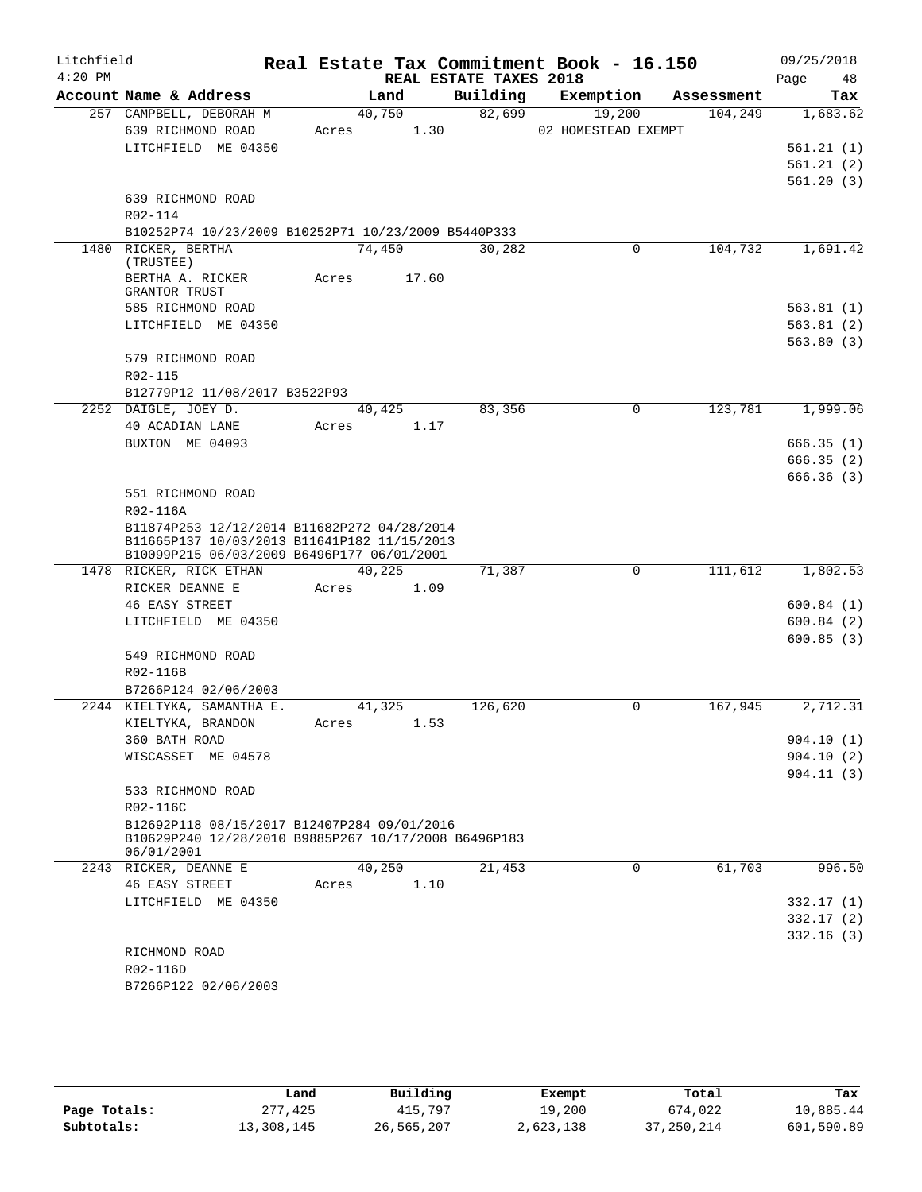| Litchfield<br>$4:20$ PM |                                                                                                                                          |                | REAL ESTATE TAXES 2018 | Real Estate Tax Commitment Book - 16.150 |            | 09/25/2018<br>Page<br>48 |
|-------------------------|------------------------------------------------------------------------------------------------------------------------------------------|----------------|------------------------|------------------------------------------|------------|--------------------------|
|                         | Account Name & Address                                                                                                                   | Land           | Building               | Exemption                                | Assessment | Tax                      |
|                         | 257 CAMPBELL, DEBORAH M                                                                                                                  | 40,750         | 82,699                 | 19,200                                   | 104,249    | 1,683.62                 |
|                         | 639 RICHMOND ROAD                                                                                                                        | 1.30<br>Acres  |                        | 02 HOMESTEAD EXEMPT                      |            |                          |
|                         | LITCHFIELD ME 04350                                                                                                                      |                |                        |                                          |            | 561.21(1)                |
|                         |                                                                                                                                          |                |                        |                                          |            | 561.21(2)                |
|                         |                                                                                                                                          |                |                        |                                          |            | 561.20(3)                |
|                         | 639 RICHMOND ROAD                                                                                                                        |                |                        |                                          |            |                          |
|                         | R02-114                                                                                                                                  |                |                        |                                          |            |                          |
|                         | B10252P74 10/23/2009 B10252P71 10/23/2009 B5440P333<br>1480 RICKER, BERTHA                                                               | 74,450         | 30,282                 | 0                                        | 104,732    | 1,691.42                 |
|                         | (TRUSTEE)                                                                                                                                |                |                        |                                          |            |                          |
|                         | BERTHA A. RICKER                                                                                                                         | 17.60<br>Acres |                        |                                          |            |                          |
|                         | GRANTOR TRUST                                                                                                                            |                |                        |                                          |            |                          |
|                         | 585 RICHMOND ROAD                                                                                                                        |                |                        |                                          |            | 563.81(1)                |
|                         | LITCHFIELD ME 04350                                                                                                                      |                |                        |                                          |            | 563.81(2)                |
|                         |                                                                                                                                          |                |                        |                                          |            | 563.80(3)                |
|                         | 579 RICHMOND ROAD                                                                                                                        |                |                        |                                          |            |                          |
|                         | R02-115<br>B12779P12 11/08/2017 B3522P93                                                                                                 |                |                        |                                          |            |                          |
|                         | 2252 DAIGLE, JOEY D.                                                                                                                     | 40,425         | 83,356                 | $\mathbf 0$                              | 123,781    | 1,999.06                 |
|                         | 40 ACADIAN LANE                                                                                                                          | Acres<br>1.17  |                        |                                          |            |                          |
|                         | BUXTON ME 04093                                                                                                                          |                |                        |                                          |            | 666.35(1)                |
|                         |                                                                                                                                          |                |                        |                                          |            | 666.35(2)                |
|                         |                                                                                                                                          |                |                        |                                          |            | 666.36(3)                |
|                         | 551 RICHMOND ROAD                                                                                                                        |                |                        |                                          |            |                          |
|                         | R02-116A                                                                                                                                 |                |                        |                                          |            |                          |
|                         | B11874P253 12/12/2014 B11682P272 04/28/2014<br>B11665P137 10/03/2013 B11641P182 11/15/2013<br>B10099P215 06/03/2009 B6496P177 06/01/2001 |                |                        |                                          |            |                          |
|                         | 1478 RICKER, RICK ETHAN                                                                                                                  | 40,225         | 71,387                 | $\Omega$                                 | 111,612    | 1,802.53                 |
|                         | RICKER DEANNE E                                                                                                                          | 1.09<br>Acres  |                        |                                          |            |                          |
|                         | <b>46 EASY STREET</b>                                                                                                                    |                |                        |                                          |            | 600.84(1)                |
|                         | LITCHFIELD ME 04350                                                                                                                      |                |                        |                                          |            | 600.84(2)                |
|                         |                                                                                                                                          |                |                        |                                          |            | 600.85(3)                |
|                         | 549 RICHMOND ROAD                                                                                                                        |                |                        |                                          |            |                          |
|                         | R02-116B                                                                                                                                 |                |                        |                                          |            |                          |
|                         | B7266P124 02/06/2003                                                                                                                     |                |                        |                                          |            |                          |
|                         | 2244 KIELTYKA, SAMANTHA E.                                                                                                               | 41,325         | 126,620                | 0                                        | 167,945    | 2,712.31                 |
|                         | KIELTYKA, BRANDON<br>360 BATH ROAD                                                                                                       | 1.53<br>Acres  |                        |                                          |            | 904.10(1)                |
|                         | WISCASSET ME 04578                                                                                                                       |                |                        |                                          |            | 904.10(2)                |
|                         |                                                                                                                                          |                |                        |                                          |            | 904.11(3)                |
|                         | 533 RICHMOND ROAD                                                                                                                        |                |                        |                                          |            |                          |
|                         | R02-116C                                                                                                                                 |                |                        |                                          |            |                          |
|                         | B12692P118 08/15/2017 B12407P284 09/01/2016<br>B10629P240 12/28/2010 B9885P267 10/17/2008 B6496P183<br>06/01/2001                        |                |                        |                                          |            |                          |
|                         | 2243 RICKER, DEANNE E                                                                                                                    | 40,250         | 21,453                 | $\mathbf 0$                              | 61,703     | 996.50                   |
|                         | <b>46 EASY STREET</b>                                                                                                                    | 1.10<br>Acres  |                        |                                          |            |                          |
|                         | LITCHFIELD ME 04350                                                                                                                      |                |                        |                                          |            | 332.17(1)                |
|                         |                                                                                                                                          |                |                        |                                          |            | 332.17(2)                |
|                         |                                                                                                                                          |                |                        |                                          |            | 332.16(3)                |
|                         | RICHMOND ROAD                                                                                                                            |                |                        |                                          |            |                          |
|                         | R02-116D<br>B7266P122 02/06/2003                                                                                                         |                |                        |                                          |            |                          |
|                         |                                                                                                                                          |                |                        |                                          |            |                          |

|              | Land       | Building   | Exempt    | Total        | Tax        |
|--------------|------------|------------|-----------|--------------|------------|
| Page Totals: | 277,425    | 415,797    | 19,200    | 674,022      | 10,885.44  |
| Subtotals:   | 13,308,145 | 26,565,207 | 2,623,138 | 37, 250, 214 | 601,590.89 |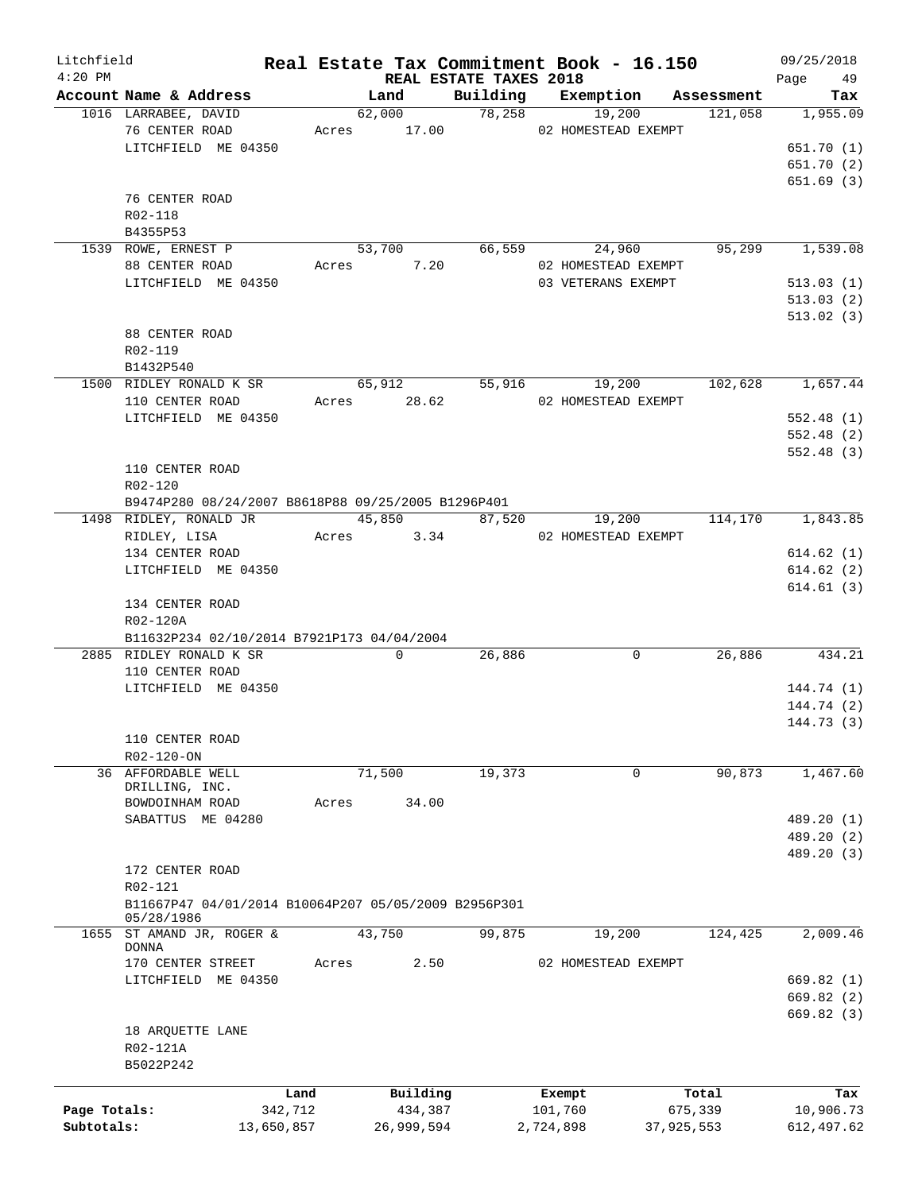| Litchfield   |                                                        |         |                                |          | Real Estate Tax Commitment Book - 16.150 |            | 09/25/2018        |
|--------------|--------------------------------------------------------|---------|--------------------------------|----------|------------------------------------------|------------|-------------------|
| $4:20$ PM    | Account Name & Address                                 |         | REAL ESTATE TAXES 2018<br>Land | Building | Exemption                                | Assessment | Page<br>49<br>Tax |
|              | 1016 LARRABEE, DAVID                                   |         | 62,000                         | 78,258   | 19,200                                   | 121,058    | 1,955.09          |
|              | 76 CENTER ROAD                                         |         | Acres 17.00                    |          | 02 HOMESTEAD EXEMPT                      |            |                   |
|              | LITCHFIELD ME 04350                                    |         |                                |          |                                          |            | 651.70 (1)        |
|              |                                                        |         |                                |          |                                          |            | 651.70 (2)        |
|              |                                                        |         |                                |          |                                          |            | 651.69(3)         |
|              | 76 CENTER ROAD                                         |         |                                |          |                                          |            |                   |
|              | R02-118                                                |         |                                |          |                                          |            |                   |
|              | B4355P53                                               |         |                                |          |                                          |            |                   |
|              | 1539 ROWE, ERNEST P                                    |         | 53,700                         |          | 66,559<br>24,960                         | 95,299     | 1,539.08          |
|              | 88 CENTER ROAD                                         | Acres   | 7.20                           |          | 02 HOMESTEAD EXEMPT                      |            |                   |
|              | LITCHFIELD ME 04350                                    |         |                                |          | 03 VETERANS EXEMPT                       |            | 513.03(1)         |
|              |                                                        |         |                                |          |                                          |            | 513.03(2)         |
|              |                                                        |         |                                |          |                                          |            | 513.02(3)         |
|              | 88 CENTER ROAD                                         |         |                                |          |                                          |            |                   |
|              | R02-119                                                |         |                                |          |                                          |            |                   |
|              | B1432P540                                              |         |                                |          |                                          |            |                   |
|              | 1500 RIDLEY RONALD K SR                                |         | 65,912                         | 55,916   | 19,200                                   | 102,628    | 1,657.44          |
|              | 110 CENTER ROAD                                        |         | Acres 28.62                    |          | 02 HOMESTEAD EXEMPT                      |            |                   |
|              | LITCHFIELD ME 04350                                    |         |                                |          |                                          |            | 552.48(1)         |
|              |                                                        |         |                                |          |                                          |            | 552.48(2)         |
|              |                                                        |         |                                |          |                                          |            | 552.48(3)         |
|              | 110 CENTER ROAD                                        |         |                                |          |                                          |            |                   |
|              | R02-120                                                |         |                                |          |                                          |            |                   |
|              | B9474P280 08/24/2007 B8618P88 09/25/2005 B1296P401     |         |                                |          |                                          |            |                   |
|              | 1498 RIDLEY, RONALD JR                                 |         | 45,850                         | 87,520   | 19,200                                   | 114,170    | 1,843.85          |
|              | RIDLEY, LISA                                           |         | 3.34<br>Acres                  |          | 02 HOMESTEAD EXEMPT                      |            |                   |
|              | 134 CENTER ROAD                                        |         |                                |          |                                          |            | 614.62(1)         |
|              | LITCHFIELD ME 04350                                    |         |                                |          |                                          |            | 614.62(2)         |
|              |                                                        |         |                                |          |                                          |            | 614.61(3)         |
|              | 134 CENTER ROAD                                        |         |                                |          |                                          |            |                   |
|              | R02-120A<br>B11632P234 02/10/2014 B7921P173 04/04/2004 |         |                                |          |                                          |            |                   |
|              | 2885 RIDLEY RONALD K SR                                |         | 0                              | 26,886   | 0                                        | 26,886     | 434.21            |
|              | 110 CENTER ROAD                                        |         |                                |          |                                          |            |                   |
|              | LITCHFIELD ME 04350                                    |         |                                |          |                                          |            | 144.74 (1)        |
|              |                                                        |         |                                |          |                                          |            | 144.74 (2)        |
|              |                                                        |         |                                |          |                                          |            | 144.73 (3)        |
|              | 110 CENTER ROAD                                        |         |                                |          |                                          |            |                   |
|              | R02-120-ON                                             |         |                                |          |                                          |            |                   |
|              | 36 AFFORDABLE WELL                                     |         | 71,500                         | 19,373   | 0                                        | 90,873     | 1,467.60          |
|              | DRILLING, INC.                                         |         |                                |          |                                          |            |                   |
|              | BOWDOINHAM ROAD                                        | Acres   | 34.00                          |          |                                          |            |                   |
|              | SABATTUS ME 04280                                      |         |                                |          |                                          |            | 489.20 (1)        |
|              |                                                        |         |                                |          |                                          |            | 489.20 (2)        |
|              |                                                        |         |                                |          |                                          |            | 489.20 (3)        |
|              | 172 CENTER ROAD                                        |         |                                |          |                                          |            |                   |
|              | R02-121                                                |         |                                |          |                                          |            |                   |
|              | B11667P47 04/01/2014 B10064P207 05/05/2009 B2956P301   |         |                                |          |                                          |            |                   |
| 1655         | 05/28/1986<br>ST AMAND JR, ROGER &                     |         | 43,750                         | 99,875   | 19,200                                   | 124,425    | 2,009.46          |
|              | <b>DONNA</b>                                           |         |                                |          |                                          |            |                   |
|              | 170 CENTER STREET                                      | Acres   | 2.50                           |          | 02 HOMESTEAD EXEMPT                      |            |                   |
|              | LITCHFIELD ME 04350                                    |         |                                |          |                                          |            | 669.82 (1)        |
|              |                                                        |         |                                |          |                                          |            | 669.82 (2)        |
|              |                                                        |         |                                |          |                                          |            | 669.82 (3)        |
|              | 18 ARQUETTE LANE                                       |         |                                |          |                                          |            |                   |
|              | R02-121A                                               |         |                                |          |                                          |            |                   |
|              | B5022P242                                              |         |                                |          |                                          |            |                   |
|              |                                                        |         |                                |          |                                          |            |                   |
|              |                                                        | Land    | Building                       |          | Exempt                                   | Total      | Tax               |
| Page Totals: |                                                        | 342,712 | 434,387                        |          | 101,760                                  | 675,339    | 10,906.73         |
| Subtotals:   | 13,650,857                                             |         | 26,999,594                     |          | 2,724,898                                | 37,925,553 | 612,497.62        |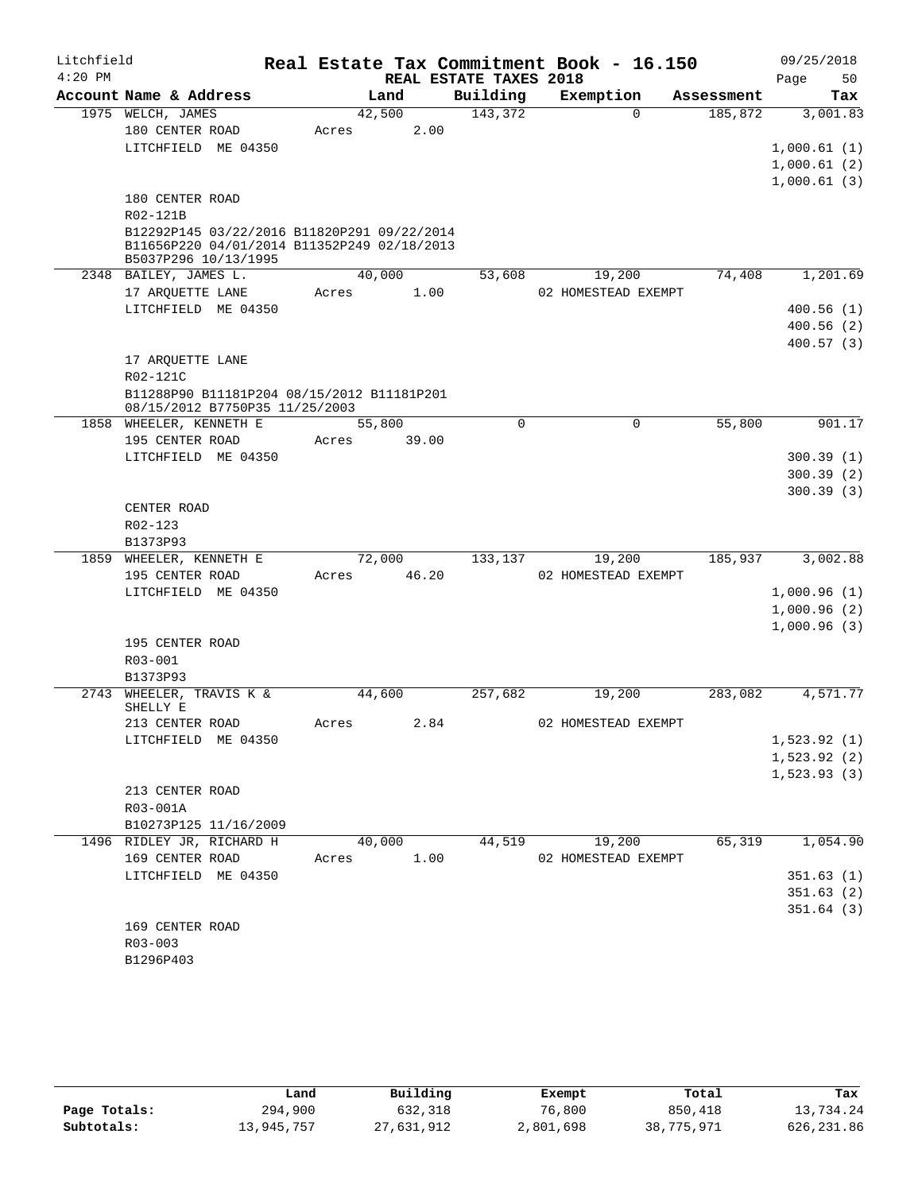| Litchfield |                                                                              |             |        |      |                        | Real Estate Tax Commitment Book - 16.150 |             |            | 09/25/2018   |            |
|------------|------------------------------------------------------------------------------|-------------|--------|------|------------------------|------------------------------------------|-------------|------------|--------------|------------|
| $4:20$ PM  |                                                                              |             |        |      | REAL ESTATE TAXES 2018 |                                          |             |            | Page         | 50         |
|            | Account Name & Address                                                       |             | Land   |      | Building               | Exemption                                |             | Assessment |              | Tax        |
|            | 1975 WELCH, JAMES                                                            |             | 42,500 |      | 143,372                |                                          | $\Omega$    | 185,872    |              | 3,001.83   |
|            | 180 CENTER ROAD                                                              | Acres       |        | 2.00 |                        |                                          |             |            |              |            |
|            | LITCHFIELD ME 04350                                                          |             |        |      |                        |                                          |             |            | 1,000.61(1)  |            |
|            |                                                                              |             |        |      |                        |                                          |             |            | 1,000.61(2)  |            |
|            |                                                                              |             |        |      |                        |                                          |             |            | 1,000.61(3)  |            |
|            | 180 CENTER ROAD<br>R02-121B                                                  |             |        |      |                        |                                          |             |            |              |            |
|            | B12292P145 03/22/2016 B11820P291 09/22/2014                                  |             |        |      |                        |                                          |             |            |              |            |
|            | B11656P220 04/01/2014 B11352P249 02/18/2013                                  |             |        |      |                        |                                          |             |            |              |            |
|            | B5037P296 10/13/1995                                                         |             |        |      |                        |                                          |             |            |              |            |
|            | 2348 BAILEY, JAMES L.                                                        |             | 40,000 |      | 53,608                 | 19,200                                   |             | 74,408     |              | 1,201.69   |
|            | 17 ARQUETTE LANE                                                             | Acres       |        | 1.00 |                        | 02 HOMESTEAD EXEMPT                      |             |            |              |            |
|            | LITCHFIELD ME 04350                                                          |             |        |      |                        |                                          |             |            |              | 400.56(1)  |
|            |                                                                              |             |        |      |                        |                                          |             |            |              | 400.56(2)  |
|            |                                                                              |             |        |      |                        |                                          |             |            |              | 400.57(3)  |
|            | 17 ARQUETTE LANE                                                             |             |        |      |                        |                                          |             |            |              |            |
|            | R02-121C                                                                     |             |        |      |                        |                                          |             |            |              |            |
|            | B11288P90 B11181P204 08/15/2012 B11181P201<br>08/15/2012 B7750P35 11/25/2003 |             |        |      |                        |                                          |             |            |              |            |
|            | 1858 WHEELER, KENNETH E                                                      |             | 55,800 |      | $\Omega$               |                                          | $\mathbf 0$ | 55,800     |              | 901.17     |
|            | 195 CENTER ROAD                                                              | Acres       | 39.00  |      |                        |                                          |             |            |              |            |
|            | LITCHFIELD ME 04350                                                          |             |        |      |                        |                                          |             |            |              | 300.39 (1) |
|            |                                                                              |             |        |      |                        |                                          |             |            |              | 300.39(2)  |
|            |                                                                              |             |        |      |                        |                                          |             |            |              | 300.39(3)  |
|            | CENTER ROAD                                                                  |             |        |      |                        |                                          |             |            |              |            |
|            | R02-123                                                                      |             |        |      |                        |                                          |             |            |              |            |
|            | B1373P93                                                                     |             |        |      |                        |                                          |             |            |              |            |
|            | 1859 WHEELER, KENNETH E                                                      |             | 72,000 |      | 133,137                | 19,200                                   |             | 185,937    |              | 3,002.88   |
|            | 195 CENTER ROAD                                                              | Acres 46.20 |        |      |                        | 02 HOMESTEAD EXEMPT                      |             |            |              |            |
|            | LITCHFIELD ME 04350                                                          |             |        |      |                        |                                          |             |            | 1,000.96(1)  |            |
|            |                                                                              |             |        |      |                        |                                          |             |            | 1,000.96(2)  |            |
|            |                                                                              |             |        |      |                        |                                          |             |            | 1,000.96(3)  |            |
|            | 195 CENTER ROAD<br>R03-001                                                   |             |        |      |                        |                                          |             |            |              |            |
|            | B1373P93                                                                     |             |        |      |                        |                                          |             |            |              |            |
|            | 2743 WHEELER, TRAVIS K &                                                     |             | 44,600 |      | 257,682                | 19,200                                   |             | 283,082    |              | 4,571.77   |
|            | SHELLY E                                                                     |             |        |      |                        |                                          |             |            |              |            |
|            | 213 CENTER ROAD                                                              | Acres       |        | 2.84 |                        | 02 HOMESTEAD EXEMPT                      |             |            |              |            |
|            | LITCHFIELD ME 04350                                                          |             |        |      |                        |                                          |             |            | 1,523.92(1)  |            |
|            |                                                                              |             |        |      |                        |                                          |             |            | 1,523.92(2)  |            |
|            |                                                                              |             |        |      |                        |                                          |             |            | 1, 523.93(3) |            |
|            | 213 CENTER ROAD                                                              |             |        |      |                        |                                          |             |            |              |            |
|            | R03-001A                                                                     |             |        |      |                        |                                          |             |            |              |            |
|            | B10273P125 11/16/2009                                                        |             |        |      |                        |                                          |             |            |              |            |
|            | 1496 RIDLEY JR, RICHARD H                                                    |             | 40,000 |      | 44,519                 | 19,200                                   |             | 65,319     |              | 1,054.90   |
|            | 169 CENTER ROAD                                                              | Acres       |        | 1.00 |                        | 02 HOMESTEAD EXEMPT                      |             |            |              |            |
|            | LITCHFIELD ME 04350                                                          |             |        |      |                        |                                          |             |            |              | 351.63(1)  |
|            |                                                                              |             |        |      |                        |                                          |             |            |              | 351.63(2)  |
|            | 169 CENTER ROAD                                                              |             |        |      |                        |                                          |             |            |              | 351.64(3)  |
|            | R03-003                                                                      |             |        |      |                        |                                          |             |            |              |            |
|            | B1296P403                                                                    |             |        |      |                        |                                          |             |            |              |            |
|            |                                                                              |             |        |      |                        |                                          |             |            |              |            |

|              | Land       | Building   | Exempt    | Total      | Tax          |
|--------------|------------|------------|-----------|------------|--------------|
| Page Totals: | 294,900    | 632,318    | 76,800    | 850,418    | 13,734.24    |
| Subtotals:   | 13,945,757 | 27,631,912 | 2,801,698 | 38,775,971 | 626, 231, 86 |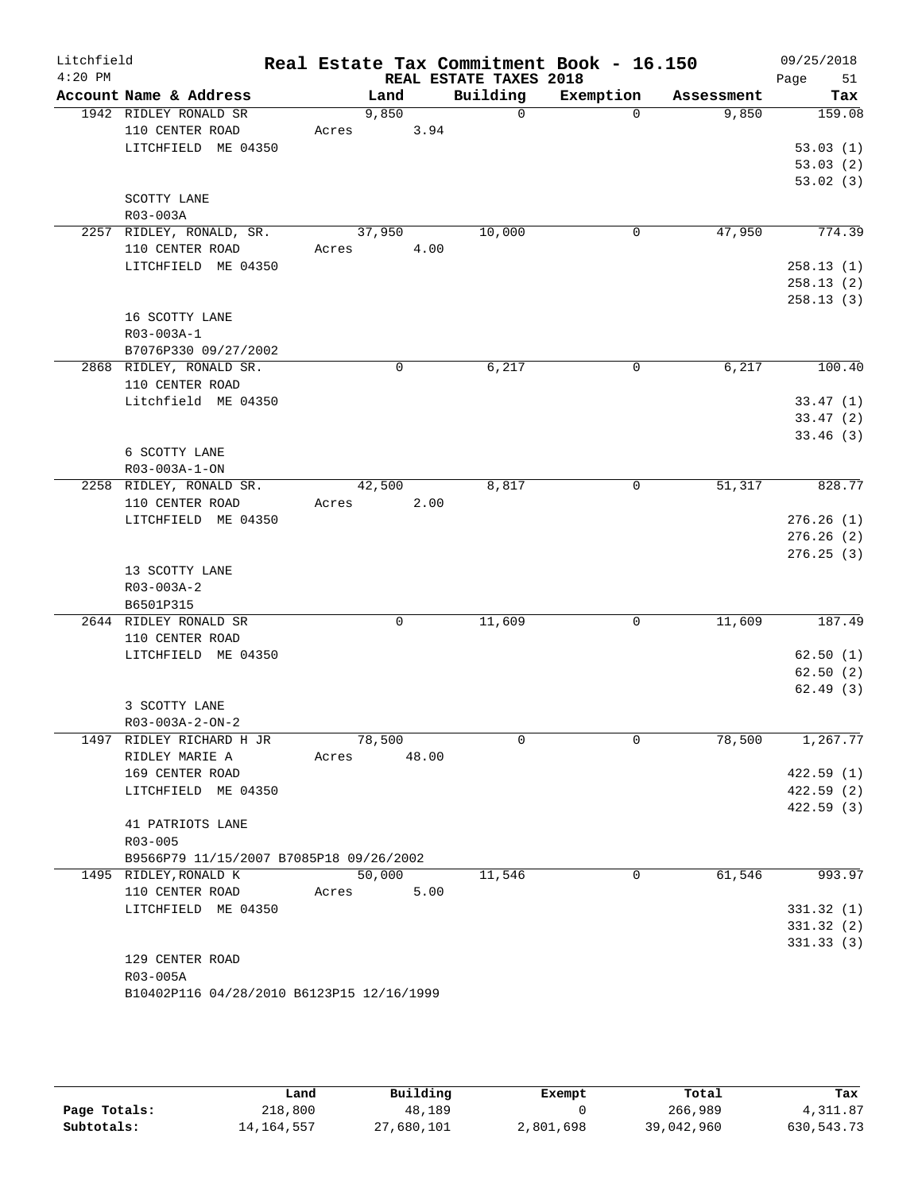| Litchfield<br>$4:20$ PM |                                           | Real Estate Tax Commitment Book - 16.150 | REAL ESTATE TAXES 2018 |             |            | 09/25/2018        |
|-------------------------|-------------------------------------------|------------------------------------------|------------------------|-------------|------------|-------------------|
|                         | Account Name & Address                    | Land                                     | Building               | Exemption   | Assessment | Page<br>51<br>Tax |
|                         | 1942 RIDLEY RONALD SR                     | 9,850                                    | $\overline{0}$         | $\Omega$    | 9,850      | 159.08            |
|                         | 110 CENTER ROAD                           | Acres 3.94                               |                        |             |            |                   |
|                         | LITCHFIELD ME 04350                       |                                          |                        |             |            | 53.03(1)          |
|                         |                                           |                                          |                        |             |            | 53.03(2)          |
|                         |                                           |                                          |                        |             |            | 53.02(3)          |
|                         | SCOTTY LANE                               |                                          |                        |             |            |                   |
|                         | R03-003A                                  |                                          |                        |             |            |                   |
|                         | 2257 RIDLEY, RONALD, SR.                  | 37,950                                   | 10,000                 | 0           | 47,950     | 774.39            |
|                         | 110 CENTER ROAD                           | 4.00<br>Acres                            |                        |             |            |                   |
|                         | LITCHFIELD ME 04350                       |                                          |                        |             |            | 258.13(1)         |
|                         |                                           |                                          |                        |             |            | 258.13(2)         |
|                         |                                           |                                          |                        |             |            | 258.13(3)         |
|                         | 16 SCOTTY LANE                            |                                          |                        |             |            |                   |
|                         | R03-003A-1                                |                                          |                        |             |            |                   |
|                         | B7076P330 09/27/2002                      |                                          |                        |             |            |                   |
|                         | 2868 RIDLEY, RONALD SR.                   | 0                                        | 6,217                  | 0           | 6,217      | 100.40            |
|                         | 110 CENTER ROAD                           |                                          |                        |             |            |                   |
|                         | Litchfield ME 04350                       |                                          |                        |             |            | 33.47(1)          |
|                         |                                           |                                          |                        |             |            | 33.47(2)          |
|                         |                                           |                                          |                        |             |            | 33.46(3)          |
|                         | 6 SCOTTY LANE                             |                                          |                        |             |            |                   |
|                         | R03-003A-1-ON                             |                                          |                        |             |            |                   |
|                         | 2258 RIDLEY, RONALD SR.                   | 42,500                                   | 8,817                  | 0           | 51,317     | 828.77            |
|                         | 110 CENTER ROAD                           | 2.00<br>Acres                            |                        |             |            |                   |
|                         | LITCHFIELD ME 04350                       |                                          |                        |             |            | 276.26(1)         |
|                         |                                           |                                          |                        |             |            | 276.26(2)         |
|                         |                                           |                                          |                        |             |            | 276.25(3)         |
|                         | 13 SCOTTY LANE<br>R03-003A-2              |                                          |                        |             |            |                   |
|                         | B6501P315                                 |                                          |                        |             |            |                   |
|                         | 2644 RIDLEY RONALD SR                     | 0                                        | 11,609                 | $\mathbf 0$ | 11,609     | 187.49            |
|                         | 110 CENTER ROAD                           |                                          |                        |             |            |                   |
|                         | LITCHFIELD ME 04350                       |                                          |                        |             |            | 62.50(1)          |
|                         |                                           |                                          |                        |             |            | 62.50(2)          |
|                         |                                           |                                          |                        |             |            | 62.49(3)          |
|                         | 3 SCOTTY LANE                             |                                          |                        |             |            |                   |
|                         | R03-003A-2-ON-2                           |                                          |                        |             |            |                   |
|                         | 1497 RIDLEY RICHARD H JR                  | 78,500                                   | $\Omega$               | 0           | 78,500     | 1,267.77          |
|                         | RIDLEY MARIE A                            | 48.00<br>Acres                           |                        |             |            |                   |
|                         | 169 CENTER ROAD                           |                                          |                        |             |            | 422.59(1)         |
|                         | LITCHFIELD ME 04350                       |                                          |                        |             |            | 422.59(2)         |
|                         |                                           |                                          |                        |             |            | 422.59(3)         |
|                         | 41 PATRIOTS LANE                          |                                          |                        |             |            |                   |
|                         | R03-005                                   |                                          |                        |             |            |                   |
|                         | B9566P79 11/15/2007 B7085P18 09/26/2002   |                                          |                        |             |            |                   |
|                         | 1495 RIDLEY, RONALD K                     | 50,000                                   | 11,546                 | 0           | 61,546     | 993.97            |
|                         | 110 CENTER ROAD                           | 5.00<br>Acres                            |                        |             |            |                   |
|                         | LITCHFIELD ME 04350                       |                                          |                        |             |            | 331.32(1)         |
|                         |                                           |                                          |                        |             |            | 331.32(2)         |
|                         |                                           |                                          |                        |             |            | 331.33(3)         |
|                         | 129 CENTER ROAD                           |                                          |                        |             |            |                   |
|                         | R03-005A                                  |                                          |                        |             |            |                   |
|                         | B10402P116 04/28/2010 B6123P15 12/16/1999 |                                          |                        |             |            |                   |

|              | Land       | Building   | Exempt    | Total      | Tax        |
|--------------|------------|------------|-----------|------------|------------|
| Page Totals: | 218,800    | 48,189     |           | 266,989    | 4, 311, 87 |
| Subtotals:   | 14,164,557 | 27,680,101 | 2,801,698 | 39,042,960 | 630,543.73 |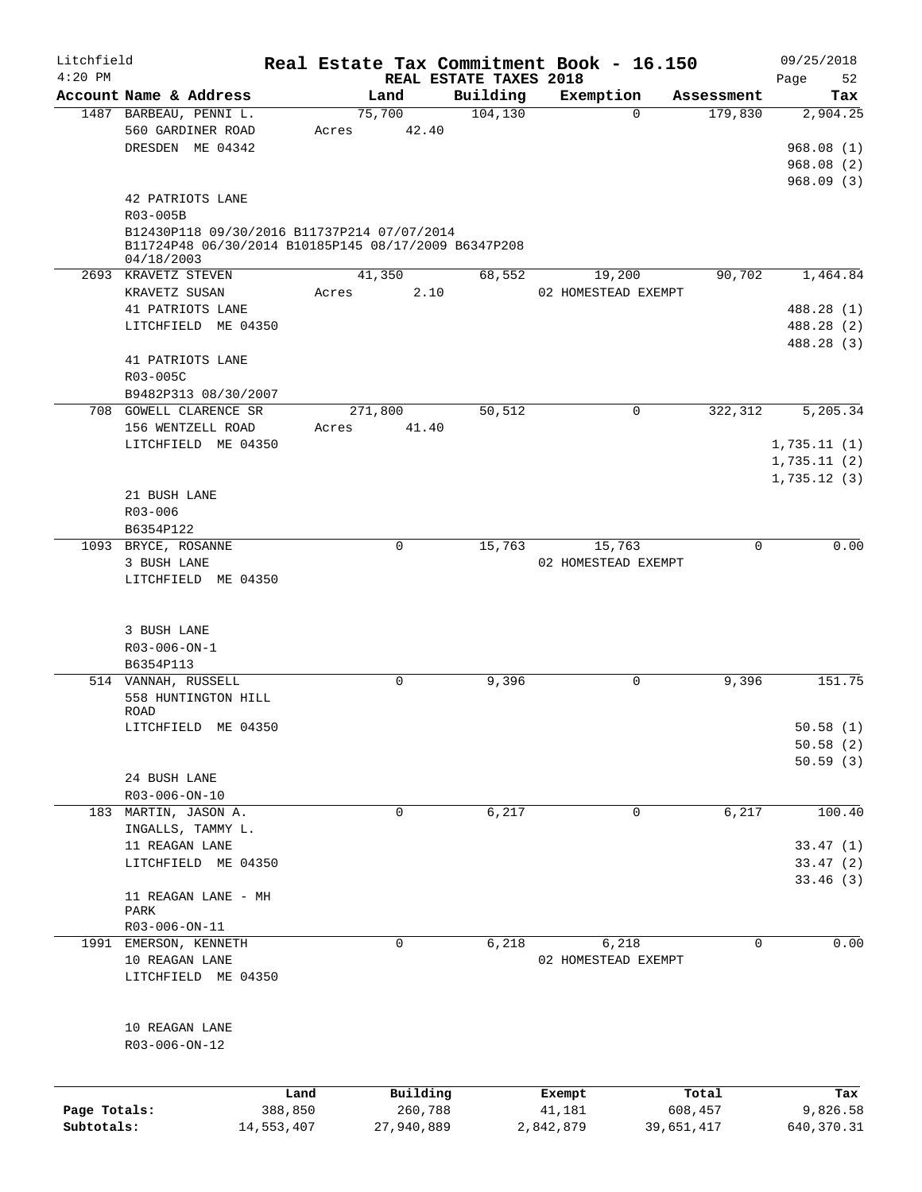| Litchfield   |                                                  |            | Real Estate Tax Commitment Book - 16.150                                                            |                                    |                     |                                   | 09/25/2018         |
|--------------|--------------------------------------------------|------------|-----------------------------------------------------------------------------------------------------|------------------------------------|---------------------|-----------------------------------|--------------------|
| $4:20$ PM    | Account Name & Address                           |            | Land                                                                                                | REAL ESTATE TAXES 2018<br>Building | Exemption           |                                   | Page<br>52         |
|              | 1487 BARBEAU, PENNI L.                           |            | 75,700                                                                                              | 104, 130                           |                     | Assessment<br>179,830<br>$\Omega$ | Tax<br>2,904.25    |
|              | 560 GARDINER ROAD                                |            | 42.40<br>Acres                                                                                      |                                    |                     |                                   |                    |
|              | DRESDEN ME 04342                                 |            |                                                                                                     |                                    |                     |                                   | 968.08(1)          |
|              |                                                  |            |                                                                                                     |                                    |                     |                                   | 968.08(2)          |
|              |                                                  |            |                                                                                                     |                                    |                     |                                   | 968.09(3)          |
|              |                                                  |            |                                                                                                     |                                    |                     |                                   |                    |
|              | 42 PATRIOTS LANE                                 |            |                                                                                                     |                                    |                     |                                   |                    |
|              | R03-005B                                         |            |                                                                                                     |                                    |                     |                                   |                    |
|              |                                                  |            | B12430P118 09/30/2016 B11737P214 07/07/2014<br>B11724P48 06/30/2014 B10185P145 08/17/2009 B6347P208 |                                    |                     |                                   |                    |
|              | 04/18/2003                                       |            |                                                                                                     |                                    |                     |                                   |                    |
|              | 2693 KRAVETZ STEVEN                              |            | 41,350                                                                                              | 68,552                             | 19,200              |                                   | 90,702<br>1,464.84 |
|              | KRAVETZ SUSAN                                    |            | Acres                                                                                               | 2.10                               | 02 HOMESTEAD EXEMPT |                                   |                    |
|              | 41 PATRIOTS LANE                                 |            |                                                                                                     |                                    |                     |                                   | 488.28 (1)         |
|              | LITCHFIELD ME 04350                              |            |                                                                                                     |                                    |                     |                                   | 488.28 (2)         |
|              |                                                  |            |                                                                                                     |                                    |                     |                                   | 488.28 (3)         |
|              | 41 PATRIOTS LANE                                 |            |                                                                                                     |                                    |                     |                                   |                    |
|              | R03-005C                                         |            |                                                                                                     |                                    |                     |                                   |                    |
|              |                                                  |            |                                                                                                     |                                    |                     |                                   |                    |
|              | B9482P313 08/30/2007                             |            |                                                                                                     |                                    |                     |                                   |                    |
|              | 708 GOWELL CLARENCE SR                           |            | 271,800                                                                                             | 50,512                             |                     | 322,312<br>0                      | 5,205.34           |
|              | 156 WENTZELL ROAD                                |            | Acres<br>41.40                                                                                      |                                    |                     |                                   |                    |
|              | LITCHFIELD ME 04350                              |            |                                                                                                     |                                    |                     |                                   | 1,735.11(1)        |
|              |                                                  |            |                                                                                                     |                                    |                     |                                   | 1,735.11(2)        |
|              |                                                  |            |                                                                                                     |                                    |                     |                                   | 1,735.12(3)        |
|              | 21 BUSH LANE                                     |            |                                                                                                     |                                    |                     |                                   |                    |
|              | $R03 - 006$                                      |            |                                                                                                     |                                    |                     |                                   |                    |
|              | B6354P122                                        |            |                                                                                                     |                                    |                     |                                   |                    |
|              | 1093 BRYCE, ROSANNE                              |            | 0                                                                                                   | 15,763                             | 15,763              |                                   | 0.00<br>0          |
|              | 3 BUSH LANE                                      |            |                                                                                                     |                                    | 02 HOMESTEAD EXEMPT |                                   |                    |
|              | LITCHFIELD ME 04350                              |            |                                                                                                     |                                    |                     |                                   |                    |
|              | R03-006-ON-1<br>B6354P113<br>514 VANNAH, RUSSELL |            | 0                                                                                                   | 9,396                              |                     | 0                                 | 9,396<br>151.75    |
|              | 558 HUNTINGTON HILL                              |            |                                                                                                     |                                    |                     |                                   |                    |
|              | ROAD                                             |            |                                                                                                     |                                    |                     |                                   |                    |
|              | LITCHFIELD ME 04350                              |            |                                                                                                     |                                    |                     |                                   | 50.58(1)           |
|              |                                                  |            |                                                                                                     |                                    |                     |                                   | 50.58(2)           |
|              |                                                  |            |                                                                                                     |                                    |                     |                                   | 50.59(3)           |
|              | 24 BUSH LANE                                     |            |                                                                                                     |                                    |                     |                                   |                    |
|              | R03-006-ON-10                                    |            |                                                                                                     |                                    |                     |                                   |                    |
|              | 183 MARTIN, JASON A.                             |            | 0                                                                                                   | 6,217                              |                     | 0                                 | 6,217<br>100.40    |
|              | INGALLS, TAMMY L.                                |            |                                                                                                     |                                    |                     |                                   |                    |
|              | 11 REAGAN LANE                                   |            |                                                                                                     |                                    |                     |                                   | 33.47(1)           |
|              | LITCHFIELD ME 04350                              |            |                                                                                                     |                                    |                     |                                   | 33.47(2)           |
|              |                                                  |            |                                                                                                     |                                    |                     |                                   | 33.46(3)           |
|              | 11 REAGAN LANE - MH                              |            |                                                                                                     |                                    |                     |                                   |                    |
|              | PARK                                             |            |                                                                                                     |                                    |                     |                                   |                    |
|              | R03-006-ON-11                                    |            |                                                                                                     |                                    |                     |                                   |                    |
| 1991         | EMERSON, KENNETH                                 |            | 0                                                                                                   | 6,218                              | 6,218               |                                   | 0.00<br>0          |
|              | 10 REAGAN LANE                                   |            |                                                                                                     |                                    | 02 HOMESTEAD EXEMPT |                                   |                    |
|              | LITCHFIELD ME 04350                              |            |                                                                                                     |                                    |                     |                                   |                    |
|              | 10 REAGAN LANE                                   |            |                                                                                                     |                                    |                     |                                   |                    |
|              | R03-006-ON-12                                    |            |                                                                                                     |                                    |                     |                                   |                    |
|              |                                                  |            |                                                                                                     |                                    |                     |                                   |                    |
|              |                                                  |            |                                                                                                     |                                    |                     |                                   |                    |
|              |                                                  | Land       | Building                                                                                            |                                    | Exempt              | Total                             | Tax                |
| Page Totals: |                                                  | 388,850    | 260,788                                                                                             |                                    | 41,181              | 608,457                           | 9,826.58           |
| Subtotals:   |                                                  | 14,553,407 | 27,940,889                                                                                          |                                    | 2,842,879           | 39,651,417                        | 640, 370. 31       |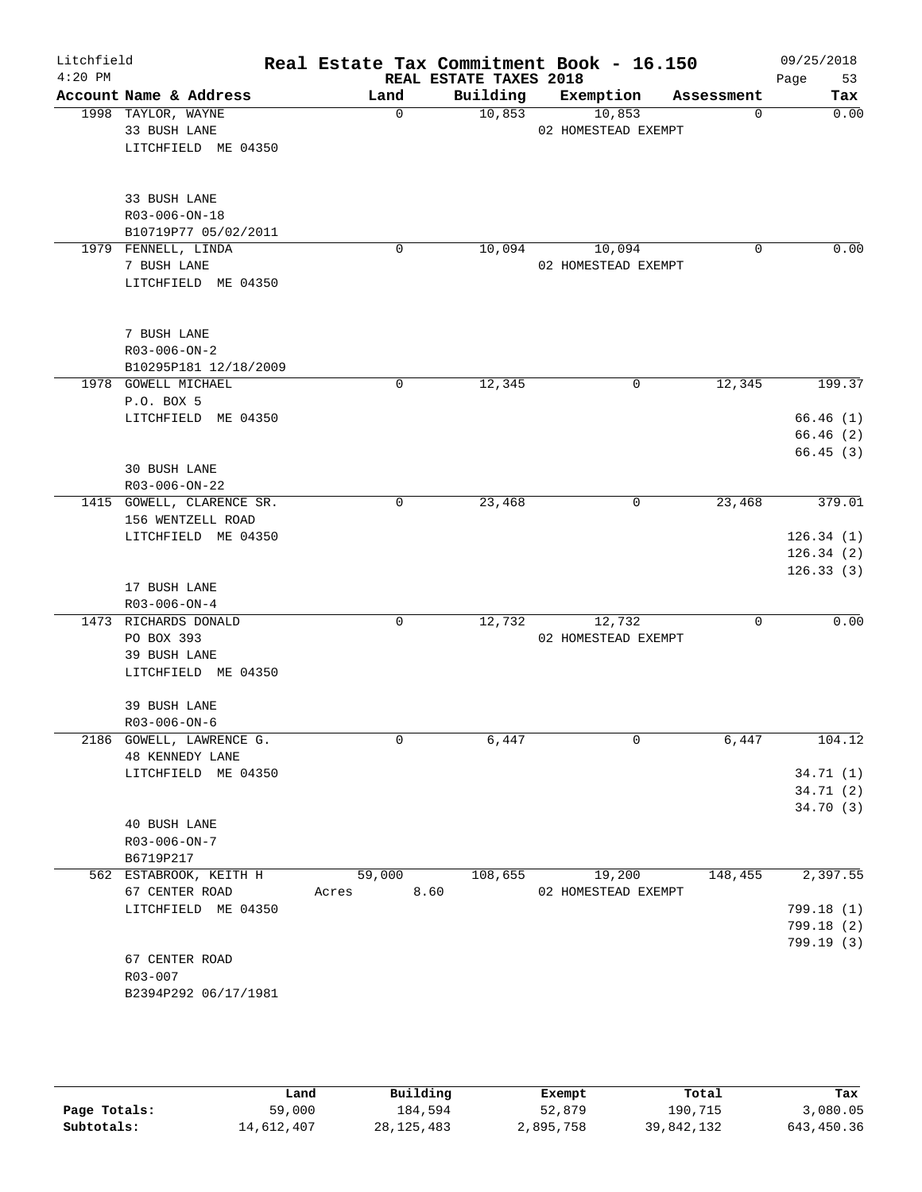| Litchfield<br>$4:20$ PM |                           |               | REAL ESTATE TAXES 2018 | Real Estate Tax Commitment Book - 16.150 |            | 09/25/2018<br>Page<br>53 |
|-------------------------|---------------------------|---------------|------------------------|------------------------------------------|------------|--------------------------|
|                         | Account Name & Address    | Land          | Building               | Exemption                                | Assessment | Tax                      |
|                         | 1998 TAYLOR, WAYNE        | $\mathbf 0$   | 10,853                 | 10,853                                   | 0          | 0.00                     |
|                         | 33 BUSH LANE              |               |                        | 02 HOMESTEAD EXEMPT                      |            |                          |
|                         | LITCHFIELD ME 04350       |               |                        |                                          |            |                          |
|                         |                           |               |                        |                                          |            |                          |
|                         | 33 BUSH LANE              |               |                        |                                          |            |                          |
|                         | R03-006-ON-18             |               |                        |                                          |            |                          |
|                         | B10719P77 05/02/2011      |               |                        |                                          |            |                          |
|                         | 1979 FENNELL, LINDA       | 0             | 10,094                 | 10,094                                   | 0          | 0.00                     |
|                         | 7 BUSH LANE               |               |                        | 02 HOMESTEAD EXEMPT                      |            |                          |
|                         | LITCHFIELD ME 04350       |               |                        |                                          |            |                          |
|                         |                           |               |                        |                                          |            |                          |
|                         | 7 BUSH LANE               |               |                        |                                          |            |                          |
|                         | $R03 - 006 - ON - 2$      |               |                        |                                          |            |                          |
|                         | B10295P181 12/18/2009     |               |                        |                                          |            |                          |
|                         | 1978 GOWELL MICHAEL       | 0             | 12,345                 | 0                                        | 12,345     | 199.37                   |
|                         | P.O. BOX 5                |               |                        |                                          |            |                          |
|                         | LITCHFIELD ME 04350       |               |                        |                                          |            | 66.46(1)                 |
|                         |                           |               |                        |                                          |            | 66.46(2)                 |
|                         |                           |               |                        |                                          |            | 66.45(3)                 |
|                         | 30 BUSH LANE              |               |                        |                                          |            |                          |
|                         | R03-006-ON-22             |               |                        |                                          |            |                          |
|                         | 1415 GOWELL, CLARENCE SR. | 0             | 23,468                 | 0                                        | 23,468     | 379.01                   |
|                         | 156 WENTZELL ROAD         |               |                        |                                          |            |                          |
|                         | LITCHFIELD ME 04350       |               |                        |                                          |            | 126.34(1)                |
|                         |                           |               |                        |                                          |            |                          |
|                         |                           |               |                        |                                          |            | 126.34(2)                |
|                         | 17 BUSH LANE              |               |                        |                                          |            | 126.33(3)                |
|                         | $R03 - 006 - ON - 4$      |               |                        |                                          |            |                          |
|                         | 1473 RICHARDS DONALD      | 0             | 12,732                 | 12,732                                   | 0          | 0.00                     |
|                         |                           |               |                        | 02 HOMESTEAD EXEMPT                      |            |                          |
|                         | PO BOX 393                |               |                        |                                          |            |                          |
|                         | 39 BUSH LANE              |               |                        |                                          |            |                          |
|                         | LITCHFIELD ME 04350       |               |                        |                                          |            |                          |
|                         | 39 BUSH LANE              |               |                        |                                          |            |                          |
|                         | $R03 - 006 - ON - 6$      |               |                        |                                          |            |                          |
|                         | 2186 GOWELL, LAWRENCE G.  | 0             | 6,447                  | 0                                        | 6,447      | 104.12                   |
|                         | <b>48 KENNEDY LANE</b>    |               |                        |                                          |            |                          |
|                         | LITCHFIELD ME 04350       |               |                        |                                          |            | 34.71(1)                 |
|                         |                           |               |                        |                                          |            | 34.71 (2)                |
|                         |                           |               |                        |                                          |            | 34.70(3)                 |
|                         | 40 BUSH LANE              |               |                        |                                          |            |                          |
|                         | R03-006-ON-7              |               |                        |                                          |            |                          |
|                         | B6719P217                 |               |                        |                                          |            |                          |
|                         | 562 ESTABROOK, KEITH H    | 59,000        | 108,655                | 19,200                                   | 148,455    | 2,397.55                 |
|                         | 67 CENTER ROAD            | 8.60<br>Acres |                        | 02 HOMESTEAD EXEMPT                      |            |                          |
|                         | LITCHFIELD ME 04350       |               |                        |                                          |            | 799.18 (1)               |
|                         |                           |               |                        |                                          |            | 799.18 (2)               |
|                         |                           |               |                        |                                          |            | 799.19 (3)               |
|                         | 67 CENTER ROAD            |               |                        |                                          |            |                          |
|                         | R03-007                   |               |                        |                                          |            |                          |
|                         | B2394P292 06/17/1981      |               |                        |                                          |            |                          |
|                         |                           |               |                        |                                          |            |                          |

|              | Land       | Building     | Exempt    | Total      | Tax        |
|--------------|------------|--------------|-----------|------------|------------|
| Page Totals: | 59,000     | 184,594      | 52,879    | 190,715    | 3,080.05   |
| Subtotals:   | 14,612,407 | 28, 125, 483 | 2,895,758 | 39,842,132 | 643,450.36 |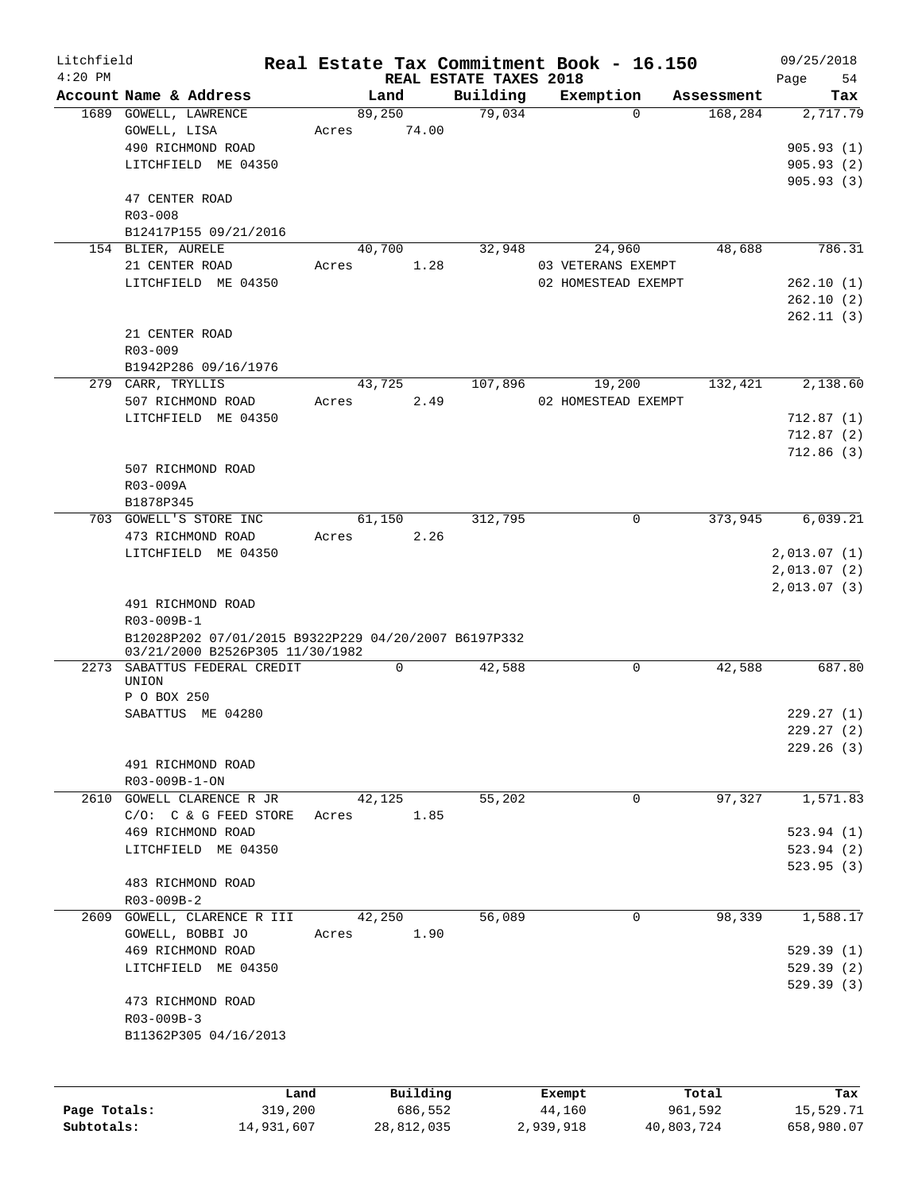| Litchfield<br>$4:20$ PM |                                                      |       |                     |                                    | Real Estate Tax Commitment Book - 16.150 |                  | 09/25/2018        |
|-------------------------|------------------------------------------------------|-------|---------------------|------------------------------------|------------------------------------------|------------------|-------------------|
|                         | Account Name & Address                               |       | Land                | REAL ESTATE TAXES 2018<br>Building | Exemption                                | Assessment       | 54<br>Page<br>Tax |
|                         | 1689 GOWELL, LAWRENCE<br>GOWELL, LISA                | Acres | 89,250<br>74.00     | 79,034                             | $\Omega$                                 | 168,284          | 2,717.79          |
|                         | 490 RICHMOND ROAD                                    |       |                     |                                    |                                          |                  | 905.93(1)         |
|                         | LITCHFIELD ME 04350                                  |       |                     |                                    |                                          |                  | 905.93(2)         |
|                         |                                                      |       |                     |                                    |                                          |                  | 905.93(3)         |
|                         | 47 CENTER ROAD<br>$R03 - 008$                        |       |                     |                                    |                                          |                  |                   |
|                         | B12417P155 09/21/2016                                |       |                     |                                    |                                          |                  |                   |
|                         | 154 BLIER, AURELE                                    |       | 40,700              | 32,948                             | 24,960                                   | 48,688           | 786.31            |
|                         | 21 CENTER ROAD                                       | Acres | 1.28                |                                    | 03 VETERANS EXEMPT                       |                  |                   |
|                         | LITCHFIELD ME 04350                                  |       |                     |                                    | 02 HOMESTEAD EXEMPT                      |                  | 262.10(1)         |
|                         |                                                      |       |                     |                                    |                                          |                  | 262.10(2)         |
|                         |                                                      |       |                     |                                    |                                          |                  | 262.11(3)         |
|                         | 21 CENTER ROAD                                       |       |                     |                                    |                                          |                  |                   |
|                         | $R03 - 009$                                          |       |                     |                                    |                                          |                  |                   |
|                         | B1942P286 09/16/1976                                 |       |                     |                                    |                                          |                  |                   |
|                         | 279 CARR, TRYLLIS                                    |       | 43,725              | 107,896                            | 19,200                                   | 132,421          | 2,138.60          |
|                         | 507 RICHMOND ROAD                                    | Acres | 2.49                |                                    | 02 HOMESTEAD EXEMPT                      |                  |                   |
|                         | LITCHFIELD ME 04350                                  |       |                     |                                    |                                          |                  | 712.87(1)         |
|                         |                                                      |       |                     |                                    |                                          |                  | 712.87(2)         |
|                         |                                                      |       |                     |                                    |                                          |                  | 712.86(3)         |
|                         | 507 RICHMOND ROAD                                    |       |                     |                                    |                                          |                  |                   |
|                         | R03-009A                                             |       |                     |                                    |                                          |                  |                   |
|                         | B1878P345<br>703 GOWELL'S STORE INC                  |       | 61,150              | 312,795                            | $\mathbf 0$                              | 373,945          | 6,039.21          |
|                         | 473 RICHMOND ROAD                                    | Acres | 2.26                |                                    |                                          |                  |                   |
|                         | LITCHFIELD ME 04350                                  |       |                     |                                    |                                          |                  | 2,013.07(1)       |
|                         |                                                      |       |                     |                                    |                                          |                  | 2,013.07(2)       |
|                         |                                                      |       |                     |                                    |                                          |                  | 2,013.07(3)       |
|                         | 491 RICHMOND ROAD                                    |       |                     |                                    |                                          |                  |                   |
|                         | R03-009B-1                                           |       |                     |                                    |                                          |                  |                   |
|                         | B12028P202 07/01/2015 B9322P229 04/20/2007 B6197P332 |       |                     |                                    |                                          |                  |                   |
|                         | 03/21/2000 B2526P305 11/30/1982                      |       |                     |                                    |                                          |                  |                   |
|                         | 2273 SABATTUS FEDERAL CREDIT                         |       | 0                   | 42,588                             | 0                                        | 42,588           | 687.80            |
|                         | UNION                                                |       |                     |                                    |                                          |                  |                   |
|                         | P O BOX 250                                          |       |                     |                                    |                                          |                  |                   |
|                         | SABATTUS ME 04280                                    |       |                     |                                    |                                          |                  | 229.27(1)         |
|                         |                                                      |       |                     |                                    |                                          |                  | 229.27(2)         |
|                         | 491 RICHMOND ROAD                                    |       |                     |                                    |                                          |                  | 229.26(3)         |
|                         | R03-009B-1-ON                                        |       |                     |                                    |                                          |                  |                   |
| 2610                    | GOWELL CLARENCE R JR                                 |       | 42,125              | 55,202                             | 0                                        | 97,327           | 1,571.83          |
|                         | $C/O:$ $C & G$ FEED STORE                            | Acres | 1.85                |                                    |                                          |                  |                   |
|                         | 469 RICHMOND ROAD                                    |       |                     |                                    |                                          |                  | 523.94(1)         |
|                         | LITCHFIELD ME 04350                                  |       |                     |                                    |                                          |                  | 523.94 (2)        |
|                         |                                                      |       |                     |                                    |                                          |                  | 523.95 (3)        |
|                         | 483 RICHMOND ROAD                                    |       |                     |                                    |                                          |                  |                   |
|                         | R03-009B-2                                           |       |                     |                                    |                                          |                  |                   |
| 2609                    | GOWELL, CLARENCE R III                               |       | 42,250              | 56,089                             | 0                                        | 98,339           | 1,588.17          |
|                         | GOWELL, BOBBI JO                                     | Acres | 1.90                |                                    |                                          |                  |                   |
|                         | 469 RICHMOND ROAD                                    |       |                     |                                    |                                          |                  | 529.39(1)         |
|                         | LITCHFIELD ME 04350                                  |       |                     |                                    |                                          |                  | 529.39(2)         |
|                         |                                                      |       |                     |                                    |                                          |                  | 529.39(3)         |
|                         | 473 RICHMOND ROAD                                    |       |                     |                                    |                                          |                  |                   |
|                         | R03-009B-3                                           |       |                     |                                    |                                          |                  |                   |
|                         | B11362P305 04/16/2013                                |       |                     |                                    |                                          |                  |                   |
|                         |                                                      |       |                     |                                    |                                          |                  |                   |
|                         |                                                      |       |                     |                                    |                                          |                  |                   |
| Page Totals:            | 319,200                                              | Land  | Building<br>686,552 |                                    | Exempt<br>44,160                         | Total<br>961,592 | Tax<br>15,529.71  |
|                         |                                                      |       |                     |                                    |                                          |                  |                   |

**Subtotals:** 14,931,607 28,812,035 2,939,918 40,803,724 658,980.07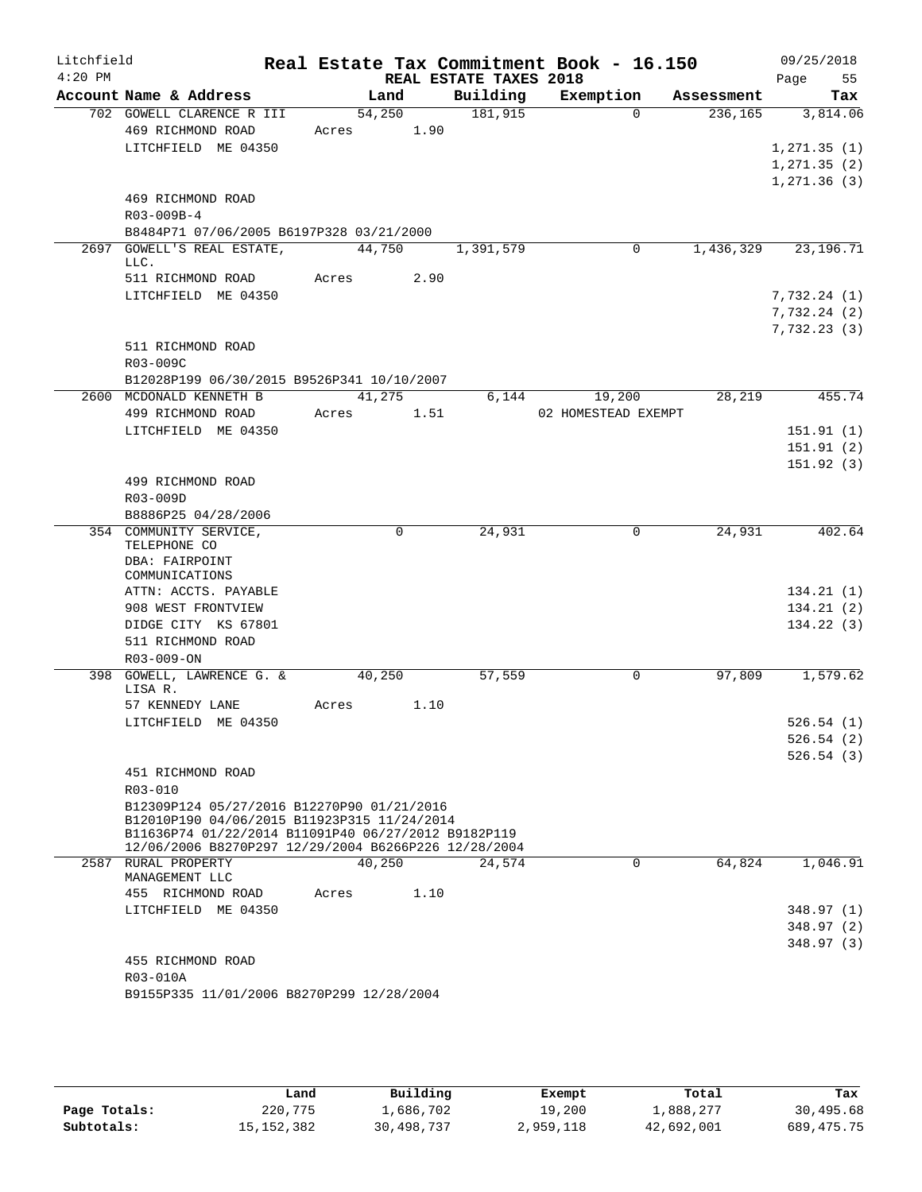| Litchfield<br>$4:20$ PM |                                                                                                    |               | REAL ESTATE TAXES 2018 | Real Estate Tax Commitment Book - 16.150 | Page       | 09/25/2018<br>55 |
|-------------------------|----------------------------------------------------------------------------------------------------|---------------|------------------------|------------------------------------------|------------|------------------|
|                         | Account Name & Address                                                                             | Land          | Building               | Exemption                                | Assessment | Tax              |
|                         | 702 GOWELL CLARENCE R III                                                                          | 54,250        | 181,915                | $\Omega$                                 | 236, 165   | 3,814.06         |
|                         | 469 RICHMOND ROAD                                                                                  | 1.90<br>Acres |                        |                                          |            |                  |
|                         | LITCHFIELD ME 04350                                                                                |               |                        |                                          |            | 1,271.35(1)      |
|                         |                                                                                                    |               |                        |                                          |            | 1, 271.35(2)     |
|                         |                                                                                                    |               |                        |                                          |            | 1,271.36(3)      |
|                         | 469 RICHMOND ROAD                                                                                  |               |                        |                                          |            |                  |
|                         | R03-009B-4                                                                                         |               |                        |                                          |            |                  |
|                         | B8484P71 07/06/2005 B6197P328 03/21/2000                                                           |               |                        |                                          |            |                  |
|                         | 2697 GOWELL'S REAL ESTATE,                                                                         | 44,750        | 1,391,579              | 0                                        | 1,436,329  | 23, 196. 71      |
|                         | LLC.<br>511 RICHMOND ROAD                                                                          | 2.90<br>Acres |                        |                                          |            |                  |
|                         | LITCHFIELD ME 04350                                                                                |               |                        |                                          |            | 7,732.24(1)      |
|                         |                                                                                                    |               |                        |                                          |            | 7,732.24(2)      |
|                         |                                                                                                    |               |                        |                                          |            | 7,732.23(3)      |
|                         | 511 RICHMOND ROAD                                                                                  |               |                        |                                          |            |                  |
|                         | R03-009C                                                                                           |               |                        |                                          |            |                  |
|                         | B12028P199 06/30/2015 B9526P341 10/10/2007                                                         |               |                        |                                          |            |                  |
|                         | 2600 MCDONALD KENNETH B                                                                            | 41,275        | 6,144                  | 19,200                                   | 28,219     | 455.74           |
|                         | 499 RICHMOND ROAD                                                                                  | Acres<br>1.51 |                        | 02 HOMESTEAD EXEMPT                      |            |                  |
|                         | LITCHFIELD ME 04350                                                                                |               |                        |                                          |            | 151.91(1)        |
|                         |                                                                                                    |               |                        |                                          |            | 151.91(2)        |
|                         |                                                                                                    |               |                        |                                          |            | 151.92(3)        |
|                         | 499 RICHMOND ROAD                                                                                  |               |                        |                                          |            |                  |
|                         | R03-009D                                                                                           |               |                        |                                          |            |                  |
|                         | B8886P25 04/28/2006                                                                                |               |                        |                                          |            |                  |
|                         | 354 COMMUNITY SERVICE,<br>TELEPHONE CO                                                             | $\Omega$      | 24,931                 | $\mathbf 0$                              | 24,931     | 402.64           |
|                         | DBA: FAIRPOINT<br>COMMUNICATIONS                                                                   |               |                        |                                          |            |                  |
|                         | ATTN: ACCTS. PAYABLE                                                                               |               |                        |                                          |            | 134.21(1)        |
|                         | 908 WEST FRONTVIEW                                                                                 |               |                        |                                          |            | 134.21(2)        |
|                         | DIDGE CITY KS 67801                                                                                |               |                        |                                          |            | 134.22(3)        |
|                         | 511 RICHMOND ROAD                                                                                  |               |                        |                                          |            |                  |
|                         | R03-009-ON                                                                                         |               |                        |                                          |            |                  |
|                         | 398 GOWELL, LAWRENCE G. &<br>LISA R.                                                               | 40,250        | 57,559                 | 0                                        | 97,809     | 1,579.62         |
|                         | 57 KENNEDY LANE                                                                                    | 1.10<br>Acres |                        |                                          |            |                  |
|                         | LITCHFIELD ME 04350                                                                                |               |                        |                                          |            | 526.54(1)        |
|                         |                                                                                                    |               |                        |                                          |            | 526.54(2)        |
|                         |                                                                                                    |               |                        |                                          |            | 526.54(3)        |
|                         | 451 RICHMOND ROAD<br>R03-010                                                                       |               |                        |                                          |            |                  |
|                         | B12309P124 05/27/2016 B12270P90 01/21/2016                                                         |               |                        |                                          |            |                  |
|                         | B12010P190 04/06/2015 B11923P315 11/24/2014<br>B11636P74 01/22/2014 B11091P40 06/27/2012 B9182P119 |               |                        |                                          |            |                  |
|                         | 12/06/2006 B8270P297 12/29/2004 B6266P226 12/28/2004<br>2587 RURAL PROPERTY                        | 40,250        | 24,574                 | $\Omega$                                 | 64,824     | 1,046.91         |
|                         | MANAGEMENT LLC                                                                                     |               |                        |                                          |            |                  |
|                         | 455 RICHMOND ROAD                                                                                  | 1.10<br>Acres |                        |                                          |            |                  |
|                         | LITCHFIELD ME 04350                                                                                |               |                        |                                          |            | 348.97 (1)       |
|                         |                                                                                                    |               |                        |                                          |            | 348.97(2)        |
|                         |                                                                                                    |               |                        |                                          |            | 348.97(3)        |
|                         | 455 RICHMOND ROAD                                                                                  |               |                        |                                          |            |                  |
|                         | R03-010A                                                                                           |               |                        |                                          |            |                  |
|                         | B9155P335 11/01/2006 B8270P299 12/28/2004                                                          |               |                        |                                          |            |                  |

|              | Land         | Building   | Exempt    | Total      | Tax          |
|--------------|--------------|------------|-----------|------------|--------------|
| Page Totals: | 220,775      | 1,686,702  | 19,200    | 1,888,277  | 30,495.68    |
| Subtotals:   | 15, 152, 382 | 30,498,737 | 2,959,118 | 42,692,001 | 689, 475. 75 |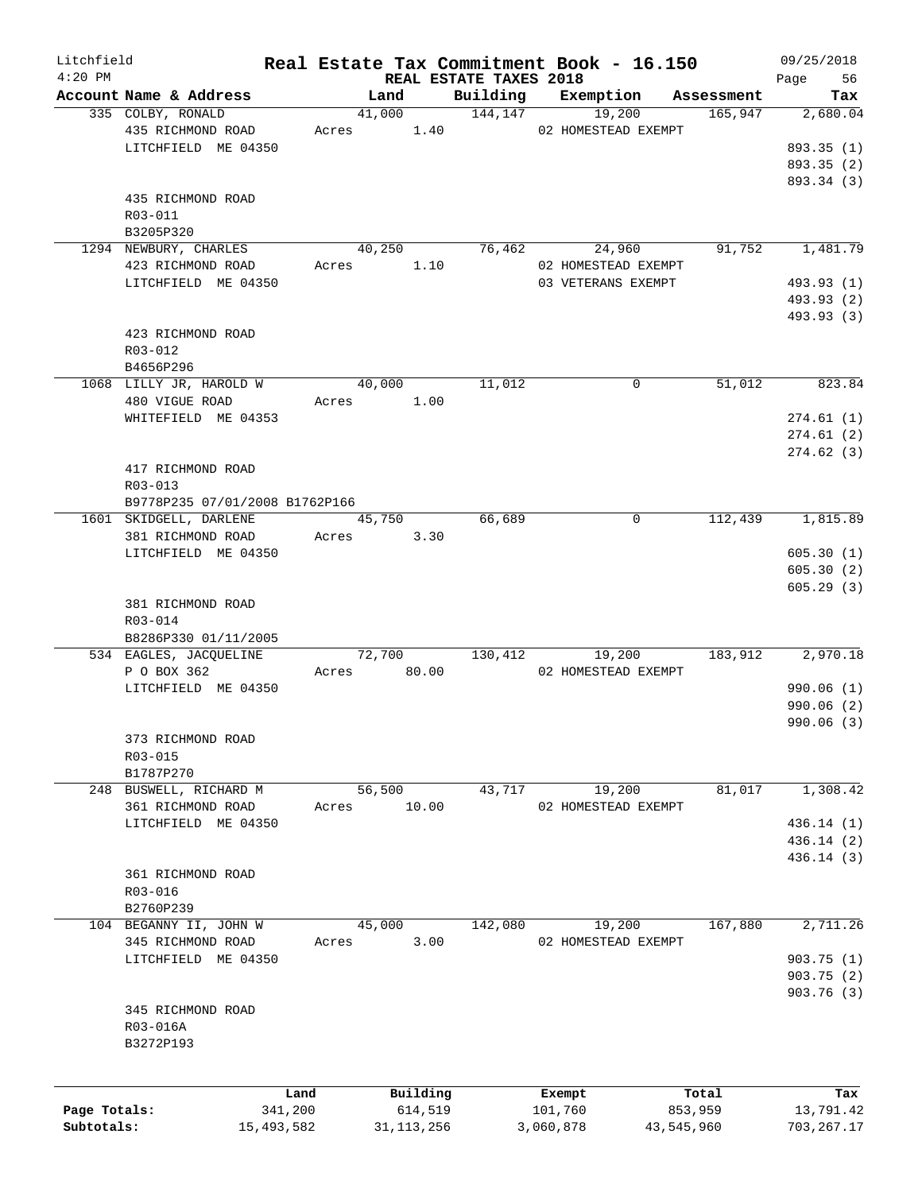| Litchfield   |                                |       |               |                                    | Real Estate Tax Commitment Book - 16.150 |                       | 09/25/2018     |
|--------------|--------------------------------|-------|---------------|------------------------------------|------------------------------------------|-----------------------|----------------|
| $4:20$ PM    | Account Name & Address         |       | Land          | REAL ESTATE TAXES 2018<br>Building | Exemption                                |                       | Page 56<br>Tax |
|              | 335 COLBY, RONALD              |       | 41,000        | 144, 147                           | 19,200                                   | Assessment<br>165,947 | 2,680.04       |
|              | 435 RICHMOND ROAD              |       | Acres 1.40    |                                    | 02 HOMESTEAD EXEMPT                      |                       |                |
|              | LITCHFIELD ME 04350            |       |               |                                    |                                          |                       | 893.35 (1)     |
|              |                                |       |               |                                    |                                          |                       | 893.35 (2)     |
|              |                                |       |               |                                    |                                          |                       | 893.34 (3)     |
|              | 435 RICHMOND ROAD              |       |               |                                    |                                          |                       |                |
|              | R03-011                        |       |               |                                    |                                          |                       |                |
|              | B3205P320                      |       |               |                                    |                                          |                       |                |
|              | 1294 NEWBURY, CHARLES          |       | 40,250        | 76,462                             | 24,960                                   | 91,752                | 1,481.79       |
|              | 423 RICHMOND ROAD              |       | Acres<br>1.10 |                                    | 02 HOMESTEAD EXEMPT                      |                       |                |
|              | LITCHFIELD ME 04350            |       |               |                                    | 03 VETERANS EXEMPT                       |                       | 493.93 (1)     |
|              |                                |       |               |                                    |                                          |                       | 493.93 (2)     |
|              |                                |       |               |                                    |                                          |                       | 493.93 (3)     |
|              | 423 RICHMOND ROAD              |       |               |                                    |                                          |                       |                |
|              | R03-012                        |       |               |                                    |                                          |                       |                |
|              | B4656P296                      |       |               |                                    |                                          |                       |                |
|              | 1068 LILLY JR, HAROLD W        |       | 40,000        | 11,012                             | 0                                        | 51,012                | 823.84         |
|              | 480 VIGUE ROAD                 |       | Acres 1.00    |                                    |                                          |                       |                |
|              | WHITEFIELD ME 04353            |       |               |                                    |                                          |                       |                |
|              |                                |       |               |                                    |                                          |                       | 274.61(1)      |
|              |                                |       |               |                                    |                                          |                       | 274.61(2)      |
|              |                                |       |               |                                    |                                          |                       | 274.62(3)      |
|              | 417 RICHMOND ROAD              |       |               |                                    |                                          |                       |                |
|              | R03-013                        |       |               |                                    |                                          |                       |                |
|              | B9778P235 07/01/2008 B1762P166 |       |               |                                    |                                          |                       |                |
|              | 1601 SKIDGELL, DARLENE         |       | 45,750        | 66,689                             | $\mathbf 0$                              | 112,439               | 1,815.89       |
|              | 381 RICHMOND ROAD              |       | Acres<br>3.30 |                                    |                                          |                       |                |
|              | LITCHFIELD ME 04350            |       |               |                                    |                                          |                       | 605.30(1)      |
|              |                                |       |               |                                    |                                          |                       | 605.30(2)      |
|              |                                |       |               |                                    |                                          |                       | 605.29(3)      |
|              | 381 RICHMOND ROAD              |       |               |                                    |                                          |                       |                |
|              | R03-014                        |       |               |                                    |                                          |                       |                |
|              | B8286P330 01/11/2005           |       |               |                                    |                                          |                       |                |
|              | 534 EAGLES, JACQUELINE         |       | 72,700        | 130,412                            | 19,200                                   | 183,912               | 2,970.18       |
|              | P O BOX 362                    | Acres | 80.00         |                                    | 02 HOMESTEAD EXEMPT                      |                       |                |
|              | LITCHFIELD ME 04350            |       |               |                                    |                                          |                       | 990.06 (1)     |
|              |                                |       |               |                                    |                                          |                       | 990.06(2)      |
|              |                                |       |               |                                    |                                          |                       | 990.06 (3)     |
|              | 373 RICHMOND ROAD              |       |               |                                    |                                          |                       |                |
|              | R03-015                        |       |               |                                    |                                          |                       |                |
|              | B1787P270                      |       |               |                                    |                                          |                       |                |
|              | 248 BUSWELL, RICHARD M         |       | 56,500        | 43,717                             | 19,200                                   | 81,017                | 1,308.42       |
|              | 361 RICHMOND ROAD              | Acres | 10.00         |                                    | 02 HOMESTEAD EXEMPT                      |                       |                |
|              | LITCHFIELD ME 04350            |       |               |                                    |                                          |                       | 436.14 (1)     |
|              |                                |       |               |                                    |                                          |                       | 436.14(2)      |
|              |                                |       |               |                                    |                                          |                       | 436.14 (3)     |
|              | 361 RICHMOND ROAD              |       |               |                                    |                                          |                       |                |
|              | R03-016                        |       |               |                                    |                                          |                       |                |
|              | B2760P239                      |       |               |                                    |                                          |                       |                |
|              | 104 BEGANNY II, JOHN W         |       | 45,000        | 142,080                            | 19,200                                   | 167,880               | 2,711.26       |
|              | 345 RICHMOND ROAD              | Acres | 3.00          |                                    | 02 HOMESTEAD EXEMPT                      |                       |                |
|              | LITCHFIELD ME 04350            |       |               |                                    |                                          |                       | 903.75(1)      |
|              |                                |       |               |                                    |                                          |                       | 903.75(2)      |
|              |                                |       |               |                                    |                                          |                       | 903.76(3)      |
|              | 345 RICHMOND ROAD              |       |               |                                    |                                          |                       |                |
|              | R03-016A                       |       |               |                                    |                                          |                       |                |
|              | B3272P193                      |       |               |                                    |                                          |                       |                |
|              |                                |       |               |                                    |                                          |                       |                |
|              |                                |       |               |                                    |                                          |                       |                |
|              |                                | Land  | Building      |                                    | Exempt                                   | Total                 | Tax            |
| Page Totals: | 341,200                        |       | 614,519       |                                    | 101,760                                  | 853,959               | 13,791.42      |
| Subtotals:   | 15,493,582                     |       | 31, 113, 256  |                                    | 3,060,878<br>43,545,960                  |                       | 703, 267.17    |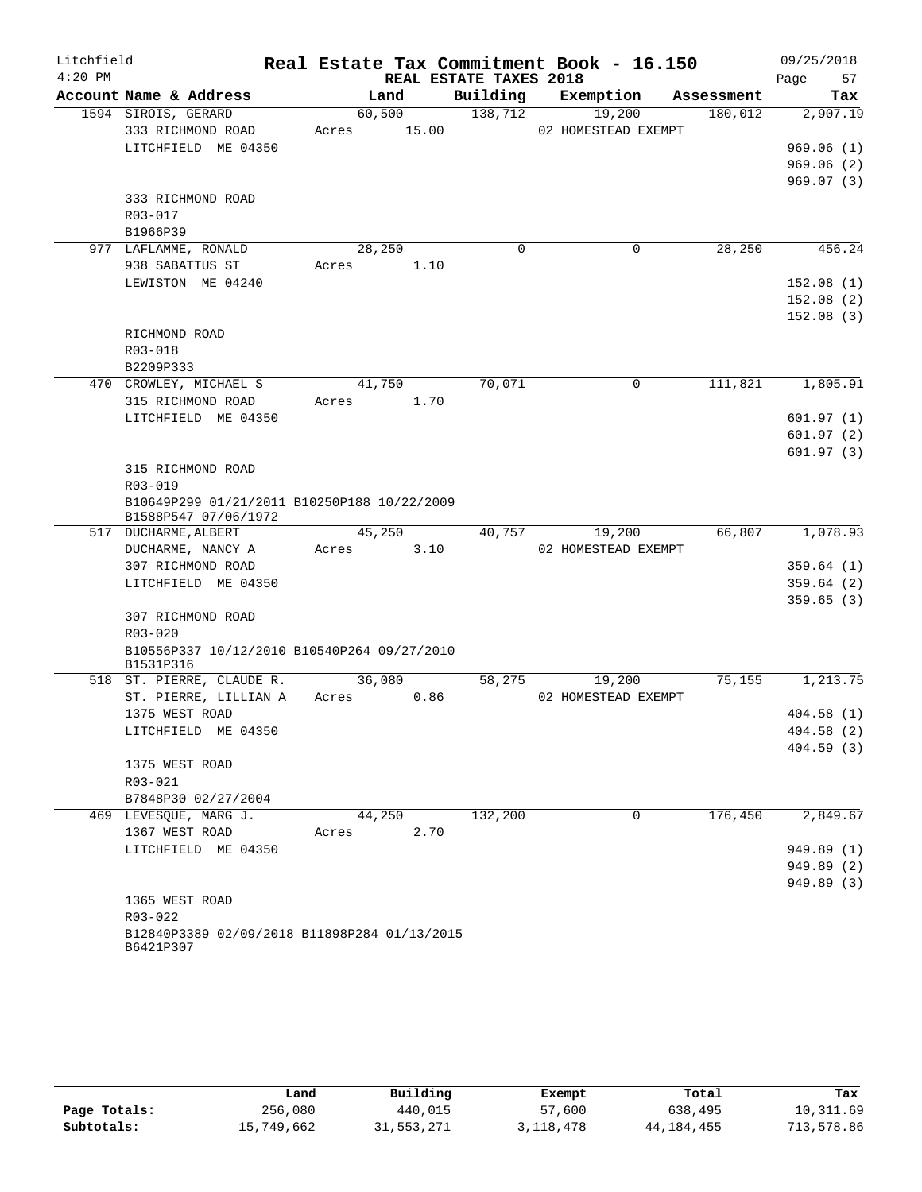| Litchfield |                                              |       |                |                        | Real Estate Tax Commitment Book - 16.150 |            | 09/25/2018             |
|------------|----------------------------------------------|-------|----------------|------------------------|------------------------------------------|------------|------------------------|
| $4:20$ PM  |                                              |       |                | REAL ESTATE TAXES 2018 |                                          |            | 57<br>Page             |
|            | Account Name & Address                       |       | Land           | Building               | Exemption                                | Assessment | Tax                    |
|            | 1594 SIROIS, GERARD                          |       | 60,500         | 138,712                | 19,200                                   | 180,012    | 2,907.19               |
|            | 333 RICHMOND ROAD                            | Acres | 15.00          |                        | 02 HOMESTEAD EXEMPT                      |            |                        |
|            | LITCHFIELD ME 04350                          |       |                |                        |                                          |            | 969.06(1)              |
|            |                                              |       |                |                        |                                          |            | 969.06(2)              |
|            |                                              |       |                |                        |                                          |            | 969.07(3)              |
|            | 333 RICHMOND ROAD                            |       |                |                        |                                          |            |                        |
|            | R03-017                                      |       |                |                        |                                          |            |                        |
|            | B1966P39                                     |       |                |                        |                                          |            |                        |
|            | 977 LAFLAMME, RONALD                         |       | 28,250         | $\Omega$               | 0                                        | 28,250     | 456.24                 |
|            | 938 SABATTUS ST                              | Acres | 1.10           |                        |                                          |            |                        |
|            | LEWISTON ME 04240                            |       |                |                        |                                          |            | 152.08(1)              |
|            |                                              |       |                |                        |                                          |            | 152.08(2)              |
|            |                                              |       |                |                        |                                          |            | 152.08(3)              |
|            | RICHMOND ROAD                                |       |                |                        |                                          |            |                        |
|            | R03-018                                      |       |                |                        |                                          |            |                        |
|            | B2209P333<br>470 CROWLEY, MICHAEL S          |       |                |                        |                                          |            |                        |
|            | 315 RICHMOND ROAD                            |       | 41,750<br>1.70 | 70,071                 | 0                                        | 111,821    | 1,805.91               |
|            | LITCHFIELD ME 04350                          | Acres |                |                        |                                          |            |                        |
|            |                                              |       |                |                        |                                          |            | 601.97(1)              |
|            |                                              |       |                |                        |                                          |            | 601.97(2)<br>601.97(3) |
|            | 315 RICHMOND ROAD                            |       |                |                        |                                          |            |                        |
|            | R03-019                                      |       |                |                        |                                          |            |                        |
|            | B10649P299 01/21/2011 B10250P188 10/22/2009  |       |                |                        |                                          |            |                        |
|            | B1588P547 07/06/1972                         |       |                |                        |                                          |            |                        |
|            | 517 DUCHARME, ALBERT                         |       | 45,250         | 40,757                 | 19,200                                   | 66,807     | 1,078.93               |
|            | DUCHARME, NANCY A                            | Acres | 3.10           |                        | 02 HOMESTEAD EXEMPT                      |            |                        |
|            | 307 RICHMOND ROAD                            |       |                |                        |                                          |            | 359.64(1)              |
|            | LITCHFIELD ME 04350                          |       |                |                        |                                          |            | 359.64(2)              |
|            |                                              |       |                |                        |                                          |            | 359.65(3)              |
|            | 307 RICHMOND ROAD                            |       |                |                        |                                          |            |                        |
|            | R03-020                                      |       |                |                        |                                          |            |                        |
|            | B10556P337 10/12/2010 B10540P264 09/27/2010  |       |                |                        |                                          |            |                        |
|            | B1531P316                                    |       |                |                        |                                          |            |                        |
|            | 518 ST. PIERRE, CLAUDE R.                    |       | 36,080         | 58,275                 | 19,200                                   | 75, 155    | 1,213.75               |
|            | ST. PIERRE, LILLIAN A                        | Acres | 0.86           |                        | 02 HOMESTEAD EXEMPT                      |            |                        |
|            | 1375 WEST ROAD                               |       |                |                        |                                          |            | 404.58(1)              |
|            | LITCHFIELD ME 04350                          |       |                |                        |                                          |            | 404.58(2)              |
|            |                                              |       |                |                        |                                          |            | 404.59(3)              |
|            | 1375 WEST ROAD                               |       |                |                        |                                          |            |                        |
|            | $R03 - 021$                                  |       |                |                        |                                          |            |                        |
|            | B7848P30 02/27/2004                          |       |                |                        |                                          |            |                        |
|            | 469 LEVESQUE, MARG J.                        |       | 44,250         | 132,200                | $\Omega$                                 | 176,450    | 2,849.67               |
|            | 1367 WEST ROAD                               | Acres | 2.70           |                        |                                          |            |                        |
|            | LITCHFIELD ME 04350                          |       |                |                        |                                          |            | 949.89 (1)             |
|            |                                              |       |                |                        |                                          |            | 949.89 (2)             |
|            |                                              |       |                |                        |                                          |            | 949.89 (3)             |
|            | 1365 WEST ROAD<br>$R03 - 022$                |       |                |                        |                                          |            |                        |
|            | B12840P3389 02/09/2018 B11898P284 01/13/2015 |       |                |                        |                                          |            |                        |
|            | B6421P307                                    |       |                |                        |                                          |            |                        |

|              | Land       | Building   | Exempt    | Total      | Tax        |
|--------------|------------|------------|-----------|------------|------------|
| Page Totals: | 256,080    | 440,015    | 57,600    | 638,495    | 10,311.69  |
| Subtotals:   | 15,749,662 | 31,553,271 | 3,118,478 | 44,184,455 | 713,578.86 |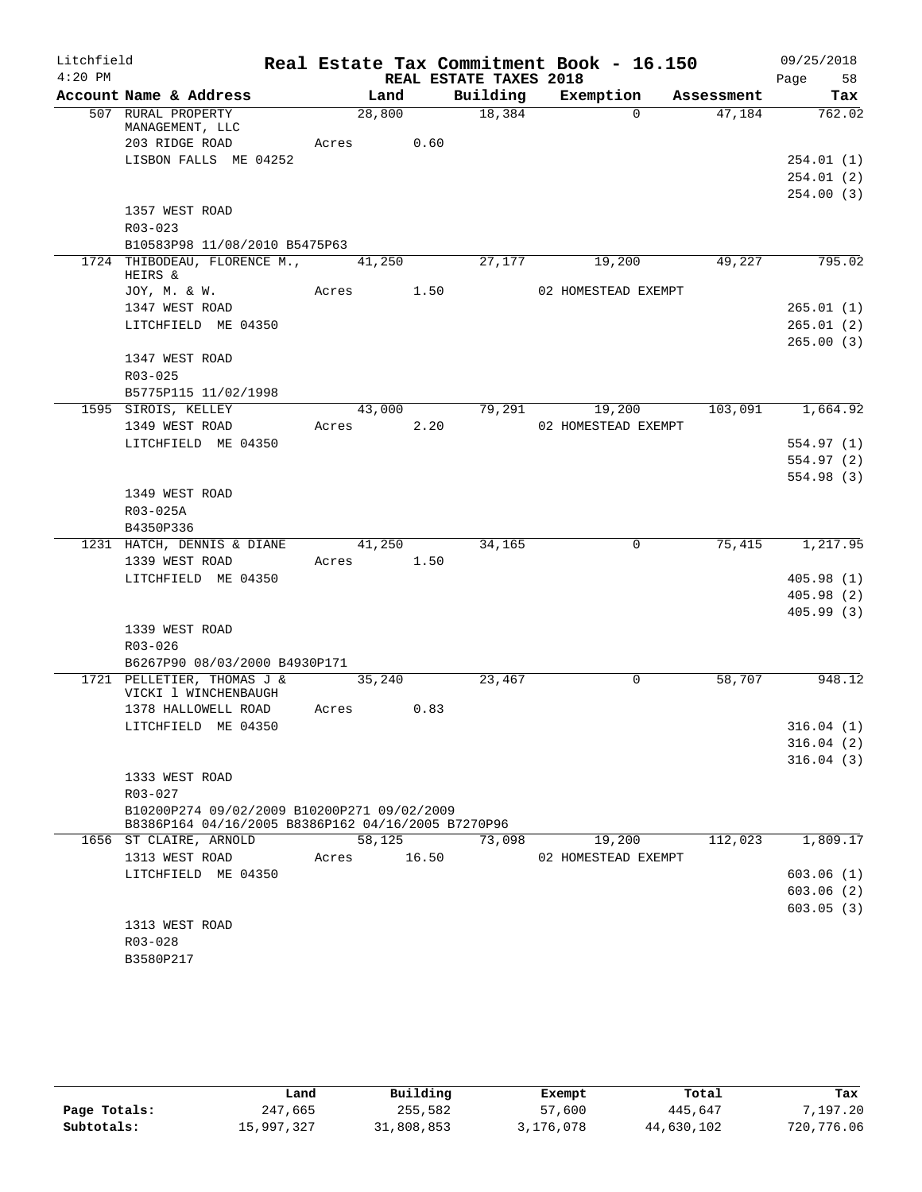| Litchfield |                                                                                                   |                    |       |                        | Real Estate Tax Commitment Book - 16.150 |            | 09/25/2018             |
|------------|---------------------------------------------------------------------------------------------------|--------------------|-------|------------------------|------------------------------------------|------------|------------------------|
| $4:20$ PM  |                                                                                                   |                    |       | REAL ESTATE TAXES 2018 |                                          |            | Page<br>58             |
|            | Account Name & Address                                                                            |                    | Land  | Building               | Exemption                                | Assessment | Tax                    |
|            | 507 RURAL PROPERTY<br>MANAGEMENT, LLC                                                             | 28,800             |       | 18,384                 | $\Omega$                                 | 47,184     | 762.02                 |
|            | 203 RIDGE ROAD                                                                                    | Acres              | 0.60  |                        |                                          |            |                        |
|            | LISBON FALLS ME 04252                                                                             |                    |       |                        |                                          |            | 254.01 (1)             |
|            |                                                                                                   |                    |       |                        |                                          |            | 254.01(2)              |
|            |                                                                                                   |                    |       |                        |                                          |            | 254.00(3)              |
|            | 1357 WEST ROAD                                                                                    |                    |       |                        |                                          |            |                        |
|            | R03-023                                                                                           |                    |       |                        |                                          |            |                        |
|            | B10583P98 11/08/2010 B5475P63                                                                     |                    |       |                        |                                          |            |                        |
|            | 1724 THIBODEAU, FLORENCE M., 41,250<br>HEIRS &                                                    |                    |       | 27,177                 | 19,200                                   | 49,227     | 795.02                 |
|            | JOY, M. & W.                                                                                      | Acres 1.50         |       |                        | 02 HOMESTEAD EXEMPT                      |            |                        |
|            | 1347 WEST ROAD                                                                                    |                    |       |                        |                                          |            | 265.01(1)              |
|            | LITCHFIELD ME 04350                                                                               |                    |       |                        |                                          |            | 265.01(2)              |
|            | 1347 WEST ROAD                                                                                    |                    |       |                        |                                          |            | 265.00(3)              |
|            | $R03 - 025$                                                                                       |                    |       |                        |                                          |            |                        |
|            | B5775P115 11/02/1998                                                                              |                    |       |                        |                                          |            |                        |
|            | 1595 SIROIS, KELLEY                                                                               | 43,000             |       | 79,291                 | 19,200                                   | 103,091    | 1,664.92               |
|            | 1349 WEST ROAD                                                                                    | Acres              | 2.20  |                        | 02 HOMESTEAD EXEMPT                      |            |                        |
|            | LITCHFIELD ME 04350                                                                               |                    |       |                        |                                          |            | 554.97(1)              |
|            |                                                                                                   |                    |       |                        |                                          |            | 554.97 (2)             |
|            |                                                                                                   |                    |       |                        |                                          |            | 554.98(3)              |
|            | 1349 WEST ROAD                                                                                    |                    |       |                        |                                          |            |                        |
|            | R03-025A                                                                                          |                    |       |                        |                                          |            |                        |
|            | B4350P336                                                                                         |                    |       |                        |                                          |            |                        |
|            | 1231 HATCH, DENNIS & DIANE                                                                        | 41,250             |       | 34,165                 | 0                                        | 75,415     | 1,217.95               |
|            | 1339 WEST ROAD                                                                                    | Acres 1.50         |       |                        |                                          |            |                        |
|            | LITCHFIELD ME 04350                                                                               |                    |       |                        |                                          |            | 405.98(1)              |
|            |                                                                                                   |                    |       |                        |                                          |            | 405.98(2)<br>405.99(3) |
|            | 1339 WEST ROAD                                                                                    |                    |       |                        |                                          |            |                        |
|            | R03-026                                                                                           |                    |       |                        |                                          |            |                        |
|            | B6267P90 08/03/2000 B4930P171                                                                     |                    |       |                        |                                          |            |                        |
|            | 1721 PELLETIER, THOMAS J &                                                                        | $\frac{1}{35,240}$ |       | 23,467                 | $\mathbf 0$                              | 58,707     | 948.12                 |
|            | VICKI 1 WINCHENBAUGH                                                                              |                    |       |                        |                                          |            |                        |
|            | 1378 HALLOWELL ROAD                                                                               | Acres              | 0.83  |                        |                                          |            |                        |
|            | LITCHFIELD ME 04350                                                                               |                    |       |                        |                                          |            | 316.04(1)              |
|            |                                                                                                   |                    |       |                        |                                          |            | 316.04(2)              |
|            |                                                                                                   |                    |       |                        |                                          |            | 316.04(3)              |
|            | 1333 WEST ROAD                                                                                    |                    |       |                        |                                          |            |                        |
|            | R03-027                                                                                           |                    |       |                        |                                          |            |                        |
|            | B10200P274 09/02/2009 B10200P271 09/02/2009<br>B8386P164 04/16/2005 B8386P162 04/16/2005 B7270P96 |                    |       |                        |                                          |            |                        |
|            | 1656 ST CLAIRE, ARNOLD                                                                            | 58,125             |       | 73,098                 | 19,200                                   | 112,023    | 1,809.17               |
|            | 1313 WEST ROAD                                                                                    | Acres              | 16.50 |                        | 02 HOMESTEAD EXEMPT                      |            |                        |
|            | LITCHFIELD ME 04350                                                                               |                    |       |                        |                                          |            | 603.06(1)              |
|            |                                                                                                   |                    |       |                        |                                          |            | 603.06(2)              |
|            |                                                                                                   |                    |       |                        |                                          |            | 603.05(3)              |
|            | 1313 WEST ROAD                                                                                    |                    |       |                        |                                          |            |                        |
|            | R03-028                                                                                           |                    |       |                        |                                          |            |                        |
|            | B3580P217                                                                                         |                    |       |                        |                                          |            |                        |

|              | Land       | Building   | Exempt    | Total      | Tax        |
|--------------|------------|------------|-----------|------------|------------|
| Page Totals: | 247,665    | 255,582    | 57,600    | 445,647    | 7,197.20   |
| Subtotals:   | 15,997,327 | 31,808,853 | 3,176,078 | 44,630,102 | 720,776.06 |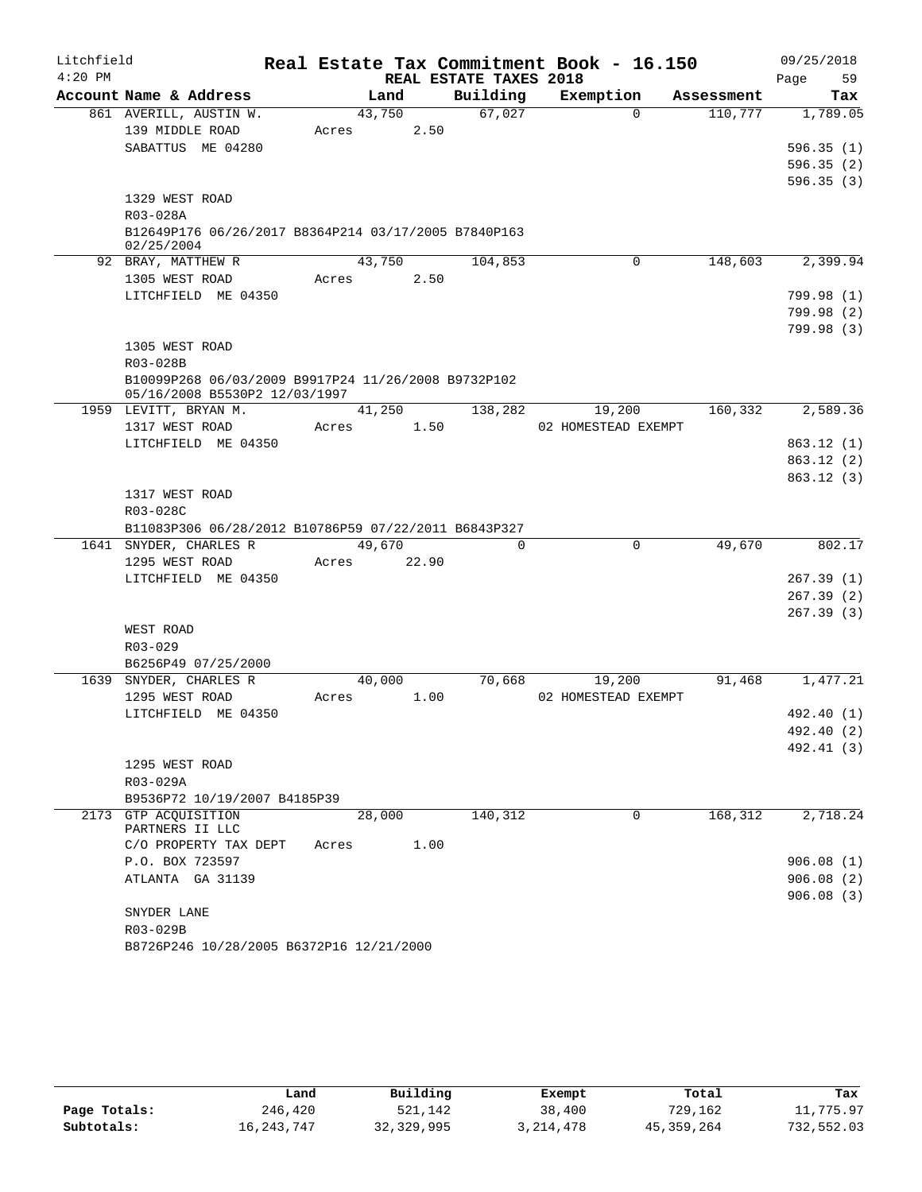| Litchfield |                                                                                |        |       |                        | Real Estate Tax Commitment Book - 16.150 |            | 09/25/2018             |
|------------|--------------------------------------------------------------------------------|--------|-------|------------------------|------------------------------------------|------------|------------------------|
| $4:20$ PM  |                                                                                |        |       | REAL ESTATE TAXES 2018 |                                          |            | 59<br>Page             |
|            | Account Name & Address                                                         | Land   |       | Building               | Exemption                                | Assessment | Tax                    |
|            | 861 AVERILL, AUSTIN W.                                                         | 43,750 |       | 67,027                 | $\Omega$                                 | 110,777    | 1,789.05               |
|            | 139 MIDDLE ROAD                                                                | Acres  | 2.50  |                        |                                          |            |                        |
|            | SABATTUS ME 04280                                                              |        |       |                        |                                          |            | 596.35(1)              |
|            |                                                                                |        |       |                        |                                          |            | 596.35(2)              |
|            |                                                                                |        |       |                        |                                          |            | 596.35(3)              |
|            | 1329 WEST ROAD                                                                 |        |       |                        |                                          |            |                        |
|            | R03-028A<br>B12649P176 06/26/2017 B8364P214 03/17/2005 B7840P163               |        |       |                        |                                          |            |                        |
|            | 02/25/2004                                                                     |        |       |                        |                                          |            |                        |
|            | 92 BRAY, MATTHEW R                                                             | 43,750 |       | 104,853                | 0                                        | 148,603    | 2,399.94               |
|            | 1305 WEST ROAD                                                                 | Acres  | 2.50  |                        |                                          |            |                        |
|            | LITCHFIELD ME 04350                                                            |        |       |                        |                                          |            | 799.98(1)              |
|            |                                                                                |        |       |                        |                                          |            | 799.98(2)              |
|            |                                                                                |        |       |                        |                                          |            | 799.98(3)              |
|            | 1305 WEST ROAD                                                                 |        |       |                        |                                          |            |                        |
|            | R03-028B                                                                       |        |       |                        |                                          |            |                        |
|            | B10099P268 06/03/2009 B9917P24 11/26/2008 B9732P102                            |        |       |                        |                                          |            |                        |
|            | 05/16/2008 B5530P2 12/03/1997                                                  |        |       |                        |                                          |            |                        |
|            | 1959 LEVITT, BRYAN M.                                                          | 41,250 |       | 138,282                | 19,200                                   | 160,332    | 2,589.36               |
|            | 1317 WEST ROAD                                                                 | Acres  | 1.50  |                        | 02 HOMESTEAD EXEMPT                      |            |                        |
|            | LITCHFIELD ME 04350                                                            |        |       |                        |                                          |            | 863.12 (1)             |
|            |                                                                                |        |       |                        |                                          |            | 863.12(2)              |
|            |                                                                                |        |       |                        |                                          |            | 863.12(3)              |
|            | 1317 WEST ROAD                                                                 |        |       |                        |                                          |            |                        |
|            | R03-028C                                                                       |        |       |                        |                                          |            |                        |
|            | B11083P306 06/28/2012 B10786P59 07/22/2011 B6843P327<br>1641 SNYDER, CHARLES R | 49,670 |       | $\Omega$               | $\Omega$                                 | 49,670     | 802.17                 |
|            | 1295 WEST ROAD                                                                 | Acres  | 22.90 |                        |                                          |            |                        |
|            | LITCHFIELD ME 04350                                                            |        |       |                        |                                          |            | 267.39(1)              |
|            |                                                                                |        |       |                        |                                          |            | 267.39(2)              |
|            |                                                                                |        |       |                        |                                          |            | 267.39(3)              |
|            | WEST ROAD                                                                      |        |       |                        |                                          |            |                        |
|            | R03-029                                                                        |        |       |                        |                                          |            |                        |
|            | B6256P49 07/25/2000                                                            |        |       |                        |                                          |            |                        |
|            | 1639 SNYDER, CHARLES R                                                         | 40,000 |       | 70,668                 | 19,200                                   | 91,468     | 1,477.21               |
|            | 1295 WEST ROAD                                                                 | Acres  | 1.00  |                        | 02 HOMESTEAD EXEMPT                      |            |                        |
|            | LITCHFIELD ME 04350                                                            |        |       |                        |                                          |            | 492.40 (1)             |
|            |                                                                                |        |       |                        |                                          |            | 492.40 (2)             |
|            |                                                                                |        |       |                        |                                          |            | 492.41 (3)             |
|            | 1295 WEST ROAD                                                                 |        |       |                        |                                          |            |                        |
|            | R03-029A                                                                       |        |       |                        |                                          |            |                        |
|            | B9536P72 10/19/2007 B4185P39                                                   |        |       |                        |                                          |            |                        |
|            | 2173 GTP ACQUISITION                                                           | 28,000 |       | 140, 312               | $\Omega$                                 | 168, 312   | 2,718.24               |
|            | PARTNERS II LLC                                                                |        |       |                        |                                          |            |                        |
|            | C/O PROPERTY TAX DEPT                                                          | Acres  | 1.00  |                        |                                          |            |                        |
|            | P.O. BOX 723597                                                                |        |       |                        |                                          |            | 906.08(1)              |
|            | ATLANTA GA 31139                                                               |        |       |                        |                                          |            | 906.08(2)<br>906.08(3) |
|            | SNYDER LANE                                                                    |        |       |                        |                                          |            |                        |
|            | R03-029B                                                                       |        |       |                        |                                          |            |                        |
|            | B8726P246 10/28/2005 B6372P16 12/21/2000                                       |        |       |                        |                                          |            |                        |
|            |                                                                                |        |       |                        |                                          |            |                        |

|              | Land         | Building     | Exempt    | Total      | Tax        |
|--------------|--------------|--------------|-----------|------------|------------|
| Page Totals: | 246,420      | 521,142      | 38,400    | 729,162    | 11,775.97  |
| Subtotals:   | 16, 243, 747 | 32, 329, 995 | 3,214,478 | 45,359,264 | 732,552.03 |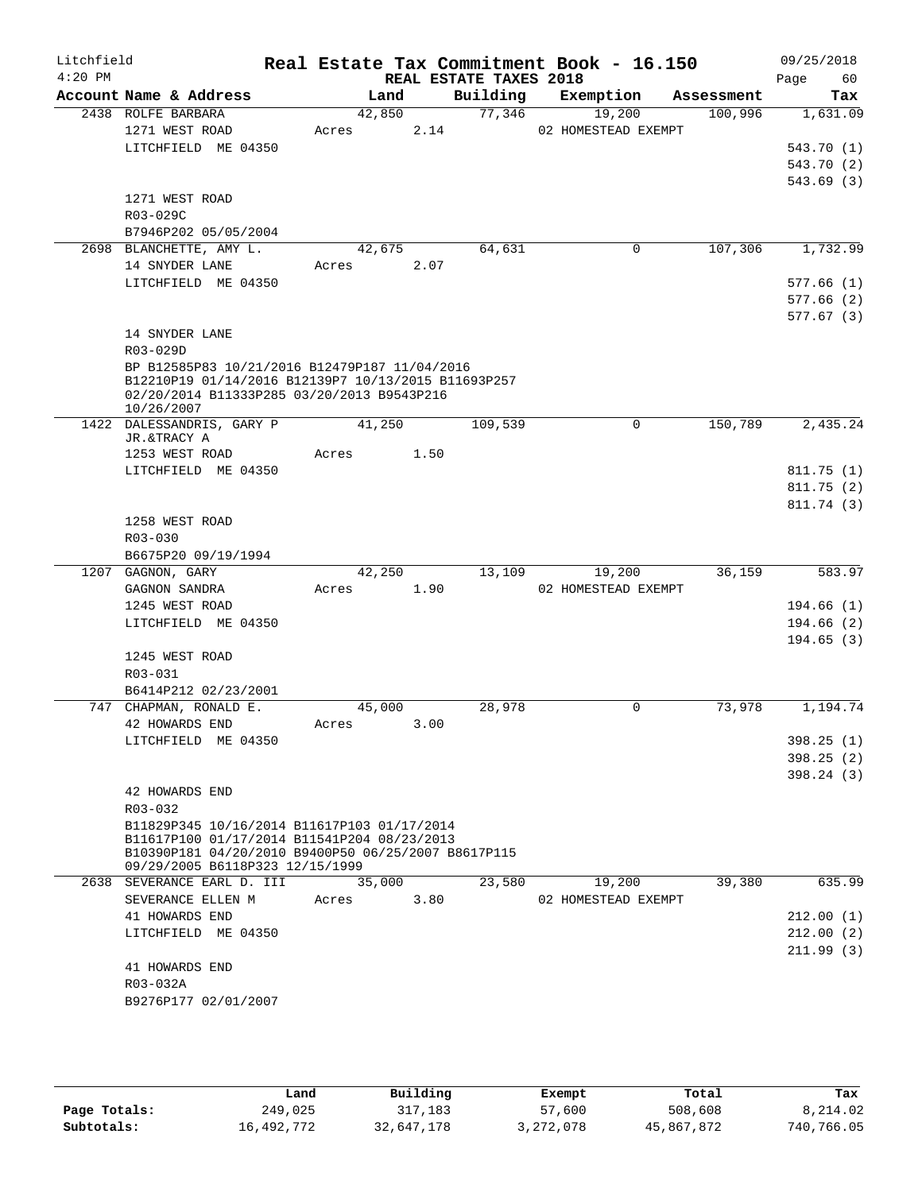| Litchfield<br>$4:20$ PM |                                                                                                    |       |        | REAL ESTATE TAXES 2018 | Real Estate Tax Commitment Book - 16.150 |                      | 09/25/2018<br>60<br>Page |
|-------------------------|----------------------------------------------------------------------------------------------------|-------|--------|------------------------|------------------------------------------|----------------------|--------------------------|
|                         | Account Name & Address                                                                             |       | Land   | Building               | Exemption                                | Assessment           | Tax                      |
|                         | 2438 ROLFE BARBARA                                                                                 |       | 42,850 | 77,346                 | 19,200                                   | 100,996              | 1,631.09                 |
|                         | 1271 WEST ROAD                                                                                     | Acres | 2.14   |                        | 02 HOMESTEAD EXEMPT                      |                      |                          |
|                         | LITCHFIELD ME 04350                                                                                |       |        |                        |                                          |                      | 543.70 (1)               |
|                         |                                                                                                    |       |        |                        |                                          |                      | 543.70 (2)               |
|                         |                                                                                                    |       |        |                        |                                          |                      | 543.69(3)                |
|                         | 1271 WEST ROAD                                                                                     |       |        |                        |                                          |                      |                          |
|                         | R03-029C<br>B7946P202 05/05/2004                                                                   |       |        |                        |                                          |                      |                          |
|                         | 2698 BLANCHETTE, AMY L.                                                                            |       | 42,675 | 64,631                 | 0                                        | 107,306              | 1,732.99                 |
|                         | 14 SNYDER LANE                                                                                     | Acres | 2.07   |                        |                                          |                      |                          |
|                         | LITCHFIELD ME 04350                                                                                |       |        |                        |                                          |                      | 577.66(1)                |
|                         |                                                                                                    |       |        |                        |                                          |                      | 577.66(2)                |
|                         |                                                                                                    |       |        |                        |                                          |                      | 577.67(3)                |
|                         | 14 SNYDER LANE                                                                                     |       |        |                        |                                          |                      |                          |
|                         | R03-029D                                                                                           |       |        |                        |                                          |                      |                          |
|                         | BP B12585P83 10/21/2016 B12479P187 11/04/2016                                                      |       |        |                        |                                          |                      |                          |
|                         | B12210P19 01/14/2016 B12139P7 10/13/2015 B11693P257<br>02/20/2014 B11333P285 03/20/2013 B9543P216  |       |        |                        |                                          |                      |                          |
|                         | 10/26/2007                                                                                         |       |        |                        |                                          |                      |                          |
|                         | 1422 DALESSANDRIS, GARY P                                                                          |       | 41,250 | 109,539                | 0                                        | $1\overline{50,789}$ | 2,435.24                 |
|                         | JR.&TRACY A                                                                                        |       |        |                        |                                          |                      |                          |
|                         | 1253 WEST ROAD                                                                                     | Acres | 1.50   |                        |                                          |                      |                          |
|                         | LITCHFIELD ME 04350                                                                                |       |        |                        |                                          |                      | 811.75(1)                |
|                         |                                                                                                    |       |        |                        |                                          |                      | 811.75(2)<br>811.74 (3)  |
|                         | 1258 WEST ROAD                                                                                     |       |        |                        |                                          |                      |                          |
|                         | R03-030                                                                                            |       |        |                        |                                          |                      |                          |
|                         | B6675P20 09/19/1994                                                                                |       |        |                        |                                          |                      |                          |
|                         | 1207 GAGNON, GARY                                                                                  |       | 42,250 | 13,109                 | 19,200                                   | 36,159               | 583.97                   |
|                         | GAGNON SANDRA                                                                                      | Acres | 1.90   |                        | 02 HOMESTEAD EXEMPT                      |                      |                          |
|                         | 1245 WEST ROAD                                                                                     |       |        |                        |                                          |                      | 194.66(1)                |
|                         | LITCHFIELD ME 04350                                                                                |       |        |                        |                                          |                      | 194.66(2)                |
|                         |                                                                                                    |       |        |                        |                                          |                      | 194.65(3)                |
|                         | 1245 WEST ROAD                                                                                     |       |        |                        |                                          |                      |                          |
|                         | R03-031<br>B6414P212 02/23/2001                                                                    |       |        |                        |                                          |                      |                          |
|                         | 747 CHAPMAN, RONALD E.                                                                             |       | 45,000 | 28,978                 | 0                                        | 73,978               | 1,194.74                 |
|                         | 42 HOWARDS END                                                                                     | Acres | 3.00   |                        |                                          |                      |                          |
|                         | LITCHFIELD ME 04350                                                                                |       |        |                        |                                          |                      | 398.25(1)                |
|                         |                                                                                                    |       |        |                        |                                          |                      | 398.25(2)                |
|                         |                                                                                                    |       |        |                        |                                          |                      | 398.24(3)                |
|                         | 42 HOWARDS END                                                                                     |       |        |                        |                                          |                      |                          |
|                         | R03-032                                                                                            |       |        |                        |                                          |                      |                          |
|                         | B11829P345 10/16/2014 B11617P103 01/17/2014                                                        |       |        |                        |                                          |                      |                          |
|                         | B11617P100 01/17/2014 B11541P204 08/23/2013<br>B10390P181 04/20/2010 B9400P50 06/25/2007 B8617P115 |       |        |                        |                                          |                      |                          |
|                         | 09/29/2005 B6118P323 12/15/1999                                                                    |       |        |                        |                                          |                      |                          |
|                         | 2638 SEVERANCE EARL D. III                                                                         |       | 35,000 | 23,580                 | 19,200                                   | 39,380               | 635.99                   |
|                         | SEVERANCE ELLEN M                                                                                  | Acres | 3.80   |                        | 02 HOMESTEAD EXEMPT                      |                      |                          |
|                         | 41 HOWARDS END                                                                                     |       |        |                        |                                          |                      | 212.00(1)                |
|                         | LITCHFIELD ME 04350                                                                                |       |        |                        |                                          |                      | 212.00(2)                |
|                         | 41 HOWARDS END                                                                                     |       |        |                        |                                          |                      | 211.99(3)                |
|                         | R03-032A                                                                                           |       |        |                        |                                          |                      |                          |
|                         | B9276P177 02/01/2007                                                                               |       |        |                        |                                          |                      |                          |
|                         |                                                                                                    |       |        |                        |                                          |                      |                          |

|              | Land       | Building   | Exempt    | Total      | Tax        |
|--------------|------------|------------|-----------|------------|------------|
| Page Totals: | 249,025    | 317,183    | 57,600    | 508,608    | 8,214.02   |
| Subtotals:   | 16,492,772 | 32,647,178 | 3,272,078 | 45,867,872 | 740,766.05 |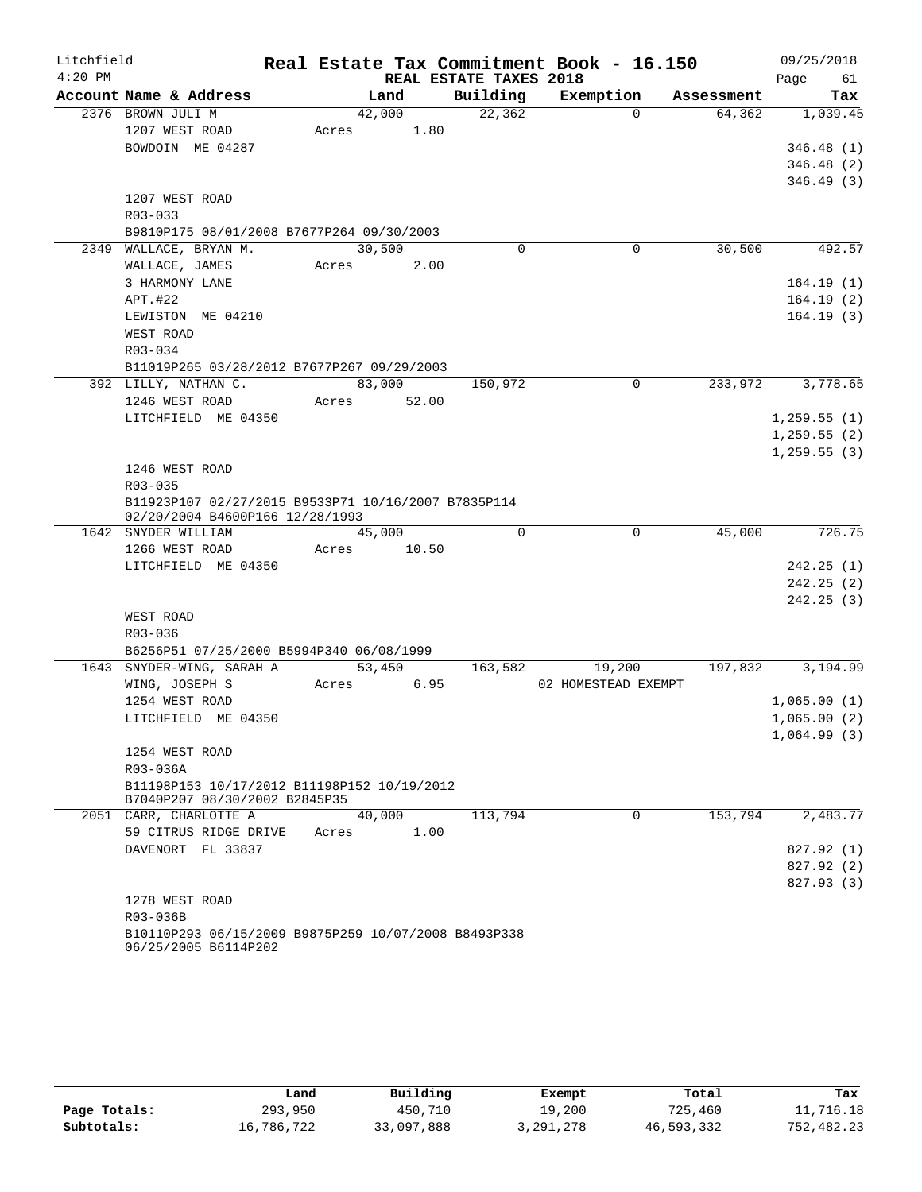| Litchfield |                                                                                        |       |        |       |                        | Real Estate Tax Commitment Book - 16.150 |            | 09/25/2018   |
|------------|----------------------------------------------------------------------------------------|-------|--------|-------|------------------------|------------------------------------------|------------|--------------|
| $4:20$ PM  |                                                                                        |       |        |       | REAL ESTATE TAXES 2018 |                                          |            | Page<br>61   |
|            | Account Name & Address                                                                 |       | Land   |       | Building               | Exemption                                | Assessment | Tax          |
|            | 2376 BROWN JULI M                                                                      |       | 42,000 |       | 22, 362                | $\Omega$                                 | 64,362     | 1,039.45     |
|            | 1207 WEST ROAD                                                                         | Acres |        | 1.80  |                        |                                          |            |              |
|            | BOWDOIN ME 04287                                                                       |       |        |       |                        |                                          |            | 346.48(1)    |
|            |                                                                                        |       |        |       |                        |                                          |            | 346.48(2)    |
|            |                                                                                        |       |        |       |                        |                                          |            | 346.49(3)    |
|            | 1207 WEST ROAD                                                                         |       |        |       |                        |                                          |            |              |
|            | R03-033                                                                                |       |        |       |                        |                                          |            |              |
|            | B9810P175 08/01/2008 B7677P264 09/30/2003                                              |       |        |       |                        |                                          |            |              |
|            | 2349 WALLACE, BRYAN M.                                                                 |       | 30,500 |       | $\Omega$               | 0                                        | 30,500     | 492.57       |
|            | WALLACE, JAMES                                                                         | Acres |        | 2.00  |                        |                                          |            |              |
|            | 3 HARMONY LANE                                                                         |       |        |       |                        |                                          |            | 164.19(1)    |
|            | APT.#22                                                                                |       |        |       |                        |                                          |            | 164.19(2)    |
|            | LEWISTON ME 04210                                                                      |       |        |       |                        |                                          |            | 164.19(3)    |
|            | WEST ROAD                                                                              |       |        |       |                        |                                          |            |              |
|            | R03-034                                                                                |       |        |       |                        |                                          |            |              |
|            | B11019P265 03/28/2012 B7677P267 09/29/2003                                             |       |        |       |                        |                                          |            |              |
|            | 392 LILLY, NATHAN C.                                                                   |       | 83,000 |       | 150,972                | $\mathbf 0$                              | 233,972    | 3,778.65     |
|            | 1246 WEST ROAD                                                                         | Acres |        | 52.00 |                        |                                          |            |              |
|            | LITCHFIELD ME 04350                                                                    |       |        |       |                        |                                          |            | 1, 259.55(1) |
|            |                                                                                        |       |        |       |                        |                                          |            | 1,259.55(2)  |
|            |                                                                                        |       |        |       |                        |                                          |            | 1, 259.55(3) |
|            | 1246 WEST ROAD                                                                         |       |        |       |                        |                                          |            |              |
|            | R03-035                                                                                |       |        |       |                        |                                          |            |              |
|            | B11923P107 02/27/2015 B9533P71 10/16/2007 B7835P114<br>02/20/2004 B4600P166 12/28/1993 |       |        |       |                        |                                          |            |              |
|            | 1642 SNYDER WILLIAM                                                                    |       | 45,000 |       | $\Omega$               | 0                                        | 45,000     | 726.75       |
|            | 1266 WEST ROAD                                                                         | Acres |        | 10.50 |                        |                                          |            |              |
|            | LITCHFIELD ME 04350                                                                    |       |        |       |                        |                                          |            | 242.25(1)    |
|            |                                                                                        |       |        |       |                        |                                          |            | 242.25(2)    |
|            |                                                                                        |       |        |       |                        |                                          |            | 242.25(3)    |
|            | WEST ROAD                                                                              |       |        |       |                        |                                          |            |              |
|            | R03-036                                                                                |       |        |       |                        |                                          |            |              |
|            | B6256P51 07/25/2000 B5994P340 06/08/1999                                               |       |        |       |                        |                                          |            |              |
|            | 1643 SNYDER-WING, SARAH A                                                              |       | 53,450 |       | 163,582                | 19,200                                   | 197,832    | 3,194.99     |
|            | WING, JOSEPH S                                                                         | Acres |        | 6.95  |                        | 02 HOMESTEAD EXEMPT                      |            |              |
|            | 1254 WEST ROAD                                                                         |       |        |       |                        |                                          |            | 1,065.00(1)  |
|            | LITCHFIELD ME 04350                                                                    |       |        |       |                        |                                          |            | 1,065.00(2)  |
|            |                                                                                        |       |        |       |                        |                                          |            | 1,064.99(3)  |
|            | 1254 WEST ROAD                                                                         |       |        |       |                        |                                          |            |              |
|            | R03-036A                                                                               |       |        |       |                        |                                          |            |              |
|            | B11198P153 10/17/2012 B11198P152 10/19/2012                                            |       |        |       |                        |                                          |            |              |
|            | B7040P207 08/30/2002 B2845P35                                                          |       |        |       |                        |                                          |            |              |
|            | 2051 CARR, CHARLOTTE A                                                                 |       | 40,000 |       | 113,794                | 0                                        | 153,794    | 2,483.77     |
|            | 59 CITRUS RIDGE DRIVE<br>DAVENORT FL 33837                                             | Acres |        | 1.00  |                        |                                          |            |              |
|            |                                                                                        |       |        |       |                        |                                          |            | 827.92 (1)   |
|            |                                                                                        |       |        |       |                        |                                          |            | 827.92(2)    |
|            |                                                                                        |       |        |       |                        |                                          |            | 827.93 (3)   |
|            | 1278 WEST ROAD<br>R03-036B                                                             |       |        |       |                        |                                          |            |              |
|            | B10110P293 06/15/2009 B9875P259 10/07/2008 B8493P338                                   |       |        |       |                        |                                          |            |              |
|            | 06/25/2005 B6114P202                                                                   |       |        |       |                        |                                          |            |              |

|              | Land       | Building   | Exempt      | Total      | Tax        |
|--------------|------------|------------|-------------|------------|------------|
| Page Totals: | 293,950    | 450,710    | 19,200      | 725,460    | 11,716.18  |
| Subtotals:   | 16,786,722 | 33,097,888 | 3, 291, 278 | 46,593,332 | 752,482.23 |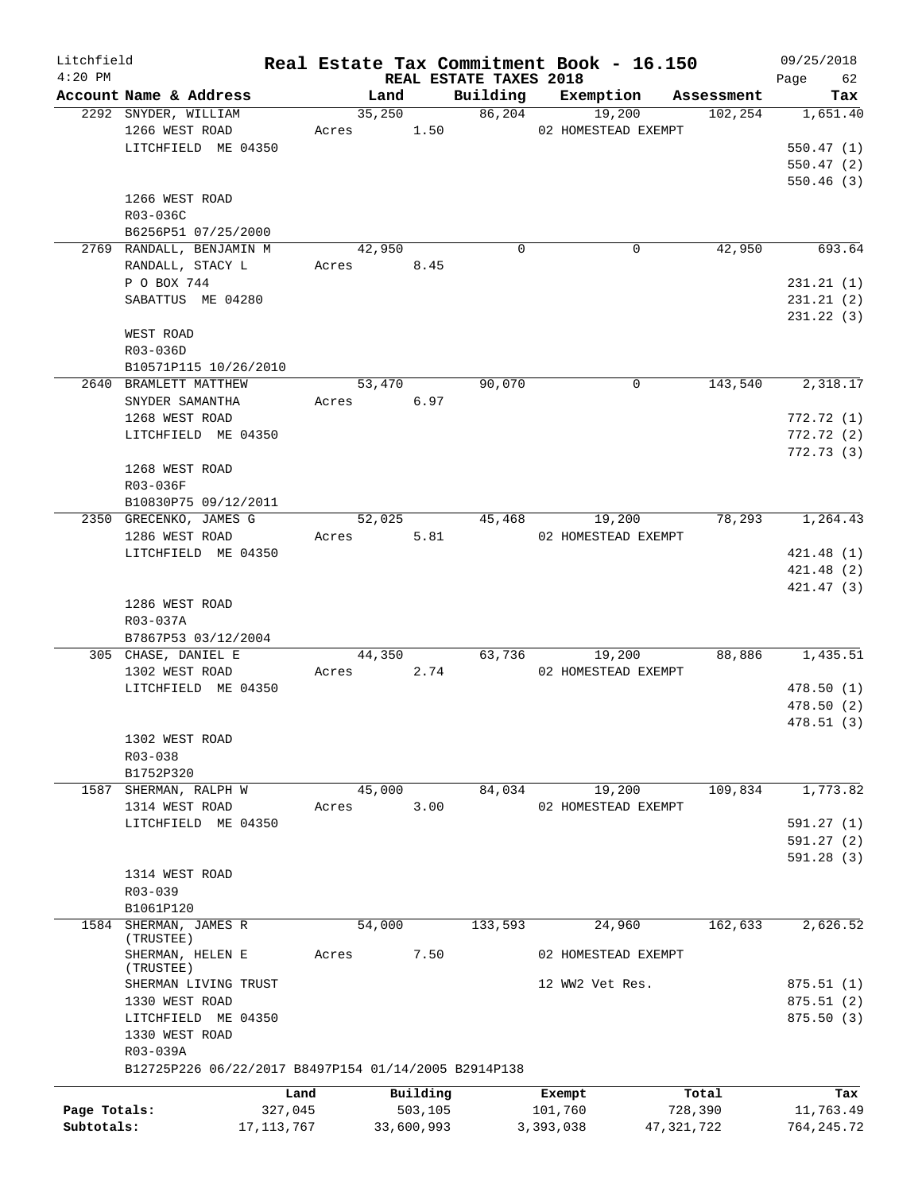| Litchfield   |                                                      |            |            |        |            |                                    | Real Estate Tax Commitment Book - 16.150 |            |            | 09/25/2018        |
|--------------|------------------------------------------------------|------------|------------|--------|------------|------------------------------------|------------------------------------------|------------|------------|-------------------|
| $4:20$ PM    | Account Name & Address                               |            |            | Land   |            | REAL ESTATE TAXES 2018<br>Building | Exemption                                |            | Assessment | 62<br>Page<br>Tax |
|              | 2292 SNYDER, WILLIAM                                 |            |            | 35,250 |            | 86,204                             | 19,200                                   |            | 102, 254   | 1,651.40          |
|              | 1266 WEST ROAD                                       |            | Acres 1.50 |        |            |                                    | 02 HOMESTEAD EXEMPT                      |            |            |                   |
|              | LITCHFIELD ME 04350                                  |            |            |        |            |                                    |                                          |            |            | 550.47(1)         |
|              |                                                      |            |            |        |            |                                    |                                          |            |            | 550.47(2)         |
|              |                                                      |            |            |        |            |                                    |                                          |            |            | 550.46(3)         |
|              | 1266 WEST ROAD                                       |            |            |        |            |                                    |                                          |            |            |                   |
|              | R03-036C                                             |            |            |        |            |                                    |                                          |            |            |                   |
|              | B6256P51 07/25/2000                                  |            |            |        |            |                                    |                                          |            |            |                   |
|              | 2769 RANDALL, BENJAMIN M                             |            |            | 42,950 |            | $\Omega$                           | $\Omega$                                 |            | 42,950     | 693.64            |
|              | RANDALL, STACY L                                     |            | Acres 8.45 |        |            |                                    |                                          |            |            |                   |
|              | P O BOX 744                                          |            |            |        |            |                                    |                                          |            |            | 231.21(1)         |
|              | SABATTUS ME 04280                                    |            |            |        |            |                                    |                                          |            |            | 231.21(2)         |
|              |                                                      |            |            |        |            |                                    |                                          |            |            | 231.22(3)         |
|              | WEST ROAD                                            |            |            |        |            |                                    |                                          |            |            |                   |
|              | R03-036D                                             |            |            |        |            |                                    |                                          |            |            |                   |
|              | B10571P115 10/26/2010                                |            |            |        |            |                                    |                                          |            |            |                   |
|              | 2640 BRAMLETT MATTHEW                                |            |            | 53,470 |            | 90,070                             | 0                                        |            | 143,540    | 2,318.17          |
|              | SNYDER SAMANTHA                                      |            | Acres 6.97 |        |            |                                    |                                          |            |            |                   |
|              | 1268 WEST ROAD                                       |            |            |        |            |                                    |                                          |            |            | 772.72(1)         |
|              | LITCHFIELD ME 04350                                  |            |            |        |            |                                    |                                          |            |            | 772.72(2)         |
|              |                                                      |            |            |        |            |                                    |                                          |            |            | 772.73(3)         |
|              | 1268 WEST ROAD                                       |            |            |        |            |                                    |                                          |            |            |                   |
|              | R03-036F                                             |            |            |        |            |                                    |                                          |            |            |                   |
|              | B10830P75 09/12/2011                                 |            |            |        |            |                                    |                                          |            |            |                   |
|              | 2350 GRECENKO, JAMES G                               |            |            | 52,025 |            | 45,468                             | 19,200                                   |            | 78,293     | 1,264.43          |
|              | 1286 WEST ROAD                                       |            | Acres      |        | 5.81       |                                    | 02 HOMESTEAD EXEMPT                      |            |            |                   |
|              | LITCHFIELD ME 04350                                  |            |            |        |            |                                    |                                          |            |            | 421.48(1)         |
|              |                                                      |            |            |        |            |                                    |                                          |            |            | 421.48(2)         |
|              |                                                      |            |            |        |            |                                    |                                          |            |            | 421.47 (3)        |
|              | 1286 WEST ROAD                                       |            |            |        |            |                                    |                                          |            |            |                   |
|              | R03-037A                                             |            |            |        |            |                                    |                                          |            |            |                   |
|              | B7867P53 03/12/2004                                  |            |            |        |            | 63,736                             |                                          |            | 88,886     | 1,435.51          |
|              | 305 CHASE, DANIEL E<br>1302 WEST ROAD                |            | Acres      | 44,350 | 2.74       |                                    | 19,200<br>02 HOMESTEAD EXEMPT            |            |            |                   |
|              | LITCHFIELD ME 04350                                  |            |            |        |            |                                    |                                          |            |            | 478.50(1)         |
|              |                                                      |            |            |        |            |                                    |                                          |            |            | 478.50 (2)        |
|              |                                                      |            |            |        |            |                                    |                                          |            |            | 478.51(3)         |
|              | 1302 WEST ROAD                                       |            |            |        |            |                                    |                                          |            |            |                   |
|              | R03-038                                              |            |            |        |            |                                    |                                          |            |            |                   |
|              | B1752P320                                            |            |            |        |            |                                    |                                          |            |            |                   |
| 1587         | SHERMAN, RALPH W                                     |            |            | 45,000 |            | 84,034                             | 19,200                                   |            | 109,834    | 1,773.82          |
|              | 1314 WEST ROAD                                       |            | Acres      |        | 3.00       |                                    | 02 HOMESTEAD EXEMPT                      |            |            |                   |
|              | LITCHFIELD ME 04350                                  |            |            |        |            |                                    |                                          |            |            | 591.27(1)         |
|              |                                                      |            |            |        |            |                                    |                                          |            |            | 591.27(2)         |
|              |                                                      |            |            |        |            |                                    |                                          |            |            | 591.28(3)         |
|              | 1314 WEST ROAD                                       |            |            |        |            |                                    |                                          |            |            |                   |
|              | R03-039                                              |            |            |        |            |                                    |                                          |            |            |                   |
|              | B1061P120                                            |            |            |        |            |                                    |                                          |            |            |                   |
| 1584         | SHERMAN, JAMES R                                     |            |            | 54,000 |            | 133,593                            | 24,960                                   |            | 162,633    | 2,626.52          |
|              | (TRUSTEE)                                            |            |            |        |            |                                    |                                          |            |            |                   |
|              | SHERMAN, HELEN E                                     |            | Acres      |        | 7.50       |                                    | 02 HOMESTEAD EXEMPT                      |            |            |                   |
|              | (TRUSTEE)<br>SHERMAN LIVING TRUST                    |            |            |        |            |                                    | 12 WW2 Vet Res.                          |            |            | 875.51(1)         |
|              | 1330 WEST ROAD                                       |            |            |        |            |                                    |                                          |            |            | 875.51(2)         |
|              | LITCHFIELD ME 04350                                  |            |            |        |            |                                    |                                          |            |            | 875.50 (3)        |
|              | 1330 WEST ROAD                                       |            |            |        |            |                                    |                                          |            |            |                   |
|              | R03-039A                                             |            |            |        |            |                                    |                                          |            |            |                   |
|              | B12725P226 06/22/2017 B8497P154 01/14/2005 B2914P138 |            |            |        |            |                                    |                                          |            |            |                   |
|              |                                                      |            |            |        |            |                                    |                                          |            |            |                   |
|              |                                                      | Land       |            |        | Building   |                                    | Exempt                                   |            | Total      | Tax               |
| Page Totals: |                                                      | 327,045    |            |        | 503,105    |                                    | 101,760                                  | 728,390    |            | 11,763.49         |
| Subtotals:   |                                                      | 17,113,767 |            |        | 33,600,993 |                                    | 3,393,038                                | 47,321,722 |            | 764,245.72        |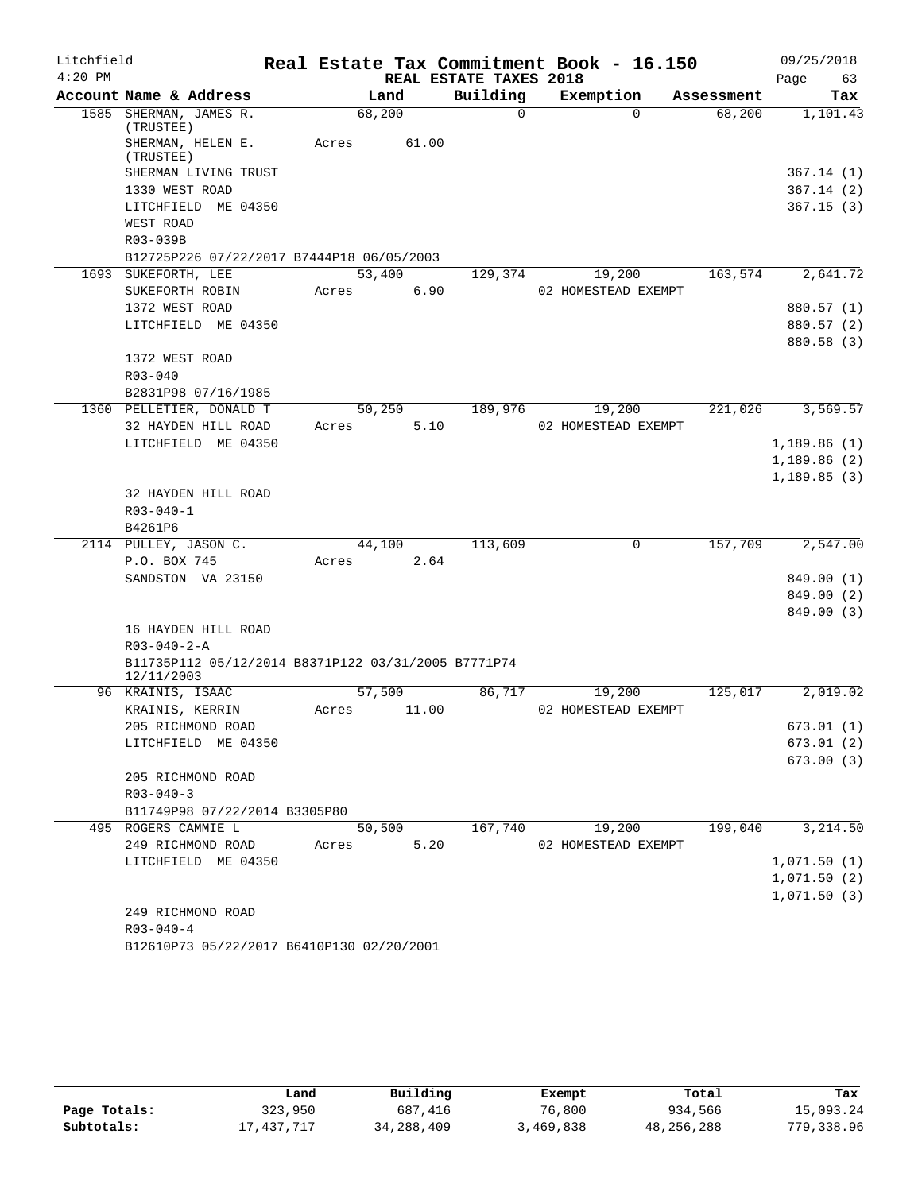| Litchfield |                                                                   | Real Estate Tax Commitment Book - 16.150 |                        |                     |            | 09/25/2018                 |
|------------|-------------------------------------------------------------------|------------------------------------------|------------------------|---------------------|------------|----------------------------|
| $4:20$ PM  |                                                                   |                                          | REAL ESTATE TAXES 2018 |                     |            | Page<br>63                 |
|            | Account Name & Address                                            | Land                                     | Building               | Exemption           | Assessment | Tax                        |
|            | 1585 SHERMAN, JAMES R.<br>(TRUSTEE)                               | 68,200                                   | $\Omega$               | $\Omega$            | 68,200     | 1,101.43                   |
|            | SHERMAN, HELEN E.<br>(TRUSTEE)                                    | 61.00<br>Acres                           |                        |                     |            |                            |
|            | SHERMAN LIVING TRUST                                              |                                          |                        |                     |            | 367.14(1)                  |
|            | 1330 WEST ROAD                                                    |                                          |                        |                     |            | 367.14(2)                  |
|            | LITCHFIELD ME 04350                                               |                                          |                        |                     |            | 367.15(3)                  |
|            | WEST ROAD                                                         |                                          |                        |                     |            |                            |
|            | R03-039B                                                          |                                          |                        |                     |            |                            |
|            | B12725P226 07/22/2017 B7444P18 06/05/2003                         |                                          |                        |                     |            |                            |
|            | 1693 SUKEFORTH, LEE                                               | 53,400                                   | 129,374                | 19,200              | 163,574    | 2,641.72                   |
|            | SUKEFORTH ROBIN                                                   | 6.90<br>Acres                            |                        | 02 HOMESTEAD EXEMPT |            |                            |
|            | 1372 WEST ROAD                                                    |                                          |                        |                     |            | 880.57 (1)                 |
|            | LITCHFIELD ME 04350                                               |                                          |                        |                     |            | 880.57 (2)                 |
|            |                                                                   |                                          |                        |                     |            | 880.58 (3)                 |
|            | 1372 WEST ROAD                                                    |                                          |                        |                     |            |                            |
|            | $R03 - 040$                                                       |                                          |                        |                     |            |                            |
|            | B2831P98 07/16/1985                                               |                                          |                        |                     |            |                            |
|            | 1360 PELLETIER, DONALD T                                          | 50,250                                   | 189,976                | 19,200              | 221,026    | 3,569.57                   |
|            | 32 HAYDEN HILL ROAD                                               | 5.10<br>Acres                            |                        | 02 HOMESTEAD EXEMPT |            |                            |
|            | LITCHFIELD ME 04350                                               |                                          |                        |                     |            | 1,189.86(1)<br>1,189.86(2) |
|            |                                                                   |                                          |                        |                     |            | 1,189.85(3)                |
|            | 32 HAYDEN HILL ROAD                                               |                                          |                        |                     |            |                            |
|            | $R03 - 040 - 1$                                                   |                                          |                        |                     |            |                            |
|            | B4261P6                                                           |                                          |                        |                     |            |                            |
|            | 2114 PULLEY, JASON C.                                             | 44,100                                   | 113,609                | $\mathbf 0$         | 157,709    | 2,547.00                   |
|            | P.O. BOX 745                                                      | 2.64<br>Acres                            |                        |                     |            |                            |
|            | SANDSTON VA 23150                                                 |                                          |                        |                     |            | 849.00 (1)                 |
|            |                                                                   |                                          |                        |                     |            | 849.00 (2)                 |
|            |                                                                   |                                          |                        |                     |            | 849.00 (3)                 |
|            | 16 HAYDEN HILL ROAD                                               |                                          |                        |                     |            |                            |
|            | $R03 - 040 - 2 - A$                                               |                                          |                        |                     |            |                            |
|            | B11735P112 05/12/2014 B8371P122 03/31/2005 B7771P74<br>12/11/2003 |                                          |                        |                     |            |                            |
|            | 96 KRAINIS, ISAAC                                                 | 57,500                                   | 86,717                 | 19,200              | 125,017    | 2,019.02                   |
|            | KRAINIS, KERRIN                                                   | 11.00<br>Acres                           |                        | 02 HOMESTEAD EXEMPT |            |                            |
|            | 205 RICHMOND ROAD                                                 |                                          |                        |                     |            | 673.01 (1)                 |
|            | LITCHFIELD ME 04350                                               |                                          |                        |                     |            | 673.01 (2)                 |
|            |                                                                   |                                          |                        |                     |            | 673.00(3)                  |
|            | 205 RICHMOND ROAD                                                 |                                          |                        |                     |            |                            |
|            | $R03 - 040 - 3$                                                   |                                          |                        |                     |            |                            |
|            | B11749P98 07/22/2014 B3305P80                                     |                                          |                        |                     |            |                            |
|            | 495 ROGERS CAMMIE L                                               | 50,500                                   | 167,740                | 19,200              | 199,040    | 3,214.50                   |
|            | 249 RICHMOND ROAD                                                 | 5.20<br>Acres                            |                        | 02 HOMESTEAD EXEMPT |            |                            |
|            | LITCHFIELD ME 04350                                               |                                          |                        |                     |            | 1,071.50(1)                |
|            |                                                                   |                                          |                        |                     |            | 1,071.50(2)                |
|            |                                                                   |                                          |                        |                     |            | 1,071.50(3)                |
|            | 249 RICHMOND ROAD<br>$R03 - 040 - 4$                              |                                          |                        |                     |            |                            |
|            | B12610P73 05/22/2017 B6410P130 02/20/2001                         |                                          |                        |                     |            |                            |
|            |                                                                   |                                          |                        |                     |            |                            |

|              | Land       | Building     | Exempt    | Total      | Tax        |
|--------------|------------|--------------|-----------|------------|------------|
| Page Totals: | 323,950    | 687,416      | 76,800    | 934,566    | 15,093.24  |
| Subtotals:   | 17,437,717 | 34, 288, 409 | 3,469,838 | 48,256,288 | 779,338.96 |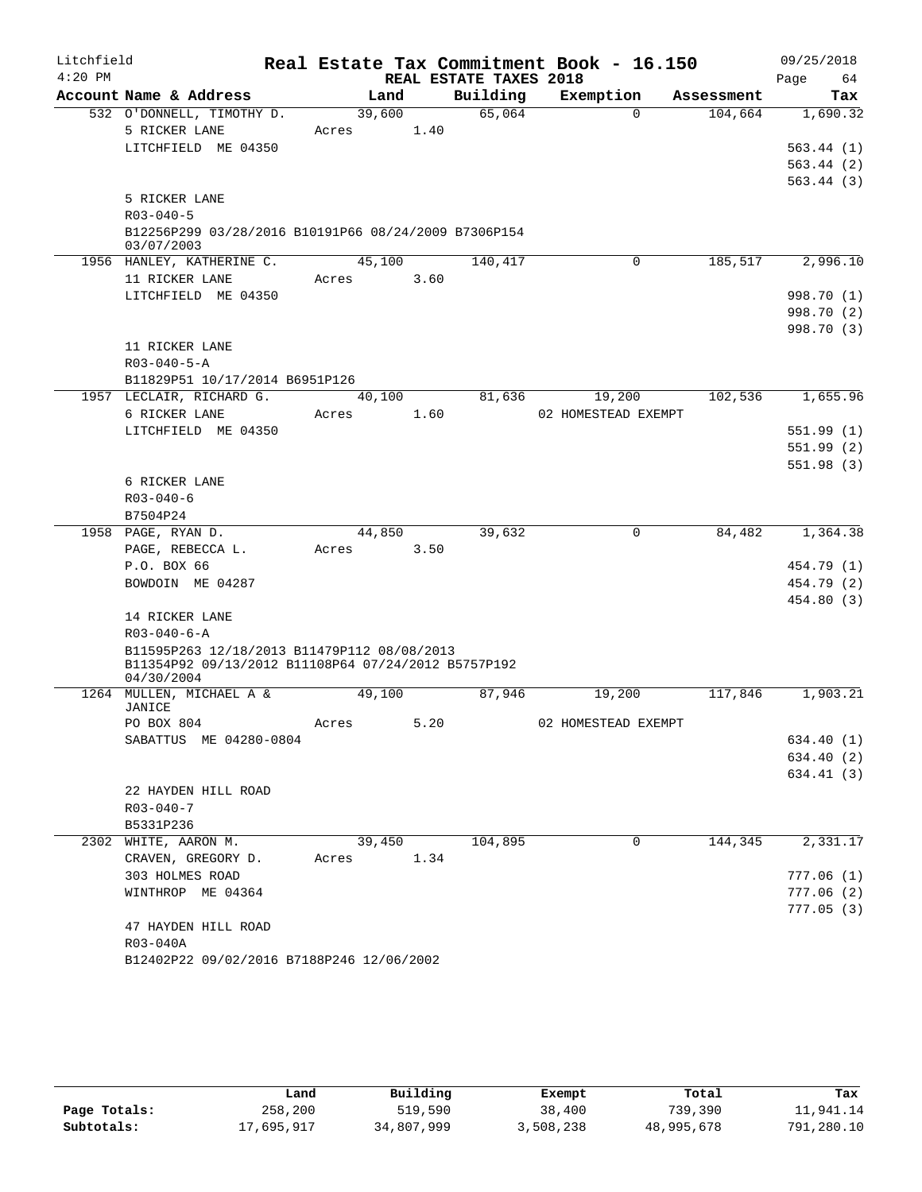| Litchfield |                                                      |                 |      |                        | Real Estate Tax Commitment Book - 16.150 |            | 09/25/2018               |
|------------|------------------------------------------------------|-----------------|------|------------------------|------------------------------------------|------------|--------------------------|
| $4:20$ PM  |                                                      |                 |      | REAL ESTATE TAXES 2018 |                                          |            | Page<br>64               |
|            | Account Name & Address                               | Land            |      | Building               | Exemption                                | Assessment | Tax                      |
|            | 532 O'DONNELL, TIMOTHY D.                            | 39,600          |      | 65,064                 | $\Omega$                                 | 104,664    | 1,690.32                 |
|            | 5 RICKER LANE                                        | Acres           | 1.40 |                        |                                          |            |                          |
|            | LITCHFIELD ME 04350                                  |                 |      |                        |                                          |            | 563.44(1)<br>563.44(2)   |
|            |                                                      |                 |      |                        |                                          |            | 563.44(3)                |
|            | 5 RICKER LANE                                        |                 |      |                        |                                          |            |                          |
|            | $R03 - 040 - 5$                                      |                 |      |                        |                                          |            |                          |
|            | B12256P299 03/28/2016 B10191P66 08/24/2009 B7306P154 |                 |      |                        |                                          |            |                          |
|            | 03/07/2003                                           |                 |      |                        |                                          |            |                          |
|            | 1956 HANLEY, KATHERINE C.                            | 45,100          |      | 140,417                | $\mathbf 0$                              | 185,517    | 2,996.10                 |
|            | 11 RICKER LANE                                       | Acres           | 3.60 |                        |                                          |            |                          |
|            | LITCHFIELD ME 04350                                  |                 |      |                        |                                          |            | 998.70 (1)               |
|            |                                                      |                 |      |                        |                                          |            | 998.70 (2)<br>998.70 (3) |
|            | 11 RICKER LANE                                       |                 |      |                        |                                          |            |                          |
|            | $R03 - 040 - 5 - A$                                  |                 |      |                        |                                          |            |                          |
|            | B11829P51 10/17/2014 B6951P126                       |                 |      |                        |                                          |            |                          |
|            | 1957 LECLAIR, RICHARD G.                             | 40,100          |      | 81,636                 | 19,200                                   | 102,536    | 1,655.96                 |
|            | 6 RICKER LANE                                        | Acres           | 1.60 |                        | 02 HOMESTEAD EXEMPT                      |            |                          |
|            | LITCHFIELD ME 04350                                  |                 |      |                        |                                          |            | 551.99 (1)               |
|            |                                                      |                 |      |                        |                                          |            | 551.99(2)                |
|            |                                                      |                 |      |                        |                                          |            | 551.98(3)                |
|            | 6 RICKER LANE                                        |                 |      |                        |                                          |            |                          |
|            | $R03 - 040 - 6$                                      |                 |      |                        |                                          |            |                          |
|            | B7504P24                                             |                 |      |                        |                                          |            |                          |
|            | 1958 PAGE, RYAN D.                                   | 44,850          |      | 39,632                 | $\mathbf 0$                              | 84,482     | 1,364.38                 |
|            | PAGE, REBECCA L.<br>P.O. BOX 66                      | Acres           | 3.50 |                        |                                          |            | 454.79 (1)               |
|            | BOWDOIN ME 04287                                     |                 |      |                        |                                          |            | 454.79 (2)               |
|            |                                                      |                 |      |                        |                                          |            | 454.80 (3)               |
|            | 14 RICKER LANE                                       |                 |      |                        |                                          |            |                          |
|            | $R03 - 040 - 6 - A$                                  |                 |      |                        |                                          |            |                          |
|            | B11595P263 12/18/2013 B11479P112 08/08/2013          |                 |      |                        |                                          |            |                          |
|            | B11354P92 09/13/2012 B11108P64 07/24/2012 B5757P192  |                 |      |                        |                                          |            |                          |
|            | 04/30/2004<br>1264 MULLEN, MICHAEL A &               | 49,100          |      | 87,946                 | 19,200                                   | 117,846    | 1,903.21                 |
|            | JANICE                                               |                 |      |                        |                                          |            |                          |
|            | PO BOX 804                                           | Acres           | 5.20 |                        | 02 HOMESTEAD EXEMPT                      |            |                          |
|            | SABATTUS ME 04280-0804                               |                 |      |                        |                                          |            | 634.40 (1)               |
|            |                                                      |                 |      |                        |                                          |            | 634.40 (2)               |
|            |                                                      |                 |      |                        |                                          |            | 634.41(3)                |
|            | 22 HAYDEN HILL ROAD                                  |                 |      |                        |                                          |            |                          |
|            | $R03 - 040 - 7$                                      |                 |      |                        |                                          |            |                          |
|            | B5331P236                                            |                 |      |                        |                                          |            |                          |
|            | 2302 WHITE, AARON M.                                 | 39,450<br>Acres | 1.34 | 104,895                | 0                                        | 144,345    | 2,331.17                 |
|            | CRAVEN, GREGORY D.                                   |                 |      |                        |                                          |            | 777.06(1)                |
|            | 303 HOLMES ROAD<br>WINTHROP ME 04364                 |                 |      |                        |                                          |            | 777.06(2)                |
|            |                                                      |                 |      |                        |                                          |            | 777.05(3)                |
|            | 47 HAYDEN HILL ROAD                                  |                 |      |                        |                                          |            |                          |
|            | R03-040A                                             |                 |      |                        |                                          |            |                          |
|            | B12402P22 09/02/2016 B7188P246 12/06/2002            |                 |      |                        |                                          |            |                          |

|              | Land       | Building   | Exempt    | Total      | Tax        |  |
|--------------|------------|------------|-----------|------------|------------|--|
| Page Totals: | 258,200    | 519,590    | 38,400    | 739,390    | 11,941.14  |  |
| Subtotals:   | 17,695,917 | 34,807,999 | 3,508,238 | 48,995,678 | 791,280.10 |  |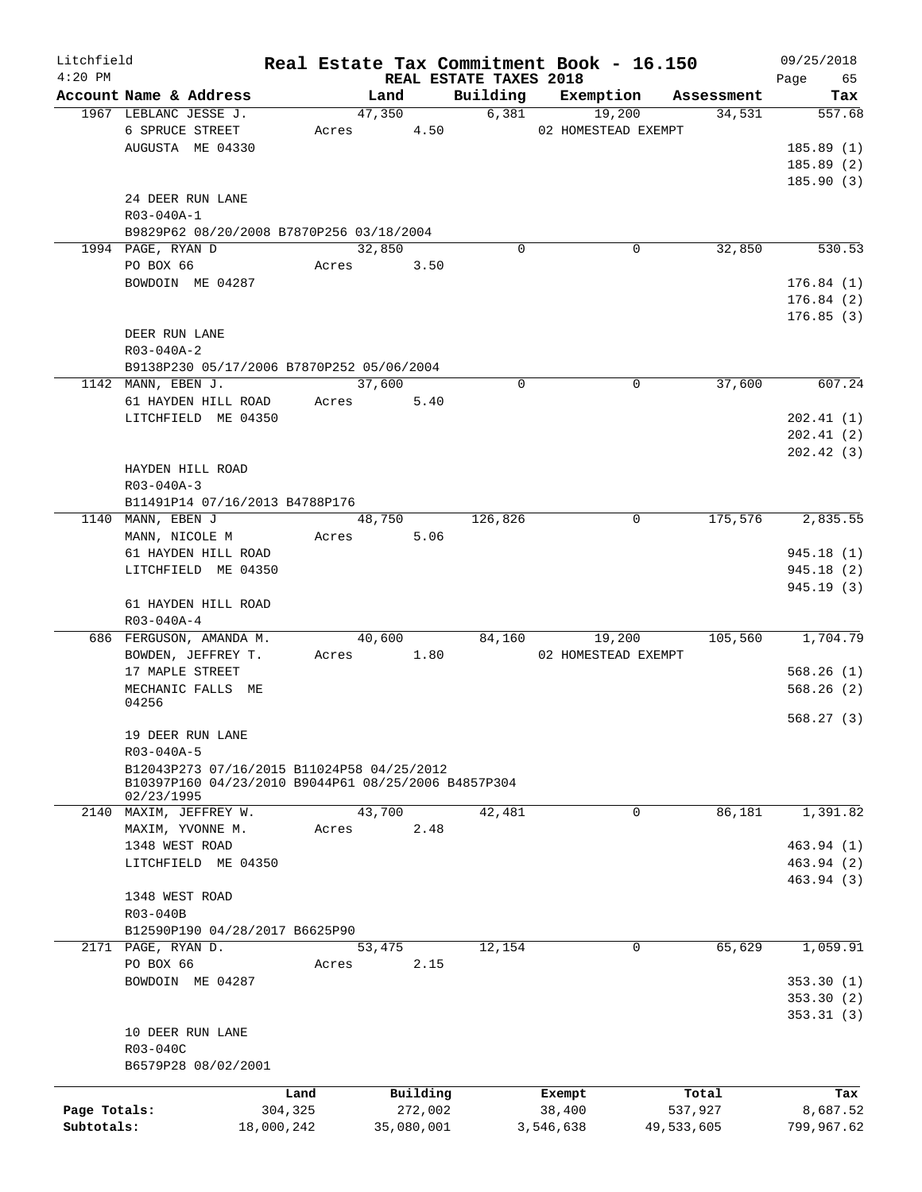| Litchfield   |                                                                                                   |            |        |            |                                    | Real Estate Tax Commitment Book - 16.150 |            | 09/25/2018        |  |
|--------------|---------------------------------------------------------------------------------------------------|------------|--------|------------|------------------------------------|------------------------------------------|------------|-------------------|--|
| $4:20$ PM    | Account Name & Address                                                                            |            | Land   |            | REAL ESTATE TAXES 2018<br>Building | Exemption                                | Assessment | 65<br>Page<br>Tax |  |
|              | 1967 LEBLANC JESSE J.                                                                             |            | 47,350 |            | 6,381                              | 19,200                                   | 34,531     | 557.68            |  |
|              | 6 SPRUCE STREET                                                                                   |            | Acres  | 4.50       |                                    | 02 HOMESTEAD EXEMPT                      |            |                   |  |
|              | AUGUSTA ME 04330                                                                                  |            |        |            |                                    |                                          |            | 185.89(1)         |  |
|              |                                                                                                   |            |        |            |                                    |                                          |            | 185.89(2)         |  |
|              |                                                                                                   |            |        |            |                                    |                                          |            | 185.90(3)         |  |
|              | 24 DEER RUN LANE                                                                                  |            |        |            |                                    |                                          |            |                   |  |
|              | R03-040A-1                                                                                        |            |        |            |                                    |                                          |            |                   |  |
|              | B9829P62 08/20/2008 B7870P256 03/18/2004                                                          |            |        |            |                                    |                                          |            |                   |  |
|              |                                                                                                   |            |        |            | $\mathbf 0$                        | 0                                        | 32,850     | 530.53            |  |
|              | 1994 PAGE, RYAN D                                                                                 |            | 32,850 |            |                                    |                                          |            |                   |  |
|              | PO BOX 66                                                                                         | Acres      |        | 3.50       |                                    |                                          |            |                   |  |
|              | BOWDOIN ME 04287                                                                                  |            |        |            |                                    |                                          |            | 176.84(1)         |  |
|              |                                                                                                   |            |        |            |                                    |                                          |            | 176.84(2)         |  |
|              |                                                                                                   |            |        |            |                                    |                                          |            | 176.85(3)         |  |
|              | DEER RUN LANE                                                                                     |            |        |            |                                    |                                          |            |                   |  |
|              | R03-040A-2                                                                                        |            |        |            |                                    |                                          |            |                   |  |
|              | B9138P230 05/17/2006 B7870P252 05/06/2004                                                         |            |        |            |                                    |                                          |            |                   |  |
|              | 1142 MANN, EBEN J.                                                                                |            | 37,600 |            | $\Omega$                           | 0                                        | 37,600     | 607.24            |  |
|              | 61 HAYDEN HILL ROAD                                                                               |            | Acres  | 5.40       |                                    |                                          |            |                   |  |
|              | LITCHFIELD ME 04350                                                                               |            |        |            |                                    |                                          |            | 202.41(1)         |  |
|              |                                                                                                   |            |        |            |                                    |                                          |            | 202.41(2)         |  |
|              |                                                                                                   |            |        |            |                                    |                                          |            | 202.42(3)         |  |
|              | HAYDEN HILL ROAD                                                                                  |            |        |            |                                    |                                          |            |                   |  |
|              | R03-040A-3                                                                                        |            |        |            |                                    |                                          |            |                   |  |
|              | B11491P14 07/16/2013 B4788P176                                                                    |            |        |            |                                    |                                          |            |                   |  |
|              | 1140 MANN, EBEN J                                                                                 |            | 48,750 |            | 126,826                            | 0                                        | 175,576    | 2,835.55          |  |
|              | MANN, NICOLE M                                                                                    |            | Acres  | 5.06       |                                    |                                          |            |                   |  |
|              | 61 HAYDEN HILL ROAD                                                                               |            |        |            |                                    |                                          |            | 945.18 (1)        |  |
|              | LITCHFIELD ME 04350                                                                               |            |        |            |                                    |                                          |            | 945.18 (2)        |  |
|              |                                                                                                   |            |        |            |                                    |                                          |            | 945.19(3)         |  |
|              | 61 HAYDEN HILL ROAD                                                                               |            |        |            |                                    |                                          |            |                   |  |
|              | R03-040A-4                                                                                        |            |        |            |                                    |                                          |            |                   |  |
|              | 686 FERGUSON, AMANDA M.                                                                           |            | 40,600 |            | 84,160                             | 19,200                                   | 105,560    | 1,704.79          |  |
|              | BOWDEN, JEFFREY T.                                                                                |            | Acres  | 1.80       |                                    | 02 HOMESTEAD EXEMPT                      |            |                   |  |
|              | 17 MAPLE STREET                                                                                   |            |        |            |                                    |                                          |            | 568.26(1)         |  |
|              | MECHANIC FALLS ME                                                                                 |            |        |            |                                    |                                          |            | 568.26(2)         |  |
|              | 04256                                                                                             |            |        |            |                                    |                                          |            |                   |  |
|              |                                                                                                   |            |        |            |                                    |                                          |            | 568.27(3)         |  |
|              | 19 DEER RUN LANE                                                                                  |            |        |            |                                    |                                          |            |                   |  |
|              | R03-040A-5                                                                                        |            |        |            |                                    |                                          |            |                   |  |
|              |                                                                                                   |            |        |            |                                    |                                          |            |                   |  |
|              | B12043P273 07/16/2015 B11024P58 04/25/2012<br>B10397P160 04/23/2010 B9044P61 08/25/2006 B4857P304 |            |        |            |                                    |                                          |            |                   |  |
|              | 02/23/1995                                                                                        |            |        |            |                                    |                                          |            |                   |  |
|              | 2140 MAXIM, JEFFREY W.                                                                            |            | 43,700 |            | 42,481                             | 0                                        | 86,181     | 1,391.82          |  |
|              | MAXIM, YVONNE M.                                                                                  | Acres      |        | 2.48       |                                    |                                          |            |                   |  |
|              | 1348 WEST ROAD                                                                                    |            |        |            |                                    |                                          |            | 463.94 (1)        |  |
|              | LITCHFIELD ME 04350                                                                               |            |        |            |                                    |                                          |            | 463.94 (2)        |  |
|              |                                                                                                   |            |        |            |                                    |                                          |            | 463.94 (3)        |  |
|              | 1348 WEST ROAD                                                                                    |            |        |            |                                    |                                          |            |                   |  |
|              | R03-040B                                                                                          |            |        |            |                                    |                                          |            |                   |  |
|              | B12590P190 04/28/2017 B6625P90                                                                    |            |        |            |                                    |                                          |            |                   |  |
|              | 2171 PAGE, RYAN D.                                                                                |            | 53,475 |            | 12,154                             | 0                                        | 65,629     | 1,059.91          |  |
|              | PO BOX 66                                                                                         | Acres      |        | 2.15       |                                    |                                          |            |                   |  |
|              | BOWDOIN ME 04287                                                                                  |            |        |            |                                    |                                          |            | 353.30(1)         |  |
|              |                                                                                                   |            |        |            |                                    |                                          |            | 353.30(2)         |  |
|              |                                                                                                   |            |        |            |                                    |                                          |            | 353.31(3)         |  |
|              | 10 DEER RUN LANE                                                                                  |            |        |            |                                    |                                          |            |                   |  |
|              | R03-040C                                                                                          |            |        |            |                                    |                                          |            |                   |  |
|              | B6579P28 08/02/2001                                                                               |            |        |            |                                    |                                          |            |                   |  |
|              |                                                                                                   |            |        |            |                                    |                                          |            |                   |  |
|              |                                                                                                   | Land       |        | Building   |                                    | Exempt                                   | Total      | Tax               |  |
| Page Totals: |                                                                                                   | 304,325    |        | 272,002    |                                    | 38,400                                   | 537,927    | 8,687.52          |  |
| Subtotals:   |                                                                                                   | 18,000,242 |        | 35,080,001 |                                    | 3,546,638                                | 49,533,605 | 799,967.62        |  |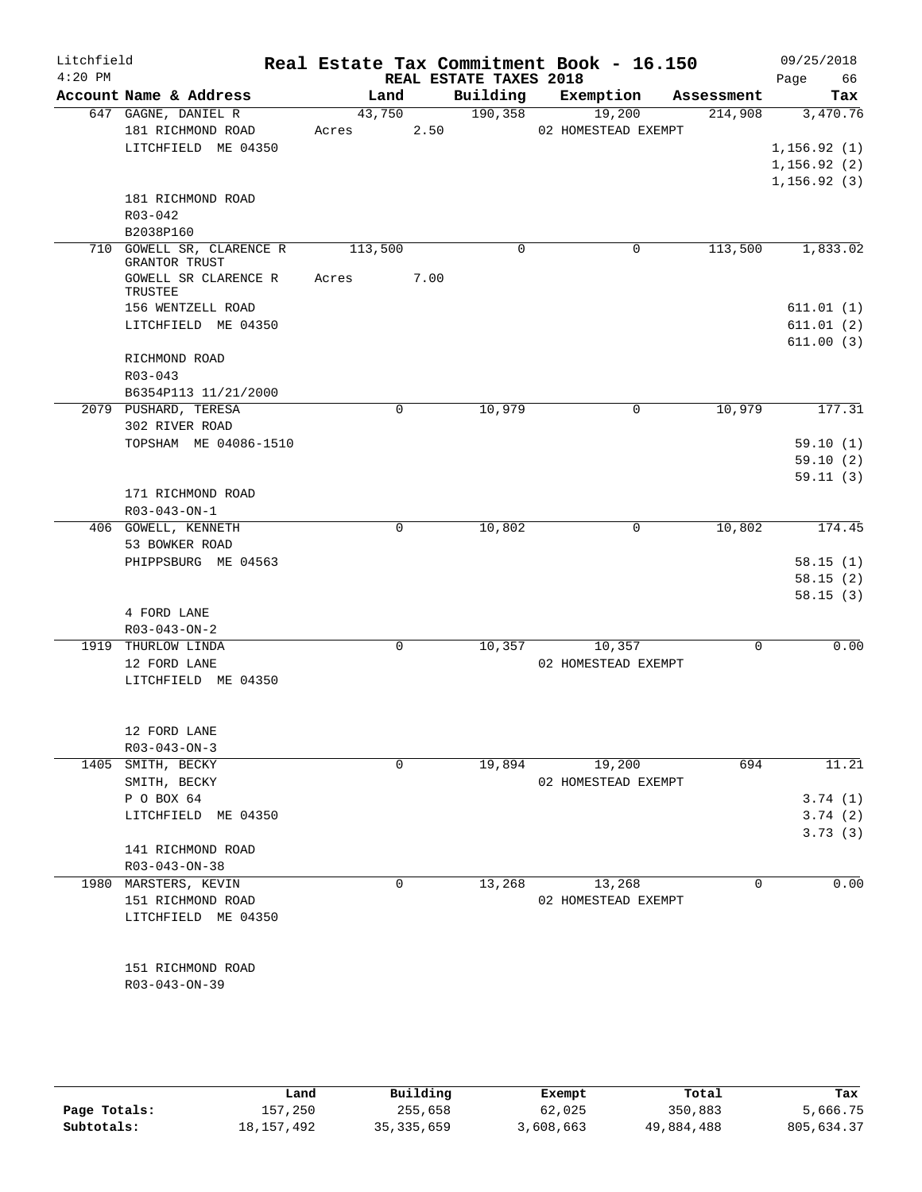| Litchfield |                                          |                |                        | Real Estate Tax Commitment Book - 16.150 |            | 09/25/2018             |
|------------|------------------------------------------|----------------|------------------------|------------------------------------------|------------|------------------------|
| $4:20$ PM  |                                          |                | REAL ESTATE TAXES 2018 |                                          |            | 66<br>Page             |
|            | Account Name & Address                   | Land           | Building               | Exemption                                | Assessment | Tax                    |
|            | 647 GAGNE, DANIEL R<br>181 RICHMOND ROAD | 43,750<br>2.50 | 190,358                | 19,200<br>02 HOMESTEAD EXEMPT            | 214,908    | 3,470.76               |
|            | LITCHFIELD ME 04350                      | Acres          |                        |                                          |            | 1, 156.92(1)           |
|            |                                          |                |                        |                                          |            | 1, 156.92(2)           |
|            |                                          |                |                        |                                          |            | 1, 156.92(3)           |
|            | 181 RICHMOND ROAD                        |                |                        |                                          |            |                        |
|            | R03-042                                  |                |                        |                                          |            |                        |
|            | B2038P160                                |                |                        |                                          |            |                        |
|            | 710 GOWELL SR, CLARENCE R                | 113,500        | 0                      | 0                                        | 113,500    | 1,833.02               |
|            | GRANTOR TRUST                            |                |                        |                                          |            |                        |
|            | GOWELL SR CLARENCE R                     | 7.00<br>Acres  |                        |                                          |            |                        |
|            | TRUSTEE                                  |                |                        |                                          |            |                        |
|            | 156 WENTZELL ROAD<br>LITCHFIELD ME 04350 |                |                        |                                          |            | 611.01(1)<br>611.01(2) |
|            |                                          |                |                        |                                          |            | 611.00(3)              |
|            | RICHMOND ROAD                            |                |                        |                                          |            |                        |
|            | $R03 - 043$                              |                |                        |                                          |            |                        |
|            | B6354P113 11/21/2000                     |                |                        |                                          |            |                        |
|            | 2079 PUSHARD, TERESA                     | 0              | 10,979                 | $\mathbf 0$                              | 10,979     | 177.31                 |
|            | 302 RIVER ROAD                           |                |                        |                                          |            |                        |
|            | TOPSHAM ME 04086-1510                    |                |                        |                                          |            | 59.10(1)               |
|            |                                          |                |                        |                                          |            | 59.10(2)               |
|            |                                          |                |                        |                                          |            | 59.11(3)               |
|            | 171 RICHMOND ROAD                        |                |                        |                                          |            |                        |
|            | R03-043-ON-1                             |                |                        |                                          |            |                        |
|            | 406 GOWELL, KENNETH                      | $\mathbf 0$    | 10,802                 | 0                                        | 10,802     | 174.45                 |
|            | 53 BOWKER ROAD                           |                |                        |                                          |            |                        |
|            | PHIPPSBURG ME 04563                      |                |                        |                                          |            | 58.15(1)               |
|            |                                          |                |                        |                                          |            | 58.15(2)               |
|            |                                          |                |                        |                                          |            | 58.15(3)               |
|            | 4 FORD LANE                              |                |                        |                                          |            |                        |
|            | $R03 - 043 - ON - 2$                     |                |                        |                                          |            |                        |
|            | 1919 THURLOW LINDA                       | $\mathbf 0$    | 10,357                 | 10,357                                   | 0          | 0.00                   |
|            | 12 FORD LANE                             |                |                        | 02 HOMESTEAD EXEMPT                      |            |                        |
|            | LITCHFIELD ME 04350                      |                |                        |                                          |            |                        |
|            |                                          |                |                        |                                          |            |                        |
|            | 12 FORD LANE                             |                |                        |                                          |            |                        |
|            | $R03 - 043 - ON - 3$                     |                |                        |                                          |            |                        |
|            | 1405 SMITH, BECKY                        | 0              | 19,894                 | 19,200                                   | 694        | 11.21                  |
|            | SMITH, BECKY                             |                |                        | 02 HOMESTEAD EXEMPT                      |            |                        |
|            | P O BOX 64                               |                |                        |                                          |            | 3.74(1)                |
|            | LITCHFIELD ME 04350                      |                |                        |                                          |            | 3.74(2)                |
|            |                                          |                |                        |                                          |            | 3.73(3)                |
|            | 141 RICHMOND ROAD                        |                |                        |                                          |            |                        |
|            | R03-043-ON-38                            |                |                        |                                          |            |                        |
|            | 1980 MARSTERS, KEVIN                     | $\mathbf 0$    | 13,268                 | 13,268                                   | 0          | 0.00                   |
|            | 151 RICHMOND ROAD                        |                |                        | 02 HOMESTEAD EXEMPT                      |            |                        |
|            | LITCHFIELD ME 04350                      |                |                        |                                          |            |                        |
|            |                                          |                |                        |                                          |            |                        |
|            |                                          |                |                        |                                          |            |                        |
|            | 151 RICHMOND ROAD                        |                |                        |                                          |            |                        |
|            | R03-043-ON-39                            |                |                        |                                          |            |                        |
|            |                                          |                |                        |                                          |            |                        |
|            |                                          |                |                        |                                          |            |                        |
|            |                                          |                |                        |                                          |            |                        |

|              | Land         | Building     | Exempt    | Total      | Tax        |
|--------------|--------------|--------------|-----------|------------|------------|
| Page Totals: | 157,250      | 255,658      | 62,025    | 350,883    | 5,666.75   |
| Subtotals:   | 18, 157, 492 | 35, 335, 659 | 3,608,663 | 49,884,488 | 805,634.37 |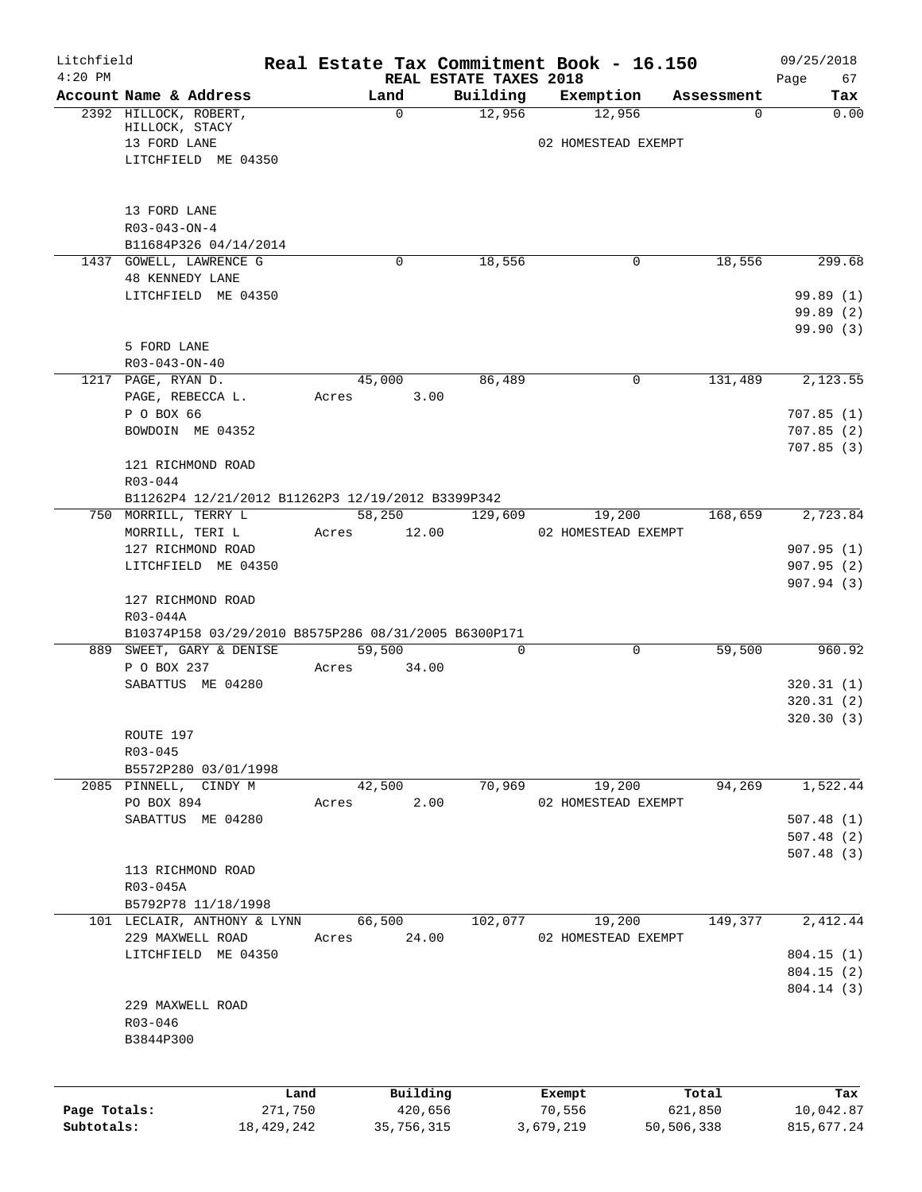| Litchfield<br>$4:20$ PM |                                                                                  |       |                                |             | Real Estate Tax Commitment Book - 16.150 |                  | 09/25/2018             |  |  |
|-------------------------|----------------------------------------------------------------------------------|-------|--------------------------------|-------------|------------------------------------------|------------------|------------------------|--|--|
|                         | Account Name & Address                                                           |       | REAL ESTATE TAXES 2018<br>Land | Building    | Exemption                                | Assessment       | Page<br>67<br>Tax      |  |  |
|                         | 2392 HILLOCK, ROBERT,                                                            |       | $\mathbf 0$                    | 12,956      | 12,956                                   | 0                | 0.00                   |  |  |
|                         | HILLOCK, STACY                                                                   |       |                                |             |                                          |                  |                        |  |  |
|                         | 13 FORD LANE                                                                     |       |                                |             | 02 HOMESTEAD EXEMPT                      |                  |                        |  |  |
|                         | LITCHFIELD ME 04350                                                              |       |                                |             |                                          |                  |                        |  |  |
|                         | 13 FORD LANE                                                                     |       |                                |             |                                          |                  |                        |  |  |
|                         | $R03 - 043 - ON - 4$                                                             |       |                                |             |                                          |                  |                        |  |  |
|                         | B11684P326 04/14/2014                                                            |       |                                |             |                                          |                  |                        |  |  |
|                         | 1437 GOWELL, LAWRENCE G                                                          |       | 0                              | 18,556      | 0                                        | 18,556           | 299.68                 |  |  |
|                         | <b>48 KENNEDY LANE</b>                                                           |       |                                |             |                                          |                  |                        |  |  |
|                         | LITCHFIELD ME 04350                                                              |       |                                |             |                                          |                  | 99.89(1)               |  |  |
|                         |                                                                                  |       |                                |             |                                          |                  | 99.89(2)               |  |  |
|                         |                                                                                  |       |                                |             |                                          |                  | 99.90(3)               |  |  |
|                         | 5 FORD LANE                                                                      |       |                                |             |                                          |                  |                        |  |  |
|                         | $R03 - 043 - ON - 40$                                                            |       |                                |             |                                          |                  |                        |  |  |
|                         | 1217 PAGE, RYAN D.                                                               |       | 45,000                         | 86,489      | $\mathbf 0$                              | 131,489          | 2,123.55               |  |  |
|                         | PAGE, REBECCA L.                                                                 | Acres | 3.00                           |             |                                          |                  |                        |  |  |
|                         | P O BOX 66<br>BOWDOIN ME 04352                                                   |       |                                |             |                                          |                  | 707.85(1)              |  |  |
|                         |                                                                                  |       |                                |             |                                          |                  | 707.85(2)<br>707.85(3) |  |  |
|                         | 121 RICHMOND ROAD                                                                |       |                                |             |                                          |                  |                        |  |  |
|                         | R03-044                                                                          |       |                                |             |                                          |                  |                        |  |  |
|                         | B11262P4 12/21/2012 B11262P3 12/19/2012 B3399P342                                |       |                                |             |                                          |                  |                        |  |  |
|                         | 750 MORRILL, TERRY L                                                             |       | 58,250                         | 129,609     | 19,200                                   | 168,659          | 2,723.84               |  |  |
|                         | MORRILL, TERI L                                                                  | Acres | 12.00                          |             | 02 HOMESTEAD EXEMPT                      |                  |                        |  |  |
|                         | 127 RICHMOND ROAD                                                                |       |                                |             |                                          |                  | 907.95(1)              |  |  |
|                         | LITCHFIELD ME 04350                                                              |       |                                |             |                                          |                  | 907.95(2)              |  |  |
|                         |                                                                                  |       |                                |             |                                          |                  | 907.94(3)              |  |  |
|                         | 127 RICHMOND ROAD                                                                |       |                                |             |                                          |                  |                        |  |  |
|                         | R03-044A                                                                         |       |                                |             |                                          |                  |                        |  |  |
|                         | B10374P158 03/29/2010 B8575P286 08/31/2005 B6300P171<br>889 SWEET, GARY & DENISE |       | 59,500                         | $\mathbf 0$ | $\mathbf 0$                              | 59,500           | 960.92                 |  |  |
|                         | P O BOX 237                                                                      | Acres | 34.00                          |             |                                          |                  |                        |  |  |
|                         | SABATTUS ME 04280                                                                |       |                                |             |                                          |                  | 320.31(1)              |  |  |
|                         |                                                                                  |       |                                |             |                                          |                  | 320.31(2)              |  |  |
|                         |                                                                                  |       |                                |             |                                          |                  | 320.30(3)              |  |  |
|                         | ROUTE 197                                                                        |       |                                |             |                                          |                  |                        |  |  |
|                         | R03-045                                                                          |       |                                |             |                                          |                  |                        |  |  |
|                         | B5572P280 03/01/1998                                                             |       |                                |             |                                          |                  |                        |  |  |
|                         | 2085 PINNELL, CINDY M                                                            |       | 42,500                         | 70,969      | 19,200                                   | 94,269           | 1,522.44               |  |  |
|                         | PO BOX 894                                                                       | Acres | 2.00                           |             | 02 HOMESTEAD EXEMPT                      |                  |                        |  |  |
|                         | SABATTUS ME 04280                                                                |       |                                |             |                                          |                  | 507.48(1)              |  |  |
|                         |                                                                                  |       |                                |             |                                          |                  | 507.48(2)              |  |  |
|                         | 113 RICHMOND ROAD                                                                |       |                                |             |                                          |                  | 507.48(3)              |  |  |
|                         | $R03-045A$                                                                       |       |                                |             |                                          |                  |                        |  |  |
|                         | B5792P78 11/18/1998                                                              |       |                                |             |                                          |                  |                        |  |  |
|                         | 101 LECLAIR, ANTHONY & LYNN                                                      |       | 66,500                         | 102,077     | 19,200                                   | 149,377          | 2,412.44               |  |  |
|                         | 229 MAXWELL ROAD                                                                 | Acres | 24.00                          |             | 02 HOMESTEAD EXEMPT                      |                  |                        |  |  |
|                         | LITCHFIELD ME 04350                                                              |       |                                |             |                                          |                  | 804.15(1)              |  |  |
|                         |                                                                                  |       |                                |             |                                          |                  | 804.15(2)              |  |  |
|                         |                                                                                  |       |                                |             |                                          |                  | 804.14 (3)             |  |  |
|                         | 229 MAXWELL ROAD                                                                 |       |                                |             |                                          |                  |                        |  |  |
|                         | R03-046                                                                          |       |                                |             |                                          |                  |                        |  |  |
|                         | B3844P300                                                                        |       |                                |             |                                          |                  |                        |  |  |
|                         |                                                                                  |       |                                |             |                                          |                  |                        |  |  |
| Page Totals:            | Land<br>271,750                                                                  |       | Building<br>420,656            |             | Exempt<br>70,556                         | Total<br>621,850 | Tax<br>10,042.87       |  |  |
| Subtotals:              | 18,429,242                                                                       |       | 35,756,315                     |             | 3,679,219                                | 50,506,338       | 815,677.24             |  |  |
|                         |                                                                                  |       |                                |             |                                          |                  |                        |  |  |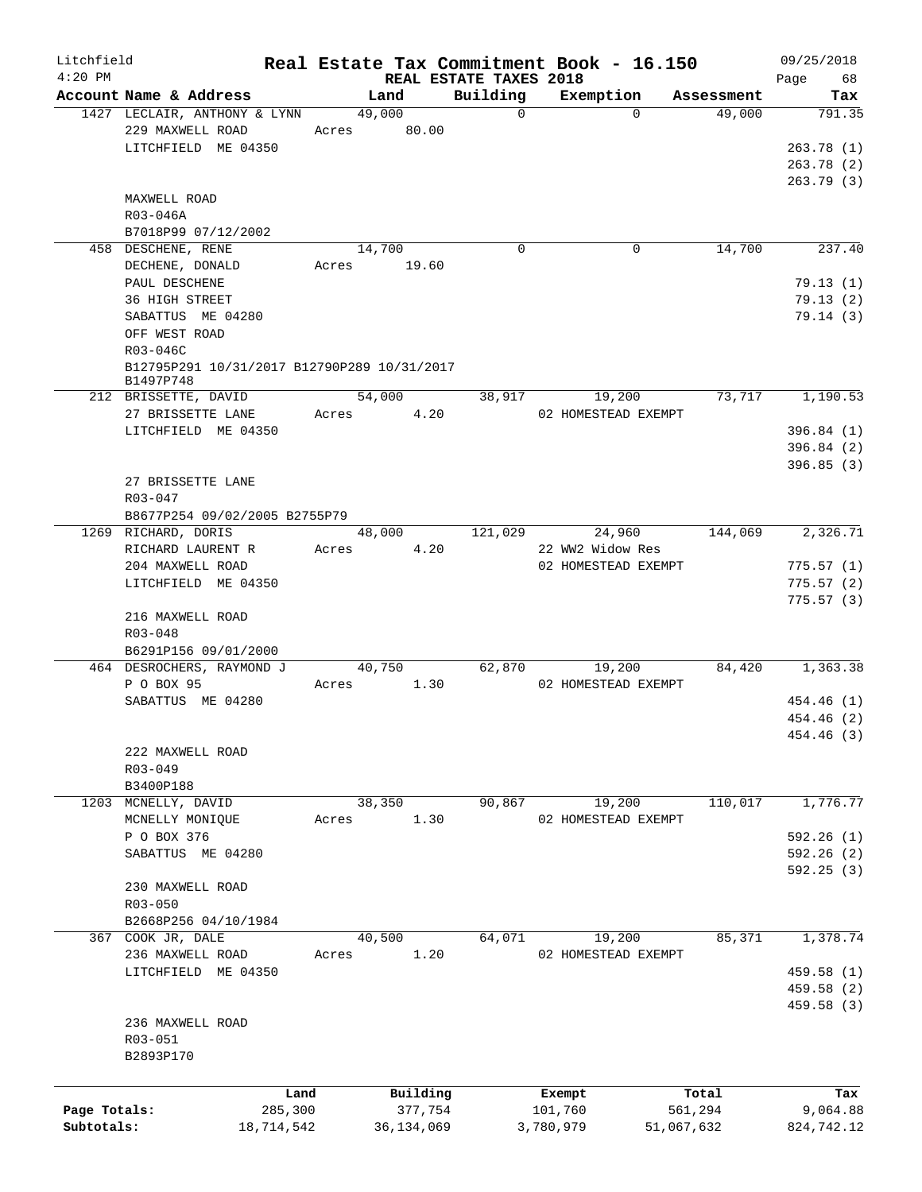| Litchfield   |                                                  |                       |                            | Real Estate Tax Commitment Book - 16.150 |                      | 09/25/2018 |
|--------------|--------------------------------------------------|-----------------------|----------------------------|------------------------------------------|----------------------|------------|
| $4:20$ PM    |                                                  |                       | REAL ESTATE TAXES 2018     |                                          |                      | Page<br>68 |
|              | Account Name & Address                           | Land                  | Building<br>$\overline{0}$ | Exemption<br>$\Omega$                    | Assessment<br>49,000 | Tax        |
|              | 1427 LECLAIR, ANTHONY & LYNN<br>229 MAXWELL ROAD | 49,000<br>Acres 80.00 |                            |                                          |                      | 791.35     |
|              |                                                  |                       |                            |                                          |                      |            |
|              | LITCHFIELD ME 04350                              |                       |                            |                                          |                      | 263.78(1)  |
|              |                                                  |                       |                            |                                          |                      | 263.78 (2) |
|              |                                                  |                       |                            |                                          |                      | 263.79(3)  |
|              | MAXWELL ROAD                                     |                       |                            |                                          |                      |            |
|              | R03-046A                                         |                       |                            |                                          |                      |            |
|              | B7018P99 07/12/2002                              |                       |                            |                                          |                      |            |
|              | 458 DESCHENE, RENE                               | 14,700                | $\mathbf 0$                | 0                                        | 14,700               | 237.40     |
|              | DECHENE, DONALD                                  | Acres 19.60           |                            |                                          |                      |            |
|              | PAUL DESCHENE                                    |                       |                            |                                          |                      | 79.13(1)   |
|              | 36 HIGH STREET                                   |                       |                            |                                          |                      | 79.13(2)   |
|              | SABATTUS ME 04280                                |                       |                            |                                          |                      | 79.14(3)   |
|              | OFF WEST ROAD                                    |                       |                            |                                          |                      |            |
|              | R03-046C                                         |                       |                            |                                          |                      |            |
|              | B12795P291 10/31/2017 B12790P289 10/31/2017      |                       |                            |                                          |                      |            |
|              | B1497P748                                        |                       |                            |                                          |                      |            |
|              | 212 BRISSETTE, DAVID                             | 54,000                | 38,917                     | 19,200                                   | 73,717               | 1,190.53   |
|              | 27 BRISSETTE LANE                                | Acres 4.20            |                            | 02 HOMESTEAD EXEMPT                      |                      |            |
|              | LITCHFIELD ME 04350                              |                       |                            |                                          |                      | 396.84(1)  |
|              |                                                  |                       |                            |                                          |                      | 396.84 (2) |
|              |                                                  |                       |                            |                                          |                      | 396.85(3)  |
|              | 27 BRISSETTE LANE                                |                       |                            |                                          |                      |            |
|              | R03-047                                          |                       |                            |                                          |                      |            |
|              | B8677P254 09/02/2005 B2755P79                    |                       |                            |                                          |                      |            |
|              | 1269 RICHARD, DORIS                              | 48,000                | 121,029                    | 24,960                                   | 144,069              | 2,326.71   |
|              | RICHARD LAURENT R                                | Acres 4.20            |                            | 22 WW2 Widow Res                         |                      |            |
|              | 204 MAXWELL ROAD                                 |                       |                            | 02 HOMESTEAD EXEMPT                      |                      | 775.57(1)  |
|              | LITCHFIELD ME 04350                              |                       |                            |                                          |                      | 775.57(2)  |
|              |                                                  |                       |                            |                                          |                      | 775.57(3)  |
|              | 216 MAXWELL ROAD                                 |                       |                            |                                          |                      |            |
|              | R03-048                                          |                       |                            |                                          |                      |            |
|              | B6291P156 09/01/2000                             |                       |                            |                                          |                      |            |
|              | 464 DESROCHERS, RAYMOND J                        | 40,750                | 62,870                     | 19,200                                   | 84,420               | 1,363.38   |
|              | P O BOX 95                                       | Acres 1.30            |                            |                                          |                      |            |
|              |                                                  |                       |                            | 02 HOMESTEAD EXEMPT                      |                      |            |
|              | SABATTUS ME 04280                                |                       |                            |                                          |                      | 454.46 (1) |
|              |                                                  |                       |                            |                                          |                      | 454.46 (2) |
|              |                                                  |                       |                            |                                          |                      | 454.46 (3) |
|              | 222 MAXWELL ROAD                                 |                       |                            |                                          |                      |            |
|              | R03-049                                          |                       |                            |                                          |                      |            |
|              | B3400P188                                        |                       |                            |                                          |                      |            |
|              | 1203 MCNELLY, DAVID                              | 38,350                | 90,867                     | 19,200                                   | 110,017              | 1,776.77   |
|              | MCNELLY MONIQUE                                  | 1.30<br>Acres         |                            | 02 HOMESTEAD EXEMPT                      |                      |            |
|              | P O BOX 376                                      |                       |                            |                                          |                      | 592.26(1)  |
|              | SABATTUS ME 04280                                |                       |                            |                                          |                      | 592.26(2)  |
|              |                                                  |                       |                            |                                          |                      | 592.25(3)  |
|              | 230 MAXWELL ROAD                                 |                       |                            |                                          |                      |            |
|              | $R03 - 050$                                      |                       |                            |                                          |                      |            |
|              | B2668P256 04/10/1984                             |                       |                            |                                          |                      |            |
|              | 367 COOK JR, DALE                                | 40,500                | 64,071                     | 19,200                                   | 85,371               | 1,378.74   |
|              | 236 MAXWELL ROAD                                 | 1.20<br>Acres         |                            | 02 HOMESTEAD EXEMPT                      |                      |            |
|              | LITCHFIELD ME 04350                              |                       |                            |                                          |                      | 459.58 (1) |
|              |                                                  |                       |                            |                                          |                      | 459.58 (2) |
|              |                                                  |                       |                            |                                          |                      | 459.58 (3) |
|              | 236 MAXWELL ROAD                                 |                       |                            |                                          |                      |            |
|              | R03-051                                          |                       |                            |                                          |                      |            |
|              | B2893P170                                        |                       |                            |                                          |                      |            |
|              |                                                  |                       |                            |                                          |                      |            |
|              |                                                  |                       |                            |                                          |                      |            |
|              | Land                                             | Building              |                            | Exempt                                   | Total                | Tax        |
| Page Totals: | 285,300                                          | 377,754               |                            | 101,760                                  | 561,294              | 9,064.88   |
| Subtotals:   | 18,714,542                                       | 36, 134, 069          |                            | 3,780,979                                | 51,067,632           | 824,742.12 |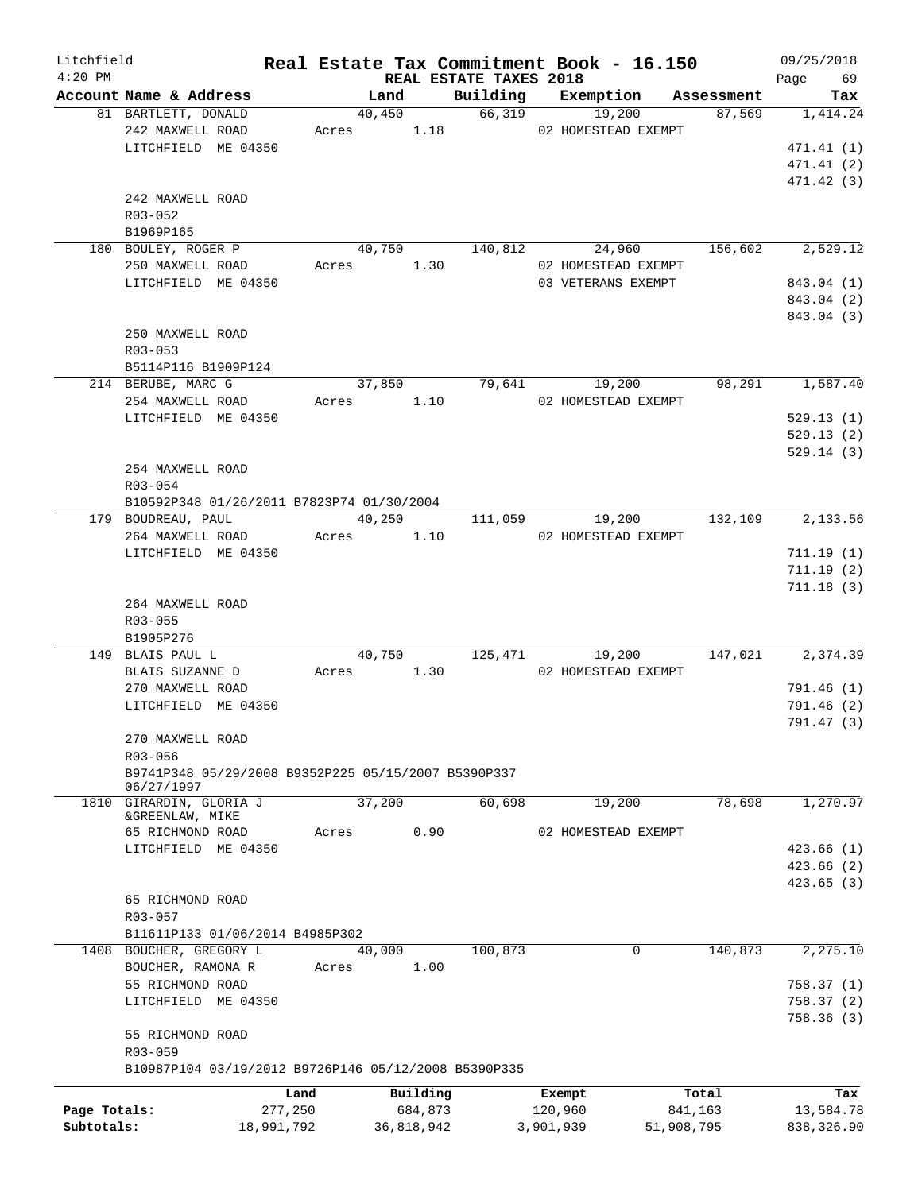| Litchfield<br>$4:20$ PM |                                                      |         |               | REAL ESTATE TAXES 2018 |                     | Real Estate Tax Commitment Book - 16.150 | 09/25/2018<br>Page<br>69 |  |  |
|-------------------------|------------------------------------------------------|---------|---------------|------------------------|---------------------|------------------------------------------|--------------------------|--|--|
|                         | Account Name & Address                               |         | Land          |                        | Building Exemption  | Assessment                               | Tax                      |  |  |
|                         | 81 BARTLETT, DONALD                                  |         | 40,450        | 66,319                 | 19,200              | 87,569                                   | 1,414.24                 |  |  |
|                         | 242 MAXWELL ROAD                                     |         | 1.18<br>Acres |                        | 02 HOMESTEAD EXEMPT |                                          |                          |  |  |
|                         | LITCHFIELD ME 04350                                  |         |               |                        |                     |                                          | 471.41(1)                |  |  |
|                         |                                                      |         |               |                        |                     |                                          | 471.41 (2)               |  |  |
|                         |                                                      |         |               |                        |                     |                                          | 471.42 (3)               |  |  |
|                         | 242 MAXWELL ROAD                                     |         |               |                        |                     |                                          |                          |  |  |
|                         | R03-052                                              |         |               |                        |                     |                                          |                          |  |  |
|                         | B1969P165                                            |         |               |                        |                     |                                          |                          |  |  |
|                         | 180 BOULEY, ROGER P                                  |         | 40,750        | 140,812                | 24,960              | 156,602                                  | 2,529.12                 |  |  |
|                         | 250 MAXWELL ROAD                                     |         | 1.30<br>Acres |                        | 02 HOMESTEAD EXEMPT |                                          |                          |  |  |
|                         | LITCHFIELD ME 04350                                  |         |               |                        | 03 VETERANS EXEMPT  |                                          | 843.04 (1)               |  |  |
|                         |                                                      |         |               |                        |                     |                                          | 843.04 (2)               |  |  |
|                         |                                                      |         |               |                        |                     |                                          | 843.04 (3)               |  |  |
|                         | 250 MAXWELL ROAD                                     |         |               |                        |                     |                                          |                          |  |  |
|                         | $R03 - 053$                                          |         |               |                        |                     |                                          |                          |  |  |
|                         | B5114P116 B1909P124                                  |         |               |                        |                     |                                          |                          |  |  |
|                         | 214 BERUBE, MARC G                                   |         | 37,850        | 79,641                 | 19,200              | 98,291                                   | 1,587.40                 |  |  |
|                         | 254 MAXWELL ROAD                                     |         | 1.10<br>Acres |                        | 02 HOMESTEAD EXEMPT |                                          |                          |  |  |
|                         | LITCHFIELD ME 04350                                  |         |               |                        |                     |                                          | 529.13(1)                |  |  |
|                         |                                                      |         |               |                        |                     |                                          | 529.13(2)                |  |  |
|                         |                                                      |         |               |                        |                     |                                          | 529.14(3)                |  |  |
|                         | 254 MAXWELL ROAD                                     |         |               |                        |                     |                                          |                          |  |  |
|                         | R03-054                                              |         |               |                        |                     |                                          |                          |  |  |
|                         | B10592P348 01/26/2011 B7823P74 01/30/2004            |         |               |                        |                     |                                          |                          |  |  |
|                         | 179 BOUDREAU, PAUL                                   |         | 40,250        |                        | 19,200<br>111,059   | 132,109                                  | 2,133.56                 |  |  |
|                         | 264 MAXWELL ROAD                                     |         | 1.10<br>Acres |                        | 02 HOMESTEAD EXEMPT |                                          |                          |  |  |
|                         | LITCHFIELD ME 04350                                  |         |               |                        |                     |                                          | 711.19(1)                |  |  |
|                         |                                                      |         |               |                        |                     |                                          | 711.19(2)                |  |  |
|                         |                                                      |         |               |                        |                     |                                          | 711.18(3)                |  |  |
|                         | 264 MAXWELL ROAD                                     |         |               |                        |                     |                                          |                          |  |  |
|                         | R03-055                                              |         |               |                        |                     |                                          |                          |  |  |
|                         | B1905P276                                            |         |               |                        |                     |                                          |                          |  |  |
|                         | 149 BLAIS PAUL L                                     |         | 40,750        |                        | 125,471<br>19,200   | 147,021                                  | 2,374.39                 |  |  |
|                         | BLAIS SUZANNE D                                      |         | 1.30<br>Acres |                        | 02 HOMESTEAD EXEMPT |                                          |                          |  |  |
|                         | 270 MAXWELL ROAD                                     |         |               |                        |                     |                                          | 791.46 (1)               |  |  |
|                         | LITCHFIELD ME 04350                                  |         |               |                        |                     |                                          | 791.46(2)                |  |  |
|                         |                                                      |         |               |                        |                     |                                          | 791.47(3)                |  |  |
|                         | 270 MAXWELL ROAD                                     |         |               |                        |                     |                                          |                          |  |  |
|                         | R03-056                                              |         |               |                        |                     |                                          |                          |  |  |
|                         | B9741P348 05/29/2008 B9352P225 05/15/2007 B5390P337  |         |               |                        |                     |                                          |                          |  |  |
|                         | 06/27/1997                                           |         |               |                        |                     |                                          |                          |  |  |
|                         | 1810 GIRARDIN, GLORIA J                              |         | 37,200        | 60,698                 | 19,200              | 78,698                                   | 1,270.97                 |  |  |
|                         | &GREENLAW, MIKE                                      |         |               |                        |                     |                                          |                          |  |  |
|                         | 65 RICHMOND ROAD                                     | Acres   | 0.90          |                        | 02 HOMESTEAD EXEMPT |                                          |                          |  |  |
|                         | LITCHFIELD ME 04350                                  |         |               |                        |                     |                                          | 423.66(1)                |  |  |
|                         |                                                      |         |               |                        |                     |                                          | 423.66(2)                |  |  |
|                         |                                                      |         |               |                        |                     |                                          | 423.65(3)                |  |  |
|                         | 65 RICHMOND ROAD                                     |         |               |                        |                     |                                          |                          |  |  |
|                         | $R03 - 057$                                          |         |               |                        |                     |                                          |                          |  |  |
|                         | B11611P133 01/06/2014 B4985P302                      |         |               |                        |                     |                                          |                          |  |  |
|                         | 1408 BOUCHER, GREGORY L                              |         | 40,000        | 100,873                |                     | 140,873<br>$\mathbf 0$                   | 2,275.10                 |  |  |
|                         | BOUCHER, RAMONA R                                    | Acres   | 1.00          |                        |                     |                                          |                          |  |  |
|                         | 55 RICHMOND ROAD                                     |         |               |                        |                     |                                          | 758.37 (1)               |  |  |
|                         | LITCHFIELD ME 04350                                  |         |               |                        |                     |                                          | 758.37 (2)               |  |  |
|                         |                                                      |         |               |                        |                     |                                          | 758.36(3)                |  |  |
|                         | 55 RICHMOND ROAD                                     |         |               |                        |                     |                                          |                          |  |  |
|                         | R03-059                                              |         |               |                        |                     |                                          |                          |  |  |
|                         | B10987P104 03/19/2012 B9726P146 05/12/2008 B5390P335 |         |               |                        |                     |                                          |                          |  |  |
|                         |                                                      | Land    | Building      |                        | Exempt              | Total                                    | Tax                      |  |  |
| Page Totals:            |                                                      | 277,250 | 684,873       |                        | 120,960             | 841,163                                  | 13,584.78                |  |  |
| Subtotals:              | 18,991,792                                           |         | 36,818,942    |                        | 3,901,939           | 51,908,795                               | 838,326.90               |  |  |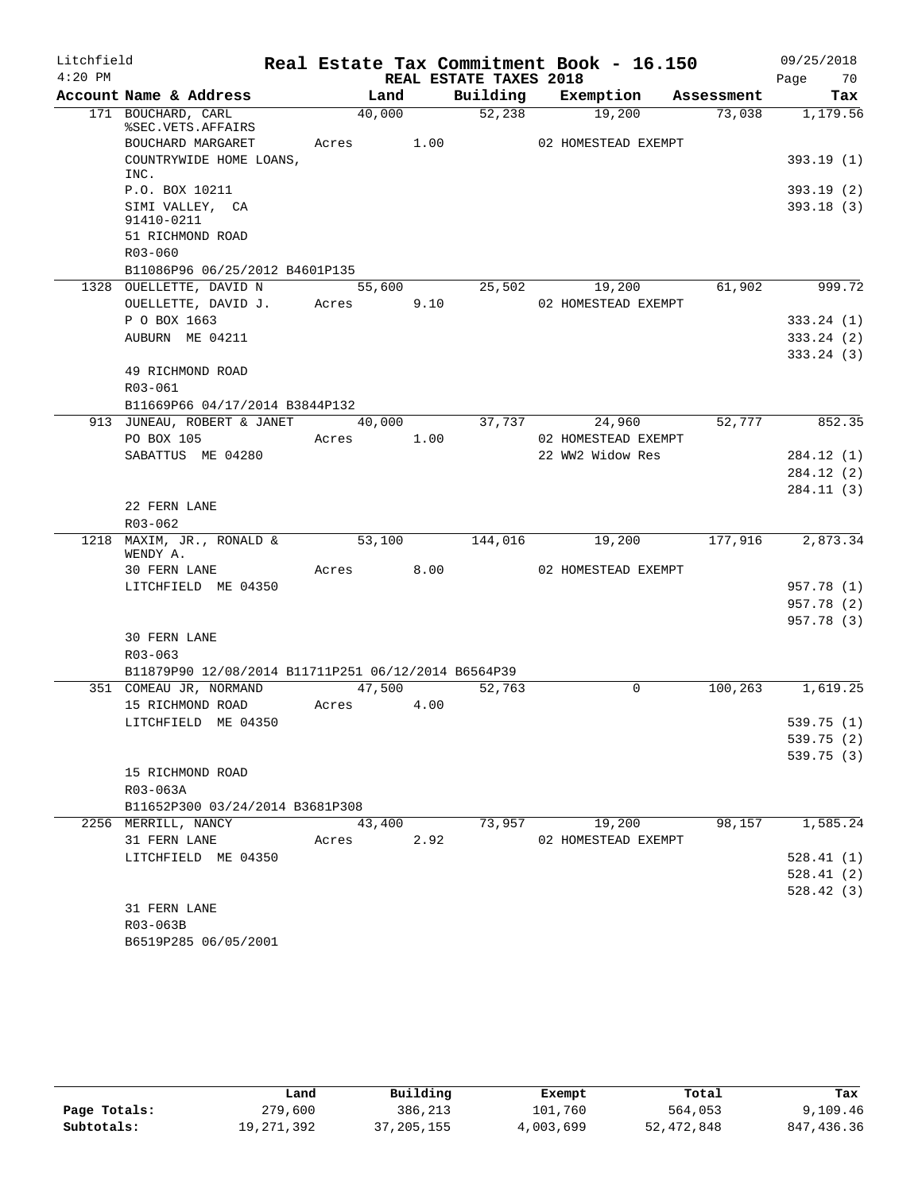| Litchfield |                                                     |                 |      |                        | Real Estate Tax Commitment Book - 16.150 |            | 09/25/2018 |
|------------|-----------------------------------------------------|-----------------|------|------------------------|------------------------------------------|------------|------------|
| $4:20$ PM  |                                                     |                 |      | REAL ESTATE TAXES 2018 |                                          |            | 70<br>Page |
|            | Account Name & Address                              | Land            |      | Building               | Exemption                                | Assessment | Tax        |
|            | 171 BOUCHARD, CARL<br>%SEC.VETS.AFFAIRS             | 40,000          |      | 52,238                 | 19,200                                   | 73,038     | 1,179.56   |
|            | BOUCHARD MARGARET                                   | Acres           | 1.00 |                        | 02 HOMESTEAD EXEMPT                      |            |            |
|            | COUNTRYWIDE HOME LOANS,<br>INC.                     |                 |      |                        |                                          |            | 393.19(1)  |
|            | P.O. BOX 10211                                      |                 |      |                        |                                          |            | 393.19(2)  |
|            | SIMI VALLEY, CA<br>91410-0211                       |                 |      |                        |                                          |            | 393.18(3)  |
|            | 51 RICHMOND ROAD                                    |                 |      |                        |                                          |            |            |
|            | R03-060                                             |                 |      |                        |                                          |            |            |
|            | B11086P96 06/25/2012 B4601P135                      |                 |      | 25,502                 |                                          | 61,902     | 999.72     |
|            | 1328 OUELLETTE, DAVID N<br>OUELLETTE, DAVID J.      | 55,600<br>Acres | 9.10 |                        | 19,200<br>02 HOMESTEAD EXEMPT            |            |            |
|            | P O BOX 1663                                        |                 |      |                        |                                          |            | 333.24(1)  |
|            | AUBURN ME 04211                                     |                 |      |                        |                                          |            | 333.24(2)  |
|            |                                                     |                 |      |                        |                                          |            | 333.24(3)  |
|            | 49 RICHMOND ROAD                                    |                 |      |                        |                                          |            |            |
|            | R03-061                                             |                 |      |                        |                                          |            |            |
|            | B11669P66 04/17/2014 B3844P132                      |                 |      |                        |                                          |            |            |
|            | 913 JUNEAU, ROBERT & JANET                          | 40,000          |      | 37,737                 | 24,960                                   | 52,777     | 852.35     |
|            | PO BOX 105                                          | Acres           | 1.00 |                        | 02 HOMESTEAD EXEMPT                      |            |            |
|            | SABATTUS ME 04280                                   |                 |      |                        | 22 WW2 Widow Res                         |            | 284.12 (1) |
|            |                                                     |                 |      |                        |                                          |            | 284.12(2)  |
|            |                                                     |                 |      |                        |                                          |            | 284.11 (3) |
|            | 22 FERN LANE                                        |                 |      |                        |                                          |            |            |
|            | R03-062                                             |                 |      |                        |                                          |            |            |
|            | 1218 MAXIM, JR., RONALD &<br>WENDY A.               | 53,100          |      | 144,016                | 19,200                                   | 177,916    | 2,873.34   |
|            | 30 FERN LANE                                        | 8.00<br>Acres   |      |                        | 02 HOMESTEAD EXEMPT                      |            |            |
|            | LITCHFIELD ME 04350                                 |                 |      |                        |                                          |            | 957.78 (1) |
|            |                                                     |                 |      |                        |                                          |            | 957.78 (2) |
|            |                                                     |                 |      |                        |                                          |            | 957.78 (3) |
|            | <b>30 FERN LANE</b>                                 |                 |      |                        |                                          |            |            |
|            | $R03 - 063$                                         |                 |      |                        |                                          |            |            |
|            | B11879P90 12/08/2014 B11711P251 06/12/2014 B6564P39 |                 |      |                        |                                          |            |            |
|            | 351 COMEAU JR, NORMAND                              | 47,500          | 4.00 | 52,763                 | 0                                        | 100,263    | 1,619.25   |
|            | 15 RICHMOND ROAD<br>LITCHFIELD ME 04350             | Acres           |      |                        |                                          |            | 539.75 (1) |
|            |                                                     |                 |      |                        |                                          |            | 539.75 (2) |
|            |                                                     |                 |      |                        |                                          |            | 539.75 (3) |
|            | 15 RICHMOND ROAD                                    |                 |      |                        |                                          |            |            |
|            | R03-063A                                            |                 |      |                        |                                          |            |            |
|            | B11652P300 03/24/2014 B3681P308                     |                 |      |                        |                                          |            |            |
|            | 2256 MERRILL, NANCY                                 | 43,400          |      | 73,957                 | 19,200                                   | 98,157     | 1,585.24   |
|            | 31 FERN LANE                                        | Acres           | 2.92 |                        | 02 HOMESTEAD EXEMPT                      |            |            |
|            | LITCHFIELD ME 04350                                 |                 |      |                        |                                          |            | 528.41(1)  |
|            |                                                     |                 |      |                        |                                          |            | 528.41(2)  |
|            |                                                     |                 |      |                        |                                          |            | 528.42(3)  |
|            | 31 FERN LANE                                        |                 |      |                        |                                          |            |            |
|            | R03-063B                                            |                 |      |                        |                                          |            |            |
|            | B6519P285 06/05/2001                                |                 |      |                        |                                          |            |            |

|              | Land       | Building   | Exempt    | Total        | Tax        |
|--------------|------------|------------|-----------|--------------|------------|
| Page Totals: | 279,600    | 386,213    | 101,760   | 564,053      | 9,109.46   |
| Subtotals:   | 19,271,392 | 37,205,155 | 4,003,699 | 52, 472, 848 | 847,436.36 |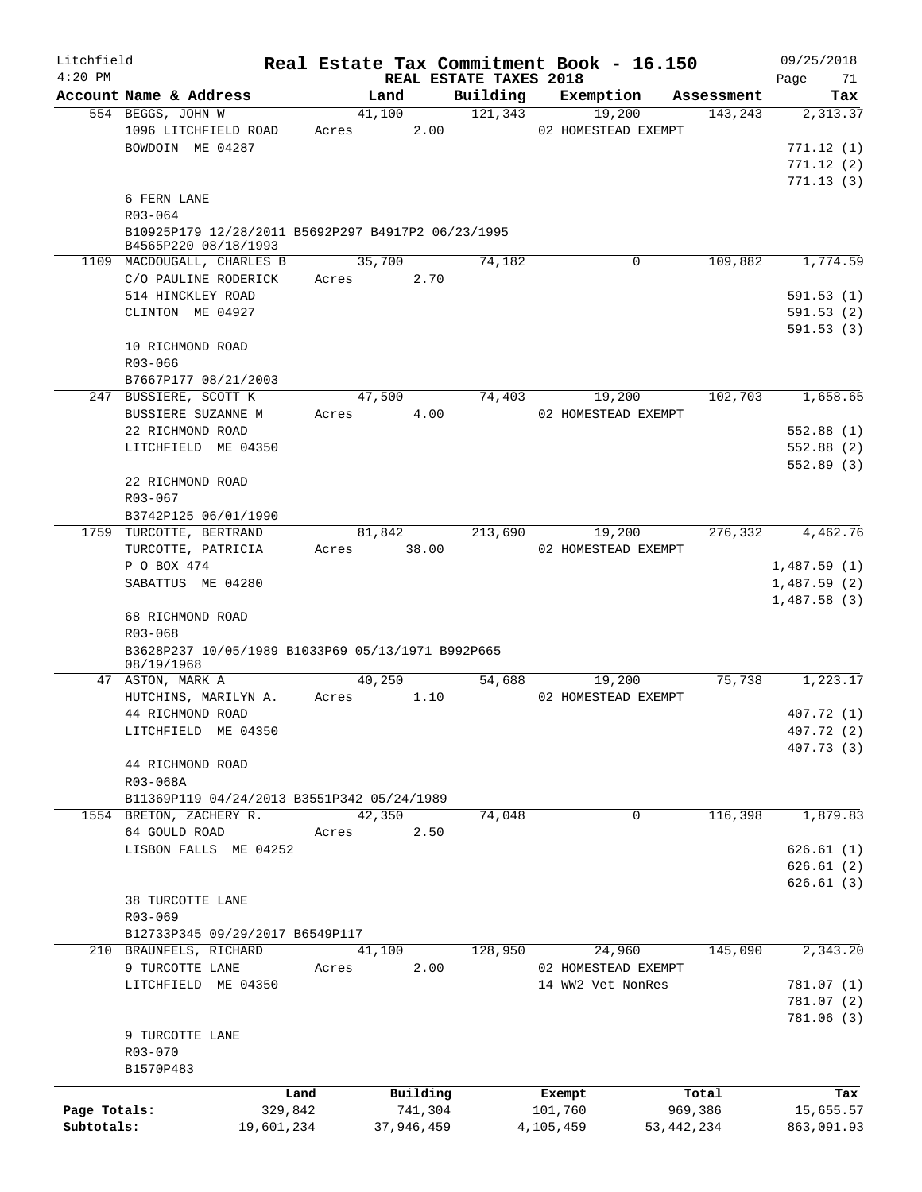| Litchfield                 |                                                                            |                       |                 |                       |                                    | Real Estate Tax Commitment Book - 16.150 |              |            | 09/25/2018                 |
|----------------------------|----------------------------------------------------------------------------|-----------------------|-----------------|-----------------------|------------------------------------|------------------------------------------|--------------|------------|----------------------------|
| $4:20$ PM                  | Account Name & Address                                                     |                       | Land            |                       | REAL ESTATE TAXES 2018<br>Building | Exemption                                |              | Assessment | Page<br>71<br>Tax          |
|                            | 554 BEGGS, JOHN W                                                          |                       | 41,100          |                       | 121,343                            |                                          | 19,200       | 143,243    | 2,313.37                   |
|                            | 1096 LITCHFIELD ROAD<br>BOWDOIN ME 04287                                   |                       | Acres           | 2.00                  |                                    | 02 HOMESTEAD EXEMPT                      |              |            | 771.12(1)<br>771.12(2)     |
|                            | 6 FERN LANE<br>R03-064                                                     |                       |                 |                       |                                    |                                          |              |            | 771.13(3)                  |
|                            | B10925P179 12/28/2011 B5692P297 B4917P2 06/23/1995<br>B4565P220 08/18/1993 |                       |                 |                       |                                    |                                          |              |            |                            |
|                            | 1109 MACDOUGALL, CHARLES B<br>C/O PAULINE RODERICK                         |                       | 35,700<br>Acres | 2.70                  | 74,182                             |                                          | 0            | 109,882    | 1,774.59                   |
|                            | 514 HINCKLEY ROAD                                                          |                       |                 |                       |                                    |                                          |              |            | 591.53(1)                  |
|                            | CLINTON ME 04927                                                           |                       |                 |                       |                                    |                                          |              |            | 591.53(2)<br>591.53(3)     |
|                            | 10 RICHMOND ROAD                                                           |                       |                 |                       |                                    |                                          |              |            |                            |
|                            | R03-066                                                                    |                       |                 |                       |                                    |                                          |              |            |                            |
|                            | B7667P177 08/21/2003<br>247 BUSSIERE, SCOTT K                              |                       | 47,500          |                       | 74,403                             |                                          | 19,200       | 102,703    | 1,658.65                   |
|                            | BUSSIERE SUZANNE M                                                         |                       | Acres           | 4.00                  |                                    | 02 HOMESTEAD EXEMPT                      |              |            |                            |
|                            | 22 RICHMOND ROAD                                                           |                       |                 |                       |                                    |                                          |              |            | 552.88(1)                  |
|                            | LITCHFIELD ME 04350                                                        |                       |                 |                       |                                    |                                          |              |            | 552.88(2)<br>552.89(3)     |
|                            | 22 RICHMOND ROAD                                                           |                       |                 |                       |                                    |                                          |              |            |                            |
|                            | R03-067                                                                    |                       |                 |                       |                                    |                                          |              |            |                            |
|                            | B3742P125 06/01/1990                                                       |                       |                 |                       |                                    |                                          |              |            |                            |
|                            | 1759 TURCOTTE, BERTRAND                                                    |                       | 81,842          |                       | 213,690                            |                                          | 19,200       | 276,332    | 4,462.76                   |
|                            | TURCOTTE, PATRICIA                                                         |                       | Acres           | 38.00                 |                                    | 02 HOMESTEAD EXEMPT                      |              |            |                            |
|                            | P O BOX 474<br>SABATTUS ME 04280                                           |                       |                 |                       |                                    |                                          |              |            | 1,487.59(1)<br>1,487.59(2) |
|                            | 68 RICHMOND ROAD                                                           |                       |                 |                       |                                    |                                          |              |            | 1,487.58(3)                |
|                            | R03-068                                                                    |                       |                 |                       |                                    |                                          |              |            |                            |
|                            | B3628P237 10/05/1989 B1033P69 05/13/1971 B992P665<br>08/19/1968            |                       |                 |                       |                                    |                                          |              |            |                            |
|                            | 47 ASTON, MARK A                                                           |                       | 40,250          |                       | 54,688                             |                                          | 19,200       | 75,738     | 1,223.17                   |
|                            | HUTCHINS, MARILYN A.                                                       |                       | Acres           | 1.10                  |                                    | 02 HOMESTEAD EXEMPT                      |              |            |                            |
|                            | 44 RICHMOND ROAD                                                           |                       |                 |                       |                                    |                                          |              |            | 407.72 (1)                 |
|                            | LITCHFIELD ME 04350                                                        |                       |                 |                       |                                    |                                          |              |            | 407.72 (2)<br>407.73 (3)   |
|                            | 44 RICHMOND ROAD                                                           |                       |                 |                       |                                    |                                          |              |            |                            |
|                            | R03-068A                                                                   |                       |                 |                       |                                    |                                          |              |            |                            |
|                            | B11369P119 04/24/2013 B3551P342 05/24/1989                                 |                       |                 |                       |                                    |                                          |              |            |                            |
|                            | 1554 BRETON, ZACHERY R.                                                    |                       | 42,350          |                       | 74,048                             |                                          | 0            | 116,398    | 1,879.83                   |
|                            | 64 GOULD ROAD<br>LISBON FALLS ME 04252                                     |                       | Acres           | 2.50                  |                                    |                                          |              |            | 626.61(1)                  |
|                            |                                                                            |                       |                 |                       |                                    |                                          |              |            | 626.61(2)                  |
|                            |                                                                            |                       |                 |                       |                                    |                                          |              |            | 626.61(3)                  |
|                            | 38 TURCOTTE LANE                                                           |                       |                 |                       |                                    |                                          |              |            |                            |
|                            | R03-069                                                                    |                       |                 |                       |                                    |                                          |              |            |                            |
|                            | B12733P345 09/29/2017 B6549P117                                            |                       |                 |                       |                                    |                                          |              |            |                            |
|                            | 210 BRAUNFELS, RICHARD                                                     |                       | 41,100          |                       | 128,950                            |                                          | 24,960       | 145,090    | 2,343.20                   |
|                            | 9 TURCOTTE LANE                                                            |                       | Acres           | 2.00                  |                                    | 02 HOMESTEAD EXEMPT                      |              |            |                            |
|                            | LITCHFIELD ME 04350                                                        |                       |                 |                       |                                    | 14 WW2 Vet NonRes                        |              |            | 781.07 (1)                 |
|                            |                                                                            |                       |                 |                       |                                    |                                          |              |            | 781.07 (2)<br>781.06(3)    |
|                            | 9 TURCOTTE LANE                                                            |                       |                 |                       |                                    |                                          |              |            |                            |
|                            | R03-070                                                                    |                       |                 |                       |                                    |                                          |              |            |                            |
|                            | B1570P483                                                                  |                       |                 |                       |                                    |                                          |              |            |                            |
|                            |                                                                            | Land                  |                 | Building              |                                    | Exempt                                   |              | Total      | Tax                        |
| Page Totals:<br>Subtotals: |                                                                            | 329,842<br>19,601,234 |                 | 741,304<br>37,946,459 |                                    | 101,760<br>4,105,459                     | 53, 442, 234 | 969,386    | 15,655.57<br>863,091.93    |
|                            |                                                                            |                       |                 |                       |                                    |                                          |              |            |                            |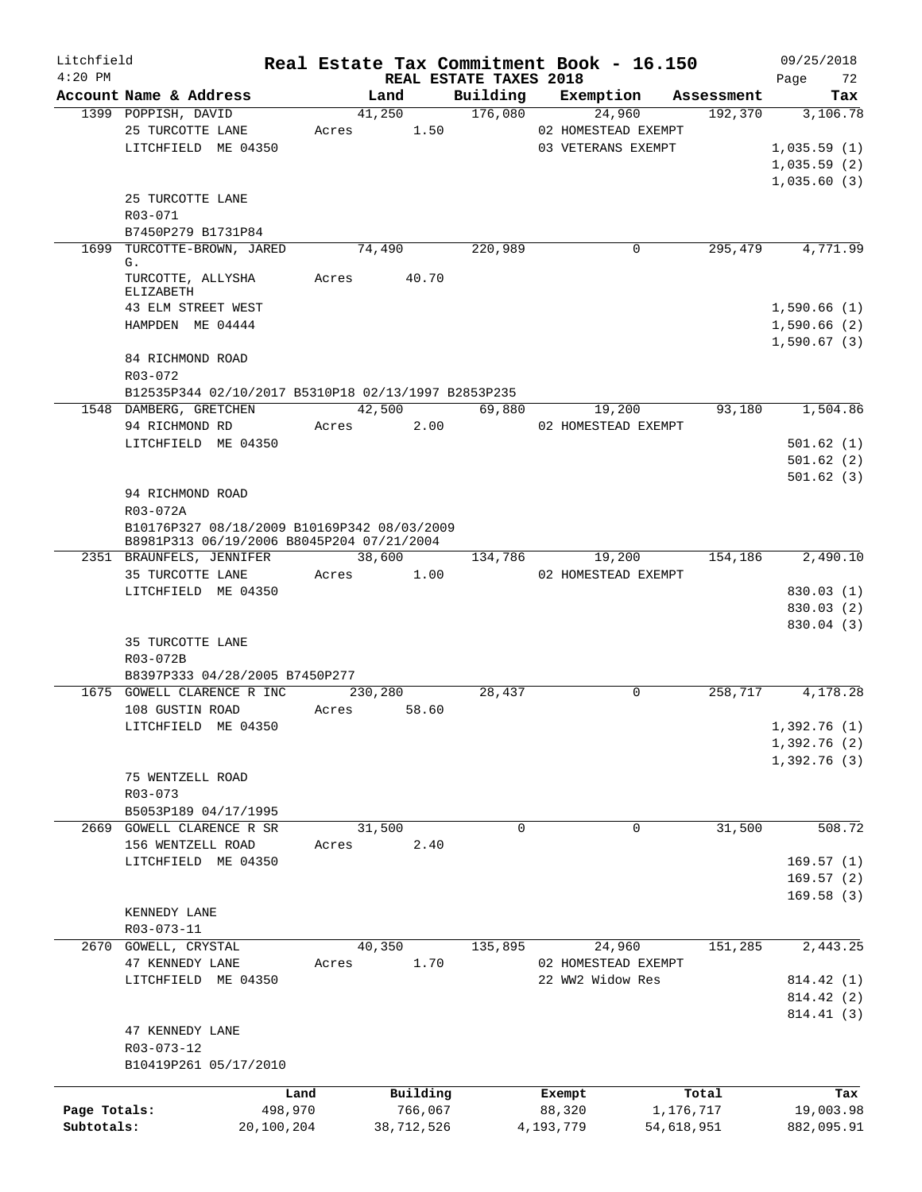| Litchfield   |                                                     |       |                        |          | Real Estate Tax Commitment Book - 16.150 |            | 09/25/2018   |
|--------------|-----------------------------------------------------|-------|------------------------|----------|------------------------------------------|------------|--------------|
| $4:20$ PM    |                                                     |       | REAL ESTATE TAXES 2018 |          |                                          |            | 72<br>Page   |
|              | Account Name & Address                              |       | Land                   | Building | Exemption                                | Assessment | Tax          |
|              | 1399 POPPISH, DAVID                                 |       | 41,250                 | 176,080  | 24,960                                   | 192,370    | 3,106.78     |
|              | 25 TURCOTTE LANE                                    | Acres | 1.50                   |          | 02 HOMESTEAD EXEMPT                      |            |              |
|              | LITCHFIELD ME 04350                                 |       |                        |          | 03 VETERANS EXEMPT                       |            | 1,035.59(1)  |
|              |                                                     |       |                        |          |                                          |            | 1,035.59(2)  |
|              |                                                     |       |                        |          |                                          |            | 1,035.60(3)  |
|              | 25 TURCOTTE LANE                                    |       |                        |          |                                          |            |              |
|              | R03-071                                             |       |                        |          |                                          |            |              |
|              | B7450P279 B1731P84                                  |       |                        |          |                                          |            |              |
| 1699         | TURCOTTE-BROWN, JARED                               |       | 74,490                 | 220,989  | 0                                        | 295,479    | 4,771.99     |
|              | G.                                                  |       |                        |          |                                          |            |              |
|              | TURCOTTE, ALLYSHA                                   | Acres | 40.70                  |          |                                          |            |              |
|              | ELIZABETH<br>43 ELM STREET WEST                     |       |                        |          |                                          |            |              |
|              |                                                     |       |                        |          |                                          |            | 1,590.66(1)  |
|              | HAMPDEN ME 04444                                    |       |                        |          |                                          |            | 1,590.66(2)  |
|              |                                                     |       |                        |          |                                          |            | 1,590.67(3)  |
|              | 84 RICHMOND ROAD                                    |       |                        |          |                                          |            |              |
|              | R03-072                                             |       |                        |          |                                          |            |              |
|              | B12535P344 02/10/2017 B5310P18 02/13/1997 B2853P235 |       |                        |          |                                          |            |              |
|              | 1548 DAMBERG, GRETCHEN                              |       | 42,500                 | 69,880   | 19,200                                   | 93,180     | 1,504.86     |
|              | 94 RICHMOND RD                                      | Acres | 2.00                   |          | 02 HOMESTEAD EXEMPT                      |            |              |
|              | LITCHFIELD ME 04350                                 |       |                        |          |                                          |            | 501.62(1)    |
|              |                                                     |       |                        |          |                                          |            | 501.62(2)    |
|              |                                                     |       |                        |          |                                          |            | 501.62(3)    |
|              | 94 RICHMOND ROAD                                    |       |                        |          |                                          |            |              |
|              | R03-072A                                            |       |                        |          |                                          |            |              |
|              | B10176P327 08/18/2009 B10169P342 08/03/2009         |       |                        |          |                                          |            |              |
|              | B8981P313 06/19/2006 B8045P204 07/21/2004           |       |                        |          |                                          |            |              |
|              | 2351 BRAUNFELS, JENNIFER                            |       | 38,600                 | 134,786  | 19,200                                   | 154,186    | 2,490.10     |
|              | 35 TURCOTTE LANE                                    | Acres | 1.00                   |          | 02 HOMESTEAD EXEMPT                      |            |              |
|              | LITCHFIELD ME 04350                                 |       |                        |          |                                          |            | 830.03(1)    |
|              |                                                     |       |                        |          |                                          |            | 830.03 (2)   |
|              |                                                     |       |                        |          |                                          |            | 830.04 (3)   |
|              | 35 TURCOTTE LANE                                    |       |                        |          |                                          |            |              |
|              | R03-072B                                            |       |                        |          |                                          |            |              |
|              | B8397P333 04/28/2005 B7450P277                      |       |                        |          |                                          |            |              |
|              | 1675 GOWELL CLARENCE R INC                          |       | 230,280                | 28,437   | $\Omega$                                 | 258,717    | 4,178.28     |
|              | 108 GUSTIN ROAD                                     | Acres | 58.60                  |          |                                          |            |              |
|              | LITCHFIELD ME 04350                                 |       |                        |          |                                          |            | 1,392.76 (1) |
|              |                                                     |       |                        |          |                                          |            | 1,392.76(2)  |
|              |                                                     |       |                        |          |                                          |            | 1,392.76(3)  |
|              | 75 WENTZELL ROAD                                    |       |                        |          |                                          |            |              |
|              | $R03 - 073$                                         |       |                        |          |                                          |            |              |
|              | B5053P189 04/17/1995                                |       |                        |          |                                          |            |              |
|              | 2669 GOWELL CLARENCE R SR                           |       | 31,500                 | $\Omega$ | 0                                        | 31,500     | 508.72       |
|              | 156 WENTZELL ROAD                                   | Acres | 2.40                   |          |                                          |            |              |
|              | LITCHFIELD ME 04350                                 |       |                        |          |                                          |            | 169.57(1)    |
|              |                                                     |       |                        |          |                                          |            | 169.57(2)    |
|              |                                                     |       |                        |          |                                          |            | 169.58(3)    |
|              | KENNEDY LANE                                        |       |                        |          |                                          |            |              |
|              | R03-073-11                                          |       |                        |          |                                          |            |              |
|              | 2670 GOWELL, CRYSTAL                                |       | 40,350                 | 135,895  | 24,960                                   | 151,285    | 2,443.25     |
|              | 47 KENNEDY LANE                                     | Acres | 1.70                   |          | 02 HOMESTEAD EXEMPT                      |            |              |
|              | LITCHFIELD ME 04350                                 |       |                        |          | 22 WW2 Widow Res                         |            | 814.42 (1)   |
|              |                                                     |       |                        |          |                                          |            | 814.42 (2)   |
|              |                                                     |       |                        |          |                                          |            | 814.41 (3)   |
|              | 47 KENNEDY LANE                                     |       |                        |          |                                          |            |              |
|              | R03-073-12                                          |       |                        |          |                                          |            |              |
|              | B10419P261 05/17/2010                               |       |                        |          |                                          |            |              |
|              |                                                     |       |                        |          |                                          |            |              |
|              |                                                     | Land  | Building               |          | Exempt                                   | Total      | Tax          |
| Page Totals: | 498,970                                             |       | 766,067                |          | 88,320                                   | 1,176,717  | 19,003.98    |
| Subtotals:   | 20,100,204                                          |       | 38,712,526             |          | 4,193,779                                | 54,618,951 | 882,095.91   |
|              |                                                     |       |                        |          |                                          |            |              |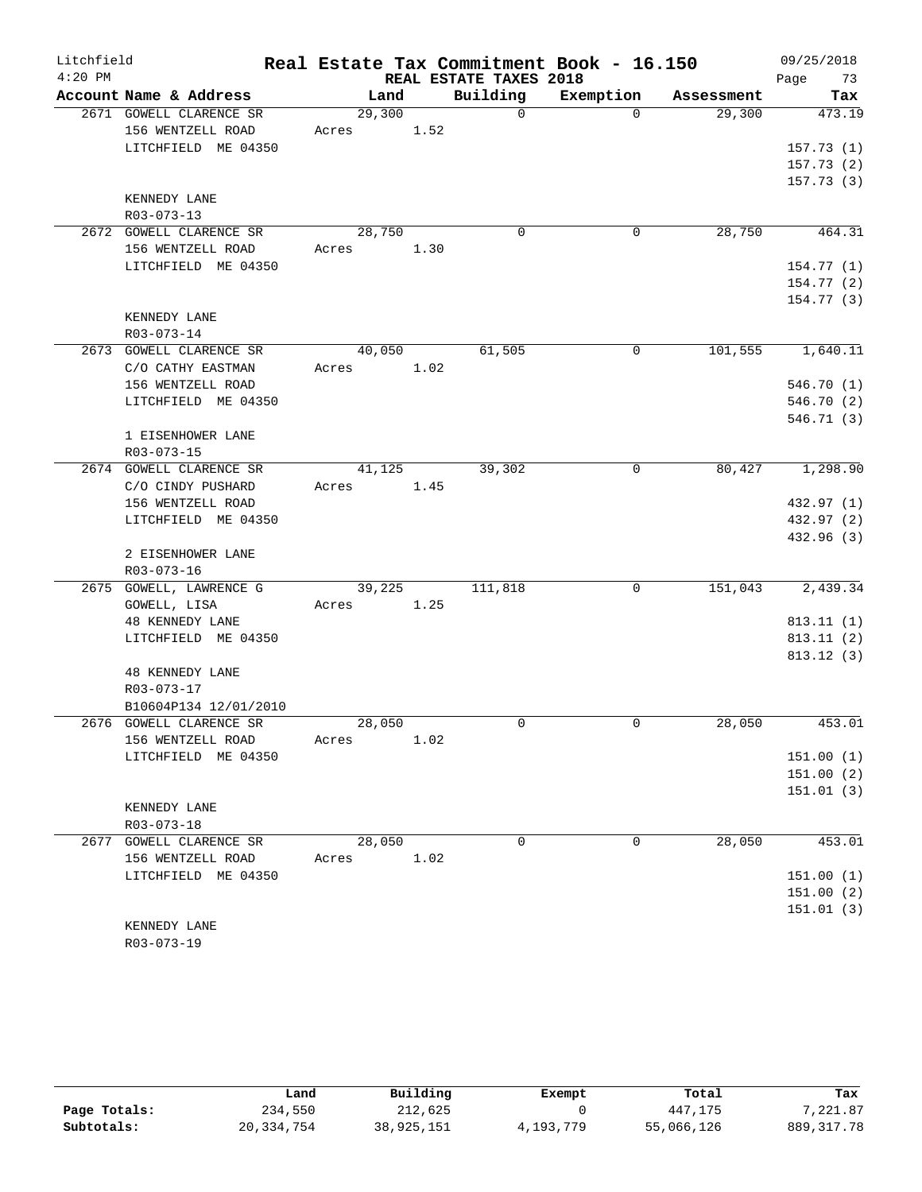| Litchfield |                                                                     | Real Estate Tax Commitment Book - 16.150 |      |                        |           |            | 09/25/2018             |
|------------|---------------------------------------------------------------------|------------------------------------------|------|------------------------|-----------|------------|------------------------|
| $4:20$ PM  |                                                                     |                                          |      | REAL ESTATE TAXES 2018 |           |            | Page<br>73             |
|            | Account Name & Address                                              | Land                                     |      | Building               | Exemption | Assessment | Tax                    |
|            | 2671 GOWELL CLARENCE SR<br>156 WENTZELL ROAD<br>LITCHFIELD ME 04350 | 29,300<br>1.52<br>Acres                  |      | $\Omega$               | $\Omega$  | 29,300     | 473.19<br>157.73(1)    |
|            |                                                                     |                                          |      |                        |           |            | 157.73(2)<br>157.73(3) |
|            | KENNEDY LANE<br>R03-073-13                                          |                                          |      |                        |           |            |                        |
|            | 2672 GOWELL CLARENCE SR<br>156 WENTZELL ROAD                        | 28,750<br>Acres                          | 1.30 | $\mathbf 0$            | 0         | 28,750     | 464.31                 |
|            | LITCHFIELD ME 04350                                                 |                                          |      |                        |           |            | 154.77(1)              |
|            |                                                                     |                                          |      |                        |           |            | 154.77(2)              |
|            | KENNEDY LANE<br>R03-073-14                                          |                                          |      |                        |           |            | 154.77(3)              |
|            | 2673 GOWELL CLARENCE SR                                             | 40,050                                   |      | 61,505                 | 0         |            | $101,555$ 1,640.11     |
|            | C/O CATHY EASTMAN                                                   | Acres                                    | 1.02 |                        |           |            |                        |
|            | 156 WENTZELL ROAD                                                   |                                          |      |                        |           |            | 546.70 (1)             |
|            | LITCHFIELD ME 04350                                                 |                                          |      |                        |           |            | 546.70 (2)             |
|            |                                                                     |                                          |      |                        |           |            | 546.71(3)              |
|            | 1 EISENHOWER LANE<br>R03-073-15                                     |                                          |      |                        |           |            |                        |
|            | 2674 GOWELL CLARENCE SR                                             | 41,125                                   |      | 39,302                 | 0         | 80,427     | 1,298.90               |
|            | C/O CINDY PUSHARD                                                   | Acres                                    | 1.45 |                        |           |            |                        |
|            | 156 WENTZELL ROAD                                                   |                                          |      |                        |           |            | 432.97 (1)             |
|            | LITCHFIELD ME 04350                                                 |                                          |      |                        |           |            | 432.97 (2)             |
|            |                                                                     |                                          |      |                        |           |            | 432.96 (3)             |
|            | 2 EISENHOWER LANE<br>R03-073-16                                     |                                          |      |                        |           |            |                        |
|            | 2675 GOWELL, LAWRENCE G                                             | 39,225                                   |      | 111,818                | 0         | 151,043    | 2,439.34               |
|            | GOWELL, LISA                                                        | Acres                                    | 1.25 |                        |           |            |                        |
|            | <b>48 KENNEDY LANE</b>                                              |                                          |      |                        |           |            | 813.11(1)              |
|            | LITCHFIELD ME 04350                                                 |                                          |      |                        |           |            | 813.11(2)              |
|            |                                                                     |                                          |      |                        |           |            | 813.12(3)              |
|            | <b>48 KENNEDY LANE</b>                                              |                                          |      |                        |           |            |                        |
|            | R03-073-17                                                          |                                          |      |                        |           |            |                        |
|            | B10604P134 12/01/2010                                               |                                          |      |                        |           |            |                        |
|            | 2676 GOWELL CLARENCE SR                                             | 28,050                                   |      | 0                      | 0         | 28,050     | 453.01                 |
|            | 156 WENTZELL ROAD                                                   | Acres                                    | 1.02 |                        |           |            |                        |
|            | LITCHFIELD ME 04350                                                 |                                          |      |                        |           |            | 151.00(1)              |
|            |                                                                     |                                          |      |                        |           |            | 151.00(2)              |
|            |                                                                     |                                          |      |                        |           |            | 151.01(3)              |
|            | KENNEDY LANE<br>R03-073-18                                          |                                          |      |                        |           |            |                        |
|            | 2677 GOWELL CLARENCE SR                                             | 28,050                                   |      | $\mathbf 0$            | 0         | 28,050     | 453.01                 |
|            | 156 WENTZELL ROAD                                                   | Acres                                    | 1.02 |                        |           |            |                        |
|            | LITCHFIELD ME 04350                                                 |                                          |      |                        |           |            | 151.00(1)              |
|            |                                                                     |                                          |      |                        |           |            | 151.00(2)              |
|            |                                                                     |                                          |      |                        |           |            | 151.01(3)              |
|            | KENNEDY LANE                                                        |                                          |      |                        |           |            |                        |
|            | R03-073-19                                                          |                                          |      |                        |           |            |                        |

|              | Land         | Building   | Exempt    | Total      | Tax         |  |
|--------------|--------------|------------|-----------|------------|-------------|--|
| Page Totals: | 234,550      | 212,625    |           | 447,175    | 7,221.87    |  |
| Subtotals:   | 20, 334, 754 | 38,925,151 | 4,193,779 | 55,066,126 | 889, 317.78 |  |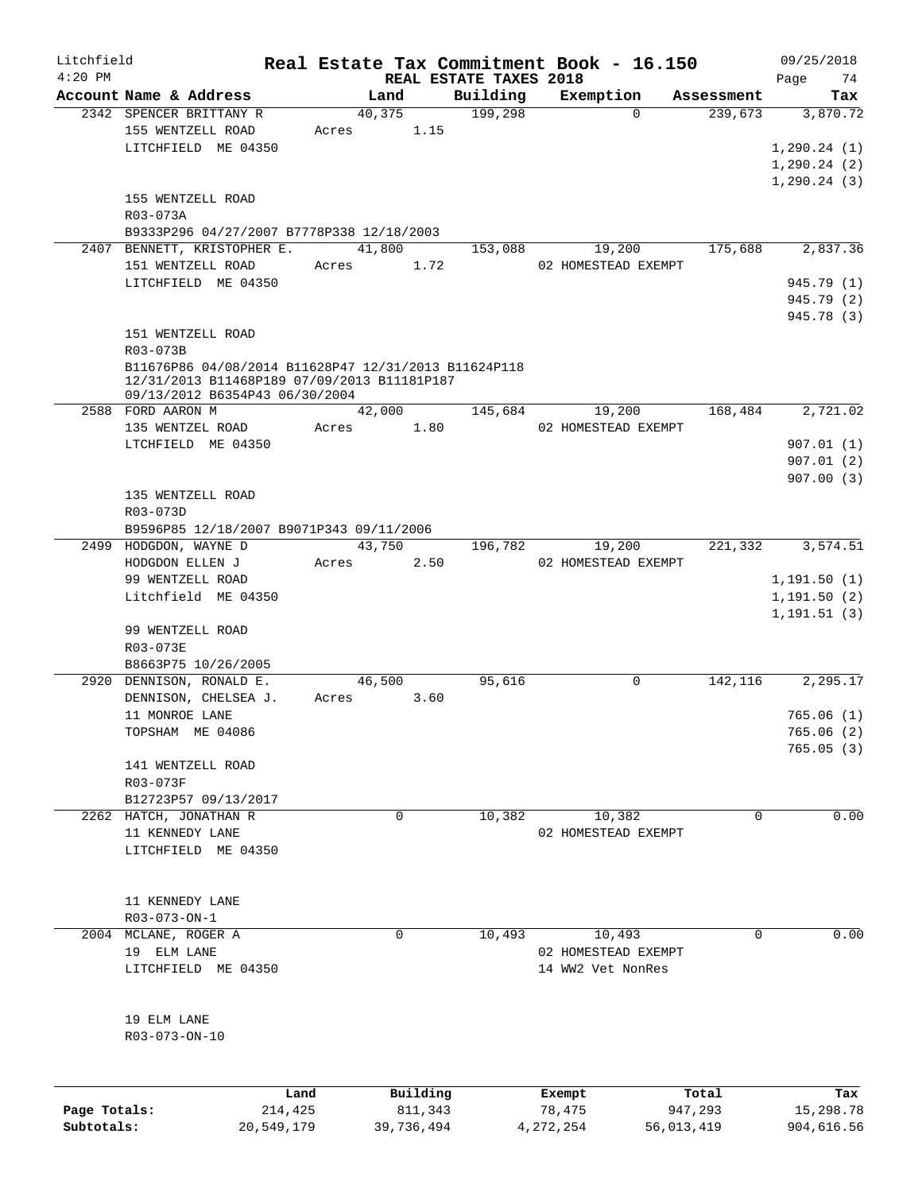| Litchfield   |                                                      |            |        |            |                                    | Real Estate Tax Commitment Book - 16.150 |            |            | 09/25/2018        |
|--------------|------------------------------------------------------|------------|--------|------------|------------------------------------|------------------------------------------|------------|------------|-------------------|
| $4:20$ PM    | Account Name & Address                               |            | Land   |            | REAL ESTATE TAXES 2018<br>Building | Exemption                                |            | Assessment | Page<br>74<br>Tax |
|              | 2342 SPENCER BRITTANY R                              |            | 40,375 |            | 199,298                            | $\Omega$                                 |            | 239,673    | 3,870.72          |
|              | 155 WENTZELL ROAD                                    | Acres      |        | 1.15       |                                    |                                          |            |            |                   |
|              |                                                      |            |        |            |                                    |                                          |            |            |                   |
|              | LITCHFIELD ME 04350                                  |            |        |            |                                    |                                          |            |            | 1,290.24(1)       |
|              |                                                      |            |        |            |                                    |                                          |            |            | 1, 290.24(2)      |
|              |                                                      |            |        |            |                                    |                                          |            |            | 1, 290.24(3)      |
|              | 155 WENTZELL ROAD                                    |            |        |            |                                    |                                          |            |            |                   |
|              | R03-073A                                             |            |        |            |                                    |                                          |            |            |                   |
|              | B9333P296 04/27/2007 B7778P338 12/18/2003            |            |        |            |                                    |                                          |            |            |                   |
|              | 2407 BENNETT, KRISTOPHER E.                          |            | 41,800 |            | 153,088                            | 19,200                                   |            | 175,688    | 2,837.36          |
|              | 151 WENTZELL ROAD                                    |            | Acres  | 1.72       |                                    | 02 HOMESTEAD EXEMPT                      |            |            |                   |
|              | LITCHFIELD ME 04350                                  |            |        |            |                                    |                                          |            |            | 945.79 (1)        |
|              |                                                      |            |        |            |                                    |                                          |            |            | 945.79 (2)        |
|              |                                                      |            |        |            |                                    |                                          |            |            | 945.78 (3)        |
|              | 151 WENTZELL ROAD                                    |            |        |            |                                    |                                          |            |            |                   |
|              | R03-073B                                             |            |        |            |                                    |                                          |            |            |                   |
|              | B11676P86 04/08/2014 B11628P47 12/31/2013 B11624P118 |            |        |            |                                    |                                          |            |            |                   |
|              | 12/31/2013 B11468P189 07/09/2013 B11181P187          |            |        |            |                                    |                                          |            |            |                   |
|              | 09/13/2012 B6354P43 06/30/2004                       |            |        |            |                                    |                                          |            |            |                   |
|              | 2588 FORD AARON M                                    |            | 42,000 |            | 145,684                            | 19,200                                   |            | 168,484    | 2,721.02          |
|              | 135 WENTZEL ROAD                                     | Acres      |        | 1.80       |                                    | 02 HOMESTEAD EXEMPT                      |            |            |                   |
|              | LTCHFIELD ME 04350                                   |            |        |            |                                    |                                          |            |            | 907.01(1)         |
|              |                                                      |            |        |            |                                    |                                          |            |            | 907.01(2)         |
|              |                                                      |            |        |            |                                    |                                          |            |            | 907.00(3)         |
|              | 135 WENTZELL ROAD                                    |            |        |            |                                    |                                          |            |            |                   |
|              | R03-073D                                             |            |        |            |                                    |                                          |            |            |                   |
|              | B9596P85 12/18/2007 B9071P343 09/11/2006             |            |        |            |                                    |                                          |            |            |                   |
|              | 2499 HODGDON, WAYNE D                                |            | 43,750 |            | 196,782                            | 19,200                                   |            | 221,332    | 3,574.51          |
|              |                                                      |            |        |            |                                    |                                          |            |            |                   |
|              | HODGDON ELLEN J                                      | Acres      |        | 2.50       |                                    | 02 HOMESTEAD EXEMPT                      |            |            |                   |
|              | 99 WENTZELL ROAD                                     |            |        |            |                                    |                                          |            |            | 1,191.50(1)       |
|              | Litchfield ME 04350                                  |            |        |            |                                    |                                          |            |            | 1,191.50(2)       |
|              |                                                      |            |        |            |                                    |                                          |            |            | 1, 191.51(3)      |
|              | 99 WENTZELL ROAD                                     |            |        |            |                                    |                                          |            |            |                   |
|              | R03-073E                                             |            |        |            |                                    |                                          |            |            |                   |
|              | B8663P75 10/26/2005                                  |            |        |            |                                    |                                          |            |            |                   |
|              | 2920 DENNISON, RONALD E.                             |            | 46,500 |            | 95,616                             | 0                                        |            | 142,116    | 2,295.17          |
|              | DENNISON, CHELSEA J.                                 | Acres      |        | 3.60       |                                    |                                          |            |            |                   |
|              | 11 MONROE LANE                                       |            |        |            |                                    |                                          |            |            | 765.06(1)         |
|              | TOPSHAM ME 04086                                     |            |        |            |                                    |                                          |            |            | 765.06(2)         |
|              |                                                      |            |        |            |                                    |                                          |            |            | 765.05(3)         |
|              | 141 WENTZELL ROAD                                    |            |        |            |                                    |                                          |            |            |                   |
|              | R03-073F                                             |            |        |            |                                    |                                          |            |            |                   |
|              | B12723P57 09/13/2017                                 |            |        |            |                                    |                                          |            |            |                   |
| 2262         | HATCH, JONATHAN R                                    |            | 0      |            | 10,382                             | 10,382                                   |            | $\Omega$   | 0.00              |
|              | 11 KENNEDY LANE                                      |            |        |            |                                    | 02 HOMESTEAD EXEMPT                      |            |            |                   |
|              | LITCHFIELD ME 04350                                  |            |        |            |                                    |                                          |            |            |                   |
|              |                                                      |            |        |            |                                    |                                          |            |            |                   |
|              |                                                      |            |        |            |                                    |                                          |            |            |                   |
|              |                                                      |            |        |            |                                    |                                          |            |            |                   |
|              | 11 KENNEDY LANE                                      |            |        |            |                                    |                                          |            |            |                   |
|              | R03-073-ON-1                                         |            |        |            |                                    |                                          |            |            |                   |
|              | 2004 MCLANE, ROGER A                                 |            | 0      |            | 10,493                             | 10,493                                   |            | 0          | 0.00              |
|              | 19 ELM LANE                                          |            |        |            |                                    | 02 HOMESTEAD EXEMPT                      |            |            |                   |
|              | LITCHFIELD ME 04350                                  |            |        |            |                                    | 14 WW2 Vet NonRes                        |            |            |                   |
|              |                                                      |            |        |            |                                    |                                          |            |            |                   |
|              |                                                      |            |        |            |                                    |                                          |            |            |                   |
|              | 19 ELM LANE                                          |            |        |            |                                    |                                          |            |            |                   |
|              | R03-073-ON-10                                        |            |        |            |                                    |                                          |            |            |                   |
|              |                                                      |            |        |            |                                    |                                          |            |            |                   |
|              |                                                      |            |        |            |                                    |                                          |            |            |                   |
|              |                                                      |            |        |            |                                    |                                          |            |            |                   |
|              |                                                      | Land       |        | Building   |                                    | Exempt                                   |            | Total      | Tax               |
| Page Totals: |                                                      | 214,425    |        | 811,343    |                                    | 78,475                                   |            | 947,293    | 15,298.78         |
| Subtotals:   |                                                      | 20,549,179 |        | 39,736,494 |                                    | 4, 272, 254                              | 56,013,419 |            | 904,616.56        |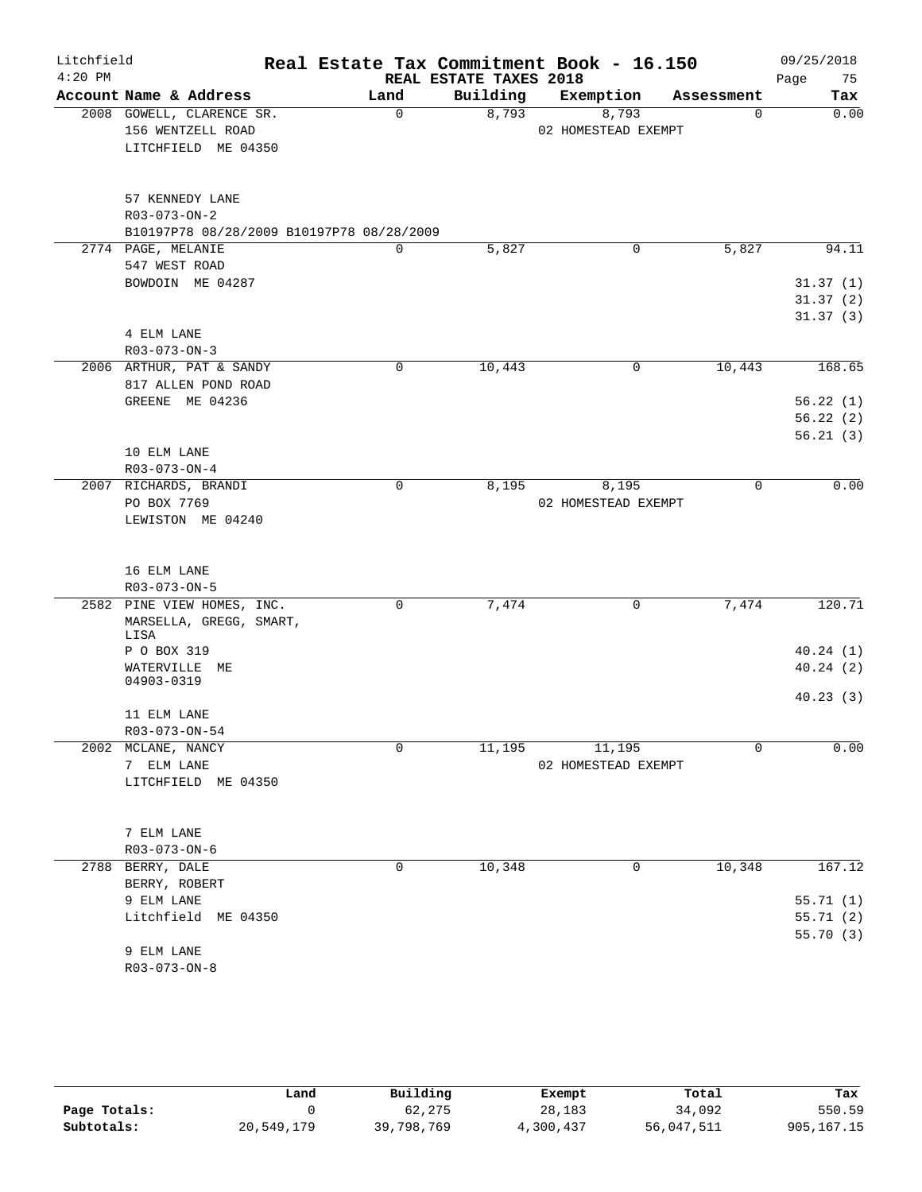| Litchfield |                                           |             |                        | Real Estate Tax Commitment Book - 16.150 |             | 09/25/2018 |
|------------|-------------------------------------------|-------------|------------------------|------------------------------------------|-------------|------------|
| $4:20$ PM  |                                           |             | REAL ESTATE TAXES 2018 |                                          |             | 75<br>Page |
|            | Account Name & Address                    | Land        | Building               | Exemption                                | Assessment  | Tax        |
|            | 2008 GOWELL, CLARENCE SR.                 | $\mathbf 0$ | 8,793                  | 8,793                                    | 0           | 0.00       |
|            | 156 WENTZELL ROAD                         |             |                        | 02 HOMESTEAD EXEMPT                      |             |            |
|            | LITCHFIELD ME 04350                       |             |                        |                                          |             |            |
|            | 57 KENNEDY LANE                           |             |                        |                                          |             |            |
|            | R03-073-ON-2                              |             |                        |                                          |             |            |
|            | B10197P78 08/28/2009 B10197P78 08/28/2009 |             |                        |                                          |             |            |
|            | 2774 PAGE, MELANIE                        | 0           | 5,827                  | 0                                        | 5,827       | 94.11      |
|            | 547 WEST ROAD                             |             |                        |                                          |             |            |
|            | BOWDOIN ME 04287                          |             |                        |                                          |             | 31.37(1)   |
|            |                                           |             |                        |                                          |             | 31.37(2)   |
|            |                                           |             |                        |                                          |             | 31.37(3)   |
|            | 4 ELM LANE                                |             |                        |                                          |             |            |
|            | R03-073-ON-3                              |             |                        |                                          |             |            |
|            | 2006 ARTHUR, PAT & SANDY                  | 0           | 10,443                 | 0                                        | 10,443      | 168.65     |
|            | 817 ALLEN POND ROAD                       |             |                        |                                          |             |            |
|            | GREENE ME 04236                           |             |                        |                                          |             | 56.22(1)   |
|            |                                           |             |                        |                                          |             | 56.22(2)   |
|            |                                           |             |                        |                                          |             | 56.21(3)   |
|            | 10 ELM LANE                               |             |                        |                                          |             |            |
|            | $R03 - 073 - ON - 4$                      |             |                        |                                          |             |            |
|            | 2007 RICHARDS, BRANDI                     | $\mathbf 0$ | 8,195                  | 8,195                                    | $\mathbf 0$ | 0.00       |
|            | PO BOX 7769                               |             |                        | 02 HOMESTEAD EXEMPT                      |             |            |
|            | LEWISTON ME 04240                         |             |                        |                                          |             |            |
|            |                                           |             |                        |                                          |             |            |
|            | 16 ELM LANE                               |             |                        |                                          |             |            |
|            | R03-073-ON-5                              |             |                        |                                          |             |            |
|            | 2582 PINE VIEW HOMES, INC.                | $\mathbf 0$ | 7,474                  | 0                                        | 7,474       | 120.71     |
|            | MARSELLA, GREGG, SMART,<br>LISA           |             |                        |                                          |             |            |
|            | P O BOX 319                               |             |                        |                                          |             | 40.24(1)   |
|            | WATERVILLE ME                             |             |                        |                                          |             | 40.24(2)   |
|            | 04903-0319                                |             |                        |                                          |             |            |
|            |                                           |             |                        |                                          |             | 40.23(3)   |
|            | 11 ELM LANE                               |             |                        |                                          |             |            |
|            | R03-073-ON-54<br>2002 MCLANE, NANCY       | 0           |                        | 11,195                                   |             | 0.00       |
|            |                                           |             | 11,195                 |                                          | 0           |            |
|            | 7 ELM LANE                                |             |                        | 02 HOMESTEAD EXEMPT                      |             |            |
|            | LITCHFIELD ME 04350                       |             |                        |                                          |             |            |
|            | 7 ELM LANE                                |             |                        |                                          |             |            |
|            | $R03 - 073 - ON - 6$                      |             |                        |                                          |             |            |
|            | 2788 BERRY, DALE                          | 0           | 10,348                 | 0                                        | 10,348      | 167.12     |
|            | BERRY, ROBERT                             |             |                        |                                          |             |            |
|            | 9 ELM LANE                                |             |                        |                                          |             | 55.71(1)   |
|            | Litchfield ME 04350                       |             |                        |                                          |             | 55.71(2)   |
|            |                                           |             |                        |                                          |             | 55.70(3)   |
|            | 9 ELM LANE                                |             |                        |                                          |             |            |
|            | R03-073-ON-8                              |             |                        |                                          |             |            |
|            |                                           |             |                        |                                          |             |            |

|              | Land       | Building   | Exempt    | Total      | Tax          |
|--------------|------------|------------|-----------|------------|--------------|
| Page Totals: |            | 62,275     | 28,183    | 34,092     | 550.59       |
| Subtotals:   | 20,549,179 | 39,798,769 | 4,300,437 | 56,047,511 | 905, 167. 15 |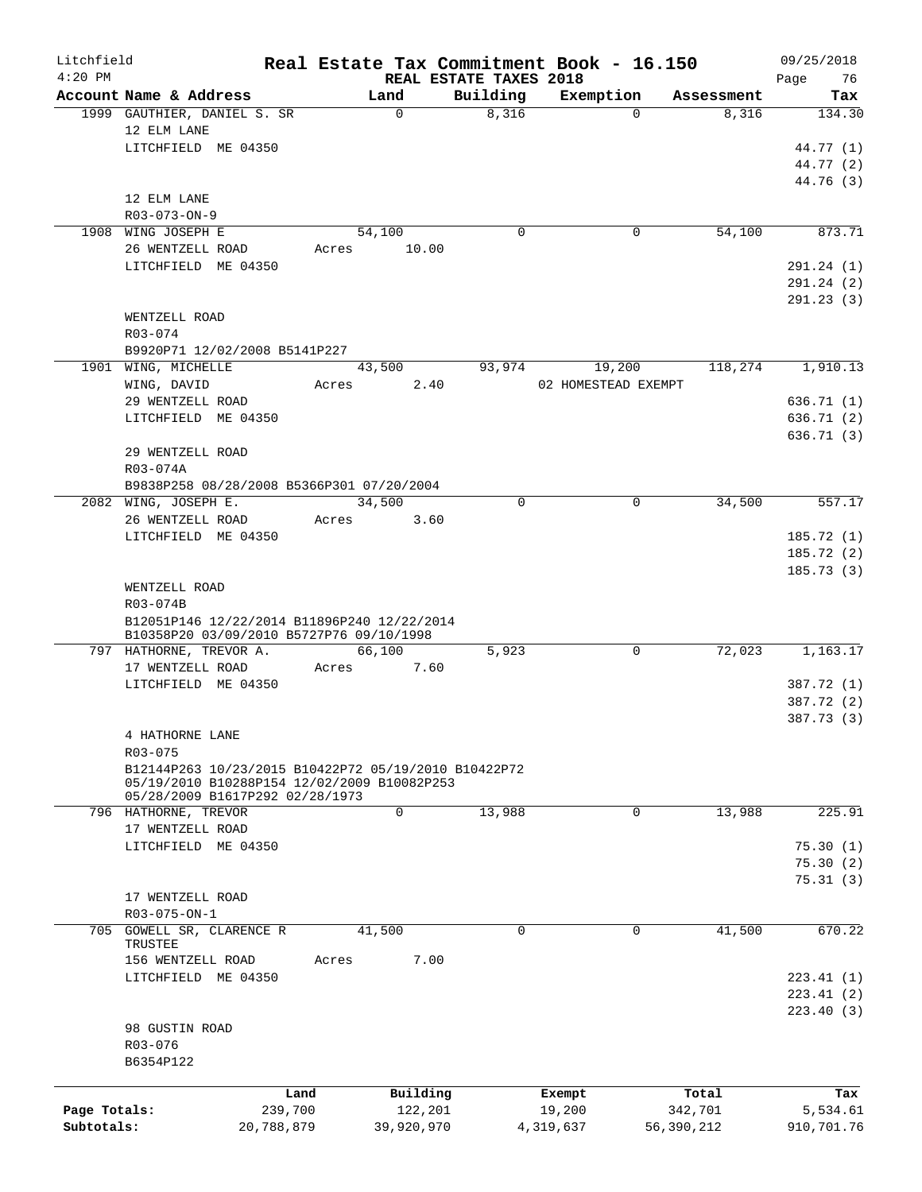| Litchfield   |                                                                                                     |                 |                |                                    | Real Estate Tax Commitment Book - 16.150 |            | 09/25/2018        |
|--------------|-----------------------------------------------------------------------------------------------------|-----------------|----------------|------------------------------------|------------------------------------------|------------|-------------------|
| $4:20$ PM    | Account Name & Address                                                                              |                 | Land           | REAL ESTATE TAXES 2018<br>Building | Exemption                                | Assessment | 76<br>Page<br>Tax |
|              | 1999 GAUTHIER, DANIEL S. SR                                                                         |                 | $\mathbf 0$    | 8,316                              | $\Omega$                                 | 8,316      | 134.30            |
|              | 12 ELM LANE                                                                                         |                 |                |                                    |                                          |            |                   |
|              | LITCHFIELD ME 04350                                                                                 |                 |                |                                    |                                          |            | 44.77 (1)         |
|              |                                                                                                     |                 |                |                                    |                                          |            | 44.77 (2)         |
|              |                                                                                                     |                 |                |                                    |                                          |            | 44.76 (3)         |
|              | 12 ELM LANE                                                                                         |                 |                |                                    |                                          |            |                   |
|              | R03-073-ON-9                                                                                        |                 |                |                                    |                                          |            |                   |
|              | 1908 WING JOSEPH E                                                                                  |                 | 54,100         | $\mathbf 0$                        | 0                                        | 54,100     | 873.71            |
|              | 26 WENTZELL ROAD                                                                                    |                 | 10.00<br>Acres |                                    |                                          |            |                   |
|              | LITCHFIELD ME 04350                                                                                 |                 |                |                                    |                                          |            | 291.24 (1)        |
|              |                                                                                                     |                 |                |                                    |                                          |            | 291.24 (2)        |
|              |                                                                                                     |                 |                |                                    |                                          |            | 291.23 (3)        |
|              | WENTZELL ROAD                                                                                       |                 |                |                                    |                                          |            |                   |
|              | R03-074                                                                                             |                 |                |                                    |                                          |            |                   |
|              | B9920P71 12/02/2008 B5141P227                                                                       |                 |                |                                    |                                          |            |                   |
|              | 1901 WING, MICHELLE                                                                                 |                 | 43,500         | 93,974                             | 19,200                                   | 118,274    | 1,910.13          |
|              | WING, DAVID                                                                                         |                 | Acres          | 2.40                               | 02 HOMESTEAD EXEMPT                      |            |                   |
|              | 29 WENTZELL ROAD                                                                                    |                 |                |                                    |                                          |            | 636.71(1)         |
|              | LITCHFIELD ME 04350                                                                                 |                 |                |                                    |                                          |            | 636.71 (2)        |
|              |                                                                                                     |                 |                |                                    |                                          |            | 636.71(3)         |
|              | 29 WENTZELL ROAD                                                                                    |                 |                |                                    |                                          |            |                   |
|              | R03-074A                                                                                            |                 |                |                                    |                                          |            |                   |
|              | B9838P258 08/28/2008 B5366P301 07/20/2004                                                           |                 |                |                                    |                                          |            |                   |
|              | 2082 WING, JOSEPH E.                                                                                |                 | 34,500         | $\Omega$                           | $\mathbf 0$                              | 34,500     | 557.17            |
|              | 26 WENTZELL ROAD                                                                                    |                 | Acres          | 3.60                               |                                          |            |                   |
|              | LITCHFIELD ME 04350                                                                                 |                 |                |                                    |                                          |            | 185.72(1)         |
|              |                                                                                                     |                 |                |                                    |                                          |            | 185.72(2)         |
|              |                                                                                                     |                 |                |                                    |                                          |            | 185.73(3)         |
|              | WENTZELL ROAD                                                                                       |                 |                |                                    |                                          |            |                   |
|              | R03-074B                                                                                            |                 |                |                                    |                                          |            |                   |
|              | B12051P146 12/22/2014 B11896P240 12/22/2014                                                         |                 |                |                                    |                                          |            |                   |
|              | B10358P20 03/09/2010 B5727P76 09/10/1998                                                            |                 |                |                                    |                                          |            |                   |
|              | 797 HATHORNE, TREVOR A.                                                                             |                 | 66,100         | 5,923                              | 0                                        | 72,023     | 1,163.17          |
|              | 17 WENTZELL ROAD                                                                                    |                 | Acres          | 7.60                               |                                          |            |                   |
|              | LITCHFIELD ME 04350                                                                                 |                 |                |                                    |                                          |            | 387.72 (1)        |
|              |                                                                                                     |                 |                |                                    |                                          |            | 387.72 (2)        |
|              |                                                                                                     |                 |                |                                    |                                          |            | 387.73 (3)        |
|              | 4 HATHORNE LANE                                                                                     |                 |                |                                    |                                          |            |                   |
|              | R03-075                                                                                             |                 |                |                                    |                                          |            |                   |
|              | B12144P263 10/23/2015 B10422P72 05/19/2010 B10422P72<br>05/19/2010 B10288P154 12/02/2009 B10082P253 |                 |                |                                    |                                          |            |                   |
|              | 05/28/2009 B1617P292 02/28/1973                                                                     |                 |                |                                    |                                          |            |                   |
|              | 796 HATHORNE, TREVOR                                                                                |                 | $\mathbf 0$    | 13,988                             | $\mathbf 0$                              | 13,988     | 225.91            |
|              | 17 WENTZELL ROAD                                                                                    |                 |                |                                    |                                          |            |                   |
|              | LITCHFIELD ME 04350                                                                                 |                 |                |                                    |                                          |            | 75.30(1)          |
|              |                                                                                                     |                 |                |                                    |                                          |            | 75.30(2)          |
|              |                                                                                                     |                 |                |                                    |                                          |            | 75.31(3)          |
|              | 17 WENTZELL ROAD                                                                                    |                 |                |                                    |                                          |            |                   |
|              | R03-075-ON-1                                                                                        |                 |                |                                    |                                          |            |                   |
| 705          | GOWELL SR, CLARENCE R                                                                               |                 | 41,500         | 0                                  | 0                                        | 41,500     | 670.22            |
|              | TRUSTEE                                                                                             |                 |                |                                    |                                          |            |                   |
|              | 156 WENTZELL ROAD                                                                                   |                 | Acres          | 7.00                               |                                          |            |                   |
|              | LITCHFIELD ME 04350                                                                                 |                 |                |                                    |                                          |            | 223.41(1)         |
|              |                                                                                                     |                 |                |                                    |                                          |            | 223.41(2)         |
|              |                                                                                                     |                 |                |                                    |                                          |            | 223.40(3)         |
|              | 98 GUSTIN ROAD                                                                                      |                 |                |                                    |                                          |            |                   |
|              | R03-076                                                                                             |                 |                |                                    |                                          |            |                   |
|              | B6354P122                                                                                           |                 |                |                                    |                                          |            |                   |
|              |                                                                                                     |                 |                |                                    |                                          |            |                   |
|              |                                                                                                     | Land<br>239,700 | Building       |                                    | Exempt                                   | Total      | Tax               |
| Page Totals: |                                                                                                     |                 | 122,201        |                                    | 19,200                                   | 342,701    | 5,534.61          |
| Subtotals:   |                                                                                                     | 20,788,879      | 39,920,970     |                                    | 4,319,637                                | 56,390,212 | 910,701.76        |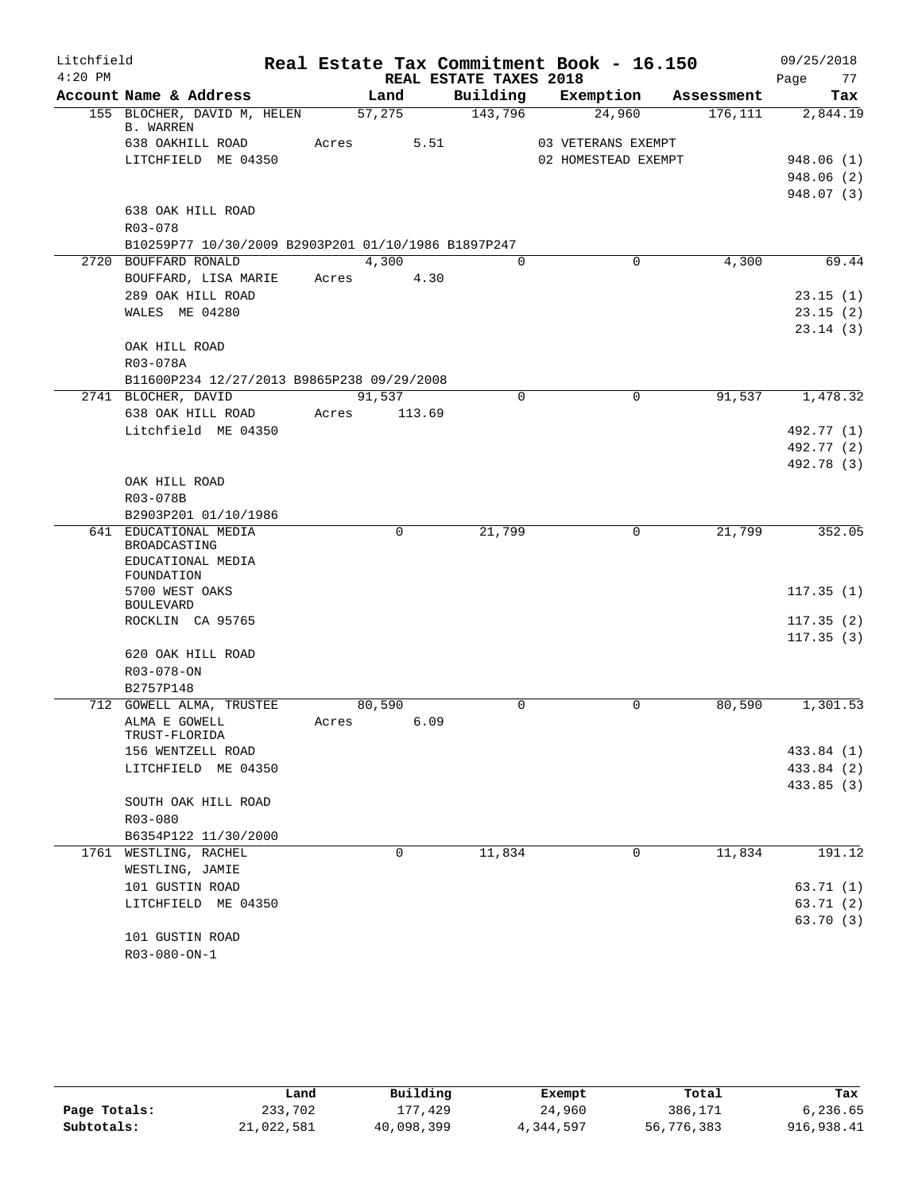| Litchfield |                                                     |       |               |                        | Real Estate Tax Commitment Book - 16.150 |            | 09/25/2018             |
|------------|-----------------------------------------------------|-------|---------------|------------------------|------------------------------------------|------------|------------------------|
| $4:20$ PM  |                                                     |       |               | REAL ESTATE TAXES 2018 |                                          |            | 77<br>Page             |
|            | Account Name & Address                              |       | Land          | Building               | Exemption                                | Assessment | Tax                    |
|            | 155 BLOCHER, DAVID M, HELEN<br><b>B. WARREN</b>     |       | 57,275        | 143,796                | 24,960                                   | 176, 111   | 2,844.19               |
|            | 638 OAKHILL ROAD                                    |       | 5.51<br>Acres |                        | 03 VETERANS EXEMPT                       |            |                        |
|            | LITCHFIELD ME 04350                                 |       |               |                        | 02 HOMESTEAD EXEMPT                      |            | 948.06(1)              |
|            |                                                     |       |               |                        |                                          |            | 948.06(2)              |
|            |                                                     |       |               |                        |                                          |            | 948.07 (3)             |
|            | 638 OAK HILL ROAD                                   |       |               |                        |                                          |            |                        |
|            | R03-078                                             |       |               |                        |                                          |            |                        |
|            | B10259P77 10/30/2009 B2903P201 01/10/1986 B1897P247 |       |               |                        |                                          |            |                        |
|            | 2720 BOUFFARD RONALD                                |       | 4,300         | $\Omega$               | $\Omega$                                 | 4,300      | 69.44                  |
|            | BOUFFARD, LISA MARIE                                | Acres | 4.30          |                        |                                          |            |                        |
|            | 289 OAK HILL ROAD                                   |       |               |                        |                                          |            | 23.15(1)               |
|            | WALES ME 04280                                      |       |               |                        |                                          |            | 23.15(2)               |
|            | OAK HILL ROAD                                       |       |               |                        |                                          |            | 23.14(3)               |
|            | R03-078A                                            |       |               |                        |                                          |            |                        |
|            | B11600P234 12/27/2013 B9865P238 09/29/2008          |       |               |                        |                                          |            |                        |
|            | 2741 BLOCHER, DAVID                                 |       | 91,537        | $\mathbf 0$            | $\mathbf 0$                              | 91,537     | 1,478.32               |
|            | 638 OAK HILL ROAD                                   | Acres | 113.69        |                        |                                          |            |                        |
|            | Litchfield ME 04350                                 |       |               |                        |                                          |            | 492.77 (1)             |
|            |                                                     |       |               |                        |                                          |            | 492.77 (2)             |
|            |                                                     |       |               |                        |                                          |            | 492.78 (3)             |
|            | OAK HILL ROAD                                       |       |               |                        |                                          |            |                        |
|            | R03-078B                                            |       |               |                        |                                          |            |                        |
|            | B2903P201 01/10/1986                                |       |               |                        |                                          |            |                        |
|            | 641 EDUCATIONAL MEDIA<br>BROADCASTING               |       | $\Omega$      | 21,799                 | 0                                        | 21,799     | 352.05                 |
|            | EDUCATIONAL MEDIA                                   |       |               |                        |                                          |            |                        |
|            | FOUNDATION                                          |       |               |                        |                                          |            |                        |
|            | 5700 WEST OAKS                                      |       |               |                        |                                          |            | 117.35(1)              |
|            | <b>BOULEVARD</b>                                    |       |               |                        |                                          |            |                        |
|            | ROCKLIN CA 95765                                    |       |               |                        |                                          |            | 117.35(2)<br>117.35(3) |
|            | 620 OAK HILL ROAD                                   |       |               |                        |                                          |            |                        |
|            | $R03 - 078 - ON$                                    |       |               |                        |                                          |            |                        |
|            | B2757P148                                           |       |               |                        |                                          |            |                        |
|            | 712 GOWELL ALMA, TRUSTEE                            |       | 80,590        | $\mathbf 0$            | $\mathbf 0$                              | 80,590     | 1,301.53               |
|            | ALMA E GOWELL                                       | Acres | 6.09          |                        |                                          |            |                        |
|            | TRUST-FLORIDA                                       |       |               |                        |                                          |            |                        |
|            | 156 WENTZELL ROAD                                   |       |               |                        |                                          |            | 433.84 (1)             |
|            | LITCHFIELD ME 04350                                 |       |               |                        |                                          |            | 433.84 (2)             |
|            | SOUTH OAK HILL ROAD                                 |       |               |                        |                                          |            | 433.85 (3)             |
|            | R03-080                                             |       |               |                        |                                          |            |                        |
|            | B6354P122 11/30/2000                                |       |               |                        |                                          |            |                        |
| 1761       | WESTLING, RACHEL                                    |       | 0             | 11,834                 | 0                                        | 11,834     | 191.12                 |
|            | WESTLING, JAMIE                                     |       |               |                        |                                          |            |                        |
|            | 101 GUSTIN ROAD                                     |       |               |                        |                                          |            | 63.71 (1)              |
|            | LITCHFIELD ME 04350                                 |       |               |                        |                                          |            | 63.71(2)               |
|            |                                                     |       |               |                        |                                          |            | 63.70(3)               |
|            | 101 GUSTIN ROAD                                     |       |               |                        |                                          |            |                        |
|            | R03-080-ON-1                                        |       |               |                        |                                          |            |                        |

|              | Land       | Building   | Exempt    | Total      | Tax        |
|--------------|------------|------------|-----------|------------|------------|
| Page Totals: | 233,702    | 177,429    | 24,960    | 386,171    | 6,236.65   |
| Subtotals:   | 21,022,581 | 40,098,399 | 4,344,597 | 56,776,383 | 916,938.41 |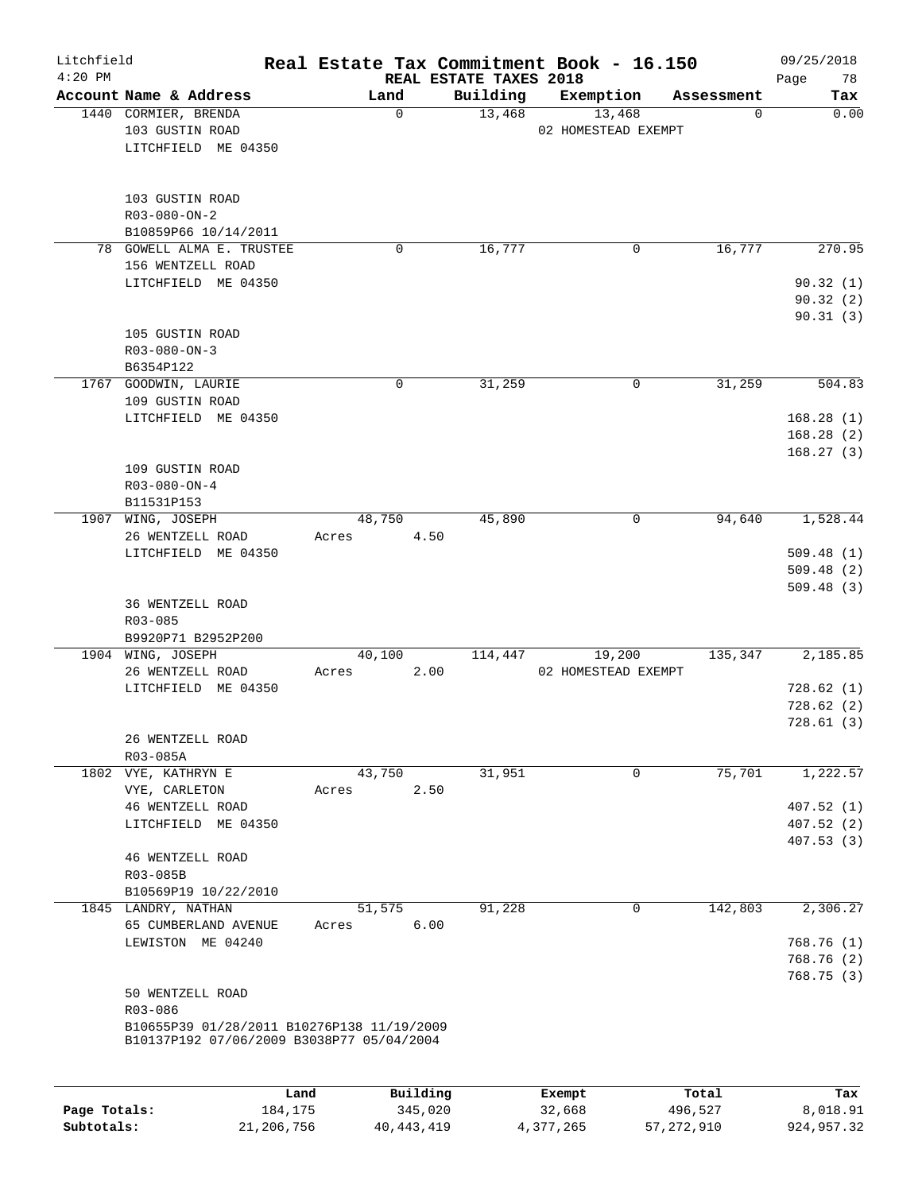| Litchfield<br>$4:20$ PM |                                                                                         |                 |             | REAL ESTATE TAXES 2018 | Real Estate Tax Commitment Book - 16.150 |             | 09/25/2018<br>78<br>Page |
|-------------------------|-----------------------------------------------------------------------------------------|-----------------|-------------|------------------------|------------------------------------------|-------------|--------------------------|
|                         | Account Name & Address                                                                  | Land            |             | Building               | Exemption                                | Assessment  | Tax                      |
|                         | 1440 CORMIER, BRENDA<br>103 GUSTIN ROAD<br>LITCHFIELD ME 04350                          |                 | $\mathbf 0$ | 13,468                 | 13,468<br>02 HOMESTEAD EXEMPT            | $\mathbf 0$ | 0.00                     |
|                         | 103 GUSTIN ROAD<br>$R03 - 080 - ON - 2$<br>B10859P66 10/14/2011                         |                 |             |                        |                                          |             |                          |
|                         | 78 GOWELL ALMA E. TRUSTEE                                                               |                 | 0           | 16,777                 | 0                                        | 16,777      | 270.95                   |
|                         | 156 WENTZELL ROAD                                                                       |                 |             |                        |                                          |             |                          |
|                         | LITCHFIELD ME 04350                                                                     |                 |             |                        |                                          |             | 90.32(1)<br>90.32(2)     |
|                         |                                                                                         |                 |             |                        |                                          |             | 90.31(3)                 |
|                         | 105 GUSTIN ROAD                                                                         |                 |             |                        |                                          |             |                          |
|                         | $R03 - 080 - ON - 3$                                                                    |                 |             |                        |                                          |             |                          |
|                         | B6354P122<br>1767 GOODWIN, LAURIE                                                       |                 | 0           | 31,259                 | 0                                        | 31,259      | 504.83                   |
|                         | 109 GUSTIN ROAD                                                                         |                 |             |                        |                                          |             |                          |
|                         | LITCHFIELD ME 04350                                                                     |                 |             |                        |                                          |             | 168.28(1)                |
|                         |                                                                                         |                 |             |                        |                                          |             | 168.28(2)                |
|                         |                                                                                         |                 |             |                        |                                          |             | 168.27(3)                |
|                         | 109 GUSTIN ROAD<br>$R03 - 080 - ON - 4$                                                 |                 |             |                        |                                          |             |                          |
|                         | B11531P153                                                                              |                 |             |                        |                                          |             |                          |
|                         | 1907 WING, JOSEPH                                                                       | 48,750          |             | 45,890                 | 0                                        | 94,640      | 1,528.44                 |
|                         | 26 WENTZELL ROAD                                                                        | Acres           | 4.50        |                        |                                          |             |                          |
|                         | LITCHFIELD ME 04350                                                                     |                 |             |                        |                                          |             | 509.48(1)<br>509.48(2)   |
|                         |                                                                                         |                 |             |                        |                                          |             | 509.48(3)                |
|                         | 36 WENTZELL ROAD                                                                        |                 |             |                        |                                          |             |                          |
|                         | R03-085                                                                                 |                 |             |                        |                                          |             |                          |
|                         | B9920P71 B2952P200<br>1904 WING, JOSEPH                                                 |                 |             |                        |                                          | 135,347     | 2,185.85                 |
|                         | 26 WENTZELL ROAD                                                                        | 40,100<br>Acres | 2.00        | 114,447                | 19,200<br>02 HOMESTEAD EXEMPT            |             |                          |
|                         | LITCHFIELD ME 04350                                                                     |                 |             |                        |                                          |             | 728.62(1)                |
|                         |                                                                                         |                 |             |                        |                                          |             | 728.62(2)                |
|                         |                                                                                         |                 |             |                        |                                          |             | 728.61(3)                |
|                         | 26 WENTZELL ROAD<br>R03-085A                                                            |                 |             |                        |                                          |             |                          |
|                         | 1802 VYE, KATHRYN E                                                                     | 43,750          |             | 31,951                 | 0                                        | 75,701      | 1,222.57                 |
|                         | VYE, CARLETON                                                                           | Acres           | 2.50        |                        |                                          |             |                          |
|                         | 46 WENTZELL ROAD                                                                        |                 |             |                        |                                          |             | 407.52(1)                |
|                         | LITCHFIELD ME 04350                                                                     |                 |             |                        |                                          |             | 407.52(2)                |
|                         | 46 WENTZELL ROAD                                                                        |                 |             |                        |                                          |             | 407.53(3)                |
|                         | R03-085B                                                                                |                 |             |                        |                                          |             |                          |
|                         | B10569P19 10/22/2010                                                                    |                 |             |                        |                                          |             |                          |
|                         | 1845 LANDRY, NATHAN                                                                     | 51,575          |             | 91,228                 | 0                                        | 142,803     | 2,306.27                 |
|                         | 65 CUMBERLAND AVENUE<br>LEWISTON ME 04240                                               | Acres           | 6.00        |                        |                                          |             | 768.76(1)                |
|                         |                                                                                         |                 |             |                        |                                          |             | 768.76(2)                |
|                         |                                                                                         |                 |             |                        |                                          |             | 768.75 (3)               |
|                         | 50 WENTZELL ROAD                                                                        |                 |             |                        |                                          |             |                          |
|                         | R03-086                                                                                 |                 |             |                        |                                          |             |                          |
|                         | B10655P39 01/28/2011 B10276P138 11/19/2009<br>B10137P192 07/06/2009 B3038P77 05/04/2004 |                 |             |                        |                                          |             |                          |
|                         |                                                                                         |                 |             |                        |                                          |             |                          |
|                         | Land                                                                                    |                 | Building    |                        | Exempt                                   | Total       | Tax                      |

|              | uanu       | <b>DULLUIN</b> | <b>BACILDL</b> | TOLAT      | 1 an       |
|--------------|------------|----------------|----------------|------------|------------|
| Page Totals: | 184,175    | 345,020        | 32,668         | 496,527    | 8,018.91   |
| Subtotals:   | 21,206,756 | 40,443,419     | 4,377,265      | 57,272,910 | 924,957.32 |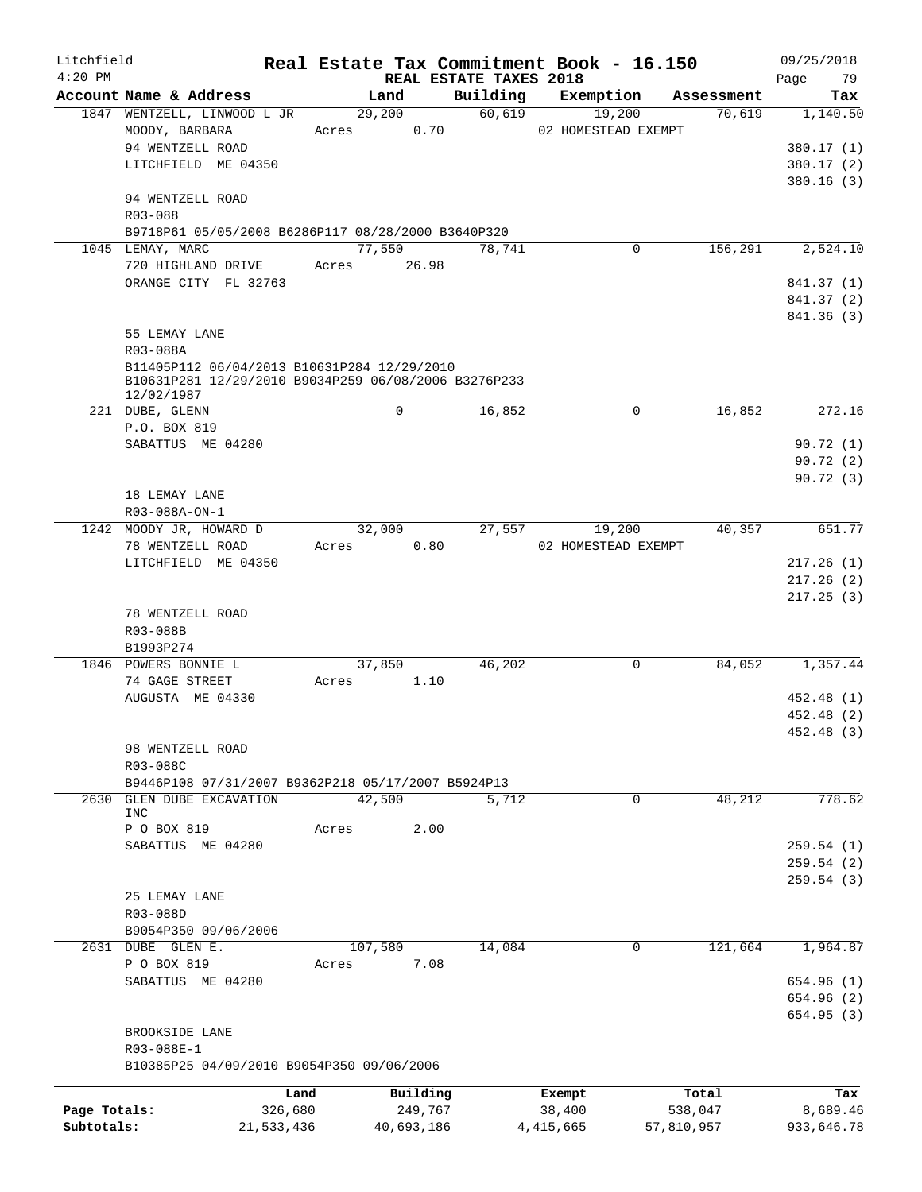| Litchfield   |                                                                                                     |       |             |                                    | Real Estate Tax Commitment Book - 16.150 |            | 09/25/2018        |
|--------------|-----------------------------------------------------------------------------------------------------|-------|-------------|------------------------------------|------------------------------------------|------------|-------------------|
| $4:20$ PM    | Account Name & Address                                                                              |       | Land        | REAL ESTATE TAXES 2018<br>Building | Exemption                                | Assessment | 79<br>Page<br>Tax |
|              | 1847 WENTZELL, LINWOOD L JR                                                                         |       | 29,200      | 60,619                             | 19,200                                   | 70,619     | 1,140.50          |
|              | MOODY, BARBARA                                                                                      | Acres | 0.70        |                                    | 02 HOMESTEAD EXEMPT                      |            |                   |
|              | 94 WENTZELL ROAD                                                                                    |       |             |                                    |                                          |            | 380.17(1)         |
|              | LITCHFIELD ME 04350                                                                                 |       |             |                                    |                                          |            | 380.17(2)         |
|              |                                                                                                     |       |             |                                    |                                          |            | 380.16(3)         |
|              | 94 WENTZELL ROAD                                                                                    |       |             |                                    |                                          |            |                   |
|              | R03-088                                                                                             |       |             |                                    |                                          |            |                   |
|              | B9718P61 05/05/2008 B6286P117 08/28/2000 B3640P320                                                  |       |             |                                    |                                          |            |                   |
|              | 1045 LEMAY, MARC                                                                                    |       | 77,550      | 78,741                             | $\mathbf 0$                              | 156,291    | 2,524.10          |
|              | 720 HIGHLAND DRIVE                                                                                  | Acres | 26.98       |                                    |                                          |            |                   |
|              | ORANGE CITY FL 32763                                                                                |       |             |                                    |                                          |            | 841.37 (1)        |
|              |                                                                                                     |       |             |                                    |                                          |            | 841.37 (2)        |
|              |                                                                                                     |       |             |                                    |                                          |            | 841.36 (3)        |
|              | 55 LEMAY LANE                                                                                       |       |             |                                    |                                          |            |                   |
|              | R03-088A                                                                                            |       |             |                                    |                                          |            |                   |
|              | B11405P112 06/04/2013 B10631P284 12/29/2010<br>B10631P281 12/29/2010 B9034P259 06/08/2006 B3276P233 |       |             |                                    |                                          |            |                   |
|              | 12/02/1987                                                                                          |       |             |                                    |                                          |            |                   |
|              | 221 DUBE, GLENN                                                                                     |       | $\mathbf 0$ | 16,852                             | 0                                        | 16,852     | 272.16            |
|              | P.O. BOX 819                                                                                        |       |             |                                    |                                          |            |                   |
|              | SABATTUS ME 04280                                                                                   |       |             |                                    |                                          |            | 90.72(1)          |
|              |                                                                                                     |       |             |                                    |                                          |            | 90.72(2)          |
|              |                                                                                                     |       |             |                                    |                                          |            | 90.72(3)          |
|              | 18 LEMAY LANE                                                                                       |       |             |                                    |                                          |            |                   |
|              | R03-088A-ON-1                                                                                       |       |             |                                    |                                          |            |                   |
|              | 1242 MOODY JR, HOWARD D                                                                             |       | 32,000      | 27,557                             | 19,200                                   | 40,357     | 651.77            |
|              | 78 WENTZELL ROAD                                                                                    | Acres | 0.80        |                                    | 02 HOMESTEAD EXEMPT                      |            |                   |
|              | LITCHFIELD ME 04350                                                                                 |       |             |                                    |                                          |            | 217.26(1)         |
|              |                                                                                                     |       |             |                                    |                                          |            | 217.26(2)         |
|              |                                                                                                     |       |             |                                    |                                          |            | 217.25(3)         |
|              | 78 WENTZELL ROAD<br>R03-088B                                                                        |       |             |                                    |                                          |            |                   |
|              | B1993P274                                                                                           |       |             |                                    |                                          |            |                   |
|              | 1846 POWERS BONNIE L                                                                                |       | 37,850      | 46,202                             | 0                                        | 84,052     | 1,357.44          |
|              | 74 GAGE STREET                                                                                      | Acres | 1.10        |                                    |                                          |            |                   |
|              | AUGUSTA ME 04330                                                                                    |       |             |                                    |                                          |            | 452.48 (1)        |
|              |                                                                                                     |       |             |                                    |                                          |            | 452.48 (2)        |
|              |                                                                                                     |       |             |                                    |                                          |            | 452.48 (3)        |
|              | 98 WENTZELL ROAD                                                                                    |       |             |                                    |                                          |            |                   |
|              | R03-088C                                                                                            |       |             |                                    |                                          |            |                   |
|              | B9446P108 07/31/2007 B9362P218 05/17/2007 B5924P13                                                  |       |             |                                    |                                          |            |                   |
| 2630         | GLEN DUBE EXCAVATION                                                                                |       | 42,500      | 5,712                              | 0                                        | 48,212     | 778.62            |
|              | <b>INC</b><br>P O BOX 819                                                                           | Acres | 2.00        |                                    |                                          |            |                   |
|              | SABATTUS ME 04280                                                                                   |       |             |                                    |                                          |            | 259.54(1)         |
|              |                                                                                                     |       |             |                                    |                                          |            | 259.54 (2)        |
|              |                                                                                                     |       |             |                                    |                                          |            | 259.54(3)         |
|              | 25 LEMAY LANE                                                                                       |       |             |                                    |                                          |            |                   |
|              | R03-088D                                                                                            |       |             |                                    |                                          |            |                   |
|              | B9054P350 09/06/2006                                                                                |       |             |                                    |                                          |            |                   |
|              | 2631 DUBE GLEN E.                                                                                   |       | 107,580     | 14,084                             | 0                                        | 121,664    | 1,964.87          |
|              | P O BOX 819                                                                                         | Acres | 7.08        |                                    |                                          |            |                   |
|              | SABATTUS ME 04280                                                                                   |       |             |                                    |                                          |            | 654.96 (1)        |
|              |                                                                                                     |       |             |                                    |                                          |            | 654.96 (2)        |
|              |                                                                                                     |       |             |                                    |                                          |            | 654.95 (3)        |
|              | BROOKSIDE LANE                                                                                      |       |             |                                    |                                          |            |                   |
|              | R03-088E-1                                                                                          |       |             |                                    |                                          |            |                   |
|              | B10385P25 04/09/2010 B9054P350 09/06/2006                                                           |       |             |                                    |                                          |            |                   |
|              | Land                                                                                                |       | Building    |                                    | Exempt                                   | Total      | Tax               |
| Page Totals: | 326,680                                                                                             |       | 249,767     |                                    | 38,400                                   | 538,047    | 8,689.46          |
| Subtotals:   | 21,533,436                                                                                          |       | 40,693,186  |                                    | 4, 415, 665                              | 57,810,957 | 933,646.78        |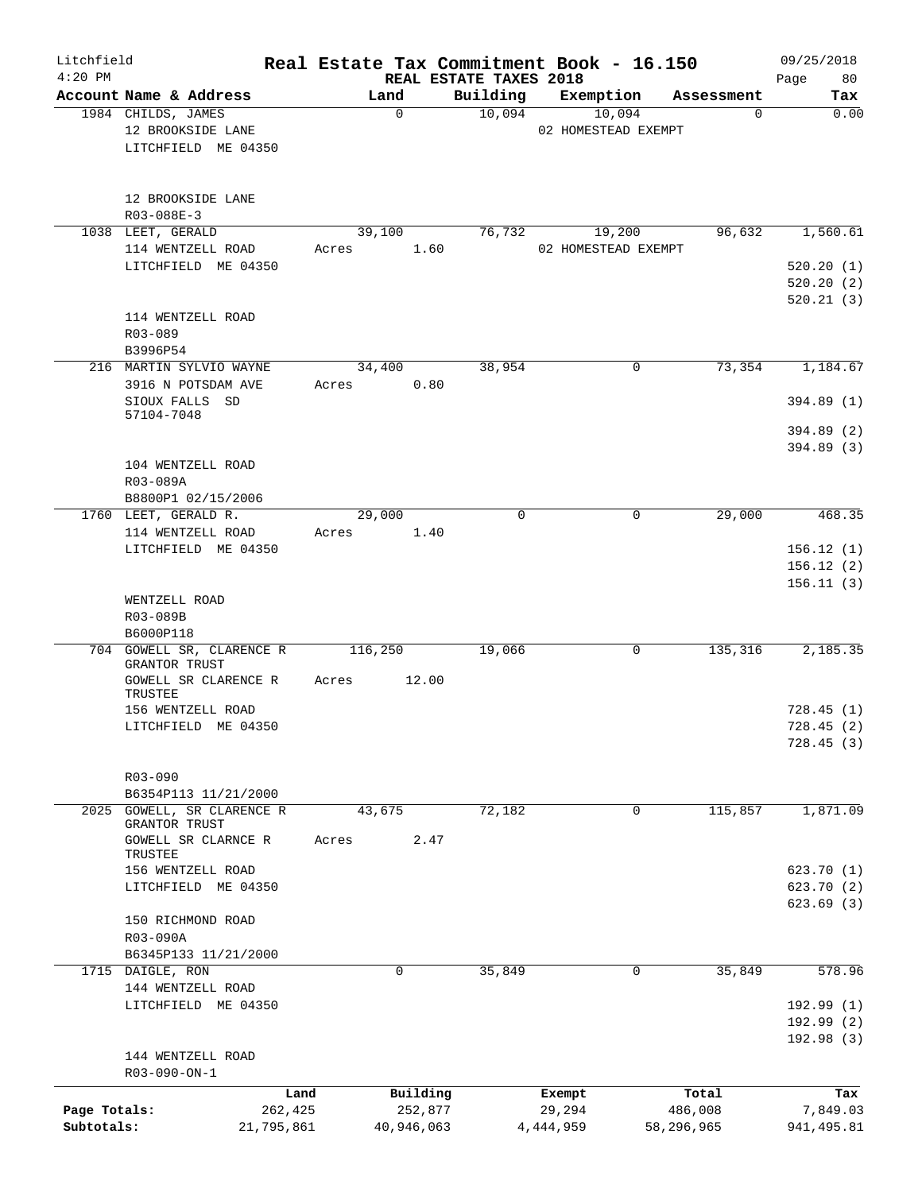| Litchfield<br>$4:20$ PM |                            |         |            | REAL ESTATE TAXES 2018 | Real Estate Tax Commitment Book - 16.150 |            | 09/25/2018<br>80<br>Page |
|-------------------------|----------------------------|---------|------------|------------------------|------------------------------------------|------------|--------------------------|
|                         | Account Name & Address     |         | Land       | Building               | Exemption                                | Assessment | Tax                      |
|                         | 1984 CHILDS, JAMES         |         | 0          | 10,094                 | 10,094                                   | 0          | 0.00                     |
|                         | 12 BROOKSIDE LANE          |         |            |                        | 02 HOMESTEAD EXEMPT                      |            |                          |
|                         | LITCHFIELD ME 04350        |         |            |                        |                                          |            |                          |
|                         |                            |         |            |                        |                                          |            |                          |
|                         |                            |         |            |                        |                                          |            |                          |
|                         | 12 BROOKSIDE LANE          |         |            |                        |                                          |            |                          |
|                         | $R03 - 088E - 3$           |         |            |                        |                                          |            |                          |
|                         | 1038 LEET, GERALD          |         | 39,100     | 76,732                 | 19,200                                   | 96,632     | 1,560.61                 |
|                         | 114 WENTZELL ROAD          | Acres   | 1.60       |                        | 02 HOMESTEAD EXEMPT                      |            |                          |
|                         | LITCHFIELD ME 04350        |         |            |                        |                                          |            | 520.20(1)                |
|                         |                            |         |            |                        |                                          |            |                          |
|                         |                            |         |            |                        |                                          |            | 520.20(2)                |
|                         |                            |         |            |                        |                                          |            | 520.21(3)                |
|                         | 114 WENTZELL ROAD          |         |            |                        |                                          |            |                          |
|                         | R03-089                    |         |            |                        |                                          |            |                          |
|                         | B3996P54                   |         |            |                        |                                          |            |                          |
|                         | 216 MARTIN SYLVIO WAYNE    |         | 34,400     | 38,954                 | 0                                        | 73,354     | 1,184.67                 |
|                         | 3916 N POTSDAM AVE         | Acres   | 0.80       |                        |                                          |            |                          |
|                         | SIOUX FALLS SD             |         |            |                        |                                          |            | 394.89 (1)               |
|                         | 57104-7048                 |         |            |                        |                                          |            |                          |
|                         |                            |         |            |                        |                                          |            | 394.89 (2)               |
|                         |                            |         |            |                        |                                          |            | 394.89 (3)               |
|                         | 104 WENTZELL ROAD          |         |            |                        |                                          |            |                          |
|                         | R03-089A                   |         |            |                        |                                          |            |                          |
|                         | B8800P1 02/15/2006         |         |            |                        |                                          |            |                          |
|                         | 1760 LEET, GERALD R.       |         | 29,000     | $\Omega$               | $\mathbf 0$                              | 29,000     | 468.35                   |
|                         | 114 WENTZELL ROAD          | Acres   | 1.40       |                        |                                          |            |                          |
|                         | LITCHFIELD ME 04350        |         |            |                        |                                          |            | 156.12(1)                |
|                         |                            |         |            |                        |                                          |            | 156.12(2)                |
|                         |                            |         |            |                        |                                          |            | 156.11(3)                |
|                         | WENTZELL ROAD              |         |            |                        |                                          |            |                          |
|                         | R03-089B                   |         |            |                        |                                          |            |                          |
|                         | B6000P118                  |         |            |                        |                                          |            |                          |
|                         | 704 GOWELL SR, CLARENCE R  | 116,250 |            | 19,066                 | 0                                        | 135,316    | 2,185.35                 |
|                         | GRANTOR TRUST              |         |            |                        |                                          |            |                          |
|                         | GOWELL SR CLARENCE R       | Acres   | 12.00      |                        |                                          |            |                          |
|                         | TRUSTEE                    |         |            |                        |                                          |            |                          |
|                         | 156 WENTZELL ROAD          |         |            |                        |                                          |            | 728.45(1)                |
|                         | LITCHFIELD ME 04350        |         |            |                        |                                          |            | 728.45 (2)               |
|                         |                            |         |            |                        |                                          |            | 728.45(3)                |
|                         |                            |         |            |                        |                                          |            |                          |
|                         | R03-090                    |         |            |                        |                                          |            |                          |
|                         | B6354P113 11/21/2000       |         |            |                        |                                          |            |                          |
|                         | 2025 GOWELL, SR CLARENCE R |         | 43,675     | 72,182                 | 0                                        | 115,857    | 1,871.09                 |
|                         | GRANTOR TRUST              |         |            |                        |                                          |            |                          |
|                         | GOWELL SR CLARNCE R        | Acres   | 2.47       |                        |                                          |            |                          |
|                         | TRUSTEE                    |         |            |                        |                                          |            |                          |
|                         | 156 WENTZELL ROAD          |         |            |                        |                                          |            | 623.70(1)                |
|                         | LITCHFIELD ME 04350        |         |            |                        |                                          |            | 623.70(2)                |
|                         |                            |         |            |                        |                                          |            | 623.69(3)                |
|                         | 150 RICHMOND ROAD          |         |            |                        |                                          |            |                          |
|                         | R03-090A                   |         |            |                        |                                          |            |                          |
|                         | B6345P133 11/21/2000       |         |            |                        |                                          |            |                          |
|                         | 1715 DAIGLE, RON           |         | 0          | 35,849                 | 0                                        | 35,849     | 578.96                   |
|                         | 144 WENTZELL ROAD          |         |            |                        |                                          |            |                          |
|                         | LITCHFIELD ME 04350        |         |            |                        |                                          |            | 192.99(1)                |
|                         |                            |         |            |                        |                                          |            | 192.99 (2)               |
|                         |                            |         |            |                        |                                          |            | 192.98 (3)               |
|                         | 144 WENTZELL ROAD          |         |            |                        |                                          |            |                          |
|                         | R03-090-ON-1               |         |            |                        |                                          |            |                          |
|                         |                            | Land    | Building   |                        | Exempt                                   | Total      | Tax                      |
| Page Totals:            | 262,425                    |         | 252,877    |                        | 29,294                                   | 486,008    | 7,849.03                 |
| Subtotals:              | 21,795,861                 |         | 40,946,063 |                        | 4,444,959                                | 58,296,965 | 941, 495.81              |
|                         |                            |         |            |                        |                                          |            |                          |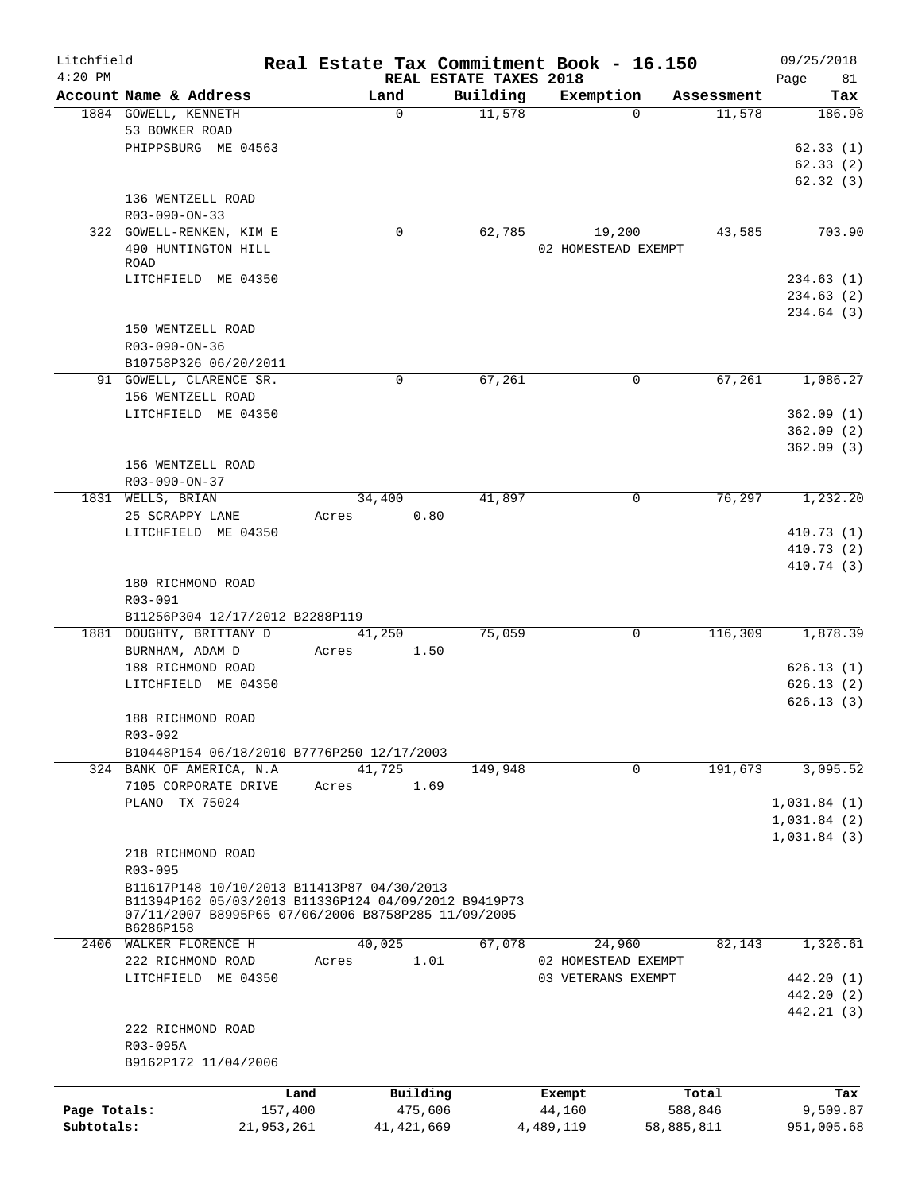| Litchfield   |                                                                                                    |         |              |                                    | Real Estate Tax Commitment Book - 16.150 |            | 09/25/2018        |
|--------------|----------------------------------------------------------------------------------------------------|---------|--------------|------------------------------------|------------------------------------------|------------|-------------------|
| $4:20$ PM    | Account Name & Address                                                                             |         | Land         | REAL ESTATE TAXES 2018<br>Building | Exemption                                | Assessment | Page<br>81<br>Tax |
|              | 1884 GOWELL, KENNETH                                                                               |         | 0            | 11,578                             | $\Omega$                                 | 11,578     | 186.98            |
|              | 53 BOWKER ROAD                                                                                     |         |              |                                    |                                          |            |                   |
|              | PHIPPSBURG ME 04563                                                                                |         |              |                                    |                                          |            | 62.33(1)          |
|              |                                                                                                    |         |              |                                    |                                          |            | 62.33(2)          |
|              |                                                                                                    |         |              |                                    |                                          |            | 62.32(3)          |
|              | 136 WENTZELL ROAD                                                                                  |         |              |                                    |                                          |            |                   |
|              | R03-090-ON-33                                                                                      |         |              |                                    |                                          |            |                   |
|              | 322 GOWELL-RENKEN, KIM E                                                                           |         | 0            | 62,785                             | 19,200                                   | 43,585     | 703.90            |
|              | 490 HUNTINGTON HILL                                                                                |         |              |                                    | 02 HOMESTEAD EXEMPT                      |            |                   |
|              | ROAD                                                                                               |         |              |                                    |                                          |            |                   |
|              | LITCHFIELD ME 04350                                                                                |         |              |                                    |                                          |            | 234.63(1)         |
|              |                                                                                                    |         |              |                                    |                                          |            | 234.63(2)         |
|              |                                                                                                    |         |              |                                    |                                          |            | 234.64 (3)        |
|              | 150 WENTZELL ROAD                                                                                  |         |              |                                    |                                          |            |                   |
|              | R03-090-ON-36                                                                                      |         |              |                                    |                                          |            |                   |
|              | B10758P326 06/20/2011                                                                              |         |              |                                    |                                          |            |                   |
|              | 91 GOWELL, CLARENCE SR.                                                                            |         | 0            | 67,261                             | 0                                        | 67,261     | 1,086.27          |
|              | 156 WENTZELL ROAD                                                                                  |         |              |                                    |                                          |            |                   |
|              | LITCHFIELD ME 04350                                                                                |         |              |                                    |                                          |            | 362.09(1)         |
|              |                                                                                                    |         |              |                                    |                                          |            | 362.09(2)         |
|              |                                                                                                    |         |              |                                    |                                          |            | 362.09(3)         |
|              | 156 WENTZELL ROAD<br>R03-090-ON-37                                                                 |         |              |                                    |                                          |            |                   |
|              | 1831 WELLS, BRIAN                                                                                  |         | 34,400       | 41,897                             | 0                                        | 76,297     | 1,232.20          |
|              | 25 SCRAPPY LANE                                                                                    | Acres   | 0.80         |                                    |                                          |            |                   |
|              | LITCHFIELD ME 04350                                                                                |         |              |                                    |                                          |            | 410.73 (1)        |
|              |                                                                                                    |         |              |                                    |                                          |            | 410.73 (2)        |
|              |                                                                                                    |         |              |                                    |                                          |            | 410.74 (3)        |
|              | 180 RICHMOND ROAD                                                                                  |         |              |                                    |                                          |            |                   |
|              | R03-091                                                                                            |         |              |                                    |                                          |            |                   |
|              | B11256P304 12/17/2012 B2288P119                                                                    |         |              |                                    |                                          |            |                   |
|              | 1881 DOUGHTY, BRITTANY D                                                                           |         | 41,250       | 75,059                             | 0                                        | 116,309    | 1,878.39          |
|              | BURNHAM, ADAM D                                                                                    | Acres   | 1.50         |                                    |                                          |            |                   |
|              | 188 RICHMOND ROAD                                                                                  |         |              |                                    |                                          |            | 626.13(1)         |
|              | LITCHFIELD ME 04350                                                                                |         |              |                                    |                                          |            | 626.13(2)         |
|              |                                                                                                    |         |              |                                    |                                          |            | 626.13(3)         |
|              | 188 RICHMOND ROAD                                                                                  |         |              |                                    |                                          |            |                   |
|              | R03-092                                                                                            |         |              |                                    |                                          |            |                   |
|              | B10448P154 06/18/2010 B7776P250 12/17/2003                                                         |         |              |                                    |                                          |            |                   |
|              | 324 BANK OF AMERICA, N.A.                                                                          |         | 41,725       | 149,948                            | 0                                        | 191,673    | 3,095.52          |
|              | 7105 CORPORATE DRIVE                                                                               | Acres   | 1.69         |                                    |                                          |            |                   |
|              | PLANO TX 75024                                                                                     |         |              |                                    |                                          |            | 1,031.84(1)       |
|              |                                                                                                    |         |              |                                    |                                          |            | 1,031.84(2)       |
|              |                                                                                                    |         |              |                                    |                                          |            | 1,031.84(3)       |
|              | 218 RICHMOND ROAD                                                                                  |         |              |                                    |                                          |            |                   |
|              | R03-095                                                                                            |         |              |                                    |                                          |            |                   |
|              | B11617P148 10/10/2013 B11413P87 04/30/2013<br>B11394P162 05/03/2013 B11336P124 04/09/2012 B9419P73 |         |              |                                    |                                          |            |                   |
|              | 07/11/2007 B8995P65 07/06/2006 B8758P285 11/09/2005                                                |         |              |                                    |                                          |            |                   |
|              | B6286P158                                                                                          |         |              |                                    |                                          |            |                   |
|              | 2406 WALKER FLORENCE H                                                                             |         | 40,025       | 67,078                             | 24,960                                   | 82,143     | 1,326.61          |
|              | 222 RICHMOND ROAD                                                                                  | Acres   | 1.01         |                                    | 02 HOMESTEAD EXEMPT                      |            |                   |
|              | LITCHFIELD ME 04350                                                                                |         |              |                                    | 03 VETERANS EXEMPT                       |            | 442.20 (1)        |
|              |                                                                                                    |         |              |                                    |                                          |            | 442.20 (2)        |
|              |                                                                                                    |         |              |                                    |                                          |            | 442.21 (3)        |
|              | 222 RICHMOND ROAD                                                                                  |         |              |                                    |                                          |            |                   |
|              | R03-095A                                                                                           |         |              |                                    |                                          |            |                   |
|              | B9162P172 11/04/2006                                                                               |         |              |                                    |                                          |            |                   |
|              |                                                                                                    | Land    | Building     |                                    | Exempt                                   | Total      | Tax               |
| Page Totals: |                                                                                                    | 157,400 | 475,606      |                                    | 44,160                                   | 588,846    | 9,509.87          |
| Subtotals:   | 21,953,261                                                                                         |         | 41, 421, 669 |                                    | 4,489,119                                | 58,885,811 | 951,005.68        |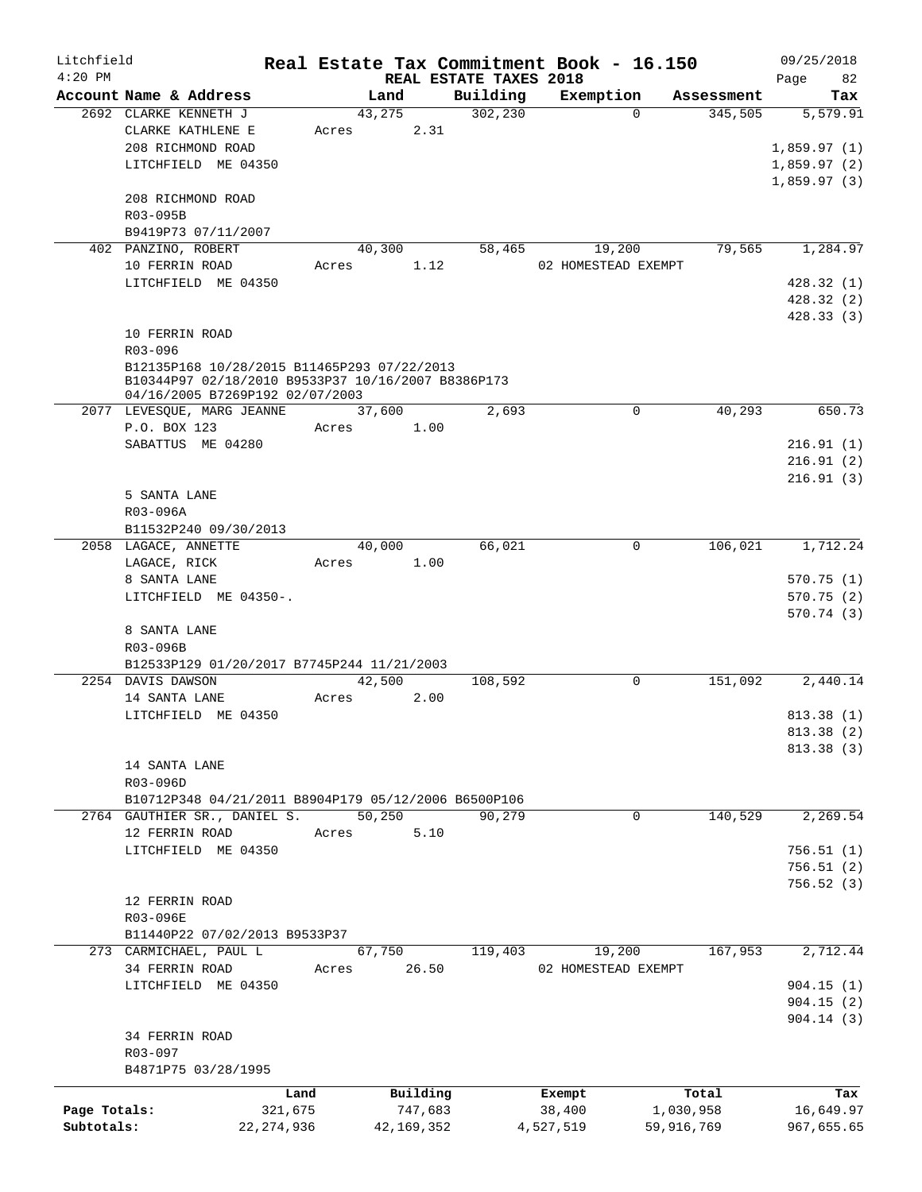| Litchfield   |                                                      |              |       |            |                                    | Real Estate Tax Commitment Book - 16.150 |             |            |             | 09/25/2018 |
|--------------|------------------------------------------------------|--------------|-------|------------|------------------------------------|------------------------------------------|-------------|------------|-------------|------------|
| $4:20$ PM    | Account Name & Address                               |              |       | Land       | REAL ESTATE TAXES 2018<br>Building | Exemption                                |             | Assessment | Page        | 82<br>Tax  |
|              | 2692 CLARKE KENNETH J                                |              |       | 43,275     | 302,230                            |                                          | $\Omega$    | 345,505    |             | 5,579.91   |
|              | CLARKE KATHLENE E                                    |              |       | 2.31       |                                    |                                          |             |            |             |            |
|              |                                                      |              | Acres |            |                                    |                                          |             |            |             |            |
|              | 208 RICHMOND ROAD                                    |              |       |            |                                    |                                          |             |            | 1,859.97(1) |            |
|              | LITCHFIELD ME 04350                                  |              |       |            |                                    |                                          |             |            | 1,859.97(2) |            |
|              |                                                      |              |       |            |                                    |                                          |             |            | 1,859.97(3) |            |
|              | 208 RICHMOND ROAD                                    |              |       |            |                                    |                                          |             |            |             |            |
|              | R03-095B                                             |              |       |            |                                    |                                          |             |            |             |            |
|              | B9419P73 07/11/2007                                  |              |       |            |                                    |                                          |             |            |             |            |
|              | 402 PANZINO, ROBERT                                  |              |       | 40,300     | 58,465                             | 19,200                                   |             | 79,565     |             | 1,284.97   |
|              | 10 FERRIN ROAD                                       |              | Acres | 1.12       |                                    | 02 HOMESTEAD EXEMPT                      |             |            |             |            |
|              | LITCHFIELD ME 04350                                  |              |       |            |                                    |                                          |             |            |             | 428.32(1)  |
|              |                                                      |              |       |            |                                    |                                          |             |            |             | 428.32(2)  |
|              |                                                      |              |       |            |                                    |                                          |             |            |             | 428.33(3)  |
|              | 10 FERRIN ROAD                                       |              |       |            |                                    |                                          |             |            |             |            |
|              | R03-096                                              |              |       |            |                                    |                                          |             |            |             |            |
|              | B12135P168 10/28/2015 B11465P293 07/22/2013          |              |       |            |                                    |                                          |             |            |             |            |
|              | B10344P97 02/18/2010 B9533P37 10/16/2007 B8386P173   |              |       |            |                                    |                                          |             |            |             |            |
|              | 04/16/2005 B7269P192 02/07/2003                      |              |       |            |                                    |                                          |             |            |             |            |
|              | 2077 LEVESOUE, MARG JEANNE                           |              |       | 37,600     | 2,693                              |                                          | $\mathbf 0$ | 40,293     |             | 650.73     |
|              | P.O. BOX 123                                         |              | Acres | 1.00       |                                    |                                          |             |            |             |            |
|              | SABATTUS ME 04280                                    |              |       |            |                                    |                                          |             |            |             | 216.91(1)  |
|              |                                                      |              |       |            |                                    |                                          |             |            |             | 216.91(2)  |
|              |                                                      |              |       |            |                                    |                                          |             |            |             | 216.91(3)  |
|              |                                                      |              |       |            |                                    |                                          |             |            |             |            |
|              | 5 SANTA LANE                                         |              |       |            |                                    |                                          |             |            |             |            |
|              | R03-096A                                             |              |       |            |                                    |                                          |             |            |             |            |
|              | B11532P240 09/30/2013                                |              |       |            |                                    |                                          |             |            |             |            |
|              | 2058 LAGACE, ANNETTE                                 |              |       | 40,000     | 66,021                             |                                          | $\mathbf 0$ | 106,021    |             | 1,712.24   |
|              | LAGACE, RICK                                         |              | Acres | 1.00       |                                    |                                          |             |            |             |            |
|              | 8 SANTA LANE                                         |              |       |            |                                    |                                          |             |            |             | 570.75(1)  |
|              | LITCHFIELD ME 04350-.                                |              |       |            |                                    |                                          |             |            |             | 570.75(2)  |
|              |                                                      |              |       |            |                                    |                                          |             |            |             | 570.74(3)  |
|              | 8 SANTA LANE                                         |              |       |            |                                    |                                          |             |            |             |            |
|              | R03-096B                                             |              |       |            |                                    |                                          |             |            |             |            |
|              | B12533P129 01/20/2017 B7745P244 11/21/2003           |              |       |            |                                    |                                          |             |            |             |            |
|              | 2254 DAVIS DAWSON                                    |              |       | 42,500     | 108,592                            |                                          | 0           | 151,092    |             | 2,440.14   |
|              | 14 SANTA LANE                                        |              | Acres | 2.00       |                                    |                                          |             |            |             |            |
|              | LITCHFIELD ME 04350                                  |              |       |            |                                    |                                          |             |            |             | 813.38 (1) |
|              |                                                      |              |       |            |                                    |                                          |             |            |             | 813.38 (2) |
|              |                                                      |              |       |            |                                    |                                          |             |            |             | 813.38 (3) |
|              | 14 SANTA LANE                                        |              |       |            |                                    |                                          |             |            |             |            |
|              |                                                      |              |       |            |                                    |                                          |             |            |             |            |
|              | R03-096D                                             |              |       |            |                                    |                                          |             |            |             |            |
|              | B10712P348 04/21/2011 B8904P179 05/12/2006 B6500P106 |              |       |            |                                    |                                          |             |            |             |            |
|              | 2764 GAUTHIER SR., DANIEL S.                         |              |       | 50,250     | 90,279                             |                                          | $\mathbf 0$ | 140,529    |             | 2,269.54   |
|              | 12 FERRIN ROAD                                       |              | Acres | 5.10       |                                    |                                          |             |            |             |            |
|              | LITCHFIELD ME 04350                                  |              |       |            |                                    |                                          |             |            |             | 756.51(1)  |
|              |                                                      |              |       |            |                                    |                                          |             |            |             | 756.51 (2) |
|              |                                                      |              |       |            |                                    |                                          |             |            |             | 756.52(3)  |
|              | 12 FERRIN ROAD                                       |              |       |            |                                    |                                          |             |            |             |            |
|              | R03-096E                                             |              |       |            |                                    |                                          |             |            |             |            |
|              | B11440P22 07/02/2013 B9533P37                        |              |       |            |                                    |                                          |             |            |             |            |
|              | 273 CARMICHAEL, PAUL L                               |              |       | 67,750     | 119,403                            | 19,200                                   |             | 167,953    |             | 2,712.44   |
|              | 34 FERRIN ROAD                                       |              | Acres | 26.50      |                                    | 02 HOMESTEAD EXEMPT                      |             |            |             |            |
|              | LITCHFIELD ME 04350                                  |              |       |            |                                    |                                          |             |            |             | 904.15(1)  |
|              |                                                      |              |       |            |                                    |                                          |             |            |             | 904.15(2)  |
|              |                                                      |              |       |            |                                    |                                          |             |            |             |            |
|              |                                                      |              |       |            |                                    |                                          |             |            |             | 904.14(3)  |
|              | 34 FERRIN ROAD                                       |              |       |            |                                    |                                          |             |            |             |            |
|              | R03-097                                              |              |       |            |                                    |                                          |             |            |             |            |
|              | B4871P75 03/28/1995                                  |              |       |            |                                    |                                          |             |            |             |            |
|              |                                                      | Land         |       | Building   |                                    | Exempt                                   |             | Total      |             | Tax        |
| Page Totals: |                                                      | 321,675      |       | 747,683    |                                    | 38,400                                   | 1,030,958   |            |             | 16,649.97  |
| Subtotals:   |                                                      | 22, 274, 936 |       | 42,169,352 |                                    | 4,527,519                                | 59,916,769  |            |             | 967,655.65 |
|              |                                                      |              |       |            |                                    |                                          |             |            |             |            |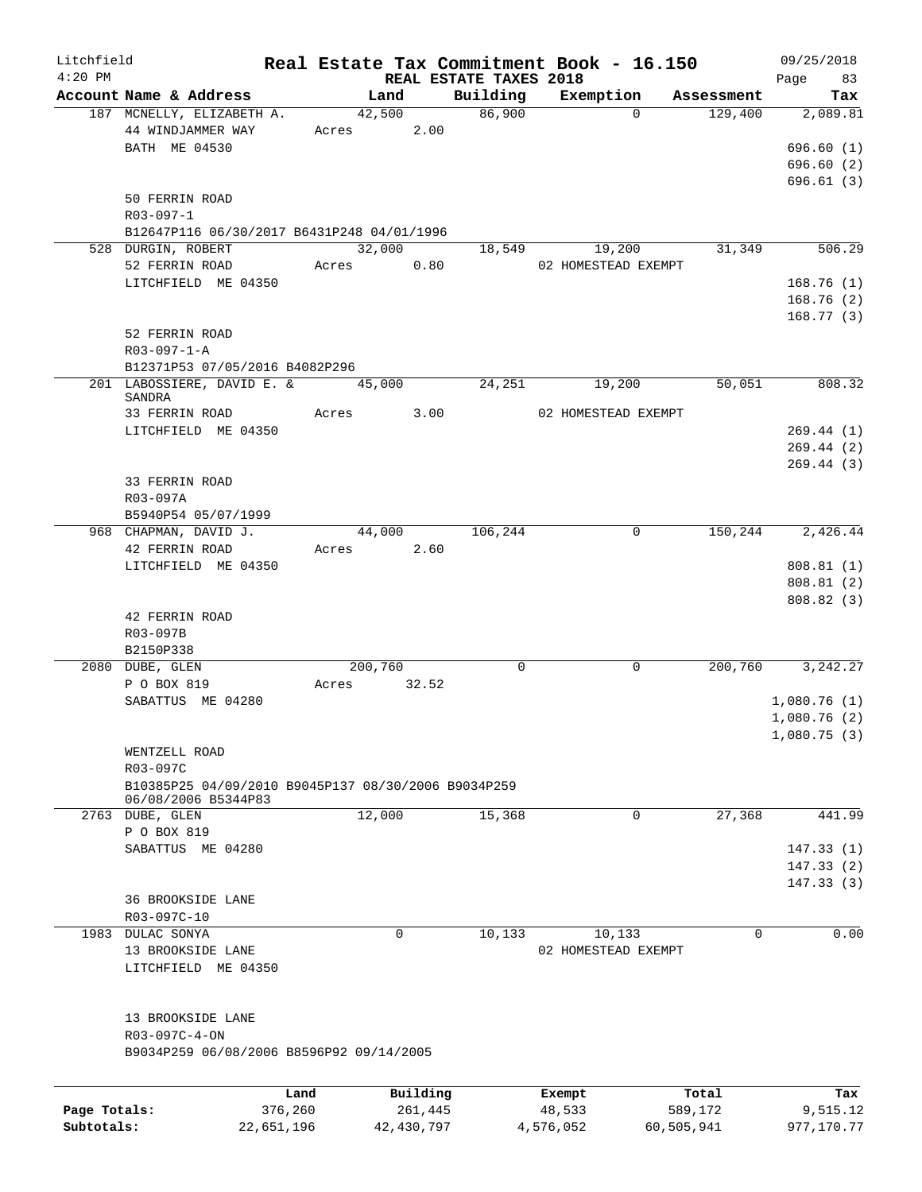| Litchfield<br>$4:20$ PM |                                                     |            |            |             |              |                        | Real Estate Tax Commitment Book - 16.150 |             |         | 09/25/2018              |
|-------------------------|-----------------------------------------------------|------------|------------|-------------|--------------|------------------------|------------------------------------------|-------------|---------|-------------------------|
|                         | Account Name & Address                              |            |            | Land        |              | REAL ESTATE TAXES 2018 | Building Exemption Assessment            |             |         | Page 83<br>Tax          |
|                         | 187 MCNELLY, ELIZABETH A.                           |            |            | 42,500      |              | 86,900                 |                                          | $\Omega$    | 129,400 | 2,089.81                |
|                         | 44 WINDJAMMER WAY                                   |            | Acres 2.00 |             |              |                        |                                          |             |         |                         |
|                         | BATH ME 04530                                       |            |            |             |              |                        |                                          |             |         | 696.60(1)               |
|                         |                                                     |            |            |             |              |                        |                                          |             |         | 696.60(2)               |
|                         |                                                     |            |            |             |              |                        |                                          |             |         | 696.61(3)               |
|                         | 50 FERRIN ROAD                                      |            |            |             |              |                        |                                          |             |         |                         |
|                         | $R03 - 097 - 1$                                     |            |            |             |              |                        |                                          |             |         |                         |
|                         | B12647P116 06/30/2017 B6431P248 04/01/1996          |            |            |             |              |                        |                                          |             |         |                         |
|                         | 528 DURGIN, ROBERT                                  |            |            | 32,000      |              | 18,549                 | 19,200                                   |             | 31,349  | 506.29                  |
|                         | 52 FERRIN ROAD                                      |            | Acres 0.80 |             |              |                        | 02 HOMESTEAD EXEMPT                      |             |         |                         |
|                         | LITCHFIELD ME 04350                                 |            |            |             |              |                        |                                          |             |         | 168.76(1)               |
|                         |                                                     |            |            |             |              |                        |                                          |             |         | 168.76(2)               |
|                         |                                                     |            |            |             |              |                        |                                          |             |         | 168.77(3)               |
|                         | 52 FERRIN ROAD                                      |            |            |             |              |                        |                                          |             |         |                         |
|                         | $R03 - 097 - 1 - A$                                 |            |            |             |              |                        |                                          |             |         |                         |
|                         | B12371P53 07/05/2016 B4082P296                      |            |            |             |              |                        |                                          |             |         |                         |
|                         | 201 LABOSSIERE, DAVID E. & 45,000                   |            |            |             |              | 24,251                 | 19,200                                   |             | 50,051  | 808.32                  |
|                         | SANDRA                                              |            |            |             |              |                        |                                          |             |         |                         |
|                         | 33 FERRIN ROAD                                      |            | Acres 3.00 |             |              |                        | 02 HOMESTEAD EXEMPT                      |             |         |                         |
|                         | LITCHFIELD ME 04350                                 |            |            |             |              |                        |                                          |             |         | 269.44(1)               |
|                         |                                                     |            |            |             |              |                        |                                          |             |         | 269.44(2)               |
|                         |                                                     |            |            |             |              |                        |                                          |             |         | 269.44(3)               |
|                         | 33 FERRIN ROAD                                      |            |            |             |              |                        |                                          |             |         |                         |
|                         | R03-097A                                            |            |            |             |              |                        |                                          |             |         |                         |
|                         | B5940P54 05/07/1999                                 |            |            |             |              |                        |                                          |             |         |                         |
|                         | 968 CHAPMAN, DAVID J.                               |            |            | 44,000      |              | 106,244                |                                          | $\mathbf 0$ |         | 150, 244 2, 426. 44     |
|                         | 42 FERRIN ROAD                                      |            | Acres 2.60 |             |              |                        |                                          |             |         |                         |
|                         | LITCHFIELD ME 04350                                 |            |            |             |              |                        |                                          |             |         | 808.81(1)<br>808.81 (2) |
|                         |                                                     |            |            |             |              |                        |                                          |             |         |                         |
|                         | 42 FERRIN ROAD                                      |            |            |             |              |                        |                                          |             |         | 808.82 (3)              |
|                         | R03-097B                                            |            |            |             |              |                        |                                          |             |         |                         |
|                         | B2150P338                                           |            |            |             |              |                        |                                          |             |         |                         |
|                         | 2080 DUBE, GLEN                                     |            |            | 200,760     |              | $\mathbf 0$            |                                          | 0           | 200,760 | 3, 242. 27              |
|                         | P O BOX 819                                         |            | Acres      | 32.52       |              |                        |                                          |             |         |                         |
|                         | SABATTUS ME 04280                                   |            |            |             |              |                        |                                          |             |         | 1,080.76(1)             |
|                         |                                                     |            |            |             |              |                        |                                          |             |         | 1,080.76(2)             |
|                         |                                                     |            |            |             |              |                        |                                          |             |         | 1,080.75(3)             |
|                         | WENTZELL ROAD                                       |            |            |             |              |                        |                                          |             |         |                         |
|                         | R03-097C                                            |            |            |             |              |                        |                                          |             |         |                         |
|                         | B10385P25 04/09/2010 B9045P137 08/30/2006 B9034P259 |            |            |             |              |                        |                                          |             |         |                         |
|                         | 06/08/2006 B5344P83                                 |            |            |             |              |                        |                                          |             |         |                         |
| 2763                    | DUBE, GLEN                                          |            |            | 12,000      |              | 15,368                 |                                          | 0           | 27,368  | 441.99                  |
|                         | P O BOX 819                                         |            |            |             |              |                        |                                          |             |         |                         |
|                         | SABATTUS ME 04280                                   |            |            |             |              |                        |                                          |             |         | 147.33(1)               |
|                         |                                                     |            |            |             |              |                        |                                          |             |         | 147.33(2)               |
|                         |                                                     |            |            |             |              |                        |                                          |             |         | 147.33(3)               |
|                         | <b>36 BROOKSIDE LANE</b>                            |            |            |             |              |                        |                                          |             |         |                         |
|                         | R03-097C-10                                         |            |            |             |              |                        |                                          |             |         |                         |
| 1983                    | DULAC SONYA                                         |            |            | $\mathbf 0$ |              | 10,133                 | 10,133                                   |             | 0       | 0.00                    |
|                         | 13 BROOKSIDE LANE                                   |            |            |             |              |                        | 02 HOMESTEAD EXEMPT                      |             |         |                         |
|                         | LITCHFIELD ME 04350                                 |            |            |             |              |                        |                                          |             |         |                         |
|                         |                                                     |            |            |             |              |                        |                                          |             |         |                         |
|                         | 13 BROOKSIDE LANE                                   |            |            |             |              |                        |                                          |             |         |                         |
|                         | R03-097C-4-ON                                       |            |            |             |              |                        |                                          |             |         |                         |
|                         | B9034P259 06/08/2006 B8596P92 09/14/2005            |            |            |             |              |                        |                                          |             |         |                         |
|                         |                                                     |            |            |             |              |                        |                                          |             |         |                         |
|                         |                                                     | Land       |            |             | Building     |                        | Exempt                                   |             | Total   | Tax                     |
| Page Totals:            |                                                     | 376,260    |            |             | 261,445      |                        | 48,533                                   |             | 589,172 | 9,515.12                |
| Subtotals:              |                                                     | 22,651,196 |            |             | 42, 430, 797 |                        | 4,576,052                                | 60,505,941  |         | 977,170.77              |
|                         |                                                     |            |            |             |              |                        |                                          |             |         |                         |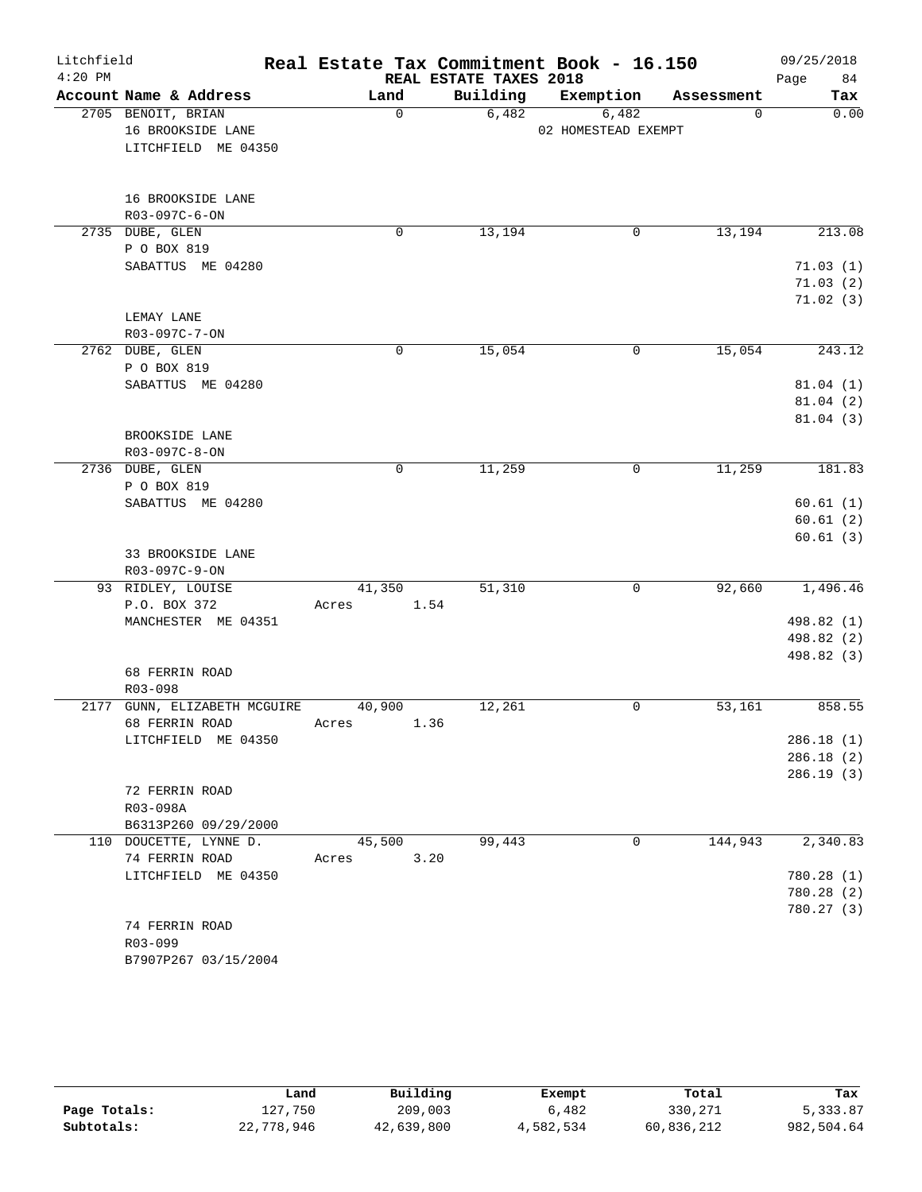| Litchfield<br>$4:20$ PM |                                                                |                 | REAL ESTATE TAXES 2018 | Real Estate Tax Commitment Book - 16.150 |            | 09/25/2018<br>84<br>Page               |
|-------------------------|----------------------------------------------------------------|-----------------|------------------------|------------------------------------------|------------|----------------------------------------|
|                         | Account Name & Address                                         | Land            | Building               | Exemption                                | Assessment | Tax                                    |
|                         | 2705 BENOIT, BRIAN<br>16 BROOKSIDE LANE<br>LITCHFIELD ME 04350 | $\mathbf 0$     | 6,482                  | 6,482<br>02 HOMESTEAD EXEMPT             | 0          | 0.00                                   |
|                         | 16 BROOKSIDE LANE<br>R03-097C-6-ON                             |                 |                        |                                          |            |                                        |
|                         | 2735 DUBE, GLEN<br>P O BOX 819                                 | $\mathbf 0$     | 13,194                 | 0                                        | 13,194     | 213.08                                 |
|                         | SABATTUS ME 04280                                              |                 |                        |                                          |            | 71.03(1)<br>71.03(2)<br>71.02(3)       |
|                         | LEMAY LANE                                                     |                 |                        |                                          |            |                                        |
|                         | R03-097C-7-ON<br>2762 DUBE, GLEN                               | $\mathbf 0$     | 15,054                 | 0                                        | 15,054     | 243.12                                 |
|                         | P O BOX 819<br>SABATTUS ME 04280                               |                 |                        |                                          |            | 81.04(1)<br>81.04(2)<br>81.04(3)       |
|                         | BROOKSIDE LANE<br>R03-097C-8-ON                                |                 |                        |                                          |            |                                        |
|                         | 2736 DUBE, GLEN<br>P O BOX 819                                 | $\mathbf 0$     | 11,259                 | 0                                        | 11,259     | 181.83                                 |
|                         | SABATTUS ME 04280                                              |                 |                        |                                          |            | 60.61(1)<br>60.61(2)<br>60.61(3)       |
|                         | 33 BROOKSIDE LANE<br>R03-097C-9-ON                             |                 |                        |                                          |            |                                        |
|                         | 93 RIDLEY, LOUISE<br>P.O. BOX 372                              | 41,350<br>Acres | 51,310<br>1.54         | 0                                        | 92,660     | 1,496.46                               |
|                         | MANCHESTER ME 04351                                            |                 |                        |                                          |            | 498.82 (1)<br>498.82 (2)<br>498.82 (3) |
|                         | 68 FERRIN ROAD<br>R03-098                                      |                 |                        |                                          |            |                                        |
|                         | 2177 GUNN, ELIZABETH MCGUIRE<br>68 FERRIN ROAD                 | 40,900<br>Acres | 12,261<br>1.36         | 0                                        | 53,161     | 858.55                                 |
|                         | LITCHFIELD ME 04350                                            |                 |                        |                                          |            | 286.18(1)<br>286.18(2)<br>286.19(3)    |
|                         | 72 FERRIN ROAD<br>R03-098A<br>B6313P260 09/29/2000             |                 |                        |                                          |            |                                        |
|                         | 110 DOUCETTE, LYNNE D.<br>74 FERRIN ROAD                       | 45,500<br>Acres | 99,443<br>3.20         | 0                                        | 144,943    | 2,340.83                               |
|                         | LITCHFIELD ME 04350                                            |                 |                        |                                          |            | 780.28 (1)<br>780.28 (2)<br>780.27 (3) |
|                         | 74 FERRIN ROAD<br>R03-099<br>B7907P267 03/15/2004              |                 |                        |                                          |            |                                        |

|              | Land       | Building   | Exempt    | Total      | Tax        |
|--------------|------------|------------|-----------|------------|------------|
| Page Totals: | 127,750    | 209,003    | 6,482     | 330,271    | 5,333.87   |
| Subtotals:   | 22,778,946 | 42,639,800 | 4,582,534 | 60,836,212 | 982,504.64 |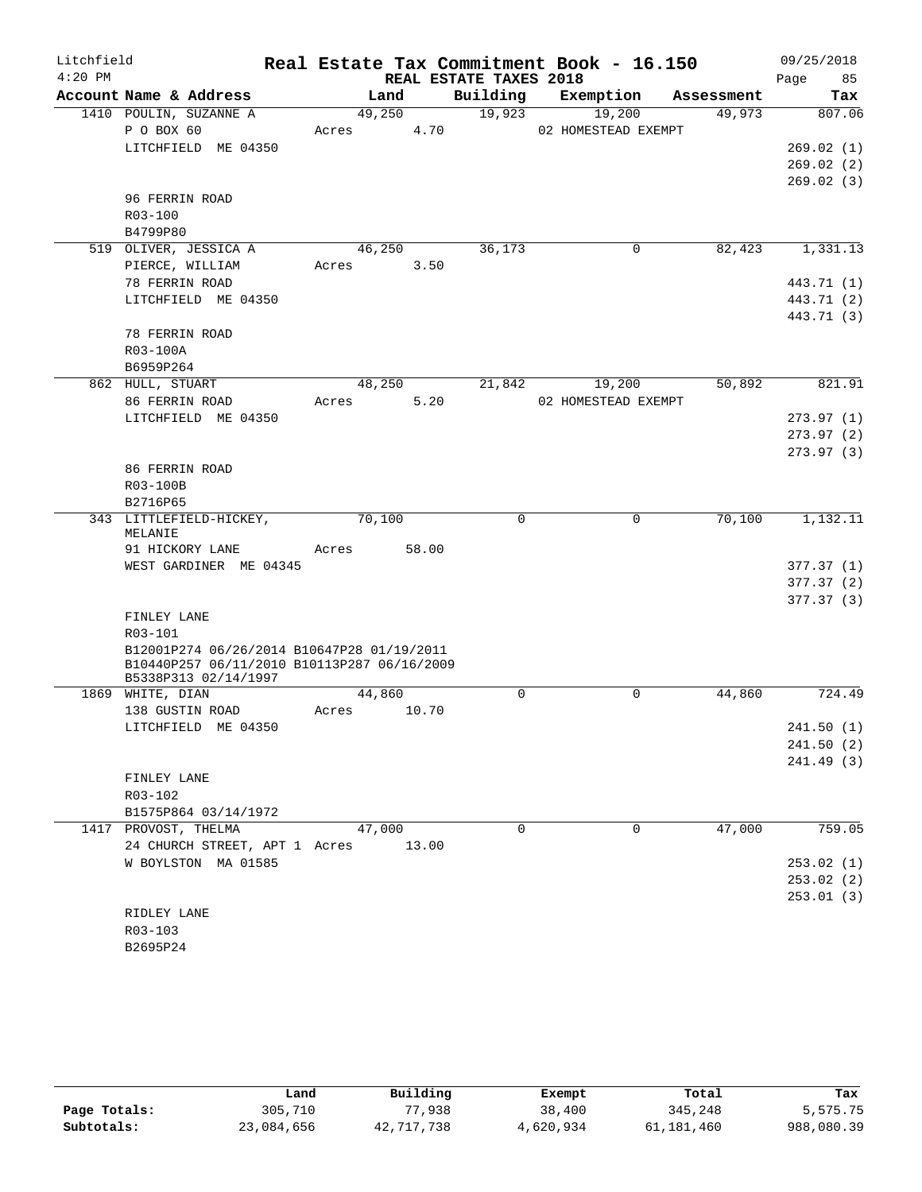| Litchfield |                                              |        |       |                        | Real Estate Tax Commitment Book - 16.150 |            | 09/25/2018 |
|------------|----------------------------------------------|--------|-------|------------------------|------------------------------------------|------------|------------|
| $4:20$ PM  |                                              |        |       | REAL ESTATE TAXES 2018 |                                          |            | 85<br>Page |
|            | Account Name & Address                       |        | Land  | Building               | Exemption                                | Assessment | Tax        |
|            | 1410 POULIN, SUZANNE A                       | 49,250 |       | 19,923                 | 19,200                                   | 49,973     | 807.06     |
|            | P O BOX 60                                   | Acres  | 4.70  |                        | 02 HOMESTEAD EXEMPT                      |            |            |
|            | LITCHFIELD ME 04350                          |        |       |                        |                                          |            | 269.02(1)  |
|            |                                              |        |       |                        |                                          |            | 269.02(2)  |
|            | 96 FERRIN ROAD                               |        |       |                        |                                          |            | 269.02(3)  |
|            | $R03 - 100$                                  |        |       |                        |                                          |            |            |
|            | B4799P80                                     |        |       |                        |                                          |            |            |
|            | 519 OLIVER, JESSICA A                        | 46,250 |       | 36,173                 | 0                                        | 82,423     | 1,331.13   |
|            | PIERCE, WILLIAM                              | Acres  | 3.50  |                        |                                          |            |            |
|            | 78 FERRIN ROAD                               |        |       |                        |                                          |            | 443.71 (1) |
|            | LITCHFIELD ME 04350                          |        |       |                        |                                          |            | 443.71 (2) |
|            |                                              |        |       |                        |                                          |            | 443.71 (3) |
|            | 78 FERRIN ROAD                               |        |       |                        |                                          |            |            |
|            | R03-100A                                     |        |       |                        |                                          |            |            |
|            | B6959P264                                    |        |       |                        |                                          |            |            |
|            | 862 HULL, STUART                             | 48,250 |       | 21,842                 | 19,200                                   | 50,892     | 821.91     |
|            | 86 FERRIN ROAD                               | Acres  | 5.20  |                        | 02 HOMESTEAD EXEMPT                      |            |            |
|            | LITCHFIELD ME 04350                          |        |       |                        |                                          |            | 273.97(1)  |
|            |                                              |        |       |                        |                                          |            | 273.97(2)  |
|            |                                              |        |       |                        |                                          |            | 273.97(3)  |
|            | 86 FERRIN ROAD                               |        |       |                        |                                          |            |            |
|            | R03-100B                                     |        |       |                        |                                          |            |            |
|            | B2716P65                                     |        |       |                        |                                          |            |            |
|            | 343 LITTLEFIELD-HICKEY,<br>MELANIE           | 70,100 |       | $\mathbf 0$            | $\mathbf 0$                              | 70,100     | 1,132.11   |
|            | 91 HICKORY LANE                              | Acres  | 58.00 |                        |                                          |            |            |
|            | WEST GARDINER ME 04345                       |        |       |                        |                                          |            | 377.37(1)  |
|            |                                              |        |       |                        |                                          |            | 377.37(2)  |
|            | FINLEY LANE                                  |        |       |                        |                                          |            | 377.37(3)  |
|            | R03-101                                      |        |       |                        |                                          |            |            |
|            | B12001P274 06/26/2014 B10647P28 01/19/2011   |        |       |                        |                                          |            |            |
|            | B10440P257 06/11/2010 B10113P287 06/16/2009  |        |       |                        |                                          |            |            |
|            | B5338P313 02/14/1997                         |        |       |                        |                                          |            |            |
|            | 1869 WHITE, DIAN                             | 44,860 |       | $\Omega$               | $\Omega$                                 | 44,860     | 724.49     |
|            | 138 GUSTIN ROAD                              | Acres  | 10.70 |                        |                                          |            |            |
|            | LITCHFIELD ME 04350                          |        |       |                        |                                          |            | 241.50 (1) |
|            |                                              |        |       |                        |                                          |            | 241.50(2)  |
|            |                                              |        |       |                        |                                          |            | 241.49 (3) |
|            | FINLEY LANE                                  |        |       |                        |                                          |            |            |
|            | R03-102                                      |        |       |                        |                                          |            |            |
|            | B1575P864 03/14/1972<br>1417 PROVOST, THELMA | 47,000 |       | $\Omega$               | $\mathbf 0$                              | 47,000     | 759.05     |
|            | 24 CHURCH STREET, APT 1 Acres                |        | 13.00 |                        |                                          |            |            |
|            | W BOYLSTON MA 01585                          |        |       |                        |                                          |            | 253.02 (1) |
|            |                                              |        |       |                        |                                          |            | 253.02(2)  |
|            |                                              |        |       |                        |                                          |            | 253.01(3)  |
|            | RIDLEY LANE                                  |        |       |                        |                                          |            |            |
|            | R03-103                                      |        |       |                        |                                          |            |            |
|            | B2695P24                                     |        |       |                        |                                          |            |            |

|              | Land       | Building   | Exempt    | Total      | Tax        |
|--------------|------------|------------|-----------|------------|------------|
| Page Totals: | 305,710    | 77,938     | 38,400    | 345,248    | 5,575.75   |
| Subtotals:   | 23,084,656 | 42,717,738 | 4,620,934 | 61,181,460 | 988,080.39 |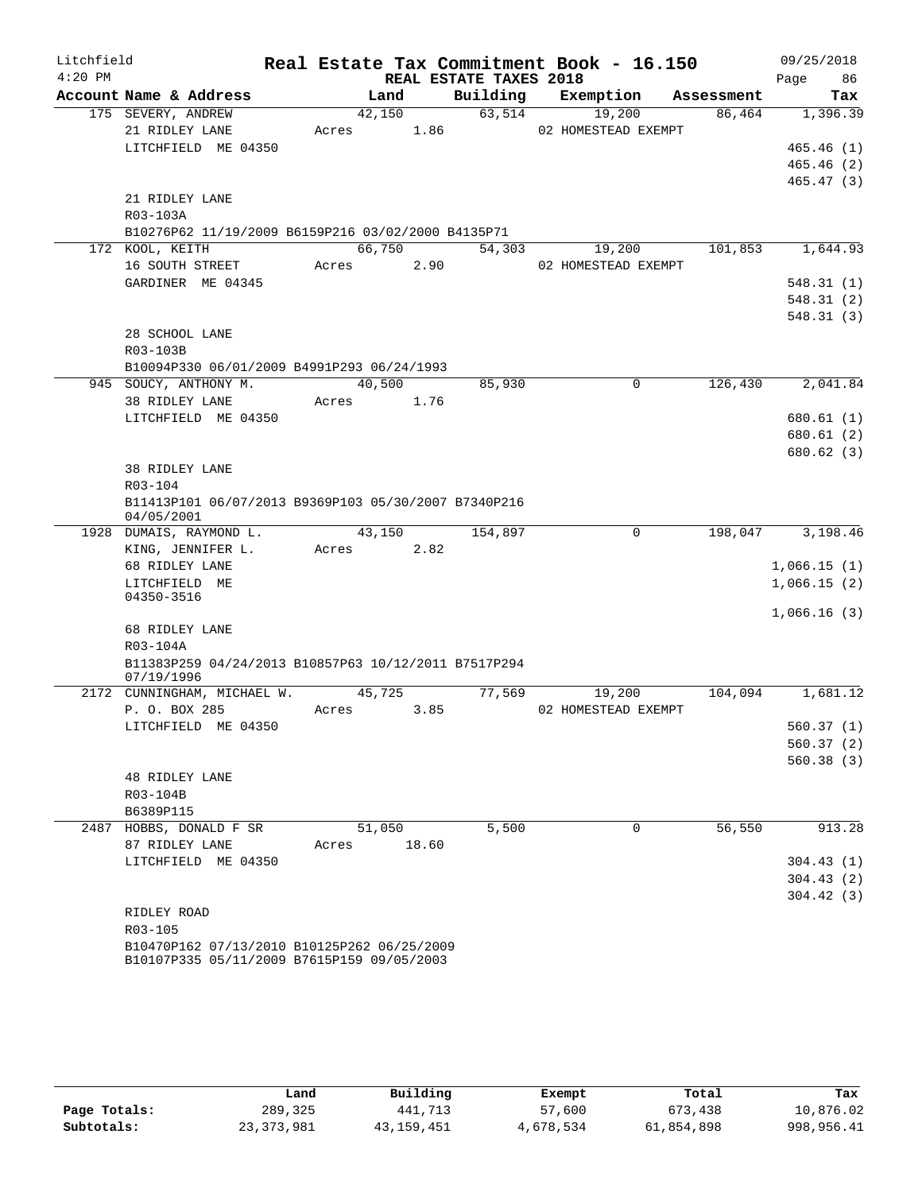| Litchfield |                                                                                           |        |       |                        | Real Estate Tax Commitment Book - 16.150 |            | 09/25/2018  |
|------------|-------------------------------------------------------------------------------------------|--------|-------|------------------------|------------------------------------------|------------|-------------|
| $4:20$ PM  |                                                                                           |        |       | REAL ESTATE TAXES 2018 |                                          |            | 86<br>Page  |
|            | Account Name & Address                                                                    |        | Land  | Building               | Exemption                                | Assessment | Tax         |
|            | 175 SEVERY, ANDREW                                                                        | 42,150 |       | 63,514                 | 19,200                                   | 86,464     | 1,396.39    |
|            | 21 RIDLEY LANE                                                                            | Acres  | 1.86  |                        | 02 HOMESTEAD EXEMPT                      |            |             |
|            | LITCHFIELD ME 04350                                                                       |        |       |                        |                                          |            | 465.46(1)   |
|            |                                                                                           |        |       |                        |                                          |            | 465.46(2)   |
|            |                                                                                           |        |       |                        |                                          |            | 465.47(3)   |
|            | 21 RIDLEY LANE                                                                            |        |       |                        |                                          |            |             |
|            | R03-103A                                                                                  |        |       |                        |                                          |            |             |
|            | B10276P62 11/19/2009 B6159P216 03/02/2000 B4135P71                                        | 66,750 |       |                        |                                          |            | 1,644.93    |
|            | 172 KOOL, KEITH                                                                           |        |       | 54,303                 | 19,200                                   | 101,853    |             |
|            | 16 SOUTH STREET                                                                           | Acres  | 2.90  |                        | 02 HOMESTEAD EXEMPT                      |            |             |
|            | GARDINER ME 04345                                                                         |        |       |                        |                                          |            | 548.31(1)   |
|            |                                                                                           |        |       |                        |                                          |            | 548.31(2)   |
|            |                                                                                           |        |       |                        |                                          |            | 548.31(3)   |
|            | 28 SCHOOL LANE<br>R03-103B                                                                |        |       |                        |                                          |            |             |
|            | B10094P330 06/01/2009 B4991P293 06/24/1993                                                |        |       |                        |                                          |            |             |
|            | 945 SOUCY, ANTHONY M.                                                                     | 40,500 |       | 85,930                 | $\Omega$                                 | 126,430    | 2,041.84    |
|            | 38 RIDLEY LANE                                                                            | Acres  | 1.76  |                        |                                          |            |             |
|            | LITCHFIELD ME 04350                                                                       |        |       |                        |                                          |            | 680.61 (1)  |
|            |                                                                                           |        |       |                        |                                          |            | 680.61(2)   |
|            |                                                                                           |        |       |                        |                                          |            | 680.62(3)   |
|            | 38 RIDLEY LANE                                                                            |        |       |                        |                                          |            |             |
|            | R03-104                                                                                   |        |       |                        |                                          |            |             |
|            | B11413P101 06/07/2013 B9369P103 05/30/2007 B7340P216                                      |        |       |                        |                                          |            |             |
|            | 04/05/2001                                                                                |        |       |                        |                                          |            |             |
|            | 1928 DUMAIS, RAYMOND L.                                                                   | 43,150 |       | 154,897                | $\mathbf 0$                              | 198,047    | 3,198.46    |
|            | KING, JENNIFER L.                                                                         | Acres  | 2.82  |                        |                                          |            |             |
|            | 68 RIDLEY LANE                                                                            |        |       |                        |                                          |            | 1,066.15(1) |
|            | LITCHFIELD ME                                                                             |        |       |                        |                                          |            | 1,066.15(2) |
|            | 04350-3516                                                                                |        |       |                        |                                          |            | 1,066.16(3) |
|            | 68 RIDLEY LANE                                                                            |        |       |                        |                                          |            |             |
|            | R03-104A                                                                                  |        |       |                        |                                          |            |             |
|            | B11383P259 04/24/2013 B10857P63 10/12/2011 B7517P294                                      |        |       |                        |                                          |            |             |
|            | 07/19/1996                                                                                |        |       |                        |                                          |            |             |
|            | 2172 CUNNINGHAM, MICHAEL W.                                                               | 45,725 |       | 77,569                 | 19,200                                   | 104,094    | 1,681.12    |
|            | P. O. BOX 285                                                                             | Acres  | 3.85  |                        | 02 HOMESTEAD EXEMPT                      |            |             |
|            | LITCHFIELD ME 04350                                                                       |        |       |                        |                                          |            | 560.37(1)   |
|            |                                                                                           |        |       |                        |                                          |            | 560.37(2)   |
|            |                                                                                           |        |       |                        |                                          |            | 560.38(3)   |
|            | <b>48 RIDLEY LANE</b>                                                                     |        |       |                        |                                          |            |             |
|            | R03-104B                                                                                  |        |       |                        |                                          |            |             |
|            | B6389P115                                                                                 |        |       |                        |                                          |            |             |
|            | 2487 HOBBS, DONALD F SR                                                                   | 51,050 |       | 5,500                  | $\mathbf 0$                              | 56,550     | 913.28      |
|            | 87 RIDLEY LANE                                                                            | Acres  | 18.60 |                        |                                          |            |             |
|            | LITCHFIELD ME 04350                                                                       |        |       |                        |                                          |            | 304.43(1)   |
|            |                                                                                           |        |       |                        |                                          |            | 304.43(2)   |
|            |                                                                                           |        |       |                        |                                          |            | 304.42(3)   |
|            | RIDLEY ROAD                                                                               |        |       |                        |                                          |            |             |
|            | R03-105                                                                                   |        |       |                        |                                          |            |             |
|            | B10470P162 07/13/2010 B10125P262 06/25/2009<br>B10107P335 05/11/2009 B7615P159 09/05/2003 |        |       |                        |                                          |            |             |

|              | Land       | Building   | Exempt    | Total      | Tax        |
|--------------|------------|------------|-----------|------------|------------|
| Page Totals: | 289,325    | 441,713    | 57,600    | 673,438    | 10,876.02  |
| Subtotals:   | 23,373,981 | 43,159,451 | 4,678,534 | 61,854,898 | 998,956.41 |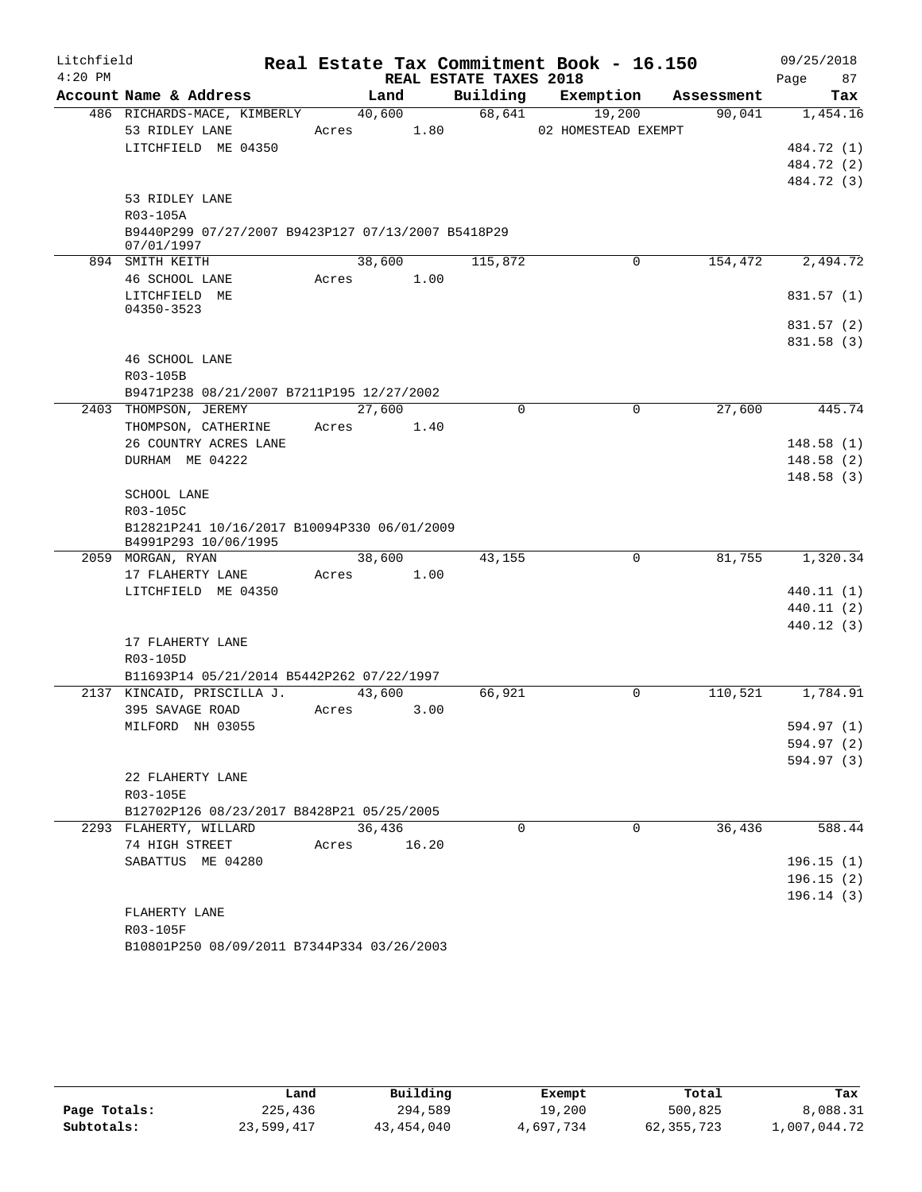| Litchfield |                                                                  |             |      |                        | Real Estate Tax Commitment Book - 16.150 |            | 09/25/2018 |
|------------|------------------------------------------------------------------|-------------|------|------------------------|------------------------------------------|------------|------------|
| $4:20$ PM  |                                                                  |             |      | REAL ESTATE TAXES 2018 |                                          |            | 87<br>Page |
|            | Account Name & Address                                           | Land        |      | Building               | Exemption                                | Assessment | Tax        |
|            | 486 RICHARDS-MACE, KIMBERLY                                      | 40,600      |      | 68,641                 | 19,200                                   | 90,041     | 1,454.16   |
|            | 53 RIDLEY LANE                                                   | Acres       | 1.80 |                        | 02 HOMESTEAD EXEMPT                      |            |            |
|            | LITCHFIELD ME 04350                                              |             |      |                        |                                          |            | 484.72 (1) |
|            |                                                                  |             |      |                        |                                          |            | 484.72 (2) |
|            |                                                                  |             |      |                        |                                          |            | 484.72 (3) |
|            | 53 RIDLEY LANE                                                   |             |      |                        |                                          |            |            |
|            | R03-105A                                                         |             |      |                        |                                          |            |            |
|            | B9440P299 07/27/2007 B9423P127 07/13/2007 B5418P29<br>07/01/1997 |             |      |                        |                                          |            |            |
|            | 894 SMITH KEITH                                                  | 38,600      |      | 115,872                | $\mathbf 0$                              | 154,472    | 2,494.72   |
|            | 46 SCHOOL LANE                                                   | Acres       | 1.00 |                        |                                          |            |            |
|            | LITCHFIELD ME                                                    |             |      |                        |                                          |            | 831.57 (1) |
|            | 04350-3523                                                       |             |      |                        |                                          |            |            |
|            |                                                                  |             |      |                        |                                          |            | 831.57 (2) |
|            |                                                                  |             |      |                        |                                          |            | 831.58 (3) |
|            | 46 SCHOOL LANE                                                   |             |      |                        |                                          |            |            |
|            | R03-105B                                                         |             |      |                        |                                          |            |            |
|            | B9471P238 08/21/2007 B7211P195 12/27/2002                        |             |      |                        |                                          |            |            |
|            | 2403 THOMPSON, JEREMY                                            | 27,600      |      | $\Omega$               | $\Omega$                                 | 27,600     | 445.74     |
|            | THOMPSON, CATHERINE<br>26 COUNTRY ACRES LANE                     | Acres       | 1.40 |                        |                                          |            | 148.58(1)  |
|            | DURHAM ME 04222                                                  |             |      |                        |                                          |            | 148.58(2)  |
|            |                                                                  |             |      |                        |                                          |            | 148.58(3)  |
|            | SCHOOL LANE                                                      |             |      |                        |                                          |            |            |
|            | R03-105C                                                         |             |      |                        |                                          |            |            |
|            | B12821P241 10/16/2017 B10094P330 06/01/2009                      |             |      |                        |                                          |            |            |
|            | B4991P293 10/06/1995                                             |             |      |                        |                                          |            |            |
|            | 2059 MORGAN, RYAN                                                | 38,600      |      | 43,155                 | 0                                        | 81,755     | 1,320.34   |
|            | 17 FLAHERTY LANE                                                 | Acres       | 1.00 |                        |                                          |            |            |
|            | LITCHFIELD ME 04350                                              |             |      |                        |                                          |            | 440.11 (1) |
|            |                                                                  |             |      |                        |                                          |            | 440.11 (2) |
|            |                                                                  |             |      |                        |                                          |            | 440.12 (3) |
|            | 17 FLAHERTY LANE                                                 |             |      |                        |                                          |            |            |
|            | R03-105D<br>B11693P14 05/21/2014 B5442P262 07/22/1997            |             |      |                        |                                          |            |            |
|            | 2137 KINCAID, PRISCILLA J.                                       | 43,600      |      | 66,921                 | $\Omega$                                 | 110,521    | 1,784.91   |
|            | 395 SAVAGE ROAD                                                  | Acres       | 3.00 |                        |                                          |            |            |
|            | MILFORD NH 03055                                                 |             |      |                        |                                          |            | 594.97 (1) |
|            |                                                                  |             |      |                        |                                          |            | 594.97 (2) |
|            |                                                                  |             |      |                        |                                          |            | 594.97 (3) |
|            | 22 FLAHERTY LANE                                                 |             |      |                        |                                          |            |            |
|            | R03-105E                                                         |             |      |                        |                                          |            |            |
|            | B12702P126 08/23/2017 B8428P21 05/25/2005                        |             |      |                        |                                          |            |            |
|            | 2293 FLAHERTY, WILLARD                                           | 36,436      |      | $\Omega$               | $\Omega$                                 | 36,436     | 588.44     |
|            | 74 HIGH STREET                                                   | Acres 16.20 |      |                        |                                          |            |            |
|            | SABATTUS ME 04280                                                |             |      |                        |                                          |            | 196.15(1)  |
|            |                                                                  |             |      |                        |                                          |            | 196.15(2)  |
|            |                                                                  |             |      |                        |                                          |            | 196.14(3)  |
|            | FLAHERTY LANE                                                    |             |      |                        |                                          |            |            |
|            | R03-105F                                                         |             |      |                        |                                          |            |            |

B10801P250 08/09/2011 B7344P334 03/26/2003

|              | Land       | Building   | Exempt    | Total        | Tax          |
|--------------|------------|------------|-----------|--------------|--------------|
| Page Totals: | 225,436    | 294,589    | 19,200    | 500,825      | 8,088.31     |
| Subtotals:   | 23,599,417 | 43,454,040 | 4,697,734 | 62, 355, 723 | 1,007,044.72 |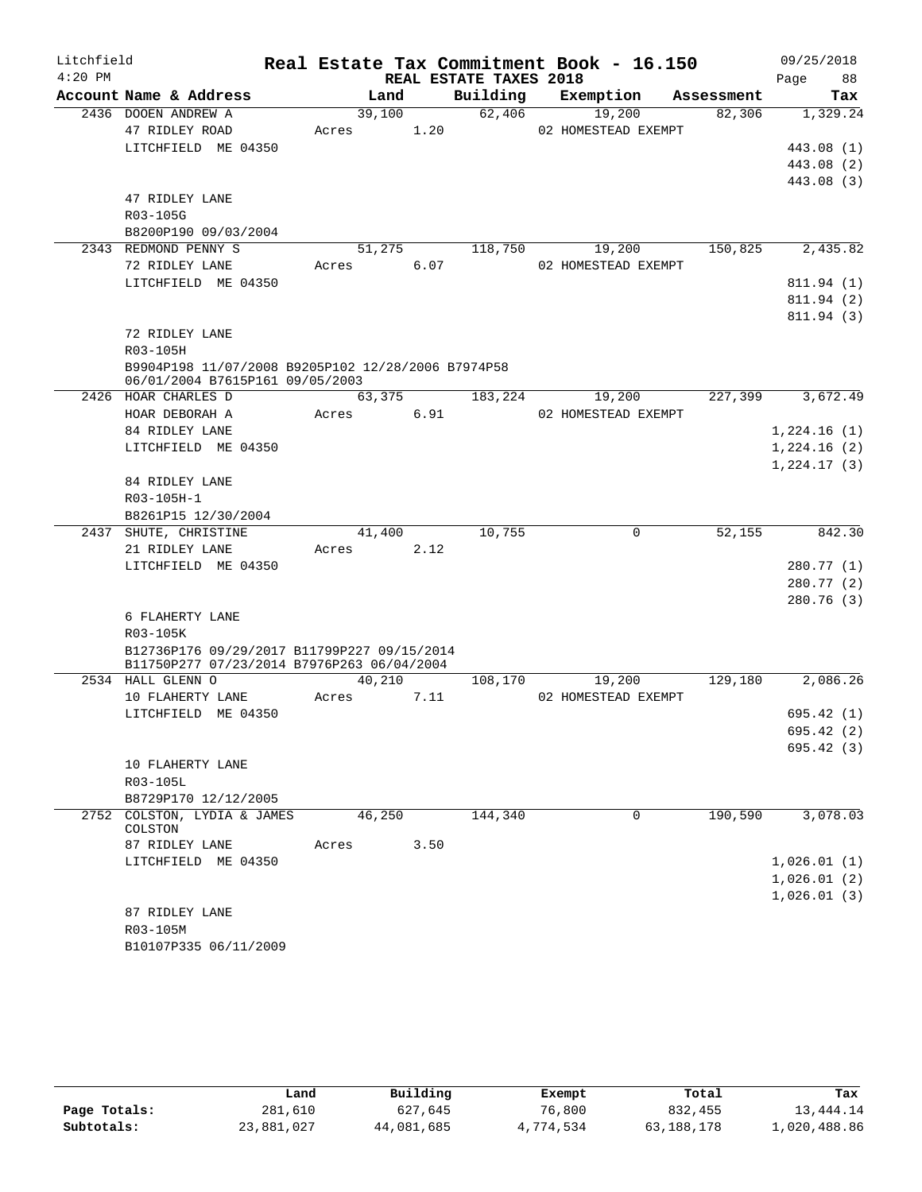| Litchfield |                                                                                       |        |        |                        | Real Estate Tax Commitment Book - 16.150 |            | 09/25/2018  |
|------------|---------------------------------------------------------------------------------------|--------|--------|------------------------|------------------------------------------|------------|-------------|
| $4:20$ PM  |                                                                                       |        |        | REAL ESTATE TAXES 2018 |                                          |            | 88<br>Page  |
|            | Account Name & Address                                                                | Land   |        | Building               | Exemption                                | Assessment | Tax         |
|            | 2436 DOOEN ANDREW A                                                                   | 39,100 |        | 62,406                 | 19,200                                   | 82,306     | 1,329.24    |
|            | 47 RIDLEY ROAD                                                                        | Acres  | 1.20   |                        | 02 HOMESTEAD EXEMPT                      |            |             |
|            | LITCHFIELD ME 04350                                                                   |        |        |                        |                                          |            | 443.08 (1)  |
|            |                                                                                       |        |        |                        |                                          |            | 443.08 (2)  |
|            |                                                                                       |        |        |                        |                                          |            | 443.08 (3)  |
|            | 47 RIDLEY LANE<br>R03-105G                                                            |        |        |                        |                                          |            |             |
|            | B8200P190 09/03/2004                                                                  |        |        |                        |                                          |            |             |
|            | 2343 REDMOND PENNY S                                                                  | 51,275 |        | 118,750                | 19,200                                   | 150,825    | 2,435.82    |
|            | 72 RIDLEY LANE                                                                        | Acres  | 6.07   |                        | 02 HOMESTEAD EXEMPT                      |            |             |
|            | LITCHFIELD ME 04350                                                                   |        |        |                        |                                          |            | 811.94 (1)  |
|            |                                                                                       |        |        |                        |                                          |            | 811.94 (2)  |
|            |                                                                                       |        |        |                        |                                          |            | 811.94 (3)  |
|            | 72 RIDLEY LANE                                                                        |        |        |                        |                                          |            |             |
|            | R03-105H                                                                              |        |        |                        |                                          |            |             |
|            | B9904P198 11/07/2008 B9205P102 12/28/2006 B7974P58<br>06/01/2004 B7615P161 09/05/2003 |        |        |                        |                                          |            |             |
|            | 2426 HOAR CHARLES D                                                                   |        | 63,375 | 183,224                | 19,200                                   | 227,399    | 3,672.49    |
|            | HOAR DEBORAH A                                                                        | Acres  | 6.91   |                        | 02 HOMESTEAD EXEMPT                      |            |             |
|            | 84 RIDLEY LANE                                                                        |        |        |                        |                                          |            | 1,224.16(1) |
|            | LITCHFIELD ME 04350                                                                   |        |        |                        |                                          |            | 1,224.16(2) |
|            |                                                                                       |        |        |                        |                                          |            | 1,224.17(3) |
|            | 84 RIDLEY LANE                                                                        |        |        |                        |                                          |            |             |
|            | R03-105H-1                                                                            |        |        |                        |                                          |            |             |
|            | B8261P15 12/30/2004                                                                   |        |        |                        |                                          |            |             |
|            | 2437 SHUTE, CHRISTINE                                                                 | 41,400 |        | 10,755                 | $\mathbf 0$                              | 52,155     | 842.30      |
|            | 21 RIDLEY LANE                                                                        | Acres  | 2.12   |                        |                                          |            |             |
|            | LITCHFIELD ME 04350                                                                   |        |        |                        |                                          |            | 280.77 (1)  |
|            |                                                                                       |        |        |                        |                                          |            | 280.77(2)   |
|            |                                                                                       |        |        |                        |                                          |            | 280.76(3)   |
|            | 6 FLAHERTY LANE                                                                       |        |        |                        |                                          |            |             |
|            | R03-105K                                                                              |        |        |                        |                                          |            |             |
|            | B12736P176 09/29/2017 B11799P227 09/15/2014                                           |        |        |                        |                                          |            |             |
|            | B11750P277 07/23/2014 B7976P263 06/04/2004<br>2534 HALL GLENN O                       | 40,210 |        | 108,170                | 19,200                                   | 129,180    | 2,086.26    |
|            | 10 FLAHERTY LANE                                                                      | Acres  | 7.11   |                        | 02 HOMESTEAD EXEMPT                      |            |             |
|            | LITCHFIELD ME 04350                                                                   |        |        |                        |                                          |            | 695.42 (1)  |
|            |                                                                                       |        |        |                        |                                          |            | 695.42 (2)  |
|            |                                                                                       |        |        |                        |                                          |            | 695.42(3)   |
|            | 10 FLAHERTY LANE                                                                      |        |        |                        |                                          |            |             |
|            | R03-105L                                                                              |        |        |                        |                                          |            |             |
|            | B8729P170 12/12/2005                                                                  |        |        |                        |                                          |            |             |
|            | 2752 COLSTON, LYDIA & JAMES                                                           | 46,250 |        | 144,340                | 0                                        | 190,590    | 3,078.03    |
|            | COLSTON                                                                               |        |        |                        |                                          |            |             |
|            | 87 RIDLEY LANE                                                                        | Acres  | 3.50   |                        |                                          |            |             |
|            | LITCHFIELD ME 04350                                                                   |        |        |                        |                                          |            | 1,026.01(1) |
|            |                                                                                       |        |        |                        |                                          |            | 1,026.01(2) |
|            |                                                                                       |        |        |                        |                                          |            | 1,026.01(3) |
|            | 87 RIDLEY LANE                                                                        |        |        |                        |                                          |            |             |
|            | R03-105M<br>B10107P335 06/11/2009                                                     |        |        |                        |                                          |            |             |
|            |                                                                                       |        |        |                        |                                          |            |             |

|              | Land       | Building   | Exempt    | Total      | Tax          |
|--------------|------------|------------|-----------|------------|--------------|
| Page Totals: | 281,610    | 627,645    | 76,800    | 832,455    | 13,444.14    |
| Subtotals:   | 23,881,027 | 44,081,685 | 4,774,534 | 63,188,178 | 1,020,488.86 |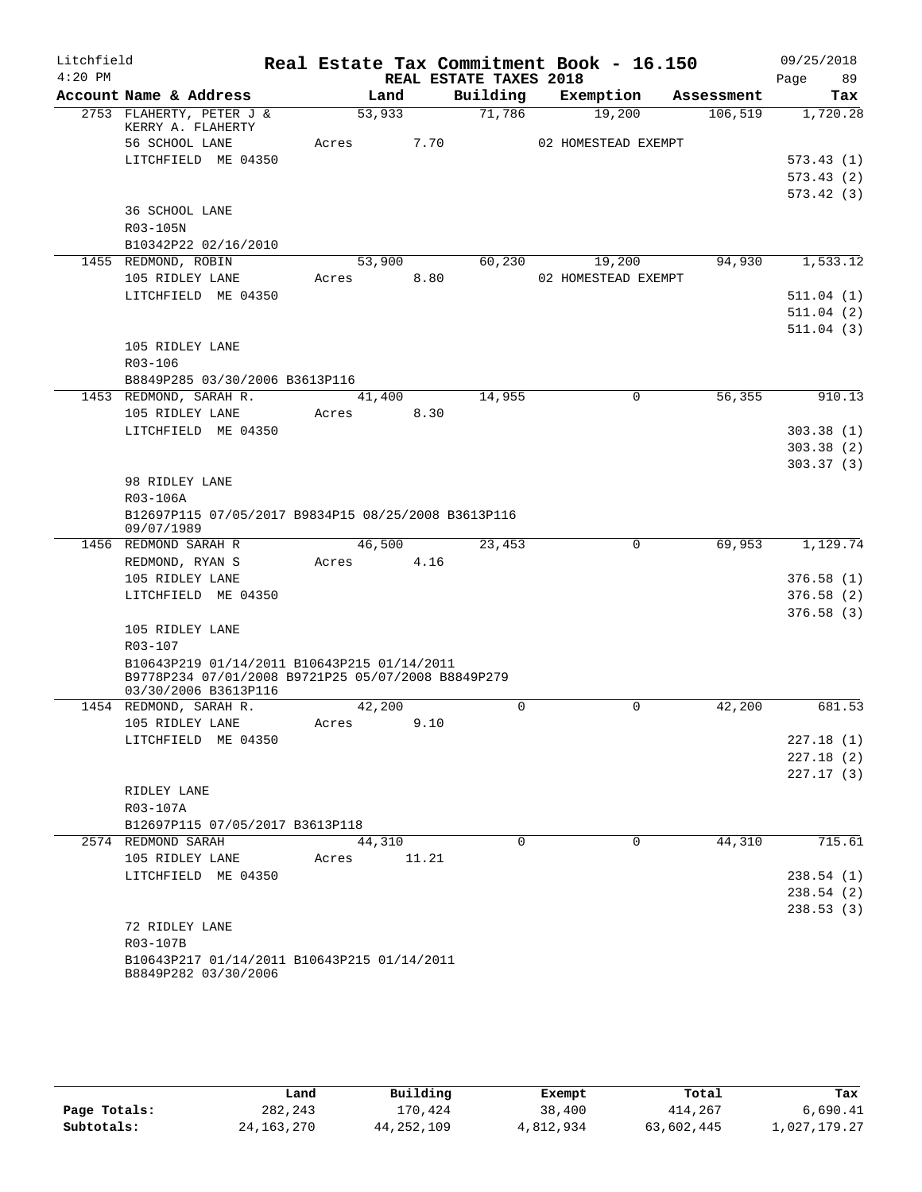| Litchfield |                                                                                                   |       |        |                        | Real Estate Tax Commitment Book - 16.150 |             | 09/25/2018             |
|------------|---------------------------------------------------------------------------------------------------|-------|--------|------------------------|------------------------------------------|-------------|------------------------|
| $4:20$ PM  |                                                                                                   |       |        | REAL ESTATE TAXES 2018 |                                          |             | Page<br>89             |
|            | Account Name & Address                                                                            |       | Land   | Building               | Exemption                                | Assessment  | Tax                    |
|            | 2753 FLAHERTY, PETER J &<br>KERRY A. FLAHERTY                                                     |       | 53,933 | 71,786                 | 19,200                                   |             | 106,519<br>1,720.28    |
|            | 56 SCHOOL LANE                                                                                    | Acres |        | 7.70                   | 02 HOMESTEAD EXEMPT                      |             |                        |
|            | LITCHFIELD ME 04350                                                                               |       |        |                        |                                          |             | 573.43(1)              |
|            |                                                                                                   |       |        |                        |                                          |             | 573.43(2)              |
|            |                                                                                                   |       |        |                        |                                          |             | 573.42(3)              |
|            | 36 SCHOOL LANE                                                                                    |       |        |                        |                                          |             |                        |
|            | R03-105N                                                                                          |       |        |                        |                                          |             |                        |
|            | B10342P22 02/16/2010                                                                              |       |        |                        |                                          |             |                        |
|            | 1455 REDMOND, ROBIN                                                                               |       | 53,900 | 60,230                 | 19,200                                   |             | 94,930<br>1,533.12     |
|            | 105 RIDLEY LANE                                                                                   | Acres |        | 8.80                   | 02 HOMESTEAD EXEMPT                      |             |                        |
|            | LITCHFIELD ME 04350                                                                               |       |        |                        |                                          |             | 511.04(1)              |
|            |                                                                                                   |       |        |                        |                                          |             | 511.04(2)              |
|            |                                                                                                   |       |        |                        |                                          |             | 511.04(3)              |
|            | 105 RIDLEY LANE                                                                                   |       |        |                        |                                          |             |                        |
|            | R03-106                                                                                           |       |        |                        |                                          |             |                        |
|            | B8849P285 03/30/2006 B3613P116                                                                    |       |        |                        |                                          |             |                        |
|            | 1453 REDMOND, SARAH R.                                                                            |       | 41,400 | 14,955                 |                                          | $\mathbf 0$ | 56,355<br>910.13       |
|            | 105 RIDLEY LANE                                                                                   | Acres | 8.30   |                        |                                          |             |                        |
|            | LITCHFIELD ME 04350                                                                               |       |        |                        |                                          |             | 303.38(1)              |
|            |                                                                                                   |       |        |                        |                                          |             | 303.38(2)<br>303.37(3) |
|            | 98 RIDLEY LANE                                                                                    |       |        |                        |                                          |             |                        |
|            | R03-106A                                                                                          |       |        |                        |                                          |             |                        |
|            | B12697P115 07/05/2017 B9834P15 08/25/2008 B3613P116                                               |       |        |                        |                                          |             |                        |
|            | 09/07/1989                                                                                        |       |        |                        |                                          |             |                        |
|            | 1456 REDMOND SARAH R                                                                              |       | 46,500 | 23,453                 |                                          | 0           | 69,953<br>1,129.74     |
|            | REDMOND, RYAN S                                                                                   | Acres | 4.16   |                        |                                          |             |                        |
|            | 105 RIDLEY LANE                                                                                   |       |        |                        |                                          |             | 376.58(1)              |
|            | LITCHFIELD ME 04350                                                                               |       |        |                        |                                          |             | 376.58(2)              |
|            |                                                                                                   |       |        |                        |                                          |             | 376.58(3)              |
|            | 105 RIDLEY LANE                                                                                   |       |        |                        |                                          |             |                        |
|            | R03-107                                                                                           |       |        |                        |                                          |             |                        |
|            | B10643P219 01/14/2011 B10643P215 01/14/2011<br>B9778P234 07/01/2008 B9721P25 05/07/2008 B8849P279 |       |        |                        |                                          |             |                        |
|            | 03/30/2006 B3613P116                                                                              |       |        |                        |                                          |             |                        |
|            | 1454 REDMOND, SARAH R.                                                                            |       | 42,200 | $\mathbf 0$            |                                          | $\Omega$    | 42,200<br>681.53       |
|            | 105 RIDLEY LANE                                                                                   | Acres | 9.10   |                        |                                          |             |                        |
|            | LITCHFIELD ME 04350                                                                               |       |        |                        |                                          |             | 227.18(1)              |
|            |                                                                                                   |       |        |                        |                                          |             | 227.18(2)              |
|            |                                                                                                   |       |        |                        |                                          |             | 227.17(3)              |
|            | RIDLEY LANE                                                                                       |       |        |                        |                                          |             |                        |
|            | R03-107A                                                                                          |       |        |                        |                                          |             |                        |
|            | B12697P115 07/05/2017 B3613P118<br>2574 REDMOND SARAH                                             |       | 44,310 | $\Omega$               |                                          | $\Omega$    | 44,310<br>715.61       |
|            | 105 RIDLEY LANE                                                                                   | Acres | 11.21  |                        |                                          |             |                        |
|            | LITCHFIELD ME 04350                                                                               |       |        |                        |                                          |             | 238.54(1)              |
|            |                                                                                                   |       |        |                        |                                          |             | 238.54(2)              |
|            |                                                                                                   |       |        |                        |                                          |             | 238.53(3)              |
|            | 72 RIDLEY LANE                                                                                    |       |        |                        |                                          |             |                        |
|            | R03-107B                                                                                          |       |        |                        |                                          |             |                        |
|            | B10643P217 01/14/2011 B10643P215 01/14/2011                                                       |       |        |                        |                                          |             |                        |
|            | B8849P282 03/30/2006                                                                              |       |        |                        |                                          |             |                        |

|              | Land         | Building     | Exempt    | Total      | Tax          |
|--------------|--------------|--------------|-----------|------------|--------------|
| Page Totals: | 282,243      | 170.424      | 38,400    | 414,267    | 6,690.41     |
| Subtotals:   | 24, 163, 270 | 44, 252, 109 | 4,812,934 | 63,602,445 | 1,027,179.27 |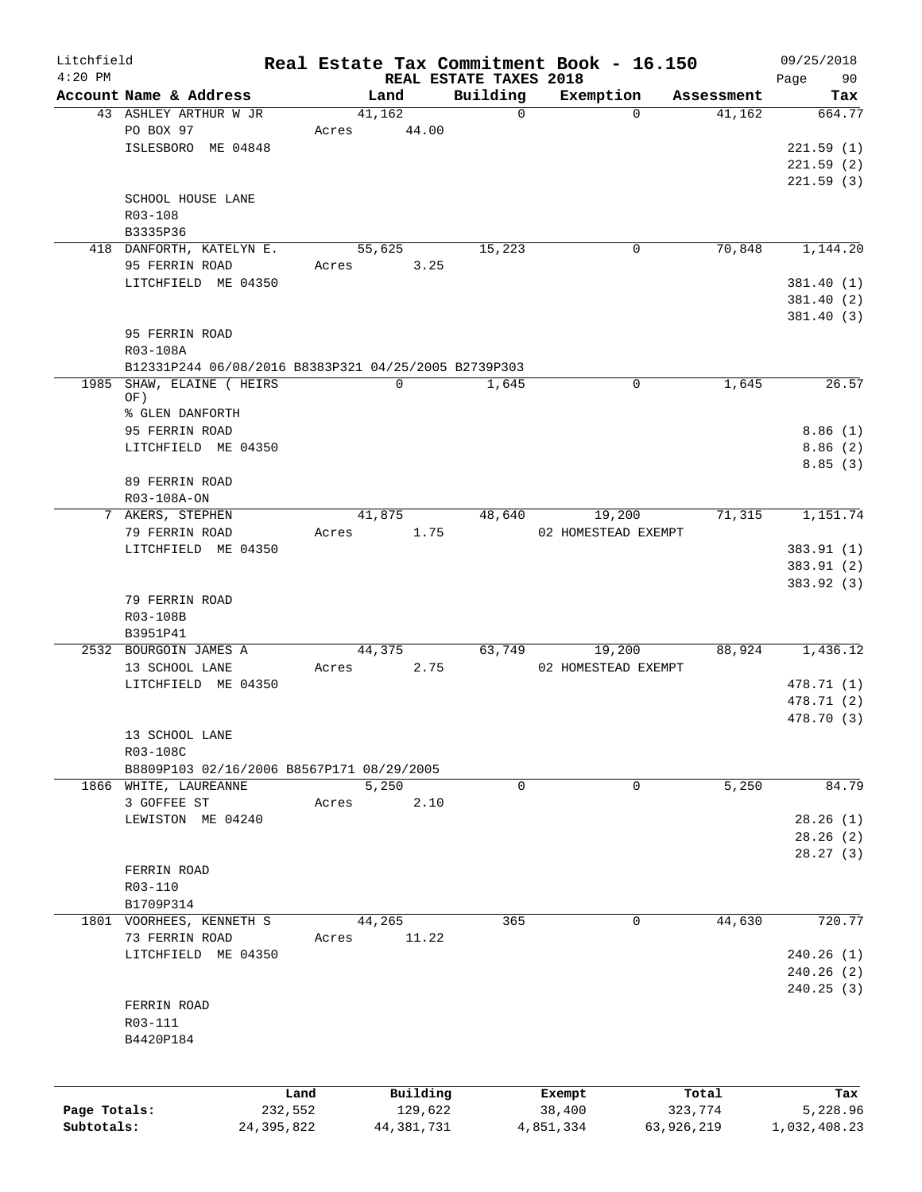| Litchfield<br>$4:20$ PM |                                                      |              |            | REAL ESTATE TAXES 2018 | Real Estate Tax Commitment Book - 16.150 |            | 09/25/2018<br>Page<br>90 |
|-------------------------|------------------------------------------------------|--------------|------------|------------------------|------------------------------------------|------------|--------------------------|
|                         | Account Name & Address                               |              | Land       | Building               | Exemption                                | Assessment | Tax                      |
|                         | 43 ASHLEY ARTHUR W JR                                |              | 41,162     | $\Omega$               | $\Omega$                                 | 41,162     | 664.77                   |
|                         | PO BOX 97                                            | Acres        | 44.00      |                        |                                          |            |                          |
|                         | ISLESBORO ME 04848                                   |              |            |                        |                                          |            | 221.59(1)                |
|                         |                                                      |              |            |                        |                                          |            | 221.59(2)                |
|                         |                                                      |              |            |                        |                                          |            | 221.59(3)                |
|                         | SCHOOL HOUSE LANE                                    |              |            |                        |                                          |            |                          |
|                         | R03-108                                              |              |            |                        |                                          |            |                          |
|                         | B3335P36                                             |              |            |                        |                                          |            |                          |
|                         | 418 DANFORTH, KATELYN E.                             |              | 55,625     | 15,223                 | 0                                        | 70,848     | 1,144.20                 |
|                         | 95 FERRIN ROAD                                       | Acres        | 3.25       |                        |                                          |            |                          |
|                         | LITCHFIELD ME 04350                                  |              |            |                        |                                          |            | 381.40 (1)               |
|                         |                                                      |              |            |                        |                                          |            |                          |
|                         |                                                      |              |            |                        |                                          |            | 381.40 (2)               |
|                         |                                                      |              |            |                        |                                          |            | 381.40(3)                |
|                         | 95 FERRIN ROAD                                       |              |            |                        |                                          |            |                          |
|                         | R03-108A                                             |              |            |                        |                                          |            |                          |
|                         | B12331P244 06/08/2016 B8383P321 04/25/2005 B2739P303 |              |            |                        |                                          |            |                          |
|                         | 1985 SHAW, ELAINE ( HEIRS                            |              | 0          | 1,645                  | 0                                        | 1,645      | 26.57                    |
|                         | OF)                                                  |              |            |                        |                                          |            |                          |
|                         | % GLEN DANFORTH                                      |              |            |                        |                                          |            |                          |
|                         | 95 FERRIN ROAD                                       |              |            |                        |                                          |            | 8.86(1)                  |
|                         | LITCHFIELD ME 04350                                  |              |            |                        |                                          |            | 8.86(2)                  |
|                         |                                                      |              |            |                        |                                          |            | 8.85(3)                  |
|                         | 89 FERRIN ROAD                                       |              |            |                        |                                          |            |                          |
|                         | R03-108A-ON                                          |              |            |                        |                                          |            |                          |
|                         | 7 AKERS, STEPHEN                                     |              | 41,875     | 48,640                 | 19,200                                   | 71,315     | 1,151.74                 |
|                         | 79 FERRIN ROAD                                       | Acres        | 1.75       |                        | 02 HOMESTEAD EXEMPT                      |            |                          |
|                         | LITCHFIELD ME 04350                                  |              |            |                        |                                          |            | 383.91 (1)               |
|                         |                                                      |              |            |                        |                                          |            | 383.91 (2)               |
|                         |                                                      |              |            |                        |                                          |            | 383.92 (3)               |
|                         | 79 FERRIN ROAD                                       |              |            |                        |                                          |            |                          |
|                         | R03-108B                                             |              |            |                        |                                          |            |                          |
|                         | B3951P41                                             |              |            |                        |                                          |            |                          |
|                         | 2532 BOURGOIN JAMES A                                |              | 44,375     | 63,749                 | 19,200                                   | 88,924     | 1,436.12                 |
|                         | 13 SCHOOL LANE                                       | Acres        | 2.75       |                        | 02 HOMESTEAD EXEMPT                      |            |                          |
|                         | LITCHFIELD ME 04350                                  |              |            |                        |                                          |            | 478.71 (1)               |
|                         |                                                      |              |            |                        |                                          |            | 478.71 (2)               |
|                         |                                                      |              |            |                        |                                          |            | 478.70 (3)               |
|                         |                                                      |              |            |                        |                                          |            |                          |
|                         | 13 SCHOOL LANE                                       |              |            |                        |                                          |            |                          |
|                         | R03-108C                                             |              |            |                        |                                          |            |                          |
|                         | B8809P103 02/16/2006 B8567P171 08/29/2005            |              |            |                        |                                          |            |                          |
|                         | 1866 WHITE, LAUREANNE                                |              | 5,250      | 0                      | 0                                        | 5,250      | 84.79                    |
|                         | 3 GOFFEE ST                                          | Acres        | 2.10       |                        |                                          |            |                          |
|                         | LEWISTON ME 04240                                    |              |            |                        |                                          |            | 28.26(1)                 |
|                         |                                                      |              |            |                        |                                          |            | 28.26(2)                 |
|                         |                                                      |              |            |                        |                                          |            | 28.27(3)                 |
|                         | FERRIN ROAD                                          |              |            |                        |                                          |            |                          |
|                         | R03-110                                              |              |            |                        |                                          |            |                          |
|                         | B1709P314                                            |              |            |                        |                                          |            |                          |
|                         | 1801 VOORHEES, KENNETH S                             |              | 44,265     | 365                    | 0                                        | 44,630     | 720.77                   |
|                         | 73 FERRIN ROAD                                       | Acres        | 11.22      |                        |                                          |            |                          |
|                         | LITCHFIELD ME 04350                                  |              |            |                        |                                          |            | 240.26(1)                |
|                         |                                                      |              |            |                        |                                          |            | 240.26(2)                |
|                         |                                                      |              |            |                        |                                          |            | 240.25(3)                |
|                         | FERRIN ROAD                                          |              |            |                        |                                          |            |                          |
|                         | R03-111                                              |              |            |                        |                                          |            |                          |
|                         | B4420P184                                            |              |            |                        |                                          |            |                          |
|                         |                                                      |              |            |                        |                                          |            |                          |
|                         |                                                      |              |            |                        |                                          |            |                          |
|                         |                                                      |              |            |                        |                                          |            |                          |
|                         |                                                      | Land         | Building   |                        | Exempt                                   | Total      | Tax                      |
| Page Totals:            |                                                      | 232,552      | 129,622    |                        | 38,400                                   | 323,774    | 5,228.96                 |
| Subtotals:              |                                                      | 24, 395, 822 | 44,381,731 |                        | 4,851,334                                | 63,926,219 | 1,032,408.23             |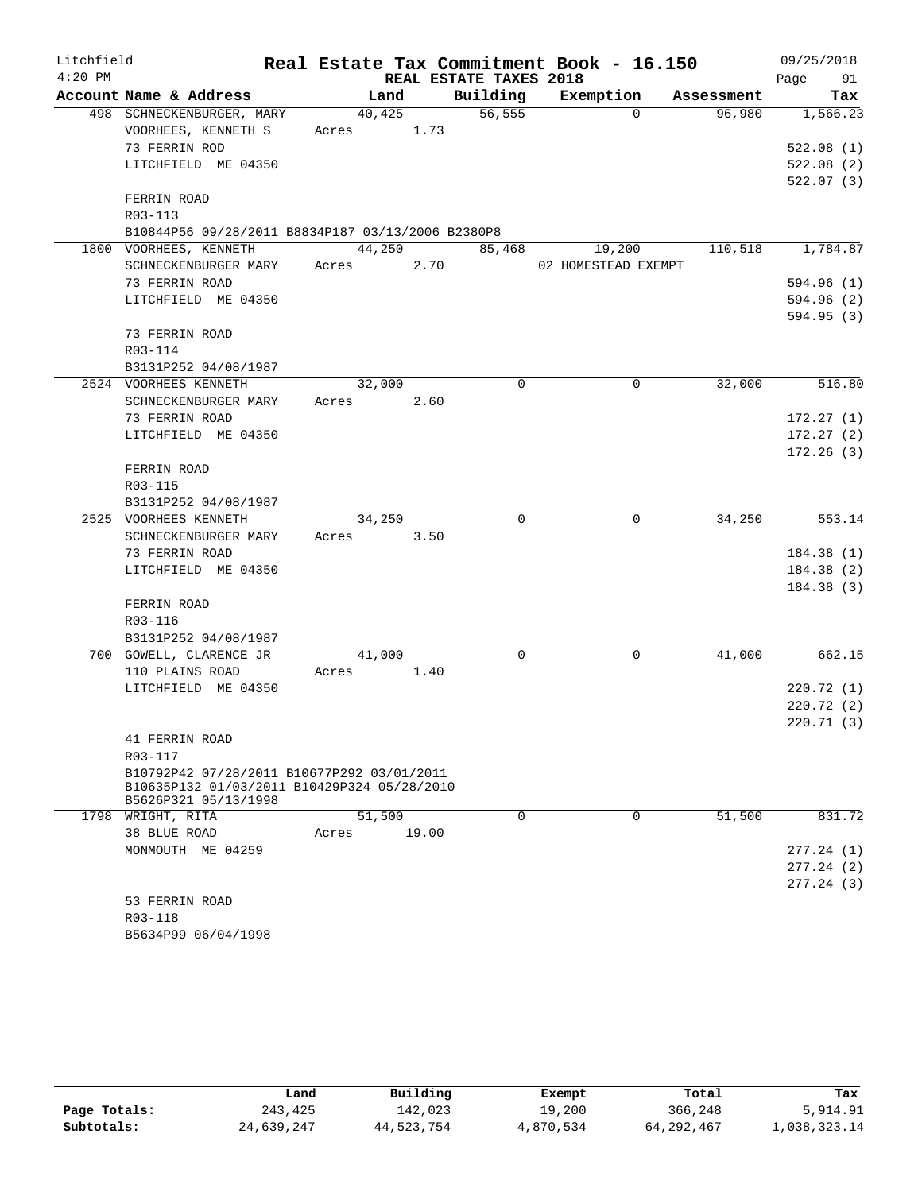| Litchfield |                                                   |            |       |                        | Real Estate Tax Commitment Book - 16.150 |            | 09/25/2018             |
|------------|---------------------------------------------------|------------|-------|------------------------|------------------------------------------|------------|------------------------|
| $4:20$ PM  |                                                   |            |       | REAL ESTATE TAXES 2018 |                                          |            | 91<br>Page             |
|            | Account Name & Address                            | Land       |       | Building               | Exemption                                | Assessment | Tax                    |
|            | 498 SCHNECKENBURGER, MARY                         | 40,425     |       | 56, 555                | $\Omega$                                 | 96,980     | 1,566.23               |
|            | VOORHEES, KENNETH S                               | Acres 1.73 |       |                        |                                          |            |                        |
|            | 73 FERRIN ROD                                     |            |       |                        |                                          |            | 522.08(1)              |
|            | LITCHFIELD ME 04350                               |            |       |                        |                                          |            | 522.08(2)              |
|            |                                                   |            |       |                        |                                          |            | 522.07(3)              |
|            | FERRIN ROAD                                       |            |       |                        |                                          |            |                        |
|            | R03-113                                           |            |       |                        |                                          |            |                        |
|            | B10844P56 09/28/2011 B8834P187 03/13/2006 B2380P8 |            |       |                        |                                          |            |                        |
|            | 1800 VOORHEES, KENNETH                            | 44,250     |       | 85,468                 | 19,200                                   | 110,518    | 1,784.87               |
|            | SCHNECKENBURGER MARY                              | Acres      | 2.70  |                        | 02 HOMESTEAD EXEMPT                      |            |                        |
|            | 73 FERRIN ROAD                                    |            |       |                        |                                          |            | 594.96 (1)             |
|            | LITCHFIELD ME 04350                               |            |       |                        |                                          |            | 594.96 (2)             |
|            |                                                   |            |       |                        |                                          |            | 594.95(3)              |
|            | 73 FERRIN ROAD                                    |            |       |                        |                                          |            |                        |
|            | R03-114                                           |            |       |                        |                                          |            |                        |
|            | B3131P252 04/08/1987                              |            |       |                        |                                          |            |                        |
|            | 2524 VOORHEES KENNETH                             | 32,000     |       | $\Omega$               | $\mathbf 0$                              | 32,000     | 516.80                 |
|            | SCHNECKENBURGER MARY                              | Acres      | 2.60  |                        |                                          |            |                        |
|            | 73 FERRIN ROAD                                    |            |       |                        |                                          |            | 172.27(1)              |
|            | LITCHFIELD ME 04350                               |            |       |                        |                                          |            | 172.27(2)<br>172.26(3) |
|            | FERRIN ROAD                                       |            |       |                        |                                          |            |                        |
|            | R03-115                                           |            |       |                        |                                          |            |                        |
|            | B3131P252 04/08/1987                              |            |       |                        |                                          |            |                        |
|            | 2525 VOORHEES KENNETH                             | 34,250     |       | 0                      | $\mathbf 0$                              | 34,250     | 553.14                 |
|            | SCHNECKENBURGER MARY                              | Acres      | 3.50  |                        |                                          |            |                        |
|            | 73 FERRIN ROAD                                    |            |       |                        |                                          |            | 184.38(1)              |
|            | LITCHFIELD ME 04350                               |            |       |                        |                                          |            | 184.38(2)              |
|            |                                                   |            |       |                        |                                          |            | 184.38(3)              |
|            | FERRIN ROAD                                       |            |       |                        |                                          |            |                        |
|            | R03-116                                           |            |       |                        |                                          |            |                        |
|            | B3131P252 04/08/1987                              |            |       |                        |                                          |            |                        |
|            | 700 GOWELL, CLARENCE JR                           | 41,000     |       | 0                      | 0                                        | 41,000     | 662.15                 |
|            | 110 PLAINS ROAD                                   | Acres      | 1.40  |                        |                                          |            |                        |
|            | LITCHFIELD ME 04350                               |            |       |                        |                                          |            | 220.72(1)              |
|            |                                                   |            |       |                        |                                          |            | 220.72(2)              |
|            |                                                   |            |       |                        |                                          |            | 220.71(3)              |
|            | 41 FERRIN ROAD                                    |            |       |                        |                                          |            |                        |
|            | R03-117                                           |            |       |                        |                                          |            |                        |
|            | B10792P42 07/28/2011 B10677P292 03/01/2011        |            |       |                        |                                          |            |                        |
|            | B10635P132 01/03/2011 B10429P324 05/28/2010       |            |       |                        |                                          |            |                        |
|            | B5626P321 05/13/1998<br>1798 WRIGHT, RITA         | 51,500     |       | 0                      | 0                                        | 51,500     | 831.72                 |
|            | 38 BLUE ROAD                                      | Acres      | 19.00 |                        |                                          |            |                        |
|            | MONMOUTH ME 04259                                 |            |       |                        |                                          |            | 277.24(1)              |
|            |                                                   |            |       |                        |                                          |            | 277.24(2)              |
|            |                                                   |            |       |                        |                                          |            | 277.24(3)              |
|            | 53 FERRIN ROAD                                    |            |       |                        |                                          |            |                        |
|            | R03-118                                           |            |       |                        |                                          |            |                        |
|            |                                                   |            |       |                        |                                          |            |                        |

|              | Land       | Building   | Exempt    | Total      | Tax          |
|--------------|------------|------------|-----------|------------|--------------|
| Page Totals: | 243,425    | 142,023    | 19,200    | 366,248    | 5,914.91     |
| Subtotals:   | 24,639,247 | 44,523,754 | 4,870,534 | 64,292,467 | 1,038,323.14 |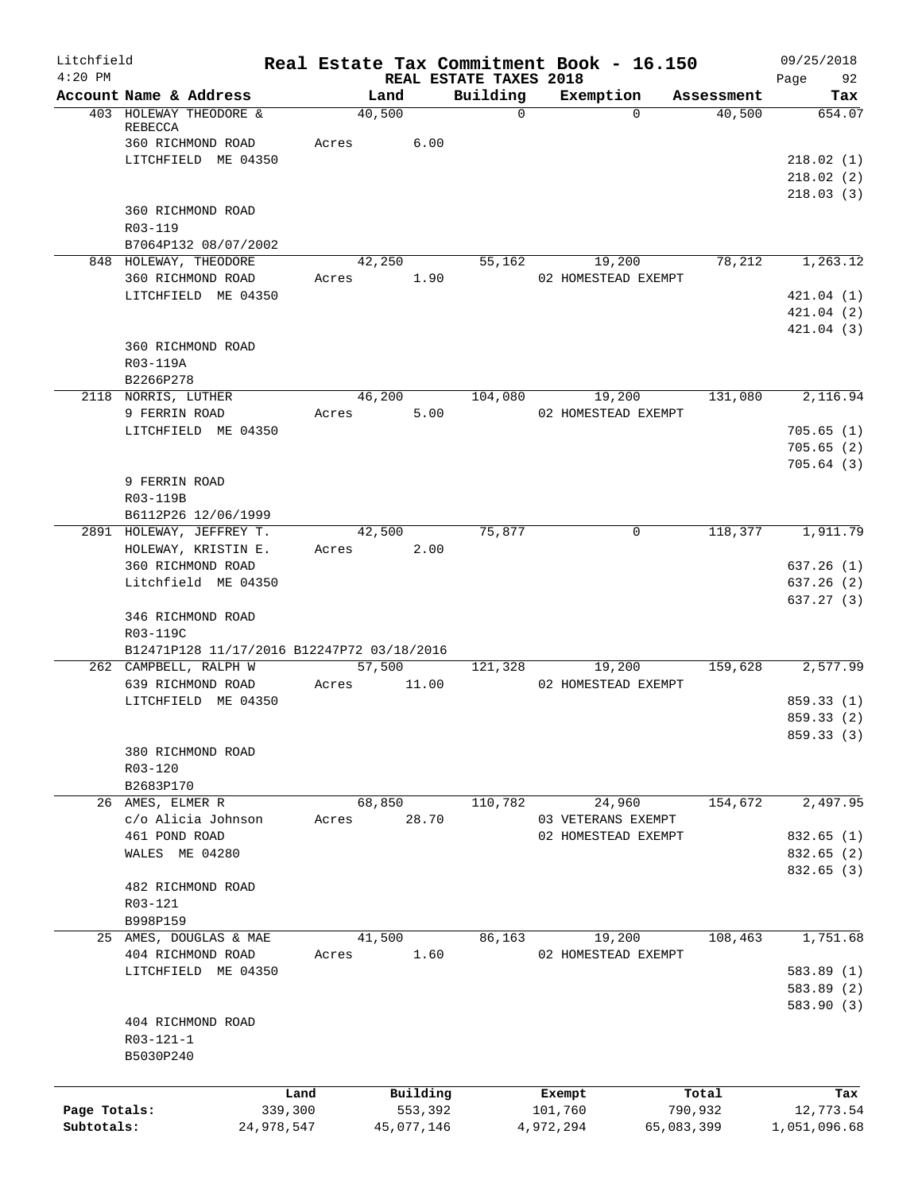| Litchfield<br>$4:20$ PM |                                                 |                 | Real Estate Tax Commitment Book - 16.150   |                                    |                              |                  | 09/25/2018               |
|-------------------------|-------------------------------------------------|-----------------|--------------------------------------------|------------------------------------|------------------------------|------------------|--------------------------|
|                         | Account Name & Address                          |                 | Land                                       | REAL ESTATE TAXES 2018<br>Building | Exemption                    | Assessment       | 92<br>Page<br>Tax        |
|                         | 403 HOLEWAY THEODORE &<br>REBECCA               |                 | 40,500                                     | $\mathbf 0$                        | $\Omega$                     | 40,500           | 654.07                   |
|                         | 360 RICHMOND ROAD<br>LITCHFIELD ME 04350        |                 | Acres<br>6.00                              |                                    |                              |                  | 218.02(1)                |
|                         |                                                 |                 |                                            |                                    |                              |                  | 218.02(2)                |
|                         |                                                 |                 |                                            |                                    |                              |                  | 218.03(3)                |
|                         | 360 RICHMOND ROAD                               |                 |                                            |                                    |                              |                  |                          |
|                         | R03-119                                         |                 |                                            |                                    |                              |                  |                          |
|                         | B7064P132 08/07/2002<br>848 HOLEWAY, THEODORE   |                 | 42,250                                     | 55,162                             | 19,200                       | 78,212           | 1,263.12                 |
|                         | 360 RICHMOND ROAD                               |                 | 1.90<br>Acres                              |                                    | 02 HOMESTEAD EXEMPT          |                  |                          |
|                         | LITCHFIELD ME 04350                             |                 |                                            |                                    |                              |                  | 421.04(1)                |
|                         |                                                 |                 |                                            |                                    |                              |                  | 421.04(2)                |
|                         | 360 RICHMOND ROAD                               |                 |                                            |                                    |                              |                  | 421.04(3)                |
|                         | R03-119A                                        |                 |                                            |                                    |                              |                  |                          |
|                         | B2266P278                                       |                 |                                            |                                    |                              |                  |                          |
|                         | 2118 NORRIS, LUTHER                             |                 | 46,200                                     | 104,080                            | 19,200                       | 131,080          | 2,116.94                 |
|                         | 9 FERRIN ROAD                                   |                 | 5.00<br>Acres                              |                                    | 02 HOMESTEAD EXEMPT          |                  |                          |
|                         | LITCHFIELD ME 04350                             |                 |                                            |                                    |                              |                  | 705.65(1)<br>705.65(2)   |
|                         |                                                 |                 |                                            |                                    |                              |                  | 705.64(3)                |
|                         | 9 FERRIN ROAD                                   |                 |                                            |                                    |                              |                  |                          |
|                         | R03-119B                                        |                 |                                            |                                    |                              |                  |                          |
|                         | B6112P26 12/06/1999                             |                 |                                            |                                    |                              |                  |                          |
|                         | 2891 HOLEWAY, JEFFREY T.<br>HOLEWAY, KRISTIN E. |                 | 42,500<br>2.00<br>Acres                    | 75,877                             | 0                            | 118,377          | 1,911.79                 |
|                         | 360 RICHMOND ROAD                               |                 |                                            |                                    |                              |                  | 637.26(1)                |
|                         | Litchfield ME 04350                             |                 |                                            |                                    |                              |                  | 637.26(2)                |
|                         |                                                 |                 |                                            |                                    |                              |                  | 637.27(3)                |
|                         | 346 RICHMOND ROAD<br>R03-119C                   |                 |                                            |                                    |                              |                  |                          |
|                         |                                                 |                 | B12471P128 11/17/2016 B12247P72 03/18/2016 |                                    |                              |                  |                          |
|                         | 262 CAMPBELL, RALPH W                           |                 | 57,500                                     | 121,328                            | 19,200                       | 159,628          | 2,577.99                 |
|                         | 639 RICHMOND ROAD                               |                 | 11.00<br>Acres                             |                                    | 02 HOMESTEAD EXEMPT          |                  |                          |
|                         | LITCHFIELD ME 04350                             |                 |                                            |                                    |                              |                  | 859.33 (1)<br>859.33 (2) |
|                         |                                                 |                 |                                            |                                    |                              |                  | 859.33 (3)               |
|                         | 380 RICHMOND ROAD                               |                 |                                            |                                    |                              |                  |                          |
|                         | R03-120                                         |                 |                                            |                                    |                              |                  |                          |
|                         | B2683P170                                       |                 |                                            |                                    |                              |                  |                          |
|                         | 26 AMES, ELMER R<br>c/o Alicia Johnson          |                 | 68,850<br>28.70<br>Acres                   | 110,782                            | 24,960<br>03 VETERANS EXEMPT | 154,672          | 2,497.95                 |
|                         | 461 POND ROAD                                   |                 |                                            |                                    | 02 HOMESTEAD EXEMPT          |                  | 832.65(1)                |
|                         | WALES ME 04280                                  |                 |                                            |                                    |                              |                  | 832.65 (2)               |
|                         |                                                 |                 |                                            |                                    |                              |                  | 832.65 (3)               |
|                         | 482 RICHMOND ROAD<br>R03-121                    |                 |                                            |                                    |                              |                  |                          |
|                         | B998P159                                        |                 |                                            |                                    |                              |                  |                          |
|                         | 25 AMES, DOUGLAS & MAE                          |                 | 41,500                                     | 86,163                             | 19,200                       | 108,463          | 1,751.68                 |
|                         | 404 RICHMOND ROAD                               |                 | 1.60<br>Acres                              |                                    | 02 HOMESTEAD EXEMPT          |                  |                          |
|                         | LITCHFIELD ME 04350                             |                 |                                            |                                    |                              |                  | 583.89(1)                |
|                         |                                                 |                 |                                            |                                    |                              |                  | 583.89 (2)<br>583.90 (3) |
|                         | 404 RICHMOND ROAD                               |                 |                                            |                                    |                              |                  |                          |
|                         | R03-121-1                                       |                 |                                            |                                    |                              |                  |                          |
|                         | B5030P240                                       |                 |                                            |                                    |                              |                  |                          |
|                         |                                                 |                 |                                            |                                    |                              |                  |                          |
| Page Totals:            |                                                 | Land<br>339,300 | Building<br>553,392                        |                                    | Exempt<br>101,760            | Total<br>790,932 | Tax<br>12,773.54         |
| Subtotals:              |                                                 | 24,978,547      | 45,077,146                                 |                                    | 4,972,294                    | 65,083,399       | 1,051,096.68             |
|                         |                                                 |                 |                                            |                                    |                              |                  |                          |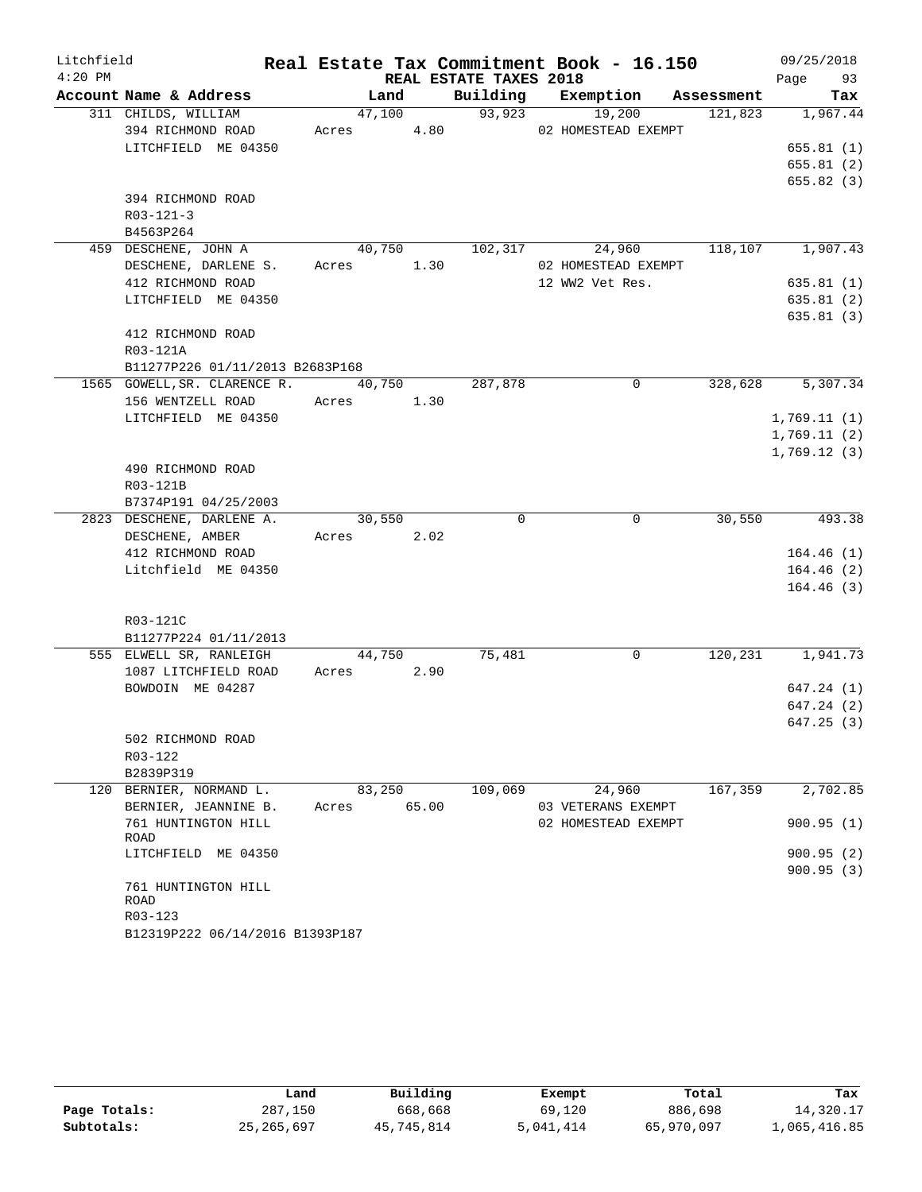| Litchfield |                                   |             |      |                        | Real Estate Tax Commitment Book - 16.150 |            | 09/25/2018  |
|------------|-----------------------------------|-------------|------|------------------------|------------------------------------------|------------|-------------|
| $4:20$ PM  |                                   |             |      | REAL ESTATE TAXES 2018 |                                          |            | Page 93     |
|            | Account Name & Address            | Land        |      |                        | Building Exemption                       | Assessment | Tax         |
|            | 311 CHILDS, WILLIAM               | 47,100      |      | 93,923                 | 19,200                                   | 121,823    | 1,967.44    |
|            | 394 RICHMOND ROAD                 | Acres 4.80  |      |                        | 02 HOMESTEAD EXEMPT                      |            |             |
|            | LITCHFIELD ME 04350               |             |      |                        |                                          |            | 655.81(1)   |
|            |                                   |             |      |                        |                                          |            | 655.81(2)   |
|            |                                   |             |      |                        |                                          |            | 655.82 (3)  |
|            | 394 RICHMOND ROAD                 |             |      |                        |                                          |            |             |
|            | $R03 - 121 - 3$                   |             |      |                        |                                          |            |             |
|            | B4563P264<br>459 DESCHENE, JOHN A | 40,750      |      | 102,317                | 24,960                                   | 118, 107   | 1,907.43    |
|            | DESCHENE, DARLENE S.              |             | 1.30 |                        |                                          |            |             |
|            | 412 RICHMOND ROAD                 | Acres       |      |                        | 02 HOMESTEAD EXEMPT<br>12 WW2 Vet Res.   |            | 635.81(1)   |
|            | LITCHFIELD ME 04350               |             |      |                        |                                          |            | 635.81(2)   |
|            |                                   |             |      |                        |                                          |            | 635.81(3)   |
|            | 412 RICHMOND ROAD                 |             |      |                        |                                          |            |             |
|            | R03-121A                          |             |      |                        |                                          |            |             |
|            | B11277P226 01/11/2013 B2683P168   |             |      |                        |                                          |            |             |
|            | 1565 GOWELL, SR. CLARENCE R.      | 40,750      |      | 287,878                | 0                                        | 328,628    | 5,307.34    |
|            | 156 WENTZELL ROAD                 | Acres 1.30  |      |                        |                                          |            |             |
|            | LITCHFIELD ME 04350               |             |      |                        |                                          |            | 1,769.11(1) |
|            |                                   |             |      |                        |                                          |            | 1,769.11(2) |
|            |                                   |             |      |                        |                                          |            | 1,769.12(3) |
|            | 490 RICHMOND ROAD                 |             |      |                        |                                          |            |             |
|            | R03-121B                          |             |      |                        |                                          |            |             |
|            | B7374P191 04/25/2003              |             |      |                        |                                          |            |             |
|            | 2823 DESCHENE, DARLENE A.         | 30,550      |      | $\mathbf 0$            | $\mathbf 0$                              | 30,550     | 493.38      |
|            | DESCHENE, AMBER                   | Acres 2.02  |      |                        |                                          |            |             |
|            | 412 RICHMOND ROAD                 |             |      |                        |                                          |            | 164.46(1)   |
|            | Litchfield ME 04350               |             |      |                        |                                          |            | 164.46(2)   |
|            |                                   |             |      |                        |                                          |            | 164.46(3)   |
|            |                                   |             |      |                        |                                          |            |             |
|            | R03-121C                          |             |      |                        |                                          |            |             |
|            | B11277P224 01/11/2013             |             |      |                        |                                          |            |             |
|            | 555 ELWELL SR, RANLEIGH           | 44,750      |      | 75,481                 | $\mathbf 0$                              | 120, 231   | 1,941.73    |
|            | 1087 LITCHFIELD ROAD              | Acres       | 2.90 |                        |                                          |            |             |
|            | BOWDOIN ME 04287                  |             |      |                        |                                          |            | 647.24(1)   |
|            |                                   |             |      |                        |                                          |            | 647.24(2)   |
|            |                                   |             |      |                        |                                          |            | 647.25(3)   |
|            | 502 RICHMOND ROAD                 |             |      |                        |                                          |            |             |
|            | R03-122                           |             |      |                        |                                          |            |             |
|            | B2839P319                         |             |      |                        |                                          |            |             |
|            | 120 BERNIER, NORMAND L.           | 83,250      |      | 109,069                | 24,960                                   | 167,359    | 2,702.85    |
|            | BERNIER, JEANNINE B.              | Acres 65.00 |      |                        | 03 VETERANS EXEMPT                       |            |             |
|            | 761 HUNTINGTON HILL<br>ROAD       |             |      |                        | 02 HOMESTEAD EXEMPT                      |            | 900.95(1)   |
|            | LITCHFIELD ME 04350               |             |      |                        |                                          |            | 900.95(2)   |
|            |                                   |             |      |                        |                                          |            | 900.95 (3)  |
|            | 761 HUNTINGTON HILL               |             |      |                        |                                          |            |             |
|            | ROAD                              |             |      |                        |                                          |            |             |
|            | R03-123                           |             |      |                        |                                          |            |             |
|            | B12319P222 06/14/2016 B1393P187   |             |      |                        |                                          |            |             |

|              | Land         | Building   | Exempt    | Total      | Tax          |
|--------------|--------------|------------|-----------|------------|--------------|
| Page Totals: | 287,150      | 668,668    | 69,120    | 886,698    | 14,320.17    |
| Subtotals:   | 25, 265, 697 | 45,745,814 | 5,041,414 | 65,970,097 | 1,065,416.85 |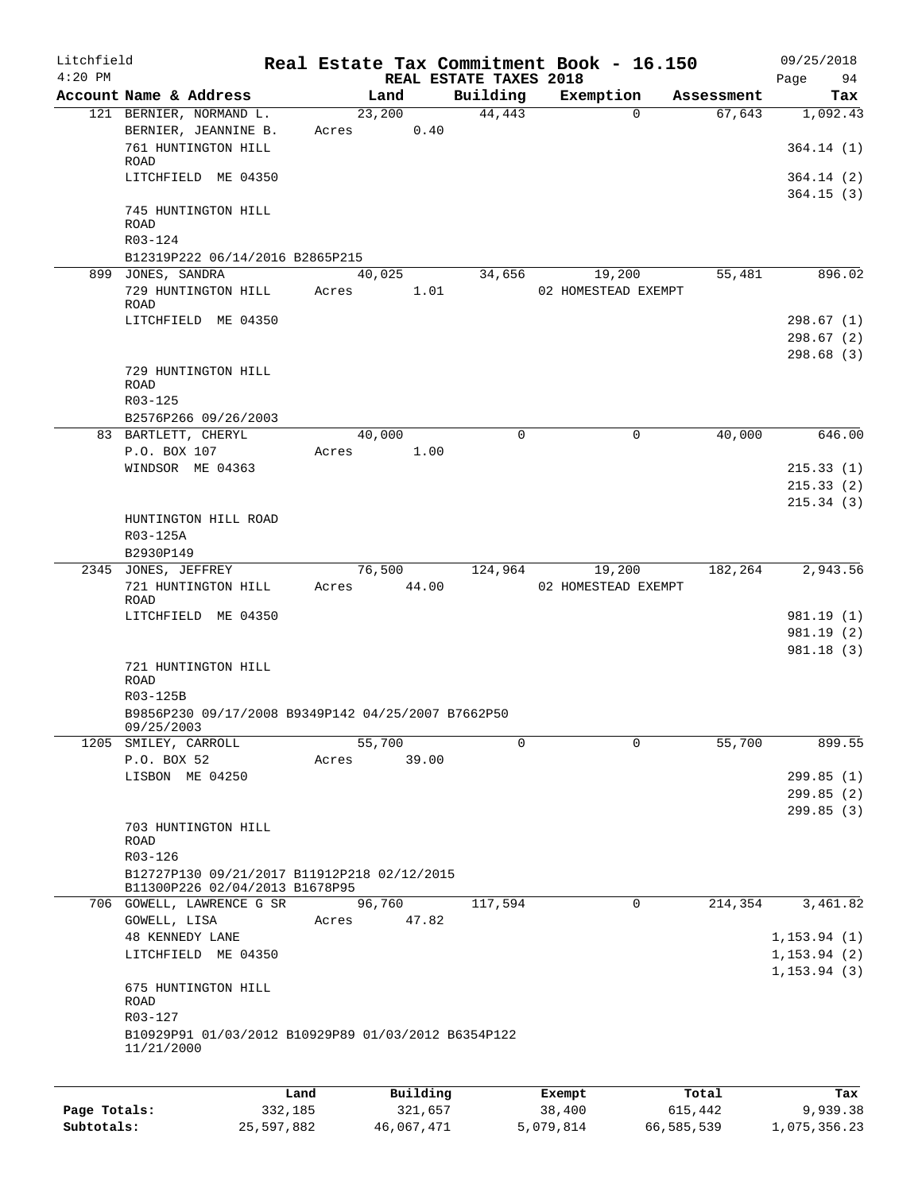| Litchfield<br>$4:20$ PM |                                                                               |       |          | REAL ESTATE TAXES 2018 | Real Estate Tax Commitment Book - 16.150 |            | 09/25/2018<br>Page<br>94     |
|-------------------------|-------------------------------------------------------------------------------|-------|----------|------------------------|------------------------------------------|------------|------------------------------|
|                         | Account Name & Address                                                        |       | Land     | Building               | Exemption                                | Assessment | Tax                          |
|                         | 121 BERNIER, NORMAND L.                                                       |       | 23,200   | 44,443                 | $\Omega$                                 | 67,643     | 1,092.43                     |
|                         | BERNIER, JEANNINE B.                                                          | Acres | 0.40     |                        |                                          |            |                              |
|                         | 761 HUNTINGTON HILL<br>ROAD                                                   |       |          |                        |                                          |            | 364.14(1)                    |
|                         | LITCHFIELD ME 04350                                                           |       |          |                        |                                          |            | 364.14 (2)<br>364.15(3)      |
|                         | 745 HUNTINGTON HILL<br>ROAD                                                   |       |          |                        |                                          |            |                              |
|                         | R03-124                                                                       |       |          |                        |                                          |            |                              |
|                         | B12319P222 06/14/2016 B2865P215                                               |       |          |                        |                                          |            |                              |
|                         | 899 JONES, SANDRA                                                             |       | 40,025   | 34,656                 | 19,200                                   | 55,481     | 896.02                       |
|                         | 729 HUNTINGTON HILL<br>ROAD                                                   | Acres | 1.01     |                        | 02 HOMESTEAD EXEMPT                      |            |                              |
|                         | LITCHFIELD ME 04350                                                           |       |          |                        |                                          |            | 298.67(1)                    |
|                         |                                                                               |       |          |                        |                                          |            | 298.67(2)                    |
|                         | 729 HUNTINGTON HILL                                                           |       |          |                        |                                          |            | 298.68(3)                    |
|                         | <b>ROAD</b><br>R03-125                                                        |       |          |                        |                                          |            |                              |
|                         | B2576P266 09/26/2003                                                          |       |          |                        |                                          |            |                              |
|                         | 83 BARTLETT, CHERYL                                                           |       | 40,000   | 0                      | 0                                        | 40,000     | 646.00                       |
|                         | P.O. BOX 107                                                                  | Acres | 1.00     |                        |                                          |            |                              |
|                         | WINDSOR ME 04363                                                              |       |          |                        |                                          |            | 215.33(1)                    |
|                         |                                                                               |       |          |                        |                                          |            | 215.33(2)                    |
|                         | HUNTINGTON HILL ROAD<br>R03-125A                                              |       |          |                        |                                          |            | 215.34(3)                    |
|                         | B2930P149                                                                     |       |          |                        |                                          |            |                              |
|                         | 2345 JONES, JEFFREY                                                           |       | 76,500   | 124,964                | 19,200                                   | 182,264    | 2,943.56                     |
|                         | 721 HUNTINGTON HILL<br><b>ROAD</b>                                            | Acres | 44.00    |                        | 02 HOMESTEAD EXEMPT                      |            |                              |
|                         | LITCHFIELD ME 04350                                                           |       |          |                        |                                          |            | 981.19 (1)                   |
|                         |                                                                               |       |          |                        |                                          |            | 981.19 (2)                   |
|                         |                                                                               |       |          |                        |                                          |            | 981.18(3)                    |
|                         | 721 HUNTINGTON HILL<br>ROAD                                                   |       |          |                        |                                          |            |                              |
|                         | R03-125B                                                                      |       |          |                        |                                          |            |                              |
|                         | B9856P230 09/17/2008 B9349P142 04/25/2007 B7662P50<br>09/25/2003              |       |          |                        |                                          |            |                              |
|                         | 1205 SMILEY, CARROLL                                                          |       | 55,700   | 0                      | 0                                        | 55,700     | 899.55                       |
|                         | P.O. BOX 52                                                                   | Acres | 39.00    |                        |                                          |            |                              |
|                         | LISBON ME 04250                                                               |       |          |                        |                                          |            | 299.85(1)                    |
|                         |                                                                               |       |          |                        |                                          |            | 299.85(2)                    |
|                         |                                                                               |       |          |                        |                                          |            | 299.85(3)                    |
|                         | 703 HUNTINGTON HILL<br>ROAD                                                   |       |          |                        |                                          |            |                              |
|                         | R03-126                                                                       |       |          |                        |                                          |            |                              |
|                         | B12727P130 09/21/2017 B11912P218 02/12/2015<br>B11300P226 02/04/2013 B1678P95 |       |          |                        |                                          |            |                              |
|                         | 706 GOWELL, LAWRENCE G SR                                                     |       | 96,760   | 117,594                | 0                                        | 214,354    | 3,461.82                     |
|                         | GOWELL, LISA                                                                  | Acres | 47.82    |                        |                                          |            |                              |
|                         | 48 KENNEDY LANE                                                               |       |          |                        |                                          |            | 1, 153.94(1)                 |
|                         | LITCHFIELD ME 04350                                                           |       |          |                        |                                          |            | 1, 153.94(2)<br>1, 153.94(3) |
|                         | 675 HUNTINGTON HILL<br>ROAD                                                   |       |          |                        |                                          |            |                              |
|                         | R03-127                                                                       |       |          |                        |                                          |            |                              |
|                         | B10929P91 01/03/2012 B10929P89 01/03/2012 B6354P122<br>11/21/2000             |       |          |                        |                                          |            |                              |
|                         |                                                                               |       |          |                        |                                          |            |                              |
|                         |                                                                               | Land  | Building |                        | Exempt                                   | Total      | Tax                          |

| Page Totals: | 332,185    | 321,657    | 38,400    | 615,442    | 9,939.38     |
|--------------|------------|------------|-----------|------------|--------------|
| Subtotals:   | 25,597,882 | 46,067,471 | 5,079,814 | 66,585,539 | 1,075,356.23 |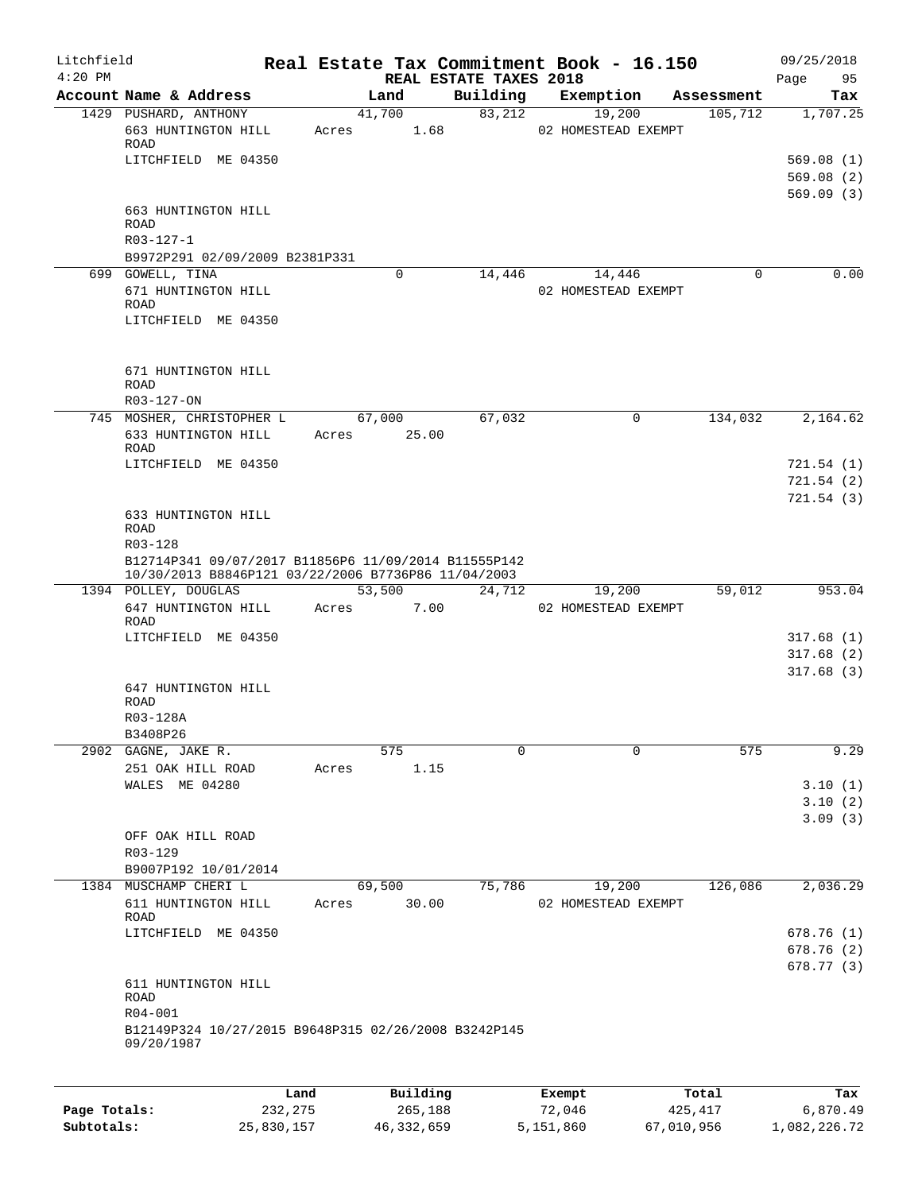| Litchfield<br>$4:20$ PM |                                                                                                             |       |                 | REAL ESTATE TAXES 2018 | Real Estate Tax Commitment Book - 16.150 |            | 09/25/2018<br>Page<br>95            |
|-------------------------|-------------------------------------------------------------------------------------------------------------|-------|-----------------|------------------------|------------------------------------------|------------|-------------------------------------|
|                         | Account Name & Address                                                                                      |       | Land            | Building               | Exemption                                | Assessment | Tax                                 |
|                         | 1429 PUSHARD, ANTHONY<br>663 HUNTINGTON HILL                                                                | Acres | 41,700<br>1.68  | 83,212                 | 19,200<br>02 HOMESTEAD EXEMPT            | 105,712    | 1,707.25                            |
|                         | ROAD<br>LITCHFIELD ME 04350                                                                                 |       |                 |                        |                                          |            | 569.08(1)<br>569.08(2)<br>569.09(3) |
|                         | 663 HUNTINGTON HILL<br><b>ROAD</b><br>R03-127-1                                                             |       |                 |                        |                                          |            |                                     |
|                         | B9972P291 02/09/2009 B2381P331                                                                              |       |                 |                        |                                          |            |                                     |
|                         | 699 GOWELL, TINA                                                                                            |       | 0               | 14,446                 | 14,446                                   | 0          | 0.00                                |
|                         | 671 HUNTINGTON HILL<br>ROAD<br>LITCHFIELD ME 04350                                                          |       |                 |                        | 02 HOMESTEAD EXEMPT                      |            |                                     |
|                         |                                                                                                             |       |                 |                        |                                          |            |                                     |
|                         | 671 HUNTINGTON HILL<br><b>ROAD</b>                                                                          |       |                 |                        |                                          |            |                                     |
|                         | R03-127-ON                                                                                                  |       |                 |                        |                                          |            |                                     |
|                         | 745 MOSHER, CHRISTOPHER L<br>633 HUNTINGTON HILL<br>ROAD                                                    | Acres | 67,000<br>25.00 | 67,032                 | 0                                        | 134,032    | 2,164.62                            |
|                         | LITCHFIELD ME 04350                                                                                         |       |                 |                        |                                          |            | 721.54(1)                           |
|                         |                                                                                                             |       |                 |                        |                                          |            | 721.54(2)                           |
|                         | 633 HUNTINGTON HILL<br><b>ROAD</b>                                                                          |       |                 |                        |                                          |            | 721.54(3)                           |
|                         | R03-128                                                                                                     |       |                 |                        |                                          |            |                                     |
|                         | B12714P341 09/07/2017 B11856P6 11/09/2014 B11555P142<br>10/30/2013 B8846P121 03/22/2006 B7736P86 11/04/2003 |       |                 |                        |                                          |            |                                     |
|                         | 1394 POLLEY, DOUGLAS                                                                                        |       | 53,500          | 24,712                 | 19,200                                   | 59,012     | 953.04                              |
|                         | 647 HUNTINGTON HILL<br>ROAD                                                                                 | Acres | 7.00            |                        | 02 HOMESTEAD EXEMPT                      |            |                                     |
|                         | LITCHFIELD ME 04350                                                                                         |       |                 |                        |                                          |            | 317.68(1)                           |
|                         |                                                                                                             |       |                 |                        |                                          |            | 317.68(2)                           |
|                         | 647 HUNTINGTON HILL<br>ROAD                                                                                 |       |                 |                        |                                          |            | 317.68(3)                           |
|                         | R03-128A                                                                                                    |       |                 |                        |                                          |            |                                     |
|                         | B3408P26                                                                                                    |       | 575             | 0                      | $\mathbf 0$                              | 575        | 9.29                                |
|                         | 2902 GAGNE, JAKE R.<br>251 OAK HILL ROAD                                                                    | Acres | 1.15            |                        |                                          |            |                                     |
|                         | WALES ME 04280                                                                                              |       |                 |                        |                                          |            | 3.10(1)                             |
|                         |                                                                                                             |       |                 |                        |                                          |            | 3.10(2)                             |
|                         |                                                                                                             |       |                 |                        |                                          |            | 3.09(3)                             |
|                         | OFF OAK HILL ROAD<br>R03-129                                                                                |       |                 |                        |                                          |            |                                     |
|                         | B9007P192 10/01/2014                                                                                        |       |                 |                        |                                          |            |                                     |
|                         | 1384 MUSCHAMP CHERI L                                                                                       |       | 69,500          | 75,786                 | 19,200                                   | 126,086    | 2,036.29                            |
|                         | 611 HUNTINGTON HILL<br>ROAD                                                                                 | Acres | 30.00           |                        | 02 HOMESTEAD EXEMPT                      |            |                                     |
|                         | LITCHFIELD ME 04350                                                                                         |       |                 |                        |                                          |            | 678.76(1)                           |
|                         |                                                                                                             |       |                 |                        |                                          |            | 678.76 (2)                          |
|                         |                                                                                                             |       |                 |                        |                                          |            | 678.77 (3)                          |
|                         | 611 HUNTINGTON HILL<br><b>ROAD</b><br>R04-001                                                               |       |                 |                        |                                          |            |                                     |
|                         | B12149P324 10/27/2015 B9648P315 02/26/2008 B3242P145<br>09/20/1987                                          |       |                 |                        |                                          |            |                                     |
|                         |                                                                                                             |       |                 |                        |                                          |            |                                     |
|                         |                                                                                                             | Land  | Building        |                        | Exempt                                   | Total      | Tax                                 |

|              | ⊥and       | Building   | Exempt    | тосат      | тах          |
|--------------|------------|------------|-----------|------------|--------------|
| Page Totals: | 232, 275   | 265,188    | 72,046    | 425,417    | 6,870.49     |
| Subtotals:   | 25,830,157 | 46,332,659 | 5,151,860 | 67,010,956 | 1,082,226.72 |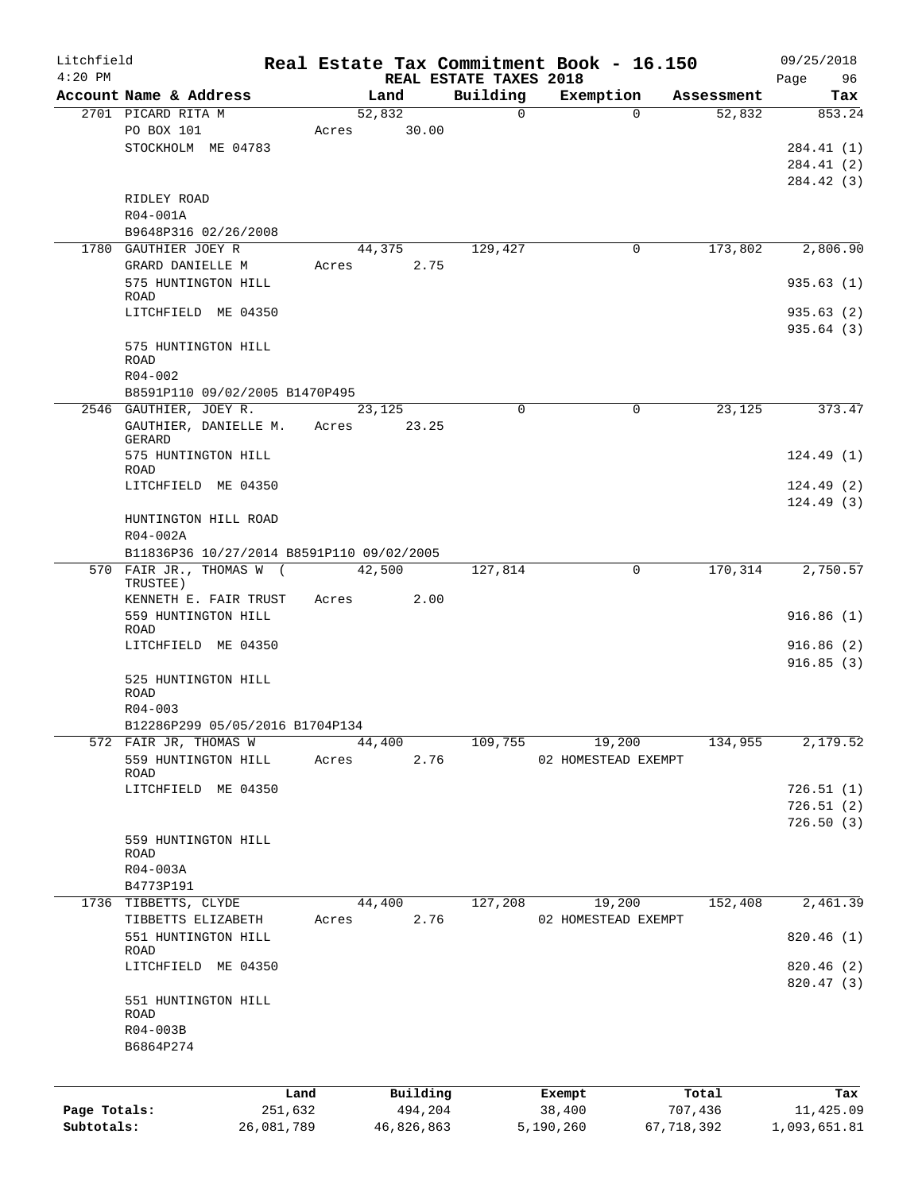| Litchfield   |                                           |            |       |            |                                    | Real Estate Tax Commitment Book - 16.150 |            |            | 09/25/2018        |
|--------------|-------------------------------------------|------------|-------|------------|------------------------------------|------------------------------------------|------------|------------|-------------------|
| $4:20$ PM    | Account Name & Address                    |            |       | Land       | REAL ESTATE TAXES 2018<br>Building | Exemption                                |            | Assessment | Page<br>96<br>Tax |
|              | 2701 PICARD RITA M                        |            |       | 52,832     |                                    | 0                                        | $\Omega$   | 52,832     | 853.24            |
|              | PO BOX 101                                |            | Acres | 30.00      |                                    |                                          |            |            |                   |
|              | STOCKHOLM ME 04783                        |            |       |            |                                    |                                          |            |            | 284.41(1)         |
|              |                                           |            |       |            |                                    |                                          |            |            | 284.41(2)         |
|              |                                           |            |       |            |                                    |                                          |            |            | 284.42 (3)        |
|              | RIDLEY ROAD                               |            |       |            |                                    |                                          |            |            |                   |
|              | R04-001A                                  |            |       |            |                                    |                                          |            |            |                   |
|              | B9648P316 02/26/2008                      |            |       |            |                                    |                                          |            |            |                   |
|              | 1780 GAUTHIER JOEY R                      |            |       | 44,375     | 129,427                            |                                          | 0          | 173,802    | 2,806.90          |
|              | GRARD DANIELLE M                          |            | Acres | 2.75       |                                    |                                          |            |            |                   |
|              | 575 HUNTINGTON HILL                       |            |       |            |                                    |                                          |            |            | 935.63(1)         |
|              | <b>ROAD</b>                               |            |       |            |                                    |                                          |            |            |                   |
|              | LITCHFIELD ME 04350                       |            |       |            |                                    |                                          |            |            | 935.63(2)         |
|              | 575 HUNTINGTON HILL                       |            |       |            |                                    |                                          |            |            | 935.64(3)         |
|              | <b>ROAD</b>                               |            |       |            |                                    |                                          |            |            |                   |
|              | $R04 - 002$                               |            |       |            |                                    |                                          |            |            |                   |
|              | B8591P110 09/02/2005 B1470P495            |            |       |            |                                    |                                          |            |            |                   |
|              | 2546 GAUTHIER, JOEY R.                    |            |       | 23,125     |                                    | $\Omega$                                 | 0          | 23,125     | 373.47            |
|              | GAUTHIER, DANIELLE M.                     |            | Acres | 23.25      |                                    |                                          |            |            |                   |
|              | GERARD                                    |            |       |            |                                    |                                          |            |            |                   |
|              | 575 HUNTINGTON HILL                       |            |       |            |                                    |                                          |            |            | 124.49(1)         |
|              | ROAD<br>LITCHFIELD ME 04350               |            |       |            |                                    |                                          |            |            | 124.49(2)         |
|              |                                           |            |       |            |                                    |                                          |            |            | 124.49(3)         |
|              | HUNTINGTON HILL ROAD                      |            |       |            |                                    |                                          |            |            |                   |
|              | R04-002A                                  |            |       |            |                                    |                                          |            |            |                   |
|              | B11836P36 10/27/2014 B8591P110 09/02/2005 |            |       |            |                                    |                                          |            |            |                   |
|              | 570 FAIR JR., THOMAS W (                  |            |       | 42,500     | 127,814                            |                                          | $\Omega$   | 170,314    | 2,750.57          |
|              | TRUSTEE)                                  |            |       |            |                                    |                                          |            |            |                   |
|              | KENNETH E. FAIR TRUST                     |            | Acres | 2.00       |                                    |                                          |            |            |                   |
|              | 559 HUNTINGTON HILL                       |            |       |            |                                    |                                          |            |            | 916.86(1)         |
|              | ROAD                                      |            |       |            |                                    |                                          |            |            |                   |
|              | LITCHFIELD ME 04350                       |            |       |            |                                    |                                          |            |            | 916.86(2)         |
|              |                                           |            |       |            |                                    |                                          |            |            | 916.85(3)         |
|              | 525 HUNTINGTON HILL<br><b>ROAD</b>        |            |       |            |                                    |                                          |            |            |                   |
|              | $R04 - 003$                               |            |       |            |                                    |                                          |            |            |                   |
|              | B12286P299 05/05/2016 B1704P134           |            |       |            |                                    |                                          |            |            |                   |
|              | 572 FAIR JR, THOMAS W                     |            |       | 44,400     | 109,755                            | 19,200                                   |            | 134,955    | 2,179.52          |
|              | 559 HUNTINGTON HILL                       |            | Acres | 2.76       |                                    | 02 HOMESTEAD EXEMPT                      |            |            |                   |
|              | ROAD                                      |            |       |            |                                    |                                          |            |            |                   |
|              | LITCHFIELD ME 04350                       |            |       |            |                                    |                                          |            |            | 726.51(1)         |
|              |                                           |            |       |            |                                    |                                          |            |            | 726.51(2)         |
|              |                                           |            |       |            |                                    |                                          |            |            | 726.50(3)         |
|              | 559 HUNTINGTON HILL                       |            |       |            |                                    |                                          |            |            |                   |
|              | ROAD                                      |            |       |            |                                    |                                          |            |            |                   |
|              | R04-003A                                  |            |       |            |                                    |                                          |            |            |                   |
|              | B4773P191                                 |            |       |            |                                    |                                          |            |            |                   |
|              | 1736 TIBBETTS, CLYDE                      |            |       | 44,400     | 127,208                            | 19,200                                   |            | 152,408    | 2,461.39          |
|              | TIBBETTS ELIZABETH                        |            | Acres | 2.76       |                                    | 02 HOMESTEAD EXEMPT                      |            |            | 820.46(1)         |
|              | 551 HUNTINGTON HILL<br>ROAD               |            |       |            |                                    |                                          |            |            |                   |
|              | LITCHFIELD ME 04350                       |            |       |            |                                    |                                          |            |            | 820.46 (2)        |
|              |                                           |            |       |            |                                    |                                          |            |            | 820.47 (3)        |
|              | 551 HUNTINGTON HILL                       |            |       |            |                                    |                                          |            |            |                   |
|              | ROAD                                      |            |       |            |                                    |                                          |            |            |                   |
|              | R04-003B                                  |            |       |            |                                    |                                          |            |            |                   |
|              | B6864P274                                 |            |       |            |                                    |                                          |            |            |                   |
|              |                                           |            |       |            |                                    |                                          |            |            |                   |
|              |                                           | Land       |       | Building   |                                    | Exempt                                   |            | Total      | Tax               |
| Page Totals: |                                           | 251,632    |       | 494,204    |                                    | 38,400                                   |            | 707,436    | 11,425.09         |
| Subtotals:   |                                           | 26,081,789 |       | 46,826,863 |                                    | 5,190,260                                | 67,718,392 |            | 1,093,651.81      |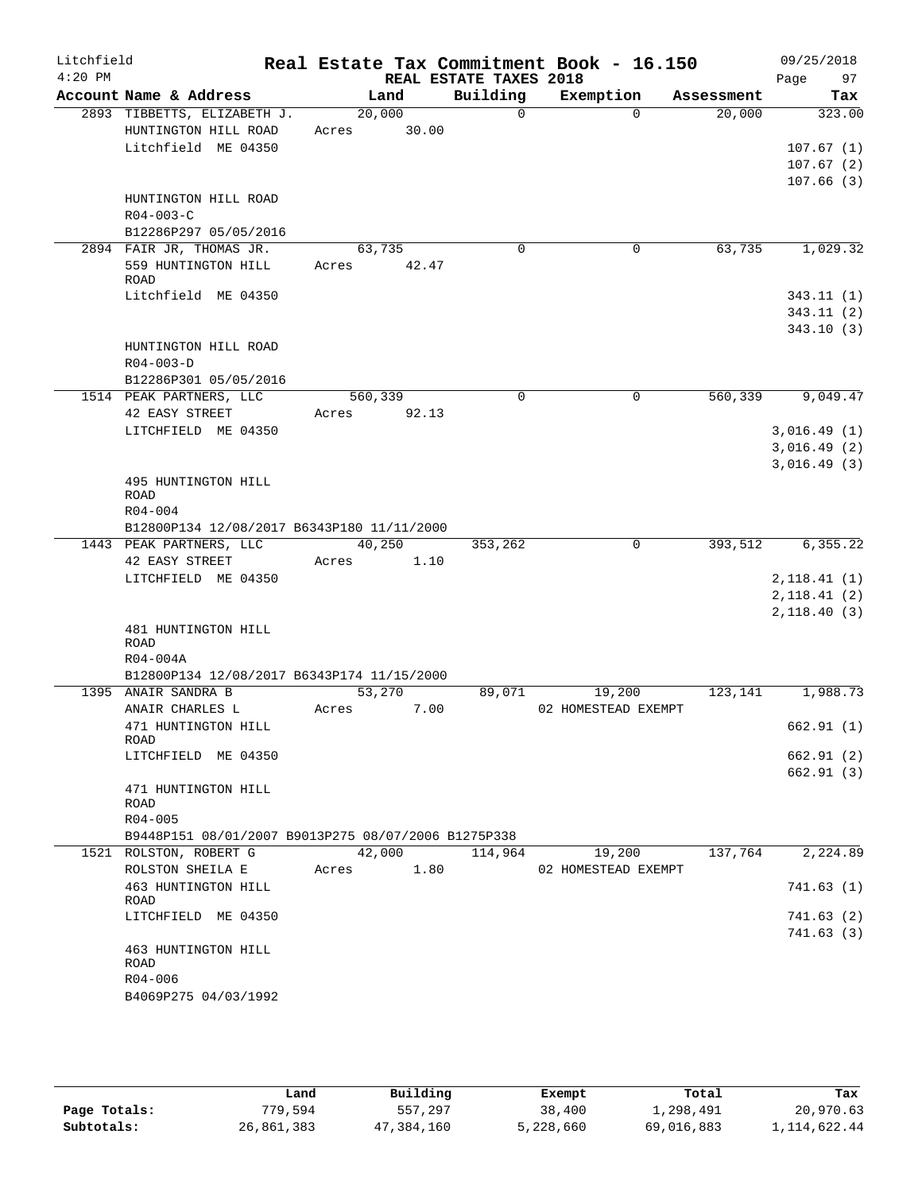| Litchfield |                                                     |         |       |                                    | Real Estate Tax Commitment Book - 16.150 |                      | 09/25/2018                  |               |
|------------|-----------------------------------------------------|---------|-------|------------------------------------|------------------------------------------|----------------------|-----------------------------|---------------|
| $4:20$ PM  | Account Name & Address                              |         |       | REAL ESTATE TAXES 2018<br>Building |                                          |                      | Page                        | 97            |
|            | 2893 TIBBETTS, ELIZABETH J.                         | 20,000  | Land  | $\Omega$                           | Exemption<br>$\Omega$                    | Assessment<br>20,000 |                             | Tax<br>323.00 |
|            | HUNTINGTON HILL ROAD                                | Acres   | 30.00 |                                    |                                          |                      |                             |               |
|            | Litchfield ME 04350                                 |         |       |                                    |                                          |                      |                             | 107.67(1)     |
|            |                                                     |         |       |                                    |                                          |                      |                             | 107.67(2)     |
|            |                                                     |         |       |                                    |                                          |                      |                             | 107.66(3)     |
|            | HUNTINGTON HILL ROAD                                |         |       |                                    |                                          |                      |                             |               |
|            | $R04 - 003 - C$                                     |         |       |                                    |                                          |                      |                             |               |
|            | B12286P297 05/05/2016                               |         |       |                                    |                                          |                      |                             |               |
|            | 2894 FAIR JR, THOMAS JR.                            | 63,735  |       | $\mathbf 0$                        | 0                                        | 63,735               |                             | 1,029.32      |
|            | 559 HUNTINGTON HILL                                 | Acres   | 42.47 |                                    |                                          |                      |                             |               |
|            | <b>ROAD</b>                                         |         |       |                                    |                                          |                      |                             |               |
|            | Litchfield ME 04350                                 |         |       |                                    |                                          |                      |                             | 343.11(1)     |
|            |                                                     |         |       |                                    |                                          |                      |                             | 343.11(2)     |
|            |                                                     |         |       |                                    |                                          |                      |                             | 343.10(3)     |
|            | HUNTINGTON HILL ROAD<br>$R04 - 003 - D$             |         |       |                                    |                                          |                      |                             |               |
|            | B12286P301 05/05/2016                               |         |       |                                    |                                          |                      |                             |               |
|            | 1514 PEAK PARTNERS, LLC                             | 560,339 |       | $\mathbf 0$                        | $\mathsf{O}$                             | 560,339              |                             | 9,049.47      |
|            | 42 EASY STREET                                      | Acres   | 92.13 |                                    |                                          |                      |                             |               |
|            | LITCHFIELD ME 04350                                 |         |       |                                    |                                          |                      | 3,016.49(1)                 |               |
|            |                                                     |         |       |                                    |                                          |                      | 3,016.49(2)                 |               |
|            |                                                     |         |       |                                    |                                          |                      | 3,016.49(3)                 |               |
|            | 495 HUNTINGTON HILL                                 |         |       |                                    |                                          |                      |                             |               |
|            | <b>ROAD</b>                                         |         |       |                                    |                                          |                      |                             |               |
|            | $R04 - 004$                                         |         |       |                                    |                                          |                      |                             |               |
|            | B12800P134 12/08/2017 B6343P180 11/11/2000          |         |       |                                    |                                          |                      |                             |               |
|            | 1443 PEAK PARTNERS, LLC                             | 40,250  |       | 353,262                            | $\mathbf 0$                              | 393,512              |                             | 6,355.22      |
|            | 42 EASY STREET                                      | Acres   | 1.10  |                                    |                                          |                      |                             |               |
|            | LITCHFIELD ME 04350                                 |         |       |                                    |                                          |                      | 2, 118.41(1)<br>2,118.41(2) |               |
|            |                                                     |         |       |                                    |                                          |                      | 2,118.40(3)                 |               |
|            | 481 HUNTINGTON HILL                                 |         |       |                                    |                                          |                      |                             |               |
|            | <b>ROAD</b>                                         |         |       |                                    |                                          |                      |                             |               |
|            | R04-004A                                            |         |       |                                    |                                          |                      |                             |               |
|            | B12800P134 12/08/2017 B6343P174 11/15/2000          |         |       |                                    |                                          |                      |                             |               |
|            | 1395 ANAIR SANDRA B                                 | 53,270  |       | 89,071                             | 19,200                                   | 123,141              |                             | 1,988.73      |
|            | ANAIR CHARLES L                                     | Acres   | 7.00  |                                    | 02 HOMESTEAD EXEMPT                      |                      |                             |               |
|            | 471 HUNTINGTON HILL<br>ROAD                         |         |       |                                    |                                          |                      |                             | 662.91(1)     |
|            | LITCHFIELD ME 04350                                 |         |       |                                    |                                          |                      |                             | 662.91 (2)    |
|            |                                                     |         |       |                                    |                                          |                      |                             | 662.91(3)     |
|            | 471 HUNTINGTON HILL                                 |         |       |                                    |                                          |                      |                             |               |
|            | ROAD                                                |         |       |                                    |                                          |                      |                             |               |
|            | R04-005                                             |         |       |                                    |                                          |                      |                             |               |
|            | B9448P151 08/01/2007 B9013P275 08/07/2006 B1275P338 |         |       |                                    |                                          |                      |                             |               |
|            | 1521 ROLSTON, ROBERT G                              |         |       | 42,000 114,964                     | 19,200                                   | 137,764              |                             | 2,224.89      |
|            | ROLSTON SHEILA E Acres 1.80                         |         |       |                                    | 02 HOMESTEAD EXEMPT                      |                      |                             |               |
|            | 463 HUNTINGTON HILL<br>ROAD                         |         |       |                                    |                                          |                      |                             | 741.63(1)     |
|            | LITCHFIELD ME 04350                                 |         |       |                                    |                                          |                      |                             | 741.63(2)     |
|            |                                                     |         |       |                                    |                                          |                      |                             | 741.63(3)     |
|            | 463 HUNTINGTON HILL                                 |         |       |                                    |                                          |                      |                             |               |
|            | ROAD                                                |         |       |                                    |                                          |                      |                             |               |
|            | R04-006                                             |         |       |                                    |                                          |                      |                             |               |
|            | B4069P275 04/03/1992                                |         |       |                                    |                                          |                      |                             |               |
|            |                                                     |         |       |                                    |                                          |                      |                             |               |

|              | Land       | Building   | Exempt    | Total      | Tax          |
|--------------|------------|------------|-----------|------------|--------------|
| Page Totals: | 779,594    | 557,297    | 38,400    | 1,298,491  | 20,970.63    |
| Subtotals:   | 26,861,383 | 47,384,160 | 5,228,660 | 69,016,883 | 1,114,622.44 |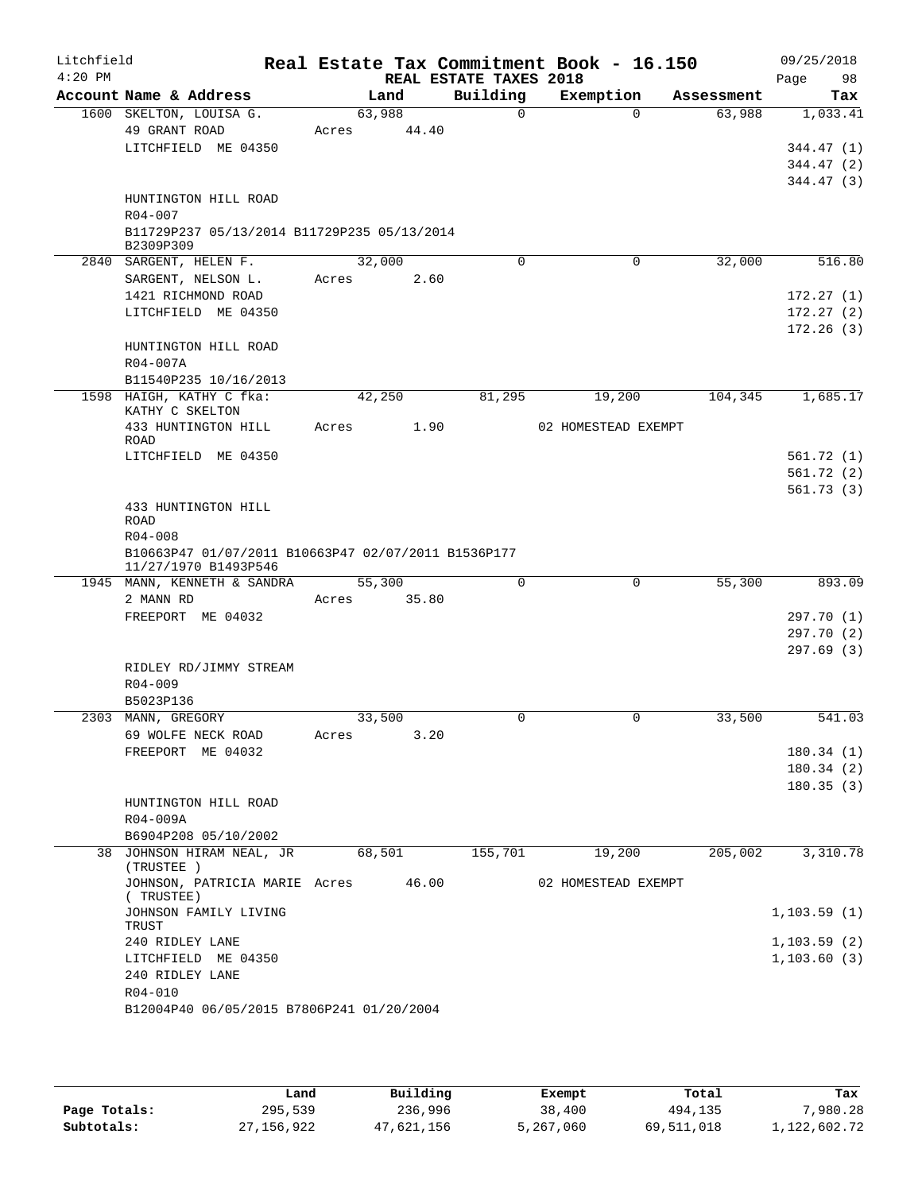| Litchfield                             |                                                                                                                                                                                                                                                                                                                                                                                                 |                                        |                                                                          |                                                                                                                                       |                                                 | 09/25/2018<br>98<br>Page                                                                                                         |
|----------------------------------------|-------------------------------------------------------------------------------------------------------------------------------------------------------------------------------------------------------------------------------------------------------------------------------------------------------------------------------------------------------------------------------------------------|----------------------------------------|--------------------------------------------------------------------------|---------------------------------------------------------------------------------------------------------------------------------------|-------------------------------------------------|----------------------------------------------------------------------------------------------------------------------------------|
| Account Name & Address                 |                                                                                                                                                                                                                                                                                                                                                                                                 |                                        | Building                                                                 | Exemption                                                                                                                             | Assessment                                      | Tax                                                                                                                              |
| 1600 SKELTON, LOUISA G.                |                                                                                                                                                                                                                                                                                                                                                                                                 |                                        | $\Omega$                                                                 | $\Omega$                                                                                                                              | 63,988                                          | 1,033.41                                                                                                                         |
|                                        | Acres                                                                                                                                                                                                                                                                                                                                                                                           | 44.40                                  |                                                                          |                                                                                                                                       |                                                 |                                                                                                                                  |
|                                        |                                                                                                                                                                                                                                                                                                                                                                                                 |                                        |                                                                          |                                                                                                                                       |                                                 | 344.47 (1)                                                                                                                       |
|                                        |                                                                                                                                                                                                                                                                                                                                                                                                 |                                        |                                                                          |                                                                                                                                       |                                                 | 344.47(2)                                                                                                                        |
|                                        |                                                                                                                                                                                                                                                                                                                                                                                                 |                                        |                                                                          |                                                                                                                                       |                                                 | 344.47(3)                                                                                                                        |
|                                        |                                                                                                                                                                                                                                                                                                                                                                                                 |                                        |                                                                          |                                                                                                                                       |                                                 |                                                                                                                                  |
|                                        |                                                                                                                                                                                                                                                                                                                                                                                                 |                                        |                                                                          |                                                                                                                                       |                                                 |                                                                                                                                  |
| B2309P309                              |                                                                                                                                                                                                                                                                                                                                                                                                 |                                        |                                                                          |                                                                                                                                       |                                                 |                                                                                                                                  |
| 2840 SARGENT, HELEN F.                 |                                                                                                                                                                                                                                                                                                                                                                                                 |                                        | $\Omega$                                                                 | 0                                                                                                                                     | 32,000                                          | 516.80                                                                                                                           |
| SARGENT, NELSON L.                     | Acres                                                                                                                                                                                                                                                                                                                                                                                           | 2.60                                   |                                                                          |                                                                                                                                       |                                                 |                                                                                                                                  |
| 1421 RICHMOND ROAD                     |                                                                                                                                                                                                                                                                                                                                                                                                 |                                        |                                                                          |                                                                                                                                       |                                                 | 172.27(1)                                                                                                                        |
| LITCHFIELD ME 04350                    |                                                                                                                                                                                                                                                                                                                                                                                                 |                                        |                                                                          |                                                                                                                                       |                                                 | 172.27(2)                                                                                                                        |
|                                        |                                                                                                                                                                                                                                                                                                                                                                                                 |                                        |                                                                          |                                                                                                                                       |                                                 | 172.26(3)                                                                                                                        |
|                                        |                                                                                                                                                                                                                                                                                                                                                                                                 |                                        |                                                                          |                                                                                                                                       |                                                 |                                                                                                                                  |
|                                        |                                                                                                                                                                                                                                                                                                                                                                                                 |                                        |                                                                          |                                                                                                                                       |                                                 |                                                                                                                                  |
|                                        |                                                                                                                                                                                                                                                                                                                                                                                                 |                                        |                                                                          |                                                                                                                                       |                                                 | 1,685.17                                                                                                                         |
|                                        |                                                                                                                                                                                                                                                                                                                                                                                                 |                                        |                                                                          |                                                                                                                                       |                                                 |                                                                                                                                  |
| 433 HUNTINGTON HILL                    | Acres                                                                                                                                                                                                                                                                                                                                                                                           | 1.90                                   |                                                                          |                                                                                                                                       |                                                 |                                                                                                                                  |
| <b>ROAD</b>                            |                                                                                                                                                                                                                                                                                                                                                                                                 |                                        |                                                                          |                                                                                                                                       |                                                 |                                                                                                                                  |
| LITCHFIELD ME 04350                    |                                                                                                                                                                                                                                                                                                                                                                                                 |                                        |                                                                          |                                                                                                                                       |                                                 | 561.72(1)                                                                                                                        |
|                                        |                                                                                                                                                                                                                                                                                                                                                                                                 |                                        |                                                                          |                                                                                                                                       |                                                 | 561.72(2)                                                                                                                        |
|                                        |                                                                                                                                                                                                                                                                                                                                                                                                 |                                        |                                                                          |                                                                                                                                       |                                                 | 561.73(3)                                                                                                                        |
|                                        |                                                                                                                                                                                                                                                                                                                                                                                                 |                                        |                                                                          |                                                                                                                                       |                                                 |                                                                                                                                  |
|                                        |                                                                                                                                                                                                                                                                                                                                                                                                 |                                        |                                                                          |                                                                                                                                       |                                                 |                                                                                                                                  |
| 11/27/1970 B1493P546                   |                                                                                                                                                                                                                                                                                                                                                                                                 |                                        |                                                                          |                                                                                                                                       |                                                 |                                                                                                                                  |
| 1945 MANN, KENNETH & SANDRA            |                                                                                                                                                                                                                                                                                                                                                                                                 |                                        | 0                                                                        | $\Omega$                                                                                                                              |                                                 | 893.09                                                                                                                           |
| 2 MANN RD                              | Acres                                                                                                                                                                                                                                                                                                                                                                                           | 35.80                                  |                                                                          |                                                                                                                                       |                                                 |                                                                                                                                  |
|                                        |                                                                                                                                                                                                                                                                                                                                                                                                 |                                        |                                                                          |                                                                                                                                       |                                                 | 297.70 (1)                                                                                                                       |
|                                        |                                                                                                                                                                                                                                                                                                                                                                                                 |                                        |                                                                          |                                                                                                                                       |                                                 | 297.70 (2)                                                                                                                       |
|                                        |                                                                                                                                                                                                                                                                                                                                                                                                 |                                        |                                                                          |                                                                                                                                       |                                                 | 297.69(3)                                                                                                                        |
|                                        |                                                                                                                                                                                                                                                                                                                                                                                                 |                                        |                                                                          |                                                                                                                                       |                                                 |                                                                                                                                  |
|                                        |                                                                                                                                                                                                                                                                                                                                                                                                 |                                        |                                                                          |                                                                                                                                       |                                                 |                                                                                                                                  |
|                                        |                                                                                                                                                                                                                                                                                                                                                                                                 |                                        |                                                                          |                                                                                                                                       |                                                 | 541.03                                                                                                                           |
|                                        |                                                                                                                                                                                                                                                                                                                                                                                                 |                                        |                                                                          |                                                                                                                                       |                                                 |                                                                                                                                  |
| FREEPORT ME 04032                      |                                                                                                                                                                                                                                                                                                                                                                                                 |                                        |                                                                          |                                                                                                                                       |                                                 | 180.34(1)                                                                                                                        |
|                                        |                                                                                                                                                                                                                                                                                                                                                                                                 |                                        |                                                                          |                                                                                                                                       |                                                 | 180.34(2)                                                                                                                        |
|                                        |                                                                                                                                                                                                                                                                                                                                                                                                 |                                        |                                                                          |                                                                                                                                       |                                                 | 180.35(3)                                                                                                                        |
| HUNTINGTON HILL ROAD                   |                                                                                                                                                                                                                                                                                                                                                                                                 |                                        |                                                                          |                                                                                                                                       |                                                 |                                                                                                                                  |
| R04-009A                               |                                                                                                                                                                                                                                                                                                                                                                                                 |                                        |                                                                          |                                                                                                                                       |                                                 |                                                                                                                                  |
| B6904P208 05/10/2002                   |                                                                                                                                                                                                                                                                                                                                                                                                 |                                        |                                                                          |                                                                                                                                       |                                                 |                                                                                                                                  |
| 38 JOHNSON HIRAM NEAL, JR<br>(TRUSTEE) |                                                                                                                                                                                                                                                                                                                                                                                                 |                                        |                                                                          |                                                                                                                                       |                                                 | 3,310.78                                                                                                                         |
| (TRUSTEE)                              |                                                                                                                                                                                                                                                                                                                                                                                                 |                                        |                                                                          |                                                                                                                                       |                                                 |                                                                                                                                  |
| JOHNSON FAMILY LIVING                  |                                                                                                                                                                                                                                                                                                                                                                                                 |                                        |                                                                          |                                                                                                                                       |                                                 | 1,103.59(1)                                                                                                                      |
|                                        |                                                                                                                                                                                                                                                                                                                                                                                                 |                                        |                                                                          |                                                                                                                                       |                                                 | 1, 103.59(2)                                                                                                                     |
| LITCHFIELD ME 04350                    |                                                                                                                                                                                                                                                                                                                                                                                                 |                                        |                                                                          |                                                                                                                                       |                                                 | 1, 103.60(3)                                                                                                                     |
|                                        |                                                                                                                                                                                                                                                                                                                                                                                                 |                                        |                                                                          |                                                                                                                                       |                                                 |                                                                                                                                  |
| 240 RIDLEY LANE                        |                                                                                                                                                                                                                                                                                                                                                                                                 |                                        |                                                                          |                                                                                                                                       |                                                 |                                                                                                                                  |
| R04-010                                |                                                                                                                                                                                                                                                                                                                                                                                                 |                                        |                                                                          |                                                                                                                                       |                                                 |                                                                                                                                  |
|                                        | 49 GRANT ROAD<br>LITCHFIELD ME 04350<br>HUNTINGTON HILL ROAD<br>$R04 - 007$<br>HUNTINGTON HILL ROAD<br>R04-007A<br>B11540P235 10/16/2013<br>1598 HAIGH, KATHY C fka:<br>KATHY C SKELTON<br>433 HUNTINGTON HILL<br><b>ROAD</b><br>$R04 - 008$<br>FREEPORT ME 04032<br>RIDLEY RD/JIMMY STREAM<br>$R04 - 009$<br>B5023P136<br>2303 MANN, GREGORY<br>69 WOLFE NECK ROAD<br>TRUST<br>240 RIDLEY LANE | Acres<br>JOHNSON, PATRICIA MARIE Acres | Land<br>63,988<br>32,000<br>42,250<br>55,300<br>33,500<br>3.20<br>68,501 | B11729P237 05/13/2014 B11729P235 05/13/2014<br>81,295<br>B10663P47 01/07/2011 B10663P47 02/07/2011 B1536P177<br>0<br>155,701<br>46.00 | REAL ESTATE TAXES 2018<br>19,200<br>0<br>19,200 | Real Estate Tax Commitment Book - 16.150<br>104,345<br>02 HOMESTEAD EXEMPT<br>55,300<br>33,500<br>205,002<br>02 HOMESTEAD EXEMPT |

|              | Land       | Building   | Exempt    | Total      | Tax          |
|--------------|------------|------------|-----------|------------|--------------|
| Page Totals: | 295,539    | 236,996    | 38,400    | 494,135    | 7,980.28     |
| Subtotals:   | 27,156,922 | 47,621,156 | 5,267,060 | 69,511,018 | 1,122,602.72 |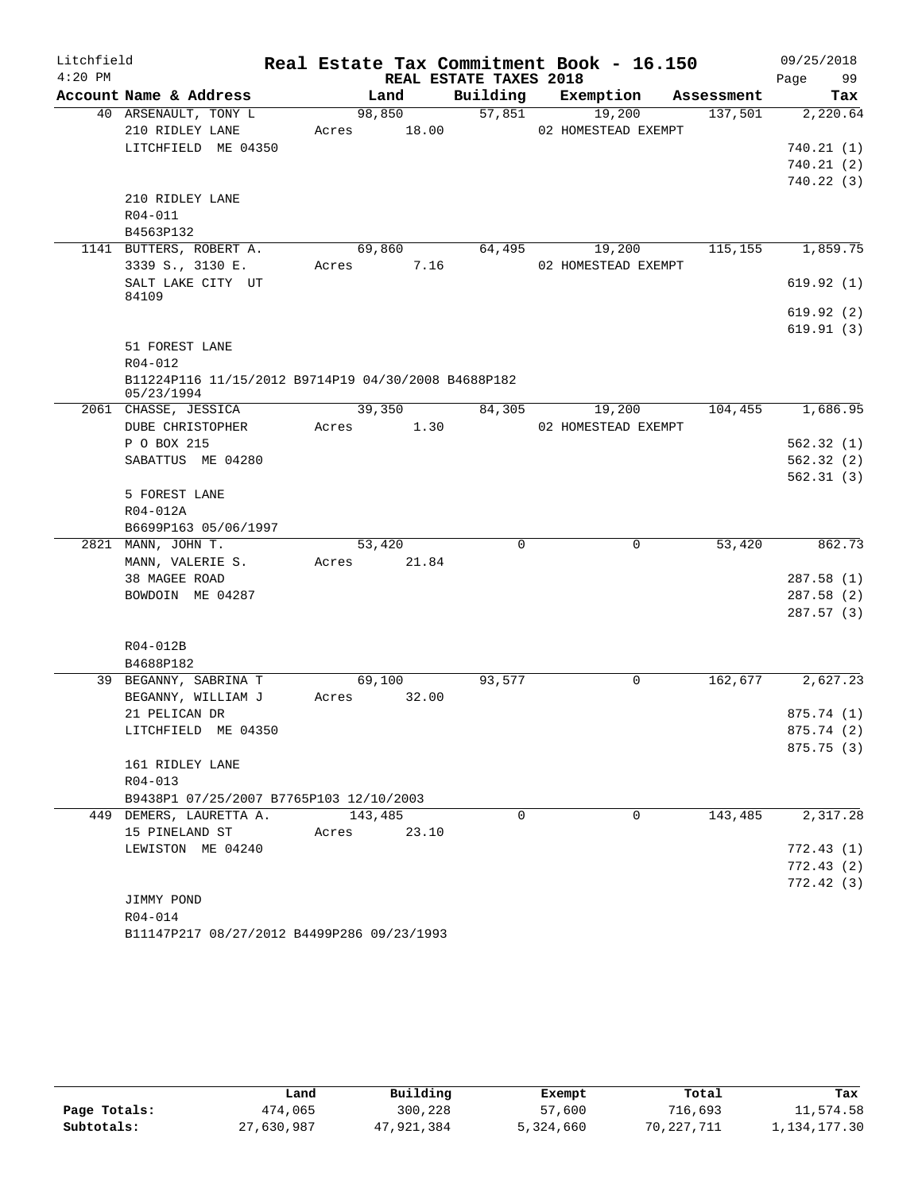| Litchfield |                                                     |             |        |                        | Real Estate Tax Commitment Book - 16.150 |            | 09/25/2018 |
|------------|-----------------------------------------------------|-------------|--------|------------------------|------------------------------------------|------------|------------|
| $4:20$ PM  |                                                     |             |        | REAL ESTATE TAXES 2018 |                                          |            | 99<br>Page |
|            | Account Name & Address                              |             | Land   | Building               | Exemption                                | Assessment | Tax        |
|            | 40 ARSENAULT, TONY L                                |             | 98,850 | 57,851                 | 19,200                                   | 137,501    | 2,220.64   |
|            | 210 RIDLEY LANE                                     | Acres       | 18.00  |                        | 02 HOMESTEAD EXEMPT                      |            |            |
|            | LITCHFIELD ME 04350                                 |             |        |                        |                                          |            | 740.21(1)  |
|            |                                                     |             |        |                        |                                          |            | 740.21(2)  |
|            |                                                     |             |        |                        |                                          |            | 740.22(3)  |
|            | 210 RIDLEY LANE                                     |             |        |                        |                                          |            |            |
|            | R04-011                                             |             |        |                        |                                          |            |            |
|            | B4563P132                                           |             |        |                        |                                          |            |            |
|            | 1141 BUTTERS, ROBERT A.                             |             | 69,860 | 64,495                 | 19,200                                   | 115,155    | 1,859.75   |
|            | 3339 S., 3130 E.                                    | Acres       | 7.16   |                        | 02 HOMESTEAD EXEMPT                      |            |            |
|            | SALT LAKE CITY UT<br>84109                          |             |        |                        |                                          |            | 619.92(1)  |
|            |                                                     |             |        |                        |                                          |            | 619.92(2)  |
|            |                                                     |             |        |                        |                                          |            | 619.91(3)  |
|            | 51 FOREST LANE                                      |             |        |                        |                                          |            |            |
|            | R04-012                                             |             |        |                        |                                          |            |            |
|            | B11224P116 11/15/2012 B9714P19 04/30/2008 B4688P182 |             |        |                        |                                          |            |            |
|            | 05/23/1994                                          |             |        |                        |                                          |            |            |
|            | 2061 CHASSE, JESSICA                                |             | 39,350 | 84,305                 | 19,200                                   | 104,455    | 1,686.95   |
|            | DUBE CHRISTOPHER                                    | Acres       | 1.30   |                        | 02 HOMESTEAD EXEMPT                      |            |            |
|            | P O BOX 215                                         |             |        |                        |                                          |            | 562.32(1)  |
|            | SABATTUS ME 04280                                   |             |        |                        |                                          |            | 562.32(2)  |
|            |                                                     |             |        |                        |                                          |            | 562.31(3)  |
|            | 5 FOREST LANE                                       |             |        |                        |                                          |            |            |
|            | R04-012A                                            |             |        |                        |                                          |            |            |
|            | B6699P163 05/06/1997                                |             |        |                        |                                          |            |            |
|            | 2821 MANN, JOHN T.                                  |             | 53,420 | $\mathbf 0$            | 0                                        | 53,420     | 862.73     |
|            | MANN, VALERIE S.                                    | Acres 21.84 |        |                        |                                          |            |            |
|            | 38 MAGEE ROAD                                       |             |        |                        |                                          |            | 287.58(1)  |
|            | BOWDOIN ME 04287                                    |             |        |                        |                                          |            | 287.58(2)  |
|            |                                                     |             |        |                        |                                          |            | 287.57(3)  |
|            |                                                     |             |        |                        |                                          |            |            |
|            | R04-012B                                            |             |        |                        |                                          |            |            |
|            | B4688P182                                           |             |        |                        |                                          |            |            |
|            | 39 BEGANNY, SABRINA T                               |             | 69,100 | 93,577                 | 0                                        | 162,677    | 2,627.23   |
|            | BEGANNY, WILLIAM J                                  | Acres 32.00 |        |                        |                                          |            |            |
|            | 21 PELICAN DR                                       |             |        |                        |                                          |            | 875.74(1)  |
|            | LITCHFIELD ME 04350                                 |             |        |                        |                                          |            | 875.74 (2) |
|            |                                                     |             |        |                        |                                          |            | 875.75(3)  |
|            | 161 RIDLEY LANE                                     |             |        |                        |                                          |            |            |
|            | $R04 - 013$                                         |             |        |                        |                                          |            |            |
|            | B9438P1 07/25/2007 B7765P103 12/10/2003             |             |        |                        |                                          |            |            |
|            | 449 DEMERS, LAURETTA A.                             | 143,485     |        | $\Omega$               | $\Omega$                                 | 143,485    | 2,317.28   |
|            | 15 PINELAND ST                                      | Acres       | 23.10  |                        |                                          |            |            |
|            | LEWISTON ME 04240                                   |             |        |                        |                                          |            | 772.43(1)  |
|            |                                                     |             |        |                        |                                          |            | 772.43(2)  |
|            |                                                     |             |        |                        |                                          |            | 772.42(3)  |
|            | JIMMY POND                                          |             |        |                        |                                          |            |            |
|            | $R04 - 014$                                         |             |        |                        |                                          |            |            |
|            |                                                     |             |        |                        |                                          |            |            |

B11147P217 08/27/2012 B4499P286 09/23/1993

|              | Land       | Building   | Exempt    | Total      | Tax             |
|--------------|------------|------------|-----------|------------|-----------------|
| Page Totals: | 474,065    | 300,228    | 57,600    | 716,693    | 11,574.58       |
| Subtotals:   | 27,630,987 | 47,921,384 | 5,324,660 | 70,227,711 | 1, 134, 177, 30 |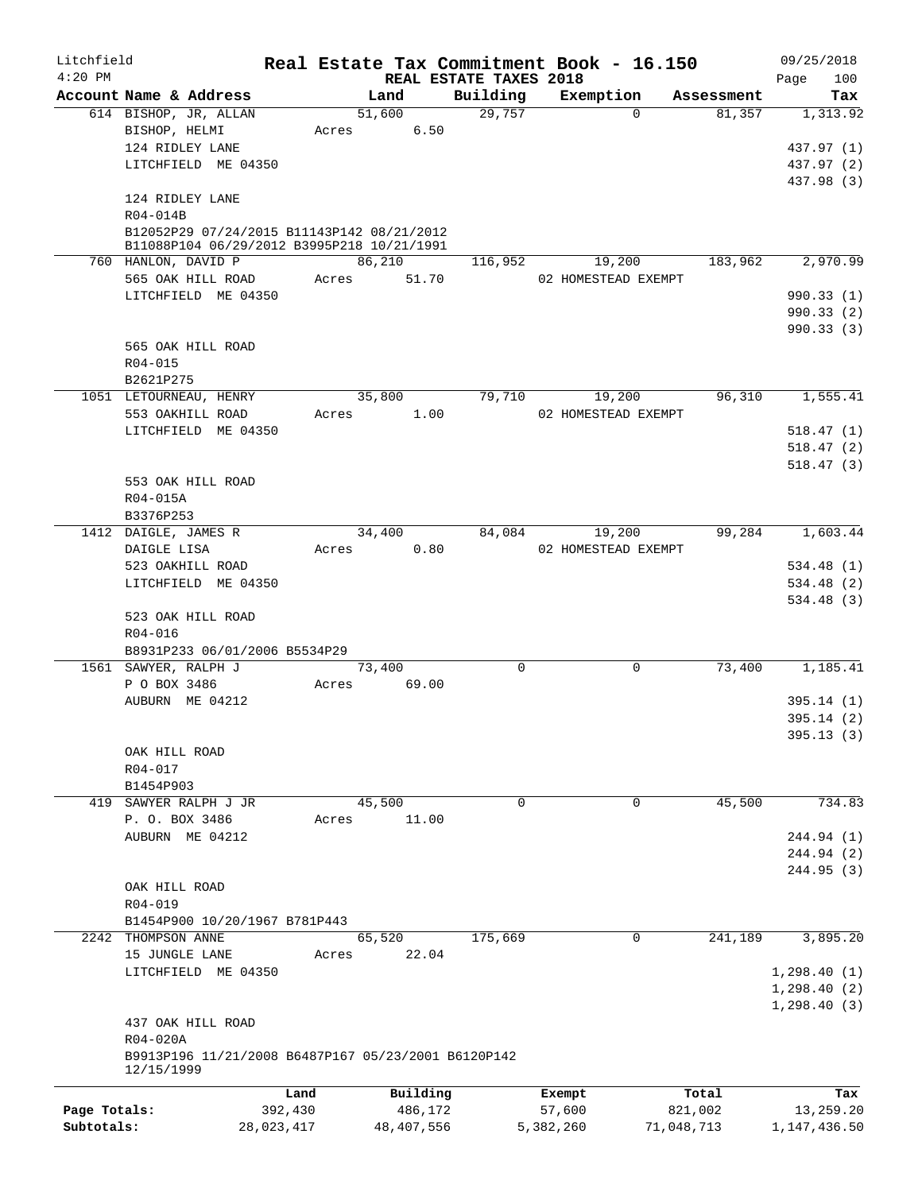| Litchfield<br>$4:20$ PM |                                                                                          |            | Real Estate Tax Commitment Book - 16.150 |            | REAL ESTATE TAXES 2018 |           |                               |            |            | 09/25/2018               |
|-------------------------|------------------------------------------------------------------------------------------|------------|------------------------------------------|------------|------------------------|-----------|-------------------------------|------------|------------|--------------------------|
|                         | Account Name & Address                                                                   |            | Land                                     |            | Building               |           | Exemption                     |            | Assessment | 100<br>Page<br>Tax       |
|                         | 614 BISHOP, JR, ALLAN                                                                    |            | 51,600                                   |            | 29,757                 |           | $\Omega$                      |            | 81,357     | 1,313.92                 |
|                         | BISHOP, HELMI                                                                            |            | Acres                                    | 6.50       |                        |           |                               |            |            |                          |
|                         | 124 RIDLEY LANE                                                                          |            |                                          |            |                        |           |                               |            |            | 437.97 (1)               |
|                         | LITCHFIELD ME 04350                                                                      |            |                                          |            |                        |           |                               |            |            | 437.97 (2)<br>437.98 (3) |
|                         | 124 RIDLEY LANE<br>R04-014B                                                              |            |                                          |            |                        |           |                               |            |            |                          |
|                         | B12052P29 07/24/2015 B11143P142 08/21/2012<br>B11088P104 06/29/2012 B3995P218 10/21/1991 |            |                                          |            |                        |           |                               |            |            |                          |
|                         | 760 HANLON, DAVID P<br>565 OAK HILL ROAD                                                 |            | 86, 210<br>Acres                         | 51.70      | 116,952                |           | 19,200<br>02 HOMESTEAD EXEMPT |            | 183,962    | 2,970.99                 |
|                         | LITCHFIELD ME 04350                                                                      |            |                                          |            |                        |           |                               |            |            | 990.33(1)                |
|                         |                                                                                          |            |                                          |            |                        |           |                               |            |            | 990.33(2)                |
|                         | 565 OAK HILL ROAD                                                                        |            |                                          |            |                        |           |                               |            |            | 990.33(3)                |
|                         | R04-015                                                                                  |            |                                          |            |                        |           |                               |            |            |                          |
|                         | B2621P275                                                                                |            |                                          |            |                        |           |                               |            |            |                          |
|                         | 1051 LETOURNEAU, HENRY                                                                   |            | 35,800                                   |            | 79,710                 |           | 19,200                        |            | 96,310     | 1,555.41                 |
|                         | 553 OAKHILL ROAD                                                                         |            | Acres                                    | 1.00       |                        |           | 02 HOMESTEAD EXEMPT           |            |            |                          |
|                         | LITCHFIELD ME 04350                                                                      |            |                                          |            |                        |           |                               |            |            | 518.47(1)                |
|                         |                                                                                          |            |                                          |            |                        |           |                               |            |            | 518.47(2)                |
|                         |                                                                                          |            |                                          |            |                        |           |                               |            |            | 518.47(3)                |
|                         | 553 OAK HILL ROAD                                                                        |            |                                          |            |                        |           |                               |            |            |                          |
|                         | R04-015A                                                                                 |            |                                          |            |                        |           |                               |            |            |                          |
|                         | B3376P253                                                                                |            |                                          |            |                        |           |                               |            |            |                          |
|                         | 1412 DAIGLE, JAMES R                                                                     |            | 34,400                                   |            | 84,084                 |           | 19,200                        |            | 99,284     | 1,603.44                 |
|                         | DAIGLE LISA                                                                              |            | Acres                                    | 0.80       |                        |           | 02 HOMESTEAD EXEMPT           |            |            |                          |
|                         | 523 OAKHILL ROAD                                                                         |            |                                          |            |                        |           |                               |            |            | 534.48(1)                |
|                         | LITCHFIELD ME 04350                                                                      |            |                                          |            |                        |           |                               |            |            | 534.48 (2)<br>534.48(3)  |
|                         | 523 OAK HILL ROAD                                                                        |            |                                          |            |                        |           |                               |            |            |                          |
|                         | R04-016                                                                                  |            |                                          |            |                        |           |                               |            |            |                          |
|                         | B8931P233 06/01/2006 B5534P29                                                            |            |                                          |            |                        |           |                               |            |            |                          |
|                         | 1561 SAWYER, RALPH J                                                                     |            | 73,400                                   |            | $\mathbf 0$            |           | 0                             |            | 73,400     | 1,185.41                 |
|                         | P O BOX 3486                                                                             |            | Acres                                    | 69.00      |                        |           |                               |            |            |                          |
|                         | AUBURN ME 04212                                                                          |            |                                          |            |                        |           |                               |            |            | 395.14(1)                |
|                         |                                                                                          |            |                                          |            |                        |           |                               |            |            | 395.14(2)                |
|                         |                                                                                          |            |                                          |            |                        |           |                               |            |            | 395.13(3)                |
|                         | OAK HILL ROAD                                                                            |            |                                          |            |                        |           |                               |            |            |                          |
|                         | R04-017<br>B1454P903                                                                     |            |                                          |            |                        |           |                               |            |            |                          |
|                         | 419 SAWYER RALPH J JR                                                                    |            | 45,500                                   |            | 0                      |           | 0                             |            | 45,500     | 734.83                   |
|                         | P. O. BOX 3486                                                                           |            | Acres                                    | 11.00      |                        |           |                               |            |            |                          |
|                         | AUBURN ME 04212                                                                          |            |                                          |            |                        |           |                               |            |            | 244.94 (1)               |
|                         |                                                                                          |            |                                          |            |                        |           |                               |            |            | 244.94 (2)               |
|                         |                                                                                          |            |                                          |            |                        |           |                               |            |            | 244.95(3)                |
|                         | OAK HILL ROAD                                                                            |            |                                          |            |                        |           |                               |            |            |                          |
|                         | R04-019                                                                                  |            |                                          |            |                        |           |                               |            |            |                          |
|                         | B1454P900 10/20/1967 B781P443                                                            |            |                                          |            |                        |           |                               |            |            |                          |
|                         | 2242 THOMPSON ANNE                                                                       |            | 65,520                                   |            | 175,669                |           | $\Omega$                      |            | 241,189    | 3,895.20                 |
|                         | 15 JUNGLE LANE                                                                           |            | Acres                                    | 22.04      |                        |           |                               |            |            |                          |
|                         | LITCHFIELD ME 04350                                                                      |            |                                          |            |                        |           |                               |            |            | 1,298.40(1)              |
|                         |                                                                                          |            |                                          |            |                        |           |                               |            |            | 1, 298.40(2)             |
|                         |                                                                                          |            |                                          |            |                        |           |                               |            |            | 1,298.40(3)              |
|                         | 437 OAK HILL ROAD                                                                        |            |                                          |            |                        |           |                               |            |            |                          |
|                         | R04-020A<br>B9913P196 11/21/2008 B6487P167 05/23/2001 B6120P142                          |            |                                          |            |                        |           |                               |            |            |                          |
|                         | 12/15/1999                                                                               |            |                                          |            |                        |           |                               |            |            |                          |
|                         |                                                                                          | Land       |                                          | Building   |                        | Exempt    |                               | Total      |            | Tax                      |
| Page Totals:            |                                                                                          | 392,430    |                                          | 486,172    |                        | 57,600    |                               | 821,002    |            | 13,259.20                |
| Subtotals:              |                                                                                          | 28,023,417 |                                          | 48,407,556 |                        | 5,382,260 |                               | 71,048,713 |            | 1, 147, 436.50           |
|                         |                                                                                          |            |                                          |            |                        |           |                               |            |            |                          |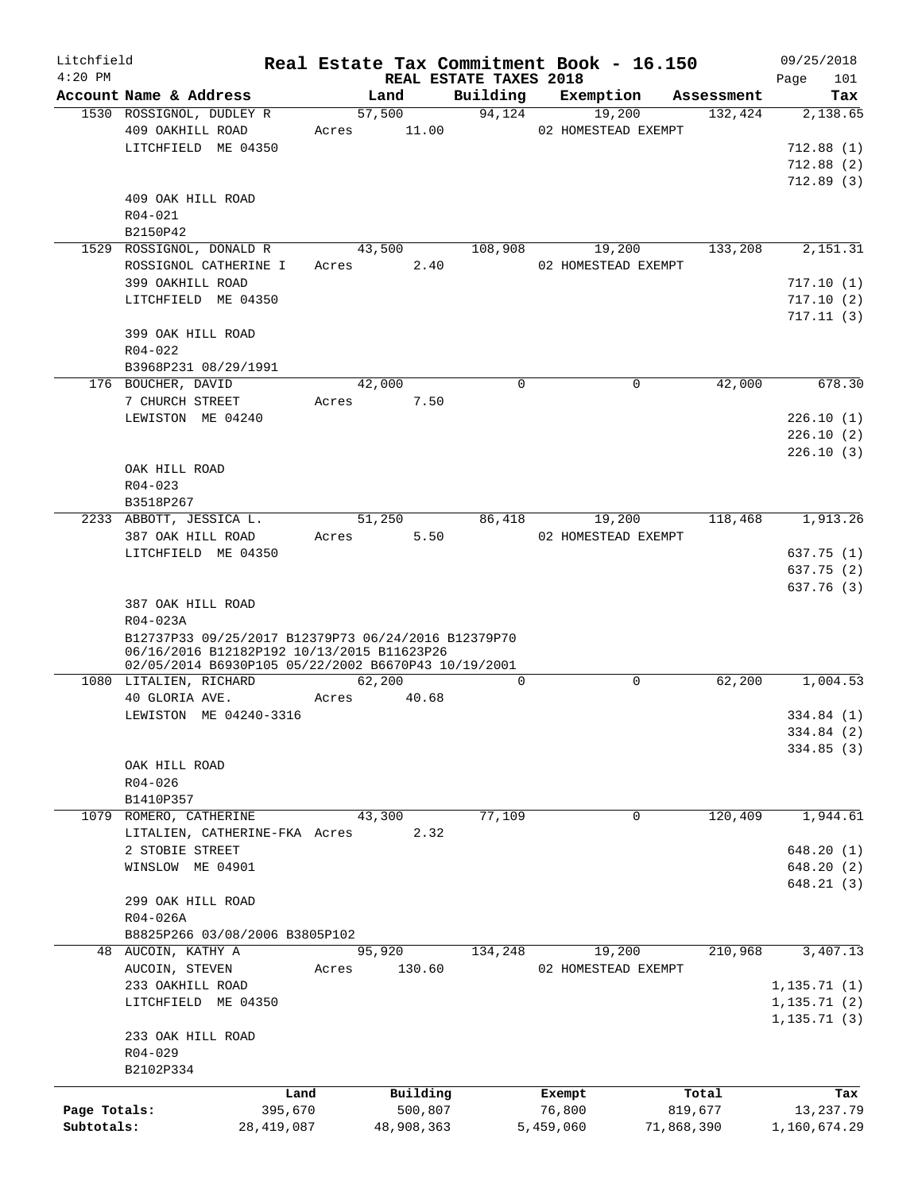| Litchfield<br>$4:20$ PM |                                                                                                   |       |            |          | REAL ESTATE TAXES 2018 | Real Estate Tax Commitment Book - 16.150 |            |            |              | 09/25/2018 |
|-------------------------|---------------------------------------------------------------------------------------------------|-------|------------|----------|------------------------|------------------------------------------|------------|------------|--------------|------------|
|                         | Account Name & Address                                                                            |       | Land       |          | Building               | Exemption                                |            | Assessment | Page         | 101<br>Tax |
|                         | 1530 ROSSIGNOL, DUDLEY R                                                                          |       | 57,500     |          | 94,124                 | 19,200                                   |            | 132,424    |              | 2,138.65   |
|                         | 409 OAKHILL ROAD                                                                                  | Acres |            | 11.00    |                        | 02 HOMESTEAD EXEMPT                      |            |            |              |            |
|                         | LITCHFIELD ME 04350                                                                               |       |            |          |                        |                                          |            |            |              | 712.88(1)  |
|                         |                                                                                                   |       |            |          |                        |                                          |            |            |              | 712.88(2)  |
|                         |                                                                                                   |       |            |          |                        |                                          |            |            |              | 712.89(3)  |
|                         | 409 OAK HILL ROAD                                                                                 |       |            |          |                        |                                          |            |            |              |            |
|                         | $R04 - 021$                                                                                       |       |            |          |                        |                                          |            |            |              |            |
|                         | B2150P42                                                                                          |       |            |          |                        |                                          |            |            |              |            |
|                         | 1529 ROSSIGNOL, DONALD R                                                                          |       | 43,500     |          | 108,908                | 19,200                                   |            | 133,208    |              | 2,151.31   |
|                         | ROSSIGNOL CATHERINE I                                                                             | Acres |            | 2.40     |                        | 02 HOMESTEAD EXEMPT                      |            |            |              |            |
|                         |                                                                                                   |       |            |          |                        |                                          |            |            |              |            |
|                         | 399 OAKHILL ROAD                                                                                  |       |            |          |                        |                                          |            |            |              | 717.10(1)  |
|                         | LITCHFIELD ME 04350                                                                               |       |            |          |                        |                                          |            |            |              | 717.10(2)  |
|                         |                                                                                                   |       |            |          |                        |                                          |            |            |              | 717.11(3)  |
|                         | 399 OAK HILL ROAD                                                                                 |       |            |          |                        |                                          |            |            |              |            |
|                         | $R04 - 022$                                                                                       |       |            |          |                        |                                          |            |            |              |            |
|                         | B3968P231 08/29/1991                                                                              |       |            |          |                        |                                          |            |            |              |            |
|                         | 176 BOUCHER, DAVID                                                                                |       | 42,000     |          | $\Omega$               | $\Omega$                                 |            | 42,000     |              | 678.30     |
|                         | 7 CHURCH STREET                                                                                   | Acres |            | 7.50     |                        |                                          |            |            |              |            |
|                         | LEWISTON ME 04240                                                                                 |       |            |          |                        |                                          |            |            |              | 226.10(1)  |
|                         |                                                                                                   |       |            |          |                        |                                          |            |            |              | 226.10(2)  |
|                         |                                                                                                   |       |            |          |                        |                                          |            |            |              | 226.10(3)  |
|                         | OAK HILL ROAD                                                                                     |       |            |          |                        |                                          |            |            |              |            |
|                         | $R04 - 023$                                                                                       |       |            |          |                        |                                          |            |            |              |            |
|                         | B3518P267                                                                                         |       |            |          |                        |                                          |            |            |              |            |
|                         | 2233 ABBOTT, JESSICA L.                                                                           |       | 51,250     |          | 86,418                 | 19,200                                   |            | 118,468    |              | 1,913.26   |
|                         | 387 OAK HILL ROAD                                                                                 | Acres |            | 5.50     |                        | 02 HOMESTEAD EXEMPT                      |            |            |              |            |
|                         | LITCHFIELD ME 04350                                                                               |       |            |          |                        |                                          |            |            |              | 637.75 (1) |
|                         |                                                                                                   |       |            |          |                        |                                          |            |            |              | 637.75 (2) |
|                         |                                                                                                   |       |            |          |                        |                                          |            |            |              | 637.76 (3) |
|                         | 387 OAK HILL ROAD                                                                                 |       |            |          |                        |                                          |            |            |              |            |
|                         |                                                                                                   |       |            |          |                        |                                          |            |            |              |            |
|                         | R04-023A                                                                                          |       |            |          |                        |                                          |            |            |              |            |
|                         | B12737P33 09/25/2017 B12379P73 06/24/2016 B12379P70<br>06/16/2016 B12182P192 10/13/2015 B11623P26 |       |            |          |                        |                                          |            |            |              |            |
|                         | 02/05/2014 B6930P105 05/22/2002 B6670P43 10/19/2001                                               |       |            |          |                        |                                          |            |            |              |            |
|                         | 1080 LITALIEN, RICHARD                                                                            |       | 62,200     |          | $\Omega$               | $\mathbf 0$                              |            | 62,200     |              | 1,004.53   |
|                         | 40 GLORIA AVE.                                                                                    | Acres |            | 40.68    |                        |                                          |            |            |              |            |
|                         | LEWISTON ME 04240-3316                                                                            |       |            |          |                        |                                          |            |            |              | 334.84 (1) |
|                         |                                                                                                   |       |            |          |                        |                                          |            |            |              | 334.84 (2) |
|                         |                                                                                                   |       |            |          |                        |                                          |            |            |              | 334.85(3)  |
|                         | OAK HILL ROAD                                                                                     |       |            |          |                        |                                          |            |            |              |            |
|                         | R04-026                                                                                           |       |            |          |                        |                                          |            |            |              |            |
|                         | B1410P357                                                                                         |       |            |          |                        |                                          |            |            |              |            |
|                         |                                                                                                   |       |            |          | 77,109                 | 0                                        |            | 120,409    |              | 1,944.61   |
| 1079                    | ROMERO, CATHERINE                                                                                 |       | 43,300     |          |                        |                                          |            |            |              |            |
|                         | LITALIEN, CATHERINE-FKA Acres                                                                     |       |            | 2.32     |                        |                                          |            |            |              |            |
|                         | 2 STOBIE STREET                                                                                   |       |            |          |                        |                                          |            |            |              | 648.20(1)  |
|                         | WINSLOW ME 04901                                                                                  |       |            |          |                        |                                          |            |            |              | 648.20 (2) |
|                         |                                                                                                   |       |            |          |                        |                                          |            |            |              | 648.21 (3) |
|                         | 299 OAK HILL ROAD                                                                                 |       |            |          |                        |                                          |            |            |              |            |
|                         | R04-026A                                                                                          |       |            |          |                        |                                          |            |            |              |            |
|                         | B8825P266 03/08/2006 B3805P102                                                                    |       |            |          |                        |                                          |            |            |              |            |
|                         | 48 AUCOIN, KATHY A                                                                                |       | 95,920     |          | 134,248                | 19,200                                   |            | 210,968    |              | 3,407.13   |
|                         | AUCOIN, STEVEN                                                                                    | Acres |            | 130.60   |                        | 02 HOMESTEAD EXEMPT                      |            |            |              |            |
|                         | 233 OAKHILL ROAD                                                                                  |       |            |          |                        |                                          |            |            | 1, 135.71(1) |            |
|                         | LITCHFIELD ME 04350                                                                               |       |            |          |                        |                                          |            |            | 1, 135.71(2) |            |
|                         |                                                                                                   |       |            |          |                        |                                          |            |            | 1, 135.71(3) |            |
|                         | 233 OAK HILL ROAD                                                                                 |       |            |          |                        |                                          |            |            |              |            |
|                         | $R04 - 029$                                                                                       |       |            |          |                        |                                          |            |            |              |            |
|                         | B2102P334                                                                                         |       |            |          |                        |                                          |            |            |              |            |
|                         |                                                                                                   |       |            |          |                        |                                          |            |            |              |            |
|                         |                                                                                                   | Land  |            | Building |                        | Exempt                                   | Total      |            |              | Tax        |
| Page Totals:            | 395,670                                                                                           |       |            | 500,807  |                        | 76,800                                   | 819,677    |            |              | 13,237.79  |
| Subtotals:              | 28,419,087                                                                                        |       | 48,908,363 |          |                        | 5,459,060                                | 71,868,390 |            | 1,160,674.29 |            |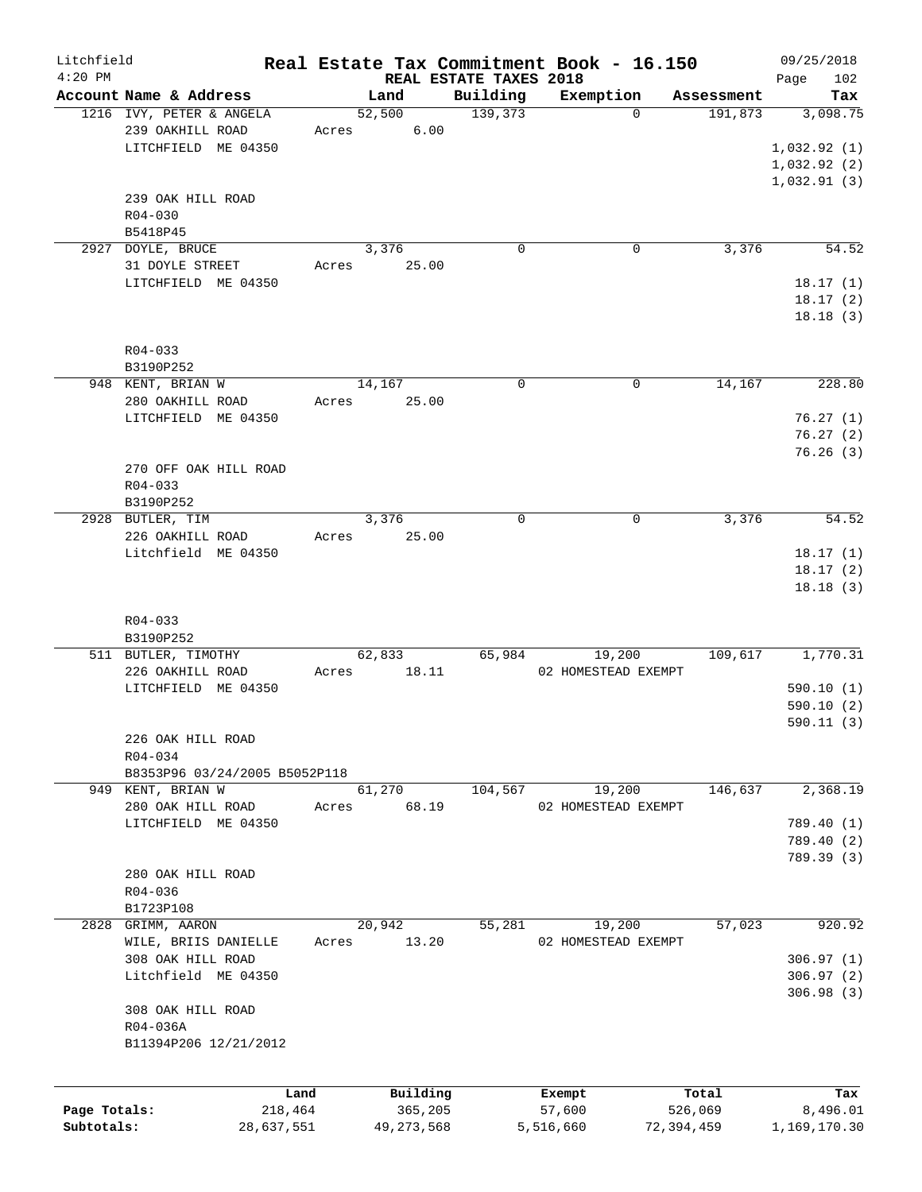| Litchfield<br>$4:20$ PM |                               |       |            |                                    | Real Estate Tax Commitment Book - 16.150 |            | 09/25/2018         |
|-------------------------|-------------------------------|-------|------------|------------------------------------|------------------------------------------|------------|--------------------|
|                         | Account Name & Address        |       | Land       | REAL ESTATE TAXES 2018<br>Building | Exemption                                | Assessment | 102<br>Page<br>Tax |
|                         | 1216 IVY, PETER & ANGELA      |       | 52,500     | 139,373                            | $\Omega$                                 | 191,873    | 3,098.75           |
|                         | 239 OAKHILL ROAD              | Acres | 6.00       |                                    |                                          |            |                    |
|                         | LITCHFIELD ME 04350           |       |            |                                    |                                          |            | 1,032.92(1)        |
|                         |                               |       |            |                                    |                                          |            | 1,032.92(2)        |
|                         |                               |       |            |                                    |                                          |            | 1,032.91(3)        |
|                         | 239 OAK HILL ROAD             |       |            |                                    |                                          |            |                    |
|                         | $R04 - 030$                   |       |            |                                    |                                          |            |                    |
|                         | B5418P45                      |       |            |                                    |                                          |            |                    |
|                         | 2927 DOYLE, BRUCE             |       | 3,376      | $\mathbf 0$                        | $\mathbf 0$                              | 3,376      | 54.52              |
|                         | 31 DOYLE STREET               | Acres | 25.00      |                                    |                                          |            |                    |
|                         | LITCHFIELD ME 04350           |       |            |                                    |                                          |            | 18.17(1)           |
|                         |                               |       |            |                                    |                                          |            | 18.17(2)           |
|                         |                               |       |            |                                    |                                          |            | 18.18(3)           |
|                         |                               |       |            |                                    |                                          |            |                    |
|                         | R04-033                       |       |            |                                    |                                          |            |                    |
|                         | B3190P252                     |       |            |                                    |                                          |            |                    |
|                         | 948 KENT, BRIAN W             |       | 14,167     | $\Omega$                           | 0                                        | 14,167     | 228.80             |
|                         | 280 OAKHILL ROAD              | Acres | 25.00      |                                    |                                          |            |                    |
|                         | LITCHFIELD ME 04350           |       |            |                                    |                                          |            | 76.27(1)           |
|                         |                               |       |            |                                    |                                          |            | 76.27(2)           |
|                         |                               |       |            |                                    |                                          |            | 76.26(3)           |
|                         | 270 OFF OAK HILL ROAD         |       |            |                                    |                                          |            |                    |
|                         |                               |       |            |                                    |                                          |            |                    |
|                         | $R04 - 033$                   |       |            |                                    |                                          |            |                    |
|                         | B3190P252                     |       |            |                                    |                                          |            |                    |
|                         | 2928 BUTLER, TIM              |       | 3,376      | $\mathbf 0$                        | 0                                        | 3,376      | 54.52              |
|                         | 226 OAKHILL ROAD              | Acres | 25.00      |                                    |                                          |            |                    |
|                         | Litchfield ME 04350           |       |            |                                    |                                          |            | 18.17(1)           |
|                         |                               |       |            |                                    |                                          |            | 18.17(2)           |
|                         |                               |       |            |                                    |                                          |            | 18.18(3)           |
|                         |                               |       |            |                                    |                                          |            |                    |
|                         | R04-033                       |       |            |                                    |                                          |            |                    |
|                         | B3190P252                     |       |            |                                    |                                          |            |                    |
|                         | 511 BUTLER, TIMOTHY           |       | 62,833     | 65,984                             | 19,200                                   | 109,617    | 1,770.31           |
|                         | 226 OAKHILL ROAD              | Acres | 18.11      |                                    | 02 HOMESTEAD EXEMPT                      |            |                    |
|                         | LITCHFIELD ME 04350           |       |            |                                    |                                          |            | 590.10(1)          |
|                         |                               |       |            |                                    |                                          |            | 590.10(2)          |
|                         |                               |       |            |                                    |                                          |            | 590.11(3)          |
|                         | 226 OAK HILL ROAD             |       |            |                                    |                                          |            |                    |
|                         | $R04 - 034$                   |       |            |                                    |                                          |            |                    |
|                         | B8353P96 03/24/2005 B5052P118 |       |            |                                    |                                          |            |                    |
|                         | 949 KENT, BRIAN W             |       | 61,270     | 104,567                            | 19,200                                   | 146,637    | 2,368.19           |
|                         | 280 OAK HILL ROAD             | Acres | 68.19      |                                    | 02 HOMESTEAD EXEMPT                      |            |                    |
|                         | LITCHFIELD ME 04350           |       |            |                                    |                                          |            | 789.40 (1)         |
|                         |                               |       |            |                                    |                                          |            | 789.40 (2)         |
|                         |                               |       |            |                                    |                                          |            | 789.39 (3)         |
|                         | 280 OAK HILL ROAD             |       |            |                                    |                                          |            |                    |
|                         | R04-036                       |       |            |                                    |                                          |            |                    |
|                         | B1723P108                     |       |            |                                    |                                          |            |                    |
| 2828                    | GRIMM, AARON                  |       | 20,942     | 55,281                             | 19,200                                   | 57,023     | 920.92             |
|                         | WILE, BRIIS DANIELLE          | Acres | 13.20      |                                    | 02 HOMESTEAD EXEMPT                      |            |                    |
|                         | 308 OAK HILL ROAD             |       |            |                                    |                                          |            | 306.97(1)          |
|                         | Litchfield ME 04350           |       |            |                                    |                                          |            | 306.97(2)          |
|                         |                               |       |            |                                    |                                          |            | 306.98(3)          |
|                         | 308 OAK HILL ROAD             |       |            |                                    |                                          |            |                    |
|                         | R04-036A                      |       |            |                                    |                                          |            |                    |
|                         | B11394P206 12/21/2012         |       |            |                                    |                                          |            |                    |
|                         |                               |       |            |                                    |                                          |            |                    |
|                         |                               |       |            |                                    |                                          |            |                    |
|                         | Land                          |       | Building   |                                    | Exempt                                   | Total      | Tax                |
| Page Totals:            | 218,464                       |       | 365,205    |                                    | 57,600                                   | 526,069    | 8,496.01           |
| Subtotals:              | 28,637,551                    |       | 49,273,568 |                                    | 5,516,660                                | 72,394,459 | 1,169,170.30       |
|                         |                               |       |            |                                    |                                          |            |                    |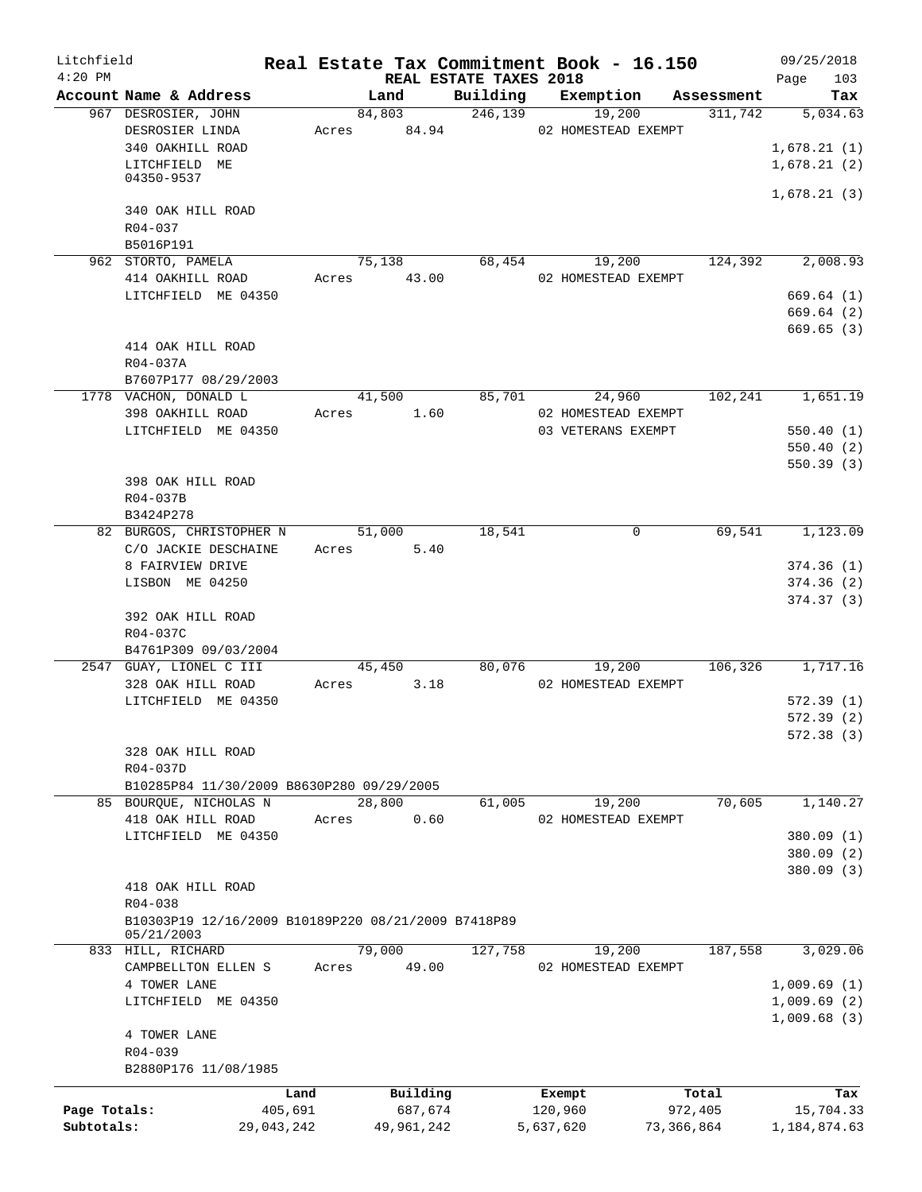| Litchfield   |                                                                   |       |            |                                    | Real Estate Tax Commitment Book - 16.150 |                          | 09/25/2018             |
|--------------|-------------------------------------------------------------------|-------|------------|------------------------------------|------------------------------------------|--------------------------|------------------------|
| $4:20$ PM    | Account Name & Address                                            |       | Land       | REAL ESTATE TAXES 2018<br>Building | Exemption                                | Assessment               | 103<br>Page<br>Tax     |
|              | 967 DESROSIER, JOHN                                               |       | 84,803     | 246, 139                           | 19,200                                   | 311,742                  | 5,034.63               |
|              | DESROSIER LINDA                                                   | Acres | 84.94      |                                    | 02 HOMESTEAD EXEMPT                      |                          |                        |
|              | 340 OAKHILL ROAD                                                  |       |            |                                    |                                          |                          | 1,678.21(1)            |
|              | LITCHFIELD ME                                                     |       |            |                                    |                                          |                          | 1,678.21(2)            |
|              | 04350-9537                                                        |       |            |                                    |                                          |                          |                        |
|              | 340 OAK HILL ROAD                                                 |       |            |                                    |                                          |                          | 1,678.21(3)            |
|              | R04-037                                                           |       |            |                                    |                                          |                          |                        |
|              | B5016P191                                                         |       |            |                                    |                                          |                          |                        |
|              | 962 STORTO, PAMELA                                                |       | 75,138     | 68,454                             | 19,200                                   | 124,392                  | 2,008.93               |
|              | 414 OAKHILL ROAD                                                  | Acres | 43.00      |                                    | 02 HOMESTEAD EXEMPT                      |                          |                        |
|              | LITCHFIELD ME 04350                                               |       |            |                                    |                                          |                          | 669.64(1)              |
|              |                                                                   |       |            |                                    |                                          |                          | 669.64(2)              |
|              |                                                                   |       |            |                                    |                                          |                          | 669.65(3)              |
|              | 414 OAK HILL ROAD                                                 |       |            |                                    |                                          |                          |                        |
|              | R04-037A<br>B7607P177 08/29/2003                                  |       |            |                                    |                                          |                          |                        |
|              | 1778 VACHON, DONALD L                                             |       | 41,500     |                                    | 85,701<br>24,960                         | 102,241                  | 1,651.19               |
|              | 398 OAKHILL ROAD                                                  | Acres | 1.60       |                                    | 02 HOMESTEAD EXEMPT                      |                          |                        |
|              | LITCHFIELD ME 04350                                               |       |            |                                    | 03 VETERANS EXEMPT                       |                          | 550.40(1)              |
|              |                                                                   |       |            |                                    |                                          |                          | 550.40(2)              |
|              |                                                                   |       |            |                                    |                                          |                          | 550.39(3)              |
|              | 398 OAK HILL ROAD                                                 |       |            |                                    |                                          |                          |                        |
|              | R04-037B                                                          |       |            |                                    |                                          |                          |                        |
|              | B3424P278                                                         |       |            |                                    |                                          |                          |                        |
|              | 82 BURGOS, CHRISTOPHER N                                          |       | 51,000     | 18,541                             |                                          | 69,541<br>$\overline{0}$ | 1,123.09               |
|              | C/O JACKIE DESCHAINE                                              | Acres | 5.40       |                                    |                                          |                          |                        |
|              | 8 FAIRVIEW DRIVE<br>LISBON ME 04250                               |       |            |                                    |                                          |                          | 374.36(1)<br>374.36(2) |
|              |                                                                   |       |            |                                    |                                          |                          | 374.37(3)              |
|              | 392 OAK HILL ROAD                                                 |       |            |                                    |                                          |                          |                        |
|              | R04-037C                                                          |       |            |                                    |                                          |                          |                        |
|              | B4761P309 09/03/2004                                              |       |            |                                    |                                          |                          |                        |
|              | 2547 GUAY, LIONEL C III                                           |       | 45,450     | 80,076                             | 19,200                                   | 106,326                  | 1,717.16               |
|              | 328 OAK HILL ROAD                                                 | Acres | 3.18       |                                    | 02 HOMESTEAD EXEMPT                      |                          |                        |
|              | LITCHFIELD ME 04350                                               |       |            |                                    |                                          |                          | 572.39(1)              |
|              |                                                                   |       |            |                                    |                                          |                          | 572.39 (2)             |
|              |                                                                   |       |            |                                    |                                          |                          | 572.38(3)              |
|              | 328 OAK HILL ROAD                                                 |       |            |                                    |                                          |                          |                        |
|              | R04-037D<br>B10285P84 11/30/2009 B8630P280 09/29/2005             |       |            |                                    |                                          |                          |                        |
|              | 85 BOURQUE, NICHOLAS N                                            |       | 28,800     | 61,005                             | 19,200                                   | 70,605                   | 1,140.27               |
|              | 418 OAK HILL ROAD                                                 | Acres | 0.60       |                                    | 02 HOMESTEAD EXEMPT                      |                          |                        |
|              | LITCHFIELD ME 04350                                               |       |            |                                    |                                          |                          | 380.09 (1)             |
|              |                                                                   |       |            |                                    |                                          |                          | 380.09 (2)             |
|              |                                                                   |       |            |                                    |                                          |                          | 380.09(3)              |
|              | 418 OAK HILL ROAD                                                 |       |            |                                    |                                          |                          |                        |
|              | R04-038                                                           |       |            |                                    |                                          |                          |                        |
|              | B10303P19 12/16/2009 B10189P220 08/21/2009 B7418P89<br>05/21/2003 |       |            |                                    |                                          |                          |                        |
|              | 833 HILL, RICHARD                                                 |       | 79,000     | 127,758                            | 19,200                                   | 187,558                  | 3,029.06               |
|              | CAMPBELLTON ELLEN S                                               | Acres | 49.00      |                                    | 02 HOMESTEAD EXEMPT                      |                          |                        |
|              | 4 TOWER LANE                                                      |       |            |                                    |                                          |                          | 1,009.69(1)            |
|              | LITCHFIELD ME 04350                                               |       |            |                                    |                                          |                          | 1,009.69(2)            |
|              |                                                                   |       |            |                                    |                                          |                          | 1,009.68(3)            |
|              | 4 TOWER LANE                                                      |       |            |                                    |                                          |                          |                        |
|              | R04-039                                                           |       |            |                                    |                                          |                          |                        |
|              | B2880P176 11/08/1985                                              |       |            |                                    |                                          |                          |                        |
|              |                                                                   | Land  | Building   |                                    | Exempt                                   | Total                    | Tax                    |
| Page Totals: | 405,691                                                           |       | 687,674    |                                    | 120,960                                  | 972,405                  | 15,704.33              |
| Subtotals:   | 29,043,242                                                        |       | 49,961,242 |                                    | 5,637,620                                | 73,366,864               | 1,184,874.63           |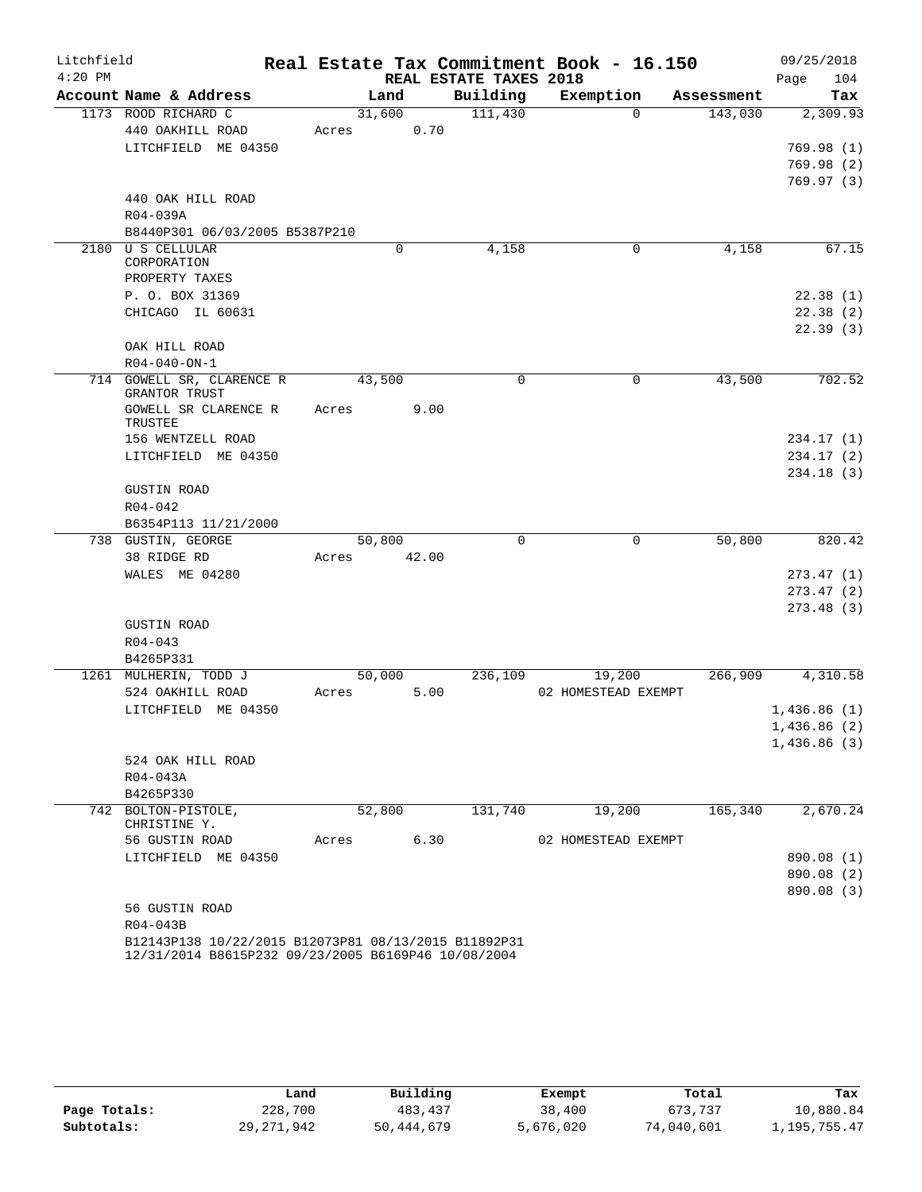| Litchfield |                                                                                                             |       |        |                        | Real Estate Tax Commitment Book - 16.150 |            | 09/25/2018             |
|------------|-------------------------------------------------------------------------------------------------------------|-------|--------|------------------------|------------------------------------------|------------|------------------------|
| $4:20$ PM  |                                                                                                             |       |        | REAL ESTATE TAXES 2018 |                                          |            | 104<br>Page            |
|            | Account Name & Address                                                                                      |       | Land   | Building               | Exemption                                | Assessment | Tax                    |
|            | 1173 ROOD RICHARD C                                                                                         |       | 31,600 | 111,430                | $\Omega$                                 | 143,030    | 2,309.93               |
|            | 440 OAKHILL ROAD                                                                                            | Acres | 0.70   |                        |                                          |            |                        |
|            | LITCHFIELD ME 04350                                                                                         |       |        |                        |                                          |            | 769.98(1)              |
|            |                                                                                                             |       |        |                        |                                          |            | 769.98(2)              |
|            |                                                                                                             |       |        |                        |                                          |            | 769.97(3)              |
|            | 440 OAK HILL ROAD                                                                                           |       |        |                        |                                          |            |                        |
|            | R04-039A                                                                                                    |       |        |                        |                                          |            |                        |
|            | B8440P301 06/03/2005 B5387P210                                                                              |       |        |                        |                                          |            |                        |
|            | 2180 U S CELLULAR<br>CORPORATION                                                                            |       | 0      | 4,158                  | 0                                        | 4,158      | 67.15                  |
|            | PROPERTY TAXES                                                                                              |       |        |                        |                                          |            |                        |
|            | P. O. BOX 31369                                                                                             |       |        |                        |                                          |            | 22.38(1)               |
|            | CHICAGO IL 60631                                                                                            |       |        |                        |                                          |            | 22.38(2)               |
|            |                                                                                                             |       |        |                        |                                          |            | 22.39(3)               |
|            | OAK HILL ROAD                                                                                               |       |        |                        |                                          |            |                        |
|            | $R04 - 040 - ON - 1$                                                                                        |       |        |                        |                                          |            |                        |
|            | 714 GOWELL SR, CLARENCE R<br>GRANTOR TRUST                                                                  |       | 43,500 | $\mathbf 0$            | $\mathbf 0$                              | 43,500     | 702.52                 |
|            | GOWELL SR CLARENCE R                                                                                        | Acres | 9.00   |                        |                                          |            |                        |
|            | TRUSTEE                                                                                                     |       |        |                        |                                          |            |                        |
|            | 156 WENTZELL ROAD<br>LITCHFIELD ME 04350                                                                    |       |        |                        |                                          |            | 234.17(1)<br>234.17(2) |
|            |                                                                                                             |       |        |                        |                                          |            | 234.18(3)              |
|            | <b>GUSTIN ROAD</b>                                                                                          |       |        |                        |                                          |            |                        |
|            | $R04 - 042$                                                                                                 |       |        |                        |                                          |            |                        |
|            | B6354P113 11/21/2000                                                                                        |       |        |                        |                                          |            |                        |
|            | 738 GUSTIN, GEORGE                                                                                          |       | 50,800 | 0                      | $\mathbf 0$                              | 50,800     | 820.42                 |
|            | 38 RIDGE RD                                                                                                 | Acres | 42.00  |                        |                                          |            |                        |
|            | WALES ME 04280                                                                                              |       |        |                        |                                          |            | 273.47(1)              |
|            |                                                                                                             |       |        |                        |                                          |            | 273.47(2)              |
|            |                                                                                                             |       |        |                        |                                          |            | 273.48(3)              |
|            | <b>GUSTIN ROAD</b>                                                                                          |       |        |                        |                                          |            |                        |
|            | $R04 - 043$                                                                                                 |       |        |                        |                                          |            |                        |
|            | B4265P331                                                                                                   |       |        |                        |                                          |            |                        |
|            | 1261 MULHERIN, TODD J                                                                                       |       | 50,000 | 236,109                | 19,200                                   | 266,909    | 4,310.58               |
|            | 524 OAKHILL ROAD                                                                                            | Acres | 5.00   |                        | 02 HOMESTEAD EXEMPT                      |            |                        |
|            | LITCHFIELD ME 04350                                                                                         |       |        |                        |                                          |            | 1,436.86(1)            |
|            |                                                                                                             |       |        |                        |                                          |            | 1,436.86 (2)           |
|            |                                                                                                             |       |        |                        |                                          |            | 1,436.86(3)            |
|            | 524 OAK HILL ROAD                                                                                           |       |        |                        |                                          |            |                        |
|            | R04-043A                                                                                                    |       |        |                        |                                          |            |                        |
|            | B4265P330                                                                                                   |       |        |                        |                                          |            |                        |
|            | 742 BOLTON-PISTOLE,<br>CHRISTINE Y.                                                                         |       | 52,800 | 131,740                | 19,200                                   | 165,340    | 2,670.24               |
|            | 56 GUSTIN ROAD                                                                                              | Acres | 6.30   |                        | 02 HOMESTEAD EXEMPT                      |            |                        |
|            | LITCHFIELD ME 04350                                                                                         |       |        |                        |                                          |            | 890.08 (1)             |
|            |                                                                                                             |       |        |                        |                                          |            | 890.08 (2)             |
|            |                                                                                                             |       |        |                        |                                          |            | 890.08 (3)             |
|            | 56 GUSTIN ROAD                                                                                              |       |        |                        |                                          |            |                        |
|            | R04-043B                                                                                                    |       |        |                        |                                          |            |                        |
|            | B12143P138 10/22/2015 B12073P81 08/13/2015 B11892P31<br>12/31/2014 B8615P232 09/23/2005 B6169P46 10/08/2004 |       |        |                        |                                          |            |                        |

|              | Land         | Building   | Exempt    | Total      | Tax          |
|--------------|--------------|------------|-----------|------------|--------------|
| Page Totals: | 228,700      | 483, 437   | 38,400    | 673,737    | 10,880.84    |
| Subtotals:   | 29, 271, 942 | 50,444,679 | 5,676,020 | 74,040,601 | 1,195,755.47 |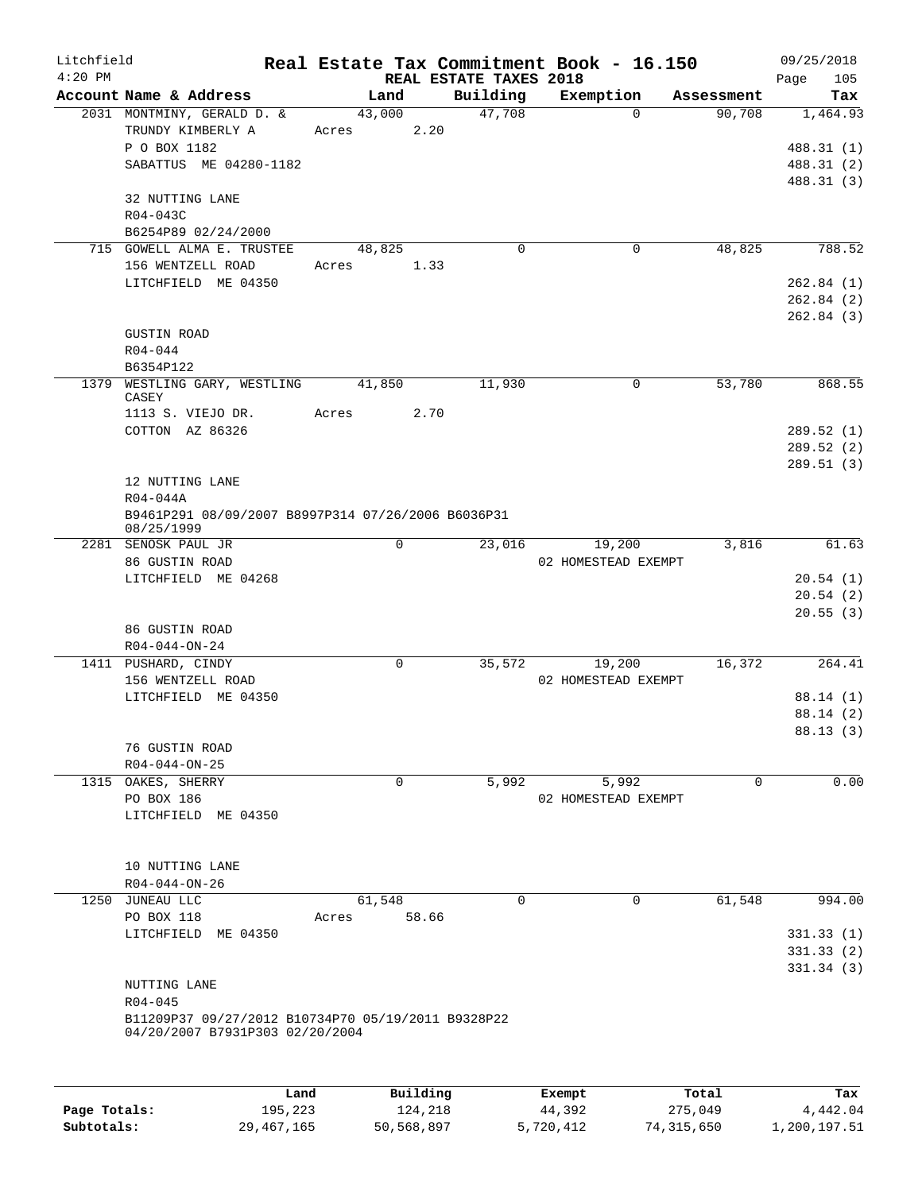| Litchfield<br>$4:20$ PM |                                                                                           |       |                | REAL ESTATE TAXES 2018 | Real Estate Tax Commitment Book - 16.150 |            | 09/25/2018<br>105<br>Page            |
|-------------------------|-------------------------------------------------------------------------------------------|-------|----------------|------------------------|------------------------------------------|------------|--------------------------------------|
|                         | Account Name & Address                                                                    |       | Land           | Building               | Exemption                                | Assessment | Tax                                  |
|                         | 2031 MONTMINY, GERALD D. &<br>TRUNDY KIMBERLY A<br>P O BOX 1182<br>SABATTUS ME 04280-1182 | Acres | 43,000<br>2.20 | 47,708                 | $\Omega$                                 | 90,708     | 1,464.93<br>488.31 (1)<br>488.31 (2) |
|                         | 32 NUTTING LANE<br>R04-043C<br>B6254P89 02/24/2000                                        |       |                |                        |                                          |            | 488.31 (3)                           |
|                         | 715 GOWELL ALMA E. TRUSTEE                                                                |       | 48,825         | $\mathbf 0$            | $\mathbf 0$                              | 48,825     | 788.52                               |
|                         | 156 WENTZELL ROAD                                                                         | Acres | 1.33           |                        |                                          |            |                                      |
|                         | LITCHFIELD ME 04350                                                                       |       |                |                        |                                          |            | 262.84(1)                            |
|                         |                                                                                           |       |                |                        |                                          |            | 262.84(2)<br>262.84(3)               |
|                         | <b>GUSTIN ROAD</b>                                                                        |       |                |                        |                                          |            |                                      |
|                         | $R04 - 044$                                                                               |       |                |                        |                                          |            |                                      |
|                         | B6354P122                                                                                 |       |                |                        |                                          |            |                                      |
| 1379                    | WESTLING GARY, WESTLING<br>CASEY                                                          |       | 41,850         | 11,930                 | 0                                        | 53,780     | 868.55                               |
|                         | 1113 S. VIEJO DR.                                                                         | Acres | 2.70           |                        |                                          |            |                                      |
|                         | COTTON AZ 86326                                                                           |       |                |                        |                                          |            | 289.52(1)                            |
|                         |                                                                                           |       |                |                        |                                          |            | 289.52(2)<br>289.51(3)               |
|                         | 12 NUTTING LANE                                                                           |       |                |                        |                                          |            |                                      |
|                         | R04-044A                                                                                  |       |                |                        |                                          |            |                                      |
|                         | B9461P291 08/09/2007 B8997P314 07/26/2006 B6036P31<br>08/25/1999                          |       |                |                        |                                          |            |                                      |
|                         | 2281 SENOSK PAUL JR                                                                       |       | 0              | 23,016                 | 19,200                                   | 3,816      | 61.63                                |
|                         | 86 GUSTIN ROAD                                                                            |       |                |                        | 02 HOMESTEAD EXEMPT                      |            |                                      |
|                         | LITCHFIELD ME 04268                                                                       |       |                |                        |                                          |            | 20.54(1)<br>20.54(2)                 |
|                         |                                                                                           |       |                |                        |                                          |            | 20.55(3)                             |
|                         | 86 GUSTIN ROAD                                                                            |       |                |                        |                                          |            |                                      |
|                         | $R04 - 044 - ON - 24$                                                                     |       |                |                        |                                          |            |                                      |
|                         | 1411 PUSHARD, CINDY                                                                       |       | $\mathbf 0$    | 35,572                 | 19,200                                   | 16,372     | 264.41                               |
|                         | 156 WENTZELL ROAD                                                                         |       |                |                        | 02 HOMESTEAD EXEMPT                      |            |                                      |
|                         | LITCHFIELD ME 04350                                                                       |       |                |                        |                                          |            | 88.14 (1)<br>88.14(2)                |
|                         |                                                                                           |       |                |                        |                                          |            | 88.13 (3)                            |
|                         | 76 GUSTIN ROAD                                                                            |       |                |                        |                                          |            |                                      |
|                         | $R04 - 044 - ON - 25$                                                                     |       |                |                        |                                          |            |                                      |
|                         | 1315 OAKES, SHERRY                                                                        |       | 0              | 5,992                  | 5,992                                    | $\Omega$   | 0.00                                 |
|                         | PO BOX 186                                                                                |       |                |                        | 02 HOMESTEAD EXEMPT                      |            |                                      |
|                         | LITCHFIELD ME 04350                                                                       |       |                |                        |                                          |            |                                      |
|                         | 10 NUTTING LANE                                                                           |       |                |                        |                                          |            |                                      |
|                         | R04-044-ON-26                                                                             |       |                |                        |                                          |            |                                      |
|                         | 1250 JUNEAU LLC                                                                           |       | 61,548         | $\Omega$               | 0                                        | 61,548     | 994.00                               |
|                         | PO BOX 118<br>LITCHFIELD ME 04350                                                         | Acres | 58.66          |                        |                                          |            | 331.33(1)                            |
|                         |                                                                                           |       |                |                        |                                          |            | 331.33(2)                            |
|                         |                                                                                           |       |                |                        |                                          |            | 331.34(3)                            |
|                         | NUTTING LANE                                                                              |       |                |                        |                                          |            |                                      |
|                         | R04-045                                                                                   |       |                |                        |                                          |            |                                      |
|                         | B11209P37 09/27/2012 B10734P70 05/19/2011 B9328P22<br>04/20/2007 B7931P303 02/20/2004     |       |                |                        |                                          |            |                                      |
|                         |                                                                                           |       |                |                        |                                          |            |                                      |
|                         |                                                                                           | Land  | Building       |                        | Exempt                                   | Total      | Tax                                  |

|              | Land.      | Building   | Exempt    | тосат      | тах          |
|--------------|------------|------------|-----------|------------|--------------|
| Page Totals: | 195,223    | 124,218    | 44,392    | 275,049    | 4,442.04     |
| Subtotals:   | 29,467,165 | 50,568,897 | 5,720,412 | 74,315,650 | 1,200,197.51 |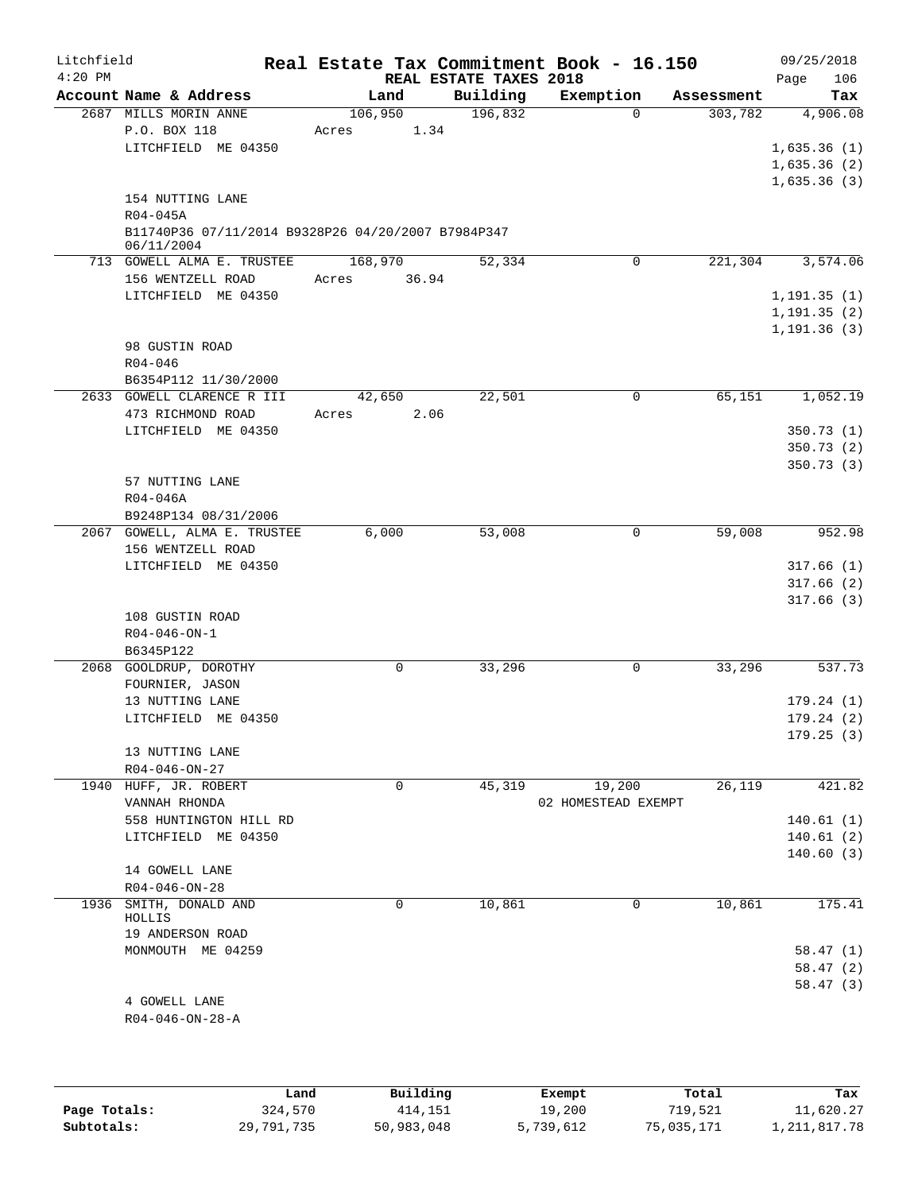| Litchfield<br>$4:20$ PM |                                                                                  | Real Estate Tax Commitment Book - 16.150 | REAL ESTATE TAXES 2018 |                     |            | 09/25/2018<br>106<br>Page |
|-------------------------|----------------------------------------------------------------------------------|------------------------------------------|------------------------|---------------------|------------|---------------------------|
|                         | Account Name & Address                                                           | Land                                     | Building               | Exemption           | Assessment | Tax                       |
|                         | 2687 MILLS MORIN ANNE<br>P.O. BOX 118                                            | 106,950<br>1.34<br>Acres                 | 196,832                | $\Omega$            | 303,782    | 4,906.08                  |
|                         | LITCHFIELD ME 04350                                                              |                                          |                        |                     |            | 1,635.36(1)               |
|                         |                                                                                  |                                          |                        |                     |            | 1,635.36(2)               |
|                         | 154 NUTTING LANE                                                                 |                                          |                        |                     |            | 1,635.36(3)               |
|                         | $R04 - 045A$<br>B11740P36 07/11/2014 B9328P26 04/20/2007 B7984P347<br>06/11/2004 |                                          |                        |                     |            |                           |
|                         | 713 GOWELL ALMA E. TRUSTEE                                                       | 168,970                                  | 52,334                 | 0                   | 221,304    | 3,574.06                  |
|                         | 156 WENTZELL ROAD                                                                | 36.94<br>Acres                           |                        |                     |            |                           |
|                         | LITCHFIELD ME 04350                                                              |                                          |                        |                     |            | 1, 191.35(1)              |
|                         |                                                                                  |                                          |                        |                     |            | 1, 191.35(2)              |
|                         | 98 GUSTIN ROAD                                                                   |                                          |                        |                     |            | 1, 191.36(3)              |
|                         | $R04 - 046$                                                                      |                                          |                        |                     |            |                           |
|                         | B6354P112 11/30/2000                                                             |                                          |                        |                     |            |                           |
|                         | 2633 GOWELL CLARENCE R III                                                       | 42,650                                   | 22,501                 | 0                   | 65,151     | 1,052.19                  |
|                         | 473 RICHMOND ROAD                                                                | Acres<br>2.06                            |                        |                     |            |                           |
|                         | LITCHFIELD ME 04350                                                              |                                          |                        |                     |            | 350.73(1)<br>350.73(2)    |
|                         |                                                                                  |                                          |                        |                     |            | 350.73(3)                 |
|                         | 57 NUTTING LANE                                                                  |                                          |                        |                     |            |                           |
|                         | R04-046A                                                                         |                                          |                        |                     |            |                           |
|                         | B9248P134 08/31/2006                                                             |                                          |                        |                     |            |                           |
|                         | 2067 GOWELL, ALMA E. TRUSTEE                                                     | 6,000                                    | 53,008                 | 0                   | 59,008     | 952.98                    |
|                         | 156 WENTZELL ROAD                                                                |                                          |                        |                     |            |                           |
|                         | LITCHFIELD ME 04350                                                              |                                          |                        |                     |            | 317.66(1)                 |
|                         |                                                                                  |                                          |                        |                     |            | 317.66(2)                 |
|                         |                                                                                  |                                          |                        |                     |            | 317.66(3)                 |
|                         | 108 GUSTIN ROAD<br>$R04 - 046 - ON - 1$                                          |                                          |                        |                     |            |                           |
|                         | B6345P122                                                                        |                                          |                        |                     |            |                           |
|                         | 2068 GOOLDRUP, DOROTHY                                                           | 0                                        | 33,296                 | 0                   | 33,296     | 537.73                    |
|                         | FOURNIER, JASON                                                                  |                                          |                        |                     |            |                           |
|                         | 13 NUTTING LANE                                                                  |                                          |                        |                     |            | 179.24(1)                 |
|                         | LITCHFIELD ME 04350                                                              |                                          |                        |                     |            | 179.24(2)                 |
|                         |                                                                                  |                                          |                        |                     |            | 179.25(3)                 |
|                         | 13 NUTTING LANE                                                                  |                                          |                        |                     |            |                           |
|                         | $R04 - 046 - ON - 27$<br>1940 HUFF, JR. ROBERT                                   | 0                                        | 45,319                 | 19,200              | 26,119     | 421.82                    |
|                         | VANNAH RHONDA                                                                    |                                          |                        | 02 HOMESTEAD EXEMPT |            |                           |
|                         | 558 HUNTINGTON HILL RD                                                           |                                          |                        |                     |            | 140.61(1)                 |
|                         | LITCHFIELD ME 04350                                                              |                                          |                        |                     |            | 140.61(2)                 |
|                         |                                                                                  |                                          |                        |                     |            | 140.60(3)                 |
|                         | 14 GOWELL LANE                                                                   |                                          |                        |                     |            |                           |
|                         | $R04 - 046 - ON - 28$                                                            |                                          |                        |                     |            |                           |
|                         | 1936 SMITH, DONALD AND<br>HOLLIS                                                 | 0                                        | 10,861                 | 0                   | 10,861     | 175.41                    |
|                         | 19 ANDERSON ROAD                                                                 |                                          |                        |                     |            |                           |
|                         | MONMOUTH ME 04259                                                                |                                          |                        |                     |            | 58.47(1)                  |
|                         |                                                                                  |                                          |                        |                     |            | 58.47 (2)                 |
|                         |                                                                                  |                                          |                        |                     |            | 58.47(3)                  |
|                         | 4 GOWELL LANE                                                                    |                                          |                        |                     |            |                           |
|                         | $R04 - 046 - ON - 28 - A$                                                        |                                          |                        |                     |            |                           |
|                         |                                                                                  |                                          |                        |                     |            |                           |
|                         |                                                                                  |                                          |                        |                     |            |                           |
|                         |                                                                                  |                                          |                        |                     |            |                           |

|              | Land       | Building   | Exempt    | Total      | Tax          |
|--------------|------------|------------|-----------|------------|--------------|
| Page Totals: | 324,570    | 414,151    | 19,200    | 719,521    | 11,620.27    |
| Subtotals:   | 29,791,735 | 50,983,048 | 5,739,612 | 75,035,171 | 1,211,817.78 |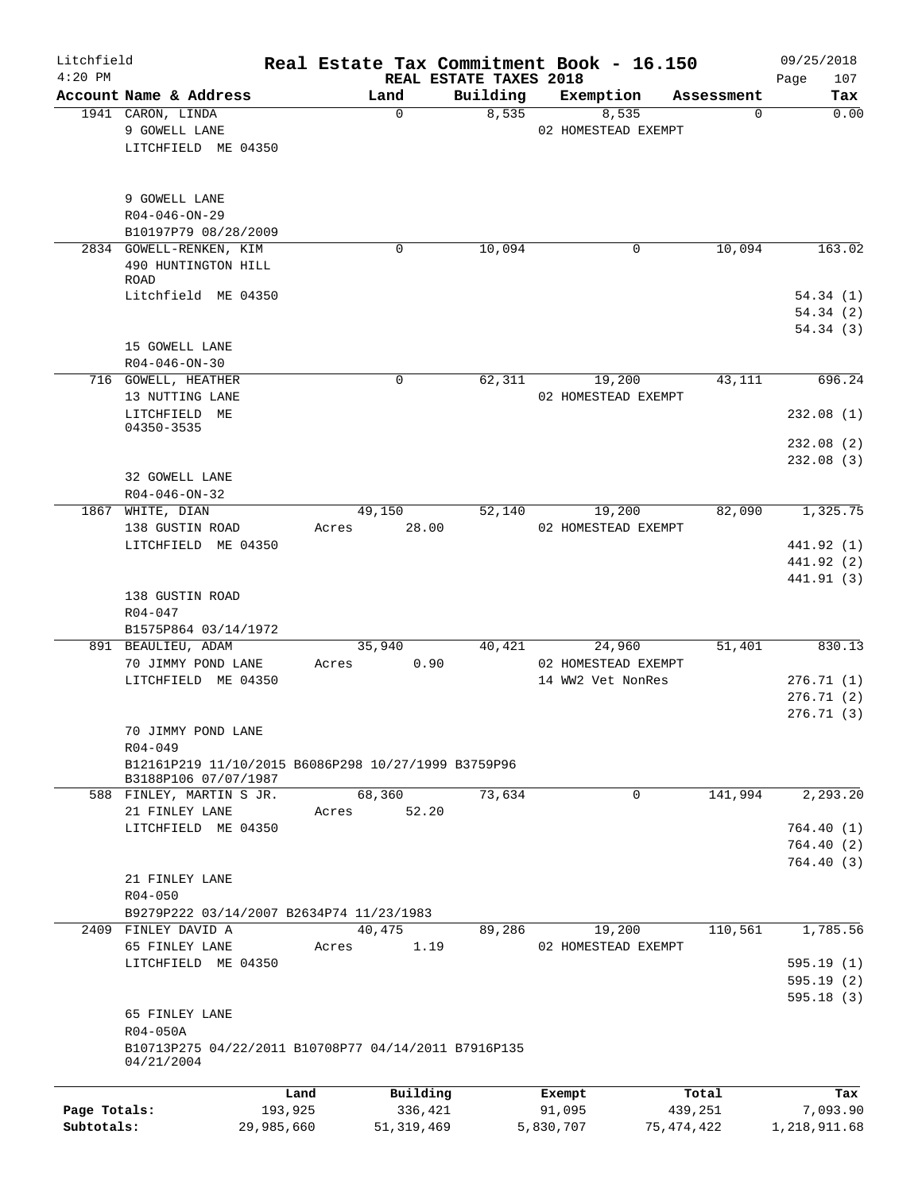| Litchfield   |                                                      |            |                |                                    | Real Estate Tax Commitment Book - 16.150 |                        | 09/25/2018           |
|--------------|------------------------------------------------------|------------|----------------|------------------------------------|------------------------------------------|------------------------|----------------------|
| $4:20$ PM    | Account Name & Address                               |            | Land           | REAL ESTATE TAXES 2018<br>Building |                                          |                        | 107<br>Page<br>Tax   |
|              | 1941 CARON, LINDA                                    |            | $\mathbf 0$    | 8,535                              | Exemption<br>8,535                       | Assessment<br>$\Omega$ | 0.00                 |
|              | 9 GOWELL LANE                                        |            |                |                                    | 02 HOMESTEAD EXEMPT                      |                        |                      |
|              | LITCHFIELD ME 04350                                  |            |                |                                    |                                          |                        |                      |
|              |                                                      |            |                |                                    |                                          |                        |                      |
|              |                                                      |            |                |                                    |                                          |                        |                      |
|              | 9 GOWELL LANE                                        |            |                |                                    |                                          |                        |                      |
|              | $R04 - 046 - ON - 29$                                |            |                |                                    |                                          |                        |                      |
|              | B10197P79 08/28/2009                                 |            |                |                                    |                                          |                        |                      |
|              | 2834 GOWELL-RENKEN, KIM                              |            | $\Omega$       | 10,094                             | 0                                        | 10,094                 | 163.02               |
|              | 490 HUNTINGTON HILL                                  |            |                |                                    |                                          |                        |                      |
|              | <b>ROAD</b>                                          |            |                |                                    |                                          |                        |                      |
|              | Litchfield ME 04350                                  |            |                |                                    |                                          |                        | 54.34(1)<br>54.34(2) |
|              |                                                      |            |                |                                    |                                          |                        | 54.34(3)             |
|              | 15 GOWELL LANE                                       |            |                |                                    |                                          |                        |                      |
|              | $R04 - 046 - ON - 30$                                |            |                |                                    |                                          |                        |                      |
|              | 716 GOWELL, HEATHER                                  |            | 0              | 62,311                             | 19,200                                   | 43,111                 | 696.24               |
|              | 13 NUTTING LANE                                      |            |                |                                    | 02 HOMESTEAD EXEMPT                      |                        |                      |
|              | LITCHFIELD ME                                        |            |                |                                    |                                          |                        | 232.08(1)            |
|              | 04350-3535                                           |            |                |                                    |                                          |                        |                      |
|              |                                                      |            |                |                                    |                                          |                        | 232.08 (2)           |
|              |                                                      |            |                |                                    |                                          |                        | 232.08(3)            |
|              | 32 GOWELL LANE                                       |            |                |                                    |                                          |                        |                      |
|              | R04-046-ON-32                                        |            |                |                                    |                                          |                        |                      |
|              | 1867 WHITE, DIAN                                     |            | 49,150         | 52,140                             | 19,200                                   | 82,090                 | 1,325.75             |
|              | 138 GUSTIN ROAD                                      |            | 28.00<br>Acres |                                    | 02 HOMESTEAD EXEMPT                      |                        |                      |
|              | LITCHFIELD ME 04350                                  |            |                |                                    |                                          |                        | 441.92 (1)           |
|              |                                                      |            |                |                                    |                                          |                        | 441.92 (2)           |
|              |                                                      |            |                |                                    |                                          |                        | 441.91 (3)           |
|              | 138 GUSTIN ROAD                                      |            |                |                                    |                                          |                        |                      |
|              | $R04 - 047$                                          |            |                |                                    |                                          |                        |                      |
|              | B1575P864 03/14/1972                                 |            |                |                                    |                                          |                        |                      |
|              | 891 BEAULIEU, ADAM                                   |            | 35,940         | 40,421                             | 24,960                                   | 51,401                 | 830.13               |
|              | 70 JIMMY POND LANE<br>LITCHFIELD ME 04350            |            | Acres          | 0.90                               | 02 HOMESTEAD EXEMPT                      |                        | 276.71(1)            |
|              |                                                      |            |                |                                    | 14 WW2 Vet NonRes                        |                        | 276.71(2)            |
|              |                                                      |            |                |                                    |                                          |                        | 276.71(3)            |
|              | 70 JIMMY POND LANE                                   |            |                |                                    |                                          |                        |                      |
|              | R04-049                                              |            |                |                                    |                                          |                        |                      |
|              | B12161P219 11/10/2015 B6086P298 10/27/1999 B3759P96  |            |                |                                    |                                          |                        |                      |
|              | B3188P106 07/07/1987                                 |            |                |                                    |                                          |                        |                      |
|              | 588 FINLEY, MARTIN S JR.                             |            | 68,360         | 73,634                             | $\Omega$                                 | 141,994                | 2, 293.20            |
|              | 21 FINLEY LANE                                       |            | 52.20<br>Acres |                                    |                                          |                        |                      |
|              | LITCHFIELD ME 04350                                  |            |                |                                    |                                          |                        | 764.40 (1)           |
|              |                                                      |            |                |                                    |                                          |                        | 764.40 (2)           |
|              |                                                      |            |                |                                    |                                          |                        | 764.40 (3)           |
|              | 21 FINLEY LANE                                       |            |                |                                    |                                          |                        |                      |
|              | $R04 - 050$                                          |            |                |                                    |                                          |                        |                      |
|              | B9279P222 03/14/2007 B2634P74 11/23/1983             |            |                |                                    |                                          |                        |                      |
|              | 2409 FINLEY DAVID A                                  |            | 40,475         | 89,286                             | 19,200                                   | 110,561                | 1,785.56             |
|              | 65 FINLEY LANE                                       |            | Acres          | 1.19                               | 02 HOMESTEAD EXEMPT                      |                        |                      |
|              | LITCHFIELD ME 04350                                  |            |                |                                    |                                          |                        | 595.19(1)            |
|              |                                                      |            |                |                                    |                                          |                        | 595.19(2)            |
|              | 65 FINLEY LANE                                       |            |                |                                    |                                          |                        | 595.18(3)            |
|              | R04-050A                                             |            |                |                                    |                                          |                        |                      |
|              | B10713P275 04/22/2011 B10708P77 04/14/2011 B7916P135 |            |                |                                    |                                          |                        |                      |
|              | 04/21/2004                                           |            |                |                                    |                                          |                        |                      |
|              |                                                      | Land       | Building       |                                    |                                          | Total                  | Tax                  |
| Page Totals: |                                                      | 193,925    | 336,421        |                                    | Exempt<br>91,095                         | 439,251                | 7,093.90             |
| Subtotals:   |                                                      | 29,985,660 | 51, 319, 469   |                                    | 5,830,707                                | 75,474,422             | 1,218,911.68         |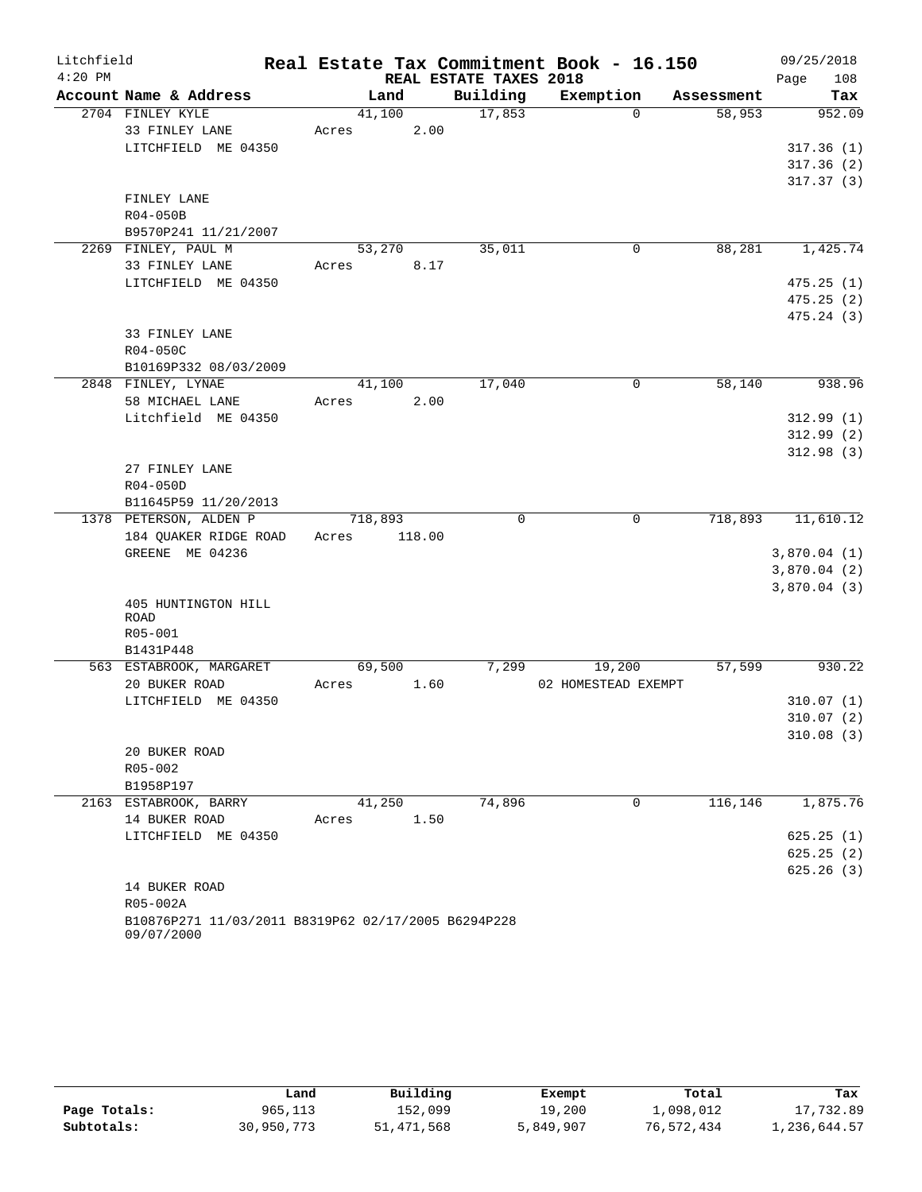| Litchfield |                                                                   |                 |                        | Real Estate Tax Commitment Book - 16.150 |            | 09/25/2018  |
|------------|-------------------------------------------------------------------|-----------------|------------------------|------------------------------------------|------------|-------------|
| $4:20$ PM  |                                                                   |                 | REAL ESTATE TAXES 2018 |                                          |            | 108<br>Page |
|            | Account Name & Address                                            | Land            | Building               | Exemption                                | Assessment | Tax         |
|            | 2704 FINLEY KYLE                                                  | 41,100          | 17,853                 | $\Omega$                                 | 58,953     | 952.09      |
|            | 33 FINLEY LANE                                                    | 2.00<br>Acres   |                        |                                          |            |             |
|            | LITCHFIELD ME 04350                                               |                 |                        |                                          |            | 317.36(1)   |
|            |                                                                   |                 |                        |                                          |            | 317.36(2)   |
|            |                                                                   |                 |                        |                                          |            | 317.37(3)   |
|            | FINLEY LANE                                                       |                 |                        |                                          |            |             |
|            | R04-050B                                                          |                 |                        |                                          |            |             |
|            | B9570P241 11/21/2007<br>2269 FINLEY, PAUL M                       | 53,270          | 35,011                 | $\mathbf 0$                              | 88,281     | 1,425.74    |
|            | 33 FINLEY LANE                                                    | 8.17<br>Acres   |                        |                                          |            |             |
|            | LITCHFIELD ME 04350                                               |                 |                        |                                          |            | 475.25(1)   |
|            |                                                                   |                 |                        |                                          |            | 475.25(2)   |
|            |                                                                   |                 |                        |                                          |            | 475.24(3)   |
|            | 33 FINLEY LANE                                                    |                 |                        |                                          |            |             |
|            | R04-050C                                                          |                 |                        |                                          |            |             |
|            | B10169P332 08/03/2009                                             |                 |                        |                                          |            |             |
|            | 2848 FINLEY, LYNAE                                                | 41,100          | 17,040                 | $\mathbf 0$                              | 58,140     | 938.96      |
|            | 58 MICHAEL LANE                                                   | 2.00<br>Acres   |                        |                                          |            |             |
|            | Litchfield ME 04350                                               |                 |                        |                                          |            | 312.99(1)   |
|            |                                                                   |                 |                        |                                          |            | 312.99(2)   |
|            |                                                                   |                 |                        |                                          |            | 312.98(3)   |
|            | 27 FINLEY LANE                                                    |                 |                        |                                          |            |             |
|            | R04-050D                                                          |                 |                        |                                          |            |             |
|            | B11645P59 11/20/2013                                              |                 |                        |                                          |            |             |
|            | 1378 PETERSON, ALDEN P                                            | 718,893         | 0                      | 0                                        | 718,893    | 11,610.12   |
|            | 184 QUAKER RIDGE ROAD                                             | Acres<br>118.00 |                        |                                          |            |             |
|            | GREENE ME 04236                                                   |                 |                        |                                          |            | 3,870.04(1) |
|            |                                                                   |                 |                        |                                          |            | 3,870.04(2) |
|            |                                                                   |                 |                        |                                          |            | 3,870.04(3) |
|            | 405 HUNTINGTON HILL                                               |                 |                        |                                          |            |             |
|            | <b>ROAD</b><br>R05-001                                            |                 |                        |                                          |            |             |
|            | B1431P448                                                         |                 |                        |                                          |            |             |
|            | 563 ESTABROOK, MARGARET                                           | 69,500          | 7,299                  | 19,200                                   | 57,599     | 930.22      |
|            | 20 BUKER ROAD                                                     | 1.60<br>Acres   |                        | 02 HOMESTEAD EXEMPT                      |            |             |
|            | LITCHFIELD ME 04350                                               |                 |                        |                                          |            | 310.07(1)   |
|            |                                                                   |                 |                        |                                          |            | 310.07(2)   |
|            |                                                                   |                 |                        |                                          |            | 310.08(3)   |
|            | 20 BUKER ROAD                                                     |                 |                        |                                          |            |             |
|            | R05-002                                                           |                 |                        |                                          |            |             |
|            | B1958P197                                                         |                 |                        |                                          |            |             |
|            | 2163 ESTABROOK, BARRY                                             | 41,250          | 74,896                 | $\mathbf 0$                              | 116,146    | 1,875.76    |
|            | 14 BUKER ROAD                                                     | 1.50<br>Acres   |                        |                                          |            |             |
|            | LITCHFIELD ME 04350                                               |                 |                        |                                          |            | 625.25(1)   |
|            |                                                                   |                 |                        |                                          |            | 625.25(2)   |
|            |                                                                   |                 |                        |                                          |            | 625.26(3)   |
|            | 14 BUKER ROAD                                                     |                 |                        |                                          |            |             |
|            | R05-002A                                                          |                 |                        |                                          |            |             |
|            | B10876P271 11/03/2011 B8319P62 02/17/2005 B6294P228<br>09/07/2000 |                 |                        |                                          |            |             |

|              | Land       | Building   | Exempt    | Total      | Tax          |
|--------------|------------|------------|-----------|------------|--------------|
| Page Totals: | 965,113    | 152,099    | 19,200    | 1,098,012  | 17,732.89    |
| Subtotals:   | 30,950,773 | 51,471,568 | 5,849,907 | 76,572,434 | 1,236,644.57 |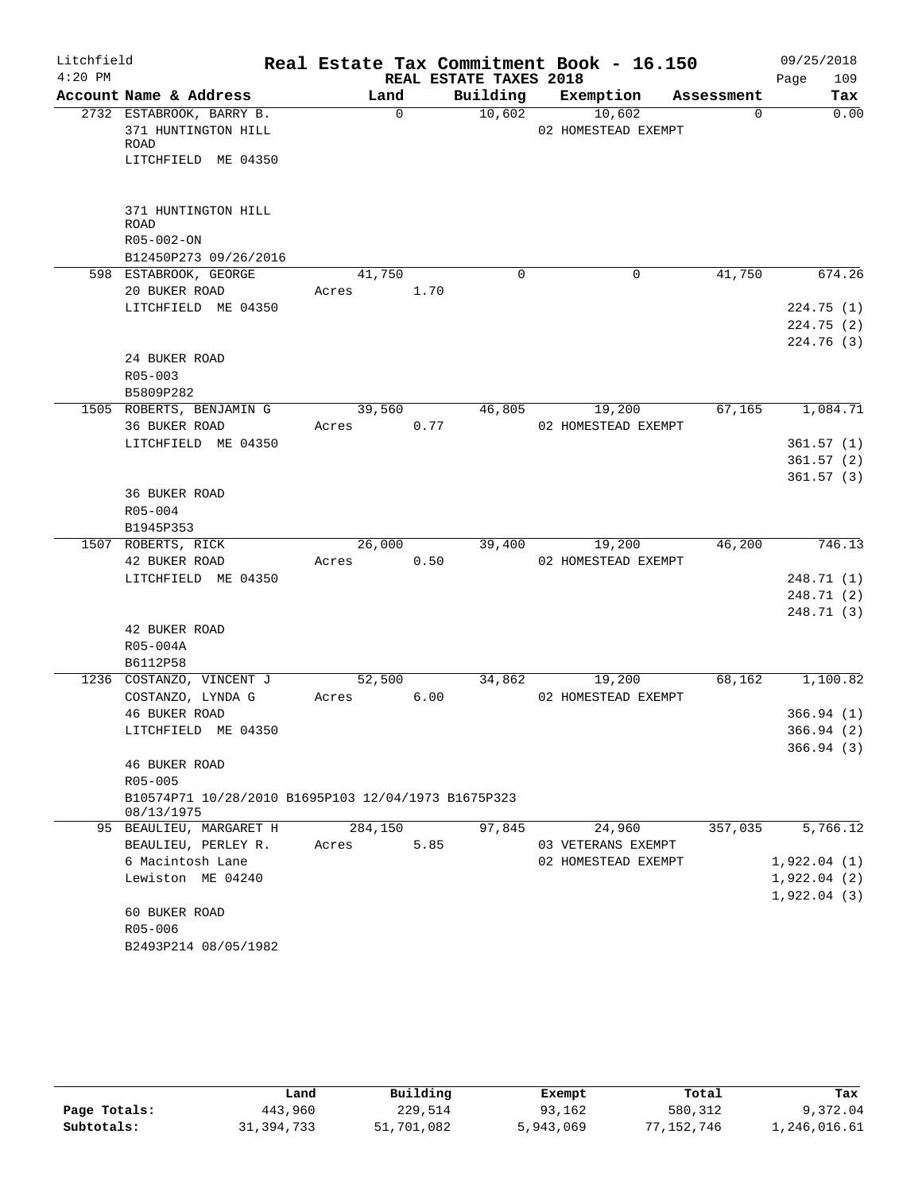| Litchfield<br>$4:20$ PM |                                                                                |         |             | REAL ESTATE TAXES 2018 | Real Estate Tax Commitment Book - 16.150 |            | 09/25/2018<br>109<br>Page |
|-------------------------|--------------------------------------------------------------------------------|---------|-------------|------------------------|------------------------------------------|------------|---------------------------|
|                         | Account Name & Address                                                         | Land    |             | Building               | Exemption                                | Assessment | Tax                       |
|                         | 2732 ESTABROOK, BARRY B.<br>371 HUNTINGTON HILL<br>ROAD<br>LITCHFIELD ME 04350 |         | $\mathbf 0$ | 10,602                 | 10,602<br>02 HOMESTEAD EXEMPT            | $\Omega$   | 0.00                      |
|                         | 371 HUNTINGTON HILL<br><b>ROAD</b><br>R05-002-ON<br>B12450P273 09/26/2016      |         |             |                        |                                          |            |                           |
|                         | 598 ESTABROOK, GEORGE                                                          | 41,750  |             | 0                      | 0                                        | 41,750     | 674.26                    |
|                         | 20 BUKER ROAD                                                                  | Acres   | 1.70        |                        |                                          |            |                           |
|                         | LITCHFIELD ME 04350                                                            |         |             |                        |                                          |            | 224.75(1)                 |
|                         |                                                                                |         |             |                        |                                          |            | 224.75(2)                 |
|                         |                                                                                |         |             |                        |                                          |            | 224.76(3)                 |
|                         | 24 BUKER ROAD                                                                  |         |             |                        |                                          |            |                           |
|                         | $R05 - 003$                                                                    |         |             |                        |                                          |            |                           |
|                         | B5809P282                                                                      |         |             |                        |                                          |            |                           |
|                         | 1505 ROBERTS, BENJAMIN G                                                       | 39,560  |             | 46,805                 | 19,200                                   | 67,165     | 1,084.71                  |
|                         | 36 BUKER ROAD                                                                  | Acres   | 0.77        |                        | 02 HOMESTEAD EXEMPT                      |            |                           |
|                         | LITCHFIELD ME 04350                                                            |         |             |                        |                                          |            | 361.57(1)                 |
|                         |                                                                                |         |             |                        |                                          |            | 361.57(2)                 |
|                         |                                                                                |         |             |                        |                                          |            | 361.57(3)                 |
|                         | <b>36 BUKER ROAD</b>                                                           |         |             |                        |                                          |            |                           |
|                         | R05-004                                                                        |         |             |                        |                                          |            |                           |
|                         | B1945P353                                                                      |         |             |                        |                                          |            |                           |
|                         | 1507 ROBERTS, RICK                                                             | 26,000  |             | 39,400                 | 19,200                                   | 46,200     | 746.13                    |
|                         | 42 BUKER ROAD                                                                  | Acres   | 0.50        |                        | 02 HOMESTEAD EXEMPT                      |            |                           |
|                         | LITCHFIELD ME 04350                                                            |         |             |                        |                                          |            | 248.71 (1)                |
|                         |                                                                                |         |             |                        |                                          |            | 248.71 (2)<br>248.71 (3)  |
|                         | 42 BUKER ROAD                                                                  |         |             |                        |                                          |            |                           |
|                         | R05-004A                                                                       |         |             |                        |                                          |            |                           |
|                         | B6112P58                                                                       |         |             |                        |                                          |            |                           |
|                         | 1236 COSTANZO, VINCENT J                                                       | 52,500  |             | 34,862                 | 19,200                                   | 68,162     | 1,100.82                  |
|                         | COSTANZO, LYNDA G                                                              | Acres   | 6.00        |                        | 02 HOMESTEAD EXEMPT                      |            |                           |
|                         | 46 BUKER ROAD                                                                  |         |             |                        |                                          |            | 366.94(1)                 |
|                         | LITCHFIELD ME 04350                                                            |         |             |                        |                                          |            | 366.94 (2)                |
|                         |                                                                                |         |             |                        |                                          |            | 366.94(3)                 |
|                         | 46 BUKER ROAD                                                                  |         |             |                        |                                          |            |                           |
|                         | $R05 - 005$                                                                    |         |             |                        |                                          |            |                           |
|                         | B10574P71 10/28/2010 B1695P103 12/04/1973 B1675P323<br>08/13/1975              |         |             |                        |                                          |            |                           |
|                         | 95 BEAULIEU, MARGARET H                                                        | 284,150 |             | 97,845                 | 24,960                                   | 357,035    | 5,766.12                  |
|                         | BEAULIEU, PERLEY R.                                                            | Acres   | 5.85        |                        | 03 VETERANS EXEMPT                       |            |                           |
|                         | 6 Macintosh Lane                                                               |         |             |                        | 02 HOMESTEAD EXEMPT                      |            | 1,922.04(1)               |
|                         | Lewiston ME 04240                                                              |         |             |                        |                                          |            | 1,922.04(2)               |
|                         |                                                                                |         |             |                        |                                          |            | 1,922.04(3)               |
|                         | 60 BUKER ROAD                                                                  |         |             |                        |                                          |            |                           |
|                         | R05-006                                                                        |         |             |                        |                                          |            |                           |
|                         | B2493P214 08/05/1982                                                           |         |             |                        |                                          |            |                           |

|              | Land       | Building   | Exempt    | Total      | Tax          |
|--------------|------------|------------|-----------|------------|--------------|
| Page Totals: | 443,960    | 229,514    | 93,162    | 580,312    | 9,372.04     |
| Subtotals:   | 31,394,733 | 51,701,082 | 5,943,069 | 77,152,746 | 1,246,016.61 |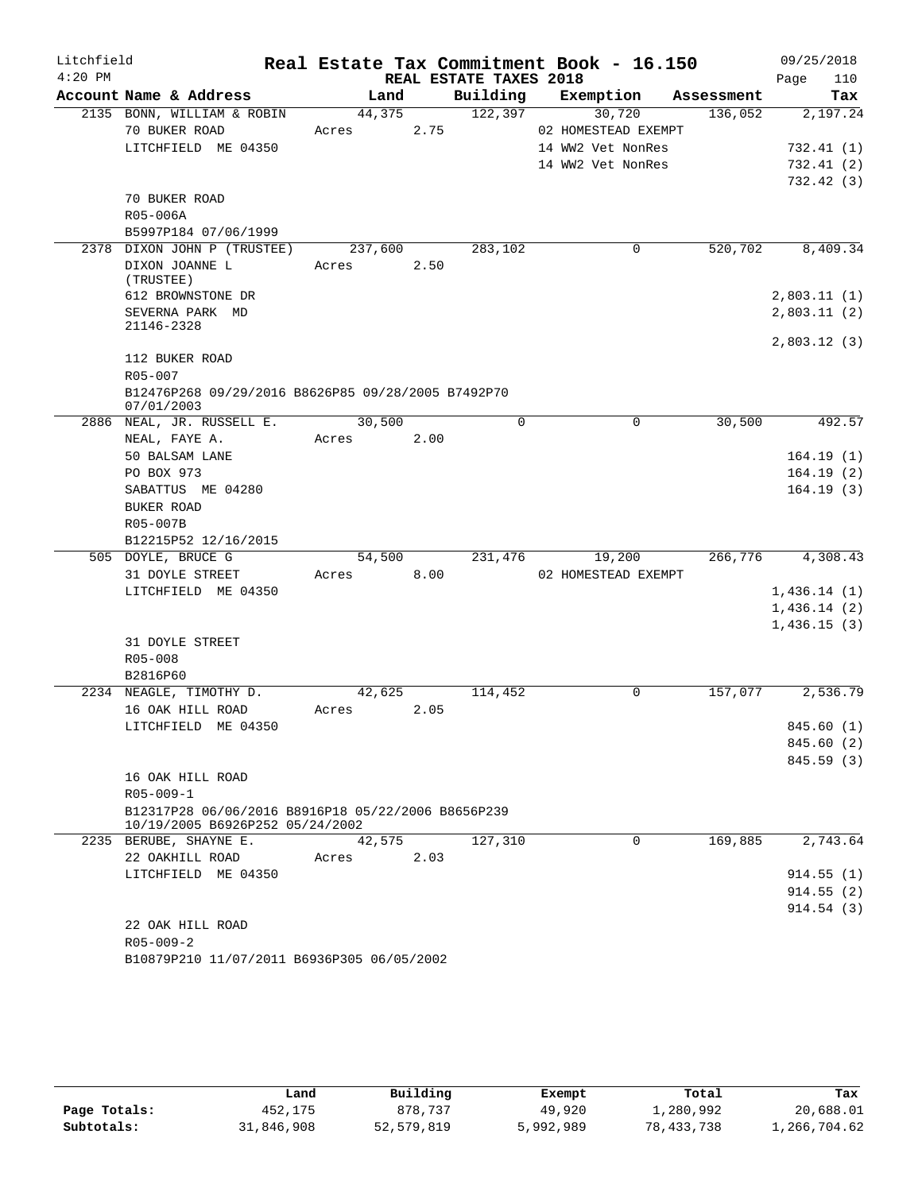| Litchfield |                 |                                                    |            |         |      |                        | Real Estate Tax Commitment Book - 16.150 |            | 09/25/2018  |
|------------|-----------------|----------------------------------------------------|------------|---------|------|------------------------|------------------------------------------|------------|-------------|
| $4:20$ PM  |                 |                                                    |            |         |      | REAL ESTATE TAXES 2018 |                                          |            | Page<br>110 |
|            |                 | Account Name & Address                             |            | Land    |      |                        | Building Exemption                       | Assessment | Tax         |
|            |                 | 2135 BONN, WILLIAM & ROBIN                         |            | 44,375  |      | 122,397                | 30,720                                   | 136,052    | 2,197.24    |
|            |                 | 70 BUKER ROAD                                      | Acres      |         | 2.75 |                        | 02 HOMESTEAD EXEMPT<br>14 WW2 Vet NonRes |            |             |
|            |                 | LITCHFIELD ME 04350                                |            |         |      |                        |                                          |            | 732.41(1)   |
|            |                 |                                                    |            |         |      |                        | 14 WW2 Vet NonRes                        |            | 732.41(2)   |
|            |                 | 70 BUKER ROAD                                      |            |         |      |                        |                                          |            | 732.42(3)   |
|            | R05-006A        |                                                    |            |         |      |                        |                                          |            |             |
|            |                 | B5997P184 07/06/1999                               |            |         |      |                        |                                          |            |             |
|            |                 | 2378 DIXON JOHN P (TRUSTEE)                        |            | 237,600 |      | 283, 102               | 0                                        | 520,702    | 8,409.34    |
|            |                 | DIXON JOANNE L                                     | Acres      |         | 2.50 |                        |                                          |            |             |
|            | (TRUSTEE)       |                                                    |            |         |      |                        |                                          |            |             |
|            |                 | 612 BROWNSTONE DR                                  |            |         |      |                        |                                          |            | 2,803.11(1) |
|            |                 | SEVERNA PARK MD                                    |            |         |      |                        |                                          |            | 2,803.11(2) |
|            | 21146-2328      |                                                    |            |         |      |                        |                                          |            |             |
|            |                 |                                                    |            |         |      |                        |                                          |            | 2,803.12(3) |
|            |                 | 112 BUKER ROAD                                     |            |         |      |                        |                                          |            |             |
|            | R05-007         |                                                    |            |         |      |                        |                                          |            |             |
|            |                 | B12476P268 09/29/2016 B8626P85 09/28/2005 B7492P70 |            |         |      |                        |                                          |            |             |
|            | 07/01/2003      |                                                    |            |         |      | $\Omega$               |                                          |            |             |
|            |                 | 2886 NEAL, JR. RUSSELL E.                          |            | 30,500  |      |                        | $\Omega$                                 | 30,500     | 492.57      |
|            |                 | NEAL, FAYE A.                                      | Acres      |         | 2.00 |                        |                                          |            |             |
|            | PO BOX 973      | 50 BALSAM LANE                                     |            |         |      |                        |                                          |            | 164.19(1)   |
|            |                 | SABATTUS ME 04280                                  |            |         |      |                        |                                          |            | 164.19(2)   |
|            | BUKER ROAD      |                                                    |            |         |      |                        |                                          |            | 164.19(3)   |
|            | R05-007B        |                                                    |            |         |      |                        |                                          |            |             |
|            |                 | B12215P52 12/16/2015                               |            |         |      |                        |                                          |            |             |
|            |                 | 505 DOYLE, BRUCE G                                 |            | 54,500  |      | 231,476                | 19,200                                   | 266,776    | 4,308.43    |
|            |                 | 31 DOYLE STREET                                    | Acres 8.00 |         |      |                        | 02 HOMESTEAD EXEMPT                      |            |             |
|            |                 | LITCHFIELD ME 04350                                |            |         |      |                        |                                          |            | 1,436.14(1) |
|            |                 |                                                    |            |         |      |                        |                                          |            | 1,436.14(2) |
|            |                 |                                                    |            |         |      |                        |                                          |            | 1,436.15(3) |
|            |                 | 31 DOYLE STREET                                    |            |         |      |                        |                                          |            |             |
|            | R05-008         |                                                    |            |         |      |                        |                                          |            |             |
|            | B2816P60        |                                                    |            |         |      |                        |                                          |            |             |
|            |                 | 2234 NEAGLE, TIMOTHY D.                            |            | 42,625  |      | 114,452                | 0                                        | 157,077    | 2,536.79    |
|            |                 | 16 OAK HILL ROAD                                   | Acres      |         | 2.05 |                        |                                          |            |             |
|            |                 | LITCHFIELD ME 04350                                |            |         |      |                        |                                          |            | 845.60 (1)  |
|            |                 |                                                    |            |         |      |                        |                                          |            | 845.60 (2)  |
|            |                 |                                                    |            |         |      |                        |                                          |            | 845.59 (3)  |
|            |                 | 16 OAK HILL ROAD                                   |            |         |      |                        |                                          |            |             |
|            | R05-009-1       |                                                    |            |         |      |                        |                                          |            |             |
|            |                 | B12317P28 06/06/2016 B8916P18 05/22/2006 B8656P239 |            |         |      |                        |                                          |            |             |
|            |                 | 10/19/2005 B6926P252 05/24/2002                    |            |         |      |                        |                                          |            |             |
|            |                 | 2235 BERUBE, SHAYNE E.                             |            | 42,575  |      | 127,310                | 0                                        | 169,885    | 2,743.64    |
|            |                 | 22 OAKHILL ROAD                                    | Acres      |         | 2.03 |                        |                                          |            |             |
|            |                 | LITCHFIELD ME 04350                                |            |         |      |                        |                                          |            | 914.55(1)   |
|            |                 |                                                    |            |         |      |                        |                                          |            | 914.55(2)   |
|            |                 |                                                    |            |         |      |                        |                                          |            | 914.54(3)   |
|            |                 | 22 OAK HILL ROAD                                   |            |         |      |                        |                                          |            |             |
|            | $R05 - 009 - 2$ |                                                    |            |         |      |                        |                                          |            |             |
|            |                 | B10879P210 11/07/2011 B6936P305 06/05/2002         |            |         |      |                        |                                          |            |             |

|              | Land       | Building     | Exempt    | Total        | Tax          |
|--------------|------------|--------------|-----------|--------------|--------------|
| Page Totals: | 452,175    | 878,737      | 49,920    | 1,280,992    | 20,688.01    |
| Subtotals:   | 31,846,908 | 52, 579, 819 | 5,992,989 | 78, 433, 738 | 1,266,704.62 |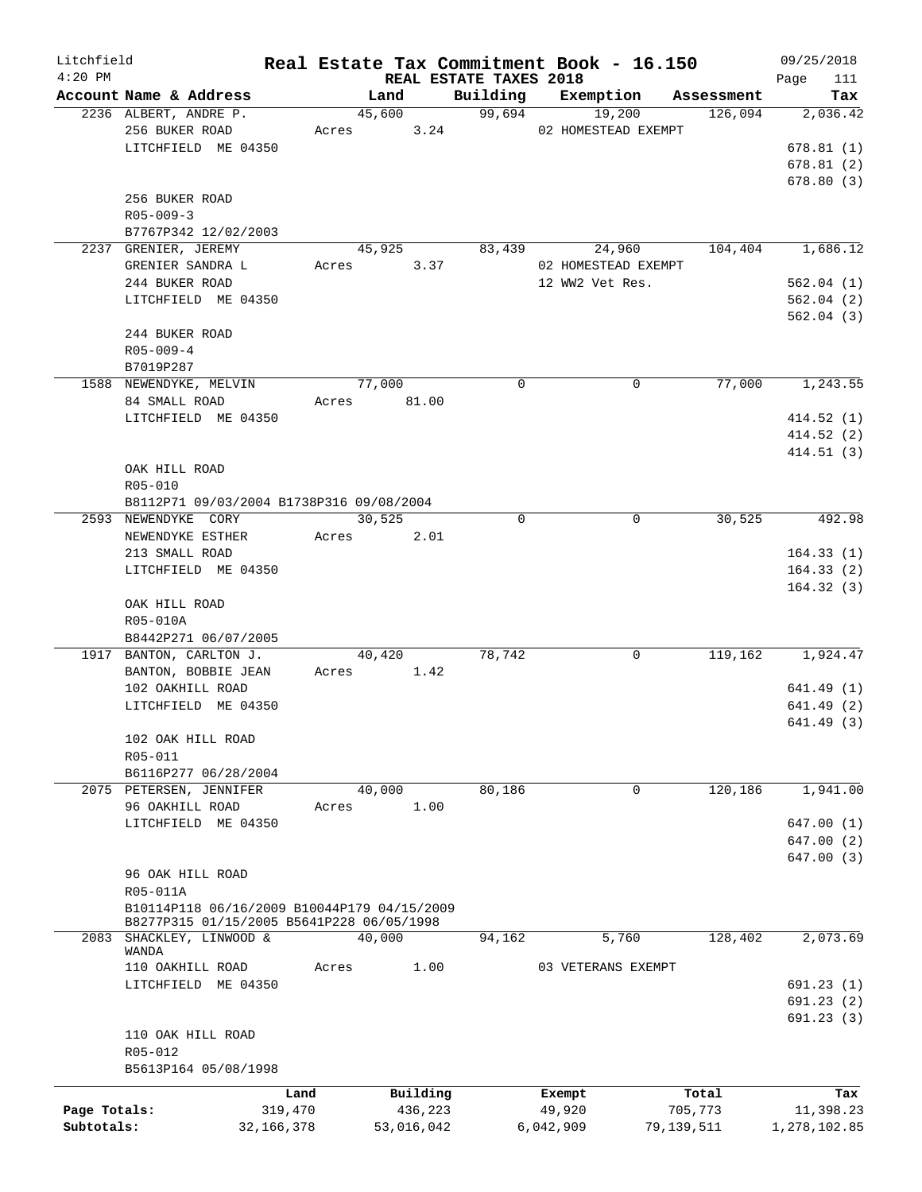| Litchfield<br>$4:20$ PM |                                             |       |                                |          | Real Estate Tax Commitment Book - 16.150 |            | 09/25/2018              |
|-------------------------|---------------------------------------------|-------|--------------------------------|----------|------------------------------------------|------------|-------------------------|
|                         | Account Name & Address                      |       | REAL ESTATE TAXES 2018<br>Land | Building | Exemption                                | Assessment | Page<br>111<br>Tax      |
|                         | 2236 ALBERT, ANDRE P.                       |       | 45,600                         | 99,694   | 19,200                                   | 126,094    | 2,036.42                |
|                         | 256 BUKER ROAD                              |       | 3.24<br>Acres                  |          | 02 HOMESTEAD EXEMPT                      |            |                         |
|                         | LITCHFIELD ME 04350                         |       |                                |          |                                          |            | 678.81(1)               |
|                         |                                             |       |                                |          |                                          |            | 678.81(2)               |
|                         |                                             |       |                                |          |                                          |            | 678.80(3)               |
|                         | 256 BUKER ROAD                              |       |                                |          |                                          |            |                         |
|                         | $R05 - 009 - 3$                             |       |                                |          |                                          |            |                         |
|                         | B7767P342 12/02/2003                        |       |                                |          |                                          |            |                         |
|                         | 2237 GRENIER, JEREMY                        |       | 45,925                         | 83,439   | 24,960                                   | 104,404    | 1,686.12                |
|                         | GRENIER SANDRA L                            | Acres | 3.37                           |          | 02 HOMESTEAD EXEMPT                      |            |                         |
|                         | 244 BUKER ROAD                              |       |                                |          | 12 WW2 Vet Res.                          |            | 562.04(1)               |
|                         | LITCHFIELD ME 04350                         |       |                                |          |                                          |            | 562.04(2)               |
|                         |                                             |       |                                |          |                                          |            | 562.04(3)               |
|                         | 244 BUKER ROAD                              |       |                                |          |                                          |            |                         |
|                         | $R05 - 009 - 4$                             |       |                                |          |                                          |            |                         |
|                         | B7019P287                                   |       |                                |          |                                          |            |                         |
|                         | 1588 NEWENDYKE, MELVIN                      |       | 77,000                         | 0        | $\mathbf 0$                              | 77,000     | 1,243.55                |
|                         | 84 SMALL ROAD                               | Acres | 81.00                          |          |                                          |            |                         |
|                         | LITCHFIELD ME 04350                         |       |                                |          |                                          |            | 414.52(1)               |
|                         |                                             |       |                                |          |                                          |            | 414.52(2)               |
|                         | OAK HILL ROAD                               |       |                                |          |                                          |            | 414.51(3)               |
|                         | R05-010                                     |       |                                |          |                                          |            |                         |
|                         | B8112P71 09/03/2004 B1738P316 09/08/2004    |       |                                |          |                                          |            |                         |
|                         | 2593 NEWENDYKE CORY                         |       | 30,525                         | $\Omega$ | 0                                        | 30,525     | 492.98                  |
|                         | NEWENDYKE ESTHER                            | Acres | 2.01                           |          |                                          |            |                         |
|                         | 213 SMALL ROAD                              |       |                                |          |                                          |            | 164.33(1)               |
|                         | LITCHFIELD ME 04350                         |       |                                |          |                                          |            | 164.33(2)               |
|                         |                                             |       |                                |          |                                          |            | 164.32(3)               |
|                         | OAK HILL ROAD                               |       |                                |          |                                          |            |                         |
|                         | R05-010A                                    |       |                                |          |                                          |            |                         |
|                         | B8442P271 06/07/2005                        |       |                                |          |                                          |            |                         |
|                         | 1917 BANTON, CARLTON J.                     |       | 40,420                         | 78,742   | 0                                        | 119,162    | 1,924.47                |
|                         | BANTON, BOBBIE JEAN                         |       | Acres<br>1.42                  |          |                                          |            |                         |
|                         | 102 OAKHILL ROAD                            |       |                                |          |                                          |            | 641.49(1)               |
|                         | LITCHFIELD ME 04350                         |       |                                |          |                                          |            | 641.49 (2)              |
|                         |                                             |       |                                |          |                                          |            | 641.49 (3)              |
|                         | 102 OAK HILL ROAD                           |       |                                |          |                                          |            |                         |
|                         | R05-011                                     |       |                                |          |                                          |            |                         |
|                         | B6116P277 06/28/2004                        |       |                                |          |                                          |            |                         |
|                         | 2075 PETERSEN, JENNIFER                     |       | 40,000                         | 80,186   | 0                                        | 120,186    | 1,941.00                |
|                         | 96 OAKHILL ROAD                             | Acres | 1.00                           |          |                                          |            |                         |
|                         | LITCHFIELD ME 04350                         |       |                                |          |                                          |            | 647.00(1)<br>647.00 (2) |
|                         |                                             |       |                                |          |                                          |            | 647.00 (3)              |
|                         | 96 OAK HILL ROAD                            |       |                                |          |                                          |            |                         |
|                         | R05-011A                                    |       |                                |          |                                          |            |                         |
|                         | B10114P118 06/16/2009 B10044P179 04/15/2009 |       |                                |          |                                          |            |                         |
|                         | B8277P315 01/15/2005 B5641P228 06/05/1998   |       |                                |          |                                          |            |                         |
| 2083                    | SHACKLEY, LINWOOD &                         |       | 40,000                         | 94,162   | 5,760                                    | 128,402    | 2,073.69                |
|                         | WANDA                                       |       |                                |          |                                          |            |                         |
|                         | 110 OAKHILL ROAD                            | Acres | 1.00                           |          | 03 VETERANS EXEMPT                       |            |                         |
|                         | LITCHFIELD ME 04350                         |       |                                |          |                                          |            | 691.23 (1)              |
|                         |                                             |       |                                |          |                                          |            | 691.23(2)               |
|                         | 110 OAK HILL ROAD                           |       |                                |          |                                          |            | 691.23(3)               |
|                         | R05-012                                     |       |                                |          |                                          |            |                         |
|                         | B5613P164 05/08/1998                        |       |                                |          |                                          |            |                         |
|                         |                                             |       |                                |          |                                          |            |                         |
|                         |                                             | Land  | Building                       |          | Exempt                                   | Total      | Tax                     |
| Page Totals:            | 319,470                                     |       | 436,223                        |          | 49,920                                   | 705,773    | 11,398.23               |
| Subtotals:              | 32, 166, 378                                |       | 53,016,042                     |          | 6,042,909                                | 79,139,511 | 1,278,102.85            |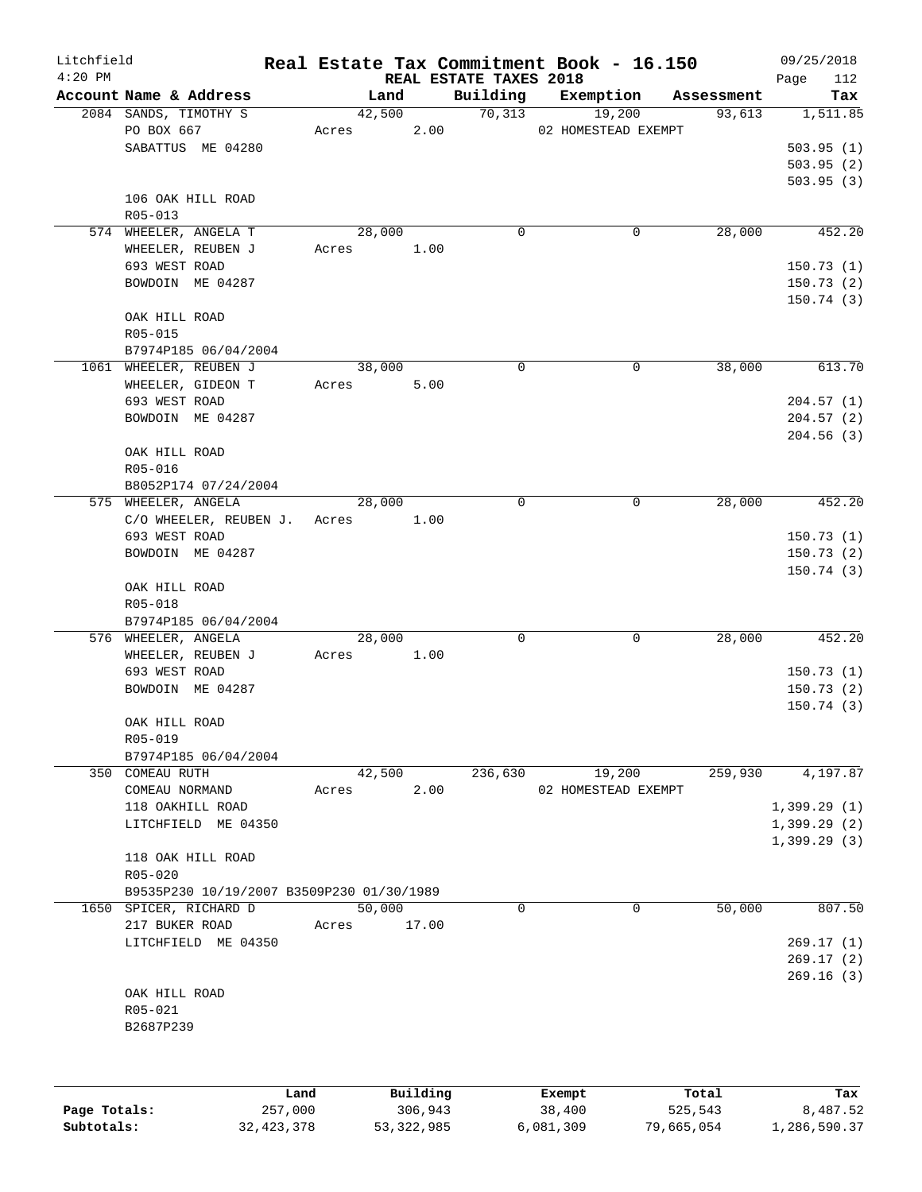| Litchfield<br>$4:20$ PM |                                           |       |                                |             | Real Estate Tax Commitment Book - 16.150 |            | 09/25/2018         |
|-------------------------|-------------------------------------------|-------|--------------------------------|-------------|------------------------------------------|------------|--------------------|
|                         | Account Name & Address                    |       | REAL ESTATE TAXES 2018<br>Land | Building    | Exemption                                | Assessment | Page<br>112<br>Tax |
|                         | 2084 SANDS, TIMOTHY S                     |       | 42,500                         | 70, 313     | 19,200                                   | 93,613     | 1,511.85           |
|                         | PO BOX 667                                | Acres | 2.00                           |             | 02 HOMESTEAD EXEMPT                      |            |                    |
|                         | SABATTUS ME 04280                         |       |                                |             |                                          |            | 503.95(1)          |
|                         |                                           |       |                                |             |                                          |            | 503.95(2)          |
|                         |                                           |       |                                |             |                                          |            | 503.95(3)          |
|                         | 106 OAK HILL ROAD                         |       |                                |             |                                          |            |                    |
|                         | R05-013                                   |       |                                |             |                                          |            |                    |
|                         | 574 WHEELER, ANGELA T                     |       | 28,000                         | 0           | 0                                        | 28,000     | 452.20             |
|                         | WHEELER, REUBEN J                         | Acres | 1.00                           |             |                                          |            |                    |
|                         | 693 WEST ROAD                             |       |                                |             |                                          |            | 150.73(1)          |
|                         | BOWDOIN ME 04287                          |       |                                |             |                                          |            | 150.73(2)          |
|                         |                                           |       |                                |             |                                          |            | 150.74(3)          |
|                         | OAK HILL ROAD                             |       |                                |             |                                          |            |                    |
|                         | $R05 - 015$                               |       |                                |             |                                          |            |                    |
|                         | B7974P185 06/04/2004                      |       |                                |             |                                          |            |                    |
|                         | 1061 WHEELER, REUBEN J                    |       | 38,000                         | 0           | $\mathbf 0$                              | 38,000     | 613.70             |
|                         | WHEELER, GIDEON T                         | Acres | 5.00                           |             |                                          |            |                    |
|                         | 693 WEST ROAD                             |       |                                |             |                                          |            | 204.57(1)          |
|                         | BOWDOIN ME 04287                          |       |                                |             |                                          |            | 204.57(2)          |
|                         |                                           |       |                                |             |                                          |            | 204.56(3)          |
|                         | OAK HILL ROAD                             |       |                                |             |                                          |            |                    |
|                         | R05-016                                   |       |                                |             |                                          |            |                    |
|                         | B8052P174 07/24/2004                      |       |                                |             |                                          |            |                    |
|                         | 575 WHEELER, ANGELA                       |       | 28,000                         | $\mathbf 0$ | 0                                        | 28,000     | 452.20             |
|                         | C/O WHEELER, REUBEN J.                    | Acres | 1.00                           |             |                                          |            |                    |
|                         | 693 WEST ROAD                             |       |                                |             |                                          |            | 150.73(1)          |
|                         | BOWDOIN ME 04287                          |       |                                |             |                                          |            | 150.73(2)          |
|                         |                                           |       |                                |             |                                          |            | 150.74(3)          |
|                         | OAK HILL ROAD                             |       |                                |             |                                          |            |                    |
|                         | R05-018                                   |       |                                |             |                                          |            |                    |
|                         | B7974P185 06/04/2004                      |       |                                |             |                                          |            |                    |
|                         | 576 WHEELER, ANGELA                       |       | 28,000                         | 0           | 0                                        | 28,000     | 452.20             |
|                         | WHEELER, REUBEN J                         | Acres | 1.00                           |             |                                          |            |                    |
|                         | 693 WEST ROAD                             |       |                                |             |                                          |            | 150.73(1)          |
|                         | BOWDOIN ME 04287                          |       |                                |             |                                          |            | 150.73(2)          |
|                         | OAK HILL ROAD                             |       |                                |             |                                          |            | 150.74(3)          |
|                         | R05-019                                   |       |                                |             |                                          |            |                    |
|                         | B7974P185 06/04/2004                      |       |                                |             |                                          |            |                    |
|                         | 350 COMEAU RUTH                           |       | 42,500                         | 236,630     | 19,200                                   | 259,930    | 4, 197.87          |
|                         | COMEAU NORMAND                            | Acres | 2.00                           |             | 02 HOMESTEAD EXEMPT                      |            |                    |
|                         | 118 OAKHILL ROAD                          |       |                                |             |                                          |            | 1,399.29(1)        |
|                         | LITCHFIELD ME 04350                       |       |                                |             |                                          |            | 1,399.29(2)        |
|                         |                                           |       |                                |             |                                          |            | 1,399.29(3)        |
|                         | 118 OAK HILL ROAD                         |       |                                |             |                                          |            |                    |
|                         | $R05 - 020$                               |       |                                |             |                                          |            |                    |
|                         | B9535P230 10/19/2007 B3509P230 01/30/1989 |       |                                |             |                                          |            |                    |
| 1650                    | SPICER, RICHARD D                         |       | 50,000                         | 0           | 0                                        | 50,000     | 807.50             |
|                         | 217 BUKER ROAD                            | Acres | 17.00                          |             |                                          |            |                    |
|                         | LITCHFIELD ME 04350                       |       |                                |             |                                          |            | 269.17(1)          |
|                         |                                           |       |                                |             |                                          |            | 269.17(2)          |
|                         |                                           |       |                                |             |                                          |            | 269.16(3)          |
|                         | OAK HILL ROAD                             |       |                                |             |                                          |            |                    |
|                         | R05-021                                   |       |                                |             |                                          |            |                    |
|                         | B2687P239                                 |       |                                |             |                                          |            |                    |
|                         |                                           |       |                                |             |                                          |            |                    |
|                         |                                           |       |                                |             |                                          |            |                    |
|                         | Land                                      |       | Building                       |             | Exempt                                   | Total      | Tax                |

|              | Land         | Building     | Exempt    | Total      | тах          |
|--------------|--------------|--------------|-----------|------------|--------------|
| Page Totals: | 257,000      | 306,943      | 38,400    | 525,543    | 8,487.52     |
| Subtotals:   | 32, 423, 378 | 53, 322, 985 | 6,081,309 | 79,665,054 | 1,286,590.37 |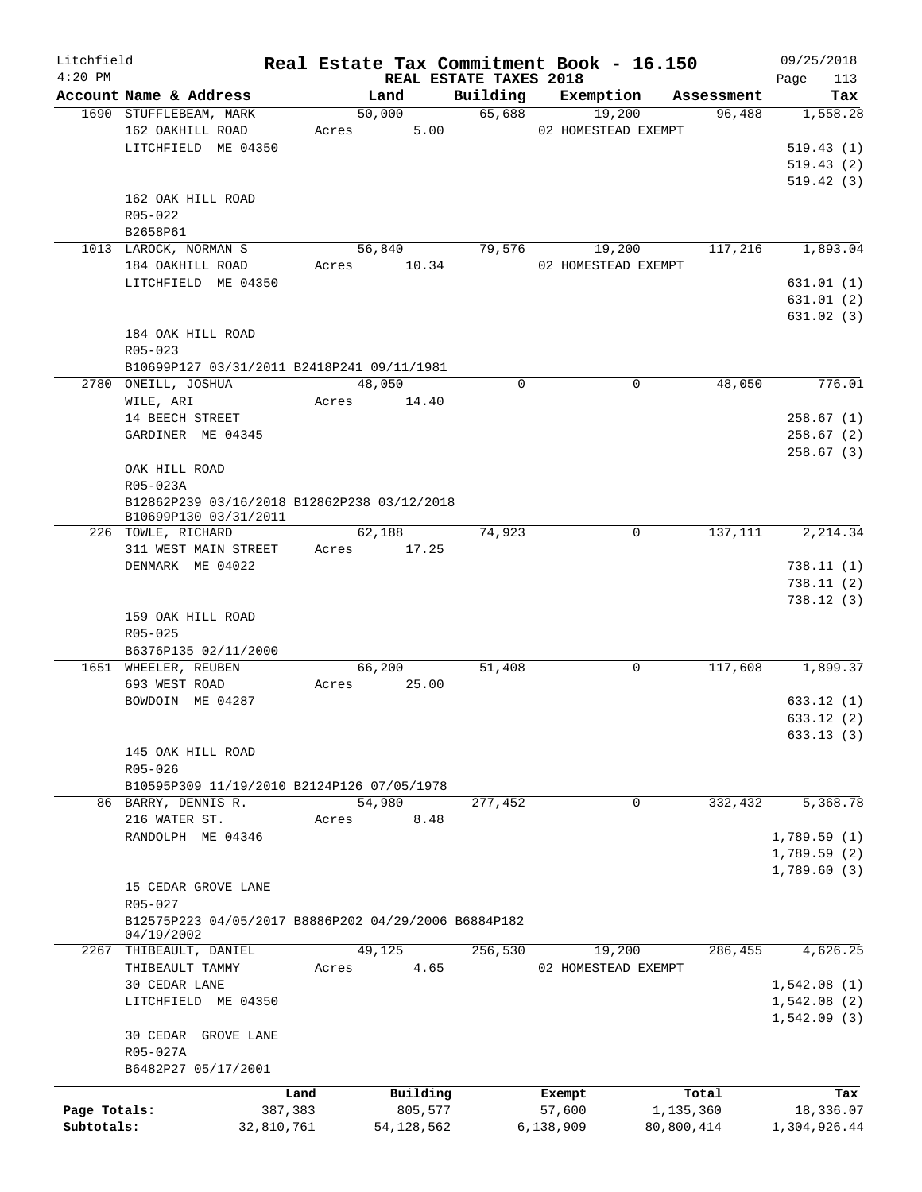| Litchfield<br>$4:20$ PM |                                                                      |            |       |                                |             | Real Estate Tax Commitment Book - 16.150 |            | 09/25/2018         |
|-------------------------|----------------------------------------------------------------------|------------|-------|--------------------------------|-------------|------------------------------------------|------------|--------------------|
|                         | Account Name & Address                                               |            |       | REAL ESTATE TAXES 2018<br>Land | Building    | Exemption                                | Assessment | 113<br>Page<br>Tax |
|                         | 1690 STUFFLEBEAM, MARK                                               |            |       | 50,000                         | 65,688      | 19,200                                   | 96,488     | 1,558.28           |
|                         | 162 OAKHILL ROAD                                                     |            | Acres | 5.00                           |             | 02 HOMESTEAD EXEMPT                      |            |                    |
|                         | LITCHFIELD ME 04350                                                  |            |       |                                |             |                                          |            | 519.43(1)          |
|                         |                                                                      |            |       |                                |             |                                          |            | 519.43(2)          |
|                         |                                                                      |            |       |                                |             |                                          |            |                    |
|                         |                                                                      |            |       |                                |             |                                          |            | 519.42(3)          |
|                         | 162 OAK HILL ROAD                                                    |            |       |                                |             |                                          |            |                    |
|                         | R05-022                                                              |            |       |                                |             |                                          |            |                    |
|                         | B2658P61                                                             |            |       |                                |             |                                          |            |                    |
|                         | 1013 LAROCK, NORMAN S                                                |            |       | 56,840                         | 79,576      | 19,200                                   | 117,216    | 1,893.04           |
|                         | 184 OAKHILL ROAD                                                     |            | Acres | 10.34                          |             | 02 HOMESTEAD EXEMPT                      |            |                    |
|                         | LITCHFIELD ME 04350                                                  |            |       |                                |             |                                          |            | 631.01 (1)         |
|                         |                                                                      |            |       |                                |             |                                          |            | 631.01(2)          |
|                         |                                                                      |            |       |                                |             |                                          |            | 631.02(3)          |
|                         | 184 OAK HILL ROAD                                                    |            |       |                                |             |                                          |            |                    |
|                         | $R05 - 023$                                                          |            |       |                                |             |                                          |            |                    |
|                         | B10699P127 03/31/2011 B2418P241 09/11/1981                           |            |       |                                |             |                                          |            |                    |
|                         | 2780 ONEILL, JOSHUA                                                  |            |       | 48,050                         | $\mathbf 0$ | $\mathbf 0$                              | 48,050     | 776.01             |
|                         | WILE, ARI                                                            |            | Acres | 14.40                          |             |                                          |            |                    |
|                         | 14 BEECH STREET                                                      |            |       |                                |             |                                          |            | 258.67(1)          |
|                         |                                                                      |            |       |                                |             |                                          |            |                    |
|                         | GARDINER ME 04345                                                    |            |       |                                |             |                                          |            | 258.67(2)          |
|                         |                                                                      |            |       |                                |             |                                          |            | 258.67(3)          |
|                         | OAK HILL ROAD                                                        |            |       |                                |             |                                          |            |                    |
|                         | R05-023A                                                             |            |       |                                |             |                                          |            |                    |
|                         | B12862P239 03/16/2018 B12862P238 03/12/2018<br>B10699P130 03/31/2011 |            |       |                                |             |                                          |            |                    |
|                         | 226 TOWLE, RICHARD                                                   |            |       | 62,188                         | 74,923      | 0                                        | 137,111    | 2,214.34           |
|                         | 311 WEST MAIN STREET                                                 |            | Acres | 17.25                          |             |                                          |            |                    |
|                         | DENMARK ME 04022                                                     |            |       |                                |             |                                          |            | 738.11(1)          |
|                         |                                                                      |            |       |                                |             |                                          |            |                    |
|                         |                                                                      |            |       |                                |             |                                          |            | 738.11(2)          |
|                         |                                                                      |            |       |                                |             |                                          |            | 738.12(3)          |
|                         | 159 OAK HILL ROAD                                                    |            |       |                                |             |                                          |            |                    |
|                         | R05-025                                                              |            |       |                                |             |                                          |            |                    |
|                         | B6376P135 02/11/2000                                                 |            |       |                                |             |                                          |            |                    |
|                         | 1651 WHEELER, REUBEN                                                 |            |       | 66,200                         | 51,408      | 0                                        | 117,608    | 1,899.37           |
|                         | 693 WEST ROAD                                                        |            | Acres | 25.00                          |             |                                          |            |                    |
|                         | BOWDOIN ME 04287                                                     |            |       |                                |             |                                          |            | 633.12 (1)         |
|                         |                                                                      |            |       |                                |             |                                          |            | 633.12(2)          |
|                         |                                                                      |            |       |                                |             |                                          |            | 633.13(3)          |
|                         | 145 OAK HILL ROAD                                                    |            |       |                                |             |                                          |            |                    |
|                         | R05-026                                                              |            |       |                                |             |                                          |            |                    |
|                         | B10595P309 11/19/2010 B2124P126 07/05/1978                           |            |       |                                |             |                                          |            |                    |
|                         | 86 BARRY, DENNIS R.                                                  |            |       | 54,980                         | 277,452     | 0                                        | 332,432    | 5,368.78           |
|                         |                                                                      |            |       |                                |             |                                          |            |                    |
|                         | 216 WATER ST.                                                        |            | Acres | 8.48                           |             |                                          |            |                    |
|                         | RANDOLPH ME 04346                                                    |            |       |                                |             |                                          |            | 1,789.59(1)        |
|                         |                                                                      |            |       |                                |             |                                          |            | 1,789.59(2)        |
|                         |                                                                      |            |       |                                |             |                                          |            | 1,789.60(3)        |
|                         | 15 CEDAR GROVE LANE                                                  |            |       |                                |             |                                          |            |                    |
|                         | R05-027                                                              |            |       |                                |             |                                          |            |                    |
|                         | B12575P223 04/05/2017 B8886P202 04/29/2006 B6884P182                 |            |       |                                |             |                                          |            |                    |
|                         | 04/19/2002                                                           |            |       |                                |             |                                          |            |                    |
|                         | 2267 THIBEAULT, DANIEL                                               |            |       | 49,125                         | 256,530     | 19,200                                   | 286,455    | 4,626.25           |
|                         | THIBEAULT TAMMY                                                      |            | Acres | 4.65                           |             | 02 HOMESTEAD EXEMPT                      |            |                    |
|                         | 30 CEDAR LANE                                                        |            |       |                                |             |                                          |            | 1,542.08(1)        |
|                         | LITCHFIELD ME 04350                                                  |            |       |                                |             |                                          |            | 1,542.08(2)        |
|                         |                                                                      |            |       |                                |             |                                          |            | 1,542.09(3)        |
|                         | 30 CEDAR GROVE LANE                                                  |            |       |                                |             |                                          |            |                    |
|                         | R05-027A                                                             |            |       |                                |             |                                          |            |                    |
|                         | B6482P27 05/17/2001                                                  |            |       |                                |             |                                          |            |                    |
|                         |                                                                      |            |       |                                |             |                                          |            |                    |
|                         |                                                                      | Land       |       | Building                       |             | Exempt                                   | Total      | Tax                |
| Page Totals:            |                                                                      | 387,383    |       | 805,577                        |             | 57,600                                   | 1,135,360  | 18,336.07          |
| Subtotals:              |                                                                      | 32,810,761 |       | 54, 128, 562                   |             | 6,138,909                                | 80,800,414 | 1,304,926.44       |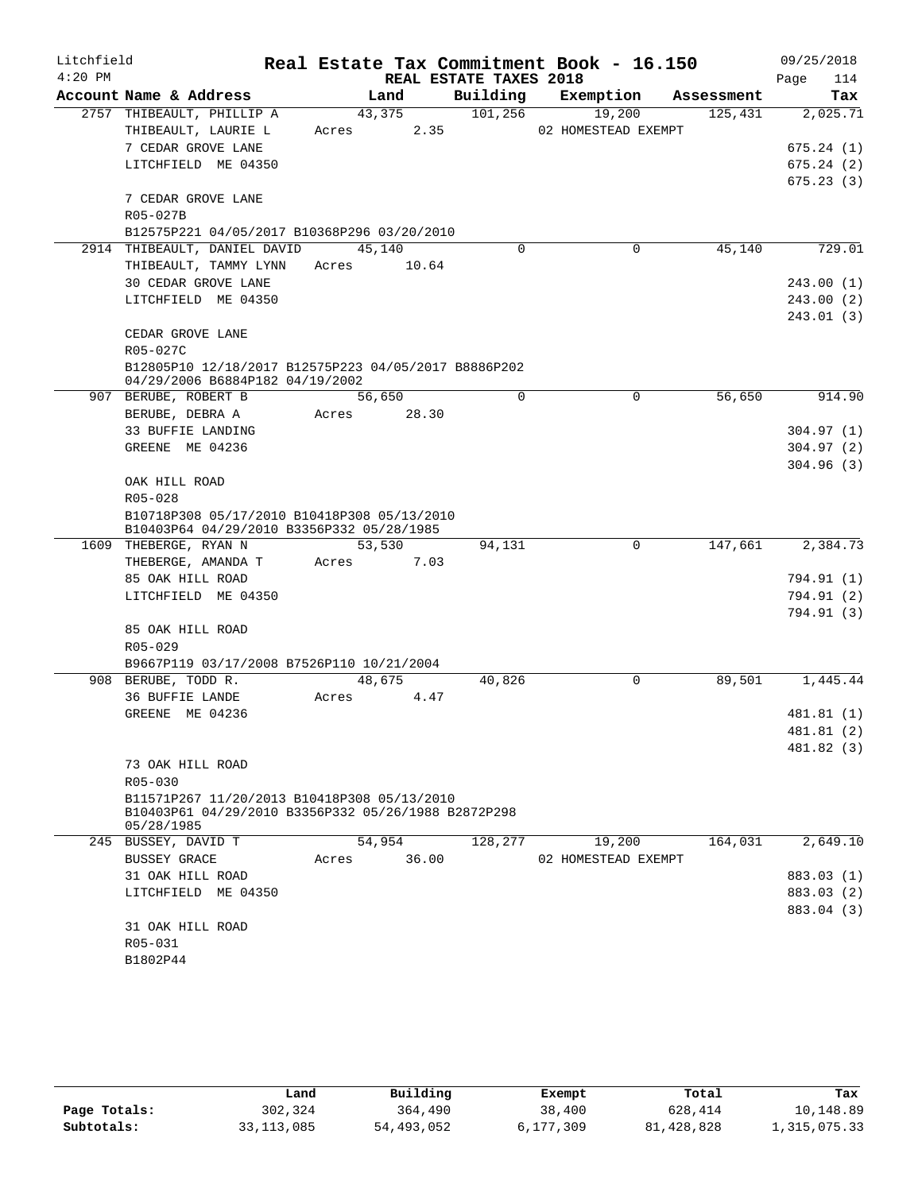| Building<br>Account Name & Address<br>Land<br>Exemption<br>Assessment<br>43,375<br>101,256<br>2757 THIBEAULT, PHILLIP A<br>19,200<br>125,431<br>THIBEAULT, LAURIE L<br>2.35<br>02 HOMESTEAD EXEMPT<br>Acres<br>7 CEDAR GROVE LANE<br>LITCHFIELD ME 04350<br>7 CEDAR GROVE LANE<br>R05-027B<br>B12575P221 04/05/2017 B10368P296 03/20/2010<br>45,140<br>2914 THIBEAULT, DANIEL DAVID<br>45,140<br>$\Omega$<br>0<br>THIBEAULT, TAMMY LYNN<br>Acres<br>10.64<br>30 CEDAR GROVE LANE<br>LITCHFIELD ME 04350<br>CEDAR GROVE LANE<br>R05-027C<br>B12805P10 12/18/2017 B12575P223 04/05/2017 B8886P202<br>04/29/2006 B6884P182 04/19/2002<br>56,650<br>$\Omega$<br>56,650<br>907 BERUBE, ROBERT B<br>0<br>Acres 28.30<br>BERUBE, DEBRA A<br>33 BUFFIE LANDING<br>GREENE ME 04236<br>OAK HILL ROAD<br>R05-028<br>B10718P308 05/17/2010 B10418P308 05/13/2010<br>B10403P64 04/29/2010 B3356P332 05/28/1985<br>147,661<br>53,530<br>94,131<br>0<br>1609 THEBERGE, RYAN N<br>THEBERGE, AMANDA T<br>7.03<br>Acres<br>85 OAK HILL ROAD<br>LITCHFIELD ME 04350<br>85 OAK HILL ROAD<br>R05-029<br>B9667P119 03/17/2008 B7526P110 10/21/2004<br>89,501<br>908 BERUBE, TODD R.<br>48,675<br>40,826<br>0<br>36 BUFFIE LANDE<br>Acres<br>4.47<br>GREENE ME 04236<br>73 OAK HILL ROAD<br>R05-030 | Litchfield<br>$4:20$ PM |  | REAL ESTATE TAXES 2018 | Real Estate Tax Commitment Book - 16.150 | 09/25/2018<br>114<br>Page |
|------------------------------------------------------------------------------------------------------------------------------------------------------------------------------------------------------------------------------------------------------------------------------------------------------------------------------------------------------------------------------------------------------------------------------------------------------------------------------------------------------------------------------------------------------------------------------------------------------------------------------------------------------------------------------------------------------------------------------------------------------------------------------------------------------------------------------------------------------------------------------------------------------------------------------------------------------------------------------------------------------------------------------------------------------------------------------------------------------------------------------------------------------------------------------------------------------------------------------------------------------------------------------|-------------------------|--|------------------------|------------------------------------------|---------------------------|
|                                                                                                                                                                                                                                                                                                                                                                                                                                                                                                                                                                                                                                                                                                                                                                                                                                                                                                                                                                                                                                                                                                                                                                                                                                                                              |                         |  |                        |                                          | Tax                       |
|                                                                                                                                                                                                                                                                                                                                                                                                                                                                                                                                                                                                                                                                                                                                                                                                                                                                                                                                                                                                                                                                                                                                                                                                                                                                              |                         |  |                        |                                          | 2,025.71                  |
|                                                                                                                                                                                                                                                                                                                                                                                                                                                                                                                                                                                                                                                                                                                                                                                                                                                                                                                                                                                                                                                                                                                                                                                                                                                                              |                         |  |                        |                                          |                           |
|                                                                                                                                                                                                                                                                                                                                                                                                                                                                                                                                                                                                                                                                                                                                                                                                                                                                                                                                                                                                                                                                                                                                                                                                                                                                              |                         |  |                        |                                          | 675.24(1)                 |
|                                                                                                                                                                                                                                                                                                                                                                                                                                                                                                                                                                                                                                                                                                                                                                                                                                                                                                                                                                                                                                                                                                                                                                                                                                                                              |                         |  |                        |                                          | 675.24(2)                 |
|                                                                                                                                                                                                                                                                                                                                                                                                                                                                                                                                                                                                                                                                                                                                                                                                                                                                                                                                                                                                                                                                                                                                                                                                                                                                              |                         |  |                        |                                          | 675.23(3)                 |
|                                                                                                                                                                                                                                                                                                                                                                                                                                                                                                                                                                                                                                                                                                                                                                                                                                                                                                                                                                                                                                                                                                                                                                                                                                                                              |                         |  |                        |                                          |                           |
|                                                                                                                                                                                                                                                                                                                                                                                                                                                                                                                                                                                                                                                                                                                                                                                                                                                                                                                                                                                                                                                                                                                                                                                                                                                                              |                         |  |                        |                                          |                           |
|                                                                                                                                                                                                                                                                                                                                                                                                                                                                                                                                                                                                                                                                                                                                                                                                                                                                                                                                                                                                                                                                                                                                                                                                                                                                              |                         |  |                        |                                          | 729.01                    |
|                                                                                                                                                                                                                                                                                                                                                                                                                                                                                                                                                                                                                                                                                                                                                                                                                                                                                                                                                                                                                                                                                                                                                                                                                                                                              |                         |  |                        |                                          |                           |
|                                                                                                                                                                                                                                                                                                                                                                                                                                                                                                                                                                                                                                                                                                                                                                                                                                                                                                                                                                                                                                                                                                                                                                                                                                                                              |                         |  |                        |                                          |                           |
|                                                                                                                                                                                                                                                                                                                                                                                                                                                                                                                                                                                                                                                                                                                                                                                                                                                                                                                                                                                                                                                                                                                                                                                                                                                                              |                         |  |                        |                                          | 243.00 (1)                |
|                                                                                                                                                                                                                                                                                                                                                                                                                                                                                                                                                                                                                                                                                                                                                                                                                                                                                                                                                                                                                                                                                                                                                                                                                                                                              |                         |  |                        |                                          | 243.00(2)                 |
|                                                                                                                                                                                                                                                                                                                                                                                                                                                                                                                                                                                                                                                                                                                                                                                                                                                                                                                                                                                                                                                                                                                                                                                                                                                                              |                         |  |                        |                                          | 243.01(3)                 |
|                                                                                                                                                                                                                                                                                                                                                                                                                                                                                                                                                                                                                                                                                                                                                                                                                                                                                                                                                                                                                                                                                                                                                                                                                                                                              |                         |  |                        |                                          |                           |
|                                                                                                                                                                                                                                                                                                                                                                                                                                                                                                                                                                                                                                                                                                                                                                                                                                                                                                                                                                                                                                                                                                                                                                                                                                                                              |                         |  |                        |                                          |                           |
|                                                                                                                                                                                                                                                                                                                                                                                                                                                                                                                                                                                                                                                                                                                                                                                                                                                                                                                                                                                                                                                                                                                                                                                                                                                                              |                         |  |                        |                                          |                           |
|                                                                                                                                                                                                                                                                                                                                                                                                                                                                                                                                                                                                                                                                                                                                                                                                                                                                                                                                                                                                                                                                                                                                                                                                                                                                              |                         |  |                        |                                          | 914.90                    |
|                                                                                                                                                                                                                                                                                                                                                                                                                                                                                                                                                                                                                                                                                                                                                                                                                                                                                                                                                                                                                                                                                                                                                                                                                                                                              |                         |  |                        |                                          |                           |
|                                                                                                                                                                                                                                                                                                                                                                                                                                                                                                                                                                                                                                                                                                                                                                                                                                                                                                                                                                                                                                                                                                                                                                                                                                                                              |                         |  |                        |                                          | 304.97(1)                 |
|                                                                                                                                                                                                                                                                                                                                                                                                                                                                                                                                                                                                                                                                                                                                                                                                                                                                                                                                                                                                                                                                                                                                                                                                                                                                              |                         |  |                        |                                          | 304.97 (2)                |
|                                                                                                                                                                                                                                                                                                                                                                                                                                                                                                                                                                                                                                                                                                                                                                                                                                                                                                                                                                                                                                                                                                                                                                                                                                                                              |                         |  |                        |                                          | 304.96(3)                 |
|                                                                                                                                                                                                                                                                                                                                                                                                                                                                                                                                                                                                                                                                                                                                                                                                                                                                                                                                                                                                                                                                                                                                                                                                                                                                              |                         |  |                        |                                          |                           |
|                                                                                                                                                                                                                                                                                                                                                                                                                                                                                                                                                                                                                                                                                                                                                                                                                                                                                                                                                                                                                                                                                                                                                                                                                                                                              |                         |  |                        |                                          |                           |
|                                                                                                                                                                                                                                                                                                                                                                                                                                                                                                                                                                                                                                                                                                                                                                                                                                                                                                                                                                                                                                                                                                                                                                                                                                                                              |                         |  |                        |                                          |                           |
|                                                                                                                                                                                                                                                                                                                                                                                                                                                                                                                                                                                                                                                                                                                                                                                                                                                                                                                                                                                                                                                                                                                                                                                                                                                                              |                         |  |                        |                                          |                           |
|                                                                                                                                                                                                                                                                                                                                                                                                                                                                                                                                                                                                                                                                                                                                                                                                                                                                                                                                                                                                                                                                                                                                                                                                                                                                              |                         |  |                        |                                          | 2,384.73                  |
|                                                                                                                                                                                                                                                                                                                                                                                                                                                                                                                                                                                                                                                                                                                                                                                                                                                                                                                                                                                                                                                                                                                                                                                                                                                                              |                         |  |                        |                                          | 794.91 (1)                |
|                                                                                                                                                                                                                                                                                                                                                                                                                                                                                                                                                                                                                                                                                                                                                                                                                                                                                                                                                                                                                                                                                                                                                                                                                                                                              |                         |  |                        |                                          | 794.91 (2)                |
|                                                                                                                                                                                                                                                                                                                                                                                                                                                                                                                                                                                                                                                                                                                                                                                                                                                                                                                                                                                                                                                                                                                                                                                                                                                                              |                         |  |                        |                                          | 794.91 (3)                |
|                                                                                                                                                                                                                                                                                                                                                                                                                                                                                                                                                                                                                                                                                                                                                                                                                                                                                                                                                                                                                                                                                                                                                                                                                                                                              |                         |  |                        |                                          |                           |
|                                                                                                                                                                                                                                                                                                                                                                                                                                                                                                                                                                                                                                                                                                                                                                                                                                                                                                                                                                                                                                                                                                                                                                                                                                                                              |                         |  |                        |                                          |                           |
|                                                                                                                                                                                                                                                                                                                                                                                                                                                                                                                                                                                                                                                                                                                                                                                                                                                                                                                                                                                                                                                                                                                                                                                                                                                                              |                         |  |                        |                                          |                           |
|                                                                                                                                                                                                                                                                                                                                                                                                                                                                                                                                                                                                                                                                                                                                                                                                                                                                                                                                                                                                                                                                                                                                                                                                                                                                              |                         |  |                        |                                          | 1,445.44                  |
|                                                                                                                                                                                                                                                                                                                                                                                                                                                                                                                                                                                                                                                                                                                                                                                                                                                                                                                                                                                                                                                                                                                                                                                                                                                                              |                         |  |                        |                                          |                           |
|                                                                                                                                                                                                                                                                                                                                                                                                                                                                                                                                                                                                                                                                                                                                                                                                                                                                                                                                                                                                                                                                                                                                                                                                                                                                              |                         |  |                        |                                          | 481.81 (1)                |
|                                                                                                                                                                                                                                                                                                                                                                                                                                                                                                                                                                                                                                                                                                                                                                                                                                                                                                                                                                                                                                                                                                                                                                                                                                                                              |                         |  |                        |                                          | 481.81 (2)                |
|                                                                                                                                                                                                                                                                                                                                                                                                                                                                                                                                                                                                                                                                                                                                                                                                                                                                                                                                                                                                                                                                                                                                                                                                                                                                              |                         |  |                        |                                          | 481.82 (3)                |
|                                                                                                                                                                                                                                                                                                                                                                                                                                                                                                                                                                                                                                                                                                                                                                                                                                                                                                                                                                                                                                                                                                                                                                                                                                                                              |                         |  |                        |                                          |                           |
|                                                                                                                                                                                                                                                                                                                                                                                                                                                                                                                                                                                                                                                                                                                                                                                                                                                                                                                                                                                                                                                                                                                                                                                                                                                                              |                         |  |                        |                                          |                           |
| B11571P267 11/20/2013 B10418P308 05/13/2010<br>B10403P61 04/29/2010 B3356P332 05/26/1988 B2872P298                                                                                                                                                                                                                                                                                                                                                                                                                                                                                                                                                                                                                                                                                                                                                                                                                                                                                                                                                                                                                                                                                                                                                                           |                         |  |                        |                                          |                           |
| 05/28/1985                                                                                                                                                                                                                                                                                                                                                                                                                                                                                                                                                                                                                                                                                                                                                                                                                                                                                                                                                                                                                                                                                                                                                                                                                                                                   |                         |  |                        |                                          |                           |
| 54,954<br>164,031<br>245 BUSSEY, DAVID T<br>128,277<br>19,200                                                                                                                                                                                                                                                                                                                                                                                                                                                                                                                                                                                                                                                                                                                                                                                                                                                                                                                                                                                                                                                                                                                                                                                                                |                         |  |                        |                                          | 2,649.10                  |
| <b>BUSSEY GRACE</b><br>36.00<br>02 HOMESTEAD EXEMPT<br>Acres                                                                                                                                                                                                                                                                                                                                                                                                                                                                                                                                                                                                                                                                                                                                                                                                                                                                                                                                                                                                                                                                                                                                                                                                                 |                         |  |                        |                                          |                           |
| 31 OAK HILL ROAD                                                                                                                                                                                                                                                                                                                                                                                                                                                                                                                                                                                                                                                                                                                                                                                                                                                                                                                                                                                                                                                                                                                                                                                                                                                             |                         |  |                        |                                          | 883.03 (1)                |
| LITCHFIELD ME 04350                                                                                                                                                                                                                                                                                                                                                                                                                                                                                                                                                                                                                                                                                                                                                                                                                                                                                                                                                                                                                                                                                                                                                                                                                                                          |                         |  |                        |                                          | 883.03 (2)                |
|                                                                                                                                                                                                                                                                                                                                                                                                                                                                                                                                                                                                                                                                                                                                                                                                                                                                                                                                                                                                                                                                                                                                                                                                                                                                              |                         |  |                        |                                          | 883.04 (3)                |
| 31 OAK HILL ROAD<br>R05-031                                                                                                                                                                                                                                                                                                                                                                                                                                                                                                                                                                                                                                                                                                                                                                                                                                                                                                                                                                                                                                                                                                                                                                                                                                                  |                         |  |                        |                                          |                           |
| B1802P44                                                                                                                                                                                                                                                                                                                                                                                                                                                                                                                                                                                                                                                                                                                                                                                                                                                                                                                                                                                                                                                                                                                                                                                                                                                                     |                         |  |                        |                                          |                           |
|                                                                                                                                                                                                                                                                                                                                                                                                                                                                                                                                                                                                                                                                                                                                                                                                                                                                                                                                                                                                                                                                                                                                                                                                                                                                              |                         |  |                        |                                          |                           |

|              | Land         | Building   | Exempt    | Total      | Tax          |
|--------------|--------------|------------|-----------|------------|--------------|
| Page Totals: | 302,324      | 364,490    | 38,400    | 628,414    | 10,148.89    |
| Subtotals:   | 33, 113, 085 | 54,493,052 | 6,177,309 | 81,428,828 | 1,315,075.33 |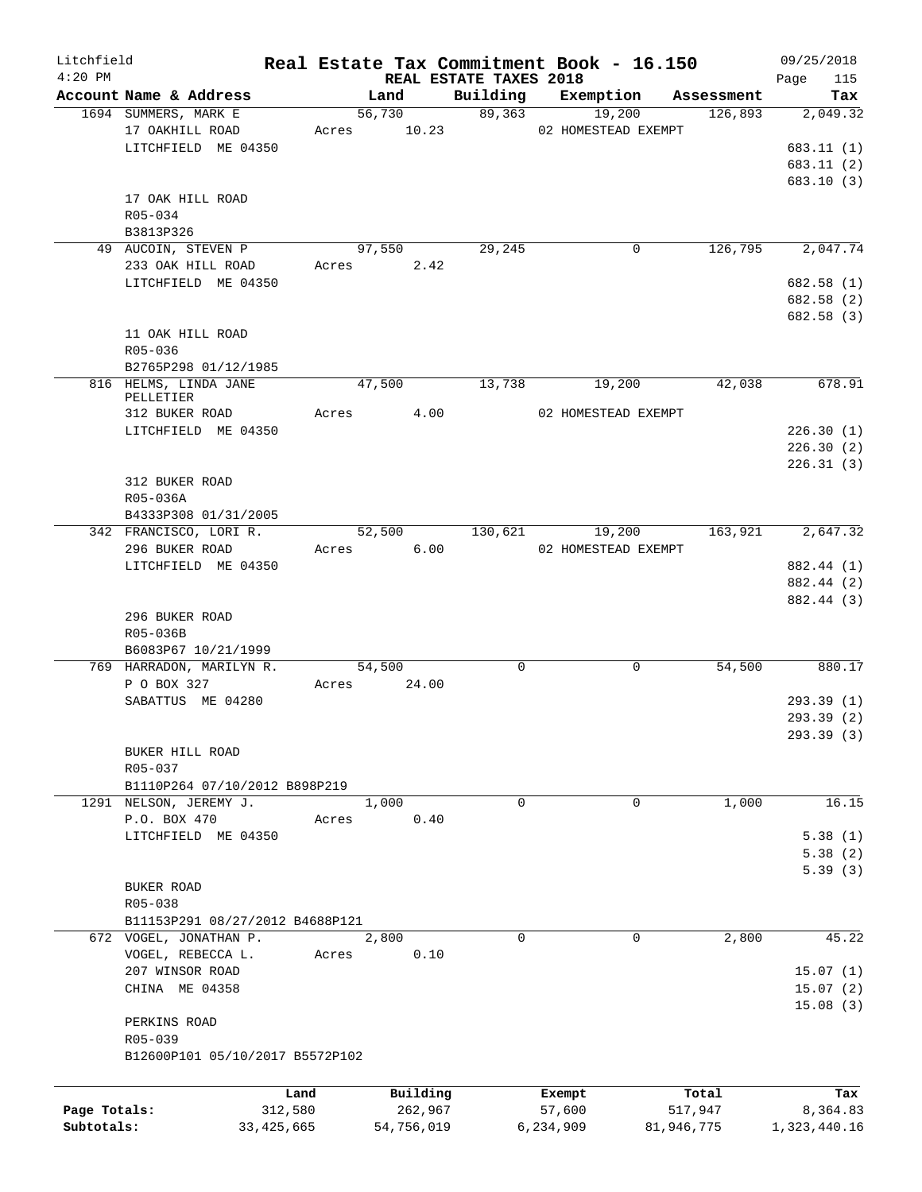| Litchfield   |                                            |         |                                |             | Real Estate Tax Commitment Book - 16.150 |            | 09/25/2018             |
|--------------|--------------------------------------------|---------|--------------------------------|-------------|------------------------------------------|------------|------------------------|
| $4:20$ PM    | Account Name & Address                     |         | REAL ESTATE TAXES 2018<br>Land | Building    | Exemption                                | Assessment | 115<br>Page<br>Tax     |
|              | 1694 SUMMERS, MARK E                       |         | 56,730                         | 89,363      | 19,200                                   | 126,893    | 2,049.32               |
|              | 17 OAKHILL ROAD                            |         | Acres 10.23                    |             | 02 HOMESTEAD EXEMPT                      |            |                        |
|              | LITCHFIELD ME 04350                        |         |                                |             |                                          |            | 683.11(1)              |
|              |                                            |         |                                |             |                                          |            | 683.11(2)              |
|              |                                            |         |                                |             |                                          |            | 683.10 (3)             |
|              | 17 OAK HILL ROAD                           |         |                                |             |                                          |            |                        |
|              | R05-034                                    |         |                                |             |                                          |            |                        |
|              | B3813P326                                  |         |                                |             |                                          |            |                        |
|              | 49 AUCOIN, STEVEN P                        |         | 97,550                         | 29,245      | $\mathbf 0$                              | 126,795    | 2,047.74               |
|              | 233 OAK HILL ROAD                          |         | Acres 2.42                     |             |                                          |            |                        |
|              | LITCHFIELD ME 04350                        |         |                                |             |                                          |            | 682.58 (1)             |
|              |                                            |         |                                |             |                                          |            | 682.58 (2)             |
|              |                                            |         |                                |             |                                          |            | 682.58 (3)             |
|              | 11 OAK HILL ROAD                           |         |                                |             |                                          |            |                        |
|              | R05-036                                    |         |                                |             |                                          |            |                        |
|              | B2765P298 01/12/1985                       |         |                                |             |                                          |            |                        |
|              | 816 HELMS, LINDA JANE                      |         | 47,500                         | 13,738      | 19,200                                   | 42,038     | 678.91                 |
|              | PELLETIER                                  |         |                                |             |                                          |            |                        |
|              | 312 BUKER ROAD                             |         | Acres 4.00                     |             | 02 HOMESTEAD EXEMPT                      |            |                        |
|              | LITCHFIELD ME 04350                        |         |                                |             |                                          |            | 226.30(1)              |
|              |                                            |         |                                |             |                                          |            | 226.30(2)<br>226.31(3) |
|              | 312 BUKER ROAD                             |         |                                |             |                                          |            |                        |
|              | R05-036A                                   |         |                                |             |                                          |            |                        |
|              | B4333P308 01/31/2005                       |         |                                |             |                                          |            |                        |
|              | 342 FRANCISCO, LORI R.                     |         | 52,500                         | 130,621     | 19,200                                   | 163,921    | 2,647.32               |
|              | 296 BUKER ROAD                             |         | Acres 6.00                     |             | 02 HOMESTEAD EXEMPT                      |            |                        |
|              | LITCHFIELD ME 04350                        |         |                                |             |                                          |            | 882.44 (1)             |
|              |                                            |         |                                |             |                                          |            | 882.44 (2)             |
|              |                                            |         |                                |             |                                          |            | 882.44 (3)             |
|              | 296 BUKER ROAD                             |         |                                |             |                                          |            |                        |
|              | R05-036B                                   |         |                                |             |                                          |            |                        |
|              | B6083P67 10/21/1999                        |         |                                |             |                                          |            |                        |
|              | 769 HARRADON, MARILYN R.                   |         | 54,500                         | $\mathbf 0$ | 0                                        | 54,500     | 880.17                 |
|              | P O BOX 327                                |         | Acres 24.00                    |             |                                          |            |                        |
|              | SABATTUS ME 04280                          |         |                                |             |                                          |            | 293.39 (1)             |
|              |                                            |         |                                |             |                                          |            | 293.39 (2)             |
|              |                                            |         |                                |             |                                          |            | 293.39 (3)             |
|              | BUKER HILL ROAD                            |         |                                |             |                                          |            |                        |
|              | R05-037                                    |         |                                |             |                                          |            |                        |
|              | B1110P264 07/10/2012 B898P219              |         |                                |             |                                          |            |                        |
|              | 1291 NELSON, JEREMY J.                     |         | 1,000                          | $\mathbf 0$ | 0                                        | 1,000      | 16.15                  |
|              | P.O. BOX 470                               | Acres   | 0.40                           |             |                                          |            |                        |
|              | LITCHFIELD ME 04350                        |         |                                |             |                                          |            | 5.38(1)                |
|              |                                            |         |                                |             |                                          |            | 5.38(2)                |
|              |                                            |         |                                |             |                                          |            | 5.39(3)                |
|              | BUKER ROAD                                 |         |                                |             |                                          |            |                        |
|              | R05-038<br>B11153P291 08/27/2012 B4688P121 |         |                                |             |                                          |            |                        |
|              | 672 VOGEL, JONATHAN P.                     |         | 2,800                          | $\Omega$    | 0                                        | 2,800      | 45.22                  |
|              | VOGEL, REBECCA L.                          | Acres   | 0.10                           |             |                                          |            |                        |
|              | 207 WINSOR ROAD                            |         |                                |             |                                          |            | 15.07(1)               |
|              | CHINA ME 04358                             |         |                                |             |                                          |            | 15.07(2)               |
|              |                                            |         |                                |             |                                          |            | 15.08(3)               |
|              | PERKINS ROAD                               |         |                                |             |                                          |            |                        |
|              | R05-039                                    |         |                                |             |                                          |            |                        |
|              | B12600P101 05/10/2017 B5572P102            |         |                                |             |                                          |            |                        |
|              |                                            |         |                                |             |                                          |            |                        |
|              |                                            | Land    | Building                       |             | Exempt                                   | Total      | Tax                    |
| Page Totals: |                                            | 312,580 | 262,967                        |             | 57,600                                   | 517,947    | 8,364.83               |
| Subtotals:   | 33, 425, 665                               |         | 54,756,019                     |             | 6,234,909                                | 81,946,775 | 1,323,440.16           |
|              |                                            |         |                                |             |                                          |            |                        |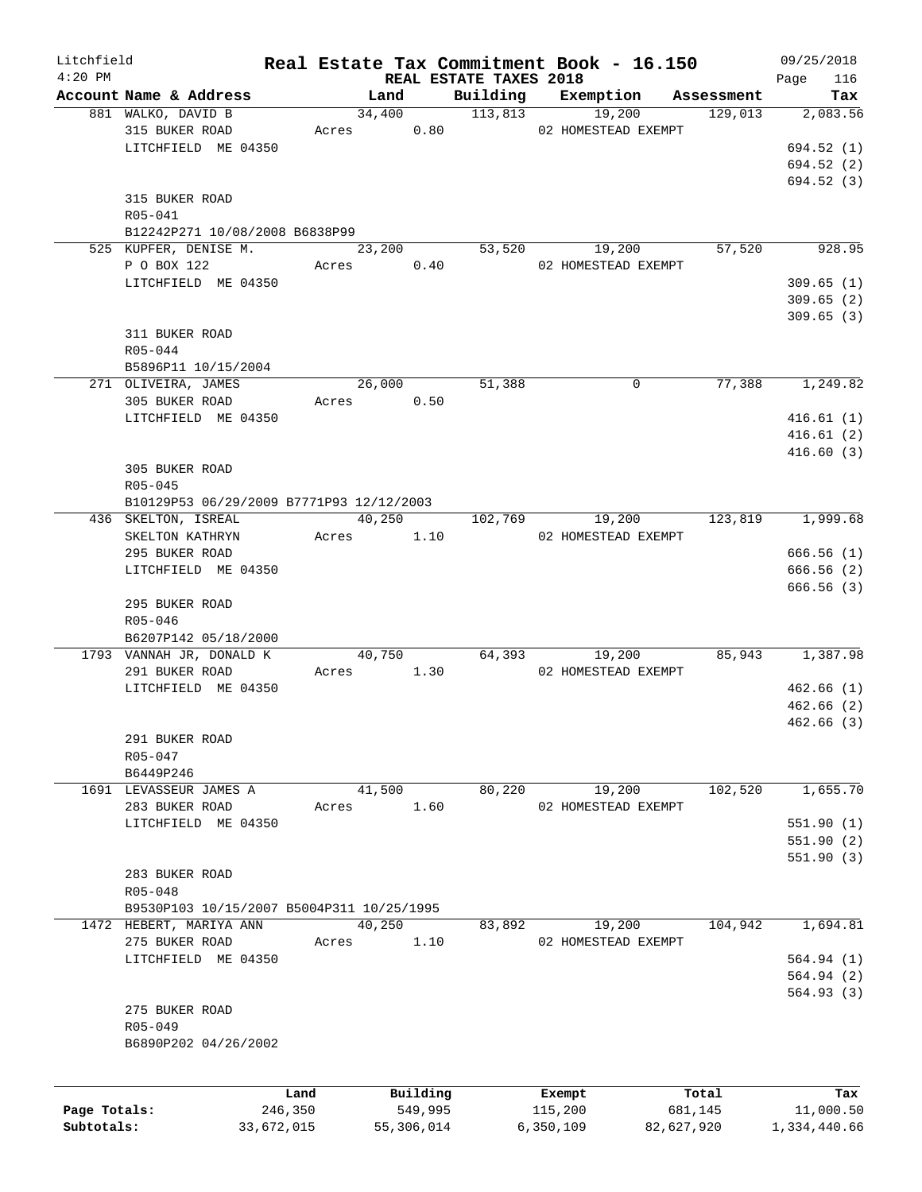| Litchfield   |                                              |            |       |                        |                        | Real Estate Tax Commitment Book - 16.150 |                       | 09/25/2018      |
|--------------|----------------------------------------------|------------|-------|------------------------|------------------------|------------------------------------------|-----------------------|-----------------|
| $4:20$ PM    |                                              |            |       |                        | REAL ESTATE TAXES 2018 |                                          |                       | 116<br>Page     |
|              | Account Name & Address<br>881 WALKO, DAVID B |            |       | Land<br>34,400 113,813 |                        | Building Exemption<br>19,200             | Assessment<br>129,013 | Tax<br>2,083.56 |
|              | 315 BUKER ROAD                               |            |       |                        |                        | Acres 0.80 02 HOMESTEAD EXEMPT           |                       |                 |
|              |                                              |            |       |                        |                        |                                          |                       |                 |
|              | LITCHFIELD ME 04350                          |            |       |                        |                        |                                          |                       | 694.52 (1)      |
|              |                                              |            |       |                        |                        |                                          |                       | 694.52 (2)      |
|              |                                              |            |       |                        |                        |                                          |                       | 694.52(3)       |
|              | 315 BUKER ROAD                               |            |       |                        |                        |                                          |                       |                 |
|              | R05-041                                      |            |       |                        |                        |                                          |                       |                 |
|              | B12242P271 10/08/2008 B6838P99               |            |       |                        |                        |                                          |                       |                 |
|              | 525 KUPFER, DENISE M.                        |            |       | 23,200                 |                        | 53,520<br>19,200                         | 57,520                | 928.95          |
|              | P O BOX 122                                  |            |       | Acres 0.40             |                        | 02 HOMESTEAD EXEMPT                      |                       |                 |
|              | LITCHFIELD ME 04350                          |            |       |                        |                        |                                          |                       | 309.65(1)       |
|              |                                              |            |       |                        |                        |                                          |                       | 309.65(2)       |
|              |                                              |            |       |                        |                        |                                          |                       | 309.65(3)       |
|              | 311 BUKER ROAD                               |            |       |                        |                        |                                          |                       |                 |
|              | $R05 - 044$                                  |            |       |                        |                        |                                          |                       |                 |
|              | B5896P11 10/15/2004                          |            |       |                        |                        |                                          |                       |                 |
|              | 271 OLIVEIRA, JAMES                          |            |       | 26,000                 | 51,388                 | 0                                        | 77,388                | 1,249.82        |
|              | 305 BUKER ROAD                               |            |       | Acres 0.50             |                        |                                          |                       |                 |
|              | LITCHFIELD ME 04350                          |            |       |                        |                        |                                          |                       | 416.61(1)       |
|              |                                              |            |       |                        |                        |                                          |                       | 416.61(2)       |
|              |                                              |            |       |                        |                        |                                          |                       | 416.60(3)       |
|              | 305 BUKER ROAD                               |            |       |                        |                        |                                          |                       |                 |
|              | $R05 - 045$                                  |            |       |                        |                        |                                          |                       |                 |
|              |                                              |            |       |                        |                        |                                          |                       |                 |
|              | B10129P53 06/29/2009 B7771P93 12/12/2003     |            |       | 40,250                 |                        |                                          |                       |                 |
|              | 436 SKELTON, ISREAL                          |            |       |                        | 102,769                | 19,200                                   | 123,819               | 1,999.68        |
|              | SKELTON KATHRYN                              |            | Acres | 1.10                   |                        | 02 HOMESTEAD EXEMPT                      |                       |                 |
|              | 295 BUKER ROAD                               |            |       |                        |                        |                                          |                       | 666.56(1)       |
|              | LITCHFIELD ME 04350                          |            |       |                        |                        |                                          |                       | 666.56(2)       |
|              |                                              |            |       |                        |                        |                                          |                       | 666.56(3)       |
|              | 295 BUKER ROAD                               |            |       |                        |                        |                                          |                       |                 |
|              | $R05 - 046$                                  |            |       |                        |                        |                                          |                       |                 |
|              | B6207P142 05/18/2000                         |            |       |                        |                        |                                          |                       |                 |
|              | 1793 VANNAH JR, DONALD K                     |            |       | 40,750                 |                        | 64,393<br>19,200                         | 85,943                | 1,387.98        |
|              | 291 BUKER ROAD                               |            |       | Acres 1.30             |                        | 02 HOMESTEAD EXEMPT                      |                       |                 |
|              | LITCHFIELD ME 04350                          |            |       |                        |                        |                                          |                       | 462.66(1)       |
|              |                                              |            |       |                        |                        |                                          |                       | 462.66(2)       |
|              |                                              |            |       |                        |                        |                                          |                       | 462.66(3)       |
|              | 291 BUKER ROAD                               |            |       |                        |                        |                                          |                       |                 |
|              | R05-047                                      |            |       |                        |                        |                                          |                       |                 |
|              | B6449P246                                    |            |       |                        |                        |                                          |                       |                 |
|              | 1691 LEVASSEUR JAMES A                       |            |       | 41,500                 | 80,220                 | 19,200                                   | 102,520               | 1,655.70        |
|              | 283 BUKER ROAD                               |            | Acres | 1.60                   |                        | 02 HOMESTEAD EXEMPT                      |                       |                 |
|              | LITCHFIELD ME 04350                          |            |       |                        |                        |                                          |                       | 551.90(1)       |
|              |                                              |            |       |                        |                        |                                          |                       | 551.90(2)       |
|              |                                              |            |       |                        |                        |                                          |                       | 551.90(3)       |
|              | 283 BUKER ROAD                               |            |       |                        |                        |                                          |                       |                 |
|              | R05-048                                      |            |       |                        |                        |                                          |                       |                 |
|              |                                              |            |       |                        |                        |                                          |                       |                 |
|              | B9530P103 10/15/2007 B5004P311 10/25/1995    |            |       |                        |                        |                                          |                       |                 |
|              | 1472 HEBERT, MARIYA ANN                      |            |       | 40,250                 | 83,892                 | 19,200                                   | 104,942               | 1,694.81        |
|              | 275 BUKER ROAD                               |            | Acres | 1.10                   |                        | 02 HOMESTEAD EXEMPT                      |                       |                 |
|              | LITCHFIELD ME 04350                          |            |       |                        |                        |                                          |                       | 564.94(1)       |
|              |                                              |            |       |                        |                        |                                          |                       | 564.94(2)       |
|              |                                              |            |       |                        |                        |                                          |                       | 564.93(3)       |
|              | 275 BUKER ROAD                               |            |       |                        |                        |                                          |                       |                 |
|              | R05-049                                      |            |       |                        |                        |                                          |                       |                 |
|              | B6890P202 04/26/2002                         |            |       |                        |                        |                                          |                       |                 |
|              |                                              |            |       |                        |                        |                                          |                       |                 |
|              |                                              |            |       |                        |                        |                                          |                       |                 |
|              |                                              | Land       |       | Building               |                        | Exempt                                   | Total                 | Tax             |
| Page Totals: |                                              | 246,350    |       | 549,995                |                        | 115,200                                  | 681,145               | 11,000.50       |
| Subtotals:   |                                              | 33,672,015 |       | 55,306,014             |                        | 6,350,109                                | 82,627,920            | 1,334,440.66    |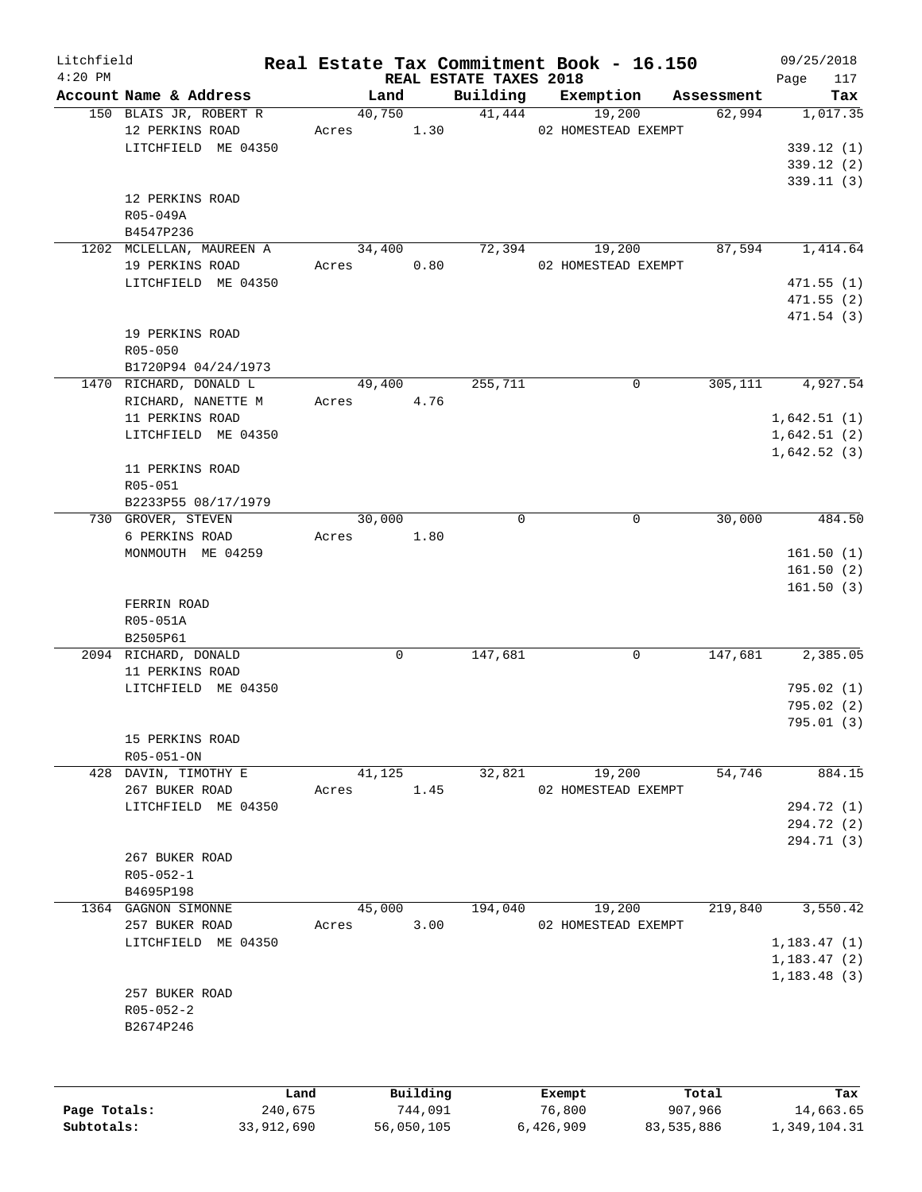| Litchfield<br>$4:20$ PM |                          |        |          | REAL ESTATE TAXES 2018 | Real Estate Tax Commitment Book - 16.150 |            | 09/25/2018<br>Page<br>117 |
|-------------------------|--------------------------|--------|----------|------------------------|------------------------------------------|------------|---------------------------|
|                         | Account Name & Address   | Land   |          | Building               | Exemption                                | Assessment | Tax                       |
|                         | 150 BLAIS JR, ROBERT R   | 40,750 |          |                        | 41,444<br>19,200                         | 62,994     | 1,017.35                  |
|                         | 12 PERKINS ROAD          | Acres  | 1.30     |                        | 02 HOMESTEAD EXEMPT                      |            |                           |
|                         | LITCHFIELD ME 04350      |        |          |                        |                                          |            | 339.12(1)                 |
|                         |                          |        |          |                        |                                          |            | 339.12(2)                 |
|                         |                          |        |          |                        |                                          |            | 339.11(3)                 |
|                         | 12 PERKINS ROAD          |        |          |                        |                                          |            |                           |
|                         | R05-049A                 |        |          |                        |                                          |            |                           |
|                         | B4547P236                |        |          |                        |                                          |            |                           |
|                         | 1202 MCLELLAN, MAUREEN A | 34,400 |          | 72,394                 | 19,200                                   | 87,594     | 1,414.64                  |
|                         | 19 PERKINS ROAD          | Acres  | 0.80     |                        | 02 HOMESTEAD EXEMPT                      |            |                           |
|                         | LITCHFIELD ME 04350      |        |          |                        |                                          |            | 471.55(1)                 |
|                         |                          |        |          |                        |                                          |            | 471.55(2)                 |
|                         |                          |        |          |                        |                                          |            | 471.54(3)                 |
|                         | 19 PERKINS ROAD          |        |          |                        |                                          |            |                           |
|                         | $R05 - 050$              |        |          |                        |                                          |            |                           |
|                         | B1720P94 04/24/1973      |        |          |                        |                                          |            |                           |
|                         | 1470 RICHARD, DONALD L   | 49,400 |          | 255,711                | $\mathsf{O}$                             | 305,111    | 4,927.54                  |
|                         | RICHARD, NANETTE M       | Acres  | 4.76     |                        |                                          |            |                           |
|                         | 11 PERKINS ROAD          |        |          |                        |                                          |            | 1,642.51(1)               |
|                         |                          |        |          |                        |                                          |            |                           |
|                         | LITCHFIELD ME 04350      |        |          |                        |                                          |            | 1,642.51(2)               |
|                         |                          |        |          |                        |                                          |            | 1,642.52(3)               |
|                         | 11 PERKINS ROAD          |        |          |                        |                                          |            |                           |
|                         | R05-051                  |        |          |                        |                                          |            |                           |
|                         | B2233P55 08/17/1979      |        |          |                        |                                          |            |                           |
|                         | 730 GROVER, STEVEN       | 30,000 |          | 0                      | 0                                        | 30,000     | 484.50                    |
|                         | 6 PERKINS ROAD           | Acres  | 1.80     |                        |                                          |            |                           |
|                         | MONMOUTH ME 04259        |        |          |                        |                                          |            | 161.50(1)                 |
|                         |                          |        |          |                        |                                          |            | 161.50(2)                 |
|                         |                          |        |          |                        |                                          |            | 161.50(3)                 |
|                         | FERRIN ROAD              |        |          |                        |                                          |            |                           |
|                         | R05-051A                 |        |          |                        |                                          |            |                           |
|                         | B2505P61                 |        |          |                        |                                          |            |                           |
|                         | 2094 RICHARD, DONALD     |        | 0        | 147,681                | 0                                        | 147,681    | 2,385.05                  |
|                         | 11 PERKINS ROAD          |        |          |                        |                                          |            |                           |
|                         | LITCHFIELD ME 04350      |        |          |                        |                                          |            | 795.02(1)                 |
|                         |                          |        |          |                        |                                          |            | 795.02(2)                 |
|                         |                          |        |          |                        |                                          |            | 795.01(3)                 |
|                         | 15 PERKINS ROAD          |        |          |                        |                                          |            |                           |
|                         | R05-051-ON               |        |          |                        |                                          |            |                           |
|                         | 428 DAVIN, TIMOTHY E     | 41,125 |          | 32,821                 | 19,200                                   | 54,746     | 884.15                    |
|                         | 267 BUKER ROAD           | Acres  | 1.45     |                        | 02 HOMESTEAD EXEMPT                      |            |                           |
|                         | LITCHFIELD ME 04350      |        |          |                        |                                          |            | 294.72 (1)                |
|                         |                          |        |          |                        |                                          |            | 294.72 (2)                |
|                         |                          |        |          |                        |                                          |            | 294.71 (3)                |
|                         | 267 BUKER ROAD           |        |          |                        |                                          |            |                           |
|                         | $R05 - 052 - 1$          |        |          |                        |                                          |            |                           |
|                         | B4695P198                |        |          |                        |                                          |            |                           |
|                         | 1364 GAGNON SIMONNE      | 45,000 |          | 194,040                | 19,200                                   | 219,840    | 3,550.42                  |
|                         | 257 BUKER ROAD           | Acres  | 3.00     |                        | 02 HOMESTEAD EXEMPT                      |            |                           |
|                         | LITCHFIELD ME 04350      |        |          |                        |                                          |            | 1,183.47(1)               |
|                         |                          |        |          |                        |                                          |            |                           |
|                         |                          |        |          |                        |                                          |            | 1,183.47(2)               |
|                         |                          |        |          |                        |                                          |            | 1,183.48(3)               |
|                         | 257 BUKER ROAD           |        |          |                        |                                          |            |                           |
|                         | $R05 - 052 - 2$          |        |          |                        |                                          |            |                           |
|                         | B2674P246                |        |          |                        |                                          |            |                           |
|                         |                          |        |          |                        |                                          |            |                           |
|                         |                          |        |          |                        |                                          |            |                           |
|                         |                          | Land   | Building |                        | Exempt                                   | Total      | Tax                       |
|                         |                          |        |          |                        |                                          |            |                           |

|              | Land       | Building   | Exempt    | Total      | Tax          |
|--------------|------------|------------|-----------|------------|--------------|
| Page Totals: | 240,675    | 744.091    | 76,800    | 907,966    | 14,663.65    |
| Subtotals:   | 33,912,690 | 56,050,105 | 6,426,909 | 83,535,886 | 1,349,104.31 |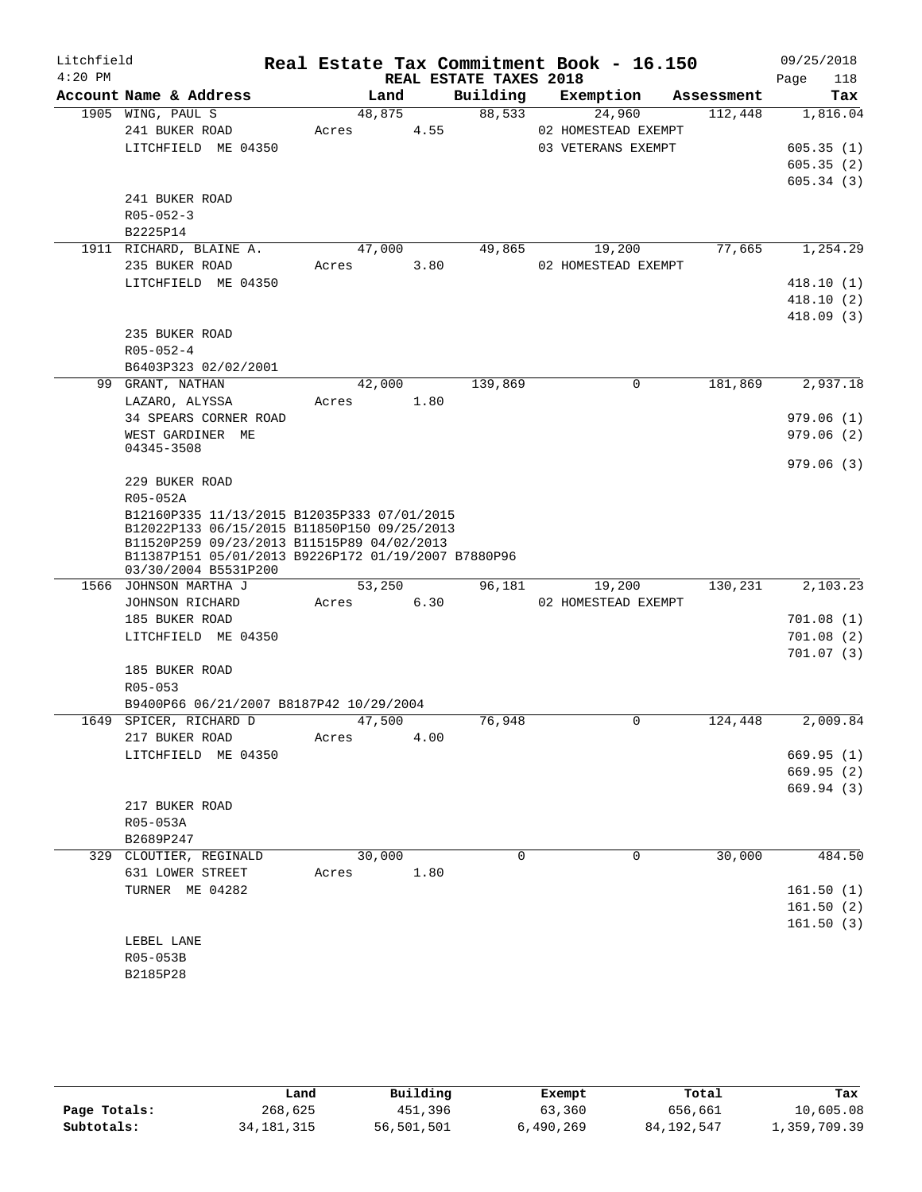| Litchfield<br>$4:20$ PM |                                                                                                                                                                                                                         |            |      | REAL ESTATE TAXES 2018 | Real Estate Tax Commitment Book - 16.150 |            | 09/25/2018<br>Page<br>118 |
|-------------------------|-------------------------------------------------------------------------------------------------------------------------------------------------------------------------------------------------------------------------|------------|------|------------------------|------------------------------------------|------------|---------------------------|
|                         | Account Name & Address                                                                                                                                                                                                  | Land       |      | Building               | Exemption                                | Assessment | Tax                       |
|                         | 1905 WING, PAUL S                                                                                                                                                                                                       | 48,875     |      | 88,533                 | 24,960                                   | 112,448    | 1,816.04                  |
|                         | 241 BUKER ROAD                                                                                                                                                                                                          | Acres      | 4.55 |                        | 02 HOMESTEAD EXEMPT                      |            |                           |
|                         | LITCHFIELD ME 04350                                                                                                                                                                                                     |            |      |                        | 03 VETERANS EXEMPT                       |            | 605.35(1)                 |
|                         |                                                                                                                                                                                                                         |            |      |                        |                                          |            | 605.35(2)                 |
|                         |                                                                                                                                                                                                                         |            |      |                        |                                          |            | 605.34(3)                 |
|                         | 241 BUKER ROAD                                                                                                                                                                                                          |            |      |                        |                                          |            |                           |
|                         | $R05 - 052 - 3$                                                                                                                                                                                                         |            |      |                        |                                          |            |                           |
|                         | B2225P14                                                                                                                                                                                                                |            |      |                        |                                          |            |                           |
|                         | 1911 RICHARD, BLAINE A.                                                                                                                                                                                                 | 47,000     |      | 49,865                 | 19,200                                   | 77,665     | 1,254.29                  |
|                         | 235 BUKER ROAD                                                                                                                                                                                                          | Acres      | 3.80 |                        | 02 HOMESTEAD EXEMPT                      |            |                           |
|                         | LITCHFIELD ME 04350                                                                                                                                                                                                     |            |      |                        |                                          |            | 418.10(1)                 |
|                         |                                                                                                                                                                                                                         |            |      |                        |                                          |            | 418.10(2)                 |
|                         |                                                                                                                                                                                                                         |            |      |                        |                                          |            | 418.09(3)                 |
|                         | 235 BUKER ROAD                                                                                                                                                                                                          |            |      |                        |                                          |            |                           |
|                         | $R05 - 052 - 4$                                                                                                                                                                                                         |            |      |                        |                                          |            |                           |
|                         | B6403P323 02/02/2001                                                                                                                                                                                                    |            |      |                        |                                          |            |                           |
|                         | 99 GRANT, NATHAN                                                                                                                                                                                                        | 42,000     |      | 139,869                | $\Omega$                                 | 181,869    | 2,937.18                  |
|                         | LAZARO, ALYSSA                                                                                                                                                                                                          | Acres 1.80 |      |                        |                                          |            |                           |
|                         | 34 SPEARS CORNER ROAD                                                                                                                                                                                                   |            |      |                        |                                          |            | 979.06(1)                 |
|                         | WEST GARDINER ME                                                                                                                                                                                                        |            |      |                        |                                          |            | 979.06(2)                 |
|                         | 04345-3508                                                                                                                                                                                                              |            |      |                        |                                          |            |                           |
|                         |                                                                                                                                                                                                                         |            |      |                        |                                          |            | 979.06(3)                 |
|                         | 229 BUKER ROAD                                                                                                                                                                                                          |            |      |                        |                                          |            |                           |
|                         | R05-052A                                                                                                                                                                                                                |            |      |                        |                                          |            |                           |
|                         | B12160P335 11/13/2015 B12035P333 07/01/2015<br>B12022P133 06/15/2015 B11850P150 09/25/2013<br>B11520P259 09/23/2013 B11515P89 04/02/2013<br>B11387P151 05/01/2013 B9226P172 01/19/2007 B7880P96<br>03/30/2004 B5531P200 |            |      |                        |                                          |            |                           |
|                         | 1566 JOHNSON MARTHA J                                                                                                                                                                                                   | 53,250     |      | 96,181                 | 19,200                                   | 130,231    | 2,103.23                  |
|                         | JOHNSON RICHARD                                                                                                                                                                                                         | Acres      | 6.30 |                        | 02 HOMESTEAD EXEMPT                      |            |                           |
|                         | 185 BUKER ROAD                                                                                                                                                                                                          |            |      |                        |                                          |            | 701.08(1)                 |
|                         | LITCHFIELD ME 04350                                                                                                                                                                                                     |            |      |                        |                                          |            | 701.08(2)                 |
|                         |                                                                                                                                                                                                                         |            |      |                        |                                          |            | 701.07(3)                 |
|                         | 185 BUKER ROAD                                                                                                                                                                                                          |            |      |                        |                                          |            |                           |
|                         | $R05 - 053$                                                                                                                                                                                                             |            |      |                        |                                          |            |                           |
|                         | B9400P66 06/21/2007 B8187P42 10/29/2004                                                                                                                                                                                 |            |      |                        |                                          |            |                           |
|                         | 1649 SPICER, RICHARD D                                                                                                                                                                                                  | 47,500     |      | 76,948                 | $\mathbf 0$                              | 124,448    | 2,009.84                  |
|                         | 217 BUKER ROAD                                                                                                                                                                                                          | Acres      | 4.00 |                        |                                          |            |                           |
|                         | LITCHFIELD ME 04350                                                                                                                                                                                                     |            |      |                        |                                          |            | 669.95 (1)                |
|                         |                                                                                                                                                                                                                         |            |      |                        |                                          |            | 669.95 (2)                |
|                         |                                                                                                                                                                                                                         |            |      |                        |                                          |            | 669.94 (3)                |
|                         | 217 BUKER ROAD                                                                                                                                                                                                          |            |      |                        |                                          |            |                           |
|                         | R05-053A                                                                                                                                                                                                                |            |      |                        |                                          |            |                           |
|                         | B2689P247                                                                                                                                                                                                               |            |      |                        |                                          |            |                           |
|                         | 329 CLOUTIER, REGINALD                                                                                                                                                                                                  | 30,000     |      | 0                      | 0                                        | 30,000     | 484.50                    |
|                         | 631 LOWER STREET                                                                                                                                                                                                        | Acres      | 1.80 |                        |                                          |            |                           |
|                         | TURNER ME 04282                                                                                                                                                                                                         |            |      |                        |                                          |            | 161.50(1)                 |
|                         |                                                                                                                                                                                                                         |            |      |                        |                                          |            | 161.50(2)                 |
|                         |                                                                                                                                                                                                                         |            |      |                        |                                          |            | 161.50(3)                 |
|                         | LEBEL LANE                                                                                                                                                                                                              |            |      |                        |                                          |            |                           |
|                         | R05-053B                                                                                                                                                                                                                |            |      |                        |                                          |            |                           |
|                         | B2185P28                                                                                                                                                                                                                |            |      |                        |                                          |            |                           |

|              | Land         | Building   | Exempt    | Total      | Tax          |
|--------------|--------------|------------|-----------|------------|--------------|
| Page Totals: | 268,625      | 451,396    | 63,360    | 656,661    | 10,605.08    |
| Subtotals:   | 34, 181, 315 | 56,501,501 | 6,490,269 | 84,192,547 | 1,359,709.39 |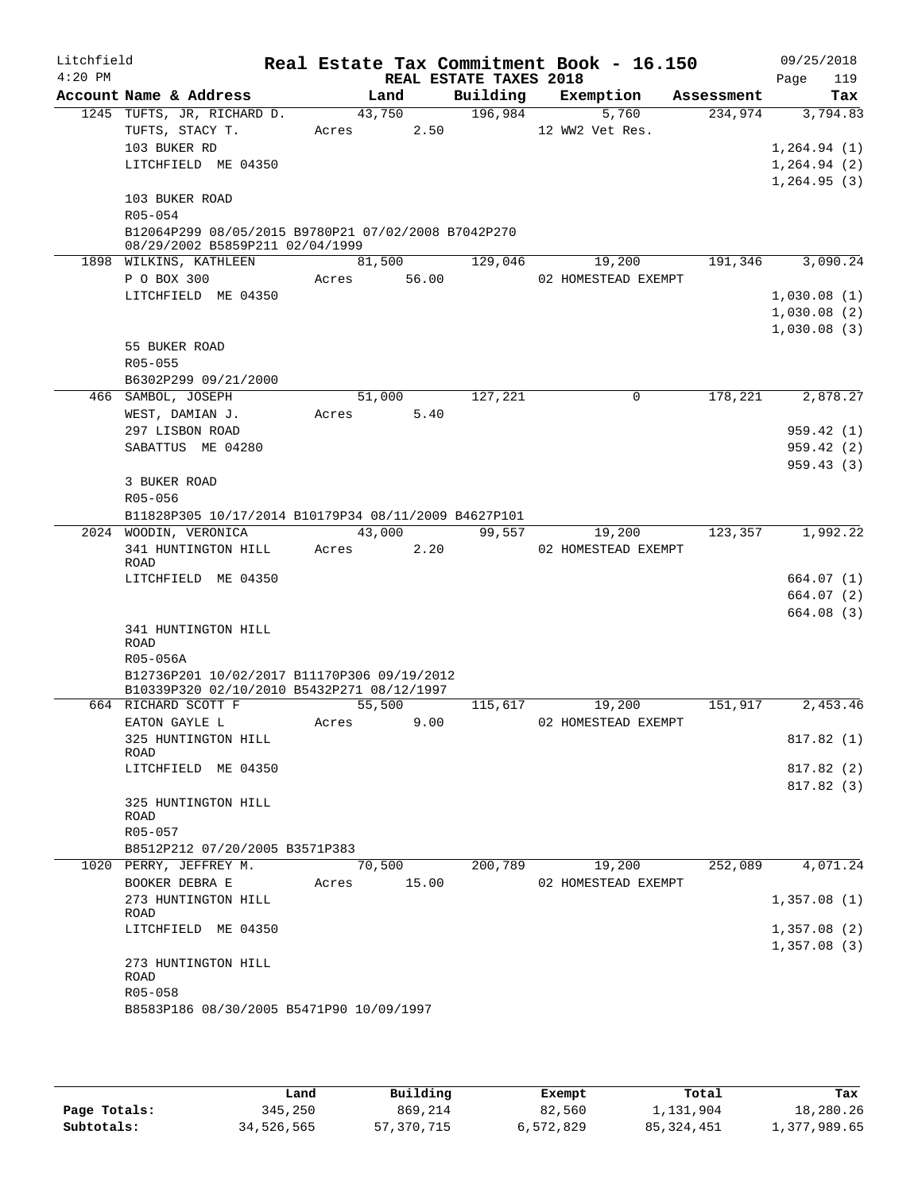| Litchfield<br>$4:20$ PM |                                                      | Real Estate Tax Commitment Book - 16.150 | REAL ESTATE TAXES 2018 |                     |            | 09/25/2018<br>119<br>Page |
|-------------------------|------------------------------------------------------|------------------------------------------|------------------------|---------------------|------------|---------------------------|
|                         | Account Name & Address                               | Land                                     | Building               | Exemption           | Assessment | Tax                       |
|                         | 1245 TUFTS, JR, RICHARD D.                           | 43,750                                   | 196,984                | 5,760               | 234,974    | 3,794.83                  |
|                         | TUFTS, STACY T.                                      | 2.50<br>Acres                            |                        | 12 WW2 Vet Res.     |            |                           |
|                         | 103 BUKER RD                                         |                                          |                        |                     |            | 1, 264.94 (1)             |
|                         | LITCHFIELD ME 04350                                  |                                          |                        |                     |            | 1, 264.94 (2)             |
|                         |                                                      |                                          |                        |                     |            | 1,264.95(3)               |
|                         | 103 BUKER ROAD                                       |                                          |                        |                     |            |                           |
|                         | R05-054                                              |                                          |                        |                     |            |                           |
|                         | B12064P299 08/05/2015 B9780P21 07/02/2008 B7042P270  |                                          |                        |                     |            |                           |
|                         | 08/29/2002 B5859P211 02/04/1999                      |                                          |                        |                     |            |                           |
|                         | 1898 WILKINS, KATHLEEN                               | 81,500                                   | 129,046                | 19,200              | 191,346    | 3,090.24                  |
|                         | P O BOX 300                                          | 56.00<br>Acres                           |                        | 02 HOMESTEAD EXEMPT |            |                           |
|                         | LITCHFIELD ME 04350                                  |                                          |                        |                     |            | 1,030.08(1)               |
|                         |                                                      |                                          |                        |                     |            | 1,030.08(2)               |
|                         |                                                      |                                          |                        |                     |            | 1,030.08(3)               |
|                         | 55 BUKER ROAD                                        |                                          |                        |                     |            |                           |
|                         | R05-055                                              |                                          |                        |                     |            |                           |
|                         | B6302P299 09/21/2000                                 |                                          |                        |                     |            |                           |
|                         | 466 SAMBOL, JOSEPH                                   | 51,000                                   | 127,221                | $\mathbf 0$         | 178,221    | 2,878.27                  |
|                         | WEST, DAMIAN J.                                      | 5.40<br>Acres                            |                        |                     |            |                           |
|                         | 297 LISBON ROAD                                      |                                          |                        |                     |            | 959.42 (1)                |
|                         | SABATTUS ME 04280                                    |                                          |                        |                     |            | 959.42(2)                 |
|                         |                                                      |                                          |                        |                     |            | 959.43(3)                 |
|                         | 3 BUKER ROAD                                         |                                          |                        |                     |            |                           |
|                         | R05-056                                              |                                          |                        |                     |            |                           |
|                         | B11828P305 10/17/2014 B10179P34 08/11/2009 B4627P101 |                                          |                        |                     |            |                           |
|                         | 2024 WOODIN, VERONICA                                | 43,000<br>2.20                           | 99,557                 | 19,200              | 123,357    | 1,992.22                  |
|                         | 341 HUNTINGTON HILL<br>ROAD                          | Acres                                    |                        | 02 HOMESTEAD EXEMPT |            |                           |
|                         | LITCHFIELD ME 04350                                  |                                          |                        |                     |            | 664.07 (1)                |
|                         |                                                      |                                          |                        |                     |            | 664.07 (2)                |
|                         |                                                      |                                          |                        |                     |            | 664.08(3)                 |
|                         | 341 HUNTINGTON HILL                                  |                                          |                        |                     |            |                           |
|                         | <b>ROAD</b>                                          |                                          |                        |                     |            |                           |
|                         | R05-056A                                             |                                          |                        |                     |            |                           |
|                         | B12736P201 10/02/2017 B11170P306 09/19/2012          |                                          |                        |                     |            |                           |
|                         | B10339P320 02/10/2010 B5432P271 08/12/1997           |                                          |                        |                     |            |                           |
|                         | 664 RICHARD SCOTT F<br>EATON GAYLE L                 | 55,500<br>9.00                           | 115,617                | 19,200              | 151,917    | 2,453.46                  |
|                         |                                                      | Acres                                    |                        | 02 HOMESTEAD EXEMPT |            |                           |
|                         | 325 HUNTINGTON HILL<br>ROAD                          |                                          |                        |                     |            | 817.82 (1)                |
|                         | LITCHFIELD ME 04350                                  |                                          |                        |                     |            | 817.82 (2)                |
|                         |                                                      |                                          |                        |                     |            | 817.82(3)                 |
|                         | 325 HUNTINGTON HILL                                  |                                          |                        |                     |            |                           |
|                         | ROAD                                                 |                                          |                        |                     |            |                           |
|                         | R05-057                                              |                                          |                        |                     |            |                           |
|                         | B8512P212 07/20/2005 B3571P383                       |                                          |                        |                     |            |                           |
|                         | 1020 PERRY, JEFFREY M.                               | 70,500                                   | 200,789                | 19,200              | 252,089    | 4,071.24                  |
|                         | BOOKER DEBRA E                                       | Acres 15.00                              |                        | 02 HOMESTEAD EXEMPT |            |                           |
|                         | 273 HUNTINGTON HILL                                  |                                          |                        |                     |            | 1,357.08(1)               |
|                         | ROAD                                                 |                                          |                        |                     |            |                           |
|                         | LITCHFIELD ME 04350                                  |                                          |                        |                     |            | 1,357.08(2)               |
|                         |                                                      |                                          |                        |                     |            | 1,357.08(3)               |
|                         | 273 HUNTINGTON HILL<br>ROAD                          |                                          |                        |                     |            |                           |
|                         | R05-058                                              |                                          |                        |                     |            |                           |
|                         | B8583P186 08/30/2005 B5471P90 10/09/1997             |                                          |                        |                     |            |                           |
|                         |                                                      |                                          |                        |                     |            |                           |
|                         |                                                      |                                          |                        |                     |            |                           |

|              | Land       | Building   | Exempt    | Total        | Tax          |
|--------------|------------|------------|-----------|--------------|--------------|
| Page Totals: | 345,250    | 869,214    | 82,560    | 1,131,904    | 18,280.26    |
| Subtotals:   | 34,526,565 | 57,370,715 | 6,572,829 | 85, 324, 451 | 1,377,989.65 |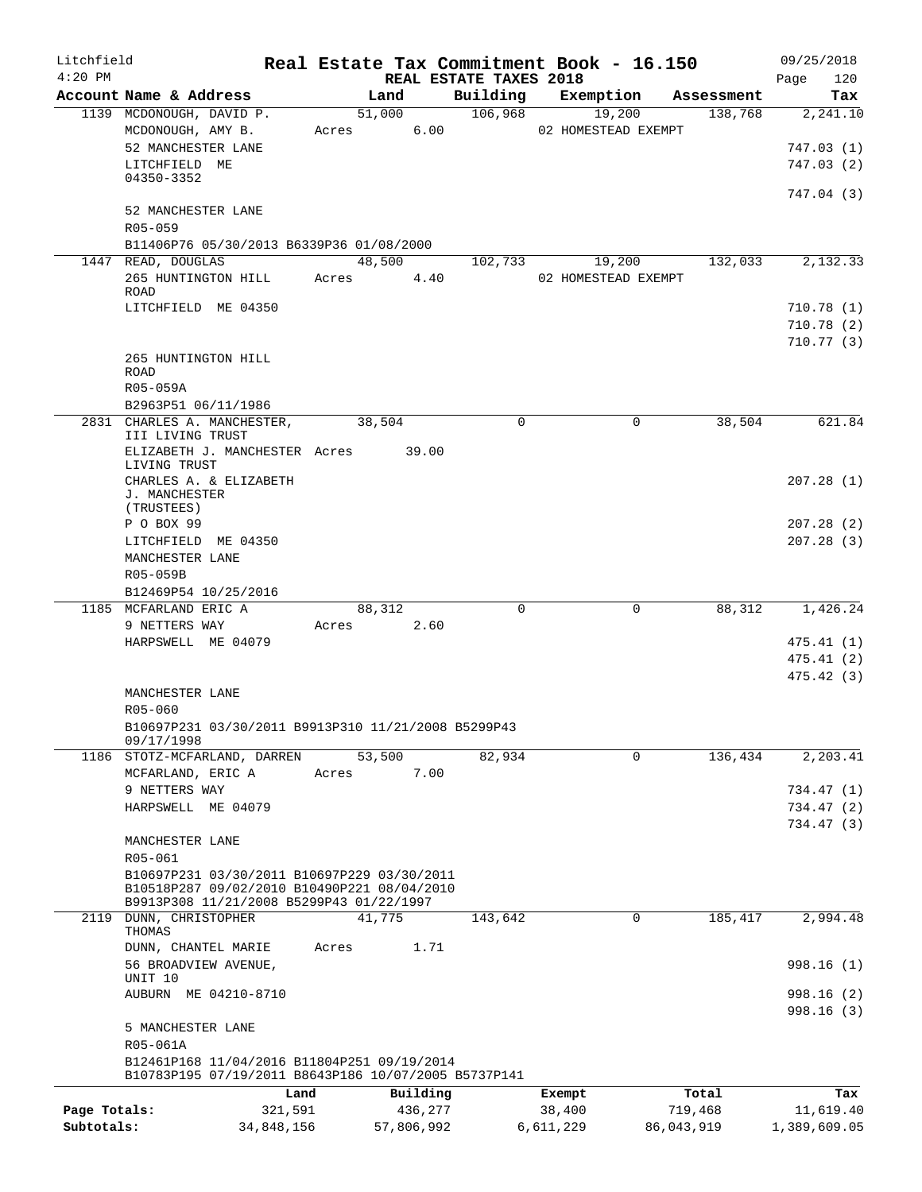| Litchfield<br>$4:20$ PM |                                                     |                                                                                                     |       |               | REAL ESTATE TAXES 2018 | Real Estate Tax Commitment Book - 16.150 |            | 09/25/2018<br>120<br>Page |
|-------------------------|-----------------------------------------------------|-----------------------------------------------------------------------------------------------------|-------|---------------|------------------------|------------------------------------------|------------|---------------------------|
|                         | Account Name & Address                              |                                                                                                     |       | Land          | Building               | Exemption                                | Assessment | Tax                       |
|                         | 1139 MCDONOUGH, DAVID P.                            |                                                                                                     |       | 51,000        | 106,968                | 19,200                                   | 138,768    | 2,241.10                  |
|                         | MCDONOUGH, AMY B.                                   |                                                                                                     |       | 6.00<br>Acres |                        | 02 HOMESTEAD EXEMPT                      |            |                           |
|                         | 52 MANCHESTER LANE                                  |                                                                                                     |       |               |                        |                                          |            | 747.03 (1)                |
|                         | LITCHFIELD ME                                       |                                                                                                     |       |               |                        |                                          |            | 747.03(2)                 |
|                         | 04350-3352                                          |                                                                                                     |       |               |                        |                                          |            |                           |
|                         |                                                     |                                                                                                     |       |               |                        |                                          |            | 747.04 (3)                |
|                         | 52 MANCHESTER LANE                                  |                                                                                                     |       |               |                        |                                          |            |                           |
|                         | R05-059                                             |                                                                                                     |       |               |                        |                                          |            |                           |
|                         |                                                     | B11406P76 05/30/2013 B6339P36 01/08/2000                                                            |       |               |                        |                                          |            |                           |
|                         | 1447 READ, DOUGLAS                                  |                                                                                                     |       | 48,500        | 102,733                | 19,200                                   | 132,033    | 2,132.33                  |
|                         |                                                     | 265 HUNTINGTON HILL                                                                                 | Acres | 4.40          |                        | 02 HOMESTEAD EXEMPT                      |            |                           |
|                         | ROAD                                                |                                                                                                     |       |               |                        |                                          |            |                           |
|                         | LITCHFIELD ME 04350                                 |                                                                                                     |       |               |                        |                                          |            | 710.78 (1)                |
|                         |                                                     |                                                                                                     |       |               |                        |                                          |            | 710.78(2)                 |
|                         |                                                     |                                                                                                     |       |               |                        |                                          |            | 710.77(3)                 |
|                         | 265 HUNTINGTON HILL                                 |                                                                                                     |       |               |                        |                                          |            |                           |
|                         | <b>ROAD</b>                                         |                                                                                                     |       |               |                        |                                          |            |                           |
|                         | R05-059A                                            |                                                                                                     |       |               |                        |                                          |            |                           |
|                         | B2963P51 06/11/1986                                 |                                                                                                     |       |               |                        |                                          |            |                           |
|                         |                                                     | 2831 CHARLES A. MANCHESTER,                                                                         |       | 38,504        | $\Omega$               | $\Omega$                                 | 38,504     | 621.84                    |
|                         | III LIVING TRUST                                    |                                                                                                     |       |               |                        |                                          |            |                           |
|                         |                                                     | ELIZABETH J. MANCHESTER Acres 39.00                                                                 |       |               |                        |                                          |            |                           |
|                         | LIVING TRUST                                        |                                                                                                     |       |               |                        |                                          |            |                           |
|                         |                                                     | CHARLES A. & ELIZABETH                                                                              |       |               |                        |                                          |            | 207.28(1)                 |
|                         | J. MANCHESTER                                       |                                                                                                     |       |               |                        |                                          |            |                           |
|                         | (TRUSTEES)                                          |                                                                                                     |       |               |                        |                                          |            |                           |
|                         | P O BOX 99                                          |                                                                                                     |       |               |                        |                                          |            | 207.28(2)                 |
|                         | LITCHFIELD ME 04350                                 |                                                                                                     |       |               |                        |                                          |            | 207.28(3)                 |
|                         | MANCHESTER LANE                                     |                                                                                                     |       |               |                        |                                          |            |                           |
|                         | R05-059B                                            |                                                                                                     |       |               |                        |                                          |            |                           |
|                         | B12469P54 10/25/2016                                |                                                                                                     |       |               |                        |                                          |            |                           |
|                         | 1185 MCFARLAND ERIC A                               |                                                                                                     |       | 88,312        | $\Omega$               | $\mathbf 0$                              | 88,312     | 1,426.24                  |
|                         | 9 NETTERS WAY                                       |                                                                                                     | Acres | 2.60          |                        |                                          |            |                           |
|                         | HARPSWELL ME 04079                                  |                                                                                                     |       |               |                        |                                          |            | 475.41(1)                 |
|                         |                                                     |                                                                                                     |       |               |                        |                                          |            | 475.41(2)                 |
|                         |                                                     |                                                                                                     |       |               |                        |                                          |            | 475.42(3)                 |
|                         | MANCHESTER LANE                                     |                                                                                                     |       |               |                        |                                          |            |                           |
|                         | R05-060                                             |                                                                                                     |       |               |                        |                                          |            |                           |
|                         | B10697P231 03/30/2011 B9913P310 11/21/2008 B5299P43 |                                                                                                     |       |               |                        |                                          |            |                           |
|                         | 09/17/1998                                          |                                                                                                     |       |               |                        |                                          |            |                           |
|                         |                                                     | 1186 STOTZ-MCFARLAND, DARREN                                                                        |       | 53,500        | 82,934                 | $\Omega$                                 | 136,434    | 2,203.41                  |
|                         | MCFARLAND, ERIC A                                   |                                                                                                     | Acres | 7.00          |                        |                                          |            |                           |
|                         | 9 NETTERS WAY                                       |                                                                                                     |       |               |                        |                                          |            | 734.47 (1)                |
|                         | HARPSWELL ME 04079                                  |                                                                                                     |       |               |                        |                                          |            | 734.47 (2)                |
|                         |                                                     |                                                                                                     |       |               |                        |                                          |            | 734.47 (3)                |
|                         | MANCHESTER LANE                                     |                                                                                                     |       |               |                        |                                          |            |                           |
|                         | R05-061                                             |                                                                                                     |       |               |                        |                                          |            |                           |
|                         |                                                     | B10697P231 03/30/2011 B10697P229 03/30/2011                                                         |       |               |                        |                                          |            |                           |
|                         |                                                     | B10518P287 09/02/2010 B10490P221 08/04/2010                                                         |       |               |                        |                                          |            |                           |
|                         |                                                     | B9913P308 11/21/2008 B5299P43 01/22/1997                                                            |       |               |                        |                                          |            |                           |
|                         | 2119 DUNN, CHRISTOPHER                              |                                                                                                     |       | 41,775        | 143,642                | $\mathbf 0$                              | 185,417    | 2,994.48                  |
|                         | THOMAS                                              |                                                                                                     |       |               |                        |                                          |            |                           |
|                         | DUNN, CHANTEL MARIE                                 |                                                                                                     | Acres | 1.71          |                        |                                          |            |                           |
|                         | 56 BROADVIEW AVENUE,                                |                                                                                                     |       |               |                        |                                          |            | 998.16(1)                 |
|                         | UNIT 10                                             |                                                                                                     |       |               |                        |                                          |            |                           |
|                         |                                                     | AUBURN ME 04210-8710                                                                                |       |               |                        |                                          |            | 998.16 (2)                |
|                         |                                                     |                                                                                                     |       |               |                        |                                          |            | 998.16(3)                 |
|                         | 5 MANCHESTER LANE                                   |                                                                                                     |       |               |                        |                                          |            |                           |
|                         | R05-061A                                            |                                                                                                     |       |               |                        |                                          |            |                           |
|                         |                                                     | B12461P168 11/04/2016 B11804P251 09/19/2014<br>B10783P195 07/19/2011 B8643P186 10/07/2005 B5737P141 |       |               |                        |                                          |            |                           |
|                         |                                                     |                                                                                                     |       |               |                        |                                          |            |                           |
|                         |                                                     |                                                                                                     | Land  | Building      |                        | Exempt                                   | Total      | Tax                       |
| Page Totals:            |                                                     | 321,591                                                                                             |       | 436,277       |                        | 38,400                                   | 719,468    | 11,619.40                 |
| Subtotals:              |                                                     | 34,848,156                                                                                          |       | 57,806,992    |                        | 6,611,229                                | 86,043,919 | 1,389,609.05              |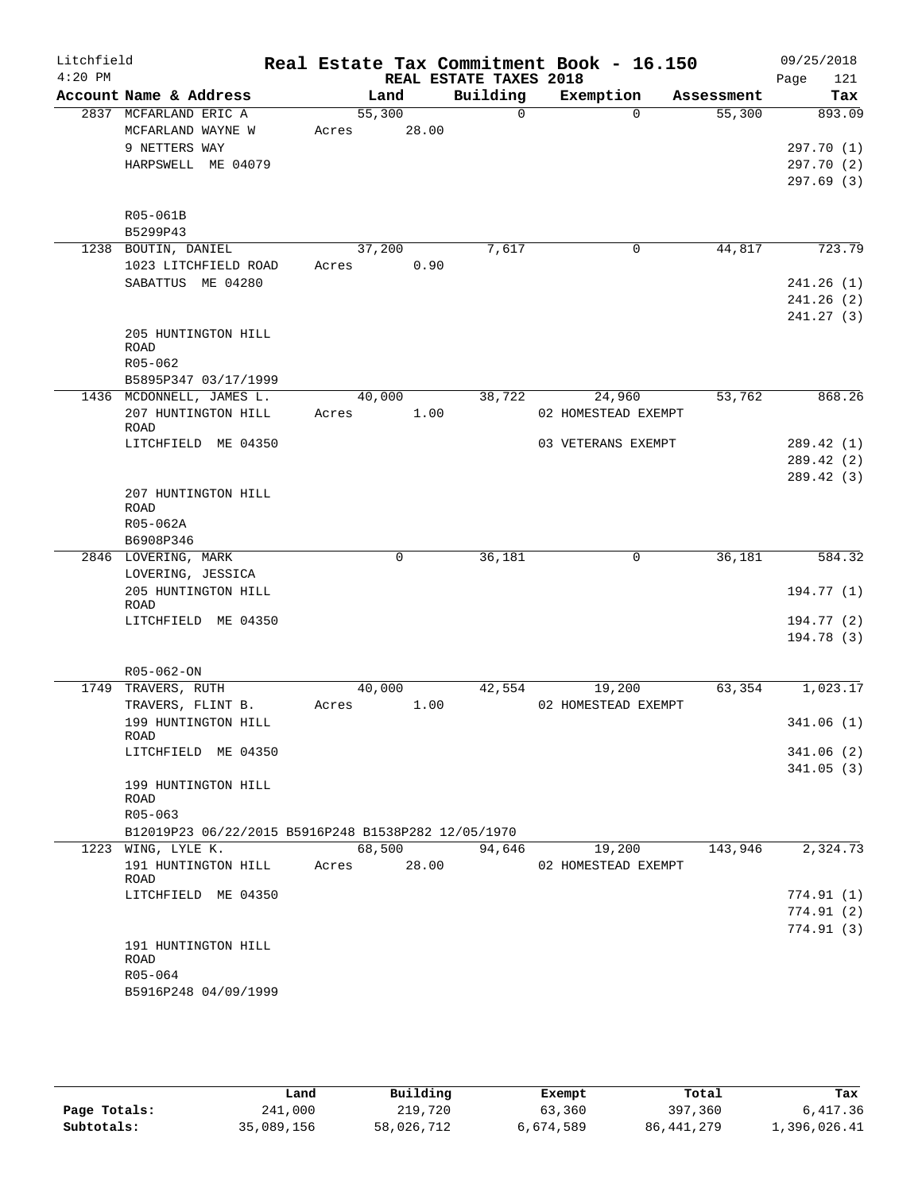| $4:20$ PM<br>REAL ESTATE TAXES 2018<br>Page<br>121<br>Building<br>Account Name & Address<br>Exemption<br>Land<br>Tax<br>Assessment<br>55,300<br>$\Omega$<br>2837 MCFARLAND ERIC A<br>$\Omega$<br>55,300<br>893.09<br>28.00<br>MCFARLAND WAYNE W<br>Acres<br>9 NETTERS WAY<br>HARPSWELL ME 04079<br>R05-061B<br>B5299P43<br>37,200<br>7,617<br>44,817<br>1238 BOUTIN, DANIEL<br>0<br>1023 LITCHFIELD ROAD<br>0.90<br>Acres<br>SABATTUS ME 04280<br>205 HUNTINGTON HILL<br><b>ROAD</b><br>R05-062<br>B5895P347 03/17/1999<br>868.26<br>1436 MCDONNELL, JAMES L.<br>40,000<br>38,722<br>24,960<br>53,762<br>207 HUNTINGTON HILL<br>1.00<br>02 HOMESTEAD EXEMPT<br>Acres<br>ROAD<br>LITCHFIELD ME 04350<br>03 VETERANS EXEMPT<br>207 HUNTINGTON HILL<br><b>ROAD</b><br>R05-062A<br>B6908P346<br>$\mathbf 0$<br>0<br>36,181<br>2846 LOVERING, MARK<br>36,181<br>LOVERING, JESSICA<br>205 HUNTINGTON HILL<br>ROAD<br>LITCHFIELD ME 04350<br>R05-062-ON<br>1749 TRAVERS, RUTH<br>40,000<br>42,554<br>19,200<br>63,354<br>TRAVERS, FLINT B.<br>1.00<br>02 HOMESTEAD EXEMPT<br>Acres<br>199 HUNTINGTON HILL<br>ROAD<br>LITCHFIELD ME 04350<br>199 HUNTINGTON HILL<br>ROAD<br>R05-063<br>B12019P23 06/22/2015 B5916P248 B1538P282 12/05/1970<br>1223 WING, LYLE K.<br>68,500<br>94,646<br>143,946<br>2,324.73<br>19,200<br>191 HUNTINGTON HILL<br>28.00<br>02 HOMESTEAD EXEMPT<br>Acres<br>ROAD<br>LITCHFIELD ME 04350<br>191 HUNTINGTON HILL<br>ROAD<br>R05-064 | Litchfield |                      |  | Real Estate Tax Commitment Book - 16.150 |  | 09/25/2018 |
|--------------------------------------------------------------------------------------------------------------------------------------------------------------------------------------------------------------------------------------------------------------------------------------------------------------------------------------------------------------------------------------------------------------------------------------------------------------------------------------------------------------------------------------------------------------------------------------------------------------------------------------------------------------------------------------------------------------------------------------------------------------------------------------------------------------------------------------------------------------------------------------------------------------------------------------------------------------------------------------------------------------------------------------------------------------------------------------------------------------------------------------------------------------------------------------------------------------------------------------------------------------------------------------------------------------------------------------------------------------------------------------------------------------------------------------------------------|------------|----------------------|--|------------------------------------------|--|------------|
| 297.70 (1)                                                                                                                                                                                                                                                                                                                                                                                                                                                                                                                                                                                                                                                                                                                                                                                                                                                                                                                                                                                                                                                                                                                                                                                                                                                                                                                                                                                                                                             |            |                      |  |                                          |  |            |
|                                                                                                                                                                                                                                                                                                                                                                                                                                                                                                                                                                                                                                                                                                                                                                                                                                                                                                                                                                                                                                                                                                                                                                                                                                                                                                                                                                                                                                                        |            |                      |  |                                          |  |            |
|                                                                                                                                                                                                                                                                                                                                                                                                                                                                                                                                                                                                                                                                                                                                                                                                                                                                                                                                                                                                                                                                                                                                                                                                                                                                                                                                                                                                                                                        |            |                      |  |                                          |  |            |
| 297.70 (2)<br>723.79<br>241.26(1)<br>241.26(2)<br>241.27(3)<br>289.42 (2)<br>289.42 (3)<br>584.32<br>194.77 (1)<br>194.77 (2)<br>194.78 (3)<br>1,023.17<br>341.06(2)<br>341.05(3)<br>774.91(1)<br>774.91 (2)<br>774.91(3)                                                                                                                                                                                                                                                                                                                                                                                                                                                                                                                                                                                                                                                                                                                                                                                                                                                                                                                                                                                                                                                                                                                                                                                                                              |            |                      |  |                                          |  |            |
| 297.69 (3)                                                                                                                                                                                                                                                                                                                                                                                                                                                                                                                                                                                                                                                                                                                                                                                                                                                                                                                                                                                                                                                                                                                                                                                                                                                                                                                                                                                                                                             |            |                      |  |                                          |  |            |
|                                                                                                                                                                                                                                                                                                                                                                                                                                                                                                                                                                                                                                                                                                                                                                                                                                                                                                                                                                                                                                                                                                                                                                                                                                                                                                                                                                                                                                                        |            |                      |  |                                          |  |            |
|                                                                                                                                                                                                                                                                                                                                                                                                                                                                                                                                                                                                                                                                                                                                                                                                                                                                                                                                                                                                                                                                                                                                                                                                                                                                                                                                                                                                                                                        |            |                      |  |                                          |  |            |
|                                                                                                                                                                                                                                                                                                                                                                                                                                                                                                                                                                                                                                                                                                                                                                                                                                                                                                                                                                                                                                                                                                                                                                                                                                                                                                                                                                                                                                                        |            |                      |  |                                          |  |            |
| 289.42 (1)<br>341.06 (1)                                                                                                                                                                                                                                                                                                                                                                                                                                                                                                                                                                                                                                                                                                                                                                                                                                                                                                                                                                                                                                                                                                                                                                                                                                                                                                                                                                                                                               |            |                      |  |                                          |  |            |
|                                                                                                                                                                                                                                                                                                                                                                                                                                                                                                                                                                                                                                                                                                                                                                                                                                                                                                                                                                                                                                                                                                                                                                                                                                                                                                                                                                                                                                                        |            |                      |  |                                          |  |            |
|                                                                                                                                                                                                                                                                                                                                                                                                                                                                                                                                                                                                                                                                                                                                                                                                                                                                                                                                                                                                                                                                                                                                                                                                                                                                                                                                                                                                                                                        |            |                      |  |                                          |  |            |
|                                                                                                                                                                                                                                                                                                                                                                                                                                                                                                                                                                                                                                                                                                                                                                                                                                                                                                                                                                                                                                                                                                                                                                                                                                                                                                                                                                                                                                                        |            |                      |  |                                          |  |            |
|                                                                                                                                                                                                                                                                                                                                                                                                                                                                                                                                                                                                                                                                                                                                                                                                                                                                                                                                                                                                                                                                                                                                                                                                                                                                                                                                                                                                                                                        |            |                      |  |                                          |  |            |
|                                                                                                                                                                                                                                                                                                                                                                                                                                                                                                                                                                                                                                                                                                                                                                                                                                                                                                                                                                                                                                                                                                                                                                                                                                                                                                                                                                                                                                                        |            |                      |  |                                          |  |            |
|                                                                                                                                                                                                                                                                                                                                                                                                                                                                                                                                                                                                                                                                                                                                                                                                                                                                                                                                                                                                                                                                                                                                                                                                                                                                                                                                                                                                                                                        |            |                      |  |                                          |  |            |
|                                                                                                                                                                                                                                                                                                                                                                                                                                                                                                                                                                                                                                                                                                                                                                                                                                                                                                                                                                                                                                                                                                                                                                                                                                                                                                                                                                                                                                                        |            |                      |  |                                          |  |            |
|                                                                                                                                                                                                                                                                                                                                                                                                                                                                                                                                                                                                                                                                                                                                                                                                                                                                                                                                                                                                                                                                                                                                                                                                                                                                                                                                                                                                                                                        |            |                      |  |                                          |  |            |
|                                                                                                                                                                                                                                                                                                                                                                                                                                                                                                                                                                                                                                                                                                                                                                                                                                                                                                                                                                                                                                                                                                                                                                                                                                                                                                                                                                                                                                                        |            |                      |  |                                          |  |            |
|                                                                                                                                                                                                                                                                                                                                                                                                                                                                                                                                                                                                                                                                                                                                                                                                                                                                                                                                                                                                                                                                                                                                                                                                                                                                                                                                                                                                                                                        |            |                      |  |                                          |  |            |
|                                                                                                                                                                                                                                                                                                                                                                                                                                                                                                                                                                                                                                                                                                                                                                                                                                                                                                                                                                                                                                                                                                                                                                                                                                                                                                                                                                                                                                                        |            |                      |  |                                          |  |            |
|                                                                                                                                                                                                                                                                                                                                                                                                                                                                                                                                                                                                                                                                                                                                                                                                                                                                                                                                                                                                                                                                                                                                                                                                                                                                                                                                                                                                                                                        |            |                      |  |                                          |  |            |
|                                                                                                                                                                                                                                                                                                                                                                                                                                                                                                                                                                                                                                                                                                                                                                                                                                                                                                                                                                                                                                                                                                                                                                                                                                                                                                                                                                                                                                                        |            |                      |  |                                          |  |            |
|                                                                                                                                                                                                                                                                                                                                                                                                                                                                                                                                                                                                                                                                                                                                                                                                                                                                                                                                                                                                                                                                                                                                                                                                                                                                                                                                                                                                                                                        |            |                      |  |                                          |  |            |
|                                                                                                                                                                                                                                                                                                                                                                                                                                                                                                                                                                                                                                                                                                                                                                                                                                                                                                                                                                                                                                                                                                                                                                                                                                                                                                                                                                                                                                                        |            |                      |  |                                          |  |            |
|                                                                                                                                                                                                                                                                                                                                                                                                                                                                                                                                                                                                                                                                                                                                                                                                                                                                                                                                                                                                                                                                                                                                                                                                                                                                                                                                                                                                                                                        |            |                      |  |                                          |  |            |
|                                                                                                                                                                                                                                                                                                                                                                                                                                                                                                                                                                                                                                                                                                                                                                                                                                                                                                                                                                                                                                                                                                                                                                                                                                                                                                                                                                                                                                                        |            |                      |  |                                          |  |            |
|                                                                                                                                                                                                                                                                                                                                                                                                                                                                                                                                                                                                                                                                                                                                                                                                                                                                                                                                                                                                                                                                                                                                                                                                                                                                                                                                                                                                                                                        |            |                      |  |                                          |  |            |
|                                                                                                                                                                                                                                                                                                                                                                                                                                                                                                                                                                                                                                                                                                                                                                                                                                                                                                                                                                                                                                                                                                                                                                                                                                                                                                                                                                                                                                                        |            |                      |  |                                          |  |            |
|                                                                                                                                                                                                                                                                                                                                                                                                                                                                                                                                                                                                                                                                                                                                                                                                                                                                                                                                                                                                                                                                                                                                                                                                                                                                                                                                                                                                                                                        |            |                      |  |                                          |  |            |
|                                                                                                                                                                                                                                                                                                                                                                                                                                                                                                                                                                                                                                                                                                                                                                                                                                                                                                                                                                                                                                                                                                                                                                                                                                                                                                                                                                                                                                                        |            |                      |  |                                          |  |            |
|                                                                                                                                                                                                                                                                                                                                                                                                                                                                                                                                                                                                                                                                                                                                                                                                                                                                                                                                                                                                                                                                                                                                                                                                                                                                                                                                                                                                                                                        |            |                      |  |                                          |  |            |
|                                                                                                                                                                                                                                                                                                                                                                                                                                                                                                                                                                                                                                                                                                                                                                                                                                                                                                                                                                                                                                                                                                                                                                                                                                                                                                                                                                                                                                                        |            |                      |  |                                          |  |            |
|                                                                                                                                                                                                                                                                                                                                                                                                                                                                                                                                                                                                                                                                                                                                                                                                                                                                                                                                                                                                                                                                                                                                                                                                                                                                                                                                                                                                                                                        |            |                      |  |                                          |  |            |
|                                                                                                                                                                                                                                                                                                                                                                                                                                                                                                                                                                                                                                                                                                                                                                                                                                                                                                                                                                                                                                                                                                                                                                                                                                                                                                                                                                                                                                                        |            |                      |  |                                          |  |            |
|                                                                                                                                                                                                                                                                                                                                                                                                                                                                                                                                                                                                                                                                                                                                                                                                                                                                                                                                                                                                                                                                                                                                                                                                                                                                                                                                                                                                                                                        |            |                      |  |                                          |  |            |
|                                                                                                                                                                                                                                                                                                                                                                                                                                                                                                                                                                                                                                                                                                                                                                                                                                                                                                                                                                                                                                                                                                                                                                                                                                                                                                                                                                                                                                                        |            |                      |  |                                          |  |            |
|                                                                                                                                                                                                                                                                                                                                                                                                                                                                                                                                                                                                                                                                                                                                                                                                                                                                                                                                                                                                                                                                                                                                                                                                                                                                                                                                                                                                                                                        |            |                      |  |                                          |  |            |
|                                                                                                                                                                                                                                                                                                                                                                                                                                                                                                                                                                                                                                                                                                                                                                                                                                                                                                                                                                                                                                                                                                                                                                                                                                                                                                                                                                                                                                                        |            |                      |  |                                          |  |            |
|                                                                                                                                                                                                                                                                                                                                                                                                                                                                                                                                                                                                                                                                                                                                                                                                                                                                                                                                                                                                                                                                                                                                                                                                                                                                                                                                                                                                                                                        |            |                      |  |                                          |  |            |
|                                                                                                                                                                                                                                                                                                                                                                                                                                                                                                                                                                                                                                                                                                                                                                                                                                                                                                                                                                                                                                                                                                                                                                                                                                                                                                                                                                                                                                                        |            |                      |  |                                          |  |            |
|                                                                                                                                                                                                                                                                                                                                                                                                                                                                                                                                                                                                                                                                                                                                                                                                                                                                                                                                                                                                                                                                                                                                                                                                                                                                                                                                                                                                                                                        |            |                      |  |                                          |  |            |
|                                                                                                                                                                                                                                                                                                                                                                                                                                                                                                                                                                                                                                                                                                                                                                                                                                                                                                                                                                                                                                                                                                                                                                                                                                                                                                                                                                                                                                                        |            |                      |  |                                          |  |            |
|                                                                                                                                                                                                                                                                                                                                                                                                                                                                                                                                                                                                                                                                                                                                                                                                                                                                                                                                                                                                                                                                                                                                                                                                                                                                                                                                                                                                                                                        |            |                      |  |                                          |  |            |
|                                                                                                                                                                                                                                                                                                                                                                                                                                                                                                                                                                                                                                                                                                                                                                                                                                                                                                                                                                                                                                                                                                                                                                                                                                                                                                                                                                                                                                                        |            |                      |  |                                          |  |            |
|                                                                                                                                                                                                                                                                                                                                                                                                                                                                                                                                                                                                                                                                                                                                                                                                                                                                                                                                                                                                                                                                                                                                                                                                                                                                                                                                                                                                                                                        |            |                      |  |                                          |  |            |
|                                                                                                                                                                                                                                                                                                                                                                                                                                                                                                                                                                                                                                                                                                                                                                                                                                                                                                                                                                                                                                                                                                                                                                                                                                                                                                                                                                                                                                                        |            |                      |  |                                          |  |            |
|                                                                                                                                                                                                                                                                                                                                                                                                                                                                                                                                                                                                                                                                                                                                                                                                                                                                                                                                                                                                                                                                                                                                                                                                                                                                                                                                                                                                                                                        |            |                      |  |                                          |  |            |
|                                                                                                                                                                                                                                                                                                                                                                                                                                                                                                                                                                                                                                                                                                                                                                                                                                                                                                                                                                                                                                                                                                                                                                                                                                                                                                                                                                                                                                                        |            |                      |  |                                          |  |            |
|                                                                                                                                                                                                                                                                                                                                                                                                                                                                                                                                                                                                                                                                                                                                                                                                                                                                                                                                                                                                                                                                                                                                                                                                                                                                                                                                                                                                                                                        |            |                      |  |                                          |  |            |
|                                                                                                                                                                                                                                                                                                                                                                                                                                                                                                                                                                                                                                                                                                                                                                                                                                                                                                                                                                                                                                                                                                                                                                                                                                                                                                                                                                                                                                                        |            |                      |  |                                          |  |            |
|                                                                                                                                                                                                                                                                                                                                                                                                                                                                                                                                                                                                                                                                                                                                                                                                                                                                                                                                                                                                                                                                                                                                                                                                                                                                                                                                                                                                                                                        |            |                      |  |                                          |  |            |
|                                                                                                                                                                                                                                                                                                                                                                                                                                                                                                                                                                                                                                                                                                                                                                                                                                                                                                                                                                                                                                                                                                                                                                                                                                                                                                                                                                                                                                                        |            | B5916P248 04/09/1999 |  |                                          |  |            |

|              | Land       | Building   | Exempt    | Total        | Tax          |
|--------------|------------|------------|-----------|--------------|--------------|
| Page Totals: | 241,000    | 219,720    | 63,360    | 397,360      | 6,417.36     |
| Subtotals:   | 35,089,156 | 58,026,712 | 6,674,589 | 86, 441, 279 | 1,396,026.41 |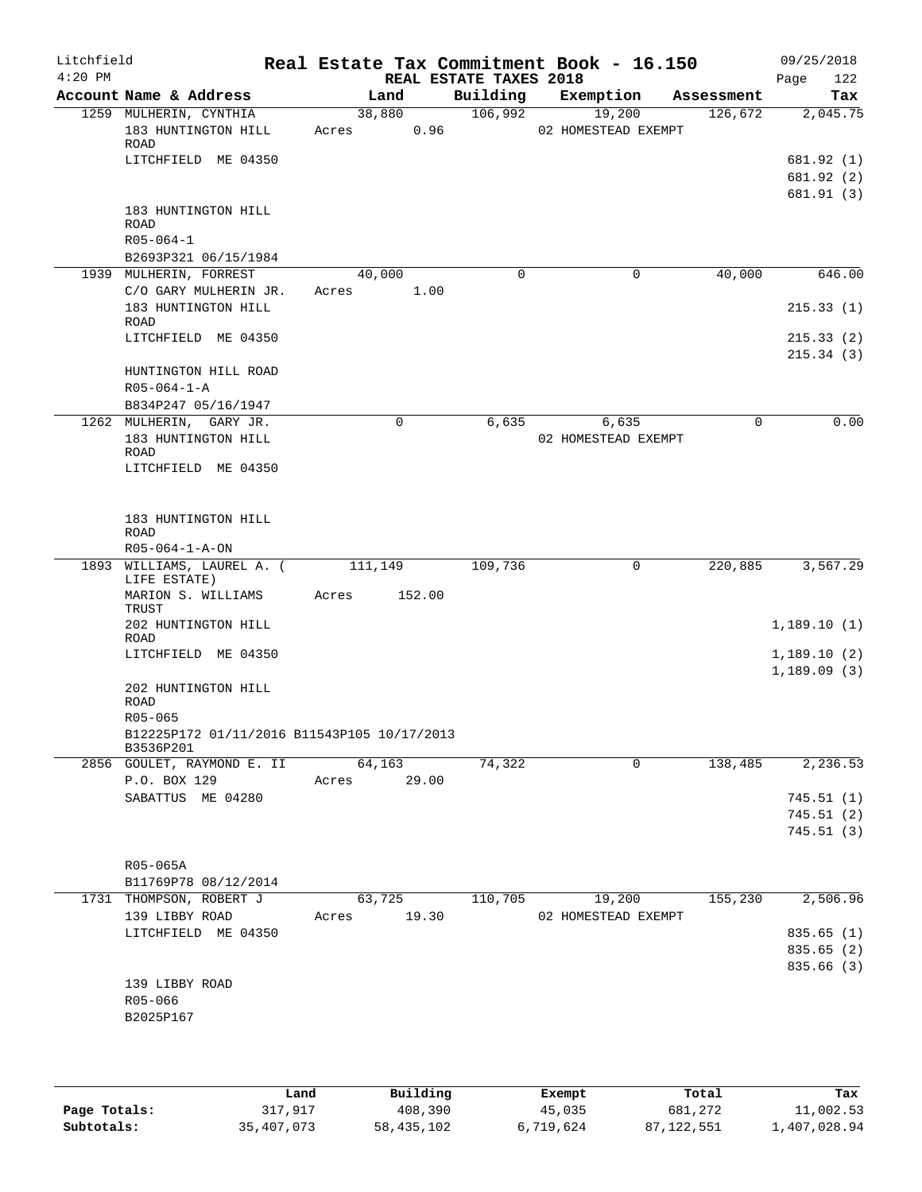| Litchfield<br>$4:20$ PM |                                                                               |                          | REAL ESTATE TAXES 2018 | Real Estate Tax Commitment Book - 16.150 |            | 09/25/2018<br>122<br>Page            |
|-------------------------|-------------------------------------------------------------------------------|--------------------------|------------------------|------------------------------------------|------------|--------------------------------------|
|                         | Account Name & Address                                                        | Land                     | Building               | Exemption                                | Assessment | Tax                                  |
|                         | 1259 MULHERIN, CYNTHIA<br>183 HUNTINGTON HILL<br>ROAD<br>LITCHFIELD ME 04350  | 38,880<br>0.96<br>Acres  | 106,992                | 19,200<br>02 HOMESTEAD EXEMPT            | 126,672    | 2,045.75<br>681.92 (1)<br>681.92 (2) |
|                         | 183 HUNTINGTON HILL<br><b>ROAD</b><br>$R05 - 064 - 1$<br>B2693P321 06/15/1984 |                          |                        |                                          |            | 681.91 (3)                           |
|                         | 1939 MULHERIN, FORREST<br>C/O GARY MULHERIN JR.                               | 40,000<br>1.00<br>Acres  | $\Omega$               | $\mathbf 0$                              | 40,000     | 646.00                               |
|                         | 183 HUNTINGTON HILL<br>ROAD                                                   |                          |                        |                                          |            | 215.33(1)                            |
|                         | LITCHFIELD ME 04350<br>HUNTINGTON HILL ROAD<br>$R05 - 064 - 1 - A$            |                          |                        |                                          |            | 215.33(2)<br>215.34(3)               |
|                         | B834P247 05/16/1947                                                           |                          |                        |                                          |            |                                      |
|                         | 1262 MULHERIN, GARY JR.<br>183 HUNTINGTON HILL<br>ROAD<br>LITCHFIELD ME 04350 | 0                        | 6,635                  | 6,635<br>02 HOMESTEAD EXEMPT             | $\Omega$   | 0.00                                 |
|                         | 183 HUNTINGTON HILL<br><b>ROAD</b><br>$R05 - 064 - 1 - A - ON$                |                          |                        |                                          |            |                                      |
|                         | 1893 WILLIAMS, LAUREL A. (<br>LIFE ESTATE)                                    | 111,149                  | 109,736                | 0                                        | 220,885    | 3,567.29                             |
|                         | MARION S. WILLIAMS<br>TRUST                                                   | Acres<br>152.00          |                        |                                          |            |                                      |
|                         | 202 HUNTINGTON HILL<br>ROAD                                                   |                          |                        |                                          |            | 1,189.10(1)                          |
|                         | LITCHFIELD ME 04350                                                           |                          |                        |                                          |            | 1,189.10(2)<br>1,189.09(3)           |
|                         | 202 HUNTINGTON HILL<br><b>ROAD</b><br>R05-065                                 |                          |                        |                                          |            |                                      |
|                         | B12225P172 01/11/2016 B11543P105 10/17/2013<br>B3536P201                      |                          |                        |                                          |            |                                      |
|                         | 2856 GOULET, RAYMOND E. II                                                    | 64,163                   | 74,322                 | 0                                        | 138,485    | 2,236.53                             |
|                         | P.O. BOX 129<br>SABATTUS ME 04280                                             | 29.00<br>Acres           |                        |                                          |            | 745.51(1)                            |
|                         |                                                                               |                          |                        |                                          |            | 745.51(2)                            |
|                         |                                                                               |                          |                        |                                          |            | 745.51 (3)                           |
|                         | R05-065A                                                                      |                          |                        |                                          |            |                                      |
|                         | B11769P78 08/12/2014                                                          |                          |                        |                                          |            |                                      |
|                         | 1731 THOMPSON, ROBERT J<br>139 LIBBY ROAD                                     | 63,725<br>19.30<br>Acres | 110,705                | 19,200<br>02 HOMESTEAD EXEMPT            | 155,230    | 2,506.96                             |
|                         | LITCHFIELD ME 04350                                                           |                          |                        |                                          |            | 835.65 (1)                           |
|                         |                                                                               |                          |                        |                                          |            | 835.65 (2)<br>835.66 (3)             |
|                         | 139 LIBBY ROAD<br>R05-066<br>B2025P167                                        |                          |                        |                                          |            |                                      |
|                         |                                                                               |                          |                        |                                          |            |                                      |

|              | Land       | Building   | Exempt    | Total      | Tax          |
|--------------|------------|------------|-----------|------------|--------------|
| Page Totals: | 317,917    | 408,390    | 45,035    | 681,272    | 11,002.53    |
| Subtotals:   | 35,407,073 | 58,435,102 | 6,719,624 | 87,122,551 | 1,407,028.94 |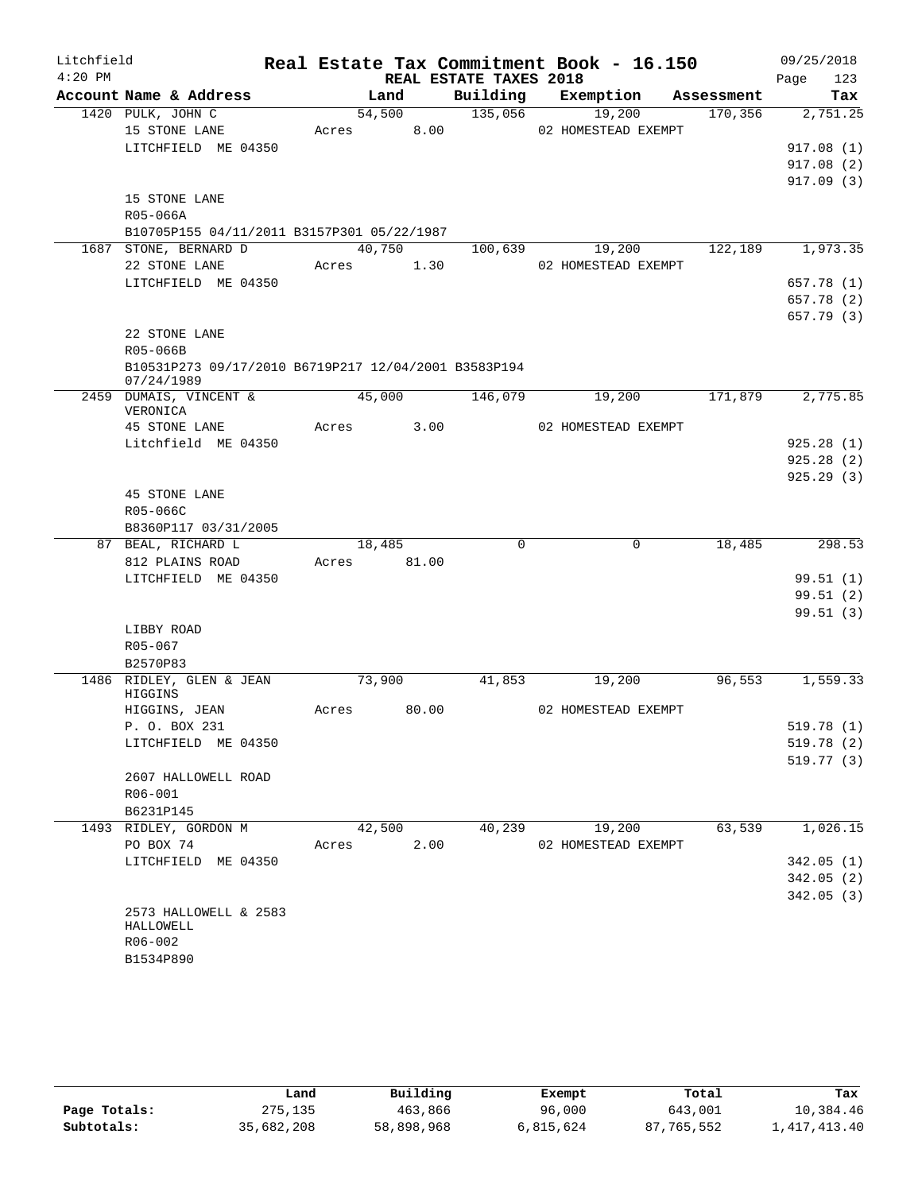| Litchfield |                                                                     |       |        |                        | Real Estate Tax Commitment Book - 16.150 |            | 09/25/2018  |
|------------|---------------------------------------------------------------------|-------|--------|------------------------|------------------------------------------|------------|-------------|
| $4:20$ PM  |                                                                     |       |        | REAL ESTATE TAXES 2018 |                                          |            | 123<br>Page |
|            | Account Name & Address                                              |       | Land   | Building               | Exemption                                | Assessment | Tax         |
|            | 1420 PULK, JOHN C                                                   |       | 54,500 | 135,056                | 19,200                                   | 170,356    | 2,751.25    |
|            | 15 STONE LANE                                                       | Acres | 8.00   |                        | 02 HOMESTEAD EXEMPT                      |            |             |
|            | LITCHFIELD ME 04350                                                 |       |        |                        |                                          |            | 917.08(1)   |
|            |                                                                     |       |        |                        |                                          |            | 917.08(2)   |
|            |                                                                     |       |        |                        |                                          |            | 917.09(3)   |
|            | 15 STONE LANE                                                       |       |        |                        |                                          |            |             |
|            | R05-066A                                                            |       |        |                        |                                          |            |             |
|            | B10705P155 04/11/2011 B3157P301 05/22/1987<br>1687 STONE, BERNARD D |       | 40,750 | 100,639                | 19,200                                   | 122,189    | 1,973.35    |
|            | 22 STONE LANE                                                       | Acres | 1.30   |                        | 02 HOMESTEAD EXEMPT                      |            |             |
|            | LITCHFIELD ME 04350                                                 |       |        |                        |                                          |            | 657.78 (1)  |
|            |                                                                     |       |        |                        |                                          |            | 657.78 (2)  |
|            |                                                                     |       |        |                        |                                          |            | 657.79 (3)  |
|            | 22 STONE LANE                                                       |       |        |                        |                                          |            |             |
|            | R05-066B                                                            |       |        |                        |                                          |            |             |
|            | B10531P273 09/17/2010 B6719P217 12/04/2001 B3583P194                |       |        |                        |                                          |            |             |
|            | 07/24/1989                                                          |       |        |                        |                                          |            |             |
|            | 2459 DUMAIS, VINCENT &<br>VERONICA                                  |       | 45,000 | 146,079                | 19,200                                   | 171,879    | 2,775.85    |
|            | 45 STONE LANE                                                       | Acres | 3.00   |                        | 02 HOMESTEAD EXEMPT                      |            |             |
|            | Litchfield ME 04350                                                 |       |        |                        |                                          |            | 925.28(1)   |
|            |                                                                     |       |        |                        |                                          |            | 925.28(2)   |
|            |                                                                     |       |        |                        |                                          |            | 925.29(3)   |
|            | <b>45 STONE LANE</b>                                                |       |        |                        |                                          |            |             |
|            | R05-066C                                                            |       |        |                        |                                          |            |             |
|            | B8360P117 03/31/2005                                                |       |        |                        |                                          |            |             |
|            | 87 BEAL, RICHARD L                                                  |       | 18,485 | $\Omega$               | $\mathbf 0$                              | 18,485     | 298.53      |
|            | 812 PLAINS ROAD                                                     | Acres | 81.00  |                        |                                          |            |             |
|            | LITCHFIELD ME 04350                                                 |       |        |                        |                                          |            | 99.51(1)    |
|            |                                                                     |       |        |                        |                                          |            | 99.51(2)    |
|            |                                                                     |       |        |                        |                                          |            | 99.51(3)    |
|            | LIBBY ROAD                                                          |       |        |                        |                                          |            |             |
|            | R05-067<br>B2570P83                                                 |       |        |                        |                                          |            |             |
|            | 1486 RIDLEY, GLEN & JEAN                                            |       | 73,900 | 41,853                 | 19,200                                   | 96,553     | 1,559.33    |
|            | HIGGINS                                                             |       |        |                        |                                          |            |             |
|            | HIGGINS, JEAN                                                       | Acres | 80.00  |                        | 02 HOMESTEAD EXEMPT                      |            |             |
|            | P. O. BOX 231                                                       |       |        |                        |                                          |            | 519.78 (1)  |
|            | LITCHFIELD ME 04350                                                 |       |        |                        |                                          |            | 519.78 (2)  |
|            |                                                                     |       |        |                        |                                          |            | 519.77(3)   |
|            | 2607 HALLOWELL ROAD                                                 |       |        |                        |                                          |            |             |
|            | R06-001                                                             |       |        |                        |                                          |            |             |
|            | B6231P145                                                           |       |        |                        |                                          |            |             |
|            | 1493 RIDLEY, GORDON M                                               |       | 42,500 | 40,239                 | 19,200                                   | 63,539     | 1,026.15    |
|            | PO BOX 74                                                           | Acres | 2.00   |                        | 02 HOMESTEAD EXEMPT                      |            |             |
|            | LITCHFIELD ME 04350                                                 |       |        |                        |                                          |            | 342.05(1)   |
|            |                                                                     |       |        |                        |                                          |            | 342.05(2)   |
|            | 2573 HALLOWELL & 2583                                               |       |        |                        |                                          |            | 342.05(3)   |
|            | HALLOWELL                                                           |       |        |                        |                                          |            |             |
|            | R06-002                                                             |       |        |                        |                                          |            |             |
|            | B1534P890                                                           |       |        |                        |                                          |            |             |
|            |                                                                     |       |        |                        |                                          |            |             |

|              | Land       | Building   | Exempt    | Total      | Tax          |
|--------------|------------|------------|-----------|------------|--------------|
| Page Totals: | 275,135    | 463,866    | 96,000    | 643,001    | 10,384.46    |
| Subtotals:   | 35,682,208 | 58,898,968 | 6,815,624 | 87,765,552 | 1,417,413.40 |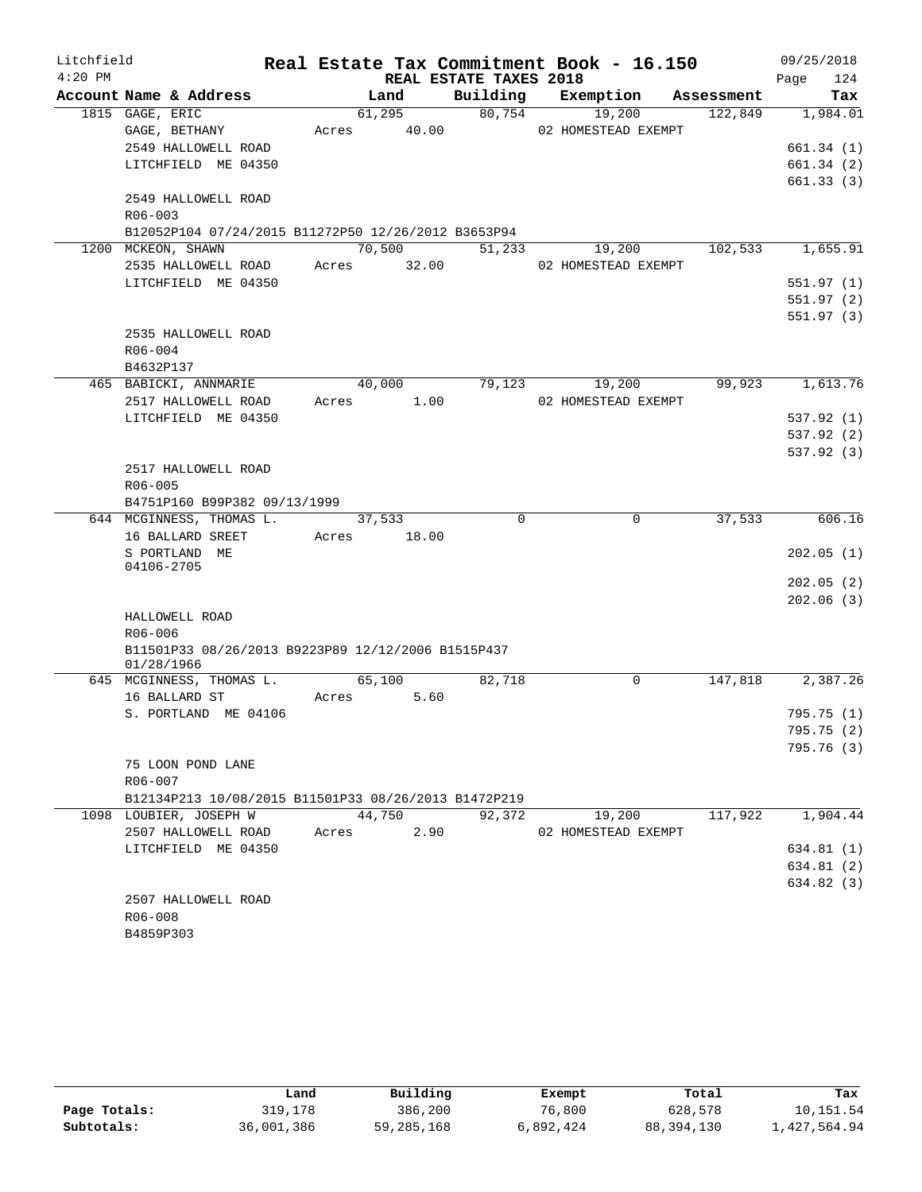| Litchfield |                                                      |       |             |                        | Real Estate Tax Commitment Book - 16.150 |            | 09/25/2018  |
|------------|------------------------------------------------------|-------|-------------|------------------------|------------------------------------------|------------|-------------|
| $4:20$ PM  |                                                      |       |             | REAL ESTATE TAXES 2018 |                                          |            | 124<br>Page |
|            | Account Name & Address                               |       | Land        | Building               | Exemption                                | Assessment | Tax         |
|            | 1815 GAGE, ERIC                                      |       | 61,295      | 80,754                 | 19,200                                   | 122,849    | 1,984.01    |
|            | GAGE, BETHANY                                        | Acres | 40.00       |                        | 02 HOMESTEAD EXEMPT                      |            |             |
|            | 2549 HALLOWELL ROAD                                  |       |             |                        |                                          |            | 661.34(1)   |
|            | LITCHFIELD ME 04350                                  |       |             |                        |                                          |            | 661.34(2)   |
|            |                                                      |       |             |                        |                                          |            | 661.33(3)   |
|            | 2549 HALLOWELL ROAD                                  |       |             |                        |                                          |            |             |
|            | $R06 - 003$                                          |       |             |                        |                                          |            |             |
|            | B12052P104 07/24/2015 B11272P50 12/26/2012 B3653P94  |       |             |                        |                                          |            |             |
|            | 1200 MCKEON, SHAWN                                   |       | 70,500      | $\overline{51,233}$    | 19,200                                   | 102,533    | 1,655.91    |
|            | 2535 HALLOWELL ROAD                                  |       | Acres 32.00 |                        | 02 HOMESTEAD EXEMPT                      |            |             |
|            | LITCHFIELD ME 04350                                  |       |             |                        |                                          |            | 551.97(1)   |
|            |                                                      |       |             |                        |                                          |            | 551.97 (2)  |
|            |                                                      |       |             |                        |                                          |            | 551.97(3)   |
|            | 2535 HALLOWELL ROAD                                  |       |             |                        |                                          |            |             |
|            | $R06 - 004$                                          |       |             |                        |                                          |            |             |
|            | B4632P137                                            |       |             |                        |                                          |            |             |
|            | 465 BABICKI, ANNMARIE                                |       | 40,000      | 79,123                 | 19,200                                   | 99,923     | 1,613.76    |
|            | 2517 HALLOWELL ROAD                                  | Acres | 1.00        |                        | 02 HOMESTEAD EXEMPT                      |            |             |
|            | LITCHFIELD ME 04350                                  |       |             |                        |                                          |            | 537.92(1)   |
|            |                                                      |       |             |                        |                                          |            | 537.92 (2)  |
|            |                                                      |       |             |                        |                                          |            | 537.92 (3)  |
|            | 2517 HALLOWELL ROAD                                  |       |             |                        |                                          |            |             |
|            | R06-005                                              |       |             |                        |                                          |            |             |
|            | B4751P160 B99P382 09/13/1999                         |       |             |                        |                                          |            |             |
|            | 644 MCGINNESS, THOMAS L.                             |       | 37,533      | $\Omega$               | $\mathbf 0$                              | 37,533     | 606.16      |
|            | 16 BALLARD SREET                                     | Acres | 18.00       |                        |                                          |            |             |
|            | S PORTLAND ME<br>04106-2705                          |       |             |                        |                                          |            | 202.05(1)   |
|            |                                                      |       |             |                        |                                          |            | 202.05(2)   |
|            |                                                      |       |             |                        |                                          |            | 202.06(3)   |
|            | HALLOWELL ROAD                                       |       |             |                        |                                          |            |             |
|            | R06-006                                              |       |             |                        |                                          |            |             |
|            | B11501P33 08/26/2013 B9223P89 12/12/2006 B1515P437   |       |             |                        |                                          |            |             |
|            | 01/28/1966                                           |       |             |                        |                                          |            |             |
|            | 645 MCGINNESS, THOMAS L.                             |       | 65,100      | 82,718                 | 0                                        | 147,818    | 2,387.26    |
|            | 16 BALLARD ST                                        | Acres | 5.60        |                        |                                          |            |             |
|            | S. PORTLAND ME 04106                                 |       |             |                        |                                          |            | 795.75 (1)  |
|            |                                                      |       |             |                        |                                          |            | 795.75 (2)  |
|            |                                                      |       |             |                        |                                          |            | 795.76 (3)  |
|            | 75 LOON POND LANE                                    |       |             |                        |                                          |            |             |
|            | $R06 - 007$                                          |       |             |                        |                                          |            |             |
|            | B12134P213 10/08/2015 B11501P33 08/26/2013 B1472P219 |       |             |                        |                                          |            |             |
|            | 1098 LOUBIER, JOSEPH W                               |       | 44,750      | 92,372                 | 19,200                                   | 117,922    | 1,904.44    |
|            | 2507 HALLOWELL ROAD                                  | Acres | 2.90        |                        | 02 HOMESTEAD EXEMPT                      |            |             |
|            | LITCHFIELD ME 04350                                  |       |             |                        |                                          |            | 634.81 (1)  |
|            |                                                      |       |             |                        |                                          |            | 634.81 (2)  |
|            |                                                      |       |             |                        |                                          |            | 634.82 (3)  |
|            | 2507 HALLOWELL ROAD                                  |       |             |                        |                                          |            |             |
|            | R06-008                                              |       |             |                        |                                          |            |             |
|            | B4859P303                                            |       |             |                        |                                          |            |             |

|              | Land       | Building   | Exempt    | Total        | Tax          |
|--------------|------------|------------|-----------|--------------|--------------|
| Page Totals: | 319,178    | 386,200    | 76,800    | 628,578      | 10,151.54    |
| Subtotals:   | 36,001,386 | 59,285,168 | 6,892,424 | 88, 394, 130 | 1,427,564.94 |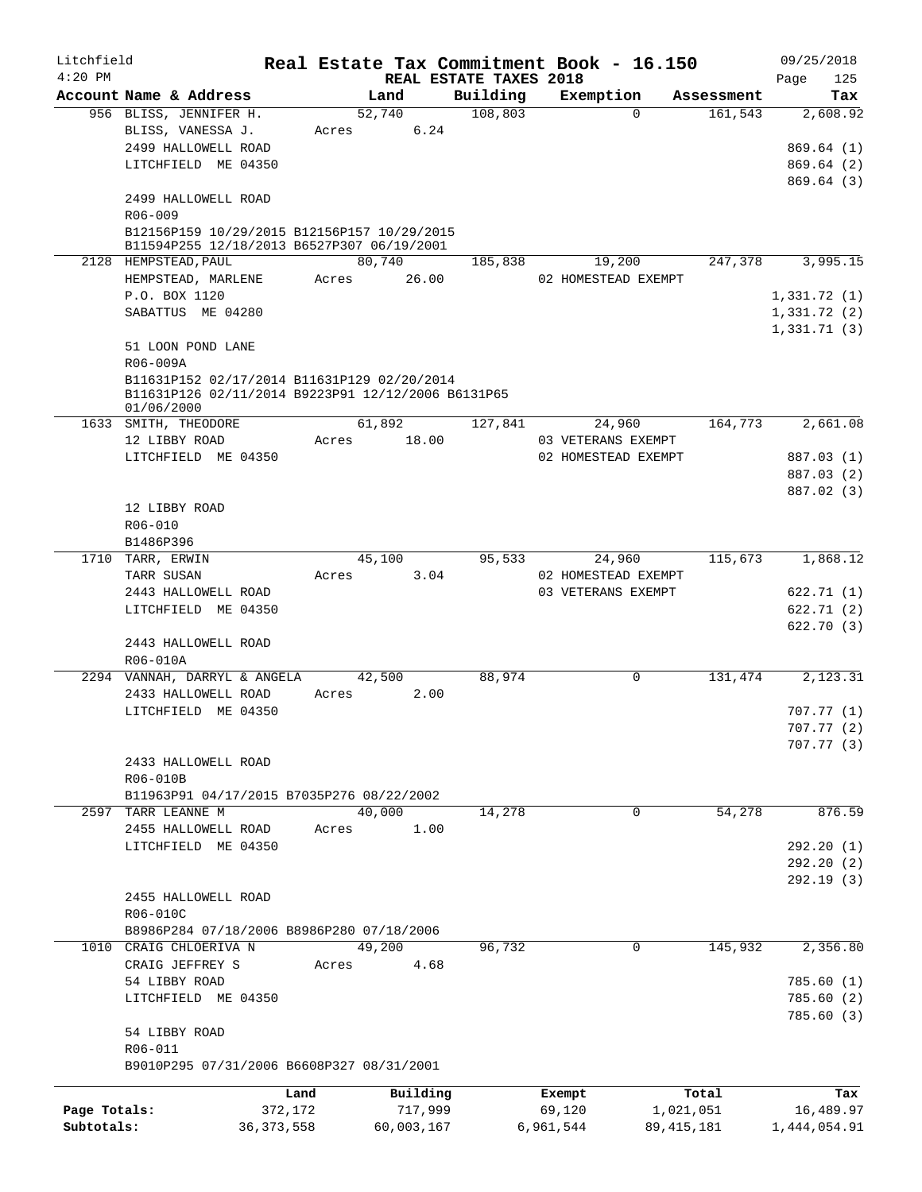| Litchfield   |                                                                                                                 |              |       |            |                        |           | Real Estate Tax Commitment Book - 16.150 |              | 09/25/2018             |     |
|--------------|-----------------------------------------------------------------------------------------------------------------|--------------|-------|------------|------------------------|-----------|------------------------------------------|--------------|------------------------|-----|
| $4:20$ PM    |                                                                                                                 |              |       |            | REAL ESTATE TAXES 2018 |           |                                          |              | Page                   | 125 |
|              | Account Name & Address                                                                                          |              |       | Land       | Building               |           | Exemption                                | Assessment   |                        | Tax |
|              | 956 BLISS, JENNIFER H.                                                                                          |              |       | 52,740     | 108,803                |           | $\Omega$                                 | 161,543      | 2,608.92               |     |
|              | BLISS, VANESSA J.                                                                                               |              | Acres | 6.24       |                        |           |                                          |              |                        |     |
|              | 2499 HALLOWELL ROAD                                                                                             |              |       |            |                        |           |                                          |              | 869.64(1)              |     |
|              | LITCHFIELD ME 04350                                                                                             |              |       |            |                        |           |                                          |              | 869.64(2)<br>869.64(3) |     |
|              | 2499 HALLOWELL ROAD                                                                                             |              |       |            |                        |           |                                          |              |                        |     |
|              | R06-009                                                                                                         |              |       |            |                        |           |                                          |              |                        |     |
|              | B12156P159 10/29/2015 B12156P157 10/29/2015<br>B11594P255 12/18/2013 B6527P307 06/19/2001                       |              |       |            |                        |           |                                          |              |                        |     |
|              | 2128 HEMPSTEAD, PAUL                                                                                            |              |       | 80,740     | 185,838                |           | 19,200                                   | 247,378      | 3,995.15               |     |
|              | HEMPSTEAD, MARLENE                                                                                              |              | Acres | 26.00      |                        |           | 02 HOMESTEAD EXEMPT                      |              |                        |     |
|              | P.O. BOX 1120                                                                                                   |              |       |            |                        |           |                                          |              | 1,331.72(1)            |     |
|              | SABATTUS ME 04280                                                                                               |              |       |            |                        |           |                                          |              | 1,331.72(2)            |     |
|              |                                                                                                                 |              |       |            |                        |           |                                          |              | 1,331.71(3)            |     |
|              | 51 LOON POND LANE                                                                                               |              |       |            |                        |           |                                          |              |                        |     |
|              | R06-009A                                                                                                        |              |       |            |                        |           |                                          |              |                        |     |
|              | B11631P152 02/17/2014 B11631P129 02/20/2014<br>B11631P126 02/11/2014 B9223P91 12/12/2006 B6131P65<br>01/06/2000 |              |       |            |                        |           |                                          |              |                        |     |
|              | 1633 SMITH, THEODORE                                                                                            |              |       | 61,892     | 127,841                |           | 24,960                                   | 164,773      | 2,661.08               |     |
|              | 12 LIBBY ROAD                                                                                                   |              | Acres | 18.00      |                        |           | 03 VETERANS EXEMPT                       |              |                        |     |
|              | LITCHFIELD ME 04350                                                                                             |              |       |            |                        |           | 02 HOMESTEAD EXEMPT                      |              | 887.03 (1)             |     |
|              |                                                                                                                 |              |       |            |                        |           |                                          |              | 887.03 (2)             |     |
|              |                                                                                                                 |              |       |            |                        |           |                                          |              | 887.02 (3)             |     |
|              | 12 LIBBY ROAD                                                                                                   |              |       |            |                        |           |                                          |              |                        |     |
|              | R06-010                                                                                                         |              |       |            |                        |           |                                          |              |                        |     |
|              | B1486P396                                                                                                       |              |       |            |                        |           |                                          |              |                        |     |
|              | 1710 TARR, ERWIN                                                                                                |              |       | 45,100     | 95,533                 |           | 24,960                                   | 115,673      | 1,868.12               |     |
|              | TARR SUSAN                                                                                                      |              | Acres | 3.04       |                        |           | 02 HOMESTEAD EXEMPT                      |              |                        |     |
|              | 2443 HALLOWELL ROAD                                                                                             |              |       |            |                        |           | 03 VETERANS EXEMPT                       |              | 622.71(1)              |     |
|              | LITCHFIELD ME 04350                                                                                             |              |       |            |                        |           |                                          |              | 622.71 (2)             |     |
|              |                                                                                                                 |              |       |            |                        |           |                                          |              | 622.70(3)              |     |
|              | 2443 HALLOWELL ROAD                                                                                             |              |       |            |                        |           |                                          |              |                        |     |
|              | R06-010A                                                                                                        |              |       |            |                        |           |                                          |              |                        |     |
|              | 2294 VANNAH, DARRYL & ANGELA                                                                                    |              |       | 42,500     | 88,974                 |           | 0                                        | 131,474      | 2,123.31               |     |
|              | 2433 HALLOWELL ROAD                                                                                             |              | Acres | 2.00       |                        |           |                                          |              |                        |     |
|              | LITCHFIELD ME 04350                                                                                             |              |       |            |                        |           |                                          |              | 707.77(1)              |     |
|              |                                                                                                                 |              |       |            |                        |           |                                          |              | 707.77(2)              |     |
|              |                                                                                                                 |              |       |            |                        |           |                                          |              | 707.77(3)              |     |
|              | 2433 HALLOWELL ROAD                                                                                             |              |       |            |                        |           |                                          |              |                        |     |
|              | R06-010B<br>B11963P91 04/17/2015 B7035P276 08/22/2002                                                           |              |       |            |                        |           |                                          |              |                        |     |
|              | 2597 TARR LEANNE M                                                                                              |              |       | 40,000     | 14,278                 |           | $\overline{0}$                           | 54,278       | 876.59                 |     |
|              | 2455 HALLOWELL ROAD                                                                                             |              | Acres | 1.00       |                        |           |                                          |              |                        |     |
|              | LITCHFIELD ME 04350                                                                                             |              |       |            |                        |           |                                          |              | 292.20(1)              |     |
|              |                                                                                                                 |              |       |            |                        |           |                                          |              | 292.20(2)              |     |
|              |                                                                                                                 |              |       |            |                        |           |                                          |              | 292.19(3)              |     |
|              | 2455 HALLOWELL ROAD                                                                                             |              |       |            |                        |           |                                          |              |                        |     |
|              | R06-010C                                                                                                        |              |       |            |                        |           |                                          |              |                        |     |
|              | B8986P284 07/18/2006 B8986P280 07/18/2006                                                                       |              |       |            |                        |           |                                          |              |                        |     |
|              | 1010 CRAIG CHLOERIVA N                                                                                          |              |       | 49,200     | 96,732                 |           | 0                                        | 145,932      | 2,356.80               |     |
|              | CRAIG JEFFREY S                                                                                                 |              | Acres | 4.68       |                        |           |                                          |              |                        |     |
|              | 54 LIBBY ROAD                                                                                                   |              |       |            |                        |           |                                          |              | 785.60(1)              |     |
|              | LITCHFIELD ME 04350                                                                                             |              |       |            |                        |           |                                          |              | 785.60(2)              |     |
|              |                                                                                                                 |              |       |            |                        |           |                                          |              | 785.60(3)              |     |
|              | 54 LIBBY ROAD                                                                                                   |              |       |            |                        |           |                                          |              |                        |     |
|              | R06-011                                                                                                         |              |       |            |                        |           |                                          |              |                        |     |
|              | B9010P295 07/31/2006 B6608P327 08/31/2001                                                                       |              |       |            |                        |           |                                          |              |                        |     |
|              |                                                                                                                 | Land         |       | Building   |                        |           | Exempt                                   | Total        |                        | Tax |
| Page Totals: |                                                                                                                 | 372,172      |       | 717,999    |                        |           | 69,120                                   | 1,021,051    | 16,489.97              |     |
| Subtotals:   |                                                                                                                 | 36, 373, 558 |       | 60,003,167 |                        | 6,961,544 |                                          | 89, 415, 181 | 1,444,054.91           |     |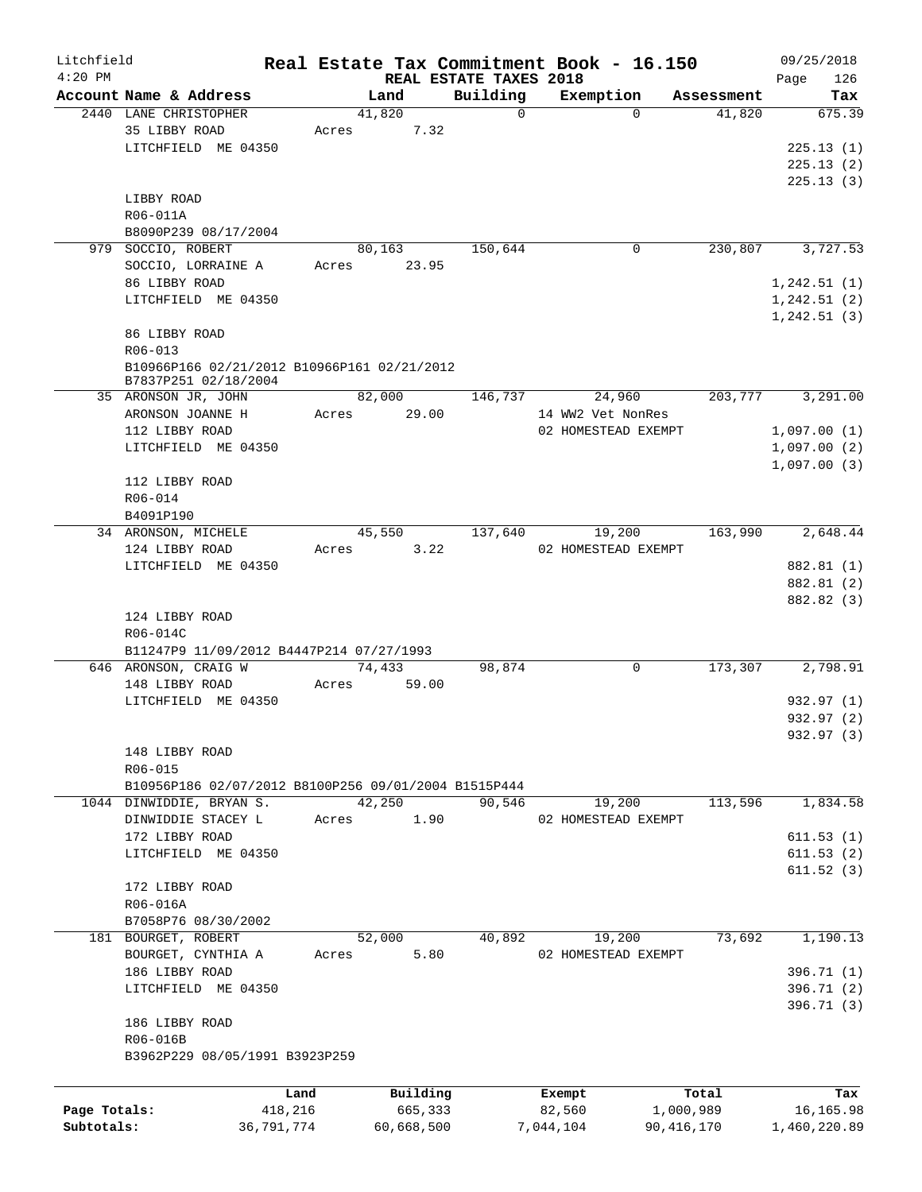| Litchfield   |                                                      |            |                        |                      | Real Estate Tax Commitment Book - 16.150 |                      | 09/25/2018    |
|--------------|------------------------------------------------------|------------|------------------------|----------------------|------------------------------------------|----------------------|---------------|
| $4:20$ PM    |                                                      |            | REAL ESTATE TAXES 2018 |                      |                                          |                      | 126<br>Page   |
|              | Account Name & Address<br>2440 LANE CHRISTOPHER      |            | Land<br>41,820         | Building<br>$\Omega$ | Exemption<br>$\Omega$                    | Assessment<br>41,820 | Tax<br>675.39 |
|              | 35 LIBBY ROAD                                        | Acres      | 7.32                   |                      |                                          |                      |               |
|              | LITCHFIELD ME 04350                                  |            |                        |                      |                                          |                      | 225.13(1)     |
|              |                                                      |            |                        |                      |                                          |                      |               |
|              |                                                      |            |                        |                      |                                          |                      | 225.13(2)     |
|              |                                                      |            |                        |                      |                                          |                      | 225.13(3)     |
|              | LIBBY ROAD                                           |            |                        |                      |                                          |                      |               |
|              | R06-011A                                             |            |                        |                      |                                          |                      |               |
|              | B8090P239 08/17/2004                                 |            |                        |                      |                                          |                      |               |
|              | 979 SOCCIO, ROBERT                                   |            | 80,163                 | 150,644              | 0                                        | 230,807              | 3,727.53      |
|              | SOCCIO, LORRAINE A                                   | Acres      | 23.95                  |                      |                                          |                      |               |
|              | 86 LIBBY ROAD                                        |            |                        |                      |                                          |                      | 1, 242.51(1)  |
|              | LITCHFIELD ME 04350                                  |            |                        |                      |                                          |                      | 1,242.51(2)   |
|              |                                                      |            |                        |                      |                                          |                      | 1, 242.51(3)  |
|              | 86 LIBBY ROAD                                        |            |                        |                      |                                          |                      |               |
|              | $R06 - 013$                                          |            |                        |                      |                                          |                      |               |
|              | B10966P166 02/21/2012 B10966P161 02/21/2012          |            |                        |                      |                                          |                      |               |
|              | B7837P251 02/18/2004                                 |            | 82,000                 |                      |                                          |                      | 3,291.00      |
|              | 35 ARONSON JR, JOHN                                  |            | 29.00                  | 146,737              | 24,960<br>14 WW2 Vet NonRes              | 203,777              |               |
|              | ARONSON JOANNE H                                     | Acres      |                        |                      |                                          |                      |               |
|              | 112 LIBBY ROAD                                       |            |                        |                      | 02 HOMESTEAD EXEMPT                      |                      | 1,097.00(1)   |
|              | LITCHFIELD ME 04350                                  |            |                        |                      |                                          |                      | 1,097.00(2)   |
|              |                                                      |            |                        |                      |                                          |                      | 1,097.00(3)   |
|              | 112 LIBBY ROAD                                       |            |                        |                      |                                          |                      |               |
|              | R06-014                                              |            |                        |                      |                                          |                      |               |
|              | B4091P190                                            |            |                        |                      |                                          |                      |               |
|              | 34 ARONSON, MICHELE                                  |            | 45,550                 | 137,640              | 19,200                                   | 163,990              | 2,648.44      |
|              | 124 LIBBY ROAD                                       | Acres      | 3.22                   |                      | 02 HOMESTEAD EXEMPT                      |                      |               |
|              | LITCHFIELD ME 04350                                  |            |                        |                      |                                          |                      | 882.81 (1)    |
|              |                                                      |            |                        |                      |                                          |                      | 882.81 (2)    |
|              |                                                      |            |                        |                      |                                          |                      | 882.82 (3)    |
|              | 124 LIBBY ROAD                                       |            |                        |                      |                                          |                      |               |
|              | R06-014C                                             |            |                        |                      |                                          |                      |               |
|              | B11247P9 11/09/2012 B4447P214 07/27/1993             |            |                        |                      |                                          |                      |               |
|              | 646 ARONSON, CRAIG W                                 |            | 74,433                 | 98,874               | 0                                        | 173,307              | 2,798.91      |
|              | 148 LIBBY ROAD                                       | Acres      | 59.00                  |                      |                                          |                      |               |
|              | LITCHFIELD ME 04350                                  |            |                        |                      |                                          |                      | 932.97 (1)    |
|              |                                                      |            |                        |                      |                                          |                      | 932.97 (2)    |
|              |                                                      |            |                        |                      |                                          |                      | 932.97 (3)    |
|              | 148 LIBBY ROAD                                       |            |                        |                      |                                          |                      |               |
|              | R06-015                                              |            |                        |                      |                                          |                      |               |
|              | B10956P186 02/07/2012 B8100P256 09/01/2004 B1515P444 |            |                        |                      |                                          |                      |               |
|              | 1044 DINWIDDIE, BRYAN S.                             |            | 42,250                 | 90,546               | 19,200                                   | 113,596              | 1,834.58      |
|              | DINWIDDIE STACEY L                                   | Acres      | 1.90                   |                      | 02 HOMESTEAD EXEMPT                      |                      |               |
|              | 172 LIBBY ROAD                                       |            |                        |                      |                                          |                      | 611.53(1)     |
|              | LITCHFIELD ME 04350                                  |            |                        |                      |                                          |                      | 611.53(2)     |
|              |                                                      |            |                        |                      |                                          |                      | 611.52(3)     |
|              | 172 LIBBY ROAD                                       |            |                        |                      |                                          |                      |               |
|              | R06-016A                                             |            |                        |                      |                                          |                      |               |
|              | B7058P76 08/30/2002                                  |            |                        |                      |                                          |                      |               |
|              | 181 BOURGET, ROBERT                                  |            | 52,000                 | 40,892               | 19,200                                   | 73,692               | 1,190.13      |
|              | BOURGET, CYNTHIA A                                   | Acres      | 5.80                   |                      | 02 HOMESTEAD EXEMPT                      |                      |               |
|              | 186 LIBBY ROAD                                       |            |                        |                      |                                          |                      | 396.71 (1)    |
|              | LITCHFIELD ME 04350                                  |            |                        |                      |                                          |                      | 396.71 (2)    |
|              |                                                      |            |                        |                      |                                          |                      | 396.71 (3)    |
|              | 186 LIBBY ROAD                                       |            |                        |                      |                                          |                      |               |
|              | R06-016B                                             |            |                        |                      |                                          |                      |               |
|              | B3962P229 08/05/1991 B3923P259                       |            |                        |                      |                                          |                      |               |
|              |                                                      |            |                        |                      |                                          |                      |               |
|              |                                                      | Land       | Building               |                      | Exempt                                   | Total                | Tax           |
| Page Totals: |                                                      | 418,216    | 665,333                |                      | 82,560                                   | 1,000,989            | 16,165.98     |
| Subtotals:   |                                                      | 36,791,774 | 60,668,500             |                      | 7,044,104                                | 90, 416, 170         | 1,460,220.89  |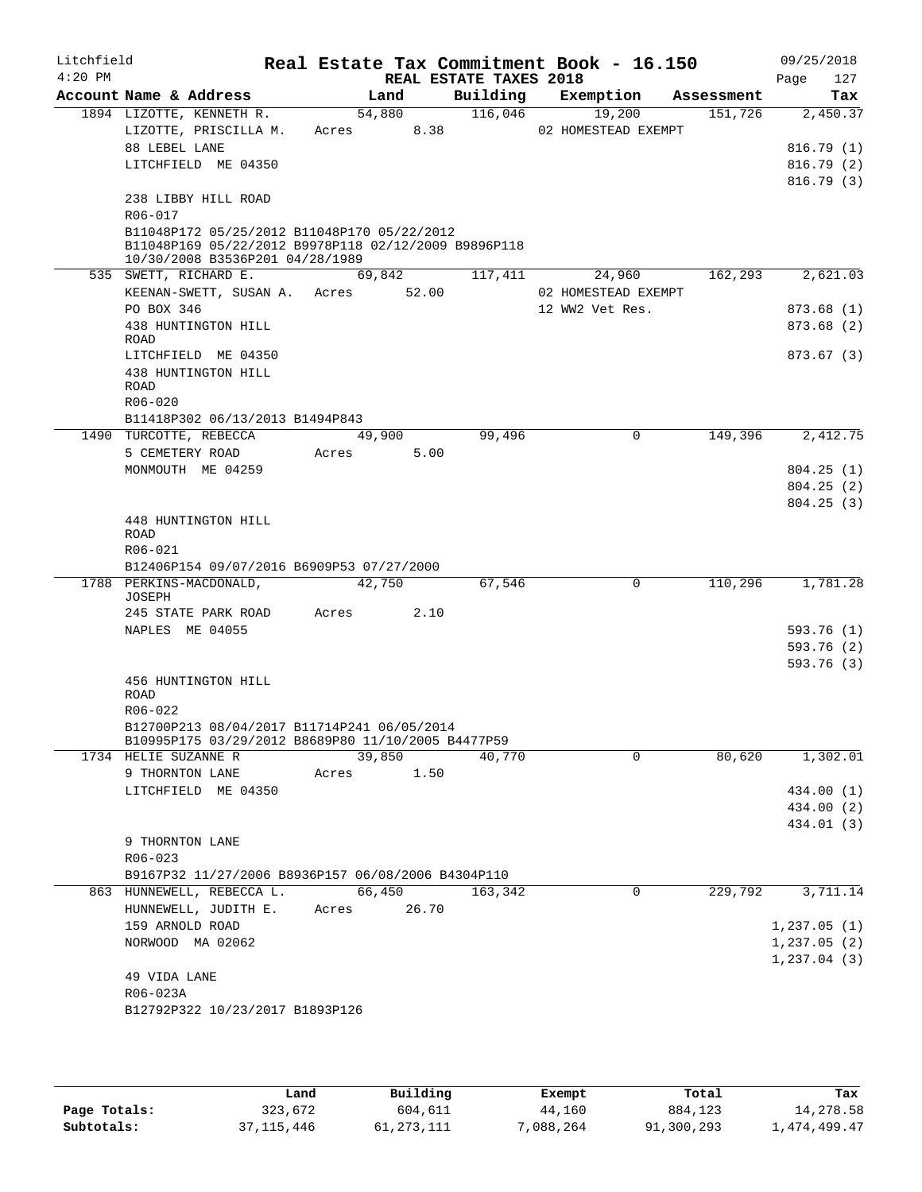| Litchfield<br>$4:20$ PM |                     |                                                                                                     |             |        |      | REAL ESTATE TAXES 2018 | Real Estate Tax Commitment Book - 16.150 |            | 09/25/2018<br>127<br>Page |
|-------------------------|---------------------|-----------------------------------------------------------------------------------------------------|-------------|--------|------|------------------------|------------------------------------------|------------|---------------------------|
|                         |                     | Account Name & Address                                                                              |             | Land   |      | Building               | Exemption                                | Assessment | Tax                       |
|                         |                     | 1894 LIZOTTE, KENNETH R.                                                                            |             | 54,880 |      | 116,046                | 19,200                                   | 151,726    | 2,450.37                  |
|                         |                     | LIZOTTE, PRISCILLA M.                                                                               | Acres       |        | 8.38 |                        | 02 HOMESTEAD EXEMPT                      |            |                           |
|                         | 88 LEBEL LANE       |                                                                                                     |             |        |      |                        |                                          |            | 816.79(1)                 |
|                         |                     | LITCHFIELD ME 04350                                                                                 |             |        |      |                        |                                          |            | 816.79(2)                 |
|                         |                     |                                                                                                     |             |        |      |                        |                                          |            | 816.79(3)                 |
|                         |                     | 238 LIBBY HILL ROAD                                                                                 |             |        |      |                        |                                          |            |                           |
|                         | R06-017             |                                                                                                     |             |        |      |                        |                                          |            |                           |
|                         |                     | B11048P172 05/25/2012 B11048P170 05/22/2012<br>B11048P169 05/22/2012 B9978P118 02/12/2009 B9896P118 |             |        |      |                        |                                          |            |                           |
|                         |                     | 10/30/2008 B3536P201 04/28/1989                                                                     |             |        |      |                        |                                          |            |                           |
|                         |                     | 535 SWETT, RICHARD E.                                                                               |             | 69,842 |      | 117,411                | 24,960                                   | 162,293    | 2,621.03                  |
|                         |                     | KEENAN-SWETT, SUSAN A.                                                                              | Acres 52.00 |        |      |                        | 02 HOMESTEAD EXEMPT                      |            |                           |
|                         | PO BOX 346          |                                                                                                     |             |        |      |                        | 12 WW2 Vet Res.                          |            | 873.68(1)                 |
|                         |                     | 438 HUNTINGTON HILL                                                                                 |             |        |      |                        |                                          |            | 873.68 (2)                |
|                         | ROAD                |                                                                                                     |             |        |      |                        |                                          |            |                           |
|                         |                     | LITCHFIELD ME 04350                                                                                 |             |        |      |                        |                                          |            | 873.67 (3)                |
|                         |                     | 438 HUNTINGTON HILL                                                                                 |             |        |      |                        |                                          |            |                           |
|                         | ROAD<br>$R06 - 020$ |                                                                                                     |             |        |      |                        |                                          |            |                           |
|                         |                     | B11418P302 06/13/2013 B1494P843                                                                     |             |        |      |                        |                                          |            |                           |
|                         |                     | 1490 TURCOTTE, REBECCA                                                                              |             | 49,900 |      | 99,496                 | $\mathbf 0$                              | 149,396    | 2,412.75                  |
|                         |                     | 5 CEMETERY ROAD                                                                                     | Acres       |        | 5.00 |                        |                                          |            |                           |
|                         |                     | MONMOUTH ME 04259                                                                                   |             |        |      |                        |                                          |            | 804.25(1)                 |
|                         |                     |                                                                                                     |             |        |      |                        |                                          |            | 804.25(2)                 |
|                         |                     |                                                                                                     |             |        |      |                        |                                          |            | 804.25(3)                 |
|                         |                     | 448 HUNTINGTON HILL                                                                                 |             |        |      |                        |                                          |            |                           |
|                         | <b>ROAD</b>         |                                                                                                     |             |        |      |                        |                                          |            |                           |
|                         | R06-021             |                                                                                                     |             |        |      |                        |                                          |            |                           |
|                         |                     | B12406P154 09/07/2016 B6909P53 07/27/2000                                                           |             |        |      |                        |                                          |            |                           |
|                         |                     | 1788 PERKINS-MACDONALD,                                                                             |             | 42,750 |      | 67,546                 | $\mathbf 0$                              | 110,296    | 1,781.28                  |
|                         | JOSEPH              | 245 STATE PARK ROAD                                                                                 | Acres       |        | 2.10 |                        |                                          |            |                           |
|                         |                     | NAPLES ME 04055                                                                                     |             |        |      |                        |                                          |            | 593.76 (1)                |
|                         |                     |                                                                                                     |             |        |      |                        |                                          |            | 593.76 (2)                |
|                         |                     |                                                                                                     |             |        |      |                        |                                          |            | 593.76(3)                 |
|                         |                     | 456 HUNTINGTON HILL                                                                                 |             |        |      |                        |                                          |            |                           |
|                         | ROAD                |                                                                                                     |             |        |      |                        |                                          |            |                           |
|                         | R06-022             |                                                                                                     |             |        |      |                        |                                          |            |                           |
|                         |                     | B12700P213 08/04/2017 B11714P241 06/05/2014                                                         |             |        |      |                        |                                          |            |                           |
|                         |                     | B10995P175 03/29/2012 B8689P80 11/10/2005 B4477P59                                                  |             |        |      |                        |                                          |            |                           |
|                         |                     | 1734 HELIE SUZANNE R                                                                                |             | 39,850 |      | 40,770                 | $\Omega$                                 | 80,620     | 1,302.01                  |
|                         |                     | 9 THORNTON LANE<br>LITCHFIELD ME 04350                                                              | Acres       |        | 1.50 |                        |                                          |            | 434.00 (1)                |
|                         |                     |                                                                                                     |             |        |      |                        |                                          |            | 434.00 (2)                |
|                         |                     |                                                                                                     |             |        |      |                        |                                          |            | 434.01 (3)                |
|                         |                     | 9 THORNTON LANE                                                                                     |             |        |      |                        |                                          |            |                           |
|                         | $R06 - 023$         |                                                                                                     |             |        |      |                        |                                          |            |                           |
|                         |                     | B9167P32 11/27/2006 B8936P157 06/08/2006 B4304P110                                                  |             |        |      |                        |                                          |            |                           |
|                         |                     | 863 HUNNEWELL, REBECCA L.                                                                           |             | 66,450 |      | 163,342                | 0                                        | 229,792    | 3,711.14                  |
|                         |                     | HUNNEWELL, JUDITH E.                                                                                | Acres 26.70 |        |      |                        |                                          |            |                           |
|                         |                     | 159 ARNOLD ROAD                                                                                     |             |        |      |                        |                                          |            | 1,237.05(1)               |
|                         |                     | NORWOOD MA 02062                                                                                    |             |        |      |                        |                                          |            | 1,237.05(2)               |
|                         |                     |                                                                                                     |             |        |      |                        |                                          |            | 1,237.04(3)               |
|                         | 49 VIDA LANE        |                                                                                                     |             |        |      |                        |                                          |            |                           |
|                         | R06-023A            |                                                                                                     |             |        |      |                        |                                          |            |                           |
|                         |                     | B12792P322 10/23/2017 B1893P126                                                                     |             |        |      |                        |                                          |            |                           |
|                         |                     |                                                                                                     |             |        |      |                        |                                          |            |                           |

|              | Land       | Building  | Exempt    | Total      | Tax          |
|--------------|------------|-----------|-----------|------------|--------------|
| Page Totals: | 323,672    | 604,611   | 44,160    | 884,123    | 14,278.58    |
| Subtotals:   | 37,115,446 | 1,273,111 | 7,088,264 | 91,300,293 | l,474,499.47 |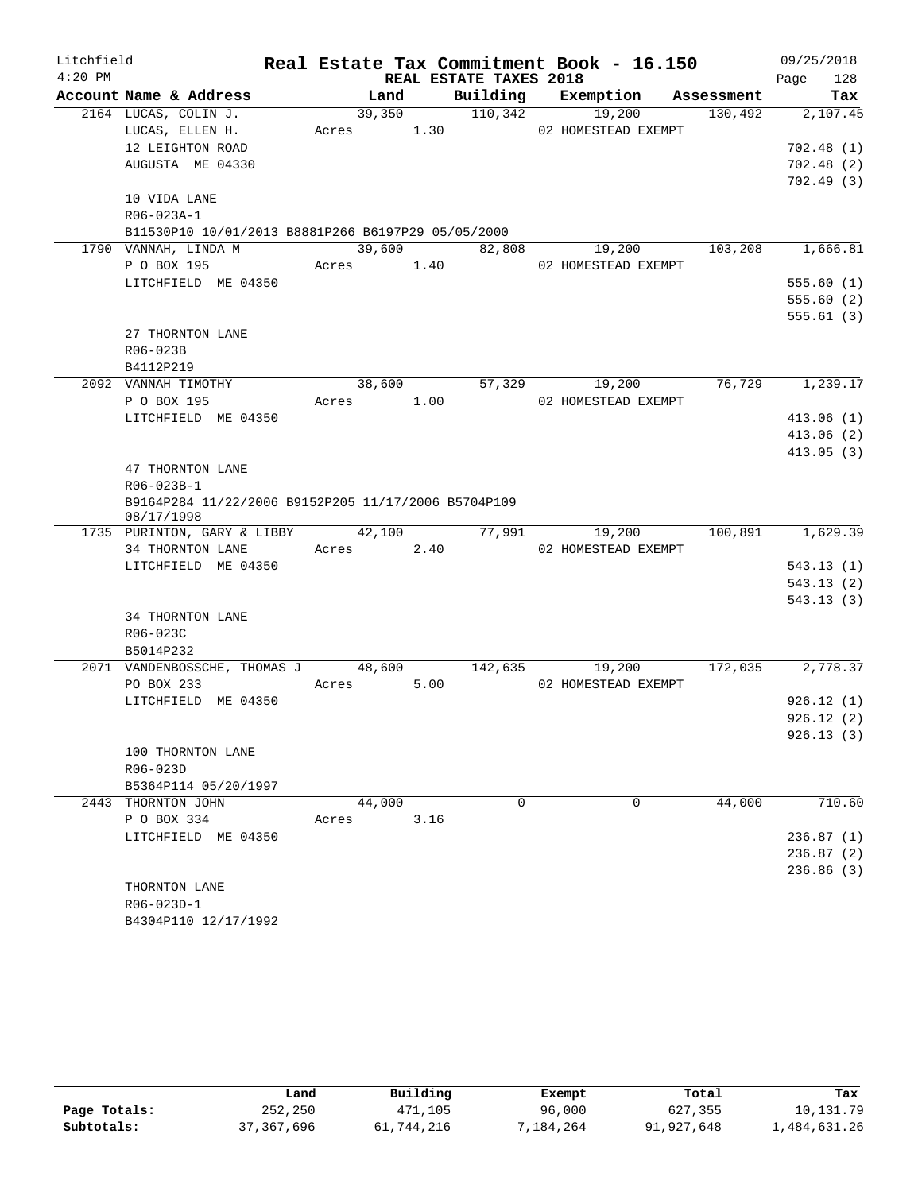| Litchfield |                                                                   |            |      |                        | Real Estate Tax Commitment Book - 16.150 |            | 09/25/2018              |
|------------|-------------------------------------------------------------------|------------|------|------------------------|------------------------------------------|------------|-------------------------|
| $4:20$ PM  |                                                                   |            |      | REAL ESTATE TAXES 2018 |                                          |            | 128<br>Page             |
|            | Account Name & Address                                            | Land       |      | Building               | Exemption                                | Assessment | Tax                     |
|            | 2164 LUCAS, COLIN J.                                              | 39,350     |      | 110,342                | 19,200                                   | 130,492    | 2,107.45                |
|            | LUCAS, ELLEN H.                                                   | Acres      | 1.30 |                        | 02 HOMESTEAD EXEMPT                      |            |                         |
|            | 12 LEIGHTON ROAD                                                  |            |      |                        |                                          |            | 702.48(1)               |
|            | AUGUSTA ME 04330                                                  |            |      |                        |                                          |            | 702.48(2)               |
|            |                                                                   |            |      |                        |                                          |            | 702.49(3)               |
|            | 10 VIDA LANE                                                      |            |      |                        |                                          |            |                         |
|            | R06-023A-1                                                        |            |      |                        |                                          |            |                         |
|            | B11530P10 10/01/2013 B8881P266 B6197P29 05/05/2000                |            |      |                        |                                          |            |                         |
|            | 1790 VANNAH, LINDA M                                              | 39,600     |      | 82,808                 | 19,200                                   | 103,208    | 1,666.81                |
|            | P O BOX 195                                                       | Acres 1.40 |      |                        | 02 HOMESTEAD EXEMPT                      |            |                         |
|            | LITCHFIELD ME 04350                                               |            |      |                        |                                          |            | 555.60(1)               |
|            |                                                                   |            |      |                        |                                          |            | 555.60(2)               |
|            |                                                                   |            |      |                        |                                          |            | 555.61(3)               |
|            | 27 THORNTON LANE                                                  |            |      |                        |                                          |            |                         |
|            | R06-023B                                                          |            |      |                        |                                          |            |                         |
|            | B4112P219<br>2092 VANNAH TIMOTHY                                  | 38,600     |      | 57,329                 | 19,200                                   | 76,729     | 1,239.17                |
|            | P O BOX 195                                                       | Acres      | 1.00 |                        | 02 HOMESTEAD EXEMPT                      |            |                         |
|            | LITCHFIELD ME 04350                                               |            |      |                        |                                          |            | 413.06(1)               |
|            |                                                                   |            |      |                        |                                          |            | 413.06(2)               |
|            |                                                                   |            |      |                        |                                          |            | 413.05(3)               |
|            | 47 THORNTON LANE                                                  |            |      |                        |                                          |            |                         |
|            | R06-023B-1                                                        |            |      |                        |                                          |            |                         |
|            | B9164P284 11/22/2006 B9152P205 11/17/2006 B5704P109<br>08/17/1998 |            |      |                        |                                          |            |                         |
|            | 1735 PURINTON, GARY & LIBBY                                       | 42,100     |      | 77,991                 | 19,200                                   | 100,891    | 1,629.39                |
|            | 34 THORNTON LANE                                                  | Acres      | 2.40 |                        | 02 HOMESTEAD EXEMPT                      |            |                         |
|            | LITCHFIELD ME 04350                                               |            |      |                        |                                          |            | 543.13(1)               |
|            |                                                                   |            |      |                        |                                          |            | 543.13(2)               |
|            |                                                                   |            |      |                        |                                          |            | 543.13(3)               |
|            | 34 THORNTON LANE                                                  |            |      |                        |                                          |            |                         |
|            | R06-023C                                                          |            |      |                        |                                          |            |                         |
|            | B5014P232                                                         |            |      |                        |                                          |            |                         |
|            | 2071 VANDENBOSSCHE, THOMAS J                                      | 48,600     |      | 142,635                | 19,200                                   | 172,035    | 2,778.37                |
|            | PO BOX 233                                                        | Acres      | 5.00 |                        | 02 HOMESTEAD EXEMPT                      |            |                         |
|            | LITCHFIELD ME 04350                                               |            |      |                        |                                          |            | 926.12(1)               |
|            |                                                                   |            |      |                        |                                          |            | 926.12(2)               |
|            |                                                                   |            |      |                        |                                          |            | 926.13(3)               |
|            | 100 THORNTON LANE                                                 |            |      |                        |                                          |            |                         |
|            | R06-023D                                                          |            |      |                        |                                          |            |                         |
|            | B5364P114 05/20/1997                                              |            |      |                        |                                          |            |                         |
|            | 2443 THORNTON JOHN                                                | 44,000     |      | 0                      | 0                                        | 44,000     | 710.60                  |
|            | P O BOX 334                                                       | Acres      | 3.16 |                        |                                          |            |                         |
|            | LITCHFIELD ME 04350                                               |            |      |                        |                                          |            | 236.87(1)               |
|            |                                                                   |            |      |                        |                                          |            | 236.87(2)<br>236.86 (3) |
|            | THORNTON LANE                                                     |            |      |                        |                                          |            |                         |
|            | R06-023D-1                                                        |            |      |                        |                                          |            |                         |
|            | B4304P110 12/17/1992                                              |            |      |                        |                                          |            |                         |

|              | Land       | Building   | Exempt   | Total      | Tax          |
|--------------|------------|------------|----------|------------|--------------|
| Page Totals: | 252,250    | 471,105    | 96,000   | 627,355    | 10,131.79    |
| Subtotals:   | 37,367,696 | 61,744,216 | ,184,264 | 91,927,648 | 1,484,631.26 |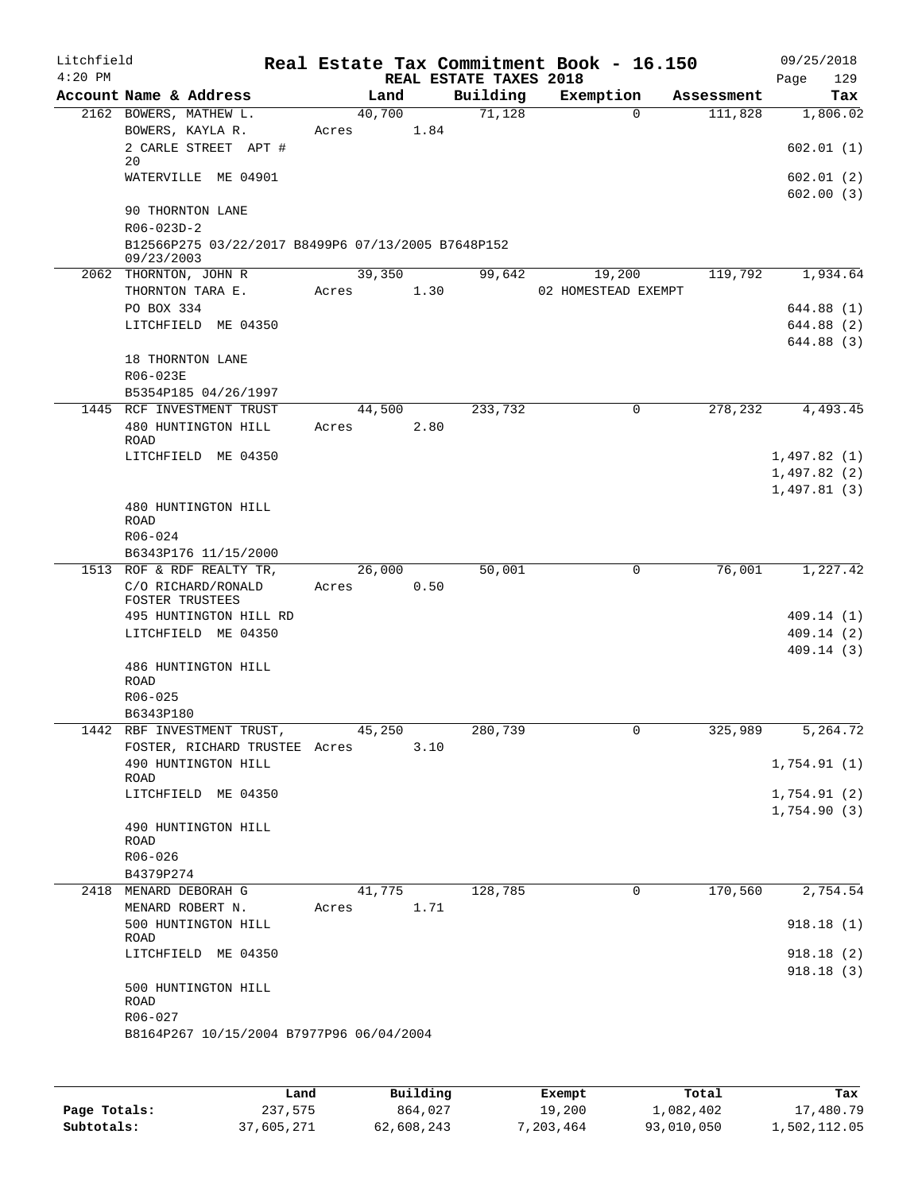| Litchfield<br>$4:20$ PM |                                                    |       |            |      | REAL ESTATE TAXES 2018 | Real Estate Tax Commitment Book - 16.150 |            | 09/25/2018<br>129<br>Page |
|-------------------------|----------------------------------------------------|-------|------------|------|------------------------|------------------------------------------|------------|---------------------------|
|                         | Account Name & Address                             |       | Land       |      | Building               | Exemption                                | Assessment | Tax                       |
|                         | 2162 BOWERS, MATHEW L.                             |       | 40,700     |      | 71,128                 | $\Omega$                                 | 111,828    | 1,806.02                  |
|                         | BOWERS, KAYLA R.                                   | Acres |            | 1.84 |                        |                                          |            |                           |
|                         | 2 CARLE STREET APT #<br>20                         |       |            |      |                        |                                          |            | 602.01(1)                 |
|                         | WATERVILLE ME 04901                                |       |            |      |                        |                                          |            | 602.01(2)                 |
|                         |                                                    |       |            |      |                        |                                          |            | 602.00(3)                 |
|                         | 90 THORNTON LANE                                   |       |            |      |                        |                                          |            |                           |
|                         | R06-023D-2                                         |       |            |      |                        |                                          |            |                           |
|                         | B12566P275 03/22/2017 B8499P6 07/13/2005 B7648P152 |       |            |      |                        |                                          |            |                           |
|                         | 09/23/2003                                         |       |            |      |                        |                                          |            |                           |
|                         | 2062 THORNTON, JOHN R                              |       | 39,350     |      | 99,642                 | 19,200                                   | 119,792    | 1,934.64                  |
|                         | THORNTON TARA E.                                   |       | Acres      | 1.30 |                        | 02 HOMESTEAD EXEMPT                      |            |                           |
|                         | PO BOX 334                                         |       |            |      |                        |                                          |            | 644.88 (1)                |
|                         | LITCHFIELD ME 04350                                |       |            |      |                        |                                          |            | 644.88 (2)                |
|                         |                                                    |       |            |      |                        |                                          |            | 644.88 (3)                |
|                         | 18 THORNTON LANE                                   |       |            |      |                        |                                          |            |                           |
|                         | R06-023E                                           |       |            |      |                        |                                          |            |                           |
|                         | B5354P185 04/26/1997                               |       |            |      |                        |                                          |            |                           |
|                         | 1445 RCF INVESTMENT TRUST                          |       | 44,500     |      | 233,732                | 0                                        | 278,232    | 4,493.45                  |
|                         | 480 HUNTINGTON HILL<br><b>ROAD</b>                 | Acres |            | 2.80 |                        |                                          |            |                           |
|                         | LITCHFIELD ME 04350                                |       |            |      |                        |                                          |            | 1,497.82(1)               |
|                         |                                                    |       |            |      |                        |                                          |            | 1,497.82(2)               |
|                         |                                                    |       |            |      |                        |                                          |            | 1,497.81(3)               |
|                         | 480 HUNTINGTON HILL                                |       |            |      |                        |                                          |            |                           |
|                         | ROAD                                               |       |            |      |                        |                                          |            |                           |
|                         | R06-024                                            |       |            |      |                        |                                          |            |                           |
|                         | B6343P176 11/15/2000                               |       |            |      |                        |                                          |            |                           |
|                         | 1513 ROF & RDF REALTY TR,                          |       | 26,000     |      | 50,001                 | 0                                        | 76,001     | 1,227.42                  |
|                         | C/O RICHARD/RONALD                                 | Acres |            | 0.50 |                        |                                          |            |                           |
|                         | FOSTER TRUSTEES                                    |       |            |      |                        |                                          |            |                           |
|                         | 495 HUNTINGTON HILL RD                             |       |            |      |                        |                                          |            | 409.14(1)                 |
|                         | LITCHFIELD ME 04350                                |       |            |      |                        |                                          |            | 409.14(2)                 |
|                         |                                                    |       |            |      |                        |                                          |            | 409.14(3)                 |
|                         | 486 HUNTINGTON HILL<br>ROAD                        |       |            |      |                        |                                          |            |                           |
|                         | $R06 - 025$                                        |       |            |      |                        |                                          |            |                           |
|                         | B6343P180                                          |       |            |      |                        |                                          |            |                           |
|                         | 1442 RBF INVESTMENT TRUST,                         |       | 45,250     |      | 280,739                |                                          | 325,989    | 5,264.72                  |
|                         | FOSTER, RICHARD TRUSTEE Acres 3.10                 |       |            |      |                        |                                          |            |                           |
|                         | 490 HUNTINGTON HILL                                |       |            |      |                        |                                          |            | 1,754.91(1)               |
|                         | ROAD                                               |       |            |      |                        |                                          |            |                           |
|                         | LITCHFIELD ME 04350                                |       |            |      |                        |                                          |            | 1,754.91(2)               |
|                         |                                                    |       |            |      |                        |                                          |            | 1,754.90(3)               |
|                         | 490 HUNTINGTON HILL                                |       |            |      |                        |                                          |            |                           |
|                         | ROAD<br>R06-026                                    |       |            |      |                        |                                          |            |                           |
|                         | B4379P274                                          |       |            |      |                        |                                          |            |                           |
|                         | 2418 MENARD DEBORAH G                              |       | 41,775     |      | 128,785                | $\mathbf{0}$                             | 170,560    | 2,754.54                  |
|                         | MENARD ROBERT N.                                   |       | Acres 1.71 |      |                        |                                          |            |                           |
|                         | 500 HUNTINGTON HILL                                |       |            |      |                        |                                          |            | 918.18 (1)                |
|                         | ROAD                                               |       |            |      |                        |                                          |            |                           |
|                         | LITCHFIELD ME 04350                                |       |            |      |                        |                                          |            | 918.18(2)                 |
|                         |                                                    |       |            |      |                        |                                          |            | 918.18(3)                 |
|                         | 500 HUNTINGTON HILL                                |       |            |      |                        |                                          |            |                           |
|                         | ROAD                                               |       |            |      |                        |                                          |            |                           |
|                         | R06-027                                            |       |            |      |                        |                                          |            |                           |
|                         | B8164P267 10/15/2004 B7977P96 06/04/2004           |       |            |      |                        |                                          |            |                           |
|                         |                                                    |       |            |      |                        |                                          |            |                           |
|                         |                                                    |       |            |      |                        |                                          |            |                           |

|              | Land       | Building   | Exempt    | Total      | Tax          |
|--------------|------------|------------|-----------|------------|--------------|
| Page Totals: | 237,575    | 864,027    | 19,200    | 1,082,402  | 17,480.79    |
| Subtotals:   | 37,605,271 | 62,608,243 | 7,203,464 | 93,010,050 | 1,502,112.05 |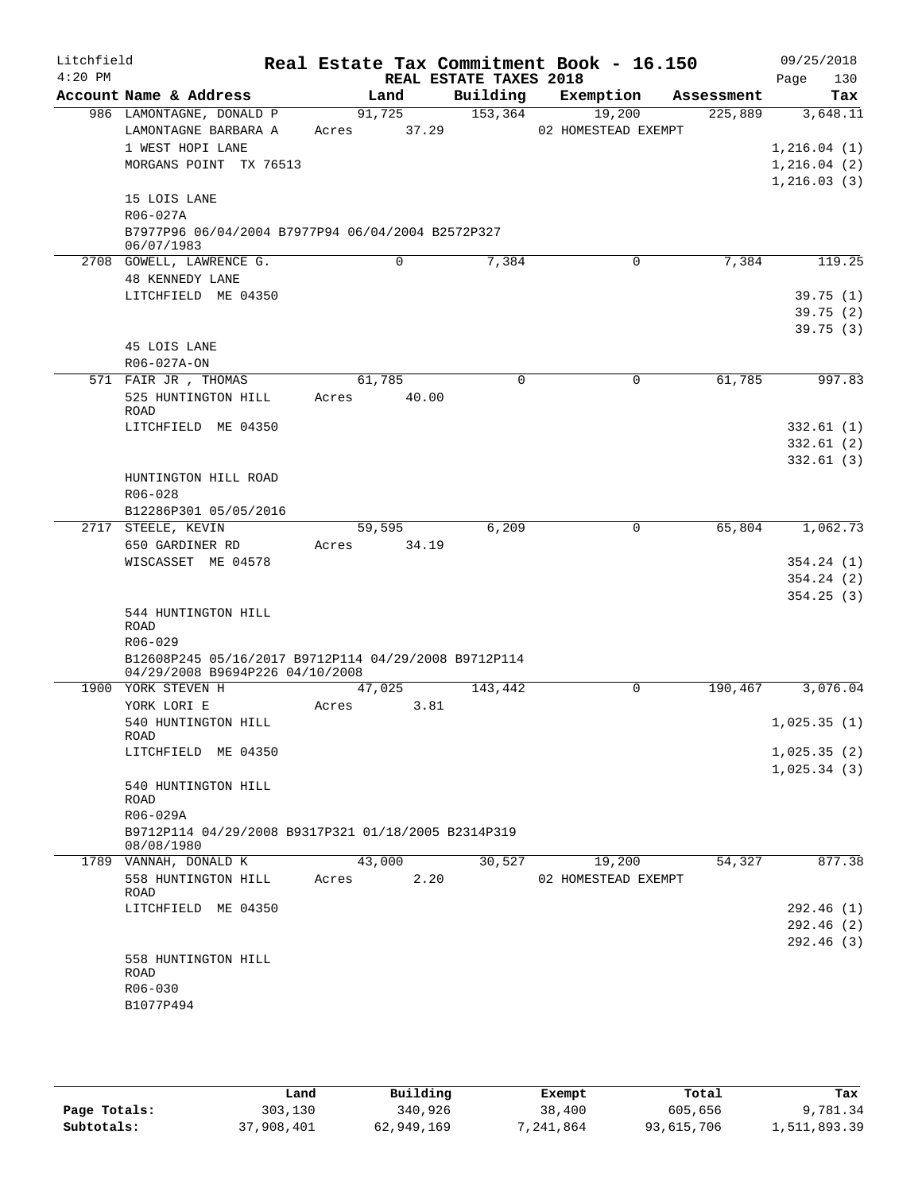| Litchfield<br>$4:20$ PM |                                                                                                    |                          | REAL ESTATE TAXES 2018 | Real Estate Tax Commitment Book - 16.150 |            | 09/25/2018<br>Page<br>130                       |
|-------------------------|----------------------------------------------------------------------------------------------------|--------------------------|------------------------|------------------------------------------|------------|-------------------------------------------------|
|                         | Account Name & Address                                                                             | Land                     | Building               | Exemption                                | Assessment | Tax                                             |
|                         | 986 LAMONTAGNE, DONALD P<br>LAMONTAGNE BARBARA A<br>1 WEST HOPI LANE<br>MORGANS POINT TX 76513     | 91,725<br>37.29<br>Acres | 153,364                | 19,200<br>02 HOMESTEAD EXEMPT            | 225,889    | 3,648.11<br>1,216.04(1)<br>1,216.04(2)          |
|                         | 15 LOIS LANE<br>R06-027A<br>B7977P96 06/04/2004 B7977P94 06/04/2004 B2572P327<br>06/07/1983        |                          |                        |                                          |            | 1,216.03(3)                                     |
|                         | 2708 GOWELL, LAWRENCE G.                                                                           | 0                        | 7,384                  | 0                                        | 7,384      | 119.25                                          |
|                         | 48 KENNEDY LANE<br>LITCHFIELD ME 04350<br>45 LOIS LANE                                             |                          |                        |                                          |            | 39.75(1)<br>39.75(2)<br>39.75(3)                |
|                         | R06-027A-ON                                                                                        |                          |                        |                                          |            |                                                 |
|                         | 571 FAIR JR, THOMAS<br>525 HUNTINGTON HILL<br>ROAD<br>LITCHFIELD ME 04350                          | 61,785<br>40.00<br>Acres | 0                      | 0                                        | 61,785     | 997.83<br>332.61(1)<br>332.61(2)                |
|                         | HUNTINGTON HILL ROAD<br>R06-028<br>B12286P301 05/05/2016                                           |                          |                        |                                          |            | 332.61(3)                                       |
|                         | 2717 STEELE, KEVIN<br>650 GARDINER RD<br>WISCASSET ME 04578<br>544 HUNTINGTON HILL<br>ROAD         | 59,595<br>34.19<br>Acres | 6,209                  | 0                                        | 65,804     | 1,062.73<br>354.24(1)<br>354.24(2)<br>354.25(3) |
|                         | R06-029<br>B12608P245 05/16/2017 B9712P114 04/29/2008 B9712P114<br>04/29/2008 B9694P226 04/10/2008 |                          |                        |                                          |            |                                                 |
|                         | 1900 YORK STEVEN H                                                                                 | 47,025                   | 143,442                | 0                                        | 190,467    | 3,076.04                                        |
|                         | YORK LORI E<br>540 HUNTINGTON HILL                                                                 | 3.81<br>Acres            |                        |                                          |            | 1,025.35(1)                                     |
|                         | ROAD<br>LITCHFIELD ME 04350                                                                        |                          |                        |                                          |            | 1,025.35(2)<br>1,025.34(3)                      |
|                         | 540 HUNTINGTON HILL<br>ROAD<br>R06-029A<br>B9712P114 04/29/2008 B9317P321 01/18/2005 B2314P319     |                          |                        |                                          |            |                                                 |
|                         | 08/08/1980<br>1789 VANNAH, DONALD K                                                                | 43,000                   | 30,527                 | 19,200                                   | 54,327     | 877.38                                          |
|                         | 558 HUNTINGTON HILL<br>ROAD<br>LITCHFIELD ME 04350                                                 | 2.20<br>Acres            |                        | 02 HOMESTEAD EXEMPT                      |            | 292.46 (1)                                      |
|                         | 558 HUNTINGTON HILL<br>ROAD<br>R06-030<br>B1077P494                                                |                          |                        |                                          |            | 292.46(2)<br>292.46(3)                          |

|              | Land       | Building   | Exempt   | Total      | Tax          |
|--------------|------------|------------|----------|------------|--------------|
| Page Totals: | 303,130    | 340,926    | 38,400   | 605,656    | 9,781.34     |
| Subtotals:   | 37,908,401 | 62,949,169 | .241.864 | 93,615,706 | 1,511,893.39 |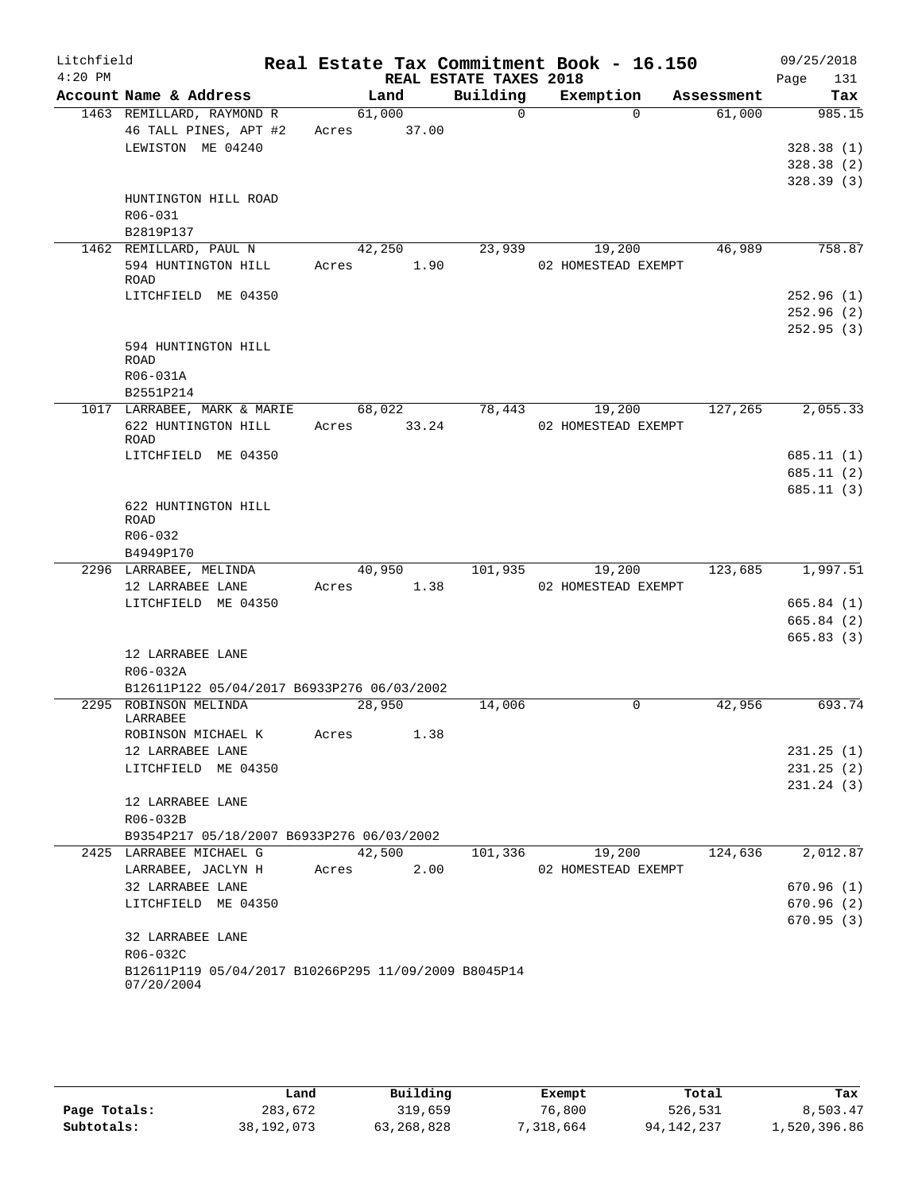| Litchfield |                                                                    |        |       |                        | Real Estate Tax Commitment Book - 16.150 |            | 09/25/2018              |
|------------|--------------------------------------------------------------------|--------|-------|------------------------|------------------------------------------|------------|-------------------------|
| $4:20$ PM  |                                                                    |        |       | REAL ESTATE TAXES 2018 |                                          |            | Page<br>131             |
|            | Account Name & Address                                             |        | Land  | Building               | Exemption                                | Assessment | Tax                     |
|            | 1463 REMILLARD, RAYMOND R                                          | 61,000 |       | $\Omega$               | $\Omega$                                 | 61,000     | 985.15                  |
|            | 46 TALL PINES, APT #2                                              | Acres  | 37.00 |                        |                                          |            |                         |
|            | LEWISTON ME 04240                                                  |        |       |                        |                                          |            | 328.38(1)<br>328.38(2)  |
|            |                                                                    |        |       |                        |                                          |            | 328.39(3)               |
|            | HUNTINGTON HILL ROAD                                               |        |       |                        |                                          |            |                         |
|            | R06-031                                                            |        |       |                        |                                          |            |                         |
|            | B2819P137                                                          |        |       |                        |                                          |            |                         |
|            | 1462 REMILLARD, PAUL N                                             | 42,250 |       | 23,939                 | 19,200                                   | 46,989     | 758.87                  |
|            | 594 HUNTINGTON HILL                                                | Acres  | 1.90  |                        | 02 HOMESTEAD EXEMPT                      |            |                         |
|            | ROAD                                                               |        |       |                        |                                          |            |                         |
|            | LITCHFIELD ME 04350                                                |        |       |                        |                                          |            | 252.96(1)               |
|            |                                                                    |        |       |                        |                                          |            | 252.96(2)               |
|            | 594 HUNTINGTON HILL                                                |        |       |                        |                                          |            | 252.95(3)               |
|            | ROAD                                                               |        |       |                        |                                          |            |                         |
|            | R06-031A                                                           |        |       |                        |                                          |            |                         |
|            | B2551P214                                                          |        |       |                        |                                          |            |                         |
|            | 1017 LARRABEE, MARK & MARIE                                        | 68,022 |       | 78,443                 | 19,200                                   | 127,265    | 2,055.33                |
|            | 622 HUNTINGTON HILL                                                | Acres  | 33.24 |                        | 02 HOMESTEAD EXEMPT                      |            |                         |
|            | <b>ROAD</b>                                                        |        |       |                        |                                          |            | 685.11(1)               |
|            | LITCHFIELD ME 04350                                                |        |       |                        |                                          |            | 685.11(2)               |
|            |                                                                    |        |       |                        |                                          |            | 685.11(3)               |
|            | 622 HUNTINGTON HILL                                                |        |       |                        |                                          |            |                         |
|            | <b>ROAD</b>                                                        |        |       |                        |                                          |            |                         |
|            | R06-032                                                            |        |       |                        |                                          |            |                         |
|            | B4949P170                                                          |        |       |                        |                                          |            |                         |
|            | 2296 LARRABEE, MELINDA                                             | 40,950 |       | 101,935                | 19,200                                   | 123,685    | 1,997.51                |
|            | 12 LARRABEE LANE                                                   | Acres  | 1.38  |                        | 02 HOMESTEAD EXEMPT                      |            |                         |
|            | LITCHFIELD ME 04350                                                |        |       |                        |                                          |            | 665.84(1)<br>665.84(2)  |
|            |                                                                    |        |       |                        |                                          |            | 665.83(3)               |
|            | 12 LARRABEE LANE                                                   |        |       |                        |                                          |            |                         |
|            | R06-032A                                                           |        |       |                        |                                          |            |                         |
|            | B12611P122 05/04/2017 B6933P276 06/03/2002                         |        |       |                        |                                          |            |                         |
|            | 2295 ROBINSON MELINDA                                              | 28,950 |       | 14,006                 | 0                                        | 42,956     | 693.74                  |
|            | LARRABEE                                                           |        |       |                        |                                          |            |                         |
|            | ROBINSON MICHAEL K                                                 | Acres  | 1.38  |                        |                                          |            |                         |
|            | 12 LARRABEE LANE                                                   |        |       |                        |                                          |            | 231.25(1)               |
|            | LITCHFIELD ME 04350                                                |        |       |                        |                                          |            | 231.25(2)<br>231.24 (3) |
|            | 12 LARRABEE LANE                                                   |        |       |                        |                                          |            |                         |
|            | R06-032B                                                           |        |       |                        |                                          |            |                         |
|            | B9354P217 05/18/2007 B6933P276 06/03/2002                          |        |       |                        |                                          |            |                         |
|            | 2425 LARRABEE MICHAEL G                                            | 42,500 |       | 101,336                | 19,200                                   | 124,636    | 2,012.87                |
|            | LARRABEE, JACLYN H                                                 | Acres  | 2.00  |                        | 02 HOMESTEAD EXEMPT                      |            |                         |
|            | 32 LARRABEE LANE                                                   |        |       |                        |                                          |            | 670.96(1)               |
|            | LITCHFIELD ME 04350                                                |        |       |                        |                                          |            | 670.96(2)               |
|            |                                                                    |        |       |                        |                                          |            | 670.95(3)               |
|            | 32 LARRABEE LANE                                                   |        |       |                        |                                          |            |                         |
|            | R06-032C                                                           |        |       |                        |                                          |            |                         |
|            | B12611P119 05/04/2017 B10266P295 11/09/2009 B8045P14<br>07/20/2004 |        |       |                        |                                          |            |                         |
|            |                                                                    |        |       |                        |                                          |            |                         |

|              | Land       | Building     | Exempt    | Total        | Tax          |
|--------------|------------|--------------|-----------|--------------|--------------|
| Page Totals: | 283,672    | 319,659      | 76,800    | 526,531      | 8,503.47     |
| Subtotals:   | 38,192,073 | 63, 268, 828 | 7,318,664 | 94, 142, 237 | 1,520,396.86 |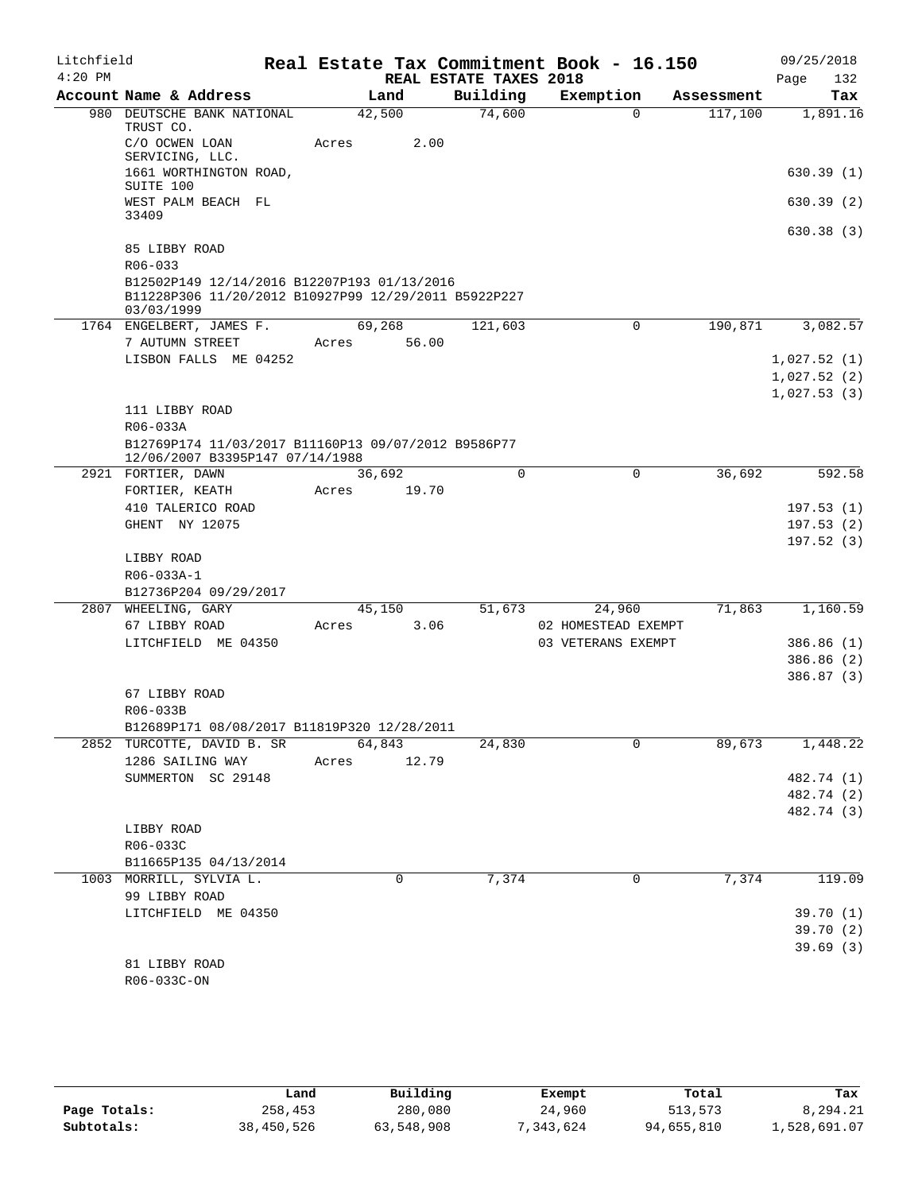| Litchfield |                                                                                                                   |       |        |                        | Real Estate Tax Commitment Book - 16.150 |            | 09/25/2018            |
|------------|-------------------------------------------------------------------------------------------------------------------|-------|--------|------------------------|------------------------------------------|------------|-----------------------|
| $4:20$ PM  |                                                                                                                   |       |        | REAL ESTATE TAXES 2018 |                                          |            | 132<br>Page           |
|            | Account Name & Address                                                                                            |       | Land   | Building               | Exemption                                | Assessment | Tax                   |
|            | 980 DEUTSCHE BANK NATIONAL<br>TRUST CO.                                                                           |       | 42,500 | 74,600                 | $\Omega$                                 | 117,100    | 1,891.16              |
|            | C/O OCWEN LOAN<br>SERVICING, LLC.                                                                                 | Acres | 2.00   |                        |                                          |            |                       |
|            | 1661 WORTHINGTON ROAD,<br>SUITE 100                                                                               |       |        |                        |                                          |            | 630.39(1)             |
|            | WEST PALM BEACH FL<br>33409                                                                                       |       |        |                        |                                          |            | 630.39(2)             |
|            | 85 LIBBY ROAD<br>$R06 - 033$                                                                                      |       |        |                        |                                          |            | 630.38(3)             |
|            | B12502P149 12/14/2016 B12207P193 01/13/2016<br>B11228P306 11/20/2012 B10927P99 12/29/2011 B5922P227<br>03/03/1999 |       |        |                        |                                          |            |                       |
|            | 1764 ENGELBERT, JAMES F.                                                                                          |       | 69,268 | 121,603                | 0                                        | 190,871    | 3,082.57              |
|            | 7 AUTUMN STREET                                                                                                   | Acres | 56.00  |                        |                                          |            |                       |
|            | LISBON FALLS ME 04252                                                                                             |       |        |                        |                                          |            | 1,027.52(1)           |
|            |                                                                                                                   |       |        |                        |                                          |            | 1,027.52(2)           |
|            |                                                                                                                   |       |        |                        |                                          |            | 1,027.53(3)           |
|            | 111 LIBBY ROAD<br>R06-033A                                                                                        |       |        |                        |                                          |            |                       |
|            | B12769P174 11/03/2017 B11160P13 09/07/2012 B9586P77                                                               |       |        |                        |                                          |            |                       |
|            | 12/06/2007 B3395P147 07/14/1988                                                                                   |       |        |                        |                                          |            |                       |
|            | 2921 FORTIER, DAWN                                                                                                |       | 36,692 | $\Omega$               | $\Omega$                                 | 36,692     | 592.58                |
|            | FORTIER, KEATH                                                                                                    | Acres | 19.70  |                        |                                          |            |                       |
|            | 410 TALERICO ROAD                                                                                                 |       |        |                        |                                          |            | 197.53(1)             |
|            | GHENT NY 12075                                                                                                    |       |        |                        |                                          |            | 197.53(2)             |
|            | LIBBY ROAD                                                                                                        |       |        |                        |                                          |            | 197.52(3)             |
|            | R06-033A-1                                                                                                        |       |        |                        |                                          |            |                       |
|            | B12736P204 09/29/2017                                                                                             |       |        |                        |                                          |            |                       |
|            | 2807 WHEELING, GARY                                                                                               |       | 45,150 | 51,673                 | 24,960                                   | 71,863     | 1,160.59              |
|            | 67 LIBBY ROAD                                                                                                     | Acres | 3.06   |                        | 02 HOMESTEAD EXEMPT                      |            |                       |
|            | LITCHFIELD ME 04350                                                                                               |       |        |                        | 03 VETERANS EXEMPT                       |            | 386.86 (1)            |
|            |                                                                                                                   |       |        |                        |                                          |            | 386.86(2)             |
|            | 67 LIBBY ROAD                                                                                                     |       |        |                        |                                          |            | 386.87 (3)            |
|            | R06-033B                                                                                                          |       |        |                        |                                          |            |                       |
|            | B12689P171 08/08/2017 B11819P320 12/28/2011                                                                       |       |        |                        |                                          |            |                       |
|            | 2852 TURCOTTE, DAVID B. SR                                                                                        |       | 64,843 | 24,830                 | 0                                        | 89,673     | 1,448.22              |
|            | 1286 SAILING WAY                                                                                                  | Acres | 12.79  |                        |                                          |            |                       |
|            | SUMMERTON SC 29148                                                                                                |       |        |                        |                                          |            | 482.74 (1)            |
|            |                                                                                                                   |       |        |                        |                                          |            | 482.74 (2)            |
|            |                                                                                                                   |       |        |                        |                                          |            | 482.74 (3)            |
|            | LIBBY ROAD                                                                                                        |       |        |                        |                                          |            |                       |
|            | R06-033C                                                                                                          |       |        |                        |                                          |            |                       |
|            | B11665P135 04/13/2014                                                                                             |       |        |                        |                                          |            |                       |
|            | 1003 MORRILL, SYLVIA L.                                                                                           |       | 0      | 7,374                  | 0                                        | 7,374      | 119.09                |
|            | 99 LIBBY ROAD                                                                                                     |       |        |                        |                                          |            |                       |
|            | LITCHFIELD ME 04350                                                                                               |       |        |                        |                                          |            | 39.70(1)              |
|            |                                                                                                                   |       |        |                        |                                          |            | 39.70 (2)<br>39.69(3) |
|            | 81 LIBBY ROAD                                                                                                     |       |        |                        |                                          |            |                       |
|            | R06-033C-ON                                                                                                       |       |        |                        |                                          |            |                       |
|            |                                                                                                                   |       |        |                        |                                          |            |                       |

|              | Land       | Building   | Exempt     | Total      | Tax          |
|--------------|------------|------------|------------|------------|--------------|
| Page Totals: | 258,453    | 280,080    | 24,960     | 513,573    | 8,294.21     |
| Subtotals:   | 38,450,526 | 63,548,908 | , 343, 624 | 94,655,810 | 1,528,691.07 |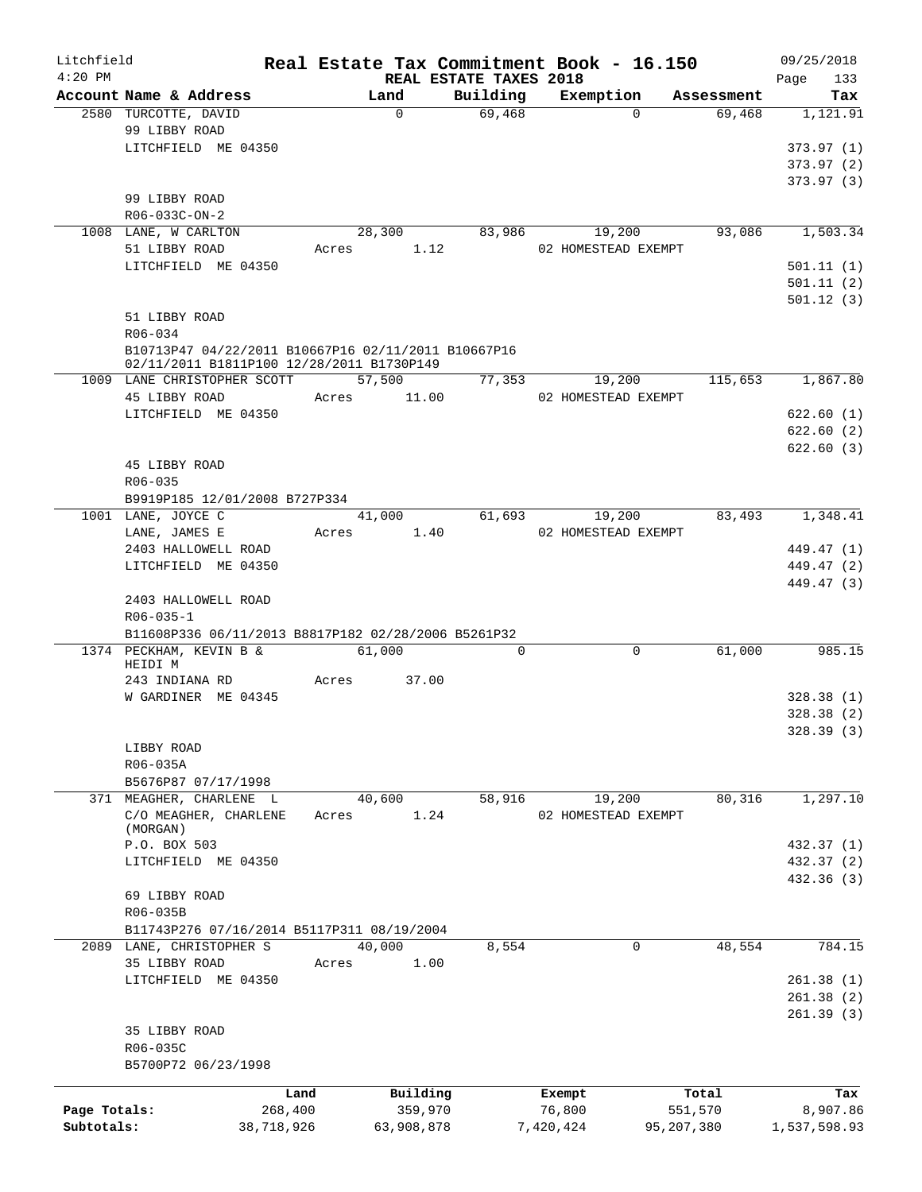| Litchfield   |                                                     |            |       |            |                        | Real Estate Tax Commitment Book - 16.150 |            | 09/25/2018   |            |
|--------------|-----------------------------------------------------|------------|-------|------------|------------------------|------------------------------------------|------------|--------------|------------|
| $4:20$ PM    | Account Name & Address                              |            |       | Land       | REAL ESTATE TAXES 2018 | Building Exemption                       | Assessment | Page         | 133<br>Tax |
|              | 2580 TURCOTTE, DAVID                                |            |       | $\Omega$   | 69,468                 | $\Omega$                                 | 69,468     |              | 1,121.91   |
|              | 99 LIBBY ROAD                                       |            |       |            |                        |                                          |            |              |            |
|              | LITCHFIELD ME 04350                                 |            |       |            |                        |                                          |            | 373.97 (1)   |            |
|              |                                                     |            |       |            |                        |                                          |            | 373.97(2)    |            |
|              |                                                     |            |       |            |                        |                                          |            | 373.97 (3)   |            |
|              | 99 LIBBY ROAD                                       |            |       |            |                        |                                          |            |              |            |
|              | R06-033C-ON-2                                       |            |       |            |                        |                                          |            |              |            |
|              | 1008 LANE, W CARLTON                                |            |       | 28,300     | 83,986                 | 19,200                                   | 93,086     |              | 1,503.34   |
|              | 51 LIBBY ROAD                                       |            |       | Acres 1.12 |                        | 02 HOMESTEAD EXEMPT                      |            |              |            |
|              | LITCHFIELD ME 04350                                 |            |       |            |                        |                                          |            | 501.11(1)    |            |
|              |                                                     |            |       |            |                        |                                          |            | 501.11(2)    |            |
|              |                                                     |            |       |            |                        |                                          |            | 501.12(3)    |            |
|              | 51 LIBBY ROAD                                       |            |       |            |                        |                                          |            |              |            |
|              | R06-034                                             |            |       |            |                        |                                          |            |              |            |
|              | B10713P47 04/22/2011 B10667P16 02/11/2011 B10667P16 |            |       |            |                        |                                          |            |              |            |
|              | 02/11/2011 B1811P100 12/28/2011 B1730P149           |            |       |            |                        |                                          |            |              |            |
|              | 1009 LANE CHRISTOPHER SCOTT                         |            |       | 57,500     | 77,353                 | 19,200                                   | 115,653    |              | 1,867.80   |
|              | 45 LIBBY ROAD                                       |            | Acres | 11.00      |                        | 02 HOMESTEAD EXEMPT                      |            |              |            |
|              | LITCHFIELD ME 04350                                 |            |       |            |                        |                                          |            | 622.60(1)    |            |
|              |                                                     |            |       |            |                        |                                          |            | 622.60(2)    |            |
|              |                                                     |            |       |            |                        |                                          |            | 622.60(3)    |            |
|              | 45 LIBBY ROAD                                       |            |       |            |                        |                                          |            |              |            |
|              | $R06 - 035$                                         |            |       |            |                        |                                          |            |              |            |
|              | B9919P185 12/01/2008 B727P334                       |            |       |            |                        |                                          |            |              |            |
|              | 1001 LANE, JOYCE C                                  |            |       | 41,000     | 61,693                 | 19,200                                   | 83,493     |              | 1,348.41   |
|              | LANE, JAMES E                                       |            | Acres | 1.40       |                        | 02 HOMESTEAD EXEMPT                      |            |              |            |
|              | 2403 HALLOWELL ROAD                                 |            |       |            |                        |                                          |            | 449.47 (1)   |            |
|              | LITCHFIELD ME 04350                                 |            |       |            |                        |                                          |            | 449.47 (2)   |            |
|              |                                                     |            |       |            |                        |                                          |            | 449.47 (3)   |            |
|              | 2403 HALLOWELL ROAD                                 |            |       |            |                        |                                          |            |              |            |
|              | $R06 - 035 - 1$                                     |            |       |            |                        |                                          |            |              |            |
|              | B11608P336 06/11/2013 B8817P182 02/28/2006 B5261P32 |            |       |            |                        |                                          |            |              |            |
|              | 1374 PECKHAM, KEVIN B &                             |            |       | 61,000     | 0                      | $\mathbf 0$                              | 61,000     |              | 985.15     |
|              | HEIDI M                                             |            |       |            |                        |                                          |            |              |            |
|              | 243 INDIANA RD                                      |            | Acres | 37.00      |                        |                                          |            |              |            |
|              | W GARDINER ME 04345                                 |            |       |            |                        |                                          |            | 328.38(1)    |            |
|              |                                                     |            |       |            |                        |                                          |            | 328.38(2)    |            |
|              |                                                     |            |       |            |                        |                                          |            | 328.39 (3)   |            |
|              | LIBBY ROAD                                          |            |       |            |                        |                                          |            |              |            |
|              | R06-035A                                            |            |       |            |                        |                                          |            |              |            |
|              | B5676P87 07/17/1998                                 |            |       |            |                        |                                          |            |              |            |
|              | 371 MEAGHER, CHARLENE L                             |            |       | 40,600     | 58,916                 | 19,200                                   | 80,316     |              | 1,297.10   |
|              | C/O MEAGHER, CHARLENE                               |            | Acres | 1.24       |                        | 02 HOMESTEAD EXEMPT                      |            |              |            |
|              | (MORGAN)                                            |            |       |            |                        |                                          |            |              |            |
|              | P.O. BOX 503                                        |            |       |            |                        |                                          |            | 432.37 (1)   |            |
|              | LITCHFIELD ME 04350                                 |            |       |            |                        |                                          |            | 432.37 (2)   |            |
|              |                                                     |            |       |            |                        |                                          |            | 432.36 (3)   |            |
|              | 69 LIBBY ROAD                                       |            |       |            |                        |                                          |            |              |            |
|              | R06-035B                                            |            |       |            |                        |                                          |            |              |            |
|              | B11743P276 07/16/2014 B5117P311 08/19/2004          |            |       |            |                        |                                          |            |              |            |
|              | 2089 LANE, CHRISTOPHER S                            |            |       | 40,000     | 8,554                  | 0                                        | 48,554     |              | 784.15     |
|              | 35 LIBBY ROAD                                       |            | Acres | 1.00       |                        |                                          |            |              |            |
|              | LITCHFIELD ME 04350                                 |            |       |            |                        |                                          |            | 261.38(1)    |            |
|              |                                                     |            |       |            |                        |                                          |            | 261.38(2)    |            |
|              |                                                     |            |       |            |                        |                                          |            | 261.39(3)    |            |
|              | 35 LIBBY ROAD                                       |            |       |            |                        |                                          |            |              |            |
|              | R06-035C                                            |            |       |            |                        |                                          |            |              |            |
|              | B5700P72 06/23/1998                                 |            |       |            |                        |                                          |            |              |            |
|              |                                                     |            |       |            |                        |                                          |            |              |            |
|              |                                                     | Land       |       | Building   |                        | Exempt                                   | Total      |              | Tax        |
| Page Totals: |                                                     | 268,400    |       | 359,970    |                        | 76,800                                   | 551,570    |              | 8,907.86   |
| Subtotals:   |                                                     | 38,718,926 |       | 63,908,878 |                        | 7,420,424                                | 95,207,380 | 1,537,598.93 |            |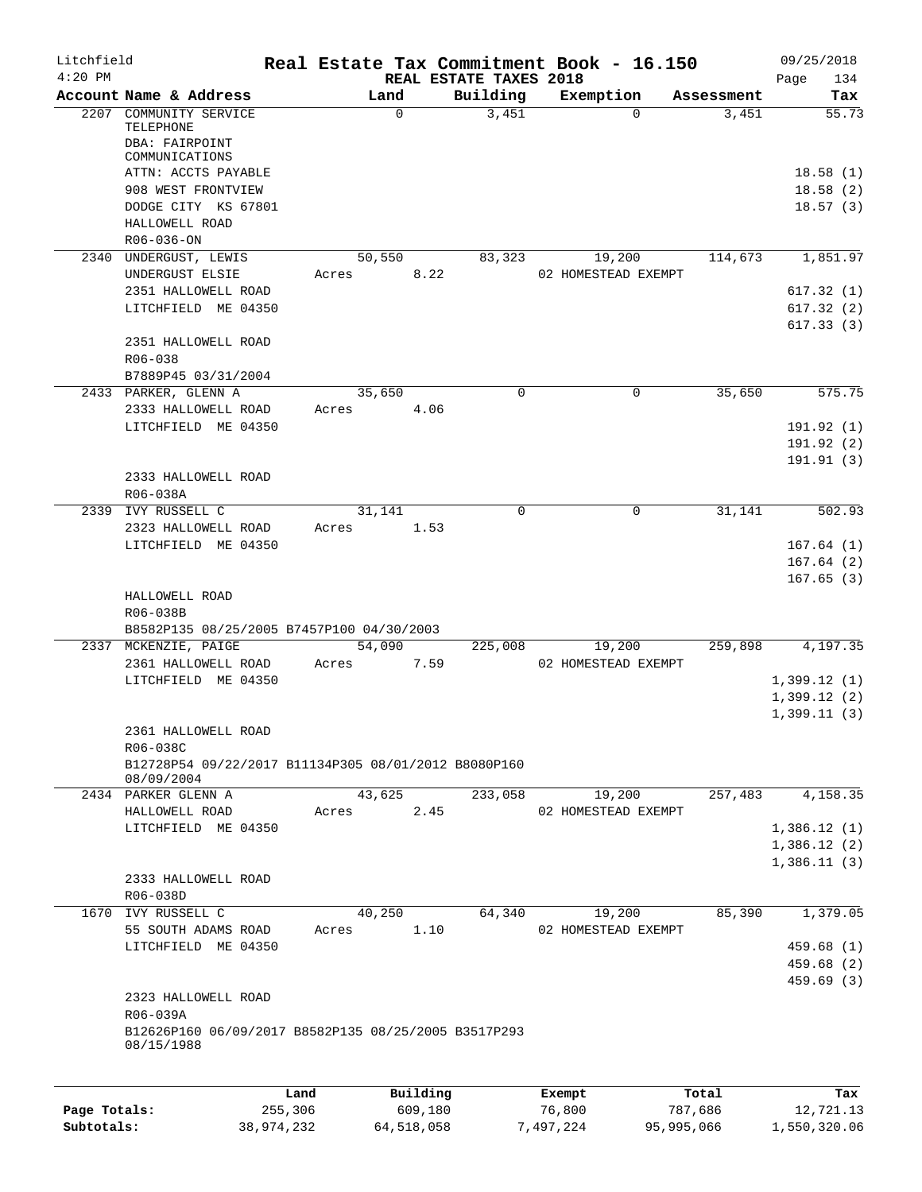| Litchfield   |                                                                    |              |        |            |                                    | Real Estate Tax Commitment Book - 16.150 |                       | 09/25/2018             |
|--------------|--------------------------------------------------------------------|--------------|--------|------------|------------------------------------|------------------------------------------|-----------------------|------------------------|
| $4:20$ PM    | Account Name & Address                                             |              |        | Land       | REAL ESTATE TAXES 2018<br>Building | Exemption                                | Assessment            | 134<br>Page<br>Tax     |
|              | 2207 COMMUNITY SERVICE                                             |              |        | $\Omega$   | 3,451                              |                                          | 3,451<br>$\Omega$     | 55.73                  |
|              | TELEPHONE                                                          |              |        |            |                                    |                                          |                       |                        |
|              | DBA: FAIRPOINT                                                     |              |        |            |                                    |                                          |                       |                        |
|              | COMMUNICATIONS                                                     |              |        |            |                                    |                                          |                       |                        |
|              | ATTN: ACCTS PAYABLE                                                |              |        |            |                                    |                                          |                       | 18.58(1)               |
|              | 908 WEST FRONTVIEW                                                 |              |        |            |                                    |                                          |                       | 18.58(2)               |
|              | DODGE CITY KS 67801                                                |              |        |            |                                    |                                          |                       | 18.57(3)               |
|              | HALLOWELL ROAD                                                     |              |        |            |                                    |                                          |                       |                        |
|              | R06-036-ON                                                         |              |        |            |                                    |                                          |                       |                        |
|              | 2340 UNDERGUST, LEWIS                                              |              |        | 50,550     | 83,323                             | 19,200                                   | 114,673               | 1,851.97               |
|              | UNDERGUST ELSIE                                                    |              | Acres  | 8.22       |                                    | 02 HOMESTEAD EXEMPT                      |                       |                        |
|              | 2351 HALLOWELL ROAD                                                |              |        |            |                                    |                                          |                       | 617.32(1)              |
|              | LITCHFIELD ME 04350                                                |              |        |            |                                    |                                          |                       | 617.32(2)<br>617.33(3) |
|              | 2351 HALLOWELL ROAD                                                |              |        |            |                                    |                                          |                       |                        |
|              | R06-038                                                            |              |        |            |                                    |                                          |                       |                        |
|              | B7889P45 03/31/2004                                                |              |        |            |                                    |                                          |                       |                        |
|              | 2433 PARKER, GLENN A                                               |              | 35,650 |            | $\mathbf 0$                        |                                          | 35,650<br>$\mathbf 0$ | 575.75                 |
|              | 2333 HALLOWELL ROAD                                                |              | Acres  | 4.06       |                                    |                                          |                       |                        |
|              | LITCHFIELD ME 04350                                                |              |        |            |                                    |                                          |                       | 191.92 (1)             |
|              |                                                                    |              |        |            |                                    |                                          |                       | 191.92 (2)             |
|              |                                                                    |              |        |            |                                    |                                          |                       | 191.91(3)              |
|              | 2333 HALLOWELL ROAD                                                |              |        |            |                                    |                                          |                       |                        |
|              | R06-038A                                                           |              |        |            |                                    |                                          |                       |                        |
|              | 2339 IVY RUSSELL C                                                 |              |        | 31,141     | 0                                  |                                          | $\Omega$<br>31,141    | 502.93                 |
|              | 2323 HALLOWELL ROAD                                                |              | Acres  | 1.53       |                                    |                                          |                       |                        |
|              | LITCHFIELD ME 04350                                                |              |        |            |                                    |                                          |                       | 167.64(1)              |
|              |                                                                    |              |        |            |                                    |                                          |                       | 167.64(2)              |
|              |                                                                    |              |        |            |                                    |                                          |                       | 167.65(3)              |
|              | HALLOWELL ROAD                                                     |              |        |            |                                    |                                          |                       |                        |
|              | R06-038B                                                           |              |        |            |                                    |                                          |                       |                        |
|              | B8582P135 08/25/2005 B7457P100 04/30/2003                          |              |        |            |                                    |                                          |                       |                        |
|              | 2337 MCKENZIE, PAIGE                                               |              |        | 54,090     | 225,008                            | 19,200                                   | 259,898               | 4,197.35               |
|              | 2361 HALLOWELL ROAD                                                |              | Acres  | 7.59       |                                    | 02 HOMESTEAD EXEMPT                      |                       |                        |
|              | LITCHFIELD ME 04350                                                |              |        |            |                                    |                                          |                       | 1,399.12(1)            |
|              |                                                                    |              |        |            |                                    |                                          |                       | 1,399.12(2)            |
|              |                                                                    |              |        |            |                                    |                                          |                       | 1,399.11(3)            |
|              | 2361 HALLOWELL ROAD                                                |              |        |            |                                    |                                          |                       |                        |
|              | R06-038C                                                           |              |        |            |                                    |                                          |                       |                        |
|              | B12728P54 09/22/2017 B11134P305 08/01/2012 B8080P160               |              |        |            |                                    |                                          |                       |                        |
|              | 08/09/2004                                                         |              |        |            |                                    |                                          |                       |                        |
|              | 2434 PARKER GLENN A                                                |              |        | 43,625     | 233,058                            | 19,200                                   | 257,483               | 4,158.35               |
|              | HALLOWELL ROAD                                                     |              | Acres  | 2.45       |                                    | 02 HOMESTEAD EXEMPT                      |                       |                        |
|              | LITCHFIELD ME 04350                                                |              |        |            |                                    |                                          |                       | 1,386.12(1)            |
|              |                                                                    |              |        |            |                                    |                                          |                       | 1,386.12(2)            |
|              |                                                                    |              |        |            |                                    |                                          |                       | 1,386.11(3)            |
|              | 2333 HALLOWELL ROAD                                                |              |        |            |                                    |                                          |                       |                        |
|              | R06-038D                                                           |              |        |            |                                    |                                          |                       |                        |
| 1670         | IVY RUSSELL C                                                      |              |        | 40,250     | 64,340                             | 19,200                                   | 85,390                | 1,379.05               |
|              | 55 SOUTH ADAMS ROAD                                                |              | Acres  | 1.10       |                                    | 02 HOMESTEAD EXEMPT                      |                       |                        |
|              | LITCHFIELD ME 04350                                                |              |        |            |                                    |                                          |                       | 459.68 (1)             |
|              |                                                                    |              |        |            |                                    |                                          |                       | 459.68 (2)             |
|              |                                                                    |              |        |            |                                    |                                          |                       | 459.69 (3)             |
|              | 2323 HALLOWELL ROAD                                                |              |        |            |                                    |                                          |                       |                        |
|              | R06-039A                                                           |              |        |            |                                    |                                          |                       |                        |
|              | B12626P160 06/09/2017 B8582P135 08/25/2005 B3517P293<br>08/15/1988 |              |        |            |                                    |                                          |                       |                        |
|              |                                                                    |              |        |            |                                    |                                          |                       |                        |
|              |                                                                    | Land         |        | Building   |                                    | Exempt                                   | Total                 | Tax                    |
| Page Totals: |                                                                    | 255,306      |        | 609,180    |                                    | 76,800                                   | 787,686               | 12,721.13              |
| Subtotals:   |                                                                    | 38, 974, 232 |        | 64,518,058 |                                    | 7,497,224                                | 95,995,066            | 1,550,320.06           |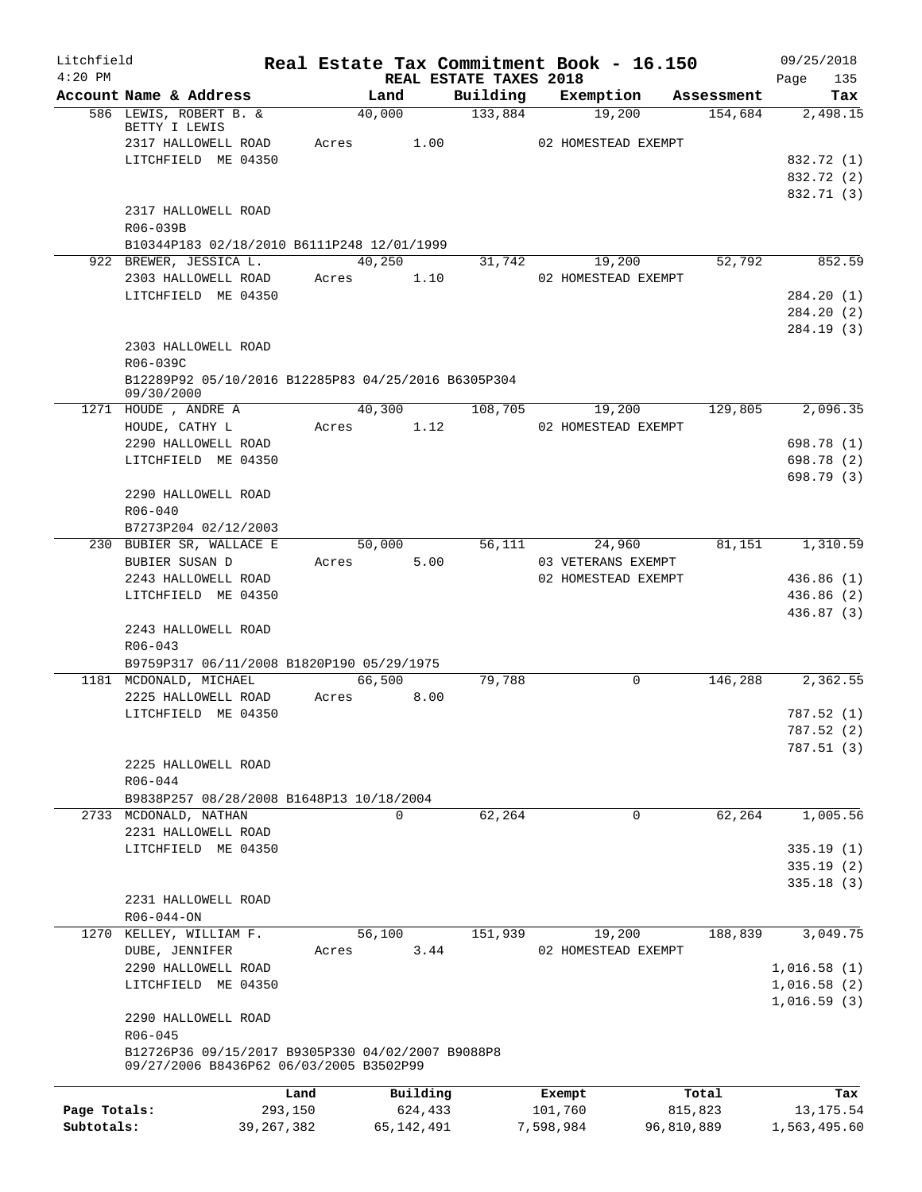| Litchfield   |                                                                                              |              |                |                                    | Real Estate Tax Commitment Book - 16.150  |            | 09/25/2018             |
|--------------|----------------------------------------------------------------------------------------------|--------------|----------------|------------------------------------|-------------------------------------------|------------|------------------------|
| $4:20$ PM    | Account Name & Address                                                                       |              | Land           | REAL ESTATE TAXES 2018<br>Building | Exemption                                 | Assessment | 135<br>Page<br>Tax     |
|              | 586 LEWIS, ROBERT B. &                                                                       |              | 40,000         | 133,884                            | 19,200                                    | 154,684    | 2,498.15               |
|              | BETTY I LEWIS<br>2317 HALLOWELL ROAD                                                         | Acres        | 1.00           |                                    | 02 HOMESTEAD EXEMPT                       |            |                        |
|              | LITCHFIELD ME 04350                                                                          |              |                |                                    |                                           |            | 832.72 (1)             |
|              |                                                                                              |              |                |                                    |                                           |            | 832.72 (2)             |
|              |                                                                                              |              |                |                                    |                                           |            | 832.71 (3)             |
|              | 2317 HALLOWELL ROAD                                                                          |              |                |                                    |                                           |            |                        |
|              | R06-039B                                                                                     |              |                |                                    |                                           |            |                        |
|              | B10344P183 02/18/2010 B6111P248 12/01/1999                                                   |              |                |                                    |                                           |            |                        |
|              | 922 BREWER, JESSICA L.                                                                       |              | 40,250         | 31,742                             | 19,200                                    | 52,792     | 852.59                 |
|              | 2303 HALLOWELL ROAD                                                                          | Acres        | 1.10           |                                    | 02 HOMESTEAD EXEMPT                       |            |                        |
|              | LITCHFIELD ME 04350                                                                          |              |                |                                    |                                           |            | 284.20 (1)             |
|              |                                                                                              |              |                |                                    |                                           |            | 284.20 (2)             |
|              | 2303 HALLOWELL ROAD                                                                          |              |                |                                    |                                           |            | 284.19 (3)             |
|              | R06-039C                                                                                     |              |                |                                    |                                           |            |                        |
|              | B12289P92 05/10/2016 B12285P83 04/25/2016 B6305P304                                          |              |                |                                    |                                           |            |                        |
|              | 09/30/2000                                                                                   |              |                |                                    |                                           |            |                        |
|              | 1271 HOUDE, ANDRE A                                                                          |              | 40,300         | 108,705                            | 19,200                                    | 129,805    | 2,096.35               |
|              | HOUDE, CATHY L                                                                               | Acres        | 1.12           |                                    | 02 HOMESTEAD EXEMPT                       |            |                        |
|              | 2290 HALLOWELL ROAD                                                                          |              |                |                                    |                                           |            | 698.78 (1)             |
|              | LITCHFIELD ME 04350                                                                          |              |                |                                    |                                           |            | 698.78 (2)             |
|              |                                                                                              |              |                |                                    |                                           |            | 698.79 (3)             |
|              | 2290 HALLOWELL ROAD                                                                          |              |                |                                    |                                           |            |                        |
|              | $R06 - 040$                                                                                  |              |                |                                    |                                           |            |                        |
|              | B7273P204 02/12/2003                                                                         |              |                |                                    |                                           |            |                        |
|              | 230 BUBIER SR, WALLACE E                                                                     |              | 50,000<br>5.00 | 56,111                             | 24,960                                    | 81,151     | 1,310.59               |
|              | BUBIER SUSAN D<br>2243 HALLOWELL ROAD                                                        | Acres        |                |                                    | 03 VETERANS EXEMPT<br>02 HOMESTEAD EXEMPT |            | 436.86 (1)             |
|              | LITCHFIELD ME 04350                                                                          |              |                |                                    |                                           |            | 436.86(2)              |
|              |                                                                                              |              |                |                                    |                                           |            | 436.87 (3)             |
|              | 2243 HALLOWELL ROAD                                                                          |              |                |                                    |                                           |            |                        |
|              | $R06 - 043$                                                                                  |              |                |                                    |                                           |            |                        |
|              | B9759P317 06/11/2008 B1820P190 05/29/1975                                                    |              |                |                                    |                                           |            |                        |
|              | 1181 MCDONALD, MICHAEL                                                                       |              | 66,500         | 79,788                             | 0                                         | 146,288    | 2,362.55               |
|              | 2225 HALLOWELL ROAD                                                                          | Acres        | 8.00           |                                    |                                           |            |                        |
|              | LITCHFIELD ME 04350                                                                          |              |                |                                    |                                           |            | 787.52 (1)             |
|              |                                                                                              |              |                |                                    |                                           |            | 787.52 (2)             |
|              |                                                                                              |              |                |                                    |                                           |            | 787.51(3)              |
|              | 2225 HALLOWELL ROAD                                                                          |              |                |                                    |                                           |            |                        |
|              | R06-044                                                                                      |              |                |                                    |                                           |            |                        |
|              | B9838P257 08/28/2008 B1648P13 10/18/2004                                                     |              |                |                                    |                                           |            |                        |
|              | 2733 MCDONALD, NATHAN                                                                        |              | $\Omega$       | 62,264                             | 0                                         | 62,264     | 1,005.56               |
|              | 2231 HALLOWELL ROAD                                                                          |              |                |                                    |                                           |            |                        |
|              | LITCHFIELD ME 04350                                                                          |              |                |                                    |                                           |            | 335.19(1)<br>335.19(2) |
|              |                                                                                              |              |                |                                    |                                           |            | 335.18(3)              |
|              | 2231 HALLOWELL ROAD                                                                          |              |                |                                    |                                           |            |                        |
|              | $R06 - 044 - ON$                                                                             |              |                |                                    |                                           |            |                        |
| 1270         | KELLEY, WILLIAM F.                                                                           |              | 56,100         | 151,939                            | 19,200                                    | 188,839    | 3,049.75               |
|              | DUBE, JENNIFER                                                                               | Acres        | 3.44           |                                    | 02 HOMESTEAD EXEMPT                       |            |                        |
|              | 2290 HALLOWELL ROAD                                                                          |              |                |                                    |                                           |            | 1,016.58(1)            |
|              | LITCHFIELD ME 04350                                                                          |              |                |                                    |                                           |            | 1,016.58(2)            |
|              |                                                                                              |              |                |                                    |                                           |            | 1,016.59(3)            |
|              | 2290 HALLOWELL ROAD                                                                          |              |                |                                    |                                           |            |                        |
|              | R06-045                                                                                      |              |                |                                    |                                           |            |                        |
|              | B12726P36 09/15/2017 B9305P330 04/02/2007 B9088P8<br>09/27/2006 B8436P62 06/03/2005 B3502P99 |              |                |                                    |                                           |            |                        |
|              |                                                                                              | Land         | Building       |                                    | Exempt                                    | Total      | Tax                    |
| Page Totals: |                                                                                              | 293,150      | 624,433        |                                    | 101,760                                   | 815,823    | 13, 175. 54            |
| Subtotals:   |                                                                                              | 39, 267, 382 | 65, 142, 491   |                                    | 7,598,984                                 | 96,810,889 | 1,563,495.60           |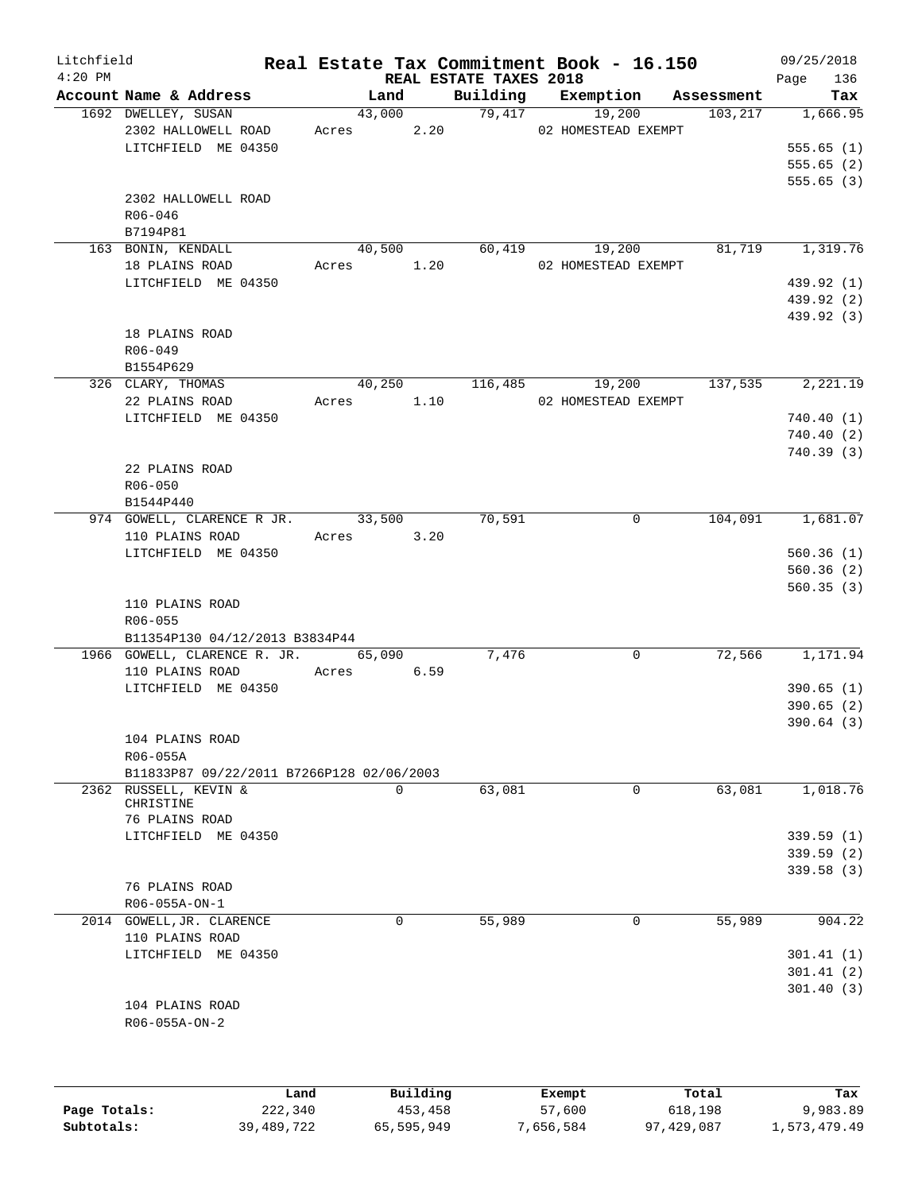| Litchfield<br>$4:20$ PM |                                           |       | REAL ESTATE TAXES 2018 |          | Real Estate Tax Commitment Book - 16.150 |            | 09/25/2018<br>Page<br>136 |
|-------------------------|-------------------------------------------|-------|------------------------|----------|------------------------------------------|------------|---------------------------|
|                         | Account Name & Address                    |       | Land                   | Building | Exemption                                | Assessment | Tax                       |
|                         | 1692 DWELLEY, SUSAN                       |       | 43,000                 |          | 79,417<br>19,200                         | 103, 217   | 1,666.95                  |
|                         | 2302 HALLOWELL ROAD                       | Acres | 2.20                   |          | 02 HOMESTEAD EXEMPT                      |            |                           |
|                         | LITCHFIELD ME 04350                       |       |                        |          |                                          |            | 555.65(1)                 |
|                         |                                           |       |                        |          |                                          |            | 555.65(2)                 |
|                         |                                           |       |                        |          |                                          |            | 555.65(3)                 |
|                         | 2302 HALLOWELL ROAD                       |       |                        |          |                                          |            |                           |
|                         | R06-046                                   |       |                        |          |                                          |            |                           |
|                         | B7194P81                                  |       |                        |          |                                          |            |                           |
|                         | 163 BONIN, KENDALL                        |       | 40,500                 |          | 60,419<br>19,200                         | 81,719     | 1,319.76                  |
|                         | 18 PLAINS ROAD                            |       | Acres 1.20             |          | 02 HOMESTEAD EXEMPT                      |            |                           |
|                         | LITCHFIELD ME 04350                       |       |                        |          |                                          |            | 439.92 (1)                |
|                         |                                           |       |                        |          |                                          |            | 439.92 (2)                |
|                         |                                           |       |                        |          |                                          |            | 439.92 (3)                |
|                         | 18 PLAINS ROAD                            |       |                        |          |                                          |            |                           |
|                         | R06-049                                   |       |                        |          |                                          |            |                           |
|                         | B1554P629                                 |       |                        |          |                                          |            |                           |
|                         | 326 CLARY, THOMAS                         |       | 40,250                 | 116,485  | 19,200                                   | 137,535    | 2,221.19                  |
|                         | 22 PLAINS ROAD                            |       | Acres 1.10             |          | 02 HOMESTEAD EXEMPT                      |            |                           |
|                         | LITCHFIELD ME 04350                       |       |                        |          |                                          |            | 740.40(1)                 |
|                         |                                           |       |                        |          |                                          |            | 740.40(2)                 |
|                         |                                           |       |                        |          |                                          |            | 740.39(3)                 |
|                         | 22 PLAINS ROAD                            |       |                        |          |                                          |            |                           |
|                         | $R06 - 050$                               |       |                        |          |                                          |            |                           |
|                         |                                           |       |                        |          |                                          |            |                           |
|                         | B1544P440                                 |       |                        |          |                                          |            |                           |
|                         | 974 GOWELL, CLARENCE R JR.                |       | 33,500                 | 70,591   | $\mathsf{O}$                             | 104,091    | 1,681.07                  |
|                         | 110 PLAINS ROAD                           | Acres | 3.20                   |          |                                          |            |                           |
|                         | LITCHFIELD ME 04350                       |       |                        |          |                                          |            | 560.36(1)                 |
|                         |                                           |       |                        |          |                                          |            | 560.36(2)                 |
|                         |                                           |       |                        |          |                                          |            | 560.35(3)                 |
|                         | 110 PLAINS ROAD                           |       |                        |          |                                          |            |                           |
|                         | $R06 - 055$                               |       |                        |          |                                          |            |                           |
|                         | B11354P130 04/12/2013 B3834P44            |       |                        |          |                                          |            |                           |
|                         | 1966 GOWELL, CLARENCE R. JR.              |       | 65,090                 | 7,476    | $\mathbf 0$                              | 72,566     | 1,171.94                  |
|                         | 110 PLAINS ROAD                           |       | Acres 6.59             |          |                                          |            |                           |
|                         | LITCHFIELD ME 04350                       |       |                        |          |                                          |            | 390.65(1)                 |
|                         |                                           |       |                        |          |                                          |            | 390.65(2)                 |
|                         |                                           |       |                        |          |                                          |            | 390.64(3)                 |
|                         | 104 PLAINS ROAD                           |       |                        |          |                                          |            |                           |
|                         | R06-055A                                  |       |                        |          |                                          |            |                           |
|                         | B11833P87 09/22/2011 B7266P128 02/06/2003 |       |                        |          |                                          |            |                           |
|                         | 2362 RUSSELL, KEVIN &                     |       | 0                      | 63,081   | $\mathbf 0$                              | 63,081     | 1,018.76                  |
|                         | CHRISTINE<br>76 PLAINS ROAD               |       |                        |          |                                          |            |                           |
|                         |                                           |       |                        |          |                                          |            |                           |
|                         | LITCHFIELD ME 04350                       |       |                        |          |                                          |            | 339.59(1)                 |
|                         |                                           |       |                        |          |                                          |            | 339.59(2)                 |
|                         |                                           |       |                        |          |                                          |            | 339.58 (3)                |
|                         | 76 PLAINS ROAD                            |       |                        |          |                                          |            |                           |
|                         | R06-055A-ON-1                             |       |                        |          |                                          |            |                           |
|                         | 2014 GOWELL, JR. CLARENCE                 |       | $\mathbf 0$            | 55,989   | $\mathbf 0$                              | 55,989     | 904.22                    |
|                         | 110 PLAINS ROAD                           |       |                        |          |                                          |            |                           |
|                         | LITCHFIELD ME 04350                       |       |                        |          |                                          |            | 301.41(1)                 |
|                         |                                           |       |                        |          |                                          |            | 301.41(2)                 |
|                         |                                           |       |                        |          |                                          |            | 301.40(3)                 |
|                         | 104 PLAINS ROAD                           |       |                        |          |                                          |            |                           |
|                         | R06-055A-ON-2                             |       |                        |          |                                          |            |                           |
|                         |                                           |       |                        |          |                                          |            |                           |
|                         |                                           |       |                        |          |                                          |            |                           |
|                         |                                           |       |                        |          |                                          |            |                           |
|                         |                                           | Land  | Building               |          | Exempt                                   | Total      | Tax                       |

**Page Totals:** 222,340 453,458 57,600 618,198 9,983.89 **Subtotals:** 39,489,722 65,595,949 7,656,584 97,429,087 1,573,479.49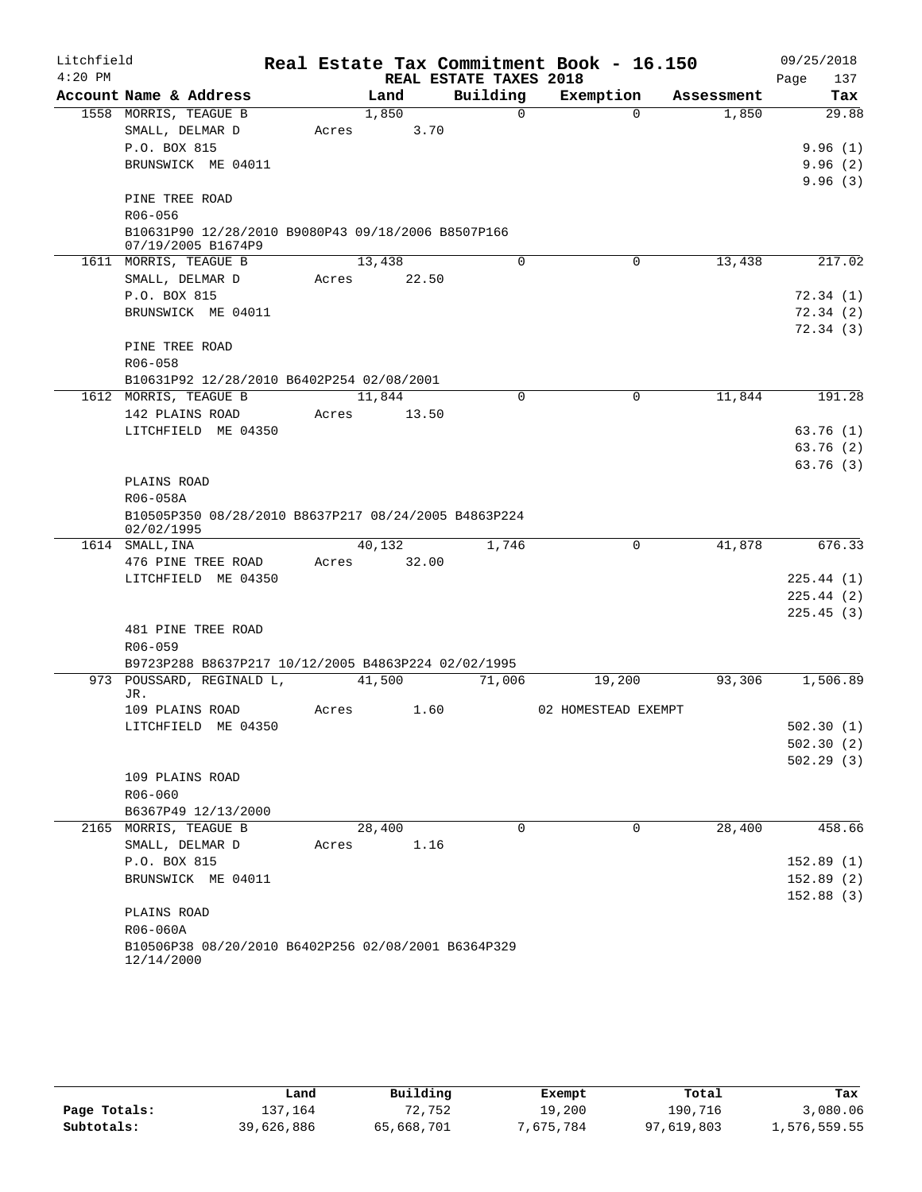| $4:20$ PM<br>REAL ESTATE TAXES 2018<br>Page<br>137<br>Building<br>Account Name & Address<br>Land<br>Exemption<br>Tax<br>Assessment<br>$\Omega$<br>1558 MORRIS, TEAGUE B<br>1,850<br>$\Omega$<br>1,850<br>29.88<br>SMALL, DELMAR D<br>3.70<br>Acres<br>P.O. BOX 815<br>9.96(1)<br>BRUNSWICK ME 04011<br>9.96(2)<br>9.96(3)<br>PINE TREE ROAD<br>R06-056<br>B10631P90 12/28/2010 B9080P43 09/18/2006 B8507P166<br>07/19/2005 B1674P9<br>0<br>13,438<br>217.02<br>1611 MORRIS, TEAGUE B<br>13,438<br>$\Omega$<br>SMALL, DELMAR D<br>22.50<br>Acres<br>P.O. BOX 815<br>72.34(1)<br>BRUNSWICK ME 04011<br>72.34 (2)<br>72.34(3)<br>PINE TREE ROAD<br>R06-058<br>B10631P92 12/28/2010 B6402P254 02/08/2001<br>$\mathbf 0$<br>11,844<br>191.28<br>1612 MORRIS, TEAGUE B<br>11,844<br>0<br>142 PLAINS ROAD<br>13.50<br>Acres<br>LITCHFIELD ME 04350<br>63.76(1)<br>63.76(2)<br>63.76(3)<br>PLAINS ROAD<br>R06-058A<br>B10505P350 08/28/2010 B8637P217 08/24/2005 B4863P224<br>02/02/1995<br>1,746<br>41,878<br>676.33<br>1614 SMALL, INA<br>40,132<br>0<br>476 PINE TREE ROAD<br>32.00<br>Acres<br>LITCHFIELD ME 04350<br>225.44(1)<br>225.44(2)<br>225.45(3)<br>481 PINE TREE ROAD<br>R06-059<br>B9723P288 B8637P217 10/12/2005 B4863P224 02/02/1995<br>93,306<br>973 POUSSARD, REGINALD L,<br>41,500<br>71,006<br>19,200<br>1,506.89<br>JR.<br>1.60<br>109 PLAINS ROAD<br>Acres<br>02 HOMESTEAD EXEMPT<br>LITCHFIELD ME 04350<br>502.30(1)<br>502.30(2)<br>502.29(3)<br>109 PLAINS ROAD<br>R06-060<br>B6367P49 12/13/2000<br>$\Omega$<br>$\Omega$<br>2165 MORRIS, TEAGUE B<br>28,400<br>28,400<br>458.66<br>SMALL, DELMAR D<br>1.16<br>Acres<br>P.O. BOX 815<br>152.89(1)<br>BRUNSWICK ME 04011<br>152.89(2)<br>152.88(3)<br>PLAINS ROAD<br>R06-060A<br>B10506P38 08/20/2010 B6402P256 02/08/2001 B6364P329<br>12/14/2000 | Litchfield |  |  | Real Estate Tax Commitment Book - 16.150 | 09/25/2018 |
|---------------------------------------------------------------------------------------------------------------------------------------------------------------------------------------------------------------------------------------------------------------------------------------------------------------------------------------------------------------------------------------------------------------------------------------------------------------------------------------------------------------------------------------------------------------------------------------------------------------------------------------------------------------------------------------------------------------------------------------------------------------------------------------------------------------------------------------------------------------------------------------------------------------------------------------------------------------------------------------------------------------------------------------------------------------------------------------------------------------------------------------------------------------------------------------------------------------------------------------------------------------------------------------------------------------------------------------------------------------------------------------------------------------------------------------------------------------------------------------------------------------------------------------------------------------------------------------------------------------------------------------------------------------------------------------------------------------------------------------------------------------------------------------------------------------------|------------|--|--|------------------------------------------|------------|
|                                                                                                                                                                                                                                                                                                                                                                                                                                                                                                                                                                                                                                                                                                                                                                                                                                                                                                                                                                                                                                                                                                                                                                                                                                                                                                                                                                                                                                                                                                                                                                                                                                                                                                                                                                                                                     |            |  |  |                                          |            |
|                                                                                                                                                                                                                                                                                                                                                                                                                                                                                                                                                                                                                                                                                                                                                                                                                                                                                                                                                                                                                                                                                                                                                                                                                                                                                                                                                                                                                                                                                                                                                                                                                                                                                                                                                                                                                     |            |  |  |                                          |            |
|                                                                                                                                                                                                                                                                                                                                                                                                                                                                                                                                                                                                                                                                                                                                                                                                                                                                                                                                                                                                                                                                                                                                                                                                                                                                                                                                                                                                                                                                                                                                                                                                                                                                                                                                                                                                                     |            |  |  |                                          |            |
|                                                                                                                                                                                                                                                                                                                                                                                                                                                                                                                                                                                                                                                                                                                                                                                                                                                                                                                                                                                                                                                                                                                                                                                                                                                                                                                                                                                                                                                                                                                                                                                                                                                                                                                                                                                                                     |            |  |  |                                          |            |
|                                                                                                                                                                                                                                                                                                                                                                                                                                                                                                                                                                                                                                                                                                                                                                                                                                                                                                                                                                                                                                                                                                                                                                                                                                                                                                                                                                                                                                                                                                                                                                                                                                                                                                                                                                                                                     |            |  |  |                                          |            |
|                                                                                                                                                                                                                                                                                                                                                                                                                                                                                                                                                                                                                                                                                                                                                                                                                                                                                                                                                                                                                                                                                                                                                                                                                                                                                                                                                                                                                                                                                                                                                                                                                                                                                                                                                                                                                     |            |  |  |                                          |            |
|                                                                                                                                                                                                                                                                                                                                                                                                                                                                                                                                                                                                                                                                                                                                                                                                                                                                                                                                                                                                                                                                                                                                                                                                                                                                                                                                                                                                                                                                                                                                                                                                                                                                                                                                                                                                                     |            |  |  |                                          |            |
|                                                                                                                                                                                                                                                                                                                                                                                                                                                                                                                                                                                                                                                                                                                                                                                                                                                                                                                                                                                                                                                                                                                                                                                                                                                                                                                                                                                                                                                                                                                                                                                                                                                                                                                                                                                                                     |            |  |  |                                          |            |
|                                                                                                                                                                                                                                                                                                                                                                                                                                                                                                                                                                                                                                                                                                                                                                                                                                                                                                                                                                                                                                                                                                                                                                                                                                                                                                                                                                                                                                                                                                                                                                                                                                                                                                                                                                                                                     |            |  |  |                                          |            |
|                                                                                                                                                                                                                                                                                                                                                                                                                                                                                                                                                                                                                                                                                                                                                                                                                                                                                                                                                                                                                                                                                                                                                                                                                                                                                                                                                                                                                                                                                                                                                                                                                                                                                                                                                                                                                     |            |  |  |                                          |            |
|                                                                                                                                                                                                                                                                                                                                                                                                                                                                                                                                                                                                                                                                                                                                                                                                                                                                                                                                                                                                                                                                                                                                                                                                                                                                                                                                                                                                                                                                                                                                                                                                                                                                                                                                                                                                                     |            |  |  |                                          |            |
|                                                                                                                                                                                                                                                                                                                                                                                                                                                                                                                                                                                                                                                                                                                                                                                                                                                                                                                                                                                                                                                                                                                                                                                                                                                                                                                                                                                                                                                                                                                                                                                                                                                                                                                                                                                                                     |            |  |  |                                          |            |
|                                                                                                                                                                                                                                                                                                                                                                                                                                                                                                                                                                                                                                                                                                                                                                                                                                                                                                                                                                                                                                                                                                                                                                                                                                                                                                                                                                                                                                                                                                                                                                                                                                                                                                                                                                                                                     |            |  |  |                                          |            |
|                                                                                                                                                                                                                                                                                                                                                                                                                                                                                                                                                                                                                                                                                                                                                                                                                                                                                                                                                                                                                                                                                                                                                                                                                                                                                                                                                                                                                                                                                                                                                                                                                                                                                                                                                                                                                     |            |  |  |                                          |            |
|                                                                                                                                                                                                                                                                                                                                                                                                                                                                                                                                                                                                                                                                                                                                                                                                                                                                                                                                                                                                                                                                                                                                                                                                                                                                                                                                                                                                                                                                                                                                                                                                                                                                                                                                                                                                                     |            |  |  |                                          |            |
|                                                                                                                                                                                                                                                                                                                                                                                                                                                                                                                                                                                                                                                                                                                                                                                                                                                                                                                                                                                                                                                                                                                                                                                                                                                                                                                                                                                                                                                                                                                                                                                                                                                                                                                                                                                                                     |            |  |  |                                          |            |
|                                                                                                                                                                                                                                                                                                                                                                                                                                                                                                                                                                                                                                                                                                                                                                                                                                                                                                                                                                                                                                                                                                                                                                                                                                                                                                                                                                                                                                                                                                                                                                                                                                                                                                                                                                                                                     |            |  |  |                                          |            |
|                                                                                                                                                                                                                                                                                                                                                                                                                                                                                                                                                                                                                                                                                                                                                                                                                                                                                                                                                                                                                                                                                                                                                                                                                                                                                                                                                                                                                                                                                                                                                                                                                                                                                                                                                                                                                     |            |  |  |                                          |            |
|                                                                                                                                                                                                                                                                                                                                                                                                                                                                                                                                                                                                                                                                                                                                                                                                                                                                                                                                                                                                                                                                                                                                                                                                                                                                                                                                                                                                                                                                                                                                                                                                                                                                                                                                                                                                                     |            |  |  |                                          |            |
|                                                                                                                                                                                                                                                                                                                                                                                                                                                                                                                                                                                                                                                                                                                                                                                                                                                                                                                                                                                                                                                                                                                                                                                                                                                                                                                                                                                                                                                                                                                                                                                                                                                                                                                                                                                                                     |            |  |  |                                          |            |
|                                                                                                                                                                                                                                                                                                                                                                                                                                                                                                                                                                                                                                                                                                                                                                                                                                                                                                                                                                                                                                                                                                                                                                                                                                                                                                                                                                                                                                                                                                                                                                                                                                                                                                                                                                                                                     |            |  |  |                                          |            |
|                                                                                                                                                                                                                                                                                                                                                                                                                                                                                                                                                                                                                                                                                                                                                                                                                                                                                                                                                                                                                                                                                                                                                                                                                                                                                                                                                                                                                                                                                                                                                                                                                                                                                                                                                                                                                     |            |  |  |                                          |            |
|                                                                                                                                                                                                                                                                                                                                                                                                                                                                                                                                                                                                                                                                                                                                                                                                                                                                                                                                                                                                                                                                                                                                                                                                                                                                                                                                                                                                                                                                                                                                                                                                                                                                                                                                                                                                                     |            |  |  |                                          |            |
|                                                                                                                                                                                                                                                                                                                                                                                                                                                                                                                                                                                                                                                                                                                                                                                                                                                                                                                                                                                                                                                                                                                                                                                                                                                                                                                                                                                                                                                                                                                                                                                                                                                                                                                                                                                                                     |            |  |  |                                          |            |
|                                                                                                                                                                                                                                                                                                                                                                                                                                                                                                                                                                                                                                                                                                                                                                                                                                                                                                                                                                                                                                                                                                                                                                                                                                                                                                                                                                                                                                                                                                                                                                                                                                                                                                                                                                                                                     |            |  |  |                                          |            |
|                                                                                                                                                                                                                                                                                                                                                                                                                                                                                                                                                                                                                                                                                                                                                                                                                                                                                                                                                                                                                                                                                                                                                                                                                                                                                                                                                                                                                                                                                                                                                                                                                                                                                                                                                                                                                     |            |  |  |                                          |            |
|                                                                                                                                                                                                                                                                                                                                                                                                                                                                                                                                                                                                                                                                                                                                                                                                                                                                                                                                                                                                                                                                                                                                                                                                                                                                                                                                                                                                                                                                                                                                                                                                                                                                                                                                                                                                                     |            |  |  |                                          |            |
|                                                                                                                                                                                                                                                                                                                                                                                                                                                                                                                                                                                                                                                                                                                                                                                                                                                                                                                                                                                                                                                                                                                                                                                                                                                                                                                                                                                                                                                                                                                                                                                                                                                                                                                                                                                                                     |            |  |  |                                          |            |
|                                                                                                                                                                                                                                                                                                                                                                                                                                                                                                                                                                                                                                                                                                                                                                                                                                                                                                                                                                                                                                                                                                                                                                                                                                                                                                                                                                                                                                                                                                                                                                                                                                                                                                                                                                                                                     |            |  |  |                                          |            |
|                                                                                                                                                                                                                                                                                                                                                                                                                                                                                                                                                                                                                                                                                                                                                                                                                                                                                                                                                                                                                                                                                                                                                                                                                                                                                                                                                                                                                                                                                                                                                                                                                                                                                                                                                                                                                     |            |  |  |                                          |            |
|                                                                                                                                                                                                                                                                                                                                                                                                                                                                                                                                                                                                                                                                                                                                                                                                                                                                                                                                                                                                                                                                                                                                                                                                                                                                                                                                                                                                                                                                                                                                                                                                                                                                                                                                                                                                                     |            |  |  |                                          |            |
|                                                                                                                                                                                                                                                                                                                                                                                                                                                                                                                                                                                                                                                                                                                                                                                                                                                                                                                                                                                                                                                                                                                                                                                                                                                                                                                                                                                                                                                                                                                                                                                                                                                                                                                                                                                                                     |            |  |  |                                          |            |
|                                                                                                                                                                                                                                                                                                                                                                                                                                                                                                                                                                                                                                                                                                                                                                                                                                                                                                                                                                                                                                                                                                                                                                                                                                                                                                                                                                                                                                                                                                                                                                                                                                                                                                                                                                                                                     |            |  |  |                                          |            |
|                                                                                                                                                                                                                                                                                                                                                                                                                                                                                                                                                                                                                                                                                                                                                                                                                                                                                                                                                                                                                                                                                                                                                                                                                                                                                                                                                                                                                                                                                                                                                                                                                                                                                                                                                                                                                     |            |  |  |                                          |            |
|                                                                                                                                                                                                                                                                                                                                                                                                                                                                                                                                                                                                                                                                                                                                                                                                                                                                                                                                                                                                                                                                                                                                                                                                                                                                                                                                                                                                                                                                                                                                                                                                                                                                                                                                                                                                                     |            |  |  |                                          |            |
|                                                                                                                                                                                                                                                                                                                                                                                                                                                                                                                                                                                                                                                                                                                                                                                                                                                                                                                                                                                                                                                                                                                                                                                                                                                                                                                                                                                                                                                                                                                                                                                                                                                                                                                                                                                                                     |            |  |  |                                          |            |
|                                                                                                                                                                                                                                                                                                                                                                                                                                                                                                                                                                                                                                                                                                                                                                                                                                                                                                                                                                                                                                                                                                                                                                                                                                                                                                                                                                                                                                                                                                                                                                                                                                                                                                                                                                                                                     |            |  |  |                                          |            |
|                                                                                                                                                                                                                                                                                                                                                                                                                                                                                                                                                                                                                                                                                                                                                                                                                                                                                                                                                                                                                                                                                                                                                                                                                                                                                                                                                                                                                                                                                                                                                                                                                                                                                                                                                                                                                     |            |  |  |                                          |            |
|                                                                                                                                                                                                                                                                                                                                                                                                                                                                                                                                                                                                                                                                                                                                                                                                                                                                                                                                                                                                                                                                                                                                                                                                                                                                                                                                                                                                                                                                                                                                                                                                                                                                                                                                                                                                                     |            |  |  |                                          |            |
|                                                                                                                                                                                                                                                                                                                                                                                                                                                                                                                                                                                                                                                                                                                                                                                                                                                                                                                                                                                                                                                                                                                                                                                                                                                                                                                                                                                                                                                                                                                                                                                                                                                                                                                                                                                                                     |            |  |  |                                          |            |
|                                                                                                                                                                                                                                                                                                                                                                                                                                                                                                                                                                                                                                                                                                                                                                                                                                                                                                                                                                                                                                                                                                                                                                                                                                                                                                                                                                                                                                                                                                                                                                                                                                                                                                                                                                                                                     |            |  |  |                                          |            |
|                                                                                                                                                                                                                                                                                                                                                                                                                                                                                                                                                                                                                                                                                                                                                                                                                                                                                                                                                                                                                                                                                                                                                                                                                                                                                                                                                                                                                                                                                                                                                                                                                                                                                                                                                                                                                     |            |  |  |                                          |            |
|                                                                                                                                                                                                                                                                                                                                                                                                                                                                                                                                                                                                                                                                                                                                                                                                                                                                                                                                                                                                                                                                                                                                                                                                                                                                                                                                                                                                                                                                                                                                                                                                                                                                                                                                                                                                                     |            |  |  |                                          |            |
|                                                                                                                                                                                                                                                                                                                                                                                                                                                                                                                                                                                                                                                                                                                                                                                                                                                                                                                                                                                                                                                                                                                                                                                                                                                                                                                                                                                                                                                                                                                                                                                                                                                                                                                                                                                                                     |            |  |  |                                          |            |
|                                                                                                                                                                                                                                                                                                                                                                                                                                                                                                                                                                                                                                                                                                                                                                                                                                                                                                                                                                                                                                                                                                                                                                                                                                                                                                                                                                                                                                                                                                                                                                                                                                                                                                                                                                                                                     |            |  |  |                                          |            |
|                                                                                                                                                                                                                                                                                                                                                                                                                                                                                                                                                                                                                                                                                                                                                                                                                                                                                                                                                                                                                                                                                                                                                                                                                                                                                                                                                                                                                                                                                                                                                                                                                                                                                                                                                                                                                     |            |  |  |                                          |            |
|                                                                                                                                                                                                                                                                                                                                                                                                                                                                                                                                                                                                                                                                                                                                                                                                                                                                                                                                                                                                                                                                                                                                                                                                                                                                                                                                                                                                                                                                                                                                                                                                                                                                                                                                                                                                                     |            |  |  |                                          |            |
|                                                                                                                                                                                                                                                                                                                                                                                                                                                                                                                                                                                                                                                                                                                                                                                                                                                                                                                                                                                                                                                                                                                                                                                                                                                                                                                                                                                                                                                                                                                                                                                                                                                                                                                                                                                                                     |            |  |  |                                          |            |
|                                                                                                                                                                                                                                                                                                                                                                                                                                                                                                                                                                                                                                                                                                                                                                                                                                                                                                                                                                                                                                                                                                                                                                                                                                                                                                                                                                                                                                                                                                                                                                                                                                                                                                                                                                                                                     |            |  |  |                                          |            |
|                                                                                                                                                                                                                                                                                                                                                                                                                                                                                                                                                                                                                                                                                                                                                                                                                                                                                                                                                                                                                                                                                                                                                                                                                                                                                                                                                                                                                                                                                                                                                                                                                                                                                                                                                                                                                     |            |  |  |                                          |            |

|              | Land       | Building   | Exempt   | Total      | Tax          |
|--------------|------------|------------|----------|------------|--------------|
| Page Totals: | 137,164    | 72,752     | 19,200   | 190.716    | 3,080.06     |
| Subtotals:   | 39,626,886 | 65,668,701 | .675.784 | 97,619,803 | 1,576,559.55 |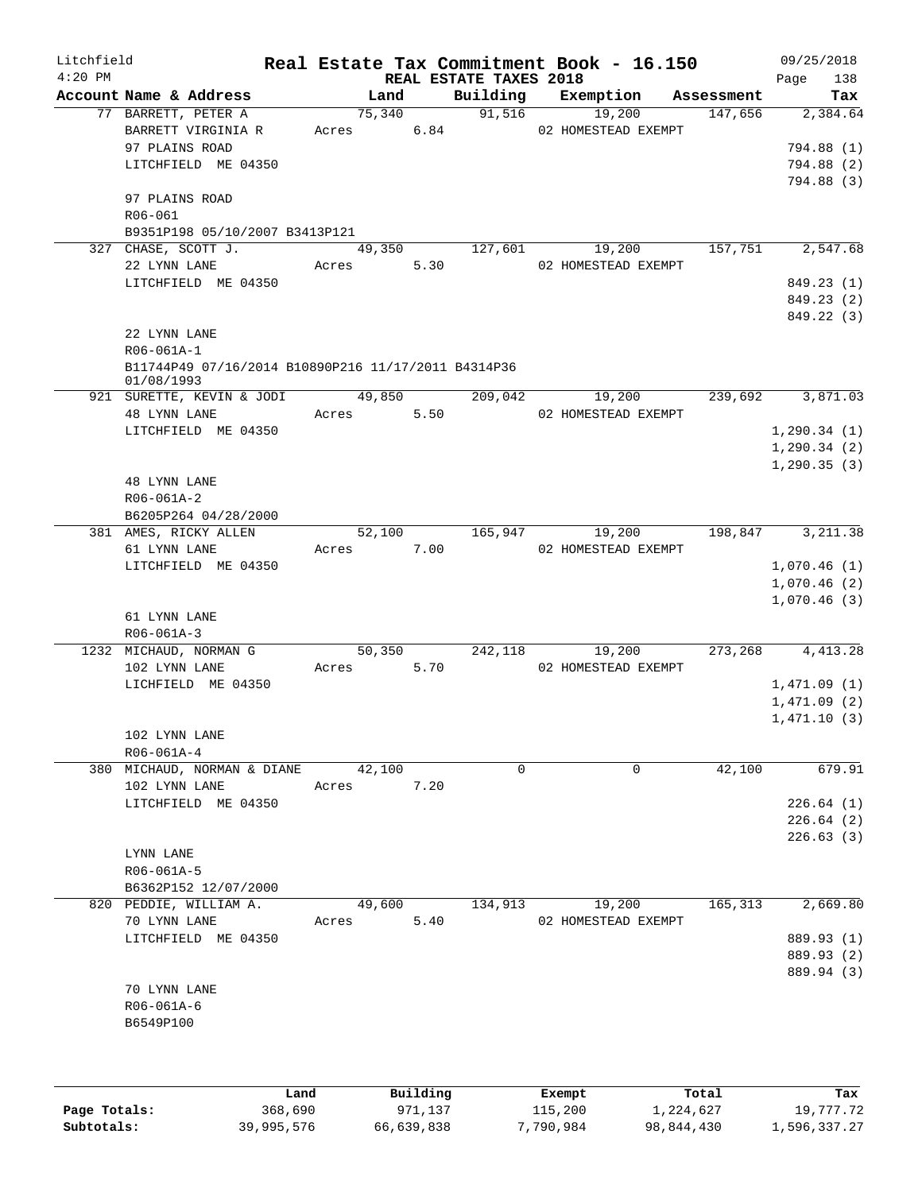| Litchfield<br>$4:20$ PM |                                                                                    |                      |      | REAL ESTATE TAXES 2018 | Real Estate Tax Commitment Book - 16.150     |         | 09/25/2018<br>138<br>Page                          |
|-------------------------|------------------------------------------------------------------------------------|----------------------|------|------------------------|----------------------------------------------|---------|----------------------------------------------------|
|                         | Account Name & Address                                                             | Land                 |      |                        | Building Exemption Assessment                |         | Tax                                                |
|                         | 77 BARRETT, PETER A<br>BARRETT VIRGINIA R<br>97 PLAINS ROAD<br>LITCHFIELD ME 04350 | 75,340<br>Acres 6.84 |      | 91,516                 | 19,200<br>02 HOMESTEAD EXEMPT                | 147,656 | 2,384.64<br>794.88 (1)<br>794.88 (2)<br>794.88 (3) |
|                         | 97 PLAINS ROAD<br>R06-061<br>B9351P198 05/10/2007 B3413P121                        |                      |      |                        |                                              |         |                                                    |
|                         | 327 CHASE, SCOTT J.<br>22 LYNN LANE<br>LITCHFIELD ME 04350                         | Acres                | 5.30 |                        | 49,350 127,601 19,200<br>02 HOMESTEAD EXEMPT | 157,751 | 2,547.68<br>849.23 (1)                             |
|                         | 22 LYNN LANE                                                                       |                      |      |                        |                                              |         | 849.23 (2)<br>849.22 (3)                           |
|                         | R06-061A-1<br>B11744P49 07/16/2014 B10890P216 11/17/2011 B4314P36<br>01/08/1993    |                      |      |                        |                                              |         |                                                    |
|                         | 921 SURETTE, KEVIN & JODI<br>48 LYNN LANE                                          | 49,850<br>Acres 5.50 |      | 209,042                | 19,200<br>02 HOMESTEAD EXEMPT                | 239,692 | 3,871.03                                           |
|                         | LITCHFIELD ME 04350                                                                |                      |      |                        |                                              |         | 1, 290.34(1)<br>1, 290.34(2)<br>1, 290.35(3)       |
|                         | 48 LYNN LANE<br>R06-061A-2<br>B6205P264 04/28/2000                                 |                      |      |                        |                                              |         |                                                    |
|                         | 381 AMES, RICKY ALLEN<br>61 LYNN LANE                                              | Acres 7.00           |      |                        | 52,100 165,947 19,200<br>02 HOMESTEAD EXEMPT |         | 198,847 3,211.38                                   |
|                         | LITCHFIELD ME 04350<br>61 LYNN LANE                                                |                      |      |                        |                                              |         | 1,070.46(1)<br>1,070.46(2)<br>1,070.46(3)          |
|                         | R06-061A-3<br>1232 MICHAUD, NORMAN G                                               | 50,350               |      | 242,118                | 19,200                                       | 273,268 | 4, 413.28                                          |
|                         | 102 LYNN LANE<br>LICHFIELD ME 04350                                                | Acres 5.70           |      |                        | 02 HOMESTEAD EXEMPT                          |         | 1,471.09(1)<br>1,471.09(2)<br>1,471.10(3)          |
|                         | 102 LYNN LANE<br>R06-061A-4                                                        |                      |      |                        |                                              |         |                                                    |
|                         | 380 MICHAUD, NORMAN & DIANE<br>102 LYNN LANE                                       | 42,100<br>Acres      | 7.20 | 0                      | 0                                            | 42,100  | 679.91                                             |
|                         | LITCHFIELD ME 04350                                                                |                      |      |                        |                                              |         | 226.64(1)<br>226.64(2)                             |
|                         | LYNN LANE<br>R06-061A-5<br>B6362P152 12/07/2000                                    |                      |      |                        |                                              |         | 226.63(3)                                          |
|                         | 820 PEDDIE, WILLIAM A.<br>70 LYNN LANE<br>LITCHFIELD ME 04350                      | 49,600<br>Acres      | 5.40 | 134,913                | 19,200<br>02 HOMESTEAD EXEMPT                | 165,313 | 2,669.80<br>889.93 (1)<br>889.93 (2)               |
|                         | 70 LYNN LANE<br>R06-061A-6<br>B6549P100                                            |                      |      |                        |                                              |         | 889.94 (3)                                         |
|                         |                                                                                    |                      |      |                        |                                              |         |                                                    |

|              | Land       | Building   | Exempt    | Total      | Tax          |
|--------------|------------|------------|-----------|------------|--------------|
| Page Totals: | 368,690    | 971,137    | 115,200   | 1,224,627  | 19,777.72    |
| Subtotals:   | 39,995,576 | 66,639,838 | 7,790,984 | 98,844,430 | 1,596,337.27 |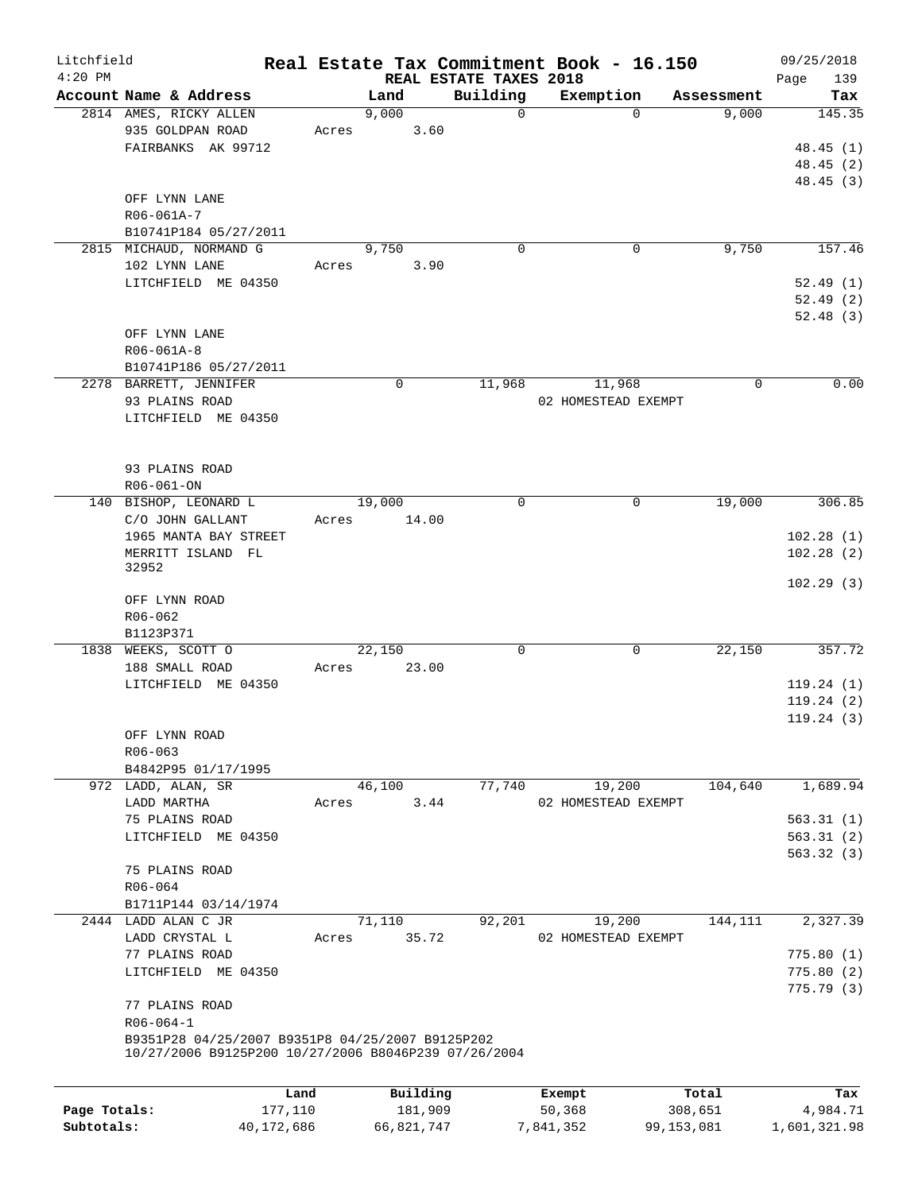| Litchfield<br>$4:20$ PM |                                                      |            |       | REAL ESTATE TAXES 2018 |             | Real Estate Tax Commitment Book - 16.150 |              | 09/25/2018         |
|-------------------------|------------------------------------------------------|------------|-------|------------------------|-------------|------------------------------------------|--------------|--------------------|
|                         | Account Name & Address                               |            |       | Land                   | Building    | Exemption                                | Assessment   | 139<br>Page<br>Tax |
|                         | 2814 AMES, RICKY ALLEN                               |            |       | 9,000                  | 0           | $\Omega$                                 | 9,000        | 145.35             |
|                         | 935 GOLDPAN ROAD                                     |            | Acres | 3.60                   |             |                                          |              |                    |
|                         | FAIRBANKS AK 99712                                   |            |       |                        |             |                                          |              | 48.45 (1)          |
|                         |                                                      |            |       |                        |             |                                          |              | 48.45(2)           |
|                         |                                                      |            |       |                        |             |                                          |              | 48.45 (3)          |
|                         | OFF LYNN LANE                                        |            |       |                        |             |                                          |              |                    |
|                         | R06-061A-7                                           |            |       |                        |             |                                          |              |                    |
|                         | B10741P184 05/27/2011                                |            |       |                        |             |                                          |              |                    |
|                         | 2815 MICHAUD, NORMAND G                              |            |       | 9,750                  | $\mathbf 0$ | $\mathbf 0$                              | 9,750        | 157.46             |
|                         | 102 LYNN LANE                                        |            |       |                        |             |                                          |              |                    |
|                         |                                                      |            | Acres | 3.90                   |             |                                          |              |                    |
|                         | LITCHFIELD ME 04350                                  |            |       |                        |             |                                          |              | 52.49 (1)          |
|                         |                                                      |            |       |                        |             |                                          |              | 52.49(2)           |
|                         |                                                      |            |       |                        |             |                                          |              | 52.48(3)           |
|                         | OFF LYNN LANE                                        |            |       |                        |             |                                          |              |                    |
|                         | R06-061A-8                                           |            |       |                        |             |                                          |              |                    |
|                         | B10741P186 05/27/2011                                |            |       |                        |             |                                          |              |                    |
|                         | 2278 BARRETT, JENNIFER                               |            |       | 0                      | 11,968      | 11,968                                   | 0            | 0.00               |
|                         | 93 PLAINS ROAD                                       |            |       |                        |             | 02 HOMESTEAD EXEMPT                      |              |                    |
|                         | LITCHFIELD ME 04350                                  |            |       |                        |             |                                          |              |                    |
|                         |                                                      |            |       |                        |             |                                          |              |                    |
|                         |                                                      |            |       |                        |             |                                          |              |                    |
|                         | 93 PLAINS ROAD                                       |            |       |                        |             |                                          |              |                    |
|                         | R06-061-ON                                           |            |       |                        |             |                                          |              |                    |
| 140                     | BISHOP, LEONARD L                                    |            |       | 19,000                 | $\mathbf 0$ | 0                                        | 19,000       | 306.85             |
|                         | C/O JOHN GALLANT                                     |            | Acres | 14.00                  |             |                                          |              |                    |
|                         | 1965 MANTA BAY STREET                                |            |       |                        |             |                                          |              | 102.28(1)          |
|                         | MERRITT ISLAND FL                                    |            |       |                        |             |                                          |              | 102.28(2)          |
|                         | 32952                                                |            |       |                        |             |                                          |              |                    |
|                         |                                                      |            |       |                        |             |                                          |              | 102.29(3)          |
|                         | OFF LYNN ROAD                                        |            |       |                        |             |                                          |              |                    |
|                         | R06-062                                              |            |       |                        |             |                                          |              |                    |
|                         | B1123P371                                            |            |       |                        |             |                                          |              |                    |
|                         | 1838 WEEKS, SCOTT O                                  |            |       | 22,150                 | 0           | 0                                        | 22,150       | 357.72             |
|                         | 188 SMALL ROAD                                       |            | Acres | 23.00                  |             |                                          |              |                    |
|                         | LITCHFIELD ME 04350                                  |            |       |                        |             |                                          |              | 119.24(1)          |
|                         |                                                      |            |       |                        |             |                                          |              | 119.24(2)          |
|                         |                                                      |            |       |                        |             |                                          |              | 119.24(3)          |
|                         | OFF LYNN ROAD                                        |            |       |                        |             |                                          |              |                    |
|                         | R06-063                                              |            |       |                        |             |                                          |              |                    |
|                         | B4842P95 01/17/1995                                  |            |       |                        |             |                                          |              |                    |
|                         | 972 LADD, ALAN, SR                                   |            |       | 46,100                 | 77,740      | 19,200                                   | 104,640      | 1,689.94           |
|                         | LADD MARTHA                                          |            | Acres | 3.44                   |             | 02 HOMESTEAD EXEMPT                      |              |                    |
|                         | 75 PLAINS ROAD                                       |            |       |                        |             |                                          |              | 563.31(1)          |
|                         | LITCHFIELD ME 04350                                  |            |       |                        |             |                                          |              | 563.31(2)          |
|                         |                                                      |            |       |                        |             |                                          |              | 563.32(3)          |
|                         | 75 PLAINS ROAD                                       |            |       |                        |             |                                          |              |                    |
|                         | R06-064                                              |            |       |                        |             |                                          |              |                    |
|                         | B1711P144 03/14/1974                                 |            |       |                        |             |                                          |              |                    |
|                         | 2444 LADD ALAN C JR                                  |            |       | 71,110                 | 92,201      | 19,200                                   | 144,111      | 2,327.39           |
|                         | LADD CRYSTAL L                                       |            | Acres | 35.72                  |             | 02 HOMESTEAD EXEMPT                      |              |                    |
|                         | 77 PLAINS ROAD                                       |            |       |                        |             |                                          |              | 775.80(1)          |
|                         | LITCHFIELD ME 04350                                  |            |       |                        |             |                                          |              | 775.80(2)          |
|                         |                                                      |            |       |                        |             |                                          |              | 775.79 (3)         |
|                         | 77 PLAINS ROAD                                       |            |       |                        |             |                                          |              |                    |
|                         | $R06 - 064 - 1$                                      |            |       |                        |             |                                          |              |                    |
|                         | B9351P28 04/25/2007 B9351P8 04/25/2007 B9125P202     |            |       |                        |             |                                          |              |                    |
|                         | 10/27/2006 B9125P200 10/27/2006 B8046P239 07/26/2004 |            |       |                        |             |                                          |              |                    |
|                         |                                                      |            |       |                        |             |                                          |              |                    |
|                         |                                                      | Land       |       | Building               |             | Exempt                                   | Total        | Tax                |
| Page Totals:            |                                                      | 177,110    |       | 181,909                |             | 50,368                                   | 308,651      | 4,984.71           |
| Subtotals:              |                                                      | 40,172,686 |       | 66,821,747             |             | 7,841,352                                | 99, 153, 081 | 1,601,321.98       |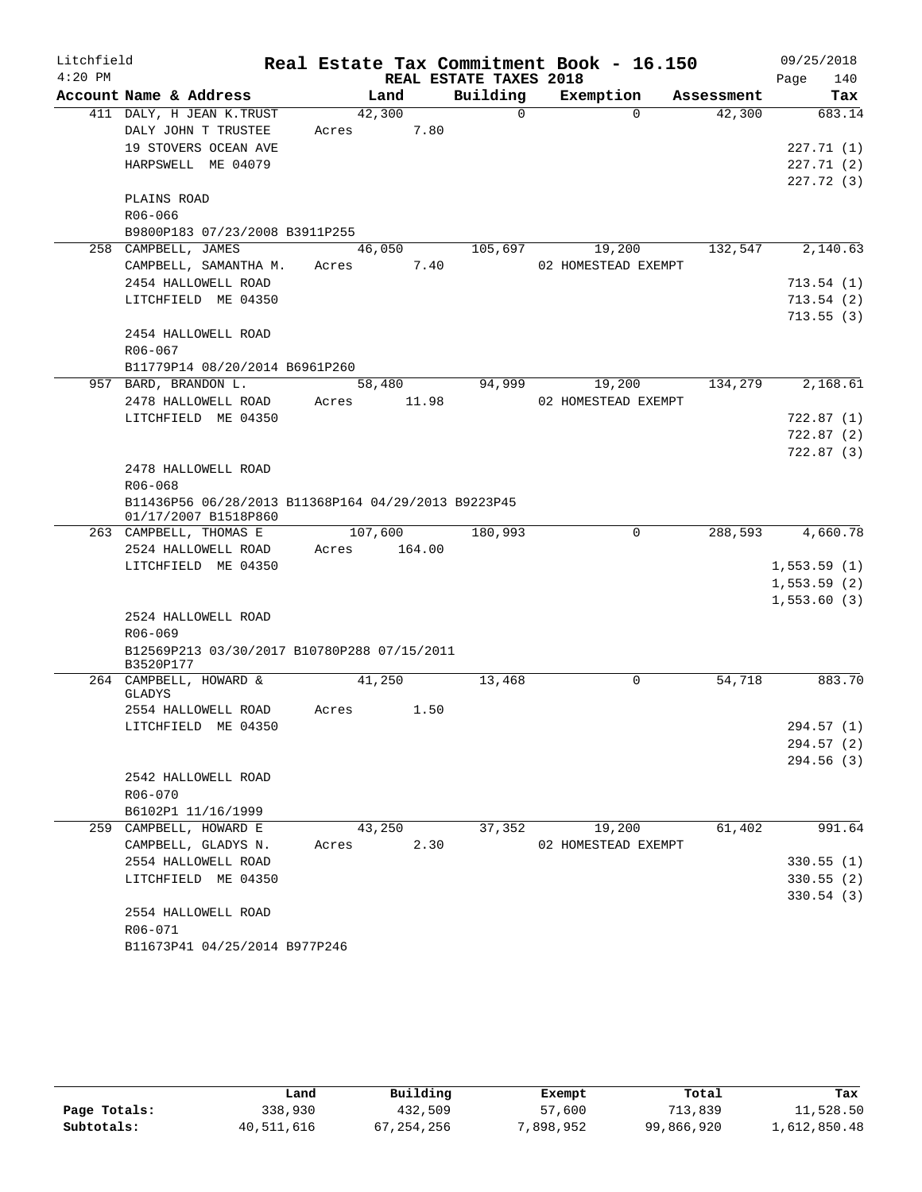| Litchfield |                                                                             |       |         |                        | Real Estate Tax Commitment Book - 16.150 |            | 09/25/2018  |
|------------|-----------------------------------------------------------------------------|-------|---------|------------------------|------------------------------------------|------------|-------------|
| $4:20$ PM  |                                                                             |       |         | REAL ESTATE TAXES 2018 |                                          |            | 140<br>Page |
|            | Account Name & Address                                                      |       | Land    | Building               | Exemption                                | Assessment | Tax         |
|            | 411 DALY, H JEAN K. TRUST                                                   |       | 42,300  | $\Omega$               | $\Omega$                                 | 42,300     | 683.14      |
|            | DALY JOHN T TRUSTEE                                                         | Acres | 7.80    |                        |                                          |            |             |
|            | 19 STOVERS OCEAN AVE                                                        |       |         |                        |                                          |            | 227.71(1)   |
|            | HARPSWELL ME 04079                                                          |       |         |                        |                                          |            | 227.71(2)   |
|            |                                                                             |       |         |                        |                                          |            | 227.72(3)   |
|            | PLAINS ROAD                                                                 |       |         |                        |                                          |            |             |
|            | R06-066                                                                     |       |         |                        |                                          |            |             |
|            | B9800P183 07/23/2008 B3911P255                                              |       |         |                        |                                          |            |             |
|            | 258 CAMPBELL, JAMES                                                         |       | 46,050  | 105,697                | 19,200                                   | 132,547    | 2,140.63    |
|            | CAMPBELL, SAMANTHA M.                                                       | Acres | 7.40    |                        | 02 HOMESTEAD EXEMPT                      |            |             |
|            | 2454 HALLOWELL ROAD                                                         |       |         |                        |                                          |            | 713.54(1)   |
|            | LITCHFIELD ME 04350                                                         |       |         |                        |                                          |            | 713.54(2)   |
|            |                                                                             |       |         |                        |                                          |            | 713.55(3)   |
|            | 2454 HALLOWELL ROAD                                                         |       |         |                        |                                          |            |             |
|            | $R06 - 067$                                                                 |       |         |                        |                                          |            |             |
|            | B11779P14 08/20/2014 B6961P260                                              |       |         |                        |                                          |            |             |
|            | 957 BARD, BRANDON L.                                                        |       | 58,480  | 94,999                 | 19,200                                   | 134,279    | 2,168.61    |
|            | 2478 HALLOWELL ROAD                                                         | Acres | 11.98   |                        | 02 HOMESTEAD EXEMPT                      |            |             |
|            | LITCHFIELD ME 04350                                                         |       |         |                        |                                          |            | 722.87(1)   |
|            |                                                                             |       |         |                        |                                          |            | 722.87(2)   |
|            |                                                                             |       |         |                        |                                          |            | 722.87(3)   |
|            | 2478 HALLOWELL ROAD                                                         |       |         |                        |                                          |            |             |
|            | R06-068                                                                     |       |         |                        |                                          |            |             |
|            | B11436P56 06/28/2013 B11368P164 04/29/2013 B9223P45<br>01/17/2007 B1518P860 |       |         |                        |                                          |            |             |
|            | 263 CAMPBELL, THOMAS E                                                      |       | 107,600 | 180,993                | 0                                        | 288,593    | 4,660.78    |
|            | 2524 HALLOWELL ROAD                                                         | Acres | 164.00  |                        |                                          |            |             |
|            | LITCHFIELD ME 04350                                                         |       |         |                        |                                          |            | 1,553.59(1) |
|            |                                                                             |       |         |                        |                                          |            | 1,553.59(2) |
|            |                                                                             |       |         |                        |                                          |            | 1,553.60(3) |
|            | 2524 HALLOWELL ROAD                                                         |       |         |                        |                                          |            |             |
|            | $R06 - 069$                                                                 |       |         |                        |                                          |            |             |
|            | B12569P213 03/30/2017 B10780P288 07/15/2011                                 |       |         |                        |                                          |            |             |
|            | B3520P177                                                                   |       |         |                        |                                          |            |             |
|            | 264 CAMPBELL, HOWARD &                                                      |       | 41,250  | 13,468                 | 0                                        | 54,718     | 883.70      |
|            | GLADYS                                                                      |       |         |                        |                                          |            |             |
|            | 2554 HALLOWELL ROAD                                                         | Acres | 1.50    |                        |                                          |            |             |
|            | LITCHFIELD ME 04350                                                         |       |         |                        |                                          |            | 294.57 (1)  |
|            |                                                                             |       |         |                        |                                          |            | 294.57 (2)  |
|            |                                                                             |       |         |                        |                                          |            | 294.56(3)   |
|            | 2542 HALLOWELL ROAD                                                         |       |         |                        |                                          |            |             |
|            | R06-070                                                                     |       |         |                        |                                          |            |             |
|            | B6102P1 11/16/1999                                                          |       |         |                        |                                          |            |             |
|            | 259 CAMPBELL, HOWARD E                                                      |       | 43,250  | 37,352                 | 19,200                                   | 61,402     | 991.64      |
|            | CAMPBELL, GLADYS N.                                                         | Acres | 2.30    |                        | 02 HOMESTEAD EXEMPT                      |            |             |
|            | 2554 HALLOWELL ROAD                                                         |       |         |                        |                                          |            | 330.55(1)   |
|            | LITCHFIELD ME 04350                                                         |       |         |                        |                                          |            | 330.55(2)   |
|            |                                                                             |       |         |                        |                                          |            | 330.54(3)   |
|            | 2554 HALLOWELL ROAD                                                         |       |         |                        |                                          |            |             |
|            | R06-071                                                                     |       |         |                        |                                          |            |             |
|            | B11673P41 04/25/2014 B977P246                                               |       |         |                        |                                          |            |             |

|              | Land       | Building     | Exempt    | Total      | Tax          |
|--------------|------------|--------------|-----------|------------|--------------|
| Page Totals: | 338,930    | 432,509      | 57,600    | 713,839    | 11,528.50    |
| Subtotals:   | 40,511,616 | 67, 254, 256 | 7,898,952 | 99,866,920 | 1,612,850.48 |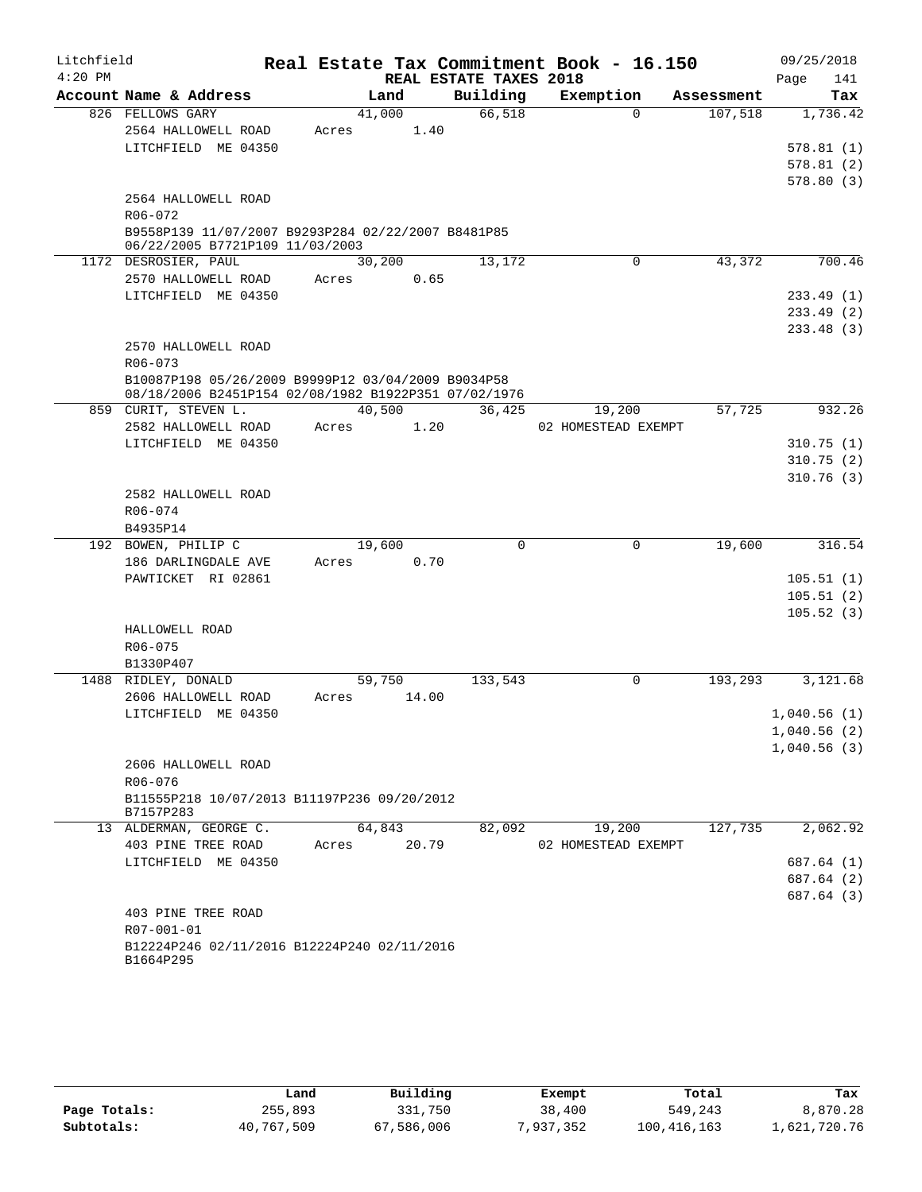| Litchfield |                                                                                                            |        |       |                        | Real Estate Tax Commitment Book - 16.150 |            | 09/25/2018               |
|------------|------------------------------------------------------------------------------------------------------------|--------|-------|------------------------|------------------------------------------|------------|--------------------------|
| $4:20$ PM  |                                                                                                            |        |       | REAL ESTATE TAXES 2018 |                                          |            | Page<br>141              |
|            | Account Name & Address                                                                                     |        | Land  | Building               | Exemption                                | Assessment | Tax                      |
|            | 826 FELLOWS GARY                                                                                           | 41,000 |       | 66,518                 | $\Omega$                                 | 107,518    | 1,736.42                 |
|            | 2564 HALLOWELL ROAD                                                                                        | Acres  | 1.40  |                        |                                          |            |                          |
|            | LITCHFIELD ME 04350                                                                                        |        |       |                        |                                          |            | 578.81(1)                |
|            |                                                                                                            |        |       |                        |                                          |            | 578.81(2)                |
|            |                                                                                                            |        |       |                        |                                          |            | 578.80(3)                |
|            | 2564 HALLOWELL ROAD<br>R06-072                                                                             |        |       |                        |                                          |            |                          |
|            | B9558P139 11/07/2007 B9293P284 02/22/2007 B8481P85                                                         |        |       |                        |                                          |            |                          |
|            | 06/22/2005 B7721P109 11/03/2003                                                                            |        |       |                        |                                          |            |                          |
|            | 1172 DESROSIER, PAUL                                                                                       | 30,200 |       | 13,172                 | 0                                        | 43,372     | 700.46                   |
|            | 2570 HALLOWELL ROAD                                                                                        | Acres  | 0.65  |                        |                                          |            |                          |
|            | LITCHFIELD ME 04350                                                                                        |        |       |                        |                                          |            | 233.49 (1)               |
|            |                                                                                                            |        |       |                        |                                          |            | 233.49 (2)               |
|            |                                                                                                            |        |       |                        |                                          |            | 233.48(3)                |
|            | 2570 HALLOWELL ROAD                                                                                        |        |       |                        |                                          |            |                          |
|            | R06-073                                                                                                    |        |       |                        |                                          |            |                          |
|            | B10087P198 05/26/2009 B9999P12 03/04/2009 B9034P58<br>08/18/2006 B2451P154 02/08/1982 B1922P351 07/02/1976 |        |       |                        |                                          |            |                          |
| 859        | CURIT, STEVEN L.                                                                                           | 40,500 |       | 36,425                 | 19,200                                   | 57,725     | 932.26                   |
|            | 2582 HALLOWELL ROAD                                                                                        | Acres  | 1.20  |                        | 02 HOMESTEAD EXEMPT                      |            |                          |
|            | LITCHFIELD ME 04350                                                                                        |        |       |                        |                                          |            | 310.75(1)                |
|            |                                                                                                            |        |       |                        |                                          |            | 310.75(2)                |
|            |                                                                                                            |        |       |                        |                                          |            | 310.76(3)                |
|            | 2582 HALLOWELL ROAD                                                                                        |        |       |                        |                                          |            |                          |
|            | R06-074                                                                                                    |        |       |                        |                                          |            |                          |
|            | B4935P14                                                                                                   |        |       |                        |                                          |            |                          |
|            | 192 BOWEN, PHILIP C                                                                                        | 19,600 |       | 0                      | 0                                        | 19,600     | 316.54                   |
|            | 186 DARLINGDALE AVE                                                                                        | Acres  | 0.70  |                        |                                          |            |                          |
|            | PAWTICKET RI 02861                                                                                         |        |       |                        |                                          |            | 105.51(1)                |
|            |                                                                                                            |        |       |                        |                                          |            | 105.51(2)                |
|            |                                                                                                            |        |       |                        |                                          |            | 105.52(3)                |
|            | HALLOWELL ROAD                                                                                             |        |       |                        |                                          |            |                          |
|            | R06-075<br>B1330P407                                                                                       |        |       |                        |                                          |            |                          |
|            | 1488 RIDLEY, DONALD                                                                                        | 59,750 |       | 133,543                | 0                                        | 193,293    | 3,121.68                 |
|            | 2606 HALLOWELL ROAD                                                                                        | Acres  | 14.00 |                        |                                          |            |                          |
|            | LITCHFIELD ME 04350                                                                                        |        |       |                        |                                          |            | 1,040.56(1)              |
|            |                                                                                                            |        |       |                        |                                          |            | 1,040.56(2)              |
|            |                                                                                                            |        |       |                        |                                          |            | 1,040.56(3)              |
|            | 2606 HALLOWELL ROAD                                                                                        |        |       |                        |                                          |            |                          |
|            | R06-076                                                                                                    |        |       |                        |                                          |            |                          |
|            | B11555P218 10/07/2013 B11197P236 09/20/2012                                                                |        |       |                        |                                          |            |                          |
|            | B7157P283                                                                                                  |        |       |                        |                                          |            |                          |
|            | 13 ALDERMAN, GEORGE C.                                                                                     | 64,843 |       | 82,092                 | 19,200                                   | 127,735    | 2,062.92                 |
|            | 403 PINE TREE ROAD<br>LITCHFIELD ME 04350                                                                  | Acres  | 20.79 |                        | 02 HOMESTEAD EXEMPT                      |            |                          |
|            |                                                                                                            |        |       |                        |                                          |            | 687.64 (1)               |
|            |                                                                                                            |        |       |                        |                                          |            | 687.64 (2)<br>687.64 (3) |
|            | 403 PINE TREE ROAD                                                                                         |        |       |                        |                                          |            |                          |
|            | R07-001-01                                                                                                 |        |       |                        |                                          |            |                          |
|            | B12224P246 02/11/2016 B12224P240 02/11/2016                                                                |        |       |                        |                                          |            |                          |
|            | B1664P295                                                                                                  |        |       |                        |                                          |            |                          |
|            |                                                                                                            |        |       |                        |                                          |            |                          |

|              | Land       | Building   | Exempt    | Total       | Tax          |
|--------------|------------|------------|-----------|-------------|--------------|
| Page Totals: | 255,893    | 331,750    | 38,400    | 549,243     | 8,870.28     |
| Subtotals:   | 40,767,509 | 67,586,006 | 7,937,352 | 100,416,163 | 1,621,720.76 |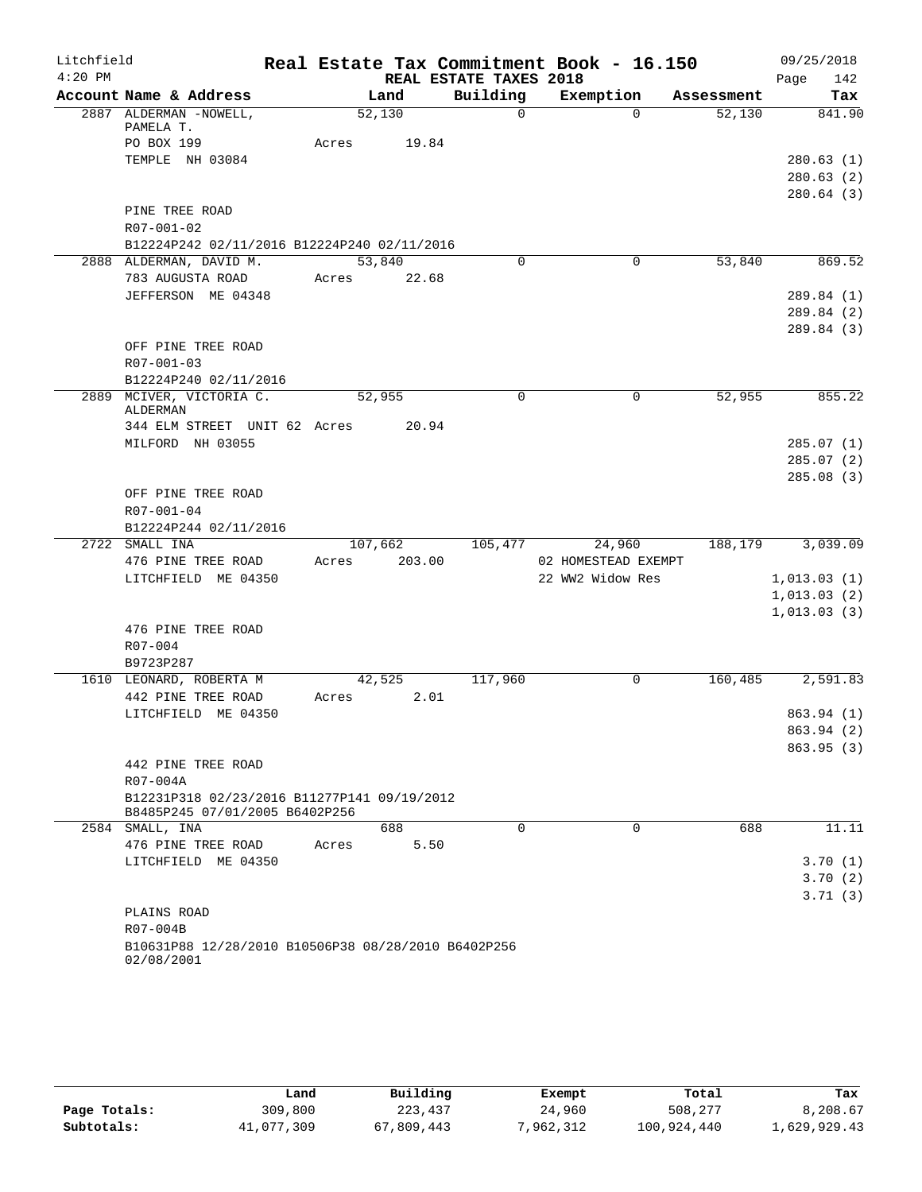| Litchfield |                                                                               |         |        |                        | Real Estate Tax Commitment Book - 16.150 |            | 09/25/2018  |            |
|------------|-------------------------------------------------------------------------------|---------|--------|------------------------|------------------------------------------|------------|-------------|------------|
| $4:20$ PM  |                                                                               |         |        | REAL ESTATE TAXES 2018 |                                          |            | Page        | 142        |
|            | Account Name & Address                                                        |         | Land   | Building               | Exemption                                | Assessment |             | Tax        |
|            | 2887 ALDERMAN -NOWELL,                                                        |         | 52,130 | $\Omega$               | $\Omega$                                 | 52,130     |             | 841.90     |
|            | PAMELA T.<br>PO BOX 199                                                       | Acres   | 19.84  |                        |                                          |            |             |            |
|            | TEMPLE NH 03084                                                               |         |        |                        |                                          |            |             | 280.63(1)  |
|            |                                                                               |         |        |                        |                                          |            |             | 280.63(2)  |
|            |                                                                               |         |        |                        |                                          |            |             | 280.64(3)  |
|            | PINE TREE ROAD                                                                |         |        |                        |                                          |            |             |            |
|            | R07-001-02                                                                    |         |        |                        |                                          |            |             |            |
|            | B12224P242 02/11/2016 B12224P240 02/11/2016                                   |         |        |                        |                                          |            |             |            |
|            | 2888 ALDERMAN, DAVID M.                                                       |         | 53,840 | 0                      | 0                                        | 53,840     |             | 869.52     |
|            | 783 AUGUSTA ROAD                                                              | Acres   | 22.68  |                        |                                          |            |             |            |
|            | JEFFERSON ME 04348                                                            |         |        |                        |                                          |            |             | 289.84 (1) |
|            |                                                                               |         |        |                        |                                          |            |             | 289.84 (2) |
|            |                                                                               |         |        |                        |                                          |            |             | 289.84 (3) |
|            | OFF PINE TREE ROAD                                                            |         |        |                        |                                          |            |             |            |
|            | R07-001-03                                                                    |         |        |                        |                                          |            |             |            |
|            | B12224P240 02/11/2016                                                         |         |        |                        |                                          |            |             |            |
|            | 2889 MCIVER, VICTORIA C.<br>ALDERMAN                                          |         | 52,955 | 0                      | 0                                        | 52,955     |             | 855.22     |
|            | 344 ELM STREET UNIT 62 Acres                                                  |         | 20.94  |                        |                                          |            |             |            |
|            | MILFORD NH 03055                                                              |         |        |                        |                                          |            |             | 285.07(1)  |
|            |                                                                               |         |        |                        |                                          |            | 285.07(2)   |            |
|            |                                                                               |         |        |                        |                                          |            |             | 285.08(3)  |
|            | OFF PINE TREE ROAD                                                            |         |        |                        |                                          |            |             |            |
|            | R07-001-04                                                                    |         |        |                        |                                          |            |             |            |
|            | B12224P244 02/11/2016                                                         |         |        |                        |                                          |            |             |            |
|            | 2722 SMALL INA                                                                | 107,662 |        | 105,477                | 24,960                                   | 188,179    |             | 3,039.09   |
|            | 476 PINE TREE ROAD                                                            | Acres   | 203.00 |                        | 02 HOMESTEAD EXEMPT                      |            |             |            |
|            | LITCHFIELD ME 04350                                                           |         |        |                        | 22 WW2 Widow Res                         |            | 1,013.03(1) |            |
|            |                                                                               |         |        |                        |                                          |            | 1,013.03(2) |            |
|            |                                                                               |         |        |                        |                                          |            | 1,013.03(3) |            |
|            | 476 PINE TREE ROAD                                                            |         |        |                        |                                          |            |             |            |
|            | R07-004                                                                       |         |        |                        |                                          |            |             |            |
|            | B9723P287<br>1610 LEONARD, ROBERTA M                                          |         | 42,525 | 117,960                | 0                                        | 160,485    |             | 2,591.83   |
|            | 442 PINE TREE ROAD                                                            | Acres   | 2.01   |                        |                                          |            |             |            |
|            | LITCHFIELD ME 04350                                                           |         |        |                        |                                          |            | 863.94 (1)  |            |
|            |                                                                               |         |        |                        |                                          |            |             | 863.94 (2) |
|            |                                                                               |         |        |                        |                                          |            |             | 863.95(3)  |
|            | 442 PINE TREE ROAD                                                            |         |        |                        |                                          |            |             |            |
|            | R07-004A                                                                      |         |        |                        |                                          |            |             |            |
|            | B12231P318 02/23/2016 B11277P141 09/19/2012<br>B8485P245 07/01/2005 B6402P256 |         |        |                        |                                          |            |             |            |
|            | 2584 SMALL, INA                                                               |         | 688    | $\Omega$               | $\Omega$                                 | 688        |             | 11.11      |
|            | 476 PINE TREE ROAD                                                            | Acres   | 5.50   |                        |                                          |            |             |            |
|            | LITCHFIELD ME 04350                                                           |         |        |                        |                                          |            |             | 3.70(1)    |
|            |                                                                               |         |        |                        |                                          |            |             | 3.70(2)    |
|            |                                                                               |         |        |                        |                                          |            |             | 3.71(3)    |
|            | PLAINS ROAD                                                                   |         |        |                        |                                          |            |             |            |
|            | R07-004B                                                                      |         |        |                        |                                          |            |             |            |
|            | B10631P88 12/28/2010 B10506P38 08/28/2010 B6402P256<br>02/08/2001             |         |        |                        |                                          |            |             |            |

|              | Land       | Building   | Exempt    | Total       | Tax          |
|--------------|------------|------------|-----------|-------------|--------------|
| Page Totals: | 309,800    | 223,437    | 24,960    | 508,277     | 8,208.67     |
| Subtotals:   | 41,077,309 | 67,809,443 | 7,962,312 | 100,924,440 | 1,629,929.43 |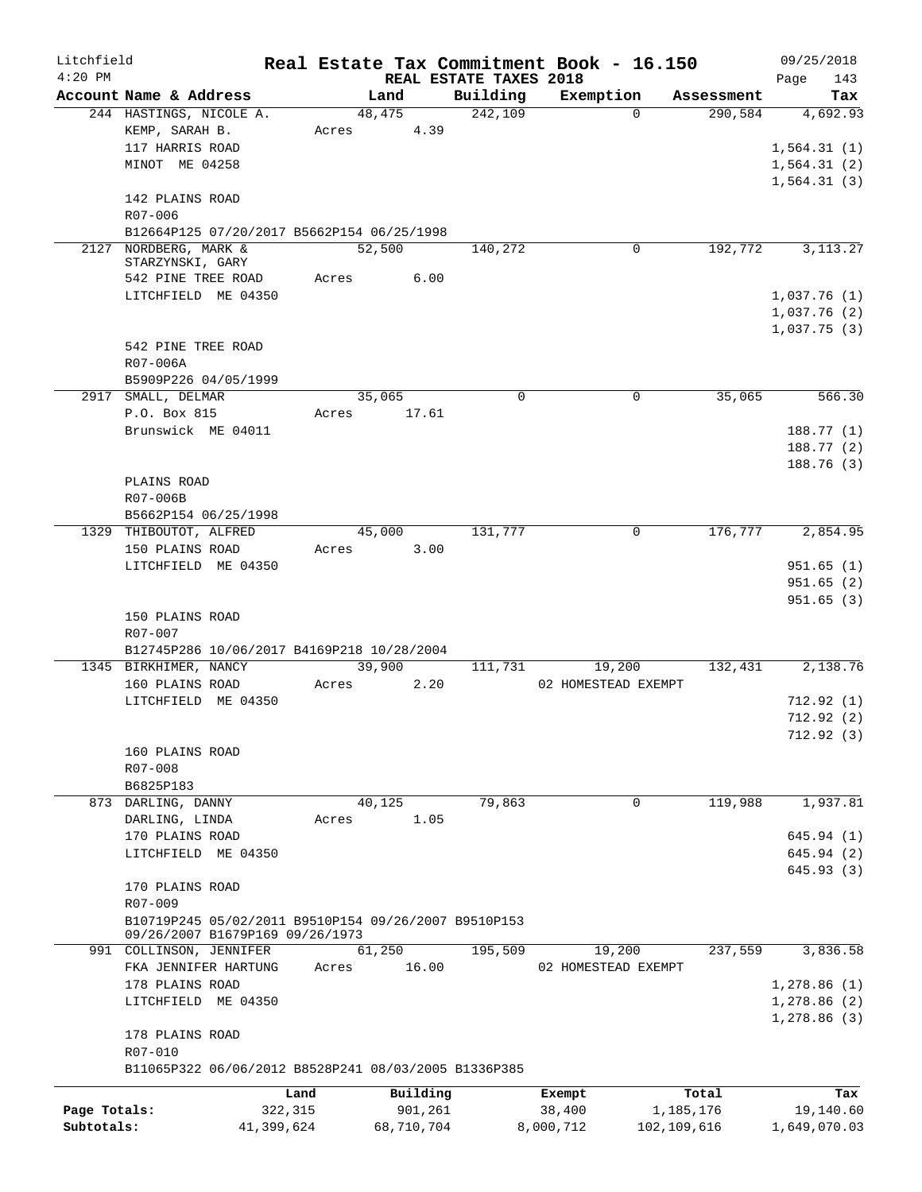| Litchfield<br>$4:20$ PM |                                                      |            |        |            | REAL ESTATE TAXES 2018 | Real Estate Tax Commitment Book - 16.150 |             |            | 09/25/2018<br>143<br>Page |
|-------------------------|------------------------------------------------------|------------|--------|------------|------------------------|------------------------------------------|-------------|------------|---------------------------|
|                         | Account Name & Address                               |            | Land   |            | Building               | Exemption                                |             | Assessment | Tax                       |
|                         | 244 HASTINGS, NICOLE A.                              |            | 48,475 |            | 242,109                |                                          | $\Omega$    | 290,584    | 4,692.93                  |
|                         | KEMP, SARAH B.                                       |            | Acres  | 4.39       |                        |                                          |             |            |                           |
|                         | 117 HARRIS ROAD                                      |            |        |            |                        |                                          |             |            | 1,564.31(1)               |
|                         | MINOT ME 04258                                       |            |        |            |                        |                                          |             |            | 1,564.31(2)               |
|                         |                                                      |            |        |            |                        |                                          |             |            | 1,564.31(3)               |
|                         | 142 PLAINS ROAD                                      |            |        |            |                        |                                          |             |            |                           |
|                         | R07-006                                              |            |        |            |                        |                                          |             |            |                           |
|                         | B12664P125 07/20/2017 B5662P154 06/25/1998           |            |        |            |                        |                                          |             |            |                           |
|                         | 2127 NORDBERG, MARK &                                |            | 52,500 |            | 140,272                |                                          | $\mathbf 0$ | 192,772    | 3, 113. 27                |
|                         | STARZYNSKI, GARY                                     |            |        |            |                        |                                          |             |            |                           |
|                         | 542 PINE TREE ROAD                                   |            | Acres  | 6.00       |                        |                                          |             |            |                           |
|                         | LITCHFIELD ME 04350                                  |            |        |            |                        |                                          |             |            | 1,037.76(1)               |
|                         |                                                      |            |        |            |                        |                                          |             |            | 1,037.76(2)               |
|                         |                                                      |            |        |            |                        |                                          |             |            | 1,037.75(3)               |
|                         | 542 PINE TREE ROAD                                   |            |        |            |                        |                                          |             |            |                           |
|                         | R07-006A                                             |            |        |            |                        |                                          |             |            |                           |
|                         | B5909P226 04/05/1999                                 |            |        |            |                        |                                          |             |            |                           |
|                         | 2917 SMALL, DELMAR                                   |            | 35,065 |            | 0                      |                                          | 0           | 35,065     | 566.30                    |
|                         | P.O. Box 815                                         |            | Acres  | 17.61      |                        |                                          |             |            |                           |
|                         | Brunswick ME 04011                                   |            |        |            |                        |                                          |             |            | 188.77 (1)                |
|                         |                                                      |            |        |            |                        |                                          |             |            | 188.77(2)                 |
|                         |                                                      |            |        |            |                        |                                          |             |            | 188.76(3)                 |
|                         | PLAINS ROAD                                          |            |        |            |                        |                                          |             |            |                           |
|                         | R07-006B                                             |            |        |            |                        |                                          |             |            |                           |
|                         | B5662P154 06/25/1998                                 |            |        |            |                        |                                          |             |            |                           |
|                         | 1329 THIBOUTOT, ALFRED                               |            | 45,000 |            | 131,777                |                                          | 0           | 176,777    | 2,854.95                  |
|                         | 150 PLAINS ROAD                                      |            | Acres  | 3.00       |                        |                                          |             |            |                           |
|                         | LITCHFIELD ME 04350                                  |            |        |            |                        |                                          |             |            | 951.65(1)                 |
|                         |                                                      |            |        |            |                        |                                          |             |            | 951.65(2)                 |
|                         |                                                      |            |        |            |                        |                                          |             |            | 951.65(3)                 |
|                         | 150 PLAINS ROAD                                      |            |        |            |                        |                                          |             |            |                           |
|                         | R07-007                                              |            |        |            |                        |                                          |             |            |                           |
|                         | B12745P286 10/06/2017 B4169P218 10/28/2004           |            |        |            |                        |                                          |             |            |                           |
|                         | 1345 BIRKHIMER, NANCY                                |            | 39,900 |            | 111,731                | 19,200                                   |             | 132,431    | 2,138.76                  |
|                         | 160 PLAINS ROAD                                      |            | Acres  | 2.20       |                        | 02 HOMESTEAD EXEMPT                      |             |            |                           |
|                         | LITCHFIELD ME 04350                                  |            |        |            |                        |                                          |             |            | 712.92 (1)                |
|                         |                                                      |            |        |            |                        |                                          |             |            | 712.92(2)                 |
|                         |                                                      |            |        |            |                        |                                          |             |            | 712.92 (3)                |
|                         | 160 PLAINS ROAD                                      |            |        |            |                        |                                          |             |            |                           |
|                         | R07-008                                              |            |        |            |                        |                                          |             |            |                           |
|                         | B6825P183<br>873 DARLING, DANNY                      |            | 40,125 |            | 79,863                 |                                          | 0           | 119,988    | 1,937.81                  |
|                         | DARLING, LINDA                                       |            | Acres  | 1.05       |                        |                                          |             |            |                           |
|                         | 170 PLAINS ROAD                                      |            |        |            |                        |                                          |             |            | 645.94(1)                 |
|                         | LITCHFIELD ME 04350                                  |            |        |            |                        |                                          |             |            | 645.94 (2)                |
|                         |                                                      |            |        |            |                        |                                          |             |            | 645.93 (3)                |
|                         | 170 PLAINS ROAD                                      |            |        |            |                        |                                          |             |            |                           |
|                         | R07-009                                              |            |        |            |                        |                                          |             |            |                           |
|                         | B10719P245 05/02/2011 B9510P154 09/26/2007 B9510P153 |            |        |            |                        |                                          |             |            |                           |
|                         | 09/26/2007 B1679P169 09/26/1973                      |            |        |            |                        |                                          |             |            |                           |
|                         | 991 COLLINSON, JENNIFER                              |            | 61,250 |            | 195,509                | 19,200                                   |             | 237,559    | 3,836.58                  |
|                         | FKA JENNIFER HARTUNG                                 |            | Acres  | 16.00      |                        | 02 HOMESTEAD EXEMPT                      |             |            |                           |
|                         | 178 PLAINS ROAD                                      |            |        |            |                        |                                          |             |            | 1,278.86(1)               |
|                         | LITCHFIELD ME 04350                                  |            |        |            |                        |                                          |             |            | 1,278.86(2)               |
|                         |                                                      |            |        |            |                        |                                          |             |            | 1,278.86(3)               |
|                         | 178 PLAINS ROAD                                      |            |        |            |                        |                                          |             |            |                           |
|                         | R07-010                                              |            |        |            |                        |                                          |             |            |                           |
|                         | B11065P322 06/06/2012 B8528P241 08/03/2005 B1336P385 |            |        |            |                        |                                          |             |            |                           |
|                         |                                                      |            |        |            |                        |                                          |             |            |                           |
|                         |                                                      | Land       |        | Building   |                        | Exempt                                   |             | Total      | Tax                       |
| Page Totals:            |                                                      | 322,315    |        | 901,261    |                        | 38,400                                   |             | 1,185,176  | 19,140.60                 |
| Subtotals:              |                                                      | 41,399,624 |        | 68,710,704 |                        | 8,000,712                                | 102,109,616 |            | 1,649,070.03              |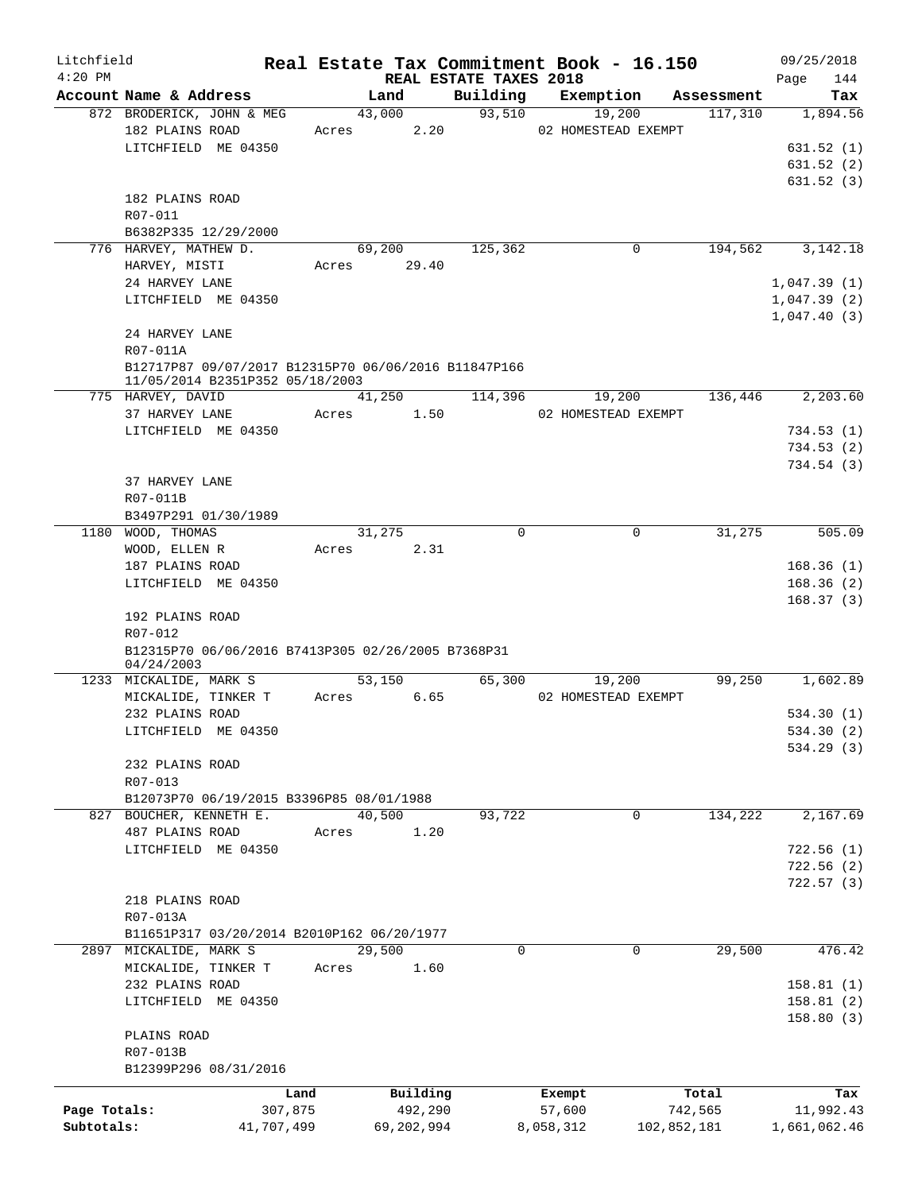| Litchfield   |                                                     |                                                                                         |       |                |          |                        | Real Estate Tax Commitment Book - 16.150 |          |                       | 09/25/2018   |     |
|--------------|-----------------------------------------------------|-----------------------------------------------------------------------------------------|-------|----------------|----------|------------------------|------------------------------------------|----------|-----------------------|--------------|-----|
| $4:20$ PM    |                                                     |                                                                                         |       |                |          | REAL ESTATE TAXES 2018 |                                          |          |                       | Page         | 144 |
|              | Account Name & Address<br>872 BRODERICK, JOHN & MEG |                                                                                         |       | Land<br>43,000 |          | Building<br>93,510     | Exemption                                | 19,200   | Assessment<br>117,310 | 1,894.56     | Tax |
|              | 182 PLAINS ROAD                                     |                                                                                         | Acres |                | 2.20     |                        | 02 HOMESTEAD EXEMPT                      |          |                       |              |     |
|              | LITCHFIELD ME 04350                                 |                                                                                         |       |                |          |                        |                                          |          |                       | 631.52(1)    |     |
|              |                                                     |                                                                                         |       |                |          |                        |                                          |          |                       | 631.52(2)    |     |
|              |                                                     |                                                                                         |       |                |          |                        |                                          |          |                       | 631.52(3)    |     |
|              | 182 PLAINS ROAD                                     |                                                                                         |       |                |          |                        |                                          |          |                       |              |     |
|              | R07-011                                             |                                                                                         |       |                |          |                        |                                          |          |                       |              |     |
|              | B6382P335 12/29/2000                                |                                                                                         |       |                |          |                        |                                          |          |                       |              |     |
|              | 776 HARVEY, MATHEW D.                               |                                                                                         |       | 69,200         |          | 125,362                |                                          | 0        | 194,562               | 3, 142. 18   |     |
|              | HARVEY, MISTI                                       |                                                                                         |       | Acres 29.40    |          |                        |                                          |          |                       |              |     |
|              | 24 HARVEY LANE                                      |                                                                                         |       |                |          |                        |                                          |          |                       | 1,047.39(1)  |     |
|              | LITCHFIELD ME 04350                                 |                                                                                         |       |                |          |                        |                                          |          |                       | 1,047.39(2)  |     |
|              |                                                     |                                                                                         |       |                |          |                        |                                          |          |                       | 1,047.40(3)  |     |
|              | 24 HARVEY LANE                                      |                                                                                         |       |                |          |                        |                                          |          |                       |              |     |
|              | R07-011A                                            |                                                                                         |       |                |          |                        |                                          |          |                       |              |     |
|              |                                                     | B12717P87 09/07/2017 B12315P70 06/06/2016 B11847P166<br>11/05/2014 B2351P352 05/18/2003 |       |                |          |                        |                                          |          |                       |              |     |
|              | 775 HARVEY, DAVID                                   |                                                                                         |       | 41,250         |          | 114,396                |                                          | 19,200   | 136,446               | 2,203.60     |     |
|              | 37 HARVEY LANE                                      |                                                                                         | Acres |                | 1.50     |                        | 02 HOMESTEAD EXEMPT                      |          |                       |              |     |
|              | LITCHFIELD ME 04350                                 |                                                                                         |       |                |          |                        |                                          |          |                       | 734.53(1)    |     |
|              |                                                     |                                                                                         |       |                |          |                        |                                          |          |                       | 734.53(2)    |     |
|              |                                                     |                                                                                         |       |                |          |                        |                                          |          |                       | 734.54(3)    |     |
|              | 37 HARVEY LANE                                      |                                                                                         |       |                |          |                        |                                          |          |                       |              |     |
|              | R07-011B                                            |                                                                                         |       |                |          |                        |                                          |          |                       |              |     |
|              | B3497P291 01/30/1989                                |                                                                                         |       |                |          |                        |                                          |          |                       |              |     |
|              | 1180 WOOD, THOMAS                                   |                                                                                         |       | 31,275         |          | $\Omega$               |                                          | $\Omega$ | 31,275                | 505.09       |     |
|              | WOOD, ELLEN R                                       |                                                                                         | Acres |                | 2.31     |                        |                                          |          |                       |              |     |
|              | 187 PLAINS ROAD                                     |                                                                                         |       |                |          |                        |                                          |          |                       | 168.36(1)    |     |
|              | LITCHFIELD ME 04350                                 |                                                                                         |       |                |          |                        |                                          |          |                       | 168.36(2)    |     |
|              |                                                     |                                                                                         |       |                |          |                        |                                          |          |                       | 168.37(3)    |     |
|              | 192 PLAINS ROAD                                     |                                                                                         |       |                |          |                        |                                          |          |                       |              |     |
|              | R07-012                                             |                                                                                         |       |                |          |                        |                                          |          |                       |              |     |
|              | 04/24/2003                                          | B12315P70 06/06/2016 B7413P305 02/26/2005 B7368P31                                      |       |                |          |                        |                                          |          |                       |              |     |
|              | 1233 MICKALIDE, MARK S                              |                                                                                         |       | 53,150         |          | 65,300                 |                                          | 19,200   | 99,250                | 1,602.89     |     |
|              | MICKALIDE, TINKER T                                 |                                                                                         | Acres |                | 6.65     |                        | 02 HOMESTEAD EXEMPT                      |          |                       |              |     |
|              | 232 PLAINS ROAD                                     |                                                                                         |       |                |          |                        |                                          |          |                       | 534.30(1)    |     |
|              | LITCHFIELD ME 04350                                 |                                                                                         |       |                |          |                        |                                          |          |                       | 534.30 (2)   |     |
|              |                                                     |                                                                                         |       |                |          |                        |                                          |          |                       | 534.29 (3)   |     |
|              | 232 PLAINS ROAD                                     |                                                                                         |       |                |          |                        |                                          |          |                       |              |     |
|              | R07-013                                             |                                                                                         |       |                |          |                        |                                          |          |                       |              |     |
|              |                                                     | B12073P70 06/19/2015 B3396P85 08/01/1988                                                |       |                |          |                        |                                          |          |                       |              |     |
|              | 827 BOUCHER, KENNETH E.                             |                                                                                         |       | 40,500         |          | 93,722                 |                                          | 0        | 134,222               | 2,167.69     |     |
|              | 487 PLAINS ROAD                                     |                                                                                         | Acres |                | 1.20     |                        |                                          |          |                       |              |     |
|              | LITCHFIELD ME 04350                                 |                                                                                         |       |                |          |                        |                                          |          |                       | 722.56(1)    |     |
|              |                                                     |                                                                                         |       |                |          |                        |                                          |          |                       | 722.56(2)    |     |
|              |                                                     |                                                                                         |       |                |          |                        |                                          |          |                       | 722.57(3)    |     |
|              | 218 PLAINS ROAD                                     |                                                                                         |       |                |          |                        |                                          |          |                       |              |     |
|              | R07-013A                                            |                                                                                         |       |                |          |                        |                                          |          |                       |              |     |
|              |                                                     | B11651P317 03/20/2014 B2010P162 06/20/1977                                              |       |                |          |                        |                                          |          |                       |              |     |
|              | 2897 MICKALIDE, MARK S                              |                                                                                         |       | 29,500         |          | 0                      |                                          | 0        | 29,500                | 476.42       |     |
|              | MICKALIDE, TINKER T                                 |                                                                                         | Acres |                | 1.60     |                        |                                          |          |                       |              |     |
|              | 232 PLAINS ROAD                                     |                                                                                         |       |                |          |                        |                                          |          |                       | 158.81(1)    |     |
|              | LITCHFIELD ME 04350                                 |                                                                                         |       |                |          |                        |                                          |          |                       | 158.81(2)    |     |
|              |                                                     |                                                                                         |       |                |          |                        |                                          |          |                       | 158.80(3)    |     |
|              | PLAINS ROAD                                         |                                                                                         |       |                |          |                        |                                          |          |                       |              |     |
|              | R07-013B                                            |                                                                                         |       |                |          |                        |                                          |          |                       |              |     |
|              |                                                     | B12399P296 08/31/2016                                                                   |       |                |          |                        |                                          |          |                       |              |     |
|              |                                                     | Land                                                                                    |       |                | Building |                        | Exempt                                   |          | Total                 |              | Tax |
| Page Totals: |                                                     | 307,875                                                                                 |       |                | 492,290  |                        | 57,600                                   |          | 742,565               | 11,992.43    |     |
| Subtotals:   |                                                     | 41,707,499                                                                              |       | 69,202,994     |          |                        | 8,058,312                                |          | 102,852,181           | 1,661,062.46 |     |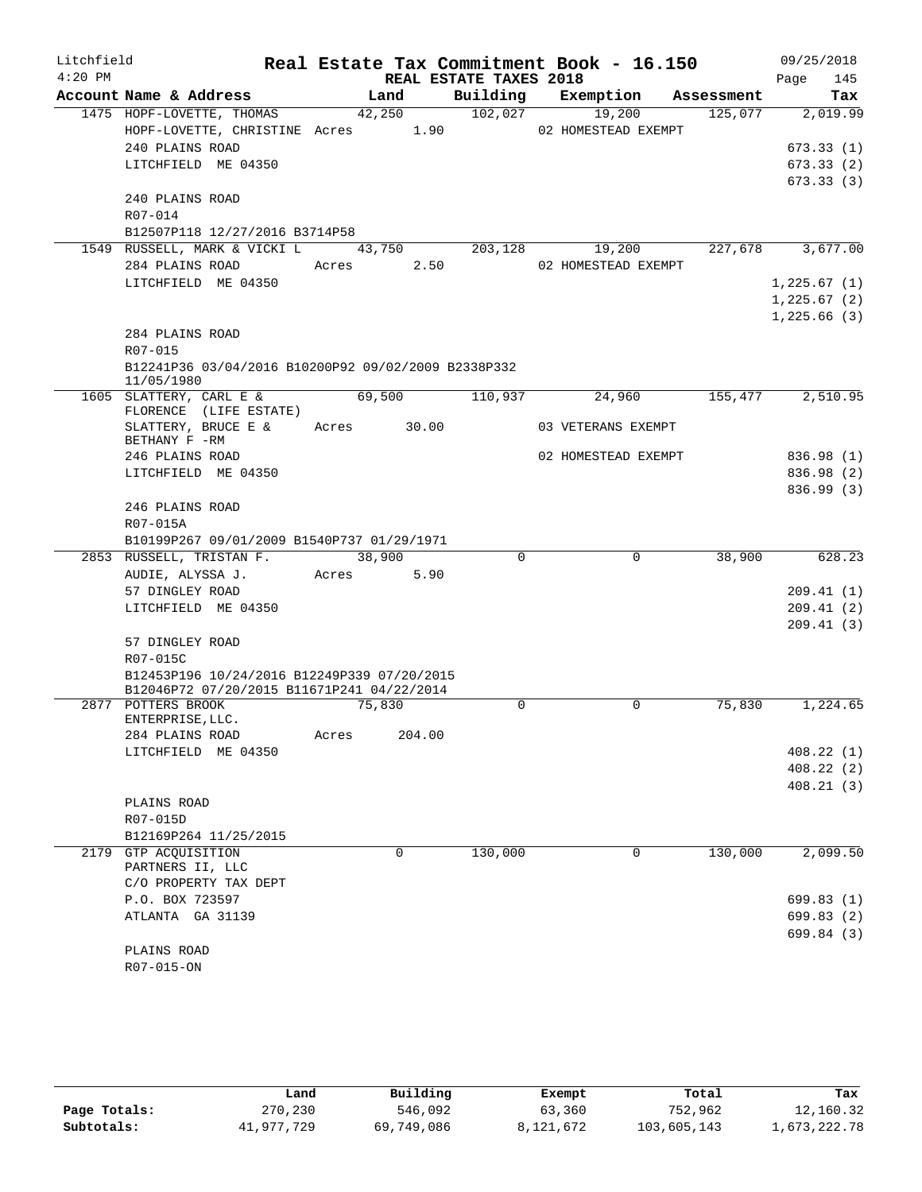| Litchfield |                                                                                           |             |          |                        | Real Estate Tax Commitment Book - 16.150 |         | 09/25/2018  |
|------------|-------------------------------------------------------------------------------------------|-------------|----------|------------------------|------------------------------------------|---------|-------------|
| $4:20$ PM  |                                                                                           |             |          | REAL ESTATE TAXES 2018 |                                          |         | 145<br>Page |
|            | Account Name & Address                                                                    |             | Land     |                        | Building Exemption Assessment            |         | Tax         |
|            | 1475 HOPF-LOVETTE, THOMAS                                                                 |             | 42,250   | 102,027                | 19,200                                   | 125,077 | 2,019.99    |
|            | HOPF-LOVETTE, CHRISTINE Acres 1.90                                                        |             |          |                        | 02 HOMESTEAD EXEMPT                      |         |             |
|            | 240 PLAINS ROAD                                                                           |             |          |                        |                                          |         | 673.33(1)   |
|            | LITCHFIELD ME 04350                                                                       |             |          |                        |                                          |         | 673.33(2)   |
|            | 240 PLAINS ROAD                                                                           |             |          |                        |                                          |         | 673.33(3)   |
|            | R07-014                                                                                   |             |          |                        |                                          |         |             |
|            | B12507P118 12/27/2016 B3714P58                                                            |             |          |                        |                                          |         |             |
|            | 1549 RUSSELL, MARK & VICKI L 43,750 203,128                                               |             |          |                        | 19,200                                   | 227,678 | 3,677.00    |
|            | 284 PLAINS ROAD                                                                           | Acres 2.50  |          |                        | 02 HOMESTEAD EXEMPT                      |         |             |
|            | LITCHFIELD ME 04350                                                                       |             |          |                        |                                          |         | 1,225.67(1) |
|            |                                                                                           |             |          |                        |                                          |         | 1,225.67(2) |
|            |                                                                                           |             |          |                        |                                          |         | 1,225.66(3) |
|            | 284 PLAINS ROAD                                                                           |             |          |                        |                                          |         |             |
|            | R07-015                                                                                   |             |          |                        |                                          |         |             |
|            | B12241P36 03/04/2016 B10200P92 09/02/2009 B2338P332                                       |             |          |                        |                                          |         |             |
|            | 11/05/1980                                                                                |             |          |                        |                                          |         |             |
|            | 1605 SLATTERY, CARL E &                                                                   |             | 69,500   | 110,937                | 24,960                                   | 155,477 | 2,510.95    |
|            | FLORENCE (LIFE ESTATE)<br>SLATTERY, BRUCE E &                                             | Acres 30.00 |          |                        | 03 VETERANS EXEMPT                       |         |             |
|            | BETHANY F -RM                                                                             |             |          |                        |                                          |         |             |
|            | 246 PLAINS ROAD                                                                           |             |          |                        | 02 HOMESTEAD EXEMPT                      |         | 836.98 (1)  |
|            | LITCHFIELD ME 04350                                                                       |             |          |                        |                                          |         | 836.98 (2)  |
|            |                                                                                           |             |          |                        |                                          |         | 836.99 (3)  |
|            | 246 PLAINS ROAD                                                                           |             |          |                        |                                          |         |             |
|            | R07-015A                                                                                  |             |          |                        |                                          |         |             |
|            | B10199P267 09/01/2009 B1540P737 01/29/1971                                                |             |          |                        |                                          |         |             |
|            | 2853 RUSSELL, TRISTAN F.                                                                  |             | 38,900   | $\Omega$               | $\Omega$                                 | 38,900  | 628.23      |
|            | AUDIE, ALYSSA J.                                                                          | Acres 5.90  |          |                        |                                          |         |             |
|            | 57 DINGLEY ROAD                                                                           |             |          |                        |                                          |         | 209.41(1)   |
|            | LITCHFIELD ME 04350                                                                       |             |          |                        |                                          |         | 209.41(2)   |
|            |                                                                                           |             |          |                        |                                          |         | 209.41(3)   |
|            | 57 DINGLEY ROAD                                                                           |             |          |                        |                                          |         |             |
|            | R07-015C                                                                                  |             |          |                        |                                          |         |             |
|            | B12453P196 10/24/2016 B12249P339 07/20/2015<br>B12046P72 07/20/2015 B11671P241 04/22/2014 |             |          |                        |                                          |         |             |
|            | 2877 POTTERS BROOK                                                                        |             | 75,830   | $\Omega$               | 0                                        | 75,830  | 1,224.65    |
|            | ENTERPRISE, LLC.                                                                          |             |          |                        |                                          |         |             |
|            | 284 PLAINS ROAD                                                                           | Acres       | 204.00   |                        |                                          |         |             |
|            | LITCHFIELD ME 04350                                                                       |             |          |                        |                                          |         | 408.22(1)   |
|            |                                                                                           |             |          |                        |                                          |         | 408.22(2)   |
|            |                                                                                           |             |          |                        |                                          |         | 408.21(3)   |
|            | PLAINS ROAD                                                                               |             |          |                        |                                          |         |             |
|            | R07-015D                                                                                  |             |          |                        |                                          |         |             |
|            | B12169P264 11/25/2015                                                                     |             |          |                        |                                          |         |             |
|            | 2179 GTP ACOUISITION<br>PARTNERS II, LLC                                                  |             | $\Omega$ | 130,000                | $\mathbf 0$                              | 130,000 | 2,099.50    |
|            | C/O PROPERTY TAX DEPT                                                                     |             |          |                        |                                          |         |             |
|            | P.O. BOX 723597                                                                           |             |          |                        |                                          |         | 699.83(1)   |
|            | ATLANTA GA 31139                                                                          |             |          |                        |                                          |         | 699.83(2)   |
|            |                                                                                           |             |          |                        |                                          |         | 699.84(3)   |
|            | PLAINS ROAD                                                                               |             |          |                        |                                          |         |             |
|            | R07-015-ON                                                                                |             |          |                        |                                          |         |             |

|              | Land       | Building   | Exempt    | Total       | Tax          |
|--------------|------------|------------|-----------|-------------|--------------|
| Page Totals: | 270,230    | 546,092    | 63,360    | 752,962     | 12,160.32    |
| Subtotals:   | 41,977,729 | 69,749,086 | 8,121,672 | 103,605,143 | 1,673,222.78 |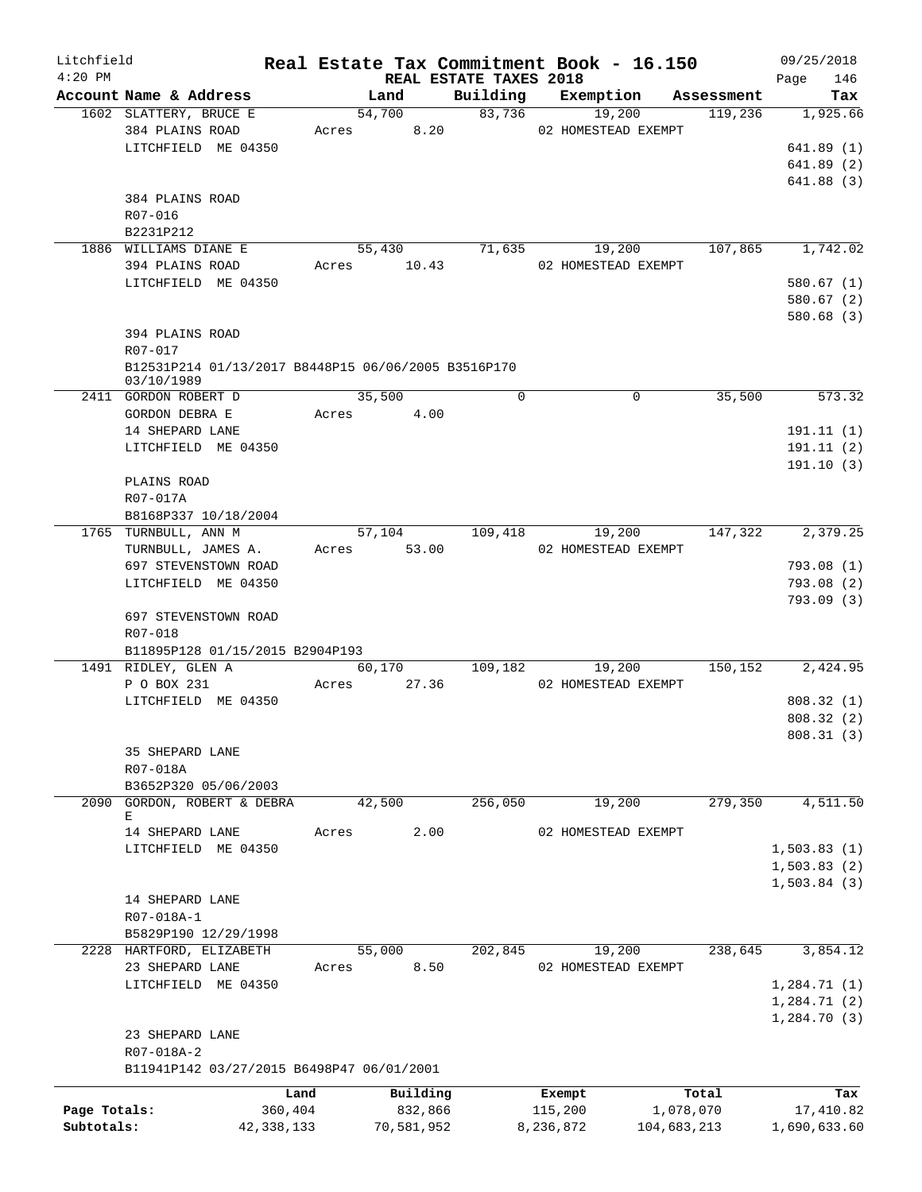| Building Exemption<br>Account Name & Address<br>Land<br>Assessment<br>1602 SLATTERY, BRUCE E<br>83,736<br>54,700<br>19,200<br>119,236<br>384 PLAINS ROAD<br>8.20<br>02 HOMESTEAD EXEMPT<br>Acres<br>LITCHFIELD ME 04350<br>384 PLAINS ROAD<br>R07-016<br>B2231P212<br>55,430<br>71,635<br>19,200<br>107,865<br>1886 WILLIAMS DIANE E<br>394 PLAINS ROAD<br>Acres 10.43<br>02 HOMESTEAD EXEMPT<br>LITCHFIELD ME 04350<br>394 PLAINS ROAD<br>R07-017<br>B12531P214 01/13/2017 B8448P15 06/06/2005 B3516P170<br>03/10/1989<br>35,500<br>$\mathbf 0$<br>$\mathbf 0$<br>35,500<br>2411 GORDON ROBERT D<br>GORDON DEBRA E<br>Acres<br>4.00<br>14 SHEPARD LANE<br>LITCHFIELD ME 04350<br>PLAINS ROAD<br>R07-017A<br>B8168P337 10/18/2004<br>57,104<br>109,418<br>19,200<br>147,322<br>1765 TURNBULL, ANN M<br>TURNBULL, JAMES A.<br>Acres 53.00<br>02 HOMESTEAD EXEMPT<br>697 STEVENSTOWN ROAD<br>LITCHFIELD ME 04350<br>697 STEVENSTOWN ROAD<br>R07-018<br>B11895P128 01/15/2015 B2904P193<br>60,170<br>109,182<br>19,200<br>150,152<br>1491 RIDLEY, GLEN A<br>P O BOX 231<br>27.36<br>02 HOMESTEAD EXEMPT<br>Acres<br>LITCHFIELD ME 04350<br>35 SHEPARD LANE<br>R07-018A<br>B3652P320 05/06/2003<br>42,500<br>256,050<br>19,200<br>279,350<br>2090<br>GORDON, ROBERT & DEBRA<br>Е<br>2.00<br>02 HOMESTEAD EXEMPT<br>14 SHEPARD LANE<br>Acres<br>LITCHFIELD ME 04350<br>14 SHEPARD LANE<br>R07-018A-1<br>B5829P190 12/29/1998<br>19,200<br>2228 HARTFORD, ELIZABETH<br>55,000<br>202,845<br>238,645<br>23 SHEPARD LANE<br>8.50<br>02 HOMESTEAD EXEMPT<br>Acres<br>LITCHFIELD ME 04350<br>23 SHEPARD LANE<br>R07-018A-2<br>B11941P142 03/27/2015 B6498P47 06/01/2001<br>Land<br>Building<br>Total<br>Exempt<br>Page Totals:<br>360,404<br>832,866<br>115,200<br>1,078,070<br>Subtotals:<br>42, 338, 133<br>70,581,952<br>8,236,872<br>104,683,213 | Litchfield<br>$4:20$ PM |  | REAL ESTATE TAXES 2018 | Real Estate Tax Commitment Book - 16.150 | 09/25/2018<br>146<br>Page |
|--------------------------------------------------------------------------------------------------------------------------------------------------------------------------------------------------------------------------------------------------------------------------------------------------------------------------------------------------------------------------------------------------------------------------------------------------------------------------------------------------------------------------------------------------------------------------------------------------------------------------------------------------------------------------------------------------------------------------------------------------------------------------------------------------------------------------------------------------------------------------------------------------------------------------------------------------------------------------------------------------------------------------------------------------------------------------------------------------------------------------------------------------------------------------------------------------------------------------------------------------------------------------------------------------------------------------------------------------------------------------------------------------------------------------------------------------------------------------------------------------------------------------------------------------------------------------------------------------------------------------------------------------------------------------------------------------------------------------------------------------------------------------------------------------------------------------------------------|-------------------------|--|------------------------|------------------------------------------|---------------------------|
| 1,925.66<br>641.89(1)<br>641.89(2)<br>641.88(3)<br>1,742.02<br>580.67(1)<br>580.67 (2)<br>580.68(3)<br>573.32<br>191.11(1)<br>191.11(2)<br>191.10(3)<br>2,379.25<br>793.08(1)<br>793.08(2)<br>793.09(3)<br>2,424.95<br>808.32(1)<br>808.32 (2)<br>808.31 (3)<br>4,511.50<br>1,503.83(1)<br>1,503.83(2)<br>1,503.84(3)<br>3,854.12<br>1,284.71(1)<br>1,284.71(2)<br>1,284.70(3)<br>Tax<br>17,410.82                                                                                                                                                                                                                                                                                                                                                                                                                                                                                                                                                                                                                                                                                                                                                                                                                                                                                                                                                                                                                                                                                                                                                                                                                                                                                                                                                                                                                                         |                         |  |                        |                                          | Tax                       |
|                                                                                                                                                                                                                                                                                                                                                                                                                                                                                                                                                                                                                                                                                                                                                                                                                                                                                                                                                                                                                                                                                                                                                                                                                                                                                                                                                                                                                                                                                                                                                                                                                                                                                                                                                                                                                                            |                         |  |                        |                                          |                           |
|                                                                                                                                                                                                                                                                                                                                                                                                                                                                                                                                                                                                                                                                                                                                                                                                                                                                                                                                                                                                                                                                                                                                                                                                                                                                                                                                                                                                                                                                                                                                                                                                                                                                                                                                                                                                                                            |                         |  |                        |                                          |                           |
|                                                                                                                                                                                                                                                                                                                                                                                                                                                                                                                                                                                                                                                                                                                                                                                                                                                                                                                                                                                                                                                                                                                                                                                                                                                                                                                                                                                                                                                                                                                                                                                                                                                                                                                                                                                                                                            |                         |  |                        |                                          |                           |
|                                                                                                                                                                                                                                                                                                                                                                                                                                                                                                                                                                                                                                                                                                                                                                                                                                                                                                                                                                                                                                                                                                                                                                                                                                                                                                                                                                                                                                                                                                                                                                                                                                                                                                                                                                                                                                            |                         |  |                        |                                          |                           |
|                                                                                                                                                                                                                                                                                                                                                                                                                                                                                                                                                                                                                                                                                                                                                                                                                                                                                                                                                                                                                                                                                                                                                                                                                                                                                                                                                                                                                                                                                                                                                                                                                                                                                                                                                                                                                                            |                         |  |                        |                                          |                           |
|                                                                                                                                                                                                                                                                                                                                                                                                                                                                                                                                                                                                                                                                                                                                                                                                                                                                                                                                                                                                                                                                                                                                                                                                                                                                                                                                                                                                                                                                                                                                                                                                                                                                                                                                                                                                                                            |                         |  |                        |                                          |                           |
|                                                                                                                                                                                                                                                                                                                                                                                                                                                                                                                                                                                                                                                                                                                                                                                                                                                                                                                                                                                                                                                                                                                                                                                                                                                                                                                                                                                                                                                                                                                                                                                                                                                                                                                                                                                                                                            |                         |  |                        |                                          |                           |
|                                                                                                                                                                                                                                                                                                                                                                                                                                                                                                                                                                                                                                                                                                                                                                                                                                                                                                                                                                                                                                                                                                                                                                                                                                                                                                                                                                                                                                                                                                                                                                                                                                                                                                                                                                                                                                            |                         |  |                        |                                          |                           |
|                                                                                                                                                                                                                                                                                                                                                                                                                                                                                                                                                                                                                                                                                                                                                                                                                                                                                                                                                                                                                                                                                                                                                                                                                                                                                                                                                                                                                                                                                                                                                                                                                                                                                                                                                                                                                                            |                         |  |                        |                                          |                           |
|                                                                                                                                                                                                                                                                                                                                                                                                                                                                                                                                                                                                                                                                                                                                                                                                                                                                                                                                                                                                                                                                                                                                                                                                                                                                                                                                                                                                                                                                                                                                                                                                                                                                                                                                                                                                                                            |                         |  |                        |                                          |                           |
|                                                                                                                                                                                                                                                                                                                                                                                                                                                                                                                                                                                                                                                                                                                                                                                                                                                                                                                                                                                                                                                                                                                                                                                                                                                                                                                                                                                                                                                                                                                                                                                                                                                                                                                                                                                                                                            |                         |  |                        |                                          |                           |
|                                                                                                                                                                                                                                                                                                                                                                                                                                                                                                                                                                                                                                                                                                                                                                                                                                                                                                                                                                                                                                                                                                                                                                                                                                                                                                                                                                                                                                                                                                                                                                                                                                                                                                                                                                                                                                            |                         |  |                        |                                          |                           |
|                                                                                                                                                                                                                                                                                                                                                                                                                                                                                                                                                                                                                                                                                                                                                                                                                                                                                                                                                                                                                                                                                                                                                                                                                                                                                                                                                                                                                                                                                                                                                                                                                                                                                                                                                                                                                                            |                         |  |                        |                                          |                           |
|                                                                                                                                                                                                                                                                                                                                                                                                                                                                                                                                                                                                                                                                                                                                                                                                                                                                                                                                                                                                                                                                                                                                                                                                                                                                                                                                                                                                                                                                                                                                                                                                                                                                                                                                                                                                                                            |                         |  |                        |                                          |                           |
|                                                                                                                                                                                                                                                                                                                                                                                                                                                                                                                                                                                                                                                                                                                                                                                                                                                                                                                                                                                                                                                                                                                                                                                                                                                                                                                                                                                                                                                                                                                                                                                                                                                                                                                                                                                                                                            |                         |  |                        |                                          |                           |
|                                                                                                                                                                                                                                                                                                                                                                                                                                                                                                                                                                                                                                                                                                                                                                                                                                                                                                                                                                                                                                                                                                                                                                                                                                                                                                                                                                                                                                                                                                                                                                                                                                                                                                                                                                                                                                            |                         |  |                        |                                          |                           |
|                                                                                                                                                                                                                                                                                                                                                                                                                                                                                                                                                                                                                                                                                                                                                                                                                                                                                                                                                                                                                                                                                                                                                                                                                                                                                                                                                                                                                                                                                                                                                                                                                                                                                                                                                                                                                                            |                         |  |                        |                                          |                           |
|                                                                                                                                                                                                                                                                                                                                                                                                                                                                                                                                                                                                                                                                                                                                                                                                                                                                                                                                                                                                                                                                                                                                                                                                                                                                                                                                                                                                                                                                                                                                                                                                                                                                                                                                                                                                                                            |                         |  |                        |                                          |                           |
|                                                                                                                                                                                                                                                                                                                                                                                                                                                                                                                                                                                                                                                                                                                                                                                                                                                                                                                                                                                                                                                                                                                                                                                                                                                                                                                                                                                                                                                                                                                                                                                                                                                                                                                                                                                                                                            |                         |  |                        |                                          |                           |
|                                                                                                                                                                                                                                                                                                                                                                                                                                                                                                                                                                                                                                                                                                                                                                                                                                                                                                                                                                                                                                                                                                                                                                                                                                                                                                                                                                                                                                                                                                                                                                                                                                                                                                                                                                                                                                            |                         |  |                        |                                          |                           |
|                                                                                                                                                                                                                                                                                                                                                                                                                                                                                                                                                                                                                                                                                                                                                                                                                                                                                                                                                                                                                                                                                                                                                                                                                                                                                                                                                                                                                                                                                                                                                                                                                                                                                                                                                                                                                                            |                         |  |                        |                                          |                           |
|                                                                                                                                                                                                                                                                                                                                                                                                                                                                                                                                                                                                                                                                                                                                                                                                                                                                                                                                                                                                                                                                                                                                                                                                                                                                                                                                                                                                                                                                                                                                                                                                                                                                                                                                                                                                                                            |                         |  |                        |                                          |                           |
|                                                                                                                                                                                                                                                                                                                                                                                                                                                                                                                                                                                                                                                                                                                                                                                                                                                                                                                                                                                                                                                                                                                                                                                                                                                                                                                                                                                                                                                                                                                                                                                                                                                                                                                                                                                                                                            |                         |  |                        |                                          |                           |
|                                                                                                                                                                                                                                                                                                                                                                                                                                                                                                                                                                                                                                                                                                                                                                                                                                                                                                                                                                                                                                                                                                                                                                                                                                                                                                                                                                                                                                                                                                                                                                                                                                                                                                                                                                                                                                            |                         |  |                        |                                          |                           |
|                                                                                                                                                                                                                                                                                                                                                                                                                                                                                                                                                                                                                                                                                                                                                                                                                                                                                                                                                                                                                                                                                                                                                                                                                                                                                                                                                                                                                                                                                                                                                                                                                                                                                                                                                                                                                                            |                         |  |                        |                                          |                           |
|                                                                                                                                                                                                                                                                                                                                                                                                                                                                                                                                                                                                                                                                                                                                                                                                                                                                                                                                                                                                                                                                                                                                                                                                                                                                                                                                                                                                                                                                                                                                                                                                                                                                                                                                                                                                                                            |                         |  |                        |                                          |                           |
|                                                                                                                                                                                                                                                                                                                                                                                                                                                                                                                                                                                                                                                                                                                                                                                                                                                                                                                                                                                                                                                                                                                                                                                                                                                                                                                                                                                                                                                                                                                                                                                                                                                                                                                                                                                                                                            |                         |  |                        |                                          |                           |
|                                                                                                                                                                                                                                                                                                                                                                                                                                                                                                                                                                                                                                                                                                                                                                                                                                                                                                                                                                                                                                                                                                                                                                                                                                                                                                                                                                                                                                                                                                                                                                                                                                                                                                                                                                                                                                            |                         |  |                        |                                          |                           |
|                                                                                                                                                                                                                                                                                                                                                                                                                                                                                                                                                                                                                                                                                                                                                                                                                                                                                                                                                                                                                                                                                                                                                                                                                                                                                                                                                                                                                                                                                                                                                                                                                                                                                                                                                                                                                                            |                         |  |                        |                                          |                           |
|                                                                                                                                                                                                                                                                                                                                                                                                                                                                                                                                                                                                                                                                                                                                                                                                                                                                                                                                                                                                                                                                                                                                                                                                                                                                                                                                                                                                                                                                                                                                                                                                                                                                                                                                                                                                                                            |                         |  |                        |                                          |                           |
|                                                                                                                                                                                                                                                                                                                                                                                                                                                                                                                                                                                                                                                                                                                                                                                                                                                                                                                                                                                                                                                                                                                                                                                                                                                                                                                                                                                                                                                                                                                                                                                                                                                                                                                                                                                                                                            |                         |  |                        |                                          |                           |
|                                                                                                                                                                                                                                                                                                                                                                                                                                                                                                                                                                                                                                                                                                                                                                                                                                                                                                                                                                                                                                                                                                                                                                                                                                                                                                                                                                                                                                                                                                                                                                                                                                                                                                                                                                                                                                            |                         |  |                        |                                          |                           |
|                                                                                                                                                                                                                                                                                                                                                                                                                                                                                                                                                                                                                                                                                                                                                                                                                                                                                                                                                                                                                                                                                                                                                                                                                                                                                                                                                                                                                                                                                                                                                                                                                                                                                                                                                                                                                                            |                         |  |                        |                                          |                           |
|                                                                                                                                                                                                                                                                                                                                                                                                                                                                                                                                                                                                                                                                                                                                                                                                                                                                                                                                                                                                                                                                                                                                                                                                                                                                                                                                                                                                                                                                                                                                                                                                                                                                                                                                                                                                                                            |                         |  |                        |                                          |                           |
|                                                                                                                                                                                                                                                                                                                                                                                                                                                                                                                                                                                                                                                                                                                                                                                                                                                                                                                                                                                                                                                                                                                                                                                                                                                                                                                                                                                                                                                                                                                                                                                                                                                                                                                                                                                                                                            |                         |  |                        |                                          |                           |
|                                                                                                                                                                                                                                                                                                                                                                                                                                                                                                                                                                                                                                                                                                                                                                                                                                                                                                                                                                                                                                                                                                                                                                                                                                                                                                                                                                                                                                                                                                                                                                                                                                                                                                                                                                                                                                            |                         |  |                        |                                          |                           |
|                                                                                                                                                                                                                                                                                                                                                                                                                                                                                                                                                                                                                                                                                                                                                                                                                                                                                                                                                                                                                                                                                                                                                                                                                                                                                                                                                                                                                                                                                                                                                                                                                                                                                                                                                                                                                                            |                         |  |                        |                                          |                           |
|                                                                                                                                                                                                                                                                                                                                                                                                                                                                                                                                                                                                                                                                                                                                                                                                                                                                                                                                                                                                                                                                                                                                                                                                                                                                                                                                                                                                                                                                                                                                                                                                                                                                                                                                                                                                                                            |                         |  |                        |                                          |                           |
|                                                                                                                                                                                                                                                                                                                                                                                                                                                                                                                                                                                                                                                                                                                                                                                                                                                                                                                                                                                                                                                                                                                                                                                                                                                                                                                                                                                                                                                                                                                                                                                                                                                                                                                                                                                                                                            |                         |  |                        |                                          |                           |
|                                                                                                                                                                                                                                                                                                                                                                                                                                                                                                                                                                                                                                                                                                                                                                                                                                                                                                                                                                                                                                                                                                                                                                                                                                                                                                                                                                                                                                                                                                                                                                                                                                                                                                                                                                                                                                            |                         |  |                        |                                          |                           |
|                                                                                                                                                                                                                                                                                                                                                                                                                                                                                                                                                                                                                                                                                                                                                                                                                                                                                                                                                                                                                                                                                                                                                                                                                                                                                                                                                                                                                                                                                                                                                                                                                                                                                                                                                                                                                                            |                         |  |                        |                                          |                           |
|                                                                                                                                                                                                                                                                                                                                                                                                                                                                                                                                                                                                                                                                                                                                                                                                                                                                                                                                                                                                                                                                                                                                                                                                                                                                                                                                                                                                                                                                                                                                                                                                                                                                                                                                                                                                                                            |                         |  |                        |                                          |                           |
|                                                                                                                                                                                                                                                                                                                                                                                                                                                                                                                                                                                                                                                                                                                                                                                                                                                                                                                                                                                                                                                                                                                                                                                                                                                                                                                                                                                                                                                                                                                                                                                                                                                                                                                                                                                                                                            |                         |  |                        |                                          |                           |
|                                                                                                                                                                                                                                                                                                                                                                                                                                                                                                                                                                                                                                                                                                                                                                                                                                                                                                                                                                                                                                                                                                                                                                                                                                                                                                                                                                                                                                                                                                                                                                                                                                                                                                                                                                                                                                            |                         |  |                        |                                          |                           |
|                                                                                                                                                                                                                                                                                                                                                                                                                                                                                                                                                                                                                                                                                                                                                                                                                                                                                                                                                                                                                                                                                                                                                                                                                                                                                                                                                                                                                                                                                                                                                                                                                                                                                                                                                                                                                                            |                         |  |                        |                                          |                           |
|                                                                                                                                                                                                                                                                                                                                                                                                                                                                                                                                                                                                                                                                                                                                                                                                                                                                                                                                                                                                                                                                                                                                                                                                                                                                                                                                                                                                                                                                                                                                                                                                                                                                                                                                                                                                                                            |                         |  |                        |                                          |                           |
|                                                                                                                                                                                                                                                                                                                                                                                                                                                                                                                                                                                                                                                                                                                                                                                                                                                                                                                                                                                                                                                                                                                                                                                                                                                                                                                                                                                                                                                                                                                                                                                                                                                                                                                                                                                                                                            |                         |  |                        |                                          |                           |
|                                                                                                                                                                                                                                                                                                                                                                                                                                                                                                                                                                                                                                                                                                                                                                                                                                                                                                                                                                                                                                                                                                                                                                                                                                                                                                                                                                                                                                                                                                                                                                                                                                                                                                                                                                                                                                            |                         |  |                        |                                          |                           |
|                                                                                                                                                                                                                                                                                                                                                                                                                                                                                                                                                                                                                                                                                                                                                                                                                                                                                                                                                                                                                                                                                                                                                                                                                                                                                                                                                                                                                                                                                                                                                                                                                                                                                                                                                                                                                                            |                         |  |                        |                                          |                           |
|                                                                                                                                                                                                                                                                                                                                                                                                                                                                                                                                                                                                                                                                                                                                                                                                                                                                                                                                                                                                                                                                                                                                                                                                                                                                                                                                                                                                                                                                                                                                                                                                                                                                                                                                                                                                                                            |                         |  |                        |                                          |                           |
|                                                                                                                                                                                                                                                                                                                                                                                                                                                                                                                                                                                                                                                                                                                                                                                                                                                                                                                                                                                                                                                                                                                                                                                                                                                                                                                                                                                                                                                                                                                                                                                                                                                                                                                                                                                                                                            |                         |  |                        |                                          |                           |
|                                                                                                                                                                                                                                                                                                                                                                                                                                                                                                                                                                                                                                                                                                                                                                                                                                                                                                                                                                                                                                                                                                                                                                                                                                                                                                                                                                                                                                                                                                                                                                                                                                                                                                                                                                                                                                            |                         |  |                        |                                          |                           |
|                                                                                                                                                                                                                                                                                                                                                                                                                                                                                                                                                                                                                                                                                                                                                                                                                                                                                                                                                                                                                                                                                                                                                                                                                                                                                                                                                                                                                                                                                                                                                                                                                                                                                                                                                                                                                                            |                         |  |                        |                                          |                           |
|                                                                                                                                                                                                                                                                                                                                                                                                                                                                                                                                                                                                                                                                                                                                                                                                                                                                                                                                                                                                                                                                                                                                                                                                                                                                                                                                                                                                                                                                                                                                                                                                                                                                                                                                                                                                                                            |                         |  |                        |                                          |                           |
|                                                                                                                                                                                                                                                                                                                                                                                                                                                                                                                                                                                                                                                                                                                                                                                                                                                                                                                                                                                                                                                                                                                                                                                                                                                                                                                                                                                                                                                                                                                                                                                                                                                                                                                                                                                                                                            |                         |  |                        |                                          |                           |
|                                                                                                                                                                                                                                                                                                                                                                                                                                                                                                                                                                                                                                                                                                                                                                                                                                                                                                                                                                                                                                                                                                                                                                                                                                                                                                                                                                                                                                                                                                                                                                                                                                                                                                                                                                                                                                            |                         |  |                        |                                          |                           |
|                                                                                                                                                                                                                                                                                                                                                                                                                                                                                                                                                                                                                                                                                                                                                                                                                                                                                                                                                                                                                                                                                                                                                                                                                                                                                                                                                                                                                                                                                                                                                                                                                                                                                                                                                                                                                                            |                         |  |                        |                                          |                           |
| 1,690,633.60                                                                                                                                                                                                                                                                                                                                                                                                                                                                                                                                                                                                                                                                                                                                                                                                                                                                                                                                                                                                                                                                                                                                                                                                                                                                                                                                                                                                                                                                                                                                                                                                                                                                                                                                                                                                                               |                         |  |                        |                                          |                           |
|                                                                                                                                                                                                                                                                                                                                                                                                                                                                                                                                                                                                                                                                                                                                                                                                                                                                                                                                                                                                                                                                                                                                                                                                                                                                                                                                                                                                                                                                                                                                                                                                                                                                                                                                                                                                                                            |                         |  |                        |                                          |                           |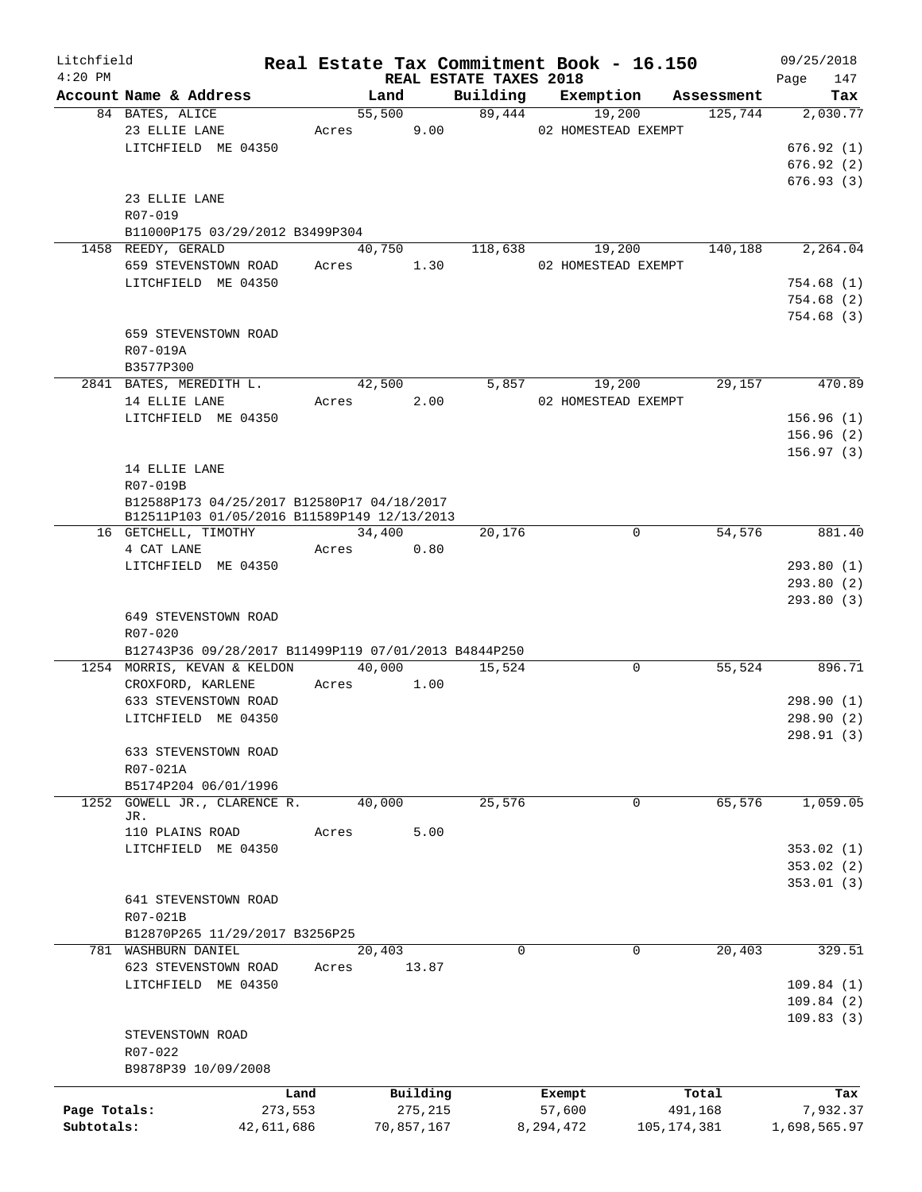| Litchfield   |                                                       |            |        |            |                                    | Real Estate Tax Commitment Book - 16.150 |               |                      | 09/25/2018             |
|--------------|-------------------------------------------------------|------------|--------|------------|------------------------------------|------------------------------------------|---------------|----------------------|------------------------|
| $4:20$ PM    | Account Name & Address                                |            | Land   |            | REAL ESTATE TAXES 2018<br>Building |                                          |               | Exemption Assessment | 147<br>Page<br>Tax     |
|              | 84 BATES, ALICE                                       |            | 55,500 |            | 89,444                             | 19,200                                   |               | 125,744              | 2,030.77               |
|              | 23 ELLIE LANE                                         |            | Acres  | 9.00       |                                    | 02 HOMESTEAD EXEMPT                      |               |                      |                        |
|              | LITCHFIELD ME 04350                                   |            |        |            |                                    |                                          |               |                      | 676.92(1)              |
|              |                                                       |            |        |            |                                    |                                          |               |                      | 676.92(2)              |
|              |                                                       |            |        |            |                                    |                                          |               |                      | 676.93(3)              |
|              | 23 ELLIE LANE                                         |            |        |            |                                    |                                          |               |                      |                        |
|              | R07-019                                               |            |        |            |                                    |                                          |               |                      |                        |
|              | B11000P175 03/29/2012 B3499P304                       |            |        |            |                                    |                                          |               |                      |                        |
|              | 1458 REEDY, GERALD                                    |            | 40,750 |            | 118,638                            | 19,200                                   |               | 140,188              | 2,264.04               |
|              | 659 STEVENSTOWN ROAD                                  |            | Acres  | 1.30       |                                    | 02 HOMESTEAD EXEMPT                      |               |                      |                        |
|              | LITCHFIELD ME 04350                                   |            |        |            |                                    |                                          |               |                      | 754.68(1)              |
|              |                                                       |            |        |            |                                    |                                          |               |                      | 754.68(2)              |
|              |                                                       |            |        |            |                                    |                                          |               |                      | 754.68(3)              |
|              | 659 STEVENSTOWN ROAD                                  |            |        |            |                                    |                                          |               |                      |                        |
|              | R07-019A                                              |            |        |            |                                    |                                          |               |                      |                        |
|              | B3577P300                                             |            |        |            |                                    |                                          |               |                      |                        |
|              | 2841 BATES, MEREDITH L.                               |            | 42,500 |            | 5,857                              | 19,200                                   |               | 29,157               | 470.89                 |
|              | 14 ELLIE LANE                                         |            | Acres  | 2.00       |                                    | 02 HOMESTEAD EXEMPT                      |               |                      |                        |
|              | LITCHFIELD ME 04350                                   |            |        |            |                                    |                                          |               |                      | 156.96(1)              |
|              |                                                       |            |        |            |                                    |                                          |               |                      | 156.96(2)              |
|              |                                                       |            |        |            |                                    |                                          |               |                      | 156.97(3)              |
|              | 14 ELLIE LANE                                         |            |        |            |                                    |                                          |               |                      |                        |
|              | R07-019B                                              |            |        |            |                                    |                                          |               |                      |                        |
|              | B12588P173 04/25/2017 B12580P17 04/18/2017            |            |        |            |                                    |                                          |               |                      |                        |
|              | B12511P103 01/05/2016 B11589P149 12/13/2013           |            |        |            |                                    |                                          |               |                      |                        |
|              | 16 GETCHELL, TIMOTHY                                  |            | 34,400 |            | 20,176                             |                                          | 0             | 54,576               | 881.40                 |
|              | 4 CAT LANE<br>LITCHFIELD ME 04350                     |            | Acres  | 0.80       |                                    |                                          |               |                      |                        |
|              |                                                       |            |        |            |                                    |                                          |               |                      | 293.80(1)<br>293.80(2) |
|              |                                                       |            |        |            |                                    |                                          |               |                      | 293.80 (3)             |
|              | 649 STEVENSTOWN ROAD                                  |            |        |            |                                    |                                          |               |                      |                        |
|              | R07-020                                               |            |        |            |                                    |                                          |               |                      |                        |
|              | B12743P36 09/28/2017 B11499P119 07/01/2013 B4844P250  |            |        |            |                                    |                                          |               |                      |                        |
|              | 1254 MORRIS, KEVAN & KELDON                           |            | 40,000 |            | 15,524                             |                                          | 0             | 55,524               | 896.71                 |
|              | CROXFORD, KARLENE                                     | Acres      |        | 1.00       |                                    |                                          |               |                      |                        |
|              | 633 STEVENSTOWN ROAD                                  |            |        |            |                                    |                                          |               |                      | 298.90 (1)             |
|              | LITCHFIELD ME 04350                                   |            |        |            |                                    |                                          |               |                      | 298.90 (2)             |
|              |                                                       |            |        |            |                                    |                                          |               |                      | 298.91 (3)             |
|              | 633 STEVENSTOWN ROAD                                  |            |        |            |                                    |                                          |               |                      |                        |
|              | R07-021A                                              |            |        |            |                                    |                                          |               |                      |                        |
|              | B5174P204 06/01/1996                                  |            |        |            |                                    |                                          |               |                      |                        |
|              | 1252 GOWELL JR., CLARENCE R.                          |            | 40,000 |            | 25,576                             |                                          | 0             | 65,576               | 1,059.05               |
|              | JR.                                                   |            |        |            |                                    |                                          |               |                      |                        |
|              | 110 PLAINS ROAD                                       | Acres      |        | 5.00       |                                    |                                          |               |                      |                        |
|              | LITCHFIELD ME 04350                                   |            |        |            |                                    |                                          |               |                      | 353.02(1)              |
|              |                                                       |            |        |            |                                    |                                          |               |                      | 353.02(2)              |
|              |                                                       |            |        |            |                                    |                                          |               |                      | 353.01(3)              |
|              | 641 STEVENSTOWN ROAD<br>R07-021B                      |            |        |            |                                    |                                          |               |                      |                        |
|              |                                                       |            |        |            |                                    |                                          |               |                      |                        |
|              | B12870P265 11/29/2017 B3256P25<br>781 WASHBURN DANIEL |            |        |            | 0                                  |                                          | 0             | 20,403               | 329.51                 |
|              | 623 STEVENSTOWN ROAD                                  | Acres      | 20,403 | 13.87      |                                    |                                          |               |                      |                        |
|              | LITCHFIELD ME 04350                                   |            |        |            |                                    |                                          |               |                      | 109.84(1)              |
|              |                                                       |            |        |            |                                    |                                          |               |                      | 109.84(2)              |
|              |                                                       |            |        |            |                                    |                                          |               |                      | 109.83(3)              |
|              | STEVENSTOWN ROAD                                      |            |        |            |                                    |                                          |               |                      |                        |
|              | R07-022                                               |            |        |            |                                    |                                          |               |                      |                        |
|              | B9878P39 10/09/2008                                   |            |        |            |                                    |                                          |               |                      |                        |
|              |                                                       |            |        |            |                                    |                                          |               |                      |                        |
|              |                                                       | Land       |        | Building   |                                    | Exempt                                   |               | Total                | Tax                    |
| Page Totals: |                                                       | 273,553    |        | 275,215    |                                    | 57,600                                   |               | 491,168              | 7,932.37               |
| Subtotals:   |                                                       | 42,611,686 |        | 70,857,167 |                                    | 8,294,472                                | 105, 174, 381 |                      | 1,698,565.97           |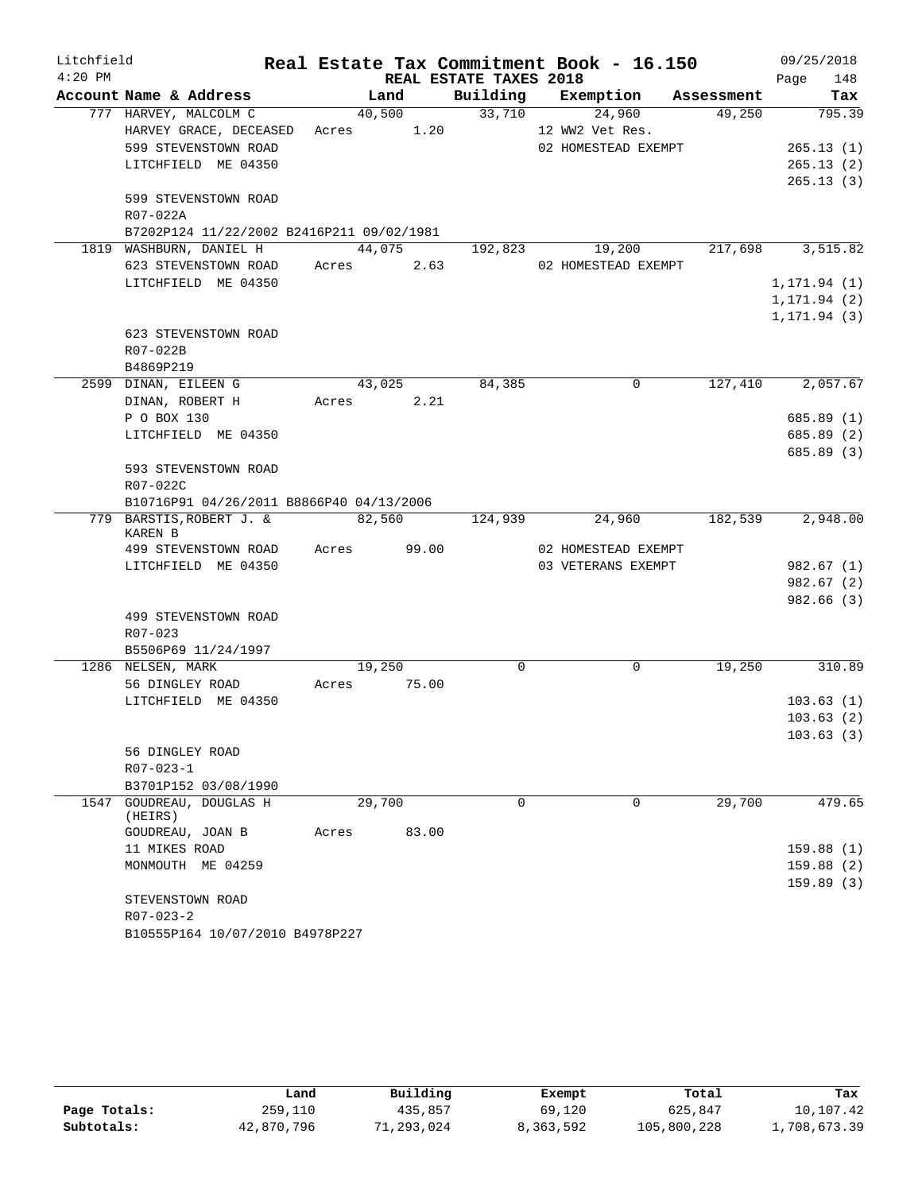| Litchfield |                                           |             |        |       |                        | Real Estate Tax Commitment Book - 16.150 |                               | 09/25/2018   |
|------------|-------------------------------------------|-------------|--------|-------|------------------------|------------------------------------------|-------------------------------|--------------|
| $4:20$ PM  |                                           |             |        |       | REAL ESTATE TAXES 2018 |                                          |                               | 148<br>Page  |
|            | Account Name & Address                    |             | Land   |       |                        |                                          | Building Exemption Assessment | Tax          |
|            | 777 HARVEY, MALCOLM C                     |             | 40,500 |       |                        | 33,710<br>24,960                         | 49,250                        | 795.39       |
|            | HARVEY GRACE, DECEASED Acres 1.20         |             |        |       |                        | 12 WW2 Vet Res.                          |                               |              |
|            | 599 STEVENSTOWN ROAD                      |             |        |       |                        | 02 HOMESTEAD EXEMPT                      |                               | 265.13(1)    |
|            | LITCHFIELD ME 04350                       |             |        |       |                        |                                          |                               | 265.13(2)    |
|            |                                           |             |        |       |                        |                                          |                               | 265.13(3)    |
|            | 599 STEVENSTOWN ROAD                      |             |        |       |                        |                                          |                               |              |
|            | R07-022A                                  |             |        |       |                        |                                          |                               |              |
|            | B7202P124 11/22/2002 B2416P211 09/02/1981 |             |        |       |                        |                                          |                               |              |
|            | 1819 WASHBURN, DANIEL H                   |             | 44,075 |       | 192,823                | 19,200                                   | 217,698                       | 3,515.82     |
|            | 623 STEVENSTOWN ROAD                      | Acres 2.63  |        |       |                        | 02 HOMESTEAD EXEMPT                      |                               |              |
|            | LITCHFIELD ME 04350                       |             |        |       |                        |                                          |                               | 1, 171.94(1) |
|            |                                           |             |        |       |                        |                                          |                               | 1, 171.94(2) |
|            |                                           |             |        |       |                        |                                          |                               | 1, 171.94(3) |
|            | 623 STEVENSTOWN ROAD                      |             |        |       |                        |                                          |                               |              |
|            | R07-022B                                  |             |        |       |                        |                                          |                               |              |
|            | B4869P219                                 |             |        |       |                        |                                          |                               |              |
|            | 2599 DINAN, EILEEN G                      |             | 43,025 |       | 84,385                 | $\Omega$                                 | 127,410                       | 2,057.67     |
|            | DINAN, ROBERT H                           | Acres 2.21  |        |       |                        |                                          |                               |              |
|            | P O BOX 130                               |             |        |       |                        |                                          |                               | 685.89 (1)   |
|            | LITCHFIELD ME 04350                       |             |        |       |                        |                                          |                               | 685.89 (2)   |
|            |                                           |             |        |       |                        |                                          |                               | 685.89 (3)   |
|            | 593 STEVENSTOWN ROAD                      |             |        |       |                        |                                          |                               |              |
|            | R07-022C                                  |             |        |       |                        |                                          |                               |              |
|            | B10716P91 04/26/2011 B8866P40 04/13/2006  |             |        |       |                        |                                          |                               |              |
|            | 779 BARSTIS, ROBERT J. &<br>KAREN B       | 82,560      |        |       | 124,939                | 24,960                                   | 182,539                       | 2,948.00     |
|            | 499 STEVENSTOWN ROAD                      | Acres 99.00 |        |       |                        | 02 HOMESTEAD EXEMPT                      |                               |              |
|            | LITCHFIELD ME 04350                       |             |        |       |                        | 03 VETERANS EXEMPT                       |                               | 982.67(1)    |
|            |                                           |             |        |       |                        |                                          |                               | 982.67(2)    |
|            |                                           |             |        |       |                        |                                          |                               | 982.66 (3)   |
|            | 499 STEVENSTOWN ROAD                      |             |        |       |                        |                                          |                               |              |
|            | R07-023                                   |             |        |       |                        |                                          |                               |              |
|            | B5506P69 11/24/1997                       |             |        |       |                        |                                          |                               |              |
|            | 1286 NELSEN, MARK                         |             | 19,250 |       | 0                      | $\mathbf 0$                              | 19,250                        | 310.89       |
|            | 56 DINGLEY ROAD                           | Acres       |        | 75.00 |                        |                                          |                               |              |
|            | LITCHFIELD ME 04350                       |             |        |       |                        |                                          |                               | 103.63(1)    |
|            |                                           |             |        |       |                        |                                          |                               | 103.63(2)    |
|            |                                           |             |        |       |                        |                                          |                               | 103.63(3)    |
|            | 56 DINGLEY ROAD                           |             |        |       |                        |                                          |                               |              |
|            | $R07 - 023 - 1$                           |             |        |       |                        |                                          |                               |              |
|            | B3701P152 03/08/1990                      |             |        |       |                        |                                          |                               |              |
|            | 1547 GOUDREAU, DOUGLAS H                  |             | 29,700 |       | 0                      | 0                                        | 29,700                        | 479.65       |
|            | (HEIRS)                                   |             |        |       |                        |                                          |                               |              |
|            | GOUDREAU, JOAN B                          | Acres       |        | 83.00 |                        |                                          |                               |              |
|            | 11 MIKES ROAD                             |             |        |       |                        |                                          |                               | 159.88(1)    |
|            | MONMOUTH ME 04259                         |             |        |       |                        |                                          |                               | 159.88(2)    |
|            |                                           |             |        |       |                        |                                          |                               | 159.89(3)    |
|            | STEVENSTOWN ROAD                          |             |        |       |                        |                                          |                               |              |
|            | $R07 - 023 - 2$                           |             |        |       |                        |                                          |                               |              |
|            | B10555P164 10/07/2010 B4978P227           |             |        |       |                        |                                          |                               |              |

|              | Land       | Building  | Exempt    | Total       | Tax          |
|--------------|------------|-----------|-----------|-------------|--------------|
| Page Totals: | 259,110    | 435,857   | 69,120    | 625,847     | 10,107.42    |
| Subtotals:   | 42,870,796 | 1,293,024 | 8,363,592 | 105,800,228 | 1,708,673.39 |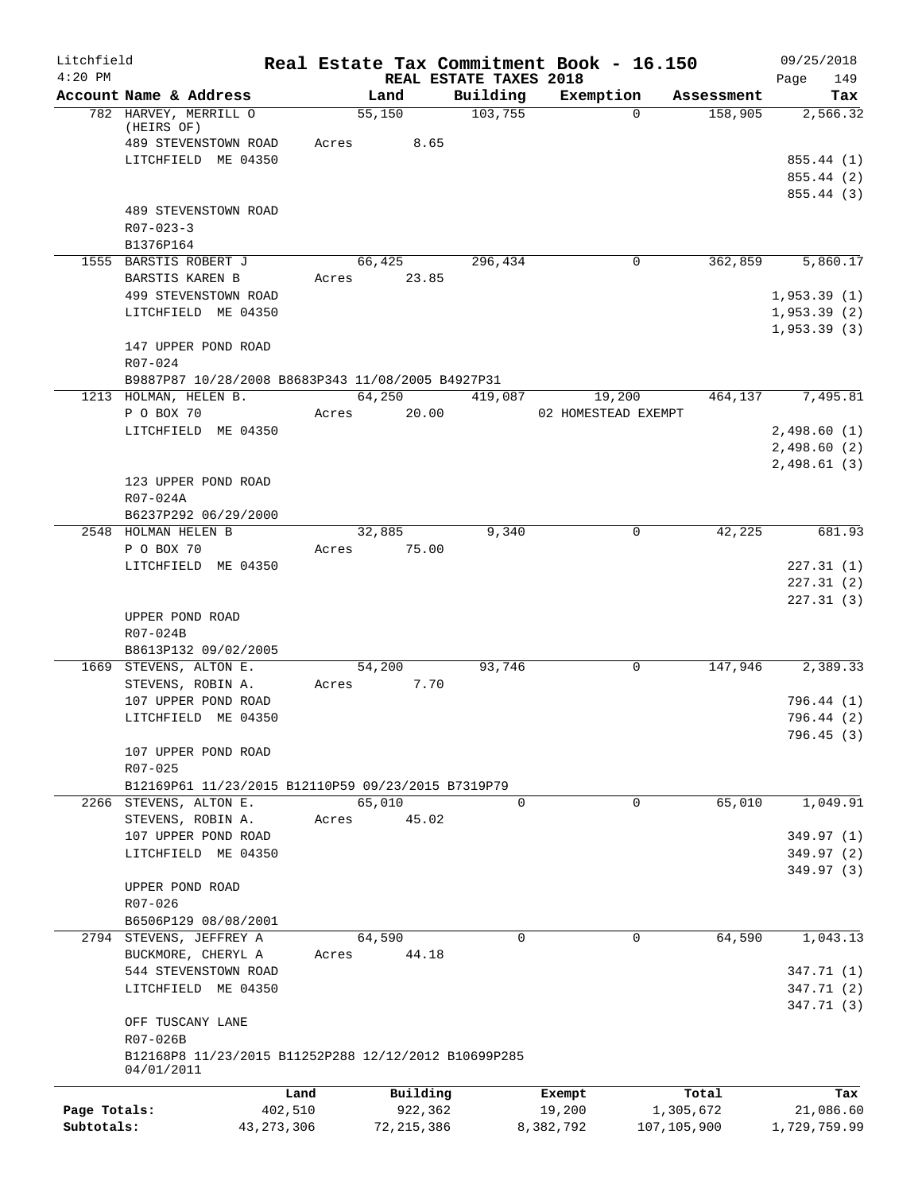| Litchfield                 |                                                                    |             |                         |                                    | Real Estate Tax Commitment Book - 16.150 |                          | 09/25/2018                |
|----------------------------|--------------------------------------------------------------------|-------------|-------------------------|------------------------------------|------------------------------------------|--------------------------|---------------------------|
| $4:20$ PM                  | Account Name & Address                                             |             | Land                    | REAL ESTATE TAXES 2018<br>Building | Exemption                                | Assessment               | 149<br>Page<br>Tax        |
|                            | 782 HARVEY, MERRILL O                                              | 55,150      |                         | 103,755                            | $\Omega$                                 | 158,905                  | 2,566.32                  |
|                            | (HEIRS OF)                                                         |             |                         |                                    |                                          |                          |                           |
|                            | 489 STEVENSTOWN ROAD                                               | Acres       | 8.65                    |                                    |                                          |                          |                           |
|                            | LITCHFIELD ME 04350                                                |             |                         |                                    |                                          |                          | 855.44(1)                 |
|                            |                                                                    |             |                         |                                    |                                          |                          | 855.44 (2)                |
|                            | 489 STEVENSTOWN ROAD                                               |             |                         |                                    |                                          |                          | 855.44 (3)                |
|                            | $R07 - 023 - 3$                                                    |             |                         |                                    |                                          |                          |                           |
|                            | B1376P164                                                          |             |                         |                                    |                                          |                          |                           |
|                            | 1555 BARSTIS ROBERT J                                              |             | 66,425                  | 296,434                            | $\mathbf 0$                              | 362,859                  | 5,860.17                  |
|                            | BARSTIS KAREN B                                                    | Acres 23.85 |                         |                                    |                                          |                          |                           |
|                            | 499 STEVENSTOWN ROAD                                               |             |                         |                                    |                                          |                          | 1,953.39(1)               |
|                            | LITCHFIELD ME 04350                                                |             |                         |                                    |                                          |                          | 1,953.39(2)               |
|                            |                                                                    |             |                         |                                    |                                          |                          | 1,953.39(3)               |
|                            | 147 UPPER POND ROAD                                                |             |                         |                                    |                                          |                          |                           |
|                            | R07-024                                                            |             |                         |                                    |                                          |                          |                           |
|                            | B9887P87 10/28/2008 B8683P343 11/08/2005 B4927P31                  | 64,250      |                         | 419,087                            |                                          | 464,137                  | 7,495.81                  |
|                            | 1213 HOLMAN, HELEN B.<br>P O BOX 70                                | Acres 20.00 |                         |                                    | 19,200<br>02 HOMESTEAD EXEMPT            |                          |                           |
|                            | LITCHFIELD ME 04350                                                |             |                         |                                    |                                          |                          | 2,498.60(1)               |
|                            |                                                                    |             |                         |                                    |                                          |                          | 2,498.60(2)               |
|                            |                                                                    |             |                         |                                    |                                          |                          | 2,498.61(3)               |
|                            | 123 UPPER POND ROAD                                                |             |                         |                                    |                                          |                          |                           |
|                            | R07-024A                                                           |             |                         |                                    |                                          |                          |                           |
|                            | B6237P292 06/29/2000                                               |             |                         |                                    |                                          |                          |                           |
|                            | 2548 HOLMAN HELEN B                                                | 32,885      |                         | 9,340                              | 0                                        | 42,225                   | 681.93                    |
|                            | P O BOX 70                                                         | Acres 75.00 |                         |                                    |                                          |                          |                           |
|                            | LITCHFIELD ME 04350                                                |             |                         |                                    |                                          |                          | 227.31(1)<br>227.31(2)    |
|                            |                                                                    |             |                         |                                    |                                          |                          | 227.31(3)                 |
|                            | UPPER POND ROAD                                                    |             |                         |                                    |                                          |                          |                           |
|                            | R07-024B                                                           |             |                         |                                    |                                          |                          |                           |
|                            | B8613P132 09/02/2005                                               |             |                         |                                    |                                          |                          |                           |
|                            | 1669 STEVENS, ALTON E.                                             | 54,200      |                         | 93,746                             | 0                                        | 147,946                  | 2,389.33                  |
|                            | STEVENS, ROBIN A.                                                  | Acres       | 7.70                    |                                    |                                          |                          |                           |
|                            | 107 UPPER POND ROAD                                                |             |                         |                                    |                                          |                          | 796.44 (1)                |
|                            | LITCHFIELD ME 04350                                                |             |                         |                                    |                                          |                          | 796.44 (2)                |
|                            | 107 UPPER POND ROAD                                                |             |                         |                                    |                                          |                          | 796.45 (3)                |
|                            | R07-025                                                            |             |                         |                                    |                                          |                          |                           |
|                            | B12169P61 11/23/2015 B12110P59 09/23/2015 B7319P79                 |             |                         |                                    |                                          |                          |                           |
|                            | 2266 STEVENS, ALTON E.                                             | 65,010      |                         | $\Omega$                           | 0                                        | 65,010                   | 1,049.91                  |
|                            | STEVENS, ROBIN A.                                                  | Acres       | 45.02                   |                                    |                                          |                          |                           |
|                            | 107 UPPER POND ROAD                                                |             |                         |                                    |                                          |                          | 349.97 (1)                |
|                            | LITCHFIELD ME 04350                                                |             |                         |                                    |                                          |                          | 349.97(2)                 |
|                            |                                                                    |             |                         |                                    |                                          |                          | 349.97 (3)                |
|                            | UPPER POND ROAD<br>R07-026                                         |             |                         |                                    |                                          |                          |                           |
|                            | B6506P129 08/08/2001                                               |             |                         |                                    |                                          |                          |                           |
|                            | 2794 STEVENS, JEFFREY A                                            | 64,590      |                         | $\Omega$                           | $\Omega$                                 | 64,590                   | 1,043.13                  |
|                            | BUCKMORE, CHERYL A                                                 | Acres       | 44.18                   |                                    |                                          |                          |                           |
|                            | 544 STEVENSTOWN ROAD                                               |             |                         |                                    |                                          |                          | 347.71 (1)                |
|                            | LITCHFIELD ME 04350                                                |             |                         |                                    |                                          |                          | 347.71 (2)                |
|                            |                                                                    |             |                         |                                    |                                          |                          | 347.71 (3)                |
|                            | OFF TUSCANY LANE                                                   |             |                         |                                    |                                          |                          |                           |
|                            | R07-026B                                                           |             |                         |                                    |                                          |                          |                           |
|                            | B12168P8 11/23/2015 B11252P288 12/12/2012 B10699P285<br>04/01/2011 |             |                         |                                    |                                          |                          |                           |
|                            |                                                                    |             |                         |                                    |                                          |                          |                           |
|                            |                                                                    | Land        | Building                |                                    | Exempt                                   | Total                    | Tax                       |
| Page Totals:<br>Subtotals: | 43,273,306                                                         | 402,510     | 922,362<br>72, 215, 386 |                                    | 19,200<br>8,382,792                      | 1,305,672<br>107,105,900 | 21,086.60<br>1,729,759.99 |
|                            |                                                                    |             |                         |                                    |                                          |                          |                           |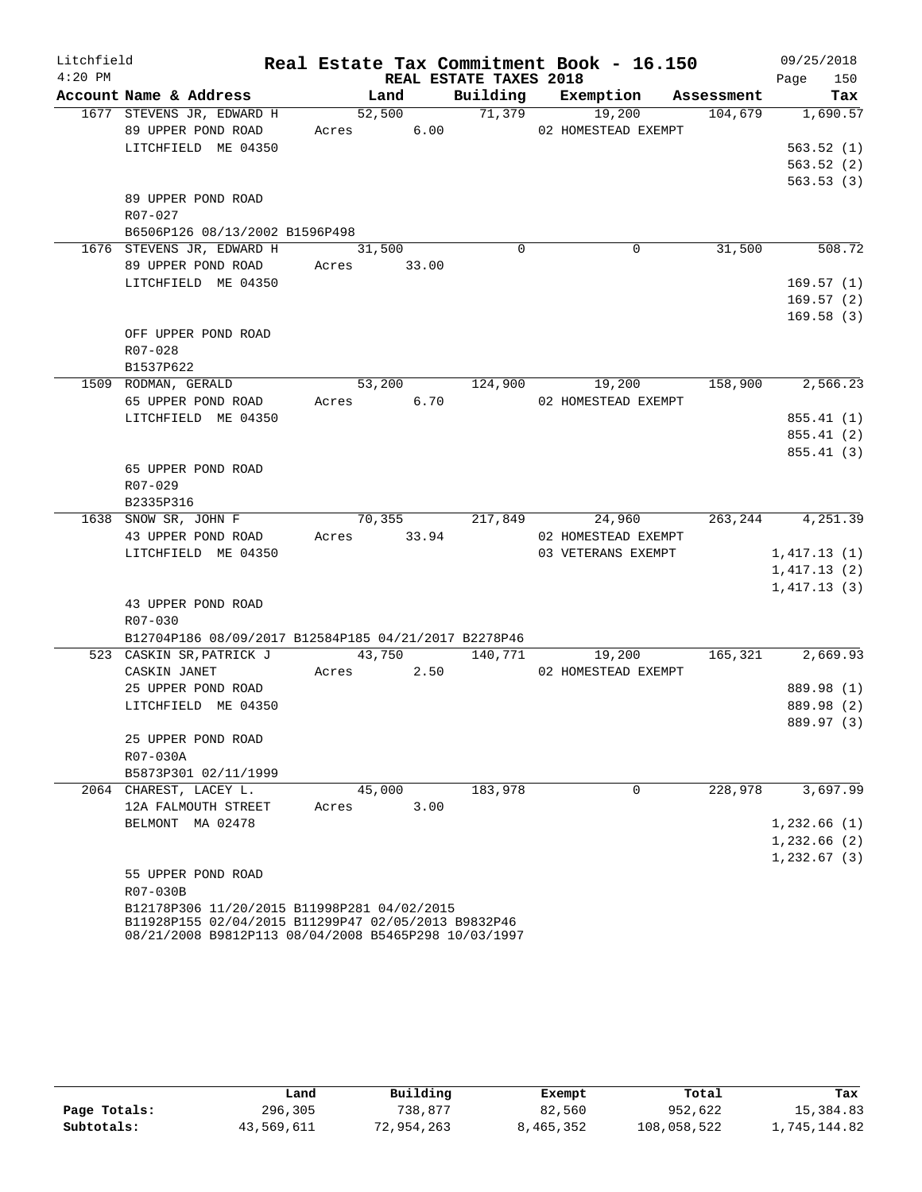| Litchfield |                                                                                                             |                |                        | Real Estate Tax Commitment Book - 16.150 |         | 09/25/2018               |
|------------|-------------------------------------------------------------------------------------------------------------|----------------|------------------------|------------------------------------------|---------|--------------------------|
| $4:20$ PM  |                                                                                                             |                | REAL ESTATE TAXES 2018 |                                          |         | 150<br>Page              |
|            | Account Name & Address                                                                                      | Land           |                        | Building Exemption Assessment            |         | Tax                      |
|            | 1677 STEVENS JR, EDWARD H                                                                                   | 52,500         | 71,379                 | 19,200                                   | 104,679 | 1,690.57                 |
|            | 89 UPPER POND ROAD                                                                                          | Acres 6.00     |                        | 02 HOMESTEAD EXEMPT                      |         |                          |
|            | LITCHFIELD ME 04350                                                                                         |                |                        |                                          |         | 563.52(1)                |
|            |                                                                                                             |                |                        |                                          |         | 563.52(2)                |
|            |                                                                                                             |                |                        |                                          |         | 563.53(3)                |
|            | 89 UPPER POND ROAD<br>R07-027                                                                               |                |                        |                                          |         |                          |
|            | B6506P126 08/13/2002 B1596P498                                                                              |                |                        |                                          |         |                          |
|            | 1676 STEVENS JR, EDWARD H                                                                                   | 31,500         | $\Omega$               | 0                                        | 31,500  | 508.72                   |
|            | 89 UPPER POND ROAD                                                                                          | Acres 33.00    |                        |                                          |         |                          |
|            | LITCHFIELD ME 04350                                                                                         |                |                        |                                          |         | 169.57(1)                |
|            |                                                                                                             |                |                        |                                          |         | 169.57(2)                |
|            |                                                                                                             |                |                        |                                          |         | 169.58(3)                |
|            | OFF UPPER POND ROAD                                                                                         |                |                        |                                          |         |                          |
|            | R07-028                                                                                                     |                |                        |                                          |         |                          |
|            | B1537P622                                                                                                   |                |                        |                                          |         |                          |
|            | 1509 RODMAN, GERALD                                                                                         | 53,200         | 124,900                | 19,200                                   | 158,900 | 2,566.23                 |
|            | 65 UPPER POND ROAD                                                                                          | Acres 6.70     |                        | 02 HOMESTEAD EXEMPT                      |         |                          |
|            | LITCHFIELD ME 04350                                                                                         |                |                        |                                          |         | 855.41 (1)               |
|            |                                                                                                             |                |                        |                                          |         | 855.41(2)                |
|            |                                                                                                             |                |                        |                                          |         | 855.41 (3)               |
|            | 65 UPPER POND ROAD                                                                                          |                |                        |                                          |         |                          |
|            | R07-029                                                                                                     |                |                        |                                          |         |                          |
|            | B2335P316                                                                                                   |                |                        |                                          |         |                          |
|            | 1638 SNOW SR, JOHN F                                                                                        | 70, 355        | 217,849                | 24,960                                   |         | 263, 244 4, 251.39       |
|            | 43 UPPER POND ROAD                                                                                          | Acres 33.94    |                        | 02 HOMESTEAD EXEMPT                      |         |                          |
|            | LITCHFIELD ME 04350                                                                                         |                |                        | 03 VETERANS EXEMPT                       |         | 1,417.13(1)              |
|            |                                                                                                             |                |                        |                                          |         | 1,417.13(2)              |
|            |                                                                                                             |                |                        |                                          |         | 1,417.13(3)              |
|            | 43 UPPER POND ROAD                                                                                          |                |                        |                                          |         |                          |
|            | $R07 - 030$                                                                                                 |                |                        |                                          |         |                          |
|            | B12704P186 08/09/2017 B12584P185 04/21/2017 B2278P46                                                        |                |                        |                                          |         |                          |
|            | 523 CASKIN SR, PATRICK J                                                                                    | 43,750 140,771 |                        | 19,200<br>02 HOMESTEAD EXEMPT            | 165,321 | 2,669.93                 |
|            | CASKIN JANET                                                                                                | Acres 2.50     |                        |                                          |         |                          |
|            | 25 UPPER POND ROAD<br>LITCHFIELD ME 04350                                                                   |                |                        |                                          |         | 889.98 (1)<br>889.98 (2) |
|            |                                                                                                             |                |                        |                                          |         | 889.97 (3)               |
|            | 25 UPPER POND ROAD                                                                                          |                |                        |                                          |         |                          |
|            | R07-030A                                                                                                    |                |                        |                                          |         |                          |
|            | B5873P301 02/11/1999                                                                                        |                |                        |                                          |         |                          |
|            | 2064 CHAREST, LACEY L.                                                                                      | 45,000         | 183,978                | $\mathbf 0$                              | 228,978 | 3,697.99                 |
|            | 12A FALMOUTH STREET                                                                                         | 3.00<br>Acres  |                        |                                          |         |                          |
|            | BELMONT MA 02478                                                                                            |                |                        |                                          |         | 1,232.66(1)              |
|            |                                                                                                             |                |                        |                                          |         | 1,232.66(2)              |
|            |                                                                                                             |                |                        |                                          |         | 1,232.67(3)              |
|            | 55 UPPER POND ROAD                                                                                          |                |                        |                                          |         |                          |
|            | R07-030B                                                                                                    |                |                        |                                          |         |                          |
|            | B12178P306 11/20/2015 B11998P281 04/02/2015                                                                 |                |                        |                                          |         |                          |
|            | B11928P155 02/04/2015 B11299P47 02/05/2013 B9832P46<br>08/21/2008 B9812P113 08/04/2008 B5465P298 10/03/1997 |                |                        |                                          |         |                          |

|              | Land       | Building   | Exempt    | Total       | Tax          |
|--------------|------------|------------|-----------|-------------|--------------|
| Page Totals: | 296,305    | 738,877    | 82,560    | 952,622     | 15,384.83    |
| Subtotals:   | 43,569,611 | 72,954,263 | 8,465,352 | 108,058,522 | 1,745,144.82 |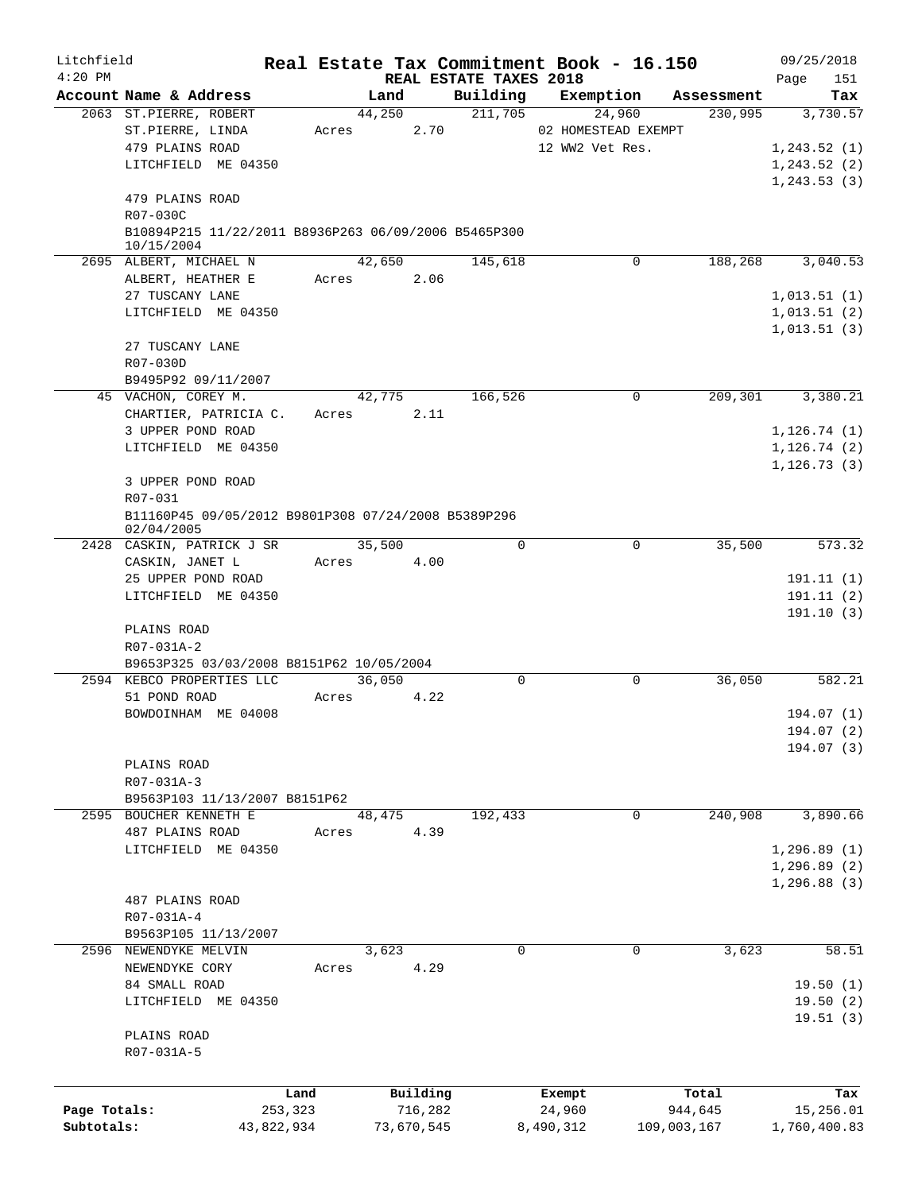| Litchfield   |                                                                    |            |       |            |         |                                    | Real Estate Tax Commitment Book - 16.150 |             | 09/25/2018         |
|--------------|--------------------------------------------------------------------|------------|-------|------------|---------|------------------------------------|------------------------------------------|-------------|--------------------|
| $4:20$ PM    | Account Name & Address                                             |            |       | Land       |         | REAL ESTATE TAXES 2018<br>Building | Exemption                                | Assessment  | Page<br>151<br>Tax |
|              | 2063 ST.PIERRE, ROBERT                                             |            |       | 44,250     |         | 211,705                            | 24,960                                   | 230,995     | 3,730.57           |
|              | ST.PIERRE, LINDA                                                   |            | Acres |            | 2.70    |                                    | 02 HOMESTEAD EXEMPT                      |             |                    |
|              | 479 PLAINS ROAD                                                    |            |       |            |         |                                    | 12 WW2 Vet Res.                          |             | 1,243.52(1)        |
|              | LITCHFIELD ME 04350                                                |            |       |            |         |                                    |                                          |             | 1, 243.52(2)       |
|              |                                                                    |            |       |            |         |                                    |                                          |             | 1, 243.53(3)       |
|              | 479 PLAINS ROAD                                                    |            |       |            |         |                                    |                                          |             |                    |
|              | R07-030C                                                           |            |       |            |         |                                    |                                          |             |                    |
|              | B10894P215 11/22/2011 B8936P263 06/09/2006 B5465P300<br>10/15/2004 |            |       |            |         |                                    |                                          |             |                    |
|              | 2695 ALBERT, MICHAEL N                                             |            |       | 42,650     |         | 145,618                            | 0                                        | 188,268     | 3,040.53           |
|              | ALBERT, HEATHER E                                                  |            | Acres |            | 2.06    |                                    |                                          |             |                    |
|              | 27 TUSCANY LANE                                                    |            |       |            |         |                                    |                                          |             | 1,013.51(1)        |
|              | LITCHFIELD ME 04350                                                |            |       |            |         |                                    |                                          |             | 1,013.51(2)        |
|              | 27 TUSCANY LANE                                                    |            |       |            |         |                                    |                                          |             | 1,013.51(3)        |
|              | R07-030D                                                           |            |       |            |         |                                    |                                          |             |                    |
|              | B9495P92 09/11/2007                                                |            |       |            |         |                                    |                                          |             |                    |
|              | 45 VACHON, COREY M.                                                |            |       | 42,775     |         | 166,526                            | $\mathbf 0$                              | 209,301     | 3,380.21           |
|              | CHARTIER, PATRICIA C.                                              |            | Acres |            | 2.11    |                                    |                                          |             |                    |
|              | 3 UPPER POND ROAD                                                  |            |       |            |         |                                    |                                          |             | 1, 126.74(1)       |
|              | LITCHFIELD ME 04350                                                |            |       |            |         |                                    |                                          |             | 1, 126.74(2)       |
|              |                                                                    |            |       |            |         |                                    |                                          |             | 1, 126.73(3)       |
|              | 3 UPPER POND ROAD                                                  |            |       |            |         |                                    |                                          |             |                    |
|              | R07-031                                                            |            |       |            |         |                                    |                                          |             |                    |
|              | B11160P45 09/05/2012 B9801P308 07/24/2008 B5389P296<br>02/04/2005  |            |       |            |         |                                    |                                          |             |                    |
|              | 2428 CASKIN, PATRICK J SR                                          |            |       | 35,500     |         | 0                                  | 0                                        | 35,500      | 573.32             |
|              | CASKIN, JANET L                                                    |            | Acres |            | 4.00    |                                    |                                          |             |                    |
|              | 25 UPPER POND ROAD                                                 |            |       |            |         |                                    |                                          |             | 191.11(1)          |
|              | LITCHFIELD ME 04350                                                |            |       |            |         |                                    |                                          |             | 191.11(2)          |
|              |                                                                    |            |       |            |         |                                    |                                          |             | 191.10(3)          |
|              | PLAINS ROAD                                                        |            |       |            |         |                                    |                                          |             |                    |
|              | R07-031A-2                                                         |            |       |            |         |                                    |                                          |             |                    |
|              | B9653P325 03/03/2008 B8151P62 10/05/2004                           |            |       |            |         |                                    |                                          |             |                    |
|              | 2594 KEBCO PROPERTIES LLC                                          |            |       | 36,050     |         | $\mathbf 0$                        | 0                                        | 36.050      | 582.21             |
|              | 51 POND ROAD                                                       |            | Acres |            | 4.22    |                                    |                                          |             |                    |
|              | BOWDOINHAM ME 04008                                                |            |       |            |         |                                    |                                          |             | 194.07(1)          |
|              |                                                                    |            |       |            |         |                                    |                                          |             | 194.07 (2)         |
|              |                                                                    |            |       |            |         |                                    |                                          |             | 194.07 (3)         |
|              | PLAINS ROAD<br>R07-031A-3                                          |            |       |            |         |                                    |                                          |             |                    |
|              | B9563P103 11/13/2007 B8151P62                                      |            |       |            |         |                                    |                                          |             |                    |
|              | 2595 BOUCHER KENNETH E                                             |            |       | 48,475     |         | 192,433                            | 0                                        | 240,908     | 3,890.66           |
|              | 487 PLAINS ROAD                                                    |            | Acres |            | 4.39    |                                    |                                          |             |                    |
|              | LITCHFIELD ME 04350                                                |            |       |            |         |                                    |                                          |             | 1, 296.89(1)       |
|              |                                                                    |            |       |            |         |                                    |                                          |             | 1, 296.89(2)       |
|              |                                                                    |            |       |            |         |                                    |                                          |             | 1,296.88(3)        |
|              | 487 PLAINS ROAD                                                    |            |       |            |         |                                    |                                          |             |                    |
|              | R07-031A-4                                                         |            |       |            |         |                                    |                                          |             |                    |
|              | B9563P105 11/13/2007                                               |            |       |            |         |                                    |                                          |             |                    |
|              | 2596 NEWENDYKE MELVIN                                              |            |       | 3,623      |         | $\mathbf 0$                        | $\mathbf 0$                              | 3,623       | 58.51              |
|              | NEWENDYKE CORY                                                     |            | Acres |            | 4.29    |                                    |                                          |             |                    |
|              | 84 SMALL ROAD                                                      |            |       |            |         |                                    |                                          |             | 19.50(1)           |
|              | LITCHFIELD ME 04350                                                |            |       |            |         |                                    |                                          |             | 19.50(2)           |
|              | PLAINS ROAD                                                        |            |       |            |         |                                    |                                          |             | 19.51(3)           |
|              | R07-031A-5                                                         |            |       |            |         |                                    |                                          |             |                    |
|              |                                                                    |            |       |            |         |                                    |                                          |             |                    |
|              |                                                                    | Land       |       | Building   |         |                                    | Exempt                                   | Total       | Tax                |
| Page Totals: |                                                                    | 253,323    |       |            | 716,282 |                                    | 24,960                                   | 944,645     | 15,256.01          |
| Subtotals:   |                                                                    | 43,822,934 |       | 73,670,545 |         |                                    | 8,490,312                                | 109,003,167 | 1,760,400.83       |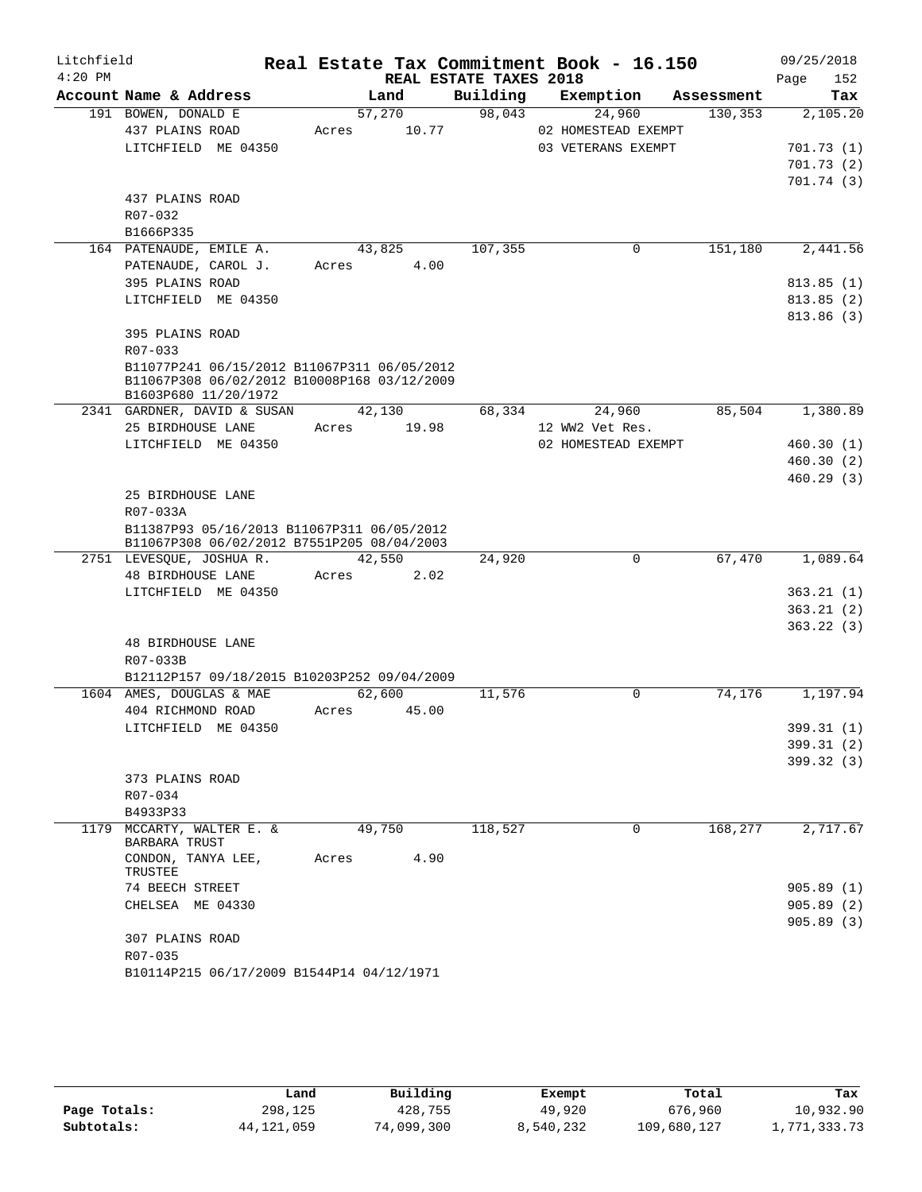| Litchfield |                                                                     |       |        |                        | Real Estate Tax Commitment Book - 16.150 |            | 09/25/2018  |
|------------|---------------------------------------------------------------------|-------|--------|------------------------|------------------------------------------|------------|-------------|
| $4:20$ PM  |                                                                     |       |        | REAL ESTATE TAXES 2018 |                                          |            | 152<br>Page |
|            | Account Name & Address                                              |       | Land   | Building               | Exemption                                | Assessment | Tax         |
|            | 191 BOWEN, DONALD E                                                 |       | 57,270 | 98,043                 | 24,960                                   | 130,353    | 2,105.20    |
|            | 437 PLAINS ROAD                                                     | Acres | 10.77  |                        | 02 HOMESTEAD EXEMPT                      |            |             |
|            | LITCHFIELD ME 04350                                                 |       |        |                        | 03 VETERANS EXEMPT                       |            | 701.73(1)   |
|            |                                                                     |       |        |                        |                                          |            | 701.73(2)   |
|            |                                                                     |       |        |                        |                                          |            | 701.74(3)   |
|            | 437 PLAINS ROAD                                                     |       |        |                        |                                          |            |             |
|            | R07-032                                                             |       |        |                        |                                          |            |             |
|            | B1666P335                                                           |       |        |                        |                                          |            |             |
|            | 164 PATENAUDE, EMILE A.                                             |       | 43,825 | 107,355                | $\mathbf 0$                              | 151,180    | 2,441.56    |
|            | PATENAUDE, CAROL J.                                                 | Acres | 4.00   |                        |                                          |            |             |
|            | 395 PLAINS ROAD                                                     |       |        |                        |                                          |            | 813.85(1)   |
|            | LITCHFIELD ME 04350                                                 |       |        |                        |                                          |            | 813.85(2)   |
|            |                                                                     |       |        |                        |                                          |            | 813.86 (3)  |
|            | 395 PLAINS ROAD                                                     |       |        |                        |                                          |            |             |
|            | R07-033                                                             |       |        |                        |                                          |            |             |
|            | B11077P241 06/15/2012 B11067P311 06/05/2012                         |       |        |                        |                                          |            |             |
|            | B11067P308 06/02/2012 B10008P168 03/12/2009<br>B1603P680 11/20/1972 |       |        |                        |                                          |            |             |
|            | 2341 GARDNER, DAVID & SUSAN                                         |       | 42,130 | 68,334                 | 24,960                                   | 85,504     | 1,380.89    |
|            | 25 BIRDHOUSE LANE                                                   | Acres | 19.98  |                        | 12 WW2 Vet Res.                          |            |             |
|            | LITCHFIELD ME 04350                                                 |       |        |                        | 02 HOMESTEAD EXEMPT                      |            | 460.30(1)   |
|            |                                                                     |       |        |                        |                                          |            | 460.30(2)   |
|            |                                                                     |       |        |                        |                                          |            | 460.29(3)   |
|            | 25 BIRDHOUSE LANE                                                   |       |        |                        |                                          |            |             |
|            | R07-033A                                                            |       |        |                        |                                          |            |             |
|            | B11387P93 05/16/2013 B11067P311 06/05/2012                          |       |        |                        |                                          |            |             |
|            | B11067P308 06/02/2012 B7551P205 08/04/2003                          |       |        |                        |                                          |            |             |
|            | 2751 LEVESQUE, JOSHUAR.                                             |       | 42,550 | 24,920                 | 0                                        | 67,470     | 1,089.64    |
|            | <b>48 BIRDHOUSE LANE</b>                                            | Acres | 2.02   |                        |                                          |            |             |
|            | LITCHFIELD ME 04350                                                 |       |        |                        |                                          |            | 363.21(1)   |
|            |                                                                     |       |        |                        |                                          |            | 363.21(2)   |
|            |                                                                     |       |        |                        |                                          |            | 363.22(3)   |
|            | 48 BIRDHOUSE LANE                                                   |       |        |                        |                                          |            |             |
|            | R07-033B                                                            |       |        |                        |                                          |            |             |
|            | B12112P157 09/18/2015 B10203P252 09/04/2009                         |       |        |                        |                                          |            |             |
|            | 1604 AMES, DOUGLAS & MAE                                            |       | 62,600 | 11,576                 | $\Omega$                                 | 74,176     | 1,197.94    |
|            | 404 RICHMOND ROAD                                                   | Acres | 45.00  |                        |                                          |            |             |
|            | LITCHFIELD ME 04350                                                 |       |        |                        |                                          |            | 399.31 (1)  |
|            |                                                                     |       |        |                        |                                          |            | 399.31 (2)  |
|            |                                                                     |       |        |                        |                                          |            | 399.32 (3)  |
|            | 373 PLAINS ROAD                                                     |       |        |                        |                                          |            |             |
|            | R07-034                                                             |       |        |                        |                                          |            |             |
|            | B4933P33                                                            |       |        |                        |                                          |            |             |
|            | 1179 MCCARTY, WALTER E. &<br><b>BARBARA TRUST</b>                   |       | 49,750 | 118,527                | $\Omega$                                 | 168,277    | 2,717.67    |
|            | CONDON, TANYA LEE,<br>TRUSTEE                                       | Acres | 4.90   |                        |                                          |            |             |
|            | 74 BEECH STREET                                                     |       |        |                        |                                          |            | 905.89(1)   |
|            | CHELSEA ME 04330                                                    |       |        |                        |                                          |            | 905.89(2)   |
|            |                                                                     |       |        |                        |                                          |            | 905.89(3)   |
|            | 307 PLAINS ROAD                                                     |       |        |                        |                                          |            |             |
|            | R07-035                                                             |       |        |                        |                                          |            |             |
|            | B10114P215 06/17/2009 B1544P14 04/12/1971                           |       |        |                        |                                          |            |             |

|              | Land         | Building   | Exempt    | Total       | Tax          |
|--------------|--------------|------------|-----------|-------------|--------------|
| Page Totals: | 298,125      | 428,755    | 49,920    | 676,960     | 10,932.90    |
| Subtotals:   | 44, 121, 059 | 74,099,300 | 8,540,232 | 109,680,127 | 1,771,333.73 |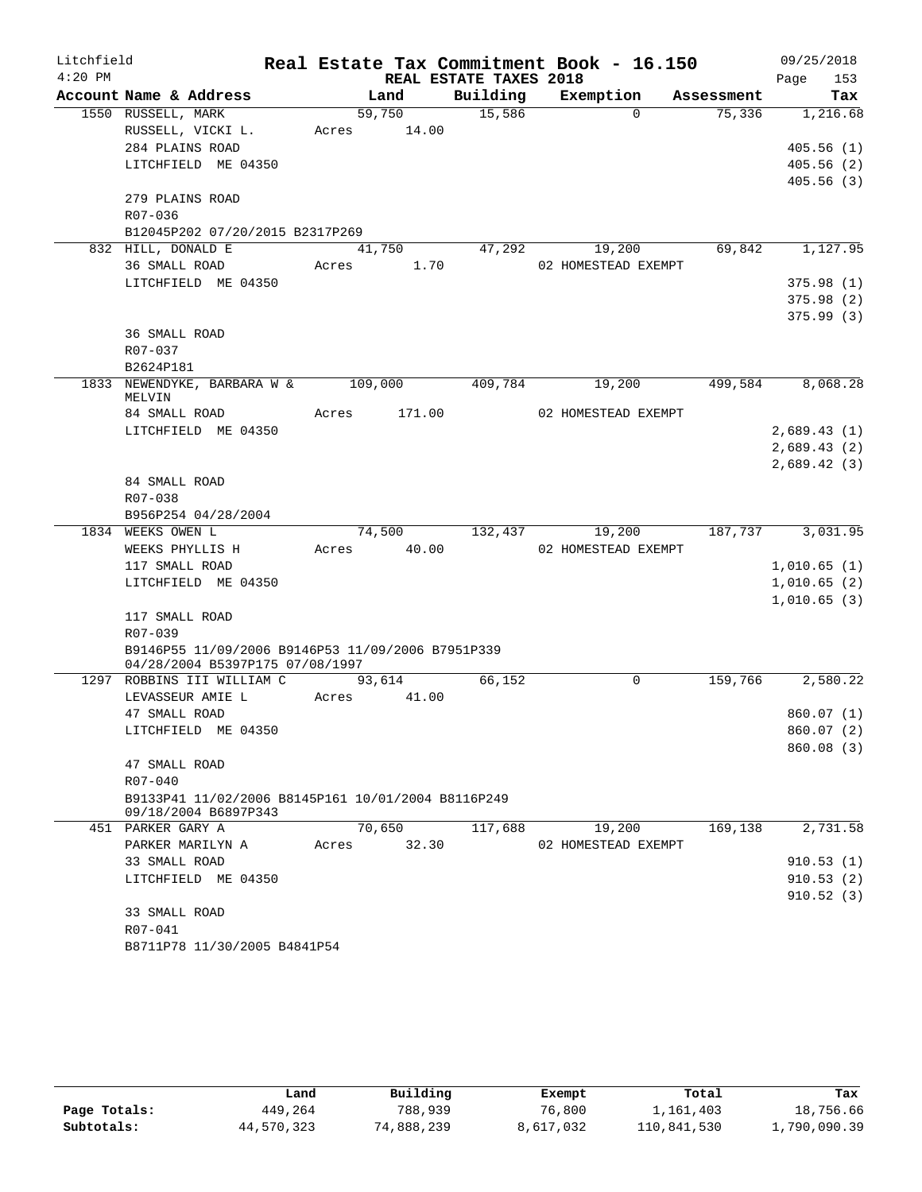| Litchfield |                                                                                      |       |             |                        | Real Estate Tax Commitment Book - 16.150 |                  | 09/25/2018                 |
|------------|--------------------------------------------------------------------------------------|-------|-------------|------------------------|------------------------------------------|------------------|----------------------------|
| $4:20$ PM  |                                                                                      |       |             | REAL ESTATE TAXES 2018 |                                          |                  | 153<br>Page                |
|            | Account Name & Address                                                               |       | Land        | Building               | Exemption                                | Assessment       | <b>Tax</b>                 |
|            | 1550 RUSSELL, MARK                                                                   |       | 59,750      | 15,586                 | $\Omega$                                 | 75,336           | 1,216.68                   |
|            | RUSSELL, VICKI L.                                                                    |       | Acres 14.00 |                        |                                          |                  |                            |
|            | 284 PLAINS ROAD                                                                      |       |             |                        |                                          |                  | 405.56(1)                  |
|            | LITCHFIELD ME 04350                                                                  |       |             |                        |                                          |                  | 405.56(2)                  |
|            |                                                                                      |       |             |                        |                                          |                  | 405.56(3)                  |
|            | 279 PLAINS ROAD<br>R07-036                                                           |       |             |                        |                                          |                  |                            |
|            | B12045P202 07/20/2015 B2317P269                                                      |       |             |                        |                                          |                  |                            |
|            | 832 HILL, DONALD E                                                                   |       | 41,750      |                        | 47,292                                   | 69,842<br>19,200 | 1,127.95                   |
|            | 36 SMALL ROAD                                                                        | Acres | 1.70        |                        | 02 HOMESTEAD EXEMPT                      |                  |                            |
|            | LITCHFIELD ME 04350                                                                  |       |             |                        |                                          |                  | 375.98(1)                  |
|            |                                                                                      |       |             |                        |                                          |                  | 375.98(2)                  |
|            |                                                                                      |       |             |                        |                                          |                  | 375.99(3)                  |
|            | 36 SMALL ROAD                                                                        |       |             |                        |                                          |                  |                            |
|            | R07-037                                                                              |       |             |                        |                                          |                  |                            |
|            | B2624P181                                                                            |       |             |                        |                                          |                  |                            |
|            | 1833 NEWENDYKE, BARBARA W & 109,000                                                  |       |             | 409,784                | 19,200                                   | 499,584          | 8,068.28                   |
|            | MELVIN                                                                               |       |             |                        |                                          |                  |                            |
|            | 84 SMALL ROAD<br>LITCHFIELD ME 04350                                                 | Acres | 171.00      |                        | 02 HOMESTEAD EXEMPT                      |                  |                            |
|            |                                                                                      |       |             |                        |                                          |                  | 2,689.43(1)<br>2,689.43(2) |
|            |                                                                                      |       |             |                        |                                          |                  | 2,689.42(3)                |
|            | 84 SMALL ROAD                                                                        |       |             |                        |                                          |                  |                            |
|            | R07-038                                                                              |       |             |                        |                                          |                  |                            |
|            | B956P254 04/28/2004                                                                  |       |             |                        |                                          |                  |                            |
|            | 1834 WEEKS OWEN L                                                                    |       |             | 74,500 132,437         | 19,200                                   |                  | 187,737 3,031.95           |
|            | WEEKS PHYLLIS H                                                                      |       | Acres 40.00 |                        | 02 HOMESTEAD EXEMPT                      |                  |                            |
|            | 117 SMALL ROAD                                                                       |       |             |                        |                                          |                  | 1,010.65(1)                |
|            | LITCHFIELD ME 04350                                                                  |       |             |                        |                                          |                  | 1,010.65(2)                |
|            |                                                                                      |       |             |                        |                                          |                  | 1,010.65(3)                |
|            | 117 SMALL ROAD                                                                       |       |             |                        |                                          |                  |                            |
|            | R07-039                                                                              |       |             |                        |                                          |                  |                            |
|            | B9146P55 11/09/2006 B9146P53 11/09/2006 B7951P339<br>04/28/2004 B5397P175 07/08/1997 |       |             |                        |                                          |                  |                            |
|            | 1297 ROBBINS III WILLIAM C                                                           |       | 93,614      | 66,152                 | $\mathbf 0$                              | 159,766          | 2,580.22                   |
|            | LEVASSEUR AMIE L                                                                     | Acres | 41.00       |                        |                                          |                  |                            |
|            | 47 SMALL ROAD                                                                        |       |             |                        |                                          |                  | 860.07(1)                  |
|            | LITCHFIELD ME 04350                                                                  |       |             |                        |                                          |                  | 860.07 (2)                 |
|            |                                                                                      |       |             |                        |                                          |                  | 860.08(3)                  |
|            | 47 SMALL ROAD                                                                        |       |             |                        |                                          |                  |                            |
|            | R07-040                                                                              |       |             |                        |                                          |                  |                            |
|            | B9133P41 11/02/2006 B8145P161 10/01/2004 B8116P249                                   |       |             |                        |                                          |                  |                            |
|            | 09/18/2004 B6897P343<br>451 PARKER GARY A                                            |       | 70,650      | 117,688                | 19,200                                   | 169,138          | 2,731.58                   |
|            | PARKER MARILYN A                                                                     | Acres | 32.30       |                        | 02 HOMESTEAD EXEMPT                      |                  |                            |
|            | 33 SMALL ROAD                                                                        |       |             |                        |                                          |                  | 910.53(1)                  |
|            | LITCHFIELD ME 04350                                                                  |       |             |                        |                                          |                  | 910.53(2)                  |
|            |                                                                                      |       |             |                        |                                          |                  | 910.52(3)                  |
|            | 33 SMALL ROAD                                                                        |       |             |                        |                                          |                  |                            |
|            | R07-041                                                                              |       |             |                        |                                          |                  |                            |
|            | B8711P78 11/30/2005 B4841P54                                                         |       |             |                        |                                          |                  |                            |

|              | Land       | Building   | Exempt    | Total       | Tax          |
|--------------|------------|------------|-----------|-------------|--------------|
| Page Totals: | 449,264    | 788,939    | 76,800    | 1,161,403   | 18,756.66    |
| Subtotals:   | 44,570,323 | 74,888,239 | 8,617,032 | 110,841,530 | 1,790,090.39 |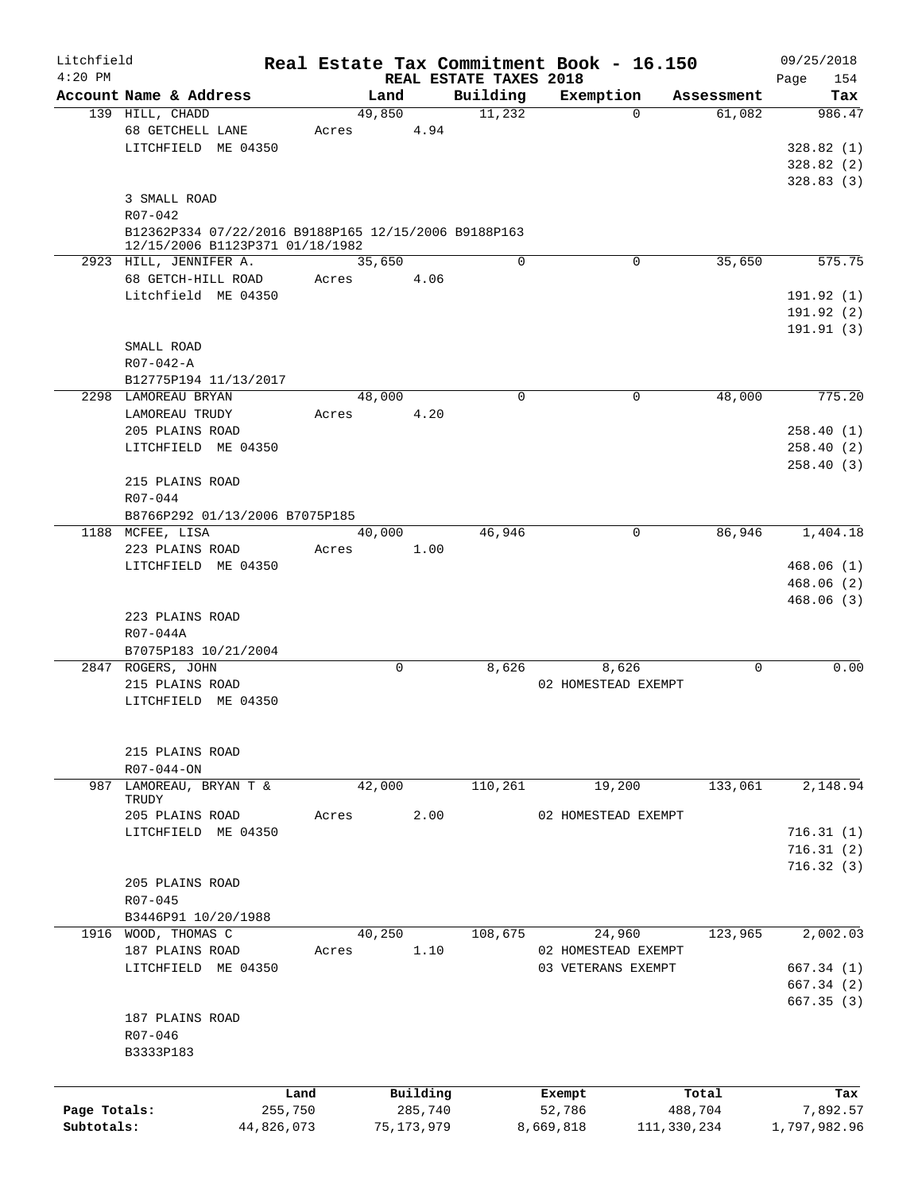| Litchfield   |                                                      |            |       |             |              |                                    | Real Estate Tax Commitment Book - 16.150 |             |             |      | 09/25/2018   |
|--------------|------------------------------------------------------|------------|-------|-------------|--------------|------------------------------------|------------------------------------------|-------------|-------------|------|--------------|
| $4:20$ PM    | Account Name & Address                               |            |       | Land        |              | REAL ESTATE TAXES 2018<br>Building | Exemption                                |             | Assessment  | Page | 154<br>Tax   |
|              | 139 HILL, CHADD                                      |            |       | 49,850      |              | 11,232                             |                                          | $\Omega$    | 61,082      |      | 986.47       |
|              | 68 GETCHELL LANE                                     |            | Acres |             | 4.94         |                                    |                                          |             |             |      |              |
|              | LITCHFIELD ME 04350                                  |            |       |             |              |                                    |                                          |             |             |      | 328.82(1)    |
|              |                                                      |            |       |             |              |                                    |                                          |             |             |      | 328.82(2)    |
|              |                                                      |            |       |             |              |                                    |                                          |             |             |      | 328.83(3)    |
|              | 3 SMALL ROAD                                         |            |       |             |              |                                    |                                          |             |             |      |              |
|              | R07-042                                              |            |       |             |              |                                    |                                          |             |             |      |              |
|              | B12362P334 07/22/2016 B9188P165 12/15/2006 B9188P163 |            |       |             |              |                                    |                                          |             |             |      |              |
|              | 12/15/2006 B1123P371 01/18/1982                      |            |       |             |              |                                    |                                          |             |             |      |              |
|              | 2923 HILL, JENNIFER A.                               |            |       | 35,650      |              | $\Omega$                           |                                          | 0           | 35,650      |      | 575.75       |
|              | 68 GETCH-HILL ROAD                                   |            | Acres |             | 4.06         |                                    |                                          |             |             |      |              |
|              | Litchfield ME 04350                                  |            |       |             |              |                                    |                                          |             |             |      | 191.92(1)    |
|              |                                                      |            |       |             |              |                                    |                                          |             |             |      | 191.92(2)    |
|              |                                                      |            |       |             |              |                                    |                                          |             |             |      | 191.91(3)    |
|              | SMALL ROAD                                           |            |       |             |              |                                    |                                          |             |             |      |              |
|              | R07-042-A                                            |            |       |             |              |                                    |                                          |             |             |      |              |
|              | B12775P194 11/13/2017                                |            |       |             |              | 0                                  |                                          | 0           | 48,000      |      | 775.20       |
|              | 2298 LAMOREAU BRYAN                                  |            |       | 48,000      |              |                                    |                                          |             |             |      |              |
|              | LAMOREAU TRUDY                                       |            | Acres |             | 4.20         |                                    |                                          |             |             |      |              |
|              | 205 PLAINS ROAD                                      |            |       |             |              |                                    |                                          |             |             |      | 258.40(1)    |
|              | LITCHFIELD ME 04350                                  |            |       |             |              |                                    |                                          |             |             |      | 258.40(2)    |
|              | 215 PLAINS ROAD                                      |            |       |             |              |                                    |                                          |             |             |      | 258.40(3)    |
|              |                                                      |            |       |             |              |                                    |                                          |             |             |      |              |
|              | R07-044                                              |            |       |             |              |                                    |                                          |             |             |      |              |
|              | B8766P292 01/13/2006 B7075P185                       |            |       |             |              |                                    |                                          | $\mathbf 0$ | 86,946      |      |              |
|              | 1188 MCFEE, LISA<br>223 PLAINS ROAD                  |            | Acres | 40,000      | 1.00         | 46,946                             |                                          |             |             |      | 1,404.18     |
|              | LITCHFIELD ME 04350                                  |            |       |             |              |                                    |                                          |             |             |      | 468.06(1)    |
|              |                                                      |            |       |             |              |                                    |                                          |             |             |      | 468.06(2)    |
|              |                                                      |            |       |             |              |                                    |                                          |             |             |      | 468.06(3)    |
|              | 223 PLAINS ROAD                                      |            |       |             |              |                                    |                                          |             |             |      |              |
|              | R07-044A                                             |            |       |             |              |                                    |                                          |             |             |      |              |
|              | B7075P183 10/21/2004                                 |            |       |             |              |                                    |                                          |             |             |      |              |
|              | 2847 ROGERS, JOHN                                    |            |       | $\mathbf 0$ |              | 8,626                              | 8,626                                    |             | $\mathbf 0$ |      | 0.00         |
|              | 215 PLAINS ROAD                                      |            |       |             |              |                                    | 02 HOMESTEAD EXEMPT                      |             |             |      |              |
|              | LITCHFIELD ME 04350                                  |            |       |             |              |                                    |                                          |             |             |      |              |
|              |                                                      |            |       |             |              |                                    |                                          |             |             |      |              |
|              |                                                      |            |       |             |              |                                    |                                          |             |             |      |              |
|              | 215 PLAINS ROAD                                      |            |       |             |              |                                    |                                          |             |             |      |              |
|              | R07-044-ON                                           |            |       |             |              |                                    |                                          |             |             |      |              |
| 987          | LAMOREAU, BRYAN T &                                  |            |       | 42,000      |              | 110,261                            | 19,200                                   |             | 133,061     |      | 2,148.94     |
|              | TRUDY                                                |            |       |             |              |                                    |                                          |             |             |      |              |
|              | 205 PLAINS ROAD                                      |            | Acres |             | 2.00         |                                    | 02 HOMESTEAD EXEMPT                      |             |             |      |              |
|              | LITCHFIELD ME 04350                                  |            |       |             |              |                                    |                                          |             |             |      | 716.31(1)    |
|              |                                                      |            |       |             |              |                                    |                                          |             |             |      | 716.31(2)    |
|              |                                                      |            |       |             |              |                                    |                                          |             |             |      | 716.32(3)    |
|              | 205 PLAINS ROAD                                      |            |       |             |              |                                    |                                          |             |             |      |              |
|              | R07-045                                              |            |       |             |              |                                    |                                          |             |             |      |              |
|              | B3446P91 10/20/1988                                  |            |       |             |              |                                    |                                          |             |             |      |              |
|              | 1916 WOOD, THOMAS C                                  |            |       | 40,250      |              | 108,675                            | 24,960                                   |             | 123,965     |      | 2,002.03     |
|              | 187 PLAINS ROAD                                      |            | Acres |             | 1.10         |                                    | 02 HOMESTEAD EXEMPT                      |             |             |      |              |
|              | LITCHFIELD ME 04350                                  |            |       |             |              |                                    | 03 VETERANS EXEMPT                       |             |             |      | 667.34(1)    |
|              |                                                      |            |       |             |              |                                    |                                          |             |             |      | 667.34(2)    |
|              |                                                      |            |       |             |              |                                    |                                          |             |             |      | 667.35(3)    |
|              | 187 PLAINS ROAD                                      |            |       |             |              |                                    |                                          |             |             |      |              |
|              | R07-046                                              |            |       |             |              |                                    |                                          |             |             |      |              |
|              | B3333P183                                            |            |       |             |              |                                    |                                          |             |             |      |              |
|              |                                                      |            |       |             |              |                                    |                                          |             |             |      |              |
|              |                                                      | Land       |       |             | Building     |                                    | Exempt                                   |             | Total       |      | Tax          |
| Page Totals: |                                                      | 255,750    |       |             | 285,740      |                                    | 52,786                                   |             | 488,704     |      | 7,892.57     |
| Subtotals:   |                                                      | 44,826,073 |       |             | 75, 173, 979 |                                    | 8,669,818                                | 111,330,234 |             |      | 1,797,982.96 |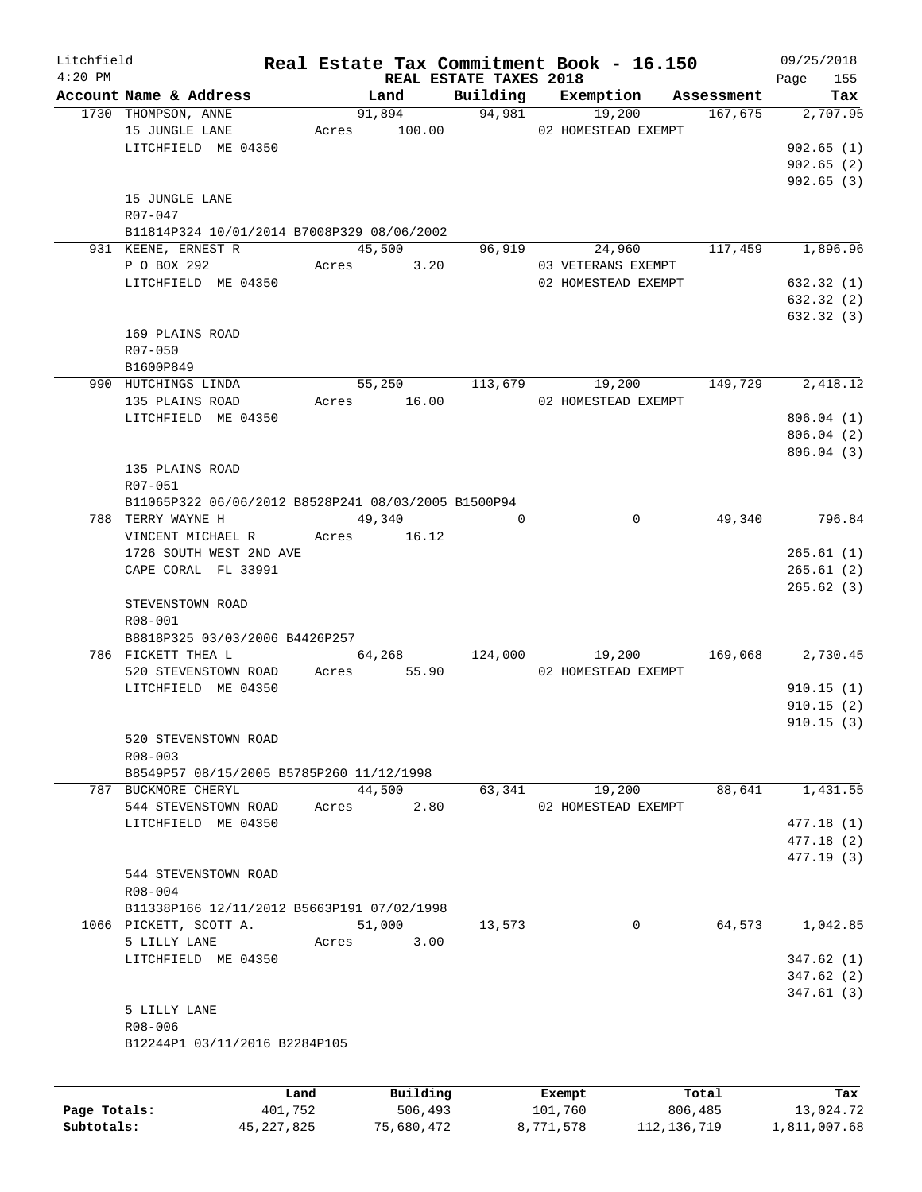| Litchfield   |                                                     |       |                               |                    | Real Estate Tax Commitment Book - 16.150   |                       | 09/25/2018      |
|--------------|-----------------------------------------------------|-------|-------------------------------|--------------------|--------------------------------------------|-----------------------|-----------------|
| $4:20$ PM    |                                                     |       | <b>REAL ESTATE TAXES 2018</b> |                    |                                            |                       | 155<br>Page     |
|              | Account Name & Address<br>1730 THOMPSON, ANNE       |       | Land                          | Building<br>94,981 | Exemption                                  | Assessment<br>167,675 | Tax<br>2,707.95 |
|              | 15 JUNGLE LANE                                      |       | 91,894                        |                    | 19,200<br>Acres 100.00 02 HOMESTEAD EXEMPT |                       |                 |
|              | LITCHFIELD ME 04350                                 |       |                               |                    |                                            |                       | 902.65(1)       |
|              |                                                     |       |                               |                    |                                            |                       | 902.65(2)       |
|              |                                                     |       |                               |                    |                                            |                       | 902.65(3)       |
|              | 15 JUNGLE LANE                                      |       |                               |                    |                                            |                       |                 |
|              | $R07 - 047$                                         |       |                               |                    |                                            |                       |                 |
|              | B11814P324 10/01/2014 B7008P329 08/06/2002          |       |                               |                    |                                            |                       |                 |
|              | 931 KEENE, ERNEST R                                 |       | 45,500                        | 96,919             | 24,960                                     | 117,459               | 1,896.96        |
|              | P O BOX 292                                         |       | Acres 3.20                    |                    | 03 VETERANS EXEMPT                         |                       |                 |
|              | LITCHFIELD ME 04350                                 |       |                               |                    | 02 HOMESTEAD EXEMPT                        |                       | 632.32 (1)      |
|              |                                                     |       |                               |                    |                                            |                       | 632.32(2)       |
|              |                                                     |       |                               |                    |                                            |                       | 632.32(3)       |
|              | 169 PLAINS ROAD                                     |       |                               |                    |                                            |                       |                 |
|              | $R07 - 050$                                         |       |                               |                    |                                            |                       |                 |
|              | B1600P849                                           |       |                               |                    |                                            |                       |                 |
|              | 990 HUTCHINGS LINDA                                 |       | 55,250                        | 113,679            | 19,200                                     | 149,729               | 2,418.12        |
|              | 135 PLAINS ROAD                                     |       | Acres 16.00                   |                    | 02 HOMESTEAD EXEMPT                        |                       |                 |
|              | LITCHFIELD ME 04350                                 |       |                               |                    |                                            |                       | 806.04(1)       |
|              |                                                     |       |                               |                    |                                            |                       | 806.04(2)       |
|              |                                                     |       |                               |                    |                                            |                       | 806.04(3)       |
|              | 135 PLAINS ROAD                                     |       |                               |                    |                                            |                       |                 |
|              | R07-051                                             |       |                               |                    |                                            |                       |                 |
|              | B11065P322 06/06/2012 B8528P241 08/03/2005 B1500P94 |       |                               |                    |                                            |                       |                 |
|              | 788 TERRY WAYNE H                                   |       | 49,340                        | $\Omega$           | $\mathbf 0$                                | 49,340                | 796.84          |
|              | VINCENT MICHAEL R                                   |       | Acres 16.12                   |                    |                                            |                       |                 |
|              | 1726 SOUTH WEST 2ND AVE                             |       |                               |                    |                                            |                       | 265.61(1)       |
|              | CAPE CORAL FL 33991                                 |       |                               |                    |                                            |                       | 265.61(2)       |
|              |                                                     |       |                               |                    |                                            |                       | 265.62(3)       |
|              | STEVENSTOWN ROAD                                    |       |                               |                    |                                            |                       |                 |
|              | R08-001                                             |       |                               |                    |                                            |                       |                 |
|              | B8818P325 03/03/2006 B4426P257                      |       |                               |                    |                                            |                       |                 |
|              | 786 FICKETT THEA L                                  |       | 64,268                        | 124,000            | 19,200                                     | 169,068               | 2,730.45        |
|              | 520 STEVENSTOWN ROAD                                |       | Acres 55.90                   |                    | 02 HOMESTEAD EXEMPT                        |                       |                 |
|              | LITCHFIELD ME 04350                                 |       |                               |                    |                                            |                       | 910.15(1)       |
|              |                                                     |       |                               |                    |                                            |                       | 910.15(2)       |
|              |                                                     |       |                               |                    |                                            |                       | 910.15(3)       |
|              | 520 STEVENSTOWN ROAD                                |       |                               |                    |                                            |                       |                 |
|              | R08-003                                             |       |                               |                    |                                            |                       |                 |
|              | B8549P57 08/15/2005 B5785P260 11/12/1998            |       |                               |                    |                                            |                       |                 |
|              | 787 BUCKMORE CHERYL                                 |       | 44,500                        | 63,341             | 19,200                                     | 88,641                | 1,431.55        |
|              | 544 STEVENSTOWN ROAD                                | Acres | 2.80                          |                    | 02 HOMESTEAD EXEMPT                        |                       |                 |
|              | LITCHFIELD ME 04350                                 |       |                               |                    |                                            |                       | 477.18(1)       |
|              |                                                     |       |                               |                    |                                            |                       | 477.18 (2)      |
|              |                                                     |       |                               |                    |                                            |                       | 477.19 (3)      |
|              | 544 STEVENSTOWN ROAD                                |       |                               |                    |                                            |                       |                 |
|              | R08-004                                             |       |                               |                    |                                            |                       |                 |
|              | B11338P166 12/11/2012 B5663P191 07/02/1998          |       |                               |                    |                                            |                       |                 |
|              | 1066 PICKETT, SCOTT A.                              |       | 51,000                        | 13,573             | 0                                          | 64,573                | 1,042.85        |
|              | 5 LILLY LANE                                        | Acres | 3.00                          |                    |                                            |                       |                 |
|              | LITCHFIELD ME 04350                                 |       |                               |                    |                                            |                       | 347.62(1)       |
|              |                                                     |       |                               |                    |                                            |                       | 347.62(2)       |
|              |                                                     |       |                               |                    |                                            |                       | 347.61(3)       |
|              | 5 LILLY LANE                                        |       |                               |                    |                                            |                       |                 |
|              | R08-006                                             |       |                               |                    |                                            |                       |                 |
|              | B12244P1 03/11/2016 B2284P105                       |       |                               |                    |                                            |                       |                 |
|              |                                                     |       |                               |                    |                                            |                       |                 |
|              |                                                     |       |                               |                    |                                            |                       |                 |
|              | Land                                                |       | Building                      |                    | Exempt                                     | Total                 | Tax             |
| Page Totals: | 401,752                                             |       | 506,493                       |                    | 101,760                                    | 806,485               | 13,024.72       |

**Subtotals:** 45,227,825 75,680,472 8,771,578 112,136,719 1,811,007.68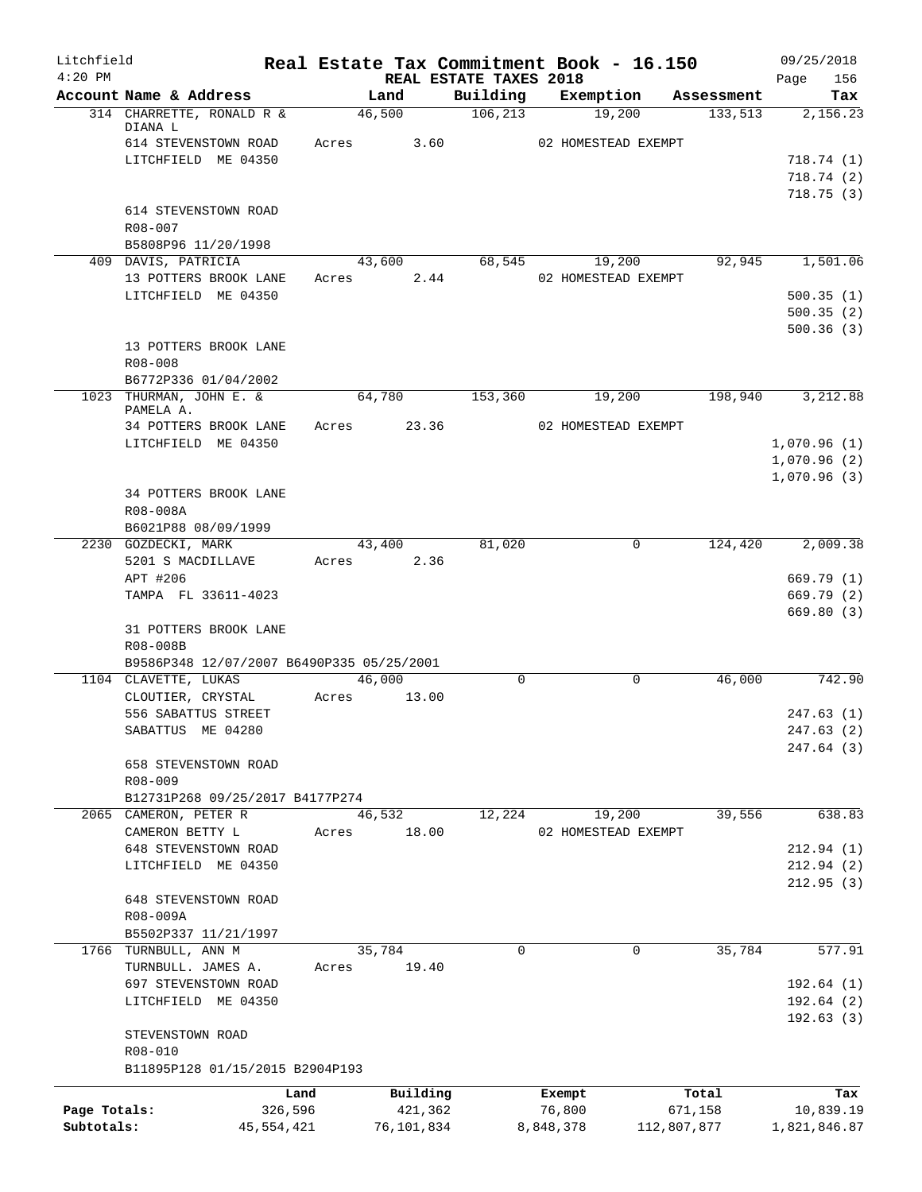| Litchfield<br>$4:20$ PM |                                                 |            |       | Real Estate Tax Commitment Book - 16.150<br>REAL ESTATE TAXES 2018 |          |           |                               |             | 09/25/2018<br>156<br>Page |
|-------------------------|-------------------------------------------------|------------|-------|--------------------------------------------------------------------|----------|-----------|-------------------------------|-------------|---------------------------|
|                         | Account Name & Address                          |            |       | Land                                                               | Building |           | Exemption                     | Assessment  | Tax                       |
|                         | 314 CHARRETTE, RONALD R &                       |            |       | 46,500                                                             | 106, 213 |           | 19,200                        | 133,513     | 2,156.23                  |
|                         | DIANA L<br>614 STEVENSTOWN ROAD                 |            | Acres | 3.60                                                               |          |           | 02 HOMESTEAD EXEMPT           |             |                           |
|                         | LITCHFIELD ME 04350                             |            |       |                                                                    |          |           |                               |             | 718.74(1)                 |
|                         |                                                 |            |       |                                                                    |          |           |                               |             | 718.74 (2)                |
|                         |                                                 |            |       |                                                                    |          |           |                               |             | 718.75(3)                 |
|                         | 614 STEVENSTOWN ROAD                            |            |       |                                                                    |          |           |                               |             |                           |
|                         | R08-007                                         |            |       |                                                                    |          |           |                               |             |                           |
|                         | B5808P96 11/20/1998                             |            |       |                                                                    |          |           |                               |             | 1,501.06                  |
|                         | 409 DAVIS, PATRICIA<br>13 POTTERS BROOK LANE    |            | Acres | 43,600<br>2.44                                                     | 68,545   |           | 19,200<br>02 HOMESTEAD EXEMPT | 92,945      |                           |
|                         | LITCHFIELD ME 04350                             |            |       |                                                                    |          |           |                               |             | 500.35(1)                 |
|                         |                                                 |            |       |                                                                    |          |           |                               |             | 500.35(2)                 |
|                         |                                                 |            |       |                                                                    |          |           |                               |             | 500.36(3)                 |
|                         | 13 POTTERS BROOK LANE                           |            |       |                                                                    |          |           |                               |             |                           |
|                         | R08-008                                         |            |       |                                                                    |          |           |                               |             |                           |
|                         | B6772P336 01/04/2002<br>1023 THURMAN, JOHN E. & |            |       |                                                                    |          |           |                               |             |                           |
|                         | PAMELA A.                                       |            |       | 64,780                                                             | 153,360  |           | 19,200                        | 198,940     | 3,212.88                  |
|                         | 34 POTTERS BROOK LANE                           |            | Acres | 23.36                                                              |          |           | 02 HOMESTEAD EXEMPT           |             |                           |
|                         | LITCHFIELD ME 04350                             |            |       |                                                                    |          |           |                               |             | 1,070.96(1)               |
|                         |                                                 |            |       |                                                                    |          |           |                               |             | 1,070.96(2)               |
|                         |                                                 |            |       |                                                                    |          |           |                               |             | 1,070.96(3)               |
|                         | 34 POTTERS BROOK LANE<br>R08-008A               |            |       |                                                                    |          |           |                               |             |                           |
|                         | B6021P88 08/09/1999                             |            |       |                                                                    |          |           |                               |             |                           |
|                         | 2230 GOZDECKI, MARK                             |            |       | 43,400                                                             | 81,020   |           | 0                             | 124,420     | 2,009.38                  |
|                         | 5201 S MACDILLAVE                               |            | Acres | 2.36                                                               |          |           |                               |             |                           |
|                         | APT #206                                        |            |       |                                                                    |          |           |                               |             | 669.79(1)                 |
|                         | TAMPA FL 33611-4023                             |            |       |                                                                    |          |           |                               |             | 669.79(2)                 |
|                         |                                                 |            |       |                                                                    |          |           |                               |             | 669.80(3)                 |
|                         | 31 POTTERS BROOK LANE<br>R08-008B               |            |       |                                                                    |          |           |                               |             |                           |
|                         | B9586P348 12/07/2007 B6490P335 05/25/2001       |            |       |                                                                    |          |           |                               |             |                           |
|                         | 1104 CLAVETTE, LUKAS                            |            |       | 46,000                                                             | $\Omega$ |           | 0                             | 46,000      | 742.90                    |
|                         | CLOUTIER, CRYSTAL                               |            | Acres | 13.00                                                              |          |           |                               |             |                           |
|                         | 556 SABATTUS STREET                             |            |       |                                                                    |          |           |                               |             | 247.63(1)                 |
|                         | SABATTUS ME 04280                               |            |       |                                                                    |          |           |                               |             | 247.63 (2)                |
|                         |                                                 |            |       |                                                                    |          |           |                               |             | 247.64 (3)                |
|                         | 658 STEVENSTOWN ROAD<br>R08-009                 |            |       |                                                                    |          |           |                               |             |                           |
|                         | B12731P268 09/25/2017 B4177P274                 |            |       |                                                                    |          |           |                               |             |                           |
|                         | 2065 CAMERON, PETER R                           |            |       | 46,532                                                             | 12,224   |           | 19,200                        | 39,556      | 638.83                    |
|                         | CAMERON BETTY L                                 |            | Acres | 18.00                                                              |          |           | 02 HOMESTEAD EXEMPT           |             |                           |
|                         | 648 STEVENSTOWN ROAD                            |            |       |                                                                    |          |           |                               |             | 212.94(1)                 |
|                         | LITCHFIELD ME 04350                             |            |       |                                                                    |          |           |                               |             | 212.94(2)                 |
|                         | 648 STEVENSTOWN ROAD                            |            |       |                                                                    |          |           |                               |             | 212.95(3)                 |
|                         | R08-009A                                        |            |       |                                                                    |          |           |                               |             |                           |
|                         | B5502P337 11/21/1997                            |            |       |                                                                    |          |           |                               |             |                           |
|                         | 1766 TURNBULL, ANN M                            |            |       | 35,784                                                             | 0        |           | 0                             | 35,784      | 577.91                    |
|                         | TURNBULL. JAMES A.                              |            | Acres | 19.40                                                              |          |           |                               |             |                           |
|                         | 697 STEVENSTOWN ROAD                            |            |       |                                                                    |          |           |                               |             | 192.64(1)                 |
|                         | LITCHFIELD ME 04350                             |            |       |                                                                    |          |           |                               |             | 192.64(2)                 |
|                         | STEVENSTOWN ROAD                                |            |       |                                                                    |          |           |                               |             | 192.63(3)                 |
|                         | R08-010                                         |            |       |                                                                    |          |           |                               |             |                           |
|                         | B11895P128 01/15/2015 B2904P193                 |            |       |                                                                    |          |           |                               |             |                           |
|                         |                                                 | Land       |       | Building                                                           |          | Exempt    |                               | Total       | Tax                       |
| Page Totals:            |                                                 | 326,596    |       | 421,362                                                            |          | 76,800    |                               | 671,158     | 10,839.19                 |
| Subtotals:              |                                                 | 45,554,421 |       | 76,101,834                                                         |          | 8,848,378 |                               | 112,807,877 | 1,821,846.87              |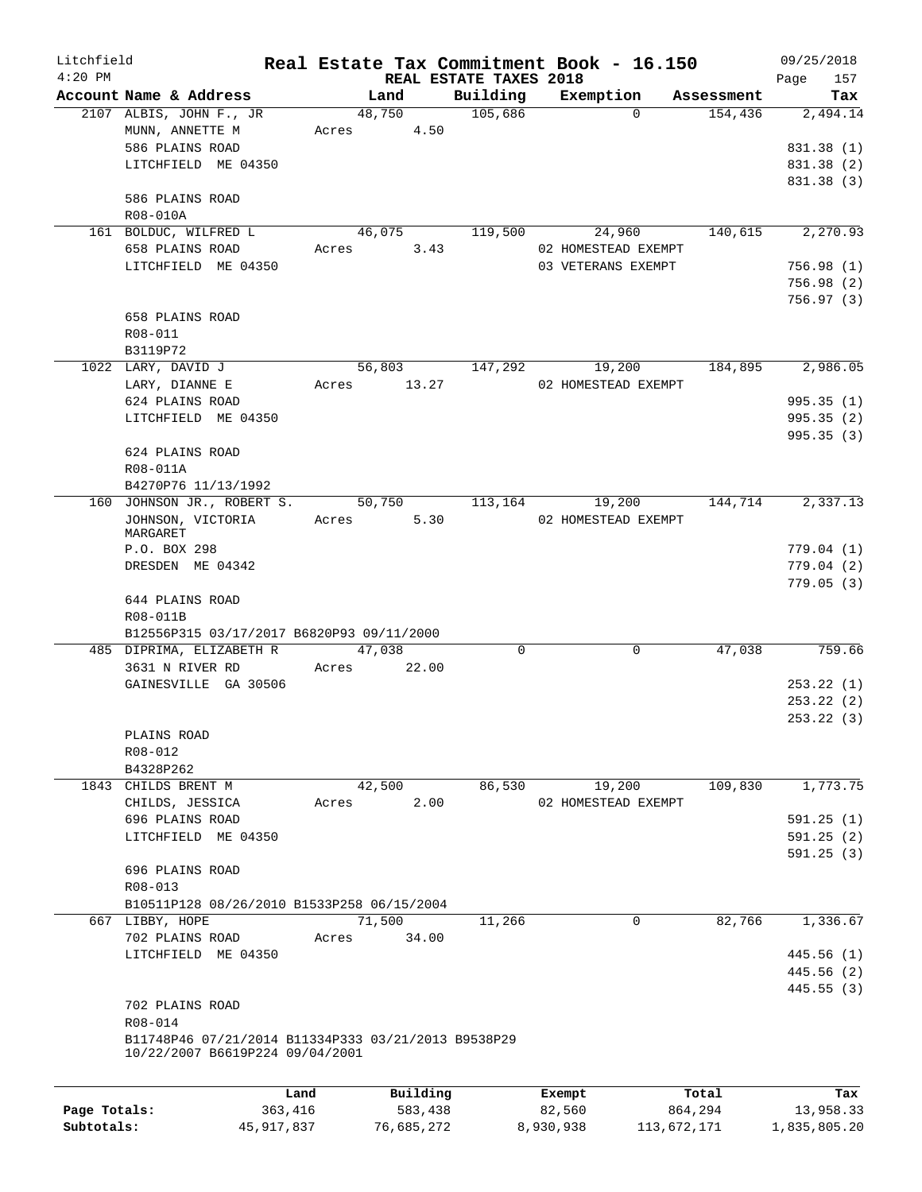| Litchfield<br>$4:20$ PM |                                                     |                |                                    | Real Estate Tax Commitment Book - 16.150 |            | 09/25/2018             |
|-------------------------|-----------------------------------------------------|----------------|------------------------------------|------------------------------------------|------------|------------------------|
|                         | Account Name & Address                              | Land           | REAL ESTATE TAXES 2018<br>Building | Exemption                                | Assessment | 157<br>Page<br>Tax     |
|                         | 2107 ALBIS, JOHN F., JR                             | 48,750         | 105,686                            | $\Omega$                                 | 154,436    | 2,494.14               |
|                         | MUNN, ANNETTE M                                     | 4.50<br>Acres  |                                    |                                          |            |                        |
|                         | 586 PLAINS ROAD                                     |                |                                    |                                          |            | 831.38 (1)             |
|                         | LITCHFIELD ME 04350                                 |                |                                    |                                          |            | 831.38 (2)             |
|                         |                                                     |                |                                    |                                          |            | 831.38 (3)             |
|                         | 586 PLAINS ROAD                                     |                |                                    |                                          |            |                        |
|                         | R08-010A                                            |                |                                    |                                          |            |                        |
|                         | 161 BOLDUC, WILFRED L                               | 46,075         | 119,500                            | 24,960                                   | 140,615    | 2,270.93               |
|                         | 658 PLAINS ROAD                                     | 3.43<br>Acres  |                                    | 02 HOMESTEAD EXEMPT                      |            |                        |
|                         | LITCHFIELD ME 04350                                 |                |                                    | 03 VETERANS EXEMPT                       |            | 756.98(1)              |
|                         |                                                     |                |                                    |                                          |            | 756.98 (2)             |
|                         |                                                     |                |                                    |                                          |            | 756.97 (3)             |
|                         | 658 PLAINS ROAD                                     |                |                                    |                                          |            |                        |
|                         | R08-011                                             |                |                                    |                                          |            |                        |
|                         | B3119P72                                            |                |                                    |                                          |            |                        |
|                         | 1022 LARY, DAVID J                                  | 56,803         | 147,292                            | 19,200                                   | 184,895    | 2,986.05               |
|                         | LARY, DIANNE E                                      | 13.27<br>Acres |                                    | 02 HOMESTEAD EXEMPT                      |            |                        |
|                         | 624 PLAINS ROAD                                     |                |                                    |                                          |            | 995.35(1)              |
|                         | LITCHFIELD ME 04350                                 |                |                                    |                                          |            | 995.35(2)              |
|                         |                                                     |                |                                    |                                          |            | 995.35(3)              |
|                         | 624 PLAINS ROAD                                     |                |                                    |                                          |            |                        |
|                         | R08-011A                                            |                |                                    |                                          |            |                        |
|                         | B4270P76 11/13/1992<br>160 JOHNSON JR., ROBERT S.   | 50,750         | 113,164                            | 19,200                                   | 144,714    | 2,337.13               |
|                         | JOHNSON, VICTORIA                                   | 5.30<br>Acres  |                                    | 02 HOMESTEAD EXEMPT                      |            |                        |
|                         | MARGARET                                            |                |                                    |                                          |            |                        |
|                         | P.O. BOX 298                                        |                |                                    |                                          |            | 779.04(1)              |
|                         | DRESDEN ME 04342                                    |                |                                    |                                          |            | 779.04(2)              |
|                         |                                                     |                |                                    |                                          |            | 779.05(3)              |
|                         | 644 PLAINS ROAD                                     |                |                                    |                                          |            |                        |
|                         | R08-011B                                            |                |                                    |                                          |            |                        |
|                         | B12556P315 03/17/2017 B6820P93 09/11/2000           |                |                                    |                                          |            |                        |
|                         | 485 DIPRIMA, ELIZABETH R                            | 47,038         | 0                                  | 0                                        | 47,038     | 759.66                 |
|                         | 3631 N RIVER RD                                     | 22.00<br>Acres |                                    |                                          |            |                        |
|                         | GAINESVILLE GA 30506                                |                |                                    |                                          |            | 253.22(1)              |
|                         |                                                     |                |                                    |                                          |            | 253.22(2)              |
|                         |                                                     |                |                                    |                                          |            | 253.22 (3)             |
|                         | PLAINS ROAD                                         |                |                                    |                                          |            |                        |
|                         | R08-012                                             |                |                                    |                                          |            |                        |
|                         | B4328P262                                           |                |                                    |                                          |            |                        |
|                         | 1843 CHILDS BRENT M                                 | 42,500         | 86,530                             | 19,200                                   | 109,830    | 1,773.75               |
|                         | CHILDS, JESSICA<br>696 PLAINS ROAD                  | 2.00<br>Acres  |                                    | 02 HOMESTEAD EXEMPT                      |            |                        |
|                         | LITCHFIELD ME 04350                                 |                |                                    |                                          |            | 591.25(1)<br>591.25(2) |
|                         |                                                     |                |                                    |                                          |            | 591.25(3)              |
|                         | 696 PLAINS ROAD                                     |                |                                    |                                          |            |                        |
|                         | R08-013                                             |                |                                    |                                          |            |                        |
|                         | B10511P128 08/26/2010 B1533P258 06/15/2004          |                |                                    |                                          |            |                        |
|                         | 667 LIBBY, HOPE                                     | 71,500         | 11,266                             | $\mathbf 0$                              | 82,766     | 1,336.67               |
|                         | 702 PLAINS ROAD                                     | 34.00<br>Acres |                                    |                                          |            |                        |
|                         | LITCHFIELD ME 04350                                 |                |                                    |                                          |            | 445.56 (1)             |
|                         |                                                     |                |                                    |                                          |            | 445.56 (2)             |
|                         |                                                     |                |                                    |                                          |            | 445.55(3)              |
|                         | 702 PLAINS ROAD                                     |                |                                    |                                          |            |                        |
|                         | R08-014                                             |                |                                    |                                          |            |                        |
|                         | B11748P46 07/21/2014 B11334P333 03/21/2013 B9538P29 |                |                                    |                                          |            |                        |
|                         | 10/22/2007 B6619P224 09/04/2001                     |                |                                    |                                          |            |                        |
|                         |                                                     |                |                                    |                                          |            |                        |
|                         | Land                                                | Building       |                                    | Exempt                                   | Total      | Tax                    |
| Page Totals:            | 363,416                                             | 583,438        |                                    | 82,560                                   | 864,294    | 13,958.33              |

**Subtotals:** 45,917,837 76,685,272 8,930,938 113,672,171 1,835,805.20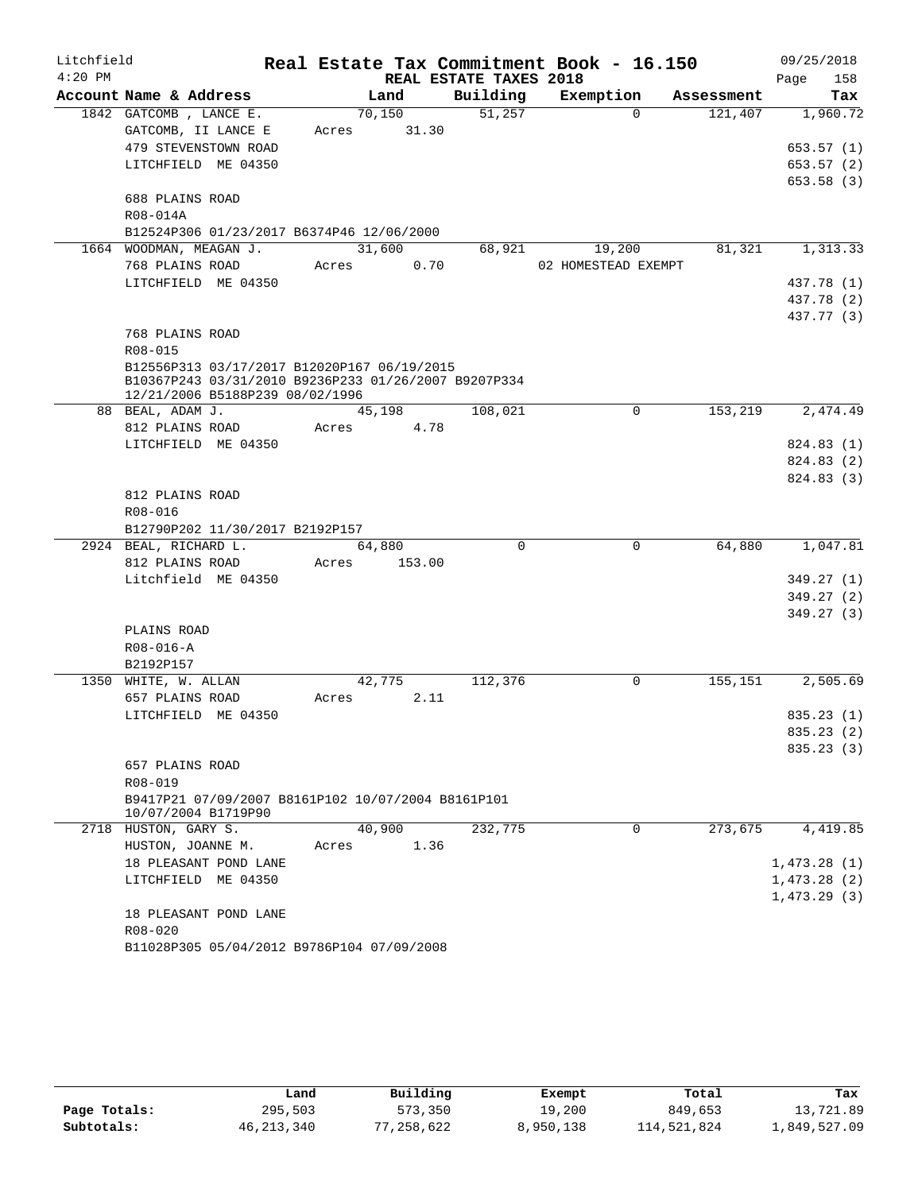| Litchfield |                                                          |       |         |                        | Real Estate Tax Commitment Book - 16.150 |            | 09/25/2018               |
|------------|----------------------------------------------------------|-------|---------|------------------------|------------------------------------------|------------|--------------------------|
| $4:20$ PM  |                                                          |       |         | REAL ESTATE TAXES 2018 |                                          |            | Page<br>158              |
|            | Account Name & Address                                   |       | Land    | Building               | Exemption                                | Assessment | Tax                      |
|            | 1842 GATCOMB, LANCE E.                                   |       | 70,150  | 51,257                 | $\Omega$                                 | 121,407    | 1,960.72                 |
|            | GATCOMB, II LANCE E                                      | Acres | 31.30   |                        |                                          |            |                          |
|            | 479 STEVENSTOWN ROAD                                     |       |         |                        |                                          |            | 653.57 (1)               |
|            | LITCHFIELD ME 04350                                      |       |         |                        |                                          |            | 653.57 (2)               |
|            |                                                          |       |         |                        |                                          |            | 653.58 (3)               |
|            | 688 PLAINS ROAD                                          |       |         |                        |                                          |            |                          |
|            | R08-014A                                                 |       |         |                        |                                          |            |                          |
|            | B12524P306 01/23/2017 B6374P46 12/06/2000                |       |         |                        |                                          |            |                          |
|            | 1664 WOODMAN, MEAGAN J.                                  |       | 31,600  | 68,921                 | 19,200                                   | 81,321     | 1,313.33                 |
|            | 768 PLAINS ROAD                                          | Acres | 0.70    |                        | 02 HOMESTEAD EXEMPT                      |            |                          |
|            | LITCHFIELD ME 04350                                      |       |         |                        |                                          |            | 437.78 (1)<br>437.78 (2) |
|            |                                                          |       |         |                        |                                          |            | 437.77 (3)               |
|            | 768 PLAINS ROAD                                          |       |         |                        |                                          |            |                          |
|            | R08-015                                                  |       |         |                        |                                          |            |                          |
|            | B12556P313 03/17/2017 B12020P167 06/19/2015              |       |         |                        |                                          |            |                          |
|            | B10367P243 03/31/2010 B9236P233 01/26/2007 B9207P334     |       |         |                        |                                          |            |                          |
|            | 12/21/2006 B5188P239 08/02/1996                          |       |         |                        |                                          |            |                          |
|            | 88 BEAL, ADAM J.                                         |       | 45,198  | 108,021                | 0                                        | 153,219    | 2,474.49                 |
|            | 812 PLAINS ROAD                                          | Acres | 4.78    |                        |                                          |            |                          |
|            | LITCHFIELD ME 04350                                      |       |         |                        |                                          |            | 824.83 (1)               |
|            |                                                          |       |         |                        |                                          |            | 824.83 (2)               |
|            |                                                          |       |         |                        |                                          |            | 824.83 (3)               |
|            | 812 PLAINS ROAD                                          |       |         |                        |                                          |            |                          |
|            | R08-016                                                  |       |         |                        |                                          |            |                          |
|            | B12790P202 11/30/2017 B2192P157<br>2924 BEAL, RICHARD L. |       |         | $\Omega$               | $\mathbf 0$                              | 64,880     | 1,047.81                 |
|            | 812 PLAINS ROAD                                          |       | 64,880  |                        |                                          |            |                          |
|            | Litchfield ME 04350                                      | Acres | 153.00  |                        |                                          |            | 349.27 (1)               |
|            |                                                          |       |         |                        |                                          |            | 349.27 (2)               |
|            |                                                          |       |         |                        |                                          |            | 349.27 (3)               |
|            | PLAINS ROAD                                              |       |         |                        |                                          |            |                          |
|            | $R08 - 016 - A$                                          |       |         |                        |                                          |            |                          |
|            | B2192P157                                                |       |         |                        |                                          |            |                          |
|            | 1350 WHITE, W. ALLAN                                     |       | 42, 775 | 112,376                | 0                                        | 155,151    | 2,505.69                 |
|            | 657 PLAINS ROAD                                          | Acres | 2.11    |                        |                                          |            |                          |
|            | LITCHFIELD ME 04350                                      |       |         |                        |                                          |            | 835.23(1)                |
|            |                                                          |       |         |                        |                                          |            | 835.23 (2)               |
|            |                                                          |       |         |                        |                                          |            | 835.23(3)                |
|            | 657 PLAINS ROAD                                          |       |         |                        |                                          |            |                          |
|            | R08-019                                                  |       |         |                        |                                          |            |                          |
|            | B9417P21 07/09/2007 B8161P102 10/07/2004 B8161P101       |       |         |                        |                                          |            |                          |
|            | 10/07/2004 B1719P90                                      |       |         |                        |                                          |            |                          |
|            | 2718 HUSTON, GARY S.                                     |       | 40,900  | 232,775                | $\mathbf 0$                              | 273,675    | 4,419.85                 |
|            | HUSTON, JOANNE M.                                        | Acres | 1.36    |                        |                                          |            |                          |
|            | 18 PLEASANT POND LANE                                    |       |         |                        |                                          |            | 1,473.28(1)              |
|            | LITCHFIELD ME 04350                                      |       |         |                        |                                          |            | 1,473.28(2)              |
|            | 18 PLEASANT POND LANE                                    |       |         |                        |                                          |            | 1,473.29(3)              |
|            | R08-020                                                  |       |         |                        |                                          |            |                          |
|            | B11028P305 05/04/2012 B9786P104 07/09/2008               |       |         |                        |                                          |            |                          |
|            |                                                          |       |         |                        |                                          |            |                          |

|              | Land         | Building   | Exempt    | Total       | Tax          |
|--------------|--------------|------------|-----------|-------------|--------------|
| Page Totals: | 295,503      | 573,350    | 19,200    | 849,653     | 13,721.89    |
| Subtotals:   | 46, 213, 340 | 77,258,622 | 8,950,138 | 114,521,824 | 1,849,527.09 |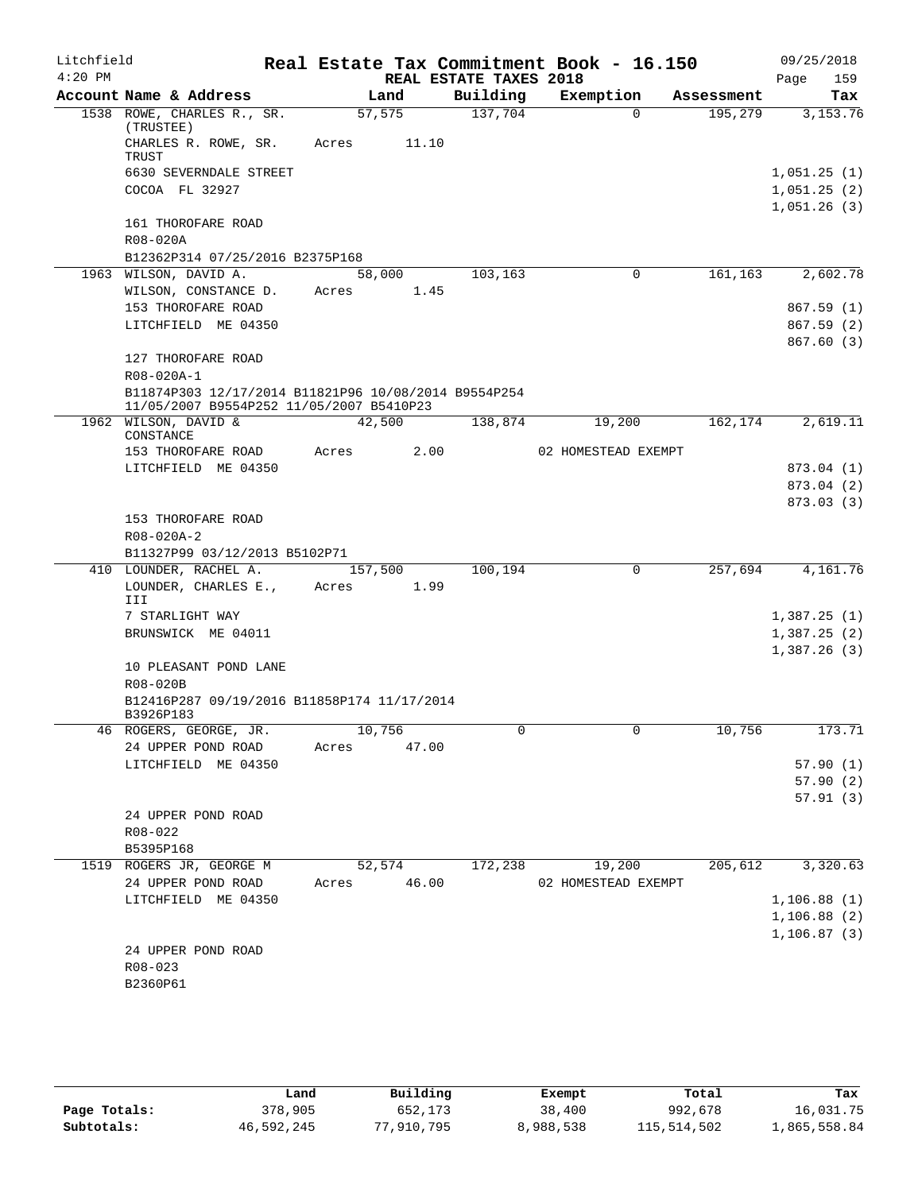| Litchfield<br>$4:20$ PM |                                                                                                  | Real Estate Tax Commitment Book - 16.150 | REAL ESTATE TAXES 2018 |                     |            | 09/25/2018<br>159<br>Page  |
|-------------------------|--------------------------------------------------------------------------------------------------|------------------------------------------|------------------------|---------------------|------------|----------------------------|
|                         | Account Name & Address                                                                           | Land                                     | Building               | Exemption           | Assessment | Tax                        |
|                         | 1538 ROWE, CHARLES R., SR.                                                                       | 57,575                                   | 137,704                | $\Omega$            | 195,279    | 3, 153. 76                 |
|                         | (TRUSTEE)<br>CHARLES R. ROWE, SR.<br>TRUST                                                       | Acres<br>11.10                           |                        |                     |            |                            |
|                         | 6630 SEVERNDALE STREET                                                                           |                                          |                        |                     |            | 1,051.25(1)                |
|                         | COCOA FL 32927                                                                                   |                                          |                        |                     |            | 1,051.25(2)<br>1,051.26(3) |
|                         | 161 THOROFARE ROAD                                                                               |                                          |                        |                     |            |                            |
|                         | R08-020A                                                                                         |                                          |                        |                     |            |                            |
|                         | B12362P314 07/25/2016 B2375P168                                                                  |                                          |                        |                     |            |                            |
|                         | 1963 WILSON, DAVID A.                                                                            | 58,000                                   | 103,163                | 0                   | 161,163    | 2,602.78                   |
|                         | WILSON, CONSTANCE D.                                                                             | Acres 1.45                               |                        |                     |            |                            |
|                         | 153 THOROFARE ROAD                                                                               |                                          |                        |                     |            | 867.59(1)                  |
|                         | LITCHFIELD ME 04350                                                                              |                                          |                        |                     |            | 867.59(2)                  |
|                         | 127 THOROFARE ROAD<br>R08-020A-1                                                                 |                                          |                        |                     |            | 867.60(3)                  |
|                         | B11874P303 12/17/2014 B11821P96 10/08/2014 B9554P254<br>11/05/2007 B9554P252 11/05/2007 B5410P23 |                                          |                        |                     |            |                            |
|                         | 1962 WILSON, DAVID &<br>CONSTANCE                                                                | 42,500                                   | 138,874                | 19,200              | 162,174    | 2,619.11                   |
|                         | 153 THOROFARE ROAD                                                                               | Acres<br>2.00                            |                        | 02 HOMESTEAD EXEMPT |            |                            |
|                         | LITCHFIELD ME 04350                                                                              |                                          |                        |                     |            | 873.04 (1)                 |
|                         |                                                                                                  |                                          |                        |                     |            | 873.04 (2)                 |
|                         |                                                                                                  |                                          |                        |                     |            | 873.03(3)                  |
|                         | 153 THOROFARE ROAD                                                                               |                                          |                        |                     |            |                            |
|                         | R08-020A-2                                                                                       |                                          |                        |                     |            |                            |
|                         | B11327P99 03/12/2013 B5102P71                                                                    |                                          |                        |                     |            |                            |
|                         | 410 LOUNDER, RACHEL A.                                                                           | 157,500                                  | 100,194                | $\mathbf 0$         | 257,694    | 4,161.76                   |
|                         | LOUNDER, CHARLES E.,<br>III                                                                      | Acres<br>1.99                            |                        |                     |            |                            |
|                         | 7 STARLIGHT WAY                                                                                  |                                          |                        |                     |            | 1,387.25(1)                |
|                         | BRUNSWICK ME 04011                                                                               |                                          |                        |                     |            | 1,387.25(2)                |
|                         | 10 PLEASANT POND LANE                                                                            |                                          |                        |                     |            | 1,387.26(3)                |
|                         | R08-020B                                                                                         |                                          |                        |                     |            |                            |
|                         | B12416P287 09/19/2016 B11858P174 11/17/2014                                                      |                                          |                        |                     |            |                            |
|                         | B3926P183                                                                                        |                                          |                        |                     |            |                            |
|                         | 46 ROGERS, GEORGE, JR.                                                                           | 10,756                                   |                        |                     | 10,756     | 173.71                     |
|                         | 24 UPPER POND ROAD                                                                               | Acres 47.00                              |                        |                     |            |                            |
|                         | LITCHFIELD ME 04350                                                                              |                                          |                        |                     |            | 57.90(1)                   |
|                         |                                                                                                  |                                          |                        |                     |            | 57.90(2)                   |
|                         |                                                                                                  |                                          |                        |                     |            | 57.91(3)                   |
|                         | 24 UPPER POND ROAD<br>$R08 - 022$                                                                |                                          |                        |                     |            |                            |
|                         | B5395P168                                                                                        |                                          |                        |                     |            |                            |
|                         | 1519 ROGERS JR, GEORGE M                                                                         | 52,574                                   | 172,238                | 19,200              | 205,612    | 3,320.63                   |
|                         | 24 UPPER POND ROAD                                                                               | Acres 46.00                              |                        | 02 HOMESTEAD EXEMPT |            |                            |
|                         | LITCHFIELD ME 04350                                                                              |                                          |                        |                     |            | 1,106.88(1)                |
|                         |                                                                                                  |                                          |                        |                     |            | 1,106.88(2)                |
|                         |                                                                                                  |                                          |                        |                     |            | 1, 106.87(3)               |
|                         | 24 UPPER POND ROAD                                                                               |                                          |                        |                     |            |                            |
|                         | R08-023                                                                                          |                                          |                        |                     |            |                            |
|                         | B2360P61                                                                                         |                                          |                        |                     |            |                            |
|                         |                                                                                                  |                                          |                        |                     |            |                            |

|              | Land       | Building   | Exempt    | Total       | Tax          |
|--------------|------------|------------|-----------|-------------|--------------|
| Page Totals: | 378,905    | 652,173    | 38,400    | 992,678     | 16,031.75    |
| Subtotals:   | 46,592,245 | 77,910,795 | 8,988,538 | 115,514,502 | 1,865,558.84 |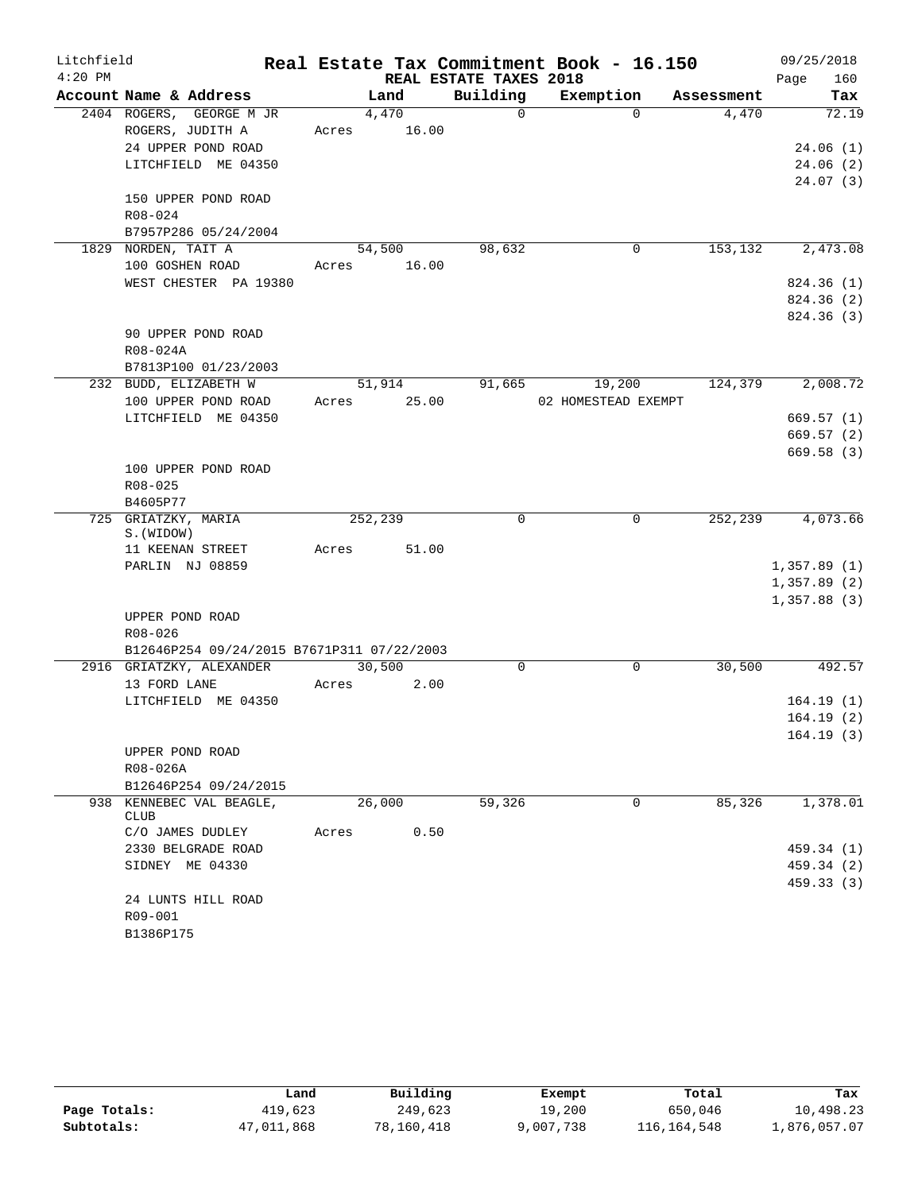| Litchfield |                                            |       |         |                        | Real Estate Tax Commitment Book - 16.150 |            | 09/25/2018             |
|------------|--------------------------------------------|-------|---------|------------------------|------------------------------------------|------------|------------------------|
| $4:20$ PM  |                                            |       |         | REAL ESTATE TAXES 2018 |                                          |            | 160<br>Page            |
|            | Account Name & Address                     |       | Land    | Building               | Exemption                                | Assessment | Tax                    |
|            | 2404 ROGERS, GEORGE M JR                   |       | 4,470   | $\Omega$               | $\Omega$                                 | 4,470      | 72.19                  |
|            | ROGERS, JUDITH A                           | Acres | 16.00   |                        |                                          |            |                        |
|            | 24 UPPER POND ROAD                         |       |         |                        |                                          |            | 24.06(1)               |
|            | LITCHFIELD ME 04350                        |       |         |                        |                                          |            | 24.06(2)               |
|            | 150 UPPER POND ROAD                        |       |         |                        |                                          |            | 24.07(3)               |
|            | R08-024                                    |       |         |                        |                                          |            |                        |
|            | B7957P286 05/24/2004                       |       |         |                        |                                          |            |                        |
|            | 1829 NORDEN, TAIT A                        |       | 54,500  | 98,632                 | 0                                        | 153,132    | 2,473.08               |
|            | 100 GOSHEN ROAD                            | Acres | 16.00   |                        |                                          |            |                        |
|            | WEST CHESTER PA 19380                      |       |         |                        |                                          |            | 824.36(1)              |
|            |                                            |       |         |                        |                                          |            | 824.36 (2)             |
|            |                                            |       |         |                        |                                          |            | 824.36 (3)             |
|            | 90 UPPER POND ROAD                         |       |         |                        |                                          |            |                        |
|            | R08-024A                                   |       |         |                        |                                          |            |                        |
|            | B7813P100 01/23/2003                       |       |         |                        |                                          |            |                        |
|            | 232 BUDD, ELIZABETH W                      |       | 51,914  | 91,665                 | 19,200                                   | 124,379    | 2,008.72               |
|            | 100 UPPER POND ROAD                        | Acres | 25.00   |                        | 02 HOMESTEAD EXEMPT                      |            |                        |
|            | LITCHFIELD ME 04350                        |       |         |                        |                                          |            | 669.57(1)<br>669.57(2) |
|            |                                            |       |         |                        |                                          |            | 669.58(3)              |
|            | 100 UPPER POND ROAD                        |       |         |                        |                                          |            |                        |
|            | $R08 - 025$                                |       |         |                        |                                          |            |                        |
|            | B4605P77                                   |       |         |                        |                                          |            |                        |
|            | 725 GRIATZKY, MARIA                        |       | 252,239 | $\mathbf 0$            | 0                                        | 252,239    | 4,073.66               |
|            | S. (WIDOW)                                 |       |         |                        |                                          |            |                        |
|            | 11 KEENAN STREET                           | Acres | 51.00   |                        |                                          |            |                        |
|            | PARLIN NJ 08859                            |       |         |                        |                                          |            | 1,357.89(1)            |
|            |                                            |       |         |                        |                                          |            | 1,357.89(2)            |
|            | UPPER POND ROAD                            |       |         |                        |                                          |            | 1,357.88(3)            |
|            | R08-026                                    |       |         |                        |                                          |            |                        |
|            | B12646P254 09/24/2015 B7671P311 07/22/2003 |       |         |                        |                                          |            |                        |
|            | 2916 GRIATZKY, ALEXANDER                   |       | 30,500  | 0                      | 0                                        | 30,500     | 492.57                 |
|            | 13 FORD LANE                               | Acres | 2.00    |                        |                                          |            |                        |
|            | LITCHFIELD ME 04350                        |       |         |                        |                                          |            | 164.19(1)              |
|            |                                            |       |         |                        |                                          |            | 164.19(2)              |
|            |                                            |       |         |                        |                                          |            | 164.19(3)              |
|            | UPPER POND ROAD                            |       |         |                        |                                          |            |                        |
|            | R08-026A                                   |       |         |                        |                                          |            |                        |
|            | B12646P254 09/24/2015                      |       |         |                        |                                          |            |                        |
|            | 938 KENNEBEC VAL BEAGLE,<br><b>CLUB</b>    |       | 26,000  | 59,326                 | 0                                        | 85,326     | 1,378.01               |
|            | C/O JAMES DUDLEY                           | Acres | 0.50    |                        |                                          |            |                        |
|            | 2330 BELGRADE ROAD                         |       |         |                        |                                          |            | 459.34 (1)             |
|            | SIDNEY ME 04330                            |       |         |                        |                                          |            | 459.34 (2)             |
|            |                                            |       |         |                        |                                          |            | 459.33(3)              |
|            | 24 LUNTS HILL ROAD                         |       |         |                        |                                          |            |                        |
|            | R09-001                                    |       |         |                        |                                          |            |                        |
|            | B1386P175                                  |       |         |                        |                                          |            |                        |

|              | Land       | Building   | Exempt    | Total       | Tax          |
|--------------|------------|------------|-----------|-------------|--------------|
| Page Totals: | 419,623    | 249,623    | 19,200    | 650,046     | 10,498.23    |
| Subtotals:   | 47,011,868 | 78,160,418 | 9,007,738 | 116,164,548 | 1,876,057.07 |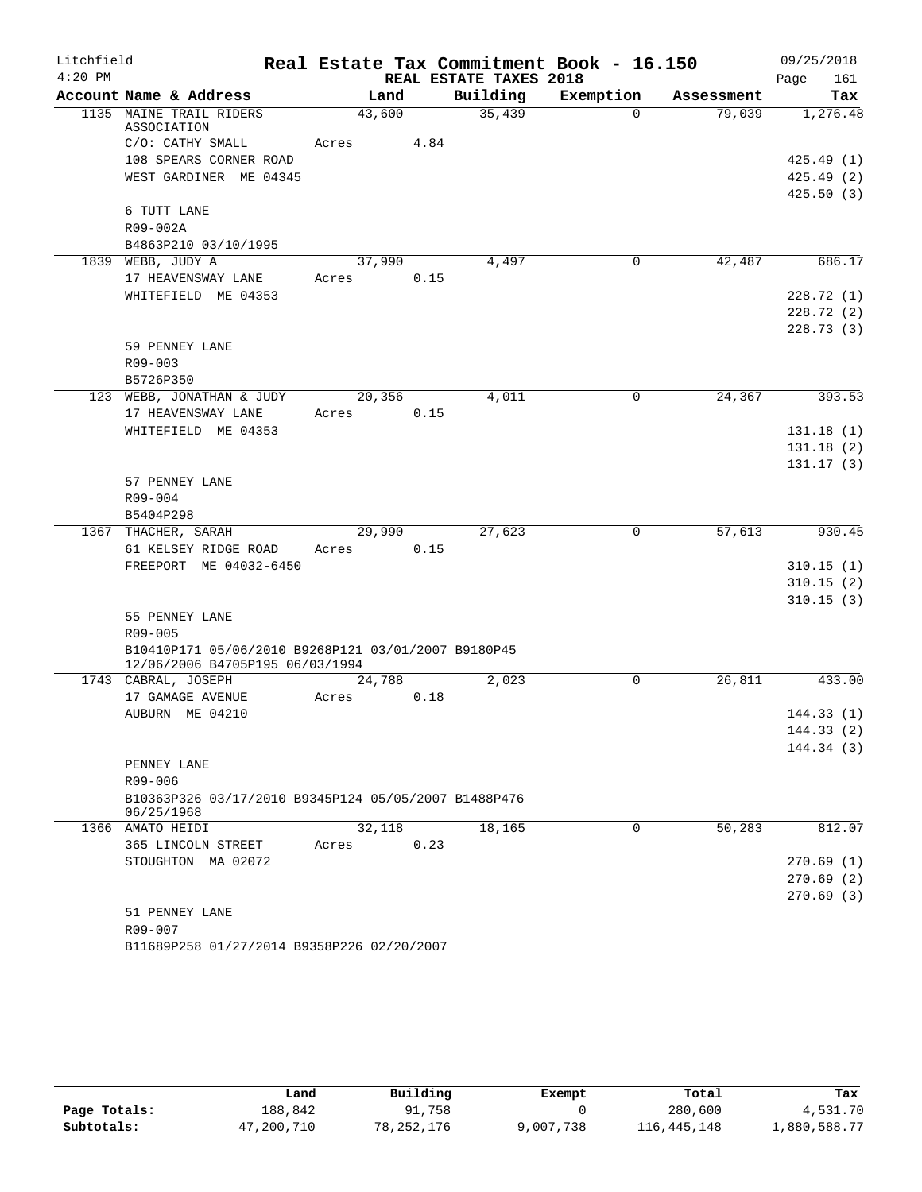| Litchfield |                                                                                        |        |      |                        | Real Estate Tax Commitment Book - 16.150 |            | 09/25/2018  |
|------------|----------------------------------------------------------------------------------------|--------|------|------------------------|------------------------------------------|------------|-------------|
| $4:20$ PM  |                                                                                        |        |      | REAL ESTATE TAXES 2018 |                                          |            | Page<br>161 |
|            | Account Name & Address                                                                 | Land   |      | Building               | Exemption                                | Assessment | Tax         |
|            | 1135 MAINE TRAIL RIDERS<br>ASSOCIATION                                                 | 43,600 |      | 35,439                 | $\Omega$                                 | 79,039     | 1,276.48    |
|            | C/O: CATHY SMALL                                                                       | Acres  | 4.84 |                        |                                          |            |             |
|            | 108 SPEARS CORNER ROAD                                                                 |        |      |                        |                                          |            | 425.49(1)   |
|            | WEST GARDINER ME 04345                                                                 |        |      |                        |                                          |            | 425.49(2)   |
|            |                                                                                        |        |      |                        |                                          |            | 425.50(3)   |
|            | 6 TUTT LANE                                                                            |        |      |                        |                                          |            |             |
|            | R09-002A                                                                               |        |      |                        |                                          |            |             |
|            | B4863P210 03/10/1995                                                                   |        |      |                        |                                          |            |             |
|            | 1839 WEBB, JUDY A                                                                      | 37,990 |      | 4,497                  | 0                                        | 42,487     | 686.17      |
|            | 17 HEAVENSWAY LANE                                                                     | Acres  | 0.15 |                        |                                          |            |             |
|            | WHITEFIELD ME 04353                                                                    |        |      |                        |                                          |            | 228.72(1)   |
|            |                                                                                        |        |      |                        |                                          |            | 228.72(2)   |
|            |                                                                                        |        |      |                        |                                          |            | 228.73(3)   |
|            | 59 PENNEY LANE                                                                         |        |      |                        |                                          |            |             |
|            | R09-003                                                                                |        |      |                        |                                          |            |             |
|            | B5726P350                                                                              |        |      |                        |                                          |            |             |
|            | 123 WEBB, JONATHAN & JUDY                                                              | 20,356 |      | 4,011                  | $\mathbf 0$                              | 24,367     | 393.53      |
|            | 17 HEAVENSWAY LANE                                                                     | Acres  | 0.15 |                        |                                          |            |             |
|            | WHITEFIELD ME 04353                                                                    |        |      |                        |                                          |            | 131.18(1)   |
|            |                                                                                        |        |      |                        |                                          |            | 131.18(2)   |
|            |                                                                                        |        |      |                        |                                          |            | 131.17(3)   |
|            | 57 PENNEY LANE                                                                         |        |      |                        |                                          |            |             |
|            | $R09 - 004$                                                                            |        |      |                        |                                          |            |             |
|            | B5404P298<br>1367 THACHER, SARAH                                                       | 29,990 |      | 27,623                 | 0                                        | 57,613     | 930.45      |
|            | 61 KELSEY RIDGE ROAD                                                                   | Acres  | 0.15 |                        |                                          |            |             |
|            | FREEPORT ME 04032-6450                                                                 |        |      |                        |                                          |            | 310.15(1)   |
|            |                                                                                        |        |      |                        |                                          |            | 310.15(2)   |
|            |                                                                                        |        |      |                        |                                          |            | 310.15(3)   |
|            | 55 PENNEY LANE                                                                         |        |      |                        |                                          |            |             |
|            | R09-005                                                                                |        |      |                        |                                          |            |             |
|            | B10410P171 05/06/2010 B9268P121 03/01/2007 B9180P45<br>12/06/2006 B4705P195 06/03/1994 |        |      |                        |                                          |            |             |
|            | 1743 CABRAL, JOSEPH                                                                    | 24,788 |      | 2,023                  | $\mathbf 0$                              | 26,811     | 433.00      |
|            | 17 GAMAGE AVENUE                                                                       | Acres  | 0.18 |                        |                                          |            |             |
|            | AUBURN ME 04210                                                                        |        |      |                        |                                          |            | 144.33(1)   |
|            |                                                                                        |        |      |                        |                                          |            | 144.33 (2)  |
|            |                                                                                        |        |      |                        |                                          |            | 144.34(3)   |
|            | PENNEY LANE                                                                            |        |      |                        |                                          |            |             |
|            | R09-006                                                                                |        |      |                        |                                          |            |             |
|            | B10363P326 03/17/2010 B9345P124 05/05/2007 B1488P476<br>06/25/1968                     |        |      |                        |                                          |            |             |
|            | 1366 AMATO HEIDI                                                                       | 32,118 |      | 18,165                 | 0                                        | 50,283     | 812.07      |
|            | 365 LINCOLN STREET                                                                     | Acres  | 0.23 |                        |                                          |            |             |
|            | STOUGHTON MA 02072                                                                     |        |      |                        |                                          |            | 270.69(1)   |
|            |                                                                                        |        |      |                        |                                          |            | 270.69(2)   |
|            |                                                                                        |        |      |                        |                                          |            | 270.69(3)   |
|            | 51 PENNEY LANE                                                                         |        |      |                        |                                          |            |             |
|            | R09-007                                                                                |        |      |                        |                                          |            |             |
|            | B11689P258 01/27/2014 B9358P226 02/20/2007                                             |        |      |                        |                                          |            |             |

|              | Land       | Building   | Exempt    | Total         | Tax          |
|--------------|------------|------------|-----------|---------------|--------------|
| Page Totals: | 188,842    | 91,758     |           | 280,600       | 4,531.70     |
| Subtotals:   | 47,200,710 | 78,252,176 | 9,007,738 | 116, 445, 148 | 1,880,588.77 |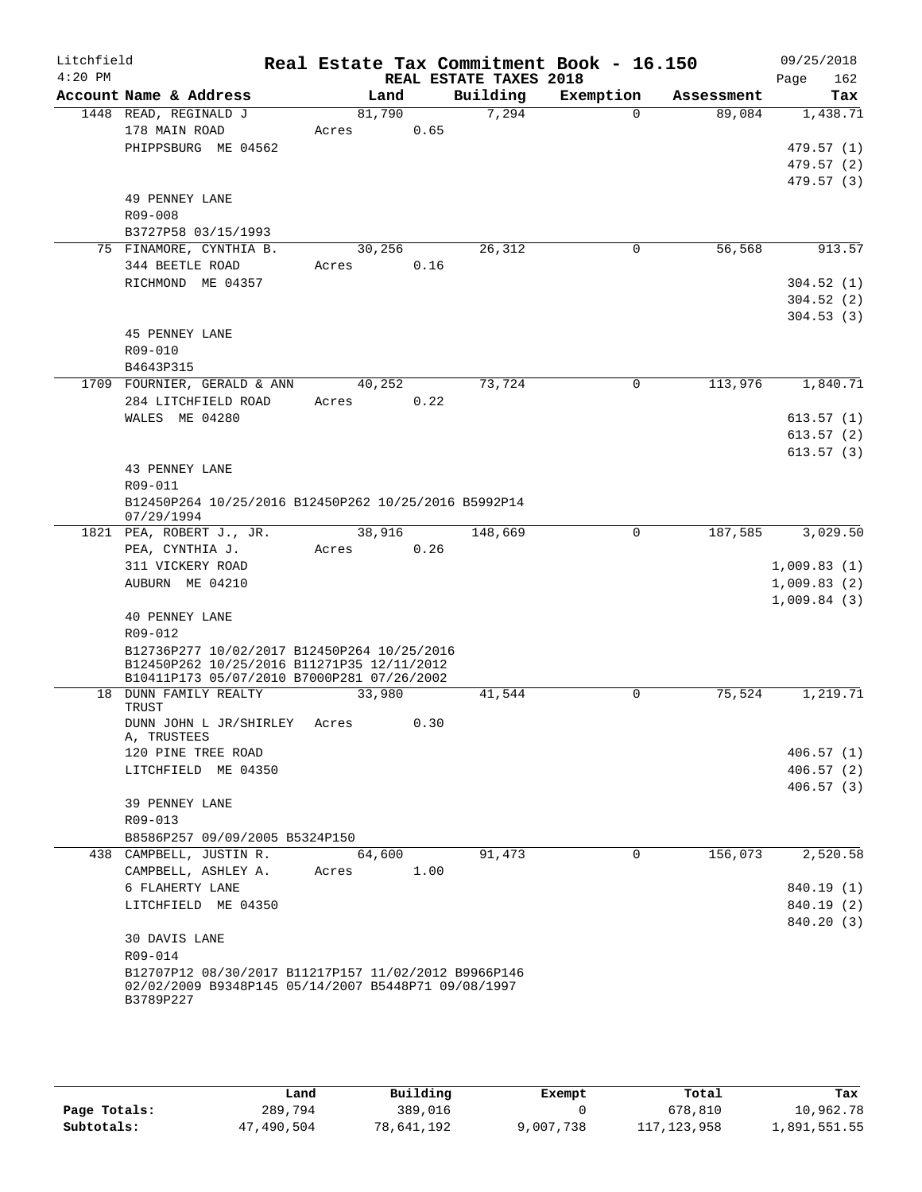| Litchfield<br>$4:20$ PM |                                                                                           | Real Estate Tax Commitment Book - 16.150 | REAL ESTATE TAXES 2018 |             |            | 09/25/2018<br>Page<br>162 |
|-------------------------|-------------------------------------------------------------------------------------------|------------------------------------------|------------------------|-------------|------------|---------------------------|
|                         | Account Name & Address                                                                    | Land                                     | Building               | Exemption   | Assessment | Tax                       |
|                         | 1448 READ, REGINALD J                                                                     | 81,790                                   | 7,294                  | $\Omega$    | 89,084     | 1,438.71                  |
|                         | 178 MAIN ROAD                                                                             | Acres                                    | 0.65                   |             |            |                           |
|                         | PHIPPSBURG ME 04562                                                                       |                                          |                        |             |            | 479.57(1)                 |
|                         |                                                                                           |                                          |                        |             |            | 479.57 (2)                |
|                         |                                                                                           |                                          |                        |             |            | 479.57 (3)                |
|                         | 49 PENNEY LANE                                                                            |                                          |                        |             |            |                           |
|                         | R09-008                                                                                   |                                          |                        |             |            |                           |
|                         | B3727P58 03/15/1993                                                                       |                                          |                        |             |            |                           |
|                         | 75 FINAMORE, CYNTHIA B.                                                                   | 30,256                                   | 26,312                 | 0           | 56,568     | 913.57                    |
|                         | 344 BEETLE ROAD                                                                           | Acres                                    | 0.16                   |             |            |                           |
|                         | RICHMOND ME 04357                                                                         |                                          |                        |             |            | 304.52(1)                 |
|                         |                                                                                           |                                          |                        |             |            | 304.52(2)                 |
|                         |                                                                                           |                                          |                        |             |            | 304.53(3)                 |
|                         | 45 PENNEY LANE                                                                            |                                          |                        |             |            |                           |
|                         | R09-010                                                                                   |                                          |                        |             |            |                           |
|                         | B4643P315                                                                                 |                                          |                        |             |            |                           |
|                         | 1709 FOURNIER, GERALD & ANN                                                               | 40,252                                   | 73,724                 | $\Omega$    | 113,976    | 1,840.71                  |
|                         | 284 LITCHFIELD ROAD                                                                       | Acres                                    | 0.22                   |             |            |                           |
|                         | WALES ME 04280                                                                            |                                          |                        |             |            |                           |
|                         |                                                                                           |                                          |                        |             |            | 613.57(1)                 |
|                         |                                                                                           |                                          |                        |             |            | 613.57(2)                 |
|                         |                                                                                           |                                          |                        |             |            | 613.57(3)                 |
|                         | 43 PENNEY LANE                                                                            |                                          |                        |             |            |                           |
|                         | R09-011                                                                                   |                                          |                        |             |            |                           |
|                         | B12450P264 10/25/2016 B12450P262 10/25/2016 B5992P14<br>07/29/1994                        |                                          |                        |             |            |                           |
|                         | 1821 PEA, ROBERT J., JR.                                                                  | 38,916                                   | 148,669                | 0           | 187,585    | 3,029.50                  |
|                         | PEA, CYNTHIA J.                                                                           | Acres                                    | 0.26                   |             |            |                           |
|                         | 311 VICKERY ROAD                                                                          |                                          |                        |             |            | 1,009.83(1)               |
|                         | AUBURN ME 04210                                                                           |                                          |                        |             |            |                           |
|                         |                                                                                           |                                          |                        |             |            | 1,009.83(2)               |
|                         |                                                                                           |                                          |                        |             |            | 1,009.84(3)               |
|                         | <b>40 PENNEY LANE</b>                                                                     |                                          |                        |             |            |                           |
|                         | R09-012                                                                                   |                                          |                        |             |            |                           |
|                         | B12736P277 10/02/2017 B12450P264 10/25/2016<br>B12450P262 10/25/2016 B11271P35 12/11/2012 |                                          |                        |             |            |                           |
|                         | B10411P173 05/07/2010 B7000P281 07/26/2002                                                |                                          |                        |             |            |                           |
|                         | 18 DUNN FAMILY REALTY                                                                     | 33,980                                   | 41,544                 | $\mathbf 0$ | 75,524     | 1,219.71                  |
|                         | TRUST                                                                                     |                                          |                        |             |            |                           |
|                         | DUNN JOHN L JR/SHIRLEY                                                                    | Acres                                    | 0.30                   |             |            |                           |
|                         | A, TRUSTEES                                                                               |                                          |                        |             |            |                           |
|                         | 120 PINE TREE ROAD                                                                        |                                          |                        |             |            | 406.57(1)                 |
|                         | LITCHFIELD ME 04350                                                                       |                                          |                        |             |            | 406.57(2)                 |
|                         |                                                                                           |                                          |                        |             |            | 406.57(3)                 |
|                         | 39 PENNEY LANE                                                                            |                                          |                        |             |            |                           |
|                         | R09-013                                                                                   |                                          |                        |             |            |                           |
|                         | B8586P257 09/09/2005 B5324P150                                                            |                                          |                        |             |            |                           |
|                         | 438 CAMPBELL, JUSTIN R.                                                                   | 64,600                                   | 91,473                 | $\Omega$    | 156,073    | 2,520.58                  |
|                         | CAMPBELL, ASHLEY A.                                                                       | Acres                                    | 1.00                   |             |            |                           |
|                         | 6 FLAHERTY LANE                                                                           |                                          |                        |             |            | 840.19 (1)                |
|                         | LITCHFIELD ME 04350                                                                       |                                          |                        |             |            | 840.19 (2)                |
|                         |                                                                                           |                                          |                        |             |            | 840.20 (3)                |
|                         | 30 DAVIS LANE                                                                             |                                          |                        |             |            |                           |
|                         | R09-014                                                                                   |                                          |                        |             |            |                           |
|                         | B12707P12 08/30/2017 B11217P157 11/02/2012 B9966P146                                      |                                          |                        |             |            |                           |
|                         | 02/02/2009 B9348P145 05/14/2007 B5448P71 09/08/1997                                       |                                          |                        |             |            |                           |
|                         | B3789P227                                                                                 |                                          |                        |             |            |                           |

|              | Land       | Building   | Exempt    | Total         | Tax          |
|--------------|------------|------------|-----------|---------------|--------------|
| Page Totals: | 289,794    | 389,016    |           | 678,810       | 10,962.78    |
| Subtotals:   | 47,490,504 | 78,641,192 | 9,007,738 | 117, 123, 958 | 1,891,551.55 |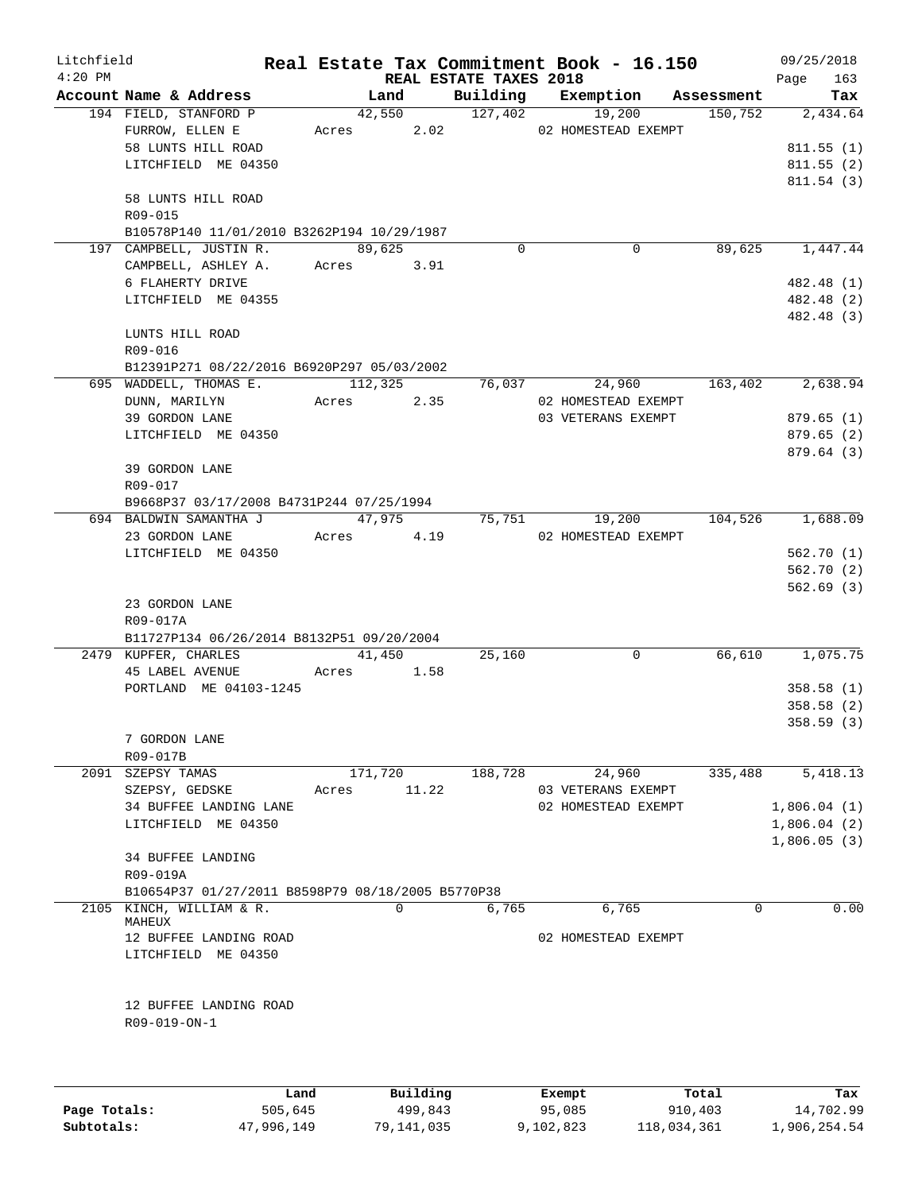| Litchfield   |                                                   |       |                                       |          | Real Estate Tax Commitment Book - 16.150 |            | 09/25/2018                 |
|--------------|---------------------------------------------------|-------|---------------------------------------|----------|------------------------------------------|------------|----------------------------|
| $4:20$ PM    | Account Name & Address                            |       | <b>REAL ESTATE TAXES 2018</b><br>Land |          | Building Exemption                       | Assessment | 163<br>Page<br>Tax         |
|              | 194 FIELD, STANFORD P                             |       | 42,550 127,402                        |          | 19,200                                   | 150, 752   | 2,434.64                   |
|              | FURROW, ELLEN E                                   |       |                                       |          | Acres 2.02 02 HOMESTEAD EXEMPT           |            |                            |
|              | 58 LUNTS HILL ROAD                                |       |                                       |          |                                          |            | 811.55(1)                  |
|              | LITCHFIELD ME 04350                               |       |                                       |          |                                          |            | 811.55 (2)                 |
|              |                                                   |       |                                       |          |                                          |            | 811.54(3)                  |
|              | 58 LUNTS HILL ROAD                                |       |                                       |          |                                          |            |                            |
|              | R09-015                                           |       |                                       |          |                                          |            |                            |
|              | B10578P140 11/01/2010 B3262P194 10/29/1987        |       |                                       |          |                                          |            |                            |
|              | 197 CAMPBELL, JUSTIN R.                           |       | 89,625                                | $\Omega$ | $\mathbf 0$                              | 89,625     | 1,447.44                   |
|              | CAMPBELL, ASHLEY A.<br>6 FLAHERTY DRIVE           |       | Acres 3.91                            |          |                                          |            | 482.48 (1)                 |
|              | LITCHFIELD ME 04355                               |       |                                       |          |                                          |            | 482.48 (2)                 |
|              |                                                   |       |                                       |          |                                          |            | 482.48 (3)                 |
|              | LUNTS HILL ROAD                                   |       |                                       |          |                                          |            |                            |
|              | R09-016                                           |       |                                       |          |                                          |            |                            |
|              | B12391P271 08/22/2016 B6920P297 05/03/2002        |       |                                       |          |                                          |            |                            |
|              | 695 WADDELL, THOMAS E. 112,325                    |       |                                       |          | 76,037<br>24,960                         | 163,402    | 2,638.94                   |
|              | DUNN, MARILYN                                     | Acres | 2.35                                  |          | 02 HOMESTEAD EXEMPT                      |            |                            |
|              | 39 GORDON LANE                                    |       |                                       |          | 03 VETERANS EXEMPT                       |            | 879.65(1)                  |
|              | LITCHFIELD ME 04350                               |       |                                       |          |                                          |            | 879.65(2)                  |
|              |                                                   |       |                                       |          |                                          |            | 879.64(3)                  |
|              | 39 GORDON LANE                                    |       |                                       |          |                                          |            |                            |
|              | R09-017                                           |       |                                       |          |                                          |            |                            |
|              | B9668P37 03/17/2008 B4731P244 07/25/1994          |       |                                       |          |                                          |            |                            |
|              | 694 BALDWIN SAMANTHA J                            |       | 47,975                                |          | 75,751<br>19,200                         | 104,526    | 1,688.09                   |
|              | 23 GORDON LANE                                    |       | Acres 4.19                            |          | 02 HOMESTEAD EXEMPT                      |            |                            |
|              | LITCHFIELD ME 04350                               |       |                                       |          |                                          |            | 562.70(1)                  |
|              |                                                   |       |                                       |          |                                          |            | 562.70(2)<br>562.69(3)     |
|              | 23 GORDON LANE                                    |       |                                       |          |                                          |            |                            |
|              | R09-017A                                          |       |                                       |          |                                          |            |                            |
|              | B11727P134 06/26/2014 B8132P51 09/20/2004         |       |                                       |          |                                          |            |                            |
|              | 2479 KUPFER, CHARLES                              |       | 41,450                                | 25,160   | 0                                        | 66,610     | 1,075.75                   |
|              | 45 LABEL AVENUE                                   | Acres | 1.58                                  |          |                                          |            |                            |
|              | PORTLAND ME 04103-1245                            |       |                                       |          |                                          |            | 358.58(1)                  |
|              |                                                   |       |                                       |          |                                          |            | 358.58(2)                  |
|              |                                                   |       |                                       |          |                                          |            | 358.59(3)                  |
|              | 7 GORDON LANE                                     |       |                                       |          |                                          |            |                            |
|              | R09-017B                                          |       |                                       |          |                                          |            |                            |
| 2091         | SZEPSY TAMAS                                      |       | 171,720                               | 188,728  | 24,960                                   | 335,488    | 5,418.13                   |
|              | SZEPSY, GEDSKE                                    | Acres | 11.22                                 |          | 03 VETERANS EXEMPT                       |            |                            |
|              | 34 BUFFEE LANDING LANE                            |       |                                       |          | 02 HOMESTEAD EXEMPT                      |            | 1,806.04(1)                |
|              | LITCHFIELD ME 04350                               |       |                                       |          |                                          |            | 1,806.04(2)<br>1,806.05(3) |
|              | 34 BUFFEE LANDING                                 |       |                                       |          |                                          |            |                            |
|              | R09-019A                                          |       |                                       |          |                                          |            |                            |
|              | B10654P37 01/27/2011 B8598P79 08/18/2005 B5770P38 |       |                                       |          |                                          |            |                            |
|              | 2105 KINCH, WILLIAM & R.                          |       | $\Omega$                              | 6,765    | 6,765                                    | $\Omega$   | 0.00                       |
|              | MAHEUX                                            |       |                                       |          |                                          |            |                            |
|              | 12 BUFFEE LANDING ROAD                            |       |                                       |          | 02 HOMESTEAD EXEMPT                      |            |                            |
|              | LITCHFIELD ME 04350                               |       |                                       |          |                                          |            |                            |
|              |                                                   |       |                                       |          |                                          |            |                            |
|              | 12 BUFFEE LANDING ROAD                            |       |                                       |          |                                          |            |                            |
|              | R09-019-ON-1                                      |       |                                       |          |                                          |            |                            |
|              |                                                   |       |                                       |          |                                          |            |                            |
|              |                                                   |       |                                       |          |                                          |            |                            |
|              |                                                   |       |                                       |          |                                          |            |                            |
|              | Land                                              |       | Building                              |          | Exempt                                   | Total      | Tax                        |
| Page Totals: | 505,645                                           |       | 499,843                               |          | 95,085                                   | 910,403    | 14,702.99                  |

**Subtotals:** 47,996,149 79,141,035 9,102,823 118,034,361 1,906,254.54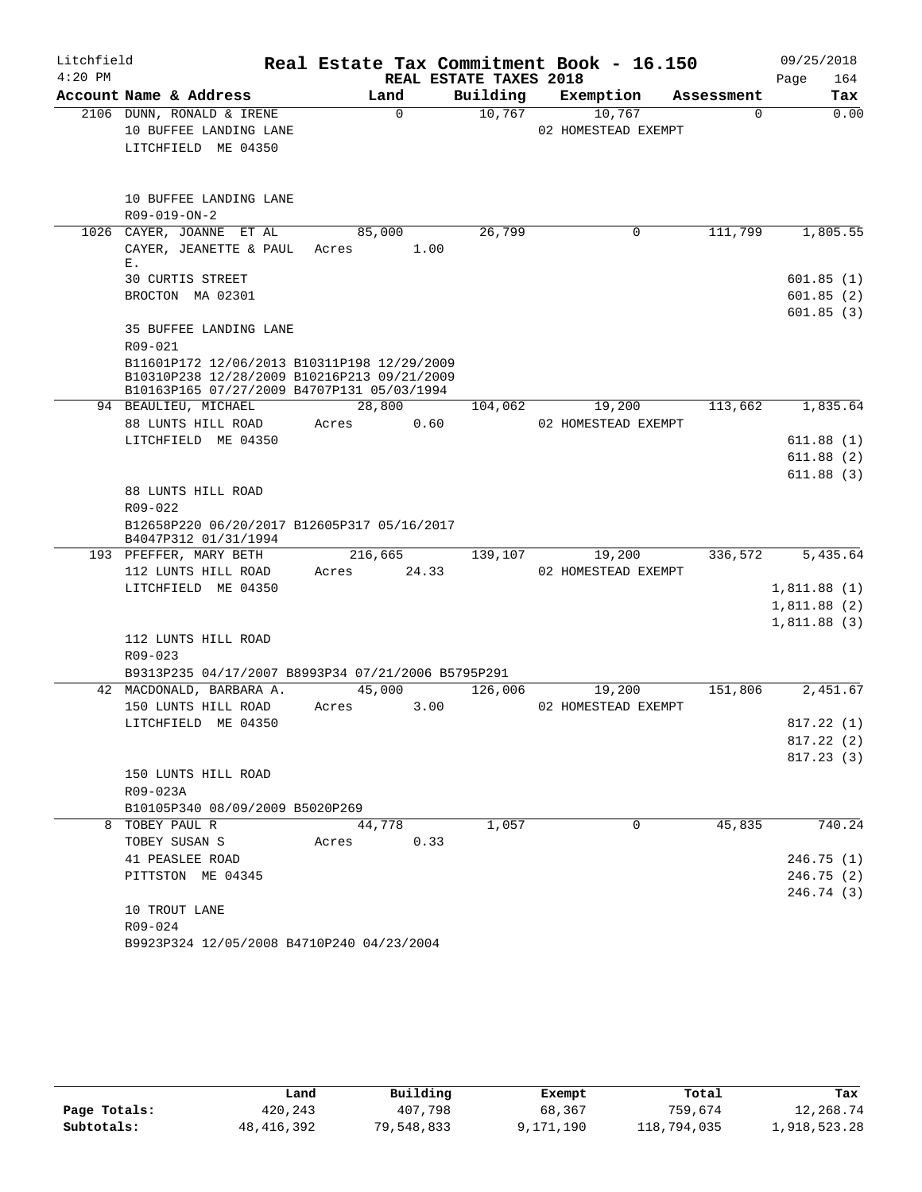| Litchfield |             |                                                                                           |                |                        | Real Estate Tax Commitment Book - 16.150 |            | 09/25/2018              |
|------------|-------------|-------------------------------------------------------------------------------------------|----------------|------------------------|------------------------------------------|------------|-------------------------|
| $4:20$ PM  |             |                                                                                           |                | REAL ESTATE TAXES 2018 |                                          |            | Page<br>164             |
|            |             | Account Name & Address                                                                    | Land           | Building               | Exemption                                | Assessment | Tax                     |
|            |             | 2106 DUNN, RONALD & IRENE                                                                 | $\mathbf 0$    | 10,767                 | 10,767                                   | $\Omega$   | 0.00                    |
|            |             | 10 BUFFEE LANDING LANE                                                                    |                |                        | 02 HOMESTEAD EXEMPT                      |            |                         |
|            |             | LITCHFIELD ME 04350                                                                       |                |                        |                                          |            |                         |
|            |             | 10 BUFFEE LANDING LANE                                                                    |                |                        |                                          |            |                         |
|            |             | R09-019-ON-2                                                                              |                |                        |                                          |            |                         |
|            |             | 1026 CAYER, JOANNE ET AL                                                                  | 85,000         | 26,799                 | 0                                        | 111,799    | 1,805.55                |
|            | Ε.          | CAYER, JEANETTE & PAUL                                                                    | 1.00<br>Acres  |                        |                                          |            |                         |
|            |             | 30 CURTIS STREET                                                                          |                |                        |                                          |            | 601.85(1)               |
|            |             | BROCTON MA 02301                                                                          |                |                        |                                          |            | 601.85(2)               |
|            |             |                                                                                           |                |                        |                                          |            | 601.85(3)               |
|            | R09-021     | 35 BUFFEE LANDING LANE                                                                    |                |                        |                                          |            |                         |
|            |             | B11601P172 12/06/2013 B10311P198 12/29/2009                                               |                |                        |                                          |            |                         |
|            |             | B10310P238 12/28/2009 B10216P213 09/21/2009<br>B10163P165 07/27/2009 B4707P131 05/03/1994 |                |                        |                                          |            |                         |
|            |             | 94 BEAULIEU, MICHAEL                                                                      | 28,800         | 104,062                | 19,200                                   | 113,662    | 1,835.64                |
|            |             | 88 LUNTS HILL ROAD                                                                        | Acres<br>0.60  |                        | 02 HOMESTEAD EXEMPT                      |            |                         |
|            |             | LITCHFIELD ME 04350                                                                       |                |                        |                                          |            | 611.88(1)               |
|            |             |                                                                                           |                |                        |                                          |            | 611.88(2)               |
|            |             |                                                                                           |                |                        |                                          |            | 611.88(3)               |
|            |             | 88 LUNTS HILL ROAD                                                                        |                |                        |                                          |            |                         |
|            | $R09 - 022$ |                                                                                           |                |                        |                                          |            |                         |
|            |             | B12658P220 06/20/2017 B12605P317 05/16/2017<br>B4047P312 01/31/1994                       |                |                        |                                          |            |                         |
|            |             | 193 PFEFFER, MARY BETH                                                                    | 216,665        | 139,107                | 19,200                                   | 336,572    | 5,435.64                |
|            |             | 112 LUNTS HILL ROAD                                                                       | 24.33<br>Acres |                        | 02 HOMESTEAD EXEMPT                      |            |                         |
|            |             | LITCHFIELD ME 04350                                                                       |                |                        |                                          |            | 1,811.88(1)             |
|            |             |                                                                                           |                |                        |                                          |            | 1,811.88(2)             |
|            |             |                                                                                           |                |                        |                                          |            | 1,811.88(3)             |
|            |             | 112 LUNTS HILL ROAD                                                                       |                |                        |                                          |            |                         |
|            | R09-023     |                                                                                           |                |                        |                                          |            |                         |
|            |             | B9313P235 04/17/2007 B8993P34 07/21/2006 B5795P291                                        |                |                        |                                          |            |                         |
|            |             | 42 MACDONALD, BARBARA A.                                                                  | 45,000         | 126,006                | 19,200                                   | 151,806    | 2,451.67                |
|            |             | 150 LUNTS HILL ROAD                                                                       | 3.00<br>Acres  |                        | 02 HOMESTEAD EXEMPT                      |            |                         |
|            |             | LITCHFIELD ME 04350                                                                       |                |                        |                                          |            | 817.22 (1)<br>817.22(2) |
|            |             |                                                                                           |                |                        |                                          |            | 817.23(3)               |
|            |             | 150 LUNTS HILL ROAD                                                                       |                |                        |                                          |            |                         |
|            | R09-023A    |                                                                                           |                |                        |                                          |            |                         |
|            |             | B10105P340 08/09/2009 B5020P269                                                           |                |                        |                                          |            |                         |
| 8          |             | TOBEY PAUL R                                                                              | 44,778         | 1,057                  | 0                                        | 45,835     | 740.24                  |
|            |             | TOBEY SUSAN S                                                                             | 0.33<br>Acres  |                        |                                          |            |                         |
|            |             | 41 PEASLEE ROAD                                                                           |                |                        |                                          |            | 246.75(1)               |
|            |             | PITTSTON ME 04345                                                                         |                |                        |                                          |            | 246.75(2)               |
|            |             |                                                                                           |                |                        |                                          |            | 246.74 (3)              |
|            |             | 10 TROUT LANE                                                                             |                |                        |                                          |            |                         |
|            | R09-024     |                                                                                           |                |                        |                                          |            |                         |
|            |             | B9923P324 12/05/2008 B4710P240 04/23/2004                                                 |                |                        |                                          |            |                         |

|              | Land       | Building   | Exempt    | Total       | Tax          |
|--------------|------------|------------|-----------|-------------|--------------|
| Page Totals: | 420,243    | 407,798    | 68,367    | 759,674     | 12,268.74    |
| Subtotals:   | 48,416,392 | 79,548,833 | 9,171,190 | 118,794,035 | 1,918,523.28 |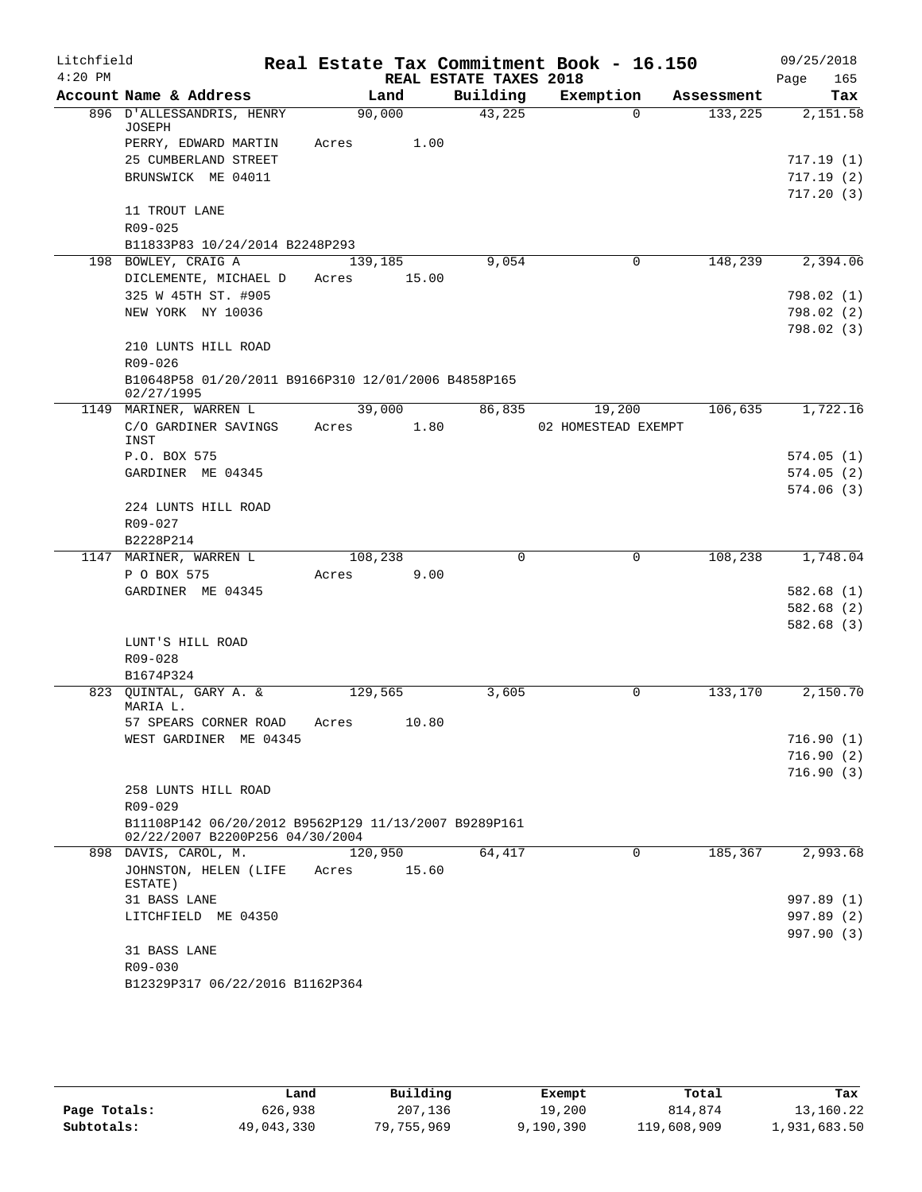| Litchfield<br>$4:20$ PM |                                                                                         |         |       | REAL ESTATE TAXES 2018 | Real Estate Tax Commitment Book - 16.150 |            | 09/25/2018<br>165<br>Page |
|-------------------------|-----------------------------------------------------------------------------------------|---------|-------|------------------------|------------------------------------------|------------|---------------------------|
|                         | Account Name & Address                                                                  |         | Land  | Building               | Exemption                                | Assessment | Tax                       |
|                         | 896 D'ALLESSANDRIS, HENRY                                                               | 90,000  |       | 43,225                 | $\Omega$                                 | 133,225    | 2,151.58                  |
|                         | JOSEPH                                                                                  |         |       |                        |                                          |            |                           |
|                         | PERRY, EDWARD MARTIN                                                                    | Acres   | 1.00  |                        |                                          |            |                           |
|                         | 25 CUMBERLAND STREET                                                                    |         |       |                        |                                          |            | 717.19 (1)                |
|                         | BRUNSWICK ME 04011                                                                      |         |       |                        |                                          |            | 717.19(2)                 |
|                         |                                                                                         |         |       |                        |                                          |            | 717.20(3)                 |
|                         | 11 TROUT LANE                                                                           |         |       |                        |                                          |            |                           |
|                         | R09-025                                                                                 |         |       |                        |                                          |            |                           |
|                         | B11833P83 10/24/2014 B2248P293                                                          |         |       |                        |                                          |            |                           |
|                         | 198 BOWLEY, CRAIG A                                                                     | 139,185 |       | 9,054                  | 0                                        | 148,239    | 2,394.06                  |
|                         | DICLEMENTE, MICHAEL D                                                                   | Acres   | 15.00 |                        |                                          |            |                           |
|                         | 325 W 45TH ST. #905                                                                     |         |       |                        |                                          |            | 798.02 (1)                |
|                         | NEW YORK NY 10036                                                                       |         |       |                        |                                          |            | 798.02(2)                 |
|                         |                                                                                         |         |       |                        |                                          |            | 798.02 (3)                |
|                         | 210 LUNTS HILL ROAD                                                                     |         |       |                        |                                          |            |                           |
|                         | R09-026                                                                                 |         |       |                        |                                          |            |                           |
|                         | B10648P58 01/20/2011 B9166P310 12/01/2006 B4858P165<br>02/27/1995                       |         |       |                        |                                          |            |                           |
|                         | 1149 MARINER, WARREN L                                                                  | 39,000  |       | 86,835                 | 19,200                                   | 106,635    | 1,722.16                  |
|                         | C/O GARDINER SAVINGS                                                                    | Acres   | 1.80  |                        | 02 HOMESTEAD EXEMPT                      |            |                           |
|                         | INST                                                                                    |         |       |                        |                                          |            |                           |
|                         | P.O. BOX 575                                                                            |         |       |                        |                                          |            | 574.05(1)                 |
|                         | GARDINER ME 04345                                                                       |         |       |                        |                                          |            | 574.05(2)                 |
|                         |                                                                                         |         |       |                        |                                          |            | 574.06(3)                 |
|                         | 224 LUNTS HILL ROAD                                                                     |         |       |                        |                                          |            |                           |
|                         | R09-027                                                                                 |         |       |                        |                                          |            |                           |
|                         | B2228P214                                                                               |         |       |                        |                                          |            |                           |
|                         | 1147 MARINER, WARREN L                                                                  | 108,238 |       | 0                      | 0                                        | 108,238    | 1,748.04                  |
|                         | P O BOX 575                                                                             | Acres   | 9.00  |                        |                                          |            |                           |
|                         | GARDINER ME 04345                                                                       |         |       |                        |                                          |            | 582.68 (1)                |
|                         |                                                                                         |         |       |                        |                                          |            | 582.68 (2)                |
|                         |                                                                                         |         |       |                        |                                          |            | 582.68 (3)                |
|                         | LUNT'S HILL ROAD                                                                        |         |       |                        |                                          |            |                           |
|                         | $R09 - 028$                                                                             |         |       |                        |                                          |            |                           |
|                         | B1674P324                                                                               |         |       |                        |                                          |            |                           |
|                         | 823 QUINTAL, GARY A. &<br>MARIA L.                                                      | 129,565 |       | 3,605                  | 0                                        | 133,170    | 2,150.70                  |
|                         | 57 SPEARS CORNER ROAD                                                                   | Acres   | 10.80 |                        |                                          |            |                           |
|                         | WEST GARDINER ME 04345                                                                  |         |       |                        |                                          |            | 716.90(1)                 |
|                         |                                                                                         |         |       |                        |                                          |            | 716.90(2)                 |
|                         |                                                                                         |         |       |                        |                                          |            | 716.90(3)                 |
|                         | 258 LUNTS HILL ROAD                                                                     |         |       |                        |                                          |            |                           |
|                         | $R09 - 029$                                                                             |         |       |                        |                                          |            |                           |
|                         | B11108P142 06/20/2012 B9562P129 11/13/2007 B9289P161<br>02/22/2007 B2200P256 04/30/2004 |         |       |                        |                                          |            |                           |
|                         | 898 DAVIS, CAROL, M.                                                                    | 120,950 |       | 64,417                 | 0                                        | 185,367    | 2,993.68                  |
|                         | JOHNSTON, HELEN (LIFE<br>ESTATE)                                                        | Acres   | 15.60 |                        |                                          |            |                           |
|                         | 31 BASS LANE                                                                            |         |       |                        |                                          |            | 997.89 (1)                |
|                         | LITCHFIELD ME 04350                                                                     |         |       |                        |                                          |            | 997.89 (2)                |
|                         |                                                                                         |         |       |                        |                                          |            | 997.90 (3)                |
|                         | 31 BASS LANE                                                                            |         |       |                        |                                          |            |                           |
|                         | R09-030                                                                                 |         |       |                        |                                          |            |                           |
|                         | B12329P317 06/22/2016 B1162P364                                                         |         |       |                        |                                          |            |                           |

|              | Land       | Building   | Exempt    | Total       | Tax          |
|--------------|------------|------------|-----------|-------------|--------------|
| Page Totals: | 626,938    | 207,136    | 19,200    | 814,874     | 13,160.22    |
| Subtotals:   | 49,043,330 | 79,755,969 | 9,190,390 | 119,608,909 | 1,931,683.50 |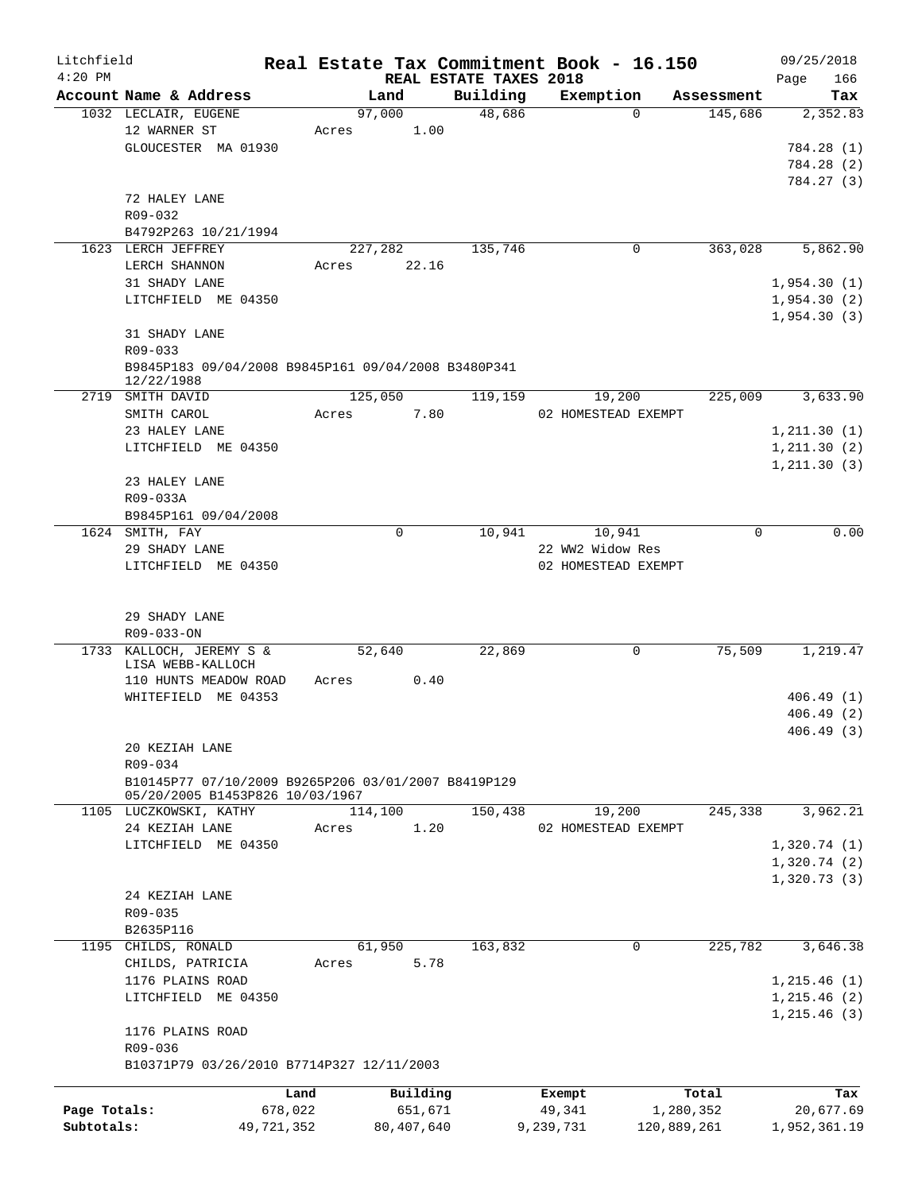| Litchfield   |                                                                              |         |             |                                    | Real Estate Tax Commitment Book - 16.150 |             |            | 09/25/2018         |
|--------------|------------------------------------------------------------------------------|---------|-------------|------------------------------------|------------------------------------------|-------------|------------|--------------------|
| $4:20$ PM    | Account Name & Address                                                       |         | Land        | REAL ESTATE TAXES 2018<br>Building | Exemption                                |             | Assessment | 166<br>Page<br>Tax |
|              | 1032 LECLAIR, EUGENE                                                         |         | 97,000      | 48,686                             |                                          | $\Omega$    | 145,686    | 2,352.83           |
|              | 12 WARNER ST                                                                 | Acres   | 1.00        |                                    |                                          |             |            |                    |
|              | GLOUCESTER MA 01930                                                          |         |             |                                    |                                          |             |            | 784.28 (1)         |
|              |                                                                              |         |             |                                    |                                          |             |            | 784.28 (2)         |
|              |                                                                              |         |             |                                    |                                          |             |            | 784.27 (3)         |
|              | 72 HALEY LANE                                                                |         |             |                                    |                                          |             |            |                    |
|              | R09-032                                                                      |         |             |                                    |                                          |             |            |                    |
|              | B4792P263 10/21/1994                                                         |         |             |                                    |                                          |             |            |                    |
|              | 1623 LERCH JEFFREY                                                           |         | 227,282     | 135,746                            |                                          | 0           | 363,028    | 5,862.90           |
|              | LERCH SHANNON                                                                | Acres   | 22.16       |                                    |                                          |             |            |                    |
|              | 31 SHADY LANE                                                                |         |             |                                    |                                          |             |            | 1,954.30(1)        |
|              | LITCHFIELD ME 04350                                                          |         |             |                                    |                                          |             |            | 1,954.30(2)        |
|              |                                                                              |         |             |                                    |                                          |             |            | 1,954.30(3)        |
|              | 31 SHADY LANE                                                                |         |             |                                    |                                          |             |            |                    |
|              | $R09 - 033$                                                                  |         |             |                                    |                                          |             |            |                    |
|              | B9845P183 09/04/2008 B9845P161 09/04/2008 B3480P341<br>12/22/1988            |         |             |                                    |                                          |             |            |                    |
|              | 2719 SMITH DAVID                                                             |         | 125,050     | 119,159                            | 19,200                                   |             | 225,009    | 3,633.90           |
|              | SMITH CAROL                                                                  | Acres   | 7.80        |                                    | 02 HOMESTEAD EXEMPT                      |             |            |                    |
|              | 23 HALEY LANE                                                                |         |             |                                    |                                          |             |            | 1, 211.30(1)       |
|              | LITCHFIELD ME 04350                                                          |         |             |                                    |                                          |             |            | 1, 211.30(2)       |
|              |                                                                              |         |             |                                    |                                          |             |            | 1, 211.30(3)       |
|              | 23 HALEY LANE                                                                |         |             |                                    |                                          |             |            |                    |
|              | R09-033A                                                                     |         |             |                                    |                                          |             |            |                    |
|              | B9845P161 09/04/2008                                                         |         |             |                                    |                                          |             |            |                    |
|              | 1624 SMITH, FAY                                                              |         | $\mathbf 0$ | 10,941                             | 10,941                                   |             | 0          | 0.00               |
|              | 29 SHADY LANE                                                                |         |             |                                    | 22 WW2 Widow Res                         |             |            |                    |
|              | LITCHFIELD ME 04350                                                          |         |             |                                    | 02 HOMESTEAD EXEMPT                      |             |            |                    |
|              | 29 SHADY LANE<br>R09-033-ON<br>1733 KALLOCH, JEREMY S &<br>LISA WEBB-KALLOCH |         | 52,640      | 22,869                             |                                          | 0           | 75,509     | 1,219.47           |
|              | 110 HUNTS MEADOW ROAD                                                        | Acres   | 0.40        |                                    |                                          |             |            |                    |
|              | WHITEFIELD ME 04353                                                          |         |             |                                    |                                          |             |            | 406.49(1)          |
|              |                                                                              |         |             |                                    |                                          |             |            | 406.49(2)          |
|              |                                                                              |         |             |                                    |                                          |             |            | 406.49 (3)         |
|              | 20 KEZIAH LANE                                                               |         |             |                                    |                                          |             |            |                    |
|              | R09-034                                                                      |         |             |                                    |                                          |             |            |                    |
|              | B10145P77 07/10/2009 B9265P206 03/01/2007 B8419P129                          |         |             |                                    |                                          |             |            |                    |
|              | 05/20/2005 B1453P826 10/03/1967                                              |         |             |                                    |                                          |             |            |                    |
|              | 1105 LUCZKOWSKI, KATHY                                                       |         | 114,100     | 150,438                            | 19,200                                   |             | 245,338    | 3,962.21           |
|              | 24 KEZIAH LANE                                                               | Acres   | 1.20        |                                    | 02 HOMESTEAD EXEMPT                      |             |            |                    |
|              | LITCHFIELD ME 04350                                                          |         |             |                                    |                                          |             |            | 1,320.74(1)        |
|              |                                                                              |         |             |                                    |                                          |             |            | 1,320.74(2)        |
|              |                                                                              |         |             |                                    |                                          |             |            | 1,320.73(3)        |
|              | 24 KEZIAH LANE                                                               |         |             |                                    |                                          |             |            |                    |
|              | R09-035                                                                      |         |             |                                    |                                          |             |            |                    |
|              | B2635P116                                                                    |         |             |                                    |                                          |             |            |                    |
|              | 1195 CHILDS, RONALD                                                          |         | 61,950      | 163,832                            |                                          | 0           | 225,782    | 3,646.38           |
|              | CHILDS, PATRICIA                                                             | Acres   | 5.78        |                                    |                                          |             |            |                    |
|              | 1176 PLAINS ROAD                                                             |         |             |                                    |                                          |             |            | 1,215.46(1)        |
|              | LITCHFIELD ME 04350                                                          |         |             |                                    |                                          |             |            | 1,215.46(2)        |
|              |                                                                              |         |             |                                    |                                          |             |            | 1,215.46(3)        |
|              | 1176 PLAINS ROAD                                                             |         |             |                                    |                                          |             |            |                    |
|              | R09-036                                                                      |         |             |                                    |                                          |             |            |                    |
|              | B10371P79 03/26/2010 B7714P327 12/11/2003                                    |         |             |                                    |                                          |             |            |                    |
|              |                                                                              | Land    | Building    |                                    | Exempt                                   |             | Total      | Tax                |
| Page Totals: |                                                                              | 678,022 | 651,671     |                                    | 49,341                                   |             | 1,280,352  | 20,677.69          |
| Subtotals:   | 49,721,352                                                                   |         | 80,407,640  |                                    | 9,239,731                                | 120,889,261 |            | 1,952,361.19       |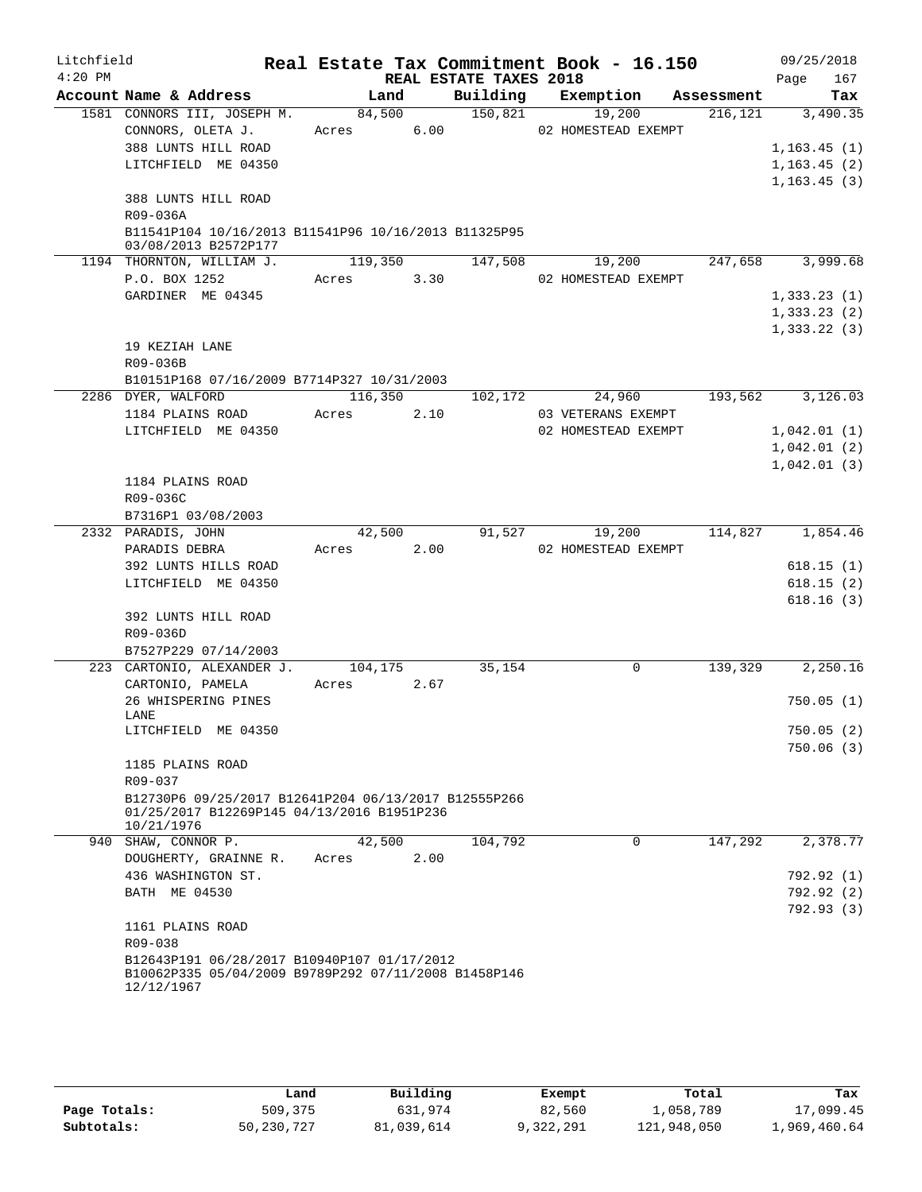| Litchfield |                     |                                                                                                    |         |         |                        | Real Estate Tax Commitment Book - 16.150 |            | 09/25/2018   |
|------------|---------------------|----------------------------------------------------------------------------------------------------|---------|---------|------------------------|------------------------------------------|------------|--------------|
| $4:20$ PM  |                     |                                                                                                    |         |         | REAL ESTATE TAXES 2018 |                                          |            | 167<br>Page  |
|            |                     | Account Name & Address                                                                             | Land    |         |                        | Building Exemption                       | Assessment | Tax          |
|            |                     | 1581 CONNORS III, JOSEPH M.                                                                        | 84,500  |         | 150,821                | 19,200                                   | 216,121    | 3,490.35     |
|            |                     | CONNORS, OLETA J.                                                                                  | Acres   | 6.00    |                        | 02 HOMESTEAD EXEMPT                      |            |              |
|            |                     | 388 LUNTS HILL ROAD                                                                                |         |         |                        |                                          |            | 1, 163.45(1) |
|            |                     | LITCHFIELD ME 04350                                                                                |         |         |                        |                                          |            | 1, 163.45(2) |
|            |                     |                                                                                                    |         |         |                        |                                          |            | 1, 163.45(3) |
|            |                     | 388 LUNTS HILL ROAD                                                                                |         |         |                        |                                          |            |              |
|            | R09-036A            |                                                                                                    |         |         |                        |                                          |            |              |
|            |                     | B11541P104 10/16/2013 B11541P96 10/16/2013 B11325P95<br>03/08/2013 B2572P177                       |         |         |                        |                                          |            |              |
|            |                     | 1194 THORNTON, WILLIAM J.                                                                          | 119,350 |         | 147,508                | 19,200                                   | 247,658    | 3,999.68     |
|            |                     | P.O. BOX 1252                                                                                      | Acres   | 3.30    |                        | 02 HOMESTEAD EXEMPT                      |            |              |
|            |                     | GARDINER ME 04345                                                                                  |         |         |                        |                                          |            | 1,333.23(1)  |
|            |                     |                                                                                                    |         |         |                        |                                          |            | 1,333.23(2)  |
|            |                     |                                                                                                    |         |         |                        |                                          |            | 1,333.22(3)  |
|            | 19 KEZIAH LANE      |                                                                                                    |         |         |                        |                                          |            |              |
|            | R09-036B            |                                                                                                    |         |         |                        |                                          |            |              |
|            |                     | B10151P168 07/16/2009 B7714P327 10/31/2003                                                         |         |         |                        |                                          |            |              |
|            | 2286 DYER, WALFORD  |                                                                                                    |         | 116,350 | 102,172                | 24,960                                   | 193,562    | 3,126.03     |
|            |                     | 1184 PLAINS ROAD                                                                                   | Acres   | 2.10    |                        | 03 VETERANS EXEMPT                       |            |              |
|            |                     | LITCHFIELD ME 04350                                                                                |         |         |                        | 02 HOMESTEAD EXEMPT                      |            | 1,042.01(1)  |
|            |                     |                                                                                                    |         |         |                        |                                          |            | 1,042.01(2)  |
|            |                     |                                                                                                    |         |         |                        |                                          |            | 1,042.01(3)  |
|            |                     | 1184 PLAINS ROAD                                                                                   |         |         |                        |                                          |            |              |
|            | R09-036C            |                                                                                                    |         |         |                        |                                          |            |              |
|            |                     | B7316P1 03/08/2003                                                                                 |         |         |                        |                                          |            |              |
|            | 2332 PARADIS, JOHN  |                                                                                                    |         | 42,500  | 91,527                 | 19,200                                   | 114,827    | 1,854.46     |
|            | PARADIS DEBRA       |                                                                                                    | Acres   | 2.00    |                        | 02 HOMESTEAD EXEMPT                      |            |              |
|            |                     | 392 LUNTS HILLS ROAD                                                                               |         |         |                        |                                          |            | 618.15(1)    |
|            |                     | LITCHFIELD ME 04350                                                                                |         |         |                        |                                          |            | 618.15(2)    |
|            |                     |                                                                                                    |         |         |                        |                                          |            | 618.16(3)    |
|            | R09-036D            | 392 LUNTS HILL ROAD                                                                                |         |         |                        |                                          |            |              |
|            |                     | B7527P229 07/14/2003                                                                               |         |         |                        |                                          |            |              |
|            |                     | 223 CARTONIO, ALEXANDER J. 104,175                                                                 |         |         | 35,154                 | 0                                        | 139,329    | 2,250.16     |
|            |                     | CARTONIO, PAMELA                                                                                   | Acres   | 2.67    |                        |                                          |            |              |
|            |                     | 26 WHISPERING PINES                                                                                |         |         |                        |                                          |            | 750.05(1)    |
|            | LANE                |                                                                                                    |         |         |                        |                                          |            |              |
|            |                     | LITCHFIELD ME 04350                                                                                |         |         |                        |                                          |            | 750.05(2)    |
|            |                     |                                                                                                    |         |         |                        |                                          |            | 750.06(3)    |
|            |                     | 1185 PLAINS ROAD                                                                                   |         |         |                        |                                          |            |              |
|            | R09-037             |                                                                                                    |         |         |                        |                                          |            |              |
|            |                     | B12730P6 09/25/2017 B12641P204 06/13/2017 B12555P266<br>01/25/2017 B12269P145 04/13/2016 B1951P236 |         |         |                        |                                          |            |              |
|            | 10/21/1976          |                                                                                                    |         |         |                        |                                          |            |              |
|            | 940 SHAW, CONNOR P. |                                                                                                    | 42,500  |         | 104,792                | 0                                        | 147,292    | 2,378.77     |
|            |                     | DOUGHERTY, GRAINNE R.                                                                              | Acres   | 2.00    |                        |                                          |            |              |
|            |                     | 436 WASHINGTON ST.                                                                                 |         |         |                        |                                          |            | 792.92 (1)   |
|            | BATH ME 04530       |                                                                                                    |         |         |                        |                                          |            | 792.92(2)    |
|            |                     |                                                                                                    |         |         |                        |                                          |            | 792.93(3)    |
|            |                     | 1161 PLAINS ROAD                                                                                   |         |         |                        |                                          |            |              |
|            | R09-038             |                                                                                                    |         |         |                        |                                          |            |              |
|            |                     | B12643P191 06/28/2017 B10940P107 01/17/2012                                                        |         |         |                        |                                          |            |              |
|            | 12/12/1967          | B10062P335 05/04/2009 B9789P292 07/11/2008 B1458P146                                               |         |         |                        |                                          |            |              |
|            |                     |                                                                                                    |         |         |                        |                                          |            |              |

|              | Land       | Building   | Exempt    | Total       | Tax          |
|--------------|------------|------------|-----------|-------------|--------------|
| Page Totals: | 509,375    | 631,974    | 82,560    | 1,058,789   | 17,099.45    |
| Subtotals:   | 50,230,727 | 81,039,614 | 9,322,291 | 121,948,050 | 1,969,460.64 |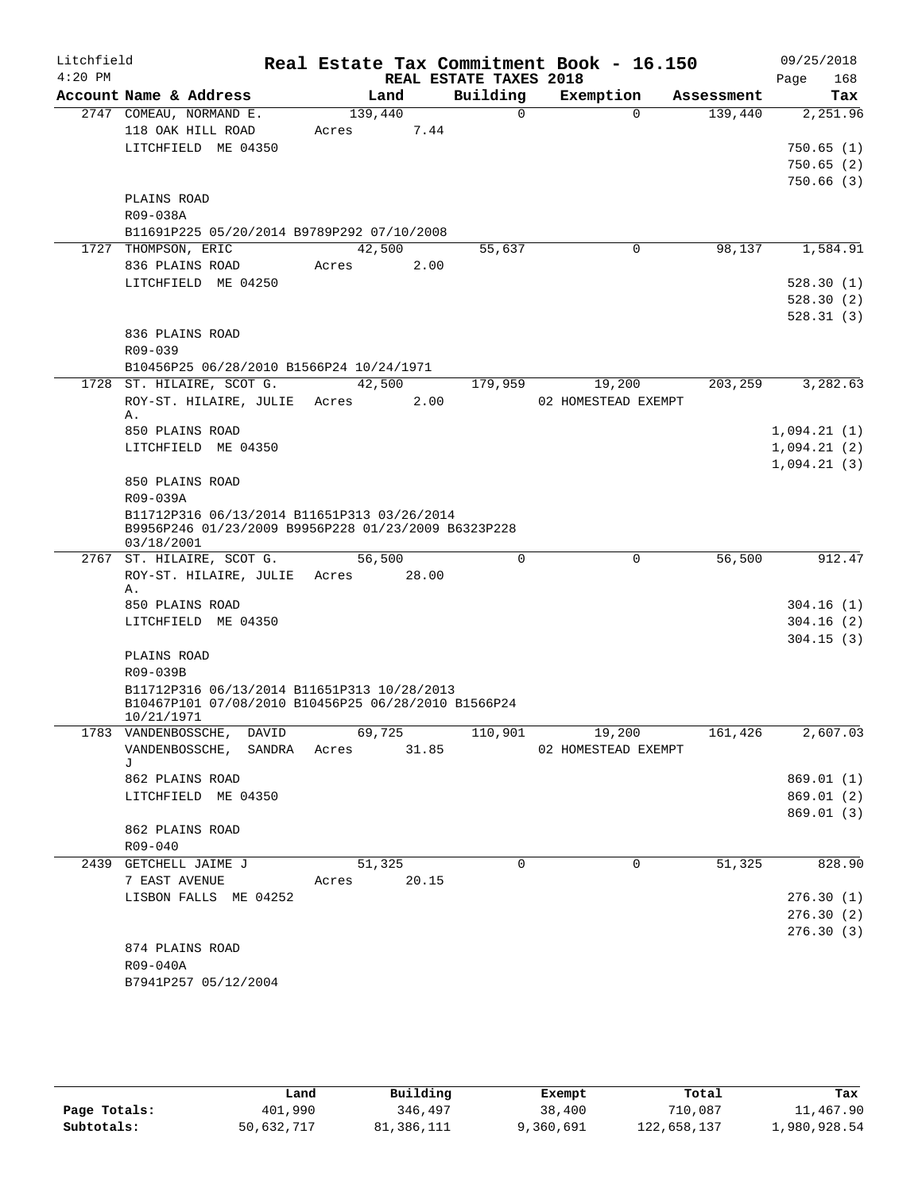| Litchfield |                                                                                                    |             |        |                        | Real Estate Tax Commitment Book - 16.150 |                       | 09/25/2018                 |
|------------|----------------------------------------------------------------------------------------------------|-------------|--------|------------------------|------------------------------------------|-----------------------|----------------------------|
| $4:20$ PM  |                                                                                                    |             |        | REAL ESTATE TAXES 2018 |                                          |                       | Page<br>168                |
|            | Account Name & Address<br>2747 COMEAU, NORMAND E.                                                  | 139,440     | Land   | Building<br>$\Omega$   | Exemption<br>$\Omega$                    | Assessment<br>139,440 | Tax<br>2,251.96            |
|            | 118 OAK HILL ROAD                                                                                  | Acres       | 7.44   |                        |                                          |                       |                            |
|            | LITCHFIELD ME 04350                                                                                |             |        |                        |                                          |                       | 750.65(1)                  |
|            |                                                                                                    |             |        |                        |                                          |                       | 750.65(2)                  |
|            |                                                                                                    |             |        |                        |                                          |                       | 750.66(3)                  |
|            | PLAINS ROAD                                                                                        |             |        |                        |                                          |                       |                            |
|            | R09-038A                                                                                           |             |        |                        |                                          |                       |                            |
|            | B11691P225 05/20/2014 B9789P292 07/10/2008                                                         |             |        |                        |                                          |                       |                            |
|            | 1727 THOMPSON, ERIC                                                                                | 42,500      |        | 55,637                 | 0                                        | 98,137                | 1,584.91                   |
|            | 836 PLAINS ROAD                                                                                    | Acres       | 2.00   |                        |                                          |                       |                            |
|            | LITCHFIELD ME 04250                                                                                |             |        |                        |                                          |                       | 528.30(1)                  |
|            |                                                                                                    |             |        |                        |                                          |                       | 528.30(2)<br>528.31(3)     |
|            | 836 PLAINS ROAD                                                                                    |             |        |                        |                                          |                       |                            |
|            | R09-039                                                                                            |             |        |                        |                                          |                       |                            |
|            | B10456P25 06/28/2010 B1566P24 10/24/1971                                                           |             |        |                        |                                          |                       |                            |
|            | 1728 ST. HILAIRE, SCOT G.                                                                          | 42,500      |        | 179,959                | 19,200                                   | 203,259               | 3,282.63                   |
|            | ROY-ST. HILAIRE, JULIE                                                                             | Acres       | 2.00   |                        | 02 HOMESTEAD EXEMPT                      |                       |                            |
|            | Α.                                                                                                 |             |        |                        |                                          |                       |                            |
|            | 850 PLAINS ROAD                                                                                    |             |        |                        |                                          |                       | 1,094.21(1)                |
|            | LITCHFIELD ME 04350                                                                                |             |        |                        |                                          |                       | 1,094.21(2)<br>1,094.21(3) |
|            | 850 PLAINS ROAD                                                                                    |             |        |                        |                                          |                       |                            |
|            | R09-039A                                                                                           |             |        |                        |                                          |                       |                            |
|            | B11712P316 06/13/2014 B11651P313 03/26/2014                                                        |             |        |                        |                                          |                       |                            |
|            | B9956P246 01/23/2009 B9956P228 01/23/2009 B6323P228                                                |             |        |                        |                                          |                       |                            |
|            | 03/18/2001                                                                                         | 56,500      |        | $\mathbf 0$            | 0                                        | 56,500                | 912.47                     |
|            | 2767 ST. HILAIRE, SCOT G.<br>ROY-ST. HILAIRE, JULIE Acres                                          |             | 28.00  |                        |                                          |                       |                            |
|            | Α.                                                                                                 |             |        |                        |                                          |                       |                            |
|            | 850 PLAINS ROAD                                                                                    |             |        |                        |                                          |                       | 304.16(1)                  |
|            | LITCHFIELD ME 04350                                                                                |             |        |                        |                                          |                       | 304.16(2)                  |
|            |                                                                                                    |             |        |                        |                                          |                       | 304.15(3)                  |
|            | PLAINS ROAD                                                                                        |             |        |                        |                                          |                       |                            |
|            | R09-039B                                                                                           |             |        |                        |                                          |                       |                            |
|            | B11712P316 06/13/2014 B11651P313 10/28/2013<br>B10467P101 07/08/2010 B10456P25 06/28/2010 B1566P24 |             |        |                        |                                          |                       |                            |
|            | 10/21/1971                                                                                         |             |        |                        |                                          |                       |                            |
|            | 1783 VANDENBOSSCHE, DAVID 69,725                                                                   |             |        | 110,901                | 19,200                                   | 161,426               | 2,607.03                   |
|            | VANDENBOSSCHE, SANDRA Acres 31.85                                                                  |             |        |                        | 02 HOMESTEAD EXEMPT                      |                       |                            |
|            | T.<br>862 PLAINS ROAD                                                                              |             |        |                        |                                          |                       | 869.01(1)                  |
|            | LITCHFIELD ME 04350                                                                                |             |        |                        |                                          |                       | 869.01(2)                  |
|            |                                                                                                    |             |        |                        |                                          |                       | 869.01 (3)                 |
|            | 862 PLAINS ROAD                                                                                    |             |        |                        |                                          |                       |                            |
|            | R09-040                                                                                            |             |        |                        |                                          |                       |                            |
|            | 2439 GETCHELL JAIME J                                                                              |             | 51,325 | $\Omega$               | $\mathbf 0$                              | 51,325                | 828.90                     |
|            | 7 EAST AVENUE                                                                                      | Acres 20.15 |        |                        |                                          |                       |                            |
|            | LISBON FALLS ME 04252                                                                              |             |        |                        |                                          |                       | 276.30(1)                  |
|            |                                                                                                    |             |        |                        |                                          |                       | 276.30(2)                  |
|            |                                                                                                    |             |        |                        |                                          |                       | 276.30(3)                  |
|            | 874 PLAINS ROAD                                                                                    |             |        |                        |                                          |                       |                            |
|            | R09-040A                                                                                           |             |        |                        |                                          |                       |                            |
|            | B7941P257 05/12/2004                                                                               |             |        |                        |                                          |                       |                            |

|              | Land       | Building   | Exempt    | Total       | Tax          |
|--------------|------------|------------|-----------|-------------|--------------|
| Page Totals: | 401,990    | 346,497    | 38,400    | 710,087     | 11,467.90    |
| Subtotals:   | 50,632,717 | 81,386,111 | 9,360,691 | 122,658,137 | 1,980,928.54 |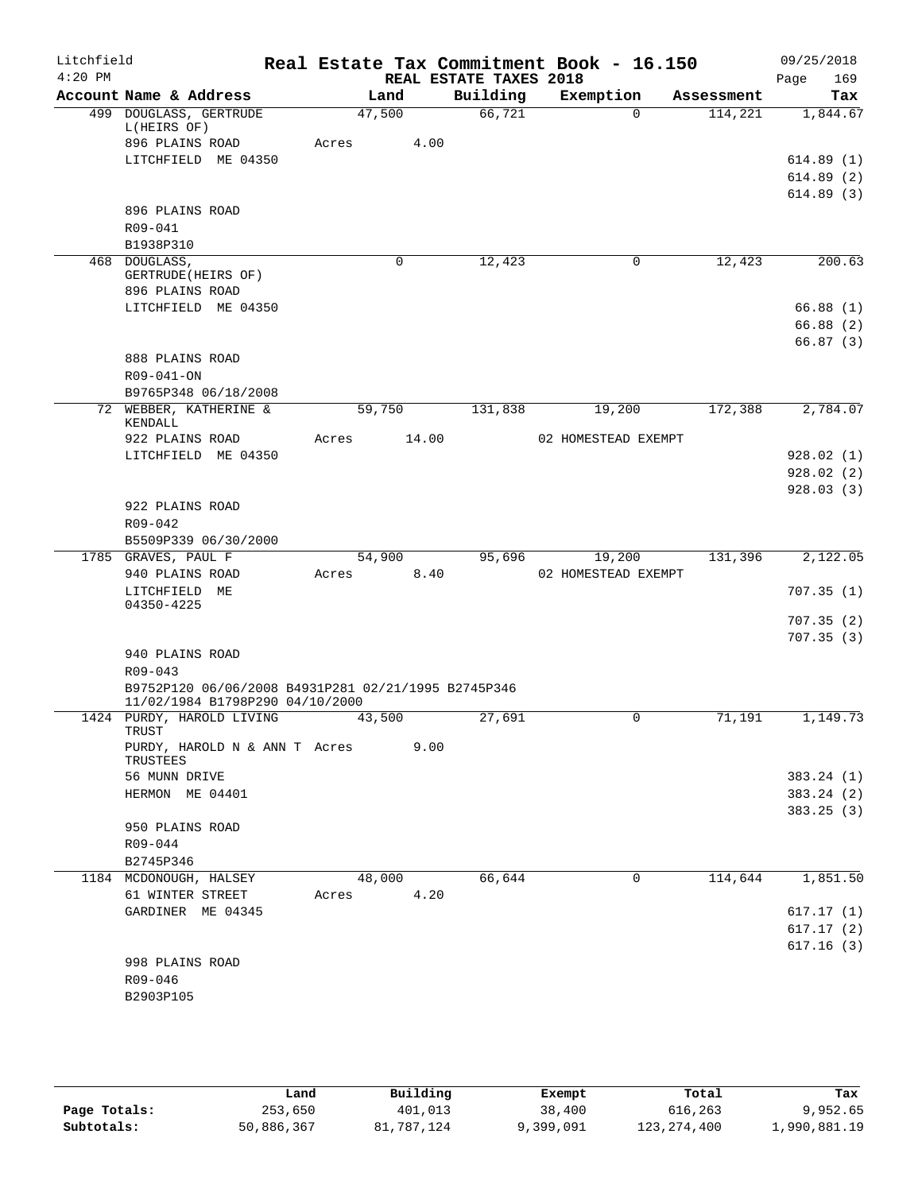| Litchfield |                                                     |       |        |                        | Real Estate Tax Commitment Book - 16.150 |            | 09/25/2018  |
|------------|-----------------------------------------------------|-------|--------|------------------------|------------------------------------------|------------|-------------|
| $4:20$ PM  |                                                     |       |        | REAL ESTATE TAXES 2018 |                                          |            | Page<br>169 |
|            | Account Name & Address                              |       | Land   | Building               | Exemption                                | Assessment | Tax         |
|            | 499 DOUGLASS, GERTRUDE<br>L(HEIRS OF)               |       | 47,500 | 66,721                 | $\Omega$                                 | 114,221    | 1,844.67    |
|            | 896 PLAINS ROAD                                     | Acres | 4.00   |                        |                                          |            |             |
|            | LITCHFIELD ME 04350                                 |       |        |                        |                                          |            | 614.89(1)   |
|            |                                                     |       |        |                        |                                          |            | 614.89(2)   |
|            |                                                     |       |        |                        |                                          |            | 614.89(3)   |
|            | 896 PLAINS ROAD                                     |       |        |                        |                                          |            |             |
|            | $R09 - 041$                                         |       |        |                        |                                          |            |             |
|            | B1938P310                                           |       |        |                        |                                          |            |             |
|            | 468 DOUGLASS,<br>GERTRUDE (HEIRS OF)                |       | 0      | 12,423                 | 0                                        | 12,423     | 200.63      |
|            | 896 PLAINS ROAD                                     |       |        |                        |                                          |            |             |
|            | LITCHFIELD ME 04350                                 |       |        |                        |                                          |            | 66.88(1)    |
|            |                                                     |       |        |                        |                                          |            | 66.88(2)    |
|            |                                                     |       |        |                        |                                          |            | 66.87(3)    |
|            | 888 PLAINS ROAD                                     |       |        |                        |                                          |            |             |
|            | R09-041-ON                                          |       |        |                        |                                          |            |             |
|            | B9765P348 06/18/2008                                |       |        |                        |                                          |            |             |
|            | 72 WEBBER, KATHERINE &                              |       | 59,750 | 131,838                | 19,200                                   | 172,388    | 2,784.07    |
|            | KENDALL                                             |       |        |                        |                                          |            |             |
|            | 922 PLAINS ROAD                                     | Acres | 14.00  |                        | 02 HOMESTEAD EXEMPT                      |            |             |
|            | LITCHFIELD ME 04350                                 |       |        |                        |                                          |            | 928.02(1)   |
|            |                                                     |       |        |                        |                                          |            | 928.02(2)   |
|            |                                                     |       |        |                        |                                          |            | 928.03(3)   |
|            | 922 PLAINS ROAD                                     |       |        |                        |                                          |            |             |
|            | R09-042                                             |       |        |                        |                                          |            |             |
|            | B5509P339 06/30/2000                                |       |        |                        |                                          |            |             |
|            | 1785 GRAVES, PAUL F                                 |       | 54,900 | 95,696                 | 19,200                                   | 131,396    | 2,122.05    |
|            | 940 PLAINS ROAD                                     | Acres | 8.40   |                        | 02 HOMESTEAD EXEMPT                      |            |             |
|            | LITCHFIELD ME<br>04350-4225                         |       |        |                        |                                          |            | 707.35(1)   |
|            |                                                     |       |        |                        |                                          |            | 707.35(2)   |
|            |                                                     |       |        |                        |                                          |            | 707.35(3)   |
|            | 940 PLAINS ROAD                                     |       |        |                        |                                          |            |             |
|            | $R09 - 043$                                         |       |        |                        |                                          |            |             |
|            | B9752P120 06/06/2008 B4931P281 02/21/1995 B2745P346 |       |        |                        |                                          |            |             |
|            | 11/02/1984 B1798P290 04/10/2000                     |       |        |                        |                                          |            |             |
|            | 1424 PURDY, HAROLD LIVING<br>TRUST                  |       | 43,500 | 27,691                 | 0                                        | 71,191     | 1,149.73    |
|            | PURDY, HAROLD N & ANN T Acres                       |       | 9.00   |                        |                                          |            |             |
|            | TRUSTEES                                            |       |        |                        |                                          |            |             |
|            | 56 MUNN DRIVE                                       |       |        |                        |                                          |            | 383.24 (1)  |
|            | HERMON ME 04401                                     |       |        |                        |                                          |            | 383.24 (2)  |
|            |                                                     |       |        |                        |                                          |            | 383.25(3)   |
|            | 950 PLAINS ROAD                                     |       |        |                        |                                          |            |             |
|            | R09-044                                             |       |        |                        |                                          |            |             |
|            | B2745P346                                           |       |        |                        |                                          |            |             |
|            | 1184 MCDONOUGH, HALSEY                              |       | 48,000 | 66,644                 | 0                                        | 114,644    | 1,851.50    |
|            | 61 WINTER STREET                                    | Acres | 4.20   |                        |                                          |            |             |
|            | GARDINER ME 04345                                   |       |        |                        |                                          |            | 617.17(1)   |
|            |                                                     |       |        |                        |                                          |            | 617.17(2)   |
|            |                                                     |       |        |                        |                                          |            | 617.16(3)   |
|            | 998 PLAINS ROAD<br>R09-046                          |       |        |                        |                                          |            |             |
|            | B2903P105                                           |       |        |                        |                                          |            |             |
|            |                                                     |       |        |                        |                                          |            |             |
|            |                                                     |       |        |                        |                                          |            |             |

|              | Land       | Building   | Exempt    | Total         | Tax          |
|--------------|------------|------------|-----------|---------------|--------------|
| Page Totals: | 253,650    | 401,013    | 38,400    | 616,263       | 9,952.65     |
| Subtotals:   | 50,886,367 | 81,787,124 | 9,399,091 | 123, 274, 400 | 1,990,881.19 |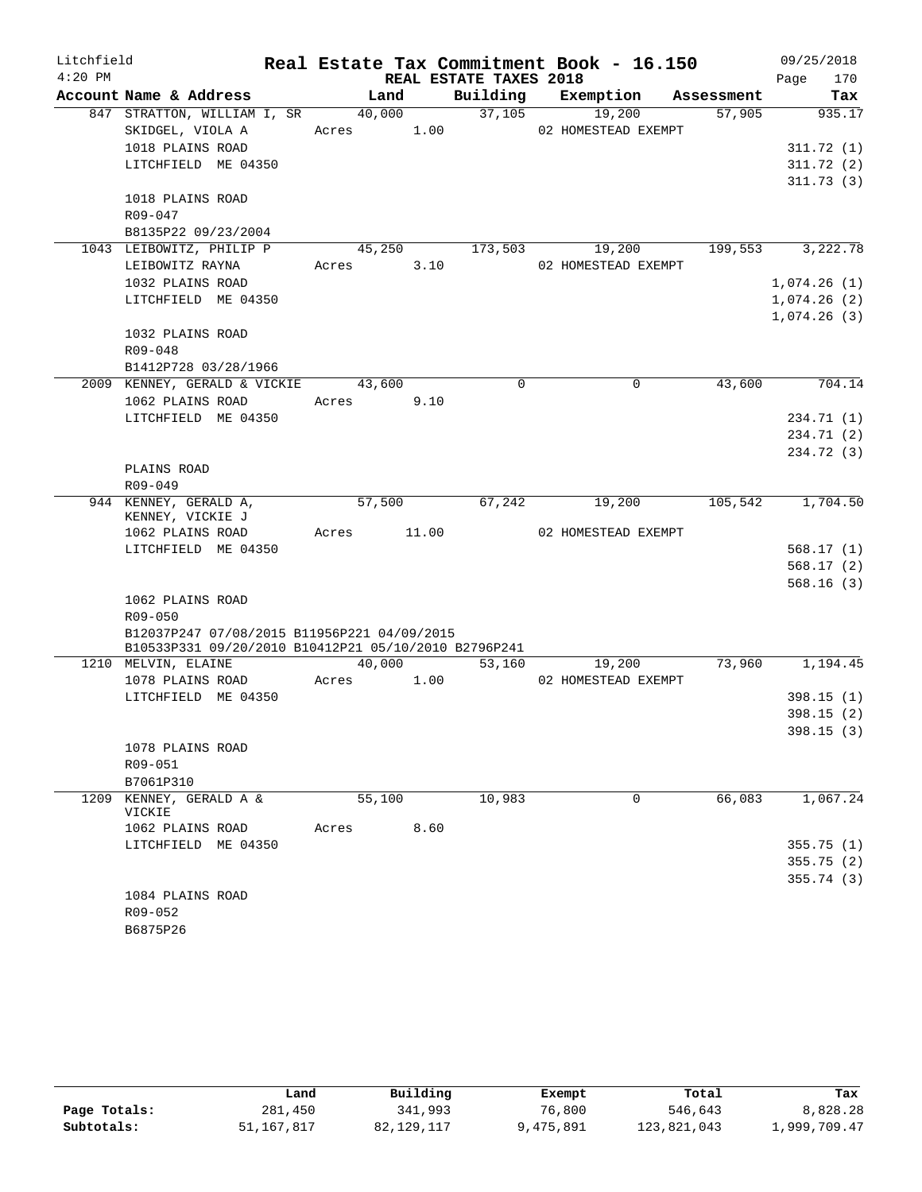| Litchfield |                                                      |            |       |                        | Real Estate Tax Commitment Book - 16.150 |            | 09/25/2018  |
|------------|------------------------------------------------------|------------|-------|------------------------|------------------------------------------|------------|-------------|
| $4:20$ PM  |                                                      |            |       | REAL ESTATE TAXES 2018 |                                          |            | 170<br>Page |
|            | Account Name & Address                               | Land       |       | Building               | Exemption                                | Assessment | Tax         |
|            | 847 STRATTON, WILLIAM I, SR                          | 40,000     |       | 37,105                 | 19,200                                   | 57,905     | 935.17      |
|            | SKIDGEL, VIOLA A                                     | Acres 1.00 |       |                        | 02 HOMESTEAD EXEMPT                      |            |             |
|            | 1018 PLAINS ROAD                                     |            |       |                        |                                          |            | 311.72(1)   |
|            | LITCHFIELD ME 04350                                  |            |       |                        |                                          |            | 311.72(2)   |
|            |                                                      |            |       |                        |                                          |            | 311.73(3)   |
|            | 1018 PLAINS ROAD                                     |            |       |                        |                                          |            |             |
|            | R09-047                                              |            |       |                        |                                          |            |             |
|            | B8135P22 09/23/2004<br>1043 LEIBOWITZ, PHILIP P      | 45,250     |       | 173,503                | 19,200                                   | 199,553    |             |
|            | LEIBOWITZ RAYNA                                      | Acres      | 3.10  |                        | 02 HOMESTEAD EXEMPT                      |            | 3,222.78    |
|            | 1032 PLAINS ROAD                                     |            |       |                        |                                          |            | 1,074.26(1) |
|            | LITCHFIELD ME 04350                                  |            |       |                        |                                          |            | 1,074.26(2) |
|            |                                                      |            |       |                        |                                          |            | 1,074.26(3) |
|            | 1032 PLAINS ROAD                                     |            |       |                        |                                          |            |             |
|            | R09-048                                              |            |       |                        |                                          |            |             |
|            | B1412P728 03/28/1966                                 |            |       |                        |                                          |            |             |
|            | 2009 KENNEY, GERALD & VICKIE                         | 43,600     |       | $\Omega$               | $\Omega$                                 | 43,600     | 704.14      |
|            | 1062 PLAINS ROAD                                     | Acres      | 9.10  |                        |                                          |            |             |
|            | LITCHFIELD ME 04350                                  |            |       |                        |                                          |            | 234.71 (1)  |
|            |                                                      |            |       |                        |                                          |            | 234.71 (2)  |
|            |                                                      |            |       |                        |                                          |            | 234.72 (3)  |
|            | PLAINS ROAD                                          |            |       |                        |                                          |            |             |
|            | R09-049                                              |            |       |                        |                                          |            |             |
|            | 944 KENNEY, GERALD A,                                | 57,500     |       | 67,242                 | 19,200                                   | 105,542    | 1,704.50    |
|            | KENNEY, VICKIE J                                     |            |       |                        |                                          |            |             |
|            | 1062 PLAINS ROAD                                     | Acres      | 11.00 |                        | 02 HOMESTEAD EXEMPT                      |            |             |
|            | LITCHFIELD ME 04350                                  |            |       |                        |                                          |            | 568.17(1)   |
|            |                                                      |            |       |                        |                                          |            | 568.17(2)   |
|            |                                                      |            |       |                        |                                          |            | 568.16(3)   |
|            | 1062 PLAINS ROAD<br>$R09 - 050$                      |            |       |                        |                                          |            |             |
|            | B12037P247 07/08/2015 B11956P221 04/09/2015          |            |       |                        |                                          |            |             |
|            | B10533P331 09/20/2010 B10412P21 05/10/2010 B2796P241 |            |       |                        |                                          |            |             |
|            | 1210 MELVIN, ELAINE                                  | 40,000     |       | 53,160                 | 19,200                                   | 73,960     | 1,194.45    |
|            | 1078 PLAINS ROAD                                     | Acres      | 1.00  |                        | 02 HOMESTEAD EXEMPT                      |            |             |
|            | LITCHFIELD ME 04350                                  |            |       |                        |                                          |            | 398.15(1)   |
|            |                                                      |            |       |                        |                                          |            | 398.15(2)   |
|            |                                                      |            |       |                        |                                          |            | 398.15 (3)  |
|            | 1078 PLAINS ROAD                                     |            |       |                        |                                          |            |             |
|            | R09-051                                              |            |       |                        |                                          |            |             |
|            | B7061P310                                            |            |       |                        |                                          |            |             |
| 1209       | KENNEY, GERALD A &                                   | 55,100     |       | 10,983                 | 0                                        | 66,083     | 1,067.24    |
|            | VICKIE<br>1062 PLAINS ROAD                           | Acres      | 8.60  |                        |                                          |            |             |
|            | LITCHFIELD ME 04350                                  |            |       |                        |                                          |            | 355.75(1)   |
|            |                                                      |            |       |                        |                                          |            | 355.75(2)   |
|            |                                                      |            |       |                        |                                          |            | 355.74 (3)  |
|            | 1084 PLAINS ROAD                                     |            |       |                        |                                          |            |             |
|            | R09-052                                              |            |       |                        |                                          |            |             |
|            | B6875P26                                             |            |       |                        |                                          |            |             |

|              | Land       | Building     | Exempt    | Total       | Tax          |
|--------------|------------|--------------|-----------|-------------|--------------|
| Page Totals: | 281,450    | 341,993      | 76,800    | 546,643     | 8,828.28     |
| Subtotals:   | 51,167,817 | 82, 129, 117 | 9,475,891 | 123,821,043 | 1,999,709.47 |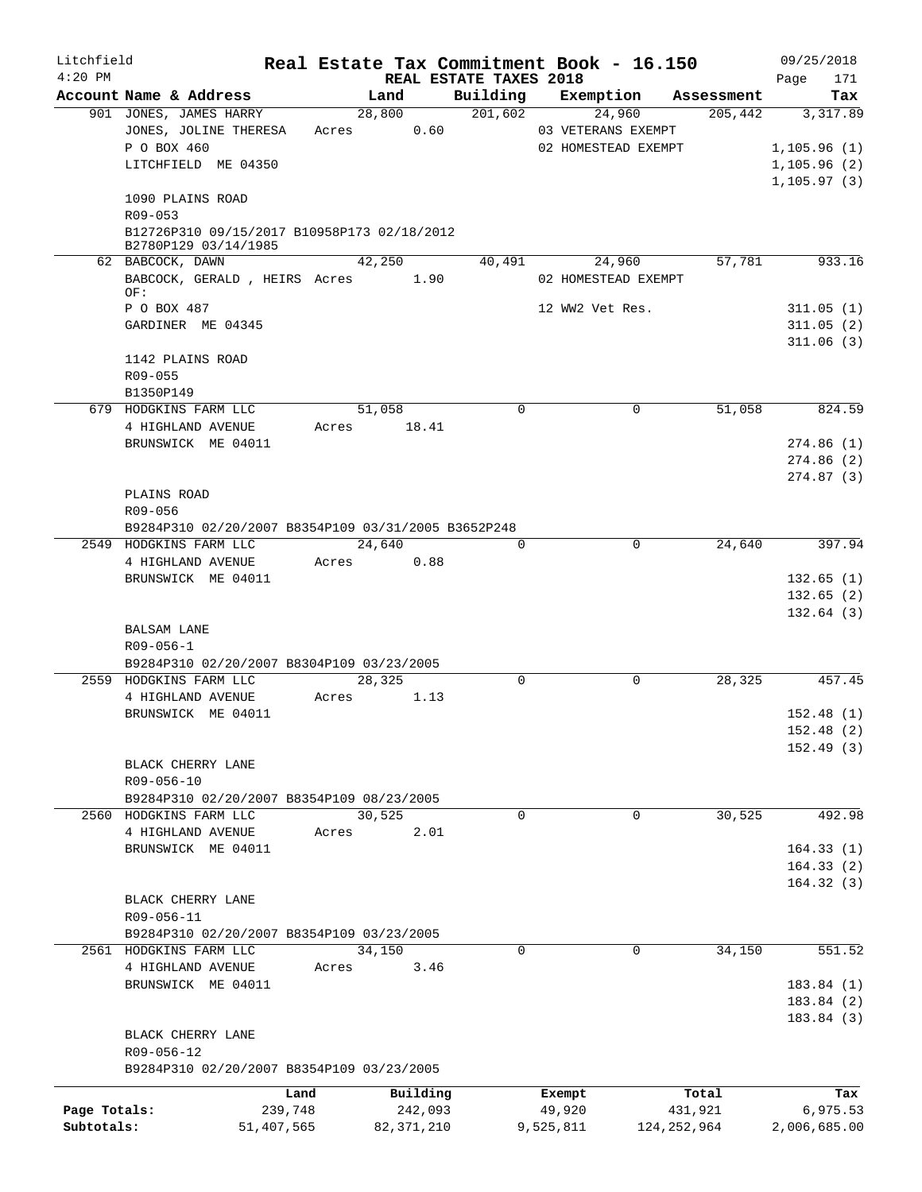| Litchfield   |                                                                     |                 |                     |                                    |           | Real Estate Tax Commitment Book - 16.150 |                  | 09/25/2018             |
|--------------|---------------------------------------------------------------------|-----------------|---------------------|------------------------------------|-----------|------------------------------------------|------------------|------------------------|
| $4:20$ PM    | Account Name & Address                                              |                 | Land                | REAL ESTATE TAXES 2018<br>Building |           | Exemption                                | Assessment       | 171<br>Page<br>Tax     |
|              | 901 JONES, JAMES HARRY                                              |                 | 28,800              | 201,602                            |           | 24,960                                   | 205,442          | 3,317.89               |
|              | JONES, JOLINE THERESA                                               | Acres           | 0.60                |                                    |           | 03 VETERANS EXEMPT                       |                  |                        |
|              | P O BOX 460                                                         |                 |                     |                                    |           | 02 HOMESTEAD EXEMPT                      |                  | 1,105.96(1)            |
|              | LITCHFIELD ME 04350                                                 |                 |                     |                                    |           |                                          |                  | 1,105.96(2)            |
|              |                                                                     |                 |                     |                                    |           |                                          |                  | 1, 105.97(3)           |
|              | 1090 PLAINS ROAD                                                    |                 |                     |                                    |           |                                          |                  |                        |
|              | R09-053<br>B12726P310 09/15/2017 B10958P173 02/18/2012              |                 |                     |                                    |           |                                          |                  |                        |
|              | B2780P129 03/14/1985                                                |                 |                     |                                    |           |                                          |                  |                        |
|              | 62 BABCOCK, DAWN                                                    |                 | 42,250              | 40,491                             |           | 24,960                                   | 57,781           | 933.16                 |
|              | BABCOCK, GERALD, HEIRS Acres                                        |                 | 1.90                |                                    |           | 02 HOMESTEAD EXEMPT                      |                  |                        |
|              | OF:                                                                 |                 |                     |                                    |           |                                          |                  |                        |
|              | P O BOX 487<br>GARDINER ME 04345                                    |                 |                     |                                    |           | 12 WW2 Vet Res.                          |                  | 311.05(1)<br>311.05(2) |
|              |                                                                     |                 |                     |                                    |           |                                          |                  | 311.06(3)              |
|              | 1142 PLAINS ROAD                                                    |                 |                     |                                    |           |                                          |                  |                        |
|              | R09-055                                                             |                 |                     |                                    |           |                                          |                  |                        |
|              | B1350P149                                                           |                 |                     |                                    |           |                                          |                  |                        |
|              | 679 HODGKINS FARM LLC                                               |                 | 51,058              | $\Omega$                           |           | $\mathbf 0$                              | 51,058           | 824.59                 |
|              | 4 HIGHLAND AVENUE                                                   |                 | Acres 18.41         |                                    |           |                                          |                  |                        |
|              | BRUNSWICK ME 04011                                                  |                 |                     |                                    |           |                                          |                  | 274.86(1)              |
|              |                                                                     |                 |                     |                                    |           |                                          |                  | 274.86(2)              |
|              |                                                                     |                 |                     |                                    |           |                                          |                  | 274.87(3)              |
|              | PLAINS ROAD<br>R09-056                                              |                 |                     |                                    |           |                                          |                  |                        |
|              | B9284P310 02/20/2007 B8354P109 03/31/2005 B3652P248                 |                 |                     |                                    |           |                                          |                  |                        |
|              | 2549 HODGKINS FARM LLC                                              |                 | 24,640              | $\Omega$                           |           | 0                                        | 24,640           | 397.94                 |
|              | 4 HIGHLAND AVENUE                                                   |                 | Acres 0.88          |                                    |           |                                          |                  |                        |
|              | BRUNSWICK ME 04011                                                  |                 |                     |                                    |           |                                          |                  | 132.65(1)              |
|              |                                                                     |                 |                     |                                    |           |                                          |                  | 132.65(2)              |
|              |                                                                     |                 |                     |                                    |           |                                          |                  | 132.64(3)              |
|              | <b>BALSAM LANE</b>                                                  |                 |                     |                                    |           |                                          |                  |                        |
|              | $R09 - 056 - 1$                                                     |                 |                     |                                    |           |                                          |                  |                        |
|              | B9284P310 02/20/2007 B8304P109 03/23/2005<br>2559 HODGKINS FARM LLC |                 | 28, 325             | 0                                  |           | 0                                        | 28,325           | 457.45                 |
|              | 4 HIGHLAND AVENUE                                                   | Acres           | 1.13                |                                    |           |                                          |                  |                        |
|              | BRUNSWICK ME 04011                                                  |                 |                     |                                    |           |                                          |                  | 152.48(1)              |
|              |                                                                     |                 |                     |                                    |           |                                          |                  | 152.48(2)              |
|              |                                                                     |                 |                     |                                    |           |                                          |                  | 152.49(3)              |
|              | BLACK CHERRY LANE                                                   |                 |                     |                                    |           |                                          |                  |                        |
|              | R09-056-10                                                          |                 |                     |                                    |           |                                          |                  |                        |
|              | B9284P310 02/20/2007 B8354P109 08/23/2005                           |                 |                     |                                    |           |                                          |                  |                        |
|              | 2560 HODGKINS FARM LLC                                              |                 | 30,525              | $\Omega$                           |           | 0                                        | 30,525           | 492.98                 |
|              | 4 HIGHLAND AVENUE<br>BRUNSWICK ME 04011                             | Acres           | 2.01                |                                    |           |                                          |                  | 164.33(1)              |
|              |                                                                     |                 |                     |                                    |           |                                          |                  | 164.33(2)              |
|              |                                                                     |                 |                     |                                    |           |                                          |                  | 164.32(3)              |
|              | BLACK CHERRY LANE                                                   |                 |                     |                                    |           |                                          |                  |                        |
|              | R09-056-11                                                          |                 |                     |                                    |           |                                          |                  |                        |
|              | B9284P310 02/20/2007 B8354P109 03/23/2005                           |                 |                     |                                    |           |                                          |                  |                        |
|              | 2561 HODGKINS FARM LLC                                              |                 | 34,150              | 0                                  |           | 0                                        | 34,150           | 551.52                 |
|              | 4 HIGHLAND AVENUE                                                   | Acres           | 3.46                |                                    |           |                                          |                  |                        |
|              | BRUNSWICK ME 04011                                                  |                 |                     |                                    |           |                                          |                  | 183.84(1)              |
|              |                                                                     |                 |                     |                                    |           |                                          |                  | 183.84(2)              |
|              | BLACK CHERRY LANE                                                   |                 |                     |                                    |           |                                          |                  | 183.84(3)              |
|              | R09-056-12                                                          |                 |                     |                                    |           |                                          |                  |                        |
|              | B9284P310 02/20/2007 B8354P109 03/23/2005                           |                 |                     |                                    |           |                                          |                  |                        |
|              |                                                                     |                 |                     |                                    |           |                                          |                  |                        |
| Page Totals: |                                                                     | Land<br>239,748 | Building<br>242,093 |                                    |           | Exempt<br>49,920                         | Total<br>431,921 | Tax<br>6,975.53        |
| Subtotals:   | 51,407,565                                                          |                 | 82, 371, 210        |                                    | 9,525,811 | 124, 252, 964                            |                  | 2,006,685.00           |
|              |                                                                     |                 |                     |                                    |           |                                          |                  |                        |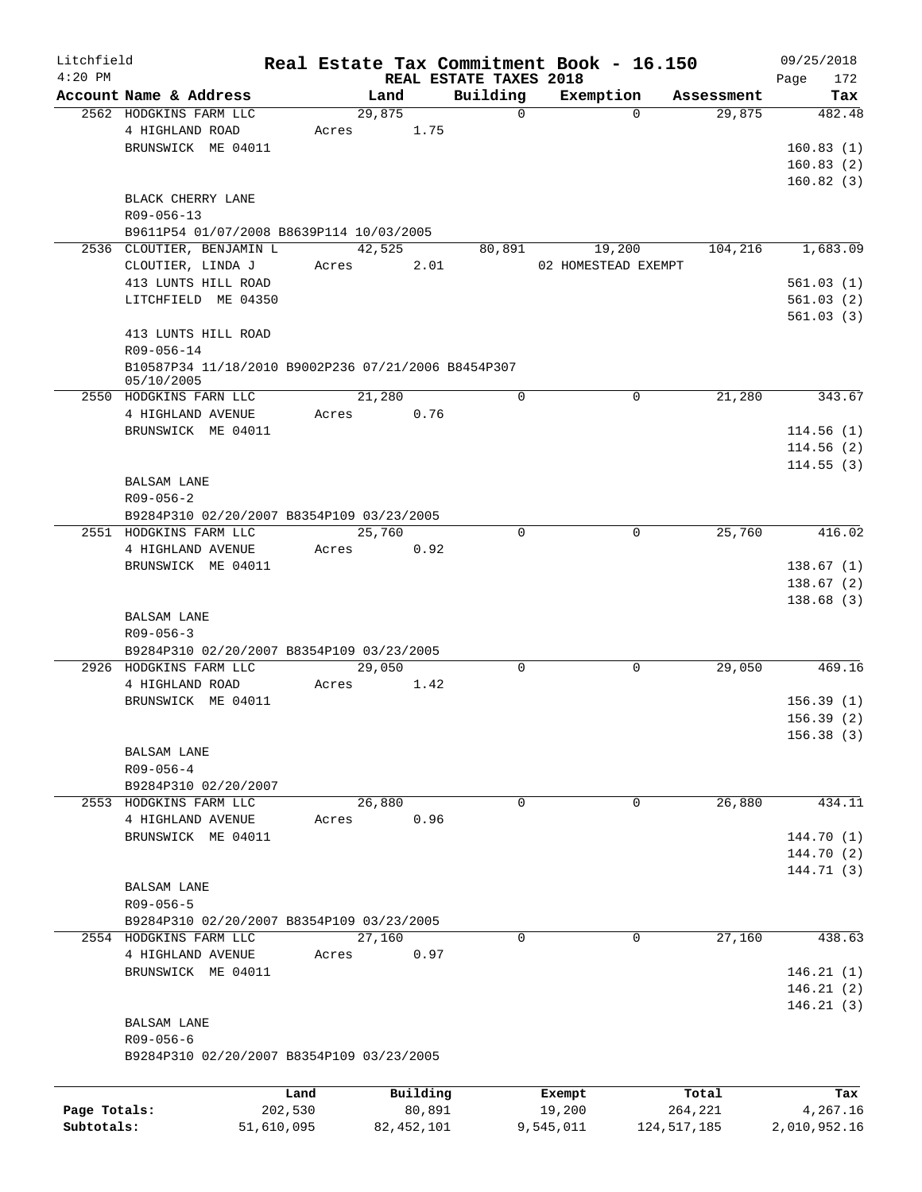| Litchfield   |                                                     |            |              |                                    | Real Estate Tax Commitment Book - 16.150 |                      | 09/25/2018         |
|--------------|-----------------------------------------------------|------------|--------------|------------------------------------|------------------------------------------|----------------------|--------------------|
| $4:20$ PM    | Account Name & Address                              |            | Land         | REAL ESTATE TAXES 2018<br>Building | Exemption                                |                      | Page<br>172<br>Tax |
|              | 2562 HODGKINS FARM LLC                              |            | 29,875       | $\mathbf 0$                        | $\Omega$                                 | Assessment<br>29,875 | 482.48             |
|              | 4 HIGHLAND ROAD                                     | Acres      | 1.75         |                                    |                                          |                      |                    |
|              |                                                     |            |              |                                    |                                          |                      |                    |
|              | BRUNSWICK ME 04011                                  |            |              |                                    |                                          |                      | 160.83(1)          |
|              |                                                     |            |              |                                    |                                          |                      | 160.83(2)          |
|              |                                                     |            |              |                                    |                                          |                      | 160.82(3)          |
|              | BLACK CHERRY LANE                                   |            |              |                                    |                                          |                      |                    |
|              | R09-056-13                                          |            |              |                                    |                                          |                      |                    |
|              | B9611P54 01/07/2008 B8639P114 10/03/2005            |            |              |                                    |                                          |                      |                    |
|              | 2536 CLOUTIER, BENJAMIN L                           |            | 42,525       | 80,891                             | 19,200                                   | 104,216              | 1,683.09           |
|              | CLOUTIER, LINDA J                                   | Acres      | 2.01         |                                    | 02 HOMESTEAD EXEMPT                      |                      |                    |
|              | 413 LUNTS HILL ROAD                                 |            |              |                                    |                                          |                      | 561.03(1)          |
|              | LITCHFIELD ME 04350                                 |            |              |                                    |                                          |                      | 561.03(2)          |
|              |                                                     |            |              |                                    |                                          |                      | 561.03(3)          |
|              | 413 LUNTS HILL ROAD                                 |            |              |                                    |                                          |                      |                    |
|              | R09-056-14                                          |            |              |                                    |                                          |                      |                    |
|              | B10587P34 11/18/2010 B9002P236 07/21/2006 B8454P307 |            |              |                                    |                                          |                      |                    |
|              | 05/10/2005                                          |            |              |                                    |                                          |                      |                    |
|              | 2550 HODGKINS FARN LLC                              |            | 21,280       | $\mathbf 0$                        | 0                                        | 21,280               | 343.67             |
|              | 4 HIGHLAND AVENUE                                   | Acres      | 0.76         |                                    |                                          |                      |                    |
|              | BRUNSWICK ME 04011                                  |            |              |                                    |                                          |                      | 114.56(1)          |
|              |                                                     |            |              |                                    |                                          |                      | 114.56(2)          |
|              |                                                     |            |              |                                    |                                          |                      | 114.55(3)          |
|              | <b>BALSAM LANE</b>                                  |            |              |                                    |                                          |                      |                    |
|              | $R09 - 056 - 2$                                     |            |              |                                    |                                          |                      |                    |
|              | B9284P310 02/20/2007 B8354P109 03/23/2005           |            |              |                                    |                                          |                      |                    |
|              |                                                     |            |              |                                    |                                          |                      |                    |
|              | 2551 HODGKINS FARM LLC                              |            | 25,760       | $\Omega$                           | 0                                        | 25,760               | 416.02             |
|              | 4 HIGHLAND AVENUE                                   | Acres      | 0.92         |                                    |                                          |                      |                    |
|              | BRUNSWICK ME 04011                                  |            |              |                                    |                                          |                      | 138.67(1)          |
|              |                                                     |            |              |                                    |                                          |                      | 138.67(2)          |
|              |                                                     |            |              |                                    |                                          |                      | 138.68(3)          |
|              | <b>BALSAM LANE</b>                                  |            |              |                                    |                                          |                      |                    |
|              | $R09 - 056 - 3$                                     |            |              |                                    |                                          |                      |                    |
|              | B9284P310 02/20/2007 B8354P109 03/23/2005           |            |              |                                    |                                          |                      |                    |
|              | 2926 HODGKINS FARM LLC                              |            | 29,050       | 0                                  | 0                                        | 29,050               | 469.16             |
|              | 4 HIGHLAND ROAD                                     | Acres      | 1.42         |                                    |                                          |                      |                    |
|              | BRUNSWICK ME 04011                                  |            |              |                                    |                                          |                      | 156.39(1)          |
|              |                                                     |            |              |                                    |                                          |                      | 156.39(2)          |
|              |                                                     |            |              |                                    |                                          |                      | 156.38(3)          |
|              | BALSAM LANE                                         |            |              |                                    |                                          |                      |                    |
|              | $R09 - 056 - 4$                                     |            |              |                                    |                                          |                      |                    |
|              |                                                     |            |              |                                    |                                          |                      |                    |
|              | B9284P310 02/20/2007                                |            |              |                                    |                                          |                      |                    |
|              | 2553 HODGKINS FARM LLC                              |            | 26,880       | 0                                  | 0                                        | 26,880               | 434.11             |
|              | 4 HIGHLAND AVENUE                                   | Acres      | 0.96         |                                    |                                          |                      |                    |
|              | BRUNSWICK ME 04011                                  |            |              |                                    |                                          |                      | 144.70 (1)         |
|              |                                                     |            |              |                                    |                                          |                      | 144.70 (2)         |
|              |                                                     |            |              |                                    |                                          |                      | 144.71 (3)         |
|              | <b>BALSAM LANE</b>                                  |            |              |                                    |                                          |                      |                    |
|              | R09-056-5                                           |            |              |                                    |                                          |                      |                    |
|              | B9284P310 02/20/2007 B8354P109 03/23/2005           |            |              |                                    |                                          |                      |                    |
|              | 2554 HODGKINS FARM LLC                              |            | 27,160       | $\mathbf 0$                        | $\Omega$                                 | 27,160               | 438.63             |
|              | 4 HIGHLAND AVENUE                                   | Acres      | 0.97         |                                    |                                          |                      |                    |
|              | BRUNSWICK ME 04011                                  |            |              |                                    |                                          |                      | 146.21(1)          |
|              |                                                     |            |              |                                    |                                          |                      | 146.21(2)          |
|              |                                                     |            |              |                                    |                                          |                      | 146.21(3)          |
|              |                                                     |            |              |                                    |                                          |                      |                    |
|              | BALSAM LANE                                         |            |              |                                    |                                          |                      |                    |
|              | $R09 - 056 - 6$                                     |            |              |                                    |                                          |                      |                    |
|              | B9284P310 02/20/2007 B8354P109 03/23/2005           |            |              |                                    |                                          |                      |                    |
|              |                                                     |            |              |                                    |                                          |                      |                    |
|              |                                                     | Land       | Building     |                                    | Exempt                                   | Total                | Tax                |
| Page Totals: |                                                     | 202,530    | 80,891       |                                    | 19,200                                   | 264,221              | 4,267.16           |
| Subtotals:   |                                                     | 51,610,095 | 82, 452, 101 |                                    | 9,545,011                                | 124, 517, 185        | 2,010,952.16       |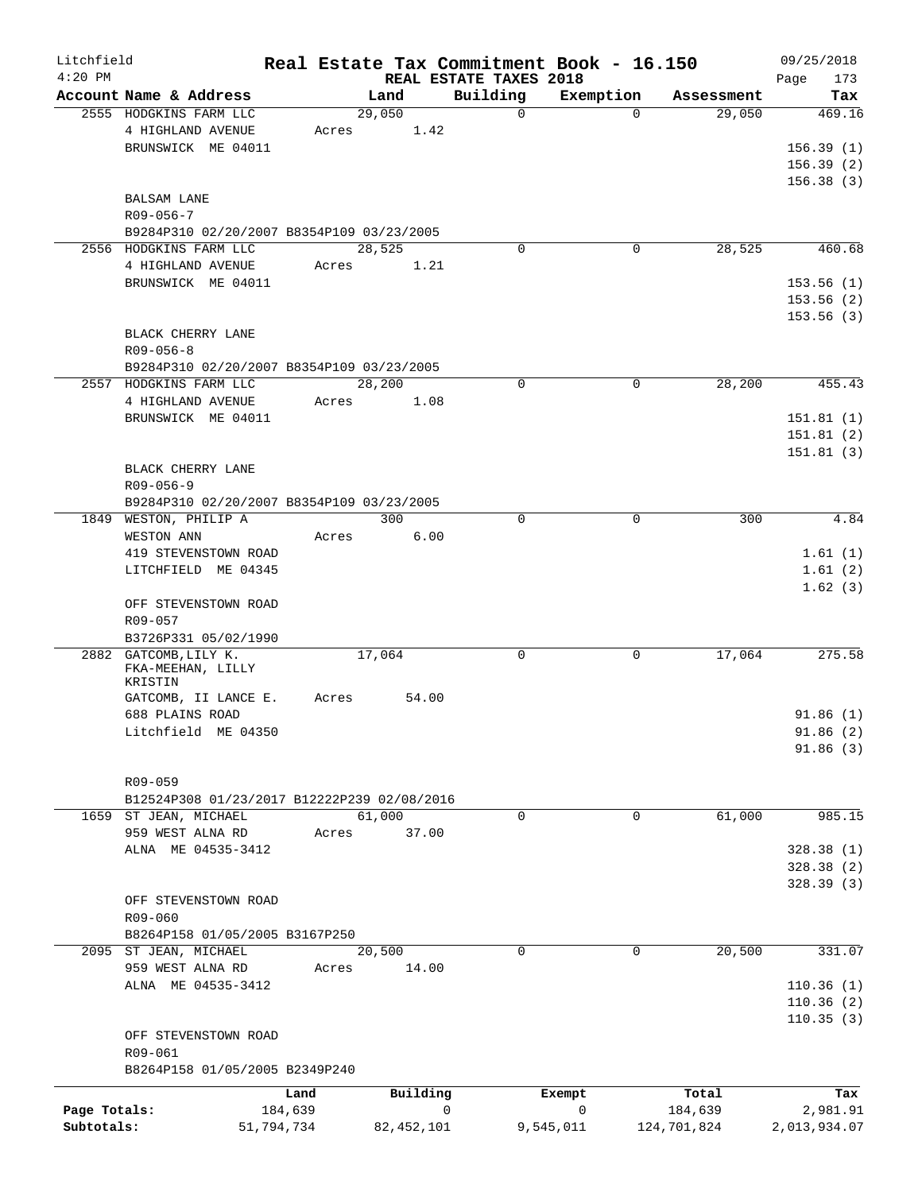| Litchfield   |                                             |       |              |                                    | Real Estate Tax Commitment Book - 16.150 |             | 09/25/2018         |
|--------------|---------------------------------------------|-------|--------------|------------------------------------|------------------------------------------|-------------|--------------------|
| $4:20$ PM    | Account Name & Address                      |       | Land         | REAL ESTATE TAXES 2018<br>Building | Exemption                                | Assessment  | 173<br>Page<br>Tax |
|              | 2555 HODGKINS FARM LLC                      |       | 29,050       | $\Omega$                           | $\Omega$                                 | 29,050      | 469.16             |
|              | 4 HIGHLAND AVENUE                           | Acres | 1.42         |                                    |                                          |             |                    |
|              | BRUNSWICK ME 04011                          |       |              |                                    |                                          |             | 156.39(1)          |
|              |                                             |       |              |                                    |                                          |             | 156.39(2)          |
|              |                                             |       |              |                                    |                                          |             | 156.38(3)          |
|              |                                             |       |              |                                    |                                          |             |                    |
|              | <b>BALSAM LANE</b>                          |       |              |                                    |                                          |             |                    |
|              | $R09 - 056 - 7$                             |       |              |                                    |                                          |             |                    |
|              | B9284P310 02/20/2007 B8354P109 03/23/2005   |       |              |                                    |                                          |             |                    |
|              | 2556 HODGKINS FARM LLC                      |       | 28,525       | $\Omega$                           | 0                                        | 28,525      | 460.68             |
|              | 4 HIGHLAND AVENUE                           | Acres | 1.21         |                                    |                                          |             |                    |
|              | BRUNSWICK ME 04011                          |       |              |                                    |                                          |             | 153.56(1)          |
|              |                                             |       |              |                                    |                                          |             | 153.56(2)          |
|              |                                             |       |              |                                    |                                          |             | 153.56(3)          |
|              | BLACK CHERRY LANE                           |       |              |                                    |                                          |             |                    |
|              | $R09 - 056 - 8$                             |       |              |                                    |                                          |             |                    |
|              | B9284P310 02/20/2007 B8354P109 03/23/2005   |       |              |                                    |                                          |             |                    |
|              | 2557 HODGKINS FARM LLC                      |       | 28,200       | $\Omega$                           | $\mathbf 0$                              | 28,200      | 455.43             |
|              | 4 HIGHLAND AVENUE                           | Acres | 1.08         |                                    |                                          |             |                    |
|              | BRUNSWICK ME 04011                          |       |              |                                    |                                          |             | 151.81(1)          |
|              |                                             |       |              |                                    |                                          |             | 151.81(2)          |
|              |                                             |       |              |                                    |                                          |             | 151.81(3)          |
|              | BLACK CHERRY LANE                           |       |              |                                    |                                          |             |                    |
|              | $R09 - 056 - 9$                             |       |              |                                    |                                          |             |                    |
|              | B9284P310 02/20/2007 B8354P109 03/23/2005   |       |              |                                    |                                          |             |                    |
|              | 1849 WESTON, PHILIP A                       |       | 300          | $\mathbf 0$                        | $\mathbf 0$                              | 300         | 4.84               |
|              |                                             |       |              |                                    |                                          |             |                    |
|              | WESTON ANN                                  | Acres | 6.00         |                                    |                                          |             |                    |
|              | 419 STEVENSTOWN ROAD                        |       |              |                                    |                                          |             | 1.61(1)            |
|              | LITCHFIELD ME 04345                         |       |              |                                    |                                          |             | 1.61(2)            |
|              |                                             |       |              |                                    |                                          |             | 1.62(3)            |
|              | OFF STEVENSTOWN ROAD                        |       |              |                                    |                                          |             |                    |
|              | R09-057                                     |       |              |                                    |                                          |             |                    |
|              | B3726P331 05/02/1990                        |       |              |                                    |                                          |             |                    |
| 2882         | GATCOMB, LILY K.                            |       | 17,064       | 0                                  | 0                                        | 17,064      | 275.58             |
|              | FKA-MEEHAN, LILLY<br>KRISTIN                |       |              |                                    |                                          |             |                    |
|              | GATCOMB, II LANCE E.                        | Acres | 54.00        |                                    |                                          |             |                    |
|              | 688 PLAINS ROAD                             |       |              |                                    |                                          |             | 91.86(1)           |
|              | Litchfield ME 04350                         |       |              |                                    |                                          |             | 91.86 (2)          |
|              |                                             |       |              |                                    |                                          |             | 91.86(3)           |
|              |                                             |       |              |                                    |                                          |             |                    |
|              |                                             |       |              |                                    |                                          |             |                    |
|              | R09-059                                     |       |              |                                    |                                          |             |                    |
|              | B12524P308 01/23/2017 B12222P239 02/08/2016 |       |              |                                    |                                          |             |                    |
|              | 1659 ST JEAN, MICHAEL                       |       | 61,000       | $\Omega$                           | 0                                        | 61,000      | 985.15             |
|              | 959 WEST ALNA RD                            | Acres | 37.00        |                                    |                                          |             |                    |
|              | ALNA ME 04535-3412                          |       |              |                                    |                                          |             | 328.38(1)          |
|              |                                             |       |              |                                    |                                          |             | 328.38 (2)         |
|              |                                             |       |              |                                    |                                          |             | 328.39(3)          |
|              | OFF STEVENSTOWN ROAD                        |       |              |                                    |                                          |             |                    |
|              | $R09 - 060$                                 |       |              |                                    |                                          |             |                    |
|              | B8264P158 01/05/2005 B3167P250              |       |              |                                    |                                          |             |                    |
|              | 2095 ST JEAN, MICHAEL                       |       | 20,500       | $\mathbf 0$                        | 0                                        | 20,500      | 331.07             |
|              | 959 WEST ALNA RD                            | Acres | 14.00        |                                    |                                          |             |                    |
|              | ALNA ME 04535-3412                          |       |              |                                    |                                          |             | 110.36(1)          |
|              |                                             |       |              |                                    |                                          |             | 110.36(2)          |
|              |                                             |       |              |                                    |                                          |             | 110.35(3)          |
|              | OFF STEVENSTOWN ROAD                        |       |              |                                    |                                          |             |                    |
|              | R09-061                                     |       |              |                                    |                                          |             |                    |
|              | B8264P158 01/05/2005 B2349P240              |       |              |                                    |                                          |             |                    |
|              |                                             |       |              |                                    |                                          |             |                    |
|              |                                             | Land  | Building     |                                    | Exempt                                   | Total       | Tax                |
| Page Totals: | 184,639                                     |       |              | 0                                  | 0                                        | 184,639     | 2,981.91           |
| Subtotals:   | 51,794,734                                  |       | 82, 452, 101 |                                    | 9,545,011                                | 124,701,824 | 2,013,934.07       |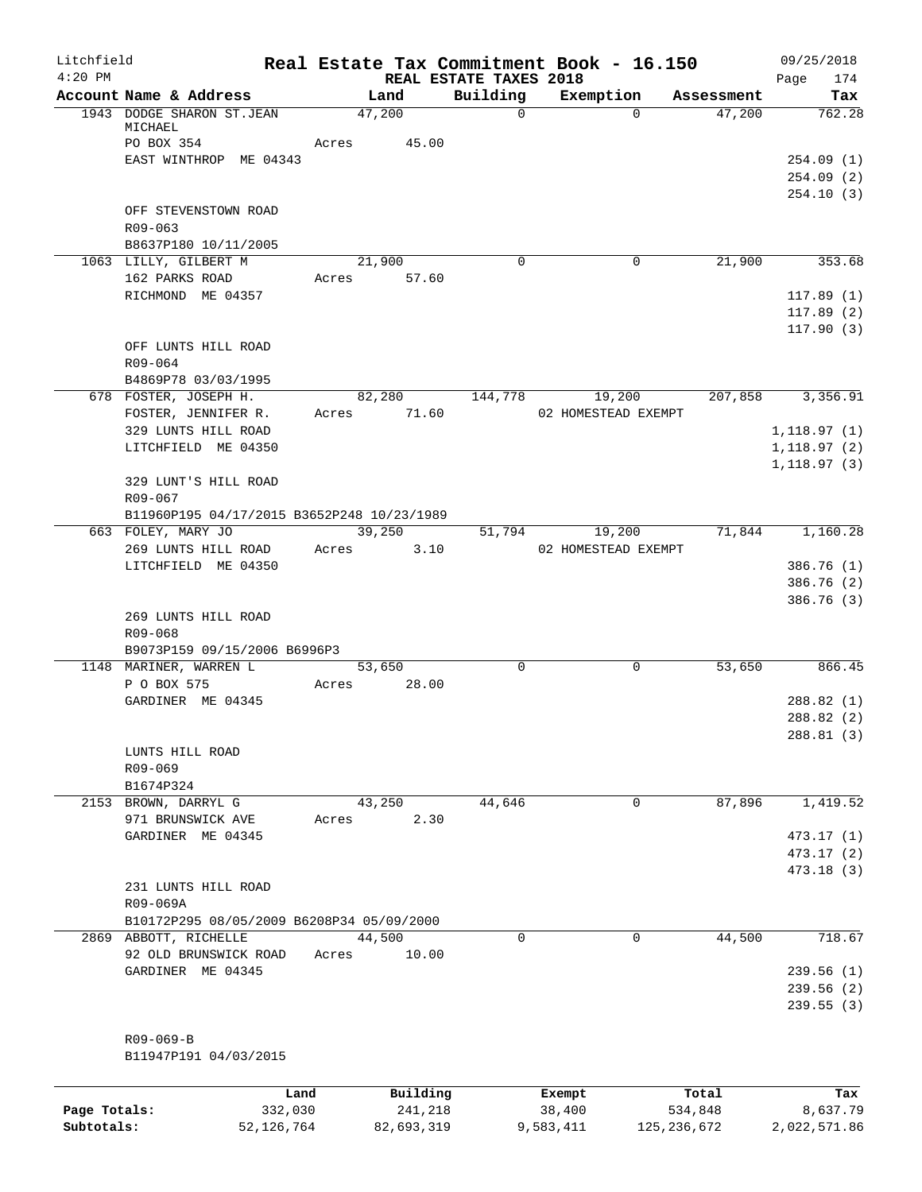| Litchfield |                                                        |       |                 |                                    | Real Estate Tax Commitment Book - 16.150 |            | 09/25/2018                          |
|------------|--------------------------------------------------------|-------|-----------------|------------------------------------|------------------------------------------|------------|-------------------------------------|
| $4:20$ PM  | Account Name & Address                                 |       | Land            | REAL ESTATE TAXES 2018<br>Building | Exemption                                | Assessment | Page<br>174<br>Tax                  |
|            | 1943 DODGE SHARON ST.JEAN<br>MICHAEL<br>PO BOX 354     | Acres | 47,200<br>45.00 | $\mathbf 0$                        | $\Omega$                                 | 47,200     | 762.28                              |
|            | EAST WINTHROP ME 04343                                 |       |                 |                                    |                                          |            | 254.09(1)<br>254.09(2)<br>254.10(3) |
|            | OFF STEVENSTOWN ROAD<br>R09-063                        |       |                 |                                    |                                          |            |                                     |
|            | B8637P180 10/11/2005<br>1063 LILLY, GILBERT M          |       | 21,900          | $\Omega$                           | 0                                        | 21,900     | 353.68                              |
|            | 162 PARKS ROAD                                         |       | Acres 57.60     |                                    |                                          |            |                                     |
|            | RICHMOND ME 04357                                      |       |                 |                                    |                                          |            | 117.89(1)<br>117.89(2)<br>117.90(3) |
|            | OFF LUNTS HILL ROAD<br>R09-064                         |       |                 |                                    |                                          |            |                                     |
|            | B4869P78 03/03/1995<br>678 FOSTER, JOSEPH H.           |       | 82,280          | 144,778                            | 19,200                                   | 207,858    | 3,356.91                            |
|            | FOSTER, JENNIFER R.                                    |       | Acres 71.60     |                                    | 02 HOMESTEAD EXEMPT                      |            |                                     |
|            | 329 LUNTS HILL ROAD                                    |       |                 |                                    |                                          |            | 1, 118.97(1)                        |
|            | LITCHFIELD ME 04350                                    |       |                 |                                    |                                          |            | 1, 118.97(2)                        |
|            | 329 LUNT'S HILL ROAD<br>R09-067                        |       |                 |                                    |                                          |            | 1, 118.97(3)                        |
|            | B11960P195 04/17/2015 B3652P248 10/23/1989             |       |                 |                                    |                                          |            |                                     |
|            | 663 FOLEY, MARY JO                                     |       | 39,250          | 51,794                             | 19,200                                   | 71,844     | 1,160.28                            |
|            | 269 LUNTS HILL ROAD<br>LITCHFIELD ME 04350             | Acres | 3.10            |                                    | 02 HOMESTEAD EXEMPT                      |            | 386.76(1)                           |
|            |                                                        |       |                 |                                    |                                          |            | 386.76(2)                           |
|            |                                                        |       |                 |                                    |                                          |            | 386.76 (3)                          |
|            | 269 LUNTS HILL ROAD                                    |       |                 |                                    |                                          |            |                                     |
|            | R09-068                                                |       |                 |                                    |                                          |            |                                     |
|            | B9073P159 09/15/2006 B6996P3<br>1148 MARINER, WARREN L |       | 53,650          | $\mathbf 0$                        | $\mathbf 0$                              | 53,650     | 866.45                              |
|            | P O BOX 575                                            | Acres | 28.00           |                                    |                                          |            |                                     |
|            | GARDINER ME 04345                                      |       |                 |                                    |                                          |            | 288.82(1)                           |
|            |                                                        |       |                 |                                    |                                          |            | 288.82(2)                           |
|            |                                                        |       |                 |                                    |                                          |            | 288.81 (3)                          |
|            | LUNTS HILL ROAD<br>$R09 - 069$                         |       |                 |                                    |                                          |            |                                     |
|            | B1674P324                                              |       |                 |                                    |                                          |            |                                     |
|            | 2153 BROWN, DARRYL G                                   |       | 43,250          | 44,646                             | 0                                        | 87,896     | 1,419.52                            |
|            | 971 BRUNSWICK AVE                                      | Acres | 2.30            |                                    |                                          |            |                                     |
|            | GARDINER ME 04345                                      |       |                 |                                    |                                          |            | 473.17(1)                           |
|            |                                                        |       |                 |                                    |                                          |            | 473.17 (2)                          |
|            | 231 LUNTS HILL ROAD<br>R09-069A                        |       |                 |                                    |                                          |            | 473.18 (3)                          |
|            | B10172P295 08/05/2009 B6208P34 05/09/2000              |       |                 |                                    |                                          |            |                                     |
|            | 2869 ABBOTT, RICHELLE                                  |       | 44,500          | $\Omega$                           | 0                                        | 44,500     | 718.67                              |
|            | 92 OLD BRUNSWICK ROAD<br>GARDINER ME 04345             | Acres | 10.00           |                                    |                                          |            | 239.56(1)                           |
|            |                                                        |       |                 |                                    |                                          |            | 239.56(2)                           |
|            |                                                        |       |                 |                                    |                                          |            | 239.55 (3)                          |
|            |                                                        |       |                 |                                    |                                          |            |                                     |
|            | R09-069-B<br>B11947P191 04/03/2015                     |       |                 |                                    |                                          |            |                                     |
|            |                                                        |       |                 |                                    |                                          |            |                                     |
|            | Land                                                   |       | Building        |                                    | Exempt                                   | Total      | Tax                                 |

|              | Lanu       | <b>Building</b> | LXCMDL    | TOLAT         | 1ax.         |
|--------------|------------|-----------------|-----------|---------------|--------------|
| Page Totals: | 332,030    | 241,218         | 38,400    | 534,848       | 8,637.79     |
| Subtotals:   | 52,126,764 | 82,693,319      | 9,583,411 | 125, 236, 672 | 2,022,571.86 |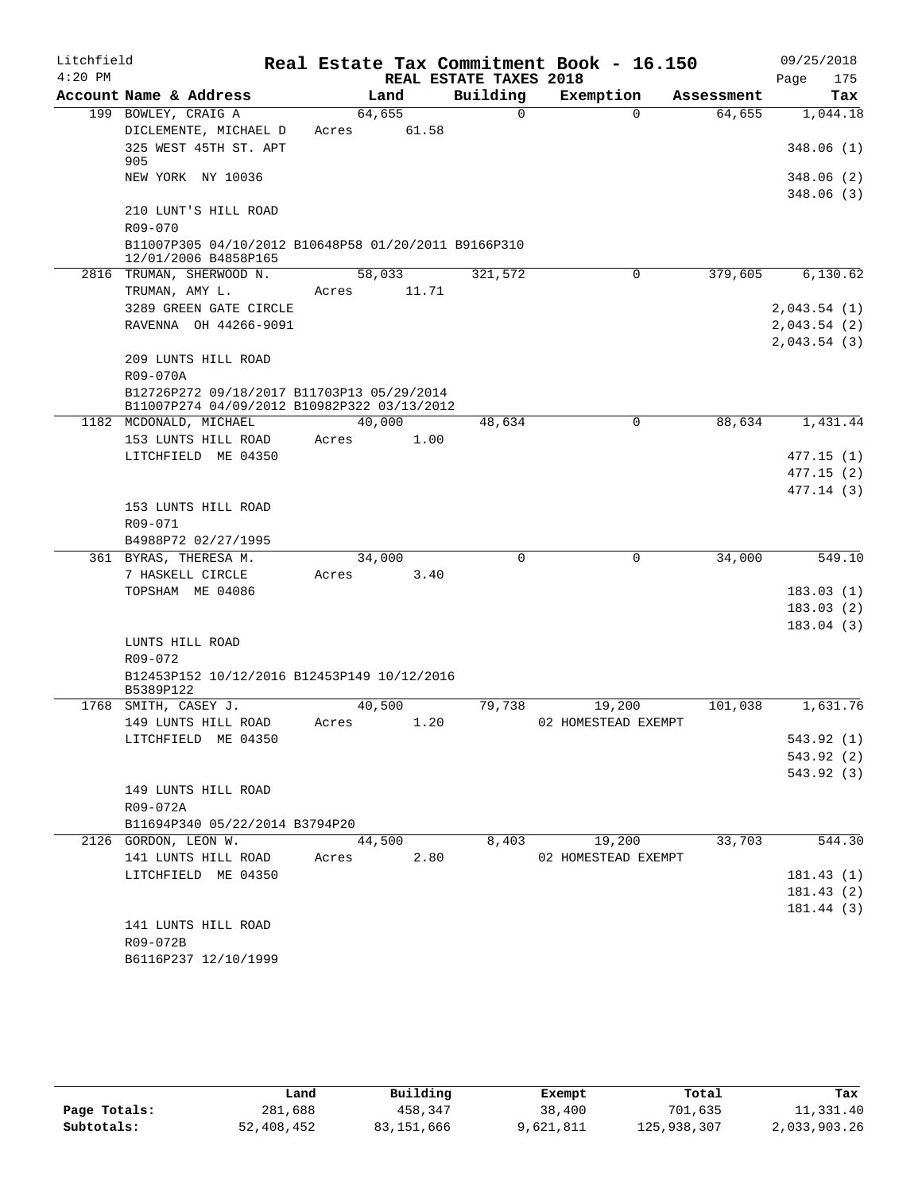| Litchfield |                                                                                           |        |       |                        | Real Estate Tax Commitment Book - 16.150 |            | 09/25/2018              |
|------------|-------------------------------------------------------------------------------------------|--------|-------|------------------------|------------------------------------------|------------|-------------------------|
| $4:20$ PM  |                                                                                           |        |       | REAL ESTATE TAXES 2018 |                                          |            | 175<br>Page             |
|            | Account Name & Address                                                                    | Land   |       | Building               | Exemption                                | Assessment | Tax                     |
|            | 199 BOWLEY, CRAIG A                                                                       | 64,655 |       | $\Omega$               | $\Omega$                                 | 64,655     | 1,044.18                |
|            | DICLEMENTE, MICHAEL D                                                                     | Acres  | 61.58 |                        |                                          |            |                         |
|            | 325 WEST 45TH ST. APT<br>905                                                              |        |       |                        |                                          |            | 348.06(1)               |
|            | NEW YORK NY 10036                                                                         |        |       |                        |                                          |            | 348.06 (2)<br>348.06(3) |
|            | 210 LUNT'S HILL ROAD                                                                      |        |       |                        |                                          |            |                         |
|            | $R09 - 070$                                                                               |        |       |                        |                                          |            |                         |
|            | B11007P305 04/10/2012 B10648P58 01/20/2011 B9166P310<br>12/01/2006 B4858P165              |        |       |                        |                                          |            |                         |
|            | 2816 TRUMAN, SHERWOOD N.                                                                  | 58,033 |       | 321,572                | $\mathbf 0$                              | 379,605    | 6,130.62                |
|            | TRUMAN, AMY L.                                                                            | Acres  | 11.71 |                        |                                          |            |                         |
|            | 3289 GREEN GATE CIRCLE                                                                    |        |       |                        |                                          |            | 2,043.54(1)             |
|            | RAVENNA OH 44266-9091                                                                     |        |       |                        |                                          |            | 2,043.54(2)             |
|            |                                                                                           |        |       |                        |                                          |            | 2,043.54(3)             |
|            | 209 LUNTS HILL ROAD                                                                       |        |       |                        |                                          |            |                         |
|            | R09-070A                                                                                  |        |       |                        |                                          |            |                         |
|            | B12726P272 09/18/2017 B11703P13 05/29/2014<br>B11007P274 04/09/2012 B10982P322 03/13/2012 |        |       |                        |                                          |            |                         |
|            | 1182 MCDONALD, MICHAEL                                                                    | 40,000 |       | 48,634                 | $\mathbf 0$                              | 88,634     | 1,431.44                |
|            | 153 LUNTS HILL ROAD                                                                       | Acres  | 1.00  |                        |                                          |            |                         |
|            | LITCHFIELD ME 04350                                                                       |        |       |                        |                                          |            | 477.15(1)               |
|            |                                                                                           |        |       |                        |                                          |            | 477.15(2)               |
|            |                                                                                           |        |       |                        |                                          |            | 477.14 (3)              |
|            | 153 LUNTS HILL ROAD                                                                       |        |       |                        |                                          |            |                         |
|            | R09-071                                                                                   |        |       |                        |                                          |            |                         |
|            | B4988P72 02/27/1995                                                                       |        |       |                        |                                          |            |                         |
|            | 361 BYRAS, THERESA M.                                                                     | 34,000 |       | 0                      | $\mathbf 0$                              | 34,000     | 549.10                  |
|            | 7 HASKELL CIRCLE                                                                          | Acres  | 3.40  |                        |                                          |            |                         |
|            | TOPSHAM ME 04086                                                                          |        |       |                        |                                          |            | 183.03(1)               |
|            |                                                                                           |        |       |                        |                                          |            | 183.03(2)               |
|            |                                                                                           |        |       |                        |                                          |            | 183.04(3)               |
|            | LUNTS HILL ROAD                                                                           |        |       |                        |                                          |            |                         |
|            | R09-072                                                                                   |        |       |                        |                                          |            |                         |
|            | B12453P152 10/12/2016 B12453P149 10/12/2016<br>B5389P122                                  |        |       |                        |                                          |            |                         |
|            | 1768 SMITH, CASEY J.                                                                      | 40,500 |       | 79,738                 | 19,200                                   | 101,038    | 1,631.76                |
|            | 149 LUNTS HILL ROAD                                                                       | Acres  | 1.20  |                        | 02 HOMESTEAD EXEMPT                      |            |                         |
|            | LITCHFIELD ME 04350                                                                       |        |       |                        |                                          |            | 543.92(1)               |
|            |                                                                                           |        |       |                        |                                          |            | 543.92 (2)              |
|            |                                                                                           |        |       |                        |                                          |            | 543.92 (3)              |
|            | 149 LUNTS HILL ROAD                                                                       |        |       |                        |                                          |            |                         |
|            | R09-072A                                                                                  |        |       |                        |                                          |            |                         |
|            | B11694P340 05/22/2014 B3794P20                                                            |        |       |                        |                                          |            |                         |
|            | 2126 GORDON, LEON W.                                                                      | 44,500 |       | 8,403                  | 19,200                                   | 33,703     | 544.30                  |
|            | 141 LUNTS HILL ROAD                                                                       | Acres  | 2.80  |                        | 02 HOMESTEAD EXEMPT                      |            |                         |
|            | LITCHFIELD ME 04350                                                                       |        |       |                        |                                          |            | 181.43(1)               |
|            |                                                                                           |        |       |                        |                                          |            | 181.43(2)               |
|            |                                                                                           |        |       |                        |                                          |            | 181.44 (3)              |
|            | 141 LUNTS HILL ROAD                                                                       |        |       |                        |                                          |            |                         |
|            | R09-072B                                                                                  |        |       |                        |                                          |            |                         |
|            | B6116P237 12/10/1999                                                                      |        |       |                        |                                          |            |                         |

|              | Land       | Building   | Exempt    | Total       | Tax          |
|--------------|------------|------------|-----------|-------------|--------------|
| Page Totals: | 281,688    | 458,347    | 38,400    | 701,635     | 11,331.40    |
| Subtotals:   | 52,408,452 | 83,151,666 | 9,621,811 | 125,938,307 | 2,033,903.26 |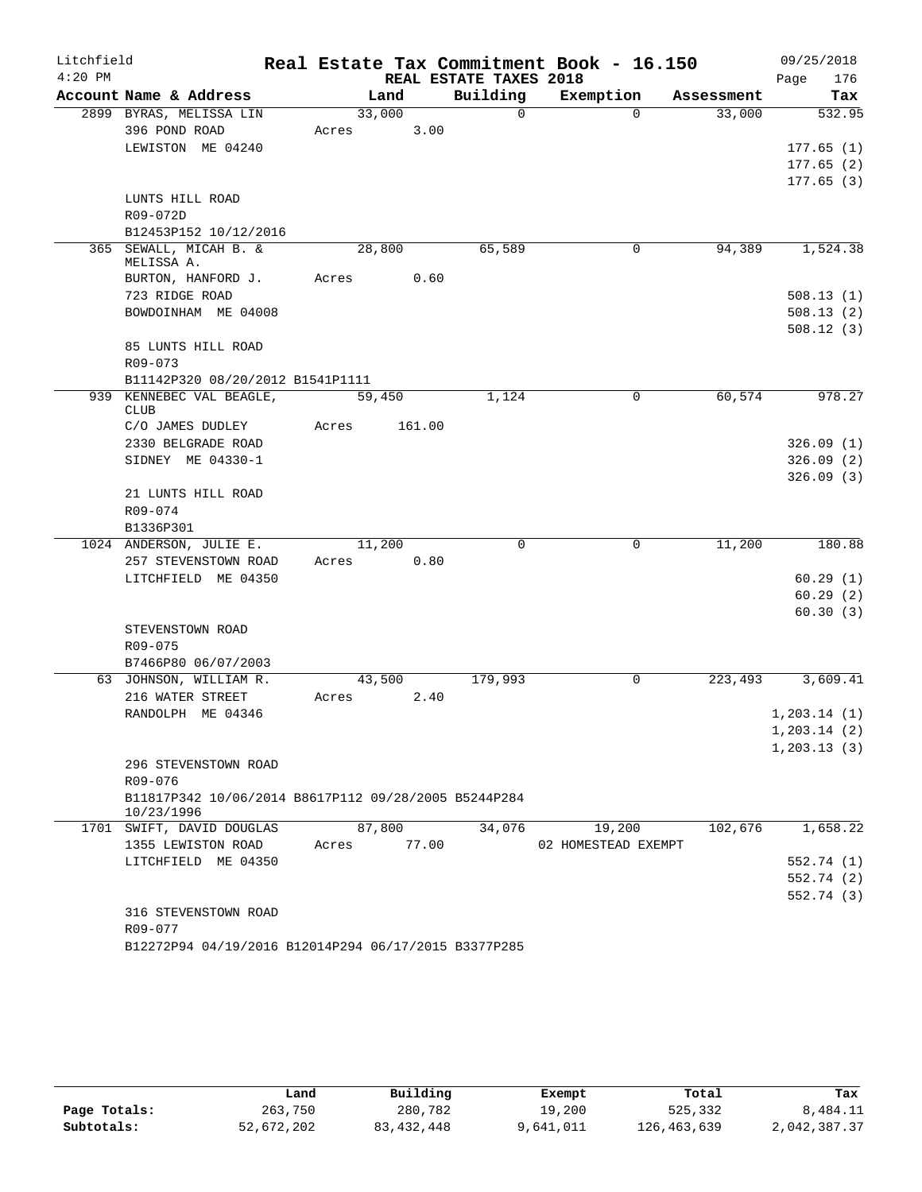| Litchfield |                                                                    |       |        |        |                        | Real Estate Tax Commitment Book - 16.150 |            | 09/25/2018    |
|------------|--------------------------------------------------------------------|-------|--------|--------|------------------------|------------------------------------------|------------|---------------|
| $4:20$ PM  |                                                                    |       |        |        | REAL ESTATE TAXES 2018 |                                          |            | 176<br>Page   |
|            | Account Name & Address                                             |       |        | Land   | Building               | Exemption                                | Assessment | Tax           |
|            | 2899 BYRAS, MELISSA LIN                                            |       | 33,000 |        | $\Omega$               | $\Omega$                                 | 33,000     | 532.95        |
|            | 396 POND ROAD                                                      | Acres |        | 3.00   |                        |                                          |            |               |
|            | LEWISTON ME 04240                                                  |       |        |        |                        |                                          |            | 177.65(1)     |
|            |                                                                    |       |        |        |                        |                                          |            | 177.65(2)     |
|            | LUNTS HILL ROAD                                                    |       |        |        |                        |                                          |            | 177.65(3)     |
|            | R09-072D                                                           |       |        |        |                        |                                          |            |               |
|            | B12453P152 10/12/2016                                              |       |        |        |                        |                                          |            |               |
|            | 365 SEWALL, MICAH B. &                                             |       |        | 28,800 | 65,589                 | 0                                        | 94,389     | 1,524.38      |
|            | MELISSA A.                                                         |       |        |        |                        |                                          |            |               |
|            | BURTON, HANFORD J.                                                 | Acres |        | 0.60   |                        |                                          |            |               |
|            | 723 RIDGE ROAD                                                     |       |        |        |                        |                                          |            | 508.13(1)     |
|            | BOWDOINHAM ME 04008                                                |       |        |        |                        |                                          |            | 508.13(2)     |
|            |                                                                    |       |        |        |                        |                                          |            | 508.12(3)     |
|            | 85 LUNTS HILL ROAD                                                 |       |        |        |                        |                                          |            |               |
|            | R09-073                                                            |       |        |        |                        |                                          |            |               |
|            | B11142P320 08/20/2012 B1541P1111                                   |       |        |        |                        |                                          |            |               |
|            | 939 KENNEBEC VAL BEAGLE,<br><b>CLUB</b>                            |       |        | 59,450 | 1,124                  | 0                                        | 60,574     | 978.27        |
|            | C/O JAMES DUDLEY                                                   | Acres |        | 161.00 |                        |                                          |            |               |
|            | 2330 BELGRADE ROAD                                                 |       |        |        |                        |                                          |            | 326.09(1)     |
|            | SIDNEY ME 04330-1                                                  |       |        |        |                        |                                          |            | 326.09(2)     |
|            |                                                                    |       |        |        |                        |                                          |            | 326.09(3)     |
|            | 21 LUNTS HILL ROAD                                                 |       |        |        |                        |                                          |            |               |
|            | R09-074                                                            |       |        |        |                        |                                          |            |               |
|            | B1336P301                                                          |       |        |        |                        |                                          |            |               |
|            | 1024 ANDERSON, JULIE E.                                            |       | 11,200 |        | 0                      | 0                                        | 11,200     | 180.88        |
|            | 257 STEVENSTOWN ROAD                                               | Acres |        | 0.80   |                        |                                          |            |               |
|            | LITCHFIELD ME 04350                                                |       |        |        |                        |                                          |            | 60.29(1)      |
|            |                                                                    |       |        |        |                        |                                          |            | 60.29(2)      |
|            | STEVENSTOWN ROAD                                                   |       |        |        |                        |                                          |            | 60.30(3)      |
|            | R09-075                                                            |       |        |        |                        |                                          |            |               |
|            | B7466P80 06/07/2003                                                |       |        |        |                        |                                          |            |               |
|            | 63 JOHNSON, WILLIAM R.                                             |       |        | 43,500 | 179,993                | 0                                        | 223,493    | 3,609.41      |
|            | 216 WATER STREET                                                   | Acres |        | 2.40   |                        |                                          |            |               |
|            | RANDOLPH ME 04346                                                  |       |        |        |                        |                                          |            | 1, 203.14(1)  |
|            |                                                                    |       |        |        |                        |                                          |            | 1, 203.14 (2) |
|            |                                                                    |       |        |        |                        |                                          |            | 1, 203.13(3)  |
|            | 296 STEVENSTOWN ROAD                                               |       |        |        |                        |                                          |            |               |
|            | R09-076                                                            |       |        |        |                        |                                          |            |               |
|            | B11817P342 10/06/2014 B8617P112 09/28/2005 B5244P284<br>10/23/1996 |       |        |        |                        |                                          |            |               |
|            | 1701 SWIFT, DAVID DOUGLAS                                          |       |        | 87,800 | 34,076                 | 19,200                                   | 102,676    | 1,658.22      |
|            | 1355 LEWISTON ROAD                                                 | Acres |        | 77.00  |                        | 02 HOMESTEAD EXEMPT                      |            |               |
|            | LITCHFIELD ME 04350                                                |       |        |        |                        |                                          |            | 552.74 (1)    |
|            |                                                                    |       |        |        |                        |                                          |            | 552.74 (2)    |
|            |                                                                    |       |        |        |                        |                                          |            | 552.74(3)     |
|            | 316 STEVENSTOWN ROAD                                               |       |        |        |                        |                                          |            |               |
|            |                                                                    |       |        |        |                        |                                          |            |               |
|            | R09-077<br>B12272P94 04/19/2016 B12014P294 06/17/2015 B3377P285    |       |        |        |                        |                                          |            |               |

|              | Land       | Building     | Exempt    | Total       | Tax          |
|--------------|------------|--------------|-----------|-------------|--------------|
| Page Totals: | 263,750    | 280,782      | 19,200    | 525,332     | 8,484.11     |
| Subtotals:   | 52,672,202 | 83, 432, 448 | 9,641,011 | 126,463,639 | 2,042,387.37 |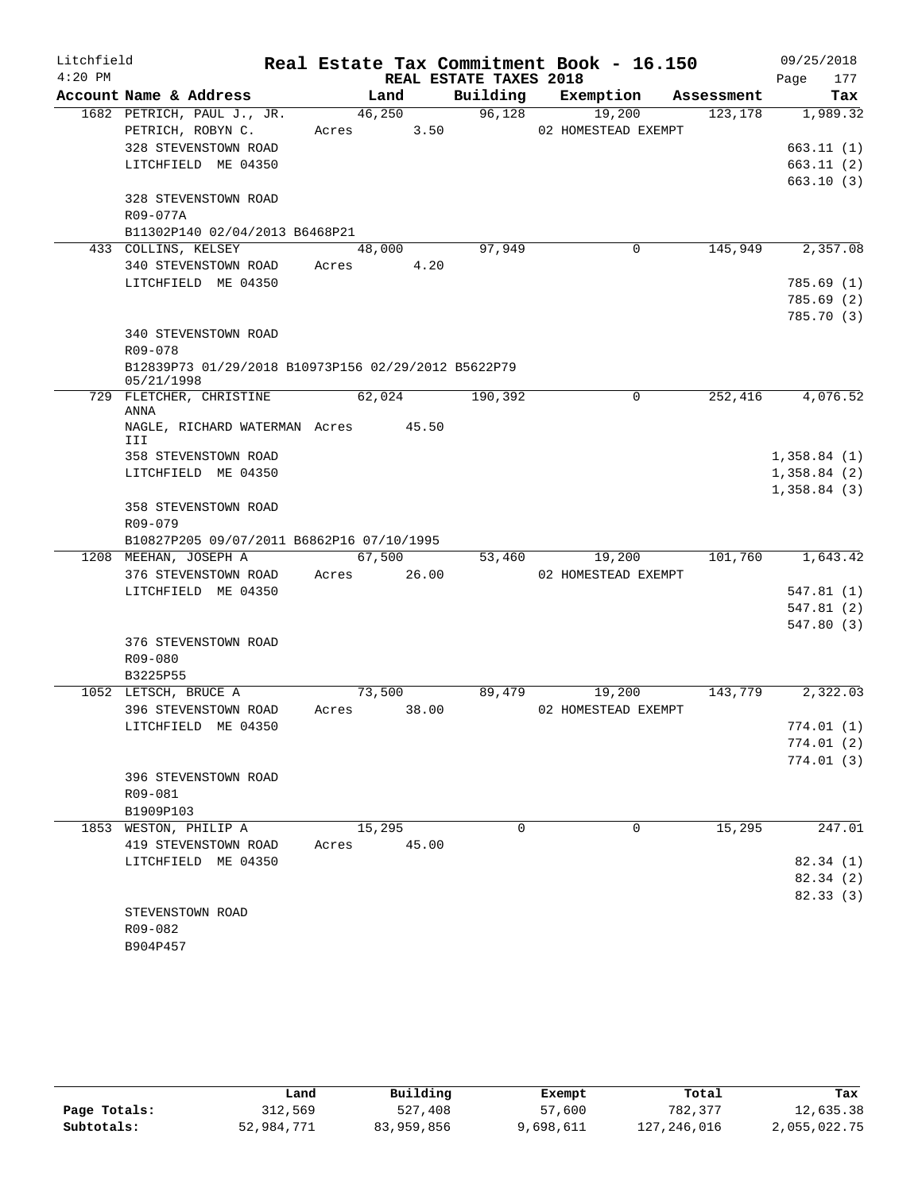| Litchfield |                                                                |             |       |                        | Real Estate Tax Commitment Book - 16.150 |            | 09/25/2018                 |
|------------|----------------------------------------------------------------|-------------|-------|------------------------|------------------------------------------|------------|----------------------------|
| $4:20$ PM  |                                                                |             |       | REAL ESTATE TAXES 2018 |                                          |            | 177<br>Page                |
|            | Account Name & Address                                         | Land        |       |                        | Building Exemption                       | Assessment | Tax                        |
|            | 1682 PETRICH, PAUL J., JR.                                     | 46,250      |       | 96,128                 | 19,200                                   | 123,178    | 1,989.32                   |
|            | PETRICH, ROBYN C.                                              | Acres 3.50  |       |                        | 02 HOMESTEAD EXEMPT                      |            |                            |
|            | 328 STEVENSTOWN ROAD                                           |             |       |                        |                                          |            | 663.11(1)                  |
|            | LITCHFIELD ME 04350                                            |             |       |                        |                                          |            | 663.11(2)                  |
|            |                                                                |             |       |                        |                                          |            | 663.10(3)                  |
|            | 328 STEVENSTOWN ROAD                                           |             |       |                        |                                          |            |                            |
|            | R09-077A                                                       |             |       |                        |                                          |            |                            |
|            | B11302P140 02/04/2013 B6468P21                                 |             |       |                        |                                          |            |                            |
|            | 433 COLLINS, KELSEY                                            | 48,000      |       | 97,949                 | 0                                        | 145,949    | 2,357.08                   |
|            | 340 STEVENSTOWN ROAD                                           | Acres 4.20  |       |                        |                                          |            |                            |
|            | LITCHFIELD ME 04350                                            |             |       |                        |                                          |            | 785.69(1)                  |
|            |                                                                |             |       |                        |                                          |            | 785.69 (2)                 |
|            |                                                                |             |       |                        |                                          |            | 785.70(3)                  |
|            | 340 STEVENSTOWN ROAD                                           |             |       |                        |                                          |            |                            |
|            | R09-078<br>B12839P73 01/29/2018 B10973P156 02/29/2012 B5622P79 |             |       |                        |                                          |            |                            |
|            | 05/21/1998                                                     |             |       |                        |                                          |            |                            |
|            | 729 FLETCHER, CHRISTINE                                        | 62,024      |       | 190,392                | $\mathbf 0$                              | 252,416    | 4,076.52                   |
|            | ANNA                                                           |             |       |                        |                                          |            |                            |
|            | NAGLE, RICHARD WATERMAN Acres 45.50                            |             |       |                        |                                          |            |                            |
|            | III                                                            |             |       |                        |                                          |            |                            |
|            | 358 STEVENSTOWN ROAD<br>LITCHFIELD ME 04350                    |             |       |                        |                                          |            | 1,358.84(1)<br>1,358.84(2) |
|            |                                                                |             |       |                        |                                          |            | 1,358.84(3)                |
|            | 358 STEVENSTOWN ROAD                                           |             |       |                        |                                          |            |                            |
|            | R09-079                                                        |             |       |                        |                                          |            |                            |
|            | B10827P205 09/07/2011 B6862P16 07/10/1995                      |             |       |                        |                                          |            |                            |
|            | 1208 MEEHAN, JOSEPH A                                          | 67,500      |       | 53,460                 | 19,200                                   | 101,760    | 1,643.42                   |
|            | 376 STEVENSTOWN ROAD                                           | Acres 26.00 |       |                        | 02 HOMESTEAD EXEMPT                      |            |                            |
|            | LITCHFIELD ME 04350                                            |             |       |                        |                                          |            | 547.81(1)                  |
|            |                                                                |             |       |                        |                                          |            | 547.81 (2)                 |
|            |                                                                |             |       |                        |                                          |            | 547.80 (3)                 |
|            | 376 STEVENSTOWN ROAD                                           |             |       |                        |                                          |            |                            |
|            | R09-080                                                        |             |       |                        |                                          |            |                            |
|            | B3225P55                                                       |             |       |                        |                                          |            |                            |
|            | 1052 LETSCH, BRUCE A                                           | 73,500      |       | 89,479                 | 19,200                                   | 143,779    | 2,322.03                   |
|            | 396 STEVENSTOWN ROAD                                           | Acres 38.00 |       |                        | 02 HOMESTEAD EXEMPT                      |            |                            |
|            | LITCHFIELD ME 04350                                            |             |       |                        |                                          |            | 774.01 (1)                 |
|            |                                                                |             |       |                        |                                          |            | 774.01 (2)                 |
|            |                                                                |             |       |                        |                                          |            | 774.01(3)                  |
|            | 396 STEVENSTOWN ROAD                                           |             |       |                        |                                          |            |                            |
|            | R09-081                                                        |             |       |                        |                                          |            |                            |
|            | B1909P103                                                      |             |       |                        |                                          |            |                            |
|            | 1853 WESTON, PHILIP A                                          | 15,295      |       | $\Omega$               | $\Omega$                                 | 15,295     | 247.01                     |
|            | 419 STEVENSTOWN ROAD                                           | Acres       | 45.00 |                        |                                          |            |                            |
|            | LITCHFIELD ME 04350                                            |             |       |                        |                                          |            | 82.34(1)                   |
|            |                                                                |             |       |                        |                                          |            | 82.34(2)                   |
|            |                                                                |             |       |                        |                                          |            | 82.33 (3)                  |
|            | STEVENSTOWN ROAD                                               |             |       |                        |                                          |            |                            |
|            | R09-082                                                        |             |       |                        |                                          |            |                            |
|            | B904P457                                                       |             |       |                        |                                          |            |                            |

|              | Land       | Building   | Exempt    | Total       | Tax          |
|--------------|------------|------------|-----------|-------------|--------------|
| Page Totals: | 312,569    | 527,408    | 57,600    | 782,377     | 12,635.38    |
| Subtotals:   | 52,984,771 | 83,959,856 | 9,698,611 | 127,246,016 | 2,055,022.75 |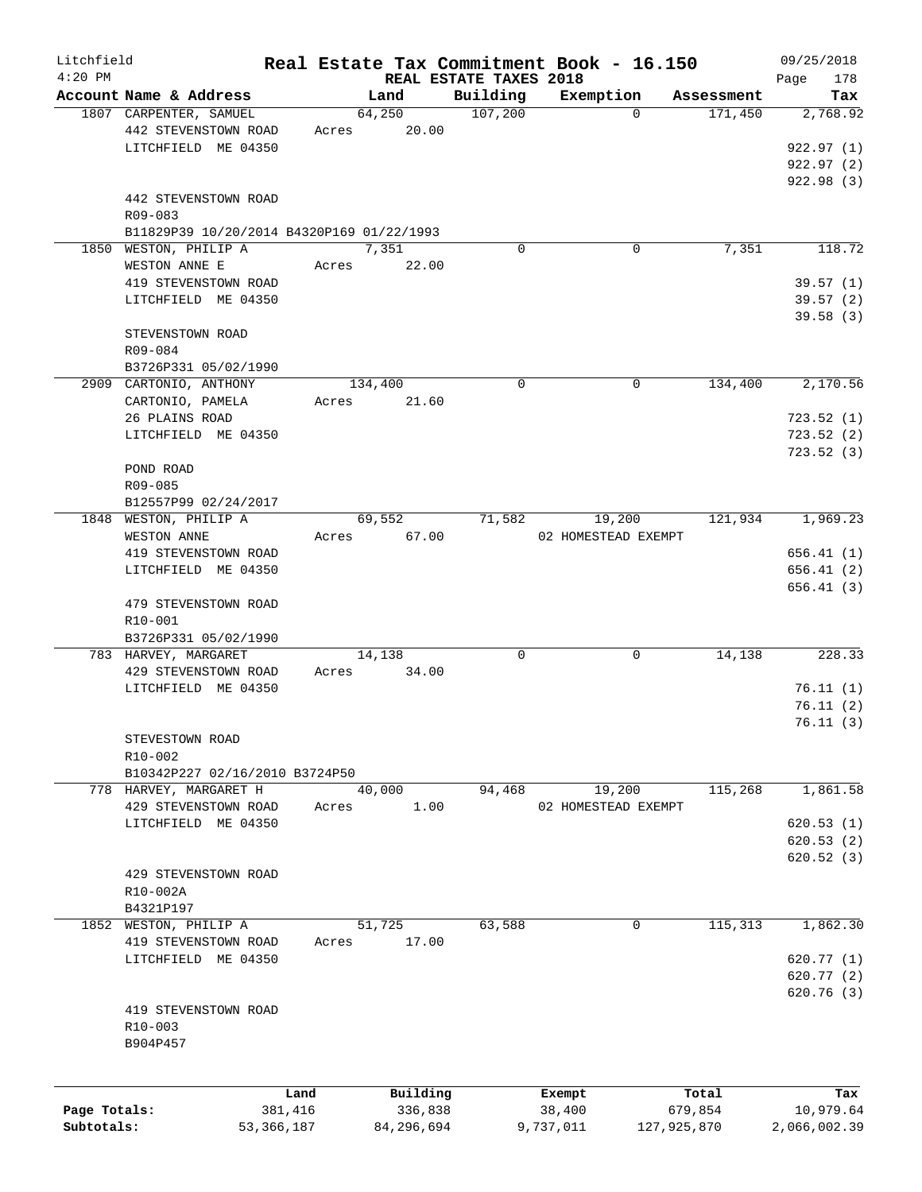| Litchfield   |                                           |              |            |                        | Real Estate Tax Commitment Book - 16.150 |             | 09/25/2018   |
|--------------|-------------------------------------------|--------------|------------|------------------------|------------------------------------------|-------------|--------------|
| $4:20$ PM    |                                           |              |            | REAL ESTATE TAXES 2018 |                                          |             | 178<br>Page  |
|              | Account Name & Address                    |              | Land       | Building               | Exemption                                | Assessment  | Tax          |
|              | 1807 CARPENTER, SAMUEL                    |              | 64,250     | 107,200                | $\Omega$                                 | 171,450     | 2,768.92     |
|              | 442 STEVENSTOWN ROAD                      | Acres        | 20.00      |                        |                                          |             |              |
|              | LITCHFIELD ME 04350                       |              |            |                        |                                          |             | 922.97(1)    |
|              |                                           |              |            |                        |                                          |             | 922.97(2)    |
|              |                                           |              |            |                        |                                          |             | 922.98 (3)   |
|              | 442 STEVENSTOWN ROAD                      |              |            |                        |                                          |             |              |
|              | R09-083                                   |              |            |                        |                                          |             |              |
|              | B11829P39 10/20/2014 B4320P169 01/22/1993 |              |            |                        |                                          |             |              |
|              | 1850 WESTON, PHILIP A                     |              | 7,351      | $\mathbf 0$            | 0                                        | 7,351       | 118.72       |
|              | WESTON ANNE E                             | Acres        | 22.00      |                        |                                          |             |              |
|              | 419 STEVENSTOWN ROAD                      |              |            |                        |                                          |             | 39.57(1)     |
|              | LITCHFIELD ME 04350                       |              |            |                        |                                          |             | 39.57(2)     |
|              |                                           |              |            |                        |                                          |             | 39.58(3)     |
|              | STEVENSTOWN ROAD                          |              |            |                        |                                          |             |              |
|              | R09-084                                   |              |            |                        |                                          |             |              |
|              | B3726P331 05/02/1990                      |              |            |                        |                                          |             |              |
|              | 2909 CARTONIO, ANTHONY                    |              | 134,400    | $\Omega$               | 0                                        | 134,400     | 2,170.56     |
|              | CARTONIO, PAMELA                          | Acres        | 21.60      |                        |                                          |             |              |
|              | 26 PLAINS ROAD                            |              |            |                        |                                          |             | 723.52(1)    |
|              | LITCHFIELD ME 04350                       |              |            |                        |                                          |             | 723.52(2)    |
|              |                                           |              |            |                        |                                          |             | 723.52(3)    |
|              | POND ROAD                                 |              |            |                        |                                          |             |              |
|              |                                           |              |            |                        |                                          |             |              |
|              | R09-085                                   |              |            |                        |                                          |             |              |
|              | B12557P99 02/24/2017                      |              |            |                        |                                          |             |              |
|              | 1848 WESTON, PHILIP A                     |              | 69,552     | 71,582                 | 19,200                                   | 121,934     | 1,969.23     |
|              | WESTON ANNE                               | Acres        | 67.00      |                        | 02 HOMESTEAD EXEMPT                      |             |              |
|              | 419 STEVENSTOWN ROAD                      |              |            |                        |                                          |             | 656.41(1)    |
|              | LITCHFIELD ME 04350                       |              |            |                        |                                          |             | 656.41(2)    |
|              |                                           |              |            |                        |                                          |             | 656.41(3)    |
|              | 479 STEVENSTOWN ROAD                      |              |            |                        |                                          |             |              |
|              | R10-001                                   |              |            |                        |                                          |             |              |
|              | B3726P331 05/02/1990                      |              |            |                        |                                          |             |              |
|              | 783 HARVEY, MARGARET                      |              | 14,138     | 0                      | 0                                        | 14,138      | 228.33       |
|              | 429 STEVENSTOWN ROAD                      | Acres        | 34.00      |                        |                                          |             |              |
|              | LITCHFIELD ME 04350                       |              |            |                        |                                          |             | 76.11(1)     |
|              |                                           |              |            |                        |                                          |             | 76.11(2)     |
|              |                                           |              |            |                        |                                          |             | 76.11(3)     |
|              | STEVESTOWN ROAD                           |              |            |                        |                                          |             |              |
|              | R10-002                                   |              |            |                        |                                          |             |              |
|              | B10342P227 02/16/2010 B3724P50            |              |            |                        |                                          |             |              |
|              | 778 HARVEY, MARGARET H                    |              | 40,000     | 94,468                 | 19,200                                   | 115,268     | 1,861.58     |
|              | 429 STEVENSTOWN ROAD                      | Acres        | 1.00       |                        | 02 HOMESTEAD EXEMPT                      |             |              |
|              | LITCHFIELD ME 04350                       |              |            |                        |                                          |             | 620.53(1)    |
|              |                                           |              |            |                        |                                          |             | 620.53(2)    |
|              |                                           |              |            |                        |                                          |             |              |
|              |                                           |              |            |                        |                                          |             | 620.52(3)    |
|              | 429 STEVENSTOWN ROAD                      |              |            |                        |                                          |             |              |
|              | R10-002A                                  |              |            |                        |                                          |             |              |
|              | B4321P197                                 |              |            |                        |                                          |             |              |
| 1852         | WESTON, PHILIP A                          |              | 51,725     | 63,588                 | $\mathbf 0$                              | 115,313     | 1,862.30     |
|              | 419 STEVENSTOWN ROAD                      | Acres        | 17.00      |                        |                                          |             |              |
|              | LITCHFIELD ME 04350                       |              |            |                        |                                          |             | 620.77(1)    |
|              |                                           |              |            |                        |                                          |             | 620.77(2)    |
|              |                                           |              |            |                        |                                          |             | 620.76(3)    |
|              | 419 STEVENSTOWN ROAD                      |              |            |                        |                                          |             |              |
|              | R10-003                                   |              |            |                        |                                          |             |              |
|              | B904P457                                  |              |            |                        |                                          |             |              |
|              |                                           |              |            |                        |                                          |             |              |
|              |                                           | Land         | Building   |                        | Exempt                                   | Total       | Tax          |
| Page Totals: |                                           | 381,416      | 336,838    |                        | 38,400                                   | 679,854     | 10,979.64    |
| Subtotals:   |                                           | 53, 366, 187 | 84,296,694 |                        | 9,737,011                                | 127,925,870 | 2,066,002.39 |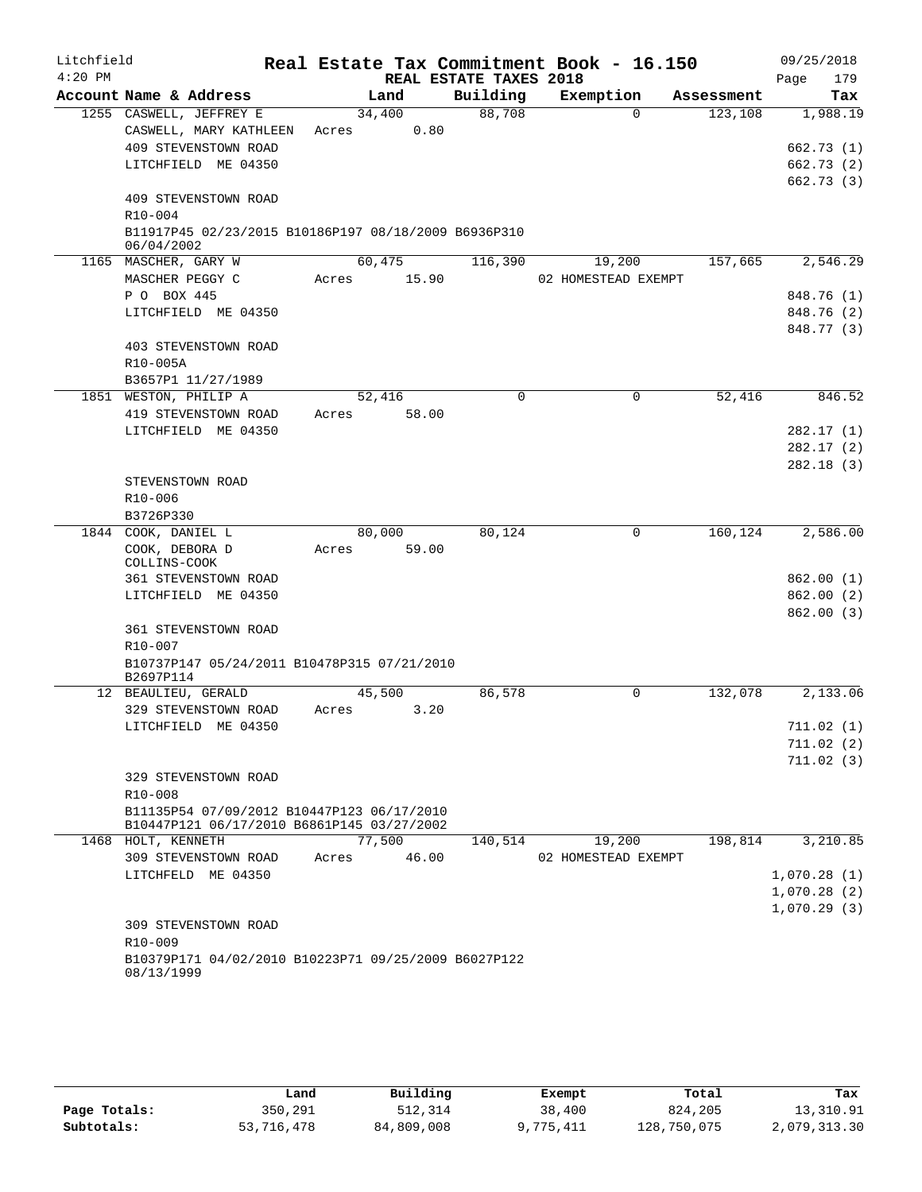| Litchfield |                                                                    |       |        |                        | Real Estate Tax Commitment Book - 16.150 |            | 09/25/2018              |
|------------|--------------------------------------------------------------------|-------|--------|------------------------|------------------------------------------|------------|-------------------------|
| $4:20$ PM  |                                                                    |       |        | REAL ESTATE TAXES 2018 |                                          |            | Page<br>179             |
|            | Account Name & Address                                             |       | Land   | Building               | Exemption                                | Assessment | Tax                     |
|            | 1255 CASWELL, JEFFREY E                                            |       | 34,400 | 88,708                 | $\Omega$                                 | 123,108    | 1,988.19                |
|            | CASWELL, MARY KATHLEEN                                             | Acres | 0.80   |                        |                                          |            |                         |
|            | 409 STEVENSTOWN ROAD                                               |       |        |                        |                                          |            | 662.73(1)               |
|            | LITCHFIELD ME 04350                                                |       |        |                        |                                          |            | 662.73(2)               |
|            | 409 STEVENSTOWN ROAD                                               |       |        |                        |                                          |            | 662.73(3)               |
|            | R10-004                                                            |       |        |                        |                                          |            |                         |
|            | B11917P45 02/23/2015 B10186P197 08/18/2009 B6936P310               |       |        |                        |                                          |            |                         |
|            | 06/04/2002                                                         |       |        |                        |                                          |            |                         |
|            | 1165 MASCHER, GARY W                                               |       | 60,475 | 116,390                | 19,200                                   | 157,665    | 2,546.29                |
|            | MASCHER PEGGY C                                                    | Acres | 15.90  |                        | 02 HOMESTEAD EXEMPT                      |            |                         |
|            | P O BOX 445                                                        |       |        |                        |                                          |            | 848.76 (1)              |
|            | LITCHFIELD ME 04350                                                |       |        |                        |                                          |            | 848.76 (2)              |
|            |                                                                    |       |        |                        |                                          |            | 848.77 (3)              |
|            | 403 STEVENSTOWN ROAD                                               |       |        |                        |                                          |            |                         |
|            | R10-005A<br>B3657P1 11/27/1989                                     |       |        |                        |                                          |            |                         |
|            | 1851 WESTON, PHILIP A                                              |       | 52,416 | 0                      | $\mathbf 0$                              | 52,416     | 846.52                  |
|            | 419 STEVENSTOWN ROAD                                               | Acres | 58.00  |                        |                                          |            |                         |
|            | LITCHFIELD ME 04350                                                |       |        |                        |                                          |            | 282.17(1)               |
|            |                                                                    |       |        |                        |                                          |            | 282.17(2)               |
|            |                                                                    |       |        |                        |                                          |            | 282.18(3)               |
|            | STEVENSTOWN ROAD                                                   |       |        |                        |                                          |            |                         |
|            | R10-006                                                            |       |        |                        |                                          |            |                         |
|            | B3726P330                                                          |       |        |                        |                                          |            |                         |
|            | 1844 COOK, DANIEL L                                                |       | 80,000 | 80,124                 | 0                                        | 160,124    | 2,586.00                |
|            | COOK, DEBORA D                                                     | Acres | 59.00  |                        |                                          |            |                         |
|            | COLLINS-COOK<br>361 STEVENSTOWN ROAD                               |       |        |                        |                                          |            | 862.00(1)               |
|            | LITCHFIELD ME 04350                                                |       |        |                        |                                          |            | 862.00(2)               |
|            |                                                                    |       |        |                        |                                          |            | 862.00(3)               |
|            | 361 STEVENSTOWN ROAD                                               |       |        |                        |                                          |            |                         |
|            | R10-007                                                            |       |        |                        |                                          |            |                         |
|            | B10737P147 05/24/2011 B10478P315 07/21/2010                        |       |        |                        |                                          |            |                         |
|            | B2697P114                                                          |       |        |                        |                                          |            |                         |
|            | 12 BEAULIEU, GERALD                                                |       | 45,500 | 86,578                 | $\Omega$                                 | 132,078    | 2,133.06                |
|            | 329 STEVENSTOWN ROAD                                               | Acres | 3.20   |                        |                                          |            |                         |
|            | LITCHFIELD ME 04350                                                |       |        |                        |                                          |            | 711.02(1)               |
|            |                                                                    |       |        |                        |                                          |            | 711.02 (2)<br>711.02(3) |
|            | 329 STEVENSTOWN ROAD                                               |       |        |                        |                                          |            |                         |
|            | $R10 - 008$                                                        |       |        |                        |                                          |            |                         |
|            | B11135P54 07/09/2012 B10447P123 06/17/2010                         |       |        |                        |                                          |            |                         |
|            | B10447P121 06/17/2010 B6861P145 03/27/2002                         |       |        |                        |                                          |            |                         |
|            | 1468 HOLT, KENNETH                                                 |       | 77,500 | 140,514                | 19,200                                   | 198,814    | 3,210.85                |
|            | 309 STEVENSTOWN ROAD                                               | Acres | 46.00  |                        | 02 HOMESTEAD EXEMPT                      |            |                         |
|            | LITCHFELD ME 04350                                                 |       |        |                        |                                          |            | 1,070.28(1)             |
|            |                                                                    |       |        |                        |                                          |            | 1,070.28(2)             |
|            |                                                                    |       |        |                        |                                          |            | 1,070.29(3)             |
|            | 309 STEVENSTOWN ROAD                                               |       |        |                        |                                          |            |                         |
|            | R10-009                                                            |       |        |                        |                                          |            |                         |
|            | B10379P171 04/02/2010 B10223P71 09/25/2009 B6027P122<br>08/13/1999 |       |        |                        |                                          |            |                         |
|            |                                                                    |       |        |                        |                                          |            |                         |

|              | Land       | Building   | Exempt    | Total       | Tax          |
|--------------|------------|------------|-----------|-------------|--------------|
| Page Totals: | 350,291    | 512,314    | 38,400    | 824,205     | 13,310.91    |
| Subtotals:   | 53,716,478 | 84,809,008 | 9,775,411 | 128,750,075 | 2,079,313.30 |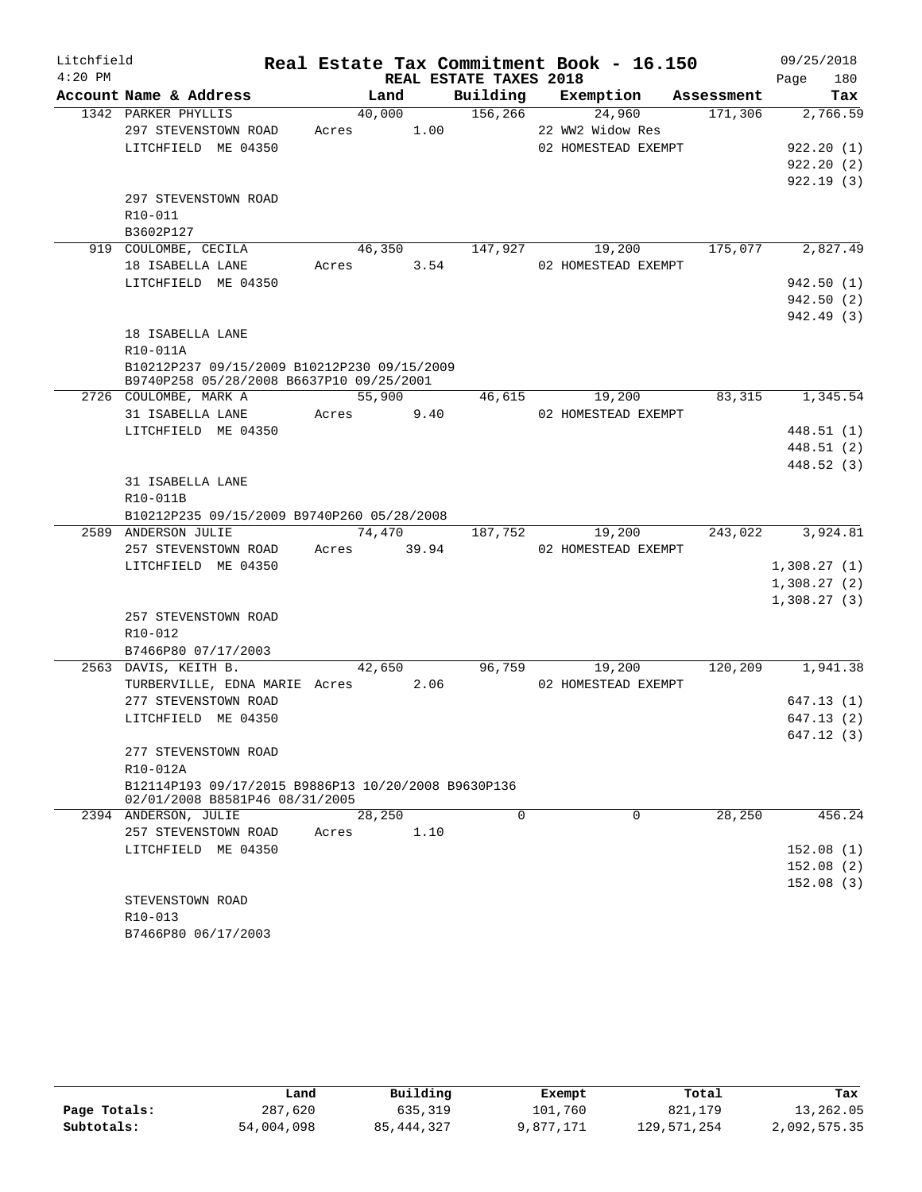| Litchfield |                                                         |            |        |                        | Real Estate Tax Commitment Book - 16.150 |         | 09/25/2018       |
|------------|---------------------------------------------------------|------------|--------|------------------------|------------------------------------------|---------|------------------|
| $4:20$ PM  |                                                         |            |        | REAL ESTATE TAXES 2018 |                                          |         | 180<br>Page      |
|            | Account Name & Address                                  |            | Land   |                        | Building Exemption Assessment            |         | Tax              |
|            | 1342 PARKER PHYLLIS                                     |            | 40,000 | 156, 266               | 24,960                                   | 171,306 | 2,766.59         |
|            | 297 STEVENSTOWN ROAD                                    | Acres 1.00 |        |                        | 22 WW2 Widow Res                         |         |                  |
|            | LITCHFIELD ME 04350                                     |            |        |                        | 02 HOMESTEAD EXEMPT                      |         | 922.20(1)        |
|            |                                                         |            |        |                        |                                          |         | 922.20(2)        |
|            |                                                         |            |        |                        |                                          |         | 922.19(3)        |
|            | 297 STEVENSTOWN ROAD                                    |            |        |                        |                                          |         |                  |
|            | R10-011                                                 |            |        |                        |                                          |         |                  |
|            | B3602P127                                               |            |        |                        |                                          |         |                  |
|            | 919 COULOMBE, CECILA                                    |            |        |                        | 46,350 147,927 19,200                    | 175,077 | 2,827.49         |
|            | 18 ISABELLA LANE                                        | Acres 3.54 |        |                        | 02 HOMESTEAD EXEMPT                      |         |                  |
|            | LITCHFIELD ME 04350                                     |            |        |                        |                                          |         | 942.50(1)        |
|            |                                                         |            |        |                        |                                          |         | 942.50(2)        |
|            |                                                         |            |        |                        |                                          |         | 942.49 (3)       |
|            | 18 ISABELLA LANE                                        |            |        |                        |                                          |         |                  |
|            | R10-011A                                                |            |        |                        |                                          |         |                  |
|            | B10212P237 09/15/2009 B10212P230 09/15/2009             |            |        |                        |                                          |         |                  |
|            | B9740P258 05/28/2008 B6637P10 09/25/2001                |            |        |                        |                                          |         |                  |
|            | 2726 COULOMBE, MARK A                                   |            | 55,900 |                        | 46,615<br>19,200                         | 83,315  | 1,345.54         |
|            | 31 ISABELLA LANE                                        | Acres      | 9.40   |                        | 02 HOMESTEAD EXEMPT                      |         |                  |
|            | LITCHFIELD ME 04350                                     |            |        |                        |                                          |         | 448.51(1)        |
|            |                                                         |            |        |                        |                                          |         | 448.51 (2)       |
|            |                                                         |            |        |                        |                                          |         | 448.52 (3)       |
|            | 31 ISABELLA LANE                                        |            |        |                        |                                          |         |                  |
|            | R10-011B                                                |            |        |                        |                                          |         |                  |
|            | B10212P235 09/15/2009 B9740P260 05/28/2008              |            | 74,470 | $\overline{187,752}$   | 19,200                                   |         | 243,022 3,924.81 |
|            | 2589 ANDERSON JULIE<br>257 STEVENSTOWN ROAD Acres 39.94 |            |        |                        | 02 HOMESTEAD EXEMPT                      |         |                  |
|            | LITCHFIELD ME 04350                                     |            |        |                        |                                          |         | 1,308.27(1)      |
|            |                                                         |            |        |                        |                                          |         | 1,308.27(2)      |
|            |                                                         |            |        |                        |                                          |         | 1,308.27(3)      |
|            | 257 STEVENSTOWN ROAD                                    |            |        |                        |                                          |         |                  |
|            | $R10 - 012$                                             |            |        |                        |                                          |         |                  |
|            | B7466P80 07/17/2003                                     |            |        |                        |                                          |         |                  |
|            | 2563 DAVIS, KEITH B.                                    |            | 42,650 |                        | 96,759<br>19,200                         | 120,209 | 1,941.38         |
|            | TURBERVILLE, EDNA MARIE Acres 2.06                      |            |        |                        | 02 HOMESTEAD EXEMPT                      |         |                  |
|            | 277 STEVENSTOWN ROAD                                    |            |        |                        |                                          |         | 647.13(1)        |
|            | LITCHFIELD ME 04350                                     |            |        |                        |                                          |         | 647.13(2)        |
|            |                                                         |            |        |                        |                                          |         | 647.12 (3)       |
|            | 277 STEVENSTOWN ROAD                                    |            |        |                        |                                          |         |                  |
|            | R10-012A                                                |            |        |                        |                                          |         |                  |
|            | B12114P193 09/17/2015 B9886P13 10/20/2008 B9630P136     |            |        |                        |                                          |         |                  |
|            | 02/01/2008 B8581P46 08/31/2005                          |            |        |                        |                                          |         |                  |
|            | 2394 ANDERSON, JULIE                                    | 28,250     |        | $\Omega$               | $\Omega$                                 | 28,250  | 456.24           |
|            | 257 STEVENSTOWN ROAD                                    | Acres      | 1.10   |                        |                                          |         |                  |
|            | LITCHFIELD ME 04350                                     |            |        |                        |                                          |         | 152.08(1)        |
|            |                                                         |            |        |                        |                                          |         | 152.08(2)        |
|            |                                                         |            |        |                        |                                          |         | 152.08(3)        |
|            | STEVENSTOWN ROAD                                        |            |        |                        |                                          |         |                  |
|            | R <sub>10</sub> -013                                    |            |        |                        |                                          |         |                  |
|            | B7466P80 06/17/2003                                     |            |        |                        |                                          |         |                  |

|              | Land       | Building     | Exempt    | Total       | Tax          |
|--------------|------------|--------------|-----------|-------------|--------------|
| Page Totals: | 287,620    | 635,319      | 101,760   | 821,179     | 13,262.05    |
| Subtotals:   | 54,004,098 | 85, 444, 327 | 9,877,171 | 129,571,254 | 2,092,575.35 |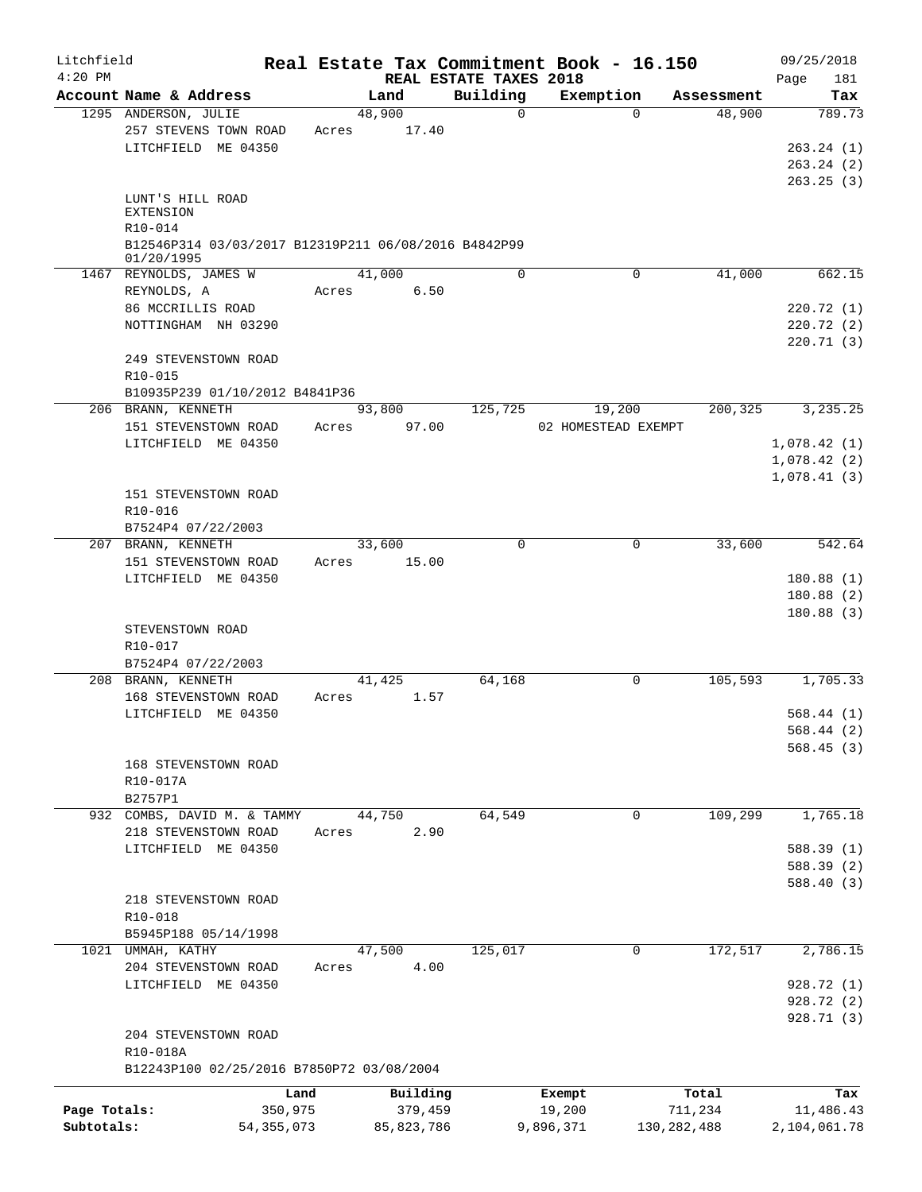| REAL ESTATE TAXES 2018<br>Page<br>Building<br>Account Name & Address<br>Land<br>Exemption<br>Assessment<br>48,900<br>48,900<br>1295 ANDERSON, JULIE<br>$\mathbf 0$<br>$\Omega$<br>257 STEVENS TOWN ROAD<br>17.40<br>Acres<br>LITCHFIELD ME 04350<br>LUNT'S HILL ROAD<br><b>EXTENSION</b><br>R10-014<br>B12546P314 03/03/2017 B12319P211 06/08/2016 B4842P99<br>01/20/1995<br>41,000<br>$\mathbf 0$<br>1467 REYNOLDS, JAMES W<br>0<br>41,000<br>REYNOLDS, A<br>6.50<br>Acres<br>86 MCCRILLIS ROAD<br>NOTTINGHAM NH 03290<br>249 STEVENSTOWN ROAD<br>R10-015<br>B10935P239 01/10/2012 B4841P36<br>125,725<br>200,325<br>3, 235.25<br>206 BRANN, KENNETH<br>93,800<br>19,200<br>151 STEVENSTOWN ROAD<br>97.00<br>02 HOMESTEAD EXEMPT<br>Acres<br>LITCHFIELD ME 04350<br>1,078.42(1)<br>1,078.42(2)<br>1,078.41(3)<br>151 STEVENSTOWN ROAD<br>R10-016<br>B7524P4 07/22/2003<br>207 BRANN, KENNETH<br>$\Omega$<br>33,600<br>33,600<br>0<br>151 STEVENSTOWN ROAD<br>15.00<br>Acres<br>LITCHFIELD ME 04350<br>STEVENSTOWN ROAD<br>R10-017<br>B7524P4 07/22/2003<br>64,168<br>105,593<br>208 BRANN, KENNETH<br>41,425<br>0<br>168 STEVENSTOWN ROAD<br>Acres<br>1.57<br>LITCHFIELD ME 04350<br>168 STEVENSTOWN ROAD<br>R10-017A<br>B2757P1<br>1,765.18<br>64,549<br>109,299<br>932 COMBS, DAVID M. & TAMMY<br>44,750<br>0<br>218 STEVENSTOWN ROAD<br>2.90<br>Acres<br>LITCHFIELD ME 04350<br>588.39 (1)<br>588.39 (2)<br>218 STEVENSTOWN ROAD<br>R10-018<br>B5945P188 05/14/1998<br>172,517<br>47,500<br>125,017<br>1021 UMMAH, KATHY<br>0<br>4.00<br>204 STEVENSTOWN ROAD<br>Acres<br>LITCHFIELD ME 04350<br>928.72 (1)<br>928.72 (2)<br>928.71 (3)<br>204 STEVENSTOWN ROAD<br>R10-018A<br>B12243P100 02/25/2016 B7850P72 03/08/2004<br>Building<br>Total<br>Land<br>Exempt<br>Page Totals:<br>350,975<br>379,459<br>19,200<br>711,234<br>11,486.43 | Litchfield |              |              | Real Estate Tax Commitment Book - 16.150 |               | 09/25/2018   |
|---------------------------------------------------------------------------------------------------------------------------------------------------------------------------------------------------------------------------------------------------------------------------------------------------------------------------------------------------------------------------------------------------------------------------------------------------------------------------------------------------------------------------------------------------------------------------------------------------------------------------------------------------------------------------------------------------------------------------------------------------------------------------------------------------------------------------------------------------------------------------------------------------------------------------------------------------------------------------------------------------------------------------------------------------------------------------------------------------------------------------------------------------------------------------------------------------------------------------------------------------------------------------------------------------------------------------------------------------------------------------------------------------------------------------------------------------------------------------------------------------------------------------------------------------------------------------------------------------------------------------------------------------------------------------------------------------------------------------------------------------------------------------------------------------------------------------------------------|------------|--------------|--------------|------------------------------------------|---------------|--------------|
|                                                                                                                                                                                                                                                                                                                                                                                                                                                                                                                                                                                                                                                                                                                                                                                                                                                                                                                                                                                                                                                                                                                                                                                                                                                                                                                                                                                                                                                                                                                                                                                                                                                                                                                                                                                                                                             | $4:20$ PM  |              |              |                                          |               | 181<br>Tax   |
|                                                                                                                                                                                                                                                                                                                                                                                                                                                                                                                                                                                                                                                                                                                                                                                                                                                                                                                                                                                                                                                                                                                                                                                                                                                                                                                                                                                                                                                                                                                                                                                                                                                                                                                                                                                                                                             |            |              |              |                                          |               | 789.73       |
|                                                                                                                                                                                                                                                                                                                                                                                                                                                                                                                                                                                                                                                                                                                                                                                                                                                                                                                                                                                                                                                                                                                                                                                                                                                                                                                                                                                                                                                                                                                                                                                                                                                                                                                                                                                                                                             |            |              |              |                                          |               |              |
|                                                                                                                                                                                                                                                                                                                                                                                                                                                                                                                                                                                                                                                                                                                                                                                                                                                                                                                                                                                                                                                                                                                                                                                                                                                                                                                                                                                                                                                                                                                                                                                                                                                                                                                                                                                                                                             |            |              |              |                                          |               | 263.24(1)    |
|                                                                                                                                                                                                                                                                                                                                                                                                                                                                                                                                                                                                                                                                                                                                                                                                                                                                                                                                                                                                                                                                                                                                                                                                                                                                                                                                                                                                                                                                                                                                                                                                                                                                                                                                                                                                                                             |            |              |              |                                          |               | 263.24(2)    |
|                                                                                                                                                                                                                                                                                                                                                                                                                                                                                                                                                                                                                                                                                                                                                                                                                                                                                                                                                                                                                                                                                                                                                                                                                                                                                                                                                                                                                                                                                                                                                                                                                                                                                                                                                                                                                                             |            |              |              |                                          |               | 263.25(3)    |
|                                                                                                                                                                                                                                                                                                                                                                                                                                                                                                                                                                                                                                                                                                                                                                                                                                                                                                                                                                                                                                                                                                                                                                                                                                                                                                                                                                                                                                                                                                                                                                                                                                                                                                                                                                                                                                             |            |              |              |                                          |               |              |
|                                                                                                                                                                                                                                                                                                                                                                                                                                                                                                                                                                                                                                                                                                                                                                                                                                                                                                                                                                                                                                                                                                                                                                                                                                                                                                                                                                                                                                                                                                                                                                                                                                                                                                                                                                                                                                             |            |              |              |                                          |               |              |
|                                                                                                                                                                                                                                                                                                                                                                                                                                                                                                                                                                                                                                                                                                                                                                                                                                                                                                                                                                                                                                                                                                                                                                                                                                                                                                                                                                                                                                                                                                                                                                                                                                                                                                                                                                                                                                             |            |              |              |                                          |               |              |
|                                                                                                                                                                                                                                                                                                                                                                                                                                                                                                                                                                                                                                                                                                                                                                                                                                                                                                                                                                                                                                                                                                                                                                                                                                                                                                                                                                                                                                                                                                                                                                                                                                                                                                                                                                                                                                             |            |              |              |                                          |               |              |
|                                                                                                                                                                                                                                                                                                                                                                                                                                                                                                                                                                                                                                                                                                                                                                                                                                                                                                                                                                                                                                                                                                                                                                                                                                                                                                                                                                                                                                                                                                                                                                                                                                                                                                                                                                                                                                             |            |              |              |                                          |               | 662.15       |
|                                                                                                                                                                                                                                                                                                                                                                                                                                                                                                                                                                                                                                                                                                                                                                                                                                                                                                                                                                                                                                                                                                                                                                                                                                                                                                                                                                                                                                                                                                                                                                                                                                                                                                                                                                                                                                             |            |              |              |                                          |               |              |
|                                                                                                                                                                                                                                                                                                                                                                                                                                                                                                                                                                                                                                                                                                                                                                                                                                                                                                                                                                                                                                                                                                                                                                                                                                                                                                                                                                                                                                                                                                                                                                                                                                                                                                                                                                                                                                             |            |              |              |                                          |               | 220.72(1)    |
|                                                                                                                                                                                                                                                                                                                                                                                                                                                                                                                                                                                                                                                                                                                                                                                                                                                                                                                                                                                                                                                                                                                                                                                                                                                                                                                                                                                                                                                                                                                                                                                                                                                                                                                                                                                                                                             |            |              |              |                                          |               | 220.72(2)    |
|                                                                                                                                                                                                                                                                                                                                                                                                                                                                                                                                                                                                                                                                                                                                                                                                                                                                                                                                                                                                                                                                                                                                                                                                                                                                                                                                                                                                                                                                                                                                                                                                                                                                                                                                                                                                                                             |            |              |              |                                          |               | 220.71(3)    |
|                                                                                                                                                                                                                                                                                                                                                                                                                                                                                                                                                                                                                                                                                                                                                                                                                                                                                                                                                                                                                                                                                                                                                                                                                                                                                                                                                                                                                                                                                                                                                                                                                                                                                                                                                                                                                                             |            |              |              |                                          |               |              |
|                                                                                                                                                                                                                                                                                                                                                                                                                                                                                                                                                                                                                                                                                                                                                                                                                                                                                                                                                                                                                                                                                                                                                                                                                                                                                                                                                                                                                                                                                                                                                                                                                                                                                                                                                                                                                                             |            |              |              |                                          |               |              |
|                                                                                                                                                                                                                                                                                                                                                                                                                                                                                                                                                                                                                                                                                                                                                                                                                                                                                                                                                                                                                                                                                                                                                                                                                                                                                                                                                                                                                                                                                                                                                                                                                                                                                                                                                                                                                                             |            |              |              |                                          |               |              |
|                                                                                                                                                                                                                                                                                                                                                                                                                                                                                                                                                                                                                                                                                                                                                                                                                                                                                                                                                                                                                                                                                                                                                                                                                                                                                                                                                                                                                                                                                                                                                                                                                                                                                                                                                                                                                                             |            |              |              |                                          |               |              |
|                                                                                                                                                                                                                                                                                                                                                                                                                                                                                                                                                                                                                                                                                                                                                                                                                                                                                                                                                                                                                                                                                                                                                                                                                                                                                                                                                                                                                                                                                                                                                                                                                                                                                                                                                                                                                                             |            |              |              |                                          |               |              |
|                                                                                                                                                                                                                                                                                                                                                                                                                                                                                                                                                                                                                                                                                                                                                                                                                                                                                                                                                                                                                                                                                                                                                                                                                                                                                                                                                                                                                                                                                                                                                                                                                                                                                                                                                                                                                                             |            |              |              |                                          |               |              |
|                                                                                                                                                                                                                                                                                                                                                                                                                                                                                                                                                                                                                                                                                                                                                                                                                                                                                                                                                                                                                                                                                                                                                                                                                                                                                                                                                                                                                                                                                                                                                                                                                                                                                                                                                                                                                                             |            |              |              |                                          |               |              |
|                                                                                                                                                                                                                                                                                                                                                                                                                                                                                                                                                                                                                                                                                                                                                                                                                                                                                                                                                                                                                                                                                                                                                                                                                                                                                                                                                                                                                                                                                                                                                                                                                                                                                                                                                                                                                                             |            |              |              |                                          |               |              |
|                                                                                                                                                                                                                                                                                                                                                                                                                                                                                                                                                                                                                                                                                                                                                                                                                                                                                                                                                                                                                                                                                                                                                                                                                                                                                                                                                                                                                                                                                                                                                                                                                                                                                                                                                                                                                                             |            |              |              |                                          |               |              |
|                                                                                                                                                                                                                                                                                                                                                                                                                                                                                                                                                                                                                                                                                                                                                                                                                                                                                                                                                                                                                                                                                                                                                                                                                                                                                                                                                                                                                                                                                                                                                                                                                                                                                                                                                                                                                                             |            |              |              |                                          |               |              |
|                                                                                                                                                                                                                                                                                                                                                                                                                                                                                                                                                                                                                                                                                                                                                                                                                                                                                                                                                                                                                                                                                                                                                                                                                                                                                                                                                                                                                                                                                                                                                                                                                                                                                                                                                                                                                                             |            |              |              |                                          |               | 542.64       |
|                                                                                                                                                                                                                                                                                                                                                                                                                                                                                                                                                                                                                                                                                                                                                                                                                                                                                                                                                                                                                                                                                                                                                                                                                                                                                                                                                                                                                                                                                                                                                                                                                                                                                                                                                                                                                                             |            |              |              |                                          |               |              |
|                                                                                                                                                                                                                                                                                                                                                                                                                                                                                                                                                                                                                                                                                                                                                                                                                                                                                                                                                                                                                                                                                                                                                                                                                                                                                                                                                                                                                                                                                                                                                                                                                                                                                                                                                                                                                                             |            |              |              |                                          |               | 180.88(1)    |
|                                                                                                                                                                                                                                                                                                                                                                                                                                                                                                                                                                                                                                                                                                                                                                                                                                                                                                                                                                                                                                                                                                                                                                                                                                                                                                                                                                                                                                                                                                                                                                                                                                                                                                                                                                                                                                             |            |              |              |                                          |               | 180.88(2)    |
|                                                                                                                                                                                                                                                                                                                                                                                                                                                                                                                                                                                                                                                                                                                                                                                                                                                                                                                                                                                                                                                                                                                                                                                                                                                                                                                                                                                                                                                                                                                                                                                                                                                                                                                                                                                                                                             |            |              |              |                                          |               | 180.88(3)    |
|                                                                                                                                                                                                                                                                                                                                                                                                                                                                                                                                                                                                                                                                                                                                                                                                                                                                                                                                                                                                                                                                                                                                                                                                                                                                                                                                                                                                                                                                                                                                                                                                                                                                                                                                                                                                                                             |            |              |              |                                          |               |              |
|                                                                                                                                                                                                                                                                                                                                                                                                                                                                                                                                                                                                                                                                                                                                                                                                                                                                                                                                                                                                                                                                                                                                                                                                                                                                                                                                                                                                                                                                                                                                                                                                                                                                                                                                                                                                                                             |            |              |              |                                          |               |              |
|                                                                                                                                                                                                                                                                                                                                                                                                                                                                                                                                                                                                                                                                                                                                                                                                                                                                                                                                                                                                                                                                                                                                                                                                                                                                                                                                                                                                                                                                                                                                                                                                                                                                                                                                                                                                                                             |            |              |              |                                          |               | 1,705.33     |
|                                                                                                                                                                                                                                                                                                                                                                                                                                                                                                                                                                                                                                                                                                                                                                                                                                                                                                                                                                                                                                                                                                                                                                                                                                                                                                                                                                                                                                                                                                                                                                                                                                                                                                                                                                                                                                             |            |              |              |                                          |               |              |
|                                                                                                                                                                                                                                                                                                                                                                                                                                                                                                                                                                                                                                                                                                                                                                                                                                                                                                                                                                                                                                                                                                                                                                                                                                                                                                                                                                                                                                                                                                                                                                                                                                                                                                                                                                                                                                             |            |              |              |                                          |               | 568.44(1)    |
|                                                                                                                                                                                                                                                                                                                                                                                                                                                                                                                                                                                                                                                                                                                                                                                                                                                                                                                                                                                                                                                                                                                                                                                                                                                                                                                                                                                                                                                                                                                                                                                                                                                                                                                                                                                                                                             |            |              |              |                                          |               | 568.44(2)    |
|                                                                                                                                                                                                                                                                                                                                                                                                                                                                                                                                                                                                                                                                                                                                                                                                                                                                                                                                                                                                                                                                                                                                                                                                                                                                                                                                                                                                                                                                                                                                                                                                                                                                                                                                                                                                                                             |            |              |              |                                          |               | 568.45(3)    |
|                                                                                                                                                                                                                                                                                                                                                                                                                                                                                                                                                                                                                                                                                                                                                                                                                                                                                                                                                                                                                                                                                                                                                                                                                                                                                                                                                                                                                                                                                                                                                                                                                                                                                                                                                                                                                                             |            |              |              |                                          |               |              |
|                                                                                                                                                                                                                                                                                                                                                                                                                                                                                                                                                                                                                                                                                                                                                                                                                                                                                                                                                                                                                                                                                                                                                                                                                                                                                                                                                                                                                                                                                                                                                                                                                                                                                                                                                                                                                                             |            |              |              |                                          |               |              |
|                                                                                                                                                                                                                                                                                                                                                                                                                                                                                                                                                                                                                                                                                                                                                                                                                                                                                                                                                                                                                                                                                                                                                                                                                                                                                                                                                                                                                                                                                                                                                                                                                                                                                                                                                                                                                                             |            |              |              |                                          |               |              |
|                                                                                                                                                                                                                                                                                                                                                                                                                                                                                                                                                                                                                                                                                                                                                                                                                                                                                                                                                                                                                                                                                                                                                                                                                                                                                                                                                                                                                                                                                                                                                                                                                                                                                                                                                                                                                                             |            |              |              |                                          |               |              |
|                                                                                                                                                                                                                                                                                                                                                                                                                                                                                                                                                                                                                                                                                                                                                                                                                                                                                                                                                                                                                                                                                                                                                                                                                                                                                                                                                                                                                                                                                                                                                                                                                                                                                                                                                                                                                                             |            |              |              |                                          |               |              |
|                                                                                                                                                                                                                                                                                                                                                                                                                                                                                                                                                                                                                                                                                                                                                                                                                                                                                                                                                                                                                                                                                                                                                                                                                                                                                                                                                                                                                                                                                                                                                                                                                                                                                                                                                                                                                                             |            |              |              |                                          |               |              |
|                                                                                                                                                                                                                                                                                                                                                                                                                                                                                                                                                                                                                                                                                                                                                                                                                                                                                                                                                                                                                                                                                                                                                                                                                                                                                                                                                                                                                                                                                                                                                                                                                                                                                                                                                                                                                                             |            |              |              |                                          |               | 588.40 (3)   |
|                                                                                                                                                                                                                                                                                                                                                                                                                                                                                                                                                                                                                                                                                                                                                                                                                                                                                                                                                                                                                                                                                                                                                                                                                                                                                                                                                                                                                                                                                                                                                                                                                                                                                                                                                                                                                                             |            |              |              |                                          |               |              |
|                                                                                                                                                                                                                                                                                                                                                                                                                                                                                                                                                                                                                                                                                                                                                                                                                                                                                                                                                                                                                                                                                                                                                                                                                                                                                                                                                                                                                                                                                                                                                                                                                                                                                                                                                                                                                                             |            |              |              |                                          |               |              |
|                                                                                                                                                                                                                                                                                                                                                                                                                                                                                                                                                                                                                                                                                                                                                                                                                                                                                                                                                                                                                                                                                                                                                                                                                                                                                                                                                                                                                                                                                                                                                                                                                                                                                                                                                                                                                                             |            |              |              |                                          |               |              |
|                                                                                                                                                                                                                                                                                                                                                                                                                                                                                                                                                                                                                                                                                                                                                                                                                                                                                                                                                                                                                                                                                                                                                                                                                                                                                                                                                                                                                                                                                                                                                                                                                                                                                                                                                                                                                                             |            |              |              |                                          |               | 2,786.15     |
|                                                                                                                                                                                                                                                                                                                                                                                                                                                                                                                                                                                                                                                                                                                                                                                                                                                                                                                                                                                                                                                                                                                                                                                                                                                                                                                                                                                                                                                                                                                                                                                                                                                                                                                                                                                                                                             |            |              |              |                                          |               |              |
|                                                                                                                                                                                                                                                                                                                                                                                                                                                                                                                                                                                                                                                                                                                                                                                                                                                                                                                                                                                                                                                                                                                                                                                                                                                                                                                                                                                                                                                                                                                                                                                                                                                                                                                                                                                                                                             |            |              |              |                                          |               |              |
|                                                                                                                                                                                                                                                                                                                                                                                                                                                                                                                                                                                                                                                                                                                                                                                                                                                                                                                                                                                                                                                                                                                                                                                                                                                                                                                                                                                                                                                                                                                                                                                                                                                                                                                                                                                                                                             |            |              |              |                                          |               |              |
|                                                                                                                                                                                                                                                                                                                                                                                                                                                                                                                                                                                                                                                                                                                                                                                                                                                                                                                                                                                                                                                                                                                                                                                                                                                                                                                                                                                                                                                                                                                                                                                                                                                                                                                                                                                                                                             |            |              |              |                                          |               |              |
|                                                                                                                                                                                                                                                                                                                                                                                                                                                                                                                                                                                                                                                                                                                                                                                                                                                                                                                                                                                                                                                                                                                                                                                                                                                                                                                                                                                                                                                                                                                                                                                                                                                                                                                                                                                                                                             |            |              |              |                                          |               |              |
|                                                                                                                                                                                                                                                                                                                                                                                                                                                                                                                                                                                                                                                                                                                                                                                                                                                                                                                                                                                                                                                                                                                                                                                                                                                                                                                                                                                                                                                                                                                                                                                                                                                                                                                                                                                                                                             |            |              |              |                                          |               |              |
|                                                                                                                                                                                                                                                                                                                                                                                                                                                                                                                                                                                                                                                                                                                                                                                                                                                                                                                                                                                                                                                                                                                                                                                                                                                                                                                                                                                                                                                                                                                                                                                                                                                                                                                                                                                                                                             |            |              |              |                                          |               |              |
|                                                                                                                                                                                                                                                                                                                                                                                                                                                                                                                                                                                                                                                                                                                                                                                                                                                                                                                                                                                                                                                                                                                                                                                                                                                                                                                                                                                                                                                                                                                                                                                                                                                                                                                                                                                                                                             |            |              |              |                                          |               | Tax          |
|                                                                                                                                                                                                                                                                                                                                                                                                                                                                                                                                                                                                                                                                                                                                                                                                                                                                                                                                                                                                                                                                                                                                                                                                                                                                                                                                                                                                                                                                                                                                                                                                                                                                                                                                                                                                                                             | Subtotals: | 54, 355, 073 | 85, 823, 786 | 9,896,371                                | 130, 282, 488 | 2,104,061.78 |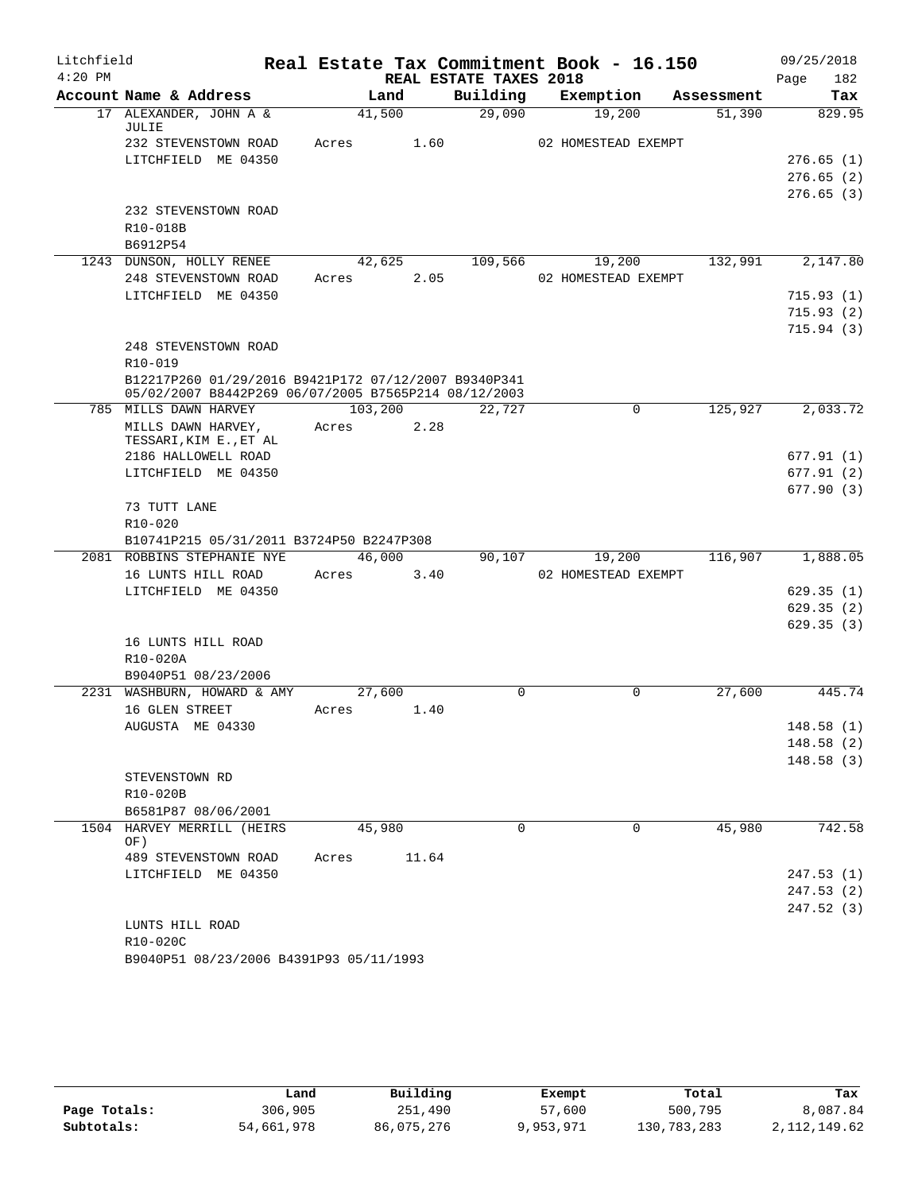| Litchfield |                                                                           |         |        |                        | Real Estate Tax Commitment Book - 16.150 |            | 09/25/2018  |
|------------|---------------------------------------------------------------------------|---------|--------|------------------------|------------------------------------------|------------|-------------|
| $4:20$ PM  |                                                                           |         |        | REAL ESTATE TAXES 2018 |                                          |            | Page<br>182 |
|            | Account Name & Address                                                    |         | Land   | Building               | Exemption                                | Assessment | Tax         |
|            | 17 ALEXANDER, JOHN A &<br>JULIE                                           | 41,500  |        | 29,090                 | 19,200                                   | 51,390     | 829.95      |
|            | 232 STEVENSTOWN ROAD                                                      | Acres   | 1.60   |                        | 02 HOMESTEAD EXEMPT                      |            |             |
|            | LITCHFIELD ME 04350                                                       |         |        |                        |                                          |            | 276.65(1)   |
|            |                                                                           |         |        |                        |                                          |            | 276.65(2)   |
|            |                                                                           |         |        |                        |                                          |            | 276.65(3)   |
|            | 232 STEVENSTOWN ROAD                                                      |         |        |                        |                                          |            |             |
|            | R10-018B                                                                  |         |        |                        |                                          |            |             |
|            | B6912P54                                                                  |         |        |                        |                                          |            |             |
|            | 1243 DUNSON, HOLLY RENEE                                                  |         | 42,625 | 109,566                | 19,200                                   | 132,991    | 2,147.80    |
|            | 248 STEVENSTOWN ROAD                                                      | Acres   | 2.05   |                        | 02 HOMESTEAD EXEMPT                      |            |             |
|            | LITCHFIELD ME 04350                                                       |         |        |                        |                                          |            | 715.93(1)   |
|            |                                                                           |         |        |                        |                                          |            | 715.93(2)   |
|            | 248 STEVENSTOWN ROAD                                                      |         |        |                        |                                          |            | 715.94(3)   |
|            | $R10 - 019$                                                               |         |        |                        |                                          |            |             |
|            | B12217P260 01/29/2016 B9421P172 07/12/2007 B9340P341                      |         |        |                        |                                          |            |             |
| 785        | 05/02/2007 B8442P269 06/07/2005 B7565P214 08/12/2003<br>MILLS DAWN HARVEY | 103,200 |        | 22,727                 | 0                                        | 125,927    | 2,033.72    |
|            | MILLS DAWN HARVEY,                                                        | Acres   | 2.28   |                        |                                          |            |             |
|            | TESSARI, KIM E., ET AL                                                    |         |        |                        |                                          |            |             |
|            | 2186 HALLOWELL ROAD                                                       |         |        |                        |                                          |            | 677.91(1)   |
|            | LITCHFIELD ME 04350                                                       |         |        |                        |                                          |            | 677.91(2)   |
|            |                                                                           |         |        |                        |                                          |            | 677.90(3)   |
|            | 73 TUTT LANE                                                              |         |        |                        |                                          |            |             |
|            | R10-020                                                                   |         |        |                        |                                          |            |             |
|            | B10741P215 05/31/2011 B3724P50 B2247P308                                  |         |        |                        |                                          |            |             |
|            | 2081 ROBBINS STEPHANIE NYE                                                | 46,000  |        | 90,107                 | 19,200                                   | 116,907    | 1,888.05    |
|            | 16 LUNTS HILL ROAD                                                        | Acres   | 3.40   |                        | 02 HOMESTEAD EXEMPT                      |            |             |
|            | LITCHFIELD ME 04350                                                       |         |        |                        |                                          |            | 629.35(1)   |
|            |                                                                           |         |        |                        |                                          |            | 629.35(2)   |
|            |                                                                           |         |        |                        |                                          |            | 629.35(3)   |
|            | 16 LUNTS HILL ROAD                                                        |         |        |                        |                                          |            |             |
|            | R10-020A                                                                  |         |        |                        |                                          |            |             |
|            | B9040P51 08/23/2006                                                       |         |        |                        |                                          |            |             |
|            | 2231 WASHBURN, HOWARD & AMY                                               | 27,600  |        | $\Omega$               | $\Omega$                                 | 27,600     | 445.74      |
|            | 16 GLEN STREET                                                            | Acres   | 1.40   |                        |                                          |            |             |
|            | AUGUSTA ME 04330                                                          |         |        |                        |                                          |            | 148.58(1)   |
|            |                                                                           |         |        |                        |                                          |            | 148.58(2)   |
|            |                                                                           |         |        |                        |                                          |            | 148.58(3)   |
|            | STEVENSTOWN RD                                                            |         |        |                        |                                          |            |             |
|            | R10-020B                                                                  |         |        |                        |                                          |            |             |
|            | B6581P87 08/06/2001<br>1504 HARVEY MERRILL (HEIRS                         |         |        | $\Omega$               | $\Omega$                                 |            |             |
|            | OF)                                                                       | 45,980  |        |                        |                                          | 45,980     | 742.58      |
|            | 489 STEVENSTOWN ROAD                                                      | Acres   | 11.64  |                        |                                          |            |             |
|            | LITCHFIELD ME 04350                                                       |         |        |                        |                                          |            | 247.53(1)   |
|            |                                                                           |         |        |                        |                                          |            | 247.53(2)   |
|            |                                                                           |         |        |                        |                                          |            | 247.52 (3)  |
|            | LUNTS HILL ROAD                                                           |         |        |                        |                                          |            |             |
|            | R10-020C                                                                  |         |        |                        |                                          |            |             |
|            | B9040P51 08/23/2006 B4391P93 05/11/1993                                   |         |        |                        |                                          |            |             |

|              | úand       | Building   | Exempt    | Total       | Tax            |
|--------------|------------|------------|-----------|-------------|----------------|
| Page Totals: | 306,905    | 251,490    | 57,600    | 500,795     | 8,087.84       |
| Subtotals:   | 54,661,978 | 86,075,276 | 9,953,971 | 130,783,283 | 2, 112, 149.62 |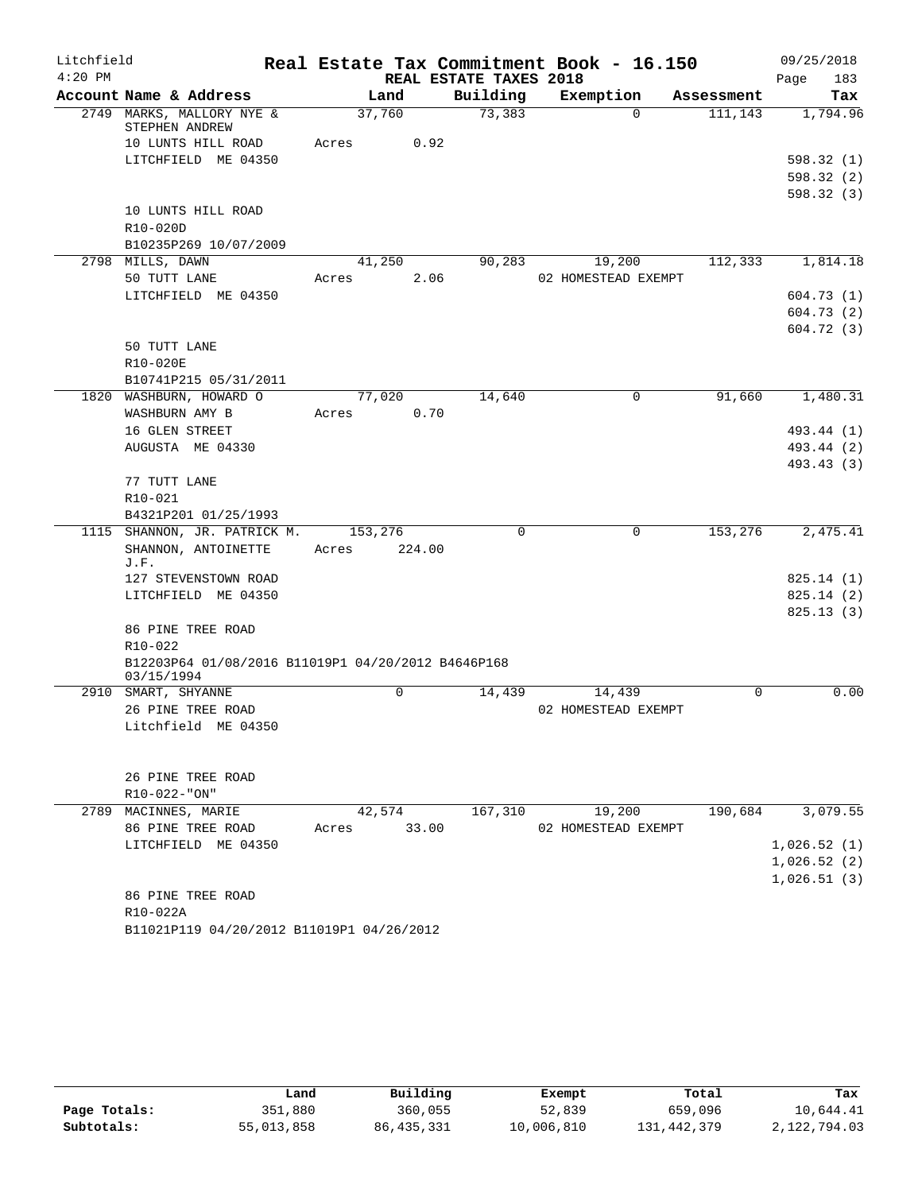| Litchfield |                                                    |         |        |                        | Real Estate Tax Commitment Book - 16.150 |            | 09/25/2018             |
|------------|----------------------------------------------------|---------|--------|------------------------|------------------------------------------|------------|------------------------|
| $4:20$ PM  |                                                    |         |        | REAL ESTATE TAXES 2018 |                                          |            | 183<br>Page            |
|            | Account Name & Address                             | Land    |        | Building               | Exemption                                | Assessment | Tax                    |
|            | 2749 MARKS, MALLORY NYE &<br>STEPHEN ANDREW        | 37,760  |        | 73,383                 | $\Omega$                                 | 111,143    | 1,794.96               |
|            | 10 LUNTS HILL ROAD                                 | Acres   | 0.92   |                        |                                          |            |                        |
|            | LITCHFIELD ME 04350                                |         |        |                        |                                          |            | 598.32 (1)             |
|            |                                                    |         |        |                        |                                          |            | 598.32(2)              |
|            |                                                    |         |        |                        |                                          |            | 598.32(3)              |
|            | 10 LUNTS HILL ROAD                                 |         |        |                        |                                          |            |                        |
|            | R10-020D                                           |         |        |                        |                                          |            |                        |
|            | B10235P269 10/07/2009                              |         |        |                        |                                          |            |                        |
|            | 2798 MILLS, DAWN                                   | 41,250  |        | 90,283                 | 19,200                                   | 112,333    | 1,814.18               |
|            | 50 TUTT LANE<br>LITCHFIELD ME 04350                | Acres   | 2.06   |                        | 02 HOMESTEAD EXEMPT                      |            |                        |
|            |                                                    |         |        |                        |                                          |            | 604.73(1)<br>604.73(2) |
|            |                                                    |         |        |                        |                                          |            | 604.72(3)              |
|            | 50 TUTT LANE                                       |         |        |                        |                                          |            |                        |
|            | R10-020E                                           |         |        |                        |                                          |            |                        |
|            | B10741P215 05/31/2011                              |         |        |                        |                                          |            |                        |
|            | 1820 WASHBURN, HOWARD O                            | 77,020  |        | 14,640                 | 0                                        | 91,660     | 1,480.31               |
|            | WASHBURN AMY B                                     | Acres   | 0.70   |                        |                                          |            |                        |
|            | 16 GLEN STREET                                     |         |        |                        |                                          |            | 493.44 (1)             |
|            | AUGUSTA ME 04330                                   |         |        |                        |                                          |            | 493.44 (2)             |
|            |                                                    |         |        |                        |                                          |            | 493.43 (3)             |
|            | 77 TUTT LANE                                       |         |        |                        |                                          |            |                        |
|            | R10-021                                            |         |        |                        |                                          |            |                        |
|            | B4321P201 01/25/1993                               |         |        |                        |                                          |            |                        |
|            | 1115 SHANNON, JR. PATRICK M.                       | 153,276 |        | $\Omega$               | 0                                        | 153,276    | 2,475.41               |
|            | SHANNON, ANTOINETTE                                | Acres   | 224.00 |                        |                                          |            |                        |
|            | J.F.<br>127 STEVENSTOWN ROAD                       |         |        |                        |                                          |            | 825.14(1)              |
|            | LITCHFIELD ME 04350                                |         |        |                        |                                          |            | 825.14(2)              |
|            |                                                    |         |        |                        |                                          |            | 825.13(3)              |
|            | 86 PINE TREE ROAD                                  |         |        |                        |                                          |            |                        |
|            | R10-022                                            |         |        |                        |                                          |            |                        |
|            | B12203P64 01/08/2016 B11019P1 04/20/2012 B4646P168 |         |        |                        |                                          |            |                        |
|            | 03/15/1994                                         |         |        |                        |                                          |            |                        |
|            | 2910 SMART, SHYANNE                                |         | 0      | 14,439                 | 14,439                                   | $\Omega$   | 0.00                   |
|            | 26 PINE TREE ROAD                                  |         |        |                        | 02 HOMESTEAD EXEMPT                      |            |                        |
|            | Litchfield ME 04350                                |         |        |                        |                                          |            |                        |
|            |                                                    |         |        |                        |                                          |            |                        |
|            |                                                    |         |        |                        |                                          |            |                        |
|            | 26 PINE TREE ROAD                                  |         |        |                        |                                          |            |                        |
|            | $R10-022-"ON"$                                     |         |        |                        |                                          |            | 3,079.55               |
|            | 2789 MACINNES, MARIE<br>86 PINE TREE ROAD          | 42,574  | 33.00  | 167,310                | 19,200<br>02 HOMESTEAD EXEMPT            | 190,684    |                        |
|            | LITCHFIELD ME 04350                                | Acres   |        |                        |                                          |            | 1,026.52(1)            |
|            |                                                    |         |        |                        |                                          |            | 1,026.52(2)            |
|            |                                                    |         |        |                        |                                          |            | 1,026.51(3)            |
|            | 86 PINE TREE ROAD                                  |         |        |                        |                                          |            |                        |
|            | R10-022A                                           |         |        |                        |                                          |            |                        |
|            | B11021P119 04/20/2012 B11019P1 04/26/2012          |         |        |                        |                                          |            |                        |

|              | Land       | Building   | Exempt     | Total       | Tax          |
|--------------|------------|------------|------------|-------------|--------------|
| Page Totals: | 351,880    | 360,055    | 52,839     | 659,096     | 10,644.41    |
| Subtotals:   | 55,013,858 | 86,435,331 | 10,006,810 | 131,442,379 | 2,122,794.03 |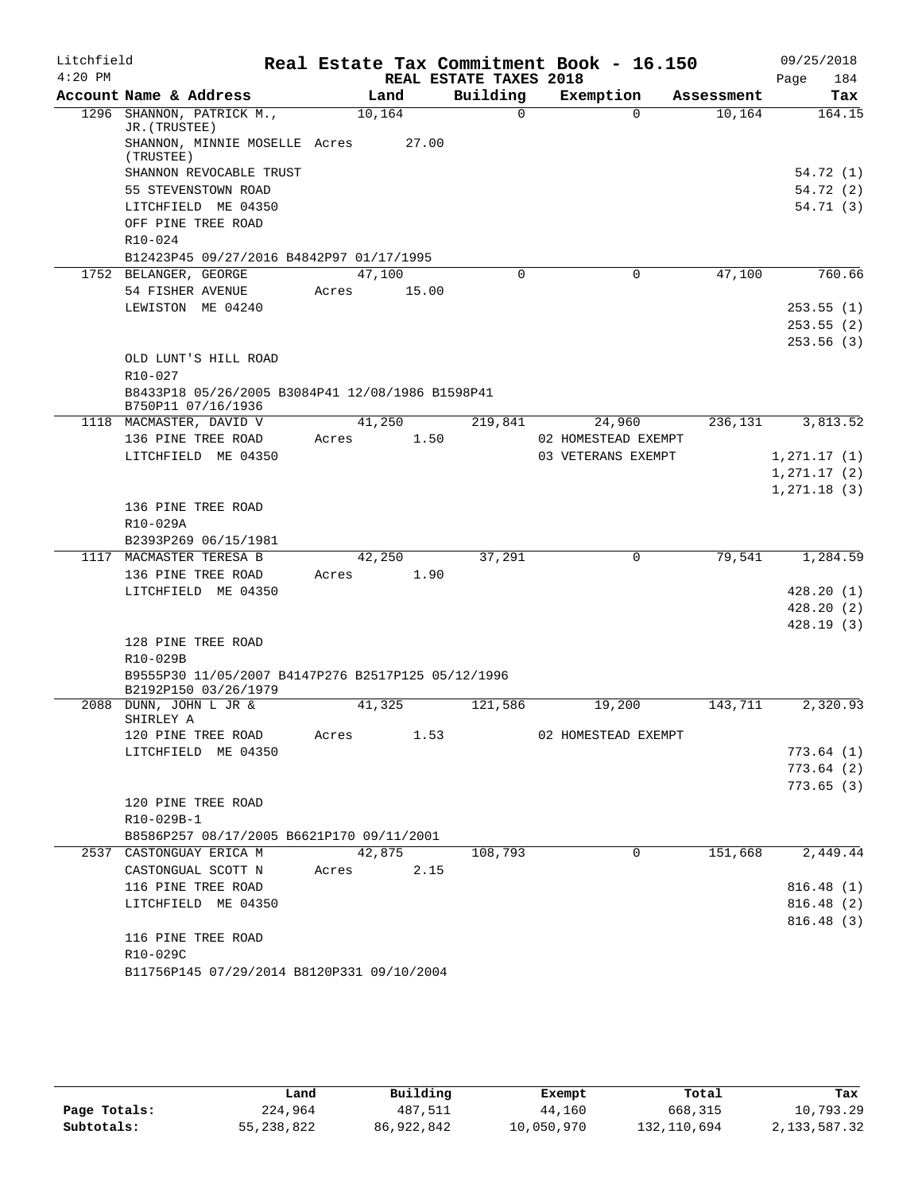| Litchfield |                                                                        |        |        |      |                        | Real Estate Tax Commitment Book - 16.150 |             |            |      | 09/25/2018   |
|------------|------------------------------------------------------------------------|--------|--------|------|------------------------|------------------------------------------|-------------|------------|------|--------------|
| $4:20$ PM  |                                                                        |        |        |      | REAL ESTATE TAXES 2018 |                                          |             |            | Page | 184          |
|            | Account Name & Address                                                 |        | Land   |      | Building               | Exemption                                |             | Assessment |      | Tax          |
| 1296       | SHANNON, PATRICK M.,<br>JR. (TRUSTEE)                                  | 10,164 |        |      | $\Omega$               |                                          | $\Omega$    | 10,164     |      | 164.15       |
|            | SHANNON, MINNIE MOSELLE Acres<br>(TRUSTEE)                             |        | 27.00  |      |                        |                                          |             |            |      |              |
|            | SHANNON REVOCABLE TRUST                                                |        |        |      |                        |                                          |             |            |      | 54.72 (1)    |
|            | 55 STEVENSTOWN ROAD                                                    |        |        |      |                        |                                          |             |            |      | 54.72(2)     |
|            | LITCHFIELD ME 04350                                                    |        |        |      |                        |                                          |             |            |      | 54.71(3)     |
|            | OFF PINE TREE ROAD                                                     |        |        |      |                        |                                          |             |            |      |              |
|            | $R10 - 024$                                                            |        |        |      |                        |                                          |             |            |      |              |
|            | B12423P45 09/27/2016 B4842P97 01/17/1995                               |        |        |      |                        |                                          |             |            |      |              |
|            | 1752 BELANGER, GEORGE                                                  | 47,100 |        |      | $\Omega$               |                                          | $\mathbf 0$ | 47,100     |      | 760.66       |
|            | 54 FISHER AVENUE                                                       | Acres  | 15.00  |      |                        |                                          |             |            |      |              |
|            | LEWISTON ME 04240                                                      |        |        |      |                        |                                          |             |            |      | 253.55(1)    |
|            |                                                                        |        |        |      |                        |                                          |             |            |      | 253.55(2)    |
|            |                                                                        |        |        |      |                        |                                          |             |            |      | 253.56(3)    |
|            | OLD LUNT'S HILL ROAD                                                   |        |        |      |                        |                                          |             |            |      |              |
|            | R10-027                                                                |        |        |      |                        |                                          |             |            |      |              |
|            | B8433P18 05/26/2005 B3084P41 12/08/1986 B1598P41<br>B750P11 07/16/1936 |        |        |      |                        |                                          |             |            |      |              |
|            | 1118 MACMASTER, DAVID V                                                |        | 41,250 |      | 219,841                | 24,960                                   |             | 236,131    |      | 3,813.52     |
|            | 136 PINE TREE ROAD                                                     | Acres  |        | 1.50 |                        | 02 HOMESTEAD EXEMPT                      |             |            |      |              |
|            | LITCHFIELD ME 04350                                                    |        |        |      |                        | 03 VETERANS EXEMPT                       |             |            |      | 1,271.17(1)  |
|            |                                                                        |        |        |      |                        |                                          |             |            |      | 1, 271.17(2) |
|            |                                                                        |        |        |      |                        |                                          |             |            |      | 1,271.18(3)  |
|            | 136 PINE TREE ROAD                                                     |        |        |      |                        |                                          |             |            |      |              |
|            | R10-029A                                                               |        |        |      |                        |                                          |             |            |      |              |
|            | B2393P269 06/15/1981                                                   |        |        |      |                        |                                          |             |            |      |              |
|            | 1117 MACMASTER TERESA B                                                |        | 42,250 |      | 37,291                 |                                          | 0           | 79,541     |      | 1,284.59     |
|            | 136 PINE TREE ROAD                                                     | Acres  | 1.90   |      |                        |                                          |             |            |      |              |
|            | LITCHFIELD ME 04350                                                    |        |        |      |                        |                                          |             |            |      | 428.20(1)    |
|            |                                                                        |        |        |      |                        |                                          |             |            |      | 428.20(2)    |
|            | 128 PINE TREE ROAD                                                     |        |        |      |                        |                                          |             |            |      | 428.19(3)    |
|            | R10-029B                                                               |        |        |      |                        |                                          |             |            |      |              |
|            | B9555P30 11/05/2007 B4147P276 B2517P125 05/12/1996                     |        |        |      |                        |                                          |             |            |      |              |
|            | B2192P150 03/26/1979                                                   |        |        |      |                        |                                          |             |            |      |              |
| 2088       | DUNN, JOHN L JR &<br>SHIRLEY A                                         | 41,325 |        |      | 121,586                | 19,200                                   |             | 143,711    |      | 2,320.93     |
|            | 120 PINE TREE ROAD                                                     | Acres  |        | 1.53 |                        | 02 HOMESTEAD EXEMPT                      |             |            |      |              |
|            | LITCHFIELD ME 04350                                                    |        |        |      |                        |                                          |             |            |      | 773.64(1)    |
|            |                                                                        |        |        |      |                        |                                          |             |            |      | 773.64(2)    |
|            |                                                                        |        |        |      |                        |                                          |             |            |      | 773.65(3)    |
|            | 120 PINE TREE ROAD                                                     |        |        |      |                        |                                          |             |            |      |              |
|            | R10-029B-1                                                             |        |        |      |                        |                                          |             |            |      |              |
|            | B8586P257 08/17/2005 B6621P170 09/11/2001                              |        |        |      |                        |                                          |             |            |      |              |
|            | 2537 CASTONGUAY ERICA M                                                |        | 42,875 |      | 108,793                |                                          | $\mathbf 0$ | 151,668    |      | 2,449.44     |
|            | CASTONGUAL SCOTT N                                                     | Acres  | 2.15   |      |                        |                                          |             |            |      |              |
|            | 116 PINE TREE ROAD                                                     |        |        |      |                        |                                          |             |            |      | 816.48(1)    |
|            | LITCHFIELD ME 04350                                                    |        |        |      |                        |                                          |             |            |      | 816.48(2)    |
|            |                                                                        |        |        |      |                        |                                          |             |            |      | 816.48(3)    |
|            | 116 PINE TREE ROAD                                                     |        |        |      |                        |                                          |             |            |      |              |
|            | R10-029C<br>B11756P145 07/29/2014 B8120P331 09/10/2004                 |        |        |      |                        |                                          |             |            |      |              |
|            |                                                                        |        |        |      |                        |                                          |             |            |      |              |

|              | Land         | Building   | Exempt     | Total       | Tax          |
|--------------|--------------|------------|------------|-------------|--------------|
| Page Totals: | 224,964      | 487,511    | 44,160     | 668,315     | 10,793.29    |
| Subtotals:   | 55, 238, 822 | 86,922,842 | 10,050,970 | 132,110,694 | 2,133,587.32 |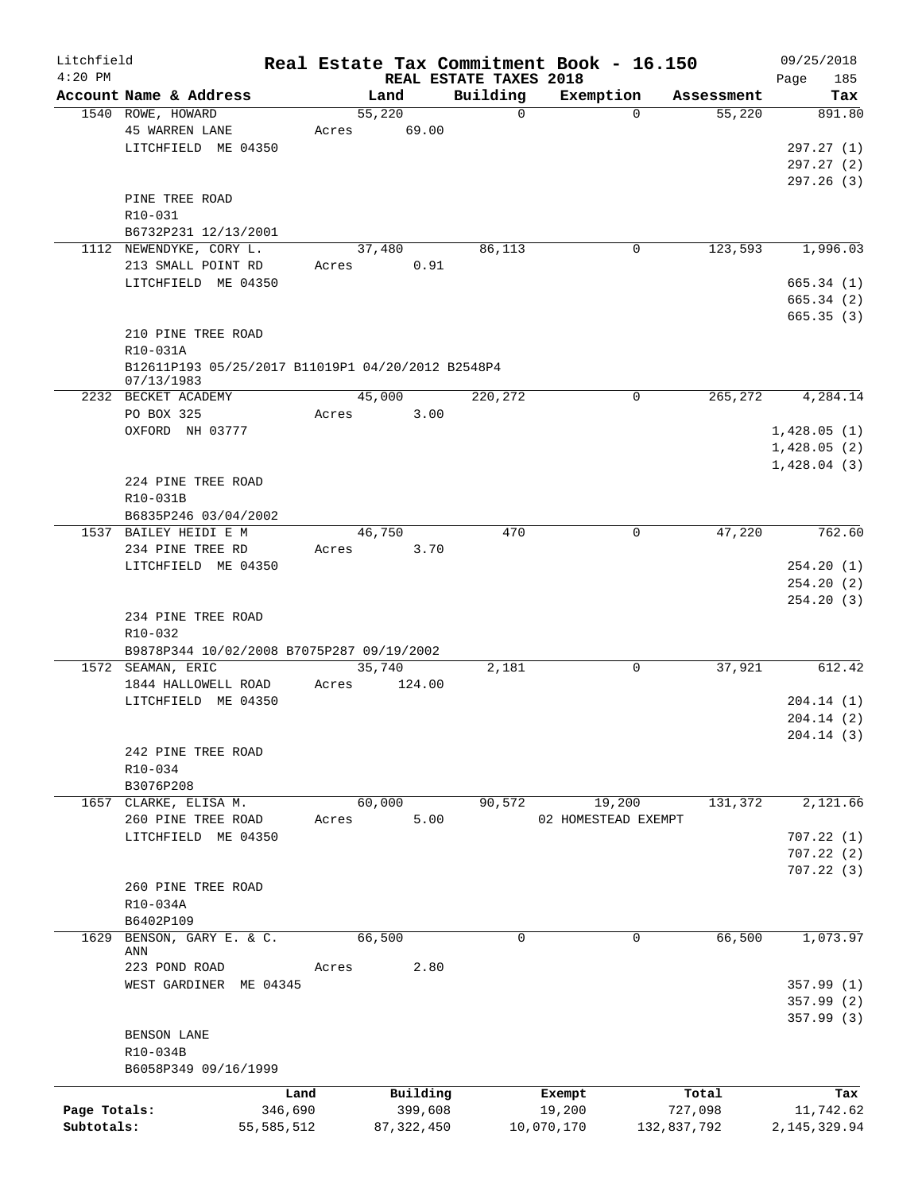| Litchfield   |                                                                 |                 |       |                     |                        | Real Estate Tax Commitment Book - 16.150 |                  | 09/25/2018              |
|--------------|-----------------------------------------------------------------|-----------------|-------|---------------------|------------------------|------------------------------------------|------------------|-------------------------|
| $4:20$ PM    |                                                                 |                 |       |                     | REAL ESTATE TAXES 2018 |                                          |                  | 185<br>Page             |
|              | Account Name & Address                                          |                 |       | Land                | Building               | Exemption                                | Assessment       | Tax                     |
|              | 1540 ROWE, HOWARD<br><b>45 WARREN LANE</b>                      |                 |       | 55,220              | $\mathbf 0$            | $\Omega$                                 | 55,220           | 891.80                  |
|              |                                                                 |                 | Acres | 69.00               |                        |                                          |                  |                         |
|              | LITCHFIELD ME 04350                                             |                 |       |                     |                        |                                          |                  | 297.27(1)               |
|              |                                                                 |                 |       |                     |                        |                                          |                  | 297.27 (2)<br>297.26(3) |
|              | PINE TREE ROAD                                                  |                 |       |                     |                        |                                          |                  |                         |
|              | R10-031                                                         |                 |       |                     |                        |                                          |                  |                         |
|              | B6732P231 12/13/2001                                            |                 |       |                     |                        |                                          |                  |                         |
|              | 1112 NEWENDYKE, CORY L.                                         |                 |       | 37,480              | 86,113                 | 0                                        | 123,593          | 1,996.03                |
|              | 213 SMALL POINT RD                                              |                 | Acres | 0.91                |                        |                                          |                  |                         |
|              | LITCHFIELD ME 04350                                             |                 |       |                     |                        |                                          |                  | 665.34(1)               |
|              |                                                                 |                 |       |                     |                        |                                          |                  | 665.34(2)               |
|              |                                                                 |                 |       |                     |                        |                                          |                  | 665.35(3)               |
|              | 210 PINE TREE ROAD                                              |                 |       |                     |                        |                                          |                  |                         |
|              | R10-031A                                                        |                 |       |                     |                        |                                          |                  |                         |
|              | B12611P193 05/25/2017 B11019P1 04/20/2012 B2548P4<br>07/13/1983 |                 |       |                     |                        |                                          |                  |                         |
|              | 2232 BECKET ACADEMY                                             |                 |       | 45,000              | 220,272                | 0                                        | 265,272          | 4,284.14                |
|              | PO BOX 325                                                      |                 | Acres | 3.00                |                        |                                          |                  |                         |
|              | OXFORD NH 03777                                                 |                 |       |                     |                        |                                          |                  | 1,428.05(1)             |
|              |                                                                 |                 |       |                     |                        |                                          |                  | 1,428.05(2)             |
|              |                                                                 |                 |       |                     |                        |                                          |                  | 1,428.04(3)             |
|              | 224 PINE TREE ROAD                                              |                 |       |                     |                        |                                          |                  |                         |
|              | R10-031B                                                        |                 |       |                     |                        |                                          |                  |                         |
|              | B6835P246 03/04/2002                                            |                 |       |                     |                        |                                          |                  |                         |
|              | 1537 BAILEY HEIDI E M                                           |                 |       | 46,750              | 470                    | 0                                        | 47,220           | 762.60                  |
|              | 234 PINE TREE RD                                                |                 | Acres | 3.70                |                        |                                          |                  |                         |
|              | LITCHFIELD ME 04350                                             |                 |       |                     |                        |                                          |                  | 254.20(1)               |
|              |                                                                 |                 |       |                     |                        |                                          |                  | 254.20(2)               |
|              |                                                                 |                 |       |                     |                        |                                          |                  | 254.20(3)               |
|              | 234 PINE TREE ROAD                                              |                 |       |                     |                        |                                          |                  |                         |
|              | R10-032                                                         |                 |       |                     |                        |                                          |                  |                         |
|              | B9878P344 10/02/2008 B7075P287 09/19/2002                       |                 |       |                     |                        |                                          |                  |                         |
|              | 1572 SEAMAN, ERIC                                               |                 |       | 35,740              | 2,181                  | 0                                        | 37,921           | 612.42                  |
|              | 1844 HALLOWELL ROAD                                             |                 | Acres | 124.00              |                        |                                          |                  |                         |
|              | LITCHFIELD ME 04350                                             |                 |       |                     |                        |                                          |                  | 204.14(1)               |
|              |                                                                 |                 |       |                     |                        |                                          |                  | 204.14(2)               |
|              |                                                                 |                 |       |                     |                        |                                          |                  | 204.14 (3)              |
|              | 242 PINE TREE ROAD                                              |                 |       |                     |                        |                                          |                  |                         |
|              | R10-034                                                         |                 |       |                     |                        |                                          |                  |                         |
|              | B3076P208                                                       |                 |       |                     |                        |                                          |                  |                         |
|              | 1657 CLARKE, ELISA M.                                           |                 |       | 60,000              | 90,572                 | 19,200                                   | 131,372          | 2,121.66                |
|              | 260 PINE TREE ROAD                                              |                 | Acres | 5.00                |                        | 02 HOMESTEAD EXEMPT                      |                  |                         |
|              | LITCHFIELD ME 04350                                             |                 |       |                     |                        |                                          |                  | 707.22(1)               |
|              |                                                                 |                 |       |                     |                        |                                          |                  | 707.22(2)               |
|              |                                                                 |                 |       |                     |                        |                                          |                  | 707.22(3)               |
|              | 260 PINE TREE ROAD                                              |                 |       |                     |                        |                                          |                  |                         |
|              | R10-034A                                                        |                 |       |                     |                        |                                          |                  |                         |
|              | B6402P109                                                       |                 |       |                     |                        |                                          |                  |                         |
| 1629         | BENSON, GARY E. & C.<br>ANN                                     |                 |       | 66,500              | $\Omega$               | 0                                        | 66,500           | 1,073.97                |
|              | 223 POND ROAD                                                   |                 | Acres | 2.80                |                        |                                          |                  |                         |
|              | WEST GARDINER ME 04345                                          |                 |       |                     |                        |                                          |                  | 357.99(1)               |
|              |                                                                 |                 |       |                     |                        |                                          |                  | 357.99(2)               |
|              |                                                                 |                 |       |                     |                        |                                          |                  | 357.99(3)               |
|              | BENSON LANE                                                     |                 |       |                     |                        |                                          |                  |                         |
|              | R10-034B                                                        |                 |       |                     |                        |                                          |                  |                         |
|              | B6058P349 09/16/1999                                            |                 |       |                     |                        |                                          |                  |                         |
|              |                                                                 |                 |       |                     |                        |                                          |                  |                         |
| Page Totals: |                                                                 | Land<br>346,690 |       | Building<br>399,608 |                        | Exempt<br>19,200                         | Total<br>727,098 | Tax<br>11,742.62        |
| Subtotals:   |                                                                 | 55, 585, 512    |       | 87, 322, 450        |                        | 10,070,170                               | 132,837,792      | 2, 145, 329.94          |
|              |                                                                 |                 |       |                     |                        |                                          |                  |                         |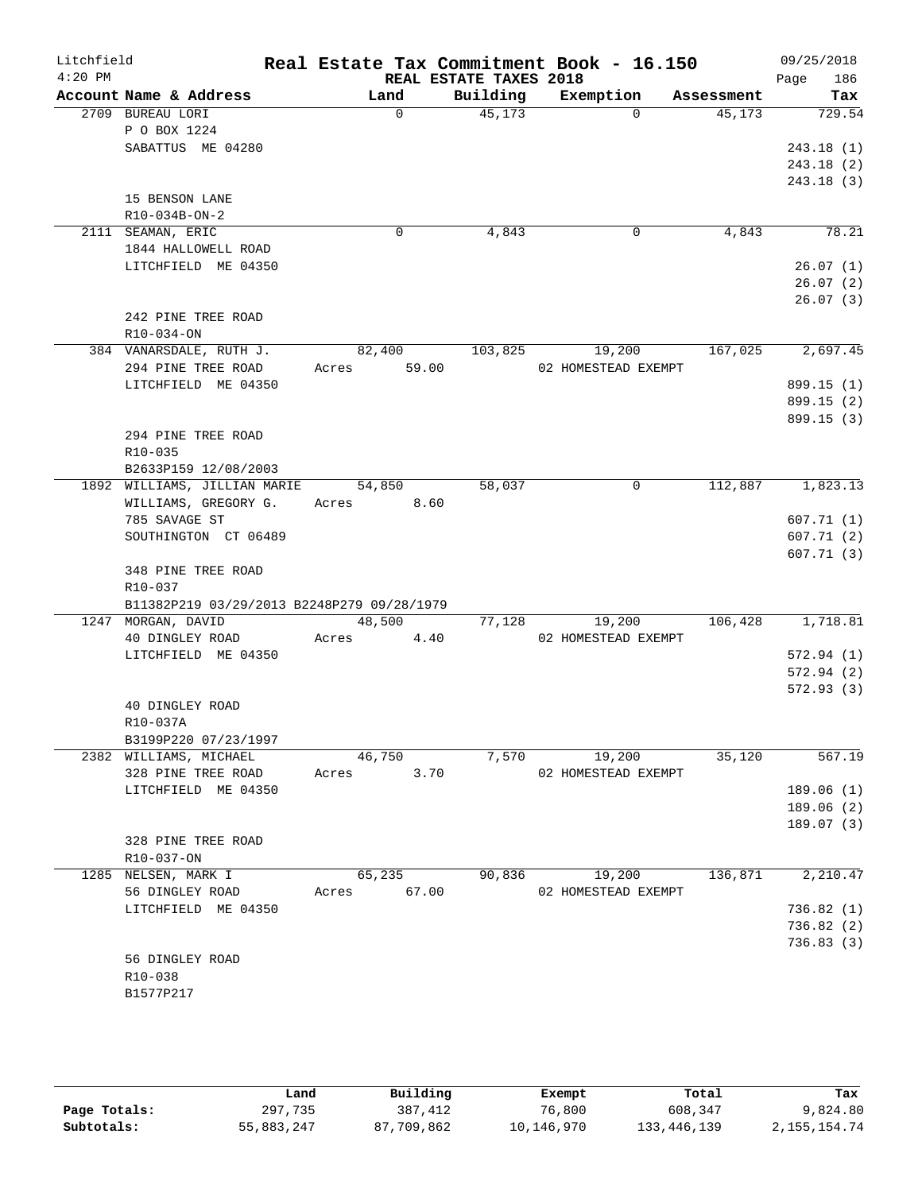| Litchfield<br>$4:20$ PM |                                            |                | REAL ESTATE TAXES 2018 | Real Estate Tax Commitment Book - 16.150 |            | 09/25/2018<br>186<br>Page |
|-------------------------|--------------------------------------------|----------------|------------------------|------------------------------------------|------------|---------------------------|
|                         | Account Name & Address                     | Land           | Building               | Exemption                                | Assessment | Tax                       |
|                         | 2709 BUREAU LORI                           | $\Omega$       | 45,173                 | $\Omega$                                 | 45,173     | 729.54                    |
|                         | P O BOX 1224                               |                |                        |                                          |            |                           |
|                         | SABATTUS ME 04280                          |                |                        |                                          |            | 243.18(1)                 |
|                         |                                            |                |                        |                                          |            | 243.18(2)                 |
|                         |                                            |                |                        |                                          |            | 243.18(3)                 |
|                         | 15 BENSON LANE                             |                |                        |                                          |            |                           |
|                         | $R10-034B-ON-2$                            |                |                        |                                          |            |                           |
|                         | 2111 SEAMAN, ERIC                          | 0              | 4,843                  | 0                                        | 4,843      | 78.21                     |
|                         | 1844 HALLOWELL ROAD                        |                |                        |                                          |            |                           |
|                         | LITCHFIELD ME 04350                        |                |                        |                                          |            | 26.07(1)                  |
|                         |                                            |                |                        |                                          |            | 26.07(2)                  |
|                         |                                            |                |                        |                                          |            | 26.07(3)                  |
|                         | 242 PINE TREE ROAD                         |                |                        |                                          |            |                           |
|                         | $R10-034-0N$                               |                |                        |                                          |            |                           |
|                         | 384 VANARSDALE, RUTH J.                    | 82,400         | 103,825                | 19,200                                   | 167,025    | 2,697.45                  |
|                         | 294 PINE TREE ROAD                         | 59.00<br>Acres |                        | 02 HOMESTEAD EXEMPT                      |            |                           |
|                         | LITCHFIELD ME 04350                        |                |                        |                                          |            | 899.15 (1)                |
|                         |                                            |                |                        |                                          |            | 899.15 (2)                |
|                         | 294 PINE TREE ROAD                         |                |                        |                                          |            | 899.15(3)                 |
|                         | R10-035                                    |                |                        |                                          |            |                           |
|                         | B2633P159 12/08/2003                       |                |                        |                                          |            |                           |
|                         | 1892 WILLIAMS, JILLIAN MARIE               | 54,850         | 58,037                 | 0                                        | 112,887    | 1,823.13                  |
|                         | WILLIAMS, GREGORY G.                       | Acres 8.60     |                        |                                          |            |                           |
|                         | 785 SAVAGE ST                              |                |                        |                                          |            | 607.71(1)                 |
|                         | SOUTHINGTON CT 06489                       |                |                        |                                          |            | 607.71(2)                 |
|                         |                                            |                |                        |                                          |            | 607.71(3)                 |
|                         | 348 PINE TREE ROAD                         |                |                        |                                          |            |                           |
|                         | R10-037                                    |                |                        |                                          |            |                           |
|                         | B11382P219 03/29/2013 B2248P279 09/28/1979 |                |                        |                                          |            |                           |
|                         | 1247 MORGAN, DAVID                         | 48,500         | 77,128                 | 19,200                                   | 106,428    | 1,718.81                  |
|                         | 40 DINGLEY ROAD                            | Acres<br>4.40  |                        | 02 HOMESTEAD EXEMPT                      |            |                           |
|                         | LITCHFIELD ME 04350                        |                |                        |                                          |            | 572.94(1)                 |
|                         |                                            |                |                        |                                          |            | 572.94 (2)                |
|                         |                                            |                |                        |                                          |            | 572.93(3)                 |
|                         | 40 DINGLEY ROAD                            |                |                        |                                          |            |                           |
|                         | R10-037A                                   |                |                        |                                          |            |                           |
|                         | B3199P220 07/23/1997                       |                |                        |                                          |            |                           |
|                         | 2382 WILLIAMS, MICHAEL                     | 46,750         | 7,570                  | 19,200                                   | 35,120     | 567.19                    |
|                         | 328 PINE TREE ROAD                         | 3.70<br>Acres  |                        | 02 HOMESTEAD EXEMPT                      |            |                           |
|                         | LITCHFIELD ME 04350                        |                |                        |                                          |            | 189.06(1)                 |
|                         |                                            |                |                        |                                          |            | 189.06(2)                 |
|                         | 328 PINE TREE ROAD                         |                |                        |                                          |            | 189.07 (3)                |
|                         | R10-037-ON                                 |                |                        |                                          |            |                           |
|                         | 1285 NELSEN, MARK I                        | 65,235         | 90,836                 | 19,200                                   | 136,871    | 2,210.47                  |
|                         | 56 DINGLEY ROAD                            | 67.00<br>Acres |                        | 02 HOMESTEAD EXEMPT                      |            |                           |
|                         | LITCHFIELD ME 04350                        |                |                        |                                          |            | 736.82(1)                 |
|                         |                                            |                |                        |                                          |            | 736.82 (2)                |
|                         |                                            |                |                        |                                          |            | 736.83 (3)                |
|                         | 56 DINGLEY ROAD                            |                |                        |                                          |            |                           |
|                         | R10-038                                    |                |                        |                                          |            |                           |
|                         | B1577P217                                  |                |                        |                                          |            |                           |
|                         |                                            |                |                        |                                          |            |                           |

|              | Land       | Building   | Exempt     | Total       | Tax            |
|--------------|------------|------------|------------|-------------|----------------|
| Page Totals: | 297,735    | 387,412    | 76,800     | 608,347     | 9,824.80       |
| Subtotals:   | 55,883,247 | 87,709,862 | 10,146,970 | 133,446,139 | 2, 155, 154.74 |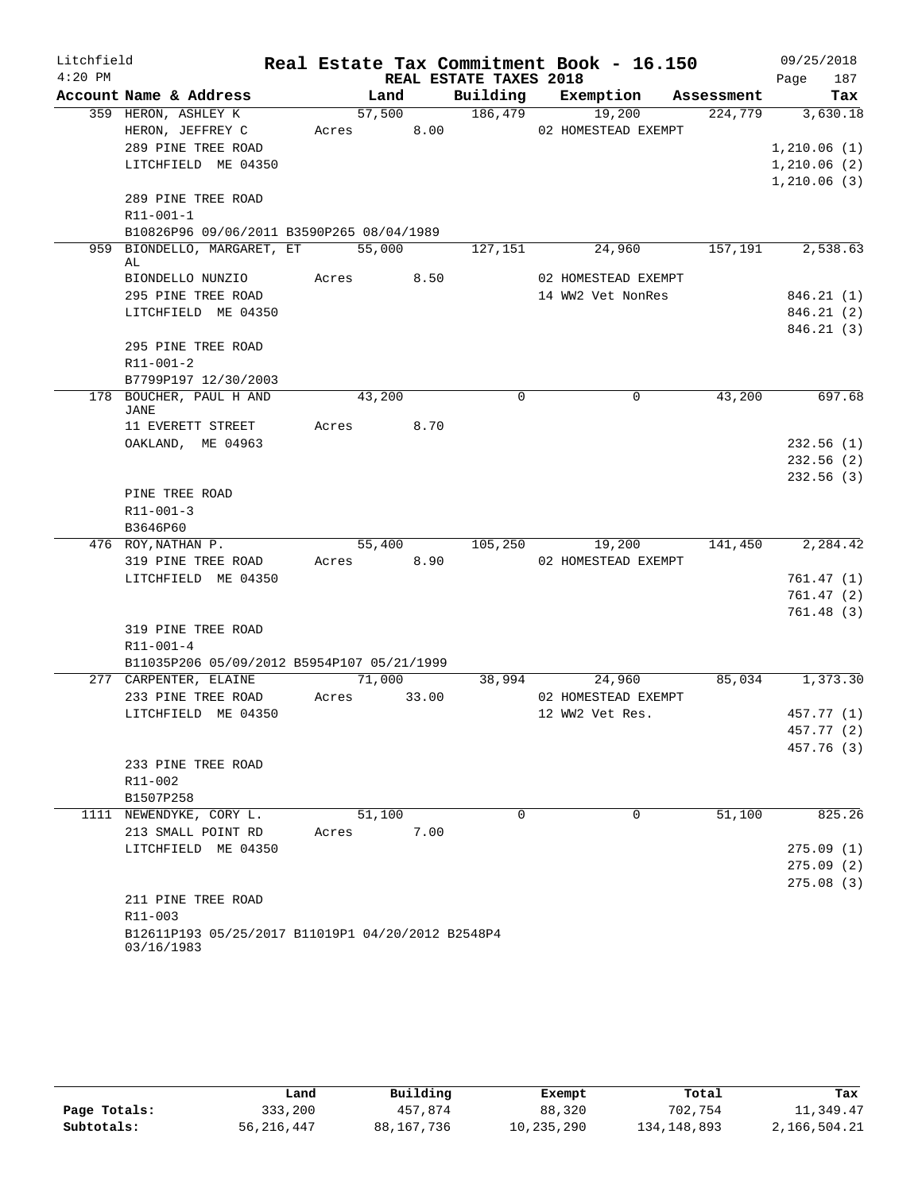| Litchfield |                                                   |            |        |                        | Real Estate Tax Commitment Book - 16.150 |            | 09/25/2018             |
|------------|---------------------------------------------------|------------|--------|------------------------|------------------------------------------|------------|------------------------|
| $4:20$ PM  |                                                   |            |        | REAL ESTATE TAXES 2018 |                                          |            | 187<br>Page            |
|            | Account Name & Address                            |            | Land   |                        | Building Exemption                       | Assessment | Tax                    |
|            | 359 HERON, ASHLEY K                               |            | 57,500 | 186,479                | 19,200                                   | 224,779    | 3,630.18               |
|            | HERON, JEFFREY C                                  | Acres 8.00 |        |                        | 02 HOMESTEAD EXEMPT                      |            |                        |
|            | 289 PINE TREE ROAD                                |            |        |                        |                                          |            | 1,210.06(1)            |
|            | LITCHFIELD ME 04350                               |            |        |                        |                                          |            | 1,210.06(2)            |
|            |                                                   |            |        |                        |                                          |            | 1,210.06(3)            |
|            | 289 PINE TREE ROAD                                |            |        |                        |                                          |            |                        |
|            | R11-001-1                                         |            |        |                        |                                          |            |                        |
|            | B10826P96 09/06/2011 B3590P265 08/04/1989         |            |        |                        |                                          |            |                        |
| 959        | BIONDELLO, MARGARET, ET                           |            | 55,000 | 127,151                | 24,960                                   | 157,191    | 2,538.63               |
|            | AL                                                | Acres 8.50 |        |                        | 02 HOMESTEAD EXEMPT                      |            |                        |
|            | BIONDELLO NUNZIO                                  |            |        |                        |                                          |            |                        |
|            | 295 PINE TREE ROAD<br>LITCHFIELD ME 04350         |            |        |                        | 14 WW2 Vet NonRes                        |            | 846.21(1)<br>846.21(2) |
|            |                                                   |            |        |                        |                                          |            | 846.21(3)              |
|            | 295 PINE TREE ROAD                                |            |        |                        |                                          |            |                        |
|            | R11-001-2                                         |            |        |                        |                                          |            |                        |
|            | B7799P197 12/30/2003                              |            |        |                        |                                          |            |                        |
|            | 178 BOUCHER, PAUL H AND                           | 43,200     |        | $\mathbf 0$            | $\mathbf 0$                              | 43,200     | 697.68                 |
|            | JANE                                              |            |        |                        |                                          |            |                        |
|            | 11 EVERETT STREET                                 | Acres 8.70 |        |                        |                                          |            |                        |
|            | OAKLAND, ME 04963                                 |            |        |                        |                                          |            | 232.56(1)              |
|            |                                                   |            |        |                        |                                          |            | 232.56(2)              |
|            |                                                   |            |        |                        |                                          |            | 232.56(3)              |
|            | PINE TREE ROAD                                    |            |        |                        |                                          |            |                        |
|            | $R11 - 001 - 3$                                   |            |        |                        |                                          |            |                        |
|            | B3646P60                                          |            |        |                        |                                          |            |                        |
|            | 476 ROY, NATHAN P.                                |            | 55,400 | 105,250                | 19,200                                   | 141,450    | 2,284.42               |
|            | 319 PINE TREE ROAD                                | Acres 8.90 |        |                        | 02 HOMESTEAD EXEMPT                      |            |                        |
|            | LITCHFIELD ME 04350                               |            |        |                        |                                          |            | 761.47(1)              |
|            |                                                   |            |        |                        |                                          |            | 761.47(2)              |
|            |                                                   |            |        |                        |                                          |            | 761.48(3)              |
|            | 319 PINE TREE ROAD                                |            |        |                        |                                          |            |                        |
|            | $R11 - 001 - 4$                                   |            |        |                        |                                          |            |                        |
|            | B11035P206 05/09/2012 B5954P107 05/21/1999        |            |        |                        |                                          |            |                        |
|            | 277 CARPENTER, ELAINE                             |            | 71,000 | 38,994                 | 24,960                                   |            | 85,034 1,373.30        |
|            | 233 PINE TREE ROAD                                | Acres      | 33.00  |                        | 02 HOMESTEAD EXEMPT                      |            |                        |
|            | LITCHFIELD ME 04350                               |            |        |                        | 12 WW2 Vet Res.                          |            | 457.77 (1)             |
|            |                                                   |            |        |                        |                                          |            | 457.77 (2)             |
|            |                                                   |            |        |                        |                                          |            | 457.76 (3)             |
|            | 233 PINE TREE ROAD<br>$R11 - 002$                 |            |        |                        |                                          |            |                        |
|            |                                                   |            |        |                        |                                          |            |                        |
|            | B1507P258<br>1111 NEWENDYKE, CORY L.              |            |        | $\Omega$               | $\Omega$                                 |            | 825.26                 |
|            |                                                   |            | 51,100 |                        |                                          | 51,100     |                        |
|            | 213 SMALL POINT RD<br>LITCHFIELD ME 04350         | Acres      | 7.00   |                        |                                          |            | 275.09(1)              |
|            |                                                   |            |        |                        |                                          |            | 275.09(2)              |
|            |                                                   |            |        |                        |                                          |            | 275.08(3)              |
|            | 211 PINE TREE ROAD                                |            |        |                        |                                          |            |                        |
|            | $R11 - 003$                                       |            |        |                        |                                          |            |                        |
|            | B12611P193 05/25/2017 B11019P1 04/20/2012 B2548P4 |            |        |                        |                                          |            |                        |
|            | 03/16/1983                                        |            |        |                        |                                          |            |                        |

|              | Land         | Building   | Exempt     | Total         | Tax          |
|--------------|--------------|------------|------------|---------------|--------------|
| Page Totals: | 333,200      | 457.874    | 88,320     | 702,754       | 11,349.47    |
| Subtotals:   | 56, 216, 447 | 88,167,736 | 10,235,290 | 134, 148, 893 | 2,166,504.21 |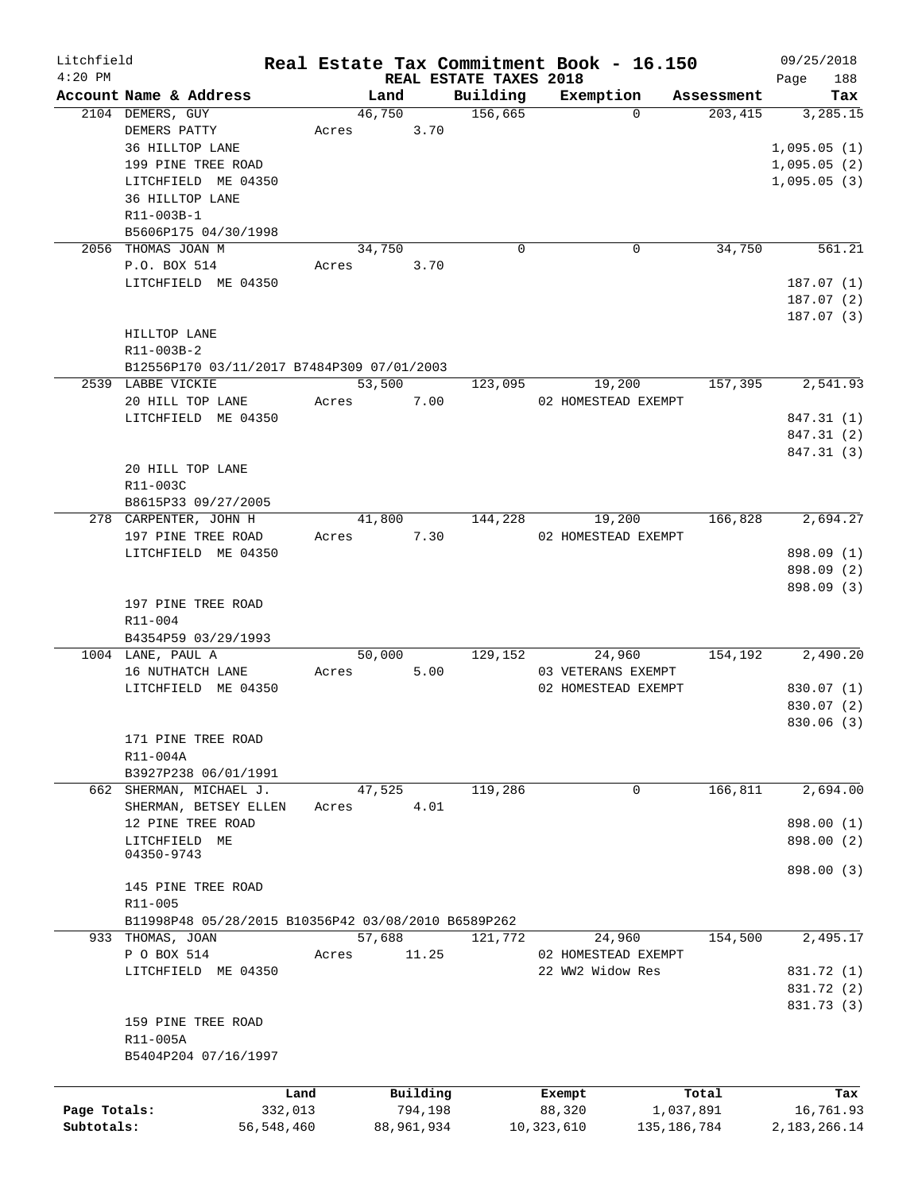| Litchfield   |                                                     |              |        |            |                        | Real Estate Tax Commitment Book - 16.150 |               | 09/25/2018   |
|--------------|-----------------------------------------------------|--------------|--------|------------|------------------------|------------------------------------------|---------------|--------------|
| $4:20$ PM    |                                                     |              |        |            | REAL ESTATE TAXES 2018 |                                          |               | 188<br>Page  |
|              | Account Name & Address                              |              | Land   |            | Building               | Exemption                                | Assessment    | Tax          |
|              | 2104 DEMERS, GUY                                    |              | 46,750 |            | 156,665                | $\Omega$                                 | 203,415       | 3,285.15     |
|              | DEMERS PATTY                                        | Acres        |        | 3.70       |                        |                                          |               |              |
|              | 36 HILLTOP LANE                                     |              |        |            |                        |                                          |               | 1,095.05(1)  |
|              | 199 PINE TREE ROAD                                  |              |        |            |                        |                                          |               | 1,095.05(2)  |
|              | LITCHFIELD ME 04350                                 |              |        |            |                        |                                          |               | 1,095.05(3)  |
|              | 36 HILLTOP LANE                                     |              |        |            |                        |                                          |               |              |
|              | R11-003B-1                                          |              |        |            |                        |                                          |               |              |
|              | B5606P175 04/30/1998                                |              |        |            |                        |                                          |               |              |
|              | 2056 THOMAS JOAN M                                  |              | 34,750 |            | 0                      | 0                                        | 34,750        | 561.21       |
|              | P.O. BOX 514                                        | Acres        |        | 3.70       |                        |                                          |               |              |
|              | LITCHFIELD ME 04350                                 |              |        |            |                        |                                          |               | 187.07(1)    |
|              |                                                     |              |        |            |                        |                                          |               | 187.07 (2)   |
|              |                                                     |              |        |            |                        |                                          |               | 187.07(3)    |
|              | HILLTOP LANE                                        |              |        |            |                        |                                          |               |              |
|              | R11-003B-2                                          |              |        |            |                        |                                          |               |              |
|              | B12556P170 03/11/2017 B7484P309 07/01/2003          |              |        |            |                        |                                          |               |              |
|              | 2539 LABBE VICKIE                                   |              | 53,500 |            | 123,095                | 19,200                                   | 157,395       | 2,541.93     |
|              | 20 HILL TOP LANE                                    | Acres        |        | 7.00       |                        | 02 HOMESTEAD EXEMPT                      |               |              |
|              | LITCHFIELD ME 04350                                 |              |        |            |                        |                                          |               | 847.31 (1)   |
|              |                                                     |              |        |            |                        |                                          |               | 847.31 (2)   |
|              |                                                     |              |        |            |                        |                                          |               | 847.31 (3)   |
|              | 20 HILL TOP LANE                                    |              |        |            |                        |                                          |               |              |
|              | R11-003C                                            |              |        |            |                        |                                          |               |              |
|              | B8615P33 09/27/2005                                 |              |        |            |                        |                                          |               |              |
|              | 278 CARPENTER, JOHN H                               |              | 41,800 |            | 144,228                | 19,200                                   | 166,828       | 2,694.27     |
|              | 197 PINE TREE ROAD                                  | Acres        |        | 7.30       |                        | 02 HOMESTEAD EXEMPT                      |               |              |
|              | LITCHFIELD ME 04350                                 |              |        |            |                        |                                          |               | 898.09 (1)   |
|              |                                                     |              |        |            |                        |                                          |               | 898.09 (2)   |
|              |                                                     |              |        |            |                        |                                          |               | 898.09 (3)   |
|              | 197 PINE TREE ROAD                                  |              |        |            |                        |                                          |               |              |
|              | R11-004                                             |              |        |            |                        |                                          |               |              |
|              | B4354P59 03/29/1993                                 |              |        |            |                        |                                          |               |              |
|              | 1004 LANE, PAUL A                                   |              | 50,000 |            | 129,152                | 24,960                                   | 154,192       | 2,490.20     |
|              | 16 NUTHATCH LANE                                    | Acres        |        | 5.00       |                        | 03 VETERANS EXEMPT                       |               |              |
|              | LITCHFIELD ME 04350                                 |              |        |            |                        | 02 HOMESTEAD EXEMPT                      |               | 830.07 (1)   |
|              |                                                     |              |        |            |                        |                                          |               | 830.07 (2)   |
|              |                                                     |              |        |            |                        |                                          |               | 830.06(3)    |
|              | 171 PINE TREE ROAD                                  |              |        |            |                        |                                          |               |              |
|              | R11-004A                                            |              |        |            |                        |                                          |               |              |
|              | B3927P238 06/01/1991                                |              |        |            |                        |                                          |               |              |
|              | 662 SHERMAN, MICHAEL J.                             |              | 47,525 |            | 119,286                | 0                                        | 166, 811      | 2,694.00     |
|              | SHERMAN, BETSEY ELLEN                               | Acres        |        | 4.01       |                        |                                          |               |              |
|              | 12 PINE TREE ROAD                                   |              |        |            |                        |                                          |               | 898.00 (1)   |
|              | LITCHFIELD ME                                       |              |        |            |                        |                                          |               | 898.00 (2)   |
|              | 04350-9743                                          |              |        |            |                        |                                          |               |              |
|              |                                                     |              |        |            |                        |                                          |               | 898.00 (3)   |
|              | 145 PINE TREE ROAD                                  |              |        |            |                        |                                          |               |              |
|              | R11-005                                             |              |        |            |                        |                                          |               |              |
|              | B11998P48 05/28/2015 B10356P42 03/08/2010 B6589P262 |              |        |            |                        |                                          |               |              |
|              | 933 THOMAS, JOAN                                    |              | 57,688 |            | 121,772                | 24,960                                   | 154,500       | 2,495.17     |
|              | P O BOX 514                                         | Acres        |        | 11.25      |                        | 02 HOMESTEAD EXEMPT                      |               |              |
|              | LITCHFIELD ME 04350                                 |              |        |            |                        | 22 WW2 Widow Res                         |               | 831.72 (1)   |
|              |                                                     |              |        |            |                        |                                          |               | 831.72 (2)   |
|              |                                                     |              |        |            |                        |                                          |               | 831.73 (3)   |
|              | 159 PINE TREE ROAD                                  |              |        |            |                        |                                          |               |              |
|              | R11-005A                                            |              |        |            |                        |                                          |               |              |
|              | B5404P204 07/16/1997                                |              |        |            |                        |                                          |               |              |
|              |                                                     |              |        |            |                        |                                          |               |              |
|              |                                                     | Land         |        | Building   |                        |                                          | Total         | Tax          |
| Page Totals: |                                                     | 332,013      |        | 794,198    |                        | Exempt<br>88,320                         | 1,037,891     | 16,761.93    |
| Subtotals:   |                                                     | 56, 548, 460 |        | 88,961,934 |                        | 10,323,610                               | 135, 186, 784 | 2,183,266.14 |
|              |                                                     |              |        |            |                        |                                          |               |              |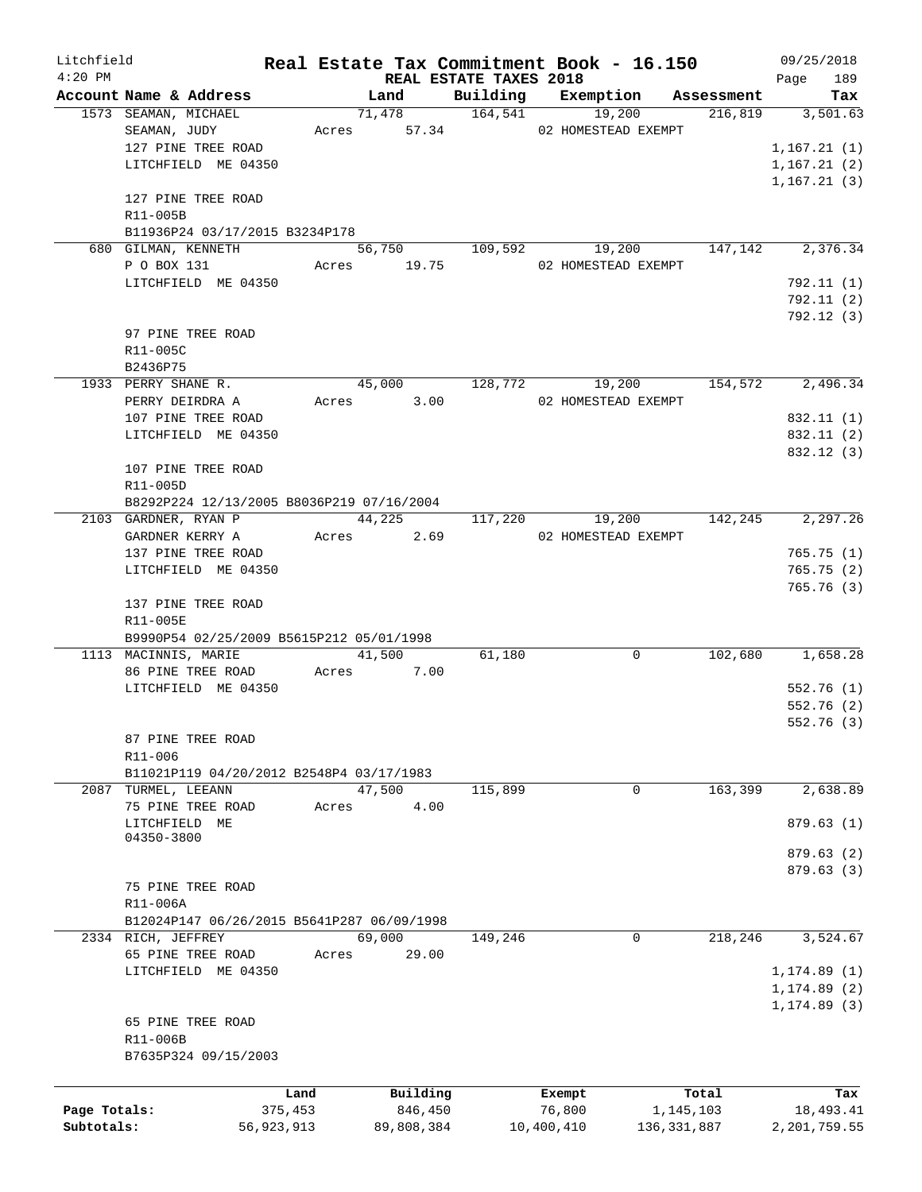| Litchfield   |                                            |         |                               |         | Real Estate Tax Commitment Book - 16.150 |                         | 09/25/2018     |
|--------------|--------------------------------------------|---------|-------------------------------|---------|------------------------------------------|-------------------------|----------------|
| $4:20$ PM    |                                            |         | <b>REAL ESTATE TAXES 2018</b> |         |                                          |                         | 189<br>Page    |
|              | Account Name & Address                     |         | Land                          |         | Building Exemption                       | Assessment              | Tax            |
|              | 1573 SEAMAN, MICHAEL                       |         |                               |         | 71,478 164,541 19,200 216,819            |                         | 3,501.63       |
|              | SEAMAN, JUDY                               |         |                               |         | Acres 57.34 02 HOMESTEAD EXEMPT          |                         |                |
|              | 127 PINE TREE ROAD                         |         |                               |         |                                          |                         | 1, 167.21(1)   |
|              | LITCHFIELD ME 04350                        |         |                               |         |                                          |                         | 1, 167.21(2)   |
|              |                                            |         |                               |         |                                          |                         | 1, 167.21(3)   |
|              | 127 PINE TREE ROAD                         |         |                               |         |                                          |                         |                |
|              | R11-005B                                   |         |                               |         |                                          |                         |                |
|              | B11936P24 03/17/2015 B3234P178             |         |                               |         |                                          |                         |                |
|              | 680 GILMAN, KENNETH                        |         | 56,750 109,592                |         |                                          | 19,200 147,142 2,376.34 |                |
|              | P O BOX 131                                |         | Acres 19.75                   |         | 02 HOMESTEAD EXEMPT                      |                         |                |
|              | LITCHFIELD ME 04350                        |         |                               |         |                                          |                         | 792.11(1)      |
|              |                                            |         |                               |         |                                          |                         | 792.11(2)      |
|              |                                            |         |                               |         |                                          |                         | 792.12(3)      |
|              | 97 PINE TREE ROAD                          |         |                               |         |                                          |                         |                |
|              | R11-005C                                   |         |                               |         |                                          |                         |                |
|              | B2436P75                                   |         |                               |         |                                          |                         |                |
|              | 1933 PERRY SHANE R.                        |         | 45,000                        | 128,772 |                                          | 19,200 154,572          | 2,496.34       |
|              | PERRY DEIRDRA A                            |         | Acres 3.00                    |         | 02 HOMESTEAD EXEMPT                      |                         |                |
|              | 107 PINE TREE ROAD                         |         |                               |         |                                          |                         | 832.11 (1)     |
|              | LITCHFIELD ME 04350                        |         |                               |         |                                          |                         | 832.11 (2)     |
|              |                                            |         |                               |         |                                          |                         | 832.12 (3)     |
|              | 107 PINE TREE ROAD                         |         |                               |         |                                          |                         |                |
|              | R11-005D                                   |         |                               |         |                                          |                         |                |
|              | B8292P224 12/13/2005 B8036P219 07/16/2004  |         |                               |         |                                          |                         |                |
|              | 2103 GARDNER, RYAN P                       |         | 44,225                        | 117,220 | 19,200                                   | 142,245                 | 2,297.26       |
|              | GARDNER KERRY A                            |         | Acres 2.69                    |         | 02 HOMESTEAD EXEMPT                      |                         |                |
|              | 137 PINE TREE ROAD                         |         |                               |         |                                          |                         | 765.75(1)      |
|              | LITCHFIELD ME 04350                        |         |                               |         |                                          |                         | 765.75(2)      |
|              |                                            |         |                               |         |                                          |                         | 765.76(3)      |
|              | 137 PINE TREE ROAD                         |         |                               |         |                                          |                         |                |
|              | R11-005E                                   |         |                               |         |                                          |                         |                |
|              | B9990P54 02/25/2009 B5615P212 05/01/1998   |         |                               |         |                                          |                         |                |
|              | 1113 MACINNIS, MARIE                       |         | 41,500                        | 61,180  | 0                                        | 102,680                 | 1,658.28       |
|              | 86 PINE TREE ROAD                          |         | Acres 7.00                    |         |                                          |                         |                |
|              | LITCHFIELD ME 04350                        |         |                               |         |                                          |                         | 552.76(1)      |
|              |                                            |         |                               |         |                                          |                         | 552.76(2)      |
|              |                                            |         |                               |         |                                          |                         | 552.76(3)      |
|              | 87 PINE TREE ROAD                          |         |                               |         |                                          |                         |                |
|              | R11-006                                    |         |                               |         |                                          |                         |                |
|              | B11021P119 04/20/2012 B2548P4 03/17/1983   |         |                               |         |                                          |                         |                |
|              | 2087 TURMEL, LEEANN                        |         | 47,500                        | 115,899 | 0                                        | 163,399                 | 2,638.89       |
|              | 75 PINE TREE ROAD                          | Acres   | 4.00                          |         |                                          |                         |                |
|              | LITCHFIELD ME                              |         |                               |         |                                          |                         | 879.63(1)      |
|              | 04350-3800                                 |         |                               |         |                                          |                         |                |
|              |                                            |         |                               |         |                                          |                         | 879.63(2)      |
|              |                                            |         |                               |         |                                          |                         | 879.63(3)      |
|              | 75 PINE TREE ROAD                          |         |                               |         |                                          |                         |                |
|              | R11-006A                                   |         |                               |         |                                          |                         |                |
|              | B12024P147 06/26/2015 B5641P287 06/09/1998 |         |                               |         |                                          |                         |                |
|              | 2334 RICH, JEFFREY                         |         | 69,000                        | 149,246 | 0                                        | 218,246                 | 3,524.67       |
|              | 65 PINE TREE ROAD                          | Acres   | 29.00                         |         |                                          |                         |                |
|              | LITCHFIELD ME 04350                        |         |                               |         |                                          |                         | 1, 174.89(1)   |
|              |                                            |         |                               |         |                                          |                         | 1, 174.89(2)   |
|              |                                            |         |                               |         |                                          |                         | 1, 174.89(3)   |
|              | 65 PINE TREE ROAD                          |         |                               |         |                                          |                         |                |
|              | R11-006B                                   |         |                               |         |                                          |                         |                |
|              | B7635P324 09/15/2003                       |         |                               |         |                                          |                         |                |
|              |                                            |         |                               |         |                                          |                         |                |
|              |                                            | Land    | Building                      |         | Exempt                                   | Total                   | Tax            |
| Page Totals: |                                            | 375,453 | 846,450                       |         | 76,800                                   | 1,145,103               | 18,493.41      |
| Subtotals:   | 56,923,913                                 |         | 89,808,384                    |         | 10,400,410                               | 136, 331, 887           | 2, 201, 759.55 |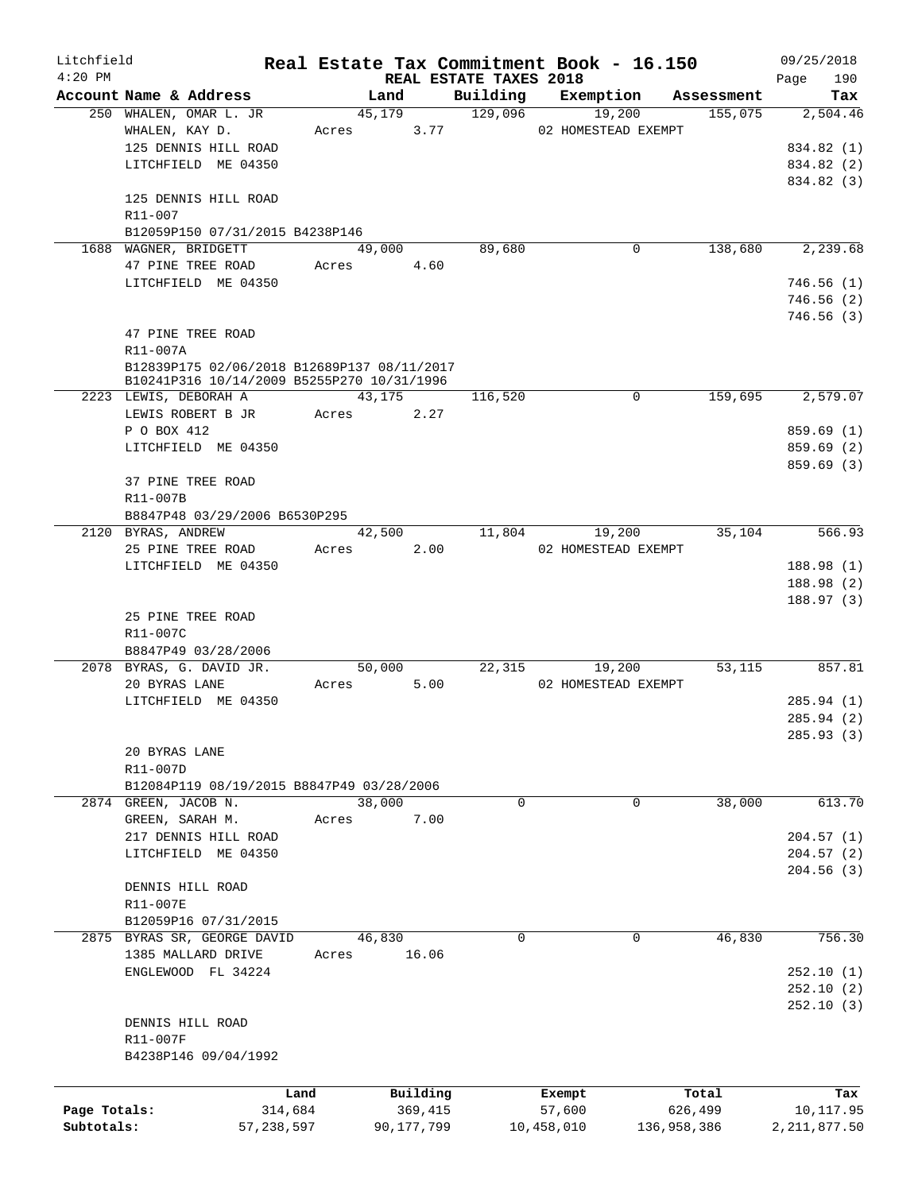| Litchfield   |                                             |              |            |            |                        | Real Estate Tax Commitment Book - 16.150 |             |         | 09/25/2018         |
|--------------|---------------------------------------------|--------------|------------|------------|------------------------|------------------------------------------|-------------|---------|--------------------|
| $4:20$ PM    | Account Name & Address                      |              |            | Land       | REAL ESTATE TAXES 2018 | Building Exemption Assessment            |             |         | 190<br>Page<br>Tax |
|              | 250 WHALEN, OMAR L. JR                      |              |            | 45,179     | 129,096                | 19,200                                   |             | 155,075 | 2,504.46           |
|              | WHALEN, KAY D.                              |              | Acres 3.77 |            |                        | 02 HOMESTEAD EXEMPT                      |             |         |                    |
|              | 125 DENNIS HILL ROAD                        |              |            |            |                        |                                          |             |         | 834.82 (1)         |
|              | LITCHFIELD ME 04350                         |              |            |            |                        |                                          |             |         | 834.82 (2)         |
|              |                                             |              |            |            |                        |                                          |             |         | 834.82 (3)         |
|              | 125 DENNIS HILL ROAD                        |              |            |            |                        |                                          |             |         |                    |
|              | R11-007                                     |              |            |            |                        |                                          |             |         |                    |
|              | B12059P150 07/31/2015 B4238P146             |              |            |            |                        |                                          |             |         |                    |
|              | 1688 WAGNER, BRIDGETT                       |              |            | 49,000     | 89,680                 |                                          | 0           | 138,680 | 2,239.68           |
|              | 47 PINE TREE ROAD                           |              | Acres 4.60 |            |                        |                                          |             |         |                    |
|              | LITCHFIELD ME 04350                         |              |            |            |                        |                                          |             |         | 746.56(1)          |
|              |                                             |              |            |            |                        |                                          |             |         | 746.56(2)          |
|              |                                             |              |            |            |                        |                                          |             |         | 746.56(3)          |
|              | 47 PINE TREE ROAD                           |              |            |            |                        |                                          |             |         |                    |
|              | R11-007A                                    |              |            |            |                        |                                          |             |         |                    |
|              | B12839P175 02/06/2018 B12689P137 08/11/2017 |              |            |            |                        |                                          |             |         |                    |
|              | B10241P316 10/14/2009 B5255P270 10/31/1996  |              |            |            |                        |                                          |             |         |                    |
|              | 2223 LEWIS, DEBORAH A                       |              |            | 43,175     | 116,520                |                                          | $\mathbf 0$ | 159,695 | 2,579.07           |
|              | LEWIS ROBERT B JR                           |              | Acres 2.27 |            |                        |                                          |             |         |                    |
|              | P O BOX 412                                 |              |            |            |                        |                                          |             |         | 859.69(1)          |
|              | LITCHFIELD ME 04350                         |              |            |            |                        |                                          |             |         | 859.69 (2)         |
|              |                                             |              |            |            |                        |                                          |             |         | 859.69(3)          |
|              | 37 PINE TREE ROAD                           |              |            |            |                        |                                          |             |         |                    |
|              | R11-007B                                    |              |            |            |                        |                                          |             |         |                    |
|              | B8847P48 03/29/2006 B6530P295               |              |            |            |                        |                                          |             |         |                    |
|              | 2120 BYRAS, ANDREW                          |              |            | 42,500     |                        | 11,804<br>19,200                         |             | 35,104  | 566.93             |
|              | 25 PINE TREE ROAD                           |              | Acres 2.00 |            |                        | 02 HOMESTEAD EXEMPT                      |             |         |                    |
|              | LITCHFIELD ME 04350                         |              |            |            |                        |                                          |             |         | 188.98 (1)         |
|              |                                             |              |            |            |                        |                                          |             |         | 188.98 (2)         |
|              |                                             |              |            |            |                        |                                          |             |         | 188.97(3)          |
|              | 25 PINE TREE ROAD                           |              |            |            |                        |                                          |             |         |                    |
|              | R11-007C<br>B8847P49 03/28/2006             |              |            |            |                        |                                          |             |         |                    |
|              | 2078 BYRAS, G. DAVID JR.                    |              |            | 50,000     |                        | 22,315                                   | 19,200      | 53,115  | 857.81             |
|              | 20 BYRAS LANE                               |              | Acres      | 5.00       |                        | 02 HOMESTEAD EXEMPT                      |             |         |                    |
|              | LITCHFIELD ME 04350                         |              |            |            |                        |                                          |             |         | 285.94 (1)         |
|              |                                             |              |            |            |                        |                                          |             |         | 285.94(2)          |
|              |                                             |              |            |            |                        |                                          |             |         | 285.93 (3)         |
|              | 20 BYRAS LANE                               |              |            |            |                        |                                          |             |         |                    |
|              | R11-007D                                    |              |            |            |                        |                                          |             |         |                    |
|              | B12084P119 08/19/2015 B8847P49 03/28/2006   |              |            |            |                        |                                          |             |         |                    |
|              | 2874 GREEN, JACOB N.                        |              | 38,000     |            | $\mathbf 0$            |                                          | 0           | 38,000  | 613.70             |
|              | GREEN, SARAH M.                             |              | Acres      | 7.00       |                        |                                          |             |         |                    |
|              | 217 DENNIS HILL ROAD                        |              |            |            |                        |                                          |             |         | 204.57(1)          |
|              | LITCHFIELD ME 04350                         |              |            |            |                        |                                          |             |         | 204.57(2)          |
|              |                                             |              |            |            |                        |                                          |             |         | 204.56(3)          |
|              | DENNIS HILL ROAD                            |              |            |            |                        |                                          |             |         |                    |
|              | R11-007E                                    |              |            |            |                        |                                          |             |         |                    |
|              | B12059P16 07/31/2015                        |              |            |            |                        |                                          |             |         |                    |
|              | 2875 BYRAS SR, GEORGE DAVID                 |              | 46,830     |            | $\Omega$               |                                          | 0           | 46,830  | 756.30             |
|              | 1385 MALLARD DRIVE                          |              | Acres      | 16.06      |                        |                                          |             |         |                    |
|              | ENGLEWOOD FL 34224                          |              |            |            |                        |                                          |             |         | 252.10(1)          |
|              |                                             |              |            |            |                        |                                          |             |         | 252.10(2)          |
|              |                                             |              |            |            |                        |                                          |             |         | 252.10(3)          |
|              | DENNIS HILL ROAD                            |              |            |            |                        |                                          |             |         |                    |
|              | R11-007F                                    |              |            |            |                        |                                          |             |         |                    |
|              | B4238P146 09/04/1992                        |              |            |            |                        |                                          |             |         |                    |
|              |                                             |              |            |            |                        |                                          |             |         |                    |
|              |                                             | Land         |            | Building   |                        | Exempt                                   |             | Total   | Tax                |
| Page Totals: |                                             | 314,684      |            | 369,415    |                        | 57,600                                   |             | 626,499 | 10,117.95          |
| Subtotals:   |                                             | 57, 238, 597 |            | 90,177,799 |                        | 10,458,010                               | 136,958,386 |         | 2,211,877.50       |
|              |                                             |              |            |            |                        |                                          |             |         |                    |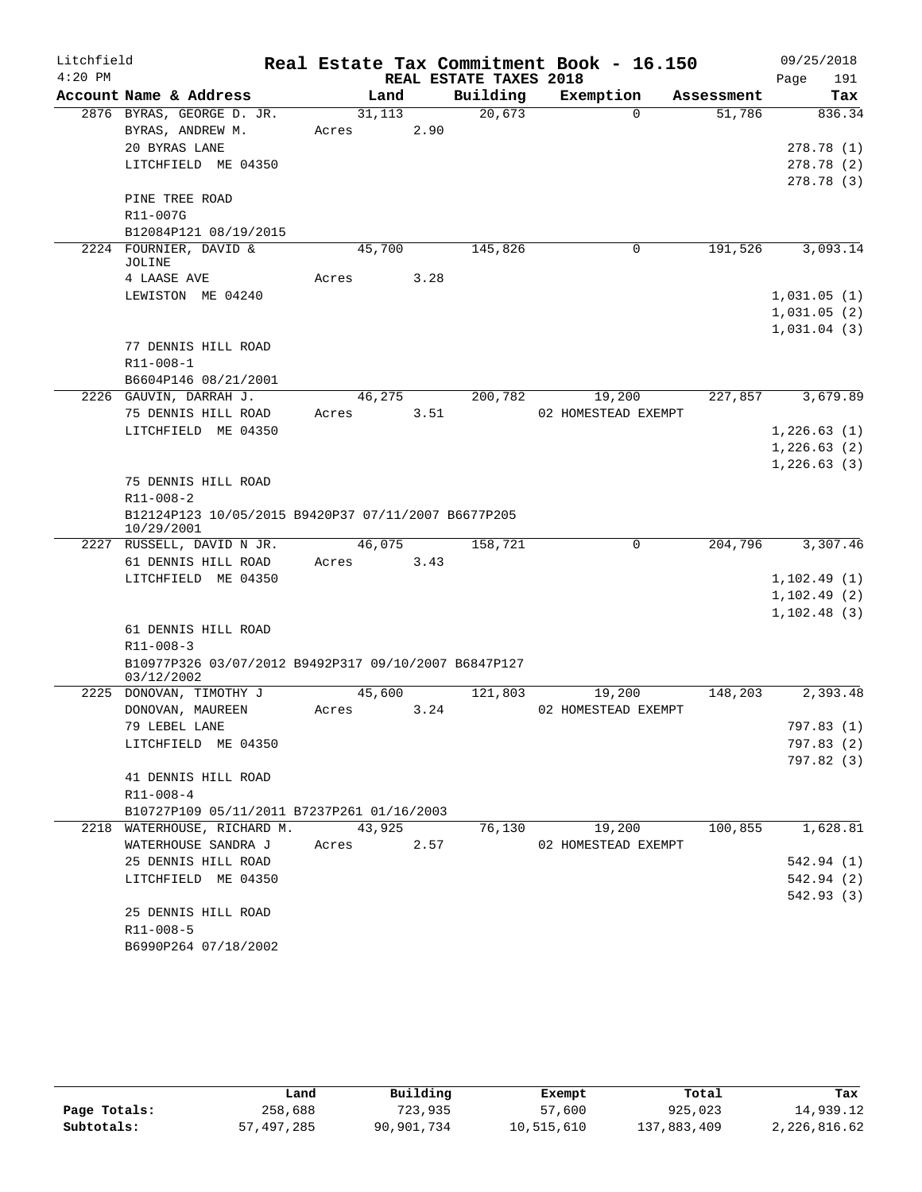| Litchfield |                                                                   |       |        |                        | Real Estate Tax Commitment Book - 16.150 |            | 09/25/2018               |
|------------|-------------------------------------------------------------------|-------|--------|------------------------|------------------------------------------|------------|--------------------------|
| $4:20$ PM  |                                                                   |       |        | REAL ESTATE TAXES 2018 |                                          |            | Page<br>191              |
|            | Account Name & Address                                            |       | Land   | Building               | Exemption                                | Assessment | Tax                      |
|            | 2876 BYRAS, GEORGE D. JR.                                         |       | 31,113 | 20,673                 | $\Omega$                                 | 51,786     | 836.34                   |
|            | BYRAS, ANDREW M.                                                  | Acres | 2.90   |                        |                                          |            |                          |
|            | 20 BYRAS LANE                                                     |       |        |                        |                                          |            | 278.78 (1)               |
|            | LITCHFIELD ME 04350                                               |       |        |                        |                                          |            | 278.78 (2)               |
|            |                                                                   |       |        |                        |                                          |            | 278.78 (3)               |
|            | PINE TREE ROAD                                                    |       |        |                        |                                          |            |                          |
|            | R11-007G                                                          |       |        |                        |                                          |            |                          |
|            | B12084P121 08/19/2015                                             |       |        |                        |                                          |            |                          |
|            | 2224 FOURNIER, DAVID &<br>JOLINE                                  |       | 45,700 | 145,826                | 0                                        | 191,526    | 3,093.14                 |
|            | 4 LAASE AVE                                                       | Acres | 3.28   |                        |                                          |            |                          |
|            | LEWISTON ME 04240                                                 |       |        |                        |                                          |            | 1,031.05(1)              |
|            |                                                                   |       |        |                        |                                          |            | 1,031.05(2)              |
|            |                                                                   |       |        |                        |                                          |            | 1,031.04(3)              |
|            | 77 DENNIS HILL ROAD                                               |       |        |                        |                                          |            |                          |
|            | R11-008-1                                                         |       |        |                        |                                          |            |                          |
|            | B6604P146 08/21/2001                                              |       |        |                        |                                          |            |                          |
|            | 2226 GAUVIN, DARRAH J.                                            |       | 46,275 | 200,782                | 19,200                                   | 227,857    | 3,679.89                 |
|            | 75 DENNIS HILL ROAD                                               | Acres | 3.51   |                        | 02 HOMESTEAD EXEMPT                      |            |                          |
|            | LITCHFIELD ME 04350                                               |       |        |                        |                                          |            | 1,226.63(1)              |
|            |                                                                   |       |        |                        |                                          |            | 1,226.63(2)              |
|            |                                                                   |       |        |                        |                                          |            | 1, 226.63(3)             |
|            | 75 DENNIS HILL ROAD                                               |       |        |                        |                                          |            |                          |
|            | R11-008-2                                                         |       |        |                        |                                          |            |                          |
|            | B12124P123 10/05/2015 B9420P37 07/11/2007 B6677P205<br>10/29/2001 |       |        |                        |                                          |            |                          |
|            | 2227 RUSSELL, DAVID N JR.                                         |       | 46,075 | 158,721                | 0                                        | 204,796    | 3,307.46                 |
|            | 61 DENNIS HILL ROAD                                               | Acres | 3.43   |                        |                                          |            |                          |
|            | LITCHFIELD ME 04350                                               |       |        |                        |                                          |            | 1,102.49(1)              |
|            |                                                                   |       |        |                        |                                          |            | 1, 102.49(2)             |
|            |                                                                   |       |        |                        |                                          |            | 1, 102.48(3)             |
|            | 61 DENNIS HILL ROAD                                               |       |        |                        |                                          |            |                          |
|            | R11-008-3                                                         |       |        |                        |                                          |            |                          |
|            | B10977P326 03/07/2012 B9492P317 09/10/2007 B6847P127              |       |        |                        |                                          |            |                          |
|            | 03/12/2002                                                        |       |        |                        |                                          |            | 2,393.48                 |
|            | 2225 DONOVAN, TIMOTHY J                                           |       | 45,600 | 121,803                | 19,200                                   | 148,203    |                          |
|            | DONOVAN, MAUREEN                                                  | Acres | 3.24   |                        | 02 HOMESTEAD EXEMPT                      |            |                          |
|            | 79 LEBEL LANE                                                     |       |        |                        |                                          |            | 797.83 (1)               |
|            | LITCHFIELD ME 04350                                               |       |        |                        |                                          |            | 797.83 (2)<br>797.82 (3) |
|            | 41 DENNIS HILL ROAD                                               |       |        |                        |                                          |            |                          |
|            | R11-008-4                                                         |       |        |                        |                                          |            |                          |
|            | B10727P109 05/11/2011 B7237P261 01/16/2003                        |       |        |                        |                                          |            |                          |
|            | 2218 WATERHOUSE, RICHARD M. 43,925                                |       |        |                        | 76,130 19,200                            | 100,855    | 1,628.81                 |
|            | WATERHOUSE SANDRA J                                               | Acres | 2.57   |                        | 02 HOMESTEAD EXEMPT                      |            |                          |
|            | 25 DENNIS HILL ROAD                                               |       |        |                        |                                          |            | 542.94 (1)               |
|            | LITCHFIELD ME 04350                                               |       |        |                        |                                          |            | 542.94 (2)               |
|            |                                                                   |       |        |                        |                                          |            | 542.93 (3)               |
|            | 25 DENNIS HILL ROAD                                               |       |        |                        |                                          |            |                          |
|            | R11-008-5                                                         |       |        |                        |                                          |            |                          |
|            | B6990P264 07/18/2002                                              |       |        |                        |                                          |            |                          |

|              | Land       | Building   | Exempt     | Total       | Tax          |
|--------------|------------|------------|------------|-------------|--------------|
| Page Totals: | 258,688    | 723,935    | 57,600     | 925,023     | 14,939.12    |
| Subtotals:   | 57,497,285 | 90,901,734 | 10,515,610 | 137,883,409 | 2,226,816.62 |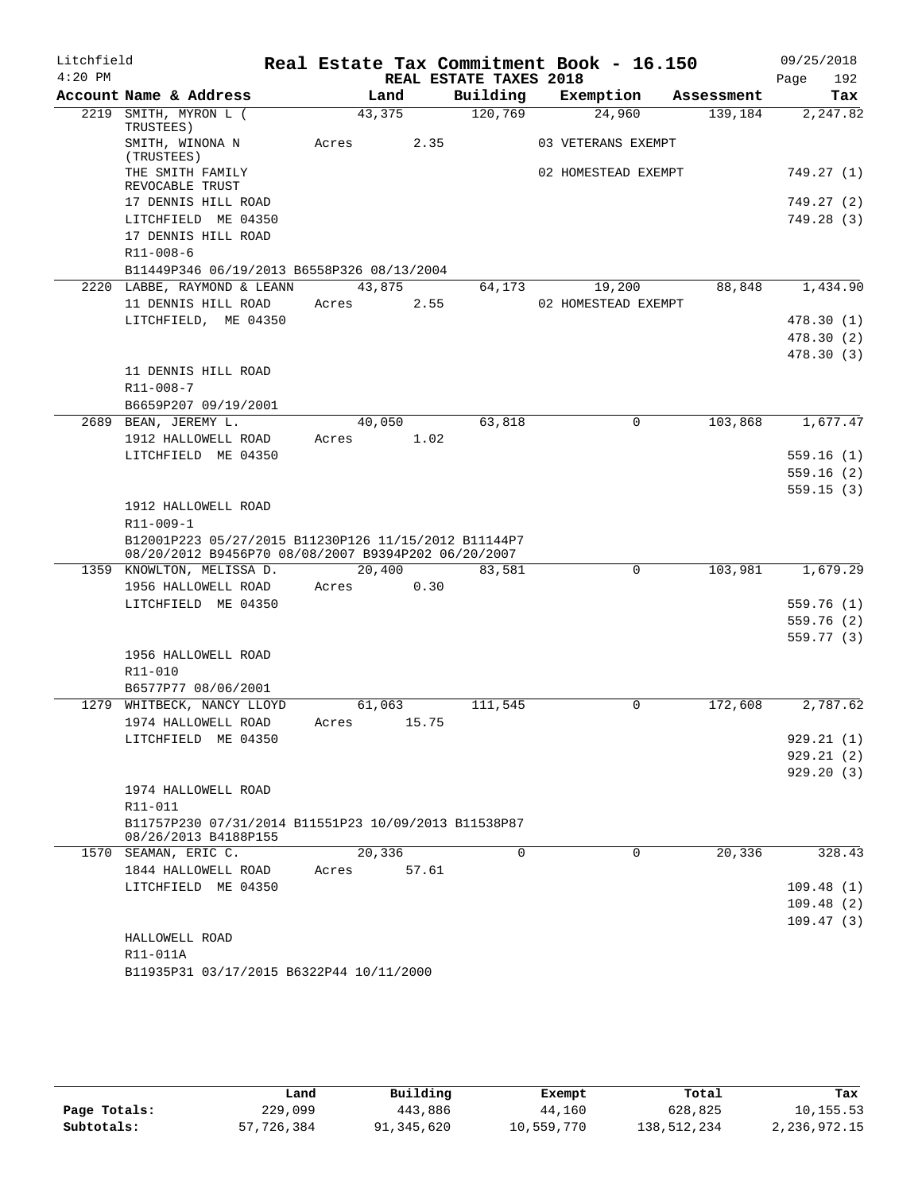| Litchfield |                                                                              |       |        |                        | Real Estate Tax Commitment Book - 16.150 |            | 09/25/2018  |
|------------|------------------------------------------------------------------------------|-------|--------|------------------------|------------------------------------------|------------|-------------|
| $4:20$ PM  |                                                                              |       |        | REAL ESTATE TAXES 2018 |                                          |            | 192<br>Page |
|            | Account Name & Address                                                       |       | Land   | Building               | Exemption                                | Assessment | Tax         |
|            | 2219 SMITH, MYRON L (<br>TRUSTEES)                                           |       | 43,375 | 120,769                | 24,960                                   | 139,184    | 2,247.82    |
|            | SMITH, WINONA N<br>(TRUSTEES)                                                | Acres | 2.35   |                        | 03 VETERANS EXEMPT                       |            |             |
|            | THE SMITH FAMILY<br>REVOCABLE TRUST                                          |       |        |                        | 02 HOMESTEAD EXEMPT                      |            | 749.27 (1)  |
|            | 17 DENNIS HILL ROAD                                                          |       |        |                        |                                          |            | 749.27 (2)  |
|            | LITCHFIELD ME 04350                                                          |       |        |                        |                                          |            | 749.28 (3)  |
|            | 17 DENNIS HILL ROAD                                                          |       |        |                        |                                          |            |             |
|            | $R11 - 008 - 6$                                                              |       |        |                        |                                          |            |             |
|            | B11449P346 06/19/2013 B6558P326 08/13/2004                                   |       |        |                        |                                          |            |             |
|            | 2220 LABBE, RAYMOND & LEANN                                                  |       | 43,875 | 64,173                 | 19,200                                   | 88,848     | 1,434.90    |
|            | 11 DENNIS HILL ROAD                                                          | Acres | 2.55   |                        | 02 HOMESTEAD EXEMPT                      |            |             |
|            | LITCHFIELD, ME 04350                                                         |       |        |                        |                                          |            | 478.30(1)   |
|            |                                                                              |       |        |                        |                                          |            | 478.30(2)   |
|            |                                                                              |       |        |                        |                                          |            | 478.30 (3)  |
|            | 11 DENNIS HILL ROAD                                                          |       |        |                        |                                          |            |             |
|            | $R11 - 008 - 7$                                                              |       |        |                        |                                          |            |             |
|            | B6659P207 09/19/2001                                                         |       |        |                        |                                          |            |             |
|            | 2689 BEAN, JEREMY L.                                                         |       | 40,050 | 63,818                 | $\Omega$                                 | 103,868    | 1,677.47    |
|            | 1912 HALLOWELL ROAD                                                          | Acres | 1.02   |                        |                                          |            |             |
|            | LITCHFIELD ME 04350                                                          |       |        |                        |                                          |            | 559.16(1)   |
|            |                                                                              |       |        |                        |                                          |            | 559.16(2)   |
|            |                                                                              |       |        |                        |                                          |            | 559.15(3)   |
|            | 1912 HALLOWELL ROAD                                                          |       |        |                        |                                          |            |             |
|            | R11-009-1<br>B12001P223 05/27/2015 B11230P126 11/15/2012 B11144P7            |       |        |                        |                                          |            |             |
|            | 08/20/2012 B9456P70 08/08/2007 B9394P202 06/20/2007                          |       |        |                        |                                          |            |             |
|            | 1359 KNOWLTON, MELISSA D.                                                    |       | 20,400 | 83,581                 | 0                                        | 103,981    | 1,679.29    |
|            | 1956 HALLOWELL ROAD                                                          | Acres | 0.30   |                        |                                          |            |             |
|            | LITCHFIELD ME 04350                                                          |       |        |                        |                                          |            | 559.76 (1)  |
|            |                                                                              |       |        |                        |                                          |            | 559.76 (2)  |
|            |                                                                              |       |        |                        |                                          |            | 559.77 (3)  |
|            | 1956 HALLOWELL ROAD                                                          |       |        |                        |                                          |            |             |
|            | R11-010                                                                      |       |        |                        |                                          |            |             |
|            | B6577P77 08/06/2001                                                          |       |        |                        |                                          |            |             |
|            | 1279 WHITBECK, NANCY LLOYD                                                   |       | 61,063 | 111,545                | 0                                        | 172,608    | 2,787.62    |
|            | 1974 HALLOWELL ROAD                                                          | Acres | 15.75  |                        |                                          |            |             |
|            | LITCHFIELD ME 04350                                                          |       |        |                        |                                          |            | 929.21(1)   |
|            |                                                                              |       |        |                        |                                          |            | 929.21(2)   |
|            |                                                                              |       |        |                        |                                          |            | 929.20(3)   |
|            | 1974 HALLOWELL ROAD                                                          |       |        |                        |                                          |            |             |
|            | R11-011                                                                      |       |        |                        |                                          |            |             |
|            | B11757P230 07/31/2014 B11551P23 10/09/2013 B11538P87<br>08/26/2013 B4188P155 |       |        |                        |                                          |            |             |
| 1570       | SEAMAN, ERIC C.                                                              |       | 20,336 | $\Omega$               | $\Omega$                                 | 20,336     | 328.43      |
|            | 1844 HALLOWELL ROAD                                                          | Acres | 57.61  |                        |                                          |            |             |
|            | LITCHFIELD ME 04350                                                          |       |        |                        |                                          |            | 109.48(1)   |
|            |                                                                              |       |        |                        |                                          |            | 109.48(2)   |
|            |                                                                              |       |        |                        |                                          |            | 109.47(3)   |
|            | HALLOWELL ROAD                                                               |       |        |                        |                                          |            |             |
|            | R11-011A                                                                     |       |        |                        |                                          |            |             |
|            | B11935P31 03/17/2015 B6322P44 10/11/2000                                     |       |        |                        |                                          |            |             |

|              | Land       | Building   | Exempt     | Total       | Tax          |
|--------------|------------|------------|------------|-------------|--------------|
| Page Totals: | 229,099    | 443,886    | 44,160     | 628,825     | 10,155.53    |
| Subtotals:   | 57,726,384 | 91,345,620 | 10,559,770 | 138,512,234 | 2,236,972.15 |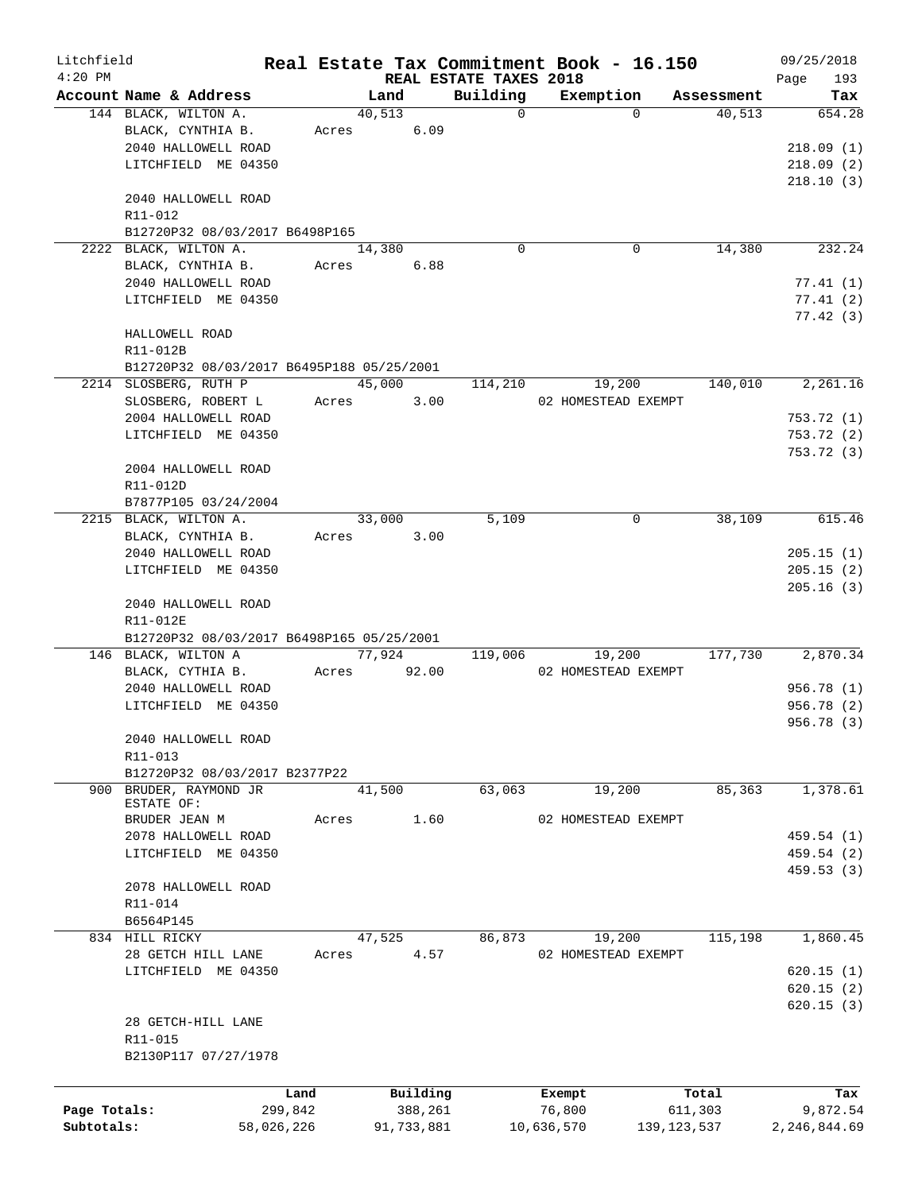| Litchfield   |                                           |            |               |                                    | Real Estate Tax Commitment Book - 16.150 |               | 09/25/2018         |
|--------------|-------------------------------------------|------------|---------------|------------------------------------|------------------------------------------|---------------|--------------------|
| $4:20$ PM    | Account Name & Address                    |            | Land          | REAL ESTATE TAXES 2018<br>Building | Exemption                                | Assessment    | 193<br>Page<br>Tax |
|              | 144 BLACK, WILTON A.                      |            | 40,513        | $\Omega$                           | $\Omega$                                 | 40,513        | 654.28             |
|              | BLACK, CYNTHIA B.                         | Acres      | 6.09          |                                    |                                          |               |                    |
|              | 2040 HALLOWELL ROAD                       |            |               |                                    |                                          |               | 218.09(1)          |
|              | LITCHFIELD ME 04350                       |            |               |                                    |                                          |               | 218.09(2)          |
|              |                                           |            |               |                                    |                                          |               | 218.10(3)          |
|              | 2040 HALLOWELL ROAD                       |            |               |                                    |                                          |               |                    |
|              | R11-012                                   |            |               |                                    |                                          |               |                    |
|              | B12720P32 08/03/2017 B6498P165            |            |               |                                    |                                          |               |                    |
|              | 2222 BLACK, WILTON A.                     |            | 14,380        | $\Omega$                           | $\mathbf 0$                              | 14,380        | 232.24             |
|              | BLACK, CYNTHIA B.                         | Acres      | 6.88          |                                    |                                          |               |                    |
|              | 2040 HALLOWELL ROAD                       |            |               |                                    |                                          |               | 77.41 (1)          |
|              | LITCHFIELD ME 04350                       |            |               |                                    |                                          |               | 77.41(2)           |
|              |                                           |            |               |                                    |                                          |               | 77.42(3)           |
|              | HALLOWELL ROAD<br>R11-012B                |            |               |                                    |                                          |               |                    |
|              | B12720P32 08/03/2017 B6495P188 05/25/2001 |            |               |                                    |                                          |               |                    |
|              | 2214 SLOSBERG, RUTH P                     |            | 45,000        | 114,210                            | 19,200                                   | 140,010       | 2,261.16           |
|              | SLOSBERG, ROBERT L                        | Acres      | 3.00          |                                    | 02 HOMESTEAD EXEMPT                      |               |                    |
|              | 2004 HALLOWELL ROAD                       |            |               |                                    |                                          |               | 753.72(1)          |
|              | LITCHFIELD ME 04350                       |            |               |                                    |                                          |               | 753.72(2)          |
|              |                                           |            |               |                                    |                                          |               | 753.72 (3)         |
|              | 2004 HALLOWELL ROAD                       |            |               |                                    |                                          |               |                    |
|              | R11-012D                                  |            |               |                                    |                                          |               |                    |
|              | B7877P105 03/24/2004                      |            |               |                                    |                                          |               |                    |
|              | 2215 BLACK, WILTON A.                     |            | 33,000        | 5,109                              | 0                                        | 38,109        | 615.46             |
|              | BLACK, CYNTHIA B.                         |            | 3.00<br>Acres |                                    |                                          |               |                    |
|              | 2040 HALLOWELL ROAD                       |            |               |                                    |                                          |               | 205.15(1)          |
|              | LITCHFIELD ME 04350                       |            |               |                                    |                                          |               | 205.15(2)          |
|              |                                           |            |               |                                    |                                          |               | 205.16(3)          |
|              | 2040 HALLOWELL ROAD                       |            |               |                                    |                                          |               |                    |
|              | R11-012E                                  |            |               |                                    |                                          |               |                    |
|              | B12720P32 08/03/2017 B6498P165 05/25/2001 |            |               |                                    |                                          |               |                    |
|              | 146 BLACK, WILTON A                       |            | 77,924        | 119,006                            | 19,200                                   | 177,730       | 2,870.34           |
|              | BLACK, CYTHIA B.                          | Acres      | 92.00         |                                    | 02 HOMESTEAD EXEMPT                      |               |                    |
|              | 2040 HALLOWELL ROAD                       |            |               |                                    |                                          |               | 956.78 (1)         |
|              | LITCHFIELD ME 04350                       |            |               |                                    |                                          |               | 956.78(2)          |
|              |                                           |            |               |                                    |                                          |               | 956.78 (3)         |
|              | 2040 HALLOWELL ROAD<br>R11-013            |            |               |                                    |                                          |               |                    |
|              | B12720P32 08/03/2017 B2377P22             |            |               |                                    |                                          |               |                    |
| 900          | BRUDER, RAYMOND JR                        |            | 41,500        | 63,063                             | 19,200                                   | 85,363        | 1,378.61           |
|              | ESTATE OF:                                |            |               |                                    |                                          |               |                    |
|              | BRUDER JEAN M                             | Acres      | 1.60          |                                    | 02 HOMESTEAD EXEMPT                      |               |                    |
|              | 2078 HALLOWELL ROAD                       |            |               |                                    |                                          |               | 459.54 (1)         |
|              | LITCHFIELD ME 04350                       |            |               |                                    |                                          |               | 459.54 (2)         |
|              |                                           |            |               |                                    |                                          |               | 459.53(3)          |
|              | 2078 HALLOWELL ROAD                       |            |               |                                    |                                          |               |                    |
|              | R11-014                                   |            |               |                                    |                                          |               |                    |
|              | B6564P145                                 |            |               |                                    |                                          |               |                    |
|              | 834 HILL RICKY                            |            | 47,525        | 86,873                             | 19,200                                   | 115,198       | 1,860.45           |
|              | 28 GETCH HILL LANE                        | Acres      | 4.57          |                                    | 02 HOMESTEAD EXEMPT                      |               |                    |
|              | LITCHFIELD ME 04350                       |            |               |                                    |                                          |               | 620.15(1)          |
|              |                                           |            |               |                                    |                                          |               | 620.15(2)          |
|              |                                           |            |               |                                    |                                          |               | 620.15(3)          |
|              | 28 GETCH-HILL LANE                        |            |               |                                    |                                          |               |                    |
|              | R11-015<br>B2130P117 07/27/1978           |            |               |                                    |                                          |               |                    |
|              |                                           |            |               |                                    |                                          |               |                    |
|              |                                           | Land       | Building      |                                    | Exempt                                   | Total         | Tax                |
| Page Totals: |                                           | 299,842    | 388,261       |                                    | 76,800                                   | 611,303       | 9,872.54           |
| Subtotals:   |                                           | 58,026,226 | 91,733,881    |                                    | 10,636,570                               | 139, 123, 537 | 2, 246, 844.69     |
|              |                                           |            |               |                                    |                                          |               |                    |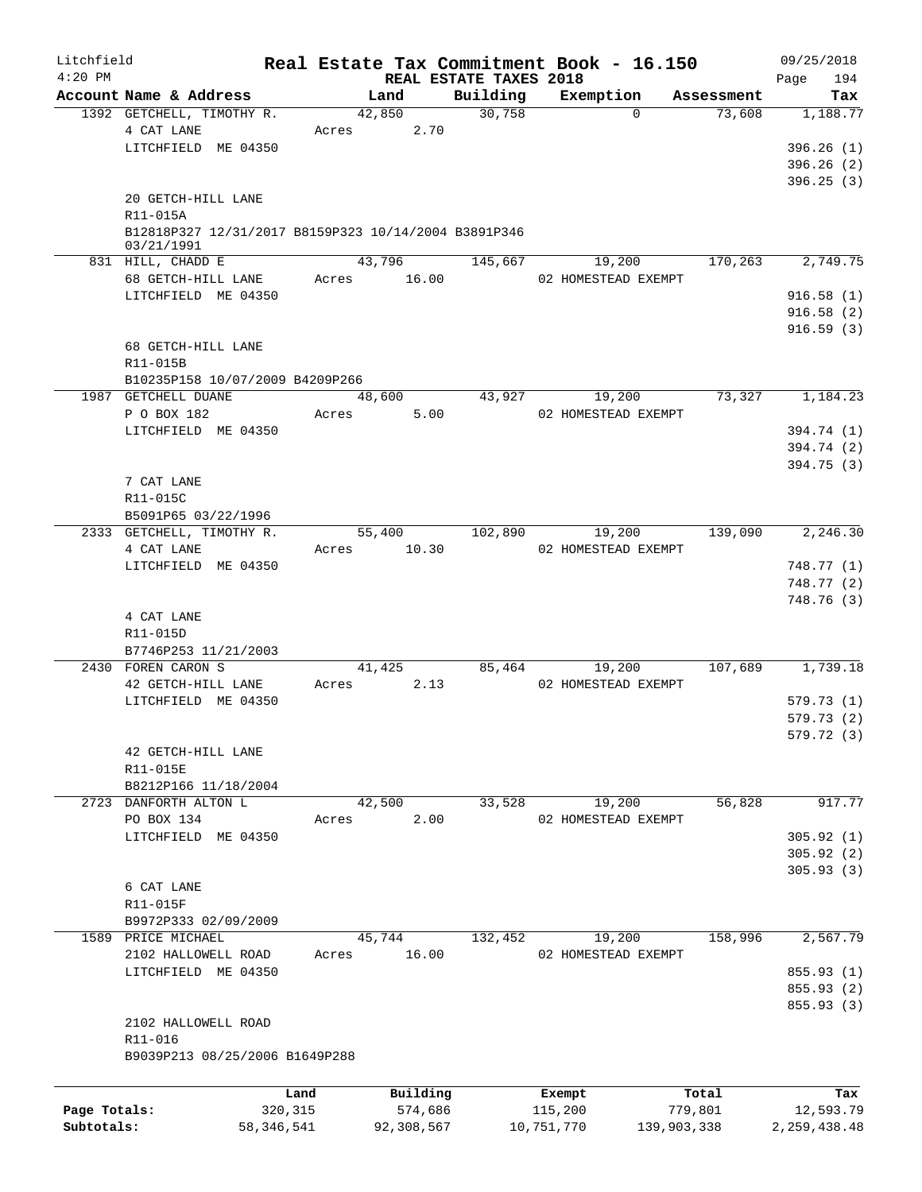| Litchfield   |                                                                    |              |       |            |                        | Real Estate Tax Commitment Book - 16.150 |                      | 09/25/2018      |
|--------------|--------------------------------------------------------------------|--------------|-------|------------|------------------------|------------------------------------------|----------------------|-----------------|
| $4:20$ PM    | Account Name & Address                                             |              |       | Land       | REAL ESTATE TAXES 2018 |                                          |                      | 194<br>Page     |
|              | 1392 GETCHELL, TIMOTHY R.                                          |              |       | 42,850     | Building<br>30,758     | Exemption<br>$\Omega$                    | Assessment<br>73,608 | Tax<br>1,188.77 |
|              | 4 CAT LANE                                                         |              | Acres | 2.70       |                        |                                          |                      |                 |
|              | LITCHFIELD ME 04350                                                |              |       |            |                        |                                          |                      | 396.26(1)       |
|              |                                                                    |              |       |            |                        |                                          |                      | 396.26(2)       |
|              |                                                                    |              |       |            |                        |                                          |                      | 396.25(3)       |
|              | 20 GETCH-HILL LANE                                                 |              |       |            |                        |                                          |                      |                 |
|              | R11-015A                                                           |              |       |            |                        |                                          |                      |                 |
|              | B12818P327 12/31/2017 B8159P323 10/14/2004 B3891P346<br>03/21/1991 |              |       |            |                        |                                          |                      |                 |
|              | 831 HILL, CHADD E                                                  |              |       | 43,796     | 145,667                | 19,200                                   | 170,263              | 2,749.75        |
|              | 68 GETCH-HILL LANE                                                 |              | Acres | 16.00      |                        | 02 HOMESTEAD EXEMPT                      |                      |                 |
|              | LITCHFIELD ME 04350                                                |              |       |            |                        |                                          |                      | 916.58(1)       |
|              |                                                                    |              |       |            |                        |                                          |                      | 916.58(2)       |
|              |                                                                    |              |       |            |                        |                                          |                      | 916.59(3)       |
|              | 68 GETCH-HILL LANE                                                 |              |       |            |                        |                                          |                      |                 |
|              | R11-015B                                                           |              |       |            |                        |                                          |                      |                 |
|              | B10235P158 10/07/2009 B4209P266                                    |              |       |            |                        |                                          |                      |                 |
|              | 1987 GETCHELL DUANE                                                |              |       | 48,600     | 43,927                 | 19,200                                   | 73,327               | 1,184.23        |
|              | P O BOX 182                                                        |              | Acres | 5.00       |                        | 02 HOMESTEAD EXEMPT                      |                      |                 |
|              | LITCHFIELD ME 04350                                                |              |       |            |                        |                                          |                      | 394.74 (1)      |
|              |                                                                    |              |       |            |                        |                                          |                      | 394.74 (2)      |
|              |                                                                    |              |       |            |                        |                                          |                      | 394.75(3)       |
|              | 7 CAT LANE                                                         |              |       |            |                        |                                          |                      |                 |
|              | R11-015C                                                           |              |       |            |                        |                                          |                      |                 |
|              | B5091P65 03/22/1996                                                |              |       |            |                        |                                          |                      |                 |
|              | 2333 GETCHELL, TIMOTHY R.                                          |              |       | 55,400     | 102,890                | 19,200                                   | 139,090              | 2,246.30        |
|              | 4 CAT LANE                                                         |              | Acres | 10.30      |                        | 02 HOMESTEAD EXEMPT                      |                      |                 |
|              | LITCHFIELD ME 04350                                                |              |       |            |                        |                                          |                      | 748.77 (1)      |
|              |                                                                    |              |       |            |                        |                                          |                      | 748.77 (2)      |
|              |                                                                    |              |       |            |                        |                                          |                      | 748.76 (3)      |
|              | 4 CAT LANE                                                         |              |       |            |                        |                                          |                      |                 |
|              | R11-015D<br>B7746P253 11/21/2003                                   |              |       |            |                        |                                          |                      |                 |
|              | 2430 FOREN CARON S                                                 |              |       | 41,425     | 85,464                 | 19,200                                   | 107,689              | 1,739.18        |
|              | 42 GETCH-HILL LANE                                                 |              | Acres | 2.13       |                        | 02 HOMESTEAD EXEMPT                      |                      |                 |
|              | LITCHFIELD ME 04350                                                |              |       |            |                        |                                          |                      | 579.73(1)       |
|              |                                                                    |              |       |            |                        |                                          |                      | 579.73(2)       |
|              |                                                                    |              |       |            |                        |                                          |                      | 579.72 (3)      |
|              | 42 GETCH-HILL LANE                                                 |              |       |            |                        |                                          |                      |                 |
|              | R11-015E                                                           |              |       |            |                        |                                          |                      |                 |
|              | B8212P166 11/18/2004                                               |              |       |            |                        |                                          |                      |                 |
|              | 2723 DANFORTH ALTON L                                              |              |       | 42,500     | 33,528                 | 19,200                                   | 56,828               | 917.77          |
|              | PO BOX 134                                                         |              | Acres | 2.00       |                        | 02 HOMESTEAD EXEMPT                      |                      |                 |
|              | LITCHFIELD ME 04350                                                |              |       |            |                        |                                          |                      | 305.92(1)       |
|              |                                                                    |              |       |            |                        |                                          |                      | 305.92(2)       |
|              |                                                                    |              |       |            |                        |                                          |                      | 305.93(3)       |
|              | 6 CAT LANE                                                         |              |       |            |                        |                                          |                      |                 |
|              | R11-015F                                                           |              |       |            |                        |                                          |                      |                 |
|              | B9972P333 02/09/2009                                               |              |       |            |                        |                                          |                      |                 |
|              | 1589 PRICE MICHAEL                                                 |              |       | 45,744     | 132,452                | 19,200                                   | 158,996              | 2,567.79        |
|              | 2102 HALLOWELL ROAD                                                |              | Acres | 16.00      |                        | 02 HOMESTEAD EXEMPT                      |                      |                 |
|              | LITCHFIELD ME 04350                                                |              |       |            |                        |                                          |                      | 855.93 (1)      |
|              |                                                                    |              |       |            |                        |                                          |                      | 855.93 (2)      |
|              |                                                                    |              |       |            |                        |                                          |                      | 855.93 (3)      |
|              | 2102 HALLOWELL ROAD                                                |              |       |            |                        |                                          |                      |                 |
|              | R11-016                                                            |              |       |            |                        |                                          |                      |                 |
|              | B9039P213 08/25/2006 B1649P288                                     |              |       |            |                        |                                          |                      |                 |
|              |                                                                    | Land         |       | Building   |                        | Exempt                                   | Total                | Tax             |
| Page Totals: |                                                                    | 320,315      |       | 574,686    |                        | 115,200                                  | 779,801              | 12,593.79       |
| Subtotals:   |                                                                    | 58, 346, 541 |       | 92,308,567 |                        | 10,751,770                               | 139,903,338          | 2, 259, 438.48  |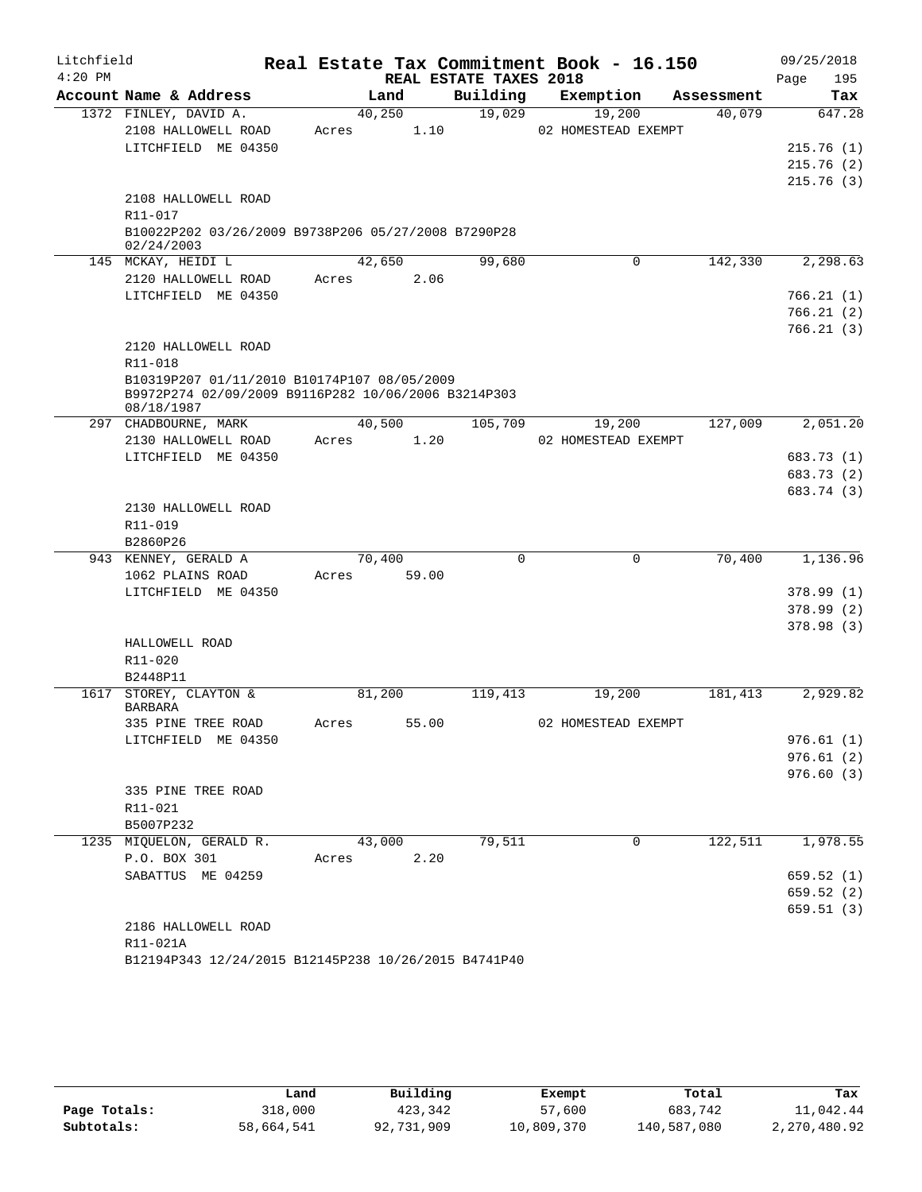| Litchfield |                                                                   |        |        |                        | Real Estate Tax Commitment Book - 16.150 |            | 09/25/2018  |
|------------|-------------------------------------------------------------------|--------|--------|------------------------|------------------------------------------|------------|-------------|
| $4:20$ PM  |                                                                   |        |        | REAL ESTATE TAXES 2018 |                                          |            | 195<br>Page |
|            | Account Name & Address                                            |        | Land   | Building               | Exemption                                | Assessment | Tax         |
|            | 1372 FINLEY, DAVID A.                                             | 40,250 |        | 19,029                 | 19,200                                   | 40,079     | 647.28      |
|            | 2108 HALLOWELL ROAD                                               | Acres  | 1.10   |                        | 02 HOMESTEAD EXEMPT                      |            |             |
|            | LITCHFIELD ME 04350                                               |        |        |                        |                                          |            | 215.76(1)   |
|            |                                                                   |        |        |                        |                                          |            | 215.76(2)   |
|            |                                                                   |        |        |                        |                                          |            | 215.76(3)   |
|            | 2108 HALLOWELL ROAD                                               |        |        |                        |                                          |            |             |
|            | R11-017                                                           |        |        |                        |                                          |            |             |
|            | B10022P202 03/26/2009 B9738P206 05/27/2008 B7290P28<br>02/24/2003 |        |        |                        |                                          |            |             |
|            | 145 MCKAY, HEIDI L                                                |        | 42,650 | 99,680                 | 0                                        | 142,330    | 2,298.63    |
|            | 2120 HALLOWELL ROAD                                               | Acres  | 2.06   |                        |                                          |            |             |
|            | LITCHFIELD ME 04350                                               |        |        |                        |                                          |            | 766.21(1)   |
|            |                                                                   |        |        |                        |                                          |            | 766.21(2)   |
|            |                                                                   |        |        |                        |                                          |            | 766.21(3)   |
|            | 2120 HALLOWELL ROAD                                               |        |        |                        |                                          |            |             |
|            | R11-018                                                           |        |        |                        |                                          |            |             |
|            | B10319P207 01/11/2010 B10174P107 08/05/2009                       |        |        |                        |                                          |            |             |
|            | B9972P274 02/09/2009 B9116P282 10/06/2006 B3214P303               |        |        |                        |                                          |            |             |
|            | 08/18/1987                                                        |        |        |                        |                                          |            |             |
|            | 297 CHADBOURNE, MARK<br>2130 HALLOWELL ROAD                       | 40,500 | 1.20   | 105,709                | 19,200<br>02 HOMESTEAD EXEMPT            | 127,009    | 2,051.20    |
|            | LITCHFIELD ME 04350                                               | Acres  |        |                        |                                          |            | 683.73 (1)  |
|            |                                                                   |        |        |                        |                                          |            | 683.73 (2)  |
|            |                                                                   |        |        |                        |                                          |            | 683.74 (3)  |
|            | 2130 HALLOWELL ROAD                                               |        |        |                        |                                          |            |             |
|            | R11-019                                                           |        |        |                        |                                          |            |             |
|            | B2860P26                                                          |        |        |                        |                                          |            |             |
|            | 943 KENNEY, GERALD A                                              | 70,400 |        | $\mathbf 0$            | 0                                        | 70,400     | 1,136.96    |
|            | 1062 PLAINS ROAD                                                  | Acres  | 59.00  |                        |                                          |            |             |
|            | LITCHFIELD ME 04350                                               |        |        |                        |                                          |            | 378.99(1)   |
|            |                                                                   |        |        |                        |                                          |            | 378.99(2)   |
|            |                                                                   |        |        |                        |                                          |            | 378.98(3)   |
|            | HALLOWELL ROAD                                                    |        |        |                        |                                          |            |             |
|            | R11-020                                                           |        |        |                        |                                          |            |             |
|            | B2448P11                                                          |        |        |                        |                                          |            |             |
|            | 1617 STOREY, CLAYTON &                                            | 81,200 |        | 119,413                | 19,200                                   | 181,413    | 2,929.82    |
|            | <b>BARBARA</b>                                                    |        |        |                        | 02 HOMESTEAD EXEMPT                      |            |             |
|            | 335 PINE TREE ROAD                                                | Acres  | 55.00  |                        |                                          |            | 976.61(1)   |
|            | LITCHFIELD ME 04350                                               |        |        |                        |                                          |            | 976.61(2)   |
|            |                                                                   |        |        |                        |                                          |            | 976.60(3)   |
|            | 335 PINE TREE ROAD                                                |        |        |                        |                                          |            |             |
|            | R11-021                                                           |        |        |                        |                                          |            |             |
|            | B5007P232                                                         |        |        |                        |                                          |            |             |
|            | 1235 MIQUELON, GERALD R.                                          | 43,000 |        | 79,511                 | 0                                        | 122,511    | 1,978.55    |
|            | P.O. BOX 301                                                      | Acres  | 2.20   |                        |                                          |            |             |
|            | SABATTUS ME 04259                                                 |        |        |                        |                                          |            | 659.52(1)   |
|            |                                                                   |        |        |                        |                                          |            | 659.52(2)   |
|            |                                                                   |        |        |                        |                                          |            | 659.51(3)   |
|            | 2186 HALLOWELL ROAD                                               |        |        |                        |                                          |            |             |
|            | R11-021A                                                          |        |        |                        |                                          |            |             |
|            | B12194P343 12/24/2015 B12145P238 10/26/2015 B4741P40              |        |        |                        |                                          |            |             |

|              | Land       | Building   | Exempt     | Total       | Tax          |
|--------------|------------|------------|------------|-------------|--------------|
| Page Totals: | 318,000    | 423,342    | 57,600     | 683,742     | 11,042.44    |
| Subtotals:   | 58,664,541 | 92,731,909 | 10,809,370 | 140,587,080 | 2,270,480.92 |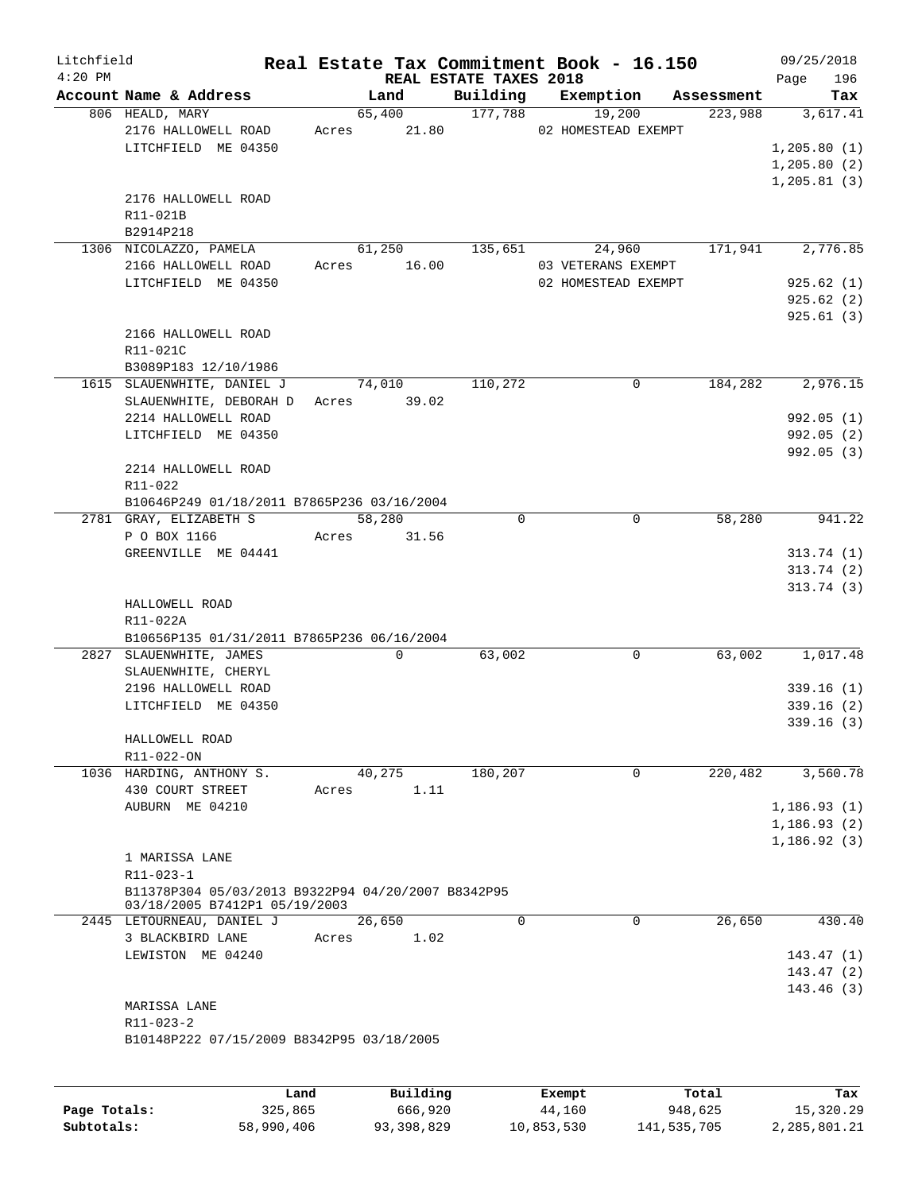| Litchfield<br>$4:20$ PM |                                                                                     |       |             | REAL ESTATE TAXES 2018 | Real Estate Tax Commitment Book - 16.150 |            | 09/25/2018<br>196<br>Page |
|-------------------------|-------------------------------------------------------------------------------------|-------|-------------|------------------------|------------------------------------------|------------|---------------------------|
|                         | Account Name & Address                                                              |       | Land        | Building               | Exemption                                | Assessment | Tax                       |
|                         | 806 HEALD, MARY                                                                     |       | 65,400      | 177,788                | 19,200                                   | 223,988    | 3,617.41                  |
|                         | 2176 HALLOWELL ROAD                                                                 | Acres | 21.80       |                        | 02 HOMESTEAD EXEMPT                      |            |                           |
|                         | LITCHFIELD ME 04350                                                                 |       |             |                        |                                          |            | 1, 205.80(1)              |
|                         |                                                                                     |       |             |                        |                                          |            | 1, 205.80(2)              |
|                         |                                                                                     |       |             |                        |                                          |            | 1,205.81(3)               |
|                         | 2176 HALLOWELL ROAD                                                                 |       |             |                        |                                          |            |                           |
|                         | R11-021B                                                                            |       |             |                        |                                          |            |                           |
|                         | B2914P218                                                                           |       | 61,250      |                        |                                          |            |                           |
|                         | 1306 NICOLAZZO, PAMELA<br>2166 HALLOWELL ROAD                                       |       | 16.00       | 135,651                | 24,960<br>03 VETERANS EXEMPT             | 171,941    | 2,776.85                  |
|                         | LITCHFIELD ME 04350                                                                 | Acres |             |                        | 02 HOMESTEAD EXEMPT                      |            | 925.62(1)                 |
|                         |                                                                                     |       |             |                        |                                          |            | 925.62(2)                 |
|                         |                                                                                     |       |             |                        |                                          |            | 925.61(3)                 |
|                         | 2166 HALLOWELL ROAD                                                                 |       |             |                        |                                          |            |                           |
|                         | R11-021C                                                                            |       |             |                        |                                          |            |                           |
|                         | B3089P183 12/10/1986                                                                |       |             |                        |                                          |            |                           |
|                         | 1615 SLAUENWHITE, DANIEL J                                                          |       | 74,010      | 110,272                | $\mathbf 0$                              | 184,282    | 2,976.15                  |
|                         | SLAUENWHITE, DEBORAH D                                                              |       | Acres 39.02 |                        |                                          |            |                           |
|                         | 2214 HALLOWELL ROAD                                                                 |       |             |                        |                                          |            | 992.05(1)                 |
|                         | LITCHFIELD ME 04350                                                                 |       |             |                        |                                          |            | 992.05(2)                 |
|                         |                                                                                     |       |             |                        |                                          |            | 992.05 (3)                |
|                         | 2214 HALLOWELL ROAD                                                                 |       |             |                        |                                          |            |                           |
|                         | R11-022<br>B10646P249 01/18/2011 B7865P236 03/16/2004                               |       |             |                        |                                          |            |                           |
|                         | 2781 GRAY, ELIZABETH S                                                              |       | 58,280      | $\mathbf 0$            | $\mathbf 0$                              | 58,280     | 941.22                    |
|                         | P O BOX 1166                                                                        | Acres | 31.56       |                        |                                          |            |                           |
|                         | GREENVILLE ME 04441                                                                 |       |             |                        |                                          |            | 313.74(1)                 |
|                         |                                                                                     |       |             |                        |                                          |            | 313.74(2)                 |
|                         |                                                                                     |       |             |                        |                                          |            | 313.74(3)                 |
|                         | HALLOWELL ROAD                                                                      |       |             |                        |                                          |            |                           |
|                         | R11-022A                                                                            |       |             |                        |                                          |            |                           |
|                         | B10656P135 01/31/2011 B7865P236 06/16/2004                                          |       |             |                        |                                          |            |                           |
|                         | 2827 SLAUENWHITE, JAMES                                                             |       | $\Omega$    | 63,002                 | 0                                        | 63,002     | 1,017.48                  |
|                         | SLAUENWHITE, CHERYL                                                                 |       |             |                        |                                          |            |                           |
|                         | 2196 HALLOWELL ROAD<br>LITCHFIELD ME 04350                                          |       |             |                        |                                          |            | 339.16(1)<br>339.16(2)    |
|                         |                                                                                     |       |             |                        |                                          |            | 339.16(3)                 |
|                         | HALLOWELL ROAD                                                                      |       |             |                        |                                          |            |                           |
|                         | R11-022-ON                                                                          |       |             |                        |                                          |            |                           |
|                         | 1036 HARDING, ANTHONY S.                                                            |       | 40,275      | 180,207                | $\Omega$                                 | 220,482    | 3,560.78                  |
|                         | 430 COURT STREET                                                                    | Acres | 1.11        |                        |                                          |            |                           |
|                         | AUBURN ME 04210                                                                     |       |             |                        |                                          |            | 1,186.93(1)               |
|                         |                                                                                     |       |             |                        |                                          |            | 1, 186.93(2)              |
|                         |                                                                                     |       |             |                        |                                          |            | 1, 186.92(3)              |
|                         | 1 MARISSA LANE                                                                      |       |             |                        |                                          |            |                           |
|                         | $R11 - 023 - 1$                                                                     |       |             |                        |                                          |            |                           |
|                         | B11378P304 05/03/2013 B9322P94 04/20/2007 B8342P95<br>03/18/2005 B7412P1 05/19/2003 |       |             |                        |                                          |            |                           |
|                         | 2445 LETOURNEAU, DANIEL J                                                           |       | 26,650      | $\Omega$               | $\Omega$                                 | 26,650     | 430.40                    |
|                         | 3 BLACKBIRD LANE                                                                    | Acres | 1.02        |                        |                                          |            |                           |
|                         | LEWISTON ME 04240                                                                   |       |             |                        |                                          |            | 143.47(1)                 |
|                         |                                                                                     |       |             |                        |                                          |            | 143.47(2)                 |
|                         |                                                                                     |       |             |                        |                                          |            | 143.46(3)                 |
|                         | MARISSA LANE                                                                        |       |             |                        |                                          |            |                           |
|                         | $R11 - 023 - 2$                                                                     |       |             |                        |                                          |            |                           |
|                         | B10148P222 07/15/2009 B8342P95 03/18/2005                                           |       |             |                        |                                          |            |                           |
|                         |                                                                                     |       |             |                        |                                          |            |                           |
|                         |                                                                                     |       |             |                        |                                          |            |                           |

|              | Land       | Building   | Exempt     | Total       | Tax          |
|--------------|------------|------------|------------|-------------|--------------|
| Page Totals: | 325,865    | 666,920    | 44,160     | 948,625     | 15,320.29    |
| Subtotals:   | 58,990,406 | 93,398,829 | 10,853,530 | 141,535,705 | 2,285,801.21 |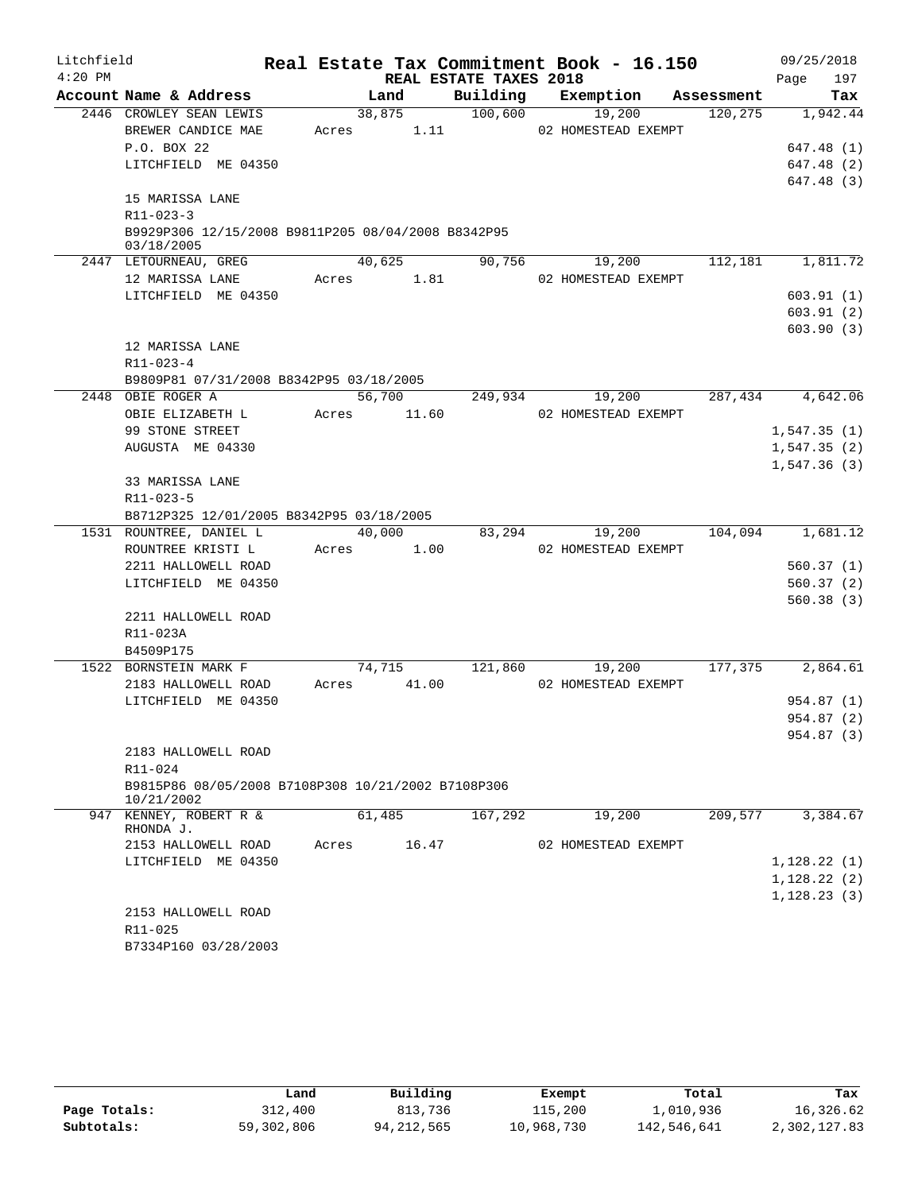| Litchfield |                                                                  |       |        |                        | Real Estate Tax Commitment Book - 16.150 |            | 09/25/2018  |           |
|------------|------------------------------------------------------------------|-------|--------|------------------------|------------------------------------------|------------|-------------|-----------|
| $4:20$ PM  |                                                                  |       |        | REAL ESTATE TAXES 2018 |                                          |            | Page        | 197       |
|            | Account Name & Address                                           |       | Land   | Building               | Exemption                                | Assessment |             | Tax       |
|            | 2446 CROWLEY SEAN LEWIS                                          |       | 38,875 | 100,600                | 19,200                                   | 120, 275   |             | 1,942.44  |
|            | BREWER CANDICE MAE                                               | Acres | 1.11   |                        | 02 HOMESTEAD EXEMPT                      |            |             |           |
|            | P.O. BOX 22                                                      |       |        |                        |                                          |            | 647.48 (1)  |           |
|            | LITCHFIELD ME 04350                                              |       |        |                        |                                          |            | 647.48 (2)  |           |
|            |                                                                  |       |        |                        |                                          |            | 647.48 (3)  |           |
|            | 15 MARISSA LANE                                                  |       |        |                        |                                          |            |             |           |
|            | $R11 - 023 - 3$                                                  |       |        |                        |                                          |            |             |           |
|            | B9929P306 12/15/2008 B9811P205 08/04/2008 B8342P95<br>03/18/2005 |       |        |                        |                                          |            |             |           |
|            | 2447 LETOURNEAU, GREG                                            |       | 40,625 | 90,756                 | 19,200                                   | 112,181    |             | 1,811.72  |
|            | 12 MARISSA LANE                                                  | Acres | 1.81   |                        | 02 HOMESTEAD EXEMPT                      |            |             |           |
|            | LITCHFIELD ME 04350                                              |       |        |                        |                                          |            | 603.91(1)   |           |
|            |                                                                  |       |        |                        |                                          |            | 603.91(2)   |           |
|            |                                                                  |       |        |                        |                                          |            | 603.90(3)   |           |
|            | 12 MARISSA LANE                                                  |       |        |                        |                                          |            |             |           |
|            | R11-023-4                                                        |       |        |                        |                                          |            |             |           |
|            | B9809P81 07/31/2008 B8342P95 03/18/2005                          |       |        |                        |                                          |            |             |           |
|            | 2448 OBIE ROGER A                                                |       | 56,700 | 249,934                | 19,200                                   | 287,434    |             | 4,642.06  |
|            | OBIE ELIZABETH L                                                 | Acres | 11.60  |                        | 02 HOMESTEAD EXEMPT                      |            |             |           |
|            | 99 STONE STREET                                                  |       |        |                        |                                          |            | 1,547.35(1) |           |
|            | AUGUSTA ME 04330                                                 |       |        |                        |                                          |            | 1,547.35(2) |           |
|            |                                                                  |       |        |                        |                                          |            | 1,547.36(3) |           |
|            | 33 MARISSA LANE                                                  |       |        |                        |                                          |            |             |           |
|            | R11-023-5                                                        |       |        |                        |                                          |            |             |           |
|            | B8712P325 12/01/2005 B8342P95 03/18/2005                         |       |        |                        |                                          |            |             |           |
|            | 1531 ROUNTREE, DANIEL L                                          |       | 40,000 | 83,294                 | 19,200                                   | 104,094    |             | 1,681.12  |
|            | ROUNTREE KRISTI L                                                | Acres | 1.00   |                        | 02 HOMESTEAD EXEMPT                      |            |             |           |
|            | 2211 HALLOWELL ROAD                                              |       |        |                        |                                          |            | 560.37(1)   |           |
|            | LITCHFIELD ME 04350                                              |       |        |                        |                                          |            | 560.37(2)   |           |
|            |                                                                  |       |        |                        |                                          |            |             | 560.38(3) |
|            | 2211 HALLOWELL ROAD                                              |       |        |                        |                                          |            |             |           |
|            | R11-023A                                                         |       |        |                        |                                          |            |             |           |
|            | B4509P175                                                        |       |        |                        |                                          |            |             |           |
|            | 1522 BORNSTEIN MARK F                                            |       | 74,715 | 121,860                | 19,200                                   | 177,375    |             | 2,864.61  |
|            | 2183 HALLOWELL ROAD                                              | Acres | 41.00  |                        | 02 HOMESTEAD EXEMPT                      |            |             |           |
|            | LITCHFIELD ME 04350                                              |       |        |                        |                                          |            | 954.87 (1)  |           |
|            |                                                                  |       |        |                        |                                          |            | 954.87 (2)  |           |
|            |                                                                  |       |        |                        |                                          |            | 954.87 (3)  |           |
|            | 2183 HALLOWELL ROAD                                              |       |        |                        |                                          |            |             |           |
|            | R11-024                                                          |       |        |                        |                                          |            |             |           |
|            | B9815P86 08/05/2008 B7108P308 10/21/2002 B7108P306               |       |        |                        |                                          |            |             |           |
|            | 10/21/2002<br>947 KENNEY, ROBERT R &                             |       | 61,485 | 167,292                | 19,200                                   | 209,577    |             | 3,384.67  |
|            | RHONDA J.                                                        |       |        |                        |                                          |            |             |           |
|            | 2153 HALLOWELL ROAD                                              | Acres | 16.47  |                        | 02 HOMESTEAD EXEMPT                      |            |             |           |
|            | LITCHFIELD ME 04350                                              |       |        |                        |                                          |            | 1,128.22(1) |           |
|            |                                                                  |       |        |                        |                                          |            | 1,128.22(2) |           |
|            |                                                                  |       |        |                        |                                          |            | 1,128.23(3) |           |
|            | 2153 HALLOWELL ROAD                                              |       |        |                        |                                          |            |             |           |
|            | R11-025                                                          |       |        |                        |                                          |            |             |           |
|            | B7334P160 03/28/2003                                             |       |        |                        |                                          |            |             |           |

|              | Land       | Building   | Exempt     | Total       | Tax          |
|--------------|------------|------------|------------|-------------|--------------|
| Page Totals: | 312,400    | 813,736    | 115,200    | 1,010,936   | 16,326.62    |
| Subtotals:   | 59,302,806 | 94,212,565 | 10,968,730 | 142,546,641 | 2,302,127.83 |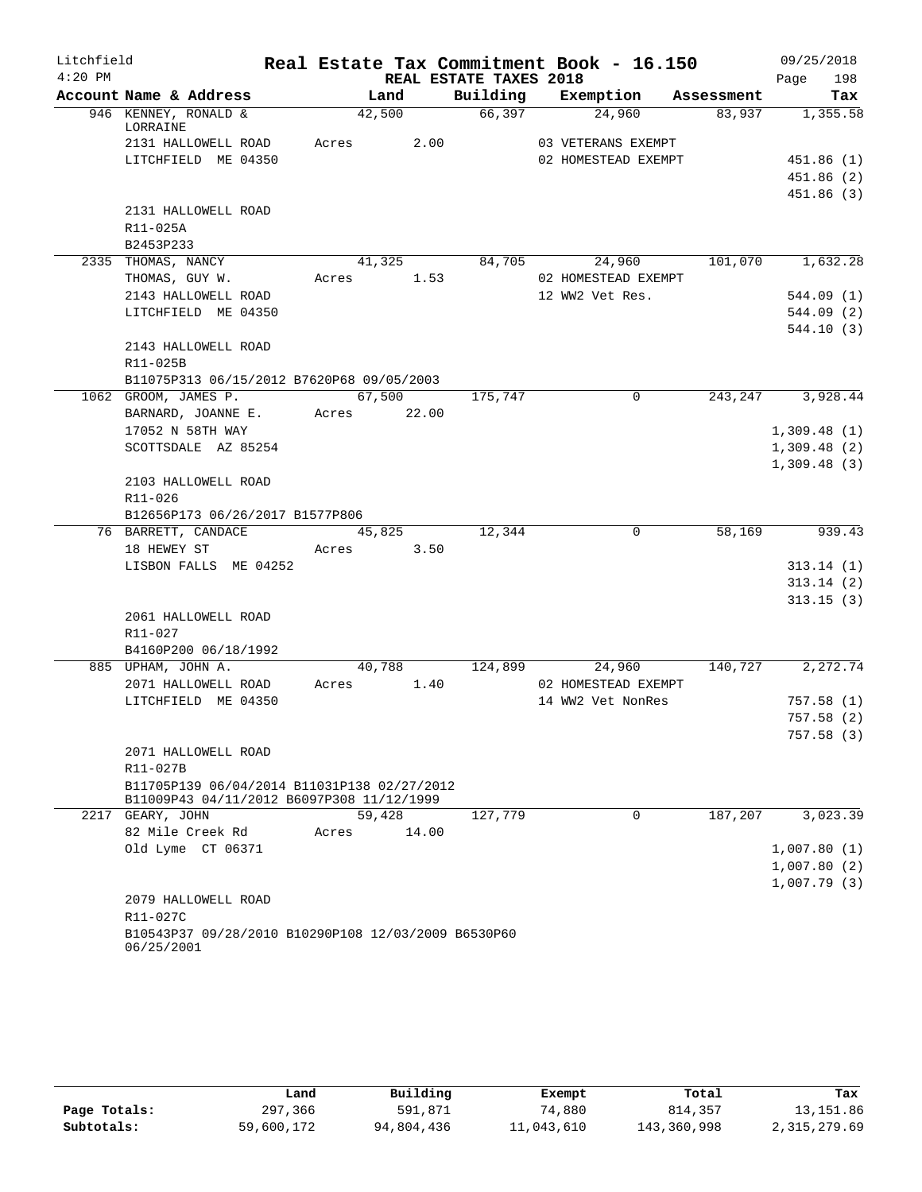| Litchfield |                                                                                          |             |        |                        | Real Estate Tax Commitment Book - 16.150 |            | 09/25/2018       |
|------------|------------------------------------------------------------------------------------------|-------------|--------|------------------------|------------------------------------------|------------|------------------|
| $4:20$ PM  |                                                                                          |             |        | REAL ESTATE TAXES 2018 |                                          |            | 198<br>Page      |
|            | Account Name & Address                                                                   | Land        |        | Building               | Exemption                                | Assessment | Tax              |
|            | 946 KENNEY, RONALD &<br>LORRAINE                                                         | 42,500      |        | 66,397                 | 24,960                                   | 83,937     | 1,355.58         |
|            | 2131 HALLOWELL ROAD                                                                      | Acres       | 2.00   |                        | 03 VETERANS EXEMPT                       |            |                  |
|            | LITCHFIELD ME 04350                                                                      |             |        |                        | 02 HOMESTEAD EXEMPT                      |            | 451.86(1)        |
|            |                                                                                          |             |        |                        |                                          |            | 451.86 (2)       |
|            |                                                                                          |             |        |                        |                                          |            | 451.86(3)        |
|            | 2131 HALLOWELL ROAD                                                                      |             |        |                        |                                          |            |                  |
|            | R11-025A                                                                                 |             |        |                        |                                          |            |                  |
|            | B2453P233                                                                                |             |        |                        |                                          |            |                  |
|            | 2335 THOMAS, NANCY                                                                       |             | 41,325 | 84,705                 | 24,960                                   |            | 101,070 1,632.28 |
|            | THOMAS, GUY W.                                                                           | Acres       | 1.53   |                        | 02 HOMESTEAD EXEMPT                      |            |                  |
|            | 2143 HALLOWELL ROAD                                                                      |             |        |                        | 12 WW2 Vet Res.                          |            | 544.09(1)        |
|            | LITCHFIELD ME 04350                                                                      |             |        |                        |                                          |            | 544.09 (2)       |
|            |                                                                                          |             |        |                        |                                          |            | 544.10(3)        |
|            | 2143 HALLOWELL ROAD                                                                      |             |        |                        |                                          |            |                  |
|            | R11-025B                                                                                 |             |        |                        |                                          |            |                  |
|            | B11075P313 06/15/2012 B7620P68 09/05/2003                                                |             |        |                        |                                          |            |                  |
|            | 1062 GROOM, JAMES P.                                                                     |             | 67,500 | 175,747                | $\mathsf{O}$                             | 243,247    | 3,928.44         |
|            | BARNARD, JOANNE E.                                                                       | Acres 22.00 |        |                        |                                          |            |                  |
|            | 17052 N 58TH WAY                                                                         |             |        |                        |                                          |            | 1,309.48(1)      |
|            | SCOTTSDALE AZ 85254                                                                      |             |        |                        |                                          |            | 1,309.48(2)      |
|            |                                                                                          |             |        |                        |                                          |            | 1,309.48(3)      |
|            | 2103 HALLOWELL ROAD                                                                      |             |        |                        |                                          |            |                  |
|            | R11-026                                                                                  |             |        |                        |                                          |            |                  |
|            | B12656P173 06/26/2017 B1577P806                                                          |             |        |                        |                                          |            |                  |
|            | 76 BARRETT, CANDACE                                                                      | 45,825      |        | 12,344                 | $\mathbf 0$                              | 58,169     | 939.43           |
|            | 18 HEWEY ST                                                                              | Acres       | 3.50   |                        |                                          |            |                  |
|            | LISBON FALLS ME 04252                                                                    |             |        |                        |                                          |            | 313.14(1)        |
|            |                                                                                          |             |        |                        |                                          |            | 313.14(2)        |
|            |                                                                                          |             |        |                        |                                          |            | 313.15(3)        |
|            | 2061 HALLOWELL ROAD                                                                      |             |        |                        |                                          |            |                  |
|            | R11-027                                                                                  |             |        |                        |                                          |            |                  |
|            | B4160P200 06/18/1992                                                                     |             |        |                        |                                          |            |                  |
|            | 885 UPHAM, JOHN A.                                                                       | 40,788      |        | 124,899                | 24,960                                   | 140,727    | 2, 272.74        |
|            | 2071 HALLOWELL ROAD                                                                      | Acres       | 1.40   |                        | 02 HOMESTEAD EXEMPT                      |            |                  |
|            | LITCHFIELD ME 04350                                                                      |             |        |                        | 14 WW2 Vet NonRes                        |            | 757.58(1)        |
|            |                                                                                          |             |        |                        |                                          |            | 757.58(2)        |
|            |                                                                                          |             |        |                        |                                          |            | 757.58 (3)       |
|            | 2071 HALLOWELL ROAD                                                                      |             |        |                        |                                          |            |                  |
|            | R11-027B                                                                                 |             |        |                        |                                          |            |                  |
|            | B11705P139 06/04/2014 B11031P138 02/27/2012<br>B11009P43 04/11/2012 B6097P308 11/12/1999 |             |        |                        |                                          |            |                  |
|            | 2217 GEARY, JOHN                                                                         | 59,428      |        | 127,779                | 0                                        | 187,207    | 3,023.39         |
|            | 82 Mile Creek Rd                                                                         | Acres       | 14.00  |                        |                                          |            |                  |
|            | Old Lyme CT 06371                                                                        |             |        |                        |                                          |            | 1,007.80(1)      |
|            |                                                                                          |             |        |                        |                                          |            | 1,007.80(2)      |
|            |                                                                                          |             |        |                        |                                          |            | 1,007.79(3)      |
|            | 2079 HALLOWELL ROAD                                                                      |             |        |                        |                                          |            |                  |
|            | R11-027C                                                                                 |             |        |                        |                                          |            |                  |
|            | B10543P37 09/28/2010 B10290P108 12/03/2009 B6530P60<br>06/25/2001                        |             |        |                        |                                          |            |                  |

|              | Land       | Building   | Exempt     | Total       | Tax          |
|--------------|------------|------------|------------|-------------|--------------|
| Page Totals: | 297,366    | 591,871    | 74,880     | 814,357     | 13,151.86    |
| Subtotals:   | 59,600,172 | 94,804,436 | 11,043,610 | 143,360,998 | 2,315,279.69 |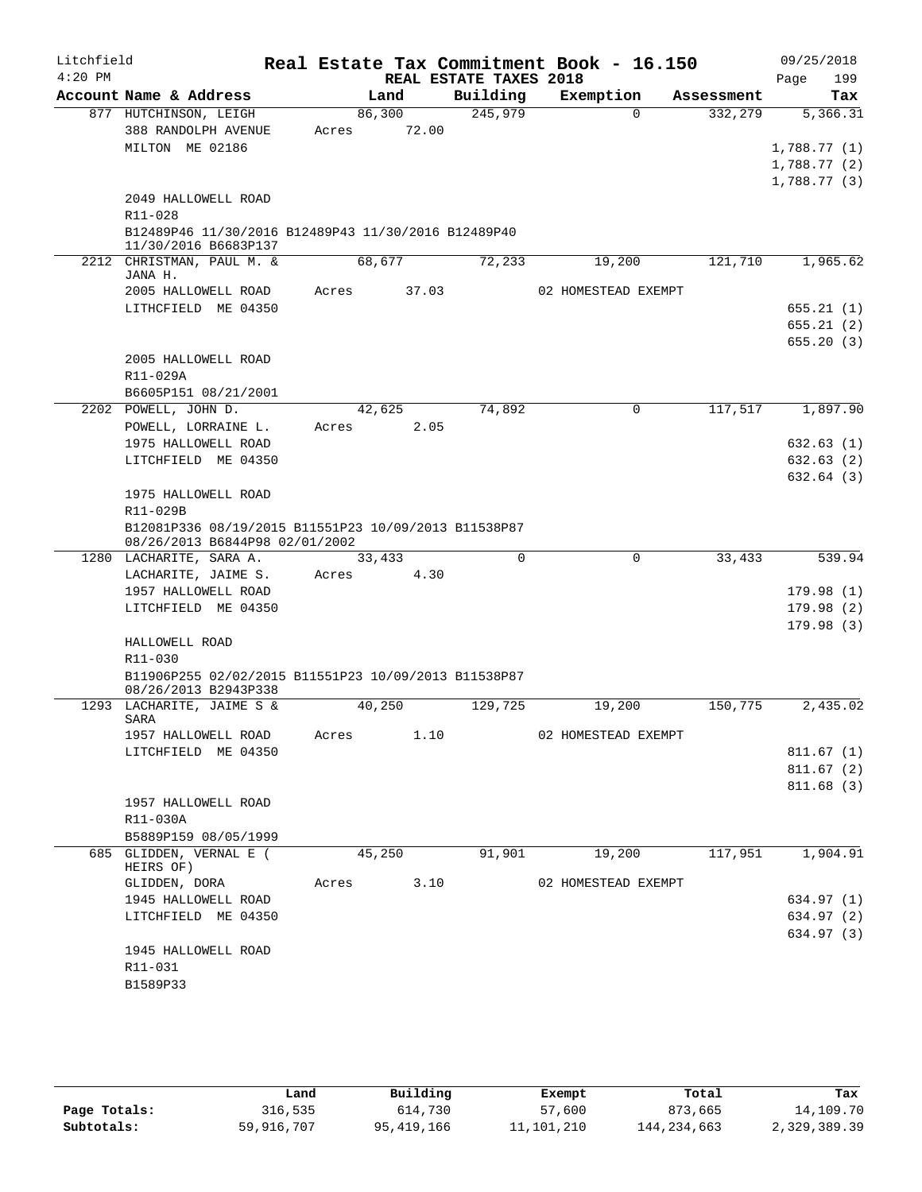| Litchfield |                                                                                        |        |        |                        | Real Estate Tax Commitment Book - 16.150 |            | 09/25/2018             |
|------------|----------------------------------------------------------------------------------------|--------|--------|------------------------|------------------------------------------|------------|------------------------|
| $4:20$ PM  |                                                                                        |        |        | REAL ESTATE TAXES 2018 |                                          |            | Page<br>199            |
|            | Account Name & Address                                                                 |        | Land   | Building               | Exemption                                | Assessment | Tax                    |
|            | 877 HUTCHINSON, LEIGH                                                                  |        | 86,300 | 245,979                | $\Omega$                                 | 332,279    | 5,366.31               |
|            | 388 RANDOLPH AVENUE                                                                    | Acres  | 72.00  |                        |                                          |            |                        |
|            | MILTON ME 02186                                                                        |        |        |                        |                                          |            | 1,788.77(1)            |
|            |                                                                                        |        |        |                        |                                          |            | 1,788.77(2)            |
|            |                                                                                        |        |        |                        |                                          |            | 1,788.77(3)            |
|            | 2049 HALLOWELL ROAD<br>R11-028                                                         |        |        |                        |                                          |            |                        |
|            | B12489P46 11/30/2016 B12489P43 11/30/2016 B12489P40                                    |        |        |                        |                                          |            |                        |
|            | 11/30/2016 B6683P137                                                                   |        |        |                        |                                          |            |                        |
|            | 2212 CHRISTMAN, PAUL M. &                                                              |        | 68,677 | 72,233                 | 19,200                                   | 121,710    | 1,965.62               |
|            | JANA H.                                                                                |        |        |                        |                                          |            |                        |
|            | 2005 HALLOWELL ROAD                                                                    | Acres  | 37.03  |                        | 02 HOMESTEAD EXEMPT                      |            |                        |
|            | LITHCFIELD ME 04350                                                                    |        |        |                        |                                          |            | 655.21(1)              |
|            |                                                                                        |        |        |                        |                                          |            | 655.21(2)<br>655.20(3) |
|            | 2005 HALLOWELL ROAD                                                                    |        |        |                        |                                          |            |                        |
|            | R11-029A                                                                               |        |        |                        |                                          |            |                        |
|            | B6605P151 08/21/2001                                                                   |        |        |                        |                                          |            |                        |
|            | 2202 POWELL, JOHN D.                                                                   | 42,625 |        | 74,892                 | $\mathbf 0$                              | 117,517    | 1,897.90               |
|            | POWELL, LORRAINE L.                                                                    | Acres  | 2.05   |                        |                                          |            |                        |
|            | 1975 HALLOWELL ROAD                                                                    |        |        |                        |                                          |            | 632.63 (1)             |
|            | LITCHFIELD ME 04350                                                                    |        |        |                        |                                          |            | 632.63(2)              |
|            |                                                                                        |        |        |                        |                                          |            | 632.64(3)              |
|            | 1975 HALLOWELL ROAD                                                                    |        |        |                        |                                          |            |                        |
|            | R11-029B                                                                               |        |        |                        |                                          |            |                        |
|            | B12081P336 08/19/2015 B11551P23 10/09/2013 B11538P87<br>08/26/2013 B6844P98 02/01/2002 |        |        |                        |                                          |            |                        |
|            | 1280 LACHARITE, SARA A.                                                                |        | 33,433 | $\mathbf 0$            | $\mathsf{O}$                             | 33,433     | 539.94                 |
|            | LACHARITE, JAIME S.                                                                    | Acres  | 4.30   |                        |                                          |            |                        |
|            | 1957 HALLOWELL ROAD                                                                    |        |        |                        |                                          |            | 179.98(1)              |
|            | LITCHFIELD ME 04350                                                                    |        |        |                        |                                          |            | 179.98(2)              |
|            |                                                                                        |        |        |                        |                                          |            | 179.98(3)              |
|            | HALLOWELL ROAD<br>R11-030                                                              |        |        |                        |                                          |            |                        |
|            | B11906P255 02/02/2015 B11551P23 10/09/2013 B11538P87                                   |        |        |                        |                                          |            |                        |
|            | 08/26/2013 B2943P338                                                                   |        |        |                        |                                          |            |                        |
| 1293       | LACHARITE, JAIME S &                                                                   |        | 40,250 | 129,725                | 19,200                                   | 150,775    | 2,435.02               |
|            | SARA                                                                                   |        |        |                        |                                          |            |                        |
|            | 1957 HALLOWELL ROAD<br>LITCHFIELD ME 04350                                             | Acres  | 1.10   |                        | 02 HOMESTEAD EXEMPT                      |            | 811.67(1)              |
|            |                                                                                        |        |        |                        |                                          |            | 811.67 (2)             |
|            |                                                                                        |        |        |                        |                                          |            | 811.68 (3)             |
|            | 1957 HALLOWELL ROAD                                                                    |        |        |                        |                                          |            |                        |
|            | R11-030A                                                                               |        |        |                        |                                          |            |                        |
|            | B5889P159 08/05/1999                                                                   |        |        |                        |                                          |            |                        |
|            | 685 GLIDDEN, VERNAL E (                                                                |        | 45,250 | 91,901                 | 19,200                                   | 117,951    | 1,904.91               |
|            | HEIRS OF)                                                                              |        |        |                        |                                          |            |                        |
|            | GLIDDEN, DORA                                                                          | Acres  | 3.10   |                        | 02 HOMESTEAD EXEMPT                      |            |                        |
|            | 1945 HALLOWELL ROAD                                                                    |        |        |                        |                                          |            | 634.97 (1)             |
|            | LITCHFIELD ME 04350                                                                    |        |        |                        |                                          |            | 634.97 (2)             |
|            |                                                                                        |        |        |                        |                                          |            | 634.97 (3)             |
|            | 1945 HALLOWELL ROAD                                                                    |        |        |                        |                                          |            |                        |
|            | R11-031                                                                                |        |        |                        |                                          |            |                        |
|            | B1589P33                                                                               |        |        |                        |                                          |            |                        |
|            |                                                                                        |        |        |                        |                                          |            |                        |

|              | Land       | Building     | Exempt     | Total         | Tax          |
|--------------|------------|--------------|------------|---------------|--------------|
| Page Totals: | 316,535    | 614,730      | 57,600     | 873,665       | 14,109.70    |
| Subtotals:   | 59,916,707 | 95, 419, 166 | 11,101,210 | 144, 234, 663 | 2,329,389.39 |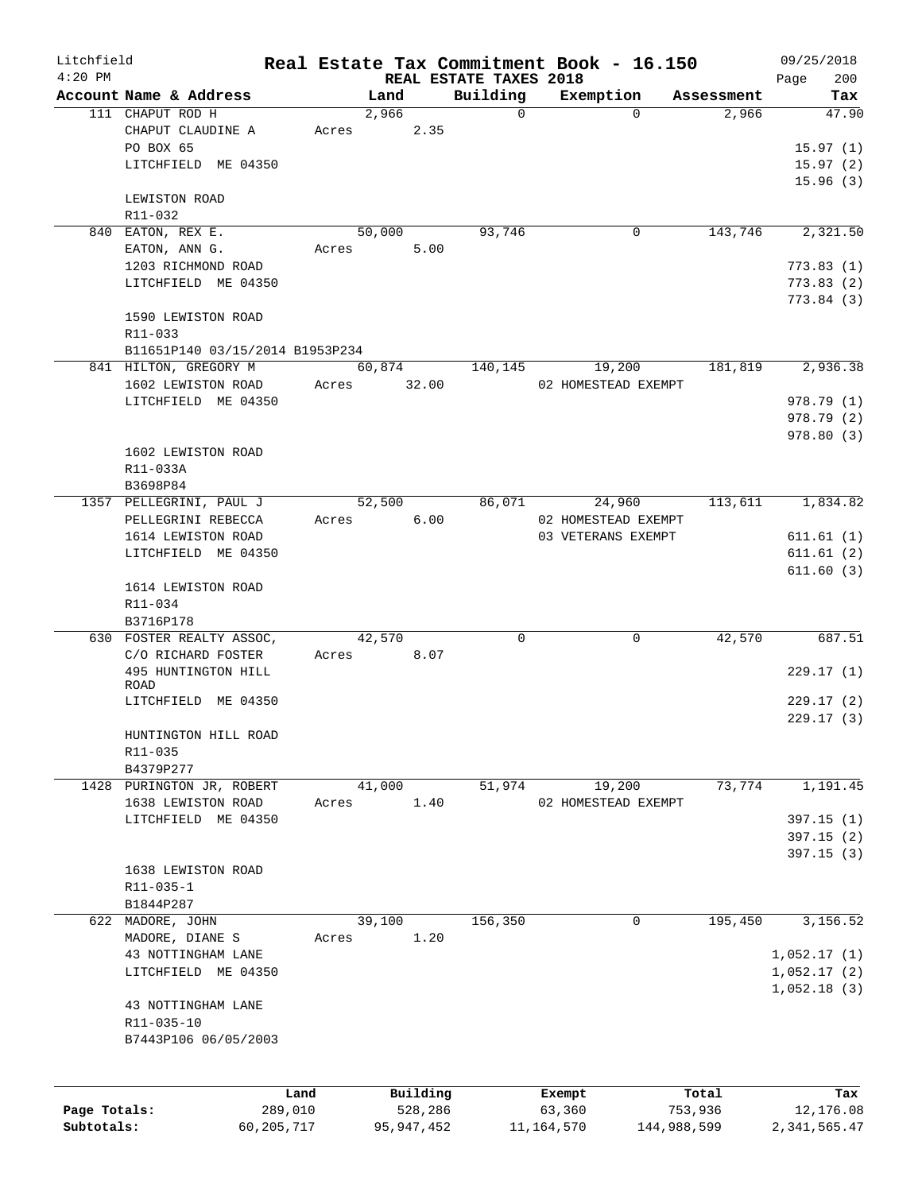| Litchfield   |                                 |       |               |                        | Real Estate Tax Commitment Book - 16.150 |             | 09/25/2018   |
|--------------|---------------------------------|-------|---------------|------------------------|------------------------------------------|-------------|--------------|
| $4:20$ PM    |                                 |       |               | REAL ESTATE TAXES 2018 |                                          |             | 200<br>Page  |
|              | Account Name & Address          |       | Land          | Building               | Exemption                                | Assessment  | Tax          |
|              | 111 CHAPUT ROD H                |       | 2,966<br>2.35 | $\Omega$               | $\Omega$                                 | 2,966       | 47.90        |
|              | CHAPUT CLAUDINE A<br>PO BOX 65  | Acres |               |                        |                                          |             | 15.97(1)     |
|              | LITCHFIELD ME 04350             |       |               |                        |                                          |             | 15.97(2)     |
|              |                                 |       |               |                        |                                          |             | 15.96(3)     |
|              | LEWISTON ROAD                   |       |               |                        |                                          |             |              |
|              | R11-032                         |       |               |                        |                                          |             |              |
|              | 840 EATON, REX E.               |       | 50,000        | 93,746                 | 0                                        | 143,746     | 2,321.50     |
|              | EATON, ANN G.                   | Acres | 5.00          |                        |                                          |             |              |
|              | 1203 RICHMOND ROAD              |       |               |                        |                                          |             | 773.83(1)    |
|              | LITCHFIELD ME 04350             |       |               |                        |                                          |             | 773.83(2)    |
|              |                                 |       |               |                        |                                          |             | 773.84(3)    |
|              | 1590 LEWISTON ROAD              |       |               |                        |                                          |             |              |
|              | R11-033                         |       |               |                        |                                          |             |              |
|              | B11651P140 03/15/2014 B1953P234 |       |               |                        |                                          |             |              |
|              | 841 HILTON, GREGORY M           |       | 60,874        | 140,145                | 19,200                                   | 181,819     | 2,936.38     |
|              | 1602 LEWISTON ROAD              | Acres | 32.00         |                        | 02 HOMESTEAD EXEMPT                      |             |              |
|              | LITCHFIELD ME 04350             |       |               |                        |                                          |             | 978.79 (1)   |
|              |                                 |       |               |                        |                                          |             | 978.79 (2)   |
|              |                                 |       |               |                        |                                          |             | 978.80(3)    |
|              | 1602 LEWISTON ROAD              |       |               |                        |                                          |             |              |
|              | R11-033A                        |       |               |                        |                                          |             |              |
|              | B3698P84                        |       |               |                        |                                          |             |              |
|              | 1357 PELLEGRINI, PAUL J         |       | 52,500        | 86,071                 | 24,960                                   | 113,611     | 1,834.82     |
|              | PELLEGRINI REBECCA              | Acres | 6.00          |                        | 02 HOMESTEAD EXEMPT                      |             |              |
|              | 1614 LEWISTON ROAD              |       |               |                        | 03 VETERANS EXEMPT                       |             | 611.61(1)    |
|              | LITCHFIELD ME 04350             |       |               |                        |                                          |             | 611.61(2)    |
|              |                                 |       |               |                        |                                          |             | 611.60(3)    |
|              | 1614 LEWISTON ROAD              |       |               |                        |                                          |             |              |
|              | R11-034                         |       |               |                        |                                          |             |              |
|              | B3716P178                       |       |               |                        |                                          |             |              |
|              | 630 FOSTER REALTY ASSOC,        |       | 42,570        | 0                      | 0                                        | 42,570      | 687.51       |
|              | C/O RICHARD FOSTER              | Acres | 8.07          |                        |                                          |             |              |
|              | 495 HUNTINGTON HILL             |       |               |                        |                                          |             | 229.17(1)    |
|              | ROAD                            |       |               |                        |                                          |             |              |
|              | LITCHFIELD ME 04350             |       |               |                        |                                          |             | 229.17(2)    |
|              |                                 |       |               |                        |                                          |             | 229.17(3)    |
|              | HUNTINGTON HILL ROAD            |       |               |                        |                                          |             |              |
|              | R11-035                         |       |               |                        |                                          |             |              |
|              | B4379P277                       |       |               |                        |                                          |             |              |
|              | 1428 PURINGTON JR, ROBERT       |       | 41,000        | 51,974                 | 19,200                                   | 73,774      | 1,191.45     |
|              | 1638 LEWISTON ROAD              | Acres | 1.40          |                        | 02 HOMESTEAD EXEMPT                      |             |              |
|              | LITCHFIELD ME 04350             |       |               |                        |                                          |             | 397.15(1)    |
|              |                                 |       |               |                        |                                          |             | 397.15(2)    |
|              |                                 |       |               |                        |                                          |             | 397.15(3)    |
|              | 1638 LEWISTON ROAD              |       |               |                        |                                          |             |              |
|              | R11-035-1                       |       |               |                        |                                          |             |              |
|              | B1844P287                       |       |               |                        |                                          |             |              |
|              | 622 MADORE, JOHN                |       | 39,100        | 156,350                | 0                                        | 195,450     | 3,156.52     |
|              | MADORE, DIANE S                 | Acres | 1.20          |                        |                                          |             |              |
|              | 43 NOTTINGHAM LANE              |       |               |                        |                                          |             | 1,052.17(1)  |
|              | LITCHFIELD ME 04350             |       |               |                        |                                          |             | 1,052.17(2)  |
|              |                                 |       |               |                        |                                          |             | 1,052.18(3)  |
|              | 43 NOTTINGHAM LANE              |       |               |                        |                                          |             |              |
|              | R11-035-10                      |       |               |                        |                                          |             |              |
|              | B7443P106 06/05/2003            |       |               |                        |                                          |             |              |
|              |                                 |       |               |                        |                                          |             |              |
|              |                                 |       |               |                        |                                          |             |              |
|              |                                 | Land  | Building      |                        | Exempt                                   | Total       | Tax          |
| Page Totals: | 289,010                         |       | 528,286       |                        | 63,360                                   | 753,936     | 12,176.08    |
| Subtotals:   | 60, 205, 717                    |       | 95, 947, 452  |                        | 11, 164, 570                             | 144,988,599 | 2,341,565.47 |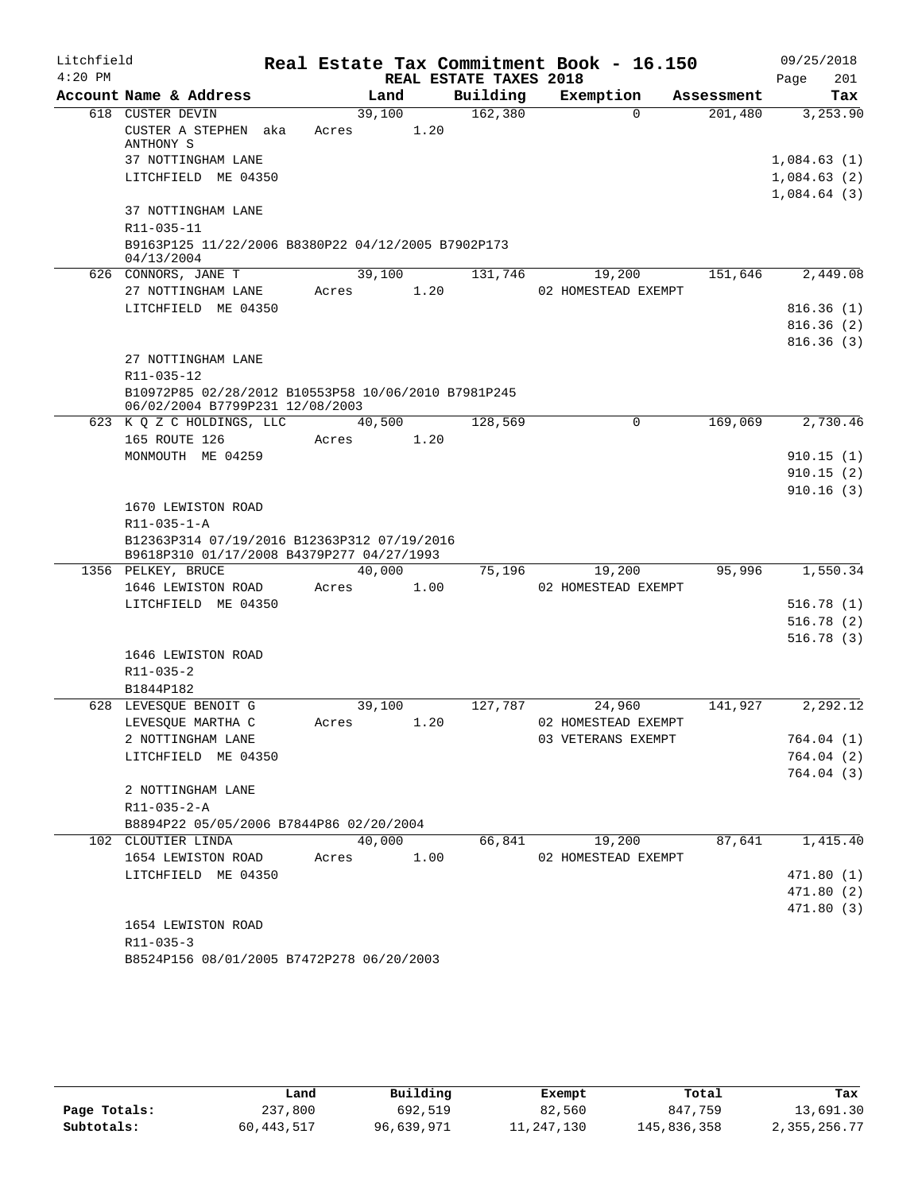| Litchfield |                                                                                          |                 |      |                        | Real Estate Tax Commitment Book - 16.150 |            | 09/25/2018             |
|------------|------------------------------------------------------------------------------------------|-----------------|------|------------------------|------------------------------------------|------------|------------------------|
| $4:20$ PM  |                                                                                          |                 |      | REAL ESTATE TAXES 2018 |                                          |            | 201<br>Page            |
|            | Account Name & Address                                                                   | Land            |      | Building               | Exemption                                | Assessment | Tax                    |
|            | 618 CUSTER DEVIN<br>CUSTER A STEPHEN aka<br>ANTHONY S                                    | 39,100<br>Acres | 1.20 | 162,380                | $\Omega$                                 | 201,480    | 3,253.90               |
|            | 37 NOTTINGHAM LANE                                                                       |                 |      |                        |                                          |            | 1,084.63(1)            |
|            | LITCHFIELD ME 04350                                                                      |                 |      |                        |                                          |            | 1,084.63(2)            |
|            |                                                                                          |                 |      |                        |                                          |            | 1,084.64(3)            |
|            | 37 NOTTINGHAM LANE                                                                       |                 |      |                        |                                          |            |                        |
|            | R11-035-11                                                                               |                 |      |                        |                                          |            |                        |
|            | B9163P125 11/22/2006 B8380P22 04/12/2005 B7902P173                                       |                 |      |                        |                                          |            |                        |
|            | 04/13/2004<br>626 CONNORS, JANE T                                                        | 39,100          |      | 131,746                | 19,200                                   | 151,646    | 2,449.08               |
|            | 27 NOTTINGHAM LANE                                                                       | Acres           | 1.20 |                        | 02 HOMESTEAD EXEMPT                      |            |                        |
|            | LITCHFIELD ME 04350                                                                      |                 |      |                        |                                          |            | 816.36(1)              |
|            |                                                                                          |                 |      |                        |                                          |            | 816.36(2)              |
|            |                                                                                          |                 |      |                        |                                          |            | 816.36(3)              |
|            | 27 NOTTINGHAM LANE                                                                       |                 |      |                        |                                          |            |                        |
|            | R11-035-12                                                                               |                 |      |                        |                                          |            |                        |
|            | B10972P85 02/28/2012 B10553P58 10/06/2010 B7981P245<br>06/02/2004 B7799P231 12/08/2003   |                 |      |                        |                                          |            |                        |
|            | 623 K Q Z C HOLDINGS, LLC                                                                | 40,500          |      | 128,569                | $\Omega$                                 | 169,069    | 2,730.46               |
|            | 165 ROUTE 126                                                                            | Acres           | 1.20 |                        |                                          |            |                        |
|            | MONMOUTH ME 04259                                                                        |                 |      |                        |                                          |            | 910.15(1)              |
|            |                                                                                          |                 |      |                        |                                          |            | 910.15(2)<br>910.16(3) |
|            | 1670 LEWISTON ROAD                                                                       |                 |      |                        |                                          |            |                        |
|            | R11-035-1-A                                                                              |                 |      |                        |                                          |            |                        |
|            | B12363P314 07/19/2016 B12363P312 07/19/2016<br>B9618P310 01/17/2008 B4379P277 04/27/1993 |                 |      |                        |                                          |            |                        |
|            | 1356 PELKEY, BRUCE                                                                       | 40,000          |      | 75,196                 | 19,200                                   | 95,996     | 1,550.34               |
|            | 1646 LEWISTON ROAD                                                                       | Acres           | 1.00 |                        | 02 HOMESTEAD EXEMPT                      |            |                        |
|            | LITCHFIELD ME 04350                                                                      |                 |      |                        |                                          |            | 516.78(1)              |
|            |                                                                                          |                 |      |                        |                                          |            | 516.78(2)              |
|            |                                                                                          |                 |      |                        |                                          |            | 516.78(3)              |
|            | 1646 LEWISTON ROAD<br>R11-035-2                                                          |                 |      |                        |                                          |            |                        |
|            | B1844P182                                                                                |                 |      |                        |                                          |            |                        |
|            | 628 LEVESQUE BENOIT G                                                                    | 39,100          |      | 127,787                | 24,960                                   | 141,927    | 2,292.12               |
|            | LEVESQUE MARTHA C                                                                        | Acres           | 1.20 |                        | 02 HOMESTEAD EXEMPT                      |            |                        |
|            | 2 NOTTINGHAM LANE                                                                        |                 |      |                        | 03 VETERANS EXEMPT                       |            | 764.04(1)              |
|            | LITCHFIELD ME 04350                                                                      |                 |      |                        |                                          |            | 764.04 (2)             |
|            |                                                                                          |                 |      |                        |                                          |            | 764.04 (3)             |
|            | 2 NOTTINGHAM LANE                                                                        |                 |      |                        |                                          |            |                        |
|            | $R11 - 035 - 2 - A$                                                                      |                 |      |                        |                                          |            |                        |
|            | B8894P22 05/05/2006 B7844P86 02/20/2004                                                  |                 |      |                        |                                          | 87,641     | 1,415.40               |
|            | 102 CLOUTIER LINDA<br>1654 LEWISTON ROAD                                                 | 40,000<br>Acres | 1.00 | 66,841                 | 19,200<br>02 HOMESTEAD EXEMPT            |            |                        |
|            | LITCHFIELD ME 04350                                                                      |                 |      |                        |                                          |            | 471.80(1)              |
|            |                                                                                          |                 |      |                        |                                          |            | 471.80 (2)             |
|            |                                                                                          |                 |      |                        |                                          |            | 471.80(3)              |
|            | 1654 LEWISTON ROAD                                                                       |                 |      |                        |                                          |            |                        |
|            | $R11 - 035 - 3$                                                                          |                 |      |                        |                                          |            |                        |
|            | B8524P156 08/01/2005 B7472P278 06/20/2003                                                |                 |      |                        |                                          |            |                        |

|              | Land       | Building   | Exempt     | Total       | Tax          |  |
|--------------|------------|------------|------------|-------------|--------------|--|
| Page Totals: | 237,800    | 692,519    | 82,560     | 847,759     | 13,691.30    |  |
| Subtotals:   | 60,443,517 | 96,639,971 | 11,247,130 | 145,836,358 | 2,355,256.77 |  |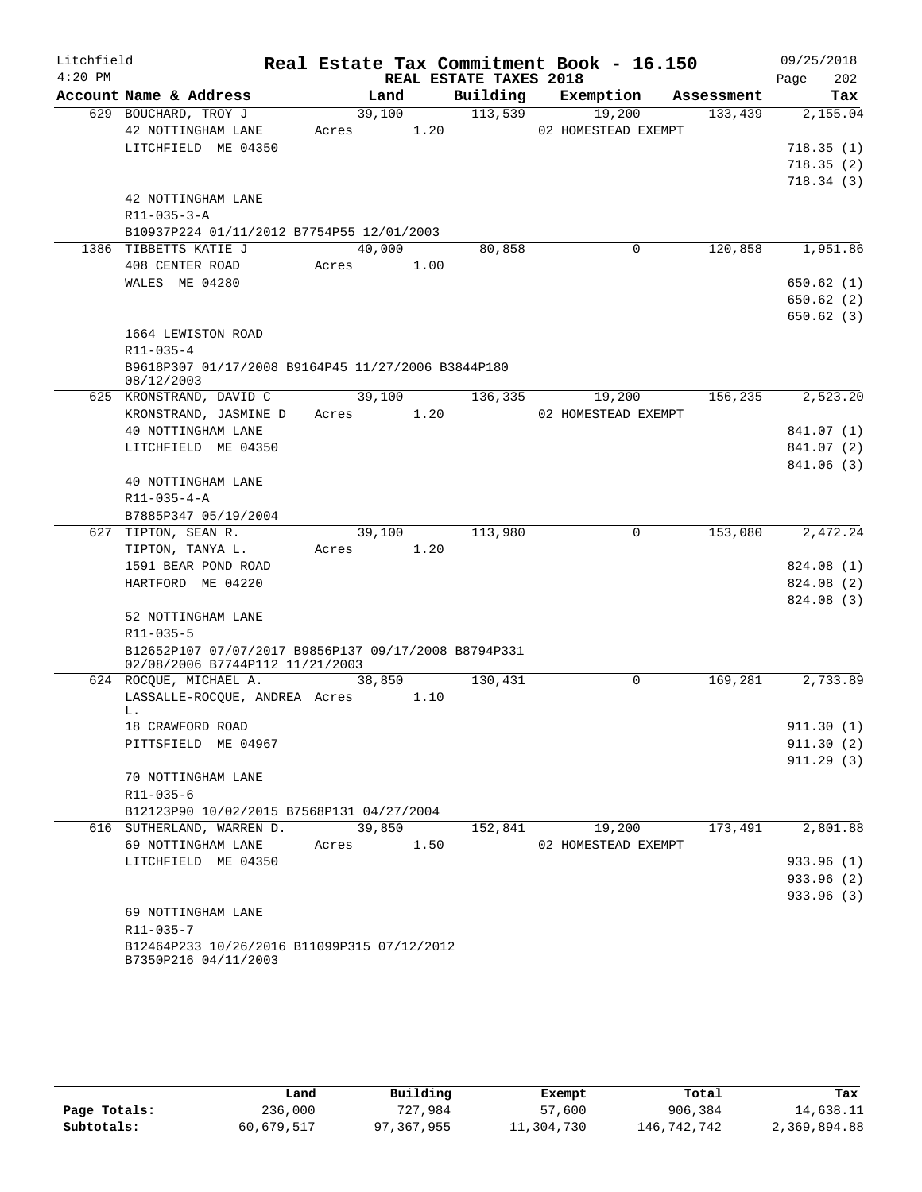| Litchfield |                                                                                         |            |        |                        | Real Estate Tax Commitment Book - 16.150 |            | 09/25/2018  |
|------------|-----------------------------------------------------------------------------------------|------------|--------|------------------------|------------------------------------------|------------|-------------|
| $4:20$ PM  |                                                                                         |            |        | REAL ESTATE TAXES 2018 |                                          |            | 202<br>Page |
|            | Account Name & Address                                                                  |            | Land   | Building               | Exemption                                | Assessment | Tax         |
|            | 629 BOUCHARD, TROY J                                                                    |            | 39,100 | 113,539                | 19,200                                   | 133,439    | 2,155.04    |
|            | 42 NOTTINGHAM LANE                                                                      | Acres      | 1.20   |                        | 02 HOMESTEAD EXEMPT                      |            |             |
|            | LITCHFIELD ME 04350                                                                     |            |        |                        |                                          |            | 718.35(1)   |
|            |                                                                                         |            |        |                        |                                          |            | 718.35(2)   |
|            |                                                                                         |            |        |                        |                                          |            | 718.34(3)   |
|            | 42 NOTTINGHAM LANE                                                                      |            |        |                        |                                          |            |             |
|            | $R11 - 035 - 3 - A$                                                                     |            |        |                        |                                          |            |             |
|            | B10937P224 01/11/2012 B7754P55 12/01/2003                                               |            |        |                        |                                          |            |             |
|            | 1386 TIBBETTS KATIE J                                                                   | 40,000     |        | 80,858                 | $\mathbf 0$                              | 120,858    | 1,951.86    |
|            | 408 CENTER ROAD                                                                         | Acres      | 1.00   |                        |                                          |            |             |
|            | WALES ME 04280                                                                          |            |        |                        |                                          |            | 650.62(1)   |
|            |                                                                                         |            |        |                        |                                          |            | 650.62(2)   |
|            |                                                                                         |            |        |                        |                                          |            | 650.62(3)   |
|            | 1664 LEWISTON ROAD                                                                      |            |        |                        |                                          |            |             |
|            | R11-035-4                                                                               |            |        |                        |                                          |            |             |
|            | B9618P307 01/17/2008 B9164P45 11/27/2006 B3844P180<br>08/12/2003                        |            |        |                        |                                          |            |             |
|            | 625 KRONSTRAND, DAVID C                                                                 |            | 39,100 | 136,335                | 19,200                                   | 156,235    | 2,523.20    |
|            | KRONSTRAND, JASMINE D                                                                   | Acres 1.20 |        |                        | 02 HOMESTEAD EXEMPT                      |            |             |
|            | 40 NOTTINGHAM LANE                                                                      |            |        |                        |                                          |            | 841.07 (1)  |
|            | LITCHFIELD ME 04350                                                                     |            |        |                        |                                          |            | 841.07 (2)  |
|            |                                                                                         |            |        |                        |                                          |            | 841.06 (3)  |
|            | 40 NOTTINGHAM LANE                                                                      |            |        |                        |                                          |            |             |
|            | $R11 - 035 - 4 - A$                                                                     |            |        |                        |                                          |            |             |
|            | B7885P347 05/19/2004                                                                    |            |        |                        |                                          |            |             |
|            | 627 TIPTON, SEAN R.                                                                     |            | 39,100 | 113,980                | 0                                        | 153,080    | 2,472.24    |
|            | TIPTON, TANYA L.                                                                        | Acres      | 1.20   |                        |                                          |            |             |
|            | 1591 BEAR POND ROAD                                                                     |            |        |                        |                                          |            | 824.08 (1)  |
|            | HARTFORD ME 04220                                                                       |            |        |                        |                                          |            | 824.08 (2)  |
|            |                                                                                         |            |        |                        |                                          |            | 824.08 (3)  |
|            | 52 NOTTINGHAM LANE                                                                      |            |        |                        |                                          |            |             |
|            | R11-035-5                                                                               |            |        |                        |                                          |            |             |
|            | B12652P107 07/07/2017 B9856P137 09/17/2008 B8794P331<br>02/08/2006 B7744P112 11/21/2003 |            |        |                        |                                          |            |             |
|            | 624 ROCQUE, MICHAEL A.                                                                  | 38,850     |        | 130,431                | 0                                        | 169,281    | 2,733.89    |
|            | LASSALLE-ROCQUE, ANDREA Acres                                                           |            | 1.10   |                        |                                          |            |             |
|            | L.                                                                                      |            |        |                        |                                          |            |             |
|            | 18 CRAWFORD ROAD                                                                        |            |        |                        |                                          |            | 911.30(1)   |
|            | PITTSFIELD ME 04967                                                                     |            |        |                        |                                          |            | 911.30(2)   |
|            |                                                                                         |            |        |                        |                                          |            | 911.29(3)   |
|            | 70 NOTTINGHAM LANE                                                                      |            |        |                        |                                          |            |             |
|            | R11-035-6                                                                               |            |        |                        |                                          |            |             |
|            | B12123P90 10/02/2015 B7568P131 04/27/2004                                               |            |        |                        |                                          |            |             |
|            | 616 SUTHERLAND, WARREN D.                                                               |            | 39,850 | 152,841                | 19,200                                   | 173,491    | 2,801.88    |
|            | 69 NOTTINGHAM LANE                                                                      | Acres      | 1.50   |                        | 02 HOMESTEAD EXEMPT                      |            |             |
|            | LITCHFIELD ME 04350                                                                     |            |        |                        |                                          |            | 933.96 (1)  |
|            |                                                                                         |            |        |                        |                                          |            | 933.96 (2)  |
|            |                                                                                         |            |        |                        |                                          |            | 933.96 (3)  |
|            | 69 NOTTINGHAM LANE                                                                      |            |        |                        |                                          |            |             |
|            | R11-035-7<br>B12464P233 10/26/2016 B11099P315 07/12/2012                                |            |        |                        |                                          |            |             |
|            | B7350P216 04/11/2003                                                                    |            |        |                        |                                          |            |             |

|              | Land       | Building   | Exempt     | Total       | Tax          |
|--------------|------------|------------|------------|-------------|--------------|
| Page Totals: | 236,000    | 727,984    | 57,600     | 906,384     | 14,638.11    |
| Subtotals:   | 60,679,517 | 97,367,955 | 11,304,730 | 146,742,742 | 2,369,894.88 |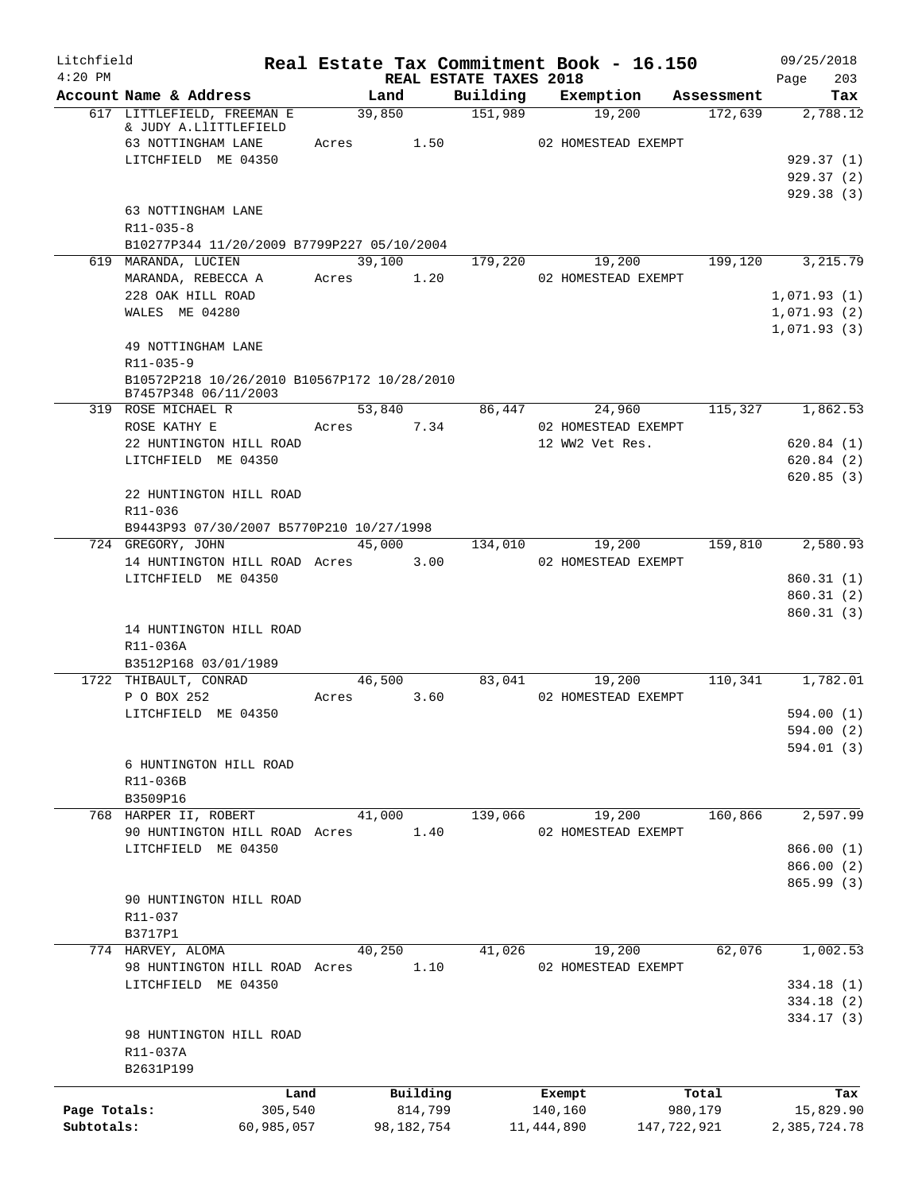| Litchfield   |                                                                     |                 |              |                        |                                       | Real Estate Tax Commitment Book - 16.150 | 09/25/2018                 |
|--------------|---------------------------------------------------------------------|-----------------|--------------|------------------------|---------------------------------------|------------------------------------------|----------------------------|
| $4:20$ PM    |                                                                     |                 |              | REAL ESTATE TAXES 2018 |                                       |                                          | 203<br>Page                |
|              | Account Name & Address<br>617 LITTLEFIELD, FREEMAN E                | Land<br>39,850  |              | Building<br>151,989    | Exemption<br>19,200                   | Assessment<br>172,639                    | Tax<br>2,788.12            |
|              | & JUDY A.LlITTLEFIELD<br>63 NOTTINGHAM LANE                         | Acres 1.50      |              |                        | 02 HOMESTEAD EXEMPT                   |                                          |                            |
|              | LITCHFIELD ME 04350                                                 |                 |              |                        |                                       |                                          | 929.37(1)                  |
|              |                                                                     |                 |              |                        |                                       |                                          | 929.37(2)<br>929.38(3)     |
|              | 63 NOTTINGHAM LANE<br>$R11 - 035 - 8$                               |                 |              |                        |                                       |                                          |                            |
|              | B10277P344 11/20/2009 B7799P227 05/10/2004                          |                 |              |                        |                                       |                                          |                            |
|              | 619 MARANDA, LUCIEN<br>MARANDA, REBECCA A                           | 39,100<br>Acres | 1.20         |                        | 179,220 19,200<br>02 HOMESTEAD EXEMPT | 199,120                                  | $\overline{3}$ , 215.79    |
|              | 228 OAK HILL ROAD                                                   |                 |              |                        |                                       |                                          | 1,071.93(1)                |
|              | WALES ME 04280                                                      |                 |              |                        |                                       |                                          | 1,071.93(2)<br>1,071.93(3) |
|              | 49 NOTTINGHAM LANE<br>R11-035-9                                     |                 |              |                        |                                       |                                          |                            |
|              | B10572P218 10/26/2010 B10567P172 10/28/2010<br>B7457P348 06/11/2003 |                 |              |                        |                                       |                                          |                            |
|              | 319 ROSE MICHAEL R                                                  | 53,840          |              | 86,447                 | 24,960                                | 115,327                                  | 1,862.53                   |
|              | ROSE KATHY E                                                        | Acres           | 7.34         |                        | 02 HOMESTEAD EXEMPT                   |                                          |                            |
|              | 22 HUNTINGTON HILL ROAD                                             |                 |              |                        | 12 WW2 Vet Res.                       |                                          | 620.84(1)                  |
|              | LITCHFIELD ME 04350                                                 |                 |              |                        |                                       |                                          | 620.84(2)<br>620.85(3)     |
|              | 22 HUNTINGTON HILL ROAD<br>R11-036                                  |                 |              |                        |                                       |                                          |                            |
|              | B9443P93 07/30/2007 B5770P210 10/27/1998                            |                 |              |                        |                                       |                                          |                            |
|              | 724 GREGORY, JOHN                                                   | 45,000          |              | 134,010                | 19,200                                | 159,810                                  | 2,580.93                   |
|              | 14 HUNTINGTON HILL ROAD Acres<br>LITCHFIELD ME 04350                |                 | 3.00         |                        | 02 HOMESTEAD EXEMPT                   |                                          |                            |
|              |                                                                     |                 |              |                        |                                       |                                          | 860.31(1)<br>860.31(2)     |
|              | 14 HUNTINGTON HILL ROAD<br>R11-036A                                 |                 |              |                        |                                       |                                          | 860.31(3)                  |
|              | B3512P168 03/01/1989<br>1722 THIBAULT, CONRAD                       | 46,500          |              | 83,041                 | 19,200                                | 110,341                                  | 1,782.01                   |
|              | P O BOX 252                                                         | Acres           | 3.60         |                        | 02 HOMESTEAD EXEMPT                   |                                          |                            |
|              | LITCHFIELD ME 04350                                                 |                 |              |                        |                                       |                                          | 594.00 (1)                 |
|              |                                                                     |                 |              |                        |                                       |                                          | 594.00 (2)                 |
|              | 6 HUNTINGTON HILL ROAD<br>R11-036B                                  |                 |              |                        |                                       |                                          | 594.01 (3)                 |
|              | B3509P16<br>768 HARPER II, ROBERT                                   | 41,000          |              | 139,066                | 19,200                                | 160,866                                  | 2,597.99                   |
|              | 90 HUNTINGTON HILL ROAD Acres                                       |                 | 1.40         |                        | 02 HOMESTEAD EXEMPT                   |                                          |                            |
|              | LITCHFIELD ME 04350                                                 |                 |              |                        |                                       |                                          | 866.00(1)                  |
|              |                                                                     |                 |              |                        |                                       |                                          | 866.00 (2)                 |
|              | 90 HUNTINGTON HILL ROAD<br>R11-037                                  |                 |              |                        |                                       |                                          | 865.99 (3)                 |
|              | B3717P1                                                             |                 |              |                        |                                       |                                          |                            |
|              | 774 HARVEY, ALOMA                                                   | 40,250          |              | 41,026                 | 19,200                                | 62,076                                   | 1,002.53                   |
|              | 98 HUNTINGTON HILL ROAD Acres                                       |                 | 1.10         |                        | 02 HOMESTEAD EXEMPT                   |                                          |                            |
|              | LITCHFIELD ME 04350                                                 |                 |              |                        |                                       |                                          | 334.18(1)<br>334.18(2)     |
|              |                                                                     |                 |              |                        |                                       |                                          | 334.17(3)                  |
|              | 98 HUNTINGTON HILL ROAD                                             |                 |              |                        |                                       |                                          |                            |
|              | R11-037A<br>B2631P199                                               |                 |              |                        |                                       |                                          |                            |
|              | Land                                                                |                 | Building     |                        | Exempt                                | Total                                    | Tax                        |
| Page Totals: | 305,540                                                             |                 | 814,799      |                        | 140,160                               | 980,179                                  | 15,829.90                  |
| Subtotals:   | 60,985,057                                                          |                 | 98, 182, 754 |                        | 11, 444, 890                          | 147,722,921                              | 2,385,724.78               |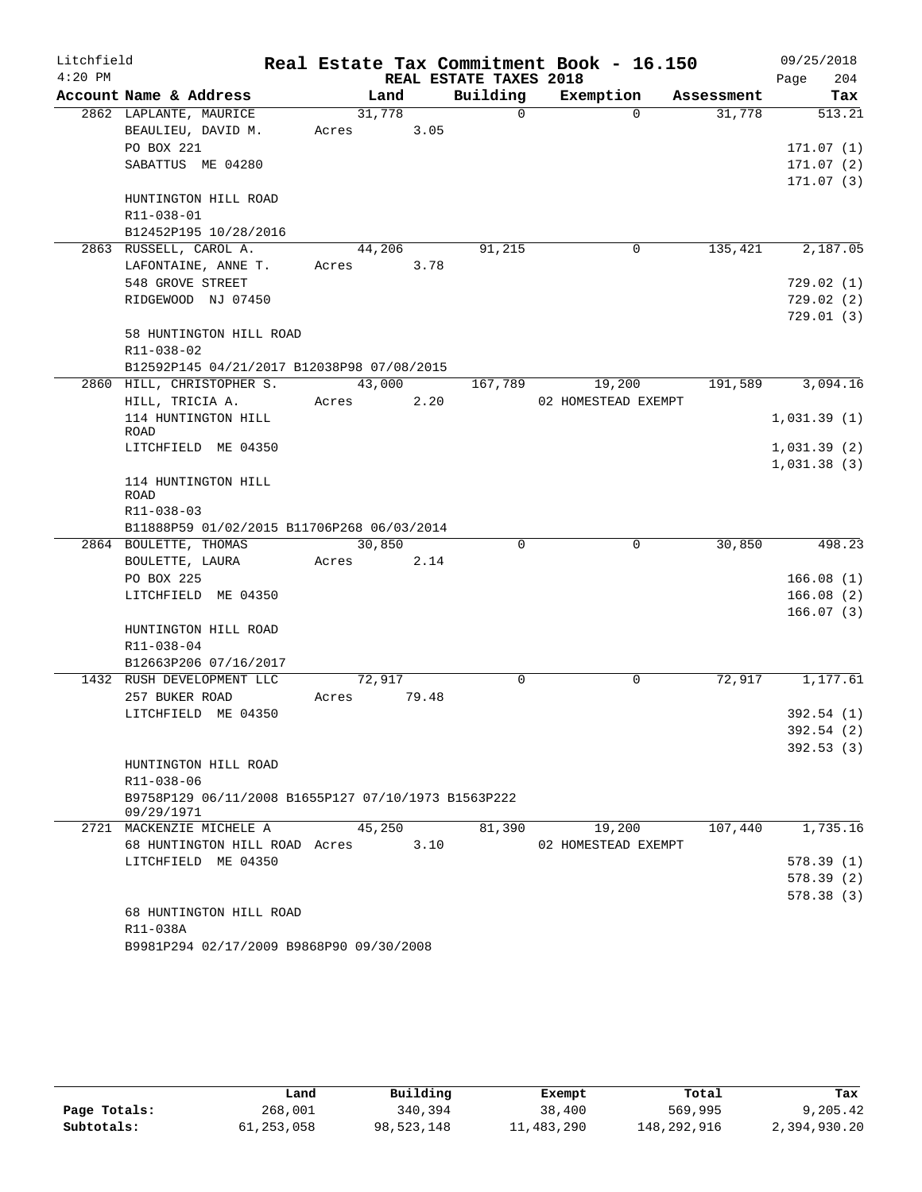| Litchfield |                                                     |       |        |                        | Real Estate Tax Commitment Book - 16.150 |            | 09/25/2018  |
|------------|-----------------------------------------------------|-------|--------|------------------------|------------------------------------------|------------|-------------|
| $4:20$ PM  |                                                     |       |        | REAL ESTATE TAXES 2018 |                                          |            | 204<br>Page |
|            | Account Name & Address                              |       | Land   | Building               | Exemption                                | Assessment | Tax         |
|            | 2862 LAPLANTE, MAURICE                              |       | 31,778 | $\Omega$               | $\Omega$                                 | 31,778     | 513.21      |
|            | BEAULIEU, DAVID M.                                  | Acres | 3.05   |                        |                                          |            |             |
|            | PO BOX 221                                          |       |        |                        |                                          |            | 171.07(1)   |
|            | SABATTUS ME 04280                                   |       |        |                        |                                          |            | 171.07(2)   |
|            |                                                     |       |        |                        |                                          |            | 171.07(3)   |
|            | HUNTINGTON HILL ROAD                                |       |        |                        |                                          |            |             |
|            | R11-038-01                                          |       |        |                        |                                          |            |             |
|            | B12452P195 10/28/2016                               |       |        |                        |                                          |            |             |
|            | 2863 RUSSELL, CAROL A.                              |       | 44,206 | 91,215                 | 0                                        | 135,421    | 2,187.05    |
|            | LAFONTAINE, ANNE T.                                 | Acres | 3.78   |                        |                                          |            |             |
|            | 548 GROVE STREET                                    |       |        |                        |                                          |            | 729.02 (1)  |
|            | RIDGEWOOD NJ 07450                                  |       |        |                        |                                          |            | 729.02(2)   |
|            | 58 HUNTINGTON HILL ROAD                             |       |        |                        |                                          |            | 729.01 (3)  |
|            | R11-038-02                                          |       |        |                        |                                          |            |             |
|            | B12592P145 04/21/2017 B12038P98 07/08/2015          |       |        |                        |                                          |            |             |
|            | 2860 HILL, CHRISTOPHER S.                           |       | 43,000 | 167,789                | 19,200                                   | 191,589    | 3,094.16    |
|            | HILL, TRICIA A.                                     | Acres | 2.20   |                        | 02 HOMESTEAD EXEMPT                      |            |             |
|            | 114 HUNTINGTON HILL                                 |       |        |                        |                                          |            | 1,031.39(1) |
|            | ROAD                                                |       |        |                        |                                          |            |             |
|            | LITCHFIELD ME 04350                                 |       |        |                        |                                          |            | 1,031.39(2) |
|            |                                                     |       |        |                        |                                          |            | 1,031.38(3) |
|            | 114 HUNTINGTON HILL                                 |       |        |                        |                                          |            |             |
|            | <b>ROAD</b><br>R11-038-03                           |       |        |                        |                                          |            |             |
|            | B11888P59 01/02/2015 B11706P268 06/03/2014          |       |        |                        |                                          |            |             |
|            | 2864 BOULETTE, THOMAS                               |       | 30,850 | $\Omega$               | 0                                        | 30,850     | 498.23      |
|            | BOULETTE, LAURA                                     | Acres | 2.14   |                        |                                          |            |             |
|            | PO BOX 225                                          |       |        |                        |                                          |            | 166.08(1)   |
|            | LITCHFIELD ME 04350                                 |       |        |                        |                                          |            | 166.08(2)   |
|            |                                                     |       |        |                        |                                          |            | 166.07(3)   |
|            | HUNTINGTON HILL ROAD                                |       |        |                        |                                          |            |             |
|            | R11-038-04                                          |       |        |                        |                                          |            |             |
|            | B12663P206 07/16/2017                               |       |        |                        |                                          |            |             |
|            | 1432 RUSH DEVELOPMENT LLC                           |       | 72,917 | $\mathbf 0$            | 0                                        | 72,917     | 1,177.61    |
|            | 257 BUKER ROAD                                      | Acres | 79.48  |                        |                                          |            |             |
|            | LITCHFIELD ME 04350                                 |       |        |                        |                                          |            | 392.54(1)   |
|            |                                                     |       |        |                        |                                          |            | 392.54 (2)  |
|            |                                                     |       |        |                        |                                          |            | 392.53(3)   |
|            | HUNTINGTON HILL ROAD                                |       |        |                        |                                          |            |             |
|            | R11-038-06                                          |       |        |                        |                                          |            |             |
|            | B9758P129 06/11/2008 B1655P127 07/10/1973 B1563P222 |       |        |                        |                                          |            |             |
|            | 09/29/1971<br>2721 MACKENZIE MICHELE A              |       | 45,250 | 81,390                 | 19,200                                   | 107,440    | 1,735.16    |
|            | 68 HUNTINGTON HILL ROAD Acres                       |       | 3.10   |                        | 02 HOMESTEAD EXEMPT                      |            |             |
|            | LITCHFIELD ME 04350                                 |       |        |                        |                                          |            | 578.39(1)   |
|            |                                                     |       |        |                        |                                          |            | 578.39 (2)  |
|            |                                                     |       |        |                        |                                          |            | 578.38(3)   |
|            | 68 HUNTINGTON HILL ROAD                             |       |        |                        |                                          |            |             |
|            | R11-038A                                            |       |        |                        |                                          |            |             |
|            | B9981P294 02/17/2009 B9868P90 09/30/2008            |       |        |                        |                                          |            |             |

|              | Land       | Building   | Exempt     | Total       | Tax          |
|--------------|------------|------------|------------|-------------|--------------|
| Page Totals: | 268,001    | 340,394    | 38,400     | 569,995     | 9,205.42     |
| Subtotals:   | 61,253,058 | 98,523,148 | 11,483,290 | 148,292,916 | 2,394,930.20 |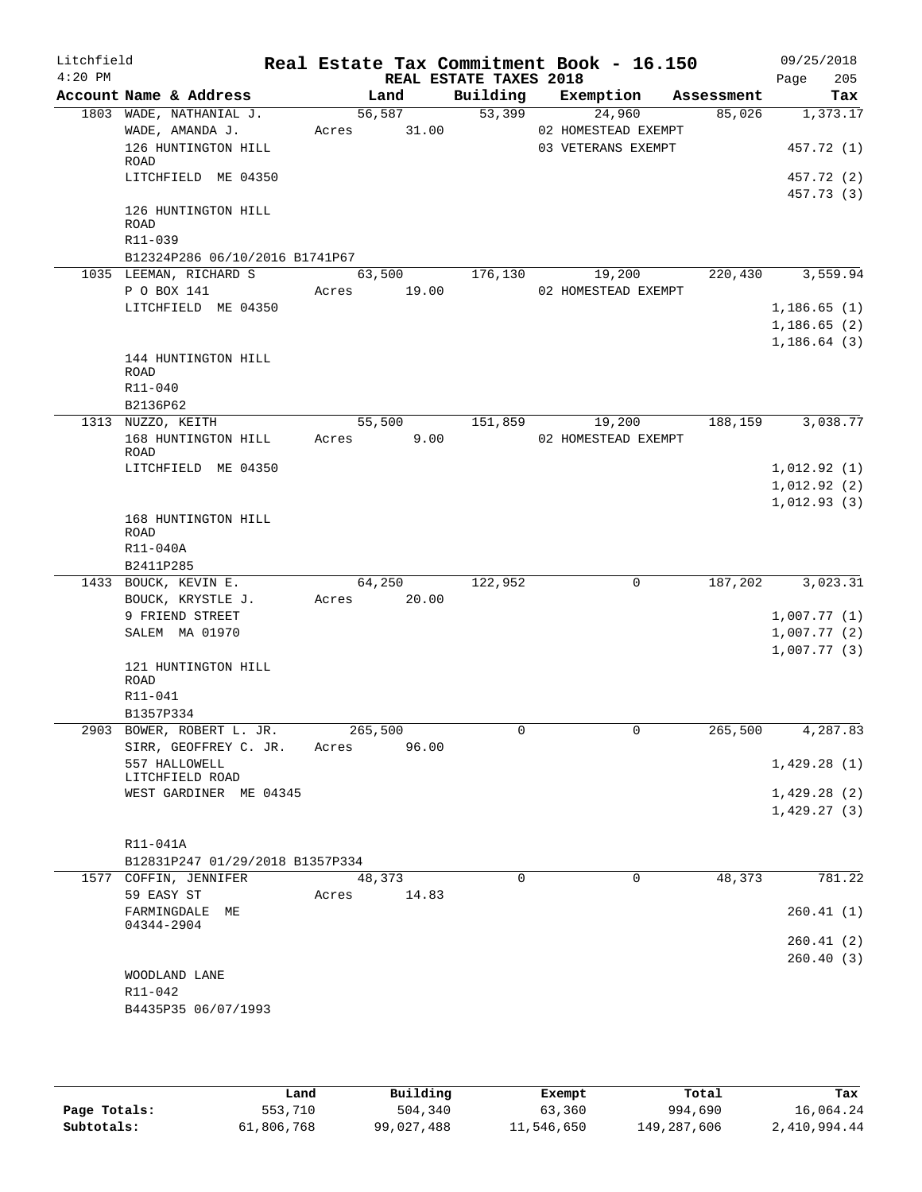| Litchfield |                                                   |                |       |                        | Real Estate Tax Commitment Book - 16.150 |         | 09/25/2018                 |
|------------|---------------------------------------------------|----------------|-------|------------------------|------------------------------------------|---------|----------------------------|
| $4:20$ PM  |                                                   |                |       | REAL ESTATE TAXES 2018 |                                          |         | 205<br>Page                |
|            | Account Name & Address<br>1803 WADE, NATHANIAL J. | Land<br>56,587 |       | Building<br>53,399     | Exemption Assessment<br>24,960           | 85,026  | Tax<br>1,373.17            |
|            | WADE, AMANDA J.                                   | Acres 31.00    |       |                        | 02 HOMESTEAD EXEMPT                      |         |                            |
|            | 126 HUNTINGTON HILL                               |                |       |                        | 03 VETERANS EXEMPT                       |         | 457.72 (1)                 |
|            | ROAD                                              |                |       |                        |                                          |         |                            |
|            | LITCHFIELD ME 04350                               |                |       |                        |                                          |         | 457.72 (2)                 |
|            |                                                   |                |       |                        |                                          |         | 457.73 (3)                 |
|            | 126 HUNTINGTON HILL                               |                |       |                        |                                          |         |                            |
|            | ROAD<br>R11-039                                   |                |       |                        |                                          |         |                            |
|            | B12324P286 06/10/2016 B1741P67                    |                |       |                        |                                          |         |                            |
|            | 1035 LEEMAN, RICHARD S                            | 63,500         |       | 176,130                | 19,200                                   | 220,430 | 3,559.94                   |
|            | P O BOX 141                                       | Acres 19.00    |       |                        | 02 HOMESTEAD EXEMPT                      |         |                            |
|            | LITCHFIELD ME 04350                               |                |       |                        |                                          |         | 1,186.65(1)                |
|            |                                                   |                |       |                        |                                          |         | 1,186.65(2)                |
|            |                                                   |                |       |                        |                                          |         | 1,186.64(3)                |
|            | 144 HUNTINGTON HILL                               |                |       |                        |                                          |         |                            |
|            | ROAD                                              |                |       |                        |                                          |         |                            |
|            | R11-040                                           |                |       |                        |                                          |         |                            |
|            | B2136P62                                          |                |       |                        |                                          |         |                            |
|            | 1313 NUZZO, KEITH                                 |                |       | 55,500 151,859 19,200  |                                          |         | 188,159 3,038.77           |
|            | 168 HUNTINGTON HILL<br>ROAD                       | Acres          | 9.00  |                        | 02 HOMESTEAD EXEMPT                      |         |                            |
|            | LITCHFIELD ME 04350                               |                |       |                        |                                          |         | 1,012.92(1)                |
|            |                                                   |                |       |                        |                                          |         | 1,012.92(2)                |
|            |                                                   |                |       |                        |                                          |         | 1,012.93(3)                |
|            | 168 HUNTINGTON HILL                               |                |       |                        |                                          |         |                            |
|            | ROAD                                              |                |       |                        |                                          |         |                            |
|            | R11-040A                                          |                |       |                        |                                          |         |                            |
|            | B2411P285                                         |                |       |                        |                                          |         |                            |
|            | 1433 BOUCK, KEVIN E.                              | 64,250         |       | 122,952                | 0                                        | 187,202 | 3,023.31                   |
|            | BOUCK, KRYSTLE J.<br>9 FRIEND STREET              | Acres 20.00    |       |                        |                                          |         |                            |
|            | SALEM MA 01970                                    |                |       |                        |                                          |         | 1,007.77(1)<br>1,007.77(2) |
|            |                                                   |                |       |                        |                                          |         | 1,007.77(3)                |
|            | 121 HUNTINGTON HILL                               |                |       |                        |                                          |         |                            |
|            | ROAD                                              |                |       |                        |                                          |         |                            |
|            | R11-041                                           |                |       |                        |                                          |         |                            |
|            | B1357P334                                         |                |       |                        |                                          |         |                            |
|            | 2903 BOWER, ROBERT L. JR.                         | 265,500        |       | 0                      | $\mathbf{0}$                             | 265,500 | 4,287.83                   |
|            | SIRR, GEOFFREY C. JR.                             | Acres          | 96.00 |                        |                                          |         |                            |
|            | 557 HALLOWELL<br>LITCHFIELD ROAD                  |                |       |                        |                                          |         | 1,429.28(1)                |
|            | WEST GARDINER ME 04345                            |                |       |                        |                                          |         | 1,429.28(2)                |
|            |                                                   |                |       |                        |                                          |         | 1,429.27(3)                |
|            |                                                   |                |       |                        |                                          |         |                            |
|            | R11-041A                                          |                |       |                        |                                          |         |                            |
|            | B12831P247 01/29/2018 B1357P334                   |                |       |                        |                                          |         |                            |
|            | 1577 COFFIN, JENNIFER                             | 48,373         |       | $\mathbf 0$            | $\mathbf 0$                              | 48,373  | 781.22                     |
|            | 59 EASY ST                                        | Acres          | 14.83 |                        |                                          |         |                            |
|            | FARMINGDALE ME                                    |                |       |                        |                                          |         | 260.41(1)                  |
|            | 04344-2904                                        |                |       |                        |                                          |         |                            |
|            |                                                   |                |       |                        |                                          |         | 260.41(2)                  |
|            |                                                   |                |       |                        |                                          |         | 260.40(3)                  |
|            | WOODLAND LANE<br>R11-042                          |                |       |                        |                                          |         |                            |
|            | B4435P35 06/07/1993                               |                |       |                        |                                          |         |                            |
|            |                                                   |                |       |                        |                                          |         |                            |
|            |                                                   |                |       |                        |                                          |         |                            |

|              | Land       | Building   | Exempt     | Total       | Tax          |
|--------------|------------|------------|------------|-------------|--------------|
| Page Totals: | 553,710    | 504,340    | 63,360     | 994,690     | 16,064.24    |
| Subtotals:   | 61,806,768 | 99,027,488 | 11,546,650 | 149,287,606 | 2,410,994.44 |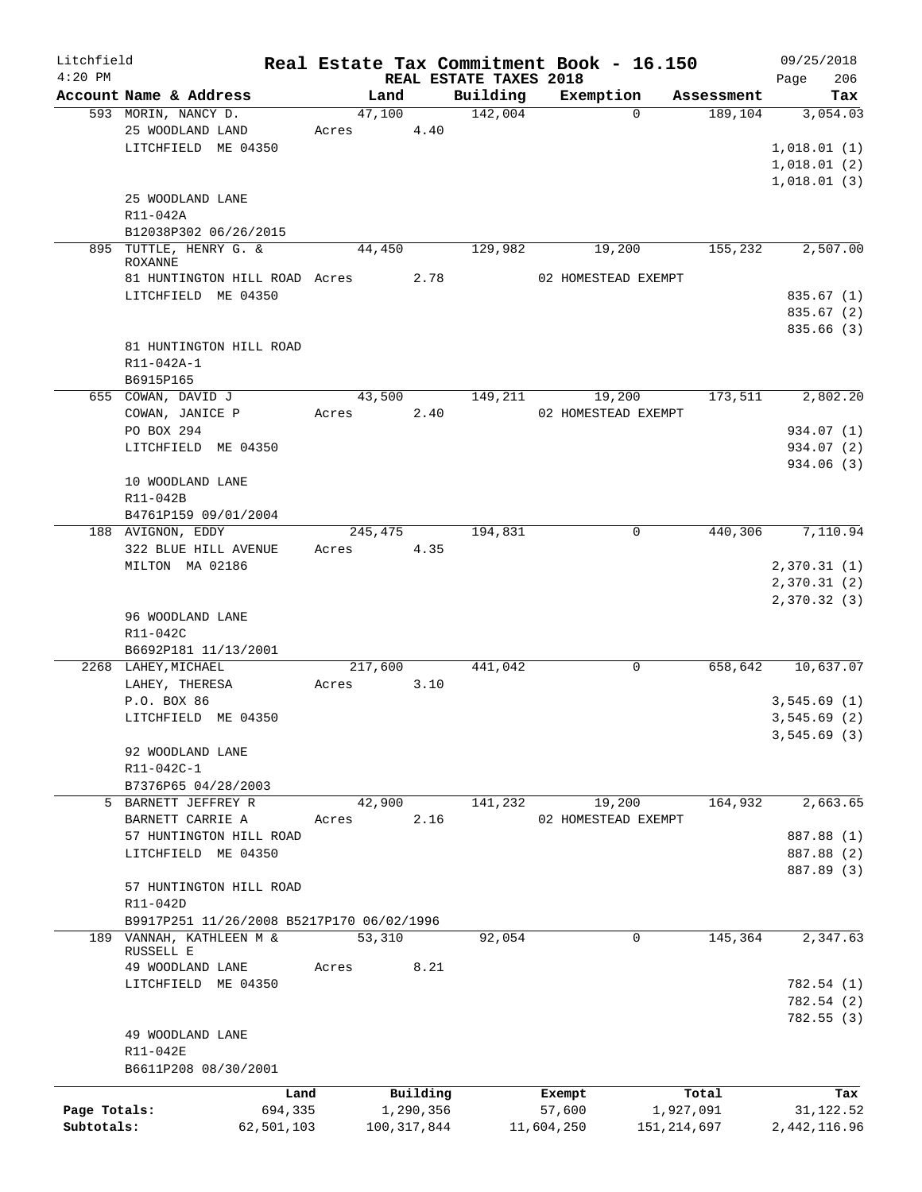| $4:20$ PM    |                                           |               |                                    | Real Estate Tax Commitment Book - 16.150 |                       | 09/25/2018                 |
|--------------|-------------------------------------------|---------------|------------------------------------|------------------------------------------|-----------------------|----------------------------|
|              | Account Name & Address                    | Land          | REAL ESTATE TAXES 2018<br>Building | Exemption                                |                       | 206<br>Page<br>Tax         |
|              | 593 MORIN, NANCY D.                       | 47,100        | 142,004                            | $\Omega$                                 | Assessment<br>189,104 | 3,054.03                   |
|              | 25 WOODLAND LAND                          | 4.40<br>Acres |                                    |                                          |                       |                            |
|              | LITCHFIELD ME 04350                       |               |                                    |                                          |                       | 1,018.01(1)                |
|              |                                           |               |                                    |                                          |                       | 1,018.01(2)                |
|              |                                           |               |                                    |                                          |                       | 1,018.01(3)                |
|              | 25 WOODLAND LANE                          |               |                                    |                                          |                       |                            |
|              | R11-042A                                  |               |                                    |                                          |                       |                            |
|              | B12038P302 06/26/2015                     |               |                                    |                                          |                       |                            |
|              | 895 TUTTLE, HENRY G. &                    | 44,450        | 129,982                            | 19,200                                   | 155,232               | 2,507.00                   |
|              | <b>ROXANNE</b>                            |               |                                    |                                          |                       |                            |
|              | 81 HUNTINGTON HILL ROAD Acres             | 2.78          |                                    | 02 HOMESTEAD EXEMPT                      |                       |                            |
|              | LITCHFIELD ME 04350                       |               |                                    |                                          |                       | 835.67(1)                  |
|              |                                           |               |                                    |                                          |                       | 835.67(2)                  |
|              |                                           |               |                                    |                                          |                       | 835.66 (3)                 |
|              | 81 HUNTINGTON HILL ROAD                   |               |                                    |                                          |                       |                            |
|              | R11-042A-1                                |               |                                    |                                          |                       |                            |
|              | B6915P165                                 |               |                                    |                                          |                       |                            |
|              | 655 COWAN, DAVID J                        | 43,500        | 149,211                            | 19,200                                   | 173,511               | 2,802.20                   |
|              | COWAN, JANICE P                           | 2.40<br>Acres |                                    | 02 HOMESTEAD EXEMPT                      |                       |                            |
|              | PO BOX 294                                |               |                                    |                                          |                       | 934.07 (1)                 |
|              | LITCHFIELD ME 04350                       |               |                                    |                                          |                       | 934.07 (2)                 |
|              |                                           |               |                                    |                                          |                       | 934.06 (3)                 |
|              | 10 WOODLAND LANE                          |               |                                    |                                          |                       |                            |
|              | R11-042B                                  |               |                                    |                                          |                       |                            |
|              | B4761P159 09/01/2004                      |               |                                    |                                          |                       |                            |
|              | 188 AVIGNON, EDDY                         | 245,475       | 194,831                            | $\mathbf 0$                              | 440,306               | 7,110.94                   |
|              | 322 BLUE HILL AVENUE                      | 4.35<br>Acres |                                    |                                          |                       |                            |
|              | MILTON MA 02186                           |               |                                    |                                          |                       |                            |
|              |                                           |               |                                    |                                          |                       | 2,370.31(1)<br>2,370.31(2) |
|              |                                           |               |                                    |                                          |                       |                            |
|              |                                           |               |                                    |                                          |                       | 2,370.32 (3)               |
|              | 96 WOODLAND LANE                          |               |                                    |                                          |                       |                            |
|              | R11-042C                                  |               |                                    |                                          |                       |                            |
|              | B6692P181 11/13/2001                      |               |                                    |                                          |                       |                            |
|              | 2268 LAHEY, MICHAEL                       | 217,600       | 441,042                            | 0                                        | 658,642               | 10,637.07                  |
|              | LAHEY, THERESA                            | 3.10<br>Acres |                                    |                                          |                       |                            |
|              | P.O. BOX 86                               |               |                                    |                                          |                       | 3,545.69(1)                |
|              | LITCHFIELD ME 04350                       |               |                                    |                                          |                       | 3,545.69(2)                |
|              |                                           |               |                                    |                                          |                       | 3,545.69 (3)               |
|              | 92 WOODLAND LANE                          |               |                                    |                                          |                       |                            |
|              | R11-042C-1                                |               |                                    |                                          |                       |                            |
|              | B7376P65 04/28/2003                       |               |                                    |                                          |                       |                            |
|              | 5 BARNETT JEFFREY R                       | 42,900        | 141,232                            | 19,200                                   | 164,932               | 2,663.65                   |
|              | BARNETT CARRIE A                          | 2.16<br>Acres |                                    | 02 HOMESTEAD EXEMPT                      |                       |                            |
|              | 57 HUNTINGTON HILL ROAD                   |               |                                    |                                          |                       | 887.88 (1)                 |
|              | LITCHFIELD ME 04350                       |               |                                    |                                          |                       | 887.88 (2)                 |
|              |                                           |               |                                    |                                          |                       | 887.89 (3)                 |
|              | 57 HUNTINGTON HILL ROAD                   |               |                                    |                                          |                       |                            |
|              | R11-042D                                  |               |                                    |                                          |                       |                            |
|              | B9917P251 11/26/2008 B5217P170 06/02/1996 |               |                                    |                                          |                       |                            |
|              | 189 VANNAH, KATHLEEN M &                  | 53,310        | 92,054                             | 0                                        | 145,364               | 2,347.63                   |
|              | RUSSELL E                                 |               |                                    |                                          |                       |                            |
|              | 49 WOODLAND LANE                          | 8.21<br>Acres |                                    |                                          |                       |                            |
|              | LITCHFIELD ME 04350                       |               |                                    |                                          |                       | 782.54 (1)                 |
|              |                                           |               |                                    |                                          |                       | 782.54 (2)                 |
|              |                                           |               |                                    |                                          |                       | 782.55(3)                  |
|              | 49 WOODLAND LANE                          |               |                                    |                                          |                       |                            |
|              | R11-042E                                  |               |                                    |                                          |                       |                            |
|              | B6611P208 08/30/2001                      |               |                                    |                                          |                       |                            |
|              | Land                                      | Building      |                                    | Exempt                                   | Total                 | Tax                        |
| Page Totals: |                                           |               |                                    |                                          |                       | 31,122.52                  |
| Subtotals:   | 694,335                                   | 1,290,356     |                                    | 57,600<br>1,927,091                      |                       |                            |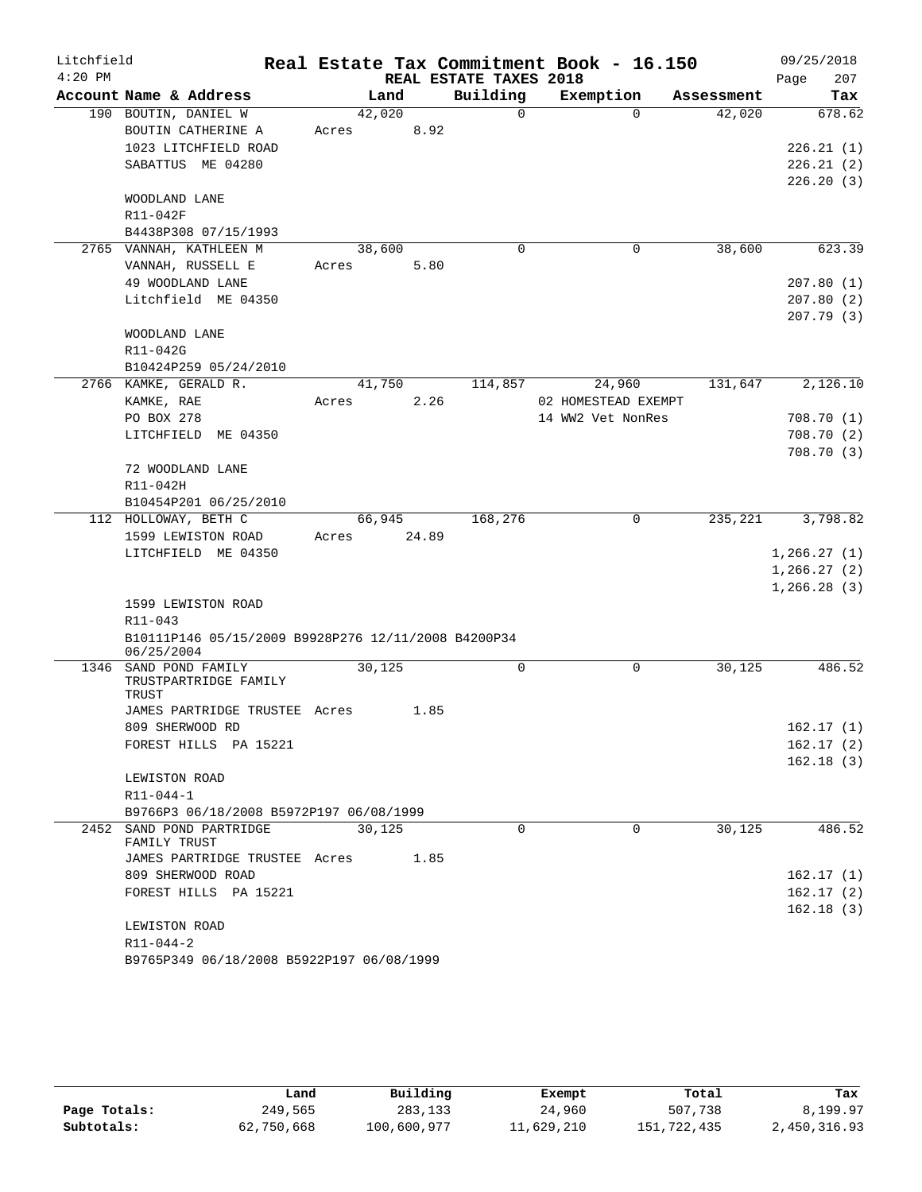| Litchfield |                                                                   |       |        |       |                        | Real Estate Tax Commitment Book - 16.150 |            | 09/25/2018   |
|------------|-------------------------------------------------------------------|-------|--------|-------|------------------------|------------------------------------------|------------|--------------|
| $4:20$ PM  |                                                                   |       |        |       | REAL ESTATE TAXES 2018 |                                          |            | 207<br>Page  |
|            | Account Name & Address                                            |       | Land   |       | Building               | Exemption                                | Assessment | Tax          |
|            | 190 BOUTIN, DANIEL W                                              |       | 42,020 |       | $\Omega$               | $\Omega$                                 | 42,020     | 678.62       |
|            | BOUTIN CATHERINE A                                                | Acres |        | 8.92  |                        |                                          |            |              |
|            | 1023 LITCHFIELD ROAD                                              |       |        |       |                        |                                          |            | 226.21(1)    |
|            | SABATTUS ME 04280                                                 |       |        |       |                        |                                          |            | 226.21(2)    |
|            |                                                                   |       |        |       |                        |                                          |            | 226.20(3)    |
|            | WOODLAND LANE                                                     |       |        |       |                        |                                          |            |              |
|            | R11-042F                                                          |       |        |       |                        |                                          |            |              |
|            | B4438P308 07/15/1993                                              |       |        |       |                        |                                          |            |              |
|            | 2765 VANNAH, KATHLEEN M                                           |       | 38,600 |       | 0                      | 0                                        | 38,600     | 623.39       |
|            | VANNAH, RUSSELL E                                                 | Acres |        | 5.80  |                        |                                          |            |              |
|            | 49 WOODLAND LANE                                                  |       |        |       |                        |                                          |            | 207.80(1)    |
|            | Litchfield ME 04350                                               |       |        |       |                        |                                          |            | 207.80(2)    |
|            |                                                                   |       |        |       |                        |                                          |            | 207.79 (3)   |
|            | WOODLAND LANE                                                     |       |        |       |                        |                                          |            |              |
|            | R11-042G                                                          |       |        |       |                        |                                          |            |              |
|            | B10424P259 05/24/2010                                             |       |        |       |                        |                                          |            |              |
|            | 2766 KAMKE, GERALD R.                                             |       | 41,750 |       | 114,857                | 24,960                                   | 131,647    | 2,126.10     |
|            | KAMKE, RAE                                                        | Acres |        | 2.26  |                        | 02 HOMESTEAD EXEMPT                      |            |              |
|            | PO BOX 278                                                        |       |        |       |                        | 14 WW2 Vet NonRes                        |            | 708.70(1)    |
|            | LITCHFIELD ME 04350                                               |       |        |       |                        |                                          |            | 708.70 (2)   |
|            |                                                                   |       |        |       |                        |                                          |            | 708.70(3)    |
|            | 72 WOODLAND LANE                                                  |       |        |       |                        |                                          |            |              |
|            | R11-042H                                                          |       |        |       |                        |                                          |            |              |
|            | B10454P201 06/25/2010                                             |       |        |       |                        |                                          |            |              |
|            | 112 HOLLOWAY, BETH C                                              |       | 66,945 |       | 168,276                | $\mathbf 0$                              | 235,221    | 3,798.82     |
|            | 1599 LEWISTON ROAD                                                | Acres |        | 24.89 |                        |                                          |            |              |
|            | LITCHFIELD ME 04350                                               |       |        |       |                        |                                          |            | 1, 266.27(1) |
|            |                                                                   |       |        |       |                        |                                          |            | 1, 266.27(2) |
|            |                                                                   |       |        |       |                        |                                          |            | 1, 266.28(3) |
|            | 1599 LEWISTON ROAD                                                |       |        |       |                        |                                          |            |              |
|            | R11-043                                                           |       |        |       |                        |                                          |            |              |
|            | B10111P146 05/15/2009 B9928P276 12/11/2008 B4200P34<br>06/25/2004 |       |        |       |                        |                                          |            |              |
| 1346       | SAND POND FAMILY                                                  |       | 30,125 |       | 0                      | $\mathbf 0$                              | 30,125     | 486.52       |
|            | TRUSTPARTRIDGE FAMILY                                             |       |        |       |                        |                                          |            |              |
|            | TRUST                                                             |       |        |       |                        |                                          |            |              |
|            | JAMES PARTRIDGE TRUSTEE Acres                                     |       |        | 1.85  |                        |                                          |            |              |
|            | 809 SHERWOOD RD                                                   |       |        |       |                        |                                          |            | 162.17(1)    |
|            | FOREST HILLS PA 15221                                             |       |        |       |                        |                                          |            | 162.17(2)    |
|            |                                                                   |       |        |       |                        |                                          |            | 162.18(3)    |
|            | LEWISTON ROAD                                                     |       |        |       |                        |                                          |            |              |
|            | R11-044-1                                                         |       |        |       |                        |                                          |            |              |
|            | B9766P3 06/18/2008 B5972P197 06/08/1999                           |       |        |       |                        |                                          |            |              |
|            | 2452 SAND POND PARTRIDGE                                          |       | 30,125 |       | $\Omega$               | $\Omega$                                 | 30,125     | 486.52       |
|            | FAMILY TRUST                                                      |       |        |       |                        |                                          |            |              |
|            | JAMES PARTRIDGE TRUSTEE Acres                                     |       |        | 1.85  |                        |                                          |            |              |
|            | 809 SHERWOOD ROAD                                                 |       |        |       |                        |                                          |            | 162.17(1)    |
|            | FOREST HILLS PA 15221                                             |       |        |       |                        |                                          |            | 162.17(2)    |
|            |                                                                   |       |        |       |                        |                                          |            | 162.18(3)    |
|            | LEWISTON ROAD                                                     |       |        |       |                        |                                          |            |              |
|            | R11-044-2                                                         |       |        |       |                        |                                          |            |              |
|            | B9765P349 06/18/2008 B5922P197 06/08/1999                         |       |        |       |                        |                                          |            |              |

|              | Land       | Building    | Exempt     | Total       | Tax          |
|--------------|------------|-------------|------------|-------------|--------------|
| Page Totals: | 249,565    | 283,133     | 24,960     | 507,738     | 8,199.97     |
| Subtotals:   | 62,750,668 | 100,600,977 | 11,629,210 | 151,722,435 | 2,450,316.93 |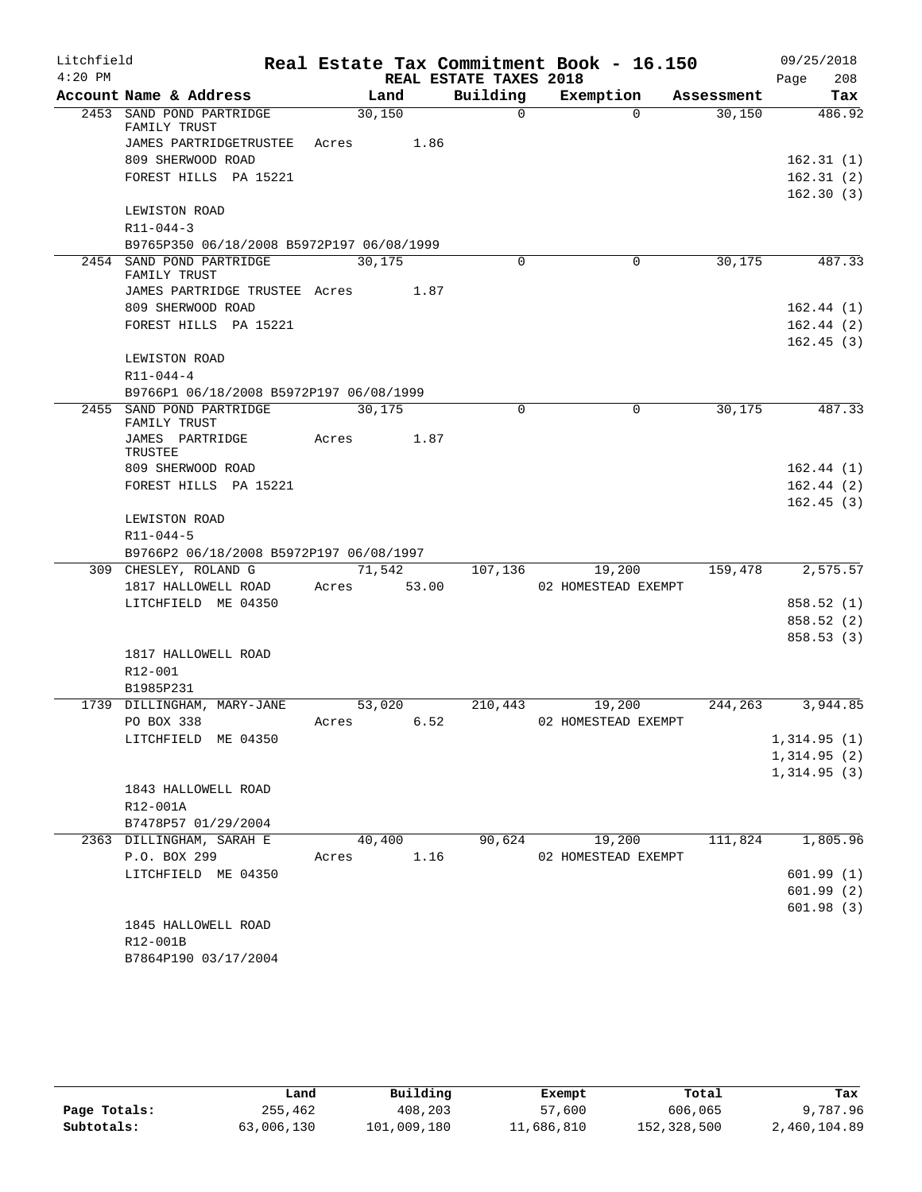| Litchfield |                                            |                |                        | Real Estate Tax Commitment Book - 16.150 |            | 09/25/2018             |
|------------|--------------------------------------------|----------------|------------------------|------------------------------------------|------------|------------------------|
| $4:20$ PM  |                                            |                | REAL ESTATE TAXES 2018 |                                          |            | 208<br>Page            |
|            | Account Name & Address                     | Land           | Building               | Exemption                                | Assessment | Tax                    |
|            | 2453 SAND POND PARTRIDGE<br>FAMILY TRUST   | 30,150         | $\Omega$               | $\Omega$                                 | 30,150     | 486.92                 |
|            | JAMES PARTRIDGETRUSTEE                     | Acres 1.86     |                        |                                          |            |                        |
|            | 809 SHERWOOD ROAD                          |                |                        |                                          |            | 162.31(1)              |
|            | FOREST HILLS PA 15221                      |                |                        |                                          |            | 162.31(2)              |
|            |                                            |                |                        |                                          |            | 162.30(3)              |
|            | LEWISTON ROAD                              |                |                        |                                          |            |                        |
|            | $R11 - 044 - 3$                            |                |                        |                                          |            |                        |
|            | B9765P350 06/18/2008 B5972P197 06/08/1999  |                |                        |                                          |            |                        |
|            | 2454 SAND POND PARTRIDGE<br>FAMILY TRUST   | 30,175         | $\Omega$               | 0                                        | 30,175     | 487.33                 |
|            | JAMES PARTRIDGE TRUSTEE Acres 1.87         |                |                        |                                          |            |                        |
|            | 809 SHERWOOD ROAD                          |                |                        |                                          |            | 162.44(1)              |
|            | FOREST HILLS PA 15221                      |                |                        |                                          |            | 162.44(2)              |
|            |                                            |                |                        |                                          |            | 162.45(3)              |
|            | LEWISTON ROAD                              |                |                        |                                          |            |                        |
|            | $R11 - 044 - 4$                            |                |                        |                                          |            |                        |
|            | B9766P1 06/18/2008 B5972P197 06/08/1999    |                |                        |                                          |            |                        |
|            | 2455 SAND POND PARTRIDGE<br>FAMILY TRUST   | 30,175         | $\Omega$               | 0                                        | 30,175     | 487.33                 |
|            | JAMES PARTRIDGE<br>TRUSTEE                 | 1.87<br>Acres  |                        |                                          |            |                        |
|            | 809 SHERWOOD ROAD                          |                |                        |                                          |            | 162.44(1)              |
|            | FOREST HILLS PA 15221                      |                |                        |                                          |            | 162.44(2)              |
|            |                                            |                |                        |                                          |            | 162.45(3)              |
|            | LEWISTON ROAD                              |                |                        |                                          |            |                        |
|            | R11-044-5                                  |                |                        |                                          |            |                        |
|            | B9766P2 06/18/2008 B5972P197 06/08/1997    |                |                        |                                          |            |                        |
|            | 309 CHESLEY, ROLAND G                      | 71,542         | 107,136                | 19,200                                   | 159,478    | 2,575.57               |
|            | 1817 HALLOWELL ROAD<br>LITCHFIELD ME 04350 | 53.00<br>Acres |                        | 02 HOMESTEAD EXEMPT                      |            |                        |
|            |                                            |                |                        |                                          |            | 858.52(1)<br>858.52(2) |
|            |                                            |                |                        |                                          |            | 858.53(3)              |
|            | 1817 HALLOWELL ROAD                        |                |                        |                                          |            |                        |
|            | R12-001                                    |                |                        |                                          |            |                        |
|            | B1985P231                                  |                |                        |                                          |            |                        |
|            | 1739 DILLINGHAM, MARY-JANE                 | 53,020         | 210,443                | 19,200                                   | 244,263    | 3,944.85               |
|            | PO BOX 338                                 | 6.52<br>Acres  |                        | 02 HOMESTEAD EXEMPT                      |            |                        |
|            | LITCHFIELD ME 04350                        |                |                        |                                          |            | 1,314.95(1)            |
|            |                                            |                |                        |                                          |            | 1,314.95(2)            |
|            |                                            |                |                        |                                          |            | 1,314.95(3)            |
|            | 1843 HALLOWELL ROAD                        |                |                        |                                          |            |                        |
|            | R12-001A<br>B7478P57 01/29/2004            |                |                        |                                          |            |                        |
|            | 2363 DILLINGHAM, SARAH E                   | 40,400         | 90,624                 | 19,200                                   | 111,824    | 1,805.96               |
|            | P.O. BOX 299                               | 1.16<br>Acres  |                        | 02 HOMESTEAD EXEMPT                      |            |                        |
|            | LITCHFIELD ME 04350                        |                |                        |                                          |            | 601.99(1)              |
|            |                                            |                |                        |                                          |            | 601.99(2)              |
|            |                                            |                |                        |                                          |            | 601.98(3)              |
|            | 1845 HALLOWELL ROAD                        |                |                        |                                          |            |                        |
|            | R12-001B                                   |                |                        |                                          |            |                        |
|            | B7864P190 03/17/2004                       |                |                        |                                          |            |                        |

|              | Land       | Building    | Exempt     | Total       | Tax          |
|--------------|------------|-------------|------------|-------------|--------------|
| Page Totals: | 255,462    | 408,203     | 57,600     | 606,065     | 9,787.96     |
| Subtotals:   | 63,006,130 | 101,009,180 | 11,686,810 | 152,328,500 | 2,460,104.89 |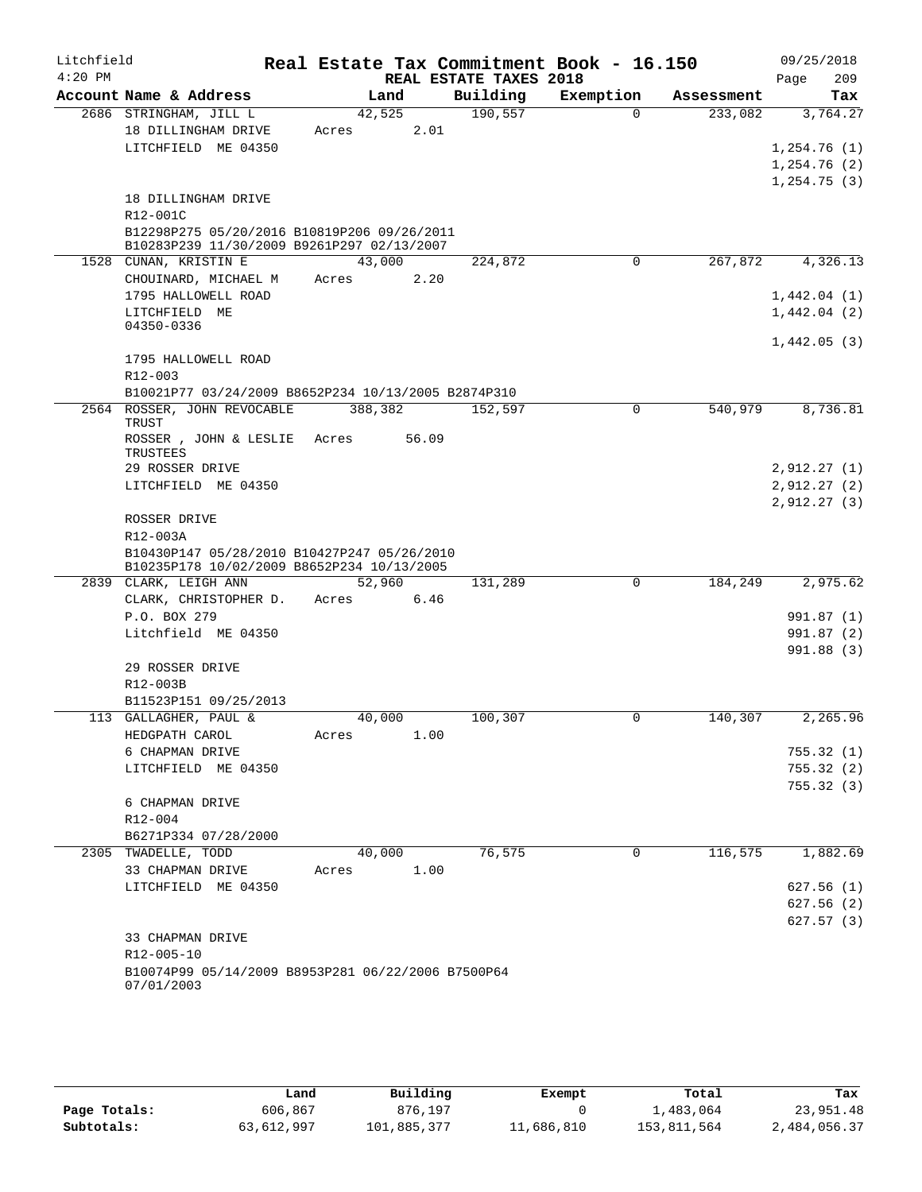| Litchfield |                                                                                           |         |        |                        | Real Estate Tax Commitment Book - 16.150 |            |              | 09/25/2018             |
|------------|-------------------------------------------------------------------------------------------|---------|--------|------------------------|------------------------------------------|------------|--------------|------------------------|
| $4:20$ PM  |                                                                                           |         |        | REAL ESTATE TAXES 2018 |                                          |            | Page         | 209                    |
|            | Account Name & Address                                                                    |         | Land   | Building               | Exemption                                | Assessment |              | Tax                    |
|            | 2686 STRINGHAM, JILL L                                                                    |         | 42,525 | 190,557                | $\Omega$                                 | 233,082    |              | 3,764.27               |
|            | 18 DILLINGHAM DRIVE<br>LITCHFIELD ME 04350                                                | Acres   | 2.01   |                        |                                          |            | 1,254.76(1)  |                        |
|            |                                                                                           |         |        |                        |                                          |            | 1,254.76(2)  |                        |
|            |                                                                                           |         |        |                        |                                          |            | 1, 254.75(3) |                        |
|            | 18 DILLINGHAM DRIVE                                                                       |         |        |                        |                                          |            |              |                        |
|            | R12-001C                                                                                  |         |        |                        |                                          |            |              |                        |
|            | B12298P275 05/20/2016 B10819P206 09/26/2011<br>B10283P239 11/30/2009 B9261P297 02/13/2007 |         |        |                        |                                          |            |              |                        |
|            | 1528 CUNAN, KRISTIN E                                                                     |         | 43,000 | 224,872                | 0                                        | 267,872    |              | 4,326.13               |
|            | CHOUINARD, MICHAEL M                                                                      | Acres   | 2.20   |                        |                                          |            |              |                        |
|            | 1795 HALLOWELL ROAD                                                                       |         |        |                        |                                          |            | 1,442.04(1)  |                        |
|            | LITCHFIELD ME                                                                             |         |        |                        |                                          |            | 1,442.04(2)  |                        |
|            | 04350-0336                                                                                |         |        |                        |                                          |            | 1,442.05(3)  |                        |
|            | 1795 HALLOWELL ROAD                                                                       |         |        |                        |                                          |            |              |                        |
|            | $R12 - 003$                                                                               |         |        |                        |                                          |            |              |                        |
|            | B10021P77 03/24/2009 B8652P234 10/13/2005 B2874P310                                       |         |        |                        |                                          |            |              |                        |
|            | 2564 ROSSER, JOHN REVOCABLE<br>TRUST                                                      | 388,382 |        | 152,597                | $\mathbf 0$                              | 540,979    |              | 8,736.81               |
|            | ROSSER , JOHN & LESLIE<br>TRUSTEES                                                        | Acres   | 56.09  |                        |                                          |            |              |                        |
|            | 29 ROSSER DRIVE                                                                           |         |        |                        |                                          |            | 2,912.27(1)  |                        |
|            | LITCHFIELD ME 04350                                                                       |         |        |                        |                                          |            | 2,912.27(2)  |                        |
|            |                                                                                           |         |        |                        |                                          |            | 2,912.27(3)  |                        |
|            | ROSSER DRIVE                                                                              |         |        |                        |                                          |            |              |                        |
|            | R12-003A                                                                                  |         |        |                        |                                          |            |              |                        |
|            | B10430P147 05/28/2010 B10427P247 05/26/2010<br>B10235P178 10/02/2009 B8652P234 10/13/2005 |         |        |                        |                                          |            |              |                        |
|            | 2839 CLARK, LEIGH ANN                                                                     |         | 52,960 | 131,289                | $\Omega$                                 | 184,249    |              | 2,975.62               |
|            | CLARK, CHRISTOPHER D.                                                                     | Acres   | 6.46   |                        |                                          |            |              |                        |
|            | P.O. BOX 279                                                                              |         |        |                        |                                          |            |              | 991.87 (1)             |
|            | Litchfield ME 04350                                                                       |         |        |                        |                                          |            |              | 991.87 (2)             |
|            |                                                                                           |         |        |                        |                                          |            |              | 991.88(3)              |
|            | 29 ROSSER DRIVE                                                                           |         |        |                        |                                          |            |              |                        |
|            | R12-003B                                                                                  |         |        |                        |                                          |            |              |                        |
|            | B11523P151 09/25/2013                                                                     |         |        |                        |                                          |            |              |                        |
|            | 113 GALLAGHER, PAUL &                                                                     | 40,000  |        | 100,307                | $\mathbf 0$                              | 140,307    |              | 2,265.96               |
|            | HEDGPATH CAROL                                                                            | Acres   | 1.00   |                        |                                          |            |              |                        |
|            | 6 CHAPMAN DRIVE<br>LITCHFIELD ME 04350                                                    |         |        |                        |                                          |            |              | 755.32(1)<br>755.32(2) |
|            |                                                                                           |         |        |                        |                                          |            |              | 755.32(3)              |
|            | 6 CHAPMAN DRIVE                                                                           |         |        |                        |                                          |            |              |                        |
|            | R12-004                                                                                   |         |        |                        |                                          |            |              |                        |
|            | B6271P334 07/28/2000                                                                      |         |        |                        |                                          |            |              |                        |
|            | 2305 TWADELLE, TODD                                                                       | 40,000  |        | 76,575                 | 0                                        | 116,575    |              | 1,882.69               |
|            | 33 CHAPMAN DRIVE                                                                          | Acres   | 1.00   |                        |                                          |            |              |                        |
|            | LITCHFIELD ME 04350                                                                       |         |        |                        |                                          |            |              | 627.56(1)              |
|            |                                                                                           |         |        |                        |                                          |            |              | 627.56(2)              |
|            |                                                                                           |         |        |                        |                                          |            |              | 627.57(3)              |
|            | 33 CHAPMAN DRIVE                                                                          |         |        |                        |                                          |            |              |                        |
|            | R12-005-10                                                                                |         |        |                        |                                          |            |              |                        |
|            | B10074P99 05/14/2009 B8953P281 06/22/2006 B7500P64<br>07/01/2003                          |         |        |                        |                                          |            |              |                        |
|            |                                                                                           |         |        |                        |                                          |            |              |                        |

|              | Land       | Building    | Exempt     | Total       | Tax          |
|--------------|------------|-------------|------------|-------------|--------------|
| Page Totals: | 606,867    | 876,197     |            | 1,483,064   | 23,951.48    |
| Subtotals:   | 63,612,997 | 101,885,377 | 11,686,810 | 153,811,564 | 2,484,056.37 |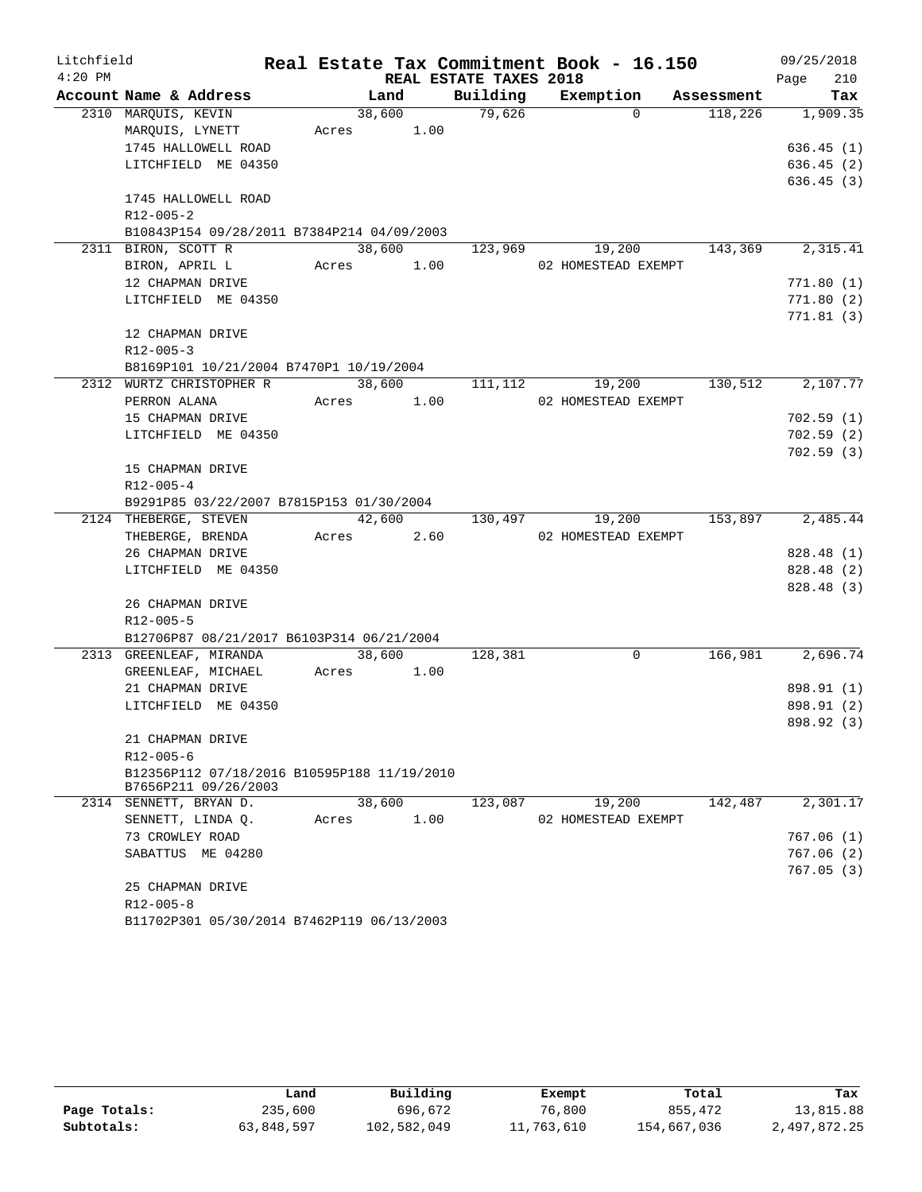| Litchfield |                                             |            |        |                        | Real Estate Tax Commitment Book - 16.150 |            | 09/25/2018  |
|------------|---------------------------------------------|------------|--------|------------------------|------------------------------------------|------------|-------------|
| $4:20$ PM  |                                             |            |        | REAL ESTATE TAXES 2018 |                                          |            | 210<br>Page |
|            | Account Name & Address                      | Land       |        | Building               | Exemption                                | Assessment | Tax         |
|            | 2310 MARQUIS, KEVIN                         | 38,600     |        | 79,626                 | $\Omega$                                 | 118,226    | 1,909.35    |
|            | MARQUIS, LYNETT                             | Acres      | 1.00   |                        |                                          |            |             |
|            | 1745 HALLOWELL ROAD                         |            |        |                        |                                          |            | 636.45(1)   |
|            | LITCHFIELD ME 04350                         |            |        |                        |                                          |            | 636.45(2)   |
|            |                                             |            |        |                        |                                          |            | 636.45(3)   |
|            | 1745 HALLOWELL ROAD<br>$R12 - 005 - 2$      |            |        |                        |                                          |            |             |
|            | B10843P154 09/28/2011 B7384P214 04/09/2003  |            |        |                        |                                          |            |             |
|            | 2311 BIRON, SCOTT R                         | 38,600     |        | 123,969                | 19,200                                   | 143,369    | 2,315.41    |
|            | BIRON, APRIL L                              | Acres 1.00 |        |                        | 02 HOMESTEAD EXEMPT                      |            |             |
|            | 12 CHAPMAN DRIVE                            |            |        |                        |                                          |            | 771.80(1)   |
|            | LITCHFIELD ME 04350                         |            |        |                        |                                          |            | 771.80(2)   |
|            |                                             |            |        |                        |                                          |            | 771.81(3)   |
|            | 12 CHAPMAN DRIVE                            |            |        |                        |                                          |            |             |
|            | $R12 - 005 - 3$                             |            |        |                        |                                          |            |             |
|            | B8169P101 10/21/2004 B7470P1 10/19/2004     |            |        |                        |                                          |            |             |
|            | 2312 WURTZ CHRISTOPHER R                    |            | 38,600 | 111,112                | 19,200                                   | 130,512    | 2,107.77    |
|            | PERRON ALANA                                | Acres      | 1.00   |                        | 02 HOMESTEAD EXEMPT                      |            |             |
|            | 15 CHAPMAN DRIVE                            |            |        |                        |                                          |            | 702.59(1)   |
|            | LITCHFIELD ME 04350                         |            |        |                        |                                          |            | 702.59(2)   |
|            |                                             |            |        |                        |                                          |            | 702.59(3)   |
|            | 15 CHAPMAN DRIVE                            |            |        |                        |                                          |            |             |
|            | $R12 - 005 - 4$                             |            |        |                        |                                          |            |             |
|            | B9291P85 03/22/2007 B7815P153 01/30/2004    |            |        |                        |                                          |            |             |
|            | 2124 THEBERGE, STEVEN                       | 42,600     |        | 130,497                | 19,200                                   | 153,897    | 2,485.44    |
|            | THEBERGE, BRENDA                            | Acres 2.60 |        |                        | 02 HOMESTEAD EXEMPT                      |            |             |
|            | 26 CHAPMAN DRIVE                            |            |        |                        |                                          |            | 828.48 (1)  |
|            | LITCHFIELD ME 04350                         |            |        |                        |                                          |            | 828.48 (2)  |
|            |                                             |            |        |                        |                                          |            | 828.48 (3)  |
|            | 26 CHAPMAN DRIVE                            |            |        |                        |                                          |            |             |
|            | R12-005-5                                   |            |        |                        |                                          |            |             |
|            | B12706P87 08/21/2017 B6103P314 06/21/2004   |            |        |                        |                                          |            |             |
|            | 2313 GREENLEAF, MIRANDA                     | 38,600     |        | 128,381                | $\mathbf 0$                              | 166,981    | 2,696.74    |
|            | GREENLEAF, MICHAEL                          | Acres      | 1.00   |                        |                                          |            | 898.91 (1)  |
|            | 21 CHAPMAN DRIVE<br>LITCHFIELD ME 04350     |            |        |                        |                                          |            | 898.91 (2)  |
|            |                                             |            |        |                        |                                          |            | 898.92 (3)  |
|            | 21 CHAPMAN DRIVE                            |            |        |                        |                                          |            |             |
|            | $R12 - 005 - 6$                             |            |        |                        |                                          |            |             |
|            | B12356P112 07/18/2016 B10595P188 11/19/2010 |            |        |                        |                                          |            |             |
|            | B7656P211 09/26/2003                        |            |        |                        |                                          |            |             |
|            | 2314 SENNETT, BRYAN D.                      | 38,600     |        | 123,087                | 19,200                                   | 142,487    | 2,301.17    |
|            | SENNETT, LINDA Q.                           | Acres      | 1.00   |                        | 02 HOMESTEAD EXEMPT                      |            |             |
|            | 73 CROWLEY ROAD                             |            |        |                        |                                          |            | 767.06(1)   |
|            | SABATTUS ME 04280                           |            |        |                        |                                          |            | 767.06(2)   |
|            |                                             |            |        |                        |                                          |            | 767.05(3)   |
|            | 25 CHAPMAN DRIVE                            |            |        |                        |                                          |            |             |
|            | $R12 - 005 - 8$                             |            |        |                        |                                          |            |             |
|            | B11702P301 05/30/2014 B7462P119 06/13/2003  |            |        |                        |                                          |            |             |

|              | Land       | Building    | Exempt     | Total       | Tax          |
|--------------|------------|-------------|------------|-------------|--------------|
| Page Totals: | 235,600    | 696,672     | 76,800     | 855,472     | 13,815.88    |
| Subtotals:   | 63,848,597 | 102,582,049 | 11,763,610 | 154,667,036 | 2,497,872.25 |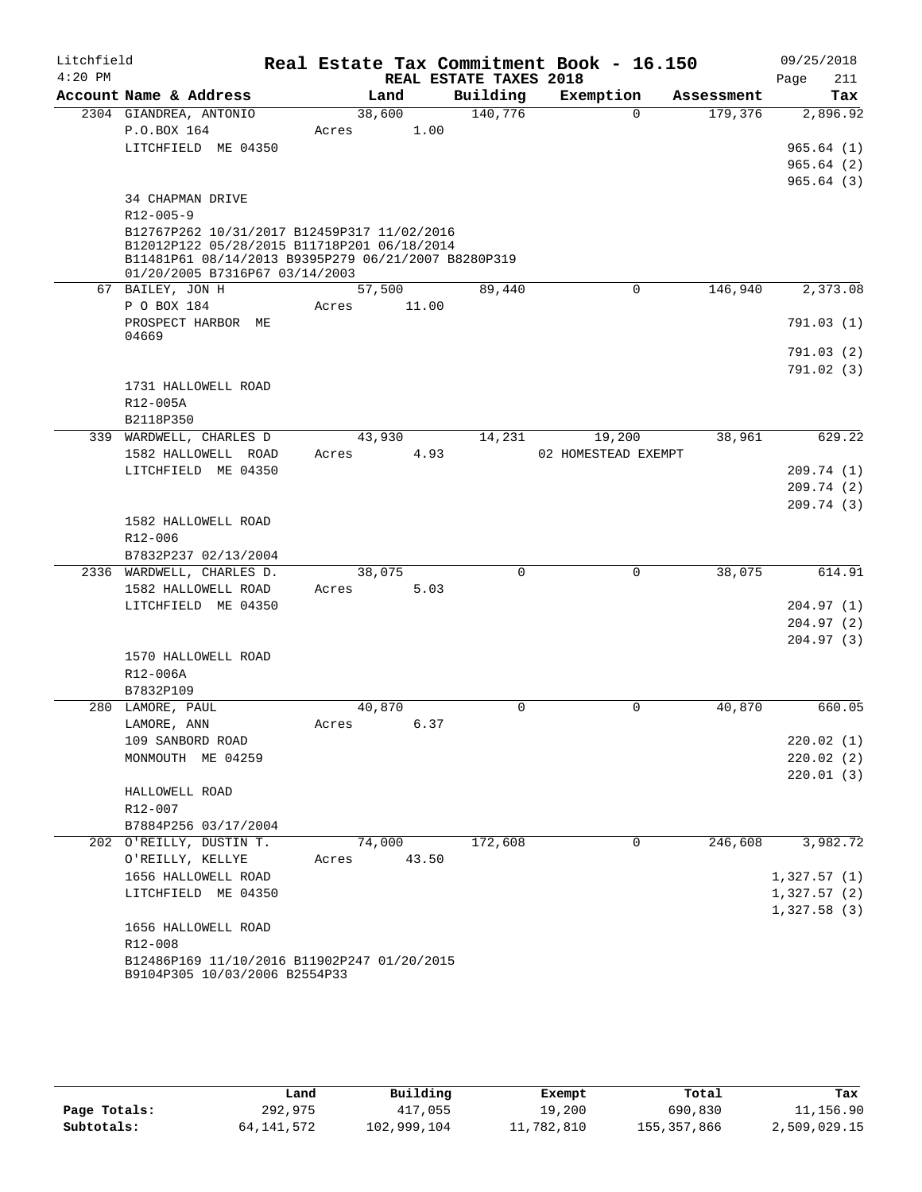| Litchfield<br>$4:20$ PM |                                                                                            |       |        | REAL ESTATE TAXES 2018 | Real Estate Tax Commitment Book - 16.150 |            | 09/25/2018<br>211<br>Page |
|-------------------------|--------------------------------------------------------------------------------------------|-------|--------|------------------------|------------------------------------------|------------|---------------------------|
|                         | Account Name & Address                                                                     |       | Land   | Building               | Exemption                                | Assessment | Tax                       |
|                         | 2304 GIANDREA, ANTONIO                                                                     |       | 38,600 | 140,776                | $\Omega$                                 | 179,376    | 2,896.92                  |
|                         | P.O.BOX 164                                                                                | Acres | 1.00   |                        |                                          |            |                           |
|                         | LITCHFIELD ME 04350                                                                        |       |        |                        |                                          |            | 965.64(1)                 |
|                         |                                                                                            |       |        |                        |                                          |            | 965.64(2)                 |
|                         |                                                                                            |       |        |                        |                                          |            | 965.64(3)                 |
|                         | 34 CHAPMAN DRIVE                                                                           |       |        |                        |                                          |            |                           |
|                         | $R12 - 005 - 9$                                                                            |       |        |                        |                                          |            |                           |
|                         | B12767P262 10/31/2017 B12459P317 11/02/2016<br>B12012P122 05/28/2015 B11718P201 06/18/2014 |       |        |                        |                                          |            |                           |
|                         | B11481P61 08/14/2013 B9395P279 06/21/2007 B8280P319                                        |       |        |                        |                                          |            |                           |
|                         | 01/20/2005 B7316P67 03/14/2003                                                             |       |        |                        |                                          |            |                           |
|                         | 67 BAILEY, JON H                                                                           |       | 57,500 | 89,440                 | $\mathsf{O}$                             | 146,940    | 2,373.08                  |
|                         | P O BOX 184                                                                                | Acres | 11.00  |                        |                                          |            |                           |
|                         | PROSPECT HARBOR ME<br>04669                                                                |       |        |                        |                                          |            | 791.03(1)                 |
|                         |                                                                                            |       |        |                        |                                          |            | 791.03 (2)                |
|                         |                                                                                            |       |        |                        |                                          |            | 791.02(3)                 |
|                         | 1731 HALLOWELL ROAD                                                                        |       |        |                        |                                          |            |                           |
|                         | R12-005A                                                                                   |       |        |                        |                                          |            |                           |
|                         | B2118P350                                                                                  |       |        |                        |                                          |            |                           |
|                         | 339 WARDWELL, CHARLES D                                                                    |       | 43,930 | 14,231                 | 19,200                                   | 38,961     | 629.22                    |
|                         | 1582 HALLOWELL ROAD                                                                        | Acres | 4.93   |                        | 02 HOMESTEAD EXEMPT                      |            |                           |
|                         | LITCHFIELD ME 04350                                                                        |       |        |                        |                                          |            | 209.74 (1)                |
|                         |                                                                                            |       |        |                        |                                          |            | 209.74(2)                 |
|                         | 1582 HALLOWELL ROAD                                                                        |       |        |                        |                                          |            | 209.74(3)                 |
|                         | R12-006                                                                                    |       |        |                        |                                          |            |                           |
|                         | B7832P237 02/13/2004                                                                       |       |        |                        |                                          |            |                           |
|                         | 2336 WARDWELL, CHARLES D.                                                                  |       | 38,075 | $\mathbf 0$            | $\mathbf 0$                              | 38,075     | 614.91                    |
|                         | 1582 HALLOWELL ROAD                                                                        | Acres | 5.03   |                        |                                          |            |                           |
|                         | LITCHFIELD ME 04350                                                                        |       |        |                        |                                          |            | 204.97(1)                 |
|                         |                                                                                            |       |        |                        |                                          |            | 204.97(2)                 |
|                         |                                                                                            |       |        |                        |                                          |            | 204.97(3)                 |
|                         | 1570 HALLOWELL ROAD                                                                        |       |        |                        |                                          |            |                           |
|                         | R12-006A                                                                                   |       |        |                        |                                          |            |                           |
|                         | B7832P109                                                                                  |       |        |                        |                                          |            |                           |
|                         | 280 LAMORE, PAUL                                                                           |       | 40,870 | $\mathbf 0$            | 0                                        | 40,870     | 660.05                    |
|                         | LAMORE, ANN<br>109 SANBORD ROAD                                                            | Acres | 6.37   |                        |                                          |            |                           |
|                         | MONMOUTH ME 04259                                                                          |       |        |                        |                                          |            | 220.02(1)<br>220.02(2)    |
|                         |                                                                                            |       |        |                        |                                          |            | 220.01(3)                 |
|                         | HALLOWELL ROAD                                                                             |       |        |                        |                                          |            |                           |
|                         | R12-007                                                                                    |       |        |                        |                                          |            |                           |
|                         | B7884P256 03/17/2004                                                                       |       |        |                        |                                          |            |                           |
|                         | 202 O'REILLY, DUSTIN T.                                                                    |       | 74,000 | 172,608                | 0                                        | 246,608    | 3,982.72                  |
|                         | O'REILLY, KELLYE                                                                           | Acres | 43.50  |                        |                                          |            |                           |
|                         | 1656 HALLOWELL ROAD                                                                        |       |        |                        |                                          |            | 1,327.57(1)               |
|                         | LITCHFIELD ME 04350                                                                        |       |        |                        |                                          |            | 1,327.57(2)               |
|                         |                                                                                            |       |        |                        |                                          |            | 1,327.58(3)               |
|                         | 1656 HALLOWELL ROAD                                                                        |       |        |                        |                                          |            |                           |
|                         | R12-008                                                                                    |       |        |                        |                                          |            |                           |
|                         | B12486P169 11/10/2016 B11902P247 01/20/2015<br>B9104P305 10/03/2006 B2554P33               |       |        |                        |                                          |            |                           |
|                         |                                                                                            |       |        |                        |                                          |            |                           |

|              | Land       | Building    | Exempt     | Total       | Tax          |
|--------------|------------|-------------|------------|-------------|--------------|
| Page Totals: | 292,975    | 417,055     | 19,200     | 690,830     | 11,156.90    |
| Subtotals:   | 64,141,572 | 102,999,104 | 11,782,810 | 155,357,866 | 2,509,029.15 |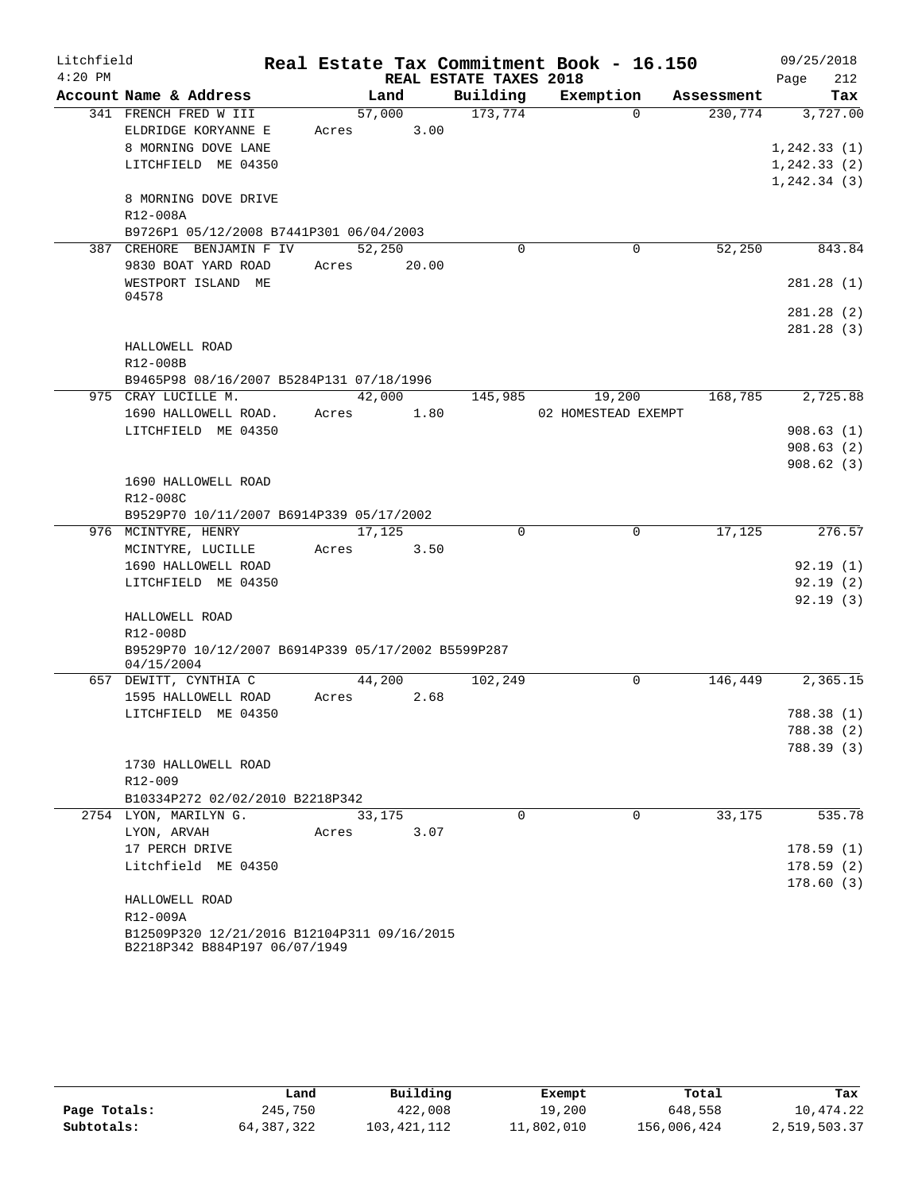| Litchfield |                                                    |       |        |                        | Real Estate Tax Commitment Book - 16.150 |            | 09/25/2018   |
|------------|----------------------------------------------------|-------|--------|------------------------|------------------------------------------|------------|--------------|
| $4:20$ PM  |                                                    |       |        | REAL ESTATE TAXES 2018 |                                          |            | 212<br>Page  |
|            | Account Name & Address                             |       | Land   | Building               | Exemption                                | Assessment | Tax          |
|            | 341 FRENCH FRED W III                              |       | 57,000 | 173,774                | $\Omega$                                 | 230,774    | 3,727.00     |
|            | ELDRIDGE KORYANNE E                                | Acres | 3.00   |                        |                                          |            |              |
|            | 8 MORNING DOVE LANE                                |       |        |                        |                                          |            | 1,242.33(1)  |
|            | LITCHFIELD ME 04350                                |       |        |                        |                                          |            | 1, 242.33(2) |
|            |                                                    |       |        |                        |                                          |            | 1, 242.34(3) |
|            | 8 MORNING DOVE DRIVE                               |       |        |                        |                                          |            |              |
|            | R12-008A                                           |       |        |                        |                                          |            |              |
|            | B9726P1 05/12/2008 B7441P301 06/04/2003            |       |        |                        |                                          |            |              |
|            | 387 CREHORE BENJAMIN F IV                          |       | 52,250 | $\Omega$               | 0                                        | 52,250     | 843.84       |
|            | 9830 BOAT YARD ROAD                                | Acres | 20.00  |                        |                                          |            |              |
|            | WESTPORT ISLAND ME<br>04578                        |       |        |                        |                                          |            | 281.28(1)    |
|            |                                                    |       |        |                        |                                          |            | 281.28(2)    |
|            |                                                    |       |        |                        |                                          |            | 281.28(3)    |
|            | HALLOWELL ROAD                                     |       |        |                        |                                          |            |              |
|            | R12-008B                                           |       |        |                        |                                          |            |              |
|            | B9465P98 08/16/2007 B5284P131 07/18/1996           |       |        |                        |                                          |            |              |
|            | 975 CRAY LUCILLE M.                                |       | 42,000 | 145,985                | 19,200                                   | 168,785    | 2,725.88     |
|            | 1690 HALLOWELL ROAD.                               | Acres | 1.80   |                        | 02 HOMESTEAD EXEMPT                      |            |              |
|            | LITCHFIELD ME 04350                                |       |        |                        |                                          |            | 908.63(1)    |
|            |                                                    |       |        |                        |                                          |            | 908.63(2)    |
|            |                                                    |       |        |                        |                                          |            | 908.62(3)    |
|            | 1690 HALLOWELL ROAD                                |       |        |                        |                                          |            |              |
|            | R12-008C                                           |       |        |                        |                                          |            |              |
|            | B9529P70 10/11/2007 B6914P339 05/17/2002           |       |        |                        |                                          |            |              |
|            | 976 MCINTYRE, HENRY                                |       | 17,125 | $\Omega$               | $\Omega$                                 | 17,125     | 276.57       |
|            | MCINTYRE, LUCILLE                                  | Acres | 3.50   |                        |                                          |            |              |
|            | 1690 HALLOWELL ROAD                                |       |        |                        |                                          |            | 92.19(1)     |
|            | LITCHFIELD ME 04350                                |       |        |                        |                                          |            | 92.19(2)     |
|            |                                                    |       |        |                        |                                          |            | 92.19(3)     |
|            | HALLOWELL ROAD                                     |       |        |                        |                                          |            |              |
|            | R12-008D                                           |       |        |                        |                                          |            |              |
|            | B9529P70 10/12/2007 B6914P339 05/17/2002 B5599P287 |       |        |                        |                                          |            |              |
|            | 04/15/2004                                         |       | 44,200 |                        | 0                                        | 146,449    | 2,365.15     |
|            | 657 DEWITT, CYNTHIA C<br>1595 HALLOWELL ROAD       | Acres | 2.68   | 102,249                |                                          |            |              |
|            | LITCHFIELD ME 04350                                |       |        |                        |                                          |            | 788.38(1)    |
|            |                                                    |       |        |                        |                                          |            | 788.38 (2)   |
|            |                                                    |       |        |                        |                                          |            | 788.39 (3)   |
|            | 1730 HALLOWELL ROAD                                |       |        |                        |                                          |            |              |
|            | R12-009                                            |       |        |                        |                                          |            |              |
|            | B10334P272 02/02/2010 B2218P342                    |       |        |                        |                                          |            |              |
|            | 2754 LYON, MARILYN G.                              |       | 33,175 | $\Omega$               | $\Omega$                                 | 33,175     | 535.78       |
|            | LYON, ARVAH                                        | Acres | 3.07   |                        |                                          |            |              |
|            | 17 PERCH DRIVE                                     |       |        |                        |                                          |            | 178.59(1)    |
|            | Litchfield ME 04350                                |       |        |                        |                                          |            | 178.59(2)    |
|            |                                                    |       |        |                        |                                          |            | 178.60(3)    |
|            | HALLOWELL ROAD                                     |       |        |                        |                                          |            |              |
|            | R12-009A                                           |       |        |                        |                                          |            |              |
|            | B12509P320 12/21/2016 B12104P311 09/16/2015        |       |        |                        |                                          |            |              |
|            | B2218P342 B884P197 06/07/1949                      |       |        |                        |                                          |            |              |

|              | Land       | Building    | Exempt     | Total       | Tax          |
|--------------|------------|-------------|------------|-------------|--------------|
| Page Totals: | 245,750    | 422,008     | 19,200     | 648,558     | 10,474.22    |
| Subtotals:   | 64,387,322 | 103,421,112 | 11,802,010 | 156,006,424 | 2,519,503.37 |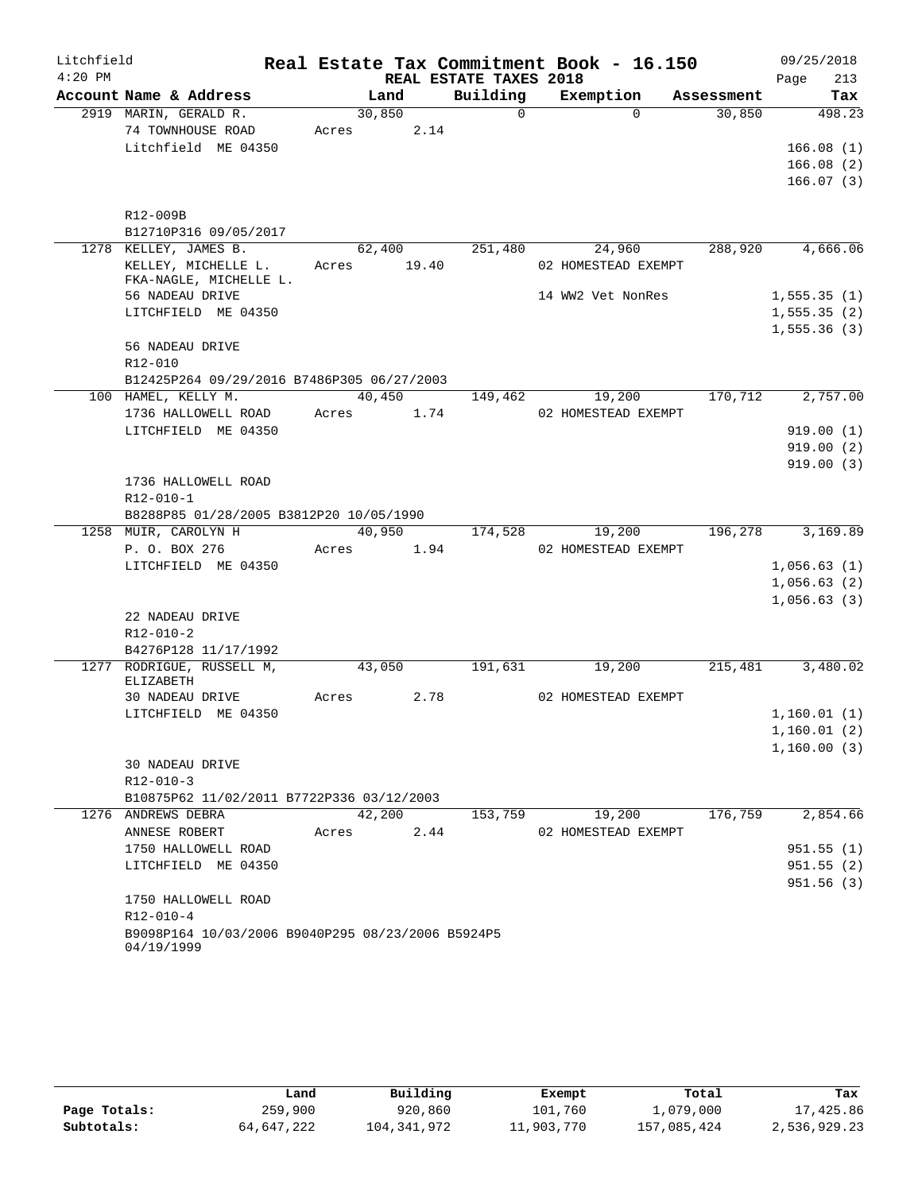| Litchfield |                                                   |                 |        |                        | Real Estate Tax Commitment Book - 16.150 |            | 09/25/2018              |
|------------|---------------------------------------------------|-----------------|--------|------------------------|------------------------------------------|------------|-------------------------|
| $4:20$ PM  |                                                   |                 |        | REAL ESTATE TAXES 2018 |                                          |            | 213<br>Page             |
|            | Account Name & Address                            |                 | Land   | Building               | Exemption                                | Assessment | Tax                     |
|            | 2919 MARIN, GERALD R.                             | 30,850          |        | $\mathbf 0$            | $\Omega$                                 | 30,850     | 498.23                  |
|            | 74 TOWNHOUSE ROAD                                 | Acres           | 2.14   |                        |                                          |            |                         |
|            | Litchfield ME 04350                               |                 |        |                        |                                          |            | 166.08(1)               |
|            |                                                   |                 |        |                        |                                          |            | 166.08(2)               |
|            |                                                   |                 |        |                        |                                          |            | 166.07(3)               |
|            | R12-009B                                          |                 |        |                        |                                          |            |                         |
|            | B12710P316 09/05/2017                             |                 |        |                        |                                          |            |                         |
|            | 1278 KELLEY, JAMES B.                             |                 | 62,400 | 251,480                | 24,960                                   | 288,920    | 4,666.06                |
|            | KELLEY, MICHELLE L.                               | Acres           | 19.40  |                        | 02 HOMESTEAD EXEMPT                      |            |                         |
|            | FKA-NAGLE, MICHELLE L.                            |                 |        |                        |                                          |            |                         |
|            | 56 NADEAU DRIVE                                   |                 |        |                        | 14 WW2 Vet NonRes                        |            | 1, 555.35(1)            |
|            | LITCHFIELD ME 04350                               |                 |        |                        |                                          |            | 1, 555.35(2)            |
|            |                                                   |                 |        |                        |                                          |            | 1, 555.36(3)            |
|            | 56 NADEAU DRIVE                                   |                 |        |                        |                                          |            |                         |
|            | R12-010                                           |                 |        |                        |                                          |            |                         |
|            | B12425P264 09/29/2016 B7486P305 06/27/2003        |                 |        |                        |                                          |            |                         |
|            | 100 HAMEL, KELLY M.                               |                 | 40,450 | 149,462                | 19,200                                   | 170,712    | 2,757.00                |
|            | 1736 HALLOWELL ROAD                               | Acres           | 1.74   |                        | 02 HOMESTEAD EXEMPT                      |            |                         |
|            | LITCHFIELD ME 04350                               |                 |        |                        |                                          |            | 919.00(1)               |
|            |                                                   |                 |        |                        |                                          |            | 919.00(2)               |
|            |                                                   |                 |        |                        |                                          |            | 919.00(3)               |
|            | 1736 HALLOWELL ROAD                               |                 |        |                        |                                          |            |                         |
|            | R12-010-1                                         |                 |        |                        |                                          |            |                         |
|            | B8288P85 01/28/2005 B3812P20 10/05/1990           |                 |        |                        |                                          |            |                         |
|            | 1258 MUIR, CAROLYN H<br>P. O. BOX 276             | 40,950<br>Acres | 1.94   | 174,528                | 19,200<br>02 HOMESTEAD EXEMPT            | 196,278    | 3,169.89                |
|            | LITCHFIELD ME 04350                               |                 |        |                        |                                          |            | 1,056.63(1)             |
|            |                                                   |                 |        |                        |                                          |            | 1,056.63(2)             |
|            |                                                   |                 |        |                        |                                          |            | 1,056.63(3)             |
|            | 22 NADEAU DRIVE                                   |                 |        |                        |                                          |            |                         |
|            | R12-010-2                                         |                 |        |                        |                                          |            |                         |
|            | B4276P128 11/17/1992                              |                 |        |                        |                                          |            |                         |
|            | 1277 RODRIGUE, RUSSELL M,                         |                 | 43,050 | 191,631                | 19,200                                   | 215,481    | 3,480.02                |
|            | <b>ELIZABETH</b>                                  |                 |        |                        |                                          |            |                         |
|            | 30 NADEAU DRIVE                                   | Acres           | 2.78   |                        | 02 HOMESTEAD EXEMPT                      |            |                         |
|            | LITCHFIELD ME 04350                               |                 |        |                        |                                          |            | 1,160.01(1)             |
|            |                                                   |                 |        |                        |                                          |            | 1,160.01(2)             |
|            |                                                   |                 |        |                        |                                          |            | 1,160.00(3)             |
|            | 30 NADEAU DRIVE                                   |                 |        |                        |                                          |            |                         |
|            | R12-010-3                                         |                 |        |                        |                                          |            |                         |
|            | B10875P62 11/02/2011 B7722P336 03/12/2003         |                 |        |                        |                                          |            |                         |
|            | 1276 ANDREWS DEBRA                                | 42,200          |        | 153,759                | 19,200                                   | 176,759    | 2,854.66                |
|            | ANNESE ROBERT                                     | Acres           | 2.44   |                        | 02 HOMESTEAD EXEMPT                      |            |                         |
|            | 1750 HALLOWELL ROAD                               |                 |        |                        |                                          |            | 951.55(1)               |
|            | LITCHFIELD ME 04350                               |                 |        |                        |                                          |            | 951.55(2)<br>951.56 (3) |
|            | 1750 HALLOWELL ROAD                               |                 |        |                        |                                          |            |                         |
|            | $R12 - 010 - 4$                                   |                 |        |                        |                                          |            |                         |
|            | B9098P164 10/03/2006 B9040P295 08/23/2006 B5924P5 |                 |        |                        |                                          |            |                         |
|            | 04/19/1999                                        |                 |        |                        |                                          |            |                         |

|              | Land       | Building    | Exempt     | Total       | Tax          |
|--------------|------------|-------------|------------|-------------|--------------|
| Page Totals: | 259,900    | 920,860     | 101,760    | 1,079,000   | 17,425.86    |
| Subtotals:   | 64,647,222 | 104,341,972 | 11,903,770 | 157,085,424 | 2,536,929.23 |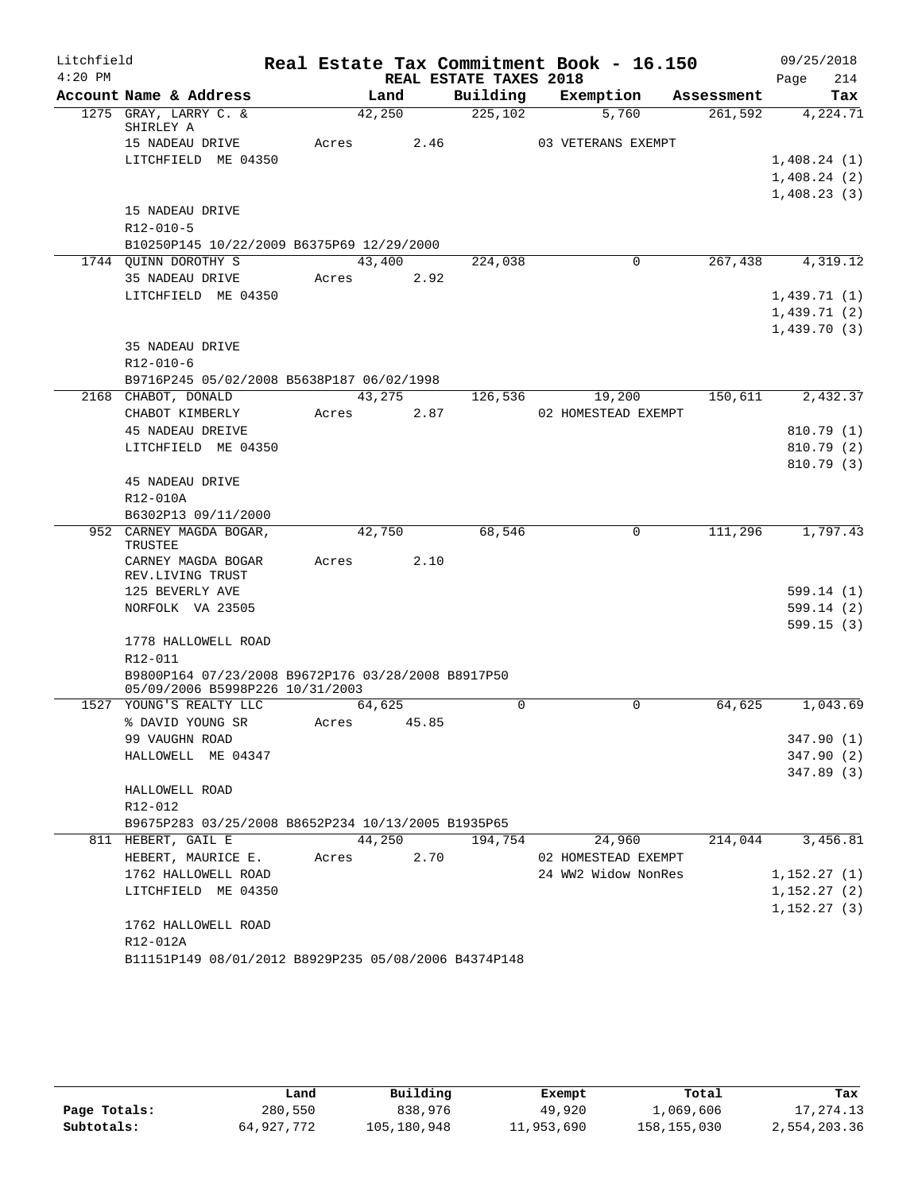| Litchfield |                                                      |       |        |                        | Real Estate Tax Commitment Book - 16.150 |            | 09/25/2018  |
|------------|------------------------------------------------------|-------|--------|------------------------|------------------------------------------|------------|-------------|
| $4:20$ PM  |                                                      |       |        | REAL ESTATE TAXES 2018 |                                          |            | 214<br>Page |
|            | Account Name & Address                               |       | Land   | Building               | Exemption                                | Assessment | Tax         |
|            | 1275 GRAY, LARRY C. &                                |       | 42,250 | 225,102                | 5,760                                    | 261,592    | 4,224.71    |
|            | SHIRLEY A<br>15 NADEAU DRIVE                         | Acres | 2.46   |                        | 03 VETERANS EXEMPT                       |            |             |
|            | LITCHFIELD ME 04350                                  |       |        |                        |                                          |            | 1,408.24(1) |
|            |                                                      |       |        |                        |                                          |            | 1,408.24(2) |
|            |                                                      |       |        |                        |                                          |            | 1,408.23(3) |
|            | 15 NADEAU DRIVE                                      |       |        |                        |                                          |            |             |
|            | R12-010-5                                            |       |        |                        |                                          |            |             |
|            | B10250P145 10/22/2009 B6375P69 12/29/2000            |       |        |                        |                                          |            |             |
|            | 1744 QUINN DOROTHY S                                 |       | 43,400 | 224,038                | $\overline{0}$                           | 267,438    | 4,319.12    |
|            | 35 NADEAU DRIVE                                      | Acres | 2.92   |                        |                                          |            |             |
|            | LITCHFIELD ME 04350                                  |       |        |                        |                                          |            | 1,439.71(1) |
|            |                                                      |       |        |                        |                                          |            | 1,439.71(2) |
|            |                                                      |       |        |                        |                                          |            | 1,439.70(3) |
|            | 35 NADEAU DRIVE                                      |       |        |                        |                                          |            |             |
|            | R12-010-6                                            |       |        |                        |                                          |            |             |
|            | B9716P245 05/02/2008 B5638P187 06/02/1998            |       |        |                        |                                          |            |             |
|            | 2168 CHABOT, DONALD                                  |       | 43,275 | 126,536                | 19,200                                   | 150,611    | 2,432.37    |
|            | CHABOT KIMBERLY                                      | Acres | 2.87   |                        | 02 HOMESTEAD EXEMPT                      |            |             |
|            | 45 NADEAU DREIVE                                     |       |        |                        |                                          |            | 810.79(1)   |
|            | LITCHFIELD ME 04350                                  |       |        |                        |                                          |            | 810.79 (2)  |
|            |                                                      |       |        |                        |                                          |            | 810.79(3)   |
|            | 45 NADEAU DRIVE                                      |       |        |                        |                                          |            |             |
|            | R12-010A                                             |       |        |                        |                                          |            |             |
|            | B6302P13 09/11/2000                                  |       |        |                        |                                          |            |             |
|            | 952 CARNEY MAGDA BOGAR,                              |       | 42,750 | 68,546                 | $\Omega$                                 | 111,296    | 1,797.43    |
|            | TRUSTEE<br>CARNEY MAGDA BOGAR                        | Acres | 2.10   |                        |                                          |            |             |
|            | REV.LIVING TRUST                                     |       |        |                        |                                          |            |             |
|            | 125 BEVERLY AVE                                      |       |        |                        |                                          |            | 599.14(1)   |
|            | NORFOLK VA 23505                                     |       |        |                        |                                          |            | 599.14(2)   |
|            |                                                      |       |        |                        |                                          |            | 599.15(3)   |
|            | 1778 HALLOWELL ROAD                                  |       |        |                        |                                          |            |             |
|            | R12-011                                              |       |        |                        |                                          |            |             |
|            | B9800P164 07/23/2008 B9672P176 03/28/2008 B8917P50   |       |        |                        |                                          |            |             |
|            | 05/09/2006 B5998P226 10/31/2003                      |       |        |                        |                                          |            |             |
|            | 1527 YOUNG'S REALTY LLC                              |       | 64,625 | 0                      | 0                                        | 64,625     | 1,043.69    |
|            | % DAVID YOUNG SR                                     | Acres | 45.85  |                        |                                          |            |             |
|            | 99 VAUGHN ROAD                                       |       |        |                        |                                          |            | 347.90(1)   |
|            | HALLOWELL ME 04347                                   |       |        |                        |                                          |            | 347.90(2)   |
|            |                                                      |       |        |                        |                                          |            | 347.89 (3)  |
|            | HALLOWELL ROAD<br>R12-012                            |       |        |                        |                                          |            |             |
|            | B9675P283 03/25/2008 B8652P234 10/13/2005 B1935P65   |       |        |                        |                                          |            |             |
|            | 811 HEBERT, GAIL E                                   |       | 44,250 | 194,754                | 24,960                                   | 214,044    | 3,456.81    |
|            | HEBERT, MAURICE E.                                   | Acres | 2.70   |                        | 02 HOMESTEAD EXEMPT                      |            |             |
|            | 1762 HALLOWELL ROAD                                  |       |        |                        | 24 WW2 Widow NonRes                      |            | 1,152.27(1) |
|            | LITCHFIELD ME 04350                                  |       |        |                        |                                          |            | 1,152.27(2) |
|            |                                                      |       |        |                        |                                          |            | 1,152.27(3) |
|            | 1762 HALLOWELL ROAD                                  |       |        |                        |                                          |            |             |
|            | R12-012A                                             |       |        |                        |                                          |            |             |
|            | B11151P149 08/01/2012 B8929P235 05/08/2006 B4374P148 |       |        |                        |                                          |            |             |

|              | Land       | Building    | Exempt     | Total       | Tax          |
|--------------|------------|-------------|------------|-------------|--------------|
| Page Totals: | 280,550    | 838,976     | 49,920     | 1,069,606   | 17,274.13    |
| Subtotals:   | 64,927,772 | 105,180,948 | 11,953,690 | 158,155,030 | 2,554,203.36 |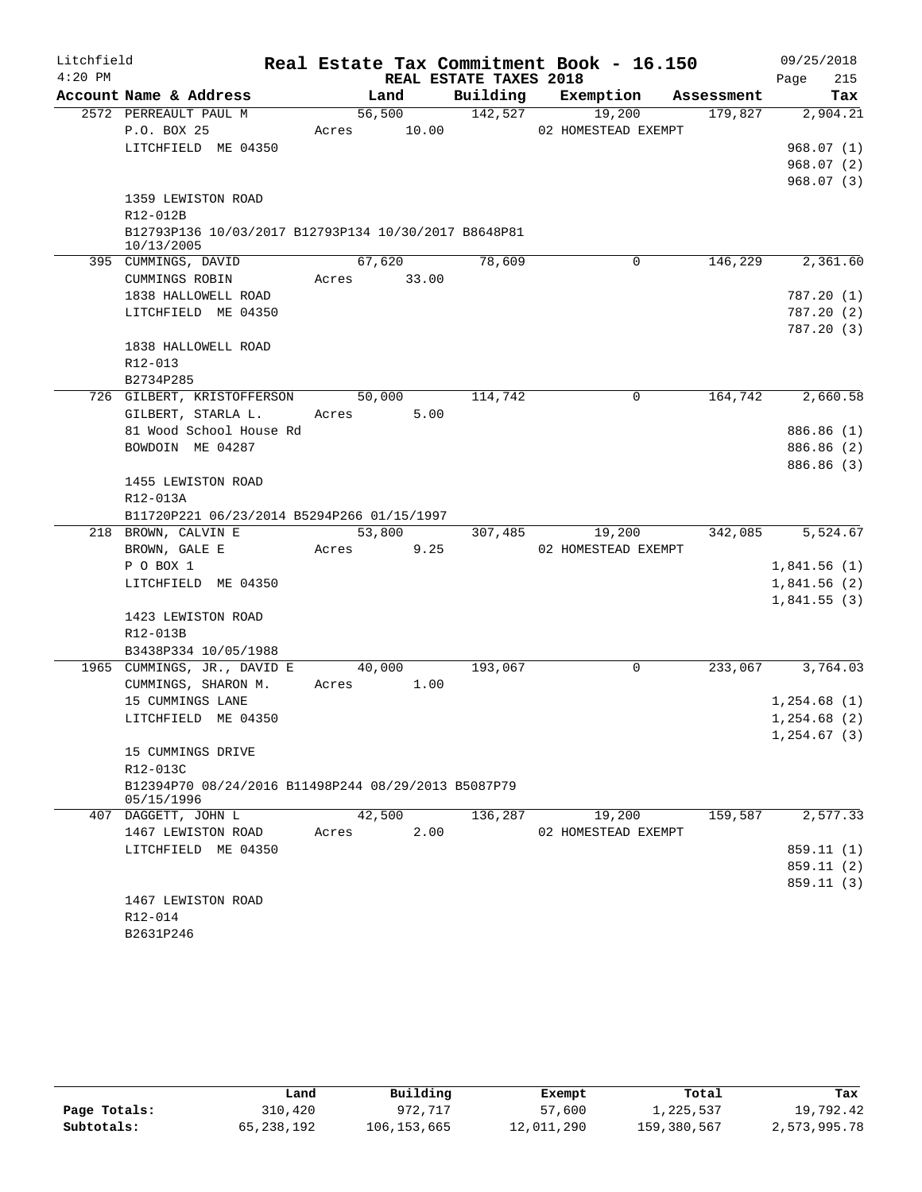| Litchfield<br>$4:20$ PM |                                                                    |             |        | REAL ESTATE TAXES 2018 | Real Estate Tax Commitment Book - 16.150 |                     | 09/25/2018<br>215<br>Page |
|-------------------------|--------------------------------------------------------------------|-------------|--------|------------------------|------------------------------------------|---------------------|---------------------------|
|                         | Account Name & Address                                             |             | Land   | Building               | Exemption                                | Assessment          | Tax                       |
|                         | 2572 PERREAULT PAUL M                                              |             | 56,500 | 142,527                | 19,200                                   | 179,827             | 2,904.21                  |
|                         | P.O. BOX 25                                                        | Acres 10.00 |        |                        | 02 HOMESTEAD EXEMPT                      |                     |                           |
|                         | LITCHFIELD ME 04350                                                |             |        |                        |                                          |                     | 968.07(1)                 |
|                         |                                                                    |             |        |                        |                                          |                     | 968.07(2)                 |
|                         |                                                                    |             |        |                        |                                          |                     | 968.07(3)                 |
|                         | 1359 LEWISTON ROAD                                                 |             |        |                        |                                          |                     |                           |
|                         | R12-012B                                                           |             |        |                        |                                          |                     |                           |
|                         | B12793P136 10/03/2017 B12793P134 10/30/2017 B8648P81<br>10/13/2005 |             |        |                        |                                          |                     |                           |
|                         | 395 CUMMINGS, DAVID                                                |             | 67,620 | 78,609                 |                                          | 146,229<br>$\Omega$ | 2,361.60                  |
|                         | CUMMINGS ROBIN                                                     | Acres 33.00 |        |                        |                                          |                     |                           |
|                         | 1838 HALLOWELL ROAD                                                |             |        |                        |                                          |                     | 787.20(1)                 |
|                         | LITCHFIELD ME 04350                                                |             |        |                        |                                          |                     | 787.20(2)                 |
|                         |                                                                    |             |        |                        |                                          |                     | 787.20(3)                 |
|                         | 1838 HALLOWELL ROAD                                                |             |        |                        |                                          |                     |                           |
|                         | R12-013                                                            |             |        |                        |                                          |                     |                           |
|                         | B2734P285                                                          |             |        |                        |                                          |                     |                           |
|                         | 726 GILBERT, KRISTOFFERSON                                         |             | 50,000 | 114,742                |                                          | 164,742<br>0        | 2,660.58                  |
|                         | GILBERT, STARLA L.                                                 | Acres       | 5.00   |                        |                                          |                     |                           |
|                         | 81 Wood School House Rd                                            |             |        |                        |                                          |                     | 886.86 (1)                |
|                         | BOWDOIN ME 04287                                                   |             |        |                        |                                          |                     | 886.86 (2)                |
|                         |                                                                    |             |        |                        |                                          |                     | 886.86 (3)                |
|                         | 1455 LEWISTON ROAD                                                 |             |        |                        |                                          |                     |                           |
|                         | R12-013A                                                           |             |        |                        |                                          |                     |                           |
|                         | B11720P221 06/23/2014 B5294P266 01/15/1997                         |             |        |                        |                                          |                     |                           |
|                         | 218 BROWN, CALVIN E                                                |             | 53,800 | 307,485                | 19,200                                   | 342,085             | 5,524.67                  |
|                         | BROWN, GALE E                                                      | Acres       | 9.25   |                        | 02 HOMESTEAD EXEMPT                      |                     |                           |
|                         | P O BOX 1                                                          |             |        |                        |                                          |                     | 1,841.56(1)               |
|                         | LITCHFIELD ME 04350                                                |             |        |                        |                                          |                     | 1,841.56(2)               |
|                         |                                                                    |             |        |                        |                                          |                     | 1,841.55(3)               |
|                         | 1423 LEWISTON ROAD                                                 |             |        |                        |                                          |                     |                           |
|                         | R12-013B                                                           |             |        |                        |                                          |                     |                           |
|                         | B3438P334 10/05/1988<br>1965 CUMMINGS, JR., DAVID E                |             | 40,000 | 193,067                |                                          | 233,067<br>0        | 3,764.03                  |
|                         | CUMMINGS, SHARON M.                                                | Acres 1.00  |        |                        |                                          |                     |                           |
|                         | 15 CUMMINGS LANE                                                   |             |        |                        |                                          |                     | 1,254.68(1)               |
|                         | LITCHFIELD ME 04350                                                |             |        |                        |                                          |                     | 1,254.68(2)               |
|                         |                                                                    |             |        |                        |                                          |                     | 1, 254.67(3)              |
|                         | 15 CUMMINGS DRIVE                                                  |             |        |                        |                                          |                     |                           |
|                         | R12-013C                                                           |             |        |                        |                                          |                     |                           |
|                         | B12394P70 08/24/2016 B11498P244 08/29/2013 B5087P79                |             |        |                        |                                          |                     |                           |
|                         | 05/15/1996                                                         |             |        |                        |                                          |                     |                           |
|                         | 407 DAGGETT, JOHN L                                                | 42,500      |        | 136,287                | 19,200                                   | 159,587             | 2,577.33                  |
|                         | 1467 LEWISTON ROAD                                                 | Acres       | 2.00   |                        | 02 HOMESTEAD EXEMPT                      |                     |                           |
|                         | LITCHFIELD ME 04350                                                |             |        |                        |                                          |                     | 859.11 (1)                |
|                         |                                                                    |             |        |                        |                                          |                     | 859.11 (2)                |
|                         |                                                                    |             |        |                        |                                          |                     | 859.11(3)                 |
|                         | 1467 LEWISTON ROAD                                                 |             |        |                        |                                          |                     |                           |
|                         | R12-014                                                            |             |        |                        |                                          |                     |                           |
|                         | B2631P246                                                          |             |        |                        |                                          |                     |                           |

|              | Land       | Building    | Exempt     | Total       | Tax          |
|--------------|------------|-------------|------------|-------------|--------------|
| Page Totals: | 310,420    | 972.717     | 57,600     | 1,225,537   | 19,792.42    |
| Subtotals:   | 65,238,192 | 106,153,665 | 12,011,290 | 159,380,567 | 2,573,995.78 |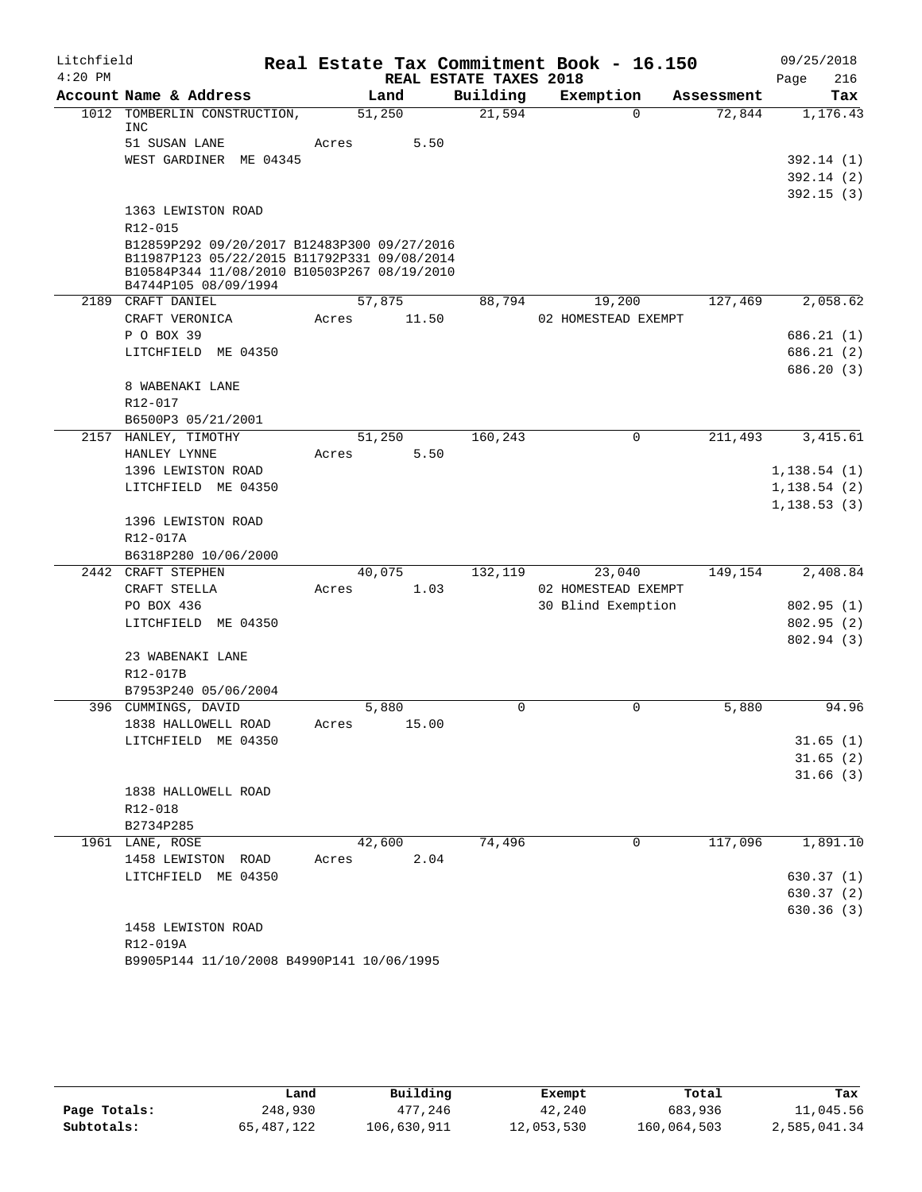| Litchfield | Real Estate Tax Commitment Book - 16.150                                                   |        |                |                        |                               |            |              |
|------------|--------------------------------------------------------------------------------------------|--------|----------------|------------------------|-------------------------------|------------|--------------|
| $4:20$ PM  |                                                                                            |        |                | REAL ESTATE TAXES 2018 |                               |            | 216<br>Page  |
|            | Account Name & Address                                                                     |        | Land           | Building               | Exemption                     | Assessment | Tax          |
|            | 1012 TOMBERLIN CONSTRUCTION,<br>INC                                                        | 51,250 |                | 21,594                 | $\Omega$                      | 72,844     | 1,176.43     |
|            | 51 SUSAN LANE                                                                              | Acres  | 5.50           |                        |                               |            |              |
|            | WEST GARDINER ME 04345                                                                     |        |                |                        |                               |            | 392.14(1)    |
|            |                                                                                            |        |                |                        |                               |            | 392.14(2)    |
|            |                                                                                            |        |                |                        |                               |            | 392.15(3)    |
|            | 1363 LEWISTON ROAD                                                                         |        |                |                        |                               |            |              |
|            | $R12 - 015$                                                                                |        |                |                        |                               |            |              |
|            | B12859P292 09/20/2017 B12483P300 09/27/2016                                                |        |                |                        |                               |            |              |
|            | B11987P123 05/22/2015 B11792P331 09/08/2014<br>B10584P344 11/08/2010 B10503P267 08/19/2010 |        |                |                        |                               |            |              |
|            | B4744P105 08/09/1994                                                                       |        |                |                        |                               |            |              |
|            | 2189 CRAFT DANIEL                                                                          | 57,875 |                | 88,794                 | 19,200                        | 127,469    | 2,058.62     |
|            | CRAFT VERONICA                                                                             | Acres  | 11.50          |                        | 02 HOMESTEAD EXEMPT           |            |              |
|            | P O BOX 39                                                                                 |        |                |                        |                               |            | 686.21 (1)   |
|            | LITCHFIELD ME 04350                                                                        |        |                |                        |                               |            | 686.21(2)    |
|            |                                                                                            |        |                |                        |                               |            | 686.20(3)    |
|            | 8 WABENAKI LANE                                                                            |        |                |                        |                               |            |              |
|            | R12-017                                                                                    |        |                |                        |                               |            |              |
|            | B6500P3 05/21/2001                                                                         |        |                |                        |                               |            |              |
|            | 2157 HANLEY, TIMOTHY                                                                       | 51,250 |                | 160,243                | $\mathbf 0$                   | 211,493    | 3,415.61     |
|            | HANLEY LYNNE                                                                               | Acres  | 5.50           |                        |                               |            |              |
|            | 1396 LEWISTON ROAD                                                                         |        |                |                        |                               |            | 1, 138.54(1) |
|            | LITCHFIELD ME 04350                                                                        |        |                |                        |                               |            | 1, 138.54(2) |
|            |                                                                                            |        |                |                        |                               |            | 1,138.53(3)  |
|            | 1396 LEWISTON ROAD                                                                         |        |                |                        |                               |            |              |
|            | R12-017A                                                                                   |        |                |                        |                               |            |              |
|            | B6318P280 10/06/2000                                                                       |        |                |                        |                               |            |              |
|            | 2442 CRAFT STEPHEN<br>CRAFT STELLA                                                         | Acres  | 40,075<br>1.03 | 132,119                | 23,040<br>02 HOMESTEAD EXEMPT | 149,154    | 2,408.84     |
|            | PO BOX 436                                                                                 |        |                |                        | 30 Blind Exemption            |            | 802.95(1)    |
|            | LITCHFIELD ME 04350                                                                        |        |                |                        |                               |            | 802.95(2)    |
|            |                                                                                            |        |                |                        |                               |            | 802.94 (3)   |
|            | 23 WABENAKI LANE                                                                           |        |                |                        |                               |            |              |
|            | R12-017B                                                                                   |        |                |                        |                               |            |              |
|            | B7953P240 05/06/2004                                                                       |        |                |                        |                               |            |              |
|            | 396 CUMMINGS, DAVID                                                                        |        | 5,880          | $\Omega$               | 0                             | 5,880      | 94.96        |
|            | 1838 HALLOWELL ROAD                                                                        | Acres  | 15.00          |                        |                               |            |              |
|            | LITCHFIELD ME 04350                                                                        |        |                |                        |                               |            | 31.65(1)     |
|            |                                                                                            |        |                |                        |                               |            | 31.65(2)     |
|            |                                                                                            |        |                |                        |                               |            | 31.66(3)     |
|            | 1838 HALLOWELL ROAD                                                                        |        |                |                        |                               |            |              |
|            | R12-018                                                                                    |        |                |                        |                               |            |              |
|            | B2734P285                                                                                  |        |                |                        |                               |            |              |
|            | 1961 LANE, ROSE                                                                            |        | 42,600         | 74,496                 | 0                             | 117,096    | 1,891.10     |
|            | 1458 LEWISTON ROAD                                                                         | Acres  | 2.04           |                        |                               |            |              |
|            | LITCHFIELD ME 04350                                                                        |        |                |                        |                               |            | 630.37(1)    |
|            |                                                                                            |        |                |                        |                               |            | 630.37(2)    |
|            | 1458 LEWISTON ROAD                                                                         |        |                |                        |                               |            | 630.36(3)    |
|            | R12-019A                                                                                   |        |                |                        |                               |            |              |
|            | B9905P144 11/10/2008 B4990P141 10/06/1995                                                  |        |                |                        |                               |            |              |
|            |                                                                                            |        |                |                        |                               |            |              |

|              | Land       | Building    | Exempt     | Total       | Tax          |
|--------------|------------|-------------|------------|-------------|--------------|
| Page Totals: | 248,930    | 477.246     | 42,240     | 683,936     | 11,045.56    |
| Subtotals:   | 65,487,122 | 106,630,911 | 12,053,530 | 160,064,503 | 2,585,041.34 |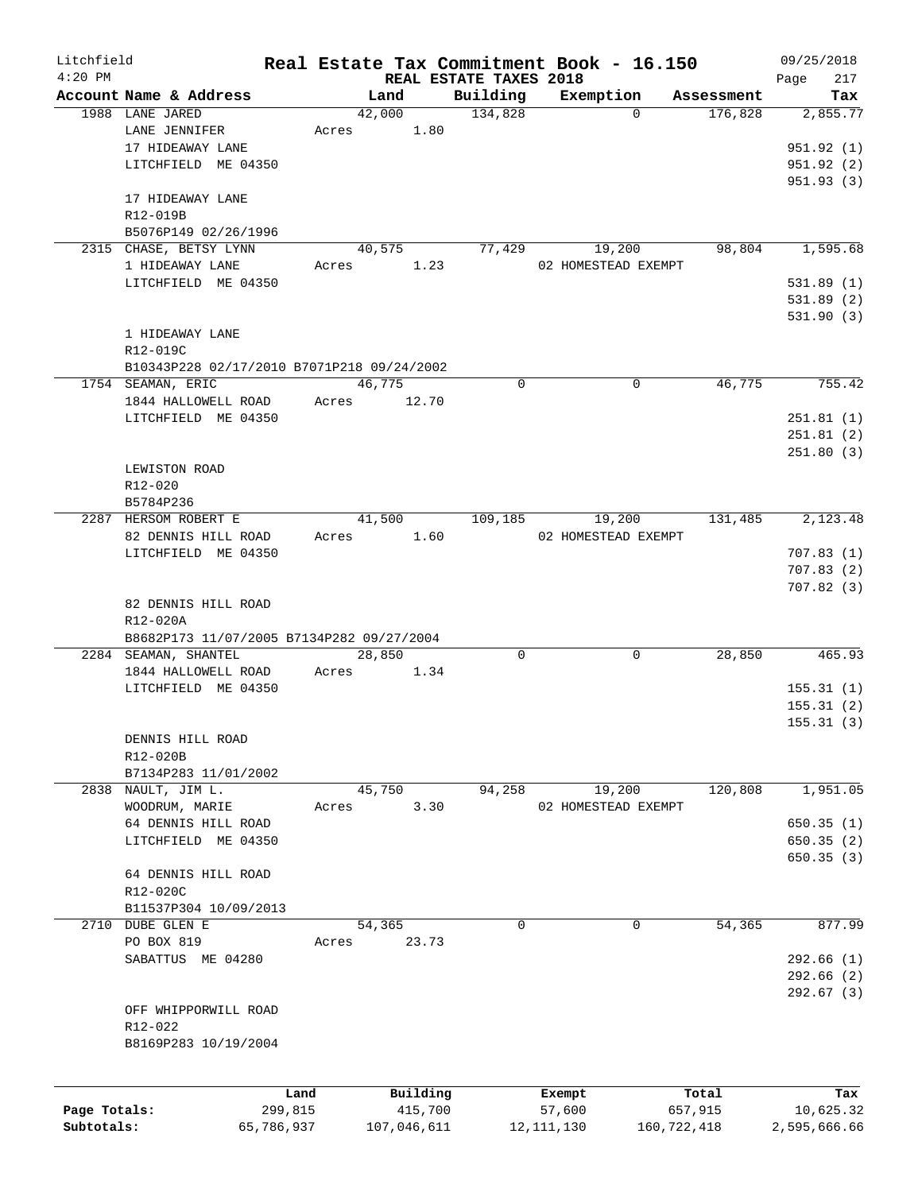| Litchfield   |                                            |            |        |             |                        | Real Estate Tax Commitment Book - 16.150 |                       | 09/25/2018   |
|--------------|--------------------------------------------|------------|--------|-------------|------------------------|------------------------------------------|-----------------------|--------------|
| $4:20$ PM    |                                            |            |        |             | REAL ESTATE TAXES 2018 |                                          |                       | 217<br>Page  |
|              | Account Name & Address<br>1988 LANE JARED  |            | Land   |             | Building               | Exemption<br>$\Omega$                    | Assessment<br>176,828 | Tax          |
|              | LANE JENNIFER                              |            | 42,000 |             | 134,828                |                                          |                       | 2,855.77     |
|              |                                            | Acres      |        | 1.80        |                        |                                          |                       | 951.92(1)    |
|              | 17 HIDEAWAY LANE                           |            |        |             |                        |                                          |                       |              |
|              | LITCHFIELD ME 04350                        |            |        |             |                        |                                          |                       | 951.92 (2)   |
|              |                                            |            |        |             |                        |                                          |                       | 951.93(3)    |
|              | 17 HIDEAWAY LANE                           |            |        |             |                        |                                          |                       |              |
|              | R12-019B                                   |            |        |             |                        |                                          |                       |              |
|              | B5076P149 02/26/1996                       |            |        |             |                        |                                          |                       |              |
|              | 2315 CHASE, BETSY LYNN                     |            | 40,575 |             | 77,429                 | 19,200                                   | 98,804                | 1,595.68     |
|              | 1 HIDEAWAY LANE                            | Acres      |        | 1.23        |                        | 02 HOMESTEAD EXEMPT                      |                       |              |
|              | LITCHFIELD ME 04350                        |            |        |             |                        |                                          |                       | 531.89(1)    |
|              |                                            |            |        |             |                        |                                          |                       | 531.89(2)    |
|              |                                            |            |        |             |                        |                                          |                       | 531.90(3)    |
|              | 1 HIDEAWAY LANE                            |            |        |             |                        |                                          |                       |              |
|              | R12-019C                                   |            |        |             |                        |                                          |                       |              |
|              | B10343P228 02/17/2010 B7071P218 09/24/2002 |            |        |             |                        |                                          |                       |              |
|              | 1754 SEAMAN, ERIC                          |            | 46,775 |             | $\mathbf 0$            | $\mathbf 0$                              | 46,775                | 755.42       |
|              | 1844 HALLOWELL ROAD                        | Acres      |        | 12.70       |                        |                                          |                       |              |
|              | LITCHFIELD ME 04350                        |            |        |             |                        |                                          |                       | 251.81(1)    |
|              |                                            |            |        |             |                        |                                          |                       | 251.81(2)    |
|              |                                            |            |        |             |                        |                                          |                       | 251.80(3)    |
|              | LEWISTON ROAD                              |            |        |             |                        |                                          |                       |              |
|              | R12-020                                    |            |        |             |                        |                                          |                       |              |
|              | B5784P236                                  |            |        |             |                        |                                          |                       |              |
|              | 2287 HERSOM ROBERT E                       |            | 41,500 |             | 109,185                | 19,200                                   | 131,485               | 2,123.48     |
|              | 82 DENNIS HILL ROAD                        | Acres      |        | 1.60        |                        | 02 HOMESTEAD EXEMPT                      |                       |              |
|              | LITCHFIELD ME 04350                        |            |        |             |                        |                                          |                       | 707.83(1)    |
|              |                                            |            |        |             |                        |                                          |                       | 707.83(2)    |
|              |                                            |            |        |             |                        |                                          |                       |              |
|              |                                            |            |        |             |                        |                                          |                       | 707.82(3)    |
|              | 82 DENNIS HILL ROAD                        |            |        |             |                        |                                          |                       |              |
|              | R12-020A                                   |            |        |             |                        |                                          |                       |              |
|              | B8682P173 11/07/2005 B7134P282 09/27/2004  |            |        |             |                        |                                          |                       |              |
|              | 2284 SEAMAN, SHANTEL                       |            | 28,850 |             | 0                      | 0                                        | 28,850                | 465.93       |
|              | 1844 HALLOWELL ROAD                        | Acres      |        | 1.34        |                        |                                          |                       |              |
|              | LITCHFIELD ME 04350                        |            |        |             |                        |                                          |                       | 155.31(1)    |
|              |                                            |            |        |             |                        |                                          |                       | 155.31(2)    |
|              |                                            |            |        |             |                        |                                          |                       | 155.31(3)    |
|              | DENNIS HILL ROAD                           |            |        |             |                        |                                          |                       |              |
|              | R12-020B                                   |            |        |             |                        |                                          |                       |              |
|              | B7134P283 11/01/2002                       |            |        |             |                        |                                          |                       |              |
|              | 2838 NAULT, JIM L.                         |            | 45,750 |             | 94,258                 | 19,200                                   | 120,808               | 1,951.05     |
|              | WOODRUM, MARIE                             | Acres      |        | 3.30        |                        | 02 HOMESTEAD EXEMPT                      |                       |              |
|              | 64 DENNIS HILL ROAD                        |            |        |             |                        |                                          |                       | 650.35(1)    |
|              | LITCHFIELD ME 04350                        |            |        |             |                        |                                          |                       | 650.35(2)    |
|              |                                            |            |        |             |                        |                                          |                       | 650.35(3)    |
|              | 64 DENNIS HILL ROAD                        |            |        |             |                        |                                          |                       |              |
|              | R12-020C                                   |            |        |             |                        |                                          |                       |              |
|              | B11537P304 10/09/2013                      |            |        |             |                        |                                          |                       |              |
|              | 2710 DUBE GLEN E                           |            | 54,365 |             | 0                      | 0                                        | 54,365                | 877.99       |
|              | PO BOX 819                                 | Acres      |        | 23.73       |                        |                                          |                       |              |
|              | SABATTUS ME 04280                          |            |        |             |                        |                                          |                       | 292.66(1)    |
|              |                                            |            |        |             |                        |                                          |                       | 292.66(2)    |
|              |                                            |            |        |             |                        |                                          |                       | 292.67(3)    |
|              | OFF WHIPPORWILL ROAD                       |            |        |             |                        |                                          |                       |              |
|              | R12-022                                    |            |        |             |                        |                                          |                       |              |
|              | B8169P283 10/19/2004                       |            |        |             |                        |                                          |                       |              |
|              |                                            |            |        |             |                        |                                          |                       |              |
|              |                                            |            |        |             |                        |                                          |                       |              |
|              |                                            | Land       |        | Building    |                        | Exempt                                   | Total                 | Tax          |
| Page Totals: |                                            | 299,815    |        | 415,700     |                        | 57,600                                   | 657,915               | 10,625.32    |
| Subtotals:   |                                            | 65,786,937 |        | 107,046,611 |                        | 12, 111, 130                             | 160,722,418           | 2,595,666.66 |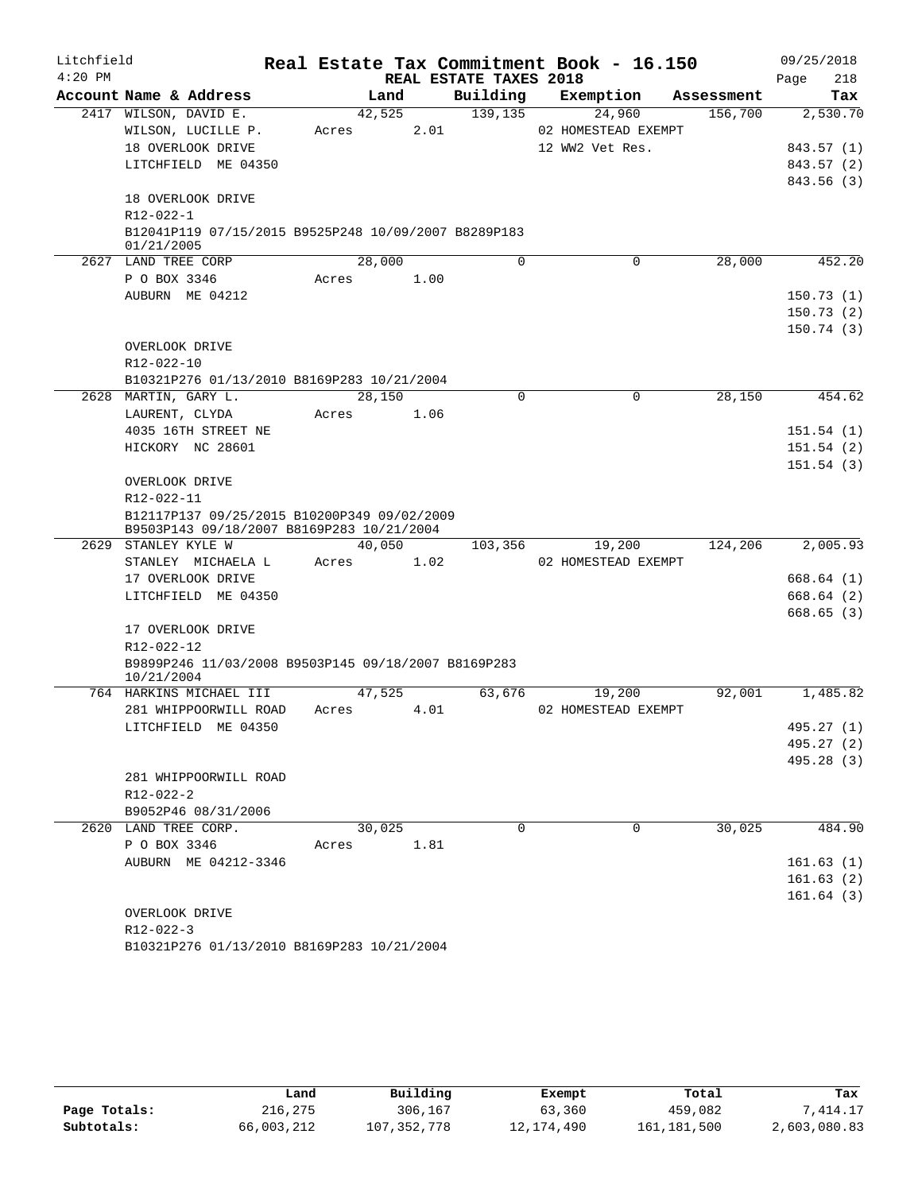| Litchfield |                                                                    |        |      |                        | Real Estate Tax Commitment Book - 16.150 |            | 09/25/2018  |
|------------|--------------------------------------------------------------------|--------|------|------------------------|------------------------------------------|------------|-------------|
| $4:20$ PM  |                                                                    |        |      | REAL ESTATE TAXES 2018 |                                          |            | 218<br>Page |
|            | Account Name & Address                                             | Land   |      | Building               | Exemption                                | Assessment | Tax         |
|            | 2417 WILSON, DAVID E.                                              | 42,525 |      | 139,135                | 24,960                                   | 156,700    | 2,530.70    |
|            | WILSON, LUCILLE P.                                                 | Acres  | 2.01 |                        | 02 HOMESTEAD EXEMPT                      |            |             |
|            | 18 OVERLOOK DRIVE                                                  |        |      |                        | 12 WW2 Vet Res.                          |            | 843.57 (1)  |
|            | LITCHFIELD ME 04350                                                |        |      |                        |                                          |            | 843.57 (2)  |
|            |                                                                    |        |      |                        |                                          |            | 843.56(3)   |
|            | 18 OVERLOOK DRIVE                                                  |        |      |                        |                                          |            |             |
|            | R12-022-1                                                          |        |      |                        |                                          |            |             |
|            | B12041P119 07/15/2015 B9525P248 10/09/2007 B8289P183<br>01/21/2005 |        |      |                        |                                          |            |             |
|            | 2627 LAND TREE CORP                                                | 28,000 |      | $\Omega$               | 0                                        | 28,000     | 452.20      |
|            | P O BOX 3346                                                       | Acres  | 1.00 |                        |                                          |            |             |
|            | AUBURN ME 04212                                                    |        |      |                        |                                          |            | 150.73(1)   |
|            |                                                                    |        |      |                        |                                          |            | 150.73(2)   |
|            |                                                                    |        |      |                        |                                          |            | 150.74(3)   |
|            | OVERLOOK DRIVE                                                     |        |      |                        |                                          |            |             |
|            | R12-022-10                                                         |        |      |                        |                                          |            |             |
|            | B10321P276 01/13/2010 B8169P283 10/21/2004                         |        |      |                        |                                          |            |             |
|            | 2628 MARTIN, GARY L.                                               | 28,150 |      | 0                      | $\mathbf 0$                              | 28,150     | 454.62      |
|            | LAURENT, CLYDA                                                     | Acres  | 1.06 |                        |                                          |            |             |
|            | 4035 16TH STREET NE                                                |        |      |                        |                                          |            | 151.54(1)   |
|            | HICKORY NC 28601                                                   |        |      |                        |                                          |            | 151.54(2)   |
|            |                                                                    |        |      |                        |                                          |            | 151.54(3)   |
|            | OVERLOOK DRIVE                                                     |        |      |                        |                                          |            |             |
|            | R12-022-11                                                         |        |      |                        |                                          |            |             |
|            | B12117P137 09/25/2015 B10200P349 09/02/2009                        |        |      |                        |                                          |            |             |
|            | B9503P143 09/18/2007 B8169P283 10/21/2004<br>2629 STANLEY KYLE W   | 40,050 |      |                        |                                          |            | 2,005.93    |
|            | STANLEY MICHAELA L                                                 | Acres  | 1.02 | 103,356                | 19,200<br>02 HOMESTEAD EXEMPT            | 124,206    |             |
|            | 17 OVERLOOK DRIVE                                                  |        |      |                        |                                          |            | 668.64(1)   |
|            | LITCHFIELD ME 04350                                                |        |      |                        |                                          |            | 668.64(2)   |
|            |                                                                    |        |      |                        |                                          |            | 668.65 (3)  |
|            | 17 OVERLOOK DRIVE                                                  |        |      |                        |                                          |            |             |
|            | R12-022-12                                                         |        |      |                        |                                          |            |             |
|            | B9899P246 11/03/2008 B9503P145 09/18/2007 B8169P283                |        |      |                        |                                          |            |             |
|            | 10/21/2004                                                         |        |      |                        |                                          |            |             |
|            | 764 HARKINS MICHAEL III                                            | 47,525 |      | 63,676                 | 19,200                                   | 92,001     | 1,485.82    |
|            | 281 WHIPPOORWILL ROAD                                              | Acres  | 4.01 |                        | 02 HOMESTEAD EXEMPT                      |            |             |
|            | LITCHFIELD ME 04350                                                |        |      |                        |                                          |            | 495.27 (1)  |
|            |                                                                    |        |      |                        |                                          |            | 495.27 (2)  |
|            |                                                                    |        |      |                        |                                          |            | 495.28 (3)  |
|            | 281 WHIPPOORWILL ROAD                                              |        |      |                        |                                          |            |             |
|            | R12-022-2                                                          |        |      |                        |                                          |            |             |
|            | B9052P46 08/31/2006                                                |        |      |                        |                                          |            |             |
|            | 2620 LAND TREE CORP.                                               | 30,025 |      | $\Omega$               | $\Omega$                                 | 30,025     | 484.90      |
|            | P O BOX 3346                                                       | Acres  | 1.81 |                        |                                          |            |             |
|            | AUBURN ME 04212-3346                                               |        |      |                        |                                          |            | 161.63(1)   |
|            |                                                                    |        |      |                        |                                          |            | 161.63(2)   |
|            |                                                                    |        |      |                        |                                          |            | 161.64(3)   |
|            | OVERLOOK DRIVE                                                     |        |      |                        |                                          |            |             |
|            | R12-022-3                                                          |        |      |                        |                                          |            |             |
|            | B10321P276 01/13/2010 B8169P283 10/21/2004                         |        |      |                        |                                          |            |             |

|              | Land       | Building    | Exempt       | Total         | Tax          |
|--------------|------------|-------------|--------------|---------------|--------------|
| Page Totals: | 216,275    | 306,167     | 63,360       | 459,082       | .414.17      |
| Subtotals:   | 66,003,212 | 107,352,778 | 12, 174, 490 | 161, 181, 500 | 2,603,080.83 |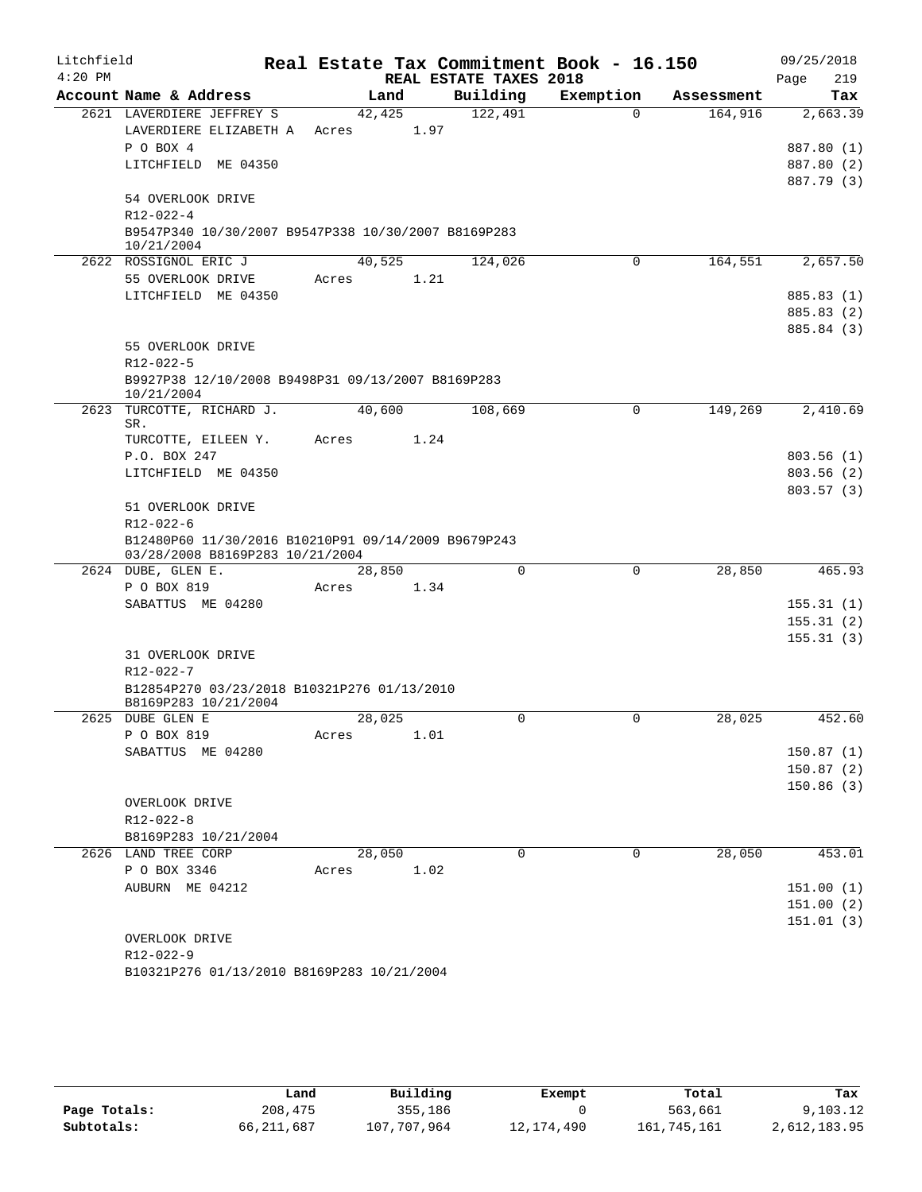| Litchfield |                                                     |        |      |                        | Real Estate Tax Commitment Book - 16.150 |            | 09/25/2018               |
|------------|-----------------------------------------------------|--------|------|------------------------|------------------------------------------|------------|--------------------------|
| $4:20$ PM  |                                                     |        |      | REAL ESTATE TAXES 2018 |                                          |            | 219<br>Page              |
|            | Account Name & Address                              | Land   |      | Building               | Exemption                                | Assessment | Tax                      |
|            | 2621 LAVERDIERE JEFFREY S                           | 42,425 |      | 122,491                | $\Omega$                                 | 164,916    | 2,663.39                 |
|            | LAVERDIERE ELIZABETH A                              | Acres  | 1.97 |                        |                                          |            |                          |
|            | P O BOX 4<br>LITCHFIELD ME 04350                    |        |      |                        |                                          |            | 887.80 (1)               |
|            |                                                     |        |      |                        |                                          |            | 887.80 (2)<br>887.79 (3) |
|            | 54 OVERLOOK DRIVE                                   |        |      |                        |                                          |            |                          |
|            | $R12 - 022 - 4$                                     |        |      |                        |                                          |            |                          |
|            | B9547P340 10/30/2007 B9547P338 10/30/2007 B8169P283 |        |      |                        |                                          |            |                          |
|            | 10/21/2004                                          |        |      |                        |                                          |            |                          |
|            | 2622 ROSSIGNOL ERIC J                               | 40,525 |      | 124,026                | 0                                        | 164,551    | 2,657.50                 |
|            | 55 OVERLOOK DRIVE                                   | Acres  | 1.21 |                        |                                          |            |                          |
|            | LITCHFIELD ME 04350                                 |        |      |                        |                                          |            | 885.83 (1)               |
|            |                                                     |        |      |                        |                                          |            | 885.83 (2)               |
|            | 55 OVERLOOK DRIVE                                   |        |      |                        |                                          |            | 885.84 (3)               |
|            | $R12 - 022 - 5$                                     |        |      |                        |                                          |            |                          |
|            | B9927P38 12/10/2008 B9498P31 09/13/2007 B8169P283   |        |      |                        |                                          |            |                          |
|            | 10/21/2004                                          |        |      |                        |                                          |            |                          |
| 2623       | TURCOTTE, RICHARD J.                                | 40,600 |      | 108,669                | 0                                        | 149,269    | 2,410.69                 |
|            | SR.                                                 |        |      |                        |                                          |            |                          |
|            | TURCOTTE, EILEEN Y.                                 | Acres  | 1.24 |                        |                                          |            |                          |
|            | P.O. BOX 247                                        |        |      |                        |                                          |            | 803.56(1)                |
|            | LITCHFIELD ME 04350                                 |        |      |                        |                                          |            | 803.56(2)<br>803.57(3)   |
|            | 51 OVERLOOK DRIVE                                   |        |      |                        |                                          |            |                          |
|            | $R12 - 022 - 6$                                     |        |      |                        |                                          |            |                          |
|            | B12480P60 11/30/2016 B10210P91 09/14/2009 B9679P243 |        |      |                        |                                          |            |                          |
|            | 03/28/2008 B8169P283 10/21/2004                     |        |      |                        |                                          |            |                          |
|            | 2624 DUBE, GLEN E.                                  | 28,850 |      | $\Omega$               | 0                                        | 28,850     | 465.93                   |
|            | P O BOX 819                                         | Acres  | 1.34 |                        |                                          |            |                          |
|            | SABATTUS ME 04280                                   |        |      |                        |                                          |            | 155.31(1)                |
|            |                                                     |        |      |                        |                                          |            | 155.31(2)                |
|            | 31 OVERLOOK DRIVE                                   |        |      |                        |                                          |            | 155.31(3)                |
|            | $R12 - 022 - 7$                                     |        |      |                        |                                          |            |                          |
|            | B12854P270 03/23/2018 B10321P276 01/13/2010         |        |      |                        |                                          |            |                          |
|            | B8169P283 10/21/2004                                |        |      |                        |                                          |            |                          |
|            | 2625 DUBE GLEN E                                    | 28,025 |      | $\mathbf 0$            | $\mathbf 0$                              | 28,025     | 452.60                   |
|            | P O BOX 819                                         | Acres  | 1.01 |                        |                                          |            |                          |
|            | SABATTUS ME 04280                                   |        |      |                        |                                          |            | 150.87(1)                |
|            |                                                     |        |      |                        |                                          |            | 150.87(2)                |
|            | OVERLOOK DRIVE                                      |        |      |                        |                                          |            | 150.86(3)                |
|            | R12-022-8                                           |        |      |                        |                                          |            |                          |
|            | B8169P283 10/21/2004                                |        |      |                        |                                          |            |                          |
|            | 2626 LAND TREE CORP                                 | 28,050 |      | $\mathbf 0$            | $\mathbf 0$                              | 28,050     | 453.01                   |
|            | P O BOX 3346                                        | Acres  | 1.02 |                        |                                          |            |                          |
|            | AUBURN ME 04212                                     |        |      |                        |                                          |            | 151.00(1)                |
|            |                                                     |        |      |                        |                                          |            | 151.00 (2)               |
|            |                                                     |        |      |                        |                                          |            | 151.01(3)                |
|            | OVERLOOK DRIVE                                      |        |      |                        |                                          |            |                          |
|            | R12-022-9                                           |        |      |                        |                                          |            |                          |
|            | B10321P276 01/13/2010 B8169P283 10/21/2004          |        |      |                        |                                          |            |                          |

|              | Land         | Building    | Exempt       | Total       | Tax          |
|--------------|--------------|-------------|--------------|-------------|--------------|
| Page Totals: | 208,475      | 355,186     |              | 563,661     | 9,103.12     |
| Subtotals:   | 66, 211, 687 | 107,707,964 | 12, 174, 490 | 161,745,161 | 2,612,183.95 |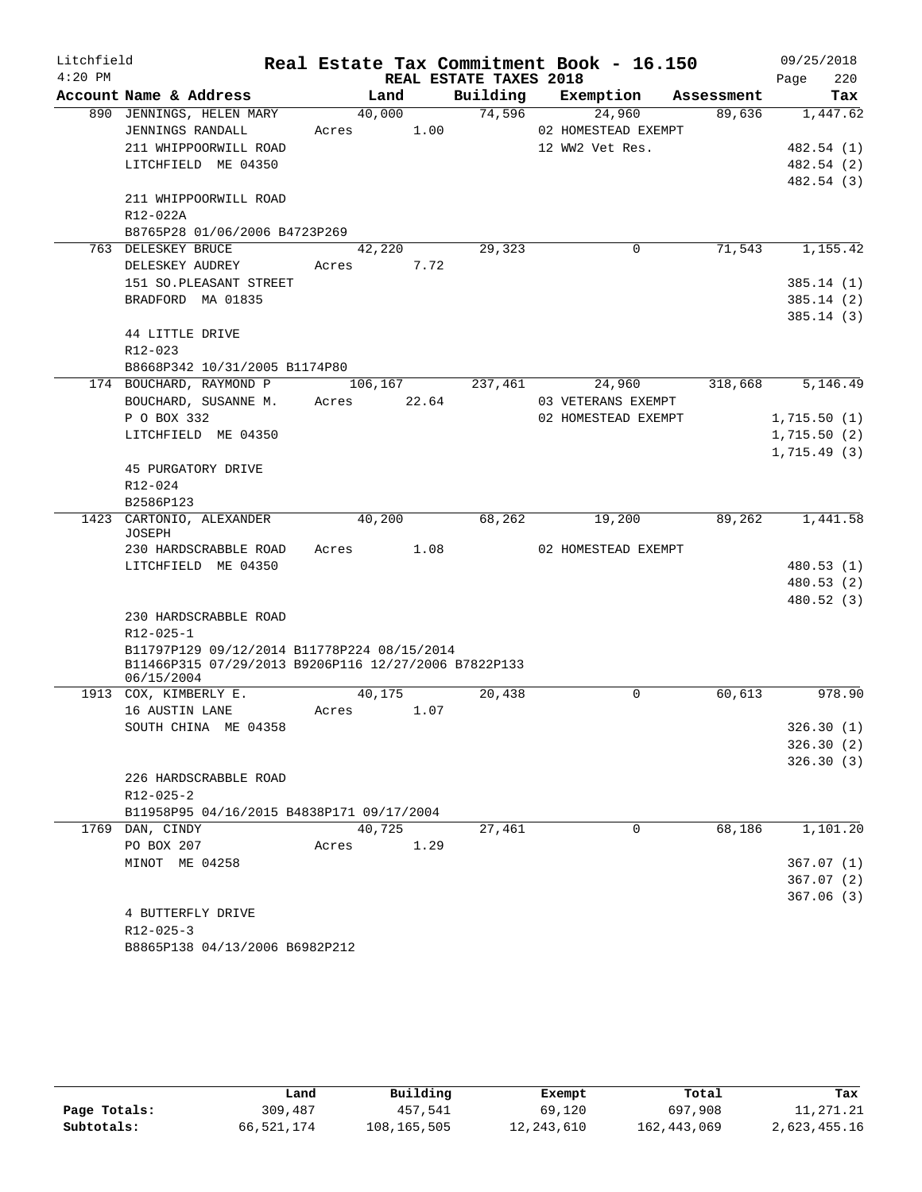| Litchfield |                                                                    |            |                  |                        | Real Estate Tax Commitment Book - 16.150 |            | 09/25/2018                 |
|------------|--------------------------------------------------------------------|------------|------------------|------------------------|------------------------------------------|------------|----------------------------|
| $4:20$ PM  |                                                                    |            |                  | REAL ESTATE TAXES 2018 |                                          |            | Page<br>220                |
|            | Account Name & Address                                             |            | Land             | Building               | Exemption                                | Assessment | Tax                        |
|            | 890 JENNINGS, HELEN MARY                                           | 40,000     |                  | 74,596                 | 24,960                                   | 89,636     | 1,447.62                   |
|            | JENNINGS RANDALL                                                   | Acres      | 1.00             |                        | 02 HOMESTEAD EXEMPT                      |            |                            |
|            | 211 WHIPPOORWILL ROAD                                              |            |                  |                        | 12 WW2 Vet Res.                          |            | 482.54 (1)                 |
|            | LITCHFIELD ME 04350                                                |            |                  |                        |                                          |            | 482.54 (2)                 |
|            |                                                                    |            |                  |                        |                                          |            | 482.54 (3)                 |
|            | 211 WHIPPOORWILL ROAD                                              |            |                  |                        |                                          |            |                            |
|            | R12-022A                                                           |            |                  |                        |                                          |            |                            |
|            | B8765P28 01/06/2006 B4723P269                                      |            |                  |                        |                                          |            |                            |
|            | 763 DELESKEY BRUCE                                                 |            | 42,220           | 29,323                 | 0                                        | 71,543     | 1,155.42                   |
|            | DELESKEY AUDREY                                                    | Acres      | 7.72             |                        |                                          |            |                            |
|            | 151 SO. PLEASANT STREET                                            |            |                  |                        |                                          |            | 385.14 (1)                 |
|            | BRADFORD MA 01835                                                  |            |                  |                        |                                          |            | 385.14 (2)                 |
|            |                                                                    |            |                  |                        |                                          |            | 385.14(3)                  |
|            | 44 LITTLE DRIVE                                                    |            |                  |                        |                                          |            |                            |
|            | $R12 - 023$                                                        |            |                  |                        |                                          |            |                            |
|            | B8668P342 10/31/2005 B1174P80                                      |            |                  |                        |                                          |            |                            |
|            | 174 BOUCHARD, RAYMOND P<br>BOUCHARD, SUSANNE M.                    | Acres      | 106,167<br>22.64 | 237,461                | 24,960<br>03 VETERANS EXEMPT             | 318,668    | 5,146.49                   |
|            | P O BOX 332                                                        |            |                  |                        | 02 HOMESTEAD EXEMPT                      |            |                            |
|            | LITCHFIELD ME 04350                                                |            |                  |                        |                                          |            | 1,715.50(1)<br>1,715.50(2) |
|            |                                                                    |            |                  |                        |                                          |            | 1,715.49(3)                |
|            | 45 PURGATORY DRIVE                                                 |            |                  |                        |                                          |            |                            |
|            | R12-024                                                            |            |                  |                        |                                          |            |                            |
|            | B2586P123                                                          |            |                  |                        |                                          |            |                            |
|            | 1423 CARTONIO, ALEXANDER                                           |            | 40,200           | 68,262                 | 19,200                                   | 89,262     | 1,441.58                   |
|            | JOSEPH                                                             |            |                  |                        |                                          |            |                            |
|            | 230 HARDSCRABBLE ROAD                                              | Acres 1.08 |                  |                        | 02 HOMESTEAD EXEMPT                      |            |                            |
|            | LITCHFIELD ME 04350                                                |            |                  |                        |                                          |            | 480.53 (1)                 |
|            |                                                                    |            |                  |                        |                                          |            | 480.53 (2)                 |
|            |                                                                    |            |                  |                        |                                          |            | 480.52(3)                  |
|            | 230 HARDSCRABBLE ROAD                                              |            |                  |                        |                                          |            |                            |
|            | $R12 - 025 - 1$                                                    |            |                  |                        |                                          |            |                            |
|            | B11797P129 09/12/2014 B11778P224 08/15/2014                        |            |                  |                        |                                          |            |                            |
|            | B11466P315 07/29/2013 B9206P116 12/27/2006 B7822P133<br>06/15/2004 |            |                  |                        |                                          |            |                            |
|            | 1913 COX, KIMBERLY E.                                              | 40,175     |                  | 20,438                 | 0                                        | 60,613     | 978.90                     |
|            | 16 AUSTIN LANE                                                     | Acres      | 1.07             |                        |                                          |            |                            |
|            | SOUTH CHINA ME 04358                                               |            |                  |                        |                                          |            | 326.30(1)                  |
|            |                                                                    |            |                  |                        |                                          |            | 326.30(2)                  |
|            |                                                                    |            |                  |                        |                                          |            | 326.30(3)                  |
|            | 226 HARDSCRABBLE ROAD                                              |            |                  |                        |                                          |            |                            |
|            | $R12 - 025 - 2$                                                    |            |                  |                        |                                          |            |                            |
|            | B11958P95 04/16/2015 B4838P171 09/17/2004                          |            |                  |                        |                                          |            |                            |
|            | 1769 DAN, CINDY                                                    | 40,725     |                  | 27,461                 | $\mathbf 0$                              | 68,186     | 1,101.20                   |
|            | PO BOX 207                                                         | Acres      | 1.29             |                        |                                          |            |                            |
|            | MINOT ME 04258                                                     |            |                  |                        |                                          |            | 367.07(1)                  |
|            |                                                                    |            |                  |                        |                                          |            | 367.07(2)                  |
|            |                                                                    |            |                  |                        |                                          |            | 367.06(3)                  |
|            | 4 BUTTERFLY DRIVE                                                  |            |                  |                        |                                          |            |                            |
|            | $R12 - 025 - 3$                                                    |            |                  |                        |                                          |            |                            |
|            | B8865P138 04/13/2006 B6982P212                                     |            |                  |                        |                                          |            |                            |

|              | Land       | Building    | Exempt     | Total         | Tax          |
|--------------|------------|-------------|------------|---------------|--------------|
|              |            |             |            |               |              |
| Page Totals: | 309,487    | 457,541     | 69,120     | 697,908       | 11,271.21    |
| Subtotals:   | 66,521,174 | 108,165,505 | 12,243,610 | 162, 443, 069 | 2,623,455.16 |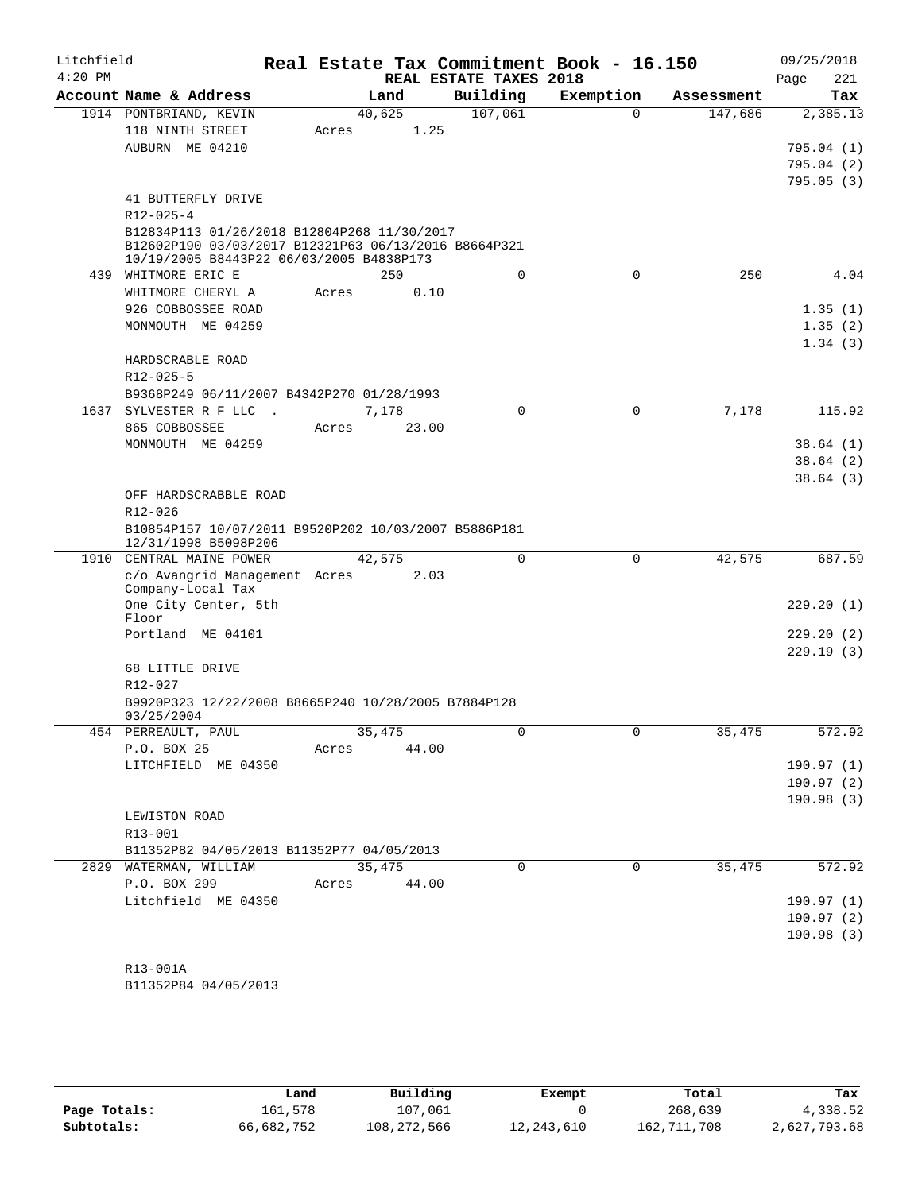| Litchfield<br>$4:20$ PM |                                                                                                     |       |        | REAL ESTATE TAXES 2018 | Real Estate Tax Commitment Book - 16.150 |            | 09/25/2018<br>Page<br>221 |
|-------------------------|-----------------------------------------------------------------------------------------------------|-------|--------|------------------------|------------------------------------------|------------|---------------------------|
|                         | Account Name & Address                                                                              |       | Land   | Building               | Exemption                                | Assessment | Tax                       |
|                         | 1914 PONTBRIAND, KEVIN                                                                              |       | 40,625 | 107,061                | $\Omega$                                 | 147,686    | 2,385.13                  |
|                         | 118 NINTH STREET                                                                                    | Acres | 1.25   |                        |                                          |            |                           |
|                         | AUBURN ME 04210                                                                                     |       |        |                        |                                          |            | 795.04(1)                 |
|                         |                                                                                                     |       |        |                        |                                          |            | 795.04(2)                 |
|                         |                                                                                                     |       |        |                        |                                          |            | 795.05(3)                 |
|                         | 41 BUTTERFLY DRIVE                                                                                  |       |        |                        |                                          |            |                           |
|                         | $R12 - 025 - 4$                                                                                     |       |        |                        |                                          |            |                           |
|                         | B12834P113 01/26/2018 B12804P268 11/30/2017<br>B12602P190 03/03/2017 B12321P63 06/13/2016 B8664P321 |       |        |                        |                                          |            |                           |
|                         | 10/19/2005 B8443P22 06/03/2005 B4838P173                                                            |       |        |                        |                                          |            |                           |
| 439                     | WHITMORE ERIC E                                                                                     |       | 250    | 0                      | $\mathbf 0$                              | 250        | 4.04                      |
|                         | WHITMORE CHERYL A                                                                                   | Acres | 0.10   |                        |                                          |            |                           |
|                         | 926 COBBOSSEE ROAD                                                                                  |       |        |                        |                                          |            | 1.35(1)                   |
|                         | MONMOUTH ME 04259                                                                                   |       |        |                        |                                          |            | 1.35(2)                   |
|                         |                                                                                                     |       |        |                        |                                          |            | 1.34(3)                   |
|                         | HARDSCRABLE ROAD                                                                                    |       |        |                        |                                          |            |                           |
|                         | R12-025-5<br>B9368P249 06/11/2007 B4342P270 01/28/1993                                              |       |        |                        |                                          |            |                           |
| 1637                    | SYLVESTER R F LLC .                                                                                 |       | 7,178  | 0                      | $\mathbf 0$                              | 7,178      | 115.92                    |
|                         | 865 COBBOSSEE                                                                                       | Acres | 23.00  |                        |                                          |            |                           |
|                         | MONMOUTH ME 04259                                                                                   |       |        |                        |                                          |            | 38.64(1)                  |
|                         |                                                                                                     |       |        |                        |                                          |            | 38.64(2)                  |
|                         |                                                                                                     |       |        |                        |                                          |            | 38.64(3)                  |
|                         | OFF HARDSCRABBLE ROAD                                                                               |       |        |                        |                                          |            |                           |
|                         | R12-026                                                                                             |       |        |                        |                                          |            |                           |
|                         | B10854P157 10/07/2011 B9520P202 10/03/2007 B5886P181<br>12/31/1998 B5098P206                        |       |        |                        |                                          |            |                           |
|                         | 1910 CENTRAL MAINE POWER                                                                            |       | 42,575 | 0                      | $\mathbf 0$                              | 42,575     | 687.59                    |
|                         | c/o Avangrid Management Acres<br>Company-Local Tax                                                  |       | 2.03   |                        |                                          |            |                           |
|                         | One City Center, 5th<br>Floor                                                                       |       |        |                        |                                          |            | 229.20(1)                 |
|                         | Portland ME 04101                                                                                   |       |        |                        |                                          |            | 229.20(2)                 |
|                         |                                                                                                     |       |        |                        |                                          |            | 229.19(3)                 |
|                         | 68 LITTLE DRIVE                                                                                     |       |        |                        |                                          |            |                           |
|                         | R12-027                                                                                             |       |        |                        |                                          |            |                           |
|                         | B9920P323 12/22/2008 B8665P240 10/28/2005 B7884P128<br>03/25/2004                                   |       |        |                        |                                          |            |                           |
|                         | 454 PERREAULT, PAUL                                                                                 |       | 35,475 | $\mathbf{0}$           |                                          | 35,475     | 572.92                    |
|                         | P.O. BOX 25                                                                                         | Acres | 44.00  |                        |                                          |            |                           |
|                         | LITCHFIELD ME 04350                                                                                 |       |        |                        |                                          |            | 190.97(1)                 |
|                         |                                                                                                     |       |        |                        |                                          |            | 190.97(2)                 |
|                         | LEWISTON ROAD                                                                                       |       |        |                        |                                          |            | 190.98(3)                 |
|                         | $R13 - 001$                                                                                         |       |        |                        |                                          |            |                           |
|                         | B11352P82 04/05/2013 B11352P77 04/05/2013                                                           |       |        |                        |                                          |            |                           |
|                         | 2829 WATERMAN, WILLIAM                                                                              |       | 35,475 | $\Omega$               | 0                                        | 35,475     | 572.92                    |
|                         | P.O. BOX 299                                                                                        | Acres | 44.00  |                        |                                          |            |                           |
|                         | Litchfield ME 04350                                                                                 |       |        |                        |                                          |            | 190.97(1)                 |
|                         |                                                                                                     |       |        |                        |                                          |            | 190.97 (2)                |
|                         |                                                                                                     |       |        |                        |                                          |            | 190.98(3)                 |
|                         |                                                                                                     |       |        |                        |                                          |            |                           |
|                         | R13-001A                                                                                            |       |        |                        |                                          |            |                           |
|                         | B11352P84 04/05/2013                                                                                |       |        |                        |                                          |            |                           |

|              | Land       | Building    | Exempt       | Total       | Tax          |
|--------------|------------|-------------|--------------|-------------|--------------|
| Page Totals: | 161,578    | 107,061     |              | 268,639     | 4,338.52     |
| Subtotals:   | 66,682,752 | 108,272,566 | 12, 243, 610 | 162,711,708 | 2,627,793.68 |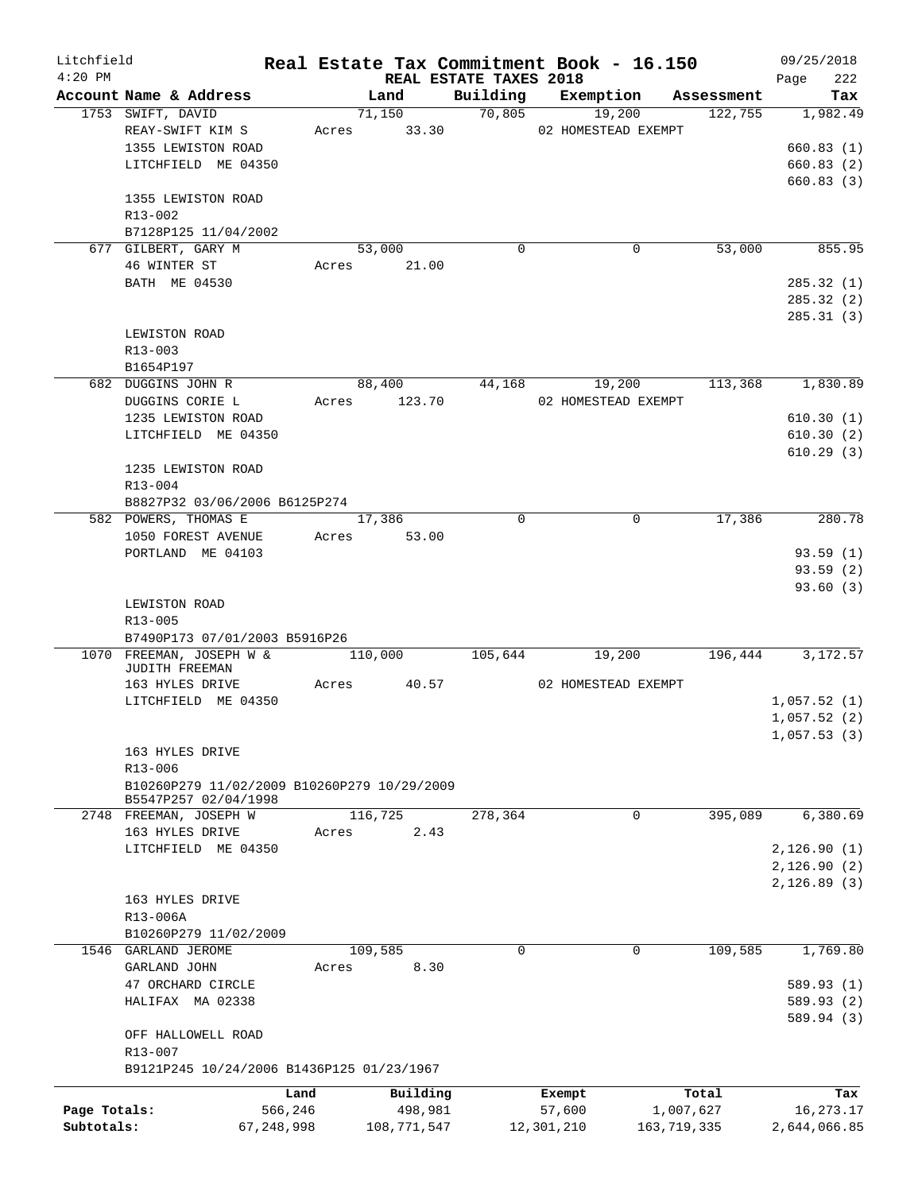| Litchfield   |                                             |            |         |              |                        |             | Real Estate Tax Commitment Book - 16.150 |                       | 09/25/2018   |     |
|--------------|---------------------------------------------|------------|---------|--------------|------------------------|-------------|------------------------------------------|-----------------------|--------------|-----|
| $4:20$ PM    | Account Name & Address                      |            |         | Land         | REAL ESTATE TAXES 2018 |             |                                          |                       | Page         | 222 |
|              | 1753 SWIFT, DAVID                           |            |         | 71,150       | 70,805                 |             | Building Exemption<br>19,200             | Assessment<br>122,755 | 1,982.49     | Tax |
|              | REAY-SWIFT KIM S                            | Acres      |         | 33.30        |                        |             | 02 HOMESTEAD EXEMPT                      |                       |              |     |
|              | 1355 LEWISTON ROAD                          |            |         |              |                        |             |                                          |                       | 660.83(1)    |     |
|              | LITCHFIELD ME 04350                         |            |         |              |                        |             |                                          |                       | 660.83(2)    |     |
|              |                                             |            |         |              |                        |             |                                          |                       | 660.83(3)    |     |
|              | 1355 LEWISTON ROAD                          |            |         |              |                        |             |                                          |                       |              |     |
|              | R13-002                                     |            |         |              |                        |             |                                          |                       |              |     |
|              | B7128P125 11/04/2002                        |            |         |              |                        |             |                                          |                       |              |     |
|              | 677 GILBERT, GARY M                         |            | 53,000  |              |                        | $\mathbf 0$ | 0                                        | 53,000                | 855.95       |     |
|              | 46 WINTER ST                                |            |         | Acres 21.00  |                        |             |                                          |                       |              |     |
|              | BATH ME 04530                               |            |         |              |                        |             |                                          |                       | 285.32(1)    |     |
|              |                                             |            |         |              |                        |             |                                          |                       | 285.32(2)    |     |
|              |                                             |            |         |              |                        |             |                                          |                       | 285.31(3)    |     |
|              | LEWISTON ROAD                               |            |         |              |                        |             |                                          |                       |              |     |
|              | R13-003                                     |            |         |              |                        |             |                                          |                       |              |     |
|              | B1654P197                                   |            |         |              |                        |             |                                          |                       |              |     |
|              | 682 DUGGINS JOHN R                          |            | 88,400  |              | 44,168                 |             | 19,200                                   | 113,368               | 1,830.89     |     |
|              | DUGGINS CORIE L                             |            |         | Acres 123.70 |                        |             | 02 HOMESTEAD EXEMPT                      |                       |              |     |
|              | 1235 LEWISTON ROAD                          |            |         |              |                        |             |                                          |                       | 610.30(1)    |     |
|              | LITCHFIELD ME 04350                         |            |         |              |                        |             |                                          |                       | 610.30(2)    |     |
|              |                                             |            |         |              |                        |             |                                          |                       | 610.29(3)    |     |
|              | 1235 LEWISTON ROAD                          |            |         |              |                        |             |                                          |                       |              |     |
|              | R13-004                                     |            |         |              |                        |             |                                          |                       |              |     |
|              | B8827P32 03/06/2006 B6125P274               |            |         |              |                        |             |                                          |                       |              |     |
|              | 582 POWERS, THOMAS E                        |            | 17,386  |              |                        | $\mathbf 0$ | $\mathbf 0$                              | 17,386                | 280.78       |     |
|              | 1050 FOREST AVENUE                          |            |         | Acres 53.00  |                        |             |                                          |                       |              |     |
|              | PORTLAND ME 04103                           |            |         |              |                        |             |                                          |                       | 93.59(1)     |     |
|              |                                             |            |         |              |                        |             |                                          |                       | 93.59(2)     |     |
|              |                                             |            |         |              |                        |             |                                          |                       | 93.60(3)     |     |
|              | LEWISTON ROAD                               |            |         |              |                        |             |                                          |                       |              |     |
|              | R13-005                                     |            |         |              |                        |             |                                          |                       |              |     |
|              | B7490P173 07/01/2003 B5916P26               |            |         |              |                        |             |                                          |                       |              |     |
|              | 1070 FREEMAN, JOSEPH W &                    |            | 110,000 |              | 105,644                |             | 19,200                                   | 196,444               | 3,172.57     |     |
|              | JUDITH FREEMAN                              |            |         |              |                        |             |                                          |                       |              |     |
|              | 163 HYLES DRIVE                             | Acres      |         | 40.57        |                        |             | 02 HOMESTEAD EXEMPT                      |                       |              |     |
|              | LITCHFIELD ME 04350                         |            |         |              |                        |             |                                          |                       | 1,057.52(1)  |     |
|              |                                             |            |         |              |                        |             |                                          |                       | 1,057.52(2)  |     |
|              |                                             |            |         |              |                        |             |                                          |                       | 1,057.53(3)  |     |
|              | 163 HYLES DRIVE                             |            |         |              |                        |             |                                          |                       |              |     |
|              | R13-006                                     |            |         |              |                        |             |                                          |                       |              |     |
|              | B10260P279 11/02/2009 B10260P279 10/29/2009 |            |         |              |                        |             |                                          |                       |              |     |
|              | B5547P257 02/04/1998                        |            |         |              |                        |             |                                          |                       |              |     |
|              | 2748 FREEMAN, JOSEPH W                      |            | 116,725 |              | 278,364                |             | 0                                        | 395,089               | 6,380.69     |     |
|              | 163 HYLES DRIVE                             | Acres      |         | 2.43         |                        |             |                                          |                       |              |     |
|              | LITCHFIELD ME 04350                         |            |         |              |                        |             |                                          |                       | 2,126.90(1)  |     |
|              |                                             |            |         |              |                        |             |                                          |                       | 2,126.90(2)  |     |
|              |                                             |            |         |              |                        |             |                                          |                       | 2, 126.89(3) |     |
|              | 163 HYLES DRIVE                             |            |         |              |                        |             |                                          |                       |              |     |
|              | R13-006A                                    |            |         |              |                        |             |                                          |                       |              |     |
|              | B10260P279 11/02/2009                       |            |         |              |                        |             |                                          |                       |              |     |
|              | 1546 GARLAND JEROME                         |            | 109,585 |              |                        | $\mathbf 0$ | $\mathbf 0$                              | 109,585               | 1,769.80     |     |
|              | GARLAND JOHN                                | Acres      |         | 8.30         |                        |             |                                          |                       |              |     |
|              | 47 ORCHARD CIRCLE                           |            |         |              |                        |             |                                          |                       | 589.93 (1)   |     |
|              | HALIFAX MA 02338                            |            |         |              |                        |             |                                          |                       | 589.93 (2)   |     |
|              |                                             |            |         |              |                        |             |                                          |                       | 589.94(3)    |     |
|              | OFF HALLOWELL ROAD                          |            |         |              |                        |             |                                          |                       |              |     |
|              | R13-007                                     |            |         |              |                        |             |                                          |                       |              |     |
|              | B9121P245 10/24/2006 B1436P125 01/23/1967   |            |         |              |                        |             |                                          |                       |              |     |
|              |                                             | Land       |         | Building     |                        |             | Exempt                                   | Total                 |              | Tax |
| Page Totals: |                                             | 566,246    |         | 498,981      |                        | 57,600      |                                          | 1,007,627             | 16,273.17    |     |
| Subtotals:   |                                             | 67,248,998 |         | 108,771,547  |                        | 12,301,210  |                                          | 163,719,335           | 2,644,066.85 |     |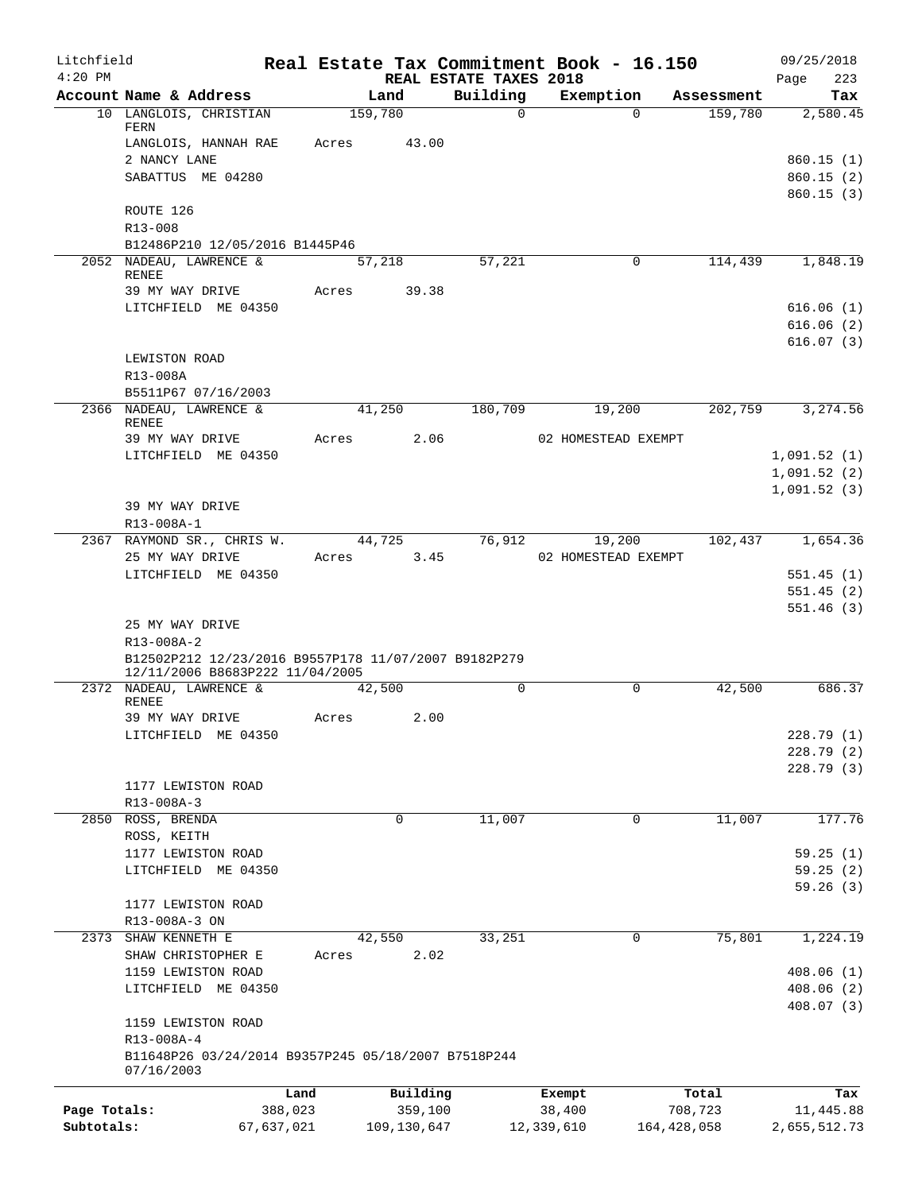| Litchfield<br>$4:20$ PM |                                                            |         |                | REAL ESTATE TAXES 2018 | Real Estate Tax Commitment Book - 16.150 |               | 09/25/2018<br>223<br>Page |
|-------------------------|------------------------------------------------------------|---------|----------------|------------------------|------------------------------------------|---------------|---------------------------|
|                         | Account Name & Address                                     |         | Land           | Building               | Exemption                                | Assessment    | Tax                       |
|                         | 10 LANGLOIS, CHRISTIAN                                     | 159,780 |                | $\Omega$               | $\Omega$                                 | 159,780       | 2,580.45                  |
|                         | FERN                                                       |         |                |                        |                                          |               |                           |
|                         | LANGLOIS, HANNAH RAE                                       | Acres   | 43.00          |                        |                                          |               |                           |
|                         | 2 NANCY LANE<br>SABATTUS ME 04280                          |         |                |                        |                                          |               | 860.15(1)<br>860.15(2)    |
|                         |                                                            |         |                |                        |                                          |               | 860.15(3)                 |
|                         | ROUTE 126                                                  |         |                |                        |                                          |               |                           |
|                         | $R13 - 008$                                                |         |                |                        |                                          |               |                           |
|                         | B12486P210 12/05/2016 B1445P46                             |         |                |                        |                                          |               |                           |
|                         | 2052 NADEAU, LAWRENCE &<br><b>RENEE</b>                    |         | 57,218         | 57,221                 | 0                                        | 114,439       | 1,848.19                  |
|                         | 39 MY WAY DRIVE                                            | Acres   | 39.38          |                        |                                          |               |                           |
|                         | LITCHFIELD ME 04350                                        |         |                |                        |                                          |               | 616.06(1)                 |
|                         |                                                            |         |                |                        |                                          |               | 616.06(2)                 |
|                         |                                                            |         |                |                        |                                          |               | 616.07(3)                 |
|                         | LEWISTON ROAD                                              |         |                |                        |                                          |               |                           |
|                         | R13-008A                                                   |         |                |                        |                                          |               |                           |
|                         | B5511P67 07/16/2003                                        |         |                |                        |                                          |               |                           |
|                         | 2366 NADEAU, LAWRENCE &<br>RENEE                           |         | 41,250         | 180,709                | 19,200                                   | 202,759       | 3,274.56                  |
|                         | 39 MY WAY DRIVE                                            | Acres   | 2.06           |                        | 02 HOMESTEAD EXEMPT                      |               |                           |
|                         | LITCHFIELD ME 04350                                        |         |                |                        |                                          |               | 1,091.52(1)               |
|                         |                                                            |         |                |                        |                                          |               | 1,091.52(2)               |
|                         |                                                            |         |                |                        |                                          |               | 1,091.52(3)               |
|                         | 39 MY WAY DRIVE                                            |         |                |                        |                                          |               |                           |
|                         | R13-008A-1                                                 |         |                |                        |                                          |               |                           |
|                         | 2367 RAYMOND SR., CHRIS W.                                 |         | 44,725         | 76,912                 | 19,200                                   | 102,437       | 1,654.36                  |
|                         | 25 MY WAY DRIVE<br>LITCHFIELD ME 04350                     | Acres   | 3.45           |                        | 02 HOMESTEAD EXEMPT                      |               | 551.45(1)                 |
|                         |                                                            |         |                |                        |                                          |               | 551.45(2)                 |
|                         |                                                            |         |                |                        |                                          |               | 551.46(3)                 |
|                         | 25 MY WAY DRIVE                                            |         |                |                        |                                          |               |                           |
|                         | R13-008A-2                                                 |         |                |                        |                                          |               |                           |
|                         | B12502P212 12/23/2016 B9557P178 11/07/2007 B9182P279       |         |                |                        |                                          |               |                           |
|                         | 12/11/2006 B8683P222 11/04/2005<br>2372 NADEAU, LAWRENCE & |         | 42,500         | $\mathbf 0$            | $\Omega$                                 | 42,500        | 686.37                    |
|                         | <b>RENEE</b>                                               |         |                |                        |                                          |               |                           |
|                         | 39 MY WAY DRIVE                                            | Acres   | 2.00           |                        |                                          |               |                           |
|                         | LITCHFIELD ME 04350                                        |         |                |                        |                                          |               | 228.79(1)                 |
|                         |                                                            |         |                |                        |                                          |               | 228.79(2)                 |
|                         |                                                            |         |                |                        |                                          |               | 228.79 (3)                |
|                         | 1177 LEWISTON ROAD<br>R13-008A-3                           |         |                |                        |                                          |               |                           |
|                         | 2850 ROSS, BRENDA                                          |         | $\mathbf 0$    | 11,007                 | 0                                        | 11,007        | 177.76                    |
|                         | ROSS, KEITH                                                |         |                |                        |                                          |               |                           |
|                         | 1177 LEWISTON ROAD                                         |         |                |                        |                                          |               | 59.25(1)                  |
|                         | LITCHFIELD ME 04350                                        |         |                |                        |                                          |               | 59.25(2)                  |
|                         |                                                            |         |                |                        |                                          |               | 59.26(3)                  |
|                         | 1177 LEWISTON ROAD                                         |         |                |                        |                                          |               |                           |
|                         | R13-008A-3 ON                                              |         |                |                        |                                          |               |                           |
| 2373                    | SHAW KENNETH E                                             |         | 42,550<br>2.02 | 33,251                 | 0                                        | 75,801        | 1,224.19                  |
|                         | SHAW CHRISTOPHER E<br>1159 LEWISTON ROAD                   | Acres   |                |                        |                                          |               | 408.06(1)                 |
|                         | LITCHFIELD ME 04350                                        |         |                |                        |                                          |               | 408.06(2)                 |
|                         |                                                            |         |                |                        |                                          |               | 408.07(3)                 |
|                         | 1159 LEWISTON ROAD                                         |         |                |                        |                                          |               |                           |
|                         | R13-008A-4                                                 |         |                |                        |                                          |               |                           |
|                         | B11648P26 03/24/2014 B9357P245 05/18/2007 B7518P244        |         |                |                        |                                          |               |                           |
|                         | 07/16/2003                                                 |         |                |                        |                                          |               |                           |
|                         |                                                            | Land    | Building       |                        | Exempt                                   | Total         | Tax                       |
| Page Totals:            | 388,023                                                    |         | 359,100        |                        | 38,400                                   | 708,723       | 11,445.88                 |
| Subtotals:              | 67,637,021                                                 |         | 109,130,647    |                        | 12,339,610                               | 164, 428, 058 | 2,655,512.73              |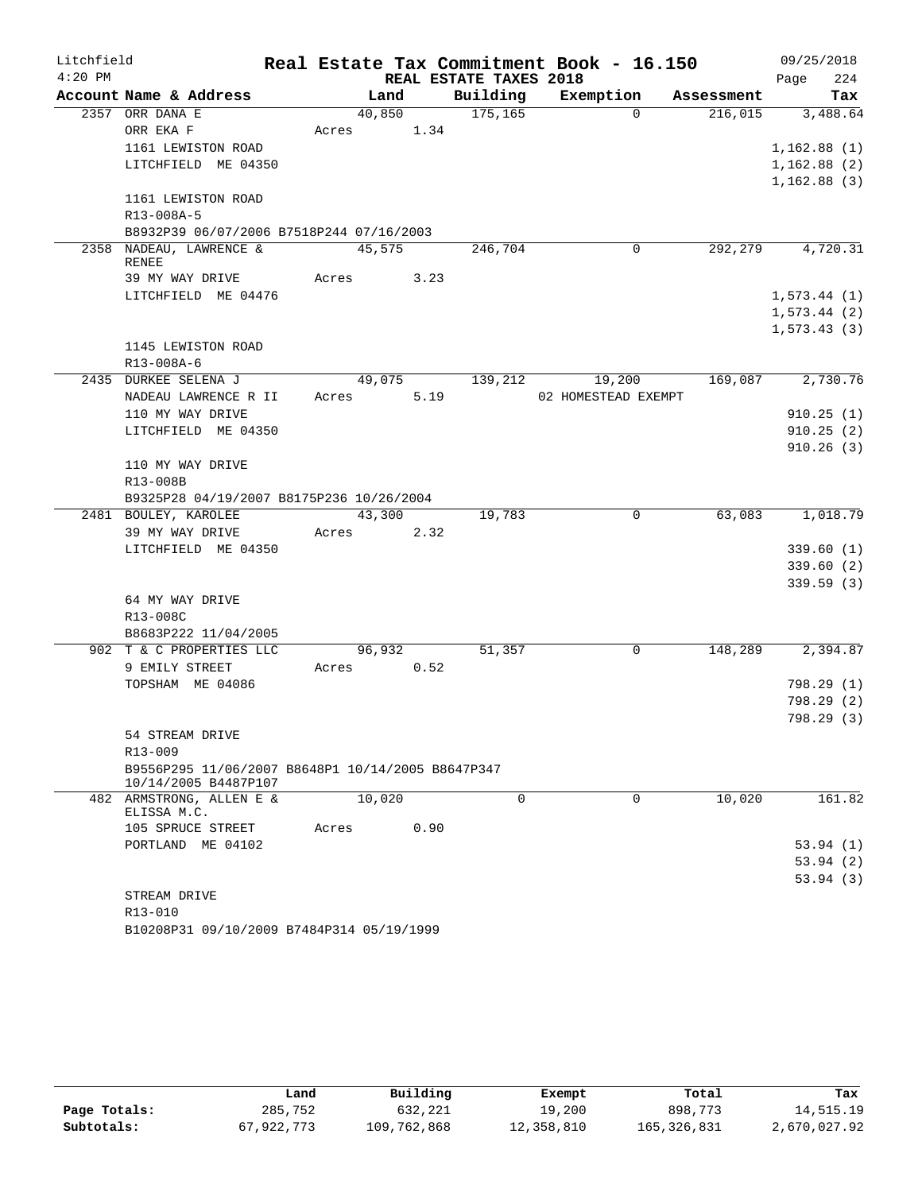| Litchfield |                                                                     |       |            |      |                        | Real Estate Tax Commitment Book - 16.150 |            | 09/25/2018  |
|------------|---------------------------------------------------------------------|-------|------------|------|------------------------|------------------------------------------|------------|-------------|
| $4:20$ PM  |                                                                     |       |            |      | REAL ESTATE TAXES 2018 |                                          |            | 224<br>Page |
|            | Account Name & Address                                              |       | Land       |      | Building               | Exemption                                | Assessment | Tax         |
|            | 2357 ORR DANA E                                                     |       | 40,850     |      | 175, 165               | $\Omega$                                 | 216,015    | 3,488.64    |
|            | ORR EKA F                                                           | Acres |            | 1.34 |                        |                                          |            |             |
|            | 1161 LEWISTON ROAD                                                  |       |            |      |                        |                                          |            | 1,162.88(1) |
|            | LITCHFIELD ME 04350                                                 |       |            |      |                        |                                          |            | 1,162.88(2) |
|            |                                                                     |       |            |      |                        |                                          |            | 1,162.88(3) |
|            | 1161 LEWISTON ROAD                                                  |       |            |      |                        |                                          |            |             |
|            | R13-008A-5                                                          |       |            |      |                        |                                          |            |             |
|            | B8932P39 06/07/2006 B7518P244 07/16/2003<br>2358 NADEAU, LAWRENCE & |       | 45,575     |      | 246,704                | 0                                        | 292,279    | 4,720.31    |
|            | <b>RENEE</b>                                                        |       |            |      |                        |                                          |            |             |
|            | 39 MY WAY DRIVE                                                     |       | Acres 3.23 |      |                        |                                          |            |             |
|            | LITCHFIELD ME 04476                                                 |       |            |      |                        |                                          |            | 1,573.44(1) |
|            |                                                                     |       |            |      |                        |                                          |            | 1,573.44(2) |
|            |                                                                     |       |            |      |                        |                                          |            | 1,573.43(3) |
|            | 1145 LEWISTON ROAD                                                  |       |            |      |                        |                                          |            |             |
|            | R13-008A-6                                                          |       |            |      |                        |                                          |            |             |
|            | 2435 DURKEE SELENA J                                                |       | 49,075     |      | 139,212                | 19,200                                   | 169,087    | 2,730.76    |
|            | NADEAU LAWRENCE R II                                                | Acres |            | 5.19 |                        | 02 HOMESTEAD EXEMPT                      |            |             |
|            | 110 MY WAY DRIVE                                                    |       |            |      |                        |                                          |            | 910.25(1)   |
|            | LITCHFIELD ME 04350                                                 |       |            |      |                        |                                          |            | 910.25(2)   |
|            |                                                                     |       |            |      |                        |                                          |            | 910.26(3)   |
|            | 110 MY WAY DRIVE                                                    |       |            |      |                        |                                          |            |             |
|            | R13-008B                                                            |       |            |      |                        |                                          |            |             |
|            | B9325P28 04/19/2007 B8175P236 10/26/2004                            |       |            |      |                        |                                          |            |             |
|            | 2481 BOULEY, KAROLEE                                                |       | 43,300     |      | 19,783                 | $\overline{0}$                           | 63,083     | 1,018.79    |
|            | 39 MY WAY DRIVE                                                     | Acres |            | 2.32 |                        |                                          |            |             |
|            | LITCHFIELD ME 04350                                                 |       |            |      |                        |                                          |            | 339.60(1)   |
|            |                                                                     |       |            |      |                        |                                          |            | 339.60(2)   |
|            |                                                                     |       |            |      |                        |                                          |            | 339.59(3)   |
|            | 64 MY WAY DRIVE                                                     |       |            |      |                        |                                          |            |             |
|            | R13-008C                                                            |       |            |      |                        |                                          |            |             |
|            | B8683P222 11/04/2005                                                |       |            |      |                        |                                          |            |             |
|            | 902 T & C PROPERTIES LLC                                            | Acres | 96,932     |      | 51,357                 | 0                                        | 148,289    | 2,394.87    |
|            | 9 EMILY STREET<br>TOPSHAM ME 04086                                  |       |            | 0.52 |                        |                                          |            | 798.29(1)   |
|            |                                                                     |       |            |      |                        |                                          |            | 798.29(2)   |
|            |                                                                     |       |            |      |                        |                                          |            | 798.29(3)   |
|            | 54 STREAM DRIVE                                                     |       |            |      |                        |                                          |            |             |
|            | R13-009                                                             |       |            |      |                        |                                          |            |             |
|            | B9556P295 11/06/2007 B8648P1 10/14/2005 B8647P347                   |       |            |      |                        |                                          |            |             |
|            | 10/14/2005 B4487P107                                                |       |            |      |                        |                                          |            |             |
|            | 482 ARMSTRONG, ALLEN E &<br>ELISSA M.C.                             |       | 10,020     |      | $\Omega$               | $\Omega$                                 | 10,020     | 161.82      |
|            | 105 SPRUCE STREET                                                   | Acres |            | 0.90 |                        |                                          |            |             |
|            | PORTLAND ME 04102                                                   |       |            |      |                        |                                          |            | 53.94(1)    |
|            |                                                                     |       |            |      |                        |                                          |            | 53.94(2)    |
|            |                                                                     |       |            |      |                        |                                          |            | 53.94(3)    |
|            | STREAM DRIVE                                                        |       |            |      |                        |                                          |            |             |
|            | R13-010                                                             |       |            |      |                        |                                          |            |             |

B10208P31 09/10/2009 B7484P314 05/19/1999

|              | Land       | Building    | Exempt     | Total       | Tax          |
|--------------|------------|-------------|------------|-------------|--------------|
| Page Totals: | 285,752    | 632,221     | 19,200     | 898,773     | 14,515.19    |
| Subtotals:   | 67,922,773 | 109,762,868 | 12,358,810 | 165,326,831 | 2,670,027.92 |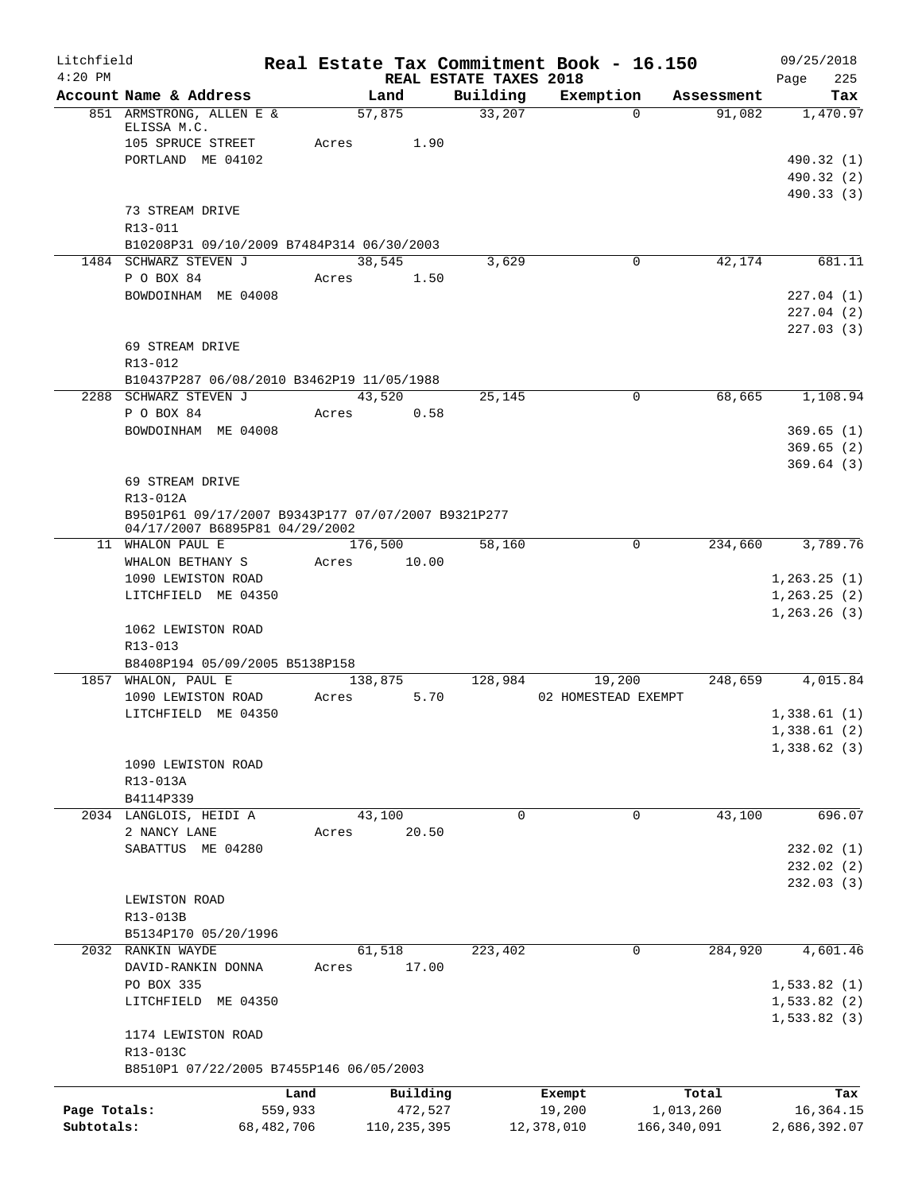| Litchfield   |                                                      | Real Estate Tax Commitment Book - 16.150 |                                    |                     |             | 09/25/2018                 |
|--------------|------------------------------------------------------|------------------------------------------|------------------------------------|---------------------|-------------|----------------------------|
| $4:20$ PM    | Account Name & Address                               | Land                                     | REAL ESTATE TAXES 2018<br>Building | Exemption           | Assessment  | 225<br>Page<br>Tax         |
|              | 851 ARMSTRONG, ALLEN E &                             | 57,875                                   | 33,207                             | $\Omega$            | 91,082      | 1,470.97                   |
|              | ELISSA M.C.                                          | 1.90                                     |                                    |                     |             |                            |
|              | 105 SPRUCE STREET<br>PORTLAND ME 04102               | Acres                                    |                                    |                     |             | 490.32 (1)                 |
|              |                                                      |                                          |                                    |                     |             | 490.32 (2)                 |
|              |                                                      |                                          |                                    |                     |             | 490.33 (3)                 |
|              | 73 STREAM DRIVE                                      |                                          |                                    |                     |             |                            |
|              | R13-011<br>B10208P31 09/10/2009 B7484P314 06/30/2003 |                                          |                                    |                     |             |                            |
|              | 1484 SCHWARZ STEVEN J                                | 38,545                                   | 3,629                              | 0                   | 42,174      | 681.11                     |
|              | P O BOX 84                                           | Acres<br>1.50                            |                                    |                     |             |                            |
|              | BOWDOINHAM ME 04008                                  |                                          |                                    |                     |             | 227.04(1)                  |
|              |                                                      |                                          |                                    |                     |             | 227.04(2)                  |
|              | 69 STREAM DRIVE                                      |                                          |                                    |                     |             | 227.03(3)                  |
|              | R13-012                                              |                                          |                                    |                     |             |                            |
|              | B10437P287 06/08/2010 B3462P19 11/05/1988            |                                          |                                    |                     |             |                            |
|              | 2288 SCHWARZ STEVEN J                                | 43,520                                   | 25,145                             | $\mathbf 0$         | 68,665      | 1,108.94                   |
|              | P O BOX 84                                           | 0.58<br>Acres                            |                                    |                     |             |                            |
|              | BOWDOINHAM ME 04008                                  |                                          |                                    |                     |             | 369.65(1)                  |
|              |                                                      |                                          |                                    |                     |             | 369.65(2)<br>369.64(3)     |
|              | 69 STREAM DRIVE                                      |                                          |                                    |                     |             |                            |
|              | R13-012A                                             |                                          |                                    |                     |             |                            |
|              | B9501P61 09/17/2007 B9343P177 07/07/2007 B9321P277   |                                          |                                    |                     |             |                            |
|              | 04/17/2007 B6895P81 04/29/2002<br>11 WHALON PAUL E   | 176,500                                  | 58,160                             | 0                   | 234,660     | 3,789.76                   |
|              | WHALON BETHANY S                                     | 10.00<br>Acres                           |                                    |                     |             |                            |
|              | 1090 LEWISTON ROAD                                   |                                          |                                    |                     |             | 1, 263.25(1)               |
|              | LITCHFIELD ME 04350                                  |                                          |                                    |                     |             | 1, 263.25(2)               |
|              | 1062 LEWISTON ROAD                                   |                                          |                                    |                     |             | 1,263.26(3)                |
|              | R13-013                                              |                                          |                                    |                     |             |                            |
|              | B8408P194 05/09/2005 B5138P158                       |                                          |                                    |                     |             |                            |
|              | 1857 WHALON, PAUL E                                  | 138,875                                  | 128,984                            | 19,200              | 248,659     | 4,015.84                   |
|              | 1090 LEWISTON ROAD                                   | Acres                                    | 5.70                               | 02 HOMESTEAD EXEMPT |             |                            |
|              | LITCHFIELD ME 04350                                  |                                          |                                    |                     |             | 1,338.61(1)<br>1,338.61(2) |
|              |                                                      |                                          |                                    |                     |             | 1,338.62(3)                |
|              | 1090 LEWISTON ROAD                                   |                                          |                                    |                     |             |                            |
|              | R13-013A                                             |                                          |                                    |                     |             |                            |
|              | B4114P339                                            |                                          |                                    |                     |             |                            |
|              | 2034 LANGLOIS, HEIDI A<br>2 NANCY LANE               | 43,100<br>20.50<br>Acres                 | 0                                  | 0                   | 43,100      | 696.07                     |
|              | SABATTUS ME 04280                                    |                                          |                                    |                     |             | 232.02(1)                  |
|              |                                                      |                                          |                                    |                     |             | 232.02(2)                  |
|              |                                                      |                                          |                                    |                     |             | 232.03(3)                  |
|              | LEWISTON ROAD                                        |                                          |                                    |                     |             |                            |
|              | R13-013B<br>B5134P170 05/20/1996                     |                                          |                                    |                     |             |                            |
|              | 2032 RANKIN WAYDE                                    | 61,518                                   | 223,402                            | 0                   | 284,920     | 4,601.46                   |
|              | DAVID-RANKIN DONNA                                   | 17.00<br>Acres                           |                                    |                     |             |                            |
|              | PO BOX 335                                           |                                          |                                    |                     |             | 1,533.82(1)                |
|              | LITCHFIELD ME 04350                                  |                                          |                                    |                     |             | 1,533.82(2)                |
|              | 1174 LEWISTON ROAD                                   |                                          |                                    |                     |             | 1,533.82(3)                |
|              | R13-013C                                             |                                          |                                    |                     |             |                            |
|              | B8510P1 07/22/2005 B7455P146 06/05/2003              |                                          |                                    |                     |             |                            |
|              | Land                                                 | Building                                 |                                    | Exempt              | Total       | Tax                        |
| Page Totals: | 559,933                                              | 472,527                                  |                                    | 19,200              | 1,013,260   | 16,364.15                  |
| Subtotals:   | 68,482,706                                           | 110, 235, 395                            |                                    | 12,378,010          | 166,340,091 | 2,686,392.07               |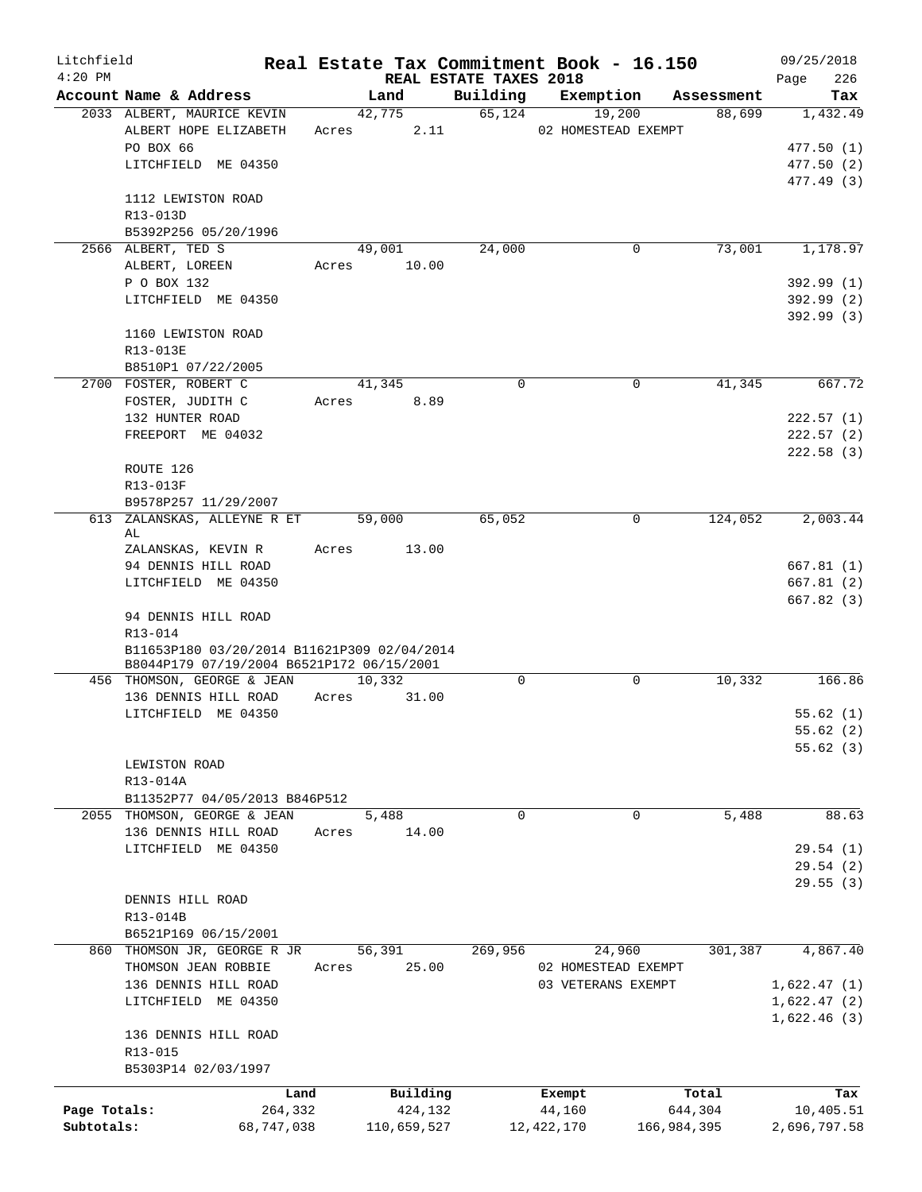| Litchfield<br>$4:20$ PM |                                                                                          |       | REAL ESTATE TAXES 2018 |             | Real Estate Tax Commitment Book - 16.150 |             | 09/25/2018<br>226<br>Page |
|-------------------------|------------------------------------------------------------------------------------------|-------|------------------------|-------------|------------------------------------------|-------------|---------------------------|
|                         | Account Name & Address                                                                   |       | Land                   | Building    | Exemption                                | Assessment  | Tax                       |
|                         | 2033 ALBERT, MAURICE KEVIN                                                               |       | 42,775                 | 65,124      | 19,200                                   | 88,699      | 1,432.49                  |
|                         | ALBERT HOPE ELIZABETH                                                                    | Acres | 2.11                   |             | 02 HOMESTEAD EXEMPT                      |             |                           |
|                         | PO BOX 66                                                                                |       |                        |             |                                          |             | 477.50 (1)                |
|                         | LITCHFIELD ME 04350                                                                      |       |                        |             |                                          |             | 477.50 (2)                |
|                         |                                                                                          |       |                        |             |                                          |             | 477.49 (3)                |
|                         | 1112 LEWISTON ROAD                                                                       |       |                        |             |                                          |             |                           |
|                         | R13-013D                                                                                 |       |                        |             |                                          |             |                           |
|                         | B5392P256 05/20/1996                                                                     |       |                        |             |                                          |             |                           |
|                         | 2566 ALBERT, TED S                                                                       |       | 49,001                 | 24,000      | 0                                        | 73,001      | 1,178.97                  |
|                         | ALBERT, LOREEN                                                                           | Acres | 10.00                  |             |                                          |             |                           |
|                         | P O BOX 132                                                                              |       |                        |             |                                          |             | 392.99(1)                 |
|                         | LITCHFIELD ME 04350                                                                      |       |                        |             |                                          |             | 392.99(2)                 |
|                         |                                                                                          |       |                        |             |                                          |             | 392.99(3)                 |
|                         | 1160 LEWISTON ROAD                                                                       |       |                        |             |                                          |             |                           |
|                         | R13-013E                                                                                 |       |                        |             |                                          |             |                           |
|                         | B8510P1 07/22/2005                                                                       |       |                        |             |                                          |             |                           |
|                         | 2700 FOSTER, ROBERT C                                                                    |       | 41,345                 | $\mathbf 0$ | 0                                        | 41,345      | 667.72                    |
|                         | FOSTER, JUDITH C<br>132 HUNTER ROAD                                                      | Acres | 8.89                   |             |                                          |             |                           |
|                         | FREEPORT ME 04032                                                                        |       |                        |             |                                          |             | 222.57(1)<br>222.57(2)    |
|                         |                                                                                          |       |                        |             |                                          |             | 222.58 (3)                |
|                         | ROUTE 126                                                                                |       |                        |             |                                          |             |                           |
|                         | R13-013F                                                                                 |       |                        |             |                                          |             |                           |
|                         | B9578P257 11/29/2007                                                                     |       |                        |             |                                          |             |                           |
| 613                     | ZALANSKAS, ALLEYNE R ET                                                                  |       | 59,000                 | 65,052      | 0                                        | 124,052     | 2,003.44                  |
|                         | AL                                                                                       |       |                        |             |                                          |             |                           |
|                         | ZALANSKAS, KEVIN R                                                                       | Acres | 13.00                  |             |                                          |             |                           |
|                         | 94 DENNIS HILL ROAD                                                                      |       |                        |             |                                          |             | 667.81(1)                 |
|                         | LITCHFIELD ME 04350                                                                      |       |                        |             |                                          |             | 667.81(2)                 |
|                         |                                                                                          |       |                        |             |                                          |             | 667.82(3)                 |
|                         | 94 DENNIS HILL ROAD                                                                      |       |                        |             |                                          |             |                           |
|                         | R13-014                                                                                  |       |                        |             |                                          |             |                           |
|                         | B11653P180 03/20/2014 B11621P309 02/04/2014<br>B8044P179 07/19/2004 B6521P172 06/15/2001 |       |                        |             |                                          |             |                           |
|                         | 456 THOMSON, GEORGE & JEAN                                                               |       | 10,332                 | $\Omega$    | 0                                        | 10,332      | 166.86                    |
|                         | 136 DENNIS HILL ROAD                                                                     | Acres | 31.00                  |             |                                          |             |                           |
|                         | LITCHFIELD ME 04350                                                                      |       |                        |             |                                          |             | 55.62(1)                  |
|                         |                                                                                          |       |                        |             |                                          |             | 55.62(2)                  |
|                         |                                                                                          |       |                        |             |                                          |             | 55.62(3)                  |
|                         | LEWISTON ROAD                                                                            |       |                        |             |                                          |             |                           |
|                         | R13-014A                                                                                 |       |                        |             |                                          |             |                           |
|                         | B11352P77 04/05/2013 B846P512                                                            |       |                        |             |                                          |             |                           |
|                         | 2055 THOMSON, GEORGE & JEAN                                                              |       | 5,488                  | 0           | 0                                        | 5,488       | 88.63                     |
|                         | 136 DENNIS HILL ROAD                                                                     | Acres | 14.00                  |             |                                          |             |                           |
|                         | LITCHFIELD ME 04350                                                                      |       |                        |             |                                          |             | 29.54(1)                  |
|                         |                                                                                          |       |                        |             |                                          |             | 29.54(2)                  |
|                         | DENNIS HILL ROAD                                                                         |       |                        |             |                                          |             | 29.55(3)                  |
|                         | R13-014B                                                                                 |       |                        |             |                                          |             |                           |
|                         | B6521P169 06/15/2001                                                                     |       |                        |             |                                          |             |                           |
|                         | 860 THOMSON JR, GEORGE R JR                                                              |       | 56,391                 | 269,956     | 24,960                                   | 301,387     | 4,867.40                  |
|                         | THOMSON JEAN ROBBIE                                                                      | Acres | 25.00                  |             | 02 HOMESTEAD EXEMPT                      |             |                           |
|                         | 136 DENNIS HILL ROAD                                                                     |       |                        |             | 03 VETERANS EXEMPT                       |             | 1,622.47(1)               |
|                         | LITCHFIELD ME 04350                                                                      |       |                        |             |                                          |             | 1,622.47(2)               |
|                         |                                                                                          |       |                        |             |                                          |             | 1,622.46(3)               |
|                         | 136 DENNIS HILL ROAD                                                                     |       |                        |             |                                          |             |                           |
|                         | R13-015                                                                                  |       |                        |             |                                          |             |                           |
|                         | B5303P14 02/03/1997                                                                      |       |                        |             |                                          |             |                           |
|                         |                                                                                          | Land  | Building               |             | Exempt                                   | Total       | Tax                       |
| Page Totals:            | 264,332                                                                                  |       | 424,132                |             | 44,160                                   | 644,304     | 10,405.51                 |
| Subtotals:              | 68,747,038                                                                               |       | 110,659,527            |             | 12, 422, 170                             | 166,984,395 | 2,696,797.58              |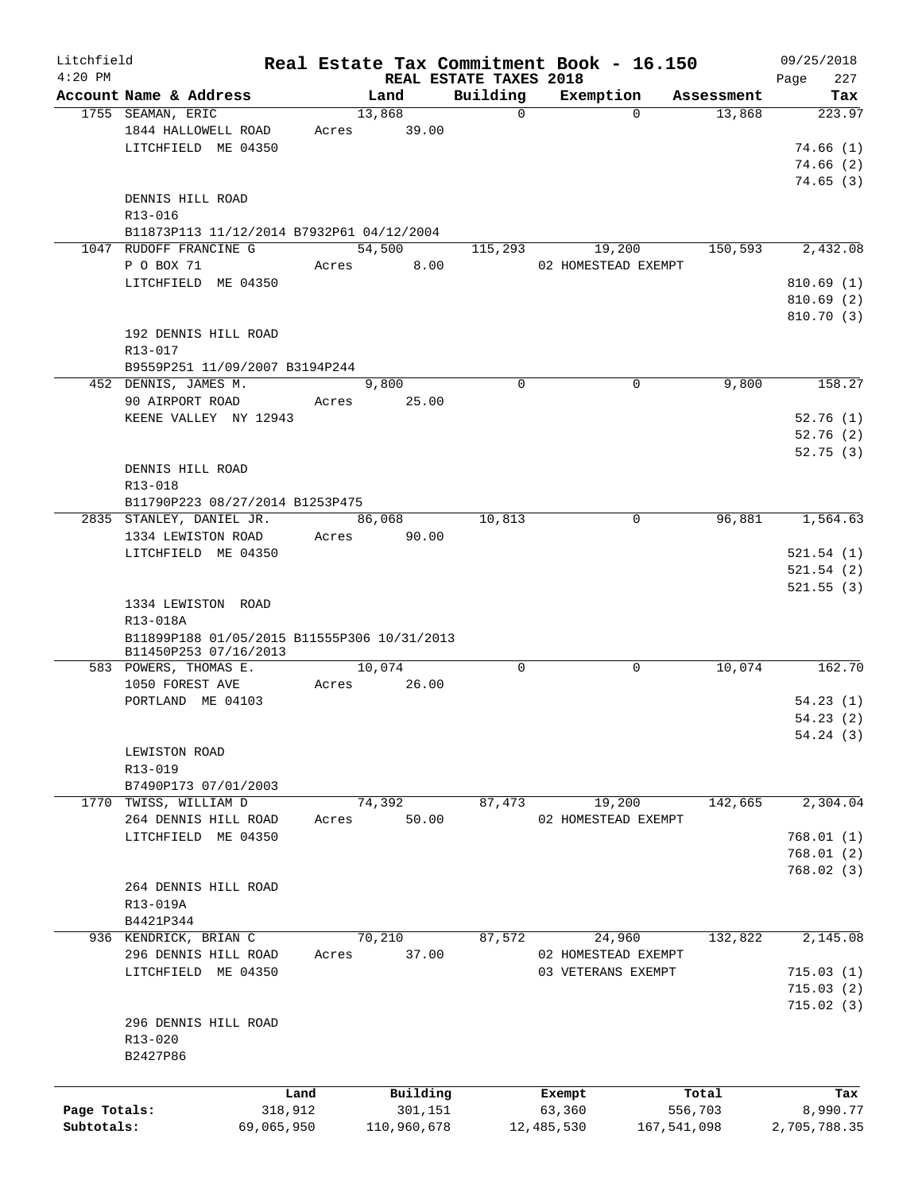| Litchfield   |                                             |       |                |                        | Real Estate Tax Commitment Book - 16.150 |                      | 09/25/2018    |
|--------------|---------------------------------------------|-------|----------------|------------------------|------------------------------------------|----------------------|---------------|
| $4:20$ PM    |                                             |       |                | REAL ESTATE TAXES 2018 |                                          |                      | 227<br>Page   |
|              | Account Name & Address<br>1755 SEAMAN, ERIC |       | Land<br>13,868 | Building<br>$\Omega$   | Exemption<br>$\Omega$                    | Assessment<br>13,868 | Tax<br>223.97 |
|              | 1844 HALLOWELL ROAD                         | Acres | 39.00          |                        |                                          |                      |               |
|              | LITCHFIELD ME 04350                         |       |                |                        |                                          |                      | 74.66(1)      |
|              |                                             |       |                |                        |                                          |                      |               |
|              |                                             |       |                |                        |                                          |                      | 74.66(2)      |
|              |                                             |       |                |                        |                                          |                      | 74.65(3)      |
|              | DENNIS HILL ROAD                            |       |                |                        |                                          |                      |               |
|              | R13-016                                     |       |                |                        |                                          |                      |               |
|              | B11873P113 11/12/2014 B7932P61 04/12/2004   |       |                |                        |                                          |                      |               |
|              | 1047 RUDOFF FRANCINE G                      |       | 54,500         | 115,293                | 19,200                                   | 150,593              | 2,432.08      |
|              | P O BOX 71                                  |       | 8.00<br>Acres  |                        | 02 HOMESTEAD EXEMPT                      |                      |               |
|              | LITCHFIELD ME 04350                         |       |                |                        |                                          |                      | 810.69(1)     |
|              |                                             |       |                |                        |                                          |                      | 810.69(2)     |
|              |                                             |       |                |                        |                                          |                      | 810.70(3)     |
|              | 192 DENNIS HILL ROAD                        |       |                |                        |                                          |                      |               |
|              | R13-017                                     |       |                |                        |                                          |                      |               |
|              | B9559P251 11/09/2007 B3194P244              |       |                |                        |                                          |                      |               |
|              | 452 DENNIS, JAMES M.                        |       | 9,800          | $\Omega$               | 0                                        | 9,800                | 158.27        |
|              | 90 AIRPORT ROAD                             | Acres | 25.00          |                        |                                          |                      |               |
|              | KEENE VALLEY NY 12943                       |       |                |                        |                                          |                      | 52.76(1)      |
|              |                                             |       |                |                        |                                          |                      | 52.76(2)      |
|              |                                             |       |                |                        |                                          |                      | 52.75(3)      |
|              | DENNIS HILL ROAD                            |       |                |                        |                                          |                      |               |
|              | R13-018                                     |       |                |                        |                                          |                      |               |
|              |                                             |       |                |                        |                                          |                      |               |
|              | B11790P223 08/27/2014 B1253P475             |       |                |                        |                                          |                      |               |
|              | 2835 STANLEY, DANIEL JR.                    |       | 86,068         | 10,813                 | 0                                        | 96,881               | 1,564.63      |
|              | 1334 LEWISTON ROAD                          |       | Acres 90.00    |                        |                                          |                      |               |
|              | LITCHFIELD ME 04350                         |       |                |                        |                                          |                      | 521.54(1)     |
|              |                                             |       |                |                        |                                          |                      | 521.54(2)     |
|              |                                             |       |                |                        |                                          |                      | 521.55(3)     |
|              | 1334 LEWISTON ROAD                          |       |                |                        |                                          |                      |               |
|              | R13-018A                                    |       |                |                        |                                          |                      |               |
|              | B11899P188 01/05/2015 B11555P306 10/31/2013 |       |                |                        |                                          |                      |               |
|              | B11450P253 07/16/2013                       |       |                |                        |                                          |                      |               |
|              | 583 POWERS, THOMAS E.                       |       | 10,074         | $\mathbf 0$            | 0                                        | 10,074               | 162.70        |
|              | 1050 FOREST AVE                             | Acres | 26.00          |                        |                                          |                      |               |
|              | PORTLAND ME 04103                           |       |                |                        |                                          |                      | 54.23(1)      |
|              |                                             |       |                |                        |                                          |                      | 54.23(2)      |
|              |                                             |       |                |                        |                                          |                      | 54.24(3)      |
|              | LEWISTON ROAD                               |       |                |                        |                                          |                      |               |
|              | R13-019                                     |       |                |                        |                                          |                      |               |
|              | B7490P173 07/01/2003                        |       |                |                        |                                          |                      |               |
|              | 1770 TWISS, WILLIAM D                       |       | 74,392         | 87,473                 | 19,200                                   | 142,665              | 2,304.04      |
|              | 264 DENNIS HILL ROAD                        | Acres | 50.00          |                        | 02 HOMESTEAD EXEMPT                      |                      |               |
|              | LITCHFIELD ME 04350                         |       |                |                        |                                          |                      | 768.01(1)     |
|              |                                             |       |                |                        |                                          |                      | 768.01(2)     |
|              |                                             |       |                |                        |                                          |                      | 768.02(3)     |
|              | 264 DENNIS HILL ROAD                        |       |                |                        |                                          |                      |               |
|              |                                             |       |                |                        |                                          |                      |               |
|              | R13-019A                                    |       |                |                        |                                          |                      |               |
|              | B4421P344                                   |       |                |                        |                                          |                      |               |
|              | 936 KENDRICK, BRIAN C                       |       | 70,210         | 87,572                 | 24,960                                   | 132,822              | 2,145.08      |
|              | 296 DENNIS HILL ROAD                        | Acres | 37.00          |                        | 02 HOMESTEAD EXEMPT                      |                      |               |
|              | LITCHFIELD ME 04350                         |       |                |                        | 03 VETERANS EXEMPT                       |                      | 715.03(1)     |
|              |                                             |       |                |                        |                                          |                      | 715.03(2)     |
|              |                                             |       |                |                        |                                          |                      | 715.02(3)     |
|              | 296 DENNIS HILL ROAD                        |       |                |                        |                                          |                      |               |
|              | R13-020                                     |       |                |                        |                                          |                      |               |
|              | B2427P86                                    |       |                |                        |                                          |                      |               |
|              |                                             |       |                |                        |                                          |                      |               |
|              |                                             | Land  | Building       |                        | Exempt                                   | Total                | Tax           |
| Page Totals: | 318,912                                     |       | 301,151        |                        | 63,360                                   | 556,703              | 8,990.77      |
| Subtotals:   | 69,065,950                                  |       | 110,960,678    |                        | 12,485,530                               | 167,541,098          | 2,705,788.35  |
|              |                                             |       |                |                        |                                          |                      |               |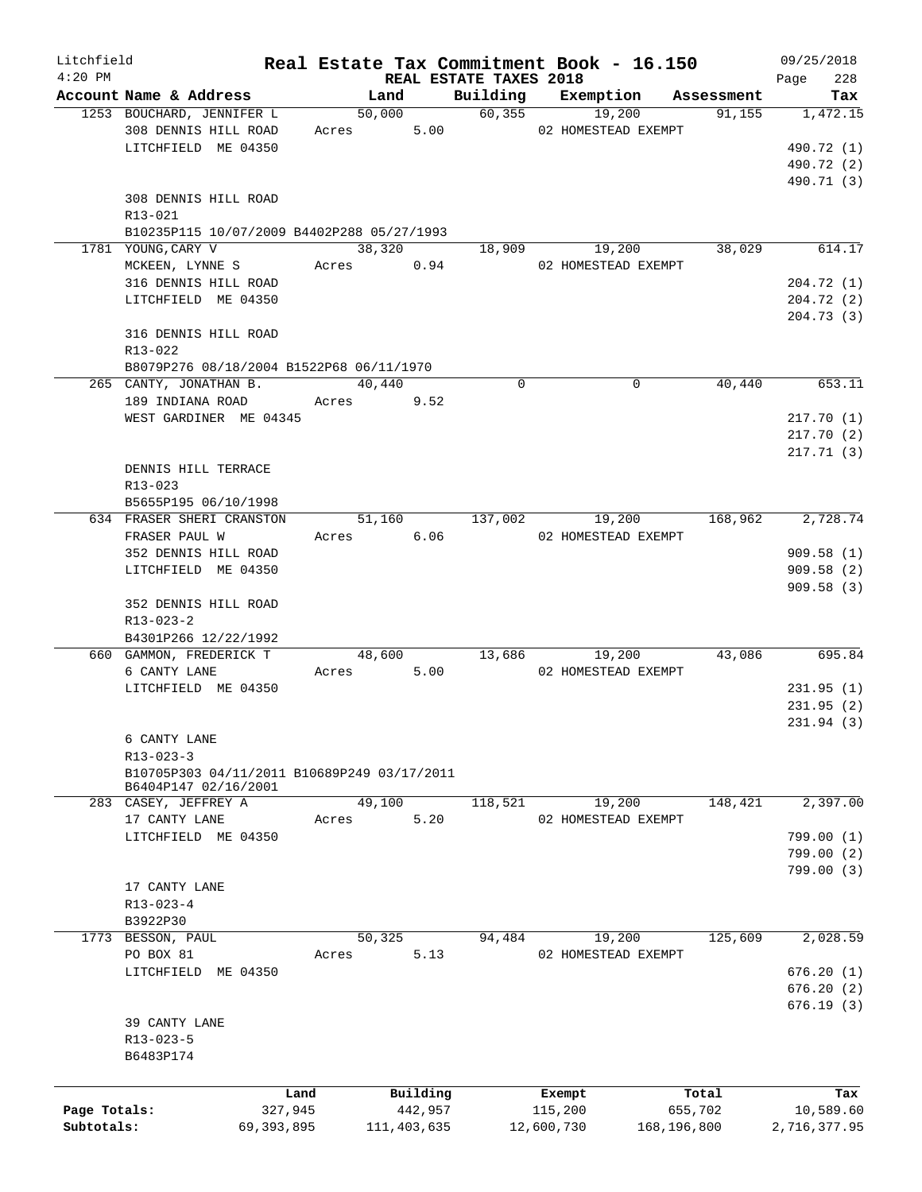| Litchfield   |                                             |              |       |                               |             | Real Estate Tax Commitment Book - 16.150 |                  | 09/25/2018   |
|--------------|---------------------------------------------|--------------|-------|-------------------------------|-------------|------------------------------------------|------------------|--------------|
| $4:20$ PM    |                                             |              |       | <b>REAL ESTATE TAXES 2018</b> |             |                                          |                  | 228<br>Page  |
|              | Account Name & Address                      |              |       | Land                          | Building    | Exemption                                | Assessment       | Tax          |
|              | 1253 BOUCHARD, JENNIFER L                   |              |       | 50,000                        |             | 60,355<br>19,200                         | 91,155           | 1,472.15     |
|              | 308 DENNIS HILL ROAD                        |              | Acres |                               |             | 5.00 02 HOMESTEAD EXEMPT                 |                  |              |
|              | LITCHFIELD ME 04350                         |              |       |                               |             |                                          |                  | 490.72 (1)   |
|              |                                             |              |       |                               |             |                                          |                  | 490.72 (2)   |
|              |                                             |              |       |                               |             |                                          |                  | 490.71 (3)   |
|              | 308 DENNIS HILL ROAD                        |              |       |                               |             |                                          |                  |              |
|              | R13-021                                     |              |       |                               |             |                                          |                  |              |
|              | B10235P115 10/07/2009 B4402P288 05/27/1993  |              |       |                               |             |                                          |                  |              |
|              | 1781 YOUNG, CARY V                          |              |       | 38,320                        |             | 18,909                                   | 19,200<br>38,029 | 614.17       |
|              | MCKEEN, LYNNE S                             |              |       | Acres 0.94                    |             | 02 HOMESTEAD EXEMPT                      |                  |              |
|              | 316 DENNIS HILL ROAD                        |              |       |                               |             |                                          |                  | 204.72(1)    |
|              | LITCHFIELD ME 04350                         |              |       |                               |             |                                          |                  | 204.72(2)    |
|              |                                             |              |       |                               |             |                                          |                  | 204.73(3)    |
|              | 316 DENNIS HILL ROAD                        |              |       |                               |             |                                          |                  |              |
|              | R13-022                                     |              |       |                               |             |                                          |                  |              |
|              | B8079P276 08/18/2004 B1522P68 06/11/1970    |              |       |                               |             |                                          |                  |              |
|              | 265 CANTY, JONATHAN B.                      |              |       | 40,440                        | $\mathbf 0$ | 0                                        | 40,440           | 653.11       |
|              | 189 INDIANA ROAD                            |              |       | Acres 9.52                    |             |                                          |                  |              |
|              | WEST GARDINER ME 04345                      |              |       |                               |             |                                          |                  | 217.70(1)    |
|              |                                             |              |       |                               |             |                                          |                  | 217.70(2)    |
|              |                                             |              |       |                               |             |                                          |                  |              |
|              |                                             |              |       |                               |             |                                          |                  | 217.71(3)    |
|              | DENNIS HILL TERRACE                         |              |       |                               |             |                                          |                  |              |
|              | R13-023                                     |              |       |                               |             |                                          |                  |              |
|              | B5655P195 06/10/1998                        |              |       |                               |             |                                          |                  |              |
|              | 634 FRASER SHERI CRANSTON                   |              |       | 51,160                        | 137,002     | 19,200                                   | 168,962          | 2,728.74     |
|              | FRASER PAUL W                               |              |       | Acres 6.06                    |             | 02 HOMESTEAD EXEMPT                      |                  |              |
|              | 352 DENNIS HILL ROAD                        |              |       |                               |             |                                          |                  | 909.58(1)    |
|              | LITCHFIELD ME 04350                         |              |       |                               |             |                                          |                  | 909.58 (2)   |
|              |                                             |              |       |                               |             |                                          |                  | 909.58(3)    |
|              | 352 DENNIS HILL ROAD                        |              |       |                               |             |                                          |                  |              |
|              | $R13 - 023 - 2$                             |              |       |                               |             |                                          |                  |              |
|              | B4301P266 12/22/1992                        |              |       |                               |             |                                          |                  |              |
|              | 660 GAMMON, FREDERICK T                     |              |       | 48,600                        |             | 13,686<br>19,200                         | 43,086           | 695.84       |
|              | 6 CANTY LANE                                |              | Acres | 5.00                          |             | 02 HOMESTEAD EXEMPT                      |                  |              |
|              | LITCHFIELD ME 04350                         |              |       |                               |             |                                          |                  | 231.95(1)    |
|              |                                             |              |       |                               |             |                                          |                  | 231.95(2)    |
|              |                                             |              |       |                               |             |                                          |                  | 231.94(3)    |
|              | 6 CANTY LANE                                |              |       |                               |             |                                          |                  |              |
|              | $R13 - 023 - 3$                             |              |       |                               |             |                                          |                  |              |
|              | B10705P303 04/11/2011 B10689P249 03/17/2011 |              |       |                               |             |                                          |                  |              |
|              | B6404P147 02/16/2001                        |              |       |                               |             |                                          |                  |              |
|              | 283 CASEY, JEFFREY A                        |              |       | 49,100                        | 118,521     | 19,200                                   | 148,421          | 2,397.00     |
|              | 17 CANTY LANE                               |              | Acres | 5.20                          |             | 02 HOMESTEAD EXEMPT                      |                  |              |
|              | LITCHFIELD ME 04350                         |              |       |                               |             |                                          |                  | 799.00 (1)   |
|              |                                             |              |       |                               |             |                                          |                  | 799.00(2)    |
|              |                                             |              |       |                               |             |                                          |                  | 799.00 (3)   |
|              | 17 CANTY LANE                               |              |       |                               |             |                                          |                  |              |
|              |                                             |              |       |                               |             |                                          |                  |              |
|              | $R13 - 023 - 4$                             |              |       |                               |             |                                          |                  |              |
|              | B3922P30                                    |              |       |                               |             |                                          |                  |              |
|              | 1773 BESSON, PAUL                           |              |       | 50,325                        | 94,484      | 19,200                                   | 125,609          | 2,028.59     |
|              | PO BOX 81                                   |              | Acres | 5.13                          |             | 02 HOMESTEAD EXEMPT                      |                  |              |
|              | LITCHFIELD ME 04350                         |              |       |                               |             |                                          |                  | 676.20(1)    |
|              |                                             |              |       |                               |             |                                          |                  | 676.20(2)    |
|              |                                             |              |       |                               |             |                                          |                  | 676.19(3)    |
|              | 39 CANTY LANE                               |              |       |                               |             |                                          |                  |              |
|              | R13-023-5                                   |              |       |                               |             |                                          |                  |              |
|              | B6483P174                                   |              |       |                               |             |                                          |                  |              |
|              |                                             |              |       |                               |             |                                          |                  |              |
|              |                                             | Land         |       | Building                      |             | Exempt                                   | Total            | Tax          |
| Page Totals: |                                             | 327,945      |       | 442,957                       |             | 115,200                                  | 655,702          | 10,589.60    |
| Subtotals:   |                                             | 69, 393, 895 |       | 111,403,635                   |             | 12,600,730                               | 168,196,800      | 2,716,377.95 |
|              |                                             |              |       |                               |             |                                          |                  |              |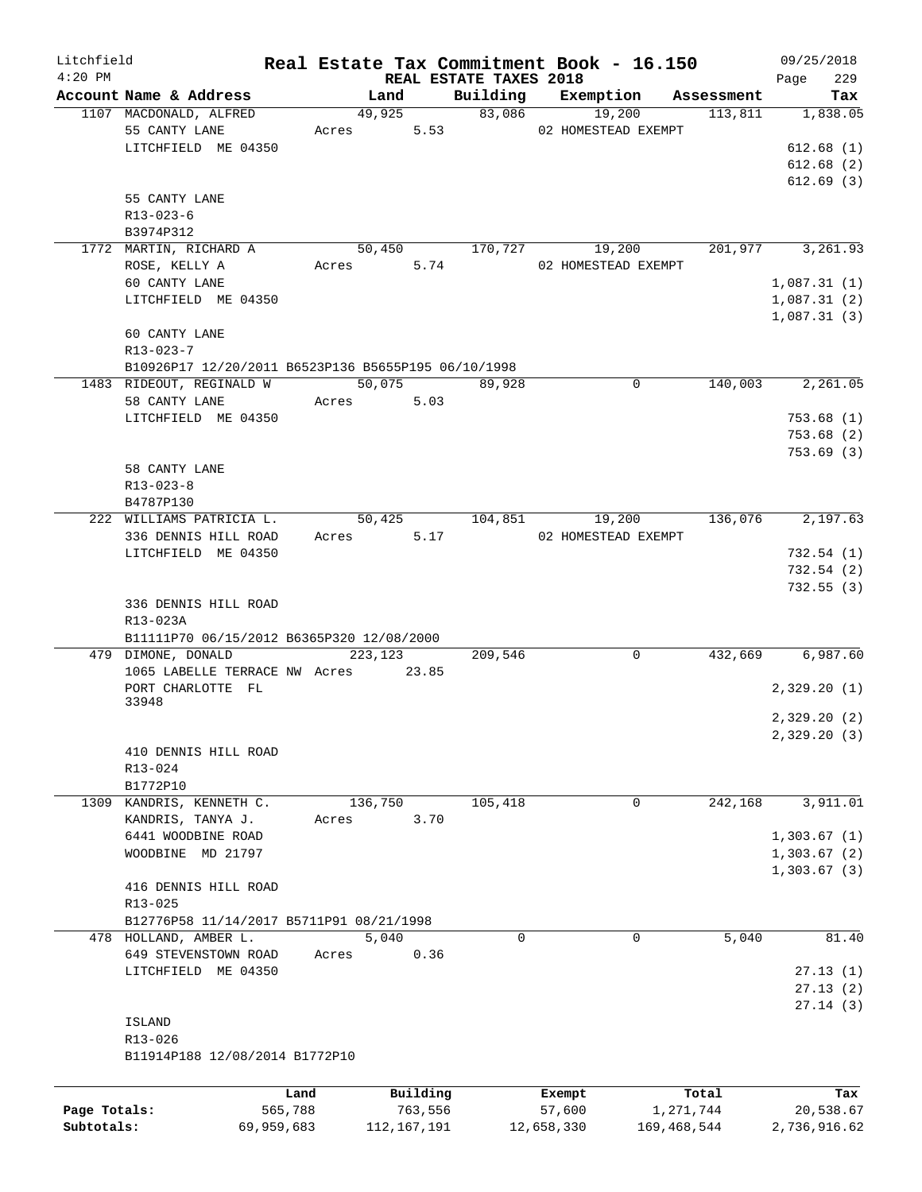| Litchfield   |                                                     |            |       |               |                                    | Real Estate Tax Commitment Book - 16.150 |             | 09/25/2018         |
|--------------|-----------------------------------------------------|------------|-------|---------------|------------------------------------|------------------------------------------|-------------|--------------------|
| $4:20$ PM    | Account Name & Address                              |            |       | Land          | REAL ESTATE TAXES 2018<br>Building | Exemption                                | Assessment  | 229<br>Page<br>Tax |
|              | 1107 MACDONALD, ALFRED                              |            |       | 49,925        |                                    | 83,086<br>19,200                         | 113,811     | 1,838.05           |
|              | 55 CANTY LANE                                       |            |       | 5.53<br>Acres |                                    | 02 HOMESTEAD EXEMPT                      |             |                    |
|              | LITCHFIELD ME 04350                                 |            |       |               |                                    |                                          |             | 612.68(1)          |
|              |                                                     |            |       |               |                                    |                                          |             | 612.68(2)          |
|              |                                                     |            |       |               |                                    |                                          |             | 612.69(3)          |
|              |                                                     |            |       |               |                                    |                                          |             |                    |
|              | 55 CANTY LANE                                       |            |       |               |                                    |                                          |             |                    |
|              | R13-023-6                                           |            |       |               |                                    |                                          |             |                    |
|              | B3974P312                                           |            |       |               |                                    |                                          |             |                    |
|              | 1772 MARTIN, RICHARD A                              |            |       | 50,450        | 170,727                            | 19,200                                   | 201,977     | 3,261.93           |
|              | ROSE, KELLY A                                       |            |       | 5.74<br>Acres |                                    | 02 HOMESTEAD EXEMPT                      |             |                    |
|              | 60 CANTY LANE                                       |            |       |               |                                    |                                          |             | 1,087.31(1)        |
|              | LITCHFIELD ME 04350                                 |            |       |               |                                    |                                          |             | 1,087.31(2)        |
|              |                                                     |            |       |               |                                    |                                          |             | 1,087.31(3)        |
|              | 60 CANTY LANE                                       |            |       |               |                                    |                                          |             |                    |
|              | R13-023-7                                           |            |       |               |                                    |                                          |             |                    |
|              | B10926P17 12/20/2011 B6523P136 B5655P195 06/10/1998 |            |       |               |                                    |                                          |             |                    |
|              | 1483 RIDEOUT, REGINALD W                            |            |       | 50,075        | 89,928                             | 0                                        | 140,003     | 2,261.05           |
|              | 58 CANTY LANE                                       |            |       | 5.03<br>Acres |                                    |                                          |             |                    |
|              | LITCHFIELD ME 04350                                 |            |       |               |                                    |                                          |             | 753.68(1)          |
|              |                                                     |            |       |               |                                    |                                          |             | 753.68(2)          |
|              |                                                     |            |       |               |                                    |                                          |             | 753.69(3)          |
|              | 58 CANTY LANE                                       |            |       |               |                                    |                                          |             |                    |
|              | $R13 - 023 - 8$                                     |            |       |               |                                    |                                          |             |                    |
|              | B4787P130                                           |            |       |               |                                    |                                          |             |                    |
|              |                                                     |            |       |               | 104,851                            | 19,200                                   | 136,076     | 2,197.63           |
|              | 222 WILLIAMS PATRICIA L.                            |            |       | 50,425        |                                    |                                          |             |                    |
|              | 336 DENNIS HILL ROAD                                |            |       | 5.17<br>Acres |                                    | 02 HOMESTEAD EXEMPT                      |             |                    |
|              | LITCHFIELD ME 04350                                 |            |       |               |                                    |                                          |             | 732.54(1)          |
|              |                                                     |            |       |               |                                    |                                          |             | 732.54(2)          |
|              |                                                     |            |       |               |                                    |                                          |             | 732.55(3)          |
|              | 336 DENNIS HILL ROAD                                |            |       |               |                                    |                                          |             |                    |
|              | R13-023A                                            |            |       |               |                                    |                                          |             |                    |
|              | B11111P70 06/15/2012 B6365P320 12/08/2000           |            |       |               |                                    |                                          |             |                    |
|              | 479 DIMONE, DONALD                                  |            |       | 223,123       | 209,546                            | 0                                        | 432,669     | 6,987.60           |
|              | 1065 LABELLE TERRACE NW Acres                       |            |       | 23.85         |                                    |                                          |             |                    |
|              | PORT CHARLOTTE FL                                   |            |       |               |                                    |                                          |             | 2,329.20(1)        |
|              | 33948                                               |            |       |               |                                    |                                          |             |                    |
|              |                                                     |            |       |               |                                    |                                          |             | 2,329.20(2)        |
|              |                                                     |            |       |               |                                    |                                          |             | 2,329.20 (3)       |
|              | 410 DENNIS HILL ROAD                                |            |       |               |                                    |                                          |             |                    |
|              | R13-024                                             |            |       |               |                                    |                                          |             |                    |
|              | B1772P10                                            |            |       |               |                                    |                                          |             |                    |
|              | 1309 KANDRIS, KENNETH C.                            |            |       | 136,750       | 105,418                            | 0                                        | 242,168     | 3,911.01           |
|              | KANDRIS, TANYA J.                                   |            | Acres | 3.70          |                                    |                                          |             |                    |
|              | 6441 WOODBINE ROAD                                  |            |       |               |                                    |                                          |             | 1,303.67(1)        |
|              | WOODBINE MD 21797                                   |            |       |               |                                    |                                          |             | 1,303.67(2)        |
|              |                                                     |            |       |               |                                    |                                          |             | 1,303.67(3)        |
|              | 416 DENNIS HILL ROAD                                |            |       |               |                                    |                                          |             |                    |
|              | R13-025                                             |            |       |               |                                    |                                          |             |                    |
|              | B12776P58 11/14/2017 B5711P91 08/21/1998            |            |       |               |                                    |                                          |             |                    |
|              |                                                     |            |       |               |                                    |                                          |             |                    |
|              | 478 HOLLAND, AMBER L.                               |            |       | 5,040         | $\Omega$                           | $\Omega$                                 | 5,040       | 81.40              |
|              | 649 STEVENSTOWN ROAD                                |            | Acres | 0.36          |                                    |                                          |             |                    |
|              | LITCHFIELD ME 04350                                 |            |       |               |                                    |                                          |             | 27.13(1)           |
|              |                                                     |            |       |               |                                    |                                          |             | 27.13(2)           |
|              |                                                     |            |       |               |                                    |                                          |             | 27.14(3)           |
|              | ISLAND                                              |            |       |               |                                    |                                          |             |                    |
|              | R13-026                                             |            |       |               |                                    |                                          |             |                    |
|              | B11914P188 12/08/2014 B1772P10                      |            |       |               |                                    |                                          |             |                    |
|              |                                                     |            |       |               |                                    |                                          |             |                    |
|              |                                                     | Land       |       | Building      |                                    | Exempt                                   | Total       | Tax                |
| Page Totals: |                                                     | 565,788    |       | 763,556       |                                    | 57,600                                   | 1,271,744   | 20,538.67          |
| Subtotals:   |                                                     | 69,959,683 |       | 112, 167, 191 |                                    | 12,658,330                               | 169,468,544 | 2,736,916.62       |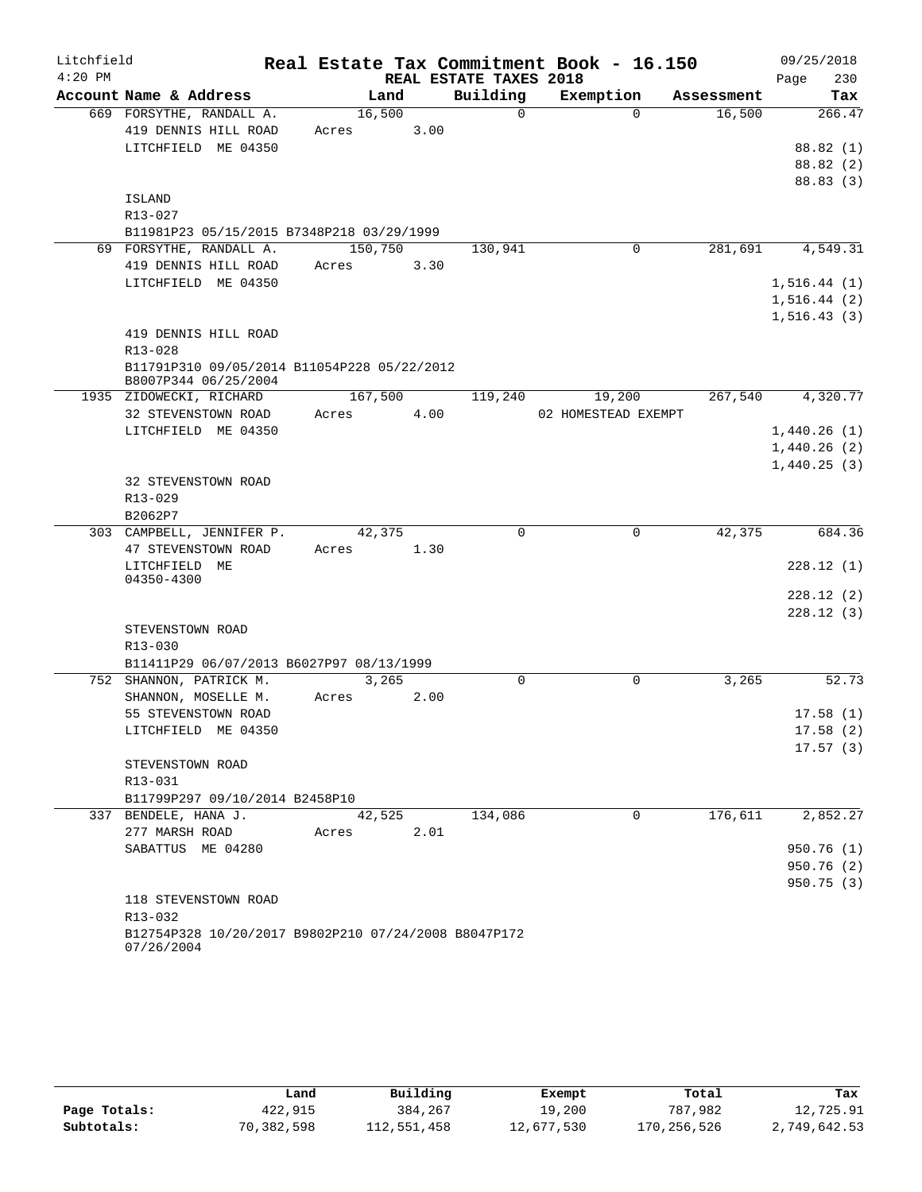| Litchfield |                                                      |               |      |                        | Real Estate Tax Commitment Book - 16.150 |            | 09/25/2018   |
|------------|------------------------------------------------------|---------------|------|------------------------|------------------------------------------|------------|--------------|
| $4:20$ PM  |                                                      |               |      | REAL ESTATE TAXES 2018 |                                          |            | 230<br>Page  |
|            | Account Name & Address                               | Land          |      | Building               | Exemption                                | Assessment | Tax          |
|            | 669 FORSYTHE, RANDALL A.                             | 16,500        |      | $\Omega$               | $\Omega$                                 | 16,500     | 266.47       |
|            | 419 DENNIS HILL ROAD                                 | Acres         | 3.00 |                        |                                          |            |              |
|            | LITCHFIELD ME 04350                                  |               |      |                        |                                          |            | 88.82 (1)    |
|            |                                                      |               |      |                        |                                          |            | 88.82(2)     |
|            |                                                      |               |      |                        |                                          |            | 88.83 (3)    |
|            | ISLAND<br>R13-027                                    |               |      |                        |                                          |            |              |
|            | B11981P23 05/15/2015 B7348P218 03/29/1999            |               |      |                        |                                          |            |              |
|            | 69 FORSYTHE, RANDALL A.                              | 150,750       |      | 130,941                | 0                                        | 281,691    | 4,549.31     |
|            | 419 DENNIS HILL ROAD                                 | Acres         | 3.30 |                        |                                          |            |              |
|            | LITCHFIELD ME 04350                                  |               |      |                        |                                          |            | 1, 516.44(1) |
|            |                                                      |               |      |                        |                                          |            | 1,516.44(2)  |
|            |                                                      |               |      |                        |                                          |            | 1, 516.43(3) |
|            | 419 DENNIS HILL ROAD                                 |               |      |                        |                                          |            |              |
|            | R13-028                                              |               |      |                        |                                          |            |              |
|            | B11791P310 09/05/2014 B11054P228 05/22/2012          |               |      |                        |                                          |            |              |
|            | B8007P344 06/25/2004                                 |               |      |                        |                                          |            |              |
|            | 1935 ZIDOWECKI, RICHARD                              | 167,500       |      | 119,240                | 19,200                                   | 267,540    | 4,320.77     |
|            | 32 STEVENSTOWN ROAD                                  | 4.00<br>Acres |      |                        | 02 HOMESTEAD EXEMPT                      |            |              |
|            | LITCHFIELD ME 04350                                  |               |      |                        |                                          |            | 1,440.26(1)  |
|            |                                                      |               |      |                        |                                          |            | 1,440.26(2)  |
|            |                                                      |               |      |                        |                                          |            | 1,440.25(3)  |
|            | 32 STEVENSTOWN ROAD                                  |               |      |                        |                                          |            |              |
|            | R13-029                                              |               |      |                        |                                          |            |              |
|            | B2062P7                                              |               |      |                        |                                          |            |              |
|            | 303 CAMPBELL, JENNIFER P.                            | 42,375        |      | $\Omega$               | $\mathbf 0$                              | 42,375     | 684.36       |
|            | 47 STEVENSTOWN ROAD                                  | Acres         | 1.30 |                        |                                          |            |              |
|            | LITCHFIELD ME<br>04350-4300                          |               |      |                        |                                          |            | 228.12(1)    |
|            |                                                      |               |      |                        |                                          |            | 228.12(2)    |
|            |                                                      |               |      |                        |                                          |            | 228.12(3)    |
|            | STEVENSTOWN ROAD                                     |               |      |                        |                                          |            |              |
|            | R13-030                                              |               |      |                        |                                          |            |              |
|            | B11411P29 06/07/2013 B6027P97 08/13/1999             |               |      |                        |                                          |            |              |
|            | 752 SHANNON, PATRICK M.                              | 3,265         |      | 0                      | 0                                        | 3,265      | 52.73        |
|            | SHANNON, MOSELLE M.                                  | Acres         | 2.00 |                        |                                          |            |              |
|            | 55 STEVENSTOWN ROAD                                  |               |      |                        |                                          |            | 17.58(1)     |
|            | LITCHFIELD ME 04350                                  |               |      |                        |                                          |            | 17.58(2)     |
|            |                                                      |               |      |                        |                                          |            | 17.57(3)     |
|            | STEVENSTOWN ROAD                                     |               |      |                        |                                          |            |              |
|            | R13-031                                              |               |      |                        |                                          |            |              |
|            | B11799P297 09/10/2014 B2458P10                       |               |      |                        |                                          |            |              |
|            | 337 BENDELE, HANA J.                                 | 42,525        |      | 134,086                | $\Omega$                                 | 176,611    | 2,852.27     |
|            | 277 MARSH ROAD                                       | Acres         | 2.01 |                        |                                          |            |              |
|            | SABATTUS ME 04280                                    |               |      |                        |                                          |            | 950.76 (1)   |
|            |                                                      |               |      |                        |                                          |            | 950.76 (2)   |
|            |                                                      |               |      |                        |                                          |            | 950.75 (3)   |
|            | 118 STEVENSTOWN ROAD<br>R13-032                      |               |      |                        |                                          |            |              |
|            | B12754P328 10/20/2017 B9802P210 07/24/2008 B8047P172 |               |      |                        |                                          |            |              |
|            |                                                      |               |      |                        |                                          |            |              |

|              | Land       | Building    | Exempt     | Total       | Tax          |
|--------------|------------|-------------|------------|-------------|--------------|
| Page Totals: | 422,915    | 384,267     | 19,200     | 787,982     | 12,725.91    |
| Subtotals:   | 70,382,598 | 112,551,458 | 12,677,530 | 170,256,526 | 2,749,642.53 |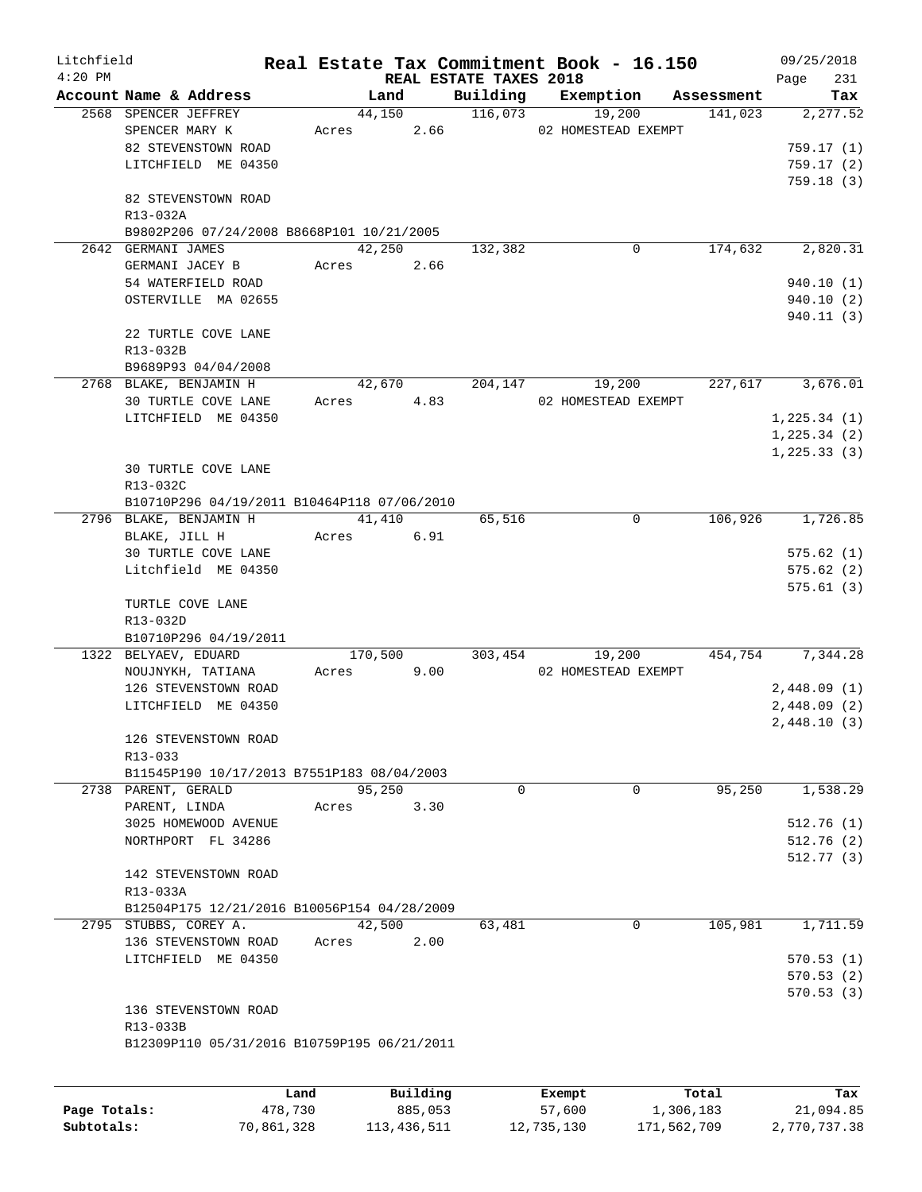| Litchfield |                                             |                 |      |                        | Real Estate Tax Commitment Book - 16.150 |            | 09/25/2018             |
|------------|---------------------------------------------|-----------------|------|------------------------|------------------------------------------|------------|------------------------|
| $4:20$ PM  |                                             |                 |      | REAL ESTATE TAXES 2018 |                                          |            | 231<br>Page            |
|            | Account Name & Address                      | Land            |      | Building               | Exemption                                | Assessment | Tax                    |
|            | 2568 SPENCER JEFFREY<br>SPENCER MARY K      | 44,150<br>Acres | 2.66 | 116,073                | 19,200<br>02 HOMESTEAD EXEMPT            | 141,023    | 2,277.52               |
|            | 82 STEVENSTOWN ROAD                         |                 |      |                        |                                          |            | 759.17(1)              |
|            | LITCHFIELD ME 04350                         |                 |      |                        |                                          |            | 759.17(2)              |
|            |                                             |                 |      |                        |                                          |            | 759.18(3)              |
|            | 82 STEVENSTOWN ROAD                         |                 |      |                        |                                          |            |                        |
|            | R13-032A                                    |                 |      |                        |                                          |            |                        |
|            | B9802P206 07/24/2008 B8668P101 10/21/2005   |                 |      |                        |                                          |            |                        |
|            | 2642 GERMANI JAMES                          | 42,250          |      | 132,382                | 0                                        | 174,632    | 2,820.31               |
|            | GERMANI JACEY B                             | Acres           | 2.66 |                        |                                          |            |                        |
|            | 54 WATERFIELD ROAD                          |                 |      |                        |                                          |            | 940.10(1)              |
|            | OSTERVILLE MA 02655                         |                 |      |                        |                                          |            | 940.10(2)              |
|            |                                             |                 |      |                        |                                          |            | 940.11(3)              |
|            | 22 TURTLE COVE LANE                         |                 |      |                        |                                          |            |                        |
|            | R13-032B                                    |                 |      |                        |                                          |            |                        |
|            | B9689P93 04/04/2008                         |                 |      |                        |                                          |            |                        |
|            | 2768 BLAKE, BENJAMIN H                      | 42,670          |      | 204,147                | 19,200                                   | 227,617    | 3,676.01               |
|            | 30 TURTLE COVE LANE                         | Acres           | 4.83 |                        | 02 HOMESTEAD EXEMPT                      |            |                        |
|            | LITCHFIELD ME 04350                         |                 |      |                        |                                          |            | 1,225.34(1)            |
|            |                                             |                 |      |                        |                                          |            | 1, 225.34(2)           |
|            |                                             |                 |      |                        |                                          |            | 1, 225.33(3)           |
|            | <b>30 TURTLE COVE LANE</b>                  |                 |      |                        |                                          |            |                        |
|            | R13-032C                                    |                 |      |                        |                                          |            |                        |
|            | B10710P296 04/19/2011 B10464P118 07/06/2010 | 41,410          |      |                        | 0                                        | 106,926    | 1,726.85               |
|            | 2796 BLAKE, BENJAMIN H<br>BLAKE, JILL H     | Acres           | 6.91 | 65,516                 |                                          |            |                        |
|            | 30 TURTLE COVE LANE                         |                 |      |                        |                                          |            | 575.62(1)              |
|            | Litchfield ME 04350                         |                 |      |                        |                                          |            | 575.62(2)              |
|            |                                             |                 |      |                        |                                          |            | 575.61(3)              |
|            | TURTLE COVE LANE                            |                 |      |                        |                                          |            |                        |
|            | R13-032D                                    |                 |      |                        |                                          |            |                        |
|            | B10710P296 04/19/2011                       |                 |      |                        |                                          |            |                        |
|            | 1322 BELYAEV, EDUARD                        | 170,500         |      | 303,454                | 19,200                                   | 454,754    | 7,344.28               |
|            | NOUJNYKH, TATIANA                           | Acres           | 9.00 |                        | 02 HOMESTEAD EXEMPT                      |            |                        |
|            | 126 STEVENSTOWN ROAD                        |                 |      |                        |                                          |            | 2,448.09(1)            |
|            | LITCHFIELD ME 04350                         |                 |      |                        |                                          |            | 2,448.09(2)            |
|            |                                             |                 |      |                        |                                          |            | 2,448.10(3)            |
|            | 126 STEVENSTOWN ROAD                        |                 |      |                        |                                          |            |                        |
|            | R13-033                                     |                 |      |                        |                                          |            |                        |
|            | B11545P190 10/17/2013 B7551P183 08/04/2003  |                 |      |                        |                                          |            |                        |
|            | 2738 PARENT, GERALD                         | 95,250          |      | 0                      | 0                                        | 95,250     | 1,538.29               |
|            | PARENT, LINDA                               | Acres           | 3.30 |                        |                                          |            |                        |
|            | 3025 HOMEWOOD AVENUE                        |                 |      |                        |                                          |            | 512.76(1)              |
|            | NORTHPORT FL 34286                          |                 |      |                        |                                          |            | 512.76(2)<br>512.77(3) |
|            | 142 STEVENSTOWN ROAD                        |                 |      |                        |                                          |            |                        |
|            | R13-033A                                    |                 |      |                        |                                          |            |                        |
|            | B12504P175 12/21/2016 B10056P154 04/28/2009 |                 |      |                        |                                          |            |                        |
|            | 2795 STUBBS, COREY A.                       | 42,500          |      | 63,481                 | 0                                        | 105,981    | 1,711.59               |
|            | 136 STEVENSTOWN ROAD                        | Acres           | 2.00 |                        |                                          |            |                        |
|            | LITCHFIELD ME 04350                         |                 |      |                        |                                          |            | 570.53(1)              |
|            |                                             |                 |      |                        |                                          |            | 570.53(2)              |
|            |                                             |                 |      |                        |                                          |            | 570.53(3)              |
|            | 136 STEVENSTOWN ROAD                        |                 |      |                        |                                          |            |                        |
|            | R13-033B                                    |                 |      |                        |                                          |            |                        |
|            | B12309P110 05/31/2016 B10759P195 06/21/2011 |                 |      |                        |                                          |            |                        |
|            |                                             |                 |      |                        |                                          |            |                        |
|            |                                             |                 |      |                        |                                          |            |                        |

|              | Land       | Building    | Exempt     | Total       | Tax          |
|--------------|------------|-------------|------------|-------------|--------------|
| Page Totals: | 478,730    | 885,053     | 57,600     | 1,306,183   | 21,094.85    |
| Subtotals:   | 70,861,328 | 113,436,511 | 12,735,130 | 171,562,709 | 2,770,737.38 |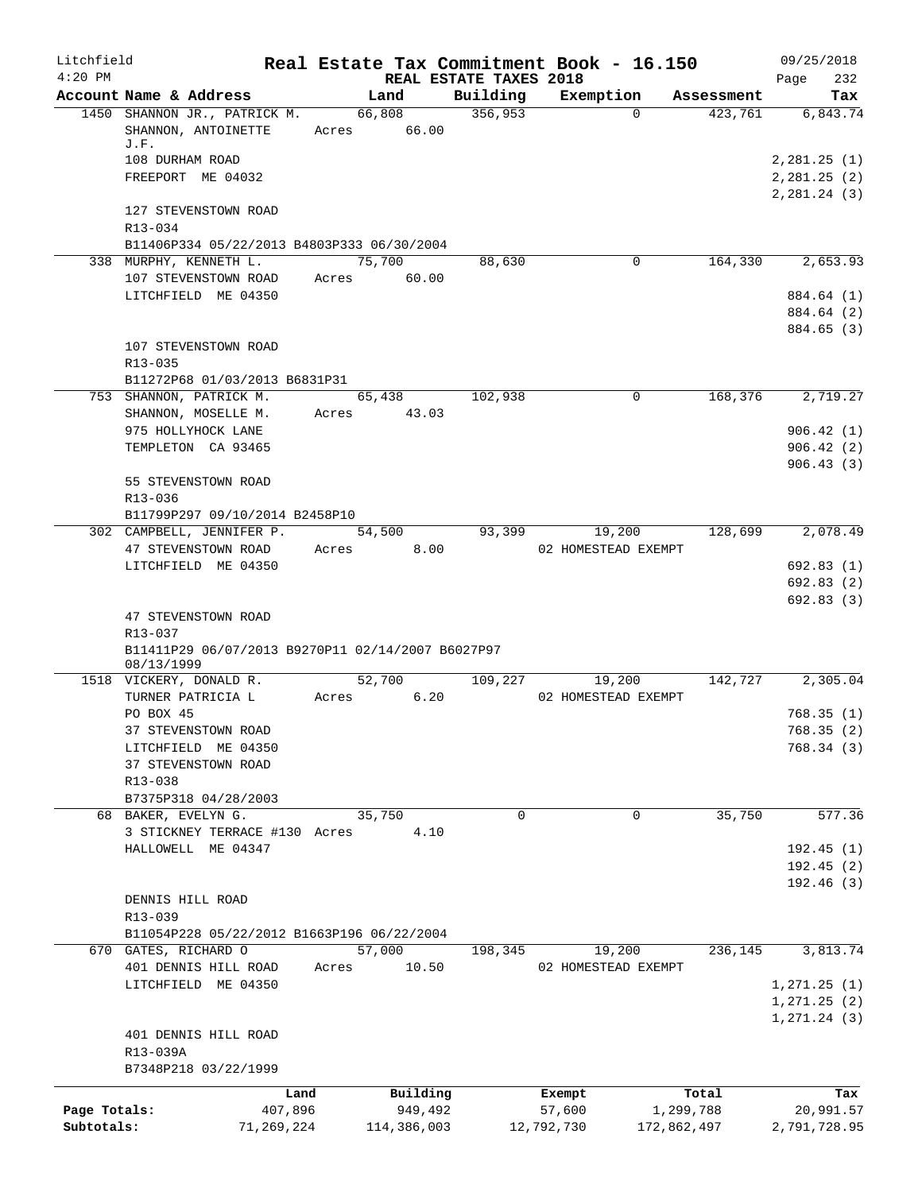| Litchfield<br>$4:20$ PM    |                                                                                                     |                       |                        | Real Estate Tax Commitment Book - 16.150<br>REAL ESTATE TAXES 2018 |                                |                          |            | 09/25/2018<br>Page<br>232                |
|----------------------------|-----------------------------------------------------------------------------------------------------|-----------------------|------------------------|--------------------------------------------------------------------|--------------------------------|--------------------------|------------|------------------------------------------|
|                            | Account Name & Address                                                                              |                       | Land                   | Building                                                           | Exemption                      |                          | Assessment | Tax                                      |
|                            | 1450 SHANNON JR., PATRICK M.<br>SHANNON, ANTOINETTE<br>J.F.<br>108 DURHAM ROAD<br>FREEPORT ME 04032 | 66,808<br>Acres 66.00 |                        | 356,953                                                            |                                | $\Omega$                 | 423,761    | 6,843.74<br>2,281.25(1)<br>2, 281.25 (2) |
|                            | 127 STEVENSTOWN ROAD<br>R13-034                                                                     |                       |                        |                                                                    |                                |                          |            | 2,281.24(3)                              |
|                            | B11406P334 05/22/2013 B4803P333 06/30/2004                                                          |                       |                        |                                                                    |                                |                          |            |                                          |
|                            | 338 MURPHY, KENNETH L.                                                                              | 75,700                |                        | 88,630                                                             |                                | 0                        | 164,330    | 2,653.93                                 |
|                            | 107 STEVENSTOWN ROAD<br>LITCHFIELD ME 04350                                                         | Acres                 | 60.00                  |                                                                    |                                |                          |            | 884.64 (1)<br>884.64 (2)<br>884.65 (3)   |
|                            | 107 STEVENSTOWN ROAD<br>R13-035                                                                     |                       |                        |                                                                    |                                |                          |            |                                          |
|                            | B11272P68 01/03/2013 B6831P31<br>753 SHANNON, PATRICK M.                                            | 65,438                |                        | 102,938                                                            |                                | 0                        | 168,376    | 2,719.27                                 |
|                            | SHANNON, MOSELLE M.<br>975 HOLLYHOCK LANE<br>TEMPLETON CA 93465                                     | Acres                 | 43.03                  |                                                                    |                                |                          |            | 906.42(1)<br>906.42(2)                   |
|                            | 55 STEVENSTOWN ROAD<br>R13-036                                                                      |                       |                        |                                                                    |                                |                          |            | 906.43(3)                                |
|                            | B11799P297 09/10/2014 B2458P10                                                                      |                       |                        | 93,399                                                             |                                |                          | 128,699    | 2,078.49                                 |
|                            | 302 CAMPBELL, JENNIFER P.<br>47 STEVENSTOWN ROAD                                                    | 54,500<br>Acres       | 8.00                   |                                                                    | 19,200<br>02 HOMESTEAD EXEMPT  |                          |            |                                          |
|                            | LITCHFIELD ME 04350<br>47 STEVENSTOWN ROAD                                                          |                       |                        |                                                                    |                                |                          |            | 692.83(1)<br>692.83(2)<br>692.83(3)      |
|                            | R13-037<br>B11411P29 06/07/2013 B9270P11 02/14/2007 B6027P97                                        |                       |                        |                                                                    |                                |                          |            |                                          |
|                            | 08/13/1999<br>1518 VICKERY, DONALD R.                                                               | 52,700                |                        | 109,227                                                            | 19,200                         |                          | 142,727    | 2,305.04                                 |
|                            | TURNER PATRICIA L<br>PO BOX 45                                                                      | Acres                 | 6.20                   |                                                                    | 02 HOMESTEAD EXEMPT            |                          |            | 768.35(1)                                |
|                            | 37 STEVENSTOWN ROAD                                                                                 |                       |                        |                                                                    |                                |                          |            | 768.35 (2)                               |
|                            | LITCHFIELD ME 04350<br>37 STEVENSTOWN ROAD<br>R13-038<br>B7375P318 04/28/2003                       |                       |                        |                                                                    |                                |                          |            | 768.34(3)                                |
|                            | 68 BAKER, EVELYN G.                                                                                 | 35,750                |                        | $\mathbf 0$                                                        |                                | 0                        | 35,750     | 577.36                                   |
|                            | 3 STICKNEY TERRACE #130 Acres                                                                       |                       | 4.10                   |                                                                    |                                |                          |            |                                          |
|                            | HALLOWELL ME 04347                                                                                  |                       |                        |                                                                    |                                |                          |            | 192.45(1)<br>192.45(2)<br>192.46 (3)     |
|                            | DENNIS HILL ROAD<br>R13-039                                                                         |                       |                        |                                                                    |                                |                          |            |                                          |
|                            | B11054P228 05/22/2012 B1663P196 06/22/2004<br>670 GATES, RICHARD O                                  | 57,000                |                        | 198,345                                                            | 19,200                         |                          | 236,145    | 3,813.74                                 |
|                            | 401 DENNIS HILL ROAD                                                                                | Acres                 | 10.50                  |                                                                    | 02 HOMESTEAD EXEMPT            |                          |            |                                          |
|                            | LITCHFIELD ME 04350                                                                                 |                       |                        |                                                                    |                                |                          |            | 1, 271.25 (1)<br>1, 271.25 (2)           |
|                            | 401 DENNIS HILL ROAD<br>R13-039A<br>B7348P218 03/22/1999                                            |                       |                        |                                                                    |                                |                          |            | 1, 271.24(3)                             |
|                            |                                                                                                     |                       | Building               |                                                                    |                                |                          |            |                                          |
| Page Totals:<br>Subtotals: | Land<br>407,896<br>71,269,224                                                                       |                       | 949,492<br>114,386,003 |                                                                    | Exempt<br>57,600<br>12,792,730 | 1,299,788<br>172,862,497 | Total      | Tax<br>20,991.57<br>2,791,728.95         |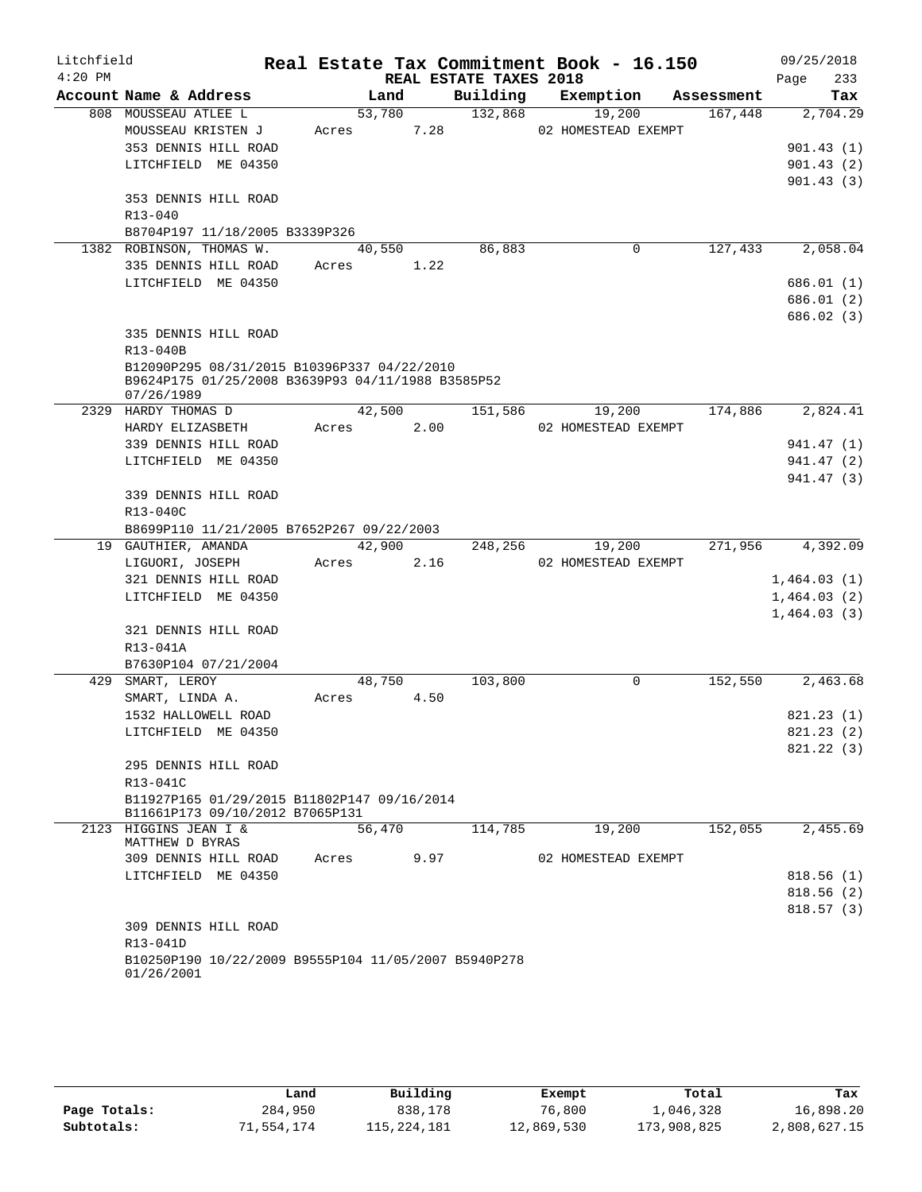| Litchfield |                                                      |                         |                        | Real Estate Tax Commitment Book - 16.150 |            | 09/25/2018              |
|------------|------------------------------------------------------|-------------------------|------------------------|------------------------------------------|------------|-------------------------|
| $4:20$ PM  |                                                      |                         | REAL ESTATE TAXES 2018 |                                          |            | 233<br>Page             |
|            | Account Name & Address<br>808 MOUSSEAU ATLEE L       | Land                    | Building               | Exemption                                | Assessment | Tax                     |
|            | MOUSSEAU KRISTEN J                                   | 53,780<br>7.28<br>Acres | 132,868                | 19,200                                   | 167,448    | 2,704.29                |
|            | 353 DENNIS HILL ROAD                                 |                         |                        | 02 HOMESTEAD EXEMPT                      |            |                         |
|            |                                                      |                         |                        |                                          |            | 901.43(1)               |
|            | LITCHFIELD ME 04350                                  |                         |                        |                                          |            | 901.43(2)               |
|            |                                                      |                         |                        |                                          |            | 901.43(3)               |
|            | 353 DENNIS HILL ROAD<br>R13-040                      |                         |                        |                                          |            |                         |
|            | B8704P197 11/18/2005 B3339P326                       |                         |                        |                                          |            |                         |
|            | 1382 ROBINSON, THOMAS W.                             | 40,550                  | 86,883                 | 0                                        | 127,433    | 2,058.04                |
|            | 335 DENNIS HILL ROAD                                 | Acres 1.22              |                        |                                          |            |                         |
|            | LITCHFIELD ME 04350                                  |                         |                        |                                          |            | 686.01(1)               |
|            |                                                      |                         |                        |                                          |            |                         |
|            |                                                      |                         |                        |                                          |            | 686.01 (2)<br>686.02(3) |
|            | 335 DENNIS HILL ROAD                                 |                         |                        |                                          |            |                         |
|            | R13-040B                                             |                         |                        |                                          |            |                         |
|            | B12090P295 08/31/2015 B10396P337 04/22/2010          |                         |                        |                                          |            |                         |
|            | B9624P175 01/25/2008 B3639P93 04/11/1988 B3585P52    |                         |                        |                                          |            |                         |
|            | 07/26/1989                                           |                         |                        |                                          |            |                         |
|            | 2329 HARDY THOMAS D                                  | 42,500                  | 151,586                | 19,200                                   | 174,886    | 2,824.41                |
|            | HARDY ELIZASBETH                                     | 2.00<br>Acres           |                        | 02 HOMESTEAD EXEMPT                      |            |                         |
|            | 339 DENNIS HILL ROAD                                 |                         |                        |                                          |            | 941.47 (1)              |
|            | LITCHFIELD ME 04350                                  |                         |                        |                                          |            | 941.47 (2)              |
|            |                                                      |                         |                        |                                          |            | 941.47 (3)              |
|            | 339 DENNIS HILL ROAD                                 |                         |                        |                                          |            |                         |
|            | R13-040C                                             |                         |                        |                                          |            |                         |
|            | B8699P110 11/21/2005 B7652P267 09/22/2003            |                         |                        |                                          |            |                         |
|            | 19 GAUTHIER, AMANDA                                  | 42,900                  | 248,256                | 19,200                                   | 271,956    | 4,392.09                |
|            | LIGUORI, JOSEPH                                      | 2.16<br>Acres           |                        | 02 HOMESTEAD EXEMPT                      |            |                         |
|            | 321 DENNIS HILL ROAD                                 |                         |                        |                                          |            | 1,464.03(1)             |
|            | LITCHFIELD ME 04350                                  |                         |                        |                                          |            | 1,464.03(2)             |
|            |                                                      |                         |                        |                                          |            | 1,464.03(3)             |
|            | 321 DENNIS HILL ROAD                                 |                         |                        |                                          |            |                         |
|            | R13-041A                                             |                         |                        |                                          |            |                         |
|            | B7630P104 07/21/2004                                 |                         |                        |                                          |            |                         |
| 429        | SMART, LEROY                                         | 48,750                  | 103,800                | 0                                        | 152,550    | 2,463.68                |
|            | SMART, LINDA A.                                      | Acres<br>4.50           |                        |                                          |            |                         |
|            | 1532 HALLOWELL ROAD                                  |                         |                        |                                          |            | 821.23(1)               |
|            | LITCHFIELD ME 04350                                  |                         |                        |                                          |            | 821.23 (2)              |
|            | 295 DENNIS HILL ROAD                                 |                         |                        |                                          |            | 821.22(3)               |
|            | R13-041C                                             |                         |                        |                                          |            |                         |
|            | B11927P165 01/29/2015 B11802P147 09/16/2014          |                         |                        |                                          |            |                         |
|            | B11661P173 09/10/2012 B7065P131                      |                         |                        |                                          |            |                         |
|            | 2123 HIGGINS JEAN I &                                | 56,470                  | 114,785                | 19,200                                   | 152,055    | 2,455.69                |
|            | MATTHEW D BYRAS                                      |                         |                        |                                          |            |                         |
|            | 309 DENNIS HILL ROAD                                 | 9.97<br>Acres           |                        | 02 HOMESTEAD EXEMPT                      |            |                         |
|            | LITCHFIELD ME 04350                                  |                         |                        |                                          |            | 818.56(1)               |
|            |                                                      |                         |                        |                                          |            | 818.56(2)               |
|            |                                                      |                         |                        |                                          |            | 818.57(3)               |
|            | 309 DENNIS HILL ROAD                                 |                         |                        |                                          |            |                         |
|            | R13-041D                                             |                         |                        |                                          |            |                         |
|            | B10250P190 10/22/2009 B9555P104 11/05/2007 B5940P278 |                         |                        |                                          |            |                         |
|            | 01/26/2001                                           |                         |                        |                                          |            |                         |

|              | Land       | Building    | Exempt     | Total       | Tax          |
|--------------|------------|-------------|------------|-------------|--------------|
| Page Totals: | 284,950    | 838,178     | 76,800     | 1,046,328   | 16,898.20    |
| Subtotals:   | 71,554,174 | 115,224,181 | 12,869,530 | 173,908,825 | 2,808,627.15 |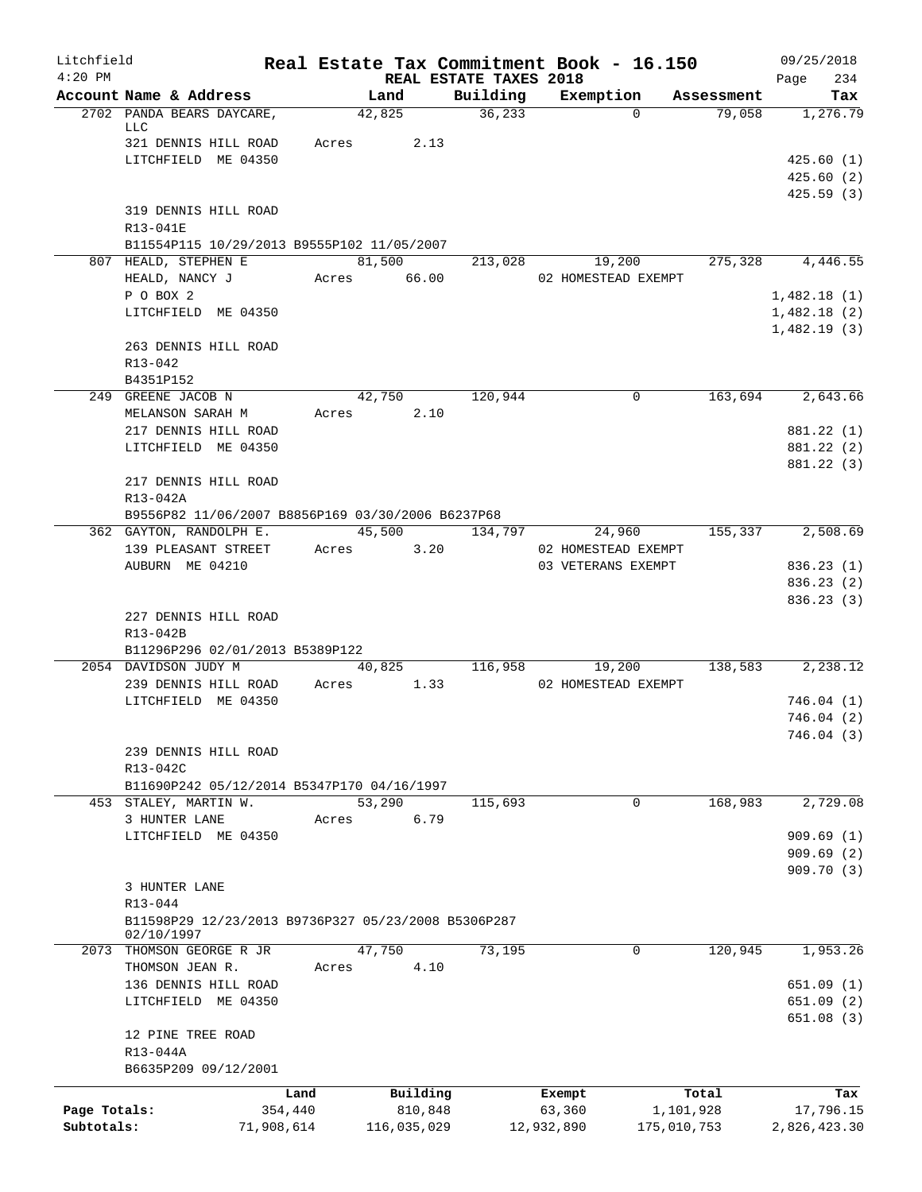| Litchfield   |                        |                                                     | Real Estate Tax Commitment Book - 16.150 |                                    |                     |                    | 09/25/2018                 |
|--------------|------------------------|-----------------------------------------------------|------------------------------------------|------------------------------------|---------------------|--------------------|----------------------------|
| $4:20$ PM    | Account Name & Address |                                                     | Land                                     | REAL ESTATE TAXES 2018<br>Building | Exemption           | Assessment         | 234<br>Page<br>Tax         |
|              |                        | 2702 PANDA BEARS DAYCARE,                           | 42,825                                   | 36, 233                            | $\Omega$            | 79,058             | 1,276.79                   |
|              | LLC                    |                                                     |                                          |                                    |                     |                    |                            |
|              |                        | 321 DENNIS HILL ROAD                                | Acres 2.13                               |                                    |                     |                    |                            |
|              |                        | LITCHFIELD ME 04350                                 |                                          |                                    |                     |                    | 425.60(1)<br>425.60(2)     |
|              |                        |                                                     |                                          |                                    |                     |                    | 425.59(3)                  |
|              |                        | 319 DENNIS HILL ROAD                                |                                          |                                    |                     |                    |                            |
|              | R13-041E               |                                                     |                                          |                                    |                     |                    |                            |
|              |                        | B11554P115 10/29/2013 B9555P102 11/05/2007          |                                          |                                    |                     |                    |                            |
|              | 807 HEALD, STEPHEN E   |                                                     | 81,500                                   | 213,028                            | 19,200              | 275,328            | 4,446.55                   |
|              | HEALD, NANCY J         |                                                     | Acres 66.00                              |                                    | 02 HOMESTEAD EXEMPT |                    |                            |
|              | P O BOX 2              |                                                     |                                          |                                    |                     |                    | 1,482.18(1)                |
|              |                        | LITCHFIELD ME 04350                                 |                                          |                                    |                     |                    | 1,482.18(2)<br>1,482.19(3) |
|              |                        | 263 DENNIS HILL ROAD                                |                                          |                                    |                     |                    |                            |
|              | R13-042                |                                                     |                                          |                                    |                     |                    |                            |
|              | B4351P152              |                                                     |                                          |                                    |                     |                    |                            |
|              | 249 GREENE JACOB N     |                                                     | 42,750                                   | 120,944                            | 0                   | 163,694            | 2,643.66                   |
|              | MELANSON SARAH M       |                                                     | 2.10<br>Acres                            |                                    |                     |                    |                            |
|              |                        | 217 DENNIS HILL ROAD                                |                                          |                                    |                     |                    | 881.22 (1)                 |
|              |                        | LITCHFIELD ME 04350                                 |                                          |                                    |                     |                    | 881.22 (2)                 |
|              |                        | 217 DENNIS HILL ROAD                                |                                          |                                    |                     |                    | 881.22 (3)                 |
|              | R13-042A               |                                                     |                                          |                                    |                     |                    |                            |
|              |                        | B9556P82 11/06/2007 B8856P169 03/30/2006 B6237P68   |                                          |                                    |                     |                    |                            |
|              |                        | 362 GAYTON, RANDOLPH E.                             | 45,500                                   | 134,797                            | 24,960              | 155,337            | 2,508.69                   |
|              |                        | 139 PLEASANT STREET                                 | 3.20<br>Acres                            |                                    | 02 HOMESTEAD EXEMPT |                    |                            |
|              | AUBURN ME 04210        |                                                     |                                          |                                    | 03 VETERANS EXEMPT  |                    | 836.23(1)                  |
|              |                        |                                                     |                                          |                                    |                     |                    | 836.23 (2)                 |
|              |                        |                                                     |                                          |                                    |                     |                    | 836.23 (3)                 |
|              | R13-042B               | 227 DENNIS HILL ROAD                                |                                          |                                    |                     |                    |                            |
|              |                        | B11296P296 02/01/2013 B5389P122                     |                                          |                                    |                     |                    |                            |
|              | 2054 DAVIDSON JUDY M   |                                                     | 40,825                                   | 116,958                            | 19,200              | 138,583            | 2,238.12                   |
|              |                        | 239 DENNIS HILL ROAD                                | 1.33<br>Acres                            |                                    | 02 HOMESTEAD EXEMPT |                    |                            |
|              |                        | LITCHFIELD ME 04350                                 |                                          |                                    |                     |                    | 746.04(1)                  |
|              |                        |                                                     |                                          |                                    |                     |                    | 746.04(2)                  |
|              |                        |                                                     |                                          |                                    |                     |                    | 746.04 (3)                 |
|              |                        | 239 DENNIS HILL ROAD                                |                                          |                                    |                     |                    |                            |
|              | R13-042C               |                                                     |                                          |                                    |                     |                    |                            |
|              | 453 STALEY, MARTIN W.  | B11690P242 05/12/2014 B5347P170 04/16/1997          | 53,290                                   | 115,693                            | $\mathbf 0$         | 168,983            | 2,729.08                   |
|              | 3 HUNTER LANE          |                                                     | 6.79<br>Acres                            |                                    |                     |                    |                            |
|              |                        | LITCHFIELD ME 04350                                 |                                          |                                    |                     |                    | 909.69(1)                  |
|              |                        |                                                     |                                          |                                    |                     |                    | 909.69(2)                  |
|              |                        |                                                     |                                          |                                    |                     |                    | 909.70(3)                  |
|              | 3 HUNTER LANE          |                                                     |                                          |                                    |                     |                    |                            |
|              | R13-044                | B11598P29 12/23/2013 B9736P327 05/23/2008 B5306P287 |                                          |                                    |                     |                    |                            |
|              | 02/10/1997             |                                                     |                                          |                                    |                     |                    |                            |
|              |                        | 2073 THOMSON GEORGE R JR                            | 47,750                                   | 73,195                             | 0                   | 120,945            | 1,953.26                   |
|              | THOMSON JEAN R.        |                                                     | 4.10<br>Acres                            |                                    |                     |                    |                            |
|              |                        | 136 DENNIS HILL ROAD                                |                                          |                                    |                     |                    | 651.09(1)                  |
|              |                        | LITCHFIELD ME 04350                                 |                                          |                                    |                     |                    | 651.09(2)                  |
|              | 12 PINE TREE ROAD      |                                                     |                                          |                                    |                     |                    | 651.08(3)                  |
|              | R13-044A               |                                                     |                                          |                                    |                     |                    |                            |
|              |                        | B6635P209 09/12/2001                                |                                          |                                    |                     |                    |                            |
|              |                        | Land                                                | Building                                 |                                    |                     |                    | Tax                        |
| Page Totals: |                        | 354,440                                             | 810,848                                  |                                    | Exempt<br>63,360    | Total<br>1,101,928 | 17,796.15                  |
| Subtotals:   |                        | 71,908,614                                          | 116,035,029                              |                                    | 12,932,890          | 175,010,753        | 2,826,423.30               |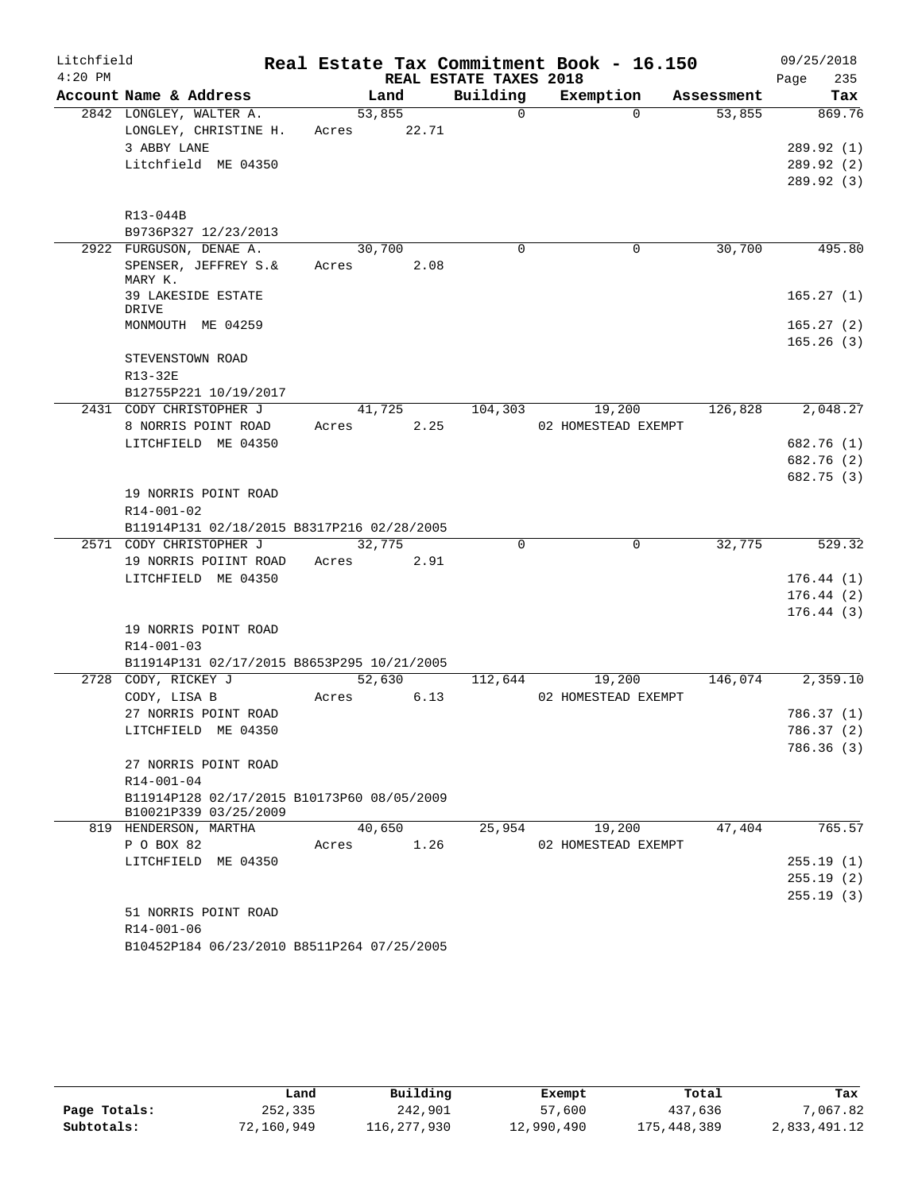| Litchfield |                                            |       |        |                        | Real Estate Tax Commitment Book - 16.150 |            | 09/25/2018  |
|------------|--------------------------------------------|-------|--------|------------------------|------------------------------------------|------------|-------------|
| $4:20$ PM  |                                            |       |        | REAL ESTATE TAXES 2018 |                                          |            | 235<br>Page |
|            | Account Name & Address                     |       | Land   | Building               | Exemption                                | Assessment | Tax         |
|            | 2842 LONGLEY, WALTER A.                    |       | 53,855 | $\Omega$               | $\Omega$                                 | 53,855     | 869.76      |
|            | LONGLEY, CHRISTINE H.                      | Acres | 22.71  |                        |                                          |            |             |
|            | 3 ABBY LANE                                |       |        |                        |                                          |            | 289.92(1)   |
|            | Litchfield ME 04350                        |       |        |                        |                                          |            | 289.92(2)   |
|            |                                            |       |        |                        |                                          |            | 289.92 (3)  |
|            | R13-044B                                   |       |        |                        |                                          |            |             |
|            | B9736P327 12/23/2013                       |       |        |                        |                                          |            |             |
|            | 2922 FURGUSON, DENAE A.                    |       | 30,700 | $\Omega$               | 0                                        | 30,700     | 495.80      |
|            | SPENSER, JEFFREY S.&<br>MARY K.            | Acres | 2.08   |                        |                                          |            |             |
|            | 39 LAKESIDE ESTATE<br>DRIVE                |       |        |                        |                                          |            | 165.27(1)   |
|            | MONMOUTH ME 04259                          |       |        |                        |                                          |            | 165.27(2)   |
|            |                                            |       |        |                        |                                          |            | 165.26(3)   |
|            | STEVENSTOWN ROAD                           |       |        |                        |                                          |            |             |
|            | R13-32E                                    |       |        |                        |                                          |            |             |
|            | B12755P221 10/19/2017                      |       |        |                        |                                          |            |             |
|            | 2431 CODY CHRISTOPHER J                    |       | 41,725 | 104,303                | 19,200                                   | 126,828    | 2,048.27    |
|            | 8 NORRIS POINT ROAD                        | Acres | 2.25   |                        | 02 HOMESTEAD EXEMPT                      |            |             |
|            | LITCHFIELD ME 04350                        |       |        |                        |                                          |            | 682.76 (1)  |
|            |                                            |       |        |                        |                                          |            | 682.76 (2)  |
|            |                                            |       |        |                        |                                          |            | 682.75 (3)  |
|            | 19 NORRIS POINT ROAD                       |       |        |                        |                                          |            |             |
|            | $R14 - 001 - 02$                           |       |        |                        |                                          |            |             |
|            | B11914P131 02/18/2015 B8317P216 02/28/2005 |       |        |                        |                                          |            |             |
|            | 2571 CODY CHRISTOPHER J                    |       | 32,775 | $\Omega$               | 0                                        | 32,775     | 529.32      |
|            | 19 NORRIS POIINT ROAD                      | Acres | 2.91   |                        |                                          |            |             |
|            | LITCHFIELD ME 04350                        |       |        |                        |                                          |            | 176.44(1)   |
|            |                                            |       |        |                        |                                          |            | 176.44(2)   |
|            |                                            |       |        |                        |                                          |            | 176.44(3)   |
|            | 19 NORRIS POINT ROAD                       |       |        |                        |                                          |            |             |
|            | R14-001-03                                 |       |        |                        |                                          |            |             |
|            | B11914P131 02/17/2015 B8653P295 10/21/2005 |       |        |                        |                                          |            |             |
|            | 2728 CODY, RICKEY J                        |       | 52,630 | 112,644                | 19,200                                   | 146,074    | 2,359.10    |
|            | CODY, LISA B                               | Acres | 6.13   |                        | 02 HOMESTEAD EXEMPT                      |            |             |
|            | 27 NORRIS POINT ROAD                       |       |        |                        |                                          |            | 786.37(1)   |
|            | LITCHFIELD ME 04350                        |       |        |                        |                                          |            | 786.37 (2)  |
|            |                                            |       |        |                        |                                          |            | 786.36(3)   |
|            | 27 NORRIS POINT ROAD                       |       |        |                        |                                          |            |             |
|            | R14-001-04                                 |       |        |                        |                                          |            |             |
|            | B11914P128 02/17/2015 B10173P60 08/05/2009 |       |        |                        |                                          |            |             |
|            | B10021P339 03/25/2009                      |       |        |                        |                                          |            |             |
|            | 819 HENDERSON, MARTHA                      |       | 40,650 | 25,954                 | 19,200                                   | 47,404     | 765.57      |
|            | P O BOX 82                                 | Acres | 1.26   |                        | 02 HOMESTEAD EXEMPT                      |            |             |
|            | LITCHFIELD ME 04350                        |       |        |                        |                                          |            | 255.19(1)   |
|            |                                            |       |        |                        |                                          |            | 255.19(2)   |
|            |                                            |       |        |                        |                                          |            | 255.19(3)   |
|            | 51 NORRIS POINT ROAD                       |       |        |                        |                                          |            |             |
|            | R14-001-06                                 |       |        |                        |                                          |            |             |
|            | B10452P184 06/23/2010 B8511P264 07/25/2005 |       |        |                        |                                          |            |             |
|            |                                            |       |        |                        |                                          |            |             |

|              | Land       | Building    | Exempt     | Total       | Tax          |
|--------------|------------|-------------|------------|-------------|--------------|
| Page Totals: | 252,335    | 242,901     | 57,600     | 437,636     | 7,067.82     |
| Subtotals:   | 72,160,949 | 116,277,930 | 12,990,490 | 175,448,389 | 2,833,491.12 |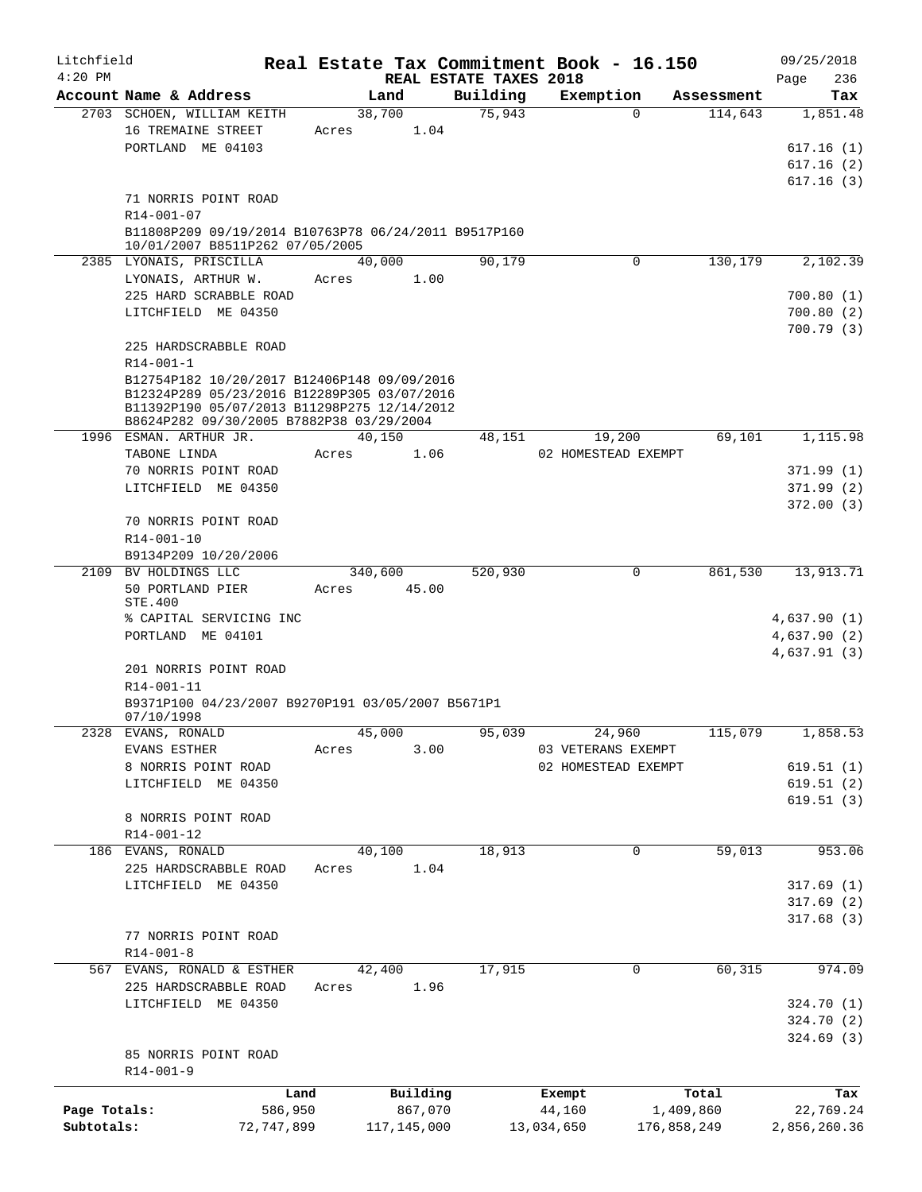| Litchfield<br>$4:20$ PM |                                                      |            |       |               |          | REAL ESTATE TAXES 2018 |            | Real Estate Tax Commitment Book - 16.150 |             | 09/25/2018<br>Page<br>236 |
|-------------------------|------------------------------------------------------|------------|-------|---------------|----------|------------------------|------------|------------------------------------------|-------------|---------------------------|
|                         | Account Name & Address                               |            |       | Land          |          | Building               |            | Exemption                                | Assessment  | Tax                       |
|                         | 2703 SCHOEN, WILLIAM KEITH                           |            |       | 38,700        |          | 75,943                 |            | $\Omega$                                 | 114,643     | 1,851.48                  |
|                         | 16 TREMAINE STREET                                   |            | Acres |               | 1.04     |                        |            |                                          |             |                           |
|                         | PORTLAND ME 04103                                    |            |       |               |          |                        |            |                                          |             | 617.16(1)                 |
|                         |                                                      |            |       |               |          |                        |            |                                          |             | 617.16(2)                 |
|                         |                                                      |            |       |               |          |                        |            |                                          |             |                           |
|                         |                                                      |            |       |               |          |                        |            |                                          |             | 617.16(3)                 |
|                         | 71 NORRIS POINT ROAD                                 |            |       |               |          |                        |            |                                          |             |                           |
|                         | R14-001-07                                           |            |       |               |          |                        |            |                                          |             |                           |
|                         | B11808P209 09/19/2014 B10763P78 06/24/2011 B9517P160 |            |       |               |          |                        |            |                                          |             |                           |
|                         | 10/01/2007 B8511P262 07/05/2005                      |            |       |               |          |                        |            |                                          |             |                           |
|                         | 2385 LYONAIS, PRISCILLA                              |            |       | 40,000        |          | 90,179                 |            | 0                                        | 130,179     | 2,102.39                  |
|                         | LYONAIS, ARTHUR W.                                   |            | Acres |               | 1.00     |                        |            |                                          |             |                           |
|                         | 225 HARD SCRABBLE ROAD                               |            |       |               |          |                        |            |                                          |             | 700.80(1)                 |
|                         | LITCHFIELD ME 04350                                  |            |       |               |          |                        |            |                                          |             | 700.80(2)                 |
|                         |                                                      |            |       |               |          |                        |            |                                          |             | 700.79(3)                 |
|                         | 225 HARDSCRABBLE ROAD                                |            |       |               |          |                        |            |                                          |             |                           |
|                         | $R14 - 001 - 1$                                      |            |       |               |          |                        |            |                                          |             |                           |
|                         | B12754P182 10/20/2017 B12406P148 09/09/2016          |            |       |               |          |                        |            |                                          |             |                           |
|                         | B12324P289 05/23/2016 B12289P305 03/07/2016          |            |       |               |          |                        |            |                                          |             |                           |
|                         | B11392P190 05/07/2013 B11298P275 12/14/2012          |            |       |               |          |                        |            |                                          |             |                           |
|                         | B8624P282 09/30/2005 B7882P38 03/29/2004             |            |       |               |          |                        |            |                                          |             |                           |
|                         | 1996 ESMAN. ARTHUR JR.                               |            |       | 40,150        |          | 48,151                 |            | 19,200                                   | 69,101      | 1,115.98                  |
|                         | TABONE LINDA                                         |            | Acres |               | 1.06     |                        |            | 02 HOMESTEAD EXEMPT                      |             |                           |
|                         | 70 NORRIS POINT ROAD                                 |            |       |               |          |                        |            |                                          |             | 371.99(1)                 |
|                         | LITCHFIELD ME 04350                                  |            |       |               |          |                        |            |                                          |             | 371.99(2)                 |
|                         |                                                      |            |       |               |          |                        |            |                                          |             |                           |
|                         |                                                      |            |       |               |          |                        |            |                                          |             | 372.00(3)                 |
|                         | 70 NORRIS POINT ROAD                                 |            |       |               |          |                        |            |                                          |             |                           |
|                         | R14-001-10                                           |            |       |               |          |                        |            |                                          |             |                           |
|                         | B9134P209 10/20/2006                                 |            |       |               |          |                        |            |                                          |             |                           |
| 2109                    | BV HOLDINGS LLC                                      |            |       | 340,600       |          | 520,930                |            | $\mathbf 0$                              | 861,530     | 13,913.71                 |
|                         | 50 PORTLAND PIER                                     |            | Acres |               | 45.00    |                        |            |                                          |             |                           |
|                         | <b>STE.400</b>                                       |            |       |               |          |                        |            |                                          |             |                           |
|                         | % CAPITAL SERVICING INC                              |            |       |               |          |                        |            |                                          |             | 4,637.90(1)               |
|                         | PORTLAND ME 04101                                    |            |       |               |          |                        |            |                                          |             | 4,637.90(2)               |
|                         |                                                      |            |       |               |          |                        |            |                                          |             | 4,637.91(3)               |
|                         | 201 NORRIS POINT ROAD                                |            |       |               |          |                        |            |                                          |             |                           |
|                         | R14-001-11                                           |            |       |               |          |                        |            |                                          |             |                           |
|                         | B9371P100 04/23/2007 B9270P191 03/05/2007 B5671P1    |            |       |               |          |                        |            |                                          |             |                           |
|                         | 07/10/1998                                           |            |       |               |          |                        |            |                                          |             |                           |
| 2328                    | EVANS, RONALD                                        |            |       | 45,000        |          | 95,039                 |            | 24,960                                   | 115,079     | 1,858.53                  |
|                         | EVANS ESTHER                                         |            | Acres |               | 3.00     |                        |            | 03 VETERANS EXEMPT                       |             |                           |
|                         | 8 NORRIS POINT ROAD                                  |            |       |               |          |                        |            | 02 HOMESTEAD EXEMPT                      |             | 619.51(1)                 |
|                         | LITCHFIELD ME 04350                                  |            |       |               |          |                        |            |                                          |             | 619.51(2)                 |
|                         |                                                      |            |       |               |          |                        |            |                                          |             |                           |
|                         |                                                      |            |       |               |          |                        |            |                                          |             | 619.51(3)                 |
|                         | 8 NORRIS POINT ROAD                                  |            |       |               |          |                        |            |                                          |             |                           |
|                         | $R14 - 001 - 12$                                     |            |       |               |          |                        |            |                                          |             |                           |
|                         | 186 EVANS, RONALD                                    |            |       | 40,100        |          | 18,913                 |            | 0                                        | 59,013      | 953.06                    |
|                         | 225 HARDSCRABBLE ROAD                                |            | Acres |               | 1.04     |                        |            |                                          |             |                           |
|                         | LITCHFIELD ME 04350                                  |            |       |               |          |                        |            |                                          |             | 317.69(1)                 |
|                         |                                                      |            |       |               |          |                        |            |                                          |             | 317.69(2)                 |
|                         |                                                      |            |       |               |          |                        |            |                                          |             | 317.68(3)                 |
|                         | 77 NORRIS POINT ROAD                                 |            |       |               |          |                        |            |                                          |             |                           |
|                         | $R14 - 001 - 8$                                      |            |       |               |          |                        |            |                                          |             |                           |
|                         | 567 EVANS, RONALD & ESTHER                           |            |       | 42,400        |          | 17,915                 |            | 0                                        | 60, 315     | 974.09                    |
|                         | 225 HARDSCRABBLE ROAD                                |            | Acres |               | 1.96     |                        |            |                                          |             |                           |
|                         |                                                      |            |       |               |          |                        |            |                                          |             |                           |
|                         | LITCHFIELD ME 04350                                  |            |       |               |          |                        |            |                                          |             | 324.70 (1)                |
|                         |                                                      |            |       |               |          |                        |            |                                          |             | 324.70 (2)                |
|                         |                                                      |            |       |               |          |                        |            |                                          |             | 324.69(3)                 |
|                         | 85 NORRIS POINT ROAD                                 |            |       |               |          |                        |            |                                          |             |                           |
|                         | $R14 - 001 - 9$                                      |            |       |               |          |                        |            |                                          |             |                           |
|                         |                                                      | Land       |       |               | Building |                        | Exempt     |                                          | Total       | Tax                       |
| Page Totals:            |                                                      | 586,950    |       |               | 867,070  |                        | 44,160     |                                          | 1,409,860   | 22,769.24                 |
| Subtotals:              |                                                      | 72,747,899 |       | 117, 145, 000 |          |                        | 13,034,650 |                                          | 176,858,249 | 2,856,260.36              |
|                         |                                                      |            |       |               |          |                        |            |                                          |             |                           |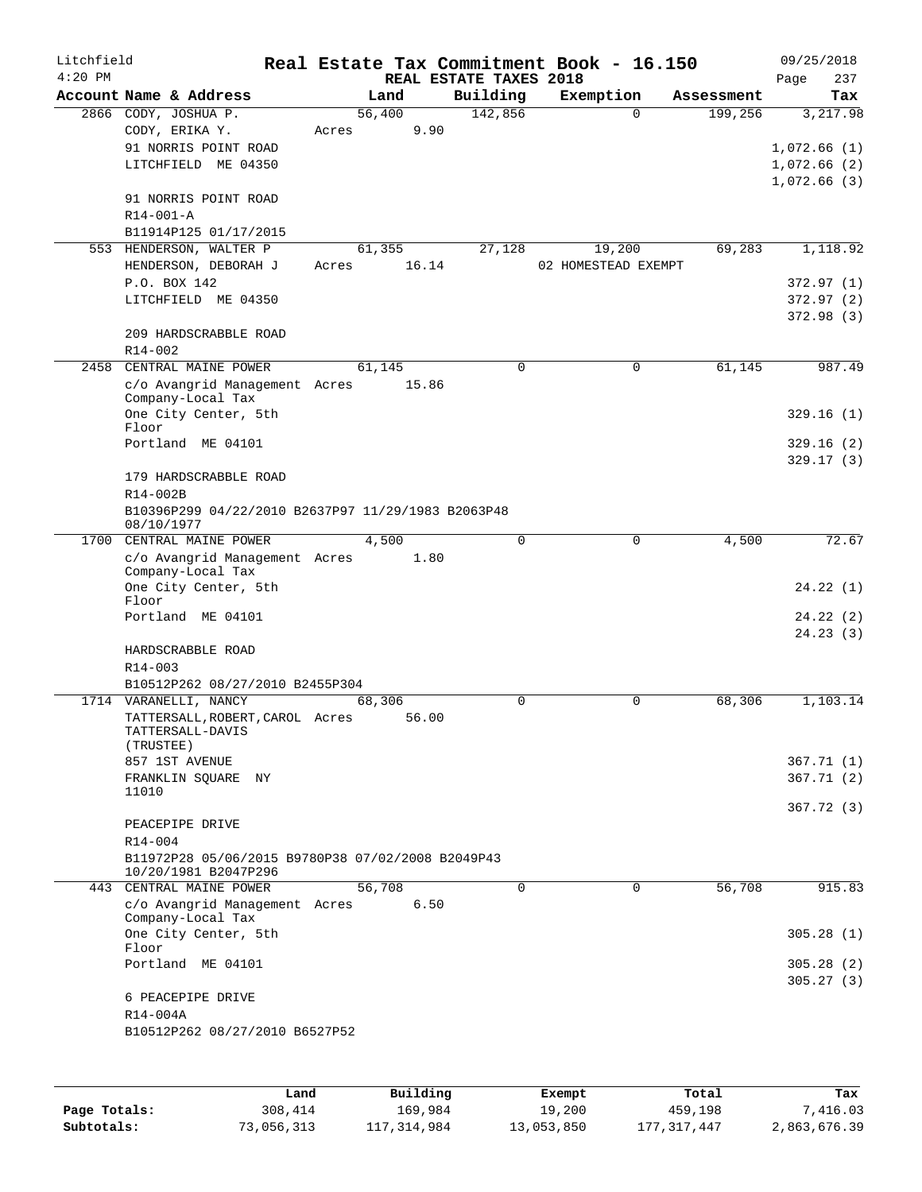| Litchfield<br>$4:20$ PM |                                                                           |       |        | REAL ESTATE TAXES 2018 | Real Estate Tax Commitment Book - 16.150 |            | 09/25/2018         |
|-------------------------|---------------------------------------------------------------------------|-------|--------|------------------------|------------------------------------------|------------|--------------------|
|                         | Account Name & Address                                                    |       | Land   | Building               | Exemption                                | Assessment | 237<br>Page<br>Tax |
|                         | 2866 CODY, JOSHUA P.                                                      |       | 56,400 | 142,856                | $\Omega$                                 | 199,256    | 3,217.98           |
|                         | CODY, ERIKA Y.                                                            | Acres | 9.90   |                        |                                          |            |                    |
|                         | 91 NORRIS POINT ROAD                                                      |       |        |                        |                                          |            | 1,072.66(1)        |
|                         | LITCHFIELD ME 04350                                                       |       |        |                        |                                          |            | 1,072.66(2)        |
|                         |                                                                           |       |        |                        |                                          |            | 1,072.66(3)        |
|                         | 91 NORRIS POINT ROAD<br>R14-001-A                                         |       |        |                        |                                          |            |                    |
|                         | B11914P125 01/17/2015                                                     |       |        |                        |                                          |            |                    |
|                         | 553 HENDERSON, WALTER P                                                   |       | 61,355 | 27,128                 | 19,200                                   | 69,283     | 1,118.92           |
|                         | HENDERSON, DEBORAH J                                                      | Acres | 16.14  |                        | 02 HOMESTEAD EXEMPT                      |            |                    |
|                         | P.O. BOX 142                                                              |       |        |                        |                                          |            | 372.97 (1)         |
|                         | LITCHFIELD ME 04350                                                       |       |        |                        |                                          |            | 372.97 (2)         |
|                         |                                                                           |       |        |                        |                                          |            | 372.98 (3)         |
|                         | 209 HARDSCRABBLE ROAD<br>$R14 - 002$                                      |       |        |                        |                                          |            |                    |
|                         | 2458 CENTRAL MAINE POWER                                                  |       | 61,145 | $\Omega$               | $\Omega$                                 | 61,145     | 987.49             |
|                         | c/o Avangrid Management Acres                                             |       | 15.86  |                        |                                          |            |                    |
|                         | Company-Local Tax                                                         |       |        |                        |                                          |            |                    |
|                         | One City Center, 5th<br>Floor                                             |       |        |                        |                                          |            | 329.16(1)          |
|                         | Portland ME 04101                                                         |       |        |                        |                                          |            | 329.16 (2)         |
|                         |                                                                           |       |        |                        |                                          |            | 329.17(3)          |
|                         | 179 HARDSCRABBLE ROAD                                                     |       |        |                        |                                          |            |                    |
|                         | R14-002B                                                                  |       |        |                        |                                          |            |                    |
|                         | B10396P299 04/22/2010 B2637P97 11/29/1983 B2063P48<br>08/10/1977          |       |        |                        |                                          |            |                    |
|                         | 1700 CENTRAL MAINE POWER                                                  |       | 4,500  | 0                      | 0                                        | 4,500      | 72.67              |
|                         | c/o Avangrid Management Acres<br>Company-Local Tax                        |       | 1.80   |                        |                                          |            |                    |
|                         | One City Center, 5th                                                      |       |        |                        |                                          |            | 24.22 (1)          |
|                         | Floor                                                                     |       |        |                        |                                          |            |                    |
|                         | Portland ME 04101                                                         |       |        |                        |                                          |            | 24.22(2)           |
|                         | HARDSCRABBLE ROAD                                                         |       |        |                        |                                          |            | 24.23(3)           |
|                         | R14-003                                                                   |       |        |                        |                                          |            |                    |
|                         | B10512P262 08/27/2010 B2455P304                                           |       |        |                        |                                          |            |                    |
|                         | 1714 VARANELLI, NANCY                                                     |       | 68,306 | 0                      | 0                                        | 68,306     | 1,103.14           |
|                         | TATTERSALL, ROBERT, CAROL Acres                                           |       | 56.00  |                        |                                          |            |                    |
|                         | TATTERSALL-DAVIS<br>(TRUSTEE)                                             |       |        |                        |                                          |            |                    |
|                         | 857 1ST AVENUE                                                            |       |        |                        |                                          |            | 367.71 (1)         |
|                         | FRANKLIN SQUARE NY                                                        |       |        |                        |                                          |            | 367.71(2)          |
|                         | 11010                                                                     |       |        |                        |                                          |            |                    |
|                         | PEACEPIPE DRIVE                                                           |       |        |                        |                                          |            | 367.72(3)          |
|                         | R14-004                                                                   |       |        |                        |                                          |            |                    |
|                         | B11972P28 05/06/2015 B9780P38 07/02/2008 B2049P43<br>10/20/1981 B2047P296 |       |        |                        |                                          |            |                    |
|                         | 443 CENTRAL MAINE POWER                                                   |       | 56,708 | $\Omega$               | $\mathbf 0$                              | 56,708     | 915.83             |
|                         | c/o Avangrid Management Acres<br>Company-Local Tax                        |       | 6.50   |                        |                                          |            |                    |
|                         | One City Center, 5th<br>Floor                                             |       |        |                        |                                          |            | 305.28(1)          |
|                         | Portland ME 04101                                                         |       |        |                        |                                          |            | 305.28(2)          |
|                         |                                                                           |       |        |                        |                                          |            | 305.27(3)          |
|                         | 6 PEACEPIPE DRIVE                                                         |       |        |                        |                                          |            |                    |
|                         | R14-004A                                                                  |       |        |                        |                                          |            |                    |
|                         | B10512P262 08/27/2010 B6527P52                                            |       |        |                        |                                          |            |                    |
|                         |                                                                           |       |        |                        |                                          |            |                    |
|                         |                                                                           |       |        |                        |                                          |            |                    |

|              | Land       | Building    | Exempt     | Total         | Tax          |
|--------------|------------|-------------|------------|---------------|--------------|
| Page Totals: | 308,414    | 169,984     | 19,200     | 459,198       | 7,416.03     |
| Subtotals:   | 73,056,313 | 117,314,984 | 13,053,850 | 177, 317, 447 | 2,863,676.39 |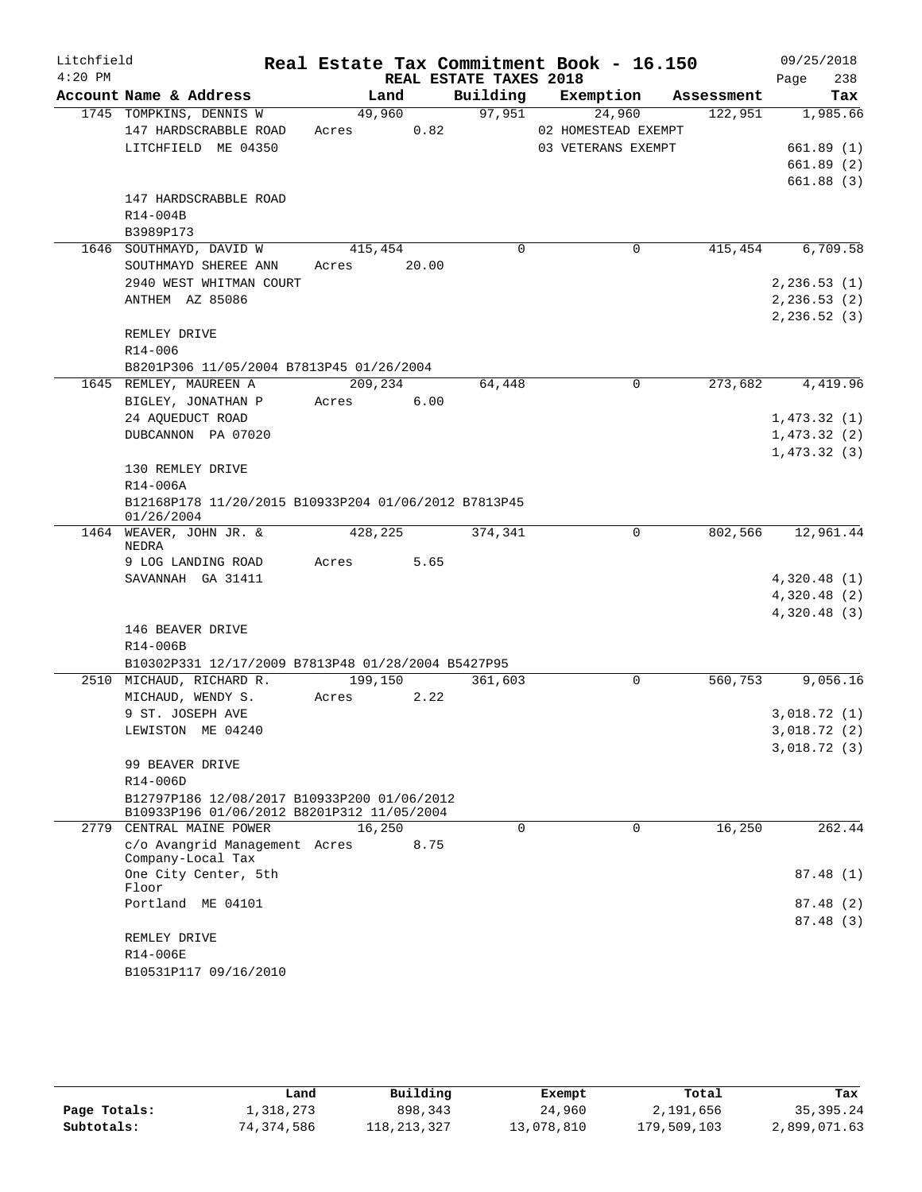| Litchfield |                                                                        |         |       |                        | Real Estate Tax Commitment Book - 16.150 |            | 09/25/2018   |
|------------|------------------------------------------------------------------------|---------|-------|------------------------|------------------------------------------|------------|--------------|
| $4:20$ PM  |                                                                        |         |       | REAL ESTATE TAXES 2018 |                                          |            | 238<br>Page  |
|            | Account Name & Address                                                 | Land    |       | Building               | Exemption                                | Assessment | Tax          |
|            | 1745 TOMPKINS, DENNIS W                                                | 49,960  |       | 97,951                 | 24,960                                   | 122,951    | 1,985.66     |
|            | 147 HARDSCRABBLE ROAD                                                  | Acres   | 0.82  |                        | 02 HOMESTEAD EXEMPT                      |            |              |
|            | LITCHFIELD ME 04350                                                    |         |       |                        | 03 VETERANS EXEMPT                       |            | 661.89(1)    |
|            |                                                                        |         |       |                        |                                          |            | 661.89(2)    |
|            |                                                                        |         |       |                        |                                          |            | 661.88(3)    |
|            | 147 HARDSCRABBLE ROAD                                                  |         |       |                        |                                          |            |              |
|            | R14-004B                                                               |         |       |                        |                                          |            |              |
|            | B3989P173<br>1646 SOUTHMAYD, DAVID W                                   |         |       | $\Omega$               | 0                                        | 415,454    | 6,709.58     |
|            |                                                                        | 415,454 | 20.00 |                        |                                          |            |              |
|            | SOUTHMAYD SHEREE ANN<br>2940 WEST WHITMAN COURT                        | Acres   |       |                        |                                          |            | 2, 236.53(1) |
|            | ANTHEM AZ 85086                                                        |         |       |                        |                                          |            | 2, 236.53(2) |
|            |                                                                        |         |       |                        |                                          |            | 2, 236.52(3) |
|            | REMLEY DRIVE                                                           |         |       |                        |                                          |            |              |
|            | $R14 - 006$                                                            |         |       |                        |                                          |            |              |
|            | B8201P306 11/05/2004 B7813P45 01/26/2004                               |         |       |                        |                                          |            |              |
|            | 1645 REMLEY, MAUREEN A                                                 | 209,234 |       | 64,448                 | $\Omega$                                 | 273,682    | 4,419.96     |
|            | BIGLEY, JONATHAN P                                                     | Acres   | 6.00  |                        |                                          |            |              |
|            | 24 AQUEDUCT ROAD                                                       |         |       |                        |                                          |            | 1,473.32(1)  |
|            | DUBCANNON PA 07020                                                     |         |       |                        |                                          |            | 1,473.32(2)  |
|            |                                                                        |         |       |                        |                                          |            | 1,473.32(3)  |
|            | 130 REMLEY DRIVE                                                       |         |       |                        |                                          |            |              |
|            | R14-006A                                                               |         |       |                        |                                          |            |              |
|            | B12168P178 11/20/2015 B10933P204 01/06/2012 B7813P45<br>01/26/2004     |         |       |                        |                                          |            |              |
|            | 1464 WEAVER, JOHN JR. &                                                | 428,225 |       | 374,341                | 0                                        | 802,566    | 12,961.44    |
|            | NEDRA<br>9 LOG LANDING ROAD                                            | Acres   | 5.65  |                        |                                          |            |              |
|            | SAVANNAH GA 31411                                                      |         |       |                        |                                          |            | 4,320.48(1)  |
|            |                                                                        |         |       |                        |                                          |            | 4,320.48(2)  |
|            |                                                                        |         |       |                        |                                          |            | 4,320.48 (3) |
|            | 146 BEAVER DRIVE                                                       |         |       |                        |                                          |            |              |
|            | R14-006B                                                               |         |       |                        |                                          |            |              |
|            | B10302P331 12/17/2009 B7813P48 01/28/2004 B5427P95                     |         |       |                        |                                          |            |              |
|            | 2510 MICHAUD, RICHARD R.                                               | 199,150 |       | 361,603                | $\mathbf 0$                              | 560,753    | 9,056.16     |
|            | MICHAUD, WENDY S.                                                      | Acres   | 2.22  |                        |                                          |            |              |
|            | 9 ST. JOSEPH AVE                                                       |         |       |                        |                                          |            | 3,018.72(1)  |
|            | LEWISTON ME 04240                                                      |         |       |                        |                                          |            | 3,018.72 (2) |
|            |                                                                        |         |       |                        |                                          |            | 3,018.72(3)  |
|            | 99 BEAVER DRIVE                                                        |         |       |                        |                                          |            |              |
|            | R14-006D                                                               |         |       |                        |                                          |            |              |
|            | B12797P186 12/08/2017 B10933P200 01/06/2012                            |         |       |                        |                                          |            |              |
|            | B10933P196 01/06/2012 B8201P312 11/05/2004<br>2779 CENTRAL MAINE POWER | 16,250  |       | $\Omega$               | $\Omega$                                 | 16,250     | 262.44       |
|            | c/o Avangrid Management Acres                                          |         | 8.75  |                        |                                          |            |              |
|            | Company-Local Tax                                                      |         |       |                        |                                          |            |              |
|            | One City Center, 5th                                                   |         |       |                        |                                          |            | 87.48(1)     |
|            | Floor                                                                  |         |       |                        |                                          |            |              |
|            | Portland ME 04101                                                      |         |       |                        |                                          |            | 87.48(2)     |
|            |                                                                        |         |       |                        |                                          |            | 87.48 (3)    |
|            | REMLEY DRIVE                                                           |         |       |                        |                                          |            |              |
|            | R14-006E<br>B10531P117 09/16/2010                                      |         |       |                        |                                          |            |              |
|            |                                                                        |         |       |                        |                                          |            |              |

|              | Land       | Building    | Exempt     | Total       | Tax          |
|--------------|------------|-------------|------------|-------------|--------------|
| Page Totals: | 1,318,273  | 898,343     | 24,960     | 2,191,656   | 35,395.24    |
| Subtotals:   | 74,374,586 | 118,213,327 | 13,078,810 | 179,509,103 | 2,899,071.63 |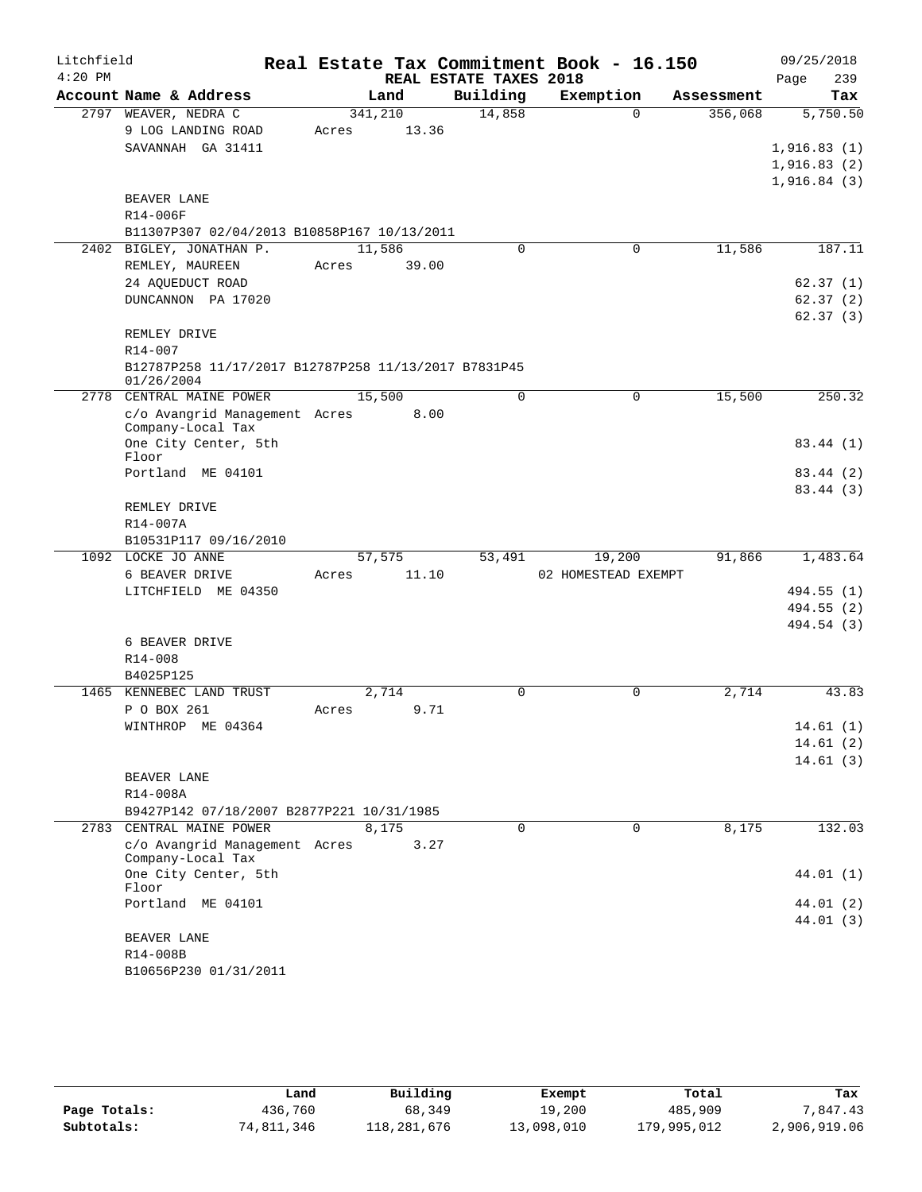| Litchfield |                                                                    |         |               |                        | Real Estate Tax Commitment Book - 16.150 |            | 09/25/2018           |
|------------|--------------------------------------------------------------------|---------|---------------|------------------------|------------------------------------------|------------|----------------------|
| $4:20$ PM  |                                                                    |         |               | REAL ESTATE TAXES 2018 |                                          |            | 239<br>Page          |
|            | Account Name & Address                                             |         | Land          | Building               | Exemption                                | Assessment | Tax                  |
|            | 2797 WEAVER, NEDRA C                                               | 341,210 |               | 14,858                 | $\Omega$                                 | 356,068    | 5,750.50             |
|            | 9 LOG LANDING ROAD                                                 | Acres   | 13.36         |                        |                                          |            |                      |
|            | SAVANNAH GA 31411                                                  |         |               |                        |                                          |            | 1,916.83(1)          |
|            |                                                                    |         |               |                        |                                          |            | 1,916.83(2)          |
|            |                                                                    |         |               |                        |                                          |            | 1,916.84(3)          |
|            | BEAVER LANE                                                        |         |               |                        |                                          |            |                      |
|            | R14-006F                                                           |         |               |                        |                                          |            |                      |
|            | B11307P307 02/04/2013 B10858P167 10/13/2011                        |         |               |                        |                                          |            |                      |
|            | 2402 BIGLEY, JONATHAN P.                                           | 11,586  |               | $\Omega$               | 0                                        | 11,586     | 187.11               |
|            | REMLEY, MAUREEN                                                    | Acres   | 39.00         |                        |                                          |            |                      |
|            | 24 AQUEDUCT ROAD                                                   |         |               |                        |                                          |            | 62.37(1)             |
|            | DUNCANNON PA 17020                                                 |         |               |                        |                                          |            | 62.37(2)             |
|            |                                                                    |         |               |                        |                                          |            | 62.37(3)             |
|            | REMLEY DRIVE                                                       |         |               |                        |                                          |            |                      |
|            | R14-007                                                            |         |               |                        |                                          |            |                      |
|            | B12787P258 11/17/2017 B12787P258 11/13/2017 B7831P45<br>01/26/2004 |         |               |                        |                                          |            |                      |
|            | 2778 CENTRAL MAINE POWER                                           | 15,500  |               | 0                      | $\mathbf 0$                              | 15,500     | 250.32               |
|            | c/o Avangrid Management Acres                                      |         | 8.00          |                        |                                          |            |                      |
|            | Company-Local Tax                                                  |         |               |                        |                                          |            |                      |
|            | One City Center, 5th                                               |         |               |                        |                                          |            | 83.44 (1)            |
|            | Floor                                                              |         |               |                        |                                          |            |                      |
|            | Portland ME 04101                                                  |         |               |                        |                                          |            | 83.44 (2)            |
|            |                                                                    |         |               |                        |                                          |            | 83.44 (3)            |
|            | REMLEY DRIVE                                                       |         |               |                        |                                          |            |                      |
|            | R14-007A                                                           |         |               |                        |                                          |            |                      |
|            | B10531P117 09/16/2010                                              |         |               |                        |                                          |            |                      |
|            | 1092 LOCKE JO ANNE                                                 | 57,575  |               | 53,491                 | 19,200                                   | 91,866     | 1,483.64             |
|            | 6 BEAVER DRIVE                                                     | Acres   | 11.10         |                        | 02 HOMESTEAD EXEMPT                      |            |                      |
|            | LITCHFIELD ME 04350                                                |         |               |                        |                                          |            | 494.55 (1)           |
|            |                                                                    |         |               |                        |                                          |            | 494.55 (2)           |
|            |                                                                    |         |               |                        |                                          |            | 494.54 (3)           |
|            | 6 BEAVER DRIVE                                                     |         |               |                        |                                          |            |                      |
|            | R14-008                                                            |         |               |                        |                                          |            |                      |
|            | B4025P125<br>1465 KENNEBEC LAND TRUST                              |         |               | $\Omega$               |                                          |            |                      |
|            | P O BOX 261                                                        | Acres   | 2,714<br>9.71 |                        | 0                                        | 2,714      | 43.83                |
|            | WINTHROP ME 04364                                                  |         |               |                        |                                          |            |                      |
|            |                                                                    |         |               |                        |                                          |            | 14.61(1)<br>14.61(2) |
|            |                                                                    |         |               |                        |                                          |            | 14.61(3)             |
|            | BEAVER LANE                                                        |         |               |                        |                                          |            |                      |
|            | R14-008A                                                           |         |               |                        |                                          |            |                      |
|            | B9427P142 07/18/2007 B2877P221 10/31/1985                          |         |               |                        |                                          |            |                      |
|            | 2783 CENTRAL MAINE POWER                                           | 8,175   |               | $\Omega$               | $\Omega$                                 | 8,175      | 132.03               |
|            | c/o Avangrid Management Acres                                      |         | 3.27          |                        |                                          |            |                      |
|            | Company-Local Tax                                                  |         |               |                        |                                          |            |                      |
|            | One City Center, 5th                                               |         |               |                        |                                          |            | 44.01 (1)            |
|            | Floor                                                              |         |               |                        |                                          |            |                      |
|            | Portland ME 04101                                                  |         |               |                        |                                          |            | 44.01 (2)            |
|            |                                                                    |         |               |                        |                                          |            | 44.01 (3)            |
|            | BEAVER LANE                                                        |         |               |                        |                                          |            |                      |
|            | R14-008B                                                           |         |               |                        |                                          |            |                      |
|            | B10656P230 01/31/2011                                              |         |               |                        |                                          |            |                      |

|              | Land       | Building    | Exempt     | Total       | Tax          |
|--------------|------------|-------------|------------|-------------|--------------|
| Page Totals: | 436,760    | 68,349      | 19,200     | 485,909     | 7.847.43     |
| Subtotals:   | 74,811,346 | 118,281,676 | 13,098,010 | 179,995,012 | 2,906,919.06 |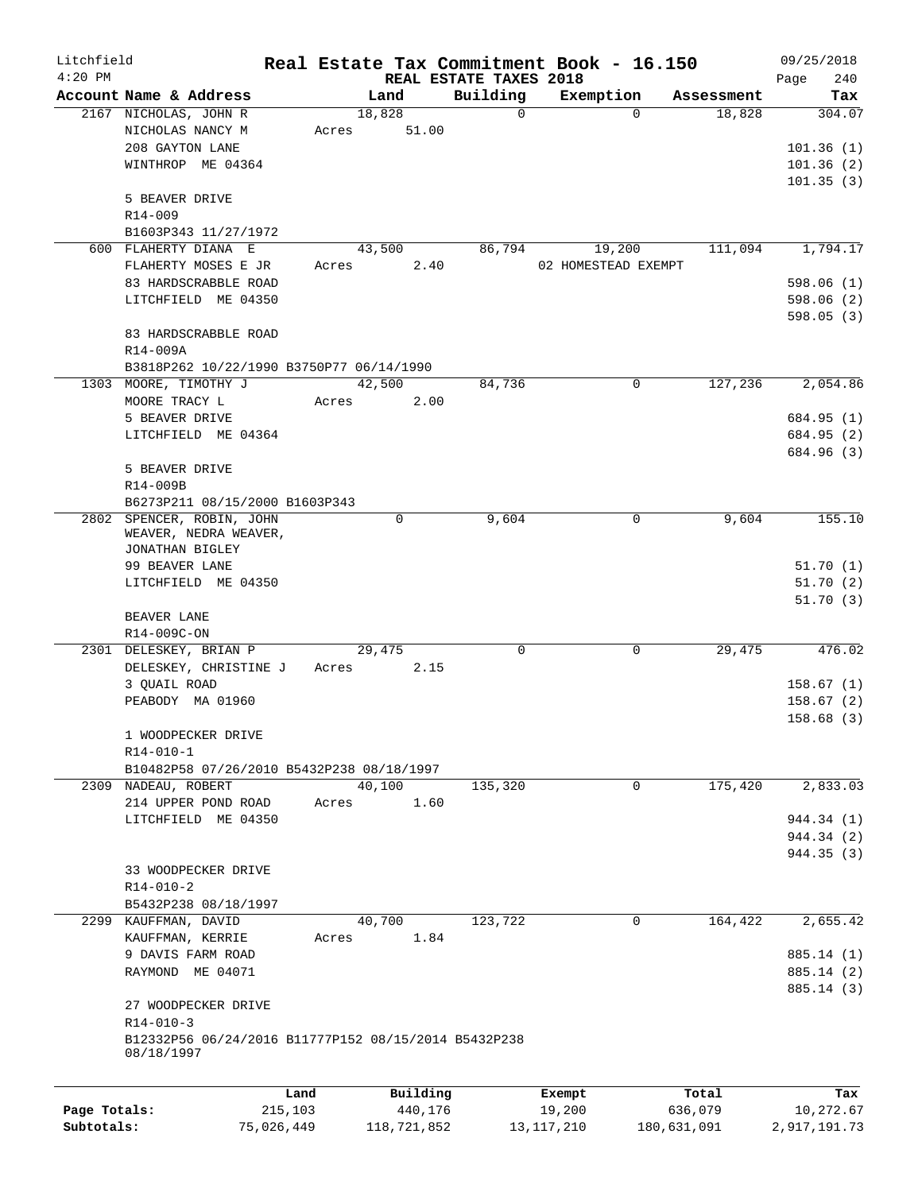| Litchfield<br>$4:20$ PM |                                                      |         |          |                                    | Real Estate Tax Commitment Book - 16.150 |            | 09/25/2018         |
|-------------------------|------------------------------------------------------|---------|----------|------------------------------------|------------------------------------------|------------|--------------------|
|                         | Account Name & Address                               |         | Land     | REAL ESTATE TAXES 2018<br>Building | Exemption                                | Assessment | 240<br>Page<br>Tax |
|                         | 2167 NICHOLAS, JOHN R                                |         | 18,828   | 0                                  | $\Omega$                                 | 18,828     | 304.07             |
|                         | NICHOLAS NANCY M                                     | Acres   | 51.00    |                                    |                                          |            |                    |
|                         | 208 GAYTON LANE                                      |         |          |                                    |                                          |            | 101.36(1)          |
|                         | WINTHROP ME 04364                                    |         |          |                                    |                                          |            | 101.36(2)          |
|                         |                                                      |         |          |                                    |                                          |            | 101.35(3)          |
|                         | 5 BEAVER DRIVE                                       |         |          |                                    |                                          |            |                    |
|                         | $R14 - 009$                                          |         |          |                                    |                                          |            |                    |
|                         | B1603P343 11/27/1972                                 |         |          |                                    |                                          |            |                    |
|                         | 600 FLAHERTY DIANA E                                 |         | 43,500   | 86,794                             | 19,200                                   | 111,094    | 1,794.17           |
|                         | FLAHERTY MOSES E JR                                  | Acres   | 2.40     |                                    | 02 HOMESTEAD EXEMPT                      |            |                    |
|                         | 83 HARDSCRABBLE ROAD                                 |         |          |                                    |                                          |            | 598.06(1)          |
|                         | LITCHFIELD ME 04350                                  |         |          |                                    |                                          |            | 598.06(2)          |
|                         |                                                      |         |          |                                    |                                          |            | 598.05 (3)         |
|                         | 83 HARDSCRABBLE ROAD                                 |         |          |                                    |                                          |            |                    |
|                         | $R14 - 009A$                                         |         |          |                                    |                                          |            |                    |
|                         | B3818P262 10/22/1990 B3750P77 06/14/1990             |         |          |                                    |                                          |            |                    |
|                         | 1303 MOORE, TIMOTHY J                                |         | 42,500   | 84,736                             | 0                                        | 127,236    | 2,054.86           |
|                         | MOORE TRACY L                                        | Acres   | 2.00     |                                    |                                          |            |                    |
|                         | 5 BEAVER DRIVE                                       |         |          |                                    |                                          |            | 684.95 (1)         |
|                         | LITCHFIELD ME 04364                                  |         |          |                                    |                                          |            | 684.95 (2)         |
|                         |                                                      |         |          |                                    |                                          |            | 684.96 (3)         |
|                         | 5 BEAVER DRIVE                                       |         |          |                                    |                                          |            |                    |
|                         | R14-009B                                             |         |          |                                    |                                          |            |                    |
|                         | B6273P211 08/15/2000 B1603P343                       |         |          |                                    |                                          |            |                    |
| 2802                    | SPENCER, ROBIN, JOHN                                 |         | 0        | 9,604                              | 0                                        | 9,604      | 155.10             |
|                         | WEAVER, NEDRA WEAVER,                                |         |          |                                    |                                          |            |                    |
|                         | JONATHAN BIGLEY                                      |         |          |                                    |                                          |            |                    |
|                         | 99 BEAVER LANE                                       |         |          |                                    |                                          |            | 51.70(1)           |
|                         | LITCHFIELD ME 04350                                  |         |          |                                    |                                          |            | 51.70(2)           |
|                         |                                                      |         |          |                                    |                                          |            | 51.70(3)           |
|                         | BEAVER LANE                                          |         |          |                                    |                                          |            |                    |
|                         | R14-009C-ON                                          |         |          |                                    |                                          |            |                    |
|                         | 2301 DELESKEY, BRIAN P                               |         | 29,475   | 0                                  | $\mathbf 0$                              | 29,475     | 476.02             |
|                         | DELESKEY, CHRISTINE J                                | Acres   | 2.15     |                                    |                                          |            |                    |
|                         | 3 QUAIL ROAD                                         |         |          |                                    |                                          |            | 158.67(1)          |
|                         | PEABODY MA 01960                                     |         |          |                                    |                                          |            | 158.67(2)          |
|                         |                                                      |         |          |                                    |                                          |            | 158.68 (3)         |
|                         | 1 WOODPECKER DRIVE                                   |         |          |                                    |                                          |            |                    |
|                         | $R14 - 010 - 1$                                      |         |          |                                    |                                          |            |                    |
|                         | B10482P58 07/26/2010 B5432P238 08/18/1997            |         |          |                                    |                                          |            |                    |
|                         | 2309 NADEAU, ROBERT                                  |         | 40,100   | 135,320                            | 0                                        | 175,420    | 2,833.03           |
|                         | 214 UPPER POND ROAD                                  | Acres   | 1.60     |                                    |                                          |            |                    |
|                         | LITCHFIELD ME 04350                                  |         |          |                                    |                                          |            | 944.34 (1)         |
|                         |                                                      |         |          |                                    |                                          |            | 944.34 (2)         |
|                         |                                                      |         |          |                                    |                                          |            | 944.35 (3)         |
|                         | 33 WOODPECKER DRIVE                                  |         |          |                                    |                                          |            |                    |
|                         | $R14 - 010 - 2$                                      |         |          |                                    |                                          |            |                    |
|                         | B5432P238 08/18/1997                                 |         |          |                                    |                                          |            |                    |
|                         | 2299 KAUFFMAN, DAVID                                 |         | 40,700   | 123,722                            | 0                                        | 164,422    | 2,655.42           |
|                         | KAUFFMAN, KERRIE                                     | Acres   | 1.84     |                                    |                                          |            |                    |
|                         | 9 DAVIS FARM ROAD                                    |         |          |                                    |                                          |            | 885.14 (1)         |
|                         | RAYMOND ME 04071                                     |         |          |                                    |                                          |            | 885.14 (2)         |
|                         |                                                      |         |          |                                    |                                          |            | 885.14 (3)         |
|                         | 27 WOODPECKER DRIVE                                  |         |          |                                    |                                          |            |                    |
|                         | $R14 - 010 - 3$                                      |         |          |                                    |                                          |            |                    |
|                         | B12332P56 06/24/2016 B11777P152 08/15/2014 B5432P238 |         |          |                                    |                                          |            |                    |
|                         | 08/18/1997                                           |         |          |                                    |                                          |            |                    |
|                         |                                                      |         |          |                                    |                                          |            |                    |
|                         |                                                      | Land    | Building |                                    | Exempt                                   | Total      | Tax                |
| Page Totals:            |                                                      | 215,103 | 440,176  |                                    | 19,200                                   | 636,079    | 10,272.67          |
|                         |                                                      |         |          |                                    |                                          |            |                    |

**Subtotals:** 75,026,449 118,721,852 13,117,210 180,631,091 2,917,191.73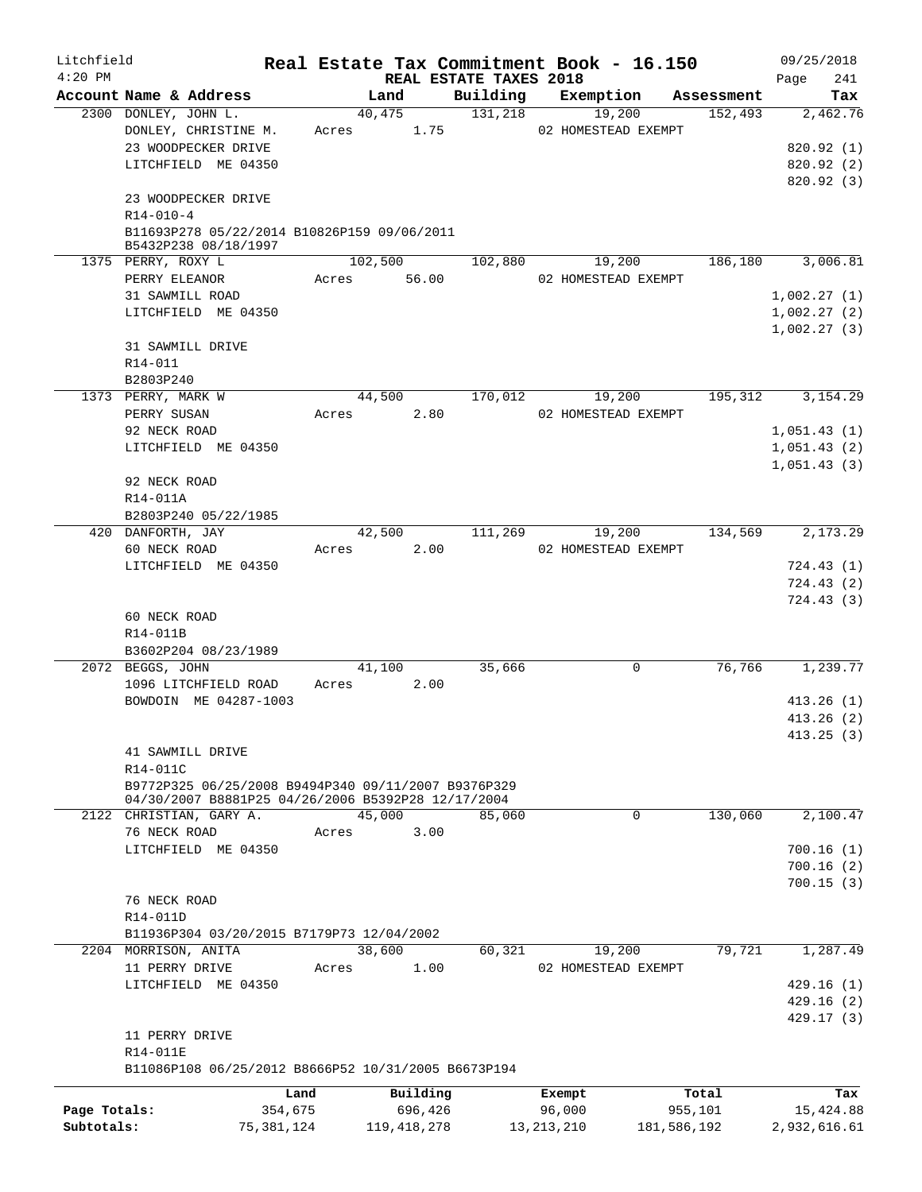| Litchfield<br>$4:20$ PM |                                                                     |       |               | Real Estate Tax Commitment Book - 16.150<br>REAL ESTATE TAXES 2018 |                     |             |            | 09/25/2018<br>241<br>Page |
|-------------------------|---------------------------------------------------------------------|-------|---------------|--------------------------------------------------------------------|---------------------|-------------|------------|---------------------------|
|                         | Account Name & Address                                              |       | Land          | Building                                                           | Exemption           |             | Assessment | Tax                       |
|                         | 2300 DONLEY, JOHN L.                                                |       | 40,475        | 131,218                                                            |                     | 19,200      | 152,493    | 2,462.76                  |
|                         | DONLEY, CHRISTINE M.                                                | Acres | 1.75          |                                                                    | 02 HOMESTEAD EXEMPT |             |            |                           |
|                         | 23 WOODPECKER DRIVE                                                 |       |               |                                                                    |                     |             |            | 820.92(1)                 |
|                         | LITCHFIELD ME 04350                                                 |       |               |                                                                    |                     |             |            | 820.92 (2)                |
|                         |                                                                     |       |               |                                                                    |                     |             |            | 820.92(3)                 |
|                         | 23 WOODPECKER DRIVE                                                 |       |               |                                                                    |                     |             |            |                           |
|                         | $R14 - 010 - 4$                                                     |       |               |                                                                    |                     |             |            |                           |
|                         | B11693P278 05/22/2014 B10826P159 09/06/2011<br>B5432P238 08/18/1997 |       |               |                                                                    |                     |             |            |                           |
|                         | 1375 PERRY, ROXY L                                                  |       | 102,500       | 102,880                                                            |                     | 19,200      | 186,180    | 3,006.81                  |
|                         | PERRY ELEANOR                                                       |       | Acres 56.00   |                                                                    | 02 HOMESTEAD EXEMPT |             |            |                           |
|                         | 31 SAWMILL ROAD                                                     |       |               |                                                                    |                     |             |            | 1,002.27(1)               |
|                         | LITCHFIELD ME 04350                                                 |       |               |                                                                    |                     |             |            | 1,002.27(2)               |
|                         |                                                                     |       |               |                                                                    |                     |             |            | 1,002.27(3)               |
|                         | 31 SAWMILL DRIVE                                                    |       |               |                                                                    |                     |             |            |                           |
|                         | R14-011                                                             |       |               |                                                                    |                     |             |            |                           |
|                         | B2803P240                                                           |       |               |                                                                    |                     |             |            |                           |
|                         | 1373 PERRY, MARK W                                                  |       | 44,500        | 170,012                                                            |                     | 19,200      | 195,312    | 3, 154. 29                |
|                         | PERRY SUSAN                                                         | Acres | 2.80          |                                                                    | 02 HOMESTEAD EXEMPT |             |            |                           |
|                         | 92 NECK ROAD                                                        |       |               |                                                                    |                     |             |            | 1,051.43(1)               |
|                         |                                                                     |       |               |                                                                    |                     |             |            |                           |
|                         | LITCHFIELD ME 04350                                                 |       |               |                                                                    |                     |             |            | 1,051.43(2)               |
|                         |                                                                     |       |               |                                                                    |                     |             |            | 1,051.43(3)               |
|                         | 92 NECK ROAD                                                        |       |               |                                                                    |                     |             |            |                           |
|                         | R14-011A                                                            |       |               |                                                                    |                     |             |            |                           |
|                         | B2803P240 05/22/1985                                                |       |               |                                                                    |                     |             |            |                           |
|                         | 420 DANFORTH, JAY                                                   |       | 42,500        | 111,269                                                            |                     | 19,200      | 134,569    | 2,173.29                  |
|                         | 60 NECK ROAD                                                        | Acres | 2.00          |                                                                    | 02 HOMESTEAD EXEMPT |             |            |                           |
|                         | LITCHFIELD ME 04350                                                 |       |               |                                                                    |                     |             |            | 724.43(1)                 |
|                         |                                                                     |       |               |                                                                    |                     |             |            | 724.43 (2)                |
|                         |                                                                     |       |               |                                                                    |                     |             |            | 724.43 (3)                |
|                         | 60 NECK ROAD                                                        |       |               |                                                                    |                     |             |            |                           |
|                         | R14-011B                                                            |       |               |                                                                    |                     |             |            |                           |
|                         | B3602P204 08/23/1989                                                |       |               |                                                                    |                     |             |            |                           |
|                         | 2072 BEGGS, JOHN                                                    |       | 41,100        | 35,666                                                             |                     | 0           | 76,766     | 1,239.77                  |
|                         | 1096 LITCHFIELD ROAD                                                | Acres | 2.00          |                                                                    |                     |             |            |                           |
|                         | BOWDOIN ME 04287-1003                                               |       |               |                                                                    |                     |             |            | 413.26(1)                 |
|                         |                                                                     |       |               |                                                                    |                     |             |            | 413.26(2)                 |
|                         |                                                                     |       |               |                                                                    |                     |             |            | 413.25 (3)                |
|                         | 41 SAWMILL DRIVE                                                    |       |               |                                                                    |                     |             |            |                           |
|                         | R14-011C                                                            |       |               |                                                                    |                     |             |            |                           |
|                         | B9772P325 06/25/2008 B9494P340 09/11/2007 B9376P329                 |       |               |                                                                    |                     |             |            |                           |
|                         | 04/30/2007 B8881P25 04/26/2006 B5392P28 12/17/2004                  |       |               |                                                                    |                     |             |            |                           |
|                         | 2122 CHRISTIAN, GARY A.                                             |       | 45,000        | 85,060                                                             |                     | 0           | 130,060    | 2,100.47                  |
|                         | 76 NECK ROAD                                                        | Acres | 3.00          |                                                                    |                     |             |            |                           |
|                         | LITCHFIELD ME 04350                                                 |       |               |                                                                    |                     |             |            | 700.16(1)                 |
|                         |                                                                     |       |               |                                                                    |                     |             |            | 700.16(2)                 |
|                         |                                                                     |       |               |                                                                    |                     |             |            | 700.15(3)                 |
|                         | 76 NECK ROAD                                                        |       |               |                                                                    |                     |             |            |                           |
|                         | R14-011D                                                            |       |               |                                                                    |                     |             |            |                           |
|                         | B11936P304 03/20/2015 B7179P73 12/04/2002                           |       |               |                                                                    |                     |             |            |                           |
|                         | 2204 MORRISON, ANITA                                                |       | 38,600        | 60,321                                                             |                     | 19,200      | 79,721     | 1,287.49                  |
|                         | 11 PERRY DRIVE                                                      | Acres | 1.00          |                                                                    | 02 HOMESTEAD EXEMPT |             |            |                           |
|                         | LITCHFIELD ME 04350                                                 |       |               |                                                                    |                     |             |            | 429.16(1)                 |
|                         |                                                                     |       |               |                                                                    |                     |             |            | 429.16(2)                 |
|                         |                                                                     |       |               |                                                                    |                     |             |            | 429.17 (3)                |
|                         | 11 PERRY DRIVE                                                      |       |               |                                                                    |                     |             |            |                           |
|                         | R14-011E                                                            |       |               |                                                                    |                     |             |            |                           |
|                         | B11086P108 06/25/2012 B8666P52 10/31/2005 B6673P194                 |       |               |                                                                    |                     |             |            |                           |
|                         |                                                                     | Land  | Building      |                                                                    | Exempt              |             | Total      | Tax                       |
| Page Totals:            | 354,675                                                             |       | 696,426       |                                                                    | 96,000              |             | 955,101    | 15, 424.88                |
| Subtotals:              | 75,381,124                                                          |       | 119, 418, 278 |                                                                    | 13, 213, 210        | 181,586,192 |            | 2,932,616.61              |
|                         |                                                                     |       |               |                                                                    |                     |             |            |                           |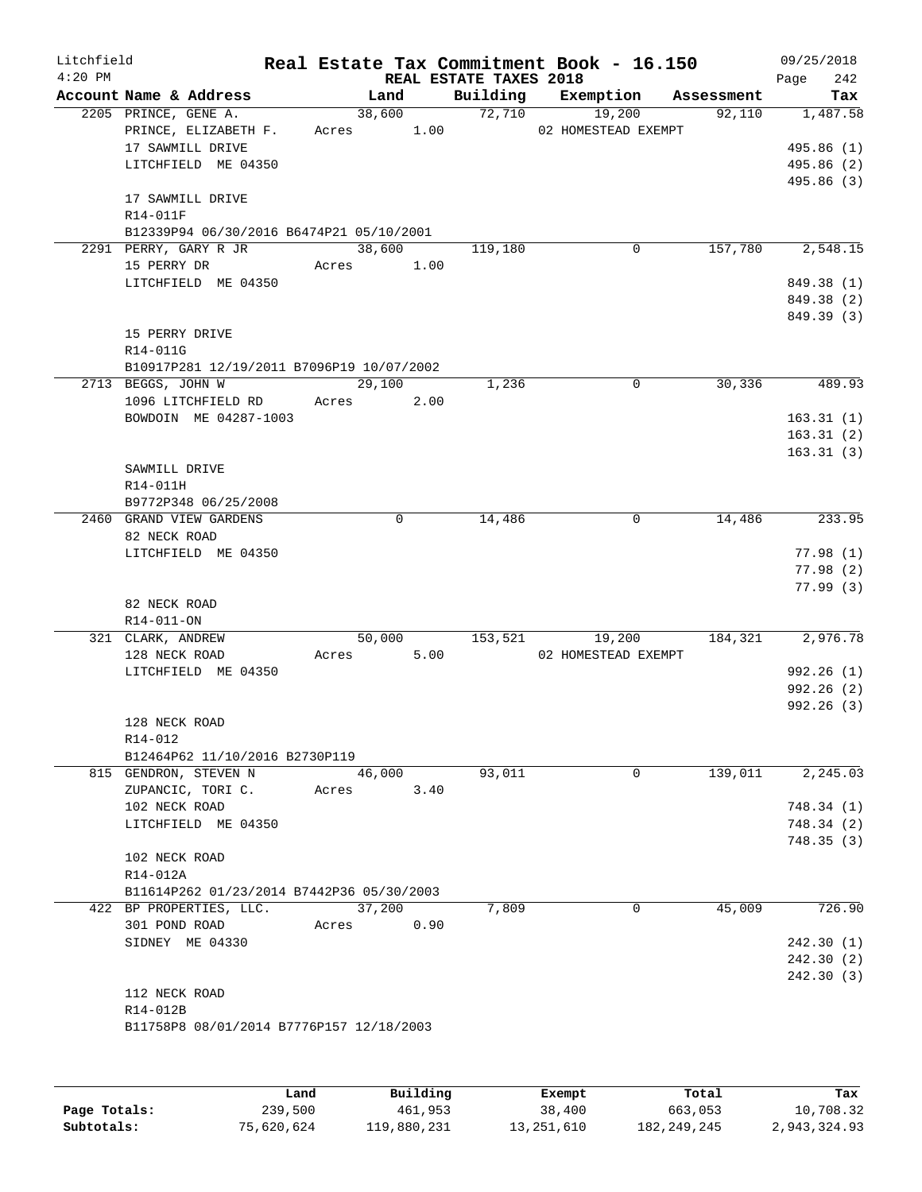| Litchfield |                                              |       |                |                        | Real Estate Tax Commitment Book - 16.150 |            | 09/25/2018           |
|------------|----------------------------------------------|-------|----------------|------------------------|------------------------------------------|------------|----------------------|
| $4:20$ PM  |                                              |       |                | REAL ESTATE TAXES 2018 |                                          |            | 242<br>Page          |
|            | Account Name & Address                       |       | Land           | Building               | Exemption                                | Assessment | Tax                  |
|            | 2205 PRINCE, GENE A.<br>PRINCE, ELIZABETH F. | Acres | 38,600<br>1.00 | 72,710                 | 19,200<br>02 HOMESTEAD EXEMPT            | 92,110     | 1,487.58             |
|            | 17 SAWMILL DRIVE                             |       |                |                        |                                          |            | 495.86 (1)           |
|            | LITCHFIELD ME 04350                          |       |                |                        |                                          |            | 495.86 (2)           |
|            |                                              |       |                |                        |                                          |            | 495.86 (3)           |
|            | 17 SAWMILL DRIVE                             |       |                |                        |                                          |            |                      |
|            | R14-011F                                     |       |                |                        |                                          |            |                      |
|            | B12339P94 06/30/2016 B6474P21 05/10/2001     |       |                |                        |                                          |            |                      |
|            | 2291 PERRY, GARY R JR                        |       | 38,600         | 119,180                | 0                                        | 157,780    | 2,548.15             |
|            | 15 PERRY DR                                  | Acres | 1.00           |                        |                                          |            |                      |
|            | LITCHFIELD ME 04350                          |       |                |                        |                                          |            | 849.38 (1)           |
|            |                                              |       |                |                        |                                          |            | 849.38 (2)           |
|            | 15 PERRY DRIVE                               |       |                |                        |                                          |            | 849.39 (3)           |
|            | R14-011G                                     |       |                |                        |                                          |            |                      |
|            | B10917P281 12/19/2011 B7096P19 10/07/2002    |       |                |                        |                                          |            |                      |
|            | 2713 BEGGS, JOHN W                           |       | 29,100         | 1,236                  | $\mathbf 0$                              | 30,336     | 489.93               |
|            | 1096 LITCHFIELD RD                           | Acres | 2.00           |                        |                                          |            |                      |
|            | BOWDOIN ME 04287-1003                        |       |                |                        |                                          |            | 163.31(1)            |
|            |                                              |       |                |                        |                                          |            | 163.31(2)            |
|            |                                              |       |                |                        |                                          |            | 163.31(3)            |
|            | SAWMILL DRIVE                                |       |                |                        |                                          |            |                      |
|            | R14-011H                                     |       |                |                        |                                          |            |                      |
|            | B9772P348 06/25/2008                         |       |                |                        |                                          |            |                      |
|            | 2460 GRAND VIEW GARDENS                      |       | 0              | 14,486                 | 0                                        | 14,486     | 233.95               |
|            | 82 NECK ROAD                                 |       |                |                        |                                          |            |                      |
|            | LITCHFIELD ME 04350                          |       |                |                        |                                          |            | 77.98(1)             |
|            |                                              |       |                |                        |                                          |            | 77.98(2)<br>77.99(3) |
|            | 82 NECK ROAD                                 |       |                |                        |                                          |            |                      |
|            | R14-011-ON                                   |       |                |                        |                                          |            |                      |
|            | 321 CLARK, ANDREW                            |       | 50,000         | 153,521                | 19,200                                   | 184,321    | 2,976.78             |
|            | 128 NECK ROAD                                | Acres | 5.00           |                        | 02 HOMESTEAD EXEMPT                      |            |                      |
|            | LITCHFIELD ME 04350                          |       |                |                        |                                          |            | 992.26(1)            |
|            |                                              |       |                |                        |                                          |            | 992.26(2)            |
|            |                                              |       |                |                        |                                          |            | 992.26(3)            |
|            | 128 NECK ROAD                                |       |                |                        |                                          |            |                      |
|            | R14-012                                      |       |                |                        |                                          |            |                      |
|            | B12464P62 11/10/2016 B2730P119               |       |                |                        |                                          | 139,011    | 2, 245.03            |
|            | 815 GENDRON, STEVEN N<br>ZUPANCIC, TORI C.   | Acres | 46,000<br>3.40 | 93,011                 | $\mathbf 0$                              |            |                      |
|            | 102 NECK ROAD                                |       |                |                        |                                          |            | 748.34(1)            |
|            | LITCHFIELD ME 04350                          |       |                |                        |                                          |            | 748.34 (2)           |
|            |                                              |       |                |                        |                                          |            | 748.35(3)            |
|            | 102 NECK ROAD                                |       |                |                        |                                          |            |                      |
|            | R14-012A                                     |       |                |                        |                                          |            |                      |
|            | B11614P262 01/23/2014 B7442P36 05/30/2003    |       |                |                        |                                          |            |                      |
|            | 422 BP PROPERTIES, LLC.                      |       | 37,200         | 7,809                  | 0                                        | 45,009     | 726.90               |
|            | 301 POND ROAD                                | Acres | 0.90           |                        |                                          |            |                      |
|            | SIDNEY ME 04330                              |       |                |                        |                                          |            | 242.30(1)            |
|            |                                              |       |                |                        |                                          |            | 242.30 (2)           |
|            |                                              |       |                |                        |                                          |            | 242.30(3)            |
|            | 112 NECK ROAD                                |       |                |                        |                                          |            |                      |
|            | R14-012B                                     |       |                |                        |                                          |            |                      |
|            | B11758P8 08/01/2014 B7776P157 12/18/2003     |       |                |                        |                                          |            |                      |
|            |                                              |       |                |                        |                                          |            |                      |
|            |                                              |       |                |                        |                                          |            |                      |
|            |                                              |       |                |                        |                                          |            |                      |

|              | Land       | Building    | Exempt     | Total         | Tax          |
|--------------|------------|-------------|------------|---------------|--------------|
| Page Totals: | 239,500    | 461,953     | 38,400     | 663,053       | 10,708.32    |
| Subtotals:   | 75,620,624 | 119,880,231 | 13,251,610 | 182, 249, 245 | 2,943,324.93 |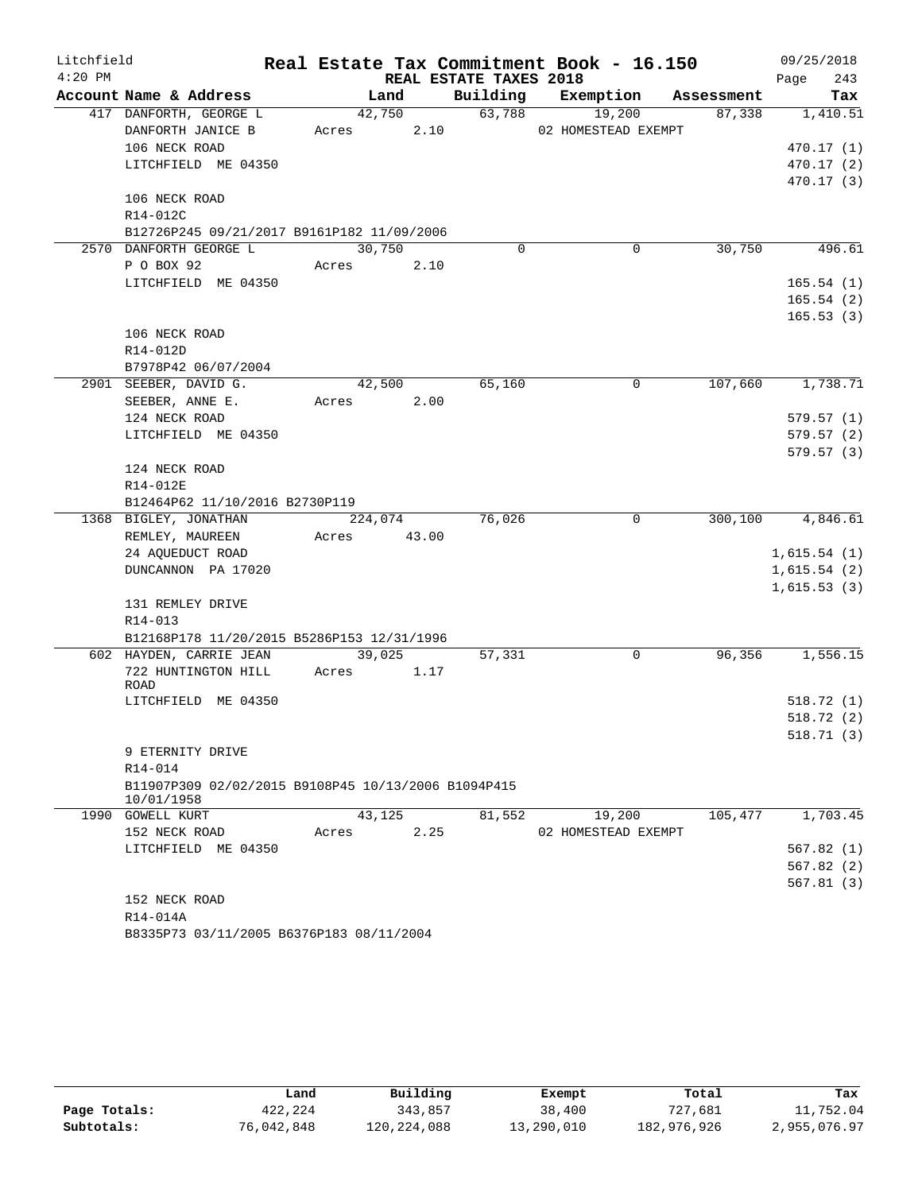| Litchfield |                                                     |         |       |                        | Real Estate Tax Commitment Book - 16.150 |            | 09/25/2018  |
|------------|-----------------------------------------------------|---------|-------|------------------------|------------------------------------------|------------|-------------|
| $4:20$ PM  |                                                     |         |       | REAL ESTATE TAXES 2018 |                                          |            | 243<br>Page |
|            | Account Name & Address                              | Land    |       | Building               | Exemption                                | Assessment | Tax         |
|            | 417 DANFORTH, GEORGE L                              | 42,750  |       | 63,788                 | 19,200                                   | 87,338     | 1,410.51    |
|            | DANFORTH JANICE B                                   | Acres   | 2.10  |                        | 02 HOMESTEAD EXEMPT                      |            |             |
|            | 106 NECK ROAD                                       |         |       |                        |                                          |            | 470.17(1)   |
|            | LITCHFIELD ME 04350                                 |         |       |                        |                                          |            | 470.17(2)   |
|            |                                                     |         |       |                        |                                          |            | 470.17 (3)  |
|            | 106 NECK ROAD                                       |         |       |                        |                                          |            |             |
|            | R14-012C                                            |         |       |                        |                                          |            |             |
|            | B12726P245 09/21/2017 B9161P182 11/09/2006          |         |       |                        |                                          |            |             |
|            | 2570 DANFORTH GEORGE L                              | 30,750  |       | $\Omega$               | 0                                        | 30,750     | 496.61      |
|            | P O BOX 92                                          | Acres   | 2.10  |                        |                                          |            |             |
|            | LITCHFIELD ME 04350                                 |         |       |                        |                                          |            | 165.54(1)   |
|            |                                                     |         |       |                        |                                          |            | 165.54(2)   |
|            |                                                     |         |       |                        |                                          |            | 165.53(3)   |
|            | 106 NECK ROAD                                       |         |       |                        |                                          |            |             |
|            | R14-012D                                            |         |       |                        |                                          |            |             |
|            | B7978P42 06/07/2004                                 |         |       |                        |                                          |            |             |
|            | 2901 SEEBER, DAVID G.                               | 42,500  |       | 65,160                 | 0                                        | 107,660    | 1,738.71    |
|            | SEEBER, ANNE E.                                     | Acres   | 2.00  |                        |                                          |            |             |
|            | 124 NECK ROAD                                       |         |       |                        |                                          |            | 579.57(1)   |
|            | LITCHFIELD ME 04350                                 |         |       |                        |                                          |            | 579.57(2)   |
|            |                                                     |         |       |                        |                                          |            | 579.57(3)   |
|            | 124 NECK ROAD                                       |         |       |                        |                                          |            |             |
|            | R14-012E                                            |         |       |                        |                                          |            |             |
|            | B12464P62 11/10/2016 B2730P119                      |         |       |                        |                                          |            |             |
|            | 1368 BIGLEY, JONATHAN                               | 224,074 |       | 76,026                 | 0                                        | 300,100    | 4,846.61    |
|            | REMLEY, MAUREEN                                     | Acres   | 43.00 |                        |                                          |            |             |
|            | 24 AQUEDUCT ROAD                                    |         |       |                        |                                          |            | 1,615.54(1) |
|            | DUNCANNON PA 17020                                  |         |       |                        |                                          |            | 1,615.54(2) |
|            |                                                     |         |       |                        |                                          |            | 1,615.53(3) |
|            | 131 REMLEY DRIVE                                    |         |       |                        |                                          |            |             |
|            | R14-013                                             |         |       |                        |                                          |            |             |
|            | B12168P178 11/20/2015 B5286P153 12/31/1996          |         |       |                        |                                          |            |             |
|            | 602 HAYDEN, CARRIE JEAN                             | 39,025  |       | 57,331                 | 0                                        | 96,356     | 1,556.15    |
|            | 722 HUNTINGTON HILL<br>ROAD                         | Acres   | 1.17  |                        |                                          |            |             |
|            | LITCHFIELD ME 04350                                 |         |       |                        |                                          |            | 518.72 (1)  |
|            |                                                     |         |       |                        |                                          |            | 518.72(2)   |
|            |                                                     |         |       |                        |                                          |            | 518.71 (3)  |
|            | 9 ETERNITY DRIVE                                    |         |       |                        |                                          |            |             |
|            | R14-014                                             |         |       |                        |                                          |            |             |
|            | B11907P309 02/02/2015 B9108P45 10/13/2006 B1094P415 |         |       |                        |                                          |            |             |
|            | 10/01/1958                                          |         |       |                        |                                          |            |             |
|            | 1990 GOWELL KURT                                    | 43,125  |       | 81,552                 | 19,200                                   | 105,477    | 1,703.45    |
|            | 152 NECK ROAD                                       | Acres   | 2.25  |                        | 02 HOMESTEAD EXEMPT                      |            |             |
|            | LITCHFIELD ME 04350                                 |         |       |                        |                                          |            | 567.82(1)   |
|            |                                                     |         |       |                        |                                          |            | 567.82(2)   |
|            |                                                     |         |       |                        |                                          |            | 567.81(3)   |
|            | 152 NECK ROAD                                       |         |       |                        |                                          |            |             |
|            | R14-014A                                            |         |       |                        |                                          |            |             |
|            | B8335P73 03/11/2005 B6376P183 08/11/2004            |         |       |                        |                                          |            |             |

|              | Land       | Building    | Exempt     | Total       | Tax          |
|--------------|------------|-------------|------------|-------------|--------------|
| Page Totals: | 422,224    | 343,857     | 38,400     | 727,681     | 11,752.04    |
| Subtotals:   | 76,042,848 | 120,224,088 | 13,290,010 | 182,976,926 | 2,955,076.97 |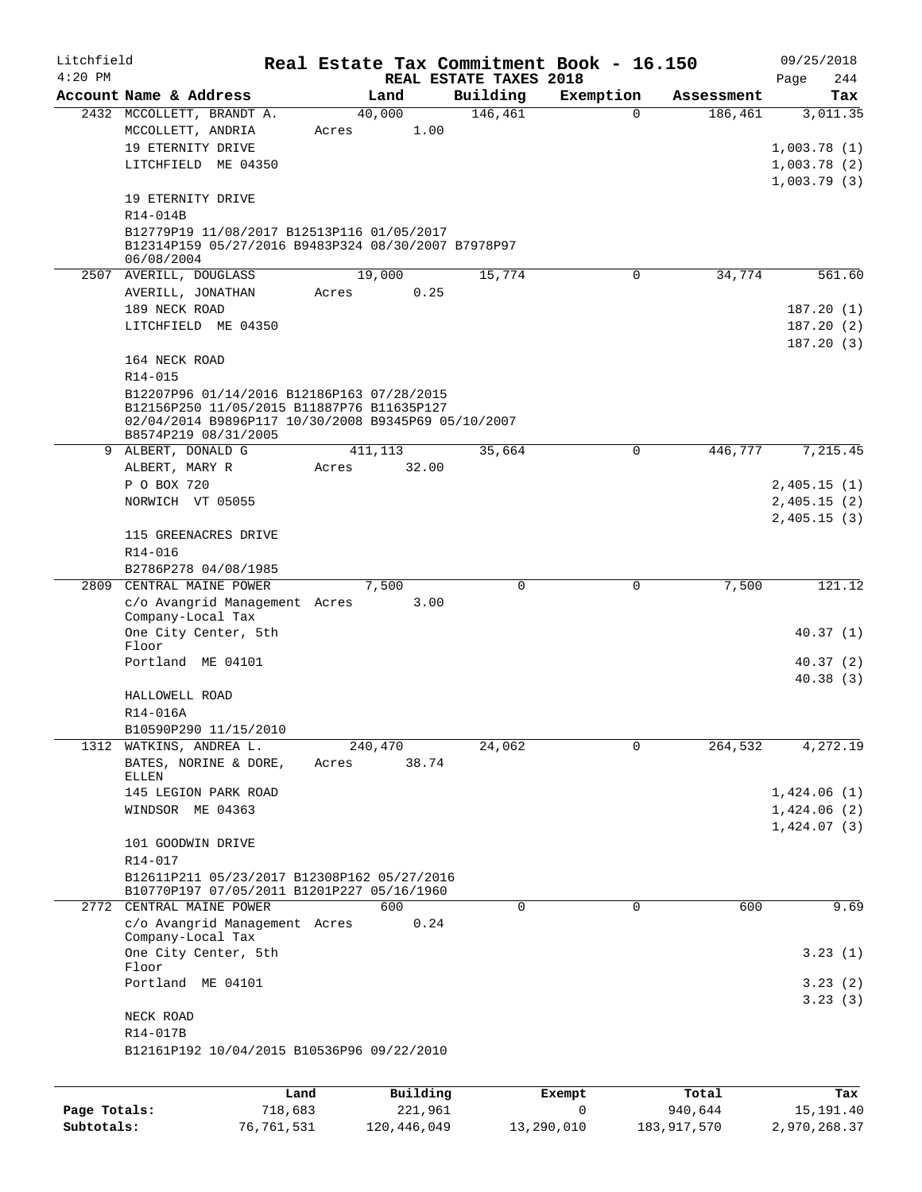| Litchfield   |                                                     | Real Estate Tax Commitment Book - 16.150 |                                    |           |            | 09/25/2018                 |
|--------------|-----------------------------------------------------|------------------------------------------|------------------------------------|-----------|------------|----------------------------|
| $4:20$ PM    | Account Name & Address                              | Land                                     | REAL ESTATE TAXES 2018<br>Building | Exemption | Assessment | Page<br>244<br>Tax         |
|              | 2432 MCCOLLETT, BRANDT A.                           | 40,000                                   | 146,461                            | $\Omega$  | 186,461    | 3,011.35                   |
|              | MCCOLLETT, ANDRIA                                   | 1.00<br>Acres                            |                                    |           |            |                            |
|              | 19 ETERNITY DRIVE                                   |                                          |                                    |           |            | 1,003.78(1)                |
|              | LITCHFIELD ME 04350                                 |                                          |                                    |           |            | 1,003.78(2)                |
|              |                                                     |                                          |                                    |           |            | 1,003.79(3)                |
|              | 19 ETERNITY DRIVE                                   |                                          |                                    |           |            |                            |
|              | R14-014B                                            |                                          |                                    |           |            |                            |
|              | B12779P19 11/08/2017 B12513P116 01/05/2017          |                                          |                                    |           |            |                            |
|              | B12314P159 05/27/2016 B9483P324 08/30/2007 B7978P97 |                                          |                                    |           |            |                            |
|              | 06/08/2004<br>2507 AVERILL, DOUGLASS                | 19,000                                   | 15,774                             | 0         | 34,774     | 561.60                     |
|              | AVERILL, JONATHAN                                   | Acres<br>0.25                            |                                    |           |            |                            |
|              | 189 NECK ROAD                                       |                                          |                                    |           |            | 187.20(1)                  |
|              | LITCHFIELD ME 04350                                 |                                          |                                    |           |            | 187.20(2)                  |
|              |                                                     |                                          |                                    |           |            | 187.20(3)                  |
|              | 164 NECK ROAD                                       |                                          |                                    |           |            |                            |
|              | R14-015                                             |                                          |                                    |           |            |                            |
|              | B12207P96 01/14/2016 B12186P163 07/28/2015          |                                          |                                    |           |            |                            |
|              | B12156P250 11/05/2015 B11887P76 B11635P127          |                                          |                                    |           |            |                            |
|              | 02/04/2014 B9896P117 10/30/2008 B9345P69 05/10/2007 |                                          |                                    |           |            |                            |
|              | B8574P219 08/31/2005                                |                                          |                                    |           |            |                            |
|              | 9 ALBERT, DONALD G                                  | 411, 113                                 | 35,664                             | 0         | 446,777    | 7,215.45                   |
|              | ALBERT, MARY R                                      | 32.00<br>Acres                           |                                    |           |            |                            |
|              | P O BOX 720                                         |                                          |                                    |           |            | 2,405.15(1)                |
|              | NORWICH VT 05055                                    |                                          |                                    |           |            | 2,405.15(2)                |
|              |                                                     |                                          |                                    |           |            | 2,405.15(3)                |
|              | 115 GREENACRES DRIVE                                |                                          |                                    |           |            |                            |
|              | R14-016                                             |                                          |                                    |           |            |                            |
|              | B2786P278 04/08/1985                                |                                          |                                    |           |            |                            |
| 2809         | CENTRAL MAINE POWER                                 | 7,500                                    | $\Omega$                           | 0         | 7,500      | 121.12                     |
|              | c/o Avangrid Management Acres<br>Company-Local Tax  | 3.00                                     |                                    |           |            |                            |
|              | One City Center, 5th                                |                                          |                                    |           |            | 40.37(1)                   |
|              | Floor                                               |                                          |                                    |           |            |                            |
|              | Portland ME 04101                                   |                                          |                                    |           |            | 40.37(2)                   |
|              |                                                     |                                          |                                    |           |            | 40.38(3)                   |
|              | HALLOWELL ROAD                                      |                                          |                                    |           |            |                            |
|              | R14-016A                                            |                                          |                                    |           |            |                            |
|              | B10590P290 11/15/2010                               |                                          |                                    |           |            |                            |
| 1312         | WATKINS, ANDREA L.                                  | 240,470                                  | 24,062                             | 0         | 264,532    | 4,272.19                   |
|              | BATES, NORINE & DORE,                               | 38.74<br>Acres                           |                                    |           |            |                            |
|              | ELLEN                                               |                                          |                                    |           |            |                            |
|              | 145 LEGION PARK ROAD<br>WINDSOR ME 04363            |                                          |                                    |           |            | 1,424.06(1)<br>1,424.06(2) |
|              |                                                     |                                          |                                    |           |            |                            |
|              | 101 GOODWIN DRIVE                                   |                                          |                                    |           |            | 1,424.07(3)                |
|              | R14-017                                             |                                          |                                    |           |            |                            |
|              | B12611P211 05/23/2017 B12308P162 05/27/2016         |                                          |                                    |           |            |                            |
|              | B10770P197 07/05/2011 B1201P227 05/16/1960          |                                          |                                    |           |            |                            |
| 2772         | CENTRAL MAINE POWER                                 | 600                                      | $\Omega$                           | 0         | 600        | 9.69                       |
|              | c/o Avangrid Management Acres                       | 0.24                                     |                                    |           |            |                            |
|              | Company-Local Tax                                   |                                          |                                    |           |            |                            |
|              | One City Center, 5th                                |                                          |                                    |           |            | 3.23(1)                    |
|              | Floor                                               |                                          |                                    |           |            |                            |
|              | Portland ME 04101                                   |                                          |                                    |           |            | 3.23(2)                    |
|              |                                                     |                                          |                                    |           |            | 3.23(3)                    |
|              | NECK ROAD<br>R14-017B                               |                                          |                                    |           |            |                            |
|              | B12161P192 10/04/2015 B10536P96 09/22/2010          |                                          |                                    |           |            |                            |
|              |                                                     |                                          |                                    |           |            |                            |
|              |                                                     |                                          |                                    |           |            |                            |
|              | Land                                                | Building                                 |                                    | Exempt    | Total      | Tax                        |
| Page Totals: | 718,683                                             | 221,961                                  |                                    | 0         | 940,644    | 15,191.40                  |

**Subtotals:** 76,761,531 120,446,049 13,290,010 183,917,570 2,970,268.37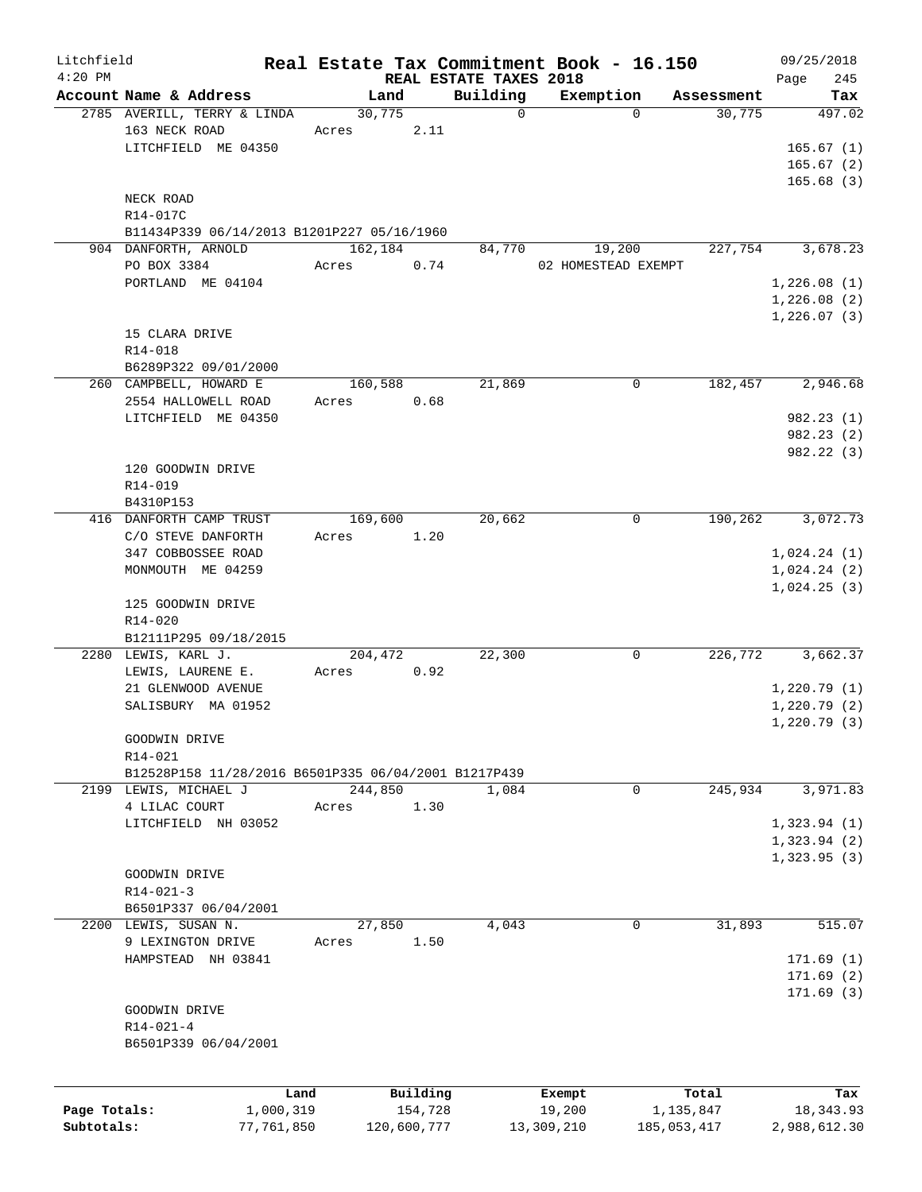| Litchfield   |                                                      |         |             |                        | Real Estate Tax Commitment Book - 16.150 |             | 09/25/2018   |
|--------------|------------------------------------------------------|---------|-------------|------------------------|------------------------------------------|-------------|--------------|
| $4:20$ PM    |                                                      |         |             | REAL ESTATE TAXES 2018 |                                          |             | 245<br>Page  |
|              | Account Name & Address                               | Land    |             | Building               | Exemption                                | Assessment  | Tax          |
|              | 2785 AVERILL, TERRY & LINDA                          | 30,775  |             | $\mathbf 0$            | $\Omega$                                 | 30,775      | 497.02       |
|              | 163 NECK ROAD                                        | Acres   | 2.11        |                        |                                          |             |              |
|              | LITCHFIELD ME 04350                                  |         |             |                        |                                          |             | 165.67(1)    |
|              |                                                      |         |             |                        |                                          |             | 165.67(2)    |
|              |                                                      |         |             |                        |                                          |             | 165.68(3)    |
|              | NECK ROAD                                            |         |             |                        |                                          |             |              |
|              | R14-017C                                             |         |             |                        |                                          |             |              |
|              | B11434P339 06/14/2013 B1201P227 05/16/1960           |         |             |                        |                                          |             |              |
|              | 904 DANFORTH, ARNOLD                                 | 162,184 |             | 84,770                 | 19,200                                   | 227,754     | 3,678.23     |
|              | PO BOX 3384                                          | Acres   | 0.74        |                        | 02 HOMESTEAD EXEMPT                      |             |              |
|              | PORTLAND ME 04104                                    |         |             |                        |                                          |             | 1,226.08(1)  |
|              |                                                      |         |             |                        |                                          |             | 1,226.08(2)  |
|              |                                                      |         |             |                        |                                          |             | 1,226.07(3)  |
|              | 15 CLARA DRIVE                                       |         |             |                        |                                          |             |              |
|              | R14-018                                              |         |             |                        |                                          |             |              |
|              | B6289P322 09/01/2000                                 |         |             |                        |                                          |             |              |
|              | 260 CAMPBELL, HOWARD E                               | 160,588 |             | 21,869                 | $\mathbf 0$                              | 182,457     | 2,946.68     |
|              | 2554 HALLOWELL ROAD                                  | Acres   | 0.68        |                        |                                          |             |              |
|              | LITCHFIELD ME 04350                                  |         |             |                        |                                          |             | 982.23 (1)   |
|              |                                                      |         |             |                        |                                          |             | 982.23(2)    |
|              |                                                      |         |             |                        |                                          |             | 982.22 (3)   |
|              | 120 GOODWIN DRIVE                                    |         |             |                        |                                          |             |              |
|              | R14-019                                              |         |             |                        |                                          |             |              |
|              |                                                      |         |             |                        |                                          |             |              |
|              | B4310P153                                            |         |             |                        |                                          |             |              |
|              | 416 DANFORTH CAMP TRUST                              | 169,600 |             | 20,662                 | 0                                        | 190,262     | 3,072.73     |
|              | C/O STEVE DANFORTH                                   | Acres   | 1.20        |                        |                                          |             |              |
|              | 347 COBBOSSEE ROAD                                   |         |             |                        |                                          |             | 1,024.24(1)  |
|              | MONMOUTH ME 04259                                    |         |             |                        |                                          |             | 1,024.24(2)  |
|              |                                                      |         |             |                        |                                          |             | 1,024.25(3)  |
|              | 125 GOODWIN DRIVE                                    |         |             |                        |                                          |             |              |
|              | $R14 - 020$                                          |         |             |                        |                                          |             |              |
|              | B12111P295 09/18/2015                                |         |             |                        |                                          |             |              |
|              | 2280 LEWIS, KARL J.                                  | 204,472 |             | 22,300                 | 0                                        | 226,772     | 3,662.37     |
|              | LEWIS, LAURENE E.                                    | Acres   | 0.92        |                        |                                          |             |              |
|              | 21 GLENWOOD AVENUE                                   |         |             |                        |                                          |             | 1,220.79(1)  |
|              | SALISBURY MA 01952                                   |         |             |                        |                                          |             | 1,220.79(2)  |
|              |                                                      |         |             |                        |                                          |             | 1,220.79(3)  |
|              | GOODWIN DRIVE                                        |         |             |                        |                                          |             |              |
|              | R14-021                                              |         |             |                        |                                          |             |              |
|              | B12528P158 11/28/2016 B6501P335 06/04/2001 B1217P439 |         |             |                        |                                          |             |              |
|              | 2199 LEWIS, MICHAEL J                                | 244,850 |             | 1,084                  | 0                                        | 245,934     | 3,971.83     |
|              | 4 LILAC COURT                                        | Acres   | 1.30        |                        |                                          |             |              |
|              | LITCHFIELD NH 03052                                  |         |             |                        |                                          |             | 1,323.94(1)  |
|              |                                                      |         |             |                        |                                          |             | 1,323.94(2)  |
|              |                                                      |         |             |                        |                                          |             | 1,323.95(3)  |
|              | GOODWIN DRIVE                                        |         |             |                        |                                          |             |              |
|              | $R14 - 021 - 3$                                      |         |             |                        |                                          |             |              |
|              | B6501P337 06/04/2001                                 |         |             |                        |                                          |             |              |
|              | 2200 LEWIS, SUSAN N.                                 | 27,850  |             | 4,043                  | 0                                        | 31,893      | 515.07       |
|              |                                                      |         |             |                        |                                          |             |              |
|              | 9 LEXINGTON DRIVE                                    | Acres   | 1.50        |                        |                                          |             |              |
|              | HAMPSTEAD NH 03841                                   |         |             |                        |                                          |             | 171.69(1)    |
|              |                                                      |         |             |                        |                                          |             | 171.69(2)    |
|              |                                                      |         |             |                        |                                          |             | 171.69(3)    |
|              | GOODWIN DRIVE                                        |         |             |                        |                                          |             |              |
|              | $R14 - 021 - 4$                                      |         |             |                        |                                          |             |              |
|              | B6501P339 06/04/2001                                 |         |             |                        |                                          |             |              |
|              |                                                      |         |             |                        |                                          |             |              |
|              |                                                      |         |             |                        |                                          |             |              |
|              |                                                      | Land    | Building    |                        | Exempt                                   | Total       | Tax          |
| Page Totals: | 1,000,319                                            |         | 154,728     |                        | 19,200                                   | 1,135,847   | 18, 343.93   |
| Subtotals:   | 77,761,850                                           |         | 120,600,777 |                        | 13,309,210                               | 185,053,417 | 2,988,612.30 |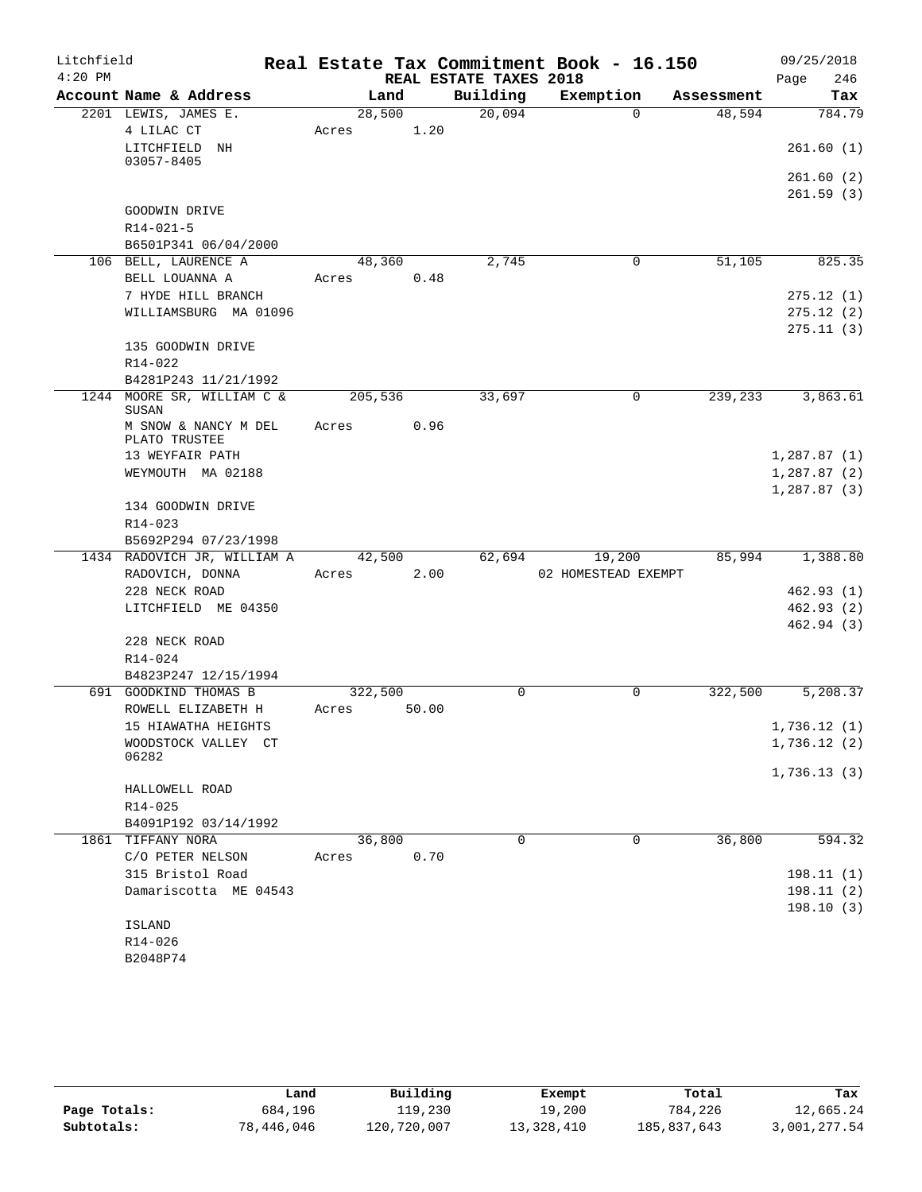| Litchfield |                                               |         |       |                        | Real Estate Tax Commitment Book - 16.150 |            | 09/25/2018  |
|------------|-----------------------------------------------|---------|-------|------------------------|------------------------------------------|------------|-------------|
| $4:20$ PM  |                                               |         |       | REAL ESTATE TAXES 2018 |                                          |            | 246<br>Page |
|            | Account Name & Address                        |         | Land  | Building               | Exemption                                | Assessment | Tax         |
|            | 2201 LEWIS, JAMES E.                          | 28,500  |       | 20,094                 | $\Omega$                                 | 48,594     | 784.79      |
|            | 4 LILAC CT                                    | Acres   | 1.20  |                        |                                          |            |             |
|            | LITCHFIELD NH                                 |         |       |                        |                                          |            | 261.60(1)   |
|            | 03057-8405                                    |         |       |                        |                                          |            | 261.60(2)   |
|            |                                               |         |       |                        |                                          |            | 261.59(3)   |
|            | GOODWIN DRIVE                                 |         |       |                        |                                          |            |             |
|            | $R14 - 021 - 5$                               |         |       |                        |                                          |            |             |
|            | B6501P341 06/04/2000                          |         |       |                        |                                          |            |             |
|            | 106 BELL, LAURENCE A                          | 48,360  |       | 2,745                  | 0                                        | 51,105     | 825.35      |
|            | BELL LOUANNA A                                | Acres   | 0.48  |                        |                                          |            |             |
|            | 7 HYDE HILL BRANCH                            |         |       |                        |                                          |            | 275.12(1)   |
|            | WILLIAMSBURG MA 01096                         |         |       |                        |                                          |            | 275.12(2)   |
|            |                                               |         |       |                        |                                          |            | 275.11(3)   |
|            | 135 GOODWIN DRIVE                             |         |       |                        |                                          |            |             |
|            | R14-022                                       |         |       |                        |                                          |            |             |
|            | B4281P243 11/21/1992                          |         |       |                        |                                          |            |             |
|            | 1244 MOORE SR, WILLIAM C &<br>SUSAN           | 205,536 |       | 33,697                 | $\mathbf 0$                              | 239,233    | 3,863.61    |
|            | M SNOW & NANCY M DEL                          | Acres   | 0.96  |                        |                                          |            |             |
|            | PLATO TRUSTEE                                 |         |       |                        |                                          |            |             |
|            | 13 WEYFAIR PATH                               |         |       |                        |                                          |            | 1,287.87(1) |
|            | WEYMOUTH MA 02188                             |         |       |                        |                                          |            | 1,287.87(2) |
|            |                                               |         |       |                        |                                          |            | 1,287.87(3) |
|            | 134 GOODWIN DRIVE                             |         |       |                        |                                          |            |             |
|            | R14-023                                       |         |       |                        |                                          |            |             |
|            | B5692P294 07/23/1998                          |         |       |                        |                                          |            |             |
|            | 1434 RADOVICH JR, WILLIAM A                   | 42,500  |       | 62,694                 | 19,200                                   | 85,994     | 1,388.80    |
|            | RADOVICH, DONNA                               | Acres   | 2.00  |                        | 02 HOMESTEAD EXEMPT                      |            |             |
|            | 228 NECK ROAD                                 |         |       |                        |                                          |            | 462.93(1)   |
|            | LITCHFIELD ME 04350                           |         |       |                        |                                          |            | 462.93(2)   |
|            |                                               |         |       |                        |                                          |            | 462.94 (3)  |
|            | 228 NECK ROAD                                 |         |       |                        |                                          |            |             |
|            | R14-024                                       |         |       |                        |                                          |            |             |
|            | B4823P247 12/15/1994<br>691 GOODKIND THOMAS B | 322,500 |       | $\Omega$               | $\Omega$                                 | 322,500    | 5,208.37    |
|            | ROWELL ELIZABETH H                            | Acres   | 50.00 |                        |                                          |            |             |
|            | 15 HIAWATHA HEIGHTS                           |         |       |                        |                                          |            | 1,736.12(1) |
|            | WOODSTOCK VALLEY CT                           |         |       |                        |                                          |            | 1,736.12(2) |
|            | 06282                                         |         |       |                        |                                          |            |             |
|            |                                               |         |       |                        |                                          |            | 1,736.13(3) |
|            | HALLOWELL ROAD                                |         |       |                        |                                          |            |             |
|            | R14-025                                       |         |       |                        |                                          |            |             |
|            | B4091P192 03/14/1992                          |         |       |                        |                                          |            |             |
|            | 1861 TIFFANY NORA                             | 36,800  |       | 0                      | 0                                        | 36,800     | 594.32      |
|            | C/O PETER NELSON                              | Acres   | 0.70  |                        |                                          |            |             |
|            | 315 Bristol Road                              |         |       |                        |                                          |            | 198.11(1)   |
|            | Damariscotta ME 04543                         |         |       |                        |                                          |            | 198.11(2)   |
|            |                                               |         |       |                        |                                          |            | 198.10(3)   |
|            | ISLAND                                        |         |       |                        |                                          |            |             |
|            | R14-026                                       |         |       |                        |                                          |            |             |
|            | B2048P74                                      |         |       |                        |                                          |            |             |

|              | Land       | Building    | Exempt     | Total       | Tax          |
|--------------|------------|-------------|------------|-------------|--------------|
| Page Totals: | 684,196    | 119,230     | 19,200     | 784,226     | 12,665.24    |
| Subtotals:   | 78,446,046 | 120,720,007 | 13,328,410 | 185,837,643 | 3,001,277.54 |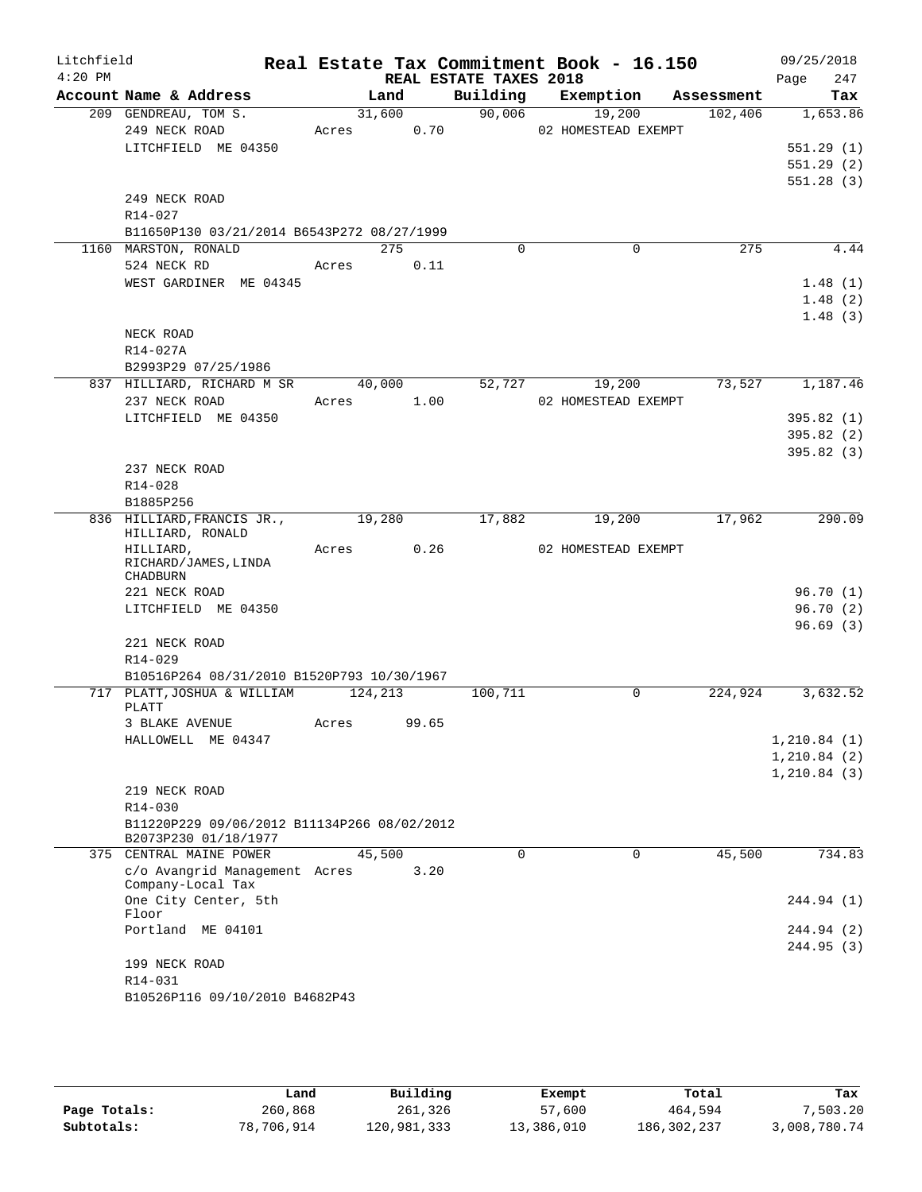| Litchfield |                                                                     |         |        |                        | Real Estate Tax Commitment Book - 16.150 |            | 09/25/2018   |
|------------|---------------------------------------------------------------------|---------|--------|------------------------|------------------------------------------|------------|--------------|
| $4:20$ PM  |                                                                     |         |        | REAL ESTATE TAXES 2018 |                                          |            | 247<br>Page  |
|            | Account Name & Address                                              |         | Land   | Building               | Exemption                                | Assessment | Tax          |
|            | 209 GENDREAU, TOM S.                                                | 31,600  |        | 90,006                 | 19,200                                   | 102,406    | 1,653.86     |
|            | 249 NECK ROAD                                                       | Acres   | 0.70   |                        | 02 HOMESTEAD EXEMPT                      |            |              |
|            | LITCHFIELD ME 04350                                                 |         |        |                        |                                          |            | 551.29(1)    |
|            |                                                                     |         |        |                        |                                          |            | 551.29(2)    |
|            | 249 NECK ROAD                                                       |         |        |                        |                                          |            | 551.28(3)    |
|            | R14-027                                                             |         |        |                        |                                          |            |              |
|            | B11650P130 03/21/2014 B6543P272 08/27/1999                          |         |        |                        |                                          |            |              |
|            | 1160 MARSTON, RONALD                                                |         | 275    | $\Omega$               | $\Omega$                                 | 275        | 4.44         |
|            | 524 NECK RD                                                         | Acres   | 0.11   |                        |                                          |            |              |
|            | WEST GARDINER ME 04345                                              |         |        |                        |                                          |            | 1.48(1)      |
|            |                                                                     |         |        |                        |                                          |            | 1.48(2)      |
|            |                                                                     |         |        |                        |                                          |            | 1.48(3)      |
|            | NECK ROAD                                                           |         |        |                        |                                          |            |              |
|            | R14-027A                                                            |         |        |                        |                                          |            |              |
|            | B2993P29 07/25/1986                                                 |         |        |                        |                                          |            |              |
|            | 837 HILLIARD, RICHARD M SR                                          |         | 40,000 | 52,727                 | 19,200                                   | 73,527     | 1,187.46     |
|            | 237 NECK ROAD                                                       | Acres   | 1.00   |                        | 02 HOMESTEAD EXEMPT                      |            |              |
|            | LITCHFIELD ME 04350                                                 |         |        |                        |                                          |            | 395.82(1)    |
|            |                                                                     |         |        |                        |                                          |            | 395.82(2)    |
|            |                                                                     |         |        |                        |                                          |            | 395.82(3)    |
|            | 237 NECK ROAD                                                       |         |        |                        |                                          |            |              |
|            | $R14 - 028$                                                         |         |        |                        |                                          |            |              |
|            | B1885P256                                                           |         |        |                        |                                          |            |              |
|            | 836 HILLIARD, FRANCIS JR.,<br>HILLIARD, RONALD                      | 19,280  |        | 17,882                 | 19,200                                   | 17,962     | 290.09       |
|            | HILLIARD,                                                           | Acres   | 0.26   |                        | 02 HOMESTEAD EXEMPT                      |            |              |
|            | RICHARD/JAMES, LINDA<br>CHADBURN                                    |         |        |                        |                                          |            |              |
|            | 221 NECK ROAD                                                       |         |        |                        |                                          |            | 96.70(1)     |
|            | LITCHFIELD ME 04350                                                 |         |        |                        |                                          |            | 96.70(2)     |
|            |                                                                     |         |        |                        |                                          |            | 96.69(3)     |
|            | 221 NECK ROAD                                                       |         |        |                        |                                          |            |              |
|            | R14-029                                                             |         |        |                        |                                          |            |              |
|            | B10516P264 08/31/2010 B1520P793 10/30/1967                          |         |        |                        |                                          |            |              |
|            | 717 PLATT, JOSHUA & WILLIAM<br>PLATT                                | 124,213 |        | 100,711                | $\Omega$                                 | 224,924    | 3,632.52     |
|            | 3 BLAKE AVENUE                                                      | Acres   | 99.65  |                        |                                          |            |              |
|            | HALLOWELL ME 04347                                                  |         |        |                        |                                          |            | 1, 210.84(1) |
|            |                                                                     |         |        |                        |                                          |            | 1, 210.84(2) |
|            |                                                                     |         |        |                        |                                          |            | 1, 210.84(3) |
|            | 219 NECK ROAD                                                       |         |        |                        |                                          |            |              |
|            | R14-030                                                             |         |        |                        |                                          |            |              |
|            | B11220P229 09/06/2012 B11134P266 08/02/2012<br>B2073P230 01/18/1977 |         |        |                        |                                          |            |              |
|            | 375 CENTRAL MAINE POWER                                             | 45,500  |        | $\Omega$               | 0                                        | 45,500     | 734.83       |
|            | c/o Avangrid Management Acres<br>Company-Local Tax                  |         | 3.20   |                        |                                          |            |              |
|            | One City Center, 5th<br>Floor                                       |         |        |                        |                                          |            | 244.94 (1)   |
|            | Portland ME 04101                                                   |         |        |                        |                                          |            | 244.94 (2)   |
|            |                                                                     |         |        |                        |                                          |            | 244.95 (3)   |
|            | 199 NECK ROAD                                                       |         |        |                        |                                          |            |              |
|            | R14-031                                                             |         |        |                        |                                          |            |              |
|            | B10526P116 09/10/2010 B4682P43                                      |         |        |                        |                                          |            |              |
|            |                                                                     |         |        |                        |                                          |            |              |

|              | Land       | Building    | Exempt     | Total         | Tax          |
|--------------|------------|-------------|------------|---------------|--------------|
| Page Totals: | 260,868    | 261,326     | 57,600     | 464,594       | 7,503.20     |
| Subtotals:   | 78,706,914 | 120,981,333 | 13,386,010 | 186, 302, 237 | 3,008,780.74 |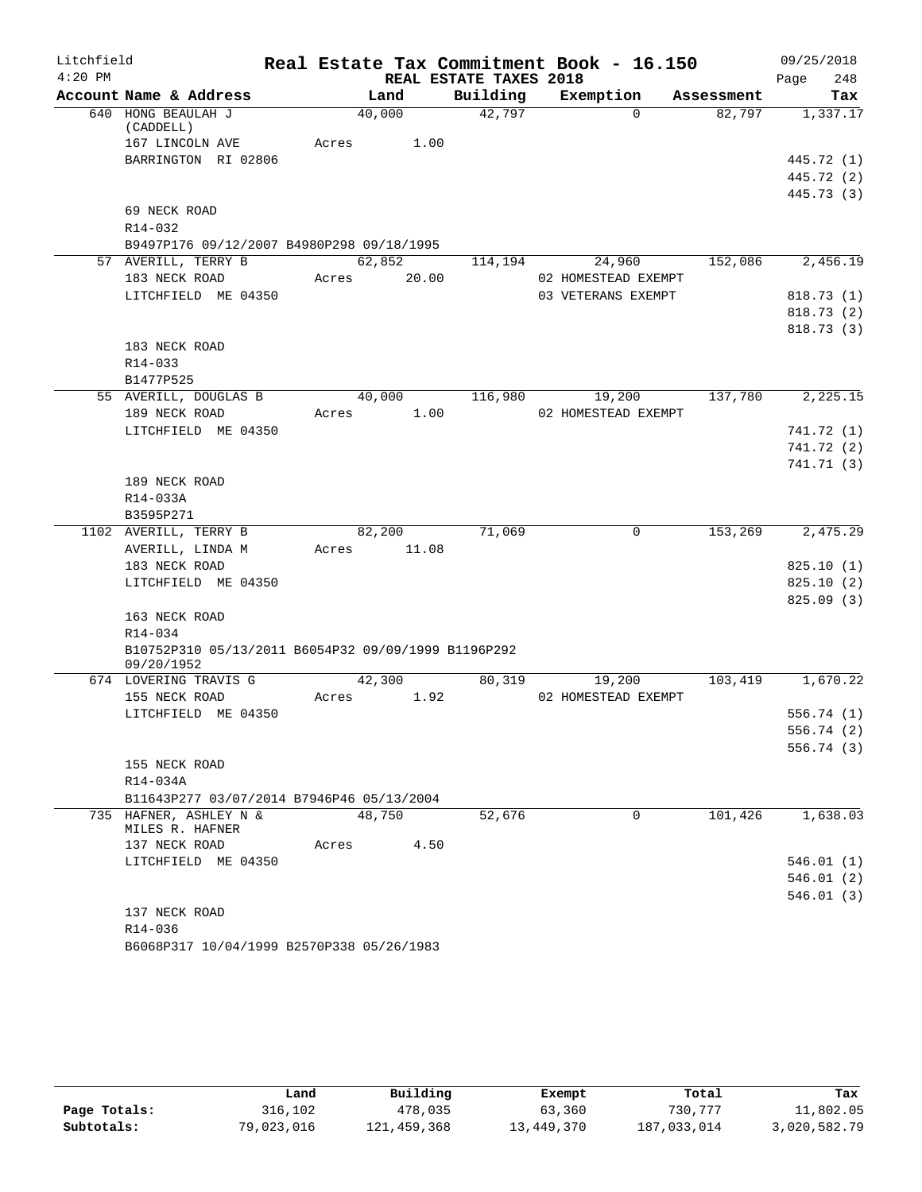| Litchfield |                                                     |       |        | Real Estate Tax Commitment Book - 16.150 |                     |            | 09/25/2018  |
|------------|-----------------------------------------------------|-------|--------|------------------------------------------|---------------------|------------|-------------|
| $4:20$ PM  |                                                     |       |        | REAL ESTATE TAXES 2018                   |                     |            | 248<br>Page |
|            | Account Name & Address                              |       | Land   | Building                                 | Exemption           | Assessment | Tax         |
|            | 640 HONG BEAULAH J<br>(CADDELL)                     |       | 40,000 | 42,797                                   | $\Omega$            | 82,797     | 1,337.17    |
|            | 167 LINCOLN AVE                                     | Acres | 1.00   |                                          |                     |            |             |
|            | BARRINGTON RI 02806                                 |       |        |                                          |                     |            | 445.72 (1)  |
|            |                                                     |       |        |                                          |                     |            | 445.72 (2)  |
|            |                                                     |       |        |                                          |                     |            | 445.73 (3)  |
|            | 69 NECK ROAD                                        |       |        |                                          |                     |            |             |
|            | $R14 - 032$                                         |       |        |                                          |                     |            |             |
|            | B9497P176 09/12/2007 B4980P298 09/18/1995           |       |        |                                          |                     |            |             |
|            | 57 AVERILL, TERRY B                                 |       | 62,852 | 114,194                                  | 24,960              | 152,086    | 2,456.19    |
|            | 183 NECK ROAD                                       | Acres | 20.00  |                                          | 02 HOMESTEAD EXEMPT |            |             |
|            | LITCHFIELD ME 04350                                 |       |        |                                          | 03 VETERANS EXEMPT  |            | 818.73 (1)  |
|            |                                                     |       |        |                                          |                     |            | 818.73 (2)  |
|            |                                                     |       |        |                                          |                     |            | 818.73(3)   |
|            | 183 NECK ROAD                                       |       |        |                                          |                     |            |             |
|            | $R14 - 033$                                         |       |        |                                          |                     |            |             |
|            | B1477P525                                           |       |        |                                          |                     |            |             |
|            | 55 AVERILL, DOUGLAS B                               |       | 40,000 | 116,980                                  | 19,200              | 137,780    | 2,225.15    |
|            | 189 NECK ROAD                                       | Acres | 1.00   |                                          | 02 HOMESTEAD EXEMPT |            |             |
|            | LITCHFIELD ME 04350                                 |       |        |                                          |                     |            | 741.72 (1)  |
|            |                                                     |       |        |                                          |                     |            | 741.72 (2)  |
|            |                                                     |       |        |                                          |                     |            | 741.71 (3)  |
|            | 189 NECK ROAD                                       |       |        |                                          |                     |            |             |
|            | R14-033A                                            |       |        |                                          |                     |            |             |
|            | B3595P271                                           |       |        |                                          |                     |            |             |
|            | 1102 AVERILL, TERRY B                               |       | 82,200 | 71,069                                   | 0                   | 153,269    | 2,475.29    |
|            | AVERILL, LINDA M                                    | Acres | 11.08  |                                          |                     |            |             |
|            | 183 NECK ROAD                                       |       |        |                                          |                     |            | 825.10(1)   |
|            | LITCHFIELD ME 04350                                 |       |        |                                          |                     |            | 825.10(2)   |
|            | 163 NECK ROAD                                       |       |        |                                          |                     |            | 825.09(3)   |
|            | R14-034                                             |       |        |                                          |                     |            |             |
|            | B10752P310 05/13/2011 B6054P32 09/09/1999 B1196P292 |       |        |                                          |                     |            |             |
|            | 09/20/1952                                          |       |        |                                          |                     |            |             |
|            | 674 LOVERING TRAVIS G                               |       | 42,300 | 80,319                                   | 19,200              | 103,419    | 1,670.22    |
|            | 155 NECK ROAD                                       | Acres | 1.92   |                                          | 02 HOMESTEAD EXEMPT |            |             |
|            | LITCHFIELD ME 04350                                 |       |        |                                          |                     |            | 556.74(1)   |
|            |                                                     |       |        |                                          |                     |            | 556.74 (2)  |
|            |                                                     |       |        |                                          |                     |            | 556.74 (3)  |
|            | 155 NECK ROAD                                       |       |        |                                          |                     |            |             |
|            | R14-034A                                            |       |        |                                          |                     |            |             |
|            | B11643P277 03/07/2014 B7946P46 05/13/2004           |       |        |                                          |                     |            |             |
|            | 735 HAFNER, ASHLEY N &                              |       | 48,750 | 52,676                                   | 0                   | 101,426    | 1,638.03    |
|            | MILES R. HAFNER                                     |       |        |                                          |                     |            |             |
|            | 137 NECK ROAD<br>LITCHFIELD ME 04350                | Acres | 4.50   |                                          |                     |            | 546.01(1)   |
|            |                                                     |       |        |                                          |                     |            | 546.01(2)   |
|            |                                                     |       |        |                                          |                     |            | 546.01(3)   |
|            | 137 NECK ROAD                                       |       |        |                                          |                     |            |             |
|            | R14-036                                             |       |        |                                          |                     |            |             |
|            | B6068P317 10/04/1999 B2570P338 05/26/1983           |       |        |                                          |                     |            |             |
|            |                                                     |       |        |                                          |                     |            |             |

|              | Land       | Building    | Exempt     | Total       | Tax          |
|--------------|------------|-------------|------------|-------------|--------------|
| Page Totals: | 316,102    | 478,035     | 63,360     | 730,777     | 11,802.05    |
| Subtotals:   | 79,023,016 | 121,459,368 | 13,449,370 | 187,033,014 | 3,020,582.79 |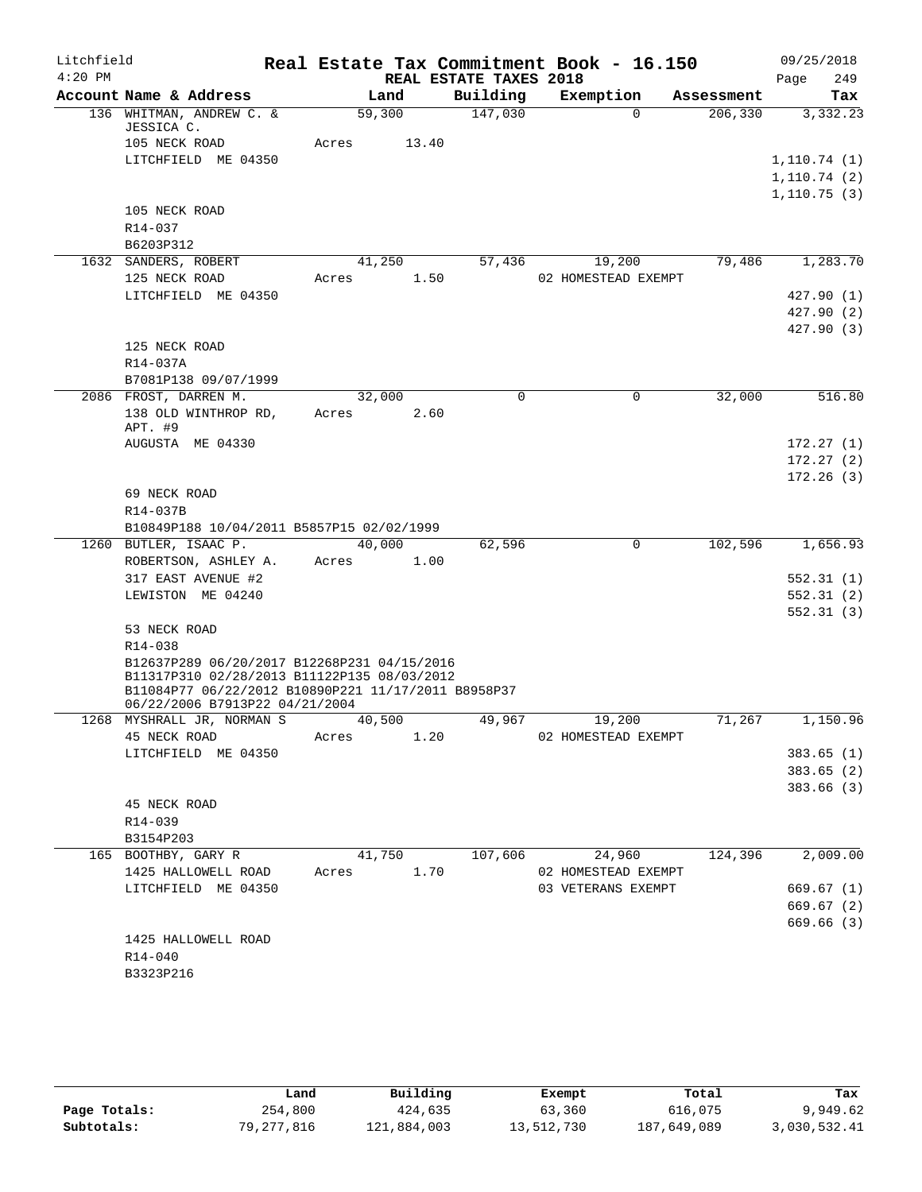| Litchfield |                                                                                                                                                   |       |        |                        | Real Estate Tax Commitment Book - 16.150 |            | 09/25/2018             |
|------------|---------------------------------------------------------------------------------------------------------------------------------------------------|-------|--------|------------------------|------------------------------------------|------------|------------------------|
| $4:20$ PM  |                                                                                                                                                   |       |        | REAL ESTATE TAXES 2018 |                                          |            | Page<br>249            |
|            | Account Name & Address                                                                                                                            |       | Land   | Building               | Exemption                                | Assessment | Tax                    |
|            | 136 WHITMAN, ANDREW C. &<br>JESSICA C.                                                                                                            |       | 59,300 | 147,030                | $\Omega$                                 | 206,330    | 3,332.23               |
|            | 105 NECK ROAD                                                                                                                                     | Acres | 13.40  |                        |                                          |            |                        |
|            | LITCHFIELD ME 04350                                                                                                                               |       |        |                        |                                          |            | 1, 110.74(1)           |
|            |                                                                                                                                                   |       |        |                        |                                          |            | 1, 110.74(2)           |
|            | 105 NECK ROAD                                                                                                                                     |       |        |                        |                                          |            | 1,110.75(3)            |
|            | R14-037                                                                                                                                           |       |        |                        |                                          |            |                        |
|            | B6203P312                                                                                                                                         |       |        |                        |                                          |            |                        |
|            | 1632 SANDERS, ROBERT                                                                                                                              |       | 41,250 | 57,436                 | 19,200                                   | 79,486     | 1,283.70               |
|            | 125 NECK ROAD                                                                                                                                     | Acres | 1.50   |                        | 02 HOMESTEAD EXEMPT                      |            |                        |
|            | LITCHFIELD ME 04350                                                                                                                               |       |        |                        |                                          |            | 427.90 (1)             |
|            |                                                                                                                                                   |       |        |                        |                                          |            | 427.90 (2)             |
|            |                                                                                                                                                   |       |        |                        |                                          |            | 427.90(3)              |
|            | 125 NECK ROAD                                                                                                                                     |       |        |                        |                                          |            |                        |
|            | R14-037A                                                                                                                                          |       |        |                        |                                          |            |                        |
|            | B7081P138 09/07/1999                                                                                                                              |       |        |                        |                                          |            |                        |
|            | 2086 FROST, DARREN M.                                                                                                                             |       | 32,000 | 0                      | $\mathbf 0$                              | 32,000     | 516.80                 |
|            | 138 OLD WINTHROP RD,                                                                                                                              | Acres | 2.60   |                        |                                          |            |                        |
|            | APT. #9                                                                                                                                           |       |        |                        |                                          |            |                        |
|            | AUGUSTA ME 04330                                                                                                                                  |       |        |                        |                                          |            | 172.27(1)              |
|            |                                                                                                                                                   |       |        |                        |                                          |            | 172.27(2)<br>172.26(3) |
|            | 69 NECK ROAD                                                                                                                                      |       |        |                        |                                          |            |                        |
|            | R14-037B                                                                                                                                          |       |        |                        |                                          |            |                        |
|            | B10849P188 10/04/2011 B5857P15 02/02/1999                                                                                                         |       |        |                        |                                          |            |                        |
|            | 1260 BUTLER, ISAAC P.                                                                                                                             |       | 40,000 | 62,596                 | $\mathbf 0$                              | 102,596    | 1,656.93               |
|            | ROBERTSON, ASHLEY A.                                                                                                                              | Acres | 1.00   |                        |                                          |            |                        |
|            | 317 EAST AVENUE #2                                                                                                                                |       |        |                        |                                          |            | 552.31(1)              |
|            | LEWISTON ME 04240                                                                                                                                 |       |        |                        |                                          |            | 552.31(2)              |
|            |                                                                                                                                                   |       |        |                        |                                          |            | 552.31(3)              |
|            | 53 NECK ROAD                                                                                                                                      |       |        |                        |                                          |            |                        |
|            | R14-038                                                                                                                                           |       |        |                        |                                          |            |                        |
|            | B12637P289 06/20/2017 B12268P231 04/15/2016<br>B11317P310 02/28/2013 B11122P135 08/03/2012<br>B11084P77 06/22/2012 B10890P221 11/17/2011 B8958P37 |       |        |                        |                                          |            |                        |
|            | 06/22/2006 B7913P22 04/21/2004                                                                                                                    |       |        |                        |                                          |            |                        |
|            | 1268 MYSHRALL JR, NORMAN S                                                                                                                        |       | 40,500 | 49,967                 | 19,200                                   | 71,267     | 1,150.96               |
|            | 45 NECK ROAD                                                                                                                                      | Acres | 1.20   |                        | 02 HOMESTEAD EXEMPT                      |            |                        |
|            | LITCHFIELD ME 04350                                                                                                                               |       |        |                        |                                          |            | 383.65(1)              |
|            |                                                                                                                                                   |       |        |                        |                                          |            | 383.65(2)              |
|            | 45 NECK ROAD                                                                                                                                      |       |        |                        |                                          |            | 383.66(3)              |
|            | R14-039                                                                                                                                           |       |        |                        |                                          |            |                        |
|            | B3154P203                                                                                                                                         |       |        |                        |                                          |            |                        |
|            | 165 BOOTHBY, GARY R                                                                                                                               |       | 41,750 | 107,606                | 24,960                                   | 124,396    | 2,009.00               |
|            | 1425 HALLOWELL ROAD                                                                                                                               | Acres | 1.70   |                        | 02 HOMESTEAD EXEMPT                      |            |                        |
|            | LITCHFIELD ME 04350                                                                                                                               |       |        |                        | 03 VETERANS EXEMPT                       |            | 669.67 (1)             |
|            |                                                                                                                                                   |       |        |                        |                                          |            | 669.67(2)              |
|            |                                                                                                                                                   |       |        |                        |                                          |            | 669.66(3)              |
|            | 1425 HALLOWELL ROAD                                                                                                                               |       |        |                        |                                          |            |                        |
|            | R14-040                                                                                                                                           |       |        |                        |                                          |            |                        |
|            | B3323P216                                                                                                                                         |       |        |                        |                                          |            |                        |
|            |                                                                                                                                                   |       |        |                        |                                          |            |                        |

|              | Land       | Building    | Exempt     | Total       | Tax          |
|--------------|------------|-------------|------------|-------------|--------------|
| Page Totals: | 254,800    | 424,635     | 63,360     | 616,075     | 9,949.62     |
| Subtotals:   | 79,277,816 | 121,884,003 | 13,512,730 | 187,649,089 | 3,030,532.41 |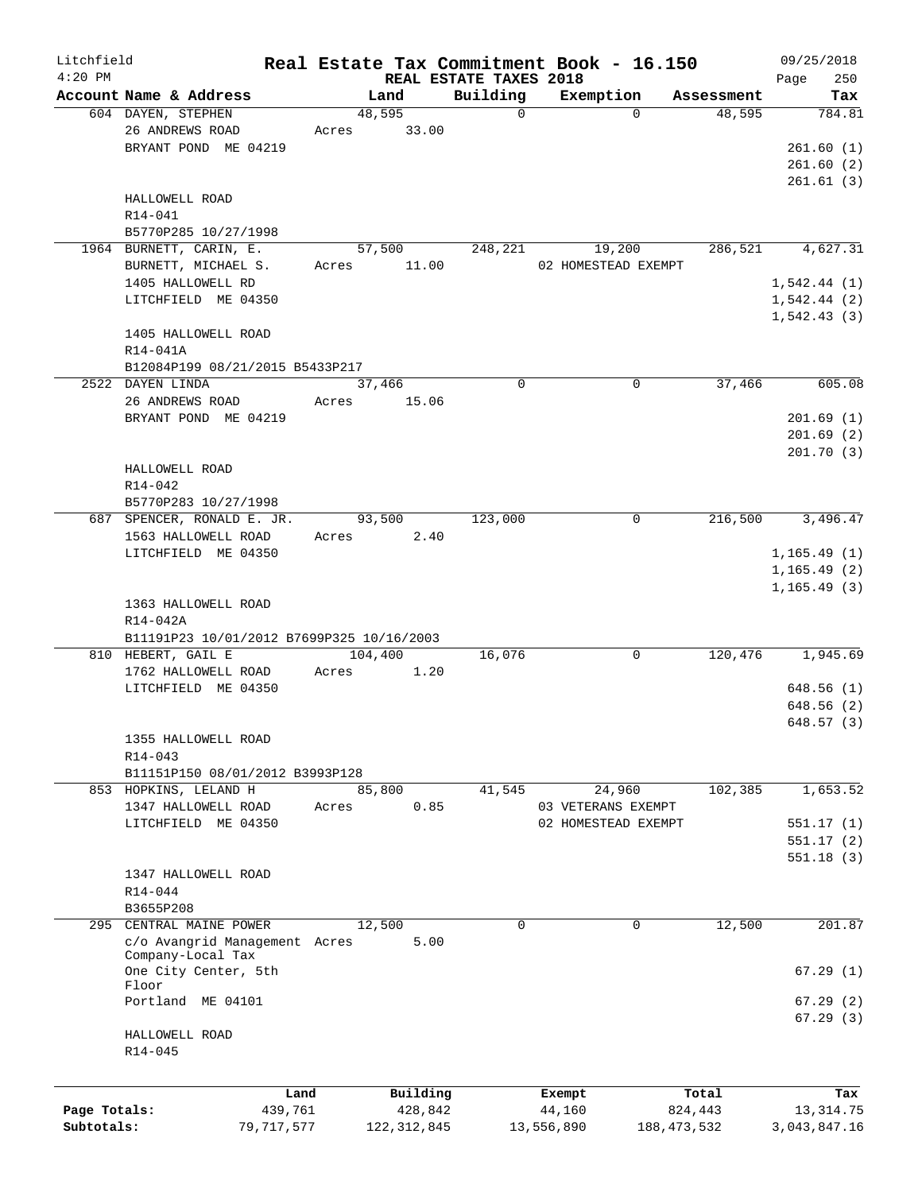| Litchfield   |                                           |            |       |               |                        | Real Estate Tax Commitment Book - 16.150 |               | 09/25/2018   |
|--------------|-------------------------------------------|------------|-------|---------------|------------------------|------------------------------------------|---------------|--------------|
| $4:20$ PM    |                                           |            |       |               | REAL ESTATE TAXES 2018 |                                          |               | 250<br>Page  |
|              | Account Name & Address                    |            |       | Land          | Building               | Exemption                                | Assessment    | Tax          |
|              | 604 DAYEN, STEPHEN                        |            |       | 48,595        | $\Omega$               | $\Omega$                                 | 48,595        | 784.81       |
|              | 26 ANDREWS ROAD                           |            | Acres | 33.00         |                        |                                          |               |              |
|              | BRYANT POND ME 04219                      |            |       |               |                        |                                          |               | 261.60(1)    |
|              |                                           |            |       |               |                        |                                          |               | 261.60(2)    |
|              |                                           |            |       |               |                        |                                          |               | 261.61(3)    |
|              | HALLOWELL ROAD                            |            |       |               |                        |                                          |               |              |
|              | R14-041                                   |            |       |               |                        |                                          |               |              |
|              | B5770P285 10/27/1998                      |            |       |               |                        |                                          |               |              |
|              | 1964 BURNETT, CARIN, E.                   |            |       | 57,500        | 248,221                | 19,200                                   | 286,521       | 4,627.31     |
|              | BURNETT, MICHAEL S.                       |            | Acres | 11.00         |                        | 02 HOMESTEAD EXEMPT                      |               |              |
|              | 1405 HALLOWELL RD                         |            |       |               |                        |                                          |               | 1,542.44(1)  |
|              | LITCHFIELD ME 04350                       |            |       |               |                        |                                          |               | 1,542.44(2)  |
|              |                                           |            |       |               |                        |                                          |               | 1, 542.43(3) |
|              | 1405 HALLOWELL ROAD                       |            |       |               |                        |                                          |               |              |
|              | $R14 - 041A$                              |            |       |               |                        |                                          |               |              |
|              | B12084P199 08/21/2015 B5433P217           |            |       |               |                        |                                          |               |              |
|              | 2522 DAYEN LINDA                          |            |       | 37,466        | $\Omega$               | 0                                        | 37,466        | 605.08       |
|              | 26 ANDREWS ROAD                           |            | Acres | 15.06         |                        |                                          |               |              |
|              |                                           |            |       |               |                        |                                          |               | 201.69(1)    |
|              | BRYANT POND ME 04219                      |            |       |               |                        |                                          |               |              |
|              |                                           |            |       |               |                        |                                          |               | 201.69(2)    |
|              |                                           |            |       |               |                        |                                          |               | 201.70(3)    |
|              | HALLOWELL ROAD                            |            |       |               |                        |                                          |               |              |
|              | R14-042                                   |            |       |               |                        |                                          |               |              |
|              | B5770P283 10/27/1998                      |            |       |               |                        |                                          |               |              |
|              | 687 SPENCER, RONALD E. JR.                |            |       | 93,500        | 123,000                | 0                                        | 216,500       | 3,496.47     |
|              | 1563 HALLOWELL ROAD                       |            | Acres | 2.40          |                        |                                          |               |              |
|              | LITCHFIELD ME 04350                       |            |       |               |                        |                                          |               | 1, 165.49(1) |
|              |                                           |            |       |               |                        |                                          |               | 1, 165.49(2) |
|              |                                           |            |       |               |                        |                                          |               | 1, 165.49(3) |
|              | 1363 HALLOWELL ROAD                       |            |       |               |                        |                                          |               |              |
|              | R14-042A                                  |            |       |               |                        |                                          |               |              |
|              | B11191P23 10/01/2012 B7699P325 10/16/2003 |            |       |               |                        |                                          |               |              |
|              | 810 HEBERT, GAIL E                        |            |       | 104,400       | 16,076                 | 0                                        | 120,476       | 1,945.69     |
|              | 1762 HALLOWELL ROAD                       |            | Acres | 1.20          |                        |                                          |               |              |
|              | LITCHFIELD ME 04350                       |            |       |               |                        |                                          |               | 648.56(1)    |
|              |                                           |            |       |               |                        |                                          |               | 648.56 (2)   |
|              |                                           |            |       |               |                        |                                          |               | 648.57(3)    |
|              | 1355 HALLOWELL ROAD                       |            |       |               |                        |                                          |               |              |
|              | R14-043                                   |            |       |               |                        |                                          |               |              |
|              |                                           |            |       |               |                        |                                          |               |              |
|              | B11151P150 08/01/2012 B3993P128           |            |       |               |                        |                                          |               |              |
|              | 853 HOPKINS, LELAND H                     |            |       | 85,800        | 41,545                 | 24,960                                   | 102,385       | 1,653.52     |
|              | 1347 HALLOWELL ROAD                       |            | Acres | 0.85          |                        | 03 VETERANS EXEMPT                       |               |              |
|              | LITCHFIELD ME 04350                       |            |       |               |                        | 02 HOMESTEAD EXEMPT                      |               | 551.17(1)    |
|              |                                           |            |       |               |                        |                                          |               | 551.17(2)    |
|              |                                           |            |       |               |                        |                                          |               | 551.18(3)    |
|              | 1347 HALLOWELL ROAD                       |            |       |               |                        |                                          |               |              |
|              | R14-044                                   |            |       |               |                        |                                          |               |              |
|              | B3655P208                                 |            |       |               |                        |                                          |               |              |
| 295          | CENTRAL MAINE POWER                       |            |       | 12,500        | 0                      | $\mathbf 0$                              | 12,500        | 201.87       |
|              | c/o Avangrid Management Acres             |            |       | 5.00          |                        |                                          |               |              |
|              | Company-Local Tax                         |            |       |               |                        |                                          |               |              |
|              | One City Center, 5th                      |            |       |               |                        |                                          |               | 67.29(1)     |
|              | Floor                                     |            |       |               |                        |                                          |               |              |
|              | Portland ME 04101                         |            |       |               |                        |                                          |               | 67.29(2)     |
|              |                                           |            |       |               |                        |                                          |               | 67.29(3)     |
|              | HALLOWELL ROAD                            |            |       |               |                        |                                          |               |              |
|              | R14-045                                   |            |       |               |                        |                                          |               |              |
|              |                                           |            |       |               |                        |                                          |               |              |
|              |                                           |            |       |               |                        |                                          |               |              |
|              |                                           | Land       |       | Building      |                        | Exempt                                   | Total         | Tax          |
| Page Totals: |                                           | 439,761    |       | 428,842       |                        | 44,160                                   | 824,443       | 13,314.75    |
| Subtotals:   |                                           | 79,717,577 |       | 122, 312, 845 |                        | 13,556,890                               | 188, 473, 532 | 3,043,847.16 |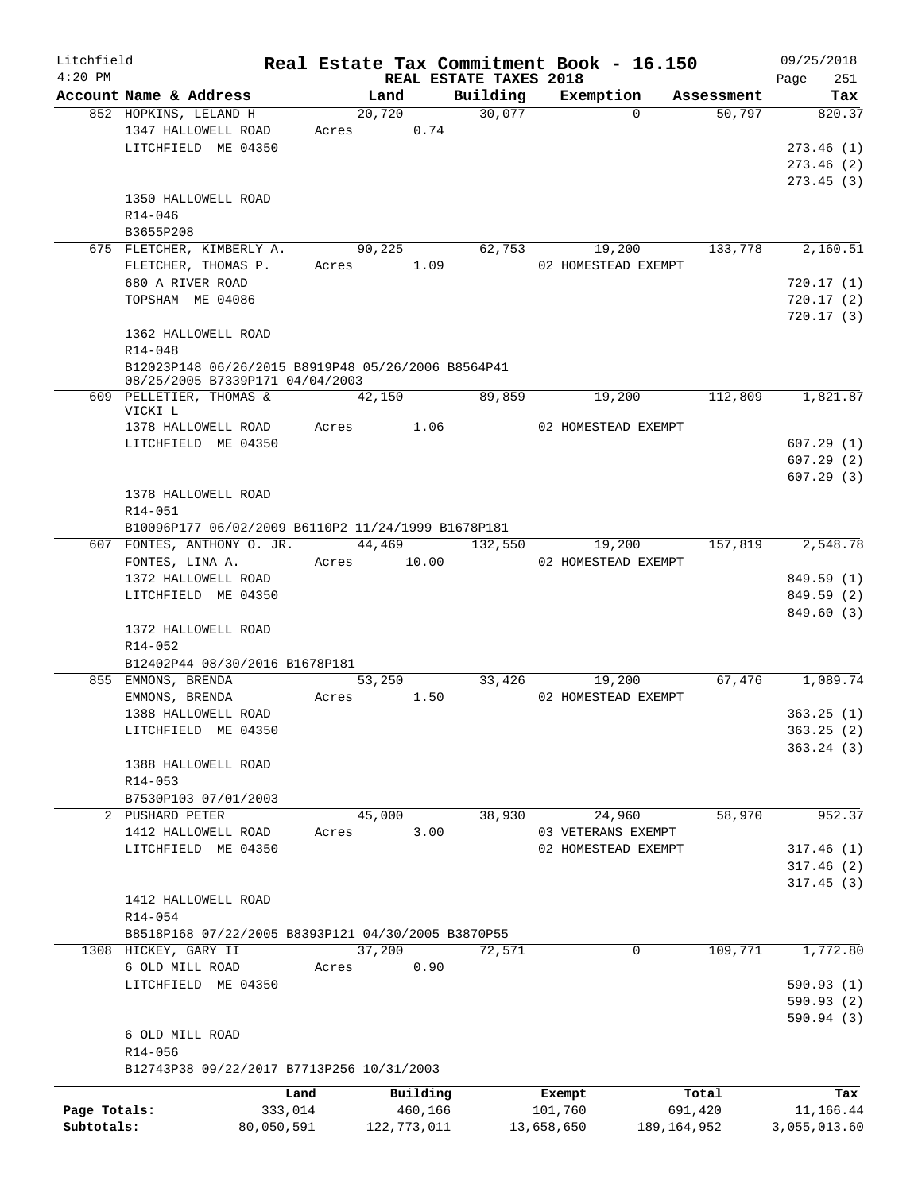| Litchfield   |                                                                                       |            |                                |          | Real Estate Tax Commitment Book - 16.150 |               | 09/25/2018      |
|--------------|---------------------------------------------------------------------------------------|------------|--------------------------------|----------|------------------------------------------|---------------|-----------------|
| $4:20$ PM    | Account Name & Address                                                                |            | REAL ESTATE TAXES 2018<br>Land | Building |                                          | Assessment    | Page<br>251     |
|              | 852 HOPKINS, LELAND H                                                                 |            | 20,720                         | 30,077   | Exemption<br>$\Omega$                    | 50,797        | Tax<br>820.37   |
|              | 1347 HALLOWELL ROAD                                                                   |            | Acres 0.74                     |          |                                          |               |                 |
|              | LITCHFIELD ME 04350                                                                   |            |                                |          |                                          |               | 273.46(1)       |
|              |                                                                                       |            |                                |          |                                          |               |                 |
|              |                                                                                       |            |                                |          |                                          |               | 273.46(2)       |
|              |                                                                                       |            |                                |          |                                          |               | 273.45(3)       |
|              | 1350 HALLOWELL ROAD                                                                   |            |                                |          |                                          |               |                 |
|              | R14-046                                                                               |            |                                |          |                                          |               |                 |
|              | B3655P208                                                                             |            |                                |          |                                          |               |                 |
|              | 675 FLETCHER, KIMBERLY A.                                                             |            | 90,225                         | 62,753   | 19,200                                   | 133,778       | 2,160.51        |
|              | FLETCHER, THOMAS P.                                                                   |            | Acres 1.09                     |          | 02 HOMESTEAD EXEMPT                      |               |                 |
|              | 680 A RIVER ROAD                                                                      |            |                                |          |                                          |               | 720.17(1)       |
|              | TOPSHAM ME 04086                                                                      |            |                                |          |                                          |               | 720.17(2)       |
|              |                                                                                       |            |                                |          |                                          |               | 720.17(3)       |
|              | 1362 HALLOWELL ROAD                                                                   |            |                                |          |                                          |               |                 |
|              | $R14 - 048$                                                                           |            |                                |          |                                          |               |                 |
|              | B12023P148 06/26/2015 B8919P48 05/26/2006 B8564P41<br>08/25/2005 B7339P171 04/04/2003 |            |                                |          |                                          |               |                 |
|              | 609 PELLETIER, THOMAS &                                                               |            | 42,150                         | 89,859   | 19,200                                   | 112,809       | 1,821.87        |
|              | VICKI L                                                                               |            |                                |          |                                          |               |                 |
|              | 1378 HALLOWELL ROAD                                                                   |            | Acres 1.06                     |          | 02 HOMESTEAD EXEMPT                      |               |                 |
|              | LITCHFIELD ME 04350                                                                   |            |                                |          |                                          |               | 607.29(1)       |
|              |                                                                                       |            |                                |          |                                          |               | 607.29(2)       |
|              |                                                                                       |            |                                |          |                                          |               | 607.29(3)       |
|              | 1378 HALLOWELL ROAD                                                                   |            |                                |          |                                          |               |                 |
|              | R14-051                                                                               |            |                                |          |                                          |               |                 |
|              | B10096P177 06/02/2009 B6110P2 11/24/1999 B1678P181                                    |            |                                |          |                                          |               |                 |
|              | 607 FONTES, ANTHONY O. JR.                                                            |            | 44,469 132,550                 |          | 19,200                                   | 157,819       | 2,548.78        |
|              | FONTES, LINA A.                                                                       |            | Acres 10.00                    |          | 02 HOMESTEAD EXEMPT                      |               |                 |
|              | 1372 HALLOWELL ROAD                                                                   |            |                                |          |                                          |               | 849.59 (1)      |
|              | LITCHFIELD ME 04350                                                                   |            |                                |          |                                          |               | 849.59 (2)      |
|              |                                                                                       |            |                                |          |                                          |               | 849.60 (3)      |
|              | 1372 HALLOWELL ROAD                                                                   |            |                                |          |                                          |               |                 |
|              | $R14 - 052$                                                                           |            |                                |          |                                          |               |                 |
|              | B12402P44 08/30/2016 B1678P181                                                        |            |                                |          |                                          |               |                 |
|              | 855 EMMONS, BRENDA                                                                    |            | 53,250                         | 33,426   | 19,200                                   |               | 67,476 1,089.74 |
|              | EMMONS, BRENDA                                                                        | Acres      | 1.50                           |          | 02 HOMESTEAD EXEMPT                      |               |                 |
|              | 1388 HALLOWELL ROAD                                                                   |            |                                |          |                                          |               | 363.25(1)       |
|              | LITCHFIELD ME 04350                                                                   |            |                                |          |                                          |               | 363.25 (2)      |
|              |                                                                                       |            |                                |          |                                          |               | 363.24(3)       |
|              | 1388 HALLOWELL ROAD                                                                   |            |                                |          |                                          |               |                 |
|              | R14-053                                                                               |            |                                |          |                                          |               |                 |
|              | B7530P103 07/01/2003                                                                  |            |                                |          |                                          |               |                 |
|              | 2 PUSHARD PETER                                                                       |            | 45,000                         | 38,930   | 24,960                                   | 58,970        | 952.37          |
|              | 1412 HALLOWELL ROAD                                                                   | Acres      | 3.00                           |          | 03 VETERANS EXEMPT                       |               |                 |
|              | LITCHFIELD ME 04350                                                                   |            |                                |          | 02 HOMESTEAD EXEMPT                      |               | 317.46(1)       |
|              |                                                                                       |            |                                |          |                                          |               | 317.46(2)       |
|              |                                                                                       |            |                                |          |                                          |               | 317.45(3)       |
|              | 1412 HALLOWELL ROAD                                                                   |            |                                |          |                                          |               |                 |
|              |                                                                                       |            |                                |          |                                          |               |                 |
|              | R14-054                                                                               |            |                                |          |                                          |               |                 |
|              | B8518P168 07/22/2005 B8393P121 04/30/2005 B3870P55                                    |            |                                |          |                                          |               |                 |
|              | 1308 HICKEY, GARY II                                                                  |            | 37,200                         | 72,571   | 0                                        | 109,771       | 1,772.80        |
|              | 6 OLD MILL ROAD                                                                       | Acres      | 0.90                           |          |                                          |               |                 |
|              | LITCHFIELD ME 04350                                                                   |            |                                |          |                                          |               | 590.93(1)       |
|              |                                                                                       |            |                                |          |                                          |               | 590.93 (2)      |
|              |                                                                                       |            |                                |          |                                          |               | 590.94 (3)      |
|              | 6 OLD MILL ROAD                                                                       |            |                                |          |                                          |               |                 |
|              | R14-056                                                                               |            |                                |          |                                          |               |                 |
|              | B12743P38 09/22/2017 B7713P256 10/31/2003                                             |            |                                |          |                                          |               |                 |
|              |                                                                                       | Land       | Building                       |          | Exempt                                   | Total         | Tax             |
| Page Totals: |                                                                                       | 333,014    | 460,166                        |          | 101,760                                  | 691,420       | 11,166.44       |
| Subtotals:   |                                                                                       | 80,050,591 | 122,773,011                    |          | 13,658,650                               | 189, 164, 952 | 3,055,013.60    |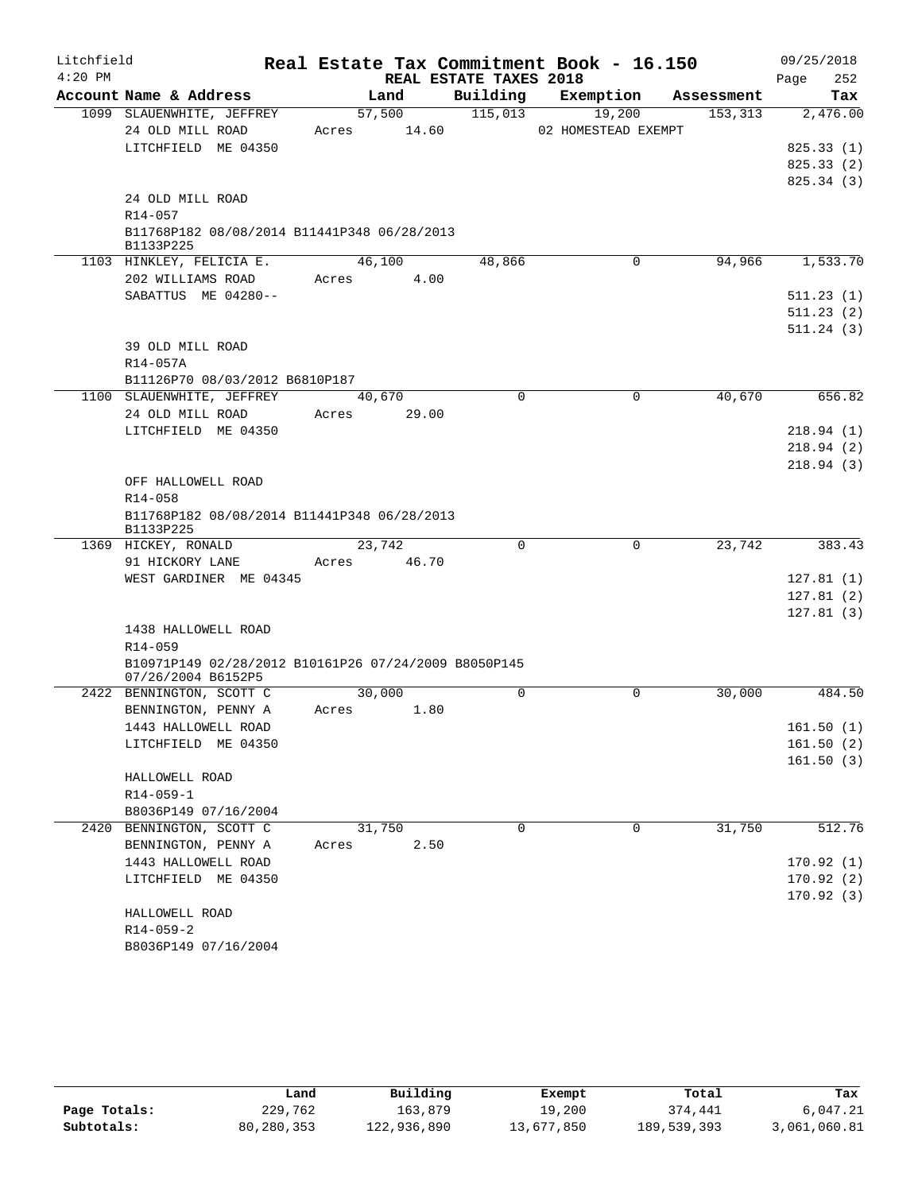| Litchfield |                                                          |             |        |                        | Real Estate Tax Commitment Book - 16.150 |                       | 09/25/2018              |
|------------|----------------------------------------------------------|-------------|--------|------------------------|------------------------------------------|-----------------------|-------------------------|
| $4:20$ PM  |                                                          |             |        | REAL ESTATE TAXES 2018 |                                          |                       | 252<br>Page             |
|            | Account Name & Address                                   |             | Land   |                        | Building Exemption                       | Assessment            | Tax                     |
|            | 1099 SLAUENWHITE, JEFFREY                                |             | 57,500 | 115,013                | 19,200                                   | 153,313               | 2,476.00                |
|            | 24 OLD MILL ROAD                                         | Acres 14.60 |        |                        | 02 HOMESTEAD EXEMPT                      |                       |                         |
|            | LITCHFIELD ME 04350                                      |             |        |                        |                                          |                       | 825.33(1)<br>825.33 (2) |
|            |                                                          |             |        |                        |                                          |                       | 825.34 (3)              |
|            | 24 OLD MILL ROAD                                         |             |        |                        |                                          |                       |                         |
|            | R14-057                                                  |             |        |                        |                                          |                       |                         |
|            | B11768P182 08/08/2014 B11441P348 06/28/2013<br>B1133P225 |             |        |                        |                                          |                       |                         |
|            | 1103 HINKLEY, FELICIA E.                                 |             | 46,100 | 48,866                 |                                          | 94,966<br>0           | 1,533.70                |
|            | 202 WILLIAMS ROAD                                        | Acres       | 4.00   |                        |                                          |                       |                         |
|            | SABATTUS ME 04280--                                      |             |        |                        |                                          |                       | 511.23(1)               |
|            |                                                          |             |        |                        |                                          |                       | 511.23(2)               |
|            |                                                          |             |        |                        |                                          |                       | 511.24(3)               |
|            | 39 OLD MILL ROAD                                         |             |        |                        |                                          |                       |                         |
|            | R14-057A                                                 |             |        |                        |                                          |                       |                         |
|            | B11126P70 08/03/2012 B6810P187                           | 40,670      |        | 0                      |                                          | $\mathbf 0$<br>40,670 | 656.82                  |
|            | 1100 SLAUENWHITE, JEFFREY<br>24 OLD MILL ROAD            | Acres       | 29.00  |                        |                                          |                       |                         |
|            | LITCHFIELD ME 04350                                      |             |        |                        |                                          |                       | 218.94(1)               |
|            |                                                          |             |        |                        |                                          |                       | 218.94(2)               |
|            |                                                          |             |        |                        |                                          |                       | 218.94(3)               |
|            | OFF HALLOWELL ROAD                                       |             |        |                        |                                          |                       |                         |
|            | R14-058                                                  |             |        |                        |                                          |                       |                         |
|            | B11768P182 08/08/2014 B11441P348 06/28/2013<br>B1133P225 |             |        |                        |                                          |                       |                         |
|            | 1369 HICKEY, RONALD                                      | 23,742      |        | $\Omega$               |                                          | 23,742<br>$\Omega$    | 383.43                  |
|            | 91 HICKORY LANE                                          | Acres 46.70 |        |                        |                                          |                       |                         |
|            | WEST GARDINER ME 04345                                   |             |        |                        |                                          |                       | 127.81(1)               |
|            |                                                          |             |        |                        |                                          |                       | 127.81(2)               |
|            | 1438 HALLOWELL ROAD                                      |             |        |                        |                                          |                       | 127.81(3)               |
|            | R14-059                                                  |             |        |                        |                                          |                       |                         |
|            | B10971P149 02/28/2012 B10161P26 07/24/2009 B8050P145     |             |        |                        |                                          |                       |                         |
|            | 07/26/2004 B6152P5                                       |             |        |                        |                                          |                       |                         |
|            | 2422 BENNINGTON, SCOTT C                                 | 30,000      |        | $\Omega$               |                                          | $\Omega$<br>30,000    | 484.50                  |
|            | BENNINGTON, PENNY A                                      | Acres       | 1.80   |                        |                                          |                       |                         |
|            | 1443 HALLOWELL ROAD                                      |             |        |                        |                                          |                       | 161.50(1)               |
|            | LITCHFIELD ME 04350                                      |             |        |                        |                                          |                       | 161.50(2)               |
|            |                                                          |             |        |                        |                                          |                       | 161.50(3)               |
|            | HALLOWELL ROAD                                           |             |        |                        |                                          |                       |                         |
|            | $R14 - 059 - 1$<br>B8036P149 07/16/2004                  |             |        |                        |                                          |                       |                         |
|            | 2420 BENNINGTON, SCOTT C                                 | 31,750      |        | $\Omega$               |                                          | 31,750<br>0           | 512.76                  |
|            | BENNINGTON, PENNY A                                      | Acres       | 2.50   |                        |                                          |                       |                         |
|            | 1443 HALLOWELL ROAD                                      |             |        |                        |                                          |                       | 170.92(1)               |
|            | LITCHFIELD ME 04350                                      |             |        |                        |                                          |                       | 170.92(2)               |
|            |                                                          |             |        |                        |                                          |                       | 170.92(3)               |
|            | HALLOWELL ROAD                                           |             |        |                        |                                          |                       |                         |
|            | $R14 - 059 - 2$                                          |             |        |                        |                                          |                       |                         |
|            | B8036P149 07/16/2004                                     |             |        |                        |                                          |                       |                         |

|              | Land       | Building    | Exempt     | Total       | Tax          |
|--------------|------------|-------------|------------|-------------|--------------|
| Page Totals: | 229,762    | 163,879     | 19,200     | 374,441     | 6,047.21     |
| Subtotals:   | 80,280,353 | 122,936,890 | 13,677,850 | 189,539,393 | 3,061,060.81 |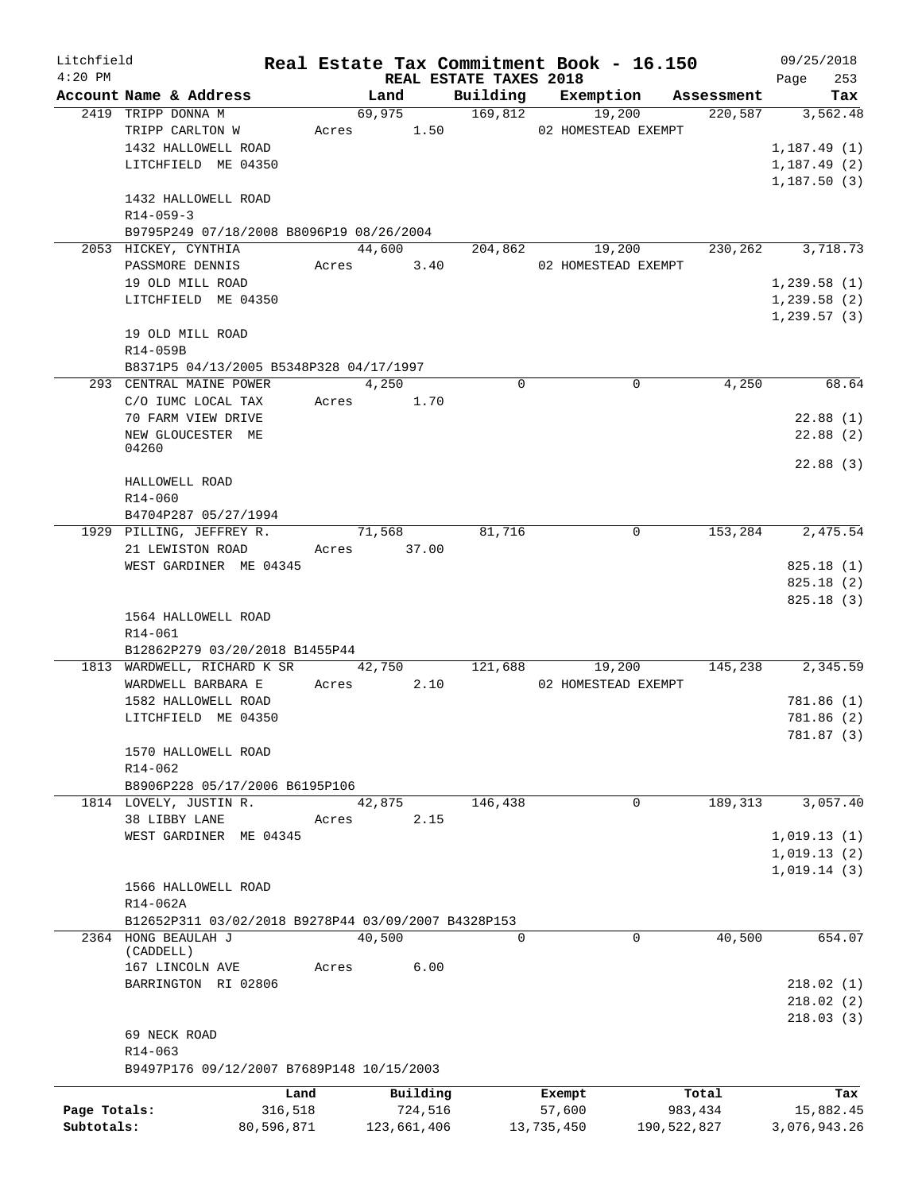| Litchfield   |                                                          |            |       |             |                        | Real Estate Tax Commitment Book - 16.150 |             |         | 09/25/2018                 |
|--------------|----------------------------------------------------------|------------|-------|-------------|------------------------|------------------------------------------|-------------|---------|----------------------------|
| $4:20$ PM    |                                                          |            |       |             | REAL ESTATE TAXES 2018 |                                          |             |         | 253<br>Page                |
|              | Account Name & Address                                   |            |       | Land        |                        | Building Exemption Assessment            |             |         | Tax                        |
|              | 2419 TRIPP DONNA M                                       |            |       | 69,975      | 169,812                | 19,200                                   |             | 220,587 | 3,562.48                   |
|              | TRIPP CARLTON W                                          |            |       | Acres 1.50  |                        | 02 HOMESTEAD EXEMPT                      |             |         |                            |
|              | 1432 HALLOWELL ROAD                                      |            |       |             |                        |                                          |             |         | 1,187.49(1)                |
|              | LITCHFIELD ME 04350                                      |            |       |             |                        |                                          |             |         | 1,187.49(2)<br>1,187.50(3) |
|              | 1432 HALLOWELL ROAD                                      |            |       |             |                        |                                          |             |         |                            |
|              | $R14 - 059 - 3$                                          |            |       |             |                        |                                          |             |         |                            |
|              | B9795P249 07/18/2008 B8096P19 08/26/2004                 |            |       |             |                        |                                          |             |         |                            |
|              | 2053 HICKEY, CYNTHIA                                     |            |       | 44,600      | 204,862                | 19,200                                   |             | 230,262 | 3,718.73                   |
|              | PASSMORE DENNIS                                          |            |       | Acres 3.40  |                        | 02 HOMESTEAD EXEMPT                      |             |         |                            |
|              | 19 OLD MILL ROAD                                         |            |       |             |                        |                                          |             |         | 1,239.58(1)                |
|              | LITCHFIELD ME 04350                                      |            |       |             |                        |                                          |             |         | 1,239.58(2)                |
|              |                                                          |            |       |             |                        |                                          |             |         | 1,239.57(3)                |
|              | 19 OLD MILL ROAD                                         |            |       |             |                        |                                          |             |         |                            |
|              | R14-059B                                                 |            |       |             |                        |                                          |             |         |                            |
|              | B8371P5 04/13/2005 B5348P328 04/17/1997                  |            |       |             |                        |                                          |             |         |                            |
|              | 293 CENTRAL MAINE POWER                                  |            |       | 4,250       | $\Omega$               |                                          | 0           | 4,250   | 68.64                      |
|              | C/O IUMC LOCAL TAX                                       |            |       | Acres 1.70  |                        |                                          |             |         |                            |
|              | 70 FARM VIEW DRIVE                                       |            |       |             |                        |                                          |             |         | 22.88(1)                   |
|              | NEW GLOUCESTER ME                                        |            |       |             |                        |                                          |             |         | 22.88(2)                   |
|              | 04260                                                    |            |       |             |                        |                                          |             |         |                            |
|              | HALLOWELL ROAD                                           |            |       |             |                        |                                          |             |         | 22.88(3)                   |
|              | R14-060                                                  |            |       |             |                        |                                          |             |         |                            |
|              | B4704P287 05/27/1994                                     |            |       |             |                        |                                          |             |         |                            |
|              | 1929 PILLING, JEFFREY R.                                 |            |       | 71,568      | 81,716                 |                                          | $\mathbf 0$ |         | 153,284 2,475.54           |
|              | 21 LEWISTON ROAD                                         |            |       | Acres 37.00 |                        |                                          |             |         |                            |
|              | WEST GARDINER ME 04345                                   |            |       |             |                        |                                          |             |         | 825.18(1)                  |
|              |                                                          |            |       |             |                        |                                          |             |         | 825.18(2)                  |
|              |                                                          |            |       |             |                        |                                          |             |         | 825.18 (3)                 |
|              | 1564 HALLOWELL ROAD                                      |            |       |             |                        |                                          |             |         |                            |
|              | R14-061                                                  |            |       |             |                        |                                          |             |         |                            |
|              | B12862P279 03/20/2018 B1455P44                           |            |       |             |                        |                                          |             |         |                            |
|              | 1813 WARDWELL, RICHARD K SR 42,750                       |            |       |             |                        | 121,688 19,200                           |             |         | 145,238 2,345.59           |
|              | WARDWELL BARBARA E                                       |            |       | Acres 2.10  |                        | 02 HOMESTEAD EXEMPT                      |             |         |                            |
|              | 1582 HALLOWELL ROAD                                      |            |       |             |                        |                                          |             |         | 781.86 (1)                 |
|              | LITCHFIELD ME 04350                                      |            |       |             |                        |                                          |             |         | 781.86 (2)                 |
|              |                                                          |            |       |             |                        |                                          |             |         | 781.87 (3)                 |
|              | 1570 HALLOWELL ROAD                                      |            |       |             |                        |                                          |             |         |                            |
|              | R14-062                                                  |            |       |             |                        |                                          |             |         |                            |
|              | B8906P228 05/17/2006 B6195P106<br>1814 LOVELY, JUSTIN R. |            |       | 42,875      | 146,438                |                                          | 0           | 189,313 | 3,057.40                   |
|              | 38 LIBBY LANE                                            |            | Acres | 2.15        |                        |                                          |             |         |                            |
|              | WEST GARDINER ME 04345                                   |            |       |             |                        |                                          |             |         | 1,019.13(1)                |
|              |                                                          |            |       |             |                        |                                          |             |         | 1,019.13(2)                |
|              |                                                          |            |       |             |                        |                                          |             |         | 1,019.14(3)                |
|              | 1566 HALLOWELL ROAD                                      |            |       |             |                        |                                          |             |         |                            |
|              | R14-062A                                                 |            |       |             |                        |                                          |             |         |                            |
|              | B12652P311 03/02/2018 B9278P44 03/09/2007 B4328P153      |            |       |             |                        |                                          |             |         |                            |
|              | 2364 HONG BEAULAH J                                      |            |       | 40,500      | $\Omega$               |                                          | $\Omega$    | 40,500  | 654.07                     |
|              | (CADDELL)                                                |            |       |             |                        |                                          |             |         |                            |
|              | 167 LINCOLN AVE                                          |            | Acres | 6.00        |                        |                                          |             |         |                            |
|              | BARRINGTON RI 02806                                      |            |       |             |                        |                                          |             |         | 218.02(1)                  |
|              |                                                          |            |       |             |                        |                                          |             |         | 218.02(2)                  |
|              |                                                          |            |       |             |                        |                                          |             |         | 218.03(3)                  |
|              | 69 NECK ROAD<br>R14-063                                  |            |       |             |                        |                                          |             |         |                            |
|              | B9497P176 09/12/2007 B7689P148 10/15/2003                |            |       |             |                        |                                          |             |         |                            |
|              |                                                          |            |       |             |                        |                                          |             |         |                            |
|              |                                                          | Land       |       | Building    |                        | Exempt                                   |             | Total   | Tax                        |
| Page Totals: |                                                          | 316,518    |       | 724,516     |                        | 57,600                                   |             | 983,434 | 15,882.45                  |
| Subtotals:   |                                                          | 80,596,871 |       | 123,661,406 |                        | 13,735,450                               | 190,522,827 |         | 3,076,943.26               |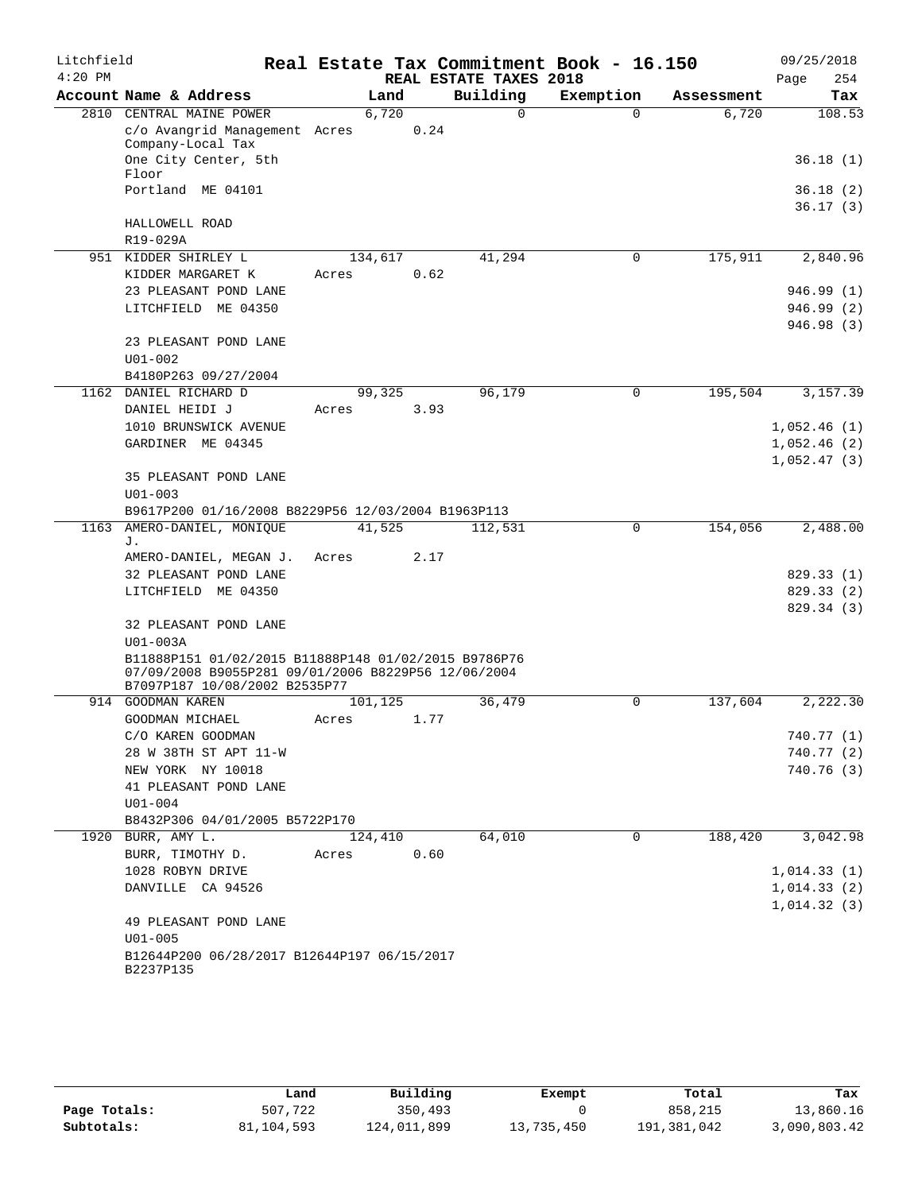| Litchfield |                                                                                                             |         |       |                        | Real Estate Tax Commitment Book - 16.150 |            | 09/25/2018                 |
|------------|-------------------------------------------------------------------------------------------------------------|---------|-------|------------------------|------------------------------------------|------------|----------------------------|
| $4:20$ PM  |                                                                                                             |         |       | REAL ESTATE TAXES 2018 |                                          |            | 254<br>Page                |
|            | Account Name & Address                                                                                      |         | Land  | Building               | Exemption                                | Assessment | Tax                        |
|            | 2810 CENTRAL MAINE POWER                                                                                    |         | 6,720 | $\Omega$               | $\Omega$                                 | 6,720      | 108.53                     |
|            | c/o Avangrid Management Acres                                                                               |         | 0.24  |                        |                                          |            |                            |
|            | Company-Local Tax<br>One City Center, 5th                                                                   |         |       |                        |                                          |            | 36.18(1)                   |
|            | Floor                                                                                                       |         |       |                        |                                          |            |                            |
|            | Portland ME 04101                                                                                           |         |       |                        |                                          |            | 36.18(2)                   |
|            |                                                                                                             |         |       |                        |                                          |            | 36.17(3)                   |
|            | HALLOWELL ROAD                                                                                              |         |       |                        |                                          |            |                            |
|            | R19-029A                                                                                                    |         |       |                        |                                          |            |                            |
| 951        | KIDDER SHIRLEY L                                                                                            | 134,617 |       | 41,294                 | $\mathbf 0$                              | 175,911    | 2,840.96                   |
|            | KIDDER MARGARET K                                                                                           | Acres   | 0.62  |                        |                                          |            |                            |
|            | 23 PLEASANT POND LANE                                                                                       |         |       |                        |                                          |            | 946.99 (1)                 |
|            | LITCHFIELD ME 04350                                                                                         |         |       |                        |                                          |            | 946.99 (2)                 |
|            |                                                                                                             |         |       |                        |                                          |            | 946.98 (3)                 |
|            | 23 PLEASANT POND LANE                                                                                       |         |       |                        |                                          |            |                            |
|            | $U01 - 002$                                                                                                 |         |       |                        |                                          |            |                            |
|            | B4180P263 09/27/2004                                                                                        |         |       |                        |                                          |            |                            |
| 1162       | DANIEL RICHARD D                                                                                            | 99,325  |       | 96,179                 | $\mathbf 0$                              | 195,504    | 3,157.39                   |
|            | DANIEL HEIDI J<br>1010 BRUNSWICK AVENUE                                                                     | Acres   | 3.93  |                        |                                          |            |                            |
|            | GARDINER ME 04345                                                                                           |         |       |                        |                                          |            | 1,052.46(1)                |
|            |                                                                                                             |         |       |                        |                                          |            | 1,052.46(2)<br>1,052.47(3) |
|            | 35 PLEASANT POND LANE                                                                                       |         |       |                        |                                          |            |                            |
|            | $U01 - 003$                                                                                                 |         |       |                        |                                          |            |                            |
|            | B9617P200 01/16/2008 B8229P56 12/03/2004 B1963P113                                                          |         |       |                        |                                          |            |                            |
| 1163       | AMERO-DANIEL, MONIQUE                                                                                       | 41,525  |       | 112,531                | $\mathbf 0$                              | 154,056    | 2,488.00                   |
|            | J.                                                                                                          |         |       |                        |                                          |            |                            |
|            | AMERO-DANIEL, MEGAN J.                                                                                      | Acres   | 2.17  |                        |                                          |            |                            |
|            | 32 PLEASANT POND LANE                                                                                       |         |       |                        |                                          |            | 829.33(1)                  |
|            | LITCHFIELD ME 04350                                                                                         |         |       |                        |                                          |            | 829.33 (2)                 |
|            |                                                                                                             |         |       |                        |                                          |            | 829.34 (3)                 |
|            | 32 PLEASANT POND LANE                                                                                       |         |       |                        |                                          |            |                            |
|            | U01-003A                                                                                                    |         |       |                        |                                          |            |                            |
|            | B11888P151 01/02/2015 B11888P148 01/02/2015 B9786P76<br>07/09/2008 B9055P281 09/01/2006 B8229P56 12/06/2004 |         |       |                        |                                          |            |                            |
|            | B7097P187 10/08/2002 B2535P77                                                                               |         |       |                        |                                          |            |                            |
|            | 914 GOODMAN KAREN                                                                                           | 101,125 |       | 36,479                 | 0                                        | 137,604    | 2,222.30                   |
|            | GOODMAN MICHAEL                                                                                             | Acres   | 1.77  |                        |                                          |            |                            |
|            | C/O KAREN GOODMAN                                                                                           |         |       |                        |                                          |            | 740.77 (1)                 |
|            | 28 W 38TH ST APT 11-W                                                                                       |         |       |                        |                                          |            | 740.77 (2)                 |
|            | NEW YORK NY 10018                                                                                           |         |       |                        |                                          |            | 740.76 (3)                 |
|            | 41 PLEASANT POND LANE                                                                                       |         |       |                        |                                          |            |                            |
|            | $U01 - 004$                                                                                                 |         |       |                        |                                          |            |                            |
|            | B8432P306 04/01/2005 B5722P170                                                                              |         |       |                        |                                          |            |                            |
|            | 1920 BURR, AMY L.                                                                                           | 124,410 |       | 64,010                 | 0                                        | 188,420    | 3,042.98                   |
|            | BURR, TIMOTHY D.                                                                                            | Acres   | 0.60  |                        |                                          |            |                            |
|            | 1028 ROBYN DRIVE                                                                                            |         |       |                        |                                          |            | 1,014.33(1)                |
|            | DANVILLE CA 94526                                                                                           |         |       |                        |                                          |            | 1,014.33(2)                |
|            | 49 PLEASANT POND LANE                                                                                       |         |       |                        |                                          |            | 1,014.32(3)                |
|            | $U01 - 005$                                                                                                 |         |       |                        |                                          |            |                            |
|            | B12644P200 06/28/2017 B12644P197 06/15/2017                                                                 |         |       |                        |                                          |            |                            |
|            | B2237P135                                                                                                   |         |       |                        |                                          |            |                            |
|            |                                                                                                             |         |       |                        |                                          |            |                            |

|              | Land       | Building    | Exempt     | Total       | Tax          |
|--------------|------------|-------------|------------|-------------|--------------|
| Page Totals: | 507,722    | 350,493     |            | 858,215     | 13,860.16    |
| Subtotals:   | 81,104,593 | 124,011,899 | 13,735,450 | 191,381,042 | 3,090,803.42 |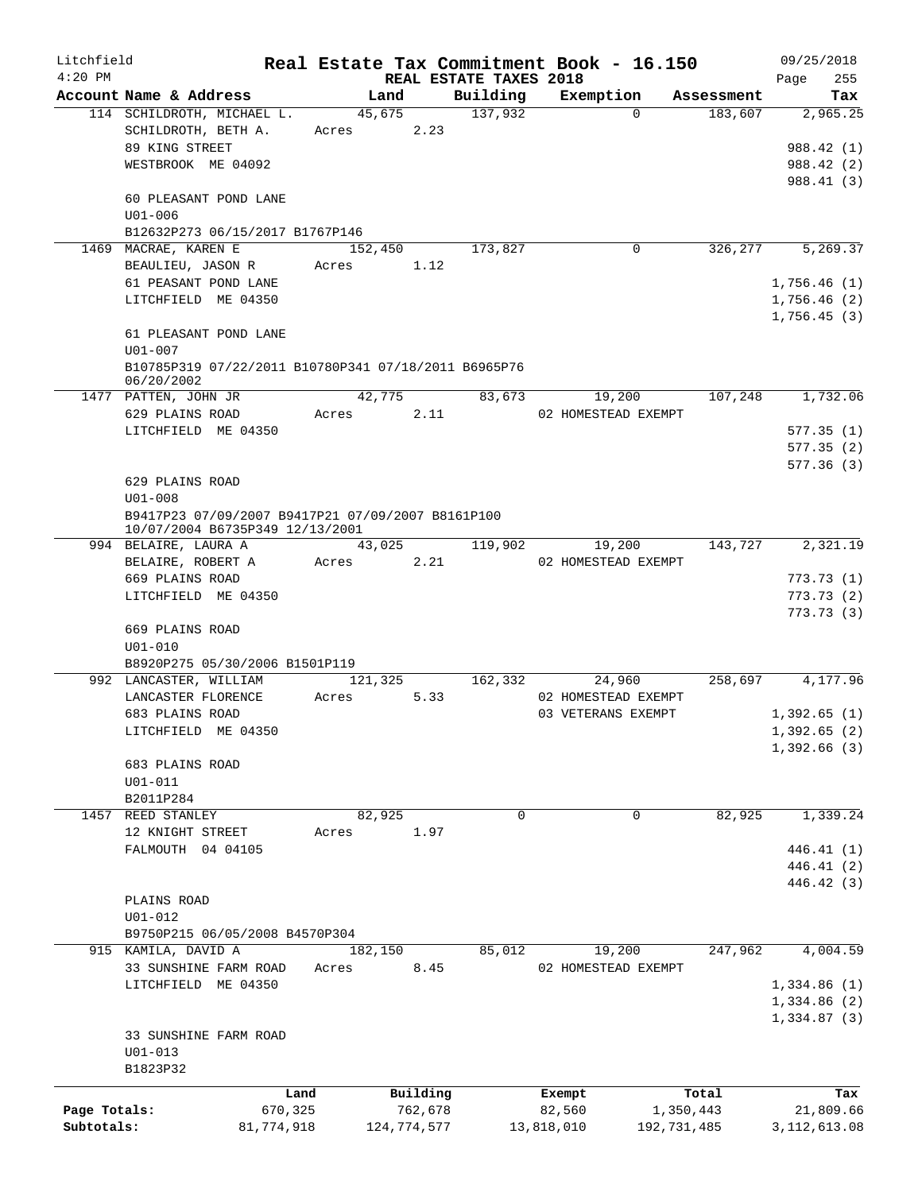| Litchfield   |                                                                    |            |            |             |                        | Real Estate Tax Commitment Book - 16.150 |             | 09/25/2018               |
|--------------|--------------------------------------------------------------------|------------|------------|-------------|------------------------|------------------------------------------|-------------|--------------------------|
| $4:20$ PM    |                                                                    |            |            |             | REAL ESTATE TAXES 2018 |                                          |             | 255<br>Page              |
|              | Account Name & Address                                             |            | Land       |             | Building               | Exemption                                | Assessment  | Tax                      |
|              | 114 SCHILDROTH, MICHAEL L.<br>SCHILDROTH, BETH A.                  |            | 45,675     |             | 137,932                | $\Omega$                                 |             | 2,965.25<br>183,607      |
|              | 89 KING STREET                                                     |            | Acres      | 2.23        |                        |                                          |             |                          |
|              | WESTBROOK ME 04092                                                 |            |            |             |                        |                                          |             | 988.42 (1)               |
|              |                                                                    |            |            |             |                        |                                          |             | 988.42 (2)<br>988.41 (3) |
|              | 60 PLEASANT POND LANE                                              |            |            |             |                        |                                          |             |                          |
|              | $U01 - 006$                                                        |            |            |             |                        |                                          |             |                          |
|              | B12632P273 06/15/2017 B1767P146                                    |            |            |             |                        |                                          |             |                          |
|              | 1469 MACRAE, KAREN E                                               |            | 152,450    |             | 173,827                | 0                                        |             | 326, 277<br>5,269.37     |
|              | BEAULIEU, JASON R                                                  |            | Acres      | 1.12        |                        |                                          |             |                          |
|              | 61 PEASANT POND LANE                                               |            |            |             |                        |                                          |             | 1,756.46(1)              |
|              | LITCHFIELD ME 04350                                                |            |            |             |                        |                                          |             | 1,756.46(2)              |
|              |                                                                    |            |            |             |                        |                                          |             | 1,756.45(3)              |
|              | 61 PLEASANT POND LANE                                              |            |            |             |                        |                                          |             |                          |
|              | $U01 - 007$                                                        |            |            |             |                        |                                          |             |                          |
|              | B10785P319 07/22/2011 B10780P341 07/18/2011 B6965P76<br>06/20/2002 |            |            |             |                        |                                          |             |                          |
|              | 1477 PATTEN, JOHN JR                                               |            | 42,775     |             | 83,673                 | 19,200                                   | 107,248     | 1,732.06                 |
|              | 629 PLAINS ROAD                                                    |            | Acres 2.11 |             |                        | 02 HOMESTEAD EXEMPT                      |             |                          |
|              | LITCHFIELD ME 04350                                                |            |            |             |                        |                                          |             | 577.35(1)                |
|              |                                                                    |            |            |             |                        |                                          |             | 577.35(2)                |
|              |                                                                    |            |            |             |                        |                                          |             | 577.36(3)                |
|              | 629 PLAINS ROAD                                                    |            |            |             |                        |                                          |             |                          |
|              | $U01 - 008$                                                        |            |            |             |                        |                                          |             |                          |
|              | B9417P23 07/09/2007 B9417P21 07/09/2007 B8161P100                  |            |            |             |                        |                                          |             |                          |
|              | 10/07/2004 B6735P349 12/13/2001                                    |            |            |             |                        |                                          |             |                          |
|              | 994 BELAIRE, LAURA A                                               |            |            | 43,025      | 119,902                | 19,200                                   | 143,727     | 2,321.19                 |
|              | BELAIRE, ROBERT A                                                  |            | Acres 2.21 |             |                        | 02 HOMESTEAD EXEMPT                      |             |                          |
|              | 669 PLAINS ROAD                                                    |            |            |             |                        |                                          |             | 773.73(1)                |
|              | LITCHFIELD ME 04350                                                |            |            |             |                        |                                          |             | 773.73(2)                |
|              |                                                                    |            |            |             |                        |                                          |             | 773.73(3)                |
|              | 669 PLAINS ROAD<br>$U01 - 010$                                     |            |            |             |                        |                                          |             |                          |
|              | B8920P275 05/30/2006 B1501P119                                     |            |            |             |                        |                                          |             |                          |
|              | 992 LANCASTER, WILLIAM                                             |            | 121,325    |             | 162,332                | 24,960                                   |             | 258,697<br>4,177.96      |
|              | LANCASTER FLORENCE                                                 |            | Acres      | 5.33        |                        | 02 HOMESTEAD EXEMPT                      |             |                          |
|              | 683 PLAINS ROAD                                                    |            |            |             |                        | 03 VETERANS EXEMPT                       |             | 1,392.65(1)              |
|              | LITCHFIELD ME 04350                                                |            |            |             |                        |                                          |             | 1,392.65(2)              |
|              |                                                                    |            |            |             |                        |                                          |             | 1,392.66(3)              |
|              | 683 PLAINS ROAD                                                    |            |            |             |                        |                                          |             |                          |
|              | $U01 - 011$                                                        |            |            |             |                        |                                          |             |                          |
|              | B2011P284                                                          |            |            |             |                        |                                          |             |                          |
| 1457         | REED STANLEY                                                       |            | 82,925     |             | 0                      | 0                                        | 82,925      | 1,339.24                 |
|              | 12 KNIGHT STREET                                                   |            | Acres      | 1.97        |                        |                                          |             |                          |
|              | FALMOUTH 04 04105                                                  |            |            |             |                        |                                          |             | 446.41 (1)               |
|              |                                                                    |            |            |             |                        |                                          |             | 446.41 (2)               |
|              |                                                                    |            |            |             |                        |                                          |             | 446.42 (3)               |
|              | PLAINS ROAD                                                        |            |            |             |                        |                                          |             |                          |
|              | $U01 - 012$                                                        |            |            |             |                        |                                          |             |                          |
|              | B9750P215 06/05/2008 B4570P304                                     |            |            |             |                        |                                          |             |                          |
|              | 915 KAMILA, DAVID A                                                |            | 182,150    |             | 85,012                 | 19,200                                   | 247,962     | 4,004.59                 |
|              | 33 SUNSHINE FARM ROAD                                              |            | Acres      | 8.45        |                        | 02 HOMESTEAD EXEMPT                      |             |                          |
|              | LITCHFIELD ME 04350                                                |            |            |             |                        |                                          |             | 1,334.86(1)              |
|              |                                                                    |            |            |             |                        |                                          |             | 1,334.86 (2)             |
|              |                                                                    |            |            |             |                        |                                          |             | 1,334.87(3)              |
|              | 33 SUNSHINE FARM ROAD                                              |            |            |             |                        |                                          |             |                          |
|              | $U01 - 013$                                                        |            |            |             |                        |                                          |             |                          |
|              | B1823P32                                                           |            |            |             |                        |                                          |             |                          |
|              |                                                                    | Land       |            | Building    |                        | Exempt                                   | Total       | Tax                      |
| Page Totals: |                                                                    | 670,325    |            | 762,678     |                        | 82,560                                   | 1,350,443   | 21,809.66                |
| Subtotals:   |                                                                    | 81,774,918 |            | 124,774,577 |                        | 13,818,010                               | 192,731,485 | 3, 112, 613.08           |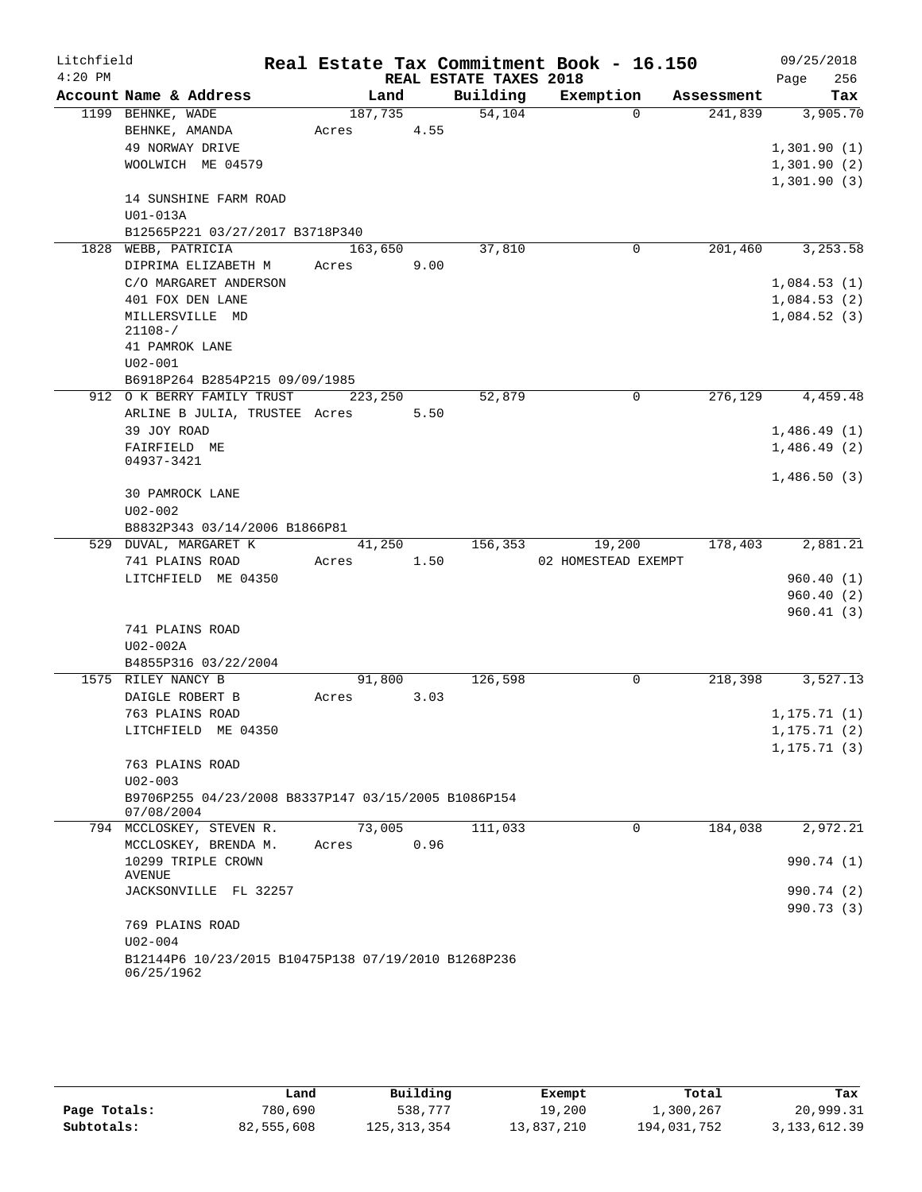| Litchfield |                                                        |         |                |                        | Real Estate Tax Commitment Book - 16.150 |            | 09/25/2018   |
|------------|--------------------------------------------------------|---------|----------------|------------------------|------------------------------------------|------------|--------------|
| $4:20$ PM  |                                                        |         |                | REAL ESTATE TAXES 2018 |                                          |            | 256<br>Page  |
|            | Account Name & Address                                 |         | Land           | Building               | Exemption                                | Assessment | Tax          |
|            | 1199 BEHNKE, WADE                                      |         | 187,735        | 54,104                 | $\Omega$                                 | 241,839    | 3,905.70     |
|            | BEHNKE, AMANDA                                         | Acres   | 4.55           |                        |                                          |            |              |
|            | 49 NORWAY DRIVE                                        |         |                |                        |                                          |            | 1,301.90(1)  |
|            | WOOLWICH ME 04579                                      |         |                |                        |                                          |            | 1,301.90(2)  |
|            |                                                        |         |                |                        |                                          |            | 1,301.90(3)  |
|            | 14 SUNSHINE FARM ROAD                                  |         |                |                        |                                          |            |              |
|            | U01-013A<br>B12565P221 03/27/2017 B3718P340            |         |                |                        |                                          |            |              |
|            | 1828 WEBB, PATRICIA                                    | 163,650 |                | 37,810                 | $\mathbf 0$                              | 201,460    | 3,253.58     |
|            | DIPRIMA ELIZABETH M                                    | Acres   | 9.00           |                        |                                          |            |              |
|            | C/O MARGARET ANDERSON                                  |         |                |                        |                                          |            | 1,084.53(1)  |
|            | 401 FOX DEN LANE                                       |         |                |                        |                                          |            | 1,084.53(2)  |
|            | MILLERSVILLE MD                                        |         |                |                        |                                          |            | 1,084.52(3)  |
|            | $21108 - /$                                            |         |                |                        |                                          |            |              |
|            | 41 PAMROK LANE                                         |         |                |                        |                                          |            |              |
|            | $U02 - 001$                                            |         |                |                        |                                          |            |              |
|            | B6918P264 B2854P215 09/09/1985                         |         |                |                        |                                          |            |              |
|            | 912 O K BERRY FAMILY TRUST                             |         | 223,250        | 52,879                 | 0                                        | 276,129    | 4,459.48     |
|            | ARLINE B JULIA, TRUSTEE Acres 5.50                     |         |                |                        |                                          |            |              |
|            | 39 JOY ROAD                                            |         |                |                        |                                          |            | 1,486.49(1)  |
|            | FAIRFIELD ME                                           |         |                |                        |                                          |            | 1,486.49(2)  |
|            | 04937-3421                                             |         |                |                        |                                          |            |              |
|            |                                                        |         |                |                        |                                          |            | 1,486.50(3)  |
|            | 30 PAMROCK LANE                                        |         |                |                        |                                          |            |              |
|            | $U02 - 002$                                            |         |                |                        |                                          |            |              |
|            | B8832P343 03/14/2006 B1866P81<br>529 DUVAL, MARGARET K |         |                | 156,353                |                                          | 178,403    | 2,881.21     |
|            | 741 PLAINS ROAD                                        | Acres   | 41,250<br>1.50 |                        | 19,200<br>02 HOMESTEAD EXEMPT            |            |              |
|            | LITCHFIELD ME 04350                                    |         |                |                        |                                          |            | 960.40(1)    |
|            |                                                        |         |                |                        |                                          |            | 960.40(2)    |
|            |                                                        |         |                |                        |                                          |            | 960.41(3)    |
|            | 741 PLAINS ROAD                                        |         |                |                        |                                          |            |              |
|            | $U02-002A$                                             |         |                |                        |                                          |            |              |
|            | B4855P316 03/22/2004                                   |         |                |                        |                                          |            |              |
|            | 1575 RILEY NANCY B                                     |         | 91,800         | 126,598                | $\mathbf 0$                              | 218,398    | 3,527.13     |
|            | DAIGLE ROBERT B                                        | Acres   | 3.03           |                        |                                          |            |              |
|            | 763 PLAINS ROAD                                        |         |                |                        |                                          |            | 1, 175.71(1) |
|            | LITCHFIELD ME 04350                                    |         |                |                        |                                          |            | 1, 175.71(2) |
|            |                                                        |         |                |                        |                                          |            | 1, 175.71(3) |
|            | 763 PLAINS ROAD                                        |         |                |                        |                                          |            |              |
|            | $U02 - 003$                                            |         |                |                        |                                          |            |              |
|            | B9706P255 04/23/2008 B8337P147 03/15/2005 B1086P154    |         |                |                        |                                          |            |              |
|            | 07/08/2004                                             |         |                |                        |                                          |            |              |
|            | 794 MCCLOSKEY, STEVEN R.                               |         | 73,005         | 111,033                | $\mathbf 0$                              | 184,038    | 2,972.21     |
|            | MCCLOSKEY, BRENDA M.                                   | Acres   | 0.96           |                        |                                          |            |              |
|            | 10299 TRIPLE CROWN                                     |         |                |                        |                                          |            | 990.74 (1)   |
|            | AVENUE                                                 |         |                |                        |                                          |            |              |
|            | JACKSONVILLE FL 32257                                  |         |                |                        |                                          |            | 990.74 (2)   |
|            | 769 PLAINS ROAD                                        |         |                |                        |                                          |            | 990.73 (3)   |
|            | $U02 - 004$                                            |         |                |                        |                                          |            |              |
|            | B12144P6 10/23/2015 B10475P138 07/19/2010 B1268P236    |         |                |                        |                                          |            |              |
|            | 06/25/1962                                             |         |                |                        |                                          |            |              |
|            |                                                        |         |                |                        |                                          |            |              |

|              | Land       | Building      | Exempt     | Total       | Tax            |
|--------------|------------|---------------|------------|-------------|----------------|
| Page Totals: | 780,690    | 538,777       | 19,200     | 1,300,267   | 20,999.31      |
| Subtotals:   | 82,555,608 | 125, 313, 354 | 13,837,210 | 194,031,752 | 3, 133, 612.39 |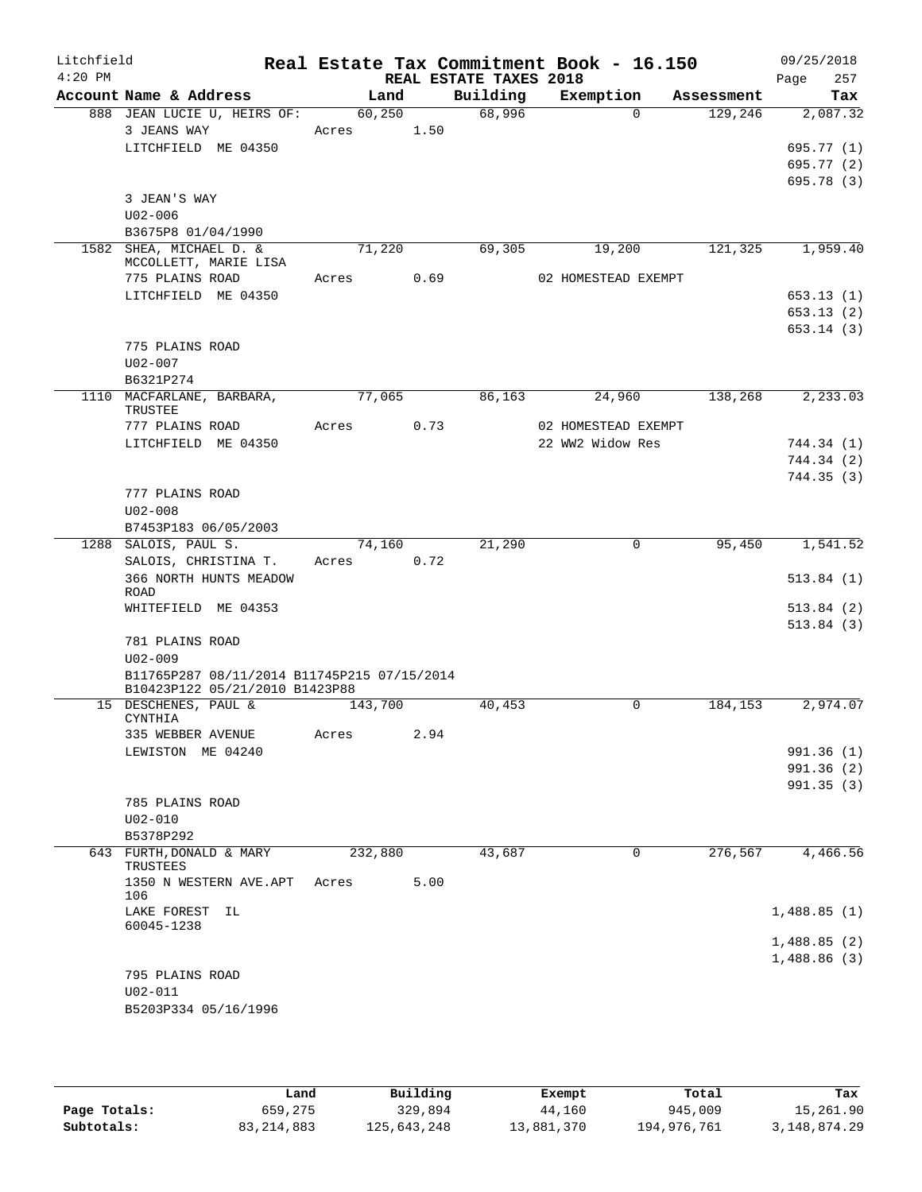| Litchfield |                                             |            |      |                        | Real Estate Tax Commitment Book - 16.150 |             |            | 09/25/2018                 |
|------------|---------------------------------------------|------------|------|------------------------|------------------------------------------|-------------|------------|----------------------------|
| $4:20$ PM  |                                             |            |      | REAL ESTATE TAXES 2018 |                                          |             |            | 257<br>Page                |
|            | Account Name & Address                      | Land       |      | Building               | Exemption                                |             | Assessment | Tax                        |
|            | 888 JEAN LUCIE U, HEIRS OF:                 | 60, 250    |      | 68,996                 |                                          | $\Omega$    | 129,246    | 2,087.32                   |
|            | 3 JEANS WAY<br>LITCHFIELD ME 04350          | Acres 1.50 |      |                        |                                          |             |            |                            |
|            |                                             |            |      |                        |                                          |             |            | 695.77(1)<br>695.77 (2)    |
|            |                                             |            |      |                        |                                          |             |            | 695.78 (3)                 |
|            | 3 JEAN'S WAY                                |            |      |                        |                                          |             |            |                            |
|            | $U02 - 006$                                 |            |      |                        |                                          |             |            |                            |
|            | B3675P8 01/04/1990                          |            |      |                        |                                          |             |            |                            |
|            | 1582 SHEA, MICHAEL D. &                     | 71,220     |      | 69,305                 | 19,200                                   |             | 121,325    | 1,959.40                   |
|            | MCCOLLETT, MARIE LISA                       |            |      |                        |                                          |             |            |                            |
|            | 775 PLAINS ROAD                             | Acres 0.69 |      |                        | 02 HOMESTEAD EXEMPT                      |             |            |                            |
|            | LITCHFIELD ME 04350                         |            |      |                        |                                          |             |            | 653.13(1)                  |
|            |                                             |            |      |                        |                                          |             |            | 653.13(2)                  |
|            | 775 PLAINS ROAD                             |            |      |                        |                                          |             |            | 653.14(3)                  |
|            | $U02 - 007$                                 |            |      |                        |                                          |             |            |                            |
|            | B6321P274                                   |            |      |                        |                                          |             |            |                            |
|            | 1110 MACFARLANE, BARBARA,                   | 77,065     |      | 86,163                 | 24,960                                   |             | 138,268    | 2,233.03                   |
|            | TRUSTEE                                     |            |      |                        |                                          |             |            |                            |
|            | 777 PLAINS ROAD                             | Acres      | 0.73 |                        | 02 HOMESTEAD EXEMPT                      |             |            |                            |
|            | LITCHFIELD ME 04350                         |            |      |                        | 22 WW2 Widow Res                         |             |            | 744.34 (1)                 |
|            |                                             |            |      |                        |                                          |             |            | 744.34 (2)<br>744.35(3)    |
|            | 777 PLAINS ROAD                             |            |      |                        |                                          |             |            |                            |
|            | $U02 - 008$                                 |            |      |                        |                                          |             |            |                            |
|            | B7453P183 06/05/2003                        |            |      |                        |                                          |             |            |                            |
|            | 1288 SALOIS, PAUL S.                        | 74,160     |      | 21,290                 |                                          | $\mathbf 0$ | 95,450     | 1,541.52                   |
|            | SALOIS, CHRISTINA T.                        | Acres      | 0.72 |                        |                                          |             |            |                            |
|            | 366 NORTH HUNTS MEADOW<br>ROAD              |            |      |                        |                                          |             |            | 513.84(1)                  |
|            | WHITEFIELD ME 04353                         |            |      |                        |                                          |             |            | 513.84(2)                  |
|            |                                             |            |      |                        |                                          |             |            | 513.84(3)                  |
|            | 781 PLAINS ROAD                             |            |      |                        |                                          |             |            |                            |
|            | $U02 - 009$                                 |            |      |                        |                                          |             |            |                            |
|            | B11765P287 08/11/2014 B11745P215 07/15/2014 |            |      |                        |                                          |             |            |                            |
|            | B10423P122 05/21/2010 B1423P88              |            |      |                        |                                          |             |            |                            |
|            | 15 DESCHENES, PAUL &<br>CYNTHIA             | 143,700    |      | 40,453                 |                                          | 0           | 184,153    | 2,974.07                   |
|            | 335 WEBBER AVENUE                           | Acres      | 2.94 |                        |                                          |             |            |                            |
|            | LEWISTON ME 04240                           |            |      |                        |                                          |             |            | 991.36(1)                  |
|            |                                             |            |      |                        |                                          |             |            | 991.36(2)                  |
|            |                                             |            |      |                        |                                          |             |            | 991.35(3)                  |
|            | 785 PLAINS ROAD                             |            |      |                        |                                          |             |            |                            |
|            | $U02 - 010$                                 |            |      |                        |                                          |             |            |                            |
|            | B5378P292                                   |            |      |                        |                                          |             |            |                            |
|            | 643 FURTH, DONALD & MARY<br>TRUSTEES        | 232,880    |      | 43,687                 |                                          | 0           | 276,567    | 4,466.56                   |
|            | 1350 N WESTERN AVE.APT                      | Acres      | 5.00 |                        |                                          |             |            |                            |
|            | 106<br>LAKE FOREST IL                       |            |      |                        |                                          |             |            | 1,488.85(1)                |
|            | 60045-1238                                  |            |      |                        |                                          |             |            |                            |
|            |                                             |            |      |                        |                                          |             |            | 1,488.85(2)<br>1,488.86(3) |
|            | 795 PLAINS ROAD                             |            |      |                        |                                          |             |            |                            |
|            | $U02 - 011$                                 |            |      |                        |                                          |             |            |                            |
|            | B5203P334 05/16/1996                        |            |      |                        |                                          |             |            |                            |
|            |                                             |            |      |                        |                                          |             |            |                            |

|              | Land         | Building    | Exempt     | Total       | Tax             |
|--------------|--------------|-------------|------------|-------------|-----------------|
| Page Totals: | 659,275      | 329,894     | 44,160     | 945,009     | 15,261.90       |
| Subtotals:   | 83, 214, 883 | 125,643,248 | 13,881,370 | 194,976,761 | 3, 148, 874, 29 |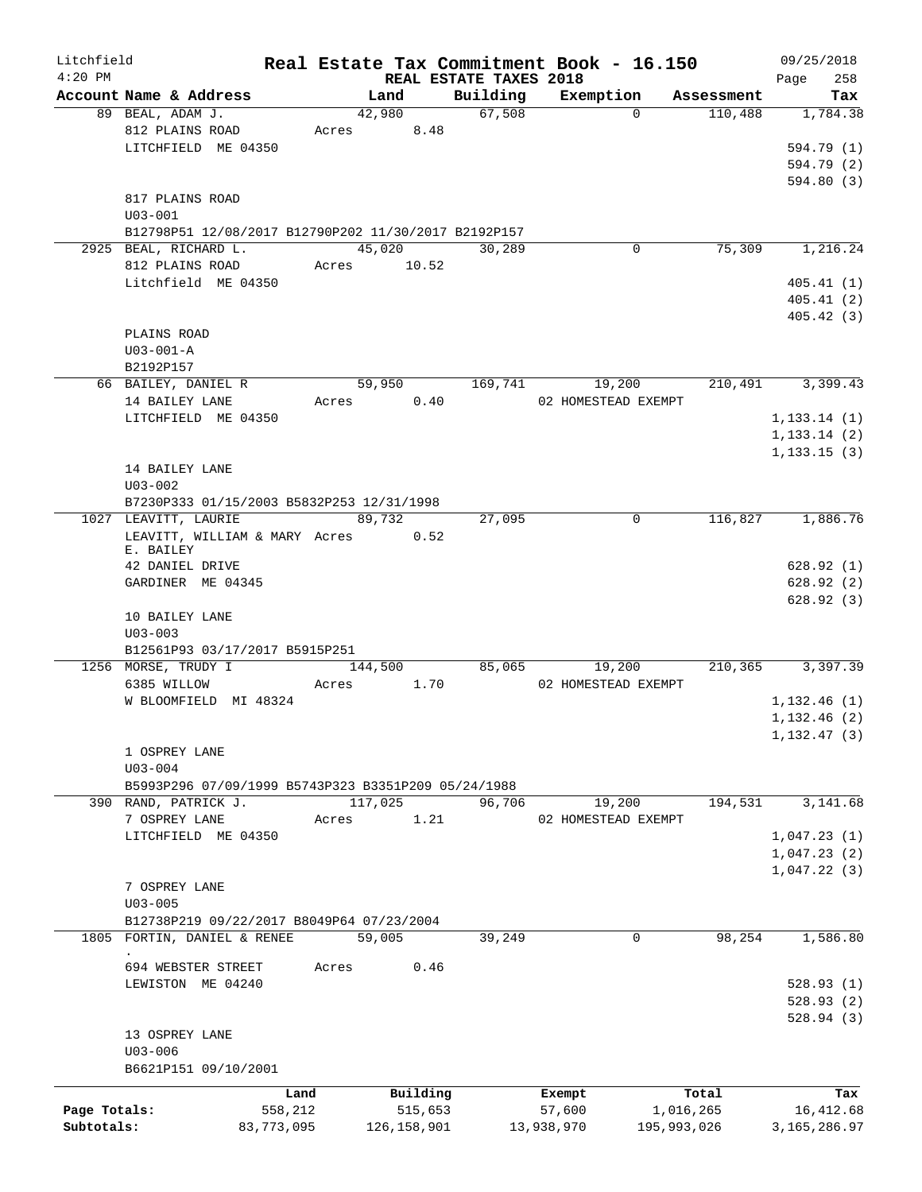| Litchfield   |                                                       |            |       |               |                        | Real Estate Tax Commitment Book - 16.150 |             |            | 09/25/2018     |
|--------------|-------------------------------------------------------|------------|-------|---------------|------------------------|------------------------------------------|-------------|------------|----------------|
| $4:20$ PM    |                                                       |            |       |               | REAL ESTATE TAXES 2018 |                                          |             |            | 258<br>Page    |
|              | Account Name & Address                                |            |       | Land          | Building               | Exemption                                |             | Assessment | Tax            |
|              | 89 BEAL, ADAM J.                                      |            |       | 42,980        | 67,508                 |                                          | $\Omega$    | 110,488    | 1,784.38       |
|              | 812 PLAINS ROAD<br>LITCHFIELD ME 04350                |            | Acres | 8.48          |                        |                                          |             |            | 594.79 (1)     |
|              |                                                       |            |       |               |                        |                                          |             |            | 594.79 (2)     |
|              |                                                       |            |       |               |                        |                                          |             |            | 594.80 (3)     |
|              | 817 PLAINS ROAD                                       |            |       |               |                        |                                          |             |            |                |
|              | $U03 - 001$                                           |            |       |               |                        |                                          |             |            |                |
|              | B12798P51 12/08/2017 B12790P202 11/30/2017 B2192P157  |            |       |               |                        |                                          |             |            |                |
|              | 2925 BEAL, RICHARD L.                                 |            |       | 45,020        | 30,289                 |                                          | 0           | 75,309     | 1,216.24       |
|              | 812 PLAINS ROAD                                       |            |       | Acres 10.52   |                        |                                          |             |            |                |
|              | Litchfield ME 04350                                   |            |       |               |                        |                                          |             |            | 405.41(1)      |
|              |                                                       |            |       |               |                        |                                          |             |            | 405.41(2)      |
|              |                                                       |            |       |               |                        |                                          |             |            | 405.42 (3)     |
|              | PLAINS ROAD                                           |            |       |               |                        |                                          |             |            |                |
|              | $U03 - 001 - A$                                       |            |       |               |                        |                                          |             |            |                |
|              | B2192P157                                             |            |       |               |                        |                                          |             |            |                |
|              | 66 BAILEY, DANIEL R                                   |            |       | 59,950        | 169,741                | 19,200                                   |             | 210,491    | 3,399.43       |
|              | 14 BAILEY LANE                                        |            | Acres | 0.40          |                        | 02 HOMESTEAD EXEMPT                      |             |            |                |
|              | LITCHFIELD ME 04350                                   |            |       |               |                        |                                          |             |            | 1, 133.14(1)   |
|              |                                                       |            |       |               |                        |                                          |             |            | 1, 133.14(2)   |
|              |                                                       |            |       |               |                        |                                          |             |            | 1, 133.15(3)   |
|              | 14 BAILEY LANE                                        |            |       |               |                        |                                          |             |            |                |
|              | $U03 - 002$                                           |            |       |               |                        |                                          |             |            |                |
|              | B7230P333 01/15/2003 B5832P253 12/31/1998             |            |       |               |                        |                                          |             |            |                |
|              | 1027 LEAVITT, LAURIE<br>LEAVITT, WILLIAM & MARY Acres |            |       | 89,732        | 27,095                 |                                          | 0           | 116,827    | 1,886.76       |
|              | E. BAILEY                                             |            |       | 0.52          |                        |                                          |             |            |                |
|              | 42 DANIEL DRIVE                                       |            |       |               |                        |                                          |             |            | 628.92(1)      |
|              | GARDINER ME 04345                                     |            |       |               |                        |                                          |             |            | 628.92(2)      |
|              |                                                       |            |       |               |                        |                                          |             |            | 628.92(3)      |
|              | 10 BAILEY LANE                                        |            |       |               |                        |                                          |             |            |                |
|              | $U03 - 003$                                           |            |       |               |                        |                                          |             |            |                |
|              | B12561P93 03/17/2017 B5915P251                        |            |       |               |                        |                                          |             |            |                |
|              | 1256 MORSE, TRUDY I                                   |            |       | 144,500       | 85,065                 | 19,200                                   |             | 210, 365   | 3,397.39       |
|              | 6385 WILLOW                                           |            | Acres | 1.70          |                        | 02 HOMESTEAD EXEMPT                      |             |            |                |
|              | W BLOOMFIELD MI 48324                                 |            |       |               |                        |                                          |             |            | 1,132.46(1)    |
|              |                                                       |            |       |               |                        |                                          |             |            | 1, 132.46(2)   |
|              |                                                       |            |       |               |                        |                                          |             |            | 1, 132.47(3)   |
|              | 1 OSPREY LANE                                         |            |       |               |                        |                                          |             |            |                |
|              | $U03 - 004$                                           |            |       |               |                        |                                          |             |            |                |
|              | B5993P296 07/09/1999 B5743P323 B3351P209 05/24/1988   |            |       |               |                        |                                          |             |            |                |
|              | 390 RAND, PATRICK J.                                  |            |       | 117,025       | 96,706                 | 19,200                                   |             | 194,531    | 3,141.68       |
|              | 7 OSPREY LANE                                         |            | Acres | 1.21          |                        | 02 HOMESTEAD EXEMPT                      |             |            |                |
|              | LITCHFIELD ME 04350                                   |            |       |               |                        |                                          |             |            | 1,047.23(1)    |
|              |                                                       |            |       |               |                        |                                          |             |            | 1,047.23(2)    |
|              | 7 OSPREY LANE                                         |            |       |               |                        |                                          |             |            | 1,047.22(3)    |
|              | $U03 - 005$                                           |            |       |               |                        |                                          |             |            |                |
|              | B12738P219 09/22/2017 B8049P64 07/23/2004             |            |       |               |                        |                                          |             |            |                |
|              | 1805 FORTIN, DANIEL & RENEE                           |            |       | 59,005        | 39,249                 |                                          | 0           | 98,254     | 1,586.80       |
|              |                                                       |            |       |               |                        |                                          |             |            |                |
|              | 694 WEBSTER STREET                                    |            | Acres | 0.46          |                        |                                          |             |            |                |
|              | LEWISTON ME 04240                                     |            |       |               |                        |                                          |             |            | 528.93(1)      |
|              |                                                       |            |       |               |                        |                                          |             |            | 528.93(2)      |
|              |                                                       |            |       |               |                        |                                          |             |            | 528.94(3)      |
|              | 13 OSPREY LANE                                        |            |       |               |                        |                                          |             |            |                |
|              | $U03 - 006$                                           |            |       |               |                        |                                          |             |            |                |
|              | B6621P151 09/10/2001                                  |            |       |               |                        |                                          |             |            |                |
|              |                                                       | Land       |       | Building      |                        | Exempt                                   |             | Total      | Tax            |
| Page Totals: |                                                       | 558,212    |       | 515,653       |                        | 57,600                                   | 1,016,265   |            | 16, 412.68     |
| Subtotals:   |                                                       | 83,773,095 |       | 126, 158, 901 |                        | 13,938,970                               | 195,993,026 |            | 3, 165, 286.97 |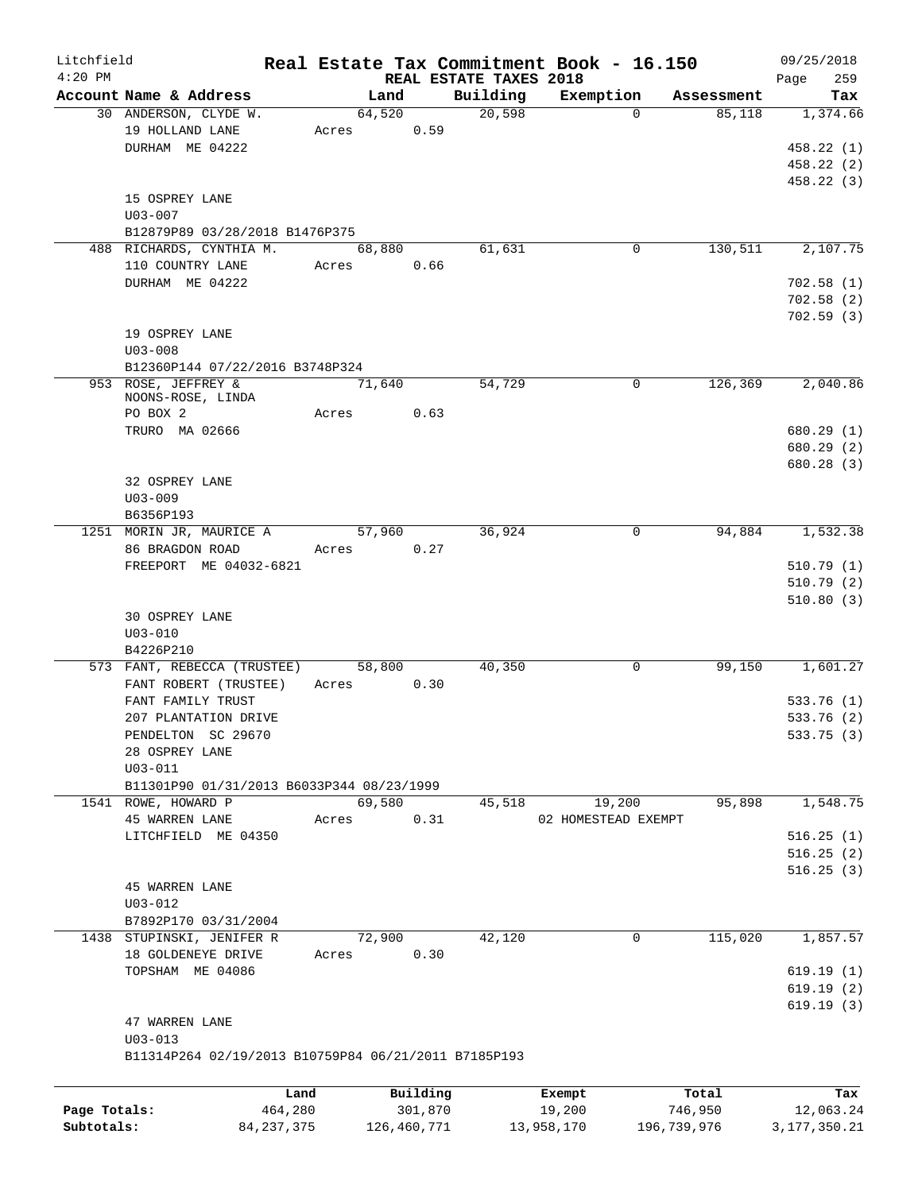| Litchfield   |                                                      |              |             |          |                        | Real Estate Tax Commitment Book - 16.150 |             |            | 09/25/2018      |
|--------------|------------------------------------------------------|--------------|-------------|----------|------------------------|------------------------------------------|-------------|------------|-----------------|
| $4:20$ PM    |                                                      |              |             |          | REAL ESTATE TAXES 2018 |                                          |             |            | Page<br>259     |
|              | Account Name & Address                               |              | Land        |          | Building<br>20,598     | Exemption                                | $\Omega$    | Assessment | Tax             |
|              | 30 ANDERSON, CLYDE W.                                |              | 64,520      |          |                        |                                          |             | 85,118     | 1,374.66        |
|              | 19 HOLLAND LANE                                      |              | Acres 0.59  |          |                        |                                          |             |            | 458.22(1)       |
|              | DURHAM ME 04222                                      |              |             |          |                        |                                          |             |            |                 |
|              |                                                      |              |             |          |                        |                                          |             |            | 458.22(2)       |
|              |                                                      |              |             |          |                        |                                          |             |            | 458.22(3)       |
|              | 15 OSPREY LANE                                       |              |             |          |                        |                                          |             |            |                 |
|              | $U03 - 007$                                          |              |             |          |                        |                                          |             |            |                 |
|              | B12879P89 03/28/2018 B1476P375                       |              |             |          |                        |                                          |             |            |                 |
|              | 488 RICHARDS, CYNTHIA M.                             |              | 68,880      |          | 61,631                 |                                          | 0           | 130, 511   | 2,107.75        |
|              | 110 COUNTRY LANE                                     |              | Acres 0.66  |          |                        |                                          |             |            |                 |
|              | DURHAM ME 04222                                      |              |             |          |                        |                                          |             |            | 702.58(1)       |
|              |                                                      |              |             |          |                        |                                          |             |            | 702.58(2)       |
|              |                                                      |              |             |          |                        |                                          |             |            | 702.59(3)       |
|              | 19 OSPREY LANE                                       |              |             |          |                        |                                          |             |            |                 |
|              | $U03 - 008$                                          |              |             |          |                        |                                          |             |            |                 |
|              | B12360P144 07/22/2016 B3748P324                      |              |             |          |                        |                                          |             |            |                 |
|              | 953 ROSE, JEFFREY &                                  |              | 71,640      |          | 54,729                 |                                          | $\mathbf 0$ | 126,369    | 2,040.86        |
|              | NOONS-ROSE, LINDA                                    |              |             |          |                        |                                          |             |            |                 |
|              | PO BOX 2                                             |              | Acres       | 0.63     |                        |                                          |             |            |                 |
|              | TRURO MA 02666                                       |              |             |          |                        |                                          |             |            | 680.29(1)       |
|              |                                                      |              |             |          |                        |                                          |             |            | 680.29 (2)      |
|              |                                                      |              |             |          |                        |                                          |             |            | 680.28(3)       |
|              | 32 OSPREY LANE                                       |              |             |          |                        |                                          |             |            |                 |
|              | $U03 - 009$                                          |              |             |          |                        |                                          |             |            |                 |
|              | B6356P193                                            |              |             |          |                        |                                          |             |            |                 |
|              | 1251 MORIN JR, MAURICE A                             |              | 57,960      |          | 36,924                 |                                          | 0           | 94,884     | 1,532.38        |
|              | 86 BRAGDON ROAD                                      |              | Acres 0.27  |          |                        |                                          |             |            |                 |
|              | FREEPORT ME 04032-6821                               |              |             |          |                        |                                          |             |            | 510.79(1)       |
|              |                                                      |              |             |          |                        |                                          |             |            | 510.79(2)       |
|              |                                                      |              |             |          |                        |                                          |             |            | 510.80(3)       |
|              | 30 OSPREY LANE                                       |              |             |          |                        |                                          |             |            |                 |
|              | $U03 - 010$                                          |              |             |          |                        |                                          |             |            |                 |
|              | B4226P210                                            |              |             |          |                        |                                          |             |            |                 |
|              | 573 FANT, REBECCA (TRUSTEE)                          |              | 58,800      |          | 40,350                 |                                          | 0           | 99,150     | 1,601.27        |
|              | FANT ROBERT (TRUSTEE)                                |              | Acres 0.30  |          |                        |                                          |             |            |                 |
|              | FANT FAMILY TRUST                                    |              |             |          |                        |                                          |             |            | 533.76(1)       |
|              |                                                      |              |             |          |                        |                                          |             |            | 533.76(2)       |
|              | 207 PLANTATION DRIVE                                 |              |             |          |                        |                                          |             |            |                 |
|              | PENDELTON SC 29670                                   |              |             |          |                        |                                          |             |            | 533.75 (3)      |
|              | 28 OSPREY LANE                                       |              |             |          |                        |                                          |             |            |                 |
|              | $U03 - 011$                                          |              |             |          |                        |                                          |             |            |                 |
|              | B11301P90 01/31/2013 B6033P344 08/23/1999            |              |             |          |                        |                                          |             |            |                 |
|              | 1541 ROWE, HOWARD P                                  |              | 69,580      |          | 45,518                 | 19,200                                   |             | 95,898     | 1,548.75        |
|              | <b>45 WARREN LANE</b>                                | Acres        |             | 0.31     |                        | 02 HOMESTEAD EXEMPT                      |             |            |                 |
|              | LITCHFIELD ME 04350                                  |              |             |          |                        |                                          |             |            | 516.25(1)       |
|              |                                                      |              |             |          |                        |                                          |             |            | 516.25(2)       |
|              |                                                      |              |             |          |                        |                                          |             |            | 516.25(3)       |
|              | <b>45 WARREN LANE</b>                                |              |             |          |                        |                                          |             |            |                 |
|              | $U03 - 012$                                          |              |             |          |                        |                                          |             |            |                 |
|              | B7892P170 03/31/2004                                 |              |             |          |                        |                                          |             |            |                 |
|              | 1438 STUPINSKI, JENIFER R                            |              | 72,900      |          | 42,120                 |                                          | 0           | 115,020    | 1,857.57        |
|              | 18 GOLDENEYE DRIVE                                   | Acres        |             | 0.30     |                        |                                          |             |            |                 |
|              | TOPSHAM ME 04086                                     |              |             |          |                        |                                          |             |            | 619.19(1)       |
|              |                                                      |              |             |          |                        |                                          |             |            | 619.19(2)       |
|              |                                                      |              |             |          |                        |                                          |             |            | 619.19(3)       |
|              | 47 WARREN LANE                                       |              |             |          |                        |                                          |             |            |                 |
|              | $U03 - 013$                                          |              |             |          |                        |                                          |             |            |                 |
|              | B11314P264 02/19/2013 B10759P84 06/21/2011 B7185P193 |              |             |          |                        |                                          |             |            |                 |
|              |                                                      |              |             |          |                        |                                          |             |            |                 |
|              |                                                      |              |             |          |                        |                                          |             |            |                 |
|              |                                                      | Land         |             | Building |                        | Exempt                                   |             | Total      | Tax             |
| Page Totals: |                                                      | 464,280      |             | 301,870  |                        | 19,200                                   |             | 746,950    | 12,063.24       |
| Subtotals:   |                                                      | 84, 237, 375 | 126,460,771 |          |                        | 13,958,170                               | 196,739,976 |            | 3, 177, 350. 21 |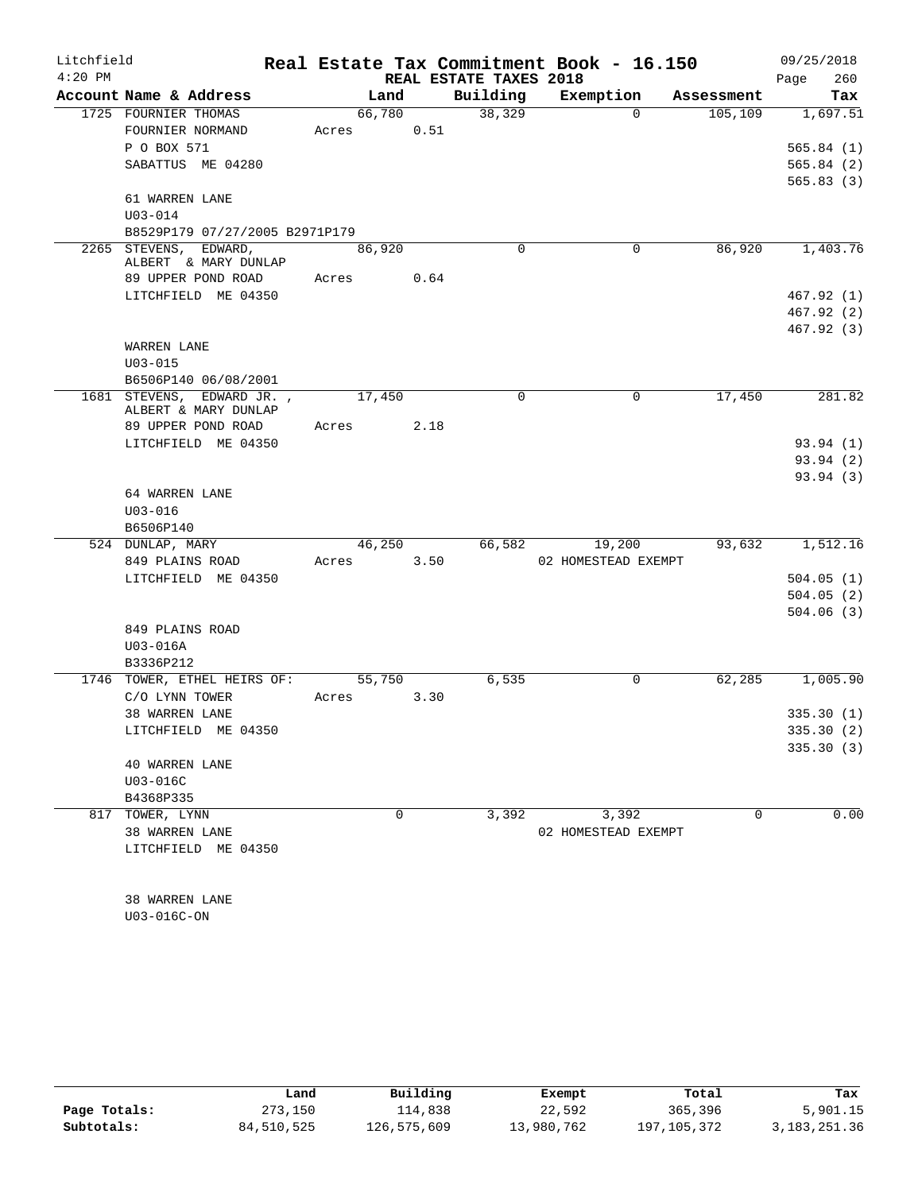| Litchfield |                                                   |          |      |                        | Real Estate Tax Commitment Book - 16.150 |            | 09/25/2018  |
|------------|---------------------------------------------------|----------|------|------------------------|------------------------------------------|------------|-------------|
| $4:20$ PM  |                                                   |          |      | REAL ESTATE TAXES 2018 |                                          |            | 260<br>Page |
|            | Account Name & Address                            | Land     |      | Building               | Exemption                                | Assessment | Tax         |
|            | 1725 FOURNIER THOMAS                              | 66,780   |      | 38,329                 | $\Omega$                                 | 105, 109   | 1,697.51    |
|            | FOURNIER NORMAND                                  | Acres    | 0.51 |                        |                                          |            |             |
|            | P O BOX 571                                       |          |      |                        |                                          |            | 565.84(1)   |
|            | SABATTUS ME 04280                                 |          |      |                        |                                          |            | 565.84(2)   |
|            |                                                   |          |      |                        |                                          |            | 565.83(3)   |
|            | 61 WARREN LANE                                    |          |      |                        |                                          |            |             |
|            | $U03 - 014$                                       |          |      |                        |                                          |            |             |
|            | B8529P179 07/27/2005 B2971P179                    |          |      |                        |                                          |            |             |
|            | 2265 STEVENS, EDWARD,<br>ALBERT & MARY DUNLAP     | 86,920   |      | $\Omega$               | $\mathbf 0$                              | 86,920     | 1,403.76    |
|            | 89 UPPER POND ROAD                                | Acres    | 0.64 |                        |                                          |            |             |
|            | LITCHFIELD ME 04350                               |          |      |                        |                                          |            | 467.92(1)   |
|            |                                                   |          |      |                        |                                          |            | 467.92(2)   |
|            |                                                   |          |      |                        |                                          |            | 467.92(3)   |
|            | WARREN LANE                                       |          |      |                        |                                          |            |             |
|            | $U03 - 015$                                       |          |      |                        |                                          |            |             |
|            | B6506P140 06/08/2001                              |          |      |                        |                                          |            |             |
|            | 1681 STEVENS, EDWARD JR.,<br>ALBERT & MARY DUNLAP | 17,450   |      | $\mathbf 0$            | $\mathbf 0$                              | 17,450     | 281.82      |
|            | 89 UPPER POND ROAD                                | Acres    | 2.18 |                        |                                          |            |             |
|            | LITCHFIELD ME 04350                               |          |      |                        |                                          |            | 93.94(1)    |
|            |                                                   |          |      |                        |                                          |            | 93.94(2)    |
|            |                                                   |          |      |                        |                                          |            | 93.94 (3)   |
|            | 64 WARREN LANE                                    |          |      |                        |                                          |            |             |
|            | $U03 - 016$                                       |          |      |                        |                                          |            |             |
|            | B6506P140                                         |          |      |                        |                                          |            |             |
|            | 524 DUNLAP, MARY                                  | 46,250   |      | 66,582                 | 19,200                                   | 93,632     | 1,512.16    |
|            | 849 PLAINS ROAD                                   | Acres    | 3.50 |                        | 02 HOMESTEAD EXEMPT                      |            |             |
|            | LITCHFIELD ME 04350                               |          |      |                        |                                          |            | 504.05(1)   |
|            |                                                   |          |      |                        |                                          |            | 504.05(2)   |
|            |                                                   |          |      |                        |                                          |            | 504.06(3)   |
|            | 849 PLAINS ROAD                                   |          |      |                        |                                          |            |             |
|            | $U03-016A$                                        |          |      |                        |                                          |            |             |
|            | B3336P212                                         |          |      |                        |                                          |            |             |
|            | 1746 TOWER, ETHEL HEIRS OF:                       | 55,750   |      | 6,535                  | 0                                        | 62,285     | 1,005.90    |
|            | C/O LYNN TOWER                                    | Acres    | 3.30 |                        |                                          |            |             |
|            | 38 WARREN LANE                                    |          |      |                        |                                          |            | 335.30(1)   |
|            | LITCHFIELD ME 04350                               |          |      |                        |                                          |            | 335.30 (2)  |
|            |                                                   |          |      |                        |                                          |            | 335.30(3)   |
|            | <b>40 WARREN LANE</b>                             |          |      |                        |                                          |            |             |
|            | $U03-016C$                                        |          |      |                        |                                          |            |             |
|            | B4368P335                                         |          |      |                        |                                          |            |             |
|            | 817 TOWER, LYNN                                   | $\Omega$ |      | 3,392                  | 3,392                                    | $\Omega$   | 0.00        |
|            | 38 WARREN LANE                                    |          |      |                        | 02 HOMESTEAD EXEMPT                      |            |             |
|            | LITCHFIELD ME 04350                               |          |      |                        |                                          |            |             |
|            |                                                   |          |      |                        |                                          |            |             |
|            |                                                   |          |      |                        |                                          |            |             |
|            | 38 WARREN LANE                                    |          |      |                        |                                          |            |             |
|            | U03-016C-ON                                       |          |      |                        |                                          |            |             |

|              | Land       | Building    | Exempt     | Total       | Tax          |
|--------------|------------|-------------|------------|-------------|--------------|
| Page Totals: | 273,150    | 114,838     | 22,592     | 365,396     | 5,901.15     |
| Subtotals:   | 84,510,525 | 126,575,609 | 13,980,762 | 197,105,372 | 3,183,251.36 |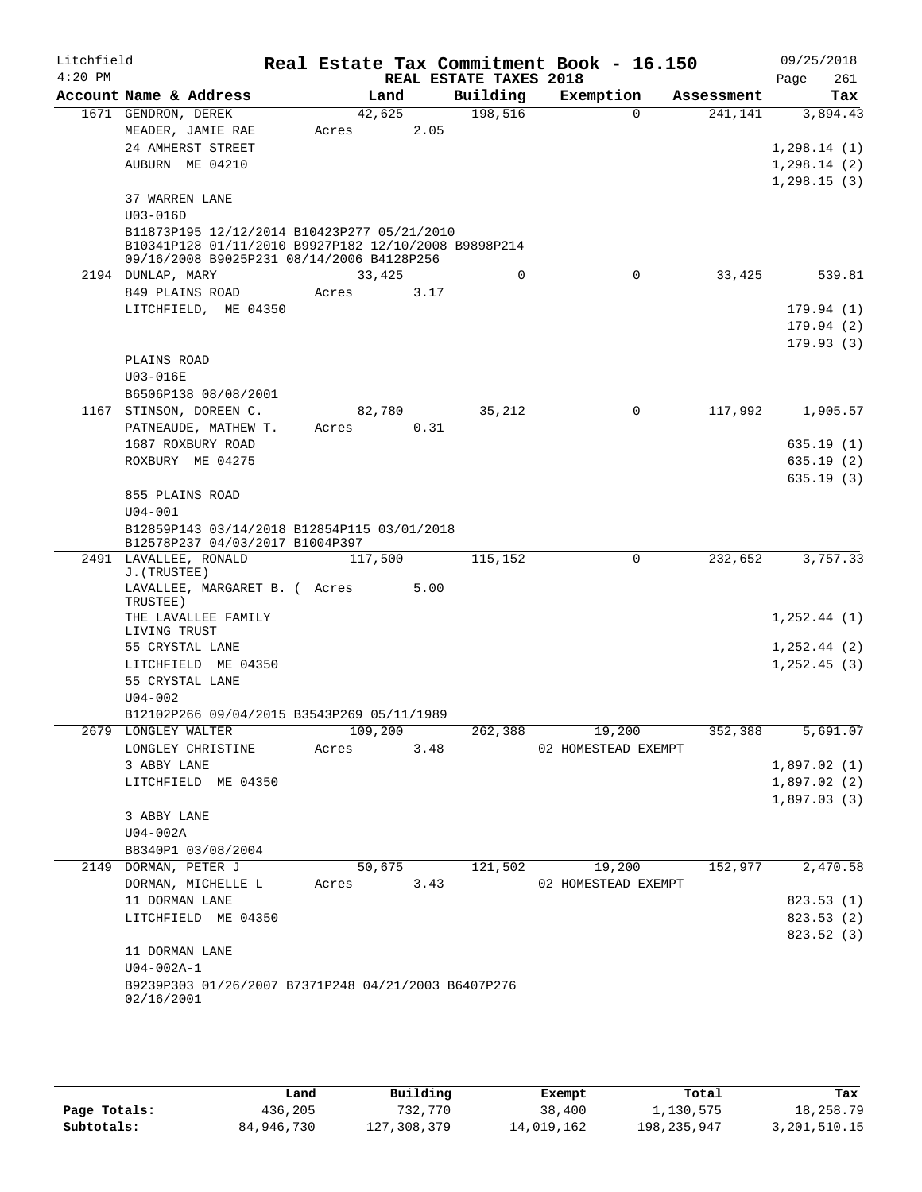| Litchfield<br>$4:20$ PM |                                                                                                     |         |        |      | REAL ESTATE TAXES 2018 | Real Estate Tax Commitment Book - 16.150 |             |            | 09/25/2018<br>261<br>Page |
|-------------------------|-----------------------------------------------------------------------------------------------------|---------|--------|------|------------------------|------------------------------------------|-------------|------------|---------------------------|
|                         | Account Name & Address                                                                              |         | Land   |      | Building               | Exemption                                |             | Assessment | Tax                       |
|                         | 1671 GENDRON, DEREK                                                                                 | 42,625  |        |      | 198,516                |                                          | $\Omega$    | 241,141    | 3,894.43                  |
|                         | MEADER, JAMIE RAE                                                                                   | Acres   |        | 2.05 |                        |                                          |             |            |                           |
|                         | 24 AMHERST STREET                                                                                   |         |        |      |                        |                                          |             |            | 1,298.14(1)               |
|                         | AUBURN ME 04210                                                                                     |         |        |      |                        |                                          |             |            | 1, 298.14(2)              |
|                         |                                                                                                     |         |        |      |                        |                                          |             |            | 1,298.15(3)               |
|                         | 37 WARREN LANE                                                                                      |         |        |      |                        |                                          |             |            |                           |
|                         | $U03 - 016D$                                                                                        |         |        |      |                        |                                          |             |            |                           |
|                         | B11873P195 12/12/2014 B10423P277 05/21/2010<br>B10341P128 01/11/2010 B9927P182 12/10/2008 B9898P214 |         |        |      |                        |                                          |             |            |                           |
|                         | 09/16/2008 B9025P231 08/14/2006 B4128P256                                                           |         |        |      |                        |                                          |             |            |                           |
|                         | 2194 DUNLAP, MARY                                                                                   | 33,425  |        |      | $\mathbf 0$            |                                          | $\mathbf 0$ | 33,425     | 539.81                    |
|                         | 849 PLAINS ROAD                                                                                     | Acres   |        | 3.17 |                        |                                          |             |            |                           |
|                         | LITCHFIELD, ME 04350                                                                                |         |        |      |                        |                                          |             |            | 179.94 (1)                |
|                         |                                                                                                     |         |        |      |                        |                                          |             |            | 179.94(2)                 |
|                         |                                                                                                     |         |        |      |                        |                                          |             |            | 179.93(3)                 |
|                         | PLAINS ROAD                                                                                         |         |        |      |                        |                                          |             |            |                           |
|                         | U03-016E                                                                                            |         |        |      |                        |                                          |             |            |                           |
|                         | B6506P138 08/08/2001                                                                                |         |        |      |                        |                                          |             |            |                           |
| 1167                    | STINSON, DOREEN C.                                                                                  | 82,780  |        |      | 35,212                 |                                          | 0           | 117,992    | 1,905.57                  |
|                         | PATNEAUDE, MATHEW T.                                                                                | Acres   |        | 0.31 |                        |                                          |             |            |                           |
|                         | 1687 ROXBURY ROAD                                                                                   |         |        |      |                        |                                          |             |            | 635.19(1)                 |
|                         | ROXBURY ME 04275                                                                                    |         |        |      |                        |                                          |             |            | 635.19(2)                 |
|                         |                                                                                                     |         |        |      |                        |                                          |             |            | 635.19(3)                 |
|                         | 855 PLAINS ROAD<br>$U04 - 001$                                                                      |         |        |      |                        |                                          |             |            |                           |
|                         | B12859P143 03/14/2018 B12854P115 03/01/2018                                                         |         |        |      |                        |                                          |             |            |                           |
|                         | B12578P237 04/03/2017 B1004P397                                                                     |         |        |      |                        |                                          |             |            |                           |
|                         | 2491 LAVALLEE, RONALD<br>J. (TRUSTEE)                                                               | 117,500 |        |      | 115,152                |                                          | $\mathbf 0$ | 232,652    | 3,757.33                  |
|                         | LAVALLEE, MARGARET B. ( Acres                                                                       |         |        | 5.00 |                        |                                          |             |            |                           |
|                         | TRUSTEE)                                                                                            |         |        |      |                        |                                          |             |            |                           |
|                         | THE LAVALLEE FAMILY<br>LIVING TRUST                                                                 |         |        |      |                        |                                          |             |            | 1, 252.44(1)              |
|                         | 55 CRYSTAL LANE                                                                                     |         |        |      |                        |                                          |             |            | $1, 252.44$ (2)           |
|                         | LITCHFIELD ME 04350                                                                                 |         |        |      |                        |                                          |             |            | $1, 252.45$ (3)           |
|                         | 55 CRYSTAL LANE                                                                                     |         |        |      |                        |                                          |             |            |                           |
|                         | $U04 - 002$                                                                                         |         |        |      |                        |                                          |             |            |                           |
|                         | B12102P266 09/04/2015 B3543P269 05/11/1989                                                          |         |        |      |                        |                                          |             |            |                           |
|                         | 2679 LONGLEY WALTER                                                                                 | 109,200 |        |      | 262,388                |                                          | 19,200      | 352,388    | 5,691.07                  |
|                         | LONGLEY CHRISTINE                                                                                   | Acres   |        | 3.48 |                        | 02 HOMESTEAD EXEMPT                      |             |            |                           |
|                         | 3 ABBY LANE                                                                                         |         |        |      |                        |                                          |             |            | 1,897.02(1)               |
|                         | LITCHFIELD ME 04350                                                                                 |         |        |      |                        |                                          |             |            | 1,897.02(2)               |
|                         |                                                                                                     |         |        |      |                        |                                          |             |            | 1,897.03(3)               |
|                         | 3 ABBY LANE                                                                                         |         |        |      |                        |                                          |             |            |                           |
|                         | $U04-002A$                                                                                          |         |        |      |                        |                                          |             |            |                           |
|                         | B8340P1 03/08/2004                                                                                  |         |        |      |                        |                                          |             |            |                           |
|                         | 2149 DORMAN, PETER J                                                                                |         | 50,675 |      | 121,502                | 19,200                                   |             | 152,977    | 2,470.58                  |
|                         | DORMAN, MICHELLE L<br>11 DORMAN LANE                                                                | Acres   |        | 3.43 |                        | 02 HOMESTEAD EXEMPT                      |             |            | 823.53 (1)                |
|                         | LITCHFIELD ME 04350                                                                                 |         |        |      |                        |                                          |             |            | 823.53(2)                 |
|                         |                                                                                                     |         |        |      |                        |                                          |             |            | 823.52(3)                 |
|                         | 11 DORMAN LANE                                                                                      |         |        |      |                        |                                          |             |            |                           |
|                         | $U04 - 002A - 1$                                                                                    |         |        |      |                        |                                          |             |            |                           |
|                         | B9239P303 01/26/2007 B7371P248 04/21/2003 B6407P276                                                 |         |        |      |                        |                                          |             |            |                           |
|                         | 02/16/2001                                                                                          |         |        |      |                        |                                          |             |            |                           |
|                         |                                                                                                     |         |        |      |                        |                                          |             |            |                           |
|                         |                                                                                                     |         |        |      |                        |                                          |             |            |                           |

|              | Land       | Building    | Exempt     | Total       | Tax             |
|--------------|------------|-------------|------------|-------------|-----------------|
| Page Totals: | 436,205    | 732,770     | 38,400     | 1,130,575   | 18,258.79       |
| Subtotals:   | 84,946,730 | 127,308,379 | 14,019,162 | 198,235,947 | 3, 201, 510. 15 |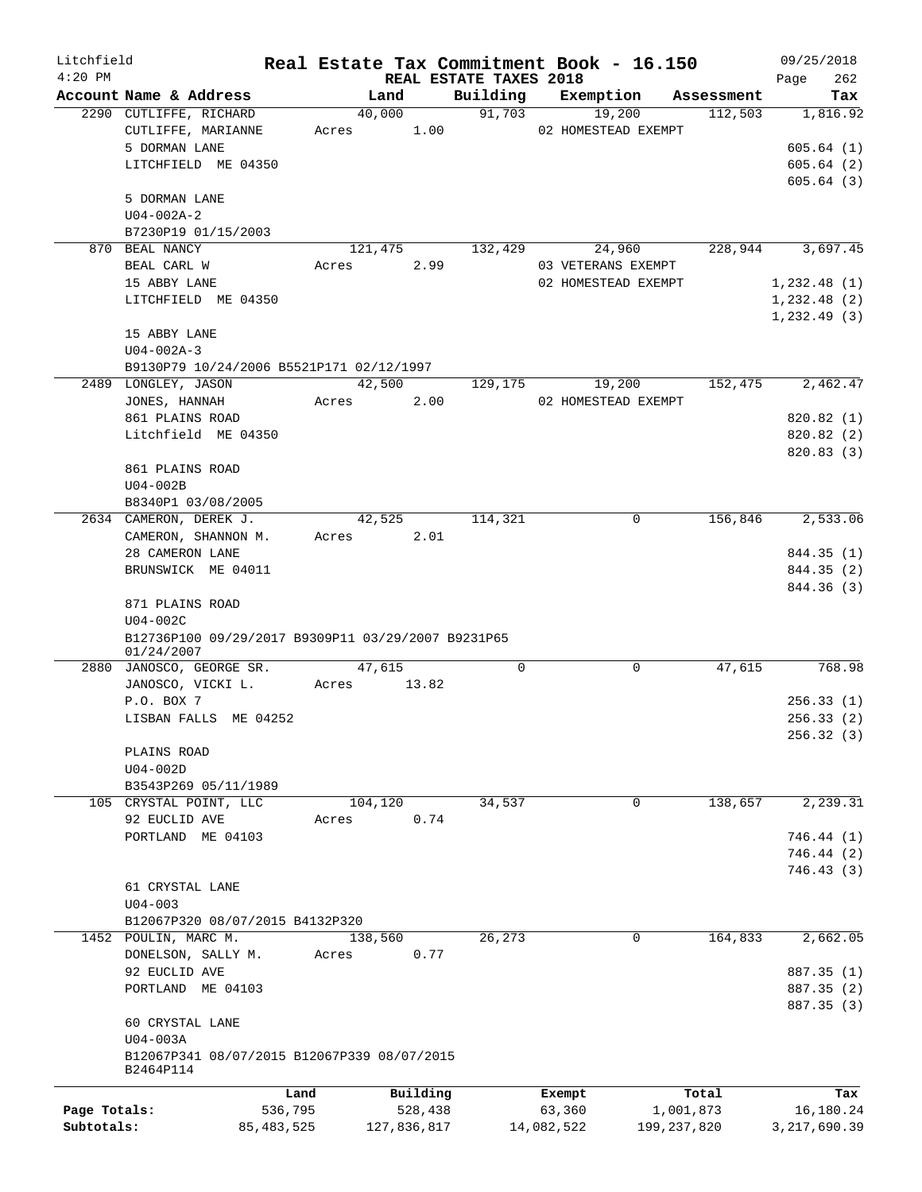| Litchfield   |                                                    |              |             |          |                                    | Real Estate Tax Commitment Book - 16.150 |            | 09/25/2018         |
|--------------|----------------------------------------------------|--------------|-------------|----------|------------------------------------|------------------------------------------|------------|--------------------|
| $4:20$ PM    | Account Name & Address                             |              | Land        |          | REAL ESTATE TAXES 2018<br>Building |                                          | Assessment | 262<br>Page<br>Tax |
|              | 2290 CUTLIFFE, RICHARD                             |              | 40,000      |          | 91,703                             | Exemption<br>19,200                      | 112,503    | 1,816.92           |
|              | CUTLIFFE, MARIANNE                                 |              | Acres       | 1.00     |                                    | 02 HOMESTEAD EXEMPT                      |            |                    |
|              | 5 DORMAN LANE                                      |              |             |          |                                    |                                          |            | 605.64(1)          |
|              |                                                    |              |             |          |                                    |                                          |            | 605.64(2)          |
|              | LITCHFIELD ME 04350                                |              |             |          |                                    |                                          |            |                    |
|              |                                                    |              |             |          |                                    |                                          |            | 605.64(3)          |
|              | 5 DORMAN LANE                                      |              |             |          |                                    |                                          |            |                    |
|              | $U04 - 002A - 2$                                   |              |             |          |                                    |                                          |            |                    |
|              | B7230P19 01/15/2003                                |              |             |          |                                    |                                          |            |                    |
|              | 870 BEAL NANCY                                     |              | 121,475     |          | 132,429                            | 24,960                                   | 228,944    | 3,697.45           |
|              | BEAL CARL W                                        | Acres        |             | 2.99     |                                    | 03 VETERANS EXEMPT                       |            |                    |
|              | 15 ABBY LANE                                       |              |             |          |                                    | 02 HOMESTEAD EXEMPT                      |            | 1,232.48(1)        |
|              | LITCHFIELD ME 04350                                |              |             |          |                                    |                                          |            | 1,232.48(2)        |
|              |                                                    |              |             |          |                                    |                                          |            | 1, 232.49(3)       |
|              | 15 ABBY LANE                                       |              |             |          |                                    |                                          |            |                    |
|              | $U04 - 002A - 3$                                   |              |             |          |                                    |                                          |            |                    |
|              | B9130P79 10/24/2006 B5521P171 02/12/1997           |              |             |          |                                    |                                          |            |                    |
|              | 2489 LONGLEY, JASON                                |              | 42,500      |          | 129,175                            | 19,200                                   | 152,475    | 2,462.47           |
|              | JONES, HANNAH                                      |              | Acres       | 2.00     |                                    | 02 HOMESTEAD EXEMPT                      |            |                    |
|              | 861 PLAINS ROAD                                    |              |             |          |                                    |                                          |            | 820.82 (1)         |
|              | Litchfield ME 04350                                |              |             |          |                                    |                                          |            | 820.82 (2)         |
|              |                                                    |              |             |          |                                    |                                          |            | 820.83 (3)         |
|              | 861 PLAINS ROAD                                    |              |             |          |                                    |                                          |            |                    |
|              | U04-002B                                           |              |             |          |                                    |                                          |            |                    |
|              | B8340P1 03/08/2005                                 |              |             |          |                                    |                                          |            |                    |
|              | 2634 CAMERON, DEREK J.                             |              | 42,525      |          | 114,321                            | 0                                        | 156,846    | 2,533.06           |
|              | CAMERON, SHANNON M.                                |              | Acres       | 2.01     |                                    |                                          |            |                    |
|              | 28 CAMERON LANE                                    |              |             |          |                                    |                                          |            | 844.35 (1)         |
|              | BRUNSWICK ME 04011                                 |              |             |          |                                    |                                          |            | 844.35 (2)         |
|              |                                                    |              |             |          |                                    |                                          |            | 844.36 (3)         |
|              | 871 PLAINS ROAD                                    |              |             |          |                                    |                                          |            |                    |
|              | $U04-002C$                                         |              |             |          |                                    |                                          |            |                    |
|              | B12736P100 09/29/2017 B9309P11 03/29/2007 B9231P65 |              |             |          |                                    |                                          |            |                    |
|              | 01/24/2007                                         |              |             |          |                                    |                                          |            |                    |
|              | 2880 JANOSCO, GEORGE SR.                           |              | 47,615      |          | $\mathbf 0$                        | $\mathbf 0$                              | 47,615     | 768.98             |
|              | JANOSCO, VICKI L.                                  | Acres        |             | 13.82    |                                    |                                          |            |                    |
|              | P.O. BOX 7                                         |              |             |          |                                    |                                          |            | 256.33(1)          |
|              | LISBAN FALLS ME 04252                              |              |             |          |                                    |                                          |            | 256.33(2)          |
|              |                                                    |              |             |          |                                    |                                          |            | 256.32 (3)         |
|              | PLAINS ROAD                                        |              |             |          |                                    |                                          |            |                    |
|              | $U04-002D$                                         |              |             |          |                                    |                                          |            |                    |
|              | B3543P269 05/11/1989                               |              |             |          |                                    |                                          |            |                    |
|              | 105 CRYSTAL POINT, LLC                             |              | 104,120     |          | 34,537                             | 0                                        | 138,657    | 2,239.31           |
|              | 92 EUCLID AVE                                      | Acres        |             | 0.74     |                                    |                                          |            |                    |
|              | PORTLAND ME 04103                                  |              |             |          |                                    |                                          |            | 746.44(1)          |
|              |                                                    |              |             |          |                                    |                                          |            |                    |
|              |                                                    |              |             |          |                                    |                                          |            | 746.44 (2)         |
|              |                                                    |              |             |          |                                    |                                          |            | 746.43 (3)         |
|              | 61 CRYSTAL LANE                                    |              |             |          |                                    |                                          |            |                    |
|              | $U04 - 003$                                        |              |             |          |                                    |                                          |            |                    |
|              | B12067P320 08/07/2015 B4132P320                    |              |             |          |                                    |                                          |            |                    |
|              | 1452 POULIN, MARC M.                               |              | 138,560     |          | 26,273                             | $\Omega$                                 | 164,833    | 2,662.05           |
|              | DONELSON, SALLY M.                                 | Acres        |             | 0.77     |                                    |                                          |            |                    |
|              | 92 EUCLID AVE                                      |              |             |          |                                    |                                          |            | 887.35 (1)         |
|              | PORTLAND ME 04103                                  |              |             |          |                                    |                                          |            | 887.35 (2)         |
|              |                                                    |              |             |          |                                    |                                          |            | 887.35 (3)         |
|              | 60 CRYSTAL LANE                                    |              |             |          |                                    |                                          |            |                    |
|              | U04-003A                                           |              |             |          |                                    |                                          |            |                    |
|              | B12067P341 08/07/2015 B12067P339 08/07/2015        |              |             |          |                                    |                                          |            |                    |
|              | B2464P114                                          |              |             |          |                                    |                                          |            |                    |
|              |                                                    | Land         |             | Building |                                    | Exempt                                   | Total      | Tax                |
| Page Totals: |                                                    | 536,795      |             | 528,438  |                                    | 63,360                                   | 1,001,873  | 16,180.24          |
| Subtotals:   |                                                    | 85, 483, 525 | 127,836,817 |          |                                    | 14,082,522<br>199, 237, 820              |            | 3, 217, 690.39     |
|              |                                                    |              |             |          |                                    |                                          |            |                    |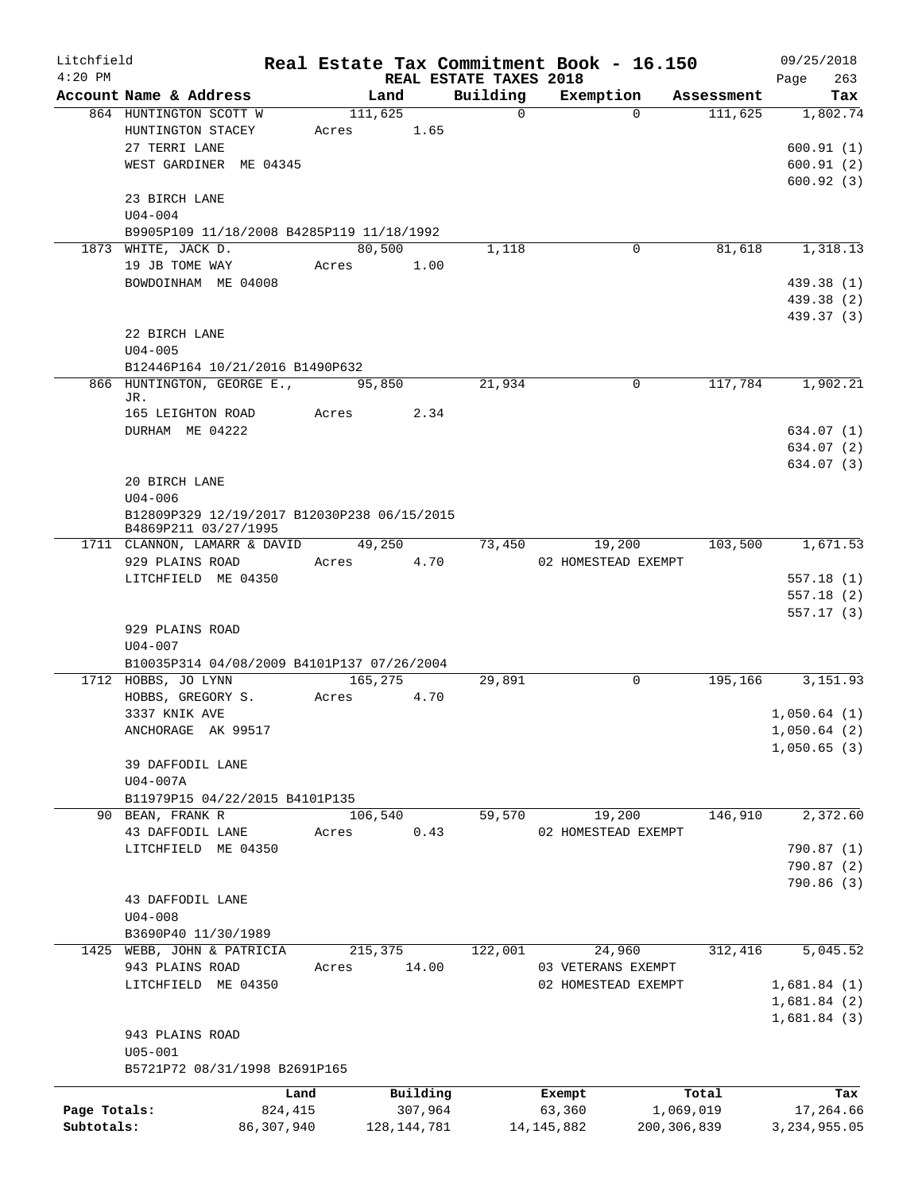| Litchfield   |                                             |       |               |          | Real Estate Tax Commitment Book - 16.150 |               | 09/25/2018                  |
|--------------|---------------------------------------------|-------|---------------|----------|------------------------------------------|---------------|-----------------------------|
| $4:20$ PM    | Account Name & Address                      |       | Land          | Building | REAL ESTATE TAXES 2018<br>Exemption      | Assessment    | 263<br>Page<br>Tax          |
|              | 864 HUNTINGTON SCOTT W                      |       | 111,625       | $\Omega$ | $\Omega$                                 | 111,625       | 1,802.74                    |
|              | HUNTINGTON STACEY                           | Acres | 1.65          |          |                                          |               |                             |
|              | 27 TERRI LANE                               |       |               |          |                                          |               | 600.91(1)                   |
|              | WEST GARDINER ME 04345                      |       |               |          |                                          |               | 600.91(2)                   |
|              |                                             |       |               |          |                                          |               | 600.92(3)                   |
|              | 23 BIRCH LANE                               |       |               |          |                                          |               |                             |
|              | $U04 - 004$                                 |       |               |          |                                          |               |                             |
|              | B9905P109 11/18/2008 B4285P119 11/18/1992   |       |               |          |                                          |               |                             |
|              | 1873 WHITE, JACK D.                         |       | 80,500        | 1,118    | 0                                        | 81,618        | 1,318.13                    |
|              | 19 JB TOME WAY                              |       | 1.00<br>Acres |          |                                          |               |                             |
|              | BOWDOINHAM ME 04008                         |       |               |          |                                          |               | 439.38 (1)                  |
|              |                                             |       |               |          |                                          |               | 439.38 (2)                  |
|              |                                             |       |               |          |                                          |               | 439.37 (3)                  |
|              | 22 BIRCH LANE                               |       |               |          |                                          |               |                             |
|              | $U04 - 005$                                 |       |               |          |                                          |               |                             |
|              | B12446P164 10/21/2016 B1490P632             |       |               |          |                                          |               |                             |
|              | 866 HUNTINGTON, GEORGE E.,                  |       | 95,850        | 21,934   | 0                                        | 117,784       | 1,902.21                    |
|              | JR.<br>165 LEIGHTON ROAD                    | Acres | 2.34          |          |                                          |               |                             |
|              | DURHAM ME 04222                             |       |               |          |                                          |               | 634.07(1)                   |
|              |                                             |       |               |          |                                          |               | 634.07 (2)                  |
|              |                                             |       |               |          |                                          |               | 634.07 (3)                  |
|              | 20 BIRCH LANE                               |       |               |          |                                          |               |                             |
|              | $U04 - 006$                                 |       |               |          |                                          |               |                             |
|              | B12809P329 12/19/2017 B12030P238 06/15/2015 |       |               |          |                                          |               |                             |
|              | B4869P211 03/27/1995                        |       |               |          |                                          |               |                             |
|              | 1711 CLANNON, LAMARR & DAVID 49,250         |       |               | 73,450   | 19,200                                   | 103,500       | 1,671.53                    |
|              | 929 PLAINS ROAD                             |       | Acres<br>4.70 |          | 02 HOMESTEAD EXEMPT                      |               |                             |
|              | LITCHFIELD ME 04350                         |       |               |          |                                          |               | 557.18(1)                   |
|              |                                             |       |               |          |                                          |               | 557.18(2)                   |
|              |                                             |       |               |          |                                          |               | 557.17(3)                   |
|              | 929 PLAINS ROAD<br>$U04 - 007$              |       |               |          |                                          |               |                             |
|              | B10035P314 04/08/2009 B4101P137 07/26/2004  |       |               |          |                                          |               |                             |
|              | 1712 HOBBS, JO LYNN                         |       | 165,275       | 29,891   | 0                                        | 195,166       | 3, 151.93                   |
|              | HOBBS, GREGORY S.                           | Acres | 4.70          |          |                                          |               |                             |
|              | 3337 KNIK AVE                               |       |               |          |                                          |               | 1,050.64(1)                 |
|              | ANCHORAGE AK 99517                          |       |               |          |                                          |               | 1,050.64(2)                 |
|              |                                             |       |               |          |                                          |               | 1,050.65(3)                 |
|              | 39 DAFFODIL LANE                            |       |               |          |                                          |               |                             |
|              | $U04-007A$                                  |       |               |          |                                          |               |                             |
|              | B11979P15 04/22/2015 B4101P135              |       |               |          |                                          |               |                             |
|              | 90 BEAN, FRANK R                            |       | 106,540       | 59,570   | 19,200                                   | 146,910       | 2,372.60                    |
|              | 43 DAFFODIL LANE                            | Acres | 0.43          |          | 02 HOMESTEAD EXEMPT                      |               |                             |
|              | LITCHFIELD ME 04350                         |       |               |          |                                          |               | 790.87 (1)                  |
|              |                                             |       |               |          |                                          |               | 790.87 (2)                  |
|              |                                             |       |               |          |                                          |               | 790.86 (3)                  |
|              | 43 DAFFODIL LANE                            |       |               |          |                                          |               |                             |
|              | $U04 - 008$                                 |       |               |          |                                          |               |                             |
|              | B3690P40 11/30/1989                         |       |               |          |                                          |               |                             |
|              | 1425 WEBB, JOHN & PATRICIA                  |       | 215,375       | 122,001  | 24,960                                   | 312,416       | $\overline{5,045.52}$       |
|              | 943 PLAINS ROAD                             | Acres | 14.00         |          | 03 VETERANS EXEMPT                       |               |                             |
|              | LITCHFIELD ME 04350                         |       |               |          | 02 HOMESTEAD EXEMPT                      |               | 1,681.84(1)                 |
|              |                                             |       |               |          |                                          |               | 1,681.84(2)<br>1,681.84 (3) |
|              | 943 PLAINS ROAD                             |       |               |          |                                          |               |                             |
|              | $U05 - 001$                                 |       |               |          |                                          |               |                             |
|              | B5721P72 08/31/1998 B2691P165               |       |               |          |                                          |               |                             |
|              |                                             |       |               |          |                                          |               |                             |
|              |                                             | Land  | Building      |          | Exempt                                   | Total         | Tax                         |
| Page Totals: | 824,415                                     |       | 307,964       |          | 63,360                                   | 1,069,019     | 17,264.66                   |
| Subtotals:   | 86,307,940                                  |       | 128, 144, 781 |          | 14, 145, 882                             | 200, 306, 839 | 3, 234, 955.05              |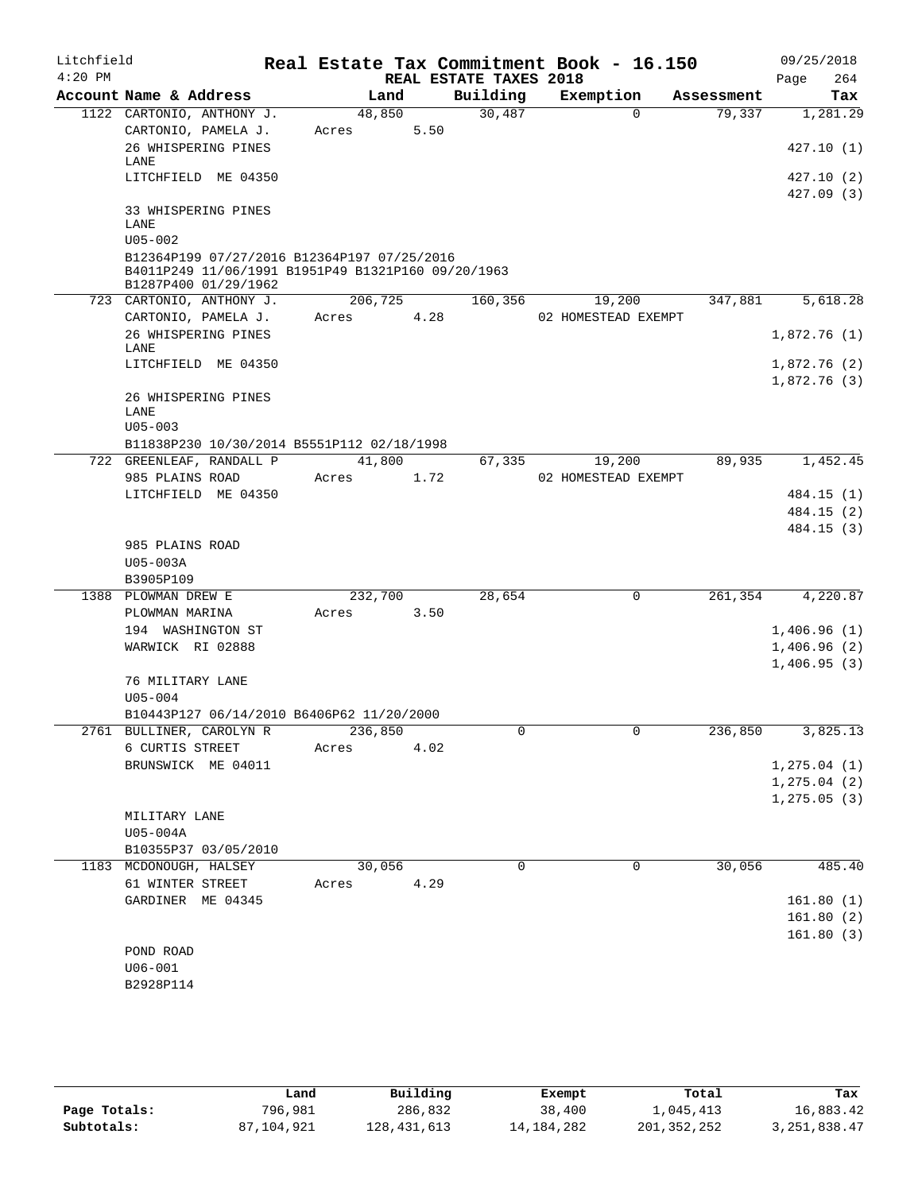| Litchfield |                                                                                                                           |         |      |                        | Real Estate Tax Commitment Book - 16.150 |            | 09/25/2018               |
|------------|---------------------------------------------------------------------------------------------------------------------------|---------|------|------------------------|------------------------------------------|------------|--------------------------|
| $4:20$ PM  |                                                                                                                           |         |      | REAL ESTATE TAXES 2018 |                                          |            | 264<br>Page              |
|            | Account Name & Address                                                                                                    | Land    |      | Building               | Exemption                                | Assessment | Tax                      |
|            | 1122 CARTONIO, ANTHONY J.                                                                                                 | 48,850  |      | 30,487                 | $\Omega$                                 | 79,337     | 1,281.29                 |
|            | CARTONIO, PAMELA J.                                                                                                       | Acres   | 5.50 |                        |                                          |            |                          |
|            | 26 WHISPERING PINES<br>LANE                                                                                               |         |      |                        |                                          |            | 427.10(1)                |
|            | LITCHFIELD ME 04350                                                                                                       |         |      |                        |                                          |            | 427.10 (2)               |
|            |                                                                                                                           |         |      |                        |                                          |            | 427.09 (3)               |
|            | 33 WHISPERING PINES                                                                                                       |         |      |                        |                                          |            |                          |
|            | LANE                                                                                                                      |         |      |                        |                                          |            |                          |
|            | $U05 - 002$                                                                                                               |         |      |                        |                                          |            |                          |
|            | B12364P199 07/27/2016 B12364P197 07/25/2016<br>B4011P249 11/06/1991 B1951P49 B1321P160 09/20/1963<br>B1287P400 01/29/1962 |         |      |                        |                                          |            |                          |
|            | 723 CARTONIO, ANTHONY J.                                                                                                  | 206,725 |      | 160,356                | 19,200                                   | 347,881    | 5,618.28                 |
|            | CARTONIO, PAMELA J.                                                                                                       | Acres   | 4.28 |                        | 02 HOMESTEAD EXEMPT                      |            |                          |
|            | 26 WHISPERING PINES<br>LANE                                                                                               |         |      |                        |                                          |            | 1,872.76(1)              |
|            | LITCHFIELD ME 04350                                                                                                       |         |      |                        |                                          |            | 1,872.76 (2)             |
|            |                                                                                                                           |         |      |                        |                                          |            | 1,872.76(3)              |
|            | 26 WHISPERING PINES                                                                                                       |         |      |                        |                                          |            |                          |
|            | LANE                                                                                                                      |         |      |                        |                                          |            |                          |
|            | $U05 - 003$                                                                                                               |         |      |                        |                                          |            |                          |
|            | B11838P230 10/30/2014 B5551P112 02/18/1998                                                                                |         |      |                        |                                          |            |                          |
|            | 722 GREENLEAF, RANDALL P                                                                                                  | 41,800  |      | 67,335                 | 19,200                                   | 89,935     | 1,452.45                 |
|            | 985 PLAINS ROAD                                                                                                           | Acres   | 1.72 |                        | 02 HOMESTEAD EXEMPT                      |            |                          |
|            | LITCHFIELD ME 04350                                                                                                       |         |      |                        |                                          |            | 484.15 (1)               |
|            |                                                                                                                           |         |      |                        |                                          |            | 484.15 (2)<br>484.15 (3) |
|            | 985 PLAINS ROAD                                                                                                           |         |      |                        |                                          |            |                          |
|            | U05-003A                                                                                                                  |         |      |                        |                                          |            |                          |
|            | B3905P109                                                                                                                 |         |      |                        |                                          |            |                          |
|            | 1388 PLOWMAN DREW E                                                                                                       | 232,700 |      | 28,654                 | $\mathbf 0$                              | 261,354    | 4,220.87                 |
|            | PLOWMAN MARINA                                                                                                            | Acres   | 3.50 |                        |                                          |            |                          |
|            | 194 WASHINGTON ST                                                                                                         |         |      |                        |                                          |            | 1,406.96(1)              |
|            | WARWICK RI 02888                                                                                                          |         |      |                        |                                          |            | 1,406.96(2)              |
|            |                                                                                                                           |         |      |                        |                                          |            | 1,406.95(3)              |
|            | 76 MILITARY LANE                                                                                                          |         |      |                        |                                          |            |                          |
|            | $U05 - 004$                                                                                                               |         |      |                        |                                          |            |                          |
|            | B10443P127 06/14/2010 B6406P62 11/20/2000                                                                                 |         |      |                        |                                          |            |                          |
|            | 2761 BULLINER, CAROLYN R                                                                                                  | 236,850 |      | U                      | U                                        | 236,850    | 3,825.13                 |
|            | 6 CURTIS STREET<br>BRUNSWICK ME 04011                                                                                     | Acres   | 4.02 |                        |                                          |            | 1, 275.04(1)             |
|            |                                                                                                                           |         |      |                        |                                          |            | 1, 275.04(2)             |
|            |                                                                                                                           |         |      |                        |                                          |            | 1, 275.05(3)             |
|            | MILITARY LANE                                                                                                             |         |      |                        |                                          |            |                          |
|            | U05-004A                                                                                                                  |         |      |                        |                                          |            |                          |
|            | B10355P37 03/05/2010                                                                                                      |         |      |                        |                                          |            |                          |
|            | 1183 MCDONOUGH, HALSEY                                                                                                    | 30,056  |      | $\Omega$               | 0                                        | 30,056     | 485.40                   |
|            | 61 WINTER STREET                                                                                                          | Acres   | 4.29 |                        |                                          |            |                          |
|            | GARDINER ME 04345                                                                                                         |         |      |                        |                                          |            | 161.80(1)                |
|            |                                                                                                                           |         |      |                        |                                          |            | 161.80(2)                |
|            |                                                                                                                           |         |      |                        |                                          |            | 161.80(3)                |
|            | POND ROAD                                                                                                                 |         |      |                        |                                          |            |                          |
|            | $U06 - 001$                                                                                                               |         |      |                        |                                          |            |                          |
|            | B2928P114                                                                                                                 |         |      |                        |                                          |            |                          |
|            |                                                                                                                           |         |      |                        |                                          |            |                          |

|              | Land       | Building    | Exempt       | Total         | Tax            |
|--------------|------------|-------------|--------------|---------------|----------------|
| Page Totals: | 796,981    | 286,832     | 38,400       | 1,045,413     | 16,883.42      |
| Subtotals:   | 87,104,921 | 128,431,613 | 14, 184, 282 | 201, 352, 252 | 3, 251, 838.47 |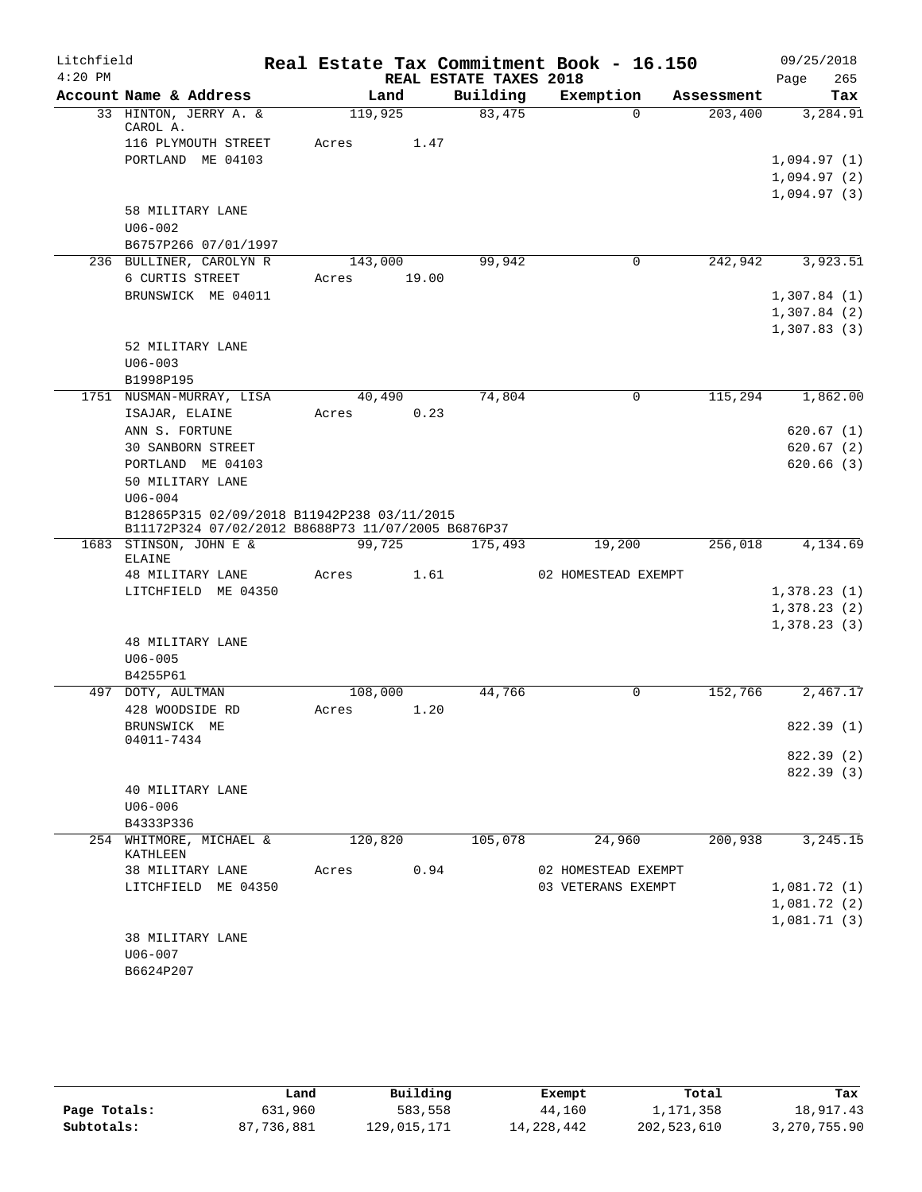| Litchfield |                                                                                                   |                  |        |                        | Real Estate Tax Commitment Book - 16.150 |            | 09/25/2018  |
|------------|---------------------------------------------------------------------------------------------------|------------------|--------|------------------------|------------------------------------------|------------|-------------|
| $4:20$ PM  |                                                                                                   |                  |        | REAL ESTATE TAXES 2018 |                                          |            | 265<br>Page |
|            | Account Name & Address                                                                            |                  | Land   | Building               | Exemption                                | Assessment | Tax         |
|            | 33 HINTON, JERRY A. &<br>CAROL A.                                                                 | 119,925          |        | 83,475                 | $\Omega$                                 | 203,400    | 3,284.91    |
|            | 116 PLYMOUTH STREET                                                                               | Acres            | 1.47   |                        |                                          |            |             |
|            | PORTLAND ME 04103                                                                                 |                  |        |                        |                                          |            | 1,094.97(1) |
|            |                                                                                                   |                  |        |                        |                                          |            | 1,094.97(2) |
|            |                                                                                                   |                  |        |                        |                                          |            | 1,094.97(3) |
|            | 58 MILITARY LANE                                                                                  |                  |        |                        |                                          |            |             |
|            | $U06 - 002$                                                                                       |                  |        |                        |                                          |            |             |
|            | B6757P266 07/01/1997                                                                              |                  |        |                        | 0                                        |            |             |
|            | 236 BULLINER, CAROLYN R<br>6 CURTIS STREET                                                        | 143,000<br>Acres | 19.00  | 99,942                 |                                          | 242,942    | 3,923.51    |
|            | BRUNSWICK ME 04011                                                                                |                  |        |                        |                                          |            | 1,307.84(1) |
|            |                                                                                                   |                  |        |                        |                                          |            | 1,307.84(2) |
|            |                                                                                                   |                  |        |                        |                                          |            | 1,307.83(3) |
|            | 52 MILITARY LANE                                                                                  |                  |        |                        |                                          |            |             |
|            | $U06 - 003$                                                                                       |                  |        |                        |                                          |            |             |
|            | B1998P195                                                                                         |                  |        |                        |                                          |            |             |
|            | 1751 NUSMAN-MURRAY, LISA                                                                          |                  | 40,490 | 74,804                 | 0                                        | 115,294    | 1,862.00    |
|            | ISAJAR, ELAINE                                                                                    | Acres            | 0.23   |                        |                                          |            |             |
|            | ANN S. FORTUNE                                                                                    |                  |        |                        |                                          |            | 620.67(1)   |
|            | <b>30 SANBORN STREET</b>                                                                          |                  |        |                        |                                          |            | 620.67(2)   |
|            | PORTLAND ME 04103                                                                                 |                  |        |                        |                                          |            | 620.66(3)   |
|            | 50 MILITARY LANE                                                                                  |                  |        |                        |                                          |            |             |
|            | $U06 - 004$                                                                                       |                  |        |                        |                                          |            |             |
|            | B12865P315 02/09/2018 B11942P238 03/11/2015<br>B11172P324 07/02/2012 B8688P73 11/07/2005 B6876P37 |                  |        |                        |                                          |            |             |
|            | 1683 STINSON, JOHN E &                                                                            |                  | 99,725 | 175,493                | 19,200                                   | 256,018    | 4,134.69    |
|            | ELAINE                                                                                            |                  |        |                        |                                          |            |             |
|            | 48 MILITARY LANE                                                                                  | Acres            | 1.61   |                        | 02 HOMESTEAD EXEMPT                      |            |             |
|            | LITCHFIELD ME 04350                                                                               |                  |        |                        |                                          |            | 1,378.23(1) |
|            |                                                                                                   |                  |        |                        |                                          |            | 1,378.23(2) |
|            |                                                                                                   |                  |        |                        |                                          |            | 1,378.23(3) |
|            | <b>48 MILITARY LANE</b>                                                                           |                  |        |                        |                                          |            |             |
|            | $U06 - 005$                                                                                       |                  |        |                        |                                          |            |             |
|            | B4255P61                                                                                          |                  |        |                        |                                          |            |             |
|            | 497 DOTY, AULTMAN<br>428 WOODSIDE RD                                                              | 108,000          | 1.20   | 44,766                 | $\mathbf 0$                              | 152,766    | 2,467.17    |
|            | BRUNSWICK ME                                                                                      | Acres            |        |                        |                                          |            | 822.39 (1)  |
|            | 04011-7434                                                                                        |                  |        |                        |                                          |            |             |
|            |                                                                                                   |                  |        |                        |                                          |            | 822.39 (2)  |
|            |                                                                                                   |                  |        |                        |                                          |            | 822.39 (3)  |
|            | 40 MILITARY LANE                                                                                  |                  |        |                        |                                          |            |             |
|            | $U06 - 006$                                                                                       |                  |        |                        |                                          |            |             |
|            | B4333P336                                                                                         |                  |        |                        |                                          |            |             |
|            | 254 WHITMORE, MICHAEL &<br>KATHLEEN                                                               | 120,820          |        | 105,078                | 24,960                                   | 200,938    | 3,245.15    |
|            | 38 MILITARY LANE                                                                                  | Acres            | 0.94   |                        | 02 HOMESTEAD EXEMPT                      |            |             |
|            | LITCHFIELD ME 04350                                                                               |                  |        |                        | 03 VETERANS EXEMPT                       |            | 1,081.72(1) |
|            |                                                                                                   |                  |        |                        |                                          |            | 1,081.72(2) |
|            |                                                                                                   |                  |        |                        |                                          |            | 1,081.71(3) |
|            | 38 MILITARY LANE                                                                                  |                  |        |                        |                                          |            |             |
|            | $U06 - 007$                                                                                       |                  |        |                        |                                          |            |             |
|            | B6624P207                                                                                         |                  |        |                        |                                          |            |             |

|              | Land       | Building    | Exempt       | Total       | Tax          |
|--------------|------------|-------------|--------------|-------------|--------------|
| Page Totals: | 631,960    | 583,558     | 44,160       | 1,171,358   | 18,917.43    |
| Subtotals:   | 87,736,881 | 129,015,171 | 14, 228, 442 | 202,523,610 | 3,270,755.90 |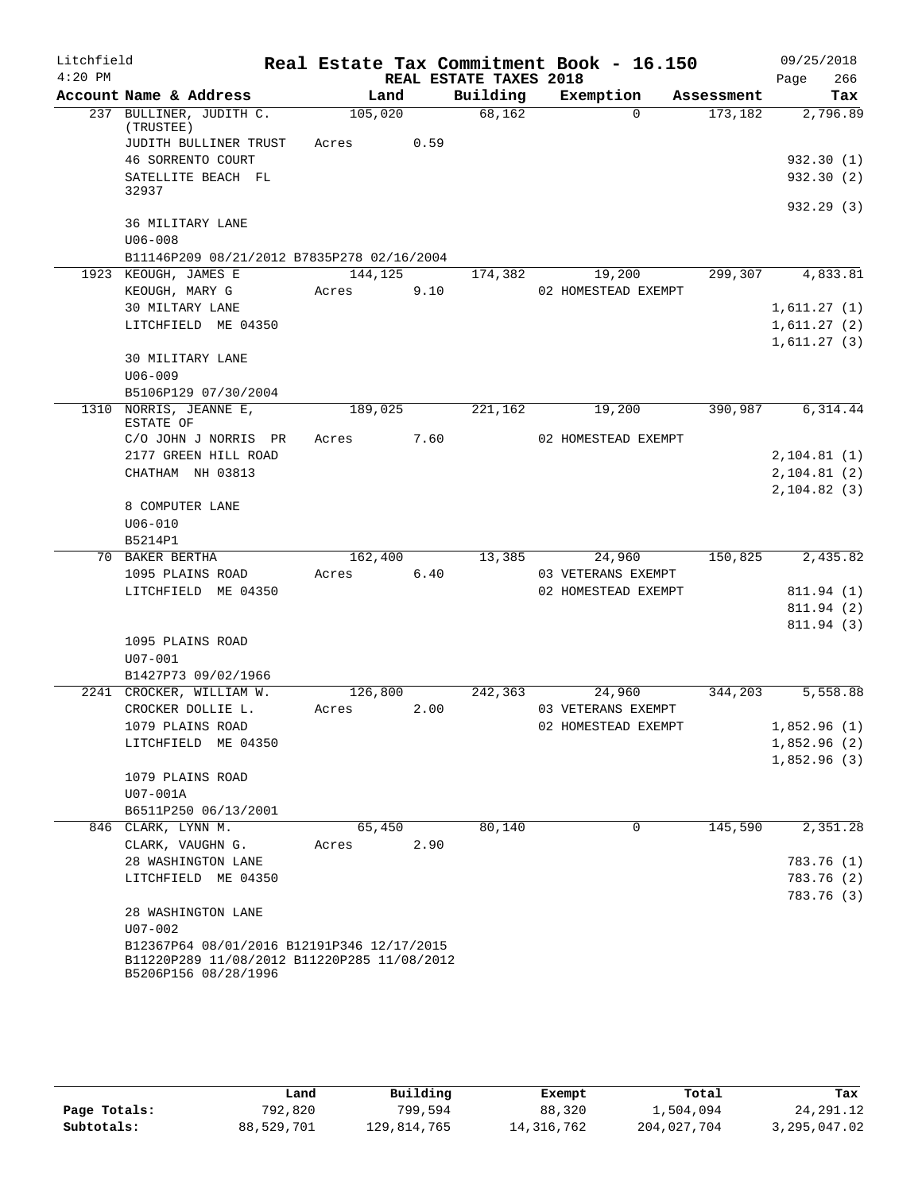| Litchfield |                                                                     |         |      |                        | Real Estate Tax Commitment Book - 16.150 |            | 09/25/2018   |
|------------|---------------------------------------------------------------------|---------|------|------------------------|------------------------------------------|------------|--------------|
| $4:20$ PM  |                                                                     |         |      | REAL ESTATE TAXES 2018 |                                          |            | 266<br>Page  |
|            | Account Name & Address                                              | Land    |      | Building               | Exemption                                | Assessment | Tax          |
|            | 237 BULLINER, JUDITH C.<br>(TRUSTEE)                                | 105,020 |      | 68,162                 | $\Omega$                                 | 173,182    | 2,796.89     |
|            | JUDITH BULLINER TRUST                                               | Acres   | 0.59 |                        |                                          |            |              |
|            | 46 SORRENTO COURT                                                   |         |      |                        |                                          |            | 932.30(1)    |
|            | SATELLITE BEACH FL<br>32937                                         |         |      |                        |                                          |            | 932.30(2)    |
|            |                                                                     |         |      |                        |                                          |            | 932.29 (3)   |
|            | 36 MILITARY LANE<br>$U06 - 008$                                     |         |      |                        |                                          |            |              |
|            | B11146P209 08/21/2012 B7835P278 02/16/2004                          |         |      |                        |                                          |            |              |
|            | 1923 KEOUGH, JAMES E                                                | 144,125 |      | 174,382                | 19,200                                   | 299,307    | 4,833.81     |
|            | KEOUGH, MARY G                                                      | Acres   | 9.10 |                        | 02 HOMESTEAD EXEMPT                      |            |              |
|            | 30 MILTARY LANE                                                     |         |      |                        |                                          |            | 1,611.27(1)  |
|            | LITCHFIELD ME 04350                                                 |         |      |                        |                                          |            | 1,611.27(2)  |
|            |                                                                     |         |      |                        |                                          |            | 1,611.27(3)  |
|            | 30 MILITARY LANE                                                    |         |      |                        |                                          |            |              |
|            | $U06 - 009$                                                         |         |      |                        |                                          |            |              |
| 1310       | B5106P129 07/30/2004<br>NORRIS, JEANNE E,                           | 189,025 |      | 221,162                | 19,200                                   | 390,987    | 6,314.44     |
|            | ESTATE OF                                                           |         |      |                        |                                          |            |              |
|            | C/O JOHN J NORRIS PR                                                | Acres   | 7.60 |                        | 02 HOMESTEAD EXEMPT                      |            |              |
|            | 2177 GREEN HILL ROAD                                                |         |      |                        |                                          |            | 2, 104.81(1) |
|            | CHATHAM NH 03813                                                    |         |      |                        |                                          |            | 2, 104.81(2) |
|            |                                                                     |         |      |                        |                                          |            | 2, 104.82(3) |
|            | 8 COMPUTER LANE<br>$U06 - 010$                                      |         |      |                        |                                          |            |              |
|            | B5214P1                                                             |         |      |                        |                                          |            |              |
|            | 70 BAKER BERTHA                                                     | 162,400 |      | 13,385                 | 24,960                                   | 150,825    | 2,435.82     |
|            | 1095 PLAINS ROAD                                                    | Acres   | 6.40 |                        | 03 VETERANS EXEMPT                       |            |              |
|            | LITCHFIELD ME 04350                                                 |         |      |                        | 02 HOMESTEAD EXEMPT                      |            | 811.94 (1)   |
|            |                                                                     |         |      |                        |                                          |            | 811.94 (2)   |
|            |                                                                     |         |      |                        |                                          |            | 811.94 (3)   |
|            | 1095 PLAINS ROAD                                                    |         |      |                        |                                          |            |              |
|            | $U07 - 001$                                                         |         |      |                        |                                          |            |              |
|            | B1427P73 09/02/1966                                                 |         |      |                        |                                          |            |              |
|            | 2241 CROCKER, WILLIAM W.                                            | 126,800 |      | 242,363                | 24,960                                   | 344,203    | 5,558.88     |
|            | CROCKER DOLLIE L.                                                   | Acres   | 2.00 |                        | 03 VETERANS EXEMPT                       |            |              |
|            | 1079 PLAINS ROAD                                                    |         |      |                        | 02 HOMESTEAD EXEMPT                      |            | 1,852.96 (1) |
|            | LITCHFIELD ME 04350                                                 |         |      |                        |                                          |            | 1,852.96(2)  |
|            | 1079 PLAINS ROAD                                                    |         |      |                        |                                          |            | 1,852.96(3)  |
|            | U07-001A                                                            |         |      |                        |                                          |            |              |
|            | B6511P250 06/13/2001                                                |         |      |                        |                                          |            |              |
|            | 846 CLARK, LYNN M.                                                  | 65,450  |      | 80,140                 | $\Omega$                                 | 145,590    | 2,351.28     |
|            | CLARK, VAUGHN G.                                                    | Acres   | 2.90 |                        |                                          |            |              |
|            | 28 WASHINGTON LANE                                                  |         |      |                        |                                          |            | 783.76 (1)   |
|            | LITCHFIELD ME 04350                                                 |         |      |                        |                                          |            | 783.76 (2)   |
|            |                                                                     |         |      |                        |                                          |            | 783.76 (3)   |
|            | 28 WASHINGTON LANE<br>U07-002                                       |         |      |                        |                                          |            |              |
|            | B12367P64 08/01/2016 B12191P346 12/17/2015                          |         |      |                        |                                          |            |              |
|            | B11220P289 11/08/2012 B11220P285 11/08/2012<br>B5206P156 08/28/1996 |         |      |                        |                                          |            |              |
|            |                                                                     |         |      |                        |                                          |            |              |

|              | Land       | Building    | Exempt     | Total       | Tax          |
|--------------|------------|-------------|------------|-------------|--------------|
| Page Totals: | 792,820    | 799,594     | 88,320     | 1,504,094   | 24, 291. 12  |
| Subtotals:   | 88,529,701 | 129,814,765 | 14,316,762 | 204,027,704 | 3,295,047.02 |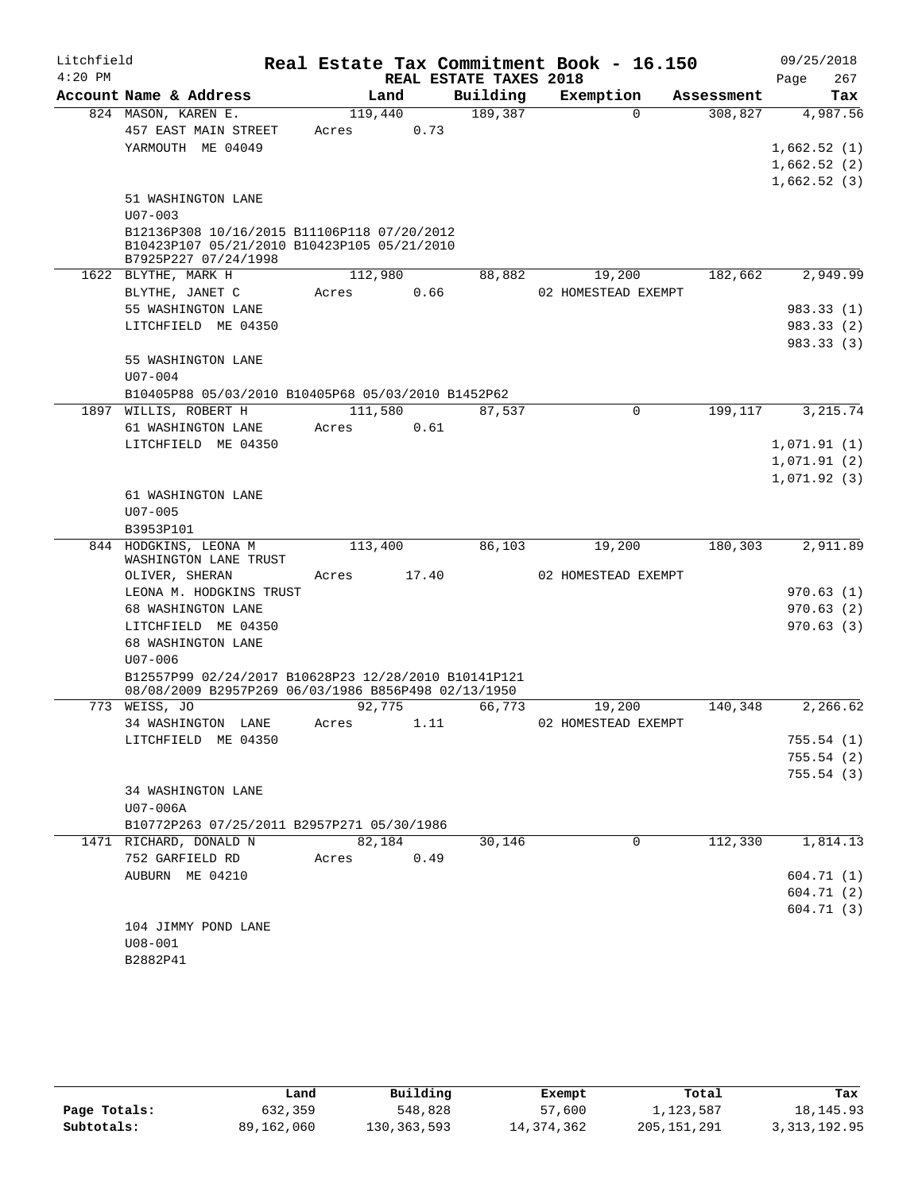| Litchfield |                                                      |         |        |                        | Real Estate Tax Commitment Book - 16.150 |            | 09/25/2018  |
|------------|------------------------------------------------------|---------|--------|------------------------|------------------------------------------|------------|-------------|
| $4:20$ PM  |                                                      |         |        | REAL ESTATE TAXES 2018 |                                          |            | 267<br>Page |
|            | Account Name & Address                               |         | Land   | Building               | Exemption                                | Assessment | Tax         |
|            | 824 MASON, KAREN E.                                  | 119,440 |        | 189,387                | $\Omega$                                 | 308,827    | 4,987.56    |
|            | 457 EAST MAIN STREET                                 | Acres   | 0.73   |                        |                                          |            |             |
|            | YARMOUTH ME 04049                                    |         |        |                        |                                          |            | 1,662.52(1) |
|            |                                                      |         |        |                        |                                          |            | 1,662.52(2) |
|            | 51 WASHINGTON LANE                                   |         |        |                        |                                          |            | 1,662.52(3) |
|            | $U07 - 003$                                          |         |        |                        |                                          |            |             |
|            | B12136P308 10/16/2015 B11106P118 07/20/2012          |         |        |                        |                                          |            |             |
|            | B10423P107 05/21/2010 B10423P105 05/21/2010          |         |        |                        |                                          |            |             |
|            | B7925P227 07/24/1998                                 |         |        |                        |                                          |            |             |
|            | 1622 BLYTHE, MARK H                                  | 112,980 |        | 88,882                 | 19,200                                   | 182,662    | 2,949.99    |
|            | BLYTHE, JANET C<br>55 WASHINGTON LANE                | Acres   | 0.66   |                        | 02 HOMESTEAD EXEMPT                      |            | 983.33 (1)  |
|            | LITCHFIELD ME 04350                                  |         |        |                        |                                          |            | 983.33 (2)  |
|            |                                                      |         |        |                        |                                          |            | 983.33 (3)  |
|            | 55 WASHINGTON LANE                                   |         |        |                        |                                          |            |             |
|            | $U07 - 004$                                          |         |        |                        |                                          |            |             |
|            | B10405P88 05/03/2010 B10405P68 05/03/2010 B1452P62   |         |        |                        |                                          |            |             |
| 1897       | WILLIS, ROBERT H                                     | 111,580 |        | $\overline{87}$ , 537  | $\mathbf 0$                              | 199,117    | 3,215.74    |
|            | 61 WASHINGTON LANE                                   | Acres   | 0.61   |                        |                                          |            |             |
|            | LITCHFIELD ME 04350                                  |         |        |                        |                                          |            | 1,071.91(1) |
|            |                                                      |         |        |                        |                                          |            | 1,071.91(2) |
|            |                                                      |         |        |                        |                                          |            | 1,071.92(3) |
|            | 61 WASHINGTON LANE<br>$U07 - 005$                    |         |        |                        |                                          |            |             |
|            | B3953P101                                            |         |        |                        |                                          |            |             |
|            | 844 HODGKINS, LEONA M                                | 113,400 |        | 86,103                 | 19,200                                   | 180,303    | 2,911.89    |
|            | WASHINGTON LANE TRUST                                |         |        |                        |                                          |            |             |
|            | OLIVER, SHERAN                                       | Acres   | 17.40  |                        | 02 HOMESTEAD EXEMPT                      |            |             |
|            | LEONA M. HODGKINS TRUST                              |         |        |                        |                                          |            | 970.63(1)   |
|            | 68 WASHINGTON LANE                                   |         |        |                        |                                          |            | 970.63(2)   |
|            | LITCHFIELD ME 04350<br>68 WASHINGTON LANE            |         |        |                        |                                          |            | 970.63(3)   |
|            | $U07 - 006$                                          |         |        |                        |                                          |            |             |
|            | B12557P99 02/24/2017 B10628P23 12/28/2010 B10141P121 |         |        |                        |                                          |            |             |
|            | 08/08/2009 B2957P269 06/03/1986 B856P498 02/13/1950  |         |        |                        |                                          |            |             |
|            | 773 WEISS, JO                                        | 92,775  |        | 66,773                 | 19,200                                   | 140,348    | 2,266.62    |
|            | 34 WASHINGTON LANE                                   | Acres   | 1.11   |                        | 02 HOMESTEAD EXEMPT                      |            |             |
|            | LITCHFIELD ME 04350                                  |         |        |                        |                                          |            | 755.54(1)   |
|            |                                                      |         |        |                        |                                          |            | 755.54(2)   |
|            | 34 WASHINGTON LANE                                   |         |        |                        |                                          |            | 755.54(3)   |
|            | U07-006A                                             |         |        |                        |                                          |            |             |
|            | B10772P263 07/25/2011 B2957P271 05/30/1986           |         |        |                        |                                          |            |             |
|            | 1471 RICHARD, DONALD N                               |         | 82,184 | 30,146                 | 0                                        | 112,330    | 1,814.13    |
|            | 752 GARFIELD RD                                      | Acres   | 0.49   |                        |                                          |            |             |
|            | AUBURN ME 04210                                      |         |        |                        |                                          |            | 604.71(1)   |
|            |                                                      |         |        |                        |                                          |            | 604.71(2)   |
|            |                                                      |         |        |                        |                                          |            | 604.71(3)   |
|            | 104 JIMMY POND LANE                                  |         |        |                        |                                          |            |             |
|            | $U08 - 001$<br>B2882P41                              |         |        |                        |                                          |            |             |
|            |                                                      |         |        |                        |                                          |            |             |

|              | Land       | Building      | Exempt       | Total       | Tax            |
|--------------|------------|---------------|--------------|-------------|----------------|
| Page Totals: | 632,359    | 548,828       | 57,600       | 1,123,587   | 18, 145. 93    |
| Subtotals:   | 89,162,060 | 130, 363, 593 | 14, 374, 362 | 205,151,291 | 3, 313, 192.95 |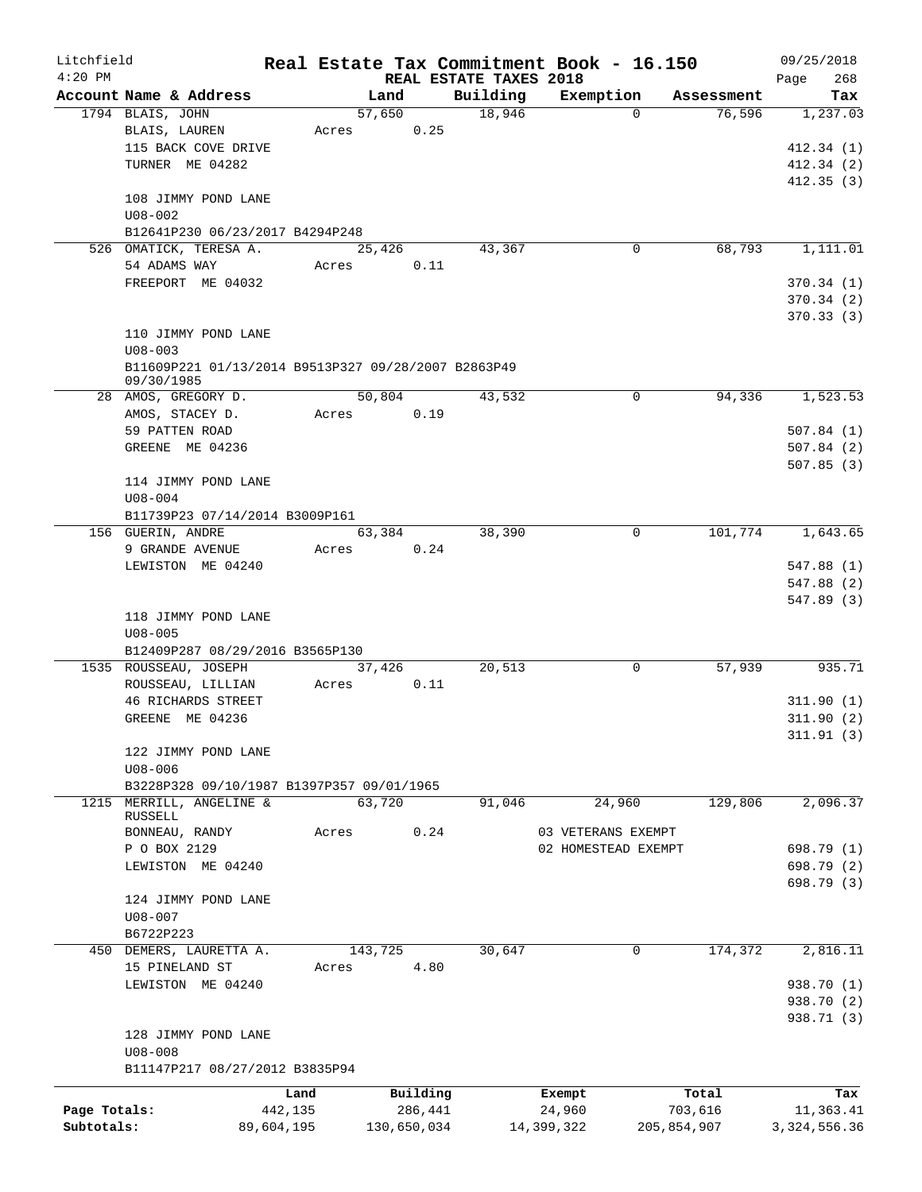| Litchfield   |                                                                   |            |                |             |                        | Real Estate Tax Commitment Book - 16.150 |                                  | 09/25/2018               |
|--------------|-------------------------------------------------------------------|------------|----------------|-------------|------------------------|------------------------------------------|----------------------------------|--------------------------|
| $4:20$ PM    |                                                                   |            |                |             | REAL ESTATE TAXES 2018 |                                          |                                  | 268<br>Page              |
|              | Account Name & Address<br>1794 BLAIS, JOHN                        |            | Land<br>57,650 |             | Building<br>18,946     | Exemption                                | Assessment<br>76,596<br>$\Omega$ | Tax<br>1,237.03          |
|              | BLAIS, LAUREN                                                     | Acres      |                | 0.25        |                        |                                          |                                  |                          |
|              | 115 BACK COVE DRIVE                                               |            |                |             |                        |                                          |                                  | 412.34(1)                |
|              | TURNER ME 04282                                                   |            |                |             |                        |                                          |                                  | 412.34 (2)               |
|              |                                                                   |            |                |             |                        |                                          |                                  | 412.35(3)                |
|              | 108 JIMMY POND LANE                                               |            |                |             |                        |                                          |                                  |                          |
|              | $U08 - 002$                                                       |            |                |             |                        |                                          |                                  |                          |
|              | B12641P230 06/23/2017 B4294P248                                   |            |                |             |                        |                                          |                                  |                          |
|              | 526 OMATICK, TERESA A.                                            |            | 25,426         |             | 43,367                 |                                          | 68,793<br>0                      | 1,111.01                 |
|              | 54 ADAMS WAY                                                      | Acres      |                | 0.11        |                        |                                          |                                  |                          |
|              | FREEPORT ME 04032                                                 |            |                |             |                        |                                          |                                  | 370.34(1)                |
|              |                                                                   |            |                |             |                        |                                          |                                  | 370.34(2)                |
|              |                                                                   |            |                |             |                        |                                          |                                  | 370.33(3)                |
|              | 110 JIMMY POND LANE                                               |            |                |             |                        |                                          |                                  |                          |
|              | $U08 - 003$                                                       |            |                |             |                        |                                          |                                  |                          |
|              | B11609P221 01/13/2014 B9513P327 09/28/2007 B2863P49<br>09/30/1985 |            |                |             |                        |                                          |                                  |                          |
|              | 28 AMOS, GREGORY D.                                               |            | 50,804         |             | 43,532                 |                                          | 0<br>94,336                      | 1,523.53                 |
|              | AMOS, STACEY D.                                                   | Acres      |                | 0.19        |                        |                                          |                                  |                          |
|              | 59 PATTEN ROAD                                                    |            |                |             |                        |                                          |                                  | 507.84(1)                |
|              | GREENE ME 04236                                                   |            |                |             |                        |                                          |                                  | 507.84(2)                |
|              |                                                                   |            |                |             |                        |                                          |                                  | 507.85(3)                |
|              | 114 JIMMY POND LANE                                               |            |                |             |                        |                                          |                                  |                          |
|              | $U08 - 004$                                                       |            |                |             |                        |                                          |                                  |                          |
|              | B11739P23 07/14/2014 B3009P161                                    |            |                |             |                        |                                          |                                  |                          |
|              | 156 GUERIN, ANDRE                                                 |            | 63,384         |             | 38,390                 |                                          | $\mathbf 0$<br>101,774           | 1,643.65                 |
|              | 9 GRANDE AVENUE                                                   | Acres      |                | 0.24        |                        |                                          |                                  |                          |
|              | LEWISTON ME 04240                                                 |            |                |             |                        |                                          |                                  | 547.88 (1)               |
|              |                                                                   |            |                |             |                        |                                          |                                  | 547.88 (2)               |
|              | 118 JIMMY POND LANE                                               |            |                |             |                        |                                          |                                  | 547.89 (3)               |
|              | $U08 - 005$                                                       |            |                |             |                        |                                          |                                  |                          |
|              | B12409P287 08/29/2016 B3565P130                                   |            |                |             |                        |                                          |                                  |                          |
|              | 1535 ROUSSEAU, JOSEPH                                             |            | 37,426         |             | 20,513                 |                                          | 0<br>57,939                      | 935.71                   |
|              | ROUSSEAU, LILLIAN                                                 | Acres      |                | 0.11        |                        |                                          |                                  |                          |
|              | <b>46 RICHARDS STREET</b>                                         |            |                |             |                        |                                          |                                  | 311.90(1)                |
|              | GREENE ME 04236                                                   |            |                |             |                        |                                          |                                  | 311.90(2)                |
|              |                                                                   |            |                |             |                        |                                          |                                  | 311.91(3)                |
|              | 122 JIMMY POND LANE                                               |            |                |             |                        |                                          |                                  |                          |
|              | $U08 - 006$                                                       |            |                |             |                        |                                          |                                  |                          |
|              | B3228P328 09/10/1987 B1397P357 09/01/1965                         |            |                |             |                        |                                          |                                  |                          |
|              | 1215 MERRILL, ANGELINE &                                          |            | 63,720         |             | 91,046                 | 24,960                                   | 129,806                          | 2,096.37                 |
|              | RUSSELL                                                           |            |                |             |                        |                                          |                                  |                          |
|              | BONNEAU, RANDY                                                    | Acres      |                | 0.24        |                        | 03 VETERANS EXEMPT                       |                                  |                          |
|              | P O BOX 2129                                                      |            |                |             |                        | 02 HOMESTEAD EXEMPT                      |                                  | 698.79 (1)               |
|              | LEWISTON ME 04240                                                 |            |                |             |                        |                                          |                                  | 698.79 (2)<br>698.79 (3) |
|              | 124 JIMMY POND LANE                                               |            |                |             |                        |                                          |                                  |                          |
|              | $U08 - 007$                                                       |            |                |             |                        |                                          |                                  |                          |
|              | B6722P223                                                         |            |                |             |                        |                                          |                                  |                          |
|              | 450 DEMERS, LAURETTA A.                                           |            | 143,725        |             | 30,647                 | 0                                        | 174,372                          | 2,816.11                 |
|              | 15 PINELAND ST                                                    | Acres      |                | 4.80        |                        |                                          |                                  |                          |
|              | LEWISTON ME 04240                                                 |            |                |             |                        |                                          |                                  | 938.70 (1)               |
|              |                                                                   |            |                |             |                        |                                          |                                  | 938.70 (2)               |
|              |                                                                   |            |                |             |                        |                                          |                                  | 938.71 (3)               |
|              | 128 JIMMY POND LANE                                               |            |                |             |                        |                                          |                                  |                          |
|              | $U08 - 008$                                                       |            |                |             |                        |                                          |                                  |                          |
|              | B11147P217 08/27/2012 B3835P94                                    |            |                |             |                        |                                          |                                  |                          |
|              |                                                                   | Land       |                | Building    |                        | Exempt                                   | Total                            | Tax                      |
| Page Totals: |                                                                   | 442,135    |                | 286,441     |                        | 24,960                                   | 703,616                          | 11,363.41                |
| Subtotals:   |                                                                   | 89,604,195 |                | 130,650,034 |                        | 14,399,322                               | 205,854,907                      | 3, 324, 556.36           |
|              |                                                                   |            |                |             |                        |                                          |                                  |                          |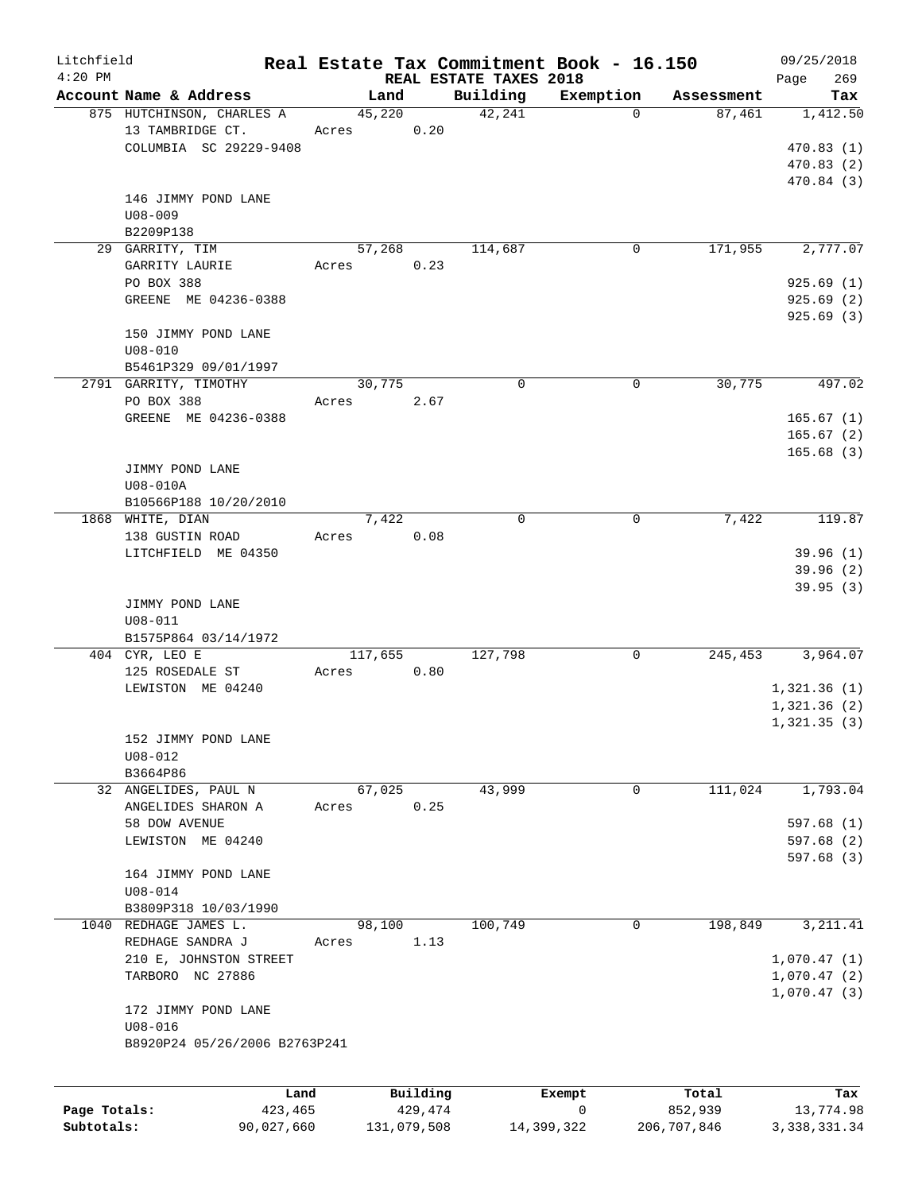| Litchfield   |                               |         |             |                        | Real Estate Tax Commitment Book - 16.150 |             | 09/25/2018     |
|--------------|-------------------------------|---------|-------------|------------------------|------------------------------------------|-------------|----------------|
| $4:20$ PM    |                               |         |             | REAL ESTATE TAXES 2018 |                                          |             | 269<br>Page    |
|              | Account Name & Address        | Land    |             | Building               | Exemption                                | Assessment  | Tax            |
|              | 875 HUTCHINSON, CHARLES A     | 45,220  |             | 42,241                 | $\Omega$                                 | 87,461      | 1,412.50       |
|              | 13 TAMBRIDGE CT.              | Acres   | 0.20        |                        |                                          |             |                |
|              | COLUMBIA SC 29229-9408        |         |             |                        |                                          |             | 470.83(1)      |
|              |                               |         |             |                        |                                          |             | 470.83 (2)     |
|              |                               |         |             |                        |                                          |             | 470.84(3)      |
|              | 146 JIMMY POND LANE           |         |             |                        |                                          |             |                |
|              | $U08 - 009$                   |         |             |                        |                                          |             |                |
|              | B2209P138                     |         |             |                        |                                          |             |                |
|              | 29 GARRITY, TIM               | 57,268  |             | 114,687                | 0                                        | 171,955     | 2,777.07       |
|              | GARRITY LAURIE                | Acres   | 0.23        |                        |                                          |             |                |
|              | PO BOX 388                    |         |             |                        |                                          |             | 925.69(1)      |
|              | GREENE ME 04236-0388          |         |             |                        |                                          |             | 925.69(2)      |
|              |                               |         |             |                        |                                          |             | 925.69(3)      |
|              | 150 JIMMY POND LANE           |         |             |                        |                                          |             |                |
|              | $U08 - 010$                   |         |             |                        |                                          |             |                |
|              | B5461P329 09/01/1997          |         |             |                        |                                          |             |                |
|              | 2791 GARRITY, TIMOTHY         | 30,775  |             | 0                      | 0                                        | 30,775      | 497.02         |
|              | PO BOX 388                    | Acres   | 2.67        |                        |                                          |             |                |
|              | GREENE ME 04236-0388          |         |             |                        |                                          |             | 165.67(1)      |
|              |                               |         |             |                        |                                          |             | 165.67(2)      |
|              |                               |         |             |                        |                                          |             | 165.68(3)      |
|              | JIMMY POND LANE               |         |             |                        |                                          |             |                |
|              | U08-010A                      |         |             |                        |                                          |             |                |
|              | B10566P188 10/20/2010         |         |             |                        |                                          |             |                |
|              | 1868 WHITE, DIAN              | 7,422   |             | $\mathbf 0$            | 0                                        | 7,422       | 119.87         |
|              | 138 GUSTIN ROAD               | Acres   | 0.08        |                        |                                          |             |                |
|              | LITCHFIELD ME 04350           |         |             |                        |                                          |             | 39.96(1)       |
|              |                               |         |             |                        |                                          |             | 39.96(2)       |
|              |                               |         |             |                        |                                          |             | 39.95(3)       |
|              |                               |         |             |                        |                                          |             |                |
|              | JIMMY POND LANE               |         |             |                        |                                          |             |                |
|              | $U08 - 011$                   |         |             |                        |                                          |             |                |
|              | B1575P864 03/14/1972          |         |             |                        |                                          |             |                |
|              | 404 CYR, LEO E                | 117,655 |             | 127,798                | 0                                        | 245,453     | 3,964.07       |
|              | 125 ROSEDALE ST               | Acres   | 0.80        |                        |                                          |             |                |
|              | LEWISTON ME 04240             |         |             |                        |                                          |             | 1,321.36(1)    |
|              |                               |         |             |                        |                                          |             | 1,321.36(2)    |
|              |                               |         |             |                        |                                          |             | 1,321.35(3)    |
|              | 152 JIMMY POND LANE           |         |             |                        |                                          |             |                |
|              | $U08 - 012$                   |         |             |                        |                                          |             |                |
|              | B3664P86                      |         |             |                        |                                          |             |                |
|              | 32 ANGELIDES, PAUL N          | 67,025  |             | 43,999                 | 0                                        | 111,024     | 1,793.04       |
|              | ANGELIDES SHARON A            | Acres   | 0.25        |                        |                                          |             |                |
|              | 58 DOW AVENUE                 |         |             |                        |                                          |             | 597.68(1)      |
|              | LEWISTON ME 04240             |         |             |                        |                                          |             | 597.68(2)      |
|              |                               |         |             |                        |                                          |             | 597.68 (3)     |
|              | 164 JIMMY POND LANE           |         |             |                        |                                          |             |                |
|              | $U08 - 014$                   |         |             |                        |                                          |             |                |
|              | B3809P318 10/03/1990          |         |             |                        |                                          |             |                |
|              | 1040 REDHAGE JAMES L.         | 98,100  |             | 100,749                | 0                                        | 198,849     | 3, 211.41      |
|              | REDHAGE SANDRA J              | Acres   | 1.13        |                        |                                          |             |                |
|              | 210 E, JOHNSTON STREET        |         |             |                        |                                          |             | 1,070.47(1)    |
|              | TARBORO NC 27886              |         |             |                        |                                          |             | 1,070.47(2)    |
|              |                               |         |             |                        |                                          |             | 1,070.47(3)    |
|              | 172 JIMMY POND LANE           |         |             |                        |                                          |             |                |
|              | $U08 - 016$                   |         |             |                        |                                          |             |                |
|              | B8920P24 05/26/2006 B2763P241 |         |             |                        |                                          |             |                |
|              |                               |         |             |                        |                                          |             |                |
|              | Land                          |         | Building    |                        | Exempt                                   | Total       | Tax            |
| Page Totals: | 423,465                       |         | 429,474     |                        | 0                                        | 852,939     | 13,774.98      |
| Subtotals:   | 90,027,660                    |         | 131,079,508 |                        | 14,399,322                               | 206,707,846 | 3, 338, 331.34 |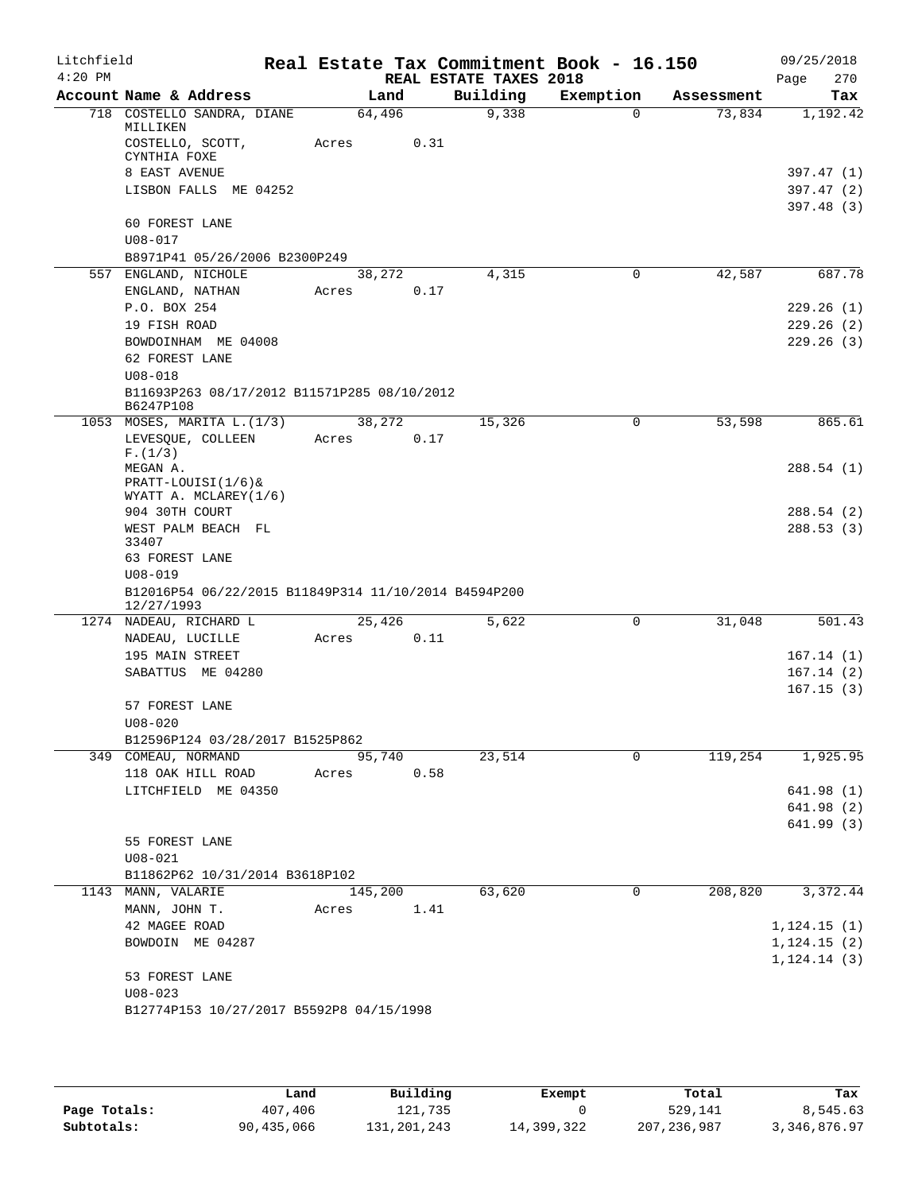| Litchfield |                                                                    |         |      |                        | Real Estate Tax Commitment Book - 16.150 |            | 09/25/2018              |
|------------|--------------------------------------------------------------------|---------|------|------------------------|------------------------------------------|------------|-------------------------|
| $4:20$ PM  |                                                                    |         |      | REAL ESTATE TAXES 2018 |                                          |            | 270<br>Page             |
|            | Account Name & Address                                             | Land    |      | Building               | Exemption                                | Assessment | Tax                     |
|            | 718 COSTELLO SANDRA, DIANE<br>MILLIKEN                             | 64,496  |      | 9,338                  | $\Omega$                                 | 73,834     | 1,192.42                |
|            | COSTELLO, SCOTT,<br>CYNTHIA FOXE                                   | Acres   | 0.31 |                        |                                          |            |                         |
|            | 8 EAST AVENUE                                                      |         |      |                        |                                          |            | 397.47 (1)              |
|            | LISBON FALLS ME 04252                                              |         |      |                        |                                          |            | 397.47(2)<br>397.48 (3) |
|            | 60 FOREST LANE                                                     |         |      |                        |                                          |            |                         |
|            | $U08 - 017$                                                        |         |      |                        |                                          |            |                         |
|            | B8971P41 05/26/2006 B2300P249                                      |         |      |                        |                                          |            |                         |
|            | 557 ENGLAND, NICHOLE                                               | 38,272  |      | 4,315                  | $\mathbf 0$                              | 42,587     | 687.78                  |
|            | ENGLAND, NATHAN                                                    | Acres   | 0.17 |                        |                                          |            |                         |
|            | P.O. BOX 254                                                       |         |      |                        |                                          |            | 229.26(1)               |
|            | 19 FISH ROAD                                                       |         |      |                        |                                          |            | 229.26(2)               |
|            | BOWDOINHAM ME 04008                                                |         |      |                        |                                          |            | 229.26(3)               |
|            | 62 FOREST LANE                                                     |         |      |                        |                                          |            |                         |
|            | $U08 - 018$                                                        |         |      |                        |                                          |            |                         |
|            | B11693P263 08/17/2012 B11571P285 08/10/2012<br>B6247P108           |         |      |                        |                                          |            |                         |
|            | 1053 MOSES, MARITA L. (1/3)                                        | 38,272  |      | 15,326                 | 0                                        | 53,598     | 865.61                  |
|            | LEVESOUE, COLLEEN                                                  | Acres   | 0.17 |                        |                                          |            |                         |
|            | F.(1/3)                                                            |         |      |                        |                                          |            |                         |
|            | MEGAN A.                                                           |         |      |                        |                                          |            | 288.54 (1)              |
|            | $PRACTT-LOUTSI(1/6)$                                               |         |      |                        |                                          |            |                         |
|            | WYATT A. MCLAREY(1/6)                                              |         |      |                        |                                          |            |                         |
|            | 904 30TH COURT                                                     |         |      |                        |                                          |            | 288.54 (2)              |
|            | WEST PALM BEACH FL<br>33407                                        |         |      |                        |                                          |            | 288.53(3)               |
|            | 63 FOREST LANE                                                     |         |      |                        |                                          |            |                         |
|            | $U08 - 019$                                                        |         |      |                        |                                          |            |                         |
|            | B12016P54 06/22/2015 B11849P314 11/10/2014 B4594P200<br>12/27/1993 |         |      |                        |                                          |            |                         |
|            | 1274 NADEAU, RICHARD L                                             | 25,426  |      | 5,622                  | $\Omega$                                 | 31,048     | 501.43                  |
|            | NADEAU, LUCILLE                                                    | Acres   | 0.11 |                        |                                          |            |                         |
|            | 195 MAIN STREET                                                    |         |      |                        |                                          |            | 167.14(1)               |
|            | SABATTUS ME 04280                                                  |         |      |                        |                                          |            | 167.14(2)               |
|            |                                                                    |         |      |                        |                                          |            | 167.15(3)               |
|            | 57 FOREST LANE                                                     |         |      |                        |                                          |            |                         |
|            | $U08 - 020$                                                        |         |      |                        |                                          |            |                         |
|            | B12596P124 03/28/2017 B1525P862                                    |         |      |                        |                                          |            |                         |
|            | 349 COMEAU, NORMAND                                                | 95,740  |      | 23,514                 | $\Omega$                                 | 119,254    | 1,925.95                |
|            | 118 OAK HILL ROAD                                                  | Acres   | 0.58 |                        |                                          |            |                         |
|            | LITCHFIELD ME 04350                                                |         |      |                        |                                          |            | 641.98 (1)              |
|            |                                                                    |         |      |                        |                                          |            | 641.98(2)               |
|            |                                                                    |         |      |                        |                                          |            | 641.99 (3)              |
|            | 55 FOREST LANE                                                     |         |      |                        |                                          |            |                         |
|            | $U08 - 021$                                                        |         |      |                        |                                          |            |                         |
|            | B11862P62 10/31/2014 B3618P102                                     |         |      |                        |                                          |            |                         |
|            | 1143 MANN, VALARIE                                                 | 145,200 |      | 63,620                 | 0                                        | 208,820    | 3,372.44                |
|            | MANN, JOHN T.                                                      | Acres   | 1.41 |                        |                                          |            |                         |
|            | 42 MAGEE ROAD                                                      |         |      |                        |                                          |            | 1, 124.15(1)            |
|            | BOWDOIN ME 04287                                                   |         |      |                        |                                          |            | 1,124.15(2)             |
|            |                                                                    |         |      |                        |                                          |            | 1, 124.14(3)            |
|            | 53 FOREST LANE                                                     |         |      |                        |                                          |            |                         |
|            | $U08 - 023$                                                        |         |      |                        |                                          |            |                         |
|            | B12774P153 10/27/2017 B5592P8 04/15/1998                           |         |      |                        |                                          |            |                         |
|            |                                                                    |         |      |                        |                                          |            |                         |

|              | Land       | Building      | Exempt     | Total         | Tax          |
|--------------|------------|---------------|------------|---------------|--------------|
| Page Totals: | 407,406    | 121,735       |            | 529,141       | 8,545.63     |
| Subtotals:   | 90,435,066 | 131, 201, 243 | 14,399,322 | 207, 236, 987 | 3,346,876.97 |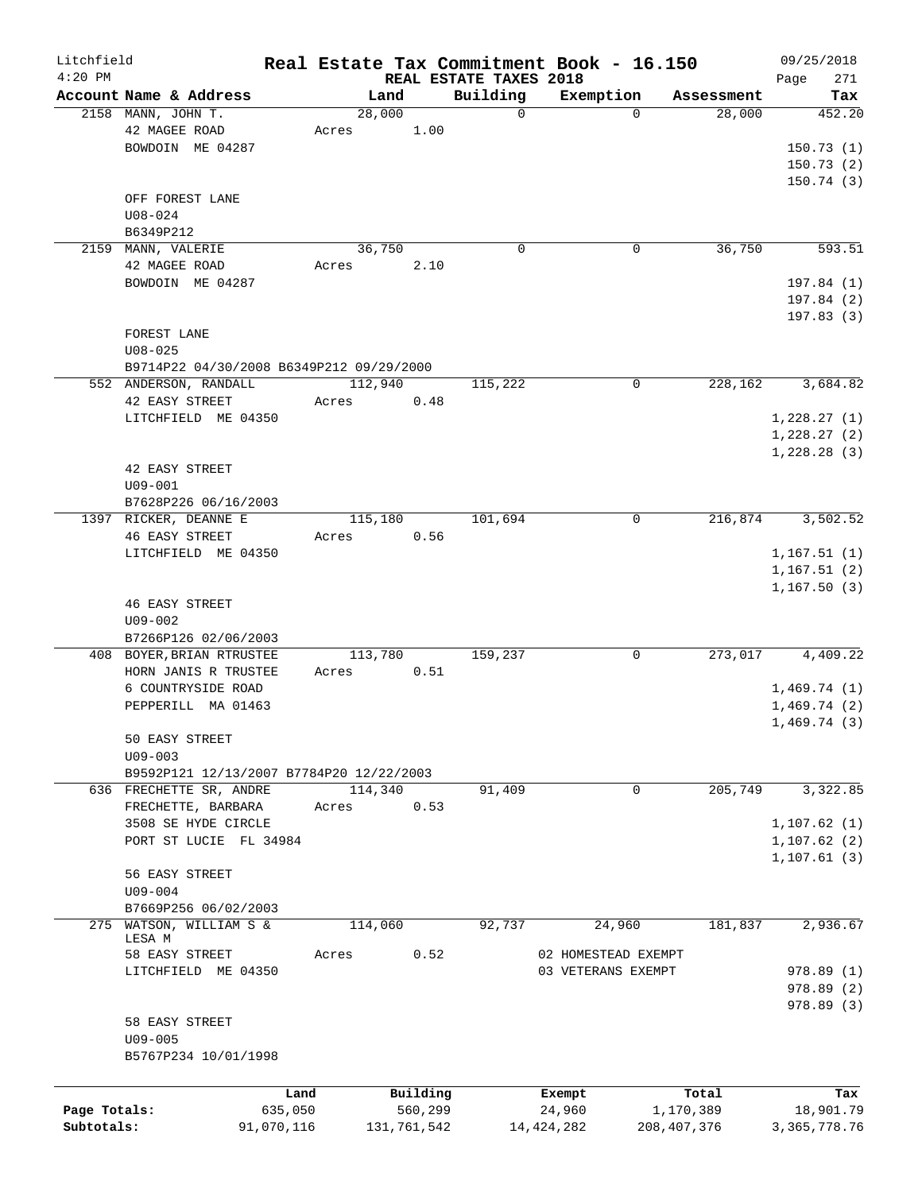| Litchfield   |                                              |            |                |                        |                         | Real Estate Tax Commitment Book - 16.150 |               |                      |      | 09/25/2018      |
|--------------|----------------------------------------------|------------|----------------|------------------------|-------------------------|------------------------------------------|---------------|----------------------|------|-----------------|
| $4:20$ PM    |                                              |            |                | REAL ESTATE TAXES 2018 |                         |                                          |               |                      | Page | 271             |
|              | Account Name & Address<br>2158 MANN, JOHN T. |            | Land<br>28,000 |                        | Building<br>$\mathbf 0$ | Exemption                                | $\Omega$      | Assessment<br>28,000 |      | Tax<br>452.20   |
|              |                                              |            |                |                        |                         |                                          |               |                      |      |                 |
|              | 42 MAGEE ROAD                                |            | Acres          | 1.00                   |                         |                                          |               |                      |      |                 |
|              | BOWDOIN ME 04287                             |            |                |                        |                         |                                          |               |                      |      | 150.73(1)       |
|              |                                              |            |                |                        |                         |                                          |               |                      |      | 150.73(2)       |
|              |                                              |            |                |                        |                         |                                          |               |                      |      | 150.74(3)       |
|              | OFF FOREST LANE                              |            |                |                        |                         |                                          |               |                      |      |                 |
|              | $U08 - 024$                                  |            |                |                        |                         |                                          |               |                      |      |                 |
|              | B6349P212                                    |            |                |                        |                         |                                          |               |                      |      |                 |
|              | 2159 MANN, VALERIE                           |            | 36,750         |                        | $\mathbf 0$             |                                          | $\mathbf 0$   | 36,750               |      | 593.51          |
|              | 42 MAGEE ROAD                                |            | Acres          | 2.10                   |                         |                                          |               |                      |      |                 |
|              | BOWDOIN ME 04287                             |            |                |                        |                         |                                          |               |                      |      | 197.84 (1)      |
|              |                                              |            |                |                        |                         |                                          |               |                      |      | 197.84 (2)      |
|              |                                              |            |                |                        |                         |                                          |               |                      |      | 197.83(3)       |
|              | FOREST LANE                                  |            |                |                        |                         |                                          |               |                      |      |                 |
|              | $U08 - 025$                                  |            |                |                        |                         |                                          |               |                      |      |                 |
|              | B9714P22 04/30/2008 B6349P212 09/29/2000     |            |                |                        |                         |                                          |               |                      |      |                 |
|              | 552 ANDERSON, RANDALL                        |            | 112,940        |                        | 115,222                 |                                          | $\mathbf 0$   | 228,162              |      | 3,684.82        |
|              | 42 EASY STREET                               |            | Acres          | 0.48                   |                         |                                          |               |                      |      |                 |
|              | LITCHFIELD ME 04350                          |            |                |                        |                         |                                          |               |                      |      |                 |
|              |                                              |            |                |                        |                         |                                          |               |                      |      | 1,228.27(1)     |
|              |                                              |            |                |                        |                         |                                          |               |                      |      | 1,228.27(2)     |
|              |                                              |            |                |                        |                         |                                          |               |                      |      | 1,228.28(3)     |
|              | 42 EASY STREET                               |            |                |                        |                         |                                          |               |                      |      |                 |
|              | $U09 - 001$                                  |            |                |                        |                         |                                          |               |                      |      |                 |
|              | B7628P226 06/16/2003                         |            |                |                        |                         |                                          |               |                      |      |                 |
|              | 1397 RICKER, DEANNE E                        |            | 115,180        |                        | 101,694                 |                                          | 0             | 216,874              |      | 3,502.52        |
|              | <b>46 EASY STREET</b>                        |            | Acres          | 0.56                   |                         |                                          |               |                      |      |                 |
|              | LITCHFIELD ME 04350                          |            |                |                        |                         |                                          |               |                      |      | 1, 167.51(1)    |
|              |                                              |            |                |                        |                         |                                          |               |                      |      | 1,167.51(2)     |
|              |                                              |            |                |                        |                         |                                          |               |                      |      | 1, 167.50(3)    |
|              | <b>46 EASY STREET</b>                        |            |                |                        |                         |                                          |               |                      |      |                 |
|              | $U09 - 002$                                  |            |                |                        |                         |                                          |               |                      |      |                 |
|              | B7266P126 02/06/2003                         |            |                |                        |                         |                                          |               |                      |      |                 |
|              | 408 BOYER, BRIAN RTRUSTEE                    |            | 113,780        |                        | 159,237                 |                                          | 0             | 273,017              |      | 4,409.22        |
|              | HORN JANIS R TRUSTEE                         |            | Acres          | 0.51                   |                         |                                          |               |                      |      |                 |
|              | 6 COUNTRYSIDE ROAD                           |            |                |                        |                         |                                          |               |                      |      | 1,469.74(1)     |
|              | PEPPERILL MA 01463                           |            |                |                        |                         |                                          |               |                      |      | 1,469.74(2)     |
|              |                                              |            |                |                        |                         |                                          |               |                      |      | 1,469.74(3)     |
|              | 50 EASY STREET                               |            |                |                        |                         |                                          |               |                      |      |                 |
|              | $U09 - 003$                                  |            |                |                        |                         |                                          |               |                      |      |                 |
|              | B9592P121 12/13/2007 B7784P20 12/22/2003     |            |                |                        |                         |                                          |               |                      |      |                 |
|              |                                              |            |                |                        |                         |                                          | 0             | 205,749              |      |                 |
|              | 636 FRECHETTE SR, ANDRE                      |            | 114,340        |                        | 91,409                  |                                          |               |                      |      | 3,322.85        |
|              | FRECHETTE, BARBARA                           |            | Acres          | 0.53                   |                         |                                          |               |                      |      |                 |
|              | 3508 SE HYDE CIRCLE                          |            |                |                        |                         |                                          |               |                      |      | 1, 107.62(1)    |
|              | PORT ST LUCIE FL 34984                       |            |                |                        |                         |                                          |               |                      |      | 1, 107.62(2)    |
|              |                                              |            |                |                        |                         |                                          |               |                      |      | 1, 107.61(3)    |
|              | 56 EASY STREET                               |            |                |                        |                         |                                          |               |                      |      |                 |
|              | $U09 - 004$                                  |            |                |                        |                         |                                          |               |                      |      |                 |
|              | B7669P256 06/02/2003                         |            |                |                        |                         |                                          |               |                      |      |                 |
| 275          | WATSON, WILLIAM S &                          |            | 114,060        |                        | 92,737                  | 24,960                                   |               | 181,837              |      | 2,936.67        |
|              | LESA M                                       |            |                |                        |                         |                                          |               |                      |      |                 |
|              | 58 EASY STREET                               |            | Acres          | 0.52                   |                         | 02 HOMESTEAD EXEMPT                      |               |                      |      |                 |
|              | LITCHFIELD ME 04350                          |            |                |                        |                         | 03 VETERANS EXEMPT                       |               |                      |      | 978.89 (1)      |
|              |                                              |            |                |                        |                         |                                          |               |                      |      | 978.89 (2)      |
|              |                                              |            |                |                        |                         |                                          |               |                      |      | 978.89 (3)      |
|              | 58 EASY STREET                               |            |                |                        |                         |                                          |               |                      |      |                 |
|              | $U09 - 005$                                  |            |                |                        |                         |                                          |               |                      |      |                 |
|              | B5767P234 10/01/1998                         |            |                |                        |                         |                                          |               |                      |      |                 |
|              |                                              |            |                |                        |                         |                                          |               |                      |      |                 |
|              |                                              | Land       |                | Building               |                         | Exempt                                   |               | Total                |      | Tax             |
| Page Totals: |                                              | 635,050    |                | 560,299                |                         | 24,960                                   | 1,170,389     |                      |      | 18,901.79       |
| Subtotals:   |                                              | 91,070,116 |                | 131,761,542            |                         | 14, 424, 282                             | 208, 407, 376 |                      |      | 3, 365, 778. 76 |
|              |                                              |            |                |                        |                         |                                          |               |                      |      |                 |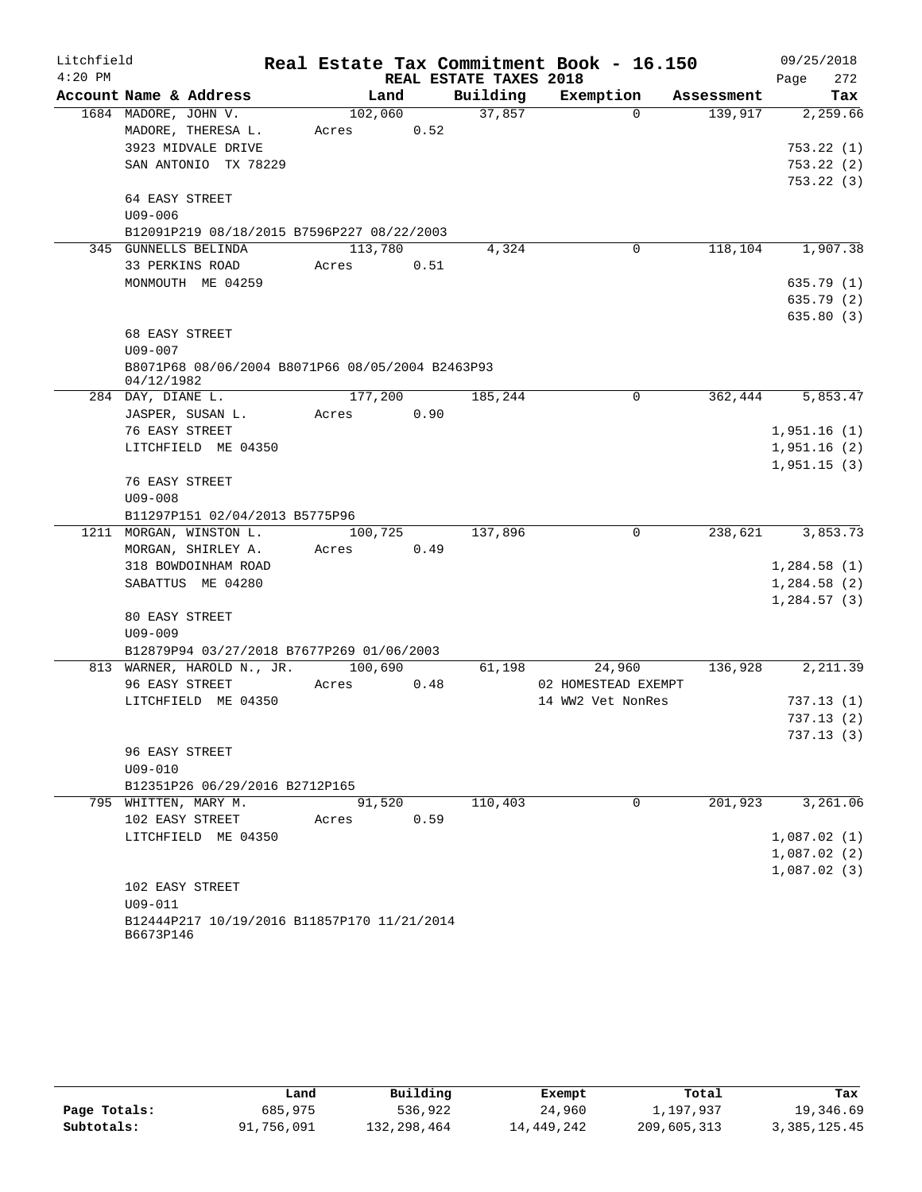| Litchfield |                                                                |         |      |                        | Real Estate Tax Commitment Book - 16.150 |            | 09/25/2018  |
|------------|----------------------------------------------------------------|---------|------|------------------------|------------------------------------------|------------|-------------|
| $4:20$ PM  |                                                                |         |      | REAL ESTATE TAXES 2018 |                                          |            | 272<br>Page |
|            | Account Name & Address                                         | Land    |      | Building               | Exemption                                | Assessment | Tax         |
|            | 1684 MADORE, JOHN V.                                           | 102,060 |      | 37,857                 | $\Omega$                                 | 139,917    | 2,259.66    |
|            | MADORE, THERESA L.                                             | Acres   | 0.52 |                        |                                          |            |             |
|            | 3923 MIDVALE DRIVE                                             |         |      |                        |                                          |            | 753.22(1)   |
|            | SAN ANTONIO TX 78229                                           |         |      |                        |                                          |            | 753.22(2)   |
|            |                                                                |         |      |                        |                                          |            | 753.22(3)   |
|            | 64 EASY STREET                                                 |         |      |                        |                                          |            |             |
|            | $U09 - 006$                                                    |         |      |                        |                                          |            |             |
|            | B12091P219 08/18/2015 B7596P227 08/22/2003                     |         |      |                        |                                          |            |             |
|            | 345 GUNNELLS BELINDA                                           | 113,780 |      | 4,324                  | $\mathbf 0$                              | 118,104    | 1,907.38    |
|            | 33 PERKINS ROAD                                                | Acres   | 0.51 |                        |                                          |            |             |
|            | MONMOUTH ME 04259                                              |         |      |                        |                                          |            | 635.79(1)   |
|            |                                                                |         |      |                        |                                          |            | 635.79 (2)  |
|            |                                                                |         |      |                        |                                          |            | 635.80(3)   |
|            | 68 EASY STREET                                                 |         |      |                        |                                          |            |             |
|            | $U09 - 007$                                                    |         |      |                        |                                          |            |             |
|            | B8071P68 08/06/2004 B8071P66 08/05/2004 B2463P93<br>04/12/1982 |         |      |                        |                                          |            |             |
|            | 284 DAY, DIANE L.                                              | 177,200 |      | 185,244                | 0                                        | 362,444    | 5,853.47    |
|            | JASPER, SUSAN L.                                               | Acres   | 0.90 |                        |                                          |            |             |
|            | 76 EASY STREET                                                 |         |      |                        |                                          |            | 1,951.16(1) |
|            | LITCHFIELD ME 04350                                            |         |      |                        |                                          |            | 1,951.16(2) |
|            |                                                                |         |      |                        |                                          |            | 1,951.15(3) |
|            | 76 EASY STREET                                                 |         |      |                        |                                          |            |             |
|            | $U09 - 008$                                                    |         |      |                        |                                          |            |             |
|            | B11297P151 02/04/2013 B5775P96                                 |         |      |                        |                                          |            |             |
|            | 1211 MORGAN, WINSTON L.                                        | 100,725 |      | 137,896                | 0                                        | 238,621    | 3,853.73    |
|            | MORGAN, SHIRLEY A.                                             | Acres   | 0.49 |                        |                                          |            |             |
|            | 318 BOWDOINHAM ROAD                                            |         |      |                        |                                          |            | 1,284.58(1) |
|            | SABATTUS ME 04280                                              |         |      |                        |                                          |            | 1,284.58(2) |
|            |                                                                |         |      |                        |                                          |            | 1,284.57(3) |
|            | 80 EASY STREET                                                 |         |      |                        |                                          |            |             |
|            | $U09 - 009$                                                    |         |      |                        |                                          |            |             |
|            | B12879P94 03/27/2018 B7677P269 01/06/2003                      |         |      |                        |                                          |            |             |
|            | 813 WARNER, HAROLD N., JR.                                     | 100,690 |      | 61,198                 | 24,960                                   | 136,928    | 2,211.39    |
|            | 96 EASY STREET                                                 | Acres   | 0.48 |                        | 02 HOMESTEAD EXEMPT                      |            |             |
|            | LITCHFIELD ME 04350                                            |         |      |                        | 14 WW2 Vet NonRes                        |            | 737.13(1)   |
|            |                                                                |         |      |                        |                                          |            | 737.13(2)   |
|            |                                                                |         |      |                        |                                          |            | 737.13 (3)  |
|            | 96 EASY STREET                                                 |         |      |                        |                                          |            |             |
|            | $U09 - 010$                                                    |         |      |                        |                                          |            |             |
|            | B12351P26 06/29/2016 B2712P165                                 |         |      |                        |                                          |            |             |
|            | 795 WHITTEN, MARY M.                                           | 91,520  |      | 110,403                | $\mathbf 0$                              | 201,923    | 3,261.06    |
|            | 102 EASY STREET                                                | Acres   | 0.59 |                        |                                          |            |             |
|            | LITCHFIELD ME 04350                                            |         |      |                        |                                          |            | 1,087.02(1) |
|            |                                                                |         |      |                        |                                          |            | 1,087.02(2) |
|            |                                                                |         |      |                        |                                          |            | 1,087.02(3) |
|            | 102 EASY STREET                                                |         |      |                        |                                          |            |             |
|            | $U09 - 011$                                                    |         |      |                        |                                          |            |             |
|            | B12444P217 10/19/2016 B11857P170 11/21/2014<br>B6673P146       |         |      |                        |                                          |            |             |

|              | Land       | Building    | Exempt     | Total       | Tax          |
|--------------|------------|-------------|------------|-------------|--------------|
| Page Totals: | 685,975    | 536,922     | 24,960     | 1,197,937   | 19,346.69    |
| Subtotals:   | 91,756,091 | 132,298,464 | 14,449,242 | 209,605,313 | 3,385,125.45 |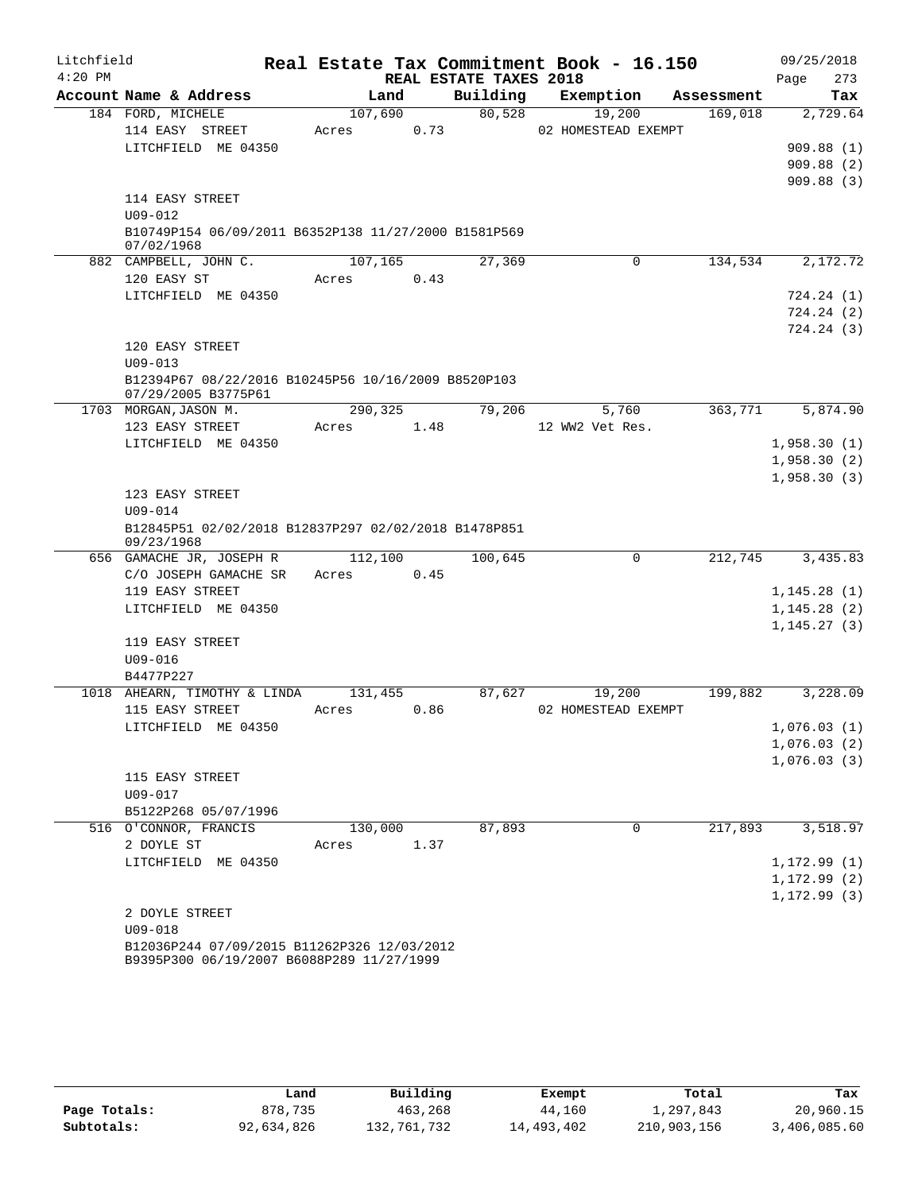| Litchfield |                                                                    |         |      |                        | Real Estate Tax Commitment Book - 16.150 |            | 09/25/2018                   |
|------------|--------------------------------------------------------------------|---------|------|------------------------|------------------------------------------|------------|------------------------------|
| $4:20$ PM  |                                                                    |         |      | REAL ESTATE TAXES 2018 |                                          |            | Page<br>273                  |
|            | Account Name & Address                                             | Land    |      | Building               | Exemption                                | Assessment | Tax                          |
|            | 184 FORD, MICHELE                                                  | 107,690 |      | 80,528                 | 19,200                                   | 169,018    | 2,729.64                     |
|            | 114 EASY STREET                                                    | Acres   | 0.73 |                        | 02 HOMESTEAD EXEMPT                      |            |                              |
|            | LITCHFIELD ME 04350                                                |         |      |                        |                                          |            | 909.88(1)                    |
|            |                                                                    |         |      |                        |                                          |            | 909.88(2)<br>909.88(3)       |
|            | 114 EASY STREET                                                    |         |      |                        |                                          |            |                              |
|            | $U09 - 012$                                                        |         |      |                        |                                          |            |                              |
|            | B10749P154 06/09/2011 B6352P138 11/27/2000 B1581P569               |         |      |                        |                                          |            |                              |
|            | 07/02/1968                                                         |         |      |                        |                                          |            |                              |
|            | 882 CAMPBELL, JOHN C.                                              | 107,165 |      | 27,369                 | 0                                        | 134,534    | 2,172.72                     |
|            | 120 EASY ST                                                        | Acres   | 0.43 |                        |                                          |            |                              |
|            | LITCHFIELD ME 04350                                                |         |      |                        |                                          |            | 724.24(1)                    |
|            |                                                                    |         |      |                        |                                          |            | 724.24(2)<br>724.24(3)       |
|            | 120 EASY STREET                                                    |         |      |                        |                                          |            |                              |
|            | $U09 - 013$                                                        |         |      |                        |                                          |            |                              |
|            | B12394P67 08/22/2016 B10245P56 10/16/2009 B8520P103                |         |      |                        |                                          |            |                              |
|            | 07/29/2005 B3775P61                                                |         |      |                        |                                          |            |                              |
|            | 1703 MORGAN, JASON M.                                              | 290,325 |      | 79,206                 | 5,760                                    | 363,771    | 5,874.90                     |
|            | 123 EASY STREET                                                    | Acres   | 1.48 |                        | 12 WW2 Vet Res.                          |            |                              |
|            | LITCHFIELD ME 04350                                                |         |      |                        |                                          |            | 1,958.30(1)                  |
|            |                                                                    |         |      |                        |                                          |            | 1,958.30(2)                  |
|            | 123 EASY STREET                                                    |         |      |                        |                                          |            | 1,958.30(3)                  |
|            | $U09 - 014$                                                        |         |      |                        |                                          |            |                              |
|            | B12845P51 02/02/2018 B12837P297 02/02/2018 B1478P851<br>09/23/1968 |         |      |                        |                                          |            |                              |
|            | 656 GAMACHE JR, JOSEPH R                                           | 112,100 |      | 100,645                | $\mathsf{O}$                             | 212,745    | 3,435.83                     |
|            | C/O JOSEPH GAMACHE SR                                              | Acres   | 0.45 |                        |                                          |            |                              |
|            | 119 EASY STREET                                                    |         |      |                        |                                          |            | 1,145.28(1)                  |
|            | LITCHFIELD ME 04350                                                |         |      |                        |                                          |            | 1, 145.28(2)                 |
|            |                                                                    |         |      |                        |                                          |            | 1, 145.27(3)                 |
|            | 119 EASY STREET                                                    |         |      |                        |                                          |            |                              |
|            | $U09 - 016$<br>B4477P227                                           |         |      |                        |                                          |            |                              |
|            | 1018 AHEARN, TIMOTHY & LINDA                                       | 131,455 |      | 87,627                 | 19,200                                   | 199,882    | 3,228.09                     |
|            | 115 EASY STREET                                                    | Acres   | 0.86 |                        | 02 HOMESTEAD EXEMPT                      |            |                              |
|            | LITCHFIELD ME 04350                                                |         |      |                        |                                          |            | 1,076.03(1)                  |
|            |                                                                    |         |      |                        |                                          |            | 1,076.03(2)                  |
|            |                                                                    |         |      |                        |                                          |            | 1,076.03(3)                  |
|            | 115 EASY STREET                                                    |         |      |                        |                                          |            |                              |
|            | $U09 - 017$                                                        |         |      |                        |                                          |            |                              |
|            | B5122P268 05/07/1996                                               |         |      |                        |                                          |            |                              |
|            | 516 O'CONNOR, FRANCIS                                              | 130,000 |      | 87,893                 | $\mathbf 0$                              | 217,893    | 3,518.97                     |
|            | 2 DOYLE ST                                                         | Acres   | 1.37 |                        |                                          |            |                              |
|            | LITCHFIELD ME 04350                                                |         |      |                        |                                          |            | 1, 172.99(1)<br>1, 172.99(2) |
|            |                                                                    |         |      |                        |                                          |            | 1, 172.99(3)                 |
|            | 2 DOYLE STREET                                                     |         |      |                        |                                          |            |                              |
|            | $U09 - 018$                                                        |         |      |                        |                                          |            |                              |
|            | B12036P244 07/09/2015 B11262P326 12/03/2012                        |         |      |                        |                                          |            |                              |
|            | B9395P300 06/19/2007 B6088P289 11/27/1999                          |         |      |                        |                                          |            |                              |

|              | Land       | Building    | Exempt     | Total       | Tax          |
|--------------|------------|-------------|------------|-------------|--------------|
| Page Totals: | 878,735    | 463,268     | 44,160     | 1,297,843   | 20,960.15    |
| Subtotals:   | 92,634,826 | 132,761,732 | 14,493,402 | 210,903,156 | 3,406,085.60 |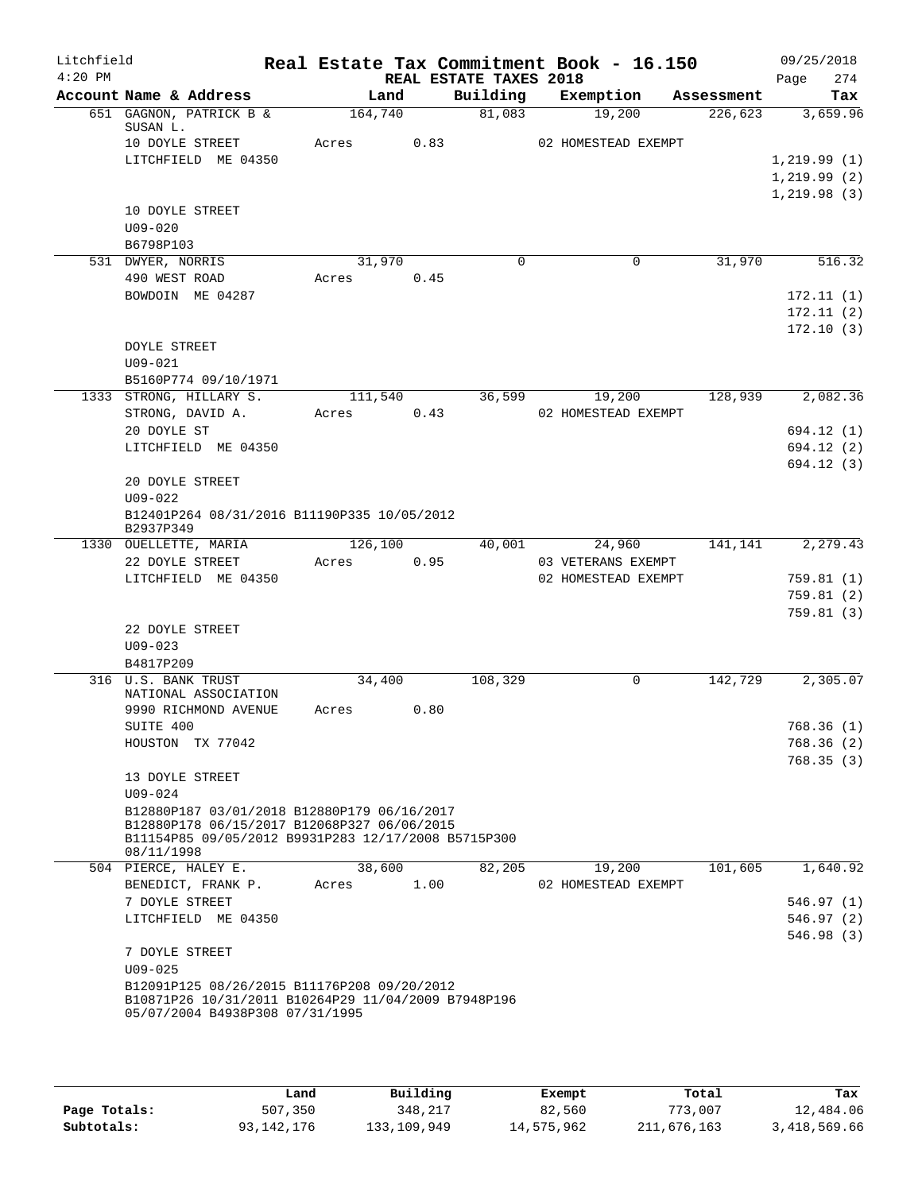| Litchfield<br>$4:20$ PM |                                                                                                    |         |      | REAL ESTATE TAXES 2018 | Real Estate Tax Commitment Book - 16.150 |            | 09/25/2018<br>274<br>Page |
|-------------------------|----------------------------------------------------------------------------------------------------|---------|------|------------------------|------------------------------------------|------------|---------------------------|
|                         | Account Name & Address                                                                             | Land    |      | Building               | Exemption                                | Assessment | Tax                       |
|                         | 651 GAGNON, PATRICK B &<br>SUSAN L.                                                                | 164,740 |      | 81,083                 | 19,200                                   | 226,623    | 3,659.96                  |
|                         | 10 DOYLE STREET                                                                                    | Acres   | 0.83 |                        | 02 HOMESTEAD EXEMPT                      |            |                           |
|                         | LITCHFIELD ME 04350                                                                                |         |      |                        |                                          |            | 1,219.99(1)               |
|                         |                                                                                                    |         |      |                        |                                          |            | 1, 219.99(2)              |
|                         |                                                                                                    |         |      |                        |                                          |            | 1, 219.98(3)              |
|                         | 10 DOYLE STREET                                                                                    |         |      |                        |                                          |            |                           |
|                         | $U09 - 020$                                                                                        |         |      |                        |                                          |            |                           |
|                         | B6798P103                                                                                          |         |      |                        |                                          |            |                           |
|                         | 531 DWYER, NORRIS                                                                                  | 31,970  |      | $\Omega$               | 0                                        | 31,970     | 516.32                    |
|                         | 490 WEST ROAD                                                                                      | Acres   | 0.45 |                        |                                          |            |                           |
|                         | BOWDOIN ME 04287                                                                                   |         |      |                        |                                          |            | 172.11(1)                 |
|                         |                                                                                                    |         |      |                        |                                          |            | 172.11(2)                 |
|                         |                                                                                                    |         |      |                        |                                          |            | 172.10(3)                 |
|                         | <b>DOYLE STREET</b>                                                                                |         |      |                        |                                          |            |                           |
|                         | $U09 - 021$                                                                                        |         |      |                        |                                          |            |                           |
|                         | B5160P774 09/10/1971                                                                               |         |      |                        |                                          |            |                           |
|                         | 1333 STRONG, HILLARY S.                                                                            | 111,540 |      | 36,599                 | 19,200                                   | 128,939    | 2,082.36                  |
|                         | STRONG, DAVID A.                                                                                   | Acres   | 0.43 |                        | 02 HOMESTEAD EXEMPT                      |            |                           |
|                         | 20 DOYLE ST                                                                                        |         |      |                        |                                          |            | 694.12 (1)                |
|                         | LITCHFIELD ME 04350                                                                                |         |      |                        |                                          |            | 694.12(2)                 |
|                         |                                                                                                    |         |      |                        |                                          |            | 694.12 (3)                |
|                         | 20 DOYLE STREET                                                                                    |         |      |                        |                                          |            |                           |
|                         | $U09 - 022$                                                                                        |         |      |                        |                                          |            |                           |
|                         | B12401P264 08/31/2016 B11190P335 10/05/2012<br>B2937P349                                           |         |      |                        |                                          |            |                           |
|                         | 1330 OUELLETTE, MARIA                                                                              | 126,100 |      |                        | 40,001<br>24,960                         | 141,141    | 2,279.43                  |
|                         | 22 DOYLE STREET                                                                                    | Acres   | 0.95 |                        | 03 VETERANS EXEMPT                       |            |                           |
|                         | LITCHFIELD ME 04350                                                                                |         |      |                        | 02 HOMESTEAD EXEMPT                      |            | 759.81(1)                 |
|                         |                                                                                                    |         |      |                        |                                          |            | 759.81(2)                 |
|                         |                                                                                                    |         |      |                        |                                          |            | 759.81(3)                 |
|                         | 22 DOYLE STREET                                                                                    |         |      |                        |                                          |            |                           |
|                         | $U09 - 023$                                                                                        |         |      |                        |                                          |            |                           |
|                         | B4817P209                                                                                          |         |      |                        |                                          |            |                           |
|                         | 316 U.S. BANK TRUST                                                                                | 34,400  |      | 108,329                | 0                                        | 142,729    | 2,305.07                  |
|                         | NATIONAL ASSOCIATION<br>9990 RICHMOND AVENUE                                                       | Acres   | 0.80 |                        |                                          |            |                           |
|                         | SUITE 400                                                                                          |         |      |                        |                                          |            |                           |
|                         | HOUSTON TX 77042                                                                                   |         |      |                        |                                          |            | 768.36 (1)                |
|                         |                                                                                                    |         |      |                        |                                          |            | 768.36(2)<br>768.35(3)    |
|                         | 13 DOYLE STREET                                                                                    |         |      |                        |                                          |            |                           |
|                         | $U09 - 024$                                                                                        |         |      |                        |                                          |            |                           |
|                         | B12880P187 03/01/2018 B12880P179 06/16/2017                                                        |         |      |                        |                                          |            |                           |
|                         | B12880P178 06/15/2017 B12068P327 06/06/2015                                                        |         |      |                        |                                          |            |                           |
|                         | B11154P85 09/05/2012 B9931P283 12/17/2008 B5715P300                                                |         |      |                        |                                          |            |                           |
|                         | 08/11/1998                                                                                         |         |      |                        |                                          |            |                           |
|                         | 504 PIERCE, HALEY E.                                                                               | 38,600  |      | 82,205                 | 19,200                                   | 101,605    | 1,640.92                  |
|                         | BENEDICT, FRANK P.                                                                                 | Acres   | 1.00 |                        | 02 HOMESTEAD EXEMPT                      |            |                           |
|                         | 7 DOYLE STREET                                                                                     |         |      |                        |                                          |            | 546.97(1)                 |
|                         | LITCHFIELD ME 04350                                                                                |         |      |                        |                                          |            | 546.97(2)                 |
|                         |                                                                                                    |         |      |                        |                                          |            | 546.98(3)                 |
|                         | 7 DOYLE STREET                                                                                     |         |      |                        |                                          |            |                           |
|                         | $U09 - 025$                                                                                        |         |      |                        |                                          |            |                           |
|                         | B12091P125 08/26/2015 B11176P208 09/20/2012<br>B10871P26 10/31/2011 B10264P29 11/04/2009 B7948P196 |         |      |                        |                                          |            |                           |
|                         | 05/07/2004 B4938P308 07/31/1995                                                                    |         |      |                        |                                          |            |                           |
|                         |                                                                                                    |         |      |                        |                                          |            |                           |
|                         |                                                                                                    |         |      |                        |                                          |            |                           |

|              | Land       | Building    | Exempt     | Total       | Tax          |
|--------------|------------|-------------|------------|-------------|--------------|
| Page Totals: | 507,350    | 348,217     | 82,560     | 773,007     | 12,484.06    |
| Subtotals:   | 93,142,176 | 133,109,949 | 14,575,962 | 211,676,163 | 3,418,569.66 |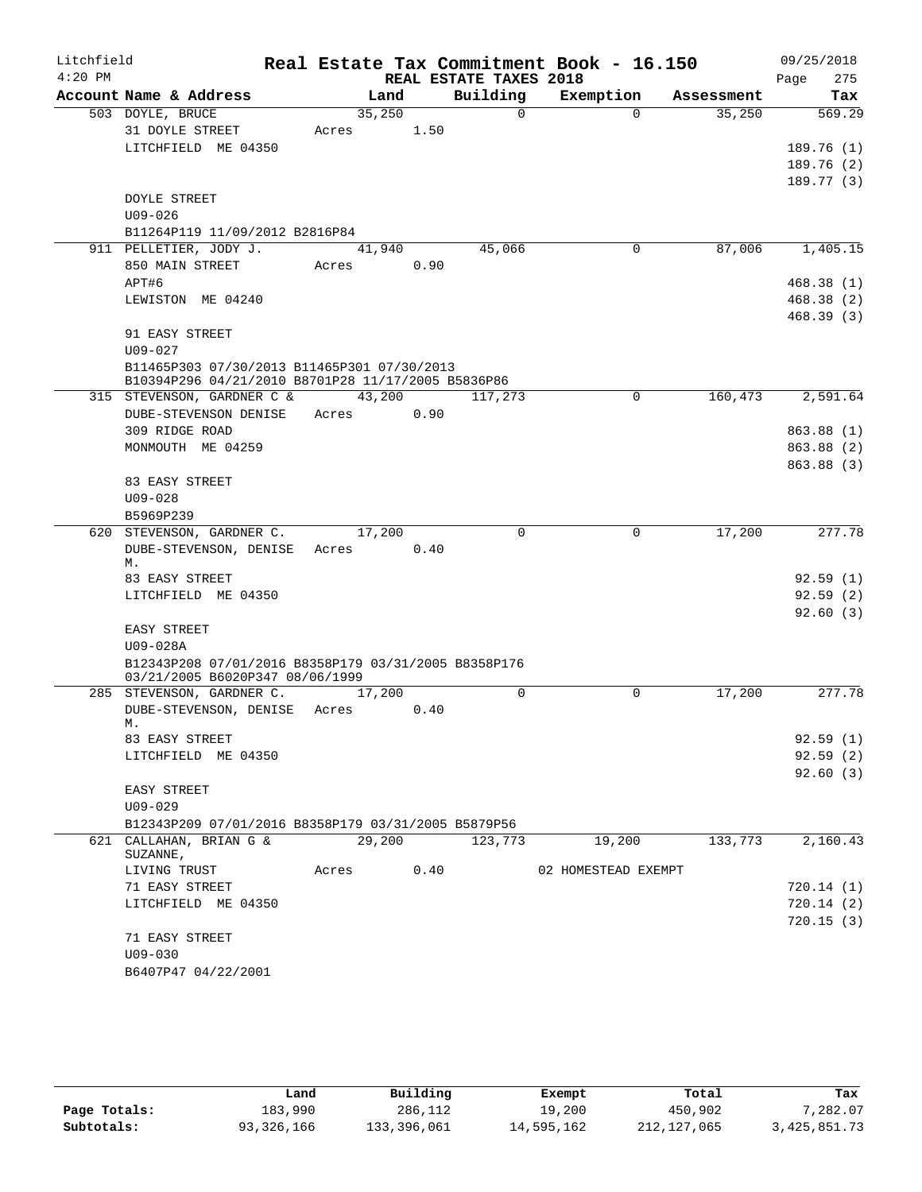| Litchfield |                                                           |        |      |                        | Real Estate Tax Commitment Book - 16.150 |            | 09/25/2018             |
|------------|-----------------------------------------------------------|--------|------|------------------------|------------------------------------------|------------|------------------------|
| $4:20$ PM  |                                                           |        |      | REAL ESTATE TAXES 2018 |                                          |            | 275<br>Page            |
|            | Account Name & Address                                    | Land   |      | Building               | Exemption                                | Assessment | Tax                    |
|            | 503 DOYLE, BRUCE                                          | 35,250 |      | $\Omega$               | $\Omega$                                 | 35,250     | 569.29                 |
|            | 31 DOYLE STREET                                           | Acres  | 1.50 |                        |                                          |            |                        |
|            | LITCHFIELD ME 04350                                       |        |      |                        |                                          |            | 189.76(1)              |
|            |                                                           |        |      |                        |                                          |            | 189.76(2)<br>189.77(3) |
|            | <b>DOYLE STREET</b>                                       |        |      |                        |                                          |            |                        |
|            | $U09 - 026$                                               |        |      |                        |                                          |            |                        |
|            | B11264P119 11/09/2012 B2816P84                            |        |      |                        |                                          |            |                        |
|            | 911 PELLETIER, JODY J.                                    | 41,940 |      | 45,066                 | 0                                        | 87,006     | 1,405.15               |
|            | 850 MAIN STREET                                           | Acres  | 0.90 |                        |                                          |            |                        |
|            | APT#6                                                     |        |      |                        |                                          |            | 468.38(1)              |
|            | LEWISTON ME 04240                                         |        |      |                        |                                          |            | 468.38(2)              |
|            |                                                           |        |      |                        |                                          |            | 468.39(3)              |
|            | 91 EASY STREET                                            |        |      |                        |                                          |            |                        |
|            | $U09 - 027$                                               |        |      |                        |                                          |            |                        |
|            | B11465P303 07/30/2013 B11465P301 07/30/2013               |        |      |                        |                                          |            |                        |
|            | B10394P296 04/21/2010 B8701P28 11/17/2005 B5836P86        |        |      |                        |                                          |            |                        |
|            | 315 STEVENSON, GARDNER C &                                | 43,200 |      | 117,273                | 0                                        | 160,473    | 2,591.64               |
|            | DUBE-STEVENSON DENISE                                     | Acres  | 0.90 |                        |                                          |            |                        |
|            | 309 RIDGE ROAD                                            |        |      |                        |                                          |            | 863.88 (1)             |
|            | MONMOUTH ME 04259                                         |        |      |                        |                                          |            | 863.88 (2)             |
|            |                                                           |        |      |                        |                                          |            | 863.88 (3)             |
|            | 83 EASY STREET                                            |        |      |                        |                                          |            |                        |
|            | $U09 - 028$                                               |        |      |                        |                                          |            |                        |
|            | B5969P239                                                 |        |      | $\Omega$               | $\mathbf 0$                              | 17,200     |                        |
|            | 620 STEVENSON, GARDNER C.<br>DUBE-STEVENSON, DENISE Acres | 17,200 | 0.40 |                        |                                          |            | 277.78                 |
|            | М.                                                        |        |      |                        |                                          |            |                        |
|            | 83 EASY STREET                                            |        |      |                        |                                          |            | 92.59(1)               |
|            | LITCHFIELD ME 04350                                       |        |      |                        |                                          |            | 92.59(2)               |
|            |                                                           |        |      |                        |                                          |            | 92.60(3)               |
|            | EASY STREET                                               |        |      |                        |                                          |            |                        |
|            | U09-028A                                                  |        |      |                        |                                          |            |                        |
|            | B12343P208 07/01/2016 B8358P179 03/31/2005 B8358P176      |        |      |                        |                                          |            |                        |
|            | 03/21/2005 B6020P347 08/06/1999                           |        |      |                        |                                          |            |                        |
|            | 285 STEVENSON, GARDNER C.                                 | 17,200 |      | $\Omega$               | $\Omega$                                 | 17,200     | 277.78                 |
|            | DUBE-STEVENSON, DENISE Acres<br>М.                        |        | 0.40 |                        |                                          |            |                        |
|            | 83 EASY STREET                                            |        |      |                        |                                          |            | 92.59(1)               |
|            | LITCHFIELD ME 04350                                       |        |      |                        |                                          |            | 92.59(2)               |
|            |                                                           |        |      |                        |                                          |            | 92.60(3)               |
|            | EASY STREET                                               |        |      |                        |                                          |            |                        |
|            | $U09 - 029$                                               |        |      |                        |                                          |            |                        |
|            | B12343P209 07/01/2016 B8358P179 03/31/2005 B5879P56       |        |      |                        |                                          |            |                        |
|            | 621 CALLAHAN, BRIAN G &                                   | 29,200 |      | 123,773                | 19,200                                   | 133,773    | 2,160.43               |
|            | SUZANNE,                                                  |        |      |                        |                                          |            |                        |
|            | LIVING TRUST                                              | Acres  | 0.40 |                        | 02 HOMESTEAD EXEMPT                      |            |                        |
|            | 71 EASY STREET                                            |        |      |                        |                                          |            | 720.14 (1)             |
|            | LITCHFIELD ME 04350                                       |        |      |                        |                                          |            | 720.14 (2)             |
|            |                                                           |        |      |                        |                                          |            | 720.15(3)              |
|            | 71 EASY STREET                                            |        |      |                        |                                          |            |                        |
|            | $U09 - 030$<br>B6407P47 04/22/2001                        |        |      |                        |                                          |            |                        |
|            |                                                           |        |      |                        |                                          |            |                        |

|              | Land       | Building    | Exempt     | Total       | Tax             |
|--------------|------------|-------------|------------|-------------|-----------------|
| Page Totals: | 183,990    | 286,112     | 19,200     | 450,902     | 7,282.07        |
| Subtotals:   | 93,326,166 | 133,396,061 | 14,595,162 | 212,127,065 | 3, 425, 851. 73 |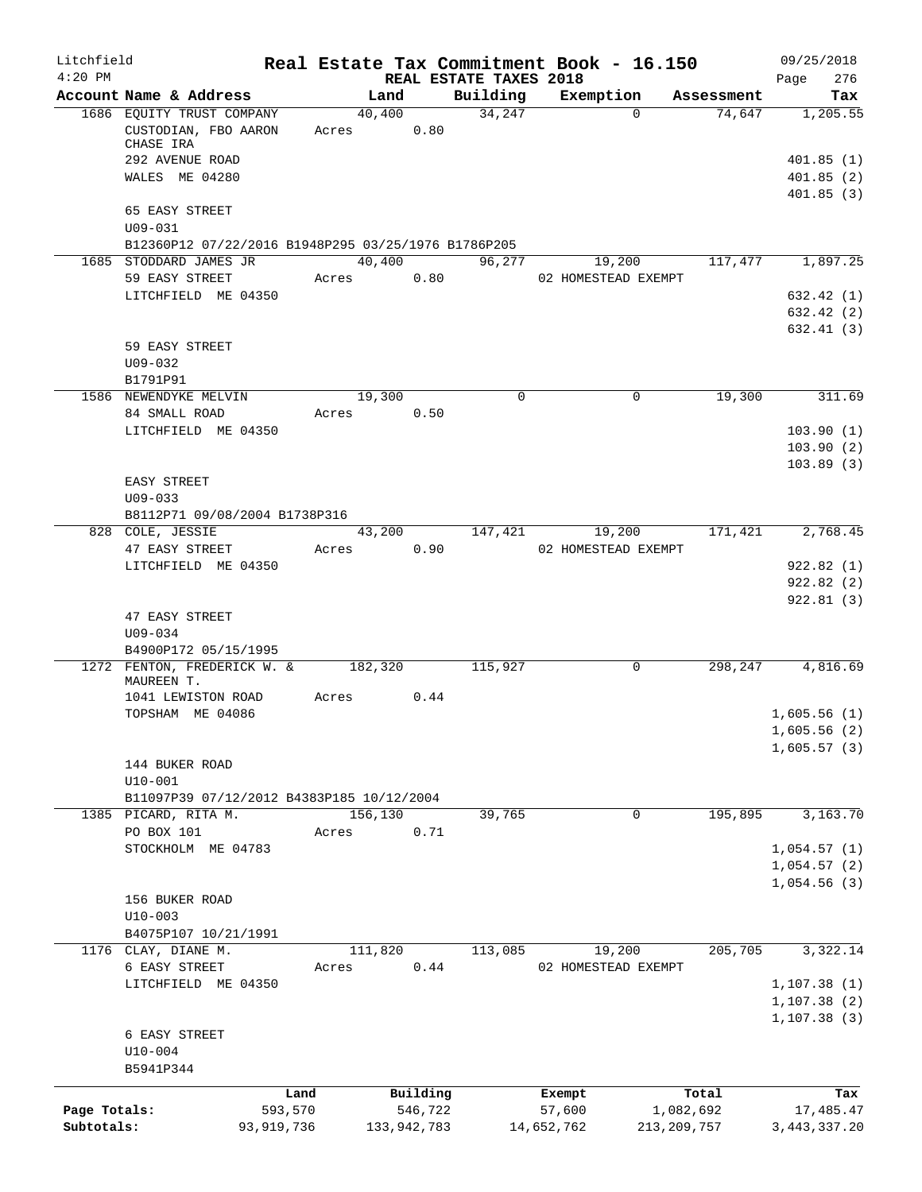| Litchfield<br>$4:20$ PM |                                                                                   |              |                      |               | REAL ESTATE TAXES 2018 | Real Estate Tax Commitment Book - 16.150 |               | 09/25/2018<br>276<br>Page  |
|-------------------------|-----------------------------------------------------------------------------------|--------------|----------------------|---------------|------------------------|------------------------------------------|---------------|----------------------------|
|                         | Account Name & Address                                                            |              |                      | Land          | Building               | Exemption                                | Assessment    | Tax                        |
|                         | 1686 EQUITY TRUST COMPANY<br>CUSTODIAN, FBO AARON<br>CHASE IRA<br>292 AVENUE ROAD |              | 40,400<br>Acres 0.80 |               | 34,247                 | $\Omega$                                 | 74,647        | 1, 205.55<br>401.85(1)     |
|                         | WALES ME 04280<br>65 EASY STREET                                                  |              |                      |               |                        |                                          |               | 401.85(2)<br>401.85(3)     |
|                         | $U09 - 031$                                                                       |              |                      |               |                        |                                          |               |                            |
|                         | B12360P12 07/22/2016 B1948P295 03/25/1976 B1786P205                               |              |                      |               |                        |                                          |               |                            |
|                         | 1685 STODDARD JAMES JR<br>59 EASY STREET                                          |              | 40,400<br>Acres      | 0.80          | 96,277                 | 19,200<br>02 HOMESTEAD EXEMPT            |               | 117,477 1,897.25           |
|                         | LITCHFIELD ME 04350                                                               |              |                      |               |                        |                                          |               | 632.42(1)                  |
|                         |                                                                                   |              |                      |               |                        |                                          |               | 632.42(2)<br>632.41(3)     |
|                         | 59 EASY STREET                                                                    |              |                      |               |                        |                                          |               |                            |
|                         | $U09 - 032$                                                                       |              |                      |               |                        |                                          |               |                            |
|                         | B1791P91<br>1586 NEWENDYKE MELVIN                                                 |              | 19,300               |               | $\mathbf 0$            | $\mathbf 0$                              | 19,300        | 311.69                     |
|                         | 84 SMALL ROAD                                                                     |              | Acres                | 0.50          |                        |                                          |               |                            |
|                         | LITCHFIELD ME 04350                                                               |              |                      |               |                        |                                          |               | 103.90(1)                  |
|                         |                                                                                   |              |                      |               |                        |                                          |               | 103.90(2)<br>103.89(3)     |
|                         | EASY STREET                                                                       |              |                      |               |                        |                                          |               |                            |
|                         | $U09 - 033$                                                                       |              |                      |               |                        |                                          |               |                            |
|                         | B8112P71 09/08/2004 B1738P316<br>828 COLE, JESSIE                                 |              |                      | 43,200        | 147,421                | 19,200                                   |               | $171,421$ 2,768.45         |
|                         | 47 EASY STREET                                                                    |              | Acres                | 0.90          |                        | 02 HOMESTEAD EXEMPT                      |               |                            |
|                         | LITCHFIELD ME 04350                                                               |              |                      |               |                        |                                          |               | 922.82(1)<br>922.82(2)     |
|                         | 47 EASY STREET<br>$U09 - 034$                                                     |              |                      |               |                        |                                          |               | 922.81(3)                  |
|                         | B4900P172 05/15/1995                                                              |              |                      |               |                        |                                          |               |                            |
|                         | 1272 FENTON, FREDERICK W. &<br>MAUREEN T.                                         |              | 182,320              |               | 115,927                | $\mathbf 0$                              | 298,247       | 4,816.69                   |
|                         | 1041 LEWISTON ROAD<br>TOPSHAM ME 04086                                            |              | Acres                | 0.44          |                        |                                          |               | 1,605.56(1)                |
|                         |                                                                                   |              |                      |               |                        |                                          |               | 1,605.56(2)<br>1,605.57(3) |
|                         | 144 BUKER ROAD                                                                    |              |                      |               |                        |                                          |               |                            |
|                         | $U10 - 001$                                                                       |              |                      |               |                        |                                          |               |                            |
|                         | B11097P39 07/12/2012 B4383P185 10/12/2004                                         |              |                      |               |                        |                                          |               |                            |
| 1385                    | PICARD, RITA M.<br>PO BOX 101                                                     |              | 156,130<br>Acres     | 0.71          | 39,765                 | 0                                        | 195,895       | 3,163.70                   |
|                         | STOCKHOLM ME 04783                                                                |              |                      |               |                        |                                          |               | 1,054.57(1)                |
|                         |                                                                                   |              |                      |               |                        |                                          |               | 1,054.57(2)                |
|                         |                                                                                   |              |                      |               |                        |                                          |               | 1,054.56(3)                |
|                         | 156 BUKER ROAD                                                                    |              |                      |               |                        |                                          |               |                            |
|                         | $U10-003$                                                                         |              |                      |               |                        |                                          |               |                            |
|                         | B4075P107 10/21/1991<br>1176 CLAY, DIANE M.                                       |              | 111,820              |               | 113,085                | 19,200                                   | 205,705       | 3,322.14                   |
|                         | 6 EASY STREET                                                                     |              | Acres                | 0.44          |                        | 02 HOMESTEAD EXEMPT                      |               |                            |
|                         | LITCHFIELD ME 04350                                                               |              |                      |               |                        |                                          |               | 1, 107.38(1)               |
|                         |                                                                                   |              |                      |               |                        |                                          |               | 1, 107.38(2)               |
|                         | 6 EASY STREET<br>$U10-004$                                                        |              |                      |               |                        |                                          |               | 1, 107.38(3)               |
|                         | B5941P344                                                                         |              |                      |               |                        |                                          |               |                            |
|                         |                                                                                   | Land         |                      | Building      |                        | Exempt                                   | Total         | Tax                        |
| Page Totals:            |                                                                                   | 593,570      |                      | 546,722       |                        | 57,600                                   | 1,082,692     | 17,485.47                  |
| Subtotals:              |                                                                                   | 93, 919, 736 |                      | 133, 942, 783 |                        | 14,652,762                               | 213, 209, 757 | 3, 443, 337.20             |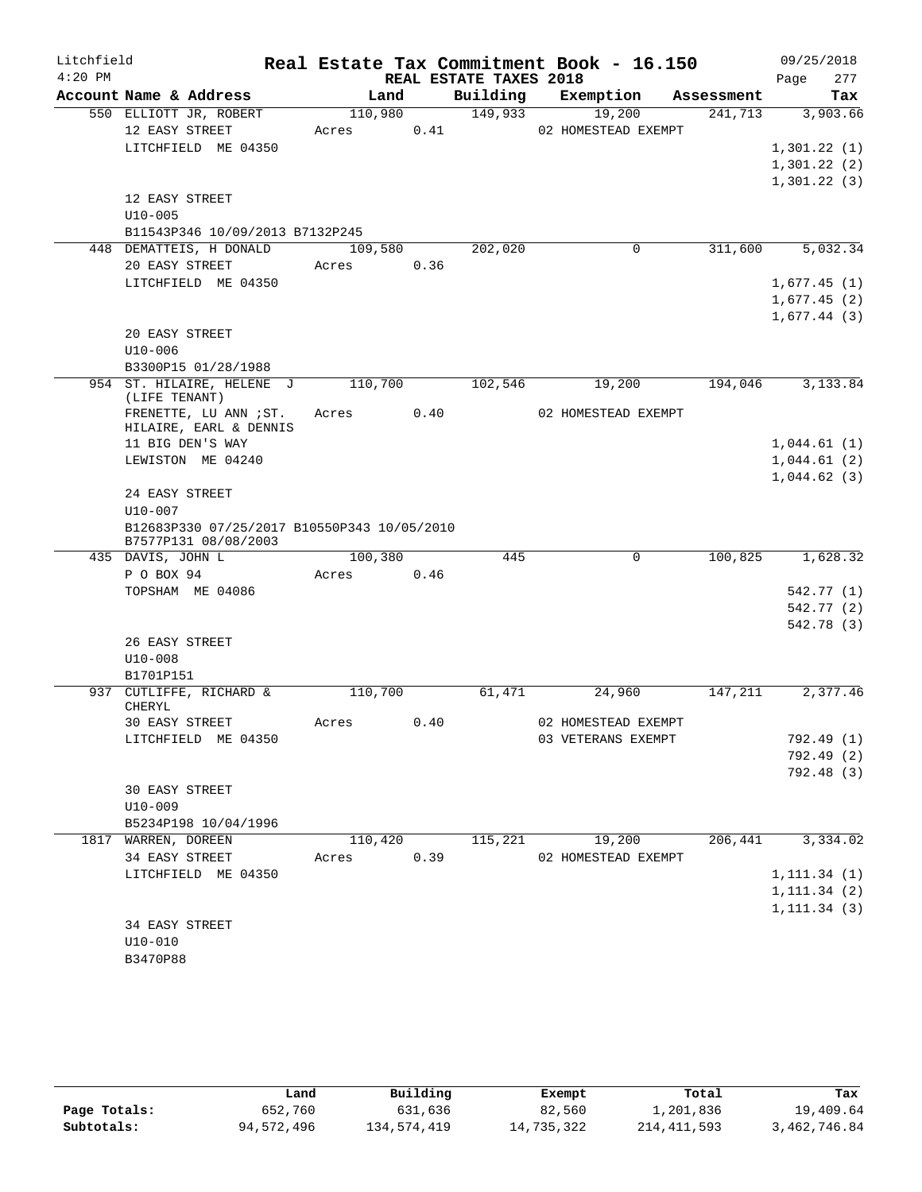| Litchfield |                                                            |            |      |                        | Real Estate Tax Commitment Book - 16.150 |            | 09/25/2018                   |
|------------|------------------------------------------------------------|------------|------|------------------------|------------------------------------------|------------|------------------------------|
| $4:20$ PM  |                                                            |            |      | REAL ESTATE TAXES 2018 |                                          |            | 277<br>Page                  |
|            | Account Name & Address                                     | Land       |      | Building               | Exemption                                | Assessment | Tax                          |
|            | 550 ELLIOTT JR, ROBERT                                     | 110,980    |      | 149,933                | 19,200                                   | 241,713    | 3,903.66                     |
|            | 12 EASY STREET                                             | Acres      | 0.41 |                        | 02 HOMESTEAD EXEMPT                      |            |                              |
|            | LITCHFIELD ME 04350                                        |            |      |                        |                                          |            | 1,301.22(1)<br>1,301.22(2)   |
|            |                                                            |            |      |                        |                                          |            | 1,301.22(3)                  |
|            | 12 EASY STREET                                             |            |      |                        |                                          |            |                              |
|            | $U10 - 005$                                                |            |      |                        |                                          |            |                              |
|            | B11543P346 10/09/2013 B7132P245                            |            |      |                        |                                          |            |                              |
|            | 448 DEMATTEIS, H DONALD                                    | 109,580    |      | 202,020                | $\mathbf 0$                              | 311,600    | 5,032.34                     |
|            | 20 EASY STREET                                             | Acres      | 0.36 |                        |                                          |            |                              |
|            | LITCHFIELD ME 04350                                        |            |      |                        |                                          |            | 1,677.45(1)                  |
|            |                                                            |            |      |                        |                                          |            | 1,677.45(2)                  |
|            |                                                            |            |      |                        |                                          |            | 1,677.44(3)                  |
|            | 20 EASY STREET                                             |            |      |                        |                                          |            |                              |
|            | $U10 - 006$                                                |            |      |                        |                                          |            |                              |
|            | B3300P15 01/28/1988                                        |            |      |                        |                                          |            |                              |
|            | 954 ST. HILAIRE, HELENE J<br>(LIFE TENANT)                 | 110,700    |      | 102,546                | 19,200                                   | 194,046    | 3,133.84                     |
|            | FRENETTE, LU ANN ; ST.                                     | Acres 0.40 |      |                        | 02 HOMESTEAD EXEMPT                      |            |                              |
|            | HILAIRE, EARL & DENNIS                                     |            |      |                        |                                          |            |                              |
|            | 11 BIG DEN'S WAY                                           |            |      |                        |                                          |            | 1,044.61(1)                  |
|            | LEWISTON ME 04240                                          |            |      |                        |                                          |            | 1,044.61(2)                  |
|            |                                                            |            |      |                        |                                          |            | 1,044.62(3)                  |
|            | 24 EASY STREET                                             |            |      |                        |                                          |            |                              |
|            | $U10 - 007$<br>B12683P330 07/25/2017 B10550P343 10/05/2010 |            |      |                        |                                          |            |                              |
|            | B7577P131 08/08/2003                                       |            |      |                        |                                          |            |                              |
|            | 435 DAVIS, JOHN L                                          | 100,380    |      | 445                    | $\mathbf 0$                              | 100,825    | 1,628.32                     |
|            | P O BOX 94                                                 | Acres      | 0.46 |                        |                                          |            |                              |
|            | TOPSHAM ME 04086                                           |            |      |                        |                                          |            | 542.77 (1)                   |
|            |                                                            |            |      |                        |                                          |            | 542.77 (2)                   |
|            |                                                            |            |      |                        |                                          |            | 542.78 (3)                   |
|            | 26 EASY STREET                                             |            |      |                        |                                          |            |                              |
|            | $U10 - 008$<br>B1701P151                                   |            |      |                        |                                          |            |                              |
|            | 937 CUTLIFFE, RICHARD &                                    | 110,700    |      | 61,471                 | 24,960                                   | 147,211    | 2,377.46                     |
|            | CHERYL                                                     |            |      |                        |                                          |            |                              |
|            | 30 EASY STREET                                             | Acres      | 0.40 |                        | 02 HOMESTEAD EXEMPT                      |            |                              |
|            | LITCHFIELD ME 04350                                        |            |      |                        | 03 VETERANS EXEMPT                       |            | 792.49 (1)                   |
|            |                                                            |            |      |                        |                                          |            | 792.49 (2)                   |
|            |                                                            |            |      |                        |                                          |            | 792.48 (3)                   |
|            | 30 EASY STREET                                             |            |      |                        |                                          |            |                              |
|            | $U10 - 009$                                                |            |      |                        |                                          |            |                              |
|            | B5234P198 10/04/1996                                       |            |      |                        |                                          |            |                              |
|            | 1817 WARREN, DOREEN                                        | 110,420    |      | 115,221                | 19,200                                   | 206,441    | 3,334.02                     |
|            | 34 EASY STREET                                             | Acres      | 0.39 |                        | 02 HOMESTEAD EXEMPT                      |            |                              |
|            | LITCHFIELD ME 04350                                        |            |      |                        |                                          |            | 1, 111.34(1)<br>1, 111.34(2) |
|            |                                                            |            |      |                        |                                          |            | 1, 111.34(3)                 |
|            | 34 EASY STREET                                             |            |      |                        |                                          |            |                              |
|            | $U10 - 010$                                                |            |      |                        |                                          |            |                              |
|            | B3470P88                                                   |            |      |                        |                                          |            |                              |

|              | Land       | Building    | Exempt     | Total       | Tax          |
|--------------|------------|-------------|------------|-------------|--------------|
| Page Totals: | 652,760    | 631,636     | 82,560     | 1,201,836   | 19,409.64    |
| Subtotals:   | 94,572,496 | 134,574,419 | 14,735,322 | 214,411,593 | 3,462,746.84 |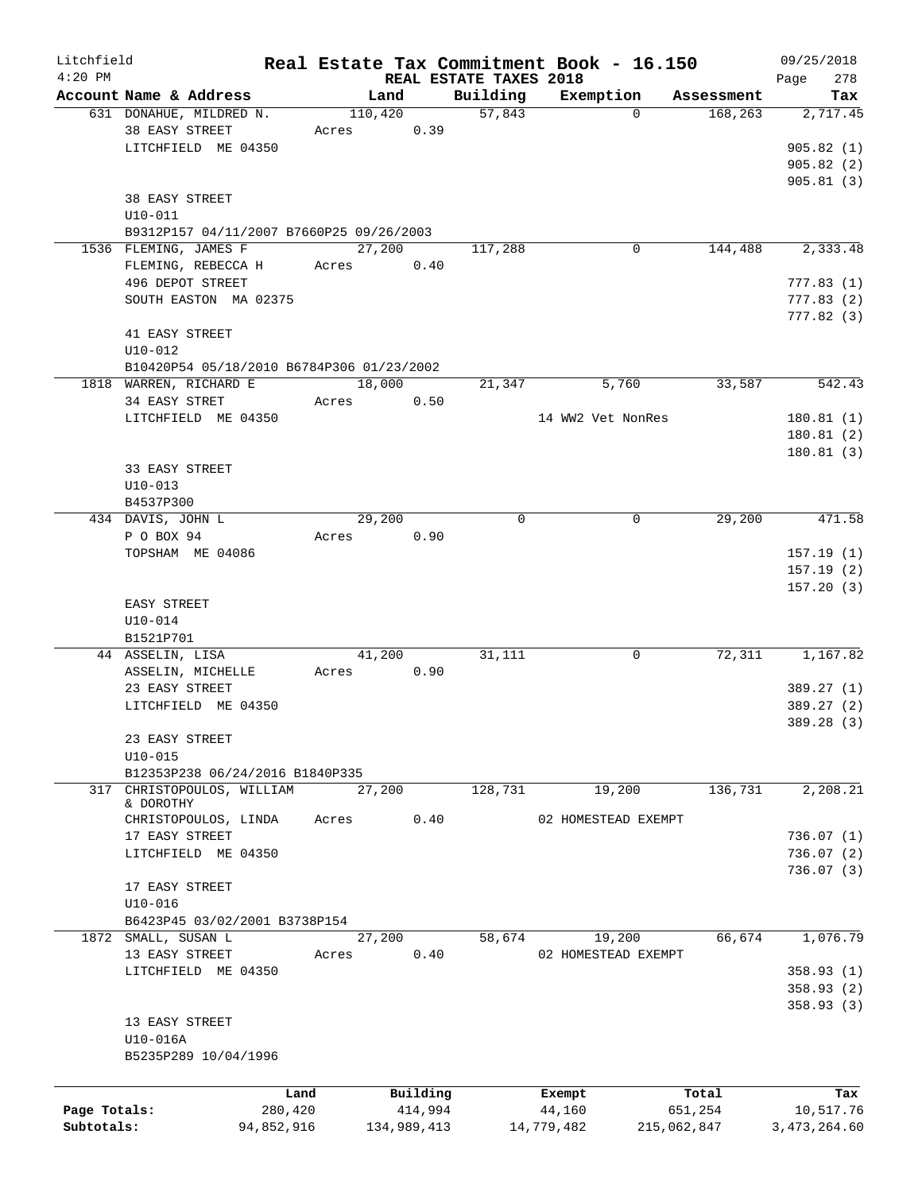| Litchfield   |                                           |            |       |                        |             | Real Estate Tax Commitment Book - 16.150 |             | 09/25/2018     |
|--------------|-------------------------------------------|------------|-------|------------------------|-------------|------------------------------------------|-------------|----------------|
| $4:20$ PM    |                                           |            |       | REAL ESTATE TAXES 2018 |             |                                          |             | 278<br>Page    |
|              | Account Name & Address                    |            |       | Land                   | Building    | Exemption                                | Assessment  | Tax            |
|              | 631 DONAHUE, MILDRED N.                   |            |       | 110,420                | 57,843      | $\Omega$                                 | 168,263     | 2,717.45       |
|              | 38 EASY STREET                            |            | Acres | 0.39                   |             |                                          |             |                |
|              | LITCHFIELD ME 04350                       |            |       |                        |             |                                          |             | 905.82(1)      |
|              |                                           |            |       |                        |             |                                          |             | 905.82(2)      |
|              |                                           |            |       |                        |             |                                          |             | 905.81(3)      |
|              | 38 EASY STREET                            |            |       |                        |             |                                          |             |                |
|              | $U10 - 011$                               |            |       |                        |             |                                          |             |                |
|              | B9312P157 04/11/2007 B7660P25 09/26/2003  |            |       |                        |             |                                          |             |                |
|              | 1536 FLEMING, JAMES F                     |            |       | 27,200                 | 117,288     | 0                                        | 144,488     | 2,333.48       |
|              | FLEMING, REBECCA H                        |            | Acres | 0.40                   |             |                                          |             |                |
|              | 496 DEPOT STREET                          |            |       |                        |             |                                          |             | 777.83(1)      |
|              | SOUTH EASTON MA 02375                     |            |       |                        |             |                                          |             | 777.83(2)      |
|              |                                           |            |       |                        |             |                                          |             | 777.82(3)      |
|              | 41 EASY STREET                            |            |       |                        |             |                                          |             |                |
|              | $U10 - 012$                               |            |       |                        |             |                                          |             |                |
|              | B10420P54 05/18/2010 B6784P306 01/23/2002 |            |       |                        |             |                                          |             |                |
|              | 1818 WARREN, RICHARD E                    |            |       | 18,000                 | 21,347      | 5,760                                    | 33,587      | 542.43         |
|              | 34 EASY STRET                             |            | Acres | 0.50                   |             |                                          |             |                |
|              | LITCHFIELD ME 04350                       |            |       |                        |             | 14 WW2 Vet NonRes                        |             | 180.81(1)      |
|              |                                           |            |       |                        |             |                                          |             |                |
|              |                                           |            |       |                        |             |                                          |             | 180.81(2)      |
|              |                                           |            |       |                        |             |                                          |             | 180.81(3)      |
|              | 33 EASY STREET                            |            |       |                        |             |                                          |             |                |
|              | $U10 - 013$                               |            |       |                        |             |                                          |             |                |
|              | B4537P300                                 |            |       |                        |             |                                          |             |                |
|              | 434 DAVIS, JOHN L                         |            |       | 29,200                 | $\mathbf 0$ | $\mathbf 0$                              | 29,200      | 471.58         |
|              | P O BOX 94                                |            | Acres | 0.90                   |             |                                          |             |                |
|              | TOPSHAM ME 04086                          |            |       |                        |             |                                          |             | 157.19(1)      |
|              |                                           |            |       |                        |             |                                          |             | 157.19(2)      |
|              |                                           |            |       |                        |             |                                          |             | 157.20(3)      |
|              | EASY STREET                               |            |       |                        |             |                                          |             |                |
|              | $U10-014$                                 |            |       |                        |             |                                          |             |                |
|              | B1521P701                                 |            |       |                        |             |                                          |             |                |
|              | 44 ASSELIN, LISA                          |            |       | 41,200                 | 31,111      | 0                                        | 72,311      | 1,167.82       |
|              | ASSELIN, MICHELLE                         |            | Acres | 0.90                   |             |                                          |             |                |
|              | 23 EASY STREET                            |            |       |                        |             |                                          |             | 389.27(1)      |
|              | LITCHFIELD ME 04350                       |            |       |                        |             |                                          |             | 389.27 (2)     |
|              |                                           |            |       |                        |             |                                          |             | 389.28 (3)     |
|              | 23 EASY STREET                            |            |       |                        |             |                                          |             |                |
|              | $U10 - 015$                               |            |       |                        |             |                                          |             |                |
|              | B12353P238 06/24/2016 B1840P335           |            |       |                        |             |                                          |             |                |
| 317          | CHRISTOPOULOS, WILLIAM                    |            |       | 27,200                 | 128,731     | 19,200                                   | 136,731     | 2,208.21       |
|              | & DOROTHY                                 |            |       |                        |             |                                          |             |                |
|              | CHRISTOPOULOS, LINDA                      |            | Acres | 0.40                   |             | 02 HOMESTEAD EXEMPT                      |             |                |
|              | 17 EASY STREET                            |            |       |                        |             |                                          |             | 736.07(1)      |
|              | LITCHFIELD ME 04350                       |            |       |                        |             |                                          |             | 736.07(2)      |
|              |                                           |            |       |                        |             |                                          |             | 736.07(3)      |
|              | 17 EASY STREET                            |            |       |                        |             |                                          |             |                |
|              |                                           |            |       |                        |             |                                          |             |                |
|              | $U10 - 016$                               |            |       |                        |             |                                          |             |                |
|              | B6423P45 03/02/2001 B3738P154             |            |       |                        |             |                                          |             |                |
|              | 1872 SMALL, SUSAN L                       |            |       | 27,200                 | 58,674      | 19,200                                   | 66,674      | 1,076.79       |
|              | 13 EASY STREET                            |            | Acres | 0.40                   |             | 02 HOMESTEAD EXEMPT                      |             |                |
|              | LITCHFIELD ME 04350                       |            |       |                        |             |                                          |             | 358.93(1)      |
|              |                                           |            |       |                        |             |                                          |             | 358.93(2)      |
|              |                                           |            |       |                        |             |                                          |             | 358.93(3)      |
|              | 13 EASY STREET                            |            |       |                        |             |                                          |             |                |
|              | U10-016A                                  |            |       |                        |             |                                          |             |                |
|              | B5235P289 10/04/1996                      |            |       |                        |             |                                          |             |                |
|              |                                           |            |       |                        |             |                                          |             |                |
|              |                                           | Land       |       | Building               |             | Exempt                                   | Total       | Tax            |
| Page Totals: |                                           | 280,420    |       | 414,994                |             | 44,160                                   | 651,254     | 10,517.76      |
| Subtotals:   |                                           | 94,852,916 |       | 134,989,413            |             | 14,779,482                               | 215,062,847 | 3, 473, 264.60 |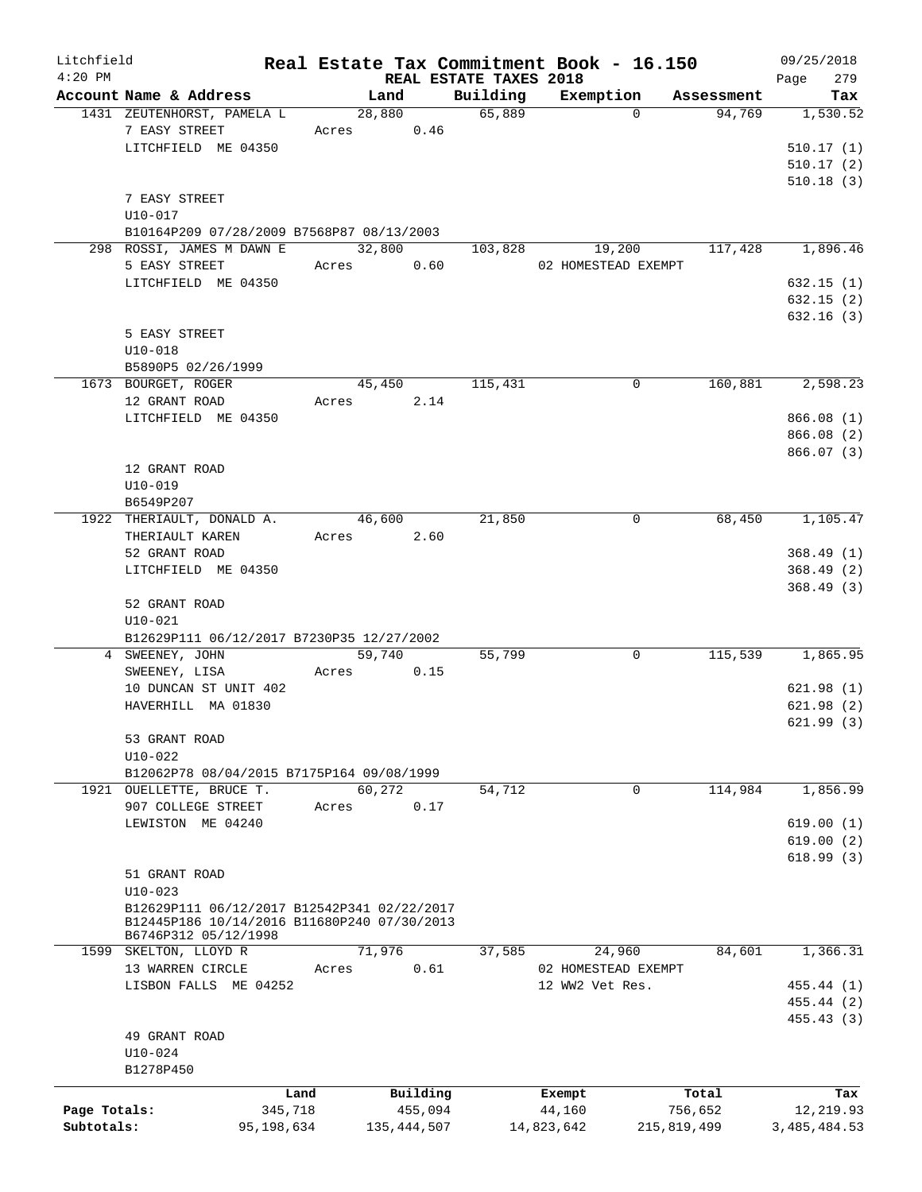| Litchfield   |                                                                     |         |                      |          |                        | Real Estate Tax Commitment Book - 16.150 |                      | 09/25/2018   |
|--------------|---------------------------------------------------------------------|---------|----------------------|----------|------------------------|------------------------------------------|----------------------|--------------|
| $4:20$ PM    |                                                                     |         |                      |          | REAL ESTATE TAXES 2018 |                                          |                      | 279<br>Page  |
|              | Account Name & Address                                              |         | Land                 |          |                        | Building Exemption<br>$\Omega$           | Assessment<br>94,769 | Tax          |
|              | 1431 ZEUTENHORST, PAMELA L                                          |         | 28,880<br>Acres 0.46 |          | 65,889                 |                                          |                      | 1,530.52     |
|              | 7 EASY STREET                                                       |         |                      |          |                        |                                          |                      |              |
|              | LITCHFIELD ME 04350                                                 |         |                      |          |                        |                                          |                      | 510.17(1)    |
|              |                                                                     |         |                      |          |                        |                                          |                      | 510.17(2)    |
|              |                                                                     |         |                      |          |                        |                                          |                      | 510.18(3)    |
|              | 7 EASY STREET                                                       |         |                      |          |                        |                                          |                      |              |
|              | U10-017                                                             |         |                      |          |                        |                                          |                      |              |
|              | B10164P209 07/28/2009 B7568P87 08/13/2003                           |         |                      |          |                        |                                          |                      |              |
|              | 298 ROSSI, JAMES M DAWN E                                           |         | 32,800               |          | 103,828                | 19,200                                   | 117,428              | 1,896.46     |
|              | 5 EASY STREET                                                       |         | Acres 0.60           |          |                        | 02 HOMESTEAD EXEMPT                      |                      |              |
|              | LITCHFIELD ME 04350                                                 |         |                      |          |                        |                                          |                      | 632.15(1)    |
|              |                                                                     |         |                      |          |                        |                                          |                      | 632.15(2)    |
|              |                                                                     |         |                      |          |                        |                                          |                      | 632.16(3)    |
|              | 5 EASY STREET                                                       |         |                      |          |                        |                                          |                      |              |
|              | $U10 - 018$                                                         |         |                      |          |                        |                                          |                      |              |
|              | B5890P5 02/26/1999                                                  |         |                      |          |                        |                                          |                      |              |
|              | 1673 BOURGET, ROGER                                                 |         | 45,450               |          | 115,431                | $\mathbf 0$                              | 160,881              | 2,598.23     |
|              | 12 GRANT ROAD                                                       |         | Acres 2.14           |          |                        |                                          |                      |              |
|              | LITCHFIELD ME 04350                                                 |         |                      |          |                        |                                          |                      | 866.08(1)    |
|              |                                                                     |         |                      |          |                        |                                          |                      | 866.08 (2)   |
|              |                                                                     |         |                      |          |                        |                                          |                      |              |
|              |                                                                     |         |                      |          |                        |                                          |                      | 866.07(3)    |
|              | 12 GRANT ROAD                                                       |         |                      |          |                        |                                          |                      |              |
|              | $U10 - 019$                                                         |         |                      |          |                        |                                          |                      |              |
|              | B6549P207                                                           |         |                      |          |                        |                                          |                      |              |
|              | 1922 THERIAULT, DONALD A.                                           |         | 46,600               |          | 21,850                 | 0                                        | 68,450               | 1,105.47     |
|              | THERIAULT KAREN                                                     |         | Acres 2.60           |          |                        |                                          |                      |              |
|              | 52 GRANT ROAD                                                       |         |                      |          |                        |                                          |                      | 368.49(1)    |
|              | LITCHFIELD ME 04350                                                 |         |                      |          |                        |                                          |                      | 368.49(2)    |
|              |                                                                     |         |                      |          |                        |                                          |                      | 368.49(3)    |
|              | 52 GRANT ROAD                                                       |         |                      |          |                        |                                          |                      |              |
|              | $U10 - 021$                                                         |         |                      |          |                        |                                          |                      |              |
|              | B12629P111 06/12/2017 B7230P35 12/27/2002                           |         |                      |          |                        |                                          |                      |              |
|              | 4 SWEENEY, JOHN                                                     |         | 59,740               |          | 55,799                 | 0                                        | 115,539              | 1,865.95     |
|              | SWEENEY, LISA                                                       |         | Acres                | 0.15     |                        |                                          |                      |              |
|              | 10 DUNCAN ST UNIT 402                                               |         |                      |          |                        |                                          |                      | 621.98(1)    |
|              | HAVERHILL MA 01830                                                  |         |                      |          |                        |                                          |                      | 621.98(2)    |
|              |                                                                     |         |                      |          |                        |                                          |                      | 621.99(3)    |
|              | 53 GRANT ROAD                                                       |         |                      |          |                        |                                          |                      |              |
|              | $U10 - 022$                                                         |         |                      |          |                        |                                          |                      |              |
|              | B12062P78 08/04/2015 B7175P164 09/08/1999                           |         |                      |          |                        |                                          |                      |              |
|              | 1921 OUELLETTE, BRUCE T.                                            |         | 60,272               |          | 54,712                 | $\mathbf 0$                              | 114,984              | 1,856.99     |
|              | 907 COLLEGE STREET                                                  | Acres   |                      | 0.17     |                        |                                          |                      |              |
|              | LEWISTON ME 04240                                                   |         |                      |          |                        |                                          |                      | 619.00(1)    |
|              |                                                                     |         |                      |          |                        |                                          |                      |              |
|              |                                                                     |         |                      |          |                        |                                          |                      | 619.00(2)    |
|              |                                                                     |         |                      |          |                        |                                          |                      | 618.99(3)    |
|              | 51 GRANT ROAD                                                       |         |                      |          |                        |                                          |                      |              |
|              | $U10-023$                                                           |         |                      |          |                        |                                          |                      |              |
|              | B12629P111 06/12/2017 B12542P341 02/22/2017                         |         |                      |          |                        |                                          |                      |              |
|              | B12445P186 10/14/2016 B11680P240 07/30/2013<br>B6746P312 05/12/1998 |         |                      |          |                        |                                          |                      |              |
|              | 1599 SKELTON, LLOYD R                                               |         | 71,976               |          | 37,585                 | 24,960                                   | 84,601               | 1,366.31     |
|              | 13 WARREN CIRCLE                                                    | Acres   |                      | 0.61     |                        | 02 HOMESTEAD EXEMPT                      |                      |              |
|              | LISBON FALLS ME 04252                                               |         |                      |          |                        | 12 WW2 Vet Res.                          |                      | 455.44 (1)   |
|              |                                                                     |         |                      |          |                        |                                          |                      |              |
|              |                                                                     |         |                      |          |                        |                                          |                      | 455.44 (2)   |
|              |                                                                     |         |                      |          |                        |                                          |                      | 455.43(3)    |
|              | 49 GRANT ROAD                                                       |         |                      |          |                        |                                          |                      |              |
|              | $U10-024$                                                           |         |                      |          |                        |                                          |                      |              |
|              | B1278P450                                                           |         |                      |          |                        |                                          |                      |              |
|              |                                                                     | Land    |                      | Building |                        | Exempt                                   | Total                | Tax          |
| Page Totals: |                                                                     | 345,718 |                      | 455,094  |                        | 44,160                                   | 756,652              | 12,219.93    |
| Subtotals:   | 95,198,634                                                          |         | 135,444,507          |          |                        | 14,823,642                               | 215,819,499          | 3,485,484.53 |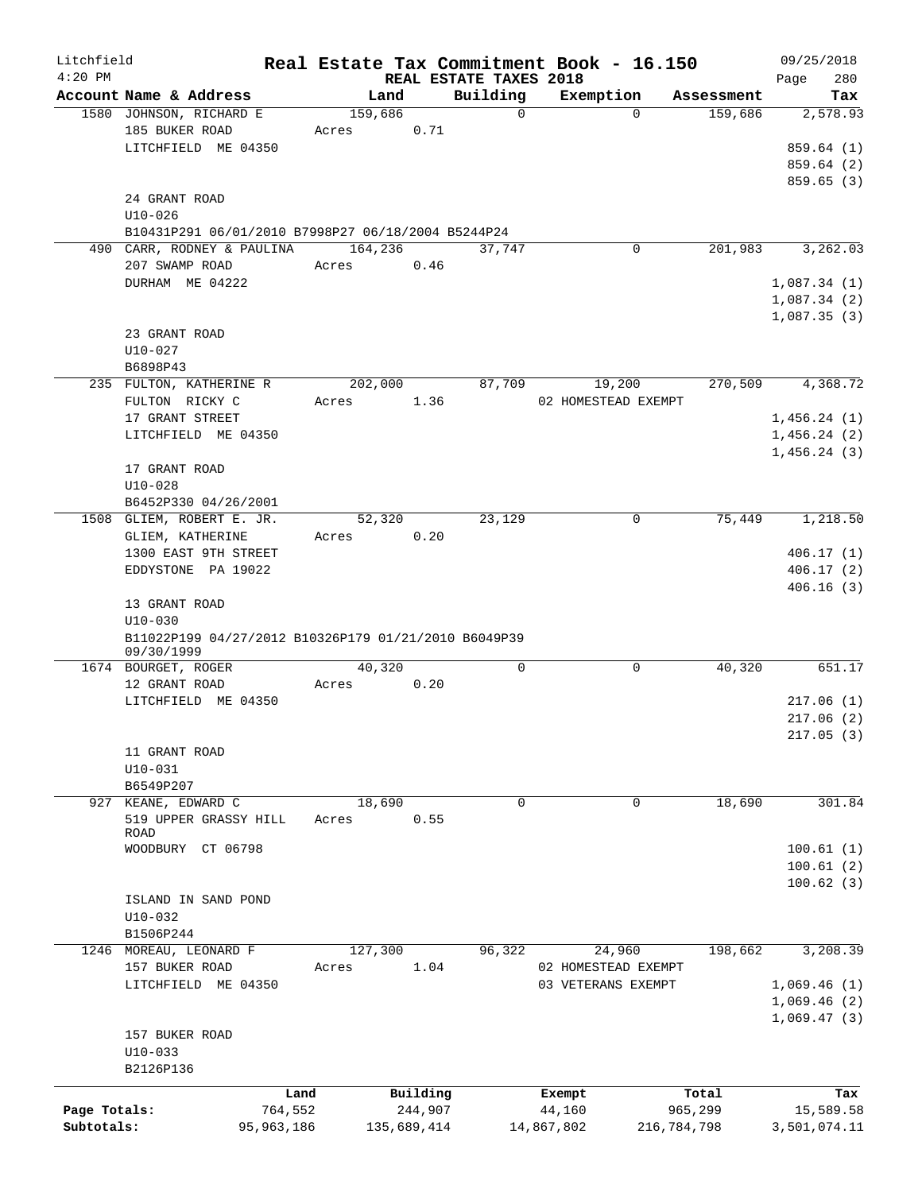| Litchfield   |                                                      |              |             |                                    | Real Estate Tax Commitment Book - 16.150 |             | 09/25/2018      |
|--------------|------------------------------------------------------|--------------|-------------|------------------------------------|------------------------------------------|-------------|-----------------|
| $4:20$ PM    | Account Name & Address                               |              | Land        | REAL ESTATE TAXES 2018<br>Building |                                          | Assessment  | 280<br>Page     |
|              | 1580 JOHNSON, RICHARD E                              |              | 159,686     | $\mathbf 0$                        | Exemption<br>$\Omega$                    | 159,686     | Tax<br>2,578.93 |
|              | 185 BUKER ROAD                                       | Acres        | 0.71        |                                    |                                          |             |                 |
|              | LITCHFIELD ME 04350                                  |              |             |                                    |                                          |             | 859.64 (1)      |
|              |                                                      |              |             |                                    |                                          |             | 859.64 (2)      |
|              |                                                      |              |             |                                    |                                          |             | 859.65 (3)      |
|              | 24 GRANT ROAD                                        |              |             |                                    |                                          |             |                 |
|              | $U10 - 026$                                          |              |             |                                    |                                          |             |                 |
|              | B10431P291 06/01/2010 B7998P27 06/18/2004 B5244P24   |              |             |                                    |                                          |             |                 |
|              | 490 CARR, RODNEY & PAULINA                           |              | 164,236     | 37,747                             | 0                                        | 201,983     | 3, 262.03       |
|              | 207 SWAMP ROAD                                       | Acres        | 0.46        |                                    |                                          |             |                 |
|              | DURHAM ME 04222                                      |              |             |                                    |                                          |             | 1,087.34(1)     |
|              |                                                      |              |             |                                    |                                          |             | 1,087.34(2)     |
|              |                                                      |              |             |                                    |                                          |             | 1,087.35(3)     |
|              | 23 GRANT ROAD                                        |              |             |                                    |                                          |             |                 |
|              | $U10 - 027$                                          |              |             |                                    |                                          |             |                 |
|              |                                                      |              |             |                                    |                                          |             |                 |
|              | B6898P43                                             |              |             |                                    |                                          | 270,509     |                 |
|              | 235 FULTON, KATHERINE R                              |              | 202,000     | 87,709                             | 19,200                                   |             | 4,368.72        |
|              | FULTON RICKY C                                       | Acres        | 1.36        |                                    | 02 HOMESTEAD EXEMPT                      |             |                 |
|              | 17 GRANT STREET                                      |              |             |                                    |                                          |             | 1,456.24(1)     |
|              | LITCHFIELD ME 04350                                  |              |             |                                    |                                          |             | 1,456.24(2)     |
|              |                                                      |              |             |                                    |                                          |             | 1,456.24(3)     |
|              | 17 GRANT ROAD                                        |              |             |                                    |                                          |             |                 |
|              | $U10-028$                                            |              |             |                                    |                                          |             |                 |
|              | B6452P330 04/26/2001                                 |              |             |                                    |                                          |             |                 |
|              | 1508 GLIEM, ROBERT E. JR.                            |              | 52,320      | 23,129                             | 0                                        | 75,449      | 1,218.50        |
|              | GLIEM, KATHERINE                                     | Acres        | 0.20        |                                    |                                          |             |                 |
|              | 1300 EAST 9TH STREET                                 |              |             |                                    |                                          |             | 406.17(1)       |
|              | EDDYSTONE PA 19022                                   |              |             |                                    |                                          |             | 406.17(2)       |
|              |                                                      |              |             |                                    |                                          |             | 406.16(3)       |
|              | 13 GRANT ROAD                                        |              |             |                                    |                                          |             |                 |
|              | $U10 - 030$                                          |              |             |                                    |                                          |             |                 |
|              | B11022P199 04/27/2012 B10326P179 01/21/2010 B6049P39 |              |             |                                    |                                          |             |                 |
|              | 09/30/1999                                           |              | 40,320      | 0                                  | 0                                        |             | 651.17          |
|              | 1674 BOURGET, ROGER                                  |              |             |                                    |                                          | 40,320      |                 |
|              | 12 GRANT ROAD                                        | Acres        | 0.20        |                                    |                                          |             |                 |
|              | LITCHFIELD ME 04350                                  |              |             |                                    |                                          |             | 217.06(1)       |
|              |                                                      |              |             |                                    |                                          |             | 217.06(2)       |
|              |                                                      |              |             |                                    |                                          |             | 217.05(3)       |
|              | 11 GRANT ROAD                                        |              |             |                                    |                                          |             |                 |
|              | $U10 - 031$                                          |              |             |                                    |                                          |             |                 |
|              | B6549P207                                            |              |             |                                    |                                          |             |                 |
|              | 927 KEANE, EDWARD C                                  |              | 18,690      | $\mathbf 0$                        | 0                                        | 18,690      | 301.84          |
|              | 519 UPPER GRASSY HILL<br><b>ROAD</b>                 | Acres        | 0.55        |                                    |                                          |             |                 |
|              | WOODBURY CT 06798                                    |              |             |                                    |                                          |             | 100.61(1)       |
|              |                                                      |              |             |                                    |                                          |             |                 |
|              |                                                      |              |             |                                    |                                          |             | 100.61(2)       |
|              |                                                      |              |             |                                    |                                          |             | 100.62(3)       |
|              | ISLAND IN SAND POND                                  |              |             |                                    |                                          |             |                 |
|              | $U10-032$                                            |              |             |                                    |                                          |             |                 |
|              | B1506P244                                            |              |             |                                    |                                          |             |                 |
|              | 1246 MOREAU, LEONARD F                               |              | 127,300     | 96,322                             | 24,960                                   | 198,662     | 3,208.39        |
|              | 157 BUKER ROAD                                       | Acres        | 1.04        |                                    | 02 HOMESTEAD EXEMPT                      |             |                 |
|              | LITCHFIELD ME 04350                                  |              |             |                                    | 03 VETERANS EXEMPT                       |             | 1,069.46(1)     |
|              |                                                      |              |             |                                    |                                          |             | 1,069.46(2)     |
|              |                                                      |              |             |                                    |                                          |             | 1,069.47(3)     |
|              | 157 BUKER ROAD                                       |              |             |                                    |                                          |             |                 |
|              | $U10-033$                                            |              |             |                                    |                                          |             |                 |
|              | B2126P136                                            |              |             |                                    |                                          |             |                 |
|              |                                                      | Land         | Building    |                                    | Exempt                                   | Total       | Tax             |
| Page Totals: |                                                      | 764,552      | 244,907     |                                    | 44,160                                   | 965,299     | 15,589.58       |
| Subtotals:   |                                                      | 95, 963, 186 | 135,689,414 |                                    | 14,867,802                               | 216,784,798 | 3,501,074.11    |
|              |                                                      |              |             |                                    |                                          |             |                 |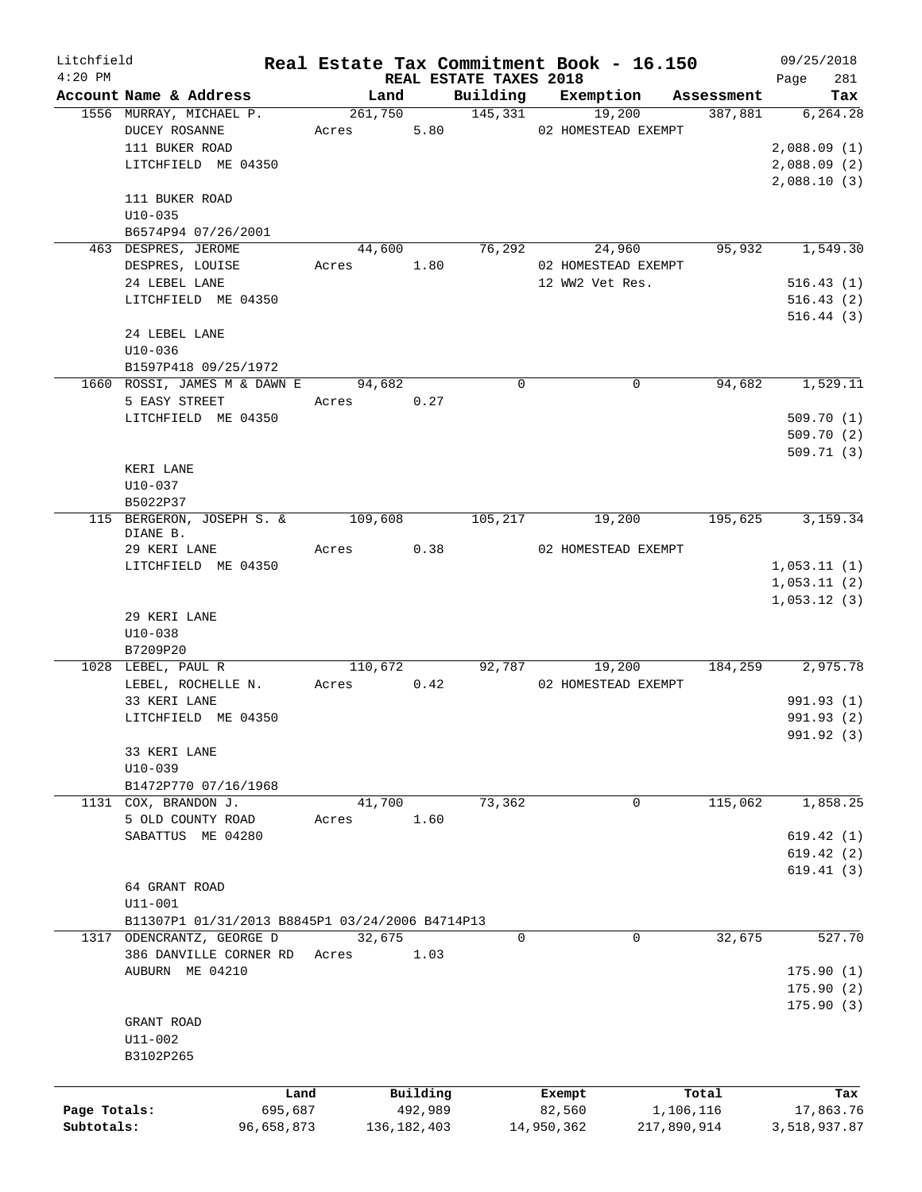| Litchfield   |                                                   |                      |               |                        | Real Estate Tax Commitment Book - 16.150 |                       | 09/25/2018                 |
|--------------|---------------------------------------------------|----------------------|---------------|------------------------|------------------------------------------|-----------------------|----------------------------|
| $4:20$ PM    |                                                   |                      |               | REAL ESTATE TAXES 2018 |                                          |                       | 281<br>Page                |
|              | Account Name & Address<br>1556 MURRAY, MICHAEL P. | Land                 | 261,750       | Building<br>145,331    | Exemption<br>19,200                      | Assessment<br>387,881 | Tax<br>6, 264.28           |
|              | <b>DUCEY ROSANNE</b>                              | Acres                |               | 5.80                   | 02 HOMESTEAD EXEMPT                      |                       |                            |
|              | 111 BUKER ROAD                                    |                      |               |                        |                                          |                       | 2,088.09(1)                |
|              | LITCHFIELD ME 04350                               |                      |               |                        |                                          |                       | 2,088.09(2)                |
|              |                                                   |                      |               |                        |                                          |                       | 2,088.10(3)                |
|              | 111 BUKER ROAD                                    |                      |               |                        |                                          |                       |                            |
|              | $U10 - 035$                                       |                      |               |                        |                                          |                       |                            |
|              | B6574P94 07/26/2001                               |                      |               |                        |                                          |                       |                            |
|              | 463 DESPRES, JEROME                               | 44,600               |               | 76,292                 | 24,960                                   | 95,932                | 1,549.30                   |
|              | DESPRES, LOUISE                                   | Acres                | 1.80          |                        | 02 HOMESTEAD EXEMPT                      |                       |                            |
|              | 24 LEBEL LANE                                     |                      |               |                        | 12 WW2 Vet Res.                          |                       | 516.43(1)                  |
|              | LITCHFIELD ME 04350                               |                      |               |                        |                                          |                       | 516.43(2)                  |
|              |                                                   |                      |               |                        |                                          |                       | 516.44(3)                  |
|              | 24 LEBEL LANE                                     |                      |               |                        |                                          |                       |                            |
|              | $U10 - 036$                                       |                      |               |                        |                                          |                       |                            |
|              | B1597P418 09/25/1972                              |                      |               |                        |                                          |                       |                            |
|              | 1660 ROSSI, JAMES M & DAWN E                      | 94,682               |               | $\mathbf 0$            |                                          | 0<br>94,682           | 1,529.11                   |
|              | 5 EASY STREET                                     | Acres                | 0.27          |                        |                                          |                       |                            |
|              | LITCHFIELD ME 04350                               |                      |               |                        |                                          |                       | 509.70(1)                  |
|              |                                                   |                      |               |                        |                                          |                       | 509.70(2)                  |
|              |                                                   |                      |               |                        |                                          |                       | 509.71(3)                  |
|              | KERI LANE                                         |                      |               |                        |                                          |                       |                            |
|              | $U10-037$                                         |                      |               |                        |                                          |                       |                            |
|              | B5022P37                                          |                      |               |                        |                                          |                       |                            |
|              | 115 BERGERON, JOSEPH S. &                         | $\overline{109,608}$ |               | 105,217                | 19,200                                   | 195,625               | 3,159.34                   |
|              | DIANE B.                                          |                      |               |                        |                                          |                       |                            |
|              | 29 KERI LANE                                      | Acres                | 0.38          |                        | 02 HOMESTEAD EXEMPT                      |                       |                            |
|              | LITCHFIELD ME 04350                               |                      |               |                        |                                          |                       | 1,053.11(1)                |
|              |                                                   |                      |               |                        |                                          |                       | 1,053.11(2)<br>1,053.12(3) |
|              | 29 KERI LANE                                      |                      |               |                        |                                          |                       |                            |
|              | $U10-038$                                         |                      |               |                        |                                          |                       |                            |
|              | B7209P20                                          |                      |               |                        |                                          |                       |                            |
|              | 1028 LEBEL, PAUL R                                | $1\overline{10,672}$ |               |                        | 92,787<br>19,200                         | 184,259               | 2,975.78                   |
|              | LEBEL, ROCHELLE N.                                | Acres                | 0.42          |                        | 02 HOMESTEAD EXEMPT                      |                       |                            |
|              | 33 KERI LANE                                      |                      |               |                        |                                          |                       | 991.93 (1)                 |
|              | LITCHFIELD ME 04350                               |                      |               |                        |                                          |                       | 991.93 (2)                 |
|              |                                                   |                      |               |                        |                                          |                       | 991.92 (3)                 |
|              | 33 KERI LANE                                      |                      |               |                        |                                          |                       |                            |
|              | $U10-039$                                         |                      |               |                        |                                          |                       |                            |
|              | B1472P770 07/16/1968                              |                      |               |                        |                                          |                       |                            |
|              | 1131 COX, BRANDON J.                              | 41,700               |               | 73,362                 |                                          | 115,062<br>0          | 1,858.25                   |
|              | 5 OLD COUNTY ROAD                                 | Acres                | 1.60          |                        |                                          |                       |                            |
|              | SABATTUS ME 04280                                 |                      |               |                        |                                          |                       | 619.42(1)                  |
|              |                                                   |                      |               |                        |                                          |                       | 619.42(2)                  |
|              |                                                   |                      |               |                        |                                          |                       | 619.41(3)                  |
|              | 64 GRANT ROAD                                     |                      |               |                        |                                          |                       |                            |
|              | $U11 - 001$                                       |                      |               |                        |                                          |                       |                            |
|              | B11307P1 01/31/2013 B8845P1 03/24/2006 B4714P13   |                      |               |                        |                                          |                       |                            |
|              | 1317 ODENCRANTZ, GEORGE D                         | 32,675               |               | 0                      |                                          | 0<br>32,675           | 527.70                     |
|              | 386 DANVILLE CORNER RD                            | Acres                | 1.03          |                        |                                          |                       |                            |
|              | AUBURN ME 04210                                   |                      |               |                        |                                          |                       | 175.90(1)                  |
|              |                                                   |                      |               |                        |                                          |                       | 175.90(2)                  |
|              |                                                   |                      |               |                        |                                          |                       | 175.90(3)                  |
|              | GRANT ROAD                                        |                      |               |                        |                                          |                       |                            |
|              | U11-002                                           |                      |               |                        |                                          |                       |                            |
|              | B3102P265                                         |                      |               |                        |                                          |                       |                            |
|              |                                                   |                      |               |                        |                                          |                       |                            |
|              |                                                   | Land                 | Building      |                        | Exempt                                   | Total                 | Tax                        |
| Page Totals: | 695,687                                           |                      | 492,989       |                        | 82,560                                   | 1,106,116             | 17,863.76                  |
| Subtotals:   | 96,658,873                                        |                      | 136, 182, 403 |                        | 14,950,362                               | 217,890,914           | 3,518,937.87               |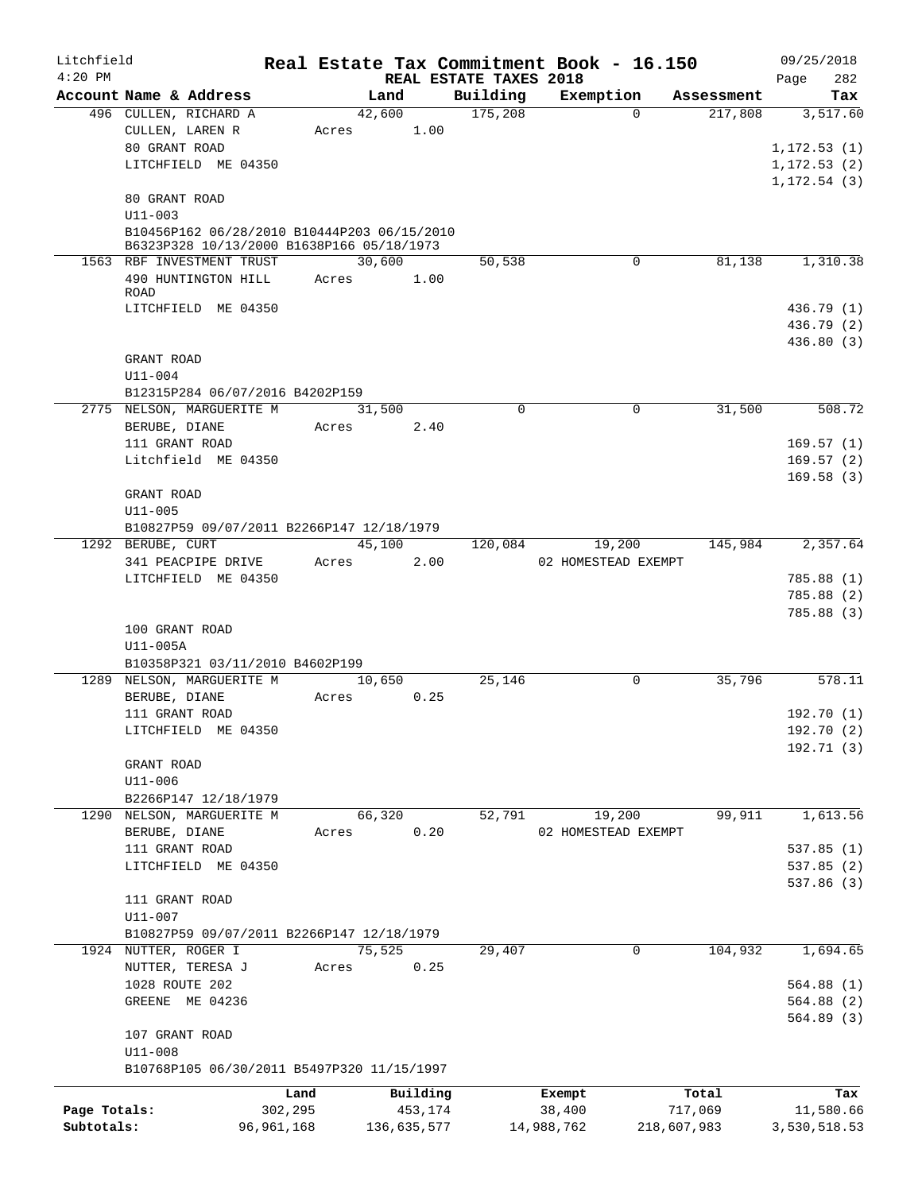| Litchfield   |                                                                        |              |       |                |                        | Real Estate Tax Commitment Book - 16.150 |             |            | 09/25/2018   |                 |
|--------------|------------------------------------------------------------------------|--------------|-------|----------------|------------------------|------------------------------------------|-------------|------------|--------------|-----------------|
| $4:20$ PM    | Account Name & Address                                                 |              |       |                | REAL ESTATE TAXES 2018 |                                          |             | Assessment | Page         | 282             |
|              | 496 CULLEN, RICHARD A                                                  |              |       | Land<br>42,600 | Building<br>175,208    | Exemption<br>$\Omega$                    |             | 217,808    |              | Tax<br>3,517.60 |
|              | CULLEN, LAREN R                                                        |              | Acres | 1.00           |                        |                                          |             |            |              |                 |
|              | 80 GRANT ROAD                                                          |              |       |                |                        |                                          |             |            | 1, 172.53(1) |                 |
|              | LITCHFIELD ME 04350                                                    |              |       |                |                        |                                          |             |            | 1, 172.53(2) |                 |
|              |                                                                        |              |       |                |                        |                                          |             |            | 1, 172.54(3) |                 |
|              | 80 GRANT ROAD                                                          |              |       |                |                        |                                          |             |            |              |                 |
|              | $U11 - 003$                                                            |              |       |                |                        |                                          |             |            |              |                 |
|              | B10456P162 06/28/2010 B10444P203 06/15/2010                            |              |       |                |                        |                                          |             |            |              |                 |
|              | B6323P328 10/13/2000 B1638P166 05/18/1973<br>1563 RBF INVESTMENT TRUST |              |       | 30,600         | 50,538                 | 0                                        |             | 81,138     |              | 1,310.38        |
|              | 490 HUNTINGTON HILL                                                    |              | Acres | 1.00           |                        |                                          |             |            |              |                 |
|              | <b>ROAD</b>                                                            |              |       |                |                        |                                          |             |            |              |                 |
|              | LITCHFIELD ME 04350                                                    |              |       |                |                        |                                          |             |            |              | 436.79 (1)      |
|              |                                                                        |              |       |                |                        |                                          |             |            |              | 436.79 (2)      |
|              |                                                                        |              |       |                |                        |                                          |             |            |              | 436.80 (3)      |
|              | GRANT ROAD                                                             |              |       |                |                        |                                          |             |            |              |                 |
|              | $U11 - 004$                                                            |              |       |                |                        |                                          |             |            |              |                 |
|              | B12315P284 06/07/2016 B4202P159<br>2775 NELSON, MARGUERITE M           |              |       |                | $\Omega$               | $\mathbf 0$                              |             | 31,500     |              | 508.72          |
|              | BERUBE, DIANE                                                          |              | Acres | 31,500<br>2.40 |                        |                                          |             |            |              |                 |
|              | 111 GRANT ROAD                                                         |              |       |                |                        |                                          |             |            |              | 169.57(1)       |
|              | Litchfield ME 04350                                                    |              |       |                |                        |                                          |             |            |              | 169.57(2)       |
|              |                                                                        |              |       |                |                        |                                          |             |            |              | 169.58(3)       |
|              | GRANT ROAD                                                             |              |       |                |                        |                                          |             |            |              |                 |
|              | $U11 - 005$                                                            |              |       |                |                        |                                          |             |            |              |                 |
|              | B10827P59 09/07/2011 B2266P147 12/18/1979                              |              |       |                |                        |                                          |             |            |              |                 |
|              | 1292 BERUBE, CURT                                                      |              |       | 45,100         | 120,084                | 19,200                                   |             | 145,984    |              | 2,357.64        |
|              | 341 PEACPIPE DRIVE                                                     |              | Acres | 2.00           |                        | 02 HOMESTEAD EXEMPT                      |             |            |              |                 |
|              | LITCHFIELD ME 04350                                                    |              |       |                |                        |                                          |             |            |              | 785.88 (1)      |
|              |                                                                        |              |       |                |                        |                                          |             |            |              | 785.88 (2)      |
|              |                                                                        |              |       |                |                        |                                          |             |            |              | 785.88(3)       |
|              | 100 GRANT ROAD                                                         |              |       |                |                        |                                          |             |            |              |                 |
|              | U11-005A                                                               |              |       |                |                        |                                          |             |            |              |                 |
|              | B10358P321 03/11/2010 B4602P199<br>1289 NELSON, MARGUERITE M           |              |       | 10,650         | 25,146                 | $\mathbf 0$                              |             | 35,796     |              | 578.11          |
|              | BERUBE, DIANE                                                          |              | Acres | 0.25           |                        |                                          |             |            |              |                 |
|              | 111 GRANT ROAD                                                         |              |       |                |                        |                                          |             |            |              | 192.70 (1)      |
|              | LITCHFIELD ME 04350                                                    |              |       |                |                        |                                          |             |            |              | 192.70 (2)      |
|              |                                                                        |              |       |                |                        |                                          |             |            |              | 192.71(3)       |
|              | GRANT ROAD                                                             |              |       |                |                        |                                          |             |            |              |                 |
|              | $U11 - 006$                                                            |              |       |                |                        |                                          |             |            |              |                 |
|              | B2266P147 12/18/1979                                                   |              |       |                |                        |                                          |             |            |              |                 |
|              | 1290 NELSON, MARGUERITE M                                              |              |       | 66,320         | 52,791                 | 19,200                                   |             | 99,911     |              | 1,613.56        |
|              | BERUBE, DIANE                                                          |              | Acres | 0.20           |                        | 02 HOMESTEAD EXEMPT                      |             |            |              |                 |
|              | 111 GRANT ROAD                                                         |              |       |                |                        |                                          |             |            |              | 537.85(1)       |
|              | LITCHFIELD ME 04350                                                    |              |       |                |                        |                                          |             |            |              | 537.85(2)       |
|              |                                                                        |              |       |                |                        |                                          |             |            |              | 537.86 (3)      |
|              | 111 GRANT ROAD<br>$U11 - 007$                                          |              |       |                |                        |                                          |             |            |              |                 |
|              | B10827P59 09/07/2011 B2266P147 12/18/1979                              |              |       |                |                        |                                          |             |            |              |                 |
|              | 1924 NUTTER, ROGER I                                                   |              |       | 75,525         | 29,407                 | 0                                        |             | 104,932    |              | 1,694.65        |
|              | NUTTER, TERESA J                                                       |              | Acres | 0.25           |                        |                                          |             |            |              |                 |
|              | 1028 ROUTE 202                                                         |              |       |                |                        |                                          |             |            |              | 564.88(1)       |
|              | GREENE ME 04236                                                        |              |       |                |                        |                                          |             |            |              | 564.88(2)       |
|              |                                                                        |              |       |                |                        |                                          |             |            |              | 564.89(3)       |
|              | 107 GRANT ROAD                                                         |              |       |                |                        |                                          |             |            |              |                 |
|              | $U11 - 008$                                                            |              |       |                |                        |                                          |             |            |              |                 |
|              | B10768P105 06/30/2011 B5497P320 11/15/1997                             |              |       |                |                        |                                          |             |            |              |                 |
|              |                                                                        | Land         |       | Building       |                        | Exempt                                   |             | Total      |              | Tax             |
| Page Totals: |                                                                        | 302,295      |       | 453,174        |                        | 38,400                                   |             | 717,069    |              | 11,580.66       |
| Subtotals:   |                                                                        | 96, 961, 168 |       | 136,635,577    |                        | 14,988,762                               | 218,607,983 |            | 3,530,518.53 |                 |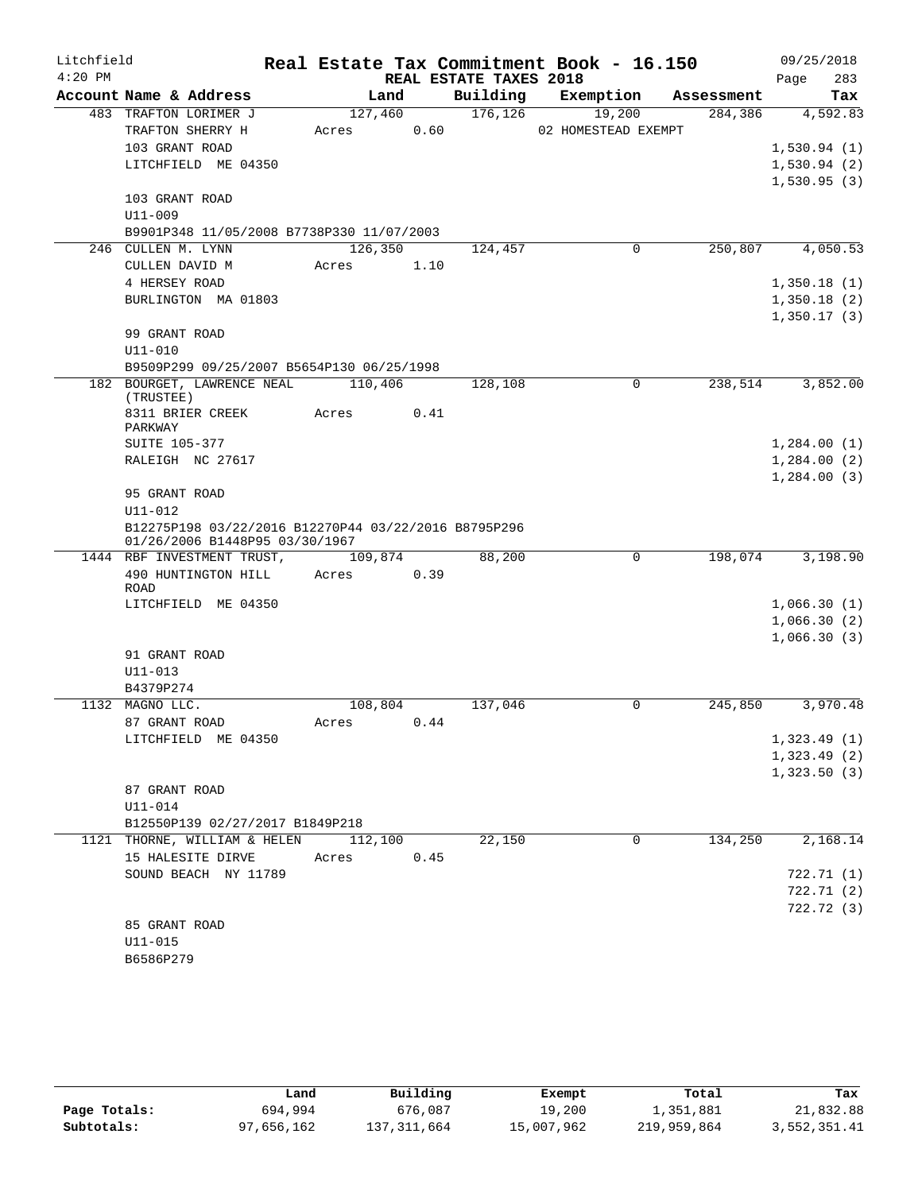| REAL ESTATE TAXES 2018<br>283<br>Page<br>Account Name & Address<br>Building<br>Land<br>Exemption<br>Assessment<br>Tax<br>176, 126<br>483 TRAFTON LORIMER J<br>127,460<br>19,200<br>284,386<br>4,592.83<br>0.60<br>TRAFTON SHERRY H<br>02 HOMESTEAD EXEMPT<br>Acres<br>103 GRANT ROAD<br>1,530.94(1)<br>LITCHFIELD ME 04350<br>1,530.94(2)<br>1,530.95(3)<br>103 GRANT ROAD<br>U11-009<br>B9901P348 11/05/2008 B7738P330 11/07/2003<br>126,350<br>$\mathbf 0$<br>250,807<br>4,050.53<br>124,457<br>246 CULLEN M. LYNN<br>CULLEN DAVID M<br>1.10<br>Acres<br>4 HERSEY ROAD<br>1,350.18(1)<br>BURLINGTON MA 01803<br>1,350.18(2)<br>1,350.17(3)<br>99 GRANT ROAD<br>$U11 - 010$<br>B9509P299 09/25/2007 B5654P130 06/25/1998<br>182 BOURGET, LAWRENCE NEAL<br>110,406<br>$\Omega$<br>238,514<br>3,852.00<br>128,108<br>(TRUSTEE)<br>8311 BRIER CREEK<br>Acres<br>0.41<br>PARKWAY<br>1,284.00(1)<br><b>SUITE 105-377</b><br>RALEIGH NC 27617<br>1,284.00(2)<br>1,284.00(3)<br>95 GRANT ROAD<br>U11-012<br>B12275P198 03/22/2016 B12270P44 03/22/2016 B8795P296<br>01/26/2006 B1448P95 03/30/1967<br>109,874<br>88,200<br>$\mathbf 0$<br>198,074<br>3,198.90<br>1444 RBF INVESTMENT TRUST,<br>490 HUNTINGTON HILL<br>0.39<br>Acres<br>ROAD<br>LITCHFIELD ME 04350<br>1,066.30(1)<br>1,066.30(2)<br>1,066.30(3)<br>91 GRANT ROAD<br>$U11 - 013$<br>B4379P274<br>3,970.48<br>1132 MAGNO LLC.<br>108,804<br>137,046<br>0<br>245,850<br>87 GRANT ROAD<br>0.44<br>Acres<br>1,323.49(1)<br>LITCHFIELD ME 04350<br>1,323.49(2)<br>1,323.50(3)<br>87 GRANT ROAD<br>U11-014<br>B12550P139 02/27/2017 B1849P218<br>22,150<br>0<br>134,250<br>2,168.14<br>1121 THORNE, WILLIAM & HELEN<br>112,100<br>15 HALESITE DIRVE<br>0.45<br>Acres<br>SOUND BEACH NY 11789<br>722.71 (1)<br>722.71(2)<br>722.72 (3)<br>85 GRANT ROAD<br>$U11 - 015$ | Litchfield |           |  | Real Estate Tax Commitment Book - 16.150 | 09/25/2018 |
|--------------------------------------------------------------------------------------------------------------------------------------------------------------------------------------------------------------------------------------------------------------------------------------------------------------------------------------------------------------------------------------------------------------------------------------------------------------------------------------------------------------------------------------------------------------------------------------------------------------------------------------------------------------------------------------------------------------------------------------------------------------------------------------------------------------------------------------------------------------------------------------------------------------------------------------------------------------------------------------------------------------------------------------------------------------------------------------------------------------------------------------------------------------------------------------------------------------------------------------------------------------------------------------------------------------------------------------------------------------------------------------------------------------------------------------------------------------------------------------------------------------------------------------------------------------------------------------------------------------------------------------------------------------------------------------------------------------------------------------------------------------------------------------------------------------------------|------------|-----------|--|------------------------------------------|------------|
|                                                                                                                                                                                                                                                                                                                                                                                                                                                                                                                                                                                                                                                                                                                                                                                                                                                                                                                                                                                                                                                                                                                                                                                                                                                                                                                                                                                                                                                                                                                                                                                                                                                                                                                                                                                                                          | $4:20$ PM  |           |  |                                          |            |
|                                                                                                                                                                                                                                                                                                                                                                                                                                                                                                                                                                                                                                                                                                                                                                                                                                                                                                                                                                                                                                                                                                                                                                                                                                                                                                                                                                                                                                                                                                                                                                                                                                                                                                                                                                                                                          |            |           |  |                                          |            |
|                                                                                                                                                                                                                                                                                                                                                                                                                                                                                                                                                                                                                                                                                                                                                                                                                                                                                                                                                                                                                                                                                                                                                                                                                                                                                                                                                                                                                                                                                                                                                                                                                                                                                                                                                                                                                          |            |           |  |                                          |            |
|                                                                                                                                                                                                                                                                                                                                                                                                                                                                                                                                                                                                                                                                                                                                                                                                                                                                                                                                                                                                                                                                                                                                                                                                                                                                                                                                                                                                                                                                                                                                                                                                                                                                                                                                                                                                                          |            |           |  |                                          |            |
|                                                                                                                                                                                                                                                                                                                                                                                                                                                                                                                                                                                                                                                                                                                                                                                                                                                                                                                                                                                                                                                                                                                                                                                                                                                                                                                                                                                                                                                                                                                                                                                                                                                                                                                                                                                                                          |            |           |  |                                          |            |
|                                                                                                                                                                                                                                                                                                                                                                                                                                                                                                                                                                                                                                                                                                                                                                                                                                                                                                                                                                                                                                                                                                                                                                                                                                                                                                                                                                                                                                                                                                                                                                                                                                                                                                                                                                                                                          |            |           |  |                                          |            |
|                                                                                                                                                                                                                                                                                                                                                                                                                                                                                                                                                                                                                                                                                                                                                                                                                                                                                                                                                                                                                                                                                                                                                                                                                                                                                                                                                                                                                                                                                                                                                                                                                                                                                                                                                                                                                          |            |           |  |                                          |            |
|                                                                                                                                                                                                                                                                                                                                                                                                                                                                                                                                                                                                                                                                                                                                                                                                                                                                                                                                                                                                                                                                                                                                                                                                                                                                                                                                                                                                                                                                                                                                                                                                                                                                                                                                                                                                                          |            |           |  |                                          |            |
|                                                                                                                                                                                                                                                                                                                                                                                                                                                                                                                                                                                                                                                                                                                                                                                                                                                                                                                                                                                                                                                                                                                                                                                                                                                                                                                                                                                                                                                                                                                                                                                                                                                                                                                                                                                                                          |            |           |  |                                          |            |
|                                                                                                                                                                                                                                                                                                                                                                                                                                                                                                                                                                                                                                                                                                                                                                                                                                                                                                                                                                                                                                                                                                                                                                                                                                                                                                                                                                                                                                                                                                                                                                                                                                                                                                                                                                                                                          |            |           |  |                                          |            |
|                                                                                                                                                                                                                                                                                                                                                                                                                                                                                                                                                                                                                                                                                                                                                                                                                                                                                                                                                                                                                                                                                                                                                                                                                                                                                                                                                                                                                                                                                                                                                                                                                                                                                                                                                                                                                          |            |           |  |                                          |            |
|                                                                                                                                                                                                                                                                                                                                                                                                                                                                                                                                                                                                                                                                                                                                                                                                                                                                                                                                                                                                                                                                                                                                                                                                                                                                                                                                                                                                                                                                                                                                                                                                                                                                                                                                                                                                                          |            |           |  |                                          |            |
|                                                                                                                                                                                                                                                                                                                                                                                                                                                                                                                                                                                                                                                                                                                                                                                                                                                                                                                                                                                                                                                                                                                                                                                                                                                                                                                                                                                                                                                                                                                                                                                                                                                                                                                                                                                                                          |            |           |  |                                          |            |
|                                                                                                                                                                                                                                                                                                                                                                                                                                                                                                                                                                                                                                                                                                                                                                                                                                                                                                                                                                                                                                                                                                                                                                                                                                                                                                                                                                                                                                                                                                                                                                                                                                                                                                                                                                                                                          |            |           |  |                                          |            |
|                                                                                                                                                                                                                                                                                                                                                                                                                                                                                                                                                                                                                                                                                                                                                                                                                                                                                                                                                                                                                                                                                                                                                                                                                                                                                                                                                                                                                                                                                                                                                                                                                                                                                                                                                                                                                          |            |           |  |                                          |            |
|                                                                                                                                                                                                                                                                                                                                                                                                                                                                                                                                                                                                                                                                                                                                                                                                                                                                                                                                                                                                                                                                                                                                                                                                                                                                                                                                                                                                                                                                                                                                                                                                                                                                                                                                                                                                                          |            |           |  |                                          |            |
|                                                                                                                                                                                                                                                                                                                                                                                                                                                                                                                                                                                                                                                                                                                                                                                                                                                                                                                                                                                                                                                                                                                                                                                                                                                                                                                                                                                                                                                                                                                                                                                                                                                                                                                                                                                                                          |            |           |  |                                          |            |
|                                                                                                                                                                                                                                                                                                                                                                                                                                                                                                                                                                                                                                                                                                                                                                                                                                                                                                                                                                                                                                                                                                                                                                                                                                                                                                                                                                                                                                                                                                                                                                                                                                                                                                                                                                                                                          |            |           |  |                                          |            |
|                                                                                                                                                                                                                                                                                                                                                                                                                                                                                                                                                                                                                                                                                                                                                                                                                                                                                                                                                                                                                                                                                                                                                                                                                                                                                                                                                                                                                                                                                                                                                                                                                                                                                                                                                                                                                          |            |           |  |                                          |            |
|                                                                                                                                                                                                                                                                                                                                                                                                                                                                                                                                                                                                                                                                                                                                                                                                                                                                                                                                                                                                                                                                                                                                                                                                                                                                                                                                                                                                                                                                                                                                                                                                                                                                                                                                                                                                                          |            |           |  |                                          |            |
|                                                                                                                                                                                                                                                                                                                                                                                                                                                                                                                                                                                                                                                                                                                                                                                                                                                                                                                                                                                                                                                                                                                                                                                                                                                                                                                                                                                                                                                                                                                                                                                                                                                                                                                                                                                                                          |            |           |  |                                          |            |
|                                                                                                                                                                                                                                                                                                                                                                                                                                                                                                                                                                                                                                                                                                                                                                                                                                                                                                                                                                                                                                                                                                                                                                                                                                                                                                                                                                                                                                                                                                                                                                                                                                                                                                                                                                                                                          |            |           |  |                                          |            |
|                                                                                                                                                                                                                                                                                                                                                                                                                                                                                                                                                                                                                                                                                                                                                                                                                                                                                                                                                                                                                                                                                                                                                                                                                                                                                                                                                                                                                                                                                                                                                                                                                                                                                                                                                                                                                          |            |           |  |                                          |            |
|                                                                                                                                                                                                                                                                                                                                                                                                                                                                                                                                                                                                                                                                                                                                                                                                                                                                                                                                                                                                                                                                                                                                                                                                                                                                                                                                                                                                                                                                                                                                                                                                                                                                                                                                                                                                                          |            |           |  |                                          |            |
|                                                                                                                                                                                                                                                                                                                                                                                                                                                                                                                                                                                                                                                                                                                                                                                                                                                                                                                                                                                                                                                                                                                                                                                                                                                                                                                                                                                                                                                                                                                                                                                                                                                                                                                                                                                                                          |            |           |  |                                          |            |
|                                                                                                                                                                                                                                                                                                                                                                                                                                                                                                                                                                                                                                                                                                                                                                                                                                                                                                                                                                                                                                                                                                                                                                                                                                                                                                                                                                                                                                                                                                                                                                                                                                                                                                                                                                                                                          |            |           |  |                                          |            |
|                                                                                                                                                                                                                                                                                                                                                                                                                                                                                                                                                                                                                                                                                                                                                                                                                                                                                                                                                                                                                                                                                                                                                                                                                                                                                                                                                                                                                                                                                                                                                                                                                                                                                                                                                                                                                          |            |           |  |                                          |            |
|                                                                                                                                                                                                                                                                                                                                                                                                                                                                                                                                                                                                                                                                                                                                                                                                                                                                                                                                                                                                                                                                                                                                                                                                                                                                                                                                                                                                                                                                                                                                                                                                                                                                                                                                                                                                                          |            |           |  |                                          |            |
|                                                                                                                                                                                                                                                                                                                                                                                                                                                                                                                                                                                                                                                                                                                                                                                                                                                                                                                                                                                                                                                                                                                                                                                                                                                                                                                                                                                                                                                                                                                                                                                                                                                                                                                                                                                                                          |            |           |  |                                          |            |
|                                                                                                                                                                                                                                                                                                                                                                                                                                                                                                                                                                                                                                                                                                                                                                                                                                                                                                                                                                                                                                                                                                                                                                                                                                                                                                                                                                                                                                                                                                                                                                                                                                                                                                                                                                                                                          |            |           |  |                                          |            |
|                                                                                                                                                                                                                                                                                                                                                                                                                                                                                                                                                                                                                                                                                                                                                                                                                                                                                                                                                                                                                                                                                                                                                                                                                                                                                                                                                                                                                                                                                                                                                                                                                                                                                                                                                                                                                          |            |           |  |                                          |            |
|                                                                                                                                                                                                                                                                                                                                                                                                                                                                                                                                                                                                                                                                                                                                                                                                                                                                                                                                                                                                                                                                                                                                                                                                                                                                                                                                                                                                                                                                                                                                                                                                                                                                                                                                                                                                                          |            |           |  |                                          |            |
|                                                                                                                                                                                                                                                                                                                                                                                                                                                                                                                                                                                                                                                                                                                                                                                                                                                                                                                                                                                                                                                                                                                                                                                                                                                                                                                                                                                                                                                                                                                                                                                                                                                                                                                                                                                                                          |            |           |  |                                          |            |
|                                                                                                                                                                                                                                                                                                                                                                                                                                                                                                                                                                                                                                                                                                                                                                                                                                                                                                                                                                                                                                                                                                                                                                                                                                                                                                                                                                                                                                                                                                                                                                                                                                                                                                                                                                                                                          |            |           |  |                                          |            |
|                                                                                                                                                                                                                                                                                                                                                                                                                                                                                                                                                                                                                                                                                                                                                                                                                                                                                                                                                                                                                                                                                                                                                                                                                                                                                                                                                                                                                                                                                                                                                                                                                                                                                                                                                                                                                          |            |           |  |                                          |            |
|                                                                                                                                                                                                                                                                                                                                                                                                                                                                                                                                                                                                                                                                                                                                                                                                                                                                                                                                                                                                                                                                                                                                                                                                                                                                                                                                                                                                                                                                                                                                                                                                                                                                                                                                                                                                                          |            |           |  |                                          |            |
|                                                                                                                                                                                                                                                                                                                                                                                                                                                                                                                                                                                                                                                                                                                                                                                                                                                                                                                                                                                                                                                                                                                                                                                                                                                                                                                                                                                                                                                                                                                                                                                                                                                                                                                                                                                                                          |            |           |  |                                          |            |
|                                                                                                                                                                                                                                                                                                                                                                                                                                                                                                                                                                                                                                                                                                                                                                                                                                                                                                                                                                                                                                                                                                                                                                                                                                                                                                                                                                                                                                                                                                                                                                                                                                                                                                                                                                                                                          |            |           |  |                                          |            |
|                                                                                                                                                                                                                                                                                                                                                                                                                                                                                                                                                                                                                                                                                                                                                                                                                                                                                                                                                                                                                                                                                                                                                                                                                                                                                                                                                                                                                                                                                                                                                                                                                                                                                                                                                                                                                          |            |           |  |                                          |            |
|                                                                                                                                                                                                                                                                                                                                                                                                                                                                                                                                                                                                                                                                                                                                                                                                                                                                                                                                                                                                                                                                                                                                                                                                                                                                                                                                                                                                                                                                                                                                                                                                                                                                                                                                                                                                                          |            |           |  |                                          |            |
|                                                                                                                                                                                                                                                                                                                                                                                                                                                                                                                                                                                                                                                                                                                                                                                                                                                                                                                                                                                                                                                                                                                                                                                                                                                                                                                                                                                                                                                                                                                                                                                                                                                                                                                                                                                                                          |            |           |  |                                          |            |
|                                                                                                                                                                                                                                                                                                                                                                                                                                                                                                                                                                                                                                                                                                                                                                                                                                                                                                                                                                                                                                                                                                                                                                                                                                                                                                                                                                                                                                                                                                                                                                                                                                                                                                                                                                                                                          |            |           |  |                                          |            |
|                                                                                                                                                                                                                                                                                                                                                                                                                                                                                                                                                                                                                                                                                                                                                                                                                                                                                                                                                                                                                                                                                                                                                                                                                                                                                                                                                                                                                                                                                                                                                                                                                                                                                                                                                                                                                          |            |           |  |                                          |            |
|                                                                                                                                                                                                                                                                                                                                                                                                                                                                                                                                                                                                                                                                                                                                                                                                                                                                                                                                                                                                                                                                                                                                                                                                                                                                                                                                                                                                                                                                                                                                                                                                                                                                                                                                                                                                                          |            |           |  |                                          |            |
|                                                                                                                                                                                                                                                                                                                                                                                                                                                                                                                                                                                                                                                                                                                                                                                                                                                                                                                                                                                                                                                                                                                                                                                                                                                                                                                                                                                                                                                                                                                                                                                                                                                                                                                                                                                                                          |            |           |  |                                          |            |
|                                                                                                                                                                                                                                                                                                                                                                                                                                                                                                                                                                                                                                                                                                                                                                                                                                                                                                                                                                                                                                                                                                                                                                                                                                                                                                                                                                                                                                                                                                                                                                                                                                                                                                                                                                                                                          |            |           |  |                                          |            |
|                                                                                                                                                                                                                                                                                                                                                                                                                                                                                                                                                                                                                                                                                                                                                                                                                                                                                                                                                                                                                                                                                                                                                                                                                                                                                                                                                                                                                                                                                                                                                                                                                                                                                                                                                                                                                          |            |           |  |                                          |            |
|                                                                                                                                                                                                                                                                                                                                                                                                                                                                                                                                                                                                                                                                                                                                                                                                                                                                                                                                                                                                                                                                                                                                                                                                                                                                                                                                                                                                                                                                                                                                                                                                                                                                                                                                                                                                                          |            |           |  |                                          |            |
|                                                                                                                                                                                                                                                                                                                                                                                                                                                                                                                                                                                                                                                                                                                                                                                                                                                                                                                                                                                                                                                                                                                                                                                                                                                                                                                                                                                                                                                                                                                                                                                                                                                                                                                                                                                                                          |            |           |  |                                          |            |
|                                                                                                                                                                                                                                                                                                                                                                                                                                                                                                                                                                                                                                                                                                                                                                                                                                                                                                                                                                                                                                                                                                                                                                                                                                                                                                                                                                                                                                                                                                                                                                                                                                                                                                                                                                                                                          |            | B6586P279 |  |                                          |            |

|              | Land       | Building    | Exempt     | Total       | Tax          |
|--------------|------------|-------------|------------|-------------|--------------|
| Page Totals: | 694,994    | 676,087     | 19,200     | 1,351,881   | 21,832.88    |
| Subtotals:   | 97,656,162 | 137,311,664 | 15,007,962 | 219,959,864 | 3,552,351.41 |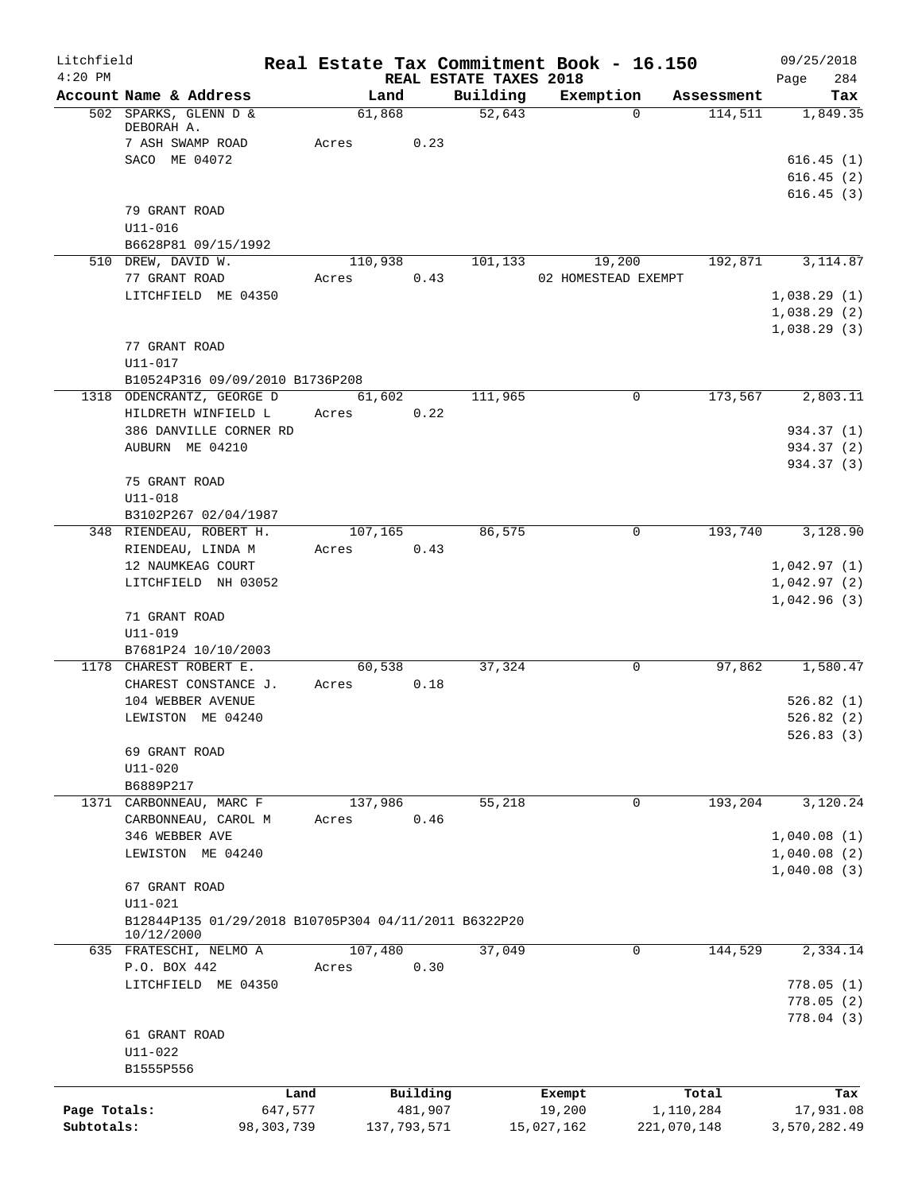| Litchfield<br>$4:20$ PM |                                                                                   |                 |                     | REAL ESTATE TAXES 2018 | Real Estate Tax Commitment Book - 16.150 |                    | 09/25/2018<br>284<br>Page                 |
|-------------------------|-----------------------------------------------------------------------------------|-----------------|---------------------|------------------------|------------------------------------------|--------------------|-------------------------------------------|
|                         | Account Name & Address                                                            |                 | Land                | Building               | Exemption                                | Assessment         | Tax                                       |
|                         | 502 SPARKS, GLENN D &<br>DEBORAH A.<br>7 ASH SWAMP ROAD                           | Acres           | 61,868<br>0.23      | 52,643                 | $\Omega$                                 | 114,511            | 1,849.35                                  |
|                         | SACO ME 04072                                                                     |                 |                     |                        |                                          |                    | 616.45(1)<br>616.45(2)<br>616.45(3)       |
|                         | 79 GRANT ROAD<br>$U11 - 016$                                                      |                 |                     |                        |                                          |                    |                                           |
|                         | B6628P81 09/15/1992                                                               |                 |                     |                        |                                          |                    |                                           |
|                         | 510 DREW, DAVID W.                                                                |                 | 110,938             | 101,133                | 19,200                                   | 192,871            | 3,114.87                                  |
|                         | 77 GRANT ROAD<br>LITCHFIELD ME 04350                                              | Acres           | 0.43                |                        | 02 HOMESTEAD EXEMPT                      |                    | 1,038.29(1)<br>1,038.29(2)                |
|                         | 77 GRANT ROAD<br>U11-017                                                          |                 |                     |                        |                                          |                    | 1,038.29(3)                               |
|                         | B10524P316 09/09/2010 B1736P208                                                   |                 |                     |                        |                                          |                    |                                           |
|                         | 1318 ODENCRANTZ, GEORGE D                                                         |                 | 61,602              | 111,965                | 0                                        | 173,567            | 2,803.11                                  |
|                         | HILDRETH WINFIELD L<br>386 DANVILLE CORNER RD<br>AUBURN ME 04210                  | Acres           | 0.22                |                        |                                          |                    | 934.37 (1)<br>934.37 (2)                  |
|                         | 75 GRANT ROAD<br>U11-018                                                          |                 |                     |                        |                                          |                    | 934.37 (3)                                |
|                         | B3102P267 02/04/1987                                                              |                 |                     |                        |                                          |                    |                                           |
|                         | 348 RIENDEAU, ROBERT H.<br>RIENDEAU, LINDA M                                      | Acres           | 107,165<br>0.43     | 86,575                 | $\Omega$                                 | 193,740            | 3,128.90                                  |
|                         | 12 NAUMKEAG COURT<br>LITCHFIELD NH 03052                                          |                 |                     |                        |                                          |                    | 1,042.97(1)<br>1,042.97(2)<br>1,042.96(3) |
|                         | 71 GRANT ROAD<br>U11-019                                                          |                 |                     |                        |                                          |                    |                                           |
|                         | B7681P24 10/10/2003<br>1178 CHAREST ROBERT E.                                     |                 | 60,538              | 37,324                 | 0                                        | 97,862             | 1,580.47                                  |
|                         | CHAREST CONSTANCE J.                                                              | Acres           | 0.18                |                        |                                          |                    |                                           |
|                         | 104 WEBBER AVENUE<br>LEWISTON ME 04240                                            |                 |                     |                        |                                          |                    | 526.82(1)<br>526.82(2)<br>526.83(3)       |
|                         | 69 GRANT ROAD<br>U11-020                                                          |                 |                     |                        |                                          |                    |                                           |
|                         | B6889P217<br>1371 CARBONNEAU, MARC F                                              |                 | 137,986             | 55,218                 | 0                                        | 193,204            | 3,120.24                                  |
|                         | CARBONNEAU, CAROL M                                                               | Acres           | 0.46                |                        |                                          |                    |                                           |
|                         | 346 WEBBER AVE<br>LEWISTON ME 04240                                               |                 |                     |                        |                                          |                    | 1,040.08(1)<br>1,040.08(2)                |
|                         | 67 GRANT ROAD                                                                     |                 |                     |                        |                                          |                    | 1,040.08(3)                               |
|                         | $U11 - 021$<br>B12844P135 01/29/2018 B10705P304 04/11/2011 B6322P20<br>10/12/2000 |                 |                     |                        |                                          |                    |                                           |
|                         | 635 FRATESCHI, NELMO A                                                            |                 | 107,480             | 37,049                 | 0                                        | 144,529            | 2,334.14                                  |
|                         | P.O. BOX 442<br>LITCHFIELD ME 04350                                               | Acres           | 0.30                |                        |                                          |                    | 778.05(1)<br>778.05(2)                    |
|                         | 61 GRANT ROAD<br>$U11 - 022$                                                      |                 |                     |                        |                                          |                    | 778.04(3)                                 |
|                         | B1555P556                                                                         |                 |                     |                        |                                          |                    |                                           |
| Page Totals:            |                                                                                   | Land<br>647,577 | Building<br>481,907 |                        | Exempt<br>19,200                         | Total<br>1,110,284 | Tax<br>17,931.08                          |
| Subtotals:              |                                                                                   | 98, 303, 739    | 137, 793, 571       |                        | 15,027,162                               | 221,070,148        | 3,570,282.49                              |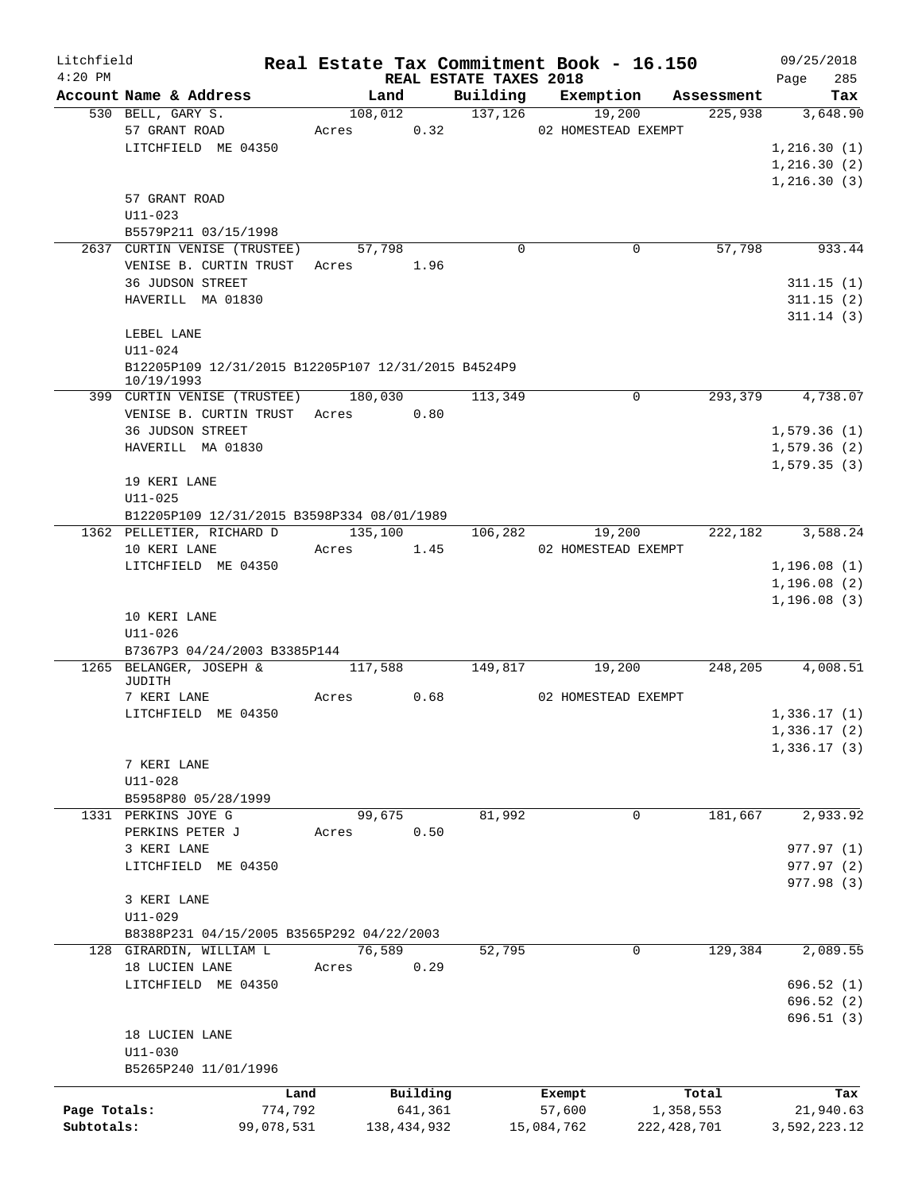| Litchfield   |                                                                   |                       |         |         |                     |                                    |                      | Real Estate Tax Commitment Book - 16.150 |                            | 09/25/2018                |            |
|--------------|-------------------------------------------------------------------|-----------------------|---------|---------|---------------------|------------------------------------|----------------------|------------------------------------------|----------------------------|---------------------------|------------|
| $4:20$ PM    | Account Name & Address                                            |                       |         | Land    |                     | REAL ESTATE TAXES 2018<br>Building |                      | Exemption                                | Assessment                 | Page                      | 285<br>Tax |
|              | 530 BELL, GARY S.                                                 |                       |         | 108,012 |                     | 137, 126                           |                      | 19,200                                   | 225,938                    | 3,648.90                  |            |
|              | 57 GRANT ROAD                                                     |                       | Acres   |         | 0.32                |                                    |                      | 02 HOMESTEAD EXEMPT                      |                            |                           |            |
|              | LITCHFIELD ME 04350                                               |                       |         |         |                     |                                    |                      |                                          |                            | 1,216.30(1)               |            |
|              |                                                                   |                       |         |         |                     |                                    |                      |                                          |                            | 1,216.30(2)               |            |
|              |                                                                   |                       |         |         |                     |                                    |                      |                                          |                            | 1,216.30(3)               |            |
|              | 57 GRANT ROAD                                                     |                       |         |         |                     |                                    |                      |                                          |                            |                           |            |
|              | $U11 - 023$                                                       |                       |         |         |                     |                                    |                      |                                          |                            |                           |            |
|              | B5579P211 03/15/1998                                              |                       |         |         |                     |                                    |                      |                                          |                            |                           |            |
|              | 2637 CURTIN VENISE (TRUSTEE)                                      |                       |         | 57,798  |                     | $\mathbf 0$                        |                      | 0                                        | 57,798                     | 933.44                    |            |
|              | VENISE B. CURTIN TRUST<br><b>36 JUDSON STREET</b>                 |                       | Acres   |         | 1.96                |                                    |                      |                                          |                            | 311.15(1)                 |            |
|              | HAVERILL MA 01830                                                 |                       |         |         |                     |                                    |                      |                                          |                            | 311.15(2)                 |            |
|              |                                                                   |                       |         |         |                     |                                    |                      |                                          |                            | 311.14(3)                 |            |
|              | LEBEL LANE                                                        |                       |         |         |                     |                                    |                      |                                          |                            |                           |            |
|              | $U11 - 024$                                                       |                       |         |         |                     |                                    |                      |                                          |                            |                           |            |
|              | B12205P109 12/31/2015 B12205P107 12/31/2015 B4524P9<br>10/19/1993 |                       |         |         |                     |                                    |                      |                                          |                            |                           |            |
|              | 399 CURTIN VENISE (TRUSTEE)                                       |                       |         | 180,030 |                     | 113,349                            |                      | 0                                        | 293,379                    | 4,738.07                  |            |
|              | VENISE B. CURTIN TRUST Acres 0.80                                 |                       |         |         |                     |                                    |                      |                                          |                            |                           |            |
|              | 36 JUDSON STREET                                                  |                       |         |         |                     |                                    |                      |                                          |                            | 1,579.36(1)               |            |
|              | HAVERILL MA 01830                                                 |                       |         |         |                     |                                    |                      |                                          |                            | 1,579.36(2)               |            |
|              |                                                                   |                       |         |         |                     |                                    |                      |                                          |                            | 1, 579.35(3)              |            |
|              | 19 KERI LANE                                                      |                       |         |         |                     |                                    |                      |                                          |                            |                           |            |
|              | $U11 - 025$<br>B12205P109 12/31/2015 B3598P334 08/01/1989         |                       |         |         |                     |                                    |                      |                                          |                            |                           |            |
|              | 1362 PELLETIER, RICHARD D                                         |                       | 135,100 |         |                     | 106,282                            |                      | 19,200                                   | 222,182                    | 3,588.24                  |            |
|              | 10 KERI LANE                                                      |                       | Acres   |         | 1.45                |                                    |                      | 02 HOMESTEAD EXEMPT                      |                            |                           |            |
|              | LITCHFIELD ME 04350                                               |                       |         |         |                     |                                    |                      |                                          |                            | 1,196.08(1)               |            |
|              |                                                                   |                       |         |         |                     |                                    |                      |                                          |                            | 1,196.08(2)               |            |
|              |                                                                   |                       |         |         |                     |                                    |                      |                                          |                            | 1,196.08(3)               |            |
|              | 10 KERI LANE                                                      |                       |         |         |                     |                                    |                      |                                          |                            |                           |            |
|              | U11-026                                                           |                       |         |         |                     |                                    |                      |                                          |                            |                           |            |
|              | B7367P3 04/24/2003 B3385P144                                      |                       |         |         |                     |                                    |                      |                                          |                            |                           |            |
|              | 1265 BELANGER, JOSEPH &<br>JUDITH                                 |                       |         | 117,588 |                     | 149,817                            |                      | 19,200                                   | 248,205                    | 4,008.51                  |            |
|              | 7 KERI LANE                                                       |                       | Acres   |         | 0.68                |                                    |                      | 02 HOMESTEAD EXEMPT                      |                            |                           |            |
|              | LITCHFIELD ME 04350                                               |                       |         |         |                     |                                    |                      |                                          |                            | 1,336.17(1)               |            |
|              |                                                                   |                       |         |         |                     |                                    |                      |                                          |                            | 1,336.17(2)               |            |
|              |                                                                   |                       |         |         |                     |                                    |                      |                                          |                            | 1,336.17(3)               |            |
|              | 7 KERI LANE                                                       |                       |         |         |                     |                                    |                      |                                          |                            |                           |            |
|              | $U11 - 028$                                                       |                       |         |         |                     |                                    |                      |                                          |                            |                           |            |
|              | B5958P80 05/28/1999                                               |                       |         |         |                     |                                    |                      |                                          |                            |                           |            |
|              | 1331 PERKINS JOYE G<br>PERKINS PETER J                            |                       |         | 99,675  | 0.50                | 81,992                             |                      | 0                                        | 181,667                    | 2,933.92                  |            |
|              | 3 KERI LANE                                                       |                       | Acres   |         |                     |                                    |                      |                                          |                            | 977.97 (1)                |            |
|              | LITCHFIELD ME 04350                                               |                       |         |         |                     |                                    |                      |                                          |                            | 977.97 (2)                |            |
|              |                                                                   |                       |         |         |                     |                                    |                      |                                          |                            | 977.98 (3)                |            |
|              | 3 KERI LANE                                                       |                       |         |         |                     |                                    |                      |                                          |                            |                           |            |
|              | U11-029                                                           |                       |         |         |                     |                                    |                      |                                          |                            |                           |            |
|              | B8388P231 04/15/2005 B3565P292 04/22/2003                         |                       |         |         |                     |                                    |                      |                                          |                            |                           |            |
|              | 128 GIRARDIN, WILLIAM L                                           |                       |         | 76,589  |                     | 52,795                             |                      | 0                                        | 129,384                    | 2,089.55                  |            |
|              | 18 LUCIEN LANE                                                    |                       | Acres   |         | 0.29                |                                    |                      |                                          |                            |                           |            |
|              | LITCHFIELD ME 04350                                               |                       |         |         |                     |                                    |                      |                                          |                            | 696.52(1)                 |            |
|              |                                                                   |                       |         |         |                     |                                    |                      |                                          |                            | 696.52(2)                 |            |
|              | 18 LUCIEN LANE                                                    |                       |         |         |                     |                                    |                      |                                          |                            | 696.51(3)                 |            |
|              | $U11 - 030$                                                       |                       |         |         |                     |                                    |                      |                                          |                            |                           |            |
|              | B5265P240 11/01/1996                                              |                       |         |         |                     |                                    |                      |                                          |                            |                           |            |
|              |                                                                   |                       |         |         |                     |                                    |                      |                                          |                            |                           |            |
| Page Totals: |                                                                   | Land                  |         |         | Building<br>641,361 |                                    | Exempt               |                                          | Total                      |                           | Tax        |
| Subtotals:   |                                                                   | 774,792<br>99,078,531 |         |         | 138, 434, 932       |                                    | 57,600<br>15,084,762 |                                          | 1,358,553<br>222, 428, 701 | 21,940.63<br>3,592,223.12 |            |
|              |                                                                   |                       |         |         |                     |                                    |                      |                                          |                            |                           |            |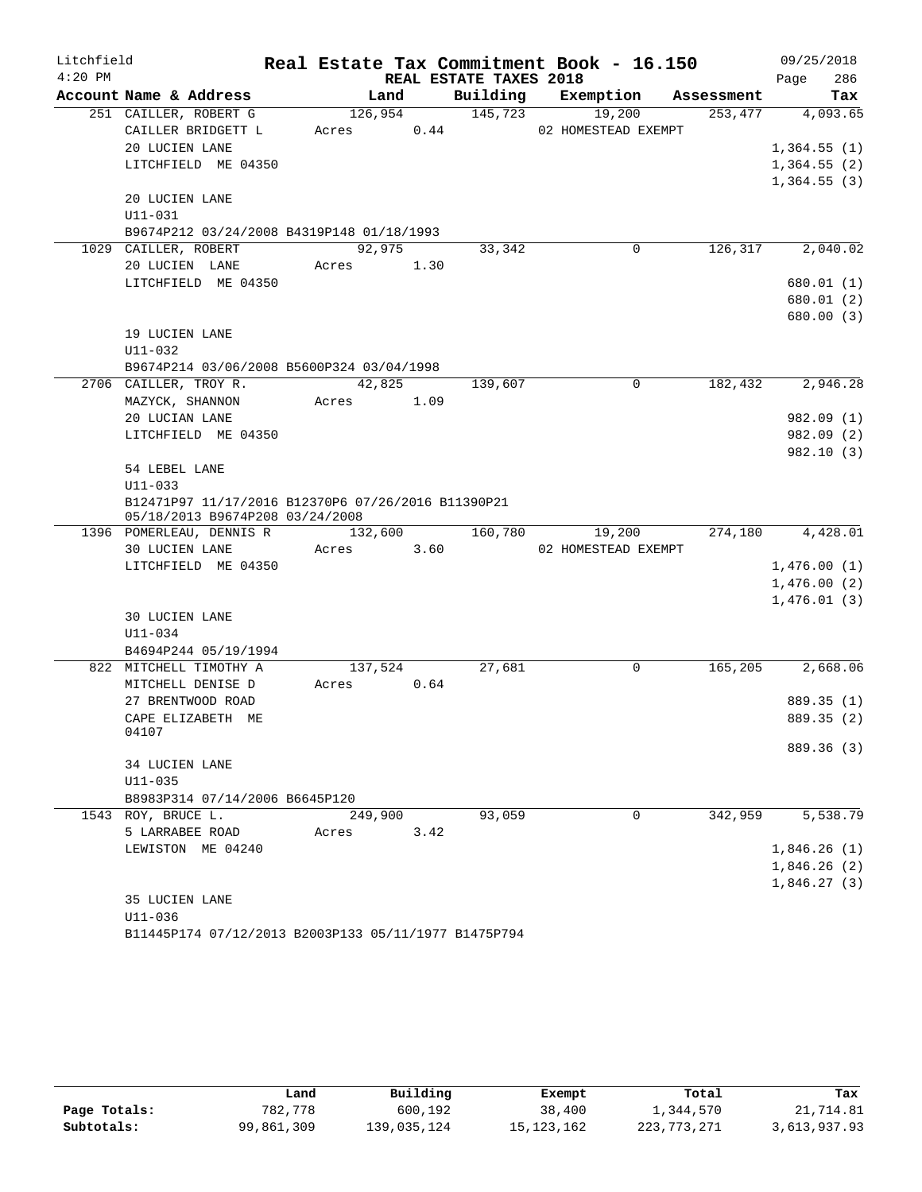| Litchfield |                                                                                       |         |      |                        | Real Estate Tax Commitment Book - 16.150 |            | 09/25/2018  |
|------------|---------------------------------------------------------------------------------------|---------|------|------------------------|------------------------------------------|------------|-------------|
| $4:20$ PM  |                                                                                       |         |      | REAL ESTATE TAXES 2018 |                                          |            | 286<br>Page |
|            | Account Name & Address                                                                | Land    |      | Building               | Exemption                                | Assessment | Tax         |
|            | 251 CAILLER, ROBERT G                                                                 | 126,954 |      | 145,723                | 19,200                                   | 253,477    | 4,093.65    |
|            | CAILLER BRIDGETT L                                                                    | Acres   | 0.44 |                        | 02 HOMESTEAD EXEMPT                      |            |             |
|            | 20 LUCIEN LANE                                                                        |         |      |                        |                                          |            | 1,364.55(1) |
|            | LITCHFIELD ME 04350                                                                   |         |      |                        |                                          |            | 1,364.55(2) |
|            |                                                                                       |         |      |                        |                                          |            | 1,364.55(3) |
|            | 20 LUCIEN LANE                                                                        |         |      |                        |                                          |            |             |
|            | U11-031                                                                               |         |      |                        |                                          |            |             |
|            | B9674P212 03/24/2008 B4319P148 01/18/1993<br>1029 CAILLER, ROBERT                     | 92,975  |      | 33,342                 | 0                                        | 126,317    | 2,040.02    |
|            | 20 LUCIEN LANE                                                                        | Acres   | 1.30 |                        |                                          |            |             |
|            | LITCHFIELD ME 04350                                                                   |         |      |                        |                                          |            | 680.01 (1)  |
|            |                                                                                       |         |      |                        |                                          |            | 680.01 (2)  |
|            |                                                                                       |         |      |                        |                                          |            | 680.00 (3)  |
|            | 19 LUCIEN LANE                                                                        |         |      |                        |                                          |            |             |
|            | U11-032                                                                               |         |      |                        |                                          |            |             |
|            | B9674P214 03/06/2008 B5600P324 03/04/1998                                             |         |      |                        |                                          |            |             |
|            | 2706 CAILLER, TROY R.                                                                 | 42,825  |      | 139,607                | $\Omega$                                 | 182,432    | 2,946.28    |
|            | MAZYCK, SHANNON                                                                       | Acres   | 1.09 |                        |                                          |            |             |
|            | 20 LUCIAN LANE                                                                        |         |      |                        |                                          |            | 982.09 (1)  |
|            | LITCHFIELD ME 04350                                                                   |         |      |                        |                                          |            | 982.09 (2)  |
|            |                                                                                       |         |      |                        |                                          |            | 982.10(3)   |
|            | 54 LEBEL LANE                                                                         |         |      |                        |                                          |            |             |
|            | $U11 - 033$                                                                           |         |      |                        |                                          |            |             |
|            | B12471P97 11/17/2016 B12370P6 07/26/2016 B11390P21<br>05/18/2013 B9674P208 03/24/2008 |         |      |                        |                                          |            |             |
|            | 1396 POMERLEAU, DENNIS R                                                              | 132,600 |      | 160,780                | 19,200                                   | 274,180    | 4,428.01    |
|            | 30 LUCIEN LANE                                                                        | Acres   | 3.60 |                        | 02 HOMESTEAD EXEMPT                      |            |             |
|            | LITCHFIELD ME 04350                                                                   |         |      |                        |                                          |            | 1,476.00(1) |
|            |                                                                                       |         |      |                        |                                          |            | 1,476.00(2) |
|            |                                                                                       |         |      |                        |                                          |            | 1,476.01(3) |
|            | <b>30 LUCIEN LANE</b>                                                                 |         |      |                        |                                          |            |             |
|            | U11-034                                                                               |         |      |                        |                                          |            |             |
|            | B4694P244 05/19/1994                                                                  |         |      |                        |                                          |            |             |
|            | 822 MITCHELL TIMOTHY A                                                                | 137,524 |      | 27,681                 | 0                                        | 165,205    | 2,668.06    |
|            | MITCHELL DENISE D                                                                     | Acres   | 0.64 |                        |                                          |            |             |
|            | 27 BRENTWOOD ROAD                                                                     |         |      |                        |                                          |            | 889.35 (1)  |
|            | CAPE ELIZABETH ME                                                                     |         |      |                        |                                          |            | 889.35 (2)  |
|            | 04107                                                                                 |         |      |                        |                                          |            | 889.36 (3)  |
|            | 34 LUCIEN LANE                                                                        |         |      |                        |                                          |            |             |
|            | $U11 - 035$                                                                           |         |      |                        |                                          |            |             |
|            | B8983P314 07/14/2006 B6645P120                                                        |         |      |                        |                                          |            |             |
|            | 1543 ROY, BRUCE L.                                                                    | 249,900 |      | 93,059                 | $\Omega$                                 | 342,959    | 5,538.79    |
|            | 5 LARRABEE ROAD                                                                       | Acres   | 3.42 |                        |                                          |            |             |
|            | LEWISTON ME 04240                                                                     |         |      |                        |                                          |            | 1,846.26(1) |
|            |                                                                                       |         |      |                        |                                          |            | 1,846.26(2) |
|            |                                                                                       |         |      |                        |                                          |            | 1,846.27(3) |
|            | 35 LUCIEN LANE                                                                        |         |      |                        |                                          |            |             |
|            | $U11 - 036$                                                                           |         |      |                        |                                          |            |             |

```
B11445P174 07/12/2013 B2003P133 05/11/1977 B1475P794
```

|              | Land       | Building    | Exempt       | Total       | Tax          |
|--------------|------------|-------------|--------------|-------------|--------------|
| Page Totals: | 782,778    | 600,192     | 38,400       | 1,344,570   | 21,714.81    |
| Subtotals:   | 99,861,309 | 139,035,124 | 15, 123, 162 | 223,773,271 | 3,613,937.93 |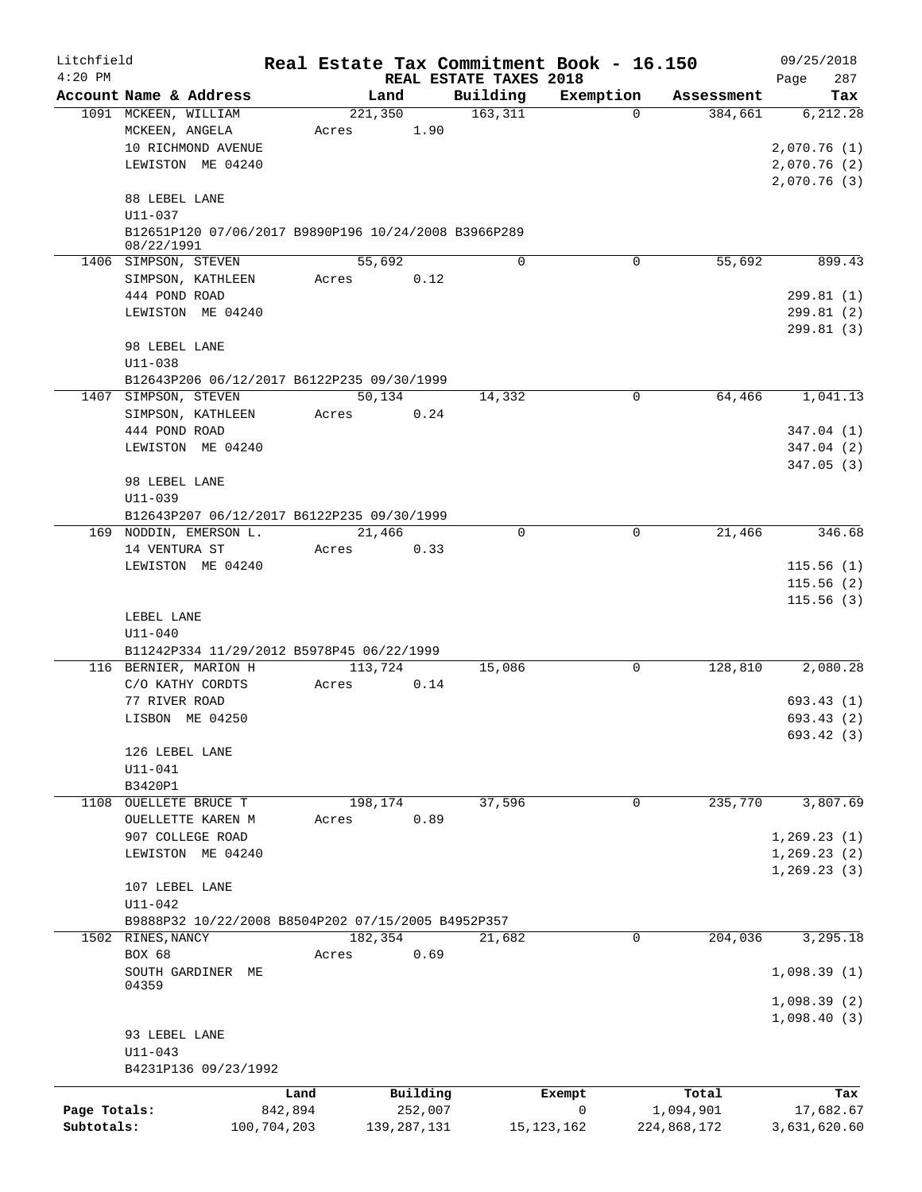| Litchfield   |                                                                    |             |                 |               |                        | Real Estate Tax Commitment Book - 16.150 |                                   | 09/25/2018               |
|--------------|--------------------------------------------------------------------|-------------|-----------------|---------------|------------------------|------------------------------------------|-----------------------------------|--------------------------|
| $4:20$ PM    |                                                                    |             |                 |               | REAL ESTATE TAXES 2018 |                                          |                                   | 287<br>Page              |
|              | Account Name & Address<br>1091 MCKEEN, WILLIAM                     |             | Land<br>221,350 |               | Building<br>163,311    | Exemption                                | Assessment<br>384,661<br>$\Omega$ | Tax<br>6, 212.28         |
|              | MCKEEN, ANGELA                                                     |             | Acres           | 1.90          |                        |                                          |                                   |                          |
|              | 10 RICHMOND AVENUE                                                 |             |                 |               |                        |                                          |                                   | 2,070.76(1)              |
|              | LEWISTON ME 04240                                                  |             |                 |               |                        |                                          |                                   | 2,070.76(2)              |
|              |                                                                    |             |                 |               |                        |                                          |                                   | 2,070.76(3)              |
|              | 88 LEBEL LANE                                                      |             |                 |               |                        |                                          |                                   |                          |
|              | U11-037                                                            |             |                 |               |                        |                                          |                                   |                          |
|              | B12651P120 07/06/2017 B9890P196 10/24/2008 B3966P289<br>08/22/1991 |             |                 |               |                        |                                          |                                   |                          |
|              | 1406 SIMPSON, STEVEN                                               |             | 55,692          |               | $\Omega$               |                                          | $\mathbf 0$<br>55,692             | 899.43                   |
|              | SIMPSON, KATHLEEN                                                  |             | Acres           | 0.12          |                        |                                          |                                   |                          |
|              | 444 POND ROAD                                                      |             |                 |               |                        |                                          |                                   | 299.81(1)                |
|              | LEWISTON ME 04240                                                  |             |                 |               |                        |                                          |                                   | 299.81(2)                |
|              | 98 LEBEL LANE                                                      |             |                 |               |                        |                                          |                                   | 299.81 (3)               |
|              | $U11 - 038$                                                        |             |                 |               |                        |                                          |                                   |                          |
|              | B12643P206 06/12/2017 B6122P235 09/30/1999                         |             |                 |               |                        |                                          |                                   |                          |
|              | 1407 SIMPSON, STEVEN                                               |             | 50,134          |               | 14,332                 |                                          | $\mathbf 0$<br>64,466             | 1,041.13                 |
|              | SIMPSON, KATHLEEN                                                  |             | Acres           | 0.24          |                        |                                          |                                   |                          |
|              | 444 POND ROAD                                                      |             |                 |               |                        |                                          |                                   | 347.04 (1)               |
|              | LEWISTON ME 04240                                                  |             |                 |               |                        |                                          |                                   | 347.04(2)<br>347.05(3)   |
|              | 98 LEBEL LANE                                                      |             |                 |               |                        |                                          |                                   |                          |
|              | U11-039                                                            |             |                 |               |                        |                                          |                                   |                          |
|              | B12643P207 06/12/2017 B6122P235 09/30/1999                         |             |                 |               |                        |                                          |                                   |                          |
|              | 169 NODDIN, EMERSON L.                                             |             | 21,466          |               | $\Omega$               |                                          | 0<br>21,466                       | 346.68                   |
|              | 14 VENTURA ST                                                      |             | Acres           | 0.33          |                        |                                          |                                   |                          |
|              | LEWISTON ME 04240                                                  |             |                 |               |                        |                                          |                                   | 115.56(1)                |
|              |                                                                    |             |                 |               |                        |                                          |                                   | 115.56(2)<br>115.56(3)   |
|              | LEBEL LANE                                                         |             |                 |               |                        |                                          |                                   |                          |
|              | $U11 - 040$                                                        |             |                 |               |                        |                                          |                                   |                          |
|              | B11242P334 11/29/2012 B5978P45 06/22/1999                          |             |                 |               |                        |                                          |                                   |                          |
|              | 116 BERNIER, MARION H                                              |             | 113,724         |               | 15,086                 |                                          | 128,810<br>0                      | 2,080.28                 |
|              | C/O KATHY CORDTS                                                   |             | Acres           | 0.14          |                        |                                          |                                   |                          |
|              | 77 RIVER ROAD                                                      |             |                 |               |                        |                                          |                                   | 693.43(1)                |
|              | LISBON ME 04250                                                    |             |                 |               |                        |                                          |                                   | 693.43 (2)<br>693.42 (3) |
|              | 126 LEBEL LANE                                                     |             |                 |               |                        |                                          |                                   |                          |
|              | $U11 - 041$                                                        |             |                 |               |                        |                                          |                                   |                          |
|              | B3420P1                                                            |             |                 |               |                        |                                          |                                   |                          |
|              | 1108 OUELLETE BRUCE T                                              |             | 198,174         |               | 37,596                 |                                          | 235,770<br>0                      | 3,807.69                 |
|              | OUELLETTE KAREN M                                                  |             | Acres           | 0.89          |                        |                                          |                                   |                          |
|              | 907 COLLEGE ROAD                                                   |             |                 |               |                        |                                          |                                   | 1, 269.23(1)             |
|              | LEWISTON ME 04240                                                  |             |                 |               |                        |                                          |                                   | 1, 269.23(2)             |
|              | 107 LEBEL LANE                                                     |             |                 |               |                        |                                          |                                   | 1, 269.23(3)             |
|              | $U11 - 042$                                                        |             |                 |               |                        |                                          |                                   |                          |
|              | B9888P32 10/22/2008 B8504P202 07/15/2005 B4952P357                 |             |                 |               |                        |                                          |                                   |                          |
|              | 1502 RINES, NANCY                                                  |             | 182,354         |               | 21,682                 |                                          | 0<br>204,036                      | 3,295.18                 |
|              | BOX 68                                                             |             | Acres           | 0.69          |                        |                                          |                                   |                          |
|              | SOUTH GARDINER ME<br>04359                                         |             |                 |               |                        |                                          |                                   | 1,098.39(1)              |
|              |                                                                    |             |                 |               |                        |                                          |                                   | 1,098.39(2)              |
|              |                                                                    |             |                 |               |                        |                                          |                                   | 1,098.40(3)              |
|              | 93 LEBEL LANE<br>$U11 - 043$                                       |             |                 |               |                        |                                          |                                   |                          |
|              | B4231P136 09/23/1992                                               |             |                 |               |                        |                                          |                                   |                          |
|              |                                                                    | Land        |                 | Building      |                        | Exempt                                   | Total                             | Tax                      |
| Page Totals: |                                                                    | 842,894     |                 | 252,007       |                        | $\mathbf 0$                              | 1,094,901                         | 17,682.67                |
| Subtotals:   |                                                                    | 100,704,203 |                 | 139, 287, 131 |                        | 15, 123, 162                             | 224,868,172                       | 3,631,620.60             |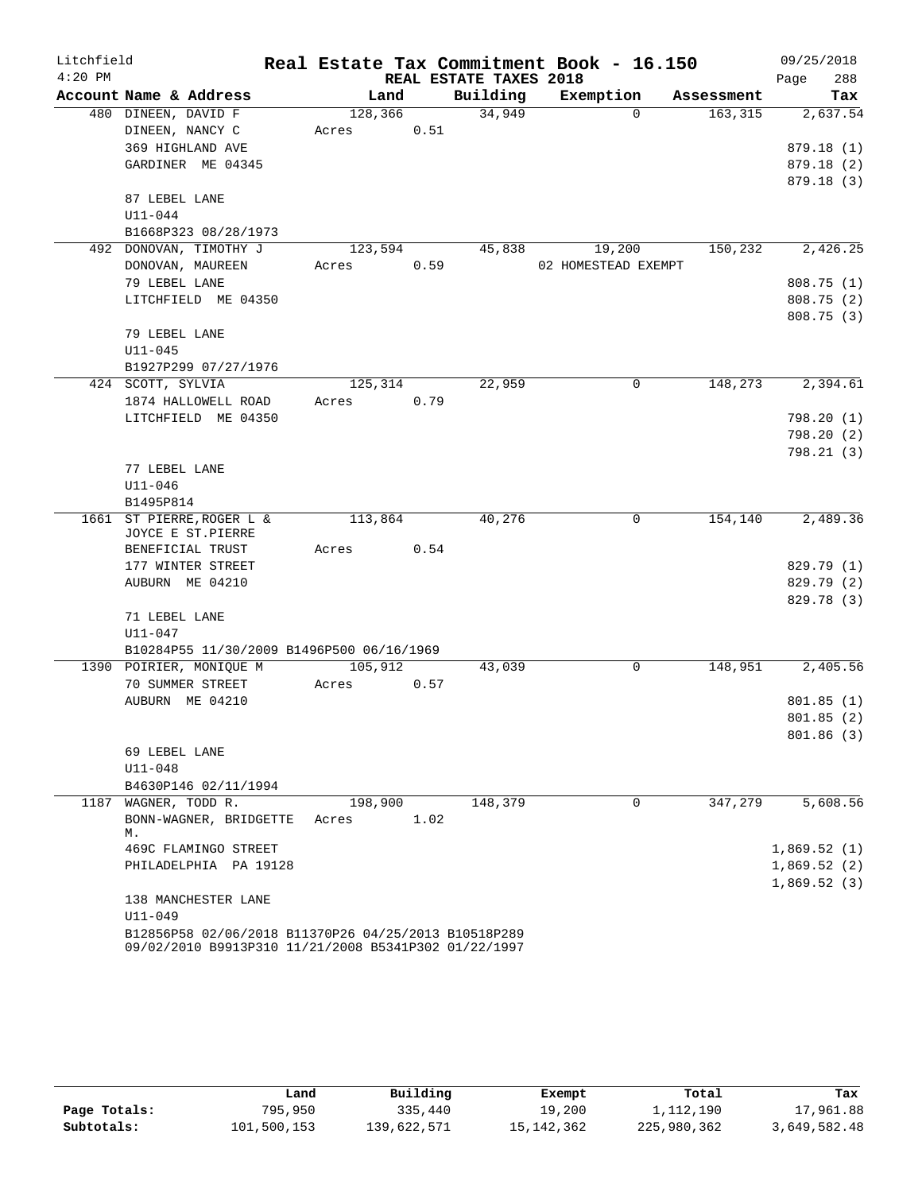| Litchfield |                                                      |         |      |                        | Real Estate Tax Commitment Book - 16.150 |            | 09/25/2018  |
|------------|------------------------------------------------------|---------|------|------------------------|------------------------------------------|------------|-------------|
| $4:20$ PM  |                                                      |         |      | REAL ESTATE TAXES 2018 |                                          |            | 288<br>Page |
|            | Account Name & Address                               |         | Land | Building               | Exemption                                | Assessment | Tax         |
|            | 480 DINEEN, DAVID F                                  | 128,366 |      | 34,949                 | $\Omega$                                 | 163, 315   | 2,637.54    |
|            | DINEEN, NANCY C                                      | Acres   | 0.51 |                        |                                          |            |             |
|            | 369 HIGHLAND AVE                                     |         |      |                        |                                          |            | 879.18(1)   |
|            | GARDINER ME 04345                                    |         |      |                        |                                          |            | 879.18 (2)  |
|            |                                                      |         |      |                        |                                          |            | 879.18(3)   |
|            | 87 LEBEL LANE                                        |         |      |                        |                                          |            |             |
|            | $U11 - 044$                                          |         |      |                        |                                          |            |             |
|            | B1668P323 08/28/1973                                 |         |      |                        |                                          |            |             |
| 492        | DONOVAN, TIMOTHY J                                   | 123,594 |      | 45,838                 | 19,200                                   | 150,232    | 2,426.25    |
|            | DONOVAN, MAUREEN                                     | Acres   | 0.59 |                        | 02 HOMESTEAD EXEMPT                      |            |             |
|            | 79 LEBEL LANE                                        |         |      |                        |                                          |            | 808.75 (1)  |
|            | LITCHFIELD ME 04350                                  |         |      |                        |                                          |            | 808.75 (2)  |
|            |                                                      |         |      |                        |                                          |            | 808.75 (3)  |
|            | 79 LEBEL LANE                                        |         |      |                        |                                          |            |             |
|            | $U11 - 045$                                          |         |      |                        |                                          |            |             |
|            | B1927P299 07/27/1976                                 |         |      |                        |                                          |            |             |
|            | 424 SCOTT, SYLVIA                                    | 125,314 |      | 22,959                 | 0                                        | 148,273    | 2,394.61    |
|            | 1874 HALLOWELL ROAD                                  | Acres   | 0.79 |                        |                                          |            |             |
|            | LITCHFIELD ME 04350                                  |         |      |                        |                                          |            | 798.20(1)   |
|            |                                                      |         |      |                        |                                          |            | 798.20(2)   |
|            | 77 LEBEL LANE                                        |         |      |                        |                                          |            | 798.21(3)   |
|            | $U11 - 046$                                          |         |      |                        |                                          |            |             |
|            | B1495P814                                            |         |      |                        |                                          |            |             |
| 1661       | ST PIERRE, ROGER L &                                 | 113,864 |      | 40,276                 | 0                                        | 154,140    | 2,489.36    |
|            | JOYCE E ST.PIERRE                                    |         |      |                        |                                          |            |             |
|            | BENEFICIAL TRUST                                     | Acres   | 0.54 |                        |                                          |            |             |
|            | 177 WINTER STREET                                    |         |      |                        |                                          |            | 829.79 (1)  |
|            | AUBURN ME 04210                                      |         |      |                        |                                          |            | 829.79 (2)  |
|            |                                                      |         |      |                        |                                          |            | 829.78 (3)  |
|            | 71 LEBEL LANE                                        |         |      |                        |                                          |            |             |
|            | $U11 - 047$                                          |         |      |                        |                                          |            |             |
|            | B10284P55 11/30/2009 B1496P500 06/16/1969            |         |      |                        |                                          |            |             |
|            | 1390 POIRIER, MONIOUE M                              | 105,912 |      | 43,039                 | $\mathbf 0$                              | 148,951    | 2,405.56    |
|            | 70 SUMMER STREET                                     | Acres   | 0.57 |                        |                                          |            |             |
|            | AUBURN ME 04210                                      |         |      |                        |                                          |            | 801.85(1)   |
|            |                                                      |         |      |                        |                                          |            | 801.85(2)   |
|            |                                                      |         |      |                        |                                          |            | 801.86 (3)  |
|            | 69 LEBEL LANE                                        |         |      |                        |                                          |            |             |
|            | $U11 - 048$                                          |         |      |                        |                                          |            |             |
|            | B4630P146 02/11/1994                                 |         |      |                        |                                          |            |             |
|            | 1187 WAGNER, TODD R.                                 | 198,900 |      | 148,379                | 0                                        | 347,279    | 5,608.56    |
|            | BONN-WAGNER, BRIDGETTE<br>М.                         | Acres   | 1.02 |                        |                                          |            |             |
|            | 469C FLAMINGO STREET                                 |         |      |                        |                                          |            | 1,869.52(1) |
|            | PHILADELPHIA PA 19128                                |         |      |                        |                                          |            | 1,869.52(2) |
|            |                                                      |         |      |                        |                                          |            | 1,869.52(3) |
|            | 138 MANCHESTER LANE                                  |         |      |                        |                                          |            |             |
|            | $U11 - 049$                                          |         |      |                        |                                          |            |             |
|            | B12856P58 02/06/2018 B11370P26 04/25/2013 B10518P289 |         |      |                        |                                          |            |             |
|            | 09/02/2010 B9913P310 11/21/2008 B5341P302 01/22/1997 |         |      |                        |                                          |            |             |

|              | Land        | Building    | Exempt       | Total       | Tax          |
|--------------|-------------|-------------|--------------|-------------|--------------|
| Page Totals: | 795,950     | 335,440     | 19,200       | 1,112,190   | 17,961.88    |
| Subtotals:   | 101,500,153 | 139,622,571 | 15, 142, 362 | 225,980,362 | 3,649,582.48 |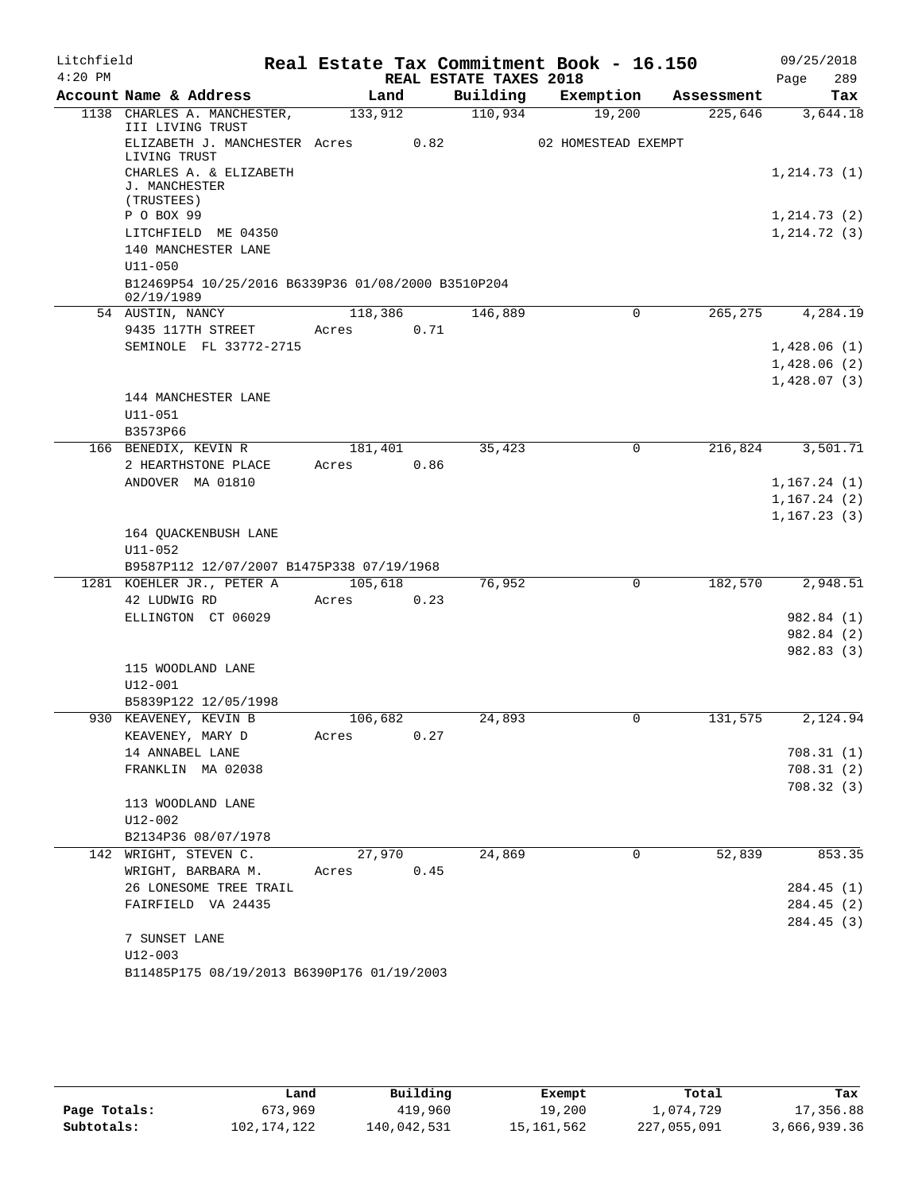| Litchfield |                                                                        |         |      |                        | Real Estate Tax Commitment Book - 16.150 |            | 09/25/2018               |
|------------|------------------------------------------------------------------------|---------|------|------------------------|------------------------------------------|------------|--------------------------|
| $4:20$ PM  |                                                                        |         |      | REAL ESTATE TAXES 2018 |                                          |            | Page<br>289              |
|            | Account Name & Address                                                 | Land    |      | Building               | Exemption                                | Assessment | Tax                      |
|            | 1138 CHARLES A. MANCHESTER,                                            | 133,912 |      | 110,934                | 19,200                                   | 225,646    | 3,644.18                 |
|            | III LIVING TRUST<br>ELIZABETH J. MANCHESTER Acres                      |         | 0.82 |                        | 02 HOMESTEAD EXEMPT                      |            |                          |
|            | LIVING TRUST<br>CHARLES A. & ELIZABETH                                 |         |      |                        |                                          |            | 1, 214.73(1)             |
|            | J. MANCHESTER<br>(TRUSTEES)                                            |         |      |                        |                                          |            |                          |
|            | P O BOX 99                                                             |         |      |                        |                                          |            | 1, 214.73(2)             |
|            | LITCHFIELD ME 04350                                                    |         |      |                        |                                          |            | 1, 214.72(3)             |
|            | 140 MANCHESTER LANE                                                    |         |      |                        |                                          |            |                          |
|            | $U11 - 050$<br>B12469P54 10/25/2016 B6339P36 01/08/2000 B3510P204      |         |      |                        |                                          |            |                          |
|            | 02/19/1989                                                             |         |      |                        |                                          |            |                          |
|            | 54 AUSTIN, NANCY                                                       | 118,386 |      | 146,889                | $\Omega$                                 | 265,275    | 4,284.19                 |
|            | 9435 117TH STREET                                                      | Acres   | 0.71 |                        |                                          |            |                          |
|            | SEMINOLE FL 33772-2715                                                 |         |      |                        |                                          |            | 1,428.06(1)              |
|            |                                                                        |         |      |                        |                                          |            | 1,428.06(2)              |
|            | 144 MANCHESTER LANE                                                    |         |      |                        |                                          |            | 1,428.07(3)              |
|            | $U11 - 051$                                                            |         |      |                        |                                          |            |                          |
|            | B3573P66                                                               |         |      |                        |                                          |            |                          |
|            | 166 BENEDIX, KEVIN R                                                   | 181,401 |      | 35,423                 | 0                                        | 216,824    | 3,501.71                 |
|            | 2 HEARTHSTONE PLACE                                                    | Acres   | 0.86 |                        |                                          |            |                          |
|            | ANDOVER MA 01810                                                       |         |      |                        |                                          |            | 1, 167.24(1)             |
|            |                                                                        |         |      |                        |                                          |            | 1,167.24(2)              |
|            |                                                                        |         |      |                        |                                          |            | 1, 167.23(3)             |
|            | 164 QUACKENBUSH LANE                                                   |         |      |                        |                                          |            |                          |
|            | U11-052                                                                |         |      |                        |                                          |            |                          |
|            | B9587P112 12/07/2007 B1475P338 07/19/1968<br>1281 KOEHLER JR., PETER A | 105,618 |      | 76,952                 | $\Omega$                                 | 182,570    | 2,948.51                 |
|            | 42 LUDWIG RD                                                           | Acres   | 0.23 |                        |                                          |            |                          |
|            | ELLINGTON CT 06029                                                     |         |      |                        |                                          |            | 982.84 (1)               |
|            |                                                                        |         |      |                        |                                          |            | 982.84 (2)               |
|            |                                                                        |         |      |                        |                                          |            | 982.83 (3)               |
|            | 115 WOODLAND LANE                                                      |         |      |                        |                                          |            |                          |
|            | $U12 - 001$                                                            |         |      |                        |                                          |            |                          |
|            | B5839P122 12/05/1998                                                   |         |      |                        |                                          |            |                          |
|            | 930 KEAVENEY, KEVIN B                                                  | 106,682 |      | 24,893                 | 0                                        | 131,575    | 2,124.94                 |
|            | KEAVENEY, MARY D<br>14 ANNABEL LANE                                    | Acres   | 0.27 |                        |                                          |            | 708.31(1)                |
|            | FRANKLIN MA 02038                                                      |         |      |                        |                                          |            | 708.31(2)                |
|            |                                                                        |         |      |                        |                                          |            | 708.32 (3)               |
|            | 113 WOODLAND LANE                                                      |         |      |                        |                                          |            |                          |
|            | U12-002                                                                |         |      |                        |                                          |            |                          |
|            | B2134P36 08/07/1978                                                    |         |      |                        |                                          |            |                          |
|            | 142 WRIGHT, STEVEN C.                                                  | 27,970  |      | 24,869                 | 0                                        | 52,839     | 853.35                   |
|            | WRIGHT, BARBARA M.                                                     | Acres   | 0.45 |                        |                                          |            |                          |
|            | 26 LONESOME TREE TRAIL                                                 |         |      |                        |                                          |            | 284.45 (1)               |
|            | FAIRFIELD VA 24435                                                     |         |      |                        |                                          |            | 284.45 (2)<br>284.45 (3) |
|            | 7 SUNSET LANE                                                          |         |      |                        |                                          |            |                          |
|            | $U12 - 003$                                                            |         |      |                        |                                          |            |                          |
|            | B11485P175 08/19/2013 B6390P176 01/19/2003                             |         |      |                        |                                          |            |                          |

|              | Land        | Building    | Exempt     | Total       | Tax          |
|--------------|-------------|-------------|------------|-------------|--------------|
| Page Totals: | 673,969     | 419,960     | 19,200     | 1,074,729   | 17,356.88    |
| Subtotals:   | 102,174,122 | 140,042,531 | 15,161,562 | 227,055,091 | 3,666,939.36 |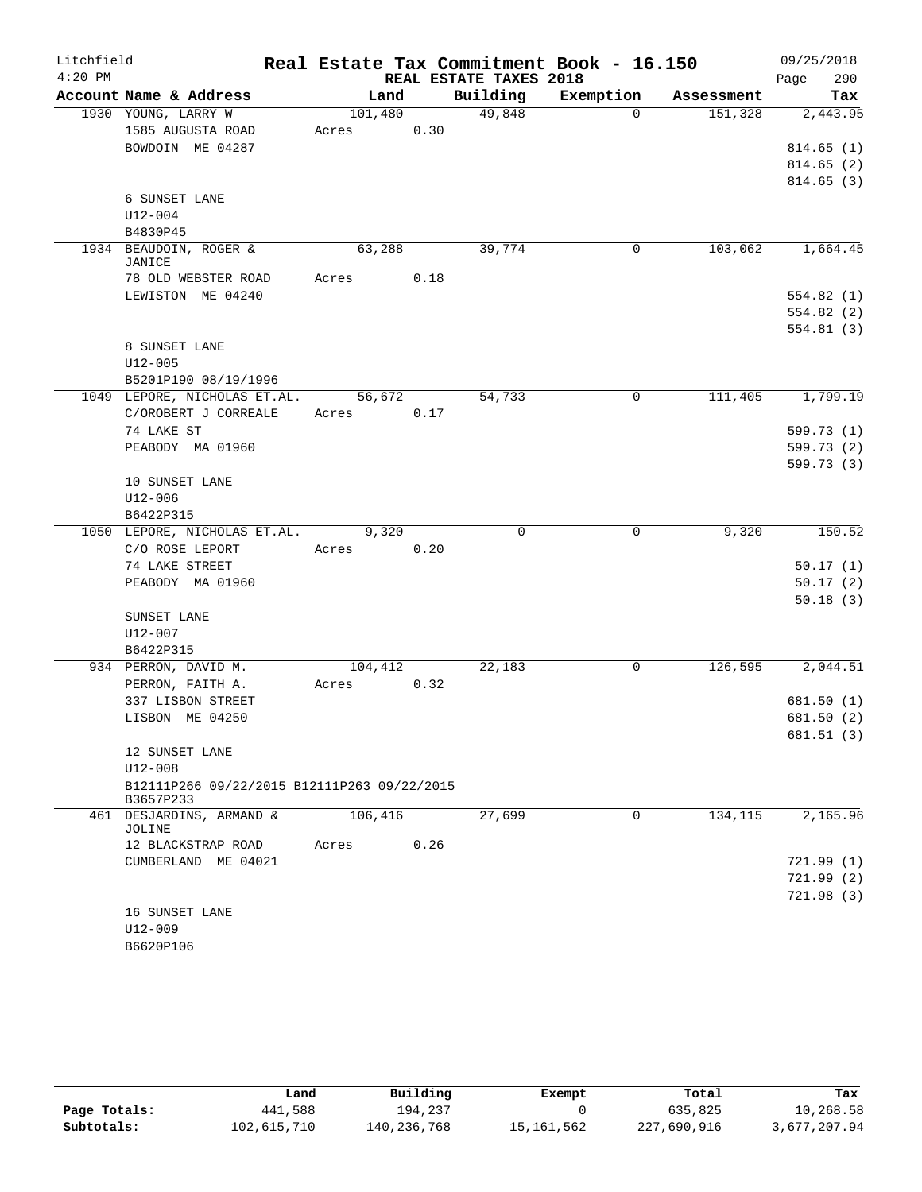| Litchfield |                                             |         |      |                        | Real Estate Tax Commitment Book - 16.150 |            | 09/25/2018               |
|------------|---------------------------------------------|---------|------|------------------------|------------------------------------------|------------|--------------------------|
| $4:20$ PM  |                                             |         |      | REAL ESTATE TAXES 2018 |                                          |            | 290<br>Page              |
|            | Account Name & Address                      | Land    |      | Building               | Exemption                                | Assessment | Tax                      |
|            | 1930 YOUNG, LARRY W                         | 101,480 |      | 49,848                 | $\Omega$                                 | 151,328    | 2,443.95                 |
|            | 1585 AUGUSTA ROAD                           | Acres   | 0.30 |                        |                                          |            |                          |
|            | BOWDOIN ME 04287                            |         |      |                        |                                          |            | 814.65(1)                |
|            |                                             |         |      |                        |                                          |            | 814.65 (2)               |
|            |                                             |         |      |                        |                                          |            | 814.65(3)                |
|            | 6 SUNSET LANE<br>$U12 - 004$                |         |      |                        |                                          |            |                          |
|            | B4830P45                                    |         |      |                        |                                          |            |                          |
|            | 1934 BEAUDOIN, ROGER &                      | 63,288  |      | 39,774                 | 0                                        | 103,062    | 1,664.45                 |
|            | JANICE                                      |         |      |                        |                                          |            |                          |
|            | 78 OLD WEBSTER ROAD                         | Acres   | 0.18 |                        |                                          |            |                          |
|            | LEWISTON ME 04240                           |         |      |                        |                                          |            | 554.82(1)                |
|            |                                             |         |      |                        |                                          |            | 554.82(2)                |
|            |                                             |         |      |                        |                                          |            | 554.81(3)                |
|            | 8 SUNSET LANE                               |         |      |                        |                                          |            |                          |
|            | $U12 - 005$                                 |         |      |                        |                                          |            |                          |
|            | B5201P190 08/19/1996                        |         |      |                        |                                          |            |                          |
|            | 1049 LEPORE, NICHOLAS ET.AL.                | 56, 672 |      | 54,733                 | 0                                        | 111,405    | 1,799.19                 |
|            | C/OROBERT J CORREALE                        | Acres   | 0.17 |                        |                                          |            |                          |
|            | 74 LAKE ST                                  |         |      |                        |                                          |            | 599.73 (1)               |
|            | PEABODY MA 01960                            |         |      |                        |                                          |            | 599.73 (2)<br>599.73 (3) |
|            | 10 SUNSET LANE                              |         |      |                        |                                          |            |                          |
|            | $U12 - 006$                                 |         |      |                        |                                          |            |                          |
|            | B6422P315                                   |         |      |                        |                                          |            |                          |
|            | 1050 LEPORE, NICHOLAS ET.AL.                | 9,320   |      | 0                      | 0                                        | 9,320      | 150.52                   |
|            | C/O ROSE LEPORT                             | Acres   | 0.20 |                        |                                          |            |                          |
|            | 74 LAKE STREET                              |         |      |                        |                                          |            | 50.17(1)                 |
|            | PEABODY MA 01960                            |         |      |                        |                                          |            | 50.17(2)                 |
|            |                                             |         |      |                        |                                          |            | 50.18(3)                 |
|            | SUNSET LANE                                 |         |      |                        |                                          |            |                          |
|            | U12-007                                     |         |      |                        |                                          |            |                          |
|            | B6422P315                                   |         |      |                        |                                          |            |                          |
|            | 934 PERRON, DAVID M.                        | 104,412 |      | 22,183                 | 0                                        | 126,595    | 2,044.51                 |
|            | PERRON, FAITH A.                            | Acres   | 0.32 |                        |                                          |            |                          |
|            | 337 LISBON STREET                           |         |      |                        |                                          |            | 681.50(1)                |
|            | LISBON ME 04250                             |         |      |                        |                                          |            | 681.50 (2)               |
|            | 12 SUNSET LANE                              |         |      |                        |                                          |            | 681.51(3)                |
|            | U12-008                                     |         |      |                        |                                          |            |                          |
|            | B12111P266 09/22/2015 B12111P263 09/22/2015 |         |      |                        |                                          |            |                          |
|            | B3657P233                                   |         |      |                        |                                          |            |                          |
|            | 461 DESJARDINS, ARMAND &                    | 106,416 |      | 27,699                 | $\Omega$                                 | 134,115    | 2,165.96                 |
|            | JOLINE                                      |         |      |                        |                                          |            |                          |
|            | 12 BLACKSTRAP ROAD                          | Acres   | 0.26 |                        |                                          |            |                          |
|            | CUMBERLAND ME 04021                         |         |      |                        |                                          |            | 721.99(1)                |
|            |                                             |         |      |                        |                                          |            | 721.99(2)                |
|            | 16 SUNSET LANE                              |         |      |                        |                                          |            | 721.98(3)                |
|            | $U12 - 009$                                 |         |      |                        |                                          |            |                          |
|            | B6620P106                                   |         |      |                        |                                          |            |                          |
|            |                                             |         |      |                        |                                          |            |                          |

|              | Land        | Building    | Exempt     | Total       | Tax          |
|--------------|-------------|-------------|------------|-------------|--------------|
| Page Totals: | 441,588     | 194,237     |            | 635,825     | 10,268.58    |
| Subtotals:   | 102,615,710 | 140,236,768 | 15,161,562 | 227,690,916 | 3,677,207.94 |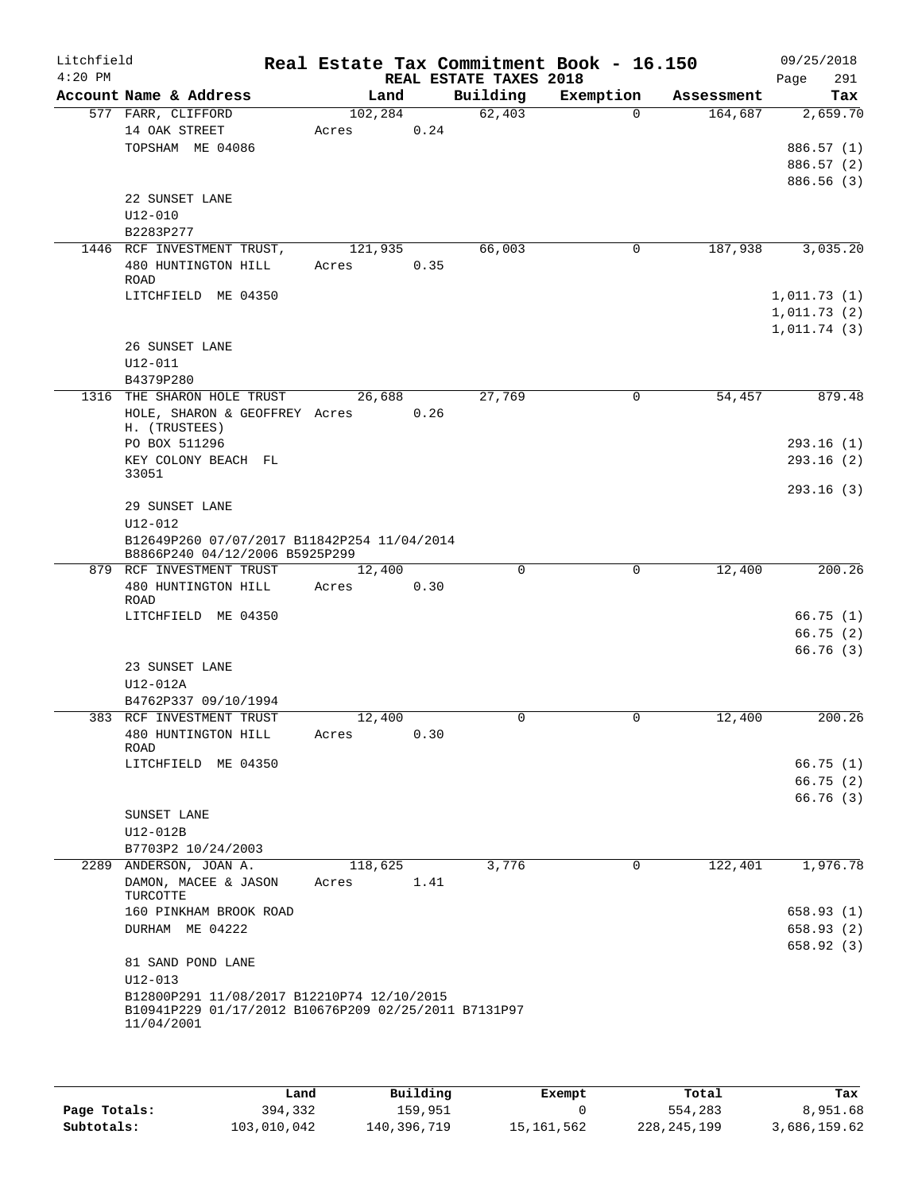| Litchfield<br>$4:20$ PM |                                                                               |                  |      | REAL ESTATE TAXES 2018 | Real Estate Tax Commitment Book - 16.150 |            | 09/25/2018<br>Page<br>291 |
|-------------------------|-------------------------------------------------------------------------------|------------------|------|------------------------|------------------------------------------|------------|---------------------------|
|                         | Account Name & Address                                                        | Land             |      | Building               | Exemption                                | Assessment | Tax                       |
|                         | 577 FARR, CLIFFORD                                                            | 102,284          |      | 62,403                 | $\Omega$                                 | 164,687    | 2,659.70                  |
|                         | 14 OAK STREET                                                                 | Acres            | 0.24 |                        |                                          |            |                           |
|                         | TOPSHAM ME 04086                                                              |                  |      |                        |                                          |            | 886.57 (1)                |
|                         |                                                                               |                  |      |                        |                                          |            | 886.57 (2)                |
|                         |                                                                               |                  |      |                        |                                          |            | 886.56 (3)                |
|                         | 22 SUNSET LANE                                                                |                  |      |                        |                                          |            |                           |
|                         | $U12 - 010$                                                                   |                  |      |                        |                                          |            |                           |
|                         | B2283P277<br>1446 RCF INVESTMENT TRUST,                                       | 121,935          |      | 66,003                 | 0                                        | 187,938    | 3,035.20                  |
|                         | 480 HUNTINGTON HILL                                                           | Acres            | 0.35 |                        |                                          |            |                           |
|                         | <b>ROAD</b>                                                                   |                  |      |                        |                                          |            |                           |
|                         | LITCHFIELD ME 04350                                                           |                  |      |                        |                                          |            | 1,011.73(1)               |
|                         |                                                                               |                  |      |                        |                                          |            | 1,011.73(2)               |
|                         |                                                                               |                  |      |                        |                                          |            | 1,011.74(3)               |
|                         | 26 SUNSET LANE                                                                |                  |      |                        |                                          |            |                           |
|                         | U12-011                                                                       |                  |      |                        |                                          |            |                           |
|                         | B4379P280                                                                     |                  |      |                        |                                          |            |                           |
|                         | 1316 THE SHARON HOLE TRUST                                                    | 26,688           |      | 27,769                 | $\mathbf 0$                              | 54,457     | 879.48                    |
|                         | HOLE, SHARON & GEOFFREY Acres                                                 |                  | 0.26 |                        |                                          |            |                           |
|                         | H. (TRUSTEES)<br>PO BOX 511296                                                |                  |      |                        |                                          |            | 293.16(1)                 |
|                         | KEY COLONY BEACH FL                                                           |                  |      |                        |                                          |            | 293.16(2)                 |
|                         | 33051                                                                         |                  |      |                        |                                          |            |                           |
|                         |                                                                               |                  |      |                        |                                          |            | 293.16(3)                 |
|                         | 29 SUNSET LANE                                                                |                  |      |                        |                                          |            |                           |
|                         | U12-012                                                                       |                  |      |                        |                                          |            |                           |
|                         | B12649P260 07/07/2017 B11842P254 11/04/2014<br>B8866P240 04/12/2006 B5925P299 |                  |      |                        |                                          |            |                           |
|                         | 879 RCF INVESTMENT TRUST                                                      | 12,400           |      | 0                      | 0                                        | 12,400     | 200.26                    |
|                         | 480 HUNTINGTON HILL                                                           | Acres            | 0.30 |                        |                                          |            |                           |
|                         | <b>ROAD</b><br>LITCHFIELD ME 04350                                            |                  |      |                        |                                          |            | 66.75(1)                  |
|                         |                                                                               |                  |      |                        |                                          |            | 66.75(2)                  |
|                         |                                                                               |                  |      |                        |                                          |            | 66.76(3)                  |
|                         | 23 SUNSET LANE                                                                |                  |      |                        |                                          |            |                           |
|                         | U12-012A                                                                      |                  |      |                        |                                          |            |                           |
|                         | B4762P337 09/10/1994                                                          |                  |      |                        |                                          |            |                           |
|                         | 383 RCF INVESTMENT TRUST                                                      | 12,400           |      | 0                      | 0                                        | 12,400     | 200.26                    |
|                         | 480 HUNTINGTON HILL                                                           | Acres            | 0.30 |                        |                                          |            |                           |
|                         | ROAD                                                                          |                  |      |                        |                                          |            |                           |
|                         | LITCHFIELD ME 04350                                                           |                  |      |                        |                                          |            | 66.75(1)                  |
|                         |                                                                               |                  |      |                        |                                          |            | 66.75(2)                  |
|                         |                                                                               |                  |      |                        |                                          |            | 66.76(3)                  |
|                         | SUNSET LANE                                                                   |                  |      |                        |                                          |            |                           |
|                         | U12-012B<br>B7703P2 10/24/2003                                                |                  |      |                        |                                          |            |                           |
|                         | 2289 ANDERSON, JOAN A.                                                        |                  |      | 3,776                  | $\mathbf 0$                              | 122,401    | 1,976.78                  |
|                         | DAMON, MACEE & JASON                                                          | 118,625<br>Acres | 1.41 |                        |                                          |            |                           |
|                         | TURCOTTE                                                                      |                  |      |                        |                                          |            |                           |
|                         | 160 PINKHAM BROOK ROAD                                                        |                  |      |                        |                                          |            | 658.93(1)                 |
|                         | DURHAM ME 04222                                                               |                  |      |                        |                                          |            | 658.93(2)                 |
|                         |                                                                               |                  |      |                        |                                          |            | 658.92(3)                 |
|                         | 81 SAND POND LANE                                                             |                  |      |                        |                                          |            |                           |
|                         | U12-013                                                                       |                  |      |                        |                                          |            |                           |
|                         | B12800P291 11/08/2017 B12210P74 12/10/2015                                    |                  |      |                        |                                          |            |                           |
|                         | B10941P229 01/17/2012 B10676P209 02/25/2011 B7131P97<br>11/04/2001            |                  |      |                        |                                          |            |                           |
|                         |                                                                               |                  |      |                        |                                          |            |                           |
|                         |                                                                               |                  |      |                        |                                          |            |                           |

|              | úand        | Building    | Exempt     | Total         | Tax          |
|--------------|-------------|-------------|------------|---------------|--------------|
| Page Totals: | 394,332     | 159.951     |            | 554,283       | 8,951.68     |
| Subtotals:   | 103,010,042 | 140,396,719 | 15,161,562 | 228, 245, 199 | 3,686,159.62 |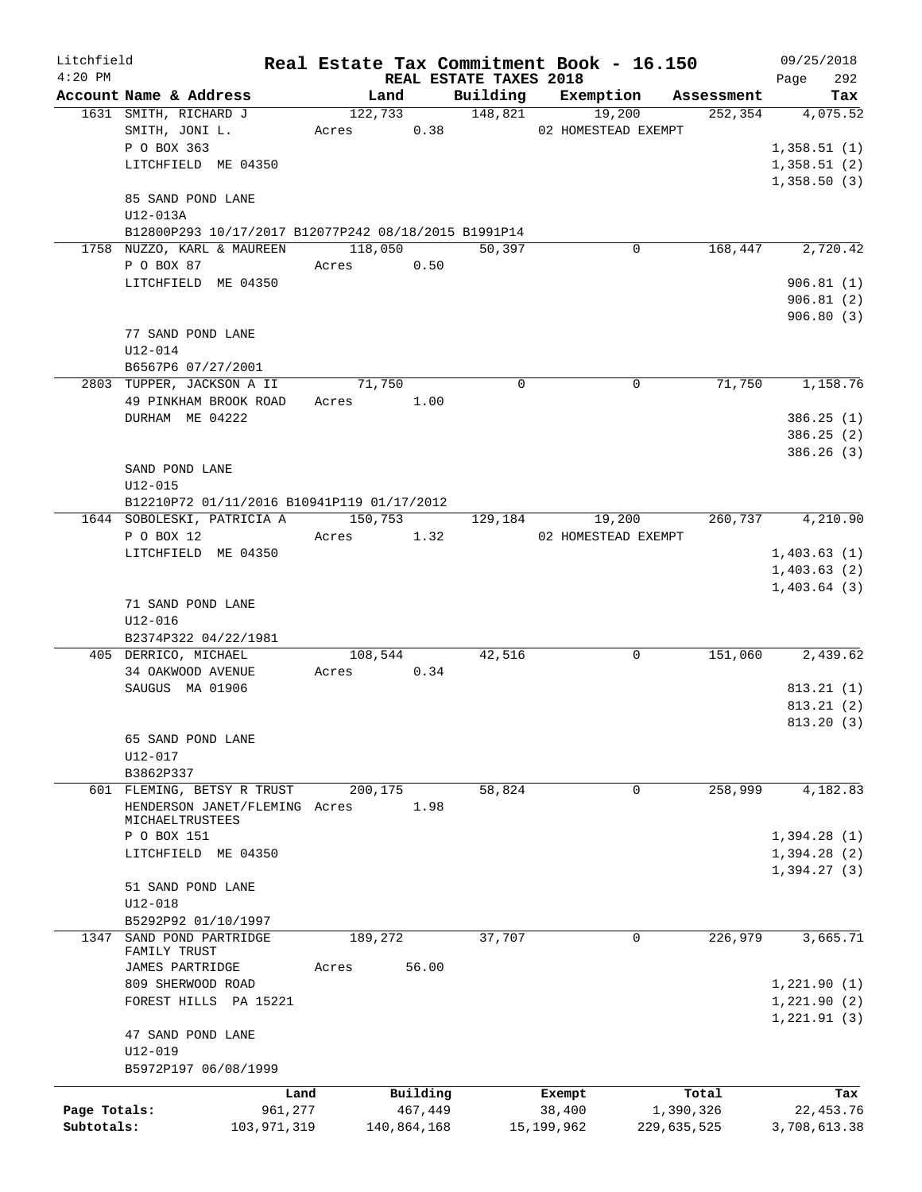| Litchfield   |                                                      |       |             |                                 | Real Estate Tax Commitment Book - 16.150 |                       | 09/25/2018         |
|--------------|------------------------------------------------------|-------|-------------|---------------------------------|------------------------------------------|-----------------------|--------------------|
| $4:20$ PM    | Account Name & Address                               |       | Land        | REAL ESTATE TAXES 2018          |                                          |                       | 292<br>Page<br>Tax |
|              | 1631 SMITH, RICHARD J                                |       | 122,733     | Building<br>$\frac{148,821}{2}$ | Exemption<br>19,200                      | Assessment<br>252,354 | 4,075.52           |
|              |                                                      |       |             |                                 |                                          |                       |                    |
|              | SMITH, JONI L.                                       |       |             | Acres 0.38                      | 02 HOMESTEAD EXEMPT                      |                       |                    |
|              | P O BOX 363                                          |       |             |                                 |                                          |                       | 1,358.51(1)        |
|              | LITCHFIELD ME 04350                                  |       |             |                                 |                                          |                       | 1,358.51(2)        |
|              |                                                      |       |             |                                 |                                          |                       | 1,358.50(3)        |
|              | 85 SAND POND LANE                                    |       |             |                                 |                                          |                       |                    |
|              | U12-013A                                             |       |             |                                 |                                          |                       |                    |
|              | B12800P293 10/17/2017 B12077P242 08/18/2015 B1991P14 |       |             |                                 |                                          |                       |                    |
|              | 1758 NUZZO, KARL & MAUREEN                           |       | 118,050     | 50,397                          | 0                                        | 168,447               | 2,720.42           |
|              | P O BOX 87                                           | Acres | 0.50        |                                 |                                          |                       |                    |
|              | LITCHFIELD ME 04350                                  |       |             |                                 |                                          |                       | 906.81(1)          |
|              |                                                      |       |             |                                 |                                          |                       | 906.81(2)          |
|              |                                                      |       |             |                                 |                                          |                       | 906.80(3)          |
|              | 77 SAND POND LANE                                    |       |             |                                 |                                          |                       |                    |
|              | $U12 - 014$                                          |       |             |                                 |                                          |                       |                    |
|              | B6567P6 07/27/2001                                   |       |             |                                 |                                          |                       |                    |
|              | 2803 TUPPER, JACKSON A II                            |       | 71,750      | $\mathbf 0$                     | $\mathbf 0$                              | 71,750                | 1,158.76           |
|              | 49 PINKHAM BROOK ROAD                                | Acres | 1.00        |                                 |                                          |                       |                    |
|              | DURHAM ME 04222                                      |       |             |                                 |                                          |                       | 386.25(1)          |
|              |                                                      |       |             |                                 |                                          |                       | 386.25(2)          |
|              |                                                      |       |             |                                 |                                          |                       | 386.26 (3)         |
|              | SAND POND LANE                                       |       |             |                                 |                                          |                       |                    |
|              | $U12 - 015$                                          |       |             |                                 |                                          |                       |                    |
|              | B12210P72 01/11/2016 B10941P119 01/17/2012           |       |             |                                 |                                          |                       |                    |
|              | 1644 SOBOLESKI, PATRICIA A                           |       | 150,753     | 129,184                         | 19,200                                   | 260,737               | 4,210.90           |
|              | P O BOX 12                                           | Acres | 1.32        |                                 | 02 HOMESTEAD EXEMPT                      |                       |                    |
|              | LITCHFIELD ME 04350                                  |       |             |                                 |                                          |                       | 1,403.63(1)        |
|              |                                                      |       |             |                                 |                                          |                       | 1,403.63(2)        |
|              |                                                      |       |             |                                 |                                          |                       | 1,403.64(3)        |
|              | 71 SAND POND LANE                                    |       |             |                                 |                                          |                       |                    |
|              | $U12 - 016$                                          |       |             |                                 |                                          |                       |                    |
|              | B2374P322 04/22/1981                                 |       |             |                                 |                                          |                       |                    |
|              | 405 DERRICO, MICHAEL                                 |       | 108,544     | 42,516                          | 0                                        | 151,060               | 2,439.62           |
|              | 34 OAKWOOD AVENUE                                    |       | Acres 0.34  |                                 |                                          |                       |                    |
|              | SAUGUS MA 01906                                      |       |             |                                 |                                          |                       | 813.21(1)          |
|              |                                                      |       |             |                                 |                                          |                       | 813.21(2)          |
|              |                                                      |       |             |                                 |                                          |                       | 813.20 (3)         |
|              | 65 SAND POND LANE                                    |       |             |                                 |                                          |                       |                    |
|              | U12-017                                              |       |             |                                 |                                          |                       |                    |
|              | B3862P337                                            |       |             |                                 |                                          |                       |                    |
|              | 601 FLEMING, BETSY R TRUST                           |       | 200,175     | 58,824                          | 0                                        | 258,999               | 4,182.83           |
|              | HENDERSON JANET/FLEMING Acres                        |       | 1.98        |                                 |                                          |                       |                    |
|              | MICHAELTRUSTEES                                      |       |             |                                 |                                          |                       |                    |
|              | P O BOX 151                                          |       |             |                                 |                                          |                       | 1,394.28(1)        |
|              | LITCHFIELD ME 04350                                  |       |             |                                 |                                          |                       | 1,394.28(2)        |
|              |                                                      |       |             |                                 |                                          |                       | 1,394.27(3)        |
|              | 51 SAND POND LANE                                    |       |             |                                 |                                          |                       |                    |
|              | U12-018                                              |       |             |                                 |                                          |                       |                    |
|              | B5292P92 01/10/1997                                  |       |             |                                 |                                          |                       |                    |
| 1347         | SAND POND PARTRIDGE                                  |       | 189,272     | 37,707                          | 0                                        | 226,979               | 3,665.71           |
|              | FAMILY TRUST<br>JAMES PARTRIDGE                      | Acres | 56.00       |                                 |                                          |                       |                    |
|              | 809 SHERWOOD ROAD                                    |       |             |                                 |                                          |                       |                    |
|              | FOREST HILLS PA 15221                                |       |             |                                 |                                          |                       | 1,221.90(1)        |
|              |                                                      |       |             |                                 |                                          |                       | 1,221.90(2)        |
|              |                                                      |       |             |                                 |                                          |                       | 1,221.91(3)        |
|              | 47 SAND POND LANE<br>U12-019                         |       |             |                                 |                                          |                       |                    |
|              | B5972P197 06/08/1999                                 |       |             |                                 |                                          |                       |                    |
|              |                                                      |       |             |                                 |                                          |                       |                    |
|              |                                                      | Land  | Building    |                                 | Exempt                                   | Total                 | Tax                |
| Page Totals: | 961,277                                              |       | 467,449     |                                 | 38,400                                   | 1,390,326             | 22, 453.76         |
| Subtotals:   | 103,971,319                                          |       | 140,864,168 |                                 | 15,199,962                               | 229,635,525           | 3,708,613.38       |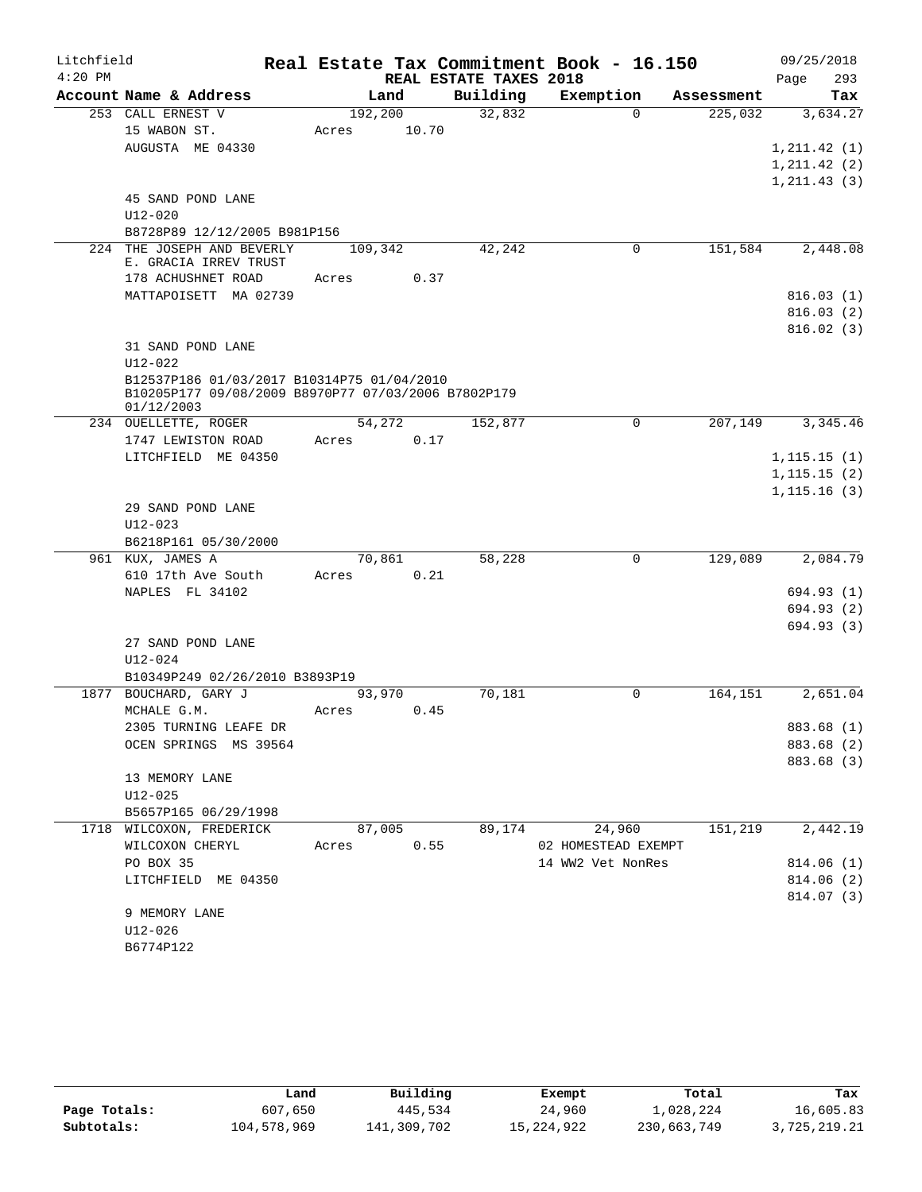| Litchfield |                                                                                                   |       |         |                        | Real Estate Tax Commitment Book - 16.150 |            | 09/25/2018   |
|------------|---------------------------------------------------------------------------------------------------|-------|---------|------------------------|------------------------------------------|------------|--------------|
| $4:20$ PM  |                                                                                                   |       |         | REAL ESTATE TAXES 2018 |                                          |            | 293<br>Page  |
|            | Account Name & Address                                                                            |       | Land    | Building               | Exemption                                | Assessment | Tax          |
|            | 253 CALL ERNEST V                                                                                 |       | 192,200 | 32,832                 | $\Omega$                                 | 225,032    | 3,634.27     |
|            | 15 WABON ST.                                                                                      | Acres | 10.70   |                        |                                          |            |              |
|            | AUGUSTA ME 04330                                                                                  |       |         |                        |                                          |            | 1, 211.42(1) |
|            |                                                                                                   |       |         |                        |                                          |            | 1, 211.42(2) |
|            | 45 SAND POND LANE                                                                                 |       |         |                        |                                          |            | 1, 211.43(3) |
|            | $U12 - 020$                                                                                       |       |         |                        |                                          |            |              |
|            | B8728P89 12/12/2005 B981P156                                                                      |       |         |                        |                                          |            |              |
|            | 224 THE JOSEPH AND BEVERLY                                                                        |       | 109,342 | 42,242                 | 0                                        | 151,584    | 2,448.08     |
|            | E. GRACIA IRREV TRUST                                                                             |       |         |                        |                                          |            |              |
|            | 178 ACHUSHNET ROAD                                                                                | Acres | 0.37    |                        |                                          |            |              |
|            | MATTAPOISETT MA 02739                                                                             |       |         |                        |                                          |            | 816.03(1)    |
|            |                                                                                                   |       |         |                        |                                          |            | 816.03(2)    |
|            |                                                                                                   |       |         |                        |                                          |            | 816.02(3)    |
|            | 31 SAND POND LANE                                                                                 |       |         |                        |                                          |            |              |
|            | $U12 - 022$                                                                                       |       |         |                        |                                          |            |              |
|            | B12537P186 01/03/2017 B10314P75 01/04/2010<br>B10205P177 09/08/2009 B8970P77 07/03/2006 B7802P179 |       |         |                        |                                          |            |              |
|            | 01/12/2003                                                                                        |       |         |                        |                                          |            |              |
|            | 234 OUELLETTE, ROGER                                                                              |       | 54,272  | 152,877                | $\Omega$                                 | 207,149    | 3,345.46     |
|            | 1747 LEWISTON ROAD                                                                                | Acres | 0.17    |                        |                                          |            |              |
|            | LITCHFIELD ME 04350                                                                               |       |         |                        |                                          |            | 1, 115.15(1) |
|            |                                                                                                   |       |         |                        |                                          |            | 1, 115.15(2) |
|            |                                                                                                   |       |         |                        |                                          |            | 1,115.16(3)  |
|            | 29 SAND POND LANE                                                                                 |       |         |                        |                                          |            |              |
|            | $U12 - 023$                                                                                       |       |         |                        |                                          |            |              |
|            | B6218P161 05/30/2000                                                                              |       |         |                        |                                          |            |              |
|            | 961 KUX, JAMES A                                                                                  |       | 70,861  | 58,228                 | $\mathbf 0$                              | 129,089    | 2,084.79     |
|            | 610 17th Ave South                                                                                | Acres | 0.21    |                        |                                          |            |              |
|            | NAPLES FL 34102                                                                                   |       |         |                        |                                          |            | 694.93 (1)   |
|            |                                                                                                   |       |         |                        |                                          |            | 694.93 (2)   |
|            |                                                                                                   |       |         |                        |                                          |            | 694.93 (3)   |
|            | 27 SAND POND LANE                                                                                 |       |         |                        |                                          |            |              |
|            | $U12 - 024$<br>B10349P249 02/26/2010 B3893P19                                                     |       |         |                        |                                          |            |              |
|            | 1877 BOUCHARD, GARY J                                                                             |       | 93,970  | 70,181                 | $\Omega$                                 | 164,151    | 2,651.04     |
|            | MCHALE G.M.                                                                                       | Acres | 0.45    |                        |                                          |            |              |
|            | 2305 TURNING LEAFE DR                                                                             |       |         |                        |                                          |            | 883.68 (1)   |
|            | OCEN SPRINGS MS 39564                                                                             |       |         |                        |                                          |            | 883.68 (2)   |
|            |                                                                                                   |       |         |                        |                                          |            | 883.68 (3)   |
|            | 13 MEMORY LANE                                                                                    |       |         |                        |                                          |            |              |
|            | $U12 - 025$                                                                                       |       |         |                        |                                          |            |              |
|            | B5657P165 06/29/1998                                                                              |       |         |                        |                                          |            |              |
|            | 1718 WILCOXON, FREDERICK                                                                          |       | 87,005  | 89,174                 | 24,960                                   | 151,219    | 2,442.19     |
|            | WILCOXON CHERYL                                                                                   | Acres | 0.55    |                        | 02 HOMESTEAD EXEMPT                      |            |              |
|            | PO BOX 35                                                                                         |       |         |                        | 14 WW2 Vet NonRes                        |            | 814.06(1)    |
|            | LITCHFIELD ME 04350                                                                               |       |         |                        |                                          |            | 814.06(2)    |
|            |                                                                                                   |       |         |                        |                                          |            | 814.07 (3)   |
|            | 9 MEMORY LANE                                                                                     |       |         |                        |                                          |            |              |
|            | $U12 - 026$                                                                                       |       |         |                        |                                          |            |              |
|            | B6774P122                                                                                         |       |         |                        |                                          |            |              |
|            |                                                                                                   |       |         |                        |                                          |            |              |

|              | Land        | Building    | Exempt     | Total       | Tax          |
|--------------|-------------|-------------|------------|-------------|--------------|
| Page Totals: | 607,650     | 445,534     | 24,960     | 1,028,224   | 16,605.83    |
| Subtotals:   | 104,578,969 | 141,309,702 | 15,224,922 | 230,663,749 | 3,725,219.21 |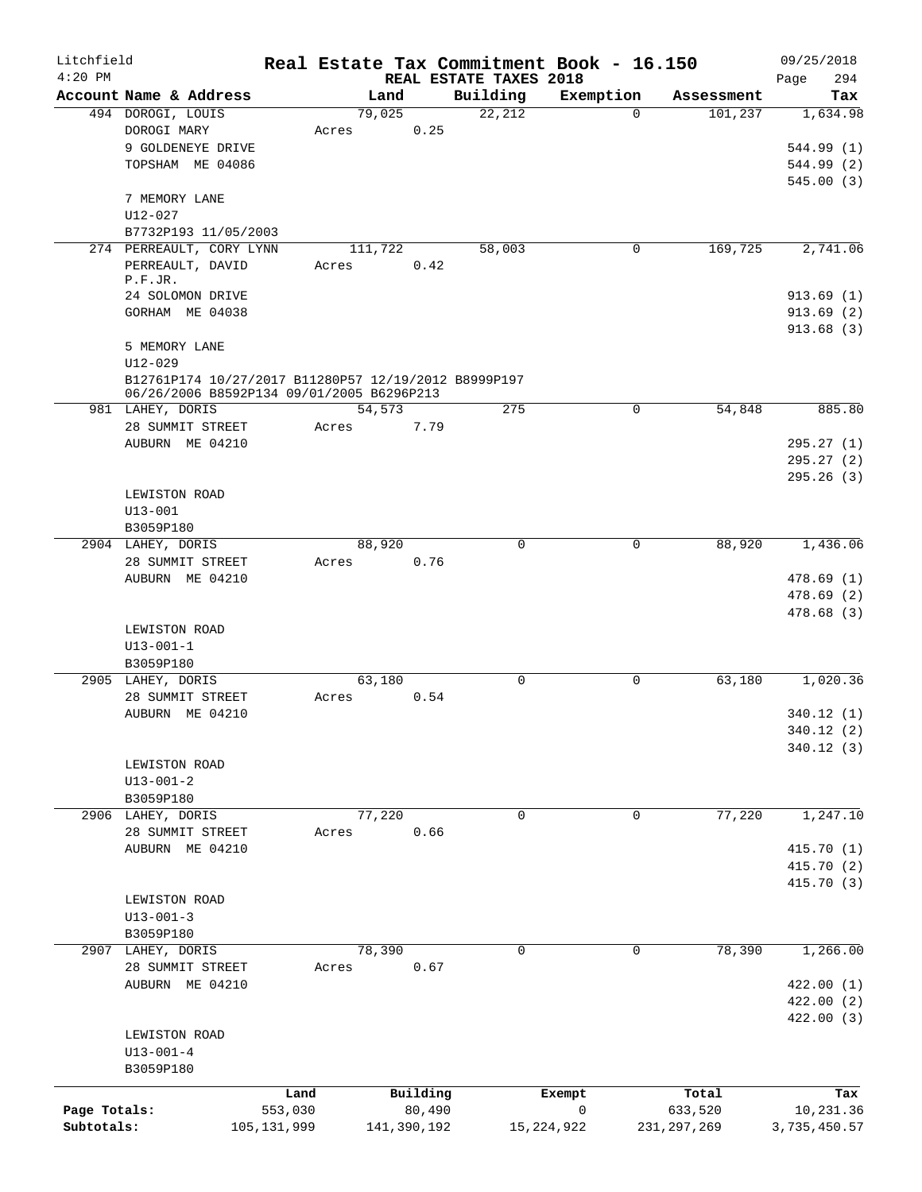| Litchfield   |                                                      |               |       |             |          | Real Estate Tax Commitment Book - 16.150 |              |             |               | 09/25/2018         |
|--------------|------------------------------------------------------|---------------|-------|-------------|----------|------------------------------------------|--------------|-------------|---------------|--------------------|
| $4:20$ PM    | Account Name & Address                               |               |       | Land        |          | REAL ESTATE TAXES 2018<br>Building       | Exemption    |             | Assessment    | 294<br>Page<br>Tax |
|              | 494 DOROGI, LOUIS                                    |               |       | 79,025      |          | 22,212                                   |              | $\Omega$    | 101,237       | 1,634.98           |
|              | DOROGI MARY                                          |               | Acres |             | 0.25     |                                          |              |             |               |                    |
|              | 9 GOLDENEYE DRIVE                                    |               |       |             |          |                                          |              |             |               | 544.99 (1)         |
|              | TOPSHAM ME 04086                                     |               |       |             |          |                                          |              |             |               | 544.99 (2)         |
|              |                                                      |               |       |             |          |                                          |              |             |               | 545.00(3)          |
|              | 7 MEMORY LANE                                        |               |       |             |          |                                          |              |             |               |                    |
|              | $U12 - 027$                                          |               |       |             |          |                                          |              |             |               |                    |
|              | B7732P193 11/05/2003                                 |               |       |             |          |                                          |              |             |               |                    |
|              | 274 PERREAULT, CORY LYNN                             |               |       | 111,722     |          | 58,003                                   |              | 0           | 169,725       | 2,741.06           |
|              | PERREAULT, DAVID                                     |               | Acres |             | 0.42     |                                          |              |             |               |                    |
|              | P.F.JR.                                              |               |       |             |          |                                          |              |             |               |                    |
|              | 24 SOLOMON DRIVE                                     |               |       |             |          |                                          |              |             |               | 913.69(1)          |
|              | GORHAM ME 04038                                      |               |       |             |          |                                          |              |             |               | 913.69(2)          |
|              |                                                      |               |       |             |          |                                          |              |             |               | 913.68(3)          |
|              | 5 MEMORY LANE                                        |               |       |             |          |                                          |              |             |               |                    |
|              | $U12 - 029$                                          |               |       |             |          |                                          |              |             |               |                    |
|              | B12761P174 10/27/2017 B11280P57 12/19/2012 B8999P197 |               |       |             |          |                                          |              |             |               |                    |
|              | 06/26/2006 B8592P134 09/01/2005 B6296P213            |               |       |             |          |                                          |              |             |               |                    |
|              | 981 LAHEY, DORIS                                     |               |       | 54,573      |          | 275                                      |              | 0           | 54,848        | 885.80             |
|              | 28 SUMMIT STREET                                     |               | Acres |             | 7.79     |                                          |              |             |               |                    |
|              | AUBURN ME 04210                                      |               |       |             |          |                                          |              |             |               | 295.27(1)          |
|              |                                                      |               |       |             |          |                                          |              |             |               | 295.27(2)          |
|              |                                                      |               |       |             |          |                                          |              |             |               | 295.26(3)          |
|              | LEWISTON ROAD                                        |               |       |             |          |                                          |              |             |               |                    |
|              | $U13 - 001$                                          |               |       |             |          |                                          |              |             |               |                    |
|              | B3059P180                                            |               |       |             |          |                                          |              |             |               |                    |
|              | 2904 LAHEY, DORIS                                    |               |       | 88,920      |          | 0                                        |              | 0           | 88,920        | 1,436.06           |
|              | 28 SUMMIT STREET                                     |               | Acres |             | 0.76     |                                          |              |             |               |                    |
|              | AUBURN ME 04210                                      |               |       |             |          |                                          |              |             |               | 478.69(1)          |
|              |                                                      |               |       |             |          |                                          |              |             |               | 478.69(2)          |
|              |                                                      |               |       |             |          |                                          |              |             |               | 478.68(3)          |
|              | LEWISTON ROAD                                        |               |       |             |          |                                          |              |             |               |                    |
|              | $U13 - 001 - 1$                                      |               |       |             |          |                                          |              |             |               |                    |
|              | B3059P180                                            |               |       |             |          |                                          |              |             |               |                    |
|              | 2905 LAHEY, DORIS                                    |               |       | 63,180      |          | 0                                        |              | $\mathbf 0$ | 63,180        | 1,020.36           |
|              | 28 SUMMIT STREET                                     |               | Acres |             | 0.54     |                                          |              |             |               |                    |
|              | AUBURN ME 04210                                      |               |       |             |          |                                          |              |             |               | 340.12(1)          |
|              |                                                      |               |       |             |          |                                          |              |             |               | 340.12 (2)         |
|              |                                                      |               |       |             |          |                                          |              |             |               | 340.12(3)          |
|              | LEWISTON ROAD                                        |               |       |             |          |                                          |              |             |               |                    |
|              | $U13 - 001 - 2$                                      |               |       |             |          |                                          |              |             |               |                    |
|              | B3059P180                                            |               |       |             |          |                                          |              |             |               |                    |
|              | 2906 LAHEY, DORIS                                    |               |       | 77,220      |          | 0                                        |              | $\mathbf 0$ | 77,220        | 1,247.10           |
|              | 28 SUMMIT STREET                                     |               | Acres |             | 0.66     |                                          |              |             |               |                    |
|              | AUBURN ME 04210                                      |               |       |             |          |                                          |              |             |               | 415.70 (1)         |
|              |                                                      |               |       |             |          |                                          |              |             |               | 415.70 (2)         |
|              |                                                      |               |       |             |          |                                          |              |             |               | 415.70(3)          |
|              | LEWISTON ROAD                                        |               |       |             |          |                                          |              |             |               |                    |
|              | $U13 - 001 - 3$                                      |               |       |             |          |                                          |              |             |               |                    |
|              | B3059P180                                            |               |       |             |          |                                          |              |             |               |                    |
|              | 2907 LAHEY, DORIS                                    |               |       | 78,390      |          | 0                                        |              | 0           | 78,390        | 1,266.00           |
|              | 28 SUMMIT STREET                                     |               | Acres |             | 0.67     |                                          |              |             |               |                    |
|              | AUBURN ME 04210                                      |               |       |             |          |                                          |              |             |               | 422.00(1)          |
|              |                                                      |               |       |             |          |                                          |              |             |               | 422.00(2)          |
|              |                                                      |               |       |             |          |                                          |              |             |               | 422.00(3)          |
|              | LEWISTON ROAD                                        |               |       |             |          |                                          |              |             |               |                    |
|              | $U13 - 001 - 4$                                      |               |       |             |          |                                          |              |             |               |                    |
|              | B3059P180                                            |               |       |             |          |                                          |              |             |               |                    |
|              |                                                      | Land          |       |             | Building |                                          | Exempt       |             | Total         | Tax                |
| Page Totals: |                                                      | 553,030       |       |             | 80,490   |                                          | $\mathsf{O}$ |             | 633,520       | 10,231.36          |
| Subtotals:   |                                                      | 105, 131, 999 |       | 141,390,192 |          |                                          | 15, 224, 922 |             | 231, 297, 269 | 3,735,450.57       |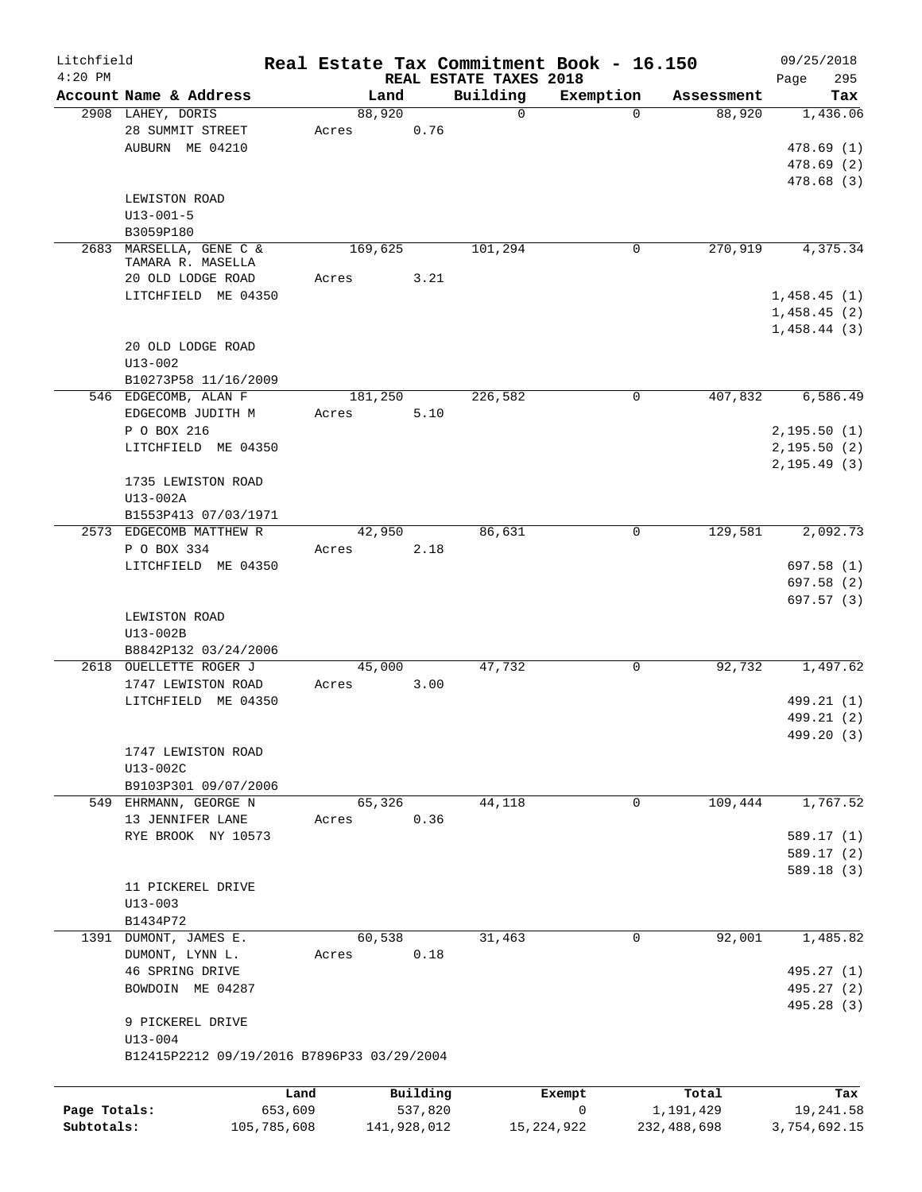| Litchfield<br>$4:20$ PM    |                                                                               | Real Estate Tax Commitment Book - 16.150 |                        |                                    |                              |                          | 09/25/2018                                 |
|----------------------------|-------------------------------------------------------------------------------|------------------------------------------|------------------------|------------------------------------|------------------------------|--------------------------|--------------------------------------------|
|                            | Account Name & Address                                                        | Land                                     |                        | REAL ESTATE TAXES 2018<br>Building | Exemption                    | Assessment               | 295<br>Page<br>Tax                         |
|                            | 2908 LAHEY, DORIS                                                             | 88,920                                   |                        | $\mathbf 0$                        | $\Omega$                     | 88,920                   | 1,436.06                                   |
|                            | 28 SUMMIT STREET<br>AUBURN ME 04210                                           | Acres                                    | 0.76                   |                                    |                              |                          | 478.69 (1)<br>478.69(2)                    |
|                            | LEWISTON ROAD<br>$U13 - 001 - 5$<br>B3059P180                                 |                                          |                        |                                    |                              |                          | 478.68 (3)                                 |
| 2683                       | MARSELLA, GENE C &<br>TAMARA R. MASELLA                                       | 169,625                                  |                        | 101,294                            | 0                            | 270,919                  | 4,375.34                                   |
|                            | 20 OLD LODGE ROAD                                                             | Acres                                    | 3.21                   |                                    |                              |                          |                                            |
|                            | LITCHFIELD ME 04350                                                           |                                          |                        |                                    |                              |                          | 1,458.45(1)<br>1,458.45(2)<br>1,458.44(3)  |
|                            | 20 OLD LODGE ROAD<br>$U13 - 002$                                              |                                          |                        |                                    |                              |                          |                                            |
|                            | B10273P58 11/16/2009<br>546 EDGECOMB, ALAN F                                  | 181,250                                  |                        | 226,582                            | 0                            | 407,832                  | 6,586.49                                   |
|                            | EDGECOMB JUDITH M                                                             | Acres                                    | 5.10                   |                                    |                              |                          |                                            |
|                            | P O BOX 216<br>LITCHFIELD ME 04350                                            |                                          |                        |                                    |                              |                          | 2,195.50(1)<br>2,195.50(2)<br>2, 195.49(3) |
|                            | 1735 LEWISTON ROAD<br>U13-002A                                                |                                          |                        |                                    |                              |                          |                                            |
|                            | B1553P413 07/03/1971                                                          |                                          |                        |                                    |                              |                          |                                            |
|                            | 2573 EDGECOMB MATTHEW R<br>P O BOX 334                                        | 42,950<br>Acres                          | 2.18                   | 86,631                             | 0                            | 129,581                  | 2,092.73                                   |
|                            | LITCHFIELD ME 04350                                                           |                                          |                        |                                    |                              |                          | 697.58(1)<br>697.58 (2)<br>697.57(3)       |
|                            | LEWISTON ROAD<br>U13-002B<br>B8842P132 03/24/2006                             |                                          |                        |                                    |                              |                          |                                            |
|                            | 2618 OUELLETTE ROGER J                                                        | 45,000                                   |                        | 47,732                             | 0                            | 92,732                   | 1,497.62                                   |
|                            | 1747 LEWISTON ROAD                                                            | Acres                                    | 3.00                   |                                    |                              |                          |                                            |
|                            | LITCHFIELD ME 04350                                                           |                                          |                        |                                    |                              |                          | 499.21 (1)<br>499.21 (2)<br>499.20 (3)     |
|                            | 1747 LEWISTON ROAD<br>U13-002C<br>B9103P301 09/07/2006                        |                                          |                        |                                    |                              |                          |                                            |
|                            | 549 EHRMANN, GEORGE N                                                         | 65,326                                   |                        | 44,118                             | 0                            | 109,444                  | 1,767.52                                   |
|                            | 13 JENNIFER LANE                                                              | Acres                                    | 0.36                   |                                    |                              |                          |                                            |
|                            | RYE BROOK NY 10573                                                            |                                          |                        |                                    |                              |                          | 589.17(1)<br>589.17(2)                     |
|                            |                                                                               |                                          |                        |                                    |                              |                          | 589.18 (3)                                 |
|                            | 11 PICKEREL DRIVE                                                             |                                          |                        |                                    |                              |                          |                                            |
|                            | $U13 - 003$<br>B1434P72                                                       |                                          |                        |                                    |                              |                          |                                            |
|                            | 1391 DUMONT, JAMES E.                                                         | 60,538                                   |                        | 31,463                             | $\mathbf 0$                  | 92,001                   | 1,485.82                                   |
|                            | DUMONT, LYNN L.<br>46 SPRING DRIVE                                            | Acres                                    | 0.18                   |                                    |                              |                          | 495.27 (1)                                 |
|                            | BOWDOIN ME 04287                                                              |                                          |                        |                                    |                              |                          | 495.27 (2)<br>495.28 (3)                   |
|                            | 9 PICKEREL DRIVE<br>$U13 - 004$<br>B12415P2212 09/19/2016 B7896P33 03/29/2004 |                                          |                        |                                    |                              |                          |                                            |
|                            |                                                                               |                                          |                        |                                    |                              |                          |                                            |
|                            |                                                                               | Land                                     | Building               |                                    | Exempt                       | Total                    | Tax                                        |
| Page Totals:<br>Subtotals: | 653,609<br>105,785,608                                                        |                                          | 537,820<br>141,928,012 |                                    | $\mathsf{O}$<br>15, 224, 922 | 1,191,429<br>232,488,698 | 19,241.58<br>3,754,692.15                  |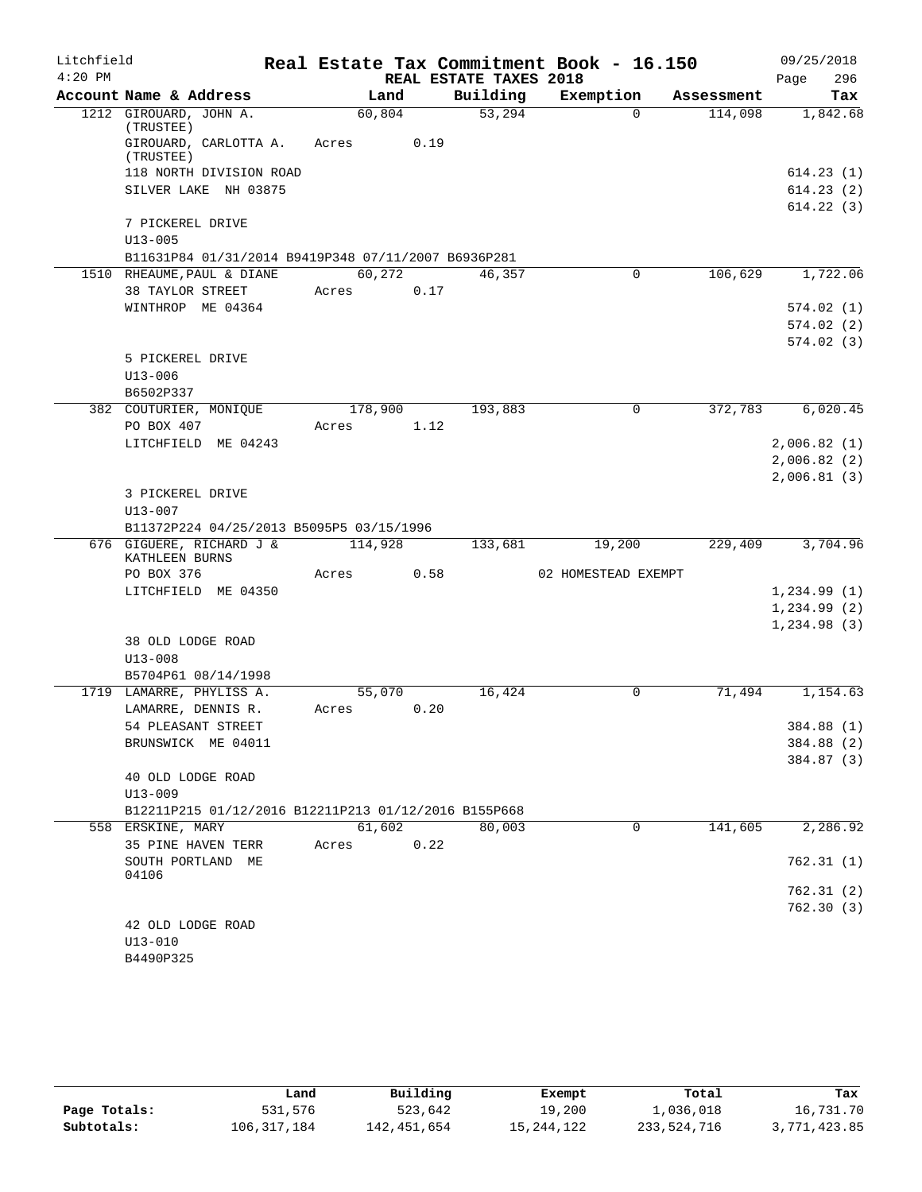| Litchfield |                                                      |         |      |                        | Real Estate Tax Commitment Book - 16.150 |            | 09/25/2018  |
|------------|------------------------------------------------------|---------|------|------------------------|------------------------------------------|------------|-------------|
| $4:20$ PM  |                                                      |         |      | REAL ESTATE TAXES 2018 |                                          |            | 296<br>Page |
|            | Account Name & Address                               | Land    |      | Building               | Exemption                                | Assessment | Tax         |
|            | 1212 GIROUARD, JOHN A.                               | 60,804  |      | 53,294                 | $\Omega$                                 | 114,098    | 1,842.68    |
|            | (TRUSTEE)<br>GIROUARD, CARLOTTA A.                   | Acres   | 0.19 |                        |                                          |            |             |
|            | (TRUSTEE)<br>118 NORTH DIVISION ROAD                 |         |      |                        |                                          |            | 614.23(1)   |
|            | SILVER LAKE NH 03875                                 |         |      |                        |                                          |            | 614.23(2)   |
|            |                                                      |         |      |                        |                                          |            | 614.22(3)   |
|            | 7 PICKEREL DRIVE                                     |         |      |                        |                                          |            |             |
|            | $U13 - 005$                                          |         |      |                        |                                          |            |             |
|            | B11631P84 01/31/2014 B9419P348 07/11/2007 B6936P281  |         |      |                        |                                          |            |             |
|            | 1510 RHEAUME, PAUL & DIANE                           | 60,272  |      | 46,357                 | $\mathbf 0$                              | 106,629    | 1,722.06    |
|            | 38 TAYLOR STREET                                     | Acres   | 0.17 |                        |                                          |            |             |
|            | WINTHROP ME 04364                                    |         |      |                        |                                          |            | 574.02(1)   |
|            |                                                      |         |      |                        |                                          |            | 574.02(2)   |
|            |                                                      |         |      |                        |                                          |            | 574.02(3)   |
|            | 5 PICKEREL DRIVE<br>$U13 - 006$                      |         |      |                        |                                          |            |             |
|            | B6502P337                                            |         |      |                        |                                          |            |             |
|            | 382 COUTURIER, MONIQUE                               | 178,900 |      | 193,883                | $\mathbf 0$                              | 372,783    | 6,020.45    |
|            | PO BOX 407                                           | Acres   | 1.12 |                        |                                          |            |             |
|            | LITCHFIELD ME 04243                                  |         |      |                        |                                          |            | 2,006.82(1) |
|            |                                                      |         |      |                        |                                          |            | 2,006.82(2) |
|            |                                                      |         |      |                        |                                          |            | 2,006.81(3) |
|            | 3 PICKEREL DRIVE                                     |         |      |                        |                                          |            |             |
|            | $U13 - 007$                                          |         |      |                        |                                          |            |             |
|            | B11372P224 04/25/2013 B5095P5 03/15/1996             |         |      |                        |                                          |            |             |
|            | 676 GIGUERE, RICHARD J &<br>KATHLEEN BURNS           | 114,928 |      | 133,681                | 19,200                                   | 229,409    | 3,704.96    |
|            | PO BOX 376                                           | Acres   | 0.58 |                        | 02 HOMESTEAD EXEMPT                      |            |             |
|            | LITCHFIELD ME 04350                                  |         |      |                        |                                          |            | 1,234.99(1) |
|            |                                                      |         |      |                        |                                          |            | 1,234.99(2) |
|            |                                                      |         |      |                        |                                          |            | 1,234.98(3) |
|            | 38 OLD LODGE ROAD<br>$U13 - 008$                     |         |      |                        |                                          |            |             |
|            | B5704P61 08/14/1998                                  |         |      |                        |                                          |            |             |
|            | 1719 LAMARRE, PHYLISS A.                             | 55,070  |      | 16,424                 | $\Omega$                                 | 71,494     | 1,154.63    |
|            | LAMARRE, DENNIS R.                                   | Acres   | 0.20 |                        |                                          |            |             |
|            | 54 PLEASANT STREET                                   |         |      |                        |                                          |            | 384.88 (1)  |
|            | BRUNSWICK ME 04011                                   |         |      |                        |                                          |            | 384.88 (2)  |
|            |                                                      |         |      |                        |                                          |            | 384.87 (3)  |
|            | 40 OLD LODGE ROAD                                    |         |      |                        |                                          |            |             |
|            | $U13 - 009$                                          |         |      |                        |                                          |            |             |
|            | B12211P215 01/12/2016 B12211P213 01/12/2016 B155P668 |         |      |                        |                                          |            |             |
|            | 558 ERSKINE, MARY                                    | 61,602  |      | 80,003                 | $\mathbf 0$                              | 141,605    | 2,286.92    |
|            | 35 PINE HAVEN TERR                                   | Acres   | 0.22 |                        |                                          |            |             |
|            | SOUTH PORTLAND ME<br>04106                           |         |      |                        |                                          |            | 762.31(1)   |
|            |                                                      |         |      |                        |                                          |            | 762.31 (2)  |
|            |                                                      |         |      |                        |                                          |            | 762.30(3)   |
|            | 42 OLD LODGE ROAD                                    |         |      |                        |                                          |            |             |
|            | $U13 - 010$                                          |         |      |                        |                                          |            |             |
|            | B4490P325                                            |         |      |                        |                                          |            |             |

|              | Land        | Building    | Exempt       | Total       | Tax          |
|--------------|-------------|-------------|--------------|-------------|--------------|
| Page Totals: | 531,576     | 523,642     | 19,200       | 1,036,018   | 16,731.70    |
| Subtotals:   | 106,317,184 | 142,451,654 | 15, 244, 122 | 233,524,716 | 3,771,423.85 |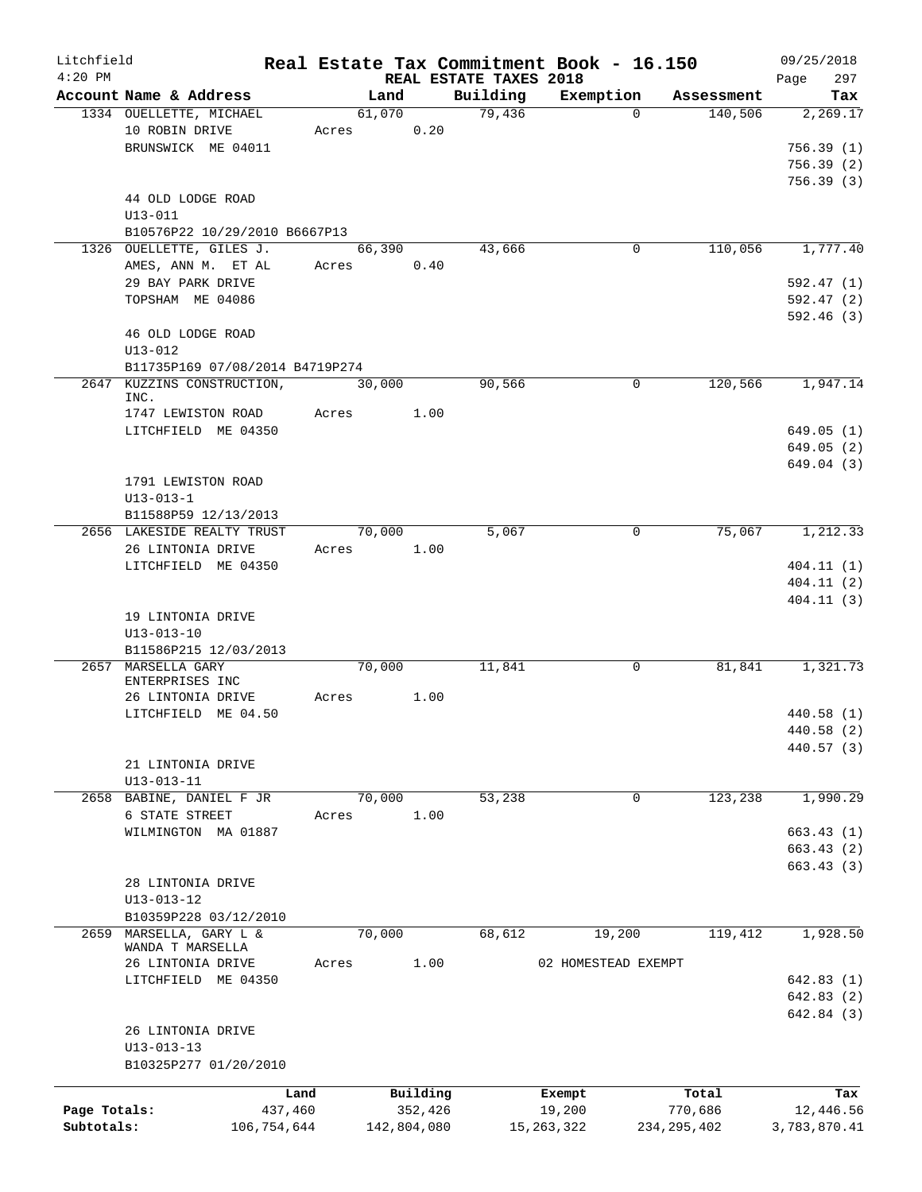| Litchfield   |                                        |       |         |             |                        | Real Estate Tax Commitment Book - 16.150 |               |            | 09/25/2018      |
|--------------|----------------------------------------|-------|---------|-------------|------------------------|------------------------------------------|---------------|------------|-----------------|
| $4:20$ PM    |                                        |       |         |             | REAL ESTATE TAXES 2018 |                                          |               |            | 297<br>Page     |
|              | Account Name & Address                 |       | Land    |             | Building<br>79,436     | Exemption                                |               | Assessment | Tax             |
|              | 1334 OUELLETTE, MICHAEL                |       | 61,070  |             |                        |                                          | $\Omega$      | 140,506    | 2,269.17        |
|              | 10 ROBIN DRIVE                         | Acres |         | 0.20        |                        |                                          |               |            |                 |
|              | BRUNSWICK ME 04011                     |       |         |             |                        |                                          |               |            | 756.39(1)       |
|              |                                        |       |         |             |                        |                                          |               |            | 756.39(2)       |
|              |                                        |       |         |             |                        |                                          |               |            | 756.39(3)       |
|              | 44 OLD LODGE ROAD                      |       |         |             |                        |                                          |               |            |                 |
|              | $U13 - 011$                            |       |         |             |                        |                                          |               |            |                 |
|              | B10576P22 10/29/2010 B6667P13          |       |         |             |                        |                                          |               |            |                 |
|              | 1326 OUELLETTE, GILES J.               |       | 66, 390 |             | 43,666                 |                                          | $\mathbf 0$   | 110,056    | 1,777.40        |
|              | AMES, ANN M. ET AL                     | Acres |         | 0.40        |                        |                                          |               |            |                 |
|              | 29 BAY PARK DRIVE                      |       |         |             |                        |                                          |               |            | 592.47(1)       |
|              | TOPSHAM ME 04086                       |       |         |             |                        |                                          |               |            | 592.47(2)       |
|              |                                        |       |         |             |                        |                                          |               |            | 592.46(3)       |
|              | 46 OLD LODGE ROAD                      |       |         |             |                        |                                          |               |            |                 |
| $U13 - 012$  |                                        |       |         |             |                        |                                          |               |            |                 |
|              | B11735P169 07/08/2014 B4719P274        |       |         |             |                        |                                          |               |            |                 |
| 2647         | KUZZINS CONSTRUCTION,                  |       | 30,000  |             | 90,566                 |                                          | $\mathbf 0$   | 120,566    | 1,947.14        |
|              | INC.                                   |       |         |             |                        |                                          |               |            |                 |
|              | 1747 LEWISTON ROAD                     | Acres |         | 1.00        |                        |                                          |               |            |                 |
|              | LITCHFIELD ME 04350                    |       |         |             |                        |                                          |               |            | 649.05(1)       |
|              |                                        |       |         |             |                        |                                          |               |            | 649.05(2)       |
|              |                                        |       |         |             |                        |                                          |               |            | 649.04(3)       |
|              | 1791 LEWISTON ROAD                     |       |         |             |                        |                                          |               |            |                 |
|              | $U13 - 013 - 1$                        |       |         |             |                        |                                          |               |            |                 |
|              | B11588P59 12/13/2013                   |       |         |             |                        |                                          |               |            |                 |
|              | 2656 LAKESIDE REALTY TRUST             |       | 70,000  |             | 5,067                  |                                          | $\mathbf 0$   | 75,067     | 1,212.33        |
|              | 26 LINTONIA DRIVE                      | Acres |         | 1.00        |                        |                                          |               |            |                 |
|              | LITCHFIELD ME 04350                    |       |         |             |                        |                                          |               |            | 404.11(1)       |
|              |                                        |       |         |             |                        |                                          |               |            | 404.11(2)       |
|              |                                        |       |         |             |                        |                                          |               |            | 404.11(3)       |
|              | 19 LINTONIA DRIVE                      |       |         |             |                        |                                          |               |            |                 |
|              | $U13 - 013 - 10$                       |       |         |             |                        |                                          |               |            |                 |
|              | B11586P215 12/03/2013                  |       |         |             |                        |                                          |               |            |                 |
|              | 2657 MARSELLA GARY                     |       | 70,000  |             | 11,841                 |                                          | 0             | 81,841     | 1,321.73        |
|              | ENTERPRISES INC                        |       |         |             |                        |                                          |               |            |                 |
|              | 26 LINTONIA DRIVE                      | Acres |         | 1.00        |                        |                                          |               |            |                 |
|              | LITCHFIELD ME 04.50                    |       |         |             |                        |                                          |               |            | 440.58(1)       |
|              |                                        |       |         |             |                        |                                          |               |            | $440.58\;\;(2)$ |
|              |                                        |       |         |             |                        |                                          |               |            | 440.57 (3)      |
|              | 21 LINTONIA DRIVE                      |       |         |             |                        |                                          |               |            |                 |
|              | $U13 - 013 - 11$                       |       |         |             |                        |                                          |               |            |                 |
| 2658         | BABINE, DANIEL F JR                    |       | 70,000  |             | 53,238                 |                                          | 0             | 123,238    | 1,990.29        |
|              | 6 STATE STREET                         | Acres |         | 1.00        |                        |                                          |               |            |                 |
|              | WILMINGTON MA 01887                    |       |         |             |                        |                                          |               |            | 663.43(1)       |
|              |                                        |       |         |             |                        |                                          |               |            | 663.43(2)       |
|              |                                        |       |         |             |                        |                                          |               |            | 663.43(3)       |
|              |                                        |       |         |             |                        |                                          |               |            |                 |
|              | 28 LINTONIA DRIVE                      |       |         |             |                        |                                          |               |            |                 |
|              | U13-013-12                             |       |         |             |                        |                                          |               |            |                 |
|              | B10359P228 03/12/2010                  |       |         |             |                        |                                          |               |            |                 |
| 2659         | MARSELLA, GARY L &<br>WANDA T MARSELLA |       | 70,000  |             | 68,612                 | 19,200                                   |               | 119,412    | 1,928.50        |
|              | 26 LINTONIA DRIVE                      | Acres |         | 1.00        |                        | 02 HOMESTEAD EXEMPT                      |               |            |                 |
|              | LITCHFIELD ME 04350                    |       |         |             |                        |                                          |               |            | 642.83(1)       |
|              |                                        |       |         |             |                        |                                          |               |            |                 |
|              |                                        |       |         |             |                        |                                          |               |            | 642.83(2)       |
|              |                                        |       |         |             |                        |                                          |               |            | 642.84 (3)      |
|              | 26 LINTONIA DRIVE                      |       |         |             |                        |                                          |               |            |                 |
|              | $U13 - 013 - 13$                       |       |         |             |                        |                                          |               |            |                 |
|              | B10325P277 01/20/2010                  |       |         |             |                        |                                          |               |            |                 |
|              | Land                                   |       |         | Building    |                        | Exempt                                   |               | Total      | Tax             |
| Page Totals: | 437,460                                |       |         | 352,426     |                        | 19,200                                   |               | 770,686    | 12,446.56       |
| Subtotals:   | 106,754,644                            |       |         | 142,804,080 |                        | 15, 263, 322                             | 234, 295, 402 |            | 3,783,870.41    |
|              |                                        |       |         |             |                        |                                          |               |            |                 |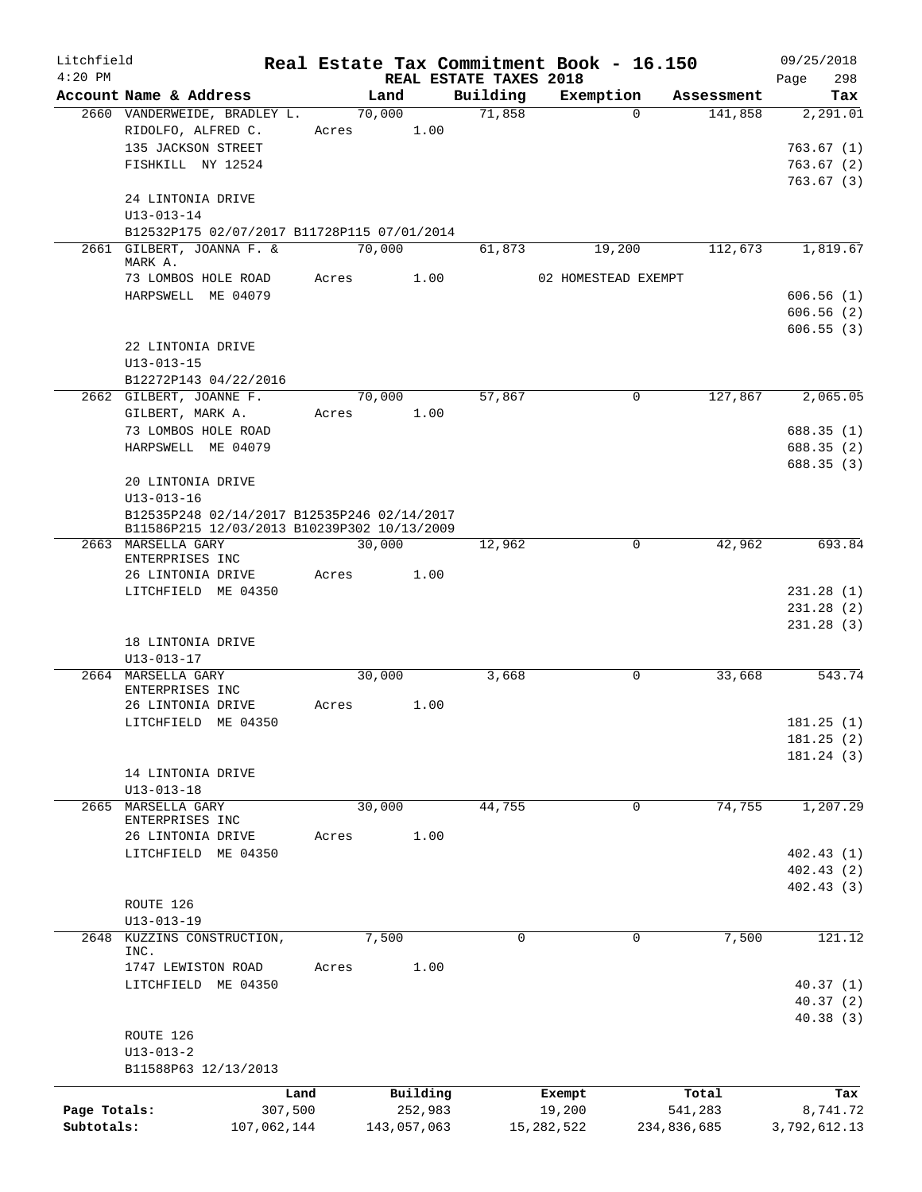| Litchfield   |                                                        |                |             |                        | Real Estate Tax Commitment Book - 16.150 |                       | 09/25/2018      |
|--------------|--------------------------------------------------------|----------------|-------------|------------------------|------------------------------------------|-----------------------|-----------------|
| $4:20$ PM    |                                                        |                |             | REAL ESTATE TAXES 2018 |                                          |                       | 298<br>Page     |
|              | Account Name & Address<br>2660 VANDERWEIDE, BRADLEY L. | Land<br>70,000 |             | Building<br>71,858     | Exemption<br>$\Omega$                    | Assessment<br>141,858 | Tax<br>2,291.01 |
|              | RIDOLFO, ALFRED C.                                     | Acres          | 1.00        |                        |                                          |                       |                 |
|              | 135 JACKSON STREET                                     |                |             |                        |                                          |                       | 763.67(1)       |
|              | FISHKILL NY 12524                                      |                |             |                        |                                          |                       | 763.67(2)       |
|              |                                                        |                |             |                        |                                          |                       | 763.67(3)       |
|              | 24 LINTONIA DRIVE                                      |                |             |                        |                                          |                       |                 |
|              | $U13 - 013 - 14$                                       |                |             |                        |                                          |                       |                 |
|              | B12532P175 02/07/2017 B11728P115 07/01/2014            |                |             |                        |                                          |                       |                 |
|              | 2661 GILBERT, JOANNA F. &                              | 70,000         |             | 61,873                 | 19,200                                   | 112,673               | 1,819.67        |
|              | MARK A.<br>73 LOMBOS HOLE ROAD                         | Acres          | 1.00        |                        | 02 HOMESTEAD EXEMPT                      |                       |                 |
|              | HARPSWELL ME 04079                                     |                |             |                        |                                          |                       | 606.56(1)       |
|              |                                                        |                |             |                        |                                          |                       | 606.56(2)       |
|              |                                                        |                |             |                        |                                          |                       | 606.55(3)       |
|              | 22 LINTONIA DRIVE                                      |                |             |                        |                                          |                       |                 |
|              | $U13 - 013 - 15$                                       |                |             |                        |                                          |                       |                 |
|              | B12272P143 04/22/2016                                  |                |             |                        |                                          |                       |                 |
|              | 2662 GILBERT, JOANNE F.                                | 70,000         |             | 57,867                 | $\mathbf 0$                              | 127,867               | 2,065.05        |
|              | GILBERT, MARK A.                                       | Acres          | 1.00        |                        |                                          |                       |                 |
|              | 73 LOMBOS HOLE ROAD                                    |                |             |                        |                                          |                       | 688.35(1)       |
|              | HARPSWELL ME 04079                                     |                |             |                        |                                          |                       | 688.35(2)       |
|              | 20 LINTONIA DRIVE                                      |                |             |                        |                                          |                       | 688.35 (3)      |
|              | $U13 - 013 - 16$                                       |                |             |                        |                                          |                       |                 |
|              | B12535P248 02/14/2017 B12535P246 02/14/2017            |                |             |                        |                                          |                       |                 |
|              | B11586P215 12/03/2013 B10239P302 10/13/2009            |                |             |                        |                                          |                       |                 |
|              | 2663 MARSELLA GARY                                     | 30,000         |             | 12,962                 | 0                                        | 42,962                | 693.84          |
|              | ENTERPRISES INC                                        |                |             |                        |                                          |                       |                 |
|              | 26 LINTONIA DRIVE<br>LITCHFIELD ME 04350               | Acres          | 1.00        |                        |                                          |                       | 231.28(1)       |
|              |                                                        |                |             |                        |                                          |                       | 231.28 (2)      |
|              |                                                        |                |             |                        |                                          |                       | 231.28(3)       |
|              | 18 LINTONIA DRIVE                                      |                |             |                        |                                          |                       |                 |
|              | $U13 - 013 - 17$                                       |                |             |                        |                                          |                       |                 |
|              | 2664 MARSELLA GARY                                     | 30,000         |             | 3,668                  | 0                                        | 33,668                | 543.74          |
|              | ENTERPRISES INC                                        |                |             |                        |                                          |                       |                 |
|              | 26 LINTONIA DRIVE                                      | Acres          | 1.00        |                        |                                          |                       |                 |
|              | LITCHFIELD ME 04350                                    |                |             |                        |                                          |                       | 181.25(1)       |
|              |                                                        |                |             |                        |                                          |                       | 181.25(2)       |
|              | 14 LINTONIA DRIVE                                      |                |             |                        |                                          |                       | 181.24 (3)      |
|              | $U13 - 013 - 18$                                       |                |             |                        |                                          |                       |                 |
| 2665         | MARSELLA GARY                                          | 30,000         |             | 44,755                 | 0                                        | 74,755                | 1,207.29        |
|              | ENTERPRISES INC                                        |                |             |                        |                                          |                       |                 |
|              | 26 LINTONIA DRIVE                                      | Acres          | 1.00        |                        |                                          |                       |                 |
|              | LITCHFIELD ME 04350                                    |                |             |                        |                                          |                       | 402.43(1)       |
|              |                                                        |                |             |                        |                                          |                       | 402.43(2)       |
|              |                                                        |                |             |                        |                                          |                       | 402.43(3)       |
|              | ROUTE 126                                              |                |             |                        |                                          |                       |                 |
|              | $U13 - 013 - 19$<br>2648 KUZZINS CONSTRUCTION,         | 7,500          |             | $\Omega$               | $\Omega$                                 | 7,500                 | 121.12          |
|              | INC.                                                   |                |             |                        |                                          |                       |                 |
|              | 1747 LEWISTON ROAD                                     | Acres          | 1.00        |                        |                                          |                       |                 |
|              | LITCHFIELD ME 04350                                    |                |             |                        |                                          |                       | 40.37(1)        |
|              |                                                        |                |             |                        |                                          |                       | 40.37(2)        |
|              |                                                        |                |             |                        |                                          |                       | 40.38(3)        |
|              | ROUTE 126                                              |                |             |                        |                                          |                       |                 |
|              | $U13 - 013 - 2$                                        |                |             |                        |                                          |                       |                 |
|              | B11588P63 12/13/2013                                   |                |             |                        |                                          |                       |                 |
|              | Land                                                   |                | Building    |                        | Exempt                                   | Total                 | Tax             |
| Page Totals: | 307,500                                                |                | 252,983     |                        | 19,200                                   | 541,283               | 8,741.72        |
| Subtotals:   | 107,062,144                                            |                | 143,057,063 |                        | 15, 282, 522                             | 234,836,685           | 3,792,612.13    |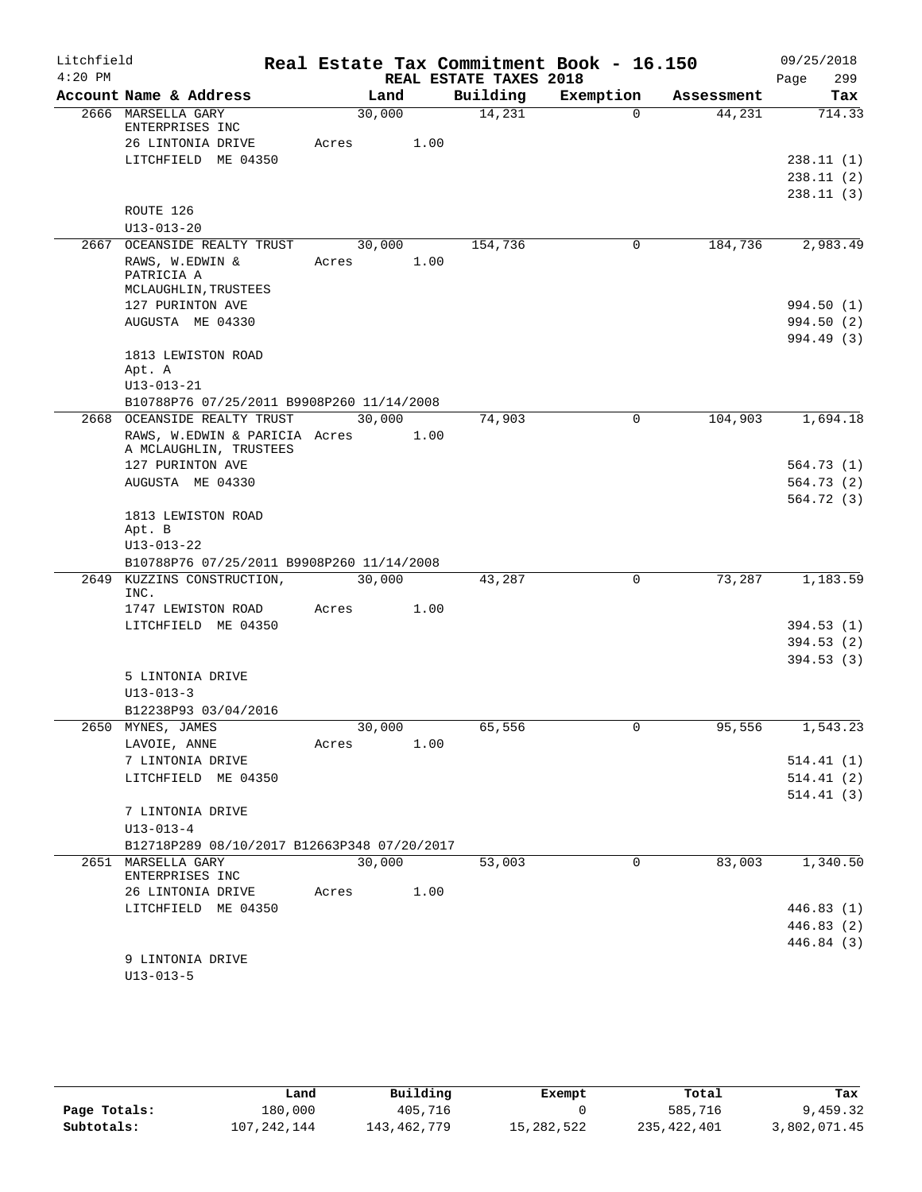| Litchfield |                                                                |            |      |                        | Real Estate Tax Commitment Book - 16.150 |            | 09/25/2018  |
|------------|----------------------------------------------------------------|------------|------|------------------------|------------------------------------------|------------|-------------|
| $4:20$ PM  |                                                                |            |      | REAL ESTATE TAXES 2018 |                                          |            | 299<br>Page |
|            | Account Name & Address                                         | Land       |      | Building               | Exemption                                | Assessment | Tax         |
|            | 2666 MARSELLA GARY<br>ENTERPRISES INC                          | 30,000     |      | 14,231                 | $\Omega$                                 | 44,231     | 714.33      |
|            | 26 LINTONIA DRIVE                                              | Acres      | 1.00 |                        |                                          |            |             |
|            | LITCHFIELD ME 04350                                            |            |      |                        |                                          |            | 238.11(1)   |
|            |                                                                |            |      |                        |                                          |            | 238.11(2)   |
|            |                                                                |            |      |                        |                                          |            | 238.11(3)   |
|            | ROUTE 126                                                      |            |      |                        |                                          |            |             |
|            | $U13 - 013 - 20$                                               |            |      |                        |                                          |            |             |
|            | 2667 OCEANSIDE REALTY TRUST                                    | 30,000     |      | 154,736                | 0                                        | 184,736    | 2,983.49    |
|            | RAWS, W.EDWIN &                                                | Acres      | 1.00 |                        |                                          |            |             |
|            | PATRICIA A<br>MCLAUGHLIN, TRUSTEES                             |            |      |                        |                                          |            |             |
|            | 127 PURINTON AVE                                               |            |      |                        |                                          |            | 994.50 (1)  |
|            | AUGUSTA ME 04330                                               |            |      |                        |                                          |            | 994.50 (2)  |
|            |                                                                |            |      |                        |                                          |            | 994.49 (3)  |
|            | 1813 LEWISTON ROAD                                             |            |      |                        |                                          |            |             |
|            | Apt. A                                                         |            |      |                        |                                          |            |             |
|            | $U13 - 013 - 21$                                               |            |      |                        |                                          |            |             |
|            | B10788P76 07/25/2011 B9908P260 11/14/2008                      |            |      |                        |                                          |            |             |
|            | 2668 OCEANSIDE REALTY TRUST                                    | 30,000     |      | 74,903                 | $\mathbf 0$                              | 104,903    | 1,694.18    |
|            | RAWS, W.EDWIN & PARICIA Acres<br>A MCLAUGHLIN, TRUSTEES        |            | 1.00 |                        |                                          |            |             |
|            | 127 PURINTON AVE                                               |            |      |                        |                                          |            | 564.73(1)   |
|            | AUGUSTA ME 04330                                               |            |      |                        |                                          |            | 564.73(2)   |
|            |                                                                |            |      |                        |                                          |            | 564.72(3)   |
|            | 1813 LEWISTON ROAD                                             |            |      |                        |                                          |            |             |
|            | Apt. B                                                         |            |      |                        |                                          |            |             |
|            | $U13 - 013 - 22$                                               |            |      |                        |                                          |            |             |
|            | B10788P76 07/25/2011 B9908P260 11/14/2008                      |            |      |                        |                                          |            |             |
|            | 2649 KUZZINS CONSTRUCTION,<br>INC.                             | 30,000     |      | 43,287                 | $\mathbf 0$                              | 73,287     | 1,183.59    |
|            | 1747 LEWISTON ROAD                                             | Acres      | 1.00 |                        |                                          |            |             |
|            | LITCHFIELD ME 04350                                            |            |      |                        |                                          |            | 394.53(1)   |
|            |                                                                |            |      |                        |                                          |            | 394.53(2)   |
|            |                                                                |            |      |                        |                                          |            | 394.53(3)   |
|            | 5 LINTONIA DRIVE                                               |            |      |                        |                                          |            |             |
|            | $U13 - 013 - 3$                                                |            |      |                        |                                          |            |             |
|            | B12238P93 03/04/2016                                           |            |      |                        |                                          |            |             |
| 2650       | MYNES, JAMES                                                   | 30,000     |      | 65,556                 | 0                                        | 95,556     | 1,543.23    |
|            | LAVOIE, ANNE                                                   | Acres 1.00 |      |                        |                                          |            |             |
|            | 7 LINTONIA DRIVE                                               |            |      |                        |                                          |            | 514.41(1)   |
|            | LITCHFIELD ME 04350                                            |            |      |                        |                                          |            | 514.41(2)   |
|            |                                                                |            |      |                        |                                          |            | 514.41(3)   |
|            | 7 LINTONIA DRIVE                                               |            |      |                        |                                          |            |             |
|            | $U13 - 013 - 4$<br>B12718P289 08/10/2017 B12663P348 07/20/2017 |            |      |                        |                                          |            |             |
|            | 2651 MARSELLA GARY                                             | 30,000     |      | 53,003                 | $\overline{0}$                           | 83,003     | 1,340.50    |
|            | ENTERPRISES INC                                                |            |      |                        |                                          |            |             |
|            | 26 LINTONIA DRIVE                                              | Acres      | 1.00 |                        |                                          |            |             |
|            | LITCHFIELD ME 04350                                            |            |      |                        |                                          |            | 446.83(1)   |
|            |                                                                |            |      |                        |                                          |            | 446.83 (2)  |
|            |                                                                |            |      |                        |                                          |            | 446.84 (3)  |
|            | 9 LINTONIA DRIVE                                               |            |      |                        |                                          |            |             |
|            | $U13 - 013 - 5$                                                |            |      |                        |                                          |            |             |

|              | Land        | Building    | Exempt     | Total       | Tax          |
|--------------|-------------|-------------|------------|-------------|--------------|
| Page Totals: | 180,000     | 405,716     |            | 585,716     | 9,459.32     |
| Subtotals:   | 107,242,144 | 143,462,779 | 15,282,522 | 235,422,401 | 3,802,071.45 |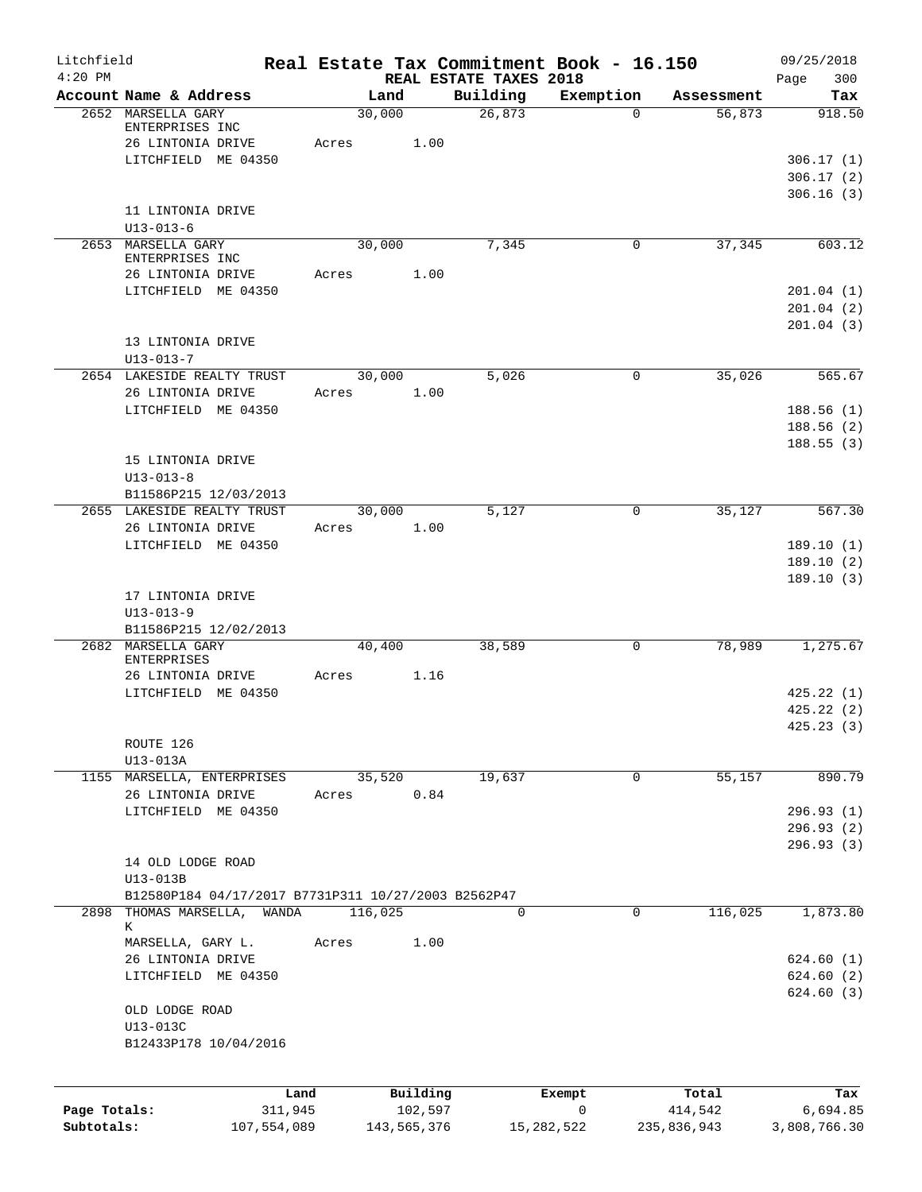| Litchfield   |                                                     |         |                     |                                    | Real Estate Tax Commitment Book - 16.150 |                  | 09/25/2018              |
|--------------|-----------------------------------------------------|---------|---------------------|------------------------------------|------------------------------------------|------------------|-------------------------|
| $4:20$ PM    | Account Name & Address                              | Land    |                     | REAL ESTATE TAXES 2018<br>Building | Exemption                                | Assessment       | Page<br>300<br>Tax      |
|              | 2652 MARSELLA GARY<br>ENTERPRISES INC               | 30,000  |                     | 26,873                             | $\Omega$                                 | 56,873           | 918.50                  |
|              | 26 LINTONIA DRIVE                                   | Acres   | 1.00                |                                    |                                          |                  |                         |
|              | LITCHFIELD ME 04350                                 |         |                     |                                    |                                          |                  | 306.17(1)               |
|              |                                                     |         |                     |                                    |                                          |                  | 306.17(2)               |
|              |                                                     |         |                     |                                    |                                          |                  | 306.16(3)               |
|              | 11 LINTONIA DRIVE<br>$U13 - 013 - 6$                |         |                     |                                    |                                          |                  |                         |
|              | 2653 MARSELLA GARY                                  | 30,000  |                     | 7,345                              | 0                                        | 37,345           | 603.12                  |
|              | ENTERPRISES INC                                     |         |                     |                                    |                                          |                  |                         |
|              | 26 LINTONIA DRIVE                                   | Acres   | 1.00                |                                    |                                          |                  |                         |
|              | LITCHFIELD ME 04350                                 |         |                     |                                    |                                          |                  | 201.04(1)               |
|              |                                                     |         |                     |                                    |                                          |                  | 201.04(2)               |
|              | 13 LINTONIA DRIVE                                   |         |                     |                                    |                                          |                  | 201.04(3)               |
|              | $U13 - 013 - 7$                                     |         |                     |                                    |                                          |                  |                         |
|              | 2654 LAKESIDE REALTY TRUST                          | 30,000  |                     | 5,026                              | 0                                        | 35,026           | 565.67                  |
|              | 26 LINTONIA DRIVE                                   | Acres   | 1.00                |                                    |                                          |                  |                         |
|              | LITCHFIELD ME 04350                                 |         |                     |                                    |                                          |                  | 188.56(1)               |
|              |                                                     |         |                     |                                    |                                          |                  | 188.56 (2)              |
|              |                                                     |         |                     |                                    |                                          |                  | 188.55(3)               |
|              | 15 LINTONIA DRIVE                                   |         |                     |                                    |                                          |                  |                         |
|              | $U13 - 013 - 8$                                     |         |                     |                                    |                                          |                  |                         |
|              | B11586P215 12/03/2013<br>2655 LAKESIDE REALTY TRUST | 30,000  |                     | 5,127                              | $\mathbf 0$                              | 35,127           | 567.30                  |
|              | 26 LINTONIA DRIVE                                   | Acres   | 1.00                |                                    |                                          |                  |                         |
|              | LITCHFIELD ME 04350                                 |         |                     |                                    |                                          |                  | 189.10(1)               |
|              |                                                     |         |                     |                                    |                                          |                  | 189.10(2)               |
|              |                                                     |         |                     |                                    |                                          |                  | 189.10(3)               |
|              | 17 LINTONIA DRIVE                                   |         |                     |                                    |                                          |                  |                         |
|              | $U13 - 013 - 9$                                     |         |                     |                                    |                                          |                  |                         |
|              | B11586P215 12/02/2013                               |         |                     |                                    |                                          |                  |                         |
|              | 2682 MARSELLA GARY                                  | 40,400  |                     | 38,589                             | 0                                        | 78,989           | 1,275.67                |
|              | <b>ENTERPRISES</b><br>26 LINTONIA DRIVE             | Acres   | 1.16                |                                    |                                          |                  |                         |
|              | LITCHFIELD ME 04350                                 |         |                     |                                    |                                          |                  | 425.22(1)               |
|              |                                                     |         |                     |                                    |                                          |                  | 425.22(2)               |
|              |                                                     |         |                     |                                    |                                          |                  | 425.23(3)               |
|              | ROUTE 126                                           |         |                     |                                    |                                          |                  |                         |
|              | $U13-013A$                                          |         |                     |                                    |                                          |                  |                         |
|              | 1155 MARSELLA, ENTERPRISES                          | 35,520  |                     | 19,637                             | $\mathbf 0$                              | 55,157           | 890.79                  |
|              | 26 LINTONIA DRIVE                                   | Acres   | 0.84                |                                    |                                          |                  |                         |
|              | LITCHFIELD ME 04350                                 |         |                     |                                    |                                          |                  | 296.93(1)               |
|              |                                                     |         |                     |                                    |                                          |                  | 296.93(2)<br>296.93 (3) |
|              | 14 OLD LODGE ROAD                                   |         |                     |                                    |                                          |                  |                         |
|              | U13-013B                                            |         |                     |                                    |                                          |                  |                         |
|              | B12580P184 04/17/2017 B7731P311 10/27/2003 B2562P47 |         |                     |                                    |                                          |                  |                         |
|              | 2898 THOMAS MARSELLA, WANDA                         | 116,025 |                     | 0                                  | 0                                        | 116,025          | 1,873.80                |
|              | К                                                   |         |                     |                                    |                                          |                  |                         |
|              | MARSELLA, GARY L.                                   | Acres   | 1.00                |                                    |                                          |                  |                         |
|              | 26 LINTONIA DRIVE<br>LITCHFIELD ME 04350            |         |                     |                                    |                                          |                  | 624.60(1)<br>624.60(2)  |
|              |                                                     |         |                     |                                    |                                          |                  | 624.60(3)               |
|              | OLD LODGE ROAD                                      |         |                     |                                    |                                          |                  |                         |
|              | U13-013C                                            |         |                     |                                    |                                          |                  |                         |
|              | B12433P178 10/04/2016                               |         |                     |                                    |                                          |                  |                         |
|              |                                                     |         |                     |                                    |                                          |                  |                         |
|              |                                                     |         |                     |                                    |                                          |                  |                         |
| Page Totals: | Land<br>311,945                                     |         | Building<br>102,597 |                                    | Exempt<br>$\mathbf 0$                    | Total<br>414,542 | Tax<br>6,694.85         |
| Subtotals:   | 107,554,089                                         |         | 143, 565, 376       |                                    | 15, 282, 522                             | 235,836,943      | 3,808,766.30            |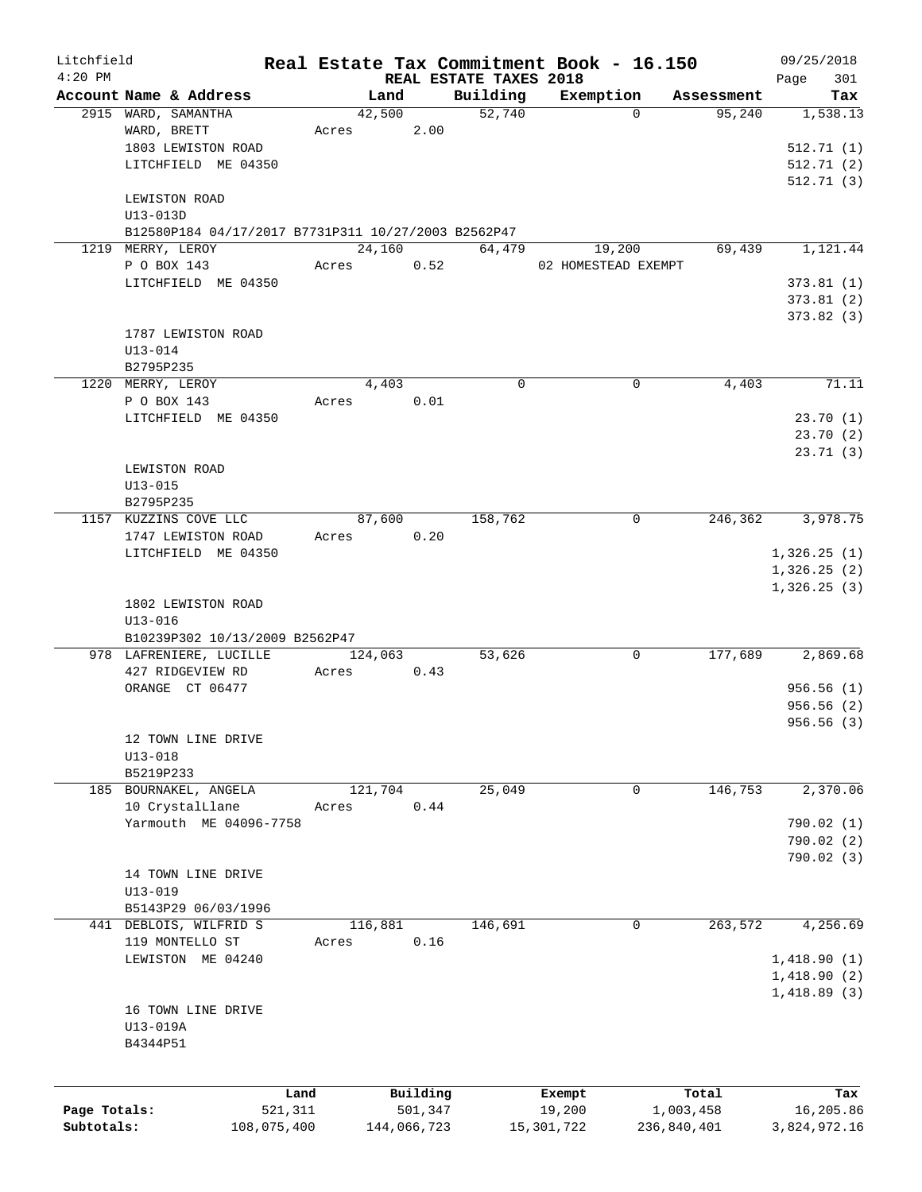| Litchfield   |                                                     |       |             |                        | Real Estate Tax Commitment Book - 16.150 |                        | 09/25/2018      |
|--------------|-----------------------------------------------------|-------|-------------|------------------------|------------------------------------------|------------------------|-----------------|
| $4:20$ PM    | Account Name & Address                              |       |             | REAL ESTATE TAXES 2018 |                                          |                        | 301<br>Page     |
|              |                                                     |       | Land        | Building<br>52,740     | Exemption                                | Assessment<br>$\Omega$ | Tax<br>1,538.13 |
|              | 2915 WARD, SAMANTHA<br>WARD, BRETT                  |       | 42,500      |                        |                                          | 95,240                 |                 |
|              |                                                     | Acres | 2.00        |                        |                                          |                        |                 |
|              | 1803 LEWISTON ROAD                                  |       |             |                        |                                          |                        | 512.71(1)       |
|              | LITCHFIELD ME 04350                                 |       |             |                        |                                          |                        | 512.71 (2)      |
|              |                                                     |       |             |                        |                                          |                        | 512.71(3)       |
|              | LEWISTON ROAD                                       |       |             |                        |                                          |                        |                 |
|              | U13-013D                                            |       |             |                        |                                          |                        |                 |
|              | B12580P184 04/17/2017 B7731P311 10/27/2003 B2562P47 |       |             |                        |                                          |                        |                 |
|              | 1219 MERRY, LEROY                                   |       | 24,160      | 64,479                 | 19,200                                   | 69,439                 | 1,121.44        |
|              | P O BOX 143                                         | Acres | 0.52        |                        | 02 HOMESTEAD EXEMPT                      |                        |                 |
|              | LITCHFIELD ME 04350                                 |       |             |                        |                                          |                        | 373.81(1)       |
|              |                                                     |       |             |                        |                                          |                        | 373.81(2)       |
|              |                                                     |       |             |                        |                                          |                        | 373.82(3)       |
|              | 1787 LEWISTON ROAD                                  |       |             |                        |                                          |                        |                 |
|              | $U13 - 014$                                         |       |             |                        |                                          |                        |                 |
|              | B2795P235                                           |       |             |                        |                                          |                        |                 |
|              | 1220 MERRY, LEROY                                   |       | 4,403       | $\Omega$               |                                          | 0<br>4,403             | 71.11           |
|              | P O BOX 143                                         | Acres | 0.01        |                        |                                          |                        |                 |
|              | LITCHFIELD ME 04350                                 |       |             |                        |                                          |                        | 23.70 (1)       |
|              |                                                     |       |             |                        |                                          |                        | 23.70(2)        |
|              |                                                     |       |             |                        |                                          |                        | 23.71(3)        |
|              | LEWISTON ROAD                                       |       |             |                        |                                          |                        |                 |
|              | $U13 - 015$                                         |       |             |                        |                                          |                        |                 |
|              | B2795P235                                           |       |             |                        |                                          |                        |                 |
|              | 1157 KUZZINS COVE LLC                               |       | 87,600      | 158,762                |                                          | $\mathbf 0$<br>246,362 | 3,978.75        |
|              | 1747 LEWISTON ROAD                                  | Acres | 0.20        |                        |                                          |                        |                 |
|              |                                                     |       |             |                        |                                          |                        |                 |
|              | LITCHFIELD ME 04350                                 |       |             |                        |                                          |                        | 1,326.25(1)     |
|              |                                                     |       |             |                        |                                          |                        | 1,326.25(2)     |
|              |                                                     |       |             |                        |                                          |                        | 1,326.25(3)     |
|              | 1802 LEWISTON ROAD                                  |       |             |                        |                                          |                        |                 |
|              | $U13 - 016$                                         |       |             |                        |                                          |                        |                 |
|              | B10239P302 10/13/2009 B2562P47                      |       |             |                        |                                          |                        |                 |
|              | 978 LAFRENIERE, LUCILLE                             |       | 124,063     | 53,626                 |                                          | 177,689<br>0           | 2,869.68        |
|              | 427 RIDGEVIEW RD                                    | Acres | 0.43        |                        |                                          |                        |                 |
|              | ORANGE CT 06477                                     |       |             |                        |                                          |                        | 956.56(1)       |
|              |                                                     |       |             |                        |                                          |                        | 956.56(2)       |
|              |                                                     |       |             |                        |                                          |                        | 956.56(3)       |
|              | 12 TOWN LINE DRIVE                                  |       |             |                        |                                          |                        |                 |
|              | $U13 - 018$                                         |       |             |                        |                                          |                        |                 |
|              | B5219P233                                           |       |             |                        |                                          |                        |                 |
|              | 185 BOURNAKEL, ANGELA                               |       | 121,704     | 25,049                 |                                          | 146,753<br>0           | 2,370.06        |
|              | 10 CrystalLlane                                     | Acres | 0.44        |                        |                                          |                        |                 |
|              | Yarmouth ME 04096-7758                              |       |             |                        |                                          |                        | 790.02 (1)      |
|              |                                                     |       |             |                        |                                          |                        | 790.02 (2)      |
|              |                                                     |       |             |                        |                                          |                        | 790.02(3)       |
|              | 14 TOWN LINE DRIVE                                  |       |             |                        |                                          |                        |                 |
|              | $U13 - 019$                                         |       |             |                        |                                          |                        |                 |
|              | B5143P29 06/03/1996                                 |       |             |                        |                                          |                        |                 |
|              | 441 DEBLOIS, WILFRID S                              |       | 116,881     | 146,691                |                                          | 263,572<br>0           | 4,256.69        |
|              | 119 MONTELLO ST                                     | Acres | 0.16        |                        |                                          |                        |                 |
|              | LEWISTON ME 04240                                   |       |             |                        |                                          |                        | 1,418.90(1)     |
|              |                                                     |       |             |                        |                                          |                        |                 |
|              |                                                     |       |             |                        |                                          |                        | 1,418.90(2)     |
|              |                                                     |       |             |                        |                                          |                        | 1,418.89(3)     |
|              | 16 TOWN LINE DRIVE                                  |       |             |                        |                                          |                        |                 |
|              | U13-019A                                            |       |             |                        |                                          |                        |                 |
|              | B4344P51                                            |       |             |                        |                                          |                        |                 |
|              |                                                     |       |             |                        |                                          |                        |                 |
|              |                                                     |       |             |                        |                                          |                        |                 |
|              |                                                     | Land  | Building    |                        | Exempt                                   | Total                  | Tax             |
| Page Totals: | 521,311                                             |       | 501,347     |                        | 19,200                                   | 1,003,458              | 16,205.86       |
| Subtotals:   | 108,075,400                                         |       | 144,066,723 |                        | 15,301,722                               | 236,840,401            | 3,824,972.16    |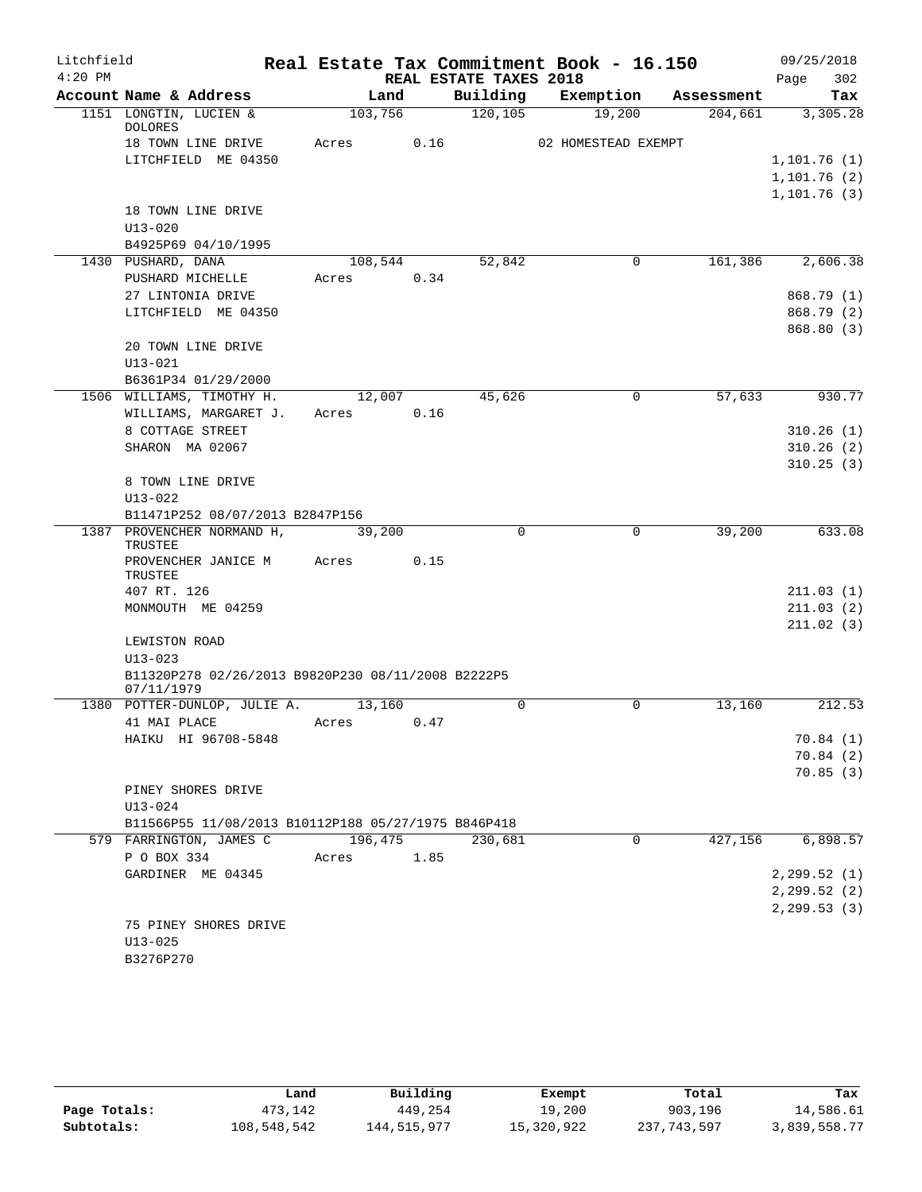| Litchfield |                                                     |         |      |                        | Real Estate Tax Commitment Book - 16.150 |            | 09/25/2018   |
|------------|-----------------------------------------------------|---------|------|------------------------|------------------------------------------|------------|--------------|
| $4:20$ PM  |                                                     |         |      | REAL ESTATE TAXES 2018 |                                          |            | 302<br>Page  |
|            | Account Name & Address                              | Land    |      | Building               | Exemption                                | Assessment | Tax          |
|            | 1151 LONGTIN, LUCIEN &<br><b>DOLORES</b>            | 103,756 |      | 120, 105               | 19,200                                   | 204,661    | 3,305.28     |
|            | 18 TOWN LINE DRIVE                                  | Acres   | 0.16 |                        | 02 HOMESTEAD EXEMPT                      |            |              |
|            | LITCHFIELD ME 04350                                 |         |      |                        |                                          |            | 1, 101.76(1) |
|            |                                                     |         |      |                        |                                          |            | 1,101.76(2)  |
|            |                                                     |         |      |                        |                                          |            | 1, 101.76(3) |
|            | 18 TOWN LINE DRIVE                                  |         |      |                        |                                          |            |              |
|            | $U13 - 020$                                         |         |      |                        |                                          |            |              |
|            | B4925P69 04/10/1995                                 |         |      |                        |                                          |            |              |
|            | 1430 PUSHARD, DANA                                  | 108,544 |      | 52,842                 | 0                                        | 161,386    | 2,606.38     |
|            | PUSHARD MICHELLE                                    | Acres   | 0.34 |                        |                                          |            |              |
|            | 27 LINTONIA DRIVE                                   |         |      |                        |                                          |            | 868.79 (1)   |
|            | LITCHFIELD ME 04350                                 |         |      |                        |                                          |            | 868.79 (2)   |
|            | 20 TOWN LINE DRIVE                                  |         |      |                        |                                          |            | 868.80 (3)   |
|            | $U13 - 021$                                         |         |      |                        |                                          |            |              |
|            | B6361P34 01/29/2000                                 |         |      |                        |                                          |            |              |
|            | 1506 WILLIAMS, TIMOTHY H.                           | 12,007  |      | 45,626                 | 0                                        | 57,633     | 930.77       |
|            | WILLIAMS, MARGARET J.                               | Acres   | 0.16 |                        |                                          |            |              |
|            | 8 COTTAGE STREET                                    |         |      |                        |                                          |            | 310.26(1)    |
|            | SHARON MA 02067                                     |         |      |                        |                                          |            | 310.26(2)    |
|            |                                                     |         |      |                        |                                          |            | 310.25(3)    |
|            | 8 TOWN LINE DRIVE                                   |         |      |                        |                                          |            |              |
|            | $U13 - 022$                                         |         |      |                        |                                          |            |              |
|            | B11471P252 08/07/2013 B2847P156                     |         |      |                        |                                          |            |              |
|            | 1387 PROVENCHER NORMAND H,<br>TRUSTEE               | 39,200  |      | $\Omega$               | $\Omega$                                 | 39,200     | 633.08       |
|            | PROVENCHER JANICE M<br>TRUSTEE                      | Acres   | 0.15 |                        |                                          |            |              |
|            | 407 RT. 126                                         |         |      |                        |                                          |            | 211.03(1)    |
|            | MONMOUTH ME 04259                                   |         |      |                        |                                          |            | 211.03(2)    |
|            |                                                     |         |      |                        |                                          |            | 211.02(3)    |
|            | LEWISTON ROAD<br>$U13 - 023$                        |         |      |                        |                                          |            |              |
|            | B11320P278 02/26/2013 B9820P230 08/11/2008 B2222P5  |         |      |                        |                                          |            |              |
|            | 07/11/1979                                          |         |      |                        |                                          |            |              |
|            | 1380 POTTER-DUNLOP, JULIE A.                        | 13,160  |      | $\mathbf 0$            | 0                                        | 13,160     | 212.53       |
|            | 41 MAI PLACE                                        | Acres   | 0.47 |                        |                                          |            |              |
|            | HAIKU HI 96708-5848                                 |         |      |                        |                                          |            | 70.84(1)     |
|            |                                                     |         |      |                        |                                          |            | 70.84(2)     |
|            |                                                     |         |      |                        |                                          |            | 70.85(3)     |
|            | PINEY SHORES DRIVE                                  |         |      |                        |                                          |            |              |
|            | $U13 - 024$                                         |         |      |                        |                                          |            |              |
|            | B11566P55 11/08/2013 B10112P188 05/27/1975 B846P418 |         |      |                        |                                          |            |              |
|            | 579 FARRINGTON, JAMES C                             | 196,475 |      | 230,681                | 0                                        | 427,156    | 6,898.57     |
|            | P O BOX 334<br>GARDINER ME 04345                    | Acres   | 1.85 |                        |                                          |            | 2, 299.52(1) |
|            |                                                     |         |      |                        |                                          |            | 2, 299.52(2) |
|            |                                                     |         |      |                        |                                          |            | 2, 299.53(3) |
|            | 75 PINEY SHORES DRIVE                               |         |      |                        |                                          |            |              |
|            | $U13 - 025$                                         |         |      |                        |                                          |            |              |
|            | B3276P270                                           |         |      |                        |                                          |            |              |

|              | Land        | Building    | Exempt     | Total       | Tax          |
|--------------|-------------|-------------|------------|-------------|--------------|
| Page Totals: | 473,142     | 449,254     | 19,200     | 903,196     | 14,586.61    |
| Subtotals:   | 108,548,542 | 144,515,977 | 15,320,922 | 237,743,597 | 3,839,558.77 |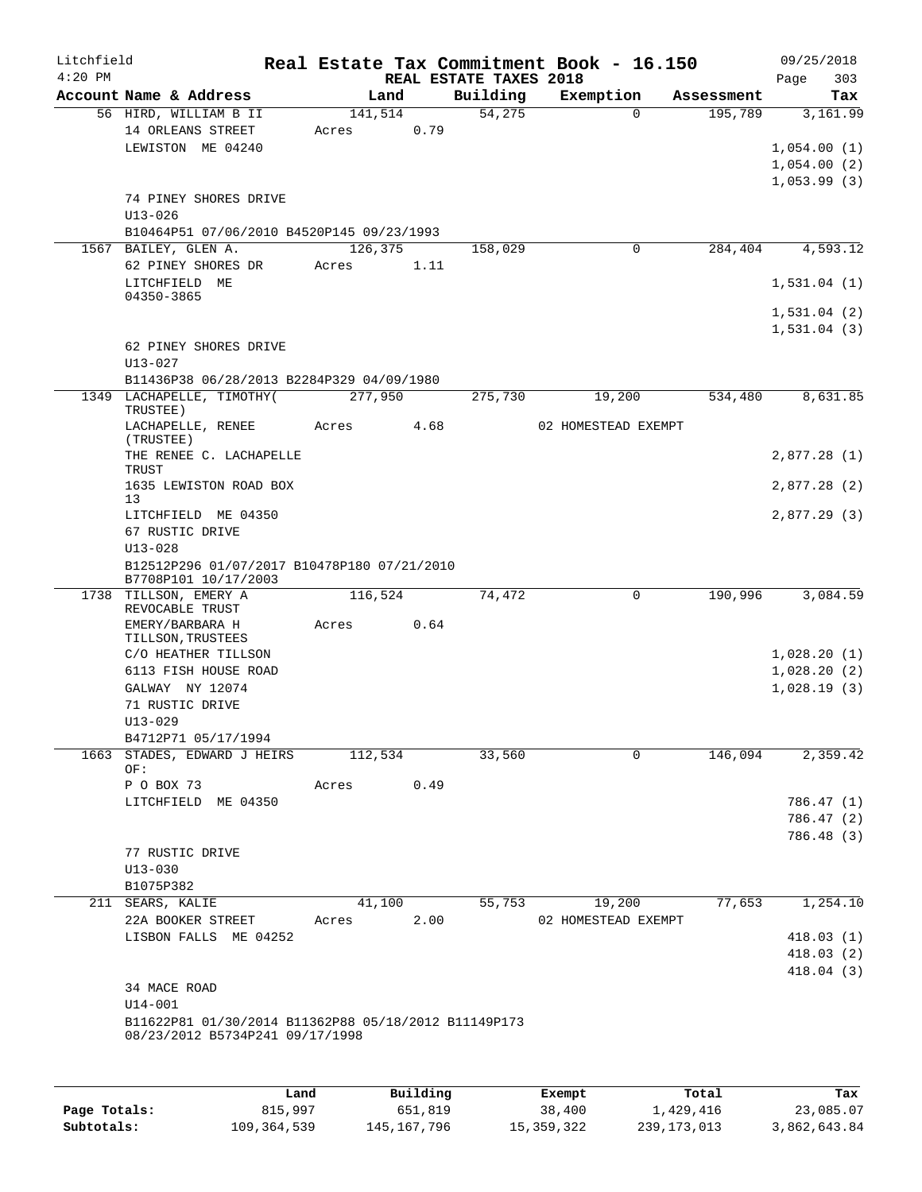| Litchfield |                                                      |                  |      |                        | Real Estate Tax Commitment Book - 16.150 |                       | 09/25/2018  |
|------------|------------------------------------------------------|------------------|------|------------------------|------------------------------------------|-----------------------|-------------|
| $4:20$ PM  |                                                      |                  |      | REAL ESTATE TAXES 2018 |                                          |                       | 303<br>Page |
|            | Account Name & Address                               | Land             |      | Building<br>54,275     | Exemption<br>$\Omega$                    | Assessment<br>195,789 | Tax         |
|            | 56 HIRD, WILLIAM B II<br>14 ORLEANS STREET           | 141,514<br>Acres | 0.79 |                        |                                          |                       | 3,161.99    |
|            | LEWISTON ME 04240                                    |                  |      |                        |                                          |                       | 1,054.00(1) |
|            |                                                      |                  |      |                        |                                          |                       | 1,054.00(2) |
|            |                                                      |                  |      |                        |                                          |                       | 1,053.99(3) |
|            | 74 PINEY SHORES DRIVE                                |                  |      |                        |                                          |                       |             |
|            | $U13 - 026$                                          |                  |      |                        |                                          |                       |             |
|            | B10464P51 07/06/2010 B4520P145 09/23/1993            |                  |      |                        |                                          |                       |             |
| 1567       | BAILEY, GLEN A.                                      | 126,375          |      | 158,029                | 0                                        | 284,404               | 4,593.12    |
|            | 62 PINEY SHORES DR                                   | Acres            | 1.11 |                        |                                          |                       |             |
|            | LITCHFIELD ME                                        |                  |      |                        |                                          |                       | 1,531.04(1) |
|            | 04350-3865                                           |                  |      |                        |                                          |                       |             |
|            |                                                      |                  |      |                        |                                          |                       | 1,531.04(2) |
|            |                                                      |                  |      |                        |                                          |                       | 1,531.04(3) |
|            | 62 PINEY SHORES DRIVE<br>$U13 - 027$                 |                  |      |                        |                                          |                       |             |
|            | B11436P38 06/28/2013 B2284P329 04/09/1980            |                  |      |                        |                                          |                       |             |
|            | 1349 LACHAPELLE, TIMOTHY(                            | 277,950          |      | 275,730                | 19,200                                   | 534,480               | 8,631.85    |
|            | TRUSTEE)                                             |                  |      |                        |                                          |                       |             |
|            | LACHAPELLE, RENEE                                    | Acres            | 4.68 |                        | 02 HOMESTEAD EXEMPT                      |                       |             |
|            | (TRUSTEE)                                            |                  |      |                        |                                          |                       |             |
|            | THE RENEE C. LACHAPELLE<br>TRUST                     |                  |      |                        |                                          |                       | 2,877.28(1) |
|            | 1635 LEWISTON ROAD BOX                               |                  |      |                        |                                          |                       | 2,877.28(2) |
|            | 13                                                   |                  |      |                        |                                          |                       |             |
|            | LITCHFIELD ME 04350<br>67 RUSTIC DRIVE               |                  |      |                        |                                          |                       | 2,877.29(3) |
|            | $U13 - 028$                                          |                  |      |                        |                                          |                       |             |
|            | B12512P296 01/07/2017 B10478P180 07/21/2010          |                  |      |                        |                                          |                       |             |
|            | B7708P101 10/17/2003                                 |                  |      |                        |                                          |                       |             |
|            | 1738 TILLSON, EMERY A<br>REVOCABLE TRUST             | 116,524          |      | 74,472                 | 0                                        | 190,996               | 3,084.59    |
|            | EMERY/BARBARA H                                      | Acres            | 0.64 |                        |                                          |                       |             |
|            | TILLSON, TRUSTEES                                    |                  |      |                        |                                          |                       |             |
|            | C/O HEATHER TILLSON                                  |                  |      |                        |                                          |                       | 1,028.20(1) |
|            | 6113 FISH HOUSE ROAD                                 |                  |      |                        |                                          |                       | 1,028.20(2) |
|            | GALWAY NY 12074                                      |                  |      |                        |                                          |                       | 1,028.19(3) |
|            | 71 RUSTIC DRIVE                                      |                  |      |                        |                                          |                       |             |
|            | $U13 - 029$                                          |                  |      |                        |                                          |                       |             |
|            | B4712P71 05/17/1994                                  |                  |      |                        |                                          |                       |             |
| 1663       | STADES, EDWARD J HEIRS<br>OF:                        | 112,534          |      | 33,560                 | 0                                        | 146,094               | 2,359.42    |
|            | P O BOX 73                                           | Acres            | 0.49 |                        |                                          |                       |             |
|            | LITCHFIELD ME 04350                                  |                  |      |                        |                                          |                       | 786.47 (1)  |
|            |                                                      |                  |      |                        |                                          |                       | 786.47 (2)  |
|            |                                                      |                  |      |                        |                                          |                       | 786.48 (3)  |
|            | 77 RUSTIC DRIVE                                      |                  |      |                        |                                          |                       |             |
|            | $U13 - 030$                                          |                  |      |                        |                                          |                       |             |
|            | B1075P382                                            |                  |      |                        |                                          |                       |             |
|            | 211 SEARS, KALIE                                     | 41,100           |      | 55,753                 | 19,200                                   | 77,653                | 1,254.10    |
|            | 22A BOOKER STREET                                    | Acres            | 2.00 |                        | 02 HOMESTEAD EXEMPT                      |                       |             |
|            | LISBON FALLS ME 04252                                |                  |      |                        |                                          |                       | 418.03(1)   |
|            |                                                      |                  |      |                        |                                          |                       | 418.03(2)   |
|            |                                                      |                  |      |                        |                                          |                       | 418.04(3)   |
|            | 34 MACE ROAD<br>$U14 - 001$                          |                  |      |                        |                                          |                       |             |
|            | B11622P81 01/30/2014 B11362P88 05/18/2012 B11149P173 |                  |      |                        |                                          |                       |             |
|            | 08/23/2012 B5734P241 09/17/1998                      |                  |      |                        |                                          |                       |             |
|            |                                                      |                  |      |                        |                                          |                       |             |
|            |                                                      |                  |      |                        |                                          |                       |             |
|            |                                                      |                  |      |                        |                                          |                       |             |

|              | Land        | Building      | Exempt     | Total         | Tax          |
|--------------|-------------|---------------|------------|---------------|--------------|
| Page Totals: | 815,997     | 651,819       | 38,400     | 1,429,416     | 23,085.07    |
| Subtotals:   | 109,364,539 | 145, 167, 796 | 15,359,322 | 239, 173, 013 | 3,862,643.84 |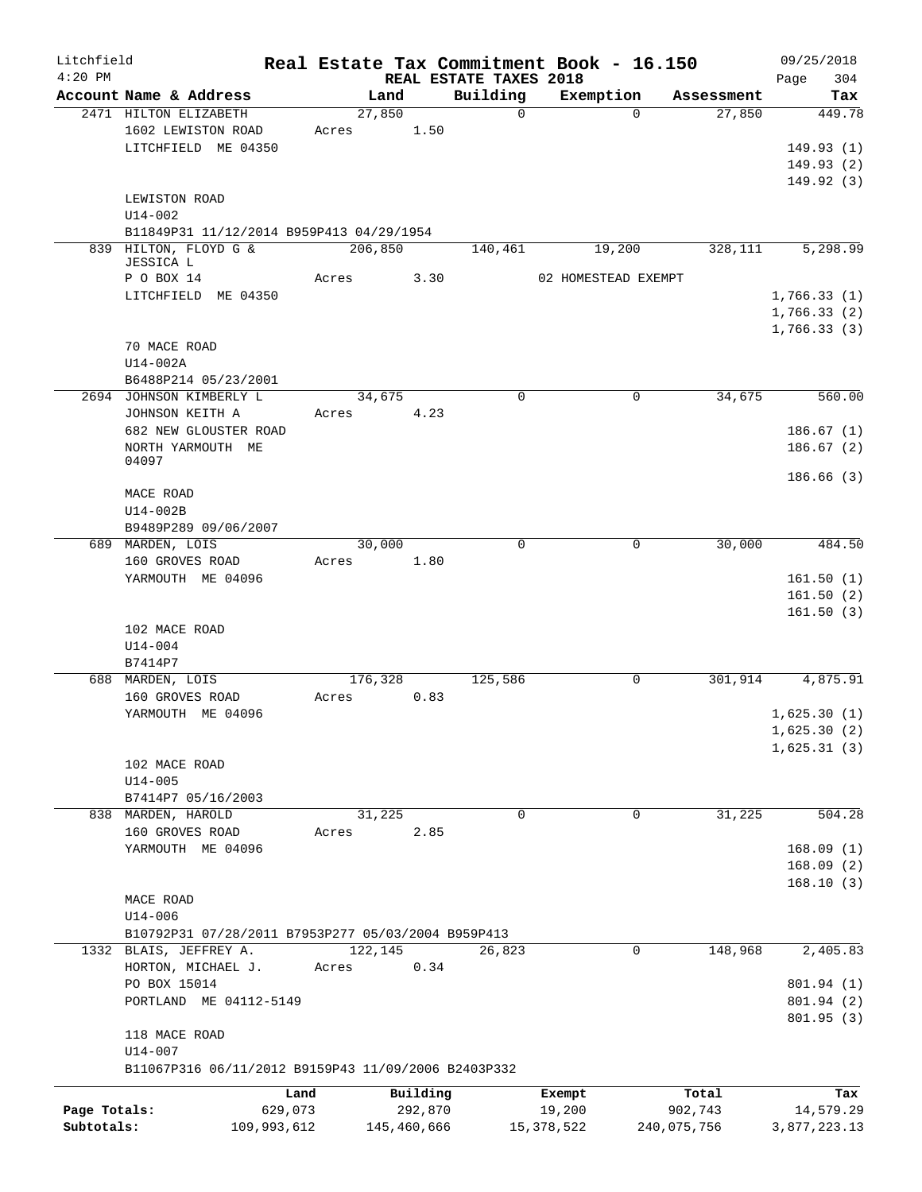| Litchfield   |                                                                | Real Estate Tax Commitment Book - 16.150 |             |                         |                     |                                  | 09/25/2018                 |
|--------------|----------------------------------------------------------------|------------------------------------------|-------------|-------------------------|---------------------|----------------------------------|----------------------------|
| $4:20$ PM    |                                                                |                                          |             | REAL ESTATE TAXES 2018  |                     |                                  | 304<br>Page                |
|              | Account Name & Address<br>2471 HILTON ELIZABETH                | Land<br>27,850                           |             | Building<br>$\mathbf 0$ | Exemption           | Assessment<br>27,850<br>$\Omega$ | Tax<br>449.78              |
|              | 1602 LEWISTON ROAD<br>LITCHFIELD ME 04350                      | Acres                                    | 1.50        |                         |                     |                                  | 149.93(1)<br>149.93(2)     |
|              | LEWISTON ROAD<br>$U14 - 002$                                   |                                          |             |                         |                     |                                  | 149.92(3)                  |
|              | B11849P31 11/12/2014 B959P413 04/29/1954                       |                                          |             |                         |                     |                                  |                            |
|              | 839 HILTON, FLOYD G &<br>JESSICA L                             | 206,850                                  |             | 140,461                 | 19,200              | 328,111                          | 5,298.99                   |
|              | P O BOX 14<br>LITCHFIELD ME 04350                              | Acres                                    | 3.30        |                         | 02 HOMESTEAD EXEMPT |                                  | 1,766.33(1)                |
|              |                                                                |                                          |             |                         |                     |                                  | 1,766.33(2)<br>1,766.33(3) |
|              | 70 MACE ROAD<br>U14-002A                                       |                                          |             |                         |                     |                                  |                            |
|              | B6488P214 05/23/2001<br>2694 JOHNSON KIMBERLY L                | 34,675                                   |             | $\mathbf 0$             |                     | 0<br>34,675                      | 560.00                     |
|              | JOHNSON KEITH A<br>682 NEW GLOUSTER ROAD                       | Acres                                    | 4.23        |                         |                     |                                  | 186.67(1)                  |
|              | NORTH YARMOUTH ME<br>04097                                     |                                          |             |                         |                     |                                  | 186.67(2)<br>186.66(3)     |
|              | MACE ROAD<br>$U14-002B$                                        |                                          |             |                         |                     |                                  |                            |
|              | B9489P289 09/06/2007<br>689 MARDEN, LOIS                       | 30,000                                   |             | 0                       |                     | 30,000<br>0                      | 484.50                     |
|              | 160 GROVES ROAD                                                | Acres                                    | 1.80        |                         |                     |                                  |                            |
|              | YARMOUTH ME 04096                                              |                                          |             |                         |                     |                                  | 161.50(1)                  |
|              | 102 MACE ROAD<br>$U14 - 004$                                   |                                          |             |                         |                     |                                  | 161.50(2)<br>161.50(3)     |
|              | B7414P7                                                        |                                          |             |                         |                     |                                  |                            |
|              | 688 MARDEN, LOIS<br>160 GROVES ROAD                            | 176,328<br>Acres                         | 0.83        | 125,586                 |                     | 301,914<br>0                     | 4,875.91                   |
|              | YARMOUTH ME 04096                                              |                                          |             |                         |                     |                                  | 1,625.30(1)                |
|              |                                                                |                                          |             |                         |                     |                                  | 1,625.30(2)                |
|              | 102 MACE ROAD<br>$U14 - 005$                                   |                                          |             |                         |                     |                                  | 1,625.31(3)                |
|              | B7414P7 05/16/2003                                             |                                          |             |                         |                     |                                  |                            |
|              | 838 MARDEN, HAROLD<br>160 GROVES ROAD                          | 31,225<br>Acres                          | 2.85        | 0                       |                     | 31,225<br>0                      | 504.28                     |
|              | YARMOUTH ME 04096                                              |                                          |             |                         |                     |                                  | 168.09(1)                  |
|              |                                                                |                                          |             |                         |                     |                                  | 168.09(2)                  |
|              | MACE ROAD<br>$U14 - 006$                                       |                                          |             |                         |                     |                                  | 168.10(3)                  |
|              | B10792P31 07/28/2011 B7953P277 05/03/2004 B959P413             |                                          |             |                         |                     |                                  |                            |
|              | 1332 BLAIS, JEFFREY A.                                         | 122,145                                  |             | 26,823                  |                     | 148,968<br>0                     | 2,405.83                   |
|              | HORTON, MICHAEL J.<br>PO BOX 15014                             | Acres                                    | 0.34        |                         |                     |                                  | 801.94 (1)                 |
|              | PORTLAND ME 04112-5149                                         |                                          |             |                         |                     |                                  | 801.94 (2)                 |
|              | 118 MACE ROAD                                                  |                                          |             |                         |                     |                                  | 801.95(3)                  |
|              | U14-007<br>B11067P316 06/11/2012 B9159P43 11/09/2006 B2403P332 |                                          |             |                         |                     |                                  |                            |
|              |                                                                | Land                                     | Building    |                         | Exempt              | Total                            | Tax                        |
| Page Totals: | 629,073                                                        |                                          | 292,870     |                         | 19,200              | 902,743                          | 14,579.29                  |
| Subtotals:   | 109,993,612                                                    |                                          | 145,460,666 |                         | 15, 378, 522        | 240,075,756                      | 3,877,223.13               |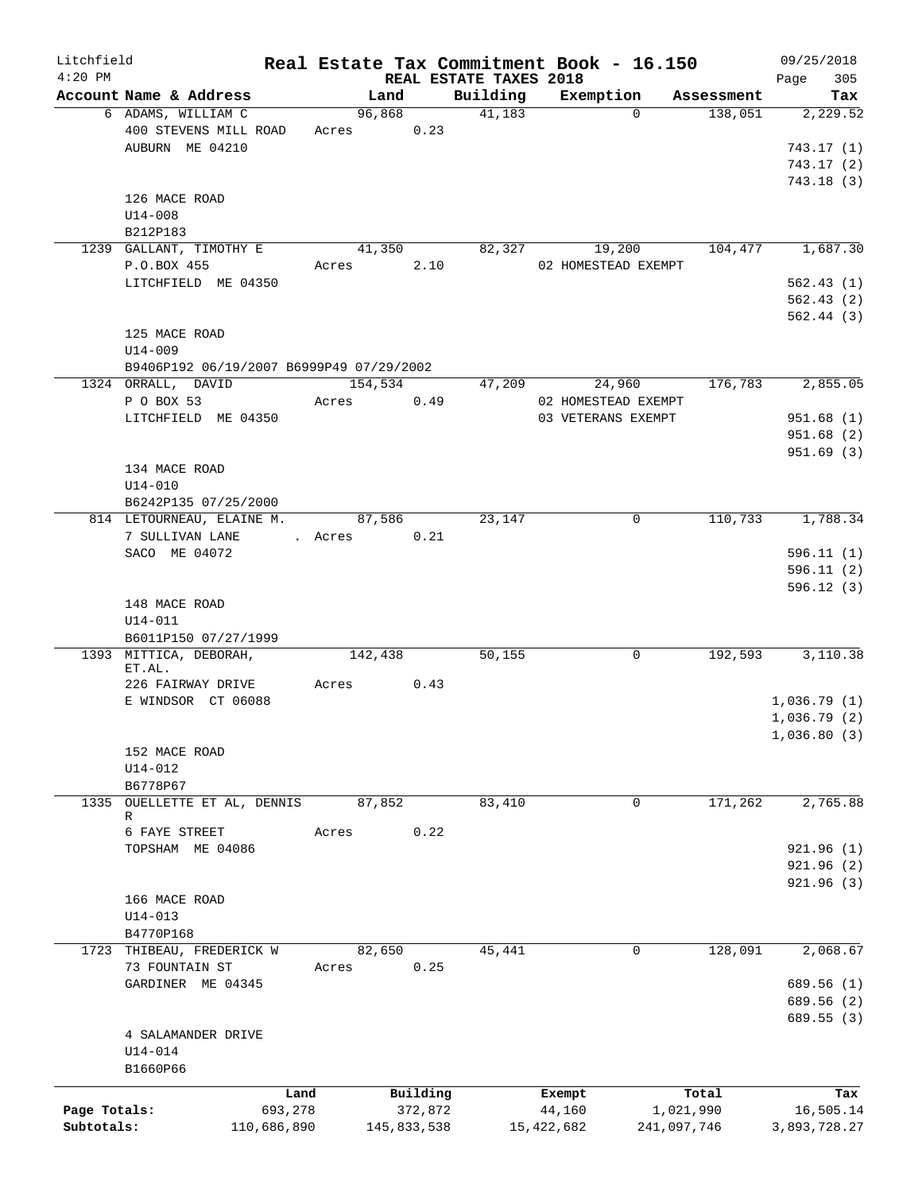| Litchfield   |                                          |         |                        |                    | Real Estate Tax Commitment Book - 16.150 |                       | 09/25/2018      |
|--------------|------------------------------------------|---------|------------------------|--------------------|------------------------------------------|-----------------------|-----------------|
| $4:20$ PM    | Account Name & Address                   |         | REAL ESTATE TAXES 2018 |                    |                                          |                       | 305<br>Page     |
|              | 6 ADAMS, WILLIAM C                       |         | Land<br>96,868         | Building<br>41,183 | Exemption<br>$\Omega$                    | Assessment<br>138,051 | Tax<br>2,229.52 |
|              | 400 STEVENS MILL ROAD                    |         | Acres 0.23             |                    |                                          |                       |                 |
|              | AUBURN ME 04210                          |         |                        |                    |                                          |                       | 743.17(1)       |
|              |                                          |         |                        |                    |                                          |                       | 743.17(2)       |
|              |                                          |         |                        |                    |                                          |                       | 743.18(3)       |
|              | 126 MACE ROAD                            |         |                        |                    |                                          |                       |                 |
|              | $U14 - 008$                              |         |                        |                    |                                          |                       |                 |
|              | B212P183                                 |         |                        |                    |                                          |                       |                 |
|              | 1239 GALLANT, TIMOTHY E                  |         | 41,350                 | 82,327             | 19,200                                   | 104,477               | 1,687.30        |
|              | P.O.BOX 455                              | Acres   | 2.10                   |                    | 02 HOMESTEAD EXEMPT                      |                       |                 |
|              | LITCHFIELD ME 04350                      |         |                        |                    |                                          |                       | 562.43(1)       |
|              |                                          |         |                        |                    |                                          |                       | 562.43(2)       |
|              |                                          |         |                        |                    |                                          |                       | 562.44(3)       |
|              | 125 MACE ROAD                            |         |                        |                    |                                          |                       |                 |
|              | U14-009                                  |         |                        |                    |                                          |                       |                 |
|              | B9406P192 06/19/2007 B6999P49 07/29/2002 |         |                        |                    |                                          |                       |                 |
|              | 1324 ORRALL, DAVID                       |         | 154,534                | 47,209             | 24,960                                   | 176,783               | 2,855.05        |
|              | P O BOX 53                               | Acres   | 0.49                   |                    | 02 HOMESTEAD EXEMPT                      |                       |                 |
|              | LITCHFIELD ME 04350                      |         |                        |                    | 03 VETERANS EXEMPT                       |                       | 951.68(1)       |
|              |                                          |         |                        |                    |                                          |                       | 951.68(2)       |
|              |                                          |         |                        |                    |                                          |                       | 951.69(3)       |
|              | 134 MACE ROAD                            |         |                        |                    |                                          |                       |                 |
|              | $U14 - 010$<br>B6242P135 07/25/2000      |         |                        |                    |                                          |                       |                 |
|              | 814 LETOURNEAU, ELAINE M.                |         | 87,586                 | 23,147             | $\mathbf 0$                              | 110,733               | 1,788.34        |
|              | 7 SULLIVAN LANE                          | . Acres | 0.21                   |                    |                                          |                       |                 |
|              | SACO ME 04072                            |         |                        |                    |                                          |                       | 596.11(1)       |
|              |                                          |         |                        |                    |                                          |                       | 596.11(2)       |
|              |                                          |         |                        |                    |                                          |                       | 596.12(3)       |
|              | 148 MACE ROAD                            |         |                        |                    |                                          |                       |                 |
|              | $U14 - 011$                              |         |                        |                    |                                          |                       |                 |
|              | B6011P150 07/27/1999                     |         |                        |                    |                                          |                       |                 |
|              | 1393 MITTICA, DEBORAH,                   |         | 142,438                | 50,155             | 0                                        | 192,593               | 3,110.38        |
|              | ET.AL.                                   |         |                        |                    |                                          |                       |                 |
|              | 226 FAIRWAY DRIVE                        | Acres   | 0.43                   |                    |                                          |                       |                 |
|              | E WINDSOR CT 06088                       |         |                        |                    |                                          |                       | 1,036.79(1)     |
|              |                                          |         |                        |                    |                                          |                       | 1,036.79(2)     |
|              |                                          |         |                        |                    |                                          |                       | 1,036.80(3)     |
|              | 152 MACE ROAD                            |         |                        |                    |                                          |                       |                 |
|              | $U14 - 012$                              |         |                        |                    |                                          |                       |                 |
|              | B6778P67                                 |         |                        |                    |                                          |                       |                 |
|              | 1335 OUELLETTE ET AL, DENNIS<br>R        |         | 87,852                 | 83,410             | 0                                        | 171,262               | 2,765.88        |
|              | 6 FAYE STREET                            | Acres   | 0.22                   |                    |                                          |                       |                 |
|              | TOPSHAM ME 04086                         |         |                        |                    |                                          |                       | 921.96(1)       |
|              |                                          |         |                        |                    |                                          |                       | 921.96(2)       |
|              |                                          |         |                        |                    |                                          |                       | 921.96(3)       |
|              | 166 MACE ROAD                            |         |                        |                    |                                          |                       |                 |
|              | $U14 - 013$                              |         |                        |                    |                                          |                       |                 |
|              | B4770P168                                |         |                        |                    |                                          |                       |                 |
|              | 1723 THIBEAU, FREDERICK W                |         | 82,650                 | 45,441             | 0                                        | 128,091               | 2,068.67        |
|              | 73 FOUNTAIN ST                           | Acres   | 0.25                   |                    |                                          |                       |                 |
|              | GARDINER ME 04345                        |         |                        |                    |                                          |                       | 689.56 (1)      |
|              |                                          |         |                        |                    |                                          |                       | 689.56 (2)      |
|              |                                          |         |                        |                    |                                          |                       | 689.55 (3)      |
|              | 4 SALAMANDER DRIVE                       |         |                        |                    |                                          |                       |                 |
|              | U14-014                                  |         |                        |                    |                                          |                       |                 |
|              | B1660P66                                 |         |                        |                    |                                          |                       |                 |
|              |                                          | Land    | Building               |                    | Exempt                                   | Total                 | Tax             |
| Page Totals: | 693,278                                  |         | 372,872                |                    | 44,160                                   | 1,021,990             | 16,505.14       |
| Subtotals:   | 110,686,890                              |         | 145,833,538            |                    | 15,422,682                               | 241,097,746           | 3,893,728.27    |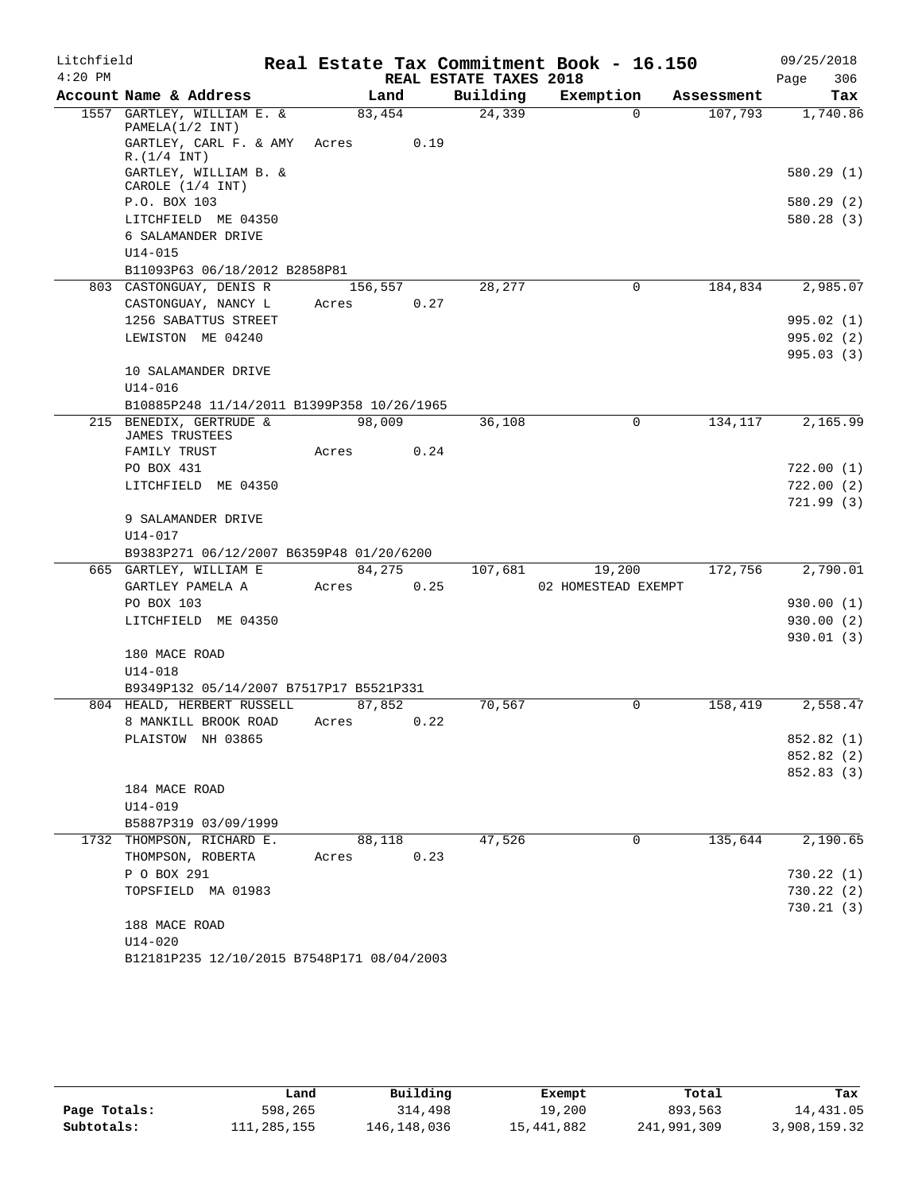| Litchfield |                                                                       |         |      |                        | Real Estate Tax Commitment Book - 16.150 |          |            |      | 09/25/2018 |
|------------|-----------------------------------------------------------------------|---------|------|------------------------|------------------------------------------|----------|------------|------|------------|
| $4:20$ PM  |                                                                       |         |      | REAL ESTATE TAXES 2018 |                                          |          |            | Page | 306        |
|            | Account Name & Address                                                |         | Land | Building               | Exemption                                |          | Assessment |      | Tax        |
|            | 1557 GARTLEY, WILLIAM E. &                                            | 83,454  |      | 24,339                 |                                          | $\Omega$ | 107,793    |      | 1,740.86   |
|            | PAMELA(1/2 INT)<br>GARTLEY, CARL F. & AMY                             | Acres   | 0.19 |                        |                                          |          |            |      |            |
|            | R.(1/4 INT)<br>GARTLEY, WILLIAM B. &                                  |         |      |                        |                                          |          |            |      | 580.29(1)  |
|            | CAROLE (1/4 INT)<br>P.O. BOX 103                                      |         |      |                        |                                          |          |            |      | 580.29(2)  |
|            | LITCHFIELD ME 04350                                                   |         |      |                        |                                          |          |            |      | 580.28(3)  |
|            | 6 SALAMANDER DRIVE                                                    |         |      |                        |                                          |          |            |      |            |
|            | $U14 - 015$                                                           |         |      |                        |                                          |          |            |      |            |
|            | B11093P63 06/18/2012 B2858P81                                         |         |      |                        |                                          |          |            |      |            |
|            | 803 CASTONGUAY, DENIS R                                               | 156,557 |      | 28,277                 |                                          | 0        | 184,834    |      | 2,985.07   |
|            | CASTONGUAY, NANCY L                                                   | Acres   | 0.27 |                        |                                          |          |            |      |            |
|            | 1256 SABATTUS STREET                                                  |         |      |                        |                                          |          |            |      | 995.02 (1) |
|            | LEWISTON ME 04240                                                     |         |      |                        |                                          |          |            |      | 995.02(2)  |
|            |                                                                       |         |      |                        |                                          |          |            |      | 995.03(3)  |
|            | 10 SALAMANDER DRIVE                                                   |         |      |                        |                                          |          |            |      |            |
|            | $U14 - 016$                                                           |         |      |                        |                                          |          |            |      |            |
|            | B10885P248 11/14/2011 B1399P358 10/26/1965<br>215 BENEDIX, GERTRUDE & |         |      | 36,108                 |                                          | $\Omega$ | 134,117    |      | 2,165.99   |
|            | <b>JAMES TRUSTEES</b>                                                 | 98,009  |      |                        |                                          |          |            |      |            |
|            | FAMILY TRUST                                                          | Acres   | 0.24 |                        |                                          |          |            |      |            |
|            | PO BOX 431                                                            |         |      |                        |                                          |          |            |      | 722.00(1)  |
|            | LITCHFIELD ME 04350                                                   |         |      |                        |                                          |          |            |      | 722.00(2)  |
|            |                                                                       |         |      |                        |                                          |          |            |      | 721.99(3)  |
|            | 9 SALAMANDER DRIVE                                                    |         |      |                        |                                          |          |            |      |            |
|            | $U14 - 017$                                                           |         |      |                        |                                          |          |            |      |            |
|            | B9383P271 06/12/2007 B6359P48 01/20/6200                              |         |      |                        |                                          |          |            |      |            |
|            | 665 GARTLEY, WILLIAM E                                                | 84,275  |      | 107,681                | 19,200                                   |          | 172,756    |      | 2,790.01   |
|            | GARTLEY PAMELA A                                                      | Acres   | 0.25 |                        | 02 HOMESTEAD EXEMPT                      |          |            |      |            |
|            | PO BOX 103                                                            |         |      |                        |                                          |          |            |      | 930.00(1)  |
|            | LITCHFIELD ME 04350                                                   |         |      |                        |                                          |          |            |      | 930.00(2)  |
|            | 180 MACE ROAD                                                         |         |      |                        |                                          |          |            |      | 930.01(3)  |
|            | $U14 - 018$                                                           |         |      |                        |                                          |          |            |      |            |
|            | B9349P132 05/14/2007 B7517P17 B5521P331                               |         |      |                        |                                          |          |            |      |            |
|            | 804 HEALD, HERBERT RUSSELL                                            | 87,852  |      | 70,567                 |                                          | 0        | 158,419    |      | 2,558.47   |
|            | 8 MANKILL BROOK ROAD                                                  | Acres   | 0.22 |                        |                                          |          |            |      |            |
|            | PLAISTOW NH 03865                                                     |         |      |                        |                                          |          |            |      | 852.82 (1) |
|            |                                                                       |         |      |                        |                                          |          |            |      | 852.82 (2) |
|            |                                                                       |         |      |                        |                                          |          |            |      | 852.83 (3) |
|            | 184 MACE ROAD                                                         |         |      |                        |                                          |          |            |      |            |
|            | $U14 - 019$                                                           |         |      |                        |                                          |          |            |      |            |
|            | B5887P319 03/09/1999                                                  |         |      |                        |                                          |          |            |      |            |
|            | 1732 THOMPSON, RICHARD E.                                             | 88,118  |      | 47,526                 |                                          | 0        | 135,644    |      | 2,190.65   |
|            | THOMPSON, ROBERTA                                                     | Acres   | 0.23 |                        |                                          |          |            |      |            |
|            | P O BOX 291                                                           |         |      |                        |                                          |          |            |      | 730.22(1)  |
|            | TOPSFIELD MA 01983                                                    |         |      |                        |                                          |          |            |      | 730.22 (2) |
|            | 188 MACE ROAD                                                         |         |      |                        |                                          |          |            |      | 730.21(3)  |
|            | $U14 - 020$                                                           |         |      |                        |                                          |          |            |      |            |
|            | B12181P235 12/10/2015 B7548P171 08/04/2003                            |         |      |                        |                                          |          |            |      |            |

|              | Land        | Building    | Exempt     | Total       | Tax          |
|--------------|-------------|-------------|------------|-------------|--------------|
| Page Totals: | 598,265     | 314,498     | 19,200     | 893,563     | 14,431.05    |
| Subtotals:   | 111,285,155 | 146,148,036 | 15,441,882 | 241,991,309 | 3,908,159.32 |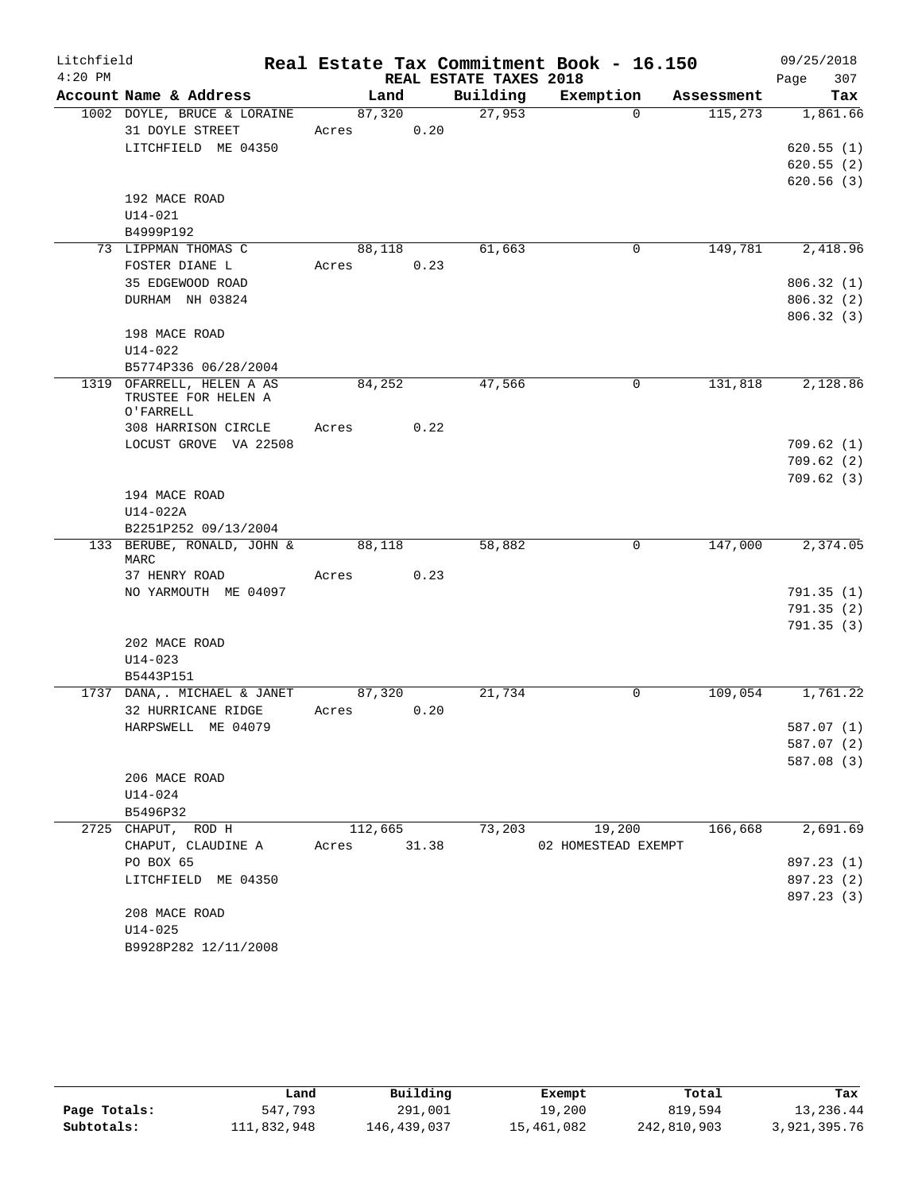| Litchfield |                                                  |             |      |                        | Real Estate Tax Commitment Book - 16.150 |            | 09/25/2018             |
|------------|--------------------------------------------------|-------------|------|------------------------|------------------------------------------|------------|------------------------|
| $4:20$ PM  |                                                  |             |      | REAL ESTATE TAXES 2018 |                                          |            | 307<br>Page            |
|            | Account Name & Address                           | Land        |      | Building               | Exemption                                | Assessment | Tax                    |
|            | 1002 DOYLE, BRUCE & LORAINE                      | 87,320      |      | 27,953                 | $\Omega$                                 | 115,273    | 1,861.66               |
|            | 31 DOYLE STREET                                  | Acres       | 0.20 |                        |                                          |            |                        |
|            | LITCHFIELD ME 04350                              |             |      |                        |                                          |            | 620.55(1)              |
|            |                                                  |             |      |                        |                                          |            | 620.55(2)<br>620.56(3) |
|            | 192 MACE ROAD                                    |             |      |                        |                                          |            |                        |
|            | $U14 - 021$                                      |             |      |                        |                                          |            |                        |
|            | B4999P192                                        |             |      |                        |                                          |            |                        |
|            | 73 LIPPMAN THOMAS C                              | 88,118      |      | 61,663                 | 0                                        | 149,781    | 2,418.96               |
|            | FOSTER DIANE L                                   | Acres       | 0.23 |                        |                                          |            |                        |
|            | 35 EDGEWOOD ROAD                                 |             |      |                        |                                          |            | 806.32(1)              |
|            | DURHAM NH 03824                                  |             |      |                        |                                          |            | 806.32(2)              |
|            |                                                  |             |      |                        |                                          |            | 806.32(3)              |
|            | 198 MACE ROAD                                    |             |      |                        |                                          |            |                        |
|            | $U14 - 022$                                      |             |      |                        |                                          |            |                        |
|            | B5774P336 06/28/2004                             |             |      |                        |                                          |            |                        |
|            | 1319 OFARRELL, HELEN A AS<br>TRUSTEE FOR HELEN A | 84,252      |      | 47,566                 | 0                                        | 131,818    | 2,128.86               |
|            | O'FARRELL                                        |             |      |                        |                                          |            |                        |
|            | 308 HARRISON CIRCLE                              | Acres       | 0.22 |                        |                                          |            |                        |
|            | LOCUST GROVE VA 22508                            |             |      |                        |                                          |            | 709.62(1)              |
|            |                                                  |             |      |                        |                                          |            | 709.62(2)              |
|            |                                                  |             |      |                        |                                          |            | 709.62(3)              |
|            | 194 MACE ROAD                                    |             |      |                        |                                          |            |                        |
|            | $U14-022A$                                       |             |      |                        |                                          |            |                        |
|            | B2251P252 09/13/2004                             |             |      |                        |                                          |            |                        |
|            | 133 BERUBE, RONALD, JOHN &<br>MARC               | 88,118      |      | 58,882                 | 0                                        | 147,000    | 2,374.05               |
|            | 37 HENRY ROAD                                    | Acres       | 0.23 |                        |                                          |            |                        |
|            | NO YARMOUTH ME 04097                             |             |      |                        |                                          |            | 791.35(1)              |
|            |                                                  |             |      |                        |                                          |            | 791.35 (2)             |
|            |                                                  |             |      |                        |                                          |            | 791.35(3)              |
|            | 202 MACE ROAD                                    |             |      |                        |                                          |            |                        |
|            | $U14 - 023$                                      |             |      |                        |                                          |            |                        |
|            | B5443P151                                        |             |      |                        |                                          |            |                        |
|            | 1737 DANA, MICHAEL & JANET                       | 87,320      |      | 21,734                 | 0                                        | 109,054    | 1,761.22               |
|            | 32 HURRICANE RIDGE                               | Acres       | 0.20 |                        |                                          |            |                        |
|            | HARPSWELL ME 04079                               |             |      |                        |                                          |            | 587.07 (1)             |
|            |                                                  |             |      |                        |                                          |            | 587.07 (2)             |
|            |                                                  |             |      |                        |                                          |            | 587.08 (3)             |
|            | 206 MACE ROAD<br>U14-024                         |             |      |                        |                                          |            |                        |
|            | B5496P32                                         |             |      |                        |                                          |            |                        |
|            | 2725 CHAPUT, ROD H                               | 112,665     |      | 73,203                 | 19,200                                   | 166,668    | 2,691.69               |
|            | CHAPUT, CLAUDINE A                               | Acres 31.38 |      |                        | 02 HOMESTEAD EXEMPT                      |            |                        |
|            | PO BOX 65                                        |             |      |                        |                                          |            | 897.23 (1)             |
|            | LITCHFIELD ME 04350                              |             |      |                        |                                          |            | 897.23 (2)             |
|            |                                                  |             |      |                        |                                          |            | 897.23 (3)             |
|            | 208 MACE ROAD                                    |             |      |                        |                                          |            |                        |
|            | U14-025                                          |             |      |                        |                                          |            |                        |
|            | B9928P282 12/11/2008                             |             |      |                        |                                          |            |                        |

|              | Land        | Building    | Exempt     | Total       | Tax          |
|--------------|-------------|-------------|------------|-------------|--------------|
| Page Totals: | 547,793     | 291,001     | 19,200     | 819,594     | 13,236.44    |
| Subtotals:   | 111,832,948 | 146,439,037 | 15,461,082 | 242,810,903 | 3,921,395.76 |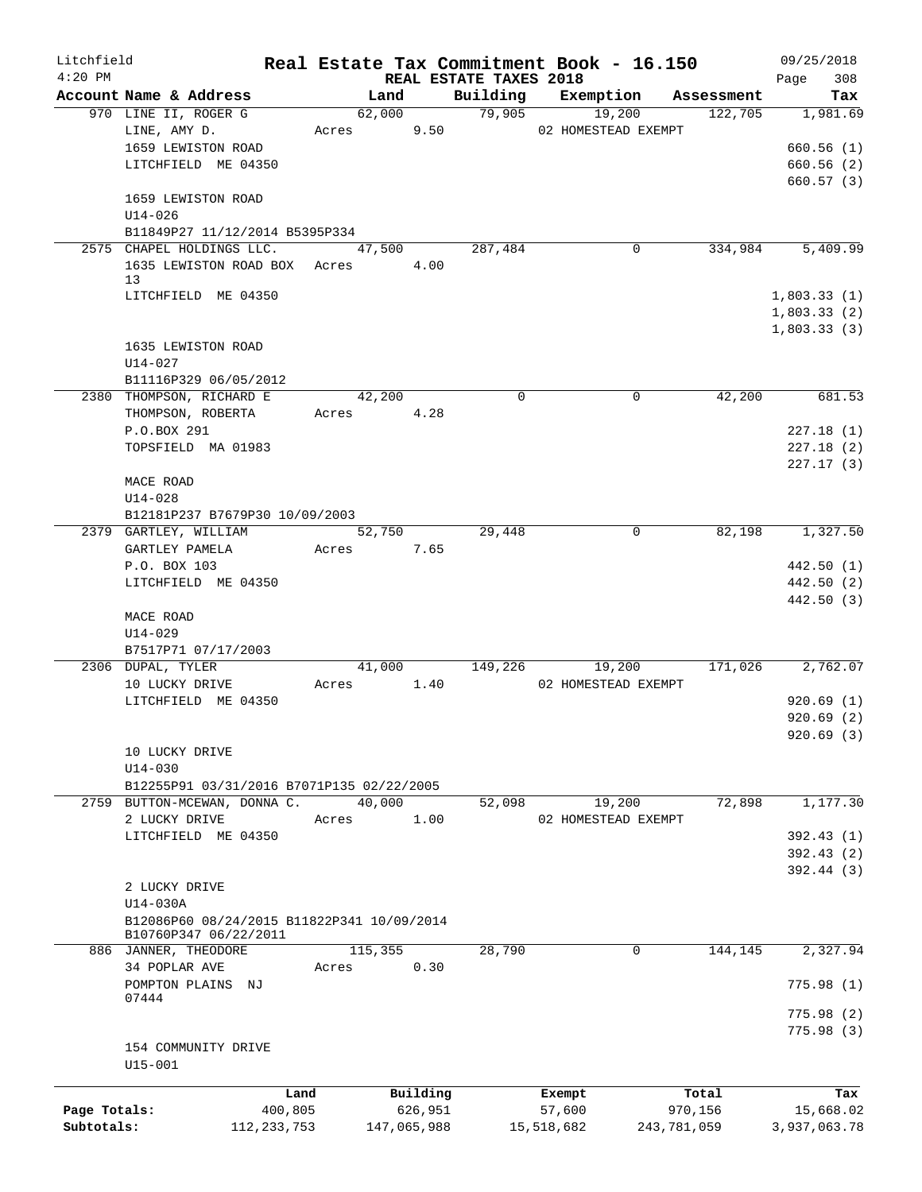| Litchfield   |                                                                     |               |         |             |                                    | Real Estate Tax Commitment Book - 16.150 |             |            | 09/25/2018         |
|--------------|---------------------------------------------------------------------|---------------|---------|-------------|------------------------------------|------------------------------------------|-------------|------------|--------------------|
| $4:20$ PM    | Account Name & Address                                              |               | Land    |             | REAL ESTATE TAXES 2018<br>Building |                                          |             | Assessment | 308<br>Page<br>Tax |
|              | 970 LINE II, ROGER G                                                |               | 62,000  |             | 79,905                             | Exemption<br>19,200                      |             | 122,705    | 1,981.69           |
|              | LINE, AMY D.                                                        |               | Acres   | 9.50        |                                    | 02 HOMESTEAD EXEMPT                      |             |            |                    |
|              | 1659 LEWISTON ROAD                                                  |               |         |             |                                    |                                          |             |            | 660.56(1)          |
|              | LITCHFIELD ME 04350                                                 |               |         |             |                                    |                                          |             |            | 660.56(2)          |
|              |                                                                     |               |         |             |                                    |                                          |             |            | 660.57(3)          |
|              | 1659 LEWISTON ROAD                                                  |               |         |             |                                    |                                          |             |            |                    |
|              | $U14 - 026$                                                         |               |         |             |                                    |                                          |             |            |                    |
|              | B11849P27 11/12/2014 B5395P334                                      |               |         |             |                                    |                                          |             |            |                    |
|              | 2575 CHAPEL HOLDINGS LLC.                                           |               | 47,500  |             | 287,484                            |                                          | 0           | 334,984    | 5,409.99           |
|              | 1635 LEWISTON ROAD BOX Acres 4.00                                   |               |         |             |                                    |                                          |             |            |                    |
|              | 13<br>LITCHFIELD ME 04350                                           |               |         |             |                                    |                                          |             |            | 1,803.33(1)        |
|              |                                                                     |               |         |             |                                    |                                          |             |            | 1,803.33(2)        |
|              |                                                                     |               |         |             |                                    |                                          |             |            | 1,803.33(3)        |
|              | 1635 LEWISTON ROAD                                                  |               |         |             |                                    |                                          |             |            |                    |
|              | $U14 - 027$                                                         |               |         |             |                                    |                                          |             |            |                    |
|              | B11116P329 06/05/2012                                               |               |         |             |                                    |                                          |             |            |                    |
|              | 2380 THOMPSON, RICHARD E                                            |               | 42,200  |             | $\Omega$                           |                                          | $\mathbf 0$ | 42,200     | 681.53             |
|              | THOMPSON, ROBERTA                                                   |               | Acres   | 4.28        |                                    |                                          |             |            |                    |
|              | P.O.BOX 291                                                         |               |         |             |                                    |                                          |             |            | 227.18(1)          |
|              | TOPSFIELD MA 01983                                                  |               |         |             |                                    |                                          |             |            | 227.18(2)          |
|              |                                                                     |               |         |             |                                    |                                          |             |            | 227.17(3)          |
|              | MACE ROAD                                                           |               |         |             |                                    |                                          |             |            |                    |
|              | $U14 - 028$                                                         |               |         |             |                                    |                                          |             |            |                    |
|              | B12181P237 B7679P30 10/09/2003                                      |               |         |             |                                    |                                          |             |            |                    |
|              | 2379 GARTLEY, WILLIAM                                               |               | 52,750  |             | 29,448                             |                                          | 0           | 82,198     | 1,327.50           |
|              | GARTLEY PAMELA                                                      |               | Acres   | 7.65        |                                    |                                          |             |            |                    |
|              | P.O. BOX 103                                                        |               |         |             |                                    |                                          |             |            | 442.50 (1)         |
|              | LITCHFIELD ME 04350                                                 |               |         |             |                                    |                                          |             |            | 442.50 (2)         |
|              | MACE ROAD                                                           |               |         |             |                                    |                                          |             |            | 442.50 (3)         |
|              | $U14 - 029$                                                         |               |         |             |                                    |                                          |             |            |                    |
|              | B7517P71 07/17/2003                                                 |               |         |             |                                    |                                          |             |            |                    |
|              | 2306 DUPAL, TYLER                                                   |               | 41,000  |             | 149,226                            | 19,200                                   |             | 171,026    | 2,762.07           |
|              | 10 LUCKY DRIVE                                                      |               | Acres   | 1.40        |                                    | 02 HOMESTEAD EXEMPT                      |             |            |                    |
|              | LITCHFIELD ME 04350                                                 |               |         |             |                                    |                                          |             |            | 920.69(1)          |
|              |                                                                     |               |         |             |                                    |                                          |             |            | 920.69(2)          |
|              |                                                                     |               |         |             |                                    |                                          |             |            | 920.69 (3)         |
|              | 10 LUCKY DRIVE                                                      |               |         |             |                                    |                                          |             |            |                    |
|              | $U14 - 030$                                                         |               |         |             |                                    |                                          |             |            |                    |
|              | B12255P91 03/31/2016 B7071P135 02/22/2005                           |               |         |             |                                    |                                          |             |            |                    |
|              | 2759 BUTTON-MCEWAN, DONNA C.                                        |               | 40,000  |             | 52,098                             | 19,200                                   |             | 72,898     | 1,177.30           |
|              | 2 LUCKY DRIVE                                                       |               | Acres   | 1.00        |                                    | 02 HOMESTEAD EXEMPT                      |             |            |                    |
|              | LITCHFIELD ME 04350                                                 |               |         |             |                                    |                                          |             |            | 392.43(1)          |
|              |                                                                     |               |         |             |                                    |                                          |             |            | 392.43(2)          |
|              |                                                                     |               |         |             |                                    |                                          |             |            | 392.44(3)          |
|              | 2 LUCKY DRIVE                                                       |               |         |             |                                    |                                          |             |            |                    |
|              | U14-030A                                                            |               |         |             |                                    |                                          |             |            |                    |
|              | B12086P60 08/24/2015 B11822P341 10/09/2014<br>B10760P347 06/22/2011 |               |         |             |                                    |                                          |             |            |                    |
|              | 886 JANNER, THEODORE                                                |               | 115,355 |             | 28,790                             |                                          | 0           | 144,145    | 2,327.94           |
|              | 34 POPLAR AVE                                                       |               | Acres   | 0.30        |                                    |                                          |             |            |                    |
|              | POMPTON PLAINS NJ                                                   |               |         |             |                                    |                                          |             |            | 775.98(1)          |
|              | 07444                                                               |               |         |             |                                    |                                          |             |            |                    |
|              |                                                                     |               |         |             |                                    |                                          |             |            | 775.98 (2)         |
|              |                                                                     |               |         |             |                                    |                                          |             |            | 775.98(3)          |
|              | 154 COMMUNITY DRIVE                                                 |               |         |             |                                    |                                          |             |            |                    |
|              | U15-001                                                             |               |         |             |                                    |                                          |             |            |                    |
|              |                                                                     | Land          |         | Building    |                                    | Exempt                                   |             | Total      | Tax                |
| Page Totals: |                                                                     | 400,805       |         | 626,951     |                                    | 57,600                                   |             | 970,156    | 15,668.02          |
| Subtotals:   |                                                                     | 112, 233, 753 |         | 147,065,988 |                                    | 15,518,682                               | 243,781,059 |            | 3,937,063.78       |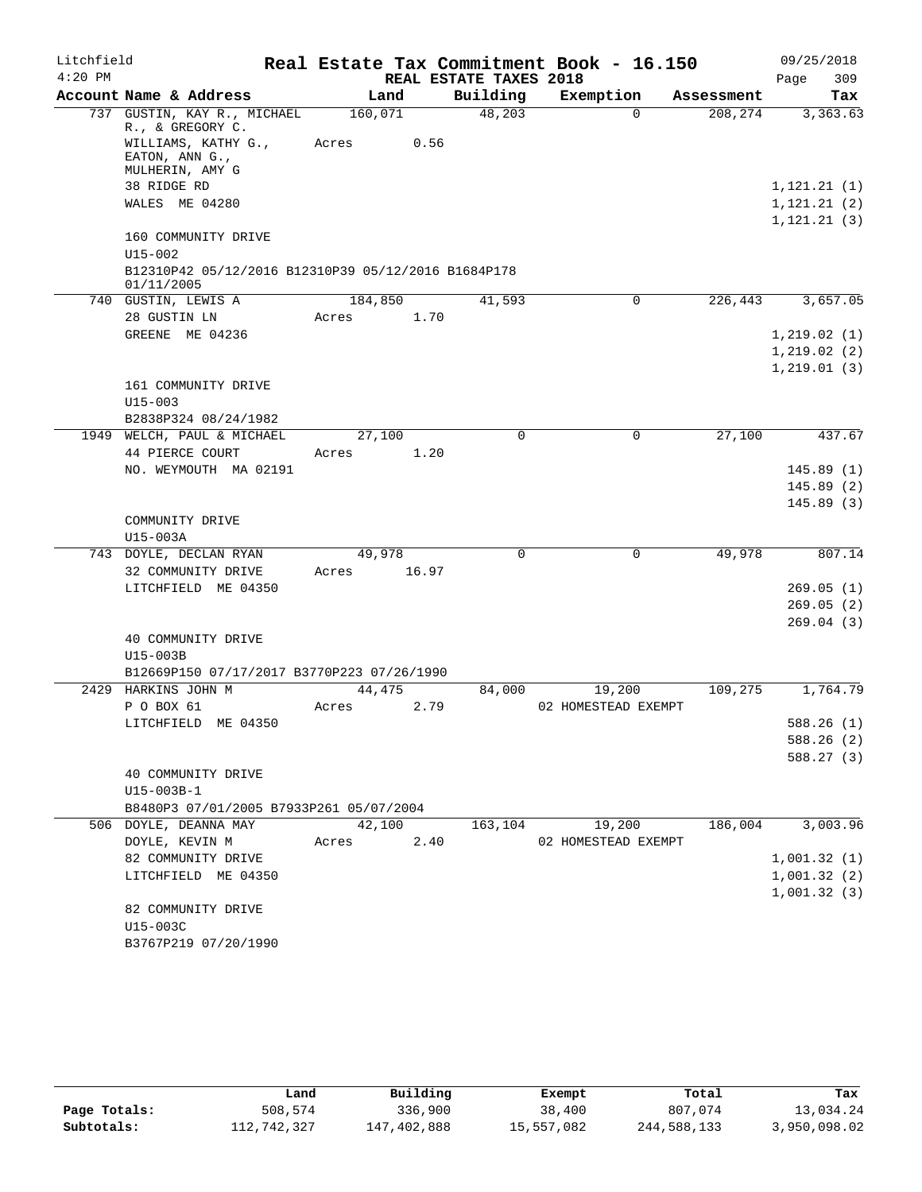| Litchfield |                                                                                                             |                  |       |                        | Real Estate Tax Commitment Book - 16.150 |            | 09/25/2018   |
|------------|-------------------------------------------------------------------------------------------------------------|------------------|-------|------------------------|------------------------------------------|------------|--------------|
| $4:20$ PM  |                                                                                                             |                  |       | REAL ESTATE TAXES 2018 |                                          |            | 309<br>Page  |
|            | Account Name & Address                                                                                      | Land             |       | Building               | Exemption                                | Assessment | Tax          |
|            | 737 GUSTIN, KAY R., MICHAEL<br>R., & GREGORY C.<br>WILLIAMS, KATHY G.,<br>EATON, ANN G.,<br>MULHERIN, AMY G | 160,071<br>Acres | 0.56  | 48,203                 | $\Omega$                                 | 208,274    | 3,363.63     |
|            | 38 RIDGE RD                                                                                                 |                  |       |                        |                                          |            | 1, 121.21(1) |
|            | WALES ME 04280                                                                                              |                  |       |                        |                                          |            | 1, 121.21(2) |
|            |                                                                                                             |                  |       |                        |                                          |            | 1, 121.21(3) |
|            | 160 COMMUNITY DRIVE                                                                                         |                  |       |                        |                                          |            |              |
|            | U15-002<br>B12310P42 05/12/2016 B12310P39 05/12/2016 B1684P178                                              |                  |       |                        |                                          |            |              |
|            | 01/11/2005                                                                                                  |                  |       |                        |                                          |            |              |
|            | 740 GUSTIN, LEWIS A                                                                                         | 184,850          |       | 41,593                 | 0                                        | 226,443    | 3,657.05     |
|            | 28 GUSTIN LN                                                                                                | Acres            | 1.70  |                        |                                          |            |              |
|            | GREENE ME 04236                                                                                             |                  |       |                        |                                          |            | 1,219.02(1)  |
|            |                                                                                                             |                  |       |                        |                                          |            | 1,219.02(2)  |
|            | 161 COMMUNITY DRIVE                                                                                         |                  |       |                        |                                          |            | 1, 219.01(3) |
|            | $U15 - 003$                                                                                                 |                  |       |                        |                                          |            |              |
|            | B2838P324 08/24/1982                                                                                        |                  |       |                        |                                          |            |              |
|            | 1949 WELCH, PAUL & MICHAEL                                                                                  | 27,100           |       | 0                      | 0                                        | 27,100     | 437.67       |
|            | 44 PIERCE COURT                                                                                             | Acres            | 1.20  |                        |                                          |            |              |
|            | NO. WEYMOUTH MA 02191                                                                                       |                  |       |                        |                                          |            | 145.89(1)    |
|            |                                                                                                             |                  |       |                        |                                          |            | 145.89(2)    |
|            | COMMUNITY DRIVE<br>U15-003A                                                                                 |                  |       |                        |                                          |            | 145.89(3)    |
|            | 743 DOYLE, DECLAN RYAN                                                                                      | 49,978           |       | 0                      | $\mathbf 0$                              | 49,978     | 807.14       |
|            | 32 COMMUNITY DRIVE                                                                                          | Acres            | 16.97 |                        |                                          |            |              |
|            | LITCHFIELD ME 04350                                                                                         |                  |       |                        |                                          |            | 269.05(1)    |
|            |                                                                                                             |                  |       |                        |                                          |            | 269.05(2)    |
|            | 40 COMMUNITY DRIVE                                                                                          |                  |       |                        |                                          |            | 269.04(3)    |
|            | U15-003B                                                                                                    |                  |       |                        |                                          |            |              |
|            | B12669P150 07/17/2017 B3770P223 07/26/1990                                                                  |                  |       |                        |                                          |            |              |
|            | 2429 HARKINS JOHN M                                                                                         | 44,475           |       | 84,000                 | 19,200                                   | 109,275    | 1,764.79     |
|            | P O BOX 61                                                                                                  | Acres            | 2.79  |                        | 02 HOMESTEAD EXEMPT                      |            |              |
|            | LITCHFIELD ME 04350                                                                                         |                  |       |                        |                                          |            | 588.26(1)    |
|            |                                                                                                             |                  |       |                        |                                          |            | 588.26 (2)   |
|            |                                                                                                             |                  |       |                        |                                          |            | 588.27(3)    |
|            | 40 COMMUNITY DRIVE<br>$U15 - 003B - 1$                                                                      |                  |       |                        |                                          |            |              |
|            | B8480P3 07/01/2005 B7933P261 05/07/2004                                                                     |                  |       |                        |                                          |            |              |
|            | 506 DOYLE, DEANNA MAY                                                                                       | 42,100           |       | 163,104                | 19,200                                   | 186,004    | 3,003.96     |
|            | DOYLE, KEVIN M                                                                                              | Acres            | 2.40  |                        | 02 HOMESTEAD EXEMPT                      |            |              |
|            | 82 COMMUNITY DRIVE                                                                                          |                  |       |                        |                                          |            | 1,001.32(1)  |
|            | LITCHFIELD ME 04350                                                                                         |                  |       |                        |                                          |            | 1,001.32(2)  |
|            |                                                                                                             |                  |       |                        |                                          |            | 1,001.32(3)  |
|            | 82 COMMUNITY DRIVE                                                                                          |                  |       |                        |                                          |            |              |
|            | U15-003C                                                                                                    |                  |       |                        |                                          |            |              |
|            | B3767P219 07/20/1990                                                                                        |                  |       |                        |                                          |            |              |

|              | Land        | Building    | Exempt     | Total       | Tax          |
|--------------|-------------|-------------|------------|-------------|--------------|
| Page Totals: | 508,574     | 336,900     | 38,400     | 807,074     | 13,034.24    |
| Subtotals:   | 112,742,327 | 147,402,888 | 15,557,082 | 244,588,133 | 3,950,098.02 |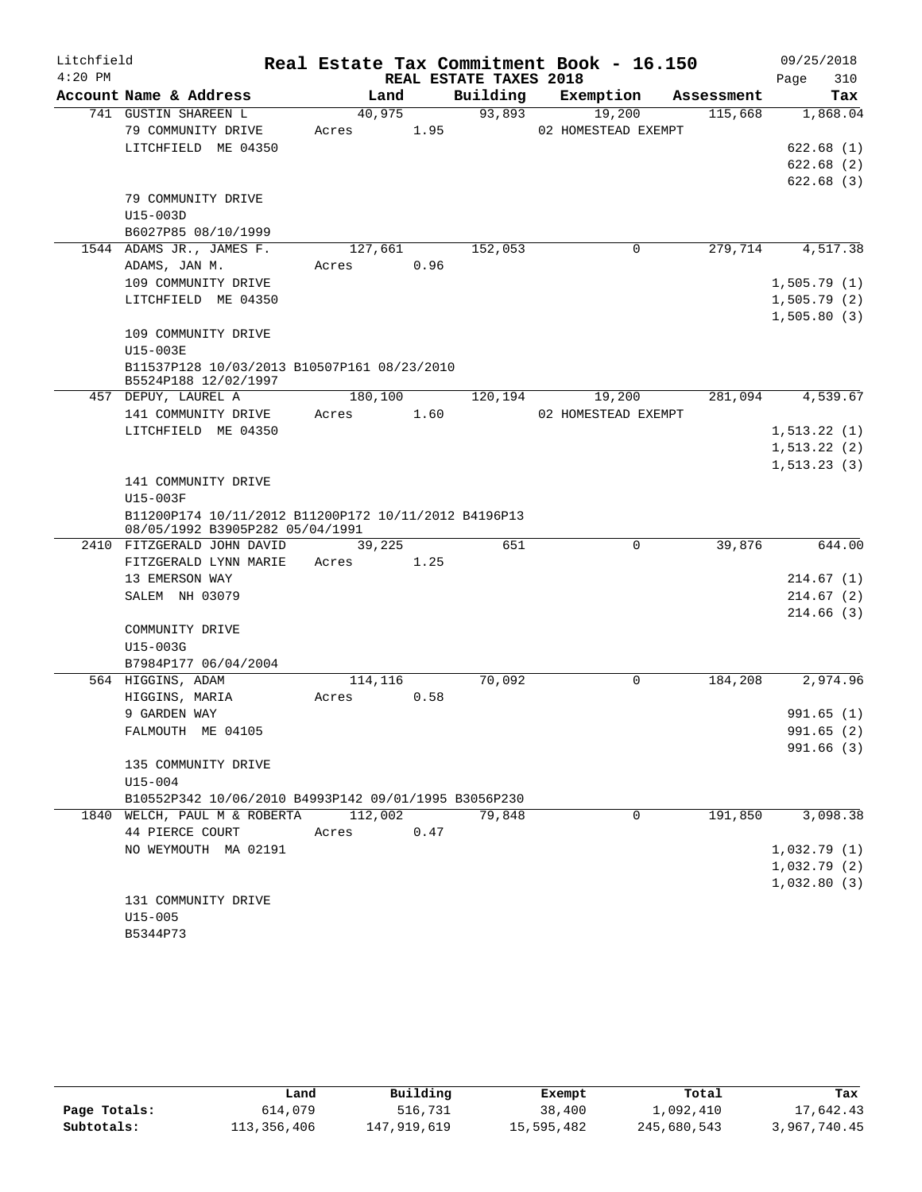| Litchfield |                                                               |         |      |                        | Real Estate Tax Commitment Book - 16.150 |            | 09/25/2018                 |
|------------|---------------------------------------------------------------|---------|------|------------------------|------------------------------------------|------------|----------------------------|
| $4:20$ PM  |                                                               |         |      | REAL ESTATE TAXES 2018 |                                          |            | 310<br>Page                |
|            | Account Name & Address                                        | Land    |      | Building               | Exemption                                | Assessment | Tax                        |
|            | 741 GUSTIN SHAREEN L                                          | 40,975  |      | 93,893                 | 19,200                                   | 115,668    | 1,868.04                   |
|            | 79 COMMUNITY DRIVE                                            | Acres   | 1.95 |                        | 02 HOMESTEAD EXEMPT                      |            |                            |
|            | LITCHFIELD ME 04350                                           |         |      |                        |                                          |            | 622.68(1)                  |
|            |                                                               |         |      |                        |                                          |            | 622.68(2)                  |
|            |                                                               |         |      |                        |                                          |            | 622.68(3)                  |
|            | 79 COMMUNITY DRIVE                                            |         |      |                        |                                          |            |                            |
|            | U15-003D                                                      |         |      |                        |                                          |            |                            |
|            | B6027P85 08/10/1999<br>1544 ADAMS JR., JAMES F.               |         |      |                        | 0                                        | 279,714    | 4,517.38                   |
|            | ADAMS, JAN M.                                                 | 127,661 | 0.96 | 152,053                |                                          |            |                            |
|            | 109 COMMUNITY DRIVE                                           | Acres   |      |                        |                                          |            |                            |
|            | LITCHFIELD ME 04350                                           |         |      |                        |                                          |            | 1,505.79(1)<br>1,505.79(2) |
|            |                                                               |         |      |                        |                                          |            | 1,505.80(3)                |
|            | 109 COMMUNITY DRIVE                                           |         |      |                        |                                          |            |                            |
|            | U15-003E                                                      |         |      |                        |                                          |            |                            |
|            | B11537P128 10/03/2013 B10507P161 08/23/2010                   |         |      |                        |                                          |            |                            |
|            | B5524P188 12/02/1997                                          |         |      |                        |                                          |            |                            |
|            | 457 DEPUY, LAUREL A                                           | 180,100 |      | 120,194                | 19,200                                   | 281,094    | 4,539.67                   |
|            | 141 COMMUNITY DRIVE                                           | Acres   | 1.60 |                        | 02 HOMESTEAD EXEMPT                      |            |                            |
|            | LITCHFIELD ME 04350                                           |         |      |                        |                                          |            | 1, 513.22(1)               |
|            |                                                               |         |      |                        |                                          |            | 1, 513.22(2)               |
|            |                                                               |         |      |                        |                                          |            | 1, 513.23(3)               |
|            | 141 COMMUNITY DRIVE                                           |         |      |                        |                                          |            |                            |
|            | U15-003F                                                      |         |      |                        |                                          |            |                            |
|            | B11200P174 10/11/2012 B11200P172 10/11/2012 B4196P13          |         |      |                        |                                          |            |                            |
|            | 08/05/1992 B3905P282 05/04/1991<br>2410 FITZGERALD JOHN DAVID | 39,225  |      | 651                    | 0                                        | 39,876     | 644.00                     |
|            | FITZGERALD LYNN MARIE                                         | Acres   | 1.25 |                        |                                          |            |                            |
|            | 13 EMERSON WAY                                                |         |      |                        |                                          |            | 214.67(1)                  |
|            | SALEM NH 03079                                                |         |      |                        |                                          |            | 214.67(2)                  |
|            |                                                               |         |      |                        |                                          |            | 214.66(3)                  |
|            | COMMUNITY DRIVE                                               |         |      |                        |                                          |            |                            |
|            | U15-003G                                                      |         |      |                        |                                          |            |                            |
|            | B7984P177 06/04/2004                                          |         |      |                        |                                          |            |                            |
|            | 564 HIGGINS, ADAM                                             | 114,116 |      | 70,092                 | 0                                        | 184,208    | 2,974.96                   |
|            | HIGGINS, MARIA                                                | Acres   | 0.58 |                        |                                          |            |                            |
|            | 9 GARDEN WAY                                                  |         |      |                        |                                          |            | 991.65(1)                  |
|            | FALMOUTH ME 04105                                             |         |      |                        |                                          |            | 991.65 (2)                 |
|            |                                                               |         |      |                        |                                          |            | 991.66(3)                  |
|            | 135 COMMUNITY DRIVE                                           |         |      |                        |                                          |            |                            |
|            | $U15 - 004$                                                   |         |      |                        |                                          |            |                            |
|            | B10552P342 10/06/2010 B4993P142 09/01/1995 B3056P230          |         |      |                        |                                          |            |                            |
|            | 1840 WELCH, PAUL M & ROBERTA                                  | 112,002 |      | 79,848                 | $\Omega$                                 | 191,850    | 3,098.38                   |
|            | 44 PIERCE COURT                                               | Acres   | 0.47 |                        |                                          |            |                            |
|            | NO WEYMOUTH MA 02191                                          |         |      |                        |                                          |            | 1,032.79(1)                |
|            |                                                               |         |      |                        |                                          |            | 1,032.79(2)                |
|            |                                                               |         |      |                        |                                          |            | 1,032.80(3)                |
|            | 131 COMMUNITY DRIVE                                           |         |      |                        |                                          |            |                            |
|            | $U15 - 005$                                                   |         |      |                        |                                          |            |                            |
|            | B5344P73                                                      |         |      |                        |                                          |            |                            |

|              | Land        | Building    | Exempt     | Total       | Tax          |
|--------------|-------------|-------------|------------|-------------|--------------|
| Page Totals: | 614,079     | 516,731     | 38,400     | 1,092,410   | 17,642.43    |
| Subtotals:   | 113,356,406 | 147,919,619 | 15,595,482 | 245,680,543 | 3,967,740.45 |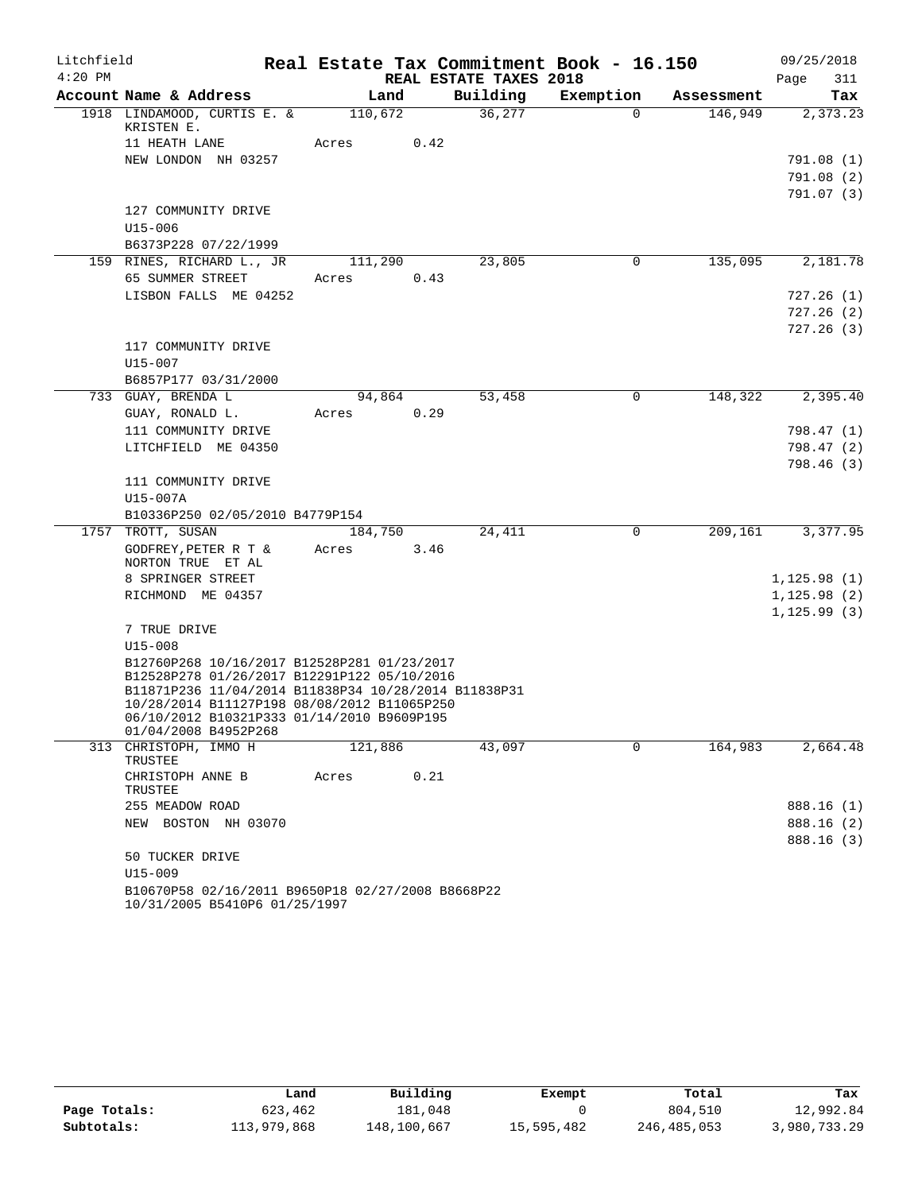| Litchfield |                                                                                                                                                                                                                                                 |         |      |                        | Real Estate Tax Commitment Book - 16.150 |                      | 09/25/2018              |
|------------|-------------------------------------------------------------------------------------------------------------------------------------------------------------------------------------------------------------------------------------------------|---------|------|------------------------|------------------------------------------|----------------------|-------------------------|
| $4:20$ PM  |                                                                                                                                                                                                                                                 |         |      | REAL ESTATE TAXES 2018 |                                          |                      | Page<br>311             |
|            | Account Name & Address                                                                                                                                                                                                                          | Land    |      | Building               | Exemption                                | Assessment           | Tax                     |
|            | 1918 LINDAMOOD, CURTIS E. &<br>KRISTEN E.                                                                                                                                                                                                       | 110,672 |      | 36,277                 | $\Omega$                                 | 146,949              | 2,373.23                |
|            | 11 HEATH LANE<br>NEW LONDON NH 03257                                                                                                                                                                                                            | Acres   | 0.42 |                        |                                          |                      |                         |
|            |                                                                                                                                                                                                                                                 |         |      |                        |                                          |                      | 791.08 (1)<br>791.08(2) |
|            |                                                                                                                                                                                                                                                 |         |      |                        |                                          |                      | 791.07 (3)              |
|            | 127 COMMUNITY DRIVE                                                                                                                                                                                                                             |         |      |                        |                                          |                      |                         |
|            | $U15 - 006$                                                                                                                                                                                                                                     |         |      |                        |                                          |                      |                         |
|            | B6373P228 07/22/1999                                                                                                                                                                                                                            |         |      |                        |                                          |                      |                         |
|            | 159 RINES, RICHARD L., JR                                                                                                                                                                                                                       | 111,290 |      | 23,805                 | 0                                        | 135,095              | 2,181.78                |
|            | 65 SUMMER STREET                                                                                                                                                                                                                                | Acres   | 0.43 |                        |                                          |                      |                         |
|            | LISBON FALLS ME 04252                                                                                                                                                                                                                           |         |      |                        |                                          |                      | 727.26(1)               |
|            |                                                                                                                                                                                                                                                 |         |      |                        |                                          |                      | 727.26(2)               |
|            |                                                                                                                                                                                                                                                 |         |      |                        |                                          |                      | 727.26(3)               |
|            | 117 COMMUNITY DRIVE                                                                                                                                                                                                                             |         |      |                        |                                          |                      |                         |
|            | U15-007                                                                                                                                                                                                                                         |         |      |                        |                                          |                      |                         |
|            | B6857P177 03/31/2000                                                                                                                                                                                                                            |         |      |                        |                                          |                      |                         |
|            | 733 GUAY, BRENDA L                                                                                                                                                                                                                              | 94,864  |      | 53,458                 | $\mathbf 0$                              | 148,322              | 2,395.40                |
|            | GUAY, RONALD L.                                                                                                                                                                                                                                 | Acres   | 0.29 |                        |                                          |                      |                         |
|            | 111 COMMUNITY DRIVE                                                                                                                                                                                                                             |         |      |                        |                                          |                      | 798.47 (1)              |
|            | LITCHFIELD ME 04350                                                                                                                                                                                                                             |         |      |                        |                                          |                      | 798.47 (2)<br>798.46(3) |
|            | 111 COMMUNITY DRIVE                                                                                                                                                                                                                             |         |      |                        |                                          |                      |                         |
|            | U15-007A                                                                                                                                                                                                                                        |         |      |                        |                                          |                      |                         |
|            | B10336P250 02/05/2010 B4779P154                                                                                                                                                                                                                 |         |      |                        |                                          |                      |                         |
|            | 1757 TROTT, SUSAN                                                                                                                                                                                                                               | 184,750 |      | 24,411                 | $\Omega$                                 | $\overline{209,161}$ | 3,377.95                |
|            | GODFREY, PETER R T &<br>NORTON TRUE ET AL                                                                                                                                                                                                       | Acres   | 3.46 |                        |                                          |                      |                         |
|            | 8 SPRINGER STREET                                                                                                                                                                                                                               |         |      |                        |                                          |                      | 1,125.98(1)             |
|            | RICHMOND ME 04357                                                                                                                                                                                                                               |         |      |                        |                                          |                      | 1, 125.98(2)            |
|            | 7 TRUE DRIVE                                                                                                                                                                                                                                    |         |      |                        |                                          |                      | 1, 125.99(3)            |
|            | $U15 - 008$                                                                                                                                                                                                                                     |         |      |                        |                                          |                      |                         |
|            | B12760P268 10/16/2017 B12528P281 01/23/2017<br>B12528P278 01/26/2017 B12291P122 05/10/2016<br>B11871P236 11/04/2014 B11838P34 10/28/2014 B11838P31<br>10/28/2014 B11127P198 08/08/2012 B11065P250<br>06/10/2012 B10321P333 01/14/2010 B9609P195 |         |      |                        |                                          |                      |                         |
|            | 01/04/2008 B4952P268<br>313 CHRISTOPH, IMMO H                                                                                                                                                                                                   | 121,886 |      | 43,097                 | 0                                        | 164,983              | 2,664.48                |
|            | TRUSTEE                                                                                                                                                                                                                                         |         |      |                        |                                          |                      |                         |
|            | CHRISTOPH ANNE B<br>TRUSTEE                                                                                                                                                                                                                     | Acres   | 0.21 |                        |                                          |                      |                         |
|            | 255 MEADOW ROAD                                                                                                                                                                                                                                 |         |      |                        |                                          |                      | 888.16 (1)              |
|            | NEW BOSTON NH 03070                                                                                                                                                                                                                             |         |      |                        |                                          |                      | 888.16 (2)              |
|            |                                                                                                                                                                                                                                                 |         |      |                        |                                          |                      | 888.16 (3)              |
|            | 50 TUCKER DRIVE                                                                                                                                                                                                                                 |         |      |                        |                                          |                      |                         |
|            | $U15 - 009$                                                                                                                                                                                                                                     |         |      |                        |                                          |                      |                         |
|            | B10670P58 02/16/2011 B9650P18 02/27/2008 B8668P22<br>10/31/2005 B5410P6 01/25/1997                                                                                                                                                              |         |      |                        |                                          |                      |                         |

|              | Land        | Building    | Exempt     | Total       | Tax          |
|--------------|-------------|-------------|------------|-------------|--------------|
| Page Totals: | 623,462     | 181.048     |            | 804,510     | 12,992.84    |
| Subtotals:   | 113,979,868 | 148,100,667 | 15,595,482 | 246,485,053 | 3,980,733.29 |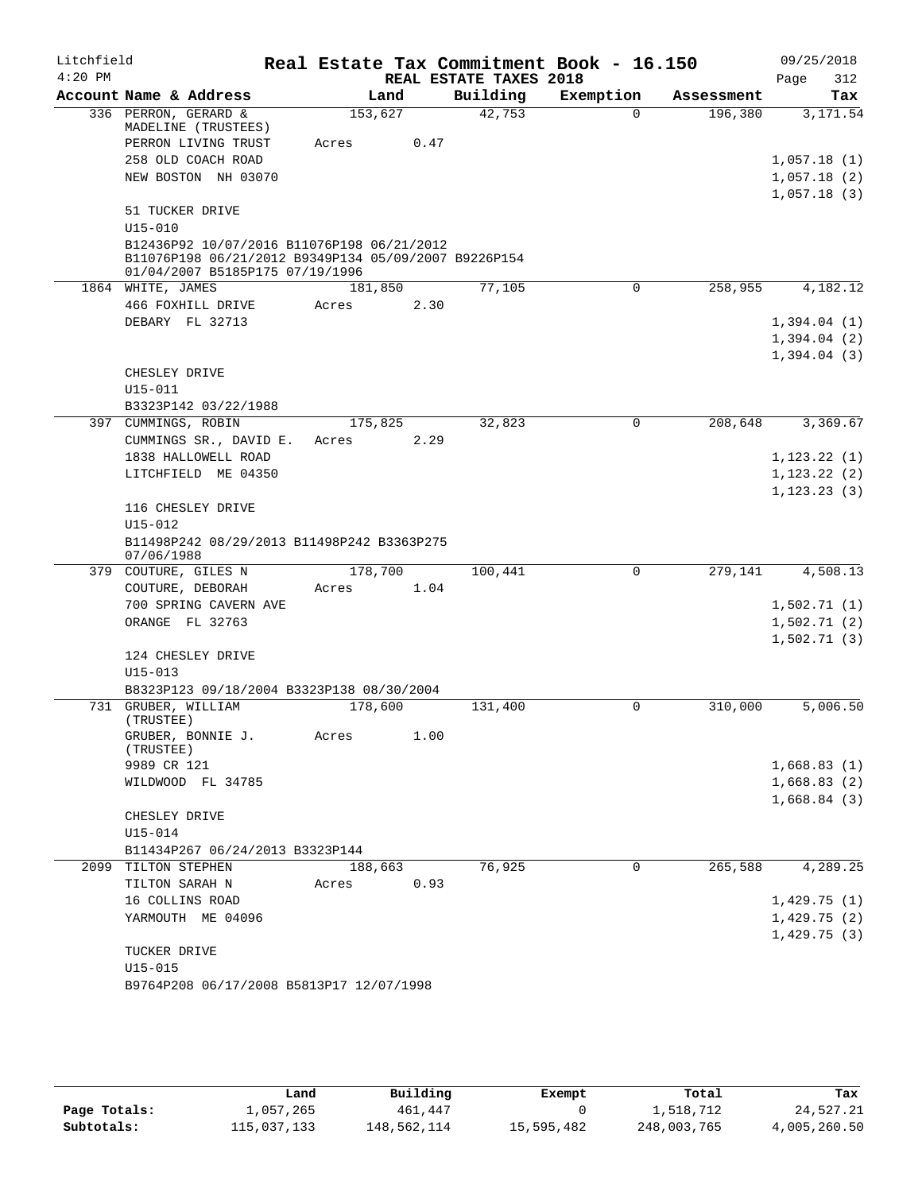| Litchfield |                                                                                                    |         |      |                        | Real Estate Tax Commitment Book - 16.150 |            | 09/25/2018       |
|------------|----------------------------------------------------------------------------------------------------|---------|------|------------------------|------------------------------------------|------------|------------------|
| $4:20$ PM  |                                                                                                    |         |      | REAL ESTATE TAXES 2018 |                                          |            | 312<br>Page      |
|            | Account Name & Address                                                                             | Land    |      | Building               | Exemption                                | Assessment | Tax              |
|            | 336 PERRON, GERARD &<br>MADELINE (TRUSTEES)                                                        | 153,627 |      | 42,753                 | $\Omega$                                 | 196,380    | 3,171.54         |
|            | PERRON LIVING TRUST                                                                                | Acres   | 0.47 |                        |                                          |            |                  |
|            | 258 OLD COACH ROAD                                                                                 |         |      |                        |                                          |            | 1,057.18(1)      |
|            | NEW BOSTON NH 03070                                                                                |         |      |                        |                                          |            | 1,057.18(2)      |
|            |                                                                                                    |         |      |                        |                                          |            | 1,057.18(3)      |
|            | 51 TUCKER DRIVE<br>$U15 - 010$                                                                     |         |      |                        |                                          |            |                  |
|            | B12436P92 10/07/2016 B11076P198 06/21/2012<br>B11076P198 06/21/2012 B9349P134 05/09/2007 B9226P154 |         |      |                        |                                          |            |                  |
|            | 01/04/2007 B5185P175 07/19/1996                                                                    |         |      |                        |                                          |            |                  |
|            | 1864 WHITE, JAMES                                                                                  | 181,850 |      | 77,105                 | $\mathbf 0$                              | 258,955    | 4,182.12         |
|            | 466 FOXHILL DRIVE                                                                                  | Acres   | 2.30 |                        |                                          |            |                  |
|            | DEBARY FL 32713                                                                                    |         |      |                        |                                          |            | 1,394.04(1)      |
|            |                                                                                                    |         |      |                        |                                          |            | 1,394.04(2)      |
|            |                                                                                                    |         |      |                        |                                          |            | 1,394.04(3)      |
|            | CHESLEY DRIVE                                                                                      |         |      |                        |                                          |            |                  |
|            | U15-011                                                                                            |         |      |                        |                                          |            |                  |
|            | B3323P142 03/22/1988                                                                               |         |      |                        |                                          |            |                  |
|            | 397 CUMMINGS, ROBIN                                                                                | 175,825 |      | 32,823                 | $\Omega$                                 | 208,648    | 3,369.67         |
|            | CUMMINGS SR., DAVID E.                                                                             | Acres   | 2.29 |                        |                                          |            |                  |
|            | 1838 HALLOWELL ROAD                                                                                |         |      |                        |                                          |            | 1, 123.22(1)     |
|            | LITCHFIELD ME 04350                                                                                |         |      |                        |                                          |            | 1, 123.22(2)     |
|            |                                                                                                    |         |      |                        |                                          |            | $1, 123, 23$ (3) |
|            | 116 CHESLEY DRIVE                                                                                  |         |      |                        |                                          |            |                  |
|            | U15-012                                                                                            |         |      |                        |                                          |            |                  |
|            | B11498P242 08/29/2013 B11498P242 B3363P275<br>07/06/1988                                           |         |      |                        |                                          |            |                  |
|            | 379 COUTURE, GILES N                                                                               | 178,700 |      | 100,441                | 0                                        | 279,141    | 4,508.13         |
|            | COUTURE, DEBORAH                                                                                   | Acres   | 1.04 |                        |                                          |            |                  |
|            | 700 SPRING CAVERN AVE                                                                              |         |      |                        |                                          |            | 1,502.71(1)      |
|            | ORANGE FL 32763                                                                                    |         |      |                        |                                          |            | 1,502.71(2)      |
|            |                                                                                                    |         |      |                        |                                          |            | 1,502.71(3)      |
|            | 124 CHESLEY DRIVE                                                                                  |         |      |                        |                                          |            |                  |
|            | $U15 - 013$                                                                                        |         |      |                        |                                          |            |                  |
|            | B8323P123 09/18/2004 B3323P138 08/30/2004                                                          |         |      |                        |                                          |            |                  |
| 731        | GRUBER, WILLIAM<br>(TRUSTEE)                                                                       | 178,600 |      | 131,400                | 0                                        | 310,000    | 5,006.50         |
|            | GRUBER, BONNIE J.                                                                                  | Acres   | 1.00 |                        |                                          |            |                  |
|            | (TRUSTEE)                                                                                          |         |      |                        |                                          |            |                  |
|            | 9989 CR 121                                                                                        |         |      |                        |                                          |            | 1,668.83(1)      |
|            | WILDWOOD FL 34785                                                                                  |         |      |                        |                                          |            | 1,668.83(2)      |
|            |                                                                                                    |         |      |                        |                                          |            | 1,668.84(3)      |
|            | CHESLEY DRIVE                                                                                      |         |      |                        |                                          |            |                  |
|            | U15-014                                                                                            |         |      |                        |                                          |            |                  |
|            | B11434P267 06/24/2013 B3323P144                                                                    |         |      |                        |                                          |            |                  |
|            | 2099 TILTON STEPHEN                                                                                | 188,663 |      | 76,925                 | $\mathbf 0$                              | 265,588    | 4,289.25         |
|            | TILTON SARAH N                                                                                     | Acres   | 0.93 |                        |                                          |            |                  |
|            | 16 COLLINS ROAD                                                                                    |         |      |                        |                                          |            | 1,429.75(1)      |
|            | YARMOUTH ME 04096                                                                                  |         |      |                        |                                          |            | 1,429.75(2)      |
|            |                                                                                                    |         |      |                        |                                          |            | 1,429.75(3)      |
|            | TUCKER DRIVE                                                                                       |         |      |                        |                                          |            |                  |
|            | $U15 - 015$                                                                                        |         |      |                        |                                          |            |                  |
|            | B9764P208 06/17/2008 B5813P17 12/07/1998                                                           |         |      |                        |                                          |            |                  |
|            |                                                                                                    |         |      |                        |                                          |            |                  |

|              | Land        | Building    | Exempt     | Total       | Tax          |
|--------------|-------------|-------------|------------|-------------|--------------|
| Page Totals: | 1,057,265   | 461,447     |            | 1,518,712   | 24,527.21    |
| Subtotals:   | 115,037,133 | 148,562,114 | 15,595,482 | 248,003,765 | 4,005,260.50 |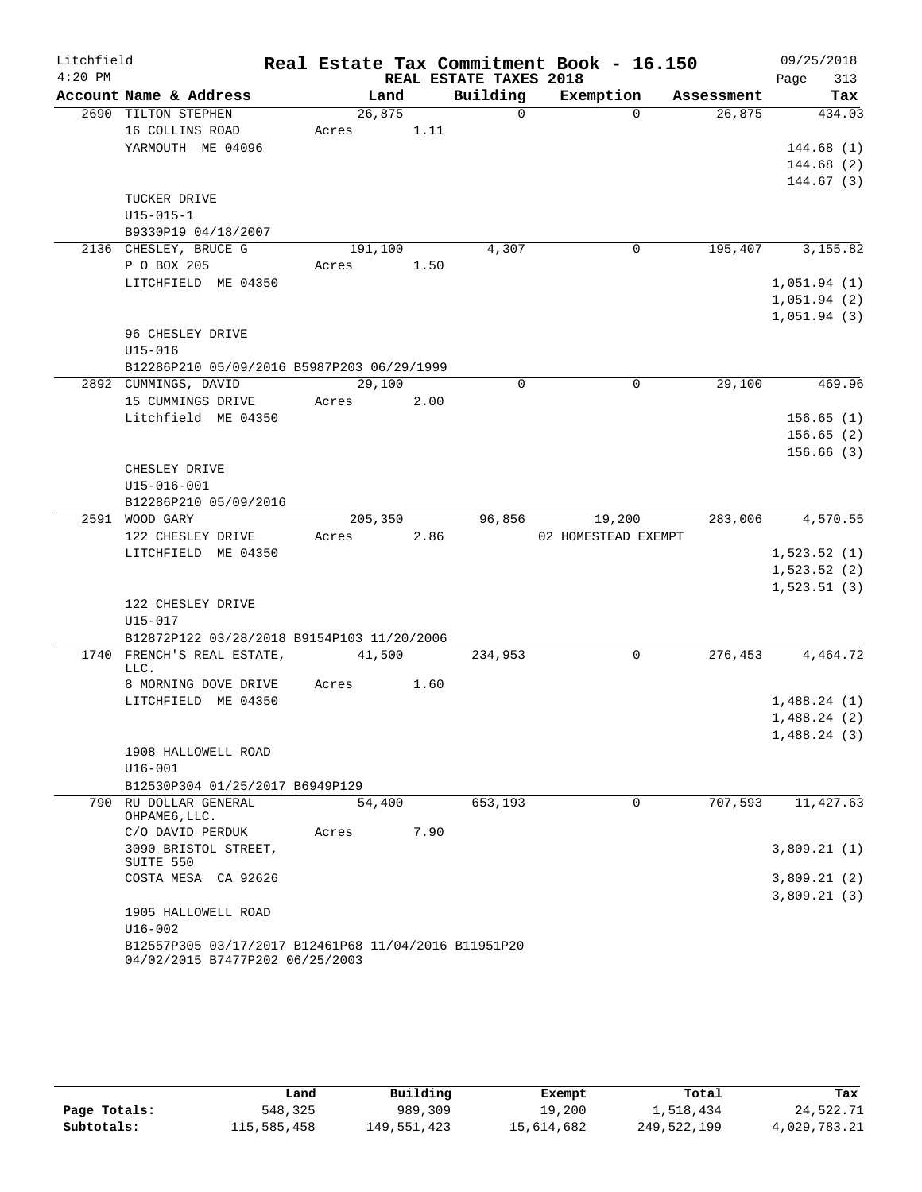| Litchfield |                                                                                         |         |      |                        | Real Estate Tax Commitment Book - 16.150 |            | 09/25/2018  |
|------------|-----------------------------------------------------------------------------------------|---------|------|------------------------|------------------------------------------|------------|-------------|
| $4:20$ PM  |                                                                                         |         |      | REAL ESTATE TAXES 2018 |                                          |            | 313<br>Page |
|            | Account Name & Address                                                                  | Land    |      | Building               | Exemption                                | Assessment | Tax         |
|            | 2690 TILTON STEPHEN                                                                     | 26,875  |      | $\Omega$               | $\Omega$                                 | 26,875     | 434.03      |
|            | 16 COLLINS ROAD                                                                         | Acres   | 1.11 |                        |                                          |            |             |
|            | YARMOUTH ME 04096                                                                       |         |      |                        |                                          |            | 144.68(1)   |
|            |                                                                                         |         |      |                        |                                          |            | 144.68(2)   |
|            |                                                                                         |         |      |                        |                                          |            | 144.67(3)   |
|            | TUCKER DRIVE                                                                            |         |      |                        |                                          |            |             |
|            | $U15 - 015 - 1$                                                                         |         |      |                        |                                          |            |             |
|            | B9330P19 04/18/2007                                                                     |         |      |                        |                                          |            |             |
|            | 2136 CHESLEY, BRUCE G                                                                   | 191,100 |      | 4,307                  | 0                                        | 195,407    | 3, 155.82   |
|            | P O BOX 205                                                                             | Acres   | 1.50 |                        |                                          |            |             |
|            | LITCHFIELD ME 04350                                                                     |         |      |                        |                                          |            | 1,051.94(1) |
|            |                                                                                         |         |      |                        |                                          |            | 1,051.94(2) |
|            |                                                                                         |         |      |                        |                                          |            | 1,051.94(3) |
|            | 96 CHESLEY DRIVE                                                                        |         |      |                        |                                          |            |             |
|            | $U15 - 016$                                                                             |         |      |                        |                                          |            |             |
|            | B12286P210 05/09/2016 B5987P203 06/29/1999                                              |         |      |                        |                                          |            |             |
|            | 2892 CUMMINGS, DAVID                                                                    | 29,100  |      | $\Omega$               | $\Omega$                                 | 29,100     | 469.96      |
|            | 15 CUMMINGS DRIVE                                                                       | Acres   | 2.00 |                        |                                          |            |             |
|            | Litchfield ME 04350                                                                     |         |      |                        |                                          |            | 156.65(1)   |
|            |                                                                                         |         |      |                        |                                          |            | 156.65(2)   |
|            |                                                                                         |         |      |                        |                                          |            | 156.66(3)   |
|            | CHESLEY DRIVE                                                                           |         |      |                        |                                          |            |             |
|            | U15-016-001                                                                             |         |      |                        |                                          |            |             |
|            | B12286P210 05/09/2016                                                                   |         |      |                        |                                          |            |             |
|            | 2591 WOOD GARY                                                                          | 205,350 |      | 96,856                 | 19,200                                   | 283,006    | 4,570.55    |
|            | 122 CHESLEY DRIVE                                                                       | Acres   | 2.86 |                        | 02 HOMESTEAD EXEMPT                      |            |             |
|            | LITCHFIELD ME 04350                                                                     |         |      |                        |                                          |            | 1,523.52(1) |
|            |                                                                                         |         |      |                        |                                          |            | 1,523.52(2) |
|            |                                                                                         |         |      |                        |                                          |            | 1,523.51(3) |
|            | 122 CHESLEY DRIVE                                                                       |         |      |                        |                                          |            |             |
|            | U15-017                                                                                 |         |      |                        |                                          |            |             |
|            | B12872P122 03/28/2018 B9154P103 11/20/2006<br>1740 FRENCH'S REAL ESTATE,                | 41,500  |      |                        | 0                                        | 276,453    | 4,464.72    |
|            | LLC.                                                                                    |         |      | 234,953                |                                          |            |             |
|            | 8 MORNING DOVE DRIVE                                                                    | Acres   | 1.60 |                        |                                          |            |             |
|            | LITCHFIELD ME 04350                                                                     |         |      |                        |                                          |            | 1,488.24(1) |
|            |                                                                                         |         |      |                        |                                          |            | 1,488.24(2) |
|            |                                                                                         |         |      |                        |                                          |            | 1,488.24(3) |
|            | 1908 HALLOWELL ROAD                                                                     |         |      |                        |                                          |            |             |
|            | $U16 - 001$                                                                             |         |      |                        |                                          |            |             |
|            | B12530P304 01/25/2017 B6949P129                                                         |         |      |                        |                                          |            |             |
|            | 790 RU DOLLAR GENERAL                                                                   | 54,400  |      | 653,193                | $\mathbf 0$                              | 707,593    | 11,427.63   |
|            | OHPAME6, LLC.                                                                           |         |      |                        |                                          |            |             |
|            | C/O DAVID PERDUK                                                                        | Acres   | 7.90 |                        |                                          |            |             |
|            | 3090 BRISTOL STREET,<br>SUITE 550                                                       |         |      |                        |                                          |            | 3,809.21(1) |
|            | COSTA MESA CA 92626                                                                     |         |      |                        |                                          |            | 3,809.21(2) |
|            |                                                                                         |         |      |                        |                                          |            | 3,809.21(3) |
|            | 1905 HALLOWELL ROAD                                                                     |         |      |                        |                                          |            |             |
|            | U16-002                                                                                 |         |      |                        |                                          |            |             |
|            | B12557P305 03/17/2017 B12461P68 11/04/2016 B11951P20<br>04/02/2015 B7477P202 06/25/2003 |         |      |                        |                                          |            |             |

|              | Land        | Building    | Exempt     | Total       | Tax          |
|--------------|-------------|-------------|------------|-------------|--------------|
| Page Totals: | 548,325     | 989,309     | 19,200     | 1,518,434   | 24,522.71    |
| Subtotals:   | 115,585,458 | 149,551,423 | 15,614,682 | 249,522,199 | 4,029,783.21 |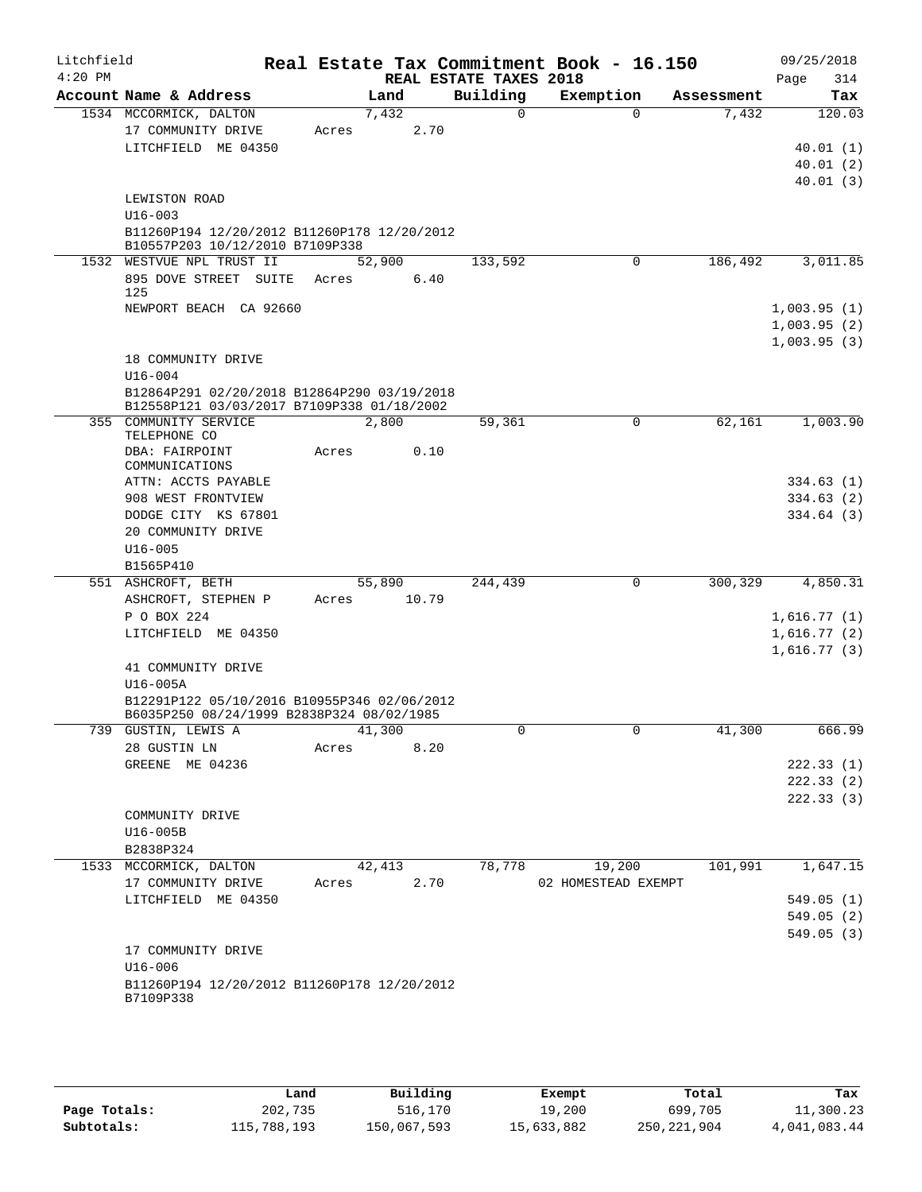| Litchfield |                                                                                           |       |        |      |                        | Real Estate Tax Commitment Book - 16.150 |          |            |      | 09/25/2018  |
|------------|-------------------------------------------------------------------------------------------|-------|--------|------|------------------------|------------------------------------------|----------|------------|------|-------------|
| $4:20$ PM  |                                                                                           |       |        |      | REAL ESTATE TAXES 2018 |                                          |          |            | Page | 314         |
|            | Account Name & Address                                                                    |       | Land   |      | Building               | Exemption                                |          | Assessment |      | Tax         |
|            | 1534 MCCORMICK, DALTON                                                                    |       | 7,432  |      | $\Omega$               |                                          | $\Omega$ | 7,432      |      | 120.03      |
|            | 17 COMMUNITY DRIVE                                                                        | Acres |        | 2.70 |                        |                                          |          |            |      |             |
|            | LITCHFIELD ME 04350                                                                       |       |        |      |                        |                                          |          |            |      | 40.01(1)    |
|            |                                                                                           |       |        |      |                        |                                          |          |            |      | 40.01(2)    |
|            |                                                                                           |       |        |      |                        |                                          |          |            |      | 40.01(3)    |
|            | LEWISTON ROAD                                                                             |       |        |      |                        |                                          |          |            |      |             |
|            | $U16 - 003$<br>B11260P194 12/20/2012 B11260P178 12/20/2012                                |       |        |      |                        |                                          |          |            |      |             |
|            | B10557P203 10/12/2010 B7109P338                                                           |       |        |      |                        |                                          |          |            |      |             |
|            | 1532 WESTVUE NPL TRUST II                                                                 |       | 52,900 |      | 133,592                |                                          | 0        | 186,492    |      | 3,011.85    |
|            | 895 DOVE STREET SUITE<br>125                                                              | Acres |        | 6.40 |                        |                                          |          |            |      |             |
|            | NEWPORT BEACH CA 92660                                                                    |       |        |      |                        |                                          |          |            |      | 1,003.95(1) |
|            |                                                                                           |       |        |      |                        |                                          |          |            |      | 1,003.95(2) |
|            |                                                                                           |       |        |      |                        |                                          |          |            |      | 1,003.95(3) |
|            | 18 COMMUNITY DRIVE                                                                        |       |        |      |                        |                                          |          |            |      |             |
|            | $U16 - 004$                                                                               |       |        |      |                        |                                          |          |            |      |             |
|            | B12864P291 02/20/2018 B12864P290 03/19/2018<br>B12558P121 03/03/2017 B7109P338 01/18/2002 |       |        |      |                        |                                          |          |            |      |             |
|            | 355 COMMUNITY SERVICE<br>TELEPHONE CO                                                     |       | 2,800  |      | 59,361                 |                                          | 0        | 62,161     |      | 1,003.90    |
|            | DBA: FAIRPOINT                                                                            | Acres |        | 0.10 |                        |                                          |          |            |      |             |
|            | COMMUNICATIONS                                                                            |       |        |      |                        |                                          |          |            |      |             |
|            | ATTN: ACCTS PAYABLE                                                                       |       |        |      |                        |                                          |          |            |      | 334.63(1)   |
|            | 908 WEST FRONTVIEW                                                                        |       |        |      |                        |                                          |          |            |      | 334.63 (2)  |
|            | DODGE CITY KS 67801                                                                       |       |        |      |                        |                                          |          |            |      | 334.64(3)   |
|            | 20 COMMUNITY DRIVE                                                                        |       |        |      |                        |                                          |          |            |      |             |
|            | $U16 - 005$<br>B1565P410                                                                  |       |        |      |                        |                                          |          |            |      |             |
|            | 551 ASHCROFT, BETH                                                                        |       | 55,890 |      | 244,439                |                                          | 0        | 300,329    |      | 4,850.31    |
|            | ASHCROFT, STEPHEN P                                                                       | Acres | 10.79  |      |                        |                                          |          |            |      |             |
|            | P O BOX 224                                                                               |       |        |      |                        |                                          |          |            |      | 1,616.77(1) |
|            | LITCHFIELD ME 04350                                                                       |       |        |      |                        |                                          |          |            |      | 1,616.77(2) |
|            |                                                                                           |       |        |      |                        |                                          |          |            |      | 1,616.77(3) |
|            | 41 COMMUNITY DRIVE                                                                        |       |        |      |                        |                                          |          |            |      |             |
|            | U16-005A                                                                                  |       |        |      |                        |                                          |          |            |      |             |
|            | B12291P122 05/10/2016 B10955P346 02/06/2012                                               |       |        |      |                        |                                          |          |            |      |             |
|            | B6035P250 08/24/1999 B2838P324 08/02/1985                                                 |       |        |      |                        |                                          |          |            |      |             |
|            | 739 GUSTIN, LEWIS A                                                                       |       | 41,300 |      | U                      |                                          | U        | 41,300     |      | 666.99      |
|            | 28 GUSTIN LN                                                                              | Acres |        | 8.20 |                        |                                          |          |            |      |             |
|            | GREENE ME 04236                                                                           |       |        |      |                        |                                          |          |            |      | 222.33(1)   |
|            |                                                                                           |       |        |      |                        |                                          |          |            |      | 222.33(2)   |
|            |                                                                                           |       |        |      |                        |                                          |          |            |      | 222.33(3)   |
|            | COMMUNITY DRIVE                                                                           |       |        |      |                        |                                          |          |            |      |             |
|            | U16-005B<br>B2838P324                                                                     |       |        |      |                        |                                          |          |            |      |             |
|            | 1533 MCCORMICK, DALTON                                                                    |       | 42,413 |      | 78,778                 | 19,200                                   |          | 101,991    |      | 1,647.15    |
|            | 17 COMMUNITY DRIVE                                                                        | Acres |        | 2.70 |                        | 02 HOMESTEAD EXEMPT                      |          |            |      |             |
|            | LITCHFIELD ME 04350                                                                       |       |        |      |                        |                                          |          |            |      | 549.05(1)   |
|            |                                                                                           |       |        |      |                        |                                          |          |            |      | 549.05(2)   |
|            |                                                                                           |       |        |      |                        |                                          |          |            |      | 549.05(3)   |
|            | 17 COMMUNITY DRIVE                                                                        |       |        |      |                        |                                          |          |            |      |             |
|            | $U16 - 006$                                                                               |       |        |      |                        |                                          |          |            |      |             |
|            | B11260P194 12/20/2012 B11260P178 12/20/2012<br>B7109P338                                  |       |        |      |                        |                                          |          |            |      |             |
|            |                                                                                           |       |        |      |                        |                                          |          |            |      |             |

|              | Land        | Building    | Exempt     | Total         | Tax          |
|--------------|-------------|-------------|------------|---------------|--------------|
| Page Totals: | 202,735     | 516,170     | 19,200     | 699,705       | 11,300.23    |
| Subtotals:   | 115,788,193 | 150,067,593 | 15,633,882 | 250, 221, 904 | 4,041,083.44 |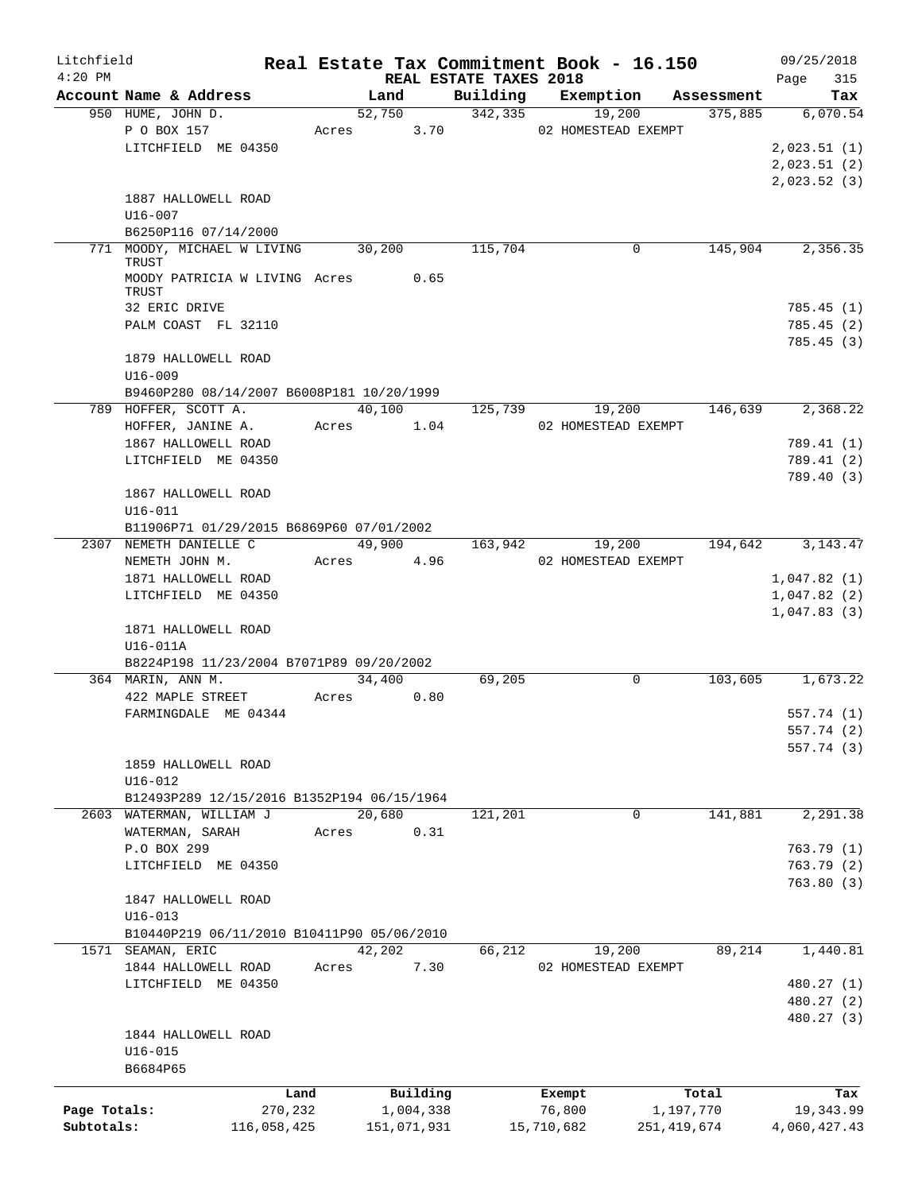| Litchfield   |                                            |             |        |                                |          | Real Estate Tax Commitment Book - 16.150 |                       | 09/25/2018             |
|--------------|--------------------------------------------|-------------|--------|--------------------------------|----------|------------------------------------------|-----------------------|------------------------|
| $4:20$ PM    | Account Name & Address                     |             |        | REAL ESTATE TAXES 2018<br>Land | Building | Exemption                                |                       | 315<br>Page            |
|              | 950 HUME, JOHN D.                          |             |        | 52,750                         | 342,335  | 19,200                                   | Assessment<br>375,885 | Tax<br>6,070.54        |
|              | P O BOX 157                                |             |        | Acres 3.70                     |          | 02 HOMESTEAD EXEMPT                      |                       |                        |
|              | LITCHFIELD ME 04350                        |             |        |                                |          |                                          |                       | 2,023.51(1)            |
|              |                                            |             |        |                                |          |                                          |                       | 2,023.51(2)            |
|              |                                            |             |        |                                |          |                                          |                       | 2,023.52(3)            |
|              | 1887 HALLOWELL ROAD                        |             |        |                                |          |                                          |                       |                        |
|              | $U16 - 007$                                |             |        |                                |          |                                          |                       |                        |
|              | B6250P116 07/14/2000                       |             |        |                                |          |                                          |                       |                        |
|              | 771 MOODY, MICHAEL W LIVING                |             | 30,200 |                                | 115,704  | 0                                        | 145,904               | 2,356.35               |
|              | TRUST                                      |             |        |                                |          |                                          |                       |                        |
|              | MOODY PATRICIA W LIVING Acres              |             |        | 0.65                           |          |                                          |                       |                        |
|              | TRUST                                      |             |        |                                |          |                                          |                       |                        |
|              | 32 ERIC DRIVE                              |             |        |                                |          |                                          |                       | 785.45(1)              |
|              | PALM COAST FL 32110                        |             |        |                                |          |                                          |                       | 785.45(2)              |
|              |                                            |             |        |                                |          |                                          |                       | 785.45(3)              |
|              | 1879 HALLOWELL ROAD<br>$U16 - 009$         |             |        |                                |          |                                          |                       |                        |
|              | B9460P280 08/14/2007 B6008P181 10/20/1999  |             |        |                                |          |                                          |                       |                        |
|              | 789 HOFFER, SCOTT A.                       |             | 40,100 |                                | 125,739  | 19,200                                   | 146,639               | 2,368.22               |
|              | HOFFER, JANINE A.                          |             |        | Acres 1.04                     |          | 02 HOMESTEAD EXEMPT                      |                       |                        |
|              | 1867 HALLOWELL ROAD                        |             |        |                                |          |                                          |                       | 789.41 (1)             |
|              | LITCHFIELD ME 04350                        |             |        |                                |          |                                          |                       | 789.41 (2)             |
|              |                                            |             |        |                                |          |                                          |                       | 789.40 (3)             |
|              | 1867 HALLOWELL ROAD                        |             |        |                                |          |                                          |                       |                        |
|              | $U16 - 011$                                |             |        |                                |          |                                          |                       |                        |
|              | B11906P71 01/29/2015 B6869P60 07/01/2002   |             |        |                                |          |                                          |                       |                        |
|              | 2307 NEMETH DANIELLE C                     |             |        | 49,900                         | 163,942  | 19,200                                   | 194,642               | 3, 143. 47             |
|              | NEMETH JOHN M.                             |             | Acres  | 4.96                           |          | 02 HOMESTEAD EXEMPT                      |                       |                        |
|              | 1871 HALLOWELL ROAD                        |             |        |                                |          |                                          |                       | 1,047.82(1)            |
|              | LITCHFIELD ME 04350                        |             |        |                                |          |                                          |                       | 1,047.82(2)            |
|              |                                            |             |        |                                |          |                                          |                       | 1,047.83(3)            |
|              | 1871 HALLOWELL ROAD                        |             |        |                                |          |                                          |                       |                        |
|              | U16-011A                                   |             |        |                                |          |                                          |                       |                        |
|              | B8224P198 11/23/2004 B7071P89 09/20/2002   |             |        |                                |          |                                          |                       |                        |
|              | 364 MARIN, ANN M.                          |             | 34,400 |                                | 69,205   | 0                                        |                       | 103,605 1,673.22       |
|              | 422 MAPLE STREET                           |             | Acres  | 0.80                           |          |                                          |                       |                        |
|              | FARMINGDALE ME 04344                       |             |        |                                |          |                                          |                       | 557.74 (1)             |
|              |                                            |             |        |                                |          |                                          |                       | 557.74 (2)             |
|              |                                            |             |        |                                |          |                                          |                       | 557.74 (3)             |
|              | 1859 HALLOWELL ROAD                        |             |        |                                |          |                                          |                       |                        |
|              | U16-012                                    |             |        |                                |          |                                          |                       |                        |
|              | B12493P289 12/15/2016 B1352P194 06/15/1964 |             |        |                                |          |                                          |                       |                        |
|              | 2603 WATERMAN, WILLIAM J                   |             | 20,680 |                                | 121,201  | 0                                        | 141,881               | 2,291.38               |
|              | WATERMAN, SARAH                            |             | Acres  | 0.31                           |          |                                          |                       |                        |
|              | P.O BOX 299<br>LITCHFIELD ME 04350         |             |        |                                |          |                                          |                       | 763.79(1)<br>763.79(2) |
|              |                                            |             |        |                                |          |                                          |                       | 763.80(3)              |
|              | 1847 HALLOWELL ROAD                        |             |        |                                |          |                                          |                       |                        |
|              | $U16 - 013$                                |             |        |                                |          |                                          |                       |                        |
|              | B10440P219 06/11/2010 B10411P90 05/06/2010 |             |        |                                |          |                                          |                       |                        |
|              | 1571 SEAMAN, ERIC                          |             | 42,202 |                                | 66,212   | 19,200                                   | 89,214                | 1,440.81               |
|              | 1844 HALLOWELL ROAD                        |             | Acres  | 7.30                           |          | 02 HOMESTEAD EXEMPT                      |                       |                        |
|              | LITCHFIELD ME 04350                        |             |        |                                |          |                                          |                       | 480.27 (1)             |
|              |                                            |             |        |                                |          |                                          |                       | 480.27 (2)             |
|              |                                            |             |        |                                |          |                                          |                       | 480.27 (3)             |
|              | 1844 HALLOWELL ROAD                        |             |        |                                |          |                                          |                       |                        |
|              | $U16 - 015$                                |             |        |                                |          |                                          |                       |                        |
|              | B6684P65                                   |             |        |                                |          |                                          |                       |                        |
|              |                                            | Land        |        | Building                       |          | Exempt                                   | Total                 | Tax                    |
| Page Totals: |                                            | 270,232     |        | 1,004,338                      |          | 76,800                                   | 1,197,770             | 19,343.99              |
| Subtotals:   |                                            | 116,058,425 |        | 151,071,931                    |          | 15,710,682                               | 251, 419, 674         | 4,060,427.43           |
|              |                                            |             |        |                                |          |                                          |                       |                        |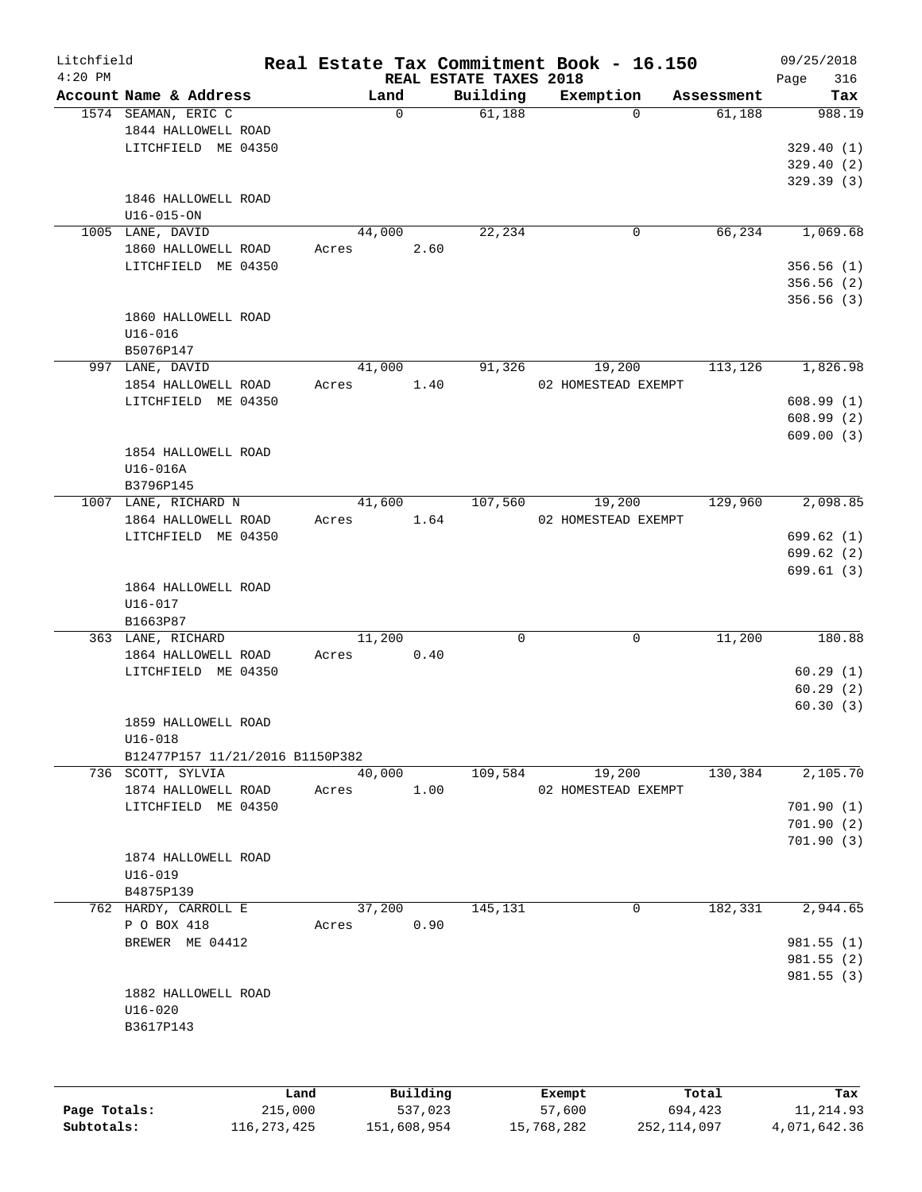| Litchfield   |                                 |        |             |                                    | Real Estate Tax Commitment Book - 16.150 |            | 09/25/2018         |
|--------------|---------------------------------|--------|-------------|------------------------------------|------------------------------------------|------------|--------------------|
| $4:20$ PM    | Account Name & Address          |        | Land        | REAL ESTATE TAXES 2018<br>Building | Exemption                                | Assessment | 316<br>Page<br>Tax |
|              | 1574 SEAMAN, ERIC C             |        | $\mathbf 0$ | 61,188                             | $\Omega$                                 | 61,188     | 988.19             |
|              | 1844 HALLOWELL ROAD             |        |             |                                    |                                          |            |                    |
|              | LITCHFIELD ME 04350             |        |             |                                    |                                          |            | 329.40(1)          |
|              |                                 |        |             |                                    |                                          |            | 329.40(2)          |
|              |                                 |        |             |                                    |                                          |            | 329.39(3)          |
|              | 1846 HALLOWELL ROAD             |        |             |                                    |                                          |            |                    |
|              | $U16 - 015 - ON$                |        |             |                                    |                                          |            |                    |
|              | 1005 LANE, DAVID                | 44,000 |             | 22,234                             | 0                                        | 66,234     | 1,069.68           |
|              | 1860 HALLOWELL ROAD             | Acres  | 2.60        |                                    |                                          |            |                    |
|              | LITCHFIELD ME 04350             |        |             |                                    |                                          |            | 356.56(1)          |
|              |                                 |        |             |                                    |                                          |            | 356.56 (2)         |
|              |                                 |        |             |                                    |                                          |            | 356.56(3)          |
|              | 1860 HALLOWELL ROAD             |        |             |                                    |                                          |            |                    |
|              | $U16 - 016$                     |        |             |                                    |                                          |            |                    |
|              | B5076P147                       |        |             |                                    |                                          |            |                    |
|              | 997 LANE, DAVID                 | 41,000 |             | 91,326                             | 19,200                                   | 113,126    | 1,826.98           |
|              | 1854 HALLOWELL ROAD             | Acres  | 1.40        |                                    | 02 HOMESTEAD EXEMPT                      |            |                    |
|              | LITCHFIELD ME 04350             |        |             |                                    |                                          |            | 608.99(1)          |
|              |                                 |        |             |                                    |                                          |            | 608.99(2)          |
|              |                                 |        |             |                                    |                                          |            | 609.00(3)          |
|              | 1854 HALLOWELL ROAD             |        |             |                                    |                                          |            |                    |
|              | U16-016A                        |        |             |                                    |                                          |            |                    |
|              | B3796P145                       |        |             |                                    |                                          |            |                    |
|              | 1007 LANE, RICHARD N            | 41,600 |             | 107,560                            | 19,200                                   | 129,960    | 2,098.85           |
|              | 1864 HALLOWELL ROAD             | Acres  | 1.64        |                                    | 02 HOMESTEAD EXEMPT                      |            |                    |
|              | LITCHFIELD ME 04350             |        |             |                                    |                                          |            | 699.62(1)          |
|              |                                 |        |             |                                    |                                          |            | 699.62(2)          |
|              |                                 |        |             |                                    |                                          |            | 699.61(3)          |
|              | 1864 HALLOWELL ROAD             |        |             |                                    |                                          |            |                    |
|              | $U16 - 017$                     |        |             |                                    |                                          |            |                    |
|              | B1663P87                        |        |             |                                    |                                          |            |                    |
|              | 363 LANE, RICHARD               | 11,200 |             | $\mathbf 0$                        | $\mathbf 0$                              | 11,200     | 180.88             |
|              | 1864 HALLOWELL ROAD             | Acres  | 0.40        |                                    |                                          |            |                    |
|              | LITCHFIELD ME 04350             |        |             |                                    |                                          |            | 60.29(1)           |
|              |                                 |        |             |                                    |                                          |            | 60.29(2)           |
|              |                                 |        |             |                                    |                                          |            | 60.30(3)           |
|              | 1859 HALLOWELL ROAD             |        |             |                                    |                                          |            |                    |
|              | $U16 - 018$                     |        |             |                                    |                                          |            |                    |
|              | B12477P157 11/21/2016 B1150P382 |        |             |                                    |                                          |            |                    |
|              | 736 SCOTT, SYLVIA               | 40,000 |             | 109,584                            | 19,200                                   | 130,384    | 2,105.70           |
|              | 1874 HALLOWELL ROAD             | Acres  | 1.00        |                                    | 02 HOMESTEAD EXEMPT                      |            |                    |
|              | LITCHFIELD ME 04350             |        |             |                                    |                                          |            | 701.90(1)          |
|              |                                 |        |             |                                    |                                          |            | 701.90(2)          |
|              |                                 |        |             |                                    |                                          |            | 701.90(3)          |
|              | 1874 HALLOWELL ROAD             |        |             |                                    |                                          |            |                    |
|              | $U16 - 019$                     |        |             |                                    |                                          |            |                    |
|              | B4875P139                       |        |             |                                    |                                          |            |                    |
|              | 762 HARDY, CARROLL E            | 37,200 |             | 145,131                            | $\mathbf 0$                              | 182, 331   | 2,944.65           |
|              | P O BOX 418                     | Acres  | 0.90        |                                    |                                          |            |                    |
|              | BREWER ME 04412                 |        |             |                                    |                                          |            | 981.55(1)          |
|              |                                 |        |             |                                    |                                          |            | 981.55(2)          |
|              |                                 |        |             |                                    |                                          |            | 981.55(3)          |
|              | 1882 HALLOWELL ROAD             |        |             |                                    |                                          |            |                    |
|              | $U16 - 020$                     |        |             |                                    |                                          |            |                    |
|              | B3617P143                       |        |             |                                    |                                          |            |                    |
|              |                                 |        |             |                                    |                                          |            |                    |
|              |                                 |        |             |                                    |                                          |            |                    |
|              | Land                            |        | Building    |                                    |                                          | Total      | Tax                |
| Page Totals: | 215,000                         |        | 537,023     |                                    | Exempt<br>57,600                         | 694,423    | 11, 214.93         |
|              |                                 |        |             |                                    |                                          |            |                    |

**Subtotals:** 116,273,425 151,608,954 15,768,282 252,114,097 4,071,642.36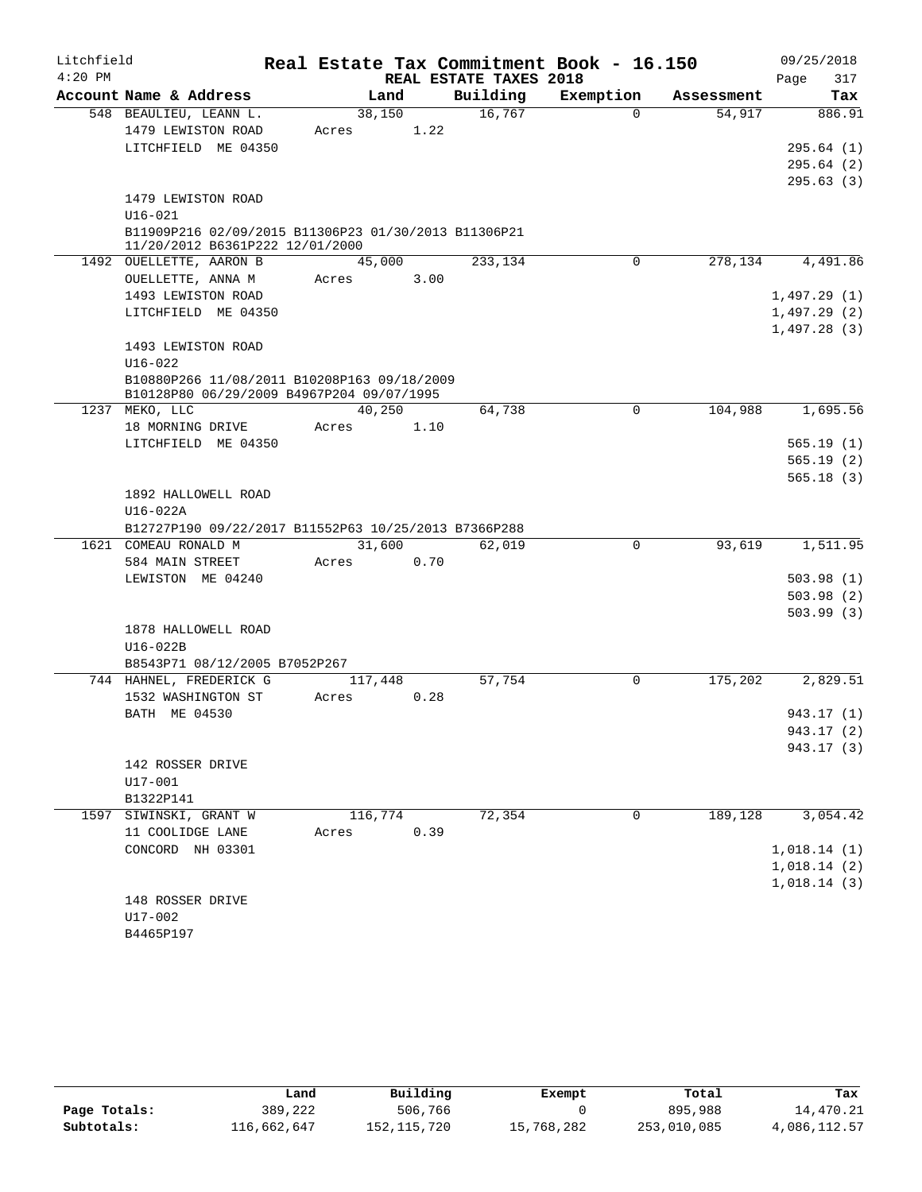| Litchfield |                                                                                         | Real Estate Tax Commitment Book - 16.150 |      |                        |           |            | 09/25/2018             |
|------------|-----------------------------------------------------------------------------------------|------------------------------------------|------|------------------------|-----------|------------|------------------------|
| $4:20$ PM  |                                                                                         |                                          |      | REAL ESTATE TAXES 2018 |           |            | 317<br>Page            |
|            | Account Name & Address                                                                  | Land                                     |      | Building               | Exemption | Assessment | Tax                    |
|            | 548 BEAULIEU, LEANN L.                                                                  | 38,150                                   |      | 16,767                 | $\Omega$  | 54,917     | 886.91                 |
|            | 1479 LEWISTON ROAD                                                                      | Acres                                    | 1.22 |                        |           |            |                        |
|            | LITCHFIELD ME 04350                                                                     |                                          |      |                        |           |            | 295.64(1)              |
|            |                                                                                         |                                          |      |                        |           |            | 295.64(2)              |
|            |                                                                                         |                                          |      |                        |           |            | 295.63(3)              |
|            | 1479 LEWISTON ROAD                                                                      |                                          |      |                        |           |            |                        |
|            | $U16 - 021$                                                                             |                                          |      |                        |           |            |                        |
|            | B11909P216 02/09/2015 B11306P23 01/30/2013 B11306P21<br>11/20/2012 B6361P222 12/01/2000 |                                          |      |                        |           |            |                        |
|            | 1492 OUELLETTE, AARON B                                                                 | 45,000                                   |      | 233,134                | 0         | 278,134    | 4,491.86               |
|            | OUELLETTE, ANNA M                                                                       | Acres                                    | 3.00 |                        |           |            |                        |
|            | 1493 LEWISTON ROAD                                                                      |                                          |      |                        |           |            | 1,497.29(1)            |
|            | LITCHFIELD ME 04350                                                                     |                                          |      |                        |           |            | 1,497.29(2)            |
|            |                                                                                         |                                          |      |                        |           |            | 1,497.28(3)            |
|            | 1493 LEWISTON ROAD                                                                      |                                          |      |                        |           |            |                        |
|            | $U16 - 022$                                                                             |                                          |      |                        |           |            |                        |
|            | B10880P266 11/08/2011 B10208P163 09/18/2009                                             |                                          |      |                        |           |            |                        |
|            | B10128P80 06/29/2009 B4967P204 09/07/1995                                               |                                          |      |                        |           |            |                        |
| 1237       | MEKO, LLC                                                                               | 40,250                                   |      | 64,738                 | 0         | 104,988    | 1,695.56               |
|            | 18 MORNING DRIVE                                                                        | Acres                                    | 1.10 |                        |           |            |                        |
|            | LITCHFIELD ME 04350                                                                     |                                          |      |                        |           |            | 565.19(1)<br>565.19(2) |
|            |                                                                                         |                                          |      |                        |           |            | 565.18(3)              |
|            | 1892 HALLOWELL ROAD                                                                     |                                          |      |                        |           |            |                        |
|            | $U16-022A$                                                                              |                                          |      |                        |           |            |                        |
|            | B12727P190 09/22/2017 B11552P63 10/25/2013 B7366P288                                    |                                          |      |                        |           |            |                        |
|            | 1621 COMEAU RONALD M                                                                    | 31,600                                   |      | 62,019                 | 0         | 93,619     | 1,511.95               |
|            | 584 MAIN STREET                                                                         | Acres                                    | 0.70 |                        |           |            |                        |
|            | LEWISTON ME 04240                                                                       |                                          |      |                        |           |            | 503.98(1)              |
|            |                                                                                         |                                          |      |                        |           |            | 503.98(2)              |
|            |                                                                                         |                                          |      |                        |           |            | 503.99(3)              |
|            | 1878 HALLOWELL ROAD                                                                     |                                          |      |                        |           |            |                        |
|            | U16-022B                                                                                |                                          |      |                        |           |            |                        |
|            | B8543P71 08/12/2005 B7052P267                                                           |                                          |      |                        |           |            |                        |
|            | 744 HAHNEL, FREDERICK G                                                                 | 117,448                                  |      | 57,754                 | 0         | 175,202    | 2,829.51               |
|            | 1532 WASHINGTON ST                                                                      | Acres                                    | 0.28 |                        |           |            |                        |
|            | BATH ME 04530                                                                           |                                          |      |                        |           |            | 943.17 (1)             |
|            |                                                                                         |                                          |      |                        |           |            | 943.17 (2)             |
|            |                                                                                         |                                          |      |                        |           |            | 943.17 (3)             |
|            | 142 ROSSER DRIVE                                                                        |                                          |      |                        |           |            |                        |
|            | $U17 - 001$                                                                             |                                          |      |                        |           |            |                        |
| 1597       | B1322P141<br>SIWINSKI, GRANT W                                                          | 116,774                                  |      | 72,354                 | 0         | 189,128    | 3,054.42               |
|            | 11 COOLIDGE LANE                                                                        | Acres                                    | 0.39 |                        |           |            |                        |
|            | CONCORD NH 03301                                                                        |                                          |      |                        |           |            | 1,018.14(1)            |
|            |                                                                                         |                                          |      |                        |           |            | 1,018.14(2)            |
|            |                                                                                         |                                          |      |                        |           |            | 1,018.14(3)            |
|            | 148 ROSSER DRIVE                                                                        |                                          |      |                        |           |            |                        |
|            | U17-002                                                                                 |                                          |      |                        |           |            |                        |
|            | B4465P197                                                                               |                                          |      |                        |           |            |                        |
|            |                                                                                         |                                          |      |                        |           |            |                        |

|              | Land        | Building    | Exempt     | Total       | Tax          |
|--------------|-------------|-------------|------------|-------------|--------------|
| Page Totals: | 389,222     | 506,766     |            | 895,988     | 14,470.21    |
| Subtotals:   | 116,662,647 | 152,115,720 | 15,768,282 | 253,010,085 | 4,086,112.57 |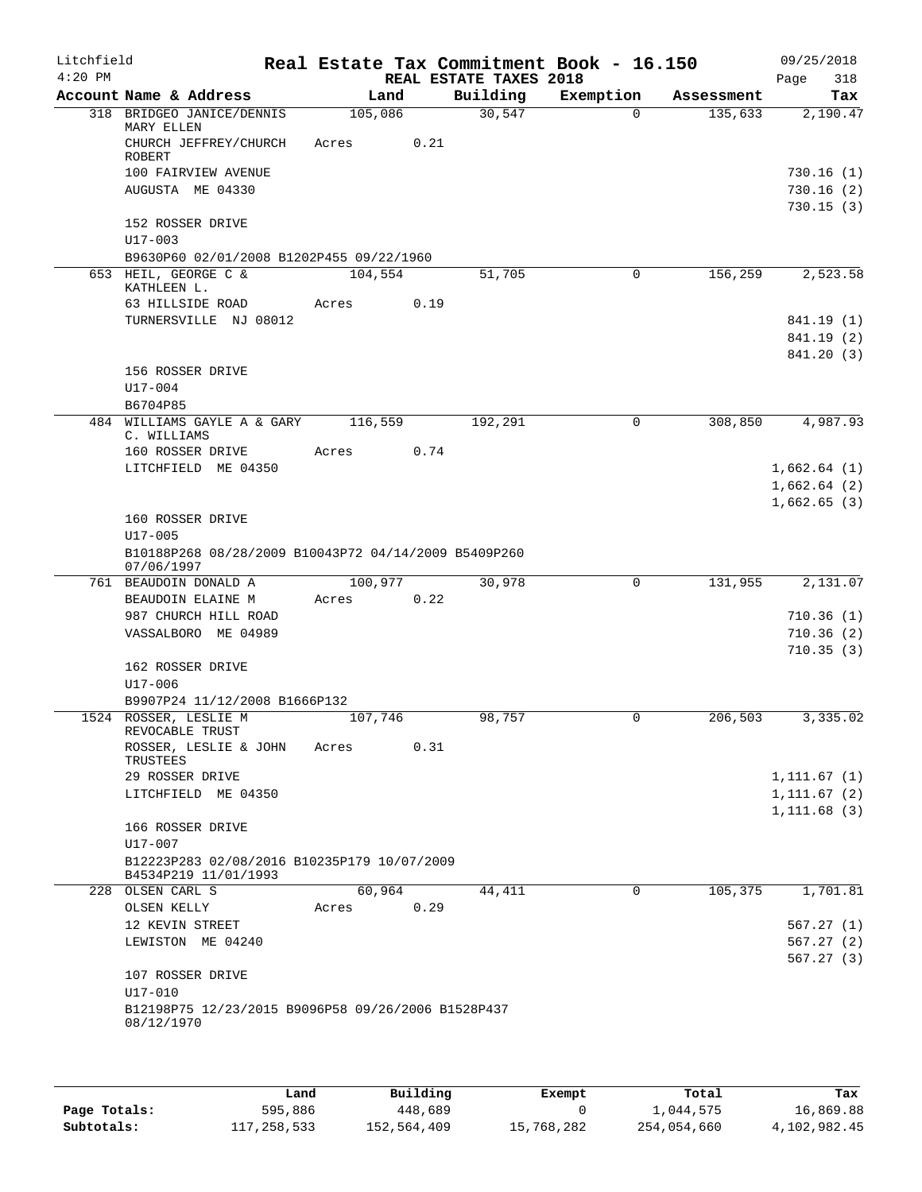| Litchfield<br>$4:20$ PM |                                                                    |         |      |                                    | Real Estate Tax Commitment Book - 16.150 |            | 09/25/2018             |
|-------------------------|--------------------------------------------------------------------|---------|------|------------------------------------|------------------------------------------|------------|------------------------|
|                         | Account Name & Address                                             | Land    |      | REAL ESTATE TAXES 2018<br>Building | Exemption                                | Assessment | 318<br>Page<br>Tax     |
|                         | 318 BRIDGEO JANICE/DENNIS                                          | 105,086 |      | 30,547                             | $\Omega$                                 | 135,633    | 2,190.47               |
|                         | MARY ELLEN<br>CHURCH JEFFREY/CHURCH                                | Acres   | 0.21 |                                    |                                          |            |                        |
|                         | <b>ROBERT</b>                                                      |         |      |                                    |                                          |            |                        |
|                         | 100 FAIRVIEW AVENUE<br>AUGUSTA ME 04330                            |         |      |                                    |                                          |            | 730.16(1)<br>730.16(2) |
|                         |                                                                    |         |      |                                    |                                          |            | 730.15(3)              |
|                         | 152 ROSSER DRIVE<br>$U17 - 003$                                    |         |      |                                    |                                          |            |                        |
|                         | B9630P60 02/01/2008 B1202P455 09/22/1960                           |         |      |                                    |                                          |            |                        |
|                         | 653 HEIL, GEORGE C &                                               | 104,554 |      | 51,705                             | $\mathbf 0$                              | 156,259    | 2,523.58               |
|                         | KATHLEEN L.<br>63 HILLSIDE ROAD                                    |         | 0.19 |                                    |                                          |            |                        |
|                         | TURNERSVILLE NJ 08012                                              | Acres   |      |                                    |                                          |            | 841.19 (1)             |
|                         |                                                                    |         |      |                                    |                                          |            | 841.19 (2)             |
|                         |                                                                    |         |      |                                    |                                          |            | 841.20 (3)             |
|                         | 156 ROSSER DRIVE                                                   |         |      |                                    |                                          |            |                        |
|                         | U17-004                                                            |         |      |                                    |                                          |            |                        |
|                         | B6704P85                                                           |         |      |                                    |                                          |            |                        |
|                         | 484 WILLIAMS GAYLE A & GARY                                        | 116,559 |      | 192,291                            | 0                                        | 308,850    | 4,987.93               |
|                         | C. WILLIAMS<br>160 ROSSER DRIVE                                    | Acres   | 0.74 |                                    |                                          |            |                        |
|                         | LITCHFIELD ME 04350                                                |         |      |                                    |                                          |            | 1,662.64(1)            |
|                         |                                                                    |         |      |                                    |                                          |            | 1,662.64(2)            |
|                         |                                                                    |         |      |                                    |                                          |            | 1,662.65(3)            |
|                         | 160 ROSSER DRIVE                                                   |         |      |                                    |                                          |            |                        |
|                         | $U17 - 005$                                                        |         |      |                                    |                                          |            |                        |
|                         | B10188P268 08/28/2009 B10043P72 04/14/2009 B5409P260<br>07/06/1997 |         |      |                                    |                                          |            |                        |
|                         | 761 BEAUDOIN DONALD A                                              | 100,977 |      | 30,978                             | $\mathbf 0$                              | 131,955    | 2,131.07               |
|                         | BEAUDOIN ELAINE M                                                  | Acres   | 0.22 |                                    |                                          |            |                        |
|                         | 987 CHURCH HILL ROAD                                               |         |      |                                    |                                          |            | 710.36(1)              |
|                         | VASSALBORO ME 04989                                                |         |      |                                    |                                          |            | 710.36(2)              |
|                         |                                                                    |         |      |                                    |                                          |            | 710.35(3)              |
|                         | 162 ROSSER DRIVE<br>U17-006                                        |         |      |                                    |                                          |            |                        |
|                         | B9907P24 11/12/2008 B1666P132                                      |         |      |                                    |                                          |            |                        |
|                         | 1524 ROSSER, LESLIE M                                              | 107,746 |      | 98,757                             | 0                                        | 206,503    | 3,335.02               |
|                         | REVOCABLE TRUST                                                    |         |      |                                    |                                          |            |                        |
|                         | ROSSER, LESLIE & JOHN<br>TRUSTEES                                  | Acres   | 0.31 |                                    |                                          |            |                        |
|                         | 29 ROSSER DRIVE                                                    |         |      |                                    |                                          |            | 1, 111.67(1)           |
|                         | LITCHFIELD ME 04350                                                |         |      |                                    |                                          |            | 1, 111.67(2)           |
|                         |                                                                    |         |      |                                    |                                          |            | 1, 111.68(3)           |
|                         | 166 ROSSER DRIVE                                                   |         |      |                                    |                                          |            |                        |
|                         | U17-007                                                            |         |      |                                    |                                          |            |                        |
|                         | B12223P283 02/08/2016 B10235P179 10/07/2009                        |         |      |                                    |                                          |            |                        |
|                         | B4534P219 11/01/1993<br>228 OLSEN CARL S                           | 60,964  |      | 44,411                             | 0                                        | 105,375    | 1,701.81               |
|                         | OLSEN KELLY                                                        | Acres   | 0.29 |                                    |                                          |            |                        |
|                         | 12 KEVIN STREET                                                    |         |      |                                    |                                          |            | 567.27(1)              |
|                         | LEWISTON ME 04240                                                  |         |      |                                    |                                          |            | 567.27(2)              |
|                         |                                                                    |         |      |                                    |                                          |            | 567.27(3)              |
|                         | 107 ROSSER DRIVE                                                   |         |      |                                    |                                          |            |                        |
|                         | U17-010                                                            |         |      |                                    |                                          |            |                        |
|                         | B12198P75 12/23/2015 B9096P58 09/26/2006 B1528P437                 |         |      |                                    |                                          |            |                        |
|                         | 08/12/1970                                                         |         |      |                                    |                                          |            |                        |
|                         |                                                                    |         |      |                                    |                                          |            |                        |

|              | Land        | Building    | Exempt     | Total       | Tax          |
|--------------|-------------|-------------|------------|-------------|--------------|
| Page Totals: | 595,886     | 448,689     |            | 1,044,575   | 16,869.88    |
| Subtotals:   | 117,258,533 | 152,564,409 | 15,768,282 | 254,054,660 | 4,102,982.45 |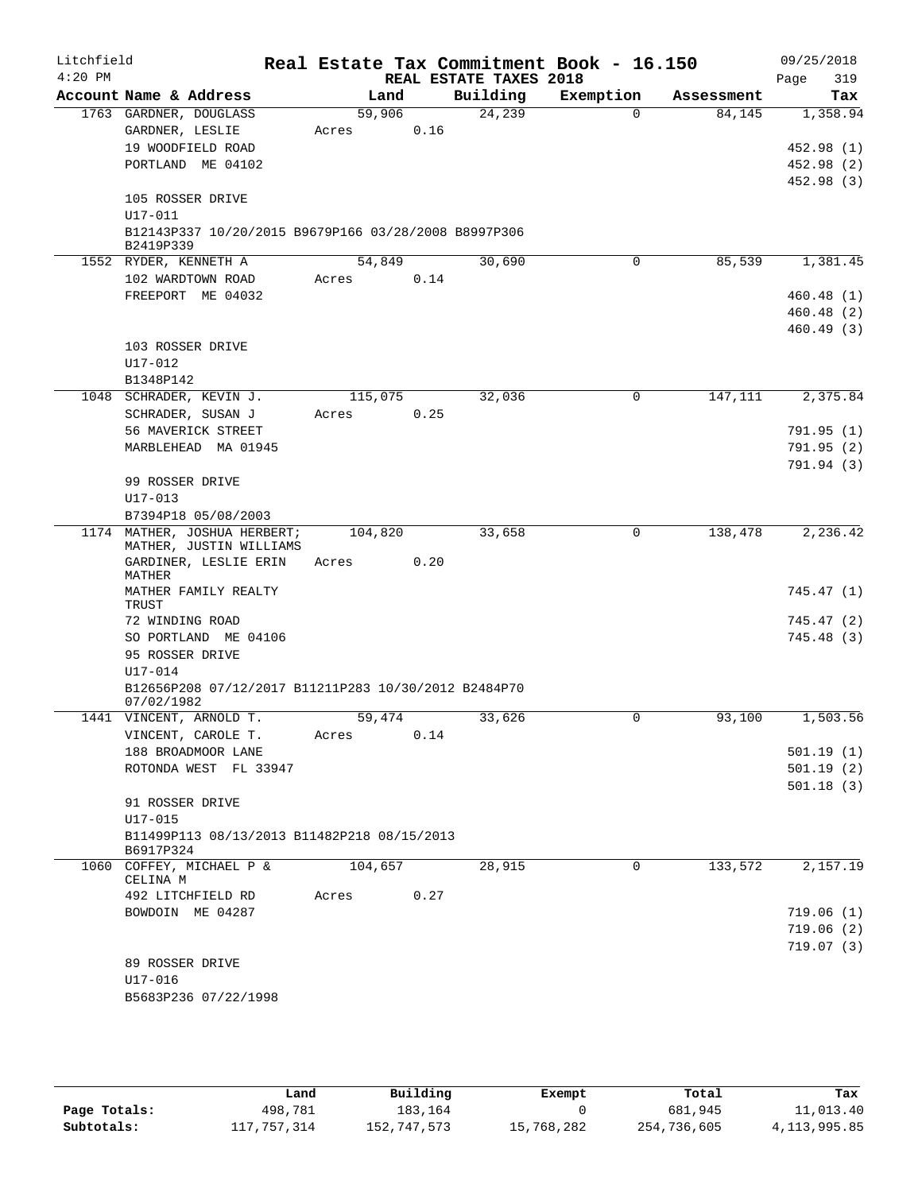| Litchfield<br>$4:20$ PM |             |                                                      |                  |      | REAL ESTATE TAXES 2018 | Real Estate Tax Commitment Book - 16.150 |            | 09/25/2018<br>319<br>Page |
|-------------------------|-------------|------------------------------------------------------|------------------|------|------------------------|------------------------------------------|------------|---------------------------|
|                         |             | Account Name & Address                               | Land             |      | Building               | Exemption                                | Assessment | Tax                       |
|                         |             | 1763 GARDNER, DOUGLASS                               | 59,906           |      | 24,239                 | $\Omega$                                 | 84,145     | 1,358.94                  |
|                         |             | GARDNER, LESLIE                                      | Acres            | 0.16 |                        |                                          |            |                           |
|                         |             | 19 WOODFIELD ROAD                                    |                  |      |                        |                                          |            | 452.98 (1)                |
|                         |             | PORTLAND ME 04102                                    |                  |      |                        |                                          |            | 452.98 (2)                |
|                         |             |                                                      |                  |      |                        |                                          |            | 452.98 (3)                |
|                         |             | 105 ROSSER DRIVE                                     |                  |      |                        |                                          |            |                           |
|                         | U17-011     |                                                      |                  |      |                        |                                          |            |                           |
|                         | B2419P339   | B12143P337 10/20/2015 B9679P166 03/28/2008 B8997P306 |                  |      |                        |                                          |            |                           |
|                         |             | 1552 RYDER, KENNETH A                                | 54,849           |      | 30,690                 | 0                                        | 85,539     | 1,381.45                  |
|                         |             | 102 WARDTOWN ROAD                                    | Acres            | 0.14 |                        |                                          |            |                           |
|                         |             | FREEPORT ME 04032                                    |                  |      |                        |                                          |            | 460.48(1)                 |
|                         |             |                                                      |                  |      |                        |                                          |            | 460.48(2)                 |
|                         |             |                                                      |                  |      |                        |                                          |            | 460.49(3)                 |
|                         |             | 103 ROSSER DRIVE                                     |                  |      |                        |                                          |            |                           |
|                         | $U17 - 012$ |                                                      |                  |      |                        |                                          |            |                           |
|                         | B1348P142   |                                                      |                  |      |                        |                                          |            |                           |
|                         |             | 1048 SCHRADER, KEVIN J.                              | 115,075<br>Acres | 0.25 | 32,036                 | 0                                        | 147,111    | 2,375.84                  |
|                         |             | SCHRADER, SUSAN J<br>56 MAVERICK STREET              |                  |      |                        |                                          |            | 791.95(1)                 |
|                         |             | MARBLEHEAD MA 01945                                  |                  |      |                        |                                          |            | 791.95(2)                 |
|                         |             |                                                      |                  |      |                        |                                          |            | 791.94 (3)                |
|                         |             | 99 ROSSER DRIVE                                      |                  |      |                        |                                          |            |                           |
|                         | $U17 - 013$ |                                                      |                  |      |                        |                                          |            |                           |
|                         |             | B7394P18 05/08/2003                                  |                  |      |                        |                                          |            |                           |
|                         |             | 1174 MATHER, JOSHUA HERBERT;                         | 104,820          |      | 33,658                 | 0                                        | 138,478    | 2,236.42                  |
|                         |             | MATHER, JUSTIN WILLIAMS<br>GARDINER, LESLIE ERIN     | Acres            | 0.20 |                        |                                          |            |                           |
|                         | MATHER      |                                                      |                  |      |                        |                                          |            |                           |
|                         |             | MATHER FAMILY REALTY                                 |                  |      |                        |                                          |            | 745.47 (1)                |
|                         | TRUST       |                                                      |                  |      |                        |                                          |            |                           |
|                         |             | 72 WINDING ROAD                                      |                  |      |                        |                                          |            | 745.47 (2)                |
|                         |             | SO PORTLAND ME 04106<br>95 ROSSER DRIVE              |                  |      |                        |                                          |            | 745.48 (3)                |
|                         | U17-014     |                                                      |                  |      |                        |                                          |            |                           |
|                         |             | B12656P208 07/12/2017 B11211P283 10/30/2012 B2484P70 |                  |      |                        |                                          |            |                           |
|                         | 07/02/1982  |                                                      |                  |      |                        |                                          |            |                           |
|                         |             | 1441 VINCENT, ARNOLD T.                              | 59,474           |      | 33,626                 | $\mathbf 0$                              | 93,100     | 1,503.56                  |
|                         |             | VINCENT, CAROLE T.                                   | Acres            | 0.14 |                        |                                          |            |                           |
|                         |             | 188 BROADMOOR LANE                                   |                  |      |                        |                                          |            | 501.19(1)                 |
|                         |             | ROTONDA WEST FL 33947                                |                  |      |                        |                                          |            | 501.19(2)                 |
|                         |             |                                                      |                  |      |                        |                                          |            | 501.18(3)                 |
|                         | $U17 - 015$ | 91 ROSSER DRIVE                                      |                  |      |                        |                                          |            |                           |
|                         |             | B11499P113 08/13/2013 B11482P218 08/15/2013          |                  |      |                        |                                          |            |                           |
|                         | B6917P324   |                                                      |                  |      |                        |                                          |            |                           |
|                         |             | 1060 COFFEY, MICHAEL P &                             | 104,657          |      | 28,915                 | 0                                        | 133,572    | 2,157.19                  |
|                         | CELINA M    | 492 LITCHFIELD RD                                    |                  | 0.27 |                        |                                          |            |                           |
|                         |             | BOWDOIN ME 04287                                     | Acres            |      |                        |                                          |            | 719.06(1)                 |
|                         |             |                                                      |                  |      |                        |                                          |            | 719.06(2)                 |
|                         |             |                                                      |                  |      |                        |                                          |            | 719.07(3)                 |
|                         |             | 89 ROSSER DRIVE                                      |                  |      |                        |                                          |            |                           |
|                         | $U17 - 016$ |                                                      |                  |      |                        |                                          |            |                           |
|                         |             | B5683P236 07/22/1998                                 |                  |      |                        |                                          |            |                           |
|                         |             |                                                      |                  |      |                        |                                          |            |                           |

|              | Land        | Building    | Exempt     | Total       | Tax          |
|--------------|-------------|-------------|------------|-------------|--------------|
| Page Totals: | 498,781     | 183.164     |            | 681,945     | 11,013.40    |
| Subtotals:   | 117,757,314 | 152,747,573 | 15,768,282 | 254,736,605 | 4,113,995.85 |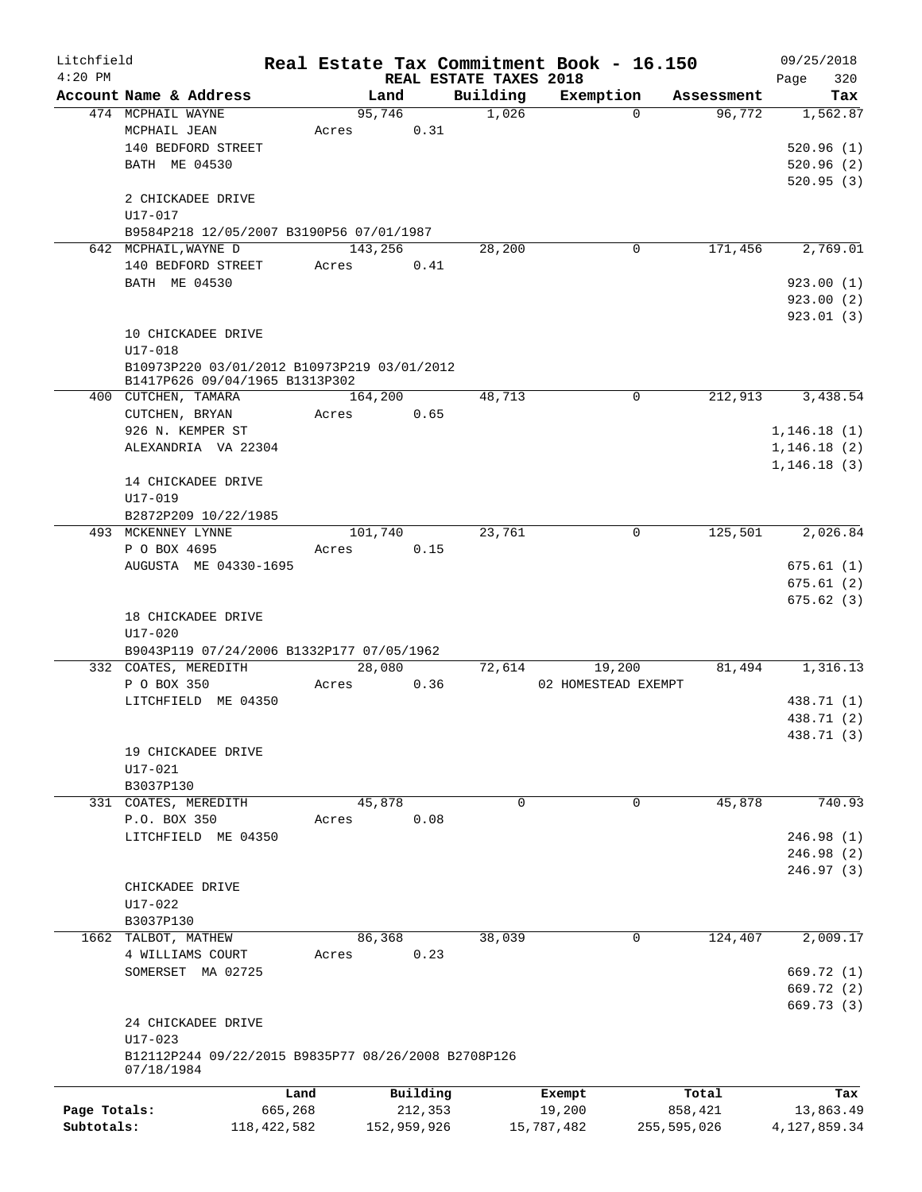| Litchfield<br>$4:20$ PM |                                                                               |               |         |             | REAL ESTATE TAXES 2018 | Real Estate Tax Commitment Book - 16.150 |               |                      | 09/25/2018         |
|-------------------------|-------------------------------------------------------------------------------|---------------|---------|-------------|------------------------|------------------------------------------|---------------|----------------------|--------------------|
|                         | Account Name & Address                                                        |               | Land    |             | Building               | Exemption                                |               | Assessment           | 320<br>Page<br>Tax |
|                         | 474 MCPHAIL WAYNE                                                             |               | 95,746  |             | 1,026                  |                                          | $\Omega$      | 96,772               | 1,562.87           |
|                         | MCPHAIL JEAN                                                                  |               | Acres   | 0.31        |                        |                                          |               |                      |                    |
|                         | 140 BEDFORD STREET                                                            |               |         |             |                        |                                          |               |                      | 520.96(1)          |
|                         | BATH ME 04530                                                                 |               |         |             |                        |                                          |               |                      | 520.96(2)          |
|                         |                                                                               |               |         |             |                        |                                          |               |                      | 520.95(3)          |
|                         | 2 CHICKADEE DRIVE                                                             |               |         |             |                        |                                          |               |                      |                    |
|                         | U17-017                                                                       |               |         |             |                        |                                          |               |                      |                    |
|                         | B9584P218 12/05/2007 B3190P56 07/01/1987                                      |               |         |             |                        |                                          |               |                      |                    |
|                         | 642 MCPHAIL, WAYNE D                                                          |               | 143,256 |             | 28,200                 |                                          | 0             | 171,456              | 2,769.01           |
|                         | 140 BEDFORD STREET                                                            |               | Acres   | 0.41        |                        |                                          |               |                      |                    |
|                         | BATH ME 04530                                                                 |               |         |             |                        |                                          |               |                      | 923.00(1)          |
|                         |                                                                               |               |         |             |                        |                                          |               |                      | 923.00(2)          |
|                         |                                                                               |               |         |             |                        |                                          |               |                      | 923.01(3)          |
|                         | 10 CHICKADEE DRIVE                                                            |               |         |             |                        |                                          |               |                      |                    |
|                         | $U17 - 018$                                                                   |               |         |             |                        |                                          |               |                      |                    |
|                         | B10973P220 03/01/2012 B10973P219 03/01/2012<br>B1417P626 09/04/1965 B1313P302 |               |         |             |                        |                                          |               |                      |                    |
|                         | 400 CUTCHEN, TAMARA                                                           |               | 164,200 |             | 48,713                 |                                          | 0             | $2\overline{12,913}$ | 3,438.54           |
|                         | CUTCHEN, BRYAN                                                                |               | Acres   | 0.65        |                        |                                          |               |                      |                    |
|                         | 926 N. KEMPER ST                                                              |               |         |             |                        |                                          |               |                      | 1,146.18(1)        |
|                         | ALEXANDRIA VA 22304                                                           |               |         |             |                        |                                          |               |                      | 1,146.18(2)        |
|                         |                                                                               |               |         |             |                        |                                          |               |                      | 1, 146.18(3)       |
|                         | 14 CHICKADEE DRIVE                                                            |               |         |             |                        |                                          |               |                      |                    |
|                         | U17-019                                                                       |               |         |             |                        |                                          |               |                      |                    |
|                         | B2872P209 10/22/1985                                                          |               |         |             |                        |                                          |               |                      |                    |
|                         | 493 MCKENNEY LYNNE                                                            |               | 101,740 |             | 23,761                 |                                          | 0             | 125,501              | 2,026.84           |
|                         | P O BOX 4695                                                                  |               | Acres   | 0.15        |                        |                                          |               |                      |                    |
|                         | AUGUSTA ME 04330-1695                                                         |               |         |             |                        |                                          |               |                      | 675.61(1)          |
|                         |                                                                               |               |         |             |                        |                                          |               |                      | 675.61(2)          |
|                         |                                                                               |               |         |             |                        |                                          |               |                      | 675.62(3)          |
|                         | 18 CHICKADEE DRIVE                                                            |               |         |             |                        |                                          |               |                      |                    |
|                         | $U17 - 020$                                                                   |               |         |             |                        |                                          |               |                      |                    |
|                         | B9043P119 07/24/2006 B1332P177 07/05/1962                                     |               |         |             |                        |                                          |               |                      |                    |
|                         | 332 COATES, MEREDITH                                                          |               | 28,080  |             | 72,614                 | 19,200                                   |               | 81,494               | 1,316.13           |
|                         | P O BOX 350                                                                   |               | Acres   | 0.36        |                        | 02 HOMESTEAD EXEMPT                      |               |                      |                    |
|                         | LITCHFIELD ME 04350                                                           |               |         |             |                        |                                          |               |                      | 438.71 (1)         |
|                         |                                                                               |               |         |             |                        |                                          |               |                      | 438.71 (2)         |
|                         |                                                                               |               |         |             |                        |                                          |               |                      | 438.71 (3)         |
|                         | 19 CHICKADEE DRIVE                                                            |               |         |             |                        |                                          |               |                      |                    |
|                         | U17-021                                                                       |               |         |             |                        |                                          |               |                      |                    |
|                         | B3037P130                                                                     |               | 45,878  |             | 0                      |                                          | 0             | 45,878               |                    |
|                         | 331 COATES, MEREDITH<br>P.O. BOX 350                                          |               |         | 0.08        |                        |                                          |               |                      | 740.93             |
|                         | LITCHFIELD ME 04350                                                           |               | Acres   |             |                        |                                          |               |                      | 246.98(1)          |
|                         |                                                                               |               |         |             |                        |                                          |               |                      | 246.98(2)          |
|                         |                                                                               |               |         |             |                        |                                          |               |                      | 246.97(3)          |
|                         | CHICKADEE DRIVE                                                               |               |         |             |                        |                                          |               |                      |                    |
|                         | U17-022                                                                       |               |         |             |                        |                                          |               |                      |                    |
|                         | B3037P130                                                                     |               |         |             |                        |                                          |               |                      |                    |
|                         | 1662 TALBOT, MATHEW                                                           |               | 86,368  |             | 38,039                 |                                          | $\Omega$      | 124,407              | 2,009.17           |
|                         | 4 WILLIAMS COURT                                                              |               | Acres   | 0.23        |                        |                                          |               |                      |                    |
|                         | SOMERSET MA 02725                                                             |               |         |             |                        |                                          |               |                      | 669.72 (1)         |
|                         |                                                                               |               |         |             |                        |                                          |               |                      | 669.72 (2)         |
|                         |                                                                               |               |         |             |                        |                                          |               |                      | 669.73 (3)         |
|                         | 24 CHICKADEE DRIVE                                                            |               |         |             |                        |                                          |               |                      |                    |
|                         | $U17 - 023$                                                                   |               |         |             |                        |                                          |               |                      |                    |
|                         | B12112P244 09/22/2015 B9835P77 08/26/2008 B2708P126                           |               |         |             |                        |                                          |               |                      |                    |
|                         | 07/18/1984                                                                    |               |         |             |                        |                                          |               |                      |                    |
|                         |                                                                               | Land          |         | Building    |                        | Exempt                                   |               | Total                | Tax                |
| Page Totals:            |                                                                               | 665,268       |         | 212,353     |                        | 19,200                                   |               | 858,421              | 13,863.49          |
| Subtotals:              |                                                                               | 118, 422, 582 |         | 152,959,926 |                        | 15,787,482                               | 255, 595, 026 |                      | 4, 127, 859.34     |
|                         |                                                                               |               |         |             |                        |                                          |               |                      |                    |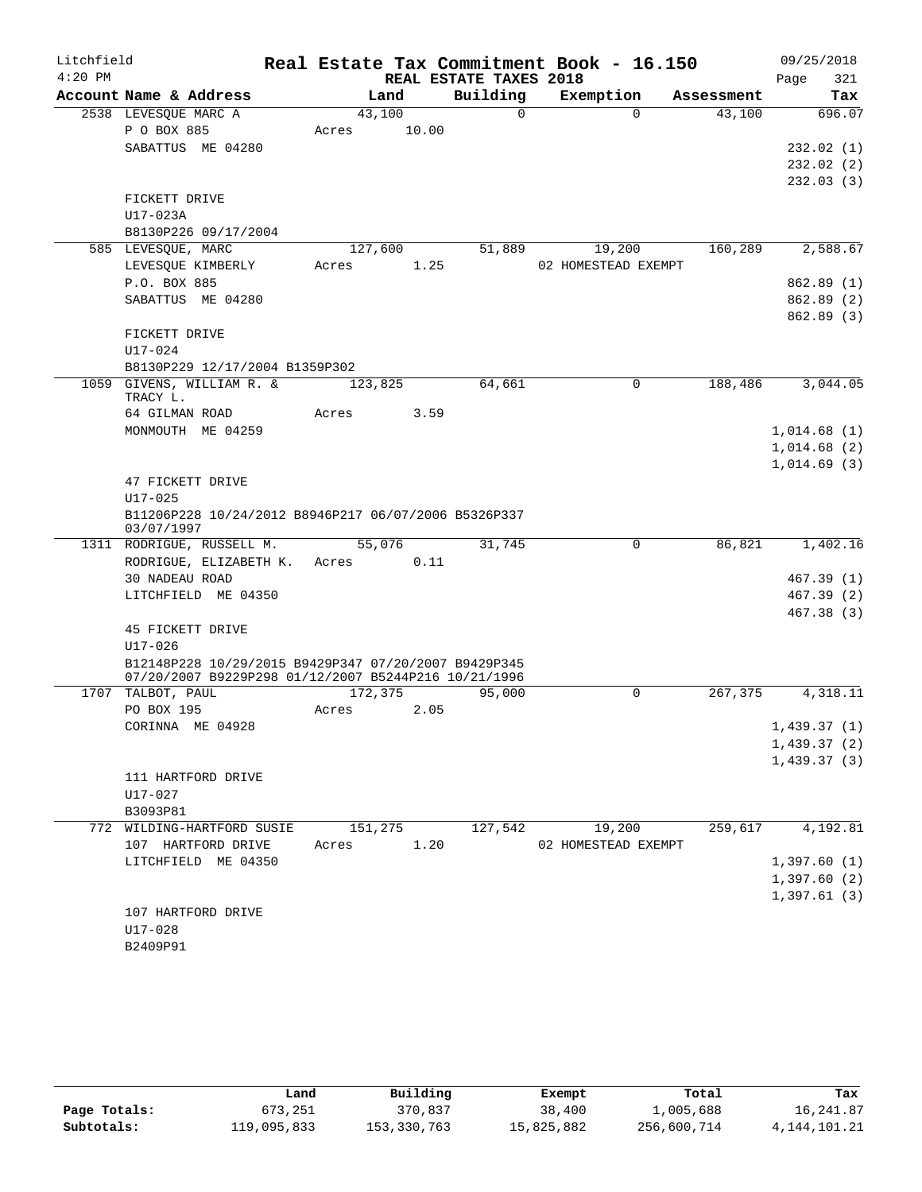| Litchfield |                                                      |       |         |                        | Real Estate Tax Commitment Book - 16.150 |            | 09/25/2018             |
|------------|------------------------------------------------------|-------|---------|------------------------|------------------------------------------|------------|------------------------|
| $4:20$ PM  |                                                      |       |         | REAL ESTATE TAXES 2018 |                                          |            | 321<br>Page            |
|            | Account Name & Address                               |       | Land    | Building               | Exemption                                | Assessment | Tax                    |
|            | 2538 LEVESQUE MARC A                                 |       | 43,100  | $\Omega$               | $\Omega$                                 | 43,100     | 696.07                 |
|            | P O BOX 885                                          | Acres | 10.00   |                        |                                          |            |                        |
|            | SABATTUS ME 04280                                    |       |         |                        |                                          |            | 232.02(1)              |
|            |                                                      |       |         |                        |                                          |            | 232.02(2)              |
|            | FICKETT DRIVE                                        |       |         |                        |                                          |            | 232.03(3)              |
|            | U17-023A                                             |       |         |                        |                                          |            |                        |
|            | B8130P226 09/17/2004                                 |       |         |                        |                                          |            |                        |
|            | 585 LEVESQUE, MARC                                   |       | 127,600 | 51,889                 | 19,200                                   | 160,289    | 2,588.67               |
|            | LEVESQUE KIMBERLY                                    | Acres | 1.25    |                        | 02 HOMESTEAD EXEMPT                      |            |                        |
|            | P.O. BOX 885                                         |       |         |                        |                                          |            | 862.89(1)              |
|            | SABATTUS ME 04280                                    |       |         |                        |                                          |            | 862.89(2)              |
|            |                                                      |       |         |                        |                                          |            | 862.89 (3)             |
|            | FICKETT DRIVE                                        |       |         |                        |                                          |            |                        |
|            | $U17 - 024$                                          |       |         |                        |                                          |            |                        |
|            | B8130P229 12/17/2004 B1359P302                       |       |         |                        |                                          |            |                        |
|            | 1059 GIVENS, WILLIAM R. &                            |       | 123,825 | 64,661                 | $\Omega$                                 | 188,486    | 3,044.05               |
|            | TRACY L.<br>64 GILMAN ROAD                           | Acres | 3.59    |                        |                                          |            |                        |
|            | MONMOUTH ME 04259                                    |       |         |                        |                                          |            | 1,014.68(1)            |
|            |                                                      |       |         |                        |                                          |            | 1,014.68(2)            |
|            |                                                      |       |         |                        |                                          |            | 1,014.69(3)            |
|            | 47 FICKETT DRIVE                                     |       |         |                        |                                          |            |                        |
|            | $U17 - 025$                                          |       |         |                        |                                          |            |                        |
|            | B11206P228 10/24/2012 B8946P217 06/07/2006 B5326P337 |       |         |                        |                                          |            |                        |
|            | 03/07/1997                                           |       |         |                        |                                          |            |                        |
|            | 1311 RODRIGUE, RUSSELL M.                            |       | 55,076  | 31,745                 | 0                                        | 86,821     | 1,402.16               |
|            | RODRIGUE, ELIZABETH K.                               | Acres | 0.11    |                        |                                          |            |                        |
|            | 30 NADEAU ROAD<br>LITCHFIELD ME 04350                |       |         |                        |                                          |            | 467.39(1)<br>467.39(2) |
|            |                                                      |       |         |                        |                                          |            | 467.38(3)              |
|            | 45 FICKETT DRIVE                                     |       |         |                        |                                          |            |                        |
|            | $U17 - 026$                                          |       |         |                        |                                          |            |                        |
|            | B12148P228 10/29/2015 B9429P347 07/20/2007 B9429P345 |       |         |                        |                                          |            |                        |
|            | 07/20/2007 B9229P298 01/12/2007 B5244P216 10/21/1996 |       |         |                        |                                          |            |                        |
|            | 1707 TALBOT, PAUL                                    |       | 172,375 | 95,000                 | $\Omega$                                 | 267,375    | 4,318.11               |
|            | PO BOX 195                                           | Acres | 2.05    |                        |                                          |            |                        |
|            | CORINNA ME 04928                                     |       |         |                        |                                          |            | 1,439.37(1)            |
|            |                                                      |       |         |                        |                                          |            | 1,439.37(2)            |
|            | 111 HARTFORD DRIVE                                   |       |         |                        |                                          |            | 1,439.37(3)            |
|            | U17-027                                              |       |         |                        |                                          |            |                        |
|            | B3093P81                                             |       |         |                        |                                          |            |                        |
|            | 772 WILDING-HARTFORD SUSIE                           |       | 151,275 | 127,542                | 19,200                                   | 259,617    | 4,192.81               |
|            | 107 HARTFORD DRIVE                                   | Acres | 1.20    |                        | 02 HOMESTEAD EXEMPT                      |            |                        |
|            | LITCHFIELD ME 04350                                  |       |         |                        |                                          |            | 1,397.60(1)            |
|            |                                                      |       |         |                        |                                          |            | 1,397.60(2)            |
|            |                                                      |       |         |                        |                                          |            | 1,397.61(3)            |
|            | 107 HARTFORD DRIVE                                   |       |         |                        |                                          |            |                        |
|            | U17-028                                              |       |         |                        |                                          |            |                        |
|            | B2409P91                                             |       |         |                        |                                          |            |                        |

|              | Land        | Building    | Exempt     | Total       | Tax          |
|--------------|-------------|-------------|------------|-------------|--------------|
| Page Totals: | 673,251     | 370,837     | 38,400     | 1,005,688   | 16,241.87    |
| Subtotals:   | 119,095,833 | 153,330,763 | 15,825,882 | 256,600,714 | 4,144,101.21 |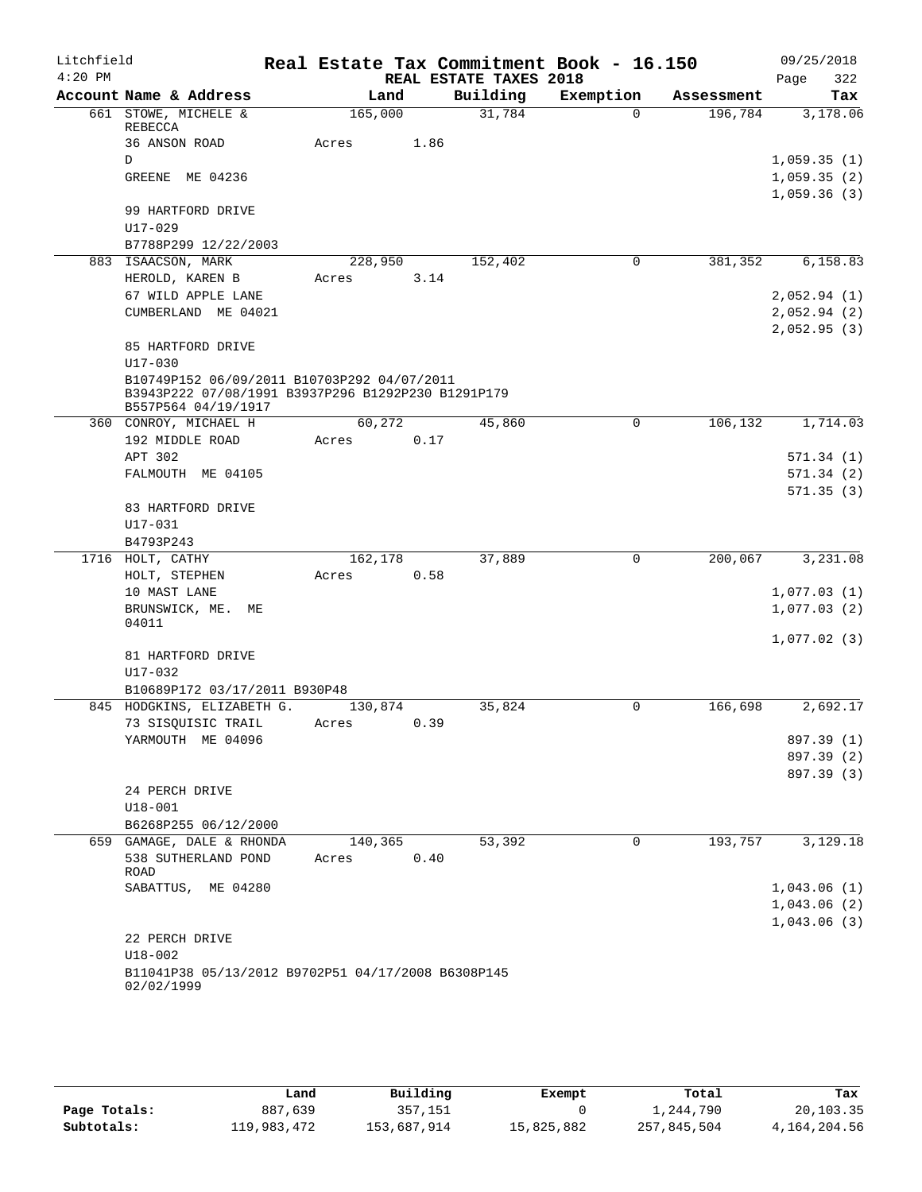| Litchfield |                                                                                                   |         |      |                        | Real Estate Tax Commitment Book - 16.150 |            | 09/25/2018  |
|------------|---------------------------------------------------------------------------------------------------|---------|------|------------------------|------------------------------------------|------------|-------------|
| $4:20$ PM  |                                                                                                   |         |      | REAL ESTATE TAXES 2018 |                                          |            | 322<br>Page |
|            | Account Name & Address                                                                            | Land    |      | Building               | Exemption                                | Assessment | Tax         |
|            | 661 STOWE, MICHELE &<br>REBECCA                                                                   | 165,000 |      | 31,784                 | $\Omega$                                 | 196,784    | 3,178.06    |
|            | 36 ANSON ROAD                                                                                     | Acres   | 1.86 |                        |                                          |            |             |
|            | D                                                                                                 |         |      |                        |                                          |            | 1,059.35(1) |
|            | GREENE ME 04236                                                                                   |         |      |                        |                                          |            | 1,059.35(2) |
|            |                                                                                                   |         |      |                        |                                          |            | 1,059.36(3) |
|            | 99 HARTFORD DRIVE                                                                                 |         |      |                        |                                          |            |             |
|            | $U17 - 029$                                                                                       |         |      |                        |                                          |            |             |
|            | B7788P299 12/22/2003                                                                              |         |      |                        |                                          |            |             |
|            | 883 ISAACSON, MARK                                                                                | 228,950 |      | 152,402                | 0                                        | 381,352    | 6,158.83    |
|            | HEROLD, KAREN B                                                                                   | Acres   | 3.14 |                        |                                          |            |             |
|            | 67 WILD APPLE LANE                                                                                |         |      |                        |                                          |            | 2,052.94(1) |
|            | CUMBERLAND ME 04021                                                                               |         |      |                        |                                          |            | 2,052.94(2) |
|            |                                                                                                   |         |      |                        |                                          |            | 2,052.95(3) |
|            | 85 HARTFORD DRIVE                                                                                 |         |      |                        |                                          |            |             |
|            | $U17 - 030$                                                                                       |         |      |                        |                                          |            |             |
|            | B10749P152 06/09/2011 B10703P292 04/07/2011<br>B3943P222 07/08/1991 B3937P296 B1292P230 B1291P179 |         |      |                        |                                          |            |             |
|            | B557P564 04/19/1917                                                                               |         |      |                        |                                          |            |             |
|            | 360 CONROY, MICHAEL H                                                                             | 60,272  |      | 45,860                 | 0                                        | 106,132    | 1,714.03    |
|            | 192 MIDDLE ROAD                                                                                   | Acres   | 0.17 |                        |                                          |            |             |
|            | APT 302                                                                                           |         |      |                        |                                          |            | 571.34(1)   |
|            | FALMOUTH ME 04105                                                                                 |         |      |                        |                                          |            | 571.34(2)   |
|            |                                                                                                   |         |      |                        |                                          |            | 571.35(3)   |
|            | 83 HARTFORD DRIVE                                                                                 |         |      |                        |                                          |            |             |
|            | U17-031                                                                                           |         |      |                        |                                          |            |             |
|            | B4793P243                                                                                         |         |      |                        |                                          |            |             |
|            | 1716 HOLT, CATHY                                                                                  | 162,178 |      | 37,889                 | 0                                        | 200,067    | 3,231.08    |
|            | HOLT, STEPHEN                                                                                     | Acres   | 0.58 |                        |                                          |            |             |
|            | 10 MAST LANE                                                                                      |         |      |                        |                                          |            | 1,077.03(1) |
|            | BRUNSWICK, ME.<br>MЕ<br>04011                                                                     |         |      |                        |                                          |            | 1,077.03(2) |
|            |                                                                                                   |         |      |                        |                                          |            | 1,077.02(3) |
|            | 81 HARTFORD DRIVE                                                                                 |         |      |                        |                                          |            |             |
|            | $U17 - 032$                                                                                       |         |      |                        |                                          |            |             |
|            | B10689P172 03/17/2011 B930P48                                                                     |         |      |                        |                                          |            |             |
|            | 845 HODGKINS, ELIZABETH G.                                                                        | 130,874 |      | 35,824                 | 0                                        | 166,698    | 2,692.17    |
|            | 73 SISQUISIC TRAIL                                                                                | Acres   | 0.39 |                        |                                          |            |             |
|            | YARMOUTH ME 04096                                                                                 |         |      |                        |                                          |            | 897.39 (1)  |
|            |                                                                                                   |         |      |                        |                                          |            | 897.39 (2)  |
|            |                                                                                                   |         |      |                        |                                          |            | 897.39 (3)  |
|            | 24 PERCH DRIVE                                                                                    |         |      |                        |                                          |            |             |
|            | $U18 - 001$                                                                                       |         |      |                        |                                          |            |             |
|            | B6268P255 06/12/2000                                                                              |         |      |                        |                                          |            |             |
|            | 659 GAMAGE, DALE & RHONDA                                                                         | 140,365 |      | 53,392                 | 0                                        | 193,757    | 3,129.18    |
|            | 538 SUTHERLAND POND<br>ROAD                                                                       | Acres   | 0.40 |                        |                                          |            |             |
|            | SABATTUS, ME 04280                                                                                |         |      |                        |                                          |            | 1,043.06(1) |
|            |                                                                                                   |         |      |                        |                                          |            | 1,043.06(2) |
|            |                                                                                                   |         |      |                        |                                          |            | 1,043.06(3) |
|            | 22 PERCH DRIVE                                                                                    |         |      |                        |                                          |            |             |
|            | $U18 - 002$                                                                                       |         |      |                        |                                          |            |             |
|            | B11041P38 05/13/2012 B9702P51 04/17/2008 B6308P145                                                |         |      |                        |                                          |            |             |
|            | 02/02/1999                                                                                        |         |      |                        |                                          |            |             |

|              | Land        | Building    | Exempt     | Total       | Tax          |
|--------------|-------------|-------------|------------|-------------|--------------|
| Page Totals: | 887,639     | 357,151     |            | 1,244,790   | 20,103.35    |
| Subtotals:   | 119,983,472 | 153,687,914 | 15,825,882 | 257,845,504 | 4,164,204.56 |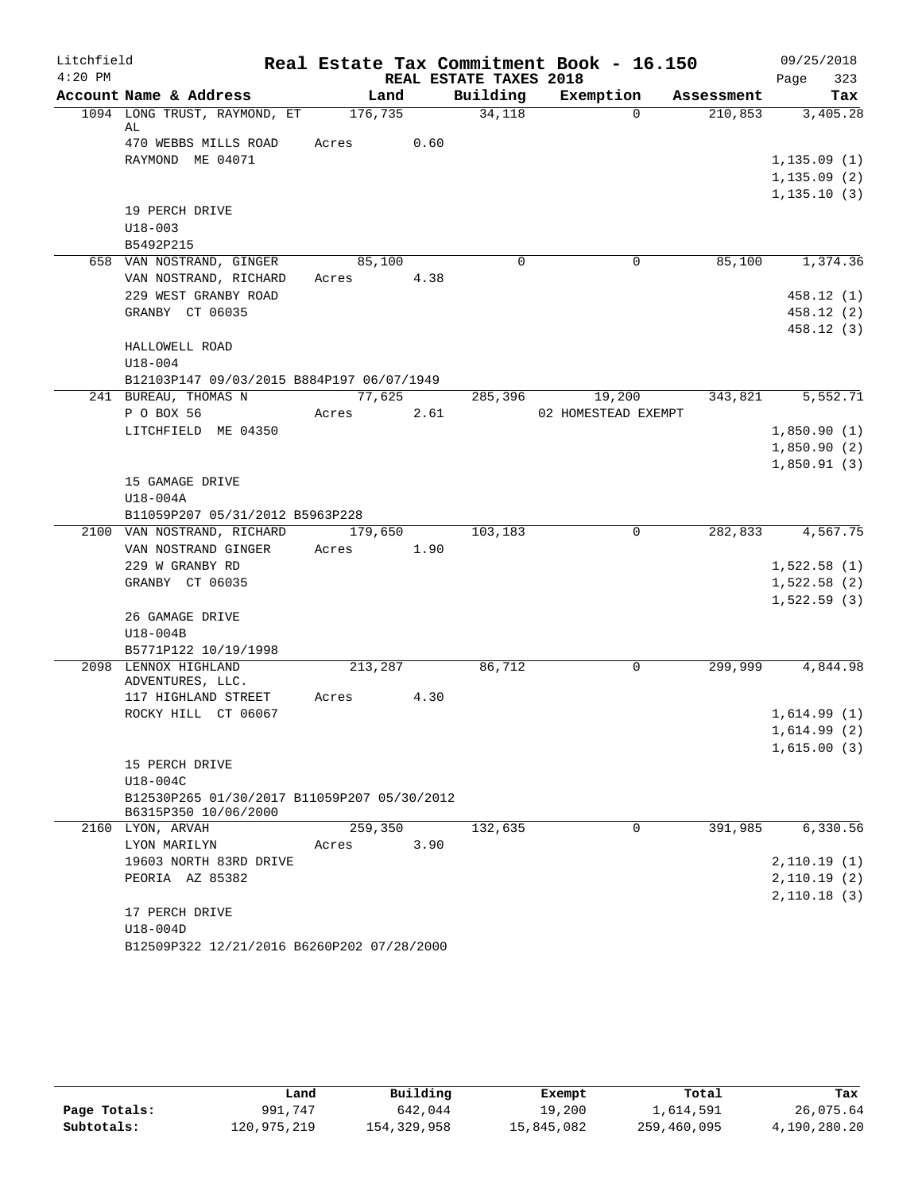| Litchfield |                                                           |            |        |                        | Real Estate Tax Commitment Book - 16.150 |            | 09/25/2018                 |
|------------|-----------------------------------------------------------|------------|--------|------------------------|------------------------------------------|------------|----------------------------|
| $4:20$ PM  |                                                           |            |        | REAL ESTATE TAXES 2018 |                                          |            | 323<br>Page                |
|            | Account Name & Address                                    | Land       |        |                        | Building Exemption                       | Assessment | Tax                        |
|            | 1094 LONG TRUST, RAYMOND, ET<br>AL                        | 176,735    |        | 34,118                 | $\Omega$                                 | 210,853    | 3,405.28                   |
|            | 470 WEBBS MILLS ROAD                                      | Acres      | 0.60   |                        |                                          |            |                            |
|            | RAYMOND ME 04071                                          |            |        |                        |                                          |            | 1, 135.09(1)               |
|            |                                                           |            |        |                        |                                          |            | 1, 135.09(2)               |
|            |                                                           |            |        |                        |                                          |            | 1, 135.10(3)               |
|            | 19 PERCH DRIVE                                            |            |        |                        |                                          |            |                            |
|            | $U18 - 003$                                               |            |        |                        |                                          |            |                            |
|            | B5492P215                                                 |            |        |                        |                                          |            |                            |
|            | 658 VAN NOSTRAND, GINGER                                  | 85,100     |        | $\Omega$               | $\overline{0}$                           | 85,100     | 1,374.36                   |
|            | VAN NOSTRAND, RICHARD                                     | Acres 4.38 |        |                        |                                          |            |                            |
|            | 229 WEST GRANBY ROAD                                      |            |        |                        |                                          |            | 458.12(1)<br>458.12(2)     |
|            | GRANBY CT 06035                                           |            |        |                        |                                          |            | 458.12(3)                  |
|            | HALLOWELL ROAD                                            |            |        |                        |                                          |            |                            |
|            | $U18 - 004$                                               |            |        |                        |                                          |            |                            |
|            | B12103P147 09/03/2015 B884P197 06/07/1949                 |            |        |                        |                                          |            |                            |
|            | 241 BUREAU, THOMAS N                                      |            | 77,625 |                        | 285,396 19,200                           | 343,821    | 5,552.71                   |
|            | P O BOX 56                                                | Acres      | 2.61   |                        | 02 HOMESTEAD EXEMPT                      |            |                            |
|            | LITCHFIELD ME 04350                                       |            |        |                        |                                          |            | 1,850.90(1)                |
|            |                                                           |            |        |                        |                                          |            | 1,850.90(2)                |
|            |                                                           |            |        |                        |                                          |            | 1,850.91(3)                |
|            | 15 GAMAGE DRIVE                                           |            |        |                        |                                          |            |                            |
|            | U18-004A                                                  |            |        |                        |                                          |            |                            |
|            | B11059P207 05/31/2012 B5963P228                           |            |        |                        |                                          |            |                            |
|            | 2100 VAN NOSTRAND, RICHARD 179,650<br>VAN NOSTRAND GINGER | Acres 1.90 |        | 103,183                | $\Omega$                                 |            | 282,833 4,567.75           |
|            | 229 W GRANBY RD                                           |            |        |                        |                                          |            | 1,522.58(1)                |
|            | GRANBY CT 06035                                           |            |        |                        |                                          |            | 1,522.58(2)                |
|            |                                                           |            |        |                        |                                          |            | 1,522.59(3)                |
|            | 26 GAMAGE DRIVE                                           |            |        |                        |                                          |            |                            |
|            | U18-004B                                                  |            |        |                        |                                          |            |                            |
|            | B5771P122 10/19/1998                                      |            |        |                        |                                          |            |                            |
|            | 2098 LENNOX HIGHLAND                                      | 213,287    |        | 86,712                 | $\mathbf 0$                              | 299,999    | 4,844.98                   |
|            | ADVENTURES, LLC.                                          |            |        |                        |                                          |            |                            |
|            | 117 HIGHLAND STREET                                       | Acres 4.30 |        |                        |                                          |            |                            |
|            | ROCKY HILL CT 06067                                       |            |        |                        |                                          |            | 1,614.99(1)<br>1,614.99(2) |
|            |                                                           |            |        |                        |                                          |            | 1,615.00(3)                |
|            | 15 PERCH DRIVE                                            |            |        |                        |                                          |            |                            |
|            | U18-004C                                                  |            |        |                        |                                          |            |                            |
|            | B12530P265 01/30/2017 B11059P207 05/30/2012               |            |        |                        |                                          |            |                            |
|            | B6315P350 10/06/2000                                      |            |        |                        |                                          |            |                            |
|            | 2160 LYON, ARVAH                                          | 259,350    |        | 132,635                | $\Omega$                                 | 391,985    | 6,330.56                   |
|            | LYON MARILYN                                              | Acres      | 3.90   |                        |                                          |            |                            |
|            | 19603 NORTH 83RD DRIVE                                    |            |        |                        |                                          |            | 2,110.19(1)                |
|            | PEORIA AZ 85382                                           |            |        |                        |                                          |            | 2,110.19(2)                |
|            | 17 PERCH DRIVE                                            |            |        |                        |                                          |            | 2,110.18(3)                |
|            | U18-004D                                                  |            |        |                        |                                          |            |                            |
|            | B12509P322 12/21/2016 B6260P202 07/28/2000                |            |        |                        |                                          |            |                            |
|            |                                                           |            |        |                        |                                          |            |                            |

|              | Land        | Building    | Exempt     | Total       | Tax          |
|--------------|-------------|-------------|------------|-------------|--------------|
| Page Totals: | 991,747     | 642,044     | 19,200     | 1,614,591   | 26,075.64    |
| Subtotals:   | 120,975,219 | 154,329,958 | 15,845,082 | 259,460,095 | 4,190,280.20 |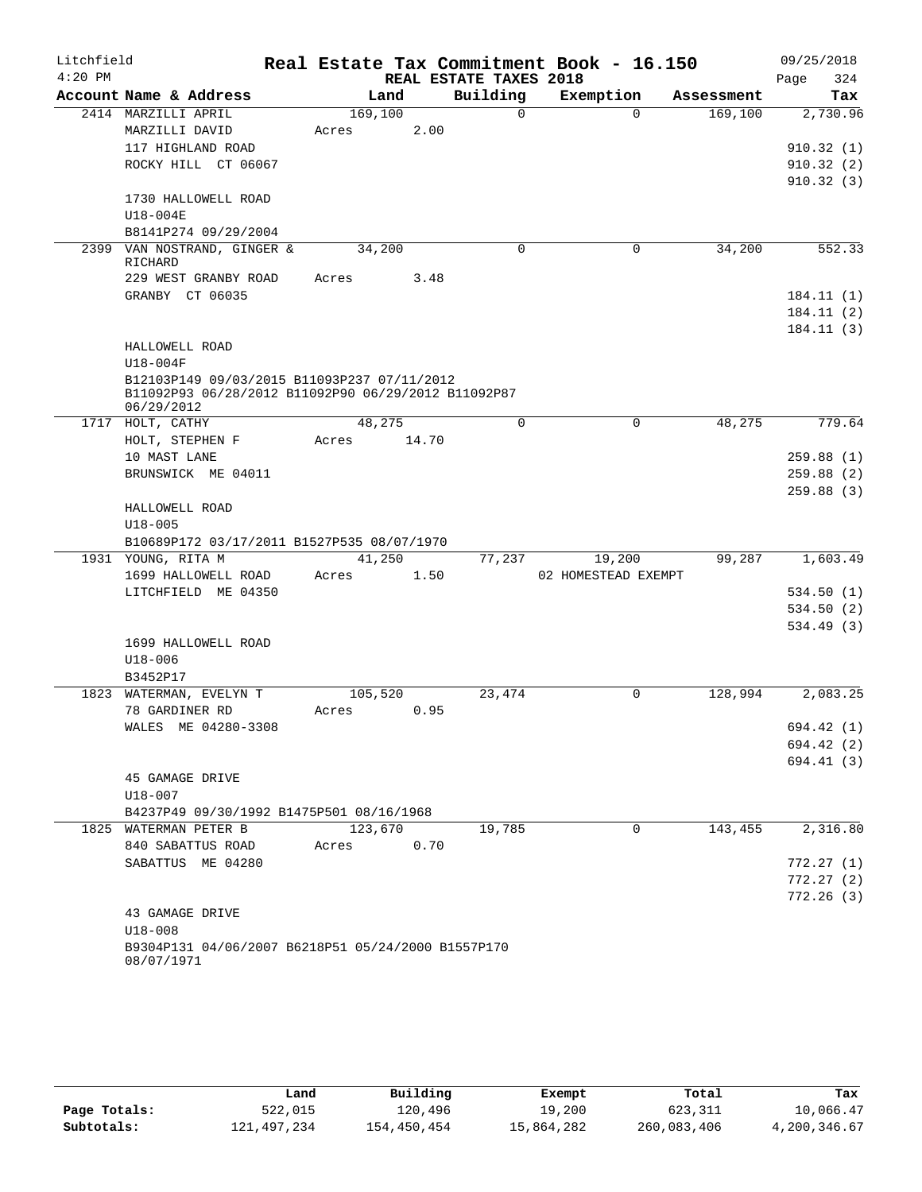| Litchfield |                                                                   |       |         |                        | Real Estate Tax Commitment Book - 16.150 |            | 09/25/2018               |
|------------|-------------------------------------------------------------------|-------|---------|------------------------|------------------------------------------|------------|--------------------------|
| $4:20$ PM  |                                                                   |       |         | REAL ESTATE TAXES 2018 |                                          |            | 324<br>Page              |
|            | Account Name & Address                                            |       | Land    | Building               | Exemption                                | Assessment | Tax                      |
|            | 2414 MARZILLI APRIL                                               |       | 169,100 | $\Omega$               | $\Omega$                                 | 169,100    | 2,730.96                 |
|            | MARZILLI DAVID                                                    | Acres | 2.00    |                        |                                          |            |                          |
|            | 117 HIGHLAND ROAD                                                 |       |         |                        |                                          |            | 910.32(1)                |
|            | ROCKY HILL CT 06067                                               |       |         |                        |                                          |            | 910.32(2)                |
|            |                                                                   |       |         |                        |                                          |            | 910.32(3)                |
|            | 1730 HALLOWELL ROAD<br>U18-004E                                   |       |         |                        |                                          |            |                          |
|            | B8141P274 09/29/2004                                              |       |         |                        |                                          |            |                          |
|            | 2399 VAN NOSTRAND, GINGER &                                       |       | 34,200  | $\mathbf 0$            | $\mathbf 0$                              | 34,200     | 552.33                   |
|            | RICHARD                                                           |       |         |                        |                                          |            |                          |
|            | 229 WEST GRANBY ROAD                                              | Acres | 3.48    |                        |                                          |            |                          |
|            | GRANBY CT 06035                                                   |       |         |                        |                                          |            | 184.11 (1)               |
|            |                                                                   |       |         |                        |                                          |            | 184.11 (2)               |
|            |                                                                   |       |         |                        |                                          |            | 184.11 (3)               |
|            | HALLOWELL ROAD                                                    |       |         |                        |                                          |            |                          |
|            | $U18-004F$                                                        |       |         |                        |                                          |            |                          |
|            | B12103P149 09/03/2015 B11093P237 07/11/2012                       |       |         |                        |                                          |            |                          |
|            | B11092P93 06/28/2012 B11092P90 06/29/2012 B11092P87<br>06/29/2012 |       |         |                        |                                          |            |                          |
|            | 1717 HOLT, CATHY                                                  |       | 48,275  | $\Omega$               | $\mathbf 0$                              | 48,275     | 779.64                   |
|            | HOLT, STEPHEN F                                                   | Acres | 14.70   |                        |                                          |            |                          |
|            | 10 MAST LANE                                                      |       |         |                        |                                          |            | 259.88(1)                |
|            | BRUNSWICK ME 04011                                                |       |         |                        |                                          |            | 259.88(2)                |
|            |                                                                   |       |         |                        |                                          |            | 259.88(3)                |
|            | HALLOWELL ROAD                                                    |       |         |                        |                                          |            |                          |
|            | $U18 - 005$                                                       |       |         |                        |                                          |            |                          |
|            | B10689P172 03/17/2011 B1527P535 08/07/1970                        |       |         |                        |                                          |            |                          |
|            | 1931 YOUNG, RITA M                                                |       | 41,250  | 77,237                 | 19,200                                   | 99,287     | 1,603.49                 |
|            | 1699 HALLOWELL ROAD                                               | Acres | 1.50    |                        | 02 HOMESTEAD EXEMPT                      |            |                          |
|            | LITCHFIELD ME 04350                                               |       |         |                        |                                          |            | 534.50(1)                |
|            |                                                                   |       |         |                        |                                          |            | 534.50(2)                |
|            |                                                                   |       |         |                        |                                          |            | 534.49(3)                |
|            | 1699 HALLOWELL ROAD                                               |       |         |                        |                                          |            |                          |
|            | $U18 - 006$                                                       |       |         |                        |                                          |            |                          |
|            | B3452P17                                                          |       |         |                        |                                          |            |                          |
|            | 1823 WATERMAN, EVELYN T<br>78 GARDINER RD                         |       | 105,520 | 23,474                 | $\mathbf 0$                              | 128,994    | 2,083.25                 |
|            | WALES ME 04280-3308                                               | Acres | 0.95    |                        |                                          |            |                          |
|            |                                                                   |       |         |                        |                                          |            | 694.42 (1)<br>694.42 (2) |
|            |                                                                   |       |         |                        |                                          |            | 694.41 (3)               |
|            | 45 GAMAGE DRIVE                                                   |       |         |                        |                                          |            |                          |
|            | $U18 - 007$                                                       |       |         |                        |                                          |            |                          |
|            | B4237P49 09/30/1992 B1475P501 08/16/1968                          |       |         |                        |                                          |            |                          |
|            | 1825 WATERMAN PETER B                                             |       | 123,670 | 19,785                 | $\Omega$                                 | 143,455    | 2,316.80                 |
|            | 840 SABATTUS ROAD                                                 | Acres | 0.70    |                        |                                          |            |                          |
|            | SABATTUS ME 04280                                                 |       |         |                        |                                          |            | 772.27(1)                |
|            |                                                                   |       |         |                        |                                          |            | 772.27(2)                |
|            |                                                                   |       |         |                        |                                          |            | 772.26(3)                |
|            | 43 GAMAGE DRIVE                                                   |       |         |                        |                                          |            |                          |
|            | $U18 - 008$                                                       |       |         |                        |                                          |            |                          |
|            | B9304P131 04/06/2007 B6218P51 05/24/2000 B1557P170<br>08/07/1971  |       |         |                        |                                          |            |                          |

|              | Land        | Building    | Exempt     | Total       | Tax          |
|--------------|-------------|-------------|------------|-------------|--------------|
| Page Totals: | 522,015     | 120,496     | 19,200     | 623,311     | 10,066.47    |
| Subtotals:   | 121,497,234 | 154,450,454 | 15,864,282 | 260,083,406 | 4,200,346.67 |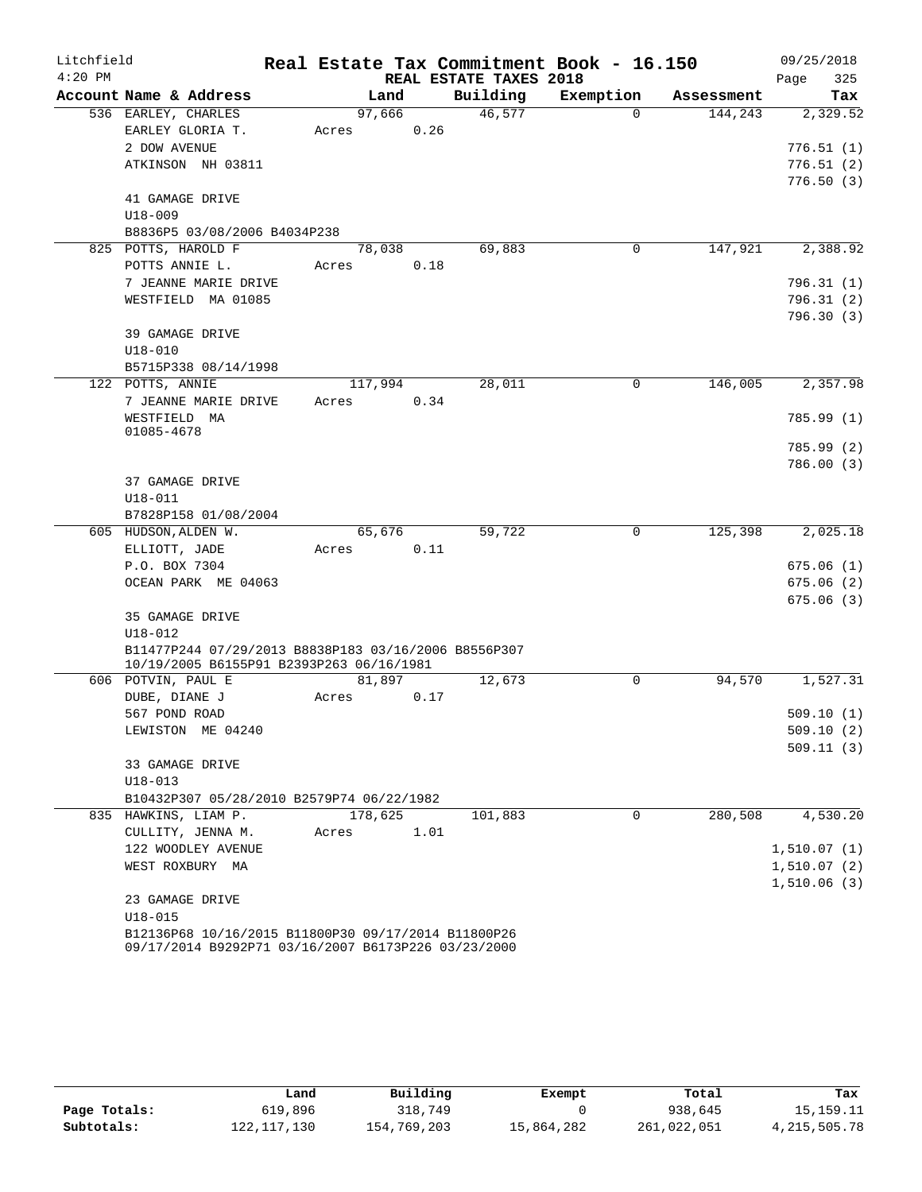| Litchfield |                                                      |         |      |                        | Real Estate Tax Commitment Book - 16.150 |            | 09/25/2018  |
|------------|------------------------------------------------------|---------|------|------------------------|------------------------------------------|------------|-------------|
| $4:20$ PM  |                                                      |         |      | REAL ESTATE TAXES 2018 |                                          |            | 325<br>Page |
|            | Account Name & Address                               | Land    |      | Building               | Exemption                                | Assessment | Tax         |
|            | 536 EARLEY, CHARLES                                  | 97,666  |      | 46,577                 | $\Omega$                                 | 144,243    | 2,329.52    |
|            | EARLEY GLORIA T.                                     | Acres   | 0.26 |                        |                                          |            |             |
|            | 2 DOW AVENUE                                         |         |      |                        |                                          |            | 776.51(1)   |
|            | ATKINSON NH 03811                                    |         |      |                        |                                          |            | 776.51(2)   |
|            |                                                      |         |      |                        |                                          |            | 776.50(3)   |
|            | 41 GAMAGE DRIVE                                      |         |      |                        |                                          |            |             |
|            | $U18 - 009$                                          |         |      |                        |                                          |            |             |
|            | B8836P5 03/08/2006 B4034P238                         |         |      |                        |                                          |            |             |
|            | 825 POTTS, HAROLD F                                  | 78,038  |      | 69,883                 | 0                                        | 147,921    | 2,388.92    |
|            | POTTS ANNIE L.                                       | Acres   | 0.18 |                        |                                          |            |             |
|            | 7 JEANNE MARIE DRIVE                                 |         |      |                        |                                          |            | 796.31(1)   |
|            | WESTFIELD MA 01085                                   |         |      |                        |                                          |            | 796.31 (2)  |
|            |                                                      |         |      |                        |                                          |            | 796.30(3)   |
|            | 39 GAMAGE DRIVE                                      |         |      |                        |                                          |            |             |
|            | $U18 - 010$                                          |         |      |                        |                                          |            |             |
|            | B5715P338 08/14/1998                                 |         |      |                        |                                          |            |             |
|            | 122 POTTS, ANNIE                                     | 117,994 |      | 28,011                 | 0                                        | 146,005    | 2,357.98    |
|            | 7 JEANNE MARIE DRIVE                                 | Acres   | 0.34 |                        |                                          |            |             |
|            | WESTFIELD MA                                         |         |      |                        |                                          |            | 785.99(1)   |
|            | 01085-4678                                           |         |      |                        |                                          |            |             |
|            |                                                      |         |      |                        |                                          |            | 785.99 (2)  |
|            |                                                      |         |      |                        |                                          |            | 786.00(3)   |
|            | 37 GAMAGE DRIVE                                      |         |      |                        |                                          |            |             |
|            | U18-011                                              |         |      |                        |                                          |            |             |
|            | B7828P158 01/08/2004                                 |         |      |                        | 0                                        |            |             |
|            | 605 HUDSON, ALDEN W.                                 | 65,676  | 0.11 | 59,722                 |                                          | 125,398    | 2,025.18    |
|            | ELLIOTT, JADE<br>P.O. BOX 7304                       | Acres   |      |                        |                                          |            | 675.06(1)   |
|            | OCEAN PARK ME 04063                                  |         |      |                        |                                          |            | 675.06(2)   |
|            |                                                      |         |      |                        |                                          |            | 675.06(3)   |
|            | 35 GAMAGE DRIVE                                      |         |      |                        |                                          |            |             |
|            | U18-012                                              |         |      |                        |                                          |            |             |
|            | B11477P244 07/29/2013 B8838P183 03/16/2006 B8556P307 |         |      |                        |                                          |            |             |
|            | 10/19/2005 B6155P91 B2393P263 06/16/1981             |         |      |                        |                                          |            |             |
|            | 606 POTVIN, PAUL E                                   | 81,897  |      | 12,673                 | 0                                        | 94,570     | 1,527.31    |
|            | DUBE, DIANE J                                        | Acres   | 0.17 |                        |                                          |            |             |
|            | 567 POND ROAD                                        |         |      |                        |                                          |            | 509.10(1)   |
|            | LEWISTON ME 04240                                    |         |      |                        |                                          |            | 509.10(2)   |
|            |                                                      |         |      |                        |                                          |            | 509.11(3)   |
|            | 33 GAMAGE DRIVE                                      |         |      |                        |                                          |            |             |
|            | $U18 - 013$                                          |         |      |                        |                                          |            |             |
|            | B10432P307 05/28/2010 B2579P74 06/22/1982            |         |      |                        |                                          |            |             |
|            | 835 HAWKINS, LIAM P.                                 | 178,625 |      | 101,883                | 0                                        | 280,508    | 4,530.20    |
|            | CULLITY, JENNA M.                                    | Acres   | 1.01 |                        |                                          |            |             |
|            | 122 WOODLEY AVENUE                                   |         |      |                        |                                          |            | 1,510.07(1) |
|            | WEST ROXBURY MA                                      |         |      |                        |                                          |            | 1,510.07(2) |
|            |                                                      |         |      |                        |                                          |            | 1,510.06(3) |
|            | 23 GAMAGE DRIVE                                      |         |      |                        |                                          |            |             |
|            | $U18 - 015$                                          |         |      |                        |                                          |            |             |
|            | B12136P68 10/16/2015 B11800P30 09/17/2014 B11800P26  |         |      |                        |                                          |            |             |
|            | 09/17/2014 B9292P71 03/16/2007 B6173P226 03/23/2000  |         |      |                        |                                          |            |             |

|              | Land          | Building    | Exempt     | Total       | Tax             |
|--------------|---------------|-------------|------------|-------------|-----------------|
| Page Totals: | 619,896       | 318,749     |            | 938,645     | 15,159.11       |
| Subtotals:   | 122, 117, 130 | 154,769,203 | 15,864,282 | 261,022,051 | 4, 215, 505. 78 |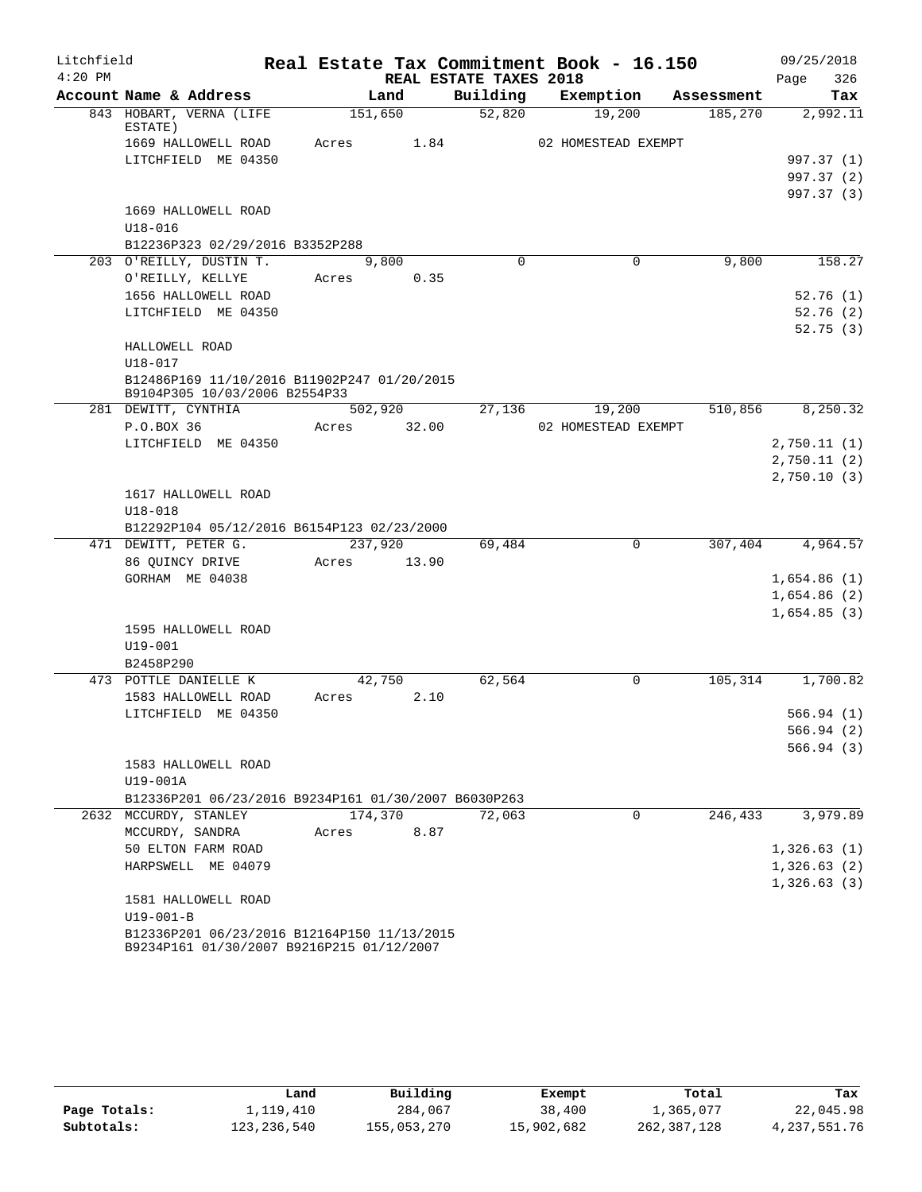| Litchfield |                                                                                          |         |       |                        | Real Estate Tax Commitment Book - 16.150 |            | 09/25/2018  |
|------------|------------------------------------------------------------------------------------------|---------|-------|------------------------|------------------------------------------|------------|-------------|
| $4:20$ PM  |                                                                                          |         |       | REAL ESTATE TAXES 2018 |                                          |            | 326<br>Page |
|            | Account Name & Address                                                                   | Land    |       | Building               | Exemption                                | Assessment | Tax         |
|            | 843 HOBART, VERNA (LIFE<br>ESTATE)                                                       | 151,650 |       | 52,820                 | 19,200                                   | 185,270    | 2,992.11    |
|            | 1669 HALLOWELL ROAD                                                                      | Acres   | 1.84  |                        | 02 HOMESTEAD EXEMPT                      |            |             |
|            | LITCHFIELD ME 04350                                                                      |         |       |                        |                                          |            | 997.37 (1)  |
|            |                                                                                          |         |       |                        |                                          |            | 997.37 (2)  |
|            |                                                                                          |         |       |                        |                                          |            | 997.37 (3)  |
|            | 1669 HALLOWELL ROAD                                                                      |         |       |                        |                                          |            |             |
|            | $U18 - 016$                                                                              |         |       |                        |                                          |            |             |
|            | B12236P323 02/29/2016 B3352P288                                                          |         |       |                        |                                          |            |             |
|            | 203 O'REILLY, DUSTIN T.                                                                  | 9,800   |       | $\Omega$               | $\Omega$                                 | 9,800      | 158.27      |
|            | O'REILLY, KELLYE                                                                         | Acres   | 0.35  |                        |                                          |            |             |
|            | 1656 HALLOWELL ROAD                                                                      |         |       |                        |                                          |            | 52.76(1)    |
|            | LITCHFIELD ME 04350                                                                      |         |       |                        |                                          |            | 52.76(2)    |
|            |                                                                                          |         |       |                        |                                          |            | 52.75(3)    |
|            | HALLOWELL ROAD                                                                           |         |       |                        |                                          |            |             |
|            | U18-017                                                                                  |         |       |                        |                                          |            |             |
|            | B12486P169 11/10/2016 B11902P247 01/20/2015                                              |         |       |                        |                                          |            |             |
|            | B9104P305 10/03/2006 B2554P33                                                            |         |       |                        |                                          |            |             |
|            | 281 DEWITT, CYNTHIA                                                                      | 502,920 |       | 27,136                 | 19,200                                   | 510,856    | 8,250.32    |
|            | P.O.BOX 36                                                                               | Acres   | 32.00 |                        | 02 HOMESTEAD EXEMPT                      |            |             |
|            | LITCHFIELD ME 04350                                                                      |         |       |                        |                                          |            | 2,750.11(1) |
|            |                                                                                          |         |       |                        |                                          |            | 2,750.11(2) |
|            |                                                                                          |         |       |                        |                                          |            | 2,750.10(3) |
|            | 1617 HALLOWELL ROAD                                                                      |         |       |                        |                                          |            |             |
|            | $U18 - 018$                                                                              |         |       |                        |                                          |            |             |
|            | B12292P104 05/12/2016 B6154P123 02/23/2000                                               |         |       |                        |                                          |            |             |
|            | 471 DEWITT, PETER G.                                                                     | 237,920 |       | 69,484                 | 0                                        | 307,404    | 4,964.57    |
|            | 86 QUINCY DRIVE                                                                          | Acres   | 13.90 |                        |                                          |            |             |
|            | GORHAM ME 04038                                                                          |         |       |                        |                                          |            | 1,654.86(1) |
|            |                                                                                          |         |       |                        |                                          |            | 1,654.86(2) |
|            |                                                                                          |         |       |                        |                                          |            | 1,654.85(3) |
|            | 1595 HALLOWELL ROAD                                                                      |         |       |                        |                                          |            |             |
|            | $U19 - 001$                                                                              |         |       |                        |                                          |            |             |
|            | B2458P290                                                                                |         |       |                        |                                          |            |             |
|            | 473 POTTLE DANIELLE K                                                                    | 42,750  |       | 62,564                 | 0                                        | 105,314    | 1,700.82    |
|            | 1583 HALLOWELL ROAD                                                                      | Acres   | 2.10  |                        |                                          |            |             |
|            | LITCHFIELD ME 04350                                                                      |         |       |                        |                                          |            | 566.94(1)   |
|            |                                                                                          |         |       |                        |                                          |            | 566.94(2)   |
|            |                                                                                          |         |       |                        |                                          |            | 566.94(3)   |
|            | 1583 HALLOWELL ROAD                                                                      |         |       |                        |                                          |            |             |
|            | U19-001A                                                                                 |         |       |                        |                                          |            |             |
|            | B12336P201 06/23/2016 B9234P161 01/30/2007 B6030P263                                     |         |       |                        |                                          |            |             |
|            | 2632 MCCURDY, STANLEY                                                                    | 174,370 |       | 72,063                 | 0                                        | 246,433    | 3,979.89    |
|            | MCCURDY, SANDRA                                                                          | Acres   | 8.87  |                        |                                          |            |             |
|            | 50 ELTON FARM ROAD                                                                       |         |       |                        |                                          |            | 1,326.63(1) |
|            | HARPSWELL ME 04079                                                                       |         |       |                        |                                          |            | 1,326.63(2) |
|            |                                                                                          |         |       |                        |                                          |            | 1,326.63(3) |
|            | 1581 HALLOWELL ROAD                                                                      |         |       |                        |                                          |            |             |
|            | $U19 - 001 - B$                                                                          |         |       |                        |                                          |            |             |
|            | B12336P201 06/23/2016 B12164P150 11/13/2015<br>B9234P161 01/30/2007 B9216P215 01/12/2007 |         |       |                        |                                          |            |             |

|              | Land        | Building    | Exempt     | Total       | Tax          |
|--------------|-------------|-------------|------------|-------------|--------------|
| Page Totals: | 1,119,410   | 284,067     | 38,400     | 1,365,077   | 22,045.98    |
| Subtotals:   | 123,236,540 | 155,053,270 | 15,902,682 | 262,387,128 | 4,237,551.76 |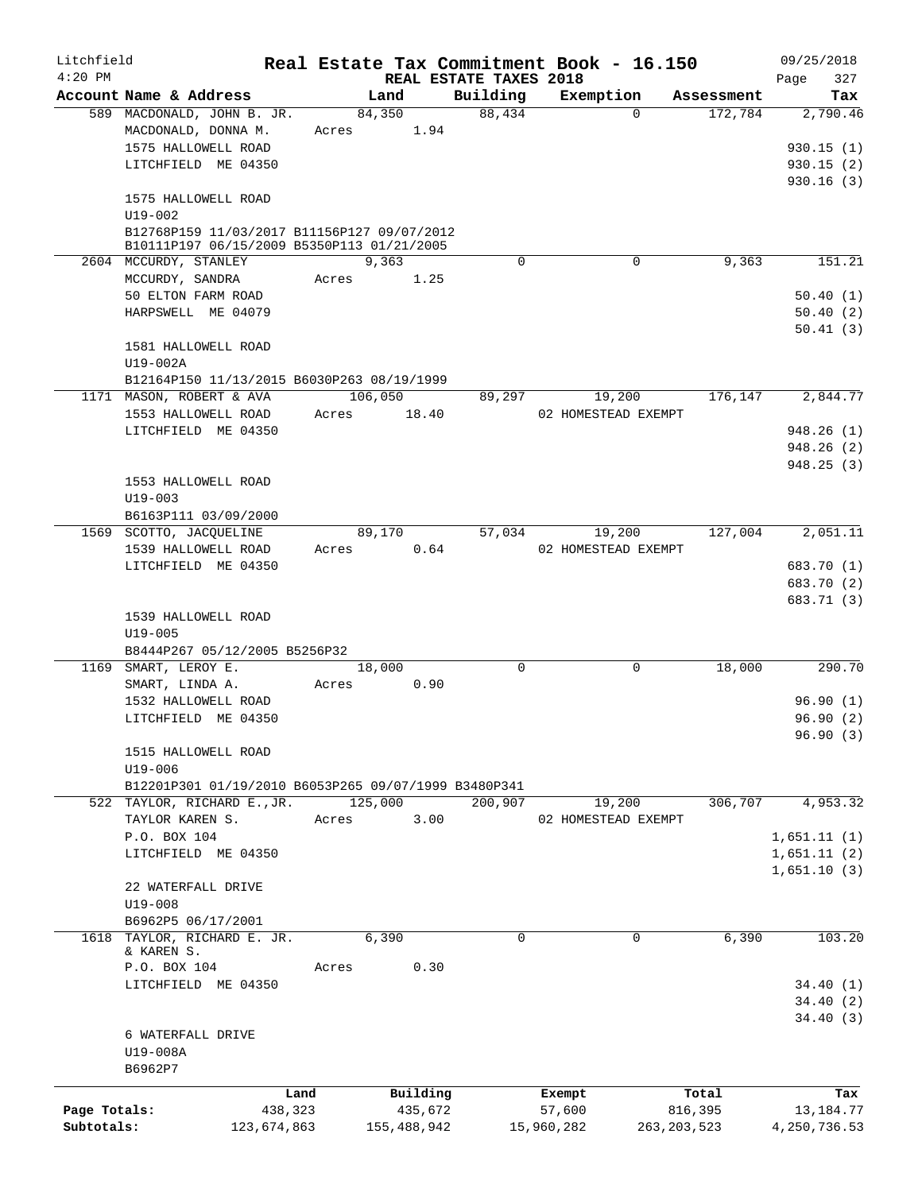| Litchfield<br>$4:20$ PM |                                                                                           |             |       |             |                                    |             | Real Estate Tax Commitment Book - 16.150 |               | 09/25/2018         |
|-------------------------|-------------------------------------------------------------------------------------------|-------------|-------|-------------|------------------------------------|-------------|------------------------------------------|---------------|--------------------|
|                         | Account Name & Address                                                                    |             |       | Land        | REAL ESTATE TAXES 2018<br>Building |             | Exemption                                | Assessment    | 327<br>Page<br>Tax |
|                         | 589 MACDONALD, JOHN B. JR.                                                                |             |       | 84,350      | 88,434                             |             | $\Omega$                                 | 172,784       | 2,790.46           |
|                         | MACDONALD, DONNA M.                                                                       |             | Acres | 1.94        |                                    |             |                                          |               |                    |
|                         | 1575 HALLOWELL ROAD                                                                       |             |       |             |                                    |             |                                          |               | 930.15(1)          |
|                         | LITCHFIELD ME 04350                                                                       |             |       |             |                                    |             |                                          |               | 930.15(2)          |
|                         |                                                                                           |             |       |             |                                    |             |                                          |               | 930.16(3)          |
|                         | 1575 HALLOWELL ROAD                                                                       |             |       |             |                                    |             |                                          |               |                    |
|                         | U19-002                                                                                   |             |       |             |                                    |             |                                          |               |                    |
|                         | B12768P159 11/03/2017 B11156P127 09/07/2012<br>B10111P197 06/15/2009 B5350P113 01/21/2005 |             |       |             |                                    |             |                                          |               |                    |
|                         | 2604 MCCURDY, STANLEY                                                                     |             |       | 9,363       |                                    | $\Omega$    | $\mathbf 0$                              | 9,363         | 151.21             |
|                         | MCCURDY, SANDRA                                                                           |             | Acres | 1.25        |                                    |             |                                          |               |                    |
|                         | 50 ELTON FARM ROAD                                                                        |             |       |             |                                    |             |                                          |               | 50.40(1)           |
|                         | HARPSWELL ME 04079                                                                        |             |       |             |                                    |             |                                          |               | 50.40(2)           |
|                         |                                                                                           |             |       |             |                                    |             |                                          |               | 50.41(3)           |
|                         | 1581 HALLOWELL ROAD                                                                       |             |       |             |                                    |             |                                          |               |                    |
|                         | U19-002A                                                                                  |             |       |             |                                    |             |                                          |               |                    |
|                         | B12164P150 11/13/2015 B6030P263 08/19/1999                                                |             |       |             |                                    |             |                                          |               |                    |
|                         | 1171 MASON, ROBERT & AVA                                                                  |             |       | 106,050     | 89,297                             |             | 19,200                                   | 176,147       | 2,844.77           |
|                         | 1553 HALLOWELL ROAD                                                                       |             | Acres | 18.40       |                                    |             | 02 HOMESTEAD EXEMPT                      |               |                    |
|                         | LITCHFIELD ME 04350                                                                       |             |       |             |                                    |             |                                          |               | 948.26(1)          |
|                         |                                                                                           |             |       |             |                                    |             |                                          |               | 948.26(2)          |
|                         |                                                                                           |             |       |             |                                    |             |                                          |               | 948.25 (3)         |
|                         | 1553 HALLOWELL ROAD                                                                       |             |       |             |                                    |             |                                          |               |                    |
|                         | $U19 - 003$                                                                               |             |       |             |                                    |             |                                          |               |                    |
|                         | B6163P111 03/09/2000                                                                      |             |       |             |                                    |             |                                          |               |                    |
|                         | 1569 SCOTTO, JACQUELINE                                                                   |             |       | 89,170      | 57,034                             |             | 19,200                                   | 127,004       | 2,051.11           |
|                         | 1539 HALLOWELL ROAD<br>LITCHFIELD ME 04350                                                |             | Acres | 0.64        |                                    |             | 02 HOMESTEAD EXEMPT                      |               | 683.70 (1)         |
|                         |                                                                                           |             |       |             |                                    |             |                                          |               | 683.70 (2)         |
|                         |                                                                                           |             |       |             |                                    |             |                                          |               | 683.71 (3)         |
|                         | 1539 HALLOWELL ROAD                                                                       |             |       |             |                                    |             |                                          |               |                    |
|                         | $U19 - 005$                                                                               |             |       |             |                                    |             |                                          |               |                    |
|                         | B8444P267 05/12/2005 B5256P32                                                             |             |       |             |                                    |             |                                          |               |                    |
|                         | 1169 SMART, LEROY E.                                                                      |             |       | 18,000      |                                    | $\mathbf 0$ | $\mathbf 0$                              | 18,000        | 290.70             |
|                         | SMART, LINDA A.                                                                           |             | Acres | 0.90        |                                    |             |                                          |               |                    |
|                         | 1532 HALLOWELL ROAD                                                                       |             |       |             |                                    |             |                                          |               | 96.90(1)           |
|                         | LITCHFIELD ME 04350                                                                       |             |       |             |                                    |             |                                          |               | 96.90(2)           |
|                         |                                                                                           |             |       |             |                                    |             |                                          |               | 96.90(3)           |
|                         | 1515 HALLOWELL ROAD                                                                       |             |       |             |                                    |             |                                          |               |                    |
|                         | U19-006                                                                                   |             |       |             |                                    |             |                                          |               |                    |
|                         | B12201P301 01/19/2010 B6053P265 09/07/1999 B3480P341                                      |             |       |             |                                    |             |                                          |               |                    |
|                         | 522 TAYLOR, RICHARD E., JR.                                                               |             |       | 125,000     | 200,907                            |             | 19,200                                   | 306,707       | 4,953.32           |
|                         | TAYLOR KAREN S.                                                                           |             | Acres | 3.00        |                                    |             | 02 HOMESTEAD EXEMPT                      |               |                    |
|                         | P.O. BOX 104                                                                              |             |       |             |                                    |             |                                          |               | 1,651.11(1)        |
|                         | LITCHFIELD ME 04350                                                                       |             |       |             |                                    |             |                                          |               | 1,651.11(2)        |
|                         |                                                                                           |             |       |             |                                    |             |                                          |               | 1,651.10(3)        |
|                         | 22 WATERFALL DRIVE<br>$U19 - 008$                                                         |             |       |             |                                    |             |                                          |               |                    |
|                         | B6962P5 06/17/2001                                                                        |             |       |             |                                    |             |                                          |               |                    |
|                         | 1618 TAYLOR, RICHARD E. JR.                                                               |             |       | 6,390       |                                    | $\Omega$    | $\Omega$                                 | 6,390         | 103.20             |
|                         | & KAREN S.                                                                                |             |       |             |                                    |             |                                          |               |                    |
|                         | P.O. BOX 104                                                                              |             | Acres | 0.30        |                                    |             |                                          |               |                    |
|                         | LITCHFIELD ME 04350                                                                       |             |       |             |                                    |             |                                          |               | 34.40(1)           |
|                         |                                                                                           |             |       |             |                                    |             |                                          |               | 34.40(2)           |
|                         |                                                                                           |             |       |             |                                    |             |                                          |               | 34.40(3)           |
|                         | 6 WATERFALL DRIVE                                                                         |             |       |             |                                    |             |                                          |               |                    |
|                         | U19-008A                                                                                  |             |       |             |                                    |             |                                          |               |                    |
|                         | B6962P7                                                                                   |             |       |             |                                    |             |                                          |               |                    |
|                         |                                                                                           | Land        |       | Building    |                                    |             | Exempt                                   | Total         | Tax                |
| Page Totals:            |                                                                                           | 438,323     |       | 435,672     |                                    |             | 57,600                                   | 816,395       | 13,184.77          |
| Subtotals:              |                                                                                           | 123,674,863 |       | 155,488,942 |                                    |             | 15,960,282                               | 263, 203, 523 | 4,250,736.53       |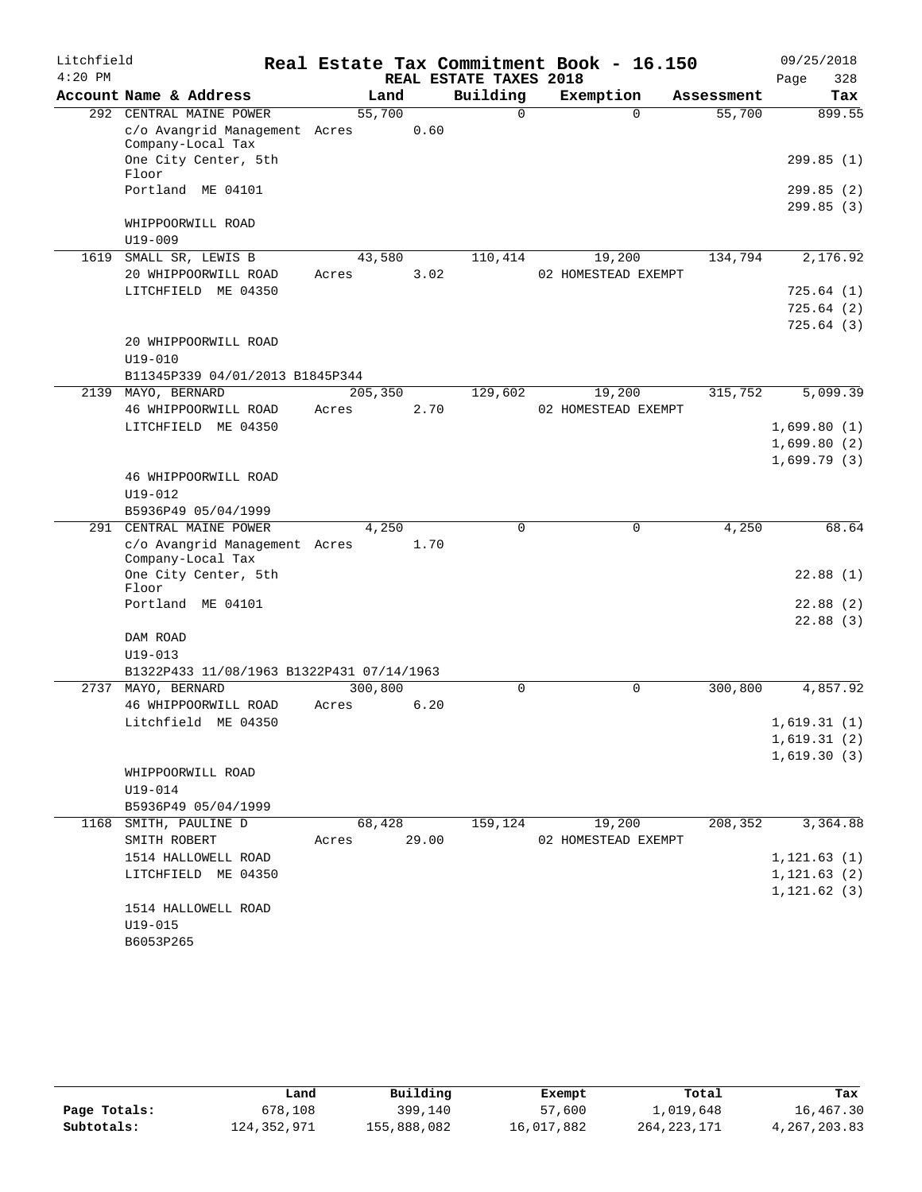| Litchfield |                                                    |          |       |                        | Real Estate Tax Commitment Book - 16.150 |            | 09/25/2018   |
|------------|----------------------------------------------------|----------|-------|------------------------|------------------------------------------|------------|--------------|
| $4:20$ PM  |                                                    |          |       | REAL ESTATE TAXES 2018 |                                          |            | 328<br>Page  |
|            | Account Name & Address                             | Land     |       | Building               | Exemption                                | Assessment | Tax          |
|            | 292 CENTRAL MAINE POWER                            | 55,700   |       | $\Omega$               | $\Omega$                                 | 55,700     | 899.55       |
|            | c/o Avangrid Management Acres<br>Company-Local Tax |          | 0.60  |                        |                                          |            |              |
|            | One City Center, 5th<br>Floor                      |          |       |                        |                                          |            | 299.85(1)    |
|            | Portland ME 04101                                  |          |       |                        |                                          |            | 299.85 (2)   |
|            |                                                    |          |       |                        |                                          |            | 299.85(3)    |
|            | WHIPPOORWILL ROAD                                  |          |       |                        |                                          |            |              |
|            | $U19 - 009$                                        |          |       |                        |                                          |            |              |
|            | 1619 SMALL SR, LEWIS B                             | 43,580   |       | 110,414                | 19,200                                   | 134,794    | 2,176.92     |
|            | 20 WHIPPOORWILL ROAD                               | Acres    | 3.02  |                        | 02 HOMESTEAD EXEMPT                      |            |              |
|            | LITCHFIELD ME 04350                                |          |       |                        |                                          |            | 725.64(1)    |
|            |                                                    |          |       |                        |                                          |            | 725.64(2)    |
|            |                                                    |          |       |                        |                                          |            | 725.64(3)    |
|            | 20 WHIPPOORWILL ROAD                               |          |       |                        |                                          |            |              |
|            | $U19 - 010$<br>B11345P339 04/01/2013 B1845P344     |          |       |                        |                                          |            |              |
| 2139       | MAYO, BERNARD                                      | 205, 350 |       | 129,602                | 19,200                                   | 315,752    | 5,099.39     |
|            | 46 WHIPPOORWILL ROAD                               | Acres    | 2.70  |                        | 02 HOMESTEAD EXEMPT                      |            |              |
|            | LITCHFIELD ME 04350                                |          |       |                        |                                          |            | 1,699.80(1)  |
|            |                                                    |          |       |                        |                                          |            | 1,699.80(2)  |
|            |                                                    |          |       |                        |                                          |            | 1,699.79(3)  |
|            | 46 WHIPPOORWILL ROAD                               |          |       |                        |                                          |            |              |
|            | $U19 - 012$                                        |          |       |                        |                                          |            |              |
|            | B5936P49 05/04/1999                                |          |       |                        |                                          |            |              |
| 291        | CENTRAL MAINE POWER                                | 4,250    |       | $\Omega$               | $\mathbf 0$                              | 4,250      | 68.64        |
|            | c/o Avangrid Management Acres<br>Company-Local Tax |          | 1.70  |                        |                                          |            |              |
|            | One City Center, 5th<br>Floor                      |          |       |                        |                                          |            | 22.88(1)     |
|            | Portland ME 04101                                  |          |       |                        |                                          |            | 22.88(2)     |
|            |                                                    |          |       |                        |                                          |            | 22.88(3)     |
|            | DAM ROAD                                           |          |       |                        |                                          |            |              |
|            | $U19 - 013$                                        |          |       |                        |                                          |            |              |
|            | B1322P433 11/08/1963 B1322P431 07/14/1963          |          |       |                        |                                          |            |              |
| 2737       | MAYO, BERNARD                                      | 300,800  |       | 0                      | $\mathbf 0$                              | 300,800    | 4,857.92     |
|            | 46 WHIPPOORWILL ROAD                               | Acres    | 6.20  |                        |                                          |            |              |
|            | Litchfield ME 04350                                |          |       |                        |                                          |            | 1,619.31(1)  |
|            |                                                    |          |       |                        |                                          |            | 1,619.31(2)  |
|            |                                                    |          |       |                        |                                          |            | 1,619.30(3)  |
|            | WHIPPOORWILL ROAD<br>U19-014                       |          |       |                        |                                          |            |              |
|            | B5936P49 05/04/1999                                |          |       |                        |                                          |            |              |
| 1168       | SMITH, PAULINE D                                   | 68,428   |       | 159,124                | 19,200                                   | 208,352    | 3,364.88     |
|            | SMITH ROBERT                                       | Acres    | 29.00 |                        | 02 HOMESTEAD EXEMPT                      |            |              |
|            | 1514 HALLOWELL ROAD                                |          |       |                        |                                          |            | 1, 121.63(1) |
|            | LITCHFIELD ME 04350                                |          |       |                        |                                          |            | 1, 121.63(2) |
|            |                                                    |          |       |                        |                                          |            | 1, 121.62(3) |
|            | 1514 HALLOWELL ROAD                                |          |       |                        |                                          |            |              |
|            | $U19 - 015$                                        |          |       |                        |                                          |            |              |
|            | B6053P265                                          |          |       |                        |                                          |            |              |

|              | Land        | Building    | Exempt     | Total         | Tax          |
|--------------|-------------|-------------|------------|---------------|--------------|
| Page Totals: | 678,108     | 399,140     | 57,600     | 1,019,648     | 16,467.30    |
| Subtotals:   | 124,352,971 | 155,888,082 | 16,017,882 | 264, 223, 171 | 4,267,203.83 |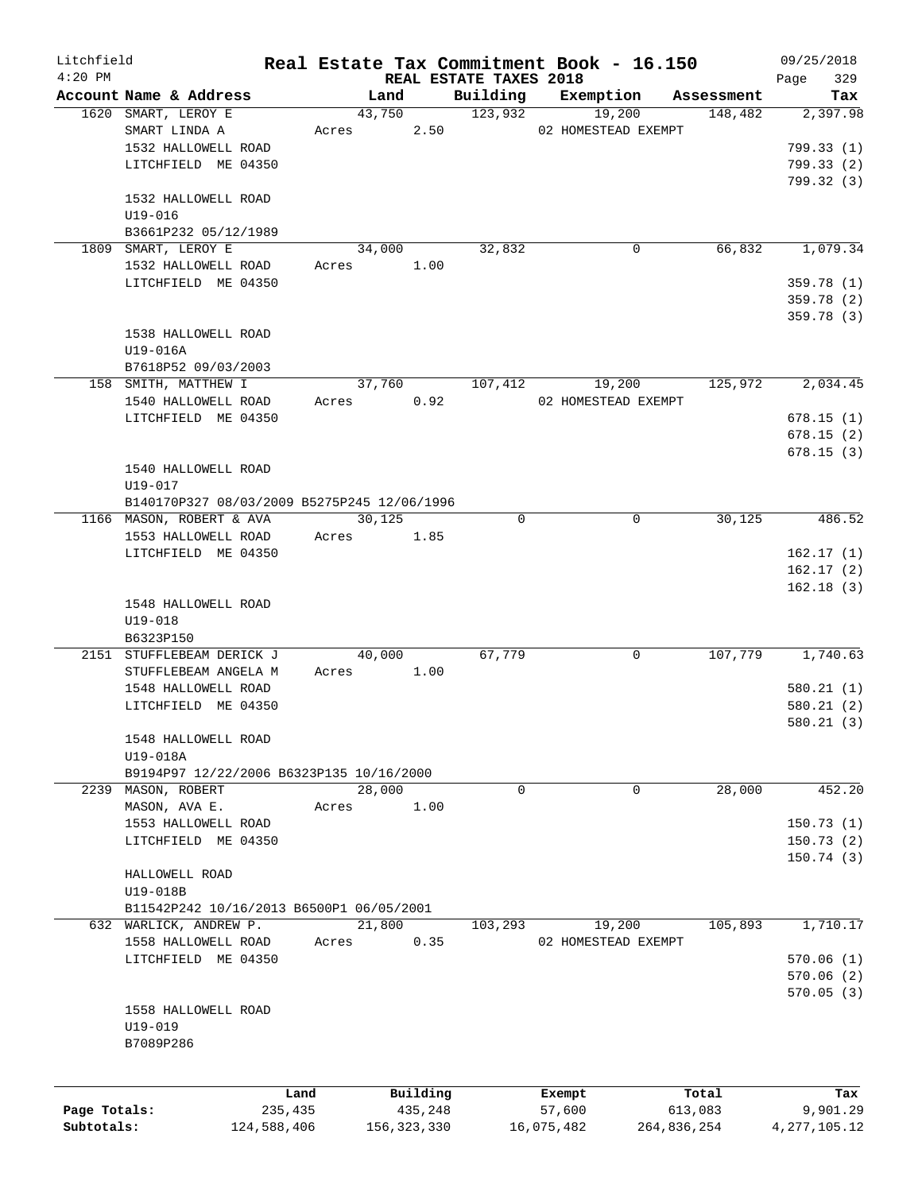| Litchfield   |                                             |             |       |        |               |                                    | Real Estate Tax Commitment Book - 16.150 |             |                       | 09/25/2018         |
|--------------|---------------------------------------------|-------------|-------|--------|---------------|------------------------------------|------------------------------------------|-------------|-----------------------|--------------------|
| $4:20$ PM    | Account Name & Address                      |             |       | Land   |               | REAL ESTATE TAXES 2018<br>Building | Exemption                                |             |                       | 329<br>Page<br>Tax |
|              | 1620 SMART, LEROY E                         |             |       | 43,750 |               | 123,932                            | 19,200                                   |             | Assessment<br>148,482 | 2,397.98           |
|              | SMART LINDA A                               |             |       |        |               |                                    |                                          |             |                       |                    |
|              |                                             |             | Acres |        | 2.50          |                                    | 02 HOMESTEAD EXEMPT                      |             |                       |                    |
|              | 1532 HALLOWELL ROAD                         |             |       |        |               |                                    |                                          |             |                       | 799.33(1)          |
|              | LITCHFIELD ME 04350                         |             |       |        |               |                                    |                                          |             |                       | 799.33(2)          |
|              |                                             |             |       |        |               |                                    |                                          |             |                       | 799.32 (3)         |
|              | 1532 HALLOWELL ROAD                         |             |       |        |               |                                    |                                          |             |                       |                    |
|              | U19-016                                     |             |       |        |               |                                    |                                          |             |                       |                    |
|              | B3661P232 05/12/1989                        |             |       |        |               |                                    |                                          |             |                       |                    |
|              | 1809 SMART, LEROY E                         |             |       | 34,000 |               | 32,832                             |                                          | 0           | 66,832                | 1,079.34           |
|              | 1532 HALLOWELL ROAD                         |             | Acres |        | 1.00          |                                    |                                          |             |                       |                    |
|              | LITCHFIELD ME 04350                         |             |       |        |               |                                    |                                          |             |                       | 359.78(1)          |
|              |                                             |             |       |        |               |                                    |                                          |             |                       | 359.78 (2)         |
|              |                                             |             |       |        |               |                                    |                                          |             |                       | 359.78 (3)         |
|              | 1538 HALLOWELL ROAD                         |             |       |        |               |                                    |                                          |             |                       |                    |
|              | $U19-016A$                                  |             |       |        |               |                                    |                                          |             |                       |                    |
|              | B7618P52 09/03/2003                         |             |       |        |               |                                    |                                          |             |                       |                    |
|              | 158 SMITH, MATTHEW I                        |             |       | 37,760 |               | 107,412                            | 19,200                                   |             | 125,972               | 2,034.45           |
|              | 1540 HALLOWELL ROAD                         |             | Acres |        | 0.92          |                                    | 02 HOMESTEAD EXEMPT                      |             |                       |                    |
|              | LITCHFIELD ME 04350                         |             |       |        |               |                                    |                                          |             |                       | 678.15(1)          |
|              |                                             |             |       |        |               |                                    |                                          |             |                       | 678.15(2)          |
|              |                                             |             |       |        |               |                                    |                                          |             |                       | 678.15(3)          |
|              | 1540 HALLOWELL ROAD                         |             |       |        |               |                                    |                                          |             |                       |                    |
|              |                                             |             |       |        |               |                                    |                                          |             |                       |                    |
|              | U19-017                                     |             |       |        |               |                                    |                                          |             |                       |                    |
|              | B140170P327 08/03/2009 B5275P245 12/06/1996 |             |       |        |               |                                    |                                          |             |                       |                    |
|              | 1166 MASON, ROBERT & AVA                    |             |       | 30,125 |               | $\Omega$                           |                                          | $\mathbf 0$ | 30,125                | 486.52             |
|              | 1553 HALLOWELL ROAD                         |             | Acres |        | 1.85          |                                    |                                          |             |                       |                    |
|              | LITCHFIELD ME 04350                         |             |       |        |               |                                    |                                          |             |                       | 162.17(1)          |
|              |                                             |             |       |        |               |                                    |                                          |             |                       | 162.17(2)          |
|              |                                             |             |       |        |               |                                    |                                          |             |                       | 162.18(3)          |
|              | 1548 HALLOWELL ROAD                         |             |       |        |               |                                    |                                          |             |                       |                    |
|              | $U19 - 018$                                 |             |       |        |               |                                    |                                          |             |                       |                    |
|              | B6323P150                                   |             |       |        |               |                                    |                                          |             |                       |                    |
|              | 2151 STUFFLEBEAM DERICK J                   |             |       | 40,000 |               | 67,779                             |                                          | 0           | 107,779               | 1,740.63           |
|              | STUFFLEBEAM ANGELA M                        |             | Acres |        | 1.00          |                                    |                                          |             |                       |                    |
|              | 1548 HALLOWELL ROAD                         |             |       |        |               |                                    |                                          |             |                       | 580.21(1)          |
|              | LITCHFIELD ME 04350                         |             |       |        |               |                                    |                                          |             |                       | 580.21 (2)         |
|              |                                             |             |       |        |               |                                    |                                          |             |                       | 580.21(3)          |
|              | 1548 HALLOWELL ROAD                         |             |       |        |               |                                    |                                          |             |                       |                    |
|              | U19-018A                                    |             |       |        |               |                                    |                                          |             |                       |                    |
|              | B9194P97 12/22/2006 B6323P135 10/16/2000    |             |       |        |               |                                    |                                          |             |                       |                    |
|              | 2239 MASON, ROBERT                          |             |       | 28,000 |               | 0                                  |                                          | 0           | 28,000                | 452.20             |
|              | MASON, AVA E.                               |             | Acres |        | 1.00          |                                    |                                          |             |                       |                    |
|              | 1553 HALLOWELL ROAD                         |             |       |        |               |                                    |                                          |             |                       | 150.73(1)          |
|              | LITCHFIELD ME 04350                         |             |       |        |               |                                    |                                          |             |                       | 150.73(2)          |
|              |                                             |             |       |        |               |                                    |                                          |             |                       | 150.74(3)          |
|              | HALLOWELL ROAD                              |             |       |        |               |                                    |                                          |             |                       |                    |
|              | U19-018B                                    |             |       |        |               |                                    |                                          |             |                       |                    |
|              |                                             |             |       |        |               |                                    |                                          |             |                       |                    |
|              | B11542P242 10/16/2013 B6500P1 06/05/2001    |             |       |        |               |                                    |                                          |             |                       |                    |
|              | 632 WARLICK, ANDREW P.                      |             |       | 21,800 |               | 103,293                            | 19,200                                   |             | 105,893               | 1,710.17           |
|              | 1558 HALLOWELL ROAD                         |             | Acres |        | 0.35          |                                    | 02 HOMESTEAD EXEMPT                      |             |                       |                    |
|              | LITCHFIELD ME 04350                         |             |       |        |               |                                    |                                          |             |                       | 570.06(1)          |
|              |                                             |             |       |        |               |                                    |                                          |             |                       | 570.06(2)          |
|              |                                             |             |       |        |               |                                    |                                          |             |                       | 570.05(3)          |
|              | 1558 HALLOWELL ROAD                         |             |       |        |               |                                    |                                          |             |                       |                    |
|              | $U19 - 019$                                 |             |       |        |               |                                    |                                          |             |                       |                    |
|              | B7089P286                                   |             |       |        |               |                                    |                                          |             |                       |                    |
|              |                                             |             |       |        |               |                                    |                                          |             |                       |                    |
|              |                                             |             |       |        |               |                                    |                                          |             |                       |                    |
|              |                                             | Land        |       |        | Building      |                                    | Exempt                                   |             | Total                 | Tax                |
| Page Totals: |                                             | 235,435     |       |        | 435,248       |                                    | 57,600                                   |             | 613,083               | 9,901.29           |
| Subtotals:   |                                             | 124,588,406 |       |        | 156, 323, 330 |                                    | 16,075,482                               | 264,836,254 |                       | 4, 277, 105. 12    |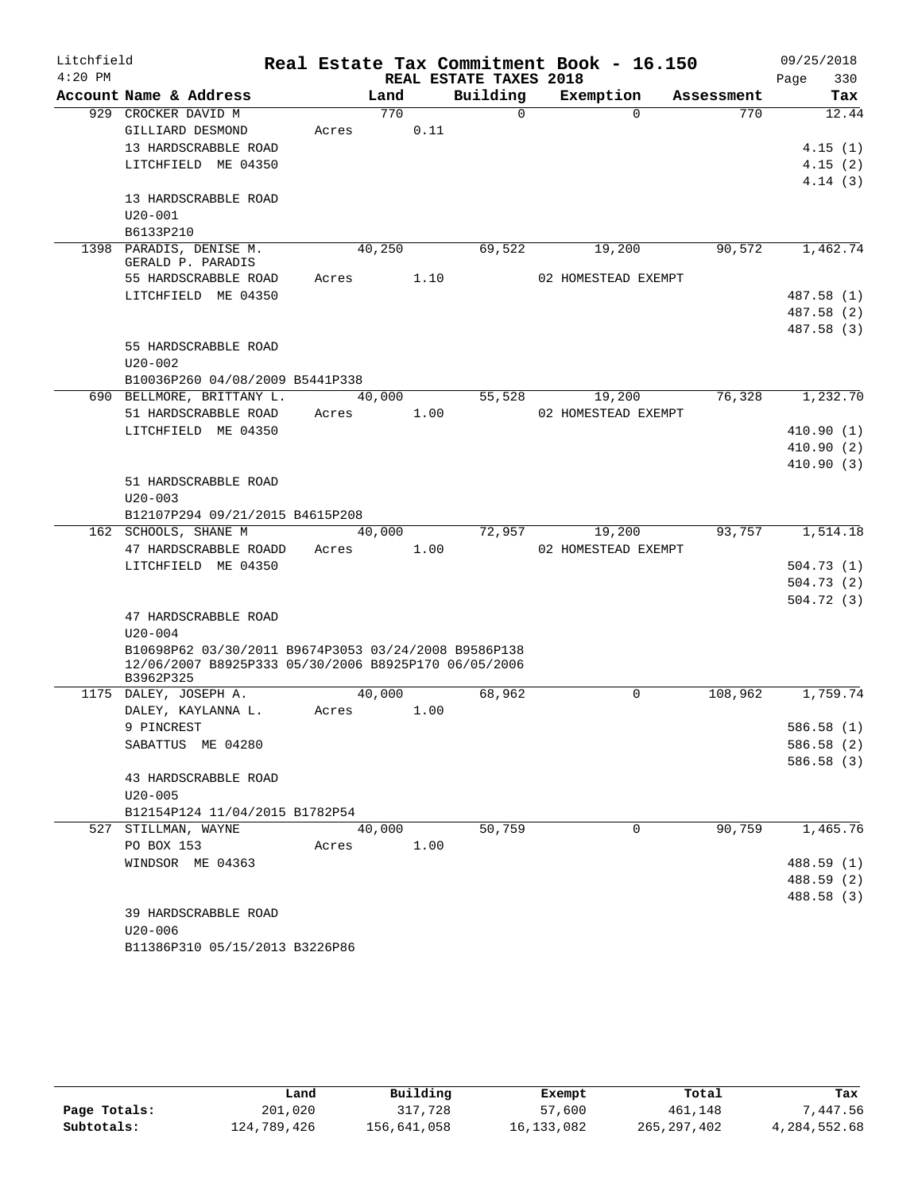| Litchfield |                                                      |       |        |                        |          | Real Estate Tax Commitment Book - 16.150 |            | 09/25/2018               |
|------------|------------------------------------------------------|-------|--------|------------------------|----------|------------------------------------------|------------|--------------------------|
| $4:20$ PM  |                                                      |       |        | REAL ESTATE TAXES 2018 |          |                                          |            | 330<br>Page              |
|            | Account Name & Address                               |       | Land   | Building               |          | Exemption                                | Assessment | Tax                      |
|            | 929 CROCKER DAVID M                                  |       | 770    |                        | $\Omega$ | $\Omega$                                 | 770        | 12.44                    |
|            | GILLIARD DESMOND                                     | Acres |        | 0.11                   |          |                                          |            |                          |
|            | 13 HARDSCRABBLE ROAD                                 |       |        |                        |          |                                          |            | 4.15(1)                  |
|            | LITCHFIELD ME 04350                                  |       |        |                        |          |                                          |            | 4.15(2)                  |
|            |                                                      |       |        |                        |          |                                          |            | 4.14(3)                  |
|            | 13 HARDSCRABBLE ROAD                                 |       |        |                        |          |                                          |            |                          |
|            | $U20 - 001$                                          |       |        |                        |          |                                          |            |                          |
|            | B6133P210                                            |       |        |                        |          |                                          |            |                          |
|            | 1398 PARADIS, DENISE M.<br>GERALD P. PARADIS         |       | 40,250 |                        | 69,522   | 19,200                                   | 90,572     | 1,462.74                 |
|            | 55 HARDSCRABBLE ROAD                                 | Acres |        | 1.10                   |          | 02 HOMESTEAD EXEMPT                      |            |                          |
|            | LITCHFIELD ME 04350                                  |       |        |                        |          |                                          |            | 487.58 (1)               |
|            |                                                      |       |        |                        |          |                                          |            | 487.58 (2)               |
|            |                                                      |       |        |                        |          |                                          |            | 487.58 (3)               |
|            | 55 HARDSCRABBLE ROAD                                 |       |        |                        |          |                                          |            |                          |
|            | $U20 - 002$                                          |       |        |                        |          |                                          |            |                          |
|            | B10036P260 04/08/2009 B5441P338                      |       |        |                        |          |                                          |            |                          |
|            | 690 BELLMORE, BRITTANY L.                            |       | 40,000 |                        | 55,528   | 19,200                                   | 76,328     | 1,232.70                 |
|            | 51 HARDSCRABBLE ROAD                                 | Acres |        | 1.00                   |          | 02 HOMESTEAD EXEMPT                      |            |                          |
|            | LITCHFIELD ME 04350                                  |       |        |                        |          |                                          |            | 410.90(1)                |
|            |                                                      |       |        |                        |          |                                          |            | 410.90(2)                |
|            |                                                      |       |        |                        |          |                                          |            | 410.90(3)                |
|            | 51 HARDSCRABBLE ROAD                                 |       |        |                        |          |                                          |            |                          |
|            | $U20 - 003$                                          |       |        |                        |          |                                          |            |                          |
|            | B12107P294 09/21/2015 B4615P208                      |       |        |                        |          |                                          |            |                          |
|            | 162 SCHOOLS, SHANE M                                 |       | 40,000 |                        | 72,957   | 19,200                                   | 93,757     | 1,514.18                 |
|            | 47 HARDSCRABBLE ROADD                                | Acres |        | 1.00                   |          | 02 HOMESTEAD EXEMPT                      |            |                          |
|            | LITCHFIELD ME 04350                                  |       |        |                        |          |                                          |            | 504.73(1)                |
|            |                                                      |       |        |                        |          |                                          |            | 504.73(2)                |
|            |                                                      |       |        |                        |          |                                          |            | 504.72(3)                |
|            | 47 HARDSCRABBLE ROAD                                 |       |        |                        |          |                                          |            |                          |
|            | $U20 - 004$                                          |       |        |                        |          |                                          |            |                          |
|            | B10698P62 03/30/2011 B9674P3053 03/24/2008 B9586P138 |       |        |                        |          |                                          |            |                          |
|            | 12/06/2007 B8925P333 05/30/2006 B8925P170 06/05/2006 |       |        |                        |          |                                          |            |                          |
|            | B3962P325                                            |       | 40,000 |                        |          | 0                                        | 108,962    |                          |
|            | 1175 DALEY, JOSEPH A.                                |       |        |                        | 68,962   |                                          |            | 1,759.74                 |
|            | DALEY, KAYLANNA L.<br>9 PINCREST                     | Acres |        | 1.00                   |          |                                          |            |                          |
|            | SABATTUS ME 04280                                    |       |        |                        |          |                                          |            | 586.58 (1)<br>586.58 (2) |
|            |                                                      |       |        |                        |          |                                          |            | 586.58 (3)               |
|            | 43 HARDSCRABBLE ROAD                                 |       |        |                        |          |                                          |            |                          |
|            | $U20 - 005$                                          |       |        |                        |          |                                          |            |                          |
|            | B12154P124 11/04/2015 B1782P54                       |       |        |                        |          |                                          |            |                          |
|            | 527 STILLMAN, WAYNE                                  |       | 40,000 |                        | 50,759   | $\Omega$                                 | 90,759     | 1,465.76                 |
|            | PO BOX 153                                           | Acres |        | 1.00                   |          |                                          |            |                          |
|            | WINDSOR ME 04363                                     |       |        |                        |          |                                          |            | 488.59 (1)               |
|            |                                                      |       |        |                        |          |                                          |            | 488.59 (2)               |
|            |                                                      |       |        |                        |          |                                          |            | 488.58 (3)               |
|            | 39 HARDSCRABBLE ROAD                                 |       |        |                        |          |                                          |            |                          |
|            | $U20 - 006$                                          |       |        |                        |          |                                          |            |                          |
|            |                                                      |       |        |                        |          |                                          |            |                          |

| B11386P310 05/15/2013 B3226P86 |  |
|--------------------------------|--|
|                                |  |

|              | Land        | Building    |            | Total         | Tax          |
|--------------|-------------|-------------|------------|---------------|--------------|
|              |             |             | Exempt     |               |              |
| Page Totals: | 201,020     | 317,728     | 57,600     | 461,148       | 7,447.56     |
| Subtotals:   | 124,789,426 | 156,641,058 | 16,133,082 | 265, 297, 402 | 4,284,552.68 |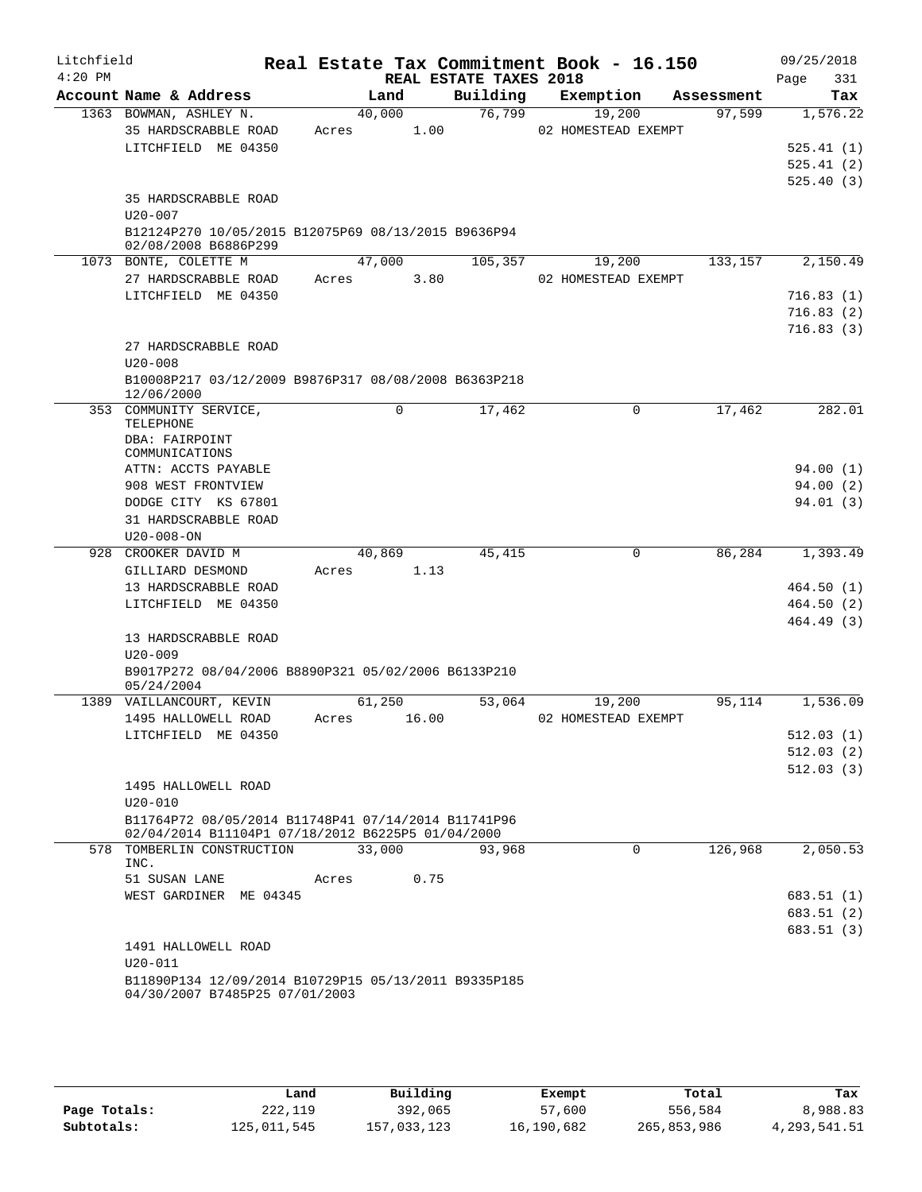| Litchfield<br>$4:20$ PM |                                                                    |       |             | REAL ESTATE TAXES 2018 | Real Estate Tax Commitment Book - 16.150 |            | 09/25/2018<br>331<br>Page |
|-------------------------|--------------------------------------------------------------------|-------|-------------|------------------------|------------------------------------------|------------|---------------------------|
|                         | Account Name & Address                                             |       | Land        | Building               | Exemption                                | Assessment | Tax                       |
|                         | 1363 BOWMAN, ASHLEY N.                                             |       | 40,000      | 76,799                 | 19,200                                   | 97,599     | 1,576.22                  |
|                         | 35 HARDSCRABBLE ROAD                                               | Acres | 1.00        |                        | 02 HOMESTEAD EXEMPT                      |            |                           |
|                         | LITCHFIELD ME 04350                                                |       |             |                        |                                          |            | 525.41(1)                 |
|                         |                                                                    |       |             |                        |                                          |            | 525.41(2)                 |
|                         |                                                                    |       |             |                        |                                          |            | 525.40(3)                 |
|                         | 35 HARDSCRABBLE ROAD                                               |       |             |                        |                                          |            |                           |
|                         | $U20 - 007$                                                        |       |             |                        |                                          |            |                           |
|                         | B12124P270 10/05/2015 B12075P69 08/13/2015 B9636P94                |       |             |                        |                                          |            |                           |
|                         | 02/08/2008 B6886P299                                               |       |             |                        |                                          |            |                           |
|                         | 1073 BONTE, COLETTE M                                              |       | 47,000      | 105,357                | 19,200                                   | 133,157    | 2,150.49                  |
|                         | 27 HARDSCRABBLE ROAD                                               | Acres | 3.80        |                        | 02 HOMESTEAD EXEMPT                      |            |                           |
|                         | LITCHFIELD ME 04350                                                |       |             |                        |                                          |            | 716.83 (1)                |
|                         |                                                                    |       |             |                        |                                          |            | 716.83(2)                 |
|                         |                                                                    |       |             |                        |                                          |            | 716.83(3)                 |
|                         | 27 HARDSCRABBLE ROAD                                               |       |             |                        |                                          |            |                           |
|                         | $U20 - 008$                                                        |       |             |                        |                                          |            |                           |
|                         | B10008P217 03/12/2009 B9876P317 08/08/2008 B6363P218<br>12/06/2000 |       |             |                        |                                          |            |                           |
| 353                     | COMMUNITY SERVICE,                                                 |       | $\mathbf 0$ | 17,462                 | $\mathbf 0$                              | 17,462     | 282.01                    |
|                         | TELEPHONE                                                          |       |             |                        |                                          |            |                           |
|                         | DBA: FAIRPOINT                                                     |       |             |                        |                                          |            |                           |
|                         | COMMUNICATIONS                                                     |       |             |                        |                                          |            |                           |
|                         | ATTN: ACCTS PAYABLE                                                |       |             |                        |                                          |            | 94.00 (1)                 |
|                         | 908 WEST FRONTVIEW                                                 |       |             |                        |                                          |            | 94.00(2)                  |
|                         | DODGE CITY KS 67801                                                |       |             |                        |                                          |            | 94.01(3)                  |
|                         | 31 HARDSCRABBLE ROAD                                               |       |             |                        |                                          |            |                           |
|                         | $U20 - 008 - ON$                                                   |       |             |                        |                                          |            |                           |
| 928                     | CROOKER DAVID M                                                    |       | 40,869      | 45, 415                | 0                                        | 86,284     | 1,393.49                  |
|                         | GILLIARD DESMOND                                                   | Acres | 1.13        |                        |                                          |            |                           |
|                         | 13 HARDSCRABBLE ROAD                                               |       |             |                        |                                          |            | 464.50(1)                 |
|                         | LITCHFIELD ME 04350                                                |       |             |                        |                                          |            | 464.50 (2)                |
|                         |                                                                    |       |             |                        |                                          |            | 464.49 (3)                |
|                         | 13 HARDSCRABBLE ROAD                                               |       |             |                        |                                          |            |                           |
|                         | $U20 - 009$                                                        |       |             |                        |                                          |            |                           |
|                         | B9017P272 08/04/2006 B8890P321 05/02/2006 B6133P210<br>05/24/2004  |       |             |                        |                                          |            |                           |
|                         | 1389 VAILLANCOURT, KEVIN                                           |       | 61,250      | 53,064                 | 19,200                                   | 95,114     | 1,536.09                  |
|                         | 1495 HALLOWELL ROAD                                                | Acres | 16.00       |                        | 02 HOMESTEAD EXEMPT                      |            |                           |
|                         | LITCHFIELD ME 04350                                                |       |             |                        |                                          |            | 512.03 (1)                |
|                         |                                                                    |       |             |                        |                                          |            | 512.03(2)                 |
|                         |                                                                    |       |             |                        |                                          |            | 512.03(3)                 |
|                         | 1495 HALLOWELL ROAD                                                |       |             |                        |                                          |            |                           |
|                         | $U20 - 010$                                                        |       |             |                        |                                          |            |                           |
|                         | B11764P72 08/05/2014 B11748P41 07/14/2014 B11741P96                |       |             |                        |                                          |            |                           |
|                         | 02/04/2014 B11104P1 07/18/2012 B6225P5 01/04/2000                  |       |             |                        |                                          |            |                           |
|                         | 578 TOMBERLIN CONSTRUCTION                                         |       | 33,000      | 93,968                 | $\Omega$                                 | 126,968    | 2,050.53                  |
|                         | INC.                                                               |       |             |                        |                                          |            |                           |
|                         | 51 SUSAN LANE                                                      | Acres | 0.75        |                        |                                          |            |                           |
|                         | WEST GARDINER ME 04345                                             |       |             |                        |                                          |            | 683.51(1)                 |
|                         |                                                                    |       |             |                        |                                          |            | 683.51 (2)                |
|                         |                                                                    |       |             |                        |                                          |            | 683.51 (3)                |
|                         | 1491 HALLOWELL ROAD                                                |       |             |                        |                                          |            |                           |
|                         | $U20 - 011$                                                        |       |             |                        |                                          |            |                           |
|                         | B11890P134 12/09/2014 B10729P15 05/13/2011 B9335P185               |       |             |                        |                                          |            |                           |
|                         | 04/30/2007 B7485P25 07/01/2003                                     |       |             |                        |                                          |            |                           |

|              | Land        | Building    | Exempt     | Total       | Tax          |
|--------------|-------------|-------------|------------|-------------|--------------|
| Page Totals: | 222,119     | 392,065     | 57,600     | 556,584     | 8,988.83     |
| Subtotals:   | 125,011,545 | 157,033,123 | 16,190,682 | 265,853,986 | 4,293,541.51 |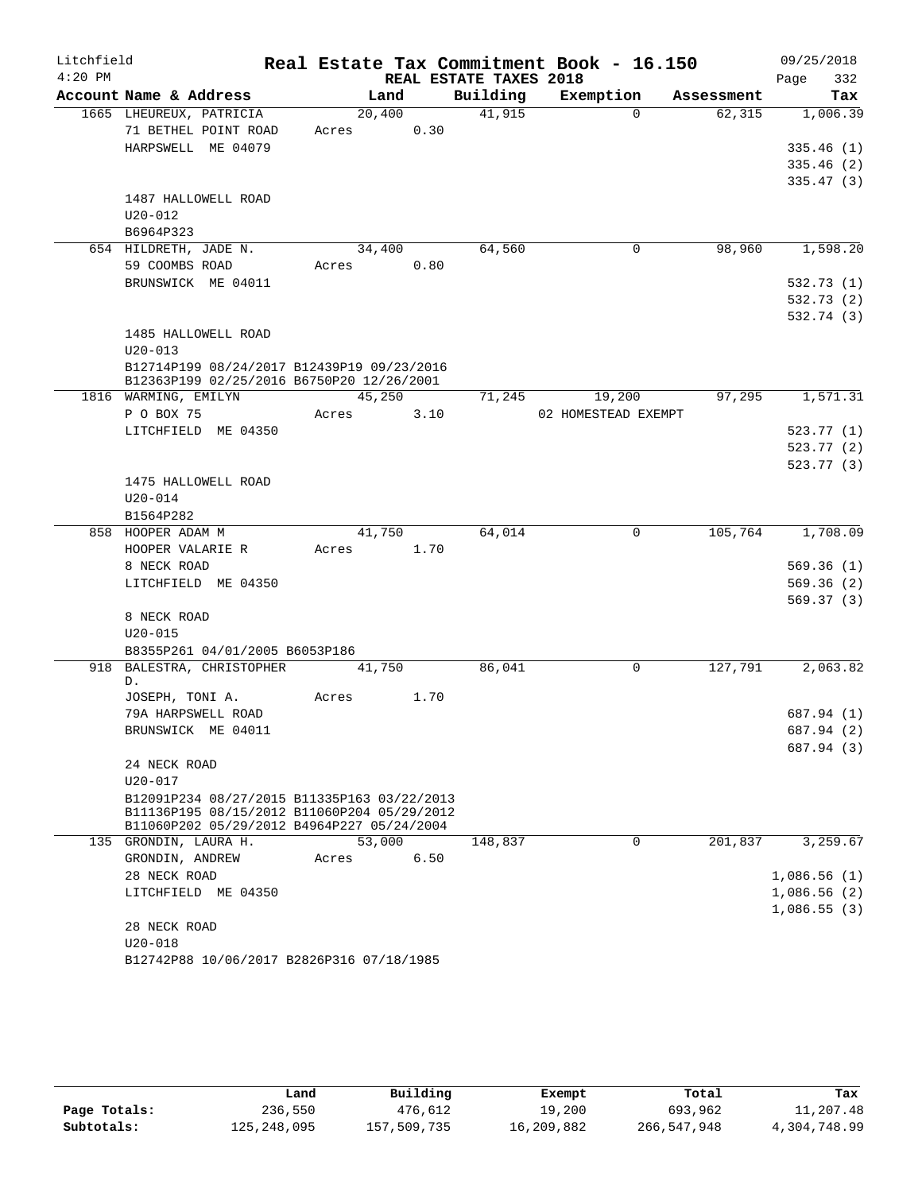| Litchfield |                                                                     |        |        |                        | Real Estate Tax Commitment Book - 16.150 |            | 09/25/2018  |
|------------|---------------------------------------------------------------------|--------|--------|------------------------|------------------------------------------|------------|-------------|
| $4:20$ PM  |                                                                     |        |        | REAL ESTATE TAXES 2018 |                                          |            | 332<br>Page |
|            | Account Name & Address                                              | Land   |        | Building               | Exemption                                | Assessment | Tax         |
|            | 1665 LHEUREUX, PATRICIA                                             | 20,400 |        | 41,915                 | $\Omega$                                 | 62,315     | 1,006.39    |
|            | 71 BETHEL POINT ROAD                                                | Acres  | 0.30   |                        |                                          |            |             |
|            | HARPSWELL ME 04079                                                  |        |        |                        |                                          |            | 335.46(1)   |
|            |                                                                     |        |        |                        |                                          |            | 335.46(2)   |
|            |                                                                     |        |        |                        |                                          |            | 335.47(3)   |
|            | 1487 HALLOWELL ROAD                                                 |        |        |                        |                                          |            |             |
|            | $U20 - 012$                                                         |        |        |                        |                                          |            |             |
|            | B6964P323                                                           |        |        |                        |                                          |            |             |
|            | 654 HILDRETH, JADE N.                                               | 34,400 |        | 64,560                 | $\mathbf 0$                              | 98,960     | 1,598.20    |
|            | 59 COOMBS ROAD                                                      | Acres  | 0.80   |                        |                                          |            |             |
|            | BRUNSWICK ME 04011                                                  |        |        |                        |                                          |            | 532.73 (1)  |
|            |                                                                     |        |        |                        |                                          |            | 532.73 (2)  |
|            |                                                                     |        |        |                        |                                          |            | 532.74 (3)  |
|            | 1485 HALLOWELL ROAD<br>$U20 - 013$                                  |        |        |                        |                                          |            |             |
|            | B12714P199 08/24/2017 B12439P19 09/23/2016                          |        |        |                        |                                          |            |             |
|            | B12363P199 02/25/2016 B6750P20 12/26/2001                           |        |        |                        |                                          |            |             |
|            | 1816 WARMING, EMILYN                                                | 45,250 |        | 71,245                 | 19,200                                   | 97,295     | 1,571.31    |
|            | P O BOX 75                                                          | Acres  | 3.10   |                        | 02 HOMESTEAD EXEMPT                      |            |             |
|            | LITCHFIELD ME 04350                                                 |        |        |                        |                                          |            | 523.77(1)   |
|            |                                                                     |        |        |                        |                                          |            | 523.77(2)   |
|            |                                                                     |        |        |                        |                                          |            | 523.77(3)   |
|            | 1475 HALLOWELL ROAD                                                 |        |        |                        |                                          |            |             |
|            | $U20 - 014$                                                         |        |        |                        |                                          |            |             |
|            | B1564P282                                                           |        |        |                        |                                          |            |             |
|            | 858 HOOPER ADAM M                                                   |        | 41,750 | 64,014                 | $\overline{0}$                           | 105,764    | 1,708.09    |
|            | HOOPER VALARIE R                                                    | Acres  | 1.70   |                        |                                          |            |             |
|            | 8 NECK ROAD                                                         |        |        |                        |                                          |            | 569.36(1)   |
|            | LITCHFIELD ME 04350                                                 |        |        |                        |                                          |            | 569.36(2)   |
|            |                                                                     |        |        |                        |                                          |            | 569.37(3)   |
|            | 8 NECK ROAD                                                         |        |        |                        |                                          |            |             |
|            | $U20 - 015$                                                         |        |        |                        |                                          |            |             |
|            | B8355P261 04/01/2005 B6053P186<br>918 BALESTRA, CHRISTOPHER         |        | 41,750 | 86,041                 | 0                                        | 127,791    | 2,063.82    |
|            | D.                                                                  |        |        |                        |                                          |            |             |
|            | JOSEPH, TONI A.                                                     | Acres  | 1.70   |                        |                                          |            |             |
|            | 79A HARPSWELL ROAD                                                  |        |        |                        |                                          |            | 687.94 (1)  |
|            | BRUNSWICK ME 04011                                                  |        |        |                        |                                          |            | 687.94 (2)  |
|            |                                                                     |        |        |                        |                                          |            | 687.94 (3)  |
|            | 24 NECK ROAD                                                        |        |        |                        |                                          |            |             |
|            | $U20 - 017$                                                         |        |        |                        |                                          |            |             |
|            | B12091P234 08/27/2015 B11335P163 03/22/2013                         |        |        |                        |                                          |            |             |
|            | B11136P195 08/15/2012 B11060P204 05/29/2012                         |        |        |                        |                                          |            |             |
|            | B11060P202 05/29/2012 B4964P227 05/24/2004<br>135 GRONDIN, LAURA H. | 53,000 |        | 148,837                | 0                                        | 201,837    | 3,259.67    |
|            | GRONDIN, ANDREW                                                     | Acres  | 6.50   |                        |                                          |            |             |
|            | 28 NECK ROAD                                                        |        |        |                        |                                          |            | 1,086.56(1) |
|            | LITCHFIELD ME 04350                                                 |        |        |                        |                                          |            | 1,086.56(2) |
|            |                                                                     |        |        |                        |                                          |            | 1,086.55(3) |
|            | 28 NECK ROAD                                                        |        |        |                        |                                          |            |             |
|            | $U20 - 018$                                                         |        |        |                        |                                          |            |             |
|            | B12742P88 10/06/2017 B2826P316 07/18/1985                           |        |        |                        |                                          |            |             |

|              | Land        | Building    | Exempt     | Total       | Tax          |
|--------------|-------------|-------------|------------|-------------|--------------|
| Page Totals: | 236,550     | 476,612     | 19,200     | 693,962     | 11,207.48    |
| Subtotals:   | 125,248,095 | 157,509,735 | 16,209,882 | 266,547,948 | 4,304,748.99 |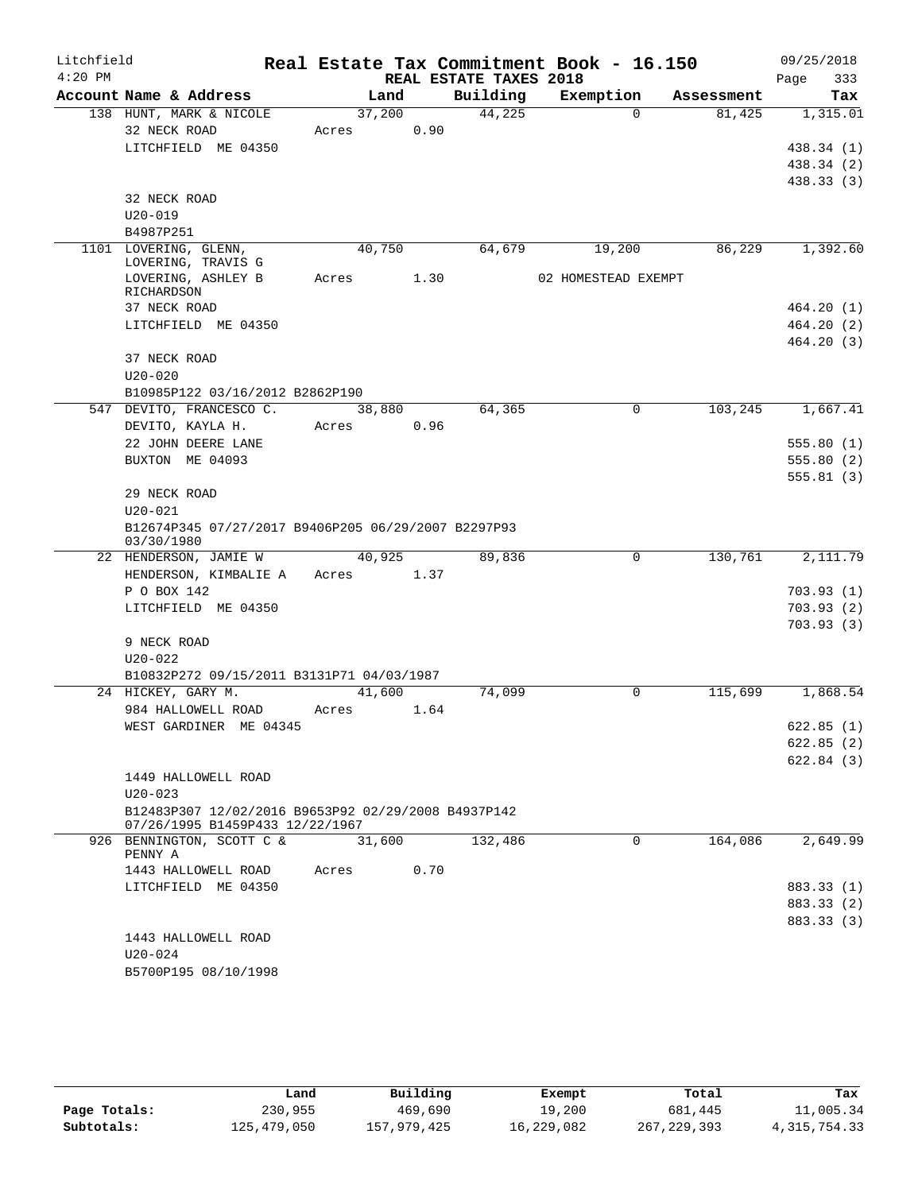| Litchfield |                                                                   |            |        |                        | Real Estate Tax Commitment Book - 16.150 |            | 09/25/2018               |
|------------|-------------------------------------------------------------------|------------|--------|------------------------|------------------------------------------|------------|--------------------------|
| $4:20$ PM  |                                                                   |            |        | REAL ESTATE TAXES 2018 |                                          |            | Page<br>333              |
|            | Account Name & Address                                            |            | Land   | Building               | Exemption                                | Assessment | Tax                      |
|            | 138 HUNT, MARK & NICOLE                                           |            | 37,200 | 44,225                 | $\Omega$                                 | 81,425     | 1,315.01                 |
|            | 32 NECK ROAD                                                      | Acres      | 0.90   |                        |                                          |            |                          |
|            | LITCHFIELD ME 04350                                               |            |        |                        |                                          |            | 438.34 (1)               |
|            |                                                                   |            |        |                        |                                          |            | 438.34 (2)               |
|            | 32 NECK ROAD                                                      |            |        |                        |                                          |            | 438.33(3)                |
|            | $U20 - 019$                                                       |            |        |                        |                                          |            |                          |
|            | B4987P251                                                         |            |        |                        |                                          |            |                          |
|            | 1101 LOVERING, GLENN,                                             |            | 40,750 | 64,679                 | 19,200                                   | 86,229     | 1,392.60                 |
|            | LOVERING, TRAVIS G                                                |            |        |                        |                                          |            |                          |
|            | LOVERING, ASHLEY B                                                | Acres      | 1.30   |                        | 02 HOMESTEAD EXEMPT                      |            |                          |
|            | RICHARDSON                                                        |            |        |                        |                                          |            |                          |
|            | 37 NECK ROAD<br>LITCHFIELD ME 04350                               |            |        |                        |                                          |            | 464.20(1)<br>464.20(2)   |
|            |                                                                   |            |        |                        |                                          |            | 464.20(3)                |
|            | 37 NECK ROAD                                                      |            |        |                        |                                          |            |                          |
|            | $U20 - 020$                                                       |            |        |                        |                                          |            |                          |
|            | B10985P122 03/16/2012 B2862P190                                   |            |        |                        |                                          |            |                          |
| 547        | DEVITO, FRANCESCO C.                                              |            | 38,880 | 64,365                 | 0                                        | 103,245    | 1,667.41                 |
|            | DEVITO, KAYLA H.                                                  | Acres      | 0.96   |                        |                                          |            |                          |
|            | 22 JOHN DEERE LANE                                                |            |        |                        |                                          |            | 555.80(1)                |
|            | BUXTON ME 04093                                                   |            |        |                        |                                          |            | 555.80(2)                |
|            |                                                                   |            |        |                        |                                          |            | 555.81(3)                |
|            | 29 NECK ROAD                                                      |            |        |                        |                                          |            |                          |
|            | $U20 - 021$                                                       |            |        |                        |                                          |            |                          |
|            | B12674P345 07/27/2017 B9406P205 06/29/2007 B2297P93<br>03/30/1980 |            |        |                        |                                          |            |                          |
|            | 22 HENDERSON, JAMIE W                                             |            | 40,925 | 89,836                 | 0                                        | 130,761    | 2,111.79                 |
|            | HENDERSON, KIMBALIE A                                             | Acres 1.37 |        |                        |                                          |            |                          |
|            | P O BOX 142                                                       |            |        |                        |                                          |            | 703.93(1)                |
|            | LITCHFIELD ME 04350                                               |            |        |                        |                                          |            | 703.93(2)                |
|            |                                                                   |            |        |                        |                                          |            | 703.93(3)                |
|            | 9 NECK ROAD                                                       |            |        |                        |                                          |            |                          |
|            | $U20 - 022$                                                       |            |        |                        |                                          |            |                          |
|            | B10832P272 09/15/2011 B3131P71 04/03/1987                         |            |        |                        |                                          |            |                          |
|            | 24 HICKEY, GARY M.                                                |            | 41,600 | 74,099                 | $\Omega$                                 | 115,699    | 1,868.54                 |
|            | 984 HALLOWELL ROAD                                                | Acres      | 1.64   |                        |                                          |            |                          |
|            | WEST GARDINER ME 04345                                            |            |        |                        |                                          |            | 622.85(1)                |
|            |                                                                   |            |        |                        |                                          |            | 622.85(2)                |
|            | 1449 HALLOWELL ROAD                                               |            |        |                        |                                          |            | 622.84(3)                |
|            | $U20 - 023$                                                       |            |        |                        |                                          |            |                          |
|            | B12483P307 12/02/2016 B9653P92 02/29/2008 B4937P142               |            |        |                        |                                          |            |                          |
|            | 07/26/1995 B1459P433 12/22/1967                                   |            |        |                        |                                          |            |                          |
|            | 926 BENNINGTON, SCOTT C &                                         |            | 31,600 | 132,486                | 0                                        | 164,086    | 2,649.99                 |
|            | PENNY A                                                           |            |        |                        |                                          |            |                          |
|            | 1443 HALLOWELL ROAD                                               | Acres      | 0.70   |                        |                                          |            |                          |
|            | LITCHFIELD ME 04350                                               |            |        |                        |                                          |            | 883.33 (1)               |
|            |                                                                   |            |        |                        |                                          |            | 883.33 (2)<br>883.33 (3) |
|            | 1443 HALLOWELL ROAD                                               |            |        |                        |                                          |            |                          |
|            | U20-024                                                           |            |        |                        |                                          |            |                          |
|            | B5700P195 08/10/1998                                              |            |        |                        |                                          |            |                          |
|            |                                                                   |            |        |                        |                                          |            |                          |

|              | Land        | Building    | Exempt     | Total       | Tax            |
|--------------|-------------|-------------|------------|-------------|----------------|
| Page Totals: | 230,955     | 469,690     | 19,200     | 681,445     | 11,005.34      |
| Subtotals:   | 125,479,050 | 157,979,425 | 16,229,082 | 267,229,393 | 4, 315, 754.33 |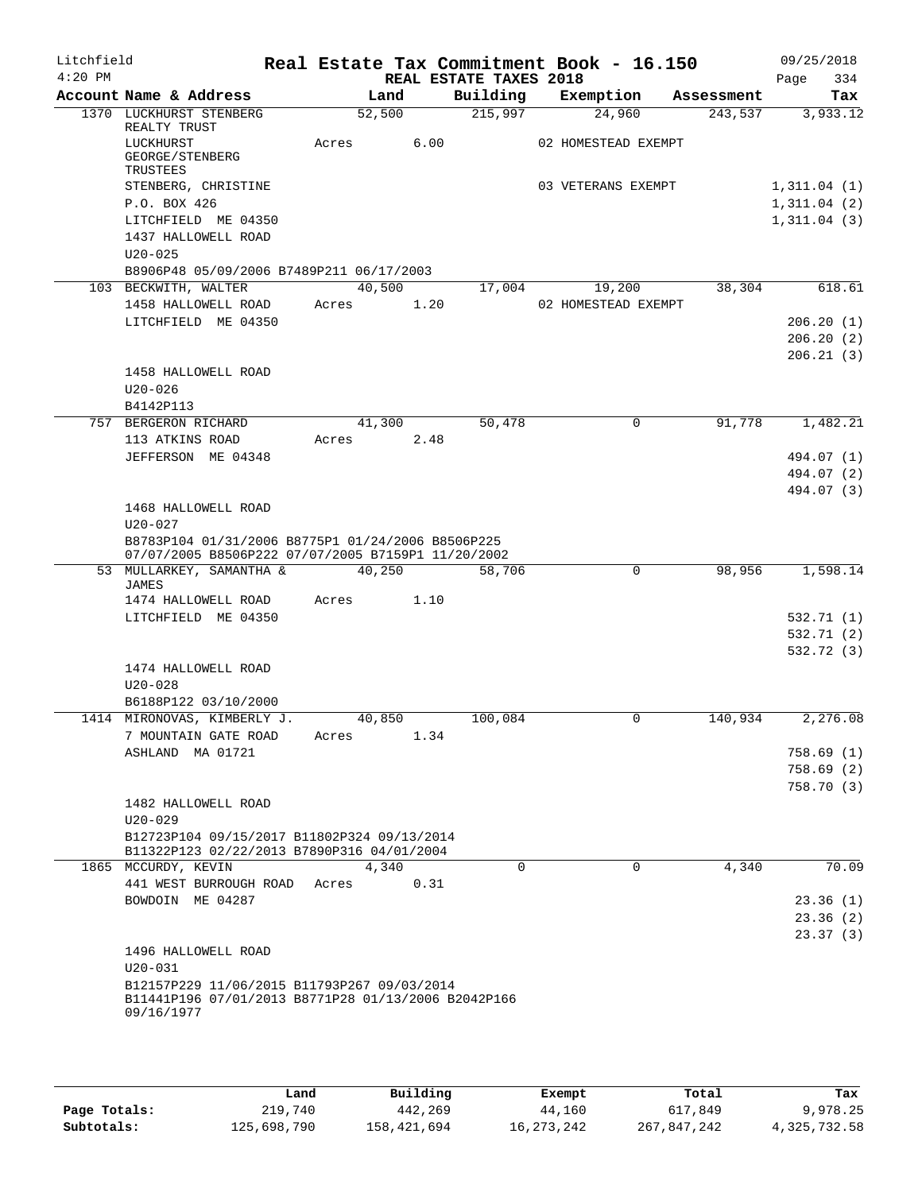| Litchfield |                                                                                                         |                 |        |                        | Real Estate Tax Commitment Book - 16.150 |            | 09/25/2018               |
|------------|---------------------------------------------------------------------------------------------------------|-----------------|--------|------------------------|------------------------------------------|------------|--------------------------|
| $4:20$ PM  |                                                                                                         |                 |        | REAL ESTATE TAXES 2018 |                                          |            | Page<br>334              |
|            | Account Name & Address                                                                                  | Land            |        | Building               | Exemption                                | Assessment | Tax                      |
|            | 1370 LUCKHURST STENBERG<br>REALTY TRUST                                                                 | 52,500          |        | 215,997                | 24,960                                   | 243,537    | 3,933.12                 |
|            | LUCKHURST                                                                                               | Acres           | 6.00   |                        | 02 HOMESTEAD EXEMPT                      |            |                          |
|            | GEORGE/STENBERG                                                                                         |                 |        |                        |                                          |            |                          |
|            | TRUSTEES<br>STENBERG, CHRISTINE                                                                         |                 |        |                        | 03 VETERANS EXEMPT                       |            | 1,311.04(1)              |
|            | P.O. BOX 426                                                                                            |                 |        |                        |                                          |            | 1,311.04(2)              |
|            | LITCHFIELD ME 04350                                                                                     |                 |        |                        |                                          |            | 1,311.04(3)              |
|            | 1437 HALLOWELL ROAD                                                                                     |                 |        |                        |                                          |            |                          |
|            | $U20 - 025$                                                                                             |                 |        |                        |                                          |            |                          |
|            | B8906P48 05/09/2006 B7489P211 06/17/2003                                                                |                 |        |                        |                                          |            |                          |
|            | 103 BECKWITH, WALTER<br>1458 HALLOWELL ROAD                                                             | 40,500<br>Acres | 1.20   | 17,004                 | 19,200<br>02 HOMESTEAD EXEMPT            | 38,304     | 618.61                   |
|            | LITCHFIELD ME 04350                                                                                     |                 |        |                        |                                          |            | 206.20(1)                |
|            |                                                                                                         |                 |        |                        |                                          |            | 206.20(2)                |
|            |                                                                                                         |                 |        |                        |                                          |            | 206.21(3)                |
|            | 1458 HALLOWELL ROAD                                                                                     |                 |        |                        |                                          |            |                          |
|            | $U20 - 026$                                                                                             |                 |        |                        |                                          |            |                          |
|            | B4142P113                                                                                               |                 |        |                        |                                          |            |                          |
|            | 757 BERGERON RICHARD                                                                                    |                 | 41,300 | 50,478                 | 0                                        | 91,778     | 1,482.21                 |
|            | 113 ATKINS ROAD                                                                                         | Acres           | 2.48   |                        |                                          |            |                          |
|            | JEFFERSON ME 04348                                                                                      |                 |        |                        |                                          |            | 494.07 (1)<br>494.07 (2) |
|            |                                                                                                         |                 |        |                        |                                          |            | 494.07 (3)               |
|            | 1468 HALLOWELL ROAD                                                                                     |                 |        |                        |                                          |            |                          |
|            | $U20 - 027$                                                                                             |                 |        |                        |                                          |            |                          |
|            | B8783P104 01/31/2006 B8775P1 01/24/2006 B8506P225<br>07/07/2005 B8506P222 07/07/2005 B7159P1 11/20/2002 |                 |        |                        |                                          |            |                          |
|            | 53 MULLARKEY, SAMANTHA &<br>JAMES                                                                       | 40,250          |        | 58,706                 | $\Omega$                                 | 98,956     | 1,598.14                 |
|            | 1474 HALLOWELL ROAD                                                                                     | Acres           | 1.10   |                        |                                          |            |                          |
|            | LITCHFIELD ME 04350                                                                                     |                 |        |                        |                                          |            | 532.71 (1)               |
|            |                                                                                                         |                 |        |                        |                                          |            | 532.71(2)                |
|            |                                                                                                         |                 |        |                        |                                          |            | 532.72 (3)               |
|            | 1474 HALLOWELL ROAD                                                                                     |                 |        |                        |                                          |            |                          |
|            | $U20 - 028$                                                                                             |                 |        |                        |                                          |            |                          |
|            | B6188P122 03/10/2000<br>1414 MIRONOVAS, KIMBERLY J.                                                     | 40,850          |        | 100,084                | 0                                        | 140,934    | 2,276.08                 |
|            | 7 MOUNTAIN GATE ROAD                                                                                    | Acres           | 1.34   |                        |                                          |            |                          |
|            | ASHLAND MA 01721                                                                                        |                 |        |                        |                                          |            | 758.69(1)                |
|            |                                                                                                         |                 |        |                        |                                          |            | 758.69(2)                |
|            |                                                                                                         |                 |        |                        |                                          |            | 758.70(3)                |
|            | 1482 HALLOWELL ROAD                                                                                     |                 |        |                        |                                          |            |                          |
|            | $U20 - 029$                                                                                             |                 |        |                        |                                          |            |                          |
|            | B12723P104 09/15/2017 B11802P324 09/13/2014<br>B11322P123 02/22/2013 B7890P316 04/01/2004               |                 |        |                        |                                          |            |                          |
|            | 1865 MCCURDY, KEVIN                                                                                     | 4,340           |        | $\Omega$               | $\Omega$                                 | 4,340      | 70.09                    |
|            | 441 WEST BURROUGH ROAD                                                                                  | Acres           | 0.31   |                        |                                          |            |                          |
|            | BOWDOIN ME 04287                                                                                        |                 |        |                        |                                          |            | 23.36(1)                 |
|            |                                                                                                         |                 |        |                        |                                          |            | 23.36(2)                 |
|            |                                                                                                         |                 |        |                        |                                          |            | 23.37(3)                 |
|            | 1496 HALLOWELL ROAD                                                                                     |                 |        |                        |                                          |            |                          |
|            | $U20 - 031$<br>B12157P229 11/06/2015 B11793P267 09/03/2014                                              |                 |        |                        |                                          |            |                          |
|            | B11441P196 07/01/2013 B8771P28 01/13/2006 B2042P166                                                     |                 |        |                        |                                          |            |                          |
|            | 09/16/1977                                                                                              |                 |        |                        |                                          |            |                          |
|            |                                                                                                         |                 |        |                        |                                          |            |                          |

|              | Land        | Building    | Exempt       | Total       | Tax          |
|--------------|-------------|-------------|--------------|-------------|--------------|
| Page Totals: | 219,740     | 442,269     | 44,160       | 617,849     | 9,978.25     |
| Subtotals:   | 125,698,790 | 158,421,694 | 16, 273, 242 | 267,847,242 | 4,325,732.58 |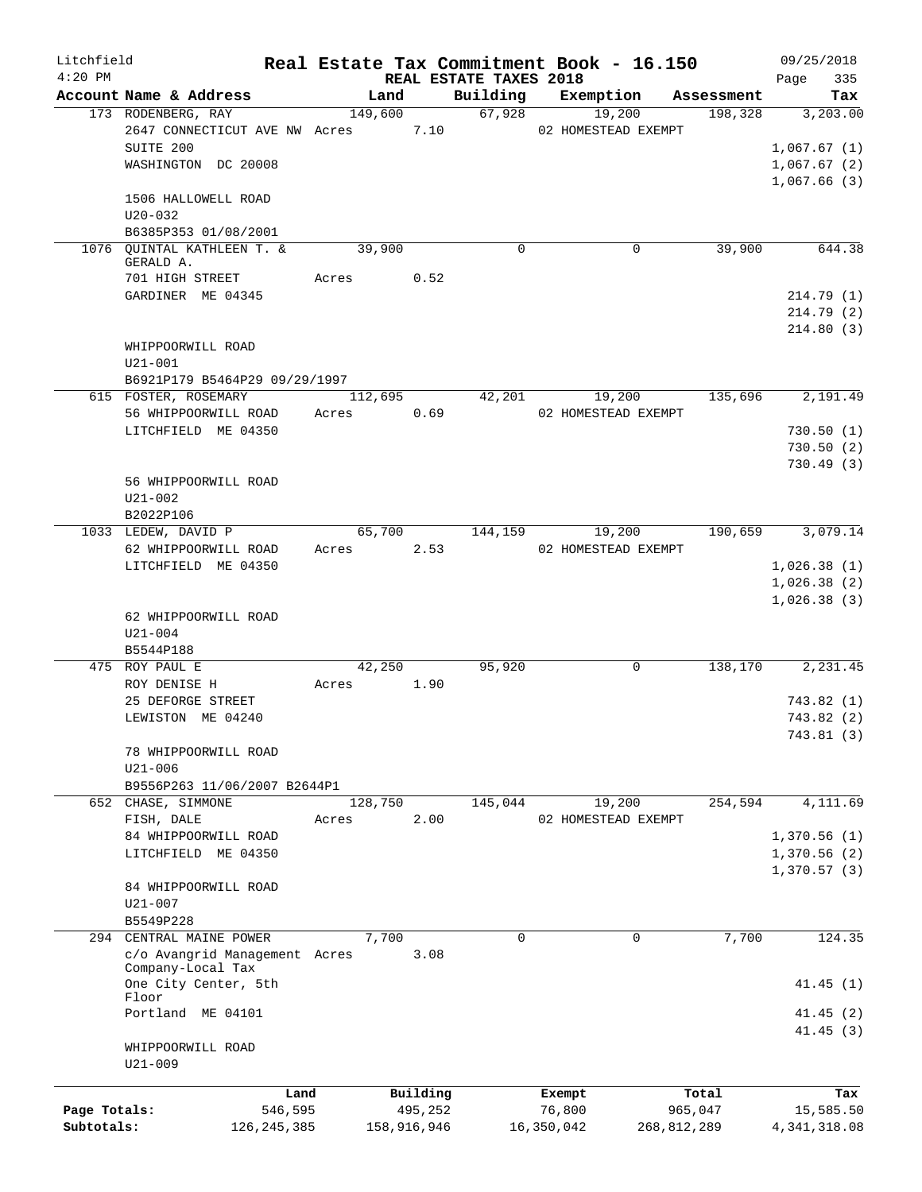| Litchfield                 |                                                       |         |                        |                                    | Real Estate Tax Commitment Book - 16.150 |                        | 09/25/2018                  |
|----------------------------|-------------------------------------------------------|---------|------------------------|------------------------------------|------------------------------------------|------------------------|-----------------------------|
| $4:20$ PM                  | Account Name & Address                                | Land    |                        | REAL ESTATE TAXES 2018<br>Building | Exemption                                | Assessment             | 335<br>Page<br>Tax          |
|                            | 173 RODENBERG, RAY                                    | 149,600 |                        | 67,928                             | 19,200                                   | 198,328                | 3,203.00                    |
|                            | 2647 CONNECTICUT AVE NW Acres                         |         | 7.10                   |                                    | 02 HOMESTEAD EXEMPT                      |                        |                             |
|                            | SUITE 200                                             |         |                        |                                    |                                          |                        | 1,067.67(1)                 |
|                            | WASHINGTON DC 20008                                   |         |                        |                                    |                                          |                        | 1,067.67(2)                 |
|                            |                                                       |         |                        |                                    |                                          |                        | 1,067.66(3)                 |
|                            | 1506 HALLOWELL ROAD                                   |         |                        |                                    |                                          |                        |                             |
|                            | $U20 - 032$                                           |         |                        |                                    |                                          |                        |                             |
|                            | B6385P353 01/08/2001<br>1076 QUINTAL KATHLEEN T. &    | 39,900  |                        | $\mathbf 0$                        | 0                                        | 39,900                 | 644.38                      |
|                            | GERALD A.                                             |         |                        |                                    |                                          |                        |                             |
|                            | 701 HIGH STREET                                       | Acres   | 0.52                   |                                    |                                          |                        |                             |
|                            | GARDINER ME 04345                                     |         |                        |                                    |                                          |                        | 214.79 (1)                  |
|                            |                                                       |         |                        |                                    |                                          |                        | 214.79(2)                   |
|                            |                                                       |         |                        |                                    |                                          |                        | 214.80(3)                   |
|                            | WHIPPOORWILL ROAD                                     |         |                        |                                    |                                          |                        |                             |
|                            | $U21 - 001$                                           |         |                        |                                    |                                          |                        |                             |
|                            | B6921P179 B5464P29 09/29/1997<br>615 FOSTER, ROSEMARY | 112,695 |                        | 42,201                             | 19,200                                   | 135,696                | 2,191.49                    |
|                            | 56 WHIPPOORWILL ROAD                                  | Acres   | 0.69                   |                                    | 02 HOMESTEAD EXEMPT                      |                        |                             |
|                            | LITCHFIELD ME 04350                                   |         |                        |                                    |                                          |                        | 730.50(1)                   |
|                            |                                                       |         |                        |                                    |                                          |                        | 730.50(2)                   |
|                            |                                                       |         |                        |                                    |                                          |                        | 730.49(3)                   |
|                            | 56 WHIPPOORWILL ROAD                                  |         |                        |                                    |                                          |                        |                             |
|                            | $U21 - 002$                                           |         |                        |                                    |                                          |                        |                             |
|                            | B2022P106                                             |         |                        |                                    |                                          |                        |                             |
|                            | 1033 LEDEW, DAVID P                                   | 65,700  |                        | 144,159                            | 19,200                                   | 190,659                | 3,079.14                    |
|                            | 62 WHIPPOORWILL ROAD                                  | Acres   | 2.53                   |                                    | 02 HOMESTEAD EXEMPT                      |                        |                             |
|                            | LITCHFIELD ME 04350                                   |         |                        |                                    |                                          |                        | 1,026.38(1)<br>1,026.38(2)  |
|                            |                                                       |         |                        |                                    |                                          |                        | 1,026.38(3)                 |
|                            | 62 WHIPPOORWILL ROAD                                  |         |                        |                                    |                                          |                        |                             |
|                            | $U21 - 004$                                           |         |                        |                                    |                                          |                        |                             |
|                            | B5544P188                                             |         |                        |                                    |                                          |                        |                             |
|                            | 475 ROY PAUL E                                        | 42,250  |                        | 95,920                             | 0                                        | 138,170                | 2,231.45                    |
|                            | ROY DENISE H                                          | Acres   | 1.90                   |                                    |                                          |                        |                             |
|                            | 25 DEFORGE STREET                                     |         |                        |                                    |                                          |                        | 743.82(1)                   |
|                            | LEWISTON ME 04240                                     |         |                        |                                    |                                          |                        | 743.82(2)                   |
|                            | 78 WHIPPOORWILL ROAD                                  |         |                        |                                    |                                          |                        | 743.81 (3)                  |
|                            | $U21 - 006$                                           |         |                        |                                    |                                          |                        |                             |
|                            | B9556P263 11/06/2007 B2644P1                          |         |                        |                                    |                                          |                        |                             |
|                            | 652 CHASE, SIMMONE                                    | 128,750 |                        | 145,044                            | 19,200                                   | 254,594                | 4,111.69                    |
|                            | FISH, DALE                                            | Acres   | 2.00                   |                                    | 02 HOMESTEAD EXEMPT                      |                        |                             |
|                            | 84 WHIPPOORWILL ROAD                                  |         |                        |                                    |                                          |                        | 1,370.56(1)                 |
|                            | LITCHFIELD ME 04350                                   |         |                        |                                    |                                          |                        | 1,370.56 (2)                |
|                            |                                                       |         |                        |                                    |                                          |                        | 1,370.57(3)                 |
|                            | 84 WHIPPOORWILL ROAD                                  |         |                        |                                    |                                          |                        |                             |
|                            | $U21 - 007$<br>B5549P228                              |         |                        |                                    |                                          |                        |                             |
|                            | 294 CENTRAL MAINE POWER                               | 7,700   |                        | $\Omega$                           | $\Omega$                                 | 7,700                  | 124.35                      |
|                            | c/o Avangrid Management Acres                         |         | 3.08                   |                                    |                                          |                        |                             |
|                            | Company-Local Tax                                     |         |                        |                                    |                                          |                        |                             |
|                            | One City Center, 5th                                  |         |                        |                                    |                                          |                        | 41.45(1)                    |
|                            | Floor<br>Portland ME 04101                            |         |                        |                                    |                                          |                        | 41.45(2)                    |
|                            |                                                       |         |                        |                                    |                                          |                        | 41.45(3)                    |
|                            | WHIPPOORWILL ROAD                                     |         |                        |                                    |                                          |                        |                             |
|                            | $U21 - 009$                                           |         |                        |                                    |                                          |                        |                             |
|                            |                                                       |         |                        |                                    |                                          |                        |                             |
|                            | Land                                                  |         | Building               |                                    | Exempt                                   | Total                  | Tax                         |
| Page Totals:<br>Subtotals: | 546,595<br>126, 245, 385                              |         | 495,252<br>158,916,946 |                                    | 76,800<br>16,350,042                     | 965,047<br>268,812,289 | 15,585.50<br>4, 341, 318.08 |
|                            |                                                       |         |                        |                                    |                                          |                        |                             |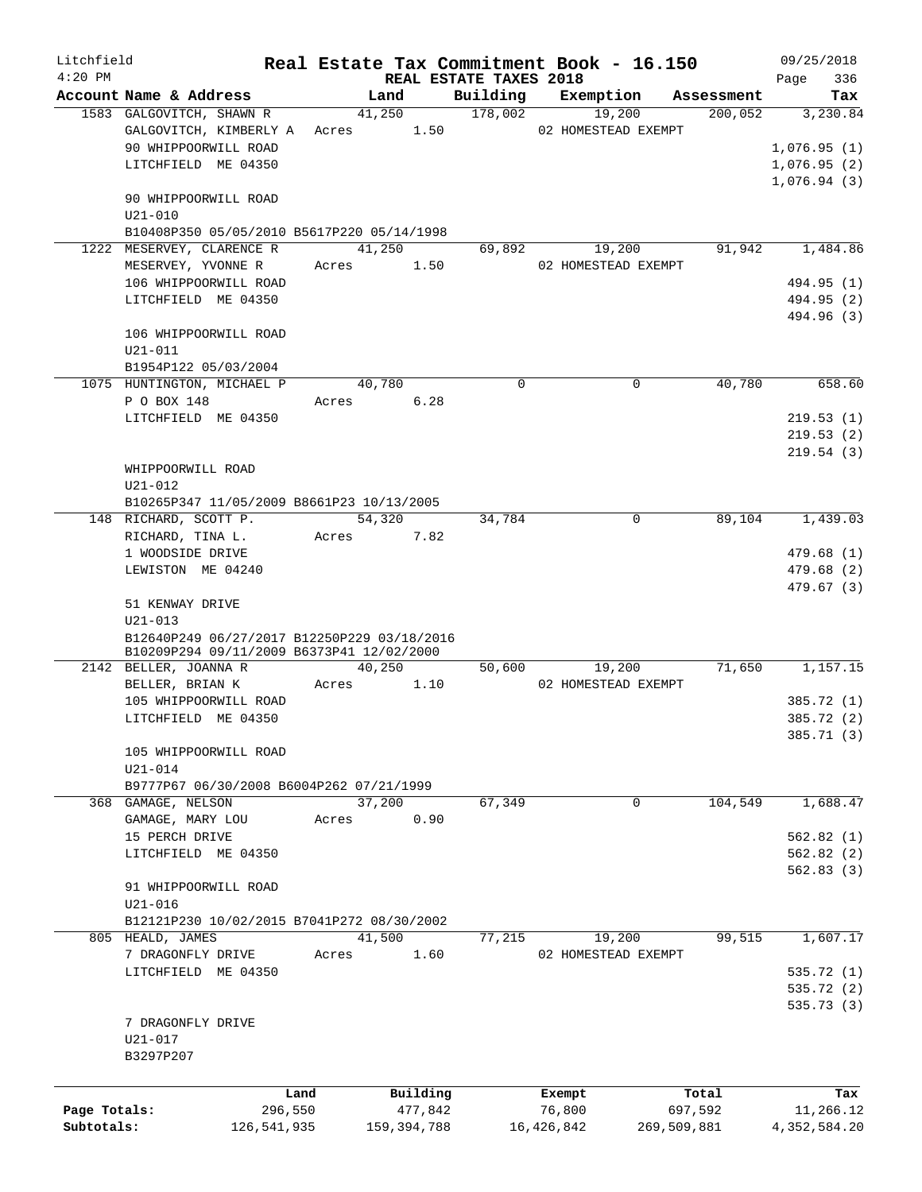| Litchfield   |                                                           |       |                      |                        | Real Estate Tax Commitment Book - 16.150 |             | 09/25/2018               |
|--------------|-----------------------------------------------------------|-------|----------------------|------------------------|------------------------------------------|-------------|--------------------------|
| $4:20$ PM    | Account Name & Address                                    |       |                      | REAL ESTATE TAXES 2018 |                                          |             | 336<br>Page              |
|              |                                                           |       | Land                 | Building<br>178,002    | Exemption                                | Assessment  | Tax                      |
|              | 1583 GALGOVITCH, SHAWN R<br>GALGOVITCH, KIMBERLY A        |       | 41,250<br>Acres 1.50 |                        | 19,200<br>02 HOMESTEAD EXEMPT            | 200,052     | 3,230.84                 |
|              | 90 WHIPPOORWILL ROAD                                      |       |                      |                        |                                          |             | 1,076.95(1)              |
|              | LITCHFIELD ME 04350                                       |       |                      |                        |                                          |             | 1,076.95(2)              |
|              |                                                           |       |                      |                        |                                          |             | 1,076.94(3)              |
|              | 90 WHIPPOORWILL ROAD                                      |       |                      |                        |                                          |             |                          |
|              | $U21 - 010$                                               |       |                      |                        |                                          |             |                          |
|              | B10408P350 05/05/2010 B5617P220 05/14/1998                |       |                      |                        |                                          |             |                          |
|              | 1222 MESERVEY, CLARENCE R                                 |       | 41,250               | 69,892                 | 19,200                                   | 91,942      | 1,484.86                 |
|              | MESERVEY, YVONNE R                                        |       | Acres 1.50           |                        | 02 HOMESTEAD EXEMPT                      |             |                          |
|              | 106 WHIPPOORWILL ROAD                                     |       |                      |                        |                                          |             | 494.95 (1)               |
|              | LITCHFIELD ME 04350                                       |       |                      |                        |                                          |             | 494.95 (2)               |
|              |                                                           |       |                      |                        |                                          |             | 494.96 (3)               |
|              | 106 WHIPPOORWILL ROAD                                     |       |                      |                        |                                          |             |                          |
|              | $U21 - 011$                                               |       |                      |                        |                                          |             |                          |
|              | B1954P122 05/03/2004                                      |       |                      |                        |                                          |             |                          |
|              | 1075 HUNTINGTON, MICHAEL P                                |       | 40,780               | $\Omega$               | $\mathbf 0$                              | 40,780      | 658.60                   |
|              | P O BOX 148                                               | Acres | 6.28                 |                        |                                          |             |                          |
|              | LITCHFIELD ME 04350                                       |       |                      |                        |                                          |             | 219.53(1)                |
|              |                                                           |       |                      |                        |                                          |             | 219.53(2)                |
|              |                                                           |       |                      |                        |                                          |             | 219.54(3)                |
|              | WHIPPOORWILL ROAD                                         |       |                      |                        |                                          |             |                          |
|              | $U21 - 012$                                               |       |                      |                        |                                          |             |                          |
|              | B10265P347 11/05/2009 B8661P23 10/13/2005                 |       |                      |                        |                                          |             |                          |
|              | 148 RICHARD, SCOTT P.                                     |       | 54,320               | 34,784                 | $\mathbf 0$                              | 89,104      | 1,439.03                 |
|              | RICHARD, TINA L.                                          |       | Acres 7.82           |                        |                                          |             |                          |
|              | 1 WOODSIDE DRIVE<br>LEWISTON ME 04240                     |       |                      |                        |                                          |             | 479.68(1)                |
|              |                                                           |       |                      |                        |                                          |             | 479.68 (2)<br>479.67 (3) |
|              | 51 KENWAY DRIVE                                           |       |                      |                        |                                          |             |                          |
|              | $U21 - 013$                                               |       |                      |                        |                                          |             |                          |
|              | B12640P249 06/27/2017 B12250P229 03/18/2016               |       |                      |                        |                                          |             |                          |
|              | B10209P294 09/11/2009 B6373P41 12/02/2000                 |       |                      |                        |                                          |             |                          |
|              | 2142 BELLER, JOANNA R                                     |       | 40,250               | 50,600                 | 19,200                                   | 71,650      | 1,157.15                 |
|              | BELLER, BRIAN K                                           | Acres | 1.10                 |                        | 02 HOMESTEAD EXEMPT                      |             |                          |
|              | 105 WHIPPOORWILL ROAD                                     |       |                      |                        |                                          |             | 385.72 (1)               |
|              | LITCHFIELD ME 04350                                       |       |                      |                        |                                          |             | 385.72 (2)               |
|              |                                                           |       |                      |                        |                                          |             | 385.71 (3)               |
|              | 105 WHIPPOORWILL ROAD                                     |       |                      |                        |                                          |             |                          |
|              | U21-014                                                   |       |                      |                        |                                          |             |                          |
|              | B9777P67 06/30/2008 B6004P262 07/21/1999                  |       |                      |                        |                                          |             |                          |
|              | 368 GAMAGE, NELSON                                        |       | 37,200               | 67,349                 | 0                                        | 104,549     | 1,688.47                 |
|              | GAMAGE, MARY LOU                                          | Acres | 0.90                 |                        |                                          |             |                          |
|              | 15 PERCH DRIVE                                            |       |                      |                        |                                          |             | 562.82(1)                |
|              | LITCHFIELD ME 04350                                       |       |                      |                        |                                          |             | 562.82(2)                |
|              |                                                           |       |                      |                        |                                          |             | 562.83(3)                |
|              | 91 WHIPPOORWILL ROAD                                      |       |                      |                        |                                          |             |                          |
|              | $U21 - 016$<br>B12121P230 10/02/2015 B7041P272 08/30/2002 |       |                      |                        |                                          |             |                          |
|              | 805 HEALD, JAMES                                          |       | 41,500               | 77,215                 | 19,200                                   | 99,515      | 1,607.17                 |
|              | 7 DRAGONFLY DRIVE                                         | Acres | 1.60                 |                        | 02 HOMESTEAD EXEMPT                      |             |                          |
|              | LITCHFIELD ME 04350                                       |       |                      |                        |                                          |             | 535.72(1)                |
|              |                                                           |       |                      |                        |                                          |             | 535.72(2)                |
|              |                                                           |       |                      |                        |                                          |             | 535.73(3)                |
|              | 7 DRAGONFLY DRIVE                                         |       |                      |                        |                                          |             |                          |
|              | U21-017                                                   |       |                      |                        |                                          |             |                          |
|              | B3297P207                                                 |       |                      |                        |                                          |             |                          |
|              |                                                           |       |                      |                        |                                          |             |                          |
|              |                                                           | Land  | Building             |                        | Exempt                                   | Total       | Tax                      |
| Page Totals: | 296,550                                                   |       | 477,842              |                        | 76,800                                   | 697,592     | 11,266.12                |
| Subtotals:   | 126,541,935                                               |       | 159,394,788          |                        | 16,426,842                               | 269,509,881 | 4, 352, 584.20           |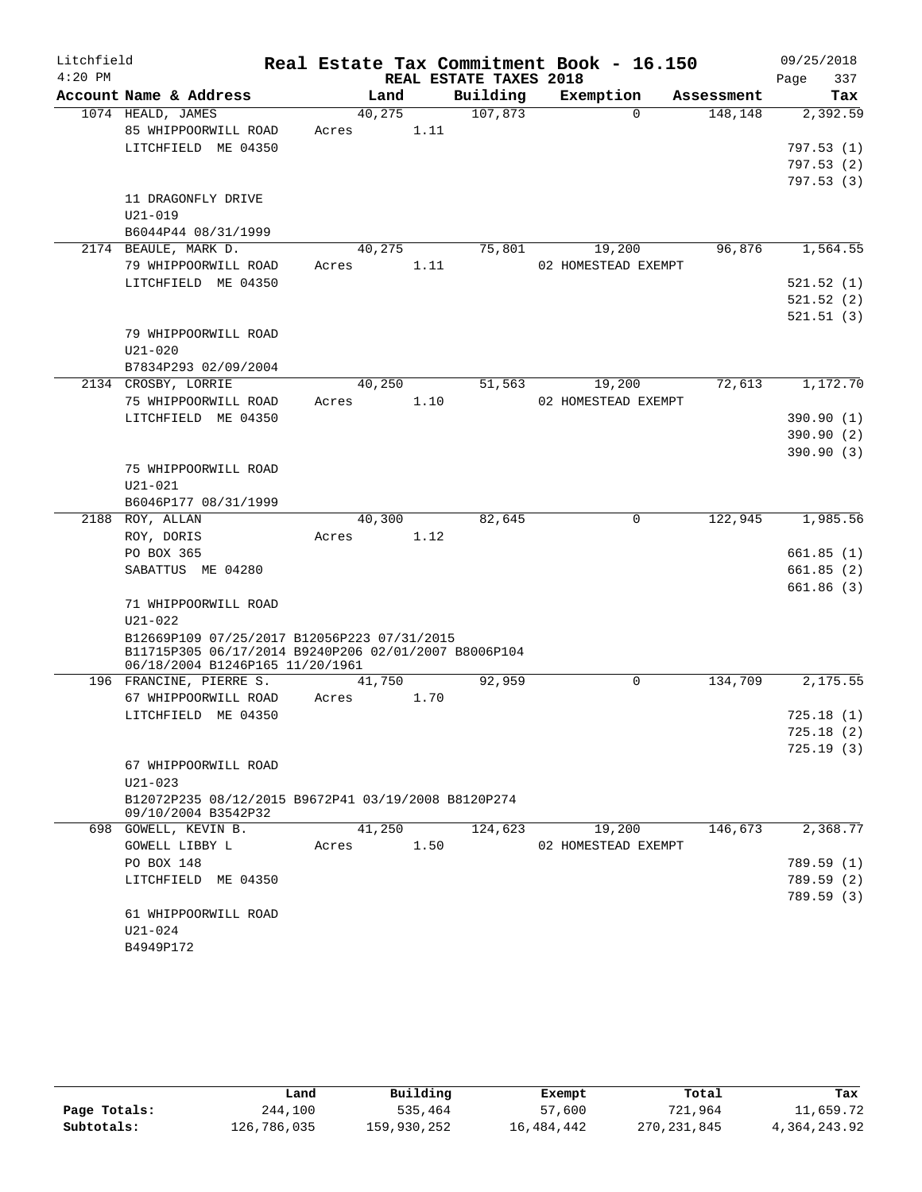| Litchfield |                                                                            |       |        |                        | Real Estate Tax Commitment Book - 16.150 |                     |            | 09/25/2018  |
|------------|----------------------------------------------------------------------------|-------|--------|------------------------|------------------------------------------|---------------------|------------|-------------|
| $4:20$ PM  |                                                                            |       |        | REAL ESTATE TAXES 2018 |                                          |                     |            | 337<br>Page |
|            | Account Name & Address                                                     |       | Land   | Building               |                                          | Exemption           | Assessment | Tax         |
|            | 1074 HEALD, JAMES                                                          |       | 40,275 | 107,873                |                                          | $\Omega$            | 148,148    | 2,392.59    |
|            | 85 WHIPPOORWILL ROAD                                                       | Acres |        | 1.11                   |                                          |                     |            |             |
|            | LITCHFIELD ME 04350                                                        |       |        |                        |                                          |                     |            | 797.53(1)   |
|            |                                                                            |       |        |                        |                                          |                     |            | 797.53(2)   |
|            |                                                                            |       |        |                        |                                          |                     |            | 797.53(3)   |
|            | 11 DRAGONFLY DRIVE                                                         |       |        |                        |                                          |                     |            |             |
|            | $U21 - 019$                                                                |       |        |                        |                                          |                     |            |             |
|            | B6044P44 08/31/1999                                                        |       |        |                        |                                          |                     |            |             |
|            | 2174 BEAULE, MARK D.                                                       |       | 40,275 | 75,801                 |                                          | 19,200              | 96,876     | 1,564.55    |
|            | 79 WHIPPOORWILL ROAD                                                       | Acres |        | 1.11                   |                                          | 02 HOMESTEAD EXEMPT |            |             |
|            | LITCHFIELD ME 04350                                                        |       |        |                        |                                          |                     |            | 521.52 (1)  |
|            |                                                                            |       |        |                        |                                          |                     |            | 521.52(2)   |
|            |                                                                            |       |        |                        |                                          |                     |            | 521.51(3)   |
|            | 79 WHIPPOORWILL ROAD                                                       |       |        |                        |                                          |                     |            |             |
|            | $U21 - 020$                                                                |       |        |                        |                                          |                     |            |             |
|            | B7834P293 02/09/2004                                                       |       |        |                        |                                          |                     |            |             |
|            | 2134 CROSBY, LORRIE                                                        |       | 40,250 | 51,563                 |                                          | 19,200              | 72,613     | 1,172.70    |
|            | 75 WHIPPOORWILL ROAD                                                       | Acres |        | 1.10                   |                                          | 02 HOMESTEAD EXEMPT |            |             |
|            | LITCHFIELD ME 04350                                                        |       |        |                        |                                          |                     |            | 390.90 (1)  |
|            |                                                                            |       |        |                        |                                          |                     |            | 390.90 (2)  |
|            |                                                                            |       |        |                        |                                          |                     |            | 390.90(3)   |
|            | 75 WHIPPOORWILL ROAD                                                       |       |        |                        |                                          |                     |            |             |
|            | $U21 - 021$                                                                |       |        |                        |                                          |                     |            |             |
| 2188       | B6046P177 08/31/1999<br>ROY, ALLAN                                         |       | 40,300 | 82,645                 |                                          | $\mathbf 0$         | 122,945    | 1,985.56    |
|            | ROY, DORIS                                                                 | Acres |        | 1.12                   |                                          |                     |            |             |
|            | PO BOX 365                                                                 |       |        |                        |                                          |                     |            | 661.85(1)   |
|            | SABATTUS ME 04280                                                          |       |        |                        |                                          |                     |            | 661.85(2)   |
|            |                                                                            |       |        |                        |                                          |                     |            | 661.86 (3)  |
|            | 71 WHIPPOORWILL ROAD                                                       |       |        |                        |                                          |                     |            |             |
|            | $U21 - 022$                                                                |       |        |                        |                                          |                     |            |             |
|            | B12669P109 07/25/2017 B12056P223 07/31/2015                                |       |        |                        |                                          |                     |            |             |
|            | B11715P305 06/17/2014 B9240P206 02/01/2007 B8006P104                       |       |        |                        |                                          |                     |            |             |
|            | 06/18/2004 B1246P165 11/20/1961                                            |       |        |                        |                                          |                     |            |             |
|            | 196 FRANCINE, PIERRE S.                                                    |       | 41,750 | 92,959                 |                                          | 0                   | 134,709    | 2,175.55    |
|            | 67 WHIPPOORWILL ROAD                                                       | Acres |        | 1.70                   |                                          |                     |            |             |
|            | LITCHFIELD ME 04350                                                        |       |        |                        |                                          |                     |            | 725.18(1)   |
|            |                                                                            |       |        |                        |                                          |                     |            | 725.18(2)   |
|            |                                                                            |       |        |                        |                                          |                     |            | 725.19(3)   |
|            | 67 WHIPPOORWILL ROAD                                                       |       |        |                        |                                          |                     |            |             |
|            | $U21 - 023$                                                                |       |        |                        |                                          |                     |            |             |
|            | B12072P235 08/12/2015 B9672P41 03/19/2008 B8120P274<br>09/10/2004 B3542P32 |       |        |                        |                                          |                     |            |             |
|            | 698 GOWELL, KEVIN B.                                                       |       | 41,250 | 124,623                |                                          | 19,200              | 146,673    | 2,368.77    |
|            | GOWELL LIBBY L                                                             | Acres |        | 1.50                   |                                          | 02 HOMESTEAD EXEMPT |            |             |
|            | PO BOX 148                                                                 |       |        |                        |                                          |                     |            | 789.59 (1)  |
|            | LITCHFIELD ME 04350                                                        |       |        |                        |                                          |                     |            | 789.59 (2)  |
|            |                                                                            |       |        |                        |                                          |                     |            | 789.59 (3)  |
|            | 61 WHIPPOORWILL ROAD                                                       |       |        |                        |                                          |                     |            |             |
|            | U21-024                                                                    |       |        |                        |                                          |                     |            |             |
|            | B4949P172                                                                  |       |        |                        |                                          |                     |            |             |
|            |                                                                            |       |        |                        |                                          |                     |            |             |

|              | Land        | Building    | Exempt     | Total         | Tax          |
|--------------|-------------|-------------|------------|---------------|--------------|
| Page Totals: | 244,100     | 535,464     | 57,600     | 721,964       | 11,659.72    |
| Subtotals:   | 126,786,035 | 159,930,252 | 16,484,442 | 270, 231, 845 | 4,364,243.92 |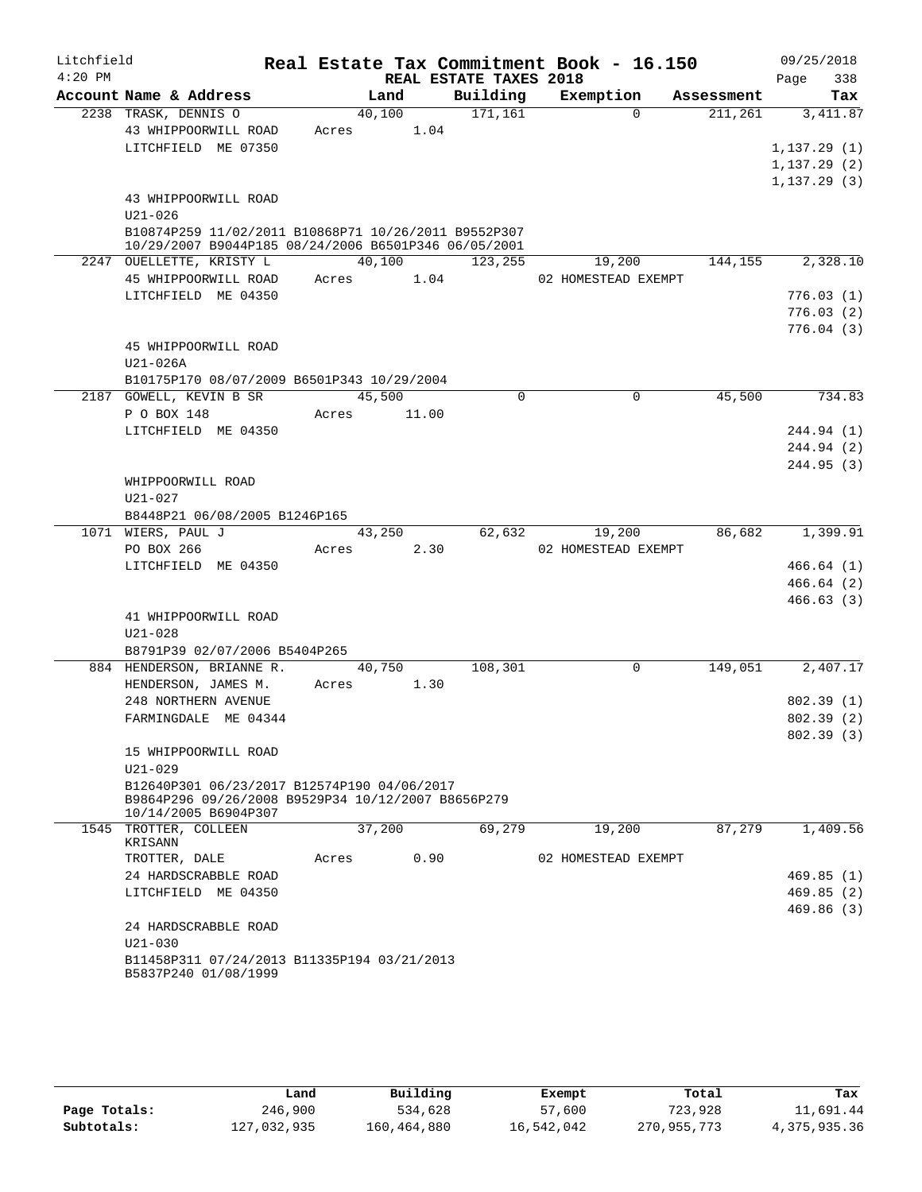| Real Estate Tax Commitment Book - 16.150<br>$4:20$ PM<br>REAL ESTATE TAXES 2018<br>Page<br>Account Name & Address<br>Building<br>Exemption<br>Land<br>Assessment<br>2238 TRASK, DENNIS O<br>171,161<br>40,100<br>$\Omega$<br>211,261<br>43 WHIPPOORWILL ROAD<br>Acres 1.04<br>LITCHFIELD ME 07350<br>1, 137.29(1)<br>1,137.29(2)<br>1, 137.29(3)<br>43 WHIPPOORWILL ROAD<br>$U21 - 026$<br>B10874P259 11/02/2011 B10868P71 10/26/2011 B9552P307<br>10/29/2007 B9044P185 08/24/2006 B6501P346 06/05/2001<br>40,100<br>2247 OUELLETTE, KRISTY L<br>123,255<br>144,155<br>19,200<br>45 WHIPPOORWILL ROAD<br>1.04<br>Acres<br>02 HOMESTEAD EXEMPT<br>LITCHFIELD ME 04350<br>45 WHIPPOORWILL ROAD<br>$U21-026A$<br>B10175P170 08/07/2009 B6501P343 10/29/2004<br>2187 GOWELL, KEVIN B SR<br>45,500<br>$\mathbf 0$<br>45,500<br>0<br>P O BOX 148<br>Acres<br>11.00<br>LITCHFIELD ME 04350<br>WHIPPOORWILL ROAD<br>$U21 - 027$<br>B8448P21 06/08/2005 B1246P165<br>86,682<br>1071 WIERS, PAUL J<br>43,250<br>62,632<br>19,200<br>PO BOX 266<br>2.30<br>02 HOMESTEAD EXEMPT<br>Acres<br>LITCHFIELD ME 04350<br>41 WHIPPOORWILL ROAD<br>$U21 - 028$<br>B8791P39 02/07/2006 B5404P265<br>$\mathbf 0$<br>149,051<br>884 HENDERSON, BRIANNE R.<br>40,750<br>108,301<br>1.30<br>HENDERSON, JAMES M.<br>Acres<br>248 NORTHERN AVENUE<br>FARMINGDALE ME 04344<br>15 WHIPPOORWILL ROAD<br>$U21 - 029$<br>B12640P301 06/23/2017 B12574P190 04/06/2017 | 09/25/2018 |
|--------------------------------------------------------------------------------------------------------------------------------------------------------------------------------------------------------------------------------------------------------------------------------------------------------------------------------------------------------------------------------------------------------------------------------------------------------------------------------------------------------------------------------------------------------------------------------------------------------------------------------------------------------------------------------------------------------------------------------------------------------------------------------------------------------------------------------------------------------------------------------------------------------------------------------------------------------------------------------------------------------------------------------------------------------------------------------------------------------------------------------------------------------------------------------------------------------------------------------------------------------------------------------------------------------------------------------------------------------------------------------------------------------------------------------------|------------|
|                                                                                                                                                                                                                                                                                                                                                                                                                                                                                                                                                                                                                                                                                                                                                                                                                                                                                                                                                                                                                                                                                                                                                                                                                                                                                                                                                                                                                                      | 338        |
|                                                                                                                                                                                                                                                                                                                                                                                                                                                                                                                                                                                                                                                                                                                                                                                                                                                                                                                                                                                                                                                                                                                                                                                                                                                                                                                                                                                                                                      | Tax        |
|                                                                                                                                                                                                                                                                                                                                                                                                                                                                                                                                                                                                                                                                                                                                                                                                                                                                                                                                                                                                                                                                                                                                                                                                                                                                                                                                                                                                                                      | 3, 411.87  |
|                                                                                                                                                                                                                                                                                                                                                                                                                                                                                                                                                                                                                                                                                                                                                                                                                                                                                                                                                                                                                                                                                                                                                                                                                                                                                                                                                                                                                                      |            |
|                                                                                                                                                                                                                                                                                                                                                                                                                                                                                                                                                                                                                                                                                                                                                                                                                                                                                                                                                                                                                                                                                                                                                                                                                                                                                                                                                                                                                                      |            |
|                                                                                                                                                                                                                                                                                                                                                                                                                                                                                                                                                                                                                                                                                                                                                                                                                                                                                                                                                                                                                                                                                                                                                                                                                                                                                                                                                                                                                                      |            |
|                                                                                                                                                                                                                                                                                                                                                                                                                                                                                                                                                                                                                                                                                                                                                                                                                                                                                                                                                                                                                                                                                                                                                                                                                                                                                                                                                                                                                                      |            |
|                                                                                                                                                                                                                                                                                                                                                                                                                                                                                                                                                                                                                                                                                                                                                                                                                                                                                                                                                                                                                                                                                                                                                                                                                                                                                                                                                                                                                                      |            |
|                                                                                                                                                                                                                                                                                                                                                                                                                                                                                                                                                                                                                                                                                                                                                                                                                                                                                                                                                                                                                                                                                                                                                                                                                                                                                                                                                                                                                                      |            |
|                                                                                                                                                                                                                                                                                                                                                                                                                                                                                                                                                                                                                                                                                                                                                                                                                                                                                                                                                                                                                                                                                                                                                                                                                                                                                                                                                                                                                                      |            |
|                                                                                                                                                                                                                                                                                                                                                                                                                                                                                                                                                                                                                                                                                                                                                                                                                                                                                                                                                                                                                                                                                                                                                                                                                                                                                                                                                                                                                                      | 2,328.10   |
|                                                                                                                                                                                                                                                                                                                                                                                                                                                                                                                                                                                                                                                                                                                                                                                                                                                                                                                                                                                                                                                                                                                                                                                                                                                                                                                                                                                                                                      |            |
|                                                                                                                                                                                                                                                                                                                                                                                                                                                                                                                                                                                                                                                                                                                                                                                                                                                                                                                                                                                                                                                                                                                                                                                                                                                                                                                                                                                                                                      | 776.03(1)  |
|                                                                                                                                                                                                                                                                                                                                                                                                                                                                                                                                                                                                                                                                                                                                                                                                                                                                                                                                                                                                                                                                                                                                                                                                                                                                                                                                                                                                                                      | 776.03(2)  |
|                                                                                                                                                                                                                                                                                                                                                                                                                                                                                                                                                                                                                                                                                                                                                                                                                                                                                                                                                                                                                                                                                                                                                                                                                                                                                                                                                                                                                                      | 776.04(3)  |
|                                                                                                                                                                                                                                                                                                                                                                                                                                                                                                                                                                                                                                                                                                                                                                                                                                                                                                                                                                                                                                                                                                                                                                                                                                                                                                                                                                                                                                      |            |
|                                                                                                                                                                                                                                                                                                                                                                                                                                                                                                                                                                                                                                                                                                                                                                                                                                                                                                                                                                                                                                                                                                                                                                                                                                                                                                                                                                                                                                      |            |
|                                                                                                                                                                                                                                                                                                                                                                                                                                                                                                                                                                                                                                                                                                                                                                                                                                                                                                                                                                                                                                                                                                                                                                                                                                                                                                                                                                                                                                      |            |
|                                                                                                                                                                                                                                                                                                                                                                                                                                                                                                                                                                                                                                                                                                                                                                                                                                                                                                                                                                                                                                                                                                                                                                                                                                                                                                                                                                                                                                      | 734.83     |
|                                                                                                                                                                                                                                                                                                                                                                                                                                                                                                                                                                                                                                                                                                                                                                                                                                                                                                                                                                                                                                                                                                                                                                                                                                                                                                                                                                                                                                      |            |
|                                                                                                                                                                                                                                                                                                                                                                                                                                                                                                                                                                                                                                                                                                                                                                                                                                                                                                                                                                                                                                                                                                                                                                                                                                                                                                                                                                                                                                      | 244.94 (1) |
|                                                                                                                                                                                                                                                                                                                                                                                                                                                                                                                                                                                                                                                                                                                                                                                                                                                                                                                                                                                                                                                                                                                                                                                                                                                                                                                                                                                                                                      | 244.94 (2) |
|                                                                                                                                                                                                                                                                                                                                                                                                                                                                                                                                                                                                                                                                                                                                                                                                                                                                                                                                                                                                                                                                                                                                                                                                                                                                                                                                                                                                                                      | 244.95(3)  |
|                                                                                                                                                                                                                                                                                                                                                                                                                                                                                                                                                                                                                                                                                                                                                                                                                                                                                                                                                                                                                                                                                                                                                                                                                                                                                                                                                                                                                                      |            |
|                                                                                                                                                                                                                                                                                                                                                                                                                                                                                                                                                                                                                                                                                                                                                                                                                                                                                                                                                                                                                                                                                                                                                                                                                                                                                                                                                                                                                                      |            |
|                                                                                                                                                                                                                                                                                                                                                                                                                                                                                                                                                                                                                                                                                                                                                                                                                                                                                                                                                                                                                                                                                                                                                                                                                                                                                                                                                                                                                                      | 1,399.91   |
|                                                                                                                                                                                                                                                                                                                                                                                                                                                                                                                                                                                                                                                                                                                                                                                                                                                                                                                                                                                                                                                                                                                                                                                                                                                                                                                                                                                                                                      |            |
|                                                                                                                                                                                                                                                                                                                                                                                                                                                                                                                                                                                                                                                                                                                                                                                                                                                                                                                                                                                                                                                                                                                                                                                                                                                                                                                                                                                                                                      | 466.64(1)  |
|                                                                                                                                                                                                                                                                                                                                                                                                                                                                                                                                                                                                                                                                                                                                                                                                                                                                                                                                                                                                                                                                                                                                                                                                                                                                                                                                                                                                                                      | 466.64(2)  |
|                                                                                                                                                                                                                                                                                                                                                                                                                                                                                                                                                                                                                                                                                                                                                                                                                                                                                                                                                                                                                                                                                                                                                                                                                                                                                                                                                                                                                                      | 466.63(3)  |
|                                                                                                                                                                                                                                                                                                                                                                                                                                                                                                                                                                                                                                                                                                                                                                                                                                                                                                                                                                                                                                                                                                                                                                                                                                                                                                                                                                                                                                      |            |
|                                                                                                                                                                                                                                                                                                                                                                                                                                                                                                                                                                                                                                                                                                                                                                                                                                                                                                                                                                                                                                                                                                                                                                                                                                                                                                                                                                                                                                      |            |
|                                                                                                                                                                                                                                                                                                                                                                                                                                                                                                                                                                                                                                                                                                                                                                                                                                                                                                                                                                                                                                                                                                                                                                                                                                                                                                                                                                                                                                      |            |
|                                                                                                                                                                                                                                                                                                                                                                                                                                                                                                                                                                                                                                                                                                                                                                                                                                                                                                                                                                                                                                                                                                                                                                                                                                                                                                                                                                                                                                      | 2,407.17   |
|                                                                                                                                                                                                                                                                                                                                                                                                                                                                                                                                                                                                                                                                                                                                                                                                                                                                                                                                                                                                                                                                                                                                                                                                                                                                                                                                                                                                                                      |            |
|                                                                                                                                                                                                                                                                                                                                                                                                                                                                                                                                                                                                                                                                                                                                                                                                                                                                                                                                                                                                                                                                                                                                                                                                                                                                                                                                                                                                                                      | 802.39(1)  |
|                                                                                                                                                                                                                                                                                                                                                                                                                                                                                                                                                                                                                                                                                                                                                                                                                                                                                                                                                                                                                                                                                                                                                                                                                                                                                                                                                                                                                                      | 802.39(2)  |
|                                                                                                                                                                                                                                                                                                                                                                                                                                                                                                                                                                                                                                                                                                                                                                                                                                                                                                                                                                                                                                                                                                                                                                                                                                                                                                                                                                                                                                      | 802.39(3)  |
|                                                                                                                                                                                                                                                                                                                                                                                                                                                                                                                                                                                                                                                                                                                                                                                                                                                                                                                                                                                                                                                                                                                                                                                                                                                                                                                                                                                                                                      |            |
|                                                                                                                                                                                                                                                                                                                                                                                                                                                                                                                                                                                                                                                                                                                                                                                                                                                                                                                                                                                                                                                                                                                                                                                                                                                                                                                                                                                                                                      |            |
| B9864P296 09/26/2008 B9529P34 10/12/2007 B8656P279<br>10/14/2005 B6904P307                                                                                                                                                                                                                                                                                                                                                                                                                                                                                                                                                                                                                                                                                                                                                                                                                                                                                                                                                                                                                                                                                                                                                                                                                                                                                                                                                           |            |
| 87,279<br>37,200<br>69,279<br>19,200<br>1545 TROTTER, COLLEEN                                                                                                                                                                                                                                                                                                                                                                                                                                                                                                                                                                                                                                                                                                                                                                                                                                                                                                                                                                                                                                                                                                                                                                                                                                                                                                                                                                        | 1,409.56   |
| KRISANN                                                                                                                                                                                                                                                                                                                                                                                                                                                                                                                                                                                                                                                                                                                                                                                                                                                                                                                                                                                                                                                                                                                                                                                                                                                                                                                                                                                                                              |            |
| TROTTER, DALE<br>0.90<br>02 HOMESTEAD EXEMPT<br>Acres                                                                                                                                                                                                                                                                                                                                                                                                                                                                                                                                                                                                                                                                                                                                                                                                                                                                                                                                                                                                                                                                                                                                                                                                                                                                                                                                                                                |            |
| 24 HARDSCRABBLE ROAD                                                                                                                                                                                                                                                                                                                                                                                                                                                                                                                                                                                                                                                                                                                                                                                                                                                                                                                                                                                                                                                                                                                                                                                                                                                                                                                                                                                                                 | 469.85(1)  |
| LITCHFIELD ME 04350                                                                                                                                                                                                                                                                                                                                                                                                                                                                                                                                                                                                                                                                                                                                                                                                                                                                                                                                                                                                                                                                                                                                                                                                                                                                                                                                                                                                                  | 469.85(2)  |
|                                                                                                                                                                                                                                                                                                                                                                                                                                                                                                                                                                                                                                                                                                                                                                                                                                                                                                                                                                                                                                                                                                                                                                                                                                                                                                                                                                                                                                      | 469.86(3)  |
| 24 HARDSCRABBLE ROAD                                                                                                                                                                                                                                                                                                                                                                                                                                                                                                                                                                                                                                                                                                                                                                                                                                                                                                                                                                                                                                                                                                                                                                                                                                                                                                                                                                                                                 |            |
| $U21 - 030$                                                                                                                                                                                                                                                                                                                                                                                                                                                                                                                                                                                                                                                                                                                                                                                                                                                                                                                                                                                                                                                                                                                                                                                                                                                                                                                                                                                                                          |            |
| B11458P311 07/24/2013 B11335P194 03/21/2013<br>B5837P240 01/08/1999                                                                                                                                                                                                                                                                                                                                                                                                                                                                                                                                                                                                                                                                                                                                                                                                                                                                                                                                                                                                                                                                                                                                                                                                                                                                                                                                                                  |            |

|              | Land        | Building    | Exempt     | Total       | Tax          |
|--------------|-------------|-------------|------------|-------------|--------------|
| Page Totals: | 246,900     | 534,628     | 57,600     | 723,928     | 11,691.44    |
| Subtotals:   | 127,032,935 | 160,464,880 | 16,542,042 | 270,955,773 | 4,375,935.36 |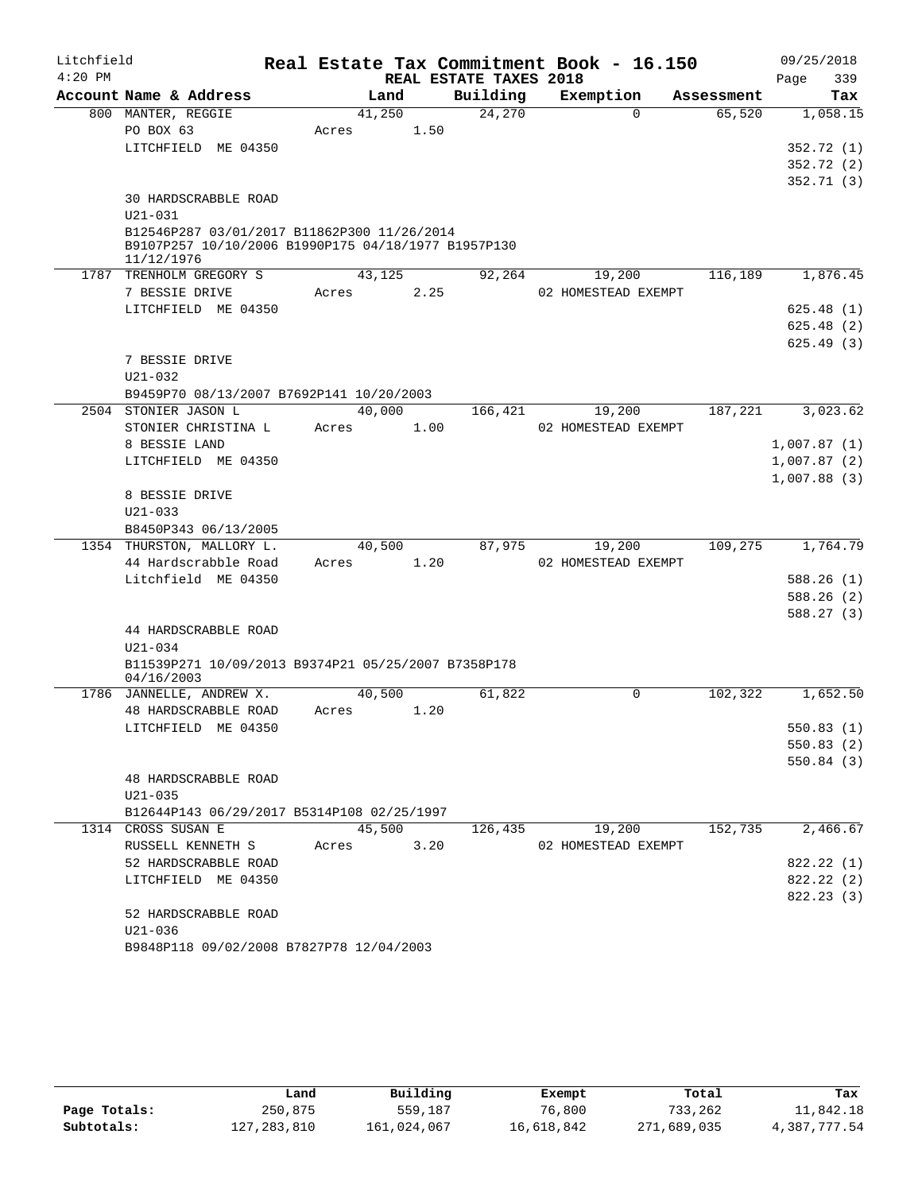| Litchfield |                                                     |        |        |                        | Real Estate Tax Commitment Book - 16.150 |            | 09/25/2018              |
|------------|-----------------------------------------------------|--------|--------|------------------------|------------------------------------------|------------|-------------------------|
| $4:20$ PM  |                                                     |        |        | REAL ESTATE TAXES 2018 |                                          |            | 339<br>Page             |
|            | Account Name & Address                              | Land   |        | Building               | Exemption                                | Assessment | Tax                     |
|            | 800 MANTER, REGGIE                                  | 41,250 |        | 24,270                 | $\Omega$                                 | 65,520     | 1,058.15                |
|            | PO BOX 63                                           | Acres  | 1.50   |                        |                                          |            |                         |
|            | LITCHFIELD ME 04350                                 |        |        |                        |                                          |            | 352.72 (1)              |
|            |                                                     |        |        |                        |                                          |            | 352.72 (2)<br>352.71(3) |
|            | <b>30 HARDSCRABBLE ROAD</b>                         |        |        |                        |                                          |            |                         |
|            | $U21 - 031$                                         |        |        |                        |                                          |            |                         |
|            | B12546P287 03/01/2017 B11862P300 11/26/2014         |        |        |                        |                                          |            |                         |
|            | B9107P257 10/10/2006 B1990P175 04/18/1977 B1957P130 |        |        |                        |                                          |            |                         |
|            | 11/12/1976<br>TRENHOLM GREGORY S                    | 43,125 |        |                        |                                          | 116,189    | 1,876.45                |
| 1787       | 7 BESSIE DRIVE                                      | Acres  | 2.25   | 92,264                 | 19,200<br>02 HOMESTEAD EXEMPT            |            |                         |
|            | LITCHFIELD ME 04350                                 |        |        |                        |                                          |            | 625.48(1)               |
|            |                                                     |        |        |                        |                                          |            | 625.48(2)               |
|            |                                                     |        |        |                        |                                          |            | 625.49(3)               |
|            | 7 BESSIE DRIVE                                      |        |        |                        |                                          |            |                         |
|            | $U21 - 032$                                         |        |        |                        |                                          |            |                         |
|            | B9459P70 08/13/2007 B7692P141 10/20/2003            |        |        |                        |                                          |            |                         |
|            | 2504 STONIER JASON L                                | 40,000 |        | 166,421                | 19,200                                   | 187,221    | 3,023.62                |
|            | STONIER CHRISTINA L                                 | Acres  | 1.00   |                        | 02 HOMESTEAD EXEMPT                      |            |                         |
|            | 8 BESSIE LAND                                       |        |        |                        |                                          |            | 1,007.87(1)             |
|            | LITCHFIELD ME 04350                                 |        |        |                        |                                          |            | 1,007.87(2)             |
|            |                                                     |        |        |                        |                                          |            | 1,007.88(3)             |
|            | 8 BESSIE DRIVE                                      |        |        |                        |                                          |            |                         |
|            | $U21 - 033$                                         |        |        |                        |                                          |            |                         |
|            | B8450P343 06/13/2005<br>1354 THURSTON, MALLORY L.   | 40,500 |        | 87,975                 | 19,200                                   | 109,275    | 1,764.79                |
|            | 44 Hardscrabble Road                                | Acres  | 1.20   |                        | 02 HOMESTEAD EXEMPT                      |            |                         |
|            | Litchfield ME 04350                                 |        |        |                        |                                          |            | 588.26(1)               |
|            |                                                     |        |        |                        |                                          |            | 588.26 (2)              |
|            |                                                     |        |        |                        |                                          |            | 588.27 (3)              |
|            | 44 HARDSCRABBLE ROAD                                |        |        |                        |                                          |            |                         |
|            | $U21 - 034$                                         |        |        |                        |                                          |            |                         |
|            | B11539P271 10/09/2013 B9374P21 05/25/2007 B7358P178 |        |        |                        |                                          |            |                         |
|            | 04/16/2003                                          |        |        |                        |                                          |            |                         |
|            | 1786 JANNELLE, ANDREW X.                            | 40,500 |        | 61,822                 | $\Omega$                                 | 102,322    | 1,652.50                |
|            | 48 HARDSCRABBLE ROAD<br>LITCHFIELD ME 04350         | Acres  | 1.20   |                        |                                          |            | 550.83 (1)              |
|            |                                                     |        |        |                        |                                          |            | 550.83 (2)              |
|            |                                                     |        |        |                        |                                          |            | 550.84(3)               |
|            | <b>48 HARDSCRABBLE ROAD</b>                         |        |        |                        |                                          |            |                         |
|            | $U21 - 035$                                         |        |        |                        |                                          |            |                         |
|            | B12644P143 06/29/2017 B5314P108 02/25/1997          |        |        |                        |                                          |            |                         |
|            | 1314 CROSS SUSAN E                                  |        | 45,500 | 126,435                | 19,200                                   | 152,735    | 2,466.67                |
|            | RUSSELL KENNETH S                                   | Acres  | 3.20   |                        | 02 HOMESTEAD EXEMPT                      |            |                         |
|            | 52 HARDSCRABBLE ROAD                                |        |        |                        |                                          |            | 822.22 (1)              |
|            | LITCHFIELD ME 04350                                 |        |        |                        |                                          |            | 822.22(2)               |
|            |                                                     |        |        |                        |                                          |            | 822.23(3)               |
|            | 52 HARDSCRABBLE ROAD                                |        |        |                        |                                          |            |                         |
|            | U21-036                                             |        |        |                        |                                          |            |                         |
|            | B9848P118 09/02/2008 B7827P78 12/04/2003            |        |        |                        |                                          |            |                         |

|              | Land        | Building    | Exempt     | Total       | Tax          |
|--------------|-------------|-------------|------------|-------------|--------------|
| Page Totals: | 250,875     | 559,187     | 76,800     | 733,262     | 11,842.18    |
| Subtotals:   | 127,283,810 | 161,024,067 | 16,618,842 | 271,689,035 | 4,387,777.54 |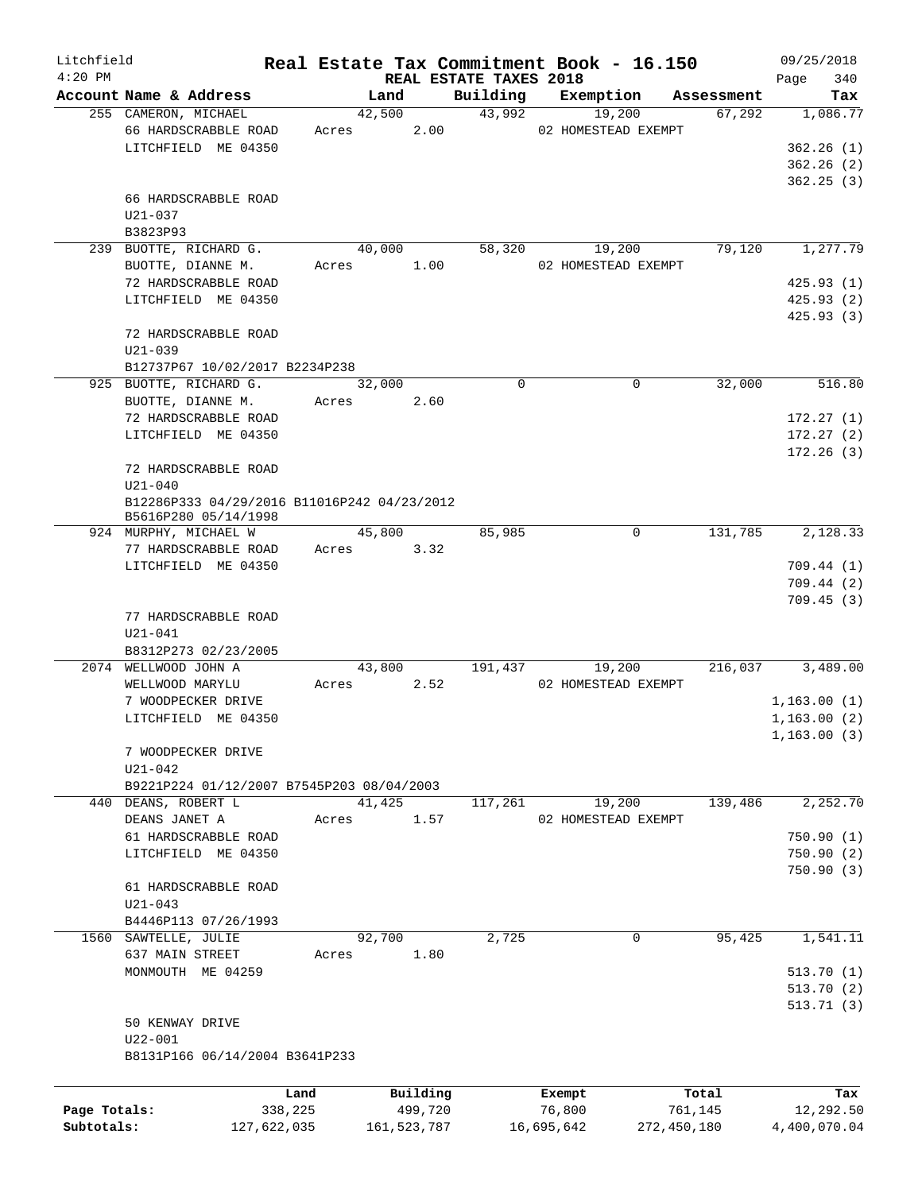| Litchfield   |                                             |             |             |                                    | Real Estate Tax Commitment Book - 16.150 |             | 09/25/2018         |
|--------------|---------------------------------------------|-------------|-------------|------------------------------------|------------------------------------------|-------------|--------------------|
| $4:20$ PM    | Account Name & Address                      |             | Land        | REAL ESTATE TAXES 2018<br>Building | Exemption                                | Assessment  | 340<br>Page<br>Tax |
|              | 255 CAMERON, MICHAEL                        |             | 42,500      | 43,992                             | 19,200                                   | 67,292      | 1,086.77           |
|              | 66 HARDSCRABBLE ROAD                        | Acres       | 2.00        |                                    | 02 HOMESTEAD EXEMPT                      |             |                    |
|              | LITCHFIELD ME 04350                         |             |             |                                    |                                          |             | 362.26(1)          |
|              |                                             |             |             |                                    |                                          |             |                    |
|              |                                             |             |             |                                    |                                          |             | 362.26(2)          |
|              |                                             |             |             |                                    |                                          |             | 362.25(3)          |
|              | 66 HARDSCRABBLE ROAD                        |             |             |                                    |                                          |             |                    |
|              | U21-037                                     |             |             |                                    |                                          |             |                    |
|              | B3823P93                                    |             |             |                                    |                                          |             |                    |
|              | 239 BUOTTE, RICHARD G.                      |             | 40,000      | 58,320                             | 19,200                                   | 79,120      | 1,277.79           |
|              | BUOTTE, DIANNE M.                           | Acres       | 1.00        |                                    | 02 HOMESTEAD EXEMPT                      |             |                    |
|              | 72 HARDSCRABBLE ROAD                        |             |             |                                    |                                          |             | 425.93(1)          |
|              | LITCHFIELD ME 04350                         |             |             |                                    |                                          |             | 425.93(2)          |
|              |                                             |             |             |                                    |                                          |             | 425.93(3)          |
|              | 72 HARDSCRABBLE ROAD                        |             |             |                                    |                                          |             |                    |
|              | $U21 - 039$                                 |             |             |                                    |                                          |             |                    |
|              | B12737P67 10/02/2017 B2234P238              |             |             |                                    |                                          |             |                    |
|              | 925 BUOTTE, RICHARD G.                      |             | 32,000      | $\Omega$                           | $\mathbf 0$                              | 32,000      | 516.80             |
|              | BUOTTE, DIANNE M.                           | Acres       | 2.60        |                                    |                                          |             |                    |
|              | 72 HARDSCRABBLE ROAD                        |             |             |                                    |                                          |             | 172.27(1)          |
|              | LITCHFIELD ME 04350                         |             |             |                                    |                                          |             | 172.27(2)          |
|              |                                             |             |             |                                    |                                          |             | 172.26(3)          |
|              | 72 HARDSCRABBLE ROAD                        |             |             |                                    |                                          |             |                    |
|              | $U21 - 040$                                 |             |             |                                    |                                          |             |                    |
|              | B12286P333 04/29/2016 B11016P242 04/23/2012 |             |             |                                    |                                          |             |                    |
|              | B5616P280 05/14/1998                        |             |             |                                    |                                          |             |                    |
|              | 924 MURPHY, MICHAEL W                       |             | 45,800      | 85,985                             | 0                                        | 131,785     | 2,128.33           |
|              | 77 HARDSCRABBLE ROAD                        | Acres       | 3.32        |                                    |                                          |             |                    |
|              | LITCHFIELD ME 04350                         |             |             |                                    |                                          |             | 709.44(1)          |
|              |                                             |             |             |                                    |                                          |             | 709.44(2)          |
|              |                                             |             |             |                                    |                                          |             | 709.45(3)          |
|              |                                             |             |             |                                    |                                          |             |                    |
|              | 77 HARDSCRABBLE ROAD                        |             |             |                                    |                                          |             |                    |
|              | $U21 - 041$                                 |             |             |                                    |                                          |             |                    |
|              | B8312P273 02/23/2005                        |             |             |                                    |                                          |             |                    |
|              | 2074 WELLWOOD JOHN A                        |             | 43,800      | 191,437                            | 19,200                                   | 216,037     | 3,489.00           |
|              | WELLWOOD MARYLU                             | Acres       | 2.52        |                                    | 02 HOMESTEAD EXEMPT                      |             |                    |
|              | 7 WOODPECKER DRIVE                          |             |             |                                    |                                          |             | 1,163.00(1)        |
|              | LITCHFIELD ME 04350                         |             |             |                                    |                                          |             | 1, 163.00(2)       |
|              |                                             |             |             |                                    |                                          |             | 1,163.00(3)        |
|              | 7 WOODPECKER DRIVE                          |             |             |                                    |                                          |             |                    |
|              | $U21 - 042$                                 |             |             |                                    |                                          |             |                    |
|              | B9221P224 01/12/2007 B7545P203 08/04/2003   |             |             |                                    |                                          |             |                    |
|              | 440 DEANS, ROBERT L                         |             | 41,425      | 117,261                            | 19,200                                   | 139,486     | 2,252.70           |
|              | DEANS JANET A                               | Acres       | 1.57        |                                    | 02 HOMESTEAD EXEMPT                      |             |                    |
|              | 61 HARDSCRABBLE ROAD                        |             |             |                                    |                                          |             | 750.90(1)          |
|              | LITCHFIELD ME 04350                         |             |             |                                    |                                          |             | 750.90(2)          |
|              |                                             |             |             |                                    |                                          |             | 750.90(3)          |
|              | 61 HARDSCRABBLE ROAD                        |             |             |                                    |                                          |             |                    |
|              | $U21 - 043$                                 |             |             |                                    |                                          |             |                    |
|              | B4446P113 07/26/1993                        |             |             |                                    |                                          |             |                    |
|              | 1560 SAWTELLE, JULIE                        |             | 92,700      | 2,725                              | $\mathbf{0}$                             | 95,425      | 1,541.11           |
|              | 637 MAIN STREET                             | Acres       | 1.80        |                                    |                                          |             |                    |
|              |                                             |             |             |                                    |                                          |             |                    |
|              | MONMOUTH ME 04259                           |             |             |                                    |                                          |             | 513.70(1)          |
|              |                                             |             |             |                                    |                                          |             | 513.70(2)          |
|              |                                             |             |             |                                    |                                          |             | 513.71(3)          |
|              | 50 KENWAY DRIVE                             |             |             |                                    |                                          |             |                    |
|              | U22-001                                     |             |             |                                    |                                          |             |                    |
|              | B8131P166 06/14/2004 B3641P233              |             |             |                                    |                                          |             |                    |
|              |                                             |             |             |                                    |                                          |             |                    |
|              |                                             | Land        | Building    |                                    | Exempt                                   | Total       | Tax                |
| Page Totals: |                                             | 338,225     | 499,720     |                                    | 76,800                                   | 761,145     | 12,292.50          |
| Subtotals:   |                                             | 127,622,035 | 161,523,787 |                                    | 16,695,642                               | 272,450,180 | 4,400,070.04       |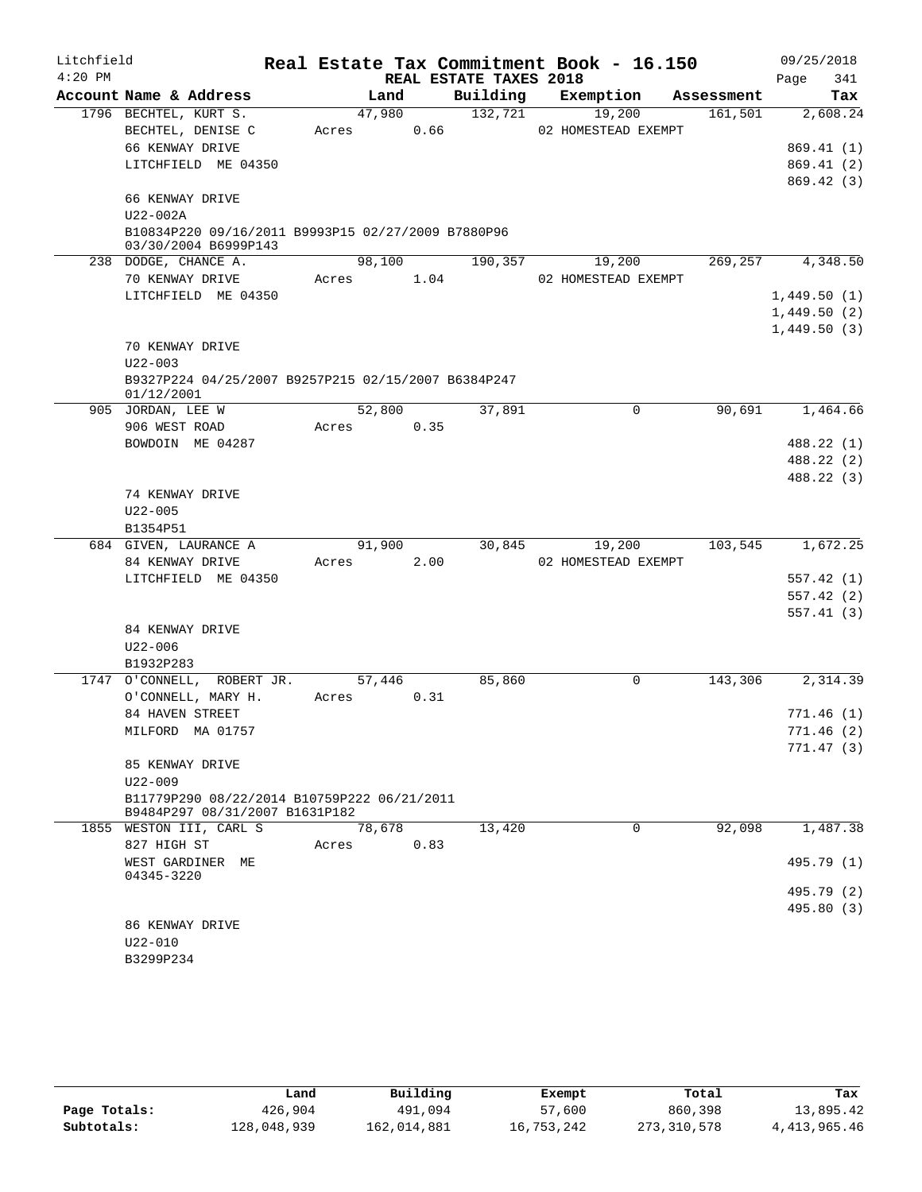| Litchfield |                                                                               |        |      |                        | Real Estate Tax Commitment Book - 16.150 |            | 09/25/2018  |
|------------|-------------------------------------------------------------------------------|--------|------|------------------------|------------------------------------------|------------|-------------|
| $4:20$ PM  |                                                                               |        |      | REAL ESTATE TAXES 2018 |                                          |            | Page<br>341 |
|            | Account Name & Address                                                        | Land   |      | Building               | Exemption                                | Assessment | Tax         |
|            | 1796 BECHTEL, KURT S.                                                         | 47,980 |      | 132,721                | 19,200                                   | 161,501    | 2,608.24    |
|            | BECHTEL, DENISE C                                                             | Acres  | 0.66 |                        | 02 HOMESTEAD EXEMPT                      |            |             |
|            | 66 KENWAY DRIVE                                                               |        |      |                        |                                          |            | 869.41(1)   |
|            | LITCHFIELD ME 04350                                                           |        |      |                        |                                          |            | 869.41(2)   |
|            | 66 KENWAY DRIVE                                                               |        |      |                        |                                          |            | 869.42(3)   |
|            | U22-002A                                                                      |        |      |                        |                                          |            |             |
|            | B10834P220 09/16/2011 B9993P15 02/27/2009 B7880P96                            |        |      |                        |                                          |            |             |
|            | 03/30/2004 B6999P143                                                          |        |      |                        |                                          |            |             |
|            | 238 DODGE, CHANCE A.                                                          | 98,100 |      | 190,357                | 19,200                                   | 269,257    | 4,348.50    |
|            | 70 KENWAY DRIVE                                                               | Acres  | 1.04 |                        | 02 HOMESTEAD EXEMPT                      |            |             |
|            | LITCHFIELD ME 04350                                                           |        |      |                        |                                          |            | 1,449.50(1) |
|            |                                                                               |        |      |                        |                                          |            | 1,449.50(2) |
|            |                                                                               |        |      |                        |                                          |            | 1,449.50(3) |
|            | 70 KENWAY DRIVE                                                               |        |      |                        |                                          |            |             |
|            | $U22 - 003$                                                                   |        |      |                        |                                          |            |             |
|            | B9327P224 04/25/2007 B9257P215 02/15/2007 B6384P247<br>01/12/2001             |        |      |                        |                                          |            |             |
|            | 905 JORDAN, LEE W                                                             | 52,800 |      | 37,891                 | $\mathbf 0$                              | 90,691     | 1,464.66    |
|            | 906 WEST ROAD                                                                 | Acres  | 0.35 |                        |                                          |            |             |
|            | BOWDOIN ME 04287                                                              |        |      |                        |                                          |            | 488.22 (1)  |
|            |                                                                               |        |      |                        |                                          |            | 488.22 (2)  |
|            |                                                                               |        |      |                        |                                          |            | 488.22 (3)  |
|            | 74 KENWAY DRIVE                                                               |        |      |                        |                                          |            |             |
|            | $U22 - 005$                                                                   |        |      |                        |                                          |            |             |
|            | B1354P51<br>684 GIVEN, LAURANCE A                                             | 91,900 |      | 30,845                 | 19,200                                   | 103,545    | 1,672.25    |
|            | 84 KENWAY DRIVE                                                               | Acres  | 2.00 |                        | 02 HOMESTEAD EXEMPT                      |            |             |
|            | LITCHFIELD ME 04350                                                           |        |      |                        |                                          |            | 557.42(1)   |
|            |                                                                               |        |      |                        |                                          |            | 557.42(2)   |
|            |                                                                               |        |      |                        |                                          |            | 557.41(3)   |
|            | 84 KENWAY DRIVE                                                               |        |      |                        |                                          |            |             |
|            | $U22 - 006$                                                                   |        |      |                        |                                          |            |             |
|            | B1932P283                                                                     |        |      |                        |                                          |            |             |
|            | 1747 O'CONNELL, ROBERT JR.                                                    | 57,446 |      | 85,860                 | 0                                        | 143,306    | 2,314.39    |
|            | O'CONNELL, MARY H.                                                            | Acres  | 0.31 |                        |                                          |            |             |
|            | 84 HAVEN STREET                                                               |        |      |                        |                                          |            | 771.46 (1)  |
|            | MILFORD MA 01757                                                              |        |      |                        |                                          |            | 771.46(2)   |
|            |                                                                               |        |      |                        |                                          |            | 771.47(3)   |
|            | 85 KENWAY DRIVE                                                               |        |      |                        |                                          |            |             |
|            | $U22 - 009$                                                                   |        |      |                        |                                          |            |             |
|            | B11779P290 08/22/2014 B10759P222 06/21/2011<br>B9484P297 08/31/2007 B1631P182 |        |      |                        |                                          |            |             |
|            | 1855 WESTON III, CARL S                                                       | 78,678 |      | 13,420                 | $\Omega$                                 | 92,098     | 1,487.38    |
|            | 827 HIGH ST                                                                   | Acres  | 0.83 |                        |                                          |            |             |
|            | WEST GARDINER ME<br>04345-3220                                                |        |      |                        |                                          |            | 495.79 (1)  |
|            |                                                                               |        |      |                        |                                          |            | 495.79 (2)  |
|            |                                                                               |        |      |                        |                                          |            | 495.80 (3)  |
|            |                                                                               |        |      |                        |                                          |            |             |
|            | 86 KENWAY DRIVE                                                               |        |      |                        |                                          |            |             |
|            | $U22 - 010$                                                                   |        |      |                        |                                          |            |             |

|              | Land        | Building    | Exempt     | Total       | Tax            |
|--------------|-------------|-------------|------------|-------------|----------------|
| Page Totals: | 426,904     | 491,094     | 57,600     | 860,398     | 13,895.42      |
| Subtotals:   | 128,048,939 | 162,014,881 | 16,753,242 | 273,310,578 | 4, 413, 965.46 |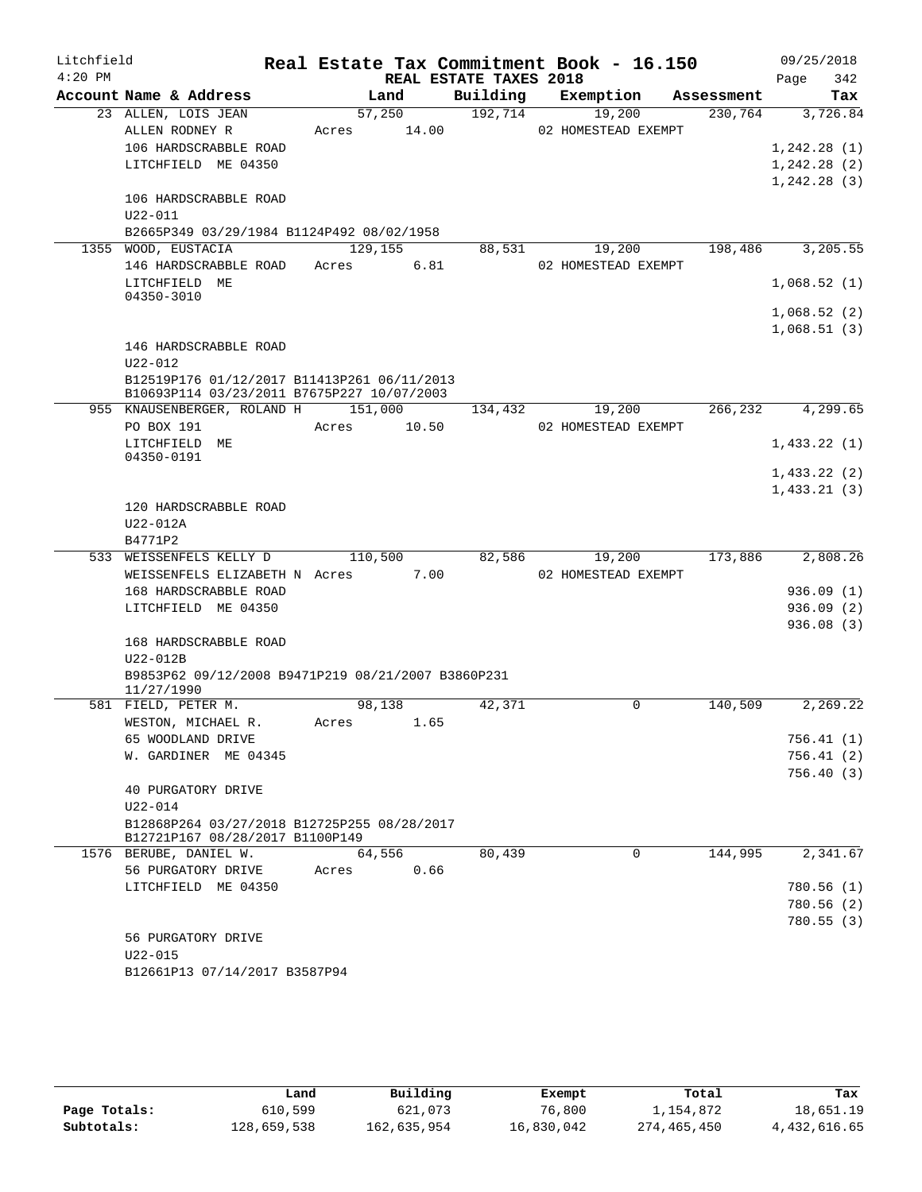| Litchfield |                                                    |             |         |                        | Real Estate Tax Commitment Book - 16.150 |            | 09/25/2018   |
|------------|----------------------------------------------------|-------------|---------|------------------------|------------------------------------------|------------|--------------|
| $4:20$ PM  |                                                    |             |         | REAL ESTATE TAXES 2018 |                                          |            | Page<br>342  |
|            | Account Name & Address                             |             | Land    | Building               | Exemption                                | Assessment | Tax          |
|            | 23 ALLEN, LOIS JEAN                                | 57,250      |         | 192,714                | 19,200                                   | 230,764    | 3,726.84     |
|            | ALLEN RODNEY R                                     | Acres 14.00 |         |                        | 02 HOMESTEAD EXEMPT                      |            |              |
|            | 106 HARDSCRABBLE ROAD                              |             |         |                        |                                          |            | 1, 242.28(1) |
|            | LITCHFIELD ME 04350                                |             |         |                        |                                          |            | 1,242.28(2)  |
|            |                                                    |             |         |                        |                                          |            | 1, 242.28(3) |
|            | 106 HARDSCRABBLE ROAD                              |             |         |                        |                                          |            |              |
|            | U22-011                                            |             |         |                        |                                          |            |              |
|            | B2665P349 03/29/1984 B1124P492 08/02/1958          |             |         |                        |                                          |            |              |
|            | 1355 WOOD, EUSTACIA                                | 129, 155    |         | 88,531                 | 19,200                                   | 198,486    | 3,205.55     |
|            | 146 HARDSCRABBLE ROAD                              | Acres       | 6.81    |                        | 02 HOMESTEAD EXEMPT                      |            |              |
|            | LITCHFIELD ME<br>04350-3010                        |             |         |                        |                                          |            | 1,068.52(1)  |
|            |                                                    |             |         |                        |                                          |            | 1,068.52(2)  |
|            |                                                    |             |         |                        |                                          |            | 1,068.51(3)  |
|            | 146 HARDSCRABBLE ROAD                              |             |         |                        |                                          |            |              |
|            | $U22 - 012$                                        |             |         |                        |                                          |            |              |
|            | B12519P176 01/12/2017 B11413P261 06/11/2013        |             |         |                        |                                          |            |              |
|            | B10693P114 03/23/2011 B7675P227 10/07/2003         |             |         |                        |                                          |            |              |
|            | 955 KNAUSENBERGER, ROLAND H 151,000                |             |         | 134,432                | 19,200                                   | 266, 232   | 4,299.65     |
|            | PO BOX 191                                         | Acres       | 10.50   |                        | 02 HOMESTEAD EXEMPT                      |            |              |
|            | LITCHFIELD ME                                      |             |         |                        |                                          |            | 1,433.22(1)  |
|            | 04350-0191                                         |             |         |                        |                                          |            | 1,433.22(2)  |
|            |                                                    |             |         |                        |                                          |            | 1,433.21(3)  |
|            | 120 HARDSCRABBLE ROAD                              |             |         |                        |                                          |            |              |
|            | U22-012A                                           |             |         |                        |                                          |            |              |
|            | B4771P2                                            |             |         |                        |                                          |            |              |
|            | 533 WEISSENFELS KELLY D                            |             | 110,500 | 82,586                 | 19,200                                   | 173,886    | 2,808.26     |
|            | WEISSENFELS ELIZABETH N Acres                      |             | 7.00    |                        | 02 HOMESTEAD EXEMPT                      |            |              |
|            | 168 HARDSCRABBLE ROAD                              |             |         |                        |                                          |            | 936.09(1)    |
|            | LITCHFIELD ME 04350                                |             |         |                        |                                          |            | 936.09(2)    |
|            |                                                    |             |         |                        |                                          |            | 936.08(3)    |
|            | 168 HARDSCRABBLE ROAD                              |             |         |                        |                                          |            |              |
|            | U22-012B                                           |             |         |                        |                                          |            |              |
|            | B9853P62 09/12/2008 B9471P219 08/21/2007 B3860P231 |             |         |                        |                                          |            |              |
|            | 11/27/1990                                         |             |         |                        |                                          |            |              |
|            | 581 FIELD, PETER M.                                | 98,138      |         | 42,371                 | 0                                        | 140,509    | 2,269.22     |
|            | WESTON, MICHAEL R.                                 | Acres       | 1.65    |                        |                                          |            |              |
|            | 65 WOODLAND DRIVE                                  |             |         |                        |                                          |            | 756.41 (1)   |
|            | W. GARDINER ME 04345                               |             |         |                        |                                          |            | 756.41(2)    |
|            |                                                    |             |         |                        |                                          |            | 756.40(3)    |
|            | 40 PURGATORY DRIVE<br>$U22 - 014$                  |             |         |                        |                                          |            |              |
|            | B12868P264 03/27/2018 B12725P255 08/28/2017        |             |         |                        |                                          |            |              |
|            | B12721P167 08/28/2017 B1100P149                    |             |         |                        |                                          |            |              |
|            | 1576 BERUBE, DANIEL W.                             |             | 64,556  | 80,439                 | 0                                        | 144,995    | 2,341.67     |
|            | 56 PURGATORY DRIVE                                 | Acres       | 0.66    |                        |                                          |            |              |
|            | LITCHFIELD ME 04350                                |             |         |                        |                                          |            | 780.56(1)    |
|            |                                                    |             |         |                        |                                          |            | 780.56(2)    |
|            |                                                    |             |         |                        |                                          |            | 780.55(3)    |
|            | 56 PURGATORY DRIVE                                 |             |         |                        |                                          |            |              |
|            | $U22 - 015$                                        |             |         |                        |                                          |            |              |
|            | B12661P13 07/14/2017 B3587P94                      |             |         |                        |                                          |            |              |

|              | Land        | Building    | Exempt     | Total       | Tax          |
|--------------|-------------|-------------|------------|-------------|--------------|
| Page Totals: | 610,599     | 621,073     | 76,800     | 1,154,872   | 18,651.19    |
| Subtotals:   | 128,659,538 | 162,635,954 | 16,830,042 | 274,465,450 | 4,432,616.65 |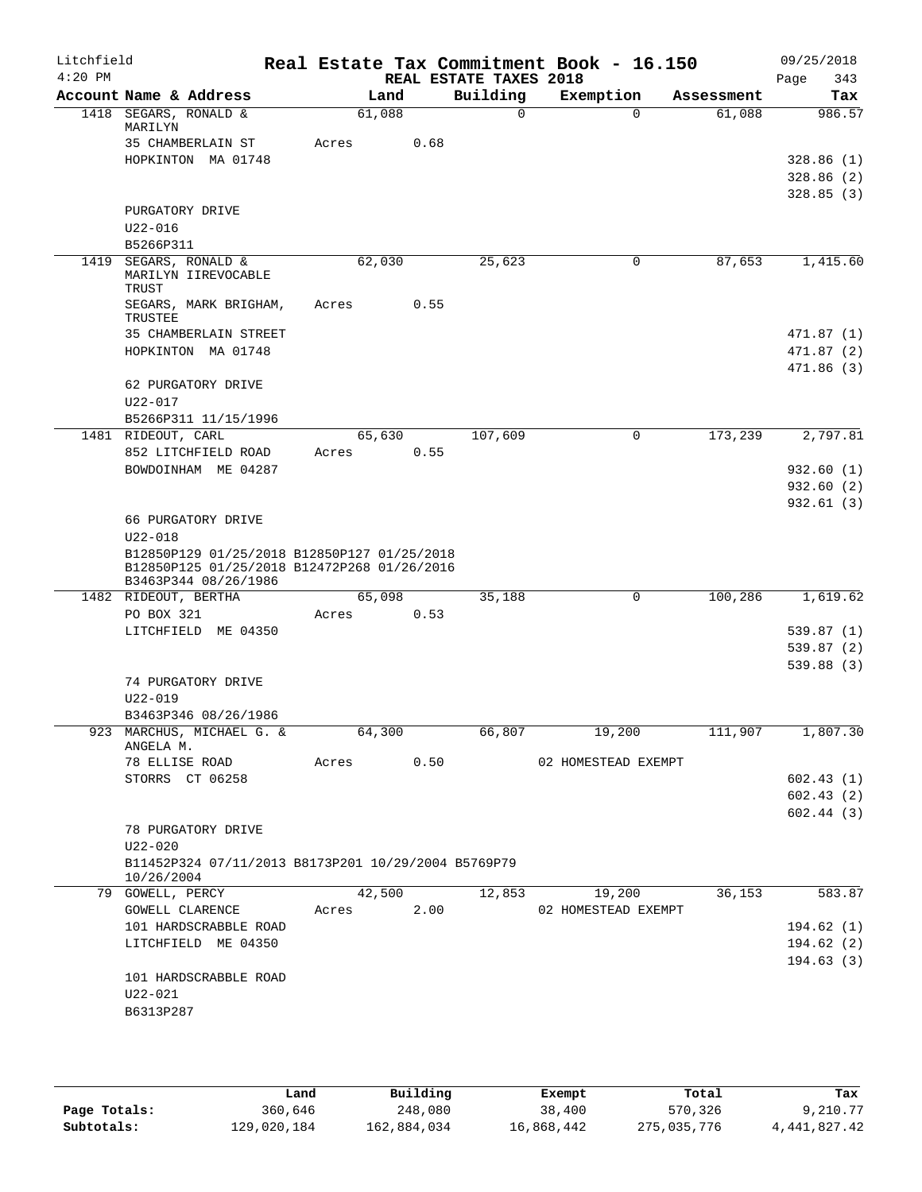| Litchfield<br>$4:20$ PM |                                                                                                                    |       |                | REAL ESTATE TAXES 2018 | Real Estate Tax Commitment Book - 16.150 |            | 09/25/2018<br>Page<br>343             |
|-------------------------|--------------------------------------------------------------------------------------------------------------------|-------|----------------|------------------------|------------------------------------------|------------|---------------------------------------|
|                         | Account Name & Address                                                                                             |       | Land           | Building               | Exemption                                | Assessment | Tax                                   |
|                         | 1418 SEGARS, RONALD &<br>MARILYN                                                                                   |       | 61,088         | $\mathbf 0$            | $\Omega$                                 | 61,088     | 986.57                                |
|                         | 35 CHAMBERLAIN ST<br>HOPKINTON MA 01748                                                                            | Acres | 0.68           |                        |                                          |            | 328.86 (1)<br>328.86(2)               |
|                         | PURGATORY DRIVE<br>$U22 - 016$                                                                                     |       |                |                        |                                          |            | 328.85(3)                             |
|                         | B5266P311                                                                                                          |       |                |                        |                                          |            |                                       |
|                         | 1419 SEGARS, RONALD &<br>MARILYN IIREVOCABLE<br>TRUST                                                              |       | 62,030         | 25,623                 | 0                                        | 87,653     | 1,415.60                              |
|                         | SEGARS, MARK BRIGHAM,<br>TRUSTEE                                                                                   | Acres | 0.55           |                        |                                          |            |                                       |
|                         | 35 CHAMBERLAIN STREET<br>HOPKINTON MA 01748                                                                        |       |                |                        |                                          |            | 471.87(1)<br>471.87 (2)<br>471.86 (3) |
|                         | 62 PURGATORY DRIVE<br>U22-017                                                                                      |       |                |                        |                                          |            |                                       |
|                         | B5266P311 11/15/1996                                                                                               |       |                |                        |                                          |            |                                       |
|                         | 1481 RIDEOUT, CARL<br>852 LITCHFIELD ROAD                                                                          | Acres | 65,630<br>0.55 | 107,609                | 0                                        | 173,239    | 2,797.81                              |
|                         | BOWDOINHAM ME 04287                                                                                                |       |                |                        |                                          |            | 932.60(1)                             |
|                         |                                                                                                                    |       |                |                        |                                          |            | 932.60 (2)                            |
|                         | 66 PURGATORY DRIVE<br>$U22 - 018$                                                                                  |       |                |                        |                                          |            | 932.61(3)                             |
|                         | B12850P129 01/25/2018 B12850P127 01/25/2018<br>B12850P125 01/25/2018 B12472P268 01/26/2016<br>B3463P344 08/26/1986 |       |                |                        |                                          |            |                                       |
|                         | 1482 RIDEOUT, BERTHA                                                                                               |       | 65,098         | 35,188                 | 0                                        | 100,286    | 1,619.62                              |
|                         | PO BOX 321                                                                                                         | Acres | 0.53           |                        |                                          |            |                                       |
|                         | LITCHFIELD ME 04350                                                                                                |       |                |                        |                                          |            | 539.87 (1)<br>539.87 (2)              |
|                         |                                                                                                                    |       |                |                        |                                          |            | 539.88(3)                             |
|                         | 74 PURGATORY DRIVE                                                                                                 |       |                |                        |                                          |            |                                       |
|                         | $U22 - 019$                                                                                                        |       |                |                        |                                          |            |                                       |
|                         | B3463P346 08/26/1986<br>923 MARCHUS, MICHAEL G. &                                                                  |       | 64,300         | 66,807                 | 19,200                                   | 111,907    | 1,807.30                              |
|                         | ANGELA M.<br>78 ELLISE ROAD                                                                                        | Acres | 0.50           |                        | 02 HOMESTEAD EXEMPT                      |            |                                       |
|                         | STORRS CT 06258                                                                                                    |       |                |                        |                                          |            | 602.43(1)                             |
|                         |                                                                                                                    |       |                |                        |                                          |            | 602.43(2)                             |
|                         | 78 PURGATORY DRIVE                                                                                                 |       |                |                        |                                          |            | 602.44(3)                             |
|                         | $U22 - 020$<br>B11452P324 07/11/2013 B8173P201 10/29/2004 B5769P79<br>10/26/2004                                   |       |                |                        |                                          |            |                                       |
|                         | 79 GOWELL, PERCY                                                                                                   |       | 42,500         | 12,853                 | 19,200                                   | 36,153     | 583.87                                |
|                         | GOWELL CLARENCE                                                                                                    | Acres | 2.00           |                        | 02 HOMESTEAD EXEMPT                      |            |                                       |
|                         | 101 HARDSCRABBLE ROAD<br>LITCHFIELD ME 04350                                                                       |       |                |                        |                                          |            | 194.62 (1)<br>194.62(2)               |
|                         |                                                                                                                    |       |                |                        |                                          |            | 194.63(3)                             |
|                         | 101 HARDSCRABBLE ROAD                                                                                              |       |                |                        |                                          |            |                                       |
|                         | U22-021                                                                                                            |       |                |                        |                                          |            |                                       |
|                         | B6313P287                                                                                                          |       |                |                        |                                          |            |                                       |
|                         |                                                                                                                    |       |                |                        |                                          |            |                                       |

|              | Land        | Building    | Exempt     | Total       | Tax             |
|--------------|-------------|-------------|------------|-------------|-----------------|
| Page Totals: | 360,646     | 248,080     | 38,400     | 570,326     | 9,210.77        |
| Subtotals:   | 129,020,184 | 162,884,034 | 16,868,442 | 275,035,776 | 4, 441, 827. 42 |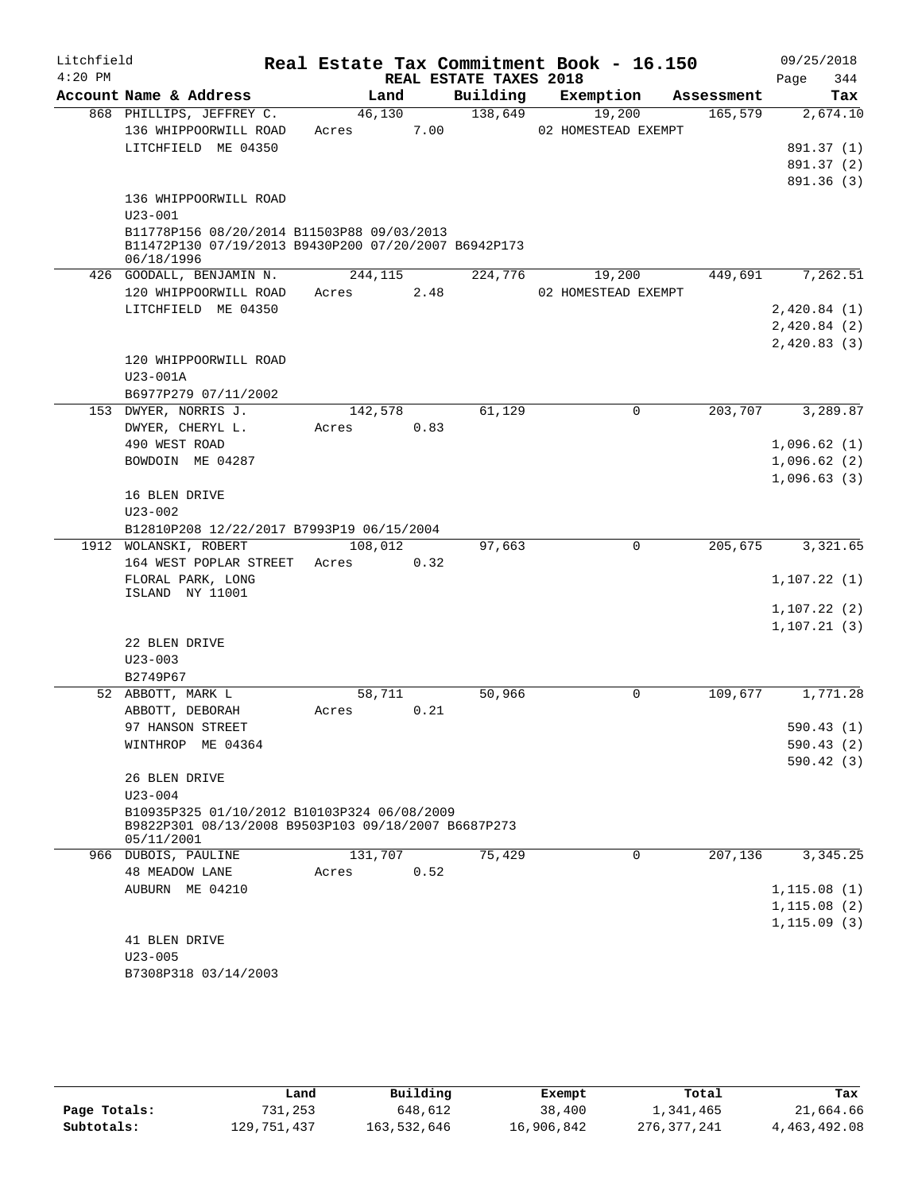| Litchfield |                                                                                                                  |         |      |                        | Real Estate Tax Commitment Book - 16.150 |            | 09/25/2018   |
|------------|------------------------------------------------------------------------------------------------------------------|---------|------|------------------------|------------------------------------------|------------|--------------|
| $4:20$ PM  |                                                                                                                  |         |      | REAL ESTATE TAXES 2018 |                                          |            | 344<br>Page  |
|            | Account Name & Address                                                                                           | Land    |      | Building               | Exemption                                | Assessment | Tax          |
|            | 868 PHILLIPS, JEFFREY C.                                                                                         | 46,130  |      | 138,649                | 19,200                                   | 165,579    | 2,674.10     |
|            | 136 WHIPPOORWILL ROAD                                                                                            | Acres   | 7.00 |                        | 02 HOMESTEAD EXEMPT                      |            |              |
|            | LITCHFIELD ME 04350                                                                                              |         |      |                        |                                          |            | 891.37 (1)   |
|            |                                                                                                                  |         |      |                        |                                          |            | 891.37 (2)   |
|            |                                                                                                                  |         |      |                        |                                          |            | 891.36 (3)   |
|            | 136 WHIPPOORWILL ROAD                                                                                            |         |      |                        |                                          |            |              |
|            | $U23 - 001$                                                                                                      |         |      |                        |                                          |            |              |
|            | B11778P156 08/20/2014 B11503P88 09/03/2013<br>B11472P130 07/19/2013 B9430P200 07/20/2007 B6942P173<br>06/18/1996 |         |      |                        |                                          |            |              |
|            | 426 GOODALL, BENJAMIN N.                                                                                         | 244,115 |      | 224,776                | 19,200                                   | 449,691    | 7,262.51     |
|            | 120 WHIPPOORWILL ROAD                                                                                            | Acres   | 2.48 |                        | 02 HOMESTEAD EXEMPT                      |            |              |
|            | LITCHFIELD ME 04350                                                                                              |         |      |                        |                                          |            | 2,420.84(1)  |
|            |                                                                                                                  |         |      |                        |                                          |            | 2,420.84(2)  |
|            |                                                                                                                  |         |      |                        |                                          |            | 2,420.83(3)  |
|            | 120 WHIPPOORWILL ROAD                                                                                            |         |      |                        |                                          |            |              |
|            | $U23 - 001A$                                                                                                     |         |      |                        |                                          |            |              |
|            | B6977P279 07/11/2002                                                                                             |         |      |                        |                                          |            |              |
|            | 153 DWYER, NORRIS J.                                                                                             | 142,578 |      | 61,129                 | 0                                        | 203,707    | 3,289.87     |
|            | DWYER, CHERYL L.                                                                                                 | Acres   | 0.83 |                        |                                          |            |              |
|            | 490 WEST ROAD                                                                                                    |         |      |                        |                                          |            | 1,096.62(1)  |
|            | BOWDOIN ME 04287                                                                                                 |         |      |                        |                                          |            | 1,096.62(2)  |
|            |                                                                                                                  |         |      |                        |                                          |            | 1,096.63(3)  |
|            | 16 BLEN DRIVE                                                                                                    |         |      |                        |                                          |            |              |
|            | $U23 - 002$                                                                                                      |         |      |                        |                                          |            |              |
|            | B12810P208 12/22/2017 B7993P19 06/15/2004                                                                        |         |      |                        |                                          |            |              |
|            | 1912 WOLANSKI, ROBERT                                                                                            | 108,012 |      | 97,663                 | $\mathbf 0$                              | 205,675    | 3,321.65     |
|            | 164 WEST POPLAR STREET                                                                                           | Acres   | 0.32 |                        |                                          |            |              |
|            | FLORAL PARK, LONG                                                                                                |         |      |                        |                                          |            | 1, 107.22(1) |
|            | ISLAND NY 11001                                                                                                  |         |      |                        |                                          |            |              |
|            |                                                                                                                  |         |      |                        |                                          |            | 1, 107.22(2) |
|            | 22 BLEN DRIVE                                                                                                    |         |      |                        |                                          |            | 1, 107.21(3) |
|            | $U23 - 003$                                                                                                      |         |      |                        |                                          |            |              |
|            | B2749P67                                                                                                         |         |      |                        |                                          |            |              |
|            | 52 ABBOTT, MARK L                                                                                                | 58,711  |      | 50,966                 | 0                                        | 109,677    | 1,771.28     |
|            | ABBOTT, DEBORAH                                                                                                  | Acres   | 0.21 |                        |                                          |            |              |
|            | 97 HANSON STREET                                                                                                 |         |      |                        |                                          |            | 590.43 (1)   |
|            | WINTHROP ME 04364                                                                                                |         |      |                        |                                          |            | 590.43(2)    |
|            |                                                                                                                  |         |      |                        |                                          |            | 590.42(3)    |
|            | 26 BLEN DRIVE                                                                                                    |         |      |                        |                                          |            |              |
|            | $U23 - 004$                                                                                                      |         |      |                        |                                          |            |              |
|            | B10935P325 01/10/2012 B10103P324 06/08/2009<br>B9822P301 08/13/2008 B9503P103 09/18/2007 B6687P273               |         |      |                        |                                          |            |              |
|            | 05/11/2001<br>966 DUBOIS, PAULINE                                                                                | 131,707 |      | 75,429                 | 0                                        | 207,136    | 3,345.25     |
|            | <b>48 MEADOW LANE</b>                                                                                            | Acres   | 0.52 |                        |                                          |            |              |
|            | AUBURN ME 04210                                                                                                  |         |      |                        |                                          |            | 1,115.08(1)  |
|            |                                                                                                                  |         |      |                        |                                          |            | 1, 115.08(2) |
|            |                                                                                                                  |         |      |                        |                                          |            | 1, 115.09(3) |
|            | 41 BLEN DRIVE                                                                                                    |         |      |                        |                                          |            |              |
|            | $U23 - 005$                                                                                                      |         |      |                        |                                          |            |              |
|            | B7308P318 03/14/2003                                                                                             |         |      |                        |                                          |            |              |
|            |                                                                                                                  |         |      |                        |                                          |            |              |

|              | Land        | Building    | Exempt     | Total       | Tax          |
|--------------|-------------|-------------|------------|-------------|--------------|
| Page Totals: | 731,253     | 648,612     | 38,400     | 1,341,465   | 21,664.66    |
| Subtotals:   | 129,751,437 | 163,532,646 | 16,906,842 | 276,377,241 | 4,463,492.08 |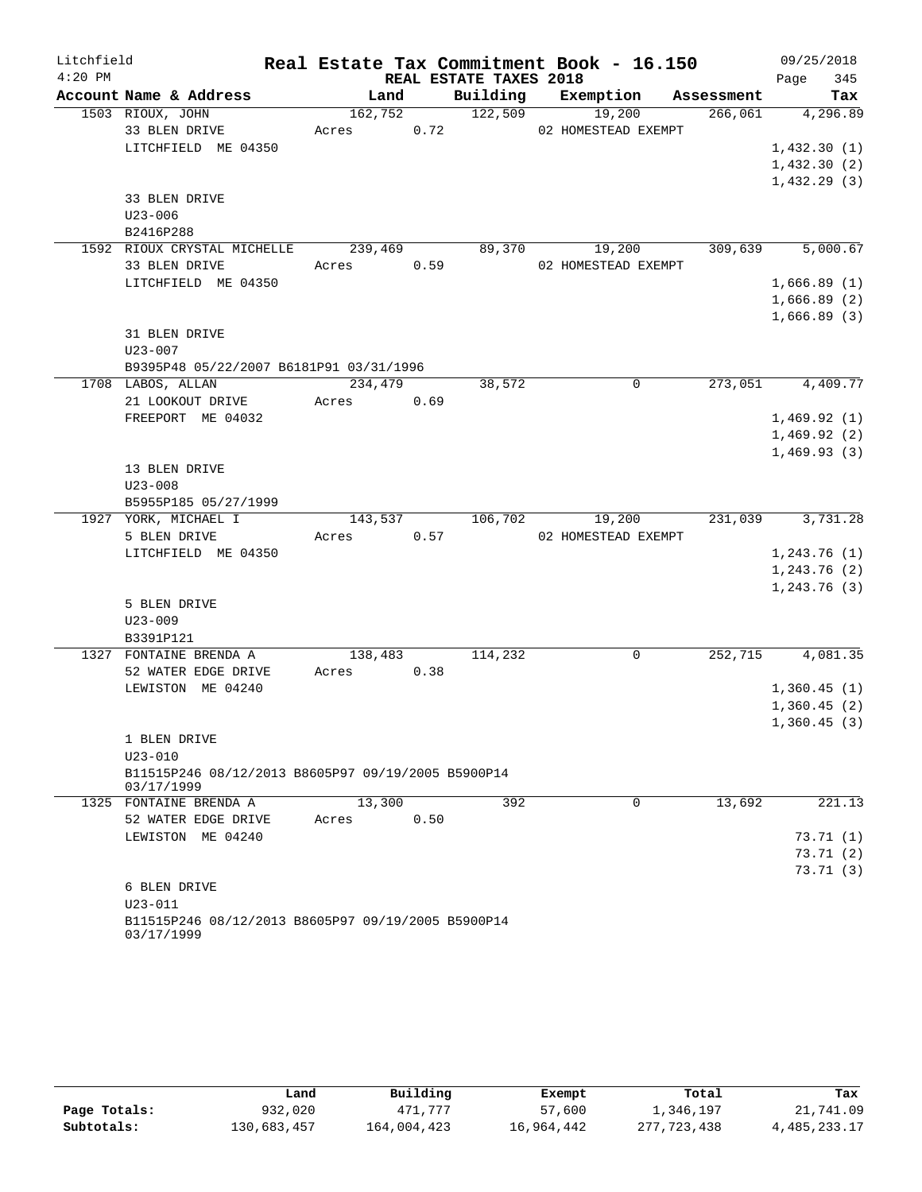| Litchfield |                                                                   |         |      |                        | Real Estate Tax Commitment Book - 16.150 |            | 09/25/2018    |
|------------|-------------------------------------------------------------------|---------|------|------------------------|------------------------------------------|------------|---------------|
| $4:20$ PM  |                                                                   |         |      | REAL ESTATE TAXES 2018 |                                          |            | 345<br>Page   |
|            | Account Name & Address                                            | Land    |      |                        | Building Exemption                       | Assessment | Tax           |
|            | 1503 RIOUX, JOHN                                                  | 162,752 |      | 122,509                | 19,200                                   | 266,061    | 4,296.89      |
|            | 33 BLEN DRIVE                                                     | Acres   | 0.72 |                        | 02 HOMESTEAD EXEMPT                      |            |               |
|            | LITCHFIELD ME 04350                                               |         |      |                        |                                          |            | 1,432.30(1)   |
|            |                                                                   |         |      |                        |                                          |            | 1,432.30(2)   |
|            | 33 BLEN DRIVE                                                     |         |      |                        |                                          |            | 1,432.29(3)   |
|            | $U23 - 006$                                                       |         |      |                        |                                          |            |               |
|            | B2416P288                                                         |         |      |                        |                                          |            |               |
|            | 1592 RIOUX CRYSTAL MICHELLE                                       | 239,469 |      | 89,370                 | 19,200                                   | 309,639    | 5,000.67      |
|            | 33 BLEN DRIVE                                                     | Acres   | 0.59 |                        | 02 HOMESTEAD EXEMPT                      |            |               |
|            | LITCHFIELD ME 04350                                               |         |      |                        |                                          |            | 1,666.89(1)   |
|            |                                                                   |         |      |                        |                                          |            | 1,666.89(2)   |
|            |                                                                   |         |      |                        |                                          |            | 1,666.89(3)   |
|            | 31 BLEN DRIVE                                                     |         |      |                        |                                          |            |               |
|            | $U23 - 007$                                                       |         |      |                        |                                          |            |               |
|            | B9395P48 05/22/2007 B6181P91 03/31/1996                           |         |      |                        |                                          |            |               |
|            | 1708 LABOS, ALLAN                                                 | 234,479 |      | 38,572                 | $\Omega$                                 | 273,051    | 4,409.77      |
|            | 21 LOOKOUT DRIVE                                                  | Acres   | 0.69 |                        |                                          |            |               |
|            | FREEPORT ME 04032                                                 |         |      |                        |                                          |            | 1,469.92(1)   |
|            |                                                                   |         |      |                        |                                          |            | 1,469.92(2)   |
|            |                                                                   |         |      |                        |                                          |            | 1,469.93(3)   |
|            | 13 BLEN DRIVE                                                     |         |      |                        |                                          |            |               |
|            | $U23 - 008$                                                       |         |      |                        |                                          |            |               |
|            | B5955P185 05/27/1999                                              |         |      |                        |                                          |            |               |
|            | 1927 YORK, MICHAEL I                                              | 143,537 | 0.57 | 106,702                | 19,200                                   | 231,039    | 3,731.28      |
|            | 5 BLEN DRIVE<br>LITCHFIELD ME 04350                               | Acres   |      |                        | 02 HOMESTEAD EXEMPT                      |            | 1, 243.76(1)  |
|            |                                                                   |         |      |                        |                                          |            | 1, 243.76 (2) |
|            |                                                                   |         |      |                        |                                          |            | 1,243.76(3)   |
|            | 5 BLEN DRIVE                                                      |         |      |                        |                                          |            |               |
|            | $U23 - 009$                                                       |         |      |                        |                                          |            |               |
|            | B3391P121                                                         |         |      |                        |                                          |            |               |
|            | 1327 FONTAINE BRENDA A                                            | 138,483 |      | 114,232                | $\Omega$                                 | 252,715    | 4,081.35      |
|            | 52 WATER EDGE DRIVE                                               | Acres   | 0.38 |                        |                                          |            |               |
|            | LEWISTON ME 04240                                                 |         |      |                        |                                          |            | 1,360.45(1)   |
|            |                                                                   |         |      |                        |                                          |            | 1,360.45(2)   |
|            |                                                                   |         |      |                        |                                          |            | 1,360.45(3)   |
|            | 1 BLEN DRIVE                                                      |         |      |                        |                                          |            |               |
|            | $U23 - 010$                                                       |         |      |                        |                                          |            |               |
|            | B11515P246 08/12/2013 B8605P97 09/19/2005 B5900P14<br>03/17/1999  |         |      |                        |                                          |            |               |
|            | 1325 FONTAINE BRENDA A                                            | 13,300  |      | 392                    | 0                                        | 13,692     | 221.13        |
|            | 52 WATER EDGE DRIVE                                               | Acres   | 0.50 |                        |                                          |            |               |
|            | LEWISTON ME 04240                                                 |         |      |                        |                                          |            | 73.71(1)      |
|            |                                                                   |         |      |                        |                                          |            | 73.71 (2)     |
|            |                                                                   |         |      |                        |                                          |            | 73.71(3)      |
|            | 6 BLEN DRIVE                                                      |         |      |                        |                                          |            |               |
|            | $U23 - 011$<br>B11515P246 08/12/2013 B8605P97 09/19/2005 B5900P14 |         |      |                        |                                          |            |               |
|            | 03/17/1999                                                        |         |      |                        |                                          |            |               |

|              | Land        | Building    | Exempt     | Total       | Tax             |
|--------------|-------------|-------------|------------|-------------|-----------------|
| Page Totals: | 932,020     | 471,777     | 57,600     | 1,346,197   | 21,741.09       |
| Subtotals:   | 130,683,457 | 164,004,423 | 16,964,442 | 277,723,438 | 4, 485, 233. 17 |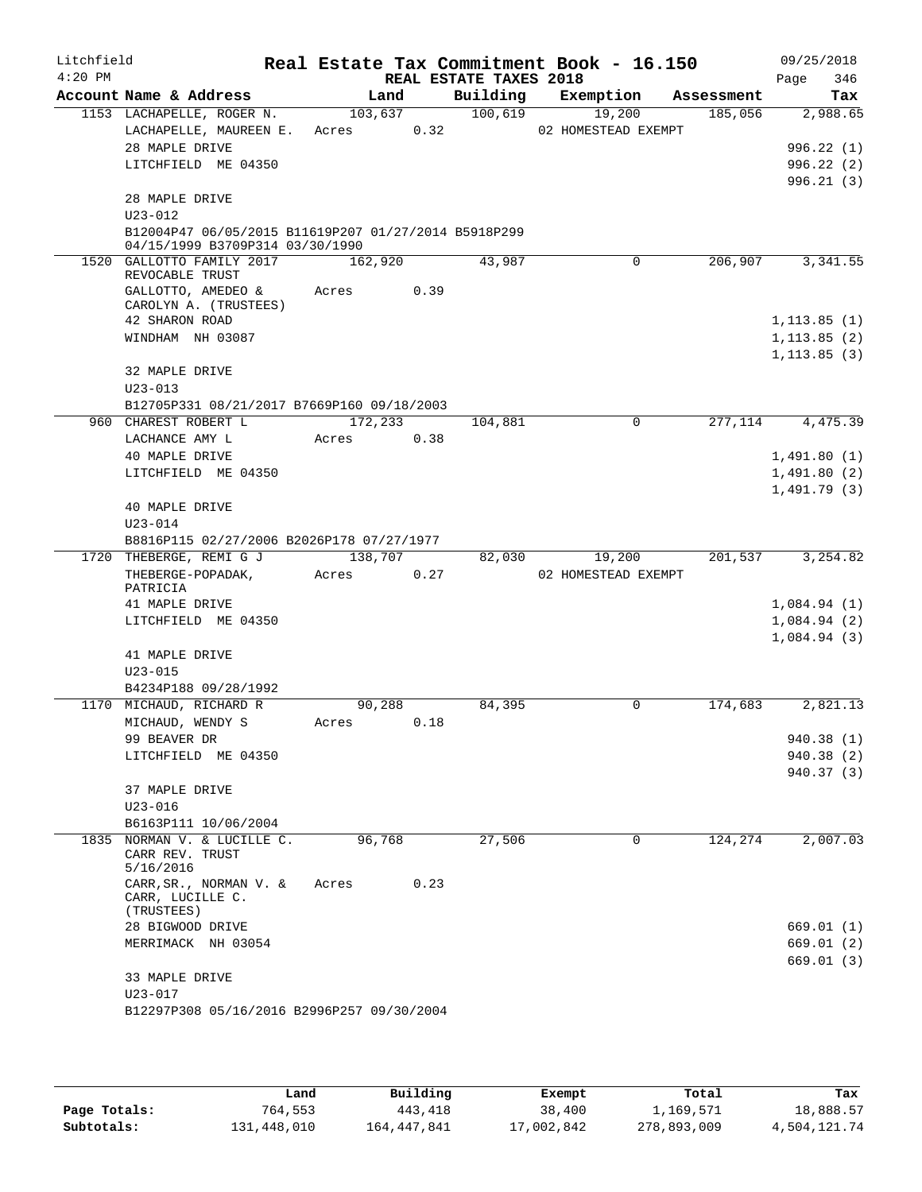| Litchfield<br>$4:20$ PM |                                                      |         |         | REAL ESTATE TAXES 2018 | Real Estate Tax Commitment Book - 16.150 |            | 09/25/2018<br>346<br>Page |
|-------------------------|------------------------------------------------------|---------|---------|------------------------|------------------------------------------|------------|---------------------------|
|                         | Account Name & Address                               |         | Land    | Building               | Exemption                                | Assessment | Tax                       |
|                         | 1153 LACHAPELLE, ROGER N.                            |         | 103,637 | 100,619                | 19,200                                   | 185,056    | 2,988.65                  |
|                         | LACHAPELLE, MAUREEN E.                               | Acres   | 0.32    |                        | 02 HOMESTEAD EXEMPT                      |            |                           |
|                         | 28 MAPLE DRIVE                                       |         |         |                        |                                          |            | 996.22(1)                 |
|                         | LITCHFIELD ME 04350                                  |         |         |                        |                                          |            | 996.22(2)                 |
|                         |                                                      |         |         |                        |                                          |            | 996.21(3)                 |
|                         | 28 MAPLE DRIVE                                       |         |         |                        |                                          |            |                           |
|                         | $U23 - 012$                                          |         |         |                        |                                          |            |                           |
|                         | B12004P47 06/05/2015 B11619P207 01/27/2014 B5918P299 |         |         |                        |                                          |            |                           |
|                         | 04/15/1999 B3709P314 03/30/1990                      |         |         |                        |                                          |            |                           |
|                         | 1520 GALLOTTO FAMILY 2017                            | 162,920 |         | 43,987                 | 0                                        | 206,907    | 3,341.55                  |
|                         | REVOCABLE TRUST                                      |         |         |                        |                                          |            |                           |
|                         | GALLOTTO, AMEDEO &                                   | Acres   | 0.39    |                        |                                          |            |                           |
|                         | CAROLYN A. (TRUSTEES)                                |         |         |                        |                                          |            |                           |
|                         | 42 SHARON ROAD                                       |         |         |                        |                                          |            | 1, 113.85(1)              |
|                         | WINDHAM NH 03087                                     |         |         |                        |                                          |            | 1, 113.85(2)              |
|                         |                                                      |         |         |                        |                                          |            | 1, 113.85(3)              |
|                         | 32 MAPLE DRIVE                                       |         |         |                        |                                          |            |                           |
|                         | $U23 - 013$                                          |         |         |                        |                                          |            |                           |
|                         | B12705P331 08/21/2017 B7669P160 09/18/2003           |         |         |                        |                                          |            |                           |
|                         | 960 CHAREST ROBERT L                                 | 172,233 |         | 104,881                | $\Omega$                                 | 277,114    | 4, 475.39                 |
|                         | LACHANCE AMY L                                       | Acres   | 0.38    |                        |                                          |            |                           |
|                         | 40 MAPLE DRIVE                                       |         |         |                        |                                          |            |                           |
|                         | LITCHFIELD ME 04350                                  |         |         |                        |                                          |            | 1,491.80(1)               |
|                         |                                                      |         |         |                        |                                          |            | 1,491.80(2)               |
|                         |                                                      |         |         |                        |                                          |            | 1,491.79(3)               |
|                         | 40 MAPLE DRIVE                                       |         |         |                        |                                          |            |                           |
|                         | $U23 - 014$                                          |         |         |                        |                                          |            |                           |
|                         | B8816P115 02/27/2006 B2026P178 07/27/1977            |         |         |                        |                                          |            |                           |
|                         | 1720 THEBERGE, REMI G J                              | 138,707 |         | 82,030                 | 19,200                                   | 201,537    | 3,254.82                  |
|                         | THEBERGE-POPADAK,                                    | Acres   | 0.27    |                        | 02 HOMESTEAD EXEMPT                      |            |                           |
|                         | PATRICIA                                             |         |         |                        |                                          |            |                           |
|                         | 41 MAPLE DRIVE                                       |         |         |                        |                                          |            | 1,084.94(1)               |
|                         | LITCHFIELD ME 04350                                  |         |         |                        |                                          |            | 1,084.94(2)               |
|                         |                                                      |         |         |                        |                                          |            | 1,084.94(3)               |
|                         | 41 MAPLE DRIVE                                       |         |         |                        |                                          |            |                           |
|                         | $U23 - 015$                                          |         |         |                        |                                          |            |                           |
|                         | B4234P188 09/28/1992                                 |         |         |                        |                                          |            |                           |
|                         | 1170 MICHAUD, RICHARD R                              | 90,288  |         | 84,395                 | 0                                        | 174,683    | 2,821.13                  |
|                         | MICHAUD, WENDY S                                     | Acres   | 0.18    |                        |                                          |            |                           |
|                         | 99 BEAVER DR                                         |         |         |                        |                                          |            | 940.38 (1)                |
|                         | LITCHFIELD ME 04350                                  |         |         |                        |                                          |            | 940.38(2)                 |
|                         |                                                      |         |         |                        |                                          |            | 940.37 (3)                |
|                         | 37 MAPLE DRIVE                                       |         |         |                        |                                          |            |                           |
|                         | $U23 - 016$                                          |         |         |                        |                                          |            |                           |
|                         | B6163P111 10/06/2004                                 |         |         |                        |                                          |            |                           |
|                         | 1835 NORMAN V. & LUCILLE C.                          | 96,768  |         | 27,506                 | 0                                        | 124,274    | 2,007.03                  |
|                         | CARR REV. TRUST                                      |         |         |                        |                                          |            |                           |
|                         | 5/16/2016                                            |         |         |                        |                                          |            |                           |
|                         | $\mathtt{CARR}$ , SR. , NORMAN V. &                  | Acres   | 0.23    |                        |                                          |            |                           |
|                         | CARR, LUCILLE C.                                     |         |         |                        |                                          |            |                           |
|                         | (TRUSTEES)                                           |         |         |                        |                                          |            |                           |
|                         | 28 BIGWOOD DRIVE                                     |         |         |                        |                                          |            | 669.01 (1)                |
|                         | MERRIMACK NH 03054                                   |         |         |                        |                                          |            | 669.01 (2)                |
|                         |                                                      |         |         |                        |                                          |            | 669.01(3)                 |
|                         | 33 MAPLE DRIVE                                       |         |         |                        |                                          |            |                           |
|                         | $U23 - 017$                                          |         |         |                        |                                          |            |                           |
|                         | B12297P308 05/16/2016 B2996P257 09/30/2004           |         |         |                        |                                          |            |                           |
|                         |                                                      |         |         |                        |                                          |            |                           |

|              | Land        | Building    | Exempt     | Total       | Tax          |
|--------------|-------------|-------------|------------|-------------|--------------|
| Page Totals: | 764.553     | 443,418     | 38,400     | l,169,571   | 18,888.57    |
| Subtotals:   | 131,448,010 | 164,447,841 | 17,002,842 | 278,893,009 | 4,504,121.74 |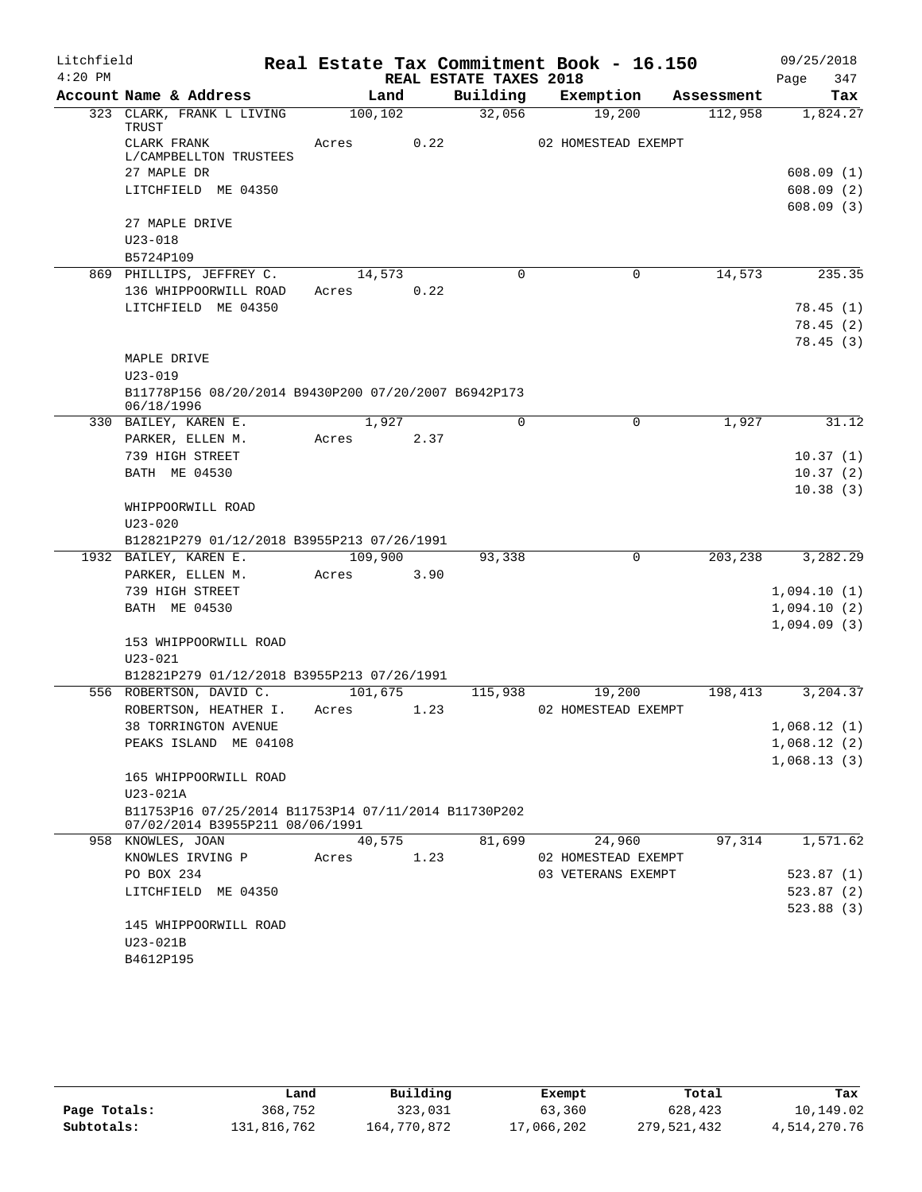| Litchfield |                                                                    |          |         |                        | Real Estate Tax Commitment Book - 16.150 |            | 09/25/2018  |
|------------|--------------------------------------------------------------------|----------|---------|------------------------|------------------------------------------|------------|-------------|
| $4:20$ PM  |                                                                    |          |         | REAL ESTATE TAXES 2018 |                                          |            | 347<br>Page |
|            | Account Name & Address                                             |          | Land    | Building               | Exemption                                | Assessment | Tax         |
|            | 323 CLARK, FRANK L LIVING<br>TRUST                                 | 100, 102 |         | 32,056                 | 19,200                                   | 112,958    | 1,824.27    |
|            | CLARK FRANK                                                        | Acres    | 0.22    |                        | 02 HOMESTEAD EXEMPT                      |            |             |
|            | L/CAMPBELLTON TRUSTEES                                             |          |         |                        |                                          |            |             |
|            | 27 MAPLE DR                                                        |          |         |                        |                                          |            | 608.09(1)   |
|            | LITCHFIELD ME 04350                                                |          |         |                        |                                          |            | 608.09(2)   |
|            | 27 MAPLE DRIVE                                                     |          |         |                        |                                          |            | 608.09(3)   |
|            | $U23 - 018$                                                        |          |         |                        |                                          |            |             |
|            | B5724P109                                                          |          |         |                        |                                          |            |             |
|            | 869 PHILLIPS, JEFFREY C.                                           | 14,573   |         | $\mathbf 0$            | $\mathbf 0$                              | 14,573     | 235.35      |
|            | 136 WHIPPOORWILL ROAD                                              | Acres    | 0.22    |                        |                                          |            |             |
|            | LITCHFIELD ME 04350                                                |          |         |                        |                                          |            | 78.45(1)    |
|            |                                                                    |          |         |                        |                                          |            | 78.45(2)    |
|            |                                                                    |          |         |                        |                                          |            | 78.45(3)    |
|            | MAPLE DRIVE                                                        |          |         |                        |                                          |            |             |
|            | $U23 - 019$                                                        |          |         |                        |                                          |            |             |
|            | B11778P156 08/20/2014 B9430P200 07/20/2007 B6942P173<br>06/18/1996 |          |         |                        |                                          |            |             |
|            | 330 BAILEY, KAREN E.                                               |          | 1,927   | $\Omega$               | $\Omega$                                 | 1,927      | 31.12       |
|            | PARKER, ELLEN M.                                                   | Acres    | 2.37    |                        |                                          |            |             |
|            | 739 HIGH STREET                                                    |          |         |                        |                                          |            | 10.37(1)    |
|            | <b>BATH ME 04530</b>                                               |          |         |                        |                                          |            | 10.37(2)    |
|            |                                                                    |          |         |                        |                                          |            | 10.38(3)    |
|            | WHIPPOORWILL ROAD<br>$U23 - 020$                                   |          |         |                        |                                          |            |             |
|            | B12821P279 01/12/2018 B3955P213 07/26/1991                         |          |         |                        |                                          |            |             |
|            | 1932 BAILEY, KAREN E.                                              |          | 109,900 | 93,338                 | 0                                        | 203,238    | 3,282.29    |
|            | PARKER, ELLEN M.                                                   | Acres    | 3.90    |                        |                                          |            |             |
|            | 739 HIGH STREET                                                    |          |         |                        |                                          |            | 1,094.10(1) |
|            | <b>BATH ME 04530</b>                                               |          |         |                        |                                          |            | 1,094.10(2) |
|            |                                                                    |          |         |                        |                                          |            | 1,094.09(3) |
|            | 153 WHIPPOORWILL ROAD                                              |          |         |                        |                                          |            |             |
|            | $U23 - 021$                                                        |          |         |                        |                                          |            |             |
|            | B12821P279 01/12/2018 B3955P213 07/26/1991                         |          |         |                        |                                          |            |             |
|            | 556 ROBERTSON, DAVID C.                                            | 101,675  |         | 115,938                | 19,200                                   | 198,413    | 3,204.37    |
|            | ROBERTSON, HEATHER I.                                              | Acres    | 1.23    |                        | 02 HOMESTEAD EXEMPT                      |            |             |
|            | 38 TORRINGTON AVENUE                                               |          |         |                        |                                          |            | 1,068.12(1) |
|            | PEAKS ISLAND ME 04108                                              |          |         |                        |                                          |            | 1,068.12(2) |
|            |                                                                    |          |         |                        |                                          |            | 1,068.13(3) |
|            | 165 WHIPPOORWILL ROAD<br>U23-021A                                  |          |         |                        |                                          |            |             |
|            | B11753P16 07/25/2014 B11753P14 07/11/2014 B11730P202               |          |         |                        |                                          |            |             |
|            | 07/02/2014 B3955P211 08/06/1991                                    |          |         |                        |                                          |            |             |
|            | 958 KNOWLES, JOAN                                                  |          | 40,575  | 81,699                 | 24,960                                   | 97,314     | 1,571.62    |
|            | KNOWLES IRVING P                                                   | Acres    | 1.23    |                        | 02 HOMESTEAD EXEMPT                      |            |             |
|            | PO BOX 234                                                         |          |         |                        | 03 VETERANS EXEMPT                       |            | 523.87(1)   |
|            | LITCHFIELD ME 04350                                                |          |         |                        |                                          |            | 523.87 (2)  |
|            |                                                                    |          |         |                        |                                          |            | 523.88(3)   |
|            | 145 WHIPPOORWILL ROAD                                              |          |         |                        |                                          |            |             |
|            | U23-021B                                                           |          |         |                        |                                          |            |             |
|            | B4612P195                                                          |          |         |                        |                                          |            |             |

|              | Land        | Building    | Exempt     | Total       | Tax          |
|--------------|-------------|-------------|------------|-------------|--------------|
| Page Totals: | 368,752     | 323,031     | 63,360     | 628,423     | 10,149.02    |
| Subtotals:   | 131,816,762 | 164,770,872 | 17,066,202 | 279,521,432 | 4,514,270.76 |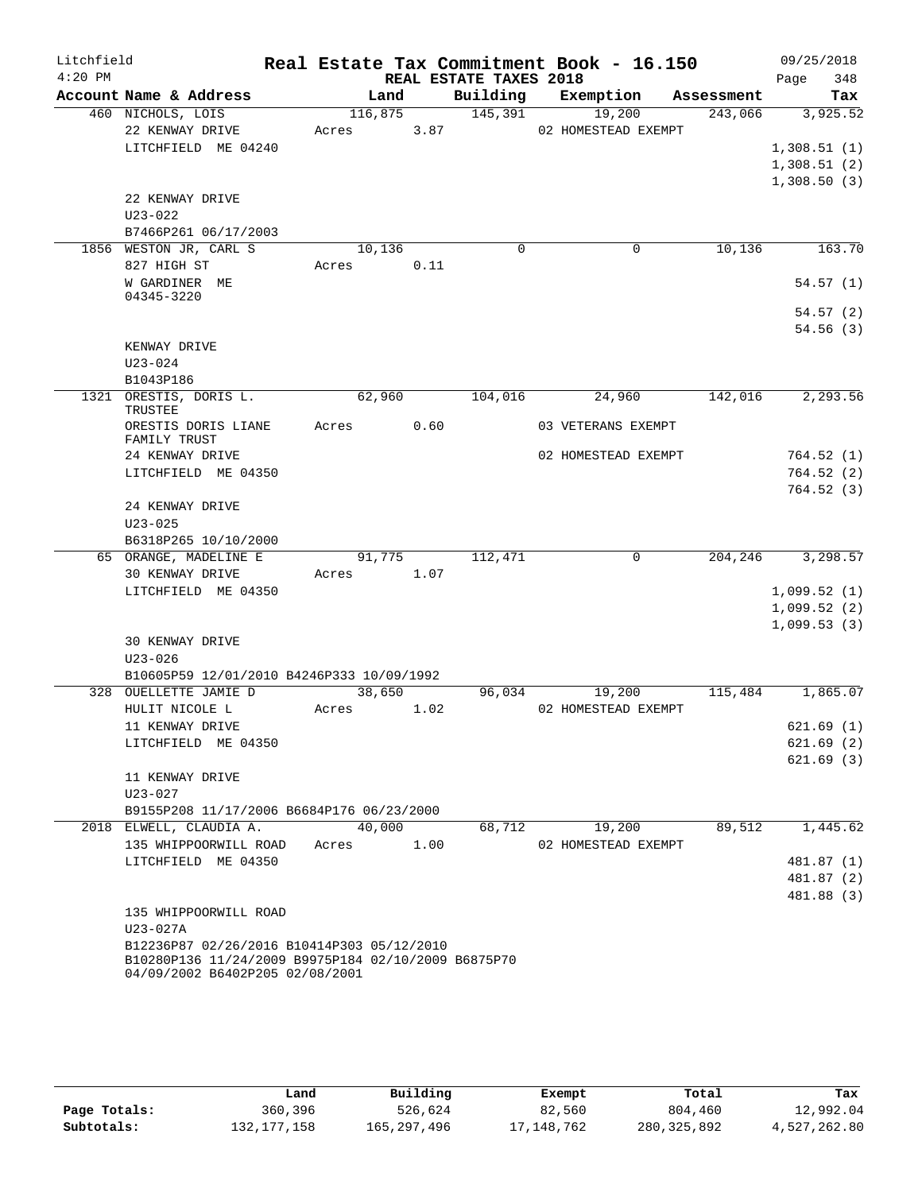| Litchfield |                                                                                        |       |         |                        | Real Estate Tax Commitment Book - 16.150 |            | 09/25/2018  |
|------------|----------------------------------------------------------------------------------------|-------|---------|------------------------|------------------------------------------|------------|-------------|
| $4:20$ PM  |                                                                                        |       |         | REAL ESTATE TAXES 2018 |                                          |            | 348<br>Page |
|            | Account Name & Address                                                                 |       | Land    | Building               | Exemption                                | Assessment | Tax         |
|            | 460 NICHOLS, LOIS                                                                      |       | 116,875 | 145,391                | 19,200                                   | 243,066    | 3,925.52    |
|            | 22 KENWAY DRIVE                                                                        | Acres | 3.87    |                        | 02 HOMESTEAD EXEMPT                      |            |             |
|            | LITCHFIELD ME 04240                                                                    |       |         |                        |                                          |            | 1,308.51(1) |
|            |                                                                                        |       |         |                        |                                          |            | 1,308.51(2) |
|            |                                                                                        |       |         |                        |                                          |            | 1,308.50(3) |
|            | 22 KENWAY DRIVE                                                                        |       |         |                        |                                          |            |             |
|            | $U23 - 022$                                                                            |       |         |                        |                                          |            |             |
|            | B7466P261 06/17/2003<br>1856 WESTON JR, CARL S                                         |       | 10,136  | 0                      | 0                                        | 10,136     | 163.70      |
|            | 827 HIGH ST                                                                            | Acres | 0.11    |                        |                                          |            |             |
|            | W GARDINER ME                                                                          |       |         |                        |                                          |            | 54.57(1)    |
|            | 04345-3220                                                                             |       |         |                        |                                          |            |             |
|            |                                                                                        |       |         |                        |                                          |            | 54.57(2)    |
|            |                                                                                        |       |         |                        |                                          |            | 54.56(3)    |
|            | KENWAY DRIVE                                                                           |       |         |                        |                                          |            |             |
|            | $U23 - 024$                                                                            |       |         |                        |                                          |            |             |
|            | B1043P186                                                                              |       |         |                        |                                          |            |             |
|            | 1321 ORESTIS, DORIS L.<br>TRUSTEE                                                      |       | 62,960  | 104,016                | 24,960                                   | 142,016    | 2,293.56    |
|            | ORESTIS DORIS LIANE<br>FAMILY TRUST                                                    | Acres | 0.60    |                        | 03 VETERANS EXEMPT                       |            |             |
|            | 24 KENWAY DRIVE                                                                        |       |         |                        | 02 HOMESTEAD EXEMPT                      |            | 764.52(1)   |
|            | LITCHFIELD ME 04350                                                                    |       |         |                        |                                          |            | 764.52(2)   |
|            |                                                                                        |       |         |                        |                                          |            | 764.52(3)   |
|            | 24 KENWAY DRIVE                                                                        |       |         |                        |                                          |            |             |
|            | $U23 - 025$                                                                            |       |         |                        |                                          |            |             |
|            | B6318P265 10/10/2000<br>65 ORANGE, MADELINE E                                          |       | 91,775  | 112,471                | 0                                        | 204,246    | 3,298.57    |
|            | 30 KENWAY DRIVE                                                                        | Acres | 1.07    |                        |                                          |            |             |
|            | LITCHFIELD ME 04350                                                                    |       |         |                        |                                          |            | 1,099.52(1) |
|            |                                                                                        |       |         |                        |                                          |            | 1,099.52(2) |
|            |                                                                                        |       |         |                        |                                          |            | 1,099.53(3) |
|            | <b>30 KENWAY DRIVE</b>                                                                 |       |         |                        |                                          |            |             |
|            | $U23 - 026$                                                                            |       |         |                        |                                          |            |             |
|            | B10605P59 12/01/2010 B4246P333 10/09/1992                                              |       |         |                        |                                          |            |             |
|            | 328 OUELLETTE JAMIE D                                                                  |       | 38,650  | 96,034                 | 19,200                                   | 115,484    | 1,865.07    |
|            | HULIT NICOLE L                                                                         | Acres | 1.02    |                        | 02 HOMESTEAD EXEMPT                      |            |             |
|            | 11 KENWAY DRIVE                                                                        |       |         |                        |                                          |            | 621.69(1)   |
|            | LITCHFIELD ME 04350                                                                    |       |         |                        |                                          |            | 621.69 (2)  |
|            |                                                                                        |       |         |                        |                                          |            | 621.69(3)   |
|            | 11 KENWAY DRIVE                                                                        |       |         |                        |                                          |            |             |
|            | U23-027                                                                                |       |         |                        |                                          |            |             |
|            | B9155P208 11/17/2006 B6684P176 06/23/2000<br>2018 ELWELL, CLAUDIA A.                   |       | 40,000  | 68,712                 | 19,200                                   | 89,512     | 1,445.62    |
|            | 135 WHIPPOORWILL ROAD                                                                  | Acres | 1.00    |                        | 02 HOMESTEAD EXEMPT                      |            |             |
|            | LITCHFIELD ME 04350                                                                    |       |         |                        |                                          |            | 481.87 (1)  |
|            |                                                                                        |       |         |                        |                                          |            | 481.87 (2)  |
|            |                                                                                        |       |         |                        |                                          |            | 481.88 (3)  |
|            | 135 WHIPPOORWILL ROAD                                                                  |       |         |                        |                                          |            |             |
|            | U23-027A                                                                               |       |         |                        |                                          |            |             |
|            | B12236P87 02/26/2016 B10414P303 05/12/2010                                             |       |         |                        |                                          |            |             |
|            | B10280P136 11/24/2009 B9975P184 02/10/2009 B6875P70<br>04/09/2002 B6402P205 02/08/2001 |       |         |                        |                                          |            |             |

|              | Land          | Building    | Exempt     | Total       | Tax          |
|--------------|---------------|-------------|------------|-------------|--------------|
| Page Totals: | 360,396       | 526,624     | 82,560     | 804,460     | 12,992.04    |
| Subtotals:   | 132, 177, 158 | 165,297,496 | 17,148,762 | 280,325,892 | 4,527,262.80 |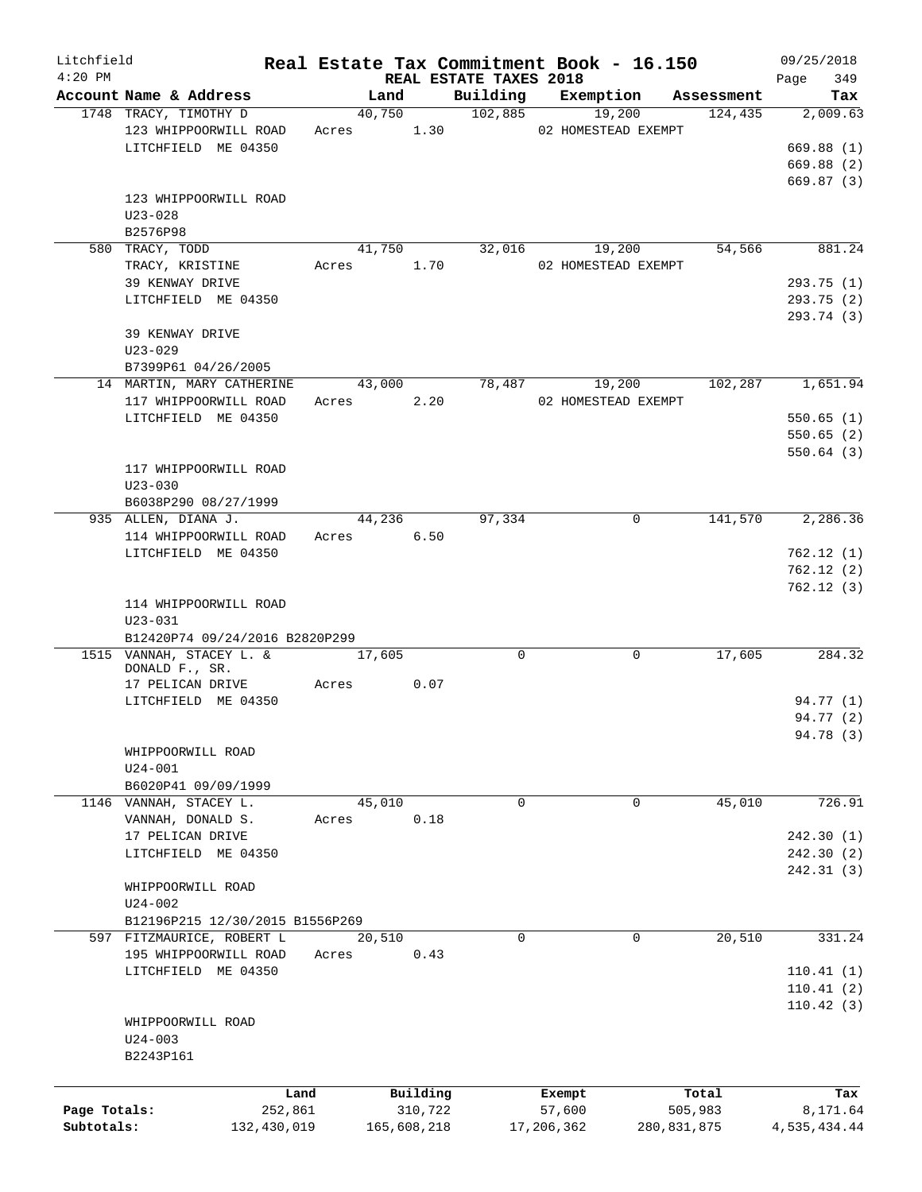| Litchfield   |                                         |       |        |             |                                    |            | Real Estate Tax Commitment Book - 16.150 |            | 09/25/2018         |
|--------------|-----------------------------------------|-------|--------|-------------|------------------------------------|------------|------------------------------------------|------------|--------------------|
| $4:20$ PM    | Account Name & Address                  |       | Land   |             | REAL ESTATE TAXES 2018<br>Building |            | Exemption                                | Assessment | 349<br>Page<br>Tax |
|              | 1748 TRACY, TIMOTHY D                   |       | 40,750 |             | 102,885                            |            | 19,200                                   | 124,435    | 2,009.63           |
|              | 123 WHIPPOORWILL ROAD                   |       | Acres  | 1.30        |                                    |            | 02 HOMESTEAD EXEMPT                      |            |                    |
|              | LITCHFIELD ME 04350                     |       |        |             |                                    |            |                                          |            | 669.88(1)          |
|              |                                         |       |        |             |                                    |            |                                          |            | 669.88 (2)         |
|              |                                         |       |        |             |                                    |            |                                          |            | 669.87(3)          |
|              | 123 WHIPPOORWILL ROAD                   |       |        |             |                                    |            |                                          |            |                    |
|              | $U23 - 028$                             |       |        |             |                                    |            |                                          |            |                    |
|              | B2576P98                                |       |        |             |                                    |            |                                          |            |                    |
|              | 580 TRACY, TODD                         |       | 41,750 |             | 32,016                             |            | 19,200                                   | 54,566     | 881.24             |
|              | TRACY, KRISTINE                         | Acres |        | 1.70        |                                    |            | 02 HOMESTEAD EXEMPT                      |            |                    |
|              | 39 KENWAY DRIVE                         |       |        |             |                                    |            |                                          |            | 293.75 (1)         |
|              | LITCHFIELD ME 04350                     |       |        |             |                                    |            |                                          |            | 293.75 (2)         |
|              |                                         |       |        |             |                                    |            |                                          |            | 293.74 (3)         |
|              | 39 KENWAY DRIVE                         |       |        |             |                                    |            |                                          |            |                    |
|              | $U23 - 029$                             |       |        |             |                                    |            |                                          |            |                    |
|              | B7399P61 04/26/2005                     |       |        |             |                                    |            |                                          |            |                    |
|              | 14 MARTIN, MARY CATHERINE               |       | 43,000 |             | 78,487                             |            | 19,200                                   | 102,287    | 1,651.94           |
|              | 117 WHIPPOORWILL ROAD                   |       | Acres  | 2.20        |                                    |            | 02 HOMESTEAD EXEMPT                      |            |                    |
|              | LITCHFIELD ME 04350                     |       |        |             |                                    |            |                                          |            | 550.65(1)          |
|              |                                         |       |        |             |                                    |            |                                          |            | 550.65(2)          |
|              |                                         |       |        |             |                                    |            |                                          |            | 550.64(3)          |
|              | 117 WHIPPOORWILL ROAD                   |       |        |             |                                    |            |                                          |            |                    |
|              | $U23 - 030$                             |       |        |             |                                    |            |                                          |            |                    |
|              | B6038P290 08/27/1999                    |       |        |             |                                    |            |                                          |            |                    |
|              | 935 ALLEN, DIANA J.                     |       | 44,236 |             | 97,334                             |            | 0                                        | 141,570    | 2,286.36           |
|              | 114 WHIPPOORWILL ROAD                   |       | Acres  | 6.50        |                                    |            |                                          |            |                    |
|              | LITCHFIELD ME 04350                     |       |        |             |                                    |            |                                          |            | 762.12(1)          |
|              |                                         |       |        |             |                                    |            |                                          |            | 762.12(2)          |
|              |                                         |       |        |             |                                    |            |                                          |            | 762.12(3)          |
|              | 114 WHIPPOORWILL ROAD                   |       |        |             |                                    |            |                                          |            |                    |
|              | $U23 - 031$                             |       |        |             |                                    |            |                                          |            |                    |
|              | B12420P74 09/24/2016 B2820P299          |       |        |             |                                    |            |                                          |            |                    |
|              | 1515 VANNAH, STACEY L. &                |       | 17,605 |             | 0                                  |            | 0                                        | 17,605     | 284.32             |
|              | DONALD F., SR.                          |       |        | 0.07        |                                    |            |                                          |            |                    |
|              | 17 PELICAN DRIVE<br>LITCHFIELD ME 04350 | Acres |        |             |                                    |            |                                          |            | 94.77 (1)          |
|              |                                         |       |        |             |                                    |            |                                          |            | 94.77 (2)          |
|              |                                         |       |        |             |                                    |            |                                          |            | 94.78 (3)          |
|              | WHIPPOORWILL ROAD                       |       |        |             |                                    |            |                                          |            |                    |
|              | $U24 - 001$                             |       |        |             |                                    |            |                                          |            |                    |
|              | B6020P41 09/09/1999                     |       |        |             |                                    |            |                                          |            |                    |
|              | 1146 VANNAH, STACEY L.                  |       | 45,010 |             | 0                                  |            | 0                                        | 45,010     | 726.91             |
|              | VANNAH, DONALD S.                       | Acres |        | 0.18        |                                    |            |                                          |            |                    |
|              | 17 PELICAN DRIVE                        |       |        |             |                                    |            |                                          |            | 242.30 (1)         |
|              | LITCHFIELD ME 04350                     |       |        |             |                                    |            |                                          |            | 242.30(2)          |
|              |                                         |       |        |             |                                    |            |                                          |            | 242.31(3)          |
|              | WHIPPOORWILL ROAD                       |       |        |             |                                    |            |                                          |            |                    |
|              | U24-002                                 |       |        |             |                                    |            |                                          |            |                    |
|              | B12196P215 12/30/2015 B1556P269         |       |        |             |                                    |            |                                          |            |                    |
|              | 597 FITZMAURICE, ROBERT L               |       | 20,510 |             | $\Omega$                           |            | 0                                        | 20,510     | 331.24             |
|              | 195 WHIPPOORWILL ROAD                   | Acres |        | 0.43        |                                    |            |                                          |            |                    |
|              | LITCHFIELD ME 04350                     |       |        |             |                                    |            |                                          |            | 110.41(1)          |
|              |                                         |       |        |             |                                    |            |                                          |            | 110.41(2)          |
|              |                                         |       |        |             |                                    |            |                                          |            | 110.42(3)          |
|              | WHIPPOORWILL ROAD                       |       |        |             |                                    |            |                                          |            |                    |
|              | $U24 - 003$                             |       |        |             |                                    |            |                                          |            |                    |
|              | B2243P161                               |       |        |             |                                    |            |                                          |            |                    |
|              |                                         |       |        |             |                                    |            |                                          |            |                    |
|              |                                         | Land  |        | Building    |                                    | Exempt     |                                          | Total      | Tax                |
| Page Totals: | 252,861                                 |       |        | 310,722     |                                    | 57,600     |                                          | 505,983    | 8,171.64           |
| Subtotals:   | 132,430,019                             |       |        | 165,608,218 |                                    | 17,206,362 | 280,831,875                              |            | 4,535,434.44       |
|              |                                         |       |        |             |                                    |            |                                          |            |                    |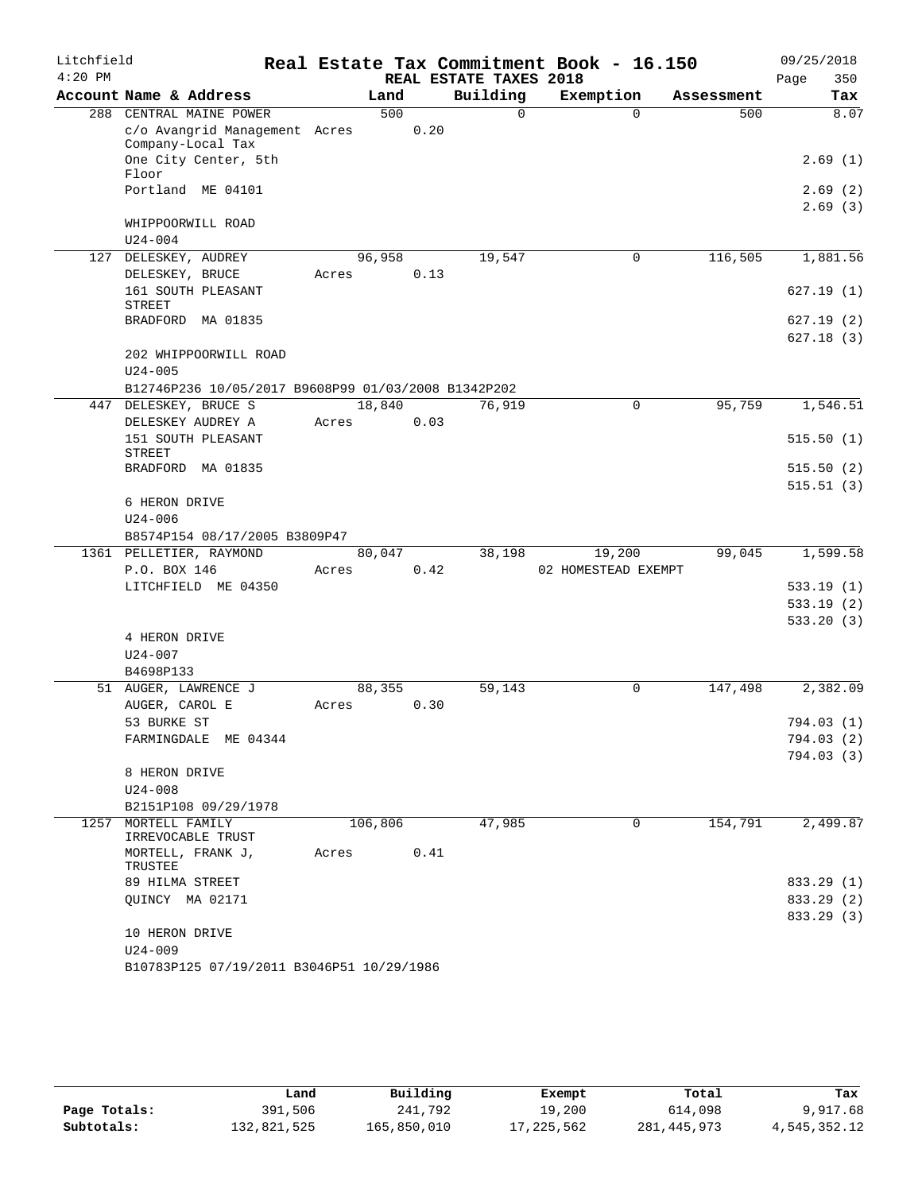| Litchfield |                                                          |         |      |                        | Real Estate Tax Commitment Book - 16.150 |            | 09/25/2018  |
|------------|----------------------------------------------------------|---------|------|------------------------|------------------------------------------|------------|-------------|
| $4:20$ PM  |                                                          |         |      | REAL ESTATE TAXES 2018 |                                          |            | 350<br>Page |
|            | Account Name & Address                                   | Land    |      | Building               | Exemption                                | Assessment | Tax         |
|            | 288 CENTRAL MAINE POWER                                  | 500     |      | $\Omega$               | $\Omega$                                 | 500        | 8.07        |
|            | c/o Avangrid Management Acres                            |         | 0.20 |                        |                                          |            |             |
|            | Company-Local Tax<br>One City Center, 5th                |         |      |                        |                                          |            | 2.69(1)     |
|            | Floor                                                    |         |      |                        |                                          |            |             |
|            | Portland ME 04101                                        |         |      |                        |                                          |            | 2.69(2)     |
|            |                                                          |         |      |                        |                                          |            | 2.69(3)     |
|            | WHIPPOORWILL ROAD                                        |         |      |                        |                                          |            |             |
|            | $U24 - 004$                                              |         |      |                        |                                          |            |             |
| 127        | DELESKEY, AUDREY                                         | 96,958  |      | 19,547                 | $\mathbf 0$                              | 116,505    | 1,881.56    |
|            | DELESKEY, BRUCE                                          | Acres   | 0.13 |                        |                                          |            |             |
|            | 161 SOUTH PLEASANT<br>STREET                             |         |      |                        |                                          |            | 627.19(1)   |
|            | BRADFORD MA 01835                                        |         |      |                        |                                          |            | 627.19(2)   |
|            |                                                          |         |      |                        |                                          |            | 627.18(3)   |
|            | 202 WHIPPOORWILL ROAD                                    |         |      |                        |                                          |            |             |
|            | $U24 - 005$                                              |         |      |                        |                                          |            |             |
|            | B12746P236 10/05/2017 B9608P99 01/03/2008 B1342P202      |         |      |                        |                                          |            |             |
|            | 447 DELESKEY, BRUCE S                                    | 18,840  |      | 76,919                 | 0                                        | 95,759     | 1,546.51    |
|            | DELESKEY AUDREY A                                        | Acres   | 0.03 |                        |                                          |            |             |
|            | 151 SOUTH PLEASANT                                       |         |      |                        |                                          |            | 515.50(1)   |
|            | <b>STREET</b>                                            |         |      |                        |                                          |            |             |
|            | BRADFORD MA 01835                                        |         |      |                        |                                          |            | 515.50(2)   |
|            |                                                          |         |      |                        |                                          |            | 515.51(3)   |
|            | 6 HERON DRIVE                                            |         |      |                        |                                          |            |             |
|            | $U24 - 006$                                              |         |      |                        |                                          |            |             |
|            | B8574P154 08/17/2005 B3809P47<br>1361 PELLETIER, RAYMOND | 80,047  |      | 38,198                 | 19,200                                   | 99,045     | 1,599.58    |
|            | P.O. BOX 146                                             | Acres   | 0.42 |                        | 02 HOMESTEAD EXEMPT                      |            |             |
|            | LITCHFIELD ME 04350                                      |         |      |                        |                                          |            | 533.19(1)   |
|            |                                                          |         |      |                        |                                          |            | 533.19(2)   |
|            |                                                          |         |      |                        |                                          |            | 533.20(3)   |
|            | 4 HERON DRIVE                                            |         |      |                        |                                          |            |             |
|            | $U24 - 007$                                              |         |      |                        |                                          |            |             |
|            | B4698P133                                                |         |      |                        |                                          |            |             |
|            | 51 AUGER, LAWRENCE J                                     | 88,355  |      | 59,143                 | 0                                        | 147,498    | 2,382.09    |
|            | AUGER, CAROL E                                           | Acres   | 0.30 |                        |                                          |            |             |
|            | 53 BURKE ST                                              |         |      |                        |                                          |            | 794.03(1)   |
|            | FARMINGDALE ME 04344                                     |         |      |                        |                                          |            | 794.03 (2)  |
|            |                                                          |         |      |                        |                                          |            | 794.03(3)   |
|            | 8 HERON DRIVE                                            |         |      |                        |                                          |            |             |
|            | $U24 - 008$                                              |         |      |                        |                                          |            |             |
|            | B2151P108 09/29/1978                                     |         |      |                        |                                          |            |             |
| 1257       | MORTELL FAMILY<br>IRREVOCABLE TRUST                      | 106,806 |      | 47,985                 | 0                                        | 154,791    | 2,499.87    |
|            | MORTELL, FRANK J,<br>TRUSTEE                             | Acres   | 0.41 |                        |                                          |            |             |
|            | 89 HILMA STREET                                          |         |      |                        |                                          |            | 833.29 (1)  |
|            | OUINCY MA 02171                                          |         |      |                        |                                          |            | 833.29 (2)  |
|            |                                                          |         |      |                        |                                          |            | 833.29 (3)  |
|            | 10 HERON DRIVE                                           |         |      |                        |                                          |            |             |
|            | $U24 - 009$                                              |         |      |                        |                                          |            |             |
|            | B10783P125 07/19/2011 B3046P51 10/29/1986                |         |      |                        |                                          |            |             |

|              | Land        | Building    | Exempt     | Total       | Tax          |
|--------------|-------------|-------------|------------|-------------|--------------|
| Page Totals: | 391,506     | 241,792     | 19,200     | 614,098     | 9,917.68     |
| Subtotals:   | 132,821,525 | 165,850,010 | 17,225,562 | 281,445,973 | 4,545,352.12 |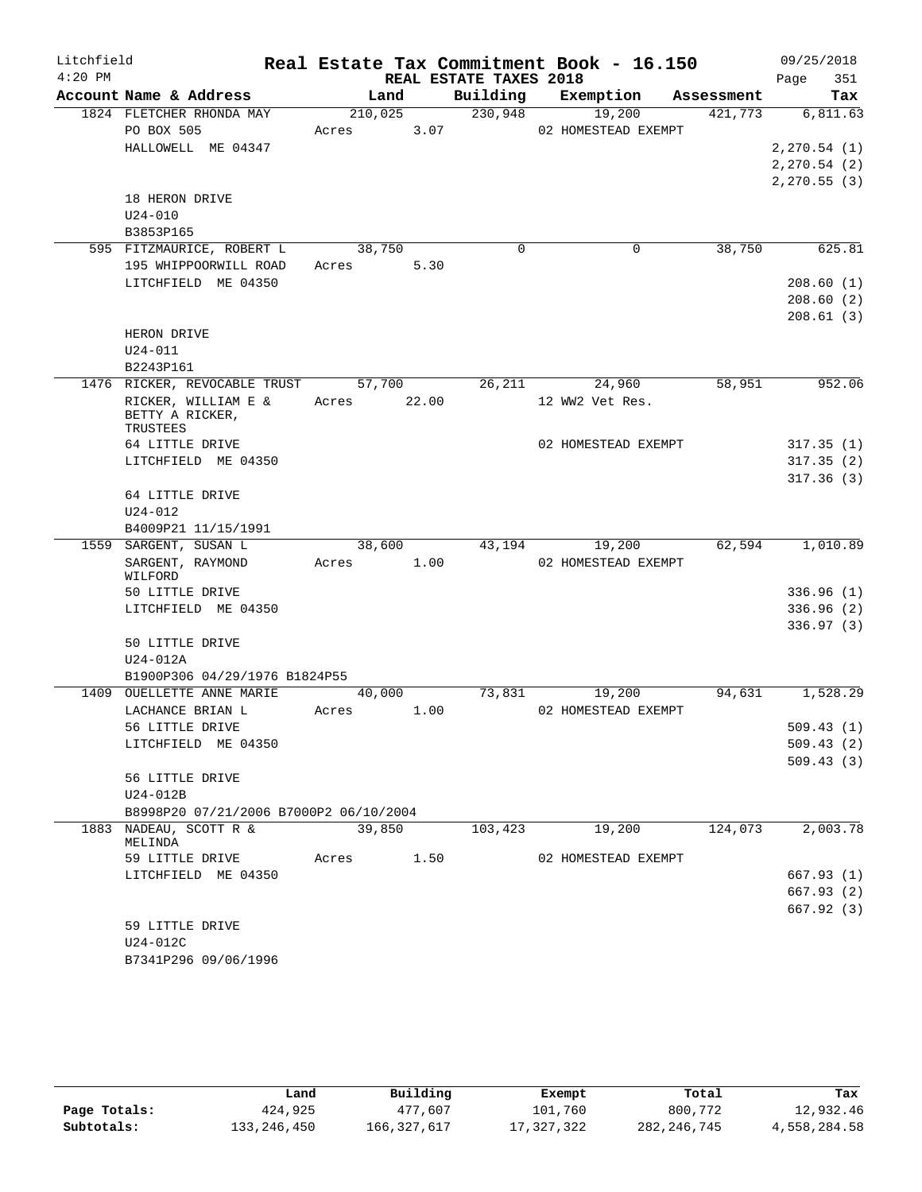| Litchfield |                                               |       |                |                        | Real Estate Tax Commitment Book - 16.150 |         | 09/25/2018      |        |
|------------|-----------------------------------------------|-------|----------------|------------------------|------------------------------------------|---------|-----------------|--------|
| $4:20$ PM  |                                               |       |                | REAL ESTATE TAXES 2018 |                                          |         | Page            | 351    |
|            | Account Name & Address                        |       | Land           |                        | Building Exemption Assessment            |         |                 | Tax    |
|            | 1824 FLETCHER RHONDA MAY                      |       | 210,025        | 230,948                | 19,200                                   | 421,773 | 6,811.63        |        |
|            | PO BOX 505                                    |       | Acres 3.07     |                        | 02 HOMESTEAD EXEMPT                      |         |                 |        |
|            | HALLOWELL ME 04347                            |       |                |                        |                                          |         | 2, 270.54 (1)   |        |
|            |                                               |       |                |                        |                                          |         | 2, 270.54 (2)   |        |
|            | 18 HERON DRIVE                                |       |                |                        |                                          |         | 2, 270.55(3)    |        |
|            | $U24 - 010$                                   |       |                |                        |                                          |         |                 |        |
|            | B3853P165                                     |       |                |                        |                                          |         |                 |        |
|            | 595 FITZMAURICE, ROBERT L                     |       | 38,750         | $\Omega$               | 0                                        | 38,750  |                 | 625.81 |
|            | 195 WHIPPOORWILL ROAD                         |       | Acres 5.30     |                        |                                          |         |                 |        |
|            | LITCHFIELD ME 04350                           |       |                |                        |                                          |         | 208.60(1)       |        |
|            |                                               |       |                |                        |                                          |         | 208.60(2)       |        |
|            |                                               |       |                |                        |                                          |         | 208.61(3)       |        |
|            | HERON DRIVE                                   |       |                |                        |                                          |         |                 |        |
|            | $U24 - 011$                                   |       |                |                        |                                          |         |                 |        |
|            | B2243P161                                     |       |                |                        |                                          |         |                 |        |
|            | 1476 RICKER, REVOCABLE TRUST 57,700           |       |                | 26,211                 | 24,960                                   | 58,951  |                 | 952.06 |
|            | RICKER, WILLIAM E &<br>BETTY A RICKER,        |       | Acres 22.00    |                        | 12 WW2 Vet Res.                          |         |                 |        |
|            | TRUSTEES                                      |       |                |                        |                                          |         |                 |        |
|            | 64 LITTLE DRIVE                               |       |                |                        | 02 HOMESTEAD EXEMPT                      |         | 317.35(1)       |        |
|            | LITCHFIELD ME 04350                           |       |                |                        |                                          |         | 317.35(2)       |        |
|            |                                               |       |                |                        |                                          |         | 317.36(3)       |        |
|            | 64 LITTLE DRIVE                               |       |                |                        |                                          |         |                 |        |
|            | $U24 - 012$                                   |       |                |                        |                                          |         |                 |        |
|            | B4009P21 11/15/1991<br>1559 SARGENT, SUSAN L  |       | 38,600         | 43,194                 | 19,200                                   | 62,594  | 1,010.89        |        |
|            | SARGENT, RAYMOND                              |       | Acres 1.00     |                        | 02 HOMESTEAD EXEMPT                      |         |                 |        |
|            | WILFORD                                       |       |                |                        |                                          |         |                 |        |
|            | 50 LITTLE DRIVE                               |       |                |                        |                                          |         | 336.96(1)       |        |
|            | LITCHFIELD ME 04350                           |       |                |                        |                                          |         | 336.96(2)       |        |
|            |                                               |       |                |                        |                                          |         | 336.97(3)       |        |
|            | 50 LITTLE DRIVE                               |       |                |                        |                                          |         |                 |        |
|            | $U24-012A$                                    |       |                |                        |                                          |         |                 |        |
|            | B1900P306 04/29/1976 B1824P55                 |       |                |                        |                                          |         |                 |        |
|            | 1409 OUELLETTE ANNE MARIE<br>LACHANCE BRIAN L | Acres | 40,000<br>1.00 | 73,831                 | 19,200<br>02 HOMESTEAD EXEMPT            |         | 94,631 1,528.29 |        |
|            | 56 LITTLE DRIVE                               |       |                |                        |                                          |         | 509.43(1)       |        |
|            | LITCHFIELD ME 04350                           |       |                |                        |                                          |         | 509.43(2)       |        |
|            |                                               |       |                |                        |                                          |         | 509.43(3)       |        |
|            | 56 LITTLE DRIVE                               |       |                |                        |                                          |         |                 |        |
|            | $U24-012B$                                    |       |                |                        |                                          |         |                 |        |
|            | B8998P20 07/21/2006 B7000P2 06/10/2004        |       |                |                        |                                          |         |                 |        |
|            | 1883 NADEAU, SCOTT R &                        |       | 39,850         | 103,423                | 19,200                                   | 124,073 | 2,003.78        |        |
|            | MELINDA<br>59 LITTLE DRIVE                    | Acres | 1.50           |                        | 02 HOMESTEAD EXEMPT                      |         |                 |        |
|            | LITCHFIELD ME 04350                           |       |                |                        |                                          |         | 667.93 (1)      |        |
|            |                                               |       |                |                        |                                          |         | 667.93(2)       |        |
|            |                                               |       |                |                        |                                          |         | 667.92(3)       |        |
|            | 59 LITTLE DRIVE                               |       |                |                        |                                          |         |                 |        |
|            | U24-012C                                      |       |                |                        |                                          |         |                 |        |
|            | B7341P296 09/06/1996                          |       |                |                        |                                          |         |                 |        |

|              | Land        | Building      | Exempt     | Total         | Tax          |
|--------------|-------------|---------------|------------|---------------|--------------|
| Page Totals: | 424,925     | 477,607       | 101,760    | 800,772       | 12,932.46    |
| Subtotals:   | 133,246,450 | 166, 327, 617 | 17,327,322 | 282, 246, 745 | 4,558,284.58 |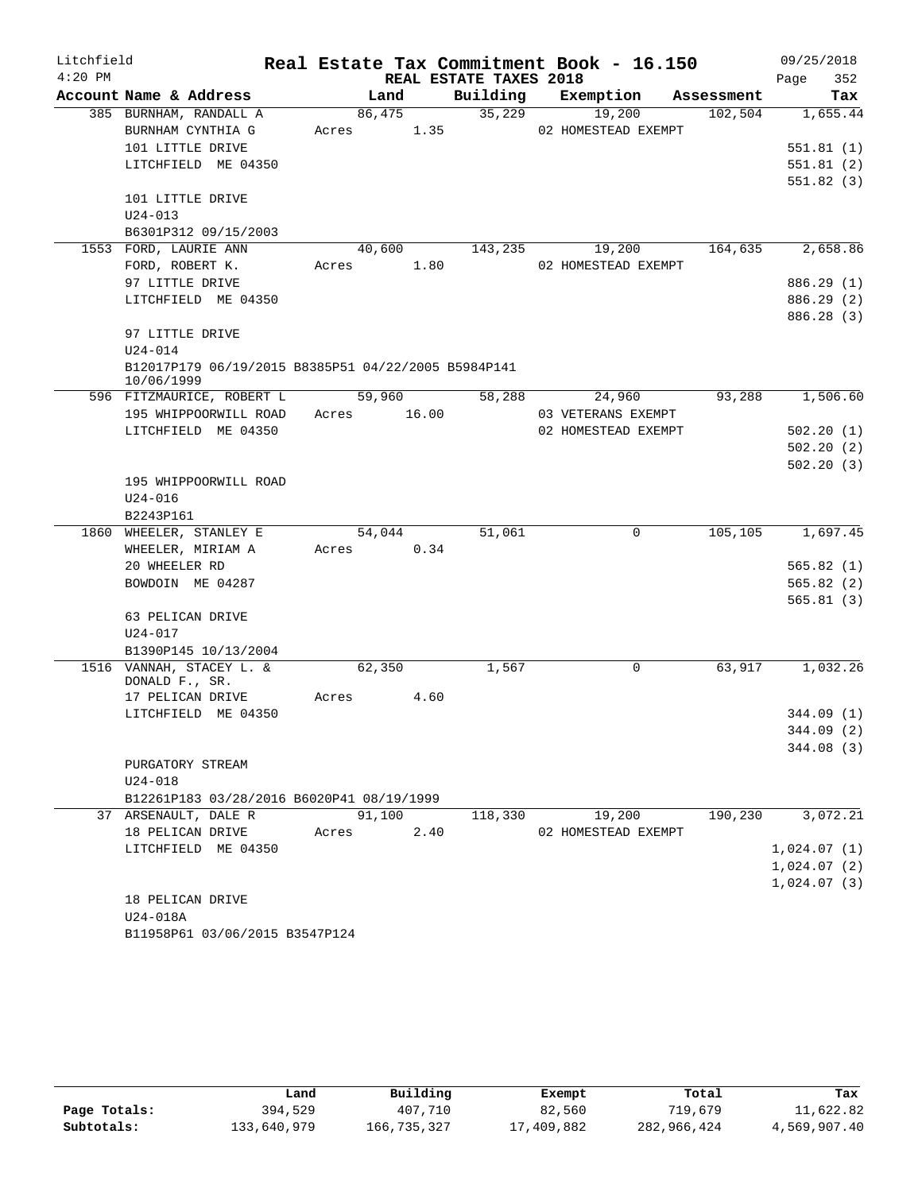| Litchfield |                                                                   |             |        |      |                        | Real Estate Tax Commitment Book - 16.150 |            | 09/25/2018  |
|------------|-------------------------------------------------------------------|-------------|--------|------|------------------------|------------------------------------------|------------|-------------|
| $4:20$ PM  |                                                                   |             |        |      | REAL ESTATE TAXES 2018 |                                          |            | 352<br>Page |
|            | Account Name & Address                                            |             | Land   |      |                        | Building Exemption                       | Assessment | Tax         |
|            | 385 BURNHAM, RANDALL A                                            |             | 86,475 |      | 35,229                 | 19,200                                   | 102,504    | 1,655.44    |
|            | BURNHAM CYNTHIA G                                                 | Acres 1.35  |        |      |                        | 02 HOMESTEAD EXEMPT                      |            |             |
|            | 101 LITTLE DRIVE                                                  |             |        |      |                        |                                          |            | 551.81(1)   |
|            | LITCHFIELD ME 04350                                               |             |        |      |                        |                                          |            | 551.81(2)   |
|            |                                                                   |             |        |      |                        |                                          |            | 551.82(3)   |
|            | 101 LITTLE DRIVE                                                  |             |        |      |                        |                                          |            |             |
|            | $U24 - 013$                                                       |             |        |      |                        |                                          |            |             |
|            | B6301P312 09/15/2003                                              |             |        |      |                        |                                          |            |             |
|            | 1553 FORD, LAURIE ANN                                             |             | 40,600 |      | 143,235                | 19,200                                   | 164,635    | 2,658.86    |
|            | FORD, ROBERT K.                                                   | Acres 1.80  |        |      |                        | 02 HOMESTEAD EXEMPT                      |            |             |
|            | 97 LITTLE DRIVE                                                   |             |        |      |                        |                                          |            | 886.29 (1)  |
|            | LITCHFIELD ME 04350                                               |             |        |      |                        |                                          |            | 886.29 (2)  |
|            |                                                                   |             |        |      |                        |                                          |            | 886.28 (3)  |
|            | 97 LITTLE DRIVE                                                   |             |        |      |                        |                                          |            |             |
|            | $U24 - 014$                                                       |             |        |      |                        |                                          |            |             |
|            | B12017P179 06/19/2015 B8385P51 04/22/2005 B5984P141<br>10/06/1999 |             |        |      |                        |                                          |            |             |
|            | 596 FITZMAURICE, ROBERT L                                         |             | 59,960 |      | 58,288                 | 24,960                                   | 93,288     | 1,506.60    |
|            | 195 WHIPPOORWILL ROAD                                             | Acres 16.00 |        |      |                        | 03 VETERANS EXEMPT                       |            |             |
|            | LITCHFIELD ME 04350                                               |             |        |      |                        | 02 HOMESTEAD EXEMPT                      |            | 502.20(1)   |
|            |                                                                   |             |        |      |                        |                                          |            | 502.20(2)   |
|            |                                                                   |             |        |      |                        |                                          |            | 502.20(3)   |
|            | 195 WHIPPOORWILL ROAD                                             |             |        |      |                        |                                          |            |             |
|            | $U24 - 016$                                                       |             |        |      |                        |                                          |            |             |
|            | B2243P161                                                         |             |        |      |                        |                                          |            |             |
|            | 1860 WHEELER, STANLEY E                                           |             | 54,044 |      | 51,061                 | $\mathbf 0$                              | 105,105    | 1,697.45    |
|            | WHEELER, MIRIAM A                                                 | Acres       |        | 0.34 |                        |                                          |            |             |
|            | 20 WHEELER RD                                                     |             |        |      |                        |                                          |            | 565.82(1)   |
|            | BOWDOIN ME 04287                                                  |             |        |      |                        |                                          |            | 565.82(2)   |
|            |                                                                   |             |        |      |                        |                                          |            | 565.81(3)   |
|            | 63 PELICAN DRIVE                                                  |             |        |      |                        |                                          |            |             |
|            | $U24 - 017$                                                       |             |        |      |                        |                                          |            |             |
|            | B1390P145 10/13/2004                                              |             |        |      |                        |                                          |            |             |
|            | 1516 VANNAH, STACEY L. &<br>DONALD F., SR.                        |             | 62,350 |      | 1,567                  | 0                                        | 63,917     | 1,032.26    |
|            | 17 PELICAN DRIVE                                                  | Acres       |        | 4.60 |                        |                                          |            |             |
|            | LITCHFIELD ME 04350                                               |             |        |      |                        |                                          |            | 344.09(1)   |
|            |                                                                   |             |        |      |                        |                                          |            | 344.09 (2)  |
|            |                                                                   |             |        |      |                        |                                          |            | 344.08(3)   |
|            | PURGATORY STREAM                                                  |             |        |      |                        |                                          |            |             |
|            | $U24 - 018$                                                       |             |        |      |                        |                                          |            |             |
|            | B12261P183 03/28/2016 B6020P41 08/19/1999                         |             |        |      |                        |                                          |            |             |
|            | 37 ARSENAULT, DALE R                                              |             | 91,100 |      | 118,330                | 19,200                                   | 190,230    | 3,072.21    |
|            | 18 PELICAN DRIVE                                                  | Acres       |        | 2.40 |                        | 02 HOMESTEAD EXEMPT                      |            |             |
|            | LITCHFIELD ME 04350                                               |             |        |      |                        |                                          |            | 1,024.07(1) |
|            |                                                                   |             |        |      |                        |                                          |            | 1,024.07(2) |
|            |                                                                   |             |        |      |                        |                                          |            | 1,024.07(3) |
|            | 18 PELICAN DRIVE                                                  |             |        |      |                        |                                          |            |             |
|            | U24-018A                                                          |             |        |      |                        |                                          |            |             |
|            | B11958P61 03/06/2015 B3547P124                                    |             |        |      |                        |                                          |            |             |

|              | Land        | Building    | Exempt     | Total       | Tax          |
|--------------|-------------|-------------|------------|-------------|--------------|
| Page Totals: | 394,529     | 407,710     | 82,560     | 719,679     | 11,622.82    |
| Subtotals:   | 133,640,979 | 166,735,327 | 17,409,882 | 282,966,424 | 4,569,907.40 |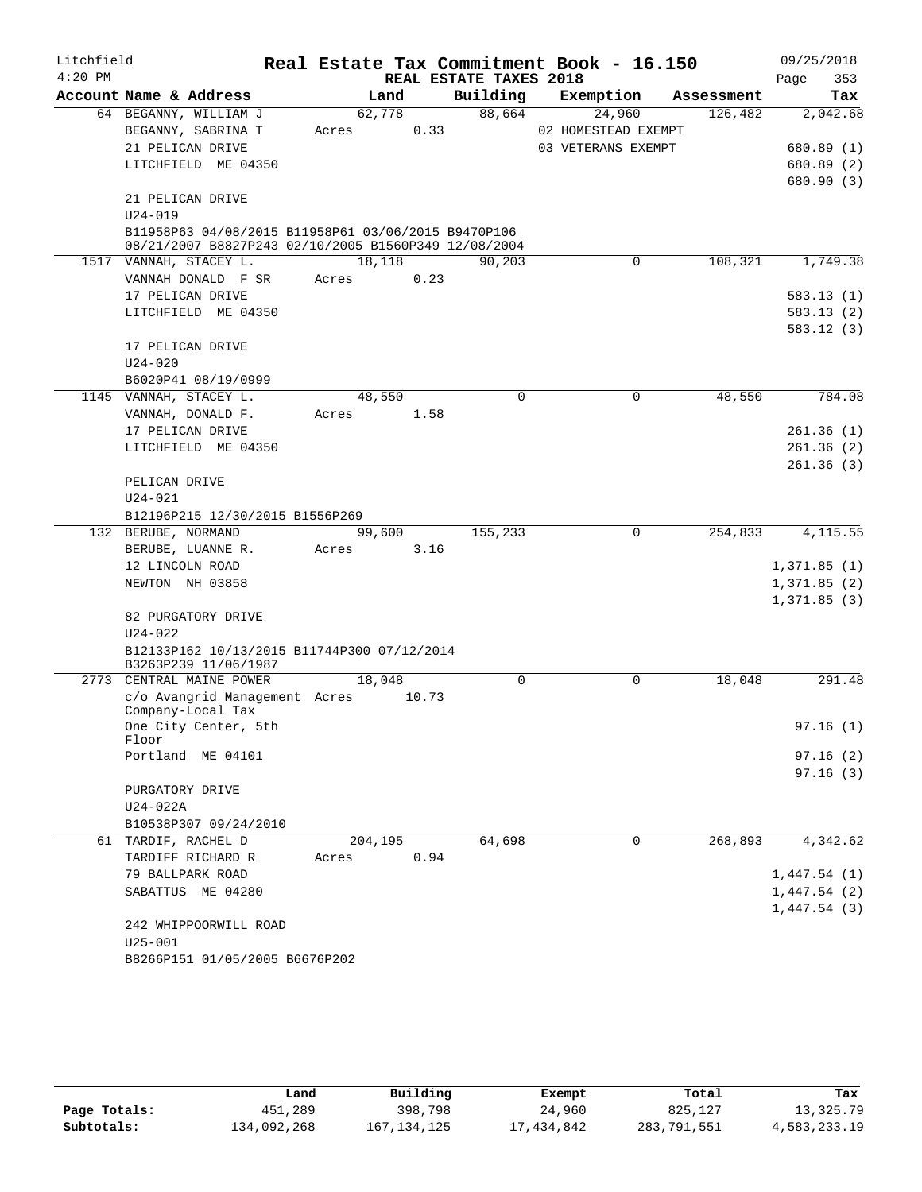| Litchfield |                                                      |         |       |                        |             | Real Estate Tax Commitment Book - 16.150 |            | 09/25/2018  |
|------------|------------------------------------------------------|---------|-------|------------------------|-------------|------------------------------------------|------------|-------------|
| $4:20$ PM  |                                                      |         |       | REAL ESTATE TAXES 2018 |             |                                          |            | 353<br>Page |
|            | Account Name & Address                               | Land    |       | Building               |             | Exemption                                | Assessment | Tax         |
|            | 64 BEGANNY, WILLIAM J                                | 62,778  |       | 88,664                 |             | 24,960                                   | 126,482    | 2,042.68    |
|            | BEGANNY, SABRINA T                                   | Acres   | 0.33  |                        |             | 02 HOMESTEAD EXEMPT                      |            |             |
|            | 21 PELICAN DRIVE                                     |         |       |                        |             | 03 VETERANS EXEMPT                       |            | 680.89 (1)  |
|            | LITCHFIELD ME 04350                                  |         |       |                        |             |                                          |            | 680.89 (2)  |
|            |                                                      |         |       |                        |             |                                          |            | 680.90 (3)  |
|            | 21 PELICAN DRIVE<br>$U24 - 019$                      |         |       |                        |             |                                          |            |             |
|            | B11958P63 04/08/2015 B11958P61 03/06/2015 B9470P106  |         |       |                        |             |                                          |            |             |
|            | 08/21/2007 B8827P243 02/10/2005 B1560P349 12/08/2004 |         |       |                        |             |                                          |            |             |
|            | 1517 VANNAH, STACEY L.                               | 18,118  |       | 90,203                 |             | $\mathbf 0$                              | 108,321    | 1,749.38    |
|            | VANNAH DONALD F SR                                   | Acres   | 0.23  |                        |             |                                          |            |             |
|            | 17 PELICAN DRIVE                                     |         |       |                        |             |                                          |            | 583.13(1)   |
|            | LITCHFIELD ME 04350                                  |         |       |                        |             |                                          |            | 583.13(2)   |
|            |                                                      |         |       |                        |             |                                          |            | 583.12(3)   |
|            | 17 PELICAN DRIVE                                     |         |       |                        |             |                                          |            |             |
|            | $U24 - 020$                                          |         |       |                        |             |                                          |            |             |
|            | B6020P41 08/19/0999                                  |         |       |                        |             |                                          |            |             |
|            | 1145 VANNAH, STACEY L.                               | 48,550  |       |                        | $\mathbf 0$ | $\mathbf 0$                              | 48,550     | 784.08      |
|            | VANNAH, DONALD F.                                    | Acres   | 1.58  |                        |             |                                          |            |             |
|            | 17 PELICAN DRIVE                                     |         |       |                        |             |                                          |            | 261.36(1)   |
|            | LITCHFIELD ME 04350                                  |         |       |                        |             |                                          |            | 261.36(2)   |
|            |                                                      |         |       |                        |             |                                          |            | 261.36(3)   |
|            | PELICAN DRIVE                                        |         |       |                        |             |                                          |            |             |
|            | $U24 - 021$                                          |         |       |                        |             |                                          |            |             |
|            | B12196P215 12/30/2015 B1556P269                      |         |       |                        |             |                                          |            |             |
|            | 132 BERUBE, NORMAND                                  | 99,600  |       | 155,233                |             | $\mathbf 0$                              | 254,833    | 4, 115.55   |
|            | BERUBE, LUANNE R.<br>12 LINCOLN ROAD                 | Acres   | 3.16  |                        |             |                                          |            | 1,371.85(1) |
|            | NEWTON NH 03858                                      |         |       |                        |             |                                          |            | 1,371.85(2) |
|            |                                                      |         |       |                        |             |                                          |            | 1,371.85(3) |
|            | 82 PURGATORY DRIVE                                   |         |       |                        |             |                                          |            |             |
|            | $U24 - 022$                                          |         |       |                        |             |                                          |            |             |
|            | B12133P162 10/13/2015 B11744P300 07/12/2014          |         |       |                        |             |                                          |            |             |
|            | B3263P239 11/06/1987                                 |         |       |                        |             |                                          |            |             |
|            | 2773 CENTRAL MAINE POWER                             | 18,048  |       |                        | $\mathbf 0$ | 0                                        | 18,048     | 291.48      |
|            | c/o Avangrid Management Acres                        |         | 10.73 |                        |             |                                          |            |             |
|            | Company-Local Tax<br>One City Center, 5th            |         |       |                        |             |                                          |            |             |
|            | Floor                                                |         |       |                        |             |                                          |            | 97.16(1)    |
|            | Portland ME 04101                                    |         |       |                        |             |                                          |            | 97.16(2)    |
|            |                                                      |         |       |                        |             |                                          |            | 97.16(3)    |
|            | PURGATORY DRIVE                                      |         |       |                        |             |                                          |            |             |
|            | U24-022A                                             |         |       |                        |             |                                          |            |             |
|            | B10538P307 09/24/2010                                |         |       |                        |             |                                          |            |             |
|            | 61 TARDIF, RACHEL D                                  | 204,195 |       | 64,698                 |             | 0                                        | 268,893    | 4,342.62    |
|            | TARDIFF RICHARD R                                    | Acres   | 0.94  |                        |             |                                          |            |             |
|            | 79 BALLPARK ROAD                                     |         |       |                        |             |                                          |            | 1,447.54(1) |
|            | SABATTUS ME 04280                                    |         |       |                        |             |                                          |            | 1,447.54(2) |
|            |                                                      |         |       |                        |             |                                          |            | 1,447.54(3) |
|            | 242 WHIPPOORWILL ROAD                                |         |       |                        |             |                                          |            |             |
|            | $U25 - 001$                                          |         |       |                        |             |                                          |            |             |
|            | B8266P151 01/05/2005 B6676P202                       |         |       |                        |             |                                          |            |             |

|              | Land        | Building      | Exempt     | Total       | Tax          |
|--------------|-------------|---------------|------------|-------------|--------------|
| Page Totals: | 451,289     | 398,798       | 24,960     | 825,127     | 13,325.79    |
| Subtotals:   | 134,092,268 | 167, 134, 125 | 17,434,842 | 283,791,551 | 4,583,233.19 |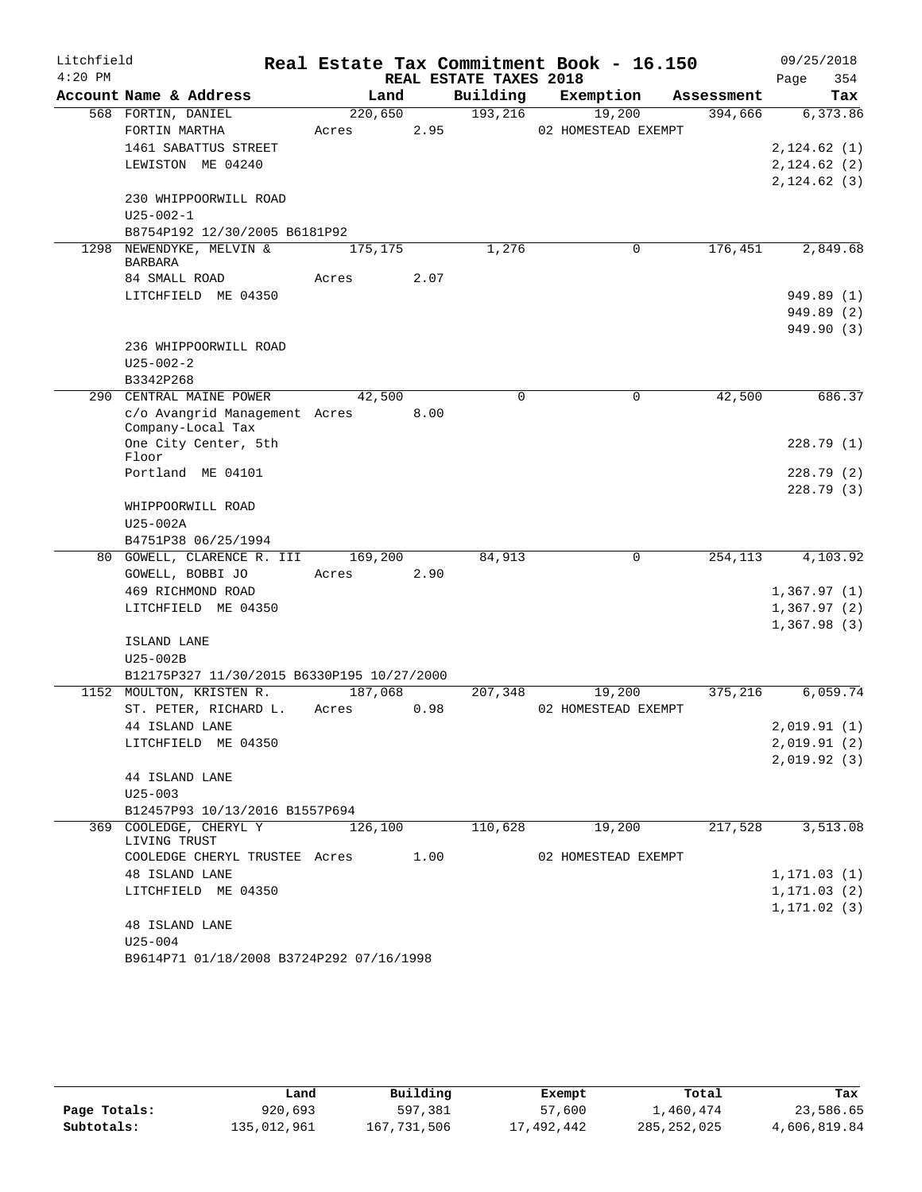| Litchfield |                                                    |         |      |                        | Real Estate Tax Commitment Book - 16.150 |            | 09/25/2018                 |
|------------|----------------------------------------------------|---------|------|------------------------|------------------------------------------|------------|----------------------------|
| $4:20$ PM  |                                                    |         |      | REAL ESTATE TAXES 2018 |                                          |            | 354<br>Page                |
|            | Account Name & Address                             | Land    |      | Building               | Exemption                                | Assessment | Tax                        |
|            | 568 FORTIN, DANIEL                                 | 220,650 |      | 193,216                | 19,200                                   | 394,666    | 6,373.86                   |
|            | FORTIN MARTHA                                      | Acres   | 2.95 |                        | 02 HOMESTEAD EXEMPT                      |            |                            |
|            | 1461 SABATTUS STREET                               |         |      |                        |                                          |            | 2,124.62(1)                |
|            | LEWISTON ME 04240                                  |         |      |                        |                                          |            | 2,124.62(2)                |
|            |                                                    |         |      |                        |                                          |            | 2, 124.62(3)               |
|            | 230 WHIPPOORWILL ROAD                              |         |      |                        |                                          |            |                            |
|            | $U25 - 002 - 1$<br>B8754P192 12/30/2005 B6181P92   |         |      |                        |                                          |            |                            |
| 1298       | NEWENDYKE, MELVIN &                                | 175,175 |      | 1,276                  | $\mathbf 0$                              | 176,451    | 2,849.68                   |
|            | <b>BARBARA</b>                                     |         |      |                        |                                          |            |                            |
|            | 84 SMALL ROAD                                      | Acres   | 2.07 |                        |                                          |            |                            |
|            | LITCHFIELD ME 04350                                |         |      |                        |                                          |            | 949.89 (1)                 |
|            |                                                    |         |      |                        |                                          |            | 949.89 (2)                 |
|            |                                                    |         |      |                        |                                          |            | 949.90 (3)                 |
|            | 236 WHIPPOORWILL ROAD                              |         |      |                        |                                          |            |                            |
|            | $U25 - 002 - 2$                                    |         |      |                        |                                          |            |                            |
|            | B3342P268                                          |         |      |                        |                                          |            |                            |
|            | 290 CENTRAL MAINE POWER                            | 42,500  |      | 0                      | 0                                        | 42,500     | 686.37                     |
|            | c/o Avangrid Management Acres<br>Company-Local Tax |         | 8.00 |                        |                                          |            |                            |
|            | One City Center, 5th                               |         |      |                        |                                          |            | 228.79(1)                  |
|            | Floor                                              |         |      |                        |                                          |            |                            |
|            | Portland ME 04101                                  |         |      |                        |                                          |            | 228.79(2)                  |
|            |                                                    |         |      |                        |                                          |            | 228.79(3)                  |
|            | WHIPPOORWILL ROAD                                  |         |      |                        |                                          |            |                            |
|            | $U25-002A$                                         |         |      |                        |                                          |            |                            |
|            | B4751P38 06/25/1994                                |         |      |                        |                                          |            |                            |
|            | 80 GOWELL, CLARENCE R. III                         | 169,200 |      | 84,913                 | 0                                        | 254,113    | 4,103.92                   |
|            | GOWELL, BOBBI JO                                   | Acres   | 2.90 |                        |                                          |            |                            |
|            | 469 RICHMOND ROAD                                  |         |      |                        |                                          |            | 1,367.97(1)                |
|            | LITCHFIELD ME 04350                                |         |      |                        |                                          |            | 1,367.97(2)<br>1,367.98(3) |
|            | ISLAND LANE                                        |         |      |                        |                                          |            |                            |
|            | U25-002B                                           |         |      |                        |                                          |            |                            |
|            | B12175P327 11/30/2015 B6330P195 10/27/2000         |         |      |                        |                                          |            |                            |
|            | 1152 MOULTON, KRISTEN R.                           | 187,068 |      | 207,348                | 19,200                                   | 375,216    | 6,059.74                   |
|            | ST. PETER, RICHARD L.                              | Acres   | 0.98 |                        | 02 HOMESTEAD EXEMPT                      |            |                            |
|            | 44 ISLAND LANE                                     |         |      |                        |                                          |            | 2,019.91(1)                |
|            | LITCHFIELD ME 04350                                |         |      |                        |                                          |            | 2,019.91(2)                |
|            |                                                    |         |      |                        |                                          |            | 2,019.92(3)                |
|            | 44 ISLAND LANE                                     |         |      |                        |                                          |            |                            |
|            | $U25 - 003$                                        |         |      |                        |                                          |            |                            |
|            | B12457P93 10/13/2016 B1557P694                     |         |      |                        |                                          |            |                            |
|            | 369 COOLEDGE, CHERYL Y<br>LIVING TRUST             | 126,100 |      | 110,628                | 19,200                                   | 217,528    | 3,513.08                   |
|            | COOLEDGE CHERYL TRUSTEE Acres                      |         | 1.00 |                        | 02 HOMESTEAD EXEMPT                      |            |                            |
|            | <b>48 ISLAND LANE</b>                              |         |      |                        |                                          |            | 1, 171.03(1)               |
|            | LITCHFIELD ME 04350                                |         |      |                        |                                          |            | 1, 171.03(2)               |
|            |                                                    |         |      |                        |                                          |            | 1, 171.02(3)               |
|            | <b>48 ISLAND LANE</b>                              |         |      |                        |                                          |            |                            |
|            | $U25 - 004$                                        |         |      |                        |                                          |            |                            |
|            | B9614P71 01/18/2008 B3724P292 07/16/1998           |         |      |                        |                                          |            |                            |

|              | Land        | Building    | Exempt     | Total       | Tax          |
|--------------|-------------|-------------|------------|-------------|--------------|
| Page Totals: | 920,693     | 597,381     | 57,600     | 1,460,474   | 23,586.65    |
| Subtotals:   | 135,012,961 | 167,731,506 | 17,492,442 | 285,252,025 | 4,606,819.84 |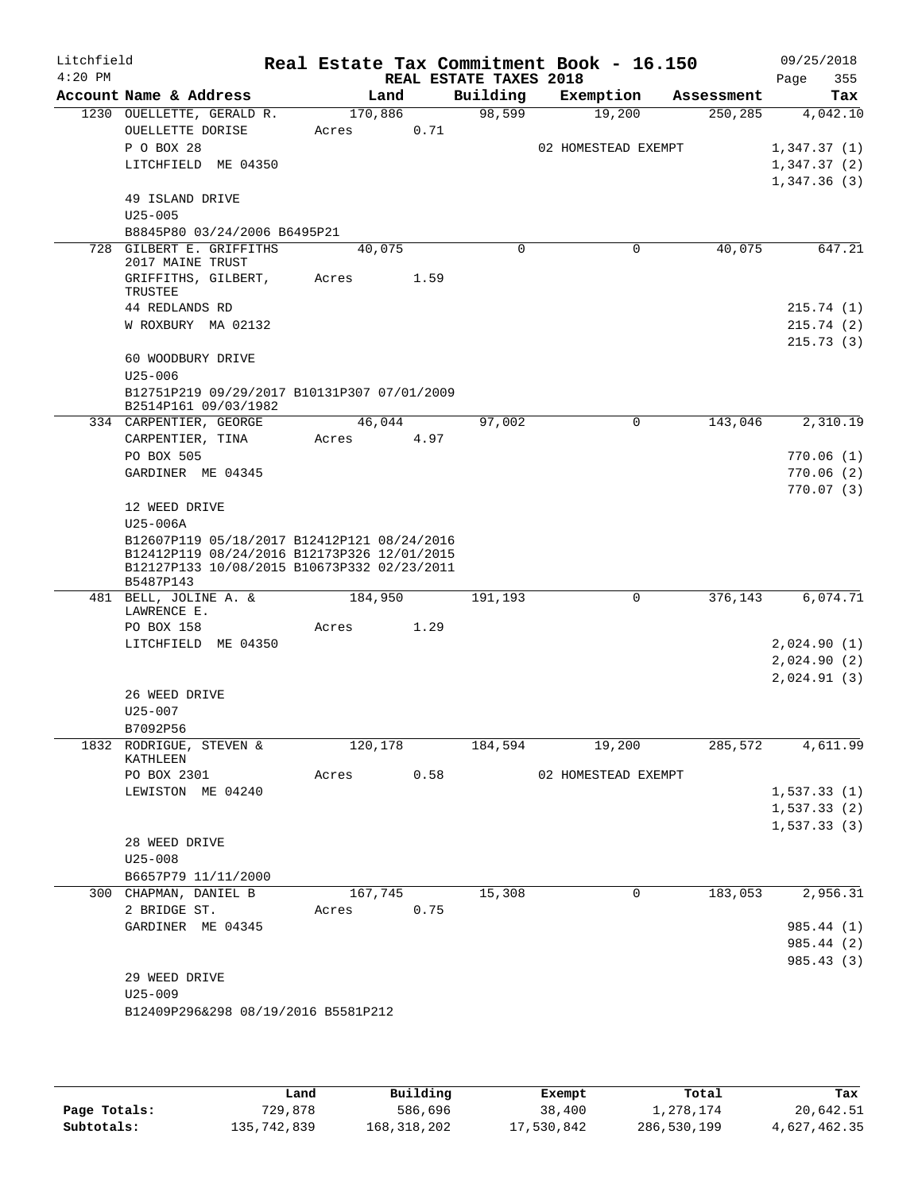| Litchfield<br>$4:20$ PM |                                                                                            |            |         | REAL ESTATE TAXES 2018 | Real Estate Tax Commitment Book - 16.150 |            | 09/25/2018<br>355<br>Page |
|-------------------------|--------------------------------------------------------------------------------------------|------------|---------|------------------------|------------------------------------------|------------|---------------------------|
|                         | Account Name & Address                                                                     | Land       |         | Building               | Exemption                                | Assessment | Tax                       |
|                         | 1230 OUELLETTE, GERALD R.                                                                  | 170,886    |         | 98,599                 | 19,200                                   | 250,285    | 4,042.10                  |
|                         | OUELLETTE DORISE                                                                           | Acres      | 0.71    |                        |                                          |            |                           |
|                         | P O BOX 28                                                                                 |            |         |                        | 02 HOMESTEAD EXEMPT                      |            | 1,347.37(1)               |
|                         | LITCHFIELD ME 04350                                                                        |            |         |                        |                                          |            | 1,347.37(2)               |
|                         |                                                                                            |            |         |                        |                                          |            | 1,347.36(3)               |
|                         | 49 ISLAND DRIVE                                                                            |            |         |                        |                                          |            |                           |
|                         | $U25 - 005$                                                                                |            |         |                        |                                          |            |                           |
|                         | B8845P80 03/24/2006 B6495P21                                                               |            |         |                        |                                          |            |                           |
|                         | 728 GILBERT E. GRIFFITHS                                                                   | 40,075     |         | $\Omega$               | 0                                        | 40,075     | 647.21                    |
|                         | 2017 MAINE TRUST                                                                           |            | 1.59    |                        |                                          |            |                           |
|                         | GRIFFITHS, GILBERT,<br>TRUSTEE                                                             | Acres      |         |                        |                                          |            |                           |
|                         | 44 REDLANDS RD                                                                             |            |         |                        |                                          |            | 215.74(1)                 |
|                         | W ROXBURY MA 02132                                                                         |            |         |                        |                                          |            | 215.74(2)                 |
|                         |                                                                                            |            |         |                        |                                          |            | 215.73(3)                 |
|                         | 60 WOODBURY DRIVE                                                                          |            |         |                        |                                          |            |                           |
|                         | $U25 - 006$                                                                                |            |         |                        |                                          |            |                           |
|                         | B12751P219 09/29/2017 B10131P307 07/01/2009                                                |            |         |                        |                                          |            |                           |
|                         | B2514P161 09/03/1982                                                                       |            |         |                        |                                          |            |                           |
|                         | 334 CARPENTIER, GEORGE                                                                     | 46,044     |         | 97,002                 | $\Omega$                                 | 143,046    | 2,310.19                  |
|                         | CARPENTIER, TINA                                                                           | Acres      | 4.97    |                        |                                          |            |                           |
|                         | PO BOX 505                                                                                 |            |         |                        |                                          |            | 770.06(1)                 |
|                         | GARDINER ME 04345                                                                          |            |         |                        |                                          |            | 770.06(2)                 |
|                         |                                                                                            |            |         |                        |                                          |            | 770.07(3)                 |
|                         | 12 WEED DRIVE                                                                              |            |         |                        |                                          |            |                           |
|                         | U25-006A                                                                                   |            |         |                        |                                          |            |                           |
|                         | B12607P119 05/18/2017 B12412P121 08/24/2016<br>B12412P119 08/24/2016 B12173P326 12/01/2015 |            |         |                        |                                          |            |                           |
|                         | B12127P133 10/08/2015 B10673P332 02/23/2011                                                |            |         |                        |                                          |            |                           |
|                         | B5487P143                                                                                  |            |         |                        |                                          |            |                           |
|                         | 481 BELL, JOLINE A. &<br>LAWRENCE E.                                                       | 184,950    |         | 191,193                | $\mathbf 0$                              | 376,143    | 6,074.71                  |
|                         | PO BOX 158                                                                                 | Acres      | 1.29    |                        |                                          |            |                           |
|                         | LITCHFIELD ME 04350                                                                        |            |         |                        |                                          |            | 2,024.90(1)               |
|                         |                                                                                            |            |         |                        |                                          |            | 2,024.90(2)               |
|                         |                                                                                            |            |         |                        |                                          |            | 2,024.91(3)               |
|                         | 26 WEED DRIVE                                                                              |            |         |                        |                                          |            |                           |
|                         | $U25 - 007$                                                                                |            |         |                        |                                          |            |                           |
|                         | B7092P56                                                                                   |            |         |                        |                                          |            |                           |
|                         | 1832 RODRIGUE, STEVEN &                                                                    | 120,178    |         | 184,594                | 19,200                                   |            | 285,572 4,611.99          |
|                         | KATHLEEN                                                                                   |            |         |                        |                                          |            |                           |
|                         | PO BOX 2301                                                                                |            |         |                        | Acres 0.58 02 HOMESTEAD EXEMPT           |            |                           |
|                         | LEWISTON ME 04240                                                                          |            |         |                        |                                          |            | 1,537.33(1)               |
|                         |                                                                                            |            |         |                        |                                          |            | 1,537.33(2)               |
|                         |                                                                                            |            |         |                        |                                          |            | 1,537.33(3)               |
|                         | 28 WEED DRIVE                                                                              |            |         |                        |                                          |            |                           |
|                         | $U25 - 008$                                                                                |            |         |                        |                                          |            |                           |
|                         | B6657P79 11/11/2000                                                                        |            |         |                        |                                          |            |                           |
|                         | 300 CHAPMAN, DANIEL B                                                                      |            | 167,745 | 15,308                 | $\mathbf{0}$                             | 183,053    | 2,956.31                  |
|                         | 2 BRIDGE ST.                                                                               | Acres 0.75 |         |                        |                                          |            |                           |
|                         | GARDINER ME 04345                                                                          |            |         |                        |                                          |            | 985.44 (1)<br>985.44 (2)  |
|                         |                                                                                            |            |         |                        |                                          |            |                           |
|                         | 29 WEED DRIVE                                                                              |            |         |                        |                                          |            | 985.43 (3)                |
|                         | $U25 - 009$                                                                                |            |         |                        |                                          |            |                           |
|                         | B12409P296&298 08/19/2016 B5581P212                                                        |            |         |                        |                                          |            |                           |
|                         |                                                                                            |            |         |                        |                                          |            |                           |
|                         |                                                                                            |            |         |                        |                                          |            |                           |

|              | Land        | Building    | Exempt     | Total       | Tax          |
|--------------|-------------|-------------|------------|-------------|--------------|
| Page Totals: | 729,878     | 586,696     | 38,400     | 1,278,174   | 20,642.51    |
| Subtotals:   | 135,742,839 | 168,318,202 | 17,530,842 | 286,530,199 | 4,627,462.35 |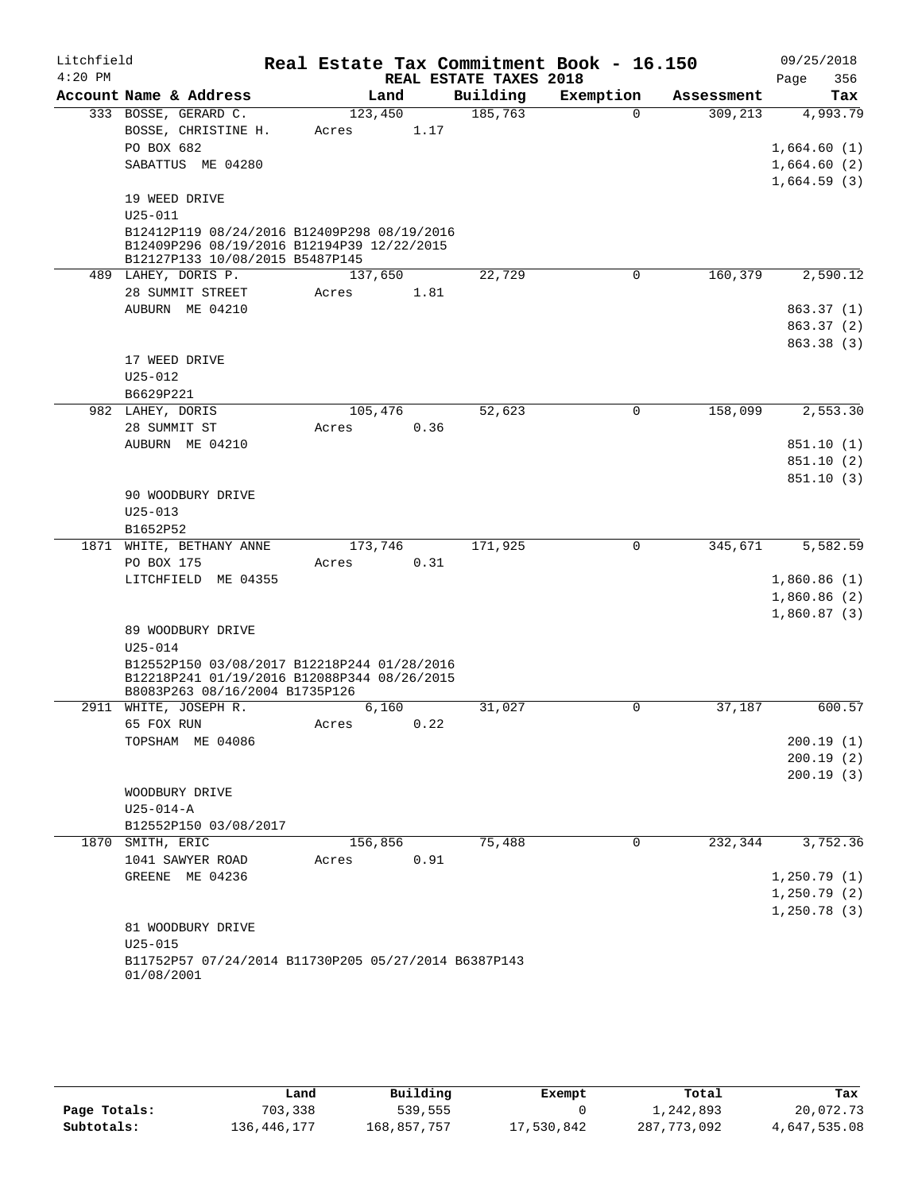| Litchfield |                                                                               |         |      |                        | Real Estate Tax Commitment Book - 16.150 |            | 09/25/2018   |
|------------|-------------------------------------------------------------------------------|---------|------|------------------------|------------------------------------------|------------|--------------|
| $4:20$ PM  |                                                                               |         |      | REAL ESTATE TAXES 2018 |                                          |            | 356<br>Page  |
|            | Account Name & Address                                                        | Land    |      | Building               | Exemption                                | Assessment | Tax          |
|            | 333 BOSSE, GERARD C.                                                          | 123,450 |      | 185,763                | $\Omega$                                 | 309, 213   | 4,993.79     |
|            | BOSSE, CHRISTINE H.                                                           | Acres   | 1.17 |                        |                                          |            |              |
|            | PO BOX 682                                                                    |         |      |                        |                                          |            | 1,664.60(1)  |
|            | SABATTUS ME 04280                                                             |         |      |                        |                                          |            | 1,664.60(2)  |
|            |                                                                               |         |      |                        |                                          |            | 1,664.59(3)  |
|            | 19 WEED DRIVE                                                                 |         |      |                        |                                          |            |              |
|            | $U25 - 011$                                                                   |         |      |                        |                                          |            |              |
|            | B12412P119 08/24/2016 B12409P298 08/19/2016                                   |         |      |                        |                                          |            |              |
|            | B12409P296 08/19/2016 B12194P39 12/22/2015<br>B12127P133 10/08/2015 B5487P145 |         |      |                        |                                          |            |              |
|            | 489 LAHEY, DORIS P.                                                           | 137,650 |      | 22,729                 | $\mathbf 0$                              | 160,379    | 2,590.12     |
|            | 28 SUMMIT STREET                                                              | Acres   | 1.81 |                        |                                          |            |              |
|            | AUBURN ME 04210                                                               |         |      |                        |                                          |            | 863.37 (1)   |
|            |                                                                               |         |      |                        |                                          |            | 863.37 (2)   |
|            |                                                                               |         |      |                        |                                          |            | 863.38 (3)   |
|            | 17 WEED DRIVE                                                                 |         |      |                        |                                          |            |              |
|            | $U25 - 012$                                                                   |         |      |                        |                                          |            |              |
|            | B6629P221                                                                     |         |      |                        |                                          |            |              |
|            | 982 LAHEY, DORIS                                                              | 105,476 |      | 52,623                 | 0                                        | 158,099    | 2,553.30     |
|            | 28 SUMMIT ST                                                                  | Acres   | 0.36 |                        |                                          |            |              |
|            | AUBURN ME 04210                                                               |         |      |                        |                                          |            | 851.10(1)    |
|            |                                                                               |         |      |                        |                                          |            | 851.10(2)    |
|            |                                                                               |         |      |                        |                                          |            | 851.10(3)    |
|            | 90 WOODBURY DRIVE                                                             |         |      |                        |                                          |            |              |
|            | $U25 - 013$                                                                   |         |      |                        |                                          |            |              |
|            | B1652P52                                                                      |         |      |                        |                                          |            |              |
|            | 1871 WHITE, BETHANY ANNE                                                      | 173,746 |      | 171,925                | 0                                        | 345,671    | 5,582.59     |
|            | PO BOX 175                                                                    | Acres   | 0.31 |                        |                                          |            |              |
|            | LITCHFIELD ME 04355                                                           |         |      |                        |                                          |            | 1,860.86(1)  |
|            |                                                                               |         |      |                        |                                          |            | 1,860.86(2)  |
|            |                                                                               |         |      |                        |                                          |            | 1,860.87(3)  |
|            | 89 WOODBURY DRIVE                                                             |         |      |                        |                                          |            |              |
|            | $U25 - 014$                                                                   |         |      |                        |                                          |            |              |
|            | B12552P150 03/08/2017 B12218P244 01/28/2016                                   |         |      |                        |                                          |            |              |
|            | B12218P241 01/19/2016 B12088P344 08/26/2015                                   |         |      |                        |                                          |            |              |
| 2911       | B8083P263 08/16/2004 B1735P126<br>WHITE, JOSEPH R.                            | 6,160   |      | 31,027                 | 0                                        | 37,187     | 600.57       |
|            | 65 FOX RUN                                                                    | Acres   | 0.22 |                        |                                          |            |              |
|            | TOPSHAM ME 04086                                                              |         |      |                        |                                          |            | 200.19(1)    |
|            |                                                                               |         |      |                        |                                          |            | 200.19(2)    |
|            |                                                                               |         |      |                        |                                          |            | 200.19(3)    |
|            | WOODBURY DRIVE                                                                |         |      |                        |                                          |            |              |
|            | $U25 - 014 - A$                                                               |         |      |                        |                                          |            |              |
|            | B12552P150 03/08/2017                                                         |         |      |                        |                                          |            |              |
|            | 1870 SMITH, ERIC                                                              | 156,856 |      | 75,488                 | 0                                        | 232,344    | 3,752.36     |
|            | 1041 SAWYER ROAD                                                              | Acres   | 0.91 |                        |                                          |            |              |
|            | GREENE ME 04236                                                               |         |      |                        |                                          |            | 1, 250.79(1) |
|            |                                                                               |         |      |                        |                                          |            | 1, 250.79(2) |
|            |                                                                               |         |      |                        |                                          |            | 1, 250.78(3) |
|            | 81 WOODBURY DRIVE                                                             |         |      |                        |                                          |            |              |
|            | $U25 - 015$                                                                   |         |      |                        |                                          |            |              |
|            | B11752P57 07/24/2014 B11730P205 05/27/2014 B6387P143<br>01/08/2001            |         |      |                        |                                          |            |              |

|              | Land        | Building    | Exempt     | Total       | Tax          |
|--------------|-------------|-------------|------------|-------------|--------------|
| Page Totals: | 703,338     | 539,555     |            | 1,242,893   | 20,072.73    |
| Subtotals:   | 136,446,177 | 168,857,757 | 17,530,842 | 287,773,092 | 4,647,535.08 |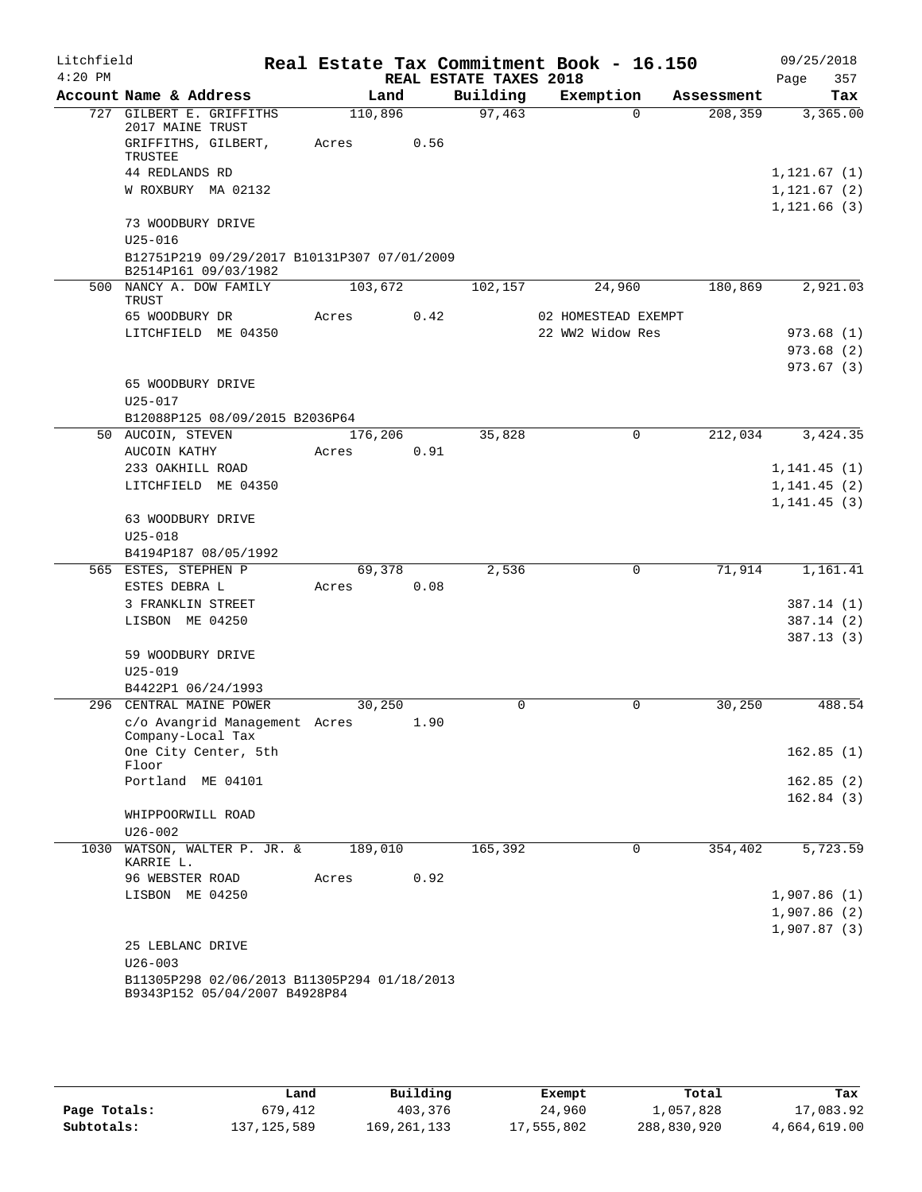| Litchfield<br>$4:20$ PM |                                                                              |         |      |                                    | Real Estate Tax Commitment Book - 16.150 |            | 09/25/2018                  |
|-------------------------|------------------------------------------------------------------------------|---------|------|------------------------------------|------------------------------------------|------------|-----------------------------|
|                         | Account Name & Address                                                       | Land    |      | REAL ESTATE TAXES 2018<br>Building | Exemption                                | Assessment | Page<br>357<br>Tax          |
|                         | 727 GILBERT E. GRIFFITHS                                                     | 110,896 |      | 97,463                             | $\Omega$                                 | 208,359    | 3,365.00                    |
|                         | 2017 MAINE TRUST<br>GRIFFITHS, GILBERT,                                      | Acres   | 0.56 |                                    |                                          |            |                             |
|                         | TRUSTEE                                                                      |         |      |                                    |                                          |            |                             |
|                         | 44 REDLANDS RD                                                               |         |      |                                    |                                          |            | 1, 121.67(1)                |
|                         | W ROXBURY MA 02132                                                           |         |      |                                    |                                          |            | 1,121.67(2)<br>1, 121.66(3) |
|                         | 73 WOODBURY DRIVE<br>$U25 - 016$                                             |         |      |                                    |                                          |            |                             |
|                         | B12751P219 09/29/2017 B10131P307 07/01/2009<br>B2514P161 09/03/1982          |         |      |                                    |                                          |            |                             |
|                         | 500 NANCY A. DOW FAMILY                                                      | 103,672 |      | 102,157                            | 24,960                                   | 180,869    | 2,921.03                    |
|                         | TRUST                                                                        |         |      |                                    |                                          |            |                             |
|                         | 65 WOODBURY DR                                                               | Acres   | 0.42 |                                    | 02 HOMESTEAD EXEMPT                      |            |                             |
|                         | LITCHFIELD ME 04350                                                          |         |      |                                    | 22 WW2 Widow Res                         |            | 973.68(1)                   |
|                         |                                                                              |         |      |                                    |                                          |            | 973.68 (2)                  |
|                         |                                                                              |         |      |                                    |                                          |            | 973.67(3)                   |
|                         | 65 WOODBURY DRIVE                                                            |         |      |                                    |                                          |            |                             |
|                         | $U25 - 017$                                                                  |         |      |                                    |                                          |            |                             |
|                         | B12088P125 08/09/2015 B2036P64<br>50 AUCOIN, STEVEN                          | 176,206 |      | 35,828                             | 0                                        | 212,034    | 3,424.35                    |
|                         | AUCOIN KATHY                                                                 | Acres   | 0.91 |                                    |                                          |            |                             |
|                         | 233 OAKHILL ROAD                                                             |         |      |                                    |                                          |            | 1, 141.45(1)                |
|                         | LITCHFIELD ME 04350                                                          |         |      |                                    |                                          |            | 1, 141.45(2)                |
|                         | 63 WOODBURY DRIVE                                                            |         |      |                                    |                                          |            | 1, 141.45(3)                |
|                         | $U25 - 018$                                                                  |         |      |                                    |                                          |            |                             |
|                         | B4194P187 08/05/1992                                                         |         |      |                                    |                                          |            |                             |
|                         | 565 ESTES, STEPHEN P                                                         | 69,378  |      | 2,536                              | 0                                        | 71,914     | 1,161.41                    |
|                         | ESTES DEBRA L                                                                | Acres   | 0.08 |                                    |                                          |            |                             |
|                         | 3 FRANKLIN STREET                                                            |         |      |                                    |                                          |            | 387.14(1)                   |
|                         | LISBON ME 04250                                                              |         |      |                                    |                                          |            | 387.14(2)                   |
|                         |                                                                              |         |      |                                    |                                          |            | 387.13(3)                   |
|                         | 59 WOODBURY DRIVE                                                            |         |      |                                    |                                          |            |                             |
|                         | $U25 - 019$                                                                  |         |      |                                    |                                          |            |                             |
|                         | B4422P1 06/24/1993                                                           |         |      |                                    |                                          |            |                             |
|                         | 296 CENTRAL MAINE POWER                                                      | 30,250  |      | 0                                  | 0                                        | 30,250     | 488.54                      |
|                         | c/o Avangrid Management Acres                                                |         | 1.90 |                                    |                                          |            |                             |
|                         | Company-Local Tax<br>One City Center, 5th                                    |         |      |                                    |                                          |            | 162.85(1)                   |
|                         | Floor                                                                        |         |      |                                    |                                          |            |                             |
|                         | Portland ME 04101                                                            |         |      |                                    |                                          |            | 162.85(2)                   |
|                         | WHIPPOORWILL ROAD                                                            |         |      |                                    |                                          |            | 162.84(3)                   |
|                         | $U26 - 002$                                                                  |         |      |                                    |                                          |            |                             |
|                         | 1030 WATSON, WALTER P. JR. &                                                 | 189,010 |      | 165,392                            | $\Omega$                                 | 354,402    | 5,723.59                    |
|                         | KARRIE L.                                                                    |         |      |                                    |                                          |            |                             |
|                         | 96 WEBSTER ROAD                                                              | Acres   | 0.92 |                                    |                                          |            |                             |
|                         | LISBON ME 04250                                                              |         |      |                                    |                                          |            | 1,907.86(1)                 |
|                         |                                                                              |         |      |                                    |                                          |            | 1,907.86(2)                 |
|                         |                                                                              |         |      |                                    |                                          |            | 1,907.87(3)                 |
|                         | 25 LEBLANC DRIVE                                                             |         |      |                                    |                                          |            |                             |
|                         | $U26 - 003$                                                                  |         |      |                                    |                                          |            |                             |
|                         | B11305P298 02/06/2013 B11305P294 01/18/2013<br>B9343P152 05/04/2007 B4928P84 |         |      |                                    |                                          |            |                             |

|              | Land          | Building      | Exempt     | Total       | Tax          |
|--------------|---------------|---------------|------------|-------------|--------------|
| Page Totals: | 679,412       | 403,376       | 24,960     | l,057,828   | 17,083.92    |
| Subtotals:   | 137, 125, 589 | 169, 261, 133 | 17,555,802 | 288,830,920 | 4,664,619.00 |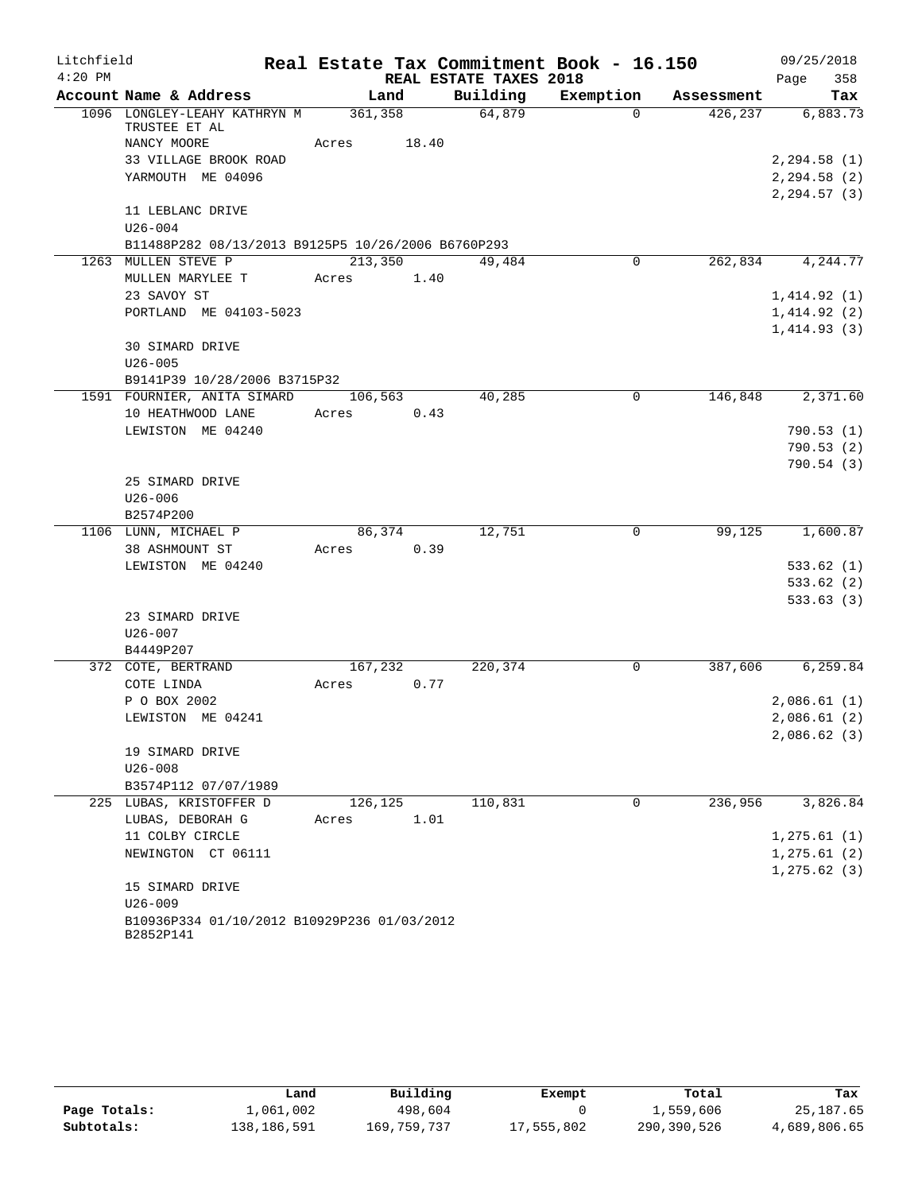| Litchfield |                                                    |         | Real Estate Tax Commitment Book - 16.150 |                |            | 09/25/2018       |
|------------|----------------------------------------------------|---------|------------------------------------------|----------------|------------|------------------|
| $4:20$ PM  |                                                    |         | REAL ESTATE TAXES 2018                   |                |            | 358<br>Page      |
|            | Account Name & Address                             | Land    | Building                                 | Exemption      | Assessment | Tax              |
|            | 1096 LONGLEY-LEAHY KATHRYN M<br>TRUSTEE ET AL      | 361,358 | 64,879                                   | $\Omega$       | 426, 237   | 6,883.73         |
|            | NANCY MOORE                                        | Acres   | 18.40                                    |                |            |                  |
|            | 33 VILLAGE BROOK ROAD                              |         |                                          |                |            | 2, 294.58(1)     |
|            | YARMOUTH ME 04096                                  |         |                                          |                |            | 2, 294.58 (2)    |
|            |                                                    |         |                                          |                |            | 2, 294.57(3)     |
|            | 11 LEBLANC DRIVE                                   |         |                                          |                |            |                  |
|            | $U26 - 004$                                        |         |                                          |                |            |                  |
|            | B11488P282 08/13/2013 B9125P5 10/26/2006 B6760P293 |         |                                          |                |            |                  |
|            | 1263 MULLEN STEVE P                                | 213,350 | 49,484                                   | $\overline{0}$ |            | 262,834 4,244.77 |
|            | MULLEN MARYLEE T                                   | Acres   | 1.40                                     |                |            |                  |
|            | 23 SAVOY ST                                        |         |                                          |                |            | 1,414.92(1)      |
|            | PORTLAND ME 04103-5023                             |         |                                          |                |            | 1,414.92(2)      |
|            |                                                    |         |                                          |                |            | 1,414.93(3)      |
|            | 30 SIMARD DRIVE                                    |         |                                          |                |            |                  |
|            | $U26 - 005$                                        |         |                                          |                |            |                  |
|            | B9141P39 10/28/2006 B3715P32                       |         |                                          |                |            |                  |
|            | 1591 FOURNIER, ANITA SIMARD                        | 106,563 | 40,285                                   | 0              | 146,848    | 2,371.60         |
|            | 10 HEATHWOOD LANE                                  | Acres   | 0.43                                     |                |            |                  |
|            | LEWISTON ME 04240                                  |         |                                          |                |            | 790.53(1)        |
|            |                                                    |         |                                          |                |            | 790.53(2)        |
|            |                                                    |         |                                          |                |            | 790.54(3)        |
|            | 25 SIMARD DRIVE                                    |         |                                          |                |            |                  |
|            | $U26 - 006$                                        |         |                                          |                |            |                  |
|            | B2574P200                                          |         |                                          |                |            |                  |
|            | 1106 LUNN, MICHAEL P                               | 86,374  | 12,751                                   | 0              | 99,125     | 1,600.87         |
|            | 38 ASHMOUNT ST                                     | Acres   | 0.39                                     |                |            |                  |
|            | LEWISTON ME 04240                                  |         |                                          |                |            | 533.62(1)        |
|            |                                                    |         |                                          |                |            | 533.62(2)        |
|            |                                                    |         |                                          |                |            | 533.63(3)        |
|            | 23 SIMARD DRIVE                                    |         |                                          |                |            |                  |
|            | $U26 - 007$                                        |         |                                          |                |            |                  |
|            | B4449P207                                          |         |                                          |                |            |                  |
|            | 372 COTE, BERTRAND                                 | 167,232 | 220,374                                  | 0              | 387,606    | 6,259.84         |
|            | COTE LINDA                                         | Acres   | 0.77                                     |                |            |                  |
|            | P O BOX 2002                                       |         |                                          |                |            | 2,086.61(1)      |
|            | LEWISTON ME 04241                                  |         |                                          |                |            | 2,086.61(2)      |
|            |                                                    |         |                                          |                |            | 2,086.62(3)      |
|            | 19 SIMARD DRIVE<br>$U26 - 008$                     |         |                                          |                |            |                  |
|            | B3574P112 07/07/1989                               |         |                                          |                |            |                  |
|            | 225 LUBAS, KRISTOFFER D                            | 126,125 | 110,831                                  | $\mathbf 0$    | 236,956    | 3,826.84         |
|            | LUBAS, DEBORAH G                                   | Acres   | 1.01                                     |                |            |                  |
|            | 11 COLBY CIRCLE                                    |         |                                          |                |            | 1, 275.61(1)     |
|            | NEWINGTON CT 06111                                 |         |                                          |                |            | 1, 275.61(2)     |
|            |                                                    |         |                                          |                |            | 1, 275.62(3)     |
|            | 15 SIMARD DRIVE                                    |         |                                          |                |            |                  |
|            | $U26 - 009$                                        |         |                                          |                |            |                  |
|            | B10936P334 01/10/2012 B10929P236 01/03/2012        |         |                                          |                |            |                  |
|            | B2852P141                                          |         |                                          |                |            |                  |

|              | Land        | Building    | Exempt     | Total       | Tax          |
|--------------|-------------|-------------|------------|-------------|--------------|
| Page Totals: | 1,061,002   | 498,604     |            | 1,559,606   | 25,187.65    |
| Subtotals:   | 138,186,591 | 169,759,737 | 17,555,802 | 290,390,526 | 4,689,806.65 |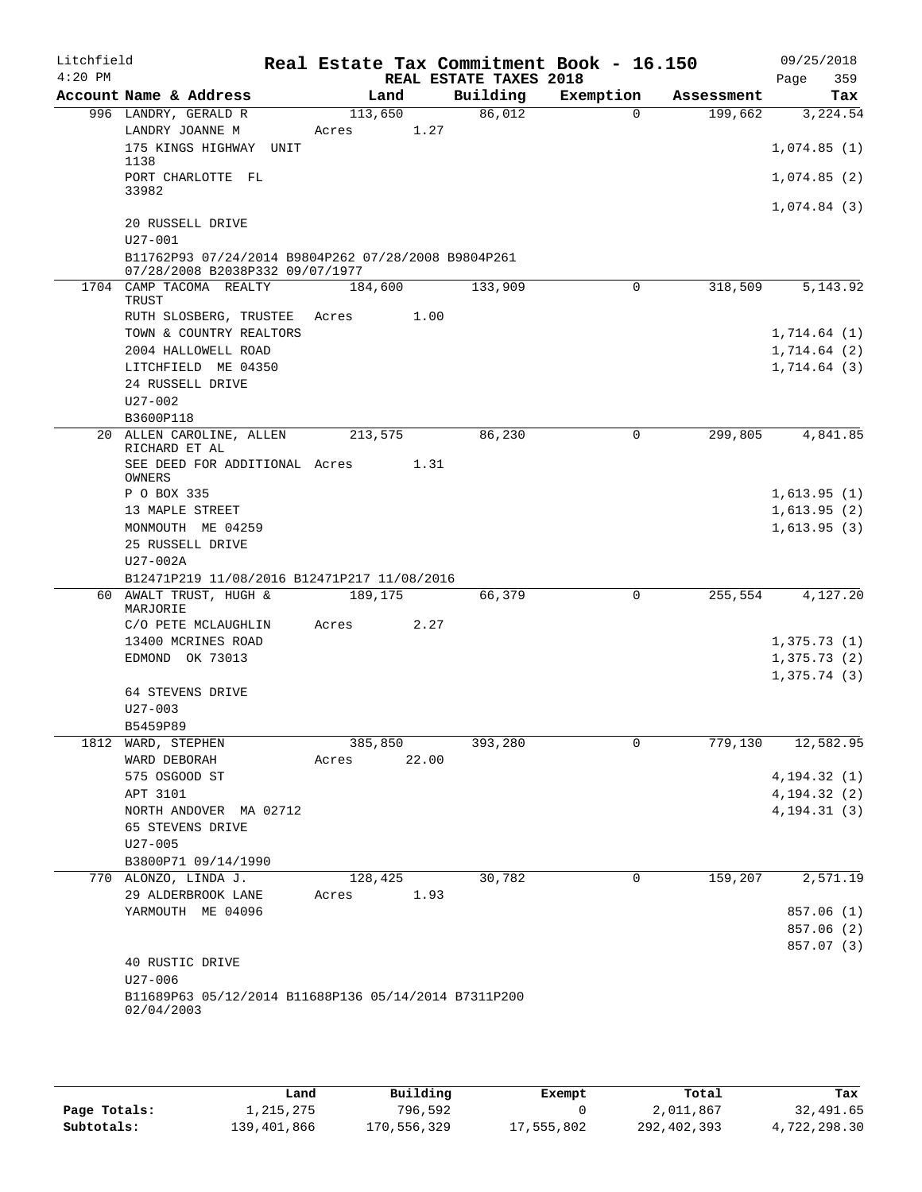| Litchfield<br>$4:20$ PM |                                                                                        |         |       | REAL ESTATE TAXES 2018 | Real Estate Tax Commitment Book - 16.150 |            | 09/25/2018<br>Page<br>359 |
|-------------------------|----------------------------------------------------------------------------------------|---------|-------|------------------------|------------------------------------------|------------|---------------------------|
|                         | Account Name & Address                                                                 | Land    |       | Building               | Exemption                                | Assessment | Tax                       |
|                         | 996 LANDRY, GERALD R                                                                   | 113,650 |       | 86,012                 | $\Omega$                                 | 199,662    | 3,224.54                  |
|                         | LANDRY JOANNE M                                                                        | Acres   | 1.27  |                        |                                          |            |                           |
|                         | 175 KINGS HIGHWAY UNIT<br>1138                                                         |         |       |                        |                                          |            | 1,074.85(1)               |
|                         | PORT CHARLOTTE FL<br>33982                                                             |         |       |                        |                                          |            | 1,074.85(2)               |
|                         |                                                                                        |         |       |                        |                                          |            | 1,074.84(3)               |
|                         | 20 RUSSELL DRIVE<br>$U27 - 001$                                                        |         |       |                        |                                          |            |                           |
|                         | B11762P93 07/24/2014 B9804P262 07/28/2008 B9804P261<br>07/28/2008 B2038P332 09/07/1977 |         |       |                        |                                          |            |                           |
|                         | 1704 CAMP TACOMA REALTY                                                                | 184,600 |       | 133,909                | 0                                        | 318,509    | 5, 143.92                 |
|                         | TRUST                                                                                  |         |       |                        |                                          |            |                           |
|                         | RUTH SLOSBERG, TRUSTEE                                                                 | Acres   | 1.00  |                        |                                          |            |                           |
|                         | TOWN & COUNTRY REALTORS                                                                |         |       |                        |                                          |            | 1,714.64(1)               |
|                         | 2004 HALLOWELL ROAD                                                                    |         |       |                        |                                          |            | 1,714.64(2)               |
|                         | LITCHFIELD ME 04350                                                                    |         |       |                        |                                          |            | 1,714.64(3)               |
|                         | 24 RUSSELL DRIVE                                                                       |         |       |                        |                                          |            |                           |
|                         | $U27 - 002$                                                                            |         |       |                        |                                          |            |                           |
|                         | B3600P118                                                                              |         |       |                        |                                          |            |                           |
|                         | 20 ALLEN CAROLINE, ALLEN<br>RICHARD ET AL                                              | 213,575 |       | 86,230                 | 0                                        | 299,805    | 4,841.85                  |
|                         | SEE DEED FOR ADDITIONAL Acres<br>OWNERS                                                |         | 1.31  |                        |                                          |            |                           |
|                         | P O BOX 335                                                                            |         |       |                        |                                          |            | 1,613.95(1)               |
|                         | 13 MAPLE STREET                                                                        |         |       |                        |                                          |            | 1,613.95(2)               |
|                         | MONMOUTH ME 04259                                                                      |         |       |                        |                                          |            | 1,613.95(3)               |
|                         | 25 RUSSELL DRIVE                                                                       |         |       |                        |                                          |            |                           |
|                         | U27-002A                                                                               |         |       |                        |                                          |            |                           |
|                         | B12471P219 11/08/2016 B12471P217 11/08/2016                                            |         |       |                        |                                          |            |                           |
|                         | 60 AWALT TRUST, HUGH &<br>MARJORIE                                                     | 189,175 |       | 66,379                 | 0                                        | 255,554    | 4,127.20                  |
|                         | C/O PETE MCLAUGHLIN                                                                    | Acres   | 2.27  |                        |                                          |            |                           |
|                         | 13400 MCRINES ROAD                                                                     |         |       |                        |                                          |            | 1,375.73(1)               |
|                         | EDMOND OK 73013                                                                        |         |       |                        |                                          |            | 1,375.73(2)               |
|                         |                                                                                        |         |       |                        |                                          |            | 1,375.74(3)               |
|                         | 64 STEVENS DRIVE                                                                       |         |       |                        |                                          |            |                           |
|                         | $U27 - 003$                                                                            |         |       |                        |                                          |            |                           |
|                         | B5459P89                                                                               |         |       |                        |                                          |            |                           |
| 1812                    | WARD, STEPHEN                                                                          | 385,850 |       | 393,280                | 0                                        | 779, 130   | 12,582.95                 |
|                         | WARD DEBORAH                                                                           | Acres   | 22.00 |                        |                                          |            |                           |
|                         | 575 OSGOOD ST                                                                          |         |       |                        |                                          |            | 4, 194.32(1)              |
|                         | APT 3101                                                                               |         |       |                        |                                          |            | 4, 194. 32 (2)            |
|                         | NORTH ANDOVER MA 02712                                                                 |         |       |                        |                                          |            | 4, 194. 31 (3)            |
|                         | 65 STEVENS DRIVE                                                                       |         |       |                        |                                          |            |                           |
|                         | $U27 - 005$                                                                            |         |       |                        |                                          |            |                           |
|                         | B3800P71 09/14/1990                                                                    |         |       |                        |                                          |            |                           |
|                         | 770 ALONZO, LINDA J.                                                                   | 128,425 |       | 30,782                 | 0                                        | 159,207    | 2,571.19                  |
|                         | 29 ALDERBROOK LANE                                                                     | Acres   | 1.93  |                        |                                          |            |                           |
|                         | YARMOUTH ME 04096                                                                      |         |       |                        |                                          |            | 857.06 (1)                |
|                         |                                                                                        |         |       |                        |                                          |            | 857.06 (2)                |
|                         |                                                                                        |         |       |                        |                                          |            | 857.07 (3)                |
|                         | 40 RUSTIC DRIVE<br>U27-006                                                             |         |       |                        |                                          |            |                           |
|                         | B11689P63 05/12/2014 B11688P136 05/14/2014 B7311P200<br>02/04/2003                     |         |       |                        |                                          |            |                           |
|                         |                                                                                        |         |       |                        |                                          |            |                           |

|              | Land        | Building    | Exempt     | Total       | Tax          |
|--------------|-------------|-------------|------------|-------------|--------------|
| Page Totals: | l,215,275   | 796,592     |            | 2,011,867   | 32,491.65    |
| Subtotals:   | 139,401,866 | 170,556,329 | 17,555,802 | 292,402,393 | 4,722,298.30 |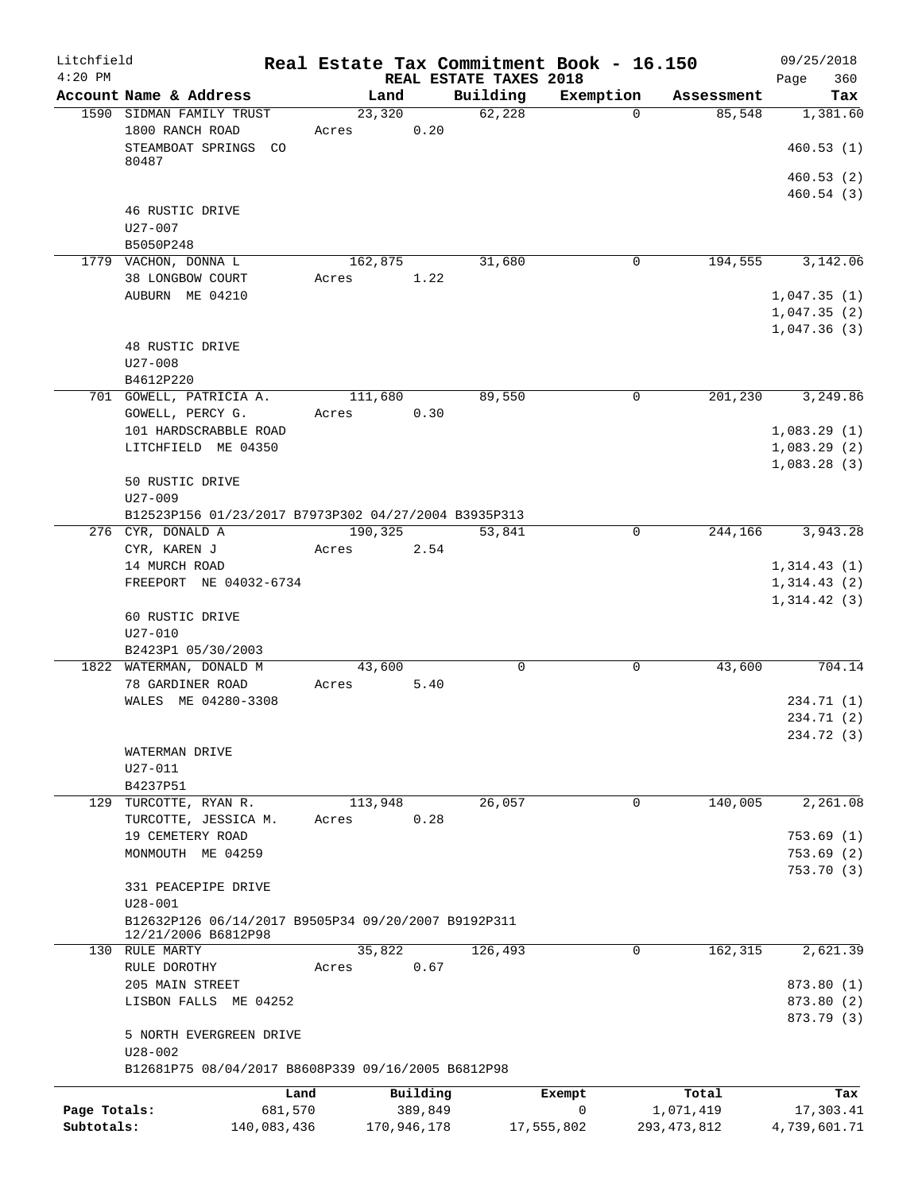| Litchfield<br>$4:20$ PM    |                                                                    |         |                        | REAL ESTATE TAXES 2018 | Real Estate Tax Commitment Book - 16.150 |                            | 09/25/2018<br>360<br>Page                 |
|----------------------------|--------------------------------------------------------------------|---------|------------------------|------------------------|------------------------------------------|----------------------------|-------------------------------------------|
|                            | Account Name & Address                                             |         | Land                   | Building               | Exemption                                | Assessment                 | Tax                                       |
|                            | 1590 SIDMAN FAMILY TRUST                                           |         | 23,320                 | 62,228                 | $\Omega$                                 | 85,548                     | 1,381.60                                  |
|                            | 1800 RANCH ROAD<br>STEAMBOAT SPRINGS CO                            | Acres   | 0.20                   |                        |                                          |                            | 460.53(1)                                 |
|                            | 80487                                                              |         |                        |                        |                                          |                            | 460.53(2)<br>460.54(3)                    |
|                            | 46 RUSTIC DRIVE<br>$U27 - 007$                                     |         |                        |                        |                                          |                            |                                           |
|                            | B5050P248                                                          |         |                        |                        |                                          |                            |                                           |
|                            | 1779 VACHON, DONNA L<br>38 LONGBOW COURT                           | Acres   | 162,875<br>1.22        | 31,680                 | $\mathbf{0}$                             | 194,555                    | 3,142.06                                  |
|                            | AUBURN ME 04210                                                    |         |                        |                        |                                          |                            | 1,047.35(1)<br>1,047.35(2)<br>1,047.36(3) |
|                            | 48 RUSTIC DRIVE<br>$U27 - 008$<br>B4612P220                        |         |                        |                        |                                          |                            |                                           |
|                            | 701 GOWELL, PATRICIA A.                                            |         | 111,680                | 89,550                 | 0                                        | 201,230                    | 3,249.86                                  |
|                            | GOWELL, PERCY G.                                                   | Acres   | 0.30                   |                        |                                          |                            |                                           |
|                            | 101 HARDSCRABBLE ROAD<br>LITCHFIELD ME 04350                       |         |                        |                        |                                          |                            | 1,083.29(1)<br>1,083.29(2)<br>1,083.28(3) |
|                            | 50 RUSTIC DRIVE<br>$U27 - 009$                                     |         |                        |                        |                                          |                            |                                           |
|                            | B12523P156 01/23/2017 B7973P302 04/27/2004 B3935P313               |         |                        |                        |                                          |                            |                                           |
|                            | 276 CYR, DONALD A<br>CYR, KAREN J                                  | Acres   | 190,325<br>2.54        | 53,841                 | $\Omega$                                 | 244,166                    | 3,943.28                                  |
|                            | 14 MURCH ROAD<br>FREEPORT NE 04032-6734                            |         |                        |                        |                                          |                            | 1,314.43(1)<br>1,314.43(2)<br>1,314.42(3) |
|                            | 60 RUSTIC DRIVE<br>$U27 - 010$<br>B2423P1 05/30/2003               |         |                        |                        |                                          |                            |                                           |
|                            | 1822 WATERMAN, DONALD M                                            |         | 43,600                 | $\mathbf 0$            | 0                                        | 43,600                     | 704.14                                    |
|                            | 78 GARDINER ROAD<br>WALES ME 04280-3308                            | Acres   | 5.40                   |                        |                                          |                            | 234.71 (1)                                |
|                            |                                                                    |         |                        |                        |                                          |                            | 234.71 (2)<br>234.72 (3)                  |
|                            | WATERMAN DRIVE<br>$U27 - 011$<br>B4237P51                          |         |                        |                        |                                          |                            |                                           |
|                            | 129 TURCOTTE, RYAN R.                                              |         | 113,948                | 26,057                 | 0                                        | 140,005                    | 2,261.08                                  |
|                            | TURCOTTE, JESSICA M.<br>19 CEMETERY ROAD                           | Acres   | 0.28                   |                        |                                          |                            | 753.69(1)                                 |
|                            | MONMOUTH ME 04259                                                  |         |                        |                        |                                          |                            | 753.69(2)                                 |
|                            | 331 PEACEPIPE DRIVE                                                |         |                        |                        |                                          |                            | 753.70 (3)                                |
|                            | $U28 - 001$<br>B12632P126 06/14/2017 B9505P34 09/20/2007 B9192P311 |         |                        |                        |                                          |                            |                                           |
|                            | 12/21/2006 B6812P98                                                |         |                        |                        |                                          |                            |                                           |
|                            | 130 RULE MARTY<br>RULE DOROTHY                                     | Acres   | 35,822<br>0.67         | 126,493                | $\mathbf 0$                              | 162,315                    | 2,621.39                                  |
|                            | 205 MAIN STREET                                                    |         |                        |                        |                                          |                            | 873.80 (1)                                |
|                            | LISBON FALLS ME 04252                                              |         |                        |                        |                                          |                            | 873.80 (2)                                |
|                            | 5 NORTH EVERGREEN DRIVE                                            |         |                        |                        |                                          |                            | 873.79 (3)                                |
|                            | $U28 - 002$<br>B12681P75 08/04/2017 B8608P339 09/16/2005 B6812P98  |         |                        |                        |                                          |                            |                                           |
|                            |                                                                    | Land    | Building               |                        | Exempt                                   | Total                      | Tax                                       |
| Page Totals:<br>Subtotals: | 140,083,436                                                        | 681,570 | 389,849<br>170,946,178 |                        | 0<br>17,555,802                          | 1,071,419<br>293, 473, 812 | 17,303.41<br>4,739,601.71                 |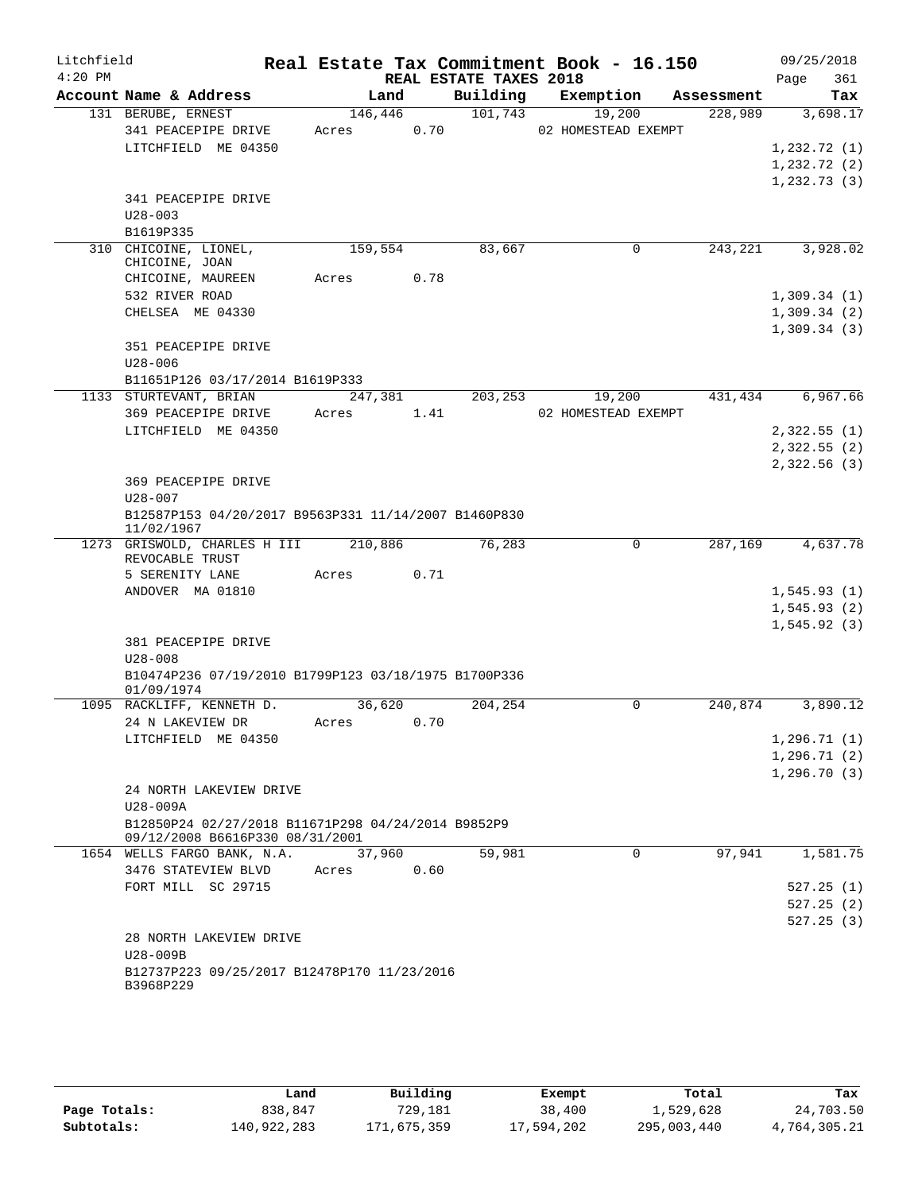| Litchfield<br>$4:20$ PM |                                                                    |                  |      | REAL ESTATE TAXES 2018 | Real Estate Tax Commitment Book - 16.150 |            | 09/25/2018<br>361<br>Page   |  |
|-------------------------|--------------------------------------------------------------------|------------------|------|------------------------|------------------------------------------|------------|-----------------------------|--|
|                         | Account Name & Address                                             | Land             |      | Building               | Exemption                                | Assessment | Tax                         |  |
|                         | 131 BERUBE, ERNEST<br>341 PEACEPIPE DRIVE                          | 146,446<br>Acres | 0.70 | 101,743                | 19,200<br>02 HOMESTEAD EXEMPT            | 228,989    | 3,698.17                    |  |
|                         | LITCHFIELD ME 04350                                                |                  |      |                        |                                          |            | 1,232.72(1)<br>1, 232.72(2) |  |
|                         |                                                                    |                  |      |                        |                                          |            | 1, 232.73(3)                |  |
|                         | 341 PEACEPIPE DRIVE                                                |                  |      |                        |                                          |            |                             |  |
|                         | $U28 - 003$                                                        |                  |      |                        |                                          |            |                             |  |
|                         | B1619P335                                                          |                  |      |                        |                                          |            |                             |  |
|                         | 310 CHICOINE, LIONEL,<br>CHICOINE, JOAN                            | 159,554          |      | 83,667                 | 0                                        | 243,221    | 3,928.02                    |  |
|                         | CHICOINE, MAUREEN                                                  | Acres            | 0.78 |                        |                                          |            |                             |  |
|                         | 532 RIVER ROAD                                                     |                  |      |                        |                                          |            | 1,309.34(1)                 |  |
|                         | CHELSEA ME 04330                                                   |                  |      |                        |                                          |            | 1,309.34(2)<br>1,309.34(3)  |  |
|                         | 351 PEACEPIPE DRIVE                                                |                  |      |                        |                                          |            |                             |  |
|                         | $U28 - 006$<br>B11651P126 03/17/2014 B1619P333                     |                  |      |                        |                                          |            |                             |  |
|                         | 1133 STURTEVANT, BRIAN                                             | 247,381          |      | 203,253                | 19,200                                   | 431,434    | 6,967.66                    |  |
|                         | 369 PEACEPIPE DRIVE                                                | Acres            | 1.41 |                        | 02 HOMESTEAD EXEMPT                      |            |                             |  |
|                         | LITCHFIELD ME 04350                                                |                  |      |                        |                                          |            | 2,322.55(1)                 |  |
|                         |                                                                    |                  |      |                        |                                          |            | 2,322.55(2)                 |  |
|                         |                                                                    |                  |      |                        |                                          |            | 2,322.56(3)                 |  |
|                         | 369 PEACEPIPE DRIVE                                                |                  |      |                        |                                          |            |                             |  |
|                         | $U28 - 007$                                                        |                  |      |                        |                                          |            |                             |  |
|                         | B12587P153 04/20/2017 B9563P331 11/14/2007 B1460P830<br>11/02/1967 |                  |      |                        |                                          |            |                             |  |
|                         | 1273 GRISWOLD, CHARLES H III 210,886<br>REVOCABLE TRUST            |                  |      | 76,283                 | 0                                        | 287,169    | 4,637.78                    |  |
|                         | 5 SERENITY LANE                                                    | Acres            | 0.71 |                        |                                          |            |                             |  |
|                         | ANDOVER MA 01810                                                   |                  |      |                        |                                          |            | 1,545.93(1)                 |  |
|                         |                                                                    |                  |      |                        |                                          |            | 1, 545.93(2)                |  |
|                         |                                                                    |                  |      |                        |                                          |            | 1, 545.92(3)                |  |
|                         | 381 PEACEPIPE DRIVE<br>$U28 - 008$                                 |                  |      |                        |                                          |            |                             |  |
|                         | B10474P236 07/19/2010 B1799P123 03/18/1975 B1700P336               |                  |      |                        |                                          |            |                             |  |
|                         | 01/09/1974                                                         |                  |      |                        |                                          |            |                             |  |
|                         | 1095 RACKLIFF, KENNETH D.                                          | 36,620           |      | 204,254                | 0                                        | 240,874    | 3,890.12                    |  |
|                         | 24 N LAKEVIEW DR                                                   | Acres            | 0.70 |                        |                                          |            |                             |  |
|                         | LITCHFIELD ME 04350                                                |                  |      |                        |                                          |            | 1, 296.71(1)                |  |
|                         |                                                                    |                  |      |                        |                                          |            | 1, 296.71(2)                |  |
|                         | 24 NORTH LAKEVIEW DRIVE                                            |                  |      |                        |                                          |            | 1, 296.70(3)                |  |
|                         | U28-009A                                                           |                  |      |                        |                                          |            |                             |  |
|                         | B12850P24 02/27/2018 B11671P298 04/24/2014 B9852P9                 |                  |      |                        |                                          |            |                             |  |
|                         | 09/12/2008 B6616P330 08/31/2001                                    |                  |      |                        |                                          |            |                             |  |
|                         | 1654 WELLS FARGO BANK, N.A.                                        | 37,960           |      | 59,981                 | 0                                        | 97,941     | 1,581.75                    |  |
|                         | 3476 STATEVIEW BLVD                                                | Acres            | 0.60 |                        |                                          |            |                             |  |
|                         | FORT MILL SC 29715                                                 |                  |      |                        |                                          |            | 527.25(1)                   |  |
|                         |                                                                    |                  |      |                        |                                          |            | 527.25(2)                   |  |
|                         | 28 NORTH LAKEVIEW DRIVE                                            |                  |      |                        |                                          |            | 527.25(3)                   |  |
|                         | U28-009B                                                           |                  |      |                        |                                          |            |                             |  |
|                         | B12737P223 09/25/2017 B12478P170 11/23/2016                        |                  |      |                        |                                          |            |                             |  |
|                         | B3968P229                                                          |                  |      |                        |                                          |            |                             |  |
|                         |                                                                    |                  |      |                        |                                          |            |                             |  |

|              | Land        | Building    | Exempt     | Total       | Tax          |
|--------------|-------------|-------------|------------|-------------|--------------|
| Page Totals: | 838,847     | 729,181     | 38,400     | 1,529,628   | 24,703.50    |
| Subtotals:   | 140,922,283 | 171,675,359 | 17,594,202 | 295,003,440 | 4,764,305.21 |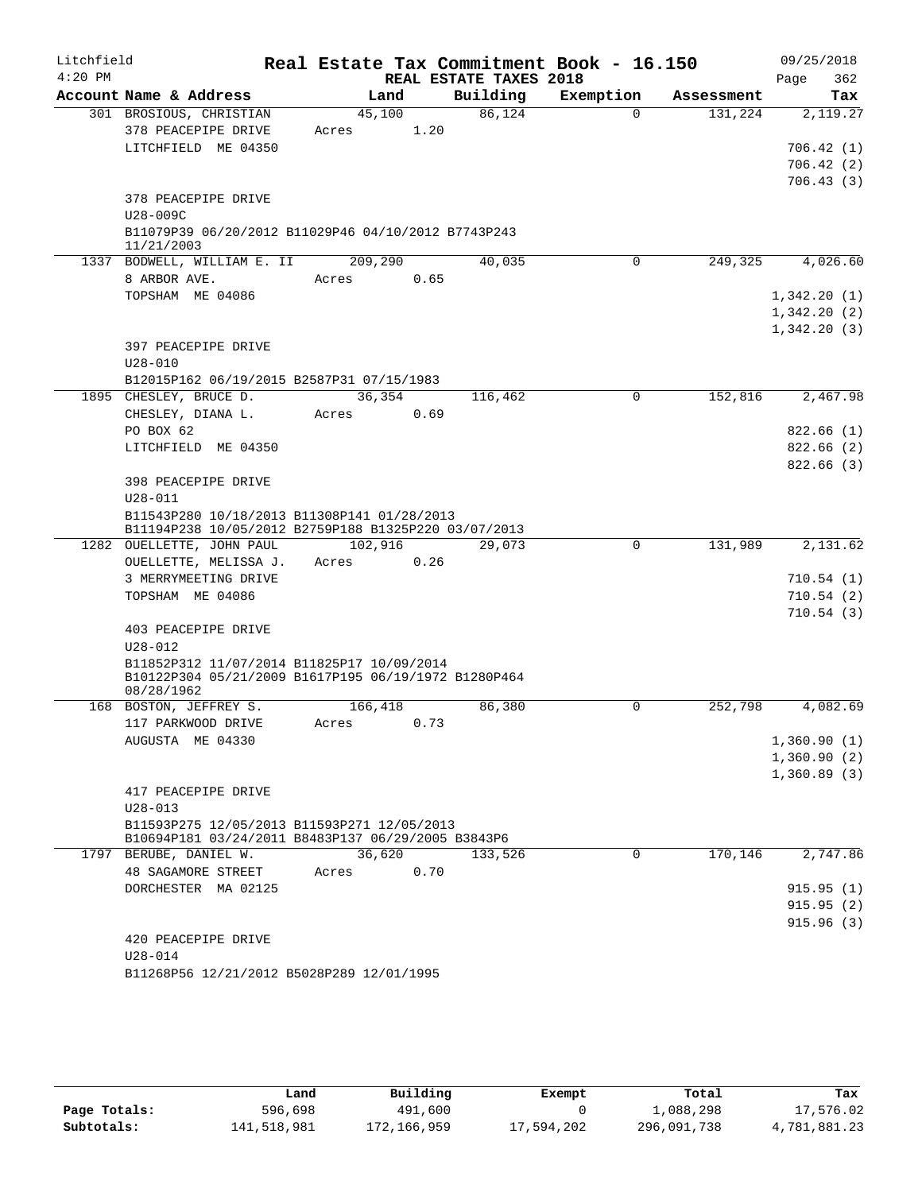| $4:20$ PM<br>REAL ESTATE TAXES 2018<br>Page<br>362<br>Building<br>Account Name & Address<br>Exemption<br>Land<br>Tax<br>Assessment<br>86,124<br>301 BROSIOUS, CHRISTIAN<br>45,100<br>$\Omega$<br>131,224<br>2,119.27<br>378 PEACEPIPE DRIVE<br>1.20<br>Acres<br>LITCHFIELD ME 04350<br>706.42(1)<br>706.42(2)<br>706.43(3)<br>378 PEACEPIPE DRIVE<br>U28-009C<br>B11079P39 06/20/2012 B11029P46 04/10/2012 B7743P243<br>11/21/2003<br>1337 BODWELL, WILLIAM E. II<br>209,290<br>40,035<br>0<br>249,325<br>4,026.60<br>8 ARBOR AVE.<br>0.65<br>Acres<br>TOPSHAM ME 04086<br>1,342.20(1)<br>1,342.20(2)<br>1,342.20(3)<br>397 PEACEPIPE DRIVE<br>$U28 - 010$<br>B12015P162 06/19/2015 B2587P31 07/15/1983<br>1895 CHESLEY, BRUCE D.<br>36,354<br>116,462<br>0<br>152,816<br>2,467.98<br>CHESLEY, DIANA L.<br>0.69<br>Acres<br>PO BOX 62<br>822.66(1)<br>LITCHFIELD ME 04350<br>822.66(2)<br>822.66(3)<br>398 PEACEPIPE DRIVE<br>$U28 - 011$<br>B11543P280 10/18/2013 B11308P141 01/28/2013<br>B11194P238 10/05/2012 B2759P188 B1325P220 03/07/2013<br>1282 OUELLETTE, JOHN PAUL<br>102,916<br>131,989<br>2,131.62<br>29,073<br>0<br>0.26<br>OUELLETTE, MELISSA J.<br>Acres<br>3 MERRYMEETING DRIVE<br>TOPSHAM ME 04086<br>710.54(2)<br>710.54(3)<br>403 PEACEPIPE DRIVE<br>$U28 - 012$<br>B11852P312 11/07/2014 B11825P17 10/09/2014<br>B10122P304 05/21/2009 B1617P195 06/19/1972 B1280P464<br>08/28/1962<br>168 BOSTON, JEFFREY S.<br>166,418<br>86,380<br>0<br>252,798<br>4,082.69<br>117 PARKWOOD DRIVE<br>Acres 0.73<br>1,360.90(1)<br>AUGUSTA ME 04330<br>1,360.90(2)<br>1,360.89(3)<br>417 PEACEPIPE DRIVE<br>$U28 - 013$<br>B11593P275 12/05/2013 B11593P271 12/05/2013<br>B10694P181 03/24/2011 B8483P137 06/29/2005 B3843P6<br>36,620<br>$\Omega$<br>170,146<br>2,747.86<br>1797 BERUBE, DANIEL W.<br>133,526<br>48 SAGAMORE STREET<br>0.70<br>Acres<br>DORCHESTER MA 02125<br>915.95(1)<br>915.95(2)<br>915.96(3)<br>420 PEACEPIPE DRIVE<br>$U28 - 014$<br>B11268P56 12/21/2012 B5028P289 12/01/1995 | Litchfield |  |  | Real Estate Tax Commitment Book - 16.150 | 09/25/2018 |
|---------------------------------------------------------------------------------------------------------------------------------------------------------------------------------------------------------------------------------------------------------------------------------------------------------------------------------------------------------------------------------------------------------------------------------------------------------------------------------------------------------------------------------------------------------------------------------------------------------------------------------------------------------------------------------------------------------------------------------------------------------------------------------------------------------------------------------------------------------------------------------------------------------------------------------------------------------------------------------------------------------------------------------------------------------------------------------------------------------------------------------------------------------------------------------------------------------------------------------------------------------------------------------------------------------------------------------------------------------------------------------------------------------------------------------------------------------------------------------------------------------------------------------------------------------------------------------------------------------------------------------------------------------------------------------------------------------------------------------------------------------------------------------------------------------------------------------------------------------------------------------------------------------------------------------------------------------------------------------------------------------------|------------|--|--|------------------------------------------|------------|
|                                                                                                                                                                                                                                                                                                                                                                                                                                                                                                                                                                                                                                                                                                                                                                                                                                                                                                                                                                                                                                                                                                                                                                                                                                                                                                                                                                                                                                                                                                                                                                                                                                                                                                                                                                                                                                                                                                                                                                                                               |            |  |  |                                          |            |
| 710.54(1)                                                                                                                                                                                                                                                                                                                                                                                                                                                                                                                                                                                                                                                                                                                                                                                                                                                                                                                                                                                                                                                                                                                                                                                                                                                                                                                                                                                                                                                                                                                                                                                                                                                                                                                                                                                                                                                                                                                                                                                                     |            |  |  |                                          |            |
|                                                                                                                                                                                                                                                                                                                                                                                                                                                                                                                                                                                                                                                                                                                                                                                                                                                                                                                                                                                                                                                                                                                                                                                                                                                                                                                                                                                                                                                                                                                                                                                                                                                                                                                                                                                                                                                                                                                                                                                                               |            |  |  |                                          |            |
|                                                                                                                                                                                                                                                                                                                                                                                                                                                                                                                                                                                                                                                                                                                                                                                                                                                                                                                                                                                                                                                                                                                                                                                                                                                                                                                                                                                                                                                                                                                                                                                                                                                                                                                                                                                                                                                                                                                                                                                                               |            |  |  |                                          |            |
|                                                                                                                                                                                                                                                                                                                                                                                                                                                                                                                                                                                                                                                                                                                                                                                                                                                                                                                                                                                                                                                                                                                                                                                                                                                                                                                                                                                                                                                                                                                                                                                                                                                                                                                                                                                                                                                                                                                                                                                                               |            |  |  |                                          |            |
|                                                                                                                                                                                                                                                                                                                                                                                                                                                                                                                                                                                                                                                                                                                                                                                                                                                                                                                                                                                                                                                                                                                                                                                                                                                                                                                                                                                                                                                                                                                                                                                                                                                                                                                                                                                                                                                                                                                                                                                                               |            |  |  |                                          |            |
|                                                                                                                                                                                                                                                                                                                                                                                                                                                                                                                                                                                                                                                                                                                                                                                                                                                                                                                                                                                                                                                                                                                                                                                                                                                                                                                                                                                                                                                                                                                                                                                                                                                                                                                                                                                                                                                                                                                                                                                                               |            |  |  |                                          |            |
|                                                                                                                                                                                                                                                                                                                                                                                                                                                                                                                                                                                                                                                                                                                                                                                                                                                                                                                                                                                                                                                                                                                                                                                                                                                                                                                                                                                                                                                                                                                                                                                                                                                                                                                                                                                                                                                                                                                                                                                                               |            |  |  |                                          |            |
|                                                                                                                                                                                                                                                                                                                                                                                                                                                                                                                                                                                                                                                                                                                                                                                                                                                                                                                                                                                                                                                                                                                                                                                                                                                                                                                                                                                                                                                                                                                                                                                                                                                                                                                                                                                                                                                                                                                                                                                                               |            |  |  |                                          |            |
|                                                                                                                                                                                                                                                                                                                                                                                                                                                                                                                                                                                                                                                                                                                                                                                                                                                                                                                                                                                                                                                                                                                                                                                                                                                                                                                                                                                                                                                                                                                                                                                                                                                                                                                                                                                                                                                                                                                                                                                                               |            |  |  |                                          |            |
|                                                                                                                                                                                                                                                                                                                                                                                                                                                                                                                                                                                                                                                                                                                                                                                                                                                                                                                                                                                                                                                                                                                                                                                                                                                                                                                                                                                                                                                                                                                                                                                                                                                                                                                                                                                                                                                                                                                                                                                                               |            |  |  |                                          |            |
|                                                                                                                                                                                                                                                                                                                                                                                                                                                                                                                                                                                                                                                                                                                                                                                                                                                                                                                                                                                                                                                                                                                                                                                                                                                                                                                                                                                                                                                                                                                                                                                                                                                                                                                                                                                                                                                                                                                                                                                                               |            |  |  |                                          |            |
|                                                                                                                                                                                                                                                                                                                                                                                                                                                                                                                                                                                                                                                                                                                                                                                                                                                                                                                                                                                                                                                                                                                                                                                                                                                                                                                                                                                                                                                                                                                                                                                                                                                                                                                                                                                                                                                                                                                                                                                                               |            |  |  |                                          |            |
|                                                                                                                                                                                                                                                                                                                                                                                                                                                                                                                                                                                                                                                                                                                                                                                                                                                                                                                                                                                                                                                                                                                                                                                                                                                                                                                                                                                                                                                                                                                                                                                                                                                                                                                                                                                                                                                                                                                                                                                                               |            |  |  |                                          |            |
|                                                                                                                                                                                                                                                                                                                                                                                                                                                                                                                                                                                                                                                                                                                                                                                                                                                                                                                                                                                                                                                                                                                                                                                                                                                                                                                                                                                                                                                                                                                                                                                                                                                                                                                                                                                                                                                                                                                                                                                                               |            |  |  |                                          |            |
|                                                                                                                                                                                                                                                                                                                                                                                                                                                                                                                                                                                                                                                                                                                                                                                                                                                                                                                                                                                                                                                                                                                                                                                                                                                                                                                                                                                                                                                                                                                                                                                                                                                                                                                                                                                                                                                                                                                                                                                                               |            |  |  |                                          |            |
|                                                                                                                                                                                                                                                                                                                                                                                                                                                                                                                                                                                                                                                                                                                                                                                                                                                                                                                                                                                                                                                                                                                                                                                                                                                                                                                                                                                                                                                                                                                                                                                                                                                                                                                                                                                                                                                                                                                                                                                                               |            |  |  |                                          |            |
|                                                                                                                                                                                                                                                                                                                                                                                                                                                                                                                                                                                                                                                                                                                                                                                                                                                                                                                                                                                                                                                                                                                                                                                                                                                                                                                                                                                                                                                                                                                                                                                                                                                                                                                                                                                                                                                                                                                                                                                                               |            |  |  |                                          |            |
|                                                                                                                                                                                                                                                                                                                                                                                                                                                                                                                                                                                                                                                                                                                                                                                                                                                                                                                                                                                                                                                                                                                                                                                                                                                                                                                                                                                                                                                                                                                                                                                                                                                                                                                                                                                                                                                                                                                                                                                                               |            |  |  |                                          |            |
|                                                                                                                                                                                                                                                                                                                                                                                                                                                                                                                                                                                                                                                                                                                                                                                                                                                                                                                                                                                                                                                                                                                                                                                                                                                                                                                                                                                                                                                                                                                                                                                                                                                                                                                                                                                                                                                                                                                                                                                                               |            |  |  |                                          |            |
|                                                                                                                                                                                                                                                                                                                                                                                                                                                                                                                                                                                                                                                                                                                                                                                                                                                                                                                                                                                                                                                                                                                                                                                                                                                                                                                                                                                                                                                                                                                                                                                                                                                                                                                                                                                                                                                                                                                                                                                                               |            |  |  |                                          |            |
|                                                                                                                                                                                                                                                                                                                                                                                                                                                                                                                                                                                                                                                                                                                                                                                                                                                                                                                                                                                                                                                                                                                                                                                                                                                                                                                                                                                                                                                                                                                                                                                                                                                                                                                                                                                                                                                                                                                                                                                                               |            |  |  |                                          |            |
|                                                                                                                                                                                                                                                                                                                                                                                                                                                                                                                                                                                                                                                                                                                                                                                                                                                                                                                                                                                                                                                                                                                                                                                                                                                                                                                                                                                                                                                                                                                                                                                                                                                                                                                                                                                                                                                                                                                                                                                                               |            |  |  |                                          |            |
|                                                                                                                                                                                                                                                                                                                                                                                                                                                                                                                                                                                                                                                                                                                                                                                                                                                                                                                                                                                                                                                                                                                                                                                                                                                                                                                                                                                                                                                                                                                                                                                                                                                                                                                                                                                                                                                                                                                                                                                                               |            |  |  |                                          |            |
|                                                                                                                                                                                                                                                                                                                                                                                                                                                                                                                                                                                                                                                                                                                                                                                                                                                                                                                                                                                                                                                                                                                                                                                                                                                                                                                                                                                                                                                                                                                                                                                                                                                                                                                                                                                                                                                                                                                                                                                                               |            |  |  |                                          |            |
|                                                                                                                                                                                                                                                                                                                                                                                                                                                                                                                                                                                                                                                                                                                                                                                                                                                                                                                                                                                                                                                                                                                                                                                                                                                                                                                                                                                                                                                                                                                                                                                                                                                                                                                                                                                                                                                                                                                                                                                                               |            |  |  |                                          |            |
|                                                                                                                                                                                                                                                                                                                                                                                                                                                                                                                                                                                                                                                                                                                                                                                                                                                                                                                                                                                                                                                                                                                                                                                                                                                                                                                                                                                                                                                                                                                                                                                                                                                                                                                                                                                                                                                                                                                                                                                                               |            |  |  |                                          |            |
|                                                                                                                                                                                                                                                                                                                                                                                                                                                                                                                                                                                                                                                                                                                                                                                                                                                                                                                                                                                                                                                                                                                                                                                                                                                                                                                                                                                                                                                                                                                                                                                                                                                                                                                                                                                                                                                                                                                                                                                                               |            |  |  |                                          |            |
|                                                                                                                                                                                                                                                                                                                                                                                                                                                                                                                                                                                                                                                                                                                                                                                                                                                                                                                                                                                                                                                                                                                                                                                                                                                                                                                                                                                                                                                                                                                                                                                                                                                                                                                                                                                                                                                                                                                                                                                                               |            |  |  |                                          |            |
|                                                                                                                                                                                                                                                                                                                                                                                                                                                                                                                                                                                                                                                                                                                                                                                                                                                                                                                                                                                                                                                                                                                                                                                                                                                                                                                                                                                                                                                                                                                                                                                                                                                                                                                                                                                                                                                                                                                                                                                                               |            |  |  |                                          |            |
|                                                                                                                                                                                                                                                                                                                                                                                                                                                                                                                                                                                                                                                                                                                                                                                                                                                                                                                                                                                                                                                                                                                                                                                                                                                                                                                                                                                                                                                                                                                                                                                                                                                                                                                                                                                                                                                                                                                                                                                                               |            |  |  |                                          |            |
|                                                                                                                                                                                                                                                                                                                                                                                                                                                                                                                                                                                                                                                                                                                                                                                                                                                                                                                                                                                                                                                                                                                                                                                                                                                                                                                                                                                                                                                                                                                                                                                                                                                                                                                                                                                                                                                                                                                                                                                                               |            |  |  |                                          |            |
|                                                                                                                                                                                                                                                                                                                                                                                                                                                                                                                                                                                                                                                                                                                                                                                                                                                                                                                                                                                                                                                                                                                                                                                                                                                                                                                                                                                                                                                                                                                                                                                                                                                                                                                                                                                                                                                                                                                                                                                                               |            |  |  |                                          |            |
|                                                                                                                                                                                                                                                                                                                                                                                                                                                                                                                                                                                                                                                                                                                                                                                                                                                                                                                                                                                                                                                                                                                                                                                                                                                                                                                                                                                                                                                                                                                                                                                                                                                                                                                                                                                                                                                                                                                                                                                                               |            |  |  |                                          |            |
|                                                                                                                                                                                                                                                                                                                                                                                                                                                                                                                                                                                                                                                                                                                                                                                                                                                                                                                                                                                                                                                                                                                                                                                                                                                                                                                                                                                                                                                                                                                                                                                                                                                                                                                                                                                                                                                                                                                                                                                                               |            |  |  |                                          |            |
|                                                                                                                                                                                                                                                                                                                                                                                                                                                                                                                                                                                                                                                                                                                                                                                                                                                                                                                                                                                                                                                                                                                                                                                                                                                                                                                                                                                                                                                                                                                                                                                                                                                                                                                                                                                                                                                                                                                                                                                                               |            |  |  |                                          |            |
|                                                                                                                                                                                                                                                                                                                                                                                                                                                                                                                                                                                                                                                                                                                                                                                                                                                                                                                                                                                                                                                                                                                                                                                                                                                                                                                                                                                                                                                                                                                                                                                                                                                                                                                                                                                                                                                                                                                                                                                                               |            |  |  |                                          |            |
|                                                                                                                                                                                                                                                                                                                                                                                                                                                                                                                                                                                                                                                                                                                                                                                                                                                                                                                                                                                                                                                                                                                                                                                                                                                                                                                                                                                                                                                                                                                                                                                                                                                                                                                                                                                                                                                                                                                                                                                                               |            |  |  |                                          |            |
|                                                                                                                                                                                                                                                                                                                                                                                                                                                                                                                                                                                                                                                                                                                                                                                                                                                                                                                                                                                                                                                                                                                                                                                                                                                                                                                                                                                                                                                                                                                                                                                                                                                                                                                                                                                                                                                                                                                                                                                                               |            |  |  |                                          |            |
|                                                                                                                                                                                                                                                                                                                                                                                                                                                                                                                                                                                                                                                                                                                                                                                                                                                                                                                                                                                                                                                                                                                                                                                                                                                                                                                                                                                                                                                                                                                                                                                                                                                                                                                                                                                                                                                                                                                                                                                                               |            |  |  |                                          |            |
|                                                                                                                                                                                                                                                                                                                                                                                                                                                                                                                                                                                                                                                                                                                                                                                                                                                                                                                                                                                                                                                                                                                                                                                                                                                                                                                                                                                                                                                                                                                                                                                                                                                                                                                                                                                                                                                                                                                                                                                                               |            |  |  |                                          |            |
|                                                                                                                                                                                                                                                                                                                                                                                                                                                                                                                                                                                                                                                                                                                                                                                                                                                                                                                                                                                                                                                                                                                                                                                                                                                                                                                                                                                                                                                                                                                                                                                                                                                                                                                                                                                                                                                                                                                                                                                                               |            |  |  |                                          |            |
|                                                                                                                                                                                                                                                                                                                                                                                                                                                                                                                                                                                                                                                                                                                                                                                                                                                                                                                                                                                                                                                                                                                                                                                                                                                                                                                                                                                                                                                                                                                                                                                                                                                                                                                                                                                                                                                                                                                                                                                                               |            |  |  |                                          |            |
|                                                                                                                                                                                                                                                                                                                                                                                                                                                                                                                                                                                                                                                                                                                                                                                                                                                                                                                                                                                                                                                                                                                                                                                                                                                                                                                                                                                                                                                                                                                                                                                                                                                                                                                                                                                                                                                                                                                                                                                                               |            |  |  |                                          |            |
|                                                                                                                                                                                                                                                                                                                                                                                                                                                                                                                                                                                                                                                                                                                                                                                                                                                                                                                                                                                                                                                                                                                                                                                                                                                                                                                                                                                                                                                                                                                                                                                                                                                                                                                                                                                                                                                                                                                                                                                                               |            |  |  |                                          |            |
|                                                                                                                                                                                                                                                                                                                                                                                                                                                                                                                                                                                                                                                                                                                                                                                                                                                                                                                                                                                                                                                                                                                                                                                                                                                                                                                                                                                                                                                                                                                                                                                                                                                                                                                                                                                                                                                                                                                                                                                                               |            |  |  |                                          |            |
|                                                                                                                                                                                                                                                                                                                                                                                                                                                                                                                                                                                                                                                                                                                                                                                                                                                                                                                                                                                                                                                                                                                                                                                                                                                                                                                                                                                                                                                                                                                                                                                                                                                                                                                                                                                                                                                                                                                                                                                                               |            |  |  |                                          |            |
|                                                                                                                                                                                                                                                                                                                                                                                                                                                                                                                                                                                                                                                                                                                                                                                                                                                                                                                                                                                                                                                                                                                                                                                                                                                                                                                                                                                                                                                                                                                                                                                                                                                                                                                                                                                                                                                                                                                                                                                                               |            |  |  |                                          |            |
|                                                                                                                                                                                                                                                                                                                                                                                                                                                                                                                                                                                                                                                                                                                                                                                                                                                                                                                                                                                                                                                                                                                                                                                                                                                                                                                                                                                                                                                                                                                                                                                                                                                                                                                                                                                                                                                                                                                                                                                                               |            |  |  |                                          |            |
|                                                                                                                                                                                                                                                                                                                                                                                                                                                                                                                                                                                                                                                                                                                                                                                                                                                                                                                                                                                                                                                                                                                                                                                                                                                                                                                                                                                                                                                                                                                                                                                                                                                                                                                                                                                                                                                                                                                                                                                                               |            |  |  |                                          |            |

|              | Land        | Building    | Exempt     | Total       | Tax          |
|--------------|-------------|-------------|------------|-------------|--------------|
| Page Totals: | 596,698     | 491,600     |            | 1,088,298   | 17,576.02    |
| Subtotals:   | 141,518,981 | 172,166,959 | 17,594,202 | 296,091,738 | 4,781,881.23 |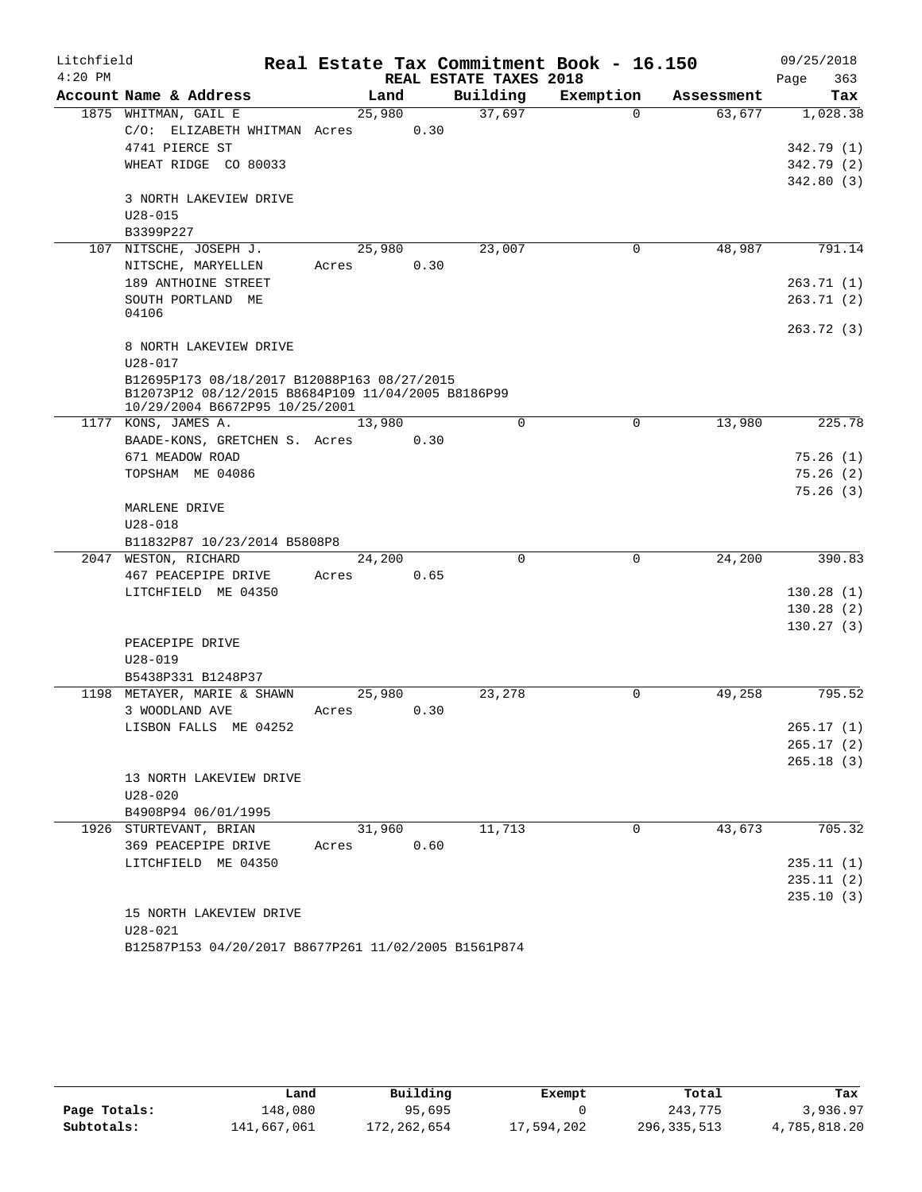| Litchfield |                                                    |        |      |                        | Real Estate Tax Commitment Book - 16.150 |            | 09/25/2018  |
|------------|----------------------------------------------------|--------|------|------------------------|------------------------------------------|------------|-------------|
| $4:20$ PM  |                                                    |        |      | REAL ESTATE TAXES 2018 |                                          |            | 363<br>Page |
|            | Account Name & Address                             | Land   |      | Building               | Exemption                                | Assessment | Tax         |
|            | 1875 WHITMAN, GAIL E                               | 25,980 |      | 37,697                 | $\Omega$                                 | 63,677     | 1,028.38    |
|            | C/O: ELIZABETH WHITMAN Acres                       |        | 0.30 |                        |                                          |            |             |
|            | 4741 PIERCE ST                                     |        |      |                        |                                          |            | 342.79(1)   |
|            | WHEAT RIDGE CO 80033                               |        |      |                        |                                          |            | 342.79(2)   |
|            |                                                    |        |      |                        |                                          |            | 342.80(3)   |
|            | 3 NORTH LAKEVIEW DRIVE                             |        |      |                        |                                          |            |             |
|            | $U28 - 015$                                        |        |      |                        |                                          |            |             |
|            | B3399P227                                          |        |      |                        |                                          |            |             |
|            | 107 NITSCHE, JOSEPH J.                             | 25,980 |      | 23,007                 | $\mathbf 0$                              | 48,987     | 791.14      |
|            | NITSCHE, MARYELLEN                                 | Acres  | 0.30 |                        |                                          |            |             |
|            | 189 ANTHOINE STREET                                |        |      |                        |                                          |            | 263.71(1)   |
|            | SOUTH PORTLAND ME                                  |        |      |                        |                                          |            | 263.71(2)   |
|            | 04106                                              |        |      |                        |                                          |            | 263.72(3)   |
|            | 8 NORTH LAKEVIEW DRIVE                             |        |      |                        |                                          |            |             |
|            | $U28 - 017$                                        |        |      |                        |                                          |            |             |
|            | B12695P173 08/18/2017 B12088P163 08/27/2015        |        |      |                        |                                          |            |             |
|            | B12073P12 08/12/2015 B8684P109 11/04/2005 B8186P99 |        |      |                        |                                          |            |             |
|            | 10/29/2004 B6672P95 10/25/2001                     |        |      |                        |                                          |            |             |
|            | 1177 KONS, JAMES A.                                | 13,980 |      | $\Omega$               | $\Omega$                                 | 13,980     | 225.78      |
|            | BAADE-KONS, GRETCHEN S. Acres                      |        | 0.30 |                        |                                          |            |             |
|            | 671 MEADOW ROAD                                    |        |      |                        |                                          |            | 75.26(1)    |
|            | TOPSHAM ME 04086                                   |        |      |                        |                                          |            | 75.26(2)    |
|            |                                                    |        |      |                        |                                          |            | 75.26(3)    |
|            | MARLENE DRIVE                                      |        |      |                        |                                          |            |             |
|            | $U28 - 018$                                        |        |      |                        |                                          |            |             |
|            | B11832P87 10/23/2014 B5808P8                       |        |      |                        |                                          |            |             |
|            | 2047 WESTON, RICHARD                               | 24,200 |      | $\Omega$               | $\mathbf 0$                              | 24,200     | 390.83      |
|            | 467 PEACEPIPE DRIVE                                | Acres  | 0.65 |                        |                                          |            |             |
|            | LITCHFIELD ME 04350                                |        |      |                        |                                          |            | 130.28(1)   |
|            |                                                    |        |      |                        |                                          |            | 130.28(2)   |
|            |                                                    |        |      |                        |                                          |            | 130.27(3)   |
|            | PEACEPIPE DRIVE                                    |        |      |                        |                                          |            |             |
|            | $U28 - 019$                                        |        |      |                        |                                          |            |             |
|            | B5438P331 B1248P37                                 |        |      |                        |                                          |            |             |
|            | 1198 METAYER, MARIE & SHAWN                        | 25,980 |      | 23,278                 | $\Omega$                                 | 49,258     | 795.52      |
|            | 3 WOODLAND AVE                                     | Acres  | 0.30 |                        |                                          |            |             |
|            | LISBON FALLS ME 04252                              |        |      |                        |                                          |            | 265.17(1)   |
|            |                                                    |        |      |                        |                                          |            | 265.17(2)   |
|            |                                                    |        |      |                        |                                          |            | 265.18(3)   |
|            | 13 NORTH LAKEVIEW DRIVE                            |        |      |                        |                                          |            |             |
|            | $U28 - 020$                                        |        |      |                        |                                          |            |             |
|            | B4908P94 06/01/1995                                |        |      |                        |                                          |            |             |
|            | 1926 STURTEVANT, BRIAN                             | 31,960 |      | 11,713                 | 0                                        | 43,673     | 705.32      |
|            | 369 PEACEPIPE DRIVE                                | Acres  | 0.60 |                        |                                          |            |             |
|            | LITCHFIELD ME 04350                                |        |      |                        |                                          |            | 235.11(1)   |
|            |                                                    |        |      |                        |                                          |            | 235.11(2)   |
|            |                                                    |        |      |                        |                                          |            | 235.10(3)   |
|            | 15 NORTH LAKEVIEW DRIVE                            |        |      |                        |                                          |            |             |
|            | $U28 - 021$                                        |        |      |                        |                                          |            |             |

B12587P153 04/20/2017 B8677P261 11/02/2005 B1561P874

|              | Land        | Building    | Exempt     | Total         | Tax          |
|--------------|-------------|-------------|------------|---------------|--------------|
| Page Totals: | 148,080     | 95,695      |            | 243,775       | 3,936.97     |
| Subtotals:   | 141,667,061 | 172,262,654 | 17,594,202 | 296, 335, 513 | 4,785,818.20 |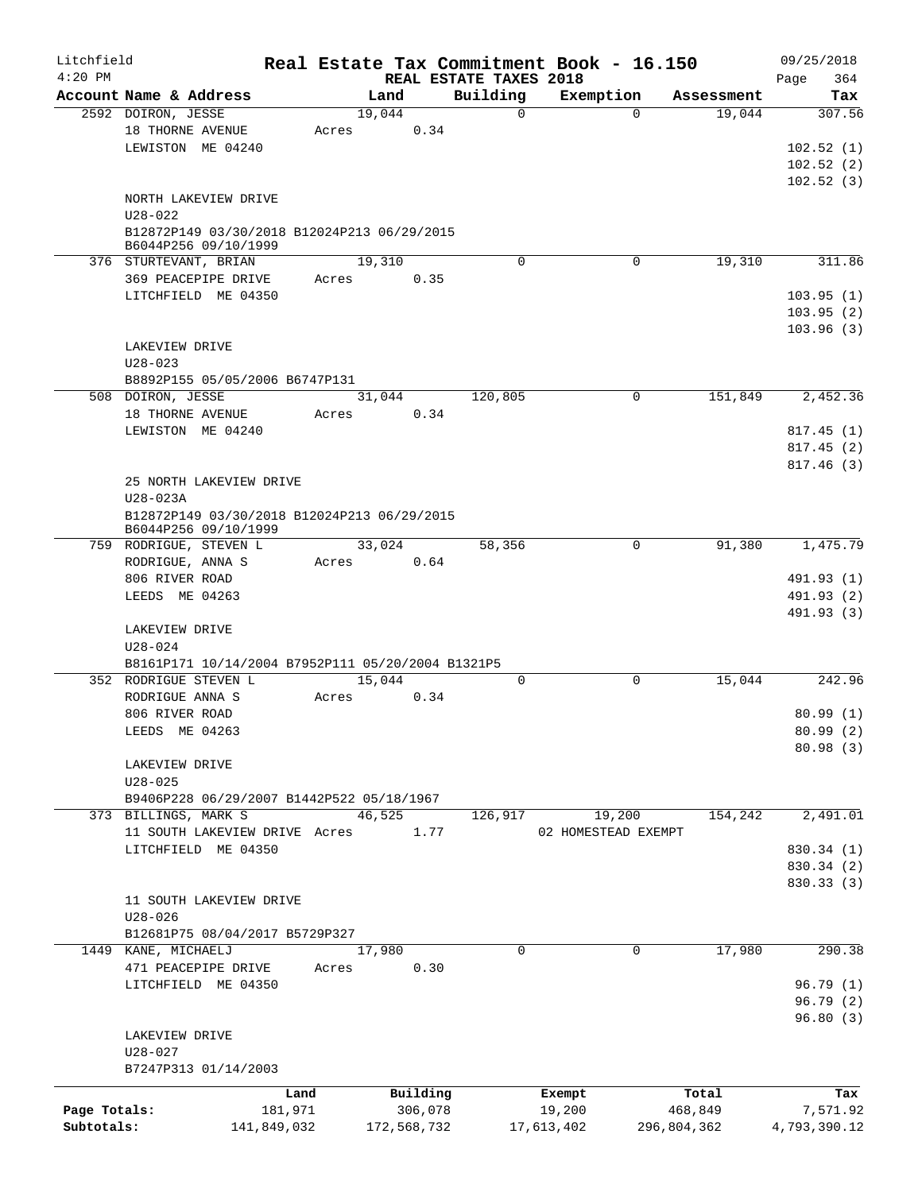| Litchfield<br>$4:20$ PM |                                                                     |       |             | REAL ESTATE TAXES 2018 | Real Estate Tax Commitment Book - 16.150 |             |             | 09/25/2018<br>364<br>Page |
|-------------------------|---------------------------------------------------------------------|-------|-------------|------------------------|------------------------------------------|-------------|-------------|---------------------------|
|                         | Account Name & Address                                              |       | Land        | Building               | Exemption                                |             | Assessment  | Tax                       |
|                         | 2592 DOIRON, JESSE                                                  |       | 19,044      | $\Omega$               |                                          | $\Omega$    | 19,044      | 307.56                    |
|                         | 18 THORNE AVENUE                                                    | Acres | 0.34        |                        |                                          |             |             |                           |
|                         | LEWISTON ME 04240                                                   |       |             |                        |                                          |             |             | 102.52(1)                 |
|                         |                                                                     |       |             |                        |                                          |             |             | 102.52(2)                 |
|                         |                                                                     |       |             |                        |                                          |             |             | 102.52(3)                 |
|                         | NORTH LAKEVIEW DRIVE                                                |       |             |                        |                                          |             |             |                           |
|                         | $U28 - 022$                                                         |       |             |                        |                                          |             |             |                           |
|                         | B12872P149 03/30/2018 B12024P213 06/29/2015<br>B6044P256 09/10/1999 |       |             |                        |                                          |             |             |                           |
|                         | 376 STURTEVANT, BRIAN                                               |       | 19,310      | $\Omega$               |                                          | $\mathbf 0$ | 19,310      | 311.86                    |
|                         | 369 PEACEPIPE DRIVE                                                 | Acres | 0.35        |                        |                                          |             |             |                           |
|                         | LITCHFIELD ME 04350                                                 |       |             |                        |                                          |             |             | 103.95(1)                 |
|                         |                                                                     |       |             |                        |                                          |             |             | 103.95(2)                 |
|                         |                                                                     |       |             |                        |                                          |             |             | 103.96(3)                 |
|                         | LAKEVIEW DRIVE                                                      |       |             |                        |                                          |             |             |                           |
|                         | $U28 - 023$                                                         |       |             |                        |                                          |             |             |                           |
|                         | B8892P155 05/05/2006 B6747P131                                      |       |             |                        |                                          |             |             |                           |
|                         | 508 DOIRON, JESSE                                                   |       | 31,044      | 120,805                |                                          | 0           | 151,849     | 2,452.36                  |
|                         | 18 THORNE AVENUE                                                    | Acres | 0.34        |                        |                                          |             |             |                           |
|                         | LEWISTON ME 04240                                                   |       |             |                        |                                          |             |             | 817.45(1)                 |
|                         |                                                                     |       |             |                        |                                          |             |             | 817.45(2)                 |
|                         |                                                                     |       |             |                        |                                          |             |             | 817.46(3)                 |
|                         | 25 NORTH LAKEVIEW DRIVE                                             |       |             |                        |                                          |             |             |                           |
|                         | U28-023A                                                            |       |             |                        |                                          |             |             |                           |
|                         | B12872P149 03/30/2018 B12024P213 06/29/2015                         |       |             |                        |                                          |             |             |                           |
|                         | B6044P256 09/10/1999                                                |       |             |                        |                                          |             |             |                           |
|                         | 759 RODRIGUE, STEVEN L                                              |       | 33,024      | 58,356                 |                                          | $\mathbf 0$ | 91,380      | 1,475.79                  |
|                         | RODRIGUE, ANNA S                                                    | Acres | 0.64        |                        |                                          |             |             |                           |
|                         | 806 RIVER ROAD                                                      |       |             |                        |                                          |             |             | 491.93 (1)                |
|                         | LEEDS ME 04263                                                      |       |             |                        |                                          |             |             | 491.93 (2)                |
|                         |                                                                     |       |             |                        |                                          |             |             | 491.93 (3)                |
|                         | LAKEVIEW DRIVE                                                      |       |             |                        |                                          |             |             |                           |
|                         | $U28 - 024$                                                         |       |             |                        |                                          |             |             |                           |
|                         | B8161P171 10/14/2004 B7952P111 05/20/2004 B1321P5                   |       |             |                        |                                          |             |             |                           |
|                         | 352 RODRIGUE STEVEN L                                               |       | 15,044      | $\mathbf 0$            |                                          | $\mathbf 0$ | 15,044      | 242.96                    |
|                         | RODRIGUE ANNA S                                                     | Acres | 0.34        |                        |                                          |             |             |                           |
|                         | 806 RIVER ROAD                                                      |       |             |                        |                                          |             |             | 80.99(1)                  |
|                         | LEEDS ME 04263                                                      |       |             |                        |                                          |             |             | 80.99 (2)                 |
|                         |                                                                     |       |             |                        |                                          |             |             | 80.98(3)                  |
|                         | LAKEVIEW DRIVE                                                      |       |             |                        |                                          |             |             |                           |
|                         | $U28 - 025$                                                         |       |             |                        |                                          |             |             |                           |
|                         | B9406P228 06/29/2007 B1442P522 05/18/1967                           |       |             |                        |                                          |             |             |                           |
|                         | 373 BILLINGS, MARK S                                                |       | 46,525      | 126,917                | 19,200                                   |             | 154,242     | 2,491.01                  |
|                         | 11 SOUTH LAKEVIEW DRIVE Acres                                       |       | 1.77        |                        | 02 HOMESTEAD EXEMPT                      |             |             |                           |
|                         | LITCHFIELD ME 04350                                                 |       |             |                        |                                          |             |             | 830.34 (1)                |
|                         |                                                                     |       |             |                        |                                          |             |             | 830.34 (2)                |
|                         |                                                                     |       |             |                        |                                          |             |             | 830.33 (3)                |
|                         | 11 SOUTH LAKEVIEW DRIVE                                             |       |             |                        |                                          |             |             |                           |
|                         | $U28 - 026$                                                         |       |             |                        |                                          |             |             |                           |
|                         | B12681P75 08/04/2017 B5729P327                                      |       |             |                        |                                          |             |             |                           |
|                         | 1449 KANE, MICHAELJ                                                 |       | 17,980      | 0                      |                                          | 0           | 17,980      | 290.38                    |
|                         | 471 PEACEPIPE DRIVE                                                 | Acres | 0.30        |                        |                                          |             |             |                           |
|                         | LITCHFIELD ME 04350                                                 |       |             |                        |                                          |             |             | 96.79(1)                  |
|                         |                                                                     |       |             |                        |                                          |             |             | 96.79(2)                  |
|                         |                                                                     |       |             |                        |                                          |             |             | 96.80(3)                  |
|                         | LAKEVIEW DRIVE                                                      |       |             |                        |                                          |             |             |                           |
|                         | $U28 - 027$                                                         |       |             |                        |                                          |             |             |                           |
|                         | B7247P313 01/14/2003                                                |       |             |                        |                                          |             |             |                           |
|                         | Land                                                                |       | Building    |                        | Exempt                                   |             | Total       | Tax                       |
| Page Totals:            | 181,971                                                             |       | 306,078     |                        | 19,200                                   |             | 468,849     | 7,571.92                  |
| Subtotals:              | 141,849,032                                                         |       | 172,568,732 |                        | 17,613,402                               |             | 296,804,362 | 4,793,390.12              |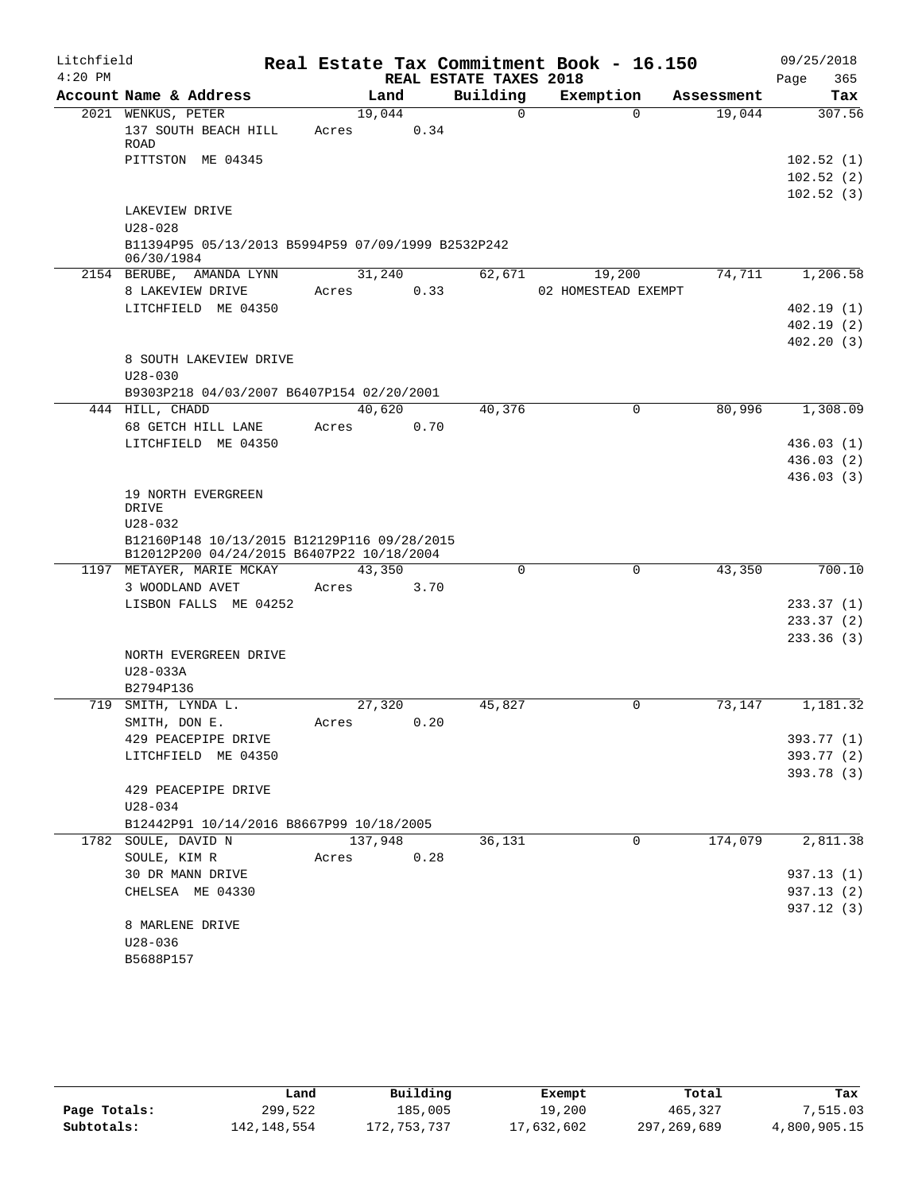| Litchfield<br>$4:20$ PM |                                                                                                   |         |                | REAL ESTATE TAXES 2018 | Real Estate Tax Commitment Book - 16.150 |            | 09/25/2018<br>Page<br>365           |
|-------------------------|---------------------------------------------------------------------------------------------------|---------|----------------|------------------------|------------------------------------------|------------|-------------------------------------|
|                         | Account Name & Address                                                                            |         | Land           | Building               | Exemption                                | Assessment | Tax                                 |
|                         | 2021 WENKUS, PETER<br>137 SOUTH BEACH HILL<br>ROAD                                                | Acres   | 19,044<br>0.34 | $\Omega$               | $\Omega$                                 | 19,044     | 307.56                              |
|                         | PITTSTON ME 04345                                                                                 |         |                |                        |                                          |            | 102.52(1)<br>102.52(2)<br>102.52(3) |
|                         | LAKEVIEW DRIVE<br>$U28 - 028$<br>B11394P95 05/13/2013 B5994P59 07/09/1999 B2532P242<br>06/30/1984 |         |                |                        |                                          |            |                                     |
|                         | 2154 BERUBE, AMANDA LYNN                                                                          |         | 31,240         | 62,671                 | 19,200                                   | 74,711     | 1,206.58                            |
|                         | 8 LAKEVIEW DRIVE                                                                                  | Acres   | 0.33           |                        | 02 HOMESTEAD EXEMPT                      |            |                                     |
|                         | LITCHFIELD ME 04350                                                                               |         |                |                        |                                          |            | 402.19(1)                           |
|                         |                                                                                                   |         |                |                        |                                          |            | 402.19(2)                           |
|                         |                                                                                                   |         |                |                        |                                          |            | 402.20(3)                           |
|                         | 8 SOUTH LAKEVIEW DRIVE<br>$U28 - 030$                                                             |         |                |                        |                                          |            |                                     |
|                         | B9303P218 04/03/2007 B6407P154 02/20/2001                                                         |         |                |                        |                                          |            |                                     |
|                         | 444 HILL, CHADD                                                                                   |         | 40,620         | 40,376                 | 0                                        | 80,996     | 1,308.09                            |
|                         | 68 GETCH HILL LANE                                                                                | Acres   | 0.70           |                        |                                          |            |                                     |
|                         | LITCHFIELD ME 04350                                                                               |         |                |                        |                                          |            | 436.03(1)                           |
|                         |                                                                                                   |         |                |                        |                                          |            | 436.03(2)                           |
|                         |                                                                                                   |         |                |                        |                                          |            | 436.03(3)                           |
|                         | 19 NORTH EVERGREEN<br>DRIVE                                                                       |         |                |                        |                                          |            |                                     |
|                         | $U28 - 032$                                                                                       |         |                |                        |                                          |            |                                     |
|                         | B12160P148 10/13/2015 B12129P116 09/28/2015<br>B12012P200 04/24/2015 B6407P22 10/18/2004          |         |                |                        |                                          |            |                                     |
|                         | 1197 METAYER, MARIE MCKAY                                                                         |         | 43,350         | $\Omega$               | $\mathbf 0$                              | 43,350     | 700.10                              |
|                         | 3 WOODLAND AVET                                                                                   | Acres   | 3.70           |                        |                                          |            |                                     |
|                         | LISBON FALLS ME 04252                                                                             |         |                |                        |                                          |            | 233.37(1)                           |
|                         |                                                                                                   |         |                |                        |                                          |            | 233.37(2)                           |
|                         |                                                                                                   |         |                |                        |                                          |            | 233.36(3)                           |
|                         | NORTH EVERGREEN DRIVE                                                                             |         |                |                        |                                          |            |                                     |
|                         | U28-033A                                                                                          |         |                |                        |                                          |            |                                     |
|                         | B2794P136                                                                                         |         |                |                        |                                          |            |                                     |
|                         | 719 SMITH, LYNDA L.<br>SMITH, DON E.                                                              | Acres   | 27,320<br>0.20 | 45,827                 | 0                                        | 73,147     | 1,181.32                            |
|                         | 429 PEACEPIPE DRIVE                                                                               |         |                |                        |                                          |            | 393.77 (1)                          |
|                         | LITCHFIELD ME 04350                                                                               |         |                |                        |                                          |            | 393.77 (2)                          |
|                         |                                                                                                   |         |                |                        |                                          |            | 393.78 (3)                          |
|                         | 429 PEACEPIPE DRIVE                                                                               |         |                |                        |                                          |            |                                     |
|                         | $U28 - 034$                                                                                       |         |                |                        |                                          |            |                                     |
|                         | B12442P91 10/14/2016 B8667P99 10/18/2005                                                          |         |                |                        |                                          |            |                                     |
|                         | 1782 SOULE, DAVID N                                                                               | 137,948 |                | 36,131                 | 0                                        | 174,079    | 2,811.38                            |
|                         | SOULE, KIM R                                                                                      | Acres   | 0.28           |                        |                                          |            |                                     |
|                         | 30 DR MANN DRIVE                                                                                  |         |                |                        |                                          |            | 937.13 (1)                          |
|                         | CHELSEA ME 04330                                                                                  |         |                |                        |                                          |            | 937.13 (2)                          |
|                         |                                                                                                   |         |                |                        |                                          |            | 937.12 (3)                          |
|                         | 8 MARLENE DRIVE                                                                                   |         |                |                        |                                          |            |                                     |
|                         | $U28 - 036$                                                                                       |         |                |                        |                                          |            |                                     |
|                         | B5688P157                                                                                         |         |                |                        |                                          |            |                                     |

|              | Land        | Building    | Exempt     | Total       | Tax          |
|--------------|-------------|-------------|------------|-------------|--------------|
| Page Totals: | 299,522     | 185,005     | 19,200     | 465,327     | 7,515.03     |
| Subtotals:   | 142,148,554 | 172,753,737 | 17,632,602 | 297,269,689 | 4,800,905.15 |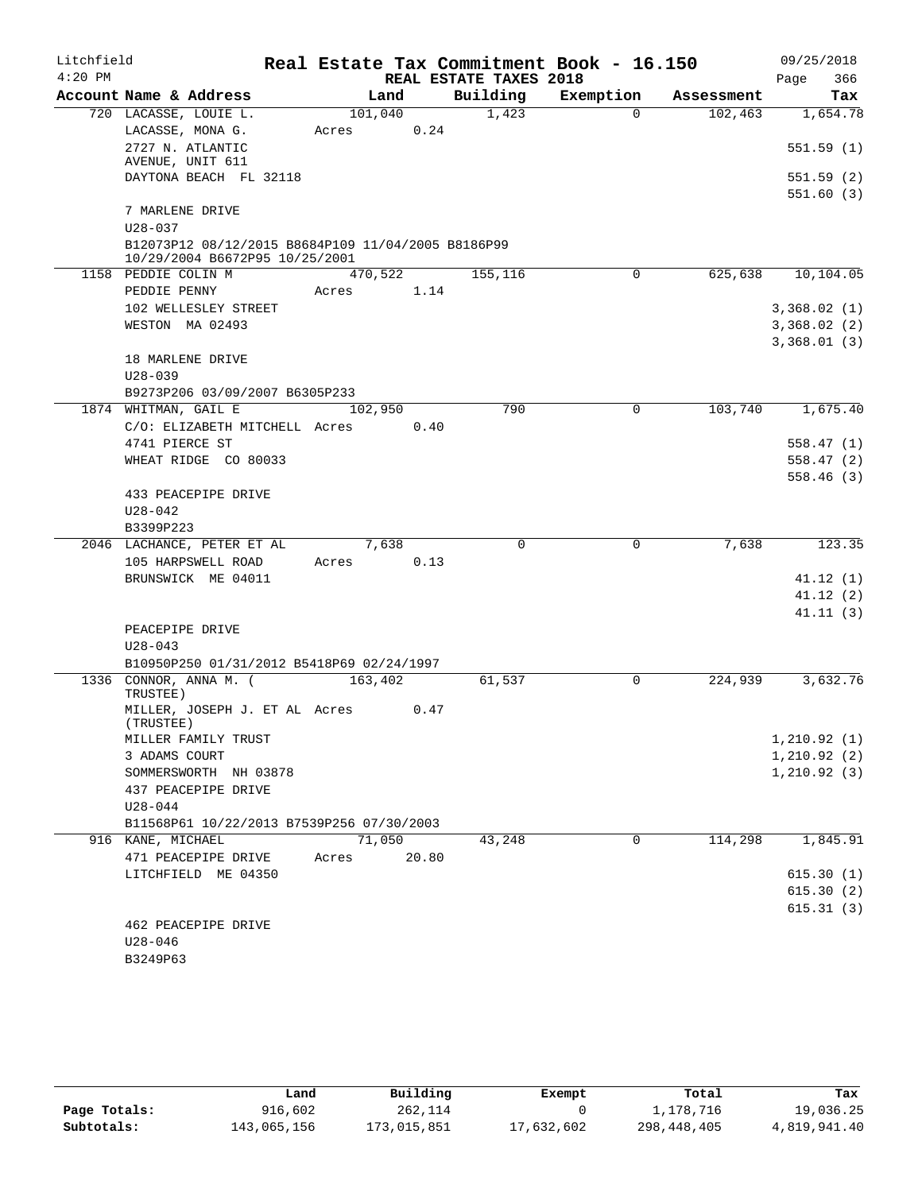| Litchfield |                                                    |         |       |                        | Real Estate Tax Commitment Book - 16.150 |            | 09/25/2018             |
|------------|----------------------------------------------------|---------|-------|------------------------|------------------------------------------|------------|------------------------|
| $4:20$ PM  |                                                    |         |       | REAL ESTATE TAXES 2018 |                                          |            | 366<br>Page            |
|            | Account Name & Address                             |         | Land  | Building               | Exemption                                | Assessment | Tax                    |
|            | 720 LACASSE, LOUIE L.                              | 101,040 |       | 1,423                  | $\Omega$                                 | 102, 463   | 1,654.78               |
|            | LACASSE, MONA G.                                   | Acres   | 0.24  |                        |                                          |            |                        |
|            | 2727 N. ATLANTIC                                   |         |       |                        |                                          |            | 551.59(1)              |
|            | AVENUE, UNIT 611                                   |         |       |                        |                                          |            |                        |
|            | DAYTONA BEACH FL 32118                             |         |       |                        |                                          |            | 551.59(2)<br>551.60(3) |
|            | 7 MARLENE DRIVE                                    |         |       |                        |                                          |            |                        |
|            | $U28 - 037$                                        |         |       |                        |                                          |            |                        |
|            | B12073P12 08/12/2015 B8684P109 11/04/2005 B8186P99 |         |       |                        |                                          |            |                        |
|            | 10/29/2004 B6672P95 10/25/2001                     |         |       |                        |                                          |            |                        |
|            | 1158 PEDDIE COLIN M                                | 470,522 |       | 155,116                | 0                                        | 625,638    | 10,104.05              |
|            | PEDDIE PENNY                                       | Acres   | 1.14  |                        |                                          |            |                        |
|            | 102 WELLESLEY STREET                               |         |       |                        |                                          |            | 3,368.02(1)            |
|            | WESTON MA 02493                                    |         |       |                        |                                          |            | 3,368.02(2)            |
|            |                                                    |         |       |                        |                                          |            | 3,368.01(3)            |
|            | 18 MARLENE DRIVE                                   |         |       |                        |                                          |            |                        |
|            | $U28 - 039$                                        |         |       |                        |                                          |            |                        |
|            | B9273P206 03/09/2007 B6305P233                     |         |       |                        |                                          |            |                        |
|            | 1874 WHITMAN, GAIL E                               | 102,950 |       | 790                    | $\mathbf 0$                              | 103,740    | 1,675.40               |
|            | C/O: ELIZABETH MITCHELL Acres                      |         | 0.40  |                        |                                          |            |                        |
|            | 4741 PIERCE ST                                     |         |       |                        |                                          |            | 558.47(1)              |
|            | WHEAT RIDGE CO 80033                               |         |       |                        |                                          |            | 558.47(2)              |
|            | 433 PEACEPIPE DRIVE                                |         |       |                        |                                          |            | 558.46(3)              |
|            | $U28 - 042$                                        |         |       |                        |                                          |            |                        |
|            | B3399P223                                          |         |       |                        |                                          |            |                        |
|            | 2046 LACHANCE, PETER ET AL                         |         | 7,638 | $\Omega$               | 0                                        | 7,638      | 123.35                 |
|            | 105 HARPSWELL ROAD                                 | Acres   | 0.13  |                        |                                          |            |                        |
|            | BRUNSWICK ME 04011                                 |         |       |                        |                                          |            | 41.12(1)               |
|            |                                                    |         |       |                        |                                          |            | 41.12(2)               |
|            |                                                    |         |       |                        |                                          |            | 41.11(3)               |
|            | PEACEPIPE DRIVE                                    |         |       |                        |                                          |            |                        |
|            | $U28 - 043$                                        |         |       |                        |                                          |            |                        |
|            | B10950P250 01/31/2012 B5418P69 02/24/1997          |         |       |                        |                                          |            |                        |
|            | 1336 CONNOR, ANNA M. (                             | 163,402 |       | 61,537                 | 0                                        | 224,939    | 3,632.76               |
|            | TRUSTEE)<br>MILLER, JOSEPH J. ET AL Acres          |         | 0.47  |                        |                                          |            |                        |
|            | (TRUSTEE)                                          |         |       |                        |                                          |            |                        |
|            | MILLER FAMILY TRUST                                |         |       |                        |                                          |            | 1, 210.92(1)           |
|            | 3 ADAMS COURT                                      |         |       |                        |                                          |            | 1, 210.92(2)           |
|            | SOMMERSWORTH NH 03878                              |         |       |                        |                                          |            | 1, 210.92(3)           |
|            | 437 PEACEPIPE DRIVE                                |         |       |                        |                                          |            |                        |
|            | $U28 - 044$                                        |         |       |                        |                                          |            |                        |
|            | B11568P61 10/22/2013 B7539P256 07/30/2003          |         |       |                        |                                          |            |                        |
|            | 916 KANE, MICHAEL                                  | 71,050  |       | 43,248                 | 0                                        | 114,298    | 1,845.91               |
|            | 471 PEACEPIPE DRIVE                                | Acres   | 20.80 |                        |                                          |            |                        |
|            | LITCHFIELD ME 04350                                |         |       |                        |                                          |            | 615.30(1)              |
|            |                                                    |         |       |                        |                                          |            | 615.30(2)              |
|            |                                                    |         |       |                        |                                          |            | 615.31(3)              |
|            | 462 PEACEPIPE DRIVE                                |         |       |                        |                                          |            |                        |
|            | $U28 - 046$                                        |         |       |                        |                                          |            |                        |
|            | B3249P63                                           |         |       |                        |                                          |            |                        |

|              | Land        | Building    | Exempt     | Total       | Tax          |
|--------------|-------------|-------------|------------|-------------|--------------|
| Page Totals: | 916,602     | 262,114     |            | 1,178,716   | 19,036.25    |
| Subtotals:   | 143,065,156 | 173,015,851 | 17,632,602 | 298,448,405 | 4,819,941.40 |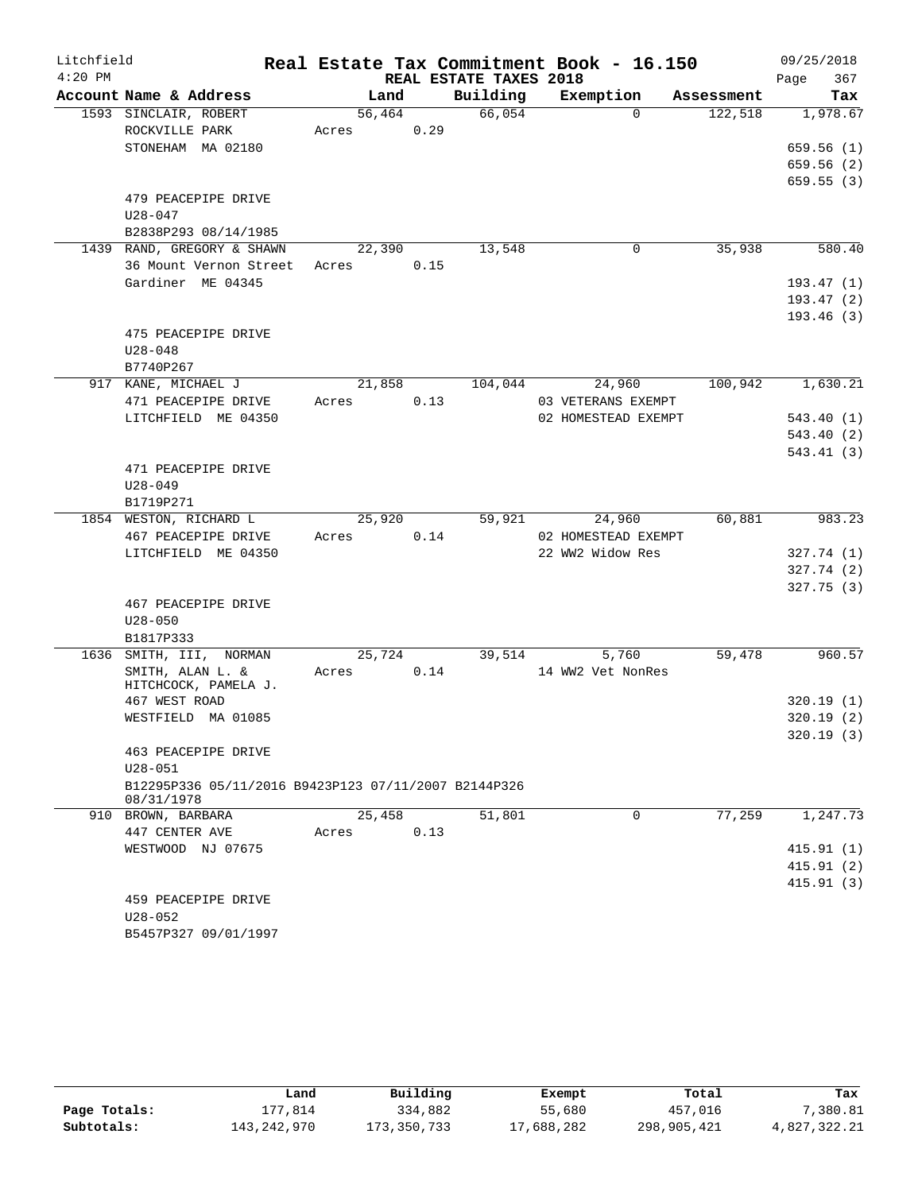| Litchfield |                                                      |        |      |                        | Real Estate Tax Commitment Book - 16.150 |            | 09/25/2018  |
|------------|------------------------------------------------------|--------|------|------------------------|------------------------------------------|------------|-------------|
| $4:20$ PM  |                                                      |        |      | REAL ESTATE TAXES 2018 |                                          |            | 367<br>Page |
|            | Account Name & Address                               | Land   |      | Building               | Exemption                                | Assessment | Tax         |
|            | 1593 SINCLAIR, ROBERT                                | 56,464 |      | 66,054                 | $\Omega$                                 | 122,518    | 1,978.67    |
|            | ROCKVILLE PARK                                       | Acres  | 0.29 |                        |                                          |            |             |
|            | STONEHAM MA 02180                                    |        |      |                        |                                          |            | 659.56(1)   |
|            |                                                      |        |      |                        |                                          |            | 659.56 (2)  |
|            |                                                      |        |      |                        |                                          |            | 659.55(3)   |
|            | 479 PEACEPIPE DRIVE                                  |        |      |                        |                                          |            |             |
|            | $U28 - 047$<br>B2838P293 08/14/1985                  |        |      |                        |                                          |            |             |
|            | 1439 RAND, GREGORY & SHAWN                           | 22,390 |      | 13,548                 | 0                                        | 35,938     | 580.40      |
|            | 36 Mount Vernon Street                               | Acres  | 0.15 |                        |                                          |            |             |
|            | Gardiner ME 04345                                    |        |      |                        |                                          |            | 193.47(1)   |
|            |                                                      |        |      |                        |                                          |            | 193.47 (2)  |
|            |                                                      |        |      |                        |                                          |            | 193.46(3)   |
|            | 475 PEACEPIPE DRIVE                                  |        |      |                        |                                          |            |             |
|            | $U28 - 048$                                          |        |      |                        |                                          |            |             |
|            | B7740P267                                            |        |      |                        |                                          |            |             |
|            | 917 KANE, MICHAEL J                                  | 21,858 |      | 104,044                | 24,960                                   | 100,942    | 1,630.21    |
|            | 471 PEACEPIPE DRIVE                                  | Acres  | 0.13 |                        | 03 VETERANS EXEMPT                       |            |             |
|            | LITCHFIELD ME 04350                                  |        |      |                        | 02 HOMESTEAD EXEMPT                      |            | 543.40(1)   |
|            |                                                      |        |      |                        |                                          |            | 543.40(2)   |
|            |                                                      |        |      |                        |                                          |            | 543.41(3)   |
|            | 471 PEACEPIPE DRIVE                                  |        |      |                        |                                          |            |             |
|            | $U28 - 049$                                          |        |      |                        |                                          |            |             |
|            | B1719P271                                            | 25,920 |      | 59,921                 | 24,960                                   | 60,881     | 983.23      |
|            | 1854 WESTON, RICHARD L<br>467 PEACEPIPE DRIVE        | Acres  | 0.14 |                        | 02 HOMESTEAD EXEMPT                      |            |             |
|            | LITCHFIELD ME 04350                                  |        |      |                        | 22 WW2 Widow Res                         |            | 327.74 (1)  |
|            |                                                      |        |      |                        |                                          |            | 327.74 (2)  |
|            |                                                      |        |      |                        |                                          |            | 327.75(3)   |
|            | 467 PEACEPIPE DRIVE                                  |        |      |                        |                                          |            |             |
|            | $U28 - 050$                                          |        |      |                        |                                          |            |             |
|            | B1817P333                                            |        |      |                        |                                          |            |             |
| 1636       | SMITH, III,<br>NORMAN                                | 25,724 |      | 39,514                 | 5,760                                    | 59,478     | 960.57      |
|            | SMITH, ALAN L. &                                     | Acres  | 0.14 |                        | 14 WW2 Vet NonRes                        |            |             |
|            | HITCHCOCK, PAMELA J.                                 |        |      |                        |                                          |            |             |
|            | 467 WEST ROAD                                        |        |      |                        |                                          |            | 320.19(1)   |
|            | WESTFIELD MA 01085                                   |        |      |                        |                                          |            | 320.19(2)   |
|            | 463 PEACEPIPE DRIVE                                  |        |      |                        |                                          |            | 320.19(3)   |
|            | $U28 - 051$                                          |        |      |                        |                                          |            |             |
|            | B12295P336 05/11/2016 B9423P123 07/11/2007 B2144P326 |        |      |                        |                                          |            |             |
|            | 08/31/1978                                           |        |      |                        |                                          |            |             |
|            | 910 BROWN, BARBARA                                   | 25,458 |      | 51,801                 | $\Omega$                                 | 77,259     | 1,247.73    |
|            | 447 CENTER AVE                                       | Acres  | 0.13 |                        |                                          |            |             |
|            | WESTWOOD NJ 07675                                    |        |      |                        |                                          |            | 415.91(1)   |
|            |                                                      |        |      |                        |                                          |            | 415.91(2)   |
|            |                                                      |        |      |                        |                                          |            | 415.91(3)   |
|            | 459 PEACEPIPE DRIVE                                  |        |      |                        |                                          |            |             |
|            | $U28 - 052$                                          |        |      |                        |                                          |            |             |
|            | B5457P327 09/01/1997                                 |        |      |                        |                                          |            |             |

|              | Land        | Building    | Exempt     | Total       | Tax          |
|--------------|-------------|-------------|------------|-------------|--------------|
| Page Totals: | 177.814     | 334,882     | 55,680     | 457,016     | 7,380.81     |
| Subtotals:   | 143,242,970 | 173,350,733 | 17,688,282 | 298,905,421 | 4,827,322.21 |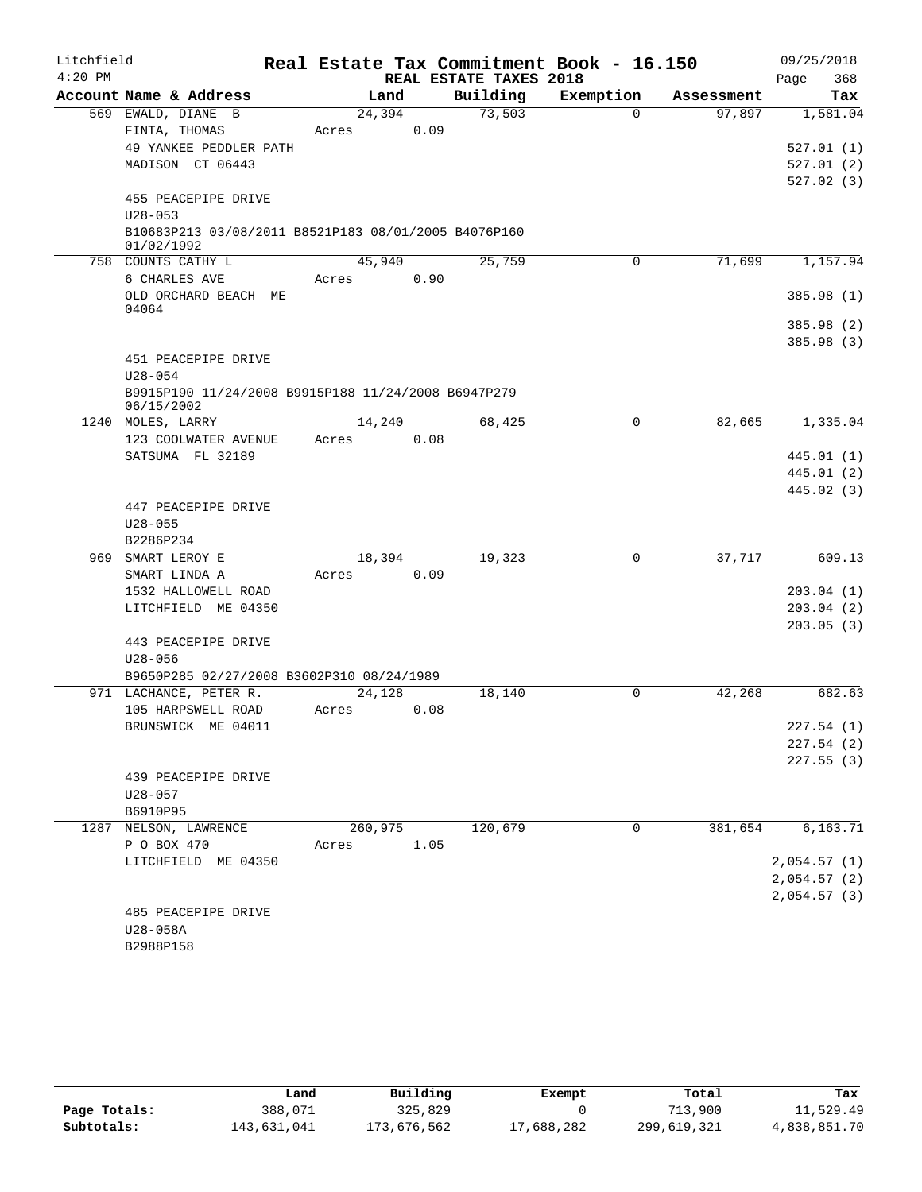| Litchfield |                                                                    |         |      |                                    | Real Estate Tax Commitment Book - 16.150 |            | 09/25/2018                 |
|------------|--------------------------------------------------------------------|---------|------|------------------------------------|------------------------------------------|------------|----------------------------|
| $4:20$ PM  | Account Name & Address                                             | Land    |      | REAL ESTATE TAXES 2018<br>Building | Exemption                                | Assessment | 368<br>Page<br>Tax         |
|            | 569 EWALD, DIANE B                                                 | 24,394  |      | 73,503                             | $\Omega$                                 | 97,897     | 1,581.04                   |
|            | FINTA, THOMAS                                                      | Acres   | 0.09 |                                    |                                          |            |                            |
|            | 49 YANKEE PEDDLER PATH                                             |         |      |                                    |                                          |            | 527.01(1)                  |
|            | MADISON CT 06443                                                   |         |      |                                    |                                          |            | 527.01(2)                  |
|            |                                                                    |         |      |                                    |                                          |            | 527.02(3)                  |
|            | 455 PEACEPIPE DRIVE                                                |         |      |                                    |                                          |            |                            |
|            | $U28 - 053$                                                        |         |      |                                    |                                          |            |                            |
|            | B10683P213 03/08/2011 B8521P183 08/01/2005 B4076P160<br>01/02/1992 |         |      |                                    |                                          |            |                            |
|            | 758 COUNTS CATHY L                                                 | 45,940  |      | 25,759                             | $\mathbf 0$                              | 71,699     | 1,157.94                   |
|            | 6 CHARLES AVE                                                      | Acres   | 0.90 |                                    |                                          |            |                            |
|            | OLD ORCHARD BEACH ME                                               |         |      |                                    |                                          |            | 385.98 (1)                 |
|            | 04064                                                              |         |      |                                    |                                          |            |                            |
|            |                                                                    |         |      |                                    |                                          |            | 385.98 (2)                 |
|            |                                                                    |         |      |                                    |                                          |            | 385.98(3)                  |
|            | 451 PEACEPIPE DRIVE                                                |         |      |                                    |                                          |            |                            |
|            | $U28 - 054$                                                        |         |      |                                    |                                          |            |                            |
|            | B9915P190 11/24/2008 B9915P188 11/24/2008 B6947P279<br>06/15/2002  |         |      |                                    |                                          |            |                            |
|            | 1240 MOLES, LARRY                                                  | 14,240  |      | 68,425                             | $\Omega$                                 | 82,665     | 1,335.04                   |
|            | 123 COOLWATER AVENUE                                               | Acres   | 0.08 |                                    |                                          |            |                            |
|            | SATSUMA FL 32189                                                   |         |      |                                    |                                          |            | 445.01 (1)                 |
|            |                                                                    |         |      |                                    |                                          |            | 445.01 (2)                 |
|            |                                                                    |         |      |                                    |                                          |            | 445.02 (3)                 |
|            | 447 PEACEPIPE DRIVE                                                |         |      |                                    |                                          |            |                            |
|            | $U28 - 055$                                                        |         |      |                                    |                                          |            |                            |
|            | B2286P234                                                          |         |      |                                    |                                          |            |                            |
|            | 969 SMART LEROY E                                                  | 18,394  |      | 19,323                             | 0                                        | 37,717     | 609.13                     |
|            | SMART LINDA A                                                      | Acres   | 0.09 |                                    |                                          |            |                            |
|            | 1532 HALLOWELL ROAD                                                |         |      |                                    |                                          |            | 203.04(1)                  |
|            | LITCHFIELD ME 04350                                                |         |      |                                    |                                          |            | 203.04(2)                  |
|            |                                                                    |         |      |                                    |                                          |            | 203.05(3)                  |
|            | 443 PEACEPIPE DRIVE                                                |         |      |                                    |                                          |            |                            |
|            | $U28 - 056$                                                        |         |      |                                    |                                          |            |                            |
|            | B9650P285 02/27/2008 B3602P310 08/24/1989                          |         |      |                                    |                                          |            |                            |
|            | 971 LACHANCE, PETER R.                                             | 24,128  |      | 18,140                             | 0                                        | 42,268     | 682.63                     |
|            | 105 HARPSWELL ROAD                                                 | Acres   | 0.08 |                                    |                                          |            |                            |
|            | BRUNSWICK ME 04011                                                 |         |      |                                    |                                          |            | 227.54 (1)                 |
|            |                                                                    |         |      |                                    |                                          |            | 227.54(2)                  |
|            |                                                                    |         |      |                                    |                                          |            | 227.55(3)                  |
|            | 439 PEACEPIPE DRIVE                                                |         |      |                                    |                                          |            |                            |
|            | $U28 - 057$                                                        |         |      |                                    |                                          |            |                            |
|            | B6910P95                                                           |         |      |                                    |                                          |            |                            |
|            | 1287 NELSON, LAWRENCE                                              | 260,975 |      | 120,679                            | 0                                        | 381,654    | 6,163.71                   |
|            | P O BOX 470                                                        | Acres   | 1.05 |                                    |                                          |            |                            |
|            | LITCHFIELD ME 04350                                                |         |      |                                    |                                          |            | 2,054.57(1)                |
|            |                                                                    |         |      |                                    |                                          |            | 2,054.57(2)<br>2,054.57(3) |
|            | 485 PEACEPIPE DRIVE                                                |         |      |                                    |                                          |            |                            |
|            | U28-058A                                                           |         |      |                                    |                                          |            |                            |
|            | B2988P158                                                          |         |      |                                    |                                          |            |                            |
|            |                                                                    |         |      |                                    |                                          |            |                            |

|              | Land        | Building    | Exempt     | Total       | Tax          |
|--------------|-------------|-------------|------------|-------------|--------------|
| Page Totals: | 388,071     | 325,829     |            | 713,900     | 11,529.49    |
| Subtotals:   | 143,631,041 | 173,676,562 | 17,688,282 | 299,619,321 | 4,838,851.70 |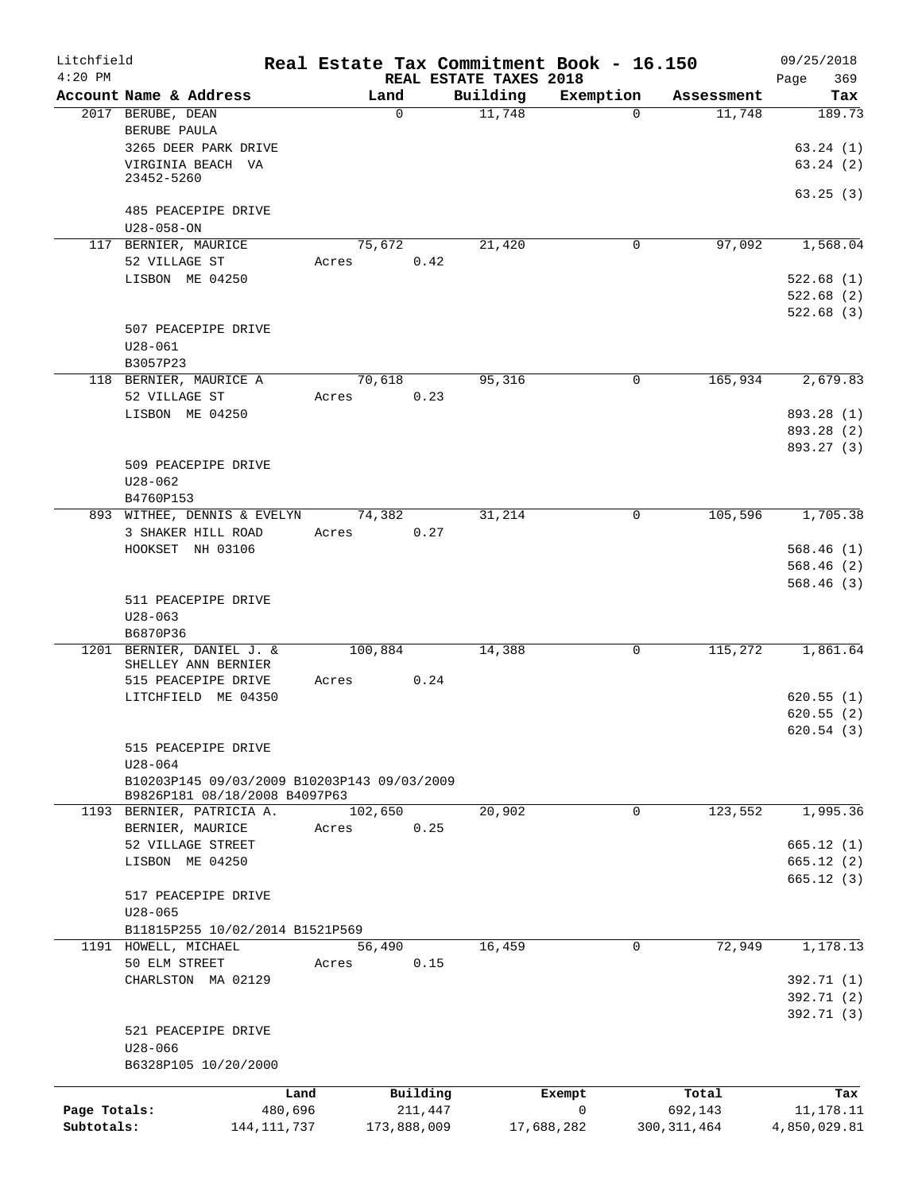| Litchfield   |                                             |         |         |                |                        | Real Estate Tax Commitment Book - 16.150 |               |            |              | 09/25/2018 |
|--------------|---------------------------------------------|---------|---------|----------------|------------------------|------------------------------------------|---------------|------------|--------------|------------|
| $4:20$ PM    |                                             |         |         |                | REAL ESTATE TAXES 2018 |                                          |               |            | Page         | 369        |
|              | Account Name & Address                      |         |         | Land           | Building               | Exemption                                |               | Assessment |              | Tax        |
|              | 2017 BERUBE, DEAN                           |         |         | $\Omega$       | 11,748                 |                                          | $\Omega$      | 11,748     |              | 189.73     |
|              | BERUBE PAULA                                |         |         |                |                        |                                          |               |            |              |            |
|              | 3265 DEER PARK DRIVE                        |         |         |                |                        |                                          |               |            |              | 63.24(1)   |
|              | VIRGINIA BEACH VA<br>23452-5260             |         |         |                |                        |                                          |               |            |              | 63.24(2)   |
|              |                                             |         |         |                |                        |                                          |               |            |              | 63.25(3)   |
|              | 485 PEACEPIPE DRIVE                         |         |         |                |                        |                                          |               |            |              |            |
|              | $U28 - 058 - ON$                            |         |         |                |                        |                                          |               |            |              |            |
|              | 117 BERNIER, MAURICE                        |         |         | 75,672         | 21,420                 |                                          | 0             | 97,092     |              | 1,568.04   |
|              | 52 VILLAGE ST                               |         | Acres   | 0.42           |                        |                                          |               |            |              |            |
|              | LISBON ME 04250                             |         |         |                |                        |                                          |               |            |              | 522.68(1)  |
|              |                                             |         |         |                |                        |                                          |               |            |              | 522.68(2)  |
|              |                                             |         |         |                |                        |                                          |               |            |              | 522.68(3)  |
|              | 507 PEACEPIPE DRIVE                         |         |         |                |                        |                                          |               |            |              |            |
|              | $U28 - 061$                                 |         |         |                |                        |                                          |               |            |              |            |
|              | B3057P23                                    |         |         |                |                        |                                          |               |            |              |            |
|              | 118 BERNIER, MAURICE A                      |         |         | 70,618         | 95,316                 |                                          | 0             | 165,934    |              | 2,679.83   |
|              | 52 VILLAGE ST                               |         | Acres   | 0.23           |                        |                                          |               |            |              |            |
|              | LISBON ME 04250                             |         |         |                |                        |                                          |               |            |              | 893.28 (1) |
|              |                                             |         |         |                |                        |                                          |               |            |              | 893.28 (2) |
|              |                                             |         |         |                |                        |                                          |               |            |              | 893.27 (3) |
|              | 509 PEACEPIPE DRIVE                         |         |         |                |                        |                                          |               |            |              |            |
|              | $U28 - 062$                                 |         |         |                |                        |                                          |               |            |              |            |
|              | B4760P153                                   |         |         |                |                        |                                          |               |            |              |            |
|              | 893 WITHEE, DENNIS & EVELYN                 |         |         | 74,382         | 31,214                 |                                          | 0             | 105,596    |              | 1,705.38   |
|              | 3 SHAKER HILL ROAD                          |         | Acres   | 0.27           |                        |                                          |               |            |              |            |
|              | HOOKSET NH 03106                            |         |         |                |                        |                                          |               |            |              | 568.46(1)  |
|              |                                             |         |         |                |                        |                                          |               |            |              | 568.46(2)  |
|              |                                             |         |         |                |                        |                                          |               |            |              | 568.46(3)  |
|              | 511 PEACEPIPE DRIVE                         |         |         |                |                        |                                          |               |            |              |            |
|              | $U28 - 063$                                 |         |         |                |                        |                                          |               |            |              |            |
|              | B6870P36                                    |         |         |                |                        |                                          |               |            |              |            |
|              | 1201 BERNIER, DANIEL J. &                   |         | 100,884 |                | 14,388                 |                                          | 0             | 115,272    |              | 1,861.64   |
|              | SHELLEY ANN BERNIER                         |         |         |                |                        |                                          |               |            |              |            |
|              | 515 PEACEPIPE DRIVE                         |         | Acres   | 0.24           |                        |                                          |               |            |              |            |
|              | LITCHFIELD ME 04350                         |         |         |                |                        |                                          |               |            |              | 620.55(1)  |
|              |                                             |         |         |                |                        |                                          |               |            |              | 620.55(2)  |
|              |                                             |         |         |                |                        |                                          |               |            |              | 620.54(3)  |
|              | 515 PEACEPIPE DRIVE                         |         |         |                |                        |                                          |               |            |              |            |
|              | $U28 - 064$                                 |         |         |                |                        |                                          |               |            |              |            |
|              | B10203P145 09/03/2009 B10203P143 09/03/2009 |         |         |                |                        |                                          |               |            |              |            |
|              | B9826P181 08/18/2008 B4097P63               |         |         |                |                        |                                          |               |            |              |            |
|              | 1193 BERNIER, PATRICIA A.                   |         | 102,650 |                | 20,902                 |                                          | 0             | 123,552    |              | 1,995.36   |
|              | BERNIER, MAURICE                            |         | Acres   | 0.25           |                        |                                          |               |            |              |            |
|              | 52 VILLAGE STREET                           |         |         |                |                        |                                          |               |            |              | 665.12(1)  |
|              | LISBON ME 04250                             |         |         |                |                        |                                          |               |            |              | 665.12(2)  |
|              |                                             |         |         |                |                        |                                          |               |            |              | 665.12(3)  |
|              | 517 PEACEPIPE DRIVE                         |         |         |                |                        |                                          |               |            |              |            |
|              | $U28 - 065$                                 |         |         |                |                        |                                          |               |            |              |            |
|              | B11815P255 10/02/2014 B1521P569             |         |         |                |                        |                                          |               |            |              |            |
|              | 1191 HOWELL, MICHAEL<br>50 ELM STREET       |         | Acres   | 56,490<br>0.15 | 16,459                 |                                          | $\mathbf 0$   | 72,949     |              | 1,178.13   |
|              |                                             |         |         |                |                        |                                          |               |            |              |            |
|              | CHARLSTON MA 02129                          |         |         |                |                        |                                          |               |            |              | 392.71 (1) |
|              |                                             |         |         |                |                        |                                          |               |            |              | 392.71 (2) |
|              |                                             |         |         |                |                        |                                          |               |            |              | 392.71 (3) |
|              | 521 PEACEPIPE DRIVE                         |         |         |                |                        |                                          |               |            |              |            |
|              | $U28 - 066$<br>B6328P105 10/20/2000         |         |         |                |                        |                                          |               |            |              |            |
|              |                                             |         |         |                |                        |                                          |               |            |              |            |
|              |                                             | Land    |         | Building       |                        | Exempt                                   |               | Total      |              | Tax        |
| Page Totals: |                                             | 480,696 |         | 211,447        |                        | 0                                        |               | 692,143    |              | 11,178.11  |
| Subtotals:   | 144, 111, 737                               |         |         | 173,888,009    |                        | 17,688,282                               | 300, 311, 464 |            | 4,850,029.81 |            |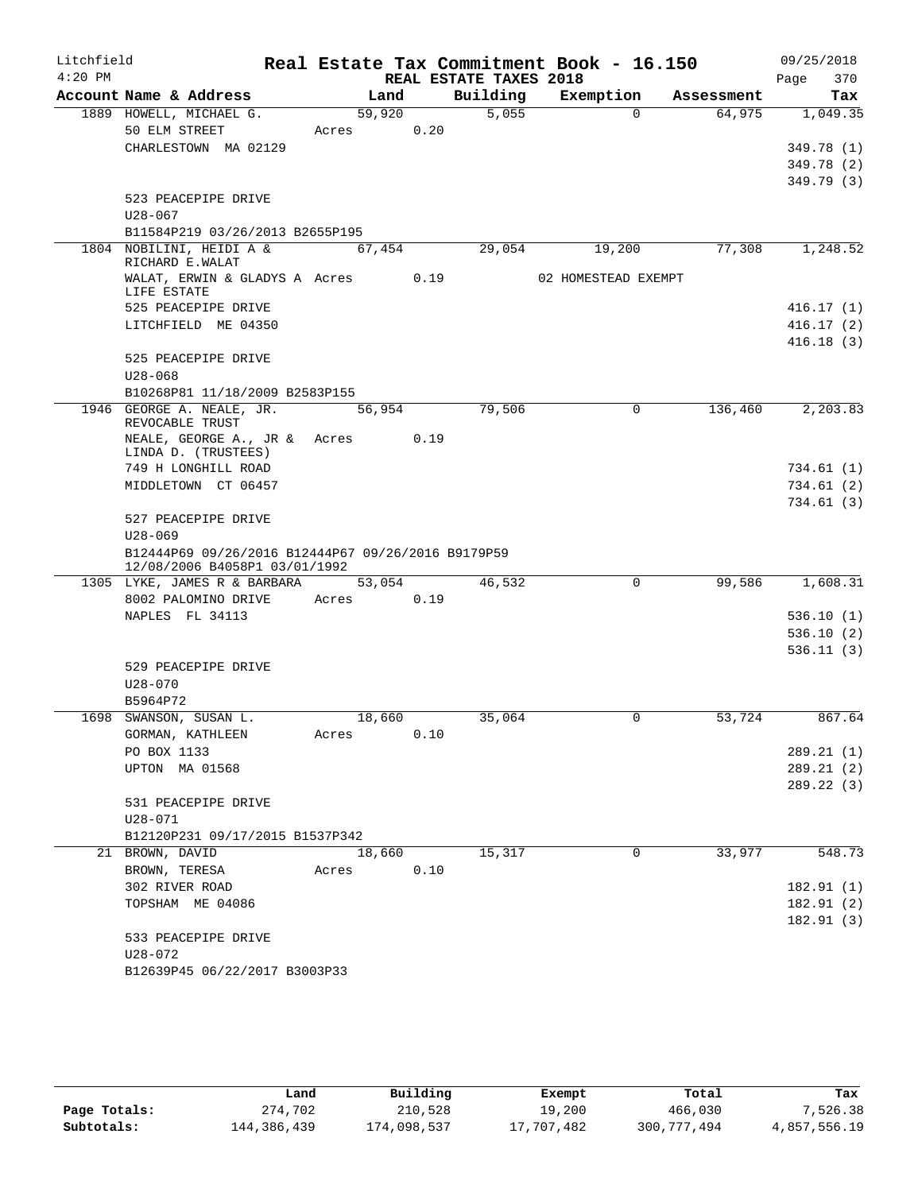| Litchfield |                                                                                     |        |                |                        | Real Estate Tax Commitment Book - 16.150 |            | 09/25/2018              |
|------------|-------------------------------------------------------------------------------------|--------|----------------|------------------------|------------------------------------------|------------|-------------------------|
| $4:20$ PM  |                                                                                     |        |                | REAL ESTATE TAXES 2018 |                                          |            | 370<br>Page             |
|            | Account Name & Address                                                              |        | Land           | Building               | Exemption                                | Assessment | Tax                     |
|            | 1889 HOWELL, MICHAEL G.<br>50 ELM STREET                                            | Acres  | 59,920<br>0.20 | 5,055                  | $\Omega$                                 | 64,975     | 1,049.35                |
|            | CHARLESTOWN MA 02129                                                                |        |                |                        |                                          |            | 349.78 (1)              |
|            |                                                                                     |        |                |                        |                                          |            | 349.78 (2)              |
|            |                                                                                     |        |                |                        |                                          |            | 349.79 (3)              |
|            | 523 PEACEPIPE DRIVE                                                                 |        |                |                        |                                          |            |                         |
|            | $U28 - 067$                                                                         |        |                |                        |                                          |            |                         |
|            | B11584P219 03/26/2013 B2655P195                                                     |        |                |                        |                                          |            |                         |
|            | 1804 NOBILINI, HEIDI A &<br>RICHARD E.WALAT                                         |        | 67,454         | 29,054                 | 19,200                                   | 77,308     | 1,248.52                |
|            | WALAT, ERWIN & GLADYS A Acres 0.19<br>LIFE ESTATE                                   |        |                |                        | 02 HOMESTEAD EXEMPT                      |            |                         |
|            | 525 PEACEPIPE DRIVE                                                                 |        |                |                        |                                          |            | 416.17(1)               |
|            | LITCHFIELD ME 04350                                                                 |        |                |                        |                                          |            | 416.17(2)               |
|            | 525 PEACEPIPE DRIVE                                                                 |        |                |                        |                                          |            | 416.18(3)               |
|            | $U28 - 068$                                                                         |        |                |                        |                                          |            |                         |
|            | B10268P81 11/18/2009 B2583P155                                                      |        |                |                        |                                          |            |                         |
|            | 1946 GEORGE A. NEALE, JR.<br>REVOCABLE TRUST                                        |        | 56,954         | 79,506                 | $\mathbf 0$                              | 136,460    | 2, 203.83               |
|            | NEALE, GEORGE A., JR & Acres                                                        |        | 0.19           |                        |                                          |            |                         |
|            | LINDA D. (TRUSTEES)<br>749 H LONGHILL ROAD                                          |        |                |                        |                                          |            | 734.61(1)               |
|            | MIDDLETOWN CT 06457                                                                 |        |                |                        |                                          |            | 734.61 (2)              |
|            |                                                                                     |        |                |                        |                                          |            | 734.61 (3)              |
|            | 527 PEACEPIPE DRIVE<br>$U28 - 069$                                                  |        |                |                        |                                          |            |                         |
|            | B12444P69 09/26/2016 B12444P67 09/26/2016 B9179P59<br>12/08/2006 B4058P1 03/01/1992 |        |                |                        |                                          |            |                         |
|            | 1305 LYKE, JAMES R & BARBARA                                                        |        | 53,054         | 46,532                 | $\Omega$                                 | 99,586     | 1,608.31                |
|            | 8002 PALOMINO DRIVE                                                                 | Acres  | 0.19           |                        |                                          |            |                         |
|            | NAPLES FL 34113                                                                     |        |                |                        |                                          |            | 536.10(1)               |
|            |                                                                                     |        |                |                        |                                          |            | 536.10(2)               |
|            |                                                                                     |        |                |                        |                                          |            | 536.11(3)               |
|            | 529 PEACEPIPE DRIVE                                                                 |        |                |                        |                                          |            |                         |
|            | $U28 - 070$                                                                         |        |                |                        |                                          |            |                         |
|            | B5964P72<br>1698 SWANSON, SUSAN L.                                                  | 18,660 |                | 35,064                 | 0                                        | 53,724     | 867.64                  |
|            | GORMAN, KATHLEEN                                                                    | Acres  | 0.10           |                        |                                          |            |                         |
|            | PO BOX 1133                                                                         |        |                |                        |                                          |            | 289.21 (1)              |
|            | UPTON MA 01568                                                                      |        |                |                        |                                          |            | 289.21 (2)              |
|            |                                                                                     |        |                |                        |                                          |            | 289.22 (3)              |
|            | 531 PEACEPIPE DRIVE                                                                 |        |                |                        |                                          |            |                         |
|            | $U28 - 071$                                                                         |        |                |                        |                                          |            |                         |
|            | B12120P231 09/17/2015 B1537P342                                                     |        |                |                        |                                          |            |                         |
|            | 21 BROWN, DAVID                                                                     | 18,660 |                | 15,317                 | 0                                        | 33,977     | 548.73                  |
|            | BROWN, TERESA                                                                       | Acres  | 0.10           |                        |                                          |            |                         |
|            | 302 RIVER ROAD                                                                      |        |                |                        |                                          |            | 182.91(1)               |
|            | TOPSHAM ME 04086                                                                    |        |                |                        |                                          |            | 182.91 (2)<br>182.91(3) |
|            | 533 PEACEPIPE DRIVE                                                                 |        |                |                        |                                          |            |                         |
|            | $U28 - 072$                                                                         |        |                |                        |                                          |            |                         |
|            | B12639P45 06/22/2017 B3003P33                                                       |        |                |                        |                                          |            |                         |

|              | Land        | Building    | Exempt     | Total         | Tax          |
|--------------|-------------|-------------|------------|---------------|--------------|
| Page Totals: | 274,702     | 210,528     | 19,200     | 466,030       | 7,526.38     |
| Subtotals:   | 144,386,439 | 174,098,537 | 17,707,482 | 300, 777, 494 | 4,857,556.19 |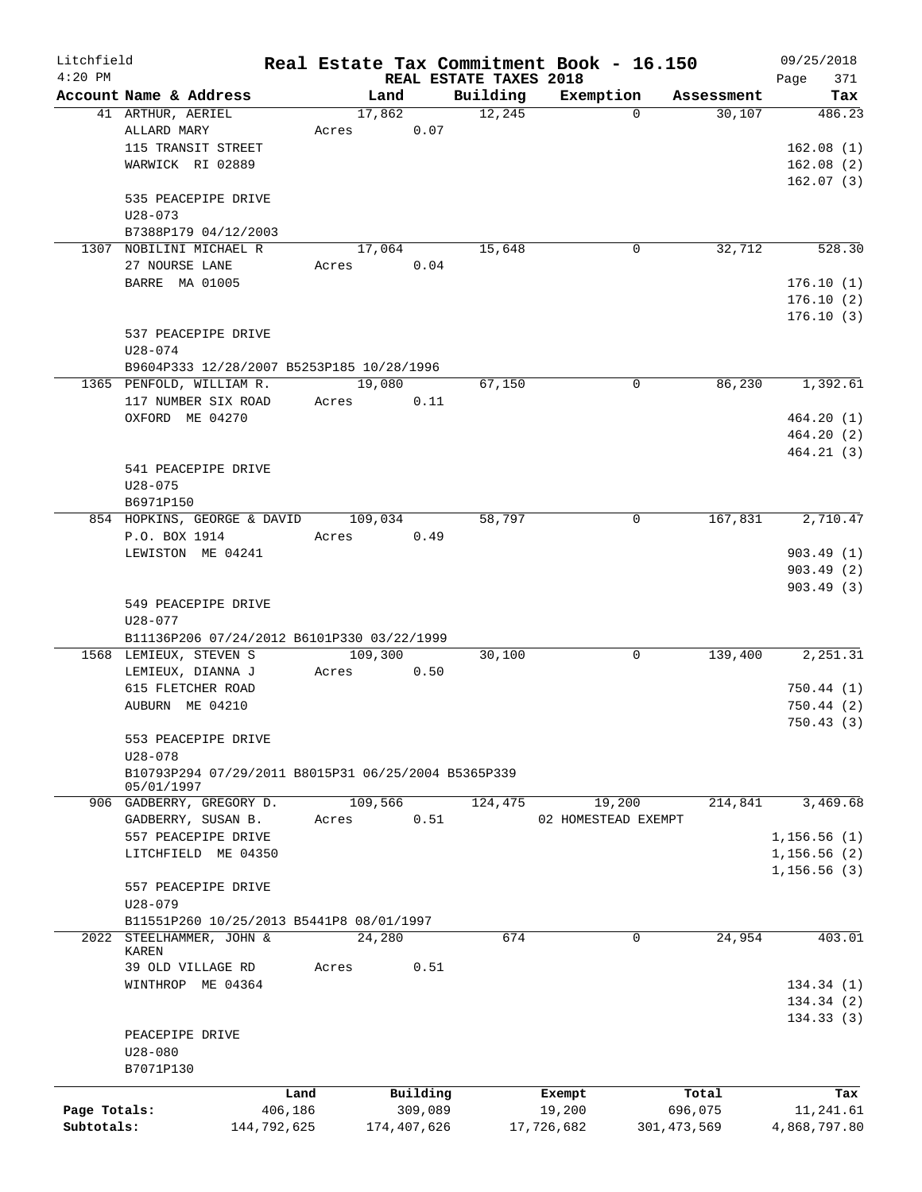| Litchfield   |                                                     |             |         |             |                                    | Real Estate Tax Commitment Book - 16.150 |               | 09/25/2018         |
|--------------|-----------------------------------------------------|-------------|---------|-------------|------------------------------------|------------------------------------------|---------------|--------------------|
| $4:20$ PM    | Account Name & Address                              |             |         | Land        | REAL ESTATE TAXES 2018<br>Building | Exemption                                | Assessment    | 371<br>Page<br>Tax |
|              | 41 ARTHUR, AERIEL                                   |             |         | 17,862      | 12,245                             | $\Omega$                                 | 30,107        | 486.23             |
|              | ALLARD MARY                                         |             | Acres   | 0.07        |                                    |                                          |               |                    |
|              | 115 TRANSIT STREET                                  |             |         |             |                                    |                                          |               | 162.08(1)          |
|              | WARWICK RI 02889                                    |             |         |             |                                    |                                          |               |                    |
|              |                                                     |             |         |             |                                    |                                          |               | 162.08(2)          |
|              |                                                     |             |         |             |                                    |                                          |               | 162.07(3)          |
|              | 535 PEACEPIPE DRIVE                                 |             |         |             |                                    |                                          |               |                    |
|              | $U28 - 073$                                         |             |         |             |                                    |                                          |               |                    |
|              | B7388P179 04/12/2003                                |             |         |             |                                    |                                          |               |                    |
|              | 1307 NOBILINI MICHAEL R                             |             |         | 17,064      | 15,648                             | 0                                        | 32,712        | 528.30             |
|              | 27 NOURSE LANE                                      |             | Acres   | 0.04        |                                    |                                          |               |                    |
|              | BARRE MA 01005                                      |             |         |             |                                    |                                          |               | 176.10(1)          |
|              |                                                     |             |         |             |                                    |                                          |               | 176.10(2)          |
|              |                                                     |             |         |             |                                    |                                          |               | 176.10(3)          |
|              | 537 PEACEPIPE DRIVE                                 |             |         |             |                                    |                                          |               |                    |
|              | $U28 - 074$                                         |             |         |             |                                    |                                          |               |                    |
|              | B9604P333 12/28/2007 B5253P185 10/28/1996           |             |         |             |                                    |                                          |               |                    |
|              | 1365 PENFOLD, WILLIAM R.                            |             | 19,080  |             | 67,150                             | $\Omega$                                 | 86,230        | 1,392.61           |
|              | 117 NUMBER SIX ROAD                                 |             | Acres   | 0.11        |                                    |                                          |               |                    |
|              | OXFORD ME 04270                                     |             |         |             |                                    |                                          |               | 464.20(1)          |
|              |                                                     |             |         |             |                                    |                                          |               | 464.20(2)          |
|              |                                                     |             |         |             |                                    |                                          |               | 464.21(3)          |
|              | 541 PEACEPIPE DRIVE                                 |             |         |             |                                    |                                          |               |                    |
|              | $U28 - 075$                                         |             |         |             |                                    |                                          |               |                    |
|              | B6971P150                                           |             |         |             |                                    |                                          |               |                    |
|              | 854 HOPKINS, GEORGE & DAVID                         |             | 109,034 |             | 58,797                             | 0                                        | 167,831       | 2,710.47           |
|              | P.O. BOX 1914                                       |             | Acres   | 0.49        |                                    |                                          |               |                    |
|              | LEWISTON ME 04241                                   |             |         |             |                                    |                                          |               | 903.49(1)          |
|              |                                                     |             |         |             |                                    |                                          |               | 903.49(2)          |
|              |                                                     |             |         |             |                                    |                                          |               |                    |
|              |                                                     |             |         |             |                                    |                                          |               | 903.49(3)          |
|              | 549 PEACEPIPE DRIVE                                 |             |         |             |                                    |                                          |               |                    |
|              | $U28 - 077$                                         |             |         |             |                                    |                                          |               |                    |
|              | B11136P206 07/24/2012 B6101P330 03/22/1999          |             |         |             |                                    |                                          |               |                    |
|              | 1568 LEMIEUX, STEVEN S                              |             | 109,300 |             | 30,100                             | 0                                        | 139,400       | 2,251.31           |
|              | LEMIEUX, DIANNA J                                   |             | Acres   | 0.50        |                                    |                                          |               |                    |
|              | 615 FLETCHER ROAD                                   |             |         |             |                                    |                                          |               | 750.44(1)          |
|              | AUBURN ME 04210                                     |             |         |             |                                    |                                          |               | 750.44(2)          |
|              |                                                     |             |         |             |                                    |                                          |               | 750.43(3)          |
|              | 553 PEACEPIPE DRIVE                                 |             |         |             |                                    |                                          |               |                    |
|              | $U28 - 078$                                         |             |         |             |                                    |                                          |               |                    |
|              | B10793P294 07/29/2011 B8015P31 06/25/2004 B5365P339 |             |         |             |                                    |                                          |               |                    |
|              | 05/01/1997                                          |             |         |             |                                    |                                          |               |                    |
|              | 906 GADBERRY, GREGORY D.                            |             | 109,566 |             | 124,475                            | 19,200                                   | 214,841       | 3,469.68           |
|              | GADBERRY, SUSAN B.                                  |             | Acres   | 0.51        |                                    | 02 HOMESTEAD EXEMPT                      |               |                    |
|              | 557 PEACEPIPE DRIVE                                 |             |         |             |                                    |                                          |               | 1, 156.56(1)       |
|              | LITCHFIELD ME 04350                                 |             |         |             |                                    |                                          |               | 1, 156.56(2)       |
|              |                                                     |             |         |             |                                    |                                          |               | 1, 156.56(3)       |
|              | 557 PEACEPIPE DRIVE                                 |             |         |             |                                    |                                          |               |                    |
|              | $U28 - 079$                                         |             |         |             |                                    |                                          |               |                    |
|              | B11551P260 10/25/2013 B5441P8 08/01/1997            |             |         |             |                                    |                                          |               |                    |
|              | 2022 STEELHAMMER, JOHN &                            |             | 24,280  |             | 674                                | $\Omega$                                 | 24,954        | 403.01             |
|              | KAREN                                               |             |         |             |                                    |                                          |               |                    |
|              | 39 OLD VILLAGE RD                                   |             | Acres   | 0.51        |                                    |                                          |               |                    |
|              | WINTHROP ME 04364                                   |             |         |             |                                    |                                          |               | 134.34(1)          |
|              |                                                     |             |         |             |                                    |                                          |               | 134.34(2)          |
|              |                                                     |             |         |             |                                    |                                          |               | 134.33(3)          |
|              | PEACEPIPE DRIVE                                     |             |         |             |                                    |                                          |               |                    |
|              | $U28 - 080$                                         |             |         |             |                                    |                                          |               |                    |
|              | B7071P130                                           |             |         |             |                                    |                                          |               |                    |
|              |                                                     | Land        |         | Building    |                                    | Exempt                                   | Total         | Tax                |
| Page Totals: |                                                     | 406,186     |         | 309,089     |                                    | 19,200                                   | 696,075       | 11,241.61          |
| Subtotals:   |                                                     | 144,792,625 |         | 174,407,626 |                                    | 17,726,682                               | 301, 473, 569 | 4,868,797.80       |
|              |                                                     |             |         |             |                                    |                                          |               |                    |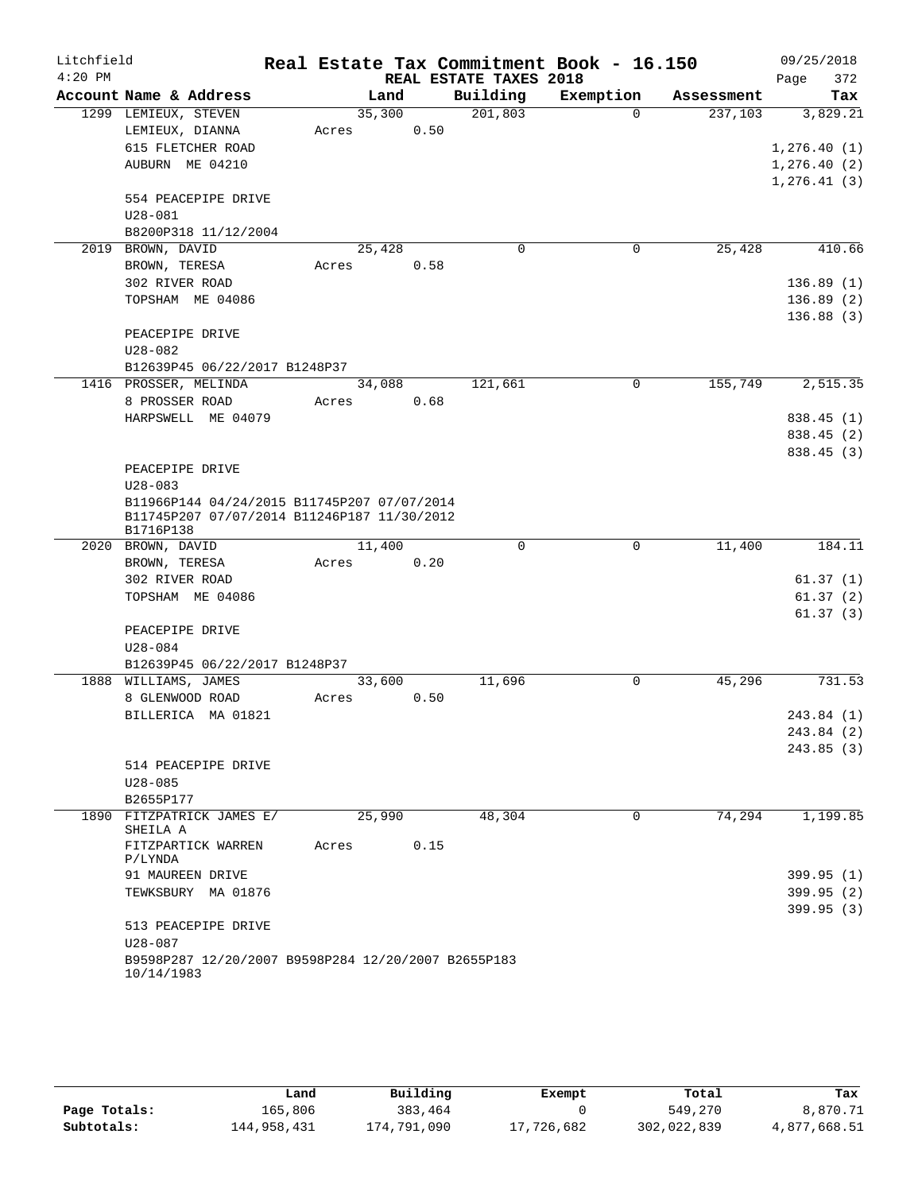| Litchfield |                                                                                            |        |      |                        | Real Estate Tax Commitment Book - 16.150 |            | 09/25/2018   |
|------------|--------------------------------------------------------------------------------------------|--------|------|------------------------|------------------------------------------|------------|--------------|
| $4:20$ PM  |                                                                                            |        |      | REAL ESTATE TAXES 2018 |                                          |            | 372<br>Page  |
|            | Account Name & Address                                                                     | Land   |      | Building               | Exemption                                | Assessment | Tax          |
|            | 1299 LEMIEUX, STEVEN                                                                       | 35,300 |      | 201,803                | $\Omega$                                 | 237,103    | 3,829.21     |
|            | LEMIEUX, DIANNA                                                                            | Acres  | 0.50 |                        |                                          |            |              |
|            | 615 FLETCHER ROAD                                                                          |        |      |                        |                                          |            | 1,276.40(1)  |
|            | AUBURN ME 04210                                                                            |        |      |                        |                                          |            | 1, 276.40(2) |
|            |                                                                                            |        |      |                        |                                          |            | 1, 276.41(3) |
|            | 554 PEACEPIPE DRIVE                                                                        |        |      |                        |                                          |            |              |
|            | $U28 - 081$                                                                                |        |      |                        |                                          |            |              |
|            | B8200P318 11/12/2004<br>2019 BROWN, DAVID                                                  | 25,428 |      | $\mathbf 0$            | 0                                        | 25,428     | 410.66       |
|            | BROWN, TERESA                                                                              | Acres  | 0.58 |                        |                                          |            |              |
|            | 302 RIVER ROAD                                                                             |        |      |                        |                                          |            | 136.89(1)    |
|            | TOPSHAM ME 04086                                                                           |        |      |                        |                                          |            | 136.89(2)    |
|            |                                                                                            |        |      |                        |                                          |            | 136.88(3)    |
|            | PEACEPIPE DRIVE                                                                            |        |      |                        |                                          |            |              |
|            | U28-082                                                                                    |        |      |                        |                                          |            |              |
|            | B12639P45 06/22/2017 B1248P37                                                              |        |      |                        |                                          |            |              |
|            | 1416 PROSSER, MELINDA                                                                      | 34,088 |      | 121,661                | $\Omega$                                 | 155,749    | 2,515.35     |
|            | 8 PROSSER ROAD                                                                             | Acres  | 0.68 |                        |                                          |            |              |
|            | HARPSWELL ME 04079                                                                         |        |      |                        |                                          |            | 838.45 (1)   |
|            |                                                                                            |        |      |                        |                                          |            | 838.45 (2)   |
|            |                                                                                            |        |      |                        |                                          |            | 838.45 (3)   |
|            | PEACEPIPE DRIVE                                                                            |        |      |                        |                                          |            |              |
|            | $U28 - 083$                                                                                |        |      |                        |                                          |            |              |
|            | B11966P144 04/24/2015 B11745P207 07/07/2014<br>B11745P207 07/07/2014 B11246P187 11/30/2012 |        |      |                        |                                          |            |              |
|            | B1716P138                                                                                  |        |      |                        |                                          |            |              |
|            | 2020 BROWN, DAVID                                                                          | 11,400 |      | $\mathbf 0$            | 0                                        | 11,400     | 184.11       |
|            | BROWN, TERESA                                                                              | Acres  | 0.20 |                        |                                          |            |              |
|            | 302 RIVER ROAD                                                                             |        |      |                        |                                          |            | 61.37(1)     |
|            | TOPSHAM ME 04086                                                                           |        |      |                        |                                          |            | 61.37(2)     |
|            |                                                                                            |        |      |                        |                                          |            | 61.37(3)     |
|            | PEACEPIPE DRIVE<br>$U28 - 084$                                                             |        |      |                        |                                          |            |              |
|            | B12639P45 06/22/2017 B1248P37                                                              |        |      |                        |                                          |            |              |
|            | 1888 WILLIAMS, JAMES                                                                       | 33,600 |      | 11,696                 | 0                                        | 45,296     | 731.53       |
|            | 8 GLENWOOD ROAD                                                                            | Acres  | 0.50 |                        |                                          |            |              |
|            | BILLERICA MA 01821                                                                         |        |      |                        |                                          |            | 243.84 (1)   |
|            |                                                                                            |        |      |                        |                                          |            | 243.84 (2)   |
|            |                                                                                            |        |      |                        |                                          |            | 243.85(3)    |
|            | 514 PEACEPIPE DRIVE                                                                        |        |      |                        |                                          |            |              |
|            | $U28 - 085$                                                                                |        |      |                        |                                          |            |              |
|            | B2655P177                                                                                  |        |      |                        |                                          |            |              |
|            | 1890 FITZPATRICK JAMES E/<br>SHEILA A                                                      | 25,990 |      | 48,304                 | $\mathbf 0$                              | 74,294     | 1,199.85     |
|            | FITZPARTICK WARREN<br>P/LYNDA                                                              | Acres  | 0.15 |                        |                                          |            |              |
|            | 91 MAUREEN DRIVE                                                                           |        |      |                        |                                          |            | 399.95(1)    |
|            | TEWKSBURY MA 01876                                                                         |        |      |                        |                                          |            | 399.95(2)    |
|            |                                                                                            |        |      |                        |                                          |            | 399.95(3)    |
|            | 513 PEACEPIPE DRIVE                                                                        |        |      |                        |                                          |            |              |
|            | $U28 - 087$                                                                                |        |      |                        |                                          |            |              |
|            | B9598P287 12/20/2007 B9598P284 12/20/2007 B2655P183<br>10/14/1983                          |        |      |                        |                                          |            |              |

|              | Land        | Building    | Exempt     | Total       | Tax          |
|--------------|-------------|-------------|------------|-------------|--------------|
| Page Totals: | 165,806     | 383,464     |            | 549,270     | 8,870.71     |
| Subtotals:   | 144,958,431 | 174,791,090 | 17,726,682 | 302,022,839 | 4,877,668.51 |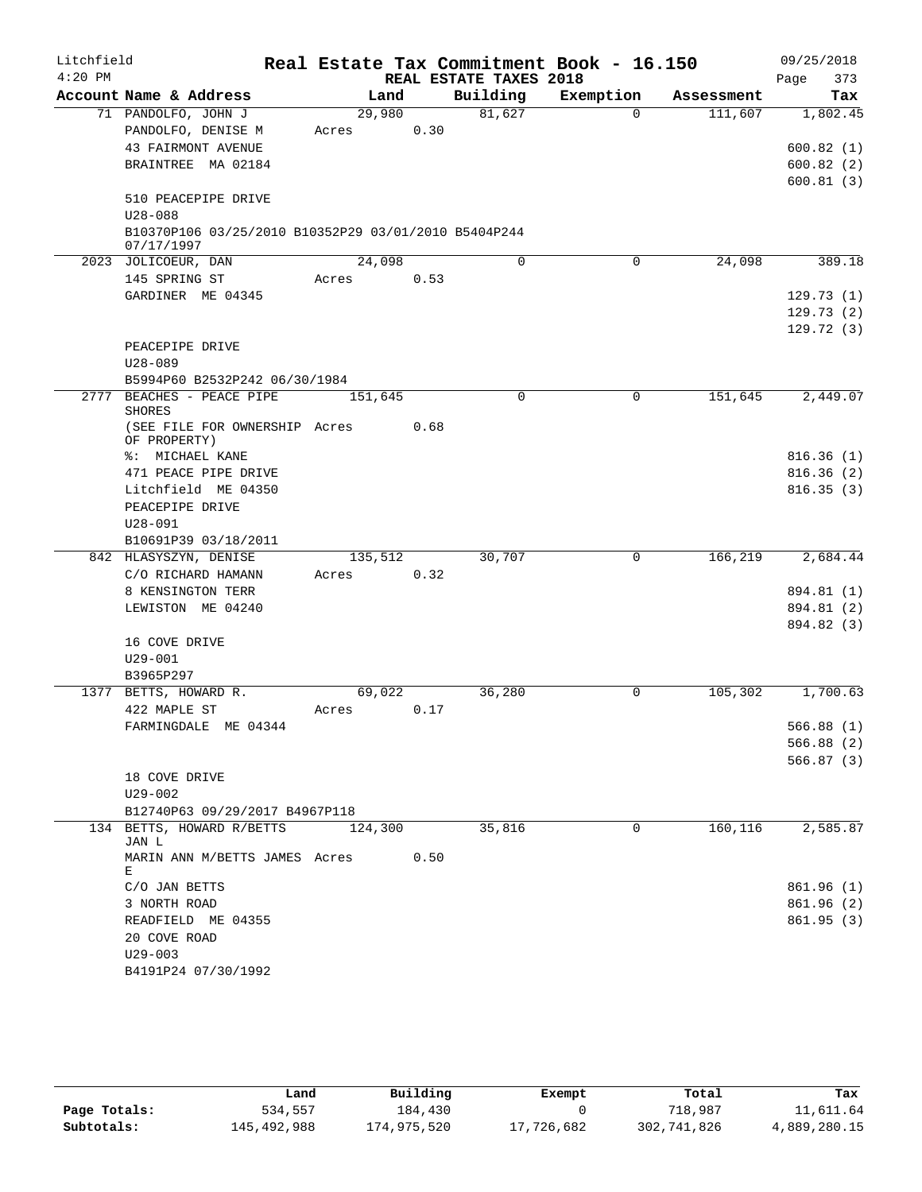| Litchfield |                                                                    |         |      |                        | Real Estate Tax Commitment Book - 16.150 |            | 09/25/2018  |
|------------|--------------------------------------------------------------------|---------|------|------------------------|------------------------------------------|------------|-------------|
| $4:20$ PM  |                                                                    |         |      | REAL ESTATE TAXES 2018 |                                          |            | 373<br>Page |
|            | Account Name & Address                                             | Land    |      | Building               | Exemption                                | Assessment | Tax         |
|            | 71 PANDOLFO, JOHN J                                                | 29,980  |      | 81,627                 | $\Omega$                                 | 111,607    | 1,802.45    |
|            | PANDOLFO, DENISE M                                                 | Acres   | 0.30 |                        |                                          |            |             |
|            | <b>43 FAIRMONT AVENUE</b>                                          |         |      |                        |                                          |            | 600.82(1)   |
|            | BRAINTREE MA 02184                                                 |         |      |                        |                                          |            | 600.82(2)   |
|            | 510 PEACEPIPE DRIVE                                                |         |      |                        |                                          |            | 600.81(3)   |
|            | $U28 - 088$                                                        |         |      |                        |                                          |            |             |
|            | B10370P106 03/25/2010 B10352P29 03/01/2010 B5404P244<br>07/17/1997 |         |      |                        |                                          |            |             |
|            | 2023 JOLICOEUR, DAN                                                | 24,098  |      | $\Omega$               | 0                                        | 24,098     | 389.18      |
|            | 145 SPRING ST                                                      | Acres   | 0.53 |                        |                                          |            |             |
|            | GARDINER ME 04345                                                  |         |      |                        |                                          |            | 129.73(1)   |
|            |                                                                    |         |      |                        |                                          |            | 129.73(2)   |
|            |                                                                    |         |      |                        |                                          |            | 129.72(3)   |
|            | PEACEPIPE DRIVE                                                    |         |      |                        |                                          |            |             |
|            | $U28 - 089$                                                        |         |      |                        |                                          |            |             |
|            | B5994P60 B2532P242 06/30/1984                                      |         |      |                        |                                          |            |             |
|            | 2777 BEACHES - PEACE PIPE<br><b>SHORES</b>                         | 151,645 |      | $\mathbf 0$            | $\mathbf 0$                              | 151,645    | 2,449.07    |
|            | (SEE FILE FOR OWNERSHIP Acres<br>OF PROPERTY)                      |         | 0.68 |                        |                                          |            |             |
|            | %: MICHAEL KANE                                                    |         |      |                        |                                          |            | 816.36(1)   |
|            | 471 PEACE PIPE DRIVE                                               |         |      |                        |                                          |            | 816.36(2)   |
|            | Litchfield ME 04350                                                |         |      |                        |                                          |            | 816.35(3)   |
|            | PEACEPIPE DRIVE                                                    |         |      |                        |                                          |            |             |
|            | $U28 - 091$                                                        |         |      |                        |                                          |            |             |
|            | B10691P39 03/18/2011                                               |         |      |                        |                                          |            |             |
|            | 842 HLASYSZYN, DENISE                                              | 135,512 |      | 30,707                 | $\mathbf 0$                              | 166,219    | 2,684.44    |
|            | C/O RICHARD HAMANN                                                 | Acres   | 0.32 |                        |                                          |            |             |
|            | 8 KENSINGTON TERR                                                  |         |      |                        |                                          |            | 894.81 (1)  |
|            | LEWISTON ME 04240                                                  |         |      |                        |                                          |            | 894.81 (2)  |
|            |                                                                    |         |      |                        |                                          |            | 894.82 (3)  |
|            | 16 COVE DRIVE                                                      |         |      |                        |                                          |            |             |
|            | $U29 - 001$                                                        |         |      |                        |                                          |            |             |
|            | B3965P297                                                          |         |      |                        |                                          |            |             |
|            | 1377 BETTS, HOWARD R.                                              | 69,022  |      | 36,280                 | 0                                        | 105,302    | 1,700.63    |
|            | 422 MAPLE ST                                                       | Acres   | 0.17 |                        |                                          |            |             |
|            | FARMINGDALE ME 04344                                               |         |      |                        |                                          |            | 566.88 (1)  |
|            |                                                                    |         |      |                        |                                          |            | 566.88(2)   |
|            |                                                                    |         |      |                        |                                          |            | 566.87(3)   |
|            | 18 COVE DRIVE                                                      |         |      |                        |                                          |            |             |
|            | $U29 - 002$                                                        |         |      |                        |                                          |            |             |
|            | B12740P63 09/29/2017 B4967P118                                     |         |      |                        |                                          |            |             |
|            | 134 BETTS, HOWARD R/BETTS<br>JAN L                                 | 124,300 |      | 35,816                 | 0                                        | 160, 116   | 2,585.87    |
|            | MARIN ANN M/BETTS JAMES Acres<br>Е                                 |         | 0.50 |                        |                                          |            |             |
|            | C/O JAN BETTS                                                      |         |      |                        |                                          |            | 861.96(1)   |
|            | 3 NORTH ROAD                                                       |         |      |                        |                                          |            | 861.96(2)   |
|            | READFIELD ME 04355                                                 |         |      |                        |                                          |            | 861.95(3)   |
|            | 20 COVE ROAD                                                       |         |      |                        |                                          |            |             |
|            | $U29 - 003$                                                        |         |      |                        |                                          |            |             |
|            | B4191P24 07/30/1992                                                |         |      |                        |                                          |            |             |

|              | Land        | Building    | Exempt     | Total       | Tax          |
|--------------|-------------|-------------|------------|-------------|--------------|
| Page Totals: | 534,557     | 184,430     |            | 718,987     | 11,611.64    |
| Subtotals:   | 145,492,988 | 174,975,520 | 17,726,682 | 302,741,826 | 4,889,280.15 |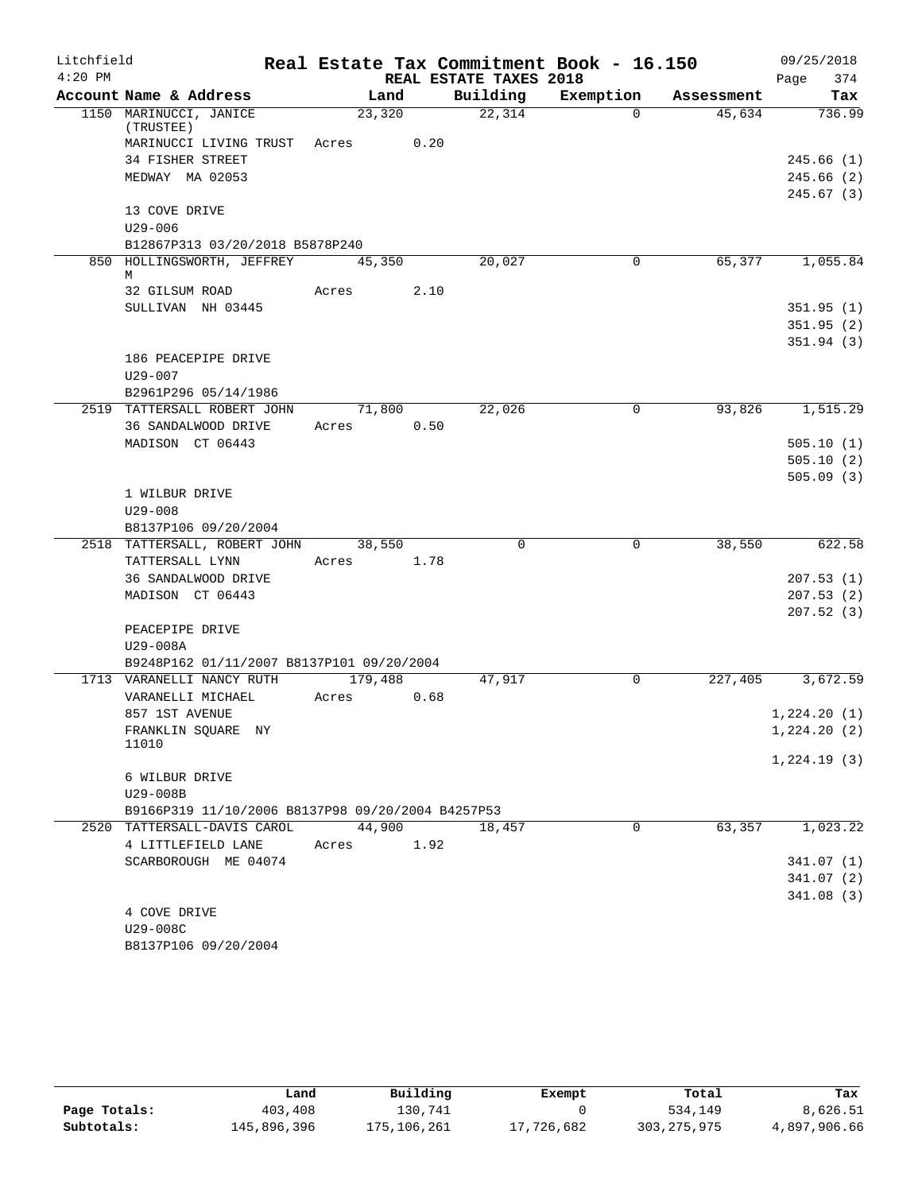| Litchfield |                                                   |         |      |                        | Real Estate Tax Commitment Book - 16.150 |            | 09/25/2018                 |
|------------|---------------------------------------------------|---------|------|------------------------|------------------------------------------|------------|----------------------------|
| $4:20$ PM  |                                                   |         |      | REAL ESTATE TAXES 2018 |                                          |            | 374<br>Page                |
|            | Account Name & Address                            | Land    |      | Building               | Exemption                                | Assessment | Tax                        |
|            | 1150 MARINUCCI, JANICE<br>(TRUSTEE)               | 23,320  |      | 22,314                 | $\Omega$                                 | 45,634     | 736.99                     |
|            | MARINUCCI LIVING TRUST                            | Acres   | 0.20 |                        |                                          |            |                            |
|            | 34 FISHER STREET                                  |         |      |                        |                                          |            | 245.66(1)                  |
|            | MEDWAY MA 02053                                   |         |      |                        |                                          |            | 245.66 (2)                 |
|            |                                                   |         |      |                        |                                          |            | 245.67(3)                  |
|            | 13 COVE DRIVE                                     |         |      |                        |                                          |            |                            |
|            | $U29 - 006$                                       |         |      |                        |                                          |            |                            |
|            | B12867P313 03/20/2018 B5878P240                   |         |      |                        |                                          |            |                            |
|            | 850 HOLLINGSWORTH, JEFFREY<br>М                   | 45,350  |      | 20,027                 | $\overline{0}$                           | 65,377     | 1,055.84                   |
|            | 32 GILSUM ROAD                                    | Acres   | 2.10 |                        |                                          |            |                            |
|            | SULLIVAN NH 03445                                 |         |      |                        |                                          |            | 351.95(1)                  |
|            |                                                   |         |      |                        |                                          |            | 351.95(2)                  |
|            |                                                   |         |      |                        |                                          |            | 351.94(3)                  |
|            | 186 PEACEPIPE DRIVE                               |         |      |                        |                                          |            |                            |
|            | $U29 - 007$                                       |         |      |                        |                                          |            |                            |
|            | B2961P296 05/14/1986                              |         |      |                        |                                          |            |                            |
|            | 2519 TATTERSALL ROBERT JOHN                       | 71,800  |      | 22,026                 | 0                                        | 93,826     | 1,515.29                   |
|            | 36 SANDALWOOD DRIVE                               | Acres   | 0.50 |                        |                                          |            |                            |
|            | MADISON CT 06443                                  |         |      |                        |                                          |            | 505.10(1)                  |
|            |                                                   |         |      |                        |                                          |            | 505.10(2)                  |
|            |                                                   |         |      |                        |                                          |            | 505.09(3)                  |
|            | 1 WILBUR DRIVE<br>$U29 - 008$                     |         |      |                        |                                          |            |                            |
|            | B8137P106 09/20/2004                              |         |      |                        |                                          |            |                            |
|            | 2518 TATTERSALL, ROBERT JOHN                      | 38,550  |      | $\Omega$               | 0                                        | 38,550     | 622.58                     |
|            | TATTERSALL LYNN                                   | Acres   | 1.78 |                        |                                          |            |                            |
|            | 36 SANDALWOOD DRIVE                               |         |      |                        |                                          |            | 207.53(1)                  |
|            | MADISON CT 06443                                  |         |      |                        |                                          |            | 207.53(2)                  |
|            |                                                   |         |      |                        |                                          |            | 207.52(3)                  |
|            | PEACEPIPE DRIVE                                   |         |      |                        |                                          |            |                            |
|            | U29-008A                                          |         |      |                        |                                          |            |                            |
|            | B9248P162 01/11/2007 B8137P101 09/20/2004         |         |      |                        |                                          |            |                            |
|            | 1713 VARANELLI NANCY RUTH                         | 179,488 |      | 47,917                 | $\mathbf 0$                              | 227,405    | 3,672.59                   |
|            | VARANELLI MICHAEL                                 | Acres   | 0.68 |                        |                                          |            |                            |
|            | 857 1ST AVENUE                                    |         |      |                        |                                          |            | 1,224.20(1)<br>1,224.20(2) |
|            | FRANKLIN SQUARE NY<br>11010                       |         |      |                        |                                          |            |                            |
|            |                                                   |         |      |                        |                                          |            | 1,224.19(3)                |
|            | 6 WILBUR DRIVE                                    |         |      |                        |                                          |            |                            |
|            | U29-008B                                          |         |      |                        |                                          |            |                            |
|            | B9166P319 11/10/2006 B8137P98 09/20/2004 B4257P53 |         |      |                        |                                          |            |                            |
|            | 2520 TATTERSALL-DAVIS CAROL                       | 44,900  |      | 18,457                 | $\Omega$                                 | 63,357     | 1,023.22                   |
|            | 4 LITTLEFIELD LANE                                | Acres   | 1.92 |                        |                                          |            |                            |
|            | SCARBOROUGH ME 04074                              |         |      |                        |                                          |            | 341.07 (1)                 |
|            |                                                   |         |      |                        |                                          |            | 341.07(2)                  |
|            | 4 COVE DRIVE                                      |         |      |                        |                                          |            | 341.08(3)                  |
|            | U29-008C                                          |         |      |                        |                                          |            |                            |
|            | B8137P106 09/20/2004                              |         |      |                        |                                          |            |                            |

|              | Land        | Building    | Exempt     | Total         | Tax          |
|--------------|-------------|-------------|------------|---------------|--------------|
| Page Totals: | 403,408     | 130.741     |            | 534,149       | 8,626.51     |
| Subtotals:   | 145,896,396 | 175,106,261 | 17,726,682 | 303, 275, 975 | 4,897,906.66 |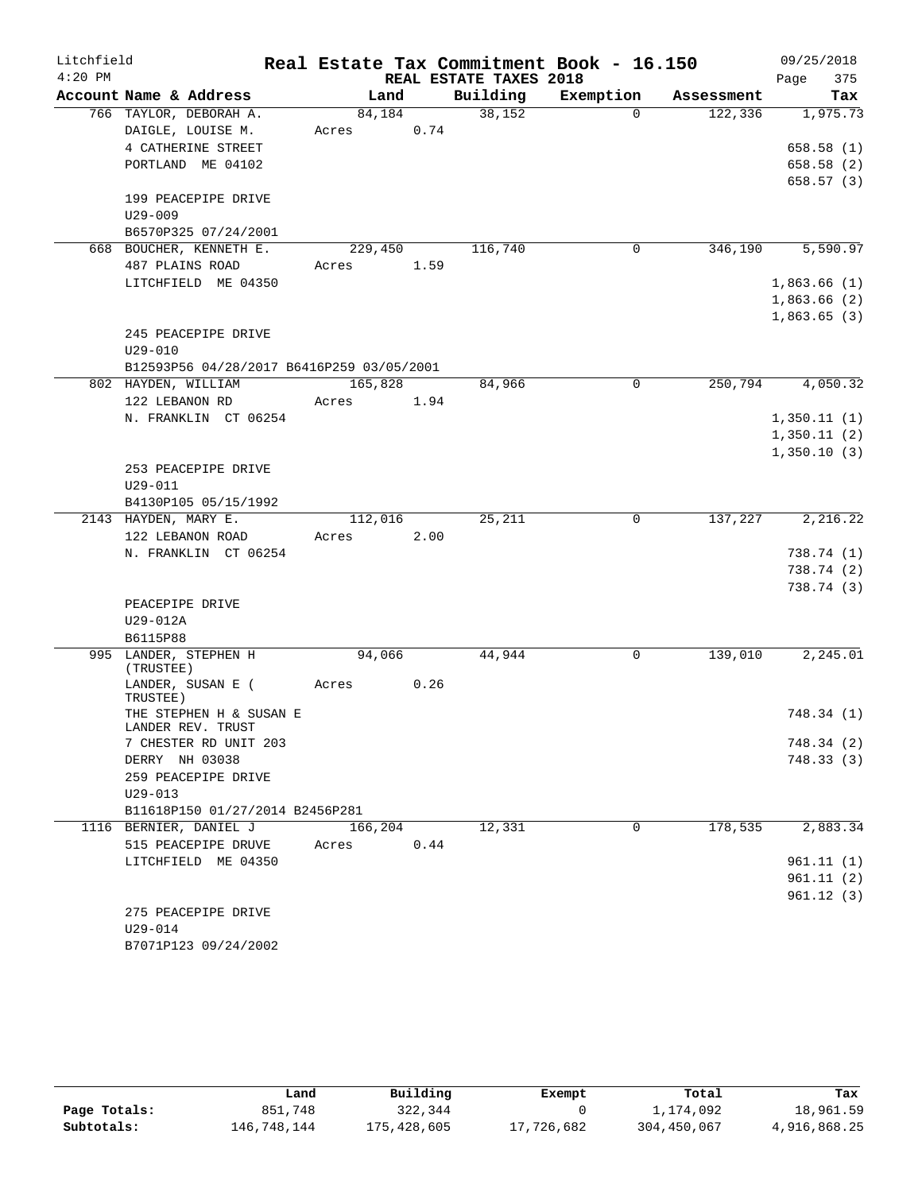| Litchfield |                                              |         |      |                        | Real Estate Tax Commitment Book - 16.150 |            | 09/25/2018  |
|------------|----------------------------------------------|---------|------|------------------------|------------------------------------------|------------|-------------|
| $4:20$ PM  |                                              |         |      | REAL ESTATE TAXES 2018 |                                          |            | 375<br>Page |
|            | Account Name & Address                       | Land    |      | Building               | Exemption                                | Assessment | Tax         |
|            | 766 TAYLOR, DEBORAH A.                       | 84,184  |      | 38,152                 | $\Omega$                                 | 122,336    | 1,975.73    |
|            | DAIGLE, LOUISE M.                            | Acres   | 0.74 |                        |                                          |            |             |
|            | 4 CATHERINE STREET                           |         |      |                        |                                          |            | 658.58(1)   |
|            | PORTLAND ME 04102                            |         |      |                        |                                          |            | 658.58 (2)  |
|            |                                              |         |      |                        |                                          |            | 658.57(3)   |
|            | 199 PEACEPIPE DRIVE                          |         |      |                        |                                          |            |             |
|            | $U29 - 009$                                  |         |      |                        |                                          |            |             |
|            | B6570P325 07/24/2001                         |         |      |                        |                                          |            |             |
|            | 668 BOUCHER, KENNETH E.                      | 229,450 |      | 116,740                | 0                                        | 346,190    | 5,590.97    |
|            | 487 PLAINS ROAD                              | Acres   | 1.59 |                        |                                          |            |             |
|            | LITCHFIELD ME 04350                          |         |      |                        |                                          |            | 1,863.66(1) |
|            |                                              |         |      |                        |                                          |            | 1,863.66(2) |
|            |                                              |         |      |                        |                                          |            | 1,863.65(3) |
|            | 245 PEACEPIPE DRIVE                          |         |      |                        |                                          |            |             |
|            | $U29 - 010$                                  |         |      |                        |                                          |            |             |
|            | B12593P56 04/28/2017 B6416P259 03/05/2001    |         |      |                        |                                          |            |             |
|            | 802 HAYDEN, WILLIAM                          | 165,828 |      | 84,966                 | $\Omega$                                 | 250,794    | 4,050.32    |
|            | 122 LEBANON RD                               | Acres   | 1.94 |                        |                                          |            |             |
|            | N. FRANKLIN CT 06254                         |         |      |                        |                                          |            | 1,350.11(1) |
|            |                                              |         |      |                        |                                          |            | 1,350.11(2) |
|            |                                              |         |      |                        |                                          |            | 1,350.10(3) |
|            | 253 PEACEPIPE DRIVE                          |         |      |                        |                                          |            |             |
|            | U29-011                                      |         |      |                        |                                          |            |             |
|            | B4130P105 05/15/1992                         |         |      |                        |                                          |            |             |
|            | 2143 HAYDEN, MARY E.                         | 112,016 |      | 25,211                 | 0                                        | 137,227    | 2,216.22    |
|            | 122 LEBANON ROAD                             | Acres   | 2.00 |                        |                                          |            |             |
|            | N. FRANKLIN CT 06254                         |         |      |                        |                                          |            | 738.74 (1)  |
|            |                                              |         |      |                        |                                          |            | 738.74 (2)  |
|            |                                              |         |      |                        |                                          |            | 738.74(3)   |
|            | PEACEPIPE DRIVE                              |         |      |                        |                                          |            |             |
|            | U29-012A                                     |         |      |                        |                                          |            |             |
|            | B6115P88                                     |         |      |                        |                                          |            |             |
|            | 995 LANDER, STEPHEN H<br>(TRUSTEE)           | 94,066  |      | 44,944                 | 0                                        | 139,010    | 2,245.01    |
|            | LANDER, SUSAN E (<br>TRUSTEE)                | Acres   | 0.26 |                        |                                          |            |             |
|            | THE STEPHEN H & SUSAN E<br>LANDER REV. TRUST |         |      |                        |                                          |            | 748.34 (1)  |
|            | 7 CHESTER RD UNIT 203                        |         |      |                        |                                          |            | 748.34 (2)  |
|            | DERRY NH 03038                               |         |      |                        |                                          |            | 748.33(3)   |
|            | 259 PEACEPIPE DRIVE                          |         |      |                        |                                          |            |             |
|            | $U29 - 013$                                  |         |      |                        |                                          |            |             |
|            | B11618P150 01/27/2014 B2456P281              |         |      |                        |                                          |            |             |
|            | 1116 BERNIER, DANIEL J                       | 166,204 |      | 12,331                 | 0                                        | 178,535    | 2,883.34    |
|            | 515 PEACEPIPE DRUVE                          | Acres   | 0.44 |                        |                                          |            |             |
|            | LITCHFIELD ME 04350                          |         |      |                        |                                          |            | 961.11(1)   |
|            |                                              |         |      |                        |                                          |            | 961.11(2)   |
|            |                                              |         |      |                        |                                          |            | 961.12(3)   |
|            | 275 PEACEPIPE DRIVE                          |         |      |                        |                                          |            |             |
|            | U29-014                                      |         |      |                        |                                          |            |             |
|            | B7071P123 09/24/2002                         |         |      |                        |                                          |            |             |

|              | Land        | Building    | Exempt     | Total       | Tax          |
|--------------|-------------|-------------|------------|-------------|--------------|
| Page Totals: | 851,748     | 322,344     |            | 1,174,092   | 18,961.59    |
| Subtotals:   | 146,748,144 | 175,428,605 | 17,726,682 | 304,450,067 | 4,916,868.25 |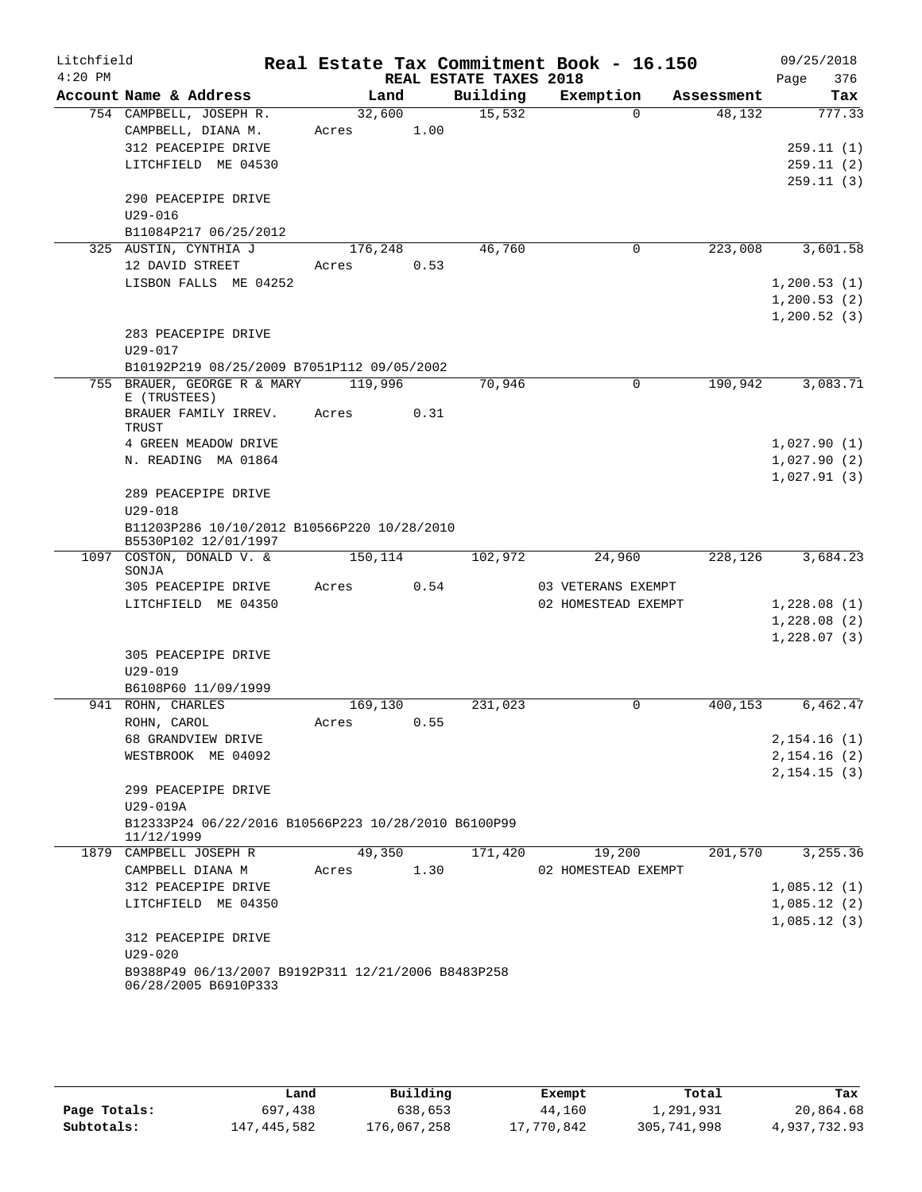| Litchfield<br>$4:20$ PM |                                                                                                           |                 |      | REAL ESTATE TAXES 2018 | Real Estate Tax Commitment Book - 16.150 |            | 09/25/2018<br>376<br>Page                     |
|-------------------------|-----------------------------------------------------------------------------------------------------------|-----------------|------|------------------------|------------------------------------------|------------|-----------------------------------------------|
|                         | Account Name & Address                                                                                    | Land            |      | Building               | Exemption                                | Assessment | Tax                                           |
|                         | 754 CAMPBELL, JOSEPH R.<br>CAMPBELL, DIANA M.<br>312 PEACEPIPE DRIVE<br>LITCHFIELD ME 04530               | 32,600<br>Acres | 1.00 | 15,532                 | $\Omega$                                 | 48,132     | 777.33<br>259.11(1)<br>259.11(2)<br>259.11(3) |
|                         | 290 PEACEPIPE DRIVE<br>$U29 - 016$<br>B11084P217 06/25/2012                                               |                 |      |                        |                                          |            |                                               |
|                         | 325 AUSTIN, CYNTHIA J                                                                                     | 176,248         |      | 46,760                 | 0                                        | 223,008    | 3,601.58                                      |
|                         | 12 DAVID STREET<br>LISBON FALLS ME 04252                                                                  | Acres           | 0.53 |                        |                                          |            | 1,200.53(1)<br>1,200.53(2)<br>1, 200.52(3)    |
|                         | 283 PEACEPIPE DRIVE<br>$U29 - 017$                                                                        |                 |      |                        |                                          |            |                                               |
|                         | B10192P219 08/25/2009 B7051P112 09/05/2002                                                                |                 |      |                        |                                          |            |                                               |
| 755                     | BRAUER, GEORGE R & MARY<br>E (TRUSTEES)                                                                   | 119,996         |      | 70,946                 | $\Omega$                                 | 190,942    | 3,083.71                                      |
|                         | BRAUER FAMILY IRREV.<br>TRUST                                                                             | Acres           | 0.31 |                        |                                          |            |                                               |
|                         | 4 GREEN MEADOW DRIVE                                                                                      |                 |      |                        |                                          |            | 1,027.90(1)                                   |
|                         | N. READING MA 01864                                                                                       |                 |      |                        |                                          |            | 1,027.90(2)                                   |
|                         | 289 PEACEPIPE DRIVE<br>$U29 - 018$<br>B11203P286 10/10/2012 B10566P220 10/28/2010<br>B5530P102 12/01/1997 |                 |      |                        |                                          |            | 1,027.91(3)                                   |
|                         | 1097 COSTON, DONALD V. &<br>SONJA                                                                         | 150,114         |      | 102,972                | 24,960                                   | 228,126    | 3,684.23                                      |
|                         | 305 PEACEPIPE DRIVE                                                                                       | Acres           | 0.54 |                        | 03 VETERANS EXEMPT                       |            |                                               |
|                         | LITCHFIELD ME 04350                                                                                       |                 |      |                        | 02 HOMESTEAD EXEMPT                      |            | 1,228.08(1)                                   |
|                         |                                                                                                           |                 |      |                        |                                          |            | 1,228.08(2)                                   |
|                         | 305 PEACEPIPE DRIVE<br>$U29 - 019$<br>B6108P60 11/09/1999                                                 |                 |      |                        |                                          |            | 1,228.07(3)                                   |
|                         | 941 ROHN, CHARLES                                                                                         | 169,130         |      | 231,023                | 0                                        | 400,153    | 6,462.47                                      |
|                         | ROHN, CAROL                                                                                               | Acres           | 0.55 |                        |                                          |            |                                               |
|                         | 68 GRANDVIEW DRIVE                                                                                        |                 |      |                        |                                          |            | 2,154.16(1)                                   |
|                         | WESTBROOK ME 04092                                                                                        |                 |      |                        |                                          |            | 2,154.16(2)                                   |
|                         | 299 PEACEPIPE DRIVE                                                                                       |                 |      |                        |                                          |            | 2, 154.15(3)                                  |
|                         | U29-019A<br>B12333P24 06/22/2016 B10566P223 10/28/2010 B6100P99                                           |                 |      |                        |                                          |            |                                               |
|                         | 11/12/1999                                                                                                |                 |      |                        |                                          |            |                                               |
|                         | 1879 CAMPBELL JOSEPH R<br>CAMPBELL DIANA M                                                                | 49,350<br>Acres | 1.30 | 171,420                | 19,200<br>02 HOMESTEAD EXEMPT            | 201,570    | 3,255.36                                      |
|                         | 312 PEACEPIPE DRIVE                                                                                       |                 |      |                        |                                          |            | 1,085.12(1)                                   |
|                         | LITCHFIELD ME 04350                                                                                       |                 |      |                        |                                          |            | 1,085.12(2)                                   |
|                         | 312 PEACEPIPE DRIVE<br>$U29 - 020$<br>B9388P49 06/13/2007 B9192P311 12/21/2006 B8483P258                  |                 |      |                        |                                          |            | 1,085.12(3)                                   |
|                         | 06/28/2005 B6910P333                                                                                      |                 |      |                        |                                          |            |                                               |

|              | Land        | Building    | Exempt     | Total       | Tax          |
|--------------|-------------|-------------|------------|-------------|--------------|
| Page Totals: | 697,438     | 638,653     | 44,160     | 1,291,931   | 20,864.68    |
| Subtotals:   | 147,445,582 | 176,067,258 | 17,770,842 | 305,741,998 | 4,937,732.93 |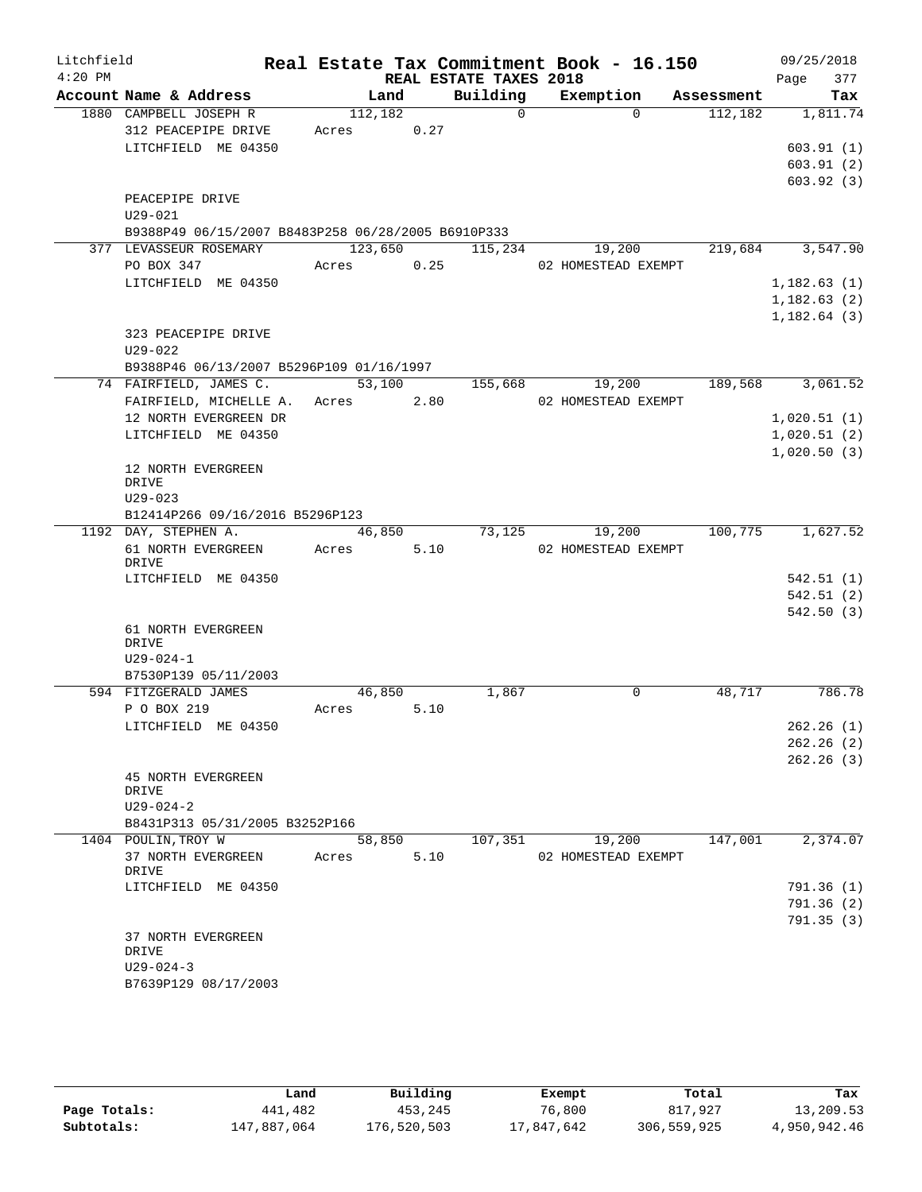| Litchfield |                                                    |                  |                       |                                    | Real Estate Tax Commitment Book - 16.150 |            | 09/25/2018   |
|------------|----------------------------------------------------|------------------|-----------------------|------------------------------------|------------------------------------------|------------|--------------|
| $4:20$ PM  | Account Name & Address                             |                  | Land                  | REAL ESTATE TAXES 2018<br>Building |                                          | Assessment | 377<br>Page  |
|            | 1880 CAMPBELL JOSEPH R                             |                  |                       | $\Omega$                           | Exemption<br>$\Omega$                    |            | Tax          |
|            | 312 PEACEPIPE DRIVE                                | 112,182<br>Acres | 0.27                  |                                    |                                          | 112,182    | 1,811.74     |
|            | LITCHFIELD ME 04350                                |                  |                       |                                    |                                          |            | 603.91(1)    |
|            |                                                    |                  |                       |                                    |                                          |            | 603.91(2)    |
|            |                                                    |                  |                       |                                    |                                          |            | 603.92(3)    |
|            | PEACEPIPE DRIVE                                    |                  |                       |                                    |                                          |            |              |
|            | U29-021                                            |                  |                       |                                    |                                          |            |              |
|            | B9388P49 06/15/2007 B8483P258 06/28/2005 B6910P333 |                  |                       |                                    |                                          |            |              |
|            | 377 LEVASSEUR ROSEMARY                             |                  | 123,650               | 115,234                            | 19,200                                   | 219,684    | 3,547.90     |
|            | PO BOX 347                                         | Acres            | 0.25                  |                                    | 02 HOMESTEAD EXEMPT                      |            |              |
|            | LITCHFIELD ME 04350                                |                  |                       |                                    |                                          |            | 1,182.63(1)  |
|            |                                                    |                  |                       |                                    |                                          |            | 1,182.63(2)  |
|            |                                                    |                  |                       |                                    |                                          |            | 1, 182.64(3) |
|            | 323 PEACEPIPE DRIVE                                |                  |                       |                                    |                                          |            |              |
|            | $U29 - 022$                                        |                  |                       |                                    |                                          |            |              |
|            | B9388P46 06/13/2007 B5296P109 01/16/1997           |                  |                       |                                    |                                          |            |              |
|            | 74 FAIRFIELD, JAMES C.                             |                  | 53,100                | 155,668                            | 19,200                                   | 189,568    | 3,061.52     |
|            | FAIRFIELD, MICHELLE A. Acres                       |                  | 2.80                  |                                    | 02 HOMESTEAD EXEMPT                      |            |              |
|            | 12 NORTH EVERGREEN DR                              |                  |                       |                                    |                                          |            | 1,020.51(1)  |
|            | LITCHFIELD ME 04350                                |                  |                       |                                    |                                          |            | 1,020.51(2)  |
|            |                                                    |                  |                       |                                    |                                          |            | 1,020.50(3)  |
|            | 12 NORTH EVERGREEN                                 |                  |                       |                                    |                                          |            |              |
|            | DRIVE                                              |                  |                       |                                    |                                          |            |              |
|            | $U29 - 023$                                        |                  |                       |                                    |                                          |            |              |
|            | B12414P266 09/16/2016 B5296P123                    |                  |                       |                                    |                                          |            |              |
|            | 1192 DAY, STEPHEN A.<br>61 NORTH EVERGREEN         |                  | $\overline{46}$ , 850 | 73,125                             | 19,200                                   | 100,775    | 1,627.52     |
|            | DRIVE                                              | Acres            | 5.10                  |                                    | 02 HOMESTEAD EXEMPT                      |            |              |
|            | LITCHFIELD ME 04350                                |                  |                       |                                    |                                          |            | 542.51(1)    |
|            |                                                    |                  |                       |                                    |                                          |            | 542.51(2)    |
|            |                                                    |                  |                       |                                    |                                          |            | 542.50(3)    |
|            | 61 NORTH EVERGREEN                                 |                  |                       |                                    |                                          |            |              |
|            | DRIVE                                              |                  |                       |                                    |                                          |            |              |
|            | $U29 - 024 - 1$                                    |                  |                       |                                    |                                          |            |              |
|            | B7530P139 05/11/2003                               |                  |                       |                                    |                                          |            |              |
|            | 594 FITZGERALD JAMES                               | 46,850           |                       | 1,867                              | $\Omega$                                 | 48,717     | 786.78       |
|            | P O BOX 219                                        | Acres            | 5.10                  |                                    |                                          |            |              |
|            | LITCHFIELD ME 04350                                |                  |                       |                                    |                                          |            | 262.26(1)    |
|            |                                                    |                  |                       |                                    |                                          |            | 262.26(2)    |
|            |                                                    |                  |                       |                                    |                                          |            | 262.26(3)    |
|            | <b>45 NORTH EVERGREEN</b>                          |                  |                       |                                    |                                          |            |              |
|            | DRIVE<br>$U29 - 024 - 2$                           |                  |                       |                                    |                                          |            |              |
|            | B8431P313 05/31/2005 B3252P166                     |                  |                       |                                    |                                          |            |              |
|            | 1404 POULIN, TROY W                                | 58,850           |                       | 107,351                            | 19,200                                   | 147,001    | 2,374.07     |
|            | 37 NORTH EVERGREEN                                 | Acres            | 5.10                  |                                    | 02 HOMESTEAD EXEMPT                      |            |              |
|            | DRIVE                                              |                  |                       |                                    |                                          |            |              |
|            | LITCHFIELD ME 04350                                |                  |                       |                                    |                                          |            | 791.36(1)    |
|            |                                                    |                  |                       |                                    |                                          |            | 791.36(2)    |
|            |                                                    |                  |                       |                                    |                                          |            | 791.35(3)    |
|            |                                                    |                  |                       |                                    |                                          |            |              |
|            | 37 NORTH EVERGREEN                                 |                  |                       |                                    |                                          |            |              |
|            | DRIVE                                              |                  |                       |                                    |                                          |            |              |
|            | $U29 - 024 - 3$<br>B7639P129 08/17/2003            |                  |                       |                                    |                                          |            |              |

|              | Land        | Building    | Exempt     | Total       | Tax          |
|--------------|-------------|-------------|------------|-------------|--------------|
| Page Totals: | 441,482     | 453,245     | 76,800     | 817,927     | 13,209.53    |
| Subtotals:   | 147,887,064 | 176,520,503 | 17,847,642 | 306,559,925 | 4,950,942.46 |